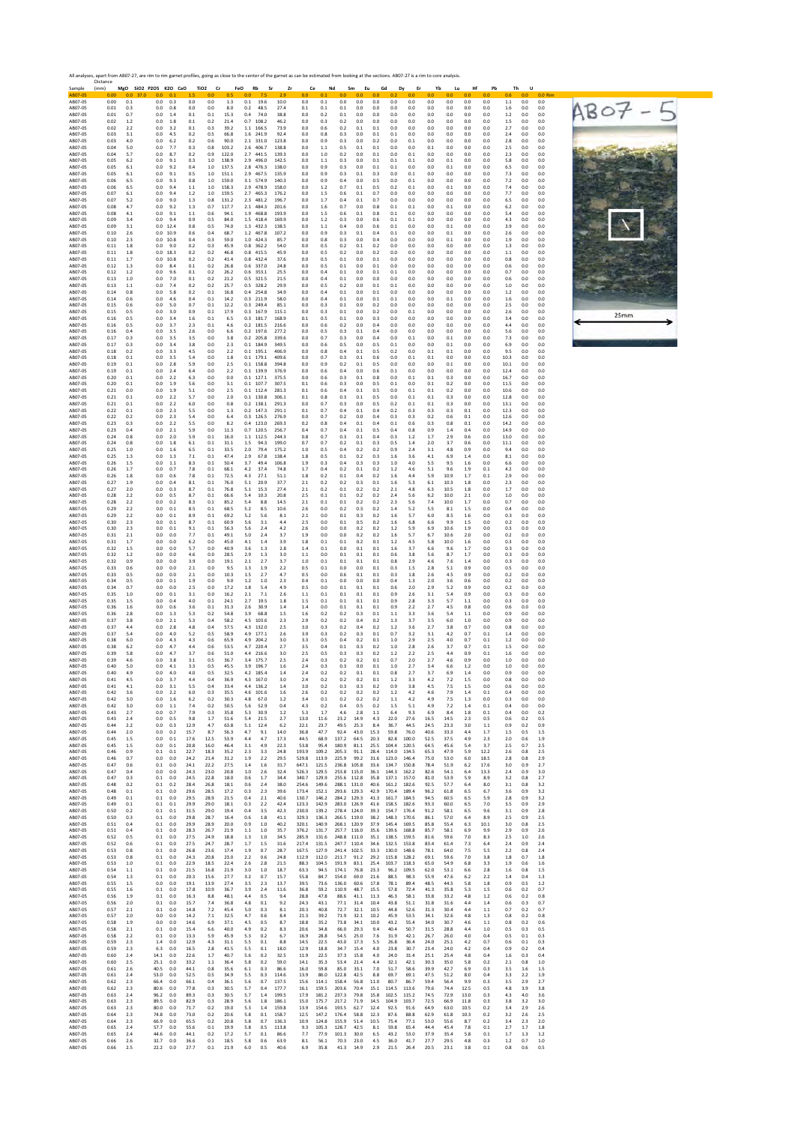| Sample<br>AB07-05             | Distance<br>(mm)     | $0.0$ 37.0              | MgO SiO2 P2O5 K2O CaO TiO2<br>0.0               |                       | cr                   | FeO                  | Rb<br>Sr                               | Zr                      | Ce                      |                         | Nd<br>Sm                            | Eu                                           | Gd                      | Dy<br>Er                   | Yb                   | Lu                   | Hf                   | Pb                    | <b>Th</b>         | U                                            | $0.0$ Rim |            |  |
|-------------------------------|----------------------|-------------------------|-------------------------------------------------|-----------------------|----------------------|----------------------|----------------------------------------|-------------------------|-------------------------|-------------------------|-------------------------------------|----------------------------------------------|-------------------------|----------------------------|----------------------|----------------------|----------------------|-----------------------|-------------------|----------------------------------------------|-----------|------------|--|
| AB07-05<br>AB07-05            | 0.00<br>0.01         | 0.1<br>0.3              | 0.1<br>0.0<br>0.3<br>0.0<br>0.8                 | 0.0<br>0.0            | 0.0<br>0.0           | 1.3<br>8.0           | 0.1<br>19.6<br>0.2<br>48.5             | 10.0<br>27.4            | 0.0<br>0.1              | 0.1<br>0.1<br>0.1       | 0.0<br>0.1                          | 0.0<br>0.0<br>0.0<br>0.0                     | 0.0<br>0.0              | 0.0<br>0.0                 | 0.0<br>0.0<br>0.0    | 0.0<br>0.0           | 0.0<br>0.0           | 0.0<br>0.0<br>0.0     | 0.6<br>1.1<br>1.6 | 0.0 <sub>1</sub><br>0.0<br>0.0<br>0.0<br>0.0 |           | $ABO7 - 5$ |  |
| AB07-05<br>AB07-05            | 0.01<br>0.02         | 0.7<br>1.2              | 0.0<br>1.4<br>0.0<br>1.8                        | 0.1<br>0.1            | 0.1<br>0.2           | 15.3<br>21.4         | 0.4<br>74.0<br>$0.7$ 108.2             | 38.8<br>46.2            | 0.0<br>0.0              | 0.2<br>0.3              | 0.1<br>0.2                          | 0.0<br>0.0<br>0.0<br>0.0                     | 0.0<br>0.0              | 0.0<br>0.0                 | 0.0<br>0.0           | 0.0<br>0.0           | 0.0<br>0.0           | 0.0<br>0.0            | $1.2\,$<br>1.5    | 0.0<br>0.0<br>0.0<br>0.0                     |           |            |  |
| AB07-05<br>AB07-05            | 0.02<br>0.03         | 2.2<br>3.1              | 0.0<br>3.2<br>0.0<br>4.5                        | 0.1<br>0.2            | 0.3<br>0.5           | 39.2<br>66.8         | 1.1 166.5<br>1.6 241.9                 | 73.9<br>92.4            | 0.0<br>0.0              | 0.6<br>0.8              | 0.2<br>0.3                          | 0.1<br>0.1<br>0.0<br>0.1                     | 0.0<br>0.1              | 0.0<br>0.0                 | 0.0<br>0.0           | 0.0<br>0.0           | 0.0<br>0.0           | 0.0<br>0.0            | 2.7<br>2.4        | 0.0<br>0.0<br>0.0<br>0.0                     |           |            |  |
| AB07-05<br>AB07-05            | 0.03<br>0.04         | 4.0<br>5.0              | 0.0<br>6.2<br>0.0<br>7.7                        | 0.2<br>0.3            | 0.6<br>0.8           | 90.0<br>103.2        | 2.1 331.0<br>2.6 406.7                 | 123.8<br>138.8          | 0.0<br>0.0              | 0.9<br>1.1              | 0.3<br>0.5                          | 0.0<br>0.2<br>0.1<br>0.1                     | 0.0<br>0.0              | 0.1<br>0.0                 | 0.0<br>0.1           | 0.0<br>0.0           | 0.0<br>0.0           | 0.0<br>0.0            | 2.8<br>2.5        | 0.0<br>0.0<br>0.0<br>0.0                     |           |            |  |
| AB07-05<br>AB07-05            | 0.04<br>0.05         | 5.7<br>6.2              | 0.0<br>8.7<br>0.0<br>9.1                        | 0.2<br>0.3            | 0.9<br>1.0           | 122.0<br>138.9       | 2.7 441.5<br>2.9 496.0                 | 139.3<br>142.5          | 0.0<br>0.0              | 1.0<br>1.1              | 0.2<br>0.3                          | 0.0<br>0.1<br>0.0<br>0.1                     | 0.0<br>0.1              | 0.1<br>0.1                 | 0.0<br>0.0           | 0.0<br>0.1           | 0.0<br>0.0           | 0.0<br>0.0            | 2.3<br>5.8        | 0.0<br>0.0<br>0.0<br>0.0                     |           |            |  |
| AB07-05<br>AB07-05            | 0.05<br>0.05         | 6.1<br>6.1              | 0.0<br>9.2<br>9.1<br>0.0                        | 0.4<br>0.5            | 1.0<br>1.0           | 137.5<br>151.1       | 2.8 476.3<br>2.9 467.5                 | 138.0<br>135.9          | 0.0<br>0.0              | 0.9<br>0.9              | 0.3<br>0.3                          | 0.0<br>0.1<br>0.1<br>0.3                     | 0.1<br>0.0              | 0.0<br>0.1                 | 0.0<br>0.0           | 0.1<br>0.0           | 0.0<br>0.0           | 0.0<br>0.0            | 6.5<br>7.3        | 0.0<br>0.0<br>0.0<br>0.0                     |           |            |  |
| AB07-05<br>AB07-05            | 0.06<br>0.06         | 6.5<br>6.5              | 0.0<br>9.3<br>0.0<br>9.4                        | 0.8<br>$1.1\,$        | 1.0<br>1.0           | 159.0<br>158.3       | 3.1 574.9<br>2.9 478.9                 | 140.3<br>158.0          | 0.0<br>0.0              | 0.9<br>1.2              | 0.4<br>0.7                          | 0.0<br>0.5<br>0.1<br>0.5                     | 0.0<br>0.2              | 0.1<br>0.1                 | 0.0<br>0.0           | 0.0<br>0.1           | 0.0<br>0.0           | 0.0<br>0.0            | 7.2<br>7.4        | 0.0<br>0.0<br>0.0<br>0.0                     |           |            |  |
| AB07-05<br>AB07-05            | 0.07<br>0.07         | 6.1<br>5.2              | 0.0<br>9.4<br>0.0<br>9.0                        | 1.2<br>1.3            | 1.0<br>0.8           | 159.5<br>131.2       | 2.7 465.3<br>2.3 481.2                 | 176.2<br>196.7          | 0.0<br>0.0              | 1.5<br>1.7              | 0.6<br>0.4                          | 0.1<br>0.7<br>0.1<br>0.7                     | 0.0<br>0.0              | 0.0<br>0.0                 | 0.0<br>0.0           | 0.0<br>0.0           | 0.0<br>0.0           | 0.0<br>0.0            | 7.7<br>6.5        | 0.0<br>0.0<br>0.0<br>0.0                     |           |            |  |
| AB07-05<br>AB07-05            | 0.08<br>0.08         | 4.7<br>4.1              | $_{0.0}$<br>9.2<br>0.0<br>9.1                   | $1.3\,$<br>$1.1$      | 0.7<br>0.6           | 117.7<br>94.1        | 2.1 484.3<br>1.9 468.8                 | 201.6<br>193.9          | 0.0<br>0.0              | 1.6<br>1.5              | 0.7<br>0.6                          | 0.0<br>0.8<br>0.1<br>0.8                     | 0.1<br>0.1              | 0.1<br>0.0                 | 0.0<br>0.0           | 0.1<br>0.0           | 0.0<br>0.0           | 0.0<br>0.0            | 6.2<br>5.4        | 0.0<br>0.0<br>0.0<br>0.0                     |           |            |  |
| AB07-05<br>AB07-05            | 0.09<br>0.09         | 3.4<br>3.1              | 0.0<br>9.4<br>$0.0$ 12.4                        | 0.9<br>0.8            | 0.5<br>0.5           | 84.0<br>74.0         | 1.5 418.4<br>1.3 432.3                 | 169.9<br>138.5          | 0.0<br>0.0              | 1.2<br>1.1              | 0.3<br>0.4                          | 0.0<br>0.6<br>0.0<br>0.6                     | 0.1<br>0.1              | 0.1<br>0.0                 | 0.0<br>0.0           | 0.0<br>0.1           | 0.0<br>0.0           | 0.0<br>0.0            | 4.3<br>3.9        | 0.0<br>0.0<br>0.0<br>0.0                     |           |            |  |
| AB07-05<br>AB07-05            | 0.10<br>0.10         | 2.6<br>2.3              | 0.0 10.9<br>0.0<br>10.8                         | 0.6<br>0.4            | 0.4<br>0.3           | 68.7<br>59.0         | 1.2 467.8<br>1.0 424.3                 | 107.2<br>85.7           | 0.0<br>0.0              | 0.9<br>0.8              | 0.3<br>0.3                          | 0.1<br>0.4<br>0.0<br>0.4                     | 0.1<br>0.0              | 0.0<br>0.0                 | 0.0<br>0.0           | 0.1<br>0.1           | 0.0<br>0.0           | 0.0<br>0.0            | 2.6<br>1.9        | 0.0<br>0.0<br>0.0<br>0.0                     |           |            |  |
| AB07-05<br>AB07-05            | 0.11<br>0.11         | 1.8<br>1.8              | 9.0<br>0.0<br>$0.0$ 18.3                        | 0.2<br>0.2            | 0.3<br>0.2           | 45.9<br>46.8         | 0.8 362.2<br>0.8 415.5                 | 54.0<br>45.9            | 0.0<br>0.0              | 0.5<br>0.5              | 0.2<br>0.2                          | 0.1<br>0.2<br>0.0<br>0.2                     | 0.0<br>0.0              | 0.0<br>0.0                 | 0.0<br>0.0           | 0.0<br>0.0           | 0.0<br>0.0           | 0.0<br>0.0            | 1.3<br>1.1        | 0.0<br>0.0<br>0.0<br>0.0                     |           |            |  |
| AB07-05<br>AB07-05            | 0.11<br>0.12         | 1.7<br>1.3              | 0.0<br>10.8<br>0.0<br>8.4                       | 0.2<br>0.1            | 0.2<br>0.2           | 41.4<br>26.8         | 0.8<br>432.4<br>0.6 337.0<br>0.6 353.1 | 37.6<br>24.8            | 0.0<br>0.0              | 0.5<br>0.5              | 0.1<br>0.1                          | 0.0<br>0.1<br>0.0<br>0.1                     | 0.0<br>0.0              | 0.0<br>0.0                 | 0.0<br>0.0           | 0.0<br>0.0           | 0.0<br>0.0           | 0.0<br>0.0            | 0.8<br>0.6        | 0.0<br>0.0<br>0.0<br>0.0                     |           |            |  |
| AB07-05<br>AB07-05<br>AB07-05 | 0.12<br>0.13<br>0.13 | 1.2<br>$1.0\,$<br>$1.1$ | 0.0<br>9.6<br>$_{0.0}$<br>$7.0\,$<br>0.0<br>7.4 | 0.1<br>$0.1\,$<br>0.2 | 0.2<br>0.2<br>0.2    | 26.2<br>21.2<br>25.7 | 0.5 321.5<br>0.5 328.2                 | 25.5<br>21.5<br>29.9    | 0.0<br>$_{0.0}$<br>0.0  | 0.4<br>0.4<br>0.5       | 0.1<br>$0.1\,$<br>0.2               | 0.0<br>0.1<br>0.0<br>0.0<br>0.0<br>0.1       | 0.1<br>0.0<br>0.1       | 0.0<br>0.0<br>0.0          | 0.0<br>0.0<br>0.0    | 0.0<br>0.0<br>0.0    | 0.0<br>0.0<br>0.0    | 0.0<br>0.0<br>0.0     | 0.7<br>0.6<br>1.0 | 0.0<br>0.0<br>0.0<br>0.0<br>0.0<br>0.0       |           |            |  |
| AB07-05<br>AB07-05            | 0.14<br>0.14         | 0.8<br>0.6              | 0.0<br>5.8<br>0.0<br>4.6                        | 0.2<br>0.4            | 0.1<br>0.1           | 16.8<br>14.2         | 0.4 254.8<br>0.3 211.9                 | 34.9<br>58.0            | 0.0<br>0.0              | 0.4<br>0.4              | 0.1<br>0.1                          | 0.0<br>0.1<br>0.0<br>0.1                     | 0.0<br>0.1              | 0.0<br>0.0                 | 0.0<br>0.0           | 0.0<br>0.1           | 0.0<br>0.0           | 0.0<br>0.0            | 1.2<br>1.6        | 0.0<br>0.0<br>0.0<br>0.0                     |           |            |  |
| AB07-05<br>AB07-05            | 0.15<br>0.15         | 0.6<br>0.5              | 0.0<br>5.0<br>0.0<br>3.0                        | 0.7<br>0.9            | 0.1<br>0.1           | 12.2<br>17.9         | $0.3$ 249.4<br>0.3 167.9               | 85.1<br>115.1           | 0.0<br>0.0              | 0.3<br>0.3              | 0.1<br>0.1                          | 0.0<br>0.2<br>0.0<br>0.2                     | 0.0<br>0.0              | 0.0<br>0.1                 | 0.0<br>0.0           | 0.0<br>0.0           | 0.0<br>0.0           | 0.0<br>0.0            | 2.5<br>2.6        | 0.0<br>0.0<br>0.0<br>0.0                     |           |            |  |
| AB07-05<br>AB07-05            | 0.16<br>0.16         | 0.5<br>0.5              | 0.0<br>3.4<br>3.7<br>0.0                        | 1.6<br>2.3            | 0.1<br>0.1           | 6.5<br>4.6           | 0.3 181.7<br>$0.2$ 181.5               | 168.9<br>216.6          | 0.1<br>0.0              | 0.5<br>0.6              | 0.1<br>0.2                          | 0.0<br>0.3<br>0.0<br>0.4                     | 0.0<br>0.0              | 0.0<br>0.0                 | 0.0<br>0.0           | 0.0<br>0.0           | 0.0<br>0.0           | 0.0<br>0.0            | 3.4<br>4.4        | 0.0<br>0.0<br>0.0<br>0.0                     |           | 25mm       |  |
| AB07-05<br>AB07-05            | 0.16<br>0.17         | 0.4<br>0.3              | 0.0<br>3.5<br>0.0<br>3.5                        | 2.6<br>3.5            | 0.0<br>0.0           | 6.6<br>3.8           | $0.2$ 197.6<br>$0.2$ 205.8             | 277.2<br>339.6          | 0.0<br>0.0              | 0.5<br>0.7              | 0.3<br>0.3                          | 0.1<br>0.4<br>0.0<br>0.4                     | 0.0<br>0.0              | 0.0<br>0.1                 | 0.0<br>0.0           | 0.0<br>0.1           | 0.0<br>0.0           | 0.0<br>0.0            | 5.6<br>7.3        | 0.0<br>0.0<br>0.0<br>0.0                     |           |            |  |
| AB07-05<br>AB07-05            | 0.17<br>0.18         | 0.3<br>0.2              | 0.0<br>3.4<br>$_{0.0}$<br>3.3                   | 3.8<br>$4.5\,$        | 0.0<br>0.0           | 2.3<br>2.2           | 0.1 184.9<br>$0.1$ 195.1               | 349.5<br>406.9          | 0.0<br>$_{0.0}$         | 0.6<br>0.8              | 0.5<br>0.4                          | 0.0<br>0.5<br>$0.1\,$<br>0.5                 | 0.1<br>0.2              | 0.0<br>0.0                 | 0.0<br>0.1           | 0.1<br>0.1           | 0.0<br>0.0           | 0.0<br>0.0            | 6.9<br>9.5        | 0.0<br>0.0<br>0.0<br>0.0                     |           |            |  |
| AB07-05<br>AB07-05            | 0.18<br>0.19         | 0.1<br>0.1              | 3.5<br>0.0<br>0.0<br>2.8                        | 5.4<br>5.9            | 0.0<br>0.0           | 1.8<br>2.5           | $0.1$ 179.1<br>0.1 158.8               | 409.6<br>394.8          | 0.0<br>0.0              | 0.7<br>0.9              | 0.3<br>0.2                          | 0.1<br>0.6<br>0.1<br>0.5                     | 0.0<br>0.0              | 0.1<br>0.0                 | 0.1<br>0.0           | 0.0<br>0.1           | 0.0<br>0.0           | 0.0<br>0.0            | 10.3<br>10.1      | 0.0<br>0.0<br>0.0<br>0.0                     |           |            |  |
| AB07-05<br>AB07-05            | 0.19<br>0.20         | 0.1<br>0.1              | 0.0<br>2.4<br>0.0<br>2.2                        | 6.4<br>6.3            | 0.0<br>0.0           | 2.2<br>0.0           | $0.1$ 139.9<br>$0.1$ 127.1             | 376.9<br>375.5          | 0.0<br>0.0              | 0.6<br>0.6              | 0.4<br>0.3                          | 0.0<br>0.6<br>0.1<br>0.8                     | 0.1<br>0.0              | 0.0<br>0.1                 | 0.0<br>0.1           | 0.0<br>0.3           | 0.0<br>0.0           | 0.0<br>0.0            | 12.4<br>16.7      | 0.0<br>0.0<br>0.0<br>0.0                     |           |            |  |
| AB07-05<br>AB07-05            | 0.20<br>0.21         | 0.1<br>0.0              | 0.0<br>1.9<br>0.0<br>1.9                        | 5.6<br>5.1            | 0.0<br>0.0           | 3.1<br>2.5           | $0.1$ 107.7<br>$0.1$ 112.4             | 307.5<br>281.3          | 0.1<br>0.1              | 0.6<br>0.6              | 0.3<br>0.4                          | 0.0<br>0.5<br>0.1<br>0.5                     | 0.1<br>0.0              | 0.0<br>0.1                 | 0.1<br>0.1           | 0.2<br>0.2           | 0.0<br>0.0           | 0.0<br>0.0            | 11.5<br>10.6      | 0.0<br>0.0<br>0.0<br>0.0                     |           |            |  |
| AB07-05<br>AB07-05            | 0.21<br>0.21         | 0.1<br>0.1              | 0.0<br>2.2<br>0.0<br>2.2                        | 5.7<br>6.0            | 0.0<br>0.0           | 2.0<br>0.8           | $0.1$ 130.8<br>$0.2$ 138.1             | 306.1<br>291.3          | 0.1<br>0.0              | 0.8<br>0.7              | 0.3<br>0.3                          | 0.1<br>0.5<br>0.0<br>0.5                     | 0.0<br>0.2              | 0.1<br>0.1                 | 0.1<br>0.1           | 0.3<br>0.3           | 0.0<br>0.0           | 0.0<br>0.0            | 12.8<br>13.1      | 0.0<br>0 <sub>0</sub><br>0.0<br>0.0          |           |            |  |
| AB07-05<br>AB07-05            | 0.22<br>0.22         | 0.1<br>0.2              | 0.0<br>2.3<br>0.0<br>2.3                        | 5.5<br>5.4            | 0.0<br>0.0           | 1.3<br>6.4           | $0.2$ 1473<br>0.3 126.5                | 291.1<br>276.9          | 0.1<br>0.0              | 0.7<br>0.7              | 0.4<br>0.2                          | 0.1<br>0.4<br>0.0<br>0.4                     | 0.2<br>0.3              | 0.3<br>0.3                 | 0.3<br>0.2           | 0.3<br>0.6           | 0.1<br>0.1           | 0.0<br>0.0            | 12.3<br>12.6      | 0.0<br>0.0<br>0.0<br>0.0                     |           |            |  |
| AB07-05<br>AB07-05            | 0.23<br>0.23         | 0.3<br>0.4              | 0.0<br>2.2<br>2.1<br>0.0                        | 5.5<br>5.9            | 0.0<br>0.0           | 8.2<br>11.3          | $0.4$ 123.0<br>$0.7$ 120.5             | 269.3<br>256.7          | 0.2<br>0.4              | 0.8<br>0.7              | 0.4<br>0.4                          | 0.1<br>0.4<br>0.1<br>0.5                     | 0.1<br>0.4              | 0.6<br>0.8                 | 0.3<br>0.9           | 0.8<br>1.4           | 0.1<br>0.4           | 0.0<br>0.0            | 14.2<br>14.9      | 0.0<br>0.0<br>0.0<br>0.0                     |           |            |  |
| AB07-05<br>AB07-05            | 0.24<br>0.24         | 0.8<br>0.8              | 0.0<br>2.0<br>0.0<br>$1.8\,$                    | 5.9<br>6.1            | 0.1<br>0.1           | 16.0<br>31.1         | 1.1 112.5<br>1.5<br>94.3               | 244.3<br>199.0          | 0.8<br>0.7              | 0.7<br>0.7              | 0.3<br>0.2                          | 0.1<br>0.4<br>0.3<br>0.1                     | 0.3<br>0.5              | 1.2<br>1.4                 | 1.7<br>2.0           | 2.9<br>3.7           | 0.6<br>0.6           | 0.0<br>0.0            | 13.0<br>11.1      | 0.0<br>0.0<br>0.0<br>0.0                     |           |            |  |
| AB07-05<br>AB07-05            | 0.25<br>0.25         | 1.0<br>1.3              | 0.0<br>1.6<br>0.0<br>1.3                        | 6.5<br>7.1            | 0.1<br>0.1           | 33.5<br>47.4         | 2.0<br>79.4<br>2.9<br>67.8             | 175.2<br>138.4          | 1.0<br>1.8              | 0.5<br>0.5              | 0.4<br>0.1                          | 0.2<br>0.2<br>0.2<br>0.3                     | 0.9<br>1.6              | 2.4<br>3.6                 | 3.1<br>4.1           | 4.8<br>6.9           | 0.9<br>1.4           | 0.0<br>0.0            | 9.4<br>8.1        | 0.0<br>0.0<br>0.0<br>0.0                     |           |            |  |
| AB07-05<br>AB07-05            | 0.26<br>0.26         | 1.5<br>1.7              | $_{0.0}$<br>1.1<br>0.0<br>0.7                   | 8.3<br>7.8            | 0.1<br>0.1           | 50.4<br>68.1         | 3.7<br>49.4<br>4.2<br>37.4             | 106.8<br>74.8           | 1.9<br>1.7              | 0.3<br>0.4              | 0.4<br>0.2                          | 0.3<br>0.3<br>0.1<br>0.2                     | 1.0<br>1.2              | 4.0<br>4.6                 | 5.5<br>5.1           | 9.5<br>9.6           | 1.6<br>1.9           | 0.0<br>0.1            | 6.6<br>4.2        | 0.0<br>0.0<br>0.0<br>0.0                     |           |            |  |
| AB07-05<br>AB07-05            | 0.26<br>0.27         | 1.8<br>1.9              | 0.0<br>0.6<br>0.0<br>0.4                        | 7.8<br>8.1            | 0.1<br>0.1           | 72.5<br>76.0         | 4.3<br>27.1<br>5.1<br>20.9             | 51.1<br>37.7            | 1.8<br>2.1              | 0.2<br>0.2              | 0.1<br>0.2                          | 0.2<br>0.4<br>0.3<br>0.1                     | 1.6<br>1.6              | 4.4<br>5.3                 | 5.9<br>6.1           | 10.9<br>10.3         | 1.7<br>1.8           | 0.1<br>0.0            | 2.9<br>2.3        | 0.0<br>0.0<br>0.0<br>0.0                     |           |            |  |
| AB07-05<br>AB07-05            | 0.27<br>0.28         | 2.0<br>2.2              | 0.0<br>0.3<br>0.0<br>0.5                        | 8.7<br>8.7            | 0.1<br>0.1           | 76.8<br>66.6         | 5.1<br>15.3<br>5.4<br>10.3             | 27.4<br>20.8            | 2.1<br>2.5              | 0.2<br>0.1              | 0.1<br>0.1                          | 0.2<br>0.2<br>0.2<br>0.2                     | 2.1<br>2.4              | 4.8<br>5.6                 | 6.3<br>6.2           | 10.5<br>10.0         | 1.8<br>2.1           | 0.0<br>0.0            | 1.7<br>1.0        | 0.0<br>0.0<br>0.0<br>0.0                     |           |            |  |
| AB07-05<br>AB07-05            | 0.28<br>0.29         | 2.2<br>2.2              | 0.2<br>0.0<br>0.0<br>0.1                        | 8.3<br>8.5            | 0.1<br>0.1           | 85.2<br>68.5         | 5.4<br>8.8<br>5.2<br>8.5               | 14.5<br>10.6            | 2.1<br>2.6              | 0.1<br>0.0              | 0.1<br>0.2                          | 0.2<br>0.2<br>0.3<br>0.2                     | 2.3<br>1.4              | 5.6<br>5.2                 | 7.4<br>5.5           | 10.0<br>8.1          | 1.7<br>1.5           | 0.0<br>0.0            | 0.7<br>0.4        | 0.0<br>0.0<br>0.0<br>0.0                     |           |            |  |
| AB07-05<br>AB07-05            | 0.29<br>0.30         | 2.2<br>2.3              | 0.0<br>0.1<br>0.0<br>0.1                        | 8.9<br>8.7            | 0.1<br>0.1           | 69.2<br>60.9         | 5.2<br>5.6<br>5.6<br>3.1               | 8.1<br>4.4              | 2.1<br>2.5              | 0.0<br>0.0              | 0.1<br>0.1                          | 0.3<br>0.2<br>0.5<br>0.2                     | 1.6<br>1.6              | 5.7<br>6.8                 | 6.0<br>6.6           | 8.5<br>9.9           | 1.6<br>1.5           | 0.0<br>0.0            | 0.3<br>0.2        | 0.0<br>0.0<br>0.0<br>$_{0.0}$                |           |            |  |
| AB07-05<br>AB07-05<br>AB07-05 | 0.30<br>0.31<br>0.31 | 2.3<br>$2.1\,$<br>1.7   | 0.0<br>0.1<br>$_{0.0}$<br>0.0<br>0.0<br>0.0     | 9.1<br>7.7<br>6.2     | 0.1<br>0.1<br>0.0    | 56.3<br>49.1<br>45.0 | 5.6<br>2.4<br>5.0<br>2.4<br>4.1<br>1.4 | 4.2<br>3.7<br>3.9       | 2.6<br>1.9<br>1.8       | 0.0<br>0.0<br>0.1       | 0.0<br>0.0<br>0.1                   | 0.2<br>0.2<br>0.2<br>0.2<br>0.2<br>0.1       | 1.2<br>1.6<br>1.2       | 5.9<br>5.7<br>4.5          | 6.9<br>6.7<br>5.8    | 10.6<br>10.6<br>10.0 | 1.9<br>2.0<br>1.6    | 0.0<br>$0.0\,$<br>0.0 | 0.3<br>0.2<br>0.3 | 0.0<br>0.0<br>0.0<br>0.0<br>0.0<br>0.0       |           |            |  |
| AB07-05<br>AB07-05            | 0.32<br>0.32         | 1.5<br>1.2              | 0.0<br>0.0<br>0.0<br>0.0                        | 5.7<br>4.6            | 0.0<br>0.0           | 40.9<br>28.5         | 3.6<br>1.3<br>2.9<br>1.3               | 2.8<br>3.0              | 1.4<br>1.1              | 0.1<br>0.0              | 0.0<br>0.1                          | 0.1<br>0.1<br>0.1<br>0.1                     | 1.6<br>0.6              | 3.7<br>3.8                 | 6.6<br>5.6           | 9.6<br>8.7           | 1.7<br>1.7           | 0.0<br>0.0            | 0.3<br>0.3        | 0.0<br>0.0<br>0.0<br>0.0                     |           |            |  |
| AB07-05<br>AB07-05            | 0.32<br>0.33         | 0.9<br>0.6              | 0.0<br>0.0<br>0.0<br>0.0                        | 3.9<br>$2.1\,$        | 0.0<br>0.0           | 19.1<br>9.5          | 2.1<br>2.7<br>1.3<br>1.9               | 3.7<br>2.2              | 1.0<br>0.5              | 0.1<br>0.1              | 0.1<br>0.0                          | 0.1<br>0.1<br>0.0<br>0.1                     | 0.8<br>0.3              | 2.9<br>1.5                 | 4.6<br>$2.8\,$       | 7.6<br>5.1           | 1.4<br>0.9           | 0.0<br>0.0            | 0.3<br>0.5        | 0.0<br>0.0<br>0.0<br>0.0                     |           |            |  |
| AB07-05<br>AB07-05            | 0.33<br>0.34         | 0.5<br>0.5              | 0.0<br>0.0<br>0.0<br>0.1                        | 2.1<br>1.9            | 0.0<br>0.0           | 10.3<br>9.0          | 1.5<br>2.7<br>1.2<br>1.0               | 4.7<br>2.3              | 0.5<br>0.4              | 0.0<br>0.1              | 0.6<br>0.0                          | 0.1<br>0.1<br>0.0<br>0.0                     | 0.3<br>0.4              | 1.8<br>1.3                 | 2.6<br>2.0           | 4.5<br>3.6           | 0.9<br>0.6           | 0.0<br>0.0            | 0.2<br>0.2        | 0.0<br>0.0<br>0.0<br>0.0                     |           |            |  |
| AB07-05<br>AB07-05            | 0.34<br>0.35         | 0.7<br>1.0              | 0.0<br>0.0<br>0.0<br>0.1                        | 2.5<br>3.1            | 0.0<br>0.0           | 17.2<br>16.2         | 1.8<br>5.4<br>2.1<br>7.1               | 4.9<br>2.6              | 0.5<br>1.1              | 0.0<br>0.1              | 0.1<br>0.1                          | 0.1<br>0.1<br>0.1<br>0.1                     | 0.6<br>0.9              | 2.0<br>2.6                 | 2.9<br>3.1           | 5.2<br>5.4           | 0.9<br>0.9           | 0.0<br>0.0            | 0.2<br>0.3        | 0.0<br>0.0<br>0.0<br>$_{0.0}$                |           |            |  |
| AB07-05<br>AB07-05            | 0.35<br>0.36         | 1.5<br>1.6              | 0.0<br>0.4<br>$_{0.0}$<br>0.6                   | 4.0<br>3.6            | 0.1<br>0.1           | 24.1<br>31.3         | 2.7<br>19.5<br>2.6<br>30.9             | 1.8<br>1.4              | 1.5<br>1.4              | 0.1<br>0.0              | 0.1<br>0.1                          | 0.1<br>0.1<br>0.1<br>0.1                     | 0.9<br>0.9              | 2.8<br>2.2                 | 3.3<br>2.7           | 5.7<br>4.5           | 1.1<br>0.8           | 0.0<br>0.0            | 0.3<br>0.6        | 0.0<br>0.0<br>0.0<br>0.0                     |           |            |  |
| AB07-05<br>AB07-05            | 0.36<br>0.37         | 2.8<br>3.8              | 0.0<br>1.3<br>0.0<br>2.1                        | 5.3<br>5.3            | 0.2<br>0.4           | 54.8<br>58.2         | 3.9<br>68.8<br>4.5 103.6               | 1.5<br>2.3              | 1.6<br>2.9              | 0.2<br>0.2              | 0.2<br>0.2                          | 0.3<br>0.1<br>0.4<br>0.2                     | 1.1<br>1.3              | 3.3<br>3.7                 | 3.6<br>3.5           | 5.4<br>6.0           | $1.1$<br>1.0         | 0.0<br>0.0            | 0.9<br>0.9        | 0.0<br>0.0<br>0.0<br>0.0                     |           |            |  |
| AB07-05<br>AB07-05            | 0.37<br>0.37         | 4.4<br>5.4              | 0.0<br>2.8<br>0.0<br>4.0                        | 4.8<br>5.2            | 0.4<br>0.5           | 57.5<br>58.9         | 4.3 132.0<br>4.9 177.1                 | 2.5<br>2.6              | 3.0<br>3.9              | 0.3<br>0.3              | 0.2<br>0.2                          | 0.4<br>0.2<br>0.3<br>0.1                     | 1.2<br>0.7              | 3.6<br>3.2                 | 2.7<br>3.1           | 3.8<br>4.2           | 0.7<br>0.7           | 0.0<br>0.1            | 0.8<br>1.4        | 0.0<br>0.0<br>0.0<br>0.0                     |           |            |  |
| AB07-05<br>AB07-05            | 0.38<br>0.38         | 6.0<br>6.2              | 0.0<br>4.3<br>0.0<br>4.7                        | 4.3<br>4.4            | 0.6<br>0.6           | 65.9<br>53.5         | 4.9 204.2<br>4.7 220.4                 | 3.0<br>2.7              | 3.3<br>3.5              | 0.5<br>0.4              | 0.4<br>0.1                          | 0.2<br>0.1<br>0.3<br>0.2                     | $1.0$<br>1.0            | 2.9<br>2.8                 | 2.5<br>2.6           | 4.0<br>3.7           | 0.7<br>0.7           | 0.1<br>0.1            | 1.2<br>1.5        | 0.0<br>0.0<br>0.0<br>0.0                     |           |            |  |
| AB07-05<br>AB07-05            | 0.39<br>0.39         | 5.8<br>4.6              | 4.7<br>0.0<br>0.0<br>3.8                        | 3.7<br>3.1            | 0.6<br>0.5           | 51.0<br>36.7         | 4.4 216.6<br>3.4<br>175.7              | 3.0<br>2.5              | 2.5<br>2.4              | 0.5<br>0.3              | 0.3<br>0.2                          | 0.3<br>0.2<br>0.2<br>0.1                     | 1.2<br>0.7              | 2.2<br>2.0                 | 2.5<br>2.7           | 4.4<br>4.6           | 0.9<br>0.9           | 0.1<br>0.0            | 1.6<br>1.0        | 0.0<br>0.0<br>0.0<br>0.0                     |           |            |  |
| AB07-05<br>AB07-05            | 0.40<br>0.40         | 5.0<br>4.9              | 0.0<br>4.1<br>0.0<br>4.0                        | 3.3<br>4.0            | 0.5<br>0.5           | 45.5<br>32.5         | 3.9 196.7<br>4.2 185.4                 | 1.6<br>1.4              | 2.4<br>2.4              | 0.3<br>0.2              | 0.3<br>0.2                          | 0.0<br>0.1<br>0.1<br>0.1                     | 1.0<br>0.8              | 2.7<br>2.7                 | 3.4<br>3.7           | 6.6<br>6.9           | 1.2<br>1.4           | 0.0<br>0.0            | 1.0<br>0.9        | 0.0<br>0.0<br>0.0<br>0.0                     |           |            |  |
| ABU/-U5<br>AB07-05<br>AB07-05 | U.41<br>0.41<br>0.42 | 4.1<br>3.6              | 0.0<br>3. /<br>$0.0$ 3.1<br>0.0<br>2.2          | 5.5<br>6.0            | 0.4<br>0.3           | 36.,<br>33.4<br>35.5 | 16/10<br>4.4 136.2<br>4.6 101.6        | 3.0<br>1.4<br>1.6       | 3.0<br>2.6              | U. 4<br>0.2<br>0.2      | 0.2<br>0.3<br>0.2                   | $_{0.1}$<br>0.2<br>0.3<br>0.2<br>0.2<br>0.2  | 0.9<br>1.2              | 3.8<br>4.2                 | 4.2<br>4.5<br>4.6    | 7.2<br>7.5<br>7.9    | 1.5<br>1.5<br>1.4    | υ.<br>0.0<br>0.1      | 0.8<br>0.6<br>0.4 | 0.0<br>0.0<br>0.0<br>0.0                     |           |            |  |
| AB07-05<br>AB07-05            | 0.42<br>0.42         | 3.0<br>3.0              | 0.0<br>1.6<br>0.0<br>1.1                        | 6.2<br>7.4            | 0.2<br>0.2           | 30.3<br>50.5         | 4.8<br>67.0<br>5.6<br>52.9             | 1.2<br>0.4              | 3.4<br>4.3              | 0.1<br>0.2              | 0.2<br>0.4                          | 0.2<br>0.2<br>0.5<br>0.2                     | $1.1\,$<br>1.5          | 4.2<br>5.1                 | 4.9<br>4.9           | 7.5<br>7.2           | 1.3<br>1.4           | 0.0<br>0.1            | 0.3<br>0.4        | 0.0<br>0.0<br>0.0<br>0.0                     |           |            |  |
| AB07-05<br>AB07-05            | 0.43<br>0.43         | 2.7<br>2.4              | 0.0<br>0.7<br>0.0<br>0.5                        | 7.9<br>9.8            | 0.3<br>1.7           | 35.8<br>51.6         | 30.9<br>5.3<br>5.4<br>21.5             | $1.2$<br>2.7            | 5.3<br>13.0             | 1.7<br>11.6             | 4.6<br>23.2                         | 2.8<br>$1.1$<br>14.9<br>4.3                  | 6.4<br>22.0             | 9.3<br>27.6                | 6.9<br>16.5          | 8.4<br>14.5          | 1.8<br>2.3           | 0.1<br>0.5            | 0.4<br>0.6        | 0.0<br>0.2<br>0.2<br>0.5                     |           |            |  |
| AB07-05<br>AB07-05            | 0.44<br>0.44         | 2.2<br>2.0              | 0.0<br>0.3<br>0.0<br>0.2                        | 12.9<br>15.7          | 4.7<br>8.7           | 63.8<br>56.3         | 5.1<br>12.4<br>4.7<br>9.1              | 6.2<br>14.0             | 22.1<br>36.8            | 23.7<br>47.7            | 49.5<br>92.4                        | 25.3<br>8.4<br>43.0<br>15.3                  | 36.7<br>59.8            | 44.5<br>76.0               | 24.5<br>40.6         | 23.3<br>33.3         | 3.0<br>4.4           | 1.1<br>1.7            | 0.9<br>$1.5\,$    | 0.2<br>0.9<br>0.5<br>1.5                     |           |            |  |
| AB07-05<br>AB07-05            | 0.45<br>0.45         | 1.5<br>1.5              | 0.0<br>0.1<br>0.0<br>0.1                        | 17.6<br>20.8          | 12.5<br>16.0         | 53.9<br>46.4         | 4.4<br>4.7<br>3.1<br>4.9               | 17.3<br>22.3            | 44.5<br>53.8            | 68.9<br>95.4            | 137.2<br>180.9                      | 64.5<br>20.3<br>81.1<br>25.5                 | 82.8<br>104.4           | 100.0<br>120.5             | 52.5<br>64.5         | 37.5<br>45.6         | 4.9<br>5.4           | 2.3<br>3.7            | 2.0<br>2.5        | 0.6<br>1.9<br>0.7<br>2.5                     |           |            |  |
| AB07-05<br>AB07-05            | 0.46<br>0.46         | 0.9<br>0.7              | 0.1<br>0.1<br>0.0<br>0.0                        | 22.7<br>24.2          | 18.3<br>21.4         | 35.2<br>31.2         | 2.3<br>3.3<br>2.2<br>1.9               | 24.8<br>29.5            | 193.9<br>529.8          | 109.2<br>113.9          | 205.3<br>225.9                      | 91.1<br>28.4<br>99.2<br>31.6                 | 114.0                   | 134.5<br>123.0 146.4       | 65.3<br>75.0         | 47.9<br>53.0         | 5.9<br>6.0           | 12.2<br>18.5          | 2.6<br>2.8        | 0.8<br>2.5<br>0.8<br>2.9                     |           |            |  |
| AB07-05<br>AB07-05            | 0.47<br>0.47         | 0.6<br>0.4              | 0.1<br>0.0<br>0.0<br>0.0                        | 24.1<br>24.3          | 22.2<br>23.0         | 27.5<br>20.8         | 1.4<br>1.6<br>$1.0\,$<br>$2.6\,$       | 31.7<br>32.4            | 647.1<br>526.3          | 121.5<br>129.5          | 236.8 105.8<br>253.8 115.0          | 33.6<br>36.1                                 | 134.7<br>144.3          | 150.8<br>162.2             | 78.4<br>82.6         | 51.9<br>54.1         | 6.2<br>6.4           | 17.6<br>13.3          | 3.0<br>2.4        | 0.9<br>2.7<br>0.9<br>3.0                     |           |            |  |
| AB07-05<br>AB07-05            | 0.47<br>0.48         | 0.3<br>0.2              | 0.1<br>0.0<br>0.1<br>0.2                        | 24.5<br>28.4          | 22.8<br>26.8         | 18.0<br>18.1         | 0.6<br>1.7<br>0.6<br>2.4               | 34.4<br>38.0            | 340.7<br>254.6          | 129.9<br>149.6          | 255.6 112.8<br>288.1 131.0          | 35.8<br>40.6                                 |                         | 137.1 157.0<br>161.2 182.6 | 81.0<br>92.5         | 53.9<br>57.7         | 5.9<br>6.4           | 8.9<br>8.0            | 3.2<br>3.1        | 0.8<br>2.7<br>0.8<br>3.2                     |           |            |  |
| AB07-05<br>AB07-05            | 0.48<br>0.49         | 0.1<br>0.1              | $0.1\,$<br>0.0<br>0.1<br>0.0                    | 29.6<br>29.5          | 28.5<br>28.9         | 17.2<br>21.5         | 0.3<br>2.3<br>0.4<br>2.1               | 39.6<br>40.6            | 173.4<br>130.7          | 152.1<br>146.2          | 293.6 129.3<br>284.2 129.3          | 42.9<br>41.3                                 | 170.4<br>161.7          | 189.4<br>184.5             | 96.2<br>94.5         | 61.8<br>60.5         | 6.5<br>6.5           | 6.7<br>5.9            | 3.6<br>2.8        | 0.9<br>3.2<br>0.9<br>3.2                     |           |            |  |
| AB07-05<br>AB07-05            | 0.49<br>0.50         | 0.1<br>0.2              | $0.1\,$<br>0.1<br>0.1<br>0.1                    | 29.9<br>31.5          | 29.0<br>29.0         | 18.1<br>19.4         | 0.3<br>2.2<br>0.4<br>3.5               | 42.4<br>42.3            | 123.3<br>230.0          | 142.9<br>139.2          | 283.0 126.9<br>278.4 124.0          | 41.6                                         | 158.5<br>39.3 154.7     | 182.6<br>176.4             | 93.3<br>91.2         | 60.0<br>58.1         | 6.5<br>6.5           | 7.0<br>9.6            | 3.5<br>3.1        | 0.9<br>2.9<br>0.9<br>2.8                     |           |            |  |
| AB07-05<br>AB07-05            | 0.50<br>0.51         | 0.3<br>0.4              | $0.1\,$<br>0.0<br>0.1<br>0.0                    | 29.8<br>29.9          | 28.7<br>28.9         | 16.4<br>20.0         | 0.6<br>$1.8\,$<br>0.9<br>1.0           | 41.1<br>40.2            | 329.3<br>320.1          | 136.3<br>140.9          | 266.5 119.0<br>268.1 120.9          | 38.2<br>37.9                                 | 148.3<br>145.4          | 170.6<br>169.5             | 86.1<br>85.8         | 57.0<br>55.4         | 6.4<br>6.3           | 8.9<br>10.1           | 2.5<br>3.0        | 0.9<br>2.5<br>0.8<br>2.5                     |           |            |  |
| AB07-05<br>AB07-05<br>AB07-05 | 0.51<br>0.52<br>0.52 | 0.4<br>0.5<br>0.6       | 0.1<br>0.0<br>$0.1\,$<br>0.0<br>0.1<br>0.0      | 28.3<br>27.5<br>27.5  | 26.7<br>24.9<br>24.7 | 21.9<br>18.8<br>28.7 | 1.1<br>1.0<br>1.0<br>1.3<br>1.7<br>1.5 | 35.7<br>34.5<br>31.6    | 376.2<br>285.9<br>217.4 | 131.7<br>131.6<br>131.5 | 257.7 116.0<br>248.8 111.0<br>247.7 | 35.6<br>35.1<br>110.4<br>34.6                | 139.6<br>138.5<br>132.5 | 168.8<br>159.5<br>153.8    | 85.7<br>81.6<br>83.4 | 58.1<br>59.6<br>61.4 | 6.9<br>7.0<br>7.3    | 9.9<br>8.3<br>6.4     | 2.9<br>2.5<br>2.4 | 0.9<br>2.6<br>$1.0$<br>2.6<br>0.9<br>2.4     |           |            |  |
| AB07-05<br>AB07-05            | 0.53<br>0.53         | 0.8<br>0.8              | 0.1<br>0.0<br>0.1<br>0.0                        | 26.8<br>24.3          | 23.6<br>20.8         | 17.4<br>23.0         | 0.7<br>1.9<br>2.2<br>0.6               | 28.7<br>24.8            | 167.5<br>112.9          | 127.9<br>112.0          | 241.4 102.5<br>211.7                | 33.3<br>91.2<br>29.2                         | 130.0<br>115.8          | 148.6<br>128.2             | 78.1<br>69.1         | 64.0<br>59.6         | 7.5<br>7.0           | 5.5<br>3.8            | 2.2<br>1.8        | 0.8<br>2.4<br>0.7<br>1.8                     |           |            |  |
| AB07-05<br>AB07-05            | 0.53<br>0.54         | $1.0\,$<br>$1.1$        | $0.1\,$<br>0.0<br>0.1<br>0.0                    | 22.9<br>21.5          | 18.5<br>16.8         | 22.4<br>21.9         | 2.6<br>$2.8\,$<br>3.0<br>1.0           | 21.5<br>18.7            | 88.3<br>63.3            | 104.5<br>94.5           | 191.9<br>174.1                      | 83.1<br>25.4<br>76.8<br>23.3                 | 103.7<br>96.2           | 118.3<br>109.5             | 65.0<br>62.0         | 54.9<br>53.1         | 6.8<br>6.6           | 3.3<br>2.8            | 1.9<br>1.6        | 0.6<br>1.6<br>0.8<br>1.5                     |           |            |  |
| AB07-05<br>AB07-05            | 0.54<br>0.55         | 1.3<br>1.5              | 0.1<br>0.0<br>0.0<br>0.0                        | 20.3<br>19.1          | 15.6<br>13.9         | 27.7<br>27.4         | 3.2<br>0.7<br>3.5<br>2.3               | 15.7<br>13.7            | 55.8<br>39.5            | 84.7<br>73.6            | 154.0<br>136.0                      | 69.0<br>21.6<br>60.6<br>17.8                 | 88.5<br>78.1            | 98.3<br>89.4               | 55.9<br>48.5         | 47.6<br>44.5         | 6.2<br>5.8           | 2.2<br>1.8            | $1.4\,$<br>0.9    | 0.4<br>1.3<br>0.5<br>1.2                     |           |            |  |
| AB07-05<br>AB07-05            | 0.55<br>0.56         | 1.6<br>1.9              | 0.1<br>0.0<br>0.1<br>0.0                        | 17.8<br>16.3          | 10.9<br>8.8          | 36.7<br>48.1         | 3.9<br>2.4<br>4.4<br>0.5               | 11.6<br>9.4             | 36.8<br>28.8            | 59.2<br>47.8            | 110.9<br>88.6                       | 48.7<br>15.5<br>11.3<br>41.1                 | 57.8<br>46.3            | 72.4<br>58.1               | 41.3<br>33.8         | 35.8<br>33.2         | 5.3<br>$4.8\,$       | 1.5<br>1.2            | 0.6<br>0.6        | 0.2<br>0.7<br>0.2<br>0.8                     |           |            |  |
| AB07-05<br>AB07-05            | 0.56<br>0.57         | 2.0<br>2.1              | 0.1<br>0.0<br>0.1<br>0.0                        | 15.7<br>14.8          | 7.4<br>7.2           | 36.8<br>45.4         | 4.8<br>0.1<br>5.0<br>0.3               | 9.2<br>8.1              | 24.3<br>20.3            | 43.1<br>40.8            | 77.1<br>72.7                        | 31.4<br>10.4<br>32.1<br>10.5                 | 43.8<br>44.8            | 51.1<br>52.6               | 31.8<br>31.3         | 31.6<br>30.4         | 4.4<br>4.4           | 1.4<br>$1.1$          | 0.6<br>0.7        | 0.3<br>0.7<br>0.2<br>0.7                     |           |            |  |
| AB07-05<br>AB07-05            | 0.57<br>0.58         | 2.0<br>1.9              | 0.0<br>0.0<br>0.0<br>0.0                        | 14.2<br>14.6          | 7.1<br>6.9           | 32.5<br>37.1         | 4.7<br>0.6<br>4.5<br>0.5               | 8.4<br>8.7              | 21.3<br>18.8            | 39.2<br>35.2            | 71.9<br>73.8                        | 32.1<br>10.2<br>34.1<br>10.0                 | 45.9<br>43.2            | 53.5<br>55.4               | 34.1<br>34.0         | 32.6<br>30.7         | 4.8<br>4.6           | 1.3<br>1.1            | 0.8<br>0.8        | 0.2<br>0.8<br>0.2<br>0.6                     |           |            |  |
| AB07-05<br>AB07-05            | 0.58<br>0.58         | 2.1<br>2.2              | 0.1<br>0.0<br>$0.0\,$<br>0.1                    | 15.4<br>13.3          | 6.6<br>5.9           | 40.0<br>45.9         | 4.9<br>0.2<br>5.3<br>0.2               | 8.3<br>6.7              | 20.6<br>16.9            | 34.8<br>28.8            | 66.0<br>54.5                        | 29.3<br>9.4<br>25.0<br>7.6                   | 40.4<br>31.9            | 50.7<br>42.1               | 31.5<br>26.7         | 28.8<br>26.0         | 4.4<br>4.0           | 1.0<br>0.4            | 0.5<br>0.5        | 0.3<br>0.5<br>0.1<br>0.3                     |           |            |  |
| AB07-05<br>AB07-05            | 0.59<br>0.59         | 2.3<br>2.3              | 0.0<br>1.4<br>6.3<br>0.0                        | 12.9<br>16.5          | 4.3<br>2.8           | 31.1<br>41.5         | 5.5<br>0.1<br>5.5<br>0.1               | 8.8<br>18.0             | 14.5<br>12.9            | 22.5<br>18.8            | 43.0<br>34.7                        | 17.3<br>5.5<br>15.4<br>4.0                   | 26.8<br>23.8            | 36.4<br>30.7               | 24.0<br>23.4         | 25.1<br>24.0         | 4.2<br>4.2           | 0.7<br>0.4            | 0.6<br>0.9        | 0.1<br>0.3<br>0.2<br>0.4                     |           |            |  |
| AB07-05<br>AB07-05            | 0.60<br>0.60         | 2.4<br>2.5              | 14.1<br>0.0<br>25.1<br>0.0                      | 22.6<br>33.2          | 1.7<br>1.1           | 40.7<br>36.4         | 5.6<br>0.2<br>5.8<br>0.2               | 32.5<br>59.0            | 11.9<br>14.1            | 22.5<br>35.3            | 37.3<br>53.4                        | 15.8<br>4.0<br>21.4<br>4.4                   | 24.0<br>32.1            | 31.4<br>42.1               | 25.1<br>30.3         | 25.4<br>35.0         | 4.8<br>5.8           | 0.4<br>0.2            | 1.6<br>2.1        | 0.3<br>0.4<br>0.8<br>1.0                     |           |            |  |
| AB07-05<br>AB07-05            | 0.61<br>0.61         | 2.6<br>2.4              | 40.5<br>0.0<br>53.0<br>0.0                      | 44.1<br>52.5          | 0.8<br>0.5           | 35.6<br>34.9         | 0.3<br>6.1<br>5.5<br>0.3               | 86.6<br>114.6           | 16.0<br>13.9            | 59.8<br>86.0            | 85.0<br>122.8                       | 33.1<br>7.0<br>42.5<br>8.8                   | 51.7<br>69.7            | 58.6<br>69.1               | 39.9<br>47.5         | 42.7<br>51.2         | 6.9<br>8.0           | 0.3<br>0.4            | 3.5<br>3.3        | 1.6<br>1.5<br>2.2<br>1.9                     |           |            |  |
| AB07-05<br>AB07-05            | 0.62<br>0.62         | 2.3<br>2.3              | 66.4<br>0.0<br>80.6<br>0.0                      | 66.1<br>77.8          | 0.4<br>0.3           | 36.1<br>30.5         | $5.6\,$<br>0.7<br>5.7<br>0.4           | 137.5<br>177.7          | 15.6<br>16.1            | 114.1<br>159.5          | 158.4<br>203.6                      | 56.8<br>11.0<br>70.4<br>15.1                 | 80.7<br>114.5           | 86.7<br>113.6              | 59.4<br>79.6         | 56.4<br>74.4         | 9.9<br>12.5          | 0.3<br>0.5            | 3.5<br>4.8        | 2.9<br>2.7<br>3.9<br>3.8                     |           |            |  |
| AB07-05<br>AB07-05<br>AB07-05 | 0.63<br>0.63<br>0.63 | 2.4<br>2.3<br>2.3       | 96.2<br>0.0<br>89.5<br>0.0<br>80.0<br>0.0       | 89.3<br>82.9<br>71.7  | 0.3<br>0.3<br>0.2    | 30.5<br>28.9<br>19.0 | 5.7<br>1.4<br>5.6<br>1.8<br>5.3<br>1.4 | 199.5<br>186.1<br>159.8 | 17.9<br>15.0<br>13.9    | 181.2<br>175.7<br>154.6 | 237.3<br>217.2<br>193.5             | 79.8<br>15.8<br>71.9<br>14.5<br>62.7<br>12.4 | 102.5<br>104.9<br>92.5  | 115.2<br>103.7<br>91.6     | 74.5<br>72.5<br>64.9 | 72.9<br>66.9<br>63.0 | 13.0<br>11.8<br>10.5 | 0.3<br>0.3<br>0.2     | 4.3<br>3.8<br>3.4 | 4.0<br>3.6<br>3.2<br>3.0<br>2.9<br>2.6       |           |            |  |
| AB07-05<br>AB07-05            | 0.64<br>0.64         | 2.3<br>2.3              | 74.8<br>0.0<br>66.9<br>0.0                      | 73.0<br>65.5          | 0.2<br>0.2           | 20.6<br>20.8         | 5.8<br>0.1<br>5.8<br>0.7               | 158.7<br>136.3          | 12.5<br>10.9            | 147.2<br>124.8          | 176.4<br>155.9                      | 58.8<br>12.3<br>51.4<br>10.5                 | 87.6<br>75.4            | 88.8<br>77.1               | 62.9<br>53.0         | 61.8<br>55.6         | 10.3<br>8.7          | 0.2<br>0.2            | 3.2<br>3.4        | 2.6<br>2.5<br>2.3<br>2.0                     |           |            |  |
| AB07-05<br>AB07-05            | 0.65<br>0.65         | 2.4<br>2.4              | 57.7<br>0.0<br>44.6<br>0.0                      | 55.6<br>44.1          | 0.1<br>0.2           | 19.9<br>17.2         | 5.8<br>0.5<br>5.7<br>0.1               | 113.8<br>86.6           | 9.3<br>7.7              | 105.3<br>77.9           | 128.7<br>101.3                      | 42.5<br>8.1<br>30.0<br>6.5                   | 59.8<br>43.2            | 65.4<br>53.0               | 44.4<br>37.9         | 45.4<br>35.4         | 7.8<br>5.8           | 0.1<br>0.1            | 2.7<br>1.7        | 1.7<br>1.8<br>1.3<br>1.2                     |           |            |  |
| AB07-05<br>AB07-05            | 0.66<br>0.66         | 2.6<br>2.5              | 32.7<br>0.0<br>22.2<br>0.0                      | 36.6<br>27.7          | $0.1\,$<br>0.1       | 18.5<br>21.9         | 5.8<br>0.6<br>6.0<br>0.5               | 63.9<br>40.6            | 8.1<br>6.9              | 56.1<br>35.8            | 70.3<br>41.3                        | 23.0<br>4.5<br>14.9<br>2.9                   | 36.0<br>21.5            | 41.7<br>26.4               | 27.7<br>20.5         | 29.5<br>23.1         | $4.8\,$<br>3.8       | 0.3<br>0.1            | 1.2<br>$_{0.8}$   | 0.7<br>1.0<br>0.6<br>0.5                     |           |            |  |
|                               |                      |                         |                                                 |                       |                      |                      |                                        |                         |                         |                         |                                     |                                              |                         |                            |                      |                      |                      |                       |                   |                                              |           |            |  |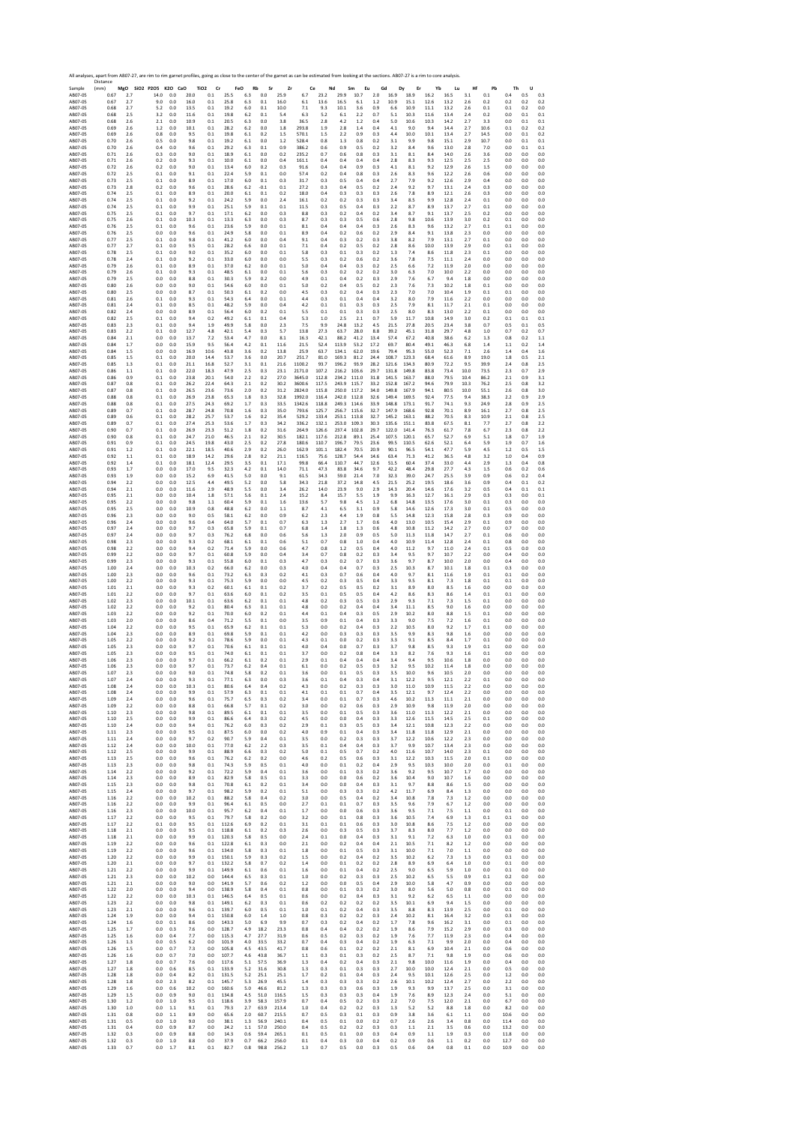SAMPLE DE 2012 A ABOUT 2012 A ABOUT 2012 A ABOUT 2012 A ABOUT 2012 A ABOUT 2012 A ABOUT 2012 A ABOUT 2012 A ABOUT 2012 A ABOUT 2012 A ABOUT 2012 A ABOUT 2012 A ABOUT 2012 A ABOUT 2012 A ABOUT 2012 A ABOUT 2012 A ABOUT 201 Distance (mm) **MgO SiO2 P2O5 K2O CaO TiO2 Cr FeO Rb Sr Zr Ce Nd Sm Eu Gd Dy Er Yb Lu Hf Pb Th U** AB07‐05 0.67 2.7 14.0 0.0 20.0 0.1 25.5 6.3 0.0 25.9 6.7 23.2 29.9 10.7 2.0 16.9 18.9 16.2 16.5 3.1 0.1 0.4 0.5 0.3 AB07‐05 0.67 2.7 9.0 0.0 16.0 0.1 25.8 6.3 0.1 16.0 6.1 13.6 16.5 6.1 1.2 10.9 15.1 12.6 13.2 2.6 0.2 0.2 0.2 0.2 AB07‐05 0.68 2.7 5.2 0.0 13.5 0.1 19.2 6.0 0.1 10.0 7.1 9.3 10.1 3.6 0.9 6.6 10.9 11.1 13.2 2.6 0.1 0.1 0.2 0.0 AB07‐05 0.68 2.5 3.2 0.0 11.6 0.1 19.8 6.2 0.1 5.4 6.3 5.2 6.1 2.2 0.7 5.1 10.3 11.6 13.4 2.4 0.2 0.0 0.1 0.1 AB07‐05 0.68 2.6 2.1 0.0 10.9 0.1 20.5 6.3 0.0 3.8 36.5 2.8 4.2 1.2 0.4 5.0 10.6 10.3 14.2 2.7 3.3 0.0 0.1 0.1 AB07‐05 0.69 2.6 1.2 0.0 10.1 0.1 28.2 6.2 0.0 1.8 293.8 1.9 2.8 1.4 0.4 4.1 9.0 9.4 14.4 2.7 10.6 0.1 0.2 0.2 AB07‐05 0.69 2.6 0.8 0.0 9.5 0.1 19.8 6.1 0.2 1.5 570.1 1.5 2.2 0.9 0.3 4.4 10.0 10.1 13.4 2.7 14.5 0.0 0.1 0.2 AB07‐05 0.70 2.6 0.5 0.0 9.8 0.1 19.2 6.1 0.0 1.2 528.4 0.8 1.3 0.8 0.2 3.1 9.9 9.8 15.1 2.9 10.7 0.0 0.1 0.1 AB07‐05 0.70 2.6 0.4 0.0 9.6 0.1 29.2 6.3 0.1 0.9 386.2 0.6 0.9 0.5 0.2 3.2 8.4 9.6 13.0 2.8 7.0 0.0 0.1 0.1 AB07‐05 0.71 2.6 0.3 0.0 9.0 0.1 18.9 6.1 0.0 0.2 235.2 0.7 0.6 0.8 0.3 3.1 8.1 8.4 14.0 2.6 3.6 0.0 0.0 0.0 AB07‐05 0.71 2.6 0.2 0.0 9.3 0.1 10.0 6.1 0.0 0.4 161.1 0.4 0.4 0.4 0.4 2.8 8.3 9.3 12.5 2.5 2.5 0.0 0.0 0.0 AB07‐05 0.72 2.6 0.2 0.0 9.0 0.1 13.4 6.0 0.2 0.3 91.6 0.4 0.4 0.9 0.3 4.1 8.1 9.2 12.9 2.6 1.5 0.0 0.0 0.0 AB07‐05 0.72 2.5 0.1 0.0 9.1 0.1 22.4 5.9 0.1 0.0 57.4 0.2 0.4 0.8 0.3 2.6 8.3 9.6 12.2 2.6 0.6 0.0 0.0 0.0 AB07‐05 0.73 2.5 0.1 0.0 8.9 0.1 17.0 6.0 0.1 0.3 31.7 0.3 0.5 0.4 0.4 2.7 7.9 9.2 12.6 2.9 0.4 0.0 0.0 0.0 AB07‐05 0.73 2.8 0.2 0.0 9.6 0.1 28.6 6.2 ‐0.1 0.1 27.2 0.3 0.4 0.5 0.2 2.4 9.2 9.7 13.1 2.4 0.3 0.0 0.0 0.0 AB07‐05 0.74 2.5 0.1 0.0 8.9 0.1 20.0 6.1 0.1 0.2 18.0 0.4 0.3 0.3 0.3 2.6 7.8 8.9 12.1 2.6 0.3 0.0 0.0 0.0 AB07‐05 0.74 2.5 0.1 0.0 9.2 0.1 24.2 5.9 0.0 2.4 16.1 0.2 0.2 0.3 0.3 3.4 8.5 9.9 12.8 2.4 0.1 0.0 0.0 0.0 AB07‐05 0.74 2.5 0.1 0.0 9.9 0.1 25.1 5.9 0.1 0.1 11.5 0.3 0.5 0.4 0.3 2.2 8.7 8.9 13.7 2.7 0.1 0.0 0.0 0.0 AB07‐05 0.75 2.5 0.1 0.0 9.7 0.1 17.1 6.2 0.0 0.3 8.8 0.3 0.2 0.4 0.2 3.4 8.7 9.1 13.7 2.5 0.2 0.0 0.0 0.0 AB07‐05 0.75 2.6 0.1 0.0 10.3 0.1 13.3 6.3 0.0 0.3 8.7 0.3 0.3 0.5 0.6 2.8 9.8 10.6 13.9 3.0 0.2 0.1 0.0 0.0 AB07‐05 0.76 2.5 0.1 0.0 9.6 0.1 23.6 5.9 0.0 0.1 8.1 0.4 0.4 0.4 0.3 2.6 8.3 9.6 13.2 2.7 0.1 0.1 0.0 0.0 AB07‐05 0.76 2.5 0.0 0.0 9.6 0.1 24.9 5.8 0.0 0.1 8.9 0.4 0.2 0.6 0.2 2.9 8.4 9.1 13.8 2.3 0.0 0.0 0.0 0.0 AB07‐05 0.77 2.5 0.1 0.0 9.8 0.1 41.2 6.0 0.0 0.4 9.1 0.4 0.3 0.2 0.3 3.8 8.2 7.9 13.1 2.7 0.1 0.0 0.0 0.0 AB07‐05 0.77 2.7 0.1 0.0 9.5 0.1 28.2 6.6 0.0 0.1 7.1 0.4 0.2 0.5 0.2 2.8 8.6 10.0 13.9 2.9 0.0 0.1 0.0 0.0 AB07‐05 0.78 2.5 0.1 0.0 9.0 0.1 35.2 6.0 0.0 0.1 5.8 0.3 0.1 0.3 0.2 1.3 7.4 8.6 11.8 2.3 0.1 0.0 0.0 0.0 AB07‐05 0.78 2.4 0.1 0.0 9.2 0.1 33.0 6.0 0.0 0.0 5.5 0.3 0.2 0.6 0.2 3.6 7.8 7.5 11.1 2.4 0.0 0.0 0.0 0.0 AB07‐05 0.79 2.6 0.1 0.0 8.9 0.1 37.0 6.2 0.0 0.1 5.0 0.4 0.4 0.3 0.2 2.5 6.6 7.2 11.9 2.0 0.0 0.0 0.0 0.0 AB07‐05 0.79 2.6 0.1 0.0 9.3 0.1 48.5 6.1 0.0 0.1 5.6 0.3 0.2 0.2 0.2 3.0 6.3 7.0 10.0 2.2 0.0 0.0 0.0 0.0 AB07‐05 0.79 2.5 0.0 0.0 8.8 0.1 30.3 5.9 0.2 0.0 4.9 0.1 0.4 0.2 0.3 2.9 7.6 6.7 9.4 1.8 0.0 0.0 0.0 0.0 AB07‐05 0.80 2.6 0.0 0.0 9.0 0.1 54.6 6.0 0.0 0.1 5.0 0.2 0.4 0.5 0.2 2.3 7.6 7.3 10.2 1.8 0.1 0.0 0.0 0.0 AB07‐05 0.80 2.5 0.0 0.0 8.7 0.1 50.3 6.1 0.2 0.0 4.5 0.3 0.2 0.4 0.3 2.3 7.0 7.0 10.4 1.9 0.1 0.1 0.0 0.0 AB07‐05 0.81 2.6 0.1 0.0 9.3 0.1 54.3 6.4 0.0 0.1 4.4 0.3 0.1 0.4 0.4 3.2 8.0 7.9 11.6 2.2 0.0 0.0 0.0 0.0 AB07‐05 0.81 2.4 0.1 0.0 8.5 0.1 48.2 5.9 0.0 0.4 4.2 0.1 0.1 0.3 0.3 2.5 7.9 8.1 11.7 2.1 0.1 0.0 0.0 0.0 AB07‐05 0.82 2.4 0.0 0.0 8.9 0.1 56.4 6.0 0.2 0.1 5.5 0.1 0.1 0.3 0.3 2.5 8.0 8.3 13.0 2.2 0.1 0.0 0.0 0.0 AB07‐05 0.82 2.5 0.1 0.0 9.4 0.2 49.2 6.1 0.1 0.4 5.3 1.0 2.5 2.1 0.7 5.9 11.7 10.8 14.9 3.0 0.2 0.1 0.1 0.1 AB07‐05 0.83 2.3 0.1 0.0 9.4 1.9 49.9 5.8 0.0 2.3 7.5 9.9 24.8 13.2 4.5 21.5 27.8 20.5 23.4 3.8 0.7 0.5 0.1 0.5 AB07‐05 0.83 2.2 0.1 0.0 12.7 4.8 42.1 5.4 0.3 5.7 13.8 27.3 63.7 28.0 8.8 39.2 45.1 31.8 29.7 4.8 1.0 0.7 0.2 0.7 AB07‐05 0.84 2.1 0.0 0.0 13.7 7.2 53.4 4.7 0.0 8.1 16.3 42.1 88.2 41.2 13.4 57.4 67.2 40.8 38.6 6.2 1.3 0.8 0.2 1.1 AB07‐05 0.84 1.7 0.0 0.0 15.9 9.5 56.4 4.2 0.1 11.6 21.5 52.4 113.9 53.2 17.2 69.7 80.4 49.1 46.3 6.8 1.4 1.1 0.2 1.4 AB07‐05 0.84 1.5 0.0 0.0 16.9 10.6 43.8 3.6 0.2 13.8 25.9 63.7 134.1 62.0 19.6 79.4 95.3 55.0 52.3 7.1 2.6 1.4 0.4 1.6 AB07‐05 0.85 1.5 0.1 0.0 20.0 14.4 53.7 3.6 0.0 20.7 251.7 81.0 169.3 81.2 24.4 108.7 123.3 68.4 61.6 8.9 19.0 1.8 0.5 2.1 AB07‐05 0.85 1.3 0.1 0.0 21.1 16.8 52.7 3.1 0.1 21.6 1100.2 93.7 196.2 93.9 28.2 121.6 134.3 80.9 72.2 9.5 39.9 2.4 0.8 2.5 AB07‐05 0.86 1.1 0.1 0.0 22.0 18.3 47.9 2.5 0.3 23.1 2171.0 107.2 216.2 103.6 29.7 131.8 149.8 83.8 73.4 10.0 73.5 2.3 0.7 2.9 AB07‐05 0.86 0.9 0.1 0.0 23.8 20.1 54.0 2.2 0.2 27.0 3645.0 112.8 234.2 111.0 31.8 141.5 163.7 88.0 79.5 10.4 86.2 2.1 0.9 3.1 AB07‐05 0.87 0.8 0.1 0.0 26.2 22.4 64.3 2.1 0.2 30.2 3600.6 117.5 243.9 115.7 33.2 152.8 167.2 94.6 79.9 10.3 76.2 2.5 0.8 3.2 AB07‐05 0.87 0.8 0.1 0.0 26.5 23.6 73.6 2.0 0.2 31.2 2824.0 115.8 250.0 117.2 34.0 149.8 167.9 94.1 80.5 10.0 55.1 2.6 0.8 3.0 AB07‐05 0.88 0.8 0.1 0.0 26.9 23.8 65.3 1.8 0.3 32.8 1992.0 116.4 242.0 112.8 32.6 149.4 169.5 92.4 77.5 9.4 38.3 2.2 0.9 2.9 AB07‐05 0.88 0.8 0.1 0.0 27.5 24.3 69.2 1.7 0.3 33.5 1342.6 118.8 249.3 114.6 33.9 148.8 173.1 91.7 74.1 9.3 24.9 2.8 0.9 2.5 AB07‐05 0.89 0.7 0.1 0.0 28.7 24.8 70.8 1.6 0.3 35.0 793.6 125.7 256.7 115.6 32.7 147.9 168.6 92.8 70.1 8.9 16.1 2.7 0.8 2.5 AB07‐05 0.89 0.6 0.1 0.0 28.2 25.7 53.7 1.6 0.2 35.4 529.2 133.4 253.1 113.8 32.7 145.2 163.1 88.2 70.5 8.3 10.9 2.1 0.8 2.5 AB07‐05 0.89 0.7 0.1 0.0 27.4 25.3 53.6 1.7 0.3 34.2 336.2 132.1 253.0 109.3 30.3 135.6 151.1 83.8 67.5 8.1 7.7 2.7 0.8 2.2 AB07‐05 0.90 0.7 0.1 0.0 26.9 23.3 51.2 1.8 0.2 31.6 264.9 126.6 237.4 102.8 29.7 122.0 141.4 76.3 61.7 7.8 6.7 2.3 0.8 2.2 AB07‐05 0.90 0.8 0.1 0.0 24.7 21.0 46.5 2.1 0.2 30.5 182.1 117.6 212.8 89.1 25.4 107.5 120.1 65.7 52.7 6.9 5.1 1.8 0.7 1.9 AB07‐05 0.91 0.9 0.1 0.0 24.5 19.8 43.0 2.5 0.2 27.8 180.6 110.7 196.7 79.5 23.6 99.5 110.5 62.6 52.1 6.4 5.9 1.9 0.7 1.6 AB07‐05 0.91 1.2 0.1 0.0 22.1 18.5 40.6 2.9 0.2 26.0 162.9 101.1 182.4 70.5 20.9 90.1 96.5 54.1 47.7 5.9 4.5 1.2 0.5 1.5 AB07‐05 0.92 1.1 0.1 0.0 18.9 14.2 29.6 2.8 0.2 21.1 116.5 75.6 128.7 54.4 14.6 63.4 71.3 41.2 36.5 4.8 3.2 1.0 0.4 0.9 AB07‐05 0.92 1.4 0.1 0.0 18.1 12.4 29.5 3.5 0.1 17.1 99.8 66.4 110.7 44.7 12.6 51.5 60.4 37.4 33.0 4.4 2.9 1.3 0.4 0.8 AB07‐05 0.93 1.7 0.0 0.0 17.0 9.5 32.3 4.2 0.1 14.0 71.1 47.3 83.8 34.6 9.7 42.2 48.4 29.8 27.7 4.3 1.5 0.6 0.2 0.6 AB07‐05 0.93 1.9 0.0 0.0 15.2 6.9 41.5 5.0 0.0 9.1 61.5 34.3 59.0 21.4 7.0 32.3 39.0 24.7 25.5 3.9 0.9 0.6 0.2 0.4 AB07‐05 0.94 2.2 0.0 0.0 12.5 4.4 49.5 5.2 0.0 5.8 34.3 21.8 37.2 14.8 4.5 21.5 25.2 19.5 18.6 3.6 0.9 0.4 0.1 0.2 AB07‐05 0.94 2.1 0.0 0.0 11.6 2.9 48.9 5.5 0.0 3.4 26.2 14.0 23.9 9.0 2.9 14.3 20.4 14.6 17.6 3.2 0.5 0.4 0.1 0.1 AB07‐05 0.95 2.1 0.0 0.0 10.4 1.8 57.1 5.6 0.1 2.4 15.2 8.4 15.7 5.5 1.9 9.9 16.3 12.7 16.1 2.9 0.3 0.3 0.0 0.1 AB07‐05 0.95 2.2 0.0 0.0 9.8 1.1 60.4 5.9 0.1 1.6 13.6 5.7 9.8 4.5 1.2 6.8 14.8 13.5 17.6 3.0 0.1 0.3 0.0 0.0 AB07‐05 0.95 2.5 0.0 0.0 10.9 0.8 48.8 6.2 0.0 1.1 8.7 4.1 6.5 3.1 0.9 5.8 14.6 12.6 17.3 3.0 0.1 0.5 0.0 0.0 AB07‐05 0.96 2.3 0.0 0.0 9.0 0.5 58.1 6.2 0.0 0.9 6.2 2.3 4.4 1.9 0.8 5.5 14.8 12.3 15.8 2.8 0.3 0.9 0.0 0.0 AB07‐05 0.96 2.4 0.0 0.0 9.6 0.4 64.0 5.7 0.1 0.7 6.3 1.3 2.7 1.7 0.6 4.0 13.0 10.5 15.4 2.9 0.1 0.9 0.0 0.0 AB07‐05 0.97 2.4 0.0 0.0 9.7 0.3 65.8 5.9 0.1 0.7 6.8 1.4 1.8 1.3 0.6 4.8 10.8 11.2 14.2 2.7 0.0 0.7 0.0 0.0 AB07‐05 0.97 2.4 0.0 0.0 9.7 0.3 76.2 6.8 0.0 0.6 5.6 1.3 2.0 0.9 0.5 5.0 11.3 11.8 14.7 2.7 0.1 0.6 0.0 0.0 AB07‐05 0.98 2.3 0.0 0.0 9.3 0.2 68.1 6.1 0.1 0.6 5.1 0.7 0.8 1.0 0.4 4.0 10.9 11.4 12.8 2.4 0.1 0.8 0.0 0.0 AB07‐05 0.98 2.2 0.0 0.0 9.4 0.2 71.4 5.9 0.0 0.6 4.7 0.8 1.2 0.5 0.4 4.0 11.2 9.7 11.0 2.4 0.1 0.5 0.0 0.0 AB07‐05 0.99 2.2 0.0 0.0 9.7 0.1 60.8 5.9 0.0 0.4 3.4 0.7 0.8 0.2 0.3 3.4 9.5 9.7 10.7 2.2 0.0 0.4 0.0 0.0 AB07‐05 0.99 2.3 0.0 0.0 9.3 0.1 55.8 6.0 0.1 0.3 4.7 0.3 0.2 0.7 0.3 3.6 9.7 8.7 10.0 2.0 0.0 0.4 0.0 0.0 AB07‐05 1.00 2.4 0.0 0.0 10.3 0.2 66.0 6.2 0.0 0.3 4.0 0.4 0.4 0.7 0.3 2.5 10.3 8.7 10.1 1.8 0.1 0.3 0.0 0.0 AB07‐05 1.00 2.3 0.0 0.0 9.6 0.1 73.2 6.3 0.3 0.2 4.1 0.3 0.7 0.6 0.4 4.0 9.7 8.1 11.6 1.9 0.1 0.1 0.0 0.0 AB07‐05 1.00 2.2 0.0 0.0 9.3 0.1 75.3 5.9 0.0 0.0 4.5 0.2 0.3 0.5 0.4 3.3 9.5 8.1 7.3 1.8 0.1 0.1 0.0 0.0 AB07‐05 1.01 2.1 0.0 0.0 9.3 0.2 60.1 6.1 0.1 0.2 3.7 0.2 0.5 0.5 0.2 3.1 8.9 8.0 8.5 1.6 0.0 0.0 0.0 0.0 AB07‐05 1.01 2.2 0.0 0.0 9.7 0.1 63.6 6.0 0.1 0.2 3.5 0.1 0.5 0.5 0.4 4.2 8.6 8.3 8.6 1.4 0.1 0.1 0.0 0.0 AB07‐05 1.02 2.3 0.0 0.0 10.1 0.1 63.6 6.2 0.1 0.1 4.8 0.2 0.3 0.5 0.3 2.9 9.3 7.1 7.3 1.5 0.1 0.0 0.0 0.0 AB07‐05 1.02 2.2 0.0 0.0 9.2 0.1 80.4 6.3 0.1 0.1 4.8 0.0 0.2 0.4 0.4 3.4 11.1 8.5 9.0 1.6 0.0 0.0 0.0 0.0 AB07‐05 1.03 2.2 0.0 0.0 9.2 0.1 70.0 6.0 0.2 0.1 4.4 0.1 0.4 0.3 0.5 2.9 10.2 8.0 8.8 1.5 0.1 0.0 0.0 0.0 AB07‐05 1.03 2.0 0.0 0.0 8.6 0.4 71.2 5.5 0.1 0.0 3.5 0.9 0.1 0.4 0.3 3.3 9.0 7.5 7.2 1.6 0.1 0.0 0.0 0.0 AB07‐05 1.04 2.2 0.0 0.0 9.5 0.1 65.9 6.2 0.1 0.1 5.3 0.0 0.2 0.4 0.3 2.2 10.5 8.0 9.2 1.7 0.1 0.0 0.0 0.0 AB07‐05 1.04 2.3 0.0 0.0 8.9 0.1 69.8 5.9 0.1 0.1 4.2 0.0 0.3 0.3 0.3 3.5 9.9 8.3 9.8 1.6 0.0 0.0 0.0 0.0 AB07‐05 1.05 2.2 0.0 0.0 9.2 0.1 78.6 5.9 0.0 0.1 4.3 0.1 0.0 0.2 0.3 3.3 9.1 8.5 8.4 1.7 0.1 0.0 0.0 0.0 AB07‐05 1.05 2.3 0.0 0.0 9.7 0.1 70.6 6.1 0.1 0.1 4.0 0.4 0.0 0.7 0.3 3.7 9.8 8.5 9.3 1.9 0.1 0.0 0.0 0.0 AB07‐05 1.05 2.3 0.0 0.0 9.5 0.1 74.0 6.1 0.1 0.1 3.7 0.0 0.2 0.8 0.4 3.3 8.2 7.6 9.3 1.6 0.1 0.0 0.0 0.0 AB07‐05 1.06 2.3 0.0 0.0 9.7 0.1 66.2 6.1 0.2 0.1 2.9 0.1 0.4 0.4 0.4 3.4 9.4 9.5 10.6 1.8 0.0 0.0 0.0 0.0 AB07‐05 1.06 2.3 0.0 0.0 9.7 0.1 73.7 6.2 0.4 0.1 6.1 0.0 0.2 0.5 0.3 3.2 9.5 10.2 11.4 1.8 0.0 0.0 0.0 0.0 AB07‐05 1.07 2.3 0.0 0.0 9.0 0.1 74.8 5.8 0.2 0.1 3.6 0.0 0.1 0.5 0.3 3.5 10.0 9.6 10.5 2.0 0.0 0.0 0.0 0.0 AB07‐05 1.07 2.4 0.0 0.0 9.3 0.1 77.1 6.3 0.0 0.3 3.6 0.1 0.4 0.3 0.4 3.1 12.2 9.5 12.1 2.2 0.1 0.0 0.0 0.0 AB07‐05 1.08 2.4 0.0 0.0 10.3 0.1 80.6 6.4 0.4 0.2 4.3 0.0 0.2 0.3 0.3 3.0 11.0 10.9 11.5 2.2 0.0 0.0 0.0 0.0 AB07‐05 1.08 2.4 0.0 0.0 9.9 0.1 57.9 6.3 0.1 0.1 4.1 0.1 0.1 0.7 0.4 3.5 12.1 9.7 12.4 2.2 0.0 0.0 0.0 0.0 AB07‐05 1.09 2.4 0.0 0.0 9.6 0.1 75.7 6.5 0.3 0.2 3.4 0.0 0.1 0.7 0.3 4.6 10.2 11.3 11.1 2.1 0.0 0.0 0.0 0.0 AB07‐05 1.09 2.2 0.0 0.0 8.8 0.1 66.8 5.7 0.1 0.2 3.0 0.0 0.2 0.6 0.3 2.9 10.9 9.8 11.9 2.0 0.0 0.0 0.0 0.0 AB07‐05 1.10 2.3 0.0 0.0 9.8 0.1 89.5 6.1 0.1 0.1 3.5 0.0 0.1 0.5 0.3 3.6 11.0 11.3 12.2 2.1 0.0 0.0 0.0 0.0 AB07‐05 1.10 2.5 0.0 0.0 9.9 0.1 86.6 6.4 0.3 0.2 4.5 0.0 0.0 0.4 0.3 3.3 12.6 11.5 14.5 2.5 0.1 0.0 0.0 0.0 AB07‐05 1.10 2.4 0.0 0.0 9.4 0.1 76.2 6.0 0.3 0.2 2.9 0.1 0.3 0.5 0.3 3.4 12.1 10.8 12.3 2.2 0.0 0.0 0.0 0.0 AB07‐05 1.11 2.3 0.0 0.0 9.5 0.1 87.5 6.0 0.0 0.2 4.0 0.9 0.1 0.4 0.3 3.4 11.8 11.8 12.9 2.1 0.0 0.0 0.0 0.0 AB07‐05 1.11 2.4 0.0 0.0 9.7 0.2 90.7 5.9 0.4 0.1 3.5 0.0 0.2 0.3 0.3 3.7 12.2 10.6 12.2 2.3 0.0 0.0 0.0 0.0 AB07‐05 1.12 2.4 0.0 0.0 10.0 0.1 77.0 6.2 2.2 0.3 3.5 0.1 0.4 0.4 0.3 3.7 9.9 10.7 13.4 2.3 0.0 0.0 0.0 0.0 AB07‐05 1.12 2.5 0.0 0.0 9.9 0.1 88.9 6.6 0.3 0.2 5.0 0.1 0.5 0.7 0.2 4.0 11.6 10.7 14.0 2.3 0.1 0.0 0.0 0.0 AB07‐05 1.13 2.5 0.0 0.0 9.6 0.1 76.2 6.2 0.2 0.0 4.6 0.2 0.5 0.6 0.3 3.1 12.2 10.3 11.5 2.0 0.1 0.0 0.0 0.0 AB07‐05 1.13 2.3 0.0 0.0 9.8 0.1 74.3 5.9 0.5 0.1 4.0 0.0 0.1 0.2 0.4 2.9 9.5 10.3 10.0 2.0 0.0 0.1 0.0 0.0 AB07‐05 1.14 2.2 0.0 0.0 9.2 0.1 72.2 5.9 0.4 0.1 3.6 0.0 0.1 0.3 0.2 3.6 9.2 9.5 10.7 1.7 0.0 0.0 0.0 0.0 AB07‐05 1.14 2.3 0.0 0.0 8.9 0.1 82.9 5.8 0.5 0.1 3.3 0.0 0.0 0.6 0.2 3.6 10.4 9.0 10.7 1.6 0.0 0.0 0.0 0.0 AB07‐05 1.15 2.3 0.0 0.0 9.8 0.1 70.8 6.1 0.2 0.1 3.4 0.0 0.0 0.4 0.3 3.1 9.7 8.8 8.6 1.5 0.0 0.0 0.0 0.0 AB07‐05 1.15 2.4 0.0 0.0 9.7 0.1 98.2 5.9 0.2 0.1 5.1 0.0 0.3 0.3 0.2 4.2 11.7 6.9 8.4 1.3 0.0 0.0 0.0 0.0 AB07‐05 1.16 2.2 0.0 0.0 10.2 0.1 88.2 5.8 0.4 0.2 3.0 0.0 0.5 0.4 0.2 3.4 10.8 7.8 7.3 1.2 0.0 0.0 0.0 0.0 AB07‐05 1.16 2.2 0.0 0.0 9.9 0.1 96.4 6.1 0.5 0.0 2.7 0.1 0.1 0.7 0.3 3.5 9.6 7.9 6.7 1.2 0.0 0.0 0.0 0.0 AB07‐05 1.16 2.3 0.0 0.0 10.0 0.1 95.7 6.2 0.4 0.1 1.7 0.0 0.0 0.6 0.3 3.6 9.5 7.1 7.5 1.1 0.0 0.1 0.0 0.0 AB07‐05 1.17 2.2 0.0 0.0 9.5 0.1 79.7 5.8 0.2 0.0 3.2 0.0 0.1 0.8 0.3 3.6 10.5 7.4 6.9 1.3 0.1 0.1 0.0 0.0 AB07‐05 1.17 2.2 0.1 0.0 9.5 0.1 112.6 6.9 0.2 0.1 3.1 0.1 0.1 0.6 0.3 3.0 10.8 8.6 7.5 1.2 0.0 0.0 0.0 0.0 AB07‐05 1.18 2.1 0.0 0.0 9.5 0.1 118.8 6.1 0.2 0.3 2.6 0.0 0.3 0.5 0.3 3.7 8.3 8.0 7.7 1.2 0.0 0.0 0.0 0.0 AB07‐05 1.18 2.1 0.0 0.0 9.9 0.1 120.3 5.8 0.5 0.0 2.4 0.1 0.0 0.4 0.3 3.1 9.1 7.2 6.3 1.0 0.0 0.1 0.0 0.0 AB07‐05 1.19 2.2 0.0 0.0 9.6 0.1 122.8 6.1 0.3 0.0 2.1 0.0 0.2 0.4 0.4 2.1 10.5 7.1 8.2 1.2 0.0 0.0 0.0 0.0 AB07‐05 1.19 2.2 0.0 0.0 9.6 0.1 134.0 5.8 0.3 0.1 1.8 0.0 0.1 0.5 0.3 3.1 10.0 7.1 7.0 1.1 0.0 0.0 0.0 0.0 AB07‐05 1.20 2.2 0.0 0.0 9.9 0.1 150.1 5.9 0.3 0.2 1.5 0.0 0.2 0.4 0.2 3.5 10.2 6.2 7.3 1.3 0.0 0.1 0.0 0.0 AB07‐05 1.20 2.1 0.0 0.0 9.7 0.1 132.2 5.8 0.7 0.2 1.4 0.0 0.1 0.2 0.2 2.8 8.9 6.9 6.4 1.0 0.0 0.1 0.0 0.0 AB07‐05 1.21 2.2 0.0 0.0 9.9 0.1 149.9 6.1 0.6 0.1 1.6 0.0 0.1 0.4 0.2 2.5 9.0 6.5 5.9 1.0 0.0 0.1 0.0 0.0 AB07‐05 1.21 2.3 0.0 0.0 10.2 0.0 144.4 6.5 0.3 0.1 1.0 0.0 0.2 0.3 0.3 2.5 10.2 6.5 5.5 0.9 0.1 0.2 0.0 0.0 AB07‐05 1.21 2.1 0.0 0.0 9.0 0.0 141.9 5.7 0.6 0.2 1.2 0.0 0.0 0.5 0.4 2.9 10.0 5.8 4.7 0.9 0.0 0.0 0.0 0.0 AB07‐05 1.22 2.0 0.0 0.0 9.4 0.0 138.9 5.8 0.4 0.1 0.8 0.0 0.1 0.3 0.2 3.0 8.0 5.6 5.0 0.8 0.0 0.1 0.0 0.0 AB07‐05 1.22 2.2 0.0 0.0 10.3 0.1 146.5 6.4 0.5 0.1 0.6 0.0 0.2 0.4 0.3 3.1 9.2 6.2 6.5 1.1 0.0 0.0 0.0 0.0 AB07‐05 1.23 2.2 0.0 0.0 9.8 0.1 149.1 6.2 0.3 0.1 0.6 0.2 0.2 0.2 0.2 3.5 10.1 6.9 9.4 1.5 0.0 0.0 0.0 0.0 AB07‐05 1.23 2.1 0.0 0.0 9.6 0.1 139.7 6.0 0.5 0.1 1.0 0.1 0.2 0.4 0.3 3.5 8.8 8.3 13.9 2.5 0.0 0.1 0.0 0.0 AB07‐05 1.24 1.9 0.0 0.0 9.4 0.1 150.8 6.0 1.4 1.0 0.8 0.3 0.2 0.2 0.3 2.4 10.2 8.1 16.4 3.2 0.0 0.3 0.0 0.0 AB07‐05 1.24 1.6 0.0 0.1 8.6 0.0 143.3 5.0 6.9 9.9 0.7 0.3 0.2 0.4 0.2 1.7 7.8 9.6 16.2 3.1 0.0 0.1 0.0 0.0 AB07‐05 1.25 1.7 0.0 0.3 7.6 0.0 128.7 4.9 18.2 23.3 0.8 0.4 0.4 0.2 0.2 1.9 8.6 7.9 15.2 2.9 0.0 0.3 0.0 0.0 AB07‐05 1.25 1.6 0.0 0.4 7.7 0.0 115.3 4.7 27.7 31.9 0.6 0.5 0.2 0.3 0.2 1.9 7.6 7.7 11.9 2.3 0.0 0.4 0.0 0.0 AB07‐05 1.26 1.3 0.0 0.5 6.2 0.0 101.9 4.0 33.5 33.2 0.7 0.4 0.3 0.4 0.2 1.9 6.3 7.1 9.9 2.0 0.0 0.4 0.0 0.0 AB07‐05 1.26 1.5 0.0 0.7 7.3 0.0 105.8 4.5 43.5 41.7 0.8 0.6 0.1 0.2 0.2 2.1 8.1 6.9 10.4 2.1 0.0 0.6 0.0 0.0 AB07‐05 1.26 1.6 0.0 0.7 7.0 0.0 107.7 4.6 43.8 36.7 1.1 0.3 0.1 0.3 0.2 2.5 8.7 7.1 9.8 1.9 0.0 0.6 0.0 0.0 AB07‐05 1.27 1.8 0.0 0.7 7.6 0.0 117.6 5.1 57.5 36.9 1.3 0.4 0.2 0.4 0.3 2.1 9.8 10.0 11.6 1.9 0.0 0.4 0.0 0.0 AB07‐05 1.27 1.8 0.0 0.6 8.5 0.1 133.9 5.2 31.6 30.8 1.3 0.3 0.1 0.3 0.3 2.7 10.0 10.0 12.4 2.1 0.0 0.5 0.0 0.0 AB07‐05 1.28 1.8 0.0 0.4 8.2 0.1 131.5 5.2 25.1 25.1 1.7 0.2 0.1 0.4 0.3 2.4 9.5 10.1 12.6 2.5 0.0 1.2 0.0 0.0 AB07‐05 1.28 1.8 0.0 2.3 8.2 0.1 145.7 5.3 26.9 45.5 1.4 0.3 0.3 0.3 0.2 2.6 10.1 10.2 12.4 2.7 0.0 2.2 0.0 0.0 AB07‐05 1.29 1.6 0.0 0.6 10.2 0.0 160.6 5.0 46.6 81.2 1.3 0.3 0.3 0.6 0.3 1.9 9.3 9.9 13.7 2.5 0.0 3.1 0.0 0.0 AB07‐05 1.29 1.5 0.0 0.9 9.0 0.1 134.8 4.5 51.0 116.5 1.5 0.3 0.3 0.3 0.4 1.9 7.6 8.9 12.3 2.4 0.0 5.1 0.0 0.0 AB07‐05 1.30 1.2 0.0 1.0 9.5 0.1 118.6 3.9 58.3 157.9 0.7 0.4 0.5 0.2 0.3 2.2 7.0 7.5 12.0 2.1 0.0 6.7 0.0 0.0 AB07‐05 1.30 1.0 0.0 1.1 9.1 0.1 79.3 2.7 63.9 213.4 1.0 0.4 0.2 0.2 0.3 1.3 5.2 5.2 8.8 1.8 0.0 8.2 0.0 0.0 AB07‐05 1.31 0.8 0.0 1.1 8.9 0.0 65.6 2.0 60.7 215.5 0.7 0.5 0.3 0.1 0.3 0.9 3.8 3.6 6.1 1.1 0.0 10.6 0.0 0.0 AB07‐05 1.31 0.5 0.0 1.0 9.0 0.0 38.1 1.3 56.9 240.1 0.4 0.5 0.1 0.0 0.2 0.7 2.6 2.6 3.4 0.8 0.0 11.4 0.0 0.0 AB07‐05 1.31 0.4 0.0 0.9 8.7 0.0 24.2 1.1 57.0 250.0 0.4 0.5 0.2 0.2 0.3 0.3 1.1 2.1 3.5 0.6 0.0 13.2 0.0 0.0 AB07‐05 1.32 0.3 0.0 0.9 8.8 0.0 14.3 0.6 59.4 265.1 0.1 0.5 0.1 0.0 0.3 0.4 0.9 1.1 1.9 0.3 0.0 11.8 0.0 0.0 AB07‐05 1.32 0.3 0.0 1.0 8.8 0.0 37.9 0.7 66.2 256.0 0.1 0.4 0.3 0.0 0.4 0.2 0.9 0.6 1.1 0.2 0.0 12.7 0.0 0.0 AB07‐05 1.33 0.7 0.0 1.7 8.1 0.1 82.7 0.8 98.8 256.2 1.3 0.7 0.5 0.0 0.3 0.5 0.6 0.4 0.8 0.1 0.0 10.9 0.0 0.0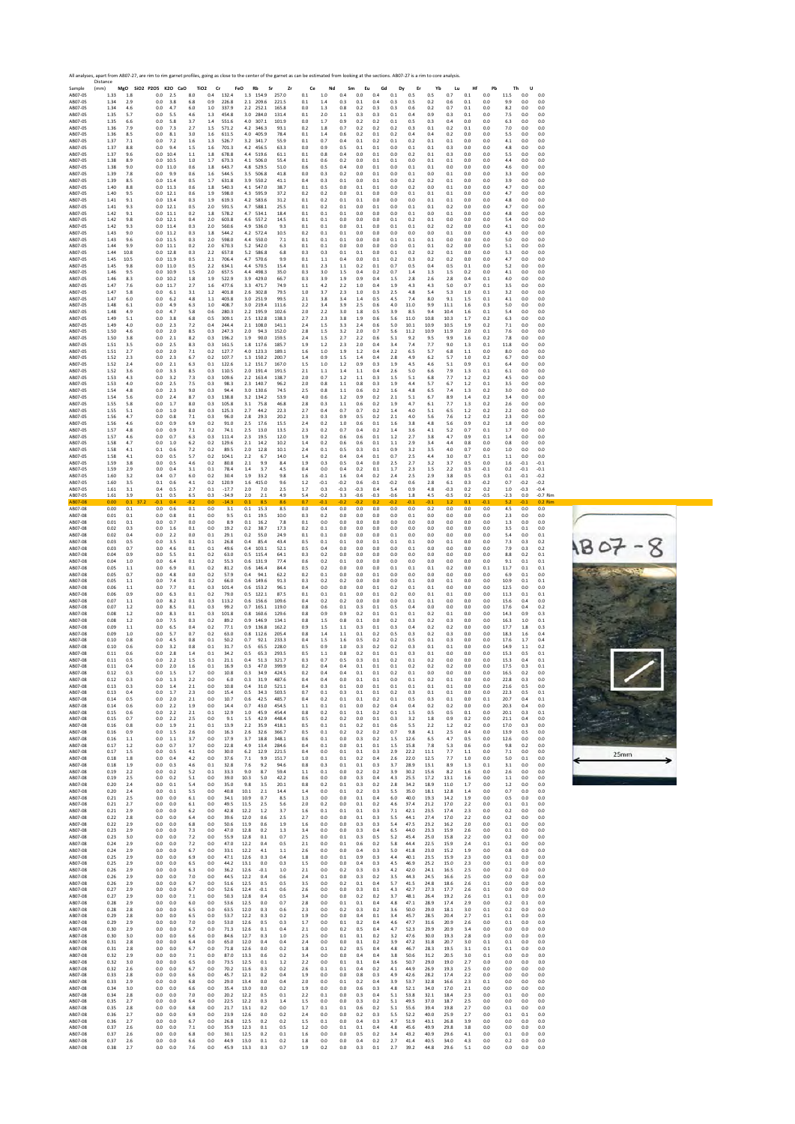

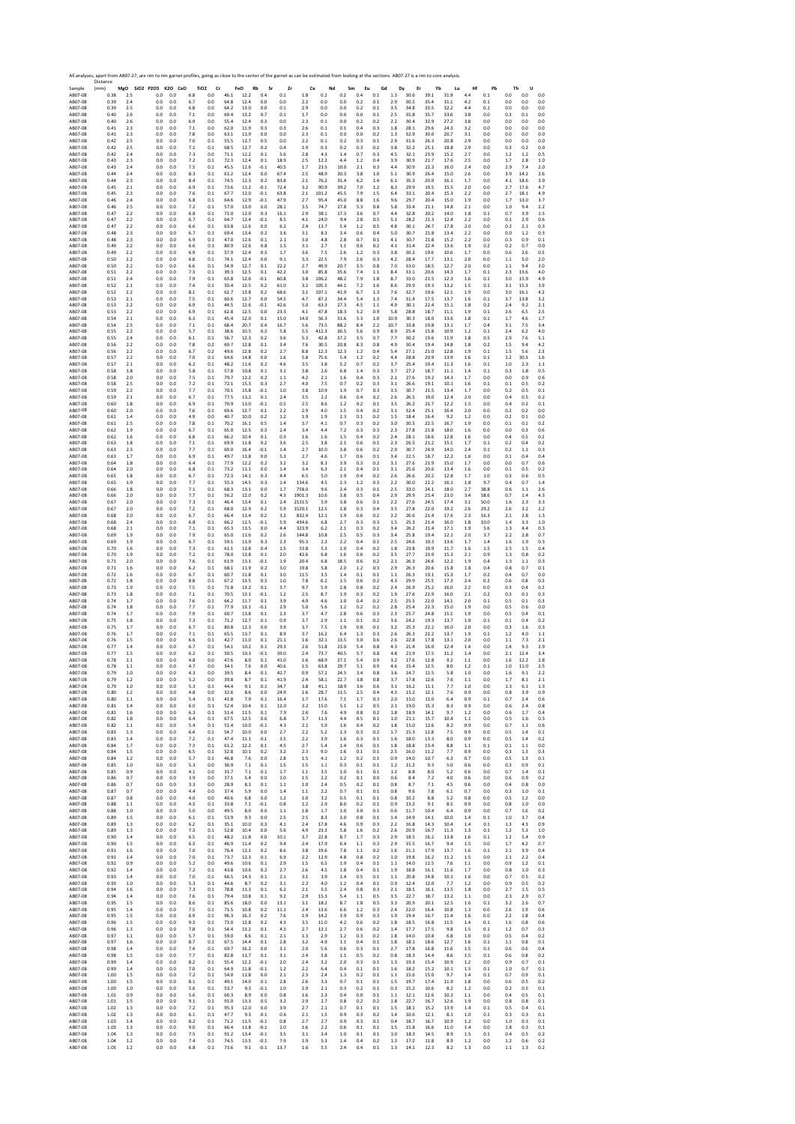SAMPLE 2017 AMBRE 2017 AMBRE 2017 AMBRE 2017 AMBRE 2017 AMBRE 2017 AMBRE 2017 AMBRE 2017 AMBRE 2017 AMBRE 2017 AMBRE 2017 AMBRE 2017 AMBRE 2017 AMBRE 2017 AMBRE 2017 AMBRE 2017 AMBRE 2017 AMBRE 2017 AMBRE 2017 AMBRE 2017 A Distance (mm) **MgO SiO2 P2O5 K2O CaO TiO2 Cr FeO Rb Sr Zr Ce Nd Sm Eu Gd Dy Er Yb Lu Hf Pb Th U** AB07‐08 0.38 2.5 0.0 0.0 6.8 0.0 46.1 12.2 0.4 0.1 1.8 0.2 0.2 0.4 0.1 1.3 30.6 39.1 31.9 4.4 0.1 0.0 0.0 0.0 AB07‐08 0.39 2.4 0.0 0.0 6.7 0.0 64.8 12.4 0.0 0.0 2.2 0.0 0.0 0.2 0.1 2.9 30.5 35.4 31.1 4.2 0.1 0.0 0.0 0.0 AB07‐08 0.39 2.5 0.0 0.0 6.8 0.0 64.2 13.0 0.0 0.1 2.9 0.0 0.0 0.2 0.1 3.5 34.8 33.5 32.2 4.4 0.1 0.0 0.0 0.0 AB07‐08 0.40 2.6 0.0 0.0 7.1 0.0 69.4 13.2 0.7 0.1 1.7 0.0 0.0 0.0 0.1 2.5 35.8 35.7 33.6 3.8 0.0 0.3 0.1 0.0 AB07‐08 0.40 2.6 0.0 0.0 6.9 0.0 55.4 12.4 0.3 0.0 2.3 0.1 0.0 0.2 0.2 2.2 30.4 32.9 27.2 3.8 0.0 0.0 0.0 0.0 AB07‐08 0.41 2.3 0.0 0.0 7.1 0.0 62.0 11.9 0.3 0.3 2.6 0.1 0.1 0.4 0.3 1.8 28.1 29.6 24.3 3.2 0.0 0.0 0.0 0.0 AB07‐08 0.41 2.3 0.0 0.0 7.8 0.0 63.1 11.9 0.0 0.0 2.3 0.1 0.0 0.0 0.2 1.3 32.9 30.0 20.7 3.1 0.0 0.0 0.0 0.0 AB07‐08 0.42 2.5 0.0 0.0 7.0 0.1 55.5 12.7 0.5 0.0 2.2 0.1 0.2 0.3 0.1 2.9 31.6 26.3 20.8 2.9 0.0 0.0 0.0 0.0 AB07‐08 0.42 2.5 0.0 0.0 7.1 0.1 68.5 12.7 0.2 0.4 1.9 0.3 0.2 0.3 0.2 3.8 32.2 25.1 18.8 2.9 0.0 0.3 0.2 0.0 AB07‐08 0.42 2.4 0.0 0.0 7.3 0.0 71.1 12.2 0.1 5.6 2.8 4.3 1.4 0.7 0.3 4.5 32.1 23.9 15.2 2.7 0.0 1.2 1.2 0.5 AB07‐08 0.43 2.3 0.0 0.0 7.2 0.1 72.3 12.4 0.1 18.9 2.5 12.2 4.4 1.2 0.4 3.9 30.9 21.7 17.6 2.5 0.0 1.7 2.8 1.0 AB07‐08 0.43 2.4 0.0 0.0 7.5 0.1 45.5 12.6 ‐0.1 40.5 1.7 23.5 10.0 2.1 0.3 4.4 30.9 22.3 16.0 2.4 0.0 2.9 7.4 2.0 AB07‐08 0.44 2.4 0.0 0.0 8.3 0.1 61.2 12.4 0.0 67.4 2.5 48.9 20.3 3.8 1.0 5.1 30.9 26.4 15.0 2.6 0.0 3.9 14.2 2.6 AB07‐08 0.44 2.3 0.0 0.0 8.4 0.1 74.5 12.3 0.2 83.8 2.1 76.2 31.4 6.2 1.4 6.1 35.3 20.0 16.1 1.7 0.0 4.1 18.6 3.9 AB07‐08 0.45 2.1 0.0 0.0 6.9 0.1 73.6 11.2 ‐0.1 72.4 3.2 90.9 39.2 7.0 1.2 8.3 29.9 19.5 15.5 2.0 0.0 2.7 17.6 4.7 AB07‐08 0.45 2.3 0.0 0.0 7.6 0.1 67.7 12.0 ‐0.1 63.8 2.1 101.2 45.5 7.9 1.5 6.4 33.1 20.4 15.3 2.2 0.0 2.7 18.1 4.9 AB07‐08 0.46 2.4 0.0 0.0 6.8 0.1 64.6 12.9 ‐0.1 47.9 2.7 95.4 45.0 8.8 1.6 9.6 29.7 20.4 15.0 1.9 0.0 1.7 13.0 3.7 AB07‐08 0.46 2.5 0.0 0.0 7.2 0.1 57.0 13.0 0.0 28.1 3.5 74.7 27.8 5.3 0.8 5.8 33.4 21.1 14.8 2.1 0.0 1.0 9.4 2.2 AB07‐08 0.47 2.2 0.0 0.0 6.8 0.1 71.0 12.0 0.3 16.1 2.9 38.1 17.3 3.6 0.7 4.4 32.8 20.2 14.0 1.8 0.1 0.7 3.9 1.5 AB07‐08 0.47 2.2 0.0 0.0 6.7 0.1 64.7 12.4 ‐0.1 8.5 4.1 24.0 9.4 2.8 0.5 5.1 28.2 21.3 12.4 2.2 0.0 0.1 2.9 0.6 AB07‐08 0.47 2.2 0.0 0.0 6.6 0.1 63.8 12.6 0.0 6.2 2.4 13.7 5.4 1.2 0.5 4.8 30.1 24.7 17.8 2.0 0.0 0.2 2.1 0.3 AB07‐08 0.48 2.3 0.0 0.0 6.7 0.1 69.4 13.4 0.2 3.6 3.1 8.3 3.4 0.6 0.4 5.0 30.7 21.8 13.4 2.2 0.0 0.0 1.2 0.3 AB07‐08 0.48 2.3 0.0 0.0 6.9 0.1 47.0 12.6 0.1 2.1 3.0 4.8 2.8 0.7 0.1 4.1 30.7 21.8 15.2 2.2 0.0 0.3 0.9 0.1 AB07‐08 0.49 2.2 0.0 0.0 6.6 0.1 80.9 12.6 0.8 1.5 3.1 2.7 1.1 0.6 0.2 4.1 31.4 22.4 13.6 1.9 0.2 0.2 0.7 0.0 AB07‐08 0.49 2.2 0.0 0.0 6.9 0.1 57.9 12.4 0.3 1.7 3.6 7.5 2.6 1.2 0.3 3.8 30.2 19.6 10.6 1.7 0.0 0.6 2.6 0.5 AB07‐08 0.50 2.2 0.0 0.0 6.8 0.1 74.1 12.4 0.0 9.1 3.3 22.5 7.9 2.6 0.3 4.2 28.4 17.7 13.1 2.0 0.0 1.1 5.0 2.0 AB07‐08 0.50 2.2 0.0 0.0 6.6 0.1 54.9 12.7 0.1 22.2 2.7 49.9 20.7 3.5 0.8 7.0 33.0 18.5 12.7 2.0 0.0 1.1 9.4 3.0 AB07‐08 0.51 2.2 0.0 0.0 7.3 0.1 39.3 12.5 0.1 42.2 3.0 85.8 35.6 7.4 1.1 8.4 33.1 20.6 14.3 1.7 0.1 2.3 13.6 4.0 AB07‐08 0.51 2.4 0.0 0.0 7.9 0.1 63.8 12.6 ‐0.1 60.8 3.8 106.2 48.2 7.9 1.8 8.7 33.0 21.5 12.3 1.6 0.1 3.0 15.9 4.9 AB07‐08 0.52 2.1 0.0 0.0 7.4 0.1 50.4 12.5 0.2 61.0 3.2 105.5 44.1 7.2 1.6 8.6 29.9 19.3 13.2 1.5 0.1 3.1 15.3 3.9 AB07‐08 0.52 2.2 0.0 0.0 8.1 0.1 62.7 13.8 0.2 68.6 3.1 107.1 41.9 6.7 1.3 7.6 32.7 19.6 12.1 1.9 0.0 3.0 16.1 4.2 AB07‐08 0.53 2.1 0.0 0.0 7.5 0.1 60.6 12.7 0.0 54.5 4.7 87.2 34.4 5.4 1.3 7.4 31.4 17.5 13.7 1.6 0.1 3.7 13.8 3.2 AB07‐08 0.53 2.2 0.0 0.0 6.9 0.1 44.5 12.6 ‐0.1 42.6 5.0 63.3 27.3 4.5 1.1 4.9 30.1 22.4 15.1 1.8 0.2 2.4 9.2 2.1 AB07‐08 0.53 2.2 0.0 0.0 6.9 0.1 62.8 12.5 0.0 23.3 4.1 47.8 18.3 3.2 0.9 5.8 28.8 18.7 11.1 1.9 0.1 2.6 6.5 2.5 AB07‐08 0.54 2.1 0.0 0.0 6.3 0.1 45.4 12.0 0.1 15.0 14.0 56.3 31.6 3.3 1.0 10.9 30.3 18.0 13.6 1.8 0.1 1.7 4.6 1.7 AB07‐08 0.54 2.5 0.0 0.0 7.1 0.1 68.4 20.7 0.4 16.7 5.6 73.5 88.2 8.4 2.2 10.7 33.8 19.8 13.1 1.7 0.4 3.1 7.5 3.4 AB07‐08 0.55 2.2 0.0 0.0 5.7 0.1 38.6 10.5 0.3 5.8 5.5 412.3 36.5 5.6 0.9 8.9 25.4 15.8 10.9 1.2 0.1 2.4 6.2 4.0 AB07‐08 0.55 2.4 0.0 0.0 6.1 0.1 56.7 12.3 0.2 3.6 5.3 42.8 37.2 3.5 0.7 7.7 30.2 19.6 11.9 1.8 0.5 2.9 7.6 5.1 AB07‐08 0.56 2.2 0.0 0.0 7.8 0.2 69.7 12.8 0.1 3.4 7.6 30.5 20.8 8.3 0.8 4.9 30.4 19.4 14.8 1.8 0.2 1.5 9.4 4.2 AB07‐08 0.56 2.2 0.0 0.0 6.7 0.2 49.6 12.8 0.2 2.7 8.8 12.3 12.3 1.2 0.4 5.4 27.1 21.0 12.8 1.9 0.1 1.5 5.6 2.3 AB07‐08 0.57 2.2 0.0 0.0 7.0 0.1 64.6 14.8 0.0 1.6 5.8 75.6 5.4 1.2 0.2 4.4 28.8 20.9 13.9 1.6 0.1 1.2 30.3 1.6 AB07‐08 0.57 2.1 0.0 0.0 6.2 0.1 48.2 11.6 0.2 4.6 3.5 3.8 5.2 0.7 0.2 3.7 25.4 19.4 11.3 1.6 0.1 1.0 2.3 1.1 AB07‐08 0.58 1.8 0.0 0.0 5.8 0.1 57.8 10.8 0.1 3.1 3.8 2.6 6.8 1.4 0.3 3.7 27.2 18.7 11.1 1.4 0.1 0.3 1.8 0.5 AB07‐08 0.58 2.0 0.0 0.0 7.5 0.1 79.7 12.2 0.2 1.1 4.2 2.1 1.6 0.4 0.3 2.1 27.6 19.2 14.3 1.7 0.0 0.0 0.9 0.6 AB07‐08 0.58 2.5 0.0 0.0 7.2 0.1 72.1 15.3 0.3 2.7 4.0 7.5 0.7 0.2 0.3 3.1 26.6 19.1 10.1 1.6 0.1 0.1 0.5 0.2 AB07‐08 0.59 2.2 0.0 0.0 7.7 0.1 70.1 15.8 ‐0.1 1.0 3.8 10.9 1.9 0.7 0.3 3.5 30.7 21.5 13.4 1.7 0.0 0.2 0.5 0.1 AB07‐08 0.59 2.1 0.0 0.0 6.7 0.1 77.5 13.2 0.1 2.4 3.5 2.2 0.6 0.4 0.2 2.6 26.5 19.0 12.4 2.0 0.0 0.4 0.5 0.2 AB07‐08 0.60 1.8 0.0 0.0 6.9 0.1 70.9 13.0 ‐0.1 0.5 2.5 8.6 1.2 0.2 0.1 3.5 26.2 21.7 12.2 1.5 0.0 0.4 0.2 0.1 AB07‐08 0.60 2.0 0.0 0.0 7.6 0.1 69.6 12.7 0.1 2.2 2.9 4.0 1.5 0.4 0.2 3.1 32.4 25.1 16.4 2.0 0.0 0.2 0.2 0.0 AB07‐08 0.61 1.4 0.0 0.0 4.9 0.0 40.7 10.0 0.2 1.2 1.9 1.9 2.3 0.1 0.2 1.5 18.4 16.4 9.2 1.2 0.0 0.2 0.1 0.0 AB07‐08 0.61 2.5 0.0 0.0 7.8 0.1 70.2 16.1 0.5 1.4 3.7 4.1 0.7 0.3 0.2 3.0 30.5 22.5 16.7 1.9 0.0 0.1 0.1 0.2 AB07‐08 0.62 1.9 0.0 0.0 6.7 0.1 65.0 12.5 0.3 2.4 3.4 4.4 7.2 0.3 0.3 2.3 27.8 21.8 18.0 1.6 0.0 0.0 0.3 0.6 AB07‐08 0.62 1.6 0.0 0.0 6.8 0.1 66.2 10.4 0.1 0.3 1.6 1.6 1.5 0.4 0.2 2.4 28.1 18.6 12.8 1.6 0.0 0.4 0.5 0.2 AB07‐08 0.63 1.8 0.0 0.0 7.1 0.1 69.9 11.8 0.2 3.6 2.5 3.8 2.1 0.6 0.1 2.3 26.5 21.2 15.1 1.7 0.1 0.2 0.4 0.2 AB07‐08 0.63 2.3 0.0 0.0 7.7 0.1 69.0 16.4 ‐0.1 1.4 2.7 10.0 3.8 0.6 0.2 2.9 30.7 24.9 14.0 2.4 0.1 0.2 1.1 0.3 AB07‐08 0.63 1.7 0.0 0.0 6.9 0.1 49.7 11.8 0.0 5.3 2.7 4.6 1.7 0.6 0.1 3.4 22.5 18.7 12.2 1.6 0.0 0.1 0.4 0.4 AB07‐08 0.64 1.8 0.0 0.0 6.4 0.1 77.9 12.2 0.2 3.2 3.2 8.3 3.9 0.3 0.2 3.1 27.6 21.9 15.0 1.7 0.0 0.0 0.7 0.6 AB07‐08 0.64 2.0 0.0 0.0 6.8 0.1 73.2 11.1 0.0 1.4 3.4 6.3 2.1 0.4 0.1 3.1 25.6 20.6 13.4 1.6 0.0 0.1 0.5 0.2 AB07‐08 0.65 1.8 0.0 0.0 6.7 0.1 72.3 14.1 0.3 4.4 6.5 5.0 1.9 0.4 0.2 2.6 26.6 20.2 12.8 1.7 1.0 0.3 0.6 0.5 AB07‐08 0.65 1.9 0.0 0.0 7.7 0.1 55.3 14.5 0.3 1.4 134.6 4.5 2.3 1.2 0.3 2.2 30.0 22.2 16.1 1.8 9.7 0.4 0.7 1.4 AB07‐08 0.66 1.8 0.0 0.0 7.1 0.1 68.3 13.1 0.0 1.7 758.0 9.6 2.4 0.3 0.1 2.5 33.0 24.1 18.0 2.7 38.8 0.6 1.1 2.6 AB07‐08 0.66 2.0 0.0 0.0 7.7 0.1 56.2 12.0 0.2 4.3 1901.3 10.6 3.8 0.5 0.4 2.9 29.9 23.4 23.0 3.4 58.6 0.7 1.4 4.3 AB07‐08 0.67 2.0 0.0 0.0 7.3 0.1 46.4 13.4 0.1 2.4 2131.5 5.9 3.8 0.6 0.1 2.2 27.6 24.5 17.4 3.1 50.0 1.6 2.3 3.3 AB07‐08 0.67 2.0 0.0 0.0 7.2 0.1 68.0 12.9 0.2 5.9 1520.1 12.5 2.8 0.3 0.4 3.5 27.8 22.0 19.2 2.6 29.2 2.6 3.2 2.2 AB07‐08 0.68 2.0 0.0 0.0 6.7 0.1 66.4 11.4 0.2 3.2 832.4 12.1 1.9 0.6 0.2 2.2 26.6 21.4 17.6 2.3 16.3 2.1 2.8 1.3 AB07‐08 0.68 2.4 0.0 0.0 6.8 0.1 66.2 12.5 ‐0.1 5.9 434.6 6.8 2.7 0.3 0.3 1.5 25.3 21.4 16.0 1.8 10.0 1.4 3.3 1.0 AB07‐08 0.68 2.1 0.0 0.0 7.1 0.1 65.3 13.5 0.0 4.4 323.9 6.2 2.1 0.3 0.2 3.4 26.2 21.4 17.1 1.9 5.6 1.3 4.4 0.3 AB07‐08 0.69 1.9 0.0 0.0 7.9 0.1 65.0 11.6 0.2 2.6 144.8 10.8 2.5 0.5 0.3 3.4 25.8 19.4 12.1 2.0 3.7 2.2 2.8 0.7 AB07‐08 0.69 1.9 0.0 0.0 6.7 0.1 59.1 11.9 0.3 2.3 95.3 2.2 2.2 0.4 0.1 2.5 24.6 19.3 13.6 1.7 1.4 1.6 1.9 0.3 AB07‐08 0.70 1.6 0.0 0.0 7.3 0.1 61.1 12.8 0.4 1.5 53.8 5.3 2.0 0.4 0.2 1.8 23.8 19.9 11.7 1.6 1.5 2.5 1.5 0.4 AB07‐08 0.70 1.9 0.0 0.0 7.2 0.1 78.0 12.8 0.1 2.0 42.6 6.8 1.6 0.6 0.2 3.5 27.7 23.9 15.3 2.1 0.9 1.3 0.8 0.2 AB07‐08 0.71 2.0 0.0 0.0 7.6 0.1 61.9 13.1 ‐0.1 1.9 20.4 6.8 18.5 0.6 0.2 2.1 26.3 24.6 12.2 1.9 0.4 1.3 1.1 0.3 AB07‐08 0.71 1.6 0.0 0.0 6.2 0.1 68.1 11.9 0.2 3.0 19.8 5.8 2.0 1.2 0.3 2.9 26.3 20.6 15.8 1.8 0.4 0.8 0.7 0.1 AB07‐08 0.72 1.6 0.0 0.0 6.7 0.1 60.7 11.8 0.1 3.0 11.5 3.5 1.4 0.1 0.1 1.1 26.3 19.1 15.3 1.7 0.2 0.4 0.7 0.0 AB07‐08 0.72 1.8 0.0 0.0 8.8 0.1 67.2 13.5 0.3 1.0 7.8 6.2 1.5 0.6 0.2 4.3 29.9 25.5 17.3 2.4 0.2 0.6 0.8 0.3 AB07‐08 0.73 1.9 0.0 0.0 7.5 0.1 71.8 13.2 0.1 3.7 9.7 5.9 2.8 0.8 0.2 2.4 26.9 25.2 16.0 2.2 0.0 0.3 0.4 0.2 AB07‐08 0.73 1.8 0.0 0.0 7.1 0.1 70.5 13.1 ‐0.1 1.2 2.5 8.7 1.9 0.3 0.2 1.9 27.6 22.9 16.0 2.1 0.2 0.3 0.1 0.3 AB07‐08 0.74 1.7 0.0 0.0 7.6 0.1 64.2 11.7 0.1 3.9 4.9 4.6 1.0 0.4 0.2 2.5 25.5 22.0 14.1 2.0 0.1 0.5 0.1 0.3 AB07‐08 0.74 1.8 0.0 0.0 7.7 0.1 77.9 13.1 ‐0.1 2.9 5.0 5.6 1.2 0.2 0.2 2.8 25.4 22.3 15.0 1.9 0.0 0.5 0.6 0.0 AB07‐08 0.74 1.7 0.0 0.0 7.9 0.1 60.7 13.8 0.1 2.3 3.7 4.7 2.8 0.6 0.3 2.3 25.7 24.8 15.1 1.9 0.0 0.5 0.4 0.1 AB07‐08 0.75 1.8 0.0 0.0 7.3 0.1 71.2 12.7 0.1 0.9 3.7 2.9 1.1 0.1 0.2 3.6 24.2 19.3 13.7 1.9 0.1 0.1 0.4 0.2 AB07‐08 0.75 1.7 0.0 0.0 6.7 0.1 80.8 12.3 0.0 3.9 3.7 7.5 1.9 0.8 0.1 3.2 25.3 22.2 16.0 2.0 0.0 0.3 1.6 0.3 AB07‐08 0.76 1.7 0.0 0.0 7.1 0.1 65.5 13.7 0.1 8.9 3.7 16.2 6.4 1.3 0.3 2.6 26.3 22.2 13.7 1.9 0.1 1.2 4.0 1.1 AB07‐08 0.76 1.5 0.0 0.0 6.6 0.1 42.7 11.0 0.1 21.1 1.6 32.1 13.5 3.0 0.6 2.6 22.8 17.8 13.1 2.0 0.0 1.1 7.3 2.1 AB07‐08 0.77 1.4 0.0 0.0 6.7 0.1 54.1 10.2 0.1 29.3 2.6 51.8 23.0 5.4 0.8 4.3 21.4 16.0 12.4 1.4 0.0 1.4 9.3 2.9 AB07‐08 0.77 1.5 0.0 0.0 6.2 0.1 50.5 10.3 ‐0.1 39.0 2.4 73.7 40.5 5.7 0.8 4.8 21.9 17.5 11.2 1.4 0.0 2.1 12.4 3.4 AB07‐08 0.78 1.1 0.0 0.0 4.8 0.0 47.6 8.0 0.1 41.0 1.6 68.9 27.1 5.4 0.9 3.2 17.6 12.8 9.2 1.1 0.0 1.6 12.2 2.8 AB07‐08 0.78 1.1 0.0 0.0 4.7 0.0 34.1 7.6 0.0 40.6 1.5 63.8 29.7 5.1 0.9 4.6 15.4 12.5 8.0 1.2 0.1 1.0 11.0 2.5 AB07‐08 0.79 1.0 0.0 0.0 4.3 0.0 39.5 8.4 0.1 42.7 0.9 57.2 24.5 3.4 0.8 3.6 14.7 11.5 5.8 1.0 0.0 1.6 9.1 2.2 AB07‐08 0.79 1.2 0.0 0.0 5.2 0.0 39.8 8.7 0.1 41.9 2.4 58.1 22.7 3.8 0.8 3.7 17.8 12.6 7.6 1.1 0.0 1.7 8.1 2.1 AB07‐08 0.79 1.0 0.0 0.0 5.3 0.1 44.4 9.1 0.1 34.7 3.8 41.1 18.9 3.6 0.6 3.1 16.2 11.1 7.7 1.0 0.0 1.3 6.1 1.3 AB07‐08 0.80 1.2 0.0 0.0 4.8 0.0 32.6 8.6 0.0 24.9 1.6 28.7 11.5 2.5 0.4 4.3 15.2 12.1 7.6 0.9 0.0 0.8 3.9 0.9 AB07‐08 0.80 1.1 0.0 0.0 5.4 0.1 41.8 7.9 0.1 16.4 1.7 17.6 7.1 1.7 0.3 2.0 15.0 11.0 6.4 0.9 0.1 0.7 2.4 0.6 AB07‐08 0.81 1.4 0.0 0.0 6.0 0.1 52.4 10.4 0.1 12.0 3.2 15.0 5.1 1.2 0.5 2.1 19.0 15.3 8.3 0.9 0.0 0.6 2.4 0.8 AB07‐08 0.81 1.6 0.0 0.0 6.3 0.1 51.4 11.5 0.1 7.9 2.6 7.6 4.9 0.8 0.2 1.8 18.9 14.1 9.7 1.2 0.0 0.6 1.7 0.4 AB07‐08 0.82 1.8 0.0 0.0 6.4 0.1 67.5 12.5 0.6 6.8 3.7 11.3 4.4 0.5 0.1 1.0 21.1 15.7 10.4 1.1 0.0 0.5 1.6 0.3 AB07‐08 0.82 1.1 0.0 0.0 5.4 0.1 51.4 10.0 ‐0.1 4.3 2.1 5.9 1.6 0.4 0.2 1.8 15.0 12.6 8.2 0.9 0.0 0.7 1.1 0.6 AB07‐08 0.83 1.3 0.0 0.0 6.4 0.1 54.7 10.0 0.0 2.7 2.2 5.2 2.3 0.3 0.2 1.7 15.3 12.8 7.5 0.9 0.0 0.5 1.4 0.1 AB07‐08 0.83 1.4 0.0 0.0 7.2 0.1 47.4 11.1 0.1 3.5 2.2 3.9 1.6 0.3 0.1 1.6 18.0 13.3 8.0 0.9 0.0 0.5 1.4 0.2 AB07‐08 0.84 1.7 0.0 0.0 7.3 0.1 61.2 12.2 0.1 4.5 2.7 5.4 1.4 0.6 0.1 1.8 18.8 13.4 8.8 1.1 0.1 0.1 1.1 0.0 AB07‐08 0.84 1.5 0.0 0.0 6.5 0.1 52.8 10.1 0.2 3.2 2.3 9.0 1.6 0.1 0.1 2.5 16.0 11.2 7.7 0.9 0.0 0.3 1.3 0.3 AB07‐08 0.84 1.2 0.0 0.0 5.7 0.1 46.8 7.6 0.0 2.8 1.5 4.1 1.2 0.2 0.1 0.9 14.0 10.7 6.3 0.7 0.0 0.5 1.3 0.1 AB07‐08 0.85 1.0 0.0 0.0 5.3 0.0 36.9 7.1 0.1 1.5 1.5 1.1 0.3 0.1 0.1 1.2 11.2 9.3 5.0 0.6 0.0 0.3 0.9 0.1 AB07‐08 0.85 0.9 0.0 0.0 4.1 0.0 31.7 7.1 0.1 1.7 1.1 3.5 1.0 0.1 0.1 1.2 8.8 8.0 5.2 0.6 0.0 0.7 1.4 0.1 AB07‐08 0.86 0.7 0.0 0.0 3.9 0.0 37.1 5.4 0.0 1.0 1.5 2.2 0.2 0.1 0.0 0.6 8.4 7.2 4.0 0.6 0.0 0.6 0.9 0.2 AB07‐08 0.86 0.7 0.0 0.0 3.3 0.0 28.9 8.1 0.1 1.1 1.0 2.4 0.5 0.2 0.1 0.8 8.7 7.1 4.5 0.6 0.0 0.4 0.8 0.0 AB07‐08 0.87 0.7 0.0 0.0 4.4 0.0 37.4 5.9 0.0 1.4 1.1 2.2 0.7 0.1 0.1 0.8 9.6 7.8 6.1 0.7 0.0 0.3 1.0 0.1 AB07‐08 0.87 0.8 0.0 0.0 4.0 0.0 40.6 6.8 0.0 1.2 1.0 3.2 0.5 0.1 0.1 0.8 10.2 8.8 5.2 0.8 0.0 0.5 1.2 0.0 AB07‐08 0.88 1.1 0.0 0.0 4.3 0.1 33.8 7.1 ‐0.1 0.8 1.2 2.9 8.0 0.2 0.1 0.9 13.2 9.1 8.5 0.9 0.0 0.8 1.0 0.0 AB07‐08 0.88 1.0 0.0 0.0 5.0 0.0 49.5 8.0 0.0 1.1 1.8 1.7 1.0 3.0 0.1 0.6 11.7 10.4 6.4 0.9 0.0 0.7 1.6 0.2 AB07‐08 0.89 1.5 0.0 0.0 6.1 0.1 53.9 9.3 0.0 2.5 2.5 8.3 3.0 0.8 0.1 1.4 14.9 14.1 10.0 1.4 0.1 1.0 3.7 0.4 AB07‐08 0.89 1.3 0.0 0.0 6.2 0.1 35.1 10.0 0.3 4.1 2.4 17.8 4.6 0.9 0.3 2.2 16.8 14.3 10.4 1.4 0.1 1.3 4.3 0.9 AB07‐08 0.89 1.3 0.0 0.0 7.3 0.1 52.8 10.4 0.0 5.6 4.9 23.3 5.8 1.6 0.2 2.6 20.9 16.7 11.3 1.3 0.1 1.2 5.3 1.0 AB07‐08 0.90 1.4 0.0 0.0 6.5 0.1 48.2 11.8 0.0 10.1 3.7 22.8 8.7 1.7 0.3 2.9 18.5 16.2 13.8 1.6 0.1 1.2 5.4 0.9 AB07‐08 0.90 1.5 0.0 0.0 6.3 0.1 46.9 11.4 0.2 9.4 2.4 17.9 6.4 1.1 0.3 2.9 15.5 16.7 9.4 1.5 0.0 1.7 4.2 0.7 AB07‐08 0.91 1.6 0.0 0.0 7.0 0.1 76.4 12.1 0.2 8.6 3.8 19.6 7.8 1.1 0.2 1.6 21.1 17.9 13.7 1.6 0.1 2.1 3.9 0.4 AB07‐08 0.91 1.4 0.0 0.0 7.0 0.1 73.7 12.3 0.1 6.9 2.2 12.9 4.8 0.8 0.2 1.0 19.8 16.2 11.2 1.5 0.0 1.1 2.2 0.4 AB07‐08 0.92 0.9 0.0 0.0 5.2 0.0 49.6 10.6 0.1 2.9 1.5 6.5 1.9 0.4 0.1 1.1 14.0 11.5 7.6 1.1 0.0 0.9 1.2 0.1 AB07‐08 0.92 1.4 0.0 0.0 7.2 0.1 43.8 10.6 0.2 2.7 2.6 4.5 1.8 0.4 0.1 1.9 18.8 16.1 11.6 1.7 0.0 0.8 1.0 0.3 AB07‐08 0.93 1.4 0.0 0.0 7.0 0.1 66.5 14.3 0.1 2.1 3.1 3.9 1.4 0.5 0.1 1.1 20.8 14.8 10.1 1.6 0.0 0.7 0.5 0.2 AB07‐08 0.93 1.0 0.0 0.0 5.3 0.1 44.6 8.7 0.2 3.1 2.2 4.0 1.2 0.4 0.1 0.9 12.4 12.0 7.7 1.2 0.0 0.9 0.5 0.2 AB07‐08 0.94 1.6 0.0 0.0 7.3 0.1 78.8 11.3 0.1 6.2 2.1 5.5 2.4 0.8 0.3 2.1 18.5 16.1 13.5 1.8 0.0 2.7 1.5 0.5 AB07‐08 0.94 1.4 0.0 0.0 7.6 0.1 79.4 10.8 0.1 9.2 2.9 15.3 5.4 1.1 0.5 3.5 22.7 18.7 13.2 1.1 0.0 2.3 2.9 0.7 AB07‐08 0.95 1.5 0.0 0.0 8.6 0.1 85.6 18.0 0.0 13.1 3.1 18.2 8.7 1.8 0.5 3.3 20.9 20.1 12.5 1.6 0.1 3.2 2.6 0.7 AB07‐08 0.95 1.4 0.0 0.0 7.5 0.1 71.5 10.8 0.2 11.1 2.4 13.6 6.6 1.2 0.3 2.4 22.0 16.4 10.8 1.3 0.0 2.6 1.9 0.6 AB07‐08 0.95 1.5 0.0 0.0 6.9 0.1 96.3 16.3 0.2 7.6 1.9 14.2 3.9 0.9 0.3 1.9 19.4 16.7 11.4 1.6 0.0 2.2 1.8 0.4 AB07‐08 0.96 1.5 0.0 0.0 9.3 0.1 73.0 12.8 0.2 4.3 3.5 11.0 4.2 0.6 0.2 1.8 18.5 16.8 11.5 1.4 0.1 1.6 0.8 0.6 AB07‐08 0.96 1.3 0.0 0.0 7.8 0.1 54.4 13.2 0.1 4.3 2.7 13.1 2.7 0.6 0.2 1.4 17.7 17.5 9.8 1.5 0.1 1.2 0.7 0.3 AB07‐08 0.97 1.1 0.0 0.0 5.7 0.1 59.0 8.6 0.1 2.1 1.3 2.9 1.2 0.3 0.2 1.8 14.0 10.8 6.8 1.0 0.0 0.5 0.4 0.2 AB07‐08 0.97 1.6 0.0 0.0 8.7 0.1 67.5 14.4 0.1 2.8 3.2 4.9 1.1 0.4 0.1 1.8 18.1 18.6 12.7 1.6 0.1 1.1 0.8 0.1 AB07‐08 0.98 1.4 0.0 0.0 7.4 0.1 69.7 16.2 0.0 3.1 2.0 5.6 0.6 0.3 0.1 2.7 17.8 16.8 11.6 1.5 0.1 0.6 0.6 0.4 AB07‐08 0.98 1.5 0.0 0.0 7.7 0.1 82.8 11.7 0.1 3.1 2.4 3.8 1.1 0.5 0.2 0.8 18.3 14.4 8.6 1.5 0.1 0.6 0.8 0.2 AB07‐08 0.99 1.4 0.0 0.0 8.2 0.1 55.4 12.2 ‐0.1 2.0 2.4 3.2 2.0 0.3 0.1 1.3 19.3 15.4 10.9 1.2 0.0 0.9 0.7 0.1 AB07‐08 0.99 1.4 0.0 0.0 7.0 0.1 64.9 11.8 ‐0.1 1.2 2.2 6.4 0.4 0.1 0.1 1.6 18.2 15.2 10.1 1.5 0.1 1.0 0.7 0.1 AB07‐08 1.00 1.5 0.0 0.0 7.2 0.1 54.0 11.8 0.0 2.1 2.3 2.4 1.3 0.2 0.1 1.1 15.6 15.0 9.7 1.4 0.1 0.7 0.9 0.1 AB07‐08 1.00 1.5 0.0 0.0 8.1 0.1 49.1 14.0 0.1 2.8 2.6 3.3 0.7 0.1 0.1 1.5 19.7 17.4 11.9 1.8 0.0 0.6 0.5 0.2 AB07‐08 1.00 1.0 0.0 0.0 5.6 0.1 53.7 9.3 ‐0.1 1.0 1.9 2.1 0.3 0.2 0.1 0.3 15.2 10.6 8.2 1.2 0.0 0.2 0.5 0.1 AB07‐08 1.01 0.9 0.0 0.0 5.6 0.1 60.3 8.9 0.0 0.8 1.6 2.3 0.4 0.0 0.1 1.1 12.1 12.6 10.2 1.1 0.0 0.4 0.5 0.1 AB07‐08 1.01 1.5 0.0 0.0 9.1 0.1 91.0 13.3 0.5 3.2 2.9 2.7 0.8 0.2 0.2 1.8 22.7 16.7 12.6 1.9 0.0 0.8 0.8 0.1 AB07‐08 1.02 1.3 0.0 0.0 7.2 0.1 95.3 12.0 0.0 3.9 2.7 2.1 0.7 0.1 0.1 1.5 18.1 15.2 13.9 1.4 0.1 0.5 0.4 0.1 AB07‐08 1.02 1.3 0.0 0.0 6.1 0.1 47.7 9.3 0.1 0.6 2.1 1.5 0.9 0.3 0.2 1.4 10.6 12.1 8.1 1.0 0.1 0.3 0.3 0.1 AB07‐08 1.03 1.4 0.0 0.0 8.2 0.1 71.2 11.5 ‐0.1 0.8 2.7 2.7 0.9 0.3 0.1 0.4 18.7 16.7 10.9 1.2 0.0 1.0 0.3 0.1 AB07‐08 1.03 1.3 0.0 0.0 9.0 0.1 66.4 11.8 ‐0.1 2.0 1.6 2.2 0.6 0.1 0.1 1.5 15.8 16.6 11.0 1.4 0.0 1.8 0.3 0.1 AB07‐08 1.04 1.3 0.0 0.0 7.5 0.1 91.2 13.4 ‐0.1 3.5 3.1 3.4 1.0 0.1 0.1 1.0 18.3 14.5 8.9 1.5 0.1 0.4 0.5 0.2 AB07‐08 1.04 1.2 0.0 0.0 7.4 0.1 74.5 13.5 ‐0.1 7.9 1.9 5.3 1.4 0.4 0.2 1.3 17.2 11.8 8.9 1.2 0.0 1.2 0.6 0.2 AB07‐08 1.05 1.2 0.0 0.0 6.8 0.1 73.6 9.1 ‐0.1 13.7 1.6 5.5 2.4 0.4 0.1 1.3 14.1 12.3 8.2 1.3 0.0 1.1 1.3 0.2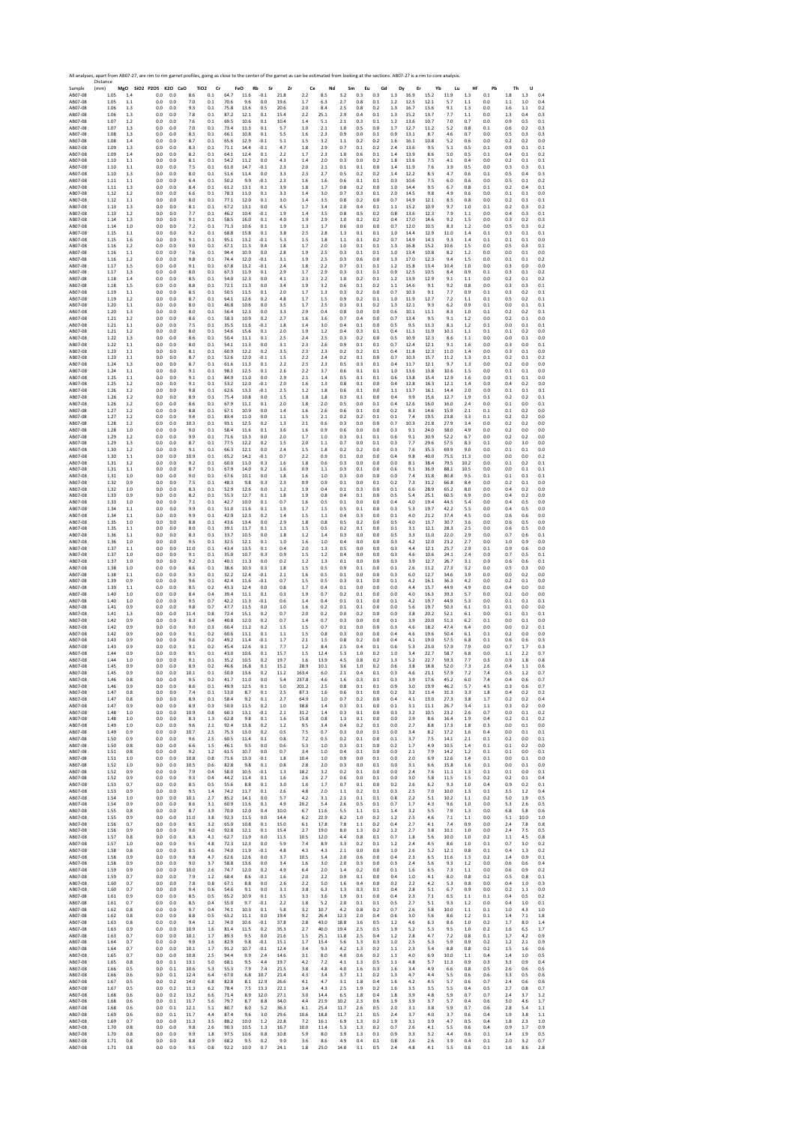SAMPLE 2017 AMBRE 2017 AMBRE 2017 AMBRE 2017 AMBRE 2017 AMBRE 2017 AMBRE 2017 AMBRE 2017 AMBRE 2017 AMBRE 2017 AMBRE 2017 AMBRE 2017 AMBRE 2017 AMBRE 2017 AMBRE 2017 AMBRE 2017 AMBRE 2017 AMBRE 2017 AMBRE 2017 AMBRE 2017 A Distance (mm) **MgO SiO2 P2O5 K2O CaO TiO2 Cr FeO Rb Sr Zr Ce Nd Sm Eu Gd Dy Er Yb Lu Hf Pb Th U** AB07‐08 1.05 1.4 0.0 0.0 8.6 0.1 64.7 11.6 ‐0.1 21.8 2.2 8.5 3.2 0.3 0.3 1.3 16.9 15.2 11.9 1.3 0.1 1.8 1.3 0.4 AB07‐08 1.05 1.1 0.0 0.0 7.0 0.1 70.6 9.6 0.0 19.6 1.7 6.3 2.7 0.8 0.1 1.2 12.5 12.1 5.7 1.1 0.0 1.1 1.0 0.4 AB07‐08 1.06 1.3 0.0 0.0 9.3 0.1 75.8 13.6 0.5 20.6 2.0 8.4 2.5 0.8 0.2 1.3 16.7 13.6 9.1 1.3 0.0 1.6 1.1 0.2 AB07‐08 1.06 1.3 0.0 0.0 7.8 0.1 87.2 12.1 0.1 15.4 2.2 25.1 2.9 0.4 0.1 1.3 15.2 13.7 7.7 1.1 0.0 1.3 0.4 0.3 AB07‐08 1.07 1.2 0.0 0.0 7.6 0.1 69.5 10.6 0.1 10.4 1.4 5.1 2.1 0.3 0.1 1.2 13.6 10.7 7.0 0.7 0.0 0.9 0.5 0.1 AB07‐08 1.07 1.3 0.0 0.0 7.0 0.1 73.4 11.3 0.1 5.7 1.0 2.1 1.0 0.5 0.0 1.7 12.7 11.2 5.2 0.8 0.1 0.6 0.2 0.3 AB07‐08 1.08 1.3 0.0 0.0 8.3 0.1 66.1 10.8 0.1 5.5 1.6 2.3 0.9 0.0 0.1 0.9 13.1 8.7 4.6 0.7 0.0 0.5 0.3 0.3 AB07‐08 1.08 1.4 0.0 0.0 8.7 0.1 65.6 12.9 ‐0.1 5.1 1.5 3.2 1.1 0.2 0.2 1.6 16.1 10.8 5.2 0.6 0.0 0.2 0.2 0.0 AB07‐08 1.09 1.3 0.0 0.0 8.3 0.1 71.1 14.4 ‐0.1 4.7 1.8 2.9 0.7 0.1 0.2 2.4 13.6 9.5 5.1 0.5 0.1 0.9 0.1 0.1 AB07‐08 1.09 1.4 0.0 0.0 8.2 0.1 64.1 12.4 0.1 2.2 1.7 2.3 1.0 0.6 0.1 1.4 13.9 8.6 5.0 0.5 0.1 0.4 0.1 0.2 AB07‐08 1.10 1.1 0.0 0.0 8.1 0.1 54.2 11.2 0.0 4.3 1.4 2.0 0.3 0.0 0.2 1.8 13.6 7.5 4.1 0.4 0.0 0.2 0.1 0.1 AB07‐08 1.10 1.1 0.0 0.0 7.5 0.1 61.0 14.7 ‐0.1 2.3 2.0 2.1 0.1 0.1 0.0 1.4 11.9 7.6 3.9 0.5 0.0 0.3 0.3 0.1 AB07‐08 1.10 1.3 0.0 0.0 8.0 0.1 51.6 11.4 0.0 3.3 2.3 2.7 0.5 0.2 0.2 1.4 12.2 8.3 4.7 0.6 0.1 0.5 0.4 0.3 AB07‐08 1.11 1.1 0.0 0.0 6.4 0.1 50.2 9.9 ‐0.1 2.3 1.6 1.6 0.6 0.1 0.1 0.3 10.6 7.5 6.0 0.6 0.0 0.5 0.1 0.2 AB07‐08 1.11 1.3 0.0 0.0 8.4 0.1 61.2 13.1 0.1 3.9 1.8 1.7 0.8 0.2 0.0 1.0 14.4 9.5 6.7 0.8 0.1 0.2 0.4 0.1 AB07‐08 1.12 1.2 0.0 0.0 6.6 0.1 78.3 11.0 0.1 3.3 1.4 3.0 0.7 0.3 0.1 2.0 14.5 9.8 4.9 0.6 0.0 0.1 0.1 0.0 AB07‐08 1.12 1.1 0.0 0.0 8.0 0.1 77.1 12.0 0.1 3.0 1.4 3.5 0.8 0.2 0.0 0.7 14.9 12.1 8.5 0.8 0.0 0.2 0.1 0.1 AB07‐08 1.13 1.3 0.0 0.0 8.1 0.1 67.2 13.1 0.0 4.5 1.7 3.4 2.0 0.4 0.1 1.1 15.2 10.9 9.7 1.0 0.1 0.2 0.3 0.2 AB07‐08 1.13 1.2 0.0 0.0 7.7 0.1 46.2 10.4 ‐0.1 1.9 1.4 3.5 0.8 0.5 0.2 0.8 13.6 12.3 7.9 1.1 0.0 0.4 0.3 0.1 AB07‐08 1.14 1.3 0.0 0.0 9.1 0.1 58.5 16.0 0.1 4.0 1.9 2.9 1.0 0.2 0.2 0.4 17.0 14.6 9.2 1.5 0.0 0.3 0.2 0.3 AB07‐08 1.14 1.0 0.0 0.0 7.2 0.1 71.3 10.6 0.1 1.9 1.3 1.7 0.6 0.0 0.0 0.7 12.0 10.5 8.3 1.2 0.0 0.5 0.3 0.2 AB07‐08 1.15 1.1 0.0 0.0 9.2 0.1 68.8 15.8 0.1 3.8 2.5 2.8 1.3 0.1 0.1 1.0 14.4 12.9 11.0 1.4 0.1 0.3 0.1 0.1 AB07‐08 1.15 1.6 0.0 0.0 9.1 0.1 95.1 13.2 ‐0.1 5.3 1.5 1.8 1.1 0.1 0.2 0.7 14.9 14.3 9.3 1.4 0.1 0.1 0.1 0.0 AB07‐08 1.16 1.2 0.0 0.0 9.0 0.1 67.1 11.3 0.4 1.8 1.7 2.0 1.0 0.1 0.1 1.3 16.8 15.2 10.6 1.5 0.0 0.5 0.3 0.1 AB07‐08 1.16 1.1 0.0 0.0 7.6 0.1 94.4 10.9 0.0 2.8 1.9 2.5 0.3 0.1 0.1 1.0 13.4 10.8 8.2 1.2 0.0 0.0 0.1 0.0 AB07‐08 1.16 1.2 0.0 0.0 9.8 0.1 74.4 12.0 ‐0.1 3.1 1.9 2.5 0.3 0.6 0.0 1.3 17.0 12.3 9.4 1.5 0.0 0.1 0.1 0.2 AB07‐08 1.17 1.5 0.0 0.0 9.1 0.1 67.8 13.2 ‐0.1 2.4 1.8 2.2 0.7 0.1 0.1 1.2 15.8 13.4 10.4 1.0 0.0 0.3 0.0 0.0 AB07‐08 1.17 1.3 0.0 0.0 8.0 0.1 67.3 11.9 0.1 2.9 1.7 2.9 0.3 0.1 0.1 0.9 12.5 10.5 8.4 0.9 0.1 0.3 0.1 0.2 AB07‐08 1.18 1.4 0.0 0.0 8.5 0.1 54.0 12.3 0.0 4.1 2.3 2.2 1.0 0.2 0.1 1.2 13.9 12.9 9.1 1.1 0.0 0.2 0.1 0.2 AB07‐08 1.18 1.5 0.0 0.0 8.8 0.1 72.1 11.3 0.0 3.4 1.9 3.2 0.6 0.1 0.2 1.1 14.6 9.1 9.2 0.8 0.0 0.3 0.3 0.1 AB07‐08 1.19 1.1 0.0 0.0 8.5 0.1 50.5 11.5 0.1 2.0 1.7 1.3 0.3 0.2 0.0 0.7 10.3 9.1 7.7 0.9 0.1 0.3 0.2 0.1 AB07‐08 1.19 1.2 0.0 0.0 8.7 0.1 64.1 12.6 0.2 4.8 1.7 1.5 0.9 0.2 0.1 1.0 11.9 12.7 7.2 1.1 0.1 0.5 0.2 0.1 AB07‐08 1.20 1.1 0.0 0.0 8.0 0.1 46.8 10.6 0.0 3.5 1.7 2.5 0.3 0.1 0.2 1.3 12.1 9.3 6.2 0.9 0.1 0.0 0.1 0.1 AB07‐08 1.20 1.3 0.0 0.0 8.0 0.1 56.4 12.3 0.0 3.3 2.9 0.4 0.8 0.0 0.0 0.6 10.1 11.1 8.3 1.0 0.1 0.2 0.2 0.1 AB07‐08 1.21 1.2 0.0 0.0 8.6 0.1 58.3 10.9 0.2 2.7 1.6 3.6 0.7 0.4 0.0 0.7 13.4 9.5 9.1 1.2 0.0 0.2 0.1 0.0 AB07‐08 1.21 1.1 0.0 0.0 7.5 0.1 35.5 11.6 ‐0.1 1.8 1.4 3.0 0.4 0.1 0.0 0.5 9.5 11.3 8.1 1.2 0.1 0.0 0.1 0.1 AB07‐08 1.21 1.2 0.0 0.0 8.0 0.1 54.6 15.6 0.1 2.0 1.9 1.2 0.4 0.3 0.1 0.4 11.1 11.9 10.1 1.1 0.1 0.1 0.2 0.0 AB07‐08 1.22 1.3 0.0 0.0 8.6 0.1 50.4 11.1 0.1 2.5 2.4 2.5 0.3 0.2 0.0 0.5 10.9 12.3 8.6 1.1 0.0 0.0 0.1 0.0 AB07‐08 1.22 1.1 0.0 0.0 8.0 0.1 54.1 11.3 0.0 3.1 2.3 2.6 0.9 0.1 0.1 0.7 12.4 12.1 9.1 1.6 0.0 0.3 0.0 0.1 AB07‐08 1.23 1.1 0.0 0.0 8.1 0.1 60.9 12.2 0.2 3.5 2.3 2.3 0.2 0.2 0.1 0.4 11.8 12.3 11.0 1.4 0.0 0.3 0.1 0.0 AB07‐08 1.23 1.1 0.0 0.0 8.7 0.1 52.6 12.0 ‐0.1 1.5 2.2 2.4 0.2 0.1 0.0 0.7 10.3 15.7 11.2 1.3 0.1 0.2 0.1 0.2 AB07‐08 1.24 1.3 0.0 0.0 8.7 0.1 61.6 11.3 0.1 2.2 2.5 2.3 0.5 0.3 0.1 0.4 11.7 12.1 9.7 1.3 0.0 0.2 0.0 0.0 AB07‐08 1.24 1.1 0.0 0.0 9.1 0.1 98.1 12.5 0.1 2.6 2.2 3.7 0.6 0.1 0.1 1.0 13.6 13.8 10.6 1.5 0.0 0.1 0.1 0.0 AB07‐08 1.25 1.1 0.0 0.0 9.1 0.1 84.9 11.0 0.0 2.9 2.1 1.4 0.5 0.1 0.1 0.6 13.8 15.4 12.9 1.6 0.0 0.1 0.1 0.0 AB07‐08 1.25 1.2 0.0 0.0 9.1 0.1 53.2 12.0 ‐0.1 2.0 1.6 1.3 0.8 0.1 0.0 0.4 12.8 16.3 12.1 1.4 0.0 0.4 0.2 0.0 AB07‐08 1.26 1.2 0.0 0.0 9.8 0.1 62.6 13.3 ‐0.1 2.5 1.2 1.8 0.6 0.1 0.0 1.1 13.7 16.1 14.4 2.0 0.0 0.1 0.1 0.1 AB07‐08 1.26 1.2 0.0 0.0 8.9 0.1 75.4 10.8 0.0 1.5 1.8 1.8 0.3 0.1 0.0 0.4 9.9 15.6 12.7 1.9 0.1 0.2 0.2 0.1 AB07‐08 1.26 1.2 0.0 0.0 8.6 0.1 67.9 11.1 0.1 2.0 1.8 2.0 0.5 0.0 0.1 0.4 12.6 16.0 16.0 2.4 0.0 0.1 0.0 0.1 AB07‐08 1.27 1.2 0.0 0.0 8.8 0.1 67.1 10.9 0.0 1.4 1.6 2.6 0.6 0.1 0.0 0.2 8.3 14.6 15.9 2.1 0.1 0.1 0.2 0.0 AB07‐08 1.27 1.2 0.0 0.0 9.4 0.1 83.4 11.0 0.0 1.1 1.5 2.1 0.2 0.2 0.1 0.1 7.4 19.5 23.8 3.3 0.1 0.2 0.2 0.0 AB07‐08 1.28 1.2 0.0 0.0 10.3 0.1 93.1 12.5 0.2 1.3 2.1 0.6 0.3 0.0 0.0 0.7 10.3 21.8 27.9 3.4 0.0 0.2 0.2 0.0 AB07‐08 1.28 1.0 0.0 0.0 9.0 0.1 58.4 11.6 0.1 3.6 1.6 0.9 0.6 0.0 0.0 0.3 9.1 24.0 38.0 4.9 0.0 0.2 0.0 0.0 AB07‐08 1.29 1.2 0.0 0.0 9.9 0.1 71.6 13.3 0.0 2.0 1.7 1.0 0.3 0.1 0.1 0.6 9.1 30.9 52.2 6.7 0.0 0.2 0.2 0.0 AB07‐08 1.29 1.3 0.0 0.0 8.7 0.1 77.5 12.2 0.2 1.5 2.0 1.1 0.7 0.0 0.1 0.3 7.7 29.6 57.5 8.3 0.1 0.0 3.0 0.0 AB07‐08 1.30 1.2 0.0 0.0 9.1 0.1 66.3 12.1 0.0 2.4 1.5 1.8 0.2 0.2 0.0 0.3 7.6 35.3 69.9 9.0 0.0 0.1 0.1 0.0 AB07‐08 1.30 1.1 0.0 0.0 10.9 0.1 65.2 14.2 ‐0.1 0.7 2.2 0.9 0.1 0.0 0.0 0.4 9.8 40.0 75.5 11.3 0.0 0.0 0.0 0.2 AB07‐08 1.31 1.2 0.0 0.0 9.2 0.1 60.0 11.0 0.3 1.6 1.8 0.6 0.3 0.0 0.0 0.0 8.1 38.4 79.5 10.2 0.0 0.1 0.2 0.1 AB07‐08 1.31 1.1 0.0 0.0 8.7 0.1 67.9 14.0 0.2 1.6 0.9 1.1 0.3 0.1 0.0 0.6 9.1 36.9 88.1 10.5 0.0 0.0 0.1 0.1 AB07‐08 1.31 1.0 0.0 0.0 9.0 0.1 67.6 10.1 0.0 1.8 1.6 1.0 0.3 0.0 0.0 0.0 7.4 31.8 80.8 9.5 0.1 0.1 0.1 0.1 AB07‐08 1.32 0.9 0.0 0.0 7.5 0.1 48.3 9.8 0.3 2.3 0.9 0.9 0.1 0.0 0.1 0.2 7.3 31.2 66.8 8.4 0.0 0.2 0.1 0.0 AB07‐08 1.32 1.0 0.0 0.0 8.3 0.1 52.9 12.6 0.0 1.2 1.9 0.4 0.1 0.3 0.0 0.1 6.6 28.9 65.2 8.0 0.0 0.4 0.2 0.0 AB07‐08 1.33 0.9 0.0 0.0 8.2 0.1 55.3 12.7 0.1 1.8 1.9 0.8 0.4 0.1 0.0 0.5 5.4 25.1 60.5 6.9 0.0 0.4 0.2 0.0 AB07‐08 1.33 1.0 0.0 0.0 7.1 0.1 42.7 10.0 0.1 0.7 1.6 0.5 0.1 0.0 0.0 0.4 4.0 19.4 44.5 5.4 0.0 0.4 0.5 0.0 AB07‐08 1.34 1.1 0.0 0.0 9.9 0.1 51.0 11.6 0.1 1.9 1.7 1.5 0.5 0.1 0.0 0.3 5.3 19.7 42.2 5.5 0.0 0.4 0.5 0.0 AB07‐08 1.34 1.1 0.0 0.0 9.9 0.1 42.9 12.3 0.2 1.4 1.5 1.1 0.4 0.3 0.0 0.1 4.0 21.2 37.4 4.5 0.0 0.6 0.6 0.0 AB07‐08 1.35 1.0 0.0 0.0 8.8 0.1 43.6 13.4 0.0 2.9 1.8 0.8 0.5 0.2 0.0 0.5 4.0 13.7 30.7 3.6 0.0 0.6 0.5 0.0 AB07‐08 1.35 1.1 0.0 0.0 8.0 0.1 39.1 11.7 0.1 1.3 1.5 0.5 0.2 0.1 0.0 0.1 3.1 12.1 28.3 2.5 0.0 0.6 0.5 0.0 AB07‐08 1.36 1.1 0.0 0.0 8.3 0.1 33.7 10.5 0.0 1.8 1.2 1.4 0.3 0.0 0.0 0.5 3.3 11.0 22.0 2.9 0.0 0.7 0.6 0.1 AB07‐08 1.36 1.0 0.0 0.0 9.5 0.1 32.5 12.1 0.1 1.0 1.6 1.0 0.4 0.0 0.0 0.3 4.2 12.0 23.2 2.7 0.0 1.0 0.9 0.0 AB07‐08 1.37 1.1 0.0 0.0 11.0 0.1 43.4 13.5 0.1 0.4 2.0 1.3 0.5 0.0 0.0 0.3 4.4 12.1 25.7 2.9 0.1 0.9 0.6 0.0 AB07‐08 1.37 1.0 0.0 0.0 9.1 0.1 35.0 10.7 0.3 0.9 1.5 1.2 0.4 0.0 0.0 0.3 4.6 10.6 24.1 2.4 0.0 0.7 0.5 0.1 AB07‐08 1.37 1.0 0.0 0.0 9.2 0.1 40.1 11.3 0.0 0.2 1.2 1.3 0.1 0.0 0.0 0.3 3.9 12.7 26.7 3.1 0.0 0.6 0.6 0.1 AB07‐08 1.38 1.0 0.0 0.0 8.6 0.1 38.6 10.3 0.3 1.8 1.5 0.5 0.9 0.1 0.0 0.1 2.6 11.2 27.3 3.2 0.0 0.5 0.3 0.0 AB07‐08 1.38 1.1 0.0 0.0 9.3 0.1 32.2 12.4 ‐0.1 2.1 1.6 0.5 0.1 0.0 0.0 0.3 6.0 12.7 34.6 3.9 0.0 0.0 0.2 0.0 AB07‐08 1.39 0.9 0.0 0.0 9.6 0.1 42.4 11.6 ‐0.1 0.7 1.5 0.5 0.3 0.1 0.0 0.1 4.2 16.1 36.3 4.2 0.0 0.2 0.1 0.0 AB07‐08 1.39 1.1 0.0 0.0 8.5 0.2 43.3 12.4 0.0 0.8 1.7 0.4 0.1 0.0 0.0 0.0 4.4 15.7 44.9 4.9 0.0 0.4 0.0 0.0 AB07‐08 1.40 1.0 0.0 0.0 8.4 0.4 39.4 11.1 0.1 0.3 1.9 0.7 0.2 0.1 0.0 0.0 4.0 16.3 39.3 5.7 0.0 0.2 0.0 0.0 AB07‐08 1.40 1.0 0.0 0.0 9.5 0.7 42.2 11.3 ‐0.1 0.6 1.4 0.4 0.1 0.1 0.0 0.1 4.2 19.7 44.9 5.3 0.0 0.1 0.1 0.1 AB07‐08 1.41 0.9 0.0 0.0 9.8 0.7 47.7 11.5 0.0 1.0 1.6 0.2 0.1 0.1 0.0 0.0 5.6 19.7 50.3 6.1 0.1 0.1 0.0 0.0 AB07‐08 1.41 1.3 0.0 0.0 11.4 0.8 72.4 15.1 0.2 0.7 2.0 0.2 0.0 0.2 0.0 0.0 3.8 20.2 52.1 6.1 0.0 0.1 0.1 0.1 AB07‐08 1.42 0.9 0.0 0.0 8.3 0.4 40.8 12.0 0.2 0.7 1.4 0.7 0.3 0.0 0.0 0.1 3.9 20.0 51.3 6.2 0.1 0.0 0.1 0.0 AB07‐08 1.42 0.9 0.0 0.0 9.0 0.3 60.4 11.2 0.2 1.5 1.5 0.7 0.1 0.0 0.0 0.3 4.6 18.2 47.4 6.4 0.0 0.0 0.2 0.1 AB07‐08 1.42 0.9 0.0 0.0 9.1 0.2 60.6 11.1 0.1 1.1 1.5 0.8 0.3 0.0 0.0 0.4 4.6 19.6 50.4 6.1 0.1 0.2 0.0 0.0 AB07‐08 1.43 0.9 0.0 0.0 9.6 0.2 49.2 11.4 ‐0.1 1.7 2.1 1.5 0.8 0.2 0.0 0.4 4.1 19.0 57.5 6.8 0.1 0.6 0.6 0.3 AB07‐08 1.43 0.9 0.0 0.0 9.1 0.2 45.4 12.6 0.1 7.7 1.2 8.4 2.5 0.4 0.1 0.6 5.3 23.0 57.9 7.9 0.0 0.7 1.7 0.3 AB07‐08 1.44 0.9 0.0 0.0 8.5 0.1 43.0 10.6 0.1 15.7 1.5 12.4 5.3 1.0 0.2 1.0 3.4 22.7 58.7 6.8 0.0 1.1 2.2 0.7 AB07‐08 1.44 1.0 0.0 0.0 9.1 0.1 35.2 10.5 0.2 19.7 1.6 13.9 4.5 0.8 0.2 1.3 5.2 22.7 59.3 7.7 0.3 0.9 1.8 0.8 AB07‐08 1.45 0.9 0.0 0.0 8.9 0.2 46.6 16.8 0.1 15.2 28.9 10.1 3.6 1.0 0.2 0.6 3.8 18.8 52.0 7.3 2.6 0.4 1.1 0.6 AB07‐08 1.45 0.9 0.0 0.0 10.1 0.1 50.0 13.6 0.2 11.2 163.4 6.0 2.1 0.4 0.1 0.3 4.6 21.1 57.9 7.2 7.4 0.5 1.2 0.7 AB07‐08 1.46 0.8 0.0 0.0 9.5 0.2 41.7 11.0 0.0 5.4 237.8 4.6 1.6 0.3 0.1 0.3 3.9 17.6 45.2 6.0 7.4 0.4 0.6 0.7 AB07‐08 1.46 0.9 0.0 0.0 8.6 0.1 49.9 12.5 0.1 5.0 201.2 2.5 0.8 0.1 0.1 0.9 3.0 19.9 46.2 5.7 4.5 0.3 0.6 0.7 AB07‐08 1.47 0.8 0.0 0.0 7.4 0.1 53.0 8.7 0.1 2.5 87.3 1.6 0.6 0.1 0.0 0.2 3.2 11.4 31.3 3.3 1.8 0.4 0.2 0.2 AB07‐08 1.47 0.8 0.0 0.0 8.9 0.1 58.4 9.2 0.1 2.7 64.9 1.0 0.7 0.2 0.0 0.4 4.1 13.0 27.3 3.8 1.7 0.2 0.2 0.4 AB07‐08 1.47 0.9 0.0 0.0 8.9 0.3 50.0 11.5 0.2 1.0 38.8 1.4 0.3 0.1 0.0 0.1 3.1 11.1 26.7 3.4 1.1 0.3 0.2 0.0 AB07‐08 1.48 1.0 0.0 0.0 10.9 0.8 60.3 13.1 ‐0.1 2.1 31.2 1.4 0.3 0.1 0.0 0.3 3.2 10.5 23.2 2.6 0.7 0.0 0.1 0.2 AB07‐08 1.48 1.0 0.0 0.0 8.3 1.3 62.8 9.8 0.1 1.6 15.8 0.8 1.3 0.1 0.0 0.0 2.9 8.6 16.4 1.9 0.4 0.2 0.1 0.2 AB07‐08 1.49 1.0 0.0 0.0 9.6 2.1 92.4 13.8 0.2 1.2 9.5 3.4 0.4 0.2 0.1 0.0 2.7 8.8 17.3 1.8 0.3 0.0 0.1 0.0 AB07‐08 1.49 0.9 0.0 0.0 10.7 2.5 75.3 13.0 0.2 0.5 7.5 0.7 0.3 0.0 0.1 0.0 3.4 8.2 17.2 1.6 0.4 0.0 0.1 0.1 AB07‐08 1.50 0.9 0.0 0.0 9.6 2.5 60.5 11.4 0.1 0.8 7.2 0.5 0.2 0.1 0.0 0.1 3.7 7.5 14.1 2.1 0.1 0.2 0.0 0.1 AB07‐08 1.50 0.8 0.0 0.0 6.6 1.5 46.1 9.5 0.0 0.6 5.3 1.0 0.3 0.1 0.0 0.2 1.7 4.9 10.5 1.4 0.1 0.1 0.2 0.0 AB07‐08 1.51 0.8 0.0 0.0 9.2 1.2 61.5 10.7 0.0 0.7 3.4 1.0 0.4 0.1 0.0 0.0 2.1 7.9 14.2 1.2 0.1 0.1 0.0 0.1 AB07‐08 1.51 1.0 0.0 0.0 10.8 0.8 71.6 13.0 ‐0.1 1.8 10.4 1.0 0.9 0.0 0.1 0.0 2.0 6.9 12.6 1.4 0.1 0.0 0.1 0.0 AB07‐08 1.52 1.0 0.0 0.0 10.5 0.6 82.8 9.8 0.1 0.8 2.8 2.0 0.3 0.0 0.1 0.0 3.1 6.6 15.8 1.6 0.1 0.0 0.1 0.0 AB07‐08 1.52 0.9 0.0 0.0 7.9 0.4 58.0 10.5 ‐0.1 1.3 18.2 3.2 0.2 0.1 0.0 0.0 2.4 7.6 11.1 1.3 0.1 0.1 0.0 0.1 AB07‐08 1.52 0.9 0.0 0.0 9.3 0.4 44.2 11.4 0.1 1.6 2.6 2.7 0.6 0.0 0.1 0.0 3.0 5.8 11.5 1.5 0.2 0.2 0.1 0.4 AB07‐08 1.53 0.7 0.0 0.0 8.5 0.5 55.6 8.8 0.1 3.0 1.6 1.7 0.7 0.1 0.0 0.2 2.6 6.2 9.3 1.0 0.4 0.9 0.2 0.1 AB07‐08 1.53 0.9 0.0 0.0 9.5 1.4 74.2 11.7 0.1 2.6 4.8 2.0 1.1 0.2 0.1 0.3 2.5 7.0 10.0 1.3 0.1 3.5 1.2 0.4 AB07‐08 1.54 1.0 0.0 0.0 10.1 2.7 85.2 14.1 0.0 5.7 4.2 3.1 2.1 0.1 0.1 0.8 2.2 5.1 10.2 1.1 0.2 5.0 1.9 0.5 AB07‐08 1.54 0.9 0.0 0.0 8.6 3.1 60.9 11.6 0.1 4.9 20.2 5.4 2.6 0.5 0.1 0.7 1.7 4.3 9.6 1.0 0.0 5.3 2.6 0.5 AB07‐08 1.55 0.8 0.0 0.0 8.7 3.9 70.0 12.0 0.4 10.0 6.7 11.6 5.5 1.1 0.1 1.4 3.2 5.5 7.9 1.3 0.0 6.8 5.8 0.6 AB07‐08 1.55 0.9 0.0 0.0 11.0 3.8 92.3 11.5 0.0 14.4 6.2 22.9 8.2 1.0 0.2 1.2 2.5 4.6 7.1 1.1 0.0 5.1 10.0 1.0 AB07‐08 1.56 0.7 0.0 0.0 8.5 3.2 65.0 10.8 0.1 15.0 6.1 17.8 7.8 1.1 0.2 0.4 2.7 4.1 7.4 0.9 0.0 2.4 7.8 0.8 AB07‐08 1.56 0.9 0.0 0.0 9.6 4.0 92.8 12.1 0.1 15.4 2.7 19.0 8.0 1.3 0.2 1.2 2.7 3.8 10.1 1.0 0.0 2.4 7.5 0.5 AB07‐08 1.57 0.8 0.0 0.0 8.3 4.1 62.7 11.9 0.0 11.5 10.5 12.0 4.4 0.8 0.1 0.7 1.8 5.6 10.0 1.0 0.2 1.1 4.5 0.8 AB07‐08 1.57 1.0 0.0 0.0 9.5 4.8 72.3 12.3 0.0 5.9 7.4 8.9 3.3 0.2 0.1 1.2 2.4 4.5 8.6 1.0 0.1 0.7 3.0 0.2 AB07‐08 1.58 0.8 0.0 0.0 8.5 4.6 74.0 11.9 ‐0.1 4.8 4.3 4.3 2.1 0.0 0.0 1.0 2.6 5.2 12.1 0.8 0.1 0.4 1.3 0.2 AB07‐08 1.58 0.9 0.0 0.0 9.8 4.7 62.6 12.6 0.0 3.7 10.5 5.4 2.0 0.6 0.0 0.4 2.3 6.5 11.6 1.3 0.2 1.4 0.9 0.1 AB07‐08 1.58 0.9 0.0 0.0 9.0 3.7 58.8 13.6 0.0 3.4 1.6 3.0 2.0 0.3 0.0 0.3 2.4 5.6 9.3 1.2 0.0 0.6 0.6 0.4 AB07‐08 1.59 0.9 0.0 0.0 10.0 2.6 74.7 12.0 0.2 4.9 6.4 2.0 1.4 0.2 0.0 0.1 1.6 6.5 7.3 1.1 0.0 0.6 0.9 0.2 AB07‐08 1.59 0.7 0.0 0.0 7.9 1.2 68.4 8.6 ‐0.1 1.6 2.0 2.2 0.9 0.1 0.0 0.4 1.0 4.1 8.0 0.8 0.2 0.5 0.8 0.1 AB07‐08 1.60 0.7 0.0 0.0 7.8 0.8 67.1 8.8 0.0 2.6 2.2 5.0 1.6 0.4 0.0 0.2 2.2 4.2 5.3 0.8 0.0 0.4 1.0 0.3 AB07‐08 1.60 0.7 0.0 0.0 9.4 0.6 54.6 9.1 0.0 3.1 3.8 6.3 1.3 0.3 0.1 0.4 2.8 5.1 6.7 0.9 0.0 0.2 1.1 0.0 AB07‐08 1.61 0.9 0.0 0.0 8.5 0.5 65.2 10.9 0.1 3.5 3.3 3.6 1.9 0.1 0.0 0.4 2.3 7.1 6.5 1.1 0.1 0.4 0.5 0.2 AB07‐08 1.61 0.7 0.0 0.0 8.5 0.4 55.0 9.7 ‐0.1 2.2 1.8 5.2 2.0 0.1 0.1 0.5 2.7 5.1 9.3 1.2 0.0 0.4 1.0 0.1 AB07‐08 1.62 0.8 0.0 0.0 9.7 0.4 74.1 10.3 0.1 5.8 3.2 10.7 4.2 0.8 0.2 0.7 2.6 5.8 10.0 1.1 0.1 1.0 4.3 1.0 AB07‐08 1.62 0.8 0.0 0.0 8.8 0.5 63.2 11.1 0.0 19.4 9.2 26.4 12.3 2.0 0.4 0.6 3.0 5.6 8.6 1.2 0.1 1.4 7.1 1.8 AB07‐08 1.63 0.8 0.0 0.0 9.4 1.2 74.0 10.6 ‐0.1 37.8 2.8 43.0 18.8 3.6 0.5 1.2 4.6 6.3 8.6 1.0 0.2 1.7 8.0 1.4 AB07‐08 1.63 0.9 0.0 0.0 10.9 1.6 81.4 11.5 0.2 35.3 2.7 40.0 19.4 2.5 0.5 1.9 5.2 5.3 9.5 1.0 0.2 1.6 6.5 1.7 AB07‐08 1.63 0.7 0.0 0.0 10.1 1.7 89.3 9.5 0.0 21.6 1.5 25.1 11.8 2.5 0.4 1.2 2.8 4.7 7.2 0.8 0.1 1.7 4.2 0.9 AB07‐08 1.64 0.7 0.0 0.0 9.9 1.6 82.9 9.8 ‐0.1 15.1 1.7 15.4 5.6 1.3 0.3 1.0 2.5 5.3 5.9 0.9 0.2 1.2 2.1 0.9 AB07‐08 1.64 0.7 0.0 0.0 10.1 1.7 91.2 10.7 ‐0.1 12.4 3.4 9.3 4.2 1.3 0.2 1.1 2.3 5.4 8.8 0.8 0.2 1.5 1.6 0.6 AB07‐08 1.65 0.7 0.0 0.0 10.8 2.5 94.4 9.9 2.4 14.6 3.1 8.0 4.0 0.6 0.2 1.1 4.0 6.9 10.0 1.1 0.4 1.4 1.0 0.5 AB07‐08 1.65 0.8 0.0 0.1 13.1 5.0 68.1 9.5 4.4 19.7 4.2 7.2 4.1 1.3 0.5 1.1 4.8 5.7 11.3 0.9 0.3 3.3 0.9 0.4 AB07‐08 1.66 0.5 0.0 0.1 10.6 5.3 55.3 7.9 7.4 21.5 3.8 4.8 4.0 1.6 0.3 1.6 3.4 4.9 6.6 0.8 0.5 2.6 0.6 0.5 AB07‐08 1.66 0.6 0.0 0.1 12.4 6.4 67.0 6.8 10.7 21.4 4.3 3.4 3.7 1.1 0.2 1.3 4.7 4.4 5.5 0.6 0.6 3.3 0.5 0.6 AB07‐08 1.67 0.5 0.0 0.2 14.0 6.8 82.8 8.1 12.9 26.6 4.1 4.7 3.1 1.8 0.4 1.6 4.2 4.5 5.7 0.6 0.7 2.4 0.6 0.6 AB07‐08 1.67 0.5 0.0 0.2 11.3 6.2 78.4 7.5 13.3 22.1 3.4 4.3 2.5 1.9 0.2 1.6 3.5 3.5 5.5 0.4 0.5 2.7 0.8 0.7 AB07‐08 1.68 0.6 0.0 0.2 13.2 6.6 71.4 8.9 12.0 27.1 3.0 14.4 6.5 1.8 0.4 1.8 3.9 4.8 5.9 0.7 0.7 2.4 3.7 1.2 AB07‐08 1.68 0.6 0.0 0.1 11.7 5.6 79.7 8.7 8.8 34.0 4.4 21.9 10.2 2.3 0.6 1.9 3.9 3.7 5.7 0.4 0.6 3.0 4.6 1.7 AB07‐08 1.68 0.6 0.0 0.1 12.1 5.1 80.7 8.0 5.2 36.3 6.1 25.4 11.7 2.6 0.5 2.0 3.1 3.8 5.9 0.7 0.6 2.8 5.4 1.1 AB07‐08 1.69 0.6 0.0 0.1 11.7 4.4 87.4 9.6 3.0 29.6 10.6 18.8 11.7 2.1 0.5 2.4 3.7 4.0 3.7 0.6 0.4 1.9 3.8 1.1 AB07‐08 1.69 0.7 0.0 0.0 11.3 3.5 88.2 10.0 1.2 22.8 7.2 16.1 6.9 1.3 0.2 1.9 3.1 3.9 4.7 0.5 0.4 1.8 2.3 1.0 AB07‐08 1.70 0.8 0.0 0.0 9.8 2.6 90.3 10.5 1.3 16.7 10.0 11.4 5.3 1.3 0.2 0.7 2.6 4.1 5.5 0.6 0.4 0.9 1.7 0.9 AB07‐08 1.70 0.8 0.0 0.0 9.9 1.8 97.5 10.6 0.8 10.8 5.9 8.0 3.9 1.3 0.1 0.9 3.3 3.2 4.4 0.6 0.1 1.4 1.9 0.5 AB07‐08 1.71 0.8 0.0 0.0 8.8 0.9 68.2 9.5 0.2 9.0 3.6 8.6 4.9 0.4 0.1 0.8 2.6 2.6 3.9 0.4 0.1 2.0 3.2 0.7 AB07‐08 1.71 0.8 0.0 0.0 9.5 0.8 92.2 10.0 0.7 24.1 1.8 25.0 14.0 3.1 0.5 2.4 4.8 4.1 5.5 0.6 0.1 1.6 8.6 2.8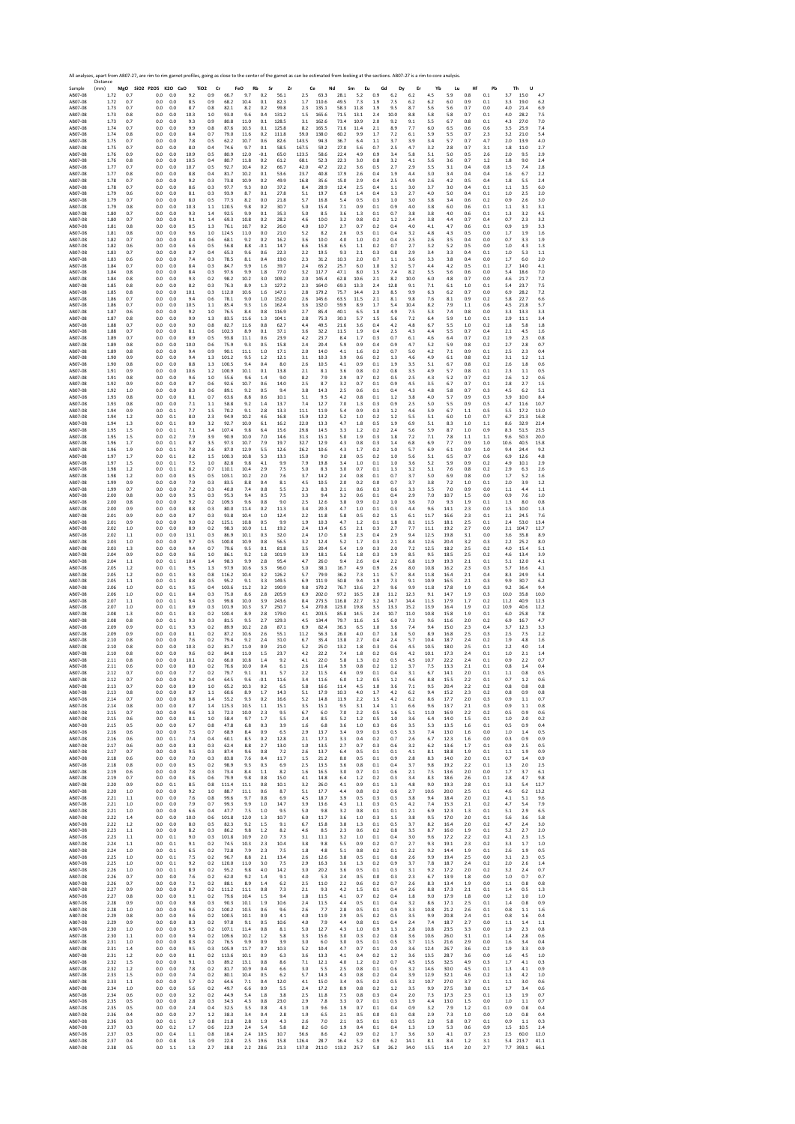|                    | Distance     |            | All analyses, apart from AB07-27, are rim to rim garnet profiles, going as close to the center of the garnet as can be estimated from looking at the sections. AB07-27 is a rim to core analysis. |            |                         |                |                |              |                |                |                |                |                |                |                |                |                 |              |                |                |                |                                                 |
|--------------------|--------------|------------|---------------------------------------------------------------------------------------------------------------------------------------------------------------------------------------------------|------------|-------------------------|----------------|----------------|--------------|----------------|----------------|----------------|----------------|----------------|----------------|----------------|----------------|-----------------|--------------|----------------|----------------|----------------|-------------------------------------------------|
| Sample<br>AB07-08  | (mm)<br>1.72 | 0.7        | MgO SiO2 P2O5 K2O CaO<br>0.0                                                                                                                                                                      | 0.0        | TiO <sub>2</sub><br>9.2 | Cr<br>0.9      | FeO<br>66.7    | Rb<br>9.7    | Sr<br>0.2      | Zr<br>56.1     | Ce<br>$2.5\,$  | Nd<br>63.3     | Sm<br>28.1     | Eu<br>5.2      | Gd<br>0.9      | Dy<br>6.2      | Er<br>6.2       | Yb<br>4.5    | Lu<br>5.9      | Hf<br>0.8      | Pb<br>0.1      | Th<br>U<br>3.7<br>15.0<br>4.7                   |
| AB07-08<br>AB07-08 | 1.72<br>1.73 | 0.7<br>0.7 | 0.0<br>0.0                                                                                                                                                                                        | 0.0<br>0.0 | 8.5<br>8.7              | 0.9<br>0.8     | 68.2<br>82.1   | 10.4<br>8.2  | 0.1<br>0.2     | 82.3<br>99.8   | 1.7<br>2.3     | 110.6<br>135.1 | 49.5<br>58.3   | 7.3<br>11.8    | 1.9<br>1.9     | 7.5<br>9.5     | 6.2<br>8.7      | 6.2<br>5.6   | $6.0\,$<br>5.6 | 0.9<br>0.7     | 0.1<br>0.0     | 3.3<br>19.0<br>6.2<br>4.0<br>21.4<br>6.9        |
| AB07-08            | 1.73         | 0.8        | 0.0                                                                                                                                                                                               | 0.0        | 10.3                    | 1.0            | 93.0           | 9.6          | 0.4            | 131.2          | 1.5            | 165.6          | 71.5           | 13.1           | 2.4            | 10.0           | 8.8             | 5.8          | 5.8            | 0.7            | 0.1            | 4.0<br>28.2<br>7.5                              |
| AB07-08<br>AB07-08 | 1.73<br>1.74 | 0.7<br>0.7 | 0.0<br>0.0                                                                                                                                                                                        | 0.0<br>0.0 | 9.3<br>9.9              | 0.9<br>0.8     | 80.8<br>87.6   | 11.0<br>10.3 | 0.1<br>0.1     | 128.5<br>125.8 | 3.1<br>8.2     | 162.6<br>165.5 | 73.4<br>71.6   | 10.9<br>11.4   | 2.0<br>2.1     | 9.2<br>8.9     | 9.1<br>7.7      | 5.5<br>6.0   | 6.7<br>6.5     | 0.8<br>0.6     | 0.1<br>0.6     | 4.3<br>27.0<br>7.0<br>3.5<br>25.9<br>7.4        |
| AB07-08<br>AB07-08 | 1.74<br>1.75 | 0.8<br>0.7 | 0.0<br>0.0                                                                                                                                                                                        | 0.0<br>0.0 | 8.4<br>7.8              | 0.7<br>0.5     | 79.0<br>62.2   | 11.6<br>10.7 | 0.2<br>0.6     | 111.8<br>82.6  | 59.0<br>143.5  | 138.0<br>94.3  | 60.2<br>36.7   | 9.9<br>6.4     | 1.7<br>1.1     | 7.2<br>3.7     | 6.1<br>3.9      | 5.9<br>3.4   | 5.5<br>5.7     | 0.7<br>0.7     | 2.3<br>4.7     | 3.2<br>21.0<br>5.4<br>2.0<br>13.9<br>4.0        |
| AB07-08            | 1.75         | 0.7        | 0.0                                                                                                                                                                                               | 0.0        | 8.0                     | 0.4            | 74.6           | 9.7          | 0.1            | 58.5           | 167.5          | 59.2           | 27.0           | 5.6            | 0.7            | 2.5            | 4.7             | 3.2          | 2.8            | 0.7            | 3.1            | 11.0<br>1.8<br>2.7                              |
| AB07-08<br>AB07-08 | 1.76<br>1.76 | 0.9<br>0.8 | 0.0<br>0.0                                                                                                                                                                                        | 0.0<br>0.0 | 10.9<br>10.5            | 0.5<br>0.4     | 80.9<br>80.7   | 12.0<br>11.8 | $-0.1$<br>0.2  | 65.0<br>61.2   | 123.5<br>68.1  | 58.6<br>52.3   | 22.4<br>22.3   | 4.9<br>3.0     | 0.9<br>0.8     | 3.4<br>3.2     | 5.8<br>4.1      | 5.1<br>5.6   | 5.0<br>3.6     | 0.5<br>0.7     | 2.6<br>1.2     | 2.0<br>9.5<br>2.9<br>1.8<br>9.0<br>2.4          |
| AB07-08<br>AB07-08 | 1.77<br>1.77 | 0.7<br>0.8 | 0.0<br>0.0                                                                                                                                                                                        | 0.0<br>0.0 | 10.7<br>8.8             | 0.5<br>0.4     | 92.7<br>81.7   | 10.4<br>10.2 | 0.2<br>0.1     | 66.7<br>53.6   | 42.0<br>23.7   | 47.2<br>40.8   | 22.2<br>17.9   | 3.6<br>2.6     | 0.5<br>0.4     | 2.7<br>1.9     | 2.9<br>4.4      | 3.5<br>3.0   | 3.1<br>3.4     | 0.4<br>0.4     | 0.8<br>0.4     | 1.5<br>7.4<br>2.8<br>6.7<br>1.6<br>2.2          |
| AB07-08            | 1.78         | 0.7        | 0.0<br>0.0                                                                                                                                                                                        | 0.0        | 9.2                     | 0.3            | 73.8           | 10.9         | 0.2            | 49.9           | 16.8           | 35.6           | 15.0           | 2.9            | 0.4            | 2.5            | 4.9             | 2.6          | 4.2            | 0.5            | 0.4            | 1.8<br>5.5<br>2.4                               |
| AB07-08<br>AB07-08 | 1.78<br>1.79 | 0.7<br>0.6 | 0.0                                                                                                                                                                                               | 0.0<br>0.0 | 8.6<br>8.1              | 0.3<br>0.3     | 97.7<br>93.9   | 9.3<br>8.7   | 0.0<br>0.1     | 37.2<br>27.8   | 8.4<br>5.1     | 28.9<br>19.7   | 12.4<br>6.9    | 2.5<br>1.4     | 0.4<br>0.4     | 1.1<br>1.3     | 3.0<br>2.7      | 3.7<br>4.0   | 3.0<br>5.0     | 0.4<br>0.4     | 0.1<br>0.1     | 1.1<br>3.5<br>6.0<br>1.0<br>2.5<br>2.0          |
| AB07-08<br>AB07-08 | 1.79<br>1.79 | 0.7<br>0.8 | 0.0<br>0.0                                                                                                                                                                                        | 0.0<br>0.0 | 8.0<br>10.3             | 0.5<br>1.1     | 77.3<br>120.5  | 8.2<br>9.8   | 0.0<br>0.2     | 21.8<br>30.7   | 5.7<br>5.0     | 16.8<br>15.4   | 5.4<br>7.1     | 0.5<br>0.9     | 0.3<br>0.1     | 1.0<br>0.9     | 3.0<br>4.0      | 3.8<br>3.8   | 3.4<br>6.0     | 0.6<br>0.6     | 0.2<br>0.1     | 0.9<br>2.6<br>3.0<br>1.1<br>3.1<br>3.1          |
| AB07-08<br>AB07-08 | 1.80<br>1.80 | 0.7<br>0.7 | 0.0<br>0.0                                                                                                                                                                                        | 0.0<br>0.0 | 9.3<br>9.1              | 1.4<br>1.4     | 92.5<br>69.3   | 9.9<br>10.8  | 0.1<br>0.2     | 35.3<br>28.2   | 5.0<br>4.6     | 8.5<br>10.0    | 3.6<br>3.2     | 1.3<br>0.8     | 0.1<br>0.2     | 0.7<br>1.2     | 3.8<br>2.4      | 3.8<br>3.8   | 4.0<br>4.4     | 0.6<br>0.7     | 0.1<br>0.4     | 1.3<br>3.2<br>4.5<br>0.7<br>2.3<br>3.2          |
| AB07-08            | 1.81         | 0.8        | 0.0                                                                                                                                                                                               | 0.0        | 8.5                     | 1.3            | 76.1           | 10.7         | 0.2            | 26.0           | 4.0            | 10.7           | 2.7            | 0.7            | 0.2            | 0.4            | 4.0             | 4.1          | 4.7            | 0.6            | 0.1            | 0.9<br>1.9<br>3.3                               |
| AB07-08<br>AB07-08 | 1.81<br>1.82 | 0.8<br>0.7 | 0.0<br>0.0                                                                                                                                                                                        | 0.0<br>0.0 | 9.6<br>8.4              | 1.0<br>0.6     | 124.5<br>68.1  | 11.0<br>9.2  | 0.0<br>0.2     | 21.0<br>16.2   | 5.2<br>3.6     | 8.2<br>10.0    | 2.6<br>4.0     | 0.3<br>1.0     | 0.1<br>0.2     | 0.4<br>0.4     | 3.2<br>2.5      | 4.8<br>2.6   | 4.3<br>3.5     | 0.5<br>0.4     | 0.0<br>0.0     | 1.7<br>1.9<br>1.6<br>0.7<br>3.3<br>1.9          |
| AB07-08<br>AB07-08 | 1.82<br>1.83 | 0.6<br>0.7 | 0.0<br>0.0                                                                                                                                                                                        | 0.0<br>0.0 | 6.6<br>8.7              | 0.5<br>0.4     | 56.8<br>65.3   | 8.8<br>9.6   | $-0.1$<br>0.6  | 14.7<br>22.3   | 6.6<br>2.2     | 15.8<br>19.5   | 6.5<br>9.3     | 1.1<br>2.1     | 0.2<br>0.3     | 0.7<br>0.8     | 2.7<br>2.9      | 3.2<br>3.4   | 5.2<br>3.3     | 0.5<br>0.4     | 0.0<br>0.1     | $1.0\,$<br>4.3<br>1.3<br>1.0<br>5.3<br>1.1      |
| AB07-08            | 1.83         | 0.6        | 0.0                                                                                                                                                                                               | 0.0        | 7.4                     | 0.3            | 78.5           | 8.1          | 0.4            | 19.0           | 2.3            | 31.2           | 10.3           | 2.0            | 0.7            | 1.1            | 3.6             | 3.3          | 3.8            | 0.4            | 0.0            | 1.7<br>6.0<br>2.0                               |
| AB07-08<br>AB07-08 | 1.84<br>1.84 | 0.7<br>0.8 | 0.0<br>0.0                                                                                                                                                                                        | 0.0<br>0.0 | 8.4<br>8.4              | 0.3<br>0.3     | 84.7<br>97.6   | 9.9<br>9.9   | 1.6<br>1.8     | 39.7<br>77.0   | 2.4<br>3.2     | 65.2<br>117.7  | 25.7<br>47.1   | 6.0<br>8.0     | 1.0<br>1.5     | 3.2<br>7.4     | 5.7<br>8.2      | 4.4<br>5.5   | 4.2<br>5.6     | 0.5<br>0.6     | 0.1<br>0.0     | 2.7<br>14.0<br>4.1<br>5.4<br>18.6<br>7.0        |
| AB07-08<br>AB07-08 | 1.84<br>1.85 | 0.8<br>0.8 | 0.0<br>0.0                                                                                                                                                                                        | 0.0<br>0.0 | 9.3<br>8.2              | 0.2<br>0.3     | 98.2<br>76.3   | 10.2<br>8.9  | 3.0<br>1.3     | 109.2<br>127.2 | 2.0<br>2.3     | 145.4<br>164.0 | 62.8<br>69.3   | 10.6<br>13.3   | 2.1<br>2.4     | 8.2<br>12.8    | 10.0<br>9.1     | 6.0<br>7.1   | 4.8<br>6.1     | 0.7<br>1.0     | 0.0<br>0.1     | 4.6<br>21.7<br>7.2<br>5.4<br>23.7<br>7.5        |
| AB07-08            | 1.85         | 0.8        | 0.0                                                                                                                                                                                               | 0.0        | 10.1                    | 0.3            | 112.0          | 10.6         | 1.6            | 147.1          | 2.8            | 179.2          | 75.7           | 14.4           | 2.3            | 8.5            | 9.9             | 6.3          | 6.2            | 0.7            | 0.0            | 6.9<br>28.2<br>7.2                              |
| AB07-08<br>AB07-08 | 1.86<br>1.86 | 0.7<br>0.7 | 0.0<br>0.0                                                                                                                                                                                        | 0.0<br>0.0 | 9.4<br>10.5             | 0.6<br>1.1     | 78.1<br>85.4   | 9.0<br>9.3   | 1.0<br>1.6     | 152.0<br>162.4 | 2.6<br>3.6     | 145.6<br>132.0 | 63.5<br>59.9   | 11.5<br>8.9    | 2.1<br>1.7     | 8.1<br>5.4     | 9.8<br>10.4     | 7.6<br>8.2   | 8.1<br>7.9     | 0.9<br>1.1     | 0.2<br>0.6     | 5.8<br>22.7<br>6.6<br>4.5<br>21.8<br>5.7        |
| AB07-08<br>AB07-08 | 1.87<br>1.87 | 0.6<br>0.8 | 0.0<br>0.0                                                                                                                                                                                        | 0.0<br>0.0 | 9.2<br>9.9              | 1.0<br>1.3     | 76.5<br>83.5   | 8.4<br>11.6  | 0.8<br>1.3     | 116.9<br>104.1 | 2.7<br>2.8     | 85.4<br>75.3   | 40.1<br>30.3   | 6.5<br>5.7     | 1.0<br>1.5     | 4.9<br>5.6     | 7.5<br>7.2      | 5.3<br>6.4   | 7.4<br>5.9     | 0.8<br>1.0     | 0.0<br>0.1     | 3.3<br>13.3<br>3.3<br>2.9<br>11.1<br>3.4        |
| AB07-08            | 1.88         | 0.7        | 0.0                                                                                                                                                                                               | 0.0        | 9.0                     | 0.8            | 82.7           | 11.6         | 0.8            | 62.7           | 4.4            | 49.5           | 21.6           | 3.6            | 0.4            | 4.2            | 4.8             | 6.7          | 5.5            | 1.0            | 0.2            | 1.8<br>5.8<br>1.8                               |
| AB07-08<br>AB07-08 | 1.88<br>1.89 | 0.7<br>0.7 | 0.0<br>0.0                                                                                                                                                                                        | 0.0<br>0.0 | 8.1<br>8.9              | 0.6<br>0.5     | 102.3<br>93.8  | 8.9<br>11.1  | 0.1<br>0.6     | 37.1<br>23.9   | 3.6<br>4.2     | 32.2<br>23.7   | 11.5<br>8.4    | 1.9<br>1.7     | 0.4<br>0.3     | 2.5<br>0.7     | 4.3<br>6.1      | 4.4<br>4.6   | 5.5<br>6.4     | 0.7<br>0.7     | 0.4<br>0.2     | 2.1<br>4.5<br>1.6<br>1.9<br>2.3<br>0.8          |
| AB07-08<br>AB07-08 | 1.89<br>1.89 | 0.8<br>0.8 | 0.0<br>0.0                                                                                                                                                                                        | 0.0<br>0.0 | 10.0<br>9.4             | 0.6<br>0.9     | 75.9<br>90.1   | 9.3<br>11.1  | 0.5<br>1.0     | 15.8<br>17.1   | 2.4<br>2.0     | 20.4<br>14.0   | 5.9<br>4.1     | 0.9<br>1.6     | 0.4<br>0.2     | 0.9<br>0.7     | 4.7<br>5.0      | 5.2<br>4.2   | 5.9<br>7.1     | 0.8<br>0.9     | 0.2<br>0.1     | 2.7<br>2.8<br>0.7<br>2.5<br>2.3<br>0.4          |
| AB07-08<br>AB07-08 | 1.90<br>1.90 | 0.9<br>0.8 | 0.0<br>0.0                                                                                                                                                                                        | 0.0<br>0.0 | 9.4<br>8.8              | $1.3\,$<br>1.3 | 101.2<br>100.5 | 9.5<br>9.4   | $1.2\,$<br>0.4 | 12.1<br>8.0    | 3.1<br>2.6     | 10.3<br>10.5   | 3.9<br>4.1     | 0.6<br>0.9     | 0.2<br>0.1     | 1.3<br>1.9     | 4.6<br>3.5      | 4.9<br>5.1   | 6.1<br>6.7     | 0.8<br>0.8     | 0.2<br>0.2     | $1.2\,$<br>3.1<br>1.1<br>2.6<br>1.8<br>0.6      |
| AB07-08            | 1.91         | 0.9        | 0.0                                                                                                                                                                                               | 0.0        | 10.6                    | 1.2            | 100.9          | 10.1         | 0.1            | 13.8           | 2.1            | 8.1            | 3.6            | 0.8            | 0.2            | 0.8            | 3.5             | 4.9          | 5.7            | 0.8            | 0.1            | 2.3<br>1.1<br>0.5                               |
| AB07-08<br>AB07-08 | 1.91<br>1.92 | 0.8<br>0.9 | 0.0<br>0.0                                                                                                                                                                                        | 0.0<br>0.0 | 9.6<br>8.7              | 1.0<br>0.6     | 55.6<br>92.6   | 9.6<br>10.7  | 1.4<br>0.6     | 9.0<br>14.0    | 8.2<br>2.5     | 7.9<br>8.7     | 2.9<br>3.2     | 0.7<br>0.7     | 0.2<br>0.1     | 0.5<br>0.9     | 2.5<br>4.5      | 4.3<br>3.5   | 5.2<br>6.7     | 0.7<br>0.7     | 0.2<br>0.1     | 2.6<br>1.2<br>0.6<br>2.7<br>2.8<br>1.5          |
| AB07-08<br>AB07-08 | 1.92<br>1.93 | 1.0<br>0.8 | 0.0<br>0.0                                                                                                                                                                                        | 0.0<br>0.0 | 8.3<br>8.1              | 0.6<br>0.7     | 89.1<br>63.6   | 9.2<br>8.8   | 0.5<br>0.6     | 9.4<br>10.1    | 3.8<br>5.1     | 14.3<br>9.5    | 2.5<br>4.2     | 0.6<br>0.8     | 0.1<br>0.1     | 0.4<br>1.2     | 4.3<br>3.8      | 4.8<br>4.0   | 5.8<br>5.7     | 0.7<br>0.9     | 0.3<br>0.3     | 4.5<br>6.2<br>5.1<br>3.9<br>10.0<br>8.4         |
| AB07-08            | 1.93         | 0.8        | 0.0                                                                                                                                                                                               | 0.0        | 7.1                     | 1.1            | 58.8           | 9.2          | 1.4            | 13.7           | 7.4            | 12.7           | 7.0            | 1.3            | 0.3            | 0.9            | 2.5             | 5.0          | 5.5            | 0.9            | 0.5            | 4.7<br>11.6<br>10.7                             |
| AB07-08<br>AB07-08 | 1.94<br>1.94 | 0.9<br>1.2 | 0.0<br>0.0                                                                                                                                                                                        | 0.1<br>0.1 | 7.7<br>8.0              | 1.5<br>2.3     | 70.2<br>94.9   | 9.1<br>10.2  | 2.8<br>4.6     | 13.3<br>16.8   | 11.1<br>15.9   | 11.9<br>12.2   | 5.4<br>5.2     | 0.9<br>1.0     | 0.3<br>0.2     | 1.2<br>1.2     | 4.6<br>5.5      | 5.9<br>5.1   | 6.7<br>6.0     | 1.1<br>1.0     | 0.5<br>0.7     | 5.5<br>17.2<br>13.0<br>6.7<br>21.3<br>16.8      |
| AB07-08<br>AB07-08 | 1.94<br>1.95 | 1.3<br>1.5 | 0.0<br>0.0                                                                                                                                                                                        | 0.1<br>0.1 | 8.9<br>7.1              | 3.2<br>3.4     | 92.7<br>107.4  | 10.0<br>9.8  | 6.1<br>6.4     | 16.2<br>15.6   | 22.0<br>29.8   | 13.3<br>14.5   | 4.7<br>3.3     | 1.8<br>1.2     | 0.5<br>0.2     | 1.9<br>2.4     | 6.9<br>5.6      | 5.1<br>5.9   | 8.3<br>8.7     | 1.0<br>1.0     | 1.1<br>0.9     | 8.6<br>32.9<br>22.4<br>8.3<br>51.5<br>23.5      |
| AB07-08<br>AB07-08 | 1.95<br>1.96 | 1.5<br>1.7 | 0.0<br>0.0                                                                                                                                                                                        | 0.2<br>0.1 | 7.9<br>8.7              | 3.9<br>3.5     | 90.9<br>97.3   | 10.0<br>10.7 | 7.0<br>7.9     | 14.6<br>19.7   | 31.3<br>32.7   | 15.1<br>12.9   | 5.0<br>4.3     | 1.9<br>0.8     | 0.3<br>0.3     | 1.8<br>1.4     | 7.2<br>6.8      | 7.1<br>6.9   | 7.8<br>7.7     | 1.1<br>0.9     | 1.1<br>1.0     | 9.6<br>50.3<br>20.0<br>10.6<br>40.5<br>15.8     |
| AB07-08            | 1.96         | 1.9        | 0.0                                                                                                                                                                                               | 0.1        | 7.8                     | 2.6            | 87.0           | 12.9         | 5.5            | 12.6           | 26.2           | 10.6           | 4.3            | 1.7            | 0.2            | 1.0            | 5.7             | 6.9          | 6.1            | 0.9            | 1.0            | 9.4<br>24.4<br>9.2                              |
| AB07-08<br>AB07-08 | 1.97<br>1.97 | 1.7<br>1.5 | 0.0<br>0.0                                                                                                                                                                                        | 0.1<br>0.1 | 8.2<br>7.5              | 1.5<br>1.0     | 100.3<br>82.8  | 10.8<br>9.8  | 5.3<br>4.1     | 13.3<br>9.9    | 15.0<br>7.9    | 9.0<br>19.8    | 2.8<br>3.4     | 0.5<br>1.0     | 0.2<br>0.1     | 1.0<br>1.0     | 5.6<br>3.6      | 5.1<br>5.2   | 6.5<br>5.9     | 0.7<br>0.9     | 0.6<br>0.2     | 6.9<br>12.6<br>4.8<br>4.9<br>10.1<br>2.9        |
| AB07-08<br>AB07-08 | 1.98<br>1.98 | 1.2<br>1.2 | 0.0<br>0.0                                                                                                                                                                                        | 0.1<br>0.0 | 8.2<br>8.5              | 0.7<br>0.5     | 110.1<br>103.1 | 10.4<br>10.2 | 2.9<br>2.0     | 7.5<br>7.6     | 5.0<br>3.7     | 8.3<br>14.2    | 3.0<br>2.4     | 0.7<br>0.8     | 0.1<br>0.1     | 1.3<br>0.7     | 3.2<br>3.7      | 5.1<br>5.0   | 7.6<br>6.9     | 0.8<br>0.8     | 0.2<br>0.0     | 2.9<br>6.3<br>2.6<br>1.7<br>5.2<br>1.6          |
| AB07-08            | 1.99         | 0.9        | 0.0                                                                                                                                                                                               | 0.0        | 7.9                     | 0.3            | 83.5           | 8.8          | 0.4            | 8.1            | 4.5            | 10.5           | 2.0            | 0.2            | 0.0            | 0.7            | 3.7             | 3.8          | 7.2            | 1.0            | 0.1            | 2.0<br>3.9<br>1.2                               |
| AB07-08<br>AB07-08 | 1.99<br>2.00 | 0.7<br>0.8 | 0.0<br>0.0                                                                                                                                                                                        | 0.0<br>0.0 | 7.2<br>9.5              | 0.3<br>0.3     | 40.0<br>95.3   | 7.4<br>9.4   | 0.8<br>0.5     | 5.5<br>7.5     | 2.3<br>3.3     | 8.3<br>9.4     | 2.1<br>3.2     | 0.6<br>0.6     | 0.3<br>0.1     | 0.6<br>0.4     | 3.3<br>2.9      | 5.5<br>7.0   | 7.0<br>10.7    | 0.9<br>1.5     | 0.0<br>0.0     | 1.1<br>4.4<br>1.1<br>0.9<br>7.6<br>1.0          |
| AB07-08<br>AB07-08 | 2.00<br>2.00 | 0.8<br>0.9 | 0.0<br>0.0                                                                                                                                                                                        | 0.0<br>0.0 | 9.2<br>8.8              | 0.2<br>0.3     | 109.3<br>80.0  | 9.6<br>11.4  | 0.8<br>0.2     | 9.0<br>11.3    | 2.5<br>3.4     | 12.6<br>20.3   | 3.8<br>4.7     | 0.9<br>1.0     | 0.2<br>0.1     | 1.0<br>0.3     | 3.6<br>4.4      | 7.0<br>9.6   | 9.3<br>14.1    | 1.9<br>2.3     | 0.1<br>0.0     | $1.3\,$<br>8.0<br>0.8<br>1.5<br>10.0<br>1.3     |
| AB07-08            | 2.01         | 0.9        | 0.0                                                                                                                                                                                               | 0.0        | 8.7<br>9.0              | 0.3            | 93.8           | 10.4         | 1.0            | 12.4<br>9.9    | 2.2            | 11.8           | 5.8<br>4.7     | 0.5            | 0.2            | 1.5            | 6.1             | 11.7         | 16.6           | 2.3            | 0.1            | 2.1<br>24.5<br>7.6                              |
| AB07-08<br>AB07-08 | 2.01<br>2.02 | 0.9<br>1.0 | 0.0<br>0.0                                                                                                                                                                                        | 0.0<br>0.0 | 8.9                     | 0.2<br>0.2     | 125.1<br>98.3  | 10.8<br>10.0 | 0.5<br>1.1     | 19.2           | 1.9<br>2.4     | 10.3<br>13.4   | 6.5            | 1.2<br>2.1     | 0.1<br>0.3     | $1.8\,$<br>2.7 | 8.1<br>7.7      | 11.5<br>11.1 | 18.1<br>19.2   | 2.5<br>2.7     | 0.1<br>0.0     | 53.0<br>2.4<br>13.4<br>2.1<br>104.7<br>12.7     |
| AB07-08<br>AB07-08 | 2.02<br>2.03 | 1.1<br>1.0 | 0.0<br>0.0                                                                                                                                                                                        | 0.0<br>0.0 | 13.1<br>9.7             | 0.3<br>0.5     | 86.9<br>100.8  | 10.1<br>10.9 | 0.3<br>0.8     | 32.0<br>56.5   | 2.4<br>3.2     | 17.0<br>12.4   | 5.8<br>5.2     | 2.3<br>1.7     | 0.4<br>0.3     | 2.9<br>2.1     | 9.4<br>8.4      | 12.5<br>12.6 | 19.8<br>20.4   | 3.1<br>3.2     | 0.0<br>0.3     | 3.6<br>35.8<br>8.9<br>2.2<br>25.2<br>8.0        |
| AB07-08<br>AB07-08 | 2.03<br>2.04 | 1.3<br>0.9 | 0.0<br>0.0                                                                                                                                                                                        | 0.0<br>0.0 | 9.4<br>9.6              | 0.7<br>1.0     | 79.6<br>86.1   | 9.5<br>9.2   | 0.1<br>1.8     | 81.8<br>101.9  | 3.5<br>3.9     | 20.4<br>18.1   | 5.4<br>5.6     | 1.9<br>1.8     | 0.3<br>0.3     | 2.0<br>1.9     | 7.2<br>8.5      | 12.5<br>9.5  | 18.2<br>18.5   | 2.5<br>2.5     | 0.2<br>0.2     | 4.0<br>15.4<br>5.1<br>4.6<br>13.4<br>3.9        |
| AB07-08            | 2.04         | $1.1\,$    | 0.0                                                                                                                                                                                               | 0.1        | 10.4                    | 1.4            | 98.3           | 9.9          | 2.8            | 95.4           | 4.7            | 26.0           | 9.4            | 2.6            | 0.4            | 2.2            | 6.8             | 11.9         | 19.3           | 2.1            | 0.1            | 5.1<br>12.0<br>4.1                              |
| AB07-08<br>AB07-08 | 2.05<br>2.05 | 1.2<br>1.2 | 0.0<br>0.0                                                                                                                                                                                        | 0.1<br>0.1 | 9.5<br>9.3              | 1.3<br>0.8     | 97.9<br>116.2  | 10.6<br>10.4 | 3.3<br>3.2     | 96.0<br>126.2  | 5.0<br>5.7     | 38.1<br>79.9   | 16.7<br>36.2   | 4.9<br>7.3     | 0.9<br>1.1     | 2.6<br>5.7     | 8.0<br>8.4      | 10.8<br>11.8 | 16.2<br>16.4   | 2.3<br>2.1     | 0.3<br>0.4     | 5.7<br>16.6<br>4.1<br>8.3<br>24.9<br>5.4        |
| AB07-08<br>AB07-08 | 2.05<br>2.06 | 1.1<br>1.0 | 0.0<br>0.0                                                                                                                                                                                        | 0.1<br>0.1 | 8.8<br>9.5              | 0.5<br>0.4     | 95.2<br>103.6  | 9.1<br>11.2  | 3.3<br>3.2     | 149.5<br>190.9 | 6.9<br>9.8     | 111.9<br>170.2 | 50.8<br>76.7   | 9.4<br>13.6    | 1.9<br>2.7     | 7.3<br>9.6     | 9.1<br>9.9      | 10.9<br>11.8 | 16.5<br>17.8   | 2.1<br>1.9     | 0.3<br>0.3     | 9.9<br>30.7<br>6.2<br>9.2<br>36.4<br>9.4        |
| AB07-08<br>AB07-08 | 2.06         | 1.0        | 0.0                                                                                                                                                                                               | 0.1        | 8.4                     | 0.3            | 75.0           | 8.6          | $2.8\,$        | 205.9          | 6.9            | 202.0          | 97.2           | 16.5           | 2.8            | 11.2           | 12.3            | 9.1          | 14.7           | 1.9            | 0.3            | 10.0<br>35.8<br>10.0                            |
| AB07-08            | 2.07<br>2.07 | 1.1<br>1.0 | 0.0<br>0.0                                                                                                                                                                                        | 0.1<br>0.1 | 9.4<br>8.9              | 0.3<br>0.3     | 99.8<br>101.9  | 10.0<br>10.3 | 3.9<br>3.7     | 243.6<br>250.7 | 8.4<br>5.4     | 273.5<br>270.8 | 116.8<br>123.0 | 22.7<br>19.8   | 3.2<br>3.5     | 14.7<br>13.3   | 14.4<br>15.2    | 11.3<br>13.9 | 17.9<br>16.4   | 1.7<br>1.9     | 0.2<br>0.2     | 11.2<br>40.9<br>12.3<br>10.9<br>40.6<br>12.2    |
| AB07-08<br>AB07-08 | 2.08<br>2.08 | 1.3<br>0.8 | 0.0<br>0.0                                                                                                                                                                                        | 0.1<br>0.1 | 8.3<br>9.3              | 0.2<br>0.3     | 100.4<br>81.5  | 8.9<br>9.5   | 2.8<br>2.7     | 179.0<br>129.3 | 4.1<br>4.5     | 203.5<br>134.4 | 85.8<br>79.7   | 14.5<br>11.6   | 2.4<br>1.5     | 10.7<br>6.0    | 11.0<br>7.3     | 10.8<br>9.6  | 15.8<br>11.6   | 1.9<br>2.0     | 0.1<br>0.2     | 6.0<br>25.8<br>7.8<br>6.9<br>16.7<br>4.7        |
| AB07-08<br>AB07-08 | 2.09<br>2.09 | 0.9<br>0.9 | 0.0<br>0.0                                                                                                                                                                                        | 0.1<br>0.0 | 9.3<br>8.1              | 0.2<br>0.2     | 89.9<br>87.2   | 10.2<br>10.6 | 2.8<br>2.6     | 87.1<br>55.1   | 6.9<br>11.2    | 82.4<br>56.3   | 36.3<br>26.0   | 6.5<br>4.0     | 1.0<br>0.7     | 3.6<br>1.8     | 7.4<br>5.0      | 9.4<br>8.9   | 15.0<br>16.8   | 2.3<br>2.5     | 0.4<br>0.3     | 3.7<br>12.3<br>3.3<br>2.5<br>7.5<br>2.2         |
| AB07-08            | 2.10         | 0.8        | 0.0                                                                                                                                                                                               | 0.0        | 7.6                     | 0.2            | 79.4           | 9.2          | 2.4            | 31.0           | 6.7            | 35.4           | 13.8           | 2.7            | 0.4            | 2.4            | 5.7             | 10.4         | 18.7           | 2.4            | 0.2            | 1.9<br>4.8<br>1.6                               |
| AB07-08<br>AB07-08 | 2.10<br>2.10 | 0.8<br>0.8 | 0.0<br>0.0                                                                                                                                                                                        | 0.0<br>0.0 | 10.3<br>9.6             | 0.2<br>0.2     | 81.7<br>84.8   | 11.0<br>11.0 | 0.9<br>1.5     | 21.0<br>23.7   | 5.2<br>4.2     | 25.0<br>22.2   | 13.2<br>7.4    | 1.8<br>1.8     | 0.3<br>0.2     | 0.6<br>0.6     | 4.5<br>4.2      | 10.5<br>10.1 | 18.0<br>17.3   | 2.5<br>2.4     | 0.1<br>0.1     | 2.2<br>4.0<br>1.4<br>1.0<br>2.1<br>1.4          |
| AB07-08<br>AB07-08 | 2.11<br>2.11 | 0.8<br>0.6 | 0.0<br>0.0                                                                                                                                                                                        | 0.0<br>0.0 | 10.1<br>8.0             | 0.2<br>0.2     | 66.0<br>76.6   | 10.8<br>10.0 | 1.4<br>0.4     | 9.2<br>6.1     | 4.1<br>2.6     | 22.0<br>11.4   | 5.8<br>3.9     | 1.3<br>0.8     | 0.2<br>0.2     | 0.5<br>$1.2\,$ | 4.5<br>3.7      | 10.7<br>7.5  | 22.2<br>13.3   | 2.4<br>2.1     | 0.1<br>0.1     | 0.9<br>2.2<br>0.7<br>0.8<br>1.4<br>0.4          |
| AB07-08            | 2.12         | 0.7        | n٢<br>0.0                                                                                                                                                                                         | 0.0        | 9.2                     | 0.4            | 64.5           | 9.6          | $-0.1$         | 11.6           | 3.4            | 11.6           | 6.0            | n a<br>1.2     | 0.5            | 1.2            | 4.6             | 8.8          | 15.5           | 2.2            | 0.1            | n 8<br>0.7<br>1.2<br>0.6                        |
| AB07-08            | 2.13         | 0.7        | 0.0                                                                                                                                                                                               | 0.0        | 8.9                     | 1.0            | 65.2           | 10.3         | 0.2            | 6.5            | 5.8            | 16.6           | 11.4           | 4.5            | 1.0            | 3.6            | $7.1\,$         | 9.5          | 20.4           | 2.2            | 0.2            | 0.8<br>0.8<br>0.8                               |
| AB07-08<br>AB07-08 | 2.13<br>2.14 | 0.8<br>0.7 | 0.0<br>0.0                                                                                                                                                                                        | 0.0<br>0.0 | 8.7<br>9.8              | 1.1<br>1.4     | 60.6<br>55.2   | 8.9<br>9.3   | 1.7<br>0.2     | 14.3<br>16.6   | 5.1<br>5.2     | 17.9<br>14.8   | 10.3<br>11.9   | 4.0<br>2.2     | 1.7<br>$1.5\,$ | 4.2<br>4.2     | 6.2<br>6.2      | 9.4<br>8.6   | 15.2<br>17.7   | 2.3<br>2.0     | 0.2<br>0.3     | 0.8<br>0.9<br>0.8<br>0.9<br>1.1<br>0.7          |
| AB07-08<br>AB07-08 | 2.14<br>2.15 | 0.8<br>0.7 | 0.0<br>0.0                                                                                                                                                                                        | 0.0<br>0.0 | 8.7<br>9.6              | 1.4<br>1.3     | 125.3<br>72.3  | 10.5<br>10.0 | 1.1<br>2.3     | 15.1<br>9.5    | 3.5<br>6.7     | 15.1<br>6.0    | 9.5<br>7.0     | 3.1<br>2.2     | 1.4<br>0.5     | 1.1<br>1.6     | 6.6<br>5.1      | 9.6<br>11.0  | 13.7<br>16.9   | 2.1<br>2.2     | 0.3<br>0.2     | 0.9<br>1.1<br>0.8<br>0.5<br>0.9<br>0.6          |
| AB07-08            | 2.15         | 0.6        | 0.0                                                                                                                                                                                               | 0.0        | 8.1                     | 1.0            | 58.4           | 9.7          | 1.7            | 5.5            | 2.4            | 8.5            | 5.2            | 1.2            | 0.5            | 1.0            | 3.6             | 6.4          | 14.0           | 1.5            | 0.1            | 2.0<br>1.0<br>0.2                               |
| AB07-08<br>AB07-08 | 2.15<br>2.16 | 0.5<br>0.6 | 0.0<br>0.0                                                                                                                                                                                        | 0.0<br>0.0 | 6.7<br>7.5              | 0.8<br>0.7     | 47.8<br>68.9   | 6.8<br>8.4   | 0.3<br>0.9     | 3.9<br>6.5     | 1.6<br>2.9     | 6.8<br>13.7    | 3.6<br>3.4     | $1.0\,$<br>0.9 | 0.3<br>0.3     | 0.6<br>0.5     | 3.5<br>3.3      | 5.3<br>7.4   | 13.5<br>13.0   | $1.6\,$<br>1.6 | 0.1<br>0.0     | 0.5<br>0.9<br>0.4<br>1.0<br>1.4<br>0.5          |
| AB07-08<br>AB07-08 | 2.16<br>2.17 | 0.6<br>0.6 | 0.0<br>0.0                                                                                                                                                                                        | 0.1<br>0.0 | 7.4<br>8.3              | 0.4<br>0.3     | 60.1<br>62.4   | 8.5<br>8.8   | 0.2<br>2.7     | 12.8<br>13.0   | 2.1<br>1.0     | 17.1<br>13.5   | 3.3<br>2.7     | 0.4<br>0.7     | 0.2<br>0.3     | 0.7<br>0.6     | 2.6<br>3.2      | 6.7<br>6.2   | 12.3<br>13.6   | 1.6<br>1.7     | 0.0<br>0.1     | 0.9<br>0.3<br>0.9<br>0.9<br>2.5<br>0.5          |
| AB07-08<br>AB07-08 | 2.17<br>2.18 | 0.7<br>0.6 | 0.0<br>$0.0\,$                                                                                                                                                                                    | 0.0<br>0.0 | 9.5<br>7.0              | 0.3<br>0.3     | 87.4<br>83.8   | 9.6<br>7.6   | 0.8<br>0.4     | 7.2<br>11.7    | 2.6<br>1.5     | 13.7<br>21.2   | 6.4<br>8.0     | 0.5<br>0.5     | 0.1<br>0.1     | 0.1<br>0.9     | 4.1<br>$2.8\,$  | 8.1<br>8.3   | 18.8<br>14.0   | 1.9<br>2.0     | 0.1<br>0.1     | 1.1<br>1.9<br>0.9<br>0.7<br>1.4<br>0.9          |
| AB07-08            | 2.18         | 0.8        | 0.0                                                                                                                                                                                               | 0.0        | 8.5                     | 0.2            | 98.9           | 9.3          | 0.3            | 6.9            | 2.5            | 13.5           | 3.6            | 0.8            | 0.1            | 0.4            | 3.7             | 9.8          | 19.2           | 2.2            | 0.1            | 1.3<br>2.0<br>2.5                               |
| AB07-08<br>AB07-08 | 2.19<br>2.19 | 0.6<br>0.7 | 0.0<br>$_{0.0}$                                                                                                                                                                                   | 0.0<br>0.0 | 7.8<br>8.5              | 0.3<br>0.6     | 73.4<br>79.9   | 8.4<br>9.8   | 1.1<br>0.8     | 8.2<br>15.0    | 1.6<br>$4.1\,$ | 16.5<br>14.8   | 3.0<br>6.4     | 0.7<br>$1.2$   | 0.1<br>0.2     | 0.6<br>0.3     | 2.1<br>3.4      | 7.5<br>8.3   | 13.6<br>18.6   | 2.0<br>2.6     | 0.0<br>$0.1\,$ | 1.7<br>3.7<br>6.1<br>2.8<br>4.7<br>9.8          |
| AB07-08<br>AB07-08 | 2.20<br>2.20 | 0.9<br>1.0 | 0.0<br>0.0                                                                                                                                                                                        | 0.1<br>0.0 | 8.5<br>9.2              | 0.8<br>1.0     | 111.4<br>88.7  | 11.1<br>11.1 | 0.8<br>0.6     | 10.1<br>8.7    | 3.2<br>5.1     | 26.0<br>17.7   | 4.1<br>4.4     | 0.9<br>0.8     | 0.1<br>0.2     | 1.3<br>0.6     | 4.8<br>2.7      | 9.0<br>10.6  | 19.3<br>20.0   | 2.8<br>2.5     | 0.1<br>0.1     | 3.3<br>5.4<br>12.7<br>4.6<br>6.2<br>13.2        |
| AB07-08<br>AB07-08 | 2.21<br>2.21 | 1.1<br>1.0 | 0.0<br>0.0                                                                                                                                                                                        | 0.0<br>0.0 | 7.6<br>7.9              | 0.8<br>0.7     | 99.6<br>99.3   | 9.7<br>9.9   | 0.8<br>1.0     | 6.9<br>14.7    | 4.5<br>3.9     | 18.7<br>13.6   | 3.9<br>4.3     | 0.5<br>1.1     | 0.3<br>0.3     | 0.3<br>0.5     | 3.8<br>4.2      | 9.4<br>7.4   | 18.4<br>15.3   | 2.0<br>2.1     | 0.2<br>0.2     | 4.1<br>5.1<br>9.6<br>4.7<br>5.4<br>7.9          |
| AB07-08            | 2.21         | 1.0        | 0.0                                                                                                                                                                                               | 0.0        | 6.6                     | 0.4            | 47.7           | 7.5          | 1.0            | 9.5            | 5.0            | 9.8            | 3.2            | 0.8            | 0.1            | 0.1            | 2.1             | 6.9          | 12.3           | 1.3            | 0.1            | 2.9<br>5.1<br>6.5                               |
| AB07-08<br>AB07-08 | 2.22<br>2.22 | 1.4<br>1.2 | 0.0<br>0.0                                                                                                                                                                                        | 0.0<br>0.0 | 10.0<br>8.0             | 0.6<br>0.5     | 101.8<br>82.3  | 12.0<br>9.2  | 1.3<br>1.5     | 10.7<br>9.1    | 6.0<br>6.7     | 11.7<br>15.8   | 3.6<br>3.8     | $1.0\,$<br>1.3 | 0.3<br>0.1     | 1.5<br>0.5     | $3.8\,$<br>3.7  | 9.5<br>8.2   | 17.0<br>16.4   | 2.0<br>2.0     | 0.1<br>0.2     | 5.6<br>3.6<br>5.8<br>4.7<br>2.4<br>3.0          |
| AB07-08<br>AB07-08 | 2.23<br>2.23 | 1.1<br>1.1 | 0.0<br>0.0                                                                                                                                                                                        | 0.0<br>0.1 | 8.2<br>9.0              | 0.3<br>0.3     | 86.2<br>101.8  | 9.8<br>10.9  | 1.2<br>2.0     | 8.2<br>7.3     | 4.6<br>3.1     | 8.5<br>11.1    | 2.3<br>3.2     | 0.6<br>1.0     | 0.2<br>0.1     | 0.8<br>0.4     | 3.5<br>3.0      | 8.7<br>9.6   | 16.0<br>17.2   | 1.9<br>2.2     | 0.1<br>0.2     | 5.2<br>2.7<br>2.0<br>4.1<br>2.3<br>1.5          |
| AB07-08<br>AB07-08 | 2.24<br>2.24 | 1.1<br>1.0 | 0.0<br>0.0                                                                                                                                                                                        | 0.1<br>0.1 | 9.1<br>6.5              | 0.2<br>0.2     | 74.5<br>72.8   | 10.3<br>7.9  | 2.3<br>2.3     | 10.4<br>7.5    | 3.8<br>1.8     | 9.8<br>4.8     | 5.5<br>5.1     | 0.9<br>$0.8\,$ | 0.2<br>0.2     | 0.7<br>0.1     | 2.7<br>2.2      | 9.3<br>9.2   | 19.1<br>14.4   | 2.3<br>1.9     | 0.2<br>0.1     | 3.3<br>1.7<br>1.0<br>2.6<br>1.9<br>0.5          |
| AB07-08            | 2.25         | 1.0        | 0.0                                                                                                                                                                                               | 0.1        | 7.5                     | 0.2            | 96.7           | 8.8          | 2.1            | 13.4           | 2.6            | 12.6           | 3.8            | 0.5            | 0.1            | 0.8            | 2.6             | 9.9          | 19.4           | 2.5            | 0.0            | 3.1<br>2.3<br>0.5                               |
| AB07-08<br>AB07-08 | 2.25<br>2.26 | 1.0<br>1.0 | 0.0<br>0.0                                                                                                                                                                                        | 0.1<br>0.1 | 9.2<br>8.9              | 0.2<br>0.2     | 120.0<br>95.2  | 11.0<br>9.8  | 3.0<br>4.0     | 7.5<br>14.2    | 2.9<br>3.0     | 16.3<br>20.2   | 3.6<br>3.6     | 1.3<br>0.5     | 0.2<br>0.1     | 0.9<br>0.3     | 3.7<br>3.1      | 7.8<br>9.2   | 18.7<br>17.2   | 2.4<br>2.0     | 0.2<br>0.2     | 2.0<br>2.6<br>1.4<br>3.2<br>2.4<br>0.7          |
| AB07-08<br>AB07-08 | 2.26<br>2.26 | 0.7<br>0.7 | 0.0<br>0.0                                                                                                                                                                                        | 0.0<br>0.0 | 7.6<br>7.1              | 0.2<br>0.2     | 62.0<br>88.1   | 9.2<br>8.9   | 1.4<br>1.4     | 9.1<br>6.2     | 4.0<br>2.5     | 5.3<br>11.0    | 2.4<br>2.2     | 0.5<br>0.6     | 0.0<br>0.2     | 0.3<br>0.7     | 2.3<br>2.6      | 6.7<br>8.3   | 13.9<br>13.4   | 1.8<br>1.9     | 0.0<br>0.0     | 0.7<br>1.0<br>0.7<br>1.1<br>0.8<br>0.8          |
| AB07-08            | 2.27         | 0.9        | 0.0                                                                                                                                                                                               | 0.0        | 8.7                     | 0.2            | 111.2          | 11.1         | 0.8            | 7.3            | 2.1            | 9.3            | 4.2            | 1.5            | 0.1            | 0.4            | 2.6             | 8.8          | 17.3           | 2.1            | 0.1            | 1.4<br>0.5<br>1.3                               |
| AB07-08<br>AB07-08 | 2.27<br>2.28 | 0.8<br>0.9 | 0.0<br>0.0                                                                                                                                                                                        | 0.0<br>0.0 | 9.1<br>9.8              | 0.2<br>0.3     | 79.6<br>90.3   | 10.4<br>10.1 | 1.5<br>1.9     | 9.4<br>10.6    | 1.8<br>2.4     | 11.5<br>11.5   | 4.1<br>4.4     | 0.7<br>0.5     | 0.2<br>0.1     | 0.4<br>0.4     | 1.8<br>3.2      | 9.0<br>8.6   | 17.9<br>17.1   | 1.8<br>2.5     | 0.0<br>0.1     | 1.2<br>1.0<br>1.0<br>1.4<br>0.8<br>0.9          |
| AB07-08<br>AB07-08 | 2.28<br>2.29 | 1.0<br>0.8 | 0.0<br>0.0                                                                                                                                                                                        | 0.0<br>0.0 | 9.6<br>9.6              | 0.2<br>0.2     | 100.2<br>100.5 | 10.5<br>10.1 | 0.6<br>0.9     | 9.6<br>4.1     | 2.6<br>4.0     | 7.7<br>11.9    | 2.8<br>2.9     | 0.5<br>0.5     | 0.1<br>0.2     | 0.9<br>0.5     | 3.3<br>3.5      | 10.8<br>9.9  | 21.2<br>20.8   | 2.6<br>2.4     | 0.1<br>0.1     | 0.8<br>1.1<br>1.6<br>0.8<br>1.6<br>0.4          |
| AB07-08            | 2.29         | 0.9        | 0.0                                                                                                                                                                                               | 0.0        | 8.3                     | 0.2            | 97.8           | 9.1          | 0.5            | 10.6           | 4.0            | 7.9            | 4.4            | 0.8            | 0.1            | 0.4            | 2.4             | 7.4          | 18.7           | 2.7            | 0.0            | 1.1<br>1.4<br>1.1                               |
| AB07-08<br>AB07-08 | 2.30<br>2.30 | 1.0<br>1.1 | 0.0<br>0.0                                                                                                                                                                                        | 0.0<br>0.0 | 9.5<br>9.4              | 0.2<br>0.2     | 107.1<br>109.6 | 11.4<br>10.2 | 0.8<br>1.2     | 8.1<br>5.8     | 5.0<br>3.3     | 12.7<br>15.6   | 4.3<br>3.0     | 1.0<br>0.3     | 0.9<br>0.2     | 1.3<br>0.8     | 2.8<br>3.6      | 10.8<br>10.6 | 23.5<br>26.0   | 3.3<br>3.1     | 0.0<br>0.1     | 1.9<br>2.3<br>0.8<br>1.4<br>2.8<br>0.6          |
| AB07-08<br>AB07-08 | 2.31<br>2.31 | 1.0<br>1.4 | $_{0.0}$<br>0.0                                                                                                                                                                                   | 0.0<br>0.0 | 8.3<br>9.5              | 0.2<br>0.3     | 76.5<br>105.9  | 9.9<br>11.7  | 0.9<br>0.7     | 3.9<br>10.3    | 3.0<br>5.2     | 6.0<br>10.4    | 3.0<br>4.7     | 0.5<br>0.7     | 0.1<br>0.1     | 0.5<br>2.0     | 3.7<br>3.6      | 11.5<br>12.4 | 21.6<br>26.7   | 2.9<br>3.6     | 0.0<br>0.2     | 3.4<br>1.6<br>0.4<br>1.9<br>3.3<br>0.9          |
| AB07-08            | 2.31         | 1.2        | 0.0                                                                                                                                                                                               | 0.0        | 8.1                     | 0.2            | 113.6          | 10.1         | 0.9            | 6.3            | 3.6            | 13.3           | 4.1            | 0.4            | 0.2            | 1.2            | 3.6             | 13.5         | 28.7           | 3.6            | 0.0            | 1.6<br>4.5<br>1.0                               |
| AB07-08<br>AB07-08 | 2.32<br>2.32 | 1.5<br>1.2 | 0.0<br>0.0                                                                                                                                                                                        | 0.0<br>0.0 | 9.1<br>7.8              | 0.3<br>0.2     | 89.2<br>81.7   | 13.1<br>10.9 | 0.8<br>0.4     | 8.6<br>6.6     | 7.1<br>3.0     | 12.1<br>5.5    | 4.0<br>2.5     | 1.2<br>0.8     | 0.2<br>0.1     | 0.7<br>0.6     | 4.5<br>3.2      | 15.6<br>14.6 | 32.5<br>30.0   | 4.9<br>4.5     | 0.3<br>0.1     | 1.7<br>4.1<br>0.3<br>4.1<br>1.3<br>0.9          |
| AB07-08<br>AB07-08 | 2.33<br>2.33 | 1.5<br>1.1 | 0.0<br>0.0                                                                                                                                                                                        | 0.0<br>0.0 | 7.4<br>5.7              | 0.2<br>0.2     | 80.1<br>64.6   | 10.4<br>7.1  | 0.5<br>0.4     | 6.2<br>12.0    | 5.7<br>4.1     | 14.3<br>15.0   | 4.3<br>3.4     | 0.8<br>0.5     | 0.2<br>0.2     | 0.4<br>0.5     | 3.9<br>3.2      | 12.9<br>10.7 | 32.1<br>27.0   | 4.6<br>3.7     | 0.2<br>0.1     | 1.3<br>4.2<br>1.0<br>1.1<br>3.0<br>0.6          |
| AB07-08<br>AB07-08 | 2.34<br>2.34 | 1.0<br>0.6 | 0.0<br>0.0                                                                                                                                                                                        | 0.0<br>0.0 | 5.6<br>3.2              | 0.2<br>0.2     | 49.7<br>44.9   | 6.6<br>5.4   | 0.9<br>1.8     | 5.5<br>3.8     | 2.4<br>2.5     | 17.2<br>11.8   | 8.9<br>7.5     | 0.8<br>0.8     | 0.2<br>0.3     | 1.2<br>0.4     | 3.5<br>2.0      | 9.9<br>7.3   | 27.5<br>17.3   | 3.8<br>2.3     | 0.1<br>0.1     | 1.7<br>3.4<br>0.6<br>1.9<br>1.3<br>0.7          |
| AB07-08            | 2.35         | 0.5        | 0.0                                                                                                                                                                                               | 0.0        | 2.8                     | 0.3            | 34.3           | 4.3          | 0.8            | 23.0           | 2.9            | 7.8            | 3.3            | 0.7            | 0.1            | 0.3            | 1.9             | 4.4          | 13.0           | 1.5            | 0.0            | 1.0<br>1.1<br>0.7                               |
| AB07-08<br>AB07-08 | 2.35<br>2.36 | 0.5<br>0.4 | 0.0<br>0.0                                                                                                                                                                                        | 0.0<br>0.0 | 2.4<br>2.7              | 0.4<br>1.2     | 32.5<br>38.3   | 3.5<br>3.4   | 0.8<br>0.4     | 4.3<br>2.8     | 1.9<br>1.9     | 9.6<br>6.5     | 1.9<br>$2.1\,$ | 0.7<br>0.5     | 0.1<br>0.0     | 0.4<br>0.3     | 0.9<br>$_{0.8}$ | 3.2<br>2.9   | 7.9<br>7.3     | 1.2<br>1.0     | 0.1<br>0.0     | 0.9<br>0.8<br>0.4<br>$1.0\,$<br>$_{0.8}$<br>0.4 |
| AB07-08<br>AB07-08 | 2.36<br>2.37 | 0.3<br>0.3 | 0.0<br>0.0                                                                                                                                                                                        | 0.1<br>0.2 | 1.7<br>1.7              | 0.8<br>0.6     | 21.8<br>22.9   | 2.8<br>2.4   | 1.9<br>5.4     | 4.3<br>5.8     | 2.6<br>8.2     | 7.0<br>6.0     | 2.1<br>1.9     | 0.5<br>0.4     | 0.1<br>0.1     | 0.3<br>0.4     | 0.5<br>1.3      | 2.0<br>1.9   | 5.8<br>5.3     | 0.7<br>0.6     | 0.1<br>0.9     | 0.9<br>1.1<br>0.3<br>1.5<br>10.5<br>2.4         |
| AB07-08<br>AB07-08 | 2.37<br>2.37 | 0.3<br>0.4 | 0.0<br>0.0                                                                                                                                                                                        | 0.4<br>0.8 | 1.1<br>1.6              | 0.8<br>0.9     | 18.4<br>22.8   | 2.4<br>2.5   | 10.5<br>19.6   | 10.7<br>15.8   | 56.6<br>126.4  | 8.6<br>28.7    | 4.2<br>16.4    | 0.9<br>5.2     | 0.2<br>0.9     | 1.7<br>6.2     | 3.6<br>14.1     | 3.0<br>8.1   | 4.1<br>8.4     | 0.7<br>1.2     | 2.3<br>3.1     | 2.5<br>60.0<br>12.0<br>213.7<br>5.4<br>41.1     |
| AB07-08            | 2.38         | 0.5        | 0.0                                                                                                                                                                                               | $1.1\,$    | 1.3                     | 2.7            | 28.8           | 2.2          | 28.6           | 21.3           | 137.8          | 211.0          | 113.2          | 25.7           | 5.0            | 26.2           | 34.0            | 15.5         | 11.4           | 2.0            | 2.7            | 7.7 393.1<br>66.1                               |
|                    |              |            |                                                                                                                                                                                                   |            |                         |                |                |              |                |                |                |                |                |                |                |                |                 |              |                |                |                |                                                 |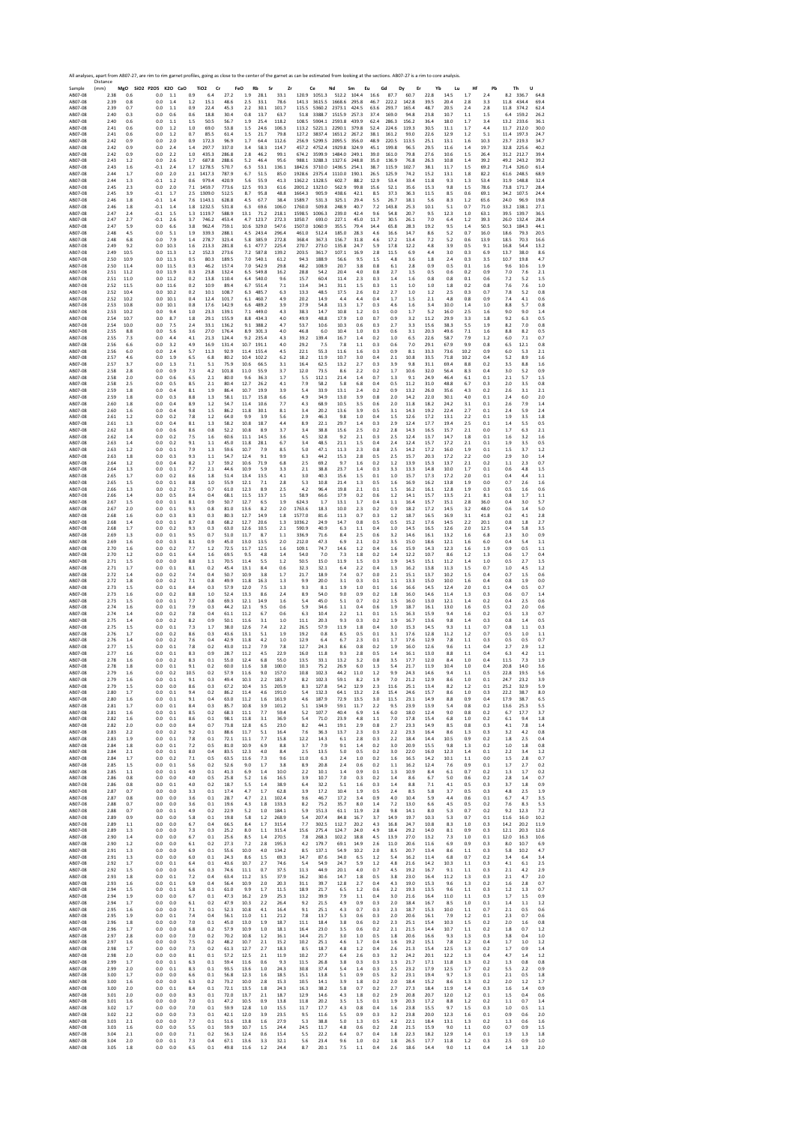| Sample             | Distance<br>(mm) | MgO SiO2 P2O5 K2O CaO |                  |                |             | TiO <sub>2</sub><br>Cr | FeO            | Rb           | Sr             | Zr             |                  | Ce               | Nd               | Sm             | Eu           | Gd<br>Dy       | Er            | Yb           | Lu           | Hf          | Pb           | Th           | U              |              |
|--------------------|------------------|-----------------------|------------------|----------------|-------------|------------------------|----------------|--------------|----------------|----------------|------------------|------------------|------------------|----------------|--------------|----------------|---------------|--------------|--------------|-------------|--------------|--------------|----------------|--------------|
| AB07-08            | 2.38             | 0.6                   | 0.0              | 1.1            | 0.9         | 6.4                    | 27.2           | 1.9          | 28.1           | 33.1           |                  | 120.9 1051.3     | 512.2            | 104.4          | 16.6         | 87.7           | 60.7          | 22.8         | 14.5         | 1.7         | 2.4          | 8.2          | 336.7          | 64.8         |
| AB07-08            | 2.39             | 0.8                   | 0.0              | 1.4            | 1.2<br>0.9  | 15.1                   | 48.6<br>45.3   | 2.5          | 33.1<br>30.1   | 78.6<br>101.7  | 141.3<br>115.5   | 3615.5<br>5360.2 | 1668.6<br>2373.1 | 295.8<br>424.5 | 46.7         | 222.2          | 142.8         | 39.5<br>48.7 | 20.4<br>20.5 | 2.8         | 3.3          | 11.8<br>11.8 | 434.4<br>374.2 | 69.4         |
| AB07-08<br>AB07-08 | 2.39<br>2.40     | 0.7<br>0.3            | 0.0<br>0.0       | 1.1<br>0.6     | 0.6         | 22.4<br>18.8           | 30.4           | 2.2<br>0.8   | 13.7           | 63.7           | 51.8             | 3388.7           | 1515.9           | 257.3          | 63.6<br>37.4 | 293.7<br>169.0 | 165.4<br>94.8 | 23.8         | 10.7         | 2.4<br>1.1  | 2.8<br>1.5   | 6.4          | 159.2          | 62.4<br>26.2 |
| AB07-08            | 2.40             | 0.6                   | 0.0              | 1.1            | 1.5         | 50.5                   | 56.7           | 1.9          | 25.4           | 118.2          | 108.5            | 5904.1           | 2593.8           | 439.9          | 62.4         | 286.3          | 156.2         | 36.4         | 18.0         | 1.7         | 3.4          | 13.2         | 233.6          | 36.1         |
| AB07-08<br>AB07-08 | 2.41<br>2.41     | 0.6<br>0.6            | 0.0<br>0.0       | 1.2<br>1.2     | 1.0<br>0.7  | 69.0<br>85.5           | 53.8<br>61.4   | 1.5<br>1.5   | 24.6<br>21.7   | 106.3<br>79.8  | 113.2<br>127.2   | 5221.1<br>3837.4 | 2290.1<br>1651.2 | 379.8<br>267.2 | 52.4<br>38.1 | 224.6<br>161.2 | 119.3<br>93.0 | 30.5<br>22.6 | 11.1<br>12.9 | 1.7<br>1.2  | 4.4<br>5.1   | 11.7<br>11.4 | 212.0<br>197.3 | 30.0<br>24.7 |
| AB07-08            | 2.42             | 0.9                   | 0.0              | 2.0            | 0.9         | 172.3                  | 96.9           | 1.7          | 64.4           | 112.6          | 256.9            | 5299.5           | 2095.5           | 356.0          | 48.9         | 220.5          | 113.5         | 25.1         | 13.1         | 1.6         | 10.3         | 23.7         | 219.3          | 34.7         |
| AB07-08            | 2.42             | 0.9                   | 0.0              | 2.4            | 1.4         | 297.7                  | 337.0          | 3.4          | 58.3           | 114.7          | 457.2            | 4752.4           | 1929.8           | 324.9          | 45.1         | 199.8          | 96.5          | 29.5         | 11.6         | 1.4         | 19.7         | 32.8         | 225.6          | 40.2         |
| AB07-08<br>AB07-08 | 2.42<br>2.43     | 0.9<br>1.2            | 0.0<br>0.0       | 2.2<br>2.6     | 1.0<br>1.7  | 435.3<br>687.8         | 286.8<br>288.6 | 2.8<br>5.2   | 46.2<br>46.4   | 99.1<br>95.6   | 674.2<br>988.1   | 3599.9<br>3288.3 | 1484.0<br>1327.6 | 249.1<br>248.8 | 39.0<br>35.0 | 161.0<br>136.9 | 79.8<br>76.8  | 27.6<br>26.3 | 10.6<br>10.8 | 1.5<br>1.4  | 26.4<br>39.2 | 31.2<br>49.2 | 212.7<br>243.2 | 39.4<br>39.2 |
| AB07-08            | 2.43             | 1.6                   | $-0.1$           | 2.4            | 1.7         | 1278.5                 | 570.7          | 6.3          | 53.1           | 136.1          | 1842.6           | 3710.0           | 1436.5           | 254.1          | 38.7         | 115.9          | 102.7         | 38.1         | 11.7         | 1.5         | 69.2         | 71.4         | 326.0          | 61.4         |
| AB07-08            | 2.44             | 1.7                   | 0.0              | 2.0            | 2.1         | 1417.3                 | 787.9          | 6.7          | 51.5           | 85.0           | 1928.6           | 2375.4           | 1110.0           | 190.1          | 26.5         | 125.9          | 74.2          | 15.2         | 13.1         | 1.8         | 82.2         | 61.6         | 248.5          | 68.9         |
| AB07-08<br>AB07-08 | 2.44<br>2.45     | 1.3<br>2.3            | $-0.1$<br>0.0    | 1.2<br>2.0     | 0.6<br>7.1  | 979.4<br>1459.7        | 420.9<br>773.6 | 5.6<br>12.5  | 55.9<br>93.3   | 41.3<br>61.6   | 1362.2<br>2001.2 | 1328.5<br>1323.0 | 602.7<br>562.9   | 88.2<br>99.8   | 12.9<br>15.6 | 53.4<br>52.1   | 33.4<br>35.6  | 11.8<br>15.3 | 9.3<br>9.8   | 1.3<br>1.5  | 53.4<br>78.6 | 31.9<br>73.8 | 148.8<br>171.7 | 32.4<br>28.4 |
| AB07-08            | 2.45             | 3.9                   | $-0.1$           | 1.7            | 2.5         | 1309.0                 | 512.5          | 8.7          | 95.8           | 48.8           | 1664.3           | 905.9            | 438.6            | 42.1           | 8.5          | 37.3           | 36.3          | 11.5         | 8.5          | 0.6         | 69.1         | 34.2         | 107.5          | 24.4         |
| AB07-08            | 2.46             | 1.8                   | $-0.1$           | 1.4            | 7.6         | 1143.1                 | 628.8          | 4.5          | 67.7           | 38.4           | 1589.7           | 531.3            | 325.1            | 29.4           | 5.5          | 26.7           | 18.1          | 5.6          | 8.3          | 1.2         | 65.6         | 24.0         | 96.9           | 19.8         |
| AB07-08<br>AB07-08 | 2.46<br>2.47     | 1.8<br>2.4            | $-0.1$<br>$-0.1$ | 1.4<br>1.5     | 1.8<br>1.3  | 1232.5<br>1119.7       | 531.8<br>588.9 | 6.3<br>13.1  | 69.6<br>71.2   | 106.0<br>218.1 | 1760.0<br>1598.5 | 509.8<br>1006.3  | 248.9<br>239.0   | 40.7<br>42.4   | 7.2<br>9.6   | 143.8<br>54.8  | 25.3<br>20.7  | 10.1<br>9.5  | 5.1<br>12.3  | 0.7<br>1.0  | 71.0<br>63.1 | 33.2<br>39.5 | 138.1<br>139.7 | 27.1<br>36.5 |
| AB07-08            | 2.47             | 2.7                   | $-0.1$           | 2.6            | 3.7         | 746.2                  | 453.4          | 4.7          | 123.7          | 272.3          | 1050.7           | 693.0            | 227.1            | 45.0           | 11.7         | 30.5           | 26.1          | 7.0          | 6.4          | 1.2         | 39.3         | 26.0         | 132.4          | 28.4         |
| AB07-08            | 2.47             | 5.9                   | 0.0              | 6.6            | 3.8         | 962.4                  | 759.1          | 10.6         | 329.0          | 547.6          | 1507.0           | 1060.9           | 355.5            | 79.4           | 14.4         | 65.8           | 28.3          | 19.2         | 9.5          | 1.4         | 50.5         | 50.3         | 184.3          | 44.1         |
| AB07-08<br>AB07-08 | 2.48<br>2.48     | 4.5<br>6.8            | 0.0<br>0.0       | 5.1<br>7.9     | 1.9<br>1.4  | 339.3<br>278.7         | 288.1<br>323.4 | 4.5<br>5.8   | 243.4<br>385.9 | 296.4<br>272.8 | 461.0<br>368.4   | 512.4<br>367.3   | 185.0<br>156.7   | 28.3<br>31.8   | 4.6<br>4.6   | 16.6<br>17.2   | 14.7<br>13.4  | 8.6<br>7.2   | 5.2<br>5.2   | 0.7<br>0.6  | 16.0<br>13.9 | 18.6<br>18.5 | 79.3<br>70.3   | 20.5<br>16.6 |
| AB07-08            | 2.49             | 9.2                   | 0.0              | 10.3           | 1.6         | 213.3                  | 281.8          | 6.1          | 477.7          | 225.4          | 270.7            | 273.0            | 135.8            | 24.7           | 5.9          | 17.8           | 12.2          | 4.8          | 3.9          | 0.5         | 9.1          | 16.8         | 54.4           | 13.2         |
| AB07-08            | 2.49             | 10.5                  | 0.0              | 11.3           | 1.2         | 152.3                  | 273.6          | 7.2          | 587.8          | 139.2          | 203.5            | 361.7            | 107.1            | 16.9           | 2.8          | 11.5           | 6.9           | 4.4          | 3.0          | 0.3         | 6.9          | 13.7         | 38.0           | 8.6          |
| AB07-08<br>AB07-08 | 2.50<br>2.50     | 10.9<br>11.4          | 0.0<br>0.0       | 11.3<br>11.5   | 0.5<br>0.3  | 80.3<br>46.2           | 189.5<br>157.4 | 7.0<br>7.0   | 540.1<br>542.9 | 61.2<br>29.8   | 94.3<br>48.2     | 188.9<br>108.9   | 56.6<br>20.7     | 9.5<br>3.8     | 1.5<br>0.8   | 4.8<br>6.1     | 3.6<br>2.8    | 1.8<br>0.9   | 2.4<br>0.5   | 0.3<br>0.1  | 3.5<br>1.6   | 10.7<br>9.6  | 19.8<br>10.6   | 4.7<br>1.9   |
| AB07-08            | 2.51             | 11.2                  | 0.0              | 11.9           | 0.3         | 23.8                   | 132.4          | 6.5          | 549.8          | 16.2           | 28.8             | 54.2             | 20.4             | 4.0            | 0.8          | 2.7            | 1.5           | 0.5          | 0.6          | 0.2         | 0.9          | 7.0          | 7.6            | 2.1          |
| AB07-08<br>AB07-08 | 2.51<br>2.52     | 11.0<br>11.5          | 0.0<br>0.0       | 11.2<br>11.6   | 0.2<br>0.2  | 13.8<br>10.9           | 110.4<br>89.4  | 6.4<br>6.7   | 540.0<br>551.4 | 9.6<br>7.1     | 15.7<br>13.4     | 60.4<br>34.1     | 11.4<br>31.1     | 2.3<br>1.5     | 0.3<br>0.3   | 1.4<br>1.1     | 1.6<br>1.0    | 0.8<br>1.0   | 0.8<br>1.8   | 0.1<br>0.2  | 0.6<br>0.8   | 7.2<br>7.6   | 5.2<br>7.6     | 1.5<br>1.0   |
| AB07-08            | 2.52             | 10.4                  | 0.0              | 10.2           | 0.2         | 10.1                   | 108.7          | 6.3          | 485.7          | 6.3            | 13.3             | 48.5             | 17.5             | 2.6            | 0.2          | 2.7            | 1.0           | 1.2          | 2.5          | 0.3         | 0.7          | 7.8          | 5.2            | 0.8          |
| AB07-08            | 2.52             | 10.2                  | 0.0              | 10.1           | 0.4         | 12.4                   | 101.7          | 6.1          | 460.7          | 4.9            | 20.2             | 14.9             | 4.4              | 4.4            | 0.4          | 1.7            | 1.5           | 2.1          | 4.8          | 0.8         | 0.9          | 7.4          | 4.1            | 0.6          |
| AB07-08<br>AB07-08 | 2.53<br>2.53     | 10.8<br>10.2          | 0.0<br>0.0       | 10.1<br>9.4    | 0.8<br>1.0  | 17.6<br>23.3           | 142.9<br>139.1 | 6.6<br>7.1   | 489.2<br>449.0 | 3.9<br>4.3     | 27.9<br>38.3     | 54.8<br>14.7     | 11.3<br>10.8     | 1.7<br>1.2     | 0.3<br>0.1   | 4.6<br>0.0     | 1.6<br>1.7    | 3.4<br>5.2   | 10.0<br>16.0 | 1.4<br>2.5  | 1.0<br>1.6   | 8.8<br>9.0   | 5.7<br>9.0     | 0.8<br>1.4   |
| AB07-08            | 2.54             | 10.7                  | 0.0              | 8.7            | 1.8         | 29.1                   | 155.9          | 8.8          | 434.3          | 4.0            | 49.9             | 48.8             | 17.9             | 1.0            | 0.7          | 0.9            | 3.2           | 11.2         | 29.9         | 3.3         | 1.8          | 9.2          | 6.3            | 0.5          |
| AB07-08            | 2.54             | 10.0                  | 0.0              | 7.5            | 2.4         | 33.1                   | 136.2          | 9.1          | 388.2          | 4.7            | 53.7             | 10.6             | 10.3             | 0.6            | 0.3          | 2.7            | 3.3           | 15.6         | 38.3         | 5.5         | 1.9          | 8.2          | 7.0            | 0.8          |
| AB07-08<br>AB07-08 | 2.55<br>2.55     | 8.8<br>7.3            | 0.0<br>0.0       | 5.6<br>4.4     | 3.6<br>4.1  | 27.0<br>21.3           | 176.4<br>124.4 | 8.9<br>9.2   | 301.3<br>235.4 | 4.0<br>4.3     | 46.8<br>39.2     | 6.0<br>139.4     | 10.4<br>16.7     | 1.0<br>1.4     | 0.3<br>0.2   | 0.6<br>1.0     | 3.1<br>6.5    | 20.3<br>22.6 | 49.6<br>58.7 | 7.1<br>7.9  | 1.6<br>1.2   | 8.8<br>6.0   | 8.2<br>7.1     | 0.5<br>0.7   |
| AB07-08            | 2.56             | 6.6                   | 0.0              | 3.2            | 4.9         | 16.9                   | 131.4          | 10.7         | 191.1          | 4.0            | 29.2             | 7.5              | 7.8              | 1.1            | 0.3          | 0.6            | 7.0           | 29.1         | 67.9         | 9.9         | 0.8          | 6.5          | 12.1           | 0.8          |
| AB07-08            | 2.56             | 6.0                   | 0.0              | 2.4            | 5.7         | 11.3                   | 92.9           | 11.4         | 155.4          | 4.5            | 22.1             | 55.3             | 11.6             | 1.6            | 0.3          | 0.9            | 8.1           | 33.3         | 73.6         | 10.2        | 0.9          | 6.0          | 5.3            | 2.1          |
| AB07-08<br>AB07-08 | 2.57<br>2.57     | 4.6<br>3.7            | 0.0<br>0.0       | 1.9<br>1.3     | 6.5<br>7.1  | 6.8<br>5.1             | 80.2<br>75.9   | 10.4<br>10.6 | 102.2<br>66.5  | 6.2<br>3.1     | 18.2<br>16.4     | 11.9<br>62.5     | 10.7<br>13.2     | 3.0<br>2.7     | 0.4<br>0.3   | 2.1<br>3.9     | 10.8<br>9.8   | 33.5<br>31.1 | 71.8<br>69.4 | 10.2<br>8.8 | 0.4<br>0.2   | 5.2<br>3.5   | 8.9<br>8.8     | 1.6<br>1.6   |
| AB07-08            | 2.58             | 2.8                   | 0.0              | 0.9            | 7.3         | 4.2                    | 101.8          | 11.0         | 55.9           | 3.7            | 12.0             | 73.5             | 8.6              | 2.2            | 0.2          | 1.7            | 10.6          | 32.0         | 56.4         | 8.3         | 0.4          | 3.0          | 5.2            | 0.9          |
| AB07-08            | 2.58             | 2.0                   | 0.0              | 0.6            | 6.5         | 2.1                    | 80.0           | 9.6          | 36.3           | 1.7            | 5.5              | 112.1            | 21.4             | 1.4            | 0.7          | 1.3            | 9.1           | 24.9         | 46.4<br>48.8 | 6.1         | 0.1          | 2.1          | 5.7            | 1.5          |
| AB07-08<br>AB07-08 | 2.58<br>2.59     | 2.5<br>1.8            | 0.0<br>0.0       | 0.5<br>0.4     | 8.5<br>8.1  | 2.1<br>1.9             | 80.4<br>86.4   | 12.7<br>10.7 | 26.2<br>19.9   | 4.1<br>3.9     | 7.9<br>5.4       | 58.2<br>33.9     | 5.8<br>13.1      | 6.8<br>2.4     | 0.4<br>0.2   | 0.5<br>0.9     | 11.2<br>13.2  | 31.0<br>26.0 | 35.6         | 6.7<br>4.3  | 0.3<br>0.2   | 2.0<br>2.6   | 3.5<br>3.1     | 0.8<br>2.1   |
| AB07-08            | 2.59             | 1.8                   | 0.0              | 0.3            | 8.8         | 1.3                    | 58.1           | 11.7         | 15.8           | 6.6            | 4.9              | 34.9             | 13.0             | 3.9            | 0.8          | 2.0            | 14.2          | 220          | 30.1         | 4.0         | 0.1          | 24           | 6.0            | 2.0          |
| AB07-08            | 2.60             | 1.8                   | 0.0              | 0.4            | 8.9         | 1.2                    | 54.7           | 11.4         | 10.6           | 7.7            | 4.3              | 68.9             | 10.5             | 3.5            | 0.6          | 2.0            | 11.8          | 18.2         | 24.2         | 3.1         | 0.1          | 2.6          | 7.9            | 1.4          |
| AB07-08<br>AB07-08 | 2.60<br>2.61     | 1.6<br>1.2            | 0.0<br>0.0       | 0.4<br>0.2     | 9.8<br>7.8  | 1.5<br>1.2             | 86.2<br>64.0   | 11.8<br>9.9  | 30.1<br>3.9    | 8.1<br>5.6     | 3.4<br>2.9       | 20.2<br>46.3     | 13.6<br>9.8      | 3.9<br>1.0     | 0.5<br>0.4   | 3.1<br>1.5     | 14.3<br>12.6  | 19.2<br>17.2 | 22.4<br>13.1 | 2.7<br>2.2  | 0.1<br>0.1   | 2.4<br>1.9   | 5.9<br>3.5     | 2.4<br>1.8   |
| AB07-08            | 2.61             | 1.3                   | 0.0              | 0.4            | 8.1         | 1.3                    | 58.2           | 10.8         | 18.7           | 4.4            | 8.9              | 22.1             | 29.7             | 1.4            | 0.3          | 2.9            | 12.4          | 17.7         | 19.4         | 2.5         | 0.1          | 1.4          | 5.5            | 0.5          |
| AB07-08<br>AB07-08 | 2.62<br>2.62     | 1.8<br>1.4            | 0.0<br>0.0       | 0.6<br>0.2     | 8.6<br>7.5  | 0.8<br>1.6             | 52.2<br>60.6   | 10.8<br>11.1 | 8.9<br>14.5    | 3.7<br>3.6     | 3.4<br>4.5       | 38.8<br>32.8     | 15.6<br>9.2      | 2.5<br>2.1     | 0.2<br>0.3   | 2.8<br>2.5     | 14.3<br>12.4  | 16.5<br>13.7 | 15.7<br>14.7 | 2.1<br>1.8  | 0.0<br>0.1   | 1.7<br>1.6   | 6.3<br>3.2     | 2.1<br>1.6   |
| AB07-08            | 2.63             | 1.4                   | 0.0              | 0.2            | 9.1         | 1.1                    | 45.0           | 11.8         | 28.1           | 6.7            | 3.4              | 48.5             | 21.1             | 1.5            | 0.4          | 2.4            | 12.4          | 15.7         | 17.2         | 2.1         | 0.1          | 1.9          | 3.5            | 0.5          |
| AB07-08            | 2.63             | 1.2                   | 0.0              | 0.1            | 7.9         | 1.3                    | 59.6           | 10.7         | 7.9            | 8.5            | 5.0              | 47.1             | 11.3             | 2.3            | 0.8          | 2.5            | 14.2          | 17.2         | 16.0         | 1.9         | 0.1          | 1.5          | 3.7            | 1.2          |
| AB07-08<br>AB07-08 | 2.63<br>2.64     | 1.8<br>1.2            | 0.0<br>0.0       | 0.3<br>0.4     | 9.3<br>8.2  | 1.1<br>1.7             | 54.7<br>59.2   | 12.4<br>10.6 | 9.1<br>71.9    | 9.9<br>6.8     | 6.3<br>2.5       | 44.2<br>69.2     | 15.3<br>9.7      | 2.8<br>1.6     | 0.5<br>0.2   | 2.5<br>1.2     | 15.7<br>13.9  | 20.3<br>15.3 | 17.2<br>13.7 | 2.2<br>2.1  | 0.0<br>0.2   | 2.9<br>1.1   | 3.0<br>2.3     | 1.4<br>0.7   |
| AB07-08            | 2.64             | 1.3                   | 0.0              | 0.1            | 7.7         | 2.1                    | 44.6           | 10.9         | 5.9            | 3.3            | 2.1              | 38.8             | 23.7             | 1.4            | 0.3          | 3.3            | 13.3          | 14.8         | 10.0         | 1.7         | 0.1          | 0.6          | 4.8            | 1.5          |
| AB07-08            | 2.65             | 1.7                   | 0.0              | 0.2            | 8.6         | 1.8                    | 51.4           | 13.4         | 13.5           | 4.1            | 3.0              | 40.3             | 15.6             | 1.5            | 0.1          | 1.0            | 15.7          | 17.3         | 17.2         | 2.0         | 0.1          | 0.4          | 4.4            | 1.1          |
| AB07-08<br>AB07-08 | 2.65             | 1.5<br>1.3            | 0.0<br>0.0       | 0.1<br>0.2     | 8.8<br>7.5  | 1.0<br>0.7             | 55.9<br>61.0   | 12.1<br>12.3 | 7.1<br>8.9     | 2.8<br>2.5     | 5.3<br>4.2       | 10.8<br>96.4     | 21.4<br>19.8     | 1.3<br>2.1     | 0.5<br>0.1   | 1.6<br>1.5     | 16.9<br>16.2  | 16.2<br>16.1 | 13.8<br>12.8 | 1.9<br>1.9  | 0.0<br>0.3   | 0.7<br>0.5   | 2.6            | 1.6          |
| AB07-08            | 2.66<br>2.66     | 1.4                   | 0.0              | 0.5            | 8.4         | 0.4                    | 68.1           | 11.5         | 13.7           | 1.5            | 58.9             | 66.6             | 17.9             | 0.2            | 0.6          | 1.2            | 14.1          | 15.7         | 13.5         | 2.1         | 8.1          | 0.8          | 1.6<br>1.7     | 0.6<br>1.1   |
| AB07-08            | 2.67             | 1.5                   | 0.0              | 0.1            | 8.1         | 0.9                    | 50.7           | 12.7         | 6.5            | 1.9            | 624.3            | 1.7              | 13.1             | 1.7            | 0.4          | 1.1            | 16.4          | 15.7         | 15.1         | 2.8         | 36.0         | 0.4          | 3.0            | 5.7          |
| AB07-08<br>AB07-08 | 2.67<br>2.68     | 2.0<br>1.6            | 0.0<br>0.0       | 0.1<br>0.3     | 9.3<br>8.3  | 0.8<br>0.3             | 81.0<br>80.3   | 13.6<br>12.7 | 8.2<br>14.9    | 2.0<br>1.8     | 1763.6<br>1577.0 | 18.3<br>81.6     | 10.0<br>11.3     | 2.3<br>0.7     | 0.2<br>0.3   | 0.9<br>1.2     | 18.2<br>18.7  | 17.2<br>16.5 | 14.5<br>16.9 | 3.2<br>3.1  | 48.0<br>41.8 | 0.6<br>0.2   | 1.4<br>4.1     | 5.0<br>2.8   |
| AB07-08            | 2.68             | 1.4                   | 0.0              | 0.1            | 8.7         | 0.8                    | 68.2           | 12.7         | 20.6           | 1.3            | 1036.2           | 24.9             | 14.7             | 0.8            | 0.5          | 0.5            | 15.2          | 17.6         | 14.5         | 2.2         | 20.1         | 0.8          | 1.8            | 2.7          |
| AB07-08            | 2.68             | 1.7                   | 0.0              | 0.2            | 9.3         | 0.3                    | 63.0           | 12.6         | 10.5           | 2.1            | 590.9            | 40.9             | 6.3              | 1.1            | 0.4          | 1.0            | 14.5          | 16.5         | 12.6         | 2.0         | 12.5         | 0.4          | 5.8            | 3.5          |
| AB07-08<br>AB07-08 | 2.69<br>2.69     | 1.3<br>1.6            | 0.0<br>0.0       | 0.1<br>0.3     | 9.5<br>8.1  | 0.7<br>0.9             | 51.0<br>45.0   | 11.7<br>13.0 | 8.7<br>13.5    | 1.1<br>2.0     | 336.9<br>212.0   | 71.6<br>47.3     | 8.4<br>6.9       | 2.5<br>2.1     | 0.6<br>0.2   | 3.2<br>3.5     | 14.6<br>15.0  | 16.1<br>18.6 | 13.2<br>12.1 | 1.6<br>1.6  | 6.8<br>6.0   | 2.3<br>0.4   | 3.0<br>5.4     | 0.9<br>1.1   |
| AB07-08            | 2.70             | 1.6                   | 0.0              | 0.2            | 7.7         | 1.2                    | 72.5           | 11.7         | 12.5           | 1.6            | 109.1            | 74.7             | 14.6             | 1.2            | 0.4          | 1.6            | 15.9          | 14.3         | 12.3         | 1.6         | 1.9          | 0.9          | 0.5            | 1.1          |
| AB07-08            | 2.70             | 1.2                   | 0.0              | 0.1            | 6.4         | 1.6                    | 69.5           | 9.5          | 4.8            | 1.4            | 54.0             | 7.0              | 7.3              | 1.8            | 0.2          | 1.4            | 12.2          | 10.7         | 8.6          | 1.2         | 1.3          | 0.6          | 1.7            | 0.4          |
| AB07-08<br>AB07-08 | 2.71<br>2.71     | 1.5<br>1.7            | 0.0<br>0.0       | 0.0<br>$0.1\,$ | 8.8<br>8.1  | 1.1<br>0.2             | 70.5<br>45.4   | 11.4<br>13.1 | 5.5<br>8.4     | 1.2<br>0.6     | 50.5<br>32.3     | 15.0<br>32.1     | 11.9<br>6.4      | 1.5<br>2.2     | 0.3<br>0.4   | 1.9<br>1.3     | 14.5<br>16.2  | 15.1<br>13.8 | 11.2<br>11.3 | 1.4<br>1.5  | 1.0<br>0.7   | 0.5<br>1.0   | 2.7<br>4.5     | 1.5<br>1.2   |
| AB07-08            | 2.72             | 1.4                   | 0.0              | 0.2            | 7.4         | 0.4                    | 50.7           | 10.9         | 3.8            | 1.7            | 21.7             | 18.9             | 7.4              | 0.7            | 0.0          | 2.1            | 15.1          | 13.7         | 10.2         | 1.5         | 0.4          | 0.7          | 1.5            | 0.6          |
| AB07-08            | 2.72             | 1.8                   | 0.0              | 0.2            | 7.1         | 0.8                    | 49.9           | 11.8         | 16.3           | 1.3            | 9.9              | 20.0             | 3.1              | 0.3            | 0.1          | 1.1            | 13.3          | 15.0         | 10.0         | 1.6         | 0.4          | 0.8          | 1.9            | 0.0          |
| AB07-08<br>AB07-08 | 2.73<br>2.73     | 1.5<br>1.6            | 0.0<br>0.0       | 0.1<br>0.2     | 8.4<br>8.8  | 0.3<br>1.0             | 57.9<br>52.4   | 12.0<br>13.3 | 7.5<br>8.6     | 1.3<br>2.4     | 9.3<br>8.9       | 8.1<br>54.0      | 1.9<br>9.0       | 1.0<br>0.9     | 0.1<br>0.2   | 1.6<br>1.8     | 16.6<br>16.0  | 14.5<br>14.6 | 12.4<br>11.4 | 2.0<br>1.3  | 0.1<br>0.3   | 0.4<br>0.6   | 0.5<br>0.7     | 0.7<br>1.4   |
| AB07-08            | 2.73             | 1.5                   | 0.0              | 0.1            | 7.7         | 0.8                    | 69.3           | 12.1         | 14.9           | 1.6            | 5.4              | 45.0             | 5.1              | 0.7            | 0.2          | 1.5            | 16.0          | 13.0         | 12.1         | 1.4         | 0.2          | 0.4          | 2.5            | 0.6          |
| AB07-08            | 2.74             | 1.6                   | 0.0              | 0.1            | 7.9         | 0.3                    | 44.2           | 12.1         | 9.5            | 0.6            | 5.9              | 34.6             | 1.1              | 0.4            | 0.6          | 1.9            | 18.7          | 16.1         | 13.0         | 1.6         | 0.5          | 0.2          | 2.0            | 0.6          |
| AB07-08<br>AB07-08 | 2.74<br>2.75     | 1.4<br>1.4            | 0.0<br>0.0       | 0.2<br>0.2     | 7.8<br>8.2  | 0.4<br>0.9             | 61.1<br>50.1   | 11.2<br>11.6 | 6.7<br>3.1     | 0.6<br>1.0     | 6.3<br>11.1      | 10.4<br>20.3     | 2.2<br>9.3       | 1.1<br>0.3     | 0.1<br>0.2   | 1.5<br>1.9     | 16.3<br>16.7  | 15.9<br>13.6 | 9.4<br>9.8   | 1.6<br>1.4  | 0.2<br>0.3   | 0.5<br>0.8   | 1.3<br>1.4     | 0.7<br>0.5   |
| AB07-08            | 2.75             | 1.5                   | 0.0              | 0.1            | 7.3         | 1.7                    | 38.0           | 12.6         | 7.4            | 2.2            | 26.5             | 57.9             | 11.9             | 1.8            | 0.4          | 3.0            | 15.3          | 14.5         | 9.3          | 1.1         | 0.7          | 0.8          | 1.1            | 0.3          |
| AB07-08            | 2.76             | 1.7                   | 0.0              | 0.2            | 8.6         | 0.3                    | 43.6           | 13.1         | 5.1            | 1.9            | 19.2             | 0.8              | 8.5              | 0.5            | 0.1          | 3.1            | 17.6          | 12.8         | 11.2         | 1.2         | 0.7          | 0.5          | 1.0            | 1.1          |
| AB07-08<br>AB07-08 | 2.76<br>2.77     | 1.4<br>1.5            | 0.0<br>0.0       | 0.2<br>0.1     | 7.6<br>7.8  | 0.4<br>0.2             | 42.9<br>43.0   | 11.8<br>11.2 | 4.2<br>7.9     | 1.0<br>7.8     | 12.9<br>12.7     | 6.4<br>24.3      | 6.7<br>8.6       | 2.3<br>0.8     | 0.1<br>0.2   | 1.7<br>1.9     | 17.6<br>16.0  | 12.9<br>12.6 | 7.8<br>9.6   | 1.1<br>1.1  | 0.3<br>0.4   | 0.5<br>2.7   | 0.5<br>2.9     | 0.7<br>1.2   |
| AB07-08            | 2.77             | 1.6                   | 0.0              | 0.1            | 8.3         | 0.9                    | 28.7           | 11.2         | 4.5            | 22.9           | 16.0             | 11.8             | 9.3              | 2.8            | 0.5          | 1.4            | 16.1          | 13.0         | 8.8          | 1.1         | 0.4          | 6.3          | 4.2            | 1.1          |
| AB07-08            | 2.78             | 1.6                   | 0.0              | 0.2            | 8.3         | 0.1                    | 55.0           | 12.4         | 6.8            | 55.0           | 13.5             | 33.1             | 13.2             | 3.2            | 0.8          | 3.5            | 17.7          | 12.0         | 8.4          | 1.0         | 0.4          | 11.5         | 7.3            | 1.9          |
| AB07-08<br>AB07-08 | 2.78<br>2.79     | 1.8<br>1.6            | 0.0<br>0.0       | 0.1<br>0.2     | 9.1<br>10.5 | 0.2<br>0.2             | 60.0<br>57.9   | 11.6<br>11.6 | 3.8<br>9.0     | 100.0<br>157.0 | 10.3<br>10.8     | 75.2<br>102.3    | 26.9<br>44.2     | 6.0<br>11.0    | 1.3<br>1.2   | 5.4<br>9.9     | 21.7<br>24.3  | 11.9<br>14.6 | 10.4<br>9.4  | 1.0<br>1.1  | 0.4<br>0.5   | 20.8<br>22.8 | 14.0<br>19.5   | 3.6<br>5.6   |
| AB07-08            | 2.79             | 1.6                   | U.U              |                |             | υ.:                    |                | 10.3         | $^{2.2}$       | 183.,          |                  |                  |                  | 8.4            |              |                | 21.2          | 12.5         | ŏ.t          | 1.0         | U.I          |              |                |              |
| AB07-08<br>AB07-08 | 2.79<br>2.80     | 1.5<br>1.7            | 0.0<br>0.0       | 0.0<br>0.1     | 8.6<br>9.4  | 0.3<br>0.2             | 67.2<br>86.2   | 10.4<br>11.4 | 3.5<br>4.6     | 205.9<br>191.0 | 8.3<br>5.4       | 127.8<br>132.3   | 54.2<br>64.1     | 12.9<br>13.2   | 2.3<br>2.6   | 11.6<br>15.4   | 25.1<br>24.6  | 13.4<br>15.7 | 8.2<br>8.6   | 1.2<br>1.0  | 0.1<br>0.3   | 25.2<br>22.2 | 32.9<br>38.7   | 5.9<br>8.0   |
| AB07-08            | 2.80             | 1.6                   | 0.0              | 0.1            | 9.1         | 0.4                    | 63.0           | 11.2         | 1.6            | 161.9          | 4.6              | 187.9            | 72.9             | 13.5           | 3.0          | 11.5           | 23.1          | 14.9         | 8.8          | 0.9         | 0.4          | 17.9         | 38.7           | 6.5          |
| AB07-08            | 2.81             | 1.7                   | 0.0              | 0.1            | 8.4         | 0.3                    | 85.7           | 10.8         | 3.9            | 101.2          | 5.1              | 134.9            | 59.1             | 11.7           | 2.2          | 9.5            | 23.9          | 13.9         | 5.4          | 0.8         | 0.2          | 13.6         | 25.3           | 5.5          |
| AB07-08<br>AB07-08 | 2.81<br>2.82     | 1.6<br>1.6            | 0.0<br>0.0       | $0.1\,$<br>0.1 | 8.5<br>8.6  | 0.2<br>0.1             | 68.3<br>98.1   | 11.1<br>11.8 | 7.7<br>3.1     | 59.4<br>36.9   | 5.2<br>5.4       | 107.7<br>71.0    | 40.4<br>23.9     | 6.9<br>4.8     | 1.6<br>1.1   | 6.0<br>7.0     | 18.0<br>17.8  | 12.4<br>15.4 | 9.0<br>6.8   | 0.8<br>1.0  | 0.2<br>0.2   | 6.7<br>6.1   | 17.7<br>9.4    | 3.7<br>1.8   |
| AB07-08            | 2.82             | 2.0                   | 0.0              | 0.0            | 8.4         | 0.7                    | 73.8           | 12.8         | 6.5            | 23.0           | 8.2              | 44.1             | 19.1             | 2.9            | 0.8          | 2.7            | 23.3          | 14.9         | 8.5          | 0.8         | 0.3          | 4.1          | 7.8            | 1.4          |
| AB07-08            | 2.83             | 2.2                   | 0.0              | 0.2            | 9.2         | $0.1\,$                | 88.6           | 11.7         | 5.1            | 16.4           | 7.6              | 36.3             | 13.7             | 2.3            | 0.3          | 2.2            | 23.3          | 16.4         | 8.6          | $1.3\,$     | 0.3          | 3.2          | 4.2            | 0.8          |
| AB07-08<br>AB07-08 | 2.83<br>2.84     | 1.9<br>1.8            | 0.0<br>0.0       | 0.1<br>0.1     | 7.8<br>7.2  | 0.1<br>0.5             | 72.1<br>81.0   | 11.1<br>10.9 | 7.7<br>6.9     | 15.8<br>8.8    | 12.2<br>3.7      | 14.3<br>7.9      | 6.1<br>9.1       | 2.8<br>1.4     | 0.3<br>0.2   | 2.2<br>3.0     | 18.4<br>20.9  | 14.4<br>15.5 | 10.5<br>9.8  | 0.9<br>1.3  | 0.2<br>0.2   | 1.8<br>1.0   | 2.5<br>1.8     | 0.4<br>0.8   |
| AB07-08            | 2.84             | 2.1                   | 0.0              | 0.1            | 8.0         | 0.4                    | 83.5           | 12.3         | 4.0            | 8.4            | 2.5              | 13.5             | 5.0              | 0.5            | 0.2          | 3.0            | 22.0          | 16.0         | 12.3         | 1.4         | 0.1          | 2.2          | 3.4            | 1.2          |
| AB07-08<br>AB07-08 | 2.84<br>2.85     | 1.7<br>1.5            | 0.0<br>0.0       | 0.2<br>0.1     | 7.1<br>5.6  | 0.5<br>0.2             | 63.5<br>52.6   | 11.6<br>9.0  | 7.3<br>1.7     | 9.6<br>3.8     | 11.0<br>8.9      | 6.3<br>20.8      | 2.4<br>2.4       | 1.0<br>0.6     | 0.2<br>0.2   | 1.6<br>1.1     | 16.5<br>16.2  | 14.2<br>12.4 | 10.1<br>7.6  | 1.1<br>0.9  | 0.0<br>0.1   | 1.5<br>1.7   | 2.8<br>2.7     | 0.7<br>0.2   |
| AB07-08            | 2.85             | $1.1$                 | 0.0              | 0.1            | 4.9         | 0.1                    | 41.3           | 6.9          | 1.4            | 10.0           | 2.2              | 10.1             | 1.4              | 0.9            | 0.1          | 1.3            | 10.9          | 8.4          | 6.1          | 0.7         | 0.2          | 1.3          | 1.7            | 0.2          |
| AB07-08            | 2.86             | 0.8                   | 0.0              | 0.0            | 4.0         | 0.5                    | 25.8           | 5.2          | 1.6            | 16.5           | 3.9              | 10.7             | 7.0              | 0.3            | 0.2          | 1.4            | 8.6           | 6.7          | 5.0          | 0.6         | 0.2          | 2.8          | 1.4            | 0.7          |
| AB07-08<br>AB07-08 | 2.86<br>2.87     | 0.8<br>0.7            | 0.0<br>0.0       | 0.1<br>0.0     | 4.0<br>3.3  | 0.2<br>0.1             | 18.7<br>17.4   | 5.5<br>4.7   | 1.4<br>1.7     | 38.9<br>62.8   | 6.4<br>3.9       | 32.2<br>17.2     | 5.1<br>10.4      | 1.6<br>1.9     | 0.3<br>0.5   | 1.4<br>2.4     | 8.8<br>8.5    | 7.1<br>5.8   | 4.1<br>3.7   | 0.5<br>0.5  | 0.3<br>0.3   | 3.7<br>4.8   | 1.8<br>2.5     | 0.9<br>1.9   |
| AB07-08            | 2.87             | 0.8                   | 0.0              | 0.0            | 3.6         | 0.1                    | 28.7           | 4.7          | 2.1            | 102.4          | 9.6              | 46.7             | 17.2             | 3.4            | 0.9          | 4.0            | 10.4          | 5.9          | 4.4          | 0.6         | 0.1          | 6.7          | 4.7            | 3.5          |
| AB07-08            | 2.88             | 0.7                   | 0.0              | 0.0            | 3.6         | $0.1\,$                | 19.6           | 4.3          | 1.8            | 133.3          | 8.2              | 75.2             | 35.7             | 8.0            | 1.4          | 7.2            | 13.0          | 6.6          | 4.5          | 0.5         | 0.2          | 7.6          | 8.3            | 5.3          |
| AB07-08<br>AB07-08 | 2.88<br>2.89     | 0.7<br>0.9            | 0.0<br>0.0       | 0.1<br>0.0     | 4.9<br>5.8  | 0.2<br>0.1             | 22.9<br>19.8   | 5.2<br>5.8   | 1.0<br>1.2     | 184.1<br>268.9 | 5.9<br>5.4       | 151.3<br>207.4   | 61.1<br>84.8     | 11.9<br>16.7   | 2.8<br>3.7   | 9.8<br>14.9    | 14.1<br>19.7  | 8.0<br>10.3  | 5.3<br>5.3   | 0.7<br>0.7  | 0.2<br>0.1   | 9.2<br>11.6  | 12.3<br>16.0   | 7.2<br>10.2  |
| AB07-08            | 2.89             | $1.1$                 | 0.0              | 0.0            | 6.7         | 0.4                    | 66.5           | 8.4          | 1.7            | 315.4          | 7.7              | 302.5            | 112.7            | 20.2           | 4.3          | 16.8           | 24.7          | 10.8         | 8.3          | 1.0         | 0.3          | 14.2         | 20.2           | 11.9         |
| AB07-08            | 2.89             | 1.3                   | 0.0              | 0.0            | 7.3         | 0.3                    | 25.2           | 8.0          | 1.1            | 315.4          | 15.6             | 275.4            | 124.7            | 24.0           | 4.9          | 18.4           | 29.2          | 14.0         | 8.1          | 0.9         | 0.3          | 12.1         | 20.3           | 12.6         |
| AB07-08<br>AB07-08 | 2.90<br>2.90     | 1.4<br>1.2            | 0.0<br>0.0       | 0.0<br>0.0     | 6.7<br>6.1  | 0.1<br>0.2             | 25.6<br>27.3   | 8.5<br>7.2   | 1.4<br>2.8     | 270.5<br>195.3 | 7.8<br>4.2       | 268.3<br>179.7   | 102.2<br>69.1    | 18.8<br>14.9   | 4.5<br>2.6   | 13.9<br>11.0   | 27.0<br>20.6  | 13.2<br>11.6 | 7.3<br>6.9   | 1.0<br>0.9  | 0.1<br>0.3   | 12.0<br>8.0  | 16.3<br>10.7   | 10.6<br>6.9  |
| AB07-08            | 2.91             | 1.3                   | 0.0              | 0.0            | 6.9         | 0.1                    | 55.6           | 10.0         | 4.0            | 134.2          | 8.5              | 137.1            | 54.9             | 10.2           | 2.0          | 8.5            | 20.7          | 13.4         | 8.6          | 1.1         | 0.3          | 5.8          | 10.2           | 4.7          |
| AB07-08            | 2.91             | 1.3                   | 0.0              | 0.0            | 6.0         | 0.1                    | 24.3           | 8.6          | 1.5            | 69.3           | 14.7             | 87.6             | 34.0             | 6.5            | 1.2          | 5.4            | 16.2          | 11.4         | 6.8          | 0.7         | 0.2          | 3.4          | 6.4            | 3.4          |
| AB07-08<br>AB07-08 | 2.92<br>2.92     | 1.7<br>1.5            | 0.0<br>0.0       | 0.1<br>0.0     | 6.4<br>6.6  | 0.1<br>0.3             | 43.6<br>74.6   | 10.7<br>11.1 | 2.7<br>0.7     | 74.6<br>37.5   | 5.4<br>11.3      | 54.9<br>44.9     | 24.7<br>20.1     | 5.9<br>4.0     | 1.2<br>0.7   | 4.8<br>4.5     | 21.6<br>19.2  | 14.2<br>16.7 | 10.3<br>9.1  | 1.1<br>1.1  | 0.3<br>0.3   | 4.1<br>2.1   | 6.1<br>4.2     | 2.5<br>2.9   |
| AB07-08            | 2.93             | 1.8                   | 0.0              | $0.1\,$        | 7.2         | 0.4                    | 63.4           | 11.2         | 3.5            | 37.9           | 16.2             | 30.6             | 14.7             | 1.8            | 0.5          | 3.8            | 23.0          | 16.4         | 11.2         | 1.3         | 0.3          | 2.1          | 4.7            | 2.0          |
| AB07-08            | 2.93             | 1.6                   | 0.0              | 0.1            | 6.9         | 0.4                    | 56.4           | 10.9         | 2.0            | 20.3           | 31.1             | 39.7             | 12.8             | 2.7            | 0.4          | 4.3            | 19.0          | 15.3         | 9.6          | 1.3         | 0.2          | 1.6          | 2.8            | 0.7          |
| AB07-08<br>AB07-08 | 2.94<br>2.94     | 1.5<br>1.9            | 0.0<br>0.0       | 0.1<br>0.0     | 5.8<br>6.7  | 0.1<br>$0.1\,$         | 61.0<br>47.3   | 9.9<br>16.2  | 1.7<br>2.9     | 11.5<br>25.3   | 18.9<br>13.2     | 21.7<br>39.9     | 6.5<br>7.9       | 1.2<br>$1.1\,$ | 0.6<br>0.4   | 2.2<br>3.0     | 19.3<br>21.6  | 13.5<br>16.4 | 9.6<br>11.0  | 1.1<br>1.1  | 0.3<br>0.3   | 1.2<br>1.7   | 1.3<br>1.5     | 0.7<br>0.9   |
| AB07-08            | 2.94             | 1.7                   | 0.0              | 0.0            | 6.1         | 0.2                    | 47.9           | 10.3         | 2.2            | 26.4           | 9.2              | 21.5             | 4.9              | 0.9            | 0.3          | 2.0            | 18.4          | 16.7         | 8.5          | 1.0         | 0.1          | 1.4          | 1.1            | 1.2          |
| AB07-08            | 2.95             | 1.6                   | 0.0              | 0.0            | 7.1         | 0.1                    | 52.3           | 10.8         | 4.1            | 16.4           | 9.1              | 25.1             | 4.3              | 0.7            | 0.3          | 2.3            | 18.7          | 15.3         | 10.0         | 1.1         | 0.7          | 2.1          | 0.5            | 0.6          |
| AB07-08<br>AB07-08 | 2.95<br>2.96     | 1.9<br>1.8            | 0.0<br>0.0       | 0.1<br>0.0     | 7.4<br>7.0  | 0.4<br>0.1             | 56.1<br>45.0   | 11.0<br>13.0 | 1.1<br>1.9     | 21.2<br>18.7   | 7.8<br>11.1      | 13.7<br>18.4     | 5.3<br>3.8       | 0.6<br>0.6     | 0.3<br>0.2   | 2.0<br>2.3     | 20.6<br>25.1  | 16.1<br>15.4 | 7.9<br>10.3  | 1.2<br>1.5  | 0.1<br>0.2   | 2.3<br>2.0   | 0.7<br>1.6     | 0.6<br>0.8   |
| AB07-08            | 2.96             | 1.7                   | 0.0              | 0.0            | 6.8         | 0.2                    | 57.9           | 10.9         | 1.0            | 18.1           | 16.4             | 23.0             | 3.5              | 0.6            | 0.2          | 2.1            | 21.5          | 14.4         | 10.7         | 1.1         | 0.2          | 1.8          | 0.7            | 1.2          |
| AB07-08            | 2.97             | 2.8                   | 0.0              | 0.0            | $7.0\,$     | 0.2                    | 70.2           | 10.8         | 1.2            | 16.1           | 14.4             | 21.7             | 3.0              | $1.0$          | 0.5          | $1.8\,$        | 20.6          | 16.6         | 9.3          | 1.3         | 0.3          | 3.8          | 0.4            | 1.0          |
| AB07-08<br>AB07-08 | 2.97<br>2.98     | 1.6<br>1.7            | 0.0<br>0.0       | 0.0<br>0.0     | 7.5<br>7.3  | 0.2<br>0.2             | 48.2<br>61.3   | 10.7<br>12.7 | 2.1<br>2.7     | 15.2<br>18.3   | 10.2<br>8.5      | 25.1<br>18.7     | 4.6<br>4.8       | 1.7<br>1.2     | 0.4<br>0.4   | 1.6<br>2.6     | 19.2<br>21.3  | 15.1<br>15.4 | 7.8<br>12.5  | 1.2<br>1.3  | 0.4<br>0.2   | 1.7<br>1.7   | 1.0<br>0.9     | 1.2<br>1.4   |
| AB07-08            | 2.98             | 2.0                   | 0.0              | 0.0            | 8.1         | 0.1                    | 57.2           | 12.5         | 2.1            | 11.9           | 10.2             | 27.7             | 6.4              | 2.6            | 0.3          | 3.2            | 24.2          | 20.1         | 12.2         | 1.3         | 0.4          | 4.7          | 1.4            | 1.2          |
| AB07-08            | 2.99             | 1.7                   | 0.0              | 0.1            | 6.3         | 0.1                    | 59.4           | 11.6         | 0.6            | 9.3            | 11.5             | 26.8             | 3.8              | 0.3            | 0.3          | 1.3            | 21.7          | 17.1         | 11.8         | 1.3         | 0.2          | 1.3          | 0.8            | 0.8          |
| AB07-08<br>AB07-08 | 2.99<br>3.00     | 2.0<br>1.7            | 0.0<br>0.0       | $0.1\,$<br>0.0 | 8.3<br>6.6  | $0.1\,$<br>0.1         | 93.5<br>56.8   | 13.6<br>12.3 | $1.0$<br>1.6   | 24.3<br>18.5   | 30.8<br>15.1     | 37.4<br>13.8     | 5.4<br>5.1       | 1.4<br>0.9     | 0.3<br>0.5   | 2.5<br>3.2     | 23.2<br>23.1  | 17.9<br>19.4 | 12.5<br>9.7  | 1.7<br>1.3  | 0.2<br>0.1   | 5.5<br>2.1   | 2.2<br>0.5     | 0.9<br>1.8   |
| AB07-08            | 3.00             | 1.6                   | 0.0              | 0.0            | 6.3         | 0.2                    | 73.2           | 10.0         | 2.8            | 15.3           | 10.5             | 14.1             | 3.9              | 1.8            | 0.2          | 2.0            | 18.4          | 15.2         | 8.6          | 1.3         | 0.2          | 2.0          | 1.2            | 1.7          |
| AB07-08            | 3.00             | 2.0                   | 0.0              | 0.1            | 8.4         | 0.1                    | 72.1           | 13.5         | 1.8            | 24.3           | 16.3             | 38.2             | 5.8              | 0.7            | 0.2          | 2.7            | 27.3          | 18.4         | 11.9         | 1.4         | 0.3          | 1.6          | 1.4            | 0.9          |
| AB07-08<br>AB07-08 | 3.01<br>3.01     | 2.0<br>1.6            | 0.0<br>0.0       | 0.0<br>0.0     | 8.3<br>7.0  | 0.1<br>0.1             | 72.0<br>47.2   | 13.7<br>10.5 | 2.1<br>0.9     | 18.7<br>13.8   | 12.9<br>11.8     | 14.6<br>20.2     | 4.3<br>3.5       | 1.8<br>1.5     | 0.2<br>0.1   | 2.9<br>1.9     | 20.8<br>20.3  | 20.7<br>17.2 | 12.0<br>8.8  | 1.2<br>1.2  | 0.1<br>0.2   | 1.5<br>1.1   | 0.4<br>0.7     | 0.6<br>1.4   |
| AB07-08            | 3.02             | 1.7                   | 0.0              | 0.0            | 7.0         | 0.1                    | 59.9           | 12.8         | 1.0            | 15.5           | 11.7             | 17.7             | 4.3              | 0.8            | 0.4          | 1.6            | 23.8          | 15.5         | 9.7          | 1.5         | 0.3          | 1.0          | 0.5            | 1.1          |
| AB07-08            | 3.02<br>3.03     | 2.2                   | 0.0              | 0.0            | 7.3         | 0.1                    | 42.1           | 12.0         | 3.9            | 23.5<br>27.9   | 9.5              | 11.6             | 5.5              | 0.9            | 0.3          | 3.2            | 23.8          | 20.0         | 12.3         | 1.6         | 0.1          | 0.9          | 0.6            | 2.0          |
| AB07-08<br>AB07-08 | 3.03             | 2.1<br>1.6            | 0.0<br>0.0       | 0.0<br>0.0     | 7.7<br>5.5  | 0.1<br>0.1             | 51.6<br>59.9   | 13.8<br>10.7 | 1.6<br>1.5     | 24.4           | 5.3<br>24.5      | 38.8<br>11.7     | 5.0<br>4.8       | 1.3<br>0.6     | 0.5<br>0.2   | 4.2<br>2.8     | 22.1<br>21.5  | 18.4<br>15.9 | 13.1<br>9.0  | 1.3<br>1.1  | 0.2<br>0.0   | 1.3<br>0.7   | 0.6<br>0.9     | 1.6<br>1.5   |
| AB07-08            | 3.04             | 2.1                   | 0.0              | 0.0            | 7.1         | 0.2                    | 56.3           | 12.4         | 0.6            | 15.4           | 5.5              | 22.2             | 6.4              | 0.7            | 0.4          | 1.8            | 22.3          | 18.2         | 12.9         | 1.4         | 0.1          | 1.9          | 1.3            | 1.8          |
| AB07-08            | 3.04             | 2.0                   | 0.0              | $0.1\,$        | 7.3         | 0.4                    | 67.1           | 13.6         | 3.3            | 32.1           | 5.6              | 23.4             | 9.6              | 1.0            | 0.2          | 1.8            | 26.5          | 17.7         | 11.8         | 1.2         | 0.3          | 2.5          | 0.9            | 1.0          |
| AB07-08            | 3.05             | 1.8                   | 0.0              | 0.0            | 6.5         | 0.1                    | 49.8           | 11.6         | 1.2            | 24.4           | 8.7              | 20.1             | 7.5              | $1.1\,$        | 0.4          | 2.6            | 18.6          | 14.4         | 9.0          | $1.1\,$     | 0.4          | 1.4          | $1.3\,$        | 2.0          |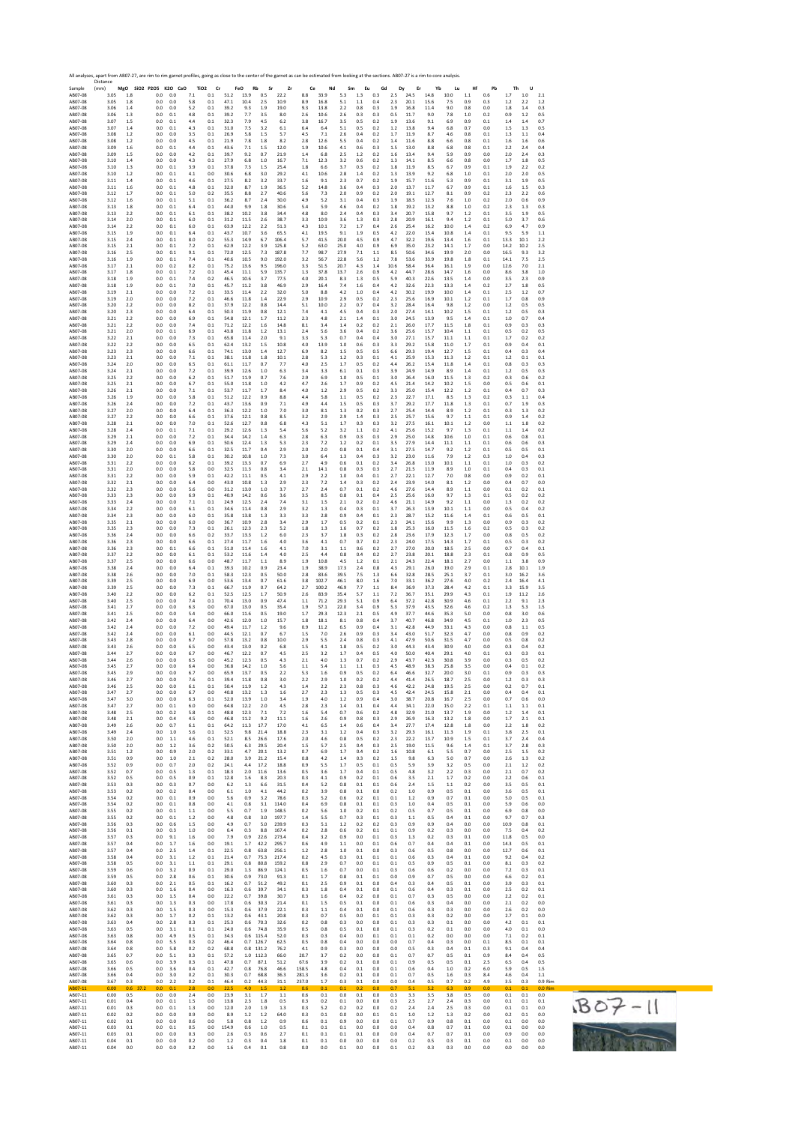|                    | All analyses, apart from AB07-27, are rim to rim garnet profiles, going as close to the center of the garnet as can be estimated from looking at the sections. AB07-27 is a rim to core analysis.<br>Distance |            |                              |            |            |                               |              |              |                 |              |            |            |            |            |            |            |              |              |              |            |            |            |            |                  |
|--------------------|---------------------------------------------------------------------------------------------------------------------------------------------------------------------------------------------------------------|------------|------------------------------|------------|------------|-------------------------------|--------------|--------------|-----------------|--------------|------------|------------|------------|------------|------------|------------|--------------|--------------|--------------|------------|------------|------------|------------|------------------|
| Sample<br>AB07-08  | (mm)<br>3.05                                                                                                                                                                                                  | 1.8        | MgO SiO2 P2O5 K2O CaO<br>0.0 | 0.0        | 7.1        | TiO <sub>2</sub><br>Cr<br>0.1 | 51.2         | FeO<br>13.9  | Rb<br>Sr<br>0.5 | Zr<br>22.2   | Ce<br>8.8  | Nd<br>33.9 | Sm<br>5.3  | Eu<br>1.3  | Gd<br>0.3  | Dy<br>2.5  | Er<br>24.5   | Yb<br>14.8   | Lu<br>10.0   | Hf<br>1.1  | Pb<br>0.6  | Th<br>1.7  | U<br>1.0   | 2.1              |
| AB07-08            | 3.05                                                                                                                                                                                                          | 1.8        | 0.0                          | 0.0        | 5.8        | 0.1                           | 47.1         | 10.4         | 2.5             | 10.9         | 8.9        | 16.8       | 5.1        | 1.1        | 0.4        | 2.3        | 20.1         | 15.6         | 7.5          | 0.9        | 0.3        | 1.2        | 2.2        | 1.2              |
| AB07-08            | 3.06                                                                                                                                                                                                          | 1.4        | 0.0                          | 0.0        | 5.2        | 0.1                           | 39.2         | 9.3          | 1.9             | 19.0         | 9.3        | 13.8       | 2.2        | 0.8        | 0.3        | 1.9        | 16.8         | 11.4         | 9.0          | 0.8        | 0.0        | 1.8        | 1.4        | 0.3              |
| AB07-08            | 3.06                                                                                                                                                                                                          | 1.3        | 0.0                          | 0.1        | 4.8        | 0.1                           | 39.2         | 7.7          | 3.5             | 8.0          | 2.6        | 10.6       | 2.6        | 0.3        | 0.3        | 0.5        | 11.7         | 9.0          | 7.8          | 1.0        | 0.2        | 0.9        | 1.2        | 0.5              |
| AB07-08            | 3.07                                                                                                                                                                                                          | 1.5        | 0.0                          | 0.1        | 4.4        | 0.1                           | 32.3         | 7.9          | 4.5             | 6.2          | 3.8        | 16.7       | 3.5        | 0.5        | 0.2        | 1.9        | 13.6         | 9.1          | 6.9          | 0.9        | 0.1        | 1.4        | $1.4\,$    | 0.7              |
| AB07-08            | 3.07                                                                                                                                                                                                          | 1.4        | 0.0                          | 0.1        | 4.3        | 0.1                           | 31.0         | 7.5          | 3.2             | 6.1          | 6.4        | 6.4        | 5.1        | 0.5        | 0.2        | 1.2        | 13.8         | 9.4          | 6.8          | 0.7        | 0.0        | 1.5        | 1.3        | 0.5              |
| AB07-08            | 3.08                                                                                                                                                                                                          | 1.2        | 0.0                          | 0.0        | 3.5        | 0.1                           | 26.9         | 5.8          | 1.5             | 5.7          | 4.5        | 7.1        | 2.6        | 0.4        | 0.2        | 1.7        | 11.9         | 8.7          | 4.6          | 0.8        | 0.1        | 1.3        | 1.1        | 0.4              |
| AB07-08            | 3.08                                                                                                                                                                                                          | 1.2        | 0.0                          | 0.0        | 4.5        | 0.1                           | 21.9         | 7.8          | 1.8             | 8.2          | 2.8        | 12.6       | 5.5        | 0.4        | 0.2        | 1.4        | 11.6         | 8.8          | 6.6          | 0.8        | 0.1        | 1.6        | 1.6        | 0.6              |
| AB07-08            | 3.09                                                                                                                                                                                                          | 1.6        | 0.0                          | 0.1        | 4.4        | 0.1                           | 43.6         | 7.1          | 1.5             | 12.0         | 1.9        | 10.6       | 4.1        | 0.6        | 0.3        | 1.5        | 13.0         | 8.8          | 6.8          | 0.8        | 0.1        | 2.2        | 2.4        | 0.4              |
| AB07-08            | 3.09                                                                                                                                                                                                          | 1.5        | 0.0                          | 0.0        | 4.2        | 0.1                           | 39.7         | 9.2          | 0.7             | 21.9         | 1.4        | 6.8        | 2.5        | 1.2        | 0.2        | 1.6        | 13.4         | 9.4          | 5.9          | 0.9        | 0.0        | 2.0        | 2.4        | 0.3              |
| AB07-08            | 3.10                                                                                                                                                                                                          | 1.4        | 0.0                          | 0.0        | 4.3        | 0.1                           | 27.9         | 6.8          | 1.0             | 16.7         | 7.1        | 12.3       | 3.2        | 0.6        | 0.2        | 1.3        | 14.1         | 8.5          | 6.6          | 0.8        | 0.0        | 1.7        | 1.8        | 0.5              |
| AB07-08            | 3.10                                                                                                                                                                                                          | 1.3        | 0.0                          | 0.1        | 3.9        | 0.1                           | 37.8         | 7.3          | 1.5             | 25.4         | 1.8        | 6.6        | 3.7        | 0.3        | 0.2        | 1.8        | 11.9         | 8.5          | 6.7          | 0.9        | 0.1        | 1.9        | 2.2        | 0.2              |
| AB07-08            | 3.10                                                                                                                                                                                                          | 1.2        | 0.0                          | 0.1        | 4.1        | 0.0                           | 30.6         | 6.8          | 3.0             | 29.2         | 4.1        | 10.6       | 2.8        | 1.4        | 0.2        | 1.3        | 13.9         | 9.2          | 6.8          | 1.0        | 0.1        | 2.0        | 2.0        | 0.5              |
| AB07-08            | 3.11                                                                                                                                                                                                          | 1.4        | 0.0                          | 0.1        | 4.6        | 0.1                           | 27.5         | 8.2          | 3.2             | 33.7         | 1.6        | 9.1        | 2.3        | 0.7        | 0.2        | 1.9        | 15.7         | 11.6         | 5.3          | 0.9        | 0.1        | 3.1        | 1.9        | 0.5              |
| AB07-08            | 3.11                                                                                                                                                                                                          | 1.6        | 0.0                          | 0.1        | 4.8        | 0.1                           | 32.0         | 8.7          | 1.9             | 36.5         | 5.2        | 14.8       | 3.6        | 0.4        | 0.3        | 2.0        | 13.7         | 11.7         | 6.7          | 0.9        | 0.1        | 1.6        | 1.5        | 0.3              |
| AB07-08            | 3.12                                                                                                                                                                                                          | 1.7        | 0.0                          | 0.1        | 5.0        | 0.2                           | 35.5         | 8.8          | 2.7             | 40.6         | 5.6        | 7.3        | 2.0        | 0.9        | 0.2        | 2.0        | 19.1         | 12.7         | 8.1          | 0.9        | 0.2        | 2.3        | 2.2        | 0.6              |
| AB07-08            | 3.12                                                                                                                                                                                                          | 1.6        | 0.0                          | 0.1        | 5.1        | 0.1                           | 36.2         | 8.7          | 2.4             | 30.0         | 4.9        | 5.2        | 3.1        | 0.4        | 0.3        | 1.9        | 18.5         | 12.3         | 7.6          | 1.0        | 0.2        | 2.0        | 0.6        | 0.9              |
| AB07-08            | 3.13                                                                                                                                                                                                          | 1.8        | 0.0                          | 0.1        | 6.4        | 0.1                           | 44.0         | 9.9          | 1.8             | 30.6         | 5.4        | 5.9        | 4.6        | 0.4        | 0.2        | 1.8        | 19.2         | 13.2         | 8.8          | 1.0        | 0.2        | 2.3        | 1.3        | 0.3              |
| AB07-08            | 3.13                                                                                                                                                                                                          | 2.2        | 0.0                          | 0.1        | 6.1        | 0.1                           | 38.2         | 10.2         | 3.8             | 34.4         | 4.8        | 8.0        | 2.4        | 0.4        | 0.3        | 3.4        | 20.7         | 15.8         | 9.7          | 1.2        | 0.1        | 3.5        | 1.9        | 0.5              |
| AB07-08            | 3.14                                                                                                                                                                                                          | 2.0        | 0.0                          | 0.1        | 6.0        | 0.1                           | 31.2         | 11.5         | 2.6             | 38.7         | 3.3        | 10.9       | 3.6        | 1.3        | 0.3        | 2.8        | 20.9         | 16.1         | 9.4          | 1.2        | 0.1        | 5.0        | 3.7        | 0.6              |
| AB07-08            | 3.14                                                                                                                                                                                                          | 22         | 0.0                          | 0.1        | 6.0        | 0.1                           | 63.9         | 12.2         | 2.2             | 51.3         | 4.3        | 10.1       | 7.2        | 1.7        | 0.4        | 2.6        | 25.4         | 16.2         | 10.0         | 1.4        | 0.2        | 6.9        | 4.7        | 0.9              |
| AB07-08            | 3.15                                                                                                                                                                                                          | 1.9        | 0.0                          | 0.1        | 6.4        | 0.1                           | 43.7         | 10.7         | 3.6             | 65.5         | 4.1        | 19.5       | 9.1        | 1.9        | 0.5        | 4.2        | 22.0         | 15.4         | 10.8         | 1.4        | 0.1        | 9.5        | 5.9        | 1.1              |
| AB07-08            | 3.15                                                                                                                                                                                                          | 2.4        | 0.0                          | 0.1        | 8.0        | 0.2                           | 55.3         | 14.9         | 6.7             | 106.4        | 5.7        | 41.5       | 20.0       | 4.5        | 0.9        | 4.7        | 32.2         | 19.6         | 13.4         | 1.6        | 0.1        | 13.3       | 10.1       | 2.2              |
| AB07-08            | 3.15                                                                                                                                                                                                          | 2.1        | 0.0                          | 0.1        | 7.2        | 0.1                           | 62.9         | 12.2         | 3.9             | 125.8        | 5.2        | 63.0       | 25.0       | 4.0        | 0.9        | 6.9        | 35.0         | 23.2         | 14.1         | 1.7        | 0.0        | 14.2       | 10.2       | 2.5              |
| AB07-08            | 3.16                                                                                                                                                                                                          | 2.5        | 0.0                          | 0.1        | 9.1        | 0.1                           | 72.0         | 12.5         | 7.3             | 187.8        | 7.7        | 98.7       | 27.9       | 7.1        | 1.1        | 8.5        | 50.6         | 34.6         | 19.9         | 2.0        | 0.0        | 16.5       | 9.3        | 3.2              |
| AB07-08            | 3.16                                                                                                                                                                                                          | 1.9        | 0.0                          | 0.1        | 7.4        | 0.1                           | 40.6         | 10.5         | 9.0             | 192.0        | 3.2        | 56.7       | 22.8       | 5.6        | 1.2        | 7.8        | 53.6         | 33.9         | 19.8         | 1.8        | 0.1        | 14.1       | 7.5        | 2.5              |
| AB07-08            | 3.17                                                                                                                                                                                                          | 2.1        | 0.0                          | 0.2        | 8.2        | 0.1                           | 75.2         | 13.6         | 9.5             | 196.0        | 3.3        | 51.5       | 20.7       | 4.3        | 1.4        | 10.6       | 58.4         | 36.4         | 16.1         | 1.9        | 0.0        | 12.6       | 7.0        | 2.1              |
| AB07-08            | 3.17                                                                                                                                                                                                          | 1.8        | 0.0                          | 0.1        | 7.2        | 0.1                           | 45.4         | 11.1         | 5.9             | 135.7        | 1.3        | 37.8       | 13.7       | 2.6        | 0.9        | 4.2        | 44.7         | 28.6         | 14.7         | 1.6        | 0.0        | 8.6        | 3.8        | 1.0              |
| AB07-08            | 3.18                                                                                                                                                                                                          | 1.9        | 0.0                          | 0.1        | 7.4        | 0.2                           | 46.5         | 10.6         | 3.7             | 77.5         | 4.0        | 20.1       | 8.3        | 1.3        | 0.5        | 5.9        | 40.3         | 22.6         | 13.5         | 1.4        | 0.0        | 3.5        | 2.3        | 0.9              |
| AB07-08            | 3.18                                                                                                                                                                                                          | 1.9        | 0.0                          | 0.1        | 7.0        | 0.1                           | 45.7         | 11.2         | 3.8             | 46.9         | 2.9        | 16.4       | 7.4        | 1.6        | 0.4        | 4.2        | 32.6         | 22.3         | 13.3         | 1.4        | 0.2        | 2.7        | 1.8        | 0.5              |
| AB07-08            | 3.19                                                                                                                                                                                                          | 2.1        | 0.0                          | 0.0        | 7.2        | 0.1                           | 33.5         | 11.4         | 2.2             | 32.0         | 5.0        | 8.8        | 4.2        | 1.0        | 0.4        | 4.2        | 30.2         | 19.9         | 10.0         | 1.4        | 0.1        | 2.5        | 1.2        | 0.7              |
| AB07-08            | 3.19                                                                                                                                                                                                          | 2.0        | 0.0                          | 0.0        | 7.2        | 0.1                           | 46.6         | 11.8         | 1.4             | 22.9         | 2.9        | 10.9       | 2.9        | 0.5        | 0.2        | 2.3        | 25.6         | 16.9         | 10.1         | 1.2        | 0.1        | 1.7        | 0.8        | 0.9              |
| AB07-08            | 3.20                                                                                                                                                                                                          | 2.2        | 0.0                          | 0.0        | 8.2        | 0.1                           | 37.9         | 12.2         | 0.8             | 14.4         | 5.1        | 10.0       | 2.2        | 0.7        | 0.4        | 3.2        | 28.4         | 16.4         | 9.8          | 1.2        | 0.0        | $1.2$      | 0.5        | 0.5              |
| AB07-08            | 3.20<br>3.21                                                                                                                                                                                                  | 2.3        | 0.0<br>0.0                   | 0.0        | 6.4        | 0.1<br>0.1                    | 50.3<br>54.8 | 11.9         | 0.8<br>1.7      | 12.1         | 7.4<br>2.3 | 4.1        | 4.5<br>2.1 | 0.4<br>1.4 | 0.3        | 2.0        | 27.4<br>24.5 | 14.1<br>13.9 | 10.2<br>9.5  | 1.5        | 0.1        | 1.2        | 0.5        | 0.3              |
| AB07-08<br>AB07-08 | 3.21                                                                                                                                                                                                          | 2.2<br>2.2 | 0.0                          | 0.0<br>0.0 | 6.9<br>7.4 | 0.1                           | 71.2         | 12.1<br>12.2 | 1.6             | 11.2<br>14.8 | 8.1        | 4.8<br>3.4 | 1.4        | 0.2        | 0.1<br>0.2 | 3.0<br>2.1 | 26.0         | 17.7         | 11.5         | 1.4<br>1.8 | 0.1<br>0.1 | 1.0<br>0.9 | 0.7<br>0.3 | 0.4<br>0.3       |
| AB07-08            | 3.21                                                                                                                                                                                                          | 2.0        | 0.0                          | 0.1        | 6.9        | 0.1                           | 43.8         | 11.8         | 1.2             | 13.1         | 2.4        | 5.6        | 3.6        | 0.4        | 0.2        | 3.6        | 25.6         | 15.7         | 10.4         | 1.1        | 0.1        | 0.5        | 0.2        | 0.5              |
| AB07-08            | 3.22                                                                                                                                                                                                          | 2.1        | 0.0                          | 0.0        | 7.3        | 0.1                           | 65.8         | 11.4         | 2.0             | 9.1          | 3.3        | 5.3        | 0.7        | 0.4        | 0.4        | 3.0        | 27.1         | 15.7         | 11.1         | 1.1        | 0.1        | 1.7        | 0.2        | 0.2              |
| AB07-08            | 3.22                                                                                                                                                                                                          | 22         | 0.0                          | 0.0        | 6.5        | 0.1                           | 62.4         | 13.2         | 1.5             | 10.8         | 4.0        | 13.9       | 1.0        | 0.6        | 0.3        | 3.3        | 29.2         | 15.8         | 11.0         | 1.7        | 0.1        | 0.9        | 0.4        | 0.1              |
| AB07-08            | 3.23                                                                                                                                                                                                          | 2.3        | 0.0                          | 0.0        | 6.6        | 0.1                           | 74.1         | 13.0         | 1.4             | 12.7         | 6.9        | 8.2        | 1.5        | 0.5        | 0.5        | 6.6        | 29.3         | 19.4         | 12.7         | 1.5        | 0.1        | 0.4        | 0.3        | 0.4              |
| AB07-08            | 3.23                                                                                                                                                                                                          | 2.1        | 0.0                          | 0.0        | 7.1        | 0.1                           | 38.1         | 11.8         | 1.8             | 10.1         | 2.8        | 5.3        | 1.2        | 0.3        | 0.1        | 4.1        | 25.9         | 15.3         | 11.3         | 1.2        | 0.1        | 1.2        | 0.1        | 0.1              |
| AB07-08            | 3.24                                                                                                                                                                                                          | 2.0        | 0.0                          | 0.0        | 6.5        | 0.1                           | 61.1         | 11.7         | 0.7             | 7.7          | 4.0        | 2.5        | 1.7        | 0.5        | 0.2        | 4.4        | 26.2         | 15.4         | 11.8         | 1.4        | 0.1        | 0.8        | 0.3        | 0.3              |
| AB07-08            | 3.24                                                                                                                                                                                                          | 2.1        | 0.0                          | 0.0        | 7.2        | 0.1                           | 39.9         | 12.6         | 1.0             | 6.3          | 3.4        | 3.3        | 6.1        | 0.1        | 0.3        | 3.9        | 24.9         | 14.9         | 8.9          | 1.4        | 0.1        | 1.2        | 0.5        | 0.3              |
| AB07-08            | 3.25                                                                                                                                                                                                          | 2.2        | 0.0                          | 0.0        | 6.2        | 0.1                           | 51.7         | 11.9         | 0.7             | 7.6          | 2.9        | 6.9        | 1.0        | 0.5        | 0.1        | 3.0        | 26.4         | 16.0         | 11.5         | 1.3        | 0.2        | 0.3        | 0.6        | 0.2              |
| AB07-08            | 3.25                                                                                                                                                                                                          | 2.1        | 0.0                          | 0.0        | 6.7        | 0.1                           | 55.0         | 11.8         | 1.0             | 4.2          | 4.7        | 2.6        | 1.7        | 0.9        | 0.2        | 4.5        | 21.4         | 14.2         | 10.2         | 1.5        | 0.0        | 0.5        | 0.6        | 0.1              |
| AB07-08            | 3.26                                                                                                                                                                                                          | 2.1        | 0.0                          | 0.0        | 7.1        | 0.1                           | 53.7         | 11.7         | 1.7             | 8.4          | 4.0        | 1.2        | 2.9        | 0.5        | 0.2        | 3.3        | 25.0         | 15.4         | 12.2         | 1.2        | 0.1        | 0.4        | 0.7        | 0.3              |
| AB07-08            | 3.26                                                                                                                                                                                                          | 1.9        | 0.0                          | 0.0        | 5.8        | 0.1                           | 51.2         | 12.2         | 0.9             | 8.8          | 4.4        | 5.8        | 1.1        | 0.5        | 0.2        | 2.3        | 22.7         | 17.1         | 8.5          | 1.3        | 0.2        | 0.3        | 1.1        | 0.4              |
| AB07-08            | 3.26                                                                                                                                                                                                          | 2.4        | 0.0                          | 0.0        | 7.2        | 0.1                           | 43.7         | 13.6         | 0.9             | 7.1          | 4.9        | 4.4        | $1.5\,$    | 0.5        | 0.3        | 3.7        | 29.2         | 17.7         | 11.8         | 1.3        | 0.1        | 0.7        | 1.9        | 0.3              |
| AB07-08            | 3.27                                                                                                                                                                                                          | 2.0        | 0.0                          | 0.0        | 6.4        | 0.1                           | 36.3         | 12.2         | 1.0             | 7.0          | 3.0        | 8.1        | 1.3        | 0.2        | 0.3        | 2.7        | 25.4         | 14.4         | 8.9          | 1.2        | 0.1        | 0.3        | 1.3        | 0.2              |
| AB07-08            | 3.27                                                                                                                                                                                                          | 2.2        | 0.0                          | 0.0        | 6.6        | 0.1                           | 37.6         | 12.1         | 0.8             | 8.5          | 3.2        | 2.9        | 2.9        | 1.4        | 0.3        | 2.5        | 25.7         | 15.6         | 9.7          | 1.1        | 0.1        | 0.9        | 1.4        | 0.2              |
| AB07-08            | 3.28                                                                                                                                                                                                          | 2.1        | 0.0                          | 0.0        | 7.0        | 0.1                           | 52.6         | 12.7         | 0.8             | 6.8          | 4.3        | 5.1        | 1.7        | 0.3        | 0.3        | 3.2        | 27.5         | 16.1         | 10.1         | 1.2        | 0.0        | 1.1        | 1.8        | 0.2              |
| AB07-08            | 3.28                                                                                                                                                                                                          | 2.4        | 0.0                          | 0.1        | 7.1        | 0.1                           | 29.2         | 12.6         | 1.3             | 5.4          | 5.6        | 5.2        | 3.2        | 1.1        | 0.2        | 4.1        | 25.6         | 15.2         | 9.7          | 1.3        | 0.1        | 1.1        | 1.4        | 0.2              |
| AB07-08            | 3.29                                                                                                                                                                                                          | 2.1        | 0.0                          | 0.0        | 7.2        | 0.1                           | 34.4         | 14.2         | 1.4             | 6.3          | 2.8        | 6.3        | 0.9        | 0.3        | 0.3        | 2.9        | 25.0         | 14.8         | 10.6         | 1.0        | 0.1        | 0.6        | 0.8        | 0.1              |
| AB07-08            | 3.29                                                                                                                                                                                                          | 2.4        | 0.0                          | 0.0        | 6.9        | 0.1                           | 50.6         | 12.4         | 1.3             | 5.3          | 2.3        | 7.2        | 1.2        | 0.2        | 0.1        | 3.5        | 27.9         | 14.4         | 11.1         | 1.1        | 0.1        | 0.6        | 0.6        | 0.3              |
| AB07-08            | 3.30                                                                                                                                                                                                          | 2.0        | 0.0                          | 0.0        | 6.6        | 0.1                           | 32.5         | 11.7         | 0.4             | 2.9          | 2.0        | 2.0        | 0.8        | 0.1        | 0.4        | 3.1        | 27.5         | 14.7         | 9.2          | 1.2        | 0.1        | 0.5        | 0.5        | 0.1              |
| AB07-08            | 3.30                                                                                                                                                                                                          | 2.0        | 0.0                          | 0.1        | 5.8        | 0.1                           | 30.2         | 10.8         | 1.0             | 7.3          | 3.0        | 6.4        | 1.3        | 0.4        | 0.3        | 3.2        | 23.0         | 11.6         | 7.9          | 1.2        | 0.3        | 1.0        | 0.4        | 0.3              |
| AB07-08            | 3.31                                                                                                                                                                                                          | 2.2        | 0.0                          | 0.0        | 6.2        | 0.1                           | 39.2         | 13.3         | 0.7             | 6.9          | 2.7        | 4.9        | 0.6        | 0.1        | 0.2        | 3.4        | 26.8         | 13.0         | 10.1         | 1.1        | 0.1        | 1.0        | 0.3        | 0.2              |
| AB07-08            | 3.31                                                                                                                                                                                                          | 2.0        | 0.0                          | 0.0        | 5.8        | 0.0                           | 32.5         | 11.3         | 0.8             | 3.4          | 2.1        | 14.1       | 0.8        | 0.3        | 0.3        | 2.7        | 21.5         | 11.9         | 8.9          | 1.0        | 0.1        | 0.4        | 0.3        | 0.1              |
| AB07-08            | 3.31                                                                                                                                                                                                          | 2.2        | 0.0                          | 0.0        | 5.9        | 0.1                           | 42.2         | 11.1         | 0.5             | 4.1          | 2.9        | 2.2        | 1.0        | 0.4        | 0.1        | 2.7        | 22.1         | 12.7         | 7.0          | 0.8        | 0.0        | 0.9        | 0.2        | 0.1              |
| AB07-08            | 3.32                                                                                                                                                                                                          | 2.1        | 0.0                          | 0.0        | 6.4        | 0.0                           | 43.0         | 10.8         | 1.3             | 2.9          | 2.3        | 7.2        | 1.4        | 0.3        | 0.2        | 2.4        | 23.9         | 14.0         | 8.1          | 1.2        | 0.0        | 0.4        | 0.7        | 0.0              |
| AB07-08            | 3.32                                                                                                                                                                                                          | 2.3        | 0.0                          | 0.0        | 5.6        | 0.0                           | 31.2         | 13.0         | 1.0             | 3.7          | 2.7        | 2.4        | 0.7        | 0.1        | 0.2        | 4.6        | 27.6         | 14.4         | 8.9          | 1.1        | 0.0        | 0.1        | 0.2        | 0.1              |
| AB07-08            | 3.33                                                                                                                                                                                                          | 2.3        | 0.0                          | 0.0        | 6.9        | 0.1                           | 40.9         | 14.2         | 0.6             | 3.6          | 3.5        | 8.5        | 0.8        | 0.1        | 0.4        | 2.5        | 25.6         | 16.0         | 9.7          | 1.3        | 0.1        | 0.5        | 0.2        | 0.2              |
| AB07-08            | 3.33                                                                                                                                                                                                          | 2.4        | 0.0                          | 0.0        | 7.1        | 0.1                           | 24.9         | 12.5         | 2.4             | 7.4          | 3.1        | 1.5        | 2.1        | 0.2        | 0.2        | 4.6        | 21.1         | 14.9         | 9.2          | 1.1        | 0.0        | 1.3        | 0.2        | 0.2              |
| AB07-08<br>AB07-08 | 3.34<br>3.34                                                                                                                                                                                                  | 2.2<br>2.3 | 0.0                          | 0.0<br>0.0 | 6.1<br>6.0 | 0.1<br>0.1                    | 34.6<br>35.8 | 11.4<br>13.8 | 0.8<br>1.3      | 2.9          | 3.2<br>3.3 | 1.3<br>2.8 | 0.4<br>0.9 | 0.3<br>0.4 | 0.1<br>0.1 | 3.7<br>2.3 | 26.3<br>28.7 | 13.9         | 10.1<br>11.6 | 1.1        | 0.0<br>0.1 | 0.5        | 0.4<br>0.5 | 0.2<br>0.1       |
| AB07-08            | 3.35                                                                                                                                                                                                          | 2.1        | 0.0<br>0.0                   | 0.0        | 6.0        | 0.0                           | 36.7         | 10.9         | 2.8             | 3.3<br>3.4   | 2.9        | 1.7        | 0.5        | 0.2        | 0.1        | 2.3        | 24.1         | 15.2<br>15.6 | 9.9          | 1.4<br>1.3 | 0.0        | 0.6<br>0.9 | 0.3        | 0.2              |
| AB07-08            | 3.35                                                                                                                                                                                                          | 2.3        | 0.0                          | 0.0        | 7.3        | 0.1                           | 26.1         | 12.3         | 2.3             | 5.2          | 1.8        | 1.3        | 1.6        | 0.7        | 0.2        | 1.8        | 25.3         | 16.0         | 11.5         | 1.6        | 0.2        | 0.5        | 0.3        | 0.2              |
| AB07-08            | 3.36                                                                                                                                                                                                          | 2.4        | 0.0                          | 0.0        | 6.6        | 0.2                           | 33.7         | 13.3         | 1.2             | 6.0          | 2.3        | 3.7        | 1.8        | 0.3        | 0.2        | 2.8        | 23.6         | 17.9         | 12.3         | 1.7        | 0.0        | 0.8        | 0.5        | 0.2              |
| AB07-08            | 3.36                                                                                                                                                                                                          | 2.3        | 0.0                          | 0.0        | 6.6        | 0.1                           | 27.4         | 11.7         | 1.6             | 4.0          | 3.6        | 4.1        | 0.7        | 0.7        | 0.2        | 2.3        | 24.0         | 17.5         | 14.3         | 1.7        | 0.1        | 0.5        | 0.3        | 0.2              |
| AB07-08            | 3.36                                                                                                                                                                                                          | 2.3        | 0.0                          | 0.1        | 6.6        | 0.1                           | 51.0         | 11.4         | 1.6             | 4.1          | 7.0        | 3.1        | 1.1        | 0.6        | 0.2        | 2.7        | 27.0         | 20.0         | 18.5         | 2.5        | 0.0        | 0.7        | 0.4        | 0.1              |
| AB07-08            | 3.37                                                                                                                                                                                                          | 22         | 0.0                          | 0.0        | 6.1        | 0.1                           | 53.2         | 11.6         | 1.4             | 4.0          | 25         | 4.4        | 0.8        | 0.4        | 0.2        | 2.7        | 23.8         | 20.1         | 18.8         | 2.3        | 0.1        | 0.8        | 0.9        | 0.5              |
| AB07-08            | 3.37                                                                                                                                                                                                          | 2.5        | 0.0                          | 0.0        | 6.6        | 0.0                           | 48.7         | 11.7         | 1.1             | 8.9          | 1.9        | 10.8       | 4.5        | 1.2        | 0.1        | 2.1        | 24.3         | 22.4         | 18.1         | 2.7        | 0.0        | 1.1        | 3.8        | 0.9              |
| AB07-08            | 3.38                                                                                                                                                                                                          | 2.4        | 0.0                          | 0.0        | 6.4        | 0.1                           | 39.3         | 10.2         | 0.9             | 23.4         | 1.9        | 38.9       | 17.3       | 2.4        | 0.8        | 4.3        | 29.1         | 26.0         | 19.0         | 2.9        | 0.1        | 2.8        | 10.1       | 1.9              |
| AB07-08            | 3.38                                                                                                                                                                                                          | 2.6        | 0.0                          | 0.0        | 7.0        | 0.1                           | 58.3         | 12.3         | 0.5             | 50.0         | 2.8        | 83.6       | 39.5       | 7.5        | 1.3        | 6.6        | 32.8         | 28.5         | 25.1         | 3.7        | 0.1        | 3.0        | 16.2       | 3.6              |
| AB07-08            | 3.39                                                                                                                                                                                                          | 2.5        | 0.0                          | 0.0        | 6.9        | 0.0                           | 53.6         | 13.4         | 0.7             | 61.6         | 3.8        | 102.7      | 46.1       | 8.0        | 1.6        | 7.0        | 33.1         | 36.2         | 27.6         | 4.0        | 0.2        | 2.4        | 16.4       | 4.1              |
| AB07-08            | 3.39                                                                                                                                                                                                          | 2.5        | 0.0                          | 0.0        | 7.3        | 0.1                           | 66.7         | 11.9         | 0.7             | 64.2         | 2.7        | 100.2      | 46.9       | 7.7        | 1.1        | 8.4        | 36.9         | 37.3         | 28.4         | 4.2        | 0.1        | 3.3        | 15.9       | 3.5              |
| AB07-08            | 3.40                                                                                                                                                                                                          | 2.2        | 0.0                          | 0.0        | 6.2        | 0.1                           | 52.5         | 12.5         | 1.7             | 50.9         | 2.6        | 83.9       | 35.4       | 5.7        | 1.1        | 7.2        | 36.7         | 35.1         | 29.9         | 4.3        | 0.1        | 1.9        | 11.2       | 2.6              |
| AB07-08            | 3.40                                                                                                                                                                                                          | 2.5        | 0.0                          | 0.0        | 7.4        | 0.1                           | 70.4         | 13.0         | 0.9             | 474          | 1.1        | 71.2       | 29.3       | 5.1        | 0.9        | 6.4        | 37.2         | 42.8         | 30.9         | 4.6        | 0.1        | 2.2        | 9.1        | 2.3              |
| AB07-08            | 3.41                                                                                                                                                                                                          | 2.7        | 0.0                          | 0.0        | 6.3        | 0.0                           | 67.0         | 13.0         | 0.5             | 35.4         | 1.9        | 57.1       | 22.0       | 3.4        | 0.9        | 5.3        | 37.9         | 43.5         | 32.6         | 4.6        | 0.2        | 1.3        | 5.3        | 1.5              |
| AB07-08            | 3.41                                                                                                                                                                                                          | 2.5        | 0.0                          | 0.0        | 5.4        | 0.0                           | 66.0         | 11.6         | 0.5             | 19.0         | 1.7        | 29.3       | 12.3       | 2.1        | 0.5        | 4.9        | 37.7         | 44.6         | 35.3         | 5.0        | 0.0        | 0.8        | 3.0        | 0.6              |
| AB07-08            | 3.42                                                                                                                                                                                                          | 2.4        | 0.0                          | 0.0        | 6.4        | 0.0                           | 42.6         | 12.0         | 1.0             | 15.7         | 1.8        | 18.1       | 8.1        | 0.8        | 0.4        | 3.7        | 40.7         | 46.8         | 34.9         | 4.5        | 0.1        | 1.0        | 2.3        | 0.5              |
| AB07-08            | 3.42                                                                                                                                                                                                          | 2.4        | 0.0                          | 0.0        | 7.2        | 0.0                           | 49.4         | 11.7         | 1.2             | 9.6          | 0.9        | 11.2       | 6.5        | 0.9        | 0.4        | 3.1        | 42.8         | 44.9         | 33.1         | 4.3        | 0.0        | 0.8        | 1.1        | 0.5              |
| AB07-08            | 3.42                                                                                                                                                                                                          | 2.4        | 0.0                          | 0.0        | 6.1        | 0.0                           | 44.5         | 12.1         | 0.7             | 6.7          | 1.5        | 7.0        | 2.6        | 0.9        | 0.3        | 3.4        | 43.0         | 51.7         | 32.3         | 4.7        | 0.0        | 0.8        | 0.9        | 0.2              |
| AB07-08            | 3.43                                                                                                                                                                                                          | 2.8        | 0.0                          | 0.0        | 6.7        | 0.0                           | 57.8         | 13.2         | 0.8             | 10.0         | 2.9        | 5.5        | 2.4        | 0.8        | 0.3        | 4.1        | 47.9         | 50.6         | 31.5         | 4.7        | 0.0        | 0.5        | 0.8        | 0.2              |
| AB07-08            | 3.43                                                                                                                                                                                                          | 2.6        | 0.0                          | 0.0        | 6.5        | 0.0                           | 43.4         | 13.0         | 0.2             | 6.8          | 1.5        | 4.1        | 1.8        | 0.5        | 0.2        | 3.0        | 44.3         | 43.4         | 30.9         | 4.0        | 0.0        | 0.3        | 0.4        | 0.2              |
| AB07-08            | 3.44                                                                                                                                                                                                          | 2.7        | 0.0                          | 0.0        | 6.7        | 0.0                           | 46.7         | 12.2         | 0.7             | 4.5          | 2.5        | 3.2        | 1.7        | 0.4        | 0.5        | 4.0        | 50.0         | 40.4         | 29.1         | 4.0        | 0.1        | 0.3        | 0.3        | 0.1              |
| AB07-08            | 3.44                                                                                                                                                                                                          | 2.6        | 0.0                          | 0.0        | 6.5        | 0.0                           | 45.2         | 12.3         | 0.5             | 4.3          | 2.1        | 4.0        | 1.3        | 0.7        | 0.2        | 2.9        | 43.7         | 42.3         | 30.8         | 3.9        | 0.0        | 0.3        | 0.5        | 0.2              |
| AB07-08            | 3.45                                                                                                                                                                                                          | 2.7        | 0.0                          | 0.0        | 6.4        | 0.0                           | 36.8         | 14.2         | 1.0             | 5.6          | 1.1        | 5.4        | 1.1        | 1.1        | 0.3        | 4.5        | 48.9         | 38.3         | 25.8         | 3.5        | 0.0        | 0.4        | 0.1        | 0.2              |
| AB07-08            | 3.45                                                                                                                                                                                                          | 2.9        | 0.0                          | 0.0        | 6.7        | 0.0                           | 65.9         | 13.7         | 0.5             | 2.2          | 5.3        | 1.6        | 0.9        | 0.5        | 0.2        | 6.4        | 46.6         | 32.7         | 20.0         | 3.0        | 0.1        | 0.9        | 0.3        | 0.3              |
| AB07-08            | 3.46                                                                                                                                                                                                          | 2.7        | 0.0                          | 0.0        | 7.6        | 0.1                           | 39.4         | 11.8         | 0.8             | 3.0          | 2.2        | 2.9        | 1.0        | 0.2        | 0.2        | 4.4        | 41.4         | 26.5         | 18.7         | 2.5        | 0.0        | 1.2        | 0.3        | 0.3              |
| AB07-08            | 3.46                                                                                                                                                                                                          | 2.5        | 0.0                          | 0.0        | 6.1        | 0.1                           | 50.4         | 11.9         | 1.2             | 4.3          | 1.4        | 2.2        | 2.3        | 0.8        | 0.3        | 4.6        | 42.2         | 24.8         | 19.5         | 2.5        | 0.0        | 0.2        | 0.7        | 0.1              |
| AB07-08            | 3.47                                                                                                                                                                                                          | 2.7        | 0.0                          | 0.0        | 6.7        | 0.0                           | 40.8         | 13.2         | 1.3             | 1.6          | 2.7        | 2.3        | 1.3        | 0.5        | 0.3        | 4.5        | 42.4         | 24.5         | 15.8         | 2.1        | 0.0        | 0.4        | 0.4        | 0.1              |
| AB07-08            | 3.47                                                                                                                                                                                                          | 3.0        | 0.0                          | 0.0        | 6.3        | 0.1                           | 52.0         | 13.9         | 1.0             | 3.4          | 1.9        | 4.0        | 1.2        | 0.9        | 0.4        | 3.0        | 38.7         | 20.8         | 16.7         | 2.5        | 0.0        | 0.7        | 0.6        | 0.0              |
| AB07-08            | 3.47                                                                                                                                                                                                          | 2.7        | 0.0                          | $0.1\,$    | 6.0        | 0.0                           | 64.8         | 12.2         | 2.0             | 4.5          | $2.8\,$    | 2.3        | 1.4        | $0.1\,$    | 0.4        | 4.4        | 34.1         | 22.0         | 15.0         | 2.2        | 0.1        | $1.1\,$    | 1.1        | $0.1\,$          |
| AB07-08            | 3.48                                                                                                                                                                                                          | 2.5        | 0.0                          | 0.2        | 5.8        | 0.1                           | 48.8         | 12.3         | 7.1             | 7.2          | 1.6        | 5.4        | 0.7        | 0.6        | 0.2        | 4.8        | 32.9         | 21.0         | 13.7         | 1.9        | 0.0        | 1.2        | 1.4        | 0.1              |
| AB07-08            | 3.48                                                                                                                                                                                                          | 2.1        | 0.0                          | 0.4        | 4.5        | 0.0                           | 46.8         | 11.2         | 9.2             | 11.1         | 1.6        | 2.6        | 0.9        | 0.8        | 0.3        | 2.9        | 26.9         | 16.3         | 13.2         | 1.8        | 0.0        | 1.7        | 2.1        | 0.1              |
| AB07-08            | 3.49                                                                                                                                                                                                          | 2.6        | 0.0                          | 0.7        | 6.1        | 0.1                           | 64.2         | 11.3         | 17.7            | 17.0         | 4.1        | 6.5        | 1.4        | 0.6        | 0.4        | 3.4        | 27.7         | 17.4         | 12.8         | 1.8        | 0.0        | 2.2        | 1.8        | 0.2              |
| AB07-08            | 3.49                                                                                                                                                                                                          | 2.4        | 0.0                          | 1.0        | 5.6        | 0.1                           | 52.5         | 9.8          | 21.4            | 18.8         | 2.3        | 3.1        | 1.2        | 0.4        | 0.3        | 3.2        | 29.3         | 16.1         | 11.3         | 1.9        | 0.1        | 3.8        | 2.5        | 0.1              |
| AB07-08            | 3.50                                                                                                                                                                                                          | 2.0        | 0.0                          | 1.1        | 4.6        | 0.1                           | 52.1         | 8.5          | 26.6            | 17.6         | 2.0        | 4.6        | 0.8        | 0.5        | 0.2        | 2.3        | 22.2         | 13.7         | 10.9         | 1.5        | 0.1        | 3.7        | 2.4        | 0.4              |
| AB07-08            | 3.50                                                                                                                                                                                                          | 2.0        | 0.0                          | 1.2        | 3.6        | 0.2                           | 50.5         | 6.3          | 29.5            | 20.4         | 1.5        | 5.7        | 2.5        | 0.4        | 0.3        | 2.5        | 19.0         | 11.5         | 9.6          | 1.4        | 0.1        | 3.7        | 2.8        | 0.3              |
| AB07-08            | 3.51                                                                                                                                                                                                          | 1.2        | 0.0                          | 0.9        | 2.0        | 0.2                           | 33.1         | 4.7          | 20.1            | 13.2         | 0.7        | 6.9        | 1.7        | 0.4        | 0.2        | 1.6        | 10.8         | 6.1          | 5.5          | 0.7        | 0.0        | 2.5        | 1.5        | 0.2              |
| AB07-08            | 3.51                                                                                                                                                                                                          | 0.9        | 0.0                          | 1.0        | 2.1        | 0.2                           | 28.0         | 3.9          | 21.2            | 15.4         | 0.8        | 4.2        | 1.4        | 0.3        | 0.2        | 1.5        | 9.8          | 6.3          | 5.0          | 0.7        | 0.0        | 2.6        | 1.3        | 0.2              |
| AB07-08            | 3.52                                                                                                                                                                                                          | 0.9        | 0.0                          | 0.7        | 2.0        | 0.2                           | 24.1         | 4.4          | 17.2            | 18.8         | 0.9        | 5.5        | 1.7        | 0.5        | 0.1        | 0.5        | 5.9          | 3.9          | 3.2          | 0.5        | 0.0        | 2.1        | $1.2\,$    | 0.2              |
| AB07-08            | 3.52                                                                                                                                                                                                          | 0.7        | 0.0                          | 0.5        | 1.3        | 0.1                           | 18.3         | 2.0          | 11.6            | 13.6         | 0.5        | 3.6        | 1.7        | 0.4        | 0.1        | 0.5        | 4.8          | 3.2          | 2.2          | 0.3        | 0.0        | 2.1        | 0.7        | 0.2              |
| AB07-08            | 3.52                                                                                                                                                                                                          | 0.5        | 0.0                          | 0.5        | 0.9        | 0.1                           | 12.8         | 1.6          | 8.3             | 20.3         | 0.3        | 4.1        | 0.9        | 0.2        | 0.1        | 0.6        | 3.5          | 2.1          | 1.7          | 0.2        | 0.0        | 2.2        | 0.6        | 0.1              |
| AB07-08            | 3.53                                                                                                                                                                                                          | 0.3        | 0.0                          | 0.3        | 0.7        | 0.0                           | 6.2          | 1.3          | 6.6             | 31.5         | 0.4        | 5.2        | 0.8        | 0.1        | 0.1        | 0.6        | 2.4          | 1.5          | 1.1          | 0.2        | 0.0        | 3.5        | 0.5        | 0.1              |
| AB07-08            | 3.53                                                                                                                                                                                                          | 0.2        | 0.0                          | 0.2        | 0.4        | 0.0                           | 6.1          | 1.0          | 4.1             | 44.2         | 0.2        | 3.9        | 0.8        | 0.1        | 0.0        | 0.2        | 1.0          | 0.9          | 0.5          | 0.1        | 0.0        | 3.6        | 0.5        | 0.1              |
| AB07-08            | 3.54                                                                                                                                                                                                          | 0.2        | 0.0                          | $0.1\,$    | 0.9        | 0.0                           | 5.6          | 0.9          | 3.2             | 78.6         | 0.3        | 5.2        | 0.6        | 0.2        | $0.1\,$    | 0.1        | 1.2          | 0.9          | 0.7          | $0.1\,$    | 0.0        | 5.0        | 0.5        | 0.1              |
| AB07-08            | 3.54                                                                                                                                                                                                          | 0.2        | 0.0                          | 0.1        | 0.8        | 0.0                           | 4.1          | 0.8          | 3.1             | 114.0        | 0.4        | 6.9        | 0.8        | 0.1        | 0.1        | 0.3        | 1.0          | 0.4          | 0.5          | 0.1        | 0.0        | 5.9        | 0.6        | 0.0              |
| AB07-08            | 3.55                                                                                                                                                                                                          | 0.2        | 0.0                          | 0.1        | 1.1        | 0.0                           | 5.5          | 0.7          | 1.9             | 148.5        | 0.2        | 5.6        | 1.0        | 0.2        | 0.1        | 0.2        | 0.5          | 0.7          | 0.5          | 0.1        | 0.0        | 6.9        | 0.8        | 0.0              |
| AB07-08            | 3.55                                                                                                                                                                                                          | 0.2        | 0.0                          | 0.1        | 1.2        | 0.0                           | 4.8          | 0.8          | 3.0             | 197.7        | 1.4        | 5.5        | 0.7        | 0.3        | 0.1        | 0.3        | 1.1          | 0.5          | 0.4          | 0.1        | 0.0        | 9.7        | 0.7        | 0.3              |
| AB07-08            | 3.56                                                                                                                                                                                                          | 0.3        | 0.0                          | 0.6        | 1.5        | 0.0                           | 4.9          | 0.7          | 5.0             | 239.9        | 0.3        | 5.1        | 1.2        | 0.2        | 0.2        | 0.3        | 0.9          | 0.9          | 0.4          | 0.0        | 0.0        | 10.9       | 0.8        | 0.1              |
| AB07-08            | 3.56                                                                                                                                                                                                          | 0.1        | 0.0                          | 0.3        | 1.0        | 0.0                           | 6.4          | 0.3          | 8.8             | 167.4        | 0.2        | 2.8        | 0.6        | 0.2        | 0.1        | 0.1        | 0.9          | 0.2          | 0.3          | 0.0        | 0.0        | 7.5        | 0.4        | 0.2              |
| AB07-08            | 3.57                                                                                                                                                                                                          | 0.3        | 0.0                          | 9.1        | 1.6        | 0.0                           | 7.9          | 0.9          | 22.6            | 273.4        | 0.4        | 3.2        | 0.9        | 0.0        | 0.1        | 0.3        | 1.3          | 0.2          | 0.3          | 0.1        | 0.0        | 11.8       | 0.5        | 0.0              |
| AB07-08            | 3.57                                                                                                                                                                                                          | 0.4        | 0.0                          | 1.7        | 1.6        | 0.0                           | 19.1         | 1.7          | 42.2            | 295.7        | 0.6        | 4.9        | 1.1        | 0.0        | 0.1        | 0.6        | 0.7          | 0.4          | 0.4          | 0.1        | 0.0        | 14.3       | 0.5        | 0.1              |
| AB07-08            | 3.57                                                                                                                                                                                                          | 0.4        | 0.0                          | 2.5        | 1.4        | 0.1                           | 22.5         | 0.8          | 63.8            | 256.1        | 1.2        | 2.8        | 1.0        | 0.1        | 0.0        | 0.3        | 0.6          | 0.5          | 0.8          | 0.0        | 0.0        | 12.7       | 0.6        | 0.1              |
| AB07-08            | 3.58                                                                                                                                                                                                          | 0.4        | 0.0                          | 3.1        | 1.2        | 0.1                           | 21.4         | 0.7          | 75.3            | 217.4        | 0.2        | 4.5        | 0.3        | 0.1        | 0.1        | 0.1        | 0.6          | 0.3          | 0.4          | 0.1        | 0.0        | 9.2        | 0.4        | 0.2              |
| AB07-08            | 3.58                                                                                                                                                                                                          | 0.5        | 0.0                          | 3.1        | 1.1        | 0.1                           | 29.1         | 0.8          | 80.8            | 159.2        | 0.8        | 2.9        | 0.7        | 0.0        | 0.1        | 0.1        | 0.5          | 0.9          | 0.5          | 0.1        | 0.0        | 8.1        | 0.3        | 0.2              |
| AB07-08            | 3.59                                                                                                                                                                                                          | 0.6        | 0.0                          | 3.2        | 0.9        | 0.1                           | 29.0         | $1.3\,$      | 86.9            | 124.1        | 0.5        | 1.6        | 0.7        | 0.0        | $0.1\,$    | 0.3        | 0.6          | 0.6          | 0.2          | 0.0        | 0.0        | 7.2        | 0.3        | $0.1\,$          |
| AB07-08            | 3.59                                                                                                                                                                                                          | 0.5        | 0.0                          | 2.8        | 0.6        | 0.1                           | 30.6         | 0.9          | 73.0            | 91.3         | 0.1        | 1.7        | 0.8        | 0.1        | 0.1        | 0.0        | 0.9          | 0.7          | 0.5          | 0.0        | 0.0        | 6.6        | 0.2        | 0.1              |
| AB07-08            | 3.60                                                                                                                                                                                                          | 0.3        | 0.0                          | 2.1        | 0.5        | 0.1                           | 16.2         | 0.7          | 51.2            | 49.2         | 0.1        | 2.5        | 0.9        | 0.1        | 0.0        | 0.4        | 0.3          | 0.4          | 0.5          | 0.1        | 0.0        | 3.9        | 0.3        | 0.1              |
| AB07-08            | 3.60                                                                                                                                                                                                          | 0.3        | 0.0                          | 1.6        | 0.4        | 0.0                           | 16.3         | 0.6          | 39.7            | 34.1         | 0.3        | $1.8\,$    | 0.4        | $0.1\,$    | 0.0        | 0.1        | 0.6          | 0.4          | 0.3          | 0.1        | 0.0        | 2.5        | 0.2        | $0.1\,$          |
| AB07-08            | 3.61                                                                                                                                                                                                          | 0.3        | 0.0                          | 1.5        | 0.4        | 0.0                           | 22.2         | 0.7          | 39.8            | 30.7         | 0.3        | 1.6        | 0.4        | 0.2        | 0.0        | 0.1        | 0.7          | 0.3          | 0.5          | 0.0        | 0.0        | 2.2        | 0.2        | 0.1              |
| AB07-08            | 3.61                                                                                                                                                                                                          | 0.3        | 0.0                          | $1.3$      | 0.3        | 0.0                           | 17.8         | 0.6          | 30.3            | 21.4         | 0.1        | 1.5        | 0.5        | 0.1        | 0.0        | 0.1        | 0.6          | 0.3          | 0.4          | 0.0        | 0.0        | 2.1        | 0.2        | 0.0              |
| AB07-08            | 3.62                                                                                                                                                                                                          | 0.3        | 0.0                          | 1.5        | 0.3        | 0.0                           | 15.3         | 0.6          | 37.9            | 22.1         | 0.3        | 1.1        | 0.4        | 0.1        | 0.0        | 0.1        | 0.6          | 0.3          | 0.3          | 0.0        | 0.0        | 2.6        | 0.2        | 0.0              |
| AB07-08            | 3.62                                                                                                                                                                                                          | 0.3        | 0.0                          | 1.7        | 0.2        | 0.1                           | 13.2         | 0.6          | 43.1            | 20.8         | 0.3        | 0.7        | 0.5        | 0.0        | 0.1        | 0.1        | 0.3          | 0.3          | 0.2          | 0.0        | 0.0        | 2.7        | 0.1        | 0.0              |
| AB07-08            | 3.63                                                                                                                                                                                                          | 0.4        | 0.0                          | 2.8        | 0.3        | 0.1                           | 25.3         | 0.6          | 70.3            | 32.6         | 0.2        | 0.8        | 0.3        | 0.0        | 0.0        | 0.1        | 0.3          | 0.3          | 0.1          | 0.0        | 0.0        | 4.2        | 0.1        | 0.1              |
| AB07-08            | 3.63                                                                                                                                                                                                          | 0.5        | 0.0                          | 3.1        | 0.1        | 0.1                           | 24.0         | 0.6          | 74.8            | 35.9         | 0.5        | 0.8        | 0.5        | 0.1        | 0.0        | 0.1        | 0.3          | 0.2          | 0.1          | 0.0        | 0.0        | 4.0        | 0.1        | 0.0              |
| AB07-08            | 3.63                                                                                                                                                                                                          | 0.8        | 0.0                          | 4.9        | 0.5        | 0.1                           | 34.3         | 0.6          | 115.4           | 52.0         | 0.3        | 0.3        | 0.4        | 0.0        | 0.1        | 0.1        | 0.1          | 0.2          | 0.0          | 0.0        | 0.0        | 7.1        | 0.2        | 0.1              |
| AB07-08            | 3.64                                                                                                                                                                                                          | 0.8        | 0.0                          | 5.5        | 0.3        | 0.2                           | 46.4         | 0.7          | 126.7           | 62.5         | 0.5        | 0.8        | 0.4        | 0.0        | 0.0        | 0.0        | 0.7<br>0.5   | 0.4          | 0.3          | 0.0        | 0.1        | 8.5        | 0.1        | 0.1              |
| AB07-08            | 3.64                                                                                                                                                                                                          | 0.8        | 0.0                          | 5.8        | 0.2        | 0.2                           | 68.8         | 0.8          | 131.2           | 76.2         | $4.1\,$    | 0.9        | 0.3        | 0.0        | 0.0        | 0.0        | 0.7          | 0.3          | 0.4          | 0.1        | 0.3        | 9.1        | 0.4        | 0.4              |
| AB07-08            | 3.65                                                                                                                                                                                                          | 0.7        | 0.0                          | 5.1        | 0.3        | 0.1                           | 57.2         | 1.0          | 112.3           | 66.0         | 20.7       | 3.7        | 0.2        | 0.0        | 0.0        | 0.1        |              | 0.7          | 0.5          | 0.1        | 0.9        | 8.4        | 0.4        | 0.5              |
| AB07-08            | 3.65                                                                                                                                                                                                          | 0.6        | 0.0                          | 3.9        | 0.3        | 0.1                           | 47.8         | 0.7          | 87.1            | 51.2         | 67.6       | 3.9        | 0.2        | $0.1\,$    | 0.0        | 0.1        | 0.9          | 0.5          | 0.5          | $0.1\,$    | 2.5        | 6.5        | 0.4        | 0.5              |
| AB07-08            | 3.66                                                                                                                                                                                                          | 0.5        | 0.0                          | 3.6        | 0.4        | 0.1                           | 42.7         | 0.8          | 76.8            | 46.6         | 158.5      | 4.8        | 0.4        | 0.1        | 0.0        | 0.1        | 0.6          | 0.4          | 1.0          | 0.2        | 6.0        | 5.9        | 0.5        | 1.5              |
| AB07-08            | 3.66                                                                                                                                                                                                          | 0.4        | 0.0                          | 3.0        | 0.2        | 0.1                           | 30.3         | 0.7          | 68.8            | 36.3         | 281.3      | 3.6        | 0.2        | 0.1        | 0.0        | 0.1        | 0.7          | 0.5          | 1.6          | 0.3        | 8.4        | 4.6        | 0.4        | 1.1              |
| AB07-08            | 3.67                                                                                                                                                                                                          | 0.3        | 0.0                          | 2.2        | 0.2        | 0.1                           | 46.4         | 0.2          | 44.3            | 31.1         | 237.0      | 1.7        | 0.3        | 0.1        | 0.0        | 0.0        | 0.4          | 0.5          | 0.7          | 0.2        | 4.9        | 3.5        | 0.3        | 0.9 Rim          |
| AB07-11<br>AB07-11 | 0.00<br>0.00                                                                                                                                                                                                  | 0.6<br>0.5 | 37.2<br>0.0<br>0.0           | 0.1<br>0.0 | 2.8<br>2.4 | 0.0<br>0.0                    | 22.5<br>23.9 | 4.0<br>3.1   | 1.5<br>1.7      | 1.2<br>$1.1$ | 0.6<br>0.6 | 0.1<br>0.1 | 0.1<br>0.0 | 0.2<br>0.1 | 0.0<br>0.0 | 0.7<br>0.3 | 5.1<br>3.3   | 5.2<br>3.5   | 6.3<br>3.8   | 0.9<br>0.5 | 0.0<br>0.0 | 0.1<br>0.1 | 0.1<br>0.1 | $0.0$ Rim<br>0.0 |
| AB07-11            | 0.01                                                                                                                                                                                                          | 0.4        | 0.0                          | 0.1        | 1.5        | 0.0                           | 13.8         | 2.3          | 1.8             | 0.5          | 0.3        | 0.2        | 0.1        | 0.0        | 0.0        | 0.3        | 2.5          | 2.7          | 2.4          | 0.3        | 0.0        | 0.1        | 0.1        | 0.1              |
| AB07-11            | 0.01                                                                                                                                                                                                          | 0.3        | 0.0                          | 0.1        | 1.3        | 0.0                           | 12.0         | 2.0          | 1.9             | 1.3          | 0.3        | 5.2        | 0.2        | 0.2        | 0.0        | 0.2        | 2.4          | 2.4          | 2.5          | 0.3        | 0.0        | 0.1        | 0.1        | 0.0              |
| AB07-11            | 0.02                                                                                                                                                                                                          | 0.2        | 0.0                          | 0.0        | 0.9        | 0.0                           | 8.9          | 1.2          | 1.2             | 64.0         | 0.3        | 0.1        | 0.0        | 0.0        | 0.1        | 0.1        | 1.0          | 1.2          | 1.3          | 0.2        | 0.0        | 0.2        | 0.1        | 0.0              |
| AB07-11            | 0.02                                                                                                                                                                                                          | 0.1        | 0.0                          | 0.0        | 0.6        | 0.0                           | 5.8          | 0.8          | 1.2             | 0.9          | 0.6        | $0.1\,$    | 0.9        | 0.0        | 0.0        | 0.1        | 0.7          | 0.9          | 0.8          | 0.1        | 0.0        | $0.1\,$    | 0.0        | 0.0              |
| AB07-11            | 0.03                                                                                                                                                                                                          | 0.1        | 0.0                          | 0.1        | 0.5        | 0.0                           | 154.9        | 0.6          | 1.0             | 0.5          | 0.1        | 0.1        | 0.1        | 0.0        | 0.0        | 0.0        | 0.4          | 0.8          | 0.7          | 0.1        | 0.0        | 0.1        | 0.0        | 0.0              |
| AB07-11            | 0.03                                                                                                                                                                                                          | 0.1        | 0.0                          | 0.0        | 0.3        | 0.0                           | 2.6          | 0.3          | 0.6             | 2.7          | $0.1\,$    | 0.1        | $0.1\,$    | 0.1        | 0.0        | 0.0        | 0.4          | 0.7          | 0.7          | $0.1\,$    | 0.0        | 0.9        | 0.0        | 0.0              |
| AB07-11            | 0.04                                                                                                                                                                                                          | 0.1        | 0.0                          | 0.0        | 0.2        | 0.0                           | 1.2          | 0.3          | 0.4             | 1.8          | 0.1        | 0.1        | 0.0        | 0.0        | 0.0        | 0.0        | 0.2          | 0.5          | 0.3          | 0.1        | 0.0        | 0.1        | 0.0        | 0.0              |
| AB07-11            | 0.04                                                                                                                                                                                                          | 0.0        | 0.0                          | 0.0        | 0.2        | 0.0                           | 1.6          | 0.4          | 0.1             | 0.8          | 0.0        | 0.0        | 0.1        | 0.0        | 0.0        | 0.1        | 0.2          | 0.3          | 0.3          | 0.0        | 0.0        | 0.0        | 0.0        | 0.0              |

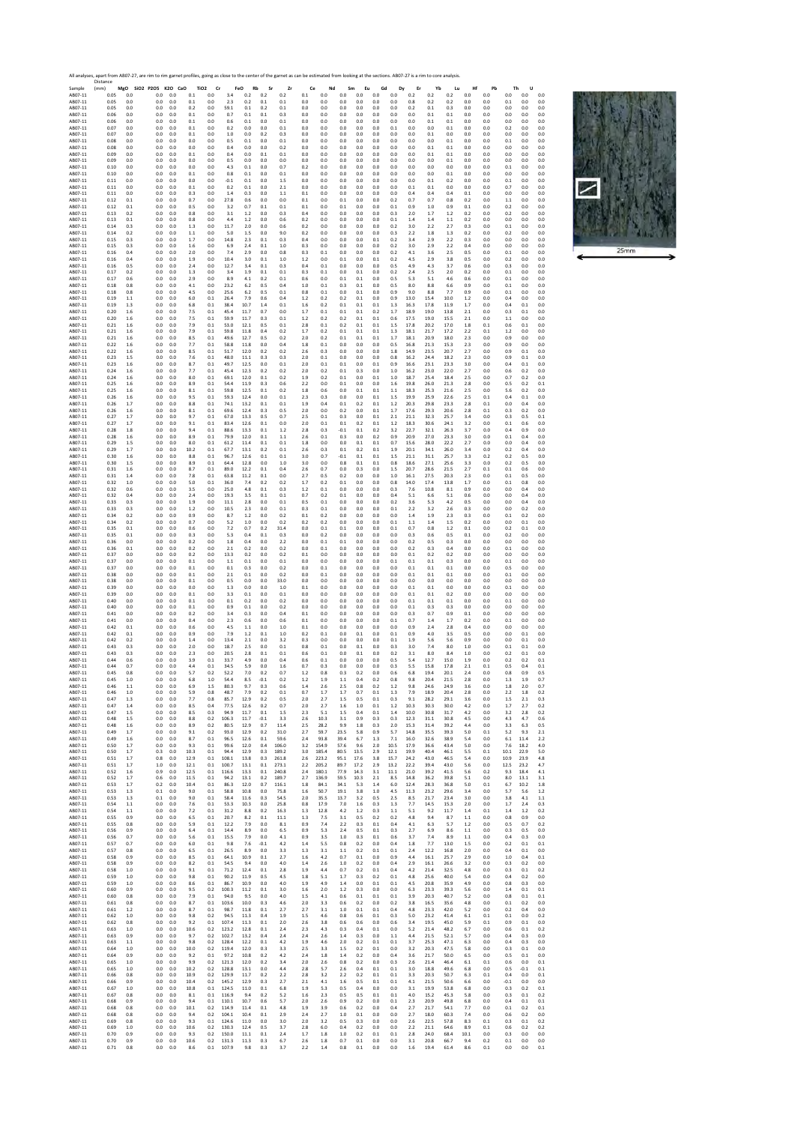

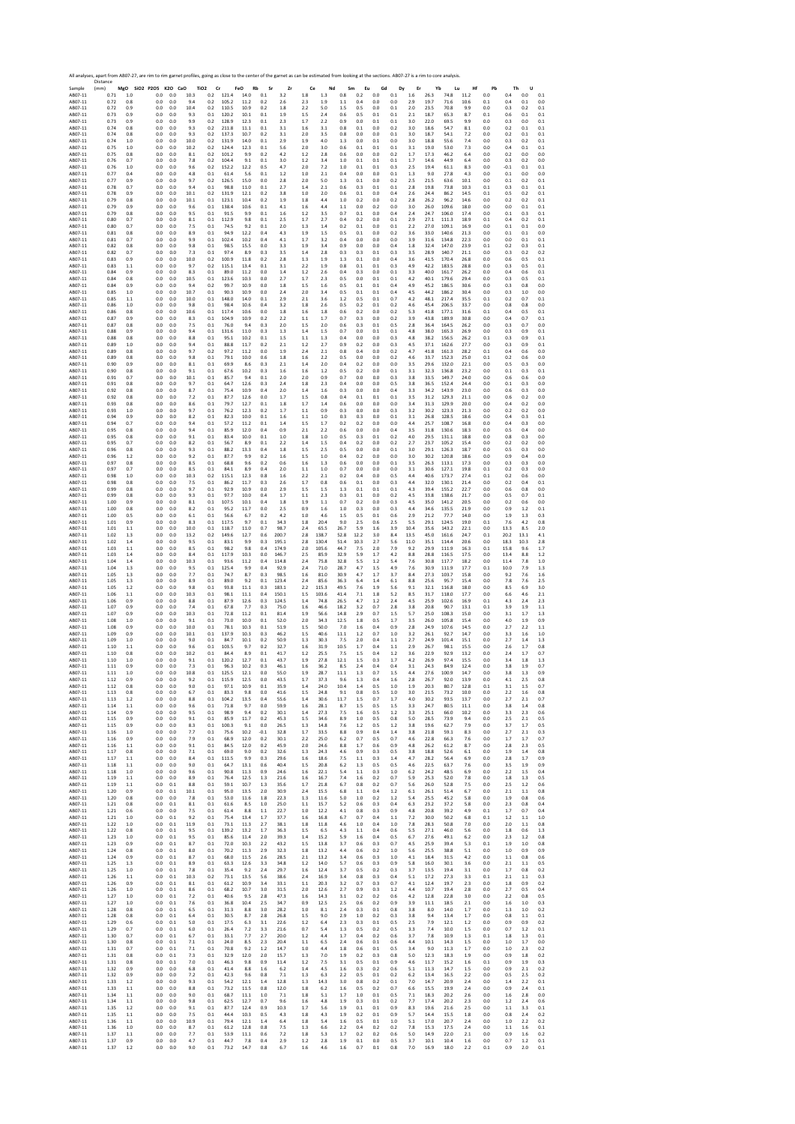Sample Resort Resort Resort Resort Resort Resort Resort Resort Resort Resort Resort Resort Resort Resort Resort Resort Resort Resort Resort Resort Resort Resort Resort Resort Resort Resort Resort Resort Resort Resort Reso Distance (mm) **MgO SiO2 P2O5 K2O CaO TiO2 Cr FeO Rb Sr Zr Ce Nd Sm Eu Gd Dy Er Yb Lu Hf Pb Th U** AB07‐11 0.71 1.0 0.0 0.0 10.3 0.2 121.4 14.0 0.1 3.2 1.8 1.3 0.8 0.2 0.0 0.1 1.6 26.3 74.8 11.2 0.0 0.4 0.0 0.1 AB07‐11 0.72 0.8 0.0 0.0 9.4 0.2 105.2 11.2 0.2 2.6 2.3 1.9 1.1 0.4 0.0 0.0 2.9 19.7 71.6 10.6 0.1 0.4 0.1 0.0 AB07‐11 0.72 0.9 0.0 0.0 10.4 0.2 110.5 10.9 0.2 1.8 2.2 5.0 1.5 0.5 0.0 0.1 2.0 23.5 70.8 9.9 0.0 0.3 0.2 0.1 AB07‐11 0.73 0.9 0.0 0.0 9.3 0.1 120.2 10.1 0.1 1.9 1.5 2.4 0.6 0.5 0.1 0.1 2.1 18.7 65.3 8.7 0.1 0.6 0.1 0.1 AB07‐11 0.73 0.9 0.0 0.0 9.9 0.2 128.9 12.3 0.1 2.3 1.7 2.2 0.9 0.0 0.1 0.1 3.0 22.0 69.5 9.9 0.0 0.3 0.0 0.1 AB07‐11 0.74 0.8 0.0 0.0 9.3 0.2 211.8 11.1 0.1 3.1 1.6 3.1 0.8 0.1 0.0 0.2 3.0 18.6 54.7 8.1 0.0 0.2 0.1 0.1 AB07‐11 0.74 0.8 0.0 0.0 9.3 0.2 137.3 10.7 0.2 3.1 2.0 3.5 0.8 0.0 0.0 0.1 3.0 18.7 54.1 7.2 0.0 0.2 0.1 0.1 AB07‐11 0.74 1.0 0.0 0.0 10.0 0.2 131.9 14.0 0.1 2.9 1.9 4.0 1.3 0.0 0.1 0.0 3.0 18.8 55.6 7.4 0.0 0.3 0.2 0.1 AB07‐11 0.75 1.0 0.0 0.0 10.2 0.2 124.4 12.3 0.1 5.6 2.0 3.0 0.6 0.1 0.1 0.1 3.1 19.0 53.0 7.3 0.0 0.4 0.1 0.1 AB07‐11 0.75 0.8 0.0 0.0 8.1 0.2 101.2 9.9 0.2 4.2 1.2 2.8 0.6 0.0 0.0 0.2 1.7 17.3 46.2 6.4 0.0 0.2 0.0 0.0 AB07‐11 0.76 0.7 0.0 0.0 7.8 0.2 104.4 9.1 0.1 3.0 1.2 3.4 1.0 0.1 0.1 0.1 1.7 14.6 44.9 6.4 0.0 0.3 0.2 0.0 AB07‐11 0.76 1.0 0.0 0.0 9.6 0.2 152.2 12.2 0.5 4.7 2.0 7.2 1.0 0.1 0.1 0.3 2.5 19.4 61.1 8.3 0.0 ‐0.1 0.1 0.1 AB07‐11 0.77 0.4 0.0 0.0 4.8 0.1 61.4 5.6 0.1 1.2 1.0 2.1 0.4 0.0 0.0 0.1 1.3 9.0 27.8 4.3 0.0 0.1 0.0 0.0 AB07‐11 0.77 0.9 0.0 0.0 9.7 0.2 126.5 15.0 0.0 2.8 2.0 5.0 1.3 0.1 0.0 0.2 2.5 21.5 63.6 10.1 0.0 0.1 0.2 0.1 AB07‐11 0.78 0.7 0.0 0.0 9.4 0.1 98.8 11.0 0.1 2.7 1.4 2.1 0.6 0.3 0.1 0.1 2.8 19.8 73.8 10.3 0.1 0.3 0.1 0.1 AB07‐11 0.78 0.9 0.0 0.0 10.1 0.2 131.9 12.1 0.2 3.8 1.0 2.0 0.6 0.1 0.0 0.4 2.6 24.4 86.2 14.5 0.1 0.5 0.2 0.1 AB07‐11 0.79 0.8 0.0 0.0 10.1 0.1 123.1 10.4 0.2 1.9 1.8 4.4 1.0 0.2 0.0 0.2 2.8 26.2 96.2 14.6 0.0 0.2 0.2 0.1 AB07‐11 0.79 0.9 0.0 0.0 9.6 0.1 138.4 10.6 0.1 4.1 1.6 4.4 1.1 0.0 0.2 0.0 3.0 26.0 109.6 18.0 0.0 0.0 0.1 0.1 AB07‐11 0.79 0.8 0.0 0.0 9.5 0.1 91.5 9.9 0.1 1.6 1.2 3.5 0.7 0.1 0.0 0.4 2.4 24.7 106.0 17.4 0.0 0.1 0.3 0.1 AB07‐11 0.80 0.7 0.0 0.0 8.1 0.1 112.9 9.8 0.1 2.5 1.7 2.7 0.4 0.2 0.0 0.1 2.9 27.1 111.3 18.9 0.1 0.4 0.2 0.1 AB07‐11 0.80 0.7 0.0 0.0 7.5 0.1 74.5 9.2 0.1 2.0 1.3 1.4 0.2 0.1 0.0 0.1 2.2 27.0 109.1 16.9 0.0 0.1 0.1 0.0 AB07‐11 0.81 0.8 0.0 0.0 8.9 0.1 94.9 12.2 0.4 4.3 1.9 1.5 0.5 0.1 0.0 0.2 3.6 33.0 140.6 21.3 0.0 0.1 0.1 0.0 AB07‐11 0.81 0.7 0.0 0.0 9.9 0.1 102.4 10.2 0.4 4.1 1.7 3.2 0.4 0.0 0.0 0.0 3.9 31.6 134.8 22.3 0.0 0.0 0.1 0.1 AB07‐11 0.82 0.8 0.0 0.0 9.8 0.1 98.5 15.5 0.0 3.3 1.9 3.4 0.9 0.0 0.0 0.4 1.8 32.4 147.0 23.9 0.1 0.2 0.3 0.1 AB07‐11 0.82 0.7 0.0 0.0 7.3 0.1 97.4 8.9 0.3 3.5 1.4 2.8 0.3 0.3 0.1 0.3 3.5 28.9 140.7 21.1 0.0 0.3 0.2 0.2 AB07‐11 0.83 0.9 0.0 0.0 10.0 0.2 100.9 11.8 0.2 2.8 1.3 1.9 1.3 0.1 0.0 0.4 3.6 41.5 170.4 26.8 0.0 0.6 0.5 0.1 AB07‐11 0.83 1.1 0.0 0.0 9.7 0.2 115.1 13.4 0.1 3.1 2.2 1.9 0.8 0.1 0.1 0.3 4.9 42.2 183.5 28.8 0.0 0.3 0.5 0.1 AB07‐11 0.84 0.9 0.0 0.0 8.3 0.1 89.0 11.2 0.0 1.4 1.2 2.6 0.4 0.3 0.0 0.1 3.3 40.0 161.7 26.2 0.0 0.4 0.6 0.1 AB07‐11 0.84 0.8 0.0 0.0 10.5 0.1 123.6 10.3 0.0 2.7 1.7 2.3 0.5 0.0 0.1 0.1 4.2 40.1 179.6 29.4 0.0 0.3 0.5 0.1 AB07‐11 0.84 0.9 0.0 0.0 9.4 0.2 99.7 10.9 0.0 1.8 1.5 1.6 0.5 0.1 0.1 0.4 4.9 45.2 186.5 30.6 0.0 0.3 0.8 0.0 AB07‐11 0.85 1.0 0.0 0.0 10.7 0.1 90.3 10.9 0.0 2.4 2.0 3.4 0.5 0.1 0.1 0.4 4.5 44.2 186.2 30.4 0.0 0.3 1.0 0.0 AB07‐11 0.85 1.1 0.0 0.0 10.0 0.1 148.0 14.0 0.1 2.9 2.1 3.6 1.2 0.5 0.1 0.7 4.2 48.1 217.4 35.5 0.1 0.2 0.7 0.1 AB07‐11 0.86 1.0 0.0 0.0 9.8 0.1 98.4 10.6 0.4 3.2 1.8 2.6 0.5 0.2 0.1 0.2 4.6 45.4 206.5 33.7 0.0 0.8 0.8 0.0 AB07‐11 0.86 0.8 0.0 0.0 10.6 0.1 117.4 10.6 0.0 1.8 1.6 1.8 0.6 0.2 0.0 0.2 5.3 41.8 177.1 31.6 0.1 0.4 0.5 0.1 AB07‐11 0.87 0.9 0.0 0.0 8.3 0.1 104.9 10.9 0.2 2.2 1.1 1.7 0.7 0.3 0.0 0.2 3.9 43.8 189.9 30.8 0.0 0.4 0.7 0.1 AB07‐11 0.87 0.8 0.0 0.0 7.5 0.1 76.0 9.4 0.3 2.0 1.5 2.0 0.6 0.3 0.1 0.5 2.8 36.4 164.5 26.2 0.0 0.3 0.7 0.0 AB07‐11 0.88 0.9 0.0 0.0 9.4 0.1 131.6 11.0 0.3 1.3 1.4 1.5 0.7 0.0 0.1 0.1 4.8 38.0 165.3 26.9 0.0 0.3 0.9 0.1 AB07‐11 0.88 0.8 0.0 0.0 8.8 0.1 95.1 10.2 0.1 1.5 1.1 1.3 0.4 0.0 0.0 0.3 4.8 38.2 156.5 26.2 0.1 0.3 0.9 0.1 AB07‐11 0.89 1.0 0.0 0.0 9.4 0.1 88.8 11.7 0.2 2.1 1.2 2.7 0.9 0.2 0.0 0.3 4.5 37.1 162.6 27.7 0.0 0.3 0.9 0.1 AB07‐11 0.89 0.8 0.0 0.0 9.7 0.2 97.2 11.2 0.0 1.9 2.4 2.1 0.8 0.4 0.0 0.2 4.7 41.8 161.3 28.2 0.1 0.4 0.6 0.0 AB07‐11 0.89 0.8 0.0 0.0 9.8 0.1 79.1 10.0 0.6 1.8 1.6 2.2 0.5 0.0 0.0 0.2 4.6 33.7 152.3 25.0 0.1 0.2 0.6 0.0 AB07‐11 0.90 0.9 0.0 0.0 8.1 0.1 69.9 8.6 0.3 2.1 1.4 2.0 0.4 0.2 0.0 0.0 3.5 29.6 132.0 22.1 0.0 0.5 0.3 0.0 AB07‐11 0.90 0.8 0.0 0.0 9.1 0.1 67.6 10.2 0.3 1.6 1.6 1.2 0.5 0.2 0.0 0.1 3.1 32.3 136.8 23.2 0.0 0.1 0.3 0.1 AB07‐11 0.91 0.7 0.0 0.0 10.1 0.1 85.7 9.4 0.1 2.0 2.0 0.9 0.7 0.0 0.0 0.3 3.8 33.5 149.7 24.0 0.0 0.6 0.6 0.0 AB07‐11 0.91 0.8 0.0 0.0 9.7 0.1 64.7 12.6 0.3 2.4 1.8 2.3 0.4 0.0 0.0 0.5 3.8 36.5 152.4 24.4 0.0 0.1 0.3 0.0 AB07‐11 0.92 0.8 0.0 0.0 8.7 0.1 75.4 10.9 0.4 2.0 1.4 1.6 0.3 0.0 0.0 0.4 3.3 34.2 143.9 23.0 0.0 0.6 0.3 0.0 AB07‐11 0.92 0.8 0.0 0.0 7.2 0.1 87.7 12.6 0.0 1.7 1.5 0.8 0.4 0.1 0.1 0.1 3.5 31.2 129.3 21.1 0.0 0.6 0.2 0.0 AB07‐11 0.93 0.8 0.0 0.0 8.6 0.1 79.7 12.7 0.1 1.8 1.7 1.4 0.6 0.0 0.0 0.0 3.4 31.3 129.9 20.0 0.0 0.4 0.2 0.0 AB07‐11 0.93 1.0 0.0 0.0 9.7 0.1 76.2 12.3 0.2 1.7 1.1 0.9 0.3 0.0 0.0 0.3 3.2 30.2 123.3 21.3 0.0 0.2 0.2 0.0 AB07‐11 0.94 0.9 0.0 0.0 8.2 0.1 82.3 10.0 0.1 1.6 1.1 1.0 0.3 0.3 0.0 0.1 3.1 26.8 128.5 18.6 0.0 0.4 0.3 0.1 AB07‐11 0.94 0.7 0.0 0.0 9.4 0.1 57.2 11.2 0.1 1.4 1.5 1.7 0.2 0.2 0.0 0.0 4.4 25.7 108.7 16.8 0.0 0.4 0.3 0.0 AB07‐11 0.95 0.8 0.0 0.0 9.4 0.1 85.9 12.0 0.4 0.9 2.1 2.2 0.6 0.0 0.0 0.4 3.5 31.8 130.6 18.3 0.0 0.5 0.4 0.0 AB07‐11 0.95 0.8 0.0 0.0 9.1 0.1 83.4 10.0 0.1 1.0 1.8 1.0 0.5 0.3 0.1 0.2 4.0 29.5 131.1 18.8 0.0 0.8 0.3 0.0 AB07‐11 0.95 0.7 0.0 0.0 8.2 0.1 56.7 8.9 0.1 2.2 1.4 1.5 0.4 0.2 0.0 0.2 2.7 23.7 105.2 15.4 0.0 0.2 0.2 0.0 AB07‐11 0.96 0.8 0.0 0.0 9.3 0.1 88.2 13.3 0.4 1.8 1.5 2.5 0.5 0.0 0.0 0.1 3.0 29.1 126.3 18.7 0.0 0.5 0.3 0.0 AB07‐11 0.96 1.2 0.0 0.0 9.2 0.1 87.7 9.9 0.2 1.6 1.5 1.0 0.4 0.2 0.0 0.0 3.0 30.2 120.8 18.6 0.0 0.9 0.4 0.0 AB07‐11 0.97 0.8 0.0 0.0 8.5 0.1 68.8 9.6 0.2 0.6 1.6 1.3 0.6 0.0 0.0 0.1 3.5 26.3 113.1 17.3 0.0 0.3 0.3 0.0 AB07‐11 0.97 0.7 0.0 0.0 8.5 0.1 84.1 8.9 0.4 2.0 1.1 1.0 0.7 0.0 0.0 0.0 3.1 30.6 127.1 19.8 0.1 0.2 0.3 0.0 AB07‐11 0.98 1.0 0.0 0.0 10.3 0.2 115.1 12.3 0.8 1.6 2.2 2.1 0.2 0.4 0.0 0.5 4.4 40.6 173.7 27.4 0.1 0.2 0.6 0.0 AB07‐11 0.98 0.8 0.0 0.0 7.5 0.1 86.2 11.7 0.3 2.6 1.7 0.8 0.6 0.1 0.0 0.3 4.4 32.0 130.1 21.4 0.0 0.2 0.4 0.1 AB07‐11 0.99 0.8 0.0 0.0 9.7 0.1 92.9 10.9 0.0 2.9 1.5 1.5 1.3 0.1 0.1 0.1 4.3 39.4 155.2 22.7 0.0 0.6 0.8 0.0 AB07‐11 0.99 0.8 0.0 0.0 9.3 0.1 97.7 10.0 0.4 1.7 1.1 2.3 0.3 0.1 0.0 0.2 4.5 33.8 138.6 21.7 0.0 0.5 0.7 0.1 AB07‐11 1.00 0.9 0.0 0.0 8.1 0.1 107.5 10.1 0.4 1.8 1.9 1.1 0.7 0.2 0.0 0.3 4.5 35.0 141.2 20.5 0.0 0.2 0.6 0.0 AB07‐11 1.00 0.8 0.0 0.0 8.2 0.1 95.2 11.7 0.0 2.5 0.9 1.6 1.0 0.3 0.0 0.3 4.4 34.6 135.5 21.9 0.0 0.9 1.2 0.1 AB07‐11 1.00 0.5 0.0 0.0 6.1 0.1 56.6 6.7 0.2 4.2 1.0 4.6 1.5 0.5 0.1 0.6 2.9 21.2 77.7 14.0 0.0 1.9 1.3 0.3 AB07‐11 1.01 0.9 0.0 0.0 8.3 0.1 117.5 9.7 0.1 34.3 1.8 20.4 9.0 2.5 0.6 2.5 5.5 29.1 124.5 19.0 0.1 7.6 4.2 0.8 AB07‐11 1.01 1.1 0.0 0.0 10.0 0.1 118.7 11.0 0.7 98.7 2.4 65.5 26.7 5.9 1.6 3.9 10.4 35.6 143.2 22.1 0.0 13.3 8.5 2.0 AB07‐11 1.02 1.3 0.0 0.0 13.2 0.2 149.6 12.7 0.6 200.7 2.8 138.7 52.8 12.2 3.0 8.4 13.5 45.0 161.6 24.7 0.1 20.2 13.1 4.1 AB07‐11 1.02 1.4 0.0 0.0 9.5 0.1 83.1 9.9 0.3 195.1 2.8 130.4 51.4 10.3 2.7 5.6 11.0 35.1 114.4 20.6 0.0 18.3 10.3 2.8 AB07‐11 1.03 1.1 0.0 0.0 8.5 0.1 98.2 9.8 0.4 174.9 2.0 105.6 44.7 7.5 2.0 7.9 9.2 29.9 111.9 16.3 0.1 15.8 9.6 1.7 AB07‐11 1.03 1.4 0.0 0.0 8.4 0.1 117.9 10.3 0.0 146.7 2.5 85.9 32.9 5.9 1.7 4.2 8.8 28.8 116.5 17.5 0.0 13.4 8.8 1.2 AB07‐11 1.04 1.4 0.0 0.0 10.3 0.1 93.6 11.2 0.4 114.8 2.4 75.8 32.8 5.5 1.2 5.4 7.6 30.8 117.7 18.2 0.0 11.4 7.8 1.0 AB07‐11 1.04 1.3 0.0 0.0 9.5 0.1 125.4 9.9 0.4 92.9 2.4 71.0 28.7 4.7 1.5 4.9 7.6 30.9 111.9 17.7 0.1 10.0 7.9 1.3 AB07‐11 1.05 1.3 0.0 0.0 7.7 0.1 74.7 8.7 0.3 98.5 1.6 81.0 30.9 4.7 1.7 3.7 8.4 27.3 103.7 15.8 0.0 9.2 7.6 1.6 AB07‐11 1.05 1.3 0.0 0.0 8.9 0.1 89.0 9.2 0.1 123.4 2.4 85.6 36.3 6.4 1.4 6.1 8.8 25.6 95.7 15.4 0.0 7.8 7.6 2.5 AB07‐11 1.05 1.2 0.0 0.0 9.8 0.1 93.8 11.1 0.3 183.1 2.2 115.3 49.5 7.6 1.9 5.6 9.1 32.1 116.8 18.0 0.0 8.5 6.9 3.0 AB07‐11 1.06 1.1 0.0 0.0 10.3 0.1 98.1 11.1 0.4 150.1 1.5 103.6 41.4 7.1 1.8 5.2 8.5 31.7 118.0 17.7 0.0 6.6 4.6 2.1 AB07‐11 1.06 0.9 0.0 0.0 8.8 0.1 87.9 12.6 0.3 124.5 1.4 74.8 26.5 4.7 1.2 2.4 4.5 25.9 102.6 16.9 0.1 4.3 2.4 2.3 AB07‐11 1.07 0.9 0.0 0.0 7.4 0.1 67.8 7.7 0.3 75.0 1.6 46.6 18.2 3.2 0.7 2.8 3.8 20.8 90.7 13.1 0.1 3.9 1.9 1.1 AB07‐11 1.07 0.9 0.0 0.0 10.3 0.1 72.8 11.2 0.1 81.4 1.9 56.6 14.8 2.9 0.7 1.5 5.7 25.0 108.3 15.0 0.0 3.1 1.7 1.3 AB07‐11 1.08 1.0 0.0 0.0 9.1 0.1 73.0 10.0 0.1 52.0 2.0 34.3 12.5 1.8 0.5 1.7 3.5 26.0 105.8 15.4 0.0 4.0 1.9 0.9 AB07‐11 1.08 0.9 0.0 0.0 10.0 0.1 78.1 10.3 0.1 51.9 1.5 50.0 7.0 1.6 0.4 0.9 2.8 24.9 107.6 14.5 0.0 2.7 2.2 1.1 AB07‐11 1.09 0.9 0.0 0.0 10.1 0.1 137.9 10.3 0.3 46.2 1.5 40.6 11.1 1.2 0.7 1.0 3.2 26.1 92.7 14.7 0.0 3.3 1.6 1.0 AB07‐11 1.09 1.0 0.0 0.0 9.0 0.1 84.7 10.1 0.2 50.9 1.3 30.3 7.5 2.0 0.4 1.1 2.7 24.9 101.4 15.1 0.0 2.7 1.4 1.3 AB07‐11 1.10 1.1 0.0 0.0 9.6 0.1 103.5 9.7 0.2 32.7 1.6 31.9 10.5 1.7 0.4 1.1 2.9 26.7 98.1 15.5 0.0 2.6 1.7 0.8 AB07‐11 1.10 0.8 0.0 0.0 10.2 0.1 84.4 8.9 0.1 41.7 1.2 25.5 7.5 1.5 0.4 1.2 3.6 22.9 92.9 13.2 0.0 2.4 1.7 0.7 AB07‐11 1.10 1.0 0.0 0.0 9.1 0.1 120.2 12.7 0.1 43.7 1.9 27.8 12.1 1.5 0.3 1.7 4.2 26.9 97.4 15.5 0.0 3.4 1.8 1.3 AB07‐11 1.11 0.9 0.0 0.0 7.3 0.1 96.3 10.2 0.3 46.1 1.6 36.2 8.5 2.4 0.4 0.4 3.1 24.3 84.9 12.4 0.0 3.8 1.9 0.7 AB07‐11 1.11 1.0 0.0 0.0 10.8 0.1 125.5 12.1 0.0 55.0 1.9 28.7 11.1 1.3 0.7 1.5 4.4 27.6 100.9 14.7 0.0 3.8 1.3 0.9 AB07‐11 1.12 0.9 0.0 0.0 9.2 0.1 115.9 12.5 0.0 43.5 1.7 37.3 9.6 1.3 0.4 1.6 2.8 26.7 92.0 13.9 0.0 4.1 2.5 0.8 AB07‐11 1.12 0.8 0.0 0.0 9.0 0.1 97.1 10.9 0.1 35.9 1.4 24.0 10.4 1.4 0.5 1.0 1.9 20.3 80.7 12.8 0.1 3.1 1.5 0.7 AB07‐11 1.13 0.8 0.0 0.0 6.7 0.1 83.3 9.8 0.0 41.6 1.5 24.8 9.1 0.8 0.5 1.0 3.0 21.5 73.2 10.0 0.0 2.2 1.6 0.8 AB07‐11 1.13 1.2 0.0 0.0 8.8 0.1 104.2 13.5 0.4 55.6 1.4 30.6 11.7 1.5 0.7 1.7 4.0 30.2 93.5 13.7 0.0 2.7 2.1 0.7 AB07‐11 1.14 1.1 0.0 0.0 9.6 0.1 71.8 9.7 0.0 59.9 1.6 28.1 8.7 1.5 0.5 1.5 3.3 24.7 80.5 11.1 0.0 3.8 1.4 0.8 AB07‐11 1.14 0.9 0.0 0.0 9.5 0.1 98.9 9.4 0.2 30.1 1.4 27.3 7.5 1.6 0.5 1.2 3.3 25.1 66.0 10.2 0.0 3.3 2.3 0.6 AB07‐11 1.15 0.9 0.0 0.0 9.1 0.1 85.9 11.7 0.2 45.3 1.5 34.6 8.9 1.0 0.5 0.8 5.0 28.5 73.9 9.4 0.0 2.5 2.1 0.5 AB07‐11 1.15 0.9 0.0 0.0 8.3 0.1 100.3 9.1 0.0 26.5 1.3 14.8 7.6 1.2 0.5 1.2 3.8 19.6 62.7 7.9 0.0 3.7 1.7 0.5 AB07‐11 1.16 1.0 0.0 0.0 7.7 0.1 75.6 10.2 ‐0.1 32.8 1.7 33.5 8.8 0.9 0.4 1.4 3.8 21.8 59.1 8.3 0.0 2.7 2.1 0.3 AB07‐11 1.16 0.9 0.0 0.0 7.9 0.1 68.9 12.0 0.2 30.1 2.2 25.0 6.2 0.7 0.5 0.7 4.6 22.8 66.3 7.6 0.0 1.7 1.7 0.7 AB07‐11 1.16 1.1 0.0 0.0 9.1 0.1 84.5 12.0 0.2 45.9 2.0 24.6 8.8 1.7 0.6 0.9 4.8 26.2 61.2 8.7 0.0 2.8 2.3 0.5 AB07‐11 1.17 0.8 0.0 0.0 7.1 0.1 69.0 9.0 0.2 32.6 1.3 24.3 4.6 0.9 0.3 0.5 3.8 18.8 52.6 6.1 0.0 1.9 1.4 0.8 AB07‐11 1.17 1.1 0.0 0.0 8.4 0.1 111.5 9.9 0.3 29.6 1.6 18.6 7.5 1.1 0.3 1.4 4.7 28.2 56.4 6.9 0.0 2.8 1.7 0.9 AB07‐11 1.18 1.1 0.0 0.0 9.0 0.1 64.7 13.1 0.6 40.4 1.5 20.8 6.2 1.3 0.5 0.5 4.6 22.5 63.7 7.6 0.0 3.5 1.9 0.9 AB07‐11 1.18 1.0 0.0 0.0 9.6 0.1 90.8 11.3 0.9 24.6 1.6 22.1 5.4 1.1 0.3 1.0 6.2 24.2 48.5 6.9 0.0 2.2 1.5 0.4 AB07‐11 1.19 1.1 0.0 0.0 8.9 0.1 76.4 12.5 1.3 21.6 1.6 16.7 7.4 1.6 0.2 0.7 5.9 25.3 52.0 7.8 0.0 1.8 1.3 0.5 AB07‐11 1.19 1.1 0.0 0.1 8.8 0.1 59.1 10.7 1.3 35.6 1.7 21.8 6.7 0.8 0.2 0.7 5.6 26.0 52.8 7.5 0.0 2.5 1.2 0.6 AB07‐11 1.20 0.9 0.0 0.1 10.1 0.1 95.0 13.5 2.0 30.9 2.4 15.5 6.8 1.1 0.4 1.2 6.1 26.1 51.4 6.7 0.0 2.1 1.1 0.8 AB07‐11 1.20 0.8 0.0 0.0 7.8 0.1 53.0 11.6 1.8 22.3 1.3 11.6 5.0 1.0 0.2 1.2 5.4 25.5 45.2 5.8 0.0 1.9 0.8 0.6 AB07‐11 1.21 0.8 0.0 0.1 8.1 0.1 61.6 8.5 1.0 25.0 1.1 15.7 5.2 0.6 0.3 0.4 6.3 23.2 37.2 5.8 0.0 2.3 0.8 0.4 AB07‐11 1.21 0.6 0.0 0.0 7.5 0.1 61.4 8.8 1.1 22.7 1.0 12.2 4.1 0.8 0.3 0.9 4.8 20.8 39.2 4.9 0.1 1.7 0.7 0.4 AB07‐11 1.21 1.0 0.0 0.1 9.2 0.1 75.4 13.4 1.7 37.7 1.6 16.8 6.7 0.7 0.4 1.1 7.2 30.0 50.2 6.8 0.1 1.2 1.1 1.0 AB07‐11 1.22 1.0 0.0 0.1 11.9 0.1 73.1 11.3 2.7 38.1 1.8 11.8 4.6 1.0 0.4 1.0 7.8 28.3 50.8 7.0 0.0 2.0 1.1 0.8 AB07‐11 1.22 0.8 0.0 0.1 9.5 0.1 139.2 13.2 1.7 36.3 1.5 6.5 4.3 1.1 0.4 0.6 5.5 27.1 46.0 5.6 0.0 1.8 0.6 1.3 AB07‐11 1.23 1.0 0.0 0.1 9.5 0.1 85.6 11.4 2.0 39.3 1.4 15.2 5.9 1.6 0.4 0.5 6.7 27.6 49.1 6.2 0.0 2.3 1.2 0.8 AB07‐11 1.23 0.9 0.0 0.1 8.7 0.1 72.0 10.3 2.2 43.2 1.5 13.8 3.7 0.6 0.3 0.7 4.5 25.9 39.4 5.3 0.1 1.9 1.0 0.8 AB07‐11 1.24 0.8 0.0 0.1 8.0 0.1 70.2 11.3 2.9 32.3 1.8 13.2 4.4 0.6 0.2 1.0 5.6 25.5 38.8 5.1 0.0 1.0 0.9 0.9 AB07‐11 1.24 0.9 0.0 0.1 8.7 0.1 68.0 11.5 2.6 28.5 2.1 13.2 3.4 0.6 0.3 1.0 4.1 18.4 31.5 4.2 0.0 1.1 0.8 0.6 AB07‐11 1.25 1.3 0.0 0.1 8.9 0.1 63.3 12.6 3.3 34.8 1.2 14.0 5.7 0.6 0.3 0.9 5.8 16.0 30.1 3.6 0.0 2.1 1.1 0.5 AB07‐11 1.25 1.0 0.0 0.1 7.8 0.1 35.4 9.2 2.4 29.7 1.6 12.4 3.7 0.5 0.2 0.3 3.7 13.5 19.4 3.1 0.0 1.7 0.8 0.2 AB07‐11 1.26 1.1 0.0 0.1 10.3 0.2 73.1 13.5 5.6 38.6 2.4 16.9 3.4 0.8 0.3 0.4 5.1 17.2 27.3 3.3 0.1 2.1 1.1 0.3 AB07‐11 1.26 0.9 0.0 0.1 8.1 0.1 61.2 10.9 3.4 33.1 1.1 20.3 3.2 0.7 0.3 0.7 4.1 12.4 19.7 2.3 0.0 1.8 0.9 0.2 AB07‐11 1.26 1.0 0.0 0.1 8.6 0.1 68.2 10.7 3.0 31.5 2.0 12.6 2.7 0.9 0.3 1.2 4.4 10.7 19.4 2.8 0.0 2.7 0.5 0.4 AB07‐11 1.27 1.0 0.0 0.1 7.2 0.1 40.6 9.5 2.8 47.3 1.6 14.3 3.1 0.2 0.2 0.6 4.2 12.8 22.8 3.0 0.0 2.2 0.8 0.5 AB07‐11 1.27 1.0 0.0 0.1 7.6 0.1 36.8 10.4 2.5 34.7 0.9 12.5 2.5 0.6 0.2 0.9 3.9 11.1 18.5 2.1 0.0 1.6 1.0 0.3 AB07‐11 1.28 0.8 0.0 0.1 6.5 0.1 31.3 8.8 3.0 28.2 1.0 8.1 2.4 0.3 0.1 0.8 3.8 8.0 14.0 1.7 0.0 1.3 1.0 0.2 AB07‐11 1.28 0.8 0.0 0.1 6.4 0.1 30.5 8.7 2.8 26.8 1.5 9.0 2.9 1.0 0.2 0.3 3.8 9.4 13.4 1.7 0.0 0.8 1.1 0.1 AB07‐11 1.29 0.6 0.0 0.1 5.0 0.1 17.5 6.3 3.1 22.6 1.2 6.4 2.3 0.3 0.1 0.5 2.5 7.9 12.1 1.2 0.0 0.9 0.9 0.2 AB07‐11 1.29 0.7 0.0 0.1 6.0 0.1 26.4 7.2 3.3 21.6 0.7 5.4 1.3 0.5 0.2 0.5 3.3 7.4 10.0 1.5 0.0 0.7 1.2 0.1 AB07‐11 1.30 0.7 0.0 0.1 6.7 0.1 33.1 7.7 2.7 20.0 1.2 4.4 1.7 0.4 0.2 0.6 3.7 7.8 10.9 1.3 0.1 1.8 1.3 0.1 AB07‐11 1.30 0.8 0.0 0.1 7.1 0.1 24.0 8.5 2.3 20.4 1.1 6.5 2.4 0.6 0.1 0.6 4.4 10.1 14.3 1.5 0.0 1.0 1.7 0.0 AB07‐11 1.31 0.7 0.0 0.1 7.1 0.1 70.8 9.2 1.2 14.7 1.0 4.4 1.8 0.6 0.1 0.5 3.4 9.0 11.3 1.7 0.0 1.0 2.3 0.2 AB07‐11 1.31 0.8 0.0 0.1 7.3 0.1 32.9 12.0 2.0 15.7 1.3 7.0 1.9 0.2 0.3 0.8 5.0 12.3 18.3 1.9 0.0 0.9 1.8 0.2 AB07‐11 1.31 0.8 0.0 0.1 7.0 0.1 46.3 9.8 0.9 11.4 1.2 7.5 3.1 0.5 0.1 0.9 4.6 11.7 15.2 1.6 0.1 0.9 1.9 0.3 AB07‐11 1.32 0.9 0.0 0.0 6.8 0.1 41.4 8.8 1.6 6.2 1.4 4.5 1.6 0.3 0.2 0.6 5.1 11.3 14.7 1.5 0.0 0.9 2.1 0.2 AB07‐11 1.32 0.9 0.0 0.0 7.2 0.1 42.3 9.6 0.8 7.1 1.3 6.3 2.2 0.5 0.1 0.2 6.2 13.4 16.5 2.2 0.0 0.5 2.5 0.2 AB07‐11 1.33 1.2 0.0 0.0 9.3 0.1 54.2 12.1 1.4 12.8 1.3 14.3 3.0 0.8 0.2 0.1 7.0 14.7 20.9 2.4 0.0 1.4 2.2 0.1 AB07‐11 1.33 1.1 0.0 0.0 8.8 0.1 73.2 11.5 0.8 12.0 1.8 6.2 1.6 0.5 0.2 0.7 6.6 15.5 19.9 2.4 0.0 0.9 2.4 0.1 AB07‐11 1.34 1.1 0.0 0.0 9.0 0.1 68.7 11.1 1.0 7.1 1.8 5.1 1.7 1.0 0.1 0.5 7.1 18.3 20.2 2.6 0.0 1.6 2.8 0.0 AB07‐11 1.34 1.1 0.0 0.0 9.8 0.1 62.5 12.7 0.7 9.6 1.6 4.8 1.9 0.3 0.1 0.2 7.7 17.4 20.2 2.3 0.0 1.2 2.4 0.6 AB07‐11 1.35 1.2 0.0 0.0 9.1 0.1 87.7 12.4 0.9 10.3 1.7 5.6 1.9 0.1 0.1 0.9 8.3 19.6 21.6 2.5 0.0 1.1 3.3 0.1 AB07‐11 1.35 1.1 0.0 0.0 7.5 0.1 44.4 10.3 0.5 4.3 1.8 4.3 1.9 0.2 0.1 0.9 5.7 14.4 15.5 1.8 0.0 0.8 2.4 0.2 AB07‐11 1.36 1.1 0.0 0.0 10.9 0.1 79.4 12.1 1.4 6.4 1.8 5.4 1.6 0.5 0.1 1.0 5.1 17.0 20.7 2.4 0.0 1.0 2.2 0.2 AB07‐11 1.36 1.0 0.0 0.0 8.7 0.1 61.2 12.8 0.8 7.5 1.3 6.6 2.2 0.4 0.2 0.2 7.8 15.3 17.5 2.4 0.0 1.1 1.6 0.1 AB07‐11 1.37 1.1 0.0 0.0 7.7 0.1 53.9 11.1 0.6 7.2 1.8 5.3 1.7 0.2 0.2 0.6 5.0 14.9 22.0 2.1 0.0 0.9 1.6 0.2 AB07‐11 1.37 0.9 0.0 0.0 4.7 0.1 44.7 7.8 0.4 2.9 1.2 2.8 1.9 0.1 0.0 0.5 3.7 10.1 10.4 1.6 0.0 0.7 1.2 0.1 AB07‐11 1.37 1.2 0.0 0.0 9.0 0.1 73.2 14.7 0.8 6.7 1.6 4.6 1.6 0.7 0.1 0.8 7.0 16.9 18.0 2.2 0.1 0.9 2.0 0.1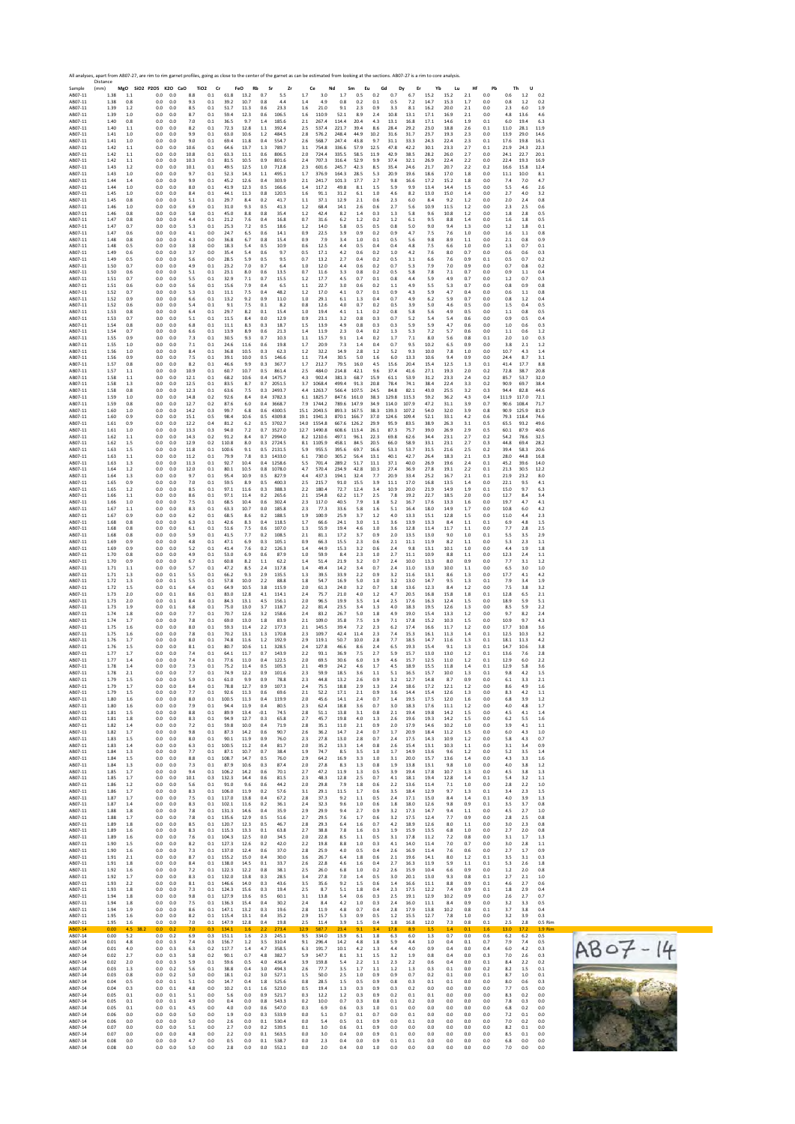

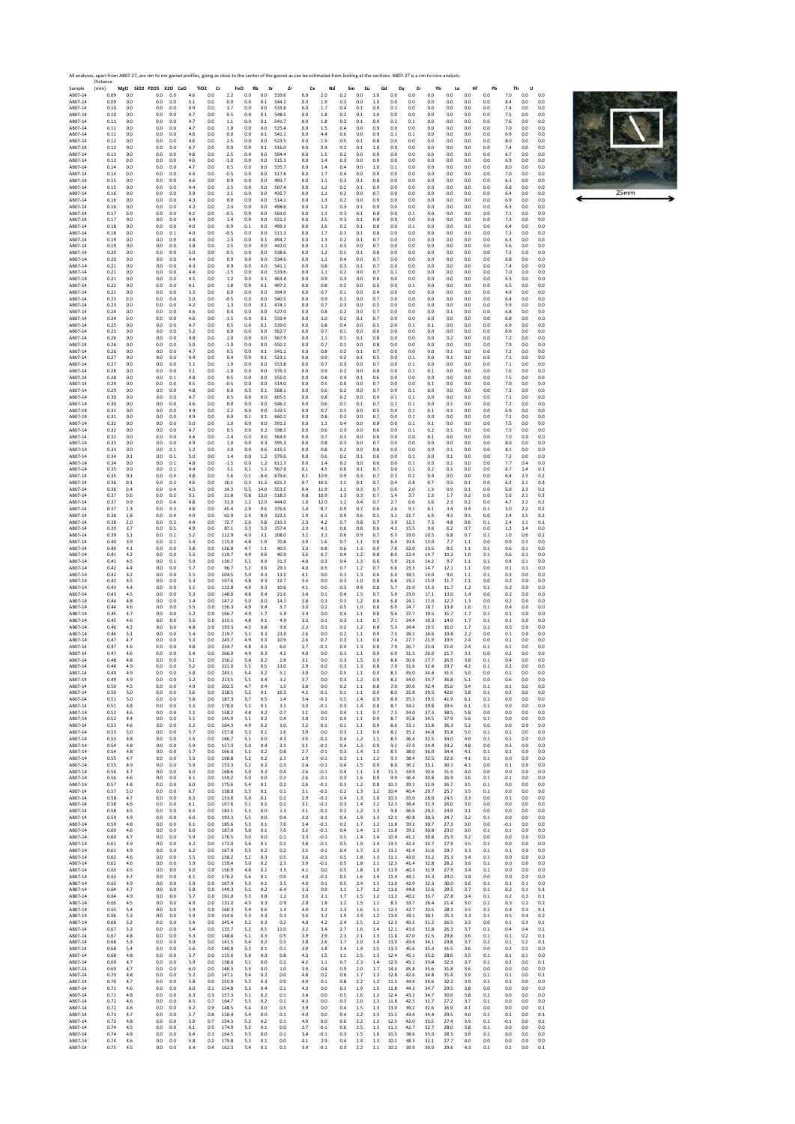

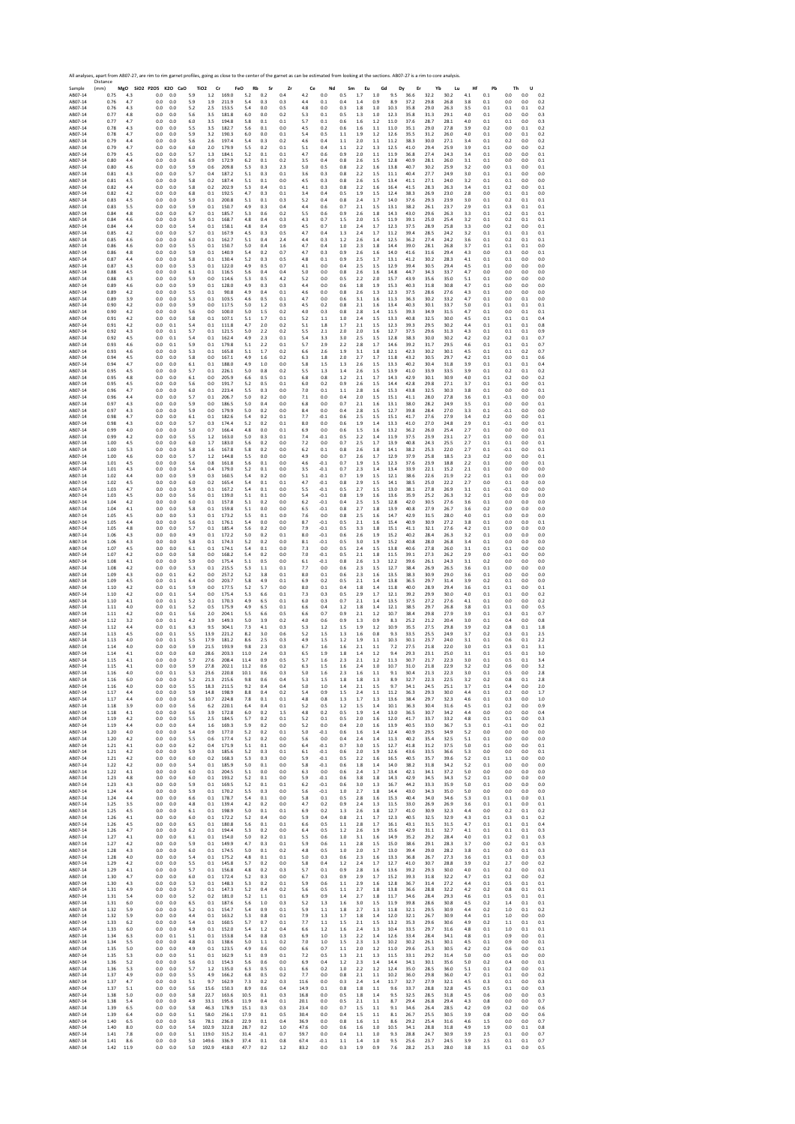Sample Resort A ABOF-14 ABOF-14 ABOF-14 ABOF-14 ABOF-14 ABOF-14 ABOF-14 ABOF-14 ABOF-14 ABOF-14 ABOF-14 ABOF-14 ABOF-14 ABOF-14 ABOF-14 ABOF-14 ABOF-14 ABOF-14 ABOF-14 ABOF-14 ABOF-14 ABOF-14 ABOF-14 ABOF-14 ABOF-14 ABOF-1 Distance (mm) **MgO SiO2 P2O5 K2O CaO TiO2 Cr FeO Rb Sr Zr Ce Nd Sm Eu Gd Dy Er Yb Lu Hf Pb Th U** AB07‐14 0.75 4.3 0.0 0.0 5.9 1.2 169.0 5.2 0.2 0.4 4.2 0.0 0.5 1.7 1.0 9.5 36.6 32.2 30.2 4.1 0.1 0.0 0.0 0.2 AB07‐14 0.76 4.7 0.0 0.0 5.9 1.9 211.9 5.4 0.3 0.3 4.4 0.1 0.4 1.4 0.9 8.9 37.2 29.8 26.8 3.8 0.1 0.0 0.0 0.2 AB07‐14 0.76 4.3 0.0 0.0 5.2 2.5 153.5 5.4 0.0 0.5 4.8 0.0 0.3 1.8 1.0 10.3 35.8 29.0 26.3 3.5 0.1 0.1 0.1 0.2 AB07‐14 0.77 4.8 0.0 0.0 5.6 3.5 181.8 6.0 0.0 0.2 5.3 0.1 0.5 1.3 1.0 12.3 35.8 31.3 29.1 4.0 0.1 0.0 0.0 0.3 AB07‐14 0.77 4.7 0.0 0.0 6.0 3.5 194.8 5.8 0.1 0.1 5.7 0.1 0.6 1.6 1.2 11.0 37.6 28.7 28.1 4.0 0.1 0.1 0.0 0.3 AB07‐14 0.78 4.3 0.0 0.0 5.5 3.5 182.7 5.6 0.1 0.0 4.5 0.2 0.6 1.6 1.1 11.0 35.1 29.0 27.8 3.9 0.2 0.0 0.1 0.2 AB07‐14 0.78 4.7 0.0 0.0 5.9 3.2 190.3 6.0 0.0 0.1 5.4 0.5 1.1 1.9 1.2 12.6 35.5 31.2 26.0 4.0 0.1 0.0 0.1 0.2 AB07‐14 0.79 4.4 0.0 0.0 5.6 2.6 197.4 5.4 0.3 0.2 4.6 0.4 1.1 2.0 1.1 11.2 38.3 30.0 27.1 3.4 0.1 0.2 0.0 0.2 AB07‐14 0.79 4.7 0.0 0.0 6.0 2.0 179.9 5.5 0.2 0.1 5.1 0.4 1.1 2.2 1.3 12.5 41.0 29.4 25.9 3.9 0.1 0.0 0.0 0.2 AB07‐14 0.79 4.5 0.0 0.0 5.7 1.3 184.1 5.2 0.1 0.1 4.7 0.6 0.9 2.0 1.1 11.9 36.8 27.4 24.3 3.4 0.1 0.0 0.0 0.1 AB07‐14 0.80 4.4 0.0 0.0 6.6 0.9 172.9 6.2 0.1 0.2 3.5 0.4 0.8 2.6 1.5 12.8 40.9 28.1 26.0 3.1 0.1 0.0 0.0 0.1 AB07‐14 0.80 4.6 0.0 0.0 5.9 0.6 209.8 5.3 0.3 2.3 5.0 0.5 0.8 2.2 1.6 13.8 40.7 30.2 25.9 3.2 0.0 0.1 0.0 0.1 AB07‐14 0.81 4.3 0.0 0.0 5.7 0.4 187.2 5.1 0.3 0.1 3.6 0.3 0.8 2.2 1.5 11.1 40.4 27.7 24.9 3.0 0.1 0.1 0.0 0.0 AB07‐14 0.81 4.5 0.0 0.0 5.8 0.2 187.4 5.1 0.1 0.0 4.5 0.3 0.8 2.6 1.5 13.4 41.1 27.1 24.0 3.2 0.1 0.1 0.0 0.0 AB07‐14 0.82 4.4 0.0 0.0 5.8 0.2 202.9 5.3 0.4 0.1 4.1 0.3 0.8 2.2 1.6 16.4 41.5 28.3 26.3 3.4 0.1 0.2 0.0 0.1 AB07‐14 0.82 4.2 0.0 0.0 6.8 0.1 192.5 4.7 0.3 0.1 3.4 0.4 0.5 1.9 1.5 12.4 38.3 26.9 23.0 2.8 0.0 0.1 0.1 0.0 AB07‐14 0.83 4.5 0.0 0.0 5.9 0.1 200.8 5.1 0.1 0.3 5.2 0.4 0.8 2.4 1.7 14.0 37.6 29.3 23.9 3.0 0.1 0.2 0.1 0.1 AB07‐14 0.83 5.5 0.0 0.0 5.9 0.1 150.7 4.9 0.3 0.4 4.4 0.6 0.7 2.1 1.5 13.1 38.2 26.1 23.7 2.9 0.1 0.3 0.1 0.1 AB07‐14 0.84 4.8 0.0 0.0 6.7 0.1 185.7 5.3 0.6 0.2 5.5 0.6 0.9 2.6 1.8 14.3 43.0 29.6 26.3 3.3 0.1 0.2 0.1 0.1 AB07‐14 0.84 4.6 0.0 0.0 5.9 0.1 168.7 4.8 0.4 0.3 4.3 0.7 1.5 2.0 1.5 11.9 39.1 25.0 25.4 3.2 0.1 0.2 0.1 0.1 AB07‐14 0.84 4.4 0.0 0.0 5.4 0.1 158.1 4.8 0.4 0.9 4.5 0.7 1.0 2.4 1.7 12.3 37.5 28.9 25.8 3.3 0.0 0.2 0.0 0.1 AB07‐14 0.85 4.2 0.0 0.0 5.7 0.1 167.9 4.5 0.3 0.5 4.7 0.4 1.3 2.4 1.7 11.2 39.4 28.5 24.2 3.2 0.1 0.1 0.1 0.1 AB07‐14 0.85 4.6 0.0 0.0 6.0 0.1 162.7 5.1 0.4 2.4 4.4 0.3 1.2 2.6 1.4 12.5 36.2 27.4 24.2 3.6 0.1 0.2 0.1 0.1 AB07‐14 0.86 4.6 0.0 0.0 5.5 0.1 150.7 5.0 0.4 1.6 4.7 0.4 1.0 2.3 1.8 14.4 39.0 28.1 26.8 3.7 0.1 0.1 0.1 0.0 AB07‐14 0.86 4.8 0.0 0.0 5.9 0.1 140.9 5.4 0.2 0.7 4.7 0.3 0.9 2.6 1.6 14.0 41.6 31.6 29.4 4.3 0.0 0.3 0.0 0.1 AB07‐14 0.87 4.4 0.0 0.0 5.8 0.1 130.4 5.2 0.3 0.5 4.8 0.1 0.9 2.5 1.7 13.1 41.2 30.2 28.3 4.1 0.1 0.1 0.0 0.0 AB07‐14 0.87 4.3 0.0 0.0 5.3 0.1 122.0 4.9 0.5 0.7 4.1 0.0 0.4 2.5 1.5 12.9 39.4 30.5 29.4 4.5 0.1 0.0 0.0 0.0 AB07‐14 0.88 4.5 0.0 0.0 6.1 0.1 116.5 5.6 0.4 0.4 5.0 0.0 0.8 2.6 1.6 14.8 44.7 34.3 33.7 4.7 0.0 0.0 0.0 0.0 AB07‐14 0.88 4.3 0.0 0.0 5.9 0.0 114.6 5.3 0.5 4.2 5.2 0.0 0.5 2.2 2.0 15.7 43.9 35.6 35.0 5.1 0.1 0.0 0.0 0.0 AB07‐14 0.89 4.6 0.0 0.0 5.9 0.1 128.0 4.9 0.3 0.3 4.4 0.0 0.6 1.8 1.9 15.3 40.3 31.8 30.8 4.7 0.1 0.0 0.0 0.0 AB07‐14 0.89 4.2 0.0 0.0 5.5 0.1 90.8 4.9 0.4 0.1 4.6 0.0 0.8 2.6 1.3 12.3 37.5 28.6 27.6 4.3 0.1 0.0 0.0 0.0 AB07‐14 0.89 3.9 0.0 0.0 5.3 0.1 103.5 4.6 0.5 0.1 4.7 0.0 0.6 3.1 1.6 11.3 36.3 30.2 33.2 4.7 0.1 0.0 0.1 0.0 AB07‐14 0.90 4.2 0.0 0.0 5.9 0.0 117.5 5.0 1.2 0.3 4.5 0.2 0.8 2.1 1.6 13.4 40.3 30.1 33.7 5.0 0.1 0.1 0.1 0.1 AB07‐14 0.90 4.2 0.0 0.0 5.6 0.0 100.0 5.0 1.5 0.2 4.0 0.3 0.8 2.8 1.4 11.5 39.3 34.9 31.5 4.7 0.1 0.0 0.1 0.1 AB07‐14 0.91 4.2 0.0 0.0 5.8 0.1 107.1 5.1 1.7 0.1 5.2 1.1 1.0 2.4 1.5 13.3 40.8 32.5 30.0 4.5 0.1 0.1 0.1 0.4 AB07‐14 0.91 4.2 0.0 0.1 5.4 0.1 111.8 4.7 2.0 0.2 5.1 1.8 1.7 2.1 1.5 12.3 39.3 29.5 30.2 4.4 0.1 0.1 0.1 0.8 AB07‐14 0.92 4.3 0.0 0.1 5.7 0.1 121.5 5.0 2.2 0.2 5.5 2.1 2.0 2.0 1.6 12.7 37.5 29.6 31.3 4.3 0.1 0.1 0.1 0.9 AB07‐14 0.92 4.5 0.0 0.1 5.4 0.1 162.4 4.9 2.3 0.1 5.4 3.3 3.0 2.5 1.5 12.8 38.3 30.0 30.2 4.2 0.2 0.2 0.1 0.7 AB07‐14 0.93 4.6 0.0 0.1 5.9 0.1 179.8 5.1 2.2 0.1 5.7 2.9 2.2 2.8 1.7 14.6 39.2 31.7 29.5 4.6 0.1 0.1 0.1 0.7 AB07‐14 0.93 4.6 0.0 0.0 5.3 0.1 165.8 5.1 1.7 0.2 6.6 2.6 1.9 3.1 1.8 12.1 42.3 30.2 30.1 4.5 0.1 0.1 0.2 0.7 AB07‐14 0.94 4.5 0.0 0.0 5.8 0.0 167.1 4.9 1.6 0.2 6.3 1.8 2.0 2.7 1.7 11.8 43.2 30.5 29.7 4.2 0.1 0.0 0.1 0.6 AB07‐14 0.94 4.7 0.0 0.0 6.1 0.1 188.0 4.9 1.0 0.0 5.8 1.5 1.3 2.6 1.5 13.3 40.2 30.4 31.8 3.9 0.1 0.1 0.1 0.4 AB07‐14 0.95 4.5 0.0 0.0 5.7 0.1 226.1 5.0 0.8 0.2 5.5 1.3 1.4 2.6 1.5 13.9 41.0 33.9 33.5 3.9 0.1 0.2 0.1 0.2 AB07‐14 0.95 4.8 0.0 0.0 6.1 0.0 205.9 6.6 0.5 0.1 6.8 0.8 1.2 2.1 1.7 14.3 42.9 30.1 30.9 4.0 0.1 0.2 0.0 0.2 AB07‐14 0.95 4.5 0.0 0.0 5.6 0.0 191.7 5.2 0.5 0.1 6.0 0.2 0.9 2.6 1.5 14.4 42.8 29.8 27.1 3.7 0.1 0.1 0.0 0.1 AB07‐14 0.96 4.7 0.0 0.0 6.0 0.1 223.4 5.5 0.3 0.0 7.0 0.1 1.1 2.8 1.6 15.3 43.8 32.5 30.3 3.8 0.1 0.0 0.0 0.1 AB07‐14 0.96 4.4 0.0 0.0 5.7 0.1 206.7 5.0 0.2 0.0 7.1 0.0 0.4 2.0 1.5 15.1 41.1 28.0 27.8 3.6 0.1 ‐0.1 0.0 0.0 AB07‐14 0.97 4.3 0.0 0.0 5.9 0.0 186.5 5.0 0.4 0.0 6.8 0.0 0.7 2.1 1.6 13.1 38.0 28.2 24.9 3.5 0.1 0.0 0.0 0.1 AB07‐14 0.97 4.3 0.0 0.0 5.9 0.0 179.9 5.0 0.2 0.0 8.4 0.0 0.4 2.8 1.5 12.7 39.8 28.4 27.0 3.3 0.1 ‐0.1 0.0 0.0 AB07‐14 0.98 4.7 0.0 0.0 6.1 0.1 182.6 5.4 0.2 0.1 7.7 ‐0.1 0.6 2.5 1.5 15.1 41.7 27.6 27.9 3.4 0.2 0.0 0.0 0.1 AB07‐14 0.98 4.3 0.0 0.0 5.7 0.3 174.4 5.2 0.2 0.1 8.0 0.0 0.6 1.9 1.4 13.3 41.0 27.0 24.8 2.9 0.1 ‐0.1 0.0 0.1 AB07‐14 0.99 4.0 0.0 0.0 5.0 0.7 166.4 4.8 0.0 0.1 6.9 0.0 0.6 1.5 1.6 13.2 36.2 26.0 25.4 2.7 0.1 0.0 0.0 0.1 AB07‐14 0.99 4.2 0.0 0.0 5.5 1.2 163.0 5.0 0.3 0.1 7.4 ‐0.1 0.5 2.2 1.4 11.9 37.5 23.9 23.1 2.7 0.1 0.0 0.0 0.1 AB07‐14 1.00 4.5 0.0 0.0 6.0 1.7 183.0 5.6 0.2 0.0 7.2 0.0 0.7 2.5 1.7 13.9 40.8 24.3 25.5 2.7 0.1 0.1 0.0 0.1 AB07‐14 1.00 5.3 0.0 0.0 5.8 1.6 167.8 5.8 0.2 0.0 6.2 0.1 0.8 2.6 1.8 14.1 38.2 25.3 22.0 2.7 0.1 ‐0.1 0.0 0.1 AB07‐14 1.00 4.6 0.0 0.0 5.7 1.2 144.8 5.5 0.0 0.0 4.9 0.0 0.7 2.6 1.7 12.9 37.9 25.8 18.5 2.3 0.2 0.0 0.0 0.1 AB07‐14 1.01 4.5 0.0 0.0 5.6 0.8 161.8 5.6 0.1 0.0 4.6 ‐0.1 0.7 1.9 1.5 12.3 37.6 23.9 18.8 2.2 0.1 0.0 0.0 0.1 AB07‐14 1.01 4.3 0.0 0.0 5.4 0.4 179.0 5.2 0.1 0.0 3.5 ‐0.1 0.7 2.3 1.4 13.4 33.9 22.1 15.2 2.1 0.1 0.0 0.0 0.0 AB07‐14 1.02 4.4 0.0 0.0 5.9 0.3 160.5 5.4 0.2 0.0 5.1 ‐0.1 0.7 1.9 1.5 12.1 38.6 22.6 21.9 2.2 0.1 0.1 0.0 0.0 AB07‐14 1.02 4.5 0.0 0.0 6.0 0.2 165.4 5.4 0.1 0.1 4.7 ‐0.1 0.8 2.9 1.5 14.1 38.5 25.0 22.2 2.7 0.0 0.1 0.0 0.0 AB07‐14 1.03 4.7 0.0 0.0 5.9 0.1 167.2 5.4 0.1 0.0 5.5 ‐0.1 0.5 2.7 1.5 13.0 38.1 27.8 26.9 3.1 0.1 ‐0.1 0.0 0.0 AB07‐14 1.03 4.5 0.0 0.0 5.6 0.1 139.0 5.1 0.1 0.0 5.4 ‐0.1 0.8 1.9 1.6 13.6 35.9 25.2 26.3 3.2 0.1 0.0 0.0 0.0 AB07‐14 1.04 4.2 0.0 0.0 6.0 0.1 157.8 5.1 0.2 0.0 6.2 ‐0.1 0.4 2.5 1.5 12.8 42.0 30.5 27.6 3.6 0.1 0.0 0.0 0.0 AB07‐14 1.04 4.1 0.0 0.0 5.8 0.1 159.8 5.1 0.0 0.0 6.5 ‐0.1 0.8 2.7 1.8 13.9 40.8 27.9 26.7 3.6 0.2 0.0 0.0 0.0 AB07‐14 1.05 4.5 0.0 0.0 5.3 0.1 173.2 5.5 0.1 0.0 7.6 0.0 0.8 2.5 1.6 14.7 42.9 31.5 28.0 4.0 0.1 0.0 0.0 0.0 AB07‐14 1.05 4.4 0.0 0.0 5.6 0.1 176.1 5.4 0.0 0.0 8.7 ‐0.1 0.5 2.1 1.6 15.4 40.9 30.9 27.2 3.8 0.1 0.0 0.0 0.1 AB07‐14 1.05 4.8 0.0 0.0 5.7 0.1 185.4 5.6 0.2 0.0 7.9 ‐0.1 0.5 3.3 1.8 15.1 41.1 32.1 27.6 4.2 0.1 0.0 0.0 0.0 AB07‐14 1.06 4.3 0.0 0.0 4.9 0.1 172.2 5.0 0.2 0.1 8.0 ‐0.1 0.6 2.6 1.9 15.2 40.2 28.4 26.3 3.2 0.1 0.0 0.0 0.0 AB07‐14 1.06 4.3 0.0 0.0 5.8 0.1 174.3 5.2 0.2 0.0 8.1 ‐0.1 0.5 3.0 1.9 15.2 40.8 28.0 26.8 3.4 0.1 0.0 0.0 0.0 AB07‐14 1.07 4.5 0.0 0.0 6.1 0.1 174.1 5.4 0.1 0.0 7.3 0.0 0.5 2.4 1.5 13.8 40.6 27.8 26.0 3.1 0.1 0.1 0.0 0.0 AB07‐14 1.07 4.2 0.0 0.0 5.8 0.0 168.2 5.4 0.2 0.0 7.0 ‐0.1 0.5 2.1 1.8 11.5 39.1 27.3 26.2 2.9 0.0 ‐0.1 0.0 0.0 AB07‐14 1.08 4.1 0.0 0.0 5.9 0.0 175.4 5.1 0.5 0.0 6.1 ‐0.1 0.8 2.6 1.3 12.2 39.6 26.1 24.3 3.1 0.2 0.0 0.0 0.0 AB07‐14 1.08 4.2 0.0 0.0 5.3 0.1 215.5 5.3 1.1 0.1 7.7 0.0 0.6 2.3 1.5 12.7 38.4 26.9 26.5 3.6 0.1 0.0 0.0 0.0 AB07‐14 1.09 4.3 0.0 0.1 6.2 0.0 257.2 5.2 3.8 0.1 8.0 0.1 0.6 2.3 1.6 13.5 38.3 30.9 29.0 3.6 0.1 0.0 0.0 0.0 AB07‐14 1.09 4.5 0.0 0.1 6.4 0.0 203.7 5.8 4.9 0.1 6.9 0.2 0.5 2.1 1.4 13.8 36.5 29.7 31.4 3.9 0.2 0.1 0.0 0.0 AB07‐14 1.10 4.2 0.0 0.1 5.9 0.0 177.5 5.2 5.7 0.0 8.0 0.1 0.4 1.8 1.4 11.8 40.0 28.9 29.4 3.6 0.1 0.1 0.0 0.1 AB07‐14 1.10 4.2 0.0 0.1 5.4 0.0 175.4 5.3 6.6 0.1 7.3 0.3 0.5 2.9 1.7 12.1 39.2 29.9 30.0 4.0 0.1 0.1 0.0 0.2 AB07‐14 1.10 4.1 0.0 0.1 5.2 0.1 170.3 4.9 6.5 0.1 6.0 0.3 0.7 2.1 1.4 13.5 37.5 27.2 27.6 4.1 0.1 0.0 0.0 0.2 AB07‐14 1.11 4.0 0.0 0.1 5.2 0.5 175.9 4.9 6.5 0.1 6.6 0.4 1.2 1.8 1.4 12.1 38.5 29.7 26.8 3.8 0.1 0.1 0.0 0.5 AB07‐14 1.11 4.2 0.0 0.1 5.6 2.0 204.1 5.5 6.6 0.5 6.6 0.7 0.9 2.1 1.2 10.7 38.4 29.8 27.9 3.9 0.1 0.3 0.1 0.7 AB07‐14 1.12 3.2 0.0 0.1 4.2 3.9 149.3 5.0 3.9 0.2 4.0 0.6 0.9 1.3 0.9 8.3 25.2 21.2 20.4 3.0 0.1 0.4 0.0 0.8 AB07‐14 1.12 4.4 0.0 0.1 6.3 9.5 304.1 7.3 4.1 0.3 5.3 1.2 1.5 1.9 1.2 10.9 35.5 27.5 29.8 3.9 0.2 0.8 0.1 1.8 AB07‐14 1.13 4.5 0.0 0.1 5.5 13.9 221.2 8.2 3.0 0.6 5.2 1.5 1.3 1.6 0.8 9.3 33.5 25.5 24.9 3.7 0.2 0.3 0.1 2.5 AB07‐14 1.13 4.0 0.0 0.1 5.5 17.9 181.2 8.6 2.5 0.3 4.9 1.5 1.2 1.9 1.1 10.3 30.1 23.7 24.0 3.1 0.1 0.6 0.1 2.2 AB07‐14 1.14 4.0 0.0 0.0 5.9 21.5 193.9 9.8 2.3 0.3 6.7 1.6 1.6 2.1 1.1 7.2 27.5 21.8 22.0 3.0 0.1 0.3 0.1 3.1 AB07‐14 1.14 4.1 0.0 0.0 6.0 28.6 203.3 11.0 2.4 0.3 6.5 1.9 1.8 1.4 1.2 9.4 29.3 23.1 25.0 3.1 0.1 0.5 0.1 3.0 AB07‐14 1.15 4.1 0.0 0.0 5.7 27.6 208.4 11.4 0.9 0.5 5.7 1.6 2.3 2.1 1.2 11.3 30.7 21.7 22.3 3.0 0.1 0.5 0.1 3.4 AB07‐14 1.15 4.1 0.0 0.0 5.9 27.8 202.1 11.2 0.6 0.2 6.3 1.5 1.6 2.4 1.0 10.7 31.0 21.8 22.9 3.2 0.2 0.6 0.0 3.2 AB07‐14 1.16 4.0 0.0 0.1 5.3 23.6 220.8 10.1 0.6 0.3 5.0 1.6 2.3 1.6 1.1 9.1 30.4 21.3 22.3 3.0 0.1 0.5 0.0 2.8 AB07‐14 1.16 6.0 0.0 0.0 5.2 21.3 215.6 9.8 0.6 0.4 5.3 1.5 1.8 1.8 1.3 8.9 32.7 22.3 22.5 3.2 0.2 0.8 0.1 2.8 AB07‐14 1.16 4.0 0.0 0.0 5.5 18.3 211.5 9.2 0.4 0.4 5.0 1.0 1.4 2.1 1.5 9.7 34.1 24.5 25.1 3.7 0.1 0.4 0.0 2.0 AB07‐14 1.17 4.4 0.0 0.0 5.9 14.8 198.9 8.8 0.4 0.2 5.4 0.9 1.5 2.4 1.1 11.2 36.3 29.3 30.0 4.4 0.1 0.2 0.0 1.7 AB07‐14 1.17 4.4 0.0 0.0 5.6 10.7 224.8 7.8 0.1 0.1 4.8 0.8 1.3 1.7 1.3 13.6 38.4 29.7 32.3 4.6 0.1 0.3 0.0 1.0 AB07‐14 1.18 3.9 0.0 0.0 5.6 6.2 220.1 6.4 0.4 0.1 5.2 0.5 1.2 1.5 1.4 10.1 36.3 30.4 31.6 4.5 0.1 0.2 0.0 0.9 AB07‐14 1.18 4.1 0.0 0.0 5.6 3.9 172.8 6.0 0.2 1.5 4.8 0.2 0.5 1.9 1.4 13.0 36.5 30.7 34.2 4.4 0.0 0.0 0.0 0.4 AB07‐14 1.19 4.2 0.0 0.0 5.5 2.5 184.5 5.7 0.2 0.1 5.2 0.1 0.5 2.0 1.6 12.0 41.7 33.7 33.2 4.8 0.1 0.1 0.0 0.3 AB07‐14 1.19 4.4 0.0 0.0 6.4 1.6 169.3 5.9 0.2 0.0 5.2 0.0 0.4 2.0 1.6 13.9 40.5 33.0 36.7 5.3 0.1 ‐0.1 0.0 0.2 AB07‐14 1.20 4.0 0.0 0.0 5.4 0.9 177.0 5.2 0.2 0.1 5.0 ‐0.1 0.6 1.6 1.4 12.4 40.9 29.5 34.9 5.2 0.0 0.0 0.0 0.0 AB07‐14 1.20 4.2 0.0 0.0 5.5 0.6 177.4 5.2 0.2 0.0 5.6 0.0 0.4 2.4 1.4 11.3 40.2 35.4 32.5 5.1 0.1 0.0 0.0 0.0 AB07‐14 1.21 4.1 0.0 0.0 6.2 0.4 171.9 5.1 0.1 0.0 6.4 ‐0.1 0.7 3.0 1.5 12.7 41.8 31.2 37.5 5.0 0.1 0.0 0.0 0.1 AB07‐14 1.21 4.2 0.0 0.0 5.9 0.3 185.6 5.2 0.3 0.1 6.1 ‐0.1 0.6 2.0 1.9 12.6 43.6 33.5 36.6 5.3 0.0 0.0 0.0 0.1 AB07‐14 1.21 4.2 0.0 0.0 6.0 0.2 168.3 5.3 0.3 0.0 5.9 ‐0.1 0.5 2.2 1.6 16.5 40.5 35.7 39.6 5.2 0.1 1.1 0.0 0.0 AB07‐14 1.22 4.2 0.0 0.0 5.4 0.1 185.9 5.0 0.1 0.0 5.8 ‐0.1 0.6 1.8 1.4 14.0 38.2 31.8 34.2 5.2 0.1 0.0 0.0 0.0 AB07‐14 1.22 4.1 0.0 0.0 6.0 0.1 204.5 5.1 0.0 0.0 6.3 0.0 0.6 2.4 1.7 13.4 42.1 34.1 37.2 5.0 0.0 0.0 0.0 0.0 AB07‐14 1.23 4.8 0.0 0.0 6.0 0.1 193.2 5.2 0.1 0.0 5.9 ‐0.1 0.6 3.8 1.8 14.3 42.9 34.5 34.3 5.2 0.1 0.0 0.0 0.0 AB07‐14 1.23 4.3 0.0 0.0 5.9 0.1 169.5 5.2 0.1 0.1 6.2 ‐0.1 0.6 3.0 1.3 16.7 44.2 33.3 35.9 5.0 0.1 0.0 0.0 0.0 AB07‐14 1.24 4.4 0.0 0.0 5.9 0.1 170.2 5.5 0.3 0.0 5.6 ‐0.1 1.0 2.7 1.8 14.4 43.0 34.3 35.0 5.0 0.0 0.0 0.0 0.0 AB07‐14 1.24 4.4 0.0 0.0 6.6 0.1 178.7 5.4 0.1 0.0 5.8 0.1 0.5 2.8 1.6 15.3 40.4 34.0 34.6 5.3 0.1 0.1 0.0 0.1 AB07‐14 1.25 3.5 0.0 0.0 4.8 0.1 139.4 4.2 0.2 0.0 4.7 0.2 0.9 2.4 1.3 11.5 33.0 26.9 26.9 3.6 0.1 0.1 0.0 0.1 AB07‐14 1.25 4.5 0.0 0.0 6.1 0.1 198.9 5.0 0.1 0.1 6.9 0.2 1.3 2.6 1.8 12.7 41.0 30.9 32.3 4.4 0.0 0.2 0.1 0.2 AB07‐14 1.26 4.1 0.0 0.0 6.0 0.1 172.2 5.2 0.4 0.0 5.9 0.4 0.8 2.1 1.7 12.3 40.5 32.5 32.9 4.3 0.1 0.3 0.1 0.2 AB07‐14 1.26 4.5 0.0 0.0 6.5 0.1 180.8 5.6 0.1 0.1 6.6 0.5 1.1 2.8 1.7 16.1 43.1 31.5 31.5 4.7 0.1 0.1 0.1 0.4 AB07‐14 1.26 4.7 0.0 0.0 6.2 0.1 194.4 5.3 0.2 0.0 6.4 0.5 1.2 2.6 1.9 15.6 42.9 31.1 32.7 4.1 0.1 0.1 0.1 0.3 AB07‐14 1.27 4.1 0.0 0.0 6.1 0.1 154.0 5.0 0.2 0.1 5.5 0.6 1.0 3.1 1.6 14.9 35.2 29.2 28.4 4.0 0.1 0.2 0.1 0.3 AB07‐14 1.27 4.2 0.0 0.0 5.9 0.1 149.9 4.7 0.3 0.1 5.9 0.6 1.1 2.8 1.5 15.0 38.6 29.1 28.3 3.7 0.0 0.2 0.1 0.3 AB07‐14 1.28 4.3 0.0 0.0 6.0 0.1 174.5 5.0 0.1 0.2 4.8 0.5 1.0 2.0 1.7 13.0 39.4 29.0 28.2 3.8 0.1 0.0 0.1 0.3 AB07‐14 1.28 4.0 0.0 0.0 5.4 0.1 175.2 4.8 0.1 0.1 5.0 0.3 0.6 2.3 1.6 13.3 36.8 26.7 27.3 3.6 0.1 0.1 0.0 0.3 AB07‐14 1.29 4.2 0.0 0.0 5.5 0.1 145.8 5.7 0.2 0.0 5.8 0.4 1.2 2.4 1.7 12.7 41.0 30.7 28.8 3.9 0.2 2.7 0.0 0.2 AB07‐14 1.29 4.1 0.0 0.0 5.7 0.1 156.8 4.8 0.2 0.3 5.7 0.1 0.9 2.8 1.6 13.6 39.2 29.3 30.0 4.0 0.1 0.2 0.0 0.1 AB07‐14 1.30 4.7 0.0 0.0 6.0 0.1 172.4 5.2 0.3 0.0 6.7 0.3 0.9 2.9 1.7 15.2 39.3 31.8 32.2 4.7 0.1 0.2 0.0 0.2 AB07‐14 1.30 4.3 0.0 0.0 5.3 0.1 148.3 5.3 0.2 0.1 5.9 0.6 1.1 2.9 1.6 12.8 36.7 31.4 27.2 4.4 0.1 0.5 0.1 0.1 AB07‐14 1.31 4.9 0.0 0.0 5.7 0.1 147.3 5.2 0.4 0.2 5.6 0.5 1.1 2.7 1.8 13.8 36.6 28.8 32.2 4.2 0.2 0.8 0.1 0.1 AB07‐14 1.31 5.4 0.0 0.0 5.2 0.2 181.0 5.2 1.1 0.1 6.9 0.9 1.4 2.7 1.8 11.7 34.6 28.4 29.3 4.6 0.1 0.5 0.1 0.1 AB07‐14 1.31 6.0 0.0 0.0 6.5 0.1 187.6 5.6 1.0 0.3 5.2 1.3 1.6 3.0 1.5 11.9 39.8 28.6 30.8 4.5 0.2 1.4 0.1 0.1 AB07‐14 1.32 5.9 0.0 0.0 5.2 0.1 154.7 5.4 0.9 0.1 5.9 1.1 1.8 2.7 1.3 11.8 32.1 29.5 30.9 4.4 0.2 1.0 0.1 0.2 AB07‐14 1.32 5.9 0.0 0.0 4.4 0.1 163.2 5.3 0.8 0.1 7.9 1.3 1.7 1.8 1.4 12.0 32.1 26.7 30.9 4.4 0.1 1.0 0.0 0.0 AB07‐14 1.33 6.2 0.0 0.0 5.4 0.1 160.5 5.7 0.7 0.1 7.7 1.1 1.5 2.1 1.5 13.2 35.3 29.6 30.6 4.9 0.2 1.1 0.1 0.1 AB07‐14 1.33 6.0 0.0 0.0 4.9 0.1 152.0 5.4 1.2 0.4 6.6 1.2 1.6 2.4 1.3 10.4 33.5 29.7 31.6 4.8 0.1 1.0 0.1 0.1 AB07‐14 1.34 6.3 0.0 0.1 5.1 0.1 153.8 5.4 0.8 0.3 6.9 1.0 1.3 2.2 1.4 12.6 33.4 28.4 34.1 4.8 0.1 0.9 0.0 0.1 AB07‐14 1.34 5.5 0.0 0.0 4.8 0.1 138.6 5.0 1.1 0.2 7.0 1.0 1.5 2.3 1.3 10.2 30.2 26.1 30.1 4.5 0.1 0.9 0.0 0.1 AB07‐14 1.35 5.0 0.0 0.0 4.9 0.1 123.5 4.9 0.6 0.0 6.6 0.7 1.1 2.0 1.2 11.0 29.6 25.3 30.5 4.2 0.2 0.6 0.0 0.1 AB07‐14 1.35 5.3 0.0 0.0 5.1 0.1 162.9 5.1 0.9 0.1 7.2 0.5 1.3 2.1 1.3 11.5 33.1 29.2 31.4 5.0 0.0 0.5 0.0 0.0 AB07‐14 1.36 5.2 0.0 0.0 5.6 0.1 154.3 5.6 0.6 0.0 6.9 0.4 1.2 2.3 1.4 14.4 34.1 30.1 35.6 5.0 0.2 0.4 0.0 0.1 AB07‐14 1.36 5.3 0.0 0.0 5.7 1.2 135.0 6.3 0.5 0.1 6.6 0.2 1.0 2.2 1.2 12.4 35.0 28.5 36.0 5.1 0.1 0.2 0.0 0.1 AB07‐14 1.37 4.9 0.0 0.0 5.5 4.9 166.2 6.8 0.5 0.2 7.7 0.0 0.8 2.1 1.1 10.2 36.0 29.8 36.0 4.7 0.1 0.1 0.0 0.2 AB07‐14 1.37 4.7 0.0 0.0 5.1 9.7 162.9 7.3 0.2 0.3 11.6 0.0 0.3 2.4 1.4 11.7 32.7 27.9 32.1 4.5 0.3 0.1 0.0 0.3 AB07‐14 1.37 5.1 0.0 0.0 5.6 15.6 150.3 8.9 0.6 0.4 14.9 0.1 0.8 1.8 1.1 9.6 33.7 28.8 32.8 4.5 0.5 0.1 0.0 0.3 AB07‐14 1.38 5.0 0.0 0.0 5.8 22.7 163.6 10.5 0.1 0.3 16.8 0.0 0.5 1.8 1.4 9.5 32.5 28.5 31.8 4.5 0.6 0.0 0.0 0.3 AB07‐14 1.38 5.4 0.0 0.0 4.9 33.1 195.6 11.9 0.4 0.1 20.1 0.0 0.5 2.1 1.1 8.7 29.4 26.8 29.4 4.3 0.8 0.0 0.0 0.7 AB07‐14 1.39 6.5 0.0 0.0 5.8 46.3 178.9 15.1 0.3 0.3 23.4 0.0 0.7 1.5 1.1 9.1 34.6 26.4 28.5 4.2 0.9 0.2 0.0 0.6 AB07‐14 1.39 6.4 0.0 0.0 5.1 58.0 256.1 17.9 0.1 0.5 30.4 0.0 0.4 1.5 1.1 8.1 26.7 25.5 30.5 3.9 0.8 0.0 0.0 0.6 AB07‐14 1.40 6.5 0.0 0.0 5.6 78.1 236.0 22.9 0.1 0.4 36.9 0.0 0.8 1.6 1.1 8.6 29.2 25.4 31.6 4.6 1.5 0.0 0.0 0.7 AB07‐14 1.40 8.0 0.0 0.0 5.4 102.9 322.8 28.7 0.2 1.0 47.6 0.0 0.6 1.6 1.0 10.5 34.1 28.8 31.8 4.9 1.9 0.0 0.1 0.8 AB07‐14 1.41 7.8 0.0 0.0 5.1 119.0 315.2 31.4 ‐0.1 0.7 59.7 0.0 0.4 1.1 1.0 9.3 28.8 24.7 30.9 3.9 2.5 0.1 0.0 0.7 AB07‐14 1.41 8.6 0.0 0.0 5.0 149.6 336.9 37.4 0.1 0.8 67.4 ‐0.1 1.1 1.4 1.0 9.5 25.6 23.7 24.5 3.9 2.5 0.1 0.1 0.7 AB07‐14 1.42 11.9 0.0 0.0 5.0 192.9 418.0 47.7 0.2 1.2 83.2 0.0 0.3 1.9 0.9 7.6 28.2 25.3 28.0 3.8 3.5 0.1 0.0 0.5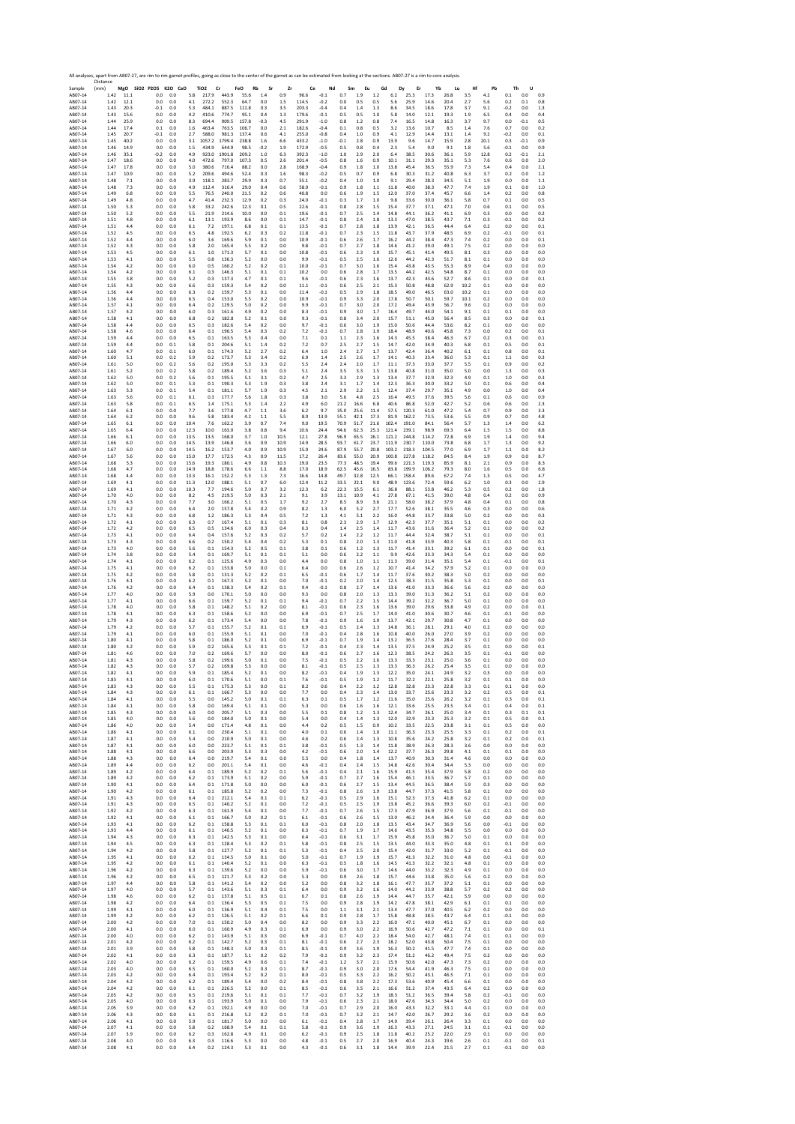Sample 18, 2007-18, 2007-18, 2007-18, 2007-18, 2007-18, 2007-18, 2007-18, 2007-18, 2007-18, 2007-18, 2007-18, 2007-18, 2007-18, 2007-18, 2007-18, 2007-18, 2007-18, 2007-18, 2007-18, 2007-18, 2007-18, 2007-18, 2007-18, 2007 Distance (mm) **MgO SiO2 P2O5 K2O CaO TiO2 Cr FeO Rb Sr Zr Ce Nd Sm Eu Gd Dy Er Yb Lu Hf Pb Th U** AB07‐14 1.42 11.1 0.0 0.0 5.8 217.9 443.9 55.6 1.4 0.9 96.6 ‐0.1 0.7 1.9 1.2 6.2 25.3 17.3 26.8 3.5 4.2 0.1 0.0 0.9 AB07‐14 1.42 12.1 0.0 0.0 4.1 272.2 552.3 64.7 0.0 1.5 114.5 ‐0.2 0.0 0.5 0.5 5.6 25.9 14.6 20.4 2.7 5.6 0.2 0.1 0.8 AB07‐14 1.43 20.3 ‐0.1 0.0 5.3 484.1 887.5 111.8 0.3 3.5 203.3 ‐0.4 0.4 1.4 1.3 8.6 34.5 18.6 17.8 3.7 9.1 ‐0.2 0.0 1.3 AB07‐14 1.43 15.6 0.0 0.0 4.2 410.6 774.7 95.1 0.4 1.3 179.6 ‐0.1 0.5 0.5 1.0 5.8 14.0 12.1 19.3 1.9 6.5 0.4 0.0 0.4 AB07‐14 1.44 25.9 0.0 0.0 8.3 694.4 909.5 157.8 ‐0.3 4.5 291.9 ‐1.0 0.8 1.2 0.8 7.4 16.5 14.8 16.3 3.7 9.7 0.0 ‐0.1 0.5 AB07‐14 1.44 17.4 0.1 0.0 1.6 463.4 763.5 106.7 0.0 2.1 182.6 ‐0.4 0.1 0.8 0.5 3.2 13.6 10.7 8.5 1.4 7.6 0.7 0.0 0.2 AB07‐14 1.45 20.7 ‐0.1 0.0 2.7 588.0 981.3 137.4 0.6 4.1 255.0 ‐0.8 0.4 1.0 0.9 4.1 12.9 14.4 13.1 1.4 9.2 ‐0.2 0.0 0.1 AB07‐14 1.45 40.2 0.0 0.0 3.1 1057.2 1799.4 238.8 1.6 6.6 433.2 ‐1.0 ‐0.1 2.8 0.9 13.9 9.6 14.7 15.9 2.8 20.1 0.3 ‐0.1 0.9 AB07‐14 1.46 14.9 0.0 0.0 1.5 434.9 644.9 98.5 ‐0.2 1.9 172.9 ‐0.5 0.5 0.8 0.4 2.3 5.4 9.0 9.1 1.8 5.6 ‐0.1 0.0 0.9 AB07‐14 1.46 35.1 ‐0.2 0.0 4.9 923.0 1901.8 209.2 1.0 6.3 392.3 ‐1.0 1.0 2.9 2.0 6.4 38.5 30.6 36.1 5.9 12.8 0.2 ‐0.1 2.1 AB07‐14 1.47 18.6 0.0 0.0 4.0 472.6 797.0 107.3 0.5 2.6 201.4 ‐0.5 0.8 1.6 0.9 10.1 31.1 29.3 35.1 5.3 7.6 0.6 0.0 2.0 AB07‐14 1.47 17.8 0.0 0.0 5.0 380.6 716.4 88.2 0.0 2.8 168.9 ‐0.4 0.9 1.8 1.0 13.8 45.4 36.5 55.9 7.3 5.4 0.4 0.0 2.1 AB07‐14 1.47 10.9 0.0 0.0 5.2 209.6 494.6 52.4 0.3 1.6 98.3 ‐0.2 0.5 0.7 0.9 6.8 30.3 31.2 40.8 6.3 3.7 0.2 0.0 1.2 AB07‐14 1.48 7.1 0.0 0.0 3.9 118.1 283.7 29.9 0.3 0.7 55.1 ‐0.2 0.4 1.0 1.0 9.1 29.4 28.3 34.5 5.1 1.9 0.0 0.0 1.1 AB07‐14 1.48 7.3 0.0 0.0 4.9 112.4 316.4 29.0 0.4 0.6 58.9 ‐0.1 0.9 1.8 1.1 11.8 40.0 38.3 47.7 7.4 1.9 0.1 0.0 1.0 AB07‐14 1.49 6.8 0.0 0.0 5.5 76.5 240.0 21.5 0.2 0.6 40.8 0.0 0.6 1.9 1.5 12.0 37.0 37.4 45.7 6.6 1.4 0.2 0.0 0.8 AB07‐14 1.49 4.8 0.0 0.0 4.7 41.4 232.3 12.9 0.2 0.3 24.0 ‐0.1 0.3 1.7 1.0 9.8 33.6 30.0 36.1 5.8 0.7 0.1 0.0 0.5 AB07‐14 1.50 5.3 0.0 0.0 5.8 33.2 242.6 12.3 0.1 0.5 22.6 ‐0.1 0.8 2.8 1.5 15.4 37.7 37.1 47.1 7.0 0.6 0.1 0.0 0.5 AB07‐14 1.50 5.2 0.0 0.0 5.5 21.9 214.6 10.0 0.0 0.1 19.6 ‐0.1 0.7 2.5 1.4 14.8 44.1 36.2 41.1 6.9 0.3 0.0 0.0 0.2 AB07‐14 1.51 4.8 0.0 0.0 6.1 13.1 193.9 8.6 0.0 0.1 14.7 ‐0.1 0.8 2.4 1.8 13.3 47.0 38.5 43.7 7.1 0.3 ‐0.1 0.0 0.2 AB07‐14 1.51 4.4 0.0 0.0 6.1 7.2 197.1 6.8 0.1 0.1 13.5 ‐0.1 0.7 2.8 1.8 13.9 42.1 36.5 44.4 6.4 0.2 0.0 0.0 0.1 AB07‐14 1.52 4.5 0.0 0.0 6.5 4.8 192.5 6.2 0.3 0.2 11.8 ‐0.1 0.7 2.3 1.5 11.8 43.7 37.9 48.5 6.9 0.2 ‐0.1 0.0 0.1 AB07‐14 1.52 4.4 0.0 0.0 6.0 3.6 169.6 5.9 0.1 0.0 10.9 ‐0.1 0.6 2.6 1.7 16.2 44.2 38.4 47.3 7.4 0.2 0.0 0.0 0.1 AB07‐14 1.52 4.3 0.0 0.0 5.8 2.0 165.4 5.5 0.2 0.0 9.8 ‐0.1 0.7 2.7 1.8 14.6 41.2 39.0 49.1 7.5 0.2 0.0 0.0 0.0 AB07‐14 1.53 4.5 0.0 0.0 6.1 1.0 171.3 5.7 0.1 0.0 10.8 ‐0.1 0.6 2.3 1.9 15.7 45.1 41.4 49.5 8.1 0.3 0.0 0.0 0.0 AB07‐14 1.53 4.1 0.0 0.0 5.5 0.8 136.3 5.2 0.0 0.0 9.9 ‐0.1 0.5 2.5 1.6 12.6 44.2 42.3 51.7 8.1 0.1 0.0 0.0 0.0 AB07‐14 1.54 4.2 0.0 0.0 6.0 0.5 160.2 5.2 0.2 0.1 10.0 ‐0.1 0.7 3.0 1.6 15.4 43.8 43.5 55.3 8.9 0.4 0.0 0.0 0.0 AB07‐14 1.54 4.2 0.0 0.0 6.1 0.3 146.3 5.1 0.1 0.1 10.2 0.0 0.6 2.8 1.7 13.5 44.2 42.5 54.8 8.7 0.1 0.0 0.0 0.0 AB07‐14 1.55 3.8 0.0 0.0 5.2 0.3 137.3 4.7 0.1 0.1 9.6 ‐0.1 0.6 2.3 1.6 13.7 42.3 43.6 52.7 8.6 0.1 0.0 0.0 0.1 AB07‐14 1.55 4.3 0.0 0.0 6.6 0.3 159.3 5.4 0.2 0.0 11.1 ‐0.1 0.6 2.5 2.1 15.3 50.8 48.8 62.9 10.2 0.1 0.0 0.0 0.0 AB07‐14 1.56 4.4 0.0 0.0 6.3 0.2 159.7 5.3 0.1 0.0 11.4 ‐0.1 0.5 2.9 1.8 18.5 49.0 46.5 63.0 10.2 0.1 0.0 0.0 0.0 AB07‐14 1.56 4.4 0.0 0.0 6.5 0.4 153.0 5.5 0.2 0.0 10.9 ‐0.1 0.9 3.3 2.0 17.8 50.7 50.1 59.7 10.1 0.2 0.0 0.0 0.0 AB07‐14 1.57 4.1 0.0 0.0 6.4 0.2 129.5 5.0 0.2 0.0 9.9 ‐0.1 0.7 3.0 2.0 17.2 49.4 43.9 56.7 9.6 0.2 0.0 0.0 0.0 AB07‐14 1.57 4.2 0.0 0.0 6.0 0.3 161.6 4.9 0.2 0.0 8.3 ‐0.1 0.9 3.0 1.7 16.4 49.7 44.0 54.1 9.1 0.1 0.1 0.0 0.0 AB07‐14 1.58 4.1 0.0 0.0 6.8 0.2 182.8 5.2 0.1 0.0 9.3 ‐0.1 0.8 3.4 2.0 15.7 51.1 45.0 56.4 8.5 0.3 0.0 0.0 0.1 AB07‐14 1.58 4.4 0.0 0.0 6.5 0.3 182.6 5.4 0.2 0.0 9.7 ‐0.1 0.6 3.0 1.9 15.0 50.6 44.4 53.6 8.2 0.1 0.0 0.0 0.0 AB07‐14 1.58 4.6 0.0 0.0 6.4 0.1 196.5 5.4 0.3 0.2 7.2 ‐0.1 0.7 2.8 1.9 18.4 48.9 40.6 45.8 7.3 0.0 0.2 0.0 0.1 AB07‐14 1.59 4.4 0.0 0.0 6.5 0.1 163.5 5.3 0.4 0.0 7.1 0.1 1.1 2.3 1.6 14.3 45.5 38.4 46.3 6.7 0.2 0.3 0.0 0.1 AB07‐14 1.59 4.4 0.0 0.1 5.8 0.1 204.6 5.1 1.4 0.2 7.2 0.7 2.5 2.7 1.5 14.7 42.0 34.9 40.3 6.8 0.1 0.5 0.0 0.1 AB07‐14 1.60 4.7 0.0 0.1 6.0 0.1 174.3 5.2 2.7 0.2 6.4 1.0 2.4 2.7 1.7 13.7 42.4 36.4 40.2 6.1 0.1 0.8 0.0 0.1 AB07‐14 1.60 5.1 0.0 0.2 5.9 0.2 173.7 5.3 3.4 0.2 6.9 1.4 2.5 2.6 1.7 14.1 40.3 33.4 36.0 5.3 0.1 1.1 0.0 0.3 AB07‐14 1.61 5.0 0.0 0.2 5.6 0.2 195.0 5.3 3.3 0.2 5.5 2.4 2.4 2.0 1.7 11.1 37.3 33.0 37.7 5.5 0.1 0.9 0.0 0.2 AB07‐14 1.61 5.2 0.0 0.2 5.8 0.2 189.4 5.2 3.6 0.3 5.1 2.4 3.5 3.3 1.5 13.8 40.8 31.0 35.0 5.0 0.0 1.3 0.0 0.3 AB07‐14 1.62 5.0 0.0 0.2 5.6 0.1 195.5 5.1 3.1 0.2 4.7 2.5 3.3 2.9 1.3 13.4 37.7 32.9 32.3 4.9 0.1 1.0 0.0 0.3 AB07‐14 1.62 5.0 0.0 0.1 5.3 0.1 190.3 5.3 1.9 0.3 3.8 2.4 3.1 1.7 1.4 12.3 36.3 30.0 33.2 5.0 0.1 0.6 0.0 0.4 AB07‐14 1.63 5.3 0.0 0.1 5.4 0.1 181.1 5.7 1.9 0.3 4.5 2.1 2.9 2.2 1.5 12.4 37.4 29.7 35.1 4.9 0.0 1.0 0.0 0.4 AB07‐14 1.63 5.6 0.0 0.1 6.1 0.3 177.7 5.6 1.8 0.3 3.8 3.0 5.6 4.8 2.5 16.4 49.5 37.6 39.5 5.6 0.1 0.6 0.0 0.9 AB07‐14 1.63 5.8 0.0 0.1 6.5 1.4 175.1 5.3 1.4 2.2 4.9 6.0 21.2 16.6 6.8 40.6 86.8 52.0 42.7 5.2 0.6 0.6 0.0 2.3 AB07‐14 1.64 6.1 0.0 0.0 7.7 3.6 177.8 4.7 1.1 3.6 6.2 9.7 35.0 25.6 11.4 57.5 120.3 61.0 47.2 5.4 0.7 0.9 0.0 3.3 AB07‐14 1.64 6.2 0.0 0.0 9.6 5.8 183.4 4.2 1.1 5.5 8.0 13.9 55.1 42.1 17.3 81.9 162.2 73.5 53.6 5.5 0.9 0.7 0.0 4.8 AB07‐14 1.65 6.1 0.0 0.0 10.4 7.6 162.2 3.9 0.7 7.4 9.0 19.5 70.9 51.7 21.6 102.4 191.0 84.1 56.4 5.7 1.3 1.4 0.0 6.2 AB07‐14 1.65 6.4 0.0 0.0 12.3 10.0 163.0 3.8 0.8 9.4 10.6 24.4 94.6 62.3 25.3 121.4 239.1 98.9 69.3 6.4 1.5 1.5 0.0 8.8 AB07‐14 1.66 6.1 0.0 0.0 13.5 13.5 168.0 3.7 1.0 10.5 12.1 27.8 96.9 65.5 26.1 121.2 244.8 114.2 72.8 6.9 1.9 1.4 0.0 9.4 AB07‐14 1.66 6.0 0.0 0.0 14.5 13.9 146.8 3.6 0.9 10.9 14.9 28.5 93.7 61.7 23.7 111.9 230.7 110.0 73.8 6.8 1.7 1.3 0.0 9.2 AB07‐14 1.67 6.0 0.0 0.0 14.5 16.2 153.7 4.0 0.9 10.9 15.0 24.6 87.9 55.7 20.8 103.2 218.3 104.5 77.0 6.9 1.7 1.1 0.0 8.2 AB07‐14 1.67 5.6 0.0 0.0 15.0 17.7 172.5 4.3 0.9 11.5 17.2 26.4 83.6 55.0 20.9 100.8 227.8 118.2 84.5 8.4 1.9 0.9 0.0 8.7 AB07‐14 1.68 5.3 0.0 0.0 15.6 19.3 180.1 4.9 0.8 10.3 19.0 23.5 77.3 48.5 19.4 99.6 221.3 119.3 85.9 8.1 2.1 0.9 0.0 8.3 AB07‐14 1.68 4.7 0.0 0.0 14.9 18.8 178.6 6.6 1.1 8.8 17.0 18.9 62.5 45.6 16.5 83.8 199.9 106.2 79.3 8.0 1.6 0.5 0.0 6.8 AB07‐14 1.68 4.4 0.0 0.0 13.3 16.1 152.2 5.3 1.3 7.3 16.6 14.8 49.7 32.8 12.5 66.1 158.4 89.6 67.2 7.4 1.3 0.5 0.0 4.7 AB07‐14 1.69 4.1 0.0 0.0 11.3 12.0 188.1 5.1 0.7 6.0 12.4 11.2 33.5 22.1 9.0 48.9 123.6 72.4 59.6 6.2 1.0 0.3 0.0 2.9 AB07‐14 1.69 4.1 0.0 0.0 10.3 7.7 194.6 5.0 0.7 3.2 12.3 6.2 22.3 15.5 6.1 36.8 88.1 53.8 46.2 5.3 0.5 0.2 0.0 1.8 AB07‐14 1.70 4.0 0.0 0.0 8.2 4.5 219.5 5.0 0.3 2.1 9.1 3.9 13.1 10.9 4.1 27.8 67.1 41.5 39.0 4.8 0.4 0.2 0.0 0.9 AB07‐14 1.70 4.3 0.0 0.0 7.7 3.0 166.2 5.1 0.5 1.7 9.2 2.7 8.5 8.9 3.6 21.1 58.0 38.2 37.9 4.8 0.4 0.1 0.0 0.8 AB07‐14 1.71 4.2 0.0 0.0 6.4 2.0 157.8 5.4 0.2 0.9 8.2 1.3 6.0 5.2 2.7 17.7 52.6 38.1 35.5 4.6 0.3 0.0 0.0 0.6 AB07‐14 1.71 4.3 0.0 0.0 6.8 1.2 186.3 5.3 0.4 0.5 7.2 1.3 4.1 5.1 2.2 16.0 44.8 33.7 33.8 5.0 0.2 0.0 0.0 0.3 AB07‐14 1.72 4.1 0.0 0.0 6.3 0.7 167.4 5.1 0.1 0.3 8.1 0.8 2.3 2.9 1.7 12.9 42.3 37.7 35.1 5.1 0.1 0.0 0.0 0.2 AB07‐14 1.72 4.2 0.0 0.0 6.5 0.5 134.6 6.0 0.3 0.4 6.3 0.4 1.4 2.5 1.4 11.7 43.6 31.6 36.4 5.2 0.1 0.0 0.0 0.2 AB07‐14 1.73 4.1 0.0 0.0 6.4 0.4 157.6 5.2 0.3 0.2 5.7 0.2 1.4 2.2 1.2 11.7 44.4 32.4 38.7 5.1 0.1 0.0 0.0 0.1 AB07‐14 1.73 4.3 0.0 0.0 6.6 0.2 150.2 5.4 0.4 0.2 5.3 0.1 0.8 2.0 1.3 11.0 41.8 33.9 40.3 5.8 0.1 ‐0.1 0.0 0.1 AB07‐14 1.73 4.0 0.0 0.0 5.6 0.1 154.3 5.2 0.5 0.1 3.8 0.1 0.6 1.2 1.3 11.7 41.4 33.1 39.2 6.1 0.1 0.0 0.0 0.1 AB07‐14 1.74 3.8 0.0 0.0 5.4 0.1 169.7 5.1 0.1 0.1 5.1 0.0 0.6 2.2 1.1 9.9 42.6 33.3 34.3 5.4 0.1 0.0 0.0 0.0 AB07‐14 1.74 4.1 0.0 0.0 6.2 0.1 125.6 4.9 0.3 0.0 4.4 0.0 0.8 1.0 1.1 11.3 39.0 31.4 35.1 5.4 0.1 ‐0.1 0.0 0.1 AB07‐14 1.75 4.1 0.0 0.0 6.2 0.1 153.8 5.0 0.0 0.1 6.4 0.0 0.6 2.6 1.2 10.7 41.4 34.2 37.9 5.2 0.1 0.0 0.0 0.0 AB07‐14 1.75 4.2 0.0 0.0 5.8 0.1 131.3 5.2 0.2 0.1 6.5 ‐0.1 0.6 1.7 1.4 11.7 37.6 30.2 38.3 5.0 0.2 0.0 0.0 0.0 AB07‐14 1.76 4.1 0.0 0.0 6.2 0.1 167.3 5.2 0.1 0.0 7.0 ‐0.1 0.2 2.0 1.4 12.5 38.3 31.5 35.8 5.3 0.1 0.0 0.0 0.1 AB07‐14 1.76 4.2 0.0 0.0 6.4 0.1 138.3 5.4 0.2 0.1 9.4 ‐0.1 0.8 2.7 1.4 13.6 41.0 33.3 36.6 5.6 0.2 0.0 0.0 0.0 AB07‐14 1.77 4.0 0.0 0.0 5.9 0.0 170.1 5.0 0.0 0.0 9.3 0.0 0.8 2.0 1.3 13.3 39.0 31.3 36.2 5.1 0.2 0.0 0.0 0.0 AB07‐14 1.77 4.1 0.0 0.0 6.6 0.1 159.7 5.2 0.1 0.1 9.4 ‐0.1 0.7 2.2 1.5 14.4 39.2 32.2 36.7 5.0 0.1 0.0 0.0 0.0 AB07‐14 1.78 4.0 0.0 0.0 5.8 0.1 148.2 5.1 0.2 0.0 8.1 ‐0.1 0.6 2.3 1.6 13.6 39.0 29.6 33.8 4.9 0.2 0.0 0.0 0.1 AB07‐14 1.78 4.1 0.0 0.0 6.3 0.1 158.6 5.2 0.0 0.0 6.9 ‐0.1 0.7 2.5 1.7 14.0 41.0 30.6 30.7 4.6 0.1 ‐0.1 0.0 0.0 AB07‐14 1.79 4.3 0.0 0.0 6.2 0.1 173.4 5.4 0.0 0.0 7.8 ‐0.1 0.9 1.6 1.9 13.7 42.1 29.7 30.8 4.7 0.1 0.0 0.0 0.0 AB07‐14 1.79 4.2 0.0 0.0 5.7 0.1 155.7 5.2 0.1 0.1 6.9 ‐0.1 0.5 2.4 1.3 14.8 36.1 28.1 29.1 4.0 0.2 0.0 0.0 0.0 AB07‐14 1.79 4.1 0.0 0.0 6.0 0.1 155.9 5.1 0.1 0.0 7.0 ‐0.1 0.4 2.8 1.6 10.8 40.0 26.0 27.0 3.9 0.2 0.0 0.0 0.0 AB07‐14 1.80 4.1 0.0 0.0 5.8 0.1 186.0 5.2 0.1 0.0 6.9 ‐0.1 0.7 1.9 1.4 13.2 36.5 27.6 28.4 3.7 0.1 0.0 0.0 0.0 AB07‐14 1.80 4.2 0.0 0.0 5.9 0.2 165.6 5.3 0.1 0.1 7.2 ‐0.1 0.4 2.3 1.4 13.5 37.5 24.9 25.2 3.5 0.1 0.0 0.0 0.1 AB07‐14 1.81 4.6 0.0 0.0 7.0 0.2 169.6 5.7 0.0 0.0 8.0 ‐0.1 0.6 2.7 1.6 12.3 38.5 24.2 26.3 3.5 0.1 ‐0.1 0.0 0.0 AB07‐14 1.81 4.3 0.0 0.0 5.8 0.2 199.6 5.0 0.1 0.0 7.5 ‐0.1 0.5 2.2 1.6 13.3 33.3 23.1 25.0 3.6 0.1 0.0 0.0 0.0 AB07‐14 1.82 4.3 0.0 0.0 5.7 0.2 169.8 5.3 0.0 0.0 8.1 ‐0.1 0.5 2.5 1.3 13.3 36.3 26.2 25.4 3.5 0.1 0.0 0.0 0.0 AB07‐14 1.82 4.1 0.0 0.0 5.9 0.1 185.4 5.2 0.1 0.0 8.2 ‐0.1 0.4 1.9 1.3 12.2 35.0 24.1 24.9 3.2 0.3 0.0 0.0 0.0 AB07‐14 1.83 4.1 0.0 0.0 6.0 0.1 170.6 5.1 0.0 0.1 7.6 ‐0.1 0.5 1.9 1.2 11.7 32.2 22.1 25.8 3.2 0.1 0.1 0.0 0.0 AB07‐14 1.83 4.3 0.0 0.0 5.5 0.1 175.3 5.3 0.0 0.1 8.2 0.6 0.4 2.2 1.2 12.8 32.8 23.3 22.8 3.3 0.1 0.1 0.0 0.0 AB07‐14 1.84 4.3 0.0 0.0 6.1 0.1 166.7 5.3 0.0 0.0 7.7 0.0 0.4 2.3 1.4 13.0 33.7 25.6 23.3 3.2 0.2 0.5 0.0 0.1 AB07‐14 1.84 4.1 0.0 0.0 5.5 0.0 145.2 5.0 0.1 0.1 6.3 0.1 0.5 1.7 1.2 11.6 35.0 25.6 26.2 3.2 0.1 0.3 0.0 0.1 AB07‐14 1.84 4.1 0.0 0.0 5.8 0.0 169.4 5.1 0.1 0.0 5.3 0.0 0.6 1.6 1.6 12.1 33.6 25.5 23.5 3.4 0.1 0.4 0.0 0.1 AB07‐14 1.85 4.3 0.0 0.0 6.0 0.0 205.7 5.1 0.3 0.0 5.5 0.1 0.8 1.2 1.3 12.4 34.7 26.1 25.0 3.4 0.1 0.3 0.1 0.1 AB07‐14 1.85 4.0 0.0 0.0 5.6 0.0 184.0 5.0 0.1 0.0 5.4 0.0 0.4 1.4 1.3 12.0 32.9 23.3 25.3 3.2 0.1 0.5 0.0 0.1 AB07‐14 1.86 4.0 0.0 0.0 5.4 0.0 171.4 4.8 0.1 0.0 4.4 0.2 0.5 1.5 0.9 10.2 33.5 22.5 23.8 3.1 0.1 0.5 0.0 0.0 AB07‐14 1.86 4.1 0.0 0.0 6.1 0.0 230.4 5.1 0.1 0.0 4.0 0.1 0.6 1.4 1.0 11.1 36.3 23.3 25.5 3.3 0.1 0.2 0.0 0.1 AB07‐14 1.87 4.1 0.0 0.0 5.4 0.0 210.9 5.0 0.1 0.0 4.6 0.2 0.6 2.4 1.3 10.8 35.6 24.2 25.8 3.2 0.1 0.2 0.0 0.1 AB07‐14 1.87 4.1 0.0 0.0 6.0 0.0 223.7 5.1 0.1 0.1 3.8 ‐0.1 0.5 1.3 1.4 11.8 38.9 26.3 28.3 3.6 0.0 0.0 0.0 0.0 AB07‐14 1.88 4.1 0.0 0.0 6.6 0.0 203.9 5.3 0.3 0.0 4.2 ‐0.1 0.6 2.0 1.4 12.2 37.7 26.3 29.8 4.1 0.1 0.1 0.0 0.0 AB07‐14 1.88 4.3 0.0 0.0 6.4 0.0 219.7 5.4 0.1 0.0 5.5 0.0 0.4 1.8 1.4 13.7 40.9 30.3 31.4 4.6 0.0 0.0 0.0 0.0 AB07‐14 1.89 4.4 0.0 0.0 6.2 0.0 201.1 5.4 0.1 0.0 4.6 ‐0.1 0.4 2.4 1.5 14.8 42.6 30.4 34.4 5.3 0.0 0.0 0.0 0.0 AB07‐14 1.89 4.2 0.0 0.0 6.4 0.1 189.9 5.2 0.2 0.1 5.6 ‐0.1 0.4 2.1 1.6 15.9 41.5 35.4 37.9 5.8 0.2 0.0 0.0 0.0 AB07‐14 1.89 4.2 0.0 0.0 6.2 0.1 173.9 5.1 0.2 0.0 5.9 ‐0.1 0.7 2.7 1.6 15.4 46.1 33.5 36.7 5.7 0.1 0.0 0.0 0.0 AB07‐14 1.90 4.1 0.0 0.0 6.4 0.1 171.8 5.0 0.0 0.0 6.0 ‐0.1 0.6 2.7 1.5 13.4 44.5 36.5 38.4 5.9 0.3 0.0 0.0 0.0 AB07‐14 1.90 4.2 0.0 0.0 6.1 0.1 185.8 5.2 0.2 0.0 7.3 ‐0.1 0.8 2.6 1.9 13.8 44.7 37.3 41.5 5.8 0.1 0.0 0.0 0.0 AB07‐14 1.91 4.3 0.0 0.0 6.4 0.1 212.1 5.4 0.1 0.1 6.2 ‐0.1 0.5 2.9 1.6 15.1 52.3 37.3 41.8 6.2 0.1 0.0 0.0 0.0 AB07‐14 1.91 4.3 0.0 0.0 6.5 0.1 140.2 5.2 0.1 0.0 7.2 ‐0.1 0.5 2.5 1.9 13.8 45.2 36.6 39.3 6.0 0.2 ‐0.1 0.0 0.0 AB07‐14 1.92 4.2 0.0 0.0 6.3 0.1 161.9 5.4 0.1 0.0 7.7 ‐0.1 0.7 2.6 1.5 17.3 47.9 36.9 37.9 5.6 0.1 ‐0.1 0.0 0.0 AB07‐14 1.92 4.1 0.0 0.0 6.1 0.1 166.7 5.0 0.2 0.1 6.1 ‐0.1 0.6 2.6 1.5 13.0 46.2 34.4 36.4 5.9 0.0 0.0 0.0 0.0 AB07‐14 1.93 4.1 0.0 0.0 6.2 0.1 158.8 5.3 0.1 0.1 6.0 ‐0.1 0.8 2.0 1.8 13.5 43.4 34.7 36.9 5.6 0.0 ‐0.1 0.0 0.0 AB07‐14 1.93 4.4 0.0 0.0 6.1 0.1 146.5 5.2 0.1 0.0 6.3 ‐0.1 0.7 1.9 1.7 14.6 43.5 35.3 34.8 5.5 0.0 0.0 0.0 0.0 AB07‐14 1.94 4.3 0.0 0.0 6.3 0.1 142.5 5.3 0.1 0.0 6.4 ‐0.1 0.6 3.1 1.7 15.9 45.8 35.0 36.7 5.0 0.1 0.0 0.0 0.0 AB07‐14 1.94 4.5 0.0 0.0 6.3 0.1 128.4 5.3 0.2 0.1 5.8 ‐0.1 0.8 2.5 1.5 13.5 44.0 33.3 35.0 4.8 0.1 0.1 0.0 0.0 AB07‐14 1.94 4.2 0.0 0.0 5.8 0.1 127.7 5.2 0.1 0.1 5.3 ‐0.1 0.4 2.5 2.0 15.4 42.0 31.7 33.0 5.2 0.1 ‐0.1 0.0 0.0 AB07‐14 1.95 4.1 0.0 0.0 6.2 0.1 134.5 5.0 0.1 0.0 5.0 ‐0.1 0.7 1.9 1.9 15.7 41.3 32.2 31.0 4.8 0.0 ‐0.1 0.0 0.0 AB07‐14 1.95 4.2 0.0 0.0 6.1 0.1 140.4 5.2 0.1 0.0 6.3 ‐0.1 0.5 1.8 1.6 14.5 41.3 32.2 32.1 4.8 0.1 0.0 0.0 0.0 AB07‐14 1.96 4.2 0.0 0.0 6.3 0.1 139.6 5.2 0.0 0.0 5.9 ‐0.1 0.6 3.0 1.7 14.6 44.0 33.2 32.3 4.9 0.1 0.0 0.0 0.0 AB07‐14 1.96 4.2 0.0 0.0 6.5 0.1 121.7 5.3 0.2 0.0 5.3 0.0 0.9 2.6 1.8 15.7 44.6 33.8 35.0 5.6 0.2 0.0 0.0 0.0 AB07‐14 1.97 4.4 0.0 0.0 5.8 0.1 141.2 5.4 0.2 0.0 5.2 0.0 0.8 3.2 1.8 16.1 47.7 35.7 37.2 5.1 0.1 0.0 0.0 0.0 AB07‐14 1.97 4.0 0.0 0.0 5.7 0.1 143.6 5.1 0.3 0.1 6.4 0.0 0.9 3.2 1.6 14.0 44.2 33.9 38.8 5.7 0.2 0.2 0.0 0.0 AB07‐14 1.98 4.6 0.0 0.0 6.2 0.1 137.8 5.1 0.5 0.1 6.7 0.1 0.8 2.6 1.9 14.4 44.7 35.7 42.1 5.9 0.0 0.0 0.0 0.0 AB07‐14 1.98 4.2 0.0 0.0 6.4 0.1 136.4 5.3 0.5 0.1 7.5 0.0 0.9 2.8 1.9 14.2 47.8 38.1 42.9 6.1 0.1 0.1 0.0 0.0 AB07‐14 1.99 4.1 0.0 0.0 6.0 0.1 136.9 5.1 0.4 0.1 7.5 0.0 1.1 3.1 2.1 13.4 47.7 37.0 40.5 6.2 0.2 0.0 0.0 0.0 AB07‐14 1.99 4.2 0.0 0.0 6.2 0.1 126.5 5.1 0.2 0.1 6.6 0.1 0.9 2.8 1.7 15.8 48.8 38.5 43.7 6.4 0.1 ‐0.1 0.0 0.0 AB07‐14 2.00 4.2 0.0 0.0 7.0 0.1 150.2 5.0 0.4 0.0 8.2 0.0 0.9 3.3 2.2 16.0 47.1 40.0 45.1 6.7 0.1 0.0 0.0 0.0 AB07‐14 2.00 4.1 0.0 0.0 6.0 0.1 160.9 4.9 0.3 0.1 6.9 0.0 0.9 3.0 2.2 16.9 50.6 42.7 47.2 7.1 0.1 0.0 0.0 0.1 AB07‐14 2.00 4.0 0.0 0.0 6.2 0.1 143.9 5.1 0.3 0.0 6.9 ‐0.1 0.7 4.0 2.2 18.4 54.0 42.7 48.1 7.4 0.1 0.1 0.0 0.0 AB07‐14 2.01 4.2 0.0 0.0 6.2 0.1 142.7 5.2 0.3 0.1 8.1 ‐0.1 0.6 2.7 2.3 18.2 52.0 43.8 50.4 7.5 0.1 0.0 0.0 0.0 AB07‐14 2.01 3.9 0.0 0.0 5.8 0.1 148.3 5.0 0.3 0.1 8.5 ‐0.1 0.9 3.6 1.9 16.3 50.2 41.5 47.7 7.4 0.1 0.0 0.0 0.0 AB07‐14 2.02 4.1 0.0 0.0 6.3 0.1 187.7 5.1 0.2 0.2 7.9 ‐0.1 0.9 3.2 2.3 17.4 51.2 46.2 49.4 7.5 0.2 0.0 0.0 0.0 AB07‐14 2.02 4.0 0.0 0.0 6.2 0.1 159.5 4.9 0.6 0.1 7.4 ‐0.1 1.2 3.7 2.1 15.9 50.6 42.0 47.3 7.3 0.2 0.0 0.0 0.0 AB07‐14 2.03 4.0 0.0 0.0 6.5 0.1 160.0 5.2 0.3 0.1 8.7 ‐0.1 0.9 3.0 2.0 17.6 54.4 41.9 46.3 7.5 0.1 0.0 0.0 0.0 AB07‐14 2.03 4.2 0.0 0.0 6.4 0.1 193.4 5.2 0.2 0.1 8.0 ‐0.1 0.5 3.3 2.2 16.2 50.2 43.1 46.5 7.1 0.1 0.0 0.0 0.0 AB07‐14 2.04 4.2 0.0 0.0 6.2 0.1 189.4 5.4 0.0 0.2 8.4 ‐0.1 0.8 3.8 2.2 17.3 53.6 40.9 45.4 6.6 0.1 0.0 0.0 0.0 AB07‐14 2.04 4.2 0.0 0.0 6.1 0.1 226.5 5.2 0.0 0.1 8.5 ‐0.1 0.6 3.5 2.1 16.6 51.2 37.4 43.5 6.4 0.2 0.0 0.0 0.0 AB07‐14 2.05 4.2 0.0 0.0 6.5 0.1 219.6 5.1 0.1 0.1 7.7 ‐0.1 0.7 3.2 1.9 18.3 51.2 36.5 39.4 5.8 0.2 ‐0.1 0.0 0.0 AB07‐14 2.05 4.0 0.0 0.0 6.3 0.1 193.9 5.0 0.1 0.0 7.9 ‐0.1 0.6 2.3 2.1 18.0 47.6 34.3 34.4 5.0 0.2 0.0 0.0 0.0 AB07‐14 2.05 3.9 0.0 0.0 6.2 0.1 192.1 4.9 0.0 0.0 7.0 ‐0.1 0.7 2.9 2.0 16.0 43.3 32.2 33.1 4.4 0.1 0.0 0.0 0.0 AB07‐14 2.06 4.3 0.0 0.0 6.1 0.1 216.8 5.2 0.2 0.1 7.0 ‐0.1 0.7 3.2 2.1 14.7 42.0 26.7 29.2 3.6 0.2 0.0 0.0 0.0 AB07‐14 2.06 4.1 0.0 0.0 5.9 0.1 181.7 5.0 0.0 0.0 6.1 ‐0.1 0.4 2.8 1.7 14.9 39.4 26.1 26.4 3.3 0.1 0.0 0.0 0.0 AB07‐14 2.07 4.1 0.0 0.0 5.8 0.2 168.9 5.4 0.1 0.1 5.8 ‐0.1 0.9 3.6 1.9 16.3 43.3 27.1 24.5 3.1 0.1 ‐0.1 0.0 0.0 AB07‐14 2.07 3.9 0.0 0.0 6.2 0.3 162.8 4.9 0.1 0.0 6.2 ‐0.1 0.9 2.5 1.8 11.8 40.2 25.2 22.0 2.9 0.1 0.0 0.0 0.0 AB07‐14 2.08 4.0 0.0 0.0 6.3 0.3 116.6 5.3 0.0 0.0 4.8 ‐0.1 0.5 2.7 2.0 16.9 40.4 24.3 19.6 2.6 0.1 ‐0.1 0.0 0.1 AB07‐14 2.08 4.1 0.0 0.0 6.4 0.2 124.3 5.3 0.1 0.0 4.3 ‐0.1 0.6 3.1 1.8 14.4 39.9 22.4 21.5 2.7 0.1 ‐0.1 0.0 0.0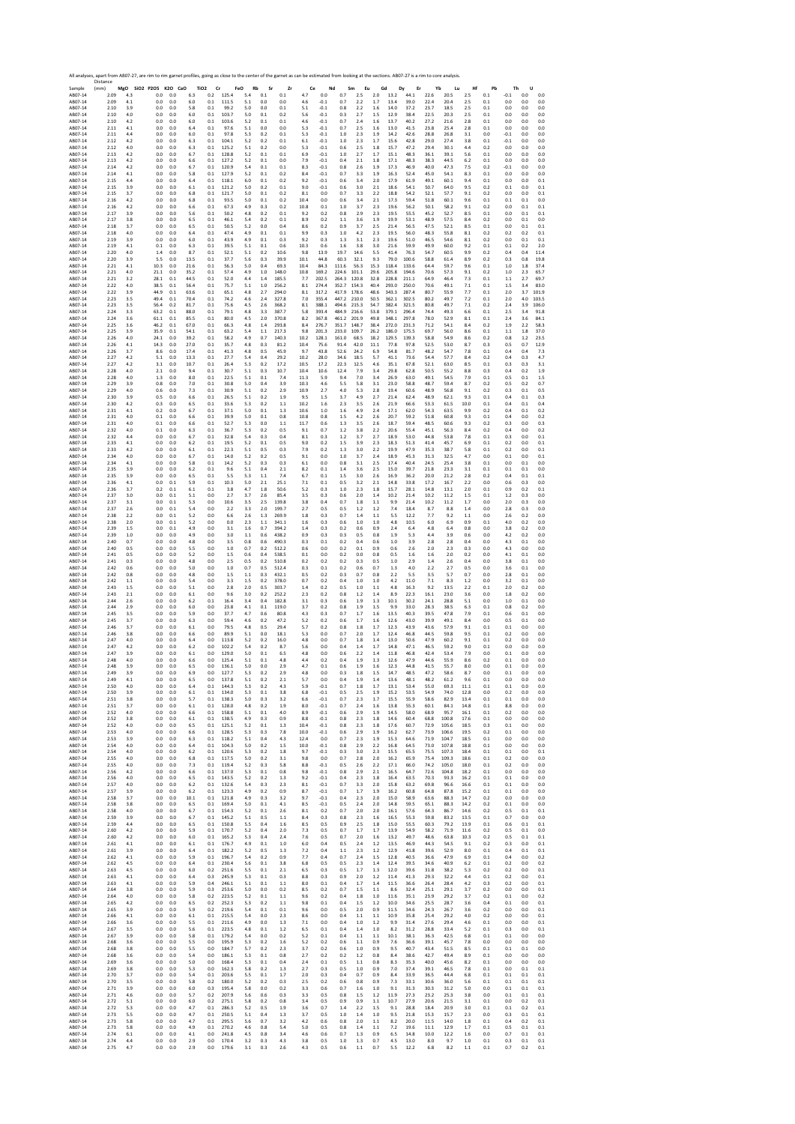Sample 18, 2007-18, 2007-18, 2007-18, 2007-18, 2007-18, 2007-18, 2007-18, 2007-18, 2007-18, 2007-18, 2007-18, 2007-18, 2007-18, 2007-18, 2007-18, 2007-18, 2007-18, 2007-18, 2007-18, 2007-18, 2007-18, 2007-18, 2007-18, 2007 Distance (mm) **MgO SiO2 P2O5 K2O CaO TiO2 Cr FeO Rb Sr Zr Ce Nd Sm Eu Gd Dy Er Yb Lu Hf Pb Th U** AB07‐14 2.09 4.3 0.0 0.0 6.3 0.2 125.4 5.4 0.1 0.1 4.7 0.0 0.7 2.5 2.0 13.2 44.1 22.6 20.5 2.5 0.1 ‐0.1 0.0 0.0 AB07‐14 2.09 4.1 0.0 0.0 6.0 0.1 111.5 5.1 0.0 0.0 4.6 ‐0.1 0.7 2.2 1.7 13.4 39.0 22.4 20.4 2.5 0.1 0.0 0.0 0.0 AB07‐14 2.10 3.9 0.0 0.0 5.8 0.1 99.2 5.0 0.0 0.1 5.1 ‐0.1 0.8 2.2 1.6 14.0 37.2 23.7 18.5 2.5 0.1 0.0 0.0 0.0 AB07‐14 2.10 4.0 0.0 0.0 6.0 0.1 103.7 5.0 0.1 0.2 5.6 ‐0.1 0.3 2.7 1.5 12.9 38.4 22.5 20.3 2.5 0.1 0.0 0.0 0.0 AB07‐14 2.10 4.2 0.0 0.0 6.0 0.1 103.6 5.2 0.1 0.1 4.6 ‐0.1 0.7 2.4 1.6 13.7 40.2 27.2 21.6 2.8 0.1 0.0 0.0 0.0 AB07‐14 2.11 4.1 0.0 0.0 6.4 0.1 97.6 5.1 0.0 0.0 5.3 ‐0.1 0.7 2.5 1.6 13.0 41.5 23.8 25.4 2.8 0.1 0.0 0.0 0.0 AB07‐14 2.11 4.4 0.0 0.0 6.0 0.1 97.8 5.3 0.2 0.1 5.3 ‐0.1 1.0 2.3 1.9 14.2 42.6 28.8 26.8 3.1 0.0 ‐0.1 0.0 0.0 AB07‐14 2.12 4.2 0.0 0.0 6.3 0.1 104.1 5.2 0.2 0.1 6.1 ‐0.1 1.0 2.3 1.7 15.6 42.8 29.0 27.4 3.8 0.1 ‐0.1 0.0 0.0 AB07‐14 2.12 4.0 0.0 0.0 6.3 0.1 125.2 5.1 0.2 0.0 5.3 ‐0.1 0.6 2.5 1.8 15.7 47.2 29.4 30.1 4.4 0.2 0.0 0.0 0.0 AB07‐14 2.13 4.2 0.0 0.0 6.7 0.1 128.8 5.2 0.1 0.1 6.9 ‐0.1 1.0 2.7 1.7 15.1 48.3 36.1 39.1 5.6 0.1 0.0 0.0 0.0 AB07‐14 2.13 4.2 0.0 0.0 6.6 0.1 127.2 5.2 0.1 0.0 7.9 ‐0.1 0.4 2.1 1.8 17.1 48.3 38.3 44.5 6.2 0.1 0.0 0.0 0.0 AB07‐14 2.14 4.2 0.0 0.0 6.7 0.1 120.9 5.4 0.1 0.1 8.3 ‐0.1 0.8 2.6 1.9 17.3 46.9 40.0 47.3 7.5 0.2 ‐0.1 0.0 0.0 AB07‐14 2.14 4.1 0.0 0.0 5.8 0.1 127.9 5.2 0.1 0.2 8.4 ‐0.1 0.7 3.3 1.9 16.3 52.4 45.0 54.1 8.3 0.1 0.0 0.0 0.0 AB07‐14 2.15 4.4 0.0 0.0 6.4 0.1 118.1 6.0 0.1 0.2 9.2 ‐0.1 0.6 3.4 2.0 17.9 61.9 49.1 60.1 9.4 0.1 0.0 0.0 0.1 AB07‐14 2.15 3.9 0.0 0.0 6.1 0.1 121.2 5.0 0.2 0.1 9.0 ‐0.1 0.6 3.0 2.1 18.6 54.1 50.7 64.0 9.5 0.2 0.1 0.0 0.1 AB07‐14 2.15 3.7 0.0 0.0 6.8 0.1 121.7 5.0 0.1 0.2 8.1 0.0 0.7 3.3 2.2 18.8 54.2 52.1 57.7 9.1 0.2 0.0 0.0 0.1 AB07‐14 2.16 4.2 0.0 0.0 6.8 0.1 93.5 5.0 0.1 0.2 10.4 0.0 0.6 3.4 2.1 17.3 59.4 51.8 60.1 9.6 0.1 0.1 0.1 0.0 AB07‐14 2.16 4.2 0.0 0.0 6.6 0.1 67.3 4.9 0.3 0.2 10.8 0.1 1.0 3.7 2.3 19.6 56.2 50.1 58.2 9.1 0.2 0.0 0.1 0.1 AB07‐14 2.17 3.9 0.0 0.0 5.6 0.1 50.2 4.8 0.2 0.1 9.2 0.2 0.8 2.9 2.3 19.5 55.5 45.2 52.7 8.5 0.1 0.0 0.1 0.1 AB07‐14 2.17 3.8 0.0 0.0 6.5 0.1 46.1 5.4 0.2 0.1 8.9 0.2 1.1 3.6 1.9 19.9 53.1 48.9 57.5 8.4 0.2 0.0 0.1 0.0 AB07‐14 2.18 3.7 0.0 0.0 6.5 0.1 50.5 5.2 0.0 0.4 8.6 0.2 0.9 3.7 2.5 21.4 56.5 47.5 52.1 8.5 0.1 0.0 0.1 0.1 AB07‐14 2.18 4.0 0.0 0.0 6.4 0.1 47.4 4.9 0.1 0.1 9.9 0.3 1.0 4.2 2.3 19.5 56.0 48.3 55.8 8.1 0.2 0.2 0.2 0.1 AB07‐14 2.19 3.9 0.0 0.0 6.0 0.1 43.9 4.9 0.1 0.3 9.2 0.3 1.3 3.1 2.3 19.6 51.0 46.5 54.6 8.1 0.2 0.0 0.1 0.1 AB07‐14 2.19 4.1 0.1 0.0 6.3 0.1 39.5 5.1 0.1 0.6 10.3 0.6 1.6 3.8 3.0 21.6 59.9 49.9 60.0 9.2 0.1 0.1 0.2 2.0 AB07‐14 2.20 4.0 1.4 0.0 8.7 0.1 52.1 5.1 0.2 10.6 9.8 13.9 19.7 14.6 5.5 41.4 76.3 54.7 60.5 9.9 0.2 0.4 0.4 11.4 AB07‐14 2.20 3.9 5.5 0.0 13.5 0.1 37.7 5.6 0.3 39.9 10.1 44.8 60.3 32.1 9.3 79.0 100.6 58.8 61.4 8.9 0.2 0.3 0.8 19.8 AB07‐14 2.21 4.1 10.3 0.0 21.6 0.1 56.3 5.0 0.4 69.3 10.4 84.3 111.6 56.3 15.3 118.4 133.6 64.4 59.7 9.6 0.1 1.0 1.8 37.4 AB07‐14 2.21 4.0 21.1 0.0 35.2 0.1 57.4 4.9 1.0 148.0 10.8 169.2 224.6 101.1 29.6 205.8 194.6 70.6 57.3 9.1 0.2 1.0 2.3 65.7 AB07‐14 2.21 3.2 28.1 0.1 44.5 0.1 52.0 4.4 1.4 185.5 7.7 202.5 264.3 120.8 32.8 228.8 211.1 64.9 46.4 7.3 0.1 1.1 2.7 69.7 AB07‐14 2.22 4.0 38.5 0.1 56.4 0.1 75.7 5.1 1.0 256.2 8.1 274.4 352.7 154.3 40.4 293.0 250.0 70.6 49.1 7.1 0.1 1.5 3.4 83.0 AB07‐14 2.22 3.9 44.9 0.1 63.6 0.1 65.1 4.8 2.7 294.0 8.1 317.2 417.9 178.6 48.6 343.3 287.4 80.7 55.9 7.7 0.1 2.0 3.7 101.9 AB07‐14 2.23 3.5 49.4 0.1 70.4 0.1 74.2 4.6 2.4 327.8 7.0 355.4 447.2 210.0 50.5 362.1 302.5 80.2 49.7 7.2 0.1 2.0 4.0 103.5 AB07‐14 2.23 3.5 56.4 0.2 81.7 0.1 75.6 4.5 2.6 368.2 8.1 388.1 494.6 215.3 54.7 382.4 321.5 80.8 49.7 7.1 0.2 2.4 3.9 106.0 AB07‐14 2.24 3.3 63.2 0.1 88.0 0.1 79.1 4.8 3.3 387.7 5.8 393.4 484.9 216.6 53.8 379.1 296.4 74.4 49.3 6.6 0.1 2.5 3.4 91.8 AB07‐14 2.24 3.6 61.1 0.1 85.5 0.1 80.0 4.5 2.0 370.8 8.2 367.8 461.2 201.9 49.8 348.1 297.8 78.0 52.9 8.1 0.1 2.4 3.6 84.1 AB07‐14 2.25 3.6 46.2 0.1 67.0 0.1 66.3 4.8 1.4 293.8 8.4 276.7 351.7 148.7 38.4 272.0 231.3 71.2 54.1 8.4 0.2 1.9 2.2 58.3 AB07‐14 2.25 3.9 35.9 0.1 54.1 0.1 63.2 5.4 1.1 217.3 9.8 201.3 233.0 109.7 26.2 186.0 175.5 69.7 56.0 8.6 0.1 1.1 1.8 37.0 AB07‐14 2.26 4.0 24.1 0.0 39.2 0.1 58.2 4.9 0.7 140.3 10.2 128.1 161.0 68.5 18.2 129.5 139.3 58.8 54.9 8.6 0.2 0.8 1.2 23.5 AB07‐14 2.26 4.1 14.3 0.0 27.0 0.1 35.7 4.8 0.3 81.2 10.4 75.6 91.4 42.0 11.1 77.8 97.8 52.5 53.0 8.7 0.3 0.5 0.7 12.9 AB07‐14 2.26 3.7 8.6 0.0 17.4 0.1 41.3 4.8 0.5 45.9 9.7 43.8 52.6 24.2 6.9 54.8 81.7 48.2 54.7 7.8 0.1 0.4 0.4 7.3 AB07‐14 2.27 4.2 5.1 0.0 13.3 0.1 27.7 5.4 0.4 29.2 10.2 28.0 34.6 18.5 5.7 41.1 73.6 54.4 57.7 8.4 0.2 0.4 0.3 4.7 AB07‐14 2.27 4.2 3.1 0.0 10.7 0.1 26.4 5.3 0.2 17.2 10.5 17.2 22.3 12.5 4.6 35.1 67.8 52.1 63.0 8.5 0.1 0.3 0.3 3.1 AB07‐14 2.28 4.0 2.1 0.0 9.4 0.1 30.7 5.1 0.3 10.7 10.4 10.6 12.4 7.9 3.4 29.8 62.8 50.5 55.2 8.8 0.3 0.4 0.2 1.9 AB07‐14 2.28 4.0 1.3 0.0 8.0 0.1 22.5 5.1 0.1 7.4 11.3 5.9 9.4 7.0 3.4 26.9 63.0 49.1 54.5 7.9 0.1 0.5 0.1 1.5 AB07‐14 2.29 3.9 0.8 0.0 7.0 0.1 30.8 5.0 0.4 3.9 10.3 4.6 5.5 5.8 3.1 23.0 58.8 48.7 59.4 8.7 0.2 0.5 0.2 0.7 AB07‐14 2.29 4.0 0.6 0.0 7.3 0.1 30.9 5.1 0.2 2.9 10.9 2.7 4.0 5.3 2.8 19.4 60.6 48.9 56.8 9.1 0.2 0.3 0.1 0.5 AB07‐14 2.30 3.9 0.5 0.0 6.6 0.1 26.5 5.1 0.2 1.9 9.5 1.5 3.7 4.9 2.7 21.4 62.4 48.9 62.1 9.3 0.1 0.4 0.1 0.3 AB07‐14 2.30 4.2 0.3 0.0 6.5 0.1 33.6 5.3 0.2 1.1 10.2 1.6 2.3 3.5 2.6 21.9 66.6 53.3 61.5 10.0 0.1 0.4 0.1 0.4 AB07‐14 2.31 4.1 0.2 0.0 6.7 0.1 37.1 5.0 0.1 1.3 10.6 1.0 1.6 4.9 2.4 17.1 62.0 54.3 63.5 9.9 0.2 0.4 0.1 0.2 AB07‐14 2.31 4.0 0.1 0.0 6.6 0.1 39.9 5.0 0.1 0.8 10.8 0.8 1.5 4.2 2.6 20.7 59.2 51.8 60.8 9.3 0.1 0.4 0.0 0.2 AB07‐14 2.31 4.0 0.1 0.0 6.6 0.1 52.7 5.3 0.0 1.1 11.7 0.6 1.3 3.5 2.6 18.7 59.4 48.5 60.6 9.3 0.2 0.3 0.0 0.3 AB07‐14 2.32 4.0 0.1 0.0 6.3 0.1 36.7 5.3 0.2 0.5 9.1 0.7 1.2 3.8 2.2 20.6 55.4 45.1 56.3 8.4 0.2 0.4 0.0 0.2 AB07‐14 2.32 4.4 0.0 0.0 6.7 0.1 32.8 5.4 0.3 0.4 8.1 0.3 1.2 3.7 2.7 18.9 53.0 44.8 53.8 7.8 0.1 0.3 0.0 0.1 AB07‐14 2.33 4.1 0.0 0.0 6.2 0.1 19.5 5.2 0.1 0.5 9.0 0.2 1.5 3.9 2.3 18.3 51.3 41.4 45.7 6.9 0.1 0.2 0.0 0.1 AB07‐14 2.33 4.2 0.0 0.0 6.1 0.1 22.3 5.1 0.5 0.3 7.9 0.2 1.3 3.0 2.2 19.9 47.9 35.3 38.7 5.8 0.1 0.2 0.0 0.1 AB07‐14 2.34 4.0 0.0 0.0 6.7 0.1 14.0 5.2 0.2 0.5 9.1 0.0 1.0 3.7 2.4 18.9 45.3 31.3 32.5 4.7 0.0 0.1 0.0 0.1 AB07‐14 2.34 4.1 0.0 0.0 5.8 0.1 14.2 5.2 0.3 0.3 6.1 0.0 0.8 3.1 2.5 17.4 40.4 24.5 25.4 3.8 0.1 0.0 0.1 0.0 AB07‐14 2.35 3.9 0.0 0.0 6.2 0.1 9.6 5.1 0.4 2.1 8.2 0.1 1.4 3.6 2.5 15.0 39.7 21.8 23.3 3.1 0.1 0.1 0.1 0.0 AB07‐14 2.35 3.9 0.0 0.0 6.5 0.1 5.5 5.3 1.1 7.4 6.7 0.1 1.5 3.0 2.6 16.9 36.2 20.0 21.2 2.8 0.2 0.4 0.1 0.1 AB07‐14 2.36 4.1 0.0 0.1 5.9 0.1 10.3 5.0 2.1 25.1 7.1 0.1 0.5 3.2 2.1 14.8 33.8 17.2 16.7 2.2 0.0 0.6 0.3 0.0 AB07‐14 2.36 3.7 0.2 0.1 6.1 0.1 3.8 4.7 1.8 50.6 5.2 0.3 1.0 2.3 1.8 15.7 28.1 14.8 13.1 2.0 0.1 0.9 0.2 0.1 AB07‐14 2.37 3.0 0.0 0.1 5.1 0.0 2.7 3.7 2.6 85.4 3.5 0.3 0.6 2.0 1.4 10.2 21.4 10.2 11.2 1.5 0.1 1.2 0.3 0.0 AB07‐14 2.37 3.1 0.0 0.1 5.3 0.0 10.6 3.5 2.5 139.8 3.8 0.4 0.7 1.8 1.1 9.9 21.4 10.2 11.2 1.7 0.0 2.0 0.3 0.0 AB07‐14 2.37 2.6 0.0 0.1 5.4 0.0 2.2 3.3 2.0 199.7 2.7 0.5 0.5 1.2 1.2 7.4 18.4 8.7 8.8 1.4 0.0 2.8 0.3 0.0 AB07‐14 2.38 2.2 0.0 0.1 5.2 0.0 6.6 2.6 1.3 269.9 1.8 0.3 0.7 1.4 1.1 5.5 12.2 7.7 9.2 1.1 0.0 2.6 0.2 0.0 AB07‐14 2.38 2.0 0.0 0.1 5.2 0.0 0.0 2.3 1.1 341.1 1.6 0.3 0.6 1.0 1.0 4.8 10.5 6.0 6.9 0.9 0.1 4.0 0.2 0.0 AB07‐14 2.39 1.5 0.0 0.1 4.9 0.0 3.1 1.6 0.7 394.2 1.4 0.3 0.2 0.6 0.9 2.4 6.4 4.8 6.4 0.8 0.0 3.8 0.2 0.0 AB07‐14 2.39 1.0 0.0 0.0 4.9 0.0 3.0 1.1 0.6 438.2 0.9 0.3 0.3 0.5 0.8 1.9 5.3 4.4 3.9 0.6 0.0 4.2 0.2 0.0 AB07‐14 2.40 0.7 0.0 0.0 4.8 0.0 3.5 0.8 0.6 490.3 0.3 0.1 0.2 0.4 0.6 1.0 3.9 2.8 2.8 0.4 0.0 4.3 0.1 0.0 AB07‐14 2.40 0.5 0.0 0.0 5.5 0.0 1.0 0.7 0.2 512.2 0.6 0.0 0.2 0.1 0.9 0.6 2.6 2.0 2.3 0.3 0.0 4.3 0.0 0.0 AB07‐14 2.41 0.5 0.0 0.0 5.2 0.0 1.5 0.6 0.4 538.5 0.1 0.0 0.2 0.0 0.8 0.5 1.6 1.6 2.0 0.2 0.0 4.1 0.1 0.0 AB07‐14 2.41 0.3 0.0 0.0 4.8 0.0 2.5 0.5 0.2 510.8 0.2 0.2 0.2 0.3 0.5 1.0 2.9 1.4 2.6 0.4 0.0 3.8 0.1 0.0 AB07‐14 2.42 0.6 0.0 0.0 5.0 0.0 1.0 0.7 0.5 512.4 0.3 0.1 0.2 0.6 0.7 1.3 4.0 2.2 2.7 0.5 0.0 3.6 0.1 0.0 AB07‐14 2.42 0.8 0.0 0.0 4.8 0.0 1.5 1.1 0.3 432.1 0.5 0.2 0.3 0.7 0.8 2.2 5.5 3.5 5.7 0.7 0.0 2.8 0.1 0.0 AB07‐14 2.42 1.1 0.0 0.0 5.4 0.0 3.3 1.5 0.2 378.0 0.7 0.2 0.4 1.0 1.0 4.2 11.0 7.1 8.3 1.2 0.0 3.2 0.1 0.0 AB07‐14 2.43 1.5 0.0 0.0 5.1 0.0 2.8 2.0 0.5 303.7 1.4 0.2 0.5 1.0 1.1 4.8 16.3 9.2 13.5 2.2 0.1 2.0 0.2 0.0 AB07‐14 2.43 2.1 0.0 0.0 6.1 0.0 9.6 3.0 0.2 252.2 2.3 0.2 0.8 1.2 1.4 8.9 22.3 16.1 23.0 3.6 0.0 1.8 0.2 0.0 AB07‐14 2.44 2.6 0.0 0.0 6.2 0.1 16.4 3.4 0.4 182.8 3.1 0.3 0.6 1.9 1.3 10.1 30.2 24.1 28.8 5.1 0.0 1.0 0.1 0.0 AB07‐14 2.44 2.9 0.0 0.0 6.0 0.0 23.8 4.1 0.1 119.0 3.7 0.2 0.8 1.9 1.5 9.9 33.0 28.3 38.5 6.3 0.1 0.8 0.2 0.0 AB07‐14 2.45 3.5 0.0 0.0 5.9 0.0 37.7 4.7 0.6 80.8 4.3 0.3 0.7 1.7 1.6 13.5 40.3 39.5 47.8 7.9 0.1 0.6 0.1 0.0 AB07‐14 2.45 3.7 0.0 0.0 6.3 0.0 59.4 4.6 0.2 47.2 5.2 0.2 0.6 1.7 1.6 12.6 43.0 39.9 49.1 8.4 0.0 0.5 0.1 0.0 AB07‐14 2.46 3.7 0.0 0.0 6.1 0.0 79.5 4.8 0.5 29.4 5.7 0.2 0.8 1.8 1.7 12.3 43.9 43.6 57.9 9.1 0.1 0.1 0.0 0.0 AB07‐14 2.46 3.8 0.0 0.0 6.6 0.0 89.9 5.1 0.0 18.1 5.3 0.0 0.7 2.0 1.7 12.4 46.8 44.5 59.8 9.5 0.1 0.2 0.0 0.0 AB07‐14 2.47 4.0 0.0 0.0 6.4 0.0 113.8 5.2 0.2 16.0 4.8 0.0 0.7 1.8 1.4 13.0 50.6 47.9 60.2 9.1 0.1 0.2 0.0 0.0 AB07‐14 2.47 4.2 0.0 0.0 6.2 0.0 102.2 5.4 0.2 8.7 5.6 0.0 0.4 1.4 1.7 14.8 47.1 46.5 59.2 9.0 0.1 0.0 0.0 0.0 AB07‐14 2.47 3.9 0.0 0.0 6.1 0.0 129.0 5.0 0.1 6.5 4.8 0.0 0.6 2.2 1.4 11.8 46.8 42.4 53.4 7.9 0.0 0.1 0.0 0.0 AB07‐14 2.48 4.0 0.0 0.0 6.6 0.0 125.4 5.1 0.1 4.8 4.4 0.2 0.4 1.9 1.3 12.6 47.9 44.6 55.9 8.6 0.2 0.1 0.0 0.0 AB07‐14 2.48 3.9 0.0 0.0 6.5 0.0 136.1 5.0 0.0 2.9 4.7 0.1 0.6 1.9 1.6 12.3 44.8 41.5 55.7 8.0 0.0 0.1 0.0 0.0 AB07‐14 2.49 3.9 0.0 0.0 6.9 0.0 127.7 5.3 0.2 2.9 4.8 0.0 0.3 1.8 1.5 14.7 48.5 47.2 58.6 8.7 0.0 0.1 0.0 0.0 AB07‐14 2.49 4.1 0.0 0.0 6.5 0.0 137.8 5.1 0.2 2.1 5.7 0.0 0.4 1.9 1.4 13.6 48.1 48.2 61.2 9.6 0.1 0.0 0.0 0.0 AB07‐14 2.50 4.0 0.0 0.0 6.4 0.1 144.3 5.3 0.2 4.3 5.9 ‐0.1 0.7 1.8 1.7 13.1 53.4 55.0 69.3 11.1 0.1 0.1 0.0 0.0 AB07‐14 2.50 3.9 0.0 0.0 6.1 0.1 134.0 5.3 0.1 3.8 6.8 ‐0.1 0.5 2.5 1.9 15.2 53.5 54.9 74.0 12.8 0.0 0.2 0.0 0.0 AB07‐14 2.51 3.8 0.0 0.0 5.7 0.1 138.3 5.0 0.3 3.2 6.6 ‐0.1 0.7 2.3 1.7 15.5 55.9 58.6 82.9 13.4 0.1 0.1 0.0 0.0 AB07‐14 2.51 3.7 0.0 0.0 6.1 0.1 128.0 4.8 0.2 1.9 8.0 ‐0.1 0.7 2.4 1.6 13.8 55.3 60.1 84.1 14.8 0.1 8.8 0.0 0.0 AB07‐14 2.52 4.0 0.0 0.0 6.6 0.1 158.8 5.1 0.1 4.0 8.9 ‐0.1 0.6 2.9 1.9 14.5 58.0 68.9 95.7 16.1 0.1 0.2 0.0 0.0 AB07‐14 2.52 3.8 0.0 0.0 6.1 0.1 138.5 4.9 0.3 0.9 8.8 ‐0.1 0.8 2.3 1.8 14.6 60.4 68.8 100.8 17.6 0.1 0.0 0.0 0.0 AB07‐14 2.52 4.0 0.0 0.0 6.5 0.1 125.1 5.2 0.1 1.3 10.4 ‐0.1 0.8 2.3 1.8 17.6 60.7 72.9 105.6 18.5 0.3 0.1 0.0 0.0 AB07‐14 2.53 4.0 0.0 0.0 6.6 0.1 128.5 5.3 0.3 7.8 10.0 ‐0.1 0.6 2.9 1.9 16.2 62.7 73.9 106.6 19.5 0.2 0.1 0.0 0.0 AB07‐14 2.53 3.9 0.0 0.0 6.3 0.1 118.2 5.1 0.4 4.3 12.4 0.0 0.7 2.3 1.9 15.3 64.6 71.9 104.7 18.5 0.1 0.0 0.0 0.0 AB07‐14 2.54 4.0 0.0 0.0 6.4 0.1 104.3 5.0 0.2 1.5 10.0 ‐0.1 0.8 2.9 2.2 16.8 64.5 73.0 107.8 18.8 0.1 0.0 0.0 0.0 AB07‐14 2.54 4.0 0.0 0.0 6.2 0.1 120.6 5.3 0.2 1.8 9.7 ‐0.1 0.3 3.0 2.3 15.5 65.5 75.5 107.3 18.4 0.1 0.1 0.0 0.1 AB07‐14 2.55 4.0 0.0 0.0 6.8 0.1 117.5 5.0 0.2 3.1 9.8 0.0 0.7 2.8 2.0 16.2 65.9 75.4 109.3 18.6 0.1 0.2 0.0 0.0 AB07‐14 2.55 4.0 0.0 0.0 7.3 0.1 119.4 5.2 0.3 5.8 8.8 ‐0.1 0.5 2.6 2.2 17.1 66.0 74.2 105.0 18.0 0.1 0.2 0.0 0.0 AB07‐14 2.56 4.2 0.0 0.0 6.6 0.1 137.0 5.3 0.1 0.8 9.8 ‐0.1 0.8 2.9 2.1 16.5 64.7 72.6 104.8 18.2 0.1 0.0 0.0 0.0 AB07‐14 2.56 4.0 0.0 0.0 6.5 0.1 143.5 5.2 0.2 1.3 9.2 ‐0.1 0.4 2.3 1.8 16.4 63.5 70.3 93.3 16.2 0.1 0.1 0.0 0.0 AB07‐14 2.57 4.0 0.0 0.0 6.2 0.1 132.6 5.4 0.3 2.3 8.1 ‐0.1 0.7 3.3 2.0 15.8 63.2 69.8 96.6 16.6 0.1 0.1 0.0 0.0 AB07‐14 2.57 3.9 0.0 0.0 6.2 0.1 123.3 4.9 0.2 0.9 8.7 ‐0.1 0.7 1.7 1.9 16.2 60.8 64.8 87.8 15.2 0.1 0.1 0.0 0.0 AB07‐14 2.58 3.7 0.0 0.0 10.1 0.1 121.8 4.9 0.3 3.2 9.7 ‐0.1 0.4 2.3 2.0 15.0 58.9 63.6 88.3 14.7 0.2 0.0 0.0 0.0 AB07‐14 2.58 3.8 0.0 0.0 6.5 0.1 169.4 5.0 0.1 4.1 8.5 ‐0.1 0.5 2.4 2.0 14.8 59.5 65.1 88.3 14.2 0.2 0.1 0.0 0.0 AB07‐14 2.58 4.0 0.0 0.0 6.7 0.1 154.3 5.2 0.1 2.6 8.1 0.2 0.7 2.0 2.0 16.1 57.6 64.3 86.7 14.6 0.2 0.5 0.1 0.1 AB07‐14 2.59 3.9 0.0 0.0 6.7 0.1 145.2 5.1 0.5 1.1 8.4 0.3 0.8 2.3 1.6 16.5 55.3 59.8 83.2 13.5 0.1 0.7 0.0 0.0 AB07‐14 2.59 4.4 0.0 0.0 6.5 0.1 150.8 5.5 0.4 1.6 8.5 0.5 0.9 2.5 1.8 15.0 55.5 60.3 79.2 13.9 0.1 0.6 0.1 0.1 AB07‐14 2.60 4.2 0.0 0.0 5.9 0.1 170.7 5.2 0.4 2.0 7.3 0.5 0.7 1.7 1.7 13.9 54.9 58.2 71.9 11.6 0.2 0.5 0.1 0.0 AB07‐14 2.60 4.2 0.0 0.0 6.0 0.1 165.2 5.3 0.4 2.4 7.6 0.5 0.7 2.0 1.6 13.2 49.7 48.6 63.8 10.3 0.2 0.5 0.1 0.1 AB07‐14 2.61 4.1 0.0 0.0 6.1 0.1 176.7 4.9 0.1 1.0 6.0 0.4 0.5 2.4 1.2 13.5 46.9 44.3 54.5 9.1 0.2 0.3 0.0 0.1 AB07‐14 2.61 3.9 0.0 0.0 6.4 0.1 182.2 5.2 0.5 1.3 7.2 0.4 1.1 2.3 1.2 12.9 41.8 39.6 52.9 8.0 0.1 0.4 0.1 0.1 AB07‐14 2.62 4.1 0.0 0.0 5.9 0.1 196.7 5.4 0.2 0.9 7.7 0.4 0.7 2.4 1.5 12.8 40.5 36.6 47.9 6.9 0.1 0.4 0.0 0.2 AB07‐14 2.62 4.5 0.0 0.0 6.4 0.1 230.4 5.6 0.1 3.8 6.8 0.5 0.5 2.3 1.4 12.4 39.5 34.6 40.9 6.2 0.1 0.2 0.0 0.2 AB07‐14 2.63 4.5 0.0 0.0 6.0 0.2 251.6 5.5 0.1 2.1 6.5 0.3 0.5 1.7 1.3 12.0 39.6 31.8 38.2 5.3 0.2 0.2 0.0 0.1 AB07‐14 2.63 4.1 0.0 0.0 6.4 0.3 245.9 5.3 0.1 0.3 8.8 0.3 0.9 2.0 1.2 11.4 41.3 29.3 32.2 4.4 0.1 0.2 0.0 0.1 AB07‐14 2.63 4.1 0.0 0.0 5.9 0.4 246.1 5.1 0.1 1.1 8.0 0.1 0.4 1.7 1.4 11.5 36.6 26.4 28.4 4.2 0.3 0.2 0.0 0.1 AB07‐14 2.64 3.8 0.0 0.0 5.9 0.3 253.6 5.0 0.0 0.2 8.5 0.2 0.7 1.5 1.1 8.6 32.4 25.1 29.1 3.7 0.2 0.0 0.0 0.1 AB07‐14 2.64 4.0 0.0 0.0 5.8 0.2 223.5 5.2 0.1 1.1 9.6 0.2 0.4 1.8 1.0 11.6 35.1 23.9 29.2 3.7 0.2 0.1 0.0 0.2 AB07‐14 2.65 4.2 0.0 0.0 6.5 0.2 252.3 5.3 0.2 1.1 9.8 0.1 0.4 1.5 1.2 10.0 34.6 25.5 28.7 3.6 0.4 0.1 0.0 0.1 AB07‐14 2.65 3.9 0.0 0.0 5.9 0.2 219.6 5.4 0.1 0.1 9.6 0.0 0.5 2.0 0.9 11.5 34.6 24.3 26.7 3.6 0.2 0.0 0.0 0.1 AB07‐14 2.66 4.1 0.0 0.0 6.1 0.1 215.5 5.4 0.0 2.3 8.6 0.0 0.4 1.1 1.1 10.9 35.8 25.4 29.2 4.0 0.2 0.0 0.0 0.1 AB07‐14 2.66 3.6 0.0 0.0 5.5 0.1 211.6 4.9 0.0 1.3 7.1 0.0 0.4 1.0 1.2 9.9 31.4 27.6 29.4 4.6 0.1 0.0 0.0 0.1 AB07‐14 2.67 3.5 0.0 0.0 5.6 0.1 223.5 4.8 0.1 1.2 6.5 0.1 0.4 1.4 1.0 8.2 31.2 28.8 33.4 5.2 0.1 0.3 0.0 0.1 AB07‐14 2.67 3.9 0.0 0.0 5.8 0.1 179.2 5.4 0.0 0.2 5.2 0.1 0.4 1.1 1.1 10.1 38.1 36.3 42.5 6.8 0.1 0.1 0.0 0.0 AB07‐14 2.68 3.6 0.0 0.0 5.5 0.0 195.9 5.3 0.2 1.6 5.2 0.2 0.6 1.1 0.9 7.6 36.6 39.1 45.7 7.8 0.0 0.0 0.0 0.0 AB07‐14 2.68 3.8 0.0 0.0 5.5 0.0 184.7 5.7 0.2 2.3 3.7 0.2 0.6 1.0 0.9 9.5 40.7 43.4 51.5 8.5 0.1 0.1 0.1 0.0 AB07‐14 2.68 3.6 0.0 0.0 5.4 0.0 186.1 5.3 0.1 0.8 2.7 0.2 0.2 1.2 0.8 8.4 38.6 42.7 49.4 8.9 0.1 0.0 0.0 0.0 AB07‐14 2.69 3.6 0.0 0.0 5.0 0.0 168.4 5.3 0.1 0.4 2.4 0.1 0.5 1.1 0.8 8.3 35.3 40.0 45.6 8.2 0.1 0.0 0.0 0.0 AB07‐14 2.69 3.8 0.0 0.0 5.3 0.0 162.3 5.8 0.2 1.3 2.7 0.3 0.5 1.0 0.9 7.0 37.4 39.1 46.5 7.8 0.1 0.0 0.1 0.1 AB07‐14 2.70 3.7 0.0 0.0 5.4 0.1 203.6 5.5 0.1 1.7 2.0 0.3 0.4 0.7 0.9 8.4 33.9 36.5 44.4 6.8 0.1 0.1 0.1 0.1 AB07‐14 2.70 3.5 0.0 0.0 5.8 0.2 180.0 5.2 0.2 0.3 2.5 0.2 0.6 0.8 0.9 7.3 33.1 30.6 36.0 5.6 0.1 0.1 0.1 0.1 AB07‐14 2.71 3.9 0.0 0.0 6.0 0.3 195.4 5.8 0.0 0.2 3.3 0.6 0.7 1.6 1.0 9.1 31.3 30.3 31.2 5.0 0.0 0.1 0.1 0.1 AB07‐14 2.71 4.6 0.0 0.0 5.7 0.2 207.9 5.6 0.6 0.3 3.3 0.5 0.8 1.5 1.2 11.9 27.3 23.2 25.3 3.8 0.0 0.1 0.1 0.1 AB07‐14 2.72 5.1 0.0 0.0 6.0 0.2 275.1 5.8 0.2 0.8 3.4 0.5 0.9 0.9 1.1 10.7 27.9 20.6 21.5 3.1 0.1 0.0 0.2 0.1 AB07‐14 2.72 5.3 0.0 0.0 4.7 0.1 286.3 5.2 0.5 1.9 3.6 0.7 1.4 2.2 1.5 9.1 28.8 18.4 20.9 3.0 0.1 0.1 0.2 0.1 AB07‐14 2.73 5.5 0.0 0.0 4.7 0.1 250.5 5.1 0.4 1.3 3.7 0.5 1.0 1.4 1.0 9.5 21.8 15.3 15.7 2.3 0.0 0.3 0.1 0.1 AB07‐14 2.73 5.8 0.0 0.0 4.7 0.1 295.5 5.6 0.7 3.2 4.2 0.6 0.8 2.0 1.1 8.2 20.0 11.5 14.0 1.8 0.1 0.4 0.2 0.1 AB07‐14 2.73 5.8 0.0 0.0 4.9 0.1 270.2 4.6 0.8 5.4 5.0 0.5 0.8 1.4 1.1 7.2 19.6 11.1 12.9 1.7 0.1 0.5 0.1 0.1 AB07‐14 2.74 6.1 0.0 0.0 4.1 0.0 241.8 4.5 0.8 3.4 4.6 0.6 0.7 1.3 0.9 6.5 14.8 10.0 12.2 1.6 0.0 0.7 0.1 0.1 AB07‐14 2.74 4.4 0.0 0.0 2.9 0.0 170.4 3.2 0.3 4.3 3.8 0.5 1.0 1.3 0.7 4.5 13.0 8.0 9.7 1.0 0.1 0.3 0.1 0.1 AB07‐14 2.75 4.7 0.0 0.0 2.9 0.0 179.6 3.1 0.3 2.6 4.3 0.5 0.6 1.1 0.7 5.5 12.2 6.8 8.2 1.1 0.1 0.7 0.2 0.1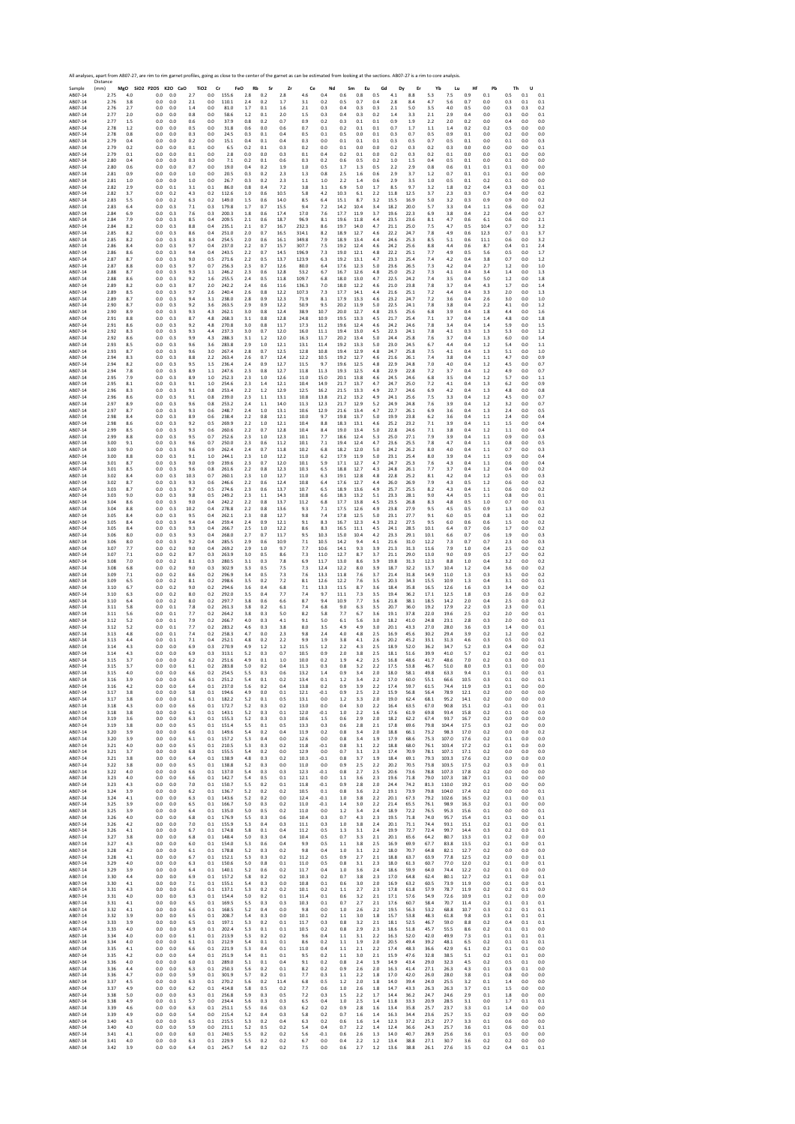Sample Resort A ABOF-14 ABOF-14 ABOF-14 ABOF-14 ABOF-14 ABOF-14 ABOF-14 ABOF-14 ABOF-14 ABOF-14 ABOF-14 ABOF-14 ABOF-14 ABOF-14 ABOF-14 ABOF-14 ABOF-14 ABOF-14 ABOF-14 ABOF-14 ABOF-14 ABOF-14 ABOF-14 ABOF-14 ABOF-14 ABOF-1 Distance (mm) **MgO SiO2 P2O5 K2O CaO TiO2 Cr FeO Rb Sr Zr Ce Nd Sm Eu Gd Dy Er Yb Lu Hf Pb Th U** AB07‐14 2.75 4.0 0.0 0.0 2.7 0.0 155.6 2.8 0.2 2.8 4.6 0.4 0.6 0.8 0.5 4.1 8.8 5.3 7.5 0.9 0.1 0.5 0.1 0.1 AB07‐14 2.76 3.8 0.0 0.0 2.1 0.0 110.1 2.4 0.2 1.7 3.1 0.2 0.5 0.7 0.4 2.8 8.4 4.7 5.6 0.7 0.0 0.3 0.1 0.1 AB07‐14 2.76 2.7 0.0 0.0 1.4 0.0 81.0 1.7 0.1 1.6 2.1 0.3 0.4 0.3 0.3 2.1 5.0 3.5 4.0 0.5 0.0 0.3 0.3 0.2 AB07‐14 2.77 2.0 0.0 0.0 0.8 0.0 58.6 1.2 0.1 2.0 1.5 0.3 0.4 0.3 0.2 1.4 3.3 2.1 2.9 0.4 0.0 0.3 0.0 0.1 AB07‐14 2.77 1.5 0.0 0.0 0.6 0.0 37.9 0.8 0.2 0.7 0.9 0.2 0.3 0.1 0.1 0.9 1.9 2.2 2.0 0.2 0.0 0.4 0.0 0.0 AB07‐14 2.78 1.2 0.0 0.0 0.5 0.0 31.8 0.6 0.0 0.6 0.7 0.1 0.2 0.1 0.1 0.7 1.7 1.1 1.4 0.2 0.2 0.5 0.0 0.0 AB07‐14 2.78 0.8 0.0 0.0 0.3 0.0 24.5 0.3 0.1 0.4 0.5 0.1 0.5 0.0 0.1 0.3 0.7 0.5 0.9 0.1 0.0 0.2 0.0 0.0 AB07‐14 2.79 0.4 0.0 0.0 0.2 0.0 15.1 0.4 0.1 0.4 0.3 0.0 0.1 0.1 0.1 0.3 0.5 0.7 0.5 0.1 0.0 0.1 0.0 0.3 AB07‐14 2.79 0.2 0.0 0.0 0.1 0.0 6.5 0.2 0.1 0.3 0.2 0.0 0.1 0.0 0.0 0.2 0.3 0.2 0.3 0.0 0.0 0.0 0.0 0.1 AB07‐14 2.79 0.1 0.0 0.0 0.1 0.0 2.8 0.0 0.0 0.3 0.1 0.4 0.2 0.1 0.0 0.2 0.3 0.2 0.1 0.0 0.0 0.1 0.0 0.0 AB07‐14 2.80 0.4 0.0 0.0 0.3 0.0 7.1 0.2 0.1 0.6 0.3 0.2 0.6 0.5 0.2 1.0 1.5 0.4 0.5 0.1 0.0 0.1 0.0 0.0 AB07‐14 2.80 0.6 0.0 0.0 0.7 0.0 19.0 0.4 0.2 1.9 1.0 0.5 1.7 1.3 0.5 2.2 2.9 0.8 0.6 0.1 0.1 0.1 0.0 0.0 AB07‐14 2.81 0.9 0.0 0.0 1.0 0.0 20.5 0.3 0.2 2.3 1.3 0.8 2.5 1.6 0.6 2.9 3.7 1.2 0.7 0.1 0.1 0.1 0.0 0.0 AB07‐14 2.81 1.0 0.0 0.0 1.0 0.0 26.7 0.3 0.2 2.3 1.1 1.0 2.2 1.4 0.6 2.9 3.5 1.0 0.5 0.1 0.2 0.1 0.0 0.0 AB07‐14 2.82 2.9 0.0 0.1 3.1 0.1 86.0 0.8 0.4 7.2 3.8 3.1 6.9 5.0 1.7 8.5 9.7 3.2 1.8 0.2 0.4 0.3 0.0 0.1 AB07‐14 2.82 3.7 0.0 0.2 4.3 0.2 112.6 1.0 0.6 10.5 5.8 4.2 10.3 6.1 2.2 11.8 12.5 3.7 2.3 0.3 0.7 0.4 0.0 0.2 AB07‐14 2.83 5.5 0.0 0.2 6.3 0.2 149.0 1.5 0.6 14.0 8.5 6.4 15.1 8.7 3.2 15.5 16.9 5.0 3.2 0.3 0.9 0.9 0.0 0.2 AB07‐14 2.83 6.4 0.0 0.3 7.1 0.3 179.8 1.7 0.7 15.5 9.4 7.2 14.2 10.4 3.4 18.2 20.0 5.7 3.3 0.4 1.1 0.6 0.0 0.2 AB07‐14 2.84 6.9 0.0 0.3 7.6 0.3 200.3 1.8 0.6 17.4 17.0 7.6 17.7 11.9 3.7 19.6 22.3 6.9 3.8 0.4 2.2 0.4 0.0 0.7 AB07‐14 2.84 7.9 0.0 0.3 8.5 0.4 209.5 2.1 0.6 18.7 96.9 8.1 19.6 11.8 4.4 23.5 23.6 8.1 4.7 0.6 6.1 0.6 0.0 2.1 AB07‐14 2.84 8.2 0.0 0.3 8.8 0.4 235.1 2.1 0.7 16.7 232.3 8.6 19.7 14.0 4.7 21.1 25.0 7.5 4.7 0.5 10.4 0.7 0.0 3.2 AB07‐14 2.85 8.2 0.0 0.3 8.6 0.4 251.0 2.0 0.7 16.5 314.1 8.2 18.9 12.7 4.6 22.2 24.7 7.8 4.9 0.6 12.3 0.7 0.1 3.7 AB07‐14 2.85 8.2 0.0 0.3 8.3 0.4 254.5 2.0 0.6 16.1 349.8 7.9 18.9 13.4 4.4 24.6 25.3 8.5 5.1 0.6 11.1 0.6 0.0 3.2 AB07‐14 2.86 8.4 0.0 0.3 9.7 0.4 237.0 2.2 0.7 15.7 307.7 7.5 19.2 12.4 4.6 24.2 25.6 8.8 4.4 0.6 8.7 0.4 0.1 2.4 AB07‐14 2.86 8.6 0.0 0.3 9.4 0.4 243.5 2.2 0.7 14.5 196.9 7.3 19.0 12.1 4.8 22.2 25.1 7.7 4.9 0.5 5.6 0.5 0.0 1.7 AB07‐14 2.87 8.7 0.0 0.3 9.0 0.5 271.6 2.2 0.5 13.7 123.9 6.3 19.2 13.1 4.7 23.3 25.4 7.4 4.2 0.4 3.8 0.7 0.0 1.2 AB07‐14 2.87 8.8 0.0 0.3 9.7 0.7 256.3 2.3 0.7 12.6 80.0 6.4 17.6 12.3 5.0 23.6 26.5 7.3 4.2 0.4 2.7 1.2 0.0 1.0 AB07‐14 2.88 8.7 0.0 0.3 9.3 1.1 246.2 2.3 0.6 12.8 53.2 6.7 16.7 12.6 4.8 25.0 25.2 7.3 4.1 0.4 3.4 1.4 0.0 1.3 AB07‐14 2.88 8.6 0.0 0.3 9.2 1.6 255.5 2.4 0.5 11.8 109.7 6.8 18.0 13.0 4.7 22.5 24.2 7.4 3.5 0.4 5.0 1.2 0.0 1.8 AB07‐14 2.89 8.2 0.0 0.3 8.7 2.0 242.2 2.4 0.6 11.6 136.3 7.0 18.0 12.2 4.6 21.0 23.8 7.8 3.7 0.4 4.3 1.7 0.0 1.4 AB07‐14 2.89 8.5 0.0 0.3 9.7 2.6 240.4 2.6 0.8 12.2 107.3 7.3 17.7 14.1 4.4 21.6 25.1 7.2 4.4 0.4 3.3 2.0 0.0 1.3 AB07‐14 2.89 8.7 0.0 0.3 9.4 3.1 238.0 2.8 0.9 12.3 71.9 8.1 17.9 13.3 4.6 23.2 24.7 7.2 3.6 0.4 2.6 3.0 0.0 1.0 AB07‐14 2.90 8.7 0.0 0.3 9.2 3.6 263.5 2.9 0.9 12.2 50.9 9.5 20.2 11.9 5.0 22.5 24.1 7.8 3.8 0.4 2.2 4.1 0.0 1.2 AB07‐14 2.90 8.9 0.0 0.3 9.3 4.3 262.1 3.0 0.8 12.4 38.9 10.7 20.0 12.7 4.8 23.5 25.6 6.8 3.9 0.4 1.8 4.4 0.0 1.6 AB07‐14 2.91 8.8 0.0 0.3 8.7 4.8 268.3 3.1 0.8 12.8 24.8 10.9 19.5 13.3 4.5 21.7 25.4 7.1 3.7 0.4 1.4 4.8 0.0 1.8 AB07‐14 2.91 8.6 0.0 0.3 9.2 4.8 270.8 3.0 0.8 11.7 17.3 11.2 19.6 12.4 4.6 24.2 24.6 7.8 3.4 0.4 1.4 5.9 0.0 1.5 AB07‐14 2.92 8.3 0.0 0.3 9.3 4.4 237.3 3.0 0.7 12.0 16.0 11.1 19.4 13.0 4.5 22.3 24.1 7.8 4.1 0.3 1.3 5.3 0.0 1.2 AB07‐14 2.92 8.6 0.0 0.3 9.9 4.3 288.3 3.1 1.2 12.0 16.3 11.7 20.2 13.4 5.0 24.4 25.8 7.6 3.7 0.4 1.3 6.0 0.0 1.4 AB07‐14 2.93 8.5 0.0 0.3 9.6 3.6 283.8 2.9 1.0 12.1 13.1 11.4 19.2 13.3 5.0 23.0 24.5 6.7 4.4 0.4 1.2 5.4 0.0 1.1 AB07‐14 2.93 8.7 0.0 0.3 9.6 3.0 267.4 2.8 0.7 12.5 12.8 10.8 19.4 12.9 4.8 24.7 25.8 7.5 4.1 0.4 1.3 5.1 0.0 1.0 AB07‐14 2.94 8.3 0.0 0.3 8.8 2.2 263.4 2.6 0.7 12.4 12.2 10.5 19.2 12.7 4.6 21.6 26.1 7.4 3.8 0.4 1.1 4.7 0.0 0.9 AB07‐14 2.94 8.2 0.0 0.3 9.5 1.5 236.4 2.4 0.9 12.7 11.5 9.7 19.6 12.5 4.8 22.9 24.8 7.0 4.0 0.4 1.2 4.5 0.0 0.7 AB07‐14 2.94 7.8 0.0 0.3 8.9 1.1 247.6 2.3 0.8 12.7 11.8 11.3 19.3 12.5 4.8 22.9 22.8 7.2 3.7 0.4 1.2 4.9 0.0 0.7 AB07‐14 2.95 7.9 0.0 0.3 8.9 1.0 252.3 2.3 1.0 12.6 11.0 15.0 20.1 13.8 4.6 24.5 24.6 6.8 3.5 0.4 1.2 5.7 0.0 1.1 AB07‐14 2.95 8.1 0.0 0.3 9.1 1.0 254.6 2.3 1.4 12.1 10.4 14.9 21.7 13.7 4.7 24.7 25.0 7.2 4.1 0.4 1.3 6.2 0.0 0.9 AB07‐14 2.96 8.3 0.0 0.3 9.1 0.8 253.4 2.2 1.2 12.9 12.5 16.2 21.5 13.3 4.9 22.7 24.6 6.9 4.2 0.4 1.3 4.8 0.0 0.8 AB07‐14 2.96 8.6 0.0 0.3 9.1 0.8 239.0 2.3 1.1 13.1 10.8 13.8 21.2 13.2 4.9 24.1 25.6 7.5 3.3 0.4 1.2 4.5 0.0 0.7 AB07‐14 2.97 8.9 0.0 0.3 9.6 0.8 253.2 2.4 1.1 14.0 11.3 12.3 21.7 12.9 5.2 24.9 24.8 7.6 3.9 0.4 1.2 3.2 0.0 0.7 AB07‐14 2.97 8.7 0.0 0.3 9.3 0.6 248.7 2.4 1.0 13.1 10.6 12.9 21.6 13.4 4.7 22.7 26.1 6.9 3.6 0.4 1.3 2.4 0.0 0.5 AB07‐14 2.98 8.4 0.0 0.3 8.9 0.6 238.4 2.2 0.8 12.1 10.0 9.7 19.8 13.7 5.0 19.9 23.8 6.2 3.6 0.4 1.1 2.4 0.0 0.4 AB07‐14 2.98 8.6 0.0 0.3 9.2 0.5 269.9 2.2 1.0 12.1 10.4 8.8 18.3 13.1 4.6 25.2 23.2 7.1 3.9 0.4 1.1 1.5 0.0 0.4 AB07‐14 2.99 8.5 0.0 0.3 9.3 0.6 260.6 2.2 0.7 12.8 10.4 8.4 19.0 13.4 5.0 22.8 24.6 7.1 3.8 0.4 1.2 1.1 0.0 0.4 AB07‐14 2.99 8.8 0.0 0.3 9.5 0.7 252.6 2.3 1.0 12.3 10.1 7.7 18.6 12.4 5.3 25.0 27.1 7.9 3.9 0.4 1.1 0.9 0.0 0.3 AB07‐14 3.00 9.1 0.0 0.3 9.6 0.7 250.0 2.3 0.6 11.2 10.1 7.1 19.4 12.4 4.7 23.6 25.5 7.8 4.7 0.4 1.1 0.8 0.0 0.5 AB07‐14 3.00 9.0 0.0 0.3 9.6 0.9 262.4 2.4 0.7 11.8 10.2 6.8 18.2 12.0 5.0 24.2 26.2 8.0 4.0 0.4 1.1 0.7 0.0 0.3 AB07‐14 3.00 8.8 0.0 0.3 9.1 1.0 244.1 2.3 1.0 12.2 11.0 6.2 17.9 11.9 5.0 23.1 25.4 8.0 3.9 0.4 1.1 0.9 0.0 0.4 AB07‐14 3.01 8.7 0.0 0.3 9.0 0.9 239.6 2.3 0.7 12.0 10.1 5.9 17.1 12.7 4.7 24.7 25.3 7.6 4.3 0.4 1.1 0.6 0.0 0.4 AB07‐14 3.01 8.5 0.0 0.3 9.6 0.8 261.6 2.2 0.8 12.3 10.3 6.5 18.8 12.7 4.3 24.8 26.1 7.7 3.7 0.4 1.2 0.4 0.0 0.2 AB07‐14 3.02 8.4 0.0 0.3 10.3 0.7 260.1 2.3 1.0 12.7 11.0 6.3 19.1 12.8 4.8 22.8 25.2 8.1 4.2 0.4 1.2 0.5 0.0 0.3 AB07‐14 3.02 8.7 0.0 0.3 9.3 0.6 246.6 2.2 0.6 12.4 10.8 6.4 17.6 12.7 4.4 26.0 26.9 7.9 4.3 0.5 1.2 0.6 0.0 0.2 AB07‐14 3.03 8.7 0.0 0.3 9.7 0.5 274.6 2.3 0.6 13.7 10.7 6.5 18.9 13.6 4.9 25.7 25.5 8.2 4.3 0.4 1.1 0.6 0.0 0.2 AB07‐14 3.03 9.0 0.0 0.3 9.8 0.5 249.2 2.3 1.1 14.3 10.8 6.6 18.3 13.2 5.1 23.3 28.1 9.0 4.4 0.5 1.1 0.8 0.0 0.1 AB07‐14 3.04 8.6 0.0 0.3 9.0 0.4 242.2 2.2 0.8 13.7 11.2 6.8 17.7 13.8 4.5 23.5 26.8 8.3 4.8 0.5 1.0 0.7 0.0 0.1 AB07‐14 3.04 8.8 0.0 0.3 10.2 0.4 278.8 2.2 0.8 13.6 9.3 7.1 17.5 12.6 4.9 23.8 27.9 9.5 4.5 0.5 0.9 1.3 0.0 0.2 AB07‐14 3.05 8.4 0.0 0.3 9.5 0.4 262.1 2.3 0.8 12.7 9.8 7.4 17.8 12.5 5.0 23.1 27.7 9.1 6.0 0.5 0.8 1.3 0.0 0.2 AB07‐14 3.05 8.4 0.0 0.3 9.4 0.4 259.4 2.4 0.9 12.1 9.1 8.3 16.7 12.3 4.3 23.2 27.5 9.5 6.0 0.6 0.6 1.5 0.0 0.2 AB07‐14 3.05 8.4 0.0 0.3 9.3 0.4 266.7 2.5 1.0 12.2 8.6 8.3 16.5 11.1 4.5 24.1 28.5 10.1 6.4 0.7 0.6 1.7 0.0 0.2 AB07‐14 3.06 8.0 0.0 0.3 9.3 0.4 268.0 2.7 0.7 11.7 9.5 10.3 15.0 10.4 4.2 23.3 29.1 10.1 6.6 0.7 0.6 1.9 0.0 0.3 AB07‐14 3.06 8.0 0.0 0.3 9.2 0.4 285.5 2.9 0.6 10.9 7.1 10.5 14.2 9.4 4.1 21.6 31.0 12.2 7.3 0.7 0.7 2.3 0.0 0.3 AB07‐14 3.07 7.7 0.0 0.2 9.0 0.4 269.2 2.9 1.0 9.7 7.7 10.6 14.1 9.3 3.9 21.3 31.3 11.6 7.9 1.0 0.4 2.5 0.0 0.2 AB07‐14 3.07 7.1 0.0 0.2 8.7 0.3 263.9 3.0 0.5 8.6 7.3 11.0 12.7 8.7 3.7 21.1 29.0 13.0 9.0 0.9 0.5 2.7 0.0 0.2 AB07‐14 3.08 7.0 0.0 0.2 8.1 0.3 280.5 3.1 0.3 7.8 6.9 11.7 13.0 8.6 3.9 19.8 31.3 12.3 8.8 1.0 0.4 3.2 0.0 0.2 AB07‐14 3.08 6.8 0.0 0.2 9.0 0.3 302.9 3.3 0.5 7.5 7.3 12.4 12.2 8.0 3.9 18.7 32.2 13.7 10.4 1.2 0.4 3.6 0.0 0.2 AB07‐14 3.09 7.1 0.0 0.2 8.6 0.2 296.9 3.4 0.5 7.3 7.6 13.3 11.8 7.6 3.7 21.4 31.8 14.9 11.0 1.3 0.3 3.5 0.0 0.2 AB07‐14 3.09 6.5 0.0 0.2 8.1 0.2 298.6 3.5 0.2 7.2 8.1 12.6 12.2 7.6 3.5 20.3 34.3 15.5 10.9 1.3 0.4 3.1 0.0 0.1 AB07‐14 3.10 6.7 0.0 0.2 9.0 0.2 294.6 3.6 0.4 6.8 7.1 13.3 11.5 8.7 3.6 18.4 35.8 16.5 12.6 1.6 0.3 3.4 0.0 0.2 AB07‐14 3.10 6.3 0.0 0.2 8.0 0.2 292.0 3.5 0.4 7.7 7.4 9.7 11.1 7.3 3.5 19.4 36.2 17.1 12.5 1.8 0.3 2.6 0.0 0.2 AB07‐14 3.10 6.4 0.0 0.2 8.0 0.2 297.7 3.8 0.6 6.6 8.7 9.4 10.9 7.7 3.6 21.8 38.1 18.5 14.2 2.0 0.4 2.5 0.0 0.2 AB07‐14 3.11 5.8 0.0 0.1 7.8 0.2 261.3 3.8 0.2 6.1 7.4 6.8 9.0 6.3 3.5 20.7 36.0 19.2 17.9 2.2 0.3 2.3 0.0 0.1 AB07‐14 3.11 5.6 0.0 0.1 7.7 0.2 264.2 3.8 0.3 5.0 8.2 5.8 7.7 6.7 3.6 19.1 37.8 22.0 19.6 2.5 0.2 2.0 0.0 0.1 AB07‐14 3.12 5.2 0.0 0.1 7.9 0.2 266.7 4.0 0.3 4.1 9.1 5.0 6.1 5.6 3.0 18.2 41.0 24.8 23.1 2.8 0.3 2.0 0.0 0.1 AB07‐14 3.12 5.2 0.0 0.1 7.7 0.2 283.2 4.6 0.3 3.8 8.0 3.5 4.9 4.9 3.0 20.1 43.3 27.0 28.0 3.6 0.3 1.4 0.0 0.1 AB07‐14 3.13 4.8 0.0 0.1 7.4 0.2 258.3 4.7 0.0 2.3 9.8 2.4 4.0 4.8 2.5 16.9 45.6 30.2 29.4 3.9 0.2 1.2 0.0 0.2 AB07‐14 3.13 4.4 0.0 0.1 7.1 0.4 252.1 4.8 0.2 2.2 9.9 1.9 3.8 4.1 2.6 20.2 45.2 33.1 31.3 4.6 0.3 0.5 0.0 0.1 AB07‐14 3.14 4.3 0.0 0.0 6.9 0.3 270.9 4.9 1.2 1.2 11.5 1.2 2.2 4.3 2.5 18.9 52.0 36.2 34.7 5.2 0.3 0.4 0.0 0.2 AB07‐14 3.14 4.3 0.0 0.0 6.9 0.3 313.1 5.2 0.3 0.7 10.5 0.9 2.0 3.8 2.5 18.1 51.6 39.9 41.0 5.7 0.2 0.2 0.0 0.1 AB07‐14 3.15 3.7 0.0 0.0 6.2 0.2 251.6 4.9 0.1 1.0 10.0 0.2 1.9 4.2 2.5 16.8 48.6 41.7 48.6 7.0 0.2 0.3 0.0 0.1 AB07‐14 3.15 3.7 0.0 0.0 6.1 0.2 283.8 5.0 0.2 0.4 11.3 0.3 0.8 3.2 2.2 17.5 53.8 46.7 51.0 8.0 0.3 0.1 0.0 0.0 AB07‐14 3.15 4.0 0.0 0.0 6.6 0.2 254.5 5.5 0.3 0.6 13.2 1.4 0.9 3.4 2.0 18.0 58.1 49.8 63.3 9.4 0.1 0.1 0.0 0.1 AB07‐14 3.16 3.9 0.0 0.0 6.6 0.1 251.2 5.4 0.1 0.2 13.4 0.1 1.2 3.4 2.2 17.0 60.0 55.1 66.6 10.5 0.3 0.1 0.0 0.1 AB07‐14 3.16 4.2 0.0 0.0 6.4 0.1 237.0 5.6 0.2 0.4 13.8 0.2 0.9 3.9 2.2 17.4 59.7 61.5 74.4 11.9 0.3 0.1 0.0 0.0 AB07‐14 3.17 3.8 0.0 0.0 5.8 0.1 194.6 4.9 0.0 0.1 12.1 ‐0.1 0.9 2.5 2.2 15.9 56.8 56.4 78.9 12.1 0.2 0.0 0.0 0.0 AB07‐14 3.17 3.8 0.0 0.0 6.1 0.1 182.2 5.2 0.1 0.5 13.1 0.0 1.2 3.3 2.0 19.0 62.4 68.1 95.2 14.1 0.2 0.0 0.0 0.0 AB07‐14 3.18 4.3 0.0 0.0 6.6 0.1 172.7 5.2 0.3 0.2 13.0 0.0 0.4 3.0 2.2 16.4 63.5 67.0 90.8 15.1 0.2 ‐0.1 0.0 0.1 AB07‐14 3.18 3.8 0.0 0.0 6.1 0.1 143.1 5.2 0.3 0.1 12.0 ‐0.1 1.0 2.2 1.6 17.6 61.9 69.8 93.4 15.8 0.2 0.1 0.0 0.0 AB07‐14 3.19 3.6 0.0 0.0 6.3 0.1 155.3 5.2 0.3 0.3 10.6 1.5 0.6 2.9 2.0 18.2 62.2 67.4 93.7 16.7 0.2 0.0 0.0 0.0 AB07‐14 3.19 3.8 0.0 0.0 6.5 0.1 151.4 5.5 0.1 0.5 13.3 0.3 0.6 2.8 2.1 17.8 69.6 79.8 104.4 17.5 0.3 0.2 0.0 0.0 AB07‐14 3.20 3.9 0.0 0.0 6.6 0.1 149.6 5.4 0.2 0.4 11.9 0.2 0.8 3.4 2.0 18.8 66.1 73.2 98.3 17.0 0.2 0.0 0.0 0.2 AB07‐14 3.20 3.9 0.0 0.0 6.1 0.1 157.2 5.3 0.4 0.0 12.6 0.0 0.8 3.4 1.9 17.9 68.6 75.3 107.0 17.6 0.2 0.1 0.0 0.0 AB07‐14 3.21 4.0 0.0 0.0 6.5 0.1 210.5 5.3 0.3 0.2 11.8 ‐0.1 0.8 3.1 2.2 18.8 68.0 76.1 103.4 17.2 0.2 0.1 0.0 0.0 AB07‐14 3.21 3.7 0.0 0.0 6.8 0.1 155.5 5.4 0.2 0.0 12.9 0.0 0.7 3.1 2.3 17.4 70.9 78.1 107.1 17.1 0.2 0.0 0.0 0.0 AB07‐14 3.21 3.8 0.0 0.0 6.4 0.1 138.9 4.8 0.3 0.2 10.3 ‐0.1 0.8 3.7 1.9 18.4 69.1 79.3 103.3 17.6 0.2 0.0 0.0 0.0 AB07‐14 3.22 3.8 0.0 0.0 6.5 0.1 138.8 5.2 0.3 0.0 11.0 0.0 0.9 2.5 2.2 20.2 70.5 73.8 103.5 17.5 0.2 0.3 0.0 0.1 AB07‐14 3.22 4.0 0.0 0.0 6.6 0.1 137.0 5.4 0.3 0.3 12.3 ‐0.1 0.8 2.7 2.5 20.6 73.6 78.8 107.3 17.8 0.2 0.0 0.0 0.0 AB07‐14 3.23 4.0 0.0 0.0 6.6 0.1 142.7 5.4 0.5 0.1 12.1 0.0 1.1 3.6 2.3 19.6 71.8 79.0 107.3 18.7 0.1 0.1 0.0 0.0 AB07‐14 3.23 4.3 0.0 0.0 7.0 0.1 150.7 5.5 0.2 0.1 11.8 ‐0.1 0.9 2.8 2.0 24.4 74.2 81.3 110.0 19.2 0.1 0.0 0.0 0.0 AB07‐14 3.24 3.9 0.0 0.0 6.2 0.1 136.7 5.2 0.2 0.2 10.5 0.1 0.8 3.6 2.2 19.1 73.9 79.8 104.0 17.4 0.2 0.0 0.0 0.1 AB07‐14 3.24 4.1 0.0 0.0 6.3 0.1 143.6 5.2 0.2 0.0 12.4 ‐0.1 1.0 3.8 2.2 20.1 67.3 79.2 102.6 16.5 0.2 0.1 0.0 0.1 AB07‐14 3.25 3.9 0.0 0.0 6.5 0.1 166.7 5.0 0.3 0.2 11.0 ‐0.1 1.4 3.0 2.2 21.4 65.5 76.1 98.9 16.3 0.2 0.1 0.0 0.0 AB07‐14 3.25 3.9 0.0 0.0 6.4 0.1 135.0 5.0 0.5 0.2 11.0 0.0 1.2 3.4 2.4 18.9 72.2 76.5 95.3 15.6 0.1 0.0 0.0 0.1 AB07‐14 3.26 4.0 0.0 0.0 6.8 0.1 176.9 5.5 0.3 0.6 10.4 0.3 0.7 4.3 2.3 19.5 71.8 74.0 95.7 15.4 0.1 0.1 0.0 0.1 AB07‐14 3.26 4.2 0.0 0.0 7.0 0.1 155.9 5.3 0.4 0.3 11.1 0.3 1.0 3.8 2.4 20.1 71.1 74.4 93.1 15.1 0.2 0.1 0.0 0.1 AB07‐14 3.26 4.1 0.0 0.0 6.7 0.1 174.8 5.8 0.1 0.4 11.2 0.5 1.3 3.1 2.4 19.9 72.7 72.4 99.7 14.4 0.3 0.2 0.0 0.1 AB07‐14 3.27 3.8 0.0 0.0 6.8 0.1 148.4 5.0 0.3 0.4 10.4 0.5 0.7 3.3 2.1 20.1 65.6 64.2 80.7 13.3 0.1 0.2 0.0 0.0 AB07‐14 3.27 4.3 0.0 0.0 6.0 0.1 154.0 5.3 0.6 0.4 9.9 0.5 1.1 3.8 2.5 16.9 69.9 67.7 83.8 13.5 0.2 0.1 0.0 0.1 AB07‐14 3.28 4.2 0.0 0.0 6.1 0.1 178.8 5.2 0.3 0.2 9.8 0.4 1.0 3.1 2.2 18.0 70.7 64.8 82.1 12.7 0.2 0.0 0.0 0.0 AB07‐14 3.28 4.1 0.0 0.0 6.7 0.1 152.1 5.3 0.3 0.2 11.2 0.5 0.9 2.7 2.1 18.8 63.7 63.9 77.8 12.5 0.2 0.0 0.0 0.1 AB07‐14 3.29 4.0 0.0 0.0 6.3 0.1 150.6 5.0 0.8 0.1 11.0 0.5 0.8 3.1 2.3 18.0 61.3 60.7 77.0 12.0 0.2 0.1 0.0 0.1 AB07‐14 3.29 3.9 0.0 0.0 6.4 0.1 140.1 5.2 0.6 0.2 11.7 0.4 1.0 3.6 2.4 18.6 59.9 64.0 74.4 12.2 0.2 0.1 0.0 0.0 AB07‐14 3.30 4.4 0.0 0.0 6.9 0.1 157.2 5.8 0.2 0.2 10.3 0.2 0.7 3.8 2.3 17.0 64.8 62.4 80.1 12.7 0.2 0.1 0.0 0.1 AB07‐14 3.30 4.1 0.0 0.0 7.1 0.1 155.1 5.4 0.3 0.0 10.8 0.1 0.6 3.0 2.0 16.9 63.2 60.5 73.9 11.9 0.0 0.1 0.0 0.1 AB07‐14 3.31 4.3 0.0 0.0 6.6 0.1 137.1 5.3 0.2 0.2 10.1 0.2 1.1 2.7 2.3 17.8 61.8 57.9 78.7 11.9 0.2 0.2 0.1 0.0 AB07‐14 3.31 4.0 0.0 0.0 6.3 0.1 154.4 5.0 0.2 0.1 11.4 0.1 0.6 3.2 2.1 17.1 57.6 54.9 72.6 10.9 0.1 0.2 0.0 0.0 AB07‐14 3.31 4.1 0.0 0.0 6.5 0.1 169.5 5.5 0.3 0.3 10.3 0.1 0.7 2.7 2.1 17.6 60.7 58.4 70.7 11.4 0.2 0.1 0.1 0.1 AB07‐14 3.32 4.1 0.0 0.0 6.6 0.1 168.5 5.2 0.4 0.0 9.8 0.0 1.0 2.6 2.2 19.5 56.3 53.2 68.8 10.7 0.3 0.2 0.1 0.1 AB07‐14 3.32 3.9 0.0 0.0 6.5 0.1 208.7 5.4 0.3 0.0 10.1 0.2 1.1 3.0 1.8 15.7 53.8 48.3 61.8 9.8 0.3 0.1 0.1 0.1 AB07‐14 3.33 3.9 0.0 0.0 6.5 0.1 197.1 5.3 0.2 0.1 11.7 0.3 0.8 3.2 2.1 18.1 52.5 46.7 59.0 8.8 0.2 0.4 0.1 0.1 AB07‐14 3.33 4.0 0.0 0.0 6.9 0.1 202.4 5.3 0.1 0.1 10.5 0.2 0.8 2.9 2.3 18.6 51.8 45.7 55.5 8.6 0.2 0.1 0.1 0.0 AB07‐14 3.34 4.0 0.0 0.0 6.1 0.1 213.9 5.3 0.2 0.2 9.6 0.4 1.1 3.1 2.2 16.3 52.0 42.0 49.9 7.3 0.1 0.1 0.1 0.1 AB07‐14 3.34 4.0 0.0 0.0 6.1 0.1 212.9 5.4 0.1 0.1 8.6 0.2 1.1 1.9 2.0 20.5 49.4 39.2 48.1 6.5 0.2 0.1 0.1 0.1 AB07‐14 3.35 4.1 0.0 0.0 6.6 0.1 221.9 5.3 0.4 0.1 11.0 0.4 1.1 2.1 2.2 17.4 48.3 36.6 42.9 6.1 0.2 0.1 0.1 0.0 AB07‐14 3.35 4.2 0.0 0.0 6.4 0.1 251.9 5.4 0.1 0.1 9.5 0.2 1.1 3.0 2.1 15.9 47.6 32.8 38.5 5.1 0.2 0.1 0.1 0.0 AB07‐14 3.36 4.0 0.0 0.0 6.0 0.1 289.0 5.1 0.1 0.4 9.1 0.2 0.8 2.4 1.9 14.9 43.4 29.0 32.3 4.5 0.2 0.5 0.1 0.0 AB07‐14 3.36 4.4 0.0 0.0 6.3 0.1 250.3 5.6 0.2 0.1 8.2 0.2 0.9 2.6 2.0 16.3 41.4 27.1 26.3 4.3 0.1 0.3 0.1 0.0 AB07‐14 3.36 4.7 0.0 0.0 5.9 0.1 301.9 5.7 0.2 0.1 7.7 0.3 1.1 2.2 1.8 17.0 42.0 26.0 28.0 3.8 0.1 0.8 0.0 0.0 AB07‐14 3.37 4.5 0.0 0.0 6.3 0.1 270.2 5.6 0.2 11.4 6.8 0.5 1.2 2.0 1.8 14.0 39.4 24.0 25.5 3.2 0.1 1.4 0.0 0.0 AB07‐14 3.37 4.9 0.0 0.0 6.2 0.1 414.8 5.8 0.5 0.2 7.7 0.6 1.0 2.6 1.8 14.7 43.3 26.3 26.3 3.7 0.1 1.5 0.0 0.0 AB07‐14 3.38 5.0 0.0 0.0 6.3 0.1 256.8 5.9 0.3 0.5 7.2 0.3 1.5 2.2 1.7 14.4 36.2 24.7 24.6 2.9 0.1 1.8 0.0 0.0 AB07‐14 3.38 4.9 0.0 0.1 5.7 0.0 234.4 5.6 0.3 0.3 6.5 0.4 1.0 2.5 1.4 11.8 33.3 20.9 28.5 3.1 0.0 1.7 0.1 0.1 AB07‐14 3.39 4.6 0.0 0.0 6.3 0.1 251.1 5.5 0.6 0.3 6.2 0.2 0.9 2.8 1.6 13.4 35.8 25.7 23.7 3.3 0.1 1.4 0.0 0.0 AB07‐14 3.39 4.9 0.0 0.0 5.4 0.0 215.4 5.2 0.4 0.3 5.8 0.2 0.7 1.6 1.4 16.3 34.4 23.6 25.7 3.5 0.2 0.9 0.0 0.0 AB07‐14 3.40 4.3 0.0 0.0 6.5 0.1 215.5 5.3 0.2 0.4 6.3 0.2 0.6 1.6 1.4 12.3 37.2 25.2 27.7 3.3 0.1 0.6 0.0 0.0 AB07‐14 3.40 4.0 0.0 0.0 5.9 0.0 231.1 5.2 0.5 0.2 5.4 0.4 0.7 2.2 1.4 12.4 36.6 24.3 25.7 3.6 0.1 0.6 0.0 0.1 AB07‐14 3.41 4.1 0.0 0.0 6.0 0.1 240.5 5.5 0.2 0.2 5.6 ‐0.1 0.6 2.6 1.3 14.0 40.7 28.9 25.6 3.6 0.1 0.5 0.0 0.0 AB07‐14 3.41 4.0 0.0 0.0 6.3 0.1 229.9 5.5 0.2 0.2 6.7 0.0 0.4 2.2 1.2 13.4 38.8 27.1 30.7 3.6 0.2 0.2 0.0 0.0 AB07‐14 3.42 3.9 0.0 0.0 6.4 0.1 245.7 5.4 0.2 0.2 7.5 0.0 0.6 2.7 1.2 13.6 38.8 26.1 27.6 3.5 0.2 0.4 0.1 0.1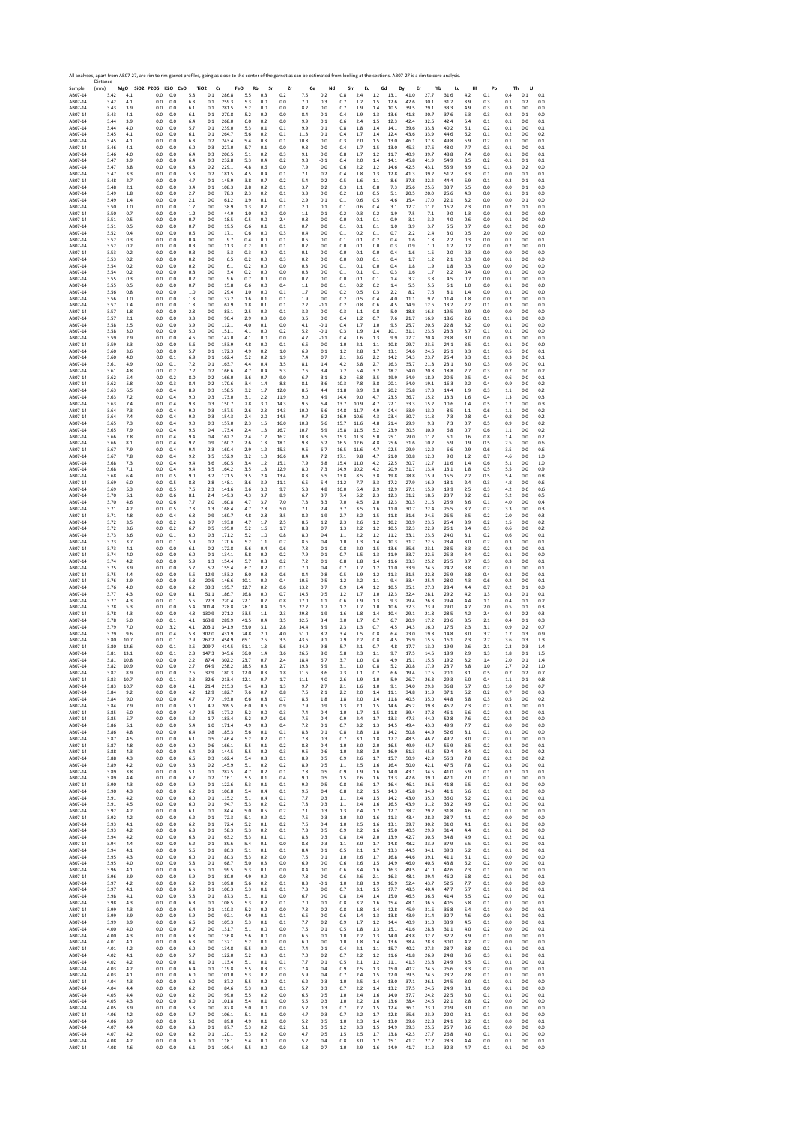Sample Resort A ABOF-14 ABOF-14 ABOF-14 ABOF-14 ABOF-14 ABOF-14 ABOF-14 ABOF-14 ABOF-14 ABOF-14 ABOF-14 ABOF-14 ABOF-14 ABOF-14 ABOF-14 ABOF-14 ABOF-14 ABOF-14 ABOF-14 ABOF-14 ABOF-14 ABOF-14 ABOF-14 ABOF-14 ABOF-14 ABOF-1 Distance (mm) **MgO SiO2 P2O5 K2O CaO TiO2 Cr FeO Rb Sr Zr Ce Nd Sm Eu Gd Dy Er Yb Lu Hf Pb Th U** AB07‐14 3.42 4.1 0.0 0.0 5.8 0.1 286.8 5.5 0.3 0.2 7.5 0.2 0.8 2.4 1.2 13.1 41.0 27.7 31.6 4.2 0.1 0.4 0.1 0.1 AB07‐14 3.42 4.1 0.0 0.0 6.3 0.1 259.3 5.3 0.0 0.0 7.0 0.3 0.7 1.2 1.5 12.6 42.6 30.1 31.7 3.9 0.3 0.1 0.2 0.0 AB07‐14 3.43 3.9 0.0 0.0 6.1 0.1 281.5 5.2 0.0 0.0 8.2 0.0 0.7 1.9 1.4 10.5 39.5 29.1 33.3 4.9 0.3 0.3 0.0 0.0 AB07‐14 3.43 4.1 0.0 0.0 6.1 0.1 270.8 5.2 0.2 0.0 8.4 0.1 0.4 1.9 1.3 13.6 41.8 30.7 37.6 5.3 0.3 0.2 0.1 0.0 AB07‐14 3.44 3.9 0.0 0.0 6.4 0.1 268.0 6.0 0.2 0.0 9.9 0.1 0.6 2.4 1.5 12.3 42.4 32.5 42.4 5.4 0.1 0.1 0.0 0.1 AB07‐14 3.44 4.0 0.0 0.0 5.7 0.1 239.0 5.3 0.1 0.1 9.9 0.1 0.8 1.8 1.4 14.1 39.6 33.8 40.2 6.1 0.2 0.1 0.0 0.1 AB07‐14 3.45 4.1 0.0 0.0 6.1 0.1 264.7 5.6 0.2 0.1 11.3 0.1 0.4 1.7 1.4 12.4 43.6 33.9 44.6 6.2 0.1 0.2 0.0 0.2 AB07‐14 3.45 4.1 0.0 0.0 6.3 0.2 243.4 5.4 0.3 0.1 10.8 0.0 0.3 2.0 1.5 13.0 46.1 37.3 49.8 6.9 0.2 0.1 0.0 0.1 AB07‐14 3.46 4.1 0.0 0.0 6.0 0.3 227.0 5.7 0.1 0.0 9.8 0.0 0.4 1.7 1.5 13.0 45.3 37.6 48.0 7.7 0.3 0.1 0.0 0.1 AB07‐14 3.46 4.0 0.0 0.0 6.4 0.3 206.5 5.1 0.2 0.3 9.1 0.0 0.8 1.7 1.2 11.7 40.9 39.7 48.8 7.4 0.0 0.1 0.0 0.1 AB07‐14 3.47 3.9 0.0 0.0 6.4 0.3 232.8 5.3 0.4 0.2 9.8 ‐0.1 0.4 2.0 1.4 14.1 45.8 41.9 54.9 8.5 0.2 ‐0.1 0.1 0.1 AB07‐14 3.47 3.8 0.0 0.0 6.3 0.2 229.1 4.8 0.6 0.0 7.9 0.0 0.6 2.2 1.2 14.6 42.5 43.1 55.9 8.9 0.1 0.3 0.2 0.0 AB07‐14 3.47 3.3 0.0 0.0 5.3 0.2 181.5 4.5 0.4 0.1 7.1 0.2 0.4 1.8 1.3 12.8 41.3 39.2 51.2 8.3 0.1 0.0 0.1 0.1 AB07‐14 3.48 2.7 0.0 0.0 4.7 0.1 145.9 3.8 0.7 0.2 5.4 0.2 0.5 1.6 1.1 8.6 37.8 32.2 44.4 6.9 0.1 0.3 0.1 0.1 AB07‐14 3.48 2.1 0.0 0.0 3.4 0.1 108.3 2.8 0.2 0.1 3.7 0.2 0.3 1.1 0.8 7.3 25.6 25.6 33.7 5.5 0.0 0.0 0.1 0.0 AB07‐14 3.49 1.8 0.0 0.0 2.7 0.0 78.3 2.3 0.2 0.1 3.3 0.0 0.2 1.0 0.5 5.1 20.5 20.0 25.6 4.3 0.0 0.1 0.1 0.0 AB07‐14 3.49 1.4 0.0 0.0 2.1 0.0 61.2 1.9 0.1 0.1 2.9 0.1 0.1 0.6 0.5 4.6 15.4 17.0 22.1 3.2 0.0 0.0 0.1 0.0 AB07‐14 3.50 1.0 0.0 0.0 1.7 0.0 38.9 1.3 0.2 0.1 2.0 0.1 0.1 0.6 0.4 3.1 12.7 11.2 16.2 2.3 0.0 0.2 0.1 0.0 AB07‐14 3.50 0.7 0.0 0.0 1.2 0.0 44.9 1.0 0.0 0.0 1.1 0.1 0.2 0.3 0.2 1.9 7.5 7.1 9.0 1.3 0.0 0.3 0.0 0.0 AB07‐14 3.51 0.5 0.0 0.0 0.7 0.0 18.5 0.5 0.0 2.4 0.8 0.0 0.0 0.1 0.1 0.9 3.1 3.2 4.0 0.6 0.0 0.1 0.0 0.0 AB07‐14 3.51 0.5 0.0 0.0 0.7 0.0 19.5 0.6 0.1 0.1 0.7 0.0 0.1 0.1 0.1 1.0 3.9 3.7 5.5 0.7 0.0 0.2 0.0 0.0 AB07‐14 3.52 0.4 0.0 0.0 0.5 0.0 17.1 0.6 0.0 0.3 0.4 0.0 0.1 0.2 0.1 0.7 2.2 2.4 3.0 0.5 2.0 0.0 0.0 0.0 AB07‐14 3.52 0.3 0.0 0.0 0.4 0.0 9.7 0.4 0.0 0.1 0.5 0.0 0.1 0.1 0.2 0.4 1.6 1.8 2.2 0.3 0.0 0.1 0.0 0.1 AB07‐14 3.52 0.2 0.0 0.0 0.3 0.0 11.3 0.2 0.1 0.1 0.2 0.0 0.0 0.1 0.0 0.3 0.9 1.0 1.2 0.2 0.0 0.2 0.0 0.0 AB07‐14 3.53 0.2 0.0 0.0 0.3 0.0 3.3 0.3 0.0 0.1 0.1 0.0 0.0 0.1 0.0 0.4 1.6 1.5 2.0 0.3 0.0 0.0 0.0 0.0 AB07‐14 3.53 0.2 0.0 0.0 0.2 0.0 6.5 0.2 0.0 0.3 0.2 0.0 0.0 0.0 0.1 0.4 1.7 1.2 2.1 0.3 0.0 0.1 0.0 0.0 AB07‐14 3.54 0.2 0.0 0.0 0.2 0.0 6.1 0.2 0.0 0.0 0.3 0.0 0.1 0.1 0.0 0.4 1.8 1.9 1.8 0.3 0.0 0.0 0.0 0.0 AB07‐14 3.54 0.2 0.0 0.0 0.3 0.0 3.4 0.2 0.0 0.0 0.3 0.0 0.1 0.1 0.1 0.3 1.6 1.7 2.2 0.4 0.0 0.1 0.0 0.0 AB07‐14 3.55 0.3 0.0 0.0 0.7 0.0 9.6 0.7 0.0 0.0 0.7 0.0 0.0 0.1 0.1 1.4 3.2 3.8 4.5 0.7 0.0 0.1 0.0 0.0 AB07‐14 3.55 0.5 0.0 0.0 0.7 0.0 15.8 0.6 0.0 0.4 1.1 0.0 0.1 0.2 0.2 1.4 5.5 5.5 6.1 1.0 0.0 0.1 0.0 0.0 AB07‐14 3.56 0.8 0.0 0.0 1.0 0.0 29.4 1.0 0.0 0.1 1.7 0.0 0.2 0.5 0.3 2.2 8.2 7.6 8.1 1.4 0.0 0.1 0.0 0.0 AB07‐14 3.56 1.0 0.0 0.0 1.3 0.0 37.2 1.6 0.1 0.1 1.9 0.0 0.2 0.5 0.4 4.0 11.1 9.7 11.4 1.8 0.0 0.2 0.0 0.0 AB07‐14 3.57 1.4 0.0 0.0 1.8 0.0 62.9 1.8 0.1 0.1 2.2 ‐0.1 0.2 0.8 0.6 4.5 14.9 12.6 13.7 2.2 0.1 0.3 0.0 0.0 AB07‐14 3.57 1.8 0.0 0.0 2.8 0.0 83.1 2.5 0.2 0.1 3.2 0.0 0.3 1.1 0.8 5.0 18.8 16.3 19.5 2.9 0.0 0.0 0.0 0.0 AB07‐14 3.57 2.1 0.0 0.0 3.3 0.0 90.4 2.9 0.3 0.0 3.5 0.0 0.4 1.2 0.7 7.6 21.7 16.9 18.6 2.6 0.1 0.1 0.0 0.0 AB07‐14 3.58 2.5 0.0 0.0 3.9 0.0 112.1 4.0 0.1 0.0 4.1 ‐0.1 0.4 1.7 1.0 9.5 25.7 20.5 22.8 3.2 0.0 0.1 0.0 0.0 AB07‐14 3.58 3.0 0.0 0.0 5.0 0.0 151.1 4.1 0.0 0.2 5.2 ‐0.1 0.3 1.9 1.4 10.1 31.1 23.5 23.3 3.7 0.1 0.1 0.0 0.0 AB07‐14 3.59 2.9 0.0 0.0 4.6 0.0 142.0 4.1 0.0 0.0 4.7 ‐0.1 0.4 1.6 1.3 9.9 27.7 20.4 23.8 3.0 0.0 0.3 0.0 0.0 AB07‐14 3.59 3.3 0.0 0.0 5.6 0.0 153.9 4.8 0.0 0.1 6.6 0.0 1.0 2.1 1.1 10.8 29.7 23.5 24.1 3.5 0.1 0.1 0.0 0.0 AB07‐14 3.60 3.6 0.0 0.0 5.7 0.1 172.3 4.9 0.2 1.0 6.9 0.1 1.2 2.8 1.7 13.1 34.6 24.5 25.1 3.3 0.1 0.5 0.0 0.1 AB07‐14 3.60 4.0 0.0 0.1 6.9 0.1 162.4 5.2 0.2 1.9 7.4 0.7 2.1 3.6 2.2 14.2 34.3 23.7 25.4 3.3 0.1 0.3 0.0 0.1 AB07‐14 3.61 4.9 0.0 0.1 7.2 0.1 163.7 4.4 0.4 3.5 8.1 1.4 4.2 5.8 2.7 16.3 35.7 21.8 23.1 3.0 0.3 0.6 0.0 0.1 AB07‐14 3.61 4.8 0.0 0.2 7.7 0.2 166.6 4.7 0.4 5.3 7.6 3.4 7.2 5.4 3.2 18.2 34.0 20.8 18.8 2.7 0.3 0.7 0.0 0.2 AB07‐14 3.62 5.4 0.0 0.2 8.0 0.2 166.0 3.6 0.7 9.0 6.7 3.1 8.2 6.8 3.5 19.9 34.9 18.9 20.5 2.5 0.4 0.6 0.0 0.1 AB07‐14 3.62 5.8 0.0 0.3 8.4 0.2 170.6 3.4 1.4 8.8 8.1 3.6 10.3 7.8 3.8 20.1 34.0 19.1 16.3 2.2 0.4 0.9 0.0 0.2 AB07‐14 3.63 6.5 0.0 0.4 8.9 0.3 158.5 3.2 1.7 12.0 8.5 4.4 11.8 8.9 3.8 20.2 35.8 17.3 14.4 1.9 0.3 1.1 0.0 0.2 AB07‐14 3.63 7.2 0.0 0.4 9.0 0.3 173.0 3.1 2.2 11.9 9.0 4.9 14.4 9.0 4.7 23.5 36.7 15.2 13.3 1.6 0.4 1.3 0.0 0.3 AB07‐14 3.63 7.4 0.0 0.4 9.3 0.3 150.7 2.8 3.0 14.3 9.5 5.4 13.7 10.9 4.7 22.1 33.3 15.2 10.6 1.4 0.5 1.2 0.0 0.3 AB07‐14 3.64 7.3 0.0 0.4 9.0 0.3 157.5 2.6 2.3 14.3 10.0 5.6 14.8 11.7 4.9 24.4 33.9 13.0 8.5 1.1 0.6 1.1 0.0 0.2 AB07‐14 3.64 7.4 0.0 0.4 9.2 0.3 154.3 2.4 2.0 14.5 9.7 6.2 16.9 10.6 4.3 23.4 30.7 11.3 7.3 0.8 0.4 0.8 0.0 0.2 AB07‐14 3.65 7.3 0.0 0.4 9.0 0.3 157.0 2.3 1.5 16.0 10.8 5.6 15.7 11.6 4.8 21.4 29.9 9.8 7.3 0.7 0.5 0.9 0.0 0.2 AB07‐14 3.65 7.9 0.0 0.4 9.5 0.4 173.4 2.4 1.3 16.7 10.7 5.9 15.8 11.5 5.2 23.9 30.5 10.9 6.8 0.7 0.6 1.1 0.0 0.2 AB07‐14 3.66 7.8 0.0 0.4 9.4 0.4 162.2 2.4 1.2 16.2 10.3 6.5 15.3 11.3 5.0 25.1 29.0 11.2 6.1 0.6 0.8 1.4 0.0 0.2 AB07‐14 3.66 8.1 0.0 0.4 9.7 0.9 160.2 2.6 1.3 18.1 9.8 6.2 16.5 12.6 4.8 25.6 31.6 10.2 6.9 0.9 0.5 2.5 0.0 0.6 AB07‐14 3.67 7.9 0.0 0.4 9.4 2.3 160.4 2.9 1.2 15.3 9.6 6.7 16.5 11.6 4.7 22.5 29.9 12.2 6.6 0.9 0.6 3.5 0.0 0.6 AB07‐14 3.67 7.8 0.0 0.4 9.2 3.5 152.9 3.2 1.0 16.6 8.4 7.2 17.1 9.8 4.7 21.0 30.8 12.0 9.0 1.2 0.7 4.6 0.0 1.0 AB07‐14 3.68 7.3 0.0 0.4 9.4 3.6 160.5 3.4 1.2 15.1 7.9 6.8 15.4 11.0 4.2 22.5 30.7 12.7 11.6 1.4 0.6 5.1 0.0 1.0 AB07‐14 3.68 7.1 0.0 0.4 9.4 3.5 164.2 3.5 1.8 12.9 8.0 7.3 14.9 10.2 4.2 20.9 31.7 13.4 13.1 1.8 0.5 5.5 0.0 0.9 AB07‐14 3.68 6.4 0.0 0.5 9.0 3.2 171.5 3.5 2.4 13.4 8.3 6.5 13.8 8.5 3.8 19.8 28.8 15.9 15.5 2.2 0.5 5.4 0.0 0.8 AB07‐14 3.69 6.0 0.0 0.5 8.8 2.8 148.1 3.6 3.9 11.1 6.5 5.4 11.2 7.7 3.3 17.2 27.9 16.9 18.1 2.4 0.3 4.8 0.0 0.6 AB07‐14 3.69 5.3 0.0 0.5 7.6 2.3 141.6 3.6 3.0 9.7 5.3 4.8 10.0 6.4 2.9 12.9 27.1 15.9 19.9 2.5 0.3 4.2 0.0 0.6 AB07‐14 3.70 5.1 0.0 0.6 8.1 2.4 149.3 4.3 3.7 8.9 6.7 3.7 7.4 5.2 2.3 12.3 31.2 18.5 23.7 3.2 0.2 5.2 0.0 0.5 AB07‐14 3.70 4.6 0.0 0.6 7.7 2.0 160.8 4.7 3.7 7.0 7.3 3.3 7.0 4.5 2.0 12.3 30.3 21.5 25.9 3.6 0.1 4.0 0.0 0.4 AB07‐14 3.71 4.2 0.0 0.5 7.3 1.3 168.4 4.7 2.8 5.0 7.1 2.4 3.7 3.5 1.6 11.0 30.7 22.4 26.5 3.7 0.2 3.3 0.0 0.3 AB07‐14 3.71 4.8 0.0 0.4 6.8 0.9 160.7 4.8 2.8 3.5 8.2 1.9 2.7 3.2 1.5 11.8 31.6 24.5 26.5 3.5 0.2 2.0 0.0 0.3 AB07‐14 3.72 3.5 0.0 0.2 6.0 0.7 193.8 4.7 1.7 2.5 8.5 1.2 2.3 2.6 1.2 10.2 30.9 23.6 25.4 3.9 0.2 1.5 0.0 0.2 AB07‐14 3.72 3.6 0.0 0.2 6.7 0.5 195.0 5.2 1.6 1.7 8.8 0.7 1.3 2.2 1.2 10.5 32.3 22.9 26.1 3.4 0.3 0.6 0.0 0.2 AB07‐14 3.73 3.6 0.0 0.1 6.0 0.3 171.2 5.2 1.0 0.8 8.0 0.4 1.1 2.2 1.2 11.2 33.1 23.5 24.0 3.1 0.2 0.6 0.0 0.1 AB07‐14 3.73 3.7 0.0 0.1 5.9 0.2 170.6 5.2 1.1 0.7 8.6 0.4 1.0 1.3 1.4 10.3 31.7 22.5 23.4 3.0 0.2 0.3 0.0 0.1 AB07‐14 3.73 4.1 0.0 0.0 6.1 0.2 172.8 5.6 0.4 0.6 7.3 0.1 0.8 2.0 1.5 13.6 35.6 23.1 28.5 3.3 0.2 0.2 0.0 0.1 AB07‐14 3.74 4.0 0.0 0.0 6.0 0.1 134.1 5.8 0.2 0.2 7.9 0.1 0.7 1.5 1.3 11.9 33.7 22.6 25.3 3.4 0.2 0.1 0.0 0.0 AB07‐14 3.74 4.2 0.0 0.0 5.9 1.3 154.4 5.7 0.3 0.2 7.2 0.1 0.8 1.8 1.4 11.6 33.3 25.2 25.5 3.7 0.3 0.3 0.0 0.1 AB07‐14 3.75 3.9 0.0 0.0 5.7 5.2 155.4 6.7 0.2 0.1 7.0 0.4 0.7 1.7 1.2 11.0 33.9 24.5 24.2 3.8 0.2 0.1 0.0 0.1 AB07‐14 3.75 4.4 0.0 0.0 5.6 12.9 153.2 8.0 0.3 0.6 8.4 0.8 0.5 1.9 1.2 11.3 31.5 22.8 25.9 3.8 0.4 0.3 0.0 0.1 AB07‐14 3.76 3.9 0.0 0.0 5.8 20.5 146.6 10.1 0.2 0.4 10.6 0.5 1.2 2.2 1.1 9.4 33.4 25.4 28.0 4.3 0.6 0.2 0.0 0.1 AB07‐14 3.76 4.0 0.0 0.0 6.2 33.3 195.7 12.7 0.2 0.6 13.2 0.7 0.9 1.4 1.2 10.5 35.1 27.0 28.4 4.4 0.7 0.2 0.1 0.0 AB07‐14 3.77 4.3 0.0 0.0 6.1 51.1 186.7 16.8 0.0 0.7 14.6 0.5 1.2 1.7 1.0 12.3 32.4 28.1 29.2 4.2 1.3 0.3 0.1 0.1 AB07‐14 3.77 4.3 0.0 0.1 5.5 72.3 220.4 22.1 0.2 0.8 17.0 1.1 0.6 1.9 1.3 9.3 29.4 26.3 29.4 4.4 1.1 0.4 0.1 0.2 AB07‐14 3.78 5.3 0.0 0.0 5.4 101.4 228.8 28.1 0.4 1.5 22.2 1.7 1.2 1.7 1.0 10.6 32.3 23.9 29.0 4.7 2.0 0.5 0.1 0.3 AB07‐14 3.78 4.3 0.0 0.0 4.8 130.9 271.2 33.5 1.1 2.3 29.8 1.9 1.6 1.8 1.4 10.4 29.1 21.8 28.5 4.2 2.4 0.4 0.2 0.3 AB07‐14 3.78 5.0 0.0 0.1 4.1 163.8 289.9 41.5 0.4 3.5 32.5 3.4 3.0 1.7 0.7 6.7 20.9 17.2 23.6 3.5 2.1 0.4 0.1 0.3 AB07‐14 3.79 7.0 0.0 3.2 4.1 203.1 341.9 53.0 3.1 2.8 34.4 3.9 2.3 1.3 0.7 4.5 14.3 16.0 17.5 2.3 3.1 0.9 0.2 0.7 AB07‐14 3.79 9.6 0.0 0.4 5.8 302.0 431.9 74.8 2.0 4.0 51.0 8.2 3.4 1.5 0.8 6.4 23.0 19.8 14.8 3.0 3.7 1.7 0.3 0.9 AB07‐14 3.80 10.7 0.0 0.1 2.9 267.2 454.9 65.1 2.5 3.5 43.6 9.1 2.9 2.2 0.8 4.5 15.9 15.5 16.1 2.3 2.7 3.6 0.3 1.3 AB07‐14 3.80 12.6 0.0 0.1 3.5 209.7 414.5 51.1 1.3 5.6 34.9 9.8 5.7 2.1 0.7 4.8 17.7 13.0 19.9 2.6 2.1 2.3 0.3 1.4 AB07‐14 3.81 13.1 0.0 0.1 2.3 147.3 345.6 36.0 1.4 3.6 26.5 8.0 5.8 2.3 1.1 9.7 17.5 14.5 18.9 2.9 1.3 1.8 0.1 1.5 AB07‐14 3.81 10.8 0.0 0.0 2.2 87.4 302.2 23.7 0.7 2.4 18.4 6.7 3.7 1.0 0.8 4.9 15.1 15.5 19.2 3.2 1.4 2.0 0.1 1.4 AB07‐14 3.82 10.9 0.0 0.0 2.7 64.9 258.2 18.5 0.8 2.7 19.3 5.9 3.1 1.0 0.8 5.2 20.8 17.9 23.7 3.8 1.0 2.7 0.2 1.0 AB07‐14 3.82 8.9 0.0 0.0 2.6 37.9 180.3 12.0 0.3 1.8 11.6 3.6 2.3 1.1 0.7 6.6 19.4 17.5 20.1 3.1 0.5 0.7 0.2 0.7 AB07‐14 3.83 10.7 0.0 0.1 3.3 32.6 213.4 12.1 0.7 1.7 11.1 4.0 2.6 1.9 1.0 5.9 26.7 26.3 29.3 5.0 0.4 1.1 0.1 0.8 AB07‐14 3.83 10.7 0.0 0.0 4.1 21.4 215.3 9.4 0.3 1.3 9.7 2.7 2.1 1.6 1.0 9.1 34.0 29.3 36.8 5.7 0.3 1.0 0.0 0.7 AB07‐14 3.84 9.2 0.0 0.0 4.2 12.9 182.7 7.6 0.7 0.8 7.5 2.1 2.2 2.0 1.4 11.1 34.8 31.9 37.1 6.2 0.2 0.7 0.0 0.3 AB07‐14 3.84 9.0 0.0 0.0 4.7 7.7 193.0 6.6 0.8 0.7 8.6 1.8 1.8 2.0 1.4 11.8 40.5 35.0 44.8 6.8 0.3 0.5 0.0 0.2 AB07‐14 3.84 7.9 0.0 0.0 5.0 4.7 209.5 6.0 0.6 0.9 7.9 0.9 1.3 2.1 1.5 14.6 45.2 39.8 46.7 7.3 0.2 0.3 0.0 0.1 AB07‐14 3.85 6.0 0.0 0.0 4.7 2.5 177.2 5.2 0.0 0.3 7.4 0.4 1.0 1.7 1.5 11.8 39.4 37.8 46.1 6.6 0.2 0.2 0.0 0.1 AB07‐14 3.85 5.7 0.0 0.0 5.2 1.7 183.4 5.2 0.7 0.6 7.6 0.4 0.9 2.4 1.7 13.3 47.3 44.0 52.8 7.6 0.2 0.2 0.0 0.0 AB07‐14 3.86 5.1 0.0 0.0 5.4 1.0 171.4 4.9 0.3 0.4 7.2 0.1 0.7 3.2 1.3 14.5 49.4 43.0 49.9 7.7 0.2 0.0 0.0 0.0 AB07‐14 3.86 4.8 0.0 0.0 6.4 0.8 185.3 5.6 0.1 0.1 8.3 0.1 0.8 2.8 1.8 14.2 50.8 44.9 52.6 8.1 0.1 0.1 0.0 0.0 AB07‐14 3.87 4.5 0.0 0.0 6.1 0.5 146.4 5.2 0.2 0.1 7.8 0.3 0.7 3.1 1.8 17.2 48.5 46.7 49.7 8.0 0.2 0.1 0.0 0.0 AB07‐14 3.87 4.8 0.0 0.0 6.0 0.6 166.1 5.5 0.1 0.2 8.8 0.4 1.0 3.0 2.0 16.5 49.9 45.7 55.9 8.5 0.2 0.2 0.0 0.1 AB07‐14 3.88 4.3 0.0 0.0 6.4 0.3 144.5 5.5 0.2 0.3 9.6 0.6 1.0 2.8 2.0 16.9 51.3 45.3 52.4 8.4 0.2 0.1 0.0 0.2 AB07‐14 3.88 4.3 0.0 0.0 6.6 0.3 162.4 5.4 0.3 0.1 8.9 0.5 0.9 2.6 1.7 15.7 50.9 42.9 55.3 7.8 0.2 0.2 0.0 0.2 AB07‐14 3.89 4.2 0.0 0.0 5.8 0.2 145.9 5.1 0.2 0.2 8.9 0.5 1.1 2.5 1.6 16.4 50.0 42.1 47.5 7.8 0.2 0.3 0.0 0.1 AB07‐14 3.89 3.8 0.0 0.0 5.1 0.1 282.5 4.7 0.2 0.1 7.8 0.5 0.9 1.9 1.6 14.0 43.1 34.5 41.0 5.9 0.1 0.2 0.1 0.1 AB07‐14 3.89 4.4 0.0 0.0 6.2 0.2 116.1 5.5 0.1 0.4 9.0 0.5 1.5 2.6 1.6 13.3 47.6 39.0 47.1 7.0 0.1 0.1 0.0 0.0 AB07‐14 3.90 4.3 0.0 0.0 5.9 0.1 122.6 5.3 0.1 0.1 9.2 0.5 0.8 2.6 1.7 16.4 46.1 36.6 41.8 6.5 0.2 0.3 0.0 0.0 AB07‐14 3.90 4.3 0.0 0.0 6.2 0.1 106.8 5.4 0.4 0.1 9.6 0.4 0.8 2.2 1.5 14.3 45.8 34.9 41.1 5.6 0.1 0.2 0.0 0.0 AB07‐14 3.91 4.2 0.0 0.0 6.0 0.1 115.2 5.1 0.4 0.1 7.7 0.3 1.1 2.4 1.5 14.2 43.0 35.0 36.0 5.2 0.2 0.1 0.0 0.1 AB07‐14 3.91 4.5 0.0 0.0 6.0 0.1 94.7 5.3 0.2 0.2 7.8 0.3 1.1 2.4 1.6 16.5 43.9 31.2 33.2 4.9 0.2 0.2 0.0 0.1 AB07‐14 3.92 4.2 0.0 0.0 6.1 0.1 84.4 5.0 0.5 0.2 7.1 0.3 1.3 2.4 1.7 12.7 38.7 29.2 31.8 4.6 0.1 0.1 0.0 0.0 AB07‐14 3.92 4.2 0.0 0.0 6.2 0.1 72.3 5.1 0.2 0.2 7.5 0.3 1.0 2.0 1.6 11.3 43.4 28.2 28.7 4.1 0.2 0.0 0.0 0.0 AB07‐14 3.93 4.1 0.0 0.0 6.2 0.1 72.4 5.2 0.1 0.2 7.6 0.4 1.0 2.5 1.6 13.1 39.7 30.2 31.0 4.1 0.1 0.1 0.0 0.0 AB07‐14 3.93 4.2 0.0 0.0 6.3 0.1 58.3 5.3 0.2 0.1 7.3 0.5 0.9 2.2 1.6 15.0 40.5 29.9 31.4 4.4 0.1 0.1 0.0 0.0 AB07‐14 3.94 4.2 0.0 0.0 6.3 0.1 63.2 5.3 0.1 0.1 8.3 0.3 0.8 2.4 2.0 13.9 42.7 30.5 34.8 4.9 0.1 0.2 0.0 0.1 AB07‐14 3.94 4.4 0.0 0.0 6.2 0.1 89.6 5.4 0.1 0.0 8.8 0.3 1.1 3.0 1.7 14.8 48.2 33.9 37.9 5.5 0.1 0.1 0.0 0.1 AB07‐14 3.94 4.1 0.0 0.0 5.6 0.1 80.3 5.1 0.1 0.1 8.4 0.1 0.5 2.1 1.7 13.3 44.5 34.1 39.3 5.2 0.1 0.1 0.0 0.1 AB07‐14 3.95 4.3 0.0 0.0 6.0 0.1 80.3 5.3 0.2 0.0 7.5 0.1 1.0 2.6 1.7 16.8 44.6 39.1 41.1 6.1 0.1 0.0 0.0 0.0 AB07‐14 3.95 4.0 0.0 0.0 5.8 0.1 68.7 5.0 0.3 0.0 6.9 0.0 0.6 2.6 1.5 14.9 46.0 40.5 43.8 6.2 0.2 0.0 0.0 0.1 AB07‐14 3.96 4.1 0.0 0.0 6.6 0.1 99.5 5.3 0.1 0.0 8.4 0.0 0.6 3.4 1.6 16.3 49.5 41.0 47.6 7.3 0.1 0.0 0.0 0.0 AB07‐14 3.96 3.9 0.0 0.0 5.9 0.1 80.0 4.9 0.2 0.0 7.8 0.0 0.6 2.6 2.1 16.3 48.1 39.4 46.2 6.8 0.2 0.1 0.0 0.1 AB07‐14 3.97 4.2 0.0 0.0 6.2 0.1 109.8 5.6 0.2 0.1 8.3 ‐0.1 1.0 2.8 1.9 16.9 52.4 43.7 52.5 7.7 0.1 0.0 0.0 0.0 AB07‐14 3.97 4.1 0.0 0.0 5.9 0.1 100.3 5.3 0.1 0.1 7.3 0.0 0.7 3.1 1.5 17.7 48.5 40.4 47.7 6.7 0.1 0.1 0.0 0.1 AB07‐14 3.98 4.1 0.0 0.0 5.8 0.1 87.3 5.1 0.1 0.0 6.7 0.0 0.8 2.4 1.4 15.0 46.5 36.6 41.4 5.5 0.2 0.0 0.0 0.1 AB07‐14 3.98 4.3 0.0 0.0 6.3 0.1 108.5 5.3 0.2 0.1 7.0 0.1 0.8 3.2 1.6 15.4 48.1 36.6 40.5 5.8 0.1 0.1 0.0 0.1 AB07‐14 3.99 4.3 0.0 0.0 6.4 0.1 110.3 5.2 0.2 0.0 7.3 0.2 0.8 1.8 1.4 12.8 45.9 31.6 36.8 5.4 0.1 0.0 0.0 0.1 AB07‐14 3.99 3.9 0.0 0.0 5.9 0.0 92.1 4.9 0.1 0.1 6.6 0.0 0.6 1.4 1.3 13.8 43.9 31.4 32.7 4.6 0.0 0.1 0.0 0.1 AB07‐14 3.99 3.9 0.0 0.0 6.5 0.0 105.3 5.3 0.1 0.1 7.7 0.2 0.9 1.7 1.2 14.4 40.9 31.0 33.9 4.5 0.1 0.0 0.0 0.1 AB07‐14 4.00 4.0 0.0 0.0 6.7 0.0 131.7 5.1 0.0 0.0 7.5 0.1 0.5 1.8 1.3 15.1 41.6 28.8 31.1 4.0 0.2 0.0 0.0 0.1 AB07‐14 4.00 4.3 0.0 0.0 6.8 0.0 136.8 5.6 0.0 0.0 6.6 0.1 1.0 2.2 1.3 14.0 43.8 32.7 32.2 3.9 0.1 0.0 0.0 0.1 AB07‐14 4.01 4.1 0.0 0.0 6.3 0.0 132.1 5.2 0.1 0.0 6.0 0.0 1.0 1.8 1.4 13.6 38.4 28.3 30.0 4.2 0.2 0.0 0.0 0.0 AB07‐14 4.01 4.2 0.0 0.0 6.0 0.0 134.8 5.5 0.2 0.1 7.4 0.1 0.4 2.1 1.1 15.7 40.2 27.2 28.7 3.8 0.2 ‐0.1 0.0 0.1 AB07‐14 4.02 4.1 0.0 0.0 5.7 0.0 122.0 5.2 0.3 0.1 7.0 0.2 0.7 2.2 1.2 11.6 41.8 26.9 24.8 3.6 0.3 0.1 0.0 0.1 AB07‐14 4.02 4.2 0.0 0.0 6.1 0.1 113.4 5.1 0.1 0.1 7.7 0.1 0.5 2.1 1.2 11.1 41.3 23.8 24.9 3.5 0.1 0.1 0.0 0.1 AB07‐14 4.03 4.2 0.0 0.0 6.4 0.1 119.8 5.5 0.3 0.3 7.4 0.4 0.9 2.5 1.3 15.0 40.2 24.5 26.6 3.3 0.2 0.0 0.0 0.1 AB07‐14 4.03 4.1 0.0 0.0 6.0 0.0 101.0 5.3 0.2 0.0 5.9 0.4 0.7 2.4 1.5 12.0 39.5 24.5 23.2 2.8 0.1 0.1 0.0 0.1 AB07‐14 4.04 4.3 0.0 0.0 6.0 0.0 87.2 5.5 0.2 0.1 6.2 0.3 1.0 2.5 1.4 13.0 37.1 26.1 24.5 3.0 0.1 0.1 0.0 0.0 AB07‐14 4.04 4.4 0.0 0.0 6.2 0.0 84.6 5.3 0.3 0.1 5.7 0.3 0.7 2.2 1.4 13.2 37.5 24.5 24.9 3.1 0.0 0.1 0.0 0.0 AB07‐14 4.05 4.4 0.0 0.0 6.2 0.0 99.0 5.5 0.2 0.0 6.5 0.5 1.0 2.4 1.6 14.0 37.7 24.2 22.5 3.0 0.1 0.1 0.0 0.1 AB07‐14 4.05 4.3 0.0 0.0 6.0 0.1 101.8 5.4 0.1 0.0 5.5 0.3 1.0 2.2 1.6 13.6 38.4 24.5 22.1 2.8 0.2 0.0 0.0 0.0 AB07‐14 4.05 3.9 0.0 0.0 5.3 0.0 87.8 5.0 0.0 0.0 5.2 0.3 0.7 2.7 1.5 12.4 36.1 23.0 20.9 3.0 0.1 0.0 0.0 0.0 AB07‐14 4.06 4.2 0.0 0.0 5.7 0.0 106.1 5.1 0.1 0.0 4.7 0.3 0.7 2.2 1.7 12.8 35.6 23.9 22.0 3.1 0.1 0.2 0.0 0.0 AB07‐14 4.06 3.9 0.0 0.0 5.1 0.0 89.8 4.9 0.1 0.0 5.2 0.5 1.0 2.3 1.4 13.0 39.6 22.8 24.1 3.2 0.1 0.0 0.0 0.1 AB07‐14 4.07 4.4 0.0 0.0 6.3 0.1 87.7 5.3 0.2 0.2 5.1 0.5 1.2 3.3 1.5 14.9 39.3 25.6 25.7 3.6 0.1 0.0 0.0 0.0 AB07‐14 4.07 4.2 0.0 0.0 6.2 0.1 120.1 5.3 0.2 0.0 4.7 0.5 1.5 2.5 1.7 13.8 42.3 27.7 26.8 4.0 0.1 0.1 0.0 0.0 AB07‐14 4.08 4.2 0.0 0.0 6.0 0.1 118.1 5.4 0.0 0.0 5.2 0.4 0.8 3.0 1.7 15.1 41.7 27.7 28.3 4.4 0.0 0.1 0.0 0.1 AB07‐14 4.08 4.6 0.0 0.0 6.1 0.1 109.4 5.5 0.0 0.0 5.8 0.7 1.0 2.9 1.6 14.9 41.7 31.2 32.3 4.7 0.1 0.1 0.0 0.0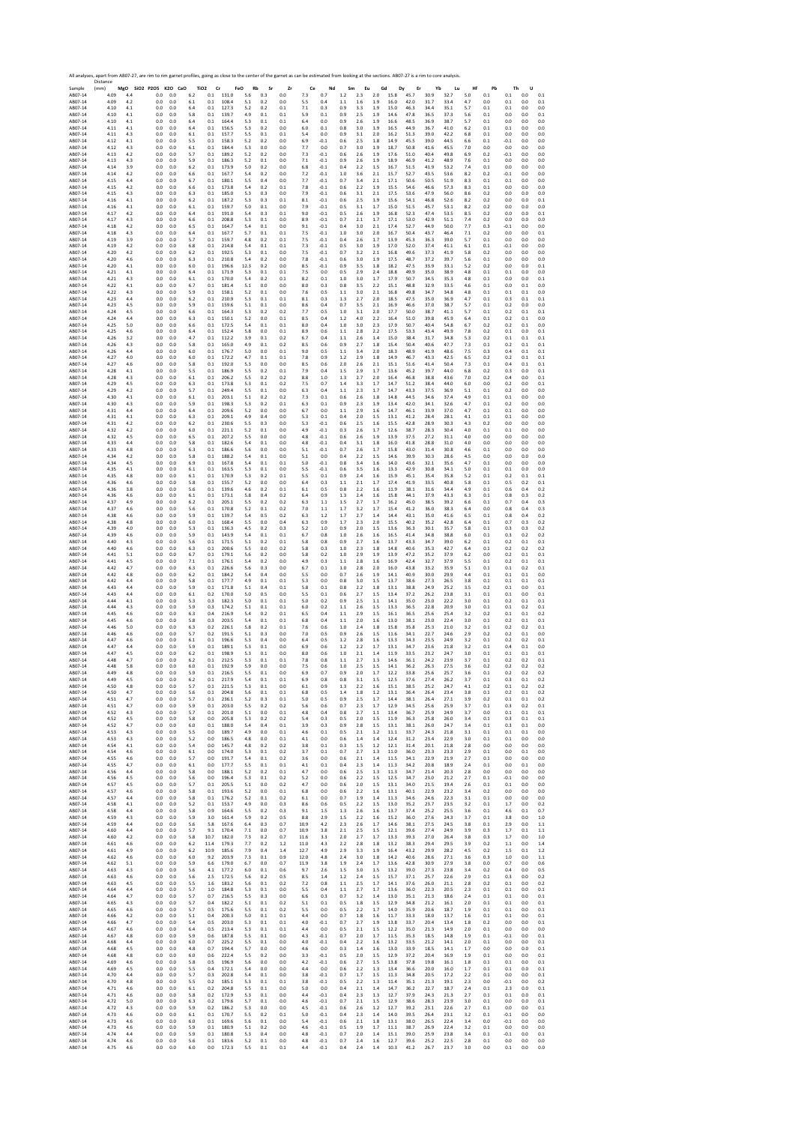|                    | All analyses, apart from AB07-27, are rim to rim garnet profiles, going as close to the center of the garnet as can be estimated from looking at the sections. AB07-27 is a rim to core analysis.<br>Distance |            |                                 |                 |                                  |                               |             |            |            |              |                  |                    |            |                |              |              |              |              |            |            |                |              |            |
|--------------------|---------------------------------------------------------------------------------------------------------------------------------------------------------------------------------------------------------------|------------|---------------------------------|-----------------|----------------------------------|-------------------------------|-------------|------------|------------|--------------|------------------|--------------------|------------|----------------|--------------|--------------|--------------|--------------|------------|------------|----------------|--------------|------------|
| Sample<br>AB07-14  | (mm)<br>4.09                                                                                                                                                                                                  | 4.4        | MgO SiO2 P2O5 K2O CaO<br>0.0    | 0.0             | TiO <sub>2</sub> Cr<br>6.2       | FeO<br>$0.1\phantom{00}131.0$ | Rb<br>5.6   | Sr<br>0.3  | Zr<br>0.0  | Ce<br>7.3    | Nd<br>0.7        | Sm<br>$1.2\,$      | Eu<br>2.3  | Gd<br>2.0      | Dy<br>15.8   | Er<br>45.7   | Yb<br>30.9   | Lu<br>32.7   | Hf<br>5.0  | Pb<br>0.1  | Th<br>$0.1\,$  | U<br>$0.0\,$ | 0.1        |
| AB07-14            | 4.09                                                                                                                                                                                                          | 4.2        | $0.0\,$                         | 0.0             | $0.1\,$<br>6.1                   | 108.4                         | 5.1         | 0.2        | 0.0        | 5.5          | 0.4              | $1.1\,$            | 1.6        | $1.9\,$        | 16.0         | 42.0         | 31.7         | 33.4         | 4.7        | 0.0        | 0.1            | 0.0          | 0.1        |
| AB07-14<br>AB07-14 | 4.10<br>4.10                                                                                                                                                                                                  | 4.1<br>4.1 | 0.0<br>0.0                      | 0.0<br>$_{0.0}$ | 6.4<br>0.1<br>5.8<br>0.1         | 127.3<br>139.7                | 5.2<br>4.9  | 0.2<br>0.1 | 0.1<br>0.1 | 7.1<br>5.9   | 0.3<br>0.1       | 0.9<br>0.9         | 3.3<br>2.5 | 1.9<br>1.9     | 15.0<br>14.6 | 46.3<br>47.8 | 34.4<br>36.5 | 35.1<br>37.3 | 5.7<br>5.6 | 0.1<br>0.1 | 0.1<br>0.0     | 0.0<br>0.0   | 0.0<br>0.1 |
| AB07-14            | 4.10                                                                                                                                                                                                          | 4.1        | 0.0                             | 0.0             | 6.4<br>0.1                       | 164.4                         | 5.3         | 0.1        | 0.1        | 6.4          | 0.0              | 0.9                | 2.6        | 1.9            | 16.6         | 48.5         | 36.9         | 38.7         | 5.7        | 0.1        | 0.0            | 0.0          | 0.0        |
| AB07-14<br>AB07-14 | 4.11<br>4.11                                                                                                                                                                                                  | 4.1<br>4.3 | 0.0<br>0.0                      | 0.0<br>0.0      | 6.4<br>0.1<br>6.1<br>0.1         | 156.5<br>157.7                | 5.3<br>5.5  | 0.2<br>0.1 | 0.0<br>0.1 | 6.0<br>5.4   | 0.1<br>0.0       | 0.8<br>0.9         | 3.0<br>3.1 | 1.9<br>2.0     | 16.5<br>16.2 | 44.9<br>51.3 | 36.7<br>39.0 | 41.0<br>42.2 | 6.2<br>6.8 | 0.1<br>0.1 | 0.1<br>0.0     | 0.0<br>0.0   | 0.0<br>0.0 |
| AB07-14            | 4.12                                                                                                                                                                                                          | 4.1        | 0.0                             | 0.0             | 5.5<br>0.1                       | 158.3                         | 5.2         | 0.2        | 0.0        | 6.9          | $-0.1$           | 0.6                | 2.5        | 1.8            | 14.9         | 45.5         | 39.0         | 44.5         | 6.6        | 0.1        | $-0.1$         | 0.0          | 0.0        |
| AB07-14<br>AB07-14 | 4.12<br>4.13                                                                                                                                                                                                  | 4.3<br>4.2 | 0.0<br>0.0                      | 0.0<br>0.0      | 6.1<br>0.1<br>5.7<br>0.1         | 184.4<br>189.2                | 5.3<br>5.2  | 0.0<br>0.2 | 0.0<br>0.0 | 7.7<br>7.3   | 0.0<br>$-0.1$    | 0.7<br>0.6         | 3.0<br>2.6 | 1.9<br>1.9     | 18.7<br>17.6 | 50.8<br>51.0 | 41.6<br>40.4 | 45.5<br>49.8 | 7.0<br>6.9 | 0.0<br>0.2 | 0.0<br>$-0.1$  | 0.0<br>0.0   | 0.0<br>0.0 |
| AB07-14            | 4.13                                                                                                                                                                                                          | 4.3        | 0.0                             | 0.0             | 5.9<br>0.1                       | 186.3                         | 5.2         | 0.1        | 0.0        | 7.1          | $-0.1$           | 0.9                | 2.6        | 1.9            | 18.9         | 46.9         | 41.2         | 48.9         | 7.6        | 0.1        | 0.0            | 0.0          | 0.0        |
| AB07-14<br>AB07-14 | 4.14<br>4.14                                                                                                                                                                                                  | 3.9<br>4.2 | 0.0<br>$0.0\,$                  | 0.0<br>0.0      | 6.2<br>0.1<br>6.6<br>0.1         | 173.9<br>167.7                | 5.0<br>5.4  | 0.2<br>0.2 | 0.0<br>0.0 | 6.8<br>7.2   | $-0.1$<br>$-0.1$ | 0.4<br>1.0         | 2.2<br>3.6 | 1.5<br>2.1     | 16.7<br>15.7 | 51.5<br>52.7 | 41.9<br>43.5 | 53.2<br>53.6 | 7.4<br>8.2 | 0.1<br>0.2 | 0.0<br>$-0.1$  | 0.0<br>0.0   | 0.0<br>0.0 |
| AB07-14            | 4.15                                                                                                                                                                                                          | 4.4        | 0.0                             | 0.0             | 6.7<br>0.1                       | 180.1                         | 5.5         | 0.4        | 0.0        | 7.7          | $-0.1$           | 0.7                | 3.4        | 2.1            | 17.1         | 50.6         | 50.5         | 51.9         | 8.3        | 0.1        | 0.1            | 0.0          | 0.0        |
| AB07-14<br>AB07-14 | 4.15<br>4.15                                                                                                                                                                                                  | 4.2<br>4.3 | 0.0<br>0.0                      | 0.0<br>0.0      | 0.1<br>6.6<br>6.3<br>0.1         | 173.8<br>185.0                | 5.4<br>5.3  | 0.2<br>0.3 | 0.1<br>0.0 | 7.8<br>7.9   | $-0.1$<br>$-0.1$ | 0.6<br>0.6         | 2.2<br>3.1 | 1.9<br>2.1     | 15.5<br>17.5 | 54.6<br>53.6 | 46.6<br>47.9 | 57.3<br>56.0 | 8.3<br>8.6 | 0.1<br>0.2 | 0.0<br>0.0     | 0.0<br>0.0   | 0.0<br>0.0 |
| AB07-14            | 4.16                                                                                                                                                                                                          | 4.1        | 0.0                             | 0.0             | 6.2<br>0.1                       | 187.2                         | 5.3         | 0.3        | 0.1        | 8.1          | $-0.1$           | 0.6                | 2.5        | 1.9            | 15.6         | 54.1         | 46.8         | 52.6         | 8.2        | 0.2        | 0.0            | 0.0          | 0.1        |
| AB07-14<br>AB07-14 | 4.16<br>4.17                                                                                                                                                                                                  | 4.1<br>4.2 | 0.0<br>0.0                      | 0.0<br>0.0      | 6.1<br>0.1<br>6.4<br>0.1         | 159.7<br>191.0                | 5.0<br>5.4  | 0.1<br>0.3 | 0.0<br>0.1 | 7.9<br>9.0   | $-0.1$<br>$-0.1$ | 0.5<br>0.5         | 3.1<br>2.6 | 1.7<br>1.9     | 15.0<br>16.8 | 51.5<br>52.3 | 45.7<br>47.4 | 53.1<br>53.5 | 8.2<br>8.5 | 0.2<br>0.2 | 0.0<br>0.0     | 0.0<br>0.0   | 0.0<br>0.1 |
| AB07-14<br>AB07-14 | 4.17<br>4.18                                                                                                                                                                                                  | 4.3<br>4.2 | 0.0<br>0.0                      | 0.0<br>0.0      | 0.1<br>6.6<br>6.5<br>0.1         | 208.8<br>164.7                | 5.3<br>5.4  | 0.1<br>0.1 | 0.0<br>0.0 | 8.9<br>9.1   | $-0.1$<br>$-0.1$ | 0.7<br>0.4         | 2.1<br>3.0 | 1.7<br>2.1     | 17.1<br>17.4 | 53.0<br>52.7 | 42.9<br>44.9 | 51.1<br>50.0 | 7.4<br>7.7 | 0.2<br>0.3 | 0.0<br>$-0.1$  | 0.0<br>0.0   | 0.0<br>0.0 |
| AB07-14            | 4.18                                                                                                                                                                                                          | 4.3        | 0.0                             | 0.0             | 6.4<br>0.1                       | 167.7                         | 5.7         | 0.1        | 0.1        | 7.5          | $-0.1$           | 1.0                | 3.0        | 2.0            | 16.7         | 50.4         | 43.7         | 46.4         | 7.1        | 0.2        | 0.0            | 0.0          | 0.1        |
| AB07-14<br>AB07-14 | 4.19<br>4.19                                                                                                                                                                                                  | 3.9<br>4.2 | 0.0<br>0.0                      | 0.0<br>0.0      | 5.7<br>0.1<br>6.8<br>0.1         | 159.7<br>214.8                | 4.8<br>5.4  | 0.2<br>0.1 | 0.1<br>0.1 | 7.5<br>7.3   | $-0.1$<br>$-0.1$ | 0.4<br>0.5         | 2.6<br>3.0 | 1.7<br>1.9     | 13.9<br>17.0 | 45.3<br>52.0 | 36.3<br>37.4 | 39.0<br>41.1 | 5.7<br>6.1 | 0.1<br>0.1 | 0.0<br>$-0.1$  | 0.0<br>0.0   | 0.0<br>0.0 |
| AB07-14            | 4.20                                                                                                                                                                                                          | 4.2        | 0.0                             | 0.0             | 6.2<br>0.1                       | 192.5                         | 5.3         | 0.1        | 0.0        | 7.5          | $-0.1$           | 0.7                | 3.2        | 2.1            | 16.8         | 49.6         | 37.3         | 41.9         | 5.8        | 0.2        | 0.0            | 0.0          | 0.0        |
| AB07-14<br>AB07-14 | 4.20<br>4.20                                                                                                                                                                                                  | 4.6<br>4.1 | 0.0<br>0.0                      | 0.0<br>0.0      | 6.3<br>0.1<br>6.0<br>0.1         | 210.8<br>196.6                | 5.4<br>12.3 | 0.2<br>0.2 | 0.0<br>0.0 | 7.8<br>8.5   | $-0.1$<br>$-0.1$ | 0.6<br>0.9         | 3.0<br>3.5 | 1.9<br>1.8     | 17.5<br>18.2 | 48.7<br>47.5 | 37.2<br>33.9 | 39.7<br>33.1 | 5.6<br>5.2 | 0.1<br>0.2 | 0.0<br>0.0     | 0.0<br>0.0   | 0.0<br>0.1 |
| AB07-14            | 4.21                                                                                                                                                                                                          | 4.1        | 0.0                             | 0.0             | 6.4<br>0.1                       | 171.9                         | 5.3         | 0.1        | 0.1        | 7.5          | 0.0              | 0.5                | 2.9        | 2.4            | 18.8         | 49.9         | 35.0         | 38.9         | 4.8        | 0.1        | 0.1            | 0.0          | 0.0        |
| AB07-14<br>AB07-14 | 4.21<br>4.22                                                                                                                                                                                                  | 4.3<br>4.1 | 0.0<br>0.0                      | 0.0<br>0.0      | 6.1<br>0.1<br>6.7<br>0.1         | 170.0<br>181.4                | 5.4<br>5.1  | 0.2<br>0.0 | 0.1<br>0.0 | 8.2<br>8.0   | 0.1<br>0.3       | 1.0<br>0.8         | 3.0<br>3.5 | 1.7<br>2.2     | 17.9<br>15.1 | 50.7<br>48.8 | 34.5<br>32.9 | 35.3<br>33.5 | 4.8<br>4.6 | 0.1<br>0.1 | 0.0<br>0.0     | 0.0<br>0.1   | 0.1<br>0.0 |
| AB07-14            | 4.22                                                                                                                                                                                                          | 4.3        | 0.0                             | 0.0             | 5.9<br>0.1                       | 158.1                         | 5.2         | 0.1        | 0.0        | 7.6          | 0.5              | 1.1                | 3.0        | 2.1            | 16.8         | 49.8         | 34.7         | 34.8         | 4.8        | 0.1        | 0.1            | 0.1          | 0.0        |
| AB07-14<br>AB07-14 | 4.23<br>4.23                                                                                                                                                                                                  | 4.4<br>4.5 | 0.0<br>0.0                      | 0.0<br>0.0      | 6.2<br>0.1<br>5.9<br>0.1         | 210.9<br>159.6                | 5.3<br>5.1  | 0.1<br>0.1 | 0.1<br>0.0 | 8.1<br>8.6   | 0.3<br>0.4       | 1.3<br>0.7         | 2.7<br>3.5 | 2.0<br>2.1     | 18.5<br>16.9 | 47.5<br>46.6 | 35.0<br>37.0 | 36.9<br>38.7 | 4.7<br>5.7 | 0.1<br>0.1 | 0.3<br>0.2     | 0.1<br>0.0   | 0.1<br>0.0 |
| AB07-14            | 4.24                                                                                                                                                                                                          | 4.5        | 0.0                             | 0.0             | 0.1<br>6.6                       | 164.3<br>150.1                | 5.3         | 0.2        | 0.2        | 7.7          | 0.5              | 1.0                | 3.1        | 2.0            | 17.7         | 50.0<br>51.0 | 38.7         | 41.1         | 5.7        | 0.1        | 0.2            | 0.1          | 0.1        |
| AB07-14<br>AB07-14 | 4.24<br>4.25                                                                                                                                                                                                  | 4.4<br>5.0 | 0.0<br>0.0                      | 0.0<br>0.0      | 6.3<br>0.1<br>6.6<br>0.1         | 172.5                         | 5.2<br>5.4  | 0.0<br>0.1 | 0.1<br>0.1 | 8.5<br>8.0   | 0.4<br>0.4       | 1.2<br>1.0         | 4.0<br>3.0 | 2.2<br>2.3     | 16.4<br>17.9 | 50.7         | 39.8<br>40.4 | 45.9<br>54.8 | 6.4<br>6.7 | 0.1<br>0.2 | 0.2<br>0.2     | 0.1<br>0.1   | 0.0<br>0.0 |
| AB07-14<br>AB07-14 | 4.25<br>4.26                                                                                                                                                                                                  | 4.6<br>3.2 | 0.0<br>0.0                      | 0.0<br>0.0      | 6.4<br>0.1<br>4.7<br>0.1         | 152.4<br>112.2                | 5.8<br>3.9  | 0.0<br>0.1 | 0.1<br>0.2 | 8.9<br>6.7   | 0.6<br>0.4       | 1.1<br>$1.1\,$     | 2.8<br>2.6 | 2.2<br>1.4     | 17.5<br>15.0 | 53.3<br>38.4 | 43.4<br>31.7 | 49.9<br>34.8 | 7.8<br>5.3 | 0.2<br>0.2 | 0.1<br>0.1     | 0.0<br>0.1   | 0.1<br>0.1 |
| AB07-14            | 4.26                                                                                                                                                                                                          | 4.3        | 0.0                             | 0.0             | 5.8<br>0.1                       | 165.0                         | 4.9         | 0.1        | 0.2        | 8.5          | 0.6              | 0.9                | 2.7        | 1.8            | 15.4         | 50.4         | 40.6         | 47.7         | 7.3        | 0.1        | 0.2            | 0.1          | 0.1        |
| AB07-14<br>AB07-14 | 4.26<br>4.27                                                                                                                                                                                                  | 4.4<br>4.0 | 0.0<br>$0.0\,$                  | $_{0.0}$<br>0.0 | 6.0<br>0.1<br>$6.0\,$<br>$0.1\,$ | 176.7<br>172.2                | 5.0<br>4.7  | 0.0<br>0.1 | 0.1<br>0.1 | 9.0<br>7.8   | 0.5<br>0.9       | $1.1\,$<br>$1.2\,$ | 3.4<br>2.9 | 2.0<br>$1.8\,$ | 18.3<br>14.9 | 48.9<br>46.7 | 41.9<br>43.3 | 48.6<br>42.5 | 7.5<br>6.5 | 0.3<br>0.2 | 0.4<br>0.2     | 0.1<br>0.1   | 0.1<br>0.1 |
| AR07-14            | 4.27                                                                                                                                                                                                          | 4.6        | 0.0                             | 0.0             | 5.8<br>0.1                       | 192.0                         | 5.3         | 0.0        | 0.0        | 8.5          | 0.6              | 2.0                | 2.6        | 2.1            | 15.1         | 51.6         | 41.4         | 50.4         | 7.3        | 0.1        | 0.4            | 0.1          | 0.1        |
| AB07-14<br>AB07-14 | 4.28<br>4.28                                                                                                                                                                                                  | 4.1<br>4.3 | 0.0<br>0.0                      | 0.0<br>0.0      | 5.5<br>0.1<br>6.1<br>0.1         | 186.9<br>206.2                | 5.5<br>5.5  | 0.2<br>0.2 | 0.1<br>0.2 | 7.9<br>8.8   | 0.4<br>1.0       | 1.5<br>1.3         | 2.9<br>2.7 | 1.7<br>2.0     | 13.6<br>16.4 | 45.2<br>46.8 | 39.7<br>38.8 | 44.0<br>43.6 | 6.8<br>7.0 | 0.2<br>0.2 | 0.3<br>0.4     | 0.0<br>0.0   | 0.1<br>0.1 |
| AB07-14            | 4.29                                                                                                                                                                                                          | 4.5        | 0.0                             | 0.0             | 6.3<br>0.1                       | 173.8                         | 5.3         | 0.1        | 0.2        | 7.5          | 0.7              | 1.4                | 3.3        | 1.7            | 14.7         | 51.2         | 38.4         | 44.0         | 6.0        | 0.0        | 0.2            | 0.0          | 0.1        |
| AB07-14<br>AB07-14 | 4.29<br>4.30                                                                                                                                                                                                  | 4.2<br>4.1 | 0.0<br>0.0                      | 0.0<br>0.0      | 5.7<br>0.1<br>6.1<br>0.1         | 249.4<br>203.1                | 5.5<br>5.1  | 0.1<br>0.2 | 0.0<br>0.2 | 6.3<br>7.3   | 0.4<br>0.1       | 1.1<br>0.6         | 2.3<br>2.6 | 1.7<br>1.8     | 14.7<br>14.8 | 43.3<br>44.5 | 37.5<br>34.6 | 36.9<br>37.4 | 5.1<br>4.9 | 0.1<br>0.1 | 0.2<br>0.1     | 0.0<br>0.0   | 0.0<br>0.0 |
| AB07-14            | 4.30                                                                                                                                                                                                          | 4.3        | 0.0                             | 0.0             | 5.9<br>0.1                       | 198.3                         | 5.3         | 0.2        | 0.1        | 6.3          | 0.1              | 0.9                | 2.3        | 1.9            | 13.4         | 42.0         | 34.1         | 32.6         | 4.7        | 0.1        | 0.2            | 0.0          | 0.0        |
| AB07-14<br>AB07-14 | 4.31<br>4.31                                                                                                                                                                                                  | 4.4<br>4.1 | 0.0<br>0.0                      | 0.0<br>0.0      | 6.4<br>0.1<br>6.3<br>0.1         | 209.6<br>209.1                | 5.2<br>4.9  | 0.0<br>0.4 | 0.0<br>0.0 | 6.7<br>5.3   | 0.0<br>0.1       | 1.1<br>0.4         | 2.9<br>2.0 | 1.6<br>1.5     | 14.7<br>13.1 | 46.1<br>41.2 | 33.9<br>28.4 | 37.0<br>28.1 | 4.7<br>4.1 | 0.1<br>0.1 | 0.1<br>0.1     | 0.0<br>0.0   | 0.0<br>0.0 |
| AB07-14<br>AB07-14 | 4.31<br>4.32                                                                                                                                                                                                  | 4.2<br>4.2 | 0.0<br>$0.0\,$                  | 0.0<br>0.0      | 6.2<br>0.1<br>6.0<br>0.1         | 230.6<br>221.1                | 5.5<br>5.2  | 0.3<br>0.1 | 0.0<br>0.0 | 5.3<br>4.9   | $-0.1$<br>$-0.1$ | 0.6<br>0.3         | 2.5<br>2.6 | 1.6<br>1.7     | 15.5<br>12.6 | 42.8<br>38.7 | 28.9<br>28.3 | 30.3<br>30.4 | 4.3<br>4.0 | 0.2<br>0.1 | 0.0<br>0.1     | 0.0<br>0.0   | 0.0<br>0.0 |
| AB07-14            | 4.32                                                                                                                                                                                                          | 4.5        | 0.0                             | 0.0             | 6.5<br>0.1                       | 207.2                         | 5.5         | 0.0        | 0.0        | 4.8          | $-0.1$           | 0.6                | 2.6        | 1.9            | 13.9         | 37.5         | 27.2         | 31.1         | 4.0        | 0.0        | 0.0            | 0.0          | 0.0        |
| AB07-14<br>AB07-14 | 4.33<br>4.33                                                                                                                                                                                                  | 4.4<br>4.8 | 0.0<br>0.0                      | 0.0<br>0.0      | 5.8<br>0.1<br>6.3<br>0.1         | 182.6<br>186.6                | 5.4<br>5.6  | 0.1<br>0.0 | 0.0<br>0.0 | 4.8<br>5.1   | $-0.1$<br>$-0.1$ | 0.4<br>0.7         | 3.1<br>2.6 | 1.8<br>1.7     | 16.0<br>15.8 | 41.8<br>43.0 | 28.8<br>31.4 | 31.0<br>30.8 | 4.0<br>4.6 | 0.0<br>0.1 | 0.0<br>0.0     | 0.0<br>0.0   | 0.0<br>0.0 |
| AB07-14            | 4.34                                                                                                                                                                                                          | 4.2        | 0.0                             | 0.0             | 5.8<br>0.1                       | 188.2                         | 5.4         | 0.1        | 0.0        | 5.1          | 0.0              | 0.4                | 2.2        | 1.5            | 14.6         | 39.9         | 30.3         | 28.6         | 4.5        | 0.0        | 0.0            | 0.0          | 0.0        |
| AB07-14<br>AB07-14 | 4.34<br>4.35                                                                                                                                                                                                  | 4.5<br>4.1 | 0.0<br>0.0                      | 0.0<br>0.0      | 6.9<br>0.1<br>6.1<br>0.1         | 167.8<br>163.5                | 5.4<br>5.3  | 0.1<br>0.1 | 0.1<br>0.0 | 5.0<br>5.5   | $-0.1$<br>$-0.1$ | 0.8<br>0.6         | 3.4<br>3.5 | 1.6<br>1.6     | 14.0<br>13.3 | 43.6<br>42.9 | 32.1<br>30.8 | 35.6<br>34.1 | 4.7<br>5.0 | 0.1<br>0.1 | 0.0<br>0.1     | 0.0<br>0.0   | 0.0<br>0.0 |
| AB07-14            | 4.35                                                                                                                                                                                                          | 4.8        | 0.0                             | 0.0             | 0.1<br>6.1                       | 170.9                         | 5.3         | 0.2        | 0.1        | 5.5          | 0.1              | 0.9                | 2.4        | 1.6            | 15.9         | 45.1         | 35.4         | 35.8         | 5.2        | 0.1        | 0.2            | 0.1          | 0.1        |
| AB07-14<br>AB07-14 | 4.36<br>4.36                                                                                                                                                                                                  | 4.6<br>3.8 | 0.0<br>0.0                      | 0.0<br>0.0      | 5.8<br>0.1<br>5.6<br>0.1         | 155.7<br>139.6                | 5.2<br>4.6  | 0.0<br>0.2 | 0.0<br>0.1 | 6.4<br>6.1   | 0.3<br>0.5       | 1.1<br>$0.8\,$     | 2.1<br>2.2 | 1.7<br>1.6     | 17.4<br>11.9 | 41.9<br>38.1 | 33.5<br>31.6 | 40.8<br>34.4 | 5.8<br>4.9 | 0.1<br>0.1 | 0.5<br>0.6     | 0.2<br>0.4   | 0.1<br>0.2 |
| AB07-14            | 4.36                                                                                                                                                                                                          | 4.6        | 0.0                             | 0.0             | 6.1<br>0.1                       | 173.1                         | 5.8         | 0.4        | 0.2        | 6.4          | 0.9              | 1.3                | 2.4        | 1.6            | 15.8         | 44.1         | 37.9         | 43.3         | 6.3        | 0.1        | 0.8<br>0.7     | 0.3          | 0.2        |
| AB07-14<br>AB07-14 | 4.37<br>4.37                                                                                                                                                                                                  | 4.9<br>4.6 | $0.0\,$<br>0.0                  | 0.0<br>0.0      | $0.1\,$<br>6.2<br>5.6<br>0.1     | 205.1<br>170.8                | 5.5<br>5.2  | 0.2<br>0.1 | 0.2<br>0.2 | 6.3<br>7.0   | $1.1$<br>1.1     | 1.5<br>1.7         | 2.7<br>3.2 | 1.7<br>1.7     | 16.2<br>15.4 | 45.0<br>41.2 | 38.5<br>36.0 | 39.2<br>38.3 | 6.6<br>6.4 | 0.1<br>0.0 | 0.8            | 0.4<br>0.4   | 0.3<br>0.3 |
| AB07-14            | 4.38<br>4.38                                                                                                                                                                                                  | 4.6        | 0.0<br>0.0                      | 0.0             | 5.9<br>0.1<br>6.0<br>0.1         | 139.7<br>168.4                | 5.4<br>5.5  | 0.5<br>0.0 | 0.2        | 6.3<br>6.3   | 1.2<br>0.9       | 1.7<br>1.7         | 2.7<br>2.3 | 1.4<br>2.0     | 14.4<br>15.5 | 43.1<br>40.2 | 35.0<br>35.2 | 41.6<br>42.8 | 6.5<br>6.4 | 0.1<br>0.1 | 0.8<br>0.7     | 0.4<br>0.3   | 0.2<br>0.2 |
| AB07-14<br>AB07-14 | 4.39                                                                                                                                                                                                          | 4.8<br>4.0 | 0.0                             | 0.0<br>0.0      | 5.3<br>0.1                       | 136.3                         | 4.5         | 0.2        | 0.4<br>0.3 | 5.2          | 1.0              | 0.9                | 2.0        | 1.5            | 13.6         | 36.3         | 30.1         | 35.7         | 5.8        | 0.1        | 0.3            | 0.3          | 0.2        |
| AB07-14<br>AB07-14 | 4.39<br>4.40                                                                                                                                                                                                  | 4.6<br>4.3 | 0.0<br>0.0                      | 0.0<br>0.0      | 5.9<br>0.1<br>5.6<br>0.1         | 143.9<br>171.5                | 5.4<br>5.1  | 0.1<br>0.2 | 0.1<br>0.1 | 6.7<br>5.8   | 0.8<br>0.8       | 1.0<br>0.9         | 2.6<br>2.7 | 1.6<br>1.6     | 16.5<br>13.7 | 41.4<br>43.3 | 34.8<br>34.7 | 38.8<br>39.0 | 6.0<br>6.2 | 0.1<br>0.1 | 0.3<br>0.2     | 0.2<br>0.1   | 0.2<br>0.1 |
| AB07-14            | 4.40                                                                                                                                                                                                          | 4.6        | 0.0                             | 0.0             | 6.3<br>0.1                       | 200.6                         | 5.5         | 0.0        | 0.2        | 5.8          | 0.3              | 1.0                | 2.3        | 1.8            | 14.8         | 40.6         | 35.3         | 42.7         | 6.4        | 0.1        | 0.2            | 0.2          | 0.2        |
| AB07-14<br>AB07-14 | 4.41<br>4.41                                                                                                                                                                                                  | 5.1<br>4.5 | 0.0<br>0.0                      | 0.0<br>$_{0.0}$ | 6.7<br>0.1<br>7.1<br>$0.1\,$     | 179.1<br>176.1                | 5.6<br>5.4  | 0.2<br>0.2 | 0.0<br>0.0 | 5.8<br>4.9   | 0.2<br>0.3       | 1.0<br>$1.1\,$     | 2.9<br>2.8 | 1.9<br>$1.6\,$ | 13.9<br>16.9 | 47.2<br>42.4 | 35.2<br>32.7 | 37.9<br>37.9 | 6.2<br>5.5 | 0.0<br>0.1 | 0.2<br>0.2     | 0.1<br>0.1   | 0.1<br>0.1 |
| AB07-14            | 4.42                                                                                                                                                                                                          | 4.7        | 0.0                             | 0.0             | 0.1<br>6.3                       | 226.6                         | 5.6         | 0.3        | 0.0        | 6.7          | 0.1              | 1.0                | 2.8        | 2.0            | 16.0         | 43.8         | 33.2         | 35.9         | 5.1        | 0.1        | 0.1            | 0.2          | 0.1        |
| AB07-14<br>AB07-14 | 4.42<br>4.42                                                                                                                                                                                                  | 4.8<br>4.4 | 0.0<br>0.0                      | 0.0<br>0.0      | 6.2<br>0.1<br>5.8<br>0.1         | 184.2<br>177.7                | 5.4<br>4.9  | 0.4<br>0.1 | 0.0<br>0.1 | 5.5<br>5.3   | 0.0<br>0.0       | 0.7<br>0.8         | 2.6<br>3.0 | 1.9<br>1.5     | 14.1<br>13.7 | 40.9<br>38.6 | 30.0<br>27.3 | 29.9<br>26.5 | 4.4<br>3.8 | 0.1<br>0.1 | 0.1<br>0.1     | 0.1<br>0.1   | 0.0<br>0.1 |
| AB07-14            | 4.43<br>4.43                                                                                                                                                                                                  | 4.4        | 0.0<br>0.0                      | 0.0             | 5.9<br>0.1<br>0.2                | 171.8<br>170.0                | 5.1<br>5.0  | 0.4<br>0.5 | 0.1        | 5.8<br>5.5   | 0.1<br>0.1       | 0.8<br>0.6         | 2.2<br>2.7 | 1.8<br>1.5     | 13.1<br>13.4 | 38.8<br>37.2 | 24.9<br>26.2 | 25.2<br>23.8 | 3.5        | 0.2        | 0.1<br>0.1     | 0.0<br>0.0   | 0.1<br>0.1 |
| AB07-14<br>AB07-14 | 4.44                                                                                                                                                                                                          | 4.4<br>4.1 | 0.0                             | 0.0<br>0.0      | 6.1<br>5.3<br>0.3                | 182.3                         | 5.0         | 0.1        | 0.0<br>0.1 | 5.0          | 0.2              | 0.9                | 2.5        | 1.1            | 14.1         | 35.0         | 23.0         | 22.2         | 3.1<br>3.0 | 0.1<br>0.1 | 0.2            | 0.1          | 0.1        |
| AB07-14<br>AB07-14 | 4.44<br>4.45                                                                                                                                                                                                  | 4.3<br>4.6 | 0.0<br>0.0                      | 0.0<br>0.0      | 5.9<br>0.3<br>6.3<br>0.4         | 174.2<br>216.9                | 5.1<br>5.4  | 0.1<br>0.2 | 0.1<br>0.1 | 6.0<br>6.5   | 0.2<br>0.4       | $1.1\,$<br>1.1     | 2.6<br>2.9 | 1.5<br>1.5     | 13.3<br>16.1 | 36.5<br>36.5 | 22.8<br>25.6 | 20.9<br>25.4 | 3.0<br>3.2 | 0.1<br>0.2 | 0.1<br>0.1     | 0.2<br>0.1   | 0.1<br>0.2 |
| AB07-14            | 4.45                                                                                                                                                                                                          | 4.6        | 0.0                             | 0.0             | 5.8<br>0.3                       | 203.5                         | 5.4         | 0.1        | 0.1        | 6.8          | 0.4              | 1.1                | 2.0        | 1.6            | 13.0         | 38.1         | 23.0         | 22.4         | 3.0        | 0.1        | 0.2            | 0.1          | 0.1        |
| AB07-14<br>AB07-14 | 4.46<br>4.46                                                                                                                                                                                                  | 5.0<br>4.6 | 0.0<br>0.0                      | 0.0<br>0.0      | 6.3<br>0.2<br>5.7<br>0.2         | 226.1<br>191.5                | 5.8<br>5.1  | 0.2<br>0.3 | 0.1<br>0.0 | 7.6<br>7.0   | 0.6<br>0.5       | 1.0<br>0.9         | 2.4<br>2.6 | 1.8<br>1.5     | 15.8<br>11.6 | 35.8<br>34.1 | 25.3<br>22.7 | 21.0<br>24.6 | 3.2<br>2.9 | 0.1<br>0.2 | 0.2<br>0.2     | 0.2<br>0.1   | 0.1<br>0.0 |
| AB07-14            | 4.47                                                                                                                                                                                                          | 4.6        | 0.0                             | 0.0             | 6.1<br>0.1                       | 196.6                         | 5.3         | 0.4        | 0.0        | 6.4          | 0.5              | 1.2                | 2.8        | 1.6            | 13.3         | 34.3         | 23.5         | 24.9         | 3.2        | 0.1        | 0.2            | 0.2          | 0.1        |
| AB07-14<br>AB07-14 | 4.47<br>4.47                                                                                                                                                                                                  | 4.4<br>4.5 | 0.0<br>0.0                      | 0.0<br>0.0      | 5.9<br>0.1<br>6.2<br>0.1         | 189.1<br>198.9                | 5.3<br>5.3  | 0.1<br>0.1 | 0.0<br>0.0 | 6.9<br>8.0   | 0.6<br>0.6       | 1.2<br>1.0         | 2.2<br>2.1 | 1.7<br>1.4     | 13.1<br>11.9 | 34.7<br>33.5 | 23.6<br>23.2 | 21.8<br>24.7 | 3.2<br>3.0 | 0.1<br>0.1 | 0.4<br>0.1     | 0.1<br>0.1   | 0.0<br>0.1 |
| AB07-14<br>AB07-14 | 4.48<br>4.48                                                                                                                                                                                                  | 4.7<br>5.8 | 0.0<br>0.0                      | 0.0<br>0.0      | 6.2<br>0.1<br>6.0<br>0.1         | 212.5<br>192.9                | 5.3<br>5.9  | 0.1<br>0.0 | 0.1<br>0.0 | 7.8<br>7.5   | 0.8<br>0.6       | 1.1<br>1.0         | 2.7<br>2.5 | 1.3<br>1.5     | 14.6<br>14.1 | 36.1<br>36.2 | 24.2<br>26.3 | 23.9<br>27.5 | 3.7<br>3.6 | 0.1<br>0.2 | 0.2<br>0.2     | 0.2<br>0.2   | 0.1<br>0.2 |
| AB07-14            | 1.49                                                                                                                                                                                                          |            | n n                             | n n             | 50                               | <b>2165</b>                   |             |            | 00         | . G          | ሰ 7              | n a                | 20         |                |              | 33 B         | 25 F         |              |            |            | n <sub>2</sub> |              |            |
| AB07-14<br>AB07-14 | 4.49<br>4.50                                                                                                                                                                                                  | 4.5<br>4.8 | 0.0 0.0<br>0.0                  | 0.0             | 6.2<br>0.1<br>5.7<br>0.1         | 217.9<br>221.5                | 5.4<br>5.3  | 0.1<br>0.1 | 0.1<br>0.0 | 6.9<br>6.1   | 0.8<br>0.9       | 0.8<br>1.3         | 3.1<br>2.2 | 1.5<br>1.6     | 12.5<br>15.1 | 37.6<br>38.5 | 27.4<br>25.2 | 26.2<br>24.7 | 3.7<br>4.1 | 0.1<br>0.2 | 0.3<br>0.1     | 0.1<br>0.2   | 0.2<br>0.2 |
| AB07-14            | 4.50                                                                                                                                                                                                          | 4.7        | 0.0                             | 0.0             | 5.6<br>0.1                       | 204.8                         | 5.6         | 0.1        | 0.1        | 6.8          | 0.5              | 1.4                | 1.8        | 1.2            | 13.1         | 36.4         | 26.4         | 23.4         | 3.8        | 0.1        | 0.2            | 0.1          | 0.2        |
| AB07-14<br>AB07-14 | 4.51<br>4.51                                                                                                                                                                                                  | 4.7<br>4.7 | 0.0<br>0.0                      | 0.0<br>0.0      | 5.7<br>0.1<br>5.9<br>0.1         | 236.1<br>203.0                | 5.2<br>5.5  | 0.3<br>0.2 | 0.1<br>0.2 | 5.0<br>5.6   | 0.5<br>0.6       | 0.9<br>0.7         | 2.5<br>2.3 | 1.7<br>1.7     | 14.4<br>12.9 | 38.1<br>34.5 | 26.4<br>25.6 | 27.1<br>25.9 | 3.9<br>3.7 | 0.2<br>0.1 | 0.1<br>0.3     | 0.1<br>0.2   | 0.2<br>0.1 |
| AB07-14<br>AB07-14 | 4.52<br>4.52                                                                                                                                                                                                  | 4.3<br>4.5 | 0.0<br>$0.0\quad 0.0$           | 0.0             | 5.7<br>0.1<br>5.8<br>0.0         | 201.0<br>205.8                | 5.1<br>5.3  | 0.0<br>0.2 | 0.1<br>0.2 | 4.8<br>5.4   | 0.4<br>0.3       | 0.8<br>0.5         | 2.7<br>2.0 | 1.1<br>1.5     | 13.4<br>11.9 | 36.7<br>36.3 | 25.9<br>25.8 | 24.9<br>26.0 | 3.7<br>3.4 | 0.0<br>0.1 | 0.1<br>0.3     | 0.1<br>0.1   | 0.1<br>0.1 |
| AB07-14            | 4.52                                                                                                                                                                                                          | 4.7        | 0.0                             | 0.0             | 6.0<br>0.1                       | 188.0                         | 5.4         | 0.4        | 0.1        | 3.9          | 0.3              | 0.9                | 2.8        | 1.5            | 13.1         | 38.1         | 26.0         | 24.7         | 3.4        | 0.1        | 0.3            | 0.1          | 0.0        |
| AB07-14<br>AB07-14 | 4.53<br>4.53                                                                                                                                                                                                  | 4.3<br>4.3 | 0.0<br>0.0                      | 0.0<br>0.0      | 5.5<br>0.0<br>5.2<br>0.0         | 189.7<br>186.5                | 4.9<br>4.8  | 0.0<br>0.0 | 0.1<br>0.1 | 4.6<br>4.1   | 0.1<br>0.0       | 0.5<br>0.6         | 2.1<br>1.4 | 1.2<br>1.4     | 11.1<br>12.4 | 33.7<br>31.2 | 24.3<br>23.4 | 21.8<br>22.9 | 3.1<br>3.0 | 0.1<br>0.1 | 0.1<br>0.1     | 0.1<br>0.0   | 0.0<br>0.0 |
| AB07-14<br>AB07-14 | 4.54<br>4.54                                                                                                                                                                                                  | 4.1<br>4.6 | 0.0<br>0.0                      | 0.0<br>0.0      | 5.4<br>0.0<br>6.1<br>0.0         | 145.7<br>174.0                | 4.8<br>5.3  | 0.2<br>0.1 | 0.2<br>0.2 | 3.8<br>3.7   | 0.1<br>0.1       | 0.3<br>0.7         | 1.5<br>2.7 | $1.2\,$<br>1.3 | 12.1<br>11.0 | 31.4<br>36.0 | 20.1<br>23.3 | 21.8<br>23.3 | 2.8<br>2.9 | 0.0<br>0.1 | 0.0<br>0.0     | 0.0<br>0.1   | 0.0<br>0.0 |
| AB07-14            | 4.55                                                                                                                                                                                                          | 4.6        | $0.0\,$                         | 0.0             | 5.7<br>0.0                       | 191.7                         | 5.4         | 0.1        | 0.2        | 3.6          | 0.0              | 0.6                | 2.1        | 1.4            | $11.5\,$     | 34.1         | 22.9         | 21.9         | 2.7        | 0.1        | 0.0            | 0.0          | 0.0        |
| AB07-14<br>AB07-14 | 4.55<br>4.56                                                                                                                                                                                                  | 4.7<br>4.4 | 0.0<br>0.0                      | 0.0<br>0.0      | 6.1<br>0.0<br>5.8<br>0.0         | 177.7<br>188.1                | 5.5<br>5.2  | 0.1<br>0.2 | 0.1<br>0.1 | 4.1<br>4.7   | 0.1<br>0.0       | 0.4<br>0.6         | 2.3<br>2.5 | 1.4<br>$1.3\,$ | 11.3<br>11.3 | 34.2<br>34.7 | 20.8<br>21.4 | 18.9<br>20.3 | 2.4<br>2.8 | 0.1<br>0.0 | 0.0<br>0.0     | 0.1<br>0.0   | 0.0<br>0.0 |
| AB07-14            | 4.56                                                                                                                                                                                                          | 4.5        | 0.0                             | 0.0             | 5.6<br>0.0                       | 196.4                         | 5.3         | 0.1        | 0.2        | 5.2          | 0.0              | 0.6                | 2.2        | $1.5\,$        | 12.5         | 34.7         | 23.0         | 21.2         | 2.7        | 0.1        | $-0.1$         | 0.0          | 0.0        |
| AB07-14<br>AB07-14 | 4.57<br>4.57                                                                                                                                                                                                  | 4.5<br>4.6 | 0.0<br>0.0                      | 0.0<br>0.0      | 5.7<br>0.1<br>5.8<br>0.1         | 205.5<br>193.6                | 5.1<br>5.2  | 0.0<br>0.0 | 0.2<br>0.1 | 4.7<br>6.8   | 0.0<br>0.0       | 0.6<br>0.6         | 2.0<br>2.2 | 1.5<br>1.6     | 13.1<br>13.1 | 34.0<br>40.1 | 21.5<br>22.9 | 19.4<br>23.2 | 2.6<br>3.4 | 0.1<br>0.2 | 0.1<br>0.0     | 0.0<br>0.0   | 0.0<br>0.0 |
| AB07-14<br>AB07-14 | 4.57                                                                                                                                                                                                          | 4.4        | 0.0                             | 0.0             | 5.8<br>0.1                       | 176.2                         | 5.2         | 0.1        | 0.2        | 6.1<br>8.6   | 0.0              | 0.7                | 1.9        | 1.4            | 11.3         | 34.6         | 24.6         | 22.3         | 3.1        | 0.1        | 0.0            | 0.0          | 0.0        |
| AB07-14            | 4.58<br>4.58                                                                                                                                                                                                  | 4.1<br>4.4 | 0.0<br>0.0                      | 0.0<br>0.0      | 5.2<br>0.1<br>5.8<br>0.9         | 153.7<br>164.6                | 4.9<br>5.5  | 0.0<br>0.2 | 0.3<br>0.3 | 9.1          | 0.6<br>1.5       | 0.5<br>1.3         | 2.2<br>2.6 | 1.5<br>1.6     | 13.0<br>13.7 | 35.2<br>37.4 | 23.7<br>25.2 | 23.5<br>25.5 | 3.2<br>3.6 | 0.1<br>0.1 | 1.7<br>4.6     | 0.0<br>0.1   | 0.2<br>0.7 |
| AB07-14<br>AB07-14 | 4.59<br>4.59                                                                                                                                                                                                  | 4.3<br>4.4 | 0.0<br>0.0                      | 0.0<br>0.0      | 5.9<br>$3.0\,$<br>5.6<br>5.8     | 161.4<br>167.6                | 5.9<br>6.4  | 0.2<br>0.3 | 0.5<br>0.7 | 8.8<br>10.9  | 2.9<br>4.2       | 1.5<br>2.3         | 2.2<br>2.6 | $1.6\,$<br>1.7 | 15.2<br>14.6 | 36.0<br>38.1 | 27.6<br>27.5 | 24.3<br>24.5 | 3.7<br>3.8 | 0.1<br>0.1 | 3.8<br>2.9     | 0.0<br>0.0   | 1.0<br>1.1 |
| AB07-14            | 4.60                                                                                                                                                                                                          | 4.4        | 0.0                             | 0.0             | 9.1<br>5.7                       | 170.4                         | 7.1         | 0.0        | 0.7        | 10.9         | 3.8              | 2.1                | 2.5        | 1.5            | 12.1         | 39.6         | 27.4         | 24.9         | 3.9        | 0.3        | 1.7            | 0.1          | 1.1        |
| AB07-14<br>AB07-14 | 4.60<br>4.61                                                                                                                                                                                                  | 4.2<br>4.6 | 0.0<br>0.0                      | 0.0<br>0.0      | 5.8<br>10.7<br>6.2<br>11.4       | 182.0<br>179.3                | 7.3<br>7.7  | 0.2<br>0.2 | 0.7<br>1.2 | 11.6<br>11.0 | 3.3<br>4.3       | 2.0<br>2.2         | 2.7<br>2.8 | 1.7<br>1.8     | 13.3<br>13.2 | 39.3<br>38.3 | 27.0<br>29.4 | 26.4<br>29.5 | 3.8<br>3.9 | 0.3<br>0.2 | 1.7<br>1.1     | 0.0<br>0.0   | 1.0<br>1.4 |
| AB07-14            | 4.61                                                                                                                                                                                                          | 4.9        | 0.0                             | 0.0             | 10.9<br>6.2                      | 185.6                         | 7.9         | 0.4        | 1.4        | 12.7         | 4.9              | 2.9                | 3.3        | 1.9            | 16.4         | 43.2         | 29.9         | 28.2         | 4.5        | 0.2        | 1.5            | 0.1          | 1.2        |
| AB07-14<br>AB07-14 | 4.62<br>4.62                                                                                                                                                                                                  | 4.6<br>5.1 | 0.0<br>0.0                      | 0.0<br>0.0      | 6.0<br>9.2<br>5.9<br>6.6         | 203.9<br>179.0                | 7.3<br>6.7  | 0.1<br>0.0 | 0.9<br>0.7 | 12.0<br>11.9 | 4.8<br>3.8       | 2.4<br>1.9         | 3.0<br>2.4 | 1.8<br>1.7     | 14.2<br>13.6 | 40.6<br>42.8 | 28.6<br>30.9 | 27.1<br>27.9 | 3.6<br>3.8 | 0.3<br>0.0 | 1.0<br>0.7     | 0.0<br>0.0   | 1.1<br>0.6 |
| AB07-14            | 4.63                                                                                                                                                                                                          | 4.3        | 0.0                             | 0.0             | 5.6<br>4.1                       | 177.2                         | 6.0         | 0.1        | 0.6        | 9.7          | 2.6              | 1.5                | 3.0        | 1.5            | 13.2         | 39.0         | 27.3         | 23.8         | 3.4        | 0.2        | 0.4            | 0.0          | 0.5        |
| AB07-14<br>AB07-14 | 4.63<br>4.63                                                                                                                                                                                                  | 4.6<br>4.5 | 0.0<br>0.0                      | 0.0<br>0.0      | 2.5<br>5.6<br>5.5<br>1.6         | 172.5<br>183.2                | 5.6<br>5.6  | 0.2<br>0.1 | 0.5<br>0.2 | 8.5<br>7.2   | 1.4<br>0.8       | 1.2<br>$1.1\,$     | 2.4<br>2.5 | 1.5<br>1.7     | 15.7<br>14.1 | 37.1<br>37.6 | 25.7<br>26.0 | 22.6<br>21.1 | 2.9<br>2.8 | 0.1<br>0.2 | 0.3<br>0.1     | 0.0<br>0.0   | 0.2<br>0.2 |
| AB07-14<br>AB07-14 | 4.64                                                                                                                                                                                                          | 4.4        | 0.0                             | 0.0             | 5.7<br>1.0                       | 184.8                         | 5.3         | 0.1        | 0.0        | 5.5          | 0.4              | $1.1\,$            | 2.7        | 1.7            | 13.6         | 36.0         | 22.3         | 20.5         | 2.3        | 0.1        | 0.1            | 0.0          | 0.1        |
| AB07-14            | 4.64<br>4.65                                                                                                                                                                                                  | 4.7<br>4.3 | 0.0<br>0.0                      | 0.0<br>0.0      | 0.7<br>5.7<br>5.7<br>0.4         | 216.5<br>182.2                | 5.5<br>5.1  | 0.3<br>0.1 | 0.0<br>0.2 | 6.6<br>5.1   | 0.3<br>0.1       | 0.7<br>0.5         | 3.2<br>1.8 | 1.4<br>1.5     | 13.0<br>12.9 | 35.1<br>34.8 | 21.3<br>21.2 | 18.6<br>16.1 | 2.4<br>2.0 | 0.1<br>0.1 | 0.1<br>0.1     | 0.0<br>0.0   | 0.1<br>0.1 |
| AB07-14<br>AB07-14 | 4.65<br>4.66                                                                                                                                                                                                  | 4.6<br>4.2 | 0.0<br>0.0                      | 0.0<br>0.0      | 5.7<br>0.5<br>5.1<br>0.4         | 175.6<br>200.3                | 5.5<br>5.0  | 0.1<br>0.1 | 0.2<br>0.1 | 5.5<br>4.4   | 0.0<br>0.0       | 0.5<br>0.7         | 2.2<br>1.8 | 1.7<br>1.6     | 14.0<br>11.7 | 35.9<br>33.3 | 20.6<br>18.0 | 18.7<br>13.7 | 1.9<br>1.6 | 0.1<br>0.1 | 0.1<br>0.1     | 0.0<br>0.0   | 0.1<br>0.1 |
| AB07-14            | 4.66                                                                                                                                                                                                          | 4.7        | 0.0                             | 0.0             | 5.4<br>0.5                       | 203.0                         | 5.3         | 0.1        | 0.1        | 4.0          | $-0.1$           | 0.7                | 2.7        | 1.9            | 13.8         | 33.7         | 20.4         | 13.4         | 1.8        | 0.2        | 0.0            | 0.0          | 0.1        |
| AB07-14<br>AB07-14 | 4.67<br>4.67                                                                                                                                                                                                  | 4.6<br>4.8 | 0.0<br>0.0                      | 0.0<br>0.0      | 6.4<br>0.5<br>5.9<br>0.6         | 213.4<br>187.8                | 5.3<br>5.5  | 0.1<br>0.1 | 0.1<br>0.0 | 4.4<br>4.3   | 0.0<br>$-0.1$    | 0.5<br>0.7         | 2.1<br>2.0 | 1.5<br>1.7     | 12.2<br>11.5 | 35.0<br>35.3 | 21.3<br>18.5 | 14.9<br>14.8 | 2.0<br>1.9 | 0.1<br>0.1 | 0.0<br>$-0.1$  | 0.0<br>0.0   | 0.0<br>0.1 |
| AB07-14            | 4.68                                                                                                                                                                                                          | 4.4        | 0.0                             | 0.0             | 0.7<br>6.0                       | 225.2                         | 5.5         | 0.1        | 0.0        | $4.0\,$      | $-0.1$           | 0.4                | 2.2        | 1.6            | 13.2         | 33.5         | 21.2         | 14.1         | 2.0        | $0.1\,$    | 0.0            | 0.0          | 0.1        |
| AB07-14<br>AB07-14 | 4.68<br>4.68                                                                                                                                                                                                  | 4.5<br>4.8 | 0.0<br>0.0                      | 0.0<br>0.0      | 4.8<br>0.7<br>6.0<br>0.6         | 194.4<br>222.4                | 5.7<br>5.5  | 0.0<br>0.2 | 0.0<br>0.0 | 4.6<br>3.3   | 0.0<br>$-0.1$    | 0.3<br>0.5         | 1.4<br>2.0 | 1.6<br>1.5     | 13.0<br>12.9 | 33.9<br>37.2 | 18.5<br>20.4 | 14.1<br>16.9 | 1.7<br>1.9 | 0.0<br>0.1 | 0.0<br>0.0     | 0.0<br>0.0   | 0.1<br>0.1 |
| AB07-14            | 4.69                                                                                                                                                                                                          | 4.6        | 0.0                             | 0.0             | 5.8<br>0.5                       | 196.9                         | 5.6         | 0.0        | 0.0        | 4.2          | $-0.1$           | 0.6                | 2.7        | 1.5            | 13.8         | 37.8         | 19.8         | 16.1         | 1.8        | 0.1        | 0.1            | 0.0          | 0.1        |
| AB07-14<br>AB07-14 | 4.69<br>4.70                                                                                                                                                                                                  | 4.5<br>4.4 | 0.0<br>0.0                      | 0.0<br>0.0      | 5.5<br>0.4<br>5.7<br>0.3         | 172.1<br>202.8                | 5.4<br>5.4  | 0.0<br>0.1 | 0.0<br>0.0 | 4.4<br>3.8   | 0.0<br>$-0.1$    | 0.6<br>0.7         | 2.2<br>1.7 | 1.3<br>1.5     | 13.4<br>11.3 | 36.6<br>34.8 | 20.0<br>20.5 | 16.0<br>17.2 | 1.7<br>2.2 | 0.1<br>0.1 | 0.1<br>0.0     | 0.0<br>0.0   | 0.1<br>0.1 |
| AB07-14            | 4.70                                                                                                                                                                                                          | 4.8        | 0.0                             | 0.0             | 5.5<br>0.2                       | 185.1                         | 5.3         | 0.1        | 0.1        | 3.8          | $-0.1$           | 0.5                | 2.2        | 1.3            | 11.4         | 35.1         | 21.3         | 19.1         | 2.3        | 0.0        | $-0.1$         | 0.0          | 0.2        |
| AB07-14<br>AB07-14 | 4.71<br>4.71                                                                                                                                                                                                  | 4.6<br>4.6 | 0.0<br>0.0                      | 0.0<br>0.0      | 6.1<br>0.2<br>5.8<br>0.2         | 204.8<br>172.9                | 5.5<br>5.3  | 0.1<br>0.1 | 0.0<br>0.0 | 5.0<br>4.4   | 0.0<br>$-0.1$    | 0.4<br>0.4         | 2.1<br>2.3 | 1.4<br>1.3     | 14.7<br>12.7 | 36.2<br>37.9 | 22.7<br>24.3 | 18.7<br>21.3 | 2.4<br>2.7 | 0.1<br>0.1 | 2.3<br>0.1     | 0.0<br>0.0   | 0.1<br>0.1 |
| AB07-14<br>AB07-14 | 4.72<br>4.72                                                                                                                                                                                                  | 5.0<br>4.3 | 0.0<br>0.0                      | 0.0<br>0.0      | 6.3<br>0.2<br>5.9<br>0.2         | 179.6<br>186.2                | 5.7<br>5.3  | 0.1<br>0.0 | 0.0<br>0.0 | 4.6<br>4.5   | $-0.1$<br>$-0.1$ | 0.7<br>0.6         | 2.1<br>2.6 | 1.5<br>1.2     | 12.9<br>12.7 | 38.6<br>39.2 | 28.3<br>23.1 | 23.9<br>22.6 | 3.0<br>2.7 | 0.1<br>0.1 | 0.0<br>0.0     | 0.0<br>0.0   | 0.1<br>0.1 |
| AB07-14            | 4.73                                                                                                                                                                                                          | 4.6        | 0.0                             | 0.0             | 0.1<br>6.1                       | 170.7                         | 5.5         | 0.2        | 0.1        | 5.0          | $-0.1$           | 0.4                | 2.3        | 1.4            | 14.0         | 39.5         | 26.4         | 23.1         | 3.2        | 0.1        | $-0.1$         | 0.0          | 0.0        |
| AB07-14<br>AB07-14 | 4.73<br>4.73                                                                                                                                                                                                  | 4.6<br>4.6 | 0.0<br>0.0                      | 0.0<br>0.0      | 6.0<br>0.1<br>5.9<br>0.1         | 169.6<br>180.9                | 5.6<br>5.1  | 0.1<br>0.2 | 0.0<br>0.0 | 5.4<br>4.6   | $-0.1$<br>$-0.1$ | 0.6<br>0.5         | 2.1<br>1.9 | 1.8<br>1.7     | 13.1<br>11.1 | 38.0<br>38.7 | 26.5<br>26.9 | 22.4<br>22.4 | 3.4<br>3.2 | 0.0<br>0.1 | $-0.1$<br>0.0  | 0.0<br>0.0   | 0.0<br>0.0 |
| AB07-14            | 4.74                                                                                                                                                                                                          | 4.4        | 0.0                             | 0.0             | 5.9<br>0.1                       | 180.8                         | 5.3         | 0.4        | 0.0        | 4.8          | $-0.1$           | 0.7                | 2.0        | 1.4            | 15.1         | 39.0         | 25.9         | 23.8         | 3.4        | 0.1        | $-0.1$         | 0.0          | 0.1        |
| AB07-14<br>AB07-14 | 4.74<br>4.75                                                                                                                                                                                                  | 4.6<br>4.6 | 0.0 0.0<br>$0.0\phantom{00}0.0$ |                 | 5.6<br>0.1<br>6.0                | 183.6<br>$0.0$ 172.3          | 5.2<br>5.5  | 0.1<br>0.1 | 0.0<br>0.1 | 4.8<br>4.4   | $-0.1$<br>$-0.1$ | 0.7<br>0.4         | 2.4<br>2.4 | 1.6<br>1.4     | 12.7<br>10.3 | 39.6<br>41.2 | 25.2<br>26.7 | 22.5<br>23.7 | 2.8<br>3.0 | 0.1<br>0.0 | 0.0<br>0.1     | 0.0<br>0.0   | 0.0<br>0.0 |
|                    |                                                                                                                                                                                                               |            |                                 |                 |                                  |                               |             |            |            |              |                  |                    |            |                |              |              |              |              |            |            |                |              |            |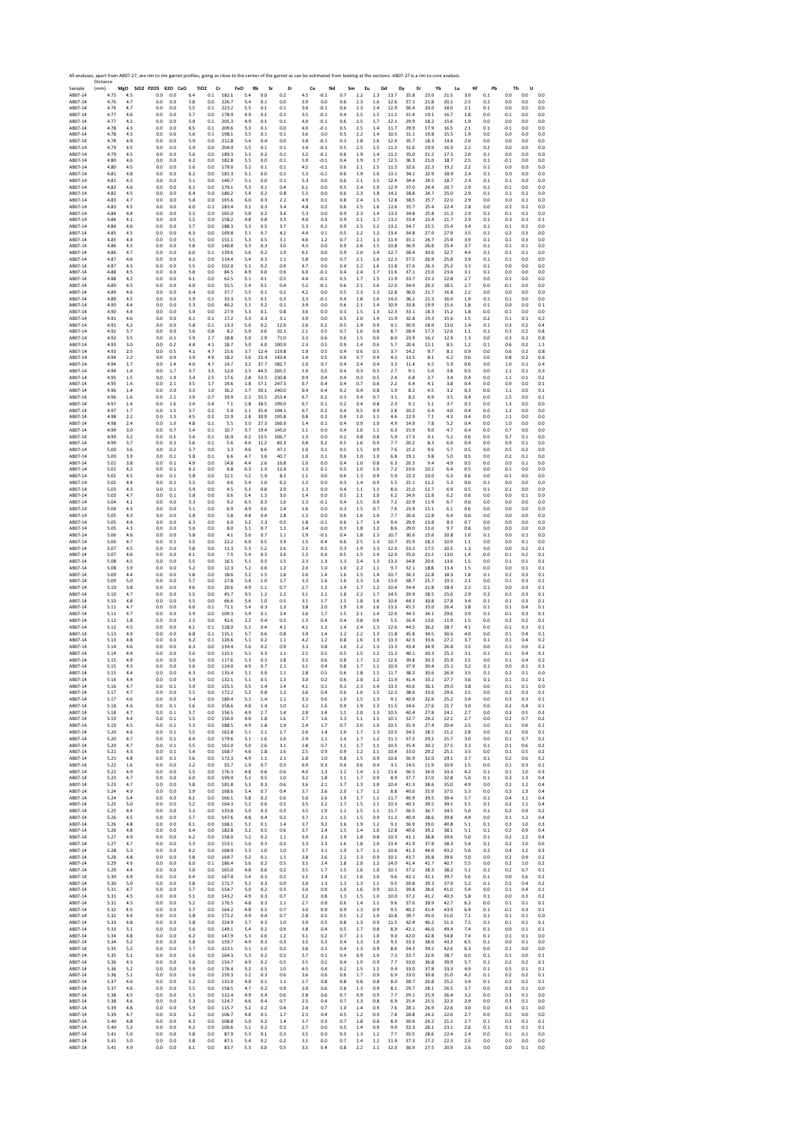|                    | All analyses, apart from AB07-27, are rim to rim garnet profiles, going as close to the center of the garnet as can be estimated from looking at the sections. AB07-27 is a rim to core analysis.<br>Distance |            |                              |            |                            |                                  |                               |                 |                |                  |                |                |                    |                  |              |              |              |                |                |                |                |                |
|--------------------|---------------------------------------------------------------------------------------------------------------------------------------------------------------------------------------------------------------|------------|------------------------------|------------|----------------------------|----------------------------------|-------------------------------|-----------------|----------------|------------------|----------------|----------------|--------------------|------------------|--------------|--------------|--------------|----------------|----------------|----------------|----------------|----------------|
| Sample<br>AB07-14  | (mm)<br>4.75                                                                                                                                                                                                  | 4.5        | MgO SiO2 P2O5 K2O CaO<br>0.0 | 0.0        | TiO <sub>2</sub> Cr<br>6.4 | $0.1$ 182.1                      | FeO<br>Rb<br>$5.4\,$<br>0.0   | Sr<br>Zr<br>0.2 | Ce<br>$4.5\,$  | Nd<br>$-0.1$     | Sm<br>0.7      | Eu<br>2.2      | Gd<br>$1.3\,$      | Dy<br>13.7       | Er<br>35.8   | Yb<br>23.0   | Lu<br>21.5   | Hf<br>3.0      | Pb<br>0.1      | Th<br>$0.0\,$  | U<br>0.0       | 0.0            |
| AB07-14            | 4.76                                                                                                                                                                                                          | 4.7        | 0.0                          | 0.0        | 5.8                        | 0.0<br>226.7                     | 5.4<br>0.1                    | 0.0             | 3.9            | 0.0              | 0.6            | 2.3            | 1.6                | 12.6             | 37.1         | 21.8         | 20.1         | 2.5            | 0.1            | 0.0            | 0.0            | 0.0            |
| AB07-14<br>AB07-14 | 4.76<br>4.77                                                                                                                                                                                                  | 4.7<br>4.6 | 0.0<br>0.0                   | 0.0<br>0.0 | 5.5<br>5.7                 | 0.1<br>223.2<br>0.0<br>178.9     | 5.5<br>0.1<br>0.1<br>4.9      | 0.1<br>0.1      | 3.6<br>3.5     | $-0.1$<br>$-0.1$ | 0.6<br>0.4     | 2.3<br>2.5     | 1.4<br>1.5         | 12.9<br>11.1     | 36.4<br>31.4 | 20.0<br>19.1 | 18.0<br>16.7 | 2.1<br>1.8     | 0.1<br>0.0     | 0.0<br>$-0.1$  | 0.0<br>0.0     | 0.0<br>0.0     |
| AB07-14            | 4.77                                                                                                                                                                                                          | 4.2        | 0.0                          | 0.0        | 5.9                        | 0.1<br>201.3                     | 4.9<br>0.1                    | 0.1             | 4.0            | $-0.1$           | 0.6            | 2.5            | 1.7                | 12.1             | 29.9         | 18.2         | 15.6         | 1.9            | 0.0            | 0.0            | 0.0            | 0.0            |
| AB07-14<br>AB07-14 | 4.78<br>4.78                                                                                                                                                                                                  | 4.3<br>4.3 | 0.0<br>0.0                   | 0.0<br>0.0 | 6.5<br>5.6                 | 209.6<br>0.1<br>0.1<br>198.1     | 5.3<br>0.1<br>5.5<br>0.1      | 0.0<br>0.1      | 4.0<br>3.6     | $-0.1$<br>0.0    | 0.5<br>0.5     | 2.5<br>2.2     | 1.4<br>1.4         | 11.7<br>10.5     | 29.9<br>31.1 | 17.9<br>19.8 | 16.5<br>15.5 | 2.1<br>1.9     | 0.1<br>0.0     | $-0.1$<br>0.0  | 0.0<br>0.0     | 0.0<br>0.0     |
| AB07-14            | 4.78                                                                                                                                                                                                          | 4.9        | 0.0                          | 0.0        | 5.9                        | 0.0<br>212.8                     | 5.4<br>0.4                    | 0.0             | 3.8            | $-0.1$           | 0.3            | 1.8            | 1.6                | 12.9             | 35.7         | 18.3         | 14.6         | 2.0            | 0.0            | 0.0            | 0.0            | 0.0            |
| AB07-14<br>AB07-14 | 4.79<br>4.79                                                                                                                                                                                                  | 4.5<br>4.5 | 0.0<br>0.0                   | 0.0<br>0.0 | 5.9<br>5.6                 | 0.0<br>204.0<br>0.0<br>189.3     | 5.5<br>0.1<br>5.3<br>0.2      | 0.1<br>0.1      | 3.4<br>3.2     | $-0.1$<br>$-0.1$ | 0.5<br>0.6     | 2.5<br>1.9     | 1.5<br>1.4         | 11.2<br>11.2     | 31.6<br>35.0 | 19.9<br>21.2 | 16.9<br>17.5 | 2.2<br>2.0     | 0.2<br>0.1     | 0.0<br>0.0     | 0.0<br>0.0     | 0.0<br>0.0     |
| AB07-14            | 4.80                                                                                                                                                                                                          | 4.6        | 0.0                          | 0.0        | 6.2                        | 0.0<br>182.8                     | 5.5<br>0.0                    | 0.1             | 5.0            | $-0.1$           | 0.4            | 1.9            | 1.7                | 12.5             | 36.3         | 21.0         | 18.7         | 2.5            | 0.1            | $-0.1$         | 0.0            | 0.0            |
| AB07-14<br>AB07-14 | 4.80<br>4.81                                                                                                                                                                                                  | 4.5<br>4.8 | 0.0<br>0.0                   | 0.0<br>0.0 | 5.6<br>6.2                 | 0.0<br>179.0<br>0.0<br>181.3     | 5.2<br>0.1<br>5.1<br>0.0      | 0.1<br>0.1      | 4.5<br>5.3     | $-0.1$<br>$-0.1$ | 0.6<br>0.6     | 2.1<br>1.9     | 1.5<br>1.6         | 11.5<br>13.1     | 32.6<br>34.1 | 22.3<br>22.9 | 19.2<br>18.9 | 2.2<br>2.4     | 0.1<br>0.1     | 0.0<br>0.0     | 0.0<br>0.0     | 0.0<br>0.0     |
| AB07-14            | 4.81                                                                                                                                                                                                          | 4.3        | 0.0                          | 0.0        | 5.1                        | 0.0<br>140.7                     | 5.1<br>0.0                    | 0.1             | 5.3            | 0.0              | 0.6            | 2.1            | 1.5                | 12.4             | 34.4         | 24.5         | 18.7         | 2.4            | 0.1            | 0.1            | 0.0            | 0.0            |
| AB07-14<br>AB07-14 | 4.82<br>4.82                                                                                                                                                                                                  | 4.6<br>4.5 | 0.0<br>0.0                   | 0.0<br>0.0 | 6.1<br>6.4                 | 0.0<br>179.1<br>0.0<br>180.2     | 5.3<br>0.1<br>5.4<br>0.2      | 0.4<br>0.8      | 6.1<br>5.5     | 0.0<br>0.0       | 0.5<br>0.6     | 2.4<br>2.3     | 1.9<br>1.8         | 12.9<br>14.2     | 37.0<br>38.8 | 24.4<br>24.7 | 20.7<br>25.0 | 2.9<br>2.9     | 0.1<br>0.1     | $-0.1$<br>0.1  | 0.0<br>0.2     | 0.0<br>0.0     |
| AB07-14            | 4.83                                                                                                                                                                                                          | 4.7        | 0.0                          | 0.0        | 5.8                        | 0.0<br>165.6                     | 6.0<br>0.3                    | 2.2             | 4.9            | 0.1              | 0.8            | 2.4            | 1.5                | 12.8             | 38.5         | 25.7         | 22.0         | 2.9            | 0.0            | 0.0            | 0.1            | 0.0            |
| AB07-14<br>AB07-14 | 4.83<br>4.84                                                                                                                                                                                                  | 4.5<br>4.4 | 0.0<br>0.0                   | 0.0<br>0.0 | 6.0<br>5.5                 | 0.1<br>183.4<br>0.0<br>165.0     | 5.1<br>0.3<br>5.0<br>0.2      | 3.4<br>3.6      | 4.8<br>5.3     | 0.2<br>0.0       | 0.6<br>0.9     | 2.5<br>2.3     | 1.6<br>1.4         | 12.6<br>13.3     | 35.7<br>34.8 | 25.4<br>25.8 | 22.4<br>21.3 | 2.8<br>2.9     | 0.0<br>0.1     | 0.2<br>0.1     | 0.2<br>0.2     | 0.0<br>0.0     |
| AB07-14            | 4.84                                                                                                                                                                                                          | 4.1        | 0.0                          | 0.0        | 5.5                        | 158.2<br>0.0                     | 4.8<br>0.8                    | 3.5             | 4.0            | 0.3              | 0.9            | 2.1            | 1.7                | 13.2             | 33.4         | 23.4         | 21.7         | 2.9            | 0.1            | 0.3            | 0.3            | 0.1            |
| AB07-14<br>AB07-14 | 4.84<br>4.85                                                                                                                                                                                                  | 4.6<br>4.5 | 0.0<br>0.0                   | 0.0<br>0.0 | 5.7<br>6.3                 | 0.0<br>188.3<br>0.0<br>169.8     | 5.3<br>0.5<br>5.1<br>0.7      | 3.7<br>4.2      | 5.3<br>4.4     | 0.2<br>0.1       | 0.9<br>0.5     | 2.5<br>2.2     | 1.2<br>1.2         | 13.2<br>13.4     | 34.7<br>34.8 | 25.5<br>27.0 | 25.4<br>27.9 | 3.4<br>3.5     | 0.1<br>0.1     | 0.1<br>0.2     | 0.2<br>0.3     | 0.0<br>0.0     |
| AB07-14<br>AB07-14 | 4.85<br>4.86                                                                                                                                                                                                  | 4.4<br>4.5 | 0.0<br>0.0                   | 0.0<br>0.0 | 5.5<br>5.8                 | 0.0<br>151.1<br>0.0<br>140.8     | 5.3<br>0.5<br>5.3<br>0.3      | 3.1<br>3.0      | 4.6<br>4.3     | 1.2<br>0.0       | 0.7<br>0.9     | 2.1<br>2.6     | 1.3<br>1.5         | 11.9<br>10.8     | 35.1<br>36.9 | 26.7<br>26.8 | 25.9<br>25.4 | 3.9<br>3.7     | 0.1<br>0.1     | 0.1<br>0.1     | 0.3<br>0.1     | 0.0<br>0.0     |
| AB07-14            | 4.86                                                                                                                                                                                                          | 4.7        | 0.0                          | 0.0        | 6.0                        | 0.1<br>139.6                     | 5.6<br>0.2                    | 1.9             | 6.1            | 0.0              | 0.9            | 2.0            | 1.4                | 12.7             | 38.4         | 30.6         | 32.7         | 4.4            | 0.1            | 0.1            | 0.1            | 0.0            |
| AB07-14<br>AB07-14 | 4.87<br>4.87                                                                                                                                                                                                  | 4.6<br>4.3 | 0.0<br>0.0                   | 0.0<br>0.0 | 6.2<br>5.5                 | 0.0<br>114.4<br>102.0<br>0.0     | 5.4<br>0.3<br>5.1<br>0.2      | 1.1<br>0.9      | 5.8<br>4.7     | 0.0<br>0.0       | 0.7<br>0.4     | 2.1<br>2.2     | 1.6<br>1.6         | 12.3<br>11.8     | 37.5<br>37.6 | 26.9<br>26.3 | 25.8<br>25.2 | 3.9<br>3.3     | 0.1<br>0.1     | 0.1<br>0.0     | 0.0<br>0.0     | 0.0<br>0.0     |
| AB07-14            | 4.88                                                                                                                                                                                                          | 4.5        | 0.0                          | 0.0        | 5.8                        | 0.0<br>84.5                      | 4.9<br>0.0                    | 0.6             | 6.0            | $-0.1$           | 0.4            | 2.4            | 1.7                | 11.6             | 37.1         | 23.0         | 23.4         | 3.1            | 0.1            | 0.0            | 0.0            | 0.0            |
| AB07-14<br>AB07-14 | 4.88<br>4.89                                                                                                                                                                                                  | 4.2<br>4.5 | 0.0<br>0.0                   | 0.0<br>0.0 | 6.1<br>6.0                 | 0.0<br>62.5<br>0.0<br>55.5       | 5.1<br>0.1<br>5.4<br>0.1      | 0.5<br>0.4      | 4.4<br>5.2     | $-0.1$<br>$-0.1$ | 0.5<br>0.6     | 1.7<br>2.1     | 1.5<br>1.6         | 11.9<br>12.0     | 33.7<br>34.9 | 23.3<br>24.2 | 22.8<br>18.5 | 2.7<br>2.7     | 0.0<br>0.0     | 0.1<br>$-0.1$  | 0.0<br>0.0     | 0.0<br>0.0     |
| AB07-14            | 4.89                                                                                                                                                                                                          | 4.6        | 0.0                          | 0.0        | 6.4                        | 37.7<br>0.0                      | 5.5<br>0.1                    | 0.2             | $4.2\,$        | 0.0              | 0.5            | 2.3            | 1.3                | 12.8             | 36.0         | 21.7         | 16.8         | 2.2            | 0.0            | 0.0            | 0.0            | 0.0            |
| AB07-14<br>AB07-14 | 4.89<br>4.90                                                                                                                                                                                                  | 4.5<br>4.4 | 0.0<br>0.0                   | 0.0<br>0.0 | 5.9<br>5.3                 | 0.1<br>33.3<br>0.0<br>40.2       | 5.5<br>0.1<br>5.1<br>0.2      | 0.3<br>0.1      | 3.3<br>3.9     | $-0.1$<br>0.0    | 0.4<br>0.6     | 1.8<br>2.1     | 1.6<br>1.4         | 14.0<br>10.9     | 36.2<br>33.8 | 21.3<br>19.9 | 16.0<br>15.6 | 1.9<br>1.8     | 0.1<br>0.1     | 0.1<br>0.0     | 0.0<br>0.0     | 0.0<br>0.1     |
| AB07-14            | 4.90                                                                                                                                                                                                          | 4.4        | 0.0                          | 0.0        | 5.9                        | 27.9<br>0.0                      | 5.3<br>0.1                    | 0.8             | 3.6            | 0.0              | 0.3            | 1.5            | 1.3                | 12.3             | 33.1         | 18.3         | 15.2         | 1.8            | 0.0            | $-0.1$         | 0.0            | 0.0            |
| AB07-14<br>AB07-14 | 4.91<br>4.91                                                                                                                                                                                                  | 4.6<br>4.2 | 0.0<br>0.0                   | 0.0<br>0.0 | 6.1<br>5.8                 | 0.1<br>17.2<br>0.1<br>13.3       | 5.3<br>0.3<br>5.6<br>0.2      | 3.1<br>12.6     | 3.9<br>2.6     | 0.0<br>0.2       | 0.5<br>0.5     | 2.0<br>1.9     | 1.4<br>0.9         | 11.9<br>9.1      | 32.8<br>30.9 | 19.3<br>18.0 | 15.6<br>13.0 | 1.5<br>1.4     | 0.2<br>0.1     | 0.1<br>0.3     | 0.1<br>0.2     | 0.2<br>0.4     |
| AB07-14            | 4.92                                                                                                                                                                                                          | 3.7        | 0.0                          | 0.0        | 5.6                        | 0.8<br>8.2                       | 5.0<br>0.6                    | 32.1            | 2.1            | 0.5              | 0.7            | 1.6            | 0.8                | 8.7              | 28.4         | 17.3         | 12.6         | 1.1            | 0.1            | 0.3            | 0.2            | 0.8            |
| AB07-14<br>AB07-14 | 4.92<br>4.93                                                                                                                                                                                                  | 3.5<br>3.0 | 0.0<br>0.0                   | 0.1<br>0.2 | 5.9<br>4.8                 | 18.8<br>2.7<br>4.1<br>18.7       | 5.0<br>2.9<br>5.0<br>6.0      | 71.0<br>100.9   | 2.3<br>2.3     | 0.6<br>0.5       | 0.6<br>0.9     | 1.5<br>1.4     | 0.6<br>0.6         | 8.0<br>5.7       | 23.9<br>20.6 | 16.2<br>12.1 | 12.9<br>8.5  | 1.3<br>1.2     | 0.0<br>0.1     | 0.3<br>0.6     | 0.2<br>0.2     | 0.8<br>1.1     |
| AB07-14            | 4.93                                                                                                                                                                                                          | 2.5        | 0.0                          | 0.5        | 4.1                        | 4.7<br>15.6                      | 3.7<br>12.4                   | 119.8           | 1.9            | 0.5              | 0.4            | 0.6            | 0.5                | 3.7              | 14.2         | 9.7          | 8.1          | 0.9            | 0.0            | 0.6            | 0.2            | 0.8            |
| AB07-14<br>AR07-14 | 4.94<br>4.94                                                                                                                                                                                                  | 2.2<br>1.7 | 0.0<br>0.0                   | 0.9<br>1.4 | 3.9<br>4.0                 | 18.2<br>4.9<br>4.7<br>14.7       | 23.4<br>3.6<br>3.2<br>37.7    | 143.4<br>182.7  | 1.4<br>1.0     | 0.5<br>0.7       | 0.6<br>0.4     | 0.7<br>0.4     | 0.4<br>0.4         | 4.3<br>3.3       | 13.5<br>11.4 | 8.1<br>6.5   | 6.2<br>5.9   | 0.6<br>0.6     | 0.0<br>0.0     | 0.8<br>1.0     | 0.2<br>0.1     | 0.6<br>0.4     |
| AB07-14<br>AB07-14 | 4.94<br>4.95                                                                                                                                                                                                  | 1.4<br>1.5 | 0.0<br>0.0                   | 1.7<br>1.9 | 3.7<br>3.4                 | 3.5<br>12.0<br>2.5<br>17.6       | 2.5<br>44.5<br>2.8<br>53.5    | 205.5<br>230.8  | $1.0\,$<br>0.9 | 0.5<br>0.4       | 0.4<br>0.4     | 0.3<br>0.3     | 0.5<br>0.5         | 2.7<br>2.4       | 9.1<br>6.8   | 5.0<br>3.7   | 3.8<br>3.4   | 0.5<br>0.4     | 0.0<br>0.0     | 1.1<br>1.1     | 0.1<br>0.1     | 0.3<br>0.2     |
| AB07-14            | 4.95                                                                                                                                                                                                          | 1.4        | 0.0                          | 2.1        | 3.5                        | 19.6<br>1.7                      | 1.8<br>57.1                   | 247.3           | 0.7            | 0.4              | 0.4            | 0.7            | 0.6                | 2.2              | 6.4          | 4.1          | 3.8          | 0.4            | 0.0            | 0.9            | 0.0            | 0.1            |
| AB07-14<br>AB07-14 | 4.96<br>4.96                                                                                                                                                                                                  | 1.4<br>1.6 | 0.0<br>0.0                   | 2.0<br>2.1 | 3.3<br>3.9                 | 1.0<br>16.2<br>0.7<br>19.9       | 1.7<br>50.1<br>2.2<br>55.5    | 240.0<br>253.4  | 0.4<br>0.7     | 0.4<br>0.2       | 0.2<br>0.3     | 0.4<br>0.4     | 0.8<br>0.7         | 1.9<br>3.1       | 8.2<br>8.2   | 4.5<br>4.9   | 3.2<br>3.5   | 0.3<br>0.4     | 0.0<br>0.0     | 1.1<br>1.5     | 0.0<br>0.0     | 0.1<br>0.1     |
| AB07-14            | 4.97                                                                                                                                                                                                          | 1.4        | 0.0                          | 1.6        | 3.4                        | 0.4<br>7.1                       | 1.8<br>38.5                   | 199.0           | 0.7            | 0.1              | 0.2            | 0.4            | 0.8                | 2.3              | 9.1          | 5.1          | 3.7          | 0.3            | 0.0            | 1.3            | 0.0            | 0.0            |
| AB07-14<br>AB07-14 | 4.97<br>4.98                                                                                                                                                                                                  | 1.7<br>2.2 | 0.0<br>0.0                   | 1.5<br>1.3 | 3.7<br>4.5                 | 0.2<br>5.0<br>0.2<br>11.9        | 2.1<br>35.4<br>2.8<br>30.9    | 194.1<br>195.8  | 0.7<br>0.8     | 0.2<br>0.2       | 0.4<br>0.4     | 0.5<br>1.0     | 0.9<br>1.1         | 2.8<br>4.6       | 10.2<br>12.9 | 6.4<br>7.1   | 4.0<br>4.3   | 0.4<br>0.4     | 0.0<br>0.0     | 1.2<br>1.1     | 0.0<br>0.0     | 0.0<br>0.0     |
| AB07-14            | 4.98                                                                                                                                                                                                          | 2.4        | 0.0                          | 1.0        | 4.8                        | 0.1<br>5.5                       | 3.0<br>27.3                   | 166.9           | 1.4            | 0.1              | 0.4            | 0.9            | 1.0                | 4.9              | 14.9         | 7.8          | 5.2          | 0.4            | 0.0            | 1.0            | 0.0            | 0.0            |
| AB07-14<br>AR07-14 | 4.99<br>4.99                                                                                                                                                                                                  | 3.0<br>3.2 | 0.0<br>0.0                   | 0.7<br>0.5 | 5.4<br>5.4                 | 10.7<br>0.1<br>0.1<br>16.9       | 3.7<br>19.4<br>4.2<br>13.5    | 145.0<br>106.7  | $1.1\,$<br>1.3 | 0.0<br>0.0       | 0.4<br>0.2     | $1.0\,$<br>0.8 | 1.1<br>0.8         | 6.3<br>5.9       | 15.9<br>17.3 | 9.0<br>9.1   | 4.7<br>5.2   | 0.4<br>0.6     | 0.0<br>0.0     | 0.7<br>0.7     | 0.0<br>0.1     | 0.0<br>0.0     |
| AB07-14            | 4.99                                                                                                                                                                                                          | 3.7        | 0.0                          | 0.3        | 5.6                        | 0.1<br>5.6                       | 4.6<br>11.2                   | 82.3            | 0.8            | 0.2              | 0.5            | $1.6\,$        | 0.9                | 7.7              | 20.2         | 8.3          | 6.9          | 0.4            | 0.0            | 0.9            | 0.1            | 0.0            |
| AB07-14<br>AB07-14 | 5.00<br>5.00                                                                                                                                                                                                  | 3.6<br>3.9 | 0.0<br>0.0                   | 0.2<br>0.1 | 5.7<br>5.8                 | 0.0<br>3.3<br>0.1<br>6.6         | 4.6<br>8.6<br>4.7<br>3.6      | 47.1<br>40.7    | 1.0<br>1.0     | 0.1<br>0.1       | 0.5<br>0.6     | 1.5<br>1.0     | 0.9<br>1.0         | 7.6<br>6.8       | 21.2<br>19.1 | 9.6<br>9.8   | 5.7<br>5.0   | 0.5<br>0.5     | 0.0<br>0.0     | 0.5<br>0.2     | 0.2<br>0.1     | 0.0<br>0.0     |
| AB07-14            | 5.01                                                                                                                                                                                                          | 3.8        | 0.0                          | 0.1        | 4.9                        | 0.0<br>14.8                      | 4.4<br>2.6                    | 16.8            | 1.0            | 0.0              | 0.4            | 1.0            | 0.8                | 6.3              | 20.3         | 9.4          | 4.9          | 0.5            | 0.0            | 0.0            | 0.1            | 0.0            |
| AB07-14<br>AB07-14 | 5.01<br>5.02                                                                                                                                                                                                  | 4.2<br>4.5 | 0.0<br>0.0                   | 0.1<br>0.1 | 6.2<br>5.8                 | 0.0<br>6.8<br>12.1<br>0.0        | 6.3<br>1.3<br>5.2<br>1.9      | 12.4<br>8.3     | 1.3<br>1.1     | 0.1<br>0.0       | 0.5<br>0.6     | 1.0<br>1.3     | 1.0<br>0.9         | 7.2<br>5.9       | 23.6<br>22.2 | 10.2<br>10.0 | 6.4<br>6.3   | 0.5<br>0.6     | 0.0<br>0.0     | 0.1<br>$-0.1$  | 0.0<br>0.0     | 0.0<br>0.0     |
| AB07-14            | 5.02                                                                                                                                                                                                          | 4.4        | 0.0                          | 0.1        | 5.5                        | 0.0<br>4.6                       | 5.4<br>1.0                    | 6.2             | 1.2            | 0.0              | 0.3            | 1.4            | 0.9                | 5.5              | 21.1         | 11.2         | 5.3          | 0.6            | 0.1            | 0.0            | 0.0            | 0.0            |
| AB07-14<br>AB07-14 | 5.03<br>5.03                                                                                                                                                                                                  | 4.3<br>4.7 | 0.0<br>0.0                   | 0.1<br>0.1 | 5.9<br>5.8                 | 0.0<br>4.5<br>0.0<br>0.6         | 5.1<br>$_{0.8}$<br>5.4<br>1.3 | 2.9<br>3.0      | 1.3<br>1.4     | 0.0<br>0.0       | 0.4<br>0.5     | $1.1$<br>2.1   | 1.1<br>1.0         | 8.0<br>6.2       | 21.0<br>24.9 | 11.7<br>12.8 | 6.9<br>6.2   | 0.5<br>0.6     | 0.1<br>0.0     | 0.1<br>0.0     | 0.0<br>0.1     | 0.0<br>0.0     |
| AB07-14<br>AB07-14 | 5.04<br>5.04                                                                                                                                                                                                  | 4.1<br>4.3 | 0.0<br>0.0                   | 0.0<br>0.0 | 5.3<br>5.1                 | 0.0<br>9.2<br>0.0<br>6.9         | 6.5<br>0.3<br>4.9<br>0.6      | 1.6<br>1.4      | 1.3<br>1.6     | $-0.1$<br>0.0    | 0.4<br>0.3     | 1.5<br>1.5     | 0.9<br>0.7         | 7.2<br>7.6       | 22.9<br>23.9 | 11.9<br>11.1 | 6.7<br>6.1   | 0.6<br>0.6     | 0.0<br>0.0     | 0.0<br>0.0     | 0.0<br>0.0     | 0.0<br>0.0     |
| AB07-14            | 5.05                                                                                                                                                                                                          | 4.3        | 0.0                          | 0.0        | 5.8                        | 0.0<br>5.8                       | 4.8<br>0.4                    | 2.8             | 1.3            | 0.0              | 0.6            | 1.6            | 1.0                | 7.7              | 26.6         | 12.8         | 6.4          | 0.6            | 0.0            | 0.0            | 0.0            | 0.0            |
| AB07-14<br>AB07-14 | 5.05<br>5.05                                                                                                                                                                                                  | 4.4<br>4.3 | 0.0<br>0.0                   | 0.0<br>0.0 | 6.3<br>5.6                 | 6.0<br>0.0<br>0.0<br>8.0         | 5.2<br>2.3<br>5.1<br>0.7      | 0.5<br>1.3      | 1.8<br>1.4     | $-0.1$<br>0.0    | 0.6<br>0.3     | 1.7<br>1.8     | 1.4<br>1.2         | 9.4<br>8.6       | 29.9<br>29.0 | 13.8<br>13.0 | 8.3<br>9.7   | 0.7<br>0.8     | 0.0<br>0.0     | 0.0<br>0.0     | 0.0<br>0.0     | 0.0<br>0.0     |
| AB07-14            | 5.06                                                                                                                                                                                                          | 4.6        | 0.0                          | 0.0        | 5.8                        | 0.0<br>4.1                       | 5.6<br>0.7                    | 1.1             | 1.9            | $-0.1$           | 0.4            | 1.8            | 1.3                | 10.7             | 30.6         | 15.6         | 10.8         | 1.0            | 0.1            | 0.0            | 0.1            | 0.0            |
| AB07-14<br>AB07-14 | 5.06<br>5.07                                                                                                                                                                                                  | 4.7<br>4.5 | 0.0<br>0.0                   | 0.1<br>0.0 | 5.5<br>5.8                 | 0.0<br>22.2<br>11.3<br>0.0       | 6.0<br>0.5<br>5.3<br>1.2      | 3.9<br>2.6      | 1.5<br>2.1     | 0.4<br>0.5       | 0.6<br>0.3     | 2.5<br>1.9     | 1.3<br>1.3         | 10.7<br>12.0     | 35.9<br>33.2 | 18.3<br>17.5 | 10.9<br>10.5 | 1.1<br>1.3     | 0.0<br>0.0     | 0.0<br>0.0     | 0.1<br>0.2     | 0.0<br>0.1     |
| AB07-14            | 5.07                                                                                                                                                                                                          | 4.6        | 0.0                          | 0.0        | 6.1                        | 0.0<br>7.5                       | 5.4<br>0.3                    | 2.6             | 2.3            | 0.6              | 0.5            | 1.5            | 1.4                | 12.0             | 35.0         | 21.2         | 13.0         | 1.4            | 0.0            | 0.1            | 0.2            | 0.1            |
| AB07-14<br>AB07-14 | 5.08<br>5.08                                                                                                                                                                                                  | 4.5<br>3.9 | 0.0<br>0.0                   | 0.0<br>0.0 | 5.5<br>5.2                 | 0.0<br>16.5<br>0.0<br>12.3       | 5.1<br>0.5<br>5.2<br>0.6      | 1.5<br>1.2      | 2.3<br>2.0     | 1.3<br>1.0       | 1.3<br>1.0     | 2.4<br>2.2     | $1.3\,$<br>1.1     | 13.3<br>9.7      | 34.8<br>32.1 | 20.6<br>18.8 | 13.6<br>13.4 | $1.5\,$<br>1.5 | 0.0<br>0.0     | 0.1<br>0.0     | 0.1<br>0.1     | $0.1\,$<br>0.1 |
| AB07-14            | 5.09                                                                                                                                                                                                          | 4.4        | 0.0                          | 0.0        | 5.8                        | 0.0<br>18.6                      | 5.2<br>1.5                    | 1.8             | 2.6            | 1.4              | 1.6            | 1.5            | 1.4                | 10.7             | 36.3         | 22.8         | 18.3         | 1.8            | 0.1            | 0.2            | 0.3            | 0.1            |
| AB07-14<br>AB07-14 | 5.09<br>5.10                                                                                                                                                                                                  | 5.0<br>3.8 | 0.0<br>0.0                   | 0.0<br>0.0 | 5.7<br>4.6                 | 0.0<br>27.8<br>0.0<br>20.6       | 5.4<br>$1.0$<br>4.9<br>1.1    | 1.7<br>0.7      | 3.3<br>2.7     | 1.6<br>1.2       | 1.6<br>1.4     | 2.3<br>1.7     | 1.6<br>1.2         | 13.0<br>10.4     | 38.7<br>34.4 | 25.7<br>21.8 | 19.3<br>18.4 | 2.1<br>2.2     | 0.0<br>0.1     | 0.1<br>0.0     | 0.3<br>0.3     | 0.1<br>0.1     |
| AB07-14            | 5.10                                                                                                                                                                                                          | 4.7        | 0.0                          | 0.0        | 5.5                        | 45.7<br>0.0                      | 9.5<br>1.2                    | 2.2             | 3.1            | 2.2              | 1.8            | 2.2            | 1.7                | 14.5             | 39.9         | 28.5         | 25.6         | 2.9            | 0.2            | 0.2            | 0.3            | 0.1            |
| AB07-14<br>AB07-14 | 5.10<br>5.11                                                                                                                                                                                                  | 4.8<br>4.7 | 0.0<br>0.0                   | 0.0<br>0.0 | 5.5<br>6.0                 | 0.0<br>66.6<br>0.1<br>71.1       | 5.6<br>1.0<br>5.4<br>0.3      | 0.5<br>1.3      | 3.1<br>3.8     | 1.7<br>2.0       | 1.5<br>1.9     | 1.8<br>2.0     | 1.6<br>1.6         | 10.6<br>13.3     | 44.3<br>45.5 | 30.8<br>33.0 | 27.8<br>26.4 | 3.4<br>3.8     | 0.1<br>0.1     | 0.1<br>0.1     | 0.3<br>0.4     | 0.1<br>0.1     |
| AB07-14            | 5.11                                                                                                                                                                                                          | 4.7        | 0.0                          | 0.0        | 5.9                        | 0.0<br>109.3                     | 5.4<br>0.1                    | 1.4             | 3.6            | 1.7              | 1.5            | 2.1            | 1.4                | 12.6             | 44.3         | 34.1         | 29.6         | 3.9            | 0.1            | 0.1            | 0.3            | 0.1            |
| AB07-14<br>AB07-14 | 5.12<br>5.12                                                                                                                                                                                                  | 1.8<br>4.5 | 0.0<br>0.0                   | 0.0<br>0.0 | 2.3<br>6.1                 | 0.0<br>42.6<br>0.1<br>128.0      | 2.2<br>0.4<br>5.1<br>0.4      | 0.5<br>4.1      | 1.3<br>4.1     | 0.4<br>1.2       | 0.4<br>1.4     | 0.8<br>2.4     | 0.6<br>1.3         | 5.5<br>12.6      | 16.4<br>44.5 | 13.6<br>36.2 | 11.9<br>28.7 | 1.5<br>4.1     | 0.0<br>0.0     | 0.2<br>$-0.1$  | 0.2<br>0.3     | 0.1<br>0.1     |
| AB07-14<br>AB07-14 | 5.13<br>5.13                                                                                                                                                                                                  | 4.9<br>4.8 | 0.0<br>0.0                   | 0.0<br>0.0 | 6.8<br>6.2                 | 0.1<br>135.1<br>120.6<br>0.1     | 5.7<br>0.6<br>5.1<br>0.2      | 0.8<br>1.1      | 3.9<br>$4.2\,$ | 1.4<br>1.2       | 1.2<br>0.8     | 2.2<br>1.6     | 1.3<br>1.3         | 11.8<br>13.3     | 45.8<br>42.5 | 34.5<br>33.6 | 30.6<br>27.2 | 4.0<br>3.7     | 0.0<br>0.1     | 0.1<br>0.1     | 0.4<br>0.4     | 0.1<br>0.2     |
| AR07-14            | 5.14                                                                                                                                                                                                          | 4.6        | 0.0                          | 0.0        | 6.3                        | 0.0<br>134.4                     | 5.6<br>0.2                    | 0.9             | 3.3            | 0.8              | 1.0            | 2.2            | 1.3                | 13.3             | 43.4         | 34.9         | 26.8         | 3.5            | 0.0            | 0.1            | 0.6            | 0.2            |
| AB07-14<br>AB07-14 | 5.14<br>5.15                                                                                                                                                                                                  | 4.4<br>4.9 | 0.0<br>0.0                   | 0.0<br>0.0 | 5.6<br>5.6                 | 0.0<br>125.1<br>0.0<br>117.6     | 5.1<br>0.3<br>5.3<br>0.3      | 1.1<br>1.8      | 2.5<br>3.5     | 0.5<br>0.6       | 0.5<br>0.8     | 1.5<br>1.7     | 1.2<br>1.2         | 11.3<br>12.6     | 40.1<br>39.8 | 30.3<br>30.3 | 25.3<br>25.9 | 3.1<br>3.5     | 0.1<br>0.0     | 0.1<br>0.1     | 0.4<br>0.4     | 0.1<br>0.2     |
| AB07-14            | 5.15                                                                                                                                                                                                          | 4.3        | 0.0                          | 0.0        | 5.6                        | 0.0<br>124.0                     | 4.9<br>0.7                    | 2.1             | 3.1            | 0.4              | $0.8\,$        | 1.7            | $1.1\,$            | 10.9             | 37.9         | 30.4         | 25.1         | 3.2            | 0.1            | 0.0            | 0.1            | 0.1            |
| AB07-14            | 5.15<br>5.16                                                                                                                                                                                                  | 4.4        | n n<br>0.0                   | n٨<br>0.0  | 5.9                        | nη<br>0.0<br>132.1               | n a<br>5.1<br>0.5             | 1.3             | 3.0            | 0.2              | ሰ հ<br>0.6     | 2.0            | 1.2                | 11.9             | 38 7<br>41.4 | 30 F<br>33.2 | 26 Q<br>27.7 | 3.6            | 0.1            | 0.1            | 0.1            | 0.1            |
| AB07-14            | 5.16                                                                                                                                                                                                          | 4.7        | 0.0                          | 0.1        | 5.9                        | 0.0<br>155.5                     | 5.5<br>1.4                    | 1.4             | 4.1            | 0.1              | 0.3            | 2.3            | 1.4                | 13.3             | 43.6         | 36.1         | 29.0         | 3.8            | 0.0            | 0.1            | 0.1            | 0.0            |
| AB07-14<br>AB07-14 | 5.17<br>5.17                                                                                                                                                                                                  | 4.7<br>4.6 | 0.0<br>0.0                   | 0.0<br>0.0 | 5.5<br>5.4                 | 0.0<br>172.2<br>0.0<br>180.4     | 5.2<br>0.8<br>$5.1\,$<br>1.4  | 1.2<br>$1.1\,$  | 3.6<br>3.3     | 0.4<br>0.6       | 0.6<br>1.0     | 1.6<br>1.5     | 1.5<br>1.3         | 12.3<br>9.1      | 38.6<br>40.9 | 33.6<br>32.6 | 29.6<br>25.2 | 3.5<br>3.4     | 0.0<br>0.0     | 0.2<br>0.3     | 0.3<br>0.3     | 0.1<br>0.1     |
| AB07-14<br>AB07-14 | 5.18<br>5.18                                                                                                                                                                                                  | 4.6<br>4.7 | 0.0<br>0.0                   | 0.1<br>0.1 | 5.6<br>5.7                 | 0.0<br>158.6<br>156.5<br>0.0     | $1.4\,$<br>4.8<br>2.7<br>4.9  | 1.0<br>1.4      | 3.2<br>2.8     | 1.6<br>1.4       | 0.9<br>1.1     | 1.9<br>2.0     | 1.3<br>1.3         | $11.5\,$<br>10.5 | 34.6<br>40.4 | 27.6<br>27.8 | 21.7<br>24.1 | 3.0<br>2.7     | 0.0<br>0.0     | 0.2<br>0.3     | 0.4<br>0.5     | 0.1<br>0.3     |
| AB07-14            | 5.19                                                                                                                                                                                                          | 4.4        | 0.0                          | 0.1        | 5.5                        | 150.0<br>0.0                     | 4.6<br>1.8                    | 1.6             | 2.7            | 1.6              | 1.3            | 1.1            | 1.1                | 10.1             | 32.7         | 24.2         | 22.1         | 2.7            | 0.0            | 0.2            | 0.7            | 0.2            |
| AB07-14<br>AB07-14 | 5.19<br>5.20                                                                                                                                                                                                  | 4.5<br>4.6 | 0.0<br>0.0                   | 0.1<br>0.1 | 5.3<br>5.5                 | 188.5<br>0.0<br>162.8<br>0.0     | 4.9<br>1.8<br>2.1<br>5.1      | 1.9<br>2.7      | 2.4<br>2.6     | 1.7<br>1.4       | 0.7<br>1.0     | 2.0<br>1.7     | 1.0<br>1.3         | 10.5<br>10.5     | 35.9<br>34.5 | 27.4<br>28.5 | 20.4<br>21.2 | 2.5<br>2.8     | 0.0<br>0.0     | 0.1<br>0.2     | 0.6<br>0.6     | 0.1<br>0.1     |
| AB07-14            | 5.20                                                                                                                                                                                                          | 4.7        | 0.0                          | 0.1        | 6.4                        | 179.6<br>0.0                     | 5.1<br>1.6                    | 2.6             | 2.9            | 1.1              | 1.4            | 1.7            | 1.2                | 11.1             | 37.5         | 29.2         | 25.7         | 3.0            | 0.0            | 0.1            | 0.7            | 0.2            |
| AB07-14<br>AB07-14 | 5.20<br>5.21                                                                                                                                                                                                  | 4.7<br>4.3 | 0.0<br>0.0                   | 0.1<br>0.1 | 5.5<br>5.4                 | 0.0<br>161.0<br>0.0<br>168.7     | 5.0<br>2.6<br>4.6<br>1.8      | 3.1<br>1.6      | 2.8<br>2.5     | 0.7<br>0.9       | $1.1\,$<br>0.9 | 1.7<br>1.2     | $1.1\,$<br>1.1     | 10.5<br>10.4     | 35.4<br>33.0 | 30.2<br>29.2 | 27.5<br>25.1 | 3.3<br>3.5     | 0.1<br>0.0     | 0.1<br>0.1     | 0.6<br>0.5     | 0.2<br>0.2     |
| AB07-14<br>AB07-14 | 5.21<br>5.22                                                                                                                                                                                                  | 4.8<br>1.6 | $0.0\,$<br>0.0               | 0.1<br>0.0 | 5.6<br>2.2                 | 172.3<br>0.0<br>0.0<br>55.7      | 4.9<br>1.1<br>1.9<br>0.7      | 2.1<br>0.5      | $2.8\,$<br>0.9 | $1.0\,$<br>0.3   | 0.8<br>0.4     | 1.5<br>0.6     | 0.9<br>0.4         | 10.6<br>3.1      | 36.9<br>14.5 | 32.0<br>11.9 | 29.1<br>10.9 | 3.7<br>1.5     | 0.1<br>0.0     | 0.2<br>0.1     | 0.6<br>0.3     | 0.2<br>0.1     |
| AB07-14            | 5.22                                                                                                                                                                                                          | 4.9        | 0.0                          | 0.0        | 5.5                        | 0.0<br>176.3                     | $4.8\,$<br>0.6                | 0.6             | 4.0            | 1.3              | 1.2            | $1.4\,$        | $1.1\,$            | 11.6             | 36.5         | 34.0         | 33.3         | 4.2            | 0.1            | 0.1            | $1.0$          | 0.3            |
| AB07-14<br>AB07-14 | 5.23<br>5.23                                                                                                                                                                                                  | 4.7<br>4.7 | 0.0<br>0.0                   | 0.0<br>0.0 | 6.0<br>5.8                 | $0.0\,$<br>199.0<br>0.0<br>181.8 | 5.2<br>0.5<br>5.3<br>0.3      | $1.0$<br>0.6    | 3.2<br>3.6     | $1.8\,$<br>2.1   | $1.1\,$<br>1.7 | 1.7<br>1.3     | 0.9<br>1.0         | 8.9<br>10.4      | 37.7<br>41.3 | 37.0<br>38.6 | 32.8<br>35.0 | $5.0\,$<br>4.9 | $0.1\,$<br>0.0 | 0.3<br>0.2     | $1.3\,$<br>1.2 | 0.4<br>0.4     |
| AB07-14            | 5.24                                                                                                                                                                                                          | 4.9        | 0.0                          | 0.0        | 5.9                        | 0.0<br>168.6                     | 5.4<br>0.7                    | 0.4             | 3.7            | 2.6              | 2.0            | 1.7            | 1.2                | 8.8              | 40.6         | 35.9         | 37.5         | 5.3            | 0.0            | 0.3            | 1.3            | 0.4            |
| AB07-14<br>AB07-14 | 5.24<br>5.25                                                                                                                                                                                                  | 5.4<br>5.0 | 0.0<br>0.0                   | 0.0<br>0.0 | 6.1<br>5.2                 | 0.0<br>166.1<br>164.3<br>0.0     | 5.8<br>0.2<br>5.2<br>0.6      | 0.6<br>0.5      | 5.0<br>3.5     | 2.6<br>2.2       | 1.9<br>1.7     | 1.7<br>1.5     | $1.1$<br>1.1       | 11.7<br>10.3     | 40.9<br>40.3 | 39.5<br>39.5 | 39.4<br>39.5 | 5.7<br>5.5     | 0.1<br>0.1     | 0.4<br>0.2     | 1.1<br>1.1     | 0.4<br>0.4     |
| AB07-14            | 5.25                                                                                                                                                                                                          | 4.4        | 0.0                          | 0.0        | 5.3                        | 133.8<br>0.0                     | 5.0<br>0.3                    | 0.3             | 3.5            | 1.9              | 1.2            | 1.5            | 1.1                | 11.7             | 36.5         | 36.7         | 34.5         | 5.0            | 0.1            | 0.2            | 0.9            | 0.2            |
| AB07-14<br>AB07-14 | 5.26<br>5.26                                                                                                                                                                                                  | 4.5<br>4.8 | 0.0<br>0.0                   | 0.0<br>0.0 | 5.7<br>6.1                 | 0.0<br>147.6<br>0.0<br>168.1     | $4.8\,$<br>0.4<br>5.2<br>0.1  | 0.2<br>1.4      | 3.7<br>3.7     | 2.1<br>9.2       | 1.5<br>1.6     | 1.5<br>1.9     | 0.9<br>1.2         | 11.2<br>9.1      | 40.9<br>36.9 | 38.6<br>39.0 | 39.8<br>40.8 | 4.9<br>5.1     | 0.0<br>0.1     | 0.1<br>0.3     | 1.2<br>1.0     | 0.4<br>0.3     |
| AB07-14            | 5.26                                                                                                                                                                                                          | 4.8        | 0.0                          | 0.0        | 6.4                        | 182.8<br>0.0                     | 5.2<br>0.5                    | 0.6             | 3.7            | 2.4              | 1.5            | 1.4            | $1.0\,$            | 12.8             | 40.6         | 39.2         | 38.1         | 5.1            | $0.1\,$        | 0.2            | 0.9            | 0.4            |
| AB07-14<br>AB07-14 | 5.27<br>5.27                                                                                                                                                                                                  | 4.9<br>4.7 | 0.0<br>0.0                   | 0.0<br>0.0 | 6.2<br>5.3                 | 0.0<br>158.0<br>0.0<br>153.1     | 5.2<br>0.2<br>5.0<br>0.3      | $1.1$<br>0.2    | 3.9<br>3.3     | 2.3<br>2.3       | 1.9<br>1.6     | 1.8<br>1.8     | 0.8<br>1.0         | 10.3<br>13.4     | 41.1<br>41.9 | 38.8<br>37.8 | 39.6<br>38.3 | 5.0<br>5.4     | 0.1<br>0.1     | 0.2<br>0.2     | 1.2<br>1.0     | 0.4<br>0.6     |
| AB07-14            | 5.28                                                                                                                                                                                                          | 5.3        | 0.0                          | 0.0        | 6.2                        | 168.9<br>0.0                     | 5.3<br>$1.0$                  | 1.0             | 3.7            | 3.1              | 1.9            | 1.7            | $1.1\,$            | 10.6             | 41.3         | 44.0         | 43.2         | 5.6            | 0.2            | 0.4            | 1.2            | 0.3            |
| AB07-14<br>AB07-14 | 5.28<br>5.29                                                                                                                                                                                                  | 4.8<br>4.9 | 0.0<br>0.0                   | 0.0<br>0.0 | 5.8<br>6.0                 | 164.7<br>0.0<br>0.1<br>186.4     | 5.2<br>0.1<br>5.6<br>0.2      | 1.1<br>0.5      | 2.8<br>3.5     | 2.6<br>2.4       | 2.2<br>1.8     | 1.3<br>2.0     | 0.9<br>1.2         | 10.1<br>14.0     | 43.7<br>41.4 | 39.8<br>41.7 | 39.6<br>40.7 | 5.0<br>5.5     | 0.0<br>0.0     | 0.2<br>0.2     | 0.9<br>$1.0$   | 0.2<br>0.2     |
| AB07-14            | 5.29                                                                                                                                                                                                          | 4.4        | 0.0                          | 0.0        | 5.0                        | 0.0<br>165.0                     | 4.8<br>0.6                    | 0.2             | 3.5            | 1.7              | 1.5            | 1.6            | 1.0                | 10.1             | 37.2         | 38.3         | 38.2         | 5.1            | 0.1            | 0.2            | 0.7            | 0.1            |
| AB07-14<br>AB07-14 | 5.30<br>5.30                                                                                                                                                                                                  | 4.9<br>5.0 | 0.0<br>0.0                   | 0.0<br>0.0 | 6.4<br>5.8                 | 0.0<br>167.0<br>0.0<br>171.7     | 5.4<br>0.3<br>5.2<br>0.3      | 0.2<br>0.9      | 3.1<br>3.0     | 1.4<br>1.3       | 1.2<br>1.3     | 1.6<br>1.3     | 1.0<br>$1.1\,$     | 9.6<br>9.5       | 42.1<br>39.8 | 42.1<br>39.3 | 39.7<br>37.9 | 5.6<br>5.2     | 0.1<br>0.1     | 0.0<br>0.2     | 0.6<br>0.4     | 0.2<br>0.2     |
| AB07-14            | 5.31                                                                                                                                                                                                          | 4.7        | 0.0                          | 0.0        | 5.7                        | 154.7<br>0.0                     | 5.0<br>0.2                    | 0.3             | 3.0            | 0.9              | 1.0            | 1.6            | 0.9                | 10.2             | 39.8         | 38.6         | 41.0         | 5.4            | 0.0            | 0.1            | 0.4            | 0.1            |
| AB07-14<br>AB07-14 | 5.31<br>5.31                                                                                                                                                                                                  | 4.5<br>4.3 | 0.0<br>0.0                   | 0.0<br>0.0 | 5.1<br>5.2                 | 0.0<br>143.2<br>0.0<br>176.5     | 4.9<br>0.3<br>4.8<br>0.3      | 0.7<br>1.1      | 3.2<br>2.7     | 0.8<br>0.9       | 1.3<br>0.6     | 1.5<br>1.4     | 1.0<br>1.1         | 10.0<br>9.6      | 37.2<br>37.6 | 41.2<br>39.9 | 40.3<br>42.7 | 5.8<br>6.2     | 0.1<br>0.0     | 0.0<br>0.1     | 0.3<br>0.1     | 0.2<br>0.1     |
| AB07-14            | 5.32                                                                                                                                                                                                          | 4.5        | 0.0                          | 0.0        | 5.7                        | 0.0<br>164.2                     | 4.8<br>0.3                    | 0.7             | 3.0            | 0.9              | 0.9            | 1.3            | 0.9                | 9.5              | 40.2         | 41.4         | 43.9         | 6.9            | 0.1            | $-0.1$         | 0.3            | 0.1            |
| AB07-14<br>AB07-14 | 5.32<br>5.33                                                                                                                                                                                                  | 4.4<br>4.8 | 0.0<br>0.0                   | 0.0<br>0.0 | 5.8<br>5.8                 | 0.0<br>172.2<br>224.9<br>0.0     | 4.9<br>0.4<br>5.7<br>0.3      | 0.7<br>1.0      | 2.8<br>3.9     | 0.5<br>0.5       | 0.5<br>0.8     | 1.2<br>1.3     | 1.0<br>0.9         | 10.8<br>$11.5\,$ | 39.7<br>42.4 | 43.0<br>46.2 | 51.0<br>51.3 | 7.1<br>7.5     | 0.1<br>0.1     | 0.1<br>0.1     | 0.1<br>0.1     | 0.0<br>0.1     |
| AB07-14            | 5.33                                                                                                                                                                                                          | 5.1        | 0.0                          | 0.0        | 5.6                        | 149.1<br>0.0                     | 5.4<br>0.2                    | 0.9             | 3.8            | 0.4              | 0.5            | 1.7            | 0.8                | 8.9              | 42.1         | 46.0         | 49.4         | 7.4            | 0.1            | 0.0            | 0.1            | 0.1            |
| AB07-14<br>AB07-14 | 5.34<br>5.34                                                                                                                                                                                                  | 4.8<br>5.2 | 0.0<br>0.0                   | 0.0<br>0.0 | 6.2<br>5.8                 | 0.0<br>147.9<br>0.0<br>159.7     | 5.3<br>0.6<br>4.9<br>0.3      | 1.2<br>0.3      | 3.1<br>3.5     | 0.2<br>0.3       | 0.7<br>0.4     | 2.1<br>$1.3$   | $1.0\,$<br>$1.0\,$ | 9.0<br>9.3       | 42.0<br>33.3 | 42.8<br>38.6 | 54.8<br>43.2 | 7.4<br>6.5     | 0.1<br>$0.1\,$ | 0.1<br>$0.0\,$ | 0.1<br>$0.1\,$ | 0.0<br>0.0     |
| AB07-14            | 5.35                                                                                                                                                                                                          | 5.2        | 0.0                          | 0.0        | 5.7                        | 223.1<br>0.0                     | 5.1<br>1.0                    | 0.2             | 3.6            | 0.1              | 0.4            | 1.3            | 0.9                | 8.6              | 34.3         | 39.2         | 42.6         | 6.3            | 0.0            | 0.1            | 0.0            | 0.0            |
| AB07-14<br>AB07-14 | 5.35<br>5.36                                                                                                                                                                                                  | 5.1<br>4.3 | 0.0<br>0.0                   | 0.0<br>0.0 | 5.6<br>5.6                 | 0.0<br>164.3<br>0.0<br>154.7     | 5.3<br>0.2<br>4.9<br>0.2      | 0.2<br>0.5      | 3.7<br>3.5     | 0.1<br>0.2       | 0.4<br>0.4     | 0.9<br>1.9     | 1.0<br>0.9         | 7.3<br>7.7       | 33.7<br>33.0 | 32.6<br>36.8 | 38.7<br>39.9 | 6.0<br>5.7     | 0.1<br>0.1     | 0.1<br>0.2     | 0.0<br>0.2     | 0.1<br>0.1     |
| AB07-14<br>AB07-14 | 5.36<br>5.36                                                                                                                                                                                                  | 5.2<br>5.1 | 0.0<br>0.0                   | 0.0<br>0.0 | 5.9<br>5.6                 | 176.4<br>0.0<br>0.0<br>159.3     | 5.2<br>0.5<br>5.2<br>0.3      | 1.0<br>0.6      | 4.5<br>3.6     | 0.4<br>0.6       | 0.2<br>0.6     | 1.5<br>1.7     | 1.1<br>0.9         | 9.9<br>6.9       | 33.0<br>33.0 | 37.8<br>30.8 | 33.3<br>31.0 | 4.9<br>4.2     | 0.1<br>0.1     | 0.5<br>0.2     | 0.1<br>0.2     | 0.1<br>0.1     |
| AB07-14            | 5.37                                                                                                                                                                                                          | 4.6        | 0.0                          | 0.0        | 5.2                        | 0.0<br>131.0                     | 4.8<br>0.1                    | 1.1             | 2.7            | 0.8              | 0.8            | 0.8            | 0.8                | 8.0              | 28.7         | 26.8         | 25.2         | 3.4            | 0.1            | 0.3            | 0.2            | 0.1            |
| AB07-14<br>AB07-14 | 5.37<br>5.38                                                                                                                                                                                                  | 4.6<br>4.5 | 0.0<br>0.0                   | 0.0<br>0.0 | 5.5<br>5.5                 | 0.0<br>158.5<br>122.4<br>0.0     | 4.7<br>0.2<br>4.9<br>0.4      | 0.9<br>0.6      | 3.0<br>2.8     | 0.6<br>0.6       | 0.8<br>0.7     | 1.3<br>0.9     | 0.9<br>0.9         | 8.1<br>7.7       | 29.7<br>29.1 | 28.1<br>25.9 | 26.5<br>26.4 | 3.7<br>3.2     | 0.0<br>0.0     | 0.3<br>0.3     | 0.1<br>0.1     | 0.0<br>0.0     |
| AB07-14            | 5.38                                                                                                                                                                                                          | 4.6        | 0.0                          | 0.0        | 5.3                        | 0.0<br>124.7                     | $4.6\,$<br>0.4                | 0.7             | 2.5            | 0.4              | 0.7            | 1.3            | 0.8                | 6.9              | 25.4         | 25.5         | 22.3         | 2.9            | 0.0            | 0.3            | 0.1            | 0.0            |
| AB07-14<br>AB07-14 | 5.39<br>5.39                                                                                                                                                                                                  | 4.8<br>4.7 | 0.0<br>0.0                   | 0.0<br>0.0 | 5.9<br>5.2                 | 0.0<br>115.7<br>0.0<br>106.7     | 5.2<br>0.2<br>4.8<br>0.1      | 0.4<br>1.7      | 2.4<br>2.3     | 0.7<br>0.4       | 1.0<br>0.5     | 1.4<br>1.2     | 0.9<br>0.9         | 7.6<br>7.8       | 28.1<br>28.8 | 26.9<br>24.2 | 22.6<br>22.6 | 3.0<br>2.7     | 0.0<br>0.0     | 0.3<br>0.2     | 0.1<br>0.0     | 0.0<br>0.0     |
| AB07-14            | 5.40                                                                                                                                                                                                          | 4.8        | 0.0                          | 0.0        | 6.3                        | 0.0<br>108.8                     | 5.0<br>0.2                    | 1.4             | 3.7            | 0.3              | 0.7            | 1.8            | 0.8                | 8.9              | 30.9         | 24.2         | 21.1         | 2.7            | 0.1            | 0.3            | 0.1            | 0.1            |
| AB07-14<br>AB07-14 | 5.40<br>5.41                                                                                                                                                                                                  | 5.2<br>5.0 | 0.0<br>0.0                   | 0.0<br>0.0 | 6.2<br>5.8                 | 0.0<br>100.6<br>0.0<br>87.9      | 5.1<br>0.2<br>5.3<br>0.1      | 0.3<br>0.3      | 2.7<br>3.5     | 0.0<br>0.0       | 0.5<br>0.3     | $1.4\,$<br>1.3 | 0.9<br>1.2         | 9.9<br>7.7       | 32.3<br>35.5 | 26.1<br>28.6 | 23.1<br>22.4 | 2.6<br>2.4     | 0.1<br>0.0     | 0.1<br>0.1     | 0.1<br>0.1     | 0.1<br>0.0     |
| AB07-14            | 5.41                                                                                                                                                                                                          | 5.0        | 0.0                          | 0.0        | 5.8                        | 87.1<br>0.0                      | 0.2<br>5.4                    | 0.2             | 3.1            | 0.0              | 0.7            | 1.4            | 1.2                | 11.9             | 37.3         | 27.2         | 22.3         | 2.5            | 0.0            | 0.0            | 0.0            | 0.0            |
| AB07-14            | 5.41                                                                                                                                                                                                          | 4.9        |                              | 0.0 0.0    | $6.1\,$                    | 0.0<br>83.7                      | 5.3<br>0.0                    | 0.5             | 3.1            | 0.4              | 0.8            | 2.2            | $1.1\,$            | 12.0             | 36.9         | 27.5         | 20.9         | 2.6            | 0.0            | 0.0            | 0.1            | 0.0            |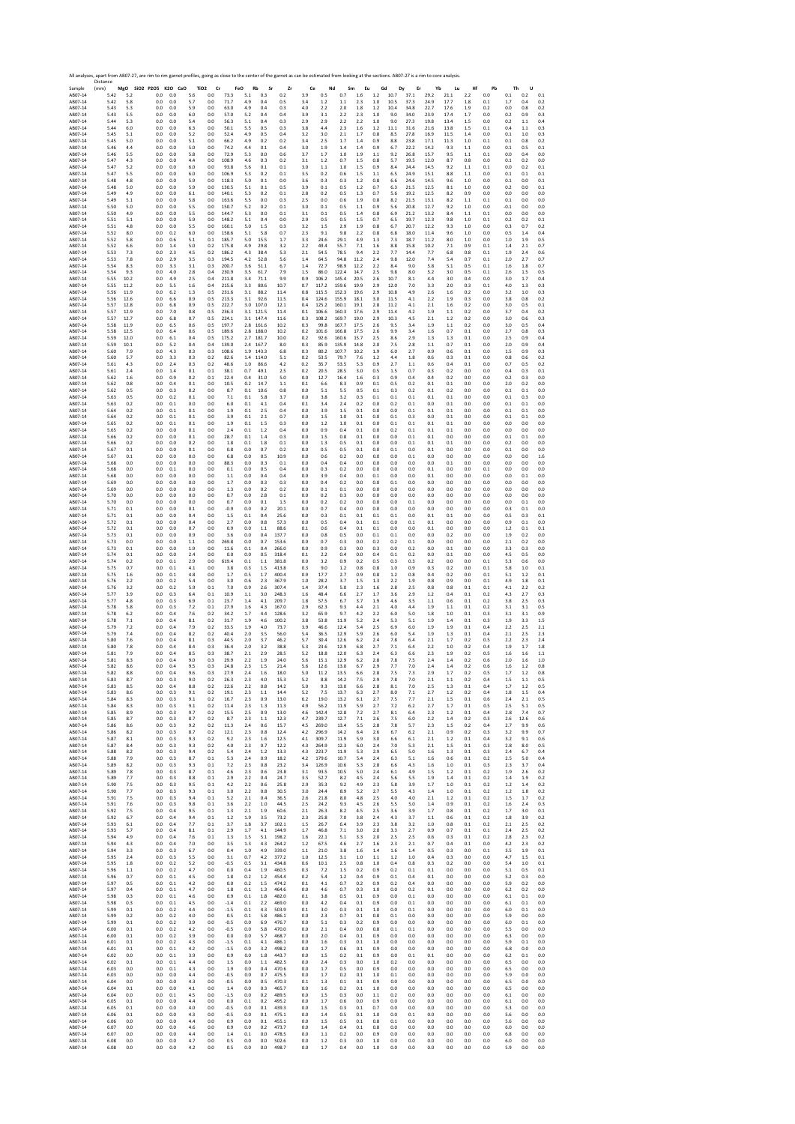Sample 18, 2007-18, 2007-18, 2007-18, 2007-18, 2007-18, 2007-18, 2007-18, 2007-18, 2007-18, 2007-18, 2007-18, 2007-18, 2007-18, 2007-18, 2007-18, 2007-18, 2007-18, 2007-18, 2007-18, 2007-18, 2007-18, 2007-18, 2007-18, 2007 Distance (mm) **MgO SiO2 P2O5 K2O CaO TiO2 Cr FeO Rb Sr Zr Ce Nd Sm Eu Gd Dy Er Yb Lu Hf Pb Th U** AB07‐14 5.42 5.2 0.0 0.0 5.6 0.0 73.3 5.1 0.3 0.2 3.9 0.5 0.7 1.6 1.2 10.7 37.1 29.2 21.1 2.2 0.0 0.1 0.2 0.1 AB07‐14 5.42 5.8 0.0 0.0 5.7 0.0 71.7 4.9 0.4 0.5 3.4 1.2 1.1 2.3 1.0 10.5 37.3 24.9 17.7 1.8 0.1 1.7 0.4 0.2 AB07‐14 5.43 5.3 0.0 0.0 5.9 0.0 63.0 4.9 0.4 0.3 4.0 2.2 2.0 1.8 1.2 10.4 34.8 22.7 17.6 1.9 0.2 0.0 0.8 0.2 AB07‐14 5.43 5.5 0.0 0.0 6.0 0.0 57.0 5.2 0.4 0.4 3.9 3.1 2.2 2.3 1.0 9.0 34.0 23.9 17.4 1.7 0.0 0.2 0.9 0.3 AB07‐14 5.44 5.3 0.0 0.0 5.4 0.0 56.3 5.1 0.4 0.3 2.9 2.9 2.2 2.2 1.0 9.0 27.3 19.8 13.4 1.5 0.0 0.2 1.1 0.4 AB07‐14 5.44 6.0 0.0 0.0 6.3 0.0 50.1 5.5 0.5 0.3 3.8 4.4 2.3 1.6 1.2 11.1 31.6 21.6 13.8 1.5 0.1 0.4 1.1 0.3 AB07‐14 5.45 5.1 0.0 0.0 5.2 0.0 52.4 4.9 0.5 0.4 3.2 3.0 2.1 1.7 0.8 8.5 27.8 16.9 11.5 1.4 0.0 0.1 1.0 0.3 AB07‐14 5.45 5.0 0.0 0.0 5.1 0.0 66.2 4.9 0.2 0.2 3.4 2.5 1.7 1.4 0.9 8.8 23.8 17.1 11.3 1.0 0.1 0.1 0.8 0.2 AB07‐14 5.46 4.4 0.0 0.0 5.0 0.0 74.2 4.4 0.1 0.4 3.0 1.9 1.4 1.4 0.9 6.7 22.2 14.2 9.3 1.1 0.0 0.1 0.5 0.1 AB07‐14 5.46 5.5 0.0 0.0 5.8 0.0 72.9 5.3 0.0 0.6 3.7 1.7 1.0 1.9 1.1 9.2 26.8 15.7 9.5 1.1 0.1 0.0 0.4 0.0 AB07‐14 5.47 4.3 0.0 0.0 4.4 0.0 108.9 4.6 0.3 0.2 3.1 1.2 0.7 1.5 0.8 5.7 19.5 12.0 8.7 0.8 0.0 0.1 0.2 0.0 AB07‐14 5.47 5.2 0.0 0.0 6.0 0.0 93.8 5.6 0.1 0.1 3.0 1.1 1.0 1.5 0.9 8.4 24.4 14.5 9.2 1.1 0.1 0.0 0.2 0.1 AB07‐14 5.47 5.5 0.0 0.0 6.0 0.0 106.9 5.3 0.2 0.1 3.5 0.2 0.6 1.5 1.1 6.5 24.9 15.1 8.8 1.1 0.0 0.1 0.1 0.1 AB07‐14 5.48 4.8 0.0 0.0 5.9 0.0 118.3 5.0 0.1 0.0 3.6 0.3 0.3 1.2 0.8 6.6 24.6 14.5 9.6 1.0 0.0 0.1 0.0 0.1 AB07‐14 5.48 5.0 0.0 0.0 5.9 0.0 130.5 5.1 0.1 0.5 3.9 0.1 0.5 1.2 0.7 6.3 21.5 12.5 8.1 1.0 0.0 0.2 0.0 0.1 AB07‐14 5.49 4.9 0.0 0.0 6.1 0.0 140.1 5.3 0.2 0.1 2.8 0.2 0.5 1.3 0.7 5.6 19.2 12.5 8.2 0.9 0.0 0.0 0.0 0.0 AB07‐14 5.49 5.1 0.0 0.0 5.8 0.0 163.6 5.5 0.0 0.3 2.5 0.0 0.6 1.9 0.8 8.2 21.5 13.1 8.2 1.1 0.1 0.1 0.0 0.0 AB07‐14 5.50 5.0 0.0 0.0 5.5 0.0 150.7 5.2 0.2 0.1 3.0 0.1 0.5 1.1 0.9 5.6 20.8 12.7 9.2 1.0 0.0 ‐0.1 0.0 0.0 AB07‐14 5.50 4.9 0.0 0.0 5.5 0.0 144.7 5.3 0.0 0.1 3.1 0.1 0.5 1.4 0.8 6.9 21.2 13.2 8.4 1.1 0.1 0.0 0.0 0.0 AB07‐14 5.51 5.1 0.0 0.0 5.9 0.0 148.2 5.1 0.4 0.0 2.9 0.5 0.5 1.5 0.7 6.5 19.7 12.3 9.8 1.0 0.1 0.2 0.2 0.1 AB07‐14 5.51 4.8 0.0 0.0 5.5 0.0 160.1 5.0 1.5 0.3 3.2 1.5 2.9 1.9 0.8 6.7 20.7 12.2 9.3 1.0 0.0 0.3 0.7 0.2 AB07‐14 5.52 8.0 0.0 0.2 6.0 0.0 158.6 5.1 5.8 0.7 2.3 9.1 9.8 2.2 0.8 6.8 18.0 11.4 9.6 1.0 0.0 0.5 1.4 0.4 AB07‐14 5.52 5.8 0.0 0.6 5.1 0.1 185.7 5.0 15.5 1.7 3.3 24.6 29.1 4.9 1.3 7.3 18.7 11.2 8.0 1.0 0.0 1.0 1.9 0.5 AB07‐14 5.52 6.6 0.0 1.4 5.0 0.2 175.8 4.9 29.8 3.2 2.2 49.4 55.7 7.1 1.6 8.8 15.8 10.2 7.1 0.9 0.1 1.4 2.1 0.7 AB07‐14 5.53 7.3 0.0 2.3 4.5 0.2 186.2 4.3 38.4 5.3 2.1 54.5 78.5 9.4 2.2 7.7 14.4 7.7 6.8 0.8 0.1 1.9 2.4 0.6 AB07‐14 5.53 7.8 0.0 2.9 3.5 0.3 194.5 4.2 52.8 5.6 1.4 64.5 94.8 11.2 2.4 9.8 12.0 7.4 5.4 0.7 0.1 2.0 2.7 0.7 AB07‐14 5.54 8.3 0.0 3.3 3.1 0.3 200.7 3.6 51.1 6.7 1.4 72.7 98.9 12.2 2.2 8.4 9.0 5.8 5.1 0.5 0.1 1.6 1.8 0.7 AB07‐14 5.54 9.3 0.0 4.0 2.8 0.4 230.9 3.5 61.7 7.9 1.5 86.0 122.4 14.7 2.5 9.8 8.0 5.2 3.0 0.5 0.1 2.6 1.5 0.5 AB07‐14 5.55 10.2 0.0 4.9 2.5 0.4 211.8 3.4 71.1 9.9 0.9 106.2 145.4 20.5 2.6 10.7 8.1 4.4 3.0 0.4 0.0 3.0 1.7 0.4 AB07‐14 5.55 11.2 0.0 5.5 1.6 0.4 215.6 3.3 80.6 10.7 0.7 117.2 159.6 19.9 2.9 12.0 7.0 3.3 2.0 0.3 0.1 4.0 1.3 0.3 AB07‐14 5.56 11.9 0.0 6.2 1.3 0.5 231.6 3.1 88.2 11.4 0.8 115.5 152.3 19.6 2.9 10.8 4.9 2.6 1.6 0.2 0.0 3.2 1.0 0.3 AB07‐14 5.56 12.6 0.0 6.6 0.9 0.5 213.3 3.1 92.6 11.5 0.4 124.6 155.9 18.1 3.0 11.5 4.1 2.2 1.9 0.3 0.0 3.8 0.8 0.2 AB07‐14 5.57 12.8 0.0 6.8 0.9 0.5 222.7 3.0 107.0 12.1 0.4 125.2 160.1 19.1 2.8 11.2 4.1 2.1 1.6 0.2 0.0 3.0 0.5 0.1 AB07‐14 5.57 12.9 0.0 7.0 0.8 0.5 236.3 3.1 121.5 11.4 0.1 106.6 160.3 17.6 2.9 11.4 4.2 1.9 1.1 0.2 0.0 3.7 0.4 0.2 AB07‐14 5.57 12.7 0.0 6.8 0.7 0.5 224.1 3.1 147.4 11.6 0.3 108.2 169.7 19.0 2.9 10.3 4.5 2.1 1.2 0.2 0.0 3.0 0.6 0.3 AB07‐14 5.58 11.9 0.0 6.5 0.6 0.5 197.7 2.8 161.6 10.2 0.3 99.8 167.7 17.5 2.6 9.5 3.4 1.9 1.1 0.2 0.0 3.0 0.5 0.4 AB07‐14 5.58 12.5 0.0 6.4 0.6 0.5 189.6 2.8 188.0 10.2 0.2 101.6 166.8 17.5 2.6 9.9 3.4 1.6 0.7 0.1 0.0 2.7 0.8 0.3 AB07‐14 5.59 12.0 0.0 6.1 0.4 0.5 175.2 2.7 181.7 10.0 0.2 92.6 160.6 15.7 2.5 8.6 2.9 1.3 1.3 0.1 0.0 2.5 0.9 0.4 AB07‐14 5.59 10.1 0.0 5.2 0.4 0.4 139.0 2.4 167.7 8.0 0.3 85.9 135.9 14.8 2.0 7.5 2.8 1.1 0.7 0.1 0.0 2.0 0.9 0.4 AB07‐14 5.60 7.9 0.0 4.3 0.3 0.3 108.6 1.9 143.3 6.8 0.3 80.2 107.7 10.2 1.9 6.0 2.7 0.9 0.6 0.1 0.0 1.5 0.9 0.3 AB07‐14 5.60 5.7 0.0 3.3 0.3 0.2 82.6 1.4 114.0 5.1 0.2 53.5 79.7 7.6 1.2 4.4 1.8 0.6 0.3 0.1 0.0 0.8 0.6 0.2 AB07‐14 5.61 4.3 0.0 2.4 0.3 0.2 48.6 1.0 86.6 4.2 0.2 35.7 53.5 5.3 0.9 2.7 1.1 0.6 0.4 0.1 0.0 0.7 0.5 0.2 AB07‐14 5.61 2.4 0.0 1.4 0.1 0.1 38.1 0.7 49.1 2.5 0.2 20.5 28.5 3.0 0.5 1.5 0.7 0.3 0.2 0.0 0.0 0.4 0.3 0.1 AB07‐14 5.62 1.6 0.0 0.9 0.2 0.1 22.4 0.4 31.0 5.0 0.0 12.7 16.4 1.6 0.3 0.9 0.4 0.4 0.2 0.0 0.0 0.2 0.3 0.0 AB07‐14 5.62 0.8 0.0 0.4 0.1 0.0 10.5 0.2 14.7 1.1 0.1 6.6 8.3 0.9 0.1 0.5 0.2 0.1 0.1 0.0 0.0 2.0 0.2 0.0 AB07‐14 5.62 0.5 0.0 0.3 0.2 0.0 8.7 0.1 10.6 0.8 0.0 5.1 5.5 0.5 0.1 0.3 0.2 0.1 0.2 0.0 0.0 0.1 0.1 0.0 AB07‐14 5.63 0.5 0.0 0.2 0.1 0.0 7.1 0.1 5.8 3.7 0.0 3.8 3.2 0.3 0.1 0.1 0.1 0.1 0.1 0.0 0.0 0.1 0.3 0.0 AB07‐14 5.63 0.2 0.0 0.1 0.0 0.0 6.0 0.1 4.1 0.4 0.1 3.4 2.4 0.2 0.0 0.2 0.1 0.0 0.1 0.0 0.0 0.1 0.1 0.0 AB07‐14 5.64 0.2 0.0 0.1 0.1 0.0 1.9 0.1 2.5 0.4 0.0 3.9 1.5 0.1 0.0 0.0 0.1 0.1 0.1 0.0 0.0 0.1 0.1 0.0 AB07‐14 5.64 0.2 0.0 0.1 0.1 0.0 3.9 0.1 2.1 0.7 0.0 1.5 1.0 0.1 0.0 0.1 0.3 0.0 0.1 0.0 0.0 0.1 0.1 0.0 AB07‐14 5.65 0.2 0.0 0.1 0.1 0.0 1.9 0.1 1.5 0.3 0.0 1.2 1.0 0.1 0.0 0.1 0.1 0.1 0.1 0.0 0.0 0.0 0.0 0.0 AB07‐14 5.65 0.2 0.0 0.0 0.1 0.0 2.4 0.1 1.2 0.4 0.0 0.9 0.4 0.1 0.0 0.2 0.1 0.1 0.1 0.0 0.0 0.0 0.0 0.0 AB07‐14 5.66 0.2 0.0 0.0 0.1 0.0 28.7 0.1 1.4 0.3 0.0 1.5 0.8 0.1 0.0 0.0 0.1 0.1 0.0 0.0 0.0 0.1 0.1 0.0 AB07‐14 5.66 0.2 0.0 0.0 0.2 0.0 1.8 0.1 1.8 0.1 0.0 1.3 0.5 0.1 0.0 0.0 0.1 0.1 0.1 0.0 0.0 0.2 0.0 0.0 AB07‐14 5.67 0.1 0.0 0.0 0.1 0.0 0.8 0.0 0.7 0.2 0.0 0.5 0.5 0.1 0.0 0.1 0.0 0.1 0.0 0.0 0.0 0.1 0.0 0.0 AB07‐14 5.67 0.1 0.0 0.0 0.0 0.0 6.8 0.0 0.5 10.9 0.0 0.6 0.2 0.0 0.0 0.0 0.1 0.0 0.0 0.0 0.0 0.0 0.0 1.6 AB07‐14 5.68 0.0 0.0 0.0 0.0 0.0 88.3 0.0 0.3 0.1 0.0 0.4 0.4 0.0 0.0 0.0 0.0 0.0 0.1 0.0 0.0 0.0 0.0 0.0 AB07‐14 5.68 0.0 0.0 0.1 0.0 0.0 0.1 0.0 0.5 0.4 0.0 0.3 0.2 0.0 0.0 0.0 0.0 0.1 0.0 0.0 0.1 0.0 0.0 0.0 AB07‐14 5.68 0.0 0.0 0.0 0.0 0.0 1.1 0.0 0.4 0.4 0.0 3.9 0.4 0.0 0.1 0.0 0.0 0.1 0.0 0.0 0.0 0.0 0.1 0.0 AB07‐14 5.69 0.0 0.0 0.0 0.0 0.0 1.7 0.0 0.3 0.3 0.0 0.4 0.2 0.0 0.0 0.1 0.0 0.0 0.0 0.0 0.0 0.0 0.0 0.0 AB07‐14 5.69 0.0 0.0 0.0 0.0 0.0 1.3 0.0 0.2 0.2 0.0 0.1 0.1 0.0 0.0 0.0 0.0 0.0 0.0 0.0 0.0 0.0 0.0 0.0 AB07‐14 5.70 0.0 0.0 0.0 0.0 0.0 0.7 0.0 2.8 0.1 0.0 0.2 0.3 0.0 0.0 0.0 0.0 0.0 0.0 0.0 0.0 0.0 0.0 0.0 AB07‐14 5.70 0.0 0.0 0.0 0.0 0.0 0.7 0.0 0.1 1.5 0.0 0.2 0.2 0.0 0.0 0.0 0.1 0.0 0.0 0.0 0.0 0.0 0.1 0.0 AB07‐14 5.71 0.1 0.0 0.0 0.1 0.0 ‐0.9 0.0 0.2 20.1 0.0 0.7 0.4 0.0 0.0 0.0 0.0 0.0 0.0 0.0 0.0 0.3 0.1 0.0 AB07‐14 5.71 0.1 0.0 0.0 0.4 0.0 1.5 0.1 0.4 25.6 0.0 0.3 0.1 0.1 0.1 0.1 0.0 0.1 0.1 0.0 0.0 0.5 0.3 0.1 AB07‐14 5.72 0.1 0.0 0.0 0.4 0.0 2.7 0.0 0.8 57.3 0.0 0.5 0.4 0.1 0.1 0.0 0.1 0.1 0.0 0.0 0.0 0.9 0.1 0.0 AB07‐14 5.72 0.1 0.0 0.0 0.7 0.0 0.9 0.0 1.1 88.6 0.1 0.6 0.4 0.1 0.1 0.0 0.0 0.1 0.0 0.0 0.0 1.2 0.1 0.1 AB07‐14 5.73 0.1 0.0 0.0 0.9 0.0 3.6 0.0 0.4 137.7 0.0 0.8 0.5 0.0 0.1 0.1 0.0 0.0 0.2 0.0 0.0 1.9 0.2 0.0 AB07‐14 5.73 0.0 0.0 0.0 1.1 0.0 269.8 0.0 0.7 153.6 0.0 0.7 0.3 0.0 0.2 0.2 0.1 0.0 0.0 0.0 0.0 2.1 0.2 0.0 AB07‐14 5.73 0.1 0.0 0.0 1.9 0.0 11.6 0.1 0.4 266.0 0.0 0.9 0.3 0.0 0.3 0.0 0.2 0.0 0.1 0.0 0.0 3.3 0.3 0.0 AB07‐14 5.74 0.1 0.0 0.0 2.4 0.0 0.0 0.0 0.5 318.4 0.1 2.2 0.4 0.0 0.4 0.1 0.2 0.0 0.1 0.0 0.0 4.5 0.5 0.0 AB07‐14 5.74 0.2 0.0 0.1 2.9 0.0 619.4 0.1 1.1 381.8 0.0 3.2 0.9 0.2 0.5 0.3 0.3 0.2 0.0 0.0 0.1 5.3 0.6 0.0 AB07‐14 5.75 0.7 0.0 0.1 4.1 0.0 3.8 0.3 1.5 413.8 0.3 9.0 1.2 0.8 0.8 1.0 0.9 0.3 0.2 0.0 0.1 5.8 1.0 0.1 AB07‐14 5.75 1.6 0.0 0.1 4.8 0.0 1.7 0.5 1.7 400.4 0.9 17.7 2.7 0.9 0.8 1.2 0.8 0.4 0.2 0.0 0.1 5.1 1.2 0.1 AB07‐14 5.76 2.2 0.0 0.2 5.4 0.0 3.0 0.6 2.3 367.9 1.0 28.2 3.7 1.5 1.3 2.2 1.9 0.8 0.9 0.0 0.1 4.9 1.8 0.1 AB07‐14 5.76 3.2 0.0 0.2 5.9 0.1 7.0 0.9 2.6 307.4 1.4 37.4 5.0 2.3 1.6 2.8 2.5 0.8 0.8 0.1 0.1 4.1 2.2 0.2 AB07‐14 5.77 3.9 0.0 0.3 6.4 0.1 10.9 1.1 3.0 248.3 1.6 48.4 6.6 2.7 1.7 3.6 2.9 1.2 0.4 0.1 0.2 4.3 2.7 0.3 AB07‐14 5.77 4.8 0.0 0.3 6.9 0.1 23.7 1.4 4.1 209.7 1.8 57.5 6.7 3.7 1.9 4.6 3.5 1.1 0.6 0.1 0.2 3.8 2.5 0.3 AB07‐14 5.78 5.8 0.0 0.3 7.2 0.1 27.9 1.6 4.3 167.0 2.9 62.3 9.3 4.4 2.1 4.0 4.4 1.9 1.1 0.1 0.2 3.1 3.1 0.5 AB07‐14 5.78 6.2 0.0 0.4 7.6 0.2 34.2 1.7 4.4 128.6 3.2 65.9 9.7 4.2 2.2 6.0 5.0 1.8 1.0 0.1 0.3 3.1 3.1 0.9 AB07‐14 5.78 7.1 0.0 0.4 8.1 0.2 31.7 1.9 4.6 100.2 3.8 53.8 11.9 5.2 2.4 5.3 5.1 1.9 1.4 0.1 0.3 1.9 3.3 1.5 AB07‐14 5.79 7.2 0.0 0.4 7.9 0.2 33.5 1.9 4.0 73.7 3.9 46.6 12.4 5.4 2.5 6.9 6.0 1.9 1.9 0.1 0.4 2.2 2.5 2.1 AB07‐14 5.79 7.4 0.0 0.4 8.2 0.2 40.4 2.0 3.5 56.0 5.4 36.5 12.9 5.9 2.6 6.0 5.4 1.9 1.3 0.1 0.4 2.1 2.5 2.3 AB07‐14 5.80 7.6 0.0 0.4 8.1 0.3 44.5 2.0 3.7 46.2 5.7 30.4 12.6 6.2 2.4 7.8 6.4 2.1 1.7 0.2 0.5 2.2 2.3 2.4 AB07‐14 5.80 7.8 0.0 0.4 8.4 0.3 36.4 2.0 3.2 38.8 5.3 23.6 12.9 6.8 2.7 7.1 6.4 2.2 1.0 0.2 0.4 1.9 1.7 1.8 AB07‐14 5.81 7.9 0.0 0.4 8.5 0.3 38.7 2.1 2.9 28.5 5.2 18.8 12.0 6.3 2.4 6.3 6.6 2.3 1.9 0.2 0.5 1.6 1.6 1.1 AB07‐14 5.81 8.3 0.0 0.4 9.0 0.3 29.9 2.2 1.9 24.0 5.6 15.1 12.9 6.2 2.8 7.8 7.5 2.4 1.4 0.2 0.6 2.0 1.6 1.0 AB07‐14 5.82 8.6 0.0 0.4 9.5 0.3 24.8 2.3 1.5 21.4 5.6 12.6 13.0 6.7 2.9 7.7 7.0 2.4 1.4 0.2 0.6 1.6 1.2 0.8 AB07‐14 5.82 8.8 0.0 0.4 9.6 0.3 27.9 2.4 1.6 18.0 5.0 11.2 13.5 6.6 2.8 7.5 7.3 2.9 1.7 0.2 0.5 1.7 1.2 0.8 AB07‐14 5.83 8.7 0.0 0.3 9.0 0.2 26.3 2.3 4.0 15.3 5.2 8.8 14.2 7.5 2.9 7.8 7.0 2.1 1.1 0.2 0.4 1.5 1.1 0.5 AB07‐14 5.83 8.5 0.0 0.4 8.8 0.2 22.6 2.2 0.8 14.2 5.0 9.3 13.0 6.6 2.8 8.1 7.0 2.5 1.3 0.1 0.4 1.7 1.2 0.5 AB07‐14 5.83 8.6 0.0 0.3 9.1 0.2 19.1 2.3 1.1 14.4 5.2 7.5 13.7 6.3 2.7 8.0 7.1 2.7 1.2 0.2 0.4 1.8 1.5 0.4 AB07‐14 5.84 8.3 0.0 0.3 9.1 0.2 16.7 2.3 0.9 13.0 6.2 19.0 13.2 6.1 2.7 7.5 7.7 2.1 1.5 0.1 0.6 2.4 2.1 0.5 AB07‐14 5.84 8.3 0.0 0.3 9.1 0.2 11.4 2.3 1.3 11.3 4.9 56.2 11.9 5.9 2.7 7.2 6.2 2.7 1.7 0.1 0.5 2.5 5.1 0.5 AB07‐14 5.85 8.9 0.0 0.3 9.7 0.2 15.5 2.5 0.9 13.0 4.6 142.4 12.8 7.2 2.7 8.1 6.4 2.3 1.2 0.1 0.4 2.8 7.4 0.7 AB07‐14 5.85 8.7 0.0 0.3 8.7 0.2 8.7 2.3 1.1 12.3 4.7 239.7 12.7 7.1 2.6 7.5 6.0 2.2 1.4 0.2 0.3 2.6 12.6 0.6 AB07‐14 5.86 8.6 0.0 0.3 9.2 0.2 11.3 2.4 0.6 15.7 4.5 269.0 13.4 5.5 2.8 7.8 5.7 2.3 1.5 0.2 0.4 2.7 9.9 0.6 AB07‐14 5.86 8.2 0.0 0.3 8.7 0.2 12.1 2.3 0.8 12.4 4.2 296.9 14.2 6.4 2.6 6.7 6.2 2.1 0.9 0.2 0.3 3.2 9.9 0.7 AB07‐14 5.87 8.1 0.0 0.3 9.3 0.2 9.2 2.3 1.6 12.5 4.1 309.7 11.9 5.9 3.0 6.6 6.1 2.1 1.2 0.1 0.4 3.2 9.1 0.6 AB07‐14 5.87 8.4 0.0 0.3 9.3 0.2 4.0 2.3 0.7 12.2 4.3 264.9 12.3 6.0 2.4 7.0 5.3 2.1 1.5 0.1 0.3 2.8 8.0 0.5 AB07‐14 5.88 8.2 0.0 0.3 9.4 0.2 5.4 2.4 1.2 13.3 4.3 223.7 11.9 5.3 2.9 6.5 5.0 1.6 1.3 0.1 0.3 2.4 6.7 0.4 AB07‐14 5.88 7.9 0.0 0.3 8.7 0.1 5.3 2.4 0.9 18.2 4.2 179.6 10.7 5.4 2.4 6.3 5.1 1.6 0.6 0.1 0.2 2.5 5.0 0.4 AB07‐14 5.89 8.2 0.0 0.3 9.3 0.1 7.2 2.3 0.8 23.2 3.4 126.9 10.6 5.3 2.8 6.6 4.3 1.6 1.0 0.1 0.3 2.3 3.7 0.4 AB07‐14 5.89 7.8 0.0 0.3 8.7 0.1 4.6 2.3 0.6 23.8 3.1 93.5 10.5 5.0 2.4 6.1 4.9 1.5 1.2 0.1 0.2 1.9 2.6 0.2 AB07‐14 5.89 7.7 0.0 0.3 8.8 0.1 2.9 2.2 0.4 24.7 3.5 52.7 8.2 4.5 2.4 5.6 5.5 1.9 1.4 0.1 0.2 1.4 1.9 0.2 AB07‐14 5.90 7.5 0.0 0.3 9.5 0.1 4.2 2.2 0.6 25.8 2.9 35.3 9.2 4.9 2.3 5.8 3.9 1.7 1.0 0.1 0.2 1.2 1.4 0.2 AB07‐14 5.90 7.7 0.0 0.3 9.3 0.1 3.0 2.2 0.8 30.5 3.0 24.4 8.9 5.2 2.7 5.5 4.3 1.4 1.0 0.1 0.2 1.2 1.8 0.2 AB07‐14 5.91 7.5 0.0 0.3 9.4 0.1 5.2 2.1 0.4 36.5 2.6 21.8 8.0 4.8 2.5 4.0 4.0 2.1 1.2 0.1 0.2 1.5 1.7 0.2 AB07‐14 5.91 7.6 0.0 0.3 9.8 0.1 3.6 2.2 1.0 44.5 2.5 24.2 9.3 4.5 2.6 5.5 5.0 1.4 0.9 0.1 0.2 1.6 2.4 0.3 AB07‐14 5.92 7.5 0.0 0.4 9.5 0.1 1.3 2.1 1.9 60.6 2.1 26.3 8.2 4.5 2.5 3.6 3.9 1.7 0.8 0.1 0.2 1.7 3.0 0.1 AB07‐14 5.92 6.7 0.0 0.4 9.4 0.1 1.2 1.9 3.5 73.2 2.3 25.8 7.0 3.8 2.4 4.3 3.7 1.1 0.6 0.1 0.2 1.8 3.9 0.2 AB07‐14 5.93 6.1 0.0 0.4 7.7 0.1 3.7 1.8 3.7 102.1 1.5 26.7 6.4 3.9 2.3 3.8 3.2 1.0 0.8 0.1 0.2 2.1 2.5 0.2 AB07‐14 5.93 5.7 0.0 0.4 8.1 0.1 2.9 1.7 4.1 144.9 1.7 46.8 7.1 3.0 2.0 3.3 2.7 0.9 0.7 0.1 0.1 2.4 2.5 0.2 AB07‐14 5.94 4.9 0.0 0.4 7.6 0.1 1.3 1.5 5.1 198.2 1.6 22.1 5.1 3.3 2.0 2.5 2.5 0.6 0.3 0.1 0.2 2.8 2.3 0.2 AB07‐14 5.94 4.3 0.0 0.4 7.0 0.0 3.5 1.3 4.3 264.2 1.2 67.5 4.6 2.7 1.6 2.3 2.1 0.7 0.4 0.1 0.0 4.2 2.3 0.2 AB07‐14 5.94 3.3 0.0 0.3 6.7 0.0 0.4 1.0 4.9 339.0 1.1 21.0 3.8 1.6 1.4 1.6 1.4 0.5 0.3 0.0 0.1 3.5 1.9 0.1 AB07‐14 5.95 2.4 0.0 0.3 5.5 0.0 3.1 0.7 4.2 377.2 1.0 12.5 3.1 1.0 1.1 1.2 1.0 0.4 0.3 0.0 0.0 4.7 1.5 0.1 AB07‐14 5.95 1.8 0.0 0.2 5.2 0.0 ‐0.5 0.5 3.1 434.8 0.6 10.1 2.5 0.8 1.0 0.4 0.8 0.3 0.2 0.0 0.0 5.4 1.0 0.1 AB07‐14 5.96 1.1 0.0 0.2 4.7 0.0 0.0 0.4 1.9 460.5 0.3 7.2 1.5 0.2 0.9 0.2 0.1 0.1 0.0 0.0 0.0 5.1 0.5 0.1 AB07‐14 5.96 0.7 0.0 0.1 4.5 0.0 1.8 0.2 1.2 454.4 0.2 5.4 1.2 0.4 0.9 0.1 0.4 0.1 0.0 0.0 0.0 5.2 0.3 0.0 AB07‐14 5.97 0.5 0.0 0.1 4.2 0.0 0.0 0.2 1.5 474.2 0.1 4.1 0.7 0.2 0.9 0.2 0.4 0.0 0.0 0.0 0.0 5.9 0.2 0.0 AB07‐14 5.97 0.4 0.0 0.1 4.7 0.0 1.8 0.1 1.3 464.6 0.0 4.6 0.7 0.3 1.0 0.0 0.2 0.1 0.0 0.0 0.0 6.2 0.2 0.0 AB07‐14 5.98 0.3 0.0 0.1 4.6 0.0 0.9 0.1 1.8 482.0 0.1 3.8 0.5 0.1 0.9 0.0 0.1 0.0 0.0 0.0 0.0 6.1 0.1 0.0 AB07‐14 5.98 0.3 0.0 0.1 4.5 0.0 ‐1.4 0.1 2.2 469.0 0.0 4.2 0.4 0.1 0.9 0.0 0.1 0.0 0.0 0.0 0.0 6.1 0.1 0.0 AB07‐14 5.99 0.1 0.0 0.2 4.4 0.0 ‐1.5 0.1 4.3 503.9 0.1 3.0 0.3 0.1 1.0 0.0 0.1 0.0 0.0 0.0 0.0 6.0 0.1 0.0 AB07‐14 5.99 0.2 0.0 0.2 4.0 0.0 0.5 0.1 5.8 486.1 0.0 2.3 0.7 0.1 0.8 0.1 0.0 0.0 0.0 0.0 0.0 5.9 0.0 0.0 AB07‐14 5.99 0.1 0.0 0.2 3.9 0.0 ‐0.5 0.0 6.9 476.7 0.0 5.1 0.3 0.2 0.9 0.0 0.0 0.0 0.0 0.0 0.0 6.0 0.1 0.0 AB07‐14 6.00 0.1 0.0 0.2 4.2 0.0 ‐0.5 0.0 5.8 470.0 0.0 2.1 0.4 0.0 0.8 0.1 0.1 0.0 0.0 0.0 0.0 5.5 0.0 0.0 AB07‐14 6.00 0.1 0.0 0.2 3.9 0.0 0.0 0.0 5.7 468.7 0.0 2.0 0.4 0.1 0.9 0.0 0.0 0.0 0.0 0.0 0.0 6.3 0.0 0.0 AB07‐14 6.01 0.1 0.0 0.2 4.3 0.0 ‐1.5 0.1 4.1 486.1 0.0 1.6 0.3 0.1 1.0 0.0 0.0 0.0 0.0 0.0 0.0 5.9 0.1 0.0 AB07‐14 6.01 0.1 0.0 0.1 4.2 0.0 ‐1.5 0.0 3.2 498.2 0.0 1.7 0.6 0.1 0.9 0.0 0.0 0.0 0.0 0.0 0.0 6.8 0.0 0.0 AB07‐14 6.02 0.0 0.0 0.1 3.9 0.0 0.9 0.0 1.8 443.7 0.0 1.5 0.2 0.1 0.9 0.0 0.1 0.1 0.0 0.0 0.0 6.2 0.1 0.0 AB07‐14 6.02 0.1 0.0 0.1 4.4 0.0 1.5 0.0 1.1 482.5 0.0 2.4 0.3 0.0 1.0 0.2 0.0 0.0 0.0 0.0 0.0 6.5 0.0 0.0 AB07‐14 6.03 0.0 0.0 0.1 4.3 0.0 1.9 0.0 0.4 470.6 0.0 1.7 0.5 0.0 0.9 0.0 0.0 0.0 0.0 0.0 0.0 6.5 0.0 0.0 AB07‐14 6.03 0.0 0.0 0.0 4.4 0.0 ‐0.5 0.0 0.7 475.5 0.0 1.7 0.2 0.1 1.0 0.1 0.0 0.0 0.0 0.0 0.0 5.9 0.0 0.0 AB07‐14 6.04 0.0 0.0 0.0 4.3 0.0 ‐0.5 0.0 0.5 470.3 0.1 1.3 0.1 0.1 0.9 0.0 0.0 0.0 0.0 0.0 0.0 6.5 0.0 0.0 AB07‐14 6.04 0.1 0.0 0.0 4.1 0.0 1.4 0.0 0.3 465.7 0.0 1.6 0.2 0.1 1.0 0.0 0.0 0.0 0.0 0.0 0.0 6.5 0.0 0.0 AB07‐14 6.04 0.0 0.0 0.1 4.5 0.0 ‐1.5 0.0 0.2 489.5 0.0 1.5 0.3 0.0 1.1 0.2 0.0 0.0 0.0 0.0 0.0 6.1 0.0 0.0 AB07‐14 6.05 0.1 0.0 0.0 4.4 0.0 0.0 0.1 0.2 495.2 0.0 1.7 0.6 0.0 0.9 0.0 0.0 0.0 0.0 0.0 0.0 6.1 0.0 0.0 AB07‐14 6.05 0.1 0.0 0.0 4.0 0.0 ‐0.5 0.0 0.1 439.3 0.0 1.5 0.3 0.1 0.7 0.0 0.0 0.0 0.0 0.0 0.0 5.3 0.0 0.0 AB07‐14 6.06 0.1 0.0 0.0 4.3 0.0 ‐0.5 0.0 0.1 475.1 0.0 1.4 0.5 0.1 1.0 0.0 0.1 0.0 0.0 0.0 0.0 5.6 0.0 0.0 AB07‐14 6.06 0.0 0.0 0.0 4.4 0.0 0.9 0.0 0.1 455.1 0.0 1.5 0.5 0.1 0.8 0.1 0.0 0.0 0.0 0.0 0.0 5.6 0.0 0.0 AB07‐14 6.07 0.0 0.0 0.0 4.6 0.0 0.9 0.0 0.2 473.7 0.0 1.4 0.4 0.1 0.8 0.0 0.0 0.0 0.0 0.0 0.0 6.0 0.0 0.0 AB07‐14 6.07 0.0 0.0 0.0 4.4 0.0 1.4 0.1 0.0 478.5 0.0 1.1 0.2 0.0 0.9 0.0 0.0 0.0 0.0 0.0 0.0 6.8 0.0 0.0 AB07‐14 6.08 0.0 0.0 0.0 4.7 0.0 0.5 0.0 0.0 502.6 0.0 1.2 0.3 0.0 1.0 0.0 0.0 0.0 0.0 0.0 0.0 6.0 0.0 0.0 AB07‐14 6.08 0.0 0.0 0.0 4.2 0.0 0.5 0.0 0.0 498.7 0.0 1.7 0.4 0.0 1.0 0.0 0.0 0.0 0.0 0.0 0.0 5.9 0.0 0.0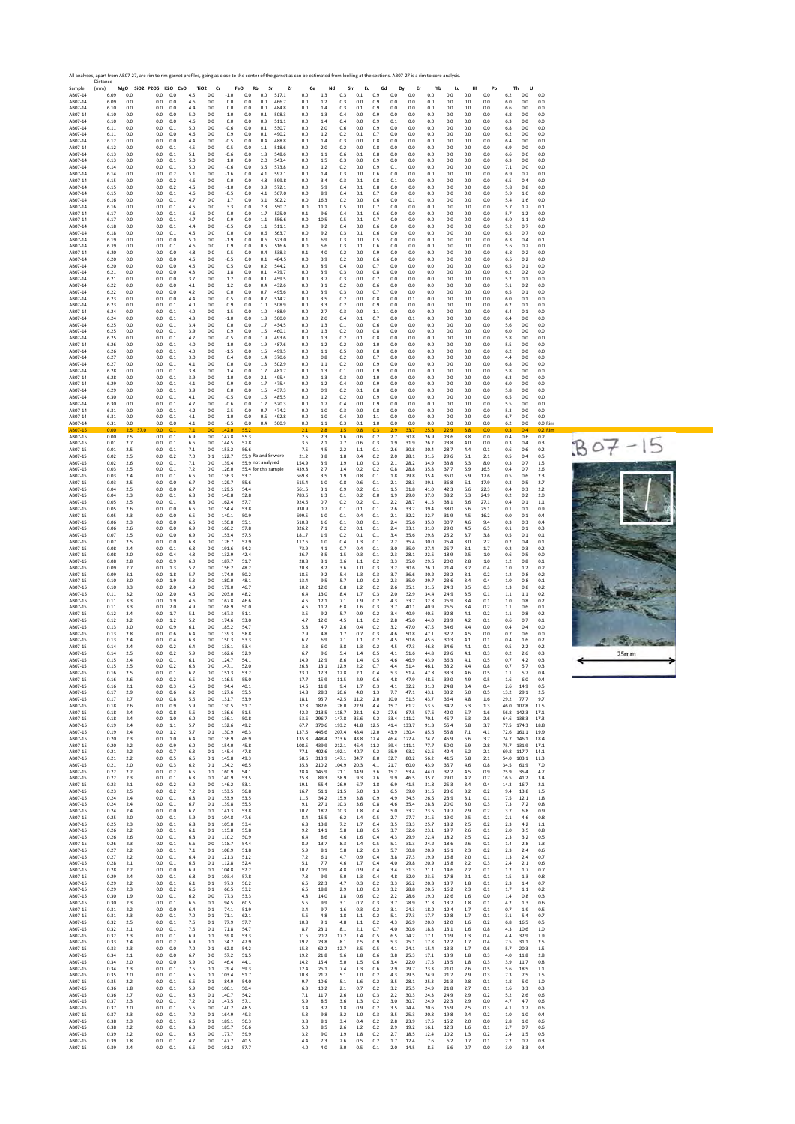

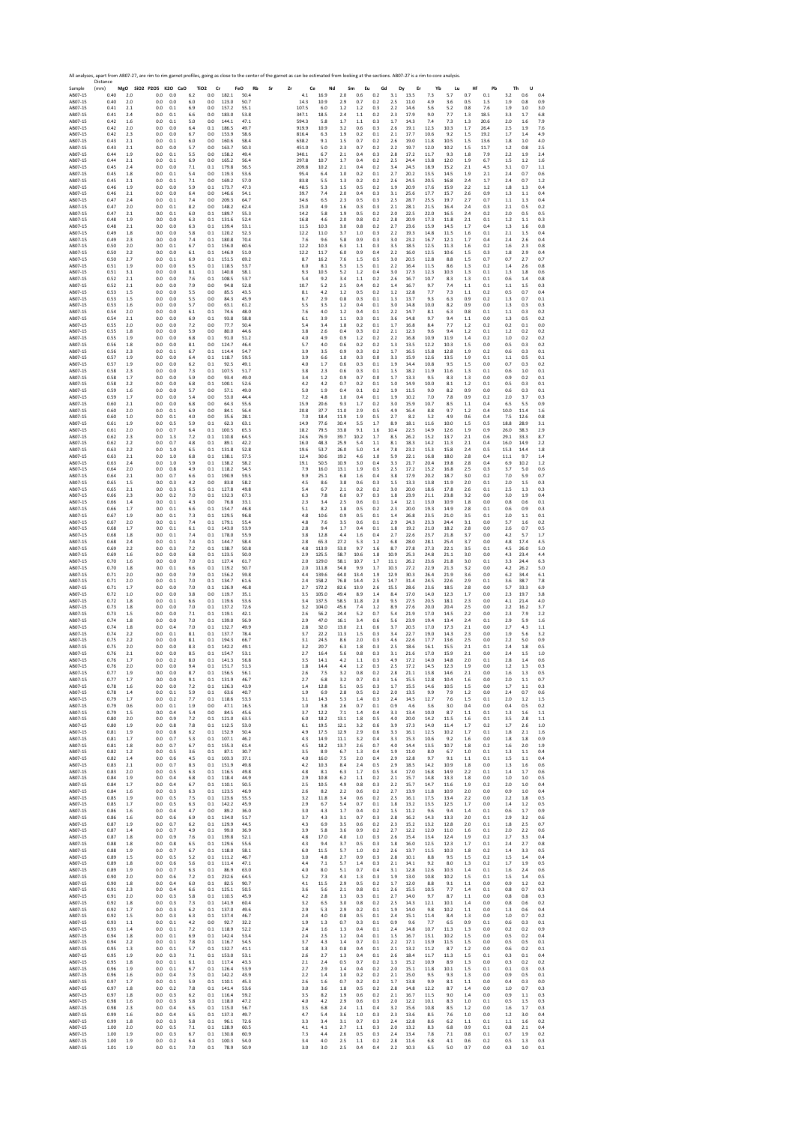Sample Distance (mm) **MgO SiO2 P2O5 K2O CaO TiO2 Cr FeO Rb Sr Zr Ce Nd Sm Eu Gd Dy Er Yb Lu Hf Pb Th U** AB07‐15 0.40 2.0 0.0 0.0 6.2 0.0 182.1 50.4 4.1 16.9 2.0 0.6 0.2 3.1 13.5 7.3 5.7 0.7 0.1 3.2 0.6 0.4 AB07‐15 0.40 2.0 0.0 0.0 6.0 0.0 123.0 50.7 14.3 10.9 2.9 0.7 0.2 2.5 11.0 4.9 3.6 0.5 1.5 1.9 0.8 0.9 AB07‐15 0.41 2.1 0.0 0.1 6.9 0.0 157.2 55.1 107.5 6.0 1.2 1.2 0.3 2.2 14.6 5.6 5.2 0.8 7.6 1.9 1.0 3.0 AB07‐15 0.41 2.4 0.0 0.1 6.6 0.0 183.0 53.8 347.1 18.5 2.4 1.1 0.2 2.3 17.9 9.0 7.7 1.3 18.5 3.3 1.7 6.8 AB07‐15 0.42 1.6 0.0 0.1 5.0 0.0 144.1 47.1 594.3 5.8 1.7 1.1 0.3 1.7 14.3 7.4 7.3 1.3 20.6 2.0 1.6 7.9 AB07‐15 0.42 2.0 0.0 0.0 6.4 0.1 186.5 49.7 919.9 10.9 3.2 0.6 0.3 2.6 19.1 12.3 10.3 1.7 26.4 2.5 1.9 7.6 AB07‐15 0.42 2.3 0.0 0.0 6.7 0.0 153.9 58.6 816.4 6.3 1.9 0.2 0.1 2.1 17.7 10.6 9.2 1.5 19.2 1.7 1.4 4.9 AB07‐15 0.43 2.1 0.0 0.1 6.0 0.0 160.6 58.4 638.2 9.1 1.5 0.7 0.2 2.6 19.0 11.8 10.5 1.5 13.6 1.8 1.0 4.0 AB07‐15 0.43 2.1 0.0 0.0 5.7 0.0 163.7 50.3 451.0 5.0 2.3 0.7 0.2 2.2 19.7 12.0 10.2 1.5 11.7 1.2 0.8 2.5 AB07‐15 0.44 1.9 0.0 0.1 5.5 0.0 158.2 49.4 340.1 6.7 2.1 0.4 0.3 2.8 17.2 11.7 9.3 1.8 7.9 2.2 1.9 2.4 AB07‐15 0.44 2.1 0.0 0.1 6.9 0.0 165.2 56.4 297.8 10.7 1.7 0.4 0.2 2.5 24.4 13.8 12.0 1.9 6.7 1.5 1.2 1.6 AB07‐15 0.45 2.4 0.0 0.0 7.1 0.1 179.8 56.5 209.8 10.2 2.1 0.4 0.2 3.4 24.5 18.9 15.2 2.1 4.5 3.1 0.7 1.1 AB07‐15 0.45 1.8 0.0 0.1 5.4 0.0 119.3 53.6 95.4 6.4 1.0 0.2 0.1 2.7 20.2 13.5 14.5 1.9 2.1 2.4 0.7 0.6 AB07‐15 0.45 2.1 0.0 0.1 7.1 0.0 169.2 57.0 83.8 5.5 1.3 0.2 0.2 2.6 24.5 20.5 16.8 2.4 1.7 2.4 0.7 1.2 AB07‐15 0.46 1.9 0.0 0.0 5.9 0.1 173.7 47.3 48.5 5.3 1.5 0.5 0.2 1.9 20.9 17.6 15.9 2.2 1.2 1.8 1.3 0.4 AB07‐15 0.46 2.1 0.0 0.0 6.4 0.0 146.6 54.1 39.7 7.4 2.0 0.4 0.3 3.1 25.6 17.7 15.7 2.6 0.9 1.3 1.1 0.4 AB07‐15 0.47 2.4 0.0 0.1 7.4 0.0 209.3 64.7 34.6 6.5 2.3 0.5 0.3 2.5 28.7 25.5 19.7 2.7 0.7 1.1 1.3 0.4 AB07‐15 0.47 2.0 0.0 0.1 8.2 0.0 148.2 62.4 25.0 4.9 1.6 0.3 0.3 2.1 28.1 21.5 16.4 2.4 0.3 2.1 0.5 0.2 AB07‐15 0.47 2.1 0.0 0.1 6.0 0.1 189.7 55.3 14.2 5.8 1.9 0.5 0.2 2.0 22.5 22.0 16.5 2.4 0.2 2.0 0.5 0.5 AB07‐15 0.48 1.9 0.0 0.0 6.3 0.1 131.6 52.4 16.8 4.6 2.0 0.8 0.2 2.8 20.9 17.3 11.8 2.1 0.1 1.2 1.1 0.3 AB07‐15 0.48 2.1 0.0 0.0 6.3 0.1 139.4 53.1 11.5 10.3 3.0 0.8 0.2 2.7 23.6 15.9 14.5 1.7 0.4 1.3 1.6 0.8 AB07‐15 0.49 1.8 0.0 0.0 5.8 0.1 120.2 52.3 12.2 11.0 3.7 1.0 0.3 2.2 19.3 14.8 11.5 1.6 0.1 2.1 1.5 0.4 AB07‐15 0.49 2.3 0.0 0.0 7.4 0.1 180.8 70.4 7.6 9.6 5.8 0.9 0.3 3.0 23.2 16.7 12.1 1.7 0.4 2.4 2.6 0.4 AB07‐15 0.50 2.0 0.0 0.1 6.7 0.1 156.0 60.6 12.2 10.3 6.3 1.1 0.3 3.5 18.5 12.5 11.3 1.6 0.2 1.6 2.3 0.8 AB07‐15 0.50 2.2 0.0 0.0 6.1 0.1 146.9 51.0 12.2 11.7 6.0 0.9 0.4 2.2 16.0 12.5 10.6 1.5 0.3 1.8 2.9 0.4 AB07‐15 0.50 2.7 0.0 0.1 6.9 0.1 151.5 69.2 8.7 16.2 7.6 1.5 0.5 3.0 20.5 12.8 8.8 1.5 0.7 0.7 2.7 0.7 AB07‐15 0.51 1.9 0.0 0.0 6.5 0.1 118.5 53.7 6.0 8.1 5.3 1.5 0.1 2.2 16.4 11.5 8.6 1.3 0.2 1.4 2.6 0.8 AB07‐15 0.51 3.1 0.0 0.0 8.1 0.1 140.8 58.1 9.3 10.5 5.2 1.2 0.4 3.0 17.3 12.3 10.3 1.3 0.1 1.3 1.8 0.6 AB07‐15 0.52 2.1 0.0 0.0 7.6 0.1 108.5 53.7 5.4 9.2 3.4 1.1 0.2 2.6 16.7 10.7 8.3 1.3 0.1 0.6 1.4 0.8 AB07‐15 0.52 2.1 0.0 0.0 7.9 0.0 94.8 52.8 10.7 5.2 2.5 0.4 0.2 1.4 16.7 9.7 7.4 1.1 0.1 1.1 1.5 0.3 AB07‐15 0.53 1.5 0.0 0.0 5.5 0.0 85.5 43.5 8.1 4.2 1.2 0.5 0.2 1.2 12.8 7.7 7.3 1.1 0.2 0.5 0.7 0.4 AB07‐15 0.53 1.5 0.0 0.0 5.5 0.0 84.3 45.9 6.7 2.9 0.8 0.3 0.1 1.3 13.7 9.3 6.3 0.9 0.2 1.3 0.7 0.1 AB07‐15 0.53 1.6 0.0 0.0 5.7 0.0 63.1 61.2 5.5 3.5 1.2 0.4 0.1 3.0 14.8 10.0 8.2 0.9 0.0 1.3 0.3 0.3 AB07‐15 0.54 2.0 0.0 0.0 6.1 0.1 74.6 48.0 7.6 4.0 1.2 0.4 0.1 2.2 14.7 8.1 6.3 0.8 0.1 1.1 0.3 0.2 AB07‐15 0.54 2.1 0.0 0.0 6.9 0.1 93.8 58.8 6.1 3.9 1.1 0.3 0.1 3.6 14.8 9.7 9.4 1.1 0.0 1.3 0.5 0.2 AB07‐15 0.55 2.0 0.0 0.0 7.2 0.0 77.7 50.4 5.4 3.4 1.8 0.2 0.1 1.7 16.8 8.4 7.7 1.2 0.2 0.2 0.1 0.0 AB07‐15 0.55 1.8 0.0 0.0 5.9 0.0 80.0 44.6 3.8 2.6 0.4 0.3 0.2 2.1 12.3 9.6 9.4 1.2 0.1 1.2 0.2 0.2 AB07‐15 0.55 1.9 0.0 0.0 6.8 0.1 91.0 51.2 4.0 4.9 0.9 1.2 0.2 2.2 16.8 10.9 11.9 1.4 0.2 1.0 0.2 0.2 AB07‐15 0.56 1.8 0.0 0.0 8.1 0.0 124.7 46.4 5.7 4.0 0.6 0.2 0.2 1.3 13.5 12.2 10.3 1.5 0.0 0.5 0.3 0.2 AB07‐15 0.56 2.3 0.0 0.1 6.7 0.1 114.4 54.7 3.9 3.5 0.9 0.3 0.2 1.7 16.5 15.8 12.8 1.9 0.2 0.6 0.3 0.1 AB07‐15 0.57 1.9 0.0 0.0 6.4 0.1 118.7 59.5 3.9 6.6 1.0 0.3 0.0 3.3 15.9 12.6 13.5 1.9 0.1 1.1 0.5 0.1 AB07‐15 0.57 1.9 0.0 0.0 6.2 0.1 92.5 49.1 4.0 1.7 0.6 0.3 0.1 1.9 14.4 10.8 9.5 1.5 0.0 0.7 0.3 0.2 AB07‐15 0.58 2.3 0.0 0.0 7.3 0.1 107.5 51.7 3.8 2.3 0.6 0.3 0.1 1.5 18.2 11.9 11.6 1.3 0.1 0.6 1.0 0.1 AB07‐15 0.58 1.7 0.0 0.0 5.9 0.0 93.4 49.0 3.4 1.2 0.9 0.7 0.0 1.7 13.3 9.5 8.3 1.3 0.0 0.9 0.2 0.1 AB07‐15 0.58 2.2 0.0 0.0 6.8 0.1 100.1 52.6 4.2 4.2 0.7 0.2 0.1 1.0 14.9 10.0 8.1 1.2 0.1 0.5 0.3 0.1 AB07‐15 0.59 1.6 0.0 0.0 5.7 0.0 57.1 49.0 5.0 1.9 0.4 0.1 0.2 1.9 11.5 9.0 8.2 0.9 0.0 0.6 0.3 0.1 AB07‐15 0.59 1.7 0.0 0.0 5.4 0.0 53.0 44.4 7.2 4.8 1.0 0.4 0.1 1.9 10.2 7.0 7.8 0.9 0.2 2.0 3.7 0.3 AB07‐15 0.60 2.1 0.0 0.0 6.8 0.0 64.3 55.6 15.9 20.6 9.3 1.7 0.2 3.0 15.9 10.7 8.5 1.1 0.4 6.5 5.5 0.9 AB07‐15 0.60 2.0 0.0 0.1 6.9 0.0 84.1 56.4 20.8 37.7 11.0 2.9 0.5 4.9 16.4 8.8 9.7 1.2 0.4 10.0 11.4 1.6 AB07‐15 0.60 1.0 0.0 0.1 4.0 0.0 35.6 28.1 7.0 18.4 11.9 1.9 0.5 2.7 8.2 5.2 4.9 0.6 0.4 7.5 12.6 0.8 AB07‐15 0.61 1.9 0.0 0.5 5.9 0.1 62.3 63.1 14.9 77.6 30.4 5.5 1.7 8.9 18.1 11.6 10.0 1.5 0.5 18.8 28.9 3.1 AB07‐15 0.61 2.0 0.0 0.7 6.4 0.1 100.5 65.3 18.2 79.5 33.8 9.1 1.6 10.4 22.5 14.9 12.6 1.9 0.9 26.0 38.3 2.9 AB07‐15 0.62 2.3 0.0 1.3 7.2 0.1 110.8 64.5 24.6 76.9 39.7 10.2 1.7 8.5 26.2 15.2 13.7 2.1 0.6 29.1 33.3 8.7 AB07‐15 0.62 2.2 0.0 0.7 4.8 0.1 89.1 42.2 16.0 48.3 25.9 5.4 1.1 8.1 18.3 14.2 11.3 2.1 0.4 16.0 14.9 2.2 AB07‐15 0.63 2.2 0.0 1.0 6.5 0.1 131.8 52.8 19.6 53.7 26.0 5.0 1.4 7.8 23.2 15.3 15.8 2.4 0.5 15.3 14.4 1.8 AB07‐15 0.63 2.1 0.0 1.0 6.8 0.1 138.1 57.5 12.4 30.6 19.2 4.6 1.0 5.9 22.1 16.8 18.0 2.8 0.4 11.1 9.7 1.4 AB07‐15 0.63 2.4 0.0 1.0 5.9 0.1 138.2 58.2 19.1 50.5 10.9 3.0 0.4 3.3 21.7 20.4 19.8 2.8 0.4 6.9 10.2 1.2 AB07‐15 0.64 2.0 0.0 0.8 4.9 0.1 118.2 54.5 7.9 16.0 13.1 1.9 0.5 2.5 17.2 15.2 16.8 2.5 0.3 3.7 5.0 0.6 AB07‐15 0.64 2.1 0.0 0.7 6.6 0.1 190.9 59.5 9.9 25.1 6.8 1.6 0.4 3.8 17.9 20.2 18.7 3.0 0.2 7.0 5.9 0.7 AB07‐15 0.65 1.5 0.0 0.3 4.2 0.0 83.8 58.2 4.5 8.6 3.8 0.6 0.3 1.5 13.3 13.8 11.9 2.0 0.1 2.0 1.5 0.3 AB07‐15 0.65 2.1 0.0 0.3 6.5 0.1 127.8 49.8 5.4 6.7 2.1 0.2 0.2 3.0 20.0 18.6 17.8 2.6 0.1 2.5 1.3 0.3 AB07‐15 0.66 2.3 0.0 0.2 7.0 0.1 132.3 67.3 6.3 7.8 6.0 0.7 0.3 1.8 23.9 21.1 23.8 3.2 0.0 3.0 1.9 0.4 AB07‐15 0.66 1.4 0.0 0.1 4.3 0.0 76.8 33.1 2.3 3.4 2.5 0.6 0.1 1.4 12.1 13.0 10.9 1.8 0.0 0.8 0.6 0.1 AB07‐15 0.66 1.7 0.0 0.1 6.6 0.1 154.7 46.8 5.1 8.2 1.8 0.5 0.2 2.3 20.0 19.3 14.9 2.8 0.1 0.6 0.9 0.3 AB07‐15 0.67 1.9 0.0 0.1 7.3 0.1 129.5 96.8 4.8 10.6 0.9 0.5 0.1 1.4 26.8 23.5 21.0 3.5 0.1 2.0 1.1 0.1 AB07‐15 0.67 2.0 0.0 0.1 7.4 0.1 179.1 55.4 4.8 7.6 3.5 0.6 0.1 2.9 24.3 23.3 24.4 3.1 0.0 5.7 1.6 0.2 AB07‐15 0.68 1.7 0.0 0.1 6.1 0.1 143.0 53.9 2.8 9.4 1.7 0.4 0.1 1.8 19.2 21.0 18.2 2.8 0.0 2.6 0.7 0.5 AB07‐15 0.68 1.8 0.0 0.1 7.4 0.1 178.0 55.9 3.8 12.8 4.4 1.6 0.4 2.7 22.6 23.7 21.8 3.7 0.0 4.2 5.7 1.7 AB07‐15 0.68 2.4 0.0 0.1 7.4 0.1 144.7 58.4 2.8 65.3 27.2 5.3 1.2 6.8 28.0 28.1 25.4 3.7 0.0 4.8 17.4 4.5 AB07‐15 0.69 2.2 0.0 0.3 7.2 0.1 138.7 50.8 4.8 113.9 53.0 9.7 1.6 8.7 27.8 27.3 22.1 3.5 0.1 4.5 26.0 5.0 AB07‐15 0.69 1.6 0.0 0.0 6.8 0.1 123.5 50.0 2.9 125.5 58.7 10.6 1.8 10.9 25.3 24.8 21.1 3.0 0.0 4.3 23.4 4.4 AB07‐15 0.70 1.6 0.0 0.0 7.0 0.1 127.4 61.7 2.0 129.0 58.1 10.7 1.7 11.1 26.2 23.6 21.8 3.0 0.1 3.3 24.4 6.3 AB07‐15 0.70 1.8 0.0 0.1 6.6 0.1 119.2 50.7 2.0 111.8 54.8 9.9 1.7 10.3 27.2 22.9 21.3 3.2 0.0 4.2 26.2 5.0 AB07‐15 0.71 2.0 0.0 0.0 7.9 0.1 156.2 59.8 4.4 139.6 64.0 13.4 1.9 12.9 30.3 26.4 21.9 3.6 0.0 6.2 34.4 6.1 AB07‐15 0.71 2.0 0.0 0.1 7.0 0.1 134.7 61.6 2.4 158.2 76.8 14.4 2.5 14.7 31.4 24.5 22.6 2.9 0.1 3.6 38.7 7.8 AB07‐15 0.71 1.7 0.0 0.0 7.0 0.1 126.9 46.8 2.7 172.2 82.6 13.9 2.6 15.5 28.6 23.6 18.5 2.8 0.0 5.7 33.3 6.9 AB07‐15 0.72 1.0 0.0 0.0 3.8 0.0 119.7 35.1 3.5 105.0 49.4 8.9 1.4 8.4 17.0 14.0 12.3 1.7 0.0 2.3 19.7 3.8 AB07‐15 0.72 1.8 0.0 0.1 6.6 0.1 119.6 53.6 3.4 137.5 58.5 11.8 2.0 9.5 27.5 20.5 18.1 2.3 0.0 4.1 21.4 4.0 AB07‐15 0.73 1.8 0.0 0.0 7.0 0.1 137.2 72.6 3.2 104.0 45.6 7.4 1.2 8.9 27.6 20.0 20.4 2.5 0.0 2.2 16.2 3.7 AB07‐15 0.73 1.5 0.0 0.0 7.1 0.1 119.1 42.1 2.6 56.2 24.4 5.2 0.7 5.4 21.9 17.0 14.5 2.2 0.0 2.3 7.9 2.2 AB07‐15 0.74 1.8 0.0 0.0 7.0 0.1 139.0 56.9 2.9 47.0 16.1 3.4 0.6 5.6 23.9 19.4 13.4 2.4 0.1 2.9 5.9 1.6 AB07‐15 0.74 1.8 0.0 0.4 7.0 0.1 132.7 49.9 2.8 32.0 13.0 2.1 0.6 3.7 20.5 17.0 17.3 2.1 0.0 2.7 4.3 1.1 AB07‐15 0.74 2.2 0.0 0.1 8.1 0.1 137.7 78.4 3.7 22.2 11.3 1.5 0.3 3.4 22.7 19.0 14.3 2.3 0.0 1.9 5.6 3.2 AB07‐15 0.75 2.2 0.0 0.0 8.1 0.1 194.3 66.7 3.1 24.5 8.6 2.0 0.3 4.6 22.6 17.7 13.6 2.5 0.0 2.2 5.0 0.9 AB07‐15 0.75 2.0 0.0 0.0 8.3 0.1 142.2 49.1 3.2 20.7 6.3 1.8 0.3 2.5 18.6 16.1 15.5 2.1 0.1 2.4 1.8 0.5 AB07‐15 0.76 2.1 0.0 0.0 8.5 0.1 154.7 53.1 2.7 16.4 5.6 0.8 0.3 3.1 21.6 17.0 15.9 2.1 0.0 2.4 1.5 1.0 AB07‐15 0.76 1.7 0.0 0.2 8.0 0.1 141.3 56.8 3.5 14.1 4.2 1.1 0.3 4.9 17.2 14.0 14.8 2.0 0.1 2.8 1.4 0.6 AB07‐15 0.76 2.0 0.0 0.0 9.4 0.1 151.7 51.3 1.8 14.4 4.4 1.2 0.3 2.5 17.2 14.5 12.3 1.9 0.0 1.2 1.3 0.3 AB07‐15 0.77 1.9 0.0 0.0 8.7 0.1 156.5 56.1 2.6 7.5 3.2 0.8 0.2 2.8 21.1 13.8 14.6 2.1 0.0 1.6 1.3 0.5 AB07‐15 0.77 1.7 0.0 0.0 9.1 0.1 131.9 46.7 2.7 6.8 3.2 0.7 0.3 1.6 15.5 12.8 10.4 1.6 0.0 2.0 1.1 0.7 AB07‐15 0.78 1.6 0.0 0.0 7.2 0.1 126.3 43.9 1.4 12.8 5.1 0.5 0.3 1.7 15.5 14.6 10.5 1.5 0.0 1.7 1.1 0.3 AB07‐15 0.78 1.4 0.0 0.1 5.9 0.1 63.6 40.7 1.9 6.9 2.8 0.5 0.2 2.0 13.5 9.9 7.9 1.2 0.0 2.4 0.7 0.6 AB07‐15 0.79 1.7 0.0 0.2 7.7 0.1 118.6 53.3 3.1 14.3 5.3 1.4 0.3 2.4 14.5 12.7 7.6 1.5 0.1 2.0 1.2 1.5 AB07‐15 0.79 0.6 0.0 0.1 1.9 0.0 47.1 16.5 1.0 3.8 2.6 0.7 0.1 0.9 4.6 3.6 3.0 0.4 0.0 0.4 0.5 0.2 AB07‐15 0.79 1.5 0.0 0.4 5.4 0.0 84.5 45.6 3.7 12.2 7.1 1.4 0.4 3.3 13.4 10.0 8.7 1.1 0.1 1.3 1.6 1.1 AB07‐15 0.80 2.0 0.0 0.9 7.2 0.1 121.0 63.5 6.0 18.2 13.1 1.8 0.5 4.0 20.0 14.2 11.5 1.6 0.1 3.5 2.8 1.1 AB07‐15 0.80 1.9 0.0 0.8 7.8 0.1 112.5 53.0 6.1 19.5 12.1 3.2 0.6 3.9 17.3 14.0 11.4 1.7 0.2 1.7 2.6 1.0 AB07‐15 0.81 1.9 0.0 0.8 6.2 0.1 152.9 50.4 4.9 17.5 12.9 2.9 0.6 3.3 16.1 12.5 10.2 1.7 0.1 1.8 2.1 1.6 AB07‐15 0.81 1.7 0.0 0.7 5.3 0.1 107.1 46.2 4.3 14.9 11.1 3.2 0.4 3.3 15.3 10.6 9.2 1.6 0.0 1.8 1.8 0.9 AB07‐15 0.81 1.8 0.0 0.7 6.7 0.1 155.3 61.4 4.5 18.2 13.7 2.6 0.7 4.0 14.4 13.5 10.7 1.8 0.2 1.6 2.0 1.9 AB07‐15 0.82 1.2 0.0 0.5 3.6 0.1 87.1 30.7 3.5 8.9 6.7 1.3 0.4 1.9 11.0 8.0 6.7 1.0 0.1 1.3 1.1 0.4 AB07‐15 0.82 1.4 0.0 0.6 4.5 0.1 103.3 37.1 4.0 16.0 7.5 2.0 0.4 2.9 12.8 9.7 9.1 1.1 0.1 1.5 1.1 0.4 AB07‐15 0.83 2.1 0.0 0.7 8.3 0.1 151.9 49.8 4.2 10.3 8.4 2.4 0.5 2.9 18.5 14.2 10.9 1.8 0.0 1.3 1.6 0.6 AB07‐15 0.83 2.0 0.0 0.5 6.3 0.1 116.5 49.8 4.8 8.1 6.3 1.7 0.5 3.4 17.0 16.8 14.9 2.2 0.1 1.4 1.7 0.6 AB07‐15 0.84 1.9 0.0 0.4 6.8 0.1 118.4 44.9 2.9 10.8 6.2 1.1 0.2 2.1 15.7 14.8 13.3 1.8 0.0 1.0 1.0 0.5 AB07‐15 0.84 1.7 0.0 0.4 6.7 0.1 110.1 50.5 2.5 10.5 4.9 0.8 0.3 2.2 15.7 14.7 11.6 1.9 0.2 2.0 1.0 0.4 AB07‐15 0.84 1.6 0.0 0.3 6.3 0.1 123.5 46.9 2.6 8.2 2.2 0.6 0.2 2.7 13.9 11.8 10.9 2.0 0.0 0.9 1.0 0.4 AB07‐15 0.85 1.9 0.0 0.5 7.5 0.1 123.6 55.5 3.2 11.8 3.4 0.6 0.2 2.5 16.1 17.5 13.4 2.2 0.0 2.2 1.8 0.5 AB07‐15 0.85 1.7 0.0 0.5 6.3 0.1 142.2 45.9 2.9 6.7 5.4 0.7 0.1 1.8 13.2 13.5 12.5 1.7 0.0 1.4 1.2 0.5 AB07‐15 0.86 1.6 0.0 0.4 4.7 0.0 89.2 36.0 3.0 4.3 1.7 0.4 0.2 1.5 11.2 9.6 9.4 1.4 0.1 0.6 1.7 0.9 AB07‐15 0.86 1.6 0.0 0.6 6.9 0.1 134.0 51.7 3.7 4.3 3.1 0.7 0.3 2.8 16.2 14.3 13.3 2.0 0.1 2.9 3.2 0.6 AB07‐15 0.87 1.9 0.0 0.7 6.2 0.1 129.9 44.5 4.3 6.9 3.5 0.6 0.2 2.3 15.2 13.2 12.8 2.0 0.1 1.8 2.5 0.7 AB07‐15 0.87 1.4 0.0 0.7 4.9 0.1 99.0 36.9 3.9 5.8 3.6 0.9 0.2 2.7 12.2 12.0 11.0 1.6 0.1 2.0 2.2 0.6 AB07‐15 0.87 1.8 0.0 0.9 7.6 0.1 139.8 52.1 4.8 17.0 4.0 1.0 0.3 2.6 15.4 13.4 12.4 1.9 0.2 2.7 3.3 0.4 AB07‐15 0.88 1.8 0.0 0.8 6.5 0.1 129.6 55.6 4.3 9.4 3.7 0.5 0.3 1.8 16.0 12.5 12.3 1.7 0.1 2.4 2.7 0.8 AB07‐15 0.88 1.9 0.0 0.7 6.7 0.1 118.0 58.1 6.0 11.5 5.7 1.0 0.2 2.6 13.7 11.5 10.3 1.8 0.2 1.4 3.3 0.5 AB07‐15 0.89 1.5 0.0 0.5 5.2 0.1 111.2 46.7 3.0 4.8 2.7 0.9 0.3 2.8 10.1 8.8 9.5 1.5 0.2 1.5 1.4 0.4 AB07‐15 0.89 1.8 0.0 0.6 5.6 0.1 111.4 47.1 4.4 7.1 5.7 1.4 0.3 2.1 14.1 9.2 8.0 1.3 0.2 1.7 1.9 0.5 AB07‐15 0.89 1.9 0.0 0.7 6.3 0.1 86.9 63.0 4.0 8.0 5.1 0.7 0.4 3.1 12.8 12.6 10.3 1.4 0.1 1.6 2.4 0.6 AB07‐15 0.90 2.0 0.0 0.6 7.2 0.1 232.6 64.5 5.2 7.3 4.3 1.3 0.3 1.9 13.0 10.8 10.2 1.5 0.1 1.5 1.4 0.5 AB07‐15 0.90 1.8 0.0 0.4 6.0 0.1 82.5 90.7 4.1 11.5 2.9 0.5 0.2 1.7 12.0 8.8 9.1 1.1 0.0 0.9 1.2 0.2 AB07‐15 0.91 2.3 0.0 0.4 6.6 0.1 125.1 50.5 3.6 5.6 2.1 0.8 0.1 2.6 15.5 10.5 7.7 1.4 0.1 0.8 0.7 0.3 AB07‐15 0.91 2.0 0.0 0.3 5.8 0.1 110.5 45.9 4.2 2.8 1.3 0.3 0.1 2.7 14.0 9.7 8.7 1.1 0.0 0.8 0.8 0.3 AB07‐15 0.92 1.8 0.0 0.3 7.3 0.1 141.9 60.4 3.2 6.5 3.0 0.8 0.2 2.5 14.3 12.1 10.1 1.4 0.0 0.8 0.6 0.2 AB07‐15 0.92 1.7 0.0 0.3 6.2 0.1 137.0 49.6 2.9 5.3 2.9 0.2 0.1 1.9 14.0 9.8 10.2 1.1 0.0 1.3 0.6 0.4 AB07‐15 0.92 1.5 0.0 0.3 6.3 0.1 137.4 46.7 2.4 4.0 0.8 0.5 0.1 2.4 15.1 11.4 8.4 1.3 0.0 1.0 0.7 0.2 AB07‐15 0.93 1.1 0.0 0.1 4.2 0.0 92.7 32.2 1.9 1.3 0.7 0.3 0.1 0.9 9.6 7.7 6.5 0.9 0.1 0.6 0.3 0.1 AB07‐15 0.93 1.4 0.0 0.1 7.2 0.1 118.9 52.2 2.4 1.6 1.3 0.4 0.1 2.4 14.8 10.7 11.3 1.3 0.0 0.2 0.2 0.9 AB07‐15 0.94 1.8 0.0 0.1 6.9 0.1 142.4 53.4 2.4 2.5 1.2 0.4 0.1 1.5 16.7 13.1 10.2 1.5 0.0 0.5 0.2 0.4 AB07‐15 0.94 2.2 0.0 0.1 7.8 0.1 116.7 54.5 3.7 4.3 1.4 0.7 0.1 2.2 17.1 13.9 11.5 1.5 0.0 0.5 0.5 0.1 AB07‐15 0.95 1.3 0.0 0.1 5.7 0.1 132.7 41.1 1.8 3.3 0.8 0.4 0.1 2.1 13.2 11.2 8.7 1.2 0.0 0.6 0.2 0.1 AB07‐15 0.95 1.9 0.0 0.3 7.1 0.1 153.0 53.1 2.6 2.7 1.3 0.4 0.1 2.6 18.4 11.7 11.3 1.5 0.1 0.3 0.1 0.4 AB07‐15 0.95 1.8 0.0 0.1 6.1 0.1 117.4 43.3 2.1 2.4 0.5 0.7 0.2 1.3 15.2 10.9 8.9 1.3 0.0 0.3 0.2 0.2 AB07‐15 0.96 1.9 0.0 0.1 6.7 0.1 126.4 53.9 2.7 2.9 1.4 0.4 0.2 2.0 15.1 11.8 10.1 1.5 0.1 0.1 0.3 0.3 AB07‐15 0.96 1.6 0.0 0.4 7.3 0.1 142.2 43.9 2.2 1.4 1.0 0.2 0.2 2.1 15.0 9.5 9.3 1.3 0.0 0.9 0.5 0.1 AB07‐15 0.97 1.7 0.0 0.1 5.9 0.1 110.1 45.3 2.6 1.6 0.7 0.2 0.2 1.7 13.8 9.9 8.1 1.1 0.0 0.4 0.3 0.0 AB07‐15 0.97 1.8 0.0 0.2 7.8 0.1 141.4 53.6 3.0 3.6 1.8 0.5 0.2 2.8 14.8 12.2 8.7 1.4 0.0 1.0 0.7 0.3 AB07‐15 0.97 1.8 0.0 0.3 6.2 0.1 116.4 59.2 3.5 8.2 1.9 0.6 0.2 2.1 16.7 11.5 9.0 1.4 0.0 0.9 1.1 0.3 AB07‐15 0.98 1.6 0.0 0.3 5.8 0.1 118.0 47.2 4.0 4.2 2.9 0.6 0.3 2.0 12.2 10.1 8.3 1.0 0.1 0.5 1.5 0.3 AB07‐15 0.98 2.3 0.0 0.4 6.5 0.1 115.0 56.7 3.5 6.8 2.4 1.1 0.4 3.2 15.6 10.8 8.5 1.2 0.0 1.6 1.7 0.3 AB07‐15 0.99 1.6 0.0 0.4 6.5 0.1 137.3 49.7 4.7 5.4 3.6 1.0 0.3 2.3 13.6 8.5 7.6 1.0 0.0 1.2 3.0 0.4 AB07‐15 0.99 1.8 0.0 0.3 5.8 0.1 96.1 72.6 3.3 3.4 3.1 0.7 0.3 2.4 12.8 8.6 6.2 1.1 0.1 1.1 1.6 0.2 AB07‐15 1.00 2.0 0.0 0.5 7.1 0.1 128.9 60.5 4.1 4.1 2.7 1.1 0.3 2.0 13.2 8.3 6.8 0.9 0.1 0.8 2.1 0.4 AB07‐15 1.00 1.9 0.0 0.3 6.7 0.1 130.8 60.9 7.3 4.4 2.6 0.5 0.3 2.4 13.4 7.8 7.1 0.8 0.1 0.7 1.9 0.2 AB07‐15 1.00 1.9 0.0 0.2 6.4 0.1 100.3 54.0 3.4 4.0 2.5 1.1 0.2 2.8 11.6 6.8 4.1 0.6 0.2 0.5 1.3 0.3 AB07‐15 1.01 1.9 0.0 0.1 7.0 0.1 78.9 50.9 3.0 3.0 2.5 0.4 0.4 2.2 10.3 6.5 5.0 0.7 0.0 0.3 1.0 0.1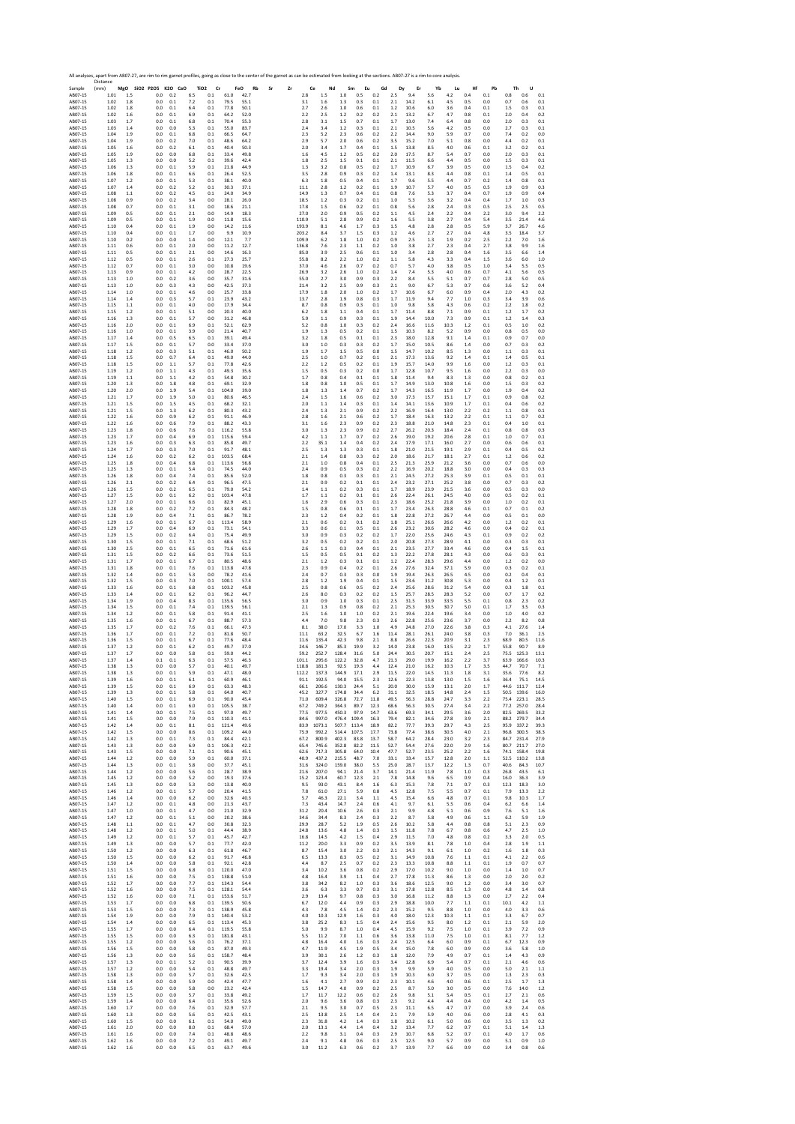Sample Distance (mm) **MgO SiO2 P2O5 K2O CaO TiO2 Cr FeO Rb Sr Zr Ce Nd Sm Eu Gd Dy Er Yb Lu Hf Pb Th U** AB07‐15 1.01 1.5 0.0 0.2 6.5 0.1 61.0 42.7 2.8 1.5 1.0 0.5 0.2 2.5 9.4 5.6 4.2 0.4 0.1 0.8 0.6 0.1 AB07‐15 1.02 1.8 0.0 0.1 7.2 0.1 79.5 55.1 3.1 1.6 1.3 0.3 0.1 2.1 14.2 6.1 4.5 0.5 0.0 0.7 0.6 0.1 AB07‐15 1.02 1.8 0.0 0.1 6.4 0.1 77.8 50.1 2.7 2.6 1.0 0.6 0.1 1.2 10.6 6.0 3.6 0.4 0.1 1.5 0.3 0.1 AB07‐15 1.02 1.6 0.0 0.1 6.9 0.1 64.2 52.0 2.2 2.5 1.2 0.2 0.2 2.1 13.2 6.7 4.7 0.8 0.1 2.0 0.4 0.2 AB07‐15 1.03 1.7 0.0 0.1 6.8 0.1 70.4 55.3 2.8 3.1 1.5 0.7 0.1 1.7 13.0 7.4 6.4 0.8 0.0 2.0 0.3 0.1 AB07‐15 1.03 1.4 0.0 0.0 5.3 0.1 55.0 83.7 2.4 3.4 1.2 0.3 0.1 2.1 10.5 5.6 4.2 0.5 0.0 2.7 0.3 0.1 AB07‐15 1.04 1.9 0.0 0.1 6.8 0.1 66.5 64.7 2.3 5.2 2.3 0.6 0.2 2.2 14.4 9.0 5.9 0.7 0.0 7.4 0.2 0.0 AB07‐15 1.04 1.9 0.0 0.2 7.0 0.1 48.6 64.2 2.9 5.7 2.0 0.6 0.2 3.5 15.2 7.0 5.1 0.8 0.0 4.4 0.2 0.1 AB07‐15 1.05 1.6 0.0 0.2 6.1 0.1 40.4 50.3 2.0 3.4 1.7 0.4 0.1 1.5 13.8 8.5 4.0 0.6 0.1 3.2 0.2 0.1 AB07‐15 1.05 1.9 0.0 0.0 6.8 0.1 33.4 49.8 1.6 4.5 1.2 0.5 0.2 2.0 17.5 8.7 5.4 0.7 0.0 2.0 0.3 0.1 AB07‐15 1.05 1.3 0.0 0.0 5.2 0.1 39.6 42.4 1.8 2.5 1.5 0.1 0.1 2.1 11.5 6.6 4.4 0.5 0.0 1.5 0.3 0.1 AB07‐15 1.06 1.3 0.0 0.1 5.9 0.1 21.8 44.9 1.3 3.2 0.8 0.5 0.2 1.7 10.9 6.7 3.9 0.5 0.0 1.5 0.4 0.2 AB07‐15 1.06 1.8 0.0 0.1 6.6 0.1 26.4 52.5 3.5 2.8 0.9 0.3 0.2 1.4 13.1 8.3 4.4 0.8 0.1 1.4 0.5 0.1 AB07‐15 1.07 1.2 0.0 0.1 5.3 0.1 38.1 40.0 6.3 1.8 0.5 0.4 0.1 1.7 9.6 5.5 4.4 0.7 0.2 1.4 0.8 0.1 AB07‐15 1.07 1.4 0.0 0.2 5.2 0.1 30.3 37.1 11.1 2.8 1.2 0.2 0.1 1.9 10.7 5.7 4.0 0.5 0.5 1.9 0.9 0.3 AB07‐15 1.08 1.1 0.0 0.2 4.5 0.1 24.0 34.9 14.9 1.3 0.7 0.4 0.1 0.8 7.6 5.3 3.7 0.4 0.7 1.9 0.9 0.4 AB07‐15 1.08 0.9 0.0 0.2 3.4 0.0 28.1 26.0 18.5 1.2 0.3 0.2 0.1 1.0 5.3 3.6 3.2 0.4 0.4 1.7 1.0 0.3 AB07‐15 1.08 0.7 0.0 0.1 3.1 0.0 18.6 21.1 17.8 1.5 0.6 0.2 0.1 0.8 5.6 2.8 2.4 0.3 0.5 2.5 2.5 0.5 AB07‐15 1.09 0.5 0.0 0.1 2.1 0.0 14.9 18.3 27.0 2.0 0.9 0.5 0.2 1.1 4.5 2.4 2.2 0.4 2.2 3.0 9.4 2.2 AB07‐15 1.09 0.5 0.0 0.1 1.9 0.0 11.8 15.6 110.9 5.1 2.8 0.9 0.2 1.6 5.5 3.8 2.7 0.4 5.4 3.5 21.4 4.6 AB07‐15 1.10 0.4 0.0 0.1 1.9 0.0 14.2 11.6 193.9 8.1 4.6 1.7 0.3 1.5 4.8 2.8 2.8 0.5 5.9 3.7 26.7 4.6 AB07‐15 1.10 0.4 0.0 0.1 1.7 0.0 9.9 10.9 203.2 8.4 3.7 1.5 0.3 1.2 4.6 2.7 2.7 0.4 4.8 3.5 18.4 3.7 AB07‐15 1.10 0.2 0.0 0.0 1.4 0.0 12.1 7.7 109.9 6.2 1.8 1.0 0.2 0.9 2.5 1.3 1.9 0.2 2.5 2.2 7.0 1.6 AB07‐15 1.11 0.6 0.0 0.1 2.0 0.0 11.2 12.7 136.8 7.6 2.3 1.1 0.2 1.0 3.8 2.7 2.3 0.4 2.7 3.8 9.9 1.6 AB07‐15 1.11 0.5 0.0 0.1 2.1 0.0 14.6 16.3 85.0 3.9 2.5 0.6 0.1 1.0 3.4 2.8 2.8 0.4 1.6 3.5 6.6 1.4 AB07‐15 1.12 0.5 0.0 0.1 2.6 0.1 27.3 25.7 55.8 8.2 2.2 1.0 0.2 1.1 5.8 4.3 3.3 0.4 1.5 3.6 6.0 1.0 AB07‐15 1.12 0.7 0.0 0.1 3.0 0.0 10.8 19.6 37.0 4.6 2.6 0.7 0.2 0.7 5.7 4.0 3.8 0.5 1.0 3.4 5.5 0.5 AB07‐15 1.13 0.9 0.0 0.1 4.2 0.0 28.7 22.5 26.9 3.2 2.6 1.0 0.2 1.4 7.4 5.3 4.0 0.6 0.7 4.1 5.6 0.5 AB07‐15 1.13 1.0 0.0 0.2 3.6 0.0 35.7 31.6 55.0 2.7 3.0 0.9 0.3 2.2 8.4 5.5 5.1 0.7 0.7 2.8 5.0 0.5 AB07‐15 1.13 1.0 0.0 0.3 4.3 0.0 42.5 37.3 21.4 3.2 2.5 0.9 0.3 2.1 9.0 6.7 5.3 0.7 0.6 3.6 5.2 0.4 AB07‐15 1.14 1.0 0.0 0.1 4.6 0.0 25.7 33.8 17.9 1.8 2.0 1.0 0.2 1.7 10.6 6.7 6.0 0.9 0.4 2.0 4.3 0.2 AB07‐15 1.14 1.4 0.0 0.3 5.7 0.1 23.9 43.2 13.7 2.8 1.9 0.8 0.3 1.7 11.9 9.4 7.7 1.0 0.3 3.4 3.9 0.6 AB07‐15 1.15 1.1 0.0 0.1 4.0 0.0 17.9 34.4 8.7 0.8 0.9 0.3 0.1 1.0 9.8 5.8 4.3 0.6 0.2 2.2 1.8 0.2 AB07‐15 1.15 1.2 0.0 0.1 5.1 0.0 20.3 40.0 6.2 1.8 1.1 0.4 0.1 1.7 11.4 8.8 7.1 0.9 0.1 1.2 1.7 0.2 AB07‐15 1.16 1.3 0.0 0.1 5.7 0.0 31.2 46.8 5.9 1.1 0.9 0.3 0.1 1.9 14.4 10.0 7.3 0.9 0.1 1.2 1.4 0.3 AB07‐15 1.16 2.0 0.0 0.1 6.9 0.1 52.1 62.9 5.2 0.8 1.0 0.3 0.2 2.4 16.6 11.6 10.3 1.2 0.1 0.5 1.0 0.2 AB07‐15 1.16 1.0 0.0 0.1 3.9 0.0 21.4 40.7 1.9 1.3 0.5 0.2 0.1 1.5 10.3 8.2 5.2 0.9 0.0 0.8 0.5 0.0 AB07‐15 1.17 1.4 0.0 0.5 6.5 0.1 39.1 49.4 3.2 1.8 0.5 0.1 0.1 2.3 18.0 12.8 9.1 1.4 0.1 0.9 0.7 0.0 AB07‐15 1.17 1.5 0.0 0.1 5.7 0.0 33.4 37.0 3.0 1.0 0.3 0.3 0.2 1.7 15.0 10.5 8.6 1.4 0.0 0.7 0.3 0.2 AB07‐15 1.18 1.2 0.0 0.3 5.1 0.1 46.0 50.2 1.9 1.7 1.5 0.5 0.0 1.5 14.7 10.2 8.5 1.3 0.0 1.1 0.3 0.1 AB07‐15 1.18 1.5 0.0 0.7 6.4 0.1 49.0 44.0 2.5 1.0 0.7 0.2 0.1 2.1 17.3 13.6 9.2 1.4 0.1 1.4 0.5 0.1 AB07‐15 1.18 1.5 0.0 1.1 5.7 0.1 77.8 42.6 2.2 1.2 0.5 0.2 0.1 1.9 15.7 14.0 9.9 1.6 0.0 1.2 0.3 0.1 AB07‐15 1.19 1.2 0.0 1.1 4.3 0.1 49.3 35.6 1.5 0.5 0.3 0.2 0.0 1.7 12.8 10.7 9.5 1.6 0.0 2.2 0.3 0.0 AB07‐15 1.19 1.1 0.0 1.1 4.2 0.1 54.8 30.2 1.7 0.8 0.4 0.1 0.1 1.8 11.4 9.4 8.3 1.3 0.0 0.8 0.2 0.1 AB07‐15 1.20 1.3 0.0 1.8 4.8 0.1 69.1 32.9 1.8 0.8 1.0 0.5 0.1 1.7 14.9 13.0 10.8 1.6 0.0 1.5 0.3 0.2 AB07‐15 1.20 2.0 0.0 1.9 5.4 0.1 104.0 39.0 1.8 1.3 1.4 0.7 0.2 1.7 14.3 16.5 11.9 1.7 0.0 1.9 0.4 0.2 AB07‐15 1.21 1.7 0.0 1.9 5.0 0.1 80.6 46.5 2.4 1.5 1.6 0.6 0.2 3.0 17.3 15.7 15.1 1.7 0.1 0.9 0.8 0.2 AB07‐15 1.21 1.5 0.0 1.5 4.5 0.1 68.2 32.1 2.0 1.1 1.4 0.3 0.1 1.4 14.1 13.6 10.9 1.7 0.1 0.4 0.6 0.2 AB07‐15 1.21 1.5 0.0 1.3 6.2 0.1 80.3 43.2 2.4 1.3 2.1 0.9 0.2 2.2 16.9 16.4 13.0 2.2 0.2 1.1 0.8 0.1 AB07‐15 1.22 1.6 0.0 0.9 6.2 0.1 91.1 46.9 2.8 1.6 2.1 0.6 0.2 1.7 18.4 16.3 13.2 2.2 0.1 1.1 0.7 0.2 AB07‐15 1.22 1.6 0.0 0.6 7.9 0.1 88.2 43.3 3.1 1.6 2.3 0.9 0.2 2.3 18.8 21.0 14.8 2.3 0.1 0.4 1.0 0.1 AB07‐15 1.23 1.8 0.0 0.6 7.6 0.1 116.2 55.8 3.0 1.3 2.3 0.9 0.2 2.7 26.2 20.3 18.4 2.4 0.1 0.8 0.8 0.3 AB07‐15 1.23 1.7 0.0 0.4 6.9 0.1 115.6 59.4 4.2 1.1 1.7 0.7 0.2 2.6 19.0 19.2 20.6 2.8 0.1 1.0 0.7 0.1 AB07‐15 1.23 1.6 0.0 0.3 6.3 0.1 85.8 49.7 2.2 35.1 1.4 0.4 0.2 2.4 17.9 17.1 16.0 2.7 0.0 0.6 0.6 0.1 AB07‐15 1.24 1.7 0.0 0.3 7.0 0.1 91.7 48.1 2.5 1.3 1.3 0.3 0.1 1.8 21.0 21.5 19.1 2.9 0.1 0.4 0.5 0.2 AB07‐15 1.24 1.6 0.0 0.2 6.2 0.1 103.5 68.4 2.1 1.4 0.8 0.3 0.2 2.0 18.6 21.7 18.1 2.7 0.1 1.2 0.6 0.2 AB07‐15 1.25 1.8 0.0 0.4 6.8 0.1 113.6 56.8 2.1 1.0 0.8 0.4 0.1 2.5 21.3 25.9 21.2 3.6 0.0 0.7 0.6 0.0 AB07‐15 1.25 1.3 0.0 0.1 5.4 0.1 74.5 44.0 2.4 0.9 0.5 0.3 0.2 2.2 16.9 20.2 18.8 3.0 0.0 0.4 0.3 0.3 AB07‐15 1.26 1.8 0.0 0.4 7.4 0.1 85.6 52.0 1.8 0.8 0.3 0.3 0.1 2.1 24.5 27.2 25.3 3.9 0.1 0.5 0.1 0.1 AB07‐15 1.26 2.1 0.0 0.2 6.4 0.1 96.5 47.5 2.1 0.9 0.2 0.1 0.1 2.4 23.2 27.1 25.2 3.8 0.0 0.7 0.3 0.2 AB07‐15 1.26 1.5 0.0 0.2 6.5 0.1 79.0 54.2 1.4 1.1 0.2 0.3 0.1 1.7 18.9 23.9 21.5 3.6 0.0 0.5 0.3 0.0 AB07‐15 1.27 1.5 0.0 0.1 6.2 0.1 103.4 47.8 1.7 1.1 0.2 0.1 0.1 2.6 22.4 26.1 24.5 4.0 0.0 0.5 0.2 0.1 AB07‐15 1.27 2.0 0.0 0.1 6.6 0.1 82.9 45.1 1.6 2.9 0.6 0.3 0.1 2.3 18.6 25.2 21.8 3.9 0.0 1.0 0.2 0.1 AB07‐15 1.28 1.8 0.0 0.2 7.2 0.1 84.3 48.2 1.5 0.8 0.6 0.1 0.1 1.7 23.4 26.3 28.8 4.6 0.1 0.7 0.1 0.2 AB07‐15 1.28 1.9 0.0 0.4 7.1 0.1 86.7 78.2 2.3 1.2 0.4 0.2 0.1 1.8 22.8 27.2 26.7 4.4 0.0 0.5 0.1 0.0 AB07‐15 1.29 1.6 0.0 0.1 6.7 0.1 113.4 58.9 2.1 0.6 0.2 0.1 0.2 1.8 25.1 26.6 26.6 4.2 0.0 1.2 0.2 0.1 AB07‐15 1.29 1.7 0.0 0.4 6.9 0.1 73.1 54.1 3.3 0.6 0.1 0.5 0.1 2.6 23.2 30.6 28.2 4.6 0.0 0.4 0.2 0.1 AB07‐15 1.29 1.5 0.0 0.2 6.4 0.1 75.4 49.9 3.0 0.9 0.3 0.2 0.2 1.7 22.0 25.6 24.6 4.3 0.1 0.9 0.2 0.2 AB07‐15 1.30 1.5 0.0 0.1 7.1 0.1 68.6 51.2 3.2 0.5 0.2 0.2 0.1 2.0 20.8 27.3 28.9 4.1 0.0 0.3 0.3 0.1 AB07‐15 1.30 2.5 0.0 0.1 6.5 0.1 71.6 61.6 2.6 1.1 0.3 0.4 0.1 2.1 23.5 27.7 33.4 4.6 0.0 0.4 1.5 0.1 AB07‐15 1.31 1.5 0.0 0.2 6.6 0.1 73.6 51.5 1.5 0.5 0.5 0.1 0.2 1.3 22.2 27.8 28.1 4.3 0.0 0.6 0.3 0.1 AB07‐15 1.31 1.7 0.0 0.1 6.7 0.1 80.5 48.6 2.1 1.2 0.3 0.1 0.1 1.2 22.4 28.3 29.6 4.4 0.0 1.2 0.2 0.0 AB07‐15 1.31 1.8 0.0 0.1 7.6 0.1 113.8 47.8 2.3 0.9 0.4 0.2 0.1 2.6 27.6 32.4 37.1 5.9 0.0 0.3 0.2 0.1 AB07‐15 1.32 1.4 0.0 0.1 5.3 0.0 78.2 41.6 2.4 0.7 0.3 0.3 0.0 1.9 19.4 26.3 26.5 4.5 0.0 0.2 0.4 0.1 AB07‐15 1.32 1.5 0.0 0.3 7.0 0.1 100.1 57.4 2.8 1.2 1.9 0.4 0.1 1.5 23.6 31.2 30.8 5.3 0.0 0.4 1.2 0.1 AB07‐15 1.33 1.6 0.0 0.1 6.8 0.1 103.2 45.8 2.5 0.8 0.6 0.5 0.2 2.4 25.6 28.6 31.2 5.4 0.0 0.3 1.8 0.1 AB07‐15 1.33 1.4 0.0 0.1 6.2 0.1 96.2 44.7 2.6 8.0 0.3 0.2 0.2 1.5 25.7 28.5 28.3 5.2 0.0 0.7 1.7 0.2 AB07‐15 1.34 1.9 0.0 0.4 8.3 0.1 135.6 56.5 3.0 0.9 1.0 0.3 0.1 2.5 31.5 33.9 33.5 5.5 0.1 0.8 2.3 0.2 AB07‐15 1.34 1.5 0.0 0.1 7.4 0.1 139.5 56.1 2.1 1.3 0.9 0.8 0.2 2.1 25.3 30.5 30.7 5.0 0.1 1.7 3.5 0.3 AB07‐15 1.34 1.2 0.0 0.1 5.8 0.1 91.4 41.1 2.5 1.6 1.0 1.0 0.2 2.1 19.6 22.4 19.6 3.4 0.0 1.0 4.0 0.2 AB07‐15 1.35 1.6 0.0 0.1 6.7 0.1 88.7 57.3 4.4 7.0 9.8 2.3 0.3 2.6 22.8 25.6 23.6 3.7 0.0 2.2 8.2 0.8 AB07‐15 1.35 1.7 0.0 0.2 7.6 0.1 66.1 47.3 8.1 38.0 17.0 3.3 1.0 4.9 24.8 27.0 22.6 3.8 0.3 4.1 27.6 1.4 AB07‐15 1.36 1.7 0.0 0.1 7.2 0.1 81.8 50.7 11.1 63.2 32.5 6.7 1.6 11.4 28.1 26.1 24.0 3.8 0.3 7.0 36.1 2.5 AB07‐15 1.36 1.5 0.0 0.1 6.7 0.1 77.6 48.4 11.6 135.4 42.3 9.8 2.1 8.8 26.6 22.3 20.9 3.1 2.3 68.9 80.5 11.6 AB07‐15 1.37 1.2 0.0 0.1 6.2 0.1 49.7 37.0 24.6 146.7 85.3 19.9 3.2 14.0 23.8 16.0 13.5 2.2 1.7 55.8 90.7 8.9 AB07‐15 1.37 1.7 0.0 0.0 5.8 0.1 59.0 44.2 59.2 252.7 128.4 31.6 5.0 24.4 30.5 20.7 15.1 2.4 2.5 75.5 125.3 13.1 AB07‐15 1.37 1.4 0.1 0.1 6.3 0.1 57.5 46.3 101.1 295.6 122.2 32.8 4.7 21.3 29.0 19.9 16.2 2.2 3.7 63.9 166.6 10.3 AB07‐15 1.38 1.3 0.0 0.0 5.7 0.1 40.1 49.7 118.8 181.3 92.5 19.3 4.4 12.4 21.0 16.2 10.3 1.7 3.5 44.7 70.7 7.1 AB07‐15 1.38 1.3 0.0 0.1 5.9 0.1 47.1 48.0 112.2 137.3 144.9 17.1 2.9 11.5 22.0 14.5 11.3 1.8 3.1 35.6 77.6 8.2 AB07‐15 1.39 1.6 0.0 0.1 6.1 0.1 60.9 46.1 91.1 192.5 94.0 15.5 2.3 12.6 22.3 13.8 13.0 1.5 1.6 36.4 75.1 14.5 AB07‐15 1.39 1.5 0.0 0.1 6.9 0.1 63.3 48.3 66.1 206.6 130.3 24.4 5.1 20.0 30.0 15.9 13.1 2.0 1.7 44.6 111.7 12.4 AB07‐15 1.39 1.3 0.0 0.1 5.8 0.1 64.0 40.7 45.2 327.7 174.8 34.4 6.2 31.1 32.5 18.5 14.8 2.4 1.5 50.5 139.6 16.0 AB07‐15 1.40 1.5 0.0 0.1 6.9 0.1 90.0 45.4 71.0 609.4 326.8 72.7 11.8 49.5 56.3 28.8 24.7 3.3 2.2 75.4 223.1 28.5 AB07‐15 1.40 1.4 0.0 0.1 6.0 0.1 105.5 38.7 67.2 749.2 364.3 89.7 12.3 68.6 56.3 30.5 27.4 3.4 2.2 77.2 257.0 28.4 AB07‐15 1.41 1.4 0.0 0.1 7.5 0.1 97.0 49.7 77.5 977.5 450.3 97.9 14.7 63.6 69.3 34.1 29.5 3.6 2.0 82.5 269.5 33.2 AB07‐15 1.41 1.5 0.0 0.0 7.9 0.1 110.3 41.1 84.6 997.0 476.4 109.4 16.3 79.4 82.1 34.6 27.8 3.9 2.1 88.2 279.7 34.4 AB07‐15 1.42 1.4 0.0 0.1 8.1 0.1 121.4 49.6 83.9 1073.1 507.7 113.4 18.9 82.2 77.7 39.3 29.7 4.3 2.5 95.9 337.2 39.3 AB07‐15 1.42 1.5 0.0 0.0 8.6 0.1 109.2 44.0 75.9 992.2 514.4 107.5 17.7 73.8 77.4 38.6 30.5 4.0 2.1 96.8 300.5 38.3 AB07‐15 1.42 1.3 0.0 0.1 7.3 0.1 84.4 42.1 67.2 800.9 402.3 83.8 13.7 58.7 64.2 28.4 23.0 3.2 2.3 84.7 231.4 27.9 AB07‐15 1.43 1.3 0.0 0.0 6.9 0.1 106.3 42.2 65.4 745.6 352.8 82.2 11.5 52.7 54.4 27.6 22.0 2.9 1.6 80.7 211.7 27.0 AB07‐15 1.43 1.5 0.0 0.0 7.1 0.1 90.6 45.1 62.6 717.3 305.8 64.0 10.4 47.7 52.7 23.5 25.2 2.2 1.6 74.1 158.4 19.8 AB07‐15 1.44 1.2 0.0 0.0 5.9 0.1 60.0 37.1 40.9 437.2 215.5 48.7 7.0 33.1 33.4 15.7 12.8 2.0 1.1 52.5 110.2 13.8 AB07‐15 1.44 1.3 0.0 0.1 5.8 0.0 37.7 45.1 31.6 324.0 159.0 38.0 5.5 25.0 28.7 13.7 12.2 1.3 0.7 40.6 84.3 10.7 AB07‐15 1.44 1.2 0.0 0.0 5.6 0.1 28.7 38.9 21.6 207.0 94.1 21.4 3.7 14.1 21.4 11.9 7.8 1.0 0.3 26.8 43.5 6.1 AB07‐15 1.45 1.2 0.0 0.0 5.2 0.0 19.3 37.6 15.2 123.4 60.7 12.3 2.1 7.8 14.8 9.6 6.5 0.9 0.4 16.0 36.3 3.9 AB07‐15 1.45 1.3 0.0 0.0 5.3 0.0 13.8 40.0 9.5 93.0 43.1 8.4 1.6 6.3 15.3 7.8 7.1 0.7 0.3 12.3 18.3 3.0 AB07‐15 1.46 1.2 0.0 0.1 5.7 0.0 20.4 41.5 7.8 61.0 27.1 5.9 0.8 4.5 12.8 7.5 5.5 0.7 0.1 7.9 13.3 2.2 AB07‐15 1.46 1.4 0.0 0.0 6.2 0.0 32.6 40.3 5.7 46.3 22.1 3.4 1.1 4.5 15.4 6.6 4.8 0.7 0.1 9.8 10.3 1.7 AB07‐15 1.47 1.2 0.0 0.1 4.8 0.0 21.3 43.7 7.3 43.4 14.7 2.4 0.6 4.1 9.7 6.1 5.5 0.6 0.4 6.2 6.6 1.4 AB07‐15 1.47 1.0 0.0 0.1 4.7 0.0 21.0 32.9 31.2 20.4 10.6 2.6 0.3 2.1 9.9 4.8 5.1 0.6 0.9 7.6 5.1 1.6 AB07‐15 1.47 1.2 0.0 0.1 5.1 0.0 20.2 38.6 34.6 34.4 8.3 2.4 0.3 2.2 8.7 5.8 4.9 0.6 1.1 6.2 5.9 1.9 AB07‐15 1.48 1.1 0.0 0.1 4.7 0.0 30.8 32.3 29.9 28.7 5.2 1.9 0.5 2.6 10.2 5.8 4.4 0.8 0.8 5.1 2.3 0.9 AB07‐15 1.48 1.2 0.0 0.1 5.0 0.1 44.4 38.9 24.8 13.6 4.8 1.4 0.3 1.5 11.8 7.8 6.7 0.8 0.6 4.7 2.5 1.0 AB07‐15 1.49 1.2 0.0 0.1 5.7 0.1 45.7 42.7 16.8 14.5 4.2 1.5 0.4 2.9 11.5 7.0 4.8 0.8 0.2 3.3 2.0 0.5 AB07‐15 1.49 1.3 0.0 0.0 5.7 0.1 77.7 42.0 11.2 20.0 3.3 0.9 0.2 3.5 13.9 8.1 7.8 1.0 0.4 2.8 1.9 1.1 AB07‐15 1.50 1.2 0.0 0.0 6.3 0.1 61.8 46.7 8.7 15.4 3.0 2.2 0.3 2.1 14.3 9.1 6.1 1.0 0.2 1.6 1.8 0.3 AB07‐15 1.50 1.5 0.0 0.0 6.2 0.1 91.7 46.8 6.5 13.3 8.3 0.5 0.2 3.1 14.9 10.8 7.6 1.1 0.1 4.1 2.2 0.6 AB07‐15 1.50 1.4 0.0 0.0 5.8 0.1 92.1 42.8 4.4 8.7 2.5 0.7 0.2 2.3 13.3 10.8 8.8 1.1 0.1 1.9 0.7 0.7 AB07‐15 1.51 1.5 0.0 0.0 6.8 0.1 120.0 47.0 3.4 10.2 3.6 0.8 0.2 2.9 17.0 10.2 9.0 1.0 0.0 1.4 1.0 0.7 AB07‐15 1.51 1.6 0.0 0.0 7.5 0.1 138.8 51.0 4.8 16.4 3.9 1.1 0.4 2.7 17.8 11.3 8.6 1.3 0.0 2.0 2.0 0.2 AB07‐15 1.52 1.7 0.0 0.0 7.7 0.1 134.3 54.4 3.8 34.2 8.2 1.0 0.3 3.6 18.6 12.5 9.0 1.2 0.0 3.4 3.0 0.7 AB07‐15 1.52 1.6 0.0 0.0 7.5 0.1 128.1 54.4 3.6 6.3 3.3 0.7 0.3 3.1 17.8 12.8 8.5 1.3 0.0 4.8 1.4 0.8 AB07‐15 1.52 1.6 0.0 0.0 7.1 0.1 153.6 51.7 2.9 13.4 9.7 0.8 0.3 3.0 16.8 11.2 8.8 1.3 0.0 2.7 2.2 0.4 AB07‐15 1.53 1.7 0.0 0.0 6.8 0.1 139.5 50.6 6.7 12.0 4.4 0.9 0.3 2.9 18.8 10.0 7.7 1.1 0.1 10.1 4.2 1.1 AB07‐15 1.53 1.5 0.0 0.0 7.3 0.1 138.9 45.8 4.3 7.8 4.5 1.4 0.2 2.3 15.2 9.5 8.8 1.0 0.0 4.0 3.3 0.6 AB07‐15 1.54 1.9 0.0 0.0 7.9 0.1 140.4 53.2 4.0 10.3 12.9 1.6 0.3 4.0 18.0 12.3 10.3 1.1 0.1 3.3 6.7 0.7 AB07‐15 1.54 1.4 0.0 0.0 6.5 0.1 113.4 45.3 3.8 25.2 8.3 1.5 0.4 2.4 15.6 9.5 8.0 1.2 0.1 2.1 5.9 2.0 AB07‐15 1.55 1.7 0.0 0.0 6.4 0.1 119.5 55.8 5.0 9.9 8.7 1.0 0.4 4.5 15.9 9.2 7.5 1.0 0.1 3.9 7.2 0.9 AB07‐15 1.55 1.5 0.0 0.0 6.3 0.1 181.8 43.1 5.5 11.2 7.0 1.1 0.6 3.6 13.8 11.0 7.5 1.0 0.1 8.1 7.7 1.2 AB07‐15 1.55 1.2 0.0 0.0 5.6 0.1 76.2 37.1 4.8 16.4 4.0 1.6 0.3 2.4 12.5 6.4 6.0 0.9 0.1 6.7 12.3 0.9 AB07‐15 1.56 1.5 0.0 0.0 5.8 0.1 87.0 49.3 4.7 11.9 4.5 1.9 0.5 3.4 15.0 7.8 6.0 0.9 0.0 3.6 5.8 1.0 AB07‐15 1.56 1.3 0.0 0.0 5.6 0.1 158.7 48.4 3.9 30.1 2.6 1.2 0.3 1.8 12.0 7.9 4.9 0.7 0.1 1.4 4.3 0.9 AB07‐15 1.57 1.3 0.0 0.1 5.2 0.1 90.5 39.9 3.7 12.4 3.9 1.6 0.3 3.4 12.8 6.9 5.4 0.7 0.1 2.1 4.6 0.6 AB07‐15 1.57 1.2 0.0 0.0 5.4 0.1 48.8 49.7 3.3 19.4 3.4 2.0 0.3 1.9 9.9 5.9 4.0 0.5 0.0 5.0 2.1 1.1 AB07‐15 1.58 1.3 0.0 0.0 5.7 0.1 32.6 42.5 1.7 9.3 3.4 2.0 0.3 1.9 10.3 6.0 3.7 0.5 0.0 1.3 2.3 0.3 AB07‐15 1.58 1.4 0.0 0.0 5.9 0.0 42.4 47.7 1.6 4.1 2.7 0.9 0.2 2.3 10.1 4.6 4.0 0.6 0.1 2.5 1.7 1.3 AB07‐15 1.58 1.5 0.0 0.0 5.8 0.0 23.2 42.4 1.5 14.7 4.0 0.9 0.2 2.5 8.7 5.0 3.0 0.5 0.0 7.6 14.0 1.2 AB07‐15 1.59 1.5 0.0 0.0 5.7 0.1 33.8 49.2 1.7 11.7 12.2 0.6 0.2 2.6 9.8 5.1 5.4 0.5 0.1 2.7 2.1 0.6 AB07‐15 1.59 1.4 0.0 0.0 6.4 0.1 35.6 52.6 2.0 9.6 3.6 0.8 0.3 2.3 9.2 4.4 4.4 0.4 0.0 4.2 1.4 0.5 AB07‐15 1.60 1.7 0.0 0.0 7.6 0.1 32.9 57.7 2.1 9.5 3.0 0.7 0.5 2.3 11.1 6.5 4.7 0.7 0.0 3.9 2.4 0.6 AB07‐15 1.60 1.3 0.0 0.0 5.6 0.1 42.5 43.1 2.5 13.8 2.5 1.4 0.4 2.1 7.9 5.9 4.0 0.6 0.0 2.8 4.1 0.3 AB07‐15 1.60 1.5 0.0 0.0 6.1 0.1 54.0 49.0 2.3 31.8 4.2 1.4 0.3 1.8 10.2 6.1 5.0 0.6 0.0 3.5 1.3 0.2 AB07‐15 1.61 2.0 0.0 0.0 8.0 0.1 68.4 57.0 2.0 13.1 4.4 1.4 0.4 3.2 13.4 7.7 6.2 0.7 0.1 5.1 1.4 1.3 AB07‐15 1.61 1.6 0.0 0.0 7.4 0.1 48.8 48.6 2.2 9.8 3.1 0.4 0.3 2.9 10.7 6.8 5.2 0.7 0.1 4.0 1.7 0.6 AB07‐15 1.62 1.6 0.0 0.0 7.2 0.1 49.1 49.7 2.4 9.1 4.8 0.6 0.3 2.5 12.5 9.0 5.7 0.9 0.0 5.1 0.9 1.0 AB07‐15 1.62 1.6 0.0 0.0 6.5 0.1 63.7 49.6 3.0 11.2 6.3 0.6 0.2 3.7 13.9 7.7 6.6 0.9 0.0 3.4 0.8 0.6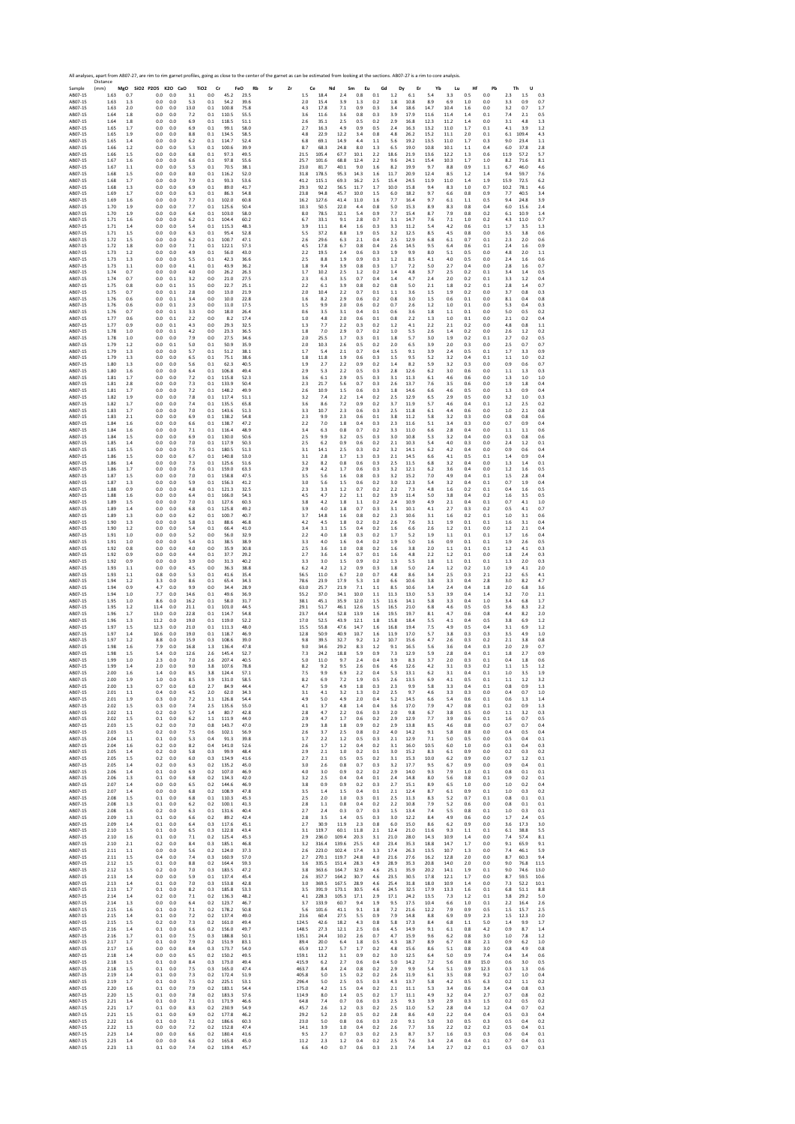| Sample<br>AB07-15             | Distance<br>(mm)<br>1.63 | 0.7                   | MgO SiO2 P2O5 K2O CaO<br>0.0<br>0.0        | 3.1                   | TiO <sub>2</sub><br>Cr<br>$_{0.0}$<br>45.2   | FeO<br>23.5          | All analyses, apart from AB07-27, are rim to rim garnet profiles, going as close to the center of the garnet as can be estimated from looking at the sections. AB07-27 is a rim to core analysis<br>Rb<br>Sr<br>Zr<br>1.5 | Ce<br>18.4              | Nd<br>2.4               | Sm<br>0.8            | Eu<br>0.1             | Gd<br>$1.2\,$        | Dy<br>Er<br>6.1      | Yb<br>5.4             | Lu<br>3.3            | Hf<br>0.5         | Pb<br>0.0           | Th<br>U<br>$1.5\,$<br>2.3<br>0.3                                     |
|-------------------------------|--------------------------|-----------------------|--------------------------------------------|-----------------------|----------------------------------------------|----------------------|---------------------------------------------------------------------------------------------------------------------------------------------------------------------------------------------------------------------------|-------------------------|-------------------------|----------------------|-----------------------|----------------------|----------------------|-----------------------|----------------------|-------------------|---------------------|----------------------------------------------------------------------|
| AB07-15<br>AB07-15<br>AB07-15 | 1.63<br>1.63<br>1.64     | 1.3<br>2.0<br>1.8     | 0.0<br>0.0<br>0.0<br>0.0<br>0.0<br>0.0     | 5.3<br>13.0<br>7.2    | 0.1<br>54.2<br>100.8<br>0.1<br>0.1<br>110.5  | 39.6<br>75.8<br>55.5 | 2.0<br>4.3<br>3.6                                                                                                                                                                                                         | 15.4<br>17.8<br>11.6    | 3.9<br>7.1<br>3.6       | 1.3<br>0.9<br>0.8    | 0.2<br>0.3<br>0.3     | 1.8<br>3.4<br>3.9    | 10.8<br>18.6<br>17.9 | 8.9<br>14.7<br>11.6   | 6.9<br>10.4<br>11.4  | 1.0<br>1.6<br>1.4 | 0.0<br>0.0<br>0.1   | 3.3<br>0.9<br>0.7<br>3.2<br>0.7<br>1.7<br>7.4<br>0.5<br>2.1          |
| AB07-15<br>AB07-15            | 1.64<br>1.65             | 1.8<br>1.7            | 0.0<br>0.0<br>0.0<br>0.0                   | 6.9<br>6.9            | 0.1<br>118.5<br>99.1<br>0.1                  | 51.1<br>58.0         | 2.6<br>2.7                                                                                                                                                                                                                | 35.1<br>16.3            | 2.5<br>4.9              | 0.5<br>0.9           | 0.2<br>0.5            | 2.9<br>2.4           | 16.8<br>16.3         | 12.3<br>13.2          | 11.2<br>11.0         | 1.4<br>1.7        | 0.0<br>0.1          | 3.1<br>4.8<br>1.3<br>4.1<br>1.2<br>3.9                               |
| AB07-15<br>AB07-15<br>AB07-15 | 1.65<br>1.65<br>1.66     | 1.9<br>1.4<br>1.2     | 0.0<br>0.0<br>0.0<br>0.0<br>0.0<br>0.0     | 8.8<br>6.2<br>5.3     | 0.1<br>134.5<br>0.1<br>114.7<br>100.6<br>0.1 | 58.5<br>52.4<br>39.9 | 4.8<br>6.8<br>8.7                                                                                                                                                                                                         | 22.9<br>69.1<br>68.3    | 12.2<br>14.9<br>24.8    | 3.4<br>4.4<br>8.0    | 0.8<br>1.1<br>1.3     | 4.8<br>5.6<br>6.5    | 26.2<br>19.2<br>19.0 | 15.2<br>13.5<br>10.8  | 11.1<br>11.0<br>10.1 | 2.0<br>1.7<br>1.1 | 0.1<br>0.3<br>0.4   | 6.1<br>109.4<br>4.3<br>9.0<br>23.4<br>1.1<br>37.8<br>6.0<br>2.8      |
| AB07-15<br>AB07-15            | 1.66<br>1.67             | 1.5<br>1.6            | 0.0<br>0.0<br>0.0<br>0.0                   | 6.8<br>6.6            | 0.1<br>97.3<br>0.1<br>97.8                   | 49.5<br>55.6         | 21.5<br>25.7                                                                                                                                                                                                              | 105.4<br>101.6          | 67.7<br>68.8            | 10.1<br>12.4         | 2.2<br>2.2            | 18.6<br>9.6          | 21.9<br>24.1         | 13.6<br>15.4          | 12.2<br>10.3         | 1.3<br>1.7        | 0.6<br>1.0          | 11.9<br>57.2<br>5.7<br>8.2<br>71.6<br>8.1                            |
| AB07-15<br>AB07-15            | 1.67<br>1.68             | 1.1<br>1.5            | 0.0<br>0.0<br>0.0<br>0.0                   | 5.3<br>8.0            | 0.1<br>70.5<br>0.1<br>116.2                  | 38.1<br>52.0         | 23.0<br>31.8                                                                                                                                                                                                              | 81.7<br>178.5           | 40.1<br>95.3            | 9.0<br>14.3          | 1.6<br>1.6            | 8.2<br>11.7          | 19.9<br>20.9         | 9.7<br>12.4           | 8.8<br>8.5           | 0.9<br>1.2        | 1.1<br>1.4          | 6.7<br>46.0<br>4.6<br>9.4<br>59.7<br>7.6                             |
| AB07-15<br>AB07-15<br>AB07-15 | 1.68<br>1.68<br>1.69     | 1.7<br>1.3<br>1.7     | 0.0<br>0.0<br>0.0<br>0.0<br>0.0<br>0.0     | 7.9<br>6.9<br>6.3     | 0.1<br>93.3<br>0.1<br>89.0<br>0.1<br>86.3    | 53.6<br>41.7<br>54.8 | 41.2<br>29.3<br>23.8                                                                                                                                                                                                      | 115.1<br>92.2<br>94.8   | 69.3<br>56.5<br>45.7    | 16.2<br>11.7<br>10.0 | 2.5<br>1.7<br>1.5     | 15.4<br>10.0<br>6.0  | 24.5<br>15.8<br>18.2 | 11.9<br>9.4<br>9.7    | 11.0<br>8.3<br>6.6   | 1.4<br>1.0<br>0.8 | 1.9<br>0.7<br>0.9   | 15.9<br>72.5<br>6.2<br>10.2<br>78.1<br>4.6<br>7.7<br>40.5<br>3.4     |
| AB07-15<br>AB07-15            | 1.69<br>1.70             | 1.6<br>1.9            | 0.0<br>0.0<br>0.0<br>0.0                   | 7.7<br>7.7            | 0.1<br>102.0<br>0.1<br>125.6                 | 60.8<br>50.4         | 16.2<br>10.3                                                                                                                                                                                                              | 127.6<br>50.5           | 41.4<br>22.0            | 11.0<br>4.4          | 1.6<br>0.8            | 7.7<br>5.0           | 16.4<br>15.3         | 9.7<br>8.9            | 6.1<br>8.3           | 1.1<br>0.8        | 0.5<br>0.4          | 9.4<br>24.8<br>3.9<br>6.0<br>15.6<br>2.4                             |
| AB07-15<br>AB07-15            | 1.70<br>1.71             | 1.9<br>1.6            | 0.0<br>0.0<br>0.0<br>0.0                   | 6.4<br>6.2            | 0.1<br>103.0<br>104.4<br>0.1                 | 58.0<br>60.2         | 8.0<br>6.7                                                                                                                                                                                                                | 78.5<br>33.1            | 32.1<br>9.1             | 5.4<br>2.8           | 0.9<br>0.7            | 7.7<br>3.1           | 15.4<br>14.7         | 8.7<br>7.6            | 7.9<br>7.1           | 0.8<br>1.0        | 0.2<br>0.2          | 6.1<br>10.9<br>1.4<br>4.3<br>0.7<br>11.0                             |
| AB07-15<br>AB07-15<br>AB07-15 | 1.71<br>1.71<br>1.72     | 1.4<br>1.5<br>1.5     | 0.0<br>0.0<br>0.0<br>0.0<br>0.0<br>0.0     | 5.4<br>6.3<br>6.2     | 0.1<br>115.3<br>0.1<br>95.4<br>0.1<br>100.7  | 48.3<br>52.8<br>47.1 | 3.9<br>5.5<br>2.6                                                                                                                                                                                                         | 11.1<br>37.2<br>29.6    | 8.4<br>8.8<br>6.3       | 1.6<br>1.9<br>2.1    | 0.3<br>0.5<br>0.4     | 3.3<br>3.2<br>2.5    | 11.2<br>12.5<br>12.9 | 5.4<br>8.5<br>6.8     | 4.2<br>4.5<br>6.1    | 0.6<br>0.8<br>0.7 | 0.1<br>0.0<br>0.1   | 1.7<br>3.5<br>1.3<br>3.5<br>3.8<br>0.6<br>2.3<br>2.0<br>0.6          |
| AB07-15<br>AB07-15            | 1.72<br>1.73             | 1.8<br>1.2            | 0.0<br>0.0<br>0.0<br>0.0                   | 7.1<br>4.9            | 0.1<br>122.1<br>0.1<br>56.0                  | 57.3<br>43.0         | 4.5<br>2.2                                                                                                                                                                                                                | 17.8<br>19.5            | 6.7<br>2.4              | 0.8<br>0.6           | 0.4<br>0.3            | 2.6<br>1.9           | 14.5<br>9.9          | 9.5<br>8.0            | 6.4<br>5.1           | 0.6<br>0.5        | 0.1<br>0.0          | 2.4<br>0.9<br>1.6<br>4.8<br>2.0<br>1.1                               |
| AB07-15<br>AB07-15            | 1.73<br>1.73             | 1.3<br>1.1            | 0.0<br>0.0<br>0.0<br>0.0                   | 5.5<br>4.1            | 0.1<br>42.3<br>43.9<br>0.1                   | 36.6<br>36.2         | 2.5<br>1.8                                                                                                                                                                                                                | 8.8<br>9.4              | 1.9<br>3.9              | 0.9<br>0.8           | 0.3<br>0.3            | 1.2<br>1.7           | 8.5<br>7.2           | 4.1<br>5.0            | 4.0<br>2.7           | 0.5<br>0.4        | 0.0<br>0.0          | 2.4<br>1.6<br>0.6<br>2.8<br>1.6<br>0.7                               |
| AB07-15<br>AB07-15<br>AB07-15 | 1.74<br>1.74<br>1.75     | 0.7<br>0.7<br>0.8     | 0.0<br>0.0<br>0.0<br>0.1<br>0.0<br>0.1     | 4.0<br>3.2<br>3.5     | 0.0<br>26.2<br>0.0<br>21.0<br>0.0<br>22.7    | 26.3<br>27.5<br>25.1 | 1.7<br>2.3<br>2.2                                                                                                                                                                                                         | 10.2<br>6.3<br>6.1      | 2.5<br>3.5<br>3.9       | 1.2<br>0.7<br>0.8    | 0.2<br>0.4<br>0.2     | 1.4<br>1.4<br>0.8    | 4.8<br>4.7<br>5.0    | 3.7<br>2.4<br>2.1     | 2.5<br>2.0<br>1.8    | 0.2<br>0.2<br>0.2 | 0.1<br>0.1<br>0.1   | 3.4<br>1.4<br>0.5<br>3.3<br>1.2<br>0.4<br>2.8<br>1.4<br>0.7          |
| AB07-15<br>AB07-15            | 1.75<br>1.76             | 0.7<br>0.6            | 0.1<br>0.0<br>0.0<br>0.1                   | 2.8<br>3.4            | 13.0<br>0.0<br>0.0<br>10.0                   | 21.9<br>22.8         | 2.0<br>1.6                                                                                                                                                                                                                | 10.4<br>8.2             | 2.2<br>2.9              | 0.7<br>0.6           | 0.1<br>0.2            | 1.1<br>0.8           | 3.6<br>3.0           | 1.5<br>1.5            | 1.9<br>0.6           | 0.2<br>0.1        | 0.0<br>0.0          | 3.7<br>0.8<br>0.3<br>8.1<br>0.4<br>0.8                               |
| AB07-15<br>AB07-15<br>AB07-15 | 1.76<br>1.76<br>1.77     | 0.6<br>0.7<br>0.6     | 0.0<br>0.1<br>0.1<br>0.0<br>0.0<br>0.1     | 2.3<br>3.3<br>2.2     | 0.0<br>11.0<br>0.0<br>18.0<br>0.0<br>8.2     | 17.5<br>26.4<br>17.4 | 1.5<br>0.6<br>1.0                                                                                                                                                                                                         | 9.9<br>3.5<br>4.8       | 2.0<br>3.1<br>2.0       | 0.6<br>0.4<br>0.6    | 0.2<br>0.1<br>0.1     | 0.7<br>0.6<br>0.8    | 2.6<br>3.6<br>2.2    | 1.2<br>1.8<br>1.3     | 1.0<br>1.1<br>1.0    | 0.1<br>0.1<br>0.1 | 0.0<br>0.0<br>0.0   | 5.3<br>0.4<br>0.3<br>5.0<br>0.5<br>0.2<br>2.1<br>0.2<br>0.4          |
| AB07-15<br>AB07-15            | 1.77<br>1.78             | 0.9<br>1.0            | 0.0<br>0.1<br>0.0<br>0.1                   | 4.3<br>4.2            | 0.0<br>29.3<br>0.0<br>23.3                   | 32.5<br>36.5         | 1.3<br>1.8                                                                                                                                                                                                                | 7.7<br>7.0              | 2.2<br>2.9              | 0.3<br>0.7           | 0.2<br>0.2            | 1.2<br>1.0           | 4.1<br>5.5           | 2.2<br>2.6            | 2.1<br>1.4           | 0.2<br>0.2        | 0.0<br>0.0          | 4.8<br>0.8<br>1.1<br>2.6<br>1.2<br>0.2                               |
| AB07-15<br>AB07-15            | 1.78<br>1.79             | 1.0<br>1.2<br>1.3     | 0.0<br>0.0<br>0.0<br>0.1                   | 7.9<br>5.0            | 0.0<br>27.5<br>0.1<br>50.9                   | 34.6<br>35.9<br>38.1 | 2.0<br>2.0                                                                                                                                                                                                                | 25.5<br>10.3            | 1.7<br>2.6              | 0.3<br>0.5           | 0.1<br>0.2            | 1.8<br>2.0           | 5.7<br>6.5           | 3.0<br>3.9            | 1.9<br>2.0           | 0.2<br>0.3<br>0.5 | 0.1<br>0.0          | 2.7<br>0.2<br>0.5<br>2.5<br>0.7<br>0.7                               |
| AB07-15<br>AB07-15<br>AB07-15 | 1.79<br>1.79<br>1.80     | 1.3<br>1.3            | 0.0<br>0.0<br>0.0<br>0.0<br>0.0<br>0.0     | 5.7<br>6.5<br>5.6     | 0.1<br>51.2<br>75.1<br>0.1<br>0.1<br>62.3    | 38.6<br>40.5         | 1.7<br>1.8<br>1.9                                                                                                                                                                                                         | 5.4<br>11.8<br>2.7      | 2.1<br>1.9<br>2.2       | 0.7<br>0.6<br>0.9    | 0.4<br>0.3<br>0.2     | 1.5<br>1.5<br>1.4    | 9.1<br>9.5<br>8.2    | 3.9<br>5.2<br>5.9     | 2.4<br>3.2<br>3.2    | 0.4<br>0.3        | 0.1<br>0.1<br>0.0   | 1.7<br>3.3<br>0.9<br>$1.1\,$<br>0.2<br>1.0<br>0.9<br>0.6<br>0.7      |
| AB07-15<br>AB07-15            | 1.80<br>1.81             | 1.6<br>1.7            | 0.0<br>0.0<br>0.0<br>0.0                   | 6.4<br>7.2            | 0.1<br>106.8<br>0.1<br>115.8                 | 49.4<br>52.3         | 2.9<br>3.6                                                                                                                                                                                                                | 5.3<br>6.1              | 2.2<br>2.9              | 0.5<br>0.5           | 0.3<br>0.3            | 2.8<br>3.1           | 12.6<br>11.3         | 6.2<br>6.1            | 3.0<br>4.6           | 0.6<br>0.6        | 0.0<br>0.0          | 1.1<br>1.3<br>0.3<br>1.3<br>1.0<br>1.0                               |
| AB07-15<br>AB07-15<br>AB07-15 | 1.81<br>1.81<br>1.82     | 2.8<br>1.7<br>1.9     | 0.0<br>0.0<br>0.0<br>0.0<br>0.0<br>0.0     | 7.3<br>7.2<br>7.8     | 133.9<br>0.1<br>0.1<br>148.2<br>0.1<br>117.4 | 50.4<br>49.9<br>51.1 | 2.3<br>2.6<br>3.2                                                                                                                                                                                                         | 21.7<br>10.9<br>7.4     | 5.6<br>1.5<br>2.2       | 0.7<br>0.6<br>1.4    | 0.3<br>0.3<br>0.2     | 2.6<br>1.8<br>2.5    | 13.7<br>14.6<br>12.9 | 7.6<br>6.6<br>6.5     | 3.5<br>4.6<br>2.9    | 0.6<br>0.5<br>0.5 | 0.0<br>0.0<br>0.0   | 1.9<br>1.8<br>0.4<br>1.3<br>0.9<br>0.4<br>3.2<br>1.0<br>0.3          |
| AB07-15<br>AB07-15            | 1.82<br>1.83             | 1.7<br>1.7            | 0.0<br>0.0<br>0.0<br>0.0                   | 7.4<br>7.0            | 0.1<br>135.5<br>0.1<br>143.6                 | 65.8<br>51.3         | 3.6<br>3.3                                                                                                                                                                                                                | 8.6<br>10.7             | 7.2<br>2.3              | 0.9<br>0.6           | 0.2<br>0.3            | 3.7<br>2.5           | 11.9<br>11.8         | 5.7<br>6.1            | 4.6<br>4.4           | 0.4<br>0.6        | 0.1<br>0.0          | 1.2<br>2.5<br>0.2<br>1.0<br>2.1<br>0.8                               |
| AB07-15<br>AB07-15<br>AB07-15 | 1.83<br>1.84<br>1.84     | 2.1<br>1.6<br>1.6     | 0.0<br>0.0<br>0.0<br>0.0<br>0.0<br>0.0     | 6.9<br>6.6<br>7.1     | 0.1<br>138.2<br>0.1<br>138.7<br>0.1<br>116.4 | 54.8<br>47.2<br>48.9 | 2.3<br>2.2<br>3.4                                                                                                                                                                                                         | 9.9<br>7.0<br>6.3       | 2.3<br>1.8<br>0.8       | 0.6<br>0.4<br>0.7    | 0.1<br>0.3<br>0.2     | 3.8<br>2.3<br>3.3    | 11.2<br>11.6<br>11.0 | 5.8<br>5.1<br>6.6     | 3.2<br>3.4<br>2.8    | 0.3<br>0.3<br>0.4 | 0.0<br>0.0<br>0.0   | 0.8<br>0.8<br>0.6<br>0.7<br>0.9<br>0.4<br>1.1<br>1.1<br>0.6          |
| AB07-15<br>AB07-15            | 1.84<br>1.85             | 1.5<br>1.4            | 0.0<br>0.0<br>0.0<br>0.0                   | 6.9<br>7.0            | 0.1<br>130.0<br>0.1<br>117.9                 | 50.6<br>50.3         | 2.5<br>2.5                                                                                                                                                                                                                | 9.9<br>6.2              | 3.2<br>0.9              | 0.5<br>0.6           | 0.3<br>0.2            | 3.0<br>2.1           | 10.8<br>10.3         | 5.3<br>5.4            | 3.2<br>4.0           | 0.4<br>0.3        | 0.0<br>0.0          | 0.3<br>0.8<br>0.6<br>2.4<br>1.2<br>0.1                               |
| AB07-15<br>AB07-15            | 1.85<br>1.86             | 1.5<br>1.5            | 0.0<br>0.0<br>0.0<br>0.0                   | 7.5<br>6.7            | 0.1<br>180.5<br>140.8<br>0.1                 | 51.3<br>53.0         | 3.1<br>3.1                                                                                                                                                                                                                | 14.1<br>2.8             | 2.5<br>1.7              | 0.3<br>1.3           | 0.2<br>0.3            | 3.2<br>2.1           | 14.1<br>14.5         | 6.2<br>6.6            | 4.2<br>4.1           | 0.4<br>0.5        | 0.0<br>0.1          | 0.9<br>0.6<br>0.4<br>1.4<br>0.9<br>0.4                               |
| AB07-15<br>AB07-15<br>AB07-15 | 1.86<br>1.86<br>1.87     | 1.4<br>1.7<br>1.5     | 0.0<br>0.0<br>0.0<br>0.0<br>0.0<br>0.0     | 7.3<br>7.6<br>7.0     | 0.1<br>125.6<br>0.1<br>159.0<br>158.8<br>0.1 | 51.6<br>63.3<br>47.5 | 3.2<br>2.9<br>3.5                                                                                                                                                                                                         | 8.2<br>4.2<br>5.6       | 0.8<br>1.7<br>1.6       | 0.6<br>0.6<br>0.8    | 0.3<br>0.3<br>0.3     | 2.5<br>3.2<br>3.2    | 11.5<br>12.1<br>15.2 | 6.8<br>6.2<br>7.0     | 3.2<br>3.6<br>4.9    | 0.4<br>0.4<br>0.4 | 0.0<br>0.0<br>0.1   | 1.3<br>1.4<br>0.1<br>1.2<br>1.6<br>0.5<br>1.5<br>2.8<br>0.4          |
| AB07-15<br>AB07-15            | 1.87<br>1.88             | 1.3<br>0.9            | 0.0<br>0.0<br>0.0<br>0.0                   | 5.9<br>4.8            | 0.1<br>156.3<br>0.1<br>121.3                 | 41.2<br>32.5         | 3.0<br>2.3                                                                                                                                                                                                                | 5.6<br>3.3              | 1.5<br>1.2              | 0.6<br>0.7           | 0.2<br>0.2            | 3.0<br>2.2           | 12.3<br>7.3          | 5.4<br>4.8            | 3.2<br>1.6           | 0.4<br>0.2        | 0.1<br>0.1          | 0.7<br>1.9<br>0.4<br>0.4<br>1.6<br>0.5                               |
| AB07-15<br>AB07-15<br>AB07-15 | 1.88<br>1.89<br>1.89     | 1.6<br>1.5<br>1.4     | 0.0<br>0.0<br>0.0<br>0.0<br>0.0<br>0.0     | 6.4<br>7.0<br>6.8     | 0.1<br>166.0<br>0.1<br>127.6<br>0.1<br>125.8 | 54.3<br>60.3<br>49.2 | 4.5<br>3.8<br>3.9                                                                                                                                                                                                         | 4.7<br>4.2<br>4.0       | 2.2<br>1.8<br>1.8       | 1.1<br>1.1<br>0.7    | 0.2<br>0.2<br>0.3     | 3.9<br>2.4<br>3.1    | 11.4<br>10.9<br>10.1 | 5.0<br>4.9<br>4.1     | 3.8<br>2.1<br>2.7    | 0.4<br>0.4<br>0.3 | 0.2<br>0.1<br>0.2   | 1.6<br>3.5<br>0.5<br>0.7<br>4.1<br>1.0<br>0.5<br>4.1<br>0.7          |
| AB07-15<br>AB07-15            | 1.89<br>1.90             | 1.3<br>1.3            | 0.0<br>0.0<br>0.0<br>0.0                   | 6.2<br>5.8            | 0.1<br>100.7<br>0.1<br>88.6                  | 40.7<br>46.8         | 3.7<br>4.2                                                                                                                                                                                                                | 14.8<br>4.5             | 1.6<br>1.8              | 0.8<br>0.2           | 0.2<br>0.2            | 2.3<br>2.6           | 10.6<br>7.6          | 3.1<br>3.1            | 1.6<br>1.9           | 0.2<br>0.1        | 0.1<br>0.1          | 1.0<br>3.1<br>0.6<br>1.6<br>3.1<br>0.4                               |
| AB07-15<br>AB07-15            | 1.90<br>1.91             | 1.2<br>1.0            | 0.0<br>0.0<br>0.0<br>0.0                   | 5.4<br>5.2            | 0.1<br>66.4<br>0.0<br>56.0                   | 41.0<br>32.9         | 3.4<br>2.2                                                                                                                                                                                                                | 3.1<br>4.0              | 1.5<br>1.8              | 0.4<br>0.3           | 0.2<br>0.2            | 1.6<br>1.7           | 6.6<br>5.2           | 2.6<br>1.9            | 1.2<br>1.1           | 0.1<br>0.1        | 0.0<br>0.1          | 1.2<br>2.1<br>0.4<br>1.7<br>1.6<br>0.4                               |
| AB07-15<br>AB07-15<br>AB07-15 | 1.91<br>1.92<br>1.92     | 1.0<br>0.8<br>0.9     | 0.0<br>0.0<br>0.0<br>0.0<br>0.0<br>0.0     | 5.4<br>4.0<br>4.4     | 0.1<br>38.5<br>0.0<br>35.9<br>0.1<br>37.7    | 38.9<br>30.8<br>29.2 | 3.3<br>2.5<br>2.7                                                                                                                                                                                                         | 4.0<br>3.6<br>3.6       | 1.6<br>1.0<br>1.4       | 0.4<br>0.8<br>0.7    | 0.2<br>0.2<br>0.1     | 1.9<br>1.6<br>1.6    | 5.0<br>3.8<br>4.8    | 1.6<br>2.0<br>2.2     | 0.9<br>1.1<br>1.2    | 0.1<br>0.1<br>0.1 | 0.1<br>0.1<br>0.0   | 1.9<br>2.6<br>0.5<br>$1.2$<br>4.1<br>0.3<br>1.8<br>2.4<br>0.3        |
| AB07-15<br>AB07-15            | 1.92<br>1.93             | 0.9<br>1.1            | 0.0<br>0.0<br>0.0<br>0.0                   | 3.9<br>4.5            | 0.0<br>31.3<br>0.0<br>36.3                   | 40.2<br>38.8         | 3.3<br>6.2                                                                                                                                                                                                                | 3.0<br>4.2              | $1.5\,$<br>1.2          | 0.9<br>0.9           | 0.2<br>0.3            | 1.3<br>1.8           | 5.5<br>5.0           | 1.8<br>2.4            | $1.1\,$<br>1.2       | 0.1<br>0.2        | 0.1<br>1.0          | 1.3<br>2.0<br>0.3<br>1.9<br>4.1<br>2.0                               |
| AB07-15<br>AB07-15<br>AB07-15 | 1.93<br>1.94<br>1.94     | 1.1<br>1.2<br>0.9     | 0.8<br>0.0<br>3.3<br>0.0<br>4.7<br>0.0     | 5.3<br>8.6<br>9.9     | 0.1<br>41.6<br>0.1<br>65.4<br>0.0<br>34.4    | 35.4<br>34.3<br>28.9 | 56.5<br>78.6<br>63.0                                                                                                                                                                                                      | 11.0<br>23.9<br>25.7    | 6.7<br>17.9<br>21.9     | 2.0<br>5.3<br>7.1    | 0.7<br>1.0<br>1.1     | 4.8<br>6.6<br>8.5    | 8.6<br>10.6<br>10.6  | 3.4<br>3.8<br>3.4     | 2.5<br>3.3<br>2.4    | 0.3<br>0.4<br>0.4 | 2.1<br>2.8<br>1.8   | 2.2<br>6.5<br>4.1<br>3.0<br>8.2<br>4.7<br>2.0<br>6.8<br>3.6          |
| AB07-15<br>AB07-15            | 1.94<br>1.95             | 1.0<br>1.0            | 7.7<br>0.0<br>8.6<br>0.0                   | 14.6<br>16.2          | 0.1<br>49.6<br>0.1<br>58.0                   | 36.9<br>31.7         | 55.2<br>38.1                                                                                                                                                                                                              | 37.0<br>45.1            | 34.1<br>35.9            | 10.0<br>12.0         | 1.1<br>1.5            | 11.3<br>11.6         | 13.0<br>14.1         | 5.3<br>5.8            | 3.9<br>3.3           | 0.4<br>0.4        | 1.4<br>1.0          | 3.2<br>7.0<br>2.1<br>3.4<br>6.8<br>1.7                               |
| AB07-15<br>AB07-15            | 1.95<br>1.96             | 1.2<br>1.7            | 11.4<br>0.0<br>13.0<br>0.0                 | 21.1<br>22.8          | 0.1<br>101.0<br>0.1<br>114.7                 | 44.5<br>54.8         | 29.1<br>23.7                                                                                                                                                                                                              | 51.7<br>64.4            | 46.1<br>52.8            | 12.6<br>13.9         | 1.5<br>1.6            | 16.5<br>19.5         | 21.0<br>19.7         | 6.8<br>8.1            | 4.6<br>4.7           | 0.5<br>0.6        | 0.5<br>0.8          | 3.6<br>8.3<br>2.2<br>4.4<br>8.2<br>2.0                               |
| AB07-15<br>AB07-15<br>AB07-15 | 1.96<br>1.97<br>1.97     | 1.3<br>1.5<br>1.4     | 11.2<br>0.0<br>0.0<br>12.3<br>10.6<br>0.0  | 19.0<br>21.0<br>19.0  | 0.1<br>119.0<br>0.1<br>111.3<br>0.1<br>118.7 | 52.2<br>48.0<br>46.9 | 17.0<br>15.5<br>12.8                                                                                                                                                                                                      | 52.5<br>55.8<br>50.9    | 43.9<br>47.6<br>40.9    | 12.1<br>14.7<br>10.7 | 1.8<br>1.6<br>1.6     | 15.8<br>16.8<br>11.9 | 18.4<br>19.4<br>17.0 | 5.5<br>7.5<br>5.7     | 4.1<br>4.9<br>3.8    | 0.4<br>0.5<br>0.3 | 0.5<br>0.4<br>0.3   | 3.8<br>6.9<br>1.2<br>3.1<br>6.9<br>1.2<br>3.5<br>4.9<br>1.0          |
| AB07-15<br>AB07-15            | 1.97<br>1.98             | 1.2<br>1.6            | 0.0<br>8.8<br>7.9<br>0.0                   | 15.9<br>16.8          | 108.6<br>0.3<br>1.3<br>136.4                 | 39.0<br>47.8         | 9.8<br>9.0                                                                                                                                                                                                                | 39.5<br>34.6            | 32.7<br>29.2            | 9.2<br>8.3           | 1.2<br>1.2            | 10.7<br>9.1          | 15.6<br>16.5         | 4.7<br>5.6            | 2.6<br>3.6           | 0.3<br>0.4        | 0.2<br>0.3          | 2.1<br>3.8<br>0.8<br>2.0<br>2.9<br>0.7                               |
| AB07-15<br>AB07-15<br>AB07-15 | 1.98<br>1.99<br>1.99     | 1.5<br>1.0<br>1.4     | 5.4<br>0.0<br>2.3<br>0.0<br>2.0<br>0.0     | 12.6<br>7.0<br>9.0    | 2.6<br>145.4<br>2.6<br>207.4<br>3.8<br>107.6 | 52.7<br>40.5<br>78.8 | 7.3<br>5.0<br>8.2                                                                                                                                                                                                         | 24.2<br>11.0<br>9.2     | 18.8<br>9.7<br>9.5      | 5.9<br>2.4<br>2.6    | 0.9<br>0.4<br>0.6     | 7.3<br>3.9<br>4.6    | 12.9<br>8.3<br>12.6  | 5.9<br>3.7<br>4.2     | 2.8<br>2.0<br>3.1    | 0.4<br>0.3<br>0.3 | 0.1<br>0.1<br>0.2   | 1.8<br>2.7<br>0.9<br>0.4<br>1.8<br>0.6<br>1.1<br>1.2<br>1.5          |
| AB07-15                       | ' nn<br>2.00             | 1.9                   | 1.0<br>0.0                                 | 8.5                   | 3.9<br>131.0                                 | 58.5                 | 8.2                                                                                                                                                                                                                       | 6.9                     | 7.2                     | 1.9                  | 0.5                   | 2.6                  | 13.5                 | 6.9                   | 4.1                  | 0.5               | 0.1                 | 1.1<br>1.2<br>3.2                                                    |
| AB07-15<br>AB07-15            | 2.00<br>2.01             | 1.3<br>1.1            | 0.7<br>0.0<br>0.4<br>0.0                   | $6.0\,$<br>4.5        | 2.7<br>84.9<br>2.0<br>62.0                   | 44.4<br>34.3<br>54.4 | 4.7<br>3.1                                                                                                                                                                                                                | 5.9<br>4.1              | 4.9<br>3.2              | 1.8<br>1.3           | 0.3<br>0.2            | 2.3<br>2.5           | 9.9<br>9.7           | 5.8<br>4.6            | 3.3<br>3.3           | 0.4<br>0.3        | 0.1<br>0.0          | 0.8<br>1.3<br>0.9<br>0.4<br>0.7<br>1.0<br>1.3                        |
| AB07-15<br>AB07-15<br>AB07-15 | 2.01<br>2.02<br>2.02     | 1.9<br>1.5<br>1.1     | 0.3<br>0.0<br>0.3<br>0.0<br>0.2<br>0.0     | 7.2<br>7.4<br>5.7     | 3.1<br>126.8<br>2.5<br>135.6<br>1.4<br>80.7  | 55.0<br>42.8         | 4.9<br>4.1<br>2.8                                                                                                                                                                                                         | 5.0<br>3.7<br>4.7       | 4.9<br>4.8<br>2.2       | 2.0<br>1.4<br>0.6    | 0.4<br>0.4<br>0.3     | 5.2<br>3.6<br>2.0    | 14.5<br>17.0<br>9.8  | 6.6<br>7.9<br>6.7     | 5.4<br>4.7<br>3.8    | 0.6<br>0.8<br>0.5 | 0.1<br>0.1<br>0.0   | 0.6<br>1.4<br>0.2<br>0.9<br>1.3<br>1.1<br>3.2<br>0.3                 |
| AB07-15<br>AB07-15            | 2.02<br>2.03             | 1.5<br>$1.5\,$        | 0.1<br>0.0<br>0.2<br>0.0                   | 6.2<br>7.0            | 1.1<br>111.9<br>0.8<br>143.7                 | 44.0<br>47.0         | 2.9<br>2.9                                                                                                                                                                                                                | 4.7<br>3.8              | 1.7<br>$1.8\,$          | 0.6<br>0.9           | 0.2<br>0.2            | 2.9<br>2.9           | 12.9<br>13.8         | 7.7<br>8.5            | 3.9<br>4.6           | 0.6<br>0.8        | 0.1<br>0.0          | 1.6<br>0.7<br>0.5<br>0.7<br>0.7<br>0.4                               |
| AB07-15<br>AB07-15<br>AB07-15 | 2.03<br>2.04<br>2.04     | 1.5<br>1.1<br>$1.6\,$ | 0.2<br>0.0<br>0.1<br>0.0<br>0.2<br>0.0     | 7.5<br>5.3<br>8.2     | 102.1<br>0.6<br>0.4<br>91.3<br>0.4<br>141.0  | 56.9<br>39.8<br>52.6 | 2.6<br>1.7<br>2.6                                                                                                                                                                                                         | 3.7<br>2.2<br>1.7       | 2.5<br>1.2<br>1.2       | 0.8<br>0.5<br>0.4    | 0.2<br>0.3<br>0.2     | 4.0<br>2.1<br>3.1    | 14.2<br>12.9<br>16.0 | 9.1<br>7.1<br>10.5    | 5.8<br>5.0<br>6.0    | 0.8<br>0.5<br>1.0 | 0.0<br>0.0<br>0.0   | 0.4<br>0.5<br>0.4<br>0.5<br>0.4<br>0.1<br>0.3<br>0.4<br>0.3          |
| AB07-15<br>AB07-15            | 2.05<br>2.05             | 1.4<br>1.5            | 0.2<br>0.0<br>0.2<br>0.0                   | 5.8<br>6.0            | 0.3<br>99.9<br>0.3<br>134.9                  | 48.4<br>41.6         | 2.9<br>2.7                                                                                                                                                                                                                | 2.1<br>2.1              | 1.0<br>0.5              | 0.2<br>0.5           | 0.1<br>0.2            | 3.0<br>3.1           | 15.2<br>15.3         | 8.3<br>10.0           | 6.1<br>6.2           | 0.9<br>0.9        | 0.0<br>0.0          | 0.2<br>0.3<br>0.2<br>0.7<br>$0.1\,$<br>1.2                           |
| AB07-15<br>AB07-15<br>AB07-15 | 2.05<br>2.06<br>2.06     | 1.4<br>1.4<br>$1.3\,$ | 0.2<br>0.0<br>0.1<br>0.0<br>$0.1\,$<br>0.0 | 6.3<br>6.9<br>$6.8\,$ | 135.2<br>0.2<br>0.2<br>107.0<br>0.2<br>134.3 | 45.0<br>46.9<br>42.0 | 3.0<br>4.0<br>3.2                                                                                                                                                                                                         | 2.6<br>3.0<br>2.5       | 0.8<br>0.9<br>0.4       | 0.7<br>0.2<br>0.4    | 0.3<br>0.2<br>0.1     | 3.2<br>2.9<br>2.4    | 17.7<br>14.0<br>14.8 | 9.5<br>9.3<br>$8.0\,$ | 6.7<br>7.9<br>5.6    | 0.9<br>1.0<br>0.8 | 0.0<br>0.1<br>0.1   | 0.9<br>0.4<br>0.1<br>0.8<br>0.1<br>0.1<br>0.9<br>0.2<br>$0.1\,$      |
| AB07-15<br>AB07-15            | 2.07<br>2.07             | 1.4<br>1.4            | 0.0<br>0.0<br>0.0<br>0.0                   | 6.5<br>6.8            | 144.6<br>0.2<br>0.2<br>108.9                 | 46.9<br>47.8         | 3.8<br>3.5                                                                                                                                                                                                                | 0.9<br>1.4              | 0.9<br>1.5              | 0.2<br>0.4           | 0.3<br>0.1            | 2.7<br>2.1           | 15.1<br>12.4         | 8.9<br>8.7            | 6.5<br>6.1           | 1.0<br>0.9        | 0.0<br>0.1          | 1.0<br>0.2<br>0.4<br>1.0<br>0.3<br>0.2                               |
| AB07-15<br>AB07-15<br>AB07-15 | 2.08<br>2.08<br>2.08     | 1.5<br>1.3<br>1.6     | 0.1<br>0.0<br>0.1<br>0.0<br>0.2<br>0.0     | 6.8<br>6.2<br>6.3     | 0.1<br>110.3<br>0.2<br>100.1<br>0.1<br>131.6 | 45.3<br>41.3<br>40.4 | 2.5<br>2.8<br>2.7                                                                                                                                                                                                         | 2.0<br>$1.1\,$<br>2.4   | 1.0<br>0.8<br>0.3       | 0.3<br>0.4<br>0.7    | 0.1<br>0.2<br>0.3     | 2.5<br>2.2<br>1.5    | 11.3<br>10.8<br>13.4 | 8.3<br>7.9<br>7.4     | 5.2<br>5.2<br>5.5    | 0.7<br>0.6<br>0.8 | 0.1<br>0.0<br>0.1   | 0.8<br>0.1<br>0.1<br>0.8<br>0.1<br>0.1<br>1.0<br>0.3<br>0.1          |
| AB07-15<br>AB07-15            | 2.09<br>2.09             | 1.3<br>1.4            | 0.1<br>0.0<br>0.1<br>0.0                   | 6.6<br>6.4            | 0.2<br>89.2<br>0.3<br>117.6                  | 42.4<br>45.1         | 2.8<br>2.7                                                                                                                                                                                                                | 3.5<br>30.9             | 1.4<br>11.9             | 0.5<br>2.3           | 0.3<br>0.8            | 3.0<br>6.0           | 12.2<br>15.0         | 8.4<br>8.6            | 4.9<br>6.2           | 0.6<br>0.9        | 0.0<br>0.0          | 1.7<br>2.4<br>0.5<br>3.6<br>17.3<br>3.0                              |
| AB07-15<br>AB07-15            | 2.10<br>2.10             | 1.5<br>1.6            | 0.1<br>0.0<br>0.1<br>0.0                   | 6.5<br>7.1            | 0.3<br>122.8<br>0.2<br>125.4                 | 43.4<br>45.3         | 3.1<br>2.9                                                                                                                                                                                                                | 119.7<br>236.0          | 60.1<br>109.4           | 11.8<br>20.3         | 2.1<br>3.1            | 12.4<br>21.0         | 21.0<br>28.0         | 11.6<br>14.3          | 9.3<br>10.9          | 1.1<br>1.4        | 0.1<br>0.0          | 6.1<br>38.8<br>5.5<br>7.4<br>57.4<br>8.1                             |
| AB07-15<br>AB07-15<br>AB07-15 | 2.10<br>2.11<br>2.11     | 2.1<br>$1.1\,$<br>1.5 | 0.2<br>0.0<br>$0.0\,$<br>0.0<br>0.4<br>0.0 | 8.4<br>5.6<br>7.4     | 0.3<br>185.1<br>124.0<br>0.2<br>0.3<br>160.9 | 46.8<br>37.3<br>57.0 | 3.2<br>2.6<br>2.7                                                                                                                                                                                                         | 316.4<br>223.0<br>270.1 | 139.6<br>102.4<br>119.7 | 25.5<br>17.4<br>24.8 | 4.0<br>3.3<br>4.0     | 23.4<br>17.4<br>21.6 | 35.3<br>26.3<br>27.6 | 18.8<br>13.5<br>16.2  | 14.7<br>10.7<br>12.8 | 1.7<br>1.3<br>2.0 | 0.0<br>0.0<br>0.0   | 9.1<br>65.9<br>9.1<br>7.4<br>46.1<br>5.9<br>8.7<br>60.3<br>9.4       |
| AB07-15<br>AB07-15            | 2.12<br>2.12             | 1.5<br>1.5            | 0.1<br>0.0<br>0.2<br>0.0                   | 8.8<br>7.0            | 0.2<br>164.4<br>183.5<br>0.3                 | 59.3<br>47.2         | 3.6<br>3.8                                                                                                                                                                                                                | 335.5<br>363.6          | 151.4<br>164.7          | 28.3<br>32.9         | 4.9<br>4.6            | 28.9<br>25.1         | 35.3<br>35.9         | 20.8<br>20.2          | 14.0<br>14.1         | 2.0<br>1.9        | 0.0<br>0.1          | 9.0<br>76.8<br>11.5<br>9.0<br>74.6<br>13.0                           |
| AB07-15<br>AB07-15<br>AB07-15 | 2.13<br>2.13<br>2.13     | 1.4<br>1.4<br>1.7     | 0.0<br>0.0<br>0.1<br>0.0<br>0.1<br>0.0     | 5.9<br>7.0<br>8.2     | 0.1<br>137.4<br>0.3<br>153.8<br>185.8<br>0.3 | 45.4<br>42.8<br>53.3 | 2.6<br>3.0<br>3.5                                                                                                                                                                                                         | 357.7<br>369.5<br>391.9 | 164.2<br>167.5<br>173.1 | 30.7<br>28.9<br>30.5 | 4.6<br>4.6<br>4.6     | 23.5<br>25.4<br>24.5 | 30.5<br>31.8<br>32.5 | 17.8<br>18.0<br>17.9  | 12.1<br>10.9<br>13.3 | 1.7<br>1.4<br>1.6 | 0.0<br>0.0<br>0.1   | 8.7<br>59.5<br>10.6<br>7.3<br>52.2<br>10.1<br>$6.8\,$<br>51.1<br>8.8 |
| AB07-15<br>AB07-15            | 2.14<br>2.14             | 1.4<br>1.3            | 0.2<br>0.0<br>0.0<br>0.0                   | 7.1<br>6.4            | 0.2<br>136.3<br>0.2<br>123.7                 | 48.2<br>46.7         | 4.1<br>3.7                                                                                                                                                                                                                | 228.3<br>133.9          | 105.3<br>60.7           | 17.1<br>9.4          | 2.9<br>1.9            | 17.1<br>9.5          | 24.2<br>17.5         | 13.5<br>10.4          | 7.3<br>6.6           | 1.2<br>1.0        | 0.1<br>0.1          | 3.8<br>29.2<br>5.0<br>2.2<br>16.4<br>2.6                             |
| AB07-15<br>AB07-15            | 2.15<br>2.15             | $1.6\,$<br>1.4        | 0.1<br>0.0<br>0.1<br>0.0                   | 7.1<br>7.2            | 0.2<br>178.2<br>0.2<br>137.4                 | 50.8<br>49.0         | 5.6<br>23.6                                                                                                                                                                                                               | 101.6<br>60.4           | 41.1<br>27.5            | 9.1<br>5.5           | 1.8<br>0.9            | 7.2<br>7.9           | 21.6<br>14.8         | 12.2<br>8.8           | 7.9<br>6.9           | 0.9<br>0.9        | 0.5<br>2.3          | 1.5<br>15.7<br>2.5<br>1.5<br>12.3<br>2.0                             |
| AB07-15<br>AB07-15<br>AB07-15 | 2.15<br>2.16<br>2.16     | 1.5<br>1.4<br>1.7     | 0.0<br>0.2<br>0.1<br>0.0<br>0.1<br>0.0     | 7.3<br>6.6<br>7.5     | 161.0<br>0.2<br>0.2<br>156.0<br>0.3<br>188.8 | 49.4<br>49.7<br>50.1 | 124.5<br>148.5<br>135.1                                                                                                                                                                                                   | 42.6<br>27.3<br>24.4    | 18.2<br>12.1<br>10.2    | 4.3<br>2.5<br>2.6    | $0.8\,$<br>0.6<br>0.7 | 5.8<br>4.5<br>4.7    | 17.3<br>14.9<br>15.9 | $8.4\,$<br>9.1<br>9.6 | 6.8<br>6.1<br>6.2    | 1.1<br>0.8<br>0.8 | 5.0<br>4.2<br>3.0   | 1.4<br>9.9<br>1.7<br>0.9<br>8.7<br>1.4<br>1.0<br>7.8<br>1.2          |
| AB07-15<br>AB07-15            | 2.17<br>2.17             | 1.7<br>1.6            | $0.1\,$<br>0.0<br>0.0<br>0.0               | 7.9<br>8.4            | 0.2<br>151.9<br>0.3<br>173.7                 | 83.1<br>54.0         | 89.4<br>65.9                                                                                                                                                                                                              | 20.0<br>12.7            | 6.4<br>5.7              | $1.8\,$<br>1.7       | 0.5<br>0.2            | 4.3<br>4.8           | 18.7<br>15.6         | 8.9<br>8.6            | 6.7<br>5.1           | 0.8<br>0.8        | 2.1<br>3.0          | 0.9<br>$1.0\,$<br>6.2<br>0.8<br>4.9<br>0.8                           |
| AB07-15<br>AB07-15<br>AB07-15 | 2.18<br>2.18<br>2.18     | 1.4<br>1.5<br>1.5     | 0.0<br>0.0<br>0.1<br>0.0<br>0.0<br>0.1     | 6.5<br>8.4<br>7.5     | 0.2<br>150.2<br>173.0<br>0.3<br>0.3<br>165.0 | 49.5<br>49.4<br>47.4 | 159.1<br>415.9<br>463.7                                                                                                                                                                                                   | 13.2<br>6.2<br>8.4      | 3.1<br>2.7<br>2.4       | 0.9<br>0.6<br>0.8    | 0.2<br>0.4<br>0.2     | 3.0<br>5.0<br>2.9    | 12.5<br>14.2<br>9.9  | 6.4<br>7.2<br>5.4     | 5.0<br>5.6<br>5.1    | 0.9<br>0.8<br>0.9 | 7.4<br>15.0<br>12.3 | 0.4<br>3.4<br>0.6<br>0.6<br>3.0<br>0.5<br>0.3<br>1.3<br>0.6          |
| AB07-15<br>AB07-15            | 2.19<br>2.19             | 1.4<br>1.7            | 0.1<br>0.0<br>0.1<br>0.0                   | 7.3<br>7.5            | 0.2<br>172.4<br>0.2<br>225.1                 | 51.9<br>53.1         | 405.8<br>296.4                                                                                                                                                                                                            | 5.0<br>5.0              | 1.5<br>2.5              | 0.2<br>0.5           | 0.2<br>0.3            | 2.6<br>4.3           | 11.9<br>13.7         | 6.1<br>5.8            | 3.5<br>4.2           | 0.8<br>0.5        | 9.2<br>6.3          | 0.7<br>1.0<br>0.4<br>0.2<br>1.1<br>0.2                               |
| AB07-15<br>AB07-15            | 2.20<br>2.20             | 1.6<br>1.5            | 0.1<br>0.0<br>0.1<br>0.0                   | 7.9<br>7.8            | 0.2<br>183.1<br>0.2<br>183.3                 | 54.4<br>57.6         | 175.0<br>114.9                                                                                                                                                                                                            | 4.2<br>8.0              | 1.5<br>1.4              | 0.4<br>0.5           | 0.2<br>0.2            | 2.1<br>1.7           | 11.1<br>11.1         | 5.3<br>4.9            | 3.4<br>3.2           | 0.6<br>0.4        | 3.4<br>2.7          | 0.4<br>0.8<br>0.3<br>0.7<br>0.8<br>0.2                               |
| AB07-15<br>AB07-15<br>AB07-15 | 2.21<br>2.21<br>2.21     | 1.4<br>1.7<br>1.5     | 0.1<br>0.0<br>0.1<br>0.0<br>$0.1\,$<br>0.0 | 7.1<br>8.3<br>6.9     | 0.1<br>171.9<br>0.2<br>230.9<br>177.8<br>0.2 | 46.6<br>54.9<br>46.2 | 64.8<br>45.7<br>29.2                                                                                                                                                                                                      | 7.4<br>2.6<br>5.2       | 0.7<br>1.2<br>2.0       | 0.6<br>0.3<br>0.5    | 0.3<br>0.2<br>0.2     | 2.5<br>2.5<br>2.8    | 9.3<br>11.0<br>8.6   | 3.9<br>5.2<br>4.0     | 2.9<br>2.8<br>2.2    | 0.3<br>0.4<br>0.4 | 1.5<br>1.2<br>0.4   | 0.2<br>0.5<br>0.2<br>0.4<br>0.7<br>0.2<br>0.5<br>0.4<br>0.3          |
| AB07-15<br>AB07-15            | 2.22<br>2.22             | 1.6<br>1.3            | 0.1<br>0.0<br>0.0<br>0.0                   | 7.1<br>7.2            | 0.2<br>186.6<br>0.2<br>152.8                 | 60.3<br>47.4         | 23.0<br>14.1                                                                                                                                                                                                              | 5.0<br>3.9              | 0.8<br>1.0              | 0.6<br>0.4           | 0.3<br>0.2            | 2.0<br>2.6           | 9.1<br>7.7           | 5.0<br>3.6            | 3.0<br>2.2           | 0.5<br>0.2        | 0.3<br>0.2          | 0.5<br>0.4<br>0.2<br>0.5<br>0.4<br>0.1                               |
| AB07-15<br>AB07-15<br>AB07-15 | 2.23<br>2.23<br>2.23     | 1.4<br>1.4<br>1.3     | 0.0<br>0.0<br>0.0<br>0.0<br>0.1<br>0.0     | 6.6<br>6.6<br>7.4     | 0.2<br>180.4<br>0.2<br>165.8<br>0.2<br>139.4 | 41.6<br>45.0<br>45.7 | 9.5<br>11.2<br>6.6                                                                                                                                                                                                        | 2.7<br>2.3<br>4.0       | 0.7<br>1.2<br>0.7       | 0.3<br>0.4<br>0.6    | 0.2<br>0.2<br>0.3     | 2.3<br>2.5<br>2.3    | 8.7<br>7.6<br>7.4    | 3.7<br>3.4<br>3.4     | 1.6<br>2.4<br>2.7    | 0.3<br>0.4<br>0.2 | 0.3<br>0.1<br>0.1   | 0.6<br>0.4<br>0.1<br>0.7<br>0.4<br>0.1<br>0.5<br>0.7<br>0.3          |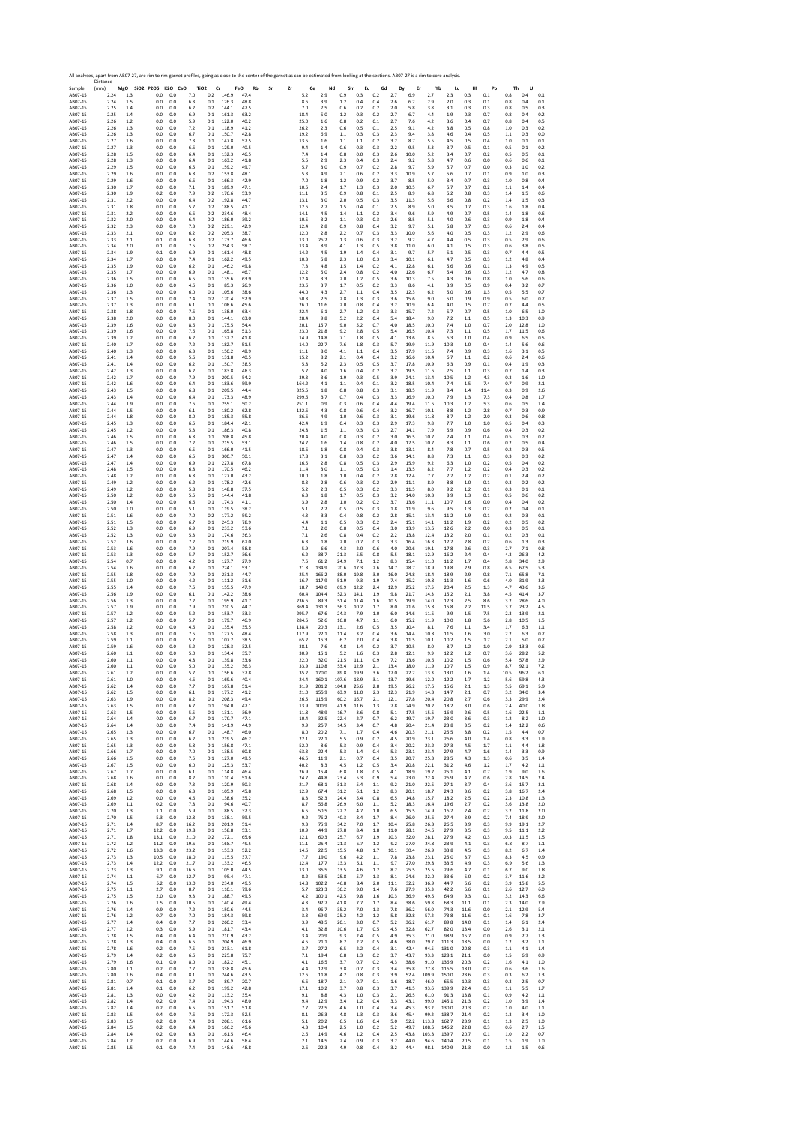Sample Distance (mm) **MgO SiO2 P2O5 K2O CaO TiO2 Cr FeO Rb Sr Zr Ce Nd Sm Eu Gd Dy Er Yb Lu Hf Pb Th U** AB07‐15 2.24 1.3 0.0 0.0 7.0 0.2 146.9 47.4 5.2 2.9 0.9 0.3 0.2 2.7 6.9 2.7 2.3 0.3 0.1 0.8 0.4 0.1 AB07‐15 2.24 1.5 0.0 0.0 6.3 0.1 126.3 48.8 8.6 3.9 1.2 0.4 0.4 2.6 6.2 2.9 2.0 0.3 0.1 0.8 0.4 0.1 AB07‐15 2.25 1.4 0.0 0.0 6.2 0.2 144.1 47.5 7.0 7.5 0.6 0.2 0.2 2.0 5.8 3.8 3.1 0.3 0.3 0.8 0.5 0.3 AB07‐15 2.25 1.4 0.0 0.0 6.9 0.1 161.3 63.2 18.4 5.0 1.2 0.3 0.2 2.7 6.7 4.4 1.9 0.3 0.7 0.8 0.4 0.2 AB07‐15 2.26 1.2 0.0 0.0 5.9 0.1 122.0 40.2 25.0 1.6 0.8 0.2 0.1 2.7 7.6 4.2 3.6 0.4 0.7 0.8 0.4 0.5 AB07‐15 2.26 1.3 0.0 0.0 7.2 0.1 118.9 41.2 26.2 2.3 0.6 0.5 0.1 2.5 9.1 4.2 3.8 0.5 0.8 1.0 0.3 0.2 AB07‐15 2.26 1.3 0.0 0.0 6.7 0.1 150.7 42.8 19.2 6.9 1.1 0.3 0.3 2.3 9.4 3.8 4.6 0.4 0.5 1.1 0.3 0.0 AB07‐15 2.27 1.6 0.0 0.0 7.3 0.1 147.8 57.5 13.5 1.6 1.1 1.1 0.2 3.2 8.7 5.5 4.5 0.5 0.4 1.0 0.1 0.1 AB07‐15 2.27 1.3 0.0 0.0 6.6 0.1 129.0 40.5 9.4 1.4 0.6 0.3 0.3 2.2 9.5 5.3 3.7 0.5 0.1 0.5 0.1 0.2 AB07‐15 2.28 1.5 0.0 0.0 6.4 0.1 132.3 46.5 7.4 1.4 0.8 0.0 0.3 2.6 10.0 5.2 3.4 0.7 0.2 0.5 0.5 0.1 AB07‐15 2.28 1.3 0.0 0.0 6.4 0.1 163.2 41.8 5.5 2.9 2.3 0.4 0.3 2.4 9.2 5.8 4.7 0.6 0.0 0.6 0.6 0.1 AB07‐15 2.29 1.5 0.0 0.0 6.5 0.1 159.2 49.7 5.7 3.0 0.9 0.7 0.2 2.8 9.7 5.9 5.7 0.7 0.0 0.3 1.0 0.2 AB07‐15 2.29 1.6 0.0 0.0 6.8 0.2 153.8 48.1 5.3 4.9 2.1 0.6 0.2 3.3 10.9 5.7 5.6 0.7 0.1 0.9 1.0 0.3 AB07‐15 2.29 1.6 0.0 0.0 6.6 0.1 166.3 42.9 7.0 1.8 1.2 0.9 0.2 3.7 8.5 5.0 3.4 0.7 0.3 1.0 0.8 0.4 AB07‐15 2.30 1.7 0.0 0.0 7.1 0.1 189.9 47.1 10.5 2.4 1.7 1.3 0.3 2.0 10.5 6.7 5.7 0.7 0.2 1.1 1.4 0.4 AB07‐15 2.30 1.9 0.2 0.0 7.9 0.2 176.6 53.9 11.1 3.5 0.9 0.8 0.1 2.5 8.9 6.8 5.2 0.8 0.3 1.4 1.5 0.6 AB07‐15 2.31 2.2 0.0 0.0 6.4 0.2 192.8 44.7 13.1 3.0 2.0 0.5 0.3 3.5 11.3 5.6 6.6 0.8 0.2 1.4 1.5 0.3 AB07‐15 2.31 1.8 0.0 0.0 5.7 0.2 188.5 41.1 12.6 2.7 1.5 0.4 0.1 2.5 8.9 5.0 3.5 0.7 0.3 1.6 1.8 0.4 AB07‐15 2.31 2.2 0.0 0.0 6.6 0.2 234.6 48.4 14.1 4.5 1.4 1.1 0.2 3.4 9.6 5.9 4.9 0.7 0.5 1.4 1.8 0.6 AB07‐15 2.32 2.0 0.0 0.0 6.4 0.2 186.0 39.2 10.5 3.2 1.1 0.3 0.3 2.6 8.5 5.1 4.0 0.6 0.3 0.9 1.8 0.4 AB07‐15 2.32 2.3 0.0 0.0 7.3 0.2 229.1 42.9 12.4 2.8 0.9 0.8 0.4 3.2 9.7 5.1 5.8 0.7 0.3 0.6 2.4 0.4 AB07‐15 2.33 2.1 0.0 0.0 6.2 0.2 205.3 38.7 12.0 2.8 2.2 0.7 0.3 3.3 10.0 5.6 4.0 0.5 0.3 1.2 2.9 0.6 AB07‐15 2.33 2.1 0.1 0.0 6.8 0.2 173.7 46.6 13.0 26.2 1.3 0.6 0.3 3.2 9.2 4.7 4.4 0.5 0.3 0.5 2.9 0.6 AB07‐15 2.34 2.0 0.1 0.0 7.5 0.2 254.3 58.7 13.4 8.9 4.1 1.3 0.5 3.8 11.0 6.0 4.1 0.5 0.3 0.6 3.8 0.5 AB07‐15 2.34 1.9 0.1 0.0 6.9 0.1 161.4 48.8 14.2 4.5 1.9 1.4 0.4 3.1 9.7 5.7 5.1 0.5 0.3 0.7 4.4 0.5 AB07‐15 2.34 1.7 0.0 0.0 7.4 0.1 162.2 49.5 10.3 5.8 2.3 1.0 0.3 3.4 10.1 6.1 4.7 0.5 0.3 1.2 4.8 0.4 AB07‐15 2.35 1.9 0.0 0.0 6.2 0.1 146.2 49.8 7.3 4.8 1.5 1.4 0.2 4.1 12.8 6.1 5.6 0.6 0.1 1.3 4.9 0.5 AB07‐15 2.35 1.7 0.0 0.0 6.9 0.1 148.1 46.7 12.2 5.0 2.4 0.8 0.2 4.0 12.6 6.7 5.4 0.6 0.3 1.2 4.7 0.8 AB07‐15 2.36 1.5 0.0 0.0 6.5 0.1 135.6 63.9 12.4 3.3 2.0 1.2 0.5 3.6 10.3 7.5 4.3 0.6 0.8 1.0 5.6 0.6 AB07‐15 2.36 1.0 0.0 0.0 4.6 0.1 85.3 26.9 23.6 3.7 1.7 0.5 0.2 3.3 8.6 4.1 3.9 0.5 0.9 0.4 3.2 0.7 AB07‐15 2.36 1.3 0.0 0.0 6.0 0.1 105.6 38.6 44.0 4.3 2.7 1.1 0.4 3.5 12.3 6.2 5.0 0.6 1.3 0.5 5.5 0.7 AB07‐15 2.37 1.5 0.0 0.0 7.4 0.2 170.4 52.9 50.3 2.5 2.8 1.3 0.3 3.6 15.6 9.0 5.0 0.9 0.9 0.5 6.0 0.7 AB07‐15 2.37 1.3 0.0 0.0 6.1 0.1 108.6 45.6 26.0 11.6 2.0 0.8 0.4 3.2 10.9 6.4 4.0 0.5 0.7 0.7 4.4 0.5 AB07‐15 2.38 1.8 0.0 0.0 7.6 0.1 138.0 63.4 22.4 6.1 2.7 1.2 0.3 3.3 15.7 7.2 5.7 0.7 0.5 1.0 6.5 1.0 AB07‐15 2.38 2.0 0.0 0.0 8.0 0.1 144.1 63.0 28.4 9.8 5.2 2.2 0.4 5.4 18.4 9.0 7.2 1.1 0.5 1.3 10.3 0.9 AB07‐15 2.39 1.6 0.0 0.0 8.6 0.1 175.5 54.4 20.1 15.7 9.0 5.2 0.7 4.0 18.5 10.0 7.4 1.0 0.7 2.0 12.8 1.0 AB07‐15 2.39 1.6 0.0 0.0 7.6 0.1 165.8 51.3 23.0 21.8 9.2 2.8 0.5 5.4 16.5 10.4 7.3 1.1 0.5 1.7 11.5 0.6 AB07‐15 2.39 1.2 0.0 0.0 6.2 0.1 132.2 41.8 14.9 14.8 7.1 1.8 0.5 4.1 13.6 8.5 6.3 1.0 0.4 0.9 6.5 0.5 AB07‐15 2.40 1.7 0.0 0.0 7.2 0.1 182.7 51.5 14.0 22.7 7.6 1.8 0.3 5.7 19.9 11.9 10.3 1.0 0.4 1.4 5.6 0.6 AB07‐15 2.40 1.3 0.0 0.0 6.3 0.1 150.2 48.9 11.1 8.0 4.1 1.1 0.4 3.5 17.9 11.5 7.4 0.9 0.3 1.6 3.1 0.5 AB07‐15 2.41 1.4 0.0 0.0 5.6 0.1 131.8 40.5 15.2 8.2 2.1 0.4 0.4 3.2 16.6 10.4 6.7 1.1 0.2 0.6 2.4 0.6 AB07‐15 2.41 1.4 0.0 0.0 6.2 0.1 150.7 38.5 5.8 5.2 2.3 0.5 0.5 3.7 17.8 10.9 6.3 0.9 0.1 0.4 1.9 0.3 AB07‐15 2.42 1.3 0.0 0.0 6.2 0.1 183.8 48.3 5.7 4.0 1.6 0.4 0.2 3.2 19.5 11.6 7.5 1.1 0.3 0.7 1.4 0.3 AB07‐15 2.42 1.7 0.0 0.0 7.9 0.1 200.5 54.2 39.3 3.6 1.9 0.3 0.5 3.9 24.1 13.4 10.5 1.2 4.3 0.3 1.6 1.0 AB07‐15 2.42 1.6 0.0 0.0 6.4 0.1 183.6 59.9 164.2 4.1 1.1 0.4 0.1 3.2 18.5 10.4 7.4 1.5 7.4 0.7 0.9 2.1 AB07‐15 2.43 1.5 0.0 0.0 6.8 0.1 209.5 44.4 325.5 1.8 0.8 0.8 0.3 3.1 18.5 11.9 8.4 1.4 11.4 0.3 0.9 2.6 AB07‐15 2.43 1.4 0.0 0.0 6.4 0.1 173.3 48.9 299.6 3.7 0.7 0.4 0.3 3.3 16.9 10.0 7.9 1.3 7.3 0.4 0.8 1.7 AB07‐15 2.44 1.9 0.0 0.0 7.6 0.1 255.1 50.2 251.1 0.9 0.3 0.6 0.4 4.4 19.4 11.5 10.3 1.2 5.3 0.6 0.5 1.4 AB07‐15 2.44 1.5 0.0 0.0 6.1 0.1 180.2 62.8 132.6 4.3 0.8 0.6 0.4 3.2 16.7 10.1 8.8 1.2 2.8 0.7 0.3 0.9 AB07‐15 2.44 1.8 0.0 0.0 8.0 0.1 185.3 55.8 86.6 4.9 1.0 0.6 0.3 3.1 19.6 11.8 8.7 1.2 2.0 0.3 0.6 0.8 AB07‐15 2.45 1.3 0.0 0.0 6.5 0.1 184.4 42.1 42.4 1.9 0.4 0.3 0.3 2.9 17.3 9.8 7.7 1.0 1.0 0.5 0.4 0.3 AB07‐15 2.45 1.2 0.0 0.0 5.3 0.1 186.3 40.8 24.8 1.5 1.1 0.3 0.3 2.7 14.1 7.9 5.9 0.9 0.6 0.4 0.3 0.2 AB07‐15 2.46 1.5 0.0 0.0 6.8 0.1 208.8 45.8 20.4 4.0 0.8 0.3 0.2 3.0 16.5 10.7 7.4 1.1 0.4 0.5 0.3 0.2 AB07‐15 2.46 1.5 0.0 0.0 7.2 0.1 215.5 53.1 24.7 1.6 1.4 0.8 0.2 4.0 17.5 10.7 8.3 1.1 0.6 0.2 0.5 0.4 AB07‐15 2.47 1.3 0.0 0.0 6.5 0.1 166.0 41.5 18.6 1.8 0.8 0.4 0.3 3.8 13.1 8.4 7.8 0.7 0.5 0.2 0.3 0.5 AB07‐15 2.47 1.4 0.0 0.0 6.5 0.1 300.7 50.1 17.8 3.1 0.8 0.3 0.2 3.6 14.1 8.8 7.3 1.1 0.3 0.3 0.3 0.2 AB07‐15 2.47 1.4 0.0 0.0 6.9 0.1 227.8 67.8 16.5 2.8 0.8 0.5 0.3 2.9 15.9 9.2 6.3 1.0 0.2 0.5 0.4 0.2 AB07‐15 2.48 1.5 0.0 0.0 6.8 0.1 170.5 46.2 11.4 3.0 1.1 0.5 0.3 1.4 13.5 8.2 7.7 1.2 0.2 0.4 0.3 0.2 AB07‐15 2.48 1.2 0.0 0.0 6.8 0.1 127.0 43.2 10.0 1.8 1.0 0.4 0.2 2.8 12.4 7.7 7.7 1.2 0.2 0.1 2.4 0.2 AB07‐15 2.49 1.2 0.0 0.0 6.2 0.1 178.2 42.6 8.3 2.8 0.6 0.3 0.2 2.9 11.1 8.9 8.8 1.0 0.1 0.3 0.2 0.2 AB07‐15 2.49 1.2 0.0 0.0 5.8 0.1 148.8 37.5 5.2 2.3 0.5 0.3 0.2 3.3 11.5 8.0 9.2 1.2 0.1 0.3 0.1 0.1 AB07‐15 2.50 1.2 0.0 0.0 5.5 0.1 144.4 41.8 6.3 1.8 1.7 0.5 0.3 3.2 14.0 10.3 8.9 1.3 0.1 0.5 0.6 0.2 AB07‐15 2.50 1.4 0.0 0.0 6.6 0.1 174.3 41.1 3.9 2.8 1.0 0.2 0.2 3.7 13.6 11.1 10.7 1.6 0.0 0.4 0.4 0.2 AB07‐15 2.50 1.0 0.0 0.0 5.1 0.1 119.5 38.2 5.1 2.2 0.5 0.5 0.3 1.8 11.9 9.6 9.5 1.3 0.2 0.2 0.4 0.1 AB07‐15 2.51 1.6 0.0 0.0 7.0 0.2 177.2 59.2 4.3 3.3 0.4 0.8 0.2 2.8 15.1 13.4 11.2 1.9 0.1 0.2 0.3 0.1 AB07‐15 2.51 1.5 0.0 0.0 6.7 0.1 245.3 78.9 4.4 1.1 0.5 0.3 0.2 2.4 15.1 14.1 11.2 1.9 0.2 0.2 0.5 0.2 AB07‐15 2.52 1.3 0.0 0.0 6.9 0.1 233.2 53.6 7.1 2.0 0.8 0.5 0.4 3.0 13.9 13.5 12.6 2.2 0.0 0.3 0.5 0.1 AB07‐15 2.52 1.3 0.0 0.0 5.3 0.1 174.6 36.3 7.1 2.6 0.8 0.4 0.2 2.2 13.8 12.4 13.2 2.0 0.1 0.2 0.3 0.1 AB07‐15 2.52 1.6 0.0 0.0 7.2 0.1 219.9 62.0 6.3 1.8 2.0 0.7 0.3 3.3 16.4 16.3 17.7 2.8 0.2 0.6 1.3 0.3 AB07‐15 2.53 1.6 0.0 0.0 7.9 0.1 207.4 58.8 5.9 6.6 4.3 2.0 0.6 4.0 20.6 19.1 17.8 2.6 0.3 2.7 7.1 0.8 AB07‐15 2.53 1.3 0.0 0.0 5.7 0.1 152.7 36.6 6.2 38.7 21.3 5.5 0.8 5.5 18.1 12.9 16.2 2.4 0.4 4.3 26.3 4.2 AB07‐15 2.54 0.7 0.0 0.0 4.2 0.1 127.7 27.9 7.5 61.2 24.9 7.1 1.2 8.3 15.4 11.0 11.2 1.7 0.4 5.8 34.0 2.9 AB07‐15 2.54 1.6 0.0 0.0 6.2 0.1 224.1 53.1 21.8 134.9 70.6 17.3 2.6 14.7 28.7 18.9 19.8 2.9 0.8 6.5 67.5 5.3 AB07‐15 2.55 1.8 0.0 0.0 7.9 0.1 231.3 44.7 25.4 166.2 88.0 19.8 3.0 16.0 24.8 18.4 18.9 2.9 0.8 7.1 65.8 7.1 AB07‐15 2.55 1.0 0.0 0.0 4.2 0.1 111.2 31.6 16.7 117.9 51.9 9.3 1.9 7.4 15.2 10.8 11.3 1.6 0.6 4.0 31.9 3.3 AB07‐15 2.55 1.4 0.0 0.0 7.5 0.1 155.5 47.9 18.7 149.0 69.9 12.2 2.4 12.9 25.2 17.5 20.4 2.5 1.3 4.7 43.6 3.6 AB07‐15 2.56 1.9 0.0 0.0 6.1 0.1 142.2 38.6 60.4 104.4 52.3 14.1 1.9 9.8 21.7 14.3 15.2 2.1 3.8 4.5 41.4 3.7 AB07‐15 2.56 1.3 0.0 0.0 7.2 0.1 195.9 41.7 236.6 89.3 51.4 11.4 1.6 10.5 19.9 14.0 17.3 2.5 8.6 3.2 28.6 4.0 AB07‐15 2.57 1.9 0.0 0.0 7.9 0.1 210.5 44.7 369.4 131.3 56.3 10.2 1.7 8.0 21.6 15.8 15.8 2.2 11.5 3.7 23.2 4.5 AB07‐15 2.57 1.2 0.0 0.0 5.2 0.1 153.7 33.3 295.7 67.6 24.3 7.9 1.0 6.0 14.6 11.5 9.9 1.5 7.5 2.3 13.9 2.1 AB07‐15 2.57 1.2 0.0 0.0 5.7 0.1 179.7 46.9 284.5 52.6 16.8 4.7 1.1 6.0 15.2 11.9 10.0 1.8 5.6 2.8 10.5 1.5 AB07‐15 2.58 1.2 0.0 0.0 4.6 0.1 135.4 35.5 138.4 20.3 13.1 2.6 0.5 3.5 10.4 8.1 7.6 1.1 3.4 1.7 6.3 1.1 AB07‐15 2.58 1.3 0.0 0.0 7.5 0.1 127.5 48.4 117.9 22.1 11.4 3.2 0.4 3.6 14.4 10.8 11.5 1.6 3.0 2.2 6.3 0.7 AB07‐15 2.59 1.1 0.0 0.0 5.7 0.1 107.2 38.5 65.2 15.3 6.2 2.0 0.4 3.8 11.5 10.1 10.2 1.5 1.7 2.1 5.0 0.7 AB07‐15 2.59 1.6 0.0 0.0 5.2 0.1 128.3 32.5 38.1 7.6 4.8 1.4 0.2 3.7 10.5 8.0 8.7 1.2 1.0 2.9 13.3 0.6 AB07‐15 2.60 1.1 0.0 0.0 5.0 0.1 134.4 35.7 30.9 15.1 5.2 1.6 0.3 2.8 12.1 9.9 12.2 1.2 0.7 3.6 28.2 5.2 AB07‐15 2.60 1.1 0.0 0.0 4.8 0.1 139.8 33.6 22.0 32.0 21.5 11.1 0.9 7.2 13.6 10.6 10.2 1.5 0.6 5.4 57.8 2.9 AB07‐15 2.60 1.1 0.0 0.0 5.0 0.1 135.2 36.3 33.9 110.8 53.4 12.9 2.1 13.4 18.0 11.9 10.7 1.5 0.9 8.7 92.1 7.2 AB07‐15 2.61 1.2 0.0 0.0 5.7 0.1 156.6 37.8 35.2 170.0 89.8 19.9 3.6 17.0 22.2 13.3 13.0 1.6 1.4 10.5 96.2 6.1 AB07‐15 2.61 1.0 0.0 0.0 4.6 0.1 169.6 40.4 24.4 160.1 107.6 18.9 3.1 13.7 19.6 12.0 12.2 1.7 1.2 5.6 59.8 4.3 AB07‐15 2.62 1.4 0.0 0.0 7.7 0.1 167.8 51.4 31.9 201.2 104.8 25.6 2.8 19.5 26.2 17.5 15.6 2.1 1.3 5.5 69.1 5.9 AB07‐15 2.62 1.5 0.0 0.0 6.1 0.1 177.2 41.2 21.0 155.9 63.9 11.0 2.3 12.3 21.9 14.3 14.7 2.1 0.7 3.2 34.0 3.4 AB07‐15 2.63 1.9 0.0 0.0 8.2 0.1 208.3 49.4 26.5 115.9 60.2 16.7 2.1 12.1 27.8 20.4 20.8 2.7 0.6 3.3 29.9 2.4 AB07‐15 2.63 1.5 0.0 0.0 6.7 0.1 194.0 47.1 13.9 100.9 41.9 11.6 1.3 7.8 24.9 20.2 18.2 3.0 0.6 2.4 40.0 1.8 AB07‐15 2.63 1.5 0.0 0.0 5.5 0.1 131.1 36.9 11.8 48.9 16.7 3.6 0.8 5.1 17.5 15.5 16.9 2.6 0.5 1.6 22.5 1.1 AB07‐15 2.64 1.4 0.0 0.0 6.7 0.1 170.7 47.1 10.4 32.5 22.4 2.7 0.7 6.2 19.7 19.7 23.0 3.6 0.3 1.2 8.2 1.0 AB07‐15 2.64 1.4 0.0 0.0 7.4 0.1 141.9 44.9 9.9 25.7 14.5 3.4 0.7 4.8 20.4 21.4 23.8 3.5 0.2 1.4 12.2 0.6 AB07‐15 2.65 1.3 0.0 0.0 6.7 0.1 148.7 46.0 8.0 20.2 7.1 1.7 0.4 4.6 20.3 21.1 25.5 3.8 0.2 1.5 4.4 0.7 AB07‐15 2.65 1.3 0.0 0.0 6.2 0.1 219.5 46.2 22.1 22.1 5.5 0.9 0.2 4.5 20.9 23.1 26.6 4.0 1.4 0.8 3.3 1.9 AB07‐15 2.65 1.3 0.0 0.0 5.8 0.1 156.8 47.1 52.0 8.6 5.3 0.9 0.4 3.4 20.2 23.2 27.3 4.5 1.7 1.1 4.4 1.8 AB07‐15 2.66 1.7 0.0 0.0 7.0 0.1 138.5 60.8 63.3 22.4 5.3 1.4 0.4 5.3 23.1 23.4 27.9 4.7 1.6 1.4 3.3 0.9 AB07‐15 2.66 1.5 0.0 0.0 7.5 0.1 127.0 49.5 46.5 11.9 2.1 0.7 0.4 3.5 20.7 25.3 28.5 4.3 1.3 0.6 3.5 1.4 AB07‐15 2.67 1.5 0.0 0.0 6.0 0.1 125.3 53.7 40.2 8.3 4.5 1.2 0.5 3.4 20.8 22.1 31.2 4.6 1.2 1.7 4.2 1.1 AB07‐15 2.67 1.7 0.0 0.0 6.1 0.1 114.8 46.4 26.9 15.4 6.8 1.8 0.5 4.1 18.9 19.7 25.1 4.1 0.7 1.9 9.0 1.6 AB07‐15 2.68 1.6 0.0 0.0 8.2 0.1 110.4 51.6 24.7 44.8 23.4 5.3 0.9 5.4 23.0 22.4 26.9 4.7 0.6 2.8 14.5 2.4 AB07‐15 2.68 1.4 0.0 0.0 7.3 0.1 120.9 50.3 21.7 68.1 31.3 5.4 1.1 9.2 21.0 22.5 27.1 3.7 0.4 3.6 15.7 3.1 AB07‐15 2.68 1.5 0.0 0.0 6.3 0.1 105.9 45.8 12.9 67.4 31.2 6.1 1.2 8.3 20.1 18.7 24.3 3.6 0.2 3.8 16.7 2.4 AB07‐15 2.69 1.2 0.0 0.0 4.6 0.1 138.6 35.2 8.3 52.3 24.4 5.4 0.8 6.5 14.8 15.7 18.2 2.5 0.2 2.3 10.8 1.3 AB07‐15 2.69 1.1 0.2 0.0 7.8 0.1 94.6 40.7 8.7 56.8 26.9 6.0 1.1 5.2 18.3 16.4 19.6 2.7 0.2 3.6 13.8 2.0 AB07‐15 2.70 1.3 1.1 0.0 5.9 0.1 88.5 32.3 6.5 50.5 22.2 4.7 1.0 6.5 15.5 14.9 16.7 2.4 0.2 3.2 11.8 2.0 AB07‐15 2.70 1.5 5.3 0.0 12.8 0.1 138.1 59.5 9.2 76.2 40.3 8.4 1.7 8.4 26.0 25.6 27.4 3.9 0.2 7.4 18.9 2.0 AB07‐15 2.71 1.4 8.7 0.0 16.2 0.1 201.9 51.4 9.3 75.9 34.2 7.0 1.7 10.4 25.8 26.3 26.5 3.9 0.3 9.9 19.1 2.7 AB07‐15 2.71 1.7 12.2 0.0 19.8 0.1 158.8 53.1 10.9 44.9 27.8 8.4 1.8 11.0 28.1 24.6 27.9 3.5 0.3 9.5 11.1 2.2 AB07‐15 2.71 1.8 13.1 0.0 21.0 0.2 172.1 65.6 12.1 60.3 25.7 6.7 1.9 10.3 32.0 28.1 27.9 4.2 0.3 10.3 11.5 1.5 AB07‐15 2.72 1.2 11.2 0.0 19.5 0.1 168.7 49.5 11.1 25.4 21.3 5.7 1.2 9.2 27.0 24.8 23.9 4.1 0.3 6.8 8.7 1.1 AB07‐15 2.72 1.6 13.3 0.0 23.2 0.1 153.3 52.2 14.6 22.5 15.5 4.8 1.7 10.1 30.4 26.9 33.8 4.5 0.3 8.2 6.7 1.4 AB07‐15 2.73 1.3 10.5 0.0 18.0 0.1 115.5 37.7 7.7 19.0 9.6 4.2 1.1 7.8 23.8 23.1 25.0 3.7 0.3 8.3 4.5 0.9 AB07‐15 2.73 1.4 12.2 0.0 21.7 0.1 133.2 46.5 12.4 17.7 13.3 5.1 1.1 9.7 27.0 29.8 33.5 4.9 0.3 6.9 5.6 1.3 AB07‐15 2.73 1.3 9.1 0.0 16.5 0.1 105.0 44.5 13.0 35.5 13.5 4.6 1.2 8.2 25.5 25.5 29.6 4.7 0.1 6.7 9.0 1.8 AB07‐15 2.74 1.1 6.7 0.0 12.7 0.1 95.4 47.1 8.2 53.5 25.8 5.7 1.3 8.1 24.6 32.0 33.6 5.0 0.2 3.7 11.6 3.2 AB07‐15 2.74 1.5 5.2 0.0 13.0 0.1 234.0 49.5 14.8 102.2 46.8 8.4 2.0 11.1 32.2 36.9 44.7 6.6 0.2 3.9 15.8 5.5 AB07‐15 2.75 1.1 2.7 0.0 8.7 0.1 110.1 79.6 5.7 123.3 36.2 9.0 1.4 7.6 27.9 35.3 42.2 6.6 0.1 2.6 12.7 6.0 AB07‐15 2.75 1.5 2.0 0.0 9.3 0.1 188.7 49.5 4.2 100.1 42.5 9.8 1.6 10.3 36.9 49.5 64.9 9.3 0.1 3.2 14.3 6.6 AB07‐15 2.76 1.6 1.5 0.0 10.5 0.1 140.4 49.4 4.3 97.7 41.8 7.7 1.7 8.4 38.6 59.8 68.3 11.1 0.1 2.3 14.0 7.9 AB07‐15 2.76 1.4 0.9 0.0 7.2 0.1 150.6 44.5 3.4 96.7 35.2 7.0 1.3 7.8 36.2 56.0 74.3 11.6 0.0 2.1 12.9 5.4 AB07‐15 2.76 1.2 0.7 0.0 7.0 0.1 184.3 59.8 3.3 69.9 25.2 4.2 1.2 5.8 32.8 57.2 73.8 11.6 0.1 1.6 7.8 3.7 AB07‐15 2.77 1.4 0.4 0.0 7.7 0.1 260.2 53.4 3.9 48.5 20.1 3.0 0.7 5.2 36.2 61.7 89.8 14.0 0.1 1.4 6.1 2.4 AB07‐15 2.77 1.2 0.3 0.0 5.9 0.1 181.7 43.4 4.1 32.8 10.6 1.7 0.5 4.5 32.8 62.7 82.0 13.4 0.0 2.6 3.1 2.1 AB07‐15 2.78 1.5 0.4 0.0 6.4 0.1 210.9 43.2 3.4 20.9 9.3 2.4 0.5 4.9 35.3 71.0 98.9 15.7 0.0 0.9 2.7 1.3 AB07‐15 2.78 1.3 0.4 0.0 6.5 0.1 204.9 46.9 4.5 21.1 8.2 2.2 0.5 4.6 38.0 79.7 111.3 18.5 0.0 1.2 3.2 1.1 AB07‐15 2.78 1.6 0.2 0.0 7.5 0.1 213.1 61.8 3.7 27.2 6.5 2.2 0.4 3.1 42.4 94.5 131.0 20.8 0.3 1.1 4.1 1.4 AB07‐15 2.79 1.4 0.2 0.0 6.6 0.1 225.8 75.7 7.1 19.4 6.8 1.3 0.2 3.7 43.7 93.3 128.1 21.1 0.0 1.5 6.9 0.9 AB07‐15 2.79 1.6 0.1 0.0 8.0 0.1 182.2 45.1 4.1 16.5 3.7 0.7 0.2 4.3 38.6 91.0 136.9 20.3 0.2 1.6 4.1 1.0 AB07‐15 2.80 1.1 0.2 0.0 7.7 0.1 338.8 45.6 4.4 12.9 3.8 0.7 0.3 3.4 35.8 77.8 116.5 18.0 0.2 0.6 3.6 1.6 AB07‐15 2.80 1.6 0.4 0.0 8.1 0.1 244.6 43.5 12.6 11.8 4.2 0.8 0.3 3.9 52.4 109.9 150.0 23.6 0.3 0.3 6.2 1.3 AB07‐15 2.81 0.7 0.1 0.0 3.7 0.0 89.7 20.7 6.6 18.7 2.1 0.7 0.1 1.6 18.7 46.0 65.5 10.3 0.3 0.3 2.5 0.7 AB07‐15 2.81 1.4 0.1 0.0 6.2 0.1 199.2 42.8 17.1 10.2 3.7 0.8 0.3 3.7 41.5 93.6 139.9 22.4 0.3 1.1 5.5 1.7 AB07‐15 2.81 1.3 0.0 0.0 4.2 0.1 113.2 35.4 9.1 8.8 4.3 1.0 0.3 2.1 26.5 61.0 91.3 13.8 0.1 0.9 4.2 1.1 AB07‐15 2.82 1.4 0.2 0.0 7.4 0.1 194.3 48.0 9.4 12.9 3.4 1.2 0.4 3.3 43.1 99.0 145.1 21.3 0.2 1.0 3.9 1.4 AB07‐15 2.82 1.4 0.2 0.0 6.5 0.1 151.7 51.8 7.7 22.5 4.6 1.0 0.4 3.4 45.3 93.2 130.0 20.3 0.2 1.0 4.0 1.1 AB07‐15 2.83 1.5 0.4 0.0 7.6 0.1 172.3 52.5 8.1 26.3 4.8 1.3 0.3 3.6 45.4 99.2 138.7 21.4 0.2 1.3 3.4 1.0 AB07‐15 2.83 1.5 0.2 0.0 7.4 0.1 208.1 61.6 5.1 20.2 6.5 1.6 0.4 5.0 52.2 113.8 162.7 23.9 0.1 1.3 2.5 1.0 AB07‐15 2.84 1.5 0.2 0.0 6.4 0.1 166.2 49.6 4.3 10.4 2.5 1.0 0.2 5.2 49.7 108.5 146.2 22.8 0.3 0.6 2.7 1.5 AB07‐15 2.84 1.4 0.2 0.0 6.3 0.1 161.5 46.4 2.6 14.9 4.6 1.2 0.4 2.5 43.8 103.3 139.7 20.7 0.1 1.0 2.2 0.7 AB07‐15 2.84 1.2 0.2 0.0 6.9 0.1 144.6 58.4 2.1 14.5 2.4 0.9 0.3 3.2 44.0 94.6 140.4 20.5 0.1 1.5 1.9 1.0 AB07‐15 2.85 1.5 0.1 0.0 7.4 0.1 148.6 48.8 2.6 22.3 4.9 0.8 0.4 3.2 44.4 98.1 140.9 21.3 0.0 1.3 1.5 0.6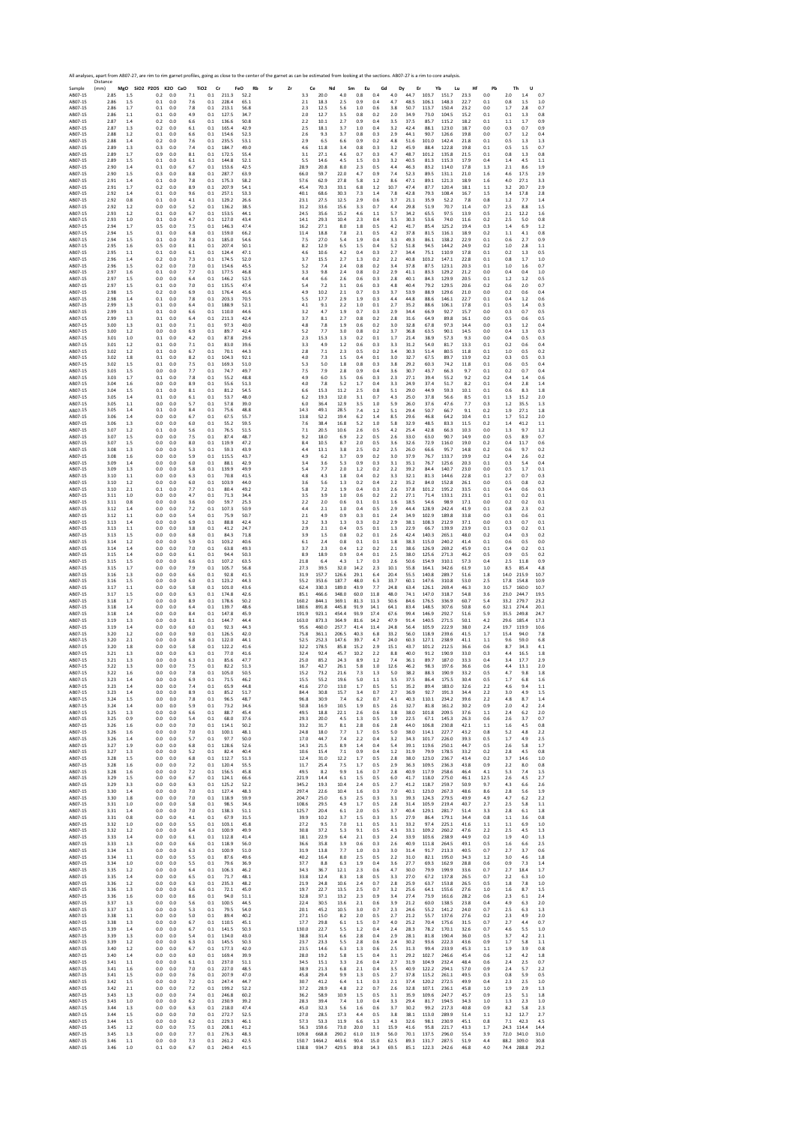|                       | All analyses, apart from AB07-27, are rim to rim garnet profiles, going as close to the center of the garnet as can be estimated from looking at the sections. AB07-27 is a rim to core analysis.<br>Distance |                                     |                              |                                                        |                           |          |                  |                 |                  |                    |                  |                      |                    |                |                            | Hf           | Pb           | Th                                             |
|-----------------------|---------------------------------------------------------------------------------------------------------------------------------------------------------------------------------------------------------------|-------------------------------------|------------------------------|--------------------------------------------------------|---------------------------|----------|------------------|-----------------|------------------|--------------------|------------------|----------------------|--------------------|----------------|----------------------------|--------------|--------------|------------------------------------------------|
| Sample<br>AB07-15     | (mm)<br>2.85<br>1.5<br>2.86<br>1.5                                                                                                                                                                            | MgO SiO2 P2O5 K2O CaO<br>0.2<br>0.1 | 7.1<br>0.0<br>0.0            | TiO <sub>2</sub><br>Cr<br>211.3<br>0.1<br>0.1<br>228.4 | FeO<br>Rb<br>52.2<br>65.1 | Sr<br>Zr | Ce<br>3.3<br>2.1 | 20.0            | Nd<br>4.0<br>2.5 | Sm<br>Eu<br>0.8    | Gd<br>0.4<br>0.4 | Dy<br>$4.0\,$<br>4.7 | Er<br>44.7<br>48.5 | 103.7          | Yb<br>Lu<br>151.7<br>148.3 | 23.3         | 0.0          | U<br>2.0<br>1.4<br>0.7<br>0.8<br>1.5           |
| AB07-15<br>AB07-15    | 2.86<br>1.7                                                                                                                                                                                                   | 0.1                                 | 7.6<br>0.0<br>7.8            | 0.1<br>213.1                                           | 56.8                      |          | 2.3              | 18.3<br>12.5    | 5.6              | 0.9<br>1.0         | 0.6              | 3.8                  | 50.7               | 106.1<br>113.7 | 150.4                      | 22.7<br>23.2 | 0.1<br>0.0   | 1.0<br>1.7<br>2.8<br>0.7                       |
| AB07-15<br>AB07-15    | 2.86<br>1.1<br>2.87<br>1.4                                                                                                                                                                                    | 0.1<br>0.2                          | 0.0<br>4.9<br>0.0<br>6.6     | 127.5<br>0.1<br>0.1<br>136.6                           | 34.7<br>50.8              |          | 2.0<br>2.2       | 12.7<br>10.1    | 3.5<br>2.7       | 0.8<br>0.9         | 0.2<br>0.4       | 2.0<br>3.5           | 34.9<br>37.5       | 73.0<br>85.7   | 104.5<br>115.2             | 15.2<br>18.2 | 0.1<br>0.1   | 0.1<br>1.3<br>0.8<br>1.1<br>1.7<br>0.9         |
| AB07-15<br>AB07-15    | 2.87<br>1.3<br>2.88<br>1.2                                                                                                                                                                                    | 0.2<br>0.1                          | 0.0<br>6.1<br>0.0<br>6.6     | 0.1<br>165.4<br>0.1<br>154.6                           | 42.9<br>52.3              |          | 2.5<br>2.6       | 18.1<br>9.3     | 3.7<br>3.7       | 1.0<br>0.8         | 0.4<br>0.3       | 3.2<br>2.9           | 42.4<br>44.1       | 88.1<br>90.7   | 123.0<br>126.6             | 18.7<br>19.8 | 0.0<br>0.0   | 0.7<br>0.9<br>0.3<br>0.7<br>1.2<br>0.4         |
| AB07-15<br>AB07-15    | 2.88<br>1.4<br>2.89<br>1.3                                                                                                                                                                                    | 0.2<br>0.3                          | 0.0<br>7.6<br>0.0<br>7.4     | 0.1<br>235.5<br>184.7<br>$0.1\,$                       | 53.1<br>49.0              |          | 2.9<br>4.6       | 6.5<br>11.8     | 6.6<br>3.4       | 0.9<br>0.8         | 0.2<br>0.3       | 4.8<br>3.2           | 51.6<br>45.9       | 101.0<br>88.4  | 142.4<br>122.8             | 21.8<br>19.8 | 0.1<br>0.1   | 0.5<br>1.3<br>1.3<br>0.5<br>1.5<br>0.7         |
| AB07-15<br>AB07-15    | 2.89<br>1.7<br>2.89<br>1.5                                                                                                                                                                                    | 0.9<br>0.1                          | 0.0<br>8.1<br>0.0            | 0.1<br>172.5<br>0.1<br>144.8                           | 55.4<br>52.1              |          | 3.1<br>5.5       | 27.1<br>14.6    | 4.6<br>4.5       | 0.7<br>1.5         | 0.3<br>0.3       | 4.7<br>3.2           | 48.7<br>40.5       | 101.2<br>81.3  | 135.8<br>115.3             | 21.5<br>17.9 | 0.1<br>0.4   | 0.8<br>1.3<br>0.8<br>1.4<br>4.5<br>1.1         |
| AB07-15               | 2.90<br>1.4                                                                                                                                                                                                   | 0.1                                 | 6.1<br>0.0<br>6.7            | 0.1<br>153.6                                           | 42.5                      |          | 28.9             | 20.8            | 8.0              | 2.3                | 0.5              | 4.4                  | 46.3               | 83.2           | 114.0                      | 17.8         | 1.3          | 2.1<br>8.6<br>1.9                              |
| AB07-15<br>AB07-15    | 2.90<br>1.5<br>2.91<br>1.4                                                                                                                                                                                    | 0.3<br>0.1                          | 0.0<br>8.8<br>0.0<br>7.8     | 0.1<br>287.7<br>0.1<br>175.3                           | 63.9<br>58.2              |          | 66.0<br>57.6     | 59.7<br>62.9    | 22.0<br>27.8     | 4.7<br>5.8         | 0.9<br>1.2       | 7.4<br>8.6           | 52.3<br>47.1       | 89.5<br>89.1   | 131.1<br>121.3             | 21.0<br>18.9 | 1.6<br>1.6   | 17.5<br>4.6<br>2.9<br>4.0<br>27.1<br>3.3       |
| AB07-15<br>AB07-15    | 2.91<br>1.7<br>2.92<br>1.4                                                                                                                                                                                    | 0.2<br>0.1                          | 0.0<br>8.9<br>0.0<br>9.6     | 207.9<br>0.1<br>0.1<br>257.1                           | 54.1<br>53.3              |          | 45.4<br>40.1     | 70.3<br>68.6    | 33.1<br>30.3     | 6.8<br>7.3         | $1.2$<br>1.4     | 10.7<br>7.8          | 47.4<br>42.8       | 87.7<br>79.3   | 120.4<br>108.4             | 18.1<br>16.7 | $1.1$<br>1.5 | 3.2<br>20.7<br>2.9<br>3.4<br>17.8<br>2.8       |
| AB07-15<br>AB07-15    | 2.92<br>0.8<br>2.92<br>1.2                                                                                                                                                                                    | 0.1<br>0.0                          | 0.0<br>4.1<br>0.0<br>5.2     | 0.1<br>129.2<br>136.2<br>0.1                           | 26.6<br>38.5              |          | 23.1<br>31.2     | 27.5<br>33.6    | 12.5<br>15.6     | 2.9<br>3.3         | 0.6<br>0.7       | 3.7<br>4.4           | 21.1<br>29.8       | 35.9<br>51.9   | 52.2<br>70.7               | 7.8<br>11.4  | 0.8<br>0.7   | 1.2<br>7.7<br>1.4<br>2.5<br>8.8<br>1.5         |
| AB07-15               | 2.93<br>1.2                                                                                                                                                                                                   | 0.1                                 | 0.0<br>6.7<br>0.0<br>4.7     | 0.1<br>153.5<br>127.0                                  | 44.1<br>43.4              |          | 24.5<br>14.1     | 35.6<br>29.3    | 15.2<br>10.4     | 4.6<br>2.3         | 1.1<br>0.4       | 5.7<br>3.5           | 34.2<br>30.3       | 65.5<br>53.6   | 97.5<br>74.0               | 13.9         | 0.5          | 2.1<br>12.2<br>1.6<br>2.5<br>5.0               |
| AB07-15<br>AB07-15    | 2.93<br>1.0<br>2.94<br>1.7                                                                                                                                                                                    | 0.1<br>0.5                          | 0.0<br>7.5                   | 0.1<br>0.1<br>146.3                                    | 47.4                      |          | 16.2             | 27.1            | 8.0              | 1.8                | 0.5              | 4.2                  | 41.7               | 85.4           | 125.2                      | 11.6<br>19.4 | 0.2<br>0.3   | 0.8<br>1.4<br>6.9<br>1.2                       |
| AB07-15<br>AB07-15    | 2.94<br>1.5<br>2.94<br>1.5                                                                                                                                                                                    | 0.1<br>0.1                          | 0.0<br>6.8<br>0.0<br>7.8     | 0.1<br>159.0<br>0.1<br>185.0                           | 66.2<br>54.6              |          | 11.4<br>7.5      | 18.8<br>27.0    | 7.8<br>5.4       | 2.1<br>1.9         | 0.5<br>0.4       | 4.2<br>3.3           | 37.8<br>49.3       | 81.5<br>86.1   | 116.1<br>138.2             | 18.9<br>22.9 | 0.2<br>0.1   | 1.1<br>4.1<br>0.8<br>0.6<br>2.7<br>0.9         |
| AB07-15<br>AB07-15    | 2.95<br>1.6<br>2.95<br>1.1                                                                                                                                                                                    | 0.5<br>0.1                          | 8.1<br>0.0<br>0.0<br>6.1     | 0.1<br>207.4<br>0.1<br>124.4                           | 50.1<br>47.1              |          | 8.2<br>4.6       | 12.9<br>10.6    | 6.5<br>4.2       | 1.5<br>0.4         | 0.4<br>0.3       | 5.2<br>2.7           | 51.8<br>34.4       | 94.5<br>75.1   | 144.2<br>110.9             | 24.9<br>17.8 | 0.2<br>0.1   | 2.8<br>1.0<br>1.1<br>0.2<br>1.3<br>0.5         |
| AB07-15<br>AB07-15    | 2.96<br>1.4<br>2.96<br>1.5                                                                                                                                                                                    | 0.2<br>0.2                          | 0.0<br>7.3<br>0.0<br>7.0     | 0.1<br>174.5<br>0.1<br>154.6                           | 52.0<br>45.5              |          | 3.7<br>5.2       | 15.5<br>7.4     | 2.7<br>2.4       | 1.3<br>$0.8\,$     | 0.2<br>0.2       | 2.2<br>3.4           | 40.8<br>37.8       | 103.2<br>87.5  | 147.1<br>123.1             | 22.8<br>20.3 | 0.1<br>0.1   | 0.8<br>1.7<br>1.0<br>$1.0$<br>0.7<br>1.6       |
| AB07-15<br>AB07-15    | 2.97<br>1.6<br>2.97<br>1.5                                                                                                                                                                                    | 0.1<br>0.0                          | 0.0<br>7.7<br>0.0<br>6.4     | 0.1<br>177.5<br>0.1<br>146.2                           | 46.8<br>52.5              |          | 3.3<br>4.4       | 9.8<br>6.6      | 2.4<br>2.6       | 0.8<br>0.6         | 0.2<br>0.3       | 2.9<br>2.8           | 41.1<br>40.1       | 83.3<br>84.3   | 129.2<br>129.9             | 21.2<br>20.5 | 0.0<br>0.1   | 0.4<br>0.4<br>1.0<br>1.2<br>1.2<br>0.5         |
| AB07-15<br>AB07-15    | 2.97<br>1.5<br>2.98<br>1.5                                                                                                                                                                                    | 0.1<br>0.2                          | 0.0<br>7.0<br>0.0<br>6.9     | 0.1<br>135.5<br>176.4<br>0.1                           | 47.4<br>45.6              |          | 5.4<br>4.9       | 7.2<br>10.2     | 3.1<br>2.1       | 0.6<br>0.7         | 0.3<br>0.3       | 4.8<br>3.7           | 40.4<br>53.9       | 79.2<br>88.9   | 129.5<br>129.6             | 20.6<br>21.0 | 0.2<br>0.0   | 0.6<br>2.0<br>0.7<br>0.6<br>0.2<br>0.4         |
| AB07-15               | 2.98<br>1.4                                                                                                                                                                                                   | 0.1                                 | 0.0<br>7.8                   | 0.1<br>203.3                                           | 70.5                      |          | 5.5              | 17.7            | 2.9              | 1.9                | 0.3              | 4.4                  | 44.8               | 88.6           | 146.1                      | 22.7         | 0.1          | 0.4<br>1.2<br>0.6                              |
| AB07-15<br>AB07-15    | 2.99<br>1.3<br>2.99<br>1.3                                                                                                                                                                                    | 0.1<br>0.1                          | 0.0<br>6.4<br>0.0<br>6.6     | 0.1<br>188.9<br>110.0<br>0.1                           | 52.1<br>44.6              |          | 4.1<br>3.2       | 9.1<br>4.7      | 2.2<br>1.9       | 1.0<br>0.7         | 0.1<br>0.3       | 2.7<br>2.9           | 35.2<br>34.4       | 88.6<br>66.9   | 106.1<br>92.7              | 17.8<br>15.7 | 0.1<br>0.0   | 0.5<br>1.4<br>0.3<br>0.7<br>0.3<br>0.5         |
| AB07-15<br>AB07-15    | 2.99<br>1.3<br>3.00<br>1.3                                                                                                                                                                                    | 0.1<br>0.1                          | 0.0<br>6.4<br>0.0<br>7.1     | 0.1<br>211.3<br>0.1<br>97.3                            | 42.4<br>40.0              |          | 3.7<br>4.8       | 8.1<br>7.8      | 2.7<br>1.9       | 0.8<br>0.6         | 0.2<br>0.2       | 2.8<br>3.0           | 31.6<br>32.8       | 64.9<br>67.8   | 89.8<br>97.3               | 16.1<br>14.4 | 0.0<br>0.0   | 0.5<br>0.6<br>0.5<br>0.3<br>1.2<br>0.4         |
| AB07-15<br>AB07-15    | 3.00<br>1.2<br>3.01<br>1.0                                                                                                                                                                                    | 0.0<br>0.1                          | 0.0<br>6.9<br>0.0<br>4.2     | 0.1<br>89.7<br>87.8<br>0.1                             | 42.4<br>29.6              |          | 5.2<br>2.3       | 7.7<br>15.3     | 3.0<br>1.3       | 0.8<br>0.2         | 0.2<br>$0.1\,$   | 3.7<br>1.7           | 36.8<br>21.4       | 63.5<br>38.9   | 90.1<br>57.3               | 14.5<br>9.3  | 0.0<br>0.0   | 0.4<br>1.3<br>0.3<br>0.4<br>0.5<br>0.3         |
| AB07-15<br>AB07-15    | 3.01<br>1.2<br>3.02<br>1.2                                                                                                                                                                                    | 0.1<br>0.1                          | 0.0<br>7.1<br>0.0<br>6.7     | 0.1<br>83.0<br>0.1<br>70.1                             | 39.6<br>44.3              |          | 3.3<br>2.8       | 4.9<br>7.1      | 1.2<br>2.3       | 0.6<br>0.5         | 0.3<br>0.2       | 3.3<br>3.4           | 31.2<br>30.3       | 54.0<br>51.4   | 81.7<br>80.5               | 13.3<br>11.8 | 0.1<br>0.1   | 0.2<br>0.6<br>0.4<br>1.0<br>0.5<br>0.2         |
| AB07-15<br>AB07-15    | 3.02<br>1.8<br>3.02<br>1.5                                                                                                                                                                                    | 0.1<br>0.1                          | 0.0<br>8.2<br>0.0<br>7.5     | 104.3<br>0.1<br>0.1<br>169.3                           | 92.1<br>51.0              |          | 4.0<br>5.3       | 7.3<br>5.0      | 1.5<br>1.8       | 0.4<br>0.8         | $0.1\,$<br>0.3   | 3.0<br>3.8           | 32.7<br>29.2       | 67.5<br>60.3   | 89.7<br>74.2               | 13.9<br>11.8 | 0.2<br>0.1   | 0.5<br>0.3<br>0.3<br>0.6<br>0.5<br>0.4         |
| AB07-15               | 3.03<br>1.5                                                                                                                                                                                                   | 0.0                                 | 0.0<br>7.7                   | 0.1<br>74.7                                            | 49.7                      |          | 7.5              | 7.9             | 2.8              | 0.9                | 0.4              | 3.6                  | 30.7               | 43.7           | 66.3                       | 9.7          | 0.1          | 0.2<br>0.7<br>0.4                              |
| AB07-15<br>AB07-15    | 3.03<br>1.7<br>3.04<br>1.6                                                                                                                                                                                    | 0.1<br>0.0                          | 0.0<br>7.8<br>0.0<br>8.9     | 0.1<br>55.2<br>55.6<br>0.1                             | 48.8<br>51.3              |          | 4.9<br>4.0       | 6.0<br>7.8      | 3.5<br>5.2       | 0.6<br>1.7         | 0.3<br>0.4       | 2.3<br>3.3           | 27.1<br>24.9       | 39.4<br>37.4   | 55.2<br>51.7               | 9.2<br>8.2   | 0.2<br>0.1   | 0.4<br>1.4<br>0.6<br>0.4<br>2.8<br>1.4         |
| AB07-15<br>AB07-15    | 3.04<br>1.5<br>3.05<br>1.4                                                                                                                                                                                    | 0.1<br>0.1                          | 0.0<br>8.1<br>0.0<br>6.1     | 0.1<br>81.2<br>0.1<br>53.7                             | 54.5<br>48.0              |          | 6.6<br>6.2       | 15.3<br>19.3    | 11.2<br>12.0     | 2.5<br>3.1         | 0.8<br>0.7       | 5.1<br>4.3           | 29.0<br>25.0       | 44.9<br>37.8   | 59.3<br>56.6               | 10.1<br>8.5  | 0.1<br>0.1   | 0.6<br>8.3<br>1.8<br>1.3<br>15.2<br>2.0        |
| AB07-15<br>AB07-15    | 3.05<br>1.1<br>3.05<br>1.4                                                                                                                                                                                    | 0.0<br>0.1                          | 0.0<br>5.7<br>0.0<br>8.4     | 0.1<br>57.8<br>0.1<br>75.6                             | 39.0<br>48.8              |          | 6.0<br>14.3      | 36.4<br>49.1    | 12.9<br>28.5     | 3.5<br>7.4         | 1.0<br>1.2       | 5.9<br>5.1           | 26.0<br>29.4       | 37.6<br>50.7   | 47.6<br>66.7               | 7.7<br>9.1   | 0.3<br>0.2   | 1.2<br>35.5<br>1.3<br>27.1<br>1.9<br>1.8       |
| AB07-15<br>AB07-15    | 3.06<br>1.4<br>3.06<br>1.3                                                                                                                                                                                    | 0.0<br>0.0                          | 0.0<br>6.7<br>0.0<br>6.0     | 0.1<br>67.5<br>0.1<br>55.2                             | 55.7<br>59.5              |          | 13.8<br>7.6      | 52.2<br>38.4    | 19.4<br>16.8     | 6.2<br>5.2         | 1.4<br>1.0       | 8.5<br>5.8           | 29.6<br>32.9       | 46.8<br>48.5   | 64.2<br>83.3               | 10.4<br>11.5 | 0.1<br>0.2   | 1.7<br>51.2<br>2.0<br>1.4<br>41.2<br>1.1       |
| AB07-15<br>AB07-15    | 3.07<br>1.2<br>3.07<br>1.5                                                                                                                                                                                    | 0.1<br>0.0                          | 0.0<br>5.6<br>0.0<br>7.5     | 0.1<br>76.5<br>0.1<br>87.4                             | 51.5<br>48.7              |          | 7.1<br>9.2       | 20.5<br>18.0    | 10.6<br>6.9      | 2.6<br>2.2         | 0.5<br>0.5       | 4.2<br>2.6           | 25.4<br>33.0       | 42.8<br>63.0   | 66.3<br>90.7               | 10.3<br>14.9 | 0.0<br>0.0   | 1.3<br>9.7<br>1.2<br>0.5<br>8.9<br>0.7         |
| AB07-15<br>AB07-15    | 3.07<br>1.5<br>3.08<br>1.3                                                                                                                                                                                    | 0.0<br>0.0                          | 0.0<br>8.0<br>0.0<br>5.3     | 0.1<br>119.9<br>0.1<br>59.3                            | 47.2<br>43.9              |          | 8.4<br>4.4       | 10.5<br>13.1    | 8.7<br>3.8       | 2.0<br>2.5         | 0.5<br>0.2       | 3.6<br>2.5           | 32.6<br>26.0       | 72.9<br>66.6   | 116.0<br>95.7              | 19.0<br>14.8 | 0.2<br>0.2   | 0.4<br>11.7<br>0.6<br>0.6<br>9.7<br>0.2        |
| AB07-15               | 3.08<br>1.6                                                                                                                                                                                                   | 0.0                                 | 0.0<br>5.9                   | 115.5<br>0.1                                           | 43.7                      |          | 4.9              | 6.2             | 3.7              | 0.9                | 0.2              | 3.0                  | 37.9               | 76.7           | 133.7                      | 19.9         | 0.2          | 2.6<br>0.2<br>0.4                              |
| AB07-15<br>AB07-15    | 3.09<br>1.4<br>3.09<br>1.3                                                                                                                                                                                    | 0.0<br>0.0                          | 0.0<br>6.0<br>0.0<br>5.8     | 0.1<br>88.1<br>0.1<br>139.9                            | 429<br>49.9               |          | 3.4<br>5.4       | 3.6<br>7.7      | 5.3<br>2.0       | 0.9<br>1.2         | 0.3<br>0.2       | 3.1<br>2.2           | 35.1<br>39.2       | 76.7<br>84.4   | 125.6<br>140.7             | 20.3<br>23.0 | 0.1<br>0.0   | 0.3<br>5.4<br>0.4<br>0.5<br>1.7<br>0.1         |
| AB07-15<br>AB07-15    | 3.10<br>1.1<br>3.10<br>1.2                                                                                                                                                                                    | 0.0<br>0.0                          | 0.0<br>6.3<br>0.0<br>6.0     | 70.8<br>0.1<br>0.1<br>103.9                            | 41.5<br>44.0              |          | 4.8<br>3.6       | 4.3<br>5.6      | 1.8<br>1.3       | 0.4<br>0.2         | 0.2<br>0.4       | 3.3<br>2.2           | 32.1<br>35.2       | 81.3<br>84.0   | 144.6<br>152.8             | 22.8<br>26.1 | 0.1<br>0.0   | 0.7<br>2.7<br>0.3<br>0.5<br>0.8<br>0.2         |
| AB07-15<br>AB07-15    | 3.10<br>2.1<br>3.11<br>1.0                                                                                                                                                                                    | 0.1<br>0.0                          | 0.0<br>7.7<br>0.0<br>4.7     | 0.1<br>80.4<br>0.1<br>71.3                             | 49.2<br>34.4              |          | 5.8<br>3.5       | 7.2<br>3.9      | 1.9<br>1.0       | 0.4<br>0.6         | 0.3<br>0.2       | 2.6<br>2.2           | 37.8<br>27.1       | 101.2<br>71.4  | 195.2<br>133.1             | 33.5<br>23.1 | 0.1<br>0.1   | 0.4<br>0.6<br>0.3<br>0.1<br>0.2<br>0.1         |
| AB07-15<br>AB07-15    | 3.11<br>0.8<br>3.12<br>1.4                                                                                                                                                                                    | 0.0<br>0.0                          | 0.0<br>3.6<br>0.0<br>7.2     | 0.0<br>59.7<br>0.1<br>107.3                            | 25.3<br>50.9              |          | 2.2<br>4.4       | 2.0<br>2.1      | 0.6<br>1.0       | $0.1\,$<br>0.4     | $0.1\,$<br>0.5   | 1.6<br>2.9           | 18.5<br>44.4       | 54.6<br>128.9  | 98.9<br>242.4              | 17.1<br>41.9 | 0.0<br>0.1   | 0.2<br>0.2<br>0.1<br>0.8<br>2.3<br>0.2         |
| AB07-15               | 3.12<br>1.1                                                                                                                                                                                                   | 0.0                                 | 0.0<br>5.4                   | 0.1<br>75.9                                            | 50.7                      |          | 2.1              | 4.9             | 0.9              | 0.3                | 0.1              | 2.4                  | 34.9               | 102.9          | 189.8                      | 33.8         | 0.0          | 0.3<br>0.6<br>0.1                              |
| AB07-15<br>AB07-15    | 3.13<br>1.4<br>3.13<br>1.1                                                                                                                                                                                    | 0.0<br>0.0                          | 0.0<br>6.9<br>0.0<br>3.8     | 0.1<br>88.8<br>0.1<br>41.2                             | 42.4<br>24.7              |          | 3.2<br>2.9       | 3.3<br>2.1      | 1.3<br>0.4       | 0.3<br>0.5         | 0.2<br>0.1       | 2.9<br>1.3           | 38.1<br>22.9       | 108.3<br>66.7  | 212.9<br>139.9             | 37.1<br>23.9 | 0.0<br>0.1   | 0.3<br>0.7<br>0.1<br>0.3<br>0.2<br>0.1         |
| AB07-15<br>AB07-15    | 3.13<br>1.5<br>3.14<br>1.2                                                                                                                                                                                    | 0.0<br>0.0                          | 0.0<br>6.8<br>0.0<br>5.9     | 0.1<br>84.3<br>0.1<br>103.2                            | 71.8<br>40.6              |          | 3.9<br>6.1       | 1.5<br>2.4      | 0.8<br>0.8       | 0.2<br>0.1         | 0.1<br>0.1       | 2.6<br>1.8           | 42.4<br>38.3       | 140.3<br>115.0 | 265.1<br>240.2             | 48.0<br>41.4 | 0.2<br>0.1   | 0.4<br>0.3<br>0.2<br>0.6<br>0.5<br>0.0         |
| AB07-15<br>AB07-15    | 3.14<br>1.4<br>3.15<br>1.4                                                                                                                                                                                    | 0.0<br>0.0                          | 0.0<br>7.0<br>0.0<br>6.1     | 0.1<br>63.8<br>0.1<br>94.4                             | 49.3<br>50.3              |          | 3.7<br>8.9       | 2.3<br>18.9     | 0.4<br>0.9       | 1.2<br>0.4         | 0.2<br>0.1       | 2.1<br>2.5           | 38.6<br>38.0       | 126.9<br>125.6 | 269.2<br>271.3             | 45.9<br>46.2 | 0.1<br>0.5   | 0.2<br>0.4<br>0.1<br>0.9<br>0.5<br>0.2         |
| AB07-15<br>AB07-15    | 3.15<br>1.5<br>3.15<br>1.7                                                                                                                                                                                    | 0.0<br>0.0                          | 0.0<br>6.6<br>0.0<br>7.9     | 0.1<br>107.2<br>0.1<br>105.7                           | 63.5<br>56.8              |          | 21.8<br>27.3     | 6.4<br>39.5     | 4.3<br>32.0      | 1.7<br>14.2        | 0.3<br>2.3       | 2.6<br>10.1          | 50.6<br>55.8       | 154.9<br>164.1 | 310.1<br>342.6             | 57.3<br>61.9 | 0.4<br>1.0   | 2.5<br>11.8<br>0.9<br>8.5<br>85.4<br>4.8       |
| AB07-15<br>AB07-15    | 3.16<br>1.3<br>3.16<br>1.5                                                                                                                                                                                    | 0.0<br>0.0                          | 0.0<br>6.6<br>0.0<br>6.0     | 0.1<br>92.8<br>0.1<br>123.2                            | 41.5<br>44.3              |          | 31.9<br>55.2     | 157.7<br>353.6  | 126.6<br>187.7   | 29.1<br>48.0       | 6.4<br>6.3       | 20.4<br>33.7         | 55.5<br>60.1       | 140.8<br>147.6 | 289.7<br>310.8             | 51.6<br>53.0 | 1.8<br>2.5   | 14.0<br>215.9<br>10.7<br>17.8<br>154.8<br>10.9 |
| AB07-15               | 3.17<br>1.1<br>1.5                                                                                                                                                                                            | 0.0<br>0.0                          | 0.0<br>5.8<br>0.0<br>6.3     | 0.1<br>101.0<br>0.1<br>174.8                           | 43.6<br>42.6              |          | 62.4             | 330.3<br>466.6  | 189.0<br>348.0   | 43.9<br>60.0       | 7.7<br>11.8      | 24.8<br>48.0         | 63.4<br>74.1       | 126.1<br>147.0 | 269.4<br>318.7             | 46.3<br>54.8 | 3.0<br>3.6   | 15.7<br>160.0<br>10.7<br>23.0<br>244.7<br>19.5 |
| AB07-15<br>AB07-15    | 3.17<br>3.18<br>1.7                                                                                                                                                                                           | 0.0                                 | 0.0<br>8.9                   | 0.1<br>178.6                                           | 50.2                      |          | 85.1<br>160.2    | 844.1           | 369.1            | 81.3               | 11.3             | 50.6                 | 84.6               | 176.5          | 336.9                      | 60.7         | 5.4          | 33.2<br>279.7<br>23.2                          |
| AB07-15<br>AB07-15    | 3.18<br>1.4<br>3.18<br>1.4                                                                                                                                                                                    | 0.0<br>0.0                          | 0.0<br>6.4<br>0.0<br>8.4     | 0.1<br>139.7<br>0.1<br>147.8                           | 48.6<br>45.9              |          | 180.6<br>191.9   | 891.8<br>923.1  | 445.8<br>454.4   | 91.9<br>93.9       | 14.1<br>17.4     | 64.1<br>67.6         | 83.4<br>99.4       | 148.5<br>146.9 | 307.6<br>292.7             | 50.8<br>51.6 | 6.0<br>5.9   | 32.1<br>274.4<br>20.1<br>35.5<br>249.8<br>24.7 |
| AB07-15<br>AB07-15    | 3.19<br>1.3<br>3.19<br>1.4                                                                                                                                                                                    | 0.0<br>0.0                          | 0.0<br>8.1<br>0.0<br>6.0     | 0.1<br>144.7<br>92.3<br>0.1                            | 44.4<br>44.3              |          | 163.0<br>95.6    | 873.3<br>460.0  | 364.9<br>257.7   | 81.6<br>41.4       | 14.2<br>11.4     | 47.9<br>24.8         | 91.4<br>56.4       | 140.5<br>105.9 | 271.5<br>222.9             | 50.1<br>38.0 | 4.2<br>2.4   | 29.6<br>185.4<br>17.3<br>19.7<br>119.9<br>10.6 |
| AB07-15<br>AB07-15    | 3.20<br>1.2<br>3.20<br>2.1                                                                                                                                                                                    | 0.0<br>0.0                          | 0.0<br>9.0<br>0.0<br>6.8     | 0.1<br>126.5<br>122.0<br>0.1                           | 42.0<br>44.1              |          | 75.8<br>52.5     | 361.1<br>252.3  | 206.5<br>147.6   | 40.3<br>39.7       | 6.8<br>4.7       | 33.2<br>24.0         | 56.0<br>60.3       | 118.9<br>127.1 | 239.6<br>238.9             | 41.5<br>41.1 | 1.7<br>1.1   | 15.4<br>94.0<br>7.8<br>59.0<br>9.6<br>6.8      |
| AB07-15<br>AB07-15    | 3.20<br>1.8<br>3.21<br>1.3                                                                                                                                                                                    | 0.0<br>0.0                          | 0.0<br>5.8<br>0.0<br>6.3     | 0.1<br>122.2<br>0.1<br>77.0                            | 41.6<br>41.6              |          | 32.2<br>32.4     | 178.5<br>92.4   | 85.8<br>45.7     | 15.2<br>10.2       | 2.9<br>2.2       | 15.1<br>8.8          | 43.7<br>40.0       | 101.2<br>91.2  | 212.5<br>190.9             | 36.6<br>33.0 | 0.6<br>0.3   | 8.7<br>34.3<br>4.1<br>4.4<br>16.5<br>1.8       |
| AB07-15<br>AB07-15    | 3.21<br>1.3<br>3.22<br>1.3                                                                                                                                                                                    | 0.0<br>0.0                          | 0.0<br>6.3<br>0.0<br>7.5     | 0.1<br>85.6<br>0.1<br>82.2                             | 47.7<br>51.3              |          | 25.0<br>16.7     | 85.2<br>42.7    | 24.3<br>26.1     | 8.9<br>5.8         | 1.2<br>1.0       | 7.4<br>12.6          | 36.1<br>46.2       | 89.7<br>98.3   | 187.0<br>197.6             | 33.3<br>36.6 | 0.4<br>0.6   | 3.4<br>17.7<br>2.9<br>4.4<br>13.1<br>2.0       |
| <b>BO7</b><br>AB07-15 | 3.23<br>1.4                                                                                                                                                                                                   | n٨<br>0.0                           | 0.0<br>6.9                   | 05<br>0.1<br>71.5                                      | 46.2                      |          | 15.5             | 55.2            | 19.6             | 5.0                | 1.1              | 3.5                  | 38.<br>37.5        | 86.4           | 175.5                      | 30.4         | nς<br>0.5    | 1.7<br>6.8<br>1.6                              |
| AB07-15               | 3.23<br>1.4                                                                                                                                                                                                   | 0.0                                 | 7.4<br>0.0                   | 0.1<br>65.9                                            | 44.8                      |          | 41.6             | 27.0            | 13.0             | 1.7                | 0.5              | 5.1                  | 35.2               | 89.4           | 183.0                      | 32.6         | 2.2          | 9.4<br>4.6<br>1.1                              |
| AB07-15<br>AB07-15    | 3.23<br>1.4<br>3.24<br>1.5                                                                                                                                                                                    | 0.0<br>0.0                          | 0.0<br>8.9<br>0.0<br>7.8     | 0.1<br>85.2<br>0.1<br>96.5                             | 51.7<br>48.7              |          | 84.4<br>96.8     | 30.8<br>30.9    | 15.7<br>7.4      | 3.4<br>6.2         | 0.7<br>0.7       | 2.7<br>4.1           | 36.9<br>40.3       | 92.7<br>110.1  | 191.3<br>234.2             | 34.4<br>39.6 | 2.2<br>2.2   | 3.0<br>4.9<br>1.5<br>4.8<br>8.7<br>1.4         |
| AB07-15<br>AB07-15    | 3.24<br>1.4<br>3.25<br>1.3                                                                                                                                                                                    | 0.0<br>0.0                          | 0.0<br>5.9<br>0.0<br>6.6     | 73.2<br>0.1<br>88.7<br>0.1                             | 34.6<br>45.4              |          | 50.8<br>49.5     | 16.9<br>18.8    | 10.5<br>22.1     | 1.9<br>2.6         | 0.5<br>0.6       | 2.6<br>3.8           | 32.7<br>38.0       | 81.8<br>101.8  | 161.2<br>209.5             | 30.2<br>37.6 | 0.9<br>$1.1$ | 4.2<br>2.0<br>2.4<br>6.2<br>2.4<br>2.0         |
| AB07-15<br>AB07-15    | 3.25<br>0.9<br>3.26<br>1.6                                                                                                                                                                                    | 0.0<br>0.0                          | 5.4<br>0.0<br>7.0<br>0.0     | 0.1<br>68.0<br>0.1<br>114.1                            | 37.6<br>50.2              |          | 29.3<br>33.2     | 20.0<br>31.7    | 4.5<br>8.1       | 1.3<br>$2.8\,$     | 0.5<br>0.6       | 1.9<br>2.8           | 22.5<br>44.0       | 67.1<br>106.8  | 145.3<br>230.8             | 26.3<br>42.1 | 0.6<br>1.1   | 2.6<br>3.7<br>0.7<br>4.5<br>1.6<br>0.8         |
| AB07-15<br>AB07-15    | 3.26<br>1.6<br>3.26<br>1.4                                                                                                                                                                                    | 0.0<br>0.0                          | 0.0<br>7.0<br>0.0<br>5.7     | 100.1<br>0.1<br>0.1<br>97.7                            | 48.1<br>50.0              |          | 24.8<br>17.0     | 18.0<br>44.7    | 7.7<br>7.4       | 1.7<br>2.2         | 0.5<br>0.4       | 5.0<br>3.2           | 38.0<br>34.3       | 114.1<br>101.7 | 227.7<br>226.0             | 43.2<br>39.3 | 0.8<br>0.5   | 5.2<br>4.8<br>2.2<br>4.9<br>2.5<br>1.7         |
| AB07-15<br>AB07-15    | 3.27<br>1.9<br>3.27<br>1.3                                                                                                                                                                                    | 0.0<br>0.0                          | 0.0<br>$6.8\,$<br>0.0<br>5.2 | 0.1<br>128.6<br>0.1<br>82.4                            | 52.6<br>40.4              |          | 14.3<br>10.6     | 21.5<br>15.4    | 8.9<br>7.1       | 1.4<br>0.9         | 0.4<br>0.4       | 5.4<br>1.2           | 39.1<br>31.9       | 119.6<br>79.9  | 250.1<br>178.5             | 44.7<br>33.2 | 0.5<br>0.2   | 2.6<br>5.8<br>1.7<br>2.8<br>4.5<br>0.8         |
| AB07-15<br>AB07-15    | 3.28<br>$1.5\,$<br>3.28<br>1.6                                                                                                                                                                                | 0.0<br>0.0                          | 0.0<br>$6.8\,$<br>0.0<br>7.2 | $0.1\,$<br>112.7<br>0.1<br>120.4                       | 51.3<br>55.5              |          | 12.4<br>11.7     | 31.0<br>25.4    | 12.2<br>7.5      | 1.7<br>1.7         | 0.5<br>0.5       | 2.8<br>2.9           | 38.0<br>36.3       | 123.0<br>109.5 | 236.7<br>236.3             | 43.4<br>43.8 | 0.2<br>0.9   | 3.7<br>14.6<br>1.0<br>2.2<br>8.0<br>0.8        |
| AB07-15<br>AB07-15    | 3.28<br>1.6<br>3.29<br>$1.5\,$                                                                                                                                                                                | 0.0<br>$0.0\,$                      | 0.0<br>7.2<br>0.0<br>6.7     | 0.1<br>156.5<br>$0.1\,$<br>124.1                       | 45.8<br>66.6              |          | 49.5<br>221.9    | 8.2<br>14.4     | 9.9<br>6.1       | $1.6\,$<br>$1.5\,$ | 0.7<br>0.5       | 2.8<br>6.0           | 40.9<br>41.7       | 117.9<br>118.0 | 258.6<br>275.0             | 46.4<br>46.1 | 4.1<br>12.5  | 5.3<br>7.4<br>1.5<br>$2.6\,$<br>4.5<br>2.7     |
| AB07-15               | 3.29<br>3.3                                                                                                                                                                                                   | 0.0                                 | 0.0<br>6.3                   | 0.1<br>125.2<br>127.4                                  | 52.2<br>48.3              |          | 345.2            | 19.3            | 10.4             | 2.4                | 0.5              | 2.7                  | 41.2               | 118.7          | 259.7                      | 50.9         | 9.7          | 4.3<br>6.6<br>2.6                              |
| AB07-15<br>AB07-15    | 3.30<br>1.4<br>3.30<br>1.8                                                                                                                                                                                    | 0.0<br>0.0                          | 0.0<br>7.0<br>0.0<br>7.0     | 0.1<br>0.1<br>118.9                                    | 59.9                      |          | 297.4<br>204.7   | 22.6<br>25.0    | 10.4<br>6.3      | 1.6<br>2.5         | 0.3<br>0.3       | 7.0<br>3.1           | 40.1<br>39.3       | 123.0<br>124.3 | 267.3<br>279.5             | 48.6<br>49.9 | 8.6<br>4.9   | 2.8<br>5.6<br>1.9<br>4.7<br>6.2<br>2.2         |
| AB07-15<br>AB07-15    | 3.31<br>1.0<br>3.31<br>1.4                                                                                                                                                                                    | 0.0<br>0.0                          | 0.0<br>5.8<br>0.0<br>7.0     | 0.1<br>98.5<br>138.3<br>0.1                            | 34.6<br>51.1              |          | 108.6<br>125.7   | 29.5<br>20.4    | 4.9<br>6.1       | 1.7<br>2.0         | 0.5<br>0.5       | 2.8<br>3.7           | 31.4<br>40.4       | 105.9<br>129.1 | 219.4<br>281.7             | 40.7<br>51.4 | 2.7<br>3.3   | 2.5<br>5.8<br>1.1<br>6.1<br>2.8<br>1.8         |
| AB07-15<br>AB07-15    | 3.31<br>0.8<br>3.32<br>1.0                                                                                                                                                                                    | 0.0<br>0.0                          | 0.0<br>4.1<br>0.0<br>5.5     | 0.1<br>67.9<br>0.1<br>103.1                            | 31.5<br>45.8              |          | 39.9<br>27.2     | 10.2<br>9.5     | 3.7<br>7.0       | 1.5<br>1.1         | 0.3<br>0.5       | 3.5<br>3.1           | 27.9<br>33.2       | 86.4<br>97.4   | 179.1<br>225.1             | 34.4<br>41.6 | 0.8<br>1.1   | $1.1\,$<br>$3.6$<br>0.8<br>1.1<br>6.9<br>1.0   |
| AB07-15<br>AB07-15    | 3.32<br>1.2<br>3.33<br>1.4                                                                                                                                                                                    | $_{0.0}$<br>0.0                     | 0.0<br>6.4<br>0.0<br>6.1     | 100.9<br>0.1<br>0.1<br>112.8                           | 49.9<br>41.4              |          | 30.8<br>18.1     | 37.2<br>22.9    | 5.3<br>6.4       | 9.1<br>2.1         | 0.5<br>0.3       | 4.3<br>2.4           | 33.1<br>33.9       | 109.2<br>103.6 | 260.2<br>238.9             | 47.6<br>44.9 | 2.2<br>0.2   | 2.5<br>4.5<br>1.3<br>1.9<br>4.0<br>1.3         |
| AB07-15<br>AB07-15    | 3.33<br>1.3<br>3.34<br>1.3                                                                                                                                                                                    | 0.0<br>0.0                          | 0.0<br>6.6<br>6.3<br>0.0     | 0.1<br>118.9<br>100.9<br>0.1                           | 56.0<br>51.0              |          | 36.6<br>31.9     | 35.8<br>13.8    | 3.9<br>7.7       | 0.6<br>$1.0\,$     | 0.3<br>0.3       | 2.6<br>3.0           | 40.9<br>31.4       | 111.8<br>91.7  | 264.5<br>213.3             | 49.1<br>40.5 | 0.5<br>0.7   | 1.6<br>6.6<br>2.5<br>3.7<br>2.7<br>0.6         |
| AB07-15<br>AB07-15    | 3.34<br>1.1<br>3.34<br>1.0                                                                                                                                                                                    | 0.0<br>0.0                          | 0.0<br>5.5<br>0.0<br>5.5     | 0.1<br>87.6<br>0.1<br>79.6                             | 49.6<br>36.9              |          | 40.2<br>37.7     | 16.4<br>8.8     | 8.0<br>6.3       | 2.5<br>1.9         | 0.5<br>0.4       | 2.2<br>3.6           | 31.0<br>27.7       | 82.1<br>69.3   | 195.0<br>162.9             | 34.3<br>28.8 | 1.2<br>0.6   | 3.0<br>4.6<br>1.8<br>0.9<br>7.3<br>1.4         |
| AB07-15               | 3.35<br>1.2                                                                                                                                                                                                   | 0.0                                 | 0.0<br>6.4                   | 106.3<br>0.1                                           | 46.2                      |          | 34.3             | 36.7            | 12.1             | 2.3                | 0.6              | 4.7                  | 30.0               | 79.9           | 199.9                      | 33.6         | 0.7          | 2.7<br>18.4<br>1.7                             |
| AB07-15<br>AB07-15    | 3.35<br>1.4<br>3.36<br>1.2                                                                                                                                                                                    | 0.0<br>0.0                          | 0.0<br>6.5<br>0.0<br>6.3     | 71.7<br>0.1<br>0.1<br>235.3                            | 48.1<br>48.2              |          | 33.8<br>21.9     | 12.4<br>24.8    | 8.3<br>10.6      | 1.8<br>2.4         | 0.5<br>0.7       | 3.3<br>2.8           | 27.0<br>25.9       | 67.2<br>63.7   | 137.8<br>153.8             | 26.5<br>26.5 | 0.7<br>0.5   | 2.2<br>6.3<br>1.0<br>1.8<br>7.8<br>1.0         |
| AB07-15<br>AB07-15    | 3.36<br>1.3<br>3.36<br>1.6                                                                                                                                                                                    | 0.0<br>0.0                          | 0.0<br>6.6<br>0.0<br>8.6     | 0.1<br>72.1<br>94.0<br>0.1                             | 45.0<br>51.1              |          | 19.7<br>32.8     | 22.7<br>37.1    | 13.5<br>13.2     | 2.5<br>2.3         | 0.7<br>0.9       | 3.2<br>3.4           | 25.6<br>27.4       | 64.1<br>73.9   | 155.6<br>161.6             | 27.6<br>28.2 | 1.0<br>0.6   | 8.7<br>1.6<br>1.5<br>2.3<br>6.1<br>2.4         |
| AB07-15<br>AB07-15    | 3.37<br>1.3<br>3.37<br>1.3                                                                                                                                                                                    | 0.0<br>0.0                          | 5.6<br>0.0<br>0.0<br>5.3     | 100.5<br>0.1<br>0.1<br>79.5                            | 44.5<br>54.0              |          | 22.4<br>20.1     | 30.5<br>45.2    | 13.6<br>10.5     | 2.1<br>3.0         | 0.6<br>0.7       | 3.9<br>2.3           | 21.2<br>24.6       | 60.0<br>55.2   | 138.5<br>141.2             | 23.8<br>24.0 | 0.4<br>0.7   | 4.9<br>6.3<br>2.0<br>2.5<br>6.3<br>1.3         |
| AB07-15<br>AB07-15    | 3.38<br>1.1<br>3.38<br>1.3                                                                                                                                                                                    | 0.0<br>0.0                          | 0.0<br>5.0<br>6.7<br>0.0     | 0.1<br>89.4<br>110.5<br>0.1                            | 40.2<br>45.1              |          | 27.1<br>17.7     | 15.0<br>29.8    | 8.2<br>6.1       | 2.0<br>$1.5\,$     | 0.5<br>0.7       | 2.7<br>4.0           | 21.2<br>25.2       | 55.7<br>70.4   | 137.6<br>175.6             | 27.6<br>31.5 | 0.2<br>0.7   | 2.3<br>4.9<br>2.0<br>2.7<br>$4.4\,$<br>0.7     |
| AB07-15<br>AB07-15    | 3.39<br>1.4<br>3.39<br>1.3                                                                                                                                                                                    | 0.0<br>0.0                          | 0.0<br>6.7<br>0.0<br>5.4     | 0.1<br>141.5<br>0.1<br>134.0                           | 50.3<br>43.0              |          | 130.0<br>38.8    | 22.7<br>31.4    | 5.5<br>6.6       | 1.2<br>2.8         | 0.4<br>0.4       | 2.4<br>2.9           | 28.3<br>28.1       | 78.2<br>81.8   | 170.1<br>190.4             | 32.6<br>36.0 | 0.7<br>0.5   | 4.6<br>5.5<br>1.0<br>3.7<br>4.2<br>2.1         |
| AB07-15<br>AB07-15    | 3.39<br>$1.2\,$<br>3.40<br>1.2                                                                                                                                                                                | 0.0<br>0.0                          | 0.0<br>6.3<br>0.0<br>6.7     | $0.1\,$<br>145.5<br>0.1<br>177.3                       | 50.3<br>42.0              |          | 23.7<br>23.5     | 23.3<br>14.6    | 5.5<br>6.3       | $2.8\,$<br>1.3     | 0.6<br>0.6       | 2.4<br>2.5           | 30.2<br>31.3       | 93.6<br>99.4   | 222.3<br>233.9             | 43.6<br>45.3 | 0.9<br>1.1   | 1.7<br>5.8<br>1.1<br>3.9<br>1.9<br>0.8         |
| AB07-15               | 3.40<br>1.4                                                                                                                                                                                                   | 0.0                                 | 0.0<br>6.0                   | 0.1<br>169.4                                           | 39.9                      |          | 28.0             | 19.2            | 5.8              | 1.5                | 0.4              | 3.1                  | 29.2               | 102.7          | 246.6                      | 45.4         | 0.6          | 1.2<br>4.2<br>1.8                              |
| AB07-15<br>AB07-15    | 3.41<br>1.1<br>3.41<br>1.6                                                                                                                                                                                    | 0.0<br>0.0                          | 0.0<br>6.1<br>0.0<br>7.0     | 0.1<br>237.0<br>227.0<br>0.1                           | 51.1<br>48.5              |          | 34.5<br>38.9     | 15.1<br>21.3    | 3.3<br>6.8       | 2.6<br>2.1         | 0.4<br>0.4       | 2.7<br>3.5           | 31.9<br>40.9       | 104.9<br>122.2 | 232.4<br>294.1             | 48.4<br>57.0 | 0.6<br>0.9   | 2.5<br>2.4<br>0.7<br>5.7<br>2.4<br>2.2         |
| AB07-15<br>AB07-15    | 3.41<br>1.5<br>3.42<br>1.5                                                                                                                                                                                    | 0.0<br>0.0                          | 0.0<br>7.6<br>0.0<br>7.2     | 0.1<br>207.9<br>0.1<br>247.4                           | 47.0<br>44.7              |          | 45.8<br>30.7     | 29.4<br>41.2    | 9.9<br>6.4       | 1.3<br>$1.1$       | 0.5<br>0.3       | 2.7<br>2.1           | 37.8<br>37.4       | 115.2<br>120.2 | 261.1<br>272.5             | 49.5<br>49.9 | 0.3<br>0.4   | 5.9<br>0.8<br>0.5<br>2.3<br>2.5<br>1.0         |
| AB07-15               | 3.42<br>2.1<br>3.43<br>1.3                                                                                                                                                                                    | 0.0<br>0.0                          | 0.0<br>7.2<br>7.4<br>0.0     | 0.1<br>199.2<br>0.1<br>246.8                           | 52.2<br>60.2              |          | 37.2<br>36.2     | 28.9<br>58.9    | 4.8<br>10.9      | 2.2<br>1.5         | 0.7<br>0.5       | 2.6<br>3.1           | 32.8<br>35.9       | 107.1<br>109.6 | 236.1<br>247.7             | 45.8<br>45.7 | 1.0<br>0.9   | 1.9<br>2.9<br>1.3<br>2.5<br>5.1<br>1.8         |
| AB07-15               |                                                                                                                                                                                                               | 0.0                                 | 0.0<br>6.2                   | 0.1<br>230.9                                           | 39.2                      |          | 28.3<br>45.0     | 39.4<br>32.3    | 7.4<br>5.6       | 1.0<br>1.6         | 0.4<br>0.6       | 3.3<br>3.7           | 29.4<br>30.2       | 81.7<br>99.2   | 194.5<br>217.3             | 34.3<br>40.8 | 1.0<br>0.9   | 1.3<br>2.3<br>1.0<br>8.2<br>5.8<br>2.3         |
| AB07-15<br>AB07-15    | 3.43<br>1.0<br>3.44<br>1.3                                                                                                                                                                                    | 0.0                                 | 0.0<br>6.3                   | 0.1<br>218.0                                           | 47.4                      |          |                  |                 |                  |                    |                  |                      |                    |                |                            |              |              |                                                |
| AB07-15<br>AB07-15    | 3.44<br>1.5<br>3.44<br>1.5                                                                                                                                                                                    | 0.0<br>0.0                          | 0.0<br>7.0<br>0.0<br>6.2     | 272.7<br>0.1<br>0.1<br>229.3                           | 52.5<br>46.1              |          | 27.0<br>57.3     | 28.5<br>53.3    | 17.3<br>11.9     | 4.4<br>6.6         | 0.5<br>1.3       | 3.8<br>4.3           | 38.1<br>32.6       | 113.0<br>98.1  | 289.9<br>230.9             | 51.4<br>45.1 | $1.1$<br>0.8 | 3.2<br>12.7<br>2.7<br>7.1<br>42.3<br>4.5       |
| AB07-15<br>AB07-15    | 3.45<br>1.2<br>3.45<br>1.3                                                                                                                                                                                    | 0.0<br>0.0                          | 0.0<br>7.5<br>0.0<br>7.7     | 0.1<br>208.1<br>0.1<br>276.3                           | 41.2<br>48.3              |          | 56.3<br>109.8    | 159.6<br>668.8  | 73.0<br>290.2    | 20.0<br>61.0       | 3.1<br>11.9      | 15.9<br>56.0         | 41.6<br>70.1       | 95.8<br>137.5  | 221.7<br>296.0             | 43.3<br>55.4 | 1.7<br>3.9   | 24.3<br>114.4<br>14.4<br>72.0<br>341.0<br>31.0 |
| AB07-15<br>AB07-15    | 3.46<br>1.1<br>3.46<br>1.0                                                                                                                                                                                    | 0.0<br>0.1                          | 0.0<br>7.3<br>0.0<br>6.7     | 261.2<br>0.1<br>0.1<br>240.4                           | 42.5<br>41.5              |          | 150.7<br>138.8   | 1464.2<br>934.7 | 443.6<br>429.5   | 90.4<br>89.8       | 15.0<br>14.3     | 62.5<br>69.5         | 89.3<br>85.1       | 131.7<br>122.3 | 287.5<br>242.6             | 51.9<br>46.8 | 4.4<br>4.0   | 88.2<br>309.0<br>30.8<br>74.4<br>288.8<br>29.2 |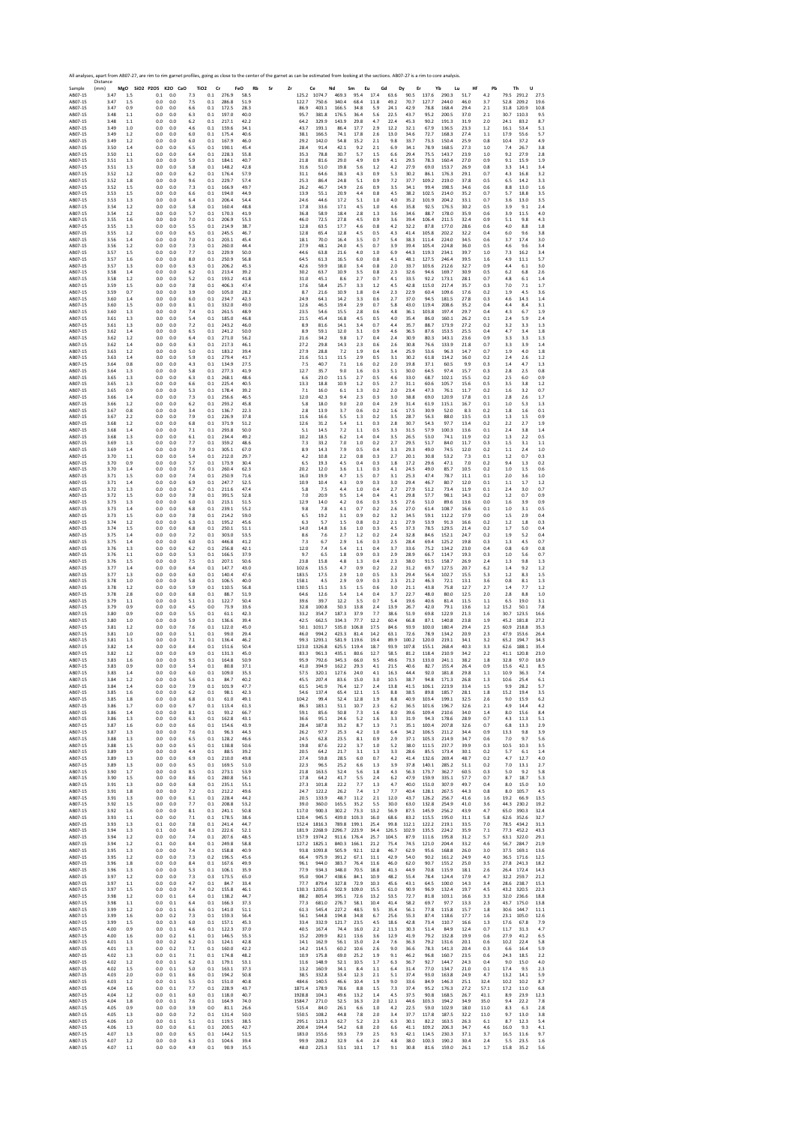|                              | All analyses, apart from AB07-27, are rim to rim garnet profiles, going as close to the center of the garnet as can be estimated from looking at the sections. AB07-27 is a rim to core analysis.<br>Distance |                |                                                   |            | TiO <sub>2</sub><br>Cr           | FeO<br>Rb    |                            | Ce               | Nd              |                    |                    | Gd             | Er                 |                | Yb                   | Hf           | Pb           | Th<br>U                                        |
|------------------------------|---------------------------------------------------------------------------------------------------------------------------------------------------------------------------------------------------------------|----------------|---------------------------------------------------|------------|----------------------------------|--------------|----------------------------|------------------|-----------------|--------------------|--------------------|----------------|--------------------|----------------|----------------------|--------------|--------------|------------------------------------------------|
| Sample<br>AB07-15<br>AB07-15 | (mm)<br>3.47<br>3.47                                                                                                                                                                                          | 1.5<br>1.5     | MgO SiO2 P2O5 K2O CaO<br>0.1<br>0.0<br>0.0<br>0.0 | 7.3<br>7.5 | 0.1<br>276.9<br>0.1<br>286.8     | 58.5<br>51.9 | Sr<br>Zr<br>125.2<br>122.7 | 1074.7<br>750.6  | 469.3<br>340.4  | Sm<br>95.4<br>68.4 | Eu<br>17.4<br>11.8 | 63.6<br>49.2   | Dy<br>90.5<br>70.7 | 137.6<br>127.7 | Lu<br>290.3<br>244.0 | 51.7<br>46.0 | 4.2<br>3.7   | 79.5 291.2<br>27.5<br>52.8<br>209.2<br>19.6    |
| AB07-15                      | 3.47                                                                                                                                                                                                          | 0.9            | 0.0<br>0.0                                        | 6.6        | 0.1<br>172.5                     | 28.3         | 86.9                       | 403.1            | 166.5           | 34.8               | 5.9                | 24.1           | 42.9               | 78.8           | 168.4                | 29.4         | 2.1          | 31.8<br>120.9<br>10.8                          |
| AB07-15<br>AB07-15           | 3.48<br>3.48                                                                                                                                                                                                  | 1.1<br>1.1     | 0.0<br>0.0<br>0.0<br>0.0                          | 6.3<br>6.2 | 197.0<br>0.1<br>0.1<br>217.1     | 40.0<br>42.2 | 95.7<br>64.2               | 381.8<br>329.9   | 176.5<br>143.9  | 36.4<br>29.8       | 5.6<br>4.7         | 22.5<br>22.4   | 43.7<br>45.3       | 95.2<br>90.2   | 200.5<br>191.3       | 37.0<br>31.9 | 2.1<br>2.0   | 30.7<br>110.3<br>9.5<br>24.1<br>83.2<br>8.7    |
| AB07-15<br>AB07-15           | 3.49<br>3.49                                                                                                                                                                                                  | 1.0<br>1.2     | 0.0<br>0.0<br>0.0<br>0.0                          | 4.6<br>6.0 | 159.6<br>0.1<br>0.1<br>175.4     | 34.1<br>40.6 | 43.7<br>38.1               | 193.1<br>166.5   | 86.4<br>74.1    | 17.7<br>17.8       | 2.9<br>2.6         | 12.2<br>13.0   | 32.1<br>34.6       | 67.9<br>72.7   | 136.5<br>168.3       | 23.3<br>27.4 | 1.2<br>1.1   | 53.4<br>16.1<br>5.1<br>17.9<br>55.6<br>5.7     |
| AB07-15<br>AB07-15           | 3.49<br>3.50                                                                                                                                                                                                  | 1.2<br>1.4     | 0.0<br>0.0<br>0.0<br>0.0                          | 6.0<br>6.5 | 0.1<br>167.9<br>190.1<br>0.1     | 46.0<br>45.4 | 29.2<br>28.4               | 142.0<br>91.4    | 54.8<br>42.1    | 15.2<br>9.2        | 2.1<br>2.1         | 9.8<br>6.9     | 33.7<br>34.1       | 73.3<br>78.9   | 150.4<br>168.5       | 25.9<br>27.3 | 0.8<br>1.0   | 10.4<br>37.2<br>4.9<br>26.7<br>7.4<br>3.8      |
| AB07-15                      | 3.50<br>3.51                                                                                                                                                                                                  | 1.1            | 0.0<br>0.0                                        | 6.4<br>5.9 | 0.1<br>228.3<br>0.1<br>184.1     | 55.8<br>40.7 | 35.3                       | 78.8             | 30.7            | 5.7                | 1.5                | 6.6            | 29.4<br>29.5       | 75.5           | 143.7                | 23.9         | 1.0          | 9.2<br>27.9<br>2.8<br>9.1                      |
| AB07-15<br>AB07-15           | 3.51                                                                                                                                                                                                          | 1.3<br>1.3     | 0.0<br>0.0<br>0.0<br>0.0                          | 5.8        | 0.1<br>148.2                     | 42.8         | 21.8<br>31.6               | 81.6<br>51.0     | 29.0<br>19.8    | 4.9<br>5.6         | 0.9<br>1.2         | 4.1<br>4.2     | 27.9               | 78.3<br>69.0   | 160.4<br>153.7       | 27.0<br>26.9 | 0.9<br>0.8   | 15.9<br>1.9<br>3.3<br>14.1<br>3.4              |
| AB07-15<br>AB07-15           | 3.52<br>3.52                                                                                                                                                                                                  | 1.2<br>1.8     | 0.0<br>0.0<br>0.0<br>0.0                          | 6.2<br>9.6 | 0.1<br>176.4<br>0.1<br>229.7     | 57.9<br>57.4 | 31.1<br>25.3               | 64.6<br>86.4     | 38.3<br>24.8    | 4.3<br>5.1         | 0.9<br>0.9         | 5.3<br>7.2     | 30.2<br>37.7       | 86.1<br>109.2  | 176.3<br>219.0       | 29.1<br>37.8 | 0.7<br>0.5   | 4.3<br>16.8<br>3.2<br>6.5<br>14.2<br>3.3       |
| AB07-15<br>AB07-15           | 3.52<br>3.53                                                                                                                                                                                                  | 1.5<br>1.5     | 0.0<br>0.0<br>0.0<br>0.0                          | 7.3<br>6.6 | 0.1<br>166.9<br>0.1<br>194.0     | 49.7<br>44.9 | 26.2<br>13.9               | 46.7<br>55.1     | 14.9<br>20.9    | 2.6<br>4.4         | 0.9<br>0.8         | 3.5<br>4.5     | 34.1<br>38.2       | 99.4<br>102.5  | 198.5<br>214.0       | 34.6<br>35.2 | 0.6<br>0.7   | 13.0<br>8.8<br>1.6<br>5.7<br>18.8<br>3.5       |
| AB07-15<br>AB07-15           | 3.53<br>3.54                                                                                                                                                                                                  | 1.3<br>1.2     | 0.0<br>0.0<br>0.0<br>0.0                          | 6.4<br>5.8 | 0.1<br>206.4<br>160.4<br>0.1     | 54.4<br>48.8 | 24.6<br>17.8               | 44.6<br>33.6     | 17.2<br>17.1    | 5.1<br>4.5         | 1.0<br>1.0         | 4.0<br>4.6     | 35.2<br>35.8       | 101.9<br>92.5  | 204.2<br>176.5       | 33.1<br>30.2 | 0.7<br>0.5   | 3.6<br>13.0<br>3.5<br>3.9<br>9.1<br>2.4        |
| AB07-15                      | 3.54                                                                                                                                                                                                          | 1.2            | 0.0<br>0.0                                        | 5.7        | 0.1<br>170.3                     | 41.9         | 36.8                       | 58.9<br>72.5     | 18.4            | 2.8                | 1.3                | 3.6            | 34.6               | 88.7           | 178.0                | 35.9<br>32.4 | 0.6          | 3.9<br>11.5<br>4.0                             |
| AB07-15<br>AR07-15           | 3.55<br>3.55                                                                                                                                                                                                  | 1.6<br>1.3     | 0.0<br>0.0<br>0.0<br>0.0                          | 7.0<br>5.5 | 0.1<br>206.9<br>0.1<br>214.9     | 55.3<br>38.7 | 46.0<br>12.8               | 63.5             | 27.8<br>17.7    | 4.5<br>4.6         | 0.9<br>0.8         | 3.6<br>4.2     | 39.4<br>32.2       | 106.4<br>87.8  | 211.5<br>177.0       | 28.6         | 0.9<br>0.6   | 5.1<br>9.8<br>4.3<br>4.0<br>8.8<br>1.8         |
| AB07-15<br>AB07-15           | 3.55<br>3.56                                                                                                                                                                                                  | 1.2<br>1.4     | 0.0<br>0.0<br>0.0<br>0.0                          | 6.5<br>7.0 | 0.1<br>245.5<br>0.1<br>203.1     | 46.7<br>45.4 | 12.8<br>18.1               | 65.4<br>70.0     | 12.8<br>16.4    | 4.5<br>3.5         | 0.5<br>0.7         | 4.3<br>5.4     | 41.4<br>38.3       | 105.8<br>111.4 | 202.2<br>224.0       | 32.2<br>34.5 | 0.4<br>0.6   | 6.0<br>9.6<br>3.8<br>3.7<br>17.4<br>3.0        |
| AB07-15<br>AB07-15           | 3.56<br>3.57                                                                                                                                                                                                  | 1.2<br>1.5     | 0.0<br>0.0<br>0.0<br>0.0                          | 7.3<br>7.7 | 0.1<br>260.0<br>0.1<br>229.9     | 44.4<br>50.0 | 27.9<br>44.6               | 48.1<br>63.8     | 24.0<br>21.6    | 4.5<br>4.0         | 0.7<br>1.0         | 3.9<br>6.9     | 39.4<br>44.3       | 105.4<br>119.3 | 224.8<br>234.1       | 36.0<br>39.7 | 0.5<br>1.0   | 9.6<br>4.6<br>3.4<br>7.3<br>16.2<br>3.4        |
| AB07-15<br>AB07-15           | 3.57<br>3.57                                                                                                                                                                                                  | 1.6<br>1.3     | 0.0<br>0.0<br>0.0<br>0.0                          | 8.0<br>6.3 | 0.1<br>250.9<br>0.1<br>206.2     | 56.8<br>45.3 | 64.5<br>42.6               | 61.3<br>59.9     | 16.5<br>18.0    | 6.0<br>3.4         | 0.8<br>0.8         | 4.1<br>2.0     | 48.1<br>33.7       | 127.5<br>103.6 | 246.4<br>212.6       | 39.5<br>32.7 | 1.6<br>0.9   | 4.9<br>11.1<br>5.7<br>4.4<br>3.0<br>6.1        |
| AB07-15<br>AB07-15           | 3.58<br>3.58                                                                                                                                                                                                  | 1.4<br>1.2     | 0.0<br>0.0<br>0.0<br>0.0                          | 6.2<br>5.2 | 0.1<br>213.4<br>0.1<br>193.2     | 39.2<br>41.8 | 30.2<br>31.0               | 63.7<br>45.1     | 10.9<br>8.6     | 3.5<br>2.7         | 0.8<br>0.7         | 2.3<br>4.1     | 32.6<br>33.5       | 94.6<br>92.2   | 169.7<br>173.1       | 30.9<br>28.1 | 0.5<br>0.7   | 6.2<br>6.8<br>2.6<br>6.1<br>4.8<br>1.4         |
| AB07-15                      | 3.59                                                                                                                                                                                                          | 1.5<br>0.7     | 0.0<br>0.0<br>0.0                                 | 7.8        | 0.1<br>406.3                     | 47.4<br>28.2 | 17.6                       | 58.4<br>21.6     | 25.7<br>10.9    | 3.3                | 1.2                | 4.5<br>2.3     | 42.8<br>22.9       | 115.0          | 217.4<br>109.6       | 35.7<br>17.6 | 0.3<br>0.2   | 7.0<br>7.1<br>1.7<br>1.9<br>4.5<br>3.6         |
| AB07-15<br>AB07-15           | 3.59<br>3.60                                                                                                                                                                                                  | 1.4            | 0.0<br>0.0<br>0.0                                 | 3.9<br>6.0 | 0.0<br>105.0<br>0.1<br>234.7     | 42.3         | 8.7<br>24.9                | 64.1             | 14.2            | 1.8<br>3.3         | 0.4<br>0.6         | 2.7            | 37.0               | 60.4<br>94.5   | 181.5                | 27.8         | 0.3          | 4.6<br>14.3<br>1.4                             |
| AB07-15<br>AB07-15           | 3.60<br>3.60                                                                                                                                                                                                  | 1.5<br>1.3     | 0.0<br>0.0<br>0.0<br>0.0                          | 8.1<br>7.4 | 0.1<br>332.0<br>261.5<br>0.1     | 49.0<br>48.9 | 12.6<br>23.5               | 46.5<br>54.6     | 19.4<br>15.5    | 2.9<br>2.8         | 0.7<br>0.6         | 5.8<br>4.8     | 43.0<br>36.1       | 119.4<br>103.8 | 208.6<br>197.4       | 35.2<br>29.7 | 0.4<br>0.4   | 4.4<br>8.4<br>3.1<br>6.7<br>4.3<br>1.9         |
| AB07-15<br>AB07-15           | 3.61<br>3.61                                                                                                                                                                                                  | 1.3<br>1.3     | 0.0<br>0.0<br>0.0<br>0.0                          | 5.4<br>7.2 | 0.1<br>185.0<br>0.1<br>243.2     | 46.8<br>46.0 | 21.5<br>8.9                | 45.4<br>81.6     | 16.8<br>14.1    | 4.5<br>3.4         | 0.5<br>0.7         | 4.0<br>4.4     | 35.4<br>35.7       | 86.0<br>88.7   | 160.1<br>173.9       | 26.2<br>27.2 | 0.1<br>0.2   | 2.4<br>5.9<br>2.4<br>3.2<br>3.3<br>1.3         |
| AB07-15<br>AB07-15           | 3.62<br>3.62                                                                                                                                                                                                  | 1.4<br>1.2     | 0.0<br>0.0<br>0.0<br>0.0                          | 6.5<br>6.4 | 0.1<br>241.2<br>0.1<br>271.0     | 50.0<br>56.2 | 8.9<br>21.6                | 59.1<br>34.2     | 12.0<br>9.8     | 3.1<br>1.7         | 0.9<br>0.4         | 4.6<br>2.4     | 36.5<br>30.9       | 87.6<br>80.3   | 153.5<br>143.1       | 25.5<br>23.6 | 0.4<br>0.9   | 4.7<br>3.4<br>1.8<br>3.3<br>1.3<br>3.3         |
| AB07-15<br>AB07-15           | 3.62<br>3.63                                                                                                                                                                                                  | 1.4<br>1.2     | 0.0<br>0.0<br>0.0<br>0.0                          | 6.3<br>5.0 | 0.1<br>217.3<br>183.2<br>0.1     | 46.1<br>39.4 | 27.2<br>27.9               | 29.8<br>28.8     | 14.3<br>7.2     | 2.3<br>1.9         | 0.6<br>0.4         | 2.6<br>3.4     | 30.8<br>25.9       | 76.6<br>53.6   | 133.9<br>96.3        | 21.8<br>14.7 | 0.7<br>0.7   | 3.3<br>3.9<br>1.4<br>4.0<br>1.8<br>1.9         |
| AB07-15<br>AB07-15           | 3.63<br>3.64                                                                                                                                                                                                  | 1.4<br>0.8     | 0.0<br>0.0<br>0.0<br>0.0                          | 5.9<br>4.3 | 0.1<br>279.4<br>0.1<br>134.9     | 41.7<br>27.5 | 21.6<br>7.5                | 51.1<br>40.7     | 11.5<br>7.1     | 2.9<br>1.6         | 0.5<br>0.2         | 3.1<br>2.0     | 30.2<br>19.8       | 61.8<br>37.1   | 114.2<br>60.5        | 16.0<br>9.9  | 0.2<br>0.3   | 2.4<br>2.6<br>1.2<br>1.4<br>4.7<br>1.3         |
| AB07-15                      | 3.64                                                                                                                                                                                                          | 1.3            | 0.0<br>0.0                                        | 5.8        | 277.3<br>0.1                     | 41.9         | 12.7                       | 35.7             | 9.0             | 1.6                | 0.3                | 5.1            | 30.0               | 64.5           | 97.4                 | 15.7         | 0.3          | 2.5<br>0.8<br>2.8                              |
| AB07-15<br>AB07-15           | 3.65<br>3.65                                                                                                                                                                                                  | 1.3<br>1.3     | 0.0<br>0.0<br>0.0<br>0.0                          | 6.3<br>6.6 | 0.1<br>268.1<br>225.4<br>0.1     | 48.6<br>40.5 | 6.6<br>13.3                | 23.0<br>18.8     | 11.5<br>10.9    | 2.7<br>1.2         | 0.5<br>0.5         | 4.6<br>2.7     | 33.0<br>31.1       | 68.7<br>60.6   | 102.1<br>105.7       | 15.5<br>15.6 | 0.2<br>0.5   | 2.5<br>6.0<br>0.9<br>3.8<br>3.5<br>1.2         |
| AB07-15<br>AB07-15           | 3.65<br>3.66                                                                                                                                                                                                  | 0.9<br>1.4     | 0.0<br>0.0<br>0.0<br>0.0                          | 5.3<br>7.3 | 0.1<br>178.4<br>0.1<br>256.6     | 39.2<br>46.5 | 7.1<br>12.0                | 16.0<br>42.3     | 6.1<br>9.4      | 1.3<br>2.3         | 0.2<br>0.3         | 2.0<br>3.0     | 23.4<br>38.8       | 47.3<br>69.0   | 76.1<br>120.9        | 11.7<br>17.8 | 0.2<br>0.1   | 1.6<br>3.2<br>0.7<br>2.8<br>2.6<br>1.7         |
| AB07-15<br>AB07-15           | 3.66<br>3.67                                                                                                                                                                                                  | 1.2<br>0.8     | 0.0<br>0.0<br>0.0<br>0.0                          | 6.2<br>3.4 | 0.1<br>293.2<br>0.1<br>136.7     | 45.8<br>22.3 | 5.8<br>2.8                 | 18.0<br>13.9     | 9.0<br>3.7      | 2.0<br>0.6         | 0.4<br>0.2         | 2.9<br>1.6     | 31.4<br>17.5       | 61.9<br>30.9   | 115.1<br>52.0        | 16.7<br>8.3  | 0.1<br>0.2   | 1.0<br>5.3<br>1.3<br>1.8<br>1.6<br>0.1         |
| AB07-15<br>AB07-15           | 3.67<br>3.68                                                                                                                                                                                                  | 2.2<br>1.2     | 0.0<br>0.0<br>0.0<br>0.0                          | 7.9<br>6.8 | 0.1<br>226.9<br>0.1<br>371.9     | 37.8<br>51.2 | 11.6<br>12.6               | 16.6<br>31.2     | 5.5<br>5.4      | 1.3<br>1.1         | 0.2<br>0.3         | 3.5<br>2.8     | 28.7<br>30.7       | 56.3<br>54.3   | 88.0<br>97.7         | 13.5<br>13.4 | 0.3<br>0.2   | 1.3<br>1.5<br>0.9<br>2.2<br>2.7<br>1.9         |
| AB07-15<br>AB07-15           | 3.68<br>3.68                                                                                                                                                                                                  | 1.4<br>1.3     | 0.0<br>0.0<br>0.0<br>0.0                          | 7.1<br>6.1 | 0.1<br>293.8<br>0.1<br>234.4     | 50.0<br>49.2 | 5.1<br>10.2                | 14.5<br>18.5     | 7.2<br>6.2      | $1.1\,$<br>1.4     | 0.5<br>0.4         | 3.3<br>3.5     | 31.5<br>26.5       | 57.9<br>53.0   | 100.3<br>74.1        | 13.6<br>11.9 | 0.1<br>0.2   | 2.4<br>3.8<br>1.4<br>1.3<br>2.2<br>0.5         |
| AB07-15                      | 3.69                                                                                                                                                                                                          | 1.3            | 0.0<br>0.0                                        | 7.7        | 359.2<br>0.1                     | 48.6         | 7.3                        | 33.2             | 7.0             | 1.0                | 0.2                | 2.7            | 29.5               | 51.7           | 84.0                 | 11.7         | 0.3          | 3.1<br>1.5<br>1.1                              |
| AB07-15<br>AB07-15           | 3.69<br>3.70                                                                                                                                                                                                  | 1.4<br>1.1     | 0.0<br>0.0<br>0.0<br>0.0                          | 7.9<br>5.4 | 0.1<br>305.1<br>212.0<br>0.1     | 67.0<br>29.7 | 8.9<br>4.2                 | 14.3<br>10.8     | 7.9<br>2.2      | 0.5<br>0.8         | 0.4<br>0.3         | 3.3<br>2.7     | 29.3<br>20.1       | 49.0<br>30.8   | 74.5<br>53.2         | 12.0<br>7.3  | 0.2<br>0.1   | 1.1<br>2.4<br>1.0<br>1.2<br>0.7<br>0.3         |
| AB07-15<br>AB07-15           | 3.70<br>3.70                                                                                                                                                                                                  | 0.9<br>1.4     | 0.0<br>0.0<br>0.0<br>0.0                          | 5.7<br>7.6 | 0.1<br>173.9<br>0.1<br>260.4     | 30.4<br>62.3 | 6.5<br>20.2                | 19.3<br>12.0     | 4.5<br>3.6      | 0.4<br>1.1         | 0.3<br>0.3         | 1.8<br>4.1     | 17.2<br>24.5       | 29.6<br>49.0   | 47.1<br>85.7         | 7.0<br>10.5  | 0.2<br>0.2   | 9.4<br>1.3<br>0.2<br>1.0<br>1.5<br>0.6         |
| AB07-15<br>AB07-15           | 3.71<br>3.71                                                                                                                                                                                                  | 1.5<br>1.4     | 0.0<br>0.0<br>0.0<br>0.0                          | 7.4<br>6.9 | 250.9<br>0.1<br>0.1<br>247.7     | 71.6<br>52.5 | 16.0<br>10.9               | 19.9<br>10.4     | 4.7<br>4.3      | 1.5<br>0.9         | 0.7<br>0.3         | 3.1<br>3.0     | 25.3<br>29.4       | 47.4<br>46.7   | 78.7<br>80.7         | 11.1<br>12.0 | 0.1<br>0.1   | 2.0<br>3.6<br>1.0<br>1.1<br>1.7<br>1.2         |
| AB07-15<br>AB07-15           | 3.72<br>3.72                                                                                                                                                                                                  | 1.3<br>1.5     | 0.0<br>0.0<br>0.0<br>0.0                          | 6.7<br>7.8 | 0.1<br>211.6<br>0.1<br>391.5     | 47.4<br>52.8 | 5.8<br>7.0                 | 7.5<br>20.9      | 4.4<br>9.5      | 1.0<br>1.4         | 0.4<br>0.4         | 2.7<br>4.1     | 27.9<br>29.8       | 51.2<br>57.7   | 73.4<br>98.1         | 11.9<br>14.3 | 0.1<br>0.2   | 2.4<br>3.0<br>0.7<br>1.2<br>0.7<br>0.9         |
| AB07-15<br>AB07-15           | 3.73<br>3.73                                                                                                                                                                                                  | 1.3<br>1.4     | 0.0<br>0.0<br>0.0<br>0.0                          | 6.0<br>6.8 | 0.1<br>213.1<br>0.1<br>239.1     | 51.5<br>55.2 | 12.9<br>9.8                | 14.0<br>7.8      | 4.2<br>4.1      | 0.6<br>0.7         | 0.3<br>0.2         | 3.5<br>2.6     | 27.6<br>27.0       | 51.0<br>61.4   | 89.6<br>108.7        | 13.6<br>16.6 | 0.0<br>0.1   | 3.9<br>0.9<br>1.6<br>1.0<br>3.1<br>0.5         |
| AB07-15                      | 3.73                                                                                                                                                                                                          | 1.5            | 0.0<br>0.0                                        | 7.8        | 0.1<br>214.2                     | 59.0         | 6.5                        | 19.2             | 3.1             | 0.9                | 0.2                | 3.2            | 34.5               | 59.1           | 112.2                | 17.9         | 0.0          | 1.5<br>2.9<br>0.4                              |
| AB07-15<br>AB07-15           | 3.74<br>3.74                                                                                                                                                                                                  | 1.2<br>1.5     | 0.0<br>0.0<br>0.0<br>0.0                          | 6.3<br>6.8 | 0.1<br>195.2<br>0.1<br>250.1     | 45.6<br>51.1 | 6.3<br>14.0                | 5.7<br>14.8      | 1.5<br>3.6      | $0.8\,$<br>1.0     | 0.2<br>0.3         | 2.1<br>4.5     | 27.9<br>37.3       | 53.9<br>78.5   | 91.3<br>129.5        | 16.6<br>21.4 | 0.2<br>0.2   | 1.2<br>1.8<br>0.3<br>1.7<br>5.0<br>0.4         |
| AB07-15<br>AB07-15           | 3.75<br>3.75                                                                                                                                                                                                  | 1.4<br>1.4     | 0.0<br>0.0<br>0.0<br>0.0                          | 7.2<br>6.0 | 0.1<br>303.0<br>0.1<br>446.8     | 53.5<br>41.2 | 8.6<br>7.3                 | 7.6<br>6.7       | 2.7<br>2.9      | 1.2<br>1.6         | 0.2<br>0.3         | 2.4<br>2.5     | 32.8<br>28.4       | 84.6<br>69.4   | 152.1<br>125.2       | 24.7<br>19.8 | 0.2<br>0.3   | 1.9<br>5.2<br>0.4<br>1.3<br>4.5<br>0.7         |
| AB07-15<br>AB07-15           | 3.76<br>3.76                                                                                                                                                                                                  | 1.3<br>1.1     | 0.0<br>0.0<br>0.0<br>0.0                          | 6.2<br>5.3 | 256.8<br>0.1<br>0.1<br>166.5     | 42.1<br>37.9 | 12.0<br>9.7                | 7.4<br>6.5       | 5.4<br>1.8      | 1.1<br>0.9         | 0.4<br>0.3         | 3.7<br>2.9     | 33.6<br>28.9       | 75.2<br>66.7   | 134.2<br>114.7       | 23.0<br>19.3 | 0.4<br>0.3   | 0.8<br>6.9<br>0.8<br>1.0<br>5.6<br>0.7         |
| AB07-15<br>AB07-15           | 3.76<br>3.77                                                                                                                                                                                                  | 1.5<br>1.4     | 0.0<br>0.0<br>0.0<br>0.0                          | 7.5<br>6.4 | 0.1<br>207.1<br>0.1<br>147.7     | 50.6<br>43.0 | 23.8<br>102.6              | 15.8<br>15.5     | 4.8<br>4.7      | 1.3<br>0.9         | 0.4<br>0.2         | 2.3<br>2.2     | 38.0<br>31.2       | 91.5<br>69.7   | 158.7<br>127.5       | 26.9<br>20.7 | 2.4<br>6.2   | 1.3<br>9.8<br>1.3<br>9.2<br>1.2<br>1.4         |
| AB07-15                      | 3.77                                                                                                                                                                                                          | 1.3            | 0.0<br>0.0<br>0.0                                 | 6.0        | 0.1<br>140.4<br>0.1<br>106.5     | 47.6         | 183.5                      | 17.5             | 2.9<br>2.9      | 1.0                | 0.5                | 3.3<br>2.3     | 29.4<br>21.2       | 56.4<br>46.3   | 102.7                | 15.5         | 5.3          | 1.2<br>8.3<br>1.5                              |
| AB07-15<br>AB07-15           | 3.78<br>3.78                                                                                                                                                                                                  | 1.0<br>1.2     | 0.0<br>0.0<br>0.0                                 | 5.8<br>5.9 | 0.1<br>110.5                     | 40.0<br>56.8 | 158.1<br>130.5             | 4.5<br>15.1      | 3.5             | 0.9<br>1.5         | 0.3<br>0.6         | 3.0            | 21.1               | 43.8           | 72.1<br>75.8         | 13.1<br>12.7 | 3.6<br>2.7   | 0.8<br>8.1<br>1.3<br>1.4<br>7.7<br>1.2         |
| AB07-15<br>AB07-15           | 3.78<br>3.79                                                                                                                                                                                                  | 2.8<br>1.1     | 0.0<br>0.0<br>0.0<br>0.0                          | 6.8<br>5.1 | 0.1<br>88.7<br>0.1<br>122.7      | 51.9<br>50.4 | 64.6<br>39.6               | 12.6<br>39.7     | 5.4<br>12.2     | 1.4<br>3.5         | 0.4<br>0.7         | 3.7<br>5.4     | 22.7<br>19.6       | 48.0<br>40.6   | 80.0<br>81.4         | 12.5<br>11.5 | 2.0<br>1.1   | 2.8<br>8.8<br>1.0<br>6.5<br>19.0<br>3.1        |
| AB07-15<br>AB07-15           | 3.79<br>3.80                                                                                                                                                                                                  | 0.9<br>0.9     | 0.0<br>0.0<br>0.0<br>0.0                          | 4.5<br>5.5 | 0.0<br>73.9<br>0.1<br>61.1       | 33.6<br>42.3 | 32.8<br>33.2               | 100.8<br>354.7   | 50.3<br>187.3   | 13.8<br>37.9       | 2.4<br>7.7         | 13.9<br>38.6   | 26.7<br>51.9       | 42.0<br>69.8   | 79.1<br>122.9        | 13.6<br>21.3 | 1.2<br>1.6   | 15.2<br>50.1<br>7.8<br>30.7<br>123.5<br>16.6   |
| AB07-15<br>AB07-15           | 3.80<br>3.81                                                                                                                                                                                                  | 1.0<br>1.2     | 0.0<br>0.0<br>0.0<br>0.0                          | 5.9<br>7.6 | 0.1<br>136.6<br>0.1<br>122.0     | 39.4<br>45.0 | 42.5<br>50.1               | 662.5<br>1031.7  | 334.3<br>535.0  | 77.7<br>106.8      | 12.2<br>17.5       | 60.4<br>84.6   | 66.8<br>93.9       | 87.1<br>100.0  | 140.8<br>180.4       | 23.8<br>29.4 | 1.9<br>2.5   | 45.2<br>181.8<br>27.2<br>60.9<br>218.8<br>35.3 |
| AB07-15<br>AB07-15           | 3.81<br>3.81                                                                                                                                                                                                  | 1.0<br>1.3     | 0.0<br>0.0<br>0.0<br>0.0                          | 5.1<br>7.1 | 0.1<br>99.0<br>136.4<br>0.1      | 29.4<br>46.2 | 46.0<br>99.3               | 994.2<br>1293.1  | 423.3<br>581.9  | 81.4<br>119.6      | 14.2<br>19.4       | 63.1<br>89.9   | 72.6<br>100.2      | 78.9<br>120.0  | 134.2<br>219.1       | 20.9<br>34.1 | 2.3<br>3.2   | 47.9<br>153.6<br>26.4<br>65.2<br>194.7<br>34.3 |
| AB07-15<br>AB07-15           | 3.82<br>3.82                                                                                                                                                                                                  | 1.4<br>1.2     | 0.0<br>0.0<br>0.0<br>0.0                          | 8.4<br>6.9 | 0.1<br>151.6<br>0.1<br>131.3     | 50.4<br>45.0 | 123.0<br>83.3              | 1326.8<br>961.3  | 625.5<br>435.1  | 119.4<br>80.6      | 18.7<br>12.7       | 93.9<br>58.5   | 107.8<br>81.2      | 155.1<br>118.4 | 268.4<br>210.9       | 40.3<br>34.2 | 3.3<br>2.2   | 62.6<br>188.1<br>35.4<br>41.1<br>120.8<br>23.0 |
| AB07-15<br>AB07-15           | 3.83<br>3.83                                                                                                                                                                                                  | 1.6<br>0.9     | 0.0<br>0.0<br>0.0<br>0.0                          | 9.5<br>5.4 | 0.1<br>164.8<br>0.1<br>80.8      | 50.9         | 95.9<br>41.0               | 792.6<br>394.9   | 345.3           | 66.0<br>29.3       | 9.5<br>4.1         | 49.6<br>21.5   | 73.3<br>40.6       | 133.0<br>82.7  | 241.1<br>155.4       | 38.2<br>26.4 | 1.8<br>0.9   | 32.8<br>97.0<br>18.9<br>42.1<br>8.5<br>15.6    |
| <b>BO7</b>                   |                                                                                                                                                                                                               |                | n٨                                                |            |                                  | 37.1         |                            |                  | 162.2           |                    |                    |                |                    |                |                      |              |              |                                                |
| AB07-15<br>AB07-15           | 3.84<br>3.84                                                                                                                                                                                                  | 1.2<br>1.4     | 0.0<br>0.0<br>0.0<br>0.0                          | 5.6<br>7.9 | 84.7<br>0.1<br>$0.1\,$<br>101.9  | 40.2<br>47.7 | 45.5<br>61.5               | 207.4<br>141.9   | 83.6<br>76.4    | 15.0<br>12.7       | 3.0<br>2.4         | 10.5<br>13.8   | 38.7<br>41.5       | 94.8<br>106.1  | 171.3<br>223.9       | 26.8<br>33.4 | 1.3<br>1.5   | 10.6<br>25.4<br>6.1<br>9.9<br>28.2<br>5.7      |
| AB07-15<br>AB07-15           | 3.85<br>3.85                                                                                                                                                                                                  | 1.6<br>1.8     | 0.0<br>0.0<br>0.0<br>0.0                          | 6.2<br>6.8 | 0.1<br>98.1<br>0.1<br>61.0       | 42.3<br>49.1 | 54.6<br>104.2              | 137.4<br>99.4    | 65.4<br>52.4    | 12.1<br>12.8       | 1.5<br>1.9         | 8.8<br>8.8     | 38.5<br>40.9       | 89.8<br>103.4  | 185.7<br>199.1       | 28.1<br>32.5 | 1.8<br>2.6   | 15.2<br>19.4<br>3.5<br>9.0<br>15.9<br>6.2      |
| AB07-15<br>AB07-15           | 3.86<br>3.86                                                                                                                                                                                                  | 1.7<br>1.4     | 0.0<br>0.0<br>0.0<br>0.0                          | 6.7<br>8.1 | 0.1<br>113.4<br>93.2<br>0.1      | 61.3<br>66.7 | 86.3<br>59.1               | 183.1<br>85.6    | 51.1<br>50.8    | 10.7<br>7.3        | 2.3<br>1.6         | 6.2<br>8.0     | 36.5<br>39.6       | 101.6<br>109.4 | 196.7<br>210.6       | 32.6<br>34.0 | 2.1<br>1.4   | 4.9<br>14.4<br>4.2<br>8.0<br>15.6<br>8.4       |
| AB07-15<br>AB07-15           | 3.86<br>3.87                                                                                                                                                                                                  | 1.3<br>1.6     | 0.0<br>0.0<br>0.0<br>0.0                          | 6.3<br>6.6 | 0.1<br>162.8<br>0.1<br>154.6     | 43.1<br>43.9 | 36.6<br>28.4               | 95.1<br>187.8    | 24.6<br>33.2    | 5.2<br>8.7         | 1.6<br>1.3         | 3.3<br>7.1     | 31.9<br>35.1       | 94.3<br>100.4  | 178.6<br>207.8       | 28.9<br>32.6 | 0.7<br>0.7   | 4.3<br>11.3<br>5.1<br>6.8<br>13.3<br>2.9       |
| AB07-15<br>AB07-15           | 3.87<br>3.88                                                                                                                                                                                                  | 1.3<br>1.3     | 0.0<br>0.0<br>0.0<br>0.0                          | 7.6<br>6.5 | 0.1<br>96.3<br>128.2<br>0.1      | 44.3<br>46.6 | 26.2<br>24.5               | 97.7<br>62.8     | 25.3<br>23.5    | 4.2<br>8.1         | 1.0<br>0.9         | 6.4<br>2.9     | 34.2<br>37.1       | 106.5<br>105.3 | 211.2<br>214.9       | 34.4<br>34.7 | 0.9<br>0.6   | 13.3<br>9.8<br>3.9<br>9.7<br>7.0<br>5.6        |
| AB07-15<br>AB07-15           | 3.88<br>3.89                                                                                                                                                                                                  | 1.5<br>1.9     | 0.0<br>0.0<br>0.0<br>0.0                          | 6.5<br>4.4 | 0.1<br>138.8<br>0.1<br>88.5      | 50.6<br>39.2 | 19.8<br>20.5               | 87.6<br>64.2     | 22.2<br>21.7    | 3.7<br>3.1         | $1.0\,$<br>1.3     | 5.2<br>3.3     | 38.0<br>28.6       | 111.5<br>85.5  | 237.7<br>173.4       | 39.9<br>30.1 | 0.3<br>0.2   | 10.5<br>10.3<br>3.5<br>5.7<br>6.1<br>1.4       |
| AB07-15<br>AB07-15           | 3.89                                                                                                                                                                                                          | $1.3$          | 0.0<br>0.0                                        | 6.9        | $0.1\,$<br>210.0                 | 49.8         | 27.4                       | 59.8             | 28.5            | 6.0                | 0.7                | 4.2            | 41.4               | 132.6          | 269.4                | 48.7         | 0.2          | 4.7<br>12.7<br>4.0                             |
| AB07-15                      | 3.89<br>3.90                                                                                                                                                                                                  | 1.3<br>1.7     | 0.0<br>0.0<br>0.0<br>0.0                          | 6.5<br>8.5 | 0.1<br>169.5<br>0.1<br>273.1     | 51.0<br>53.9 | 22.3<br>21.8               | 96.5<br>163.5    | 25.2<br>52.4    | 6.6<br>5.6         | 1.3<br>$1.8\,$     | 3.9<br>4.3     | 37.8<br>56.3       | 140.1<br>173.7 | 285.2<br>362.7       | 51.1<br>60.5 | 0.2<br>0.3   | 7.0<br>13.1<br>2.7<br>5.0<br>9.2<br>5.8        |
| AB07-15<br>AB07-15           | 3.90<br>3.91                                                                                                                                                                                                  | $1.5\,$<br>1.3 | 0.0<br>0.0<br>0.0<br>0.0                          | 8.6<br>6.8 | $0.1\,$<br>280.8<br>0.1<br>235.1 | 56.1<br>55.1 | 17.8<br>27.3               | 64.2<br>101.8    | 41.7<br>22.2    | 5.5<br>7.7         | 2.4<br>1.3         | 6.2<br>4.7     | 47.9<br>40.0       | 159.9<br>151.0 | 335.1<br>307.9       | 57.7<br>49.7 | 0.7<br>0.4   | 8.7<br>18.7<br>5.3<br>8.0<br>15.0<br>3.0       |
| AB07-15<br>AB07-15           | 3.91<br>3.91                                                                                                                                                                                                  | 1.8<br>1.3     | 0.0<br>0.0<br>0.0<br>0.0                          | 7.2<br>6.1 | 0.1<br>212.2<br>0.1<br>228.4     | 49.6<br>44.2 | 24.7<br>20.5               | 122.2<br>133.9   | 26.2<br>48.7    | 7.4<br>11.2        | 1.7<br>$2.1\,$     | 7.7<br>12.0    | 40.4<br>43.7       | 128.1<br>126.2 | 267.5<br>256.7       | 44.3<br>41.6 | 0.8<br>1.6   | 8.0<br>105.7<br>4.5<br>19.2<br>66.9<br>13.5    |
| AB07-15<br>AR07-15           | 3.92<br>3.92                                                                                                                                                                                                  | 1.5<br>1.6     | 0.0<br>0.0<br>0.0<br>0.0                          | 7.7<br>8.1 | 208.8<br>0.1<br>0.1<br>241.1     | 53.2<br>50.8 | 39.0<br>117.0              | 360.0<br>900.3   | 165.5<br>302.2  | 35.2<br>73.3       | 5.5<br>13.2        | 30.0<br>56.9   | 63.0<br>87.5       | 132.8<br>145.9 | 254.9<br>256.2       | 41.0<br>43.9 | 3.6<br>4.7   | 230.2<br>44.3<br>19.2<br>390.3<br>65.0<br>32.4 |
| AB07-15<br>AB07-15           | 3.93<br>3.93                                                                                                                                                                                                  | $1.1$<br>1.3   | 0.0<br>0.0<br>0.1<br>0.0                          | 7.1<br>7.8 | 0.1<br>178.5<br>0.1<br>241.4     | 38.6<br>44.7 | 120.4<br>152.4             | 945.5<br>1816.3  | 439.0<br>789.8  | 103.3<br>199.1     | 16.0<br>25.4       | 68.6<br>99.8   | 83.2<br>112.1      | 115.5<br>122.2 | 195.0<br>219.1       | 31.1<br>33.5 | 5.8<br>7.0   | 62.6<br>352.6<br>32.7<br>78.5<br>434.2<br>31.3 |
| AB07-15<br>AB07-15           | 3.94<br>3.94                                                                                                                                                                                                  | 1.3<br>1.2     | 0.1<br>0.0<br>0.0<br>0.0                          | 8.4<br>7.4 | 0.1<br>222.6<br>0.1<br>207.6     | 52.1<br>48.5 | 181.9<br>157.9             | 2268.9<br>1974.2 | 2296.7<br>911.6 | 223.9<br>176.4     | 34.4<br>25.7       | 126.5<br>104.5 | 102.9<br>87.9      | 135.5<br>111.6 | 224.2<br>195.8       | 35.9<br>31.2 | 7.1<br>5.7   | 77.3<br>452.2<br>43.3<br>63.1<br>322.0<br>29.1 |
| AB07-15<br>AB07-15           | 3.94<br>3.95                                                                                                                                                                                                  | 1.2<br>1.3     | 0.1<br>0.0<br>0.0<br>0.0                          | 8.4<br>7.4 | 0.1<br>249.8<br>158.8<br>0.1     | 58.8<br>40.9 | 127.2<br>93.8              | 1825.1<br>1093.8 | 840.3<br>505.9  | 166.1<br>92.1      | 21.2<br>12.8       | 75.4<br>46.7   | 74.5<br>62.9       | 121.0<br>95.6  | 204.4<br>168.8       | 33.2<br>26.0 | 4.6<br>3.0   | 56.7<br>284.7<br>21.9<br>37.5<br>169.1<br>13.6 |
| AB07-15                      | 3.95                                                                                                                                                                                                          | 1.2            | 0.0<br>0.0                                        | 7.3        | 0.2<br>196.5                     | 45.6         | 66.4                       | 975.9            | 391.2           | 67.1               | 11.1               | 42.9           | 54.0               | 90.2           | 161.2                | 24.9         | 4.0          | 171.6<br>36.5<br>12.5                          |
| AB07-15<br>AB07-15           | 3.96<br>3.96                                                                                                                                                                                                  | 1.8<br>1.3     | 0.0<br>0.0<br>0.0<br>0.0                          | 8.4<br>5.3 | 0.1<br>167.6<br>0.1<br>106.1     | 49.9<br>35.9 | 96.1<br>77.9               | 944.0<br>934.3   | 383.7<br>348.0  | 76.4<br>70.5       | 11.6<br>18.8       | 46.0<br>41.3   | 62.0<br>44.9       | 90.7<br>70.8   | 155.2<br>115.9       | 25.0<br>18.1 | 3.5<br>2.6   | 27.8<br>241.3<br>18.2<br>26.4<br>172.4<br>14.3 |
| AB07-15<br>AB07-15           | 3.97<br>3.97                                                                                                                                                                                                  | 1.2<br>1.1     | 0.0<br>0.0<br>0.0<br>0.0                          | 7.3<br>4.7 | 173.5<br>0.3<br>0.1<br>84.7      | 65.0<br>33.4 | 95.0<br>77.7               | 904.7<br>879.4   | 438.6<br>327.8  | 84.1<br>72.9       | 10.9<br>10.3       | 48.2<br>45.6   | 55.4<br>43.1       | 78.4<br>64.5   | 124.4<br>100.0       | 17.9<br>14.3 | 4.7<br>3.4   | 32.2<br>259.7<br>21.2<br>238.7<br>28.6<br>15.3 |
| AB07-15<br>AB07-15           | 3.97<br>3.98                                                                                                                                                                                                  | 1.5<br>1.2     | 0.0<br>0.0<br>0.0<br>0.1                          | 7.4<br>6.4 | 155.8<br>0.2<br>0.1<br>138.2     | 46.1<br>44.7 | 130.3<br>88.2              | 1205.6<br>805.4  | 502.9<br>395.1  | 109.0<br>72.6      | 15.5<br>13.2       | 61.0<br>53.5   | 90.9<br>72.7       | 96.9<br>81.8   | 132.4<br>103.1       | 19.7<br>16.6 | 4.5<br>3.3   | 43.2<br>320.5<br>22.3<br>32.0<br>236.6<br>18.8 |
| AB07-15<br>AB07-15           | 3.98<br>3.99                                                                                                                                                                                                  | 1.1<br>1.2     | 0.0<br>0.1<br>0.0<br>0.1                          | 6.4<br>6.6 | 0.1<br>166.3<br>0.1<br>141.0     | 37.3<br>51.1 | 77.3<br>61.3               | 681.0<br>545.4   | 276.7<br>227.2  | 58.1<br>48.5       | 10.4<br>9.5        | 41.4<br>35.4   | 58.2<br>56.1       | 69.7<br>77.8   | 97.7<br>115.8        | 13.3<br>15.7 | 2.3<br>1.8   | 175.0<br>43.7<br>13.8<br>30.6<br>144.7<br>11.1 |
| AB07-15<br>AB07-15           | 3.99<br>3.99                                                                                                                                                                                                  | 1.6<br>$1.5\,$ | 0.0<br>0.2<br>0.0<br>0.3                          | 7.3<br>6.0 | 0.1<br>159.3<br>157.1<br>0.1     | 56.4<br>45.3 | 56.1<br>33.4               | 544.8<br>332.9   | 194.8<br>121.7  | 34.8<br>23.5       | 6.7<br>4.5         | 25.6<br>18.6   | 55.3<br>42.8       | 87.4<br>73.4   | 118.6<br>110.7       | 17.7<br>16.6 | 1.6<br>1.3   | 23.1<br>105.0<br>12.6<br>17.6<br>7.9<br>67.8   |
| AB07-15                      | 4.00                                                                                                                                                                                                          | 0.9            | 0.0<br>0.1                                        | 4.6        | 0.1<br>122.3                     | 37.0         | 40.5                       | 167.4            | 74.4<br>82.1    | 16.0               | 2.2                | 11.3           | 30.3               | 51.4           | 84.9                 | 12.4         | 0.7          | 11.7<br>31.3<br>4.7                            |
| AB07-15<br>AB07-15           | 4.00<br>4.01                                                                                                                                                                                                  | 1.6<br>$1.3$   | 0.0<br>0.2<br>0.0<br>0.2                          | 6.1<br>6.2 | 0.1<br>146.5<br>0.1<br>124.1     | 55.3<br>42.8 | 15.2<br>14.1               | 209.9<br>162.9   | 56.1            | 13.6<br>15.0       | 3.6<br>2.4         | 12.9<br>7.6    | 41.9<br>36.3       | 79.2<br>79.2   | 132.8<br>131.6       | 19.9<br>20.1 | 0.6<br>0.6   | 27.9<br>41.2<br>6.5<br>10.2<br>22.4<br>5.8     |
| AB07-15<br>AB07-15           | 4.01<br>4.02                                                                                                                                                                                                  | 1.3<br>1.3     | 0.0<br>0.2<br>0.0<br>0.1                          | 7.1<br>7.1 | 0.1<br>160.0<br>0.1<br>174.8     | 42.2<br>48.2 | 14.2<br>10.9               | 114.5<br>175.8   | 60.2<br>69.0    | 10.6<br>25.2       | 2.6<br>1.9         | 9.0<br>9.1     | 36.6<br>46.2       | 78.3<br>96.8   | 141.3<br>160.7       | 20.4<br>23.5 | 0.3<br>0.6   | 6.6<br>16.4<br>5.9<br>24.3<br>18.5<br>2.2      |
| AB07-15<br>AB07-15           | 4.02<br>4.02                                                                                                                                                                                                  | 1.2<br>1.5     | 0.0<br>0.1<br>0.0<br>0.1                          | 6.2<br>5.0 | 0.1<br>179.1<br>163.1<br>0.1     | 53.1<br>37.3 | 11.6<br>13.2               | 148.9<br>160.9   | 52.1<br>34.1    | 10.5<br>8.4        | 1.7<br>$1.1$       | 6.3<br>6.4     | 36.7<br>31.4       | 92.7<br>77.0   | 144.7<br>134.7       | 24.3<br>21.0 | 0.4<br>0.1   | 9.0<br>15.0<br>4.0<br>17.4<br>9.5<br>2.3       |
| AB07-15<br>AB07-15           | 4.03<br>4.03                                                                                                                                                                                                  | 2.0<br>1.2     | 0.0<br>0.1<br>0.0<br>0.1                          | 8.6<br>5.5 | 0.1<br>194.2<br>0.1<br>151.0     | 50.8<br>40.8 | 38.5<br>484.6              | 332.8<br>140.5   | 53.4<br>46.6    | 12.3<br>10.4       | 2.1<br>1.9         | 5.1<br>9.0     | 37.4<br>33.6       | 93.0<br>84.9   | 163.8<br>146.3       | 24.9<br>25.1 | 4.7<br>32.4  | 13.2<br>14.1<br>5.9<br>10.2<br>10.2<br>8.7     |
| AB07-15<br>AB07-15           | 4.04<br>4.04                                                                                                                                                                                                  | 1.6<br>1.2     | 0.0<br>0.1<br>0.0<br>0.1                          | 7.7<br>6.0 | 0.1<br>228.9<br>0.1<br>118.0     | 43.7<br>40.7 | 1871.4<br>1928.8           | 178.9<br>104.1   | 78.6<br>49.6    | 8.8<br>13.2        | 1.5<br>1.4         | 7.3<br>4.5     | 37.4<br>37.5       | 95.2<br>90.8   | 176.3<br>168.5       | 27.2<br>26.7 | 57.1<br>41.1 | 17.2<br>11.0<br>6.8<br>23.9<br>12.3<br>8.9     |
| AB07-15<br>AB07-15           | 4.04<br>4.05                                                                                                                                                                                                  | 1.8<br>0.9     | 0.0<br>0.1<br>0.0<br>0.0                          | 7.6<br>3.9 | 0.1<br>164.9<br>0.0<br>81.1      | 74.0<br>26.6 | 1584.7<br>515.4            | 271.0<br>84.0    | 52.5<br>26.1    | 16.3<br>6.6        | 2.0<br>1.0         | 12.1<br>4.2    | 44.6<br>22.5       | 103.3<br>59.0  | 194.2<br>102.9       | 34.9<br>18.0 | 35.0<br>11.0 | 9.4<br>22.2<br>7.8<br>8.3<br>6.3<br>2.8        |
| AB07-15<br>AB07-15           | 4.05<br>4.06                                                                                                                                                                                                  | 1.3<br>1.0     | 0.0<br>0.0<br>0.0<br>0.1                          | 7.2<br>5.1 | $0.1\,$<br>131.4<br>0.1<br>119.5 | 50.0<br>38.5 | 550.5<br>295.1             | 108.2<br>123.3   | 44.8<br>62.7    | 7.8<br>5.2         | 2.0<br>2.3         | 3.4<br>6.3     | 37.7<br>30.1       | 117.8<br>82.2  | 187.5<br>163.5       | 32.2<br>26.3 | 11.0<br>6.1  | 9.7<br>13.0<br>3.8<br>8.7<br>12.3<br>5.4       |
| AB07-15                      | 4.06                                                                                                                                                                                                          | 1.3            | 0.0<br>0.0                                        | 6.1        | 0.1<br>200.5                     | 42.7         | 200.4                      | 194.4            | 54.2            | 6.8                | 2.0                | 6.6            | 41.1               | 109.2          | 206.3                | 34.7         | 4.6          | 16.0<br>9.3<br>4.1                             |
| AB07-15<br>AB07-15           | 4.07<br>4.07                                                                                                                                                                                                  | 1.3<br>1.2     | 0.0<br>0.0<br>0.0<br>0.0                          | 6.5<br>6.3 | 0.1<br>144.2<br>0.1<br>104.6     | 51.5<br>39.4 | 183.0<br>99.9              | 155.6<br>208.2   | 59.3<br>32.9    | 7.9<br>6.4         | 2.5<br>2.4         | 9.3<br>4.8     | 42.1<br>38.0       | 114.5<br>100.3 | 230.3<br>190.2       | 37.1<br>30.4 | 3.7<br>2.4   | 16.5<br>11.6<br>9.7<br>5.5<br>23.5<br>1.6      |
| AB07-15                      | 4.07                                                                                                                                                                                                          | 1.1            | 0.0<br>0.0                                        | 4.9        | 0.1<br>90.9                      | 35.5         | 48.0                       | 225.3            | 53.1            | 10.1               | 1.7                | 9.1            | 30.8               | 81.6           | 159.0                | 26.1         | 1.7          | 15.8<br>35.2<br>5.6                            |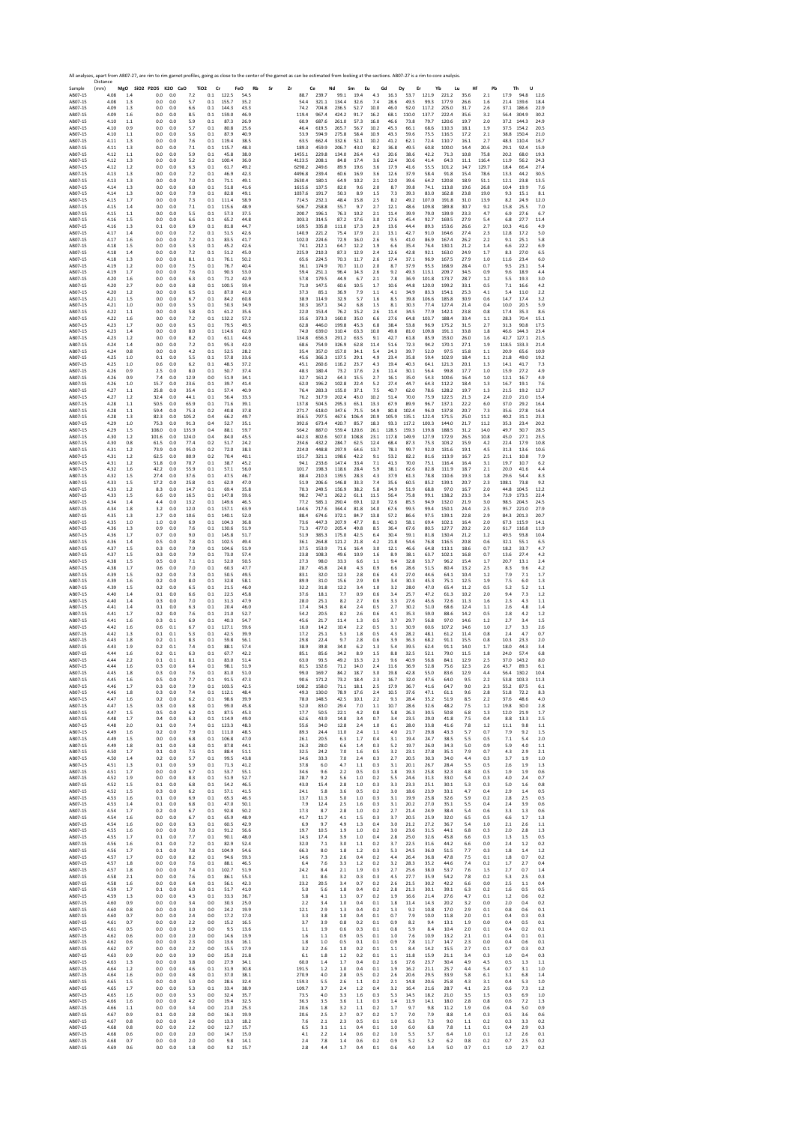|                        | Distance     |                |                              |            |                         |            |                |                   | All analyses, apart from AB07-27, are rim to rim garnet profiles, going as close to the center of the garnet as can be estimated from looking at the sections. AB07-27 is a rim to core analysis |                  |                |                |                |              |                   |                  |                |                   |              |                |                                 |                |
|------------------------|--------------|----------------|------------------------------|------------|-------------------------|------------|----------------|-------------------|--------------------------------------------------------------------------------------------------------------------------------------------------------------------------------------------------|------------------|----------------|----------------|----------------|--------------|-------------------|------------------|----------------|-------------------|--------------|----------------|---------------------------------|----------------|
| Sample<br>AB07-15      | (mm)<br>4.08 | 1.4            | MgO SiO2 P2O5 K2O CaO<br>0.0 | 0.0        | TiO <sub>2</sub><br>7.2 | Cr<br>0.1  | 122.5          | FeO<br>Rb<br>54.5 | Sr<br>Zr                                                                                                                                                                                         | Ce<br>88.7       | 239.7          | Nd<br>99.1     | Sm<br>19.4     | Eu<br>4.3    | Gd<br>16.3        | Dy<br>Er<br>53.7 | 121.9          | Yb<br>Lu<br>221.2 | Hf<br>35.6   | Pb<br>2.1      | Th<br>U<br>17.9<br>94.8         | 12.6           |
| AB07-15<br>AB07-15     | 4.08<br>4.09 | 1.3<br>1.3     | 0.0<br>0.0                   | 0.0<br>0.0 | 5.7<br>6.6              | 0.1<br>0.1 | 155.7<br>144.3 | 35.2<br>43.3      |                                                                                                                                                                                                  | 54.4<br>74.2     | 321.1<br>704.8 | 134.4<br>236.5 | 32.6<br>52.7   | 7.4<br>10.0  | 28.6<br>46.0      | 49.5<br>92.0     | 99.3<br>117.2  | 177.9<br>205.0    | 26.6<br>31.7 | 1.6<br>2.6     | 139.6<br>21.4<br>37.1<br>186.6  | 18.4<br>22.9   |
| AB07-15                | 4.09         | 1.6            | 0.0                          | 0.0        | 8.5                     | 0.1        | 159.0          | 46.9              |                                                                                                                                                                                                  | 119.4            | 967.4          | 424.2          | 91.7           | 16.2         | 68.1              | 110.0            | 137.7          | 222.4             | 35.6         | 3.2            | 56.4<br>304.9                   | 30.2           |
| AB07-15<br>AB07-15     | 4.10<br>4.10 | 1.1<br>0.9     | 0.0<br>0.0                   | 0.0<br>0.0 | 5.9<br>5.7              | 0.1<br>0.1 | 87.3<br>80.8   | 26.9<br>25.6      |                                                                                                                                                                                                  | 60.9<br>46.4     | 687.6<br>619.5 | 261.0<br>265.7 | 57.3<br>56.7   | 16.0<br>10.2 | 46.6<br>45.3      | 73.8<br>66.1     | 79.7<br>68.6   | 120.6<br>110.3    | 19.7<br>18.1 | 2.0<br>1.9     | 37.2<br>144.3<br>37.5<br>154.2  | 24.9<br>20.5   |
| AB07-15<br>AB07-15     | 4.10<br>4.11 | 1.1<br>1.3     | 0.0<br>0.0                   | 0.0<br>0.0 | 5.6<br>7.6              | 0.1<br>0.1 | 87.9<br>119.4  | 40.9<br>38.5      |                                                                                                                                                                                                  | 53.9<br>63.5     | 594.9<br>662.4 | 275.8<br>332.6 | 58.4<br>52.1   | 10.9<br>10.2 | 43.3<br>41.2      | 59.6<br>62.1     | 75.5<br>72.4   | 116.5<br>110.7    | 17.2<br>16.1 | 2.1<br>2.7     | 38.8<br>150.4<br>48.3<br>110.4  | 21.0<br>16.7   |
| AB07-15                | 4.11         | 1.3            | 0.0                          | 0.0        | 7.1                     | 0.1        | 115.7          | 48.3              |                                                                                                                                                                                                  | 189.3            | 459.9          | 206.7          | 43.0           | 8.2          | 36.8              | 49.5             | 60.8           | 100.0             | 14.4         | 20.6           | 29.1<br>92.4                    | 15.9           |
| AB07-15<br>AB07-15     | 4.12<br>4.12 | 1.1<br>1.3     | 0.0<br>0.0                   | 0.0<br>0.0 | 5.9<br>5.2              | 0.1<br>0.1 | 45.8<br>100.4  | 38.0<br>36.0      |                                                                                                                                                                                                  | 1455.1<br>4123.5 | 229.8<br>208.1 | 134.0<br>84.8  | 26.4<br>17.4   | 4.3<br>3.6   | 20.6<br>22.4      | 38.6<br>30.6     | 42.2<br>41.4   | 71.3<br>64.3      | 10.8<br>11.1 | 75.8<br>116.4  | 20.2<br>68.0<br>11.9<br>56.2    | 19.3<br>24.3   |
| AB07-15<br>AB07-15     | 4.12<br>4.13 | 1.2<br>1.3     | 0.0<br>0.0                   | 0.0<br>0.0 | 6.3<br>7.2              | 0.1<br>0.1 | 61.7<br>46.9   | 49.2<br>42.3      |                                                                                                                                                                                                  | 6298.2<br>4496.8 | 249.6<br>239.4 | 89.9<br>60.6   | 19.6<br>16.9   | 3.6<br>3.6   | 17.9<br>12.6      | 41.6<br>37.9     | 55.5<br>58.4   | 101.2<br>91.8     | 14.7<br>15.4 | 129.7<br>78.6  | 18.4<br>66.4<br>13.3<br>44.2    | 27.4<br>30.5   |
| AB07-15                | 4.13         | 1.3            | 0.0                          | 0.0        | 7.0                     | 0.1        | 71.1           | 49.1              |                                                                                                                                                                                                  | 2630.4           | 180.1          | 64.9           | 10.2           | 2.1          | 12.0              | 39.6             | 64.2           | 120.8             | 18.9         | 51.1           | 12.1<br>23.8                    | 13.5           |
| AB07-15<br>AB07-15     | 4.14<br>4.14 | 1.3<br>1.3     | 0.0<br>0.0                   | 0.0<br>0.0 | 6.0<br>7.9              | 0.1<br>0.1 | 51.8<br>82.8   | 41.6<br>49.1      |                                                                                                                                                                                                  | 1615.6<br>1037.6 | 137.5<br>191.7 | 82.0<br>50.3   | 9.6<br>8.9     | 2.0<br>1.5   | 8.7<br>7.3        | 39.8<br>39.3     | 74.1<br>83.0   | 113.8<br>162.8    | 19.6<br>23.8 | 26.8<br>19.0   | 10.4<br>19.9<br>9.3<br>15.1     | 7.6<br>8.1     |
| AB07-15<br>AB07-15     | 4.15<br>4.15 | 1.7<br>1.4     | 0.0<br>0.0                   | 0.0<br>0.0 | 7.3<br>7.1              | 0.1<br>0.1 | 111.4<br>115.6 | 58.9<br>48.9      |                                                                                                                                                                                                  | 714.5<br>506.7   | 232.1<br>258.8 | 48.4<br>55.7   | 15.8<br>9.7    | 2.5<br>2.7   | 8.2<br>12.1       | 49.2<br>48.6     | 107.0<br>109.8 | 191.8<br>189.8    | 31.0<br>30.7 | 13.9<br>9.2    | 8.2<br>24.9<br>15.8<br>25.5     | 12.0<br>7.0    |
| AB07-15                | 4.15         | 1.1            | 0.0                          | 0.0        | 5.5                     | 0.1        | 57.3           | 37.5              |                                                                                                                                                                                                  | 200.7            | 196.1          | 76.3           | 10.2           | 2.1          | 11.4              | 39.9             | 79.0           | 139.9             | 23.3         | 4.7            | 6.9<br>27.6                     | 6.7            |
| AB07-15<br>AB07-15     | 4.16<br>4.16 | 1.5<br>1.3     | 0.0<br>0.1                   | 0.0<br>0.0 | 6.6<br>6.9              | 0.1<br>0.1 | 65.2<br>81.8   | 44.8<br>44.7      |                                                                                                                                                                                                  | 303.3<br>169.5   | 314.5<br>335.8 | 87.2<br>111.0  | 17.6<br>17.3   | 3.0<br>2.9   | 17.6<br>13.6      | 45.4<br>44.4     | 92.7<br>89.3   | 169.5<br>153.6    | 27.9<br>26.6 | 5.4<br>2.7     | 27.7<br>6.8<br>10.3<br>41.6     | 11.4<br>4.9    |
| AB07-15<br>AB07-15     | 4.17<br>4.17 | 1.4<br>1.6     | 0.0<br>0.0                   | 0.0<br>0.0 | 7.2<br>7.2              | 0.1<br>0.1 | 51.5<br>83.5   | 42.6<br>41.7      |                                                                                                                                                                                                  | 140.9<br>102.0   | 221.2<br>224.6 | 75.4<br>72.9   | 17.9<br>16.0   | 2.1<br>2.6   | 13.1<br>9.5       | 42.7<br>41.0     | 91.0<br>86.9   | 164.6<br>167.4    | 27.4<br>26.2 | 2.3<br>2.2     | 12.8<br>17.2<br>9.1<br>25.1     | 5.0<br>5.8     |
| AB07-15                | 4.18         | 1.5            | 0.0                          | 0.0        | 5.3                     | 0.1        | 45.2           | 42.6              |                                                                                                                                                                                                  | 74.1             | 212.1          | 64.7           | 12.2           | 1.9          | 6.6               | 35.4             | 76.4           | 130.1             | 21.2         | 1.4            | 6.6<br>22.2                     | 6.9            |
| AB07-15<br>AB07-15     | 4.18<br>4.18 | 1.4<br>1.3     | 0.0<br>0.0                   | 0.0<br>0.0 | 7.2<br>8.1              | 0.1<br>0.1 | 51.2<br>76.1   | 45.0<br>50.2      |                                                                                                                                                                                                  | 225.9<br>65.6    | 210.3<br>224.5 | 87.3<br>70.3   | 12.9<br>11.7   | 2.4<br>2.6   | 12.6<br>17.4      | 42.8<br>37.1     | 92.1<br>96.9   | 163.0<br>167.5    | 24.9<br>27.9 | 1.7<br>1.0     | 8.3<br>27.0<br>11.6<br>23.4     | 6.5<br>6.0     |
| AB07-15                | 4.19         | 1.2            | 0.0                          | 0.0        | 7.5                     | 0.1        | 76.7           | 40.4              |                                                                                                                                                                                                  | 36.1             | 174.9          | 70.7           | 11.0           | 2.0          | 8.7               | 37.9             | 95.3           | 168.9             | 28.4         | 0.7            | 9.5<br>23.1                     | 5.4            |
| AB07-15<br>AB07-15     | 4.19<br>4.20 | 1.7<br>1.6     | 0.0<br>0.0                   | 0.0<br>0.0 | 7.6<br>6.3              | 0.1<br>0.1 | 90.3<br>71.2   | 53.0<br>42.9      |                                                                                                                                                                                                  | 59.4<br>57.8     | 251.1<br>179.5 | 96.4<br>44.9   | 14.3<br>6.7    | 2.6<br>2.1   | 9.2<br>7.8        | 49.3<br>36.9     | 113.1<br>101.8 | 209.7<br>173.7    | 34.5<br>28.7 | 0.9<br>1.2     | 9.6<br>18.9<br>5.5<br>19.3      | 4.4<br>3.0     |
| AB07-15<br>AB07-15     | 4.20<br>4.20 | 2.7<br>1.2     | 0.0<br>0.0                   | 0.0<br>0.0 | 6.8<br>6.5              | 0.1<br>0.1 | 100.5<br>87.0  | 59.4<br>41.0      |                                                                                                                                                                                                  | 71.0<br>37.3     | 147.5<br>85.1  | 60.6<br>36.9   | 10.5<br>7.9    | 1.7<br>1.1   | 10.6<br>4.1       | 44.8<br>34.9     | 120.0<br>83.3  | 199.2<br>154.1    | 33.1<br>25.3 | 0.5<br>4.1     | 7.1<br>16.6<br>5.4<br>11.0      | 4.2<br>2.2     |
| AB07-15                | 4.21         | 1.5            | 0.0                          | 0.0        | 6.7                     | 0.1        | 84.2           | 60.8              |                                                                                                                                                                                                  | 38.9             | 114.9          | 32.9           | 5.7            | 1.6          | 8.5               | 39.8             | 106.6          | 185.8             | 30.9         | 0.6            | 14.7<br>17.4                    | 3.2            |
| AB07-15<br>AB07-15     | 4.21<br>4.22 | 1.0<br>1.1     | 0.0<br>0.0                   | 0.0<br>0.0 | 5.5<br>5.8              | 0.1<br>0.1 | 50.3<br>61.2   | 34.9<br>35.6      |                                                                                                                                                                                                  | 30.3<br>22.0     | 167.1<br>153.4 | 34.2<br>76.2   | 6.8<br>15.2    | 1.5<br>2.6   | $\!\!8.1$<br>11.4 | 30.3<br>34.5     | 77.4<br>77.9   | 127.4<br>142.1    | 21.4<br>23.8 | 0.4<br>0.8     | 10.0<br>20.5<br>17.4<br>35.3    | 5.9<br>8.6     |
| AB07-15<br>AB07-15     | 4.22<br>4.23 | 1.6<br>1.7     | 0.0<br>0.0                   | 0.0<br>0.0 | 7.2<br>6.5              | 0.1<br>0.1 | 132.2<br>79.5  | 57.2<br>49.5      |                                                                                                                                                                                                  | 35.6<br>62.8     | 373.3<br>446.0 | 160.0<br>199.8 | 35.0<br>45.3   | 6.6<br>6.8   | 27.6<br>38.4      | 64.8<br>53.8     | 103.7<br>96.9  | 188.4<br>175.2    | 33.4<br>31.5 | 1.1<br>2.7     | 28.3<br>70.4<br>31.3<br>90.8    | 15.1<br>17.5   |
| AB07-15                | 4.23         | 1.4            | 0.0                          | 0.0        | 8.0                     | 0.1        | 114.6          | 62.0              |                                                                                                                                                                                                  | 74.0             | 639.0          | 310.4          | 63.3           | 10.0         | 49.8              | 81.0             | 109.8          | 191.1             | 33.8         | 1.8            | 46.6<br>144.3                   | 23.4           |
| AB07-15<br>AB07-15     | 4.23<br>4.24 | 1.2<br>1.4     | 0.0<br>0.0                   | 0.0<br>0.0 | 8.2<br>7.2              | 0.1<br>0.1 | 61.1<br>95.3   | 44.6<br>42.0      |                                                                                                                                                                                                  | 134.8<br>68.6    | 656.3<br>754.9 | 291.2<br>326.9 | 63.5<br>62.8   | 9.1<br>11.4  | 42.7<br>51.6      | 61.8<br>72.3     | 85.9<br>94.2   | 153.0<br>170.1    | 26.0<br>27.1 | 1.6<br>1.9     | 42.7<br>127.1<br>118.5<br>133.3 | 21.5<br>21.4   |
| AB07-15<br>AB07-15     | 4.24<br>4.25 | 0.8<br>1.0     | 0.0<br>0.1                   | 0.0<br>0.0 | 4.2<br>5.5              | 0.1<br>0.1 | 52.5<br>57.8   | 28.2<br>33.6      |                                                                                                                                                                                                  | 35.4<br>45.6     | 357.0<br>366.3 | 157.0<br>137.5 | 34.1<br>29.1   | 5.4<br>4.9   | 24.3<br>23.4      | 39.7<br>35.8     | 52.0<br>59.4   | 97.5<br>102.9     | 15.8<br>18.4 | 1.1<br>$1.1\,$ | 20.9<br>65.6<br>21.8<br>49.0    | 10.9<br>19.2   |
| AB07-15                | 4.25         | 1.0            | 0.6                          | 0.0        | 6.2                     | 0.1        | 48.5           | 37.2              |                                                                                                                                                                                                  | 45.1             | 260.6          | 116.2          | 23.7           | 4.3          | 19.4              | 40.3             | 64.1           | 121.3             | 20.1         | 1.3            | 14.1<br>41.7                    | 7.3            |
| AB07-15<br>AB07-15     | 4.26<br>4.26 | 0.9<br>0.9     | 25<br>7.4                    | 0.0<br>0.0 | 8.0<br>12.9             | 0.1<br>0.0 | 50.7<br>51.9   | 37.4<br>34.1      |                                                                                                                                                                                                  | 48.3<br>32.7     | 180.4<br>161.2 | 73.2<br>64.3   | 17.6<br>15.5   | 2.6<br>2.7   | 11.4<br>16.1      | 30.1<br>35.0     | 56.4<br>54.3   | 99.8<br>100.6     | 17.7<br>16.4 | 1.0<br>1.0     | 15.9<br>27.2<br>12.1<br>16.7    | 4.9<br>4.9     |
| AB07-15<br>AB07-15     | 4.26<br>4.27 | 1.0<br>1.1     | 15.7<br>25.8                 | 0.0<br>0.0 | 23.6<br>35.4            | 0.1<br>0.1 | 39.7<br>57.4   | 41.4<br>40.9      |                                                                                                                                                                                                  | 62.0<br>76.4     | 196.2<br>283.3 | 102.8<br>155.0 | 22.4<br>37.1   | 5.2<br>7.5   | 27.4<br>40.7      | 44.7<br>62.0     | 64.3<br>78.6   | 112.2<br>128.2    | 18.4<br>19.7 | 1.3<br>1.3     | 16.7<br>19.1<br>21.5<br>19.2    | 7.6<br>12.7    |
| AB07-15                | 4.27         | 1.2            | 32.4                         | 0.0        | 44.1                    | 0.1        | 56.4           | 33.3              |                                                                                                                                                                                                  | 76.2             | 317.9          | 202.4          | 43.0           | 10.2         | 51.4              | 70.0             | 75.9           | 122.5             | 21.3         | 2.4            | 22.0<br>21.0                    | 15.4           |
| AB07-15<br>AB07-15     | 4.28<br>4.28 | 1.1<br>1.1     | 50.5<br>59.4                 | 0.0<br>0.0 | 65.9<br>75.3            | 0.1<br>0.2 | 71.6<br>40.8   | 39.1<br>37.8      |                                                                                                                                                                                                  | 137.8<br>271.7   | 504.5<br>618.0 | 295.3<br>347.6 | 65.1<br>71.5   | 13.3<br>14.9 | 67.9<br>80.8      | 89.9<br>102.4    | 96.7<br>96.0   | 137.1<br>137.8    | 22.2<br>20.7 | 6.0<br>7.3     | 37.0<br>29.2<br>35.6<br>27.8    | 16.4<br>16.4   |
| AB07-15<br>AB07-15     | 4.28<br>4.29 | 1.3<br>1.0     | 82.3<br>75.3                 | 0.0<br>0.0 | 105.2<br>91.3           | 0.4<br>0.4 | 66.2<br>52.7   | 49.7<br>35.1      |                                                                                                                                                                                                  | 356.5<br>392.6   | 797.5<br>673.4 | 467.6<br>420.7 | 106.4<br>85.7  | 20.9<br>18.3 | 105.9<br>93.3     | 135.1<br>117.2   | 122.4<br>100.3 | 171.5<br>144.0    | 25.0<br>21.7 | 11.2<br>11.2   | 40.2<br>31.1<br>35.3<br>23.4    | 23.3<br>20.2   |
| AB07-15                | 4.29         | 1.5            | 108.0                        | 0.0        | 135.9                   | 0.4        | 88.1           | 59.7              |                                                                                                                                                                                                  | 564.2            | 887.0          | 559.4          | 120.6          | 26.1         | 128.5             | 159.3            | 139.8          | 188.5             | 31.2         | 14.0           | 49.7<br>30.7                    | 28.5           |
| AB07-15<br>AB07-15     | 4.30<br>4.30 | 1.2<br>0.8     | 101.6<br>61.5                | 0.0<br>0.0 | 124.0<br>77.4           | 0.4<br>0.2 | 84.0<br>51.7   | 45.5<br>24.2      |                                                                                                                                                                                                  | 442.3<br>234.6   | 802.6<br>432.2 | 507.0<br>284.7 | 108.8<br>62.5  | 23.1<br>12.4 | 117.8<br>68.4     | 149.9<br>87.3    | 127.9<br>75.3  | 172.9<br>103.2    | 26.5<br>15.9 | 10.8<br>4.2    | 45.0<br>27.1<br>224<br>17.9     | 23.5<br>10.8   |
| AB07-15<br>AB07-15     | 4.31<br>4.31 | 1.2<br>1.2     | 73.9<br>62.5                 | 0.0<br>0.0 | 95.0<br>80.9            | 0.2<br>0.2 | 72.0<br>70.4   | 38.3<br>40.1      |                                                                                                                                                                                                  | 224.0<br>151.7   | 448.8<br>321.1 | 297.9<br>198.6 | 64.6<br>42.2   | 13.7<br>9.1  | 78.3<br>53.2      | 99.7<br>82.2     | 92.0<br>81.6   | 131.6<br>113.9    | 19.1<br>16.7 | 4.5<br>2.5     | 31.3<br>13.6<br>21.1<br>10.8    | 10.6<br>7.9    |
| AB07-15                | 4.31         | 1.2            | 51.8                         | 0.0        | 70.7                    | 0.1        | 38.7           | 45.2              |                                                                                                                                                                                                  | 94.1             | 233.6          | 1474           | 33.4           | 7.1          | 41.3              | 70.0             | 75.1           | 116.4             | 16.4         | 3.1            | 19.7<br>10.7                    | 6.2            |
| AB07-15<br>AB07-15     | 4.32<br>4.32 | 1.6<br>1.5     | 42.2<br>27.4                 | 0.0<br>0.0 | 55.9<br>37.6            | 0.1<br>0.1 | 57.1<br>47.5   | 56.0<br>46.7      |                                                                                                                                                                                                  | 101.7<br>88.4    | 198.3<br>210.3 | 118.6<br>139.5 | 28.4<br>28.3   | 5.9<br>4.3   | 38.1<br>37.9      | 62.6<br>61.3     | 82.8<br>78.8   | 111.9<br>110.6    | 18.7<br>19.3 | 2.1<br>1.8     | 20.0<br>41.6<br>29.6<br>54.4    | 4.4<br>8.3     |
| AB07-15                | 4.33         | 1.5            | 17.2                         | 0.0        | 25.8                    | 0.1        | 62.9           | 47.0              |                                                                                                                                                                                                  | 51.9             | 206.6          | 146.8          | 33.3           | 7.4          | 35.6              | 60.5             | 85.2           | 139.1             | 20.7         | 2.3            | 108.1<br>73.8                   | 9.2            |
| AB07-15<br>AB07-15     | 4.33<br>4.33 | 1.2<br>1.5     | 8.3<br>6.6                   | 0.0<br>0.0 | 14.7<br>16.5            | 0.1<br>0.1 | 69.4<br>147.8  | 35.8<br>59.6      |                                                                                                                                                                                                  | 70.3<br>98.2     | 249.5<br>747.1 | 156.9<br>262.2 | 38.2<br>61.1   | 5.8<br>11.5  | 34.9<br>56.4      | 51.9<br>75.8     | 68.8<br>99.1   | 97.0<br>138.2     | 16.7<br>23.3 | 2.0<br>3.4     | 44.8<br>104.5<br>73.9<br>173.5  | 12.2<br>22.4   |
| AB07-15<br>AB07-15     | 4.34<br>4.34 | 1.4<br>1.8     | 4.4<br>3.2                   | 0.0<br>0.0 | 13.2<br>12.0            | 0.1<br>0.1 | 149.6<br>157.1 | 46.5<br>63.9      |                                                                                                                                                                                                  | 77.2<br>144.6    | 585.1<br>717.6 | 290.4<br>364.4 | 69.1<br>81.8   | 12.0<br>14.0 | 72.6<br>67.6      | 85.5<br>99.5     | 94.9<br>99.4   | 132.0<br>150.1    | 21.9<br>24.4 | $3.0\,$<br>2.5 | 98.5<br>204.5<br>95.7<br>221.0  | 24.5<br>27.9   |
| AB07-15                | 4.35         | 1.3            | 2.7                          | 0.0        | 10.6                    | 0.1        | 140.1          | 52.0              |                                                                                                                                                                                                  | 88.4             | 674.6          | 372.1          | 84.7           | 13.8         | 57.2              | 86.6             | 97.5           | 139.1             | 22.8         | 2.9            | 84.3<br>201.3                   | 20.7           |
| AB07-15<br>AB07-15     | 4.35<br>4.36 | 1.0<br>1.3     | 1.0<br>0.9                   | 0.0<br>0.0 | 6.9<br>7.6              | 0.1<br>0.1 | 104.3<br>130.6 | 36.8<br>51.9      |                                                                                                                                                                                                  | 73.6<br>71.3     | 447.3<br>477.0 | 207.9<br>205.4 | 47.7<br>49.8   | 8.1<br>8.5   | 40.3<br>36.4      | 58.1<br>67.6     | 69.4<br>80.5   | 102.1<br>127.7    | 16.4<br>20.2 | 2.0<br>2.0     | 67.3<br>115.9<br>61.7<br>116.8  | 14.1<br>11.9   |
| AB07-15<br>AB07-15     | 4.36<br>4.36 | 1.7<br>1.4     | 0.7<br>0.5                   | 0.0<br>0.0 | 9.0<br>7.8              | 0.1<br>0.1 | 145.8<br>102.5 | 51.7<br>49.4      |                                                                                                                                                                                                  | 51.9<br>36.1     | 385.3<br>264.8 | 175.0<br>121.2 | 42.5<br>21.8   | 6.4<br>4.2   | 30.4<br>21.8      | 59.1<br>54.6     | 81.8<br>76.8   | 130.4<br>116.5    | 21.2<br>20.8 | 1.2<br>0.6     | 49.5<br>93.8<br>32.1<br>55.1    | 10.4<br>6.5    |
| AB07-15                | 4.37         | 1.5            | 0.3                          | 0.0        | 7.9                     | 0.1        | 104.6          | 51.9              |                                                                                                                                                                                                  | 37.5             | 153.9          | 71.6           | 16.4           | 3.0          | 12.1              | 46.6             | 64.8           | 113.1             | 18.6         | 0.7            | 18.2<br>33.7                    | 4.7            |
| AB07-15<br>AB07-15     | 4.37<br>4.38 | 1.5<br>1.5     | 0.3<br>0.5                   | 0.0<br>0.0 | 7.9<br>7.1              | 0.1<br>0.1 | 73.0<br>52.0   | 57.4<br>50.5      |                                                                                                                                                                                                  | 23.8<br>27.3     | 108.3<br>98.0  | 49.6<br>33.3   | 10.9<br>6.6    | 1.6<br>1.1   | 8.9<br>9.4        | 38.1<br>32.8     | 63.7<br>53.7   | 102.1<br>96.2     | 16.8<br>15.4 | 0.7<br>1.7     | 13.6<br>27.4<br>20.7<br>13.1    | 4.2<br>2.4     |
| AB07-15<br>AB07-15     | 4.38<br>4.39 | 1.7<br>1.5     | 0.6<br>0.2                   | 0.0<br>0.0 | 7.0<br>7.3              | 0.1<br>0.1 | 60.3<br>50.5   | 47.7<br>49.5      |                                                                                                                                                                                                  | 28.7<br>83.1     | 45.8<br>32.0   | 24.8<br>12.3   | 4.3<br>2.8     | 0.9<br>0.6   | 6.6<br>4.3        | 28.6<br>27.0     | 51.5<br>44.6   | 80.4<br>64.1      | 13.2<br>10.4 | 2.5<br>1.2     | 8.3<br>9.6<br>7.9<br>7.1        | 4.2<br>1.7     |
| AB07-15                | 4.39         | 1.6            | 0.2                          | 0.0        | 8.0                     | 0.1        | 32.8           | 58.1              |                                                                                                                                                                                                  | 89.9             | 31.0           | 15.6           | 2.9            | 0.9          | 3.4               | 30.3             | 45.3           | 75.1              | 12.5         | 1.9            | 7.5<br>6.0                      | 1.3            |
| AB07-15<br>AB07-15     | 4.39<br>4.40 | 1.5<br>1.4     | 0.2<br>0.1                   | 0.0<br>0.0 | 6.5<br>6.6              | 0.1<br>0.1 | 21.5<br>22.5   | 46.0<br>45.8      |                                                                                                                                                                                                  | 32.2<br>37.6     | 31.8<br>18.1   | 12.2<br>7.7    | 3.4<br>0.9     | 1.0<br>0.6   | 3.2<br>3.4        | 28.0<br>25.7     | 47.0<br>47.2   | 65.4<br>61.3      | 11.2<br>10.2 | 0.5<br>2.0     | 5.2<br>5.2<br>9.4<br>7.3        | 1.1<br>1.2     |
| AB07-15<br>AB07-15     | 4.40<br>4.41 | 1.4<br>1.4     | 0.3<br>0.1                   | 0.0<br>0.0 | 7.0<br>6.3              | 0.1<br>0.1 | 31.3<br>20.4   | 47.9<br>46.0      |                                                                                                                                                                                                  | 28.0<br>17.4     | 25.1<br>34.3   | 8.2<br>8.4     | 2.7<br>2.4     | 0.6<br>0.5   | 3.3<br>2.7        | 27.6<br>30.2     | 45.6<br>51.0   | 72.6<br>68.6      | 11.3<br>12.4 | 1.6<br>1.1     | 2.3<br>4.3<br>2.6<br>4.8        | 1.1<br>1.4     |
| AB07-15                | 4.41         | 1.7            | 0.2                          | 0.0        | 7.6                     | 0.1        | 21.0           | 52.7              |                                                                                                                                                                                                  | 54.2             | 20.5           | 8.2            | 2.6            | 0.6          | 4.1               | 35.3             | 59.0           | 88.6              | 14.2         | 0.5            | 2.8<br>4.2                      | 1.2            |
| AB07-15<br>AB07-15     | 4.41<br>4.42 | 1.6<br>1.6     | 0.3<br>0.6                   | 0.1<br>0.1 | 6.9<br>6.7              | 0.1<br>0.1 | 40.3<br>127.1  | 54.7<br>59.6      |                                                                                                                                                                                                  | 45.6<br>16.0     | 21.7<br>14.2   | 11.4<br>10.4   | 1.3<br>2.2     | 0.5<br>0.5   | 3.7<br>3.1        | 29.7<br>30.9     | 56.8<br>60.6   | 97.0<br>107.2     | 14.6<br>14.6 | 1.2<br>1.0     | 2.7<br>3.4<br>2.7<br>3.3        | 1.5<br>2.6     |
| AB07-15<br>AB07-15     | 4.42<br>4.43 | 1.3            | 0.1                          | 0.1<br>0.1 | 5.3                     | 0.1<br>0.1 | 42.5<br>59.8   | 39.9              |                                                                                                                                                                                                  | 17.2<br>29.8     | 25.1<br>22.4   | 5.3<br>9.7     | 1.8<br>2.8     | 0.5          | 4.3<br>3.9        | 28.2             | 48.1           | 61.2              | 11.4<br>15.5 | 0.8            | 2.4<br>4.7<br>10.3<br>23.3      | 0.7            |
| AB07-15                | 4.43         | 1.8<br>1.9     | 0.2<br>0.2                   | 0.1        | 8.3<br>7.4              | 0.1        | 88.1           | 56.1<br>57.4      |                                                                                                                                                                                                  | 38.9             | 39.8           | 34.0           | 6.2            | 0.6<br>1.3   | 5.4               | 36.3<br>39.5     | 68.2<br>62.4   | 91.1<br>91.1      | 14.0         | 0.8<br>1.7     | 18.0<br>44.3                    | 2.0<br>3.4     |
| AB07-15<br>AB07-15     | 4.44<br>4.44 | 1.6<br>2.2     | 0.2<br>0.1                   | 0.1<br>0.1 | 6.3<br>8.1              | 0.1<br>0.1 | 67.7<br>83.0   | 42.2<br>51.4      |                                                                                                                                                                                                  | 85.1<br>63.0     | 85.6<br>93.5   | 34.2<br>49.2   | 8.9<br>13.3    | 1.5<br>2.3   | 8.8<br>9.6        | 32.5<br>40.9     | 52.1<br>56.8   | 79.0<br>84.1      | 11.5<br>12.9 | 1.8<br>2.5     | 24.0<br>57.4<br>37.0<br>143.2   | 6.8<br>8.0     |
| AB07-15<br><b>IRO7</b> | 4.44         | 1.6            | 0.3                          | 0.0        | 6.4                     | 0.1        | 98.1<br>81(    | 51.9              |                                                                                                                                                                                                  | 81.5             | 132.6          | 71.2           | 14.0           | 2.4          | 11.6              | 36.9             | 52.8           | 75.6              | 12.3         | 2.6            | 43.7<br>89.3                    | 6.1            |
| AB07-15                | 4.45         | 1.6            | 0.5                          | 0.0        | 7.7                     | 0.1        | 91.5           | 47.3              |                                                                                                                                                                                                  | 90.6             | 171.2          | 73.2           | 18.4           | 2.3          | 16.7              | 32.0             | 47.6           | 64.0              | 9.5          | 2.2            | 53.8<br>103.3                   | 11.3           |
| AB07-15<br>AB07-15     | 4.46<br>4.46 | 1.7<br>1.8     | 0.3<br>0.3                   | 0.0<br>0.0 | 7.9<br>7.4              | 0.1<br>0.1 | 103.5<br>112.1 | 42.5<br>48.4      |                                                                                                                                                                                                  | 108.2<br>49.3    | 158.0<br>130.0 | 71.1<br>78.9   | 18.1<br>17.6   | 2.5<br>2.4   | 17.9<br>10.5      | 36.7<br>37.6     | 41.6<br>47.1   | 64.7<br>61.1      | 9.0<br>9.6   | 2.3<br>2.8     | 55.2<br>87.5<br>72.2<br>51.8    | 6.1<br>8.3     |
| AB07-15<br>AB07-15     | 4.47<br>4.47 | 1.6<br>1.5     | 0.2<br>0.3                   | 0.0<br>0.0 | 6.2<br>6.8              | 0.1<br>0.1 | 98.6<br>99.0   | 39.9<br>45.8      |                                                                                                                                                                                                  | 78.0<br>52.0     | 148.5<br>83.0  | 42.5<br>29.4   | 10.1<br>7.0    | 2.2<br>1.1   | 9.3<br>10.7       | 28.4<br>28.6     | 35.2<br>32.6   | 51.9<br>48.2      | 8.5<br>7.5   | 2.2<br>1.2     | 37.6<br>48.6<br>19.8<br>30.0    | 4.0<br>2.8     |
| AB07-15                | 4.47         | 1.5            | 0.5                          | 0.0        | 6.2                     | 0.1        | 87.5           | 45.3              |                                                                                                                                                                                                  | 17.7             | 50.5           | 22.1           | 4.2            | 0.8          | 5.8               | 26.3             | 30.5           | 50.8              | 6.8          | 1.3            | 12.0<br>21.9                    | 1.7            |
| AB07-15<br>AB07-15     | 4.48<br>4.48 | 1.7<br>2.0     | 0.4<br>0.1                   | 0.0<br>0.0 | 6.3<br>7.4              | 0.1<br>0.1 | 114.9<br>123.3 | 49.0<br>48.3      |                                                                                                                                                                                                  | 62.6<br>55.6     | 43.9<br>34.0   | 14.8<br>12.8   | 3.4<br>2.4     | 0.7<br>1.0   | 3.4<br>$6.1\,$    | 23.5<br>28.0     | 29.0<br>33.8   | 41.8<br>41.6      | 7.5<br>7.8   | 0.4<br>$1.2\,$ | 8.8<br>13.3<br>11.1<br>9.8      | 2.5<br>1.1     |
| AB07-15                | 4.49         | 1.6            | 0.2                          | 0.0        | 7.9                     | 0.1        | 111.0          | 48.5              |                                                                                                                                                                                                  | 89.3             | 24.4           | 11.0           | 2.4            | 1.1          | 4.0<br>3.1        | 21.7             | 29.8           | 43.3              | 5.7          | 0.7            | 7.9<br>9.2                      | 1.5<br>2.0     |
| AB07-15<br>AB07-15     | 4.49<br>4.49 | 1.5<br>$1.8\,$ | 0.0<br>0.1                   | 0.0<br>0.0 | 6.8<br>6.8              | 0.1<br>0.1 | 106.8<br>87.8  | 47.0<br>44.1      |                                                                                                                                                                                                  | 26.1<br>26.3     | 20.5<br>28.0   | 6.3<br>6.6     | 1.7<br>1.4     | 0.4<br>0.3   | 5.2               | 19.4<br>19.7     | 24.7<br>26.0   | 38.5<br>34.3      | 5.5<br>5.0   | 0.5<br>0.9     | 7.1<br>5.4<br>5.9<br>4.0        | 1.1            |
| AB07-15<br>AB07-15     | 4.50<br>4.50 | 1.7<br>1.4     | 0.1<br>0.2                   | 0.0<br>0.0 | 7.5<br>5.7              | 0.1<br>0.1 | 88.4<br>99.5   | 51.1<br>43.8      |                                                                                                                                                                                                  | 32.5<br>34.6     | 24.2<br>33.3   | 7.0<br>7.0     | 1.6<br>2.4     | 0.5<br>0.3   | 3.2<br>2.7        | 23.1<br>20.5     | 27.8<br>30.3   | 35.1<br>34.0      | 7.9<br>4.4   | 0.7<br>0.3     | 4.3<br>2.9<br>3.7<br>1.9        | 2.1<br>$1.0$   |
| AB07-15<br>AB07-15     | 4.51<br>4.51 | 1.3<br>1.7     | 0.1<br>0.0                   | 0.0<br>0.0 | 5.9<br>6.7              | 0.1<br>0.1 | 71.3<br>53.7   | 41.2<br>55.1      |                                                                                                                                                                                                  | 37.8<br>34.6     | 6.0<br>9.6     | 4.7<br>2.2     | 1.1<br>0.5     | 0.3<br>0.3   | 3.1<br>$1.8\,$    | 20.1<br>19.3     | 26.7<br>25.8   | 28.4<br>32.3      | 5.5<br>4.8   | 0.5<br>0.5     | 2.6<br>1.9<br>1.9<br>1.9        | 1.3<br>0.6     |
| AB07-15                | 4.52         | 1.9            | $0.0\,$                      | 0.0        | 8.3                     | 0.1        | 51.9           | 52.7              |                                                                                                                                                                                                  | 28.7             | 9.2            | 5.6            | $1.0\,$        | 0.2          | 5.5               | 24.6             | 31.3           | 33.0              | 5.4          | 0.3            | 4.0<br>2.4                      | 0.7            |
| AB07-15<br>AB07-15     | 4.52<br>4.52 | 1.5<br>1.5     | 0.1<br>0.3                   | 0.0<br>0.0 | 6.8<br>6.2              | 0.1<br>0.1 | 54.2<br>57.1   | 46.5<br>41.5      |                                                                                                                                                                                                  | 43.0<br>24.1     | 15.4<br>5.8    | 2.8<br>3.6     | 1.0<br>0.5     | 0.3<br>0.2   | 3.3<br>3.0        | 23.3<br>18.6     | 25.1<br>23.9   | 30.1<br>33.1      | 5.3<br>4.7   | 0.3<br>0.4     | 5.0<br>1.6<br>2.9<br>1.4        | 0.8<br>0.5     |
| AB07-15<br>AB07-15     | 4.53<br>4.53 | 1.6<br>1.4     | 0.1<br>0.1                   | 0.0<br>0.0 | 6.9<br>6.8              | 0.1<br>0.1 | 65.3<br>47.0   | 46.3<br>50.1      |                                                                                                                                                                                                  | 13.7<br>7.9      | 11.3<br>12.4   | 5.0<br>2.5     | $1.0\,$<br>1.6 | 0.3<br>0.3   | 3.1<br>3.1        | 19.9<br>20.2     | 25.8<br>27.0   | 32.6<br>35.1      | 5.9<br>5.5   | 0.2<br>0.4     | 2.8<br>2.5<br>2.4<br>3.9        | 0.5<br>0.6     |
| AB07-15                | 4.54         | 1.7            | 0.2                          | 0.0        | 6.7                     | 0.1        | 92.8           | 50.2              |                                                                                                                                                                                                  | 17.3             | 8.7            | 2.8            | 1.0            | 0.2          | 2.7               | 21.4             | 24.9           | 38.4              | 5.4          | 0.6            | 3.3<br>1.3                      | 0.6            |
| AB07-15<br>AB07-15     | 4.54<br>4.54 | 1.6<br>1.6     | 0.0<br>0.0                   | 0.0<br>0.0 | 6.7<br>6.3              | 0.1<br>0.1 | 65.9<br>60.5   | 48.9<br>42.9      |                                                                                                                                                                                                  | 41.7<br>6.9      | 11.7<br>9.7    | 4.1<br>4.9     | 1.5<br>1.3     | 0.3<br>0.4   | 3.7<br>3.0        | 20.5<br>21.2     | 25.9<br>27.2   | 32.0<br>36.7      | 6.5<br>5.4   | 0.5<br>1.0     | 6.6<br>1.7<br>2.1<br>2.6        | 1.3<br>1.1     |
| AB07-15<br>AB07-15     | 4.55<br>4.55 | 1.6<br>1.7     | 0.0<br>0.1                   | 0.0<br>0.0 | 7.0<br>7.7              | 0.1<br>0.1 | 91.2<br>90.1   | 56.6<br>48.0      |                                                                                                                                                                                                  | 19.7<br>14.3     | 10.5<br>17.4   | 1.9<br>3.9     | 1.0<br>1.0     | 0.2<br>0.4   | 3.0<br>2.8        | 23.6<br>25.0     | 31.5<br>32.6   | 44.1<br>45.8      | 6.8<br>6.6   | 0.3<br>0.3     | 2.8<br>2.0<br>1.3<br>1.5        | 1.3<br>0.5     |
| AB07-15                | 4.56         | 1.6            | 0.1                          | 0.0        | 7.2                     | 0.1        | 82.9           | 52.4              |                                                                                                                                                                                                  | 32.0             | 7.1            | 3.0            | 1.1            | 0.2          | 3.7               | 22.5             | 31.6           | 44.2              | 6.6          | 0.0            | 2.4<br>1.2                      | 0.2            |
| AB07-15<br>AB07-15     | 4.56<br>4.57 | 1.7<br>1.7     | 0.1<br>0.0                   | 0.0<br>0.0 | 7.8<br>8.2              | 0.1<br>0.1 | 104.9<br>94.6  | 54.6<br>59.3      |                                                                                                                                                                                                  | 66.3<br>14.6     | 8.0<br>7.3     | $1.8\,$<br>2.6 | 1.2<br>0.4     | 0.3<br>0.2   | 5.3<br>4.4        | 24.5<br>26.4     | 36.0<br>36.8   | 51.5<br>47.8      | 7.7<br>7.5   | 0.3<br>0.1     | 1.8<br>1.4<br>1.8<br>0.7        | $1.2\,$<br>0.2 |
| AB07-15<br>AB07-15     | 4.57<br>4.57 | 1.8<br>1.8     | 0.0<br>0.0                   | 0.0<br>0.0 | 7.6<br>7.4              | 0.1<br>0.1 | 88.1<br>102.7  | 46.5<br>51.9      |                                                                                                                                                                                                  | 6.4<br>24.2      | 7.6<br>8.4     | 3.3<br>2.1     | 1.2<br>1.9     | 0.2<br>0.3   | 3.2<br>2.7        | 28.3<br>25.6     | 35.2<br>38.0   | 44.6<br>53.7      | 7.4<br>7.6   | 0.2<br>1.5     | 1.7<br>2.7<br>2.7<br>0.7        | 0.4<br>1.4     |
| AB07-15                | 4.58         | 2.1            | 0.0                          | 0.0        | 7.6                     | 0.1        | 86.1           | 55.3              |                                                                                                                                                                                                  | 3.1              | 8.6            | 3.2            | 0.3            | 0.3          | 4.5               | 27.7             | 35.9           | 54.2              | 7.8          | 0.2            | 5.3<br>2.5                      | 0.3            |
| AB07-15<br>AB07-15     | 4.58<br>4.59 | 1.6<br>1.7     | 0.0<br>0.1                   | 0.0<br>0.0 | 6.4<br>6.0              | 0.1<br>0.1 | 56.1<br>51.7   | 42.3<br>41.0      |                                                                                                                                                                                                  | 23.2<br>5.0      | 20.5<br>5.6    | 3.4<br>1.8     | 0.7<br>0.4     | 0.2<br>0.2   | 2.6<br>2.8        | 21.5<br>21.3     | 30.2<br>30.1   | 42.2<br>39.1      | 6.6<br>6.3   | 0.0<br>0.2     | 2.5<br>1.1<br>1.6<br>0.5        | 0.4<br>0.5     |
| AB07-15<br>AB07-15     | 4.59<br>4.60 | 1.3<br>0.9     | 0.0<br>0.0                   | 0.0<br>0.0 | 4.3<br>3.4              | 0.1<br>0.0 | 33.3<br>30.3   | 36.7<br>25.0      |                                                                                                                                                                                                  | 5.8<br>2.2       | 4.1<br>3.4     | 1.3<br>1.0     | 0.7<br>0.4     | 0.2<br>0.1   | 1.9<br>1.8        | 16.6<br>11.4     | 21.4<br>14.3   | 27.6<br>20.2      | 4.7<br>3.2   | 0.1<br>0.0     | 0.6<br>1.2<br>2.0<br>0.4        | 0.2<br>0.2     |
| AB07-15                | 4.60         | 0.8            | 0.0                          | 0.0        | 3.0                     | 0.0        | 24.2           | 19.9              |                                                                                                                                                                                                  | 12.1             | 2.9            | 1.3            | 0.4            | 0.2          | 1.3               | 9.2              | 10.8           | 17.0              | 2.9          | 0.1            | 0.8<br>0.6                      | 0.1            |
| AB07-15<br>AB07-15     | 4.60<br>4.61 | 0.7<br>0.7     | 0.0<br>0.0                   | 0.0<br>0.0 | 2.4<br>2.2              | 0.0<br>0.0 | 17.2<br>15.2   | 17.0<br>16.5      |                                                                                                                                                                                                  | 3.3<br>3.7       | 3.8<br>3.9     | 1.0<br>$0.8\,$ | 0.4<br>0.2     | 0.1<br>0.1   | 0.7<br>0.9        | 7.9<br>8.2       | 10.0<br>9.4    | 11.8<br>13.1      | 2.0<br>1.9   | 0.1<br>0.0     | 0.4<br>0.3<br>0.5<br>0.4        | 0.3<br>$0.1\,$ |
| AB07-15<br>AB07-15     | 4.61<br>4.62 | 0.5<br>0.6     | 0.0<br>0.0                   | 0.0<br>0.0 | 1.9<br>2.0              | 0.0<br>0.0 | 9.5<br>14.6    | 13.6<br>13.9      |                                                                                                                                                                                                  | 1.1<br>1.6       | 1.9<br>1.1     | 0.6<br>0.9     | 0.3<br>0.5     | 0.1<br>0.1   | 0.8<br>1.0        | 5.9<br>7.6       | 8.4<br>10.9    | 10.4<br>13.2      | 2.0<br>2.1   | 0.1<br>0.1     | 0.4<br>0.2<br>0.4<br>0.1        | 0.1<br>0.1     |
| AB07-15                | 4.62         | 0.6            | 0.0                          | 0.0        | 2.3                     | 0.0        | 13.6           | 16.1              |                                                                                                                                                                                                  | $1.8\,$          | 1.0            | 0.5            | $0.1\,$        | $0.1\,$      | 0.9               | 7.8              | 11.7           | 14.7              | 2.3          | 0.0            | 0.4<br>0.6                      | 0.1            |
| AB07-15<br>AB07-15     | 4.62<br>4.63 | 0.7<br>0.9     | 0.0<br>0.0                   | 0.0<br>0.0 | 2.2<br>3.9              | 0.0<br>0.0 | 15.5<br>25.0   | 17.9<br>21.8      |                                                                                                                                                                                                  | 3.2<br>6.1       | 2.6<br>1.8     | 1.0<br>1.2     | 0.2<br>0.2     | 0.1<br>0.1   | 1.1<br>1.1        | 8.4<br>11.8      | 14.2<br>15.9   | 15.5<br>21.1      | 2.7<br>3.4   | 0.1<br>0.3     | 0.7<br>0.3<br>1.0<br>0.4        | 0.2<br>0.3     |
| AB07-15<br>AB07-15     | 4.63<br>4.64 | 1.3<br>1.2     | 0.0<br>0.0                   | 0.0<br>0.0 | 3.8<br>4.6              | 0.0<br>0.1 | 27.9<br>31.9   | 34.1<br>30.8      |                                                                                                                                                                                                  | 60.0<br>191.5    | 1.4<br>1.2     | 1.7<br>1.0     | 0.4<br>0.4     | 0.2<br>0.1   | 1.6<br>1.9        | 17.6<br>16.2     | 23.7<br>21.1   | 30.4<br>25.7      | 4.9<br>4.4   | 4.5<br>5.4     | 0.5<br>1.3<br>0.7<br>3.1        | 1.1<br>1.0     |
| AB07-15                | 4.64         | 1.6            | 0.0                          | 0.0        | 4.8                     | 0.1        | 37.0           | 38.1              |                                                                                                                                                                                                  | 270.9            | 4.0            | 2.8            | 0.5            | 0.2          | 2.6               | 20.6             | 29.5           | 33.9              | 5.8          | 6.1            | 3.1<br>6.8                      | 1.4            |
| AB07-15<br>AB07-15     | 4.65<br>4.65 | 1.5<br>1.7     | 0.0<br>0.0                   | 0.0<br>0.0 | 5.0<br>5.3              | 0.0<br>0.1 | 28.6<br>33.4   | 32.4<br>38.9      |                                                                                                                                                                                                  | 159.3<br>109.7   | 5.5<br>3.7     | 2.6<br>2.4     | 1.1<br>1.2     | 0.2<br>0.4   | 2.1<br>3.2        | 14.8<br>16.4     | 20.6<br>21.6   | 25.8<br>28.7      | 4.3<br>4.1   | 3.1<br>2.5     | 0.4<br>5.3<br>0.6<br>7.3        | 1.0<br>1.2     |
| AB07-15<br>AB07-15     | 4.65<br>4.66 | 1.6<br>1.6     | 0.0<br>0.0                   | 0.0<br>0.0 | 5.3<br>4.2              | 0.0<br>0.0 | 32.4<br>19.4   | 35.7<br>32.5      |                                                                                                                                                                                                  | 73.5<br>36.3     | 4.0<br>3.5     | 3.3<br>3.6     | 1.6<br>1.1     | 0.3<br>0.3   | 5.3<br>1.4        | 14.5<br>11.9     | 18.2<br>14.1   | 21.0<br>18.0      | 3.5<br>2.8   | 1.5<br>0.8     | 0.3<br>6.9<br>0.6<br>7.2        | 1.0<br>1.3     |
| AB07-15                | 4.66         | 1.1            | 0.0                          | 0.0        | 3.4                     | 0.0        | 21.0           | 25.3              |                                                                                                                                                                                                  | 20.6             | 1.8            | 3.2            | 1.1            | 0.2          | 1.7               | 9.7              | 9.8            | 11.2              | 1.9          | 0.6            | 0.4<br>5.0                      | 0.9            |
| AB07-15<br>AB07-15     | 4.67<br>4.67 | 0.9<br>0.8     | 0.1<br>0.0                   | 0.0<br>0.0 | 2.8<br>2.4              | 0.0<br>0.0 | 16.3<br>13.3   | 19.9<br>18.2      |                                                                                                                                                                                                  | 20.6<br>7.6      | 2.5<br>2.1     | 2.7<br>2.3     | 0.7<br>0.5     | 0.2<br>0.1   | 1.7<br>1.0        | 7.0<br>6.3       | 7.9<br>7.3     | 8.8<br>9.0        | 1.4<br>1.1   | 0.3<br>0.2     | 0.5<br>3.6<br>0.3<br>3.3        | 0.6<br>0.2     |
| AB07-15<br>AB07-15     | 4.68<br>4.68 | 0.8<br>0.6     | 0.0<br>0.0                   | 0.0<br>0.0 | 2.2<br>2.0              | 0.0<br>0.0 | 12.7<br>14.7   | 15.7<br>15.0      |                                                                                                                                                                                                  | 6.5<br>4.1       | 3.1<br>2.2     | 1.1<br>1.4     | 0.4<br>0.6     | 0.1<br>0.2   | 1.0<br>1.0        | 6.0<br>5.5       | 6.8<br>5.7     | 7.8<br>6.4        | 1.1<br>1.0   | 0.1<br>0.1     | 0.4<br>2.9<br>1.2<br>2.6        | 0.3<br>0.1     |
| AB07-15                | 4.68         | 0.7            | 0.0                          | 0.0        | 2.0                     | 0.0        | 9.8            | 14.1              |                                                                                                                                                                                                  | 2.4              | 7.8            | 1.4            | 0.6            | 0.2          | 0.9               | 5.2              | 5.2            | 6.2               | 0.8          | 0.2            | 0.7<br>2.5                      | 0.2            |
| AB07-15                | 4.69         | 0.6            | 0.0                          | 0.0        | 1.8                     | 0.0        | 9.2            | 15.7              |                                                                                                                                                                                                  | 2.8              | 4.4            | 1.7            | 0.4            | 0.1          | 0.6               | 4.0              | 3.4            | 5.0               | 0.7          | 0.1            | 1.0<br>2.7                      | 0.2            |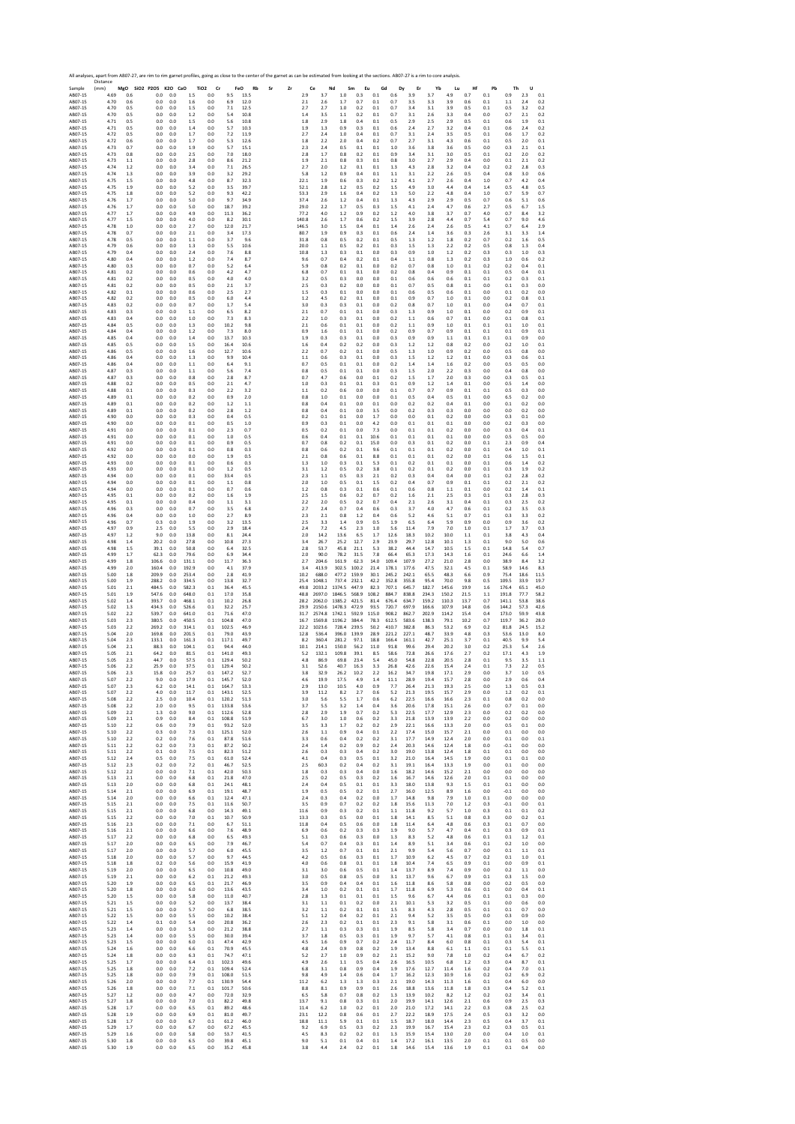Sample Distance (mm) **MgO SiO2 P2O5 K2O CaO TiO2 Cr FeO Rb Sr Zr Ce Nd Sm Eu Gd Dy Er Yb Lu Hf Pb Th U** AB07‐15 4.69 0.6 0.0 0.0 1.5 0.0 9.5 13.5 2.9 3.7 1.0 0.3 0.1 0.6 3.9 3.7 4.9 0.7 0.1 0.9 2.3 0.1 AB07‐15 4.70 0.6 0.0 0.0 1.6 0.0 6.9 12.0 2.1 2.6 1.7 0.7 0.1 0.7 3.5 3.3 3.9 0.6 0.1 1.1 2.4 0.2 AB07‐15 4.70 0.5 0.0 0.0 1.5 0.0 7.1 12.5 2.7 2.7 1.0 0.2 0.1 0.7 3.4 3.1 3.9 0.5 0.1 0.5 3.2 0.2 AB07‐15 4.70 0.5 0.0 0.0 1.2 0.0 5.4 10.8 1.4 3.5 1.1 0.2 0.1 0.7 3.1 2.6 3.3 0.4 0.0 0.7 2.1 0.2 AB07‐15 4.71 0.5 0.0 0.0 1.5 0.0 5.6 10.8 1.8 2.9 1.8 0.4 0.1 0.5 2.9 2.5 2.9 0.5 0.1 0.6 1.9 0.1 AB07‐15 4.71 0.5 0.0 0.0 1.4 0.0 5.7 10.3 1.9 1.3 0.9 0.3 0.1 0.6 2.4 2.7 3.2 0.4 0.1 0.6 2.4 0.2 AB07‐15 4.72 0.5 0.0 0.0 1.7 0.0 7.2 11.9 2.7 2.4 1.0 0.4 0.1 0.7 3.1 2.4 3.5 0.5 0.1 0.6 1.7 0.2 AB07‐15 4.72 0.6 0.0 0.0 1.7 0.0 5.3 12.6 1.8 2.2 2.0 0.4 0.2 0.7 2.7 3.1 4.3 0.6 0.1 0.5 2.0 0.1 AB07‐15 4.73 0.7 0.0 0.0 1.9 0.0 5.7 15.1 2.3 2.4 0.5 0.1 0.1 1.0 3.6 3.8 3.6 0.5 0.0 0.3 2.1 0.1 AB07‐15 4.73 0.8 0.0 0.0 2.5 0.0 7.0 18.0 2.8 1.7 0.8 0.2 0.1 0.9 3.4 3.1 3.0 0.5 0.1 0.2 2.0 0.2 AB07‐15 4.73 1.1 0.0 0.0 2.8 0.0 8.6 21.2 1.9 2.1 0.8 0.3 0.1 0.8 3.0 2.7 2.9 0.4 0.0 0.1 2.1 0.2 AB07‐15 4.74 1.2 0.0 0.0 3.4 0.0 7.1 26.5 2.7 2.0 1.2 0.1 0.1 1.3 4.3 2.8 3.2 0.4 0.2 0.2 2.8 0.3 AB07‐15 4.74 1.3 0.0 0.0 3.9 0.0 3.2 29.2 5.8 1.2 0.9 0.4 0.1 1.1 3.1 2.2 2.6 0.5 0.4 0.8 3.0 0.6 AB07‐15 4.75 1.5 0.0 0.0 4.8 0.0 8.7 32.3 22.1 1.9 0.6 0.3 0.2 1.2 4.1 2.7 2.6 0.4 1.0 0.7 4.2 0.4 AB07‐15 4.75 1.9 0.0 0.0 5.2 0.0 3.5 39.7 52.1 2.8 1.2 0.5 0.2 1.5 4.9 3.0 4.4 0.4 1.4 0.5 4.8 0.5 AB07‐15 4.75 1.8 0.0 0.0 5.2 0.0 9.3 42.2 53.3 2.9 1.6 0.4 0.2 1.3 5.0 2.2 4.8 0.4 1.0 0.7 5.9 0.7 AB07‐15 4.76 1.7 0.0 0.0 5.0 0.0 9.7 34.9 37.4 2.6 1.2 0.4 0.1 1.3 4.3 2.9 2.9 0.5 0.7 0.6 5.1 0.6 AB07‐15 4.76 1.7 0.0 0.0 5.0 0.0 18.7 39.2 29.0 2.2 1.7 0.5 0.3 1.5 4.1 2.4 4.7 0.6 2.7 0.5 6.7 1.5 AB07‐15 4.77 1.7 0.0 0.0 4.9 0.0 11.3 36.2 77.2 4.0 1.2 0.9 0.2 1.2 4.0 3.8 3.7 0.7 4.0 0.7 8.4 3.2 AB07‐15 4.77 1.5 0.0 0.0 4.0 0.0 8.2 30.1 140.8 2.6 1.7 0.6 0.2 1.5 3.9 2.8 4.4 0.7 5.4 0.7 9.0 4.6 AB07‐15 4.78 1.0 0.0 0.0 2.7 0.0 12.0 21.7 146.5 3.0 1.5 0.4 0.1 1.4 2.6 2.4 2.6 0.5 4.1 0.7 6.4 2.9 AB07‐15 4.78 0.7 0.0 0.0 2.1 0.0 3.4 17.3 80.7 1.9 0.9 0.3 0.1 0.6 2.4 1.4 3.6 0.3 2.6 3.1 3.3 1.4 AB07‐15 4.78 0.5 0.0 0.0 1.1 0.0 3.7 9.6 31.8 0.8 0.5 0.2 0.1 0.5 1.3 1.2 1.8 0.2 0.7 0.2 1.6 0.5 AB07‐15 4.79 0.6 0.0 0.0 1.3 0.0 5.5 10.6 20.0 1.1 0.5 0.2 0.1 0.3 1.5 1.3 2.2 0.2 0.5 0.8 1.3 0.4 AB07‐15 4.79 0.4 0.0 0.0 2.4 0.0 7.6 8.8 10.8 1.3 0.3 0.1 0.0 0.3 0.9 1.0 1.2 0.2 0.3 0.3 1.0 0.3 AB07‐15 4.80 0.4 0.0 0.0 1.2 0.0 7.4 8.7 9.6 0.7 0.4 0.2 0.1 0.4 1.1 0.8 1.3 0.2 0.3 1.0 0.6 0.2 AB07‐15 4.80 0.3 0.0 0.0 0.7 0.0 5.2 6.4 5.9 0.8 0.2 0.1 0.0 0.2 0.7 0.8 1.0 0.1 0.2 0.2 0.4 0.1 AB07‐15 4.81 0.2 0.0 0.0 0.6 0.0 4.2 4.7 6.8 0.7 0.1 0.1 0.0 0.2 0.8 0.4 0.9 0.1 0.1 0.5 0.4 0.1 AB07‐15 4.81 0.2 0.0 0.0 0.5 0.0 4.0 4.0 3.2 0.5 0.3 0.0 0.0 0.1 0.6 0.6 0.6 0.1 0.1 0.2 0.3 0.1 AB07‐15 4.81 0.2 0.0 0.0 0.5 0.0 2.1 3.7 2.5 0.3 0.2 0.0 0.0 0.1 0.7 0.5 0.8 0.1 0.0 0.1 0.3 0.0 AB07‐15 4.82 0.1 0.0 0.0 0.6 0.0 2.5 2.7 1.5 0.3 0.1 0.0 0.0 0.1 0.6 0.5 0.6 0.1 0.0 0.1 0.2 0.0 AB07‐15 4.82 0.2 0.0 0.0 0.5 0.0 6.0 4.4 1.2 4.5 0.2 0.1 0.0 0.1 0.9 0.7 1.0 0.1 0.0 0.2 0.8 0.1 AB07‐15 4.83 0.2 0.0 0.0 0.7 0.0 1.7 5.4 3.0 0.3 0.3 0.1 0.0 0.2 0.8 0.7 1.0 0.1 0.0 0.4 0.7 0.1 AB07‐15 4.83 0.3 0.0 0.0 1.1 0.0 6.5 8.2 2.1 0.7 0.1 0.1 0.0 0.3 1.3 0.9 1.0 0.1 0.0 0.2 0.9 0.1 AB07‐15 4.83 0.4 0.0 0.0 1.0 0.0 7.3 8.3 2.2 1.0 0.3 0.1 0.0 0.2 1.1 0.6 0.7 0.1 0.0 0.1 0.8 0.1 AB07‐15 4.84 0.5 0.0 0.0 1.3 0.0 10.2 9.8 2.1 0.6 0.1 0.1 0.0 0.2 1.1 0.9 1.0 0.1 0.1 0.1 1.0 0.1 AB07‐15 4.84 0.4 0.0 0.0 1.2 0.0 7.3 8.0 0.9 1.6 0.1 0.1 0.0 0.2 0.9 0.7 0.9 0.1 0.1 0.1 0.9 0.1 AB07‐15 4.85 0.4 0.0 0.0 1.4 0.0 13.7 10.3 1.9 0.3 0.3 0.1 0.0 0.3 0.9 0.9 1.1 0.1 0.1 0.1 0.9 0.0 AB07‐15 4.85 0.5 0.0 0.0 1.5 0.0 16.4 10.6 1.6 0.4 0.2 0.2 0.0 0.3 1.2 1.2 0.8 0.2 0.0 0.2 1.0 0.1 AB07‐15 4.86 0.5 0.0 0.0 1.6 0.0 12.7 10.6 2.2 0.7 0.2 0.1 0.0 0.5 1.3 1.0 0.9 0.2 0.0 0.5 0.8 0.0 AB07‐15 4.86 0.4 0.0 0.0 1.3 0.0 9.9 10.4 1.1 0.6 0.3 0.1 0.0 0.3 1.5 1.2 1.2 0.1 0.0 0.3 0.6 0.1 AB07‐15 4.86 0.4 0.0 0.0 1.1 0.0 6.4 9.1 0.7 0.5 0.1 0.1 0.0 0.2 1.4 1.4 1.6 0.2 0.0 0.5 0.5 0.0 AB07‐15 4.87 0.3 0.0 0.0 1.1 0.0 5.6 7.4 0.8 0.5 0.1 0.1 0.0 0.3 1.5 2.0 2.2 0.3 0.0 0.4 0.8 0.0 AB07‐15 4.87 0.3 0.0 0.0 0.8 0.0 2.8 8.7 0.7 4.7 0.6 0.0 0.1 0.2 1.5 1.7 2.0 0.3 0.0 0.3 0.5 0.1 AB07‐15 4.88 0.2 0.0 0.0 0.5 0.0 2.1 4.7 1.0 0.3 0.1 0.1 0.3 0.1 0.9 1.2 1.4 0.1 0.0 0.5 1.4 0.0 AB07‐15 4.88 0.1 0.0 0.0 0.3 0.0 2.2 3.2 1.1 0.2 0.6 0.0 0.0 0.1 0.7 0.7 0.9 0.1 0.1 0.5 0.3 0.0 AB07‐15 4.89 0.1 0.0 0.0 0.2 0.0 0.9 2.0 0.8 1.0 0.1 0.0 0.0 0.1 0.5 0.4 0.5 0.1 0.0 6.5 0.2 0.0 AB07‐15 4.89 0.1 0.0 0.0 0.2 0.0 1.2 1.1 0.8 0.4 0.1 0.0 0.1 0.0 0.2 0.2 0.4 0.1 0.0 0.1 0.2 0.0 AB07‐15 4.89 0.1 0.0 0.0 0.2 0.0 2.8 1.2 0.8 0.4 0.1 0.0 3.5 0.0 0.2 0.3 0.3 0.0 0.0 0.0 0.2 0.0 AB07‐15 4.90 0.0 0.0 0.0 0.3 0.0 0.4 0.5 0.2 0.1 0.1 0.0 1.7 0.0 0.0 0.1 0.2 0.0 0.0 0.3 0.1 0.0 AB07‐15 4.90 0.0 0.0 0.0 0.1 0.0 0.5 1.0 0.9 0.3 0.1 0.0 4.2 0.0 0.1 0.1 0.1 0.0 0.0 0.2 0.3 0.0 AB07‐15 4.91 0.0 0.0 0.0 0.1 0.0 2.3 0.7 0.5 0.2 0.1 0.0 7.3 0.0 0.1 0.1 0.2 0.0 0.0 0.3 0.4 0.1 AB07‐15 4.91 0.0 0.0 0.0 0.1 0.0 1.0 0.5 0.6 0.4 0.1 0.1 10.6 0.1 0.1 0.1 0.1 0.0 0.0 0.5 0.5 0.0 AB07‐15 4.91 0.0 0.0 0.0 0.1 0.0 0.9 0.5 0.7 0.8 0.2 0.1 15.0 0.0 0.3 0.1 0.2 0.0 0.1 2.3 0.9 0.4 AB07‐15 4.92 0.0 0.0 0.0 0.1 0.0 0.8 0.3 0.8 0.6 0.2 0.1 9.6 0.1 0.1 0.1 0.2 0.0 0.1 0.4 1.0 0.1 AB07‐15 4.92 0.0 0.0 0.0 0.0 0.0 1.9 0.5 2.1 0.8 0.6 0.1 8.8 0.1 0.1 0.1 0.2 0.0 0.1 0.6 1.5 0.1 AB07‐15 4.93 0.0 0.0 0.0 0.1 0.0 0.6 0.3 1.3 1.0 0.3 0.1 5.3 0.1 0.2 0.1 0.1 0.0 0.1 0.6 1.4 0.2 AB07‐15 4.93 0.0 0.0 0.0 0.1 0.0 1.2 0.5 3.1 1.2 0.5 0.2 3.8 0.1 0.2 0.1 0.2 0.0 0.1 0.3 1.9 0.2 AB07‐15 4.94 0.0 0.0 0.0 0.1 0.0 33.4 0.5 2.3 1.1 0.5 0.3 2.1 0.2 0.3 0.4 0.4 0.0 0.1 0.2 2.8 0.2 AB07‐15 4.94 0.0 0.0 0.0 0.1 0.0 1.1 0.8 2.0 1.0 0.5 0.1 1.5 0.2 0.4 0.7 0.9 0.1 0.1 0.2 2.1 0.2 AB07‐15 4.94 0.0 0.0 0.0 0.1 0.0 0.7 0.6 1.2 0.8 0.3 0.1 0.6 0.1 0.6 0.8 1.1 0.1 0.0 0.2 1.4 0.1 AB07‐15 4.95 0.1 0.0 0.0 0.2 0.0 1.6 1.9 2.5 1.5 0.6 0.2 0.7 0.2 1.6 2.1 2.5 0.3 0.1 0.3 2.8 0.3 AB07‐15 4.95 0.1 0.0 0.0 0.4 0.0 1.1 3.1 2.2 2.0 0.5 0.2 0.7 0.4 2.1 2.6 3.1 0.4 0.1 0.3 2.5 0.2 AB07‐15 4.96 0.3 0.0 0.0 0.7 0.0 3.5 6.8 2.7 2.4 0.7 0.4 0.6 0.3 3.7 4.0 4.7 0.6 0.1 0.2 3.5 0.3 AB07‐15 4.96 0.4 0.0 0.0 1.0 0.0 2.7 8.9 2.3 2.1 0.8 1.2 0.4 0.6 5.2 4.6 5.1 0.7 0.1 0.3 3.3 0.2 AB07‐15 4.96 0.7 0.3 0.0 1.9 0.0 3.2 13.5 2.5 3.3 1.4 0.9 0.5 1.9 6.5 6.4 5.9 0.9 0.0 0.9 3.6 0.2 AB07‐15 4.97 0.9 2.5 0.0 5.5 0.0 2.9 18.4 2.4 7.2 4.5 2.3 1.0 5.6 11.4 7.9 7.0 1.0 0.1 1.7 3.7 0.3 AB07‐15 4.97 1.2 9.0 0.0 13.8 0.0 8.1 24.4 2.0 14.2 13.6 6.5 1.7 12.6 18.3 10.2 10.0 1.1 0.1 3.8 4.3 0.4 AB07‐15 4.98 1.4 20.2 0.0 27.8 0.0 10.8 27.3 3.4 26.7 25.2 12.7 2.9 23.9 29.7 12.8 10.1 1.3 0.1 9.0 5.0 0.6 AB07‐15 4.98 1.5 39.1 0.0 50.8 0.0 6.4 32.5 2.8 53.7 45.8 21.1 5.3 38.2 44.4 14.7 10.5 1.5 0.1 14.8 5.4 0.7 AB07‐15 4.99 1.7 62.3 0.0 79.6 0.0 6.9 34.4 2.0 90.0 78.2 31.5 7.8 66.4 65.3 17.3 14.3 1.6 0.1 24.6 6.6 1.4 AB07‐15 4.99 1.8 106.6 0.0 131.1 0.0 11.7 36.3 2.7 204.6 161.9 62.3 14.0 109.4 107.9 27.2 21.0 2.8 0.0 38.9 8.4 3.2 AB07‐15 4.99 2.0 160.4 0.0 192.9 0.0 4.1 37.9 3.4 413.9 302.5 100.2 21.4 178.1 177.6 47.5 32.1 4.5 0.1 58.9 14.6 8.3 AB07‐15 5.00 1.8 209.9 0.0 253.4 0.0 2.8 41.9 10.2 688.0 477.2 159.9 30.1 245.2 242.1 65.5 48.3 6.6 0.9 75.4 18.6 11.5 AB07‐15 5.00 1.9 288.2 0.0 334.5 0.0 13.8 32.7 25.4 1048.1 737.4 232.1 42.2 352.8 355.8 95.4 70.0 9.8 0.5 109.5 33.9 19.7 AB07‐15 5.01 2.1 484.5 0.0 582.3 0.1 36.4 45.5 49.8 2033.2 1374.5 447.9 82.3 707.1 645.7 182.7 145.6 19.9 1.6 176.4 65.1 45.0 AB07‐15 5.01 1.9 547.6 0.0 648.0 0.1 17.0 35.8 48.8 2697.0 1846.5 568.9 108.2 884.7 838.8 234.3 150.2 21.5 1.1 191.8 77.7 58.2 AB07‐15 5.02 1.4 393.7 0.0 468.1 0.1 10.2 26.8 28.2 2062.0 1385.2 421.5 81.4 676.4 634.7 159.2 110.3 13.7 0.7 141.1 53.8 38.6 AB07‐15 5.02 1.3 434.3 0.0 526.6 0.1 32.2 25.7 29.9 2150.6 1478.3 472.9 93.5 720.7 697.9 166.6 107.9 14.8 0.6 144.2 57.3 42.6 AB07‐15 5.02 2.2 539.7 0.0 641.0 0.1 71.6 47.0 31.7 2574.8 1742.1 592.9 115.0 908.2 862.7 202.9 114.2 15.4 0.4 173.0 59.9 43.8 AB07‐15 5.03 2.3 380.5 0.0 450.5 0.1 104.8 47.0 16.7 1569.8 1196.2 384.4 78.3 612.5 583.6 138.3 79.1 10.2 0.7 119.7 36.2 28.0 AB07‐15 5.03 2.2 269.2 0.0 314.1 0.1 102.5 46.9 22.2 1023.6 728.4 239.5 50.2 410.7 382.8 86.3 53.2 6.9 0.2 81.8 24.5 15.2 AB07‐15 5.04 2.0 169.8 0.0 201.5 0.1 79.0 43.9 12.8 536.4 396.0 139.9 28.9 221.2 227.1 48.7 33.9 4.8 0.3 53.6 13.0 8.0 AB07‐15 5.04 2.3 133.1 0.0 161.3 0.1 117.1 49.7 8.2 360.4 281.2 97.1 18.8 166.4 161.1 42.7 25.1 3.7 0.1 40.5 9.9 5.4 AB07‐15 5.04 2.1 88.3 0.0 104.1 0.1 94.4 44.0 10.1 214.1 150.0 56.2 11.0 91.8 99.6 29.4 20.2 3.0 0.2 25.3 5.4 2.6 AB07‐15 5.05 2.1 64.2 0.0 81.5 0.1 141.0 49.3 5.2 132.1 109.8 39.1 8.5 58.6 72.8 26.6 17.6 2.7 0.2 17.1 4.3 1.9 AB07‐15 5.05 2.3 44.7 0.0 57.5 0.1 129.4 50.2 4.8 86.9 69.8 23.4 5.4 45.0 54.8 22.8 20.5 2.8 0.1 9.5 3.5 1.1 AB07‐15 5.06 2.2 25.9 0.0 37.5 0.1 129.4 50.2 3.1 52.6 40.7 16.3 3.3 26.8 42.6 22.6 15.4 2.4 0.1 7.3 2.2 0.5 AB07‐15 5.06 2.3 15.8 0.0 25.7 0.1 147.2 52.7 3.8 32.9 26.2 10.2 2.2 16.2 34.7 19.8 17.1 2.9 0.0 3.7 1.0 0.5 AB07‐15 5.07 2.2 9.0 0.0 17.9 0.1 145.7 52.0 4.6 19.9 17.5 4.9 1.4 11.1 28.9 19.4 15.7 2.8 0.0 2.9 0.6 0.4 AB07‐15 5.07 2.3 6.2 0.0 14.1 0.1 164.7 53.3 2.9 13.0 10.5 4.0 0.9 7.7 26.4 21.3 19.3 2.5 0.0 1.3 0.5 0.3 AB07‐15 5.07 2.2 4.0 0.0 11.7 0.1 143.1 52.5 3.9 11.2 8.2 2.7 0.6 5.2 21.3 19.5 15.7 2.9 0.0 1.2 0.2 0.1 AB07‐15 5.08 2.2 2.5 0.0 10.4 0.1 120.2 51.3 3.0 5.6 5.5 1.7 0.6 6.2 22.5 16.6 16.6 2.3 0.1 0.8 0.2 0.0 AB07‐15 5.08 2.2 2.0 0.0 9.5 0.1 133.8 53.6 3.7 5.5 3.2 1.4 0.4 3.6 20.6 17.8 15.1 2.6 0.0 0.7 0.1 0.0 AB07‐15 5.09 2.2 1.3 0.0 9.0 0.1 112.6 52.8 2.8 2.9 1.9 0.7 0.2 5.3 22.5 17.7 12.9 2.3 0.0 0.2 0.2 0.0 AB07‐15 5.09 2.1 0.9 0.0 8.4 0.1 108.8 51.9 6.7 3.0 1.0 0.6 0.2 3.3 21.8 13.9 13.9 2.2 0.0 0.2 0.0 0.0 AB07‐15 5.10 2.2 0.6 0.0 7.9 0.1 93.2 52.0 3.5 3.3 1.7 0.2 0.2 2.9 22.1 16.6 13.3 2.0 0.0 0.5 0.1 0.0 AB07‐15 5.10 2.2 0.3 0.0 7.3 0.1 125.1 52.0 2.6 1.1 0.9 0.4 0.1 2.2 17.4 15.0 15.7 2.1 0.0 0.1 0.0 0.0 AB07‐15 5.10 2.2 0.2 0.0 7.6 0.1 87.8 51.6 3.3 0.6 0.4 0.2 0.2 3.1 17.7 14.9 12.4 2.0 0.0 0.1 0.0 0.1 AB07‐15 5.11 2.2 0.2 0.0 7.3 0.1 87.2 50.2 2.4 1.4 0.2 0.9 0.2 2.4 20.3 14.6 12.4 1.8 0.0 ‐0.1 0.0 0.0 AB07‐15 5.11 2.2 0.1 0.0 7.5 0.1 82.3 51.2 2.6 0.3 0.3 0.4 0.2 3.0 19.0 13.8 12.4 1.8 0.1 0.1 0.0 0.0 AB07‐15 5.12 2.4 0.5 0.0 7.5 0.1 61.0 52.4 4.1 0.4 0.3 0.5 0.1 3.2 21.0 16.4 14.5 1.9 0.0 0.1 0.1 0.0 AB07‐15 5.12 2.3 0.2 0.0 7.2 0.1 46.7 52.5 2.5 60.3 0.2 0.4 0.2 3.1 19.1 16.4 13.3 1.9 0.0 0.1 0.0 0.0 AB07‐15 5.12 2.2 0.0 0.0 7.1 0.1 42.0 50.3 1.8 0.3 0.3 0.4 0.0 1.6 18.2 14.6 15.2 2.1 0.0 0.0 0.0 0.0 AB07‐15 5.13 2.1 0.0 0.0 6.8 0.1 21.8 47.0 2.5 0.2 0.5 0.3 0.2 1.6 16.7 14.6 12.6 2.0 0.1 0.1 0.0 0.0 AB07‐15 5.13 2.0 0.0 0.0 6.8 0.1 24.1 48.1 2.4 0.4 0.5 0.1 0.1 3.3 18.0 13.8 9.3 1.5 0.1 0.1 0.0 0.0 AB07‐15 5.14 2.1 0.0 0.0 6.9 0.1 19.1 48.7 1.9 0.5 0.5 0.2 0.1 2.7 16.0 12.5 8.9 1.6 0.0 ‐0.1 0.0 0.0 AB07‐15 5.14 2.0 0.0 0.0 6.6 0.1 12.4 47.1 2.4 0.3 0.4 0.2 0.0 1.7 14.8 9.8 7.9 1.0 0.1 0.0 0.0 0.0 AB07‐15 5.15 2.1 0.0 0.0 7.5 0.1 11.6 50.7 3.5 0.9 0.7 0.2 0.2 1.8 15.6 11.3 7.0 1.2 0.3 ‐0.1 0.0 0.1 AB07‐15 5.15 2.1 0.0 0.0 6.8 0.0 14.3 49.1 11.6 0.9 0.3 0.2 0.1 1.1 11.8 9.2 5.7 1.0 0.3 0.1 0.1 0.2 AB07‐15 5.15 2.2 0.0 0.0 7.0 0.1 10.7 50.9 13.3 0.3 0.5 0.0 0.1 1.8 14.1 8.5 5.1 0.8 0.3 0.0 0.2 0.1 AB07‐15 5.16 2.3 0.0 0.0 7.1 0.0 6.7 51.1 11.8 0.4 0.5 0.6 0.0 1.8 11.4 6.4 4.8 0.6 0.3 0.1 0.7 0.0 AB07‐15 5.16 2.1 0.0 0.0 6.6 0.0 7.6 48.9 6.9 0.6 0.2 0.3 0.3 1.9 9.0 5.7 4.7 0.4 0.1 0.3 0.9 0.1 AB07‐15 5.17 2.2 0.0 0.0 6.8 0.0 6.5 49.3 5.1 0.3 0.6 0.3 0.0 1.3 8.3 5.2 4.8 0.6 0.1 0.1 1.2 0.1 AB07‐15 5.17 2.0 0.0 0.0 6.5 0.0 7.9 46.7 5.4 0.7 0.4 0.3 0.1 1.4 8.9 5.1 3.4 0.6 0.1 0.2 1.0 0.0 AB07‐15 5.17 2.0 0.0 0.0 5.7 0.0 6.0 45.5 3.5 1.2 0.7 0.1 0.1 2.1 9.9 5.4 5.6 0.7 0.0 0.1 1.1 0.1 AB07‐15 5.18 2.0 0.0 0.0 5.7 0.0 9.7 44.5 4.2 0.5 0.6 0.3 0.1 1.7 10.9 6.2 4.5 0.7 0.2 0.1 1.0 0.1 AB07‐15 5.18 1.8 0.2 0.0 5.6 0.0 15.9 41.9 4.0 0.6 0.8 0.1 0.1 1.8 10.4 7.4 6.5 0.9 0.1 0.0 0.9 0.1 AB07‐15 5.19 2.0 0.0 0.0 6.5 0.0 10.8 49.0 3.1 3.0 0.6 0.5 0.1 1.4 13.7 8.9 7.4 0.9 0.0 0.2 1.1 0.0 AB07‐15 5.19 2.1 0.0 0.0 6.2 0.1 21.2 49.3 3.0 0.5 0.8 0.5 0.0 3.1 13.7 9.6 6.7 0.9 0.1 0.3 1.5 0.0 AB07‐15 5.20 1.9 0.0 0.0 6.5 0.1 21.7 46.9 3.5 0.9 0.4 0.4 0.1 1.6 11.8 8.6 5.8 0.8 0.0 0.2 0.5 0.0 AB07‐15 5.20 1.8 0.0 0.0 6.0 0.0 13.6 43.5 3.4 1.0 0.2 0.1 0.1 1.7 11.8 6.9 5.3 0.6 0.1 0.0 0.4 0.1 AB07‐15 5.20 1.5 0.0 0.0 5.8 0.0 11.0 40.7 2.8 1.3 0.1 0.1 0.1 1.5 9.6 6.7 4.4 0.6 0.1 0.1 0.3 0.0 AB07‐15 5.21 1.5 0.0 0.0 5.2 0.0 13.7 38.4 3.1 1.1 0.1 0.2 0.0 2.1 10.1 5.3 3.2 0.5 0.1 0.0 0.6 0.0 AB07‐15 5.21 1.5 0.0 0.0 5.7 0.0 6.8 38.5 3.2 1.1 0.2 0.1 0.1 1.5 8.3 4.3 2.8 0.5 0.1 0.1 0.7 0.0 AB07‐15 5.22 1.5 0.0 0.0 5.5 0.0 10.2 38.4 5.1 1.2 0.4 0.2 0.1 2.1 9.4 5.2 3.5 0.5 0.0 0.3 0.9 0.0 AB07‐15 5.22 1.4 0.1 0.0 5.4 0.0 20.8 36.2 2.6 2.3 0.2 0.1 0.1 2.3 9.1 5.8 3.1 0.6 0.1 0.0 1.0 0.0 AB07‐15 5.23 1.4 0.0 0.0 5.3 0.0 21.2 38.8 2.7 1.1 0.3 0.3 0.1 1.9 8.5 5.8 3.4 0.7 0.0 0.0 1.8 0.1 AB07‐15 5.23 1.4 0.0 0.0 5.5 0.0 30.0 39.4 3.7 1.8 0.5 0.3 0.1 1.9 9.7 5.7 4.1 0.8 0.1 0.1 3.4 0.1 AB07‐15 5.23 1.5 0.0 0.0 6.0 0.1 47.4 42.9 4.5 1.6 0.9 0.7 0.2 2.4 11.7 8.4 6.0 0.8 0.1 0.3 5.4 0.1 AB07‐15 5.24 1.6 0.0 0.0 6.6 0.1 70.9 45.5 4.8 2.4 0.9 0.8 0.2 1.9 13.4 8.8 6.1 1.1 0.1 0.1 5.5 0.1 AB07‐15 5.24 1.8 0.0 0.0 6.3 0.1 74.7 47.1 5.2 2.7 1.0 0.9 0.2 2.1 15.2 9.0 7.8 1.0 0.2 0.4 6.7 0.2 AB07‐15 5.25 1.7 0.0 0.0 6.4 0.1 102.3 49.6 4.9 2.6 1.1 0.5 0.4 2.6 16.5 10.5 6.8 1.2 0.3 0.4 8.7 0.1 AB07‐15 5.25 1.8 0.0 0.0 7.2 0.1 109.4 52.4 6.8 3.1 0.8 0.9 0.4 1.9 17.6 12.7 11.4 1.6 0.2 0.4 7.0 0.1 AB07‐15 5.25 1.8 0.0 0.0 7.9 0.1 108.0 51.5 9.8 4.9 1.4 0.6 0.4 1.7 16.2 12.3 10.9 1.6 0.2 0.2 6.9 0.2 AB07‐15 5.26 2.0 0.0 0.0 7.7 0.1 130.9 54.4 11.2 6.2 1.3 1.3 0.3 2.1 19.0 14.3 11.3 1.6 0.1 0.4 6.0 0.0 AB07‐15 5.26 1.8 0.0 0.0 7.1 0.1 101.7 50.6 8.8 8.1 0.9 0.9 0.1 2.6 18.8 13.6 11.8 1.8 0.3 0.4 5.2 0.1 AB07‐15 5.27 1.2 0.0 0.0 4.7 0.0 72.0 32.9 6.5 5.8 0.7 0.8 0.2 1.3 13.9 10.2 8.2 1.2 0.2 0.2 3.4 0.1 AB07‐15 5.27 1.8 0.0 0.0 7.0 0.1 82.2 49.8 13.7 9.1 0.8 0.3 0.1 2.0 19.9 14.1 12.6 2.1 0.6 0.9 2.5 0.3 AB07‐15 5.28 1.7 0.0 0.0 6.5 0.1 89.2 48.6 11.4 6.2 1.0 0.2 0.1 2.0 21.0 17.2 14.1 2.2 0.3 0.8 2.5 0.2 AB07‐15 5.28 1.9 0.0 0.0 6.9 0.1 81.0 49.7 23.1 12.2 0.8 0.6 0.1 2.7 22.2 18.9 17.5 2.4 0.5 0.3 3.2 0.0 AB07‐15 5.28 1.7 0.0 0.0 6.7 0.1 61.2 46.0 18.8 11.1 5.9 0.1 0.1 1.5 18.7 18.0 14.4 2.3 0.5 0.4 3.7 0.1 AB07‐15 5.29 1.7 0.0 0.0 6.7 0.0 67.2 45.5 9.2 6.9 0.5 0.3 0.2 2.3 19.9 16.7 15.4 2.3 0.2 0.3 0.5 0.1 AB07‐15 5.29 1.6 0.0 0.0 5.8 0.0 53.7 41.5 4.5 8.3 0.2 0.2 0.1 1.3 15.9 15.4 13.0 2.0 0.0 0.4 1.0 0.1 AB07‐15 5.30 1.8 0.0 0.0 6.5 0.0 39.8 45.1 9.0 5.1 0.1 0.4 0.1 1.4 17.2 16.1 13.5 2.0 0.1 0.1 0.5 0.0

AB07‐15 5.30 1.9 0.0 0.0 6.5 0.0 35.2 45.8 3.8 4.4 2.4 0.2 0.1 1.8 14.6 15.4 13.6 1.9 0.1 0.1 0.4 0.0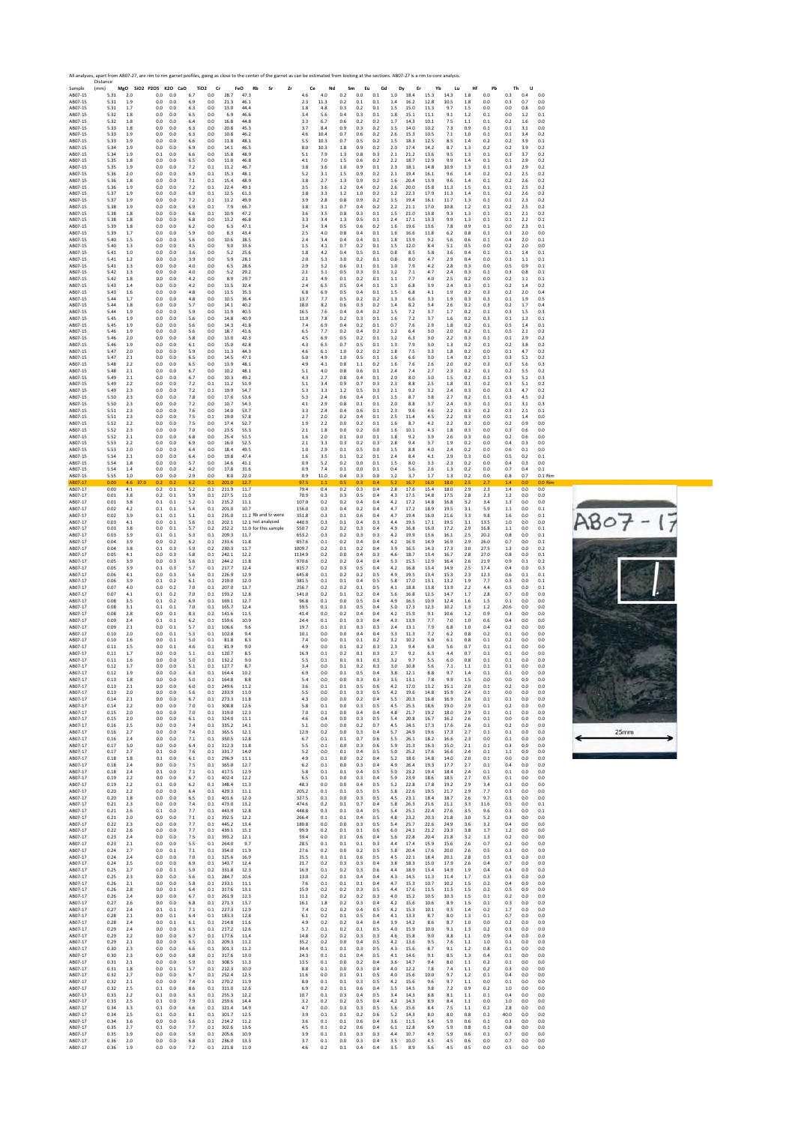

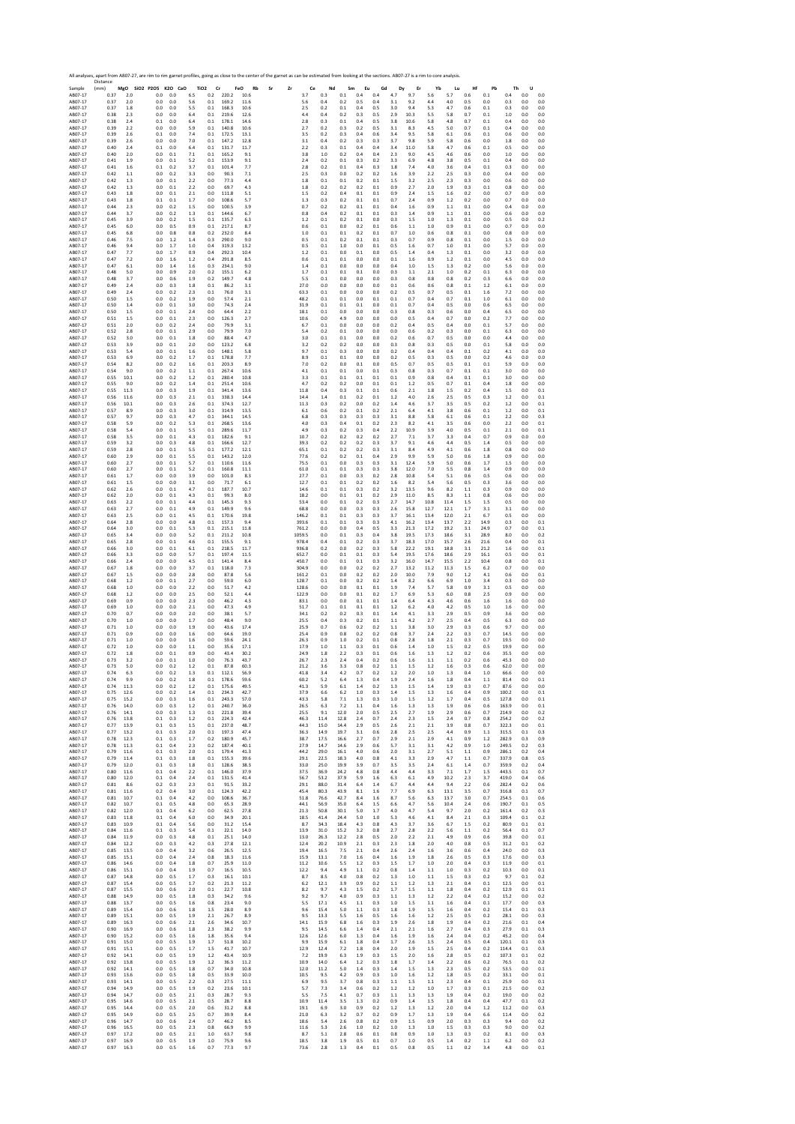Sample Distance (mm) **MgO SiO2 P2O5 K2O CaO TiO2 Cr FeO Rb Sr Zr Ce Nd Sm Eu Gd Dy Er Yb Lu Hf Pb Th U** AB07‐17 0.37 2.0 0.0 0.0 6.5 0.2 220.2 10.6 3.7 0.3 0.1 0.4 0.4 4.7 9.7 5.6 5.7 0.6 0.1 0.4 0.0 0.0 AB07‐17 0.37 2.0 0.0 0.0 5.6 0.1 169.2 11.6 5.6 0.4 0.2 0.5 0.4 3.1 9.2 4.4 4.0 0.5 0.0 0.3 0.0 0.0 AB07‐17 0.37 1.8 0.0 0.0 5.5 0.1 168.3 10.6 2.5 0.2 0.1 0.4 0.5 3.0 9.4 5.3 4.7 0.6 0.1 0.3 0.0 0.0 AB07‐17 0.38 2.3 0.0 0.0 6.4 0.1 219.6 12.6 4.4 0.4 0.2 0.3 0.5 2.9 10.3 5.5 5.8 0.7 0.1 1.0 0.0 0.0 AB07‐17 0.38 2.4 0.1 0.0 6.4 0.1 178.1 14.6 2.8 0.3 0.1 0.4 0.5 3.8 10.6 5.8 4.8 0.7 0.1 0.4 0.0 0.0 AB07‐17 0.39 2.2 0.0 0.0 5.9 0.1 140.8 10.6 2.7 0.2 0.3 0.2 0.5 3.1 8.3 4.5 5.0 0.7 0.1 0.4 0.0 0.0 AB07‐17 0.39 2.6 0.1 0.0 7.4 0.1 172.5 13.1 3.5 0.2 0.3 0.4 0.6 3.4 9.5 5.8 6.1 0.6 0.1 0.6 0.0 0.0 AB07‐17 0.39 2.6 0.0 0.0 7.0 0.1 147.2 12.8 3.1 0.4 0.2 0.3 0.3 3.7 9.8 5.9 5.8 0.6 0.0 1.8 0.0 0.0 AB07‐17 0.40 2.4 0.1 0.0 6.4 0.1 131.7 11.7 2.2 0.3 0.1 0.4 0.4 3.4 11.0 5.8 4.7 0.6 0.1 0.5 0.0 0.0 AB07‐17 0.40 2.0 0.0 0.1 7.1 0.1 165.2 9.1 3.8 1.0 0.2 0.4 0.4 2.3 9.0 4.5 4.6 0.6 0.0 1.0 0.0 0.0 AB07‐17 0.41 1.9 0.0 0.1 5.2 0.1 153.9 9.1 2.4 0.2 0.1 0.3 0.2 3.3 6.9 4.8 3.8 0.5 0.1 0.4 0.0 0.0 AB07‐17 0.41 1.6 0.1 0.2 3.7 0.1 101.4 7.7 2.8 0.2 0.1 0.4 0.3 1.8 7.4 4.0 3.6 0.4 0.1 0.3 0.0 0.0 AB07‐17 0.42 1.1 0.0 0.2 3.3 0.0 90.3 7.1 2.5 0.3 0.0 0.2 0.2 1.6 3.9 2.2 2.5 0.3 0.0 0.4 0.0 0.0 AB07‐17 0.42 1.3 0.0 0.1 2.2 0.0 77.3 4.4 1.8 0.1 0.1 0.2 0.1 1.5 3.2 2.5 2.3 0.3 0.0 0.6 0.0 0.0 AB07‐17 0.42 1.3 0.0 0.1 2.2 0.0 69.7 4.3 1.8 0.2 0.2 0.2 0.1 0.9 2.7 2.0 1.9 0.3 0.1 0.8 0.0 0.0 AB07‐17 0.43 1.8 0.0 0.1 2.1 0.0 111.8 5.1 1.5 0.2 0.4 0.1 0.1 0.9 2.4 1.5 1.6 0.2 0.0 0.7 0.0 0.0 AB07‐17 0.43 1.8 0.1 0.1 1.7 0.0 108.6 5.7 1.3 0.3 0.2 0.1 0.1 0.7 2.4 0.9 1.2 0.2 0.0 0.7 0.0 0.0 AB07‐17 0.44 2.3 0.0 0.2 1.5 0.0 100.5 3.9 0.7 0.2 0.2 0.1 0.1 0.4 1.6 0.9 1.1 0.1 0.0 0.4 0.0 0.0 AB07‐17 0.44 3.7 0.0 0.2 1.3 0.1 144.6 6.7 0.8 0.4 0.2 0.1 0.1 0.3 1.4 0.9 1.1 0.1 0.0 0.6 0.0 0.0 AB07‐17 0.45 3.9 0.0 0.2 1.5 0.1 135.7 6.3 1.2 0.1 0.2 0.1 0.0 0.3 1.5 1.0 1.3 0.1 0.0 0.5 0.0 0.2 AB07‐17 0.45 6.0 0.0 0.5 0.9 0.1 217.1 8.7 0.6 0.1 0.0 0.2 0.1 0.6 1.1 1.0 0.9 0.1 0.0 0.7 0.0 0.0 AB07‐17 0.45 6.8 0.0 0.8 0.8 0.2 232.0 8.4 1.0 0.1 0.1 0.2 0.1 0.7 1.0 0.6 0.8 0.1 0.0 0.8 0.0 0.0 AB07‐17 0.46 7.5 0.0 1.2 1.4 0.3 290.0 9.0 0.5 0.1 0.2 0.1 0.1 0.3 0.7 0.9 0.8 0.1 0.0 1.5 0.0 0.0 AB07‐17 0.46 9.4 0.0 1.7 1.0 0.4 319.3 13.2 0.5 0.1 1.0 0.0 0.1 0.5 1.6 0.7 1.0 0.1 0.0 5.7 0.0 0.0 AB07‐17 0.47 7.7 0.0 1.7 0.9 0.4 292.3 10.4 1.2 0.1 0.0 0.1 0.0 0.5 1.4 0.4 1.3 0.1 0.0 3.2 0.0 0.0 AB07‐17 0.47 7.2 0.0 1.6 1.2 0.4 291.8 8.5 0.6 0.1 0.1 0.0 0.0 0.1 1.6 0.9 1.2 0.1 0.0 4.5 0.0 0.0 AB07‐17 0.47 6.1 0.0 1.4 1.6 0.3 234.1 9.0 1.4 0.1 0.0 0.0 0.0 0.4 1.0 1.5 1.3 0.2 0.0 5.6 0.0 0.0 AB07‐17 0.48 5.0 0.0 0.9 2.0 0.2 155.1 6.2 1.7 0.1 0.1 0.1 0.0 0.3 1.1 2.1 1.0 0.2 0.1 6.3 0.0 0.0 AB07‐17 0.48 3.7 0.0 0.6 1.9 0.2 149.7 4.8 5.5 0.1 0.0 0.0 0.0 0.3 0.8 0.8 0.8 0.2 0.3 6.6 0.0 0.0 AB07‐17 0.49 2.4 0.0 0.3 1.8 0.1 86.2 3.1 27.0 0.0 0.0 0.0 0.0 0.1 0.6 0.6 0.8 0.1 1.2 6.1 0.0 0.0 AB07‐17 0.49 2.4 0.0 0.2 2.3 0.1 76.0 3.1 63.3 0.1 0.0 0.0 0.0 0.2 0.5 0.7 0.5 0.1 1.6 7.2 0.0 0.0 AB07‐17 0.50 1.5 0.0 0.2 1.9 0.0 57.4 2.1 48.2 0.1 0.1 0.0 0.1 0.1 0.7 0.4 0.7 0.1 1.0 6.1 0.0 0.0 AB07‐17 0.50 1.4 0.0 0.1 3.0 0.0 74.3 2.4 31.9 0.1 0.1 0.1 0.0 0.1 0.7 0.4 0.5 0.0 0.6 6.5 0.0 0.0 AB07‐17 0.50 1.5 0.0 0.1 2.4 0.0 64.4 2.2 18.1 0.1 0.0 0.0 0.0 0.3 0.8 0.3 0.6 0.0 0.4 6.5 0.0 0.0 AB07‐17 0.51 1.5 0.0 0.1 2.3 0.0 126.3 2.7 10.6 0.0 4.9 0.0 0.0 0.0 0.5 0.4 0.7 0.0 0.2 7.7 0.0 0.0 AB07‐17 0.51 2.0 0.0 0.2 2.4 0.0 79.9 3.1 6.7 0.1 0.0 0.0 0.0 0.2 0.4 0.5 0.4 0.0 0.1 5.7 0.0 0.0 AB07‐17 0.52 2.8 0.0 0.1 2.9 0.0 79.9 7.0 5.4 0.2 0.1 0.0 0.0 0.0 0.6 0.2 0.3 0.0 0.1 6.3 0.0 0.0 AB07‐17 0.52 3.0 0.0 0.1 1.8 0.0 88.4 4.7 3.0 0.1 0.1 0.0 0.0 0.2 0.6 0.7 0.5 0.0 0.0 4.4 0.0 0.0 AB07‐17 0.53 3.9 0.0 0.1 2.0 0.0 123.2 6.8 3.2 0.2 0.2 0.0 0.0 0.3 0.8 0.3 0.5 0.0 0.1 5.8 0.0 0.0 AB07‐17 0.53 5.4 0.0 0.1 1.6 0.0 148.1 5.8 9.7 0.1 0.3 0.0 0.0 0.2 0.4 0.4 0.4 0.1 0.2 4.1 0.0 0.0 AB07‐17 0.53 6.9 0.0 0.2 1.7 0.1 178.8 7.7 8.9 0.1 0.1 0.0 0.0 0.2 0.5 0.3 0.5 0.0 0.2 4.6 0.0 0.0 AB07‐17 0.54 8.2 0.0 0.2 1.6 0.1 203.3 8.9 7.0 0.2 0.0 0.1 0.0 0.5 0.7 0.5 0.5 0.1 0.1 5.9 0.0 0.0 AB07‐17 0.54 9.0 0.0 0.2 1.1 0.1 267.4 10.6 4.1 0.1 0.1 0.0 0.1 0.3 0.8 0.3 0.7 0.1 0.1 3.0 0.0 0.0 AB07‐17 0.55 10.1 0.0 0.2 1.2 0.1 280.4 10.8 3.3 0.1 0.1 0.1 0.1 0.1 0.9 0.8 0.4 0.1 0.1 3.0 0.0 0.0 AB07‐17 0.55 9.0 0.0 0.2 1.4 0.1 251.4 10.6 4.7 0.2 0.2 0.0 0.1 0.1 1.2 0.5 0.7 0.1 0.4 1.8 0.0 0.0 AB07‐17 0.55 11.3 0.0 0.3 1.9 0.1 341.4 13.6 11.8 0.4 0.3 0.1 0.1 0.6 2.1 1.8 1.5 0.2 0.4 1.5 0.0 0.1 AB07‐17 0.56 11.6 0.0 0.3 2.1 0.1 338.3 14.4 14.4 1.4 0.1 0.2 0.1 1.2 4.0 2.6 2.5 0.5 0.3 1.2 0.0 0.1 AB07‐17 0.56 10.1 0.0 0.3 2.6 0.1 374.3 12.7 11.3 0.3 0.2 0.0 0.2 1.4 4.6 3.7 3.5 0.5 0.2 1.2 0.0 0.1 AB07‐17 0.57 8.9 0.0 0.3 3.0 0.1 314.9 13.5 6.1 0.6 0.2 0.1 0.2 2.1 6.4 4.1 3.8 0.6 0.1 1.2 0.0 0.1 AB07‐17 0.57 9.7 0.0 0.3 4.7 0.1 344.1 14.5 6.8 0.3 0.3 0.3 0.3 3.1 8.8 5.8 6.1 0.6 0.1 2.2 0.0 0.3 AB07‐17 0.58 5.9 0.0 0.2 5.3 0.1 268.5 13.6 4.0 0.3 0.4 0.1 0.2 2.3 8.2 4.1 3.5 0.6 0.0 2.2 0.0 0.1 AB07‐17 0.58 5.4 0.0 0.1 5.5 0.1 289.6 11.7 4.9 0.3 0.2 0.3 0.4 2.2 10.9 3.9 4.0 0.5 0.1 2.1 0.0 0.1 AB07‐17 0.58 3.5 0.0 0.1 4.3 0.1 182.6 9.1 10.7 0.2 0.2 0.2 0.2 2.7 7.1 3.7 3.3 0.4 0.7 0.9 0.0 0.0 AB07‐17 0.59 3.2 0.0 0.3 4.8 0.1 166.6 12.7 39.3 0.2 0.2 0.2 0.3 3.7 9.1 4.6 4.4 0.5 1.4 0.5 0.0 0.0 AB07‐17 0.59 2.8 0.0 0.1 5.5 0.1 177.2 12.1 65.1 0.1 0.2 0.2 0.3 3.1 8.4 4.9 4.1 0.6 1.8 0.8 0.0 0.0 AB07‐17 0.60 2.9 0.0 0.1 5.5 0.1 143.2 12.0 77.6 0.2 0.2 0.1 0.4 2.9 9.9 5.9 5.0 0.6 1.8 0.9 0.0 0.0 AB07‐17 0.60 2.7 0.0 0.1 5.7 0.1 110.6 11.6 75.5 0.1 0.0 0.3 0.3 3.1 12.4 5.9 5.0 0.6 1.7 1.5 0.0 0.0 AB07‐17 0.60 2.7 0.0 0.1 5.2 0.1 160.8 11.1 61.0 0.1 0.1 0.3 0.3 3.8 12.0 7.0 5.5 0.8 1.4 0.9 0.0 0.0 AB07‐17 0.61 1.7 0.0 0.0 3.9 0.0 101.0 8.3 27.7 0.1 0.0 0.3 0.2 2.8 10.8 5.4 5.1 0.6 0.5 0.6 0.0 0.0 AB07‐17 0.61 1.5 0.0 0.0 3.1 0.0 71.7 6.1 12.7 0.1 0.1 0.2 0.2 1.6 8.2 5.4 5.6 0.5 0.3 3.6 0.0 0.0 AB07‐17 0.62 2.6 0.0 0.1 4.7 0.1 187.7 10.7 14.6 0.1 0.1 0.3 0.2 3.2 13.5 9.6 8.2 1.1 0.3 0.9 0.0 0.0 AB07‐17 0.62 2.0 0.0 0.1 4.3 0.1 99.3 8.0 18.2 0.0 0.1 0.1 0.2 2.9 11.0 8.5 8.3 1.1 0.8 0.6 0.0 0.0 AB07‐17 0.63 2.2 0.0 0.1 4.4 0.1 145.3 9.3 53.4 0.0 0.1 0.2 0.3 2.7 14.7 10.8 11.4 1.5 1.5 0.5 0.0 0.0 AB07‐17 0.63 2.7 0.0 0.1 4.9 0.1 149.9 9.6 68.8 0.0 0.0 0.3 0.3 2.6 15.8 12.7 12.1 1.7 3.1 3.1 0.0 0.0 AB07‐17 0.63 2.5 0.0 0.1 4.5 0.1 170.6 19.8 146.2 0.1 0.1 0.3 0.3 3.7 16.1 13.4 12.0 2.1 6.7 0.5 0.0 0.0 AB07‐17 0.64 2.8 0.0 0.0 4.8 0.1 157.3 9.4 393.6 0.1 0.1 0.3 0.3 4.1 16.2 13.4 13.7 2.2 14.9 0.3 0.0 0.1 AB07‐17 0.64 3.0 0.0 0.1 5.3 0.1 215.1 11.8 761.2 0.0 0.0 0.4 0.5 3.3 21.3 17.2 19.2 3.1 24.9 0.7 0.0 0.1 AB07‐17 0.65 3.4 0.0 0.0 5.2 0.1 211.2 10.8 1059.5 0.0 0.1 0.3 0.4 3.8 19.5 17.3 18.6 3.1 28.9 8.0 0.0 0.2 AB07‐17 0.65 2.8 0.0 0.1 4.6 0.1 155.5 9.1 978.4 0.4 0.1 0.2 0.3 3.7 18.3 17.0 15.7 2.6 21.6 0.4 0.0 0.1 AB07‐17 0.66 3.0 0.0 0.1 6.1 0.1 218.5 11.7 936.8 0.2 0.0 0.2 0.3 5.8 22.2 19.1 18.8 3.1 21.2 1.6 0.0 0.1 AB07‐17 0.66 3.3 0.0 0.0 5.7 0.1 197.4 11.5 652.7 0.0 0.1 0.1 0.3 5.4 19.5 17.6 18.6 2.9 16.1 0.5 0.0 0.1 AB07‐17 0.66 2.4 0.0 0.0 4.5 0.1 141.4 8.4 450.7 0.0 0.1 0.1 0.3 3.2 16.0 14.7 15.5 2.2 10.4 0.8 0.0 0.1 AB07‐17 0.67 1.8 0.0 0.0 3.7 0.1 118.0 7.3 304.9 0.0 0.0 0.2 0.2 2.7 13.2 11.2 11.3 1.5 6.2 0.7 0.0 0.0 AB07‐17 0.67 1.5 0.0 0.0 2.8 0.0 87.8 5.6 161.2 0.1 0.0 0.2 0.2 2.0 10.0 7.9 9.0 1.2 4.1 0.6 0.0 0.1 AB07‐17 0.68 1.2 0.0 0.1 2.7 0.0 59.0 6.0 128.7 0.1 0.0 0.2 0.2 1.4 8.2 6.6 6.9 1.0 3.4 0.3 0.0 0.0 AB07‐17 0.68 1.0 0.0 0.0 2.2 0.0 51.7 4.2 128.6 0.0 0.0 0.1 0.1 1.9 7.4 5.7 5.8 0.9 3.1 0.5 0.0 0.0 AB07‐17 0.68 1.2 0.0 0.0 2.5 0.0 52.1 4.4 122.9 0.0 0.0 0.1 0.2 1.7 6.9 5.3 6.0 0.8 2.5 0.9 0.0 0.0 AB07‐17 0.69 0.9 0.0 0.0 2.3 0.0 46.2 4.3 83.1 0.0 0.0 0.1 0.1 1.4 6.4 4.3 4.6 0.6 1.6 1.6 0.0 0.0 AB07‐17 0.69 1.0 0.0 0.0 2.1 0.0 47.3 4.9 51.7 0.1 0.1 0.1 0.1 1.2 6.2 4.0 4.2 0.5 1.0 1.6 0.0 0.0 AB07‐17 0.70 0.7 0.0 0.0 2.0 0.0 38.1 5.7 34.1 0.2 0.2 0.3 0.1 1.4 4.1 3.3 2.9 0.5 0.9 3.6 0.0 0.0 AB07‐17 0.70 1.0 0.0 0.0 1.7 0.0 48.4 9.0 25.5 0.4 0.3 0.2 0.1 1.1 4.2 2.7 2.5 0.4 0.5 6.3 0.0 0.0 AB07‐17 0.71 1.0 0.0 0.0 1.9 0.0 43.6 17.4 25.9 0.7 0.6 0.2 0.2 1.1 3.8 3.0 2.9 0.3 0.6 9.7 0.0 0.0 AB07‐17 0.71 0.9 0.0 0.0 1.6 0.0 64.6 19.0 25.4 0.9 0.8 0.2 0.2 0.8 3.7 2.4 2.2 0.3 0.7 14.5 0.0 0.0 AB07‐17 0.71 1.0 0.0 0.0 1.6 0.0 59.6 24.1 26.3 0.9 1.0 0.2 0.1 0.8 2.8 1.8 2.1 0.3 0.7 19.5 0.0 0.0 AB07‐17 0.72 1.0 0.0 0.0 1.1 0.0 35.6 17.1 17.9 1.0 1.1 0.3 0.1 0.6 1.4 1.0 1.5 0.2 0.5 19.9 0.0 0.0 AB07‐17 0.72 1.8 0.0 0.1 0.9 0.0 43.4 30.2 24.9 1.8 2.2 0.3 0.1 0.6 1.6 1.3 1.2 0.2 0.6 35.5 0.0 0.0 AB07‐17 0.73 3.2 0.0 0.1 1.0 0.0 76.3 43.7 26.7 2.3 2.4 0.4 0.2 0.6 1.6 1.1 1.1 0.2 0.6 45.3 0.0 0.0 AB07‐17 0.73 5.0 0.0 0.2 1.2 0.1 87.8 60.3 21.2 3.6 3.3 0.8 0.2 1.1 1.5 1.2 1.6 0.3 0.6 62.0 0.0 0.0 AB07‐17 0.74 6.3 0.0 0.2 1.3 0.1 112.1 56.9 41.8 3.4 4.2 0.7 0.2 1.2 2.0 1.0 1.3 0.4 1.0 66.6 0.0 0.0 AB07‐17 0.74 9.9 0.0 0.2 1.8 0.1 178.6 59.6 60.2 5.2 6.4 1.3 0.4 1.9 2.4 1.6 1.8 0.4 1.1 81.4 0.0 0.1 AB07‐17 0.74 11.3 0.0 0.2 1.2 0.1 175.6 49.5 41.3 5.9 6.1 1.4 0.2 1.3 1.5 1.4 1.9 0.3 0.7 87.6 0.0 0.0 AB07‐17 0.75 12.6 0.0 0.2 1.4 0.1 234.3 42.7 37.9 6.6 6.2 1.0 0.3 1.4 1.5 1.3 1.6 0.4 0.9 100.2 0.0 0.1 AB07‐17 0.75 15.2 0.0 0.3 1.6 0.1 243.3 57.0 43.3 5.8 7.1 1.3 0.3 1.0 1.5 1.2 1.7 0.4 0.5 127.8 0.0 0.1 AB07‐17 0.76 14.0 0.0 0.3 1.2 0.1 240.7 36.0 26.5 6.3 7.2 1.1 0.4 1.6 1.3 1.3 1.9 0.6 0.6 163.9 0.0 0.1 AB07‐17 0.76 14.1 0.0 0.3 1.3 0.1 221.8 39.4 25.5 9.1 12.0 2.0 0.5 2.5 2.7 1.9 2.9 0.6 0.7 214.9 0.0 0.2 AB07‐17 0.76 13.8 0.1 0.3 1.2 0.1 224.3 42.4 46.3 11.4 12.8 2.4 0.7 2.4 2.3 1.5 2.4 0.7 0.8 254.2 0.0 0.2 AB07‐17 0.77 13.9 0.1 0.3 1.5 0.1 237.0 48.7 44.3 15.0 14.4 2.9 0.5 2.6 2.1 2.1 3.9 0.8 0.7 322.3 0.0 0.1 AB07‐17 0.77 13.2 0.1 0.3 2.0 0.1 197.3 47.4 36.3 14.9 19.7 3.1 0.6 2.8 2.5 2.5 4.4 0.9 1.1 315.5 0.1 0.3 AB07‐17 0.78 12.3 0.1 0.3 1.7 0.2 180.9 45.7 38.7 17.5 16.6 2.7 0.7 2.9 2.1 2.9 4.1 0.9 1.2 282.9 0.3 0.9 AB07‐17 0.78 11.3 0.1 0.4 2.3 0.2 187.4 40.1 27.9 14.7 14.6 2.9 0.6 5.7 3.1 3.1 4.2 0.9 1.0 249.5 0.2 0.3 AB07‐17 0.79 11.6 0.1 0.3 2.0 0.1 179.4 41.3 44.2 29.0 16.1 4.0 0.6 2.0 3.1 2.7 5.1 1.1 0.9 286.1 0.2 0.4 AB07‐17 0.79 11.4 0.1 0.3 1.8 0.1 155.3 39.6 29.1 22.5 18.3 4.0 0.8 4.1 3.3 2.9 4.7 1.1 0.7 337.9 0.8 0.5 AB07‐17 0.79 12.0 0.1 0.3 1.8 0.1 128.6 38.3 33.0 25.0 19.9 3.9 0.7 3.5 3.5 2.4 6.1 1.4 0.7 359.9 0.2 0.4 AB07‐17 0.80 11.6 0.1 0.4 2.2 0.1 146.0 37.9 37.5 36.9 24.2 4.8 0.8 4.4 4.4 3.3 7.1 1.7 1.5 443.5 0.1 0.7 AB07‐17 0.80 12.0 0.1 0.4 2.4 0.1 131.5 41.4 56.7 53.2 37.9 5.9 1.6 6.3 6.1 4.9 10.2 2.3 3.7 419.0 0.4 0.6 AB07‐17 0.81 8.6 0.2 0.3 2.3 0.1 91.5 33.2 29.1 88.0 31.4 6.4 1.4 6.7 4.4 4.4 9.4 2.2 0.6 282.4 0.2 0.6 AB07‐17 0.81 11.6 0.2 0.4 3.0 0.1 124.3 42.2 45.4 80.3 43.9 8.1 1.6 7.7 6.9 6.3 13.1 3.5 0.7 316.8 0.1 0.7 AB07‐17 0.81 10.7 0.1 0.4 4.2 0.0 108.6 36.7 51.8 76.6 42.7 8.4 1.6 8.7 5.6 6.3 13.7 3.0 0.7 254.5 0.1 0.6 AB07‐17 0.82 10.7 0.1 0.5 4.8 0.0 65.3 28.9 44.1 56.9 35.0 6.4 1.5 6.6 4.7 5.6 10.4 2.4 0.6 190.7 0.1 0.5 AB07‐17 0.82 12.0 0.1 0.4 6.2 0.0 62.5 27.8 21.3 50.8 30.1 5.0 1.7 4.0 4.7 5.4 9.7 2.0 0.2 161.4 0.2 0.3 AB07‐17 0.83 11.8 0.1 0.4 6.0 0.0 34.9 20.1 18.5 41.4 24.4 5.0 1.0 5.3 4.6 4.1 8.4 2.1 0.3 109.4 0.1 0.2 AB07‐17 0.83 10.9 0.1 0.4 5.6 0.0 31.2 15.4 8.7 34.3 18.4 4.3 0.8 4.3 3.7 3.6 6.7 1.5 0.2 80.9 0.1 0.1 AB07‐17 0.84 11.6 0.1 0.3 5.4 0.1 22.1 14.0 13.9 31.0 15.2 3.2 0.8 2.7 2.8 2.2 5.6 1.1 0.2 56.4 0.1 0.7 AB07‐17 0.84 11.9 0.0 0.3 4.8 0.1 25.1 14.0 13.0 26.3 12.2 2.8 0.5 2.0 2.2 2.1 4.9 0.9 0.6 39.8 0.0 0.1 AB07‐17 0.84 12.2 0.0 0.3 4.2 0.3 27.8 12.1 12.4 20.2 10.9 2.1 0.3 2.3 1.8 2.0 4.0 0.8 0.5 31.2 0.1 0.2 AB07‐17 0.85 13.5 0.0 0.4 3.2 0.6 26.5 12.5 19.4 16.5 7.5 2.1 0.4 2.6 2.4 1.6 3.6 0.6 0.4 24.0 0.0 0.3 AB07‐17 0.85 15.1 0.0 0.4 2.4 0.8 18.3 11.6 15.9 13.1 7.0 1.6 0.4 1.6 1.9 1.8 2.6 0.5 0.3 17.6 0.0 0.3 AB07‐17 0.86 14.6 0.0 0.4 1.8 0.7 25.9 11.0 11.2 10.6 5.5 1.2 0.3 1.5 1.7 1.0 2.0 0.4 0.3 11.9 0.0 0.1 AB07‐17 0.86 15.1 0.0 0.4 1.9 0.7 16.5 10.5 12.2 9.4 4.9 1.1 0.2 0.8 1.4 1.1 1.0 0.3 0.2 10.3 0.0 0.1 AB07‐17 0.87 14.8 0.0 0.5 1.7 0.3 16.1 10.1 8.7 8.5 4.0 0.8 0.2 1.3 1.0 1.1 1.5 0.3 0.2 9.7 0.1 0.2 AB07‐17 0.87 15.4 0.0 0.5 1.7 0.2 21.3 11.2 6.2 12.1 3.9 0.9 0.2 1.1 1.2 1.3 2.1 0.4 0.1 12.5 0.0 0.1 AB07‐17 0.87 15.5 0.0 0.6 2.0 0.1 22.7 10.8 8.2 9.7 4.3 1.5 0.2 1.7 1.5 1.1 1.8 0.4 0.2 12.9 0.1 0.1 AB07‐17 0.88 14.9 0.0 0.5 1.8 0.3 34.2 9.6 9.2 9.7 4.0 0.9 0.3 1.1 1.3 1.2 2.2 0.4 0.2 15.2 0.0 0.2 AB07‐17 0.88 13.7 0.0 0.5 1.6 0.8 23.4 9.0 5.5 17.1 4.5 1.1 0.3 1.0 1.5 1.1 1.6 0.4 0.1 17.7 0.0 0.3 AB07‐17 0.89 15.4 0.0 0.6 1.8 1.5 28.0 8.9 9.6 15.4 5.0 1.1 0.3 1.8 1.9 1.5 1.6 0.4 0.2 15.4 0.1 0.3 AB07‐17 0.89 15.1 0.0 0.5 1.9 2.1 26.7 8.9 9.5 13.3 5.5 1.6 0.5 1.6 1.6 1.2 2.5 0.5 0.2 28.1 0.0 0.3 AB07‐17 0.89 16.3 0.0 0.6 2.1 2.6 34.6 10.7 14.1 15.9 6.8 1.6 0.3 1.9 2.6 1.8 1.9 0.4 0.2 21.6 0.1 0.4 AB07‐17 0.90 16.9 0.0 0.6 1.8 2.3 38.2 9.9 9.5 14.5 6.6 1.4 0.4 2.1 2.1 1.6 2.7 0.4 0.3 27.9 0.1 0.3 AB07‐17 0.90 15.2 0.0 0.5 1.6 1.8 35.6 9.4 12.6 12.6 6.0 1.3 0.4 1.6 1.9 1.6 2.4 0.4 0.2 45.2 0.0 0.4 AB07‐17 0.91 15.0 0.0 0.5 1.9 1.7 51.8 10.2 9.9 15.9 6.1 1.8 0.4 1.7 2.6 1.5 2.4 0.5 0.4 120.1 0.1 0.3 AB07‐17 0.91 15.1 0.0 0.5 1.7 1.5 41.7 10.7 12.9 12.4 7.2 1.8 0.4 2.0 1.9 1.5 2.5 0.4 0.2 114.4 0.1 0.3 AB07‐17 0.92 14.1 0.0 0.5 1.9 1.2 43.4 10.9 7.2 19.9 6.3 1.9 0.3 1.5 2.0 1.6 2.8 0.5 0.2 107.3 0.1 0.2 AB07‐17 0.92 13.8 0.0 0.5 1.9 1.2 36.3 11.2 10.9 14.0 6.4 1.2 0.3 1.8 1.7 1.4 2.2 0.6 0.2 76.5 0.1 0.2 AB07‐17 0.92 14.1 0.0 0.5 1.8 0.7 34.0 10.8 12.0 11.2 5.0 1.4 0.3 1.4 1.5 1.3 2.3 0.5 0.2 53.5 0.0 0.1 AB07‐17 0.93 13.6 0.0 0.5 1.8 0.5 33.9 10.0 10.5 9.5 4.2 0.9 0.3 1.0 1.6 1.2 1.8 0.5 0.2 33.1 0.0 0.1 AB07‐17 0.93 14.1 0.0 0.5 2.2 0.3 27.5 11.1 6.9 9.5 3.7 0.8 0.3 1.1 1.5 1.1 2.3 0.4 0.1 25.9 0.0 0.1 AB07‐17 0.94 14.9 0.0 0.5 1.9 0.2 23.6 10.1 5.7 7.3 3.4 0.6 0.2 1.2 1.2 1.0 1.7 0.3 0.1 21.5 0.0 0.2 AB07‐17 0.94 14.7 0.0 0.5 2.1 0.3 28.7 9.3 5.5 7.5 4.1 0.7 0.3 1.1 1.3 1.3 1.9 0.4 0.2 19.0 0.0 0.2 AB07‐17 0.95 14.6 0.0 0.5 2.1 0.5 28.7 8.8 10.9 11.4 3.5 1.3 0.2 0.9 1.4 1.5 1.8 0.4 0.4 47.7 0.1 0.2 AB07‐17 0.95 14.4 0.0 0.5 2.0 0.6 31.2 8.8 19.1 6.9 3.0 0.9 0.2 1.2 1.3 1.2 2.0 0.4 1.2 11.2 0.0 0.3 AB07‐17 0.95 14.9 0.0 0.5 2.5 0.7 39.9 8.4 21.0 6.3 3.2 0.7 0.2 0.9 1.7 1.3 1.9 0.4 6.6 11.4 0.0 0.2 AB07‐17 0.96 14.7 0.0 0.6 2.4 0.7 46.2 8.5 18.6 5.4 2.6 0.8 0.2 0.9 1.5 0.9 2.0 0.3 0.3 9.4 0.0 0.2 AB07‐17 0.96 16.5 0.0 0.5 2.3 0.8 66.9 9.9 11.6 5.3 2.6 1.0 0.2 1.0 1.3 1.0 1.5 0.3 0.3 9.0 0.0 0.2 AB07‐17 0.97 17.2 0.0 0.5 2.1 1.0 63.7 9.8 8.7 5.1 2.8 0.6 0.1 0.8 0.9 1.0 1.3 0.3 0.2 8.1 0.0 0.3 AB07‐17 0.97 16.9 0.0 0.5 1.9 1.0 75.9 9.6 18.5 3.8 1.9 0.5 0.1 0.7 1.0 0.5 1.4 0.2 1.1 6.2 0.0 0.2 AB07‐17 0.97 16.3 0.0 0.5 1.6 0.7 77.3 9.7 73.6 2.8 1.3 0.4 0.1 0.5 0.8 0.5 1.1 0.2 3.4 4.8 0.0 0.1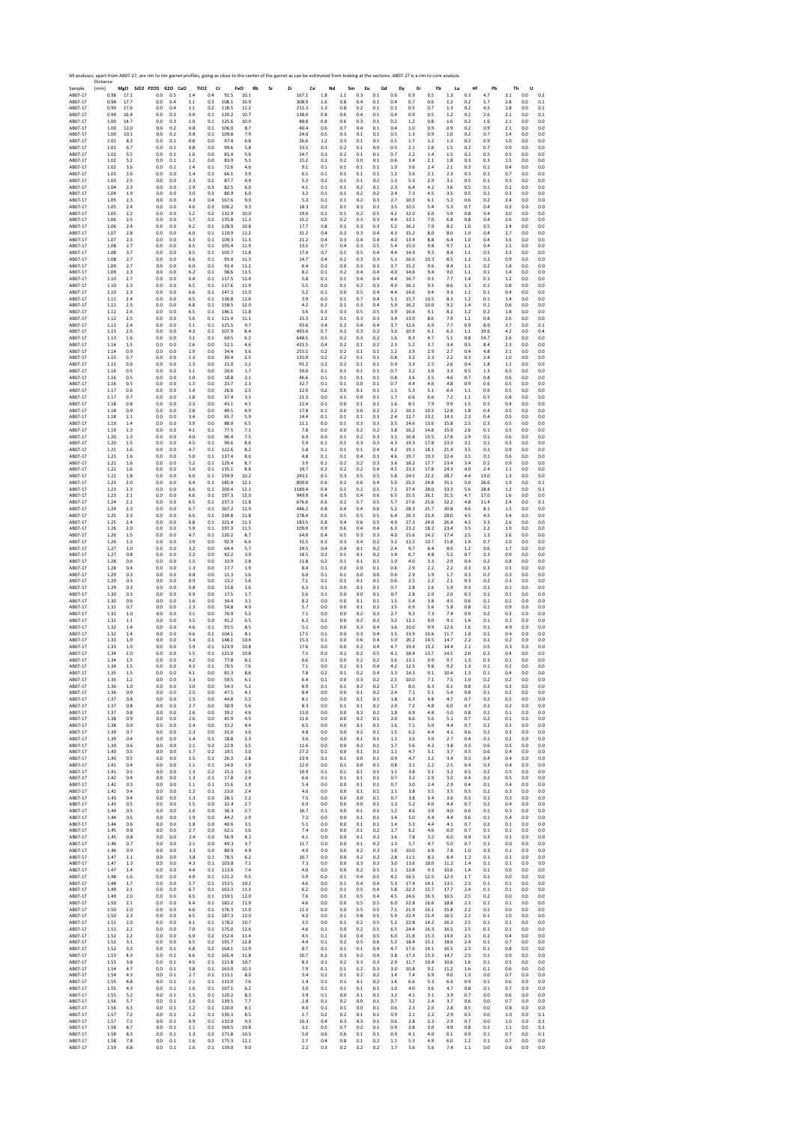Sample Distance (mm) **MgO SiO2 P2O5 K2O CaO TiO2 Cr FeO Rb Sr Zr Ce Nd Sm Eu Gd Dy Er Yb Lu Hf Pb Th U** AB07‐17 0.98 17.1 0.0 0.5 1.4 0.4 91.5 10.1 167.1 1.8 1.1 0.3 0.1 0.6 0.9 0.5 1.3 0.3 4.7 3.1 0.0 0.2 AB07‐17 0.98 17.7 0.0 0.4 1.1 0.3 108.1 10.9 308.9 1.6 0.8 0.4 0.1 0.4 0.7 0.6 1.2 0.2 5.7 2.8 0.0 0.1 AB07‐17 0.99 17.6 0.0 0.4 1.1 0.2 118.5 11.2 211.3 1.3 0.8 0.2 0.1 0.1 0.5 0.7 1.3 0.2 4.5 1.8 0.0 0.1 AB07‐17 0.99 16.4 0.0 0.3 0.9 0.1 129.2 10.7 138.0 0.8 0.6 0.4 0.1 0.4 0.9 0.5 1.2 0.2 2.6 2.1 0.0 0.1 AB07‐17 1.00 14.7 0.0 0.3 1.0 0.1 125.6 10.0 88.8 0.8 0.6 0.3 0.1 0.2 1.2 0.8 1.6 0.2 1.6 2.1 0.0 0.0 AB07‐17 1.00 12.0 0.0 0.2 0.8 0.1 106.0 8.7 40.4 0.6 0.7 0.4 0.1 0.4 1.0 0.9 0.9 0.2 0.9 2.1 0.0 0.0 AB07‐17 1.00 10.1 0.0 0.2 0.8 0.1 109.8 7.9 24.6 0.5 0.3 0.1 0.1 0.5 1.3 0.9 1.0 0.2 0.7 1.4 0.0 0.0 AB07‐17 1.01 8.3 0.0 0.1 0.8 0.0 97.4 6.8 26.6 1.2 0.3 0.1 0.1 0.5 1.7 1.2 1.3 0.2 0.9 1.0 0.0 0.0 AB07‐17 1.01 6.7 0.0 0.1 0.8 0.0 99.6 5.8 33.5 0.3 0.2 0.1 0.0 0.5 2.1 1.6 1.5 0.2 0.7 0.9 0.0 0.0 AB07‐17 1.02 5.5 0.0 0.1 1.0 0.0 81.4 5.6 24.7 0.3 0.2 0.1 0.1 0.7 2.2 1.4 1.5 0.2 0.5 0.5 0.0 0.0 AB07‐17 1.02 5.2 0.0 0.1 1.2 0.0 83.9 5.1 15.2 0.2 0.2 0.0 0.1 0.6 3.4 2.1 1.8 0.3 0.3 1.5 0.0 0.0 AB07‐17 1.02 3.6 0.0 0.1 1.4 0.1 72.6 4.6 9.1 0.1 0.1 0.1 0.1 1.0 3.6 2.4 2.1 0.3 0.1 0.4 0.0 0.0 AB07‐17 1.03 2.6 0.0 0.0 1.4 0.1 66.1 3.9 6.5 0.1 0.1 0.1 0.1 1.2 3.6 2.1 2.3 0.3 0.1 0.7 0.0 0.0 AB07‐17 1.03 2.5 0.0 0.0 2.3 0.2 87.7 4.9 5.3 0.2 0.1 0.1 0.2 1.3 5.3 2.9 3.1 0.5 0.1 0.3 0.0 0.0 AB07‐17 1.04 2.3 0.0 0.0 2.9 0.3 82.5 6.0 4.1 0.1 0.1 0.2 0.1 2.3 6.4 4.2 3.6 0.5 0.1 0.2 0.0 0.0 AB07‐17 1.04 1.9 0.0 0.0 3.0 0.3 80.9 6.0 3.2 0.1 0.1 0.2 0.2 2.4 7.3 4.5 3.5 0.5 0.1 0.3 0.0 0.0 AB07‐17 1.05 2.3 0.0 0.0 4.3 0.4 167.6 9.0 5.2 0.1 0.1 0.2 0.3 2.7 10.3 6.1 5.2 0.6 0.2 2.4 0.0 0.0 AB07‐17 1.05 2.4 0.0 0.0 4.6 0.3 106.2 9.3 18.3 0.2 0.1 0.3 0.3 3.5 10.5 5.4 5.3 0.7 0.4 0.3 0.0 0.0 AB07‐17 1.05 2.2 0.0 0.0 5.2 0.2 132.9 10.0 19.0 0.1 0.1 0.2 0.5 4.2 12.0 6.0 5.9 0.8 0.4 3.0 0.0 0.0 AB07‐17 1.06 2.5 0.0 0.0 5.7 0.2 135.8 11.3 15.2 0.5 0.2 0.3 0.3 4.4 13.1 7.0 6.8 0.8 0.4 2.6 0.0 0.0 AB07‐17 1.06 2.4 0.0 0.0 6.2 0.1 128.9 10.8 17.7 0.8 0.1 0.3 0.3 5.2 16.2 7.0 8.2 1.0 0.5 2.4 0.0 0.0 AB07‐17 1.07 2.8 0.0 0.0 6.0 0.1 110.9 11.2 31.2 0.4 0.2 0.3 0.4 4.3 15.2 8.0 8.0 1.0 0.4 2.7 0.0 0.0 AB07‐17 1.07 2.3 0.0 0.0 6.3 0.1 109.3 11.3 21.2 0.4 0.3 0.4 0.4 4.0 13.4 8.8 6.4 1.0 0.4 3.6 0.0 0.0 AB07‐17 1.08 2.7 0.0 0.0 6.5 0.1 105.4 11.9 13.5 0.7 0.4 0.3 0.5 5.4 15.0 9.8 9.7 1.1 0.4 1.5 0.0 0.0 AB07‐17 1.08 3.7 0.0 0.0 6.5 0.1 101.7 11.8 17.4 0.7 0.1 0.5 0.4 4.4 14.9 9.3 8.4 1.1 0.5 3.3 0.0 0.0 AB07‐17 1.08 2.7 0.0 0.0 6.6 0.1 93.0 11.3 14.7 0.4 0.2 0.3 0.3 5.1 16.0 10.3 8.5 1.3 0.2 0.9 0.0 0.0 AB07‐17 1.09 2.7 0.0 0.0 6.0 0.1 91.4 11.2 6.4 0.3 0.0 0.3 0.3 3.7 15.2 9.6 8.4 1.1 0.2 1.8 0.0 0.0 AB07‐17 1.09 2.3 0.0 0.0 6.2 0.1 98.6 11.5 8.2 0.1 0.2 0.4 0.4 4.0 14.6 9.4 9.0 1.1 0.1 1.4 0.0 0.0 AB07‐17 1.10 2.7 0.0 0.0 6.4 0.1 117.5 11.4 5.8 0.1 0.1 0.4 0.4 4.4 16.7 9.3 7.7 1.4 0.1 1.2 0.0 0.0 AB07‐17 1.10 2.3 0.0 0.0 6.5 0.1 117.6 11.9 5.5 0.0 0.1 0.2 0.3 4.0 16.1 9.3 8.6 1.3 0.1 0.8 0.0 0.0 AB07‐17 1.10 2.3 0.0 0.0 6.6 0.1 147.3 11.0 5.2 0.1 0.0 0.5 0.4 4.4 14.6 9.4 9.3 1.2 0.1 0.4 0.0 0.0 AB07‐17 1.11 2.4 0.0 0.0 6.5 0.1 136.8 11.6 3.9 0.0 0.1 0.7 0.4 5.1 15.7 10.5 8.3 1.2 0.1 1.4 0.0 0.0 AB07‐17 1.11 2.5 0.0 0.0 6.8 0.1 158.5 12.0 4.2 0.2 0.1 0.3 0.4 5.9 16.2 10.0 9.2 1.4 0.1 0.6 0.0 0.0 AB07‐17 1.12 2.6 0.0 0.0 6.5 0.1 146.1 11.8 3.6 0.3 0.3 0.5 0.5 3.9 16.6 9.1 8.2 1.2 0.2 1.8 0.0 0.0 AB07‐17 1.12 2.5 0.0 0.0 5.6 0.1 121.4 11.1 15.3 2.2 0.1 0.3 0.3 3.4 13.0 8.6 7.9 1.1 0.8 2.6 0.0 0.0 AB07‐17 1.13 2.4 0.0 0.0 5.1 0.1 125.5 9.7 93.6 0.4 5.2 0.4 0.4 3.7 12.6 6.9 7.7 0.9 8.9 3.7 0.0 0.1 AB07‐17 1.13 2.5 0.0 0.0 4.3 0.1 107.9 8.4 493.6 0.7 0.2 0.3 0.2 3.0 10.9 6.1 6.3 1.1 19.6 4.2 0.0 0.4 AB07‐17 1.13 1.6 0.0 0.0 3.1 0.1 69.5 6.2 648.5 0.5 0.2 0.3 0.2 1.6 8.3 4.7 5.1 0.8 14.7 2.6 0.0 0.0 AB07‐17 1.14 1.5 0.0 0.0 2.6 0.0 52.1 4.6 421.5 0.4 0.2 0.1 0.2 2.3 5.2 3.7 3.4 0.5 8.4 2.3 0.0 0.0 AB07‐17 1.14 0.9 0.0 0.0 1.9 0.0 34.4 3.6 255.5 0.2 0.2 0.1 0.1 1.2 3.9 2.9 2.7 0.4 4.8 2.1 0.0 0.0 AB07‐17 1.15 0.7 0.0 0.0 1.3 0.0 30.4 2.5 135.9 0.2 0.2 0.1 0.1 0.8 3.2 2.3 2.2 0.3 2.4 1.0 0.0 0.0 AB07‐17 1.15 0.6 0.0 0.0 1.3 0.0 21.0 2.2 91.2 0.2 0.2 0.1 0.1 0.9 3.3 2.5 2.6 0.4 1.8 1.1 0.0 0.0 AB07‐17 1.16 0.5 0.0 0.0 1.1 0.0 20.6 1.7 59.0 0.1 0.1 0.1 0.1 0.7 3.2 3.0 3.3 0.5 1.3 6.5 0.0 0.0 AB07‐17 1.16 0.5 0.0 0.0 1.0 0.0 18.8 2.1 46.6 0.1 0.1 0.1 0.1 0.8 3.6 3.5 4.6 0.7 0.8 0.6 0.0 0.0 AB07‐17 1.16 0.5 0.0 0.0 1.3 0.0 23.7 2.3 32.7 0.1 0.1 0.0 0.1 0.7 4.4 4.6 4.8 0.9 0.6 0.5 0.0 0.0 AB07‐17 1.17 0.6 0.0 0.0 1.4 0.0 26.6 2.5 22.9 0.2 0.0 0.1 0.1 1.1 5.3 5.1 6.4 1.1 0.6 0.5 0.0 0.0 AB07‐17 1.17 0.7 0.0 0.0 1.8 0.0 37.4 3.1 21.3 0.0 0.1 0.0 0.1 1.7 6.6 6.6 7.2 1.1 0.5 0.8 0.0 0.0 AB07‐17 1.18 0.8 0.0 0.0 2.3 0.0 43.1 4.1 22.4 0.1 0.0 0.1 0.1 1.6 8.5 7.9 9.9 1.5 0.5 0.4 0.0 0.0 AB07‐17 1.18 0.9 0.0 0.0 2.8 0.0 49.5 4.9 17.8 0.1 0.0 0.0 0.2 2.2 10.1 10.3 12.8 1.8 0.4 0.5 0.0 0.0 AB07‐17 1.18 1.1 0.0 0.0 3.4 0.0 65.7 5.9 14.4 0.1 0.1 0.1 0.3 2.4 12.7 13.2 14.3 2.3 0.4 0.5 0.0 0.0 AB07‐17 1.19 1.4 0.0 0.0 3.9 0.0 88.0 6.5 11.1 0.0 0.1 0.3 0.3 3.5 14.6 13.6 15.8 2.5 0.3 0.5 0.0 0.0 AB07‐17 1.19 1.3 0.0 0.0 4.1 0.1 77.5 7.1 7.8 0.0 0.0 0.2 0.2 3.8 16.2 14.8 15.9 2.6 0.1 0.5 0.0 0.0 AB07‐17 1.20 1.3 0.0 0.0 4.0 0.0 96.4 7.5 6.9 0.0 0.1 0.2 0.3 3.1 16.8 15.5 17.8 2.9 0.1 0.6 0.0 0.0 AB07‐17 1.20 1.5 0.0 0.0 4.5 0.1 99.6 8.6 5.9 0.1 0.1 0.3 0.3 4.3 19.3 17.8 23.3 3.1 0.1 0.3 0.0 0.0 AB07‐17 1.21 1.6 0.0 0.0 4.7 0.1 122.6 8.2 5.8 0.1 0.1 0.1 0.4 4.2 19.1 18.1 21.4 3.5 0.1 0.9 0.0 0.0 AB07‐17 1.21 1.6 0.0 0.0 5.0 0.1 137.4 8.6 4.8 0.1 0.1 0.4 0.3 4.6 19.7 19.3 22.4 3.5 0.1 0.6 0.0 0.0 AB07‐17 1.21 1.6 0.0 0.0 5.2 0.1 129.4 8.7 3.9 0.1 0.2 0.2 0.3 3.6 18.2 17.7 23.4 3.4 0.2 0.9 0.0 0.0 AB07‐17 1.22 1.6 0.0 0.0 5.0 0.1 135.1 8.8 19.7 0.2 0.2 0.2 0.4 4.5 23.3 17.8 24.3 4.0 2.4 1.1 0.0 0.0 AB07‐17 1.22 1.8 0.0 0.0 6.0 0.1 159.9 10.2 243.1 0.5 0.3 0.5 0.5 5.8 24.5 22.2 28.7 4.4 13.0 1.3 0.0 0.0 AB07‐17 1.23 2.0 0.0 0.0 6.4 0.1 185.4 12.1 809.0 0.6 0.2 0.6 0.4 5.0 25.5 24.8 35.1 5.0 26.6 1.9 0.0 0.1 AB07‐17 1.23 2.3 0.0 0.0 6.6 0.1 203.4 12.1 1189.4 0.4 0.1 0.2 0.5 7.1 27.4 28.0 33.3 5.6 28.4 1.2 0.0 0.1 AB07‐17 1.23 2.1 0.0 0.0 6.6 0.1 197.3 12.0 949.9 0.4 0.5 0.4 0.6 6.5 25.5 26.1 31.5 4.7 17.0 1.6 0.0 0.0 AB07‐17 1.24 2.1 0.0 0.0 6.5 0.1 237.3 11.8 676.6 0.6 0.2 0.7 0.5 5.7 27.6 25.6 32.2 4.8 11.4 2.4 0.0 0.1 AB07‐17 1.24 2.3 0.0 0.0 6.7 0.1 267.2 11.9 446.2 0.8 0.4 0.4 0.6 5.2 28.3 25.7 30.8 4.6 8.1 1.5 0.0 0.0 AB07‐17 1.25 2.3 0.0 0.0 6.5 0.1 234.8 11.8 278.4 0.6 0.5 0.5 0.5 6.4 26.3 23.4 28.0 4.5 4.5 3.4 0.0 0.0 AB07‐17 1.25 2.4 0.0 0.0 6.8 0.1 221.4 11.3 183.5 0.8 0.4 0.6 0.5 4.9 27.3 24.0 26.4 4.3 3.3 2.6 0.0 0.0 AB07‐17 1.26 2.0 0.0 0.0 5.9 0.1 197.3 11.5 109.0 0.9 0.6 0.4 0.4 6.3 23.2 18.2 23.4 3.5 2.2 1.9 0.0 0.0 AB07‐17 1.26 1.5 0.0 0.0 4.7 0.1 120.2 8.7 64.0 0.4 0.5 0.3 0.3 4.0 15.6 14.2 17.4 2.5 1.3 2.6 0.0 0.0 AB07‐17 1.26 1.3 0.0 0.0 3.9 0.0 92.9 6.6 31.5 0.3 0.3 0.4 0.2 3.2 13.2 10.7 11.8 1.9 0.7 2.0 0.0 0.0 AB07‐17 1.27 1.0 0.0 0.0 3.2 0.0 64.4 5.7 29.5 0.4 0.4 0.1 0.2 2.4 9.7 8.4 8.0 1.2 0.6 1.7 0.0 0.0 AB07‐17 1.27 0.8 0.0 0.0 2.2 0.0 42.2 3.9 18.5 0.2 0.1 0.1 0.2 1.4 6.7 4.8 5.5 0.7 0.3 0.9 0.0 0.0 AB07‐17 1.28 0.6 0.0 0.0 1.5 0.0 33.9 2.8 11.8 0.2 0.1 0.1 0.1 1.0 4.0 3.3 2.9 0.4 0.2 0.8 0.0 0.0 AB07‐17 1.28 0.4 0.0 0.0 1.3 0.0 17.7 1.9 8.4 0.1 0.0 0.0 0.1 0.6 2.9 2.2 2.2 0.3 0.3 0.5 0.0 0.0 AB07‐17 1.29 0.3 0.0 0.0 0.8 0.0 11.3 1.6 6.0 0.1 0.1 0.0 0.0 0.6 2.9 1.9 1.7 0.3 0.2 0.3 0.0 0.0 AB07‐17 1.29 0.3 0.0 0.0 0.9 0.0 13.2 1.6 7.1 0.1 0.1 0.1 0.1 0.6 2.5 2.2 2.1 0.3 0.2 0.3 0.0 0.0 AB07‐17 1.29 0.3 0.0 0.0 0.8 0.0 13.8 1.6 6.3 0.1 0.0 0.1 0.1 0.7 2.8 1.6 1.9 0.3 0.1 0.1 0.0 0.0 AB07‐17 1.30 0.3 0.0 0.0 0.9 0.0 17.5 1.7 5.6 0.1 0.0 0.0 0.1 0.7 2.8 2.0 2.0 0.3 0.1 0.1 0.0 0.0 AB07‐17 1.30 0.6 0.0 0.0 1.6 0.0 34.4 3.1 8.2 0.0 0.0 0.1 0.1 1.5 5.4 3.8 4.5 0.6 0.1 0.2 0.0 0.0 AB07‐17 1.31 0.7 0.0 0.0 2.3 0.0 54.8 4.0 5.7 0.0 0.0 0.1 0.2 1.5 6.9 5.6 5.8 0.8 0.1 0.9 0.0 0.0 AB07‐17 1.31 1.0 0.0 0.0 3.1 0.0 76.9 5.2 7.1 0.0 0.0 0.2 0.3 2.7 9.3 7.3 7.4 0.9 0.2 0.3 0.0 0.0 AB07‐17 1.31 1.1 0.0 0.0 3.5 0.0 91.2 6.5 6.2 0.2 0.0 0.2 0.3 3.2 12.1 9.0 9.1 1.4 0.1 0.2 0.0 0.0 AB07‐17 1.32 1.4 0.0 0.0 4.6 0.1 93.5 8.5 5.1 0.0 0.0 0.3 0.4 3.6 16.0 9.9 12.6 1.6 0.1 4.9 0.0 0.0 AB07‐17 1.32 1.4 0.0 0.0 4.6 0.1 104.1 8.1 17.5 0.1 0.0 0.3 0.4 3.5 13.9 10.6 11.7 1.8 0.1 0.4 0.0 0.0 AB07‐17 1.33 1.9 0.0 0.0 5.4 0.1 148.1 10.4 15.3 0.1 0.0 0.6 0.4 5.0 20.2 14.5 14.7 2.2 0.1 0.2 0.0 0.0 AB07‐17 1.33 1.9 0.0 0.0 5.9 0.1 123.9 10.8 17.6 0.0 0.0 0.2 0.4 4.7 19.4 13.2 14.4 2.1 0.5 0.3 0.0 0.0 AB07‐17 1.34 2.0 0.0 0.0 5.5 0.1 121.0 10.8 7.5 0.0 0.2 0.2 0.5 4.1 18.4 13.7 14.5 2.0 0.2 0.4 0.0 0.0 AB07‐17 1.34 1.5 0.0 0.0 4.2 0.0 77.8 8.2 6.6 0.1 0.0 0.2 0.2 3.6 13.1 9.9 9.7 1.3 0.3 0.1 0.0 0.0 AB07‐17 1.34 1.5 0.0 0.0 4.3 0.1 70.5 7.6 7.1 0.0 0.2 0.1 0.4 4.2 12.5 9.8 9.2 1.3 0.1 0.2 0.0 0.0 AB07‐17 1.35 1.5 0.0 0.0 4.1 0.0 81.3 8.6 7.8 0.2 0.1 0.2 0.4 3.3 14.3 9.1 10.4 1.3 0.1 0.4 0.0 0.0 AB07‐17 1.35 1.2 0.0 0.0 3.3 0.0 59.5 6.1 6.4 0.1 0.0 0.3 0.2 2.5 10.0 7.1 7.5 1.0 0.2 0.2 0.0 0.0 AB07‐17 1.36 1.0 0.0 0.0 3.0 0.0 54.3 5.1 8.9 0.1 0.1 0.2 0.2 1.7 8.0 6.3 6.1 0.8 0.2 0.3 0.0 0.0 AB07‐17 1.36 0.9 0.0 0.0 2.5 0.0 47.5 4.1 8.4 0.0 0.0 0.1 0.2 2.4 7.1 5.1 5.4 0.8 0.1 0.2 0.0 0.0 AB07‐17 1.37 0.8 0.0 0.0 2.5 0.0 44.8 5.2 8.1 0.0 0.0 0.1 0.1 1.8 6.3 4.8 4.7 0.7 0.2 0.2 0.0 0.0 AB07‐17 1.37 0.8 0.0 0.0 2.7 0.0 38.9 5.6 8.3 0.0 0.1 0.1 0.2 2.0 7.2 4.8 6.0 0.7 0.2 0.2 0.0 0.0 AB07‐17 1.37 0.8 0.0 0.0 2.6 0.0 39.2 4.6 13.0 0.0 0.0 0.3 0.2 1.8 6.9 4.8 5.0 0.8 0.2 0.1 0.0 0.0 AB07‐17 1.38 0.9 0.0 0.0 2.6 0.0 41.9 4.5 11.6 0.0 0.0 0.2 0.1 2.0 8.6 5.6 5.1 0.7 0.2 0.1 0.0 0.0 AB07‐17 1.38 0.9 0.0 0.0 2.4 0.0 33.2 4.4 6.5 0.0 0.0 0.1 0.1 1.6 7.1 5.0 4.4 0.7 0.2 0.3 0.0 0.0 AB07‐17 1.39 0.7 0.0 0.0 2.3 0.0 31.0 3.6 4.8 0.0 0.0 0.2 0.1 1.5 6.2 4.4 4.1 0.6 0.2 0.3 0.0 0.0 AB07‐17 1.39 0.4 0.0 0.0 1.4 0.1 18.8 2.3 3.6 0.0 0.0 0.1 0.1 1.1 3.6 3.0 2.7 0.4 0.1 0.2 0.0 0.0 AB07‐17 1.39 0.6 0.0 0.0 2.1 0.2 22.9 3.5 11.6 0.0 0.0 0.2 0.1 1.7 5.6 4.2 3.8 0.5 0.6 0.5 0.0 0.0 AB07‐17 1.40 0.5 0.0 0.0 1.7 0.2 19.5 3.0 27.2 0.1 0.0 0.1 0.1 1.1 4.7 3.1 3.7 0.5 0.6 0.4 0.0 0.0 AB07‐17 1.40 0.5 0.0 0.0 1.5 0.2 26.3 2.8 23.9 0.1 0.1 0.0 0.1 0.9 4.7 3.2 3.4 0.5 0.4 0.4 0.0 0.0 AB07‐17 1.41 0.4 0.0 0.0 1.1 0.1 14.0 1.9 12.0 0.0 0.1 0.0 0.1 0.8 3.1 2.2 2.5 0.4 0.3 0.4 0.0 0.0 AB07‐17 1.41 0.5 0.0 0.0 1.3 0.2 15.3 2.5 10.9 0.1 0.1 0.1 0.1 1.1 3.8 3.1 3.2 0.5 0.2 0.5 0.0 0.0 AB07‐17 1.42 0.4 0.0 0.0 1.3 0.1 17.8 2.4 6.6 0.1 0.1 0.1 0.1 0.7 3.2 2.9 3.0 0.4 0.2 0.5 0.0 0.0 AB07‐17 1.42 0.3 0.0 0.0 1.1 0.1 15.6 1.9 5.4 0.0 0.0 0.1 0.1 0.7 3.0 2.4 2.9 0.4 0.1 0.4 0.0 0.0 AB07‐17 1.42 0.4 0.0 0.0 1.2 0.1 23.0 2.4 4.6 0.0 0.0 0.1 0.1 1.1 3.8 3.5 3.5 0.5 0.2 0.3 0.0 0.0 AB07‐17 1.43 0.4 0.0 0.0 1.3 0.0 28.1 2.2 7.5 0.0 0.0 0.0 0.1 0.7 3.8 3.4 3.6 0.5 0.1 0.3 0.0 0.0 AB07‐17 1.43 0.5 0.0 0.0 1.5 0.0 32.4 2.7 6.9 0.0 0.0 0.0 0.1 1.3 5.2 4.0 4.4 0.7 0.2 0.4 0.0 0.0 AB07‐17 1.44 0.5 0.0 0.0 1.6 0.0 36.3 2.7 16.7 0.1 0.0 0.1 0.1 1.2 4.6 3.9 4.0 0.6 0.1 0.3 0.0 0.0 AB07‐17 1.44 0.5 0.0 0.0 1.9 0.0 44.2 2.9 7.2 0.0 0.0 0.1 0.1 1.4 5.0 4.4 4.4 0.6 0.1 0.4 0.0 0.0 AB07‐17 1.44 0.6 0.0 0.0 1.8 0.0 40.6 3.5 5.1 0.0 0.0 0.1 0.1 1.4 5.3 4.4 4.1 0.7 0.2 0.1 0.0 0.0 AB07‐17 1.45 0.8 0.0 0.0 2.7 0.0 62.1 3.6 7.4 0.0 0.0 0.1 0.2 1.7 6.2 4.6 6.0 0.7 0.1 0.1 0.0 0.0 AB07‐17 1.45 0.8 0.0 0.0 2.4 0.0 56.9 4.2 4.1 0.0 0.0 0.1 0.2 1.6 7.8 5.2 6.0 0.9 0.3 0.1 0.0 0.0 AB07‐17 1.46 0.7 0.0 0.0 2.1 0.0 49.3 3.7 11.7 0.0 0.0 0.1 0.2 1.3 5.7 4.7 5.0 0.7 0.1 0.0 0.0 0.0 AB07‐17 1.46 0.9 0.0 0.0 3.3 0.0 80.9 4.9 4.9 0.0 0.0 0.2 0.3 1.6 10.0 6.9 7.8 1.0 0.3 0.1 0.0 0.0 AB07‐17 1.47 1.1 0.0 0.0 3.8 0.1 78.5 6.2 10.7 0.0 0.0 0.2 0.2 2.8 11.5 8.2 8.4 1.2 0.1 0.1 0.0 0.0 AB07‐17 1.47 1.3 0.0 0.0 4.3 0.1 103.8 7.1 7.3 0.0 0.0 0.3 0.3 3.0 13.6 10.0 11.2 1.4 0.1 0.1 0.0 0.0 AB07‐17 1.47 1.4 0.0 0.0 4.4 0.1 113.0 7.4 4.0 0.0 0.0 0.2 0.5 3.1 13.8 9.3 10.6 1.4 0.1 0.0 0.0 0.0 AB07‐17 1.48 1.6 0.0 0.0 4.9 0.1 121.2 9.5 5.9 0.0 0.1 0.4 0.5 4.2 16.5 12.5 12.3 1.7 0.1 0.0 0.0 0.0 AB07‐17 1.48 1.7 0.0 0.0 5.7 0.1 153.5 10.2 4.6 0.0 0.1 0.4 0.4 5.3 17.4 14.1 13.5 2.3 0.1 0.1 0.0 0.0 AB07‐17 1.49 2.1 0.0 0.0 6.7 0.1 163.3 11.1 6.2 0.0 0.1 0.5 0.4 5.8 22.3 15.7 17.7 2.4 0.1 0.1 0.0 0.0 AB07‐17 1.49 2.0 0.0 0.0 6.5 0.1 159.1 12.0 7.6 0.0 0.1 0.5 0.4 4.5 24.6 16.3 16.5 2.5 0.2 0.0 0.0 0.0 AB07‐17 1.50 2.1 0.0 0.0 6.4 0.1 182.2 11.9 4.6 0.0 0.0 0.5 0.5 6.0 22.8 16.6 18.8 2.3 0.1 0.1 0.0 0.0 AB07‐17 1.50 2.0 0.0 0.0 6.6 0.1 176.3 11.0 11.3 0.0 0.0 0.5 0.5 7.1 21.9 16.1 15.8 2.2 0.1 0.0 0.0 0.0 AB07‐17 1.50 2.3 0.0 0.0 6.5 0.1 187.3 12.0 4.3 0.0 0.1 0.8 0.5 5.9 22.4 15.4 16.5 2.2 0.1 1.0 0.0 0.0 AB07‐17 1.51 2.0 0.0 0.0 6.1 0.1 178.2 10.7 3.5 0.0 0.1 0.2 0.5 5.2 22.8 14.2 16.3 2.5 0.1 0.1 0.0 0.0 AB07‐17 1.51 2.2 0.0 0.0 7.0 0.1 175.0 12.6 4.6 0.1 0.0 0.2 0.5 6.5 24.4 16.3 16.5 2.5 0.1 0.1 0.0 0.0 AB07‐17 1.52 2.2 0.0 0.0 6.9 0.2 152.4 11.4 4.5 0.1 0.0 0.4 0.5 6.0 21.8 15.3 14.9 2.5 0.2 0.4 0.0 0.0 AB07‐17 1.52 3.1 0.0 0.0 6.5 0.2 191.7 12.8 4.4 0.1 0.2 0.5 0.6 5.2 18.4 15.1 18.6 2.4 0.1 0.7 0.0 0.0 AB07‐17 1.52 3.3 0.0 0.1 6.8 0.2 164.1 11.9 8.7 0.1 0.1 0.1 0.4 4.7 17.6 14.1 16.5 2.3 0.1 0.8 0.0 0.0 AB07‐17 1.53 4.3 0.0 0.1 6.6 0.2 165.4 11.8 10.7 0.2 0.3 0.2 0.4 3.8 17.3 13.3 14.7 2.5 0.1 0.9 0.0 0.0 AB07‐17 1.53 3.8 0.0 0.1 4.5 0.1 121.8 10.7 8.3 0.1 0.2 0.3 0.3 2.9 11.7 10.4 10.6 1.6 0.1 0.5 0.0 0.0 AB07‐17 1.54 4.7 0.0 0.1 3.8 0.1 163.0 10.3 7.9 0.1 0.1 0.2 0.3 3.0 10.8 9.2 11.2 1.6 0.1 0.6 0.0 0.0 AB07‐17 1.54 4.3 0.0 0.1 2.7 0.1 113.1 8.0 3.4 0.1 0.1 0.2 0.2 1.4 7.4 6.9 9.0 1.3 0.0 0.7 0.0 0.0 AB07‐17 1.55 4.8 0.0 0.1 2.1 0.1 111.0 7.6 1.4 0.1 0.1 0.1 0.2 1.6 6.6 5.3 6.6 0.9 0.1 0.6 0.0 0.0 AB07‐17 1.55 4.3 0.0 0.1 1.6 0.1 107.1 6.2 3.0 0.1 0.1 0.1 0.1 1.0 4.0 3.6 4.7 0.8 0.1 0.7 0.0 0.0 AB07‐17 1.55 5.2 0.0 0.1 1.5 0.1 120.2 8.3 3.9 0.1 0.0 0.1 0.1 1.2 4.1 3.1 3.9 0.7 0.0 0.6 0.0 0.0 AB07‐17 1.56 5.7 0.0 0.1 1.6 0.1 139.5 7.7 2.8 0.1 0.2 0.0 0.1 0.7 3.2 2.4 3.7 0.6 0.0 0.7 0.0 0.0 AB07‐17 1.56 6.3 0.0 0.1 1.2 0.1 120.0 8.1 4.0 0.1 0.1 0.0 0.1 0.6 2.3 2.0 2.8 0.5 0.0 0.8 0.0 0.0 AB07‐17 1.57 7.2 0.0 0.1 1.2 0.1 130.3 8.5 1.7 0.2 0.2 0.1 0.1 0.9 2.1 2.2 2.9 0.5 0.0 1.0 0.0 0.1 AB07‐17 1.57 7.2 0.0 0.1 0.9 0.1 132.0 9.3 10.3 0.4 0.3 0.3 0.1 0.6 2.8 2.3 2.9 0.7 0.0 1.0 0.0 0.1 AB07‐17 1.58 8.7 0.0 0.1 1.1 0.2 169.5 10.8 3.1 0.5 0.7 0.2 0.1 0.9 3.8 3.0 4.9 0.8 0.1 1.1 0.0 0.1 AB07‐17 1.58 8.3 0.0 0.1 1.3 0.2 171.8 10.5 5.0 0.6 0.6 0.1 0.1 0.9 4.1 4.0 6.1 0.9 0.1 0.7 0.0 0.1 AB07‐17 1.58 7.8 0.0 0.1 1.6 0.2 175.3 12.1 2.7 0.4 0.8 0.1 0.2 1.1 5.3 4.9 6.0 1.2 0.1 0.7 0.0 0.0 AB07‐17 1.59 6.8 0.0 0.1 1.6 0.1 139.0 9.0 2.2 0.3 0.2 0.2 0.2 1.7 5.6 5.6 7.4 1.1 0.0 0.6 0.0 0.0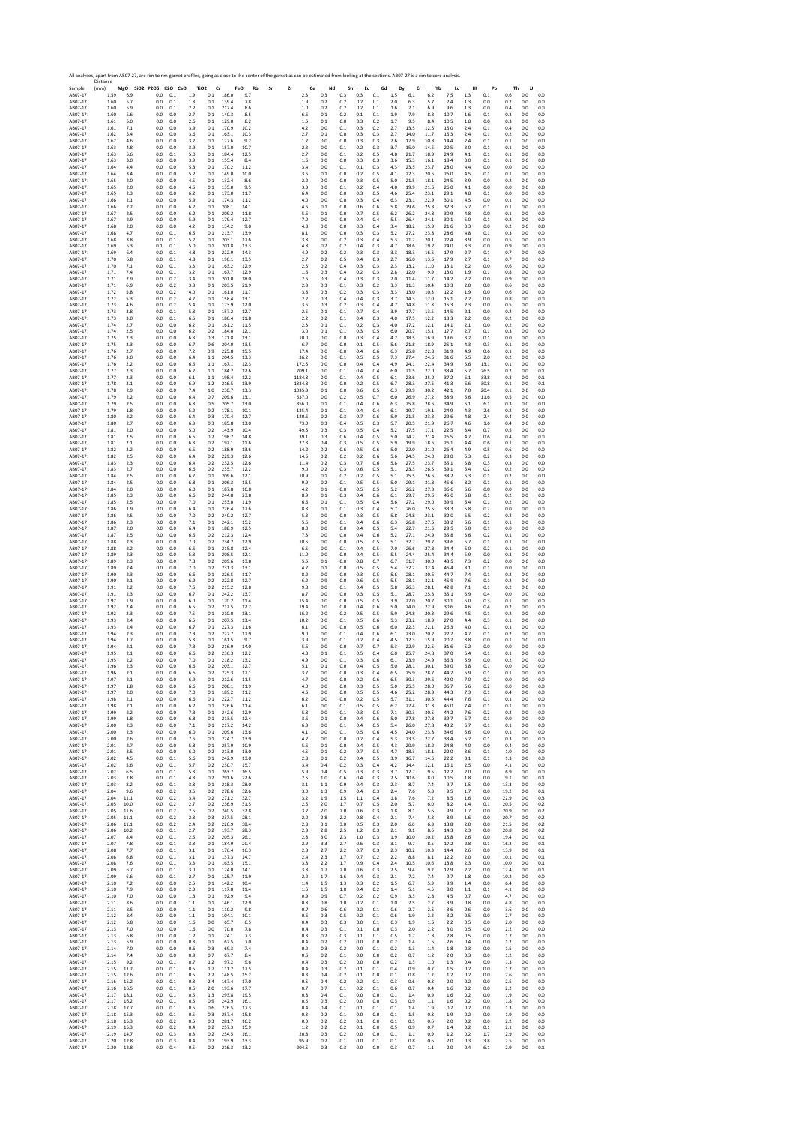Sample Distance (mm) **MgO SiO2 P2O5 K2O CaO TiO2 Cr FeO Rb Sr Zr Ce Nd Sm Eu Gd Dy Er Yb Lu Hf Pb Th U** AB07‐17 1.59 6.9 0.0 0.1 1.9 0.1 186.0 9.7 2.3 0.3 0.3 0.3 0.1 1.5 6.1 6.2 7.5 1.3 0.1 0.6 0.0 0.0 AB07‐17 1.60 5.7 0.0 0.1 1.8 0.1 139.4 7.8 1.9 0.2 0.2 0.2 0.1 2.0 6.3 5.7 7.4 1.3 0.0 0.2 0.0 0.0 AB07‐17 1.60 5.9 0.0 0.1 2.2 0.1 212.4 8.6 1.0 0.2 0.2 0.2 0.1 1.6 7.1 6.9 9.6 1.3 0.0 0.4 0.0 0.0 AB07‐17 1.60 5.6 0.0 0.0 2.7 0.1 140.3 8.5 6.6 0.1 0.2 0.1 0.1 1.9 7.9 8.3 10.7 1.6 0.1 0.3 0.0 0.0 AB07‐17 1.61 5.0 0.0 0.0 2.6 0.1 129.0 8.2 1.5 0.1 0.0 0.3 0.2 1.7 9.5 8.4 10.5 1.8 0.0 0.3 0.0 0.0 AB07‐17 1.61 7.1 0.0 0.0 3.9 0.1 170.9 10.2 4.2 0.0 0.1 0.3 0.2 2.7 13.5 12.5 15.0 2.4 0.1 0.4 0.0 0.0 AB07‐17 1.62 5.4 0.0 0.0 3.6 0.1 163.1 10.3 2.7 0.1 0.0 0.3 0.3 2.7 14.0 11.7 15.3 2.4 0.1 0.2 0.0 0.0 AB07‐17 1.62 4.6 0.0 0.0 3.2 0.1 127.6 9.2 1.7 0.0 0.0 0.3 0.3 2.6 12.9 10.8 14.4 2.4 0.1 0.1 0.0 0.0 AB07‐17 1.63 4.8 0.0 0.0 3.9 0.1 157.0 10.7 2.3 0.0 0.1 0.2 0.3 3.7 15.0 14.5 20.5 3.0 0.1 0.1 0.0 0.0 AB07‐17 1.63 5.6 0.0 0.1 5.0 0.1 184.4 12.5 2.7 0.0 0.1 0.2 0.5 4.8 21.7 18.9 24.9 4.1 0.1 0.1 0.0 0.0 AB07‐17 1.63 3.0 0.0 0.0 3.9 0.1 155.4 8.4 1.6 0.0 0.0 0.3 0.3 3.6 15.3 16.1 18.4 3.0 0.1 0.1 0.0 0.0 AB07‐17 1.64 4.4 0.0 0.0 5.3 0.1 170.2 11.2 3.4 0.0 0.1 0.1 0.3 4.3 23.5 23.7 28.0 4.4 0.0 0.0 0.0 0.0 AB07‐17 1.64 3.4 0.0 0.0 5.2 0.1 149.0 10.0 3.5 0.1 0.0 0.2 0.5 4.1 22.3 20.5 26.0 4.5 0.1 0.1 0.0 0.0 AB07‐17 1.65 2.0 0.0 0.0 4.5 0.1 132.4 8.6 2.2 0.0 0.0 0.3 0.5 5.0 21.5 18.1 24.5 3.9 0.0 0.2 0.0 0.0 AB07‐17 1.65 2.0 0.0 0.0 4.6 0.1 135.0 9.5 3.3 0.0 0.1 0.2 0.4 4.8 19.9 21.6 26.0 4.1 0.0 0.0 0.0 0.0 AB07‐17 1.65 2.3 0.0 0.0 6.2 0.1 173.0 11.7 6.4 0.0 0.0 0.3 0.5 4.6 25.4 23.1 29.1 4.8 0.1 0.0 0.0 0.0 AB07‐17 1.66 2.1 0.0 0.0 5.9 0.1 174.3 11.2 4.0 0.0 0.0 0.3 0.4 6.3 23.1 22.9 30.1 4.5 0.0 0.1 0.0 0.0 AB07‐17 1.66 2.2 0.0 0.0 6.7 0.1 208.1 14.1 4.6 0.1 0.0 0.6 0.6 5.8 29.6 25.3 32.3 5.7 0.1 0.1 0.0 0.0 AB07‐17 1.67 2.5 0.0 0.0 6.2 0.1 209.2 11.8 5.6 0.1 0.0 0.7 0.5 6.2 26.2 24.8 30.9 4.8 0.0 0.1 0.0 0.0 AB07‐17 1.67 2.9 0.0 0.0 5.9 0.1 179.4 12.7 7.0 0.0 0.0 0.4 0.4 5.5 26.4 24.1 30.1 5.0 0.1 0.2 0.0 0.0 AB07‐17 1.68 2.0 0.0 0.0 4.2 0.1 134.2 9.0 4.8 0.0 0.0 0.3 0.4 3.4 18.2 15.9 21.6 3.3 0.0 0.2 0.0 0.0 AB07‐17 1.68 4.7 0.0 0.1 6.5 0.1 213.7 13.9 8.1 0.0 0.0 0.3 0.3 5.2 27.2 23.8 28.6 4.8 0.1 0.3 0.0 0.0 AB07‐17 1.68 3.8 0.0 0.1 5.7 0.1 203.1 12.6 3.8 0.0 0.2 0.3 0.4 5.3 21.2 20.1 22.4 3.9 0.0 0.5 0.0 0.0 AB07‐17 1.69 5.3 0.1 0.1 5.0 0.1 201.8 13.3 4.8 0.2 0.2 0.4 0.3 4.7 18.6 19.2 24.0 3.3 0.0 0.9 0.0 0.0 AB07‐17 1.69 6.4 0.0 0.1 4.8 0.1 222.9 14.3 4.9 0.2 0.2 0.3 0.3 3.3 18.3 16.5 17.9 2.7 0.1 0.7 0.0 0.0 AB07‐17 1.70 6.8 0.0 0.1 4.8 0.1 190.1 13.5 2.7 0.2 0.5 0.4 0.3 2.7 16.0 13.6 17.9 2.7 0.1 0.7 0.0 0.0 AB07‐17 1.70 7.1 0.0 0.1 3.3 0.1 163.2 12.9 2.5 0.2 0.4 0.3 0.3 2.3 13.2 11.0 13.1 2.2 0.0 0.6 0.0 0.0 AB07‐17 1.71 7.4 0.0 0.1 3.2 0.1 167.7 12.9 1.6 0.3 0.4 0.2 0.3 2.8 12.0 9.9 13.0 1.9 0.1 0.8 0.0 0.0 AB07‐17 1.71 7.9 0.0 0.2 3.4 0.1 201.0 18.0 2.6 0.3 0.4 0.3 0.3 2.0 11.4 11.7 14.2 2.2 0.0 0.9 0.0 0.0 AB07‐17 1.71 6.9 0.0 0.2 3.8 0.1 203.5 21.9 2.3 0.3 0.1 0.3 0.2 3.3 11.3 10.4 10.3 2.0 0.0 0.6 0.0 0.0 AB07‐17 1.72 5.8 0.0 0.2 4.0 0.1 161.0 11.7 3.8 0.3 0.2 0.3 0.3 3.3 13.0 10.3 12.2 1.9 0.0 0.6 0.0 0.0 AB07‐17 1.72 5.3 0.0 0.2 4.7 0.1 158.4 13.1 2.2 0.3 0.4 0.4 0.3 3.7 14.3 12.0 15.1 2.2 0.0 0.8 0.0 0.0 AB07‐17 1.73 4.6 0.0 0.2 5.4 0.1 173.9 12.0 3.6 0.3 0.2 0.3 0.4 4.7 14.8 11.8 15.3 2.3 0.0 0.5 0.0 0.0 AB07‐17 1.73 3.8 0.0 0.1 5.8 0.1 157.2 12.7 2.5 0.1 0.1 0.7 0.4 3.9 17.7 13.5 14.5 2.1 0.0 0.2 0.0 0.0 AB07‐17 1.73 3.0 0.0 0.1 6.5 0.1 180.4 11.8 2.2 0.2 0.1 0.4 0.3 4.0 17.5 12.2 13.3 2.2 0.0 0.2 0.0 0.0 AB07‐17 1.74 2.7 0.0 0.0 6.2 0.1 161.2 11.5 2.3 0.1 0.1 0.2 0.3 4.0 17.2 12.1 14.1 2.1 0.0 0.2 0.0 0.0 AB07‐17 1.74 2.5 0.0 0.0 6.2 0.2 184.0 12.1 3.0 0.1 0.1 0.3 0.5 6.0 20.7 15.1 17.7 2.7 0.1 0.3 0.0 0.0 AB07‐17 1.75 2.3 0.0 0.0 6.3 0.3 171.8 13.1 10.0 0.0 0.0 0.3 0.4 4.7 18.5 16.9 19.6 3.2 0.1 0.0 0.0 0.0 AB07‐17 1.75 2.3 0.0 0.0 6.7 0.6 204.0 13.5 6.7 0.0 0.0 0.1 0.5 5.6 21.8 18.9 25.1 4.3 0.3 0.1 0.0 0.0 AB07‐17 1.76 2.7 0.0 0.0 7.2 0.9 225.8 15.5 17.4 0.0 0.0 0.4 0.6 6.3 25.8 22.8 31.9 4.9 0.6 0.1 0.0 0.0 AB07‐17 1.76 3.0 0.0 0.0 6.4 1.1 204.5 13.3 36.2 0.0 0.1 0.5 0.5 7.3 27.4 24.6 31.6 5.5 2.0 0.2 0.0 0.0 AB07‐17 1.76 2.2 0.0 0.0 6.6 1.1 167.1 12.3 172.5 0.0 0.0 0.4 0.4 4.9 24.1 22.4 34.9 5.6 13.1 0.1 0.0 0.0 AB07‐17 1.77 2.3 0.0 0.0 6.2 1.1 184.2 12.6 709.1 0.0 0.1 0.4 0.4 6.0 21.5 22.0 33.4 5.7 26.5 0.2 0.0 0.1 AB07‐17 1.77 2.3 0.0 0.0 6.1 1.1 198.4 12.2 1184.8 0.0 0.1 0.4 0.5 6.1 23.6 25.0 37.2 6.1 33.8 0.3 0.0 0.1 AB07‐17 1.78 2.1 0.0 0.0 6.9 1.2 216.5 13.9 1334.8 0.0 0.0 0.2 0.5 6.7 28.3 27.5 41.3 6.6 30.8 0.1 0.0 0.1 AB07‐17 1.78 2.9 0.0 0.0 7.4 1.0 230.7 13.3 1035.3 0.1 0.0 0.6 0.5 6.3 29.9 30.2 42.1 7.0 20.4 0.1 0.0 0.0 AB07‐17 1.79 2.2 0.0 0.0 6.4 0.7 209.6 13.1 637.0 0.0 0.2 0.5 0.7 6.0 26.9 27.2 38.9 6.6 11.6 0.5 0.0 0.0 AB07‐17 1.79 2.5 0.0 0.0 6.8 0.5 205.7 13.0 356.0 0.1 0.1 0.4 0.6 6.3 25.8 28.6 34.9 6.1 6.1 0.3 0.0 0.0 AB07‐17 1.79 1.8 0.0 0.0 5.2 0.2 178.1 10.1 135.4 0.1 0.1 0.4 0.4 6.1 19.7 19.1 24.9 4.3 2.6 0.2 0.0 0.0 AB07‐17 1.80 2.2 0.0 0.0 6.4 0.3 170.4 12.7 120.6 0.2 0.3 0.7 0.6 5.9 21.5 23.3 29.6 4.8 2.4 0.4 0.0 0.0 AB07‐17 1.80 2.7 0.0 0.0 6.3 0.3 185.8 13.0 73.0 0.3 0.4 0.5 0.3 5.7 20.5 21.9 26.7 4.6 1.6 0.4 0.0 0.0 AB07‐17 1.81 2.0 0.0 0.0 5.0 0.2 143.9 10.4 49.5 0.3 0.3 0.5 0.4 5.2 17.5 17.1 22.5 3.4 0.7 0.5 0.0 0.0 AB07‐17 1.81 2.5 0.0 0.0 6.6 0.2 198.7 14.8 39.1 0.3 0.6 0.4 0.5 5.0 24.2 21.4 26.5 4.7 0.6 0.4 0.0 0.0 AB07‐17 1.81 2.1 0.0 0.0 6.3 0.2 192.1 11.6 27.3 0.4 0.3 0.5 0.5 5.9 19.9 18.6 26.1 4.4 0.6 0.1 0.0 0.0 AB07‐17 1.82 2.2 0.0 0.0 6.6 0.2 188.9 13.6 14.2 0.2 0.6 0.5 0.6 5.0 22.0 21.0 26.4 4.9 0.5 0.6 0.0 0.0 AB07‐17 1.82 2.5 0.0 0.0 6.4 0.2 229.3 12.6 14.6 0.2 0.2 0.2 0.6 5.6 24.5 24.0 28.0 5.3 0.2 0.3 0.0 0.0 AB07‐17 1.83 2.3 0.0 0.0 6.4 0.2 232.5 12.6 11.4 0.2 0.3 0.7 0.6 5.8 27.5 23.7 35.1 5.8 0.3 0.3 0.0 0.0 AB07‐17 1.83 2.7 0.0 0.0 6.6 0.2 235.7 12.2 9.0 0.2 0.3 0.6 0.5 5.1 23.3 26.5 39.1 6.4 0.2 0.2 0.0 0.0 AB07‐17 1.84 2.5 0.0 0.0 6.7 0.1 209.6 12.1 10.9 0.1 0.2 0.2 0.5 5.1 25.5 26.6 38.2 6.3 0.1 0.2 0.0 0.0 AB07‐17 1.84 2.5 0.0 0.0 6.8 0.1 206.3 13.5 9.9 0.2 0.1 0.5 0.5 5.0 29.1 31.8 45.6 8.2 0.1 0.1 0.0 0.0 AB07‐17 1.84 2.0 0.0 0.0 6.0 0.1 187.8 10.8 4.2 0.1 0.0 0.5 0.5 5.2 26.2 27.3 36.6 6.6 0.0 0.0 0.0 0.0 AB07‐17 1.85 2.3 0.0 0.0 6.6 0.2 244.8 23.8 8.9 0.1 0.3 0.4 0.6 6.1 29.7 29.6 45.0 6.8 0.1 0.2 0.0 0.0 AB07‐17 1.85 2.5 0.0 0.0 7.0 0.1 253.0 11.9 6.6 0.1 0.1 0.5 0.4 5.6 27.2 29.0 39.9 6.4 0.1 0.2 0.0 0.0 AB07‐17 1.86 1.9 0.0 0.0 6.4 0.1 226.4 12.6 8.3 0.1 0.1 0.3 0.4 5.7 26.0 25.5 33.3 5.8 0.2 0.0 0.0 0.0 AB07‐17 1.86 2.5 0.0 0.0 7.0 0.2 240.2 12.7 5.3 0.0 0.0 0.3 0.5 5.8 24.8 23.1 32.0 5.5 0.2 0.2 0.0 0.0 AB07‐17 1.86 2.3 0.0 0.0 7.1 0.1 242.1 15.2 5.6 0.0 0.1 0.4 0.6 6.3 26.8 27.5 33.2 5.6 0.1 0.1 0.0 0.0 AB07‐17 1.87 2.0 0.0 0.0 6.4 0.1 188.9 12.5 8.0 0.0 0.0 0.4 0.5 5.4 22.7 21.6 29.5 5.0 0.1 0.0 0.0 0.0 AB07‐17 1.87 2.5 0.0 0.0 6.5 0.2 212.3 12.4 7.3 0.0 0.0 0.4 0.6 5.2 27.1 24.9 35.8 5.6 0.2 0.1 0.0 0.0 AB07‐17 1.88 2.3 0.0 0.0 7.0 0.2 234.2 12.9 10.5 0.0 0.0 0.5 0.5 5.1 32.7 29.7 39.6 5.7 0.1 0.1 0.0 0.0 AB07‐17 1.88 2.2 0.0 0.0 6.5 0.1 215.8 12.4 6.5 0.0 0.1 0.4 0.5 7.0 26.6 27.8 34.4 6.0 0.2 0.1 0.0 0.0 AB07‐17 1.89 2.3 0.0 0.0 5.8 0.1 208.5 12.1 11.0 0.0 0.0 0.4 0.5 5.5 24.4 25.4 34.4 5.9 0.0 0.3 0.0 0.0 AB07‐17 1.89 2.3 0.0 0.0 7.3 0.2 209.6 13.8 5.5 0.1 0.0 0.8 0.7 6.7 31.7 30.0 43.5 7.3 0.2 0.0 0.0 0.0 AB07‐17 1.89 2.4 0.0 0.0 7.0 0.2 231.3 13.1 4.7 0.1 0.0 0.5 0.5 5.4 32.2 32.4 46.4 8.1 0.1 0.0 0.0 0.0 AB07‐17 1.90 2.3 0.0 0.0 6.6 0.1 226.5 11.7 8.2 0.0 0.0 0.3 0.5 5.6 28.1 30.6 44.7 7.4 0.1 0.2 0.0 0.0 AB07‐17 1.90 2.1 0.0 0.0 6.9 0.2 222.8 12.7 6.2 0.9 0.0 0.6 0.5 5.5 28.1 32.1 45.9 7.6 0.1 0.2 0.0 0.0 AB07‐17 1.91 2.2 0.0 0.0 7.5 0.2 215.2 12.8 9.8 0.0 0.1 0.4 0.5 5.8 26.3 28.1 42.8 7.1 0.1 0.2 0.0 0.0 AB07‐17 1.91 2.3 0.0 0.0 6.7 0.1 242.2 13.7 8.7 0.0 0.0 0.3 0.5 5.1 28.7 25.3 35.1 5.9 0.4 0.0 0.0 0.0 AB07‐17 1.92 1.9 0.0 0.0 6.0 0.1 170.2 11.4 15.4 0.0 0.0 0.5 0.5 3.9 22.0 20.7 30.1 5.0 0.3 0.1 0.0 0.0 AB07‐17 1.92 2.4 0.0 0.0 6.5 0.2 212.5 12.2 19.4 0.0 0.0 0.4 0.6 5.0 24.0 22.9 30.6 4.6 0.4 0.2 0.0 0.0 AB07‐17 1.92 2.3 0.0 0.0 7.5 0.1 210.0 13.1 16.2 0.0 0.2 0.5 0.5 5.9 24.8 20.3 29.6 4.5 0.1 0.2 0.0 0.0 AB07‐17 1.93 2.4 0.0 0.0 6.5 0.1 207.5 13.4 10.2 0.0 0.1 0.5 0.6 5.3 23.2 18.9 27.0 4.4 0.3 0.1 0.0 0.0 AB07‐17 1.93 2.4 0.0 0.0 6.7 0.1 227.3 11.6 6.1 0.0 0.0 0.5 0.6 6.0 22.3 22.1 26.3 4.0 0.1 0.1 0.0 0.0 AB07‐17 1.94 2.3 0.0 0.0 7.3 0.2 222.7 12.9 9.0 0.0 0.1 0.4 0.6 6.1 23.0 20.2 27.7 4.7 0.1 0.2 0.0 0.0 AB07‐17 1.94 1.7 0.0 0.0 5.3 0.1 161.5 9.7 3.9 0.0 0.1 0.2 0.4 4.5 17.3 15.9 20.7 3.8 0.0 0.1 0.0 0.0 AB07‐17 1.94 2.1 0.0 0.0 7.3 0.2 216.9 14.0 5.6 0.0 0.0 0.7 0.7 5.3 22.9 22.5 31.6 5.2 0.0 0.0 0.0 0.0 AB07‐17 1.95 2.1 0.0 0.0 6.6 0.2 236.3 12.2 4.3 0.1 0.1 0.5 0.4 6.0 25.7 24.8 37.0 5.4 0.1 0.1 0.0 0.0 AB07‐17 1.95 2.2 0.0 0.0 7.0 0.1 218.2 13.2 4.9 0.0 0.1 0.3 0.6 6.1 23.9 24.9 36.3 5.9 0.0 0.2 0.0 0.0 AB07‐17 1.96 2.3 0.0 0.0 6.6 0.2 203.1 12.7 5.1 0.1 0.0 0.4 0.5 5.0 28.1 30.1 39.0 6.8 0.1 0.0 0.0 0.0 AB07‐17 1.96 2.1 0.0 0.0 6.6 0.2 225.3 12.1 3.7 0.0 0.0 0.3 0.4 6.5 25.9 28.7 44.2 6.9 0.1 0.1 0.0 0.0 AB07‐17 1.97 2.1 0.0 0.0 6.9 0.1 212.6 11.5 4.7 0.0 0.0 0.2 0.6 6.5 30.3 29.6 42.0 7.0 0.2 0.0 0.0 0.0 AB07‐17 1.97 1.8 0.0 0.0 6.6 0.1 208.1 11.9 4.0 0.0 0.0 0.3 0.5 5.0 25.5 28.0 36.7 6.6 0.2 0.0 0.0 0.0 AB07‐17 1.97 2.0 0.0 0.0 7.0 0.1 189.2 11.2 4.6 0.0 0.0 0.5 0.5 4.6 25.2 28.3 44.3 7.3 0.1 0.4 0.0 0.0 AB07‐17 1.98 2.1 0.0 0.0 6.6 0.1 222.7 11.2 6.2 0.0 0.0 0.2 0.5 5.7 31.1 30.5 44.4 7.6 0.1 0.1 0.0 0.0 AB07‐17 1.98 2.1 0.0 0.0 6.7 0.1 226.6 11.4 6.1 0.0 0.1 0.5 0.5 6.2 27.4 31.3 45.0 7.4 0.1 0.1 0.0 0.0 AB07‐17 1.99 2.2 0.0 0.0 7.3 0.1 242.6 12.9 5.8 0.0 0.1 0.3 0.5 7.1 30.3 30.5 44.2 7.6 0.2 0.2 0.0 0.0 AB07‐17 1.99 1.8 0.0 0.0 6.8 0.1 213.5 12.4 3.6 0.1 0.0 0.4 0.6 5.0 27.8 27.8 39.7 6.7 0.1 0.0 0.0 0.0 AB07‐17 2.00 2.3 0.0 0.0 7.1 0.1 217.2 14.2 6.3 0.0 0.1 0.4 0.5 5.4 26.0 27.8 43.2 6.7 0.1 0.1 0.0 0.0 AB07‐17 2.00 2.3 0.0 0.0 6.0 0.1 209.6 13.6 4.1 0.0 0.1 0.5 0.6 4.5 24.0 23.8 34.6 5.6 0.0 0.1 0.0 0.0 AB07‐17 2.00 2.6 0.0 0.0 7.5 0.1 224.7 13.9 4.2 0.0 0.0 0.2 0.4 5.3 23.5 22.7 33.4 5.2 0.1 0.3 0.0 0.0 AB07‐17 2.01 2.7 0.0 0.0 5.8 0.1 257.9 10.9 5.6 0.1 0.0 0.4 0.5 4.3 20.9 18.2 24.8 4.0 0.0 0.4 0.0 0.0 AB07‐17 2.01 3.5 0.0 0.0 6.0 0.2 213.0 13.0 4.5 0.1 0.2 0.7 0.5 4.7 18.3 18.1 22.0 3.6 0.1 1.0 0.0 0.0 AB07‐17 2.02 4.5 0.0 0.1 5.6 0.1 242.9 13.0 2.8 0.1 0.2 0.4 0.5 3.9 16.7 14.5 22.2 3.1 0.1 1.3 0.0 0.0 AB07‐17 2.02 5.6 0.0 0.1 5.7 0.2 230.7 15.7 3.4 0.4 0.2 0.3 0.4 4.2 14.4 12.1 16.1 2.5 0.0 4.1 0.0 0.0 AB07‐17 2.02 6.5 0.0 0.1 5.3 0.1 263.7 16.5 5.9 0.4 0.5 0.3 0.3 3.7 12.7 9.5 12.2 2.0 0.0 6.9 0.0 0.0 AB07‐17 2.03 7.8 0.0 0.1 4.8 0.2 291.6 22.6 2.5 1.0 0.6 0.4 0.3 2.5 10.6 8.0 10.5 1.8 0.0 9.1 0.0 0.1 AB07‐17 2.03 8.2 0.0 0.1 3.8 0.1 218.3 28.0 3.1 1.1 0.9 0.4 0.3 2.3 8.7 7.4 9.7 1.5 0.0 13.3 0.0 0.0 AB07‐17 2.04 9.6 0.0 0.2 3.5 0.2 278.6 32.6 3.0 1.3 0.9 0.4 0.3 2.4 7.6 5.8 9.5 1.7 0.0 19.2 0.0 0.1 AB07‐17 2.04 11.1 0.0 0.2 3.4 0.2 271.2 32.7 3.2 1.9 1.5 1.1 0.4 1.8 7.6 7.2 8.5 1.6 0.0 22.9 0.0 0.3 AB07‐17 2.05 10.0 0.0 0.2 2.7 0.2 236.9 31.5 2.5 2.0 1.7 0.7 0.5 2.0 5.7 6.0 8.2 1.4 0.1 20.5 0.0 0.2 AB07‐17 2.05 11.6 0.0 0.2 2.5 0.2 240.5 32.8 3.2 2.0 2.0 0.6 0.3 1.8 8.1 5.6 9.9 1.7 0.0 20.9 0.0 0.2 AB07‐17 2.05 11.1 0.0 0.2 2.8 0.3 237.5 28.1 2.0 2.8 2.2 0.8 0.4 2.1 7.4 5.8 8.9 1.6 0.0 20.7 0.0 0.2 AB07‐17 2.06 11.1 0.0 0.2 2.4 0.2 220.9 38.4 2.8 3.1 3.0 0.5 0.3 2.0 6.6 6.8 13.8 2.0 0.0 21.5 0.0 0.2 AB07‐17 2.06 10.2 0.0 0.1 2.7 0.2 193.7 28.3 2.3 2.8 2.5 1.2 0.3 2.1 9.1 8.6 14.3 2.3 0.0 20.8 0.0 0.2 AB07‐17 2.07 8.4 0.0 0.1 2.5 0.2 205.3 26.1 2.8 3.0 2.3 1.0 0.3 1.9 10.0 10.2 15.8 2.6 0.0 19.4 0.0 0.1 AB07‐17 2.07 7.8 0.0 0.1 3.8 0.1 184.9 20.4 2.9 3.3 2.7 0.6 0.3 3.1 9.7 8.5 17.2 2.8 0.1 16.3 0.0 0.1 AB07‐17 2.08 7.7 0.0 0.1 3.1 0.1 176.4 16.3 2.3 2.7 2.2 0.7 0.3 2.3 10.2 10.3 14.4 2.6 0.0 13.9 0.0 0.1 AB07‐17 2.08 6.8 0.0 0.1 3.1 0.1 137.3 14.7 2.4 2.3 1.7 0.7 0.2 2.2 8.8 8.1 12.2 2.0 0.0 10.1 0.0 0.1 AB07‐17 2.08 7.6 0.0 0.1 3.3 0.1 163.5 15.1 3.8 2.2 1.7 0.9 0.4 2.4 10.5 10.6 13.8 2.3 0.0 10.0 0.0 0.1 AB07‐17 2.09 6.7 0.0 0.1 3.0 0.1 124.0 14.1 3.8 1.7 2.0 0.6 0.3 2.5 9.4 9.2 12.9 2.2 0.0 12.4 0.0 0.1 AB07‐17 2.09 6.6 0.0 0.1 2.7 0.1 125.7 11.9 2.2 1.7 1.6 0.4 0.3 2.1 7.2 7.4 9.7 1.8 0.0 10.2 0.0 0.0 AB07‐17 2.10 7.2 0.0 0.0 2.5 0.1 142.2 10.4 1.4 1.5 1.3 0.3 0.2 1.5 6.7 5.9 9.9 1.4 0.0 6.4 0.0 0.0 AB07‐17 2.10 7.9 0.0 0.0 2.3 0.1 117.0 11.4 1.5 1.5 1.0 0.4 0.2 1.4 5.1 4.5 8.0 1.1 0.1 4.1 0.0 0.0 AB07‐17 2.10 7.0 0.0 0.0 1.3 0.1 92.9 9.4 0.9 0.9 0.7 0.2 0.2 0.9 3.3 2.8 4.5 0.7 0.0 4.7 0.0 0.0 AB07‐17 2.11 8.6 0.0 0.0 1.1 0.1 146.1 12.9 0.8 0.8 1.0 0.2 0.1 1.0 2.5 2.7 3.9 0.8 0.0 4.8 0.0 0.0 AB07‐17 2.11 8.5 0.0 0.0 1.1 0.1 110.2 9.8 0.7 0.6 0.6 0.2 0.1 0.6 2.7 2.5 3.6 0.6 0.0 3.6 0.0 0.0 AB07‐17 2.12 8.4 0.0 0.0 1.1 0.1 104.1 10.1 0.6 0.3 0.5 0.2 0.1 0.6 1.9 2.2 3.2 0.5 0.0 2.7 0.0 0.0 AB07‐17 2.12 5.8 0.0 0.0 1.6 0.0 65.7 6.5 0.4 0.3 0.3 0.0 0.1 0.3 1.9 1.5 2.2 0.5 0.0 2.0 0.0 0.0 AB07‐17 2.13 7.0 0.0 0.0 1.6 0.0 70.0 7.8 0.4 0.3 0.1 0.1 0.0 0.3 2.0 2.2 3.0 0.5 0.0 2.2 0.0 0.0 AB07‐17 2.13 6.8 0.0 0.0 1.2 0.1 74.1 7.3 0.3 0.2 0.3 0.1 0.1 0.5 1.7 1.8 2.8 0.5 0.0 1.7 0.0 0.0 AB07‐17 2.13 5.9 0.0 0.0 0.8 0.1 62.5 7.0 0.4 0.2 0.2 0.0 0.0 0.2 1.4 1.5 2.6 0.4 0.0 1.2 0.0 0.0 AB07‐17 2.14 7.0 0.0 0.0 0.6 0.3 69.3 7.4 0.2 0.3 0.2 0.0 0.1 0.2 1.3 1.4 1.8 0.3 0.0 1.5 0.0 0.0 AB07‐17 2.14 7.4 0.0 0.0 0.9 0.7 67.7 8.4 0.6 0.2 0.1 0.0 0.0 0.2 0.7 1.2 2.0 0.3 0.0 1.2 0.0 0.0 AB07‐17 2.15 9.2 0.0 0.1 0.7 1.2 97.2 9.6 0.4 0.3 0.2 0.0 0.0 0.2 1.3 1.0 1.3 0.4 0.0 1.3 0.0 0.0 AB07‐17 2.15 11.2 0.0 0.1 0.5 1.7 111.2 12.5 0.4 0.3 0.2 0.1 0.1 0.4 0.9 0.7 1.5 0.2 0.0 1.7 0.0 0.0 AB07‐17 2.15 12.6 0.0 0.1 0.5 2.2 148.5 15.2 0.3 0.4 0.2 0.1 0.0 0.1 0.8 1.2 1.2 0.2 0.0 2.6 0.0 0.0 AB07‐17 2.16 15.2 0.0 0.1 0.8 2.4 167.4 17.0 0.5 0.4 0.2 0.2 0.1 0.3 0.6 0.8 2.0 0.2 0.0 2.5 0.0 0.0 AB07‐17 2.16 16.5 0.0 0.1 0.6 2.0 193.6 17.7 0.7 0.7 0.1 0.2 0.1 0.6 0.7 0.4 1.6 0.2 0.0 2.2 0.0 0.0 AB07‐17 2.17 18.1 0.0 0.1 0.5 1.3 293.8 19.5 0.8 0.4 0.1 0.0 0.0 0.1 1.4 0.9 1.6 0.2 0.0 1.9 0.0 0.0 AB07‐17 2.17 16.2 0.0 0.1 0.5 0.9 242.9 16.1 0.5 0.3 0.2 0.0 0.0 0.3 0.9 1.1 1.6 0.2 0.0 1.8 0.0 0.0 AB07‐17 2.18 17.7 0.0 0.1 0.5 0.6 276.5 17.3 0.4 0.4 0.1 0.1 0.1 0.1 1.4 1.9 0.7 0.2 0.0 1.3 0.0 0.0 AB07‐17 2.18 15.3 0.0 0.1 0.5 0.3 257.4 15.8 0.3 0.2 0.1 0.0 0.0 0.1 1.5 0.8 1.9 0.2 0.0 1.9 0.0 0.0 AB07‐17 2.18 15.3 0.0 0.2 0.5 0.3 281.7 16.2 0.3 0.2 0.2 0.1 0.0 0.1 0.5 0.6 2.0 0.2 0.0 2.2 0.0 0.0 AB07‐17 2.19 15.3 0.0 0.2 0.4 0.2 257.3 15.9 1.2 0.2 0.2 0.1 0.0 0.5 0.9 0.7 1.4 0.2 0.1 2.1 0.0 0.0 AB07‐17 2.19 14.7 0.0 0.3 0.3 0.2 254.5 16.1 20.8 0.3 0.2 0.0 0.0 0.1 1.1 0.9 1.2 0.2 1.7 2.9 0.0 0.0 AB07‐17 2.20 12.8 0.0 0.3 0.4 0.2 193.9 13.3 95.9 0.2 0.1 0.0 0.1 0.1 0.8 0.6 2.0 0.3 3.8 2.5 0.0 0.0 AB07‐17 2.20 12.8 0.0 0.4 0.5 0.2 216.3 13.2 204.5 0.3 0.3 0.0 0.0 0.3 0.7 1.1 2.0 0.4 6.1 2.9 0.0 0.1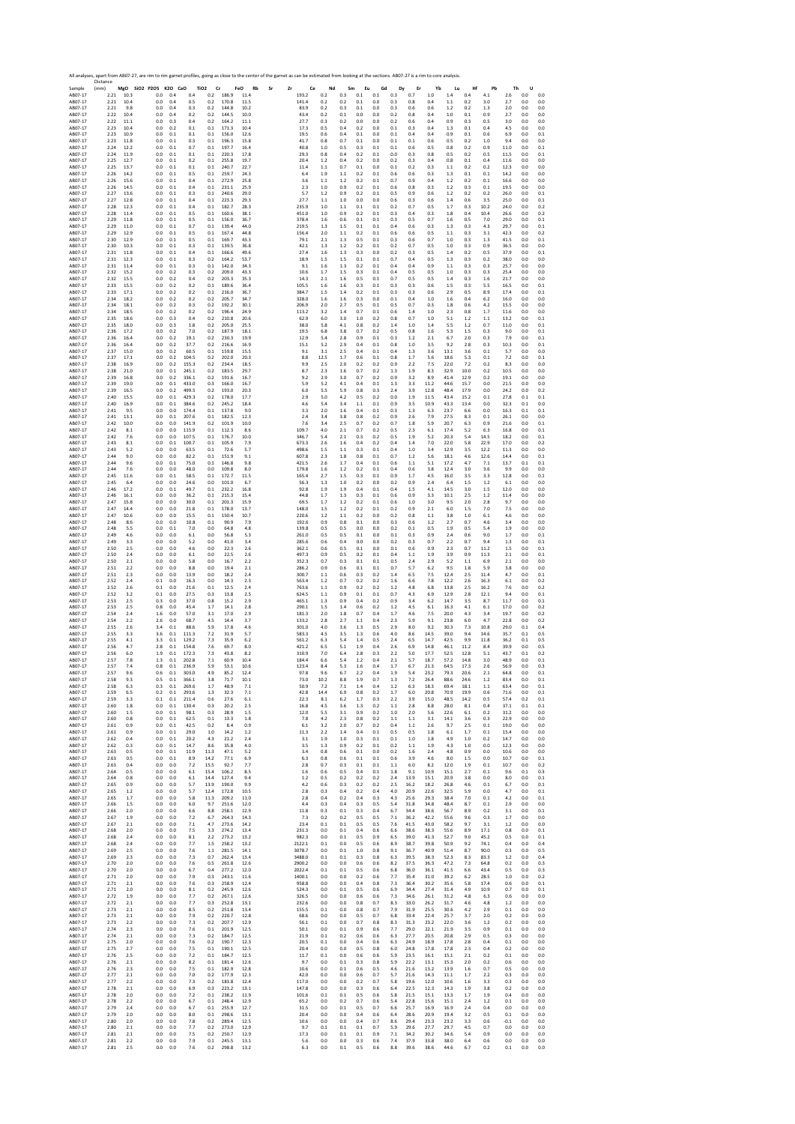Sample Distance (mm) **MgO SiO2 P2O5 K2O CaO TiO2 Cr FeO Rb Sr Zr Ce Nd Sm Eu Gd Dy Er Yb Lu Hf Pb Th U** AB07‐17 2.21 10.3 0.0 0.4 0.4 0.2 186.9 11.4 193.2 0.2 0.3 0.1 0.1 0.3 0.7 1.0 1.4 0.4 4.1 2.6 0.0 0.0 AB07‐17 2.21 10.4 0.0 0.4 0.5 0.2 170.8 11.5 141.4 0.2 0.2 0.1 0.0 0.3 0.8 0.4 1.1 0.2 3.0 2.7 0.0 0.0 AB07‐17 2.21 9.8 0.0 0.4 0.3 0.2 144.8 10.2 83.9 0.2 0.3 0.1 0.0 0.3 0.6 0.6 1.2 0.2 1.3 2.0 0.0 0.0 AB07‐17 2.22 10.4 0.0 0.4 0.2 0.2 144.5 10.0 43.4 0.2 0.1 0.0 0.0 0.2 0.8 0.4 1.0 0.1 0.9 2.7 0.0 0.0 AB07‐17 2.22 11.1 0.0 0.3 0.4 0.2 164.2 11.1 27.7 0.3 0.2 0.0 0.0 0.2 0.6 0.4 0.9 0.3 0.5 3.0 0.0 0.0 AB07‐17 2.23 10.4 0.0 0.2 0.1 0.1 171.3 10.4 17.3 0.5 0.4 0.2 0.0 0.1 0.3 0.4 1.3 0.1 0.4 4.5 0.0 0.0 AB07‐17 2.23 10.9 0.0 0.1 0.1 0.1 156.0 12.6 19.5 0.6 0.4 0.1 0.0 0.1 0.4 0.4 0.9 0.1 0.6 6.9 0.0 0.1 AB07‐17 2.23 11.8 0.0 0.1 0.3 0.1 196.3 15.8 41.7 0.8 0.7 0.1 0.0 0.1 0.1 0.6 0.5 0.2 1.0 9.4 0.0 0.0 AB07‐17 2.24 12.2 0.0 0.1 0.7 0.1 197.7 16.4 40.8 1.0 0.5 0.3 0.1 0.1 0.6 0.5 0.8 0.2 0.9 11.0 0.0 0.1 AB07‐17 2.24 11.9 0.0 0.1 0.1 0.1 220.3 17.8 29.3 0.8 0.4 0.2 0.1 0.0 0.3 0.8 0.5 0.2 0.5 11.5 0.0 0.1 AB07‐17 2.25 12.7 0.0 0.1 0.2 0.1 255.8 19.7 20.4 1.2 0.4 0.2 0.0 0.2 0.3 0.4 0.8 0.1 0.4 11.6 0.0 0.0 AB07‐17 2.25 13.7 0.0 0.1 0.1 0.1 240.7 22.7 11.4 1.1 0.7 0.1 0.0 0.1 0.2 0.3 1.1 0.2 0.2 12.3 0.0 0.0 AB07‐17 2.26 14.2 0.0 0.1 0.5 0.1 259.7 24.3 6.4 1.9 1.1 0.2 0.1 0.6 0.6 0.3 1.3 0.1 0.1 14.2 0.0 0.0 AB07‐17 2.26 15.6 0.0 0.1 0.4 0.1 272.9 25.8 3.6 1.1 1.2 0.2 0.1 0.7 0.9 0.4 1.2 0.2 0.1 16.6 0.0 0.0 AB07‐17 2.26 14.5 0.0 0.1 0.4 0.1 231.1 25.9 2.3 1.0 0.9 0.2 0.1 0.6 0.8 0.3 1.2 0.3 0.1 19.5 0.0 0.0 AB07‐17 2.27 13.6 0.0 0.1 0.3 0.1 240.6 29.0 5.7 1.2 0.9 0.2 0.1 0.5 0.9 0.6 1.2 0.2 0.2 26.0 0.0 0.1 AB07‐17 2.27 12.8 0.0 0.1 0.4 0.1 223.3 29.3 27.7 1.1 1.0 0.0 0.0 0.6 0.3 0.6 1.4 0.6 3.5 25.0 0.0 0.1 AB07‐17 2.28 12.3 0.0 0.1 0.4 0.1 182.7 28.3 235.9 1.0 1.1 0.1 0.1 0.2 0.7 0.5 1.7 0.3 10.2 24.0 0.0 0.2 AB07‐17 2.28 11.4 0.0 0.1 0.5 0.1 160.6 38.1 451.0 1.0 0.9 0.2 0.1 0.3 0.4 0.3 1.8 0.4 10.4 26.6 0.0 0.2 AB07‐17 2.29 11.8 0.0 0.1 0.5 0.1 156.0 36.7 378.4 1.6 0.6 0.1 0.1 0.3 0.5 0.7 1.6 0.5 7.0 29.0 0.0 0.1 AB07‐17 2.29 11.0 0.0 0.1 0.7 0.1 139.4 44.0 219.5 1.3 1.5 0.1 0.1 0.4 0.6 0.3 1.3 0.3 4.3 29.7 0.0 0.1 AB07‐17 2.29 12.9 0.0 0.1 0.5 0.1 167.4 44.8 156.4 2.0 1.1 0.2 0.1 0.6 0.6 0.5 1.1 0.3 3.1 42.3 0.0 0.2 AB07‐17 2.30 12.9 0.0 0.1 0.5 0.1 169.7 43.3 79.1 2.1 1.3 0.5 0.1 0.3 0.6 0.7 1.0 0.3 1.3 41.5 0.0 0.1 AB07‐17 2.30 10.3 0.0 0.1 0.3 0.1 139.5 36.8 42.1 1.3 1.2 0.2 0.1 0.2 0.7 0.5 1.0 0.3 0.9 36.5 0.0 0.0 AB07‐17 2.31 11.8 0.0 0.1 0.4 0.1 166.6 49.6 27.4 1.6 1.3 0.3 0.0 0.2 0.3 0.5 1.4 0.2 0.5 37.9 0.0 0.1 AB07‐17 2.31 12.3 0.0 0.1 0.3 0.2 164.2 53.7 18.9 1.5 1.5 0.1 0.1 0.7 0.4 0.5 1.3 0.3 0.2 38.0 0.0 0.0 AB07‐17 2.31 11.4 0.0 0.1 0.3 0.1 142.0 34.3 9.1 1.6 1.3 0.2 0.1 0.4 0.4 0.9 1.1 0.3 0.3 25.7 0.0 0.0 AB07‐17 2.32 15.2 0.0 0.2 0.3 0.2 209.0 43.3 10.6 1.7 1.5 0.3 0.1 0.4 0.5 0.5 1.0 0.3 0.3 25.4 0.0 0.0 AB07‐17 2.32 15.5 0.0 0.2 0.4 0.2 203.3 35.3 14.3 2.1 1.6 0.5 0.1 0.7 0.5 0.5 1.4 0.3 1.6 21.7 0.0 0.0 AB07‐17 2.33 15.5 0.0 0.2 0.2 0.1 189.6 36.4 105.5 1.6 1.6 0.3 0.1 0.3 0.3 0.6 1.5 0.3 5.5 16.5 0.0 0.1 AB07‐17 2.33 17.1 0.0 0.2 0.2 0.1 216.0 36.7 384.7 1.5 1.4 0.2 0.1 0.3 0.3 0.6 2.9 0.5 8.9 17.4 0.0 0.1 AB07‐17 2.34 18.2 0.0 0.2 0.2 0.2 205.7 34.7 328.0 1.6 1.6 0.3 0.0 0.1 0.4 1.0 1.6 0.4 6.2 16.0 0.0 0.0 AB07‐17 2.34 18.1 0.0 0.2 0.3 0.2 192.2 30.1 206.9 2.0 2.7 0.5 0.1 0.5 0.7 0.3 1.8 0.6 4.2 15.5 0.0 0.0 AB07‐17 2.34 18.5 0.0 0.2 0.2 0.2 196.4 24.9 113.2 3.2 1.4 0.7 0.1 0.6 1.4 1.0 2.3 0.8 1.7 11.6 0.0 0.0 AB07‐17 2.35 18.6 0.0 0.3 0.4 0.2 210.8 20.6 62.9 6.0 3.0 1.0 0.2 0.8 0.7 1.0 5.1 1.2 1.1 13.2 0.0 0.1 AB07‐17 2.35 18.0 0.0 0.3 1.8 0.2 205.0 25.5 38.0 5.8 4.1 0.8 0.2 1.4 1.0 1.4 5.5 1.2 0.7 11.0 0.0 0.1 AB07‐17 2.36 17.2 0.0 0.2 7.0 0.2 187.9 18.1 19.5 6.8 3.8 0.7 0.2 0.5 0.8 1.6 5.3 1.5 0.3 9.0 0.0 0.1 AB07‐17 2.36 16.4 0.0 0.2 19.1 0.2 230.3 19.9 12.9 5.4 2.8 0.9 0.1 0.3 1.2 2.1 6.7 2.0 0.3 7.9 0.0 0.1 AB07‐17 2.36 16.4 0.0 0.2 37.7 0.2 216.6 16.9 15.1 5.2 2.9 0.4 0.1 0.8 1.0 3.5 9.2 2.8 0.3 10.3 0.0 0.1 AB07‐17 2.37 15.0 0.0 0.2 60.5 0.1 159.8 15.5 9.1 3.1 2.5 0.4 0.1 0.4 1.3 3.6 13.1 3.6 0.1 5.7 0.0 0.0 AB07‐17 2.37 17.1 0.0 0.2 104.5 0.2 202.0 20.3 8.8 12.5 1.7 0.6 0.1 0.8 1.7 5.6 18.6 5.3 0.1 7.2 0.0 0.1 AB07‐17 2.38 16.9 0.0 0.2 155.3 0.2 234.4 18.5 9.9 2.5 2.0 0.2 0.2 0.9 2.2 7.5 22.0 7.2 0.2 8.3 0.0 0.0 AB07‐17 2.38 21.0 0.0 0.1 245.1 0.2 183.5 29.7 8.7 2.3 1.6 0.7 0.2 1.3 1.9 8.3 32.9 10.0 0.2 10.5 0.0 0.0 AB07‐17 2.39 16.8 0.0 0.2 336.1 0.2 191.6 16.7 9.2 2.9 3.0 0.7 0.2 0.9 3.2 8.9 41.4 12.9 0.2 19.1 0.0 0.0 AB07‐17 2.39 19.0 0.0 0.1 433.0 0.3 166.0 16.7 5.9 5.2 4.1 0.4 0.1 1.3 3.3 11.2 44.6 15.7 0.0 21.5 0.0 0.0 AB07‐17 2.39 16.5 0.0 0.2 499.5 0.2 193.0 20.3 6.0 5.5 5.9 0.8 0.3 2.4 3.9 12.8 48.4 17.9 0.0 24.2 0.0 0.2 AB07‐17 2.40 15.5 0.0 0.1 429.3 0.2 178.0 17.7 2.9 5.0 4.2 0.5 0.2 0.0 1.9 11.5 43.4 15.2 0.1 27.8 0.1 0.1 AB07‐17 2.40 16.9 0.0 0.1 384.6 0.2 245.2 18.4 4.6 5.4 3.4 1.1 0.1 0.9 3.5 10.9 43.3 13.4 0.0 32.3 0.1 0.0 AB07‐17 2.41 9.5 0.0 0.0 174.4 0.1 137.8 9.0 3.3 2.0 1.6 0.4 0.1 0.3 1.3 6.3 23.7 6.6 0.0 16.3 0.1 0.1 AB07‐17 2.41 13.1 0.0 0.1 207.6 0.1 182.5 12.3 2.4 3.4 3.8 0.8 0.2 0.9 2.6 7.9 27.5 8.3 0.1 26.1 0.0 0.0 AB07‐17 2.42 10.0 0.0 0.0 141.9 0.2 101.9 10.0 7.6 3.4 2.5 0.7 0.2 0.7 1.8 5.9 20.7 6.3 0.9 21.6 0.0 0.1 AB07‐17 2.42 8.1 0.0 0.0 115.9 0.1 112.3 8.6 109.7 4.0 2.1 0.7 0.2 0.5 2.3 6.1 17.4 5.2 6.3 16.8 0.0 0.1 AB07‐17 2.42 7.6 0.0 0.0 107.5 0.1 176.7 10.0 346.7 5.4 2.1 0.3 0.2 0.5 1.9 5.2 20.3 5.4 14.5 18.2 0.0 0.1 AB07‐17 2.43 8.1 0.0 0.1 100.7 0.1 105.9 7.9 673.3 2.6 1.6 0.4 0.2 0.4 1.4 7.0 22.0 5.8 22.9 17.0 0.0 0.2 AB07‐17 2.43 5.2 0.0 0.0 63.5 0.1 72.6 5.7 498.6 1.5 1.1 0.3 0.1 0.4 1.0 3.4 12.9 3.5 12.2 11.3 0.0 0.0 AB07‐17 2.44 9.0 0.0 0.0 82.2 0.1 151.9 9.1 607.8 2.3 1.8 0.8 0.1 0.7 1.2 5.6 18.1 4.6 12.6 14.4 0.0 0.1 AB07‐17 2.44 9.6 0.0 0.1 75.0 0.1 146.8 9.8 421.5 2.6 1.7 0.4 0.1 0.6 1.1 5.1 17.2 4.7 7.1 13.7 0.1 0.1 AB07‐17 2.44 7.6 0.0 0.0 48.0 0.0 109.8 8.0 179.8 1.6 1.2 0.2 0.1 0.4 0.6 3.8 12.4 3.0 3.6 9.9 0.0 0.0 AB07‐17 2.45 11.6 0.0 0.1 58.5 0.1 172.7 11.5 165.4 2.7 1.5 0.3 0.1 0.9 1.7 4.5 16.0 3.5 3.3 12.8 0.0 0.1 AB07‐17 2.45 6.4 0.0 0.0 24.6 0.0 101.0 6.7 56.3 1.3 1.0 0.2 0.0 0.2 0.9 2.4 6.4 1.5 1.2 6.1 0.0 0.0 AB07‐17 2.46 17.2 0.0 0.1 49.7 0.1 232.2 16.8 92.8 1.9 1.9 0.4 0.1 0.4 1.5 4.1 14.5 3.0 1.5 12.0 0.0 0.0 AB07‐17 2.46 16.1 0.0 0.0 36.2 0.1 215.3 15.4 44.8 1.7 1.3 0.3 0.1 0.6 0.9 3.3 10.1 2.5 1.2 11.4 0.0 0.0 AB07‐17 2.47 15.8 0.0 0.0 30.0 0.1 201.3 15.9 69.5 1.7 1.2 0.2 0.1 0.6 1.0 3.0 9.5 2.0 2.8 9.7 0.0 0.0 AB07‐17 2.47 14.4 0.0 0.0 21.8 0.1 178.0 13.7 148.0 1.5 1.2 0.2 0.1 0.2 0.9 2.1 6.0 1.5 7.0 7.5 0.0 0.0 AB07‐17 2.47 10.6 0.0 0.0 15.5 0.1 150.4 10.7 220.6 1.2 1.1 0.2 0.0 0.2 0.8 1.1 3.8 1.0 6.1 4.6 0.0 0.0 AB07‐17 2.48 8.6 0.0 0.0 10.8 0.1 90.9 7.9 192.6 0.9 0.8 0.1 0.0 0.3 0.6 1.2 2.7 0.7 4.6 3.4 0.0 0.0 AB07‐17 2.48 5.5 0.0 0.1 7.0 0.0 64.8 4.8 139.8 0.5 0.5 0.0 0.0 0.2 0.1 0.5 1.9 0.5 5.4 1.9 0.0 0.0 AB07‐17 2.49 4.6 0.0 0.0 6.1 0.0 56.8 5.3 261.0 0.5 0.5 0.1 0.0 0.1 0.3 0.9 2.4 0.6 9.0 1.7 0.0 0.1 AB07‐17 2.49 3.3 0.0 0.0 5.2 0.0 41.0 3.4 285.6 0.6 0.4 0.0 0.0 0.2 0.3 0.7 2.2 0.7 9.4 1.3 0.0 0.1 AB07‐17 2.50 2.5 0.0 0.0 4.6 0.0 22.3 2.6 362.1 0.6 0.5 0.1 0.0 0.1 0.6 0.9 2.3 0.7 11.2 1.5 0.0 0.1 AB07‐17 2.50 2.4 0.0 0.0 6.1 0.0 22.5 2.6 497.3 0.9 0.5 0.2 0.1 0.4 1.1 1.9 3.9 0.9 11.3 2.1 0.0 0.1 AB07‐17 2.50 2.1 0.0 0.0 5.8 0.0 16.7 2.2 352.3 0.7 0.3 0.1 0.1 0.5 2.4 2.9 5.2 1.1 6.9 2.1 0.0 0.0 AB07‐17 2.51 2.2 0.0 0.0 8.8 0.0 19.4 2.1 286.2 0.9 0.6 0.1 0.1 0.7 5.7 6.2 9.5 1.8 5.9 3.8 0.0 0.0 AB07‐17 2.51 2.3 0.0 0.0 13.9 0.0 18.2 2.4 300.7 1.1 0.6 0.3 0.2 1.4 6.5 7.5 12.4 2.5 11.4 4.7 0.0 0.1 AB07‐17 2.52 2.4 0.1 0.0 16.3 0.0 14.3 2.3 563.4 1.2 0.7 0.2 0.2 1.6 6.6 7.8 12.2 2.6 16.3 6.1 0.0 0.2 AB07‐17 2.52 2.6 0.1 0.0 21.6 0.1 12.5 2.4 763.6 1.1 0.9 0.2 0.2 1.2 4.8 6.8 13.8 2.5 16.2 7.6 0.0 0.2 AB07‐17 2.52 3.2 0.1 0.0 27.5 0.3 13.8 2.5 624.5 1.1 0.9 0.1 0.1 0.7 4.3 6.9 12.9 2.8 12.1 9.4 0.0 0.1 AB07‐17 2.53 2.5 0.3 0.0 37.0 0.8 15.2 2.9 465.1 1.3 0.9 0.4 0.2 0.9 3.4 6.2 14.7 3.5 8.7 11.7 0.0 0.1 AB07‐17 2.53 2.5 0.8 0.0 45.4 1.7 14.1 2.8 290.1 1.5 1.4 0.6 0.2 1.2 4.5 6.1 16.3 4.1 6.1 17.0 0.0 0.2 AB07‐17 2.54 2.4 1.6 0.0 57.0 3.1 17.0 2.9 181.3 2.0 1.8 0.7 0.4 1.7 4.6 7.5 20.0 4.3 3.4 19.7 0.0 0.2 AB07‐17 2.54 2.2 2.6 0.0 68.7 4.5 14.4 3.7 133.2 2.8 2.7 1.1 0.4 2.3 5.9 9.1 23.8 6.0 4.7 22.8 0.0 0.2 AB07‐17 2.55 2.6 3.4 0.1 88.6 5.9 17.8 4.6 301.0 4.0 3.6 1.3 0.5 2.9 8.0 9.2 30.3 7.3 10.8 29.0 0.1 0.4 AB07‐17 2.55 3.3 3.6 0.1 111.3 7.2 31.9 5.7 583.3 4.5 3.5 1.3 0.6 4.0 8.6 14.5 39.0 9.4 14.6 35.7 0.1 0.5 AB07‐17 2.55 4.1 3.3 0.1 129.2 7.3 35.9 6.2 561.2 6.3 5.4 1.4 0.5 2.4 6.5 14.7 42.5 9.9 11.8 36.2 0.1 0.5 AB07‐17 2.56 4.7 2.8 0.1 154.8 7.6 69.7 8.0 421.2 6.5 5.1 1.9 0.4 2.6 6.9 14.8 46.1 11.2 8.4 39.9 0.0 0.5 AB07‐17 2.56 6.0 1.9 0.1 172.3 7.3 43.8 8.2 310.9 7.0 6.4 2.8 0.3 2.2 5.0 17.7 52.5 12.8 5.1 43.7 0.1 0.2 AB07‐17 2.57 7.8 1.3 0.1 202.8 7.1 60.9 10.4 184.4 6.6 5.4 1.2 0.4 2.1 5.7 18.7 57.2 14.8 3.0 48.9 0.0 0.1 AB07‐17 2.57 7.4 0.8 0.1 236.9 5.9 53.1 10.6 123.4 8.4 5.3 1.6 0.4 1.7 6.7 21.3 64.5 17.3 2.6 56.9 0.0 0.3 AB07‐17 2.57 9.6 0.6 0.1 303.0 4.9 85.2 12.4 97.8 9.6 6.7 2.2 0.4 1.9 5.4 23.2 79.3 20.6 2.1 64.8 0.0 0.1 AB07‐17 2.58 9.3 0.5 0.1 366.1 3.8 71.7 10.1 73.0 10.2 8.8 1.9 0.7 1.3 7.2 26.4 88.6 24.6 1.2 83.4 0.0 0.1 AB07‐17 2.58 6.3 0.3 0.1 269.6 1.7 48.9 7.1 50.9 7.2 7.1 1.4 0.4 1.2 6.3 18.3 69.4 18.1 1.1 63.4 0.0 0.1 AB07‐17 2.59 6.5 0.2 0.1 293.6 1.3 32.3 7.1 42.8 14.4 6.9 0.8 0.2 1.7 6.0 20.8 70.9 19.9 0.6 71.6 0.0 0.1 AB07‐17 2.59 3.3 0.1 0.1 211.4 0.6 27.6 6.1 22.3 8.1 6.2 1.7 0.3 2.2 3.9 15.0 48.5 14.2 0.5 57.4 0.2 0.1 AB07‐17 2.60 1.8 0.0 0.1 130.4 0.3 20.2 2.5 16.8 4.5 3.6 1.3 0.2 1.1 2.8 8.8 28.0 8.1 0.4 37.1 0.1 0.1 AB07‐17 2.60 1.5 0.0 0.1 98.1 0.3 28.9 1.5 12.0 5.5 3.1 0.9 0.2 1.0 2.0 5.6 22.6 6.1 0.2 31.2 0.0 0.0 AB07‐17 2.60 0.8 0.0 0.1 62.5 0.1 13.3 1.8 7.8 4.2 2.3 0.8 0.2 1.1 1.1 3.1 14.1 3.6 0.3 22.9 0.0 0.0 AB07‐17 2.61 0.9 0.0 0.1 42.5 0.2 8.4 0.9 6.1 3.2 2.0 0.7 0.2 0.4 1.1 2.6 9.7 2.5 0.1 19.0 0.0 0.0 AB07‐17 2.61 0.9 0.0 0.1 29.0 1.0 14.2 1.2 11.3 2.2 1.4 0.4 0.1 0.5 0.5 1.8 6.1 1.7 0.1 15.4 0.0 0.0 AB07‐17 2.62 0.4 0.0 0.1 20.2 4.3 21.2 2.4 3.1 1.9 1.0 0.3 0.1 0.1 1.0 1.8 4.9 1.0 0.2 14.7 0.0 0.0 AB07‐17 2.62 0.3 0.0 0.1 14.7 8.6 35.8 4.0 3.5 1.3 0.9 0.2 0.1 0.2 1.1 1.9 4.3 1.0 0.0 12.3 0.0 0.0 AB07‐17 2.63 0.5 0.0 0.1 11.9 11.3 47.1 5.2 3.4 0.8 0.6 0.1 0.0 0.2 1.6 2.4 4.8 0.9 0.0 10.6 0.0 0.0 AB07‐17 2.63 0.5 0.0 0.1 8.9 14.2 77.1 6.9 6.3 0.8 0.6 0.1 0.1 0.6 3.9 4.6 8.0 1.5 0.0 10.7 0.0 0.1 AB07‐17 2.63 0.4 0.0 0.0 7.2 15.5 92.7 7.7 2.8 0.7 0.3 0.1 0.1 1.1 6.0 8.2 12.0 1.9 0.1 10.7 0.0 0.2 AB07‐17 2.64 0.5 0.0 0.0 6.1 15.4 106.2 8.5 1.6 0.6 0.5 0.4 0.1 1.8 9.1 10.9 15.1 2.7 0.1 9.6 0.1 0.3 AB07‐17 2.64 0.8 0.0 0.0 6.1 14.4 127.4 9.4 1.2 0.5 0.2 0.2 0.2 2.4 13.9 15.1 20.9 3.8 0.0 8.0 0.0 0.1 AB07‐17 2.65 0.9 0.0 0.0 5.7 13.9 190.0 9.9 4.2 0.6 0.3 0.2 0.2 2.5 16.2 18.2 26.8 4.6 0.1 6.7 0.0 0.1 AB07‐17 2.65 1.2 0.0 0.0 5.7 12.4 172.8 10.5 2.8 0.3 0.4 0.2 0.4 4.0 20.9 22.6 32.5 5.9 0.0 4.7 0.0 0.1 AB07‐17 2.65 1.7 0.0 0.0 5.8 11.3 209.2 11.0 2.8 0.4 0.2 0.4 0.3 4.3 25.6 29.3 38.4 7.0 0.1 4.2 0.0 0.1 AB07‐17 2.66 1.5 0.0 0.0 6.0 9.7 251.6 12.0 4.4 0.3 0.4 0.3 0.5 5.4 31.8 34.8 48.4 8.7 0.1 2.9 0.0 0.0 AB07‐17 2.66 2.0 0.0 0.0 6.6 8.8 258.1 12.9 11.8 0.3 0.1 0.3 0.4 6.7 34.4 38.6 56.7 8.9 0.2 3.1 0.0 0.1 AB07‐17 2.67 1.9 0.0 0.0 7.2 6.7 264.3 14.3 7.3 0.2 0.2 0.5 0.5 7.1 36.2 42.2 55.6 9.6 0.3 1.7 0.0 0.0 AB07‐17 2.67 2.1 0.0 0.0 7.1 4.7 273.6 14.2 23.4 0.1 0.1 0.5 0.5 7.6 41.5 43.0 58.2 9.7 3.1 1.2 0.0 0.0 AB07‐17 2.68 2.0 0.0 0.0 7.5 3.3 274.2 13.4 231.3 0.0 0.1 0.4 0.6 6.6 38.6 38.3 55.6 8.9 17.1 0.8 0.0 0.1 AB07‐17 2.68 2.4 0.0 0.0 8.1 2.2 273.2 13.2 982.3 0.0 0.1 0.5 0.9 6.5 39.0 41.3 52.7 9.0 45.2 0.5 0.0 0.1 AB07‐17 2.68 2.4 0.0 0.0 7.7 1.5 258.2 13.2 2122.1 0.1 0.0 0.5 0.6 8.9 38.7 39.8 50.9 9.2 74.1 0.4 0.0 0.4 AB07‐17 2.69 2.5 0.0 0.0 7.6 1.1 281.5 14.1 3078.7 0.0 0.1 1.0 0.8 9.1 36.7 40.9 51.4 8.7 90.0 0.3 0.0 0.5 AB07‐17 2.69 2.3 0.0 0.0 7.3 0.7 262.4 13.4 3488.0 0.1 0.1 0.3 0.8 6.3 39.5 38.3 52.3 8.3 83.3 1.2 0.0 0.4 AB07‐17 2.70 2.0 0.0 0.0 7.6 0.5 261.8 12.6 2900.2 0.0 0.0 0.6 0.6 8.2 37.5 36.3 47.2 7.3 64.8 0.2 0.0 0.3 AB07‐17 2.70 2.0 0.0 0.0 6.7 0.4 277.2 12.0 2022.4 0.1 0.1 0.5 0.6 6.8 36.0 36.1 41.5 6.6 43.4 0.5 0.0 0.3 AB07‐17 2.71 2.0 0.0 0.0 7.9 0.3 243.1 11.6 1400.1 0.0 0.0 0.2 0.6 7.7 35.4 31.0 39.2 6.2 28.5 1.0 0.0 0.2 AB07‐17 2.71 2.1 0.0 0.0 7.6 0.3 258.9 12.4 958.8 0.0 0.0 0.4 0.8 7.3 36.4 30.2 35.6 5.8 17.4 0.6 0.0 0.1 AB07‐17 2.71 2.0 0.0 0.0 8.1 0.2 245.9 12.6 524.3 0.0 0.1 0.5 0.6 6.9 34.4 27.4 31.4 4.9 10.9 0.7 0.0 0.1 AB07‐17 2.72 1.9 0.0 0.0 7.7 0.2 267.1 12.6 326.5 0.0 0.0 0.6 0.6 7.3 34.6 26.1 31.2 4.8 6.3 0.6 0.0 0.0 AB07‐17 2.72 2.1 0.0 0.0 7.7 0.3 252.8 13.1 232.6 0.0 0.0 0.8 0.7 8.3 33.0 26.2 31.7 4.6 4.8 1.2 0.0 0.0 AB07‐17 2.73 2.1 0.0 0.0 8.5 0.2 251.8 13.4 155.5 0.1 0.0 0.8 0.7 7.9 31.9 25.5 30.6 4.2 2.9 0.1 0.0 0.0 AB07‐17 2.73 2.1 0.0 0.0 7.9 0.2 220.7 12.8 68.6 0.0 0.0 0.5 0.7 6.8 33.4 22.4 25.7 3.7 2.0 0.2 0.0 0.0 AB07‐17 2.73 2.2 0.0 0.0 7.3 0.2 207.7 12.9 56.1 0.1 0.0 0.7 0.8 8.3 31.3 23.2 22.0 3.6 1.2 0.2 0.0 0.0 AB07‐17 2.74 2.3 0.0 0.0 7.6 0.1 201.9 12.5 50.1 0.0 0.1 0.9 0.6 7.7 29.0 22.1 21.9 3.5 0.9 0.1 0.0 0.0 AB07‐17 2.74 2.1 0.0 0.0 7.3 0.2 184.7 12.5 21.9 0.1 0.2 0.6 0.6 6.3 27.7 20.5 20.8 2.9 0.5 0.3 0.0 0.0 AB07‐17 2.75 2.0 0.0 0.0 7.6 0.2 190.7 12.3 20.5 0.1 0.0 0.4 0.6 6.3 24.9 18.9 17.8 2.8 0.4 0.1 0.0 0.0 AB07‐17 2.75 2.7 0.0 0.0 7.5 0.1 190.1 12.5 20.4 0.0 0.0 0.5 0.8 6.0 24.8 17.8 17.8 2.3 0.4 0.2 0.0 0.0 AB07‐17 2.76 2.5 0.0 0.0 7.2 0.1 184.7 12.5 11.7 0.1 0.0 0.6 0.6 5.9 23.5 16.1 15.1 2.1 0.2 0.1 0.0 0.0 AB07‐17 2.76 2.1 0.0 0.0 8.2 0.1 181.4 12.6 9.7 0.0 0.1 0.3 0.8 5.9 22.2 13.1 15.3 2.0 0.2 0.6 0.0 0.0 AB07‐17 2.76 2.3 0.0 0.0 7.5 0.1 182.9 12.8 10.6 0.0 0.1 0.6 0.5 4.6 21.6 13.2 13.9 1.6 0.7 0.5 0.0 0.0 AB07‐17 2.77 2.1 0.0 0.0 7.0 0.2 177.9 12.3 42.0 0.0 0.0 0.6 0.7 5.7 21.6 14.3 11.1 1.7 2.2 0.3 0.0 0.0 AB07‐17 2.77 2.2 0.0 0.0 7.3 0.2 183.8 12.4 117.0 0.0 0.0 0.2 0.7 5.8 19.6 12.0 10.6 1.6 3.3 0.3 0.0 0.0 AB07‐17 2.78 2.1 0.0 0.0 6.9 0.3 223.2 13.1 147.8 0.0 0.0 0.3 0.6 6.4 22.5 12.3 14.3 1.9 3.8 0.2 0.0 0.0 AB07‐17 2.78 2.0 0.0 0.0 7.2 0.1 238.2 11.9 101.6 0.1 0.1 0.5 0.6 5.8 21.5 15.1 13.3 1.7 1.9 0.4 0.0 0.0 AB07‐17 2.78 2.2 0.0 0.0 6.7 0.1 248.4 12.9 65.2 0.0 0.2 0.7 0.6 5.4 22.8 15.6 15.1 2.4 1.2 0.1 0.0 0.0 AB07‐17 2.79 2.4 0.0 0.0 6.7 0.1 255.9 12.7 31.5 0.0 0.1 0.5 0.7 6.6 25.7 16.9 16.9 2.4 0.4 0.0 0.0 0.0 AB07‐17 2.79 2.0 0.0 0.0 8.0 0.1 298.6 13.1 20.4 0.0 0.0 0.4 0.6 6.4 28.6 20.9 19.4 3.2 0.5 0.1 0.0 0.0 AB07‐17 2.80 2.0 0.0 0.0 7.8 0.2 289.4 12.5 10.6 0.0 0.0 0.4 0.7 8.6 29.4 23.3 23.2 3.3 0.6 ‐0.1 0.0 0.0 AB07‐17 2.80 2.1 0.0 0.0 7.7 0.2 273.0 12.9 9.7 0.1 0.1 0.1 0.7 5.9 29.6 27.7 29.7 4.5 0.7 0.0 0.0 0.0 AB07‐17 2.81 2.1 0.0 0.0 7.5 0.2 250.7 12.9 17.3 0.0 0.1 0.1 0.9 7.1 34.2 30.2 34.6 5.4 0.9 0.0 0.0 0.0 AB07‐17 2.81 2.2 0.0 0.0 7.9 0.1 245.5 13.1 5.6 0.0 0.0 0.3 0.6 7.4 37.9 33.8 38.0 6.4 0.6 0.0 0.0 0.0 AB07‐17 2.81 2.5 0.0 0.0 7.6 0.2 298.8 13.2 6.3 0.0 0.1 0.5 0.6 8.8 39.6 38.6 44.6 6.7 0.2 0.1 0.0 0.0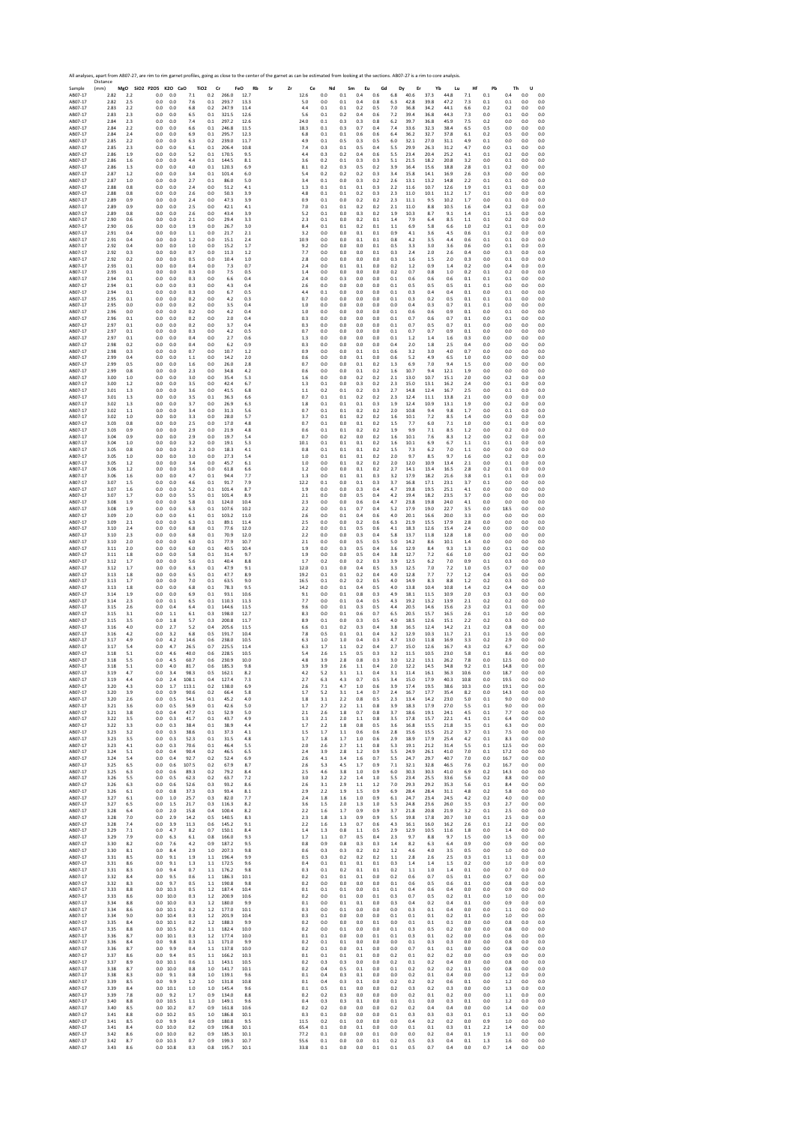Sample Distance (mm) **MgO SiO2 P2O5 K2O CaO TiO2 Cr FeO Rb Sr Zr Ce Nd Sm Eu Gd Dy Er Yb Lu Hf Pb Th U** AB07‐17 2.82 2.2 0.0 0.0 7.1 0.2 266.0 12.7 12.6 0.0 0.1 0.4 0.6 6.8 40.6 37.3 44.8 7.1 0.1 0.4 0.0 0.0 AB07‐17 2.82 2.5 0.0 0.0 7.6 0.1 293.7 13.3 5.0 0.0 0.1 0.4 0.8 6.3 42.8 39.8 47.2 7.3 0.1 0.1 0.0 0.0 AB07‐17 2.83 2.2 0.0 0.0 6.8 0.2 247.9 11.4 4.4 0.1 0.1 0.2 0.5 7.0 36.8 34.2 44.1 6.6 0.2 0.2 0.0 0.0 AB07‐17 2.83 2.3 0.0 0.0 6.5 0.1 321.5 12.6 5.6 0.1 0.2 0.4 0.6 7.2 39.4 36.8 44.3 7.3 0.0 0.1 0.0 0.0 AB07‐17 2.84 2.3 0.0 0.0 7.4 0.1 297.2 12.6 24.0 0.1 0.3 0.3 0.8 6.2 39.7 36.8 45.9 7.5 0.2 0.0 0.0 0.0 AB07‐17 2.84 2.2 0.0 0.0 6.6 0.1 246.8 11.5 18.3 0.1 0.3 0.7 0.4 7.4 33.6 32.3 38.4 6.5 0.5 0.0 0.0 0.0 AB07‐17 2.84 2.4 0.0 0.0 6.9 0.1 295.7 12.3 6.8 0.1 0.1 0.6 0.6 6.4 36.2 32.7 37.8 6.1 0.2 0.5 0.0 0.0 AB07‐17 2.85 2.2 0.0 0.0 6.3 0.2 239.0 11.7 4.9 0.1 0.5 0.3 0.5 6.0 32.1 27.0 31.1 4.9 0.1 0.0 0.0 0.0 AB07‐17 2.85 2.3 0.0 0.0 6.1 0.1 206.4 10.8 7.4 0.3 0.1 0.5 0.4 5.5 29.9 26.3 31.2 4.7 0.0 0.1 0.0 0.0 AB07‐17 2.86 1.9 0.0 0.0 5.2 0.1 170.5 9.5 4.4 0.3 0.2 0.4 0.6 5.5 23.4 20.4 25.2 4.1 0.1 0.2 0.0 0.0 AB07‐17 2.86 1.6 0.0 0.0 4.4 0.1 144.5 8.1 3.6 0.2 0.1 0.3 0.3 5.1 21.5 18.2 20.8 3.2 0.0 0.1 0.0 0.0 AB07‐17 2.86 1.3 0.0 0.0 4.0 0.1 120.3 6.9 8.1 0.2 0.3 0.5 0.2 3.9 16.4 15.6 18.8 2.8 0.1 0.2 0.0 0.0 AB07‐17 2.87 1.2 0.0 0.0 3.4 0.1 101.4 6.0 5.4 0.2 0.2 0.2 0.3 3.4 15.8 14.1 16.9 2.6 0.3 0.0 0.0 0.0 AB07‐17 2.87 1.0 0.0 0.0 2.7 0.1 86.0 5.0 3.4 0.1 0.0 0.3 0.2 2.6 13.1 13.2 14.8 2.2 0.1 0.1 0.0 0.0 AB07‐17 2.88 0.8 0.0 0.0 2.4 0.0 51.2 4.1 1.3 0.1 0.1 0.1 0.3 2.2 11.6 10.7 12.6 1.9 0.1 0.1 0.0 0.0 AB07‐17 2.88 0.8 0.0 0.0 2.6 0.0 50.3 3.9 4.8 0.1 0.1 0.2 0.3 2.3 11.0 10.1 11.2 1.7 0.1 0.0 0.0 0.0 AB07‐17 2.89 0.9 0.0 0.0 2.4 0.0 47.3 3.9 0.9 0.1 0.0 0.2 0.2 2.3 11.1 9.5 10.2 1.7 0.0 0.1 0.0 0.0 AB07‐17 2.89 0.9 0.0 0.0 2.5 0.0 42.1 4.1 7.0 0.1 0.1 0.2 0.2 2.1 11.0 8.8 10.5 1.6 0.4 0.2 0.0 0.0 AB07‐17 2.89 0.8 0.0 0.0 2.6 0.0 43.4 3.9 5.2 0.1 0.0 0.3 0.2 1.9 10.3 8.7 9.1 1.4 0.1 1.5 0.0 0.0 AB07‐17 2.90 0.6 0.0 0.0 2.1 0.0 29.4 3.3 2.3 0.1 0.0 0.2 0.1 1.4 7.9 6.4 8.5 1.1 0.1 0.2 0.0 0.0 AB07‐17 2.90 0.6 0.0 0.0 1.9 0.0 26.7 3.0 8.4 0.1 0.1 0.2 0.1 1.1 6.9 5.8 6.6 1.0 0.2 0.1 0.0 0.0 AB07‐17 2.91 0.4 0.0 0.0 1.1 0.0 21.7 2.1 3.2 0.0 0.0 0.1 0.1 0.9 4.1 3.6 4.5 0.6 0.1 0.2 0.0 0.0 AB07‐17 2.91 0.4 0.0 0.0 1.2 0.0 15.1 2.4 10.9 0.0 0.0 0.1 0.1 0.8 4.2 3.5 4.4 0.6 0.1 0.1 0.0 0.0 AB07‐17 2.92 0.4 0.0 0.0 1.0 0.0 15.2 1.7 9.2 0.0 0.0 0.0 0.1 0.5 3.3 3.0 3.6 0.6 0.0 0.1 0.0 0.0 AB07‐17 2.92 0.3 0.0 0.0 0.7 0.0 11.3 1.2 7.7 0.0 0.0 0.0 0.1 0.3 2.4 2.0 2.6 0.4 0.0 0.3 0.0 0.0 AB07‐17 2.92 0.2 0.0 0.0 0.5 0.0 10.4 1.0 2.8 0.0 0.0 0.0 0.0 0.3 1.6 1.5 2.0 0.3 0.0 0.1 0.0 0.0 AB07‐17 2.93 0.1 0.0 0.0 0.4 0.0 7.3 0.7 2.4 0.0 0.1 0.1 0.0 0.2 1.2 0.9 1.4 0.2 0.0 0.4 0.0 0.0 AB07‐17 2.93 0.1 0.0 0.0 0.3 0.0 7.5 0.5 1.4 0.0 0.0 0.0 0.0 0.2 0.7 0.8 1.0 0.2 0.1 0.2 0.0 0.0 AB07‐17 2.94 0.1 0.0 0.0 0.3 0.0 6.6 0.4 2.4 0.0 0.3 0.0 0.0 0.1 0.6 0.6 0.6 0.1 0.1 0.1 0.0 0.0 AB07‐17 2.94 0.1 0.0 0.0 0.3 0.0 4.3 0.4 2.6 0.0 0.0 0.0 0.0 0.1 0.5 0.5 0.5 0.1 0.1 0.0 0.0 0.0 AB07‐17 2.94 0.1 0.0 0.0 0.3 0.0 6.7 0.5 4.4 0.1 0.0 0.0 0.0 0.1 0.3 0.4 0.4 0.1 0.0 0.1 0.0 0.0 AB07‐17 2.95 0.1 0.0 0.0 0.2 0.0 4.2 0.3 0.7 0.0 0.0 0.0 0.0 0.1 0.3 0.2 0.5 0.1 0.1 0.1 0.0 0.0 AB07‐17 2.95 0.0 0.0 0.0 0.2 0.0 3.5 0.4 1.0 0.0 0.0 0.0 0.0 0.0 0.4 0.3 0.7 0.1 0.1 0.0 0.0 0.0 AB07‐17 2.96 0.0 0.0 0.0 0.2 0.0 4.2 0.4 1.0 0.0 0.0 0.0 0.0 0.1 0.6 0.6 0.9 0.1 0.0 0.1 0.0 0.0 AB07‐17 2.96 0.1 0.0 0.0 0.2 0.0 2.0 0.4 0.3 0.0 0.0 0.0 0.0 0.1 0.7 0.6 0.7 0.1 0.0 0.1 0.0 0.0 AB07‐17 2.97 0.1 0.0 0.0 0.2 0.0 3.7 0.4 0.3 0.0 0.0 0.0 0.0 0.1 0.7 0.5 0.7 0.1 0.0 0.0 0.0 0.0 AB07‐17 2.97 0.1 0.0 0.0 0.3 0.0 4.2 0.5 0.7 0.0 0.0 0.0 0.0 0.1 0.7 0.7 0.9 0.1 0.0 0.0 0.0 0.0 AB07‐17 2.97 0.1 0.0 0.0 0.4 0.0 2.7 0.6 1.3 0.0 0.0 0.0 0.0 0.1 1.2 1.4 1.6 0.3 0.0 0.0 0.0 0.0 AB07‐17 2.98 0.2 0.0 0.0 0.4 0.0 6.2 0.9 0.3 0.0 0.0 0.0 0.0 0.4 2.0 1.8 2.5 0.4 0.0 0.0 0.0 0.0 AB07‐17 2.98 0.3 0.0 0.0 0.7 0.0 10.7 1.2 0.9 0.0 0.0 0.1 0.1 0.6 3.2 3.0 4.0 0.7 0.0 0.0 0.0 0.0 AB07‐17 2.99 0.4 0.0 0.0 1.1 0.0 14.2 2.0 0.6 0.0 0.0 0.1 0.0 0.6 5.2 4.9 6.5 1.0 0.0 0.0 0.0 0.0 AB07‐17 2.99 0.5 0.0 0.0 1.6 0.0 26.0 2.8 0.7 0.0 0.0 0.1 0.2 1.3 6.9 7.0 9.4 1.5 0.0 0.0 0.0 0.0 AB07‐17 2.99 0.8 0.0 0.0 2.3 0.0 34.8 4.2 0.6 0.0 0.0 0.1 0.2 1.6 10.7 9.4 12.1 1.9 0.0 0.0 0.0 0.0 AB07‐17 3.00 1.0 0.0 0.0 3.0 0.0 35.4 5.3 1.6 0.0 0.0 0.2 0.2 2.1 13.0 10.7 15.1 2.0 0.0 0.2 0.0 0.0 AB07‐17 3.00 1.2 0.0 0.0 3.5 0.0 42.4 6.7 1.3 0.1 0.0 0.3 0.2 2.3 15.0 13.1 16.2 2.4 0.0 0.1 0.0 0.0 AB07‐17 3.01 1.3 0.0 0.0 3.6 0.0 41.5 6.8 1.1 0.2 0.1 0.2 0.3 2.7 14.8 12.4 16.7 2.5 0.0 0.1 0.0 0.0 AB07‐17 3.01 1.3 0.0 0.0 3.5 0.1 36.3 6.6 0.7 0.1 0.1 0.2 0.2 2.3 12.4 11.1 13.8 2.1 0.0 0.0 0.0 0.0 AB07‐17 3.02 1.3 0.0 0.0 3.7 0.0 26.9 6.3 1.8 0.1 0.1 0.1 0.3 1.9 12.4 10.9 13.1 1.9 0.0 0.2 0.0 0.0 AB07‐17 3.02 1.1 0.0 0.0 3.4 0.0 31.3 5.6 0.7 0.1 0.1 0.2 0.2 2.0 10.8 9.4 9.8 1.7 0.0 0.1 0.0 0.0 AB07‐17 3.02 1.0 0.0 0.0 3.3 0.0 28.0 5.7 3.7 0.1 0.1 0.2 0.2 1.6 10.1 7.2 8.5 1.4 0.0 0.0 0.0 0.0 AB07‐17 3.03 0.8 0.0 0.0 2.5 0.0 17.0 4.8 0.7 0.1 0.0 0.1 0.2 1.5 7.7 6.0 7.1 1.0 0.0 0.1 0.0 0.0 AB07‐17 3.03 0.9 0.0 0.0 2.9 0.0 21.9 4.8 0.6 0.1 0.1 0.2 0.2 1.9 9.9 7.1 8.5 1.2 0.0 0.2 0.0 0.0 AB07‐17 3.04 0.9 0.0 0.0 2.9 0.0 19.7 5.4 0.7 0.0 0.2 0.0 0.2 1.6 10.1 7.6 8.3 1.2 0.0 0.2 0.0 0.0 AB07‐17 3.04 1.0 0.0 0.0 3.2 0.0 19.1 5.3 10.1 0.1 0.1 0.1 0.2 1.6 10.1 6.9 6.7 1.1 0.1 0.1 0.0 0.0 AB07‐17 3.05 0.8 0.0 0.0 2.3 0.0 18.3 4.1 0.8 0.1 0.1 0.1 0.2 1.5 7.3 6.2 7.0 1.1 0.0 0.0 0.0 0.0 AB07‐17 3.05 1.0 0.0 0.0 3.0 0.0 27.3 5.4 1.0 0.1 0.1 0.1 0.2 2.0 9.7 8.5 9.7 1.6 0.0 0.2 0.0 0.0 AB07‐17 3.05 1.2 0.0 0.0 3.4 0.0 45.7 6.1 1.0 0.0 0.1 0.2 0.2 2.0 12.0 10.9 13.4 2.1 0.0 0.1 0.0 0.0 AB07‐17 3.06 1.2 0.0 0.0 3.6 0.0 61.8 6.6 1.2 0.0 0.0 0.1 0.2 2.7 14.1 13.4 16.5 2.8 0.2 0.1 0.0 0.0 AB07‐17 3.06 1.6 0.0 0.0 4.7 0.1 94.4 7.7 1.3 0.0 0.1 0.1 0.3 3.2 17.9 18.2 21.6 3.8 0.1 0.1 0.0 0.0 AB07‐17 3.07 1.5 0.0 0.0 4.6 0.1 91.7 7.9 12.2 0.1 0.0 0.1 0.3 3.7 16.8 17.1 23.1 3.7 0.1 0.0 0.0 0.0 AB07‐17 3.07 1.6 0.0 0.0 5.2 0.1 101.4 8.7 1.9 0.0 0.0 0.3 0.4 4.7 19.8 19.5 25.1 4.1 0.0 0.0 0.0 0.0 AB07‐17 3.07 1.7 0.0 0.0 5.5 0.1 101.4 8.9 2.1 0.0 0.0 0.5 0.4 4.2 19.4 18.2 23.5 3.7 0.0 0.0 0.0 0.0 AB07‐17 3.08 1.9 0.0 0.0 5.8 0.1 124.0 10.4 2.3 0.0 0.0 0.6 0.4 4.7 23.8 19.8 24.0 4.1 0.0 0.0 0.0 0.0 AB07‐17 3.08 1.9 0.0 0.0 6.3 0.1 107.6 10.2 2.2 0.0 0.1 0.7 0.4 5.2 17.9 19.0 22.7 3.5 0.0 18.5 0.0 0.0 AB07‐17 3.09 2.0 0.0 0.0 6.1 0.1 103.2 11.0 2.6 0.0 0.1 0.4 0.6 4.0 20.1 16.6 20.0 3.3 0.0 0.0 0.0 0.0 AB07‐17 3.09 2.1 0.0 0.0 6.3 0.1 89.1 11.4 2.5 0.0 0.0 0.2 0.6 6.3 21.9 15.5 17.9 2.8 0.0 0.0 0.0 0.0 AB07‐17 3.10 2.4 0.0 0.0 6.8 0.1 77.6 12.0 2.2 0.0 0.1 0.5 0.6 4.1 18.3 12.6 15.4 2.4 0.0 0.0 0.0 0.0 AB07‐17 3.10 2.3 0.0 0.0 6.8 0.1 70.9 12.0 2.2 0.0 0.0 0.3 0.4 5.8 13.7 11.8 12.8 1.8 0.0 0.0 0.0 0.0 AB07‐17 3.10 2.0 0.0 0.0 6.0 0.1 77.9 10.7 2.1 0.0 0.0 0.5 0.5 5.0 14.2 8.6 10.1 1.4 0.0 0.0 0.0 0.0 AB07‐17 3.11 2.0 0.0 0.0 6.0 0.1 40.5 10.4 1.9 0.0 0.3 0.5 0.4 3.6 12.9 8.4 9.3 1.3 0.0 0.1 0.0 0.0 AB07‐17 3.11 1.8 0.0 0.0 5.8 0.1 31.4 9.7 1.9 0.0 0.0 0.5 0.4 3.8 12.7 7.2 6.6 1.0 0.0 0.2 0.0 0.0 AB07‐17 3.12 1.7 0.0 0.0 5.6 0.1 40.4 8.8 1.7 0.2 0.0 0.2 0.3 3.9 12.5 6.2 7.0 0.9 0.1 0.3 0.0 0.0 AB07‐17 3.12 1.7 0.0 0.0 6.3 0.1 47.9 9.1 12.0 0.1 0.0 0.4 0.5 3.3 12.5 7.0 7.2 1.0 0.5 0.7 0.0 0.0 AB07‐17 3.13 1.8 0.0 0.0 6.5 0.1 47.7 8.9 19.2 0.1 0.1 0.2 0.4 4.0 12.8 7.7 7.7 1.2 0.4 0.5 0.0 0.0 AB07‐17 3.13 1.7 0.0 0.0 7.0 0.1 63.5 9.0 16.5 0.1 0.2 0.2 0.5 4.0 14.9 8.3 8.8 1.2 0.2 0.3 0.0 0.0 AB07‐17 3.13 1.8 0.0 0.0 6.8 0.1 78.3 9.5 14.2 0.0 0.1 0.4 0.5 4.0 13.8 10.4 10.8 1.4 0.2 0.4 0.0 0.0 AB07‐17 3.14 1.9 0.0 0.0 6.9 0.1 93.1 10.6 9.1 0.0 0.1 0.8 0.3 4.9 18.1 11.5 10.9 2.0 0.3 0.3 0.0 0.0 AB07‐17 3.14 2.3 0.0 0.1 6.5 0.1 110.3 11.3 7.7 0.0 0.1 0.4 0.5 4.3 19.2 13.2 13.9 2.1 0.2 0.2 0.0 0.0 AB07‐17 3.15 2.6 0.0 0.4 6.4 0.1 144.6 11.5 9.6 0.0 0.1 0.3 0.5 4.4 20.5 14.6 15.6 2.3 0.2 0.1 0.0 0.0 AB07‐17 3.15 3.1 0.0 1.1 6.1 0.3 198.0 12.7 8.3 0.0 0.1 0.6 0.7 6.5 20.5 15.7 16.5 2.6 0.1 1.0 0.0 0.0 AB07‐17 3.15 3.5 0.0 1.8 5.7 0.3 200.8 11.7 8.9 0.1 0.0 0.3 0.5 4.0 18.5 12.6 15.1 2.2 0.2 0.3 0.0 0.0 AB07‐17 3.16 4.0 0.0 2.7 5.2 0.4 205.6 11.5 6.6 0.1 0.2 0.3 0.4 3.8 16.5 12.4 14.2 2.1 0.2 0.8 0.0 0.0 AB07‐17 3.16 4.2 0.0 3.2 6.8 0.5 191.7 10.4 7.8 0.5 0.1 0.1 0.4 3.2 12.9 10.3 11.7 2.1 0.1 1.5 0.0 0.0 AB07‐17 3.17 4.9 0.0 4.2 14.6 0.6 238.0 10.5 6.3 1.0 1.0 0.4 0.3 4.7 13.0 11.8 16.9 3.3 0.2 2.9 0.0 0.0 AB07‐17 3.17 5.4 0.0 4.7 26.5 0.7 225.5 11.4 6.3 1.7 1.1 0.2 0.4 2.7 15.0 12.6 16.7 4.3 0.2 6.7 0.0 0.0 AB07‐17 3.18 5.1 0.0 4.6 40.0 0.6 228.5 10.5 5.4 2.6 1.5 0.5 0.3 3.2 11.5 10.5 23.0 5.8 0.1 8.6 0.0 0.0 AB07‐17 3.18 5.5 0.0 4.5 60.7 0.6 230.9 10.0 4.8 3.9 2.8 0.8 0.3 3.0 12.2 13.1 26.2 7.8 0.0 12.5 0.0 0.0 AB07‐17 3.18 5.1 0.0 4.0 81.7 0.6 185.3 9.8 3.9 3.9 2.6 1.1 0.4 2.0 12.2 14.5 34.8 9.2 0.1 14.8 0.0 0.0 AB07‐17 3.19 4.7 0.0 3.4 98.3 0.5 162.1 8.2 4.2 5.2 3.1 1.1 0.4 3.1 11.4 16.1 36.3 10.6 0.0 18.7 0.0 0.0 AB07‐17 3.19 4.4 0.0 2.4 108.1 0.4 127.4 7.3 2.7 6.3 4.3 0.7 0.5 3.4 15.0 17.9 40.3 10.8 0.0 19.5 0.0 0.0 AB07‐17 3.20 4.3 0.0 1.7 113.1 0.2 138.0 6.9 2.6 7.1 4.7 1.0 0.6 3.9 17.4 19.5 38.6 10.3 0.0 19.1 0.0 0.0 AB07‐17 3.20 3.9 0.0 0.9 90.6 0.2 66.4 5.8 1.7 5.2 3.1 1.4 0.7 2.4 16.7 17.7 35.4 8.2 0.0 14.3 0.0 0.0 AB07‐17 3.20 2.6 0.0 0.5 54.1 0.1 45.2 4.0 1.8 3.1 2.2 0.8 0.5 2.3 13.4 14.2 23.0 5.0 0.1 9.0 0.0 0.0 AB07‐17 3.21 3.6 0.0 0.5 56.9 0.1 42.6 5.0 1.7 2.7 2.2 1.1 0.8 3.9 18.3 17.9 27.0 5.5 0.1 9.0 0.0 0.0 AB07‐17 3.21 3.8 0.0 0.4 47.7 0.1 52.9 5.0 2.1 2.6 1.8 0.7 0.8 3.7 18.6 19.1 24.1 4.5 0.1 7.7 0.0 0.0 AB07‐17 3.22 3.5 0.0 0.3 41.7 0.1 43.7 4.9 1.3 2.1 2.0 1.1 0.8 3.5 17.8 15.7 22.1 4.1 0.1 6.4 0.0 0.0 AB07‐17 3.22 3.3 0.0 0.3 38.4 0.1 38.9 4.4 1.7 2.2 1.8 0.8 0.5 3.6 16.8 15.5 21.8 3.5 0.1 6.3 0.0 0.0 AB07‐17 3.23 3.2 0.0 0.3 38.6 0.1 37.3 4.1 1.5 1.7 1.1 0.6 0.6 2.8 15.6 15.5 21.2 3.7 0.1 7.5 0.0 0.0 AB07‐17 3.23 3.5 0.0 0.3 52.3 0.1 31.5 4.8 1.7 1.8 1.7 1.0 0.6 2.9 18.9 17.9 25.4 4.2 0.1 8.3 0.0 0.0 AB07‐17 3.23 4.1 0.0 0.3 70.6 0.1 46.4 5.5 2.0 2.6 2.7 1.1 0.8 5.3 19.1 21.2 31.4 5.5 0.1 12.5 0.0 0.0 AB07‐17 3.24 5.1 0.0 0.4 90.4 0.2 46.5 6.5 2.4 3.9 2.8 1.2 0.9 5.5 24.9 26.1 41.0 7.0 0.1 17.2 0.0 0.0 AB07‐17 3.24 5.4 0.0 0.4 92.7 0.2 52.4 6.9 2.6 4.1 3.4 1.6 0.7 5.5 24.7 29.7 40.7 7.0 0.0 16.7 0.0 0.0 AB07‐17 3.25 6.5 0.0 0.6 107.5 0.2 67.9 8.7 2.6 5.3 4.5 1.7 0.9 7.1 32.1 32.8 46.5 7.6 0.2 16.7 0.0 0.0 AB07‐17 3.25 6.3 0.0 0.6 89.3 0.2 79.2 8.4 2.5 4.6 3.8 1.0 0.9 6.0 30.3 30.3 41.0 6.9 0.2 14.3 0.0 0.0 AB07‐17 3.26 5.5 0.0 0.5 62.3 0.2 63.7 7.2 3.0 3.2 2.2 1.4 1.0 5.5 23.4 25.5 33.6 5.6 0.2 8.8 0.0 0.0 AB07‐17 3.26 6.3 0.0 0.6 52.6 0.3 93.2 8.6 2.6 3.1 2.9 1.1 1.2 7.0 29.3 29.2 35.3 5.6 0.1 8.4 0.0 0.0 AB07‐17 3.26 6.1 0.0 0.8 37.3 0.3 93.4 8.1 2.9 2.2 1.9 1.5 0.9 6.9 28.4 28.4 31.1 4.8 0.2 5.8 0.0 0.0 AB07‐17 3.27 6.1 0.0 1.0 25.7 0.3 82.0 7.7 2.4 1.8 1.6 1.0 0.9 6.1 24.7 23.4 24.5 4.2 0.2 4.0 0.0 0.0 AB07‐17 3.27 6.5 0.0 1.5 21.7 0.3 116.3 8.2 3.6 1.5 2.0 1.3 1.0 5.3 24.8 23.6 26.0 3.5 0.3 2.7 0.0 0.0 AB07‐17 3.28 6.4 0.0 2.0 15.8 0.4 100.4 8.2 2.2 1.6 1.7 0.9 0.9 3.7 21.8 20.8 21.9 3.2 0.1 2.5 0.0 0.0 AB07‐17 3.28 7.0 0.0 2.9 14.2 0.5 140.5 8.3 2.3 1.8 1.3 0.9 0.9 5.5 19.8 17.8 20.7 3.0 0.1 2.5 0.0 0.0 AB07‐17 3.28 7.4 0.0 3.9 11.3 0.6 145.2 9.1 2.2 1.6 1.3 0.7 0.6 4.3 16.1 16.0 16.2 2.6 0.1 2.2 0.0 0.0 AB07‐17 3.29 7.1 0.0 4.7 8.2 0.7 150.1 8.4 1.4 1.3 0.8 1.1 0.5 2.9 12.9 10.5 11.6 1.8 0.0 1.4 0.0 0.0 AB07‐17 3.29 7.9 0.0 6.3 6.1 0.8 166.0 9.3 1.7 1.1 0.7 0.5 0.4 2.3 9.7 8.8 9.7 1.5 0.0 1.5 0.0 0.0 AB07‐17 3.30 8.2 0.0 7.6 4.2 0.9 187.2 9.5 0.8 0.9 0.8 0.3 0.3 1.4 8.2 6.3 6.4 0.9 0.0 0.9 0.0 0.0 AB07‐17 3.30 8.1 0.0 8.4 2.9 1.0 207.3 9.8 0.6 0.3 0.3 0.2 0.2 1.2 4.6 4.0 3.5 0.5 0.0 1.0 0.0 0.0 AB07‐17 3.31 8.5 0.0 9.1 1.9 1.1 196.4 9.9 0.5 0.3 0.2 0.2 0.2 1.1 2.8 2.6 2.5 0.3 0.1 1.1 0.0 0.0 AB07‐17 3.31 8.6 0.0 9.1 1.3 1.1 172.5 9.6 0.4 0.1 0.1 0.1 0.1 0.3 1.4 1.4 1.5 0.2 0.0 1.0 0.0 0.0 AB07‐17 3.31 8.3 0.0 9.4 0.7 1.1 176.2 9.8 0.3 0.1 0.2 0.1 0.1 0.2 1.1 1.0 1.4 0.1 0.0 0.7 0.0 0.0 AB07‐17 3.32 8.4 0.0 9.5 0.6 1.1 186.3 10.1 0.2 0.1 0.1 0.1 0.0 0.2 0.6 0.7 0.5 0.1 0.0 0.7 0.0 0.0 AB07‐17 3.32 8.3 0.0 9.7 0.5 1.1 190.8 9.8 0.2 0.0 0.0 0.0 0.0 0.1 0.6 0.5 0.6 0.1 0.0 0.8 0.0 0.0 AB07‐17 3.33 8.8 0.0 10.3 0.5 1.2 187.4 10.4 0.1 0.1 0.1 0.0 0.1 0.1 0.4 0.6 0.4 0.0 0.0 0.9 0.0 0.0 AB07‐17 3.33 8.6 0.0 10.0 0.3 1.2 200.9 10.6 0.2 0.0 0.1 0.0 0.1 0.3 0.7 0.5 0.2 0.1 0.0 1.0 0.0 0.0 AB07‐17 3.34 8.8 0.0 10.0 0.3 1.2 180.0 9.9 0.1 0.0 0.1 0.1 0.0 0.3 0.4 0.2 0.4 0.1 0.0 0.9 0.0 0.0 AB07‐17 3.34 8.6 0.0 10.1 0.2 1.2 177.0 10.1 0.3 0.0 0.1 0.0 0.0 0.0 0.3 0.1 0.4 0.0 0.0 1.1 0.0 0.0 AB07‐17 3.34 9.0 0.0 10.4 0.3 1.2 201.9 10.4 0.3 0.1 0.0 0.0 0.0 0.1 0.1 0.1 0.2 0.1 0.0 1.0 0.0 0.0 AB07‐17 3.35 8.4 0.0 10.1 0.2 1.2 188.3 9.9 0.2 0.0 0.0 0.0 0.1 0.0 0.1 0.1 0.1 0.0 0.0 0.8 0.0 0.0 AB07‐17 3.35 8.8 0.0 10.5 0.2 1.1 182.4 10.0 0.2 0.0 0.1 0.0 0.0 0.1 0.3 0.5 0.2 0.0 0.0 0.8 0.0 0.0 AB07‐17 3.36 8.7 0.0 10.1 0.3 1.2 177.4 10.0 0.1 0.1 0.0 0.0 0.1 0.1 0.3 0.1 0.2 0.0 0.0 0.6 0.0 0.0 AB07‐17 3.36 8.4 0.0 9.8 0.3 1.1 171.0 9.9 0.2 0.1 0.1 0.0 0.0 0.0 0.1 0.3 0.3 0.0 0.0 0.8 0.0 0.0 AB07‐17 3.36 8.7 0.0 9.9 0.4 1.1 137.8 10.0 0.2 0.1 0.0 0.1 0.0 0.0 0.7 0.1 0.1 0.0 0.0 0.8 0.0 0.0 AB07‐17 3.37 8.6 0.0 9.4 0.5 1.1 166.2 10.3 0.1 0.1 0.1 0.1 0.0 0.2 0.1 0.2 0.2 0.0 0.0 0.9 0.0 0.0 AB07‐17 3.37 8.9 0.0 10.1 0.6 1.1 143.1 10.5 0.2 0.3 0.3 0.0 0.0 0.2 0.1 0.2 0.4 0.0 0.0 0.8 0.0 0.0 AB07‐17 3.38 8.7 0.0 10.0 0.8 1.0 141.7 10.1 0.2 0.4 0.5 0.1 0.0 0.1 0.2 0.2 0.2 0.1 0.0 0.8 0.0 0.0 AB07‐17 3.38 8.3 0.0 9.1 0.8 1.0 139.1 9.6 0.1 0.4 0.3 0.1 0.0 0.0 0.2 0.1 0.4 0.0 0.0 1.2 0.0 0.0 AB07‐17 3.39 8.5 0.0 9.9 1.2 1.0 131.8 10.8 0.1 0.4 0.3 0.1 0.0 0.2 0.2 0.2 0.6 0.1 0.0 1.2 0.0 0.0 AB07‐17 3.39 8.4 0.0 10.1 1.0 1.0 145.4 9.6 0.1 0.5 0.1 0.0 0.0 0.2 0.3 0.2 0.3 0.0 0.0 1.3 0.0 0.0 AB07‐17 3.39 7.8 0.0 9.2 1.7 0.9 134.0 8.8 0.2 0.2 0.3 0.0 0.0 0.0 0.2 0.1 0.2 0.0 0.0 1.1 0.0 0.0 AB07‐17 3.40 8.8 0.0 10.5 1.1 1.0 149.1 9.6 0.4 0.3 0.3 0.1 0.0 0.1 0.1 0.0 0.3 0.1 0.0 1.2 0.0 0.0 AB07‐17 3.40 8.5 0.0 10.2 0.7 0.9 161.8 10.6 0.2 0.2 0.0 0.0 0.0 0.2 0.2 0.4 0.4 0.0 0.0 1.4 0.0 0.0 AB07‐17 3.41 8.8 0.0 10.2 0.5 1.0 186.8 10.1 0.3 0.1 0.0 0.0 0.0 0.1 0.3 0.3 0.3 0.1 0.1 1.3 0.0 0.0 AB07‐17 3.41 8.5 0.0 9.9 0.4 0.9 180.8 9.5 11.5 0.2 0.1 0.0 0.0 0.0 0.4 0.2 0.2 0.0 0.9 1.0 0.0 0.0 AB07‐17 3.41 8.4 0.0 10.0 0.2 0.9 196.8 10.1 65.4 0.1 0.0 0.1 0.0 0.0 0.1 0.1 0.3 0.1 2.2 1.4 0.0 0.0 AB07‐17 3.42 8.6 0.0 10.0 0.2 0.9 185.3 10.1 77.2 0.1 0.0 0.0 0.1 0.0 0.0 0.2 0.4 0.1 1.9 1.1 0.0 0.0 AB07‐17 3.42 8.7 0.0 10.3 0.7 0.9 199.3 10.7 55.6 0.1 0.0 0.0 0.1 0.2 0.5 0.3 0.4 0.1 1.3 1.6 0.0 0.0 AB07‐17 3.43 8.6 0.0 10.8 0.3 0.8 195.7 10.1 33.8 0.1 0.0 0.0 0.1 0.1 0.5 0.7 0.4 0.0 0.7 1.4 0.0 0.0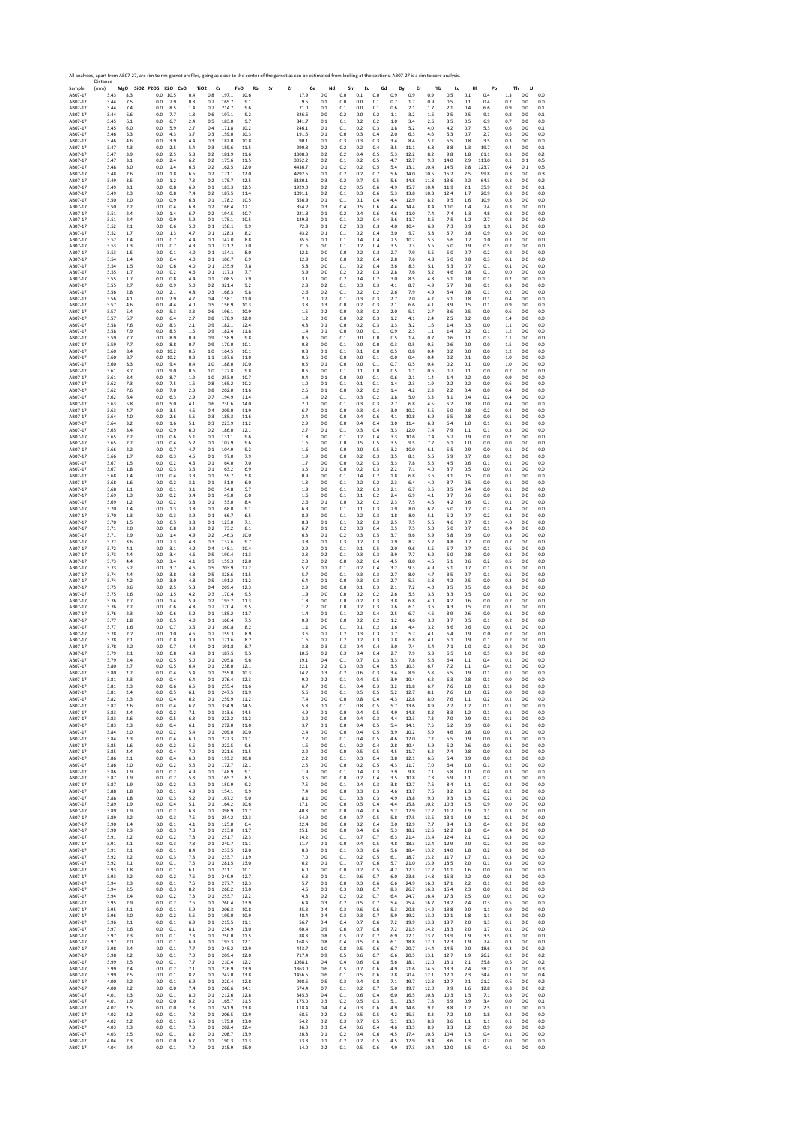| Sample<br>AB07-17<br>AB07-17<br>AB07-17 | All analyses, apart from AB07-27, are rim to rim garnet profiles, going as close to the center of the garnet as can be estimated from looking at the sections. AB07-27 is a rim to core analysis.<br>Distance<br>(mm)<br>3.43<br>3.44<br>3.44 | MgO<br>8.3<br>7.5<br>7.4 | SiO2 P2O5<br>0.0<br>0.0<br>0.0 | K2O CaO<br>10.5<br>7.9<br>8.5 | TiO <sub>2</sub><br>0.4<br>0.8<br>1.4 | Cr<br>0.8<br>0.7<br>0.7 | 197.1<br>165.7<br>214.7 | FeO<br>Rb<br>10.6<br>9.1<br>9.6 | Sr | Zr<br>Ce<br>17.9<br>9.5<br>71.0 | Nd<br>0.0<br>0.1<br>0.1 | 0.0<br>0.0<br>0.1 | Sm<br>Eu<br>0.1<br>0.0<br>0.0 | Gd<br>0.0<br>0.1<br>0.1 | 0.9<br>0.7<br>0.6 | Dy<br>Er<br>0.9<br>1.7<br>2.1 | Yb<br>0.9<br>0.9<br>1.7 | Lu<br>0.5<br>0.5<br>2.1 | Hf<br>0.1<br>0.1<br>0.4 | Pb<br>0.4<br>0.4<br>6.6 | Th<br>1.3<br>0.7<br>0.9 | U<br>0.0<br>0.0<br>0.0 | 0.0<br>0.0<br>0.1 |
|-----------------------------------------|-----------------------------------------------------------------------------------------------------------------------------------------------------------------------------------------------------------------------------------------------|--------------------------|--------------------------------|-------------------------------|---------------------------------------|-------------------------|-------------------------|---------------------------------|----|---------------------------------|-------------------------|-------------------|-------------------------------|-------------------------|-------------------|-------------------------------|-------------------------|-------------------------|-------------------------|-------------------------|-------------------------|------------------------|-------------------|
| AB07-17                                 | 3.44                                                                                                                                                                                                                                          | 6.6                      | 0.0                            | 7.7                           | 1.8                                   | 0.6                     | 197.1                   | 9.2                             |    | 326.5                           | 0.0                     | 0.2               | 0.0                           | 0.2                     | 1.1               | 3.2                           | 1.6                     | 2.5                     | 0.5                     | 9.1                     | 0.8                     | 0.0                    | 0.1               |
| AB07-17                                 | 3.45                                                                                                                                                                                                                                          | 6.1                      | 0.0                            | 6.7                           | 2.4                                   | 0.5                     | 183.0                   | 9.7                             |    | 341.7                           | 0.1                     | 0.1               | 0.2                           | 0.2                     | 1.0               | 3.4                           | 2.6                     | 3.5                     | 0.5                     | 6.9                     | 0.7                     | 0.0                    | 0.0               |
| AB07-17                                 | 3.45                                                                                                                                                                                                                                          | 6.0                      | 0.0                            | 5.9                           | 2.7                                   | 0.4                     | 171.8                   | 10.2                            |    | 246.1                           | 0.1                     | 0.1               | 0.2                           | 0.3                     | 1.8               | 5.2                           | 4.0                     | 4.2                     | 0.7                     | 5.3                     | 0.6                     | 0.0                    | 0.1               |
| AB07-17                                 | 3.46                                                                                                                                                                                                                                          | 5.3                      | 0.0                            | 4.3                           | 3.7                                   | 0.3                     | 159.0                   | 10.3                            |    | 191.5                           | 0.1                     | 0.0               | 0.3                           | 0.4                     | 2.0               | 6.3                           | 4.6                     | 5.3                     | 0.7                     | 2.7                     | 0.5                     | 0.0                    | 0.0               |
| AB07-17                                 | 3.46                                                                                                                                                                                                                                          | 4.6                      | 0.0                            | 3.9                           | 4.4                                   | 0.3                     | 182.0                   | 10.8                            |    | 90.1                            | 0.1                     | 0.3               | 0.3                           | 0.3                     | 3.4               | 8.4                           | 5.2                     | 5.5                     | 0.8                     | 3.5                     | 0.3                     | 0.0                    | 0.0               |
| AB07-17                                 | 3.47                                                                                                                                                                                                                                          | 4.3                      | 0.0                            | 2.5                           | 5.4                                   | 0.3                     | 159.6                   | 11.5                            |    | 290.8                           | 0.2                     | 0.2               | 0.2                           | 0.4                     | 3.5               | 11.1                          | 6.8                     | 8.8                     | 1.3                     | 19.7                    | 0.4                     | 0.0                    | 0.1               |
| AB07-17                                 | 3.47                                                                                                                                                                                                                                          | 3.9                      | 0.0                            | 2.5                           | 5.8                                   | 0.2                     | 181.9                   | 11.6                            |    | 1308.3                          | 0.2                     | 0.2               | 0.4                           | 0.5                     | 5.3               | 12.2                          | 8.2                     | 9.8                     | 1.8                     | 61.1                    | 0.3                     | 0.0                    | 0.2               |
| AB07-17                                 | 3.47                                                                                                                                                                                                                                          | 3.1                      | 0.0                            | 2.4                           | 6.2                                   | 0.2                     | 175.6                   | 11.5                            |    | 3052.2                          | 0.2                     | 0.1               | 0.2                           | 0.5                     | 4.7               | 12.7                          | 9.0                     | 14.0                    | 2.9                     | 113.0                   | 0.1                     | 0.1                    | 0.5               |
| AB07-17                                 | 3.48                                                                                                                                                                                                                                          | 3.0                      | 0.0                            | 1.4                           | 6.6                                   | 0.2                     | 162.5                   | 12.0                            |    | 4436.7                          | 0.1                     | 0.2               | 0.2                           | 0.5                     | 5.4               | 13.1                          | 10.4                    | 14.5                    | 2.8                     | 123.7                   | 0.4                     | 0.1                    | 0.5               |
| AB07-17                                 | 3.48                                                                                                                                                                                                                                          | 2.6                      | 0.0                            | 1.8                           | 6.6                                   | 0.2                     | 171.1                   | 12.0                            |    | 4292.5                          | 0.1                     | 0.2               | 0.2                           | 0.7                     | 5.6               | 14.0                          | 10.5                    | 15.2                    | 2.5                     | 99.8                    | 0.3                     | 0.0                    | 0.3               |
| AB07-17                                 | 3.49                                                                                                                                                                                                                                          | 3.5                      | 0.0                            | 1.2                           | 7.3                                   | 0.2                     | 175.7                   | 12.5                            |    | 3180.1                          | 0.3                     | 0.2               | 0.7                           | 0.5                     | 5.6               | 14.8                          | 11.8                    | 13.6                    | 2.2                     | 64.3                    | 0.3                     | 0.0                    | 0.2               |
| AB07-17                                 | 3.49                                                                                                                                                                                                                                          | 3.1                      | 0.0                            | 0.8                           | 6.9                                   | 0.1                     | 183.3                   | 12.5                            |    | 1929.0                          | 0.2                     | 0.2               | 0.5                           | 0.6                     | 4.9               | 15.7                          | 10.4                    | 11.9                    | 2.1                     | 35.9                    | 0.2                     | 0.0                    | 0.1               |
| AB07-17                                 | 3.49                                                                                                                                                                                                                                          | 2.3                      | 0.0                            | 0.8                           | 7.4                                   | 0.2                     | 187.5                   | 11.4                            |    | 1091.1                          | 0.2                     | 0.1               | 0.3                           | 0.6                     | 5.3               | 13.8                          | 10.3                    | 12.4                    | 1.7                     | 20.9                    | 0.3                     | 0.0                    | 0.0               |
| AB07-17                                 | 3.50                                                                                                                                                                                                                                          | 2.0                      | 0.0                            | 0.9                           | 6.3                                   | 0.1                     | 178.2                   | 10.5                            |    | 556.9                           | 0.1                     | 0.1               | 0.1                           | 0.4                     | 4.4               | 12.9                          | 8.2                     | 9.5                     | 1.6                     | 10.9                    | 0.3                     | 0.0                    | 0.0               |
| AB07-17                                 | 3.50                                                                                                                                                                                                                                          | 2.2                      | 0.0                            | 0.4                           | 6.8                                   | 0.2                     | 166.4                   | 12.1                            |    | 354.2                           | 0.3                     | 0.4               | 0.5                           | 0.6                     | 4.4               | 14.4                          | 8.4                     | 10.0                    | 1.4                     | 7.4                     | 0.3                     | 0.0                    | 0.0               |
| AB07-17                                 | 3.51                                                                                                                                                                                                                                          | 2.4                      | 0.0                            | 1.4                           | 6.7                                   | 0.2                     | 194.5                   | 10.7                            |    | 221.3                           | 0.1                     | 0.2               | 0.4                           | 0.6                     | 4.6               | 11.0                          | 7.4                     | 7.4                     | 1.3                     | 4.8                     | 0.3                     | 0.0                    | 0.0               |
| AB07-17                                 | 3.51                                                                                                                                                                                                                                          | 2.4                      | 0.0                            | 0.9                           | 5.9                                   | 0.1                     | 175.1                   | 10.5                            |    | 129.3                           | 0.1                     | 0.1               | 0.2                           | 0.4                     | 3.6               | 11.7                          | 8.6                     | 7.5                     | 1.2                     | 2.7                     | 0.3                     | 0.0                    | 0.0               |
| AB07-17                                 | 3.52                                                                                                                                                                                                                                          | 2.1                      | 0.0                            | 0.6                           | 5.0                                   | 0.1                     | 158.1                   | 9.9                             |    | 72.9                            | 0.1                     | 0.2               | 0.3                           | 0.3                     | 4.0               | 10.4                          | 6.9                     | 7.3                     | 0.9                     | 1.9                     | 0.1                     | 0.0                    | 0.0               |
| AB07-17                                 | 3.52                                                                                                                                                                                                                                          | 1.7                      | 0.0                            | 1.3                           | 4.7                                   | 0.1                     | 128.3                   | 8.2                             |    | 43.2                            | 0.1                     | 0.1               | 0.2                           | 0.4                     | 3.0               | 9.7                           | 5.8                     | 5.7                     | 0.8                     | 0.9                     | 0.3                     | 0.0                    | 0.0               |
| AB07-17                                 | 3.52                                                                                                                                                                                                                                          | 1.4                      | 0.0                            | 0.7                           | 4.4                                   | 0.1                     | 142.0                   | 8.8                             |    | 35.6                            | 0.1                     | 0.1               | 0.4                           | 0.4                     | 2.5               | 10.2                          | 5.5                     | 6.6                     | 0.7                     | 1.0                     | 0.1                     | 0.0                    | 0.0               |
| AB07-17                                 | 3.53                                                                                                                                                                                                                                          | 1.3                      | 0.0                            | 0.7                           | 4.3                                   | 0.1                     | 121.2                   | 7.0                             |    | 21.6                            | 0.0                     | 0.1               | 0.2                           | 0.4                     | 3.5               | 7.3                           | 5.5                     | 5.0                     | 0.9                     | 0.5                     | 0.2                     | 0.0                    | $_{0.0}$          |
| AB07-17                                 | 3.53                                                                                                                                                                                                                                          | 1.5                      | 0.0                            | 0.1                           | 4.0                                   | 0.1                     | 134.1                   | 8.0                             |    | 12.1                            | 0.0                     | 0.0               | 0.2                           | 0.3                     | 2.7               | 7.9                           | 5.5                     | 5.0                     | 0.7                     | 0.2                     | 0.2                     | 0.0                    | 0.0               |
| AB07-17                                 | 3.54                                                                                                                                                                                                                                          | 1.4                      | 0.0                            | 0.4                           | 4.0                                   | 0.1                     | 106.7                   | 6.9                             |    | 12.9                            | 0.0                     | 0.0               | 0.2                           | 0.4                     | 2.8               | 7.6                           | 4.8                     | 5.0                     | 0.8                     | 0.3                     | 0.1                     | 0.0                    | 0.0               |
| AB07-17                                 | 3.54                                                                                                                                                                                                                                          | 1.5                      | 0.0                            | 0.6                           | 4.0                                   | 0.1                     | 135.9                   | 7.8                             |    | 5.8                             | 0.0                     | 0.1               | 0.2                           | 0.4                     | 3.6               | 8.3                           | 5.1                     | 5.3                     | 0.7                     | 0.1                     | 0.1                     | 0.0                    | $_{0.0}$          |
| AB07-17                                 | 3.55                                                                                                                                                                                                                                          | 1.7                      | 0.0                            | 0.2                           | 4.6                                   | 0.1                     | 117.3                   | 7.7                             |    | 5.9                             | 0.0                     | 0.2               | 0.2                           | 0.3                     | 2.8               | 7.6                           | 5.2                     | 4.6                     | 0.8                     | 0.1                     | 0.0                     | 0.0                    | 0.0               |
| AB07-17                                 | 3.55                                                                                                                                                                                                                                          | 1.7                      | 0.0                            | 0.8                           | 4.4                                   | 0.1                     | 108.5                   | 7.9                             |    | 3.1                             | 0.0                     | 0.2               | 0.4                           | 0.2                     | 3.0               | 8.5                           | 4.8                     | 6.1                     | 0.8                     | 0.1                     | 0.2                     | 0.0                    | 0.0               |
| AB07-17                                 | 3.55                                                                                                                                                                                                                                          | 2.7                      | 0.0                            | 0.9                           | 5.0                                   | 0.2                     | 321.4                   | 9.2                             |    | 2.8                             | 0.2                     | 0.1               | 0.3                           | 0.3                     | 4.1               | 8.7                           | 4.9                     | 5.7                     | 0.8                     | 0.1                     | 0.3                     | 0.0                    | 0.0               |
| AB07-17                                 | 3.56                                                                                                                                                                                                                                          | 2.8                      | 0.0                            | 2.1                           | 4.8                                   | 0.3                     | 168.3                   | 9.8                             |    | 2.6                             | 0.2                     | 0.1               | 0.2                           | 0.2                     | 2.6               | 7.9                           | 4.9                     | 5.4                     | 0.8                     | 0.1                     | 0.2                     | 0.0                    | 0.0               |
| AB07-17                                 | 3.56                                                                                                                                                                                                                                          | 4.1                      | 0.0                            | 2.9                           | 4.7                                   | 0.4                     | 158.1                   | 11.0                            |    | 2.0                             | 0.2                     | 0.1               | 0.3                           | 0.3                     | 2.7               | 7.0                           | 4.2                     | 5.1                     | 0.8                     | 0.1                     | 0.4                     | 0.0                    | 0.0               |
| AB07-17                                 | 3.57                                                                                                                                                                                                                                          | 4.6                      | 0.0                            | 4.4                           | 4.0                                   | 0.5                     | 156.9                   | 10.3                            |    | 3.8                             | 0.3                     | 0.0               | 0.2                           | 0.3                     | 2.1               | 6.6                           | 4.1                     | 3.9                     | 0.5                     | 0.1                     | 0.9                     | 0.0                    | 0.0               |
| AB07-17                                 | 3.57                                                                                                                                                                                                                                          | 5.4                      | 0.0                            | 5.3                           | 3.3                                   | 0.6                     | 196.1                   | 10.9                            |    | 1.5                             | 0.2                     | 0.0               | 0.3                           | 0.2                     | 2.0               | 5.1                           | 2.7                     | 3.6                     | 0.5                     | 0.0                     | 0.6                     | 0.0                    | 0.0               |
| AB07-17                                 | 3.57                                                                                                                                                                                                                                          | 6.7                      | 0.0                            | 6.4                           | 2.7                                   | 0.8                     | 178.9                   | 12.0                            |    | 1.2                             | 0.0                     | 0.0               | 0.2                           | 0.3                     | 1.2               | 4.1                           | 2.4                     | 2.5                     | 0.2                     | 0.0                     | 1.4                     | 0.0                    | 0.0               |
| AB07-17                                 | 3.58                                                                                                                                                                                                                                          | 7.6                      | 0.0                            | 8.3                           | 2.1                                   | 0.9                     | 182.1                   | 12.4                            |    | 4.8                             | 0.1                     | 0.0               | 0.2                           | 0.3                     | 1.3               | 3.2                           | 1.6                     | 1.4                     | 0.3                     | 0.0                     | 1.1                     | 0.0                    | 0.0               |
| AB07-17                                 | 3.58                                                                                                                                                                                                                                          | 7.9                      | 0.0                            | 8.5                           | 1.5                                   | 0.9                     | 182.4                   | 11.8                            |    | 1.4                             | 0.1                     | 0.0               | 0.0                           | 0.1                     | 0.9               | 2.3                           | 1.1                     | 1.4                     | 0.2                     | 0.1                     | 1.2                     | 0.0                    | 0.0               |
| AB07-17                                 | 3.59                                                                                                                                                                                                                                          | 7.7                      | 0.0                            | 8.9                           | 0.9                                   | 0.9                     | 158.9                   | 9.8                             |    | 0.5                             | 0.0                     | 0.1               | 0.0                           | 0.0                     | 0.5               | 1.4                           | 0.7                     | 0.6                     | 0.1                     | 0.3                     | 1.1                     | 0.0                    | 0.0               |
| AB07-17                                 | 3.59                                                                                                                                                                                                                                          | 7.7                      | 0.0                            | 8.8                           | 0.7                                   | 0.9                     | 170.0                   | 10.1                            |    | 0.8                             | 0.0                     | 0.1               | 0.0                           | 0.0                     | 0.3               | 0.5                           | 0.5                     | 0.6                     | 0.0                     | 0.0                     | 1.5                     | 0.0                    | 0.0               |
| AB07-17                                 | 3.60                                                                                                                                                                                                                                          | 8.4                      | 0.0                            | 10.2                          | 0.5                                   | 1.0                     | 164.5                   | 10.1                            |    | 0.8                             | 0.1                     | 0.1               | 0.1                           | 0.0                     | 0.5               | 0.8                           | 0.4                     | 0.2                     | 0.0                     | 0.0                     | 1.2                     | 0.0                    | 0.0               |
| AB07-17                                 | 3.60                                                                                                                                                                                                                                          | 8.7                      | 0.0                            | 10.2                          | 0.3                                   | 1.1                     | 187.6                   | 11.0                            |    | 0.6                             | 0.0                     | 0.0               | 0.0                           | 0.1                     | 0.0               | 0.4                           | 0.4                     | 0.2                     | 0.1                     | 0.0                     | 1.0                     | 0.0                    | 0.0               |
| AB07-17                                 | 3.60                                                                                                                                                                                                                                          | 8.3                      | 0.0                            | 9.4                           | 0.4                                   | 1.0                     | 188.0                   | 10.0                            |    | 0.5                             | 0.1                     | 0.0               | 0.0                           | 0.1                     | 0.7               | 0.5                           | 0.4                     | 0.2                     | 0.1                     | 0.0                     | 1.0                     | 0.0                    | 0.0               |
| AB07-17                                 | 3.61                                                                                                                                                                                                                                          | 8.7                      | 0.0                            | 9.0                           | 0.6                                   | 1.0                     | 172.8                   | 9.8                             |    | 0.5                             | 0.0                     | 0.1               | 0.1                           | 0.0                     | 0.5               | 1.1                           | 0.6                     | 0.7                     | 0.1                     | 0.0                     | 0.7                     | 0.0                    | 0.0               |
| AB07-17<br>AB07-17                      | 3.61<br>3.62                                                                                                                                                                                                                                  | 8.4<br>7.3               | 0.0<br>0.0                     | 8.7<br>7.5                    | 1.2<br>1.6                            | 1.0<br>0.8              | 253.0<br>165.2          | 10.7<br>10.2                    |    | 0.4<br>1.0                      | 0.1<br>0.1              | 0.0<br>0.1        | 0.0<br>0.1                    | 0.1<br>0.1              | 0.6<br>1.4        | 2.1<br>2.3                    | 1.4<br>1.9              | 1.4<br>2.2              | 0.2<br>0.2              | 0.0<br>0.0              | 0.9<br>0.6              | 0.0<br>0.0             | 0.0<br>0.0<br>0.0 |
| AB07-17<br>AB07-17<br>AB07-17           | 3.62<br>3.62<br>3.63                                                                                                                                                                                                                          | 7.6<br>6.4<br>5.8        | 0.0<br>0.0<br>0.0              | 7.0<br>6.3<br>5.0             | 2.3<br>2.9<br>4.1                     | 0.8<br>0.7<br>0.6       | 202.0<br>194.9<br>230.6 | 11.6<br>11.4<br>14.0            |    | 2.5<br>1.4<br>2.0               | 0.1<br>0.2<br>0.0       | 0.0<br>0.1<br>0.1 | 0.2<br>0.3<br>0.3             | 0.2<br>0.2<br>0.3       | 1.4<br>1.8<br>2.7 | 4.2<br>5.0<br>6.8             | 2.3<br>3.3<br>4.5       | 2.2<br>3.1<br>5.2       | 0.4<br>0.4<br>0.8       | 0.0<br>0.2<br>0.0       | 0.4<br>0.4<br>0.4       | 0.0<br>0.0<br>0.0      | 0.0<br>0.0        |
| AB07-17                                 | 3.63                                                                                                                                                                                                                                          | 4.7                      | 0.0                            | 3.5                           | 4.6                                   | 0.4                     | 205.0                   | 11.9                            |    | 6.7                             | 0.1                     | 0.0               | 0.3                           | 0.4                     | 3.0               | 10.2                          | 5.5                     | 5.0                     | 0.8                     | 0.2                     | 0.4                     | 0.0                    | 0.0               |
| AB07-17                                 | 3.64                                                                                                                                                                                                                                          | 4.0                      | 0.0                            | 2.6                           | 5.5                                   | 0.3                     | 185.3                   | 11.6                            |    | 2.4                             | 0.0                     | 0.0               | 0.4                           | 0.6                     | 4.1               | 10.8                          | 6.9                     | 6.5                     | 0.8                     | 0.0                     | 0.1                     | 0.0                    | 0.0               |
| AB07-17                                 | 3.64                                                                                                                                                                                                                                          | 3.2                      | 0.0                            | 1.6                           | 5.1                                   | 0.3                     | 223.9                   | 11.2                            |    | 2.9                             | 0.0                     | 0.0               | 0.4                           | 0.4                     | 3.0               | 11.4                          | 6.8                     | 6.4                     | 1.0                     | 0.1                     | 0.1                     | 0.0                    | 0.0               |
| AB07-17                                 | 3.65                                                                                                                                                                                                                                          | 3.4                      | 0.0                            | 0.9                           | 6.0                                   | 0.2                     | 186.0                   | 12.1                            |    | 2.7                             | 0.1                     | 0.1               | 0.3                           | 0.4                     | 3.3               | 12.0                          | 7.4                     | 7.9                     | 1.1                     | 0.1                     | 0.3                     | 0.0                    | 0.0               |
| AB07-17                                 | 3.65                                                                                                                                                                                                                                          | 2.2                      | 0.0                            | 0.6                           | 5.1                                   | 0.1                     | 131.1                   | 9.6                             |    | 1.8                             | 0.0                     | 0.1               | 0.2                           | 0.4                     | 3.3               | 10.6                          | 7.4                     | 6.7                     | 0.9                     | 0.0                     | 0.2                     | 0.0                    | 0.0               |
| AB07-17                                 | 3.65                                                                                                                                                                                                                                          | 2.2                      | 0.0                            | 0.4                           | 5.2                                   | 0.1                     | 107.9                   | 9.6                             |    | 1.6                             | 0.0                     | 0.0               | 0.5                           | 0.5                     | 3.5               | 9.5                           | 7.2                     | 6.1                     | 1.0                     | 0.0                     | 0.0                     | 0.0                    | 0.0               |
| AB07-17                                 | 3.66                                                                                                                                                                                                                                          | 2.2                      | 0.0                            | 0.7                           | 4.7                                   | 0.1                     | 104.9                   | 9.2                             |    | 1.6                             | 0.0                     | 0.0               | 0.0                           | 0.5                     | 3.2               | 10.0                          | 6.1                     | 5.5                     | 0.9                     | 0.0                     | 0.1                     | 0.0                    | 0.0               |
| AB07-17                                 | 3.66                                                                                                                                                                                                                                          | 1.7                      | 0.0                            | 0.3                           | 4.5                                   | 0.1                     | 97.0                    | 7.9                             |    | 1.9                             | 0.0                     | 0.0               | 0.2                           | 0.3                     | 3.5               | 8.1                           | 5.6                     | 5.9                     | 0.7                     | 0.0                     | 0.2                     | 0.0                    | 0.0               |
| AB07-17                                 | 3.67                                                                                                                                                                                                                                          | 1.5                      | 0.0                            | 0.2                           | 4.5                                   | 0.1                     | 64.0                    | 7.0                             |    | 1.7                             | 0.0                     | 0.0               | 0.2                           | 0.3                     | 3.3               | 7.8                           | 5.5                     | 4.5                     | 0.6                     | 0.1                     | 0.1                     | 0.0                    | 0.0               |
| AB07-17                                 | 3.67                                                                                                                                                                                                                                          | 1.8                      | 0.0                            | 0.3                           | 3.5                                   | 0.1                     | 63.2                    | 6.9                             |    | 3.5                             | 0.1                     | 0.0               | 0.2                           | 0.3                     | 2.2               | 7.1                           | 4.0                     | 3.7                     | 0.5                     | 0.0                     | 0.1                     | 0.0                    | 0.0               |
| AB07-17                                 | 3.68                                                                                                                                                                                                                                          | 1.4                      | 0.0                            | 0.4                           | 3.3                                   | 0.1                     | 59.7                    | 5.8                             |    | 0.9                             | 0.0                     | 0.1               | 0.4                           | 0.2                     | 1.8               | 6.8                           | 3.6                     | 3.1                     | 0.5                     | 0.0                     | 0.1                     | 0.0                    | 0.0               |
| AB07-17                                 | 3.68                                                                                                                                                                                                                                          | 1.6                      | 0.0                            | 0.2                           | 3.1                                   | 0.1                     | 51.0                    | 6.0                             |    | 1.3                             | 0.0                     | 0.1               | 0.2                           | 0.2                     | 2.3               | 6.4                           | 4.0                     | 3.7                     | 0.5                     | 0.0                     | 0.1                     | 0.0                    | 0.0               |
| AB07-17                                 | 3.68                                                                                                                                                                                                                                          | 1.1                      | 0.0                            | 0.1                           | 3.1                                   | 0.0                     | 54.8                    | 5.7                             |    | 1.9                             | 0.0                     | 0.1               | 0.2                           | 0.3                     | 2.1               | 6.7                           | 3.5                     | 3.5                     | 0.4                     | 0.0                     | 0.1                     | 0.0                    | 0.0               |
| AB07-17                                 | 3.69                                                                                                                                                                                                                                          | 1.3                      | 0.0                            | 0.2                           | 3.4                                   | 0.1                     | 49.0                    | 6.0                             |    | 1.6                             | 0.0                     | 0.1               | 0.1                           | 0.2                     | 2.4               | 6.9                           | 4.1                     | 3.7                     | 0.6                     | 0.0                     | 0.1                     | 0.0                    | 0.0               |
| AB07-17                                 | 3.69                                                                                                                                                                                                                                          | 1.2                      | 0.0                            | 0.2                           | 3.8                                   | 0.1                     | 53.0                    | 8.4                             |    | 2.6                             | 0.1                     | 0.0               | 0.2                           | 0.2                     | 2.3               | 7.5                           | 4.5                     | 4.2                     | 0.6                     | 0.1                     | 0.1                     | 0.0                    | 0.0               |
| AB07-17                                 | 3.70                                                                                                                                                                                                                                          | 1.4                      | 0.0                            | 1.3                           | 3.8                                   | 0.1                     | 68.0                    | 9.1                             |    | 6.3                             | 0.0                     | 0.1               | 0.1                           | 0.3                     | 2.9               | 8.0                           | 6.2                     | 5.0                     | 0.7                     | 0.2                     | 0.4                     | 0.0                    | 0.0               |
| AB07-17                                 | 3.70                                                                                                                                                                                                                                          | 1.3                      | 0.0                            | 0.3                           | 3.9                                   | 0.1                     | 66.7                    | 6.5                             |    | 8.9                             | 0.0                     | 0.1               | 0.2                           | 0.3                     | 1.8               | 8.0                           | 5.1                     | 5.2                     | 0.7                     | 0.2                     | 0.3                     | 0.0                    | 0.0               |
| AB07-17                                 | 3.70                                                                                                                                                                                                                                          | 1.5                      | 0.0                            | 0.5                           | 3.8                                   | 0.1                     | 123.0                   | 7.1                             |    | 8.3                             | 0.1                     | 0.1               | 0.2                           | 0.3                     | 2.5               | 7.5                           | 5.6                     | 4.6                     | 0.7                     | 0.1                     | 4.0                     | 0.0                    | $_{0.0}$          |
| AB07-17                                 | 3.71                                                                                                                                                                                                                                          | 2.0                      | 0.0                            | 0.8                           | 3.9                                   | 0.2                     | 73.2                    | 8.1                             |    | 6.7                             | 0.1                     | 0.2               | 0.3                           | 0.4                     | 3.5               | 7.5                           | 5.0                     | 5.0                     | 0.7                     | 0.1                     | 0.4                     | 0.0                    | 0.0               |
| AB07-17                                 | 3.71                                                                                                                                                                                                                                          | 2.9                      | 0.0                            | 1.4                           | 4.9                                   | 0.2                     | 146.3                   | 10.0                            |    | 6.3                             | 0.1                     | 0.2               | 0.3                           | 0.5                     | 3.7               | 9.6                           | 5.9                     | 5.8                     | 0.9                     | 0.0                     | 0.3                     | 0.0                    | 0.0               |
| AB07-17                                 | 3.72                                                                                                                                                                                                                                          | 3.6                      | 0.0                            | 2.3                           | 4.3                                   | 0.3                     | 132.6                   | 9.7                             |    | 3.8                             | 0.1                     | 0.3               | 0.2                           | 0.3                     | 2.9               | 8.2                           | 5.2                     | 4.8                     | 0.7                     | 0.0                     | 0.7                     | 0.0                    | 0.0               |
| AB07-17                                 | 3.72                                                                                                                                                                                                                                          | 4.1                      | 0.0                            | 3.1                           | 4.2                                   | 0.4                     | 148.1                   | 10.4                            |    | 2.9                             | 0.1                     | 0.1               | 0.1                           | 0.5                     | 2.0               | 9.6                           | 5.5                     | 5.7                     | 0.7                     | 0.1                     | 0.5                     | 0.0                    | 0.0               |
| AB07-17                                 | 3.73                                                                                                                                                                                                                                          | 4.4                      | 0.0                            | 3.4                           | 4.6                                   | 0.5                     | 190.4                   | 11.3                            |    | 2.3                             | 0.2                     | 0.1               | 0.3                           | 0.3                     | 3.9               | 7.7                           | 6.2                     | 6.0                     | 0.8                     | 0.0                     | 0.3                     | 0.0                    | 0.0               |
| AB07-17                                 | 3.73                                                                                                                                                                                                                                          | 4.4                      | 0.0                            | 3.4                           | 4.1                                   | 0.5                     | 159.3                   | 12.0                            |    | 2.8                             | 0.2                     | 0.0               | 0.2                           | 0.4                     | 4.5               | 8.0                           | 4.5                     | 5.1                     | 0.6                     | 0.2                     | 0.5                     | 0.0                    | 0.0               |
| AB07-17                                 | 3.73                                                                                                                                                                                                                                          | 5.2                      | 0.0                            | 3.7                           | 4.6                                   | 0.5                     | 203.9                   | 12.2                            |    | 5.7                             | 0.1                     | 0.1               | 0.2                           | 0.4                     | 3.2               | 9.3                           | 4.9                     | 5.1                     | 0.7                     | 0.1                     | 0.3                     | 0.0                    | 0.0               |
| AB07-17                                 | 3.74                                                                                                                                                                                                                                          | 4.4                      | 0.0                            | 3.8                           | 4.8                                   | 0.5                     | 328.6                   | 11.5                            |    | 5.7                             | 0.0                     | 0.1               | 0.3                           | 0.3                     | 2.7               | 8.0                           | 4.7                     | 3.5                     | 0.7                     | 0.1                     | 0.5                     | 0.0                    | 0.0               |
| AB07-17                                 | 3.74                                                                                                                                                                                                                                          | 4.2                      | 0.0                            | 3.0                           | 4.8                                   | 0.5                     | 191.2                   | 11.2                            |    | 6.4                             | 0.1                     | 0.0               | 0.3                           | 0.3                     | 2.7               | 5.3                           | 3.8                     | 4.2                     | 0.5                     | 0.0                     | 0.3                     | 0.0                    | 0.0               |
| AB07-17                                 | 3.75                                                                                                                                                                                                                                          | 3.6                      | 0.0                            | 2.5                           | 5.3                                   | 0.4                     | 209.4                   | 12.3                            |    | 2.9                             | 0.0                     | 0.0               | 0.1                           | 0.3                     | 2.1               | 7.2                           | 4.0                     | 3.5                     | 0.5                     | 0.0                     | 0.3                     | 0.0                    | 0.0               |
| AB07-17                                 | 3.75                                                                                                                                                                                                                                          | 2.6                      | 0.0                            | 1.5                           | 4.2                                   | 0.3                     | 170.4                   | 9.5                             |    | 1.9                             | 0.0                     | 0.0               | 0.2                           | 0.2                     | 2.6               | 5.5                           | 3.5                     | 3.3                     | 0.5                     | 0.0                     | 0.1                     | 0.0                    | $_{0.0}$          |
| AB07-17                                 | 3.76                                                                                                                                                                                                                                          | 2.7                      | 0.0                            | 1.4                           | 5.9                                   | 0.2                     | 193.2                   | 11.3                            |    | 1.8                             | 0.0                     | 0.0               | 0.2                           | 0.3                     | 3.8               | 6.8                           | 4.0                     | 4.2                     | 0.6                     | 0.0                     | 0.2                     | 0.0                    | 0.0               |
| AB07-17                                 | 3.76                                                                                                                                                                                                                                          | 2.2                      | 0.0                            | 0.6                           | 4.8                                   | 0.2                     | 170.4                   | 9.5                             |    | 1.2                             | 0.0                     | 0.0               | 0.2                           | 0.3                     | 2.6               | 6.1                           | 3.6                     | 4.3                     | 0.5                     | 0.0                     | 0.1                     | 0.0                    | 0.0               |
| AB07-17                                 | 3.76                                                                                                                                                                                                                                          | 2.3                      | 0.0                            | 0.6                           | 5.2                                   | 0.1                     | 185.2                   | 11.7                            |    | 1.4                             | 0.1                     | 0.1               | 0.2                           | 0.4                     | 2.5               | 6.7                           | 4.6                     | 3.9                     | 0.6                     | 0.0                     | 0.1                     | 0.0                    | 0.0               |
| AB07-17                                 | 3.77                                                                                                                                                                                                                                          | 1.8                      | 0.0                            | 0.5                           | 4.0                                   | 0.1                     | 160.4                   | 7.5                             |    | 0.9                             | 0.0                     | 0.0               | 0.2                           | 0.2                     | 1.2               | 4.6                           | 3.0                     | 3.7                     | 0.5                     | 0.1                     | 0.2                     | 0.0                    | 0.0               |
| AB07-17                                 | 3.77                                                                                                                                                                                                                                          | 1.6                      | 0.0                            | 0.7                           | 3.5                                   | 0.1                     | 160.8                   | 8.2                             |    | 1.1                             | 0.0                     | 0.1               | 0.1                           | 0.2                     | 1.6               | 4.4                           | 3.2                     | 3.6                     | 0.6                     | 0.0                     | 0.1                     | 0.0                    | 0.0               |
| AB07-17                                 | 3.78                                                                                                                                                                                                                                          | 2.2                      | 0.0                            | 1.0                           | 4.5                                   | 0.2                     | 159.3                   | 8.9                             |    | 3.6                             | 0.2                     | 0.2               | 0.3                           | 0.3                     | 2.7               | 5.7                           | 4.1                     | 6.4                     | 0.9                     | 0.0                     | 0.2                     | 0.0                    | 0.0               |
| AB07-17                                 | 3.78                                                                                                                                                                                                                                          | 2.1                      | 0.0                            | 0.8                           | 3.9                                   | 0.1                     | 171.6                   | 8.2                             |    | 1.6                             | 0.2                     | 0.2               | 0.2                           | 0.3                     | 2.8               | 6.8                           | 4.1                     | 6.1                     | 0.9                     | 0.1                     | 0.2                     | 0.0                    | 0.0               |
| AB07-17                                 | 3.78                                                                                                                                                                                                                                          | 2.2                      | 0.0                            | 0.7                           | 4.4                                   | 0.1                     | 191.8                   | 8.7                             |    | 3.8                             | 0.3                     | 0.3               | 0.4                           | 0.4                     | 3.0               | 7.4                           | 5.4                     | 7.1                     | 1.0                     | 0.2                     | 0.2                     | 0.0                    | 0.0               |
| AB07-17                                 | 3.79                                                                                                                                                                                                                                          | 2.1                      | 0.0                            | 0.8                           | 4.9                                   | 0.1                     | 187.5                   | 95                              |    | 10.6                            | 0.2                     | 0.3               | 0.4                           | 0.4                     | 2.7               | 7.9                           | 5.3                     | 6.5                     | 1.0                     | 0.5                     | 0.3                     | 0.0                    | 0.0               |
| AB07-17                                 | 3.79                                                                                                                                                                                                                                          | 2.4                      | 0.0                            | 0.5                           | 5.0                                   | 0.1                     | 205.8                   | 9.6                             |    | 19.1                            | 0.4                     | 0.1               | 0.7                           | 0.3                     | 3.3               | 7.8                           | 5.6                     | 6.4                     | 1.1                     | 0.4                     | 0.1                     | 0.0                    | 0.0               |
| AB07-17                                 | 3.80                                                                                                                                                                                                                                          | 2.7                      | 0.0                            | 0.5                           | 6.4                                   | 0.1                     | 238.0                   | 12.1                            |    | 22.1                            | 0.2                     | 0.3               | 0.3                           | 0.4                     | 3.5               | 10.3                          | 6.7                     | 7.2                     | 1.1                     | 0.4                     | 0.2                     | 0.0                    | 0.0               |
| AB07-17<br>AB07-17                      | 3.81<br>3.81                                                                                                                                                                                                                                  | 2.3<br>2.3               | 0.0<br>0.0                     | 0.4<br>0.6                    | 6.4<br>6.5                            | 0.1<br>0.1              | 276.4<br>255.4          | 12.3<br>11.6                    |    | 9.0<br>6.7                      | 0.2<br>0.0              | 0.1<br>0.1        | 0.4<br>0.4                    | 0.5<br>0.3              | 3.9<br>3.2        | 10.4<br>11.8                  | 6.2<br>6.7              | 6.3<br>7.6              | 0.8<br>$1.0\,$          | 0.1<br>0.1              | 0.0<br>0.3              | 0.0<br>0.0             | nη<br>0.0<br>0.0  |
| AB07-17                                 | 3.81                                                                                                                                                                                                                                          | 2.4                      | 0.0                            | 0.5                           | 6.1                                   | 0.1                     | 247.5                   | 11.9                            |    | 5.6                             | 0.0                     | 0.1               | 0.5                           | 0.5                     | 5.2               | 12.7                          | 8.1                     | 7.6                     | 1.0                     | 0.2                     | 0.0                     | 0.0                    | 0.0               |
| AB07-17                                 | 3.82                                                                                                                                                                                                                                          | 2.3                      | 0.0                            | 0.4                           | 6.2                                   | 0.1                     | 259.9                   | 11.2                            |    | 7.4                             | 0.0                     | 0.0               | 0.8                           | 0.4                     | 4.3               | 12.8                          | 8.0                     | 7.6                     | 1.1                     | 0.2                     | 0.1                     | 0.0                    | 0.0               |
| AB07-17                                 | 3.82                                                                                                                                                                                                                                          | 2.6                      | 0.0                            | 0.4                           | 6.7                                   | 0.1                     | 334.9                   | 14.5                            |    | 5.8                             | 0.1                     | 0.1               | 0.8                           | 0.5                     | 5.7               | 13.6                          | 8.9                     | 7.7                     | 1.2                     | 0.1                     | 0.1                     | 0.0                    | 0.0               |
| AB07-17                                 | 3.83                                                                                                                                                                                                                                          | 2.4                      | 0.0                            | 0.2                           | 7.1                                   | 0.1                     | 313.6                   | 14.5                            |    | 4.9                             | 0.1                     | 0.0               | 0.4                           | 0.5                     | 4.9               | 14.8                          | 8.8                     | 8.3                     | 1.2                     | 0.1                     | 0.1                     | 0.0                    | 0.0               |
| AB07-17                                 | 3.83                                                                                                                                                                                                                                          | 2.6                      | 0.0                            | 0.5                           | 6.3                                   | 0.1                     | 222.2                   | 11.2                            |    | 3.2                             | 0.0                     | 0.0               | 0.4                           | 0.3                     | 4.4               | 12.3                          | 7.3                     | 7.0                     | 0.9                     | 0.1                     | 0.1                     | 0.0                    | 0.0               |
| AB07-17                                 | 3.83                                                                                                                                                                                                                                          | 2.3                      | 0.0                            | 0.4                           | 6.1                                   | 0.1                     | 272.0                   | 11.0                            |    | 3.7                             | 0.1                     | 0.0               | 0.4                           | 0.5                     | 5.4               | 14.1                          | 7.5                     | 6.2                     | 0.9                     | 0.0                     | 0.1                     | 0.0                    | 0.0               |
| AB07-17                                 | 3.84                                                                                                                                                                                                                                          | 2.0                      | 0.0                            | 0.2                           | 5.4                                   | 0.1                     | 209.0                   | 10.0                            |    | 2.4                             | 0.0                     | 0.0               | 0.4                           | 0.5                     | 3.9               | 10.2                          | 5.9                     | 4.6                     | 0.8                     | 0.0                     | 0.1                     | 0.0                    | 0.0               |
| AB07-17                                 | 3.84                                                                                                                                                                                                                                          | 2.3                      | 0.0                            | 0.4                           | 6.0                                   | 0.1                     | 222.3                   | 11.1                            |    | 2.2                             | 0.0                     | 0.1               | 0.4                           | 0.5                     | 4.6               | 12.0                          | 7.2                     | 5.5                     | 0.9                     | 0.0                     | 0.3                     | 0.0                    | 0.0               |
| AB07-17                                 | 3.85                                                                                                                                                                                                                                          | 1.6                      | 0.0                            | 0.2                           | 5.6                                   | 0.1                     | 222.5                   | 9.6                             |    | 1.6                             | 0.0                     | 0.1               | 0.2                           | 0.4                     | 2.8               | 10.4                          | 5.9                     | 5.2                     | 0.6                     | 0.0                     | 0.1                     | 0.0                    | 0.0               |
| AB07-17                                 | 3.85                                                                                                                                                                                                                                          | 2.4                      | 0.0                            | 0.4                           | 7.0                                   | 0.1                     | 221.6                   | 11.5                            |    | 2.2                             | 0.0                     | 0.0               | 0.5                           | 0.5                     | 4.5               | 11.7                          | 6.2                     | 7.4                     | 0.8                     | 0.0                     | 0.2                     | 0.0                    | 0.0               |
| AB07-17                                 | 3.86                                                                                                                                                                                                                                          | 2.1                      | 0.0                            | 0.4                           | 6.0                                   | 0.1                     | 193.2                   | 10.8                            |    | 2.2                             | 0.0                     | 0.1               | 0.3                           | 0.4                     | 3.8               | 12.1                          | 6.6                     | 5.4                     | 0.9                     | 0.0                     | 0.2                     | 0.0                    | 0.0               |
| AB07-17                                 | 3.86                                                                                                                                                                                                                                          | 2.0                      | 0.0                            | 0.2                           | 5.6                                   | 0.1                     | 172.7                   | 12.1                            |    | 2.5                             | 0.0                     | 0.0               | 0.2                           | 0.5                     | 4.3               | 11.7                          | 7.0                     | 6.4                     | 1.0                     | 0.1                     | 0.2                     | 0.0                    | 0.0               |
| AB07-17                                 | 3.86                                                                                                                                                                                                                                          | 1.9                      | 0.0                            | 0.2                           | 4.9                                   | 0.1                     | 148.9                   | 9.1                             |    | 1.9                             | 0.0                     | 0.1               | 0.4                           | 0.3                     | 3.9               | 9.8                           | 7.1                     | 5.8                     | 1.0                     | 0.0                     | 0.3                     | 0.0                    | 0.0               |
| AB07-17                                 | 3.87                                                                                                                                                                                                                                          | 1.9                      | 0.0                            | 0.2                           | 5.3                                   | 0.1                     | 165.2                   | 8.5                             |    | 3.6                             | 0.0                     | 0.0               | 0.2                           | 0.4                     | 3.5               | 10.8                          | 7.3                     | 6.9                     | 1.1                     | 0.2                     | 0.3                     | 0.0                    | 0.0               |
| AB07-17                                 | 3.87                                                                                                                                                                                                                                          | 1.9                      | 0.0                            | 0.2                           | 5.0                                   | 0.1                     | 150.9                   | 9.2                             |    | 7.5                             | 0.0                     | 0.1               | 0.4                           | 0.3                     | 3.8               | 12.7                          | 7.6                     | 8.4                     | 1.1                     | 0.2                     | 0.2                     | 0.0                    | 0.0               |
| AB07-17                                 | 3.88                                                                                                                                                                                                                                          | 1.8                      | 0.0                            | 0.1                           | 4.9                                   | 0.1                     | 154.1                   | 9.9                             |    | 7.4                             | 0.0                     | 0.0               | 0.3                           | 0.3                     | 4.6               | 13.7                          | 7.6                     | 8.2                     | 1.3                     | 0.2                     | 0.2                     | 0.0                    | 0.0               |
| AB07-17                                 | 3.88                                                                                                                                                                                                                                          | 1.8                      | 0.0                            | 0.3                           | 5.2                                   | 0.1                     | 167.2                   | 9.0                             |    | 8.1                             | 0.0                     | 0.1               | 0.3                           | 0.3                     | 4.9               | 13.8                          | 9.0                     | 9.3                     | 1.3                     | 0.2                     | 0.1                     | 0.0                    | 0.0               |
| AB07-17                                 | 3.89                                                                                                                                                                                                                                          | 1.9                      | 0.0                            | 0.4                           | 5.1                                   | 0.1                     | 164.2                   | 10.6                            |    | 17.1                            | 0.0                     | 0.0               | 0.5                           | 0.4                     | 4.4               | 15.8                          | 10.2                    | 10.3                    | 1.5                     | 0.9                     | 0.0                     | 0.0                    | 0.0               |
| AR07-17                                 | 3.89                                                                                                                                                                                                                                          | 1.9                      | 0.0                            | 0.2                           | 6.3                                   | 0.1                     | 398.9                   | 11.7                            |    | 40.3                            | 0.0                     | 0.0               | 0.4                           | 0.6                     | 5.2               | 17.9                          | 12.2                    | 11.2                    | 1.9                     | 1.1                     | 0.3                     | 0.0                    | 0.0               |
| AB07-17                                 | 3.89                                                                                                                                                                                                                                          | 2.2                      | 0.0                            | 0.3                           | 7.5                                   | 0.1                     | 254.2                   | 12.3                            |    | 54.9                            | 0.0                     | 0.0               | 0.7                           | 0.5                     | 5.8               | 17.5                          | 13.5                    | 13.1                    | 1.9                     | 1.2                     | 0.1                     | 0.0                    | 0.0               |
| AB07-17                                 | 3.90                                                                                                                                                                                                                                          | 1.4                      | 0.0                            | 0.1                           | 4.1                                   | 0.1                     | 125.0                   | 6.4                             |    | 22.4                            | 0.0                     | 0.0               | 0.2                           | 0.4                     | 3.0               | 12.9                          | 7.7                     | 8.4                     | 1.3                     | 0.4                     | 0.2                     | 0.0                    | 0.0               |
| AB07-17                                 | 3.90                                                                                                                                                                                                                                          | 2.3                      | 0.0                            | 0.3                           | 7.8                                   | 0.1                     | 213.0                   | 11.7                            |    | 25.1                            | 0.0                     | 0.0               | 0.4                           | 0.6                     | 5.3               | 18.2                          | 12.5                    | 12.2                    | 1.8                     | 0.4                     | 0.4                     | 0.0                    | $_{0.0}$          |
| AB07-17                                 | 3.91                                                                                                                                                                                                                                          | 2.2                      | 0.0                            | 0.2                           | 7.8                                   | 0.1                     | 251.7                   | 12.3                            |    | 14.2                            | 0.0                     | 0.1               | 0.7                           | 0.7                     | 6.3               | 21.4                          | 13.4                    | 12.4                    | 2.1                     | 0.2                     | 0.3                     | 0.0                    | 0.0               |
| AB07-17<br>AB07-17                      | 3.91<br>3.91                                                                                                                                                                                                                                  | 2.1<br>2.1               | 0.0<br>0.0                     | 0.3<br>0.1                    | 7.8<br>8.4                            | 0.1<br>0.1              | 240.7<br>233.5<br>233.7 | 11.1<br>12.0                    |    | 11.7<br>8.3                     | 0.1<br>0.1              | 0.0<br>0.1        | 0.4<br>0.3                    | 0.5<br>0.6              | 4.8<br>5.6        | 18.3<br>18.4                  | 12.4<br>13.2            | 12.9<br>14.0            | 2.0<br>1.8              | 0.2<br>0.2              | 0.2<br>0.3              | 0.0<br>0.0             | 0.0<br>0.0<br>0.0 |
| AB07-17<br>AB07-17<br>AB07-17           | 3.92<br>3.92<br>3.93                                                                                                                                                                                                                          | 2.2<br>2.1<br>1.8        | 0.0<br>0.0<br>0.0              | 0.3<br>0.1<br>0.1             | 7.3<br>7.5<br>6.1                     | 0.1<br>0.1<br>0.1       | 281.5<br>211.1          | 11.9<br>13.0<br>10.1            |    | 7.0<br>6.2<br>6.0               | 0.0<br>0.1<br>0.0       | 0.1<br>0.1<br>0.0 | 0.2<br>0.7<br>0.2             | 0.5<br>0.6<br>0.5       | 6.1<br>5.7<br>4.2 | 18.7<br>21.0<br>17.3          | 13.2<br>13.9<br>12.2    | 11.7<br>13.5<br>11.1    | 1.7<br>2.0<br>1.6       | 0.1<br>0.1<br>0.0       | 0.3<br>0.3<br>0.0       | 0.0<br>0.0<br>0.0      | 0.0<br>0.0        |
| AB07-17                                 | 3.93                                                                                                                                                                                                                                          | 2.2                      | 0.0                            | 0.2                           | 7.6                                   | 0.1                     | 249.9                   | 12.7                            |    | 6.3                             | 0.1                     | 0.1               | 0.6                           | 0.7                     | 6.0               | 23.6                          | 14.8                    | 15.3                    | 2.2                     | 0.0                     | 0.3                     | 0.0                    | 0.0               |
| AB07-17                                 | 3.94                                                                                                                                                                                                                                          | 2.3                      | 0.0                            | 0.1                           | 7.5                                   | 0.1                     | 277.7                   | 12.3                            |    | 5.7                             | 0.1                     | 0.0               | 0.3                           | 0.6                     | 6.6               | 24.9                          | 16.0                    | 17.1                    | 2.2                     | 0.1                     | 0.2                     | 0.0                    | 0.0               |
| AB07-17                                 | 3.94                                                                                                                                                                                                                                          | 2.5                      | 0.0                            | 0.3                           | 8.2                                   | 0.1                     | 260.2                   | 13.0                            |    | 4.6                             | 0.3                     | 0.3               | 0.8                           | 0.7                     | 8.3               | 26.7                          | 16.3                    | 15.4                    | 2.3                     | 0.0                     | 0.1                     | 0.0                    | 0.0               |
| AB07-17                                 | 3.94                                                                                                                                                                                                                                          | 2.4                      | 0.0                            | 0.2                           | 7.3                                   | 0.1                     | 253.7                   | 12.2                            |    | 4.8                             | 0.2                     | 0.2               | 0.2                           | 0.7                     | 6.4               | 24.7                          | 16.4                    | 17.3                    | 2.5                     | 0.0                     | 0.2                     | 0.0                    | 0.0               |
| AB07-17                                 | 3.95                                                                                                                                                                                                                                          | 2.9                      | 0.0                            | 0.2                           | 7.6                                   | 0.1                     | 260.4                   | 13.9                            |    | 6.4                             | 0.3                     | 0.2               | 0.5                           | 0.7                     | 5.4               | 25.4                          | 16.7                    | 18.2                    | 2.4                     | 0.3                     | 0.5                     | 0.0                    | 0.0               |
| AB07-17                                 | 3.95                                                                                                                                                                                                                                          | 2.1                      | 0.0                            | 0.1                           | 5.9                                   | 0.1                     | 206.3                   | 10.8                            |    | 25.3                            | 0.4                     | 0.3               | 0.6                           | 0.6                     | 5.3               | 20.8                          | 14.2                    | 13.8                    | 2.0                     | 1.1                     | 0.0                     | 0.0                    | 0.0               |
| AB07-17                                 | 3.96                                                                                                                                                                                                                                          | 2.0                      | 0.0                            | 0.2                           | 5.5                                   | 0.1                     | 199.0                   | 10.9                            |    | 48.4                            | 0.4                     | 0.3               | 0.3                           | 0.7                     | 5.9               | 19.2                          | 13.0                    | 12.1                    | 1.8                     | 1.1                     | 0.2                     | 0.0                    | 0.0               |
| AB07-17                                 | 3.96                                                                                                                                                                                                                                          | 2.1                      | 0.0                            | 0.1                           | 6.9                                   | 0.1                     | 215.5                   | 11.1                            |    | 56.7                            | 0.4                     | 0.4               | 0.7                           | 0.6                     | 7.2               | 19.9                          | 13.8                    | 13.7                    | 2.0                     | 1.3                     | 0.1                     | 0.0                    | 0.0               |
| AB07-17                                 | 3.97                                                                                                                                                                                                                                          | 2.6                      | 0.0                            | 0.1                           | 8.1                                   | 0.1                     | 234.9                   | 13.0                            |    | 60.4                            | 0.9                     | 0.6               | 0.7                           | 0.6                     | 7.2               | 21.5                          | 14.2                    | 13.3                    | 2.0                     | 1.7                     | 0.1                     | 0.0                    | 0.0               |
| AB07-17                                 | 3.97                                                                                                                                                                                                                                          | 2.3                      | 0.0                            | 0.1                           | 7.3                                   | 0.1                     | 250.0                   | 11.5                            |    | 88.3                            | 0.8                     | 0.5               | 0.7                           | 0.7                     | 6.9               | 22.1                          | 13.7                    | 13.9                    | 1.9                     | 3.5                     | 0.3                     | 0.0                    | 0.0               |
| AB07-17                                 | 3.97                                                                                                                                                                                                                                          | 2.0                      | 0.0                            | 0.1                           | 6.9                                   | 0.1                     | 193.3                   | 12.1                            |    | 168.5                           | 0.8                     | 0.4               | 0.5                           | 0.6                     | 6.1               | 18.8                          | 12.0                    | 12.3                    | 1.9                     | 7.4                     | 0.3                     | $_{0.0}$               | $_{0.0}$          |
| AB07-17                                 | 3.98                                                                                                                                                                                                                                          | 2.4                      | 0.0                            | 0.1                           | 7.7                                   | 0.1                     | 245.2                   | 12.9                            |    | 443.7                           | 1.0                     | 0.8               | 0.5                           | 0.6                     | 6.7               | 20.7                          | 14.4                    | 14.5                    | 2.0                     | 18.6                    | 0.2                     | 0.0                    | 0.2               |
| AB07-17                                 | 3.98                                                                                                                                                                                                                                          | 2.2                      | 0.0                            | 0.1                           | 7.0                                   | 0.1                     | 209.4                   | 12.0                            |    | 717.4                           | 0.9                     | 0.5               | 0.6                           | 0.7                     | 6.6               | 20.5                          | 13.1                    | 12.7                    | 1.9                     | 26.2                    | 0.2                     | 0.0                    | 0.2               |
| AB07-17                                 | 3.99                                                                                                                                                                                                                                          | 2.5                      | 0.0                            | 0.1                           | 7.7                                   | 0.1                     | 210.4                   | 12.2                            |    | 1068.1                          | 0.4                     | 0.4               | 0.6                           | 0.8                     | 5.6               | 18.1                          | 12.0                    | 13.1                    | 2.1                     | 35.8                    | 0.5                     | 0.0                    | 0.2               |
| AB07-17                                 | 3.99                                                                                                                                                                                                                                          | 2.4                      | 0.0                            | 0.2                           | 7.1                                   | 0.1                     | 226.9                   | 13.9                            |    | 1363.0                          | 0.6                     | 0.5               | 0.7                           | 0.6                     | 4.9               | 21.6                          | 14.6                    | 13.3                    | 2.4                     | 38.7                    | 0.1                     | 0.0                    | 0.3               |
| AB07-17                                 | 3.99                                                                                                                                                                                                                                          | 2.5                      | 0.0                            | 0.1                           | 8.2                                   | 0.1                     | 242.0                   | 13.8                            |    | 1456.5                          | 0.6                     | 0.1               | 0.5                           | 0.6                     | 7.8               | 20.4                          | 12.1                    | 12.1                    | 2.3                     | 34.4                    | 0.1                     | 0.0                    | 0.4               |
| AB07-17                                 | 4.00                                                                                                                                                                                                                                          | 2.2                      | 0.0                            | 0.1                           | 6.9                                   | 0.1                     | 220.4                   | 12.8                            |    | 998.6                           | 0.5                     | 0.3               | 0.4                           | 0.8                     | 7.1               | 19.7                          | 12.3                    | 12.7                    | 2.1                     | 21.2                    | 0.6                     | 0.0                    | 0.2               |
| AB07-17                                 | 4.00                                                                                                                                                                                                                                          | 2.2                      | 0.0                            | 0.0                           | 7.4                                   | 0.1                     | 268.6                   | 14.1                            |    | 674.4                           | 0.7                     | 0.1               | 0.2                           | 0.7                     | 5.0               | 19.7                          | 12.0                    | 9.9                     | 1.6                     | 12.8                    | 0.3                     | 0.0                    | 0.2               |
| AB07-17                                 | 4.01                                                                                                                                                                                                                                          | 2.3                      | 0.0                            | 0.1                           | 8.0                                   | 0.1                     | 212.6                   | 12.8                            |    | 345.6                           | 0.4                     | 0.1               | 0.6                           | 0.4                     | 6.0               | 16.5                          | 10.8                    | 10.3                    | 1.5                     | 7.1                     | 0.3                     | 0.0                    | 0.0               |
| AB07-17                                 | 4.01                                                                                                                                                                                                                                          | 1.9                      | 0.0                            | 0.0                           | 6.2                                   | 0.1                     | 165.7                   | 11.5                            |    | 175.0                           | 0.3                     | 0.2               | 0.5                           | 0.3                     | 5.1               | 13.5                          | 7.8                     | 6.9                     | 0.9                     | 3.4                     | 0.0                     | 0.0                    | 0.1               |
| AB07-17                                 | 4.02                                                                                                                                                                                                                                          | 2.5                      | 0.0                            | 0.0                           | 7.8                                   | 0.1                     | 241.9                   | 13.8                            |    | 118.4                           | 0.4                     | 0.4               | 0.3                           | 0.6                     | 4.9               | 14.6                          | 9.2                     | 8.8                     | 1.2                     | 2.5                     | 0.1                     | 0.0                    | 0.0               |
| AB07-17                                 | 4.02                                                                                                                                                                                                                                          | 2.2                      | 0.0                            | 0.1                           | 7.8                                   | 0.1                     | 206.5                   | 12.9                            |    | 68.5                            | 0.2                     | 0.2               | 0.5                           | 0.5                     | 4.2               | 15.3                          | 8.3                     | 7.2                     | 1.0                     | 1.8                     | 0.2                     | 0.0                    | 0.0               |
| AB07-17                                 | 4.02                                                                                                                                                                                                                                          | 2.2                      | 0.0                            | 0.1                           | 6.5                                   | 0.1                     | 175.0                   | 13.0                            |    | 54.2                            | 0.2                     | 0.3               | 0.7                           | 0.5                     | 5.1               | 13.3                          | 8.8                     | 8.6                     | 1.1                     | 1.1                     | 0.1                     | 0.0                    | 0.0               |
| AB07-17                                 | 4.03                                                                                                                                                                                                                                          | 2.3                      | 0.0                            | 0.1                           | 7.3                                   | 0.1                     | 202.4                   | 12.4                            |    | 36.0                            | 0.3                     | 0.4               | 0.6                           | 0.4                     | 4.6               | 13.5                          | 8.9                     | 8.3                     | 1.2                     | 0.9                     | 0.0                     | 0.0                    | 0.0               |
| AB07-17                                 | 4.03                                                                                                                                                                                                                                          | 2.5                      | 0.0                            | 0.1                           | 8.2                                   | 0.1                     | 208.7                   | 13.9                            |    | 26.8                            | 0.1                     | 0.2               | 0.4                           | 0.6                     | 4.5               | 17.4                          | 10.5                    | 10.4                    | 1.3                     | 0.4                     | 0.1                     | 0.0                    | 0.0               |
| AB07-17                                 | 4.04                                                                                                                                                                                                                                          | 2.3                      | 0.0                            | 0.0                           | 6.7                                   | 0.1                     | 190.3                   | 11.3                            |    | 13.3                            | 0.1                     | 0.2               | 0.2                           | 0.5                     | 4.5               | 12.9                          | 9.4                     | 8.6                     | 1.3                     | 0.2                     | 0.0                     | 0.0                    | 0.0               |
| AB07-17                                 | 4.04                                                                                                                                                                                                                                          | 2.4                      | 0.0                            | 0.1                           | 7.2                                   | 0.1                     | 215.9                   | 15.0                            |    | 14.0                            | 0.2                     | 0.1               | 0.5                           | 0.6                     | 4.9               | 17.3                          | 10.4                    | 12.0                    | 1.5                     | 0.4                     | 0.1                     | 0.0                    | 0.0               |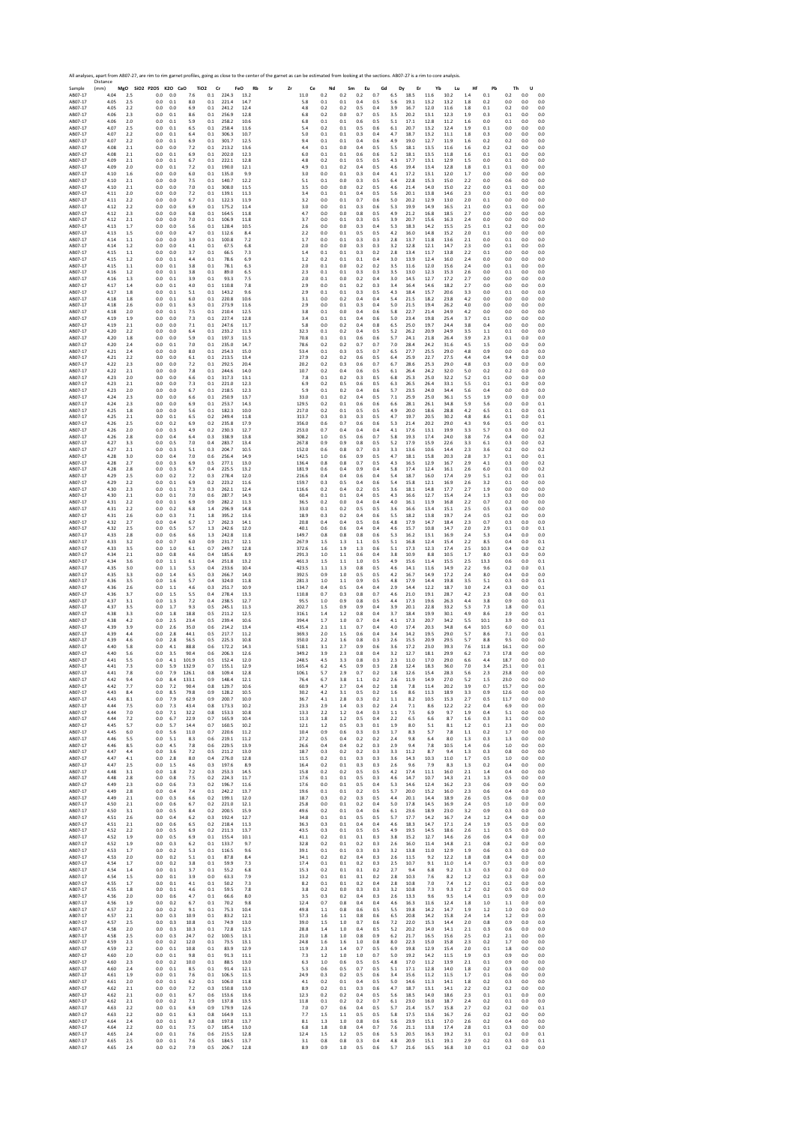Sample Distance (mm) **MgO SiO2 P2O5 K2O CaO TiO2 Cr FeO Rb Sr Zr Ce Nd Sm Eu Gd Dy Er Yb Lu Hf Pb Th U** AB07‐17 4.04 2.5 0.0 0.0 7.6 0.1 224.3 13.2 11.0 0.2 0.2 0.2 0.7 6.5 18.5 11.6 10.2 1.4 0.1 0.2 0.0 0.0 AB07‐17 4.05 2.5 0.0 0.1 8.0 0.1 221.4 14.7 5.8 0.1 0.1 0.4 0.5 5.6 19.1 13.2 13.2 1.8 0.2 0.0 0.0 0.0 AB07‐17 4.05 2.2 0.0 0.0 6.9 0.1 241.2 12.4 4.8 0.2 0.2 0.5 0.4 3.9 16.7 12.0 11.6 1.8 0.1 0.2 0.0 0.0 AB07‐17 4.06 2.3 0.0 0.1 8.6 0.1 256.9 12.8 6.8 0.2 0.0 0.7 0.5 3.5 20.2 13.1 12.3 1.9 0.3 0.1 0.0 0.0 AB07‐17 4.06 2.0 0.0 0.1 5.9 0.1 258.2 10.6 6.8 0.1 0.1 0.6 0.5 5.1 17.1 12.8 11.2 1.6 0.0 0.1 0.0 0.0 AB07‐17 4.07 2.5 0.0 0.1 6.5 0.1 258.4 11.6 5.4 0.2 0.1 0.5 0.6 6.1 20.7 13.2 12.4 1.9 0.1 0.0 0.0 0.0 AB07‐17 4.07 2.2 0.0 0.1 6.4 0.1 306.3 10.7 5.0 0.1 0.1 0.3 0.4 4.7 18.7 13.2 11.1 1.8 0.3 0.0 0.0 0.0 AB07‐17 4.07 2.2 0.0 0.1 6.9 0.1 301.7 12.5 9.4 0.1 0.1 0.4 0.6 4.9 19.0 12.7 11.9 1.6 0.2 0.2 0.0 0.0 AB07‐17 4.08 2.1 0.0 0.0 7.2 0.1 213.2 13.6 4.4 0.1 0.0 0.4 0.5 5.5 18.1 13.5 11.6 1.6 0.2 0.2 0.0 0.0 AB07‐17 4.08 2.1 0.0 0.1 6.9 0.1 202.0 12.3 6.0 0.1 0.1 0.6 0.6 5.2 18.1 13.5 11.8 1.6 0.1 0.1 0.0 0.0 AB07‐17 4.09 2.1 0.0 0.1 6.7 0.1 222.1 12.8 4.8 0.2 0.1 0.5 0.5 4.3 17.7 13.1 12.9 1.5 0.0 0.1 0.0 0.0 AB07‐17 4.09 2.0 0.0 0.1 7.2 0.1 190.0 12.1 4.9 0.1 0.2 0.4 0.5 4.6 19.4 13.4 12.8 1.8 0.1 0.1 0.0 0.0 AB07‐17 4.10 1.6 0.0 0.0 6.0 0.1 135.0 9.9 3.0 0.0 0.1 0.3 0.4 4.1 17.2 13.1 12.0 1.7 0.0 0.0 0.0 0.0 AB07‐17 4.10 2.1 0.0 0.0 7.5 0.1 140.7 12.2 5.1 0.1 0.0 0.3 0.5 6.4 22.8 15.3 15.0 2.2 0.0 0.6 0.0 0.0 AB07‐17 4.10 2.1 0.0 0.0 7.0 0.1 308.0 11.5 3.5 0.0 0.0 0.2 0.5 4.6 21.4 14.0 15.0 2.2 0.0 0.1 0.0 0.0 AB07‐17 4.11 2.0 0.0 0.0 7.2 0.1 139.1 11.3 3.4 0.1 0.1 0.4 0.5 5.6 20.1 13.8 14.6 2.3 0.0 0.1 0.0 0.0 AB07‐17 4.11 2.2 0.0 0.0 6.7 0.1 122.3 11.9 3.2 0.0 0.1 0.7 0.6 5.0 20.2 12.9 13.0 2.0 0.1 0.0 0.0 0.0 AB07‐17 4.12 2.2 0.0 0.0 6.9 0.1 175.2 11.4 3.0 0.0 0.1 0.3 0.6 5.3 19.9 14.9 16.5 2.1 0.0 0.1 0.0 0.0 AB07‐17 4.12 2.3 0.0 0.0 6.8 0.1 164.5 11.8 4.7 0.0 0.0 0.8 0.5 4.9 21.2 16.8 18.5 2.7 0.0 0.0 0.0 0.0 AB07‐17 4.12 2.1 0.0 0.0 7.0 0.1 106.9 11.8 3.7 0.0 0.1 0.3 0.5 3.9 20.7 15.6 16.3 2.4 0.0 0.0 0.0 0.0 AB07‐17 4.13 1.7 0.0 0.0 5.6 0.1 128.4 10.5 2.6 0.0 0.0 0.3 0.4 5.3 18.3 14.2 15.5 2.5 0.1 0.2 0.0 0.0 AB07‐17 4.13 1.5 0.0 0.0 4.7 0.1 112.6 8.4 2.2 0.0 0.1 0.5 0.5 4.2 16.0 14.8 15.2 2.0 0.1 0.0 0.0 0.0 AB07‐17 4.14 1.1 0.0 0.0 3.9 0.1 100.8 7.2 1.7 0.0 0.1 0.3 0.3 2.8 13.7 11.8 13.6 2.1 0.0 0.1 0.0 0.0 AB07‐17 4.14 1.2 0.0 0.0 4.1 0.1 67.5 6.8 2.0 0.0 0.0 0.3 0.3 3.2 12.8 12.1 14.7 2.3 0.0 0.1 0.0 0.0 AB07‐17 4.15 1.1 0.0 0.0 3.7 0.1 66.5 7.3 1.4 0.1 0.1 0.3 0.2 2.8 13.4 11.7 13.8 2.2 0.1 0.0 0.0 0.0 AB07‐17 4.15 1.2 0.0 0.1 4.4 0.1 78.6 6.9 1.2 0.2 0.1 0.1 0.4 3.0 13.9 12.4 16.0 2.4 0.0 0.0 0.0 0.0 AB07‐17 4.15 1.1 0.0 0.1 3.8 0.1 78.1 6.3 2.0 0.1 0.0 0.2 0.2 3.5 11.6 12.0 15.6 2.4 0.0 0.1 0.0 0.0 AB07‐17 4.16 1.2 0.0 0.1 3.8 0.1 89.0 6.5 2.3 0.1 0.1 0.3 0.3 3.5 13.0 12.3 15.3 2.6 0.0 0.1 0.0 0.0 AB07‐17 4.16 1.3 0.0 0.1 3.9 0.1 93.3 7.5 2.0 0.1 0.0 0.2 0.4 3.0 14.5 12.7 17.2 2.7 0.0 0.0 0.0 0.0 AB07‐17 4.17 1.4 0.0 0.1 4.0 0.1 110.8 7.8 2.9 0.0 0.1 0.2 0.3 3.4 16.4 14.6 18.2 2.7 0.0 0.0 0.0 0.0 AB07‐17 4.17 1.8 0.0 0.1 5.1 0.1 143.2 9.6 2.9 0.1 0.1 0.3 0.5 4.3 18.4 15.7 20.6 3.3 0.0 0.1 0.0 0.0 AB07‐17 4.18 1.8 0.0 0.1 6.0 0.1 220.8 10.6 3.1 0.0 0.2 0.4 0.4 5.4 21.5 18.2 23.8 4.2 0.0 0.0 0.0 0.0 AB07‐17 4.18 2.6 0.0 0.1 6.3 0.1 273.9 11.6 2.9 0.0 0.1 0.3 0.4 5.0 21.5 19.4 26.2 4.0 0.0 0.0 0.0 0.0 AB07‐17 4.18 2.0 0.0 0.1 7.5 0.1 210.4 12.5 3.8 0.1 0.0 0.4 0.6 5.8 22.7 21.4 24.9 4.2 0.0 0.0 0.0 0.0 AB07‐17 4.19 1.9 0.0 0.0 7.3 0.1 227.4 12.8 3.4 0.1 0.1 0.4 0.6 5.0 23.4 19.8 25.4 3.7 0.1 0.0 0.0 0.0 AB07‐17 4.19 2.1 0.0 0.0 7.1 0.1 247.6 11.7 5.8 0.0 0.2 0.4 0.8 6.5 25.0 19.7 24.4 3.8 0.4 0.0 0.0 0.0 AB07‐17 4.20 2.2 0.0 0.0 6.4 0.1 233.2 11.3 32.3 0.1 0.2 0.4 0.5 5.2 26.2 20.9 24.9 3.5 1.1 0.1 0.0 0.0 AB07‐17 4.20 1.8 0.0 0.0 5.9 0.1 197.3 11.5 70.8 0.1 0.1 0.6 0.6 5.7 24.1 21.8 26.4 3.9 2.3 0.1 0.0 0.0 AB07‐17 4.20 2.4 0.0 0.1 7.0 0.1 235.0 14.7 78.6 0.2 0.2 0.7 0.7 7.0 28.4 24.2 31.6 4.5 1.5 0.0 0.0 0.0 AB07‐17 4.21 2.4 0.0 0.0 8.0 0.1 254.3 15.0 53.4 0.1 0.3 0.5 0.7 6.5 27.7 25.5 29.0 4.8 0.9 0.0 0.0 0.0 AB07‐17 4.21 2.2 0.0 0.0 6.1 0.1 213.5 13.4 27.9 0.2 0.2 0.6 0.5 6.4 25.9 22.7 27.5 4.4 0.4 9.4 0.0 0.0 AB07‐17 4.22 2.3 0.0 0.0 7.2 0.1 292.5 20.4 20.2 0.2 0.3 0.6 0.7 6.7 28.6 25.3 29.0 4.8 0.3 0.0 0.0 0.0 AB07‐17 4.22 2.1 0.0 0.0 7.8 0.1 244.6 14.0 10.7 0.2 0.4 0.6 0.5 6.1 26.4 24.2 32.0 5.0 0.2 0.2 0.0 0.0 AB07‐17 4.23 2.0 0.0 0.0 6.6 0.1 317.3 13.1 7.8 0.1 0.2 0.3 0.5 6.8 25.3 25.0 32.2 5.2 0.1 0.0 0.0 0.0 AB07‐17 4.23 2.1 0.0 0.0 7.3 0.1 221.0 12.3 6.9 0.2 0.5 0.6 0.5 6.3 26.5 26.4 33.1 5.5 0.1 0.1 0.0 0.0 AB07‐17 4.23 2.0 0.0 0.0 6.7 0.1 218.5 12.3 5.9 0.1 0.2 0.4 0.6 5.7 23.5 24.0 34.4 5.6 0.4 0.0 0.0 0.0 AB07‐17 4.24 2.3 0.0 0.0 6.6 0.1 250.9 13.7 33.0 0.1 0.2 0.4 0.5 7.1 25.9 25.0 36.1 5.5 1.9 0.0 0.0 0.0 AB07‐17 4.24 2.3 0.0 0.0 6.9 0.1 253.7 14.3 129.5 0.2 0.1 0.6 0.6 6.6 28.1 26.1 34.8 5.9 5.6 0.0 0.0 0.1 AB07‐17 4.25 1.8 0.0 0.0 5.6 0.1 182.3 10.0 217.0 0.2 0.1 0.5 0.5 4.9 20.0 18.6 28.8 4.2 6.5 0.1 0.0 0.1 AB07‐17 4.25 2.1 0.0 0.1 6.5 0.2 249.4 11.8 313.7 0.3 0.3 0.3 0.5 4.7 19.7 20.5 30.2 4.8 8.6 0.1 0.0 0.1 AB07‐17 4.26 2.5 0.0 0.2 6.9 0.2 235.8 17.9 356.0 0.6 0.7 0.6 0.6 5.3 21.4 20.2 29.0 4.3 9.6 0.5 0.0 0.1 AB07‐17 4.26 2.0 0.0 0.3 4.9 0.2 230.3 12.7 253.0 0.7 0.4 0.4 0.4 4.1 17.6 13.1 19.9 3.3 5.7 0.3 0.0 0.2 AB07‐17 4.26 2.8 0.0 0.4 6.4 0.3 338.9 13.8 308.2 1.0 0.5 0.6 0.7 5.8 19.3 17.4 24.0 3.8 7.6 0.4 0.0 0.2 AB07‐17 4.27 3.3 0.0 0.5 7.0 0.4 283.7 13.4 267.8 0.9 0.9 0.8 0.5 5.2 17.9 15.9 22.6 3.3 6.1 0.3 0.0 0.2 AB07‐17 4.27 2.1 0.0 0.3 5.1 0.3 204.7 10.5 152.0 0.6 0.8 0.7 0.3 3.3 13.6 10.6 14.4 2.3 3.6 0.2 0.0 0.2 AB07‐17 4.28 3.0 0.0 0.4 7.0 0.6 256.4 14.9 142.5 1.0 0.6 0.9 0.5 4.7 18.1 15.8 20.3 2.8 3.7 0.1 0.0 0.1 AB07‐17 4.28 2.7 0.0 0.3 6.9 0.5 277.1 13.0 136.4 0.8 0.8 0.7 0.5 4.3 16.5 12.9 16.7 2.9 4.1 0.3 0.0 0.2 AB07‐17 4.28 2.8 0.0 0.3 6.7 0.4 225.5 13.2 181.9 0.6 0.4 0.9 0.4 5.8 17.4 12.4 16.1 2.6 6.0 0.1 0.0 0.2 AB07‐17 4.29 2.5 0.0 0.2 7.2 0.3 278.4 12.0 216.6 0.4 0.4 0.6 0.4 5.4 18.7 16.0 17.4 2.9 5.1 0.2 0.0 0.1 AB07‐17 4.29 2.2 0.0 0.1 6.9 0.2 223.2 11.6 159.7 0.3 0.5 0.4 0.6 5.4 15.8 12.1 16.9 2.6 3.2 0.1 0.0 0.0 AB07‐17 4.30 2.3 0.0 0.1 7.3 0.3 262.1 12.4 116.6 0.2 0.4 0.2 0.5 3.6 18.1 14.8 17.7 2.7 1.9 0.0 0.0 0.0 AB07‐17 4.30 2.1 0.0 0.1 7.0 0.6 287.7 14.9 60.4 0.1 0.1 0.4 0.5 4.3 16.6 12.7 15.4 2.4 1.3 0.3 0.0 0.0 AB07‐17 4.31 2.2 0.0 0.1 6.9 0.9 282.2 11.3 36.5 0.2 0.0 0.4 0.4 4.0 16.1 11.9 16.8 2.2 0.7 0.2 0.0 0.0 AB07‐17 4.31 2.2 0.0 0.2 6.8 1.4 296.9 14.8 33.0 0.1 0.2 0.5 0.5 3.6 16.6 13.4 15.1 2.5 0.5 0.3 0.0 0.0 AB07‐17 4.31 2.6 0.0 0.3 7.1 1.8 395.2 13.6 18.9 0.3 0.2 0.4 0.6 5.5 18.2 13.8 19.7 2.4 0.5 0.2 0.0 0.0 AB07‐17 4.32 2.7 0.0 0.4 6.7 1.7 262.3 14.1 20.8 0.4 0.4 0.5 0.6 4.8 17.9 14.7 18.4 2.3 0.7 0.3 0.0 0.0 AB07‐17 4.32 2.5 0.0 0.5 5.7 1.3 242.6 12.0 40.1 0.6 0.6 0.4 0.4 4.6 15.7 10.8 14.7 2.0 2.9 0.1 0.0 0.1 AB07‐17 4.33 2.8 0.0 0.6 6.6 1.3 242.8 11.8 149.7 0.8 0.8 0.8 0.6 5.3 16.2 13.1 16.9 2.4 5.3 0.4 0.0 0.0 AB07‐17 4.33 3.2 0.0 0.7 6.0 0.9 231.7 12.1 267.9 1.5 1.3 1.1 0.5 5.1 16.8 12.4 15.4 2.2 8.5 0.4 0.0 0.1 AB07‐17 4.33 3.5 0.0 1.0 6.1 0.7 249.7 12.8 372.6 1.6 1.9 1.3 0.6 5.1 17.3 12.3 17.4 2.5 10.3 0.4 0.0 0.2 AB07‐17 4.34 2.1 0.0 0.8 4.6 0.4 185.6 8.9 291.3 1.0 1.1 0.6 0.4 3.8 10.9 8.8 10.5 1.7 8.0 0.3 0.0 0.0 AB07‐17 4.34 3.6 0.0 1.1 6.1 0.4 251.8 13.2 461.3 1.5 1.1 1.0 0.5 4.9 15.6 11.4 15.5 2.5 13.3 0.6 0.0 0.1 AB07‐17 4.35 3.0 0.0 1.1 5.3 0.4 233.6 10.4 423.5 1.1 1.3 0.8 0.5 4.6 14.1 11.6 14.9 2.2 9.6 0.2 0.0 0.1 AB07‐17 4.35 3.3 0.0 1.4 6.5 0.3 266.7 14.0 392.5 0.9 1.0 0.5 0.5 4.2 16.7 14.9 17.2 2.4 8.0 0.4 0.0 0.0 AB07‐17 4.36 3.5 0.0 1.6 5.7 0.4 324.0 11.8 281.3 1.0 1.1 0.9 0.5 4.8 17.9 14.4 19.8 3.5 5.1 0.3 0.0 0.1 AB07‐17 4.36 2.6 0.0 1.1 4.6 0.3 251.7 10.9 134.7 0.4 0.5 0.4 0.4 2.9 14.4 12.2 18.7 3.0 2.4 0.3 0.0 0.1 AB07‐17 4.36 3.7 0.0 1.5 5.5 0.4 278.4 13.3 110.8 0.7 0.3 0.8 0.7 4.6 21.0 19.1 28.7 4.2 2.3 0.8 0.0 0.1 AB07‐17 4.37 3.1 0.0 1.3 7.2 0.4 238.5 12.7 95.5 1.0 0.9 0.8 0.5 4.4 17.3 19.6 26.3 4.4 3.8 0.9 0.0 0.1 AB07‐17 4.37 3.5 0.0 1.7 9.3 0.5 245.1 11.3 202.7 1.5 0.9 0.9 0.4 3.9 20.1 22.8 33.2 5.3 7.3 1.8 0.0 0.1 AB07‐17 4.38 3.3 0.0 1.8 18.8 0.5 211.2 12.5 316.1 1.4 1.2 0.8 0.4 3.7 18.4 19.9 30.1 4.9 8.6 2.9 0.0 0.1 AB07‐17 4.38 4.2 0.0 2.5 23.4 0.5 239.4 10.6 394.4 1.7 1.0 0.7 0.4 4.1 17.3 20.7 34.2 5.5 10.1 3.9 0.0 0.1 AB07‐17 4.39 3.9 0.0 2.6 35.0 0.6 214.2 13.4 435.4 2.1 1.1 0.7 0.4 4.0 17.4 20.3 34.8 6.4 10.5 6.0 0.0 0.1 AB07‐17 4.39 4.4 0.0 2.8 44.1 0.5 217.7 11.2 369.3 2.0 1.5 0.6 0.4 3.4 14.2 19.5 29.0 5.7 8.6 7.1 0.0 0.1 AB07‐17 4.39 4.6 0.0 2.8 56.5 0.5 225.3 10.8 350.0 2.2 1.6 0.8 0.3 2.6 15.5 20.9 29.5 5.7 8.8 9.5 0.0 0.0 AB07‐17 4.40 5.8 0.0 4.1 88.8 0.6 172.2 14.3 518.1 3.1 2.7 0.9 0.6 3.6 17.2 23.0 39.3 7.6 11.8 16.1 0.0 0.0 AB07‐17 4.40 5.6 0.0 3.5 90.4 0.6 206.3 12.6 349.2 3.9 2.3 0.8 0.4 3.2 12.7 18.1 29.9 6.2 7.3 17.8 0.0 0.0 AB07‐17 4.41 5.5 0.0 4.1 101.9 0.5 152.4 12.0 248.5 4.5 3.3 0.8 0.3 2.3 11.0 17.0 29.0 6.6 4.4 18.7 0.0 0.0 AB07‐17 4.41 7.3 0.0 5.9 132.9 0.7 155.1 12.9 165.4 6.2 4.5 0.9 0.3 2.8 12.4 18.3 36.0 7.0 3.4 25.1 0.0 0.1 AB07‐17 4.41 7.8 0.0 7.9 126.1 0.8 109.4 12.8 106.1 5.7 2.9 0.7 0.2 1.8 12.6 15.4 28.3 5.6 2.3 23.8 0.0 0.0 AB07‐17 4.42 9.4 0.0 8.4 133.1 0.9 148.4 12.1 76.4 6.7 3.8 1.1 0.2 2.6 11.9 14.9 27.0 5.2 1.5 23.0 0.0 0.0 AB07‐17 4.42 7.7 0.0 7.2 90.4 0.8 129.7 10.6 60.9 4.7 2.7 0.4 0.2 1.8 7.8 11.4 20.2 3.9 0.7 15.7 0.0 0.0 AB07‐17 4.43 8.4 0.0 8.5 79.8 0.9 128.2 10.5 30.2 4.2 3.1 0.5 0.2 1.6 8.6 11.3 18.9 3.3 0.9 12.6 0.0 0.0 AB07‐17 4.43 8.1 0.0 7.9 62.9 0.9 200.7 10.0 36.7 4.1 2.8 0.3 0.2 1.1 8.2 10.5 15.3 2.7 0.5 11.7 0.0 0.0 AB07‐17 4.44 7.5 0.0 7.3 43.4 0.8 173.3 10.2 23.3 2.9 1.4 0.3 0.2 2.4 7.1 8.6 12.2 2.2 0.4 6.9 0.0 0.0 AB07‐17 4.44 7.0 0.0 7.1 32.2 0.8 153.3 10.8 13.3 2.2 1.2 0.4 0.3 1.1 7.5 6.9 9.7 1.9 0.4 5.1 0.0 0.0 AB07‐17 4.44 7.2 0.0 6.7 22.9 0.7 165.9 10.4 11.3 1.8 1.2 0.5 0.4 2.2 6.5 6.6 8.7 1.6 0.3 3.1 0.0 0.0 AB07‐17 4.45 5.7 0.0 5.7 14.4 0.7 160.5 10.2 12.1 1.2 0.5 0.3 0.1 1.9 8.0 5.1 8.1 1.2 0.1 2.3 0.0 0.0 AB07‐17 4.45 6.0 0.0 5.6 11.0 0.7 220.6 11.2 10.4 0.9 0.6 0.3 0.3 1.7 8.3 5.7 7.8 1.1 0.2 1.7 0.0 0.0 AB07‐17 4.46 5.5 0.0 5.1 8.3 0.6 219.1 11.2 27.2 0.5 0.4 0.2 0.2 2.4 9.8 6.4 8.0 1.3 0.3 1.3 0.0 0.0 AB07‐17 4.46 8.5 0.0 4.5 7.8 0.6 229.5 13.9 26.6 0.4 0.4 0.2 0.3 2.9 9.4 7.8 10.5 1.4 0.6 1.0 0.0 0.0 AB07‐17 4.47 4.4 0.0 3.6 7.2 0.5 211.2 13.0 18.7 0.3 0.2 0.2 0.3 3.3 11.2 8.7 9.4 1.3 0.3 0.8 0.0 0.0 AB07‐17 4.47 4.1 0.0 2.8 8.0 0.4 276.0 12.8 11.5 0.2 0.1 0.3 0.3 3.6 14.3 10.3 11.0 1.7 0.5 1.0 0.0 0.0 AB07‐17 4.47 2.5 0.0 1.5 4.6 0.3 197.6 8.9 16.4 0.2 0.1 0.3 0.3 2.6 9.6 7.9 8.3 1.3 0.2 0.4 0.0 0.0 AB07‐17 4.48 3.1 0.0 1.8 7.2 0.3 253.3 14.5 15.8 0.2 0.2 0.5 0.5 4.2 17.4 11.1 16.0 2.1 1.4 0.4 0.0 0.0 AB07‐17 4.48 2.8 0.0 0.8 7.5 0.2 224.3 11.7 17.6 0.1 0.1 0.5 0.3 4.6 14.7 10.7 14.3 2.1 1.3 0.5 0.0 0.0 AB07‐17 4.49 2.3 0.0 0.6 7.3 0.2 196.7 11.6 17.6 0.0 0.1 0.5 0.4 5.3 14.6 12.4 16.2 2.3 0.6 0.9 0.0 0.0 AB07‐17 4.49 2.8 0.0 0.4 7.4 0.1 242.2 13.7 19.6 0.1 0.1 0.2 0.5 5.7 20.0 15.2 16.0 2.3 0.6 0.4 0.0 0.0 AB07‐17 4.49 2.1 0.0 0.3 6.6 0.2 199.1 12.0 18.7 0.3 0.2 0.3 0.5 4.4 20.1 14.4 18.9 2.6 0.5 0.6 0.0 0.0 AB07‐17 4.50 2.1 0.0 0.6 6.7 0.2 221.0 12.1 25.8 0.0 0.1 0.2 0.4 5.0 17.8 14.5 16.9 2.4 0.5 1.0 0.0 0.0 AB07‐17 4.50 3.1 0.0 0.5 8.4 0.2 200.5 15.9 49.6 0.2 0.1 0.4 0.6 6.1 23.6 18.9 23.0 3.2 0.9 0.3 0.0 0.0 AB07‐17 4.51 2.6 0.0 0.4 6.2 0.3 192.4 12.7 34.8 0.1 0.1 0.5 0.5 5.7 17.7 14.2 16.7 2.4 1.2 0.4 0.0 0.0 AB07‐17 4.51 2.1 0.0 0.6 6.5 0.2 218.4 11.3 36.3 0.3 0.1 0.4 0.4 4.6 18.3 14.7 17.1 2.4 1.9 0.5 0.0 0.0 AB07‐17 4.52 2.2 0.0 0.5 6.9 0.2 211.3 13.7 43.5 0.3 0.1 0.5 0.5 4.9 19.5 14.5 18.6 2.6 1.1 0.5 0.0 0.0 AB07‐17 4.52 1.9 0.0 0.5 6.9 0.1 155.4 10.1 41.1 0.2 0.1 0.1 0.3 3.8 15.2 12.7 14.6 2.6 0.6 0.4 0.0 0.0 AB07‐17 4.52 1.9 0.0 0.3 6.2 0.1 133.7 9.7 32.8 0.2 0.1 0.2 0.3 2.6 16.0 11.4 14.8 2.1 0.8 0.2 0.0 0.0 AB07‐17 4.53 1.7 0.0 0.2 5.3 0.1 116.5 9.6 39.1 0.1 0.1 0.3 0.3 3.2 13.8 11.0 12.9 1.9 0.6 0.3 0.0 0.0 AB07‐17 4.53 2.0 0.0 0.2 5.1 0.1 87.8 8.4 34.1 0.2 0.2 0.4 0.3 2.6 11.5 9.2 12.2 1.8 0.8 0.4 0.0 0.0 AB07‐17 4.54 1.7 0.0 0.2 3.8 0.1 59.9 7.3 17.4 0.1 0.1 0.2 0.3 2.5 10.7 9.1 11.0 1.4 0.7 0.3 0.0 0.0 AB07‐17 4.54 1.4 0.0 0.1 3.7 0.1 55.2 6.8 15.3 0.2 0.1 0.1 0.2 2.7 9.4 6.8 9.2 1.3 0.3 0.2 0.0 0.0 AB07‐17 4.54 1.5 0.0 0.1 3.9 0.0 63.3 7.9 13.2 0.1 0.1 0.1 0.2 2.8 10.3 7.6 8.2 1.2 0.2 0.3 0.0 0.0 AB07‐17 4.55 1.7 0.0 0.1 4.1 0.1 50.2 7.3 8.2 0.1 0.1 0.2 0.4 2.8 10.8 7.0 7.4 1.2 0.1 0.2 0.0 0.0 AB07‐17 4.55 1.8 0.0 0.1 4.6 0.1 59.5 7.8 3.8 0.2 0.0 0.3 0.3 3.2 10.8 7.3 9.3 1.2 0.2 0.5 0.0 0.0 AB07‐17 4.56 2.0 0.0 0.6 4.7 0.1 66.6 8.0 3.5 0.3 0.2 0.4 0.3 2.6 13.3 9.6 9.5 1.4 0.1 0.9 0.0 0.0 AB07‐17 4.56 1.9 0.0 0.2 6.7 0.1 70.2 9.8 12.4 0.7 0.8 0.4 0.4 4.6 16.3 11.6 12.4 1.8 1.0 1.1 0.0 0.0 AB07‐17 4.57 2.2 0.0 0.2 9.1 0.1 75.3 10.4 49.8 1.1 0.8 0.6 0.5 5.5 19.8 14.2 14.7 1.9 1.2 1.0 0.0 0.0 AB07‐17 4.57 2.1 0.0 0.3 10.9 0.1 83.2 12.1 57.3 1.6 1.1 0.8 0.6 6.5 20.8 14.2 15.8 2.4 1.4 1.2 0.0 0.0 AB07‐17 4.57 2.5 0.0 0.3 10.8 0.1 74.9 13.0 39.0 1.5 1.0 0.7 0.6 7.2 22.0 15.3 14.4 2.0 0.8 0.9 0.0 0.0 AB07‐17 4.58 2.0 0.0 0.3 10.3 0.1 72.8 12.5 28.8 1.4 1.0 0.4 0.5 5.2 20.2 14.0 14.1 2.1 0.3 0.6 0.0 0.0 AB07‐17 4.58 2.5 0.0 0.3 24.7 0.2 100.5 13.1 21.0 1.8 1.0 0.8 0.9 6.2 21.7 16.5 15.6 2.5 0.2 2.1 0.0 0.0 AB07‐17 4.59 2.3 0.0 0.2 12.0 0.1 73.5 13.1 24.8 1.6 1.6 1.0 0.8 8.0 22.3 15.0 15.8 2.3 0.2 1.7 0.0 0.0 AB07‐17 4.59 2.2 0.0 0.1 10.8 0.1 83.9 12.9 11.9 2.3 1.4 0.7 0.5 6.9 19.8 12.9 15.4 2.0 0.1 1.8 0.0 0.0 AB07‐17 4.60 2.0 0.0 0.1 9.8 0.1 91.3 11.1 7.3 1.2 1.0 1.0 0.7 5.0 19.2 14.2 11.5 1.9 0.3 0.9 0.0 0.0 AB07‐17 4.60 2.3 0.0 0.2 10.0 0.1 88.5 13.0 6.3 1.0 0.6 0.5 0.5 4.8 17.0 11.2 13.9 2.1 0.1 0.9 0.0 0.0 AB07‐17 4.60 2.4 0.0 0.1 8.5 0.1 91.4 12.1 5.3 0.6 0.5 0.7 0.5 5.1 17.1 12.8 14.0 1.8 0.2 0.3 0.0 0.0 AB07‐17 4.61 1.9 0.0 0.1 7.6 0.1 106.5 11.5 24.9 0.3 0.2 0.5 0.6 3.4 15.6 11.2 11.5 1.7 0.1 0.6 0.0 0.0 AB07‐17 4.61 2.0 0.0 0.1 6.2 0.1 106.0 11.8 4.1 0.2 0.1 0.4 0.5 5.0 14.6 11.3 14.1 1.8 0.2 0.3 0.0 0.0 AB07‐17 4.62 2.1 0.0 0.0 7.2 0.3 150.8 13.0 8.9 0.2 0.1 0.3 0.6 4.7 18.7 13.1 14.1 2.2 0.2 0.2 0.0 0.0 AB07‐17 4.62 2.1 0.0 0.1 6.7 0.6 153.6 13.6 12.3 0.2 0.2 0.4 0.5 5.6 18.5 14.0 18.6 2.3 0.1 0.1 0.0 0.0 AB07‐17 4.62 2.1 0.0 0.2 7.1 0.9 137.8 13.5 11.8 0.1 0.2 0.2 0.7 6.1 23.0 16.0 18.7 2.4 0.2 0.1 0.0 0.0 AB07‐17 4.63 2.2 0.0 0.1 6.9 0.9 179.9 12.6 7.0 0.7 0.6 0.4 0.5 5.7 21.4 15.7 15.8 2.7 0.2 0.2 0.0 0.1 AB07‐17 4.63 2.2 0.0 0.1 6.3 0.8 164.9 11.3 7.7 1.5 1.1 0.5 0.5 5.8 17.5 13.6 16.7 2.6 0.2 0.2 0.0 0.0 AB07‐17 4.64 2.4 0.0 0.1 8.7 0.8 197.8 13.7 8.1 1.3 1.0 0.8 0.6 5.6 23.9 15.1 17.0 2.6 0.2 0.4 0.0 0.0 AB07‐17 4.64 2.2 0.0 0.1 7.5 0.7 185.4 13.0 6.8 1.8 0.8 0.4 0.7 7.6 21.1 13.8 17.4 2.8 0.1 0.3 0.0 0.0 AB07‐17 4.65 2.4 0.0 0.1 7.6 0.6 215.5 12.8 12.4 1.5 1.2 0.5 0.6 5.3 20.5 16.3 19.2 3.1 0.1 0.2 0.0 0.1 AB07‐17 4.65 2.5 0.0 0.1 7.6 0.5 184.5 13.7 3.1 0.8 0.8 0.3 0.4 4.8 20.9 15.1 19.1 2.9 0.2 0.3 0.0 0.1 AB07‐17 4.65 2.4 0.0 0.2 7.9 0.5 206.7 12.8 8.9 0.9 1.0 0.5 0.6 5.7 21.6 16.5 16.8 3.0 0.1 0.2 0.0 0.0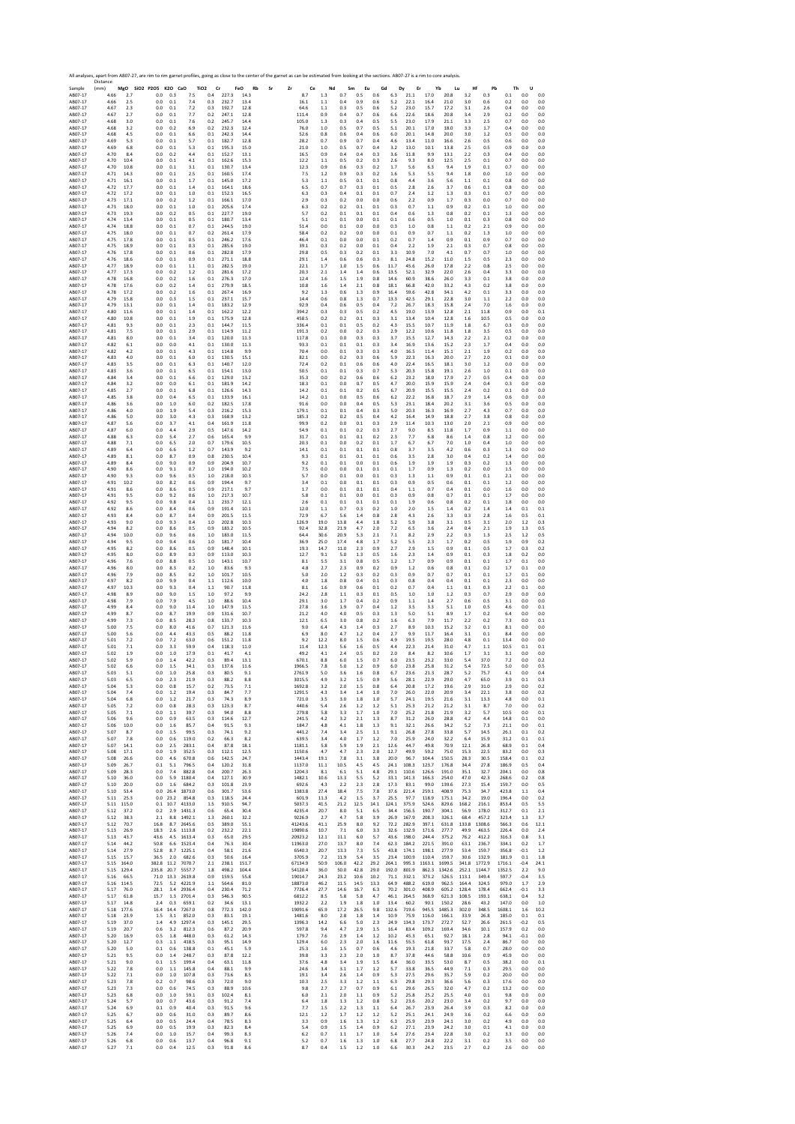Sample Distance (mm) **MgO SiO2 P2O5 K2O CaO TiO2 Cr FeO Rb Sr Zr Ce Nd Sm Eu Gd Dy Er Yb Lu Hf Pb Th U** AB07‐17 4.66 2.7 0.0 0.3 7.5 0.4 227.3 14.3 8.7 1.3 0.7 0.5 0.6 6.3 21.1 17.0 20.8 3.2 0.3 0.1 0.0 0.0 AB07‐17 4.66 2.5 0.0 0.1 7.4 0.3 232.7 13.4 16.1 1.1 0.4 0.9 0.6 5.2 22.1 16.4 21.0 3.0 0.6 0.2 0.0 0.0 AB07‐17 4.67 2.3 0.0 0.1 7.2 0.3 192.7 12.8 64.6 1.1 0.3 0.5 0.6 5.2 23.0 15.7 17.2 3.1 2.6 0.4 0.0 0.0 AB07‐17 4.67 2.7 0.0 0.1 7.7 0.2 247.1 12.8 111.4 0.9 0.4 0.7 0.6 6.6 22.6 18.6 20.8 3.4 2.9 0.2 0.0 0.0 AB07‐17 4.68 3.0 0.0 0.1 7.6 0.2 245.7 14.4 105.0 1.3 0.3 0.4 0.5 5.5 23.0 17.9 21.1 3.3 2.5 0.7 0.0 0.0 AB07‐17 4.68 3.2 0.0 0.2 6.9 0.2 232.3 12.4 76.0 1.0 0.5 0.7 0.5 5.1 20.1 17.0 18.0 3.3 1.7 0.4 0.0 0.0 AB07‐17 4.68 4.5 0.0 0.1 6.6 0.1 242.3 14.4 52.6 0.8 0.6 0.4 0.6 6.0 20.1 14.8 20.0 3.0 1.2 0.5 0.0 0.0 AB07‐17 4.69 5.3 0.0 0.1 5.7 0.1 182.7 12.8 28.2 0.7 0.9 0.7 0.4 4.6 13.4 11.0 16.6 2.6 0.5 0.6 0.0 0.0 AB07‐17 4.69 6.8 0.0 0.1 5.3 0.1 195.3 15.0 21.0 1.0 0.5 0.7 0.4 3.2 13.0 10.1 13.8 2.5 0.5 0.9 0.0 0.0 AB07‐17 4.70 8.4 0.0 0.2 4.4 0.1 152.7 13.1 16.5 0.9 0.4 0.4 0.3 3.6 11.8 9.9 13.1 2.2 0.3 0.4 0.0 0.0 AB07‐17 4.70 10.4 0.0 0.1 4.1 0.1 162.6 15.3 12.2 1.1 0.5 0.2 0.3 2.6 9.3 8.0 12.5 2.5 0.1 0.7 0.0 0.0 AB07‐17 4.70 10.8 0.0 0.1 3.1 0.1 130.7 13.4 12.3 0.9 0.6 0.3 0.2 1.7 5.6 6.3 9.4 1.9 0.1 0.7 0.0 0.0 AB07‐17 4.71 14.3 0.0 0.1 2.5 0.1 160.5 17.4 7.5 1.2 0.9 0.3 0.2 1.6 5.3 5.5 9.4 1.8 0.0 1.0 0.0 0.0 AB07‐17 4.71 16.1 0.0 0.1 1.7 0.1 145.0 17.2 5.3 1.1 0.5 0.1 0.1 0.8 4.4 3.6 5.6 1.1 0.1 0.8 0.0 0.0 AB07‐17 4.72 17.7 0.0 0.1 1.4 0.1 164.1 18.6 6.5 0.7 0.7 0.3 0.1 0.5 2.8 2.6 3.7 0.6 0.1 0.8 0.0 0.0 AB07‐17 4.72 17.2 0.0 0.1 1.0 0.1 152.3 16.5 6.3 0.3 0.4 0.1 0.1 0.7 2.4 1.2 1.3 0.3 0.1 0.7 0.0 0.0 AB07‐17 4.73 17.1 0.0 0.2 1.2 0.1 166.1 17.0 2.9 0.3 0.2 0.0 0.0 0.6 2.2 0.9 1.7 0.3 0.0 0.7 0.0 0.0 AB07‐17 4.73 18.0 0.0 0.1 1.0 0.1 205.6 17.4 6.3 0.2 0.2 0.1 0.1 0.3 0.7 1.1 0.9 0.2 0.1 1.0 0.0 0.0 AB07‐17 4.73 19.3 0.0 0.2 0.5 0.1 227.7 19.0 5.7 0.2 0.1 0.1 0.1 0.4 0.6 1.3 0.8 0.2 0.1 1.3 0.0 0.0 AB07‐17 4.74 13.4 0.0 0.1 0.5 0.1 180.7 13.4 5.1 0.1 0.1 0.0 0.1 0.1 0.6 0.5 1.0 0.1 0.3 0.8 0.0 0.0 AB07‐17 4.74 18.8 0.0 0.1 0.7 0.1 244.5 19.0 51.4 0.0 0.1 0.0 0.0 0.3 1.0 0.8 1.1 0.2 2.1 0.9 0.0 0.0 AB07‐17 4.75 18.0 0.0 0.1 0.7 0.2 261.4 17.9 58.4 0.2 0.2 0.0 0.0 0.1 0.9 0.7 1.1 0.2 1.3 1.0 0.0 0.0 AB07‐17 4.75 17.8 0.0 0.1 0.5 0.1 246.2 17.6 46.4 0.1 0.0 0.0 0.1 0.2 0.7 1.4 0.9 0.1 0.9 0.7 0.0 0.0 AB07‐17 4.75 18.9 0.0 0.1 0.3 0.1 285.6 19.0 39.1 0.3 0.2 0.0 0.1 0.4 2.2 1.9 2.1 0.3 0.7 0.8 0.0 0.0 AB07‐17 4.76 17.8 0.0 0.1 0.6 0.1 282.8 17.9 29.8 0.5 0.3 0.2 0.1 3.3 10.9 7.0 4.1 0.7 0.7 1.0 0.0 0.0 AB07‐17 4.76 18.6 0.0 0.1 0.9 0.1 271.1 18.8 29.1 1.4 0.6 0.6 0.3 8.1 24.8 15.2 11.0 1.5 0.5 2.3 0.0 0.0 AB07‐17 4.77 18.9 0.0 0.1 1.1 0.1 282.5 19.0 22.1 1.7 1.0 1.5 0.6 11.7 45.6 26.0 17.8 2.2 0.8 2.5 0.0 0.0 AB07‐17 4.77 17.3 0.0 0.2 1.2 0.1 281.6 17.2 20.3 2.1 1.4 1.4 0.6 13.5 52.1 32.9 22.0 2.6 0.4 3.3 0.0 0.0 AB07‐17 4.78 16.8 0.0 0.2 1.6 0.1 276.3 17.0 12.4 1.6 1.5 1.9 0.8 14.6 60.9 38.6 26.0 3.3 0.1 3.8 0.0 0.0 AB07‐17 4.78 17.6 0.0 0.2 1.4 0.1 279.9 18.5 10.8 1.6 1.4 2.1 0.8 18.1 66.8 42.0 33.2 4.3 0.2 3.8 0.0 0.0 AB07‐17 4.78 17.2 0.0 0.2 1.6 0.1 267.4 16.9 9.2 1.3 0.6 1.3 0.9 16.4 59.6 42.8 34.1 4.2 0.1 3.3 0.0 0.0 AB07‐17 4.79 15.8 0.0 0.3 1.5 0.1 237.1 15.7 14.4 0.6 0.8 1.3 0.7 13.3 42.5 29.1 22.8 3.0 1.1 2.2 0.0 0.0 AB07‐17 4.79 13.1 0.0 0.1 1.4 0.1 183.2 12.9 92.9 0.4 0.6 0.5 0.4 7.2 26.7 18.3 15.8 2.4 7.0 1.6 0.0 0.0 AB07‐17 4.80 11.6 0.0 0.1 1.4 0.1 162.2 12.2 394.2 0.3 0.3 0.5 0.2 4.5 19.0 13.9 12.8 2.1 11.8 0.9 0.0 0.1 AB07‐17 4.80 10.8 0.0 0.1 1.9 0.1 175.9 12.8 458.5 0.2 0.2 0.1 0.3 3.1 13.4 10.4 12.8 1.6 10.5 0.5 0.0 0.0 AB07‐17 4.81 9.3 0.0 0.1 2.3 0.1 144.7 11.5 336.4 0.1 0.1 0.5 0.2 4.3 15.5 10.7 11.9 1.8 6.7 0.3 0.0 0.0 AB07‐17 4.81 7.5 0.0 0.1 2.9 0.1 114.9 11.2 191.3 0.2 0.0 0.2 0.3 2.9 12.2 10.6 11.8 1.8 3.5 0.5 0.0 0.0 AB07‐17 4.81 8.0 0.0 0.1 3.4 0.1 120.0 11.3 117.8 0.1 0.0 0.3 0.3 3.7 15.5 12.7 14.3 2.2 2.1 0.2 0.0 0.0 AB07‐17 4.82 6.1 0.0 0.0 4.1 0.1 130.0 11.3 93.3 0.1 0.1 0.1 0.3 3.4 16.9 13.6 15.2 2.3 1.7 0.4 0.0 0.0 AB07‐17 4.82 4.2 0.0 0.1 4.3 0.1 114.8 9.9 70.4 0.0 0.1 0.3 0.3 4.0 16.5 11.4 15.1 2.1 1.9 0.2 0.0 0.0 AB07‐17 4.83 4.0 0.0 0.1 6.0 0.1 130.5 15.1 82.1 0.0 0.2 0.3 0.6 5.9 22.3 16.3 20.0 2.7 2.0 0.1 0.0 0.0 AB07‐17 4.83 3.5 0.0 0.1 6.3 0.1 140.7 12.0 72.4 0.2 0.1 0.6 0.6 4.0 22.4 16.5 18.1 3.0 1.2 0.0 0.0 0.0 AB07‐17 4.83 3.6 0.0 0.1 6.5 0.1 154.1 13.0 50.5 0.1 0.1 0.3 0.7 5.3 20.3 15.8 19.1 2.6 1.0 0.1 0.0 0.0 AB07‐17 4.84 3.4 0.0 0.1 6.6 0.1 129.0 13.2 35.3 0.0 0.2 0.6 0.6 6.2 23.2 18.0 17.9 2.7 0.5 0.4 0.0 0.0 AB07‐17 4.84 3.2 0.0 0.0 6.1 0.1 181.9 14.2 18.3 0.1 0.0 0.7 0.5 4.7 20.0 15.9 15.9 2.4 0.4 0.3 0.0 0.0 AB07‐17 4.85 2.7 0.0 0.1 6.8 0.1 126.6 14.3 14.2 0.1 0.1 0.2 0.5 6.7 20.9 15.5 15.5 2.4 0.2 0.1 0.0 0.0 AB07‐17 4.85 3.8 0.0 0.4 6.5 0.1 133.9 16.1 14.2 0.1 0.0 0.5 0.6 6.2 22.2 16.8 18.7 2.9 1.4 0.6 0.0 0.0 AB07‐17 4.86 3.6 0.0 1.0 6.0 0.2 182.5 17.8 91.6 0.0 0.0 0.4 0.5 5.3 23.1 18.4 20.2 3.1 3.6 0.5 0.0 0.0 AB07‐17 4.86 4.0 0.0 1.9 5.4 0.3 216.2 15.3 179.1 0.1 0.1 0.4 0.3 5.0 20.3 16.3 16.9 2.7 4.3 0.7 0.0 0.0 AB07‐17 4.86 5.0 0.0 3.0 4.3 0.3 168.9 13.2 185.3 0.2 0.2 0.5 0.4 4.2 16.4 14.9 18.8 2.7 3.8 0.8 0.0 0.0 AB07‐17 4.87 5.6 0.0 3.7 4.1 0.4 161.9 11.8 99.9 0.2 0.0 0.1 0.3 2.9 11.4 10.3 13.0 2.0 2.1 0.9 0.0 0.0 AB07‐17 4.87 6.0 0.0 4.4 2.9 0.5 147.6 14.2 54.9 0.1 0.1 0.2 0.3 2.7 9.0 8.5 11.8 1.7 0.9 1.1 0.0 0.0 AB07‐17 4.88 6.3 0.0 5.4 2.7 0.6 165.4 9.9 31.7 0.1 0.1 0.1 0.2 2.3 7.7 6.8 8.6 1.4 0.8 1.2 0.0 0.0 AB07‐17 4.88 7.1 0.0 6.5 2.0 0.7 179.6 10.5 20.3 0.1 0.0 0.2 0.1 1.7 6.7 6.7 7.0 1.0 0.4 1.0 0.0 0.0 AB07‐17 4.89 6.4 0.0 6.6 1.2 0.7 143.9 9.2 14.1 0.1 0.1 0.1 0.1 0.8 3.7 3.5 4.2 0.6 0.3 1.3 0.0 0.0 AB07‐17 4.89 8.1 0.0 8.7 0.9 0.8 230.5 10.4 9.3 0.1 0.1 0.1 0.1 0.6 3.5 2.8 3.0 0.4 0.2 1.4 0.0 0.0 AB07‐17 4.89 8.4 0.0 9.0 0.9 0.9 204.9 10.7 9.2 0.1 0.1 0.0 0.1 0.6 1.9 1.9 1.9 0.3 0.2 1.3 0.0 0.0 AB07‐17 4.90 8.6 0.0 9.1 0.7 1.0 194.0 10.2 7.5 0.0 0.0 0.1 0.1 0.1 1.7 0.9 1.3 0.2 0.0 1.5 0.0 0.0 AB07‐17 4.90 9.3 0.0 9.6 0.5 1.0 218.0 10.3 5.7 0.0 0.1 0.0 0.1 0.3 1.3 1.1 0.9 0.1 0.1 2.1 0.0 0.0 AB07‐17 4.91 10.2 0.0 8.2 0.6 0.9 194.4 9.7 3.4 0.1 0.0 0.1 0.1 0.3 0.9 0.5 0.6 0.1 0.1 1.2 0.0 0.0 AB07‐17 4.91 8.6 0.0 8.6 0.5 0.9 217.1 9.7 1.7 0.0 0.1 0.1 0.1 0.4 1.1 0.7 0.4 0.1 0.0 1.6 0.0 0.0 AB07‐17 4.91 9.5 0.0 9.2 0.6 1.0 217.3 10.7 5.8 0.1 0.1 0.0 0.1 0.3 0.9 0.8 0.7 0.1 0.1 1.7 0.0 0.0 AB07‐17 4.92 9.5 0.0 9.8 0.4 1.1 233.7 12.1 2.6 0.1 0.1 0.1 0.1 0.1 1.9 0.6 0.8 0.2 0.1 1.8 0.0 0.0 AB07‐17 4.92 8.6 0.0 8.4 0.6 0.9 191.4 10.1 12.0 1.1 0.7 0.3 0.2 1.0 2.0 1.5 1.4 0.2 1.4 1.4 0.1 0.1 AB07‐17 4.93 8.4 0.0 8.7 0.4 0.9 201.5 11.5 72.9 6.7 5.6 1.4 0.8 2.8 4.3 2.6 3.3 0.3 2.8 1.6 0.5 0.1 AB07‐17 4.93 9.0 0.0 9.3 0.4 1.0 202.8 10.3 126.9 19.0 13.8 4.4 1.8 5.2 5.9 3.8 3.1 0.5 3.1 2.0 1.2 0.3 AB07‐17 4.94 8.2 0.0 8.6 0.5 0.9 183.2 10.5 92.4 32.8 21.9 4.7 2.0 7.2 6.5 3.6 2.4 0.4 2.1 1.9 1.3 0.5 AB07‐17 4.94 10.0 0.0 9.6 0.6 1.0 183.0 11.5 64.4 30.6 20.9 5.3 2.1 7.1 8.2 2.9 2.2 0.3 1.3 2.5 1.2 0.5 AB07‐17 4.94 9.5 0.0 9.4 0.6 1.0 181.7 10.4 36.9 25.0 17.4 4.8 1.7 5.2 5.5 2.3 1.7 0.2 0.5 1.9 0.9 0.2 AB07‐17 4.95 8.2 0.0 8.6 0.5 0.9 148.4 10.1 19.3 14.7 11.0 2.3 0.9 2.7 2.9 1.5 0.9 0.1 0.5 1.7 0.3 0.2 AB07‐17 4.95 8.0 0.0 8.9 0.3 0.9 113.0 10.3 12.7 9.1 5.0 1.3 0.5 1.6 2.3 1.4 0.9 0.1 0.3 1.8 0.2 0.0 AB07‐17 4.96 7.6 0.0 8.8 0.5 1.0 143.1 10.7 8.1 5.5 3.1 0.8 0.5 1.2 1.7 0.9 0.9 0.1 0.1 1.7 0.1 0.0 AB07‐17 4.96 8.0 0.0 8.3 0.2 1.0 83.6 9.3 4.8 2.7 2.3 0.9 0.2 0.9 1.2 0.6 0.8 0.1 0.2 1.7 0.1 0.0 AB07‐17 4.96 7.9 0.0 8.5 0.2 1.0 101.7 10.5 5.0 2.0 1.2 0.3 0.2 0.3 0.9 0.7 0.7 0.1 0.1 1.7 0.1 0.0 AB07‐17 4.97 8.2 0.0 9.9 0.4 1.1 112.6 10.0 4.0 1.8 0.8 0.4 0.1 0.3 0.8 0.4 0.4 0.1 0.1 2.3 0.0 0.0 AB07‐17 4.97 10.3 0.0 9.3 0.4 1.1 90.7 11.8 8.1 1.6 0.9 0.6 0.1 0.2 0.7 0.4 1.1 0.1 0.3 2.2 0.1 0.0 AB07‐17 4.98 8.9 0.0 9.0 1.5 1.0 97.2 9.9 24.2 2.8 1.1 0.3 0.1 0.5 1.0 1.0 1.2 0.3 0.7 2.9 0.0 0.0 AB07‐17 4.98 7.9 0.0 7.9 4.5 1.0 88.6 10.4 29.1 3.0 1.7 0.4 0.2 0.9 1.1 1.4 2.7 0.6 0.5 3.1 0.0 0.0 AB07‐17 4.99 8.4 0.0 9.0 11.4 1.0 147.9 11.5 27.8 3.6 1.9 0.7 0.4 1.2 3.5 3.3 5.1 1.0 0.5 4.6 0.0 0.1 AB07‐17 4.99 8.7 0.0 8.7 19.9 0.9 131.6 10.7 21.2 4.0 4.0 0.5 0.3 1.3 5.0 5.1 8.9 1.7 0.2 6.4 0.0 0.0 AB07‐17 4.99 7.3 0.0 8.5 28.3 0.8 133.7 10.3 12.1 6.5 3.0 0.8 0.2 1.6 6.3 7.9 11.7 2.2 0.2 7.3 0.0 0.1 AB07‐17 5.00 7.5 0.0 8.0 41.6 0.7 121.3 11.6 9.0 6.4 4.3 1.4 0.3 2.7 8.9 10.3 15.2 3.2 0.1 8.1 0.0 0.0 AB07‐17 5.00 5.6 0.0 4.4 43.3 0.5 88.2 11.8 6.9 8.0 4.7 1.2 0.4 2.7 9.9 11.7 16.4 3.1 0.1 8.4 0.0 0.0 AB07‐17 5.01 7.2 0.0 7.2 63.0 0.6 151.2 11.8 9.2 12.2 8.0 1.5 0.6 4.9 19.5 19.5 28.0 4.8 0.1 13.4 0.0 0.0 AB07‐17 5.01 7.1 0.0 3.3 59.9 0.4 118.3 11.0 11.4 12.3 5.6 1.6 0.5 4.4 22.3 21.4 31.0 4.7 1.1 10.5 0.1 0.1 AB07‐17 5.02 1.9 0.0 1.0 17.9 0.1 41.7 4.1 49.2 4.1 2.4 0.5 0.2 2.0 8.4 8.2 10.6 1.7 3.1 3.1 0.0 0.0 AB07‐17 5.02 5.9 0.0 1.4 42.2 0.3 89.4 13.1 670.1 8.8 6.0 1.5 0.7 6.0 23.5 23.2 33.0 5.4 37.0 7.2 0.0 0.2 AB07‐17 5.02 6.6 0.0 1.5 34.1 0.3 137.6 11.6 1966.5 7.8 5.0 1.2 0.9 6.0 23.8 25.8 31.2 5.4 72.5 5.0 0.0 0.5 AB07‐17 5.03 5.1 0.0 1.0 25.8 0.3 80.5 9.1 2761.9 5.0 3.6 1.6 0.8 6.7 23.6 21.3 28.7 5.2 75.7 4.1 0.0 0.4 AB07‐17 5.03 6.5 0.0 2.3 21.9 0.3 88.2 8.8 3015.5 4.9 3.2 1.5 0.9 5.6 28.1 22.9 29.0 4.7 65.0 3.9 0.1 0.3 AB07‐17 5.04 5.3 0.0 0.8 15.7 0.2 73.5 7.1 1692.8 3.2 2.0 1.5 0.8 6.4 20.8 17.2 19.6 2.9 31.0 2.9 0.0 0.2 AB07‐17 5.04 7.4 0.0 1.2 19.4 0.3 84.7 7.7 1291.5 4.3 3.4 1.4 1.0 7.0 26.0 22.0 20.9 3.4 22.1 3.8 0.0 0.2 AB07‐17 5.04 6.8 0.0 1.2 21.7 0.3 74.3 8.9 721.0 3.5 3.0 1.8 1.0 5.7 24.1 19.5 21.6 3.1 13.3 4.8 0.0 0.1 AB07‐17 5.05 7.2 0.0 0.8 28.3 0.3 123.3 8.7 440.6 5.4 2.6 1.2 1.2 5.1 25.3 21.2 21.2 3.1 8.7 7.0 0.0 0.2 AB07‐17 5.05 7.1 0.0 1.1 39.7 0.3 94.0 8.8 279.8 5.8 3.3 1.7 1.0 7.0 25.2 21.8 21.9 3.2 5.7 10.5 0.0 0.1 AB07‐17 5.06 9.6 0.0 0.9 63.5 0.3 114.6 12.7 241.5 4.2 3.2 2.1 1.3 8.7 31.2 26.0 28.8 4.2 4.4 14.8 0.1 0.0 AB07‐17 5.06 10.0 0.0 1.6 85.7 0.4 91.5 9.3 184.7 4.8 4.1 1.8 1.3 9.1 32.1 26.6 34.2 5.2 7.3 21.1 0.0 0.1 AB07‐17 5.07 8.7 0.0 1.5 99.5 0.3 74.1 9.2 441.2 7.4 3.4 2.5 1.1 9.1 26.8 27.8 33.8 5.7 14.5 26.1 0.1 0.2 AB07‐17 5.07 7.8 0.0 0.6 119.0 0.2 66.3 8.2 639.5 3.4 4.0 1.7 1.2 7.0 25.9 24.0 32.2 6.4 15.9 31.2 0.1 0.1 AB07‐17 5.07 14.1 0.0 2.5 283.1 0.4 87.8 18.1 1181.1 5.8 5.9 1.9 2.1 12.6 44.7 49.8 70.9 12.1 26.8 68.9 0.1 0.4 AB07‐17 5.08 17.1 0.0 1.9 352.5 0.3 112.1 12.5 1150.6 4.7 4.7 2.3 2.0 12.7 49.9 59.2 75.0 15.3 22.5 83.2 0.0 0.3 AB07‐17 5.08 26.6 0.0 4.6 670.8 0.6 142.5 24.7 1443.4 19.1 7.8 3.1 3.8 20.0 96.7 104.4 150.5 28.3 30.5 158.4 0.1 0.2 AB07‐17 5.09 26.7 0.1 5.1 796.5 0.4 120.2 31.8 1137.0 11.1 10.5 4.5 4.5 24.1 108.3 123.7 176.8 34.4 27.8 186.9 0.5 0.4 AB07‐17 5.09 28.3 0.0 7.4 882.8 0.4 200.7 26.3 1204.3 8.1 6.1 5.1 4.8 29.1 110.6 126.6 191.0 35.1 32.7 204.1 0.0 0.8 AB07‐17 5.10 36.0 0.0 5.9 1180.4 0.4 127.1 30.9 1482.1 10.6 13.3 5.5 5.2 33.1 141.3 166.3 254.0 47.0 42.3 268.6 0.2 0.8 AB07‐17 5.10 20.0 0.0 1.6 684.2 0.3 101.8 23.9 692.6 4.3 2.2 2.3 2.8 17.3 83.1 99.0 139.6 27.3 15.4 159.7 0.0 0.5 AB07‐17 5.10 53.4 0.0 26.4 1873.0 0.6 301.7 53.6 1383.8 27.4 18.4 7.5 7.8 37.6 221.4 259.1 408.9 75.3 34.7 423.8 1.1 0.4 AB07‐17 5.11 25.3 0.0 23.2 854.8 0.3 118.5 24.4 601.9 11.3 4.2 1.5 3.7 25.5 97.7 118.9 175.1 34.2 19.0 196.4 0.0 0.2 AB07‐17 5.11 115.0 0.1 10.7 4133.0 1.5 910.5 94.7 5037.3 41.5 21.2 12.5 14.1 124.1 375.9 524.6 829.6 168.2 216.1 853.4 0.5 5.5 AB07‐17 5.12 37.2 0.2 2.9 1431.3 0.6 65.4 30.4 4235.4 20.7 8.0 5.1 6.5 34.4 156.5 190.7 304.1 56.9 178.0 312.7 0.1 2.1 AB07‐17 5.12 38.3 2.1 8.8 1492.1 1.3 260.1 32.2 9226.9 2.7 4.7 5.8 3.9 26.9 167.9 208.3 326.1 68.4 457.2 323.4 1.3 3.7 AB07‐17 5.12 70.7 16.8 8.7 2645.6 0.5 389.0 55.1 41243.6 41.1 25.9 8.0 9.2 72.2 282.9 397.1 631.8 133.8 1308.6 566.3 0.6 12.1 AB07‐17 5.13 26.9 18.3 2.6 1113.8 0.2 232.2 22.1 19890.6 10.7 7.1 6.0 3.3 32.6 132.9 171.6 277.7 49.9 463.5 226.4 0.0 2.4 AB07‐17 5.13 43.7 43.6 4.5 1613.4 0.3 65.0 29.5 20923.2 12.1 11.1 6.0 5.7 43.6 198.0 244.4 375.2 76.2 412.2 316.3 0.8 3.1 AB07‐17 5.14 44.2 50.8 6.6 1523.4 0.4 76.3 30.4 11963.0 27.0 13.7 8.0 7.4 62.3 184.2 221.5 391.0 63.1 236.7 334.1 0.2 1.7 AB07‐17 5.14 27.9 52.8 8.7 1225.1 0.4 58.1 21.6 6540.3 20.7 13.3 7.3 5.5 43.8 174.1 198.1 277.9 53.4 159.7 356.8 ‐0.1 1.2 AB07‐17 5.15 15.7 36.5 2.0 682.6 0.3 50.6 16.4 3705.9 7.2 11.9 5.4 3.5 23.4 100.9 110.4 159.7 30.6 132.9 181.9 0.1 1.8 AB07‐17 5.15 164.0 382.8 11.2 7070.7 2.1 238.1 151.7 67134.9 50.9 106.0 42.2 29.2 264.1 995.3 1163.1 1699.5 341.8 1772.9 1716.1 ‐0.4 24.1 AB07‐17 5.15 129.4 235.8 20.7 5557.7 1.8 498.2 104.4 54120.4 36.0 50.0 42.8 29.0 192.0 801.9 862.3 1342.6 252.1 1144.7 1352.5 2.2 9.0 AB07‐17 5.16 66.5 71.0 13.3 2619.8 0.9 159.5 55.8 19014.7 24.3 23.2 10.6 10.2 71.1 332.1 373.2 526.5 113.1 349.4 597.7 ‐0.4 3.5 AB07‐17 5.16 114.5 72.5 5.2 4221.9 1.1 564.6 81.0 18873.0 46.2 11.5 14.5 13.3 64.9 488.2 619.0 962.5 164.4 324.5 979.0 1.7 2.9 AB07‐17 5.17 76.0 28.1 3.4 2936.4 0.4 230.4 71.2 7726.4 27.7 14.6 16.7 6.3 70.2 301.0 408.9 605.2 128.4 178.4 662.4 ‐0.1 3.3 AB07‐17 5.17 61.8 15.7 1.3 2701.4 0.3 546.3 90.5 6812.2 8.5 5.8 5.8 4.7 46.1 264.5 368.9 621.3 108.5 193.1 638.1 0.4 3.2 AB07‐17 5.17 14.8 2.4 0.3 659.1 0.2 34.6 13.1 1932.2 2.2 1.9 1.8 1.0 13.4 60.2 90.1 150.2 28.6 43.2 147.0 0.0 1.0 AB07‐17 5.18 177.6 16.4 14.4 7267.0 0.8 772.3 142.0 19091.6 65.9 17.2 26.5 9.8 132.6 719.6 945.5 1485.3 302.0 348.5 1608.1 1.6 10.2 AB07‐17 5.18 23.9 1.5 3.1 852.0 0.3 83.1 19.1 1481.6 8.0 2.8 1.8 1.4 10.9 75.9 116.0 166.1 33.9 26.8 185.0 0.1 0.1 AB07‐17 5.19 37.0 1.4 4.9 1297.4 0.3 145.1 29.5 1396.3 14.2 6.6 5.0 2.3 24.9 134.3 173.7 272.7 52.7 26.6 261.5 ‐0.2 0.5 AB07‐17 5.19 20.7 0.6 3.2 812.3 0.6 87.2 20.9 597.8 9.4 4.7 2.9 1.5 16.4 83.4 109.2 169.4 34.6 10.1 157.9 0.2 0.0 AB07‐17 5.20 16.9 0.5 1.8 448.0 0.3 61.2 14.3 179.7 7.6 2.9 1.4 1.2 10.2 45.3 65.1 92.7 18.1 2.8 94.1 ‐0.1 0.0 AB07‐17 5.20 12.7 0.3 1.1 418.5 0.3 95.1 14.9 129.4 6.0 2.3 2.0 1.6 11.6 55.5 61.8 93.7 17.5 2.4 86.7 0.0 0.0 AB07‐17 5.20 5.0 0.1 0.6 138.8 0.1 45.1 5.9 25.3 1.6 1.5 0.7 0.6 4.6 19.3 21.8 33.7 5.8 0.7 28.0 0.0 0.0 AB07‐17 5.21 9.5 0.0 1.4 248.7 0.3 87.8 12.2 39.8 3.3 2.3 2.0 1.0 8.7 37.8 44.6 58.8 10.6 0.9 45.9 0.0 0.0 AB07‐17 5.21 9.0 0.1 1.5 199.4 0.4 63.1 11.8 37.6 4.8 3.4 1.9 1.5 8.4 36.0 33.5 53.0 8.7 0.5 38.2 0.0 0.1 AB07‐17 5.22 7.8 0.0 1.1 145.8 0.4 88.1 9.9 24.6 3.4 3.1 1.7 1.2 5.7 33.8 36.5 44.9 7.1 0.3 29.5 0.0 0.0 AB07‐17 5.22 7.1 0.0 1.0 107.8 0.3 73.6 8.5 19.1 3.4 2.6 1.4 0.9 5.3 27.5 29.6 35.7 5.9 0.2 20.0 0.0 0.0 AB07‐17 5.23 7.8 0.2 0.7 98.6 0.3 72.0 9.0 10.3 2.5 3.3 1.2 1.1 6.3 29.8 29.3 36.6 5.6 0.3 17.6 0.0 0.0 AB07‐17 5.23 7.3 0.0 0.6 74.5 0.3 88.9 10.6 9.8 2.7 2.7 0.7 0.9 6.1 29.6 26.5 32.0 4.7 0.2 13.2 0.0 0.0 AB07‐17 5.23 6.8 0.0 1.0 59.1 0.3 102.4 8.1 6.0 2.1 2.0 1.1 0.9 5.2 25.8 25.2 25.5 4.0 0.1 9.8 0.0 0.0 AB07‐17 5.24 5.7 0.0 0.7 43.6 0.3 91.2 7.4 6.4 1.8 1.3 1.2 0.8 5.2 23.6 20.2 23.0 3.4 0.2 9.7 0.0 0.0 AB07‐17 5.24 6.9 0.1 0.9 40.4 0.3 91.5 9.6 7.7 1.5 2.2 1.3 1.1 6.4 26.7 23.9 26.4 3.9 0.3 8.2 0.0 0.0 AB07‐17 5.25 6.7 0.0 0.6 31.0 0.3 89.7 8.6 12.1 1.2 1.7 1.2 1.2 5.2 25.1 24.1 24.9 3.6 0.2 6.6 0.0 0.0 AB07‐17 5.25 6.4 0.0 0.5 24.4 0.4 78.5 8.3 3.3 0.9 1.6 1.3 1.2 6.3 25.9 23.9 24.1 3.0 0.2 4.9 0.0 0.0 AB07‐17 5.25 6.9 0.0 0.5 19.9 0.3 82.3 8.4 5.4 0.9 1.5 1.4 0.9 6.2 27.1 23.9 24.2 3.0 0.1 4.1 0.0 0.0 AB07‐17 5.26 7.4 0.0 1.0 15.7 0.4 99.3 8.3 6.2 0.7 1.1 1.7 1.0 5.4 27.6 23.4 22.8 3.0 0.2 3.3 0.0 0.0 AB07‐17 5.26 6.8 0.0 0.6 13.7 0.4 96.8 9.1 5.2 0.7 1.6 1.3 1.0 6.8 27.7 24.8 22.2 3.1 0.2 3.5 0.0 0.0 AB07‐17 5.27 7.1 0.0 0.4 12.5 0.3 91.8 8.6 8.7 0.4 1.5 1.2 1.0 6.6 30.3 24.2 23.5 2.7 0.2 2.6 0.0 0.0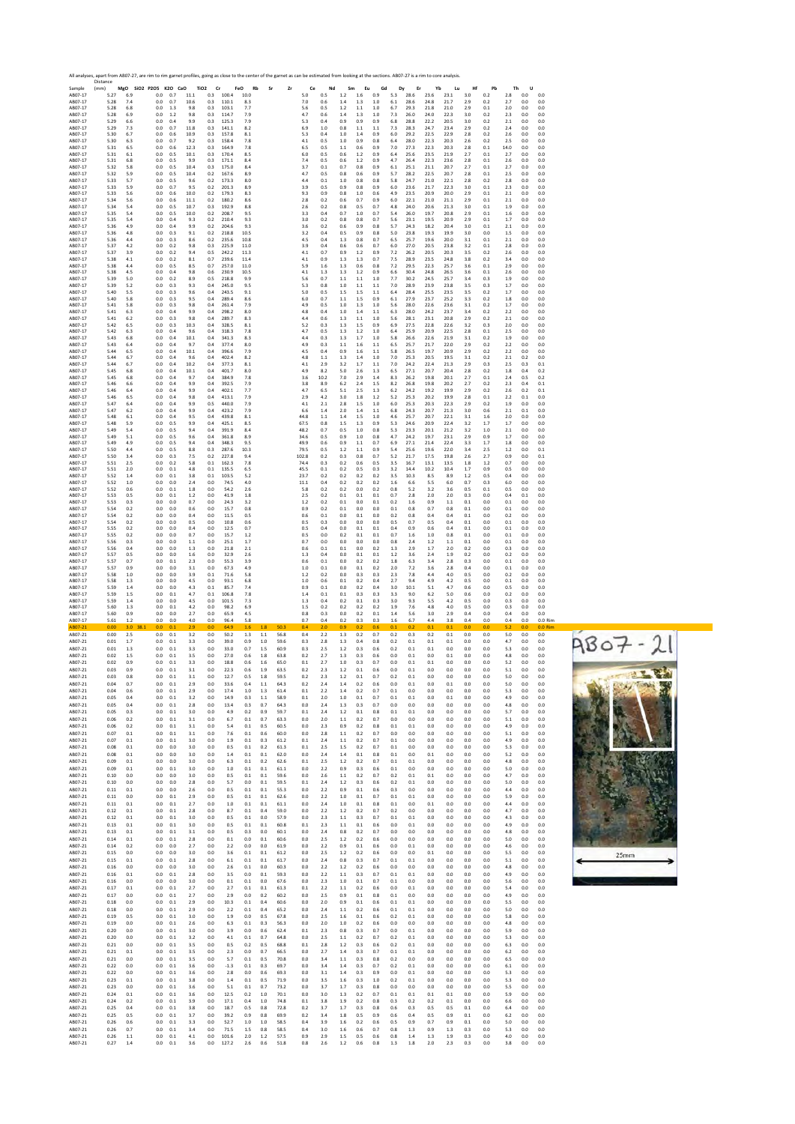| Sample             | Distance<br>(mm) | MgO        | SiO2 P2O5 K2O CaO |            |              | TiO <sub>2</sub> | Cr             | FeO<br>Rh       | Sı         | Zr           | Ce            | Nd          | Sm         | Eu             | Gd         | Dy              | Er             | Yb           | Lu           | Hf         | Pb         | Th          |            |                      |
|--------------------|------------------|------------|-------------------|------------|--------------|------------------|----------------|-----------------|------------|--------------|---------------|-------------|------------|----------------|------------|-----------------|----------------|--------------|--------------|------------|------------|-------------|------------|----------------------|
| AB07-17<br>AB07-17 | 5.27<br>5.28     | 6.9<br>7.4 | 0.0<br>0.0        | 0.7<br>0.7 | 11.1<br>10.6 | 0.3<br>0.3       | 100.4<br>110.1 | 10.0<br>8.3     |            |              | 5.0<br>7.0    | 0.5<br>0.6  | 1.2<br>1.4 | 1.6<br>1.3     | 0.9<br>1.0 | 5.3<br>6.1      | 28.6<br>28.6   | 23.6<br>24.8 | 23.1<br>21.7 | 3.0<br>2.9 | 0.2<br>0.2 | 2.8<br>2.7  | 0.0<br>0.0 | 0.0<br>0.0           |
| AB07-17<br>AB07-17 | 5.28<br>5.28     | 6.8<br>6.9 | 0.0<br>0.0        | 1.3<br>1.2 | 9.8<br>9.8   | 0.3<br>0.3       | 103.1<br>114.7 | 7.7<br>7.9      |            |              | 5.6<br>4.7    | 0.5<br>0.6  | 1.2<br>1.4 | 1.1<br>1.3     | 1.0<br>1.0 | 6.7<br>7.3      | 29.3<br>26.0   | 21.8<br>24.0 | 21.0<br>223  | 2.9<br>3.0 | 0.1<br>0.2 | 2.0<br>2.3  | 0.0<br>0.0 | 0.0<br>0.0           |
| AB07-17            | 5.29             | 6.6        | 0.0               | 0.4        | 9.9          | 0.3              | 125.3          | 7.9             |            |              | 5.3           | 0.4         | 0.9        | 0.9            | 0.9        | 6.8             | 28.8           | 22.2         | 20.5         | 3.0        | 0.2        | 2.1         | 0.0        | 0.0                  |
| AB07-17<br>AB07-17 | 5.29<br>5.30     | 7.3<br>6.7 | 0.0<br>0.0        | 0.7<br>0.6 | 11.8<br>10.9 | 0.3<br>0.3       | 141.1<br>157.8 | 8.2<br>8.1      |            |              | 6.9<br>5.3    | 1.0<br>0.4  | 0.8<br>1.0 | 1.1<br>1.4     | 1.1<br>0.9 | 7.3<br>6.0      | 28.3<br>29.2   | 24.7<br>22.5 | 23.4<br>22.9 | 2.9<br>2.8 | 0.2<br>0.2 | 2.4<br>2.6  | 0.0<br>0.0 | 0.0<br>0.0           |
| AB07-17<br>AB07-17 | 5.30<br>5.31     | 6.3<br>6.5 | 0.0<br>0.0        | 0.7<br>0.6 | 9.2<br>12.3  | 0.3<br>0.3       | 158.4<br>164.9 | 7.8<br>7.8      |            |              | 4.1<br>6.5    | 0.5<br>0.5  | 1.0<br>1.1 | 0.9<br>0.6     | 0.8<br>0.9 | 6.4<br>7.0      | 28.0<br>27.3   | 22.3<br>22.3 | 20.3<br>20.3 | 2.6<br>2.8 | 0.2<br>0.1 | 2.5<br>14.0 | 0.0<br>0.0 | 0.0<br>0.0           |
| AB07-17            | 5.31             | 6.1        | 0.0               | 0.5        | 10.1         | 0.3              | 170.4          | 8.5             |            |              | 6.0           | 0.5         | 0.6        | 1.2            | 0.9        | 6.4             | 25.6           | 23.5         | 21.9         | 2.7        | 0.1        | 2.7         | 0.0        | 0.0                  |
| AB07-17<br>AB07-17 | 5.31<br>5.32     | 6.8<br>5.8 | 0.0<br>0.0        | 0.5<br>0.5 | 9.9<br>10.4  | 0.3<br>0.3       | 171.1<br>175.0 | 8.4<br>8.4      |            |              | 7.4<br>3.7    | 0.5<br>0.1  | 0.6<br>0.7 | 1.2<br>0.8     | 0.9<br>0.9 | 4.7<br>6.1      | 26.4<br>25.1   | 22.3<br>21.1 | 23.6<br>20.7 | 2.8<br>2.7 | 0.1<br>0.1 | 2.6<br>2.7  | 0.0<br>0.0 | 0.0<br>0.0           |
| AB07-17<br>AB07-17 | 5.32<br>5.33     | 5.9<br>5.7 | 0.0<br>0.0        | 0.5<br>0.5 | 10.4<br>9.6  | 0.2<br>0.2       | 167.6<br>173.3 | 8.9<br>8.0      |            |              | 4.7<br>4.4    | 0.5<br>0.1  | 0.8<br>1.0 | 0.6<br>0.8     | 0.9<br>0.8 | 5.7<br>5.8      | 28.2<br>24.7   | 22.5<br>21.0 | 20.7<br>22.1 | 2.8<br>2.8 | 0.1<br>0.2 | 2.5<br>2.8  | 0.0<br>0.0 | 0.0<br>0.0           |
| AB07-17            | 5.33             | 5.9        | 0.0               | 0.7        | 9.5          | 0.2              | 201.3          | 8.9             |            |              | 3.9           | 0.5         | 0.9        | 0.8            | 0.9        | 6.0             | 23.6           | 21.7         | 22.3         | 3.0        | 0.1        | 2.3         | 0.0        | 0.0                  |
| AB07-17<br>AB07-17 | 5.33<br>5.34     | 5.6<br>5.6 | 0.0<br>0.0        | 0.6<br>0.6 | 10.0<br>11.1 | 0.2<br>0.2       | 179.3<br>180.2 | 8.3<br>8.6      |            |              | 9.3<br>2.8    | 0.9<br>0.2  | 0.8<br>0.6 | 1.0<br>0.7     | 0.6<br>0.9 | 4.9<br>6.0      | 23.5<br>22.1   | 20.9<br>21.0 | 20.0<br>21.1 | 2.9<br>2.9 | 0.1<br>0.1 | 2.1<br>2.1  | 0.0<br>0.0 | 0.0<br>0.0           |
| AB07-17<br>AB07-17 | 5.34<br>5.35     | 5.4<br>5.4 | 0.0<br>0.0        | 0.5<br>0.5 | 10.7<br>10.0 | 0.3<br>0.2       | 192.9<br>208.7 | 8.8<br>9.5      |            |              | 2.6<br>3.3    | 0.2<br>0.4  | 0.8<br>0.7 | 0.5<br>1.0     | 0.7<br>0.7 | 4.8<br>5.4      | 24.0<br>26.0   | 20.6<br>19.7 | 21.3<br>20.8 | 3.0<br>2.9 | 0.1<br>0.1 | 1.9<br>1.6  | 0.0<br>0.0 | 0.0<br>0.0           |
| AB07-17            | 5.35             | 5.4        | 0.0               | 0.4        | 9.3          | 0.2              | 210.4          | 9.3             |            |              | 3.0           | 0.2         | 0.8        | 0.8            | 0.7        | 5.6             | 23.1           | 19.5         | 20.9         | 2.9        | 0.1        | 1.7         | 0.0        | 0.0                  |
| AB07-17<br>AB07-17 | 5.36<br>5.36     | 4.9<br>4.8 | 0.0<br>0.0        | 0.4<br>0.3 | 9.9<br>9.1   | 0.2<br>0.2       | 204.6<br>218.8 | 9.3<br>10.5     |            |              | 3.6<br>3.2    | 0.2<br>0.4  | 0.6<br>0.5 | 0.9<br>0.9     | 0.8<br>0.8 | 5.7<br>5.0      | 24.3<br>23.8   | 18.2<br>19.3 | 20.4<br>19.9 | 3.0<br>3.0 | 0.1<br>0.0 | 2.1<br>1.5  | 0.0<br>0.0 | 0.0<br>0.0           |
| AB07-17<br>AB07-17 | 5.36<br>5.37     | 4.4<br>4.2 | 0.0<br>0.0        | 0.3<br>0.2 | 8.6<br>9.8   | 0.2<br>0.3       | 235.6<br>225.9 | 10.8<br>11.0    |            |              | 4.5<br>3.9    | 0.4<br>0.4  | 1.3<br>0.6 | 0.8<br>0.6     | 0.7<br>0.7 | 6.5<br>6.0      | 25.7<br>27.0   | 19.6<br>20.5 | 20.0<br>23.8 | 3.1<br>3.2 | 0.1<br>0.1 | 2.1<br>2.8  | 0.0<br>0.0 | 0.0<br>0.0           |
| AB07-17            | 5.37             | 3.9        | 0.0               | 0.2        | 9.4          | 0.5              | 242.2          | 11.3            |            |              | 4.1           | 0.7         | 0.9        | 1.2            | 0.9        | 7.2             | 26.2           | 20.5         | 20.3         | 3.5        | 0.2        | 2.6         | 0.0        | 0.0                  |
| AB07-17<br>AB07-17 | 5.38<br>5.38     | 4.1<br>4.4 | 0.0<br>0.0        | 0.2<br>0.5 | 8.1<br>8.5   | 0.7<br>0.7       | 239.6<br>257.0 | 11.4<br>11.0    |            |              | 4.1<br>5.9    | 0.9<br>1.6  | 1.3<br>1.3 | 1.3<br>0.6     | 0.7<br>0.8 | 7.5<br>7.2      | 28.9<br>29.5   | 23.5<br>22.3 | 24.8<br>25.7 | 3.8<br>3.6 | 0.2<br>0.1 | 3.4<br>2.9  | 0.0<br>0.0 | 0.0<br>0.0           |
| AB07-17            | 5.38<br>5.39     | 4.5<br>5.0 | 0.0               | 0.4        | 9.8          | 0.6              | 230.9          | 10.5<br>9.9     |            |              | 4.1           | 1.3         | 1.3        | 1.2            | 0.9        | 6.6<br>7.7      | 30.4           | 24.8<br>24.5 | 26.5<br>25.7 | 3.6        | 0.1        | 2.6         | 0.0        | 0.0                  |
| AB07-17<br>AB07-17 | 5.39             | 5.2        | 0.0<br>0.0        | 0.2<br>0.3 | 8.9<br>9.3   | 0.5<br>0.4       | 218.8<br>245.0 | 9.5             |            |              | 5.6<br>5.3    | 0.7<br>0.8  | 1.1<br>1.0 | 1.1<br>1.1     | 1.0<br>1.1 | 7.0             | 30.2<br>28.9   | 23.9         | 23.8         | 3.4<br>3.5 | 0.3<br>0.3 | 1.9<br>1.7  | 0.0<br>0.0 | 0.0<br>0.0           |
| AB07-17<br>AB07-17 | 5.40<br>5.40     | 5.5<br>5.8 | 0.0<br>0.0        | 0.3<br>0.3 | 9.6<br>9.5   | 0.4<br>0.4       | 243.5<br>289.4 | 9.1<br>8.6      |            |              | 5.0<br>6.0    | 0.5<br>0.7  | 1.5<br>1.1 | 1.5<br>1.5     | 1.1<br>0.9 | 6.4<br>6.1      | 28.4<br>27.9   | 25.5<br>23.7 | 23.5<br>25.2 | 3.5<br>3.3 | 0.2<br>0.2 | 1.7<br>1.8  | 0.0<br>0.0 | 0.0<br>0.0           |
| AB07-17            | 5.41             | 5.8        | 0.0               | 0.3        | 9.8          | 0.4              | 261.4          | 7.9             |            |              | 4.9           | 0.5         | 1.0        | 1.3            | 1.0        | 5.6             | 28.0           | 22.6         | 23.6         | 3.1        | 0.2        | 1.7         | 0.0        | 0.0                  |
| AB07-17<br>AB07-17 | 5.41<br>5.41     | 6.3<br>6.2 | 0.0<br>0.0        | 0.4<br>0.3 | 9.9<br>9.8   | 0.4<br>0.4       | 298.2<br>289.7 | 8.0<br>8.3      |            |              | 4.8<br>4.4    | 0.4<br>0.6  | 1.0<br>1.3 | 1.4<br>1.1     | 1.1<br>1.0 | 6.3<br>5.6      | 28.0<br>28.1   | 24.2<br>23.1 | 23.7<br>20.8 | 3.4<br>2.9 | 0.2<br>0.2 | 2.2<br>2.1  | 0.0<br>0.0 | 0.0<br>0.0           |
| AB07-17<br>AB07-17 | 5.42<br>5.42     | 6.5<br>6.3 | 0.0<br>0.0        | 0.3<br>0.4 | 10.3<br>9.6  | 0.4<br>0.4       | 328.5<br>318.3 | 8.1<br>7.8      |            |              | 5.2<br>4.7    | 0.3<br>0.5  | 1.3<br>1.3 | 1.5<br>1.2     | 0.9<br>1.0 | 6.9<br>6.4      | 27.5<br>25.9   | 22.8<br>20.9 | 22.6<br>22.5 | 3.2<br>2.8 | 0.3<br>0.1 | 2.0<br>2.5  | 0.0<br>0.0 | 0.0<br>0.0           |
| AB07-17            | 5.43             | 6.8        | 0.0               | 0.4        | 10.1         | 0.4              | 341.3          | 8.3             |            |              | 4.4           | 0.3         | 1.3        | 1.7            | 1.0        | 5.8             | 26.6           | 22.6         | 21.9         | 3.1        | 0.2        | 1.9         | 0.0        | 0.0                  |
| AB07-17<br>AB07-17 | 5.43<br>5.44     | 6.4<br>6.5 | 0.0<br>0.0        | 0.4<br>0.4 | 9.7<br>10.1  | 0.4<br>0.4       | 377.4<br>396.6 | 8.0<br>7.9      |            |              | 4.9<br>4.5    | 0.3<br>0.4  | 1.1<br>0.9 | 1.6<br>1.6     | 1.1<br>1.1 | 6.5<br>5.8      | 25.7<br>26.5   | 21.7<br>19.7 | 22.0<br>20.9 | 2.9<br>2.9 | 0.2<br>0.2 | 2.2<br>2.2  | 0.0<br>0.0 | 0.0<br>0.0           |
| AB07-17<br>AB07-17 | 5.44<br>5.44     | 6.7<br>6.7 | 0.0<br>0.0        | 0.4<br>0.4 | 9.6<br>10.2  | 0.4<br>0.4       | 402.4<br>377.3 | 8.2<br>8.1      |            |              | 4.8<br>4.1    | 1.1<br>2.9  | 1.3<br>3.2 | 1.4<br>1.7     | 1.0<br>1.1 | 7.0<br>7.0      | 25.3<br>24.2   | 20.5<br>22.4 | 19.5<br>21.3 | 3.1<br>2.9 | 0.2<br>0.3 | 2.1<br>2.5  | 0.2<br>0.3 | 0.0<br>0.1           |
| AB07-17            | 5.45             | 6.8        | 0.0               | 0.4        | 10.1         | 0.4              | 401.7          | 8.0             |            |              | 4.9           | 8.2         | 5.0        | 2.6            | 1.3        | 6.5             | 27.1           | 20.7         | 20.4         | 2.8        | 0.2        | 1.8         | 0.4        | 0.2                  |
| AB07-17<br>AB07-17 | 5.45<br>5.46     | 6.8<br>6.6 | 0.0<br>0.0        | 0.4<br>0.4 | 9.7<br>9.9   | 0.4<br>0.4       | 384.9<br>392.5 | 7.8<br>7.9      |            |              | 3.6<br>3.8    | 10.2<br>8.9 | 7.0<br>6.2 | 2.9<br>2.4     | 1.4<br>1.5 | 8.3<br>8.2      | 26.2<br>26.8   | 19.8<br>19.8 | 20.1<br>20.2 | 2.7<br>2.7 | 0.1<br>0.2 | 2.4<br>2.3  | 0.5<br>0.4 | 0.2<br>0.1           |
| AB07-17<br>AB07-17 | 5.46<br>5.46     | 6.4<br>6.5 | 0.0<br>0.0        | 0.4<br>0.4 | 9.9<br>9.8   | 0.4<br>0.4       | 402.1<br>413.1 | 7.7<br>7.9      |            |              | 4.7<br>2.9    | 6.5<br>4.2  | 5.1<br>3.0 | 2.5<br>1.8     | 1.3<br>1.2 | 6.2<br>5.2      | 24.2<br>25.3   | 19.2<br>20.2 | 19.9<br>19.9 | 2.9<br>2.8 | 0.2<br>0.1 | 2.6<br>2.2  | 0.2<br>0.1 | 0.1<br>0.0           |
| AB07-17            | 5.47             | 6.4        | 0.0               | 0.4        | 9.9          | 0.5              | 440.0          | 7.9             |            |              | 4.1           | 2.1         | 2.8        | 1.5            | 1.0        | 6.0             | 25.3           | 20.3         | 22.3         | 2.9        | 0.2        | 1.9         | 0.0        | 0.0                  |
| AB07-17<br>AB07-17 | 5.47<br>5.48     | 6.2<br>6.1 | 0.0<br>0.0        | 0.4<br>0.4 | 9.9<br>9.5   | 0.4<br>0.4       | 423.2<br>439.8 | 7.9<br>8.1      |            |              | 6.6<br>44.8   | 1.4<br>1.1  | 2.0<br>1.4 | 1.4<br>1.5     | 1.1<br>1.0 | 6.8<br>4.6      | 24.3<br>25.7   | 20.7<br>20.7 | 21.3<br>22.1 | 3.0<br>3.1 | 0.6<br>1.6 | 2.1<br>2.0  | 0.1<br>0.0 | 0.0<br>0.0           |
| AB07-17<br>AB07-17 | 5.48<br>5.49     | 5.9<br>5.4 | 0.0<br>0.0        | 0.5<br>0.5 | 9.9<br>9.4   | 0.4<br>0.4       | 425.1<br>391.9 | 8.5<br>8.4      |            |              | 67.5<br>48.2  | 0.8<br>0.7  | 1.5<br>0.5 | 1.3<br>1.0     | 0.9<br>0.8 | 5.3<br>5.3      | 24.6<br>23.3   | 20.9<br>20.1 | 22.4<br>21.2 | 3.2<br>3.2 | 1.7<br>1.0 | 1.7<br>2.1  | 0.0<br>0.0 | 0.0<br>0.0           |
| AB07-17            | 5.49<br>5.49     | 5.1<br>4.9 | 0.0               | 0.5        | 9.6<br>9.4   | 0.4              | 361.8<br>348.3 | 8.9<br>9.5      |            |              | 34.6          | 0.5         | 0.9        | 1.0            | 0.8<br>0.7 | 4.7<br>6.9      | 24.2<br>27.1   | 19.7<br>21.4 | 23.1<br>22.4 | 2.9<br>3.3 | 0.9<br>1.7 | 1.7         | 0.0        | 0.0                  |
| AB07-17<br>AB07-17 | 5.50             | 4.4        | 0.0<br>0.0        | 0.5<br>0.5 | 8.8          | 0.4<br>0.3       | 287.6          | 10.3            |            |              | 49.9<br>79.5  | 0.6<br>0.5  | 0.9<br>1.2 | 1.1<br>1.1     | 0.9        | 5.4             | 25.6           | 19.6         | 22.0         | 3.4        | 2.5        | 1.8<br>1.2  | 0.0<br>0.0 | 0.0<br>0.1           |
| AB07-17<br>AB07-17 | 5.50<br>5.51     | 3.4<br>25  | 0.0<br>0.0        | 0.3<br>0.2 | 7.5<br>5.8   | 0.2<br>0.1       | 227.8<br>162.3 | 9.4<br>7.8      |            |              | 102.8<br>74.4 | 0.2<br>0.3  | 0.3<br>0.2 | 0.8<br>0.6     | 0.7<br>0.5 | 5.2<br>3.5      | 21.7<br>16.7   | 17.5<br>13.1 | 19.8<br>13.5 | 2.6<br>1.8 | 2.7<br>1.2 | 0.9<br>0.7  | 0.0<br>0.0 | 0.1<br>0.0           |
| AB07-17            | 5.51             | 2.0        | 0.0               | 0.1        | 4.8          | 0.1              | 135.5          | 6.5             |            |              | 45.5          | 0.1         | 0.2        | 0.5            | 0.3        | 3.2             | 14.4           | 10.2         | 10.4         | 1.7        | 0.9        | 0.5         | 0.0        | 0.0                  |
| AB07-17<br>AB07-17 | 5.52<br>5.52     | 1.4<br>1.0 | 0.0<br>0.0        | 0.1<br>0.0 | 3.8<br>2.4   | 0.1<br>0.0       | 103.5<br>74.5  | 5.2<br>4.0      |            |              | 23.7<br>11.1  | 0.2<br>0.4  | 0.2<br>0.2 | 0.2<br>0.2     | 0.2<br>0.2 | 3.5<br>1.6      | 10.3<br>6.6    | 8.5<br>5.5   | 8.9<br>6.0   | 1.2<br>0.7 | 0.5<br>0.3 | 0.4<br>6.0  | 0.0<br>0.0 | 0.0<br>0.0           |
| AB07-17<br>AB07-17 | 5.52<br>5.53     | 0.6<br>0.5 | 0.0<br>0.0        | 0.1<br>0.1 | 1.8<br>1.2   | 0.0<br>0.0       | 54.2<br>41.9   | 2.6<br>1.8      |            |              | 5.8<br>2.5    | 0.2<br>0.2  | 0.2<br>0.1 | 0.0<br>0.1     | 0.2<br>0.1 | 0.8<br>0.7      | 5.2<br>2.8     | 3.2<br>2.0   | 3.6<br>2.0   | 0.5<br>0.3 | 0.1<br>0.0 | 0.5<br>0.4  | 0.0<br>0.1 | 0.0<br>0.0           |
| AB07-17            | 5.53             | 0.3        | 0.0               | 0.0        | 0.7          | 0.0              | 24.3           | 3.2             |            |              | 1.2           | 0.2         | 0.1        | 0.0            | 0.1        | 0.2             | 1.6            | 0.9          | 1.1          | 0.1        | 0.0        | 0.1         | 0.0        | 0.0                  |
| AB07-17<br>AB07-17 | 5.54<br>5.54     | 0.2<br>0.2 | 0.0<br>0.0        | 0.0<br>0.0 | 0.6<br>0.4   | 0.0<br>0.0       | 15.7<br>11.5   | 0.8<br>0.5      |            |              | 0.9<br>0.6    | 0.2<br>0.1  | 0.1<br>0.0 | 0.0<br>0.1     | 0.0<br>0.0 | 0.1<br>0.2      | 0.8<br>0.8     | 0.7<br>0.4   | 0.8<br>0.4   | 0.1<br>0.1 | 0.0<br>0.0 | 0.1<br>0.2  | 0.0<br>0.0 | 0.0<br>0.0           |
| AB07-17<br>AB07-17 | 5.54<br>5.55     | 0.2<br>0.2 | 0.0<br>0.0        | 0.0<br>0.0 | 0.5<br>0.4   | 0.0<br>0.0       | 10.8<br>12.5   | 0.6<br>0.7      |            |              | 0.5<br>0.5    | 0.3<br>0.4  | 0.0<br>0.0 | 0.0<br>0.1     | 0.0<br>0.1 | 0.5<br>0.4      | 0.7<br>0.9     | 0.5<br>0.6   | 0.4<br>0.4   | 0.1<br>0.1 | 0.0<br>0.0 | 0.1<br>0.1  | 0.0<br>0.0 | 0.0<br>0.0           |
| AB07-17            | 5.55             | 0.2        | 0.0               | 0.0        | 0.7          | 0.0              | 15.7           | 1.2             |            |              | 0.5           | 0.0         | 0.2        | 0.1            | 0.1        | 0.7             | 1.6            | 1.0          | 0.8          | 0.1        | 0.0        | 0.1         | 0.0        | 0.0                  |
| AB07-17<br>AB07-17 | 5.56<br>5.56     | 0.3<br>0.4 | 0.0<br>0.0        | 0.0<br>0.0 | 1.1<br>1.3   | 0.0<br>0.0       | 25.1<br>21.8   | 1.7<br>2.1      |            |              | 0.7<br>0.6    | 0.0<br>0.1  | 0.0<br>0.1 | 0.0<br>0.0     | 0.0<br>0.2 | 0.8<br>1.3      | 2.4<br>2.9     | 1.2<br>1.7   | 1.1<br>2.0   | 0.1<br>0.2 | 0.0<br>0.0 | 0.1<br>0.3  | 0.0<br>0.0 | 0.0<br>0.0           |
| AB07-17<br>AB07-17 | 5.57<br>5.57     | 0.5<br>0.7 | 0.0<br>0.0        | 0.0<br>0.1 | 1.6<br>2.3   | 0.0<br>0.0       | 32.9<br>55.3   | 2.6<br>3.9      |            |              | 1.3<br>0.6    | 0.4<br>0.1  | 0.0<br>0.0 | 0.1<br>0.2     | 0.1<br>0.2 | 1.2<br>1.8      | 3.6<br>6.3     | 2.4<br>3.4   | 1.9<br>2.8   | 0.2<br>0.3 | 0.0<br>0.0 | 0.2<br>0.1  | 0.0<br>0.0 | 0.0<br>0.0           |
| AB07-17            |                  |            |                   |            |              |                  |                |                 |            |              |               |             |            |                | 0.2        |                 |                |              |              |            |            |             |            |                      |
|                    | 5.57             | 0.9        | 0.0               | 0.0        | 3.1          | 0.0              | 67.3           | 4.9             |            |              | 1.0           | 0.1         | 0.0        | 0.1            |            | 2.0             | 7.2            | 3.6          | 2.8          | 0.4        | 0.0        | 0.1         | 0.0        | 0.0                  |
| AB07-17<br>AB07-17 | 5.58<br>5.58     | 1.0<br>1.3 | 0.0<br>0.0        | 0.0<br>0.0 | 3.9<br>4.5   | 0.1<br>0.0       | 71.6<br>93.1   | 5.8<br>6.8      |            |              | 1.2<br>1.0    | 0.2<br>0.6  | 0.0<br>0.1 | 0.3<br>0.2     | 0.3<br>0.4 | 2.3<br>27       | 7.8<br>9.4     | 4.4<br>4.9   | 4.0<br>4.2   | 0.5<br>0.5 | 0.0<br>0.0 | 0.2<br>0.1  | 0.0<br>0.0 | 0.0<br>0.0           |
| AB07-17            | 5.59             | 1.4<br>1.5 | 0.0               | 0.0        | 4.3          | 0.1<br>0.1       | 85.7           | 7.4             |            |              | 0.9           | 0.1         | 0.0<br>0.1 | 0.2            | 0.4        | 3.0             | 10.1           | 5.1          | 4.7          | 0.6        | 0.0        | 0.5         | 0.0        | 0.0                  |
| AB07-17<br>AB07-17 | 5.59<br>5.59     | 1.4        | 0.0<br>0.0        | 0.1<br>0.0 | 4.7<br>4.5   | 0.0              | 106.8<br>101.5 | 7.8<br>7.3      |            |              | 1.4<br>1.3    | 0.1<br>0.4  | 0.2        | 0.3<br>0.1     | 0.3<br>0.3 | 3.3<br>3.0      | 9.0<br>9.3     | 6.2<br>5.5   | 5.0<br>4.2   | 0.6<br>0.5 | 0.0<br>0.0 | 0.2<br>0.3  | 0.0<br>0.0 | 0.0<br>0.0           |
| AB07-17<br>AB07-17 | 5.60<br>5.60     | 1.3<br>0.9 | 0.0<br>0.0        | 0.1<br>0.0 | 4.2<br>2.7   | 0.0<br>0.0       | 98.2<br>65.9   | 6.9<br>4.5      |            |              | 1.5<br>0.8    | 0.2<br>0.3  | 0.2<br>0.0 | 0.2<br>0.2     | 0.2<br>0.1 | 1.9<br>1.4      | 7.6<br>5.6     | 4.8<br>3.0   | 4.0<br>2.9   | 0.5<br>0.4 | 0.0<br>0.0 | 0.3<br>0.4  | 0.0<br>0.0 | 0.0<br>0.0           |
| AB07-17            | 5.61             | 1.2<br>3.0 | 0.0<br>0.0        | 0.0        | 4.0<br>2.9   | 0.0              | 96.4           | 5.8<br>1.6      | 1.8        | 50.          | 0.7<br>0.4    | 0.4<br>2.0  | 0.2        | 0.3<br>0.2     | 0.3<br>0.6 | 1.6<br>0.1      | 6.7<br>0.2     | 4.4<br>0.1   | 3.8          | 0.4        | 0.0<br>0.0 | 0.4         | 0.0<br>0.0 | 0.0 Rim<br>$0.0$ Rin |
| AB07-21            | 0.00             | 2.5        | 0.0               | 0.1        | 3.2          | 0.0              | 50.2           | 1.3             | 1.1        | 56.8         | 0.4           | 2.2         | 1.3        | 0.2            | 0.7        | 0.2             | 0.3            | 0.2          | 0.1          | 0.0        | 0.0        | 5.0         | 0.0        | 0.0                  |
| AB07-21<br>AB07-21 | 0.01<br>0.01     | 1.7<br>1.3 | 0.0<br>0.0        | 0.1<br>0.1 | 3.3<br>3.3   | 0.0<br>0.0       | 39.0<br>33.0   | 0.9<br>0.7      | 1.0<br>1.5 | 59.6<br>60.9 | 0.3<br>0.3    | 2.8<br>2.5  | 1.3<br>1.2 | 0.4<br>0.3     | 0.8<br>0.6 | 0.2<br>0.2      | 0.1<br>0.1     | 0.1<br>0.1   | 0.1<br>0.0   | 0.0<br>0.0 | 0.0<br>0.0 | 4.7<br>5.3  | 0.0<br>0.0 | 0.0<br>0.0           |
| AB07-21            | 0.02             | 1.5        | 0.0               | 0.1        | 3.5          | 0.0              | 27.0           | 0.6             | 1.8        | 63.8         | 0.2           | 2.7         | 1.3        | 0.3            | 0.6        | 0.0             | 0.1            | 0.0          | 0.1          | 0.0        | 0.0        | 4.8         | 0.0        | 0.0                  |
| AB07-21<br>AB07-21 | 0.02<br>0.03     | 0.9<br>0.9 | 0.0<br>0.0        | 0.1<br>0.1 | 3.3<br>3.1   | 0.0<br>0.0       | 18.8<br>22.3   | 0.6<br>0.6      | 1.6<br>1.9 | 65.0<br>63.5 | 0.1<br>0.2    | 2.7<br>2.3  | 1.0<br>1.2 | 0.3<br>0.1     | 0.7<br>0.6 | 0.0<br>0.0      | 0.1<br>0.1     | 0.1<br>0.0   | 0.0<br>0.0   | 0.0<br>0.0 | 0.0<br>0.0 | 5.2<br>5.1  | 0.0<br>0.0 | 0.0<br>0.0           |
| AB07-21            | 0.03             | 0.8        | 0.0               | 0.1        | 3.1          | 0.0              | 12.7           | 0.5             | 1.8        | 59.5         | 0.2           | 2.3         | 1.2        | 0.1            | 0.7        | 0.2             | 0.1            | 0.0          | 0.0          | 0.0        | 0.0        | 5.0         | 0.0        | 0.0                  |
| AB07-21<br>AB07-21 | 0.04<br>0.04     | 0.7<br>0.6 | 0.0<br>0.0        | 0.1<br>0.1 | 2.9<br>2.9   | 0.0<br>0.0       | 33.6<br>17.4   | 0.4<br>1.0      | 1.1<br>1.3 | 64.3<br>61.4 | 0.2<br>0.1    | 2.4<br>2.2  | 1.4<br>1.4 | 0.2<br>0.2     | 0.6<br>0.7 | 0.0<br>0.1      | 0.1<br>0.0     | 0.0<br>0.0   | 0.1<br>0.0   | 0.0<br>0.0 | 0.0<br>0.0 | 5.0<br>5.3  | 0.0<br>0.0 | 0.0<br>0.0           |
| AB07-21<br>AB07-21 | 0.05<br>0.05     | 0.4<br>0.4 | 0.0<br>0.0        | 0.1<br>0.1 | 3.2<br>2.8   | 0.0<br>0.0       | 14.9<br>13.4   | 0.3<br>0.3      | 1.1<br>0.7 | 58.9<br>64.3 | 0.1<br>0.0    | 2.0<br>2.4  | 1.0<br>1.3 | 0.1<br>0.3     | 0.7<br>0.7 | 0.1<br>0.0      | 0.1<br>0.0     | 0.0<br>0.0   | 0.1<br>0.0   | 0.0<br>0.0 | 0.0<br>0.0 | 4.9<br>4.8  | 0.0<br>0.0 | 0.0<br>0.0           |
| AB07-21            | 0.05             | 0.3        | 0.0               | 0.1        | 3.0          | 0.0              | 4.9            | 0.2             | 0.9        | 59.7         | 0.1           | 2.4         | 1.2        | 0.1            | 0.8        | 0.1             | 0.1            | 0.0          | 0.0          | 0.0        | 0.0        | 5.7         | 0.0        | 0.0                  |
| AB07-21<br>AB07-21 | 0.06<br>0.06     | 0.2<br>0.2 | 0.0<br>0.0        | 0.1<br>0.1 | 3.1<br>3.1   | 0.0<br>0.0       | 6.7<br>5.4     | 0.1<br>0.1      | 0.7<br>0.5 | 63.3<br>60.5 | 0.0<br>0.0    | 2.0<br>2.3  | 1.1<br>0.9 | 0.2<br>0.2     | 0.7<br>0.8 | 0.0<br>0.1      | 0.0<br>0.1     | 0.0<br>0.0   | 0.0<br>0.0   | 0.0<br>0.0 | 0.0<br>0.0 | 5.1<br>4.9  | 0.0<br>0.0 | 0.0<br>0.0           |
| AB07-21            | 0.07             | 0.1        | 0.0               | 0.1        | 3.1          | 0.0              | 7.6            | 0.1             | 0.6        | 60.0         | 0.0           | 2.8         | 1.1        | 0.2            | 0.7        | 0.0             | 0.0            | 0.0          | 0.0          | 0.0        | 0.0        | 5.1         | 0.0        | 0.0                  |
| AB07-21<br>AB07-21 | 0.07<br>0.08     | 0.1<br>0.1 | 0.0<br>0.0        | 0.1<br>0.0 | 3.0<br>3.0   | 0.0<br>0.0       | 1.9<br>0.5     | $0.1\,$<br>0.1  | 0.3<br>0.2 | 61.2<br>61.3 | 0.1<br>0.1    | 2.4<br>2.5  | 1.1<br>1.5 | 0.2<br>0.2     | 0.7<br>0.7 | 0.1<br>0.1      | 0.0<br>0.0     | 0.0<br>0.0   | 0.0<br>0.0   | 0.0<br>0.0 | 0.0<br>0.0 | 4.9<br>5.3  | 0.0<br>0.0 | 0.0<br>0.0           |
| AB07-21            | 0.08<br>0.09     | 0.1<br>0.1 | 0.0<br>0.0        | 0.0<br>0.0 | 3.0<br>3.0   | 0.0<br>0.0       | 1.4<br>6.3     | 0.1<br>0.1      | 0.1<br>0.2 | 62.0<br>62.6 | 0.0<br>0.1    | 2.4<br>2.5  | 1.4<br>1.2 | 0.1<br>0.2     | 0.8<br>0.7 | 0.1<br>0.1      | 0.0<br>0.1     | 0.1<br>0.0   | 0.0<br>0.0   | 0.0<br>0.0 | 0.0<br>0.0 | 5.2<br>4.8  | 0.0<br>0.0 | 0.0<br>0.0           |
| AB07-21<br>AB07-21 | 0.09             | 0.1        | 0.0               | 0.1        | 3.0          | 0.0              | 1.0            | 0.1             | 0.1        | 61.1         | 0.0           | 2.2         | 0.9        | 0.3            | 0.6        | 0.1             | 0.0            | 0.0          | 0.0          | 0.0        | 0.0        | 5.0         | 0.0        | 0.0                  |
| AB07-21<br>AB07-21 | 0.10<br>0.10     | 0.0<br>0.0 | 0.0<br>0.0        | 0.0<br>0.0 | 3.0<br>2.8   | 0.0<br>0.0       | 0.5<br>5.7     | $0.1\,$<br>0.0  | 0.1<br>0.1 | 59.6<br>59.5 | 0.0<br>0.1    | 2.6<br>2.4  | 1.1<br>1.2 | 0.2<br>0.3     | 0.7<br>0.6 | 0.2<br>0.2      | $0.1\,$<br>0.1 | 0.1<br>0.0   | 0.0<br>0.0   | 0.0<br>0.0 | 0.0<br>0.0 | 4.7<br>5.0  | 0.0<br>0.0 | 0.0<br>0.0           |
| AB07-21<br>AB07-21 | 0.11<br>0.11     | 0.1<br>0.0 | 0.0<br>0.0        | 0.0<br>0.1 | 2.6<br>2.9   | 0.0<br>0.0       | 0.5<br>0.5     | 0.1<br>0.1      | 0.1<br>0.1 | 55.3<br>62.6 | 0.0<br>0.0    | 2.2<br>2.2  | 0.9<br>1.0 | 0.1<br>0.1     | 0.6<br>0.7 | 0.3<br>0.1      | 0.0<br>0.1     | 0.0<br>0.0   | 0.0<br>0.0   | 0.0<br>0.0 | 0.0<br>0.0 | 4.4<br>5.9  | 0.0<br>0.0 | 0.0<br>0.0           |
| AB07-21            | 0.11             | 0.1        | 0.0               | 0.1        | 2.7          | 0.0              | 1.0            | 0.1             | 0.1        | 61.1         | 0.0           | 2.4         | 1.0        | 0.1            | 0.8        | 0.1             | 0.0            | 0.1          | 0.0          | 0.0        | 0.0        | 4.4         | 0.0        | 0.0                  |
| AB07-21<br>AB07-21 | 0.12<br>0.12     | 0.1<br>0.1 | 0.0<br>0.0        | 0.1<br>0.1 | 2.8<br>3.0   | 0.0<br>0.0       | 8.7<br>0.5     | 0.1<br>0.1      | 0.4<br>0.0 | 59.0<br>57.9 | 0.0<br>0.0    | 2.2<br>2.3  | 1.2<br>1.1 | 0.2<br>0.3     | 0.7<br>0.7 | 0.2<br>0.1      | 0.0<br>0.1     | 0.0<br>0.0   | 0.0<br>0.0   | 0.0<br>0.0 | 0.0<br>0.0 | 4.7<br>4.3  | 0.0<br>0.0 | 0.0<br>0.0           |
| AR07-21            | 0.13             | 0.1        | 0.0               | 0.1        | 3.0          | 0.0              | 0.5            | 0.1             | 0.1        | 60.8         | 0.1           | 2.3         | 1.1        | 0.1            | 0.6        | 0.0             | 0.1            | 0.0          | 0.0          | 0.0        | 0.0        | 4.9         | 0.0        | 0.0                  |
| AB07-21<br>AB07-21 | 0.13<br>0.14     | 0.1<br>0.1 | 0.0<br>0.0        | 0.1<br>0.1 | 3.1<br>2.8   | 0.0<br>0.0       | 0.5<br>0.1     | 0.3<br>0.0      | 0.0<br>0.1 | 60.1<br>60.6 | 0.0<br>0.0    | 2.4<br>2.5  | 0.8<br>1.2 | 0.2<br>0.2     | 0.7<br>0.6 | 0.0<br>0.0      | 0.0<br>0.0     | 0.0<br>0.0   | 0.0<br>0.0   | 0.0<br>0.0 | 0.0<br>0.0 | 4.8<br>5.0  | 0.0<br>0.0 | 0.0<br>0.0           |
| AB07-21            | 0.14             | 0.2        | 0.0               | 0.0        | 2.7          | 0.0              | 2.2            | 0.0             | 0.0        | 61.9         | 0.0           | 2.2         | 0.9        | 0.1            | 0.6        | 0.0             | 0.1            | 0.0          | 0.0          | 0.0        | 0.0        | 4.6         | 0.0        | 0.0                  |
| AB07-21<br>AB07-21 | 0.15<br>0.15     | 0.0<br>0.1 | 0.0<br>0.0        | 0.0<br>0.1 | 3.0<br>2.8   | 0.0<br>0.0       | 3.6<br>6.1     | 0.1<br>0.1      | 0.1<br>0.1 | 61.2<br>61.7 | 0.0<br>0.0    | 2.5<br>2.4  | 1.2<br>0.8 | 0.2<br>0.3     | 0.6<br>0.7 | 0.0<br>0.1      | 0.0<br>0.1     | 0.1<br>0.0   | 0.0<br>0.0   | 0.0<br>0.0 | 0.0<br>0.0 | 5.5<br>5.1  | 0.0<br>0.0 | 0.0<br>0.0           |
| AB07-21            | 0.16             | 0.0        | 0.0               | 0.0        | 3.0          | 0.0              | 2.6            | 0.1             | 0.0        | 60.3         | 0.0           | 2.2         | 1.2        | 0.2            | 0.6        | 0.0             | 0.0            | 0.0          | 0.0          | 0.0        | 0.0        | 4.8         | 0.0        | 0.0                  |
| AB07-21<br>AB07-21 | 0.16<br>0.16     | 0.1<br>0.0 | 0.0<br>0.0        | 0.1<br>0.0 | 2.8<br>3.0   | 0.0<br>0.0       | 3.5<br>0.1     | 0.0<br>0.1      | 0.1<br>0.0 | 59.3<br>67.6 | 0.0<br>0.0    | 2.2<br>2.3  | 1.1<br>1.0 | 0.3<br>0.1     | 0.7<br>0.7 | 0.1<br>0.1      | 0.1<br>0.0     | 0.0<br>0.0   | 0.0<br>0.0   | 0.0<br>0.0 | 0.0<br>0.0 | 4.9<br>5.6  | 0.0<br>0.0 | 0.0<br>0.0           |
| AB07-21            | 0.17<br>0.17     | 0.1<br>0.0 | 0.0<br>0.0        | 0.1<br>0.1 | 2.7<br>2.7   | 0.0<br>0.0       | 2.7<br>2.9     | 0.1<br>0.0      | 0.1<br>0.2 | 61.3<br>60.2 | 0.1<br>0.0    | 2.2<br>2.5  | 1.1<br>0.9 | 0.2<br>0.1     | 0.6<br>0.8 | $_{0.0}$<br>0.1 | 0.1<br>0.0     | 0.0<br>0.0   | 0.0<br>0.0   | 0.0<br>0.0 | 0.0<br>0.0 | 5.4<br>4.9  | 0.0<br>0.0 | 0.0<br>0.0           |
| AB07-21<br>AB07-21 | 0.18             | 0.0        | 0.0               | 0.1        | 2.9          | 0.0              | 10.3           | 0.1             | 0.4        | 60.6         | 0.0           | 2.0         | 0.9        | 0.1            | 0.6        | 0.1             | 0.1            | 0.0          | 0.0          | 0.0        | 0.0        | 5.5         | 0.0        | 0.0                  |
| AB07-21<br>AB07-21 | 0.18<br>0.19     | 0.0<br>0.5 | 0.0<br>0.0        | 0.1<br>0.1 | 2.9<br>3.0   | 0.0<br>0.0       | 2.2<br>1.9     | 0.1<br>$_{0.0}$ | 0.4<br>0.5 | 65.2<br>67.8 | 0.0<br>0.0    | 2.4<br>2.5  | 1.1<br>1.6 | 0.2<br>$0.1\,$ | 0.6<br>0.6 | 0.1<br>0.2      | 0.1<br>0.1     | 0.0<br>0.0   | 0.0<br>0.0   | 0.0<br>0.0 | 0.0<br>0.0 | 5.0<br>5.8  | 0.0<br>0.0 | 0.0<br>0.0           |
| AB07-21            | 0.19             | 0.0        | 0.0               | 0.1        | 2.6          | 0.0              | 6.3            | 0.1             | 0.3        | 56.3         | 0.0           | 2.0         | 1.0        | 0.2            | 0.6        | 0.0             | 0.0            | 0.0          | 0.0          | 0.0        | 0.0        | 4.8         | 0.0        | 0.0                  |
| AB07-21<br>AB07-21 | 0.20<br>0.20     | 0.0<br>0.0 | 0.0<br>0.0        | 0.1<br>0.1 | 3.0<br>3.2   | 0.0<br>0.0       | 3.9<br>4.1     | 0.0<br>0.1      | 0.6<br>0.7 | 62.4<br>64.8 | 0.1<br>0.0    | 2.3<br>2.5  | 0.8<br>1.1 | 0.3<br>0.2     | 0.7<br>0.7 | 0.0<br>0.2      | 0.1<br>0.1     | 0.0<br>0.0   | 0.0<br>0.0   | 0.0<br>0.0 | 0.0<br>0.0 | 5.9<br>5.3  | 0.0<br>0.0 | 0.0<br>0.0           |
| AB07-21            | 0.21             | 0.0        | 0.0               | 0.1        | 3.5          | 0.0              | 0.5            | 0.2             | 0.5        | 68.8         | 0.1           | 2.8         | 1.2        | 0.3            | 0.6        | 0.2             | 0.1            | 0.0          | 0.0          | 0.0        | 0.0        | 6.3         | 0.0        | 0.0                  |
| AB07-21<br>AB07-21 | 0.21<br>0.21     | 0.1<br>0.0 | 0.0<br>0.0        | 0.1<br>0.1 | 3.5<br>3.5   | 0.0<br>0.0       | 2.3<br>5.7     | 0.0<br>0.1      | 0.7<br>0.5 | 66.5<br>70.8 | 0.0<br>0.0    | 2.7<br>3.4  | 1.4<br>1.1 | 0.3<br>0.3     | 0.7<br>0.8 | 0.1<br>0.2      | 0.1<br>0.0     | 0.0<br>0.0   | 0.0<br>0.0   | 0.0<br>0.0 | 0.0<br>0.0 | 6.2<br>6.5  | 0.0<br>0.0 | 0.0<br>0.0           |
| AB07-21            | 0.22             | 0.0        | 0.0               | 0.1        | 3.6          | 0.0              | $-1.3$         | 0.1             | 0.3        | 69.7         | 0.0           | 3.4         | 1.4        | 0.3            | 0.7        | 0.2             | 0.1            | 0.0          | 0.0          | 0.0        | 0.0        | 6.1         | 0.0        | 0.0                  |
| AB07-21<br>AB07-21 | 0.22<br>0.23     | 0.0<br>0.1 | 0.0<br>0.0        | 0.1<br>0.1 | 3.6<br>3.8   | 0.0<br>0.0       | 2.8<br>1.4     | 0.0<br>0.1      | 0.6<br>0.5 | 69.3<br>71.9 | 0.0<br>0.0    | 3.1<br>3.5  | 1.4<br>1.6 | 0.3<br>0.3     | 0.9<br>1.0 | 0.0<br>0.2      | 0.1<br>0.1     | 0.0<br>0.0   | 0.0<br>0.0   | 0.0<br>0.0 | 0.0<br>0.0 | 5.3<br>5.3  | 0.0<br>0.0 | 0.0<br>0.0           |
| AB07-21            | 0.23             | 0.0        | 0.0               | 0.1        | 3.6          | 0.0              | 5.1            | 0.1             | 0.7        | 73.2         | 0.0           | 3.7         | 1.7        | 0.3            | 0.8        | 0.0             | 0.0            | 0.0          | 0.0          | 0.0        | 0.0        | 5.5         | 0.0        | 0.0                  |
| AB07-21<br>AB07-21 | 0.24<br>0.24     | 0.1<br>0.2 | 0.0<br>0.0        | 0.1<br>0.1 | 3.6<br>3.9   | 0.0<br>0.0       | 12.5<br>17.1   | 0.2<br>0.4      | 1.0<br>1.0 | 70.1<br>74.8 | 0.0<br>0.1    | 3.0<br>3.8  | 1.3<br>1.9 | 0.2<br>0.2     | 0.7<br>0.8 | 0.1<br>0.3      | 0.1<br>0.2     | 0.1<br>0.2   | 0.1<br>0.1   | 0.0<br>0.0 | 0.0<br>0.0 | 5.9<br>6.6  | 0.0<br>0.0 | 0.0<br>0.0           |
| AB07-21<br>AB07-21 | 0.25<br>0.25     | 0.4<br>0.5 | 0.0<br>0.0        | 0.1<br>0.1 | 3.8<br>3.7   | 0.0<br>0.0       | 18.7<br>39.2   | 0.5<br>0.9      | 0.8<br>0.8 | 72.8<br>69.9 | 0.2<br>0.2    | 3.7<br>3.4  | 1.7<br>1.8 | 0.3<br>0.5     | 0.8<br>0.9 | 0.6<br>0.6      | 0.3<br>0.4     | 0.5<br>0.5   | 0.5<br>0.9   | 0.1<br>0.1 | 0.0<br>0.0 | 6.4<br>6.2  | 0.0<br>0.0 | 0.0<br>0.0           |
| AB07-21            | 0.26             | 0.6        | 0.0               | 0.1        | 3.3          | 0.0              | 52.7           | 1.0             | 1.0        | 58.5         | 0.4           | 3.9         | 1.6        | 0.2            | 0.6        | 0.5             | 0.9            | 0.7          | 0.9          | 0.1        | 0.0        | 5.0         | 0.0        | 0.0                  |
| AB07-21<br>AB07-21 | 0.26<br>0.26     | 0.7<br>1.1 | 0.0<br>0.0        | 0.1<br>0.1 | 3.4<br>4.1   | 0.0<br>0.0       | 71.5<br>101.6  | 1.5<br>2.0      | 0.8<br>1.2 | 58.5<br>57.5 | 0.4<br>0.9    | 3.0<br>2.9  | 1.6<br>1.5 | 0.6<br>0.5     | 0.7<br>0.6 | 0.8<br>$_{0.8}$ | 1.3<br>1.4     | 0.9<br>1.3   | 1.3<br>1.9   | 0.3<br>0.3 | 0.0<br>0.0 | 5.3<br>4.0  | 0.0<br>0.0 | 0.0<br>0.0           |

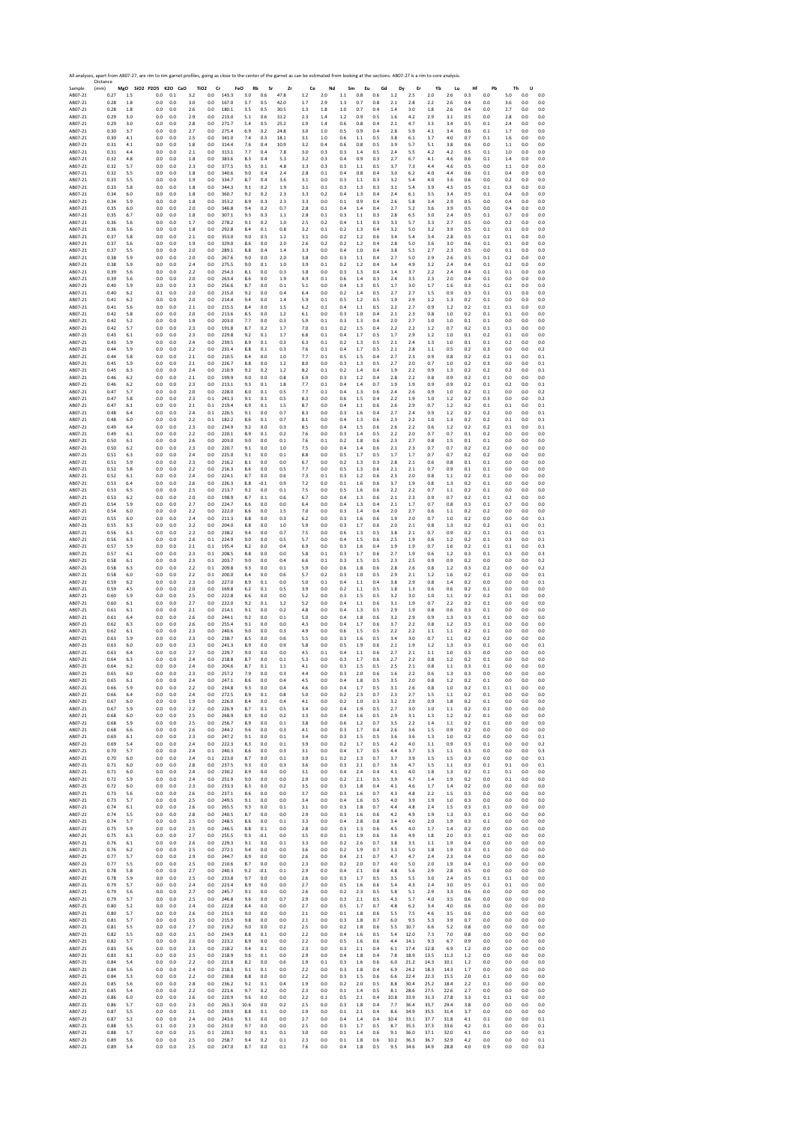|                    | All analyses, apart from AB07-27, are rim to rim garnet profiles, going as close to the center of the garnet as can be estimated from looking at the sections. AB07-27 is a rim to core analysis<br>Distance |           |                              |            |            |                                    |                |                  |            |            |           |            |               |           |            |            |            |            |            |            |            |            |            |            |
|--------------------|--------------------------------------------------------------------------------------------------------------------------------------------------------------------------------------------------------------|-----------|------------------------------|------------|------------|------------------------------------|----------------|------------------|------------|------------|-----------|------------|---------------|-----------|------------|------------|------------|------------|------------|------------|------------|------------|------------|------------|
| Sample<br>AB07-21  | (mm)<br>0.27                                                                                                                                                                                                 | 1.5       | MgO SiO2 P2O5 K2O CaO<br>0.0 | 0.1        | 3.2        | TiO <sub>2</sub><br>Cr<br>$_{0.0}$ | 143.3          | FeO<br>Rb<br>3.0 | Sr<br>0.6  | Zr<br>47.8 | Ce<br>1.2 | Nd<br>2.0  | Sm<br>$1.1\,$ | Eu<br>0.8 | Gd<br>0.6  | Dy<br>1.2  | Er<br>2.5  | Yb<br>2.0  | Lu<br>2.6  | Hf<br>0.3  | Pb<br>0.0  | Th<br>5.0  | U<br>0.0   | 0.0        |
| AB07-21            | 0.28                                                                                                                                                                                                         | 1.8       | 0.0                          | 0.0        | 3.0        | 0.0                                | 167.0          | 3.7              | 0.5        | 42.0       | 1.7       | 2.9        | 1.3           | 0.7       | 0.8        | 2.1        | 2.8        | 2.2        | 2.6        | 0.4        | 0.0        | 3.6        | 0.0        | 0.0        |
| AB07-21            | 0.28                                                                                                                                                                                                         | 1.8       | 0.0                          | 0.0        | 2.6        | 0.0                                | 180.1          | 3.5              | 0.5        | 30.5       | 1.3       | 1.8        | $1.0\,$       | 0.7       | 0.4        | 1.4        | 3.0        | 1.8        | 2.6        | 0.4        | 0.0        | 2.7        | 0.0        | 0.0        |
| AB07-21            | 0.29                                                                                                                                                                                                         | 3.0       | 0.0                          | 0.0        | 2.9        | 0.0                                | 213.0<br>271.7 | 5.1              | 0.6        | 31.2       | 2.3       | 1.4        | 1.2           | 0.9       | 0.5        | 1.6        | 4.2        | 2.9        | 3.1        | 0.5        | 0.0        | 2.8        | 0.0        | 0.0        |
| AB07-21            | 0.29                                                                                                                                                                                                         | 3.0       | 0.0                          | 0.0        | 2.8        | 0.0                                | 275.4          | 5.4              | 0.5        | 25.2       | 1.9       | 1.4        | 0.6           | 0.8       | 0.4        | 2.1        | 4.7        | 3.3        | 3.4        | 0.5        | 0.1        | 2.4        | 0.0        | 0.0        |
| AB07-21            | 0.30                                                                                                                                                                                                         | 3.7       | 0.0                          | 0.0        | 2.7        | 0.0                                |                | 6.9              | 0.2        | 24.8       | 3.0       | 1.0        | 0.5           | 0.9       | 0.4        | 2.8        | 5.9        | 4.1        | 3.4        | 0.6        | 0.1        | 1.7        | 0.0        | 0.0        |
| AB07-21            | 0.30                                                                                                                                                                                                         | 4.1       | 0.0                          | 0.0        | 2.5        | 0.0                                | 341.0          | 7.4              | 0.3        | 18.1       | 3.1       | 1.0        | 0.6           | 1.1       | 0.5        | 3.8        | 6.1        | 3.7        | 4.0        | 0.7        | 0.1        | 1.6        | 0.0        | 0.0        |
| AB07-21            | 0.31                                                                                                                                                                                                         | 4.1       | 0.0                          | 0.0        | 1.8        | 0.0                                | 314.4          | 7.6              | 0.4        | 10.9       | 3.2       | 0.4        | 0.6           | 0.8       | 0.5        | 3.9        | 5.7        | 5.1        | 3.8        | 0.6        | 0.0        | 1.1        | 0.0        | 0.0        |
| AB07-21            | 0.31                                                                                                                                                                                                         | 4.4       | 0.0                          | 0.0        | 2.1        | 0.0                                | 313.1          | 7.7              | 0.4        | 7.8        | 3.0       | 0.3        | 0.3           | 1.4       | 0.5        | 2.4        | 5.5        | 4.2        | 4.2        | 0.5        | 0.1        | 1.0        | 0.0        | 0.0        |
| AB07-21            | 0.32                                                                                                                                                                                                         | 4.8       | 0.0                          | 0.0        | 1.8        | 0.0                                | 383.6          | 8.3              | 0.4        | 5.3        | 3.2       | 0.3        | 0.4           | 0.9       | 0.3        | 2.7        |            | 4.1        | 4.6        | 0.6        | 0.1        | 1.4        | 0.0        | 0.0        |
| AB07-21            | 0.32                                                                                                                                                                                                         | 5.7       | 0.0                          | 0.0        | 2.3        | 0.0                                | 377.5          | 9.5              | 0.1        | 4.8        | 3.3       | 0.3        | 0.3           | 1.1       | 0.5        | 3.7        | 6.7<br>7.3 | 4.4        | 4.6        | 0.5        | 0.0        | 1.1        | 0.0        | 0.0        |
| AB07-21            | 0.32                                                                                                                                                                                                         | 5.5       | 0.0                          | 0.0        | 1.8        | 0.0                                | 340.6          | 9.0              | 0.4        | 2.4        | 2.8       | 0.1        | 0.4           | 0.8       | 0.4        | 3.0        | 6.2        | 4.0        | 4.4        | 0.6        | 0.1        | 0.4        | 0.0        | 0.0        |
| AB07-21            | 0.33                                                                                                                                                                                                         | 5.5       | 0.0                          | 0.0        | 1.9        | 0.0                                | 334.7          | 8.7              | 0.4        | 3.6        | 3.1       | 0.0        | 0.3           | 1.1       | 0.3        | 3.2        | 5.4        | 4.0        | 3.6        | 0.6        | 0.0        | 0.2        | 0.0        | 0.0        |
| AB07-21            | 0.33                                                                                                                                                                                                         | 5.8       | 0.0                          | 0.0        | 1.8        | 0.0                                | 344.3          | 9.1              | 0.2        | 1.9        | 3.1       | 0.1        | 0.3           | 1.3       | 0.3        | 3.1        | 5.4        | 3.9        | 4.5        | 0.5        | 0.1        | 0.3        | 0.0        | 0.0        |
| AB07-21            | 0.34                                                                                                                                                                                                         | 6.0       | 0.0                          | 0.0        | 1.8        | 0.0                                | 360.7          | 9.2              | 0.2        | 2.3        | 3.3       | 0.2        | 0.4           | 1.3       | 0.4        | 2.4        | 6.1        | 3.5        | 3.4        | 0.5        | 0.1        | 0.4        | 0.0        | 0.0        |
| AB07-21            | 0.34                                                                                                                                                                                                         | 5.9       | 0.0                          | 0.0        | 1.8        | 0.0                                | 353.2          | 8.9              | 0.3        | 2.3        | 3.3       | 0.0        | 0.1           | 0.9       | 0.4        | 2.6        | 5.8        | 3.4        | 2.9        | 0.5        | 0.0        | 0.4        | 0.0        | 0.0        |
| AB07-21            | 0.35                                                                                                                                                                                                         | 6.0       | 0.0                          | 0.0        | 2.0        | 0.0                                | 346.8          | 9.4              | 0.2        | 0.7        | 2.8       | 0.1        | 0.4           | 1.4       | 0.4        | 2.7        | 5.2        | 3.6        | 3.9        | 0.5        | 0.0        | 0.4        | 0.0        | 0.0        |
| AB07-21            | 0.35                                                                                                                                                                                                         | 6.7       | 0.0                          | 0.0        | 1.8        | 0.0                                | 307.1          | 9.3              | 0.3        | 1.1        | 2.8       | 0.1        | 0.3           | 1.1       | 0.3        | 2.8        | 6.5        | 3.0        | 2.4        | 0.5        | 0.1        | 0.7        | 0.0        | 0.0        |
| AR07-21            | 0.36                                                                                                                                                                                                         | 5.6       | 0.0                          | 0.0        | 1.7        | 0.0                                | 278.2          | 9.1              | 0.2        | 1.0        | 2.5       | 0.2        | 0.4           | 1.1       | 0.3        | 3.3        | 5.7        | 3.3        | 2.7        | 0.5        | 0.0        | 0.2        | 0.0        | 0.0        |
| AB07-21            | 0.36                                                                                                                                                                                                         | 5.6       | 0.0                          | 0.0        | 1.8        | 0.0                                | 292.8          | 8.4              | 0.1        | 0.8        | 3.2       | 0.1        | 0.2           | 1.3       | 0.4        | 3.2        | 5.0        | 3.2        | 3.9        | 0.5        | 0.1        | 0.1        | 0.0        | 0.0        |
| AB07-21            | 0.37                                                                                                                                                                                                         | 5.8       | 0.0                          | 0.0        | 2.1        | 0.0                                | 353.0          | 9.0              | 0.5        | 1.2        | 3.1       | 0.0        | 0.2           | 1.2       | 0.6        | 3.4        | 5.4        | 3.4        | 2.8        | 0.5        | 0.1        | 0.1        | 0.0        | 0.0        |
| AB07-21            | 0.37                                                                                                                                                                                                         | 5.6       | 0.0                          | 0.0        | 1.9        | 0.0                                | 329.0          | 8.6              | 0.0        | 2.0        | 2.6       | 0.2        | 0.2           | 1.2       | 0.4        | 2.8        | 5.0        | 3.6        | 3.0        | 0.6        | 0.1        | 0.1        | 0.0        | 0.0        |
| AB07-21            | 0.37                                                                                                                                                                                                         | 5.5       | 0.0                          | 0.0        | 2.0        | 0.0                                | 289.1          | 8.8              | 0.4        | 1.4        | 3.3       | 0.0        | 0.4           | 1.0       | 0.4        | 3.8        | 5.5        | 2.7        | 2.3        | 0.5        | 0.0        | 0.1        | 0.0        | 0.0        |
| AB07-21            | 0.38                                                                                                                                                                                                         | 5.9       | 0.0                          | 0.0        | 2.0        | 0.0                                | 267.6          | 9.0              | $0.0\,$    | 2.0        | 3.8       | 0.0        | 0.3           | 1.1       | 0.4        | 2.7        | 5.0        | 2.9        | 2.6        | 0.5        | 0.1        | 0.2        | 0.0        | 0.0        |
| AB07-21            | 0.38                                                                                                                                                                                                         | 5.9       | 0.0                          | 0.0        | 2.4        | 0.0                                | 275.5          | 9.0              | 0.1        | 1.0        | 3.9       | 0.1        | 0.2           | 1.2       | 0.4        | 3.4        | 4.9        | 3.2        | 2.4        | 0.4        | 0.1        | 0.2        | 0.0        | 0.0        |
| AB07-21            | 0.39                                                                                                                                                                                                         | 5.6       | 0.0                          | 0.0        | 2.2        | 0.0                                | 254.3          | 8.1              | 0.0        | 0.3        | 3.8       | 0.0        | 0.3           | 1.3       | 0.4        | 1.4        | 3.7        | 2.2        | 2.4        | 0.4        | 0.1        | 0.1        | 0.0        | 0.0        |
| AB07-21            | 0.39                                                                                                                                                                                                         | 5.6       | 0.0                          | 0.0        | 2.0        | 0.0                                | 263.4          | 8.6              | 0.0        | 1.9        | 4.9       | 0.1        | 0.6           | 1.4       | 0.3        | 2.4        | 3.5        | 2.3        | 2.0        | 0.4        | 0.1        | 0.0        | 0.0        | 0.0        |
| AB07-21            | 0.40                                                                                                                                                                                                         | 5.9       | 0.0                          | 0.0        | 2.3        | 0.0                                | 256.6          | 8.7              | $0.0\,$    | 0.1        | 5.1       | 0.0        | 0.4           | 1.3       | 0.5        | 1.7        | 3.0        | 1.7        | 1.6        | 0.3        | 0.1        | 0.1        | 0.0        | 0.0        |
| AB07-21            | 0.40                                                                                                                                                                                                         | 6.2       | 0.1                          | 0.0        | 2.0        | 0.0                                | 215.0          | 9.2              | 0.0        | 0.4        | 6.4       | 0.0        | 0.2           | 1.4       | 0.5        | 27         | 2.7        | 1.5        | 0.9        | 0.3        | 0.1        | 0.1        | 0.0        | 0.0        |
| AB07-21            | 0.41                                                                                                                                                                                                         | 6.2       | 0.0                          | 0.0        | 2.0        | 0.0                                | 214.4          | 9.4              | 0.0        | 1.4        | 5.9       | 0.1        | 0.5           | 1.2       | 0.5        | 1.9        | 2.9        | 1.2        | 1.3        | 0.2        | 0.1        | 0.0        | 0.0        | 0.0        |
| AB07-21            | 0.41                                                                                                                                                                                                         | 5.6       | 0.0                          | 0.0        | 2.1        | 0.0                                | 215.5          | 8.4              | 0.0        | 1.5        | 6.2       | 0.1        | 0.4           | $1.1\,$   | 0.5        | 22         | 2.7        | 0.9        | 1.2        | 0.2        | 0.1        | 0.1        | 0.0        | 0.0        |
| AB07-21            | 0.42                                                                                                                                                                                                         | 5.8       | 0.0                          | 0.0        | 2.0        | 0.0                                | 213.6          | 8.5              | 0.0        | 1.2        | 6.1       | 0.0        | 0.3           | 1.0       | 0.4        | 2.1        | 2.3        | 0.8        | 1.0        | 0.2        | 0.1        | 0.1        | 0.0        | 0.0        |
| AB07-21            | 0.42                                                                                                                                                                                                         | 5.2       | 0.0                          | 0.0        | 1.9        | 0.0                                | 203.0          | 7.7              | 0.0        | 0.3        | 5.9       | 0.1        | 0.3           | 1.3       | 0.4        | 2.0        | 2.7        | 1.0        | 1.0        | 0.1        | 0.1        | 0.0        | 0.0        | 0.0        |
| AB07-21            | 0.42                                                                                                                                                                                                         | 5.7       | 0.0                          | 0.0        | 2.3        | 0.0                                | 191.8          | 8.7              | 0.2        | 1.7        | 7.0       | 0.1        | 0.2           | 1.5       | 0.4        | 2.2        | 2.2        | 1.2        | 0.7        | 0.2        | 0.1        | 0.1        | 0.0        | 0.0        |
| AB07-21            | 0.43                                                                                                                                                                                                         | 6.1       | 0.0                          | 0.0        | 2.3        | 0.0                                | 229.8          | 9.2              | 0.1        | 1.7        | 6.8       | 0.1        | 0.4           | 1.7       | 0.5        | 1.7        | 2.9        | 1.2        | 1.0        | 0.1        | 0.2        | 0.1        | 0.0        | 0.0        |
| AB07-21            | 0.43                                                                                                                                                                                                         | 5.9       | 0.0                          | 0.0        | 2.4        | 0.0                                | 239.5          | 8.9              | 0.1        | 0.3        | 6.3       | 0.1        | 0.2           | 1.3       | 0.5        | 2.1        | 2.4        | 1.3        | 1.0        | 0.1        | 0.1        | 0.2        | 0.0        | 0.0        |
| AB07-21            | 0.44                                                                                                                                                                                                         | 5.9       | 0.0                          | 0.0        | 2.2        | 0.0                                | 231.4          | 8.8              | 0.1        | 0.3        | 7.6       | 0.1        | 0.4           | 1.7       | 0.5        | 2.1        | 2.8        | 1.1        | 0.5        | 0.2        | 0.3        | 0.0        | 0.0        | 0.2        |
| AB07-21            | 0.44                                                                                                                                                                                                         | 5.8       | 0.0                          | 0.0        | 2.1        | 0.0                                | 210.5          | 8.4              | 0.0        | 1.0        | 7.7       | 0.1        | 0.5           | 1.5       | 0.4        | 2.7        | 2.3        | 0.9        | 0.8        | 0.2        | 0.2        | 0.1        | 0.0        | 0.1        |
| AB07-21            | 0.45                                                                                                                                                                                                         | 5.9       | 0.0                          | 0.0        | 2.1        | 0.0                                | 226.7          | 8.8              | 0.0        | 1.2        | 8.0       | 0.0        | 0.3           | 1.3       | 0.5        | 2.7        | 2.0        | 0.7        | 1.0        | 0.2        | 0.3        | 0.0        | 0.0        | 0.1        |
| AB07-21            | 0.45                                                                                                                                                                                                         | 6.3       | 0.0                          | 0.0        | 2.4        | 0.0                                | 210.9          | 9.2              | 0.2        | 1.2        | 8.2       | 0.1        | 0.2           | 1.4       | 0.4        | 1.9        | 2.2        | 0.9        | 1.3        | 0.2        | 0.2        | 0.2        | 0.0        | 0.1        |
| AB07-21            | 0.46                                                                                                                                                                                                         | 6.2       | 0.0                          | 0.0        | 2.1        | 0.0                                | 199.9          | 9.0              | 0.0        | 0.8        | 6.9       | 0.0        | 0.3           | 1.2       | 0.4        | 2.8        | 2.2        | 0.8        | 0.9        | 0.2        | 0.1        | 0.0        | 0.0        | 0.0        |
| AB07-21            | 0.46                                                                                                                                                                                                         | 6.2       | 0.0                          | 0.0        | 2.3        | 0.0                                | 213.1          | 9.3              | 0.1        | 1.8        | 7.7       | 0.1        | 0.4           | 1.4       | 0.7        | 1.9        | 1.9        | 0.9        | 0.9        | 0.2        | 0.1        | 0.2        | 0.0        | 0.1        |
| AB07-21            | 0.47                                                                                                                                                                                                         | 5.7       | 0.0                          | 0.0        | 2.0        | 0.0                                | 228.0          | 8.0              | 0.1        | 0.5        | 7.7       | 0.1        | 0.4           | 1.3       | 0.6        | 2.4        | 2.6        | 0.9        | 1.0        | 0.2        | 0.1        | 0.0        | 0.0        | 0.2        |
| AB07-21            | 0.47                                                                                                                                                                                                         | 5.8       | 0.0                          | 0.0        | 2.3        | 0.1                                | 241.3          | 9.1              | 0.1        | 0.5        | 8.3       | 0.0        | 0.6           | 1.5       | 0.4        | 2.2        | 1.9        | 1.0        | 1.2        | 0.2        | 0.3        | 0.0        | 0.0        | 0.2        |
| AB07-21            | 0.47                                                                                                                                                                                                         | 6.1       | 0.0                          | 0.0        | 2.1        | 0.1                                | 219.4          | 8.9              | 0.1        | 1.5        | 8.7       | 0.0        | 0.4           | 1.1       | 0.6        | 2.6        | 2.9        | 0.7        | 1.2        | 0.2        | 0.1        | 0.1        | 0.0        | 0.1        |
| AB07-21            | 0.48                                                                                                                                                                                                         | 6.4       | 0.0                          | 0.0        | 2.4        | 0.1                                | 226.5          | 9.1              | 0.0        | 0.7        | 8.3       | 0.0        | 0.3           | 1.6       | 0.4        | 2.7        | 2.4        | 0.9        | 1.2        | 0.2        | 0.2        | 0.0        | 0.0        | 0.1        |
| AB07-21            | 0.48                                                                                                                                                                                                         | 6.0       | 0.0                          | 0.0        | 2.2        | 0.1                                | 182.2          | 8.6              | 0.1        | 0.7        | 8.1       | 0.0        | 0.4           | 1.3       | 0.6        | 2.3        | 2.2        | 1.0        | 1.3        | 0.2        | 0.2        | 0.1        | 0.0        | 0.1        |
| AB07-21            | 0.49                                                                                                                                                                                                         | 6.4       | 0.0                          | 0.0        | 2.3        | 0.0                                | 234.9          | 9.2              | 0.0        | 0.3        | 8.5       | 0.0        | 0.4           | 1.5       | 0.6        | 2.6        | 2.2        | 0.6        | 1.2        | 0.2        | 0.2        | 0.1        | 0.0        | 0.1        |
| AB07-21            | 0.49                                                                                                                                                                                                         | 6.1       | 0.0                          | 0.0        | 2.2        | 0.0                                | 220.1          | 8.9              | 0.1        | 0.2        | 7.6       | 0.0        | 0.3           | 1.4       | 0.5        | 2.2        | 2.0        | 0.7        | 0.7        | 0.1        | 0.2        | 0.0        | 0.0        | 0.0        |
| AB07-21            | 0.50                                                                                                                                                                                                         | 6.1       | 0.0                          | 0.0        | 2.6        | 0.0                                | 203.0          | 9.0              | 0.0        | 0.1        | 7.6       | 0.1        | 0.2           | 1.8       | 0.6        | 2.3        | 2.7        | 0.8        | 1.5        | 0.1        | 0.1        | 0.0        | 0.0        | 0.0        |
| AB07-21            | 0.50                                                                                                                                                                                                         | 6.2       | 0.0                          | 0.0        | 2.3        | 0.0                                | 220.7          | 9.1              | 0.0        | 1.0        | 7.5       | 0.0        | 0.4           | 1.4       | 0.6        | 2.1        | 2.3        | 0.7        | 0.7        | 0.2        | 0.2        | 0.0        | 0.0        | 0.0        |
| AB07-21            | 0.51                                                                                                                                                                                                         | 6.3       | 0.0                          | 0.0        | 2.4        | 0.0                                | 225.0          | 9.1              | 0.0        | 0.1        | 8.8       | 0.0        | 0.5           | 1.7       | 0.5        | 1.7        | 1.7        | 0.7        | 0.7        | 0.2        | 0.2        | 0.0        | 0.0        | 0.0        |
| AB07-21            | 0.51                                                                                                                                                                                                         | 5.9       | 0.0                          | 0.0        | 2.3        | 0.0                                | 216.2          | 8.1              | $0.0\,$    | $_{0.0}$   | 6.7       | 0.0        | 0.2           | 1.3       | 0.3        | 2.8        | 2.1        | 0.6        | 0.8        | 0.1        | 0.1        | 0.0        | 0.0        | 0.0        |
| AB07-21            | 0.52                                                                                                                                                                                                         | 5.8       | 0.0                          | 0.0        | 2.2        | 0.0                                | 216.3          | 8.6              | 0.0        | 0.5        | 7.7       | 0.0        | 0.5           | 1.3       | 0.6        | 2.1        | 2.1        | 0.7        | 0.9        | 0.1        | 0.1        | 0.0        | 0.0        | 0.0        |
| AB07-21            | 0.52                                                                                                                                                                                                         | 6.1       | 0.0                          | 0.0        | 2.4        | 0.0                                | 224.1          | 8.7              | 0.0        | 0.6        | 7.3       | 0.1        | 0.3           | 1.2       | 0.6        | 2.3        | 2.0        | 0.8        | 1.1        | 0.2        | 0.1        | 0.0        | 0.0        | 0.0        |
| AB07-21            | 0.53                                                                                                                                                                                                         | 6.4       | 0.0                          | 0.0        | 2.6        | 0.0                                | 226.3          | 8.8              | $-0.1$     | 0.9        | 7.2       | 0.0        | 0.1           | 1.6       | 0.6        | 3.7        | 1.9        | 0.8        | 1.3        | 0.2        | 0.1        | 0.0        | 0.0        | 0.0        |
| AB07-21            | 0.53                                                                                                                                                                                                         | 6.5       | 0.0                          | 0.0        | 2.5        | 0.0                                | 213.7          | 9.2              | 0.0        | 0.1        | 7.5       | 0.0        | 0.5           | 1.6       | 0.6        | 2.2        | 2.2        | 0.7        | 1.1        | 0.2        | 0.1        | 0.0        | 0.0        | 0.0        |
| AB07-21            | 0.53                                                                                                                                                                                                         | 6.2       | 0.0                          | 0.0        | 2.0        | 0.0                                | 198.9          | 8.7              | 0.1        | 0.6        | 6.7       | 0.0        | 0.4           | 1.3       | 0.6        | 2.1        | 2.3        | 0.9        | 0.7        | 0.2        | 0.1        | 0.2        | 0.0        | 0.0        |
| AB07-21            | 0.54                                                                                                                                                                                                         | 5.9       | 0.0                          | 0.0        | 2.7        | 0.0                                | 224.7          | 8.6              | 0.0        | 0.0        | 6.4       | 0.0        | 0.4           | 1.3       | 0.4        | 2.1        | 1.7        | 0.7        | 0.8        | 0.3        | 0.1        | 0.7        | 0.0        | 0.0        |
| AB07-21            | 0.54                                                                                                                                                                                                         | 6.0       | 0.0                          | 0.0        | 2.2        | 0.0                                | 222.0          | 8.6              | 0.0        | 1.5        | 7.0       | 0.0        | 0.3           | 1.4       | 0.4        | 2.0        | 2.7        | 0.6        | 1.1        | 0.2        | 0.2        | 0.0        | 0.0        | 0.0        |
| AB07-21            | 0.55                                                                                                                                                                                                         | 6.0       | 0.0                          | 0.0        | 2.4        | 0.0                                | 211.3          | 8.8              | 0.0        | 0.3        | 6.2       | 0.0        | 0.3           | 1.6       | 0.6        | 1.9        | 2.0        | 0.7        | 1.0        | 0.2        | 0.0        | 0.0        | 0.0        | 0.1        |
| AB07-21            | 0.55                                                                                                                                                                                                         | 6.3       | 0.0                          | 0.0        | 2.2        | 0.0                                | 204.0          | 8.8              | 0.0        | 1.0        | 5.9       | 0.0        | 0.3           | 1.7       | 0.6        | 2.0        | 2.1        | 0.8        | 1.3        | 0.2        | 0.2        | 0.1        | 0.0        | 0.1        |
| AB07-21            | 0.56                                                                                                                                                                                                         | 6.3       | 0.0                          | 0.0        | 2.2        | 0.0                                | 238.2          | 9.4              | 0.0        | 0.7        | 7.5       | 0.0        | 0.6           | 1.3       | 0.5        | 3.8        | 2.1        | 0.7        | 0.9        | 0.2        | 0.1        | 0.1        | 0.0        | 0.1        |
| AB07-21            | 0.56                                                                                                                                                                                                         | 6.3       | 0.0                          | 0.0        | 2.6        | 0.1                                | 224.9          | 9.0              | 0.0        | 0.5        | 5.7       | 0.0        | 0.4           | 1.5       | 0.6        | 2.5        | 1.9        | 0.6        | 1.2        | 0.2        | 0.1        | 0.3        | 0.0        | 0.1        |
| AB07-21            | 0.57                                                                                                                                                                                                         | 5.9       | 0.0                          | 0.0        | 2.1        | 0.1                                | 195.4          | 8.2              | 0.0        | 0.4        | 6.9       | 0.0        | 0.3           | 1.6       | 0.4        | 1.9        | 1.9        | 0.7        | 1.6        | 0.2        | 0.1        | 0.1        | 0.0        | 0.3        |
| AB07-21            | 0.57                                                                                                                                                                                                         | 6.1       | 0.0                          | 0.0        | 2.3        | 0.1                                | 208.5          | 8.8              | 0.0        | 0.0        | 5.8       | 0.1        | 0.3           | 1.7       | 0.6        | 2.7        | 1.9        | 0.6        | 1.2        | 0.3        | 0.1        | 0.3        | 0.0        | 0.3        |
| AB07-21            | 0.58                                                                                                                                                                                                         | 6.1       | 0.0                          | 0.0        | 2.3        | 0.1                                | 203.7          | 9.0              | 0.0        | 0.4        | 6.6       | 0.1        | 0.3           | 1.5       | 0.5        | 2.3        | 2.5        | 0.9        | 0.9        | 0.2        | 0.0        | 0.0        | 0.0        | 0.2        |
| AB07-21            | 0.58                                                                                                                                                                                                         | 6.3       | 0.0                          | 0.0        | 2.2        | 0.1                                | 209.8          | 9.3              | 0.0        | 0.1        | 5.9       | 0.0        | 0.6           | 1.8       | 0.6        | 2.8        | 2.6        | 0.8        | 1.2        | 0.3        | 0.2        | 0.0        | 0.0        | 0.2        |
| AB07-21            | 0.58                                                                                                                                                                                                         | 6.0       | 0.0                          | 0.0        | 2.2        | 0.1                                | 200.0          | 8.4              | 0.0        | 0.6        | 5.7       | 0.2        | 0.3           | 1.0       | 0.5        | 2.9        | 2.1        | 1.2        | 1.6        | 0.2        | 0.1        | 0.0        | 0.0        | 0.1        |
| AB07-21            | 0.59                                                                                                                                                                                                         | 6.2       | 0.0                          | 0.0        | 2.3        | 0.0                                | 227.0          | 8.9              | 0.1        | 0.0        | 5.0       | 0.1        | 0.4           | 1.1       | 0.4        | 3.8        | 2.9        | 0.8        | 1.4        | 0.2        | 0.0        | 0.0        | 0.0        | 0.1        |
| AB07-21            | 0.59                                                                                                                                                                                                         | 4.5       | 0.0                          | 0.0        | 2.0        | 0.0                                | 169.8          | 6.2              | 0.1        | 0.5        | 3.9       | 0.0        | 0.2           | 1.1       | 0.5        | 1.8        | 1.3        | 0.6        | 0.6        | 0.2        | 0.1        | 0.0        | 0.0        | 0.0        |
| AB07-21            | 0.60                                                                                                                                                                                                         | 5.9       | 0.0                          | 0.0        | 2.5        | 0.0                                | 222.8          | 8.6              | 0.0        | 0.0        | 5.2       | 0.0        | 0.3           | 1.5       | 0.5        | 3.2        | 3.0        | 1.0        | 1.1        | 0.2        | 0.2        | 0.1        | 0.0        | 0.0        |
| AB07-21            | 0.60                                                                                                                                                                                                         | 6.1       | 0.0                          | 0.0        | 2.7        | 0.0                                | 222.0          | 9.2              | 0.1        | 1.2        | 5.2       | 0.0        | 0.4           | 1.1       | 0.6        | 3.1        | 1.9        | 0.7        | 2.2        | 0.2        | 0.1        | 0.0        | 0.0        | 0.0        |
| AB07-21            | 0.61                                                                                                                                                                                                         | 6.1       | 0.0                          | 0.0        | 2.1        | 0.0                                | 214.1          | 9.1              | 0.0        | 0.2        | 4.8       | 0.0        | 0.4           | 1.3       | 0.5        | 2.9        | 1.9        | 0.8        | 0.6        | 0.3        | 0.1        | 0.0        | 0.0        | 0.0        |
| AB07-21            | 0.61                                                                                                                                                                                                         | 6.4       | 0.0                          | 0.0        | 2.6        | 0.0                                | 244.1          | 9.2              | 0.0        | 0.1        | 5.0       | 0.0        | 0.4           | 1.8       | 0.6        | 3.2        | 2.9        | 0.9        | 1.3        | 0.3        | 0.1        | 0.0        | 0.0        | 0.0        |
| AB07-21            | 0.62                                                                                                                                                                                                         | 6.3       | 0.0                          | 0.0        | 2.6        | 0.0                                | 255.4          | 9.1              | 0.0        | 0.0        | 4.3       | 0.0        | 0.4           | 1.7       | 0.6        | 3.7        | 2.2        | 0.8        | 1.2        | 0.3        | 0.1        | 0.0        | 0.0        | 0.0        |
| AB07-21            | 0.62                                                                                                                                                                                                         | 6.1       | 0.0                          | 0.0        | 2.3        | 0.0                                | 240.6          | 9.0              | 0.0        | 0.3        | 4.9       | 0.0        | 0.6           | 1.5       | 0.5        | 2.2        | 2.2        | 1.1        | 1.1        | 0.2        | 0.1        | 0.0        | 0.0        | 0.0        |
| AB07-21            | 0.63                                                                                                                                                                                                         | 5.9       | 0.0                          | 0.0        | 2.3        | 0.0                                | 238.7          | 8.5              | $0.0\,$    | 0.6        | 5.5       | 0.0        | 0.3           | 1.6       | 0.5        | 3.4        | 3.0        | 0.7        | 1.1        | 0.2        | 0.2        | 0.0        | 0.0        | 0.0        |
| AB07-21            | 0.63                                                                                                                                                                                                         | 6.0       | 0.0                          | 0.0        | 2.3        | 0.0                                | 241.3          | 8.9              | 0.0        | 0.9        | 5.8       | 0.0        | 0.5           | 1.9       | 0.6        | 2.1        | 1.9        | 1.2        | 1.3        | 0.3        | 0.1        | 0.0        | 0.0        | 0.1        |
| AB07-21            | 0.63                                                                                                                                                                                                         | 6.4       | 0.0                          | 0.0        | 2.7        | 0.0                                | 229.7          | 9.0              | 0.0        | 0.0        | 4.5       | 0.1        | 0.4           | 1.1       | 0.6        | 2.7        | 2.1        | 1.1        | 1.0        | 0.3        | 0.0        | 0.0        | 0.0        | 0.0        |
| AB07-21            | 0.64                                                                                                                                                                                                         | 6.3       | 0.0                          | 0.0        | 2.4        | 0.0                                | 218.8          | 8.7              | 0.0        | 0.1        | 5.3       | 0.0        | 0.3           | 1.7       | 0.6        | 2.7        | 2.2        | 0.8        | 1.2        | 0.2        | 0.1        | 0.0        | 0.0        | 0.0        |
| AB07-21            | 0.64                                                                                                                                                                                                         | 6.2       | 0.0                          | 0.0        | 2.4        | 0.0                                | 204.6          | 8.7              | 0.1        | 1.1        | 4.1       | 0.0        | 0.3           | 1.5       | 0.5        | 2.5        | 2.1        | 0.8        | 1.1        | 0.3        | 0.1        | 0.0        | 0.0        | 0.0        |
| ABU/-21<br>AB07-21 | U.b.<br>0.65                                                                                                                                                                                                 | ь.<br>6.1 | 0.0                          | U.L<br>0.0 | 2.2<br>2.4 | U.U<br>0.0                         | 247.1          | 8.6              | U.U<br>0.0 | υ.:<br>0.4 | 4.5       | U.L<br>0.0 | U.S<br>0.4    | 1.8       | U.t<br>0.5 | 1.t<br>3.5 | 2.0        | U.t<br>0.8 | 1.1<br>1.2 | υ.:<br>0.2 | U.L<br>0.1 | U.U<br>0.0 | U.U<br>0.0 | U.U<br>0.0 |
| AB07-21            | 0.66                                                                                                                                                                                                         | 5.9       | 0.0                          | 0.0        | 2.2        | 0.0                                | 234.8          | 9.3              | 0.0        | 0.4        | 4.6       | 0.0        | 0.4           | 1.7       | 0.5        | 3.1        | 2.6        | 0.8        | 1.0        | 0.2        | 0.1        | 0.1        | 0.0        | 0.0        |
| AB07-21            | 0.66                                                                                                                                                                                                         | 6.4       | 0.0                          | 0.0        | 2.4        | 0.0                                | 272.5          | 8.9              | 0.1        | 0.8        | 5.0       | 0.0        | 0.2           | 2.3       | 0.7        | 2.3        | 2.7        | 1.5        | 1.1        | 0.2        | 0.1        | 0.0        | 0.0        | 0.0        |
| AB07-21            | 0.67                                                                                                                                                                                                         | 6.0       | 0.0                          | 0.0        | 1.9        | 0.0                                | 226.0          | 8.4              | 0.0        | 0.4        | 4.1       | 0.0        | 0.2           | 1.0       | 0.3        | 3.2        | 2.9        | 0.9        | 1.8        | 0.2        | 0.1        | 0.0        | 0.0        | 0.0        |
| AB07-21            | 0.67                                                                                                                                                                                                         | 5.9       | 0.0                          | 0.0        | 2.2        | 0.0                                | 226.9          | 8.7              | 0.1        | 0.5        | 3.4       | 0.0        | 0.4           | 1.9       | 0.5        | 2.7        | 3.0        | 1.0        | 1.1        | 0.2        | 0.1        | 0.0        | 0.0        | 0.0        |
| AB07-21            | 0.68                                                                                                                                                                                                         | 6.0       | 0.0                          | 0.0        | 2.5        | 0.0                                | 268.9          | 8.9              | 0.0        | 0.2        | 3.3       | 0.0        | 0.4           | 1.6       | 0.5        | 2.9        | 3.1        | 1.3        | 1.2        | 0.2        | 0.1        | 0.0        | 0.0        | 0.0        |
| AB07-21            | 0.68                                                                                                                                                                                                         | 5.9       | 0.0                          | 0.0        | 2.5        | 0.0                                | 256.7          | 8.9              | 0.0        | 0.1        | 3.8       | 0.0        | 0.6           | 1.2       | 0.7        | 3.5        | 2.2        | 1.4        | 1.1        | 0.2        | 0.1        | 0.0        | 0.0        | 0.0        |
| AB07-21            | 0.68                                                                                                                                                                                                         | 6.6       | 0.0                          | 0.0        | 2.6        | 0.0                                | 244.2          | 9.6              | 0.0        | 0.3        | 4.1       | 0.0        | 0.3           | 1.7       | 0.4        | 2.6        | 3.6        | 1.5        | 0.9        | 0.2        | 0.0        | 0.0        | 0.0        | 0.0        |
| AB07-21            | 0.69                                                                                                                                                                                                         | 6.1       | 0.0                          | 0.0        | 2.3        | 0.0                                | 247.2          | 9.1              | 0.0        | 0.1        | 3.4       | 0.0        | 0.3           | 1.5       | 0.5        | 3.6        | 3.6        | 1.3        | 1.0        | 0.2        | 0.0        | 0.0        | 0.0        | 0.1        |
| AB07-21            | 0.69                                                                                                                                                                                                         | 5.4       | 0.0                          | 0.0        | 2.4        | 0.0                                | 222.3          | 8.3              | 0.0        | 0.1        | 3.9       | 0.0        | 0.2           | 1.7       | 0.5        | 4.2        | 4.0        | 1.1        | 0.9        | 0.3        | 0.1        | 0.0        | 0.0        | 0.2        |
| AB07-21            | 0.70                                                                                                                                                                                                         | 5.7       | 0.0                          | 0.0        | 2.4        | 0.1                                | 240.3          | 8.6              | 0.0        | 0.3        | 3.1       | 0.0        | 0.4           | 1.7       | 0.5        | 4.4        | 3.7        | 1.3        | 1.1        | 0.3        | 0.0        | 0.0        | 0.0        | 0.3        |
| AB07-21            | 0.70                                                                                                                                                                                                         | 6.0       | 0.0                          | 0.0        | 2.4        | 0.1                                | 223.0          | 8.7              | $0.0\,$    | 0.1        | 3.9       | $0.1\,$    | 0.2           | $1.3\,$   | 0.7        | 3.7        | 3.9        | 1.5        | 1.5        | 0.3        | 0.0        | 0.0        | 0.0        | 0.1        |
| AB07-21            | 0.71                                                                                                                                                                                                         | 6.0       | 0.0                          | 0.0        | 2.8        | 0.0                                | 237.5          | 9.3              | 0.0        | 0.3        | 3.6       | 0.0        | 0.3           | 2.1       | 0.7        | 3.6        | 4.7        | 1.5        | 1.1        | 0.3        | 0.1        | 0.1        | 0.0        | 0.1        |
| AB07-21            | 0.71                                                                                                                                                                                                         | 6.0       | 0.0                          | 0.0        | 2.4        | 0.0                                | 230.2          | 8.9              | 0.0        | 0.0        | 3.1       | 0.0        | 0.4           | 2.4       | 0.4        | 4.1        | 4.0        | 1.8        | 1.3        | 0.2        | 0.1        | 0.1        | 0.0        | 0.0        |
| AB07-21            | 0.72                                                                                                                                                                                                         | 5.9       | 0.0                          | 0.0        | 2.4        | 0.0                                | 251.9          | 9.0              | 0.0        | 0.0        | 2.9       | 0.0        | 0.2           | 2.1       | 0.5        | 3.9        | 4.7        | 1.4        | 1.9        | 0.2        | 0.0        | 0.1        | 0.0        | 0.0        |
| AB07-21            | 0.72                                                                                                                                                                                                         | 6.0       | 0.0                          | 0.0        | 2.3        | 0.0                                | 233.3          | 8.3              | $0.0\,$    | 0.2        | 3.5       | $0.0\,$    | 0.3           | $1.8\,$   | 0.4        | 4.1        | 4.6        | 1.7        | 1.4        | 0.2        | 0.0        | 0.0        | 0.0        | 0.0        |
| AB07-21            | 0.73                                                                                                                                                                                                         | 5.6       | 0.0                          | 0.0        | 2.6        | 0.0                                | 237.1          | 8.6              | 0.0        | 0.0        | 3.7       | 0.0        | 0.3           | 1.6       | 0.7        | 4.3        | 4.8        | 2.2        | 1.5        | 0.3        | 0.0        | 0.0        | 0.0        | 0.0        |
| AB07-21            | 0.73                                                                                                                                                                                                         | 5.7       | 0.0                          | 0.0        | 2.5        | 0.0                                | 249.5          | 9.1              | 0.0        | 0.0        | 3.4       | 0.0        | 0.4           | 1.6       | 0.5        | 4.0        | 3.9        | 1.9        | 1.0        | 0.3        | 0.0        | 0.0        | 0.0        | 0.0        |
| AB07-21            | 0.74                                                                                                                                                                                                         | 6.1       | 0.0                          | 0.0        | 2.6        | 0.0                                | 265.5          | 9.3              | 0.0        | 0.1        | 3.1       | 0.0        | 0.3           | 1.8       | 0.7        | 4.4        | 4.8        | 2.4        | 1.5        | 0.3        | 0.1        | 0.0        | 0.0        | 0.0        |
| AB07-21            | 0.74                                                                                                                                                                                                         | 5.5       | 0.0                          | 0.0        | 2.8        | 0.0                                | 240.5          | 8.7              | $0.0\,$    | $0.0\,$    | 2.9       | 0.0        | 0.3           | $1.6\,$   | 0.6        | 4.2        | 4.9        | 1.9        | $1.3\,$    | 0.3        | $0.1\,$    | 0.0        | 0.0        | 0.0        |
| AB07-21            | 0.74                                                                                                                                                                                                         | 5.7       | 0.0                          | 0.0        | 2.5        | 0.0                                | 248.5          | 8.6              | 0.0        | 0.1        | 3.3       | 0.0        | 0.4           | 2.8       | 0.8        | 3.4        | 4.0        | 2.0        | 1.9        | 0.3        | 0.1        | 0.0        | 0.0        | 0.0        |
| AB07-21            | 0.75                                                                                                                                                                                                         | 5.9       | 0.0                          | 0.0        | 2.5        | 0.0                                | 246.5          | 8.8              | 0.1        | 0.0        | 2.8       | 0.0        | 0.3           | 1.3       | 0.6        | 4.5        | 4.0        | 1.7        | 1.4        | 0.2        | 0.0        | 0.0        | 0.0        | 0.0        |
| AB07-21            | 0.75                                                                                                                                                                                                         | 6.3       | 0.0                          | 0.0        | 2.7        | 0.0                                | 255.5          | 9.3              | $-0.1$     | 0.0        | 3.5       | 0.0        | 0.1           | 1.9       | 0.6        | 3.6        | 4.9        | 1.8        | 2.0        | 0.3        | 0.1        | 0.0        | 0.0        | 0.0        |
| AB07-21            | 0.76                                                                                                                                                                                                         | 6.1       | 0.0                          | 0.0        | 2.6        | 0.0                                | 229.3          | 9.1              | 0.0        | 0.1        | 3.3       | 0.0        | 0.2           | 2.6       | 0.7        | 3.8        | 3.5        | 1.1        | 1.9        | 0.4        | 0.0        | 0.0        | 0.0        | 0.0        |
| AB07-21            | 0.76                                                                                                                                                                                                         | 6.2       | 0.0                          | 0.0        | 2.5        | 0.0                                | 272.1          | 9.4              | 0.0        | 0.0        | 3.6       | 0.0        | 0.2           | 1.9       | 0.7        | 3.3        | 5.0        | 1.8        | 1.9        | 0.3        | 0.1        | 0.0        | 0.0        | 0.0        |
| AB07-21            | 0.77                                                                                                                                                                                                         | 5.7       | 0.0                          | 0.0        | 2.9        | 0.0                                | 244.7          | 8.9              | 0.0        | 0.0        | 2.6       | 0.0        | 0.4           | 2.1       | 0.7        | 4.7        | 4.7        | 2.4        | 2.3        | 0.4        | 0.0        | 0.0        | 0.0        | 0.0        |
| AB07-21            | 0.77                                                                                                                                                                                                         | 5.5       | 0.0                          | 0.0        | 2.5        | 0.0                                | 210.6          | 8.7              | 0.0        | 0.0        | 2.3       | 0.0        | 0.2           | 2.0       | 0.7        | 4.0        | 5.0        | 2.0        | 1.9        | 0.4        | 0.1        | 0.0        | 0.0        | 0.0        |
| AB07-21            | 0.78                                                                                                                                                                                                         | 5.8       | 0.0                          | 0.0        | 2.7        | 0.0                                | 240.3          | 9.2              | $-0.1$     | 0.1        | 2.9       | 0.0        | 0.4           | 2.1       | 0.8        | 4.8        | 5.6        | 2.9        | 2.8        | 0.5        | 0.0        | 0.0        | 0.0        | 0.0        |
| AB07-21            | 0.78                                                                                                                                                                                                         | 5.9       | 0.0                          | 0.0        | 2.5        | 0.0                                | 233.8          | 9.7              | 0.0        | 0.0        | 2.6       | 0.0        | 0.3           | 1.7       | 0.5        | 3.5        | 5.5        | 3.0        | 2.4        | 0.5        | 0.1        | 0.1        | 0.0        | 0.0        |
| AB07-21            | 0.79                                                                                                                                                                                                         | 5.7       | 0.0                          | 0.0        | 2.4        | 0.0                                | 223.4          | 8.9              | 0.0        | 0.0        | 2.7       | 0.0        | 0.5           | 1.6       | 0.6        | 5.4        | 4.3        | 2.4        | 3.0        | 0.5        | 0.1        | 0.1        | 0.0        | 0.0        |
| AB07-21            | 0.79                                                                                                                                                                                                         | 5.6       | 0.0                          | 0.0        | 2.7        | 0.0                                | 245.7          | 9.1              | 0.0        | 0.0        | 2.6       | 0.0        | 0.2           | 2.3       | 0.5        | 5.8        | 5.1        | 2.9        | 3.3        | 0.6        | 0.0        | 0.0        | 0.0        | 0.0        |
| AB07-21            | 0.79                                                                                                                                                                                                         | 5.7       | 0.0                          | 0.0        | 2.5        | 0.0                                | 246.8          | 9.6              | 0.0        | 0.7        | 2.9       | 0.0        | 0.3           | 2.1       | 0.5        | 4.3        | 5.7        | 4.0        | 3.5        | 0.6        | 0.0        | 0.0        | 0.0        | 0.0        |
| AB07-21            | 0.80                                                                                                                                                                                                         | 5.2       | 0.0                          | 0.0        | 2.4        | 0.0                                | 222.8          | 8.4              | 0.0        | 0.0        | 2.7       | 0.0        | 0.5           | 1.7       | 0.7        | 4.8        | 6.2        | 3.4        | 4.0        | 0.6        | 0.0        | 0.0        | 0.0        | 0.0        |
| AB07-21            | 0.80                                                                                                                                                                                                         | 5.7       | 0.0                          | 0.0        | 2.6        | 0.0                                | 231.0          | 9.0              | 0.0        | 0.0        | 2.1       | 0.0        | 0.1           | 1.8       | 0.6        | 5.5        | 7.5        | 4.6        | 3.5        | 0.6        | 0.0        | 0.0        | 0.0        | 0.0        |
| AB07-21            | 0.81                                                                                                                                                                                                         | 5.7       | 0.0                          | 0.0        | 2.5        | 0.0                                | 215.9          | 9.8              | 0.0        | 0.0        | 2.1       | 0.0        | 0.3           | 1.8       | 0.7        | 6.0        | 9.5        | 5.3        | 3.9        | 0.7        | 0.0        | 0.0        | 0.0        | 0.0        |
| AB07-21            | 0.81                                                                                                                                                                                                         | 5.5       | 0.0                          | 0.0        | 2.7        | 0.0                                | 219.2          | 9.0              | 0.0        | 0.2        | 2.5       | 0.0        | 0.2           | 1.8       | 0.6        | 5.5        | 10.7       | 6.6        | 5.2        | 0.8        | 0.0        | 0.0        | 0.0        | 0.0        |
| AB07-21            | 0.82                                                                                                                                                                                                         | 5.5       | 0.0                          | 0.0        | 2.5        | 0.0                                | 234.9          | 8.8              | 0.1        | $0.0\,$    | 2.2       | $0.0\,$    | 0.4           | $1.6\,$   | 0.5        | 5.4        | 12.0       | 7.3        | 7.0        | 0.8        | 0.0        | 0.0        | 0.0        | 0.0        |
| AB07-21            | 0.82                                                                                                                                                                                                         | 5.7       | 0.0                          | 0.0        | 2.6        | 0.0                                | 223.2          | 8.9              | 0.0        | 0.0        | 2.2       | 0.0        | 0.5           | 1.6       | 0.6        | 4.4        | 14.1       | 9.3        | 6.7        | 0.9        | 0.0        | 0.0        | 0.0        | 0.0        |
| AB07-21            | 0.83                                                                                                                                                                                                         | 5.6       | 0.0                          | 0.0        | 2.3        | 0.0                                | 218.2          | 9.4              | 0.1        | 0.0        | 2.3       | 0.0        | 0.3           | 2.1       | 0.4        | 6.1        | 17.4       | 12.8       | 6.9        | 1.2        | 0.0        | 0.0        | 0.0        | 0.0        |
| AB07-21            | 0.83                                                                                                                                                                                                         | 6.1       | 0.0                          | 0.0        | 2.5        | 0.0                                | 218.9          | 9.6              | 0.1        | 0.0        | 2.9       | 0.0        | 0.4           | 1.8       | 0.4        | 7.8        | 18.9       | 13.5       | 11.3       | 1.2        | 0.0        | 0.0        | 0.0        | 0.0        |
| AB07-21            | 0.84                                                                                                                                                                                                         | 5.4       | 0.0                          | 0.0        | 2.2        | 0.0                                | 221.8          | 8.2              | 0.0        | 0.6        | 1.9       | $0.1\,$    | 0.3           | $1.6\,$   | 0.6        | 6.0        | 21.2       | 14.3       | 10.1       | 1.2        | 0.0        | 0.0        | 0.0        | 0.0        |
| AB07-21            | 0.84                                                                                                                                                                                                         | 5.6       | 0.0                          | 0.0        | 2.4        | 0.0                                | 218.3          | 9.1              | 0.1        | 0.0        | 2.2       | 0.0        | 0.3           | 1.8       | 0.4        | 6.9        | 24.2       | 18.3       | 14.3       | 1.7        | 0.0        | 0.0        | 0.0        | 0.0        |
| AB07-21            | 0.84                                                                                                                                                                                                         | 5.3       | 0.0                          | 0.0        | 2.2        | 0.0                                | 230.8          | 8.8              | 0.0        | 0.0        | 2.2       | 0.0        | 0.3           | 1.5       | 0.6        | 6.6        | 22.4       | 22.3       | 15.5       | 2.0        | 0.1        | 0.0        | 0.0        | 0.0        |
| AB07-21            | 0.85                                                                                                                                                                                                         | 5.6       | 0.0                          | 0.0        | 2.8        | 0.0                                | 236.2          | 9.2              | 0.1        | 0.4        | 1.9       | 0.0        | 0.2           | 2.0       | 0.5        | 8.8        | 30.4       | 25.2       | 18.4       | 2.2        | 0.1        | 0.0        | 0.0        | 0.0        |
| AB07-21            | 0.85                                                                                                                                                                                                         | 5.4       | 0.0                          | 0.0        | 2.2        | 0.0                                | 221.6          | 9.7              | 0.2        | $0.0\,$    | 2.3       | 0.0        | $0.1\,$       | 1.4       | 0.5        | $8.1\,$    | 28.6       | 27.5       | 22.6       | 2.7        | 0.0        | 0.0        | 0.0        | 0.0        |
| AB07-21            | 0.86                                                                                                                                                                                                         | 6.0       | 0.0                          | 0.0        | 2.6        | 0.0                                | 220.9          | 9.6              | 0.0        | 0.0        | 2.2       | 0.1        | 0.5           | 2.1       | 0.4        | 10.8       | 33.9       | 31.3       | 27.8       | 3.3        | 0.1        | 0.1        | 0.0        | 0.0        |
| AB07-21            | 0.86                                                                                                                                                                                                         | 5.7       | 0.0                          | 0.0        | 2.3        | 0.0                                | 263.3          | 10.6             | 0.0        | 0.2        | 2.5       | 0.0        | 0.3           | 1.8       | 0.4        | 7.7        | 36.4       | 33.7       | 29.4       | 3.8        | 0.0        | 0.0        | 0.0        | 0.0        |
| AB07-21            | 0.87                                                                                                                                                                                                         | 5.5       | 0.0                          | 0.0        | 2.1        | 0.0                                | 239.9          | 8.8              | 0.1        | 0.0        | 1.9       | 0.0        | 0.1           | 2.1       | 0.4        | 8.6        | 34.9       | 35.5       | 31.4       | 3.7        | 0.0        | 0.0        | 0.0        | 0.0        |
| AB07-21            | 0.87                                                                                                                                                                                                         | 5.2       | 0.0                          | 0.0        | 2.4        | 0.0                                | 243.6          | 9.1              | 0.0        | 0.0        | 2.7       | 0.0        | 0.4           | 1.4       | 0.4        | 10.4       | 33.1       | 37.7       | 31.8       | 4.1        | 0.1        | 0.0        | 0.0        | 0.1        |
| AB07-21            | 0.88                                                                                                                                                                                                         | 5.5       | 0.1                          | 0.0        | 2.3        | 0.0                                | 231.0          | 9.7              | 0.0        | 0.0        | 2.5       | 0.0        | 0.3           | 1.7       | 0.5        | 8.7        | 35.5       | 37.3       | 33.6       | 4.2        | 0.1        | 0.0        | 0.0        | 0.1        |
| AB07-21            | 0.88                                                                                                                                                                                                         | 5.7       | 0.0                          | 0.0        | 2.5        | 0.1                                | 220.3          | 9.0              | 0.1        | 0.1        | 3.0       | 0.0        | 0.1           | 1.4       | 0.6        | 9.1        | 36.0       | 37.1       | 32.0       | 4.1        | 0.0        | 0.0        | 0.0        | 0.1        |
| AB07-21            | 0.89                                                                                                                                                                                                         | 5.6       | 0.0                          | 0.0        | 2.5        | 0.0                                | 258.7          | 9.4              | 0.2        | 0.1        | 2.3       | 0.0        | 0.1           | 1.8       | 0.6        | 10.2       | 36.3       | 36.7       | 32.9       | 4.2        | 0.0        | 0.0        | 0.0        | 0.1        |
| AB07-21            | 0.89                                                                                                                                                                                                         | 5.4       | 0.0                          | 0.0        | 2.5        | 0.0                                | 247.0          | 8.7              | 0.0        | 0.1        | 7.6       | 0.0        | 0.4           | 1.8       | 0.5        | 9.5        | 34.6       | 34.9       | 28.8       | 4.0        | 0.9        | 0.0        | 0.0        | 0.2        |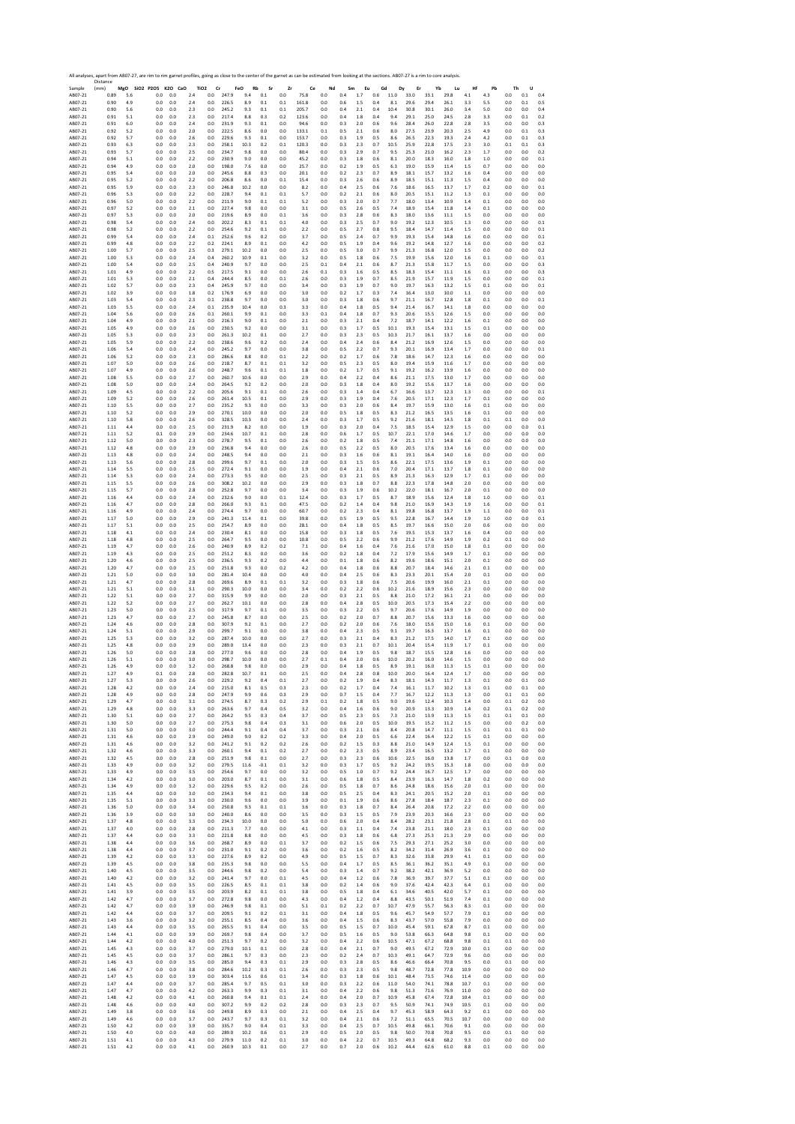|                    | All analyses, apart from AB07-27, are rim to rim garnet profiles, going as close to the center of the garnet as can be estimated from looking at the sections. AB07-27 is a rim to core analysis.<br>Distance |     |                              |            |            |                                    |       |                  |            |               |               |            |            |           |            |             |              |              |            |            |            |            |            |              |
|--------------------|---------------------------------------------------------------------------------------------------------------------------------------------------------------------------------------------------------------|-----|------------------------------|------------|------------|------------------------------------|-------|------------------|------------|---------------|---------------|------------|------------|-----------|------------|-------------|--------------|--------------|------------|------------|------------|------------|------------|--------------|
| Sample<br>AB07-21  | (mm)<br>0.89                                                                                                                                                                                                  | 5.6 | MgO SiO2 P2O5 K2O CaO<br>0.0 | 0.0        | 2.4        | TiO <sub>2</sub><br>Cr<br>$_{0.0}$ | 247.9 | FeO<br>Rb<br>9.4 | Sr<br>0.1  | Zr<br>$0.0\,$ | Ce<br>75.8    | Nd<br>0.0  | Sm<br>0.4  | Eu<br>1.7 | Gd<br>0.6  | Dy<br>11.0  | Er<br>33.0   | Yb<br>33.1   | Lu<br>29.8 | Hf<br>4.1  | Pb<br>4.3  | Th<br>0.0  | U<br>0.1   | 0.4          |
| AB07-21            | 0.90                                                                                                                                                                                                          | 4.9 | 0.0                          | 0.0        | 2.4        | 0.0                                | 226.5 | 8.9              | 0.1        | 0.1           | 161.8         | 0.0        | 0.6        | 1.5       | 0.4        | 8.1         | 29.6         | 29.4         | 26.1       | 3.3        | 5.5        | 0.0        | 0.1        | 0.5          |
| AB07-21            | 0.90                                                                                                                                                                                                          | 5.6 | 0.0                          | 0.0        | 2.3        | 0.0                                | 245.2 | 9.3              | 0.1        | $0.1\,$       | 205.7         | 0.0        | 0.4        | 2.1       | 0.4        | 10.4        | 30.8         | 30.1         | 26.0       | 3.4        | 5.0        | 0.0        | $0.0\,$    | 0.4          |
| AB07-21            | 0.91                                                                                                                                                                                                          | 5.1 | 0.0                          | 0.0        | 2.3        | 0.0                                | 217.4 | 8.8              | 0.3        | 0.2           | 123.6         | 0.0        | 0.4        | 1.8       | 0.4        | 9.4         | 29.1         | 25.0<br>26.0 | 24.5       | 2.8        | 3.3        | 0.0        | 0.1        | 0.2          |
| AB07-21            | 0.91                                                                                                                                                                                                          | 6.0 | 0.0                          | 0.0        | 2.4        | 0.0                                | 231.9 | 9.3              | 0.1        | 0.0           | 94.6          | 0.0        | 0.3        | 2.0       | 0.6        | 9.6         | 28.4         | 23.9         | 22.8       | 2.8        | 3.5        | 0.0        | 0.0        | 0.3          |
| AB07-21            | 0.92                                                                                                                                                                                                          | 5.2 | 0.0                          | 0.0        | 2.0        | 0.0                                | 222.5 | 8.6              | 0.0        | 0.0           | 133.1         | 0.1        | 0.5        | 2.1       | 0.6        | 8.0         | 27.5         |              | 20.3       | 2.5        | 4.9        | 0.0        | 0.1        | 0.3          |
| AB07-21            | 0.92                                                                                                                                                                                                          | 5.7 | 0.0                          | 0.0        | 2.6        | $_{0.0}$                           | 229.6 | 9.3              | 0.1        | 0.0           | 153.7         | 0.0        | 0.3        | 1.9       | 0.5        | 8.6         | 26.5         | 22.3         | 19.3       | 2.4        | 4.2        | 0.0        | 0.1        | 0.3          |
| AB07-21            | 0.93                                                                                                                                                                                                          | 6.3 | 0.0                          | 0.0        | 2.3        | 0.0                                | 258.1 | 10.3             | 0.2        | 0.1           | 120.3         | 0.0        | 0.3        | 2.3       | 0.7        | 10.5        | 25.9         | 22.8         | 17.5       | 2.3        | 3.0        | 0.1        | 0.1        | 0.3          |
| AB07-21            | 0.93                                                                                                                                                                                                          | 5.7 | 0.0                          | 0.0        | 2.5        | 0.0                                | 234.7 | 9.8              | 0.0        | 0.0           | 80.4          | 0.0        | 0.3        | 2.9       | 0.7        | 9.5         | 25.3         | 21.0         | 16.2       | 2.3        | 1.7        | 0.0        | 0.0        | 0.2          |
| AB07-21            | 0.94                                                                                                                                                                                                          | 5.1 | 0.0                          | 0.0        | 2.2        | 0.0                                | 230.9 | 9.0              | 0.0        | 0.0           | 45.2          | 0.0        | 0.3        | 1.8       | 0.6        | 8.1         | 20.0         | 18.3         | 16.0       | 1.8        | 1.0        | 0.0        | 0.0        | 0.1          |
| AB07-21            | 0.94                                                                                                                                                                                                          | 4.9 | 0.0                          | 0.0        | 2.0        | $_{0.0}$                           | 198.0 | 7.6              | $_{0.0}$   | 0.0           | 25.7          | 0.0        | 0.2        | 1.9       | 0.5        | 6.3         | 19.0         | 15.9         | 11.4       | 1.5        | 0.7        | 0.0        | 0.0        | 0.0          |
| AB07-21            | 0.95                                                                                                                                                                                                          | 5.4 | 0.0                          | 0.0        | 2.0        | 0.0                                | 245.6 | 8.8              | 0.3        | 0.0           | 20.1          | 0.0        | 0.2        | 2.3       | 0.7        | 8.9         | 18.1         | 15.7         | 13.2       | 1.6        | 0.4        | 0.0        | 0.0        | 0.0          |
| AB07-21            | 0.95                                                                                                                                                                                                          | 5.2 | 0.0                          | 0.0        | 2.2        | 0.0                                | 206.8 | 8.6              | 0.0        | 0.1           | 15.4          | 0.0        | 0.3        | 2.6       | 0.6        | 8.9         | 18.5         | 15.1         | 11.3       | 1.5        | 0.4        | 0.0        | 0.0        | 0.0          |
| AB07-21            | 0.95                                                                                                                                                                                                          | 5.9 | 0.0                          | 0.0        | 2.3        | 0.0                                | 246.8 | 10.2             | 0.0        | 0.0           | 8.2           | 0.0        | 0.4        | 2.5       | 0.6        | 7.6         | 18.6         | 16.5         | 13.7       | 1.7        | 0.2        | 0.0        | 0.0        | 0.1          |
| AB07-21            | 0.96                                                                                                                                                                                                          | 5.3 | 0.0                          | 0.0        | 2.2        | 0.0                                | 228.7 | 9.4              | 0.1        | 0.1           | 5.7           | 0.0        | 0.2        | 2.1       | 0.6        | 8.0         | 20.5         | 15.1         | 11.2       | 1.3        | 0.1        | 0.0        | 0.0        | 0.0          |
| AB07-21            | 0.96                                                                                                                                                                                                          | 5.0 | 0.0                          | 0.0        | 2.2        | 0.0                                | 211.9 | 9.0              | 0.1        | 0.1           | 5.2           | 0.0        | 0.3        | 2.0       | 0.7        | 7.7         | 18.0         | 13.4         | 10.9       | 1.4        | 0.1        | 0.0        | 0.0        | 0.0          |
| AB07-21            | 0.97                                                                                                                                                                                                          | 5.2 | 0.0                          | 0.0        | 2.1        | 0.0                                | 227.4 | 9.8              | 0.0        | 0.0           | 3.1           | 0.0        | 0.5        | 2.6       | 0.5        | 7.4         | 18.9         | 15.4         | 11.8       | 1.4        | 0.1        | 0.0        | 0.0        | 0.0          |
| AB07-21            | 0.97                                                                                                                                                                                                          | 5.3 | 0.0                          | 0.0        | 2.0        | 0.0                                | 219.6 | 8.9              | 0.0        | 0.1           | 3.6           | 0.0        | 0.3        | 2.8       | 0.6        | 8.3         | 18.0         | 13.6         | 11.1       | 1.5        | 0.0        | 0.0        | 0.0        | 0.0          |
| AB07-21            | 0.98                                                                                                                                                                                                          | 5.4 | 0.0                          | 0.0        | 2.4        | 0.0                                | 202.2 | 8.3              | 0.1        | 0.1           | 4.0           | 0.0        | 0.3        | 2.5       | 0.7        | 9.0         | 19.2         | 12.3         | 10.5       | 1.3        | 0.0        | 0.0        | 0.0        | 0.1          |
| AB07-21            | 0.98                                                                                                                                                                                                          | 5.2 | 0.0                          | 0.0        | 2.2        | 0.0                                | 254.6 | 9.2              | 0.1        | 0.0           | 2.2           | 0.0        | 0.5        | 2.7       | 0.8        | 9.5         | 18.4         | 14.7         | 11.4       | 1.5        | 0.0        | 0.0        | 0.0        | 0.1          |
| AB07-21            | 0.99                                                                                                                                                                                                          | 5.4 | 0.0                          | 0.0        | 2.4        | 0.1                                | 252.6 | 9.6              | 0.2        | 0.0           | 3.7           | 0.0        | 0.5        | 2.4       | 0.7        | 9.9         | 19.3         | 15.4         | 14.8       | 1.6        | 0.0        | 0.0        | 0.0        | 0.1          |
| AB07-21            | 0.99                                                                                                                                                                                                          | 4.8 | 0.0                          | 0.0        | 2.2        | 0.2                                | 224.1 | 8.9              | 0.1        | 0.0           | 4.2           | 0.0        | 0.5        | 1.9       | 0.4        | 9.6         | 19.2         | 14.8         | 12.7       | 1.6        | 0.0        | 0.0        | 0.0        | 0.2          |
| AB07-21            | 1.00                                                                                                                                                                                                          | 5.7 | 0.0                          | 0.0        | 2.5        | 0.3                                | 279.1 | 10.2             | 0.0        | 0.0           | 2.5           | 0.0        | 0.5        | 3.0       | 0.7        | 9.9         | 21.3         | 16.8         | 12.0       | 1.5        | 0.0        | 0.0        | 0.0        | 0.2          |
| AB07-21            | 1.00                                                                                                                                                                                                          | 5.3 | 0.0                          | 0.0        | 2.4        | 0.4                                | 260.2 | 10.9             | 0.1        | 0.0           | 3.2           | 0.0        | 0.5        | $1.8\,$   | 0.6        | 7.5         | 19.9         | 15.6         | 12.0       | 1.6        | 0.1        | 0.0        | 0.0        | 0.1          |
| AB07-21            | 1.00                                                                                                                                                                                                          | 5.4 | 0.0                          | 0.0        | 2.5        | 0.4                                | 240.9 | 9.7              | 0.0        | 0.0           | 2.5           | 0.1        | 0.4        | 2.1       | 0.6        | 8.7         | 21.3         | 15.8         | 11.7       | 1.5        | 0.0        | 0.0        | 0.0        | 0.3          |
| AB07-21            | 1.01                                                                                                                                                                                                          | 4.9 | 0.0                          | 0.0        | 2.2        | 0.5                                | 217.5 | 9.1              | 0.0        | 0.0           | 2.6           | 0.1        | 0.3        | 1.6       | 0.5        | 8.5         | 18.3         | 15.4         | 11.1       | 1.6        | 0.1        | 0.0        | 0.0        | 0.3          |
| AB07-21            | 1.01                                                                                                                                                                                                          | 5.3 | 0.0                          | 0.0        | 2.1        | 0.4                                | 244.4 | 8.5              | 0.0        | 0.1           | 2.6           | 0.0        | 0.3        | 1.9       | 0.7        | 8.5         | 21.9         | 15.7         | 11.9       | 1.5        | 0.0        | 0.0        | 0.0        | 0.1          |
| AB07-21            | 1.02                                                                                                                                                                                                          | 5.7 | 0.0                          | 0.0        | 2.3        | 0.4                                | 245.9 | 9.7              | 0.0        | 0.0           | 3.4           | 0.0        | 0.3        | 1.9       | 0.7        | 9.0         | 19.7         | 16.3         | 13.2       | 1.5        | 0.1        | 0.0        | 0.0        | 0.1          |
| AB07-21            | 1.02                                                                                                                                                                                                          | 3.9 | 0.0                          | 0.0        | 1.8        | 0.2                                | 176.9 | 6.9              | 0.0        | 0.0           | 3.0           | 0.0        | 0.2        | 1.7       | 0.3        | 7.4         | 16.4         | 13.0         | 10.0       | 1.1        | 0.0        | 0.0        | 0.0        | 0.0          |
| AB07-21            | 1.03                                                                                                                                                                                                          | 5.4 | 0.0                          | 0.0        | 2.3        | 0.1                                | 238.8 | 9.7              | 0.0        | 0.0           | 3.0           | 0.0        | 0.3        | 1.8       | 0.6        | 9.7         | 21.1         | 16.7         | 12.8       | 1.8        | 0.1        | 0.0        | 0.0        | 0.1          |
| AB07-21            | 1.03                                                                                                                                                                                                          | 5.5 | 0.0                          | 0.0        | 2.4        | 0.1                                | 235.9 | 10.4             | 0.0        | 0.3           | 3.3           | 0.0        | 0.4        | 1.8       | 0.5        | 9.4         | 21.4         | 16.7         | 14.1       | 1.8        | 0.0        | 0.0        | 0.0        | 0.0          |
| AB07-21            | 1.04                                                                                                                                                                                                          | 5.6 | 0.0                          | 0.0        | 2.6        | $0.1\,$                            | 260.1 | 9.9              | 0.1        | 0.0           | 3.3           | 0.1        | 0.4        | 1.8       | 0.7        | 9.3         | 20.6         | 15.5         | 12.6       | 1.5        | 0.0        | 0.0        | 0.0        | 0.0          |
| AB07-21            | 1.04                                                                                                                                                                                                          | 4.9 | 0.0                          | 0.0        | 2.1        | 0.0                                | 216.3 | 9.0              | 0.1        | 0.0           | 2.1           | 0.0        | 0.3        | 2.1       | 0.4        | 7.2         | 18.7         | 14.1         | 12.2       | $1.6\,$    | 0.1        | 0.0        | 0.0        | 0.0          |
| AB07-21            | 1.05                                                                                                                                                                                                          | 4.9 | 0.0                          | 0.0        | 2.6        | 0.0                                | 230.5 | 9.2              | 0.0        | 0.0           | 3.1           | 0.0        | 0.3        | 1.7       | 0.5        | 10.1        | 19.3         | 15.4         | 13.1       | 1.5        | 0.1        | 0.0        | 0.0        | 0.0          |
| AB07-21            | 1.05                                                                                                                                                                                                          | 5.3 | 0.0                          | 0.0        | 2.3        | 0.0                                | 261.3 | 10.2             | 0.1        | 0.0           | 2.7           | 0.0        | 0.3        | 2.3       | 0.5        | 10.3        | 21.7         | 16.1         | 13.7       | 1.6        | 0.0        | 0.0        | 0.0        | 0.0          |
| AB07-21            | 1.05                                                                                                                                                                                                          | 5.9 | 0.0                          | 0.0        | 2.2        | 0.0                                | 238.6 | 9.6              | 0.2        | 0.0           | 2.4           | 0.0        | 0.4        | 2.4       | 0.6        | 8.4         | 21.2         | 16.9         | 12.6       | 1.5        | 0.0        | 0.0        | 0.0        | 0.0          |
| AB07-21            | 1.06                                                                                                                                                                                                          | 5.4 | 0.0                          | 0.0        | 2.4        | 0.0                                | 245.2 | 9.7              | 0.0        | 0.0           | 3.8           | 0.0        | 0.5        | 2.2       | 0.7        | 9.3         | 20.1         | 16.9         | 13.4       | 1.7        | 0.0        | 0.0        | 0.0        | 0.1          |
| AB07-21            | 1.06                                                                                                                                                                                                          | 5.2 | 0.0                          | 0.0        | 2.3        | 0.0                                | 286.6 | 8.8              | 0.0        | 0.1           | 2.2           | 0.0        | 0.2        | 1.7       | 0.6        | 7.8         | 18.6         | 14.7         | 12.3       | 1.6        | 0.0        | 0.0        | 0.0        | 0.0          |
| AB07-21            | 1.07                                                                                                                                                                                                          | 5.0 | 0.0                          | 0.0        | 2.6        | 0.0                                | 218.7 | 8.7              | 0.1        | 0.1           | 3.2           | 0.0        | 0.5        | 2.3       | 0.5        | 8.0         | 19.4         | 15.9         | 11.6       | 1.7        | 0.0        | 0.0        | 0.0        | 0.0          |
| AB07-21            | 1.07                                                                                                                                                                                                          | 4.9 | 0.0                          | 0.0        | 2.6        | 0.0                                | 248.7 | 9.6              | 0.1        | 0.1           | 1.8           | 0.0        | 0.2        | 1.7       | 0.5        | 9.1         | 19.2         | 16.2         | 13.9       | 1.6        | 0.0        | 0.0        | 0.0        | 0.0          |
| AB07-21            | 1.08                                                                                                                                                                                                          | 5.5 | 0.0                          | 0.0        | 2.7        | 0.0                                | 260.7 | 10.6             | 0.0        | 0.0           | 2.9           | 0.0        | 0.4        | 2.2       | 0.4        | 8.6         | 21.1         | 17.5         | 13.0       | 1.7        | 0.0        | 0.0        | 0.0        | 0.0          |
| AB07-21            | 1.08                                                                                                                                                                                                          | 5.0 | 0.0                          | 0.0        | 2.4        | 0.0                                | 264.5 | 9.2              | 0.2        | 0.0           | 2.0           | 0.0        | 0.3        | 1.8       | 0.4        | 8.0         | 19.2         | 15.6         | 13.7       | 1.6        | 0.0        | 0.0        | 0.0        | 0.0          |
| AB07-21            | 1.09                                                                                                                                                                                                          | 4.5 | 0.0                          | 0.0        | 2.2        | 0.0                                | 205.6 | 9.1              | 0.1        | 0.0           | 2.6           | 0.0        | 0.3        | 1.4       | 0.4        | 6.7         | 16.6         | 13.7         | 12.3       | 1.3        | 0.0        | 0.0        | 0.0        | 0.1          |
| AB07-21            | 1.09                                                                                                                                                                                                          | 5.2 | 0.0                          | 0.0        | 2.6        | 0.0                                | 261.4 | 10.5             | 0.1        | 0.0           | 2.9           | 0.0        | 0.3        | 1.9       | 0.4        | 7.6         | 20.5         | 17.1         | 12.3       | 1.7        | 0.1        | 0.0        | 0.0        | 0.0          |
| AB07-21            | 1.10                                                                                                                                                                                                          | 5.5 | 0.0                          | 0.0        | 2.7        | 0.0                                | 235.2 | 9.3              | 0.0        | 0.0           | 3.3           | 0.0        | 0.3        | 2.0       | 0.6        | 8.4         | 19.7         | 15.9         | 13.0       | 1.6        | 0.1        | 0.0        | 0.0        | 0.0          |
| AB07-21            | 1.10                                                                                                                                                                                                          | 5.2 | 0.0                          | 0.0        | 2.9        | 0.0                                | 270.1 | 10.0             | 0.0        | 0.0           | 2.0           | 0.0        | 0.5        | 1.8       | 0.5        | 8.3         | 21.2         | 16.5         | 13.5       | 1.6        | 0.1        | 0.0        | 0.0        | 0.0          |
| AB07-21            | 1.10                                                                                                                                                                                                          | 5.8 | 0.0                          | 0.0        | 2.6        | 0.0                                | 328.5 | 10.3             | 0.0        | 0.0           | 2.4           | 0.0        | 0.3        | 1.7       | 0.5        | 9.2         | 21.6         | 18.1         | 14.5       | 1.8        | 0.1        | 0.1        | 0.0        | 0.0          |
| AB07-21            | 1.11                                                                                                                                                                                                          | 4.4 | 0.0                          | 0.0        | 2.5        | 0.0                                | 231.9 | 8.2              | 0.0        | 0.0           | 1.9           | 0.0        | 0.3        | 2.0       | 0.4        | 7.5         | 18.5         | 15.4         | 12.9       | 1.5        | 0.0        | 0.0        | 0.0        | 0.1          |
| AB07-21            | 1.11                                                                                                                                                                                                          | 5.2 | 0.1                          | 0.0        | 2.9        | $_{0.0}$                           | 234.6 | 10.7             | 0.1        | 0.0           | 2.8           | 0.0        | 0.6        | 1.7       | 0.5        | 10.7        | 22.1         | 17.0         | 14.6       | 1.7        | 0.0        | 0.0        | 0.0        | 0.0          |
| AB07-21            | 1.12                                                                                                                                                                                                          | 5.0 | 0.0                          | 0.0        | 2.3        | 0.0                                | 278.7 | 9.5              | 0.1        | 0.0           | 2.6           | 0.0        | 0.2        | 1.8       | 0.5        | 7.4         | 21.1         | 17.1         | 14.8       | 1.6        | 0.0        | 0.0        | 0.0        | 0.0          |
| AB07-21            | 1.12                                                                                                                                                                                                          | 4.8 | 0.0                          | 0.0        | 2.9        | 0.0                                | 236.8 | 9.4              | 0.0        | 0.0           | 2.6           | 0.0        | 0.5        | 2.2       | 0.5        | 8.0         | 20.5         | 17.6         | 13.4       | 1.6        | 0.0        | 0.0        | 0.0        | 0.0          |
| AB07-21            | 1.13                                                                                                                                                                                                          | 4.8 | 0.0                          | 0.0        | 2.4        | 0.0                                | 248.5 | 9.4              | 0.0        | 0.0           | 2.1           | 0.0        | 0.3        | 1.6       | 0.6        | 8.1         | 19.1         | 16.4         | 14.0       | 1.6        | 0.0        | 0.0        | 0.0        | 0.0          |
| AB07-21            | 1.13                                                                                                                                                                                                          | 5.6 | 0.0                          | 0.0        | 2.8        | 0.0                                | 299.6 | 9.7              | 0.1        | 0.0           | 2.0           | 0.0        | 0.3        | 1.5       | 0.5        | 8.6         | 22.1         | 17.5         | 13.6       | 1.9        | 0.1        | 0.0        | 0.0        | 0.0          |
| AB07-21            | 1.14                                                                                                                                                                                                          | 5.5 | 0.0                          | 0.0        | 2.5        | 0.0                                | 272.4 | 9.1              | 0.0        | 0.0           | 1.9           | 0.0        | 0.4        | 2.1       | 0.6        | 7.0         | 20.4         | 17.1         | 13.7       | 1.8        | 0.1        | 0.0        | 0.0        | 0.0          |
| AB07-21            | 1.14                                                                                                                                                                                                          | 5.3 | 0.0                          | 0.0        | 2.4        | 0.0                                | 273.3 | 9.5              | 0.0        | 0.0           | 2.5           | 0.0        | 0.3        | 2.1       | 0.5        | 8.9         | 21.3         | 16.3         | 12.9       | 1.7        | 0.1        | 0.0        | 0.0        | 0.0          |
| AB07-21            | 1.15                                                                                                                                                                                                          | 5.5 | 0.0                          | 0.0        | 2.6        | 0.0                                | 308.2 | 10.2             | 0.0        | 0.0           | 2.9           | 0.0        | 0.3        | 1.8       | 0.7        | 8.8         | 22.3         | 17.8         | 14.8       | 2.0        | 0.0        | 0.0        | 0.0        | 0.0          |
| AB07-21            | 1.15                                                                                                                                                                                                          | 5.7 | 0.0                          | 0.0        | 2.8        | $_{0.0}$                           | 252.8 | 9.7              | 0.0        | 0.0           | 3.4           | 0.0        | 0.3        | 1.9       | 0.6        | 10.2        | 22.0         | 18.1         | 16.7       | 2.0        | 0.1        | 0.0        | 0.0        | 0.0          |
| AB07-21            | 1.16                                                                                                                                                                                                          | 4.4 | 0.0                          | 0.0        | 2.4        | 0.0                                | 232.6 | 9.0              | 0.0        | 0.1           | 12.4          | 0.0        | 0.3        | 1.7       | 0.5        | 8.7         | 18.9         | 15.6         | 12.4       | 1.8        | 1.0        | 0.0        | 0.0        | 0.1          |
| AB07-21            | 1.16                                                                                                                                                                                                          | 4.7 | 0.0                          | 0.0        | 2.8        | 0.0                                | 266.0 | 9.3              | 0.1        | 0.0           | 47.5          | 0.0        | 0.2        | 1.4       | 0.4        | 9.8         | 21.0         | 16.9         | 14.3       | 1.9        | 1.6        | 0.0        | 0.0        | 0.1          |
| AB07-21            | 1.16                                                                                                                                                                                                          | 4.9 | 0.0                          | 0.0        | 2.4        | 0.0                                | 274.4 | 9.7              | 0.0        | 0.0           | 60.7          | 0.0        | 0.2        | 2.3       | 0.4        | 8.1<br>9.5  | 19.8         | 16.8         | 13.7       | 1.9        | 1.1        | 0.0        | 0.0        | 0.1          |
| AB07-21            | 1.17                                                                                                                                                                                                          | 5.0 | 0.0                          | 0.0        | 2.9        | 0.0                                | 241.3 | 11.4             | 0.1        | 0.0           | 39.8          | 0.0        | 0.5        | 1.9       | 0.5        | 8.5         | 22.8         | 16.7         | 14.4       | 1.9        | 1.0        | 0.0        | 0.0        | 0.1          |
| AB07-21            | 1.17                                                                                                                                                                                                          | 5.1 | 0.0                          | 0.0        | 2.5        | 0.0                                | 254.7 | 8.9              | 0.0        | 0.0           | 28.1          | 0.0        | 0.4        | 1.8       | 0.5        |             | 19.7         | 16.6         | 15.0       | 2.0        | 0.6        | 0.0        | 0.0        | 0.0          |
| AB07-21            | 1.18                                                                                                                                                                                                          | 4.1 | 0.0                          | 0.0        | 2.4        | 0.0                                | 230.4 | 8.1              | 0.0        | 0.0           | 15.8          | 0.0        | 0.3        | 1.8       | 0.5        | 7.6         | 19.5         | 15.3         | 13.7       | 1.6        | 0.4        | 0.0        | 0.0        | 0.0          |
| AB07-21            | 1.18                                                                                                                                                                                                          | 4.8 | 0.0                          | 0.0        | 2.5        | 0.0                                | 264.7 | 9.5              | 0.0        | 0.0           | 10.8          | 0.0        | 0.5        | 2.2       | 0.6        | 9.9         | 21.2         | 17.6         | 14.9       | 1.9        | 0.2        | 0.1        | 0.0        | 0.0          |
| AB07-21            | 1.19                                                                                                                                                                                                          | 4.7 | 0.0                          | 0.0        | 2.6        | 0.0                                | 240.9 | 8.9              | 0.2        | 0.2           | 7.1           | 0.0        | 0.4        | 1.6       | 0.4        | 7.6         | 21.6         | 17.0         | 15.0       | 1.8        | 0.1        | 0.0        | 0.0        | 0.0          |
| AB07-21            | 1.19                                                                                                                                                                                                          | 4.3 | 0.0                          | 0.0        | 2.5        | 0.0                                | 251.2 | 8.3              | 0.0        | 0.0           | 3.6           | 0.0        | 0.2        | 1.8       | 0.4        | 7.2         | 17.9         | 15.6         | 14.9       | 1.7        | 0.1        | 0.0        | 0.0        | 0.0          |
| AB07-21            | 1.20                                                                                                                                                                                                          | 4.6 | 0.0                          | 0.0        | 2.5        | 0.0                                | 236.5 | 9.3              | 0.2        | 0.0           | 4.4           | 0.0        | 0.1        | 1.8       | 0.6        | 8.2         | 19.6         | 18.6         | 15.1       | 2.0        | 0.1        | 0.0        | 0.0        | 0.0          |
| AB07-21            | 1.20                                                                                                                                                                                                          | 4.7 | 0.0                          | 0.0        | 2.5        | 0.0                                | 251.8 | 9.3              | 0.0        | 0.2           | 4.2           | 0.0        | 0.4        | 1.8       | 0.6        | 8.8         | 20.7         | 18.4         | 14.6       | 2.1        | 0.1        | 0.0        | 0.0        | 0.0          |
| AB07-21            | 1.21                                                                                                                                                                                                          | 5.0 | 0.0                          | 0.0        | 3.0        | 0.0                                | 281.4 | 10.4             | 0.0        | 0.0           | 4.0           | 0.0        | 0.4        | 2.5       | 0.6        | 8.3         | 23.3         | 20.1         | 15.4       | 2.0        | 0.1        | 0.0        | 0.0        | 0.0          |
| AB07-21            | 1.21                                                                                                                                                                                                          | 4.7 | 0.0                          | 0.0        | 2.8        | 0.0                                | 269.6 | 8.9              | 0.1        | 0.1           | 3.2           | 0.0        | 0.3        | 1.8       | 0.6        | 7.5         | 20.6         | 19.9         | 16.0       | 2.1        | 0.1        | 0.0        | 0.0        | 0.0          |
| AB07-21            | 1.21                                                                                                                                                                                                          | 5.1 | 0.0                          | 0.0        | 3.1        | 0.0                                | 290.3 | 10.0             | 0.0        | 0.0           | 3.4           | 0.0        | 0.2        | 2.2       | 0.6        | 10.2        | 21.6         | 18.9         | 15.6       | 2.3        | 0.0        | 0.0        | 0.0        | 0.0          |
| AB07-21            | 1.22                                                                                                                                                                                                          | 5.1 | 0.0                          | 0.0        | 2.7        | 0.0                                | 315.9 | 9.9              | 0.0        | 0.0           | 2.0           | 0.0        | 0.3        | 2.1       | 0.5        | 8.8         | 21.0         | 17.2         | 16.1       | 2.1        | 0.0        | 0.0        | 0.0        | 0.0          |
| AB07-21            | 1.22                                                                                                                                                                                                          | 5.2 | 0.0                          | 0.0        | 2.7        | 0.0                                | 262.7 | 10.1             | 0.0        | 0.0           | 2.8           | 0.0        | 0.4        | 2.8       | 0.5        | 10.0        | 20.5         | 17.3         | 15.4       | 2.2        | 0.0        | 0.0        | 0.0        | 0.0          |
| AB07-21            | 1.23                                                                                                                                                                                                          | 5.0 | 0.0                          | 0.0        | 2.5        | $0.0\,$                            | 317.9 | 9.7              | 0.1        | 0.0           | 3.5           | 0.0        | 0.3        | 2.2       | 0.5        | 9.7         | 20.6         | 17.6         | 14.9       | 1.9        | 0.0        | 0.0        | 0.0        | 0.0          |
| AB07-21            | 1.23                                                                                                                                                                                                          | 4.7 | 0.0                          | 0.0        | 2.7        | 0.0                                | 245.8 | 8.7              | 0.0        | 0.0           | 2.5           | 0.0        | 0.2        | 2.0       | 0.7        | 8.8         | 20.7         | 15.6         | 13.3       | 1.6        | 0.0        | 0.0        | 0.0        | 0.0          |
| AB07-21            | 1.24                                                                                                                                                                                                          | 4.6 | 0.0                          | 0.0        | 2.8        | 0.0                                | 307.9 | 9.2              | 0.1        | 0.0           | 2.7           | 0.0        | 0.2        | 2.0       | 0.6        | 7.6         | 18.0         | 15.6         | 15.0       | 1.6        | 0.1        | 0.0        | 0.0        | 0.0          |
| AB07-21            | 1.24                                                                                                                                                                                                          | 5.1 | 0.0                          | 0.0        | 2.9        | 0.0                                | 299.7 | 9.1              | 0.0        | 0.0           | 3.8           | 0.0        | 0.4        | 2.3       | 0.5        | 9.1         | 19.7         | 16.3         | 13.7       | 1.6        | 0.1        | 0.0        | 0.0        | 0.0          |
| AB07-21            | 1.25                                                                                                                                                                                                          | 5.3 | 0.0                          | 0.0        | 3.2        | 0.0                                | 287.4 | 10.0             | 0.0        | $0.0\,$       | 2.7           | 0.0        | 0.3        | 2.1       | 0.4        | 8.3         | 21.2         | 17.5         | 14.0       | 1.7        | 0.1        | 0.0        | 0.0        | 0.0          |
| AB07-21            | 1.25                                                                                                                                                                                                          | 4.8 | 0.0                          | 0.0        | 2.9        | 0.0                                | 289.0 | 13.4             | 0.0        | 0.0           | 2.3           | 0.0        | 0.3        | 2.1       | 0.7        | 10.1        | 20.4         | 15.4         | 11.9       | 1.7        | 0.1        | 0.0        | 0.0        | 0.0          |
| AB07-21            | 1.26                                                                                                                                                                                                          | 5.0 | 0.0                          | 0.0        | 2.8        | 0.0                                | 277.0 | 9.6              | 0.0        | 0.0           | 2.8           | 0.0        | 0.4        | 1.9       | 0.5        | 9.8         | 18.7         | 15.5         | 12.8       | 1.6        | 0.0        | 0.0        | 0.0        | 0.0          |
| AB07-21            | 1.26                                                                                                                                                                                                          | 5.1 | 0.0                          | 0.0        | 3.0        | 0.0                                | 298.7 | 10.0             | 0.0        | 0.0           | 2.7           | 0.1        | 0.4        | 2.0       | 0.6        | 10.0        | 20.2         | 16.0         | 14.6       | 1.5        | 0.0        | 0.0        | 0.0        | 0.0          |
| AB07-21<br>ABU/-21 | 1.26<br>1.21                                                                                                                                                                                                  | 4.9 | 0.0<br>U.I                   | 0.0<br>U.U | 3.2<br>2.8 | 0.0<br>U.U                         | 268.8 | 9.8<br>10.,      | 0.0<br>U.I | 0.0<br>U.U    | 2.9<br>$\sim$ | 0.0<br>U.U | 0.4<br>U.4 | 1.8       | 0.5<br>U.X | 8.9<br>10.U | 19.1<br>20.U | 16.0<br>16,  | 11.3       | 1.5<br>1., | 0.1<br>U.U | 0.0<br>U.L | 0.0<br>U.L | 0.0<br>U.L   |
| AB07-21<br>AB07-21 | 1.27                                                                                                                                                                                                          | 5.3 | 0.0                          | 0.0        | 2.6        | 0.0                                | 229.2 | 9.2              | 0.4        | 0.1           | 2.7           | 0.0        | 0.2        | 1.9       | 0.4        | 8.3         | 18.1         | 14.3         | 11.7       | 1.3        | 0.1        | 0.0        | 0.1        | 0.0          |
| AB07-21            | 1.28                                                                                                                                                                                                          | 4.2 | 0.0                          | 0.0        | 2.4        | 0.0                                | 215.0 | 8.1              | 0.5        | 0.3           | 2.3           | 0.0        | 0.2        | 1.7       | 0.4        | 7.4         | 16.1         | 11.7         | 10.2       | 1.3        | 0.1        | 0.0        | 0.1        | 0.0          |
|                    | 1.28                                                                                                                                                                                                          | 4.9 | 0.0                          | 0.0        | 2.8        | 0.0                                | 247.9 | 9.9              | 0.6        | 0.3           | 2.9           | 0.0        | 0.7        | 1.5       | 0.4        | 7.7         | 16.7         | 12.2         | 11.3       | 1.3        | 0.0        | 0.1        | 0.1        | 0.0          |
| AB07-21            | 1.29                                                                                                                                                                                                          | 4.7 | 0.0                          | 0.0        | 3.1        | 0.0                                | 274.5 | 8.7              | 0.3        | 0.2           | 2.9           | 0.1        | 0.2        | 1.8       | 0.5        | 9.0         | 19.6         | 12.4         | 10.3       | 1.4        | 0.0        | 0.1        | 0.2        | 0.0          |
| AB07-21            | 1.29                                                                                                                                                                                                          | 4.8 | 0.0                          | 0.0        | 3.3        | 0.0                                | 263.6 | 9.7              | 0.4        | 0.5           | 3.2           | 0.0        | 0.4        | 1.6       | 0.6        | 9.0         | 20.9         | 13.3         | 10.9       | 1.4        | 0.2        | 0.1        | 0.2        | 0.0          |
| AB07-21            | 1.30                                                                                                                                                                                                          | 5.1 | 0.0                          | 0.0        | 2.7        | 0.0                                | 264.2 | 9.5              | 0.3        | 0.4           | 3.7           | 0.0        | 0.5        | 2.3       | 0.5        | 7.3         | 21.0         | 13.9         | 11.3       | 1.5        | 0.1        | 0.1        | 0.1        | 0.0          |
| AB07-21            | 1.30                                                                                                                                                                                                          | 5.0 | 0.0                          | 0.0        | 2.7        | 0.0                                | 275.3 | 9.8              | 0.4        | 0.3           | 3.1           | 0.0        | 0.6        | 2.0       | 0.5        | 10.0        | 19.5         | 15.2         | 11.2       | 1.5        | 0.0        | 0.0        | 0.2        | 0.0          |
| AB07-21            | 1.31                                                                                                                                                                                                          | 5.0 | 0.0                          | 0.0        | 3.0        | 0.0                                | 244.4 | 9.1              | 0.4        | 0.4           | 3.7           | 0.0        | 0.3        | 2.1       | 0.6        | 8.4         | 20.8         | 14.7         | 11.1       | 1.5        | 0.1        | 0.1        | 0.1        | 0.0          |
| AB07-21            | 1.31                                                                                                                                                                                                          | 4.6 | 0.0                          | 0.0        | 2.9        | 0.0                                | 249.0 | 9.0              | 0.2        | 0.2           | 3.3           | 0.0        | 0.4        | 2.0       | 0.5        | 6.6         | 22.4         | 16.4         | 12.2       | 1.5        | 0.1        | 0.0        | 0.0        | 0.0          |
| AB07-21            | 1.31                                                                                                                                                                                                          | 4.6 | 0.0                          | 0.0        | 3.2        | 0.0                                | 241.2 | 9.1              | 0.2        | 0.2           | 2.6           | 0.0        | 0.2        | 1.5       | 0.3        | 8.8         | 21.0         | 14.9         | 12.4       | 1.5        | 0.1        | 0.0        | 0.0        | 0.0          |
| AR07-21            | 1.32                                                                                                                                                                                                          | 4.6 | 0.0                          | 0.0        | 3.3        | 0.0                                | 260.1 | 9.4              | 0.1        | 0.2           | 2.7           | 0.0        | 0.2        | 2.3       | 0.5        | 8.9         | 23.4         | 16.5         | 13.2       | 1.7        | 0.1        | 0.0        | 0.0        | 0.0          |
| AB07-21            | 1.32                                                                                                                                                                                                          | 4.5 | 0.0                          | 0.0        | 2.8        | $0.0\,$                            | 251.9 | 9.8              | $0.1\,$    | 0.0           | 2.7           | 0.0        | 0.3        | 2.3       | 0.6        | 10.6        | 22.5         | 16.0         | 13.8       | 1.7        | 0.0        | $0.1\,$    | $_{0.0}$   | $_{\rm 0.0}$ |
| AB07-21            | 1.33                                                                                                                                                                                                          | 4.9 | 0.0                          | 0.0        | 3.2        | 0.0                                | 279.5 | 11.6             | $-0.1$     | 0.1           | 3.2           | 0.0        | 0.3        | 1.7       | 0.5        | 9.2         | 24.2         | 19.5         | 15.3       | 1.8        | 0.0        | 0.0        | 0.0        | 0.0          |
| AB07-21            | 1.33                                                                                                                                                                                                          | 4.9 | 0.0                          | 0.0        | 3.5        | 0.0                                | 254.6 | 9.7              | 0.0        | 0.0           | 3.2           | 0.0        | 0.5        | 1.0       | 0.7        | 9.2         | 24.4         | 16.7         | 12.5       | 1.7        | 0.0        | 0.0        | 0.0        | 0.0          |
| AB07-21            | 1.34                                                                                                                                                                                                          | 4.2 | 0.0                          | 0.0        | 3.0        | 0.0                                | 203.0 | 8.7              | 0.1        | 0.0           | 3.1           | 0.0        | 0.6        | 1.8       | 0.5        | 8.4         | 23.9         | 16.3         | 14.7       | 1.8        | 0.2        | 0.0        | 0.0        | 0.0          |
| AB07-21            | 1.34                                                                                                                                                                                                          | 4.9 | 0.0                          | 0.0        | 3.2        | $0.0\,$                            | 229.6 | 9.5              | 0.2        | 0.0           | 2.6           | 0.0        | 0.5        | $1.8\,$   | 0.7        | 8.6         | 24.8         | 18.6         | 15.6       | 2.0        | $0.1\,$    | 0.0        | 0.0        | 0.0          |
| AB07-21            | 1.35                                                                                                                                                                                                          | 4.4 | 0.0                          | 0.0        | 3.0        | 0.0                                | 234.3 | 9.4              | 0.1        | 0.0           | 3.8           | 0.0        | 0.5        | 2.5       | 0.4        | 8.3         | 24.1         | 20.5         | 15.2       | 2.0        | 0.1        | 0.0        | 0.0        | 0.0          |
| AB07-21            | 1.35                                                                                                                                                                                                          | 5.1 | 0.0                          | 0.0        | 3.3        | 0.0                                | 230.0 | 9.6              | 0.0        | 0.0           | 3.9           | 0.0        | 0.1        | 1.9       | 0.6        | 8.6         | 27.8         | 18.4         | 18.7       | 2.3        | 0.1        | 0.0        | 0.0        | 0.0          |
| AB07-21            | 1.36                                                                                                                                                                                                          | 5.0 | 0.0                          | 0.0        | 3.4        | 0.0                                | 250.8 | 9.3              | 0.1        | 0.1           | 3.6           | 0.0        | 0.3        | 1.8       | 0.7        | 8.4         | 26.4         | 20.8         | 17.2       | 2.2        | 0.0        | 0.0        | 0.0        | 0.0          |
| AB07-21            | 1.36                                                                                                                                                                                                          | 3.9 | $_{0.0}$                     | 0.0        | 3.0        | $_{0.0}$                           | 240.0 | 8.6              | $_{0.0}$   | 0.0           | 3.5           | 0.0        | 0.3        | $1.5\,$   | 0.5        | 7.9         | 23.9         | 20.3         | 16.6       | 2.3        | $_{0.0}$   | 0.0        | $0.0\,$    | $0.0\,$      |
| AB07-21            | 1.37                                                                                                                                                                                                          | 4.8 | 0.0                          | 0.0        | 3.3        | 0.0                                | 234.3 | 10.0             | 0.0        | 0.0           | 5.0           | 0.0        | 0.6        | 2.0       | 0.4        | 8.4         | 28.2         | 23.1         | 21.8       | 2.8        | 0.1        | 0.1        | 0.0        | 0.0          |
| AB07-21            | 1.37                                                                                                                                                                                                          | 4.0 | 0.0                          | 0.0        | 2.8        | 0.0                                | 211.3 | 7.7              | 0.0        | 0.0           | 4.1           | 0.0        | 0.3        | 1.1       | 0.4        | 7.4         | 23.8         | 21.1         | 18.0       | 2.3        | 0.1        | 0.0        | 0.0        | 0.0          |
| AB07-21            | 1.37                                                                                                                                                                                                          | 4.4 | 0.0                          | 0.0        | 3.3        | 0.0                                | 221.8 | 8.8              | 0.0        | 0.0           | 4.5           | 0.0        | 0.3        | 1.8       | 0.6        | 6.8         | 27.3         | 25.3         | 21.3       | 2.9        | 0.0        | 0.0        | 0.0        | 0.0          |
| AB07-21            | 1.38                                                                                                                                                                                                          | 4.4 | 0.0                          | 0.0        | 3.6        | 0.0                                | 268.7 | 8.9              | 0.0        | 0.1           | 3.7           | 0.0        | 0.2        | 1.5       | 0.6        | 7.5         | 29.3         | 27.1         | 25.2       | 3.0        | 0.0        | 0.0        | 0.0        | 0.0          |
| AB07-21            | 1.38                                                                                                                                                                                                          | 4.4 | 0.0                          | 0.0        | 3.7        | 0.0                                | 231.0 | 9.1              | 0.2        | 0.0           | 3.6           | 0.0        | 0.2        | 1.6       | 0.5        | 8.2         | 34.2         | 31.4         | 26.9       | 3.6        | 0.1        | 0.0        | 0.0        | 0.0          |
| AB07-21            | 1.39                                                                                                                                                                                                          | 4.2 | 0.0                          | 0.0        | 3.3        | 0.0                                | 227.6 | 8.9              | 0.2        | 0.0           | 4.9           | 0.0        | 0.5        | 1.5       | 0.7        | 8.3         | 32.6         | 33.8         | 29.9       | 4.1        | 0.1        | 0.0        | 0.0        | 0.0          |
| AB07-21            | 1.39                                                                                                                                                                                                          | 4.5 | 0.0                          | 0.0        | 3.8        | 0.0                                | 235.3 | 9.8              | 0.0        | 0.0           | 5.5           | 0.0        | 0.4        | 1.7       | 0.5        | 8.5         | 36.1         | 36.2         | 35.1       | 4.9        | 0.1        | 0.0        | 0.0        | 0.0          |
| AB07-21            | 1.40                                                                                                                                                                                                          | 4.5 | 0.0                          | 0.0        | 3.5        | 0.0                                | 244.6 | 9.8              | 0.2        | 0.0           | 5.4           | 0.0        | 0.3        | 1.4       | 0.7        | 9.2         | 38.2         | 42.1         | 36.9       | 5.2        | 0.0        | 0.0        | 0.0        | 0.0          |
| AB07-21            | 1.40                                                                                                                                                                                                          | 4.2 | 0.0                          | 0.0        | 3.2        | 0.0                                | 241.4 | 9.7              | 0.0        | 0.1           | 4.5           | 0.0        | 0.4        | 1.2       | 0.6        | 7.8         | 36.9         | 39.7         | 37.7       | 5.1        | 0.1        | 0.0        | 0.0        | 0.0          |
| AB07-21            | 1.41                                                                                                                                                                                                          | 4.5 | 0.0                          | 0.0        | 3.5        | 0.0                                | 226.5 | 8.5              | 0.1        | 0.1           | 3.8           | 0.0        | 0.2        | 1.4       | 0.6        | 9.0         | 37.6         | 42.4         | 42.3       | 6.4        | 0.1        | 0.0        | 0.0        | 0.0          |
| AB07-21            | 1.41                                                                                                                                                                                                          | 3.9 | 0.0                          | 0.0        | 3.5        | 0.0                                | 203.9 | 8.2              | 0.1        | 0.1           | 3.8           | 0.0        | 0.5        | 1.8       | 0.4        | 6.1         | 34.6         | 40.5         | 42.0       | 5.7        | 0.1        | 0.0        | 0.0        | 0.0          |
| AB07-21            | 1.42                                                                                                                                                                                                          | 4.7 | 0.0                          | 0.0        | 3.7        | 0.0                                | 272.8 | 9.8              | 0.0        | 0.0           | 4.3           | 0.0        | 0.4        | 1.2       | 0.4        | 8.8         | 43.5         | 50.1         | 51.9       | 7.4        | 0.1        | 0.0        | 0.0        | 0.0          |
| AB07-21            | 1.42                                                                                                                                                                                                          | 4.7 | 0.0                          | 0.0        | 3.9        | 0.0                                | 246.9 | 9.8              | 0.1        | 0.0           | 5.1           | 0.1        | 0.2        | 2.2       | 0.7        | 10.7        | 47.9         | 55.7         | 56.3       | 8.3        | 0.1        | 0.0        | 0.0        | 0.0          |
| AB07-21            | 1.42                                                                                                                                                                                                          | 4.4 | 0.0                          | 0.0        | 3.7        | 0.0                                | 209.5 | 9.1              | 0.2        | 0.1           | 3.1           | 0.0        | 0.4        | 1.8       | 0.5        | 9.6         | 45.7         | 54.9         | 57.7       | 7.9        | 0.1        | 0.0        | 0.0        | 0.0          |
| AB07-21            | 1.43                                                                                                                                                                                                          | 3.6 | 0.0                          | 0.0        | 3.2        | 0.0                                | 255.1 | 8.5              | 0.4        | 0.0           | 3.6           | 0.0        | 0.4        | 1.5       | 0.6        | 8.3         | 43.7         | 57.0         | 55.8       | 7.9        | 0.0        | 0.0        | 0.0        | 0.0          |
| AB07-21            | 1.43                                                                                                                                                                                                          | 4.4 | 0.0                          | 0.0        | 3.5        | 0.0                                | 265.5 | 9.1              | 0.4        | 0.0           | 3.5           | 0.0        | 0.5        | 1.5       | 0.7        | 10.0        | 45.4         | 59.1         | 67.8       | 8.7        | 0.1        | 0.0        | 0.0        | 0.0          |
| AB07-21            | 1.44                                                                                                                                                                                                          | 4.1 | $_{0.0}$                     | 0.0        | 3.9        | $_{0.0}$                           | 269.7 | 9.8              | 0.4        | 0.0           | 3.7           | 0.0        | 0.5        | $1.6\,$   | 0.5        | 9.0         | 53.8         | 66.3         | 64.8       | 9.8        | $0.1\,$    | $0.0\,$    | $0.0\,$    | 0.0          |
| AB07-21            | 1.44                                                                                                                                                                                                          | 4.2 | 0.0                          | 0.0        | 4.0        | 0.0                                | 251.3 | 9.7              | 0.2        | 0.0           | 3.2           | 0.0        | 0.4        | 2.2       | 0.6        | 10.5        | 47.1         | 67.2         | 68.8       | 9.8        | 0.1        | 0.1        | 0.0        | 0.0          |
| AB07-21            | 1.45                                                                                                                                                                                                          | 4.3 | 0.0                          | 0.0        | 3.7        | 0.0                                | 279.0 | 10.1             | 0.1        | 0.0           | 2.8           | 0.0        | 0.4        | 2.1       | 0.7        | 9.0         | 49.5         | 67.2         | 72.9       | 10.0       | 0.1        | 0.0        | 0.0        | 0.0          |
| AB07-21            | 1.45                                                                                                                                                                                                          | 4.5 | 0.0                          | 0.0        | 3.7        | 0.0                                | 286.1 | 9.7              | 0.3        | 0.0           | 2.3           | 0.0        | 0.2        | 2.4       | 0.7        | 10.3        | 49.1         | 64.7         | 72.9       | 9.6        | 0.0        | 0.0        | 0.0        | 0.0          |
| AB07-21            | 1.46                                                                                                                                                                                                          | 4.3 | 0.0                          | 0.0        | 3.5        | $_{0.0}$                           | 285.0 | 9.4              | 0.3        | $0.1\,$       | 2.9           | 0.0        | 0.3        | 2.8       | 0.5        | 8.6         | 46.6         | 66.4         | 70.8       | 9.5        | $_{0.0}$   | 0.1        | 0.0        | 0.0          |
| AB07-21            | 1.46                                                                                                                                                                                                          | 4.7 | 0.0                          | 0.0        | 3.8        | 0.0                                | 284.6 | 10.2             | 0.3        | 0.1           | 2.6           | 0.0        | 0.3        | 2.3       | 0.5        | 9.8         | 48.7         | 72.8         | 77.8       | 10.9       | 0.0        | 0.0        | 0.0        | 0.0          |
| AB07-21            | 1.47                                                                                                                                                                                                          | 4.5 | 0.0                          | 0.0        | 3.9        | 0.0                                | 303.4 | 11.6             | 0.6        | 0.1           | 3.4           | 0.0        | 0.3        | 1.8       | 0.6        | 10.1        | 48.4         | 73.5         | 74.6       | 11.4       | 0.0        | 0.0        | 0.0        | 0.0          |
| AB07-21            | 1.47                                                                                                                                                                                                          | 4.4 | 0.0                          | 0.0        | 3.7        | 0.0                                | 285.4 | 9.7              | 0.5        | 0.1           | 3.0           | 0.0        | 0.3        | 2.2       | 0.6        | 11.0        | 54.0         | 74.1         | 78.8       | 10.7       | 0.1        | 0.0        | 0.0        | 0.0          |
| AB07-21            | 1.47                                                                                                                                                                                                          | 4.7 | 0.0                          | 0.0        | 4.2        | $_{0.0}$                           | 263.3 | 9.9              | 0.3        | $0.1\,$       | 3.1           | 0.0        | 0.4        | 2.2       | 0.6        | 9.8         | 51.3         | 71.6         | 76.9       | 11.0       | 0.0        | 0.0        | $0.0\,$    | $0.0\,$      |
| AB07-21            | 1.48                                                                                                                                                                                                          | 4.2 | 0.0                          | 0.0        | 4.1        | 0.0                                | 260.8 | 9.4              | 0.1        | 0.1           | 2.4           | 0.0        | 0.4        | 2.0       | 0.7        | 10.9        | 45.8         | 67.4         | 72.8       | 10.4       | 0.1        | 0.0        | 0.0        | 0.0          |
| AB07-21            | 1.48                                                                                                                                                                                                          | 4.6 | 0.0                          | 0.0        | 4.0        | 0.0                                | 307.2 | 9.9              | 0.2        | 0.2           | 2.8           | 0.0        | 0.3        | 2.3       | 0.7        | 9.5         | 50.9         | $\bf 74.1$   | 74.9       | 10.5       | 0.1        | 0.0        | 0.0        | 0.0          |
| AB07-21            | 1.49                                                                                                                                                                                                          | 3.8 | 0.0                          | 0.0        | 3.6        | 0.0                                | 249.8 | 8.9              | 0.3        | 0.0           | 2.1           | 0.0        | 0.4        | 2.5       | 0.4        | 9.7         | 45.3         | 58.9         | 64.3       | 9.2        | 0.1        | 0.0        | 0.0        | 0.0          |
| AB07-21            | 1.49                                                                                                                                                                                                          | 4.6 | 0.0                          | 0.0        | 3.7        | 0.0                                | 243.7 | 9.7              | 0.3        | 0.1           | 3.2           | 0.0        | 0.4        | 2.1       | 0.6        | 7.2         | 51.1         | 65.5         | 70.5       | 10.7       | 0.0        | 0.0        | 0.0        | 0.0          |
| AB07-21            | 1.50                                                                                                                                                                                                          | 4.2 | 0.0                          | 0.0        | 3.9        | 0.0                                | 335.7 | 9.0              | 0.4        | 0.1           | 3.3           | 0.0        | 0.4        | 2.5       | 0.7        | 10.5        | 49.8         | 66.1         | 70.6       | 9.1        | 0.0        | 0.0        | 0.0        | 0.0          |
| AB07-21            | 1.50                                                                                                                                                                                                          | 4.0 | 0.0                          | 0.0        | 4.0        | 0.0                                | 289.0 | 10.2             | 0.6        | 0.1           | 2.9           | 0.0        | 0.5        | 2.0       | 0.5        | 9.8         | 50.0         | 70.8         | 70.8       | 9.5        | 0.0        | 0.1        | 0.0        | 0.0          |
| AB07-21            | 1.51                                                                                                                                                                                                          | 4.1 | 0.0                          | 0.0        | 4.3        | 0.0                                | 279.9 | 11.0             | 0.2        | 0.1           | 3.0           | 0.0        | 0.4        | 2.2       | 0.7        | 10.5        | 49.3         | 64.8         | 68.2       | 9.3        | 0.0        | 0.0        | 0.0        | 0.0          |
| AB07-21            | 1.51                                                                                                                                                                                                          | 4.2 | 0.0                          | 0.0        | 4.1        | 0.0                                | 260.9 | 10.3             | 0.1        | 0.0           | 2.7           | 0.0        | 0.7        | 2.0       | 0.6        | 10.2        | 44.4         | 62.6         | 61.0       | 8.8        | 0.1        | 0.0        | 0.0        | 0.0          |
|                    |                                                                                                                                                                                                               |     |                              |            |            |                                    |       |                  |            |               |               |            |            |           |            |             |              |              |            |            |            |            |            |              |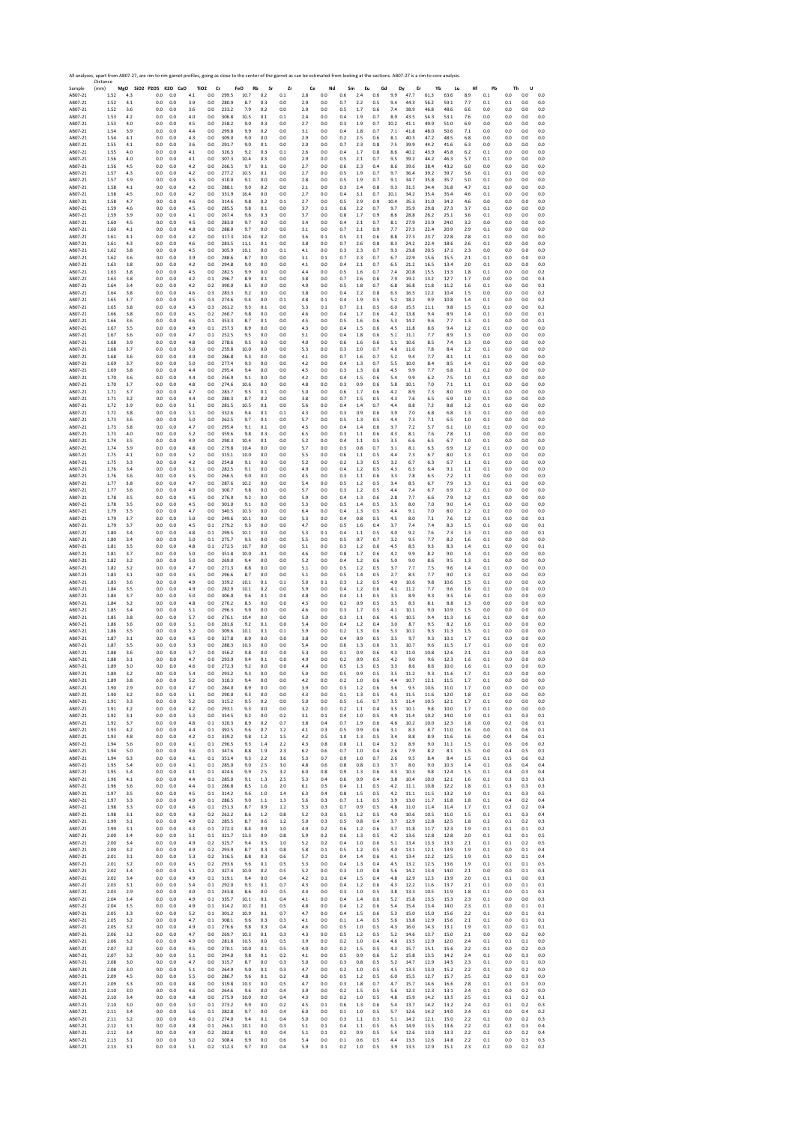|                    | All analyses, apart from AB07-27, are rim to rim garnet profiles, going as close to the center of the garnet as can be estimated from looking at the sections. AB07-27 is a rim to core analysis<br>Distance |            |                              |            |            |                               |                |                   |                |            |            |            |             |                |            |            |              |              |              |            |                |            |            |            |
|--------------------|--------------------------------------------------------------------------------------------------------------------------------------------------------------------------------------------------------------|------------|------------------------------|------------|------------|-------------------------------|----------------|-------------------|----------------|------------|------------|------------|-------------|----------------|------------|------------|--------------|--------------|--------------|------------|----------------|------------|------------|------------|
| Sample<br>AB07-21  | (mm)<br>1.52                                                                                                                                                                                                 | 4.3        | MgO SiO2 P2O5 K2O CaO<br>0.0 | 0.0        | 4.1        | TiO <sub>2</sub><br>Cr<br>0.0 | 299.5          | FeO<br>Rb<br>10.7 | Sr<br>0.2      | Zr<br>0.1  | Ce<br>2.8  | Nd<br>0.0  | Sm<br>0.6   | Eu<br>2.4      | Gd<br>0.6  | Dy<br>9.9  | Er<br>47.7   | Yb<br>61.3   | Lu<br>63.6   | Hf<br>8.9  | Pb<br>0.1      | Th<br>0.0  | U<br>0.0   | 0.0        |
| AB07-21            | 1.52                                                                                                                                                                                                         | 4.1        | 0.0                          | 0.0        | 3.9        | 0.0                           | 280.9          | 8.7               | 0.3            | 0.0        | 2.9        | 0.0        | 0.7         | 2.2            | 0.5        | 9.4        | 44.3         | 56.2         | 59.1         | 7.7        | 0.1            | 0.1        | 0.0        | 0.0        |
| AB07-21            | 1.52                                                                                                                                                                                                         | 3.6        | 0.0                          | 0.0        | 3.6        | $_{0.0}$                      | 233.2          | 7.9               | 0.2            | 0.0        | 2.0        | 0.0        | 0.5         | 1.7            | 0.6        | 7.4        | 38.9         | 46.8         | 48.6         | 6.6        | 0.0            | 0.0        | 0.0        | 0.0        |
| AB07-21            | 1.53                                                                                                                                                                                                         | 4.2        | 0.0                          | 0.0        | 4.0        | 0.0                           | 306.8          | 10.5              | 0.1            | 0.1        | 2.4        | 0.0        | 0.4         | 1.9            | 0.7        | 8.9        | 43.5         | 54.3         | 53.1         | 7.6        | 0.0            | 0.0        | 0.0        | 0.0        |
| AB07-21            | 1.53                                                                                                                                                                                                         | 4.0        | 0.0                          | 0.0        | 4.5        | 0.0                           | 258.2          | 9.0               | 0.3            | 0.0        | 2.7        | 0.0        | 0.3         | 1.9            | 0.7        | 10.2       | 41.1         | 49.9         | 51.0         | 6.9        | 0.0            | 0.0        | 0.0        | 0.0        |
| AB07-21            | 1.54                                                                                                                                                                                                         | 3.9        | 0.0                          | 0.0        | 4.4        | 0.0                           | 299.8          | 9.9               | 0.2            | 0.0        | 3.1        | 0.0        | 0.4         | 1.8            | 0.7        | 7.1        | 41.8         | 48.0         | 50.6         | 7.1        | 0.0            | 0.0        | 0.0        | 0.0        |
| AB07-21            | 1.54                                                                                                                                                                                                         | 4.1        | 0.0                          | 0.0        | 4.3        | $_{0.0}$                      | 309.0          | 9.0               | 0.0            | 0.0        | 2.9        | 0.0        | 0.2         | 2.5            | 0.6        | 8.1        | 40.3         | 47.2         | 48.5         | 6.8        | 0.0            | 0.0        | 0.0        | 0.0        |
| AB07-21            | 1.55                                                                                                                                                                                                         | 4.1        | 0.0                          | 0.0        | 3.6        | 0.0                           | 291.7          | 9.0               | 0.1            | 0.0        | 2.0        | 0.0        | 0.7         | 2.3            | 0.8        | 7.5        | 39.9         | 44.2         | 41.6         | 6.3        | 0.0            | 0.0        | 0.0        | 0.0        |
| AB07-21            | 1.55                                                                                                                                                                                                         | 4.0        | 0.0                          | 0.0        | 4.1        | 0.0                           | 326.3          | 9.2               | 0.3            | 0.1        | 2.6        | 0.0        | 0.4         | 1.7            | 0.8        | 8.6        | 40.2         | 43.9         | 45.8         | 6.2        | 0.1            | 0.0        | 0.0        | 0.0        |
| AB07-21            | 1.56                                                                                                                                                                                                         | 4.0        | 0.0                          | 0.0        | 4.1        | 0.0                           | 307.3          | 10.4              | 0.3            | 0.0        | 2.9        | 0.0        | 0.5         | 2.1            | 0.7        | 9.5        | 39.2         | 44.2         | 46.3         | 5.7        | 0.1            | 0.0        | 0.0        | 0.0        |
| AB07-21            | 1.56                                                                                                                                                                                                         | 4.5        | 0.0                          | 0.0        | 4.2        | $_{0.0}$                      | 266.5          | 9.7               | 0.1            | 0.0        | 2.7        | 0.0        | 0.6         | 2.3            | 0.4        | 8.6        | 39.6         | 38.4         | 43.2         | 6.0        | 0.0            | 0.0        | 0.0        | 0.0        |
| AB07-21            | 1.57                                                                                                                                                                                                         | 4.3        | 0.0                          | 0.0        | 4.2        | 0.0                           | 277.2          | 10.5              | 0.1            | 0.0        | 2.7        | 0.0        | 0.5         | 1.9            | 0.7        | 9.7        | 36.4         | 39.2         | 39.7         | 5.6        | 0.1            | 0.1        | 0.0        | 0.0        |
| AB07-21            | 1.57                                                                                                                                                                                                         | 3.9        | 0.0                          | 0.0        | 4.5        | 0.0                           | 310.0          | 9.1               | 0.0            | 0.0        | 2.8        | 0.0        | 0.5         | 1.9            | 0.7        | 9.1        | 34.7         | 35.8         | 35.7         | 5.0        | 0.1            | 0.0        | 0.0        | 0.0        |
| AB07-21            | 1.58                                                                                                                                                                                                         | 4.1        | 0.0                          | 0.0        | 4.2        | 0.0                           | 288.1          | 9.0               | 0.2            | 0.0        | 2.1        | 0.0        | 0.3         | 2.4            | 0.8        | 9.3        | 31.5         | 34.4         | 31.8         | 4.7        | 0.1            | 0.0        | 0.0        | 0.0        |
| AB07-21            | 1.58                                                                                                                                                                                                         | 4.5        | 0.0                          | 0.0        | 4.2        | 0.0                           | 331.9          | 16.4              | 0.0            | 0.0        | 2.7        | 0.0        | 0.4         | 3.1            | 0.7        | 10.1       | 34.2         | 35.4         | 35.4         | 4.6        | 0.1            | 0.0        | 0.0        | 0.0        |
| AB07-21            | 1.58                                                                                                                                                                                                         | 4.7        | 0.0                          | 0.0        | 4.6        | 0.0                           | 314.6          | 9.8               | 0.2            | 0.1        | 2.7        | 0.0        | 0.5         | 2.9            | 0.9        | 10.4       | 35.3         | 31.0         | 34.2         | 4.6        | 0.0            | 0.0        | 0.0        | 0.0        |
| AB07-21            | 1.59                                                                                                                                                                                                         | 4.6        | 0.0                          | 0.0        | 4.5        | 0.0                           | 285.5          | 9.8               | 0.1            | 0.0        | 3.7        | 0.1        | 0.6         | 2.2            | 0.7        | 9.7        | 35.9         | 29.8         | 27.3         | 3.7        | 0.1            | 0.0        | 0.0        | 0.0        |
| AB07-21            | 1.59                                                                                                                                                                                                         | 3.9        | 0.0                          | 0.0        | 4.1        | 0.0                           | 267.4          | 9.6               | 0.3            | 0.0        | 3.7        | 0.0        | 0.8         | 1.7            | 0.9        | 8.6        | 28.8         | 26.2         | 25.1         | 3.6        | 0.1            | 0.0        | 0.0        | 0.0        |
| AB07-21            | 1.60                                                                                                                                                                                                         | 4.5        | 0.0                          | 0.0        | 4.5        | 0.0                           | 283.0          | 9.7               | 0.0            | 0.0        | 3.4        | 0.0        | 0.4         | 2.1            | 0.7        | 8.1        | 27.9         | 23.9         | 24.0         | 3.2        | 0.0            | 0.0        | 0.0        | 0.0        |
| AB07-21            | 1.60                                                                                                                                                                                                         | 4.1        | 0.0                          | 0.0        | 4.8        | 0.0                           | 288.0          | 9.7               | 0.0            | 0.0        | 3.1        | 0.0        | 0.7         | 2.1            | 0.9        | 7.7        | 27.3         | 22.4         | 20.9         | 2.9        | 0.1            | 0.0        | 0.0        | 0.0        |
| AB07-21            | 1.61                                                                                                                                                                                                         | 4.1        | 0.0                          | 0.0        | 4.2        | 0.0                           | 317.3          | 10.6              | 0.2            | 0.0        | 3.6        | 0.1        | 0.5         | 2.1            | 0.6        | 8.8        | 27.3         | 23.7         | 22.8         | 2.8        | 0.1            | 0.0        | 0.0        | 0.0        |
| AB07-21            | 1.61                                                                                                                                                                                                         | 4.3        | 0.0                          | 0.0        | 4.6        | 0.0                           | 283.5          | 11.1              | 0.1            | 0.0        | 3.8        | 0.0        | 0.7         | 2.6            | 0.8        | 8.3        | 24.2         | 22.4         | 18.6         | 2.6        | 0.1            | 0.0        | 0.0        | 0.0        |
| AB07-21            | 1.62                                                                                                                                                                                                         | 3.8        | 0.0                          | 0.0        | 4.5        | 0.0                           | 305.9          | 10.1              | 0.0            | 0.1        | 4.1        | 0.0        | 0.3         | 2.3            | 0.7        | 9.3        | 23.8         | 20.5         | 17.1         | 2.3        | 0.0            | 0.0        | 0.0        | 0.0        |
| AB07-21            | 1.62                                                                                                                                                                                                         | 3.6        | 0.0                          | 0.0        | 3.9        | 0.0                           | 288.6          | 8.7               | 0.0            | 0.0        | 3.1        | 0.1        | 0.7         | 2.3            | 0.7        | 6.7        | 22.9         | 15.6         | 15.5         | 2.1        | 0.1            | 0.0        | 0.0        | 0.0        |
| AB07-21            | 1.63                                                                                                                                                                                                         | 3.8        | 0.0                          | 0.0        | 4.2        | 0.0                           | 294.8          | 9.0               | 0.0            | 0.0        | 4.1        | 0.0        | 0.4         | 2.1            | 0.7        | 6.5        | 21.2         | 16.5         | 13.4         | 2.0        | 0.1            | 0.0        | 0.0        | 0.0        |
| AB07-21            | 1.63                                                                                                                                                                                                         | 3.8        | 0.0                          | 0.0        | 4.5        | 0.0                           | 282.5          | 9.9               | 0.0            | 0.0        | 4.4        | 0.0        | 0.5         | 1.6            | 0.7        | 7.4        | 20.8         | 15.5         | 13.3         | 1.8        | 0.1            | 0.0        | 0.0        | 0.2        |
| AB07-21            | 1.63                                                                                                                                                                                                         | 3.8        | 0.0                          | 0.0        | 4.2        | 0.1                           | 296.7          | 8.9               | 0.1            | 0.0        | 3.8        | 0.0        | 0.7         | 2.6            | 0.6        | 7.9        | 19.2         | 13.2         | 12.7         | 1.7        | 0.0            | 0.0        | 0.0        | 0.3        |
| AB07-21            | 1.64                                                                                                                                                                                                         | 3.4        | 0.0                          | 0.0        | 4.2        | 0.2                           | 390.0          | 8.5               | 0.0            | 0.0        | 4.0        | 0.0        | 0.5         | $1.8\,$        | 0.7        | $6.8\,$    | 16.8         | 11.8         | 11.2         | 1.6        | 0.1            | 0.0        | 0.0        | 0.3        |
| AB07-21            | 1.64                                                                                                                                                                                                         | 3.8        | 0.0                          | 0.0        | 4.6        | 0.3                           | 283.3          | 9.2               | 0.0            | 0.0        | 3.8        | 0.0        | 0.4         | 2.2            | 0.8        | 6.3        | 16.5         | 12.2         | 10.4         | 1.5        | 0.0            | 0.0        | 0.0        | 0.2        |
| AB07-21            | 1.65                                                                                                                                                                                                         | 3.7        | 0.0                          | 0.0        | 4.5        | 0.3                           | 274.6          | 9.4               | 0.0            | 0.1        | 4.8        | 0.1        | 0.4         | 1.9            | 0.5        | 5.2        | 18.2         | 9.9          | 10.8         | 1.4        | 0.1            | 0.0        | 0.0        | 0.2        |
| AB07-21<br>AB07-21 | 1.65<br>1.66                                                                                                                                                                                                 | 3.8<br>3.8 | 0.0<br>0.0                   | 0.0<br>0.0 | 4.3<br>4.5 | 0.3<br>0.2                    | 261.2<br>260.7 | 9.3<br>9.8        | 0.1<br>$0.0\,$ | 0.0<br>0.0 | 5.3        | 0.1<br>0.0 | 0.7<br>0.4  | 2.1<br>1.7     | 0.5<br>0.6 | 6.0<br>4.2 | 15.5<br>13.8 | 11.1<br>9.4  | 9.8<br>8.9   | 1.5<br>1.4 | 0.1<br>0.1     | 0.0        | 0.0<br>0.0 | 0.2<br>0.1 |
| AB07-21            | 1.66                                                                                                                                                                                                         | 3.6        | 0.0                          | 0.0        | 4.6        | 0.1                           | 353.3          | 8.7               | 0.1            | 0.0        | 4.6<br>4.5 | 0.0        | 0.5         | 1.6            | 0.6        | 5.3        | 14.2         | 9.6          | 7.7          | 1.3        | 0.1            | 0.0<br>0.0 | 0.0        | 0.1        |
| AB07-21            | 1.67                                                                                                                                                                                                         | 3.5        | 0.0                          | 0.0        | 4.9        | 0.1                           | 257.3          | 8.9               | 0.0            | 0.0        | 4.3        | 0.0        | 0.4         | 1.5            | 0.6        | 4.5        | 11.8         | 8.6          | 9.4          | 1.2        | 0.1            | 0.0        | 0.0        | 0.0        |
| AB07-21            | 1.67                                                                                                                                                                                                         | 3.6        | 0.0                          | 0.0        | 4.7        | 0.1                           | 252.5          | 9.5               | 0.0            | 0.0        | 5.1        | 0.0        | 0.4         | 1.8            | 0.6        | 5.1        | 11.1         | 7.7          | 8.9          | 1.3        | 0.0            | 0.0        | 0.0        | 0.0        |
| AB07-21            | 1.68                                                                                                                                                                                                         | 3.9        | 0.0                          | 0.0        | 4.8        | 0.0                           | 278.6          | 9.5               | 0.0            | 0.0        | 4.0        | 0.0        | 0.6         | 1.6            | 0.6        | 5.1        | 10.6         | 8.5          | 7.4          | 1.3        | 0.0            | 0.0        | 0.0        | 0.0        |
| AB07-21            | 1.68                                                                                                                                                                                                         | 3.7        | 0.0                          | 0.0        | 5.0        | 0.0                           | 259.8          | 10.0              | 0.0            | 0.0        | 5.3        | 0.0        | 0.3         | 2.0            | 0.7        | 4.6        | 11.6         | 7.8          | 8.4          | 1.2        | 0.1            | 0.0        | 0.0        | 0.0        |
| AB07-21            | 1.68                                                                                                                                                                                                         | 3.6        | 0.0                          | 0.0        | 4.9        | 0.0                           | 286.8          | 9.3               | 0.0            | 0.0        | 4.1        | 0.0        | 0.7         | 1.6            | 0.7        | 5.2        | 9.4          | 7.7          | 8.1          | 1.1        | 0.1            | 0.0        | 0.0        | 0.0        |
| AB07-21            | 1.69                                                                                                                                                                                                         | 3.7        | 0.0                          | 0.0        | 5.0        | 0.0                           | 277.4          | 9.3               | 0.0            | 0.0        | 4.2        | 0.0        | 0.4         | 1.3            | 0.7        | 5.5        | 10.0         | 8.4          | 8.5          | 1.4        | 0.1            | 0.0        | 0.0        | 0.0        |
| AB07-21            | 1.69                                                                                                                                                                                                         | 3.8        | 0.0                          | 0.0        | 4.4        | 0.0                           | 295.4          | 9.4               | 0.0            | 0.0        | 4.5        | 0.0        | 0.3         | 1.3            | 0.8        | 4.5        | 9.9          | 7.7          | 6.8          | 1.1        | 0.2            | 0.0        | 0.0        | 0.0        |
| AB07-21            | 1.70                                                                                                                                                                                                         | 3.6        | 0.0                          | 0.0        | 4.4        | 0.0                           | 256.9          | 9.1               | 0.0            | 0.0        | 4.2        | 0.0        | 0.4         | 1.5            | 0.6        | 5.4        | 9.9          | 6.2          | 7.5          | 1.0        | 0.1            | 0.0        | 0.0        | 0.0        |
| AB07-21            | 1.70                                                                                                                                                                                                         | 3.7        | 0.0                          | 0.0        | 4.8        | 0.0                           | 274.6          | 10.6              | 0.0            | 0.0        | 4.8        | 0.0        | 0.3         | 0.9            | 0.6        | 5.8        | 10.1         | 7.0          | 7.1          | 1.1        | 0.1            | 0.0        | 0.0        | 0.0        |
| AB07-21            | 1.71                                                                                                                                                                                                         | 3.7        | 0.0                          | 0.0        | 4.7        | 0.0                           | 283.7          | 9.5               | 0.1            | 0.0        | 5.0        | 0.0        | 0.6         | 1.7            | 0.6        | 4.2        | 8.9          | 7.3          | 8.0          | 0.9        | 0.1            | 0.0        | 0.0        | 0.0        |
| AB07-21            | 1.71                                                                                                                                                                                                         | 3.2        | 0.0                          | 0.0        | 4.4        | 0.0                           | 280.3          | 8.7               | 0.2            | 0.0        | 3.8        | 0.0        | 0.7         | 1.5            | 0.5        | 4.3        | 7.6          | 6.5          | 6.9          | 1.0        | 0.1            | 0.0        | 0.0        | 0.0        |
| AB07-21            | 1.72                                                                                                                                                                                                         | 3.9        | 0.0                          | 0.0        | 5.1        | 0.0                           | 281.5          | 10.5              | 0.1            | 0.0        | 5.6        | 0.0        | 0.4         | 1.4            | 0.7        | 4.4        | 8.8          | 7.2          | 8.8          | 1.2        | 0.1            | 0.0        | 0.0        | 0.0        |
| AB07-21            | 1.72                                                                                                                                                                                                         | 3.8        | 0.0                          | 0.0        | 5.1        | 0.0                           | 332.6          | 9.4               | 0.1            | 0.1        | 4.3        | 0.0        | 0.3         | 0.9            | 0.6        | 3.9        | 7.0          | 6.8          | 6.8          | 1.3        | 0.1            | 0.0        | 0.0        | 0.0        |
| AB07-21            | 1.73                                                                                                                                                                                                         | 3.6        | 0.0                          | 0.0        | 5.0        | 0.0                           | 262.5          | 9.7               | 0.1            | 0.0        | 5.7        | 0.0        | 0.5         | 1.3            | 0.5        | 4.4        | 7.3          | 7.1          | 6.5          | 1.0        | 0.1            | 0.0        | 0.0        | 0.0        |
| AB07-21            | 1.73                                                                                                                                                                                                         | 3.8        | 0.0                          | 0.0        | 4.7        | 0.0                           | 295.4          | 9.1               | 0.1            | 0.0        | 4.5        | 0.0        | 0.4         | 1.4            | 0.6        | 3.7        | 7.2          | 5.7          | 6.1          | 1.0        | 0.1            | 0.0        | 0.0        | 0.0        |
| AB07-21            | 1.73                                                                                                                                                                                                         | 4.0        | 0.0                          | 0.0        | 5.2        | 0.0                           | 359.6          | 9.8               | 0.3            | 0.0        | 6.5        | 0.0        | 0.3         | 1.1            | 0.6        | 4.3        | 8.1          | 7.6          | 7.8          | 1.1        | 0.0            | 0.0        | 0.0        | 0.0        |
| AB07-21            | 1.74                                                                                                                                                                                                         | 3.5        | 0.0                          | 0.0        | 4.9        | 0.0                           | 290.3          | 10.4              | 0.1            | 0.0        | 5.2        | 0.0        | 0.4         | 1.1            | 0.5        | 3.5        | 6.6          | 6.5          | 6.7          | 1.0        | 0.1            | 0.0        | 0.0        | 0.0        |
| AB07-21            | 1.74                                                                                                                                                                                                         | 3.9        | 0.0                          | 0.0        | 4.8        | 0.0                           | 279.8          | 10.4              | 0.0            | 0.0        | 5.7        | 0.0        | 0.3         | 0.8            | 0.7        | 3.1        | 8.1          | 6.3          | 6.9          | 1.2        | 0.1            | 0.0        | 0.0        | 0.0        |
| AB07-21            | 1.75                                                                                                                                                                                                         | 4.1        | 0.0                          | 0.0        | 5.2        | 0.0                           | 315.1          | 10.0              | 0.0            | 0.0        | 5.5        | 0.0        | 0.6         | 1.1            | 0.5        | 4.4        | 7.3          | 6.7          | 8.0          | 1.3        | 0.1            | 0.0        | 0.0        | 0.0        |
| AB07-21            | 1.75                                                                                                                                                                                                         | 3.3        | 0.0                          | 0.0        | 4.2        | 0.0                           | 254.8          | 9.1               | 0.0            | 0.0        | 5.2        | 0.0        | 0.2         | $1.3\,$        | 0.5        | 3.2        | 6.7          | 6.3          | 6.7          | 1.1        | 0.1            | 0.0        | 0.0        | 0.0        |
| AB07-21            | 1.76                                                                                                                                                                                                         | 3.4        | 0.0                          | 0.0        | 5.1        | 0.0                           | 282.5          | 9.1               | 0.0            | 0.0        | 4.9        | 0.0        | 0.4         | 1.2            | 0.5        | 4.3        | 6.3          | 6.4          | 9.1          | 1.1        | 0.1            | 0.0        | 0.0        | 0.0        |
| AB07-21            | 1.76                                                                                                                                                                                                         | 3.6        | 0.0                          | 0.0        | 4.5        | 0.0                           | 266.5          | 9.0               | 0.0            | 0.0        | 4.5        | 0.0        | 0.3         | 1.1            | 0.6        | 3.3        | 7.8          | 6.5          | 7.2          | 1.1        | 0.0            | 0.0        | 0.0        | 0.0        |
| AB07-21            | 1.77                                                                                                                                                                                                         | 3.8        | 0.0                          | 0.0        | 4.7        | 0.0                           | 287.6          | 10.2              | 0.0            | 0.0        | 5.4        | 0.0        | 0.5         | 1.2            | 0.5        | 3.4        | 8.5          | 6.7          | 7.9          | 1.3        | 0.1            | 0.1        | 0.0        | 0.0        |
| AB07-21            | 1.77                                                                                                                                                                                                         | 3.6        | 0.0                          | 0.0        | 4.9        | $_{0.0}$                      | 300.7          | 9.8               | 0.0            | 0.0        | 5.7        | 0.0        | 0.3         | 1.2            | 0.5        | 4.4        | 7.4          | 6.7          | 6.9          | 1.2        | 0.1            | 0.0        | 0.0        | 0.0        |
| AB07-21            | 1.78                                                                                                                                                                                                         | 3.5        | 0.0                          | 0.0        | 4.5        | 0.0                           | 276.0          | 9.2               | 0.0            | 0.0        | 5.9        | 0.0        | 0.4         | 1.3            | 0.6        | 2.8        | 7.7          | 6.6          | 7.9          | 1.2        | 0.1            | 0.0        | 0.0        | 0.0        |
| AB07-21            | 1.78                                                                                                                                                                                                         | 3.5        | 0.0                          | 0.0        | 4.5        | 0.0                           | 301.0          | 9.1               | 0.0            | 0.0        | 5.3        | 0.0        | 0.5         | 1.4            | 0.5        | 3.5        | 8.0          | 7.0          | 9.0          | 1.4        | 0.1            | 0.0        | 0.0        | 0.0        |
| AB07-21            | 1.79                                                                                                                                                                                                         | 3.5        | 0.0                          | 0.0        | 4.7        | 0.0                           | 340.5          | 10.3              | 0.0            | 0.0        | 6.4        | 0.0        | 0.4         | 1.3            | 0.5        | 4.4        | 9.1          | 7.0          | 8.0          | 1.2        | 0.2            | 0.0        | 0.0        | 0.0        |
| AB07-21            | 1.79                                                                                                                                                                                                         | 3.7        | 0.0                          | 0.0        | 5.0        | 0.0                           | 249.6          | 10.1              | 0.0            | 0.0        | 5.3        | 0.0        | 0.4         | 0.8            | 0.5        | 4.5        | 8.0          | 7.1          | 7.6          | 1.2        | 0.1            | 0.0        | 0.0        | 0.1        |
| AB07-21            | 1.79                                                                                                                                                                                                         | 3.7        | 0.0                          | 0.0        | 4.5        | 0.1                           | 279.2          | 9.3               | 0.0            | 0.0        | 4.7        | 0.0        | 0.5         | 1.6            | 0.4        | 3.7        | 7.4          | 7.4          | 8.3          | 1.5        | 0.1            | 0.0        | 0.0        | 0.1        |
| AB07-21            | 1.80                                                                                                                                                                                                         | 3.4        | 0.0                          | 0.0        | 4.8        | 0.1                           | 299.5          | 10.1              | 0.0            | 0.0        | 5.3        | 0.1        | 0.4         | 1.1            | 0.5        | 4.0        | 9.2          | 7.6          | 7.3          | 1.3        | 0.1            | 0.0        | 0.0        | 0.1        |
| AB07-21            | 1.80                                                                                                                                                                                                         | 3.4        | 0.0                          | 0.0        | 5.0        | 0.1                           | 275.7          | 9.5               | 0.0            | 0.0        | 5.5        | 0.0        | 0.5         | 0.7            | 0.7        | 3.2        | 9.5          | 7.7          | 8.2          | 1.6        | 0.1            | 0.0        | 0.0        | 0.0        |
| AB07-21            | 1.81                                                                                                                                                                                                         | 3.5        | 0.0                          | 0.0        | 4.8        | 0.1                           | 272.5          | 10.7              | 0.0            | 0.0        | 5.1        | 0.0        | 0.3         | 1.2            | 0.6        | 4.5        | 8.5          | 9.3          | 8.3          | 1.4        | 0.1            | 0.0        | 0.0        | 0.1        |
| AB07-21            | 1.81                                                                                                                                                                                                         | 3.7        | 0.0                          | 0.0        | 5.0        | 0.0                           | 351.8          | 10.0              | $-0.1$         | 0.0        | 4.6        | 0.0        | 0.8         | 1.7            | 0.6        | 4.2        | 9.9          | 8.2          | 9.0          | 1.4        | 0.1            | 0.0        | 0.0        | 0.0        |
| AB07-21            | 1.82                                                                                                                                                                                                         | 3.2        | 0.0                          | 0.0        | 5.0        | 0.0                           | 269.0          | 9.4               | 0.0            | 0.0        | 5.2        | 0.0        | 0.4         | 1.2            | 0.6        | 5.0        | 9.0          | 8.6          | 9.5          | 1.3        | 0.1            | 0.0        | 0.0        | 0.0        |
| AB07-21            | 1.82                                                                                                                                                                                                         | 3.2        | 0.0                          | 0.0        | 4.7        | 0.0                           | 271.3          | 8.8               | 0.0            | 0.0        | 5.1        | 0.0        | 0.5         | 1.2            | 0.5        | 3.7        | 7.7          | 7.5          | 9.6          | 1.4        | 0.1            | 0.0        | 0.0        | 0.0        |
| AB07-21            | 1.83                                                                                                                                                                                                         | 3.1        | 0.0                          | 0.0        | 4.5        | 0.0                           | 296.6          | 8.7               | 0.0            | 0.0        | 5.1        | 0.0        | 0.5         | 1.4            | 0.5        | 2.7        | 8.5          | 7.7          | 9.0          | 1.3        | 0.2            | 0.0        | 0.0        | 0.0        |
| AB07-21            | 1.83                                                                                                                                                                                                         | 3.6        | 0.0                          | 0.0        | 4.9        | 0.0                           | 339.2          | 10.1              | 0.1            | 0.1        | 5.0        | 0.1        | 0.3         | 1.2            | 0.5        | 4.0        | 10.6         | 9.8          | 10.6         | 1.5        | 0.1            | 0.0        | 0.0        | 0.0        |
| AB07-21            | 1.84                                                                                                                                                                                                         | 3.5        | 0.0                          | 0.0        | 4.9        | 0.0                           | 282.9          | 10.1              | 0.2            | 0.0        | 5.9        | 0.0        | 0.4         | 1.2            | 0.6        | 4.1        | 11.2         | 7.7          | 9.6          | 1.6        | 0.1            | 0.0        | 0.0        | 0.0        |
| AB07-21            | 1.84<br>1.84                                                                                                                                                                                                 | 3.7        | 0.0<br>0.0                   | 0.0        | 5.0<br>4.8 | 0.0<br>0.0                    | 306.0<br>270.2 | 9.6<br>8.5        | 0.1            | 0.0<br>0.0 | 4.8<br>4.5 | 0.0<br>0.0 | 0.4<br>0.2  | 1.1            | 0.5        | 3.3        | 8.9<br>8.3   | 9.3<br>8.1   | 9.5<br>8.8   | 1.6        | 0.1<br>0.0     | 0.0        | 0.0        | 0.0<br>0.0 |
| AB07-21<br>AB07-21 | 1.85                                                                                                                                                                                                         | 3.2<br>3.4 | 0.0                          | 0.0<br>0.0 | 5.1        | 0.0                           | 296.3          | 9.9               | 0.0<br>0.0     | 0.0        | 4.6        | 0.0        | 0.3         | 0.9<br>1.7     | 0.5<br>0.5 | 3.5<br>4.1 | 10.1         | 9.0          | 10.9         | 1.3<br>1.5 | 0.0            | 0.0<br>0.0 | 0.0<br>0.0 | 0.0        |
| AB07-21            | 1.85                                                                                                                                                                                                         | 3.8        | 0.0                          | 0.0        | 5.7        | 0.0                           | 276.1          | 10.4              | 0.0            | 0.0        | 5.0        | 0.0        | 0.3         | 1.1            | 0.6        | 4.5        | 10.5         | 9.4          | 11.3         | 1.6        | 0.1            | 0.0        | 0.0        | 0.0        |
| AB07-21            | 1.86                                                                                                                                                                                                         | 3.6        | 0.0                          | 0.0        | 5.1        | 0.0                           | 281.6          | 9.2               | 0.1            | 0.0        | 5.4        | 0.0        | 0.4         | 1.2            | 0.4        | 3.0        | 8.7          | 9.5          | 8.2          | 1.6        | 0.1            | 0.0        | 0.0        | 0.0        |
| AB07-21            | 1.86                                                                                                                                                                                                         | 3.5        | 0.0                          | 0.0        | 5.2        | 0.0                           | 309.6          | 10.1              | 0.1            | 0.1        | 5.9        | 0.0        | 0.2         | 1.3            | 0.6        | 5.3        | 10.1         | 9.3          | 11.3         | 1.5        | 0.1            | 0.0        | 0.0        | 0.0        |
| AB07-21            | 1.87                                                                                                                                                                                                         | 3.1        | 0.0                          | 0.0        | 4.5        | 0.0                           | 327.8          | 8.9               | 0.0            | 0.0        | 3.8        | 0.0        | 0.4         | 0.9            | 0.5        | 3.5        | 9.7          | 9.3          | 10.1         | 1.7        | 0.1            | 0.0        | 0.0        | 0.0        |
| AB07-21            | 1.87                                                                                                                                                                                                         | 3.5        | 0.0                          | 0.0        | 5.3        | 0.0                           | 288.3          | 10.3              | 0.0            | 0.0        | 5.4        | 0.0        | 0.6         | 1.3            | 0.6        | 3.3        | 10.7         | 9.6          | 11.5         | 1.7        | 0.1            | 0.0        | 0.0        | 0.0        |
| AB07-21            | 1.88                                                                                                                                                                                                         | 3.6        | 0.0                          | 0.0        | 5.7        | 0.0                           | 356.2          | 9.8               | 0.0            | 0.0        | 5.3        | 0.0        | 0.1         | 0.9            | 0.6        | 4.3        | 11.0         | 10.8         | 12.6         | 2.1        | 0.2            | 0.0        | 0.0        | 0.0        |
| AB07-21            | 1.88                                                                                                                                                                                                         | 3.1        | 0.0                          | 0.0        | 4.7        | 0.0                           | 293.9          | 9.4               | 0.1            | 0.0        | 4.9        | 0.0        | 0.2         | 0.9            | 0.5        | 4.2        | 9.0          | 9.6          | 12.3         | 1.6        | 0.1            | 0.0        | 0.0        | 0.0        |
| AB07-21<br>AB07-21 | 1.89<br>1.85                                                                                                                                                                                                 | 3.0<br>3.4 | 0.0<br>U.L                   | 0.0<br>U.L | 4.6<br>5.4 | 0.0<br>U.U                    | 272.3<br>293., | 9.2<br>у.,        | 0.0<br>U.U     | 0.0<br>U.U | 4.4<br>5.L | 0.0<br>U.U | 0.5<br>U. 5 | 1.3<br>U.Y     | 0.5<br>υ.  | 3.3<br>3.5 | 8.6          | 8.6          | 10.0<br>11.6 | 1.6<br>1.1 | 0.1<br>υ.1     | 0.0<br>U.L | 0.0        | 0.0        |
| AB07-21            | 1.89                                                                                                                                                                                                         | 3.8        | 0.0                          | 0.0        | 5.2        | 0.0                           | 310.3          | 9.4               | 0.0            | 0.0        | 4.2        | 0.0        | 0.2         | 1.0            | 0.6        | 4.4        | 10.7         | 12.1         | 11.5         | 1.7        | 0.1            | 0.0        | 0.0        | 0.0        |
| AB07-21            | 1.90                                                                                                                                                                                                         | 2.9        | 0.0                          | 0.0        | 4.7        | 0.0                           | 284.0          | 8.9               | 0.0            | 0.0        | 3.9        | 0.0        | 0.3         | 1.2            | 0.6        | 3.6        | 9.5          | 10.6         | 11.0         | 1.7        | 0.0            | 0.0        | 0.0        | 0.0        |
| AB07-21            | 1.90                                                                                                                                                                                                         | 3.2        | 0.0                          | 0.0        | 5.1        | 0.0                           | 290.0          | 9.3               | 0.0            | 0.0        | 4.3        | 0.0        | 0.1         | 1.3            | 0.5        | 4.3        | 11.5         | 11.6         | 12.0         | 1.8        | 0.1            | 0.0        | 0.0        | 0.0        |
| AB07-21            | 1.91                                                                                                                                                                                                         | 3.3        | 0.0                          | 0.0        | 5.2        | 0.0                           | 315.2          | 9.5               | 0.2            | 0.0        | 5.0        | 0.0        | 0.5         | 1.6            | 0.7        | 3.5        | 11.4         | 10.5         | 12.1         | 1.7        | 0.1            | 0.0        | 0.0        | 0.0        |
| AB07-21            | 1.91                                                                                                                                                                                                         | 3.2        | 0.0                          | 0.0        | 4.2        | 0.0                           | 293.1          | 9.3               | 0.0            | 0.0        | 3.2        | 0.0        | 0.2         | 1.1            | 0.4        | 3.5        | 10.1         | 9.8          | 10.0         | 1.7        | 0.1            | 0.0        | 0.0        | 0.0        |
| AB07-21            | 1.92                                                                                                                                                                                                         | 3.1        | 0.0                          | 0.0        | 5.3        | 0.0                           | 354.5          | 9.2               | 0.0            | 0.2        | 3.1        | 0.1        | 0.4         | 1.0            | 0.5        | 4.9        | 11.4         | 10.2         | 14.0         | 1.9        | 0.1            | 0.1        | 0.3        | 0.1        |
| AB07-21            | 1.92                                                                                                                                                                                                         | 3.7        | 0.0                          | 0.0        | 4.8        | 0.1                           | 320.3          | 8.9               | 0.2            | 0.7        | 3.8        | 0.4        | 0.7         | 1.9            | 0.6        | 4.6        | 10.2         | 10.0         | 12.3         | 1.8        | 0.0            | 0.2        | 0.6        | 0.1        |
| AB07-21            | 1.93                                                                                                                                                                                                         | 4.2        | 0.0                          | 0.0        | 4.4        | 0.1                           | 392.5          | 9.6               | 0.7            | 1.2        | 4.1        | 0.3        | 0.5         | 0.9            | 0.6        | 3.1        | 8.3          | 8.7          | 11.0         | 1.6        | 0.0            | 0.1        | 0.6        | 0.1        |
| AB07-21            | 1.93                                                                                                                                                                                                         | 4.8        | 0.0                          | 0.0        | 4.2        | 0.1                           | 339.2          | 9.8               | 1.2            | 1.5        | 4.2        | 0.5        | 1.0         | 1.3            | 0.5        | 3.4        | 8.8          | 8.9          | 11.6         | 1.6        | 0.0            | 0.4        | 0.6        | 0.1        |
| AB07-21            | 1.94                                                                                                                                                                                                         | 5.6        | 0.0                          | 0.0        | 4.1        | 0.1                           | 296.5          | 9.3               | 1.4            | 2.2        | 4.3        | 0.8        | 0.8         | 1.1            | 0.4        | 3.2        | 8.9          | 9.0          | 11.1         | 1.5        | 0.1            | 0.6        | 0.6        | 0.2        |
| AB07-21            | 1.94                                                                                                                                                                                                         | 5.0        | 0.0                          | 0.0        | 3.6        | 0.1                           | 347.6          | 8.8               | 1.9            | 2.3        | 6.2        | 0.6        | 0.7         | 1.0            | 0.4        | 2.6        | 7.9          | 8.2          | 8.1          | 1.5        | 0.0            | 0.4        | 0.5        | 0.1        |
| AB07-21            | 1.94                                                                                                                                                                                                         | 6.3        | 0.0                          | 0.0        | 4.1        | $0.1\,$                       | 351.4          | 9.3               | 2.2            | 3.6        | 5.3        | 0.7        | 0.9         | $1.0\,$        | 0.7        | 2.6        | 9.5          | 8.4          | 8.4          | $1.5\,$    | $0.1\,$        | 0.5        | 0.6        | 0.2        |
| AB07-21            | 1.95                                                                                                                                                                                                         | 5.4        | 0.0                          | 0.0        | 4.1        | 0.1                           | 285.0          | 9.0               | 2.5            | 3.0        | 4.8        | 0.6        | 0.8         | 0.8            | 0.3        | 3.7        | 8.0          | 9.0          | 10.3         | 1.4        | 0.1            | 0.6        | 0.4        | 0.4        |
| AB07-21            | 1.95                                                                                                                                                                                                         | 5.4        | 0.0                          | 0.0        | 4.1        | 0.1                           | 424.6          | 9.9               | 2.5            | 3.2        | 6.0        | 0.8        | 0.9         | 1.3            | 0.6        | 4.3        | 10.3         | 9.8          | 12.4         | 1.5        | 0.1            | 0.4        | 0.3        | 0.4        |
| AB07-21            | 1.96                                                                                                                                                                                                         | 4.1        | 0.0                          | 0.0        | 4.4        | 0.1                           | 285.0          | 9.1               | 1.3            | 2.5        | 5.3        | 0.4        | 0.6         | 0.9            | 0.4        | 3.8        | 10.4         | 10.0         | 12.1         | 1.6        | 0.1            | 0.3        | 0.3        | 0.3        |
| AB07-21            | 1.96                                                                                                                                                                                                         | 3.6        | 0.0                          | 0.0        | 4.4        | $0.1\,$                       | 286.8          | 8.5               | 1.6            | 2.0        | 6.1        | 0.5        | 0.4         | 1.1            | 0.5        | 4.2        | 11.1         | 10.8         | 12.2         | $1.8\,$    | $0.1\,$        | 0.3        | 0.3        | 0.3        |
| AB07-21            | 1.97                                                                                                                                                                                                         | 3.5        | 0.0                          | 0.0        | 4.5        | 0.1                           | 314.2          | 9.6               | 1.0            | 1.4        | 6.3        | 0.4        | 0.8         | 1.5            | 0.5        | 4.2        | 11.1         | 11.5         | 13.2         | 1.9        | 0.1            | 0.1        | 0.3        | 0.5        |
| AB07-21            | 1.97                                                                                                                                                                                                         | 3.3        | 0.0                          | 0.0        | 4.9        | 0.1                           | 286.5          | 9.0               | 1.1            | 1.3        | 5.6        | 0.3        | 0.7         | 1.1            | 0.5        | 3.9        | 13.0         | 11.7         | 11.8         | 1.8        | 0.1            | 0.4        | 0.2        | 0.4        |
| AB07-21            | 1.98                                                                                                                                                                                                         | 3.3        | 0.0                          | 0.0        | 4.6        | 0.1                           | 251.3          | 8.7               | 0.9            | 1.2        | 5.3        | 0.3        | 0.7         | 0.9            | 0.5        | 4.8        | 11.0         | 11.4         | 11.4         | 1.7        | 0.1            | 0.2        | 0.2        | 0.4        |
| AB07-21            | 1.98                                                                                                                                                                                                         | 3.1        | 0.0                          | 0.0        | 4.3        | 0.2                           | 262.2          | 8.6               | $1.2\,$        | 0.8        | 5.2        | 0.3        | 0.5         | $1.2\,$        | 0.5        | 4.0        | 10.6         | 10.5         | 11.0         | $1.5\,$    | $0.1\,$        | 0.1        | 0.3        | 0.4        |
| AB07-21            | 1.99                                                                                                                                                                                                         | 3.1        | 0.0                          | 0.0        | 4.9        | 0.2                           | 285.5          | 8.7               | 0.6            | 1.2        | 5.0        | 0.3        | 0.5         | 0.8            | 0.4        | 3.7        | 12.9         | 12.8         | 12.5         | 1.8        | 0.2            | 0.1        | 0.2        | 0.3        |
| AB07-21            | 1.99                                                                                                                                                                                                         | 3.1        | 0.0                          | 0.0        | 4.3        | 0.1                           | 272.3          | 8.4               | 0.9            | 1.0        | 4.9        | 0.2        | 0.6         | 1.2            | 0.6        | 3.7        | 11.8         | 11.7         | 12.3         | 1.9        | 0.1            | 0.1        | 0.1        | 0.2        |
| AB07-21            | 2.00                                                                                                                                                                                                         | 3.4        | 0.0                          | 0.0        | 5.1        | 0.1                           | 321.7          | 13.3              | 0.9            | 0.8        | 5.9        | 0.2        | 0.6         | 1.3            | 0.5        | 4.2        | 13.6         | 12.8         | 12.8         | 2.0        | 0.1            | 0.2        | 0.1        | 0.5        |
| AB07-21            | 2.00                                                                                                                                                                                                         | 3.4        | 0.0                          | 0.0        | 4.9        | 0.2                           | 325.7          | 9.4               | 0.5            | 1.0        | 5.2        | 0.2        | 0.4         | 1.0            | 0.6        | 5.1        | 13.4         | 13.3         | 13.3         | 2.1        | 0.1            | 0.1        | 0.2        | 0.5        |
| AB07-21            | 2.00                                                                                                                                                                                                         | 3.2        | 0.0                          | 0.0        | 4.9        | 0.2                           | 293.9          | 8.7               | 0.3            | 0.8        | 5.8        | 0.1        | 0.5         | 1.2            | 0.5        | 4.0        | 13.1         | 12.1         | 13.9         | 1.9        | 0.1            | 0.0        | 0.1        | 0.4        |
| AB07-21            | 2.01                                                                                                                                                                                                         | 3.1        | 0.0                          | 0.0        | 5.3        | 0.2                           | 316.5          | 8.8               | 0.3            | 0.6        | 5.7        | 0.1        | 0.4         | 1.4            | 0.6        | 4.1        | 13.4         | 12.2         | 12.5         | 1.9        | 0.1            | 0.0        | 0.1        | 0.4        |
| AB07-21            | 2.01                                                                                                                                                                                                         | 3.2        | 0.0                          | 0.0        | 4.5        | 0.2                           | 293.6          | 9.6               | 0.1            | 0.5        | 5.3        | 0.0        | 0.4         | 1.3            | 0.4        | 4.5        | 13.2         | 12.5         | 13.6         | 1.9        | 0.1            | 0.1        | 0.1        | 0.5        |
| AB07-21            | 2.02                                                                                                                                                                                                         | 3.4        | 0.0                          | 0.0        | 5.1        | 0.2                           | 327.4          | 10.0              | 0.2            | 0.5        | 5.2        | 0.0        | 0.3         | 1.0            | 0.8        | 5.6        | 14.2         | 13.4         | 14.0         | 2.1        | 0.0            | 0.0        | 0.1        | 0.3        |
| AB07-21            | 2.02                                                                                                                                                                                                         | 3.4        | 0.0                          | 0.0        | 4.9        | 0.1                           | 319.1          | 9.4               | 0.0            | 0.4        | 4.2        | 0.1        | 0.4         | 1.5            | 0.4        | 4.8        | 12.9         | 12.3         | 13.9         | 2.0        | 0.1            | 0.1        | 0.0        | 0.3        |
| AB07-21            | 2.03                                                                                                                                                                                                         | 3.1        | 0.0                          | 0.0        | 5.4        | 0.1                           | 292.0          | 9.3               | 0.1            | 0.7        | 4.3        | 0.0        | 0.4         | 1.2            | 0.6        | 4.3        | 12.2         | 11.6         | 13.7         | 2.1        | 0.1            | 0.0        | 0.1        | 0.1        |
| AB07-21            | 2.03                                                                                                                                                                                                         | 2.9        | 0.0                          | 0.0        | 4.0        | 0.1                           | 243.8          | 8.6               | 0.0            | 0.5        | 4.4        | 0.0        | 0.3         | 1.0            | 0.5        | 3.8        | 13.3         | 10.5         | 11.9         | 1.8        | 0.1            | 0.0        | 0.1        | 0.1        |
| AB07-21            | 2.04                                                                                                                                                                                                         | 3.4        | 0.0                          | 0.0        | 4.9        | 0.1                           | 335.7          | 10.1              | 0.1            | 0.4        | 4.1        | 0.0        | 0.4         | 1.4            | 0.6        | 5.2        | 15.8         | 13.5         | 15.3         | 2.3        | 0.1            | 0.0        | 0.0        | 0.3        |
| AB07-21            | 2.04                                                                                                                                                                                                         | 3.5        | 0.0                          | 0.0        | 4.9        | 0.1                           | 314.2          | 10.2              | 0.1            | 0.5        | 4.8        | 0.0        | 0.4         | 1.2            | 0.6        | 5.4        | 15.4         | 13.4         | 14.0         | 2.3        | 0.1            | 0.0        | 0.1        | 0.1        |
| AB07-21            | 2.05                                                                                                                                                                                                         | 3.3        | 0.0                          | 0.0        | 5.2        | 0.1                           | 301.2          | 10.9              | 0.1            | 0.7        | 4.7        | 0.0        | 0.4         | 1.5            | 0.6        | 5.3        | 15.0         | 15.0         | 15.6         | 2.2        | 0.1            | 0.0        | 0.1        | 0.1        |
| AB07-21            | 2.05                                                                                                                                                                                                         | 3.2        | 0.0                          | 0.0        | 4.7        | 0.1                           | 308.1          | 9.6               | 0.3            | 0.3        | 4.1        | 0.0        | 0.1         | 1.4            | 0.5        | 5.6        | 13.8         | 12.9         | 15.6         | 2.1        | 0.1            | 0.0        | 0.1        | 0.1        |
| AB07-21            | 2.05                                                                                                                                                                                                         | 3.2        | 0.0                          | 0.0        | 4.9        | 0.1                           | 276.6          | 9.8               | 0.3            | 0.4        | 4.6        | 0.0        | 0.5         | 1.0            | 0.5        | 4.3        | 16.0         | 14.3         | 13.1         | 1.9        | 0.1            | 0.0        | 0.1        | 0.1        |
| AB07-21            | 2.06                                                                                                                                                                                                         | 3.2        | 0.0                          | 0.0        | 4.7        | $_{0.0}$                      | 269.7          | 10.3              | $0.1\,$        | 0.3        | 4.3        | 0.0        | 0.5         | $1.2\,$        | 0.5        | 5.2        | 14.6         | 13.7         | 15.0         | $2.1\,$    | 0.0            | 0.0        | 0.2        | 0.0        |
| AB07-21            | 2.06                                                                                                                                                                                                         | 3.2        | 0.0                          | 0.0        | 4.9        | 0.0                           | 281.8          | 10.5              | 0.0            | 0.5        | 3.9        | 0.0        | 0.2         | 1.0            | 0.4        | 4.6        | 13.5         | 12.9         | 12.0         | 2.4        | 0.1            | 0.1        | 0.1        | 0.0        |
| AB07-21            | 2.07                                                                                                                                                                                                         | 3.2        | 0.0                          | 0.0        | 4.5        | 0.0                           | 270.1          | 10.0              | 0.1            | 0.5        | 4.0        | 0.0        | 0.2         | 1.5            | 0.5        | 4.3        | 15.7         | 15.1         | 15.6         | 2.2        | 0.1            | 0.0        | 0.2        | 0.0        |
| AB07-21            | 2.07                                                                                                                                                                                                         | 3.2        | 0.0                          | 0.0        | 5.1        | 0.0                           | 294.0          | 9.8               | 0.1            | 0.2        | 4.1        | 0.0        | 0.5         | 0.9            | 0.6        | 5.2        | 15.8         | 13.5         | 14.2         | 2.4        | 0.1            | 0.0        | 0.3        | 0.0        |
| AB07-21            | 2.08                                                                                                                                                                                                         | 3.0        | 0.0                          | 0.0        | 4.7        | 0.0                           | 315.7          | 8.7               | 0.0            | 0.3        | 5.0        | 0.0        | 0.3         | $0.8\,$        | 0.5        | 5.2        | 14.7         | 12.9         | 14.5         | 2.3        | $0.1\,$        | 0.0        | 0.1        | 0.0        |
| AB07-21            | 2.08                                                                                                                                                                                                         | 3.0        | 0.0                          | 0.0        | 5.1        | 0.0                           | 264.9          | 9.0               | 0.1            | 0.3        | 4.7        | 0.0        | 0.2         | 1.0            | 0.5        | 4.5        | 13.3         | 13.0         | 15.2         | 2.2        | 0.1            | 0.0        | 0.2        | 0.0        |
| AB07-21            | 2.09                                                                                                                                                                                                         | 4.5        | 0.0                          | 0.0        | 5.5        | 0.0                           | 286.7          | 9.6               | 0.1            | 0.2        | 4.8        | 0.0        | 0.5         | 1.2            | 0.5        | 6.0        | 15.5         | 12.7         | 15.7         | 2.5        | 0.2            | 0.0        | 0.3        | 0.0        |
| AB07-21            | 2.09                                                                                                                                                                                                         | 3.3        | 0.0                          | 0.0        | 4.8<br>4.6 | 0.0                           | 319.8          | 10.3              | 0.0            | 0.5        | 4.7        | 0.0        | 0.3         | 1.8            | 0.7        | 4.7        | 15.7         | 14.6<br>12.3 | 16.6         | 2.8        | 0.1            | 0.1        | 0.3        | 0.0        |
| AB07-21<br>AB07-21 | 2.10<br>2.10                                                                                                                                                                                                 | 3.0<br>3.4 | 0.0<br>0.0                   | 0.0<br>0.0 | 4.8        | 0.0<br>0.0                    | 264.6<br>275.9 | 9.6<br>10.0       | 0.0<br>0.0     | 0.4<br>0.4 | 3.9<br>4.3 | 0.0<br>0.0 | 0.2<br>0.2  | $1.5\,$<br>1.0 | 0.5<br>0.5 | 5.6<br>4.8 | 12.3<br>15.9 | 14.2         | 13.1<br>13.5 | 2.4<br>2.5 | $0.1\,$<br>0.1 | 0.0<br>0.1 | 0.2<br>0.2 | 0.0<br>0.1 |
| AB07-21            | 2.10                                                                                                                                                                                                         | 3.0        | 0.0                          | 0.0        | 5.0        | 0.1                           | 273.2          | 9.9               | 0.0            | 0.2        | 4.5        | 0.1        | 0.6         | 1.3            | 0.6        | 5.4        | 13.7         | 14.2         | 13.2         | 2.4        | 0.2            | 0.1        | 0.2        | 0.3        |
| AB07-21            | 2.11                                                                                                                                                                                                         | 3.4        | 0.0                          | 0.0        | 5.6        | 0.1                           | 282.8          | 9.7               | 0.0            | 0.4        | 6.0        | 0.0        | 0.1         | 1.0            | 0.5        | 5.7        | 12.6         | 14.2         | 14.0         | 2.4        | 0.1            | 0.0        | 0.4        | 0.2        |
| AB07-21            | 2.11                                                                                                                                                                                                         | 3.2        | 0.0                          | 0.0        | 4.6        | 0.1                           | 274.0          | 9.4               | 0.1            | 0.4        | 5.0        | 0.0        | 0.3         | 1.1            | 0.3        | 5.1        | 14.2         | 12.1         | 15.0         | 2.2        | 0.1            | 0.0        | 0.2        | 0.3        |
| AB07-21            | 2.12                                                                                                                                                                                                         | 3.1        | 0.0                          | 0.0        | 4.8        | 0.1                           | 266.1          | 10.1              | 0.0            | 0.3        | 5.1        | 0.1        | 0.4         | 1.1            | 0.5        | 6.5        | 14.9         | 13.5         | 13.6         | 2.2        | 0.2            | 0.2        | 0.3        | 0.4        |
| AB07-21            | 2.12                                                                                                                                                                                                         | 3.4        | 0.0                          | 0.0        | 4.9        | 0.2                           | 282.8          | 9.1               | 0.0            | 0.4        | 5.1        | 0.1        | 0.2         | 0.9            | 0.5        | 5.4        | 12.6         | 13.0         | 13.3         | 2.2        | 0.2            | 0.0        | 0.2        | 0.4        |
| AB07-21            | 2.13                                                                                                                                                                                                         | 3.1        | 0.0                          | 0.0        | 5.0        | 0.2                           | 308.4          | 9.9               | 0.0            | 0.6        | 5.4        | 0.0        | 0.1         | 0.6            | 0.5        | 4.4        | 13.5         | 12.6         | 14.8         | 2.2        | 0.1            | 0.0        | 0.3        | 0.3        |
| AB07-21            | 2.13                                                                                                                                                                                                         | 3.1        | 0.0                          | 0.0        | 5.1        | 0.2                           | 312.3          | 9.7               | 0.0            | 0.4        | 5.9        | 0.1        | 0.2         | 1.0            | 0.5        | 3.9        | 13.5         | 12.9         | 15.1         | 2.3        | 0.2            | 0.0        | 0.2        | 0.2        |
|                    |                                                                                                                                                                                                              |            |                              |            |            |                               |                |                   |                |            |            |            |             |                |            |            |              |              |              |            |                |            |            |            |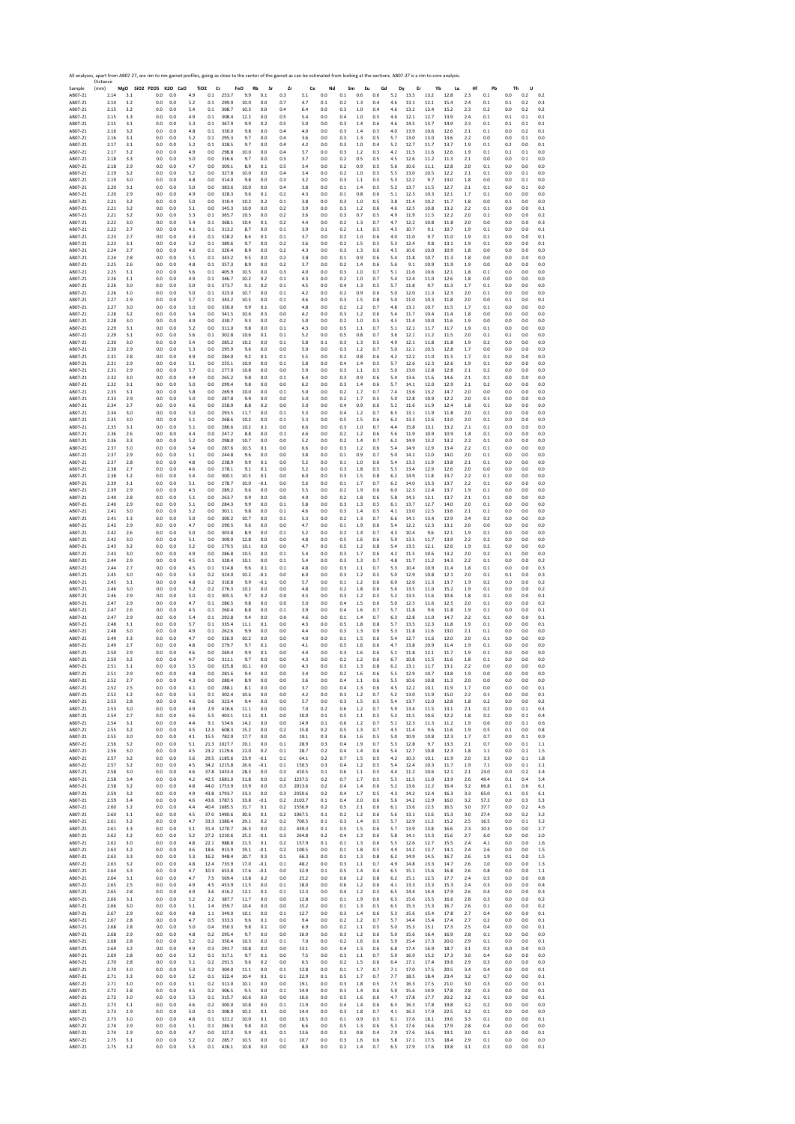| Sample<br>AB07-21  | Distance     |            | All analyses, apart from AB07-27, are rim to rim garnet profiles, going as close to the center of the garnet as can be estimated from looking at the sections. AB07-27 is a rim to core analysis. |                |                |                               |                            |                  |                  |                |                  |                 |            |                |            |                |              |              |              |            |              |            |            |                |
|--------------------|--------------|------------|---------------------------------------------------------------------------------------------------------------------------------------------------------------------------------------------------|----------------|----------------|-------------------------------|----------------------------|------------------|------------------|----------------|------------------|-----------------|------------|----------------|------------|----------------|--------------|--------------|--------------|------------|--------------|------------|------------|----------------|
|                    | (mm)<br>2.14 | 3.1        | MgO SiO2 P2O5 K2O CaO<br>0.0                                                                                                                                                                      | 0.0            | 4.9            | TiO <sub>2</sub><br>Cr<br>0.1 | 253.7                      | FeO<br>Rb<br>9.9 | Sr<br>0.1        | Zr<br>0.3      | Ce<br>5.1        | Nd<br>0.0       | Sm<br>0.1  | Eu<br>0.6      | Gd<br>0.6  | Dy<br>5.2      | Er<br>13.5   | Yb<br>13.2   | Lu<br>12.8   | Hf<br>2.3  | Pb<br>0.1    | Th<br>0.0  | U<br>0.2   | 0.2            |
| AB07-21            | 2.14         | 3.2        | 0.0                                                                                                                                                                                               | 0.0            | 5.2            | 0.1                           | 299.9                      | 10.0             | 0.0              | 0.7            | 4.7              | 0.1             | 0.2        | 1.3            | 0.4        | 4.6            | 13.1         | 12.1         | 15.4         | 2.4        | 0.1          | 0.1        | 0.2        | 0.3            |
| AB07-21<br>AB07-21 | 2.15<br>2.15 | 3.2<br>3.3 | 0.0<br>0.0                                                                                                                                                                                        | 0.0<br>0.0     | 5.4<br>4.9     | 0.1<br>0.1                    | 308.7<br>308.4             | 10.3<br>12.2     | 0.0<br>0.0       | 0.4<br>0.5     | 6.4<br>5.4       | 0.0<br>0.0      | 0.3<br>0.4 | 1.0<br>1.0     | 0.4<br>0.5 | 4.6<br>4.6     | 13.2<br>12.1 | 13.4<br>12.7 | 15.2<br>13.9 | 2.3<br>2.4 | 0.2<br>0.1   | 0.0<br>0.1 | 0.2<br>0.1 | 0.2<br>0.1     |
| AB07-21            | 2.15         | 3.1        | 0.0                                                                                                                                                                                               | 0.0            | 5.3            | 0.1                           | 367.9                      | 9.9              | 0.2              | 0.5            | 5.0              | 0.0             | 0.3        | 1.4            | 0.6        | 4.6            | 14.5         | 13.7         | 14.9         | 2.3        | 0.1          | 0.1        | 0.1        | 0.1            |
| AB07-21<br>AB07-21 | 2.16<br>2.16 | 3.2<br>3.1 | 0.0<br>0.0                                                                                                                                                                                        | 0.0<br>0.0     | 4.8<br>5.2     | 0.1<br>0.1                    | 330.0<br>295.3             | 9.8<br>9.7       | 0.0<br>0.0       | 0.4<br>0.4     | 4.0<br>3.6       | 0.0<br>0.0      | 0.3<br>0.3 | 1.4<br>1.3     | 0.5<br>0.5 | 4.0<br>5.7     | 13.9<br>13.0 | 10.6<br>13.0 | 12.6<br>13.6 | 2.1<br>2.2 | 0.1<br>0.0   | 0.0<br>0.0 | 0.2<br>0.1 | 0.1<br>0.0     |
| AB07-21            | 2.17         | 3.1        | 0.0                                                                                                                                                                                               | 0.0            | 5.2            | 0.1                           | 328.5                      | 9.7              | 0.0              | 0.4            | 4.2              | 0.0             | 0.3        | 1.0            | 0.4        | 5.2            | 12.7         | 11.7         | 13.7         | 1.9        | 0.1          | 0.2        | 0.0        | 0.1            |
| AB07-21<br>AB07-21 | 2.17<br>2.18 | 3.2<br>3.3 | 0.0<br>0.0                                                                                                                                                                                        | 0.0<br>0.0     | 4.9<br>5.0     | 0.0<br>0.0                    | 298.8<br>336.6             | 10.0<br>9.7      | 0.0<br>0.0       | 0.4<br>0.3     | 3.7<br>3.7       | 0.0<br>0.0      | 0.3<br>0.2 | 1.2<br>0.5     | 0.3<br>0.5 | 4.2<br>4.5     | 11.5<br>12.6 | 11.6<br>11.2 | 12.6<br>11.3 | 1.9<br>2.1 | 0.1<br>0.0   | 0.1<br>0.0 | 0.1<br>0.1 | 0.0<br>0.0     |
| AB07-21            | 2.18         | 2.9        | 0.0                                                                                                                                                                                               | 0.0            | 4.7            | 0.0                           | 309.1                      | 8.9              | 0.1              | 0.5            | 3.4              | 0.0             | 0.2        | 0.9            | 0.5        | 5.6            | 10.6         | 11.1         | 12.8         | 2.0        | 0.1          | 0.0        | 0.0        | 0.0            |
| AB07-21<br>AB07-21 | 2.19<br>2.19 | 3.2<br>3.0 | 0.0<br>0.0                                                                                                                                                                                        | 0.0<br>0.0     | 5.2<br>4.8     | 0.0<br>0.0                    | 327.8<br>314.0             | 10.0<br>9.8      | 0.0<br>0.0       | 0.4<br>0.3     | 3.4<br>3.2       | 0.0<br>0.0      | 0.2<br>0.3 | 1.0<br>1.1     | 0.5<br>0.5 | 5.5<br>5.3     | 13.0<br>12.2 | 10.5<br>9.7  | 12.2<br>13.0 | 2.1<br>1.8 | 0.1<br>0.0   | 0.0<br>0.0 | 0.1<br>0.1 | 0.0<br>0.0     |
| AB07-21            | 2.20         | 3.1        | 0.0                                                                                                                                                                                               | 0.0            | 5.0            | 0.0                           | 383.6                      | 10.0             | 0.0              | 0.4            | 3.8              | 0.0             | 0.1        | 1.4            | 0.5        | 5.2            | 13.7         | 11.5         | 12.7         | 2.1        | 0.1          | 0.0        | 0.1        | 0.0            |
| AB07-21<br>AB07-21 | 2.20<br>2.21 | 2.9<br>3.2 | 0.0<br>0.0                                                                                                                                                                                        | 0.0<br>0.0     | 4.9<br>5.0     | 0.0<br>0.0                    | 328.3<br>310.4             | 9.6<br>10.2      | 0.1<br>0.2       | 0.2<br>0.1     | 4.3<br>3.8       | 0.0<br>0.0      | 0.1<br>0.3 | 0.8<br>1.0     | 0.6<br>0.5 | 5.1<br>3.8     | 12.3<br>11.4 | 10.3<br>10.2 | 12.1<br>11.7 | 1.7<br>1.8 | 0.1<br>0.0   | 0.0<br>0.1 | 0.0<br>0.0 | 0.0<br>0.0     |
| AB07-21            | 2.21         | 3.2        | 0.0                                                                                                                                                                                               | 0.0            | 5.1            | 0.0                           | 345.3                      | 10.0             | 0.0              | 0.2            | 3.9              | 0.0             | 0.3        | 1.2            | 0.6        | 4.6            | 12.5         | 10.8         | 13.2         | 2.2        | 0.1          | 0.0        | 0.0        | 0.1            |
| AB07-21<br>AB07-21 | 2.21<br>2.22 | 3.2<br>3.0 | 0.0<br>0.0                                                                                                                                                                                        | 0.0<br>0.0     | 5.3<br>5.4     | 0.1<br>0.1                    | 365.7<br>368.1             | 10.3<br>10.4     | 0.0<br>0.1       | 0.2<br>0.2     | 3.6<br>4.4       | 0.0<br>0.0      | 0.3<br>0.2 | 0.7<br>1.3     | 0.5<br>0.7 | 4.9<br>4.7     | 11.9<br>12.2 | 11.5<br>10.8 | 12.2<br>11.8 | 2.0<br>2.0 | 0.1<br>0.0   | 0.0<br>0.0 | 0.0<br>0.0 | 0.2<br>0.3     |
| AB07-21            | 2.22         | 2.7        | 0.0                                                                                                                                                                                               | 0.0            | 4.1            | 0.1                           | 313.2                      | 8.7              | 0.0              | 0.1            | 3.9              | 0.1             | 0.2        | 1.1            | 0.5        | 4.5            | 10.7         | 9.1          | 10.7         | 1.9        | 0.1          | 0.0        | 0.0        | 0.1            |
| AB07-21<br>AB07-21 | 2.23<br>2.23 | 2.7<br>3.1 | 0.0<br>0.0                                                                                                                                                                                        | 0.0<br>0.0     | 4.3<br>5.2     | 0.1<br>0.1                    | 328.2<br>389.6             | 8.4<br>9.7       | 0.1<br>0.0       | 0.1<br>0.2     | 3.7<br>3.6       | 0.0<br>0.0      | 0.2<br>0.2 | 1.0<br>1.5     | 0.6<br>0.5 | 4.0<br>5.3     | 11.0<br>12.4 | 9.7<br>9.8   | 11.0<br>13.1 | 1.9<br>1.9 | 0.1<br>0.1   | 0.0<br>0.0 | 0.0<br>0.0 | 0.1<br>0.1     |
| AB07-21            | 2.24         | 2.7        | 0.0                                                                                                                                                                                               | 0.0            | 4.6            | 0.1                           | 320.4                      | 8.9              | 0.0              | 0.2            | 4.3              | 0.0             | 0.3        | 1.3            | 0.6        | 4.5            | 10.6         | 10.0         | 10.9         | 1.8        | 0.0          | 0.0        | 0.0        | 0.0            |
| AB07-21<br>AB07-21 | 2.24<br>2.25 | 2.8<br>2.6 | 0.0<br>0.0                                                                                                                                                                                        | 0.0<br>0.0     | 5.1<br>4.8     | 0.1<br>0.1                    | 343.2<br>357.3             | 9.5<br>8.9       | 0.0<br>0.0       | 0.2<br>0.2     | 3.8<br>3.7       | 0.0<br>0.0      | 0.1<br>0.2 | 0.9<br>1.4     | 0.6<br>0.6 | 5.4<br>5.6     | 11.8<br>9.1  | 10.7<br>10.9 | 11.3<br>11.9 | 1.8<br>1.9 | 0.0<br>0.0   | 0.0<br>0.0 | 0.0<br>0.0 | 0.0<br>0.0     |
| AB07-21            | 2.25         | 3.1        | 0.0                                                                                                                                                                                               | 0.0            | 5.6            | 0.1                           | 405.9                      | 10.5             | 0.0              | 0.3            | 4.0              | 0.0             | 0.3        | 1.0            | 0.7        | 5.1            | 11.6         | 10.6         | 12.1         | 1.8        | 0.1          | 0.0        | 0.0        | 0.0            |
| AB07-21<br>AB07-21 | 2.26<br>2.26 | 3.1<br>3.0 | 0.0<br>0.0                                                                                                                                                                                        | 0.0<br>0.0     | 4.9<br>5.0     | 0.1<br>0.1                    | 346.7<br>373.7             | 10.2<br>9.2      | 0.2<br>0.2       | 0.1<br>0.1     | 4.3<br>4.5       | 0.0<br>0.0      | 0.2<br>0.4 | 1.0<br>1.3     | 0.7<br>0.5 | 5.4<br>5.7     | 12.4<br>11.8 | 11.0<br>9.7  | 12.6<br>11.3 | 1.8<br>1.7 | 0.0<br>0.1   | 0.0<br>0.0 | 0.0<br>0.0 | 0.0<br>0.0     |
| AB07-21            | 2.26         | 3.0        | 0.0                                                                                                                                                                                               | 0.0            | 5.0            | 0.1                           | 323.0                      | 10.7             | 0.0              | 0.1            | 4.2              | 0.0             | 0.2        | 0.9            | 0.6        | 5.0            | 12.0         | 11.3         | 12.3         | 2.0        | 0.1          | 0.0        | 0.0        | 0.0            |
| AB07-21<br>AB07-21 | 2.27<br>2.27 | 2.9<br>3.0 | 0.0<br>0.0                                                                                                                                                                                        | 0.0<br>0.0     | 5.7<br>5.0     | 0.1<br>0.0                    | 343.2<br>330.0             | 10.5<br>9.9      | 0.0<br>0.1       | 0.1<br>0.0     | 4.6<br>4.8       | 0.0<br>0.0      | 0.3<br>0.2 | 1.5<br>1.2     | 0.8<br>0.7 | 5.0<br>4.8     | 11.0<br>13.1 | 10.3<br>10.7 | 11.8<br>11.5 | 2.0<br>1.7 | 0.0<br>0.1   | 0.1<br>0.0 | 0.0<br>0.0 | 0.1<br>0.0     |
| AB07-21            | 2.28         | 3.2        | 0.0                                                                                                                                                                                               | 0.0            | 5.4            | 0.0                           | 341.5                      | 10.6             | 0.3              | 0.0            | 4.2              | 0.0             | 0.3        | 1.2            | 0.6        | 5.4            | 11.7         | 10.4         | 11.4         | 1.8        | 0.0          | 0.0        | 0.0        | 0.0            |
| AB07-21<br>AB07-21 | 2.28<br>2.29 | 3.0<br>3.1 | 0.0<br>0.0                                                                                                                                                                                        | 0.0<br>0.0     | 4.9<br>5.2     | 0.0<br>0.0                    | 330.7<br>311.0             | 9.3<br>9.8       | 0.0<br>0.0       | 0.2<br>0.1     | 5.0<br>4.3       | 0.0<br>0.0      | 0.2<br>0.5 | 1.0<br>1.1     | 0.5<br>0.7 | 4.5<br>5.1     | 11.4<br>12.1 | 10.0<br>11.7 | 11.6<br>11.7 | 1.9<br>1.9 | 0.0<br>0.1   | 0.0<br>0.0 | 0.0<br>0.0 | 0.0<br>0.0     |
| AB07-21            | 2.29         | 3.1        | 0.0                                                                                                                                                                                               | 0.0            | 5.6            | 0.1                           | 302.8                      | 10.6             | 0.1              | 0.1            | 5.2              | 0.0             | 0.5        | 0.8            | 0.7        | 3.6            | 12.1         | 11.2         | 11.5         | 2.0        | 0.1          | 0.1        | 0.0        | 0.0            |
| AB07-21<br>AB07-21 | 2.30<br>2.30 | 3.0<br>2.9 | 0.0<br>0.0                                                                                                                                                                                        | 0.0<br>0.0     | 5.4<br>5.3     | 0.0<br>0.0                    | 285.2<br>295.9             | 10.2<br>9.6      | 0.0<br>0.0       | 0.1<br>0.0     | 5.8<br>5.0       | 0.1<br>0.0      | 0.3<br>0.3 | 1.3<br>1.2     | 0.5<br>0.7 | 4.9<br>5.0     | 12.1<br>12.1 | 11.8<br>10.5 | 11.8<br>12.8 | 1.9<br>1.7 | 0.2<br>0.0   | 0.0<br>0.0 | 0.0<br>0.0 | 0.0<br>0.0     |
| AB07-21            | 2.31         | 2.8        | 0.0                                                                                                                                                                                               | 0.0            | 4.9            | 0.0                           | 284.0                      | 9.2              | 0.1              | 0.1            | 5.5              | 0.0             | 0.2        | 0.8            | 0.6        | 4.2            | 12.2         | 11.0         | 11.5         | 1.7        | 0.1          | 0.0        | 0.0        | 0.0            |
| AB07-21<br>AB07-21 | 2.31<br>2.31 | 2.9<br>2.9 | 0.0<br>0.0                                                                                                                                                                                        | 0.0<br>0.0     | 5.1<br>5.7     | 0.0<br>0.1                    | 255.1<br>277.0             | 10.0<br>10.8     | 0.0<br>0.0       | 0.1<br>0.0     | 5.8<br>5.9       | 0.0<br>0.0      | 0.4<br>0.3 | 1.4<br>1.1     | 0.5<br>0.5 | 5.7<br>5.0     | 12.6<br>13.0 | 12.3<br>12.8 | 12.6<br>12.8 | 1.9<br>2.1 | 0.1<br>0.2   | 0.0<br>0.0 | 0.0<br>0.0 | 0.0<br>0.0     |
| AB07-21            | 2.32         | 3.0        | 0.0                                                                                                                                                                                               | 0.0            | 4.9            | 0.0                           | 265.2                      | 9.8              | 0.0              | 0.1            | 6.4              | 0.0             | 0.3        | 0.9            | 0.6        | 5.4            | 13.6         | 11.6         | 14.6         | 2.1        | 0.1          | 0.0        | 0.0        | 0.0            |
| AB07-21            | 2.32         | 3.1        | 0.0                                                                                                                                                                                               | 0.0            | 5.0            | 0.0                           | 299.4                      | 9.8              | 0.0              | 0.0            | 6.2              | 0.0             | 0.3        | 1.4            | 0.6        | 5.7            | 14.1         | 12.0         | 12.9         | 2.1        | 0.2          | 0.0        | 0.0        | 0.0            |
| AB07-21<br>AB07-21 | 2.33<br>2.33 | 3.1<br>2.9 | 0.0<br>0.0                                                                                                                                                                                        | 0.0<br>0.0     | 5.8<br>5.0     | 0.0<br>0.0                    | 269.9<br>287.8             | 10.0<br>9.9      | 0.0<br>0.0       | 0.1<br>0.0     | 5.0<br>5.0       | 0.0<br>0.0      | 0.2<br>0.2 | 1.7<br>1.7     | 0.7<br>0.5 | 7.4<br>5.0     | 13.6<br>12.8 | 13.2<br>10.9 | 14.7<br>12.2 | 2.0<br>2.0 | 0.0<br>0.1   | 0.0<br>0.0 | 0.0<br>0.0 | 0.0<br>0.0     |
| AB07-21            | 2.34         | 2.7        | 0.0                                                                                                                                                                                               | 0.0            | 4.6            | 0.0                           | 258.9                      | 8.8              | 0.2              | 0.0            | 5.0              | 0.0             | 0.4        | 0.9            | 0.6        | 5.2            | 11.6         | 11.9         | 12.4         | 1.8        | 0.1          | 0.0        | 0.0        | 0.0            |
| AB07-21<br>AB07-21 | 2.34<br>2.35 | 3.0<br>3.0 | 0.0<br>0.0                                                                                                                                                                                        | 0.0<br>0.0     | 5.0<br>5.1     | 0.0<br>0.0                    | 293.5<br>268.6             | 11.7<br>10.2     | 0.0<br>0.0       | 0.1<br>0.1     | 5.3<br>5.3       | 0.0<br>0.0      | 0.4<br>0.5 | 1.2<br>1.5     | 0.7<br>0.6 | 6.5<br>6.2     | 13.1<br>13.3 | 11.9<br>12.6 | 11.8<br>13.0 | 2.0<br>2.0 | 0.1<br>0.1   | 0.0<br>0.0 | 0.0<br>0.0 | 0.0<br>0.0     |
| AB07-21            | 2.35         | 3.1        | 0.0                                                                                                                                                                                               | 0.0            | 5.1            | 0.0                           | 286.6                      | 10.2             | 0.1              | 0.0            | 6.6              | 0.0             | 0.3        | 1.0            | 0.7        | 4.4            | 15.8         | 13.1         | 13.2         | 2.1        | 0.1          | 0.0        | 0.0        | 0.0            |
| AB07-21<br>AB07-21 | 2.36<br>2.36 | 2.6<br>3.3 | 0.0<br>0.0                                                                                                                                                                                        | 0.0<br>0.0     | 4.4<br>5.2     | 0.0<br>0.0                    | 247.2<br>298.0             | 8.8<br>10.7      | 0.0<br>0.0       | 0.1<br>0.0     | 4.6<br>5.2       | 0.0<br>0.0      | 0.2<br>0.2 | 1.2<br>1.4     | 0.6<br>0.7 | 5.6<br>6.2     | 11.9<br>14.9 | 10.9<br>13.2 | 10.9<br>13.2 | 1.8<br>2.2 | 0.1<br>0.1   | 0.0<br>0.0 | 0.0<br>0.0 | 0.0<br>0.0     |
| AB07-21            | 2.37         | 3.0        | 0.0                                                                                                                                                                                               | 0.0            | 5.4            | 0.0                           | 287.6                      | 10.5             | 0.1              | 0.0            | 6.6              | 0.0             | 0.3        | 1.2            | 0.6        | 5.4            | 14.9         | 12.9         | 13.4         | 2.2        | 0.1          | 0.0        | 0.0        | 0.0            |
| AB07-21            | 2.37<br>2.37 | 2.9<br>2.8 | 0.0                                                                                                                                                                                               | 0.0            | 5.1<br>4.8     | 0.0                           | 244.8                      | 9.6<br>9.9       | 0.0<br>0.1       | 0.0<br>0.0     | 3.8              | 0.0             | 0.1        | 0.9            | 0.7        | 5.0<br>5.4     | 14.2         | 12.0<br>11.9 | 14.0         | 2.0<br>2.1 | 0.1<br>0.1   | 0.0<br>0.0 | 0.0        | 0.0<br>0.0     |
| AB07-21<br>AB07-21 | 2.38         | 2.7        | 0.0<br>0.0                                                                                                                                                                                        | 0.0<br>0.0     | 4.6            | 0.0<br>0.0                    | 238.9<br>278.1             | 9.1              | 0.1              | 0.0            | 5.2<br>5.2       | 0.0<br>0.0      | 0.1<br>0.3 | 1.0<br>1.8     | 0.6<br>0.5 | 5.5            | 13.3<br>13.4 | 12.9         | 13.8<br>12.6 | 2.0        | 0.0          | 0.0        | 0.0<br>0.0 | 0.0            |
| AB07-21            | 2.38         | 3.2        | 0.0                                                                                                                                                                                               | 0.0            | 5.4            | 0.0                           | 300.1                      | 10.5             | 0.1              | 0.0            | 6.0              | 0.0             | 0.3        | 1.5            | 0.8        | 6.2            | 14.9         | 11.8         | 13.7         | 2.2        | 0.1          | 0.0        | 0.0        | 0.0            |
| AB07-21<br>AB07-21 | 2.39<br>2.39 | 3.1<br>2.9 | 0.0<br>0.0                                                                                                                                                                                        | 0.0<br>0.0     | 5.1<br>4.5     | 0.0<br>0.0                    | 278.7<br>289.2             | 10.0<br>9.6      | $-0.1$<br>0.0    | 0.0<br>0.0     | 5.6<br>5.5       | 0.0<br>0.0      | 0.1<br>0.2 | 1.7<br>1.9     | 0.7<br>0.6 | 6.2<br>6.0     | 14.0<br>12.3 | 13.3<br>12.4 | 13.7<br>13.7 | 2.2<br>1.9 | 0.1<br>0.1   | 0.0<br>0.0 | 0.0<br>0.0 | 0.0<br>0.0     |
| AB07-21            | 2.40         | 2.8        | 0.0                                                                                                                                                                                               | 0.0            | 5.1            | 0.0                           | 263.7                      | 9.9              | 0.0              | 0.0            | 4.9              | 0.0             | 0.2        | 1.8            | 0.6        | 5.8            | 14.3         | 12.1         | 13.7         | 2.1        | 0.1          | 0.0        | 0.0        | 0.0            |
| AB07-21<br>AB07-21 | 2.40<br>2.41 | 2.9<br>3.0 | 0.0<br>0.0                                                                                                                                                                                        | 0.0<br>0.0     | 5.1<br>5.2     | 0.0<br>0.0                    | 284.3<br>301.1             | 9.9<br>9.8       | 0.0<br>0.0       | 0.1<br>0.1     | 5.8<br>4.6       | 0.0<br>0.0      | 0.3<br>0.3 | 1.3<br>1.4     | 0.5<br>0.5 | 6.1<br>4.1     | 13.7<br>13.0 | 12.7<br>12.5 | 14.0<br>13.6 | 2.0<br>2.1 | 0.1<br>0.1   | 0.0<br>0.0 | 0.0<br>0.0 | 0.0<br>0.0     |
| AB07-21            | 2.41         | 3.3        | 0.0                                                                                                                                                                                               | 0.0            | 5.0            | 0.0                           | 300.2                      | 10.7             | 0.0              | 0.1            | 5.3              | 0.0             | 0.2        | 1.3            | 0.7        | 6.6            | 14.1         | 13.4         | 12.9         | 2.4        | 0.2          | 0.0        | 0.0        | 0.0            |
| AB07-21<br>AB07-21 | 2.42<br>2.42 | 2.9<br>2.6 | 0.0<br>0.0                                                                                                                                                                                        | 0.0<br>0.0     | 4.7<br>5.0     | 0.0<br>0.0                    | 290.5<br>303.8             | 9.6<br>8.9       | 0.0<br>0.0       | 0.0<br>0.1     | 4.7<br>5.2       | 0.0<br>0.0      | 0.1<br>0.2 | 1.9<br>1.4     | 0.6<br>0.7 | 5.4<br>4.3     | 12.2<br>10.4 | 12.3<br>9.6  | 13.1<br>12.1 | 2.0<br>1.9 | 0.0<br>0.1   | 0.0<br>0.0 | 0.0<br>0.0 | 0.0<br>0.0     |
| AB07-21            | 2.42         | 3.0        | 0.0                                                                                                                                                                                               | 0.0            | 5.1            | 0.0                           | 309.0                      | 12.8             | 0.0              | 0.0            | 4.8              | 0.0             | 0.5        | 1.6            | 0.6        | 5.9            | 13.5         | 11.7         | 13.9         | 2.2        | 0.2          | 0.0        | 0.0        | 0.0            |
| AB07-21            | 2.43         | 3.2        | 0.0                                                                                                                                                                                               | 0.0            | 5.2            | 0.0                           | 279.5                      | 10.1             | 0.0              | 0.0            | 4.7              | 0.0             | 0.5        | 1.2            | 0.8        | 5.4            | 13.5         | 12.1         | 12.6         | 1.9        | 0.2          | 0.0        | 0.0        | 0.0            |
| AB07-21<br>AB07-21 | 2.43<br>2.44 | 3.0<br>2.9 | 0.0<br>0.0                                                                                                                                                                                        | 0.0<br>0.0     | 4.9<br>4.5     | 0.0<br>0.1                    | 286.8<br>320.4             | 10.5<br>10.1     | 0.0<br>0.0       | 0.1<br>0.1     | 5.4<br>5.4       | 0.0<br>0.0      | 0.3<br>0.3 | 1.7<br>1.3     | 0.6<br>0.7 | 4.2<br>4.8     | 11.5<br>11.7 | 10.6<br>11.2 | 13.2<br>14.3 | 2.0<br>2.2 | 0.2<br>0.1   | 0.1<br>0.0 | 0.0<br>0.0 | 0.0<br>0.2     |
| AB07-21            | 2.44         | 2.7        | 0.0                                                                                                                                                                                               | 0.0            | 4.5            | 0.1                           | 314.8                      | 9.6              | 0.1              | 0.1            | 4.8              | 0.0             | 0.3        | 1.1            | 0.7        | 5.3            | 10.4         | 10.9         | 11.4         | 1.8        | 0.1          | 0.0        | 0.0        | 0.3            |
| AB07-21<br>AB07-21 | 2.45<br>2.45 | 3.0<br>3.1 | 0.0<br>0.0                                                                                                                                                                                        | 0.0<br>0.0     | 5.3<br>4.8     | 0.2<br>0.2                    | 324.0<br>310.8             | 10.2<br>9.9      | $-0.1$<br>$-0.1$ | 0.0<br>0.0     | 6.0<br>5.7       | 0.0<br>0.0      | 0.3<br>0.1 | 1.2<br>1.2     | 0.5<br>0.6 | 5.0<br>6.0     | 12.9<br>12.6 | 10.8<br>11.3 | 12.1<br>13.7 | 2.0<br>1.9 | 0.1<br>0.2   | 0.1<br>0.0 | 0.0<br>0.0 | 0.3<br>0.2     |
| AB07-21            | 2.46         | 3.0        | 0.0                                                                                                                                                                                               | 0.0            | 5.2            | 0.2                           | 276.3                      | 10.2             | 0.0              | 0.0            | 4.8              | 0.0             | 0.2        | 1.8            | 0.6        | 5.6            | 13.5         | 11.0         | 15.2         | 1.9        | 0.1          | 0.0        | 0.0        | 0.2            |
| AB07-21<br>AB07-21 | 2.46<br>2.47 | 2.9<br>2.9 | 0.0<br>0.0                                                                                                                                                                                        | 0.0<br>0.0     | 5.0<br>4.7     | 0.1<br>0.1                    | 305.5<br>286.5             | 9.7<br>9.8       | 0.2<br>0.0       | 0.0<br>0.0     | 4.5<br>5.0       | 0.0<br>0.0      | 0.3<br>0.4 | 1.2<br>1.5     | 0.5<br>0.6 | 5.2<br>5.0     | 13.5<br>12.5 | 11.6<br>11.6 | 10.6<br>12.5 | 1.8<br>2.0 | 0.1<br>0.1   | 0.0<br>0.0 | 0.0<br>0.0 | 0.1<br>0.2     |
| AB07-21            | 2.47         | 2.6        | 0.0                                                                                                                                                                                               | 0.0            | 4.5            | 0.1                           | 260.4                      | 8.8              | 0.0              | 0.1            | 3.9              | 0.0             | 0.4        | 1.6            | 0.7        | 5.7            | 11.8         | 9.6          | 11.8         | 1.9        | 0.1          | 0.0        | 0.0        | 0.1            |
| AB07-21<br>AB07-21 | 2.47<br>2.48 | 2.9<br>3.1 | 0.0<br>0.0                                                                                                                                                                                        | 0.0<br>0.0     | 5.4<br>5.7     | 0.1                           | 292.8<br>335.4             | 9.4<br>11.1      | 0.0<br>0.1       | 0.0<br>0.0     | 4.6              | 0.0<br>0.0      | 0.1<br>0.5 | 1.4            | 0.7<br>0.8 | 6.3<br>5.7     | 12.8<br>13.5 | 11.0<br>12.3 | 14.7<br>11.8 | 2.2        | 0.1<br>0.1   | 0.0<br>0.0 | 0.0<br>0.0 | 0.1<br>0.1     |
| AB07-21            | 2.48         | 3.0        | 0.0                                                                                                                                                                                               | 0.0            | 4.9            | 0.1<br>0.1                    | 262.6                      | 9.9              | 0.0              | 0.0            | 4.3<br>4.4       | 0.0             | 0.3        | 1.8<br>1.3     | 0.9        | 5.3            | 11.8         | 11.6         | 13.0         | 1.9<br>2.1 | 0.1          | 0.0        | 0.0        | 0.0            |
| AB07-21            | 2.49         | 3.3        | 0.0                                                                                                                                                                                               | 0.0            | 4.7            | 0.0                           | 326.0                      | 10.2             | 0.0              | 0.0            | 4.0              | 0.0             | $0.1\,$    | 1.5            | 0.6        | 5.4            | 12.7         | 11.6         | 12.0         | 2.0        | 0.1          | 0.0        | 0.0        | 0.0            |
| AB07-21<br>AB07-21 | 2.49<br>2.50 | 2.7<br>2.9 | 0.0<br>0.0                                                                                                                                                                                        | 0.0<br>0.0     | 4.8<br>4.6     | 0.0<br>0.0                    | 279.7<br>269.4             | 9.7<br>9.9       | 0.1<br>0.1       | 0.0<br>0.0     | 4.1<br>4.4       | 0.0<br>0.0      | 0.5<br>0.3 | 1.6<br>1.6     | 0.6<br>0.6 | 4.7<br>5.1     | 13.8<br>11.8 | 10.9<br>12.1 | 11.4<br>11.7 | 1.9<br>1.9 | 0.1<br>0.1   | 0.0<br>0.0 | 0.0<br>0.0 | 0.0<br>0.0     |
| AB07-21            | 2.50         | 3.2        | 0.0                                                                                                                                                                                               | 0.0            | 4.7            | 0.0                           | 311.1                      | 9.7              | 0.0              | 0.0            | 4.3              | 0.0             | 0.2        | 1.2            | 0.6        | 6.7            | 10.8         | 11.5         | 11.6         | 1.8        | 0.1          | 0.0        | 0.0        | 0.0            |
| AB07-21<br>ABU/-21 | 2.51<br>2.51 | 3.1<br>2.9 | 0.0<br>U.U                                                                                                                                                                                        | 0.0<br>0.0     | 5.5<br>4.8     | 0.0<br>U.U                    | 325.8<br>281.6             | 10.1             | 0.0<br>0.0       | 0.0<br>0.0     | 4.3              | 0.0<br>0.0      | 0.3<br>U.Z | 1.3<br>1.6     | 0.8<br>U.b | 6.2<br>5.5     | 13.1<br>12.9 | 11.7<br>10.7 | 13.1<br>15.8 | 2.2<br>1.9 | 0.0          |            | 0.0        | 0.0<br>U.L     |
| AB07-21            | 2.52         | 2.7        | 0.0                                                                                                                                                                                               | 0.0            | 4.3            | 0.0                           | 280.4                      | 8.9              | 0.0              | 0.0            | 3.6              |                 |            |                | 0.6        |                |              | 10.8         | 11.3         |            |              | 0.0        |            |                |
| AB07-21<br>AB07-21 | 2.52<br>2.52 | 2.5<br>3.2 | 0.0                                                                                                                                                                                               |                |                |                               |                            |                  | 0.0              |                |                  | 0.0             | 0.4        | 1.1            |            | 5.5            | 10.6         |              |              | 2.0        | 0.0<br>0.0   | U.U<br>0.0 | U.U<br>0.0 | 0.0            |
| AB07-21            | 2.53         |            |                                                                                                                                                                                                   | 0.0            | 4.1            | 0.0                           | 288.1                      | 8.1              |                  | 0.0            | 3.7              | 0.0             | 0.4        | 1.3            | 0.6        | 4.5            | 12.2         | 10.1         | 11.9         | 1.7        | 0.0          | 0.0        | 0.0        | 0.1            |
| AR07-21<br>AB07-21 |              | 2.8        | 0.0<br>0.0                                                                                                                                                                                        | 0.0<br>0.0     | 5.3<br>4.6     | 0.1<br>0.6                    | 302.4<br>323.4             | 10.6<br>9.4      | 0.0<br>0.0       | 0.0<br>0.0     | 4.2<br>5.7       | 0.0<br>0.0      | 0.3<br>0.3 | 1.2<br>1.5     | 0.7<br>0.5 | 5.2<br>5.4     | 13.0<br>13.7 | 11.9<br>12.0 | 15.0<br>12.8 | 2.2<br>1.8 | 0.1<br>0.2   | 0.0<br>0.0 | 0.0<br>0.0 | 0.1<br>0.2     |
| AB07-21            | 2.53         | 3.0        | 0.0                                                                                                                                                                                               | 0.0            | 4.9            | 2.9                           | 416.6                      | 11.1             | 0.0              | 0.0            | 7.0              | 0.2             | 0.6        | 1.2            | 0.7        | 5.9            | 13.4         | 11.5         | 13.1         | 2.1        | 0.2          | 0.0        | 0.1        | 0.3            |
| AB07-21            | 2.54<br>2.54 | 2.7<br>3.1 | 0.0<br>0.0                                                                                                                                                                                        | 0.0<br>0.0     | 4.6<br>4.4     | 5.5<br>9.1                    | 403.1<br>534.6             | 11.5<br>14.2     | 0.1<br>0.0       | 0.0<br>0.0     | 10.0<br>14.9     | 0.1<br>0.1      | 0.5<br>0.6 | 1.1<br>1.2     | 0.5<br>0.7 | 5.2<br>5.1     | 11.5<br>12.3 | 10.6<br>11.3 | 12.2<br>11.2 | 1.8<br>1.9 | 0.2<br>0.6   | 0.0<br>0.0 | 0.1<br>0.1 | 0.4<br>0.6     |
|                    | 2.55         | 3.2        | 0.0                                                                                                                                                                                               | 0.0            | 4.5            | 12.3                          | 608.3                      | 15.2             | 0.0              | 0.2            | 15.8             | 0.2             | 0.5        | 1.3            | 0.7        | 4.5            | 11.4         | 9.6          | 11.6         | 1.9        | 0.5          | 0.1        | 0.0        | 0.8            |
| AB07-21<br>AB07-21 | 2.55<br>2.56 | 3.0<br>3.2 | 0.0<br>0.0                                                                                                                                                                                        | 0.0<br>0.0     | 4.1<br>5.1     | 15.5                          | 782.9<br>21.3 1027.7       | 17.7<br>20.1     | 0.0<br>0.0       | 0.0<br>0.1     | 19.1<br>28.9     | 0.3<br>0.3      | 0.6<br>0.4 | 1.6<br>1.9     | 0.5<br>0.7 | 5.0<br>5.3     | 10.9<br>12.8 | 10.8<br>9.7  | 12.3<br>13.3 | 1.7<br>2.1 | 0.7<br>0.7   | 0.0<br>0.0 | 0.1<br>0.1 | 0.9<br>1.1     |
| AB07-21            | 2.56         | 3.0        | 0.0                                                                                                                                                                                               | 0.0            | 4.5            |                               | 23.2 1129.6                | 22.0             | 0.2              | 0.1            | 28.7             | 0.2             | 0.4        | 1.4            | 0.6        | 5.4            | 12.7         | 10.8         | 12.3         | 1.8        | 1.1          | 0.0        | 0.1        | 1.5            |
| AB07-21<br>AB07-21 | 2.57<br>2.57 | 3.2<br>3.2 | 0.0<br>0.0                                                                                                                                                                                        | $0.0\,$<br>0.0 | $5.6\,$<br>4.5 |                               | 29.5 1185.6<br>34.2 1215.8 | 23.9<br>26.6     | $-0.1$<br>$-0.1$ | $0.1\,$<br>0.1 | 64.1<br>150.5    | 0.2<br>0.3      | 0.7<br>0.4 | $1.5\,$<br>1.2 | 0.5<br>0.5 | $4.2\,$<br>5.4 | 10.3<br>12.4 | 10.1<br>10.3 | 11.9<br>11.7 | 2.0<br>1.9 | 3.3<br>7.1   | 0.0<br>0.0 | 0.1<br>0.1 | $1.8\,$<br>2.1 |
| AB07-21            | 2.58         | 3.0        | 0.0                                                                                                                                                                                               | 0.0            | 4.6            |                               | 37.8 1433.4                | 28.3             | 0.0              | 0.3            | 410.5            | 0.1             | 0.6        | 1.1            | 0.5        | 4.4            | 11.2         | 10.6         | 12.1         | 2.1        | 23.0         | 0.0        | 0.2        | 3.4            |
| AB07-21<br>AB07-21 | 2.58<br>2.58 | 3.4<br>3.2 | 0.0<br>0.0                                                                                                                                                                                        | 0.0<br>$0.0\,$ | 4.2<br>$4.8\,$ |                               | 42.5 1681.0<br>44.0 1753.9 | 31.8<br>33.9     | 0.0<br>0.0       | 0.2<br>0.3     | 1237.5<br>2013.6 | 0.2<br>0.2      | 0.7<br>0.4 | 1.7<br>1.4     | 0.5<br>0.6 | 5.5<br>5.2     | 11.5<br>13.6 | 11.0<br>12.2 | 13.9<br>16.4 | 2.6<br>3.2 | 49.4<br>66.8 | 0.1<br>0.1 | 0.4<br>0.6 | 5.4<br>6.1     |
| AB07-21            | 2.59         | 3.2        | 0.0                                                                                                                                                                                               | 0.0            | 4.9            |                               | 43.8 1793.7                | 33.3             | 0.0              | 0.3            | 2350.6           | 0.2             | 0.4        | 1.7            | 0.5        | 4.3            | 14.2         | 12.4         | 16.3         | 3.3        | 65.0         | 0.1        | 0.5        | 6.1            |
| AB07-21<br>AB07-21 | 2.59<br>2.60 | 3.4<br>3.2 | 0.0<br>0.0                                                                                                                                                                                        | 0.0<br>0.0     | 4.6<br>4.4     |                               | 43.6 1787.5<br>40.4 1685.5 | 33.8<br>31.7     | $-0.1$<br>0.1    | 0.2<br>0.2     | 2103.7<br>1556.9 | 0.1<br>0.2      | 0.4<br>0.5 | 2.0<br>2.1     | 0.6<br>0.6 | 5.6<br>6.1     | 14.2<br>13.6 | 12.9<br>12.3 | 16.0<br>16.5 | 3.2<br>3.0 | 57.2<br>37.7 | 0.0<br>0.0 | 0.3<br>0.2 | 5.3<br>4.6     |
| AB07-21            | 2.60         | 3.1        | 0.0                                                                                                                                                                                               | $0.0\,$        | $4.5\,$        |                               | 37.0 1490.6                | 30.6             | $0.1\,$          | 0.2            | 1067.5           | $0.1\,$         | 0.2        | $1.2\,$        | 0.6        | 5.6            | 13.1         | 12.6         | 15.3         | 3.0        | 27.4         | 0.0        | 0.2        | 3.2            |
| AB07-21<br>AB07-21 | 2.61<br>2.61 | 3.2<br>3.3 | 0.0<br>0.0                                                                                                                                                                                        | 0.0<br>0.0     | 4.7<br>5.1     |                               | 33.3 1380.4<br>31.4 1270.7 | 29.1<br>26.3     | 0.2<br>0.0       | 0.2            | 700.5<br>439.3   | 0.1<br>0.1      | 0.3<br>0.5 | 1.4<br>1.5     | 0.5<br>0.6 | 5.7            | 12.9<br>13.9 | 11.2<br>13.8 | 15.2<br>16.6 | 2.5<br>2.3 | 16.5<br>10.3 | 0.0<br>0.0 | 0.1<br>0.0 | 3.2<br>2.7     |
| AB07-21            | 2.62         | 3.2        | 0.0                                                                                                                                                                                               | 0.0            | 5.2            |                               | 27.2 1210.6                | 25.2             | $-0.1$           | 0.2<br>0.3     | 264.8            | 0.2             | 0.4        | 1.3            | 0.6        | 5.7<br>5.8     | 14.1         | 13.3         | 15.6         | 2.7        | 6.0          | 0.0        | 0.0        | 2.0            |
| AB07-21            | 2.62         | 3.0        | 0.0                                                                                                                                                                                               | 0.0            | 4.8            | 22.1                          | 988.8                      | 21.5             | 0.1              | 0.2            | 157.9            | 0.1             | 0.1        | 1.3            | 0.6        | 5.5            | 12.6         | 12.7         | 15.5         | 2.4        | 4.1          | 0.0        | 0.0        | 1.6            |
| AB07-21<br>AB07-21 | 2.63<br>2.63 | 3.2<br>3.3 | 0.0<br>0.0                                                                                                                                                                                        | 0.0<br>0.0     | 4.6<br>5.3     | 18.6<br>16.2                  | 913.9<br>948.4             | 19.1<br>20.7     | $-0.1$<br>0.3    | 0.2<br>0.1     | 100.5<br>66.3    | 0.0<br>0.0      | 0.1<br>0.1 | 1.8<br>1.3     | 0.5<br>0.8 | 4.9<br>6.2     | 14.2<br>14.9 | 13.7<br>14.5 | 14.1<br>16.7 | 2.4<br>2.6 | 2.6<br>1.9   | 0.0<br>0.1 | 0.0<br>0.0 | 1.5<br>1.5     |
| AB07-21            | 2.63         | 3.2        | 0.0                                                                                                                                                                                               | 0.0            | 4.8            | 12.4                          | 733.9                      | 17.0             | $-0.1$           | 0.1            | 48.2             | 0.0             | 0.3        | 1.1            | 0.7        | 4.9            | 14.8         | 13.3         | 14.7         | 2.6        | 1.0          | 0.0        | 0.0        | 1.3            |
| AB07-21<br>AB07-21 | 2.64<br>2.64 | 3.3<br>3.1 | 0.0<br>0.0                                                                                                                                                                                        | 0.0<br>0.0     | 4.7<br>4.7     | 10.3<br>7.5                   | 653.8<br>569.4             | 17.6<br>13.8     | $-0.1$<br>0.2    | 0.0<br>0.0     | 32.9<br>25.2     | 0.1<br>0.0      | 0.5<br>0.6 | 1.4<br>1.2     | 0.4<br>0.8 | 6.5<br>$6.2\,$ | 15.1<br>15.1 | 15.6<br>12.5 | 16.8<br>17.7 | 2.6<br>2.4 | 0.8<br>0.5   | 0.0<br>0.0 | 0.0<br>0.0 | 1.1<br>0.8     |
| AB07-21            | 2.65         | 2.5        | 0.0                                                                                                                                                                                               | 0.0            | 4.9            | 4.5                           | 453.9                      | 11.5             | 0.0              | 0.1            | 18.0             | 0.0             | 0.6        | 1.2            | 0.6        | 4.1            | 13.3         | 13.3         | 15.3         | 2.4        | 0.3          | 0.0        | 0.0        | 0.4            |
| AB07-21<br>AB07-21 | 2.65<br>2.66 | 2.8<br>3.1 | 0.0<br>0.0                                                                                                                                                                                        | 0.0<br>0.0     | 4.9<br>5.2     | 3.6<br>2.2                    | 416.2<br>387.7             | 12.1<br>11.7     | 0.1<br>0.0       | 0.1<br>0.0     | 12.3<br>12.8     | 0.0<br>0.0      | 0.4<br>0.1 | 1.2<br>1.9     | 0.5<br>0.6 | 6.5<br>6.5     | 14.4<br>15.6 | 14.4<br>15.5 | 17.9<br>16.6 | 2.6<br>2.8 | 0.4<br>0.3   | 0.0<br>0.0 | 0.0<br>0.0 | 0.3<br>0.2     |
| AB07-21            | 2.66         | 3.0        | 0.0                                                                                                                                                                                               | 0.0            | 5.1            | 1.4                           | 359.7                      | 10.4             | 0.0              | 0.0            | 15.2             | 0.0             | 0.1        | 1.3            | 0.5        | 6.5            | 15.3         | 15.3         | 16.7         | 2.6        | 0.1          | 0.0        | 0.0        | 0.2            |
| AB07-21            | 2.67         | 2.9        | 0.0                                                                                                                                                                                               | 0.0            | 4.8            | 1.1                           | 349.0                      | 10.1             | 0.0              | 0.1            | 12.7             | 0.0             | 0.3        | 1.4            | 0.6        | 5.3            | 15.6         | 15.4         | 17.8         | 2.7        | 0.4          | 0.0        | 0.0        | 0.1            |
| AB07-21<br>AB07-21 | 2.67<br>2.68 | 2.8<br>2.8 | 0.0<br>0.0                                                                                                                                                                                        | 0.0<br>0.0     | 4.7<br>5.0     | 0.5<br>0.4                    | 333.3<br>350.3             | 9.6<br>9.8       | 0.1<br>0.1       | 0.0<br>0.0     | 9.4<br>6.9       | 0.0<br>0.0      | 0.2<br>0.2 | 1.2<br>$1.1$   | 0.7<br>0.5 | 5.7<br>5.0     | 14.4<br>15.3 | 15.4<br>15.1 | 17.4<br>17.3 | 2.7<br>2.5 | 0.2<br>0.4   | 0.0<br>0.0 | 0.0<br>0.0 | 0.1<br>0.1     |
| AB07-21            | 2.68         | 2.9        | 0.0                                                                                                                                                                                               | $0.0\,$        | $4.8\,$        | 0.2                           | 295.4                      | 9.7              | 0.0              | 0.0            | 16.9             | $0.0\,$         | 0.3        | $1.2\,$        | 0.6        | 5.0            | 15.6         | 16.4         | 16.9         | 2.8        | $\rm 0.1$    | $_{0.0}$   | 0.0        | $0.0\,$        |
| AB07-21<br>AB07-21 | 2.68<br>2.69 | 2.8<br>3.2 | 0.0<br>0.0                                                                                                                                                                                        | 0.0<br>0.0     | 5.2<br>4.9     | 0.2<br>0.3                    | 350.4<br>291.7             | 10.3<br>10.8     | 0.0<br>0.0       | 0.1<br>0.0     | 7.0<br>13.1      | 0.0<br>0.0      | 0.2<br>0.4 | 1.6<br>1.3     | 0.6<br>0.6 | 5.9<br>6.8     | 15.4<br>17.4 | 17.3<br>16.9 | 20.0<br>18.7 | 2.9<br>3.1 | 0.1<br>0.3   | 0.0<br>0.0 | 0.0<br>0.0 | 0.1<br>0.0     |
| AB07-21            | 2.69         | 2.8        | 0.0                                                                                                                                                                                               | 0.0            | 5.2            | 0.1                           | 317.1                      | 9.7              | 0.1              | 0.0            | 7.5              | 0.0             | 0.3        | $1.1\,$        | 0.7        | 5.9            | 16.9         | 15.2         | 17.3         | 3.0        | 0.4          | 0.0        | 0.0        | 0.0            |
| AB07-21            | 2.70         | 2.8        | 0.0                                                                                                                                                                                               | $0.0\,$        | 5.1            | 0.2                           | 291.5                      | 9.6              | 0.2              | 0.0            | 6.5              | 0.0             | 0.2        | $1.5\,$        | 0.6        | 6.4            | 17.1         | 17.4         | 19.6         | 2.9        | 0.3          | 0.0        | 0.0        | 0.0            |
| AB07-21<br>AB07-21 | 2.70<br>2.71 | 3.0<br>3.3 | 0.0<br>0.0                                                                                                                                                                                        | 0.0<br>0.0     | 5.3<br>5.2     | 0.2<br>0.1                    | 304.0<br>322.4             | 11.1<br>10.4     | 0.0<br>0.1       | 0.1<br>0.1     | 12.8<br>22.9     | 0.0<br>$0.1\,$  | 0.1<br>0.5 | 1.7<br>1.7     | 0.7<br>0.7 | 7.1<br>7.7     | 17.0<br>18.5 | 17.5<br>18.4 | 20.5<br>23.4 | 3.4<br>3.2 | 0.4<br>0.7   | 0.0<br>0.0 | 0.0<br>0.0 | 0.1<br>0.1     |
| AB07-21            | 2.71         | 3.0        | 0.0                                                                                                                                                                                               | 0.0            | 5.1            | 0.2                           | 311.0                      | 10.1             | 0.0              | 0.0            | 19.1             | 0.0             | 0.3        | 1.8            | 0.5        | 7.5            | 16.3         | 17.5         | 21.0         | 3.0        | 0.3          | 0.0        | 0.0        | 0.1            |
| AB07-21<br>AB07-21 | 2.72<br>2.72 | 2.8<br>3.0 | 0.0<br>0.0                                                                                                                                                                                        | $0.0\,$<br>0.0 | $4.5\,$<br>5.3 | 0.2<br>0.1                    | 306.5<br>315.7             | 9.5<br>10.6      | 0.0<br>0.0       | 0.1<br>0.0     | 14.9<br>10.6     | $_{0.0}$<br>0.0 | 0.3<br>0.5 | $1.4\,$<br>1.6 | 0.6<br>0.6 | 5.9<br>4.7     | 15.6<br>17.8 | 14.9<br>17.7 | 17.8<br>20.2 | 2.8<br>3.2 | 0.3<br>0.1   | 0.0<br>0.0 | 0.0<br>0.0 | 0.1<br>0.1     |
| AB07-21            | 2.73         | 3.1        | 0.0                                                                                                                                                                                               | 0.0            | 4.6            | 0.2                           | 300.0                      | 10.8             | 0.0              | 0.1            | 11.9             | 0.0             | 0.4        | 1.4            | 0.6        | 6.3            | 16.3         | 17.8         | 19.8         | 3.2        | 0.2          | 0.0        | 0.0        | 0.0            |
| AB07-21<br>AB07-21 | 2.73<br>2.73 | 2.9<br>3.0 | 0.0<br>0.0                                                                                                                                                                                        | 0.0<br>0.0     | 5.0<br>4.8     | 0.1<br>0.1                    | 308.0<br>321.2             | 10.2<br>10.0     | 0.1<br>0.1       | 0.0<br>0.0     | 14.4<br>10.5     | 0.0<br>0.0      | 0.3<br>0.1 | 1.8<br>0.9     | 0.7<br>0.5 | 4.1<br>6.1     | 16.3<br>17.6 | 17.9<br>18.1 | 22.5<br>19.6 | 3.2<br>3.3 | 0.1<br>0.1   | 0.0<br>0.0 | 0.0<br>0.0 | 0.0<br>0.1     |
| AB07-21            | 2.74         | 2.9        | 0.0                                                                                                                                                                                               | 0.0            | 5.1            | 0.1                           | 286.3                      | 9.8              | 0.0              | 0.0            | 6.6              | 0.0             | 0.5        | 1.3            | 0.6        | 5.3            | 17.6         | 16.6         | 17.9         | 2.8        | 0.4          | 0.0        | 0.0        | 0.0            |
| AB07-21<br>AB07-21 | 2.74<br>2.75 | 2.9<br>3.1 | 0.0<br>0.0                                                                                                                                                                                        | 0.0<br>0.0     | 4.7<br>5.2     | 0.0<br>0.2                    | 327.0<br>285.7             | 9.9<br>10.5      | $-0.1$<br>0.0    | 0.1<br>0.1     | 13.6<br>10.7     | 0.0<br>0.0      | 0.3<br>0.3 | 0.8<br>1.6     | 0.4<br>0.6 | 7.9<br>5.8     | 17.6<br>17.1 | 16.6<br>17.5 | 19.1<br>18.4 | 3.0<br>2.9 | 0.1<br>0.1   | 0.0<br>0.0 | 0.0<br>0.0 | 0.1<br>0.0     |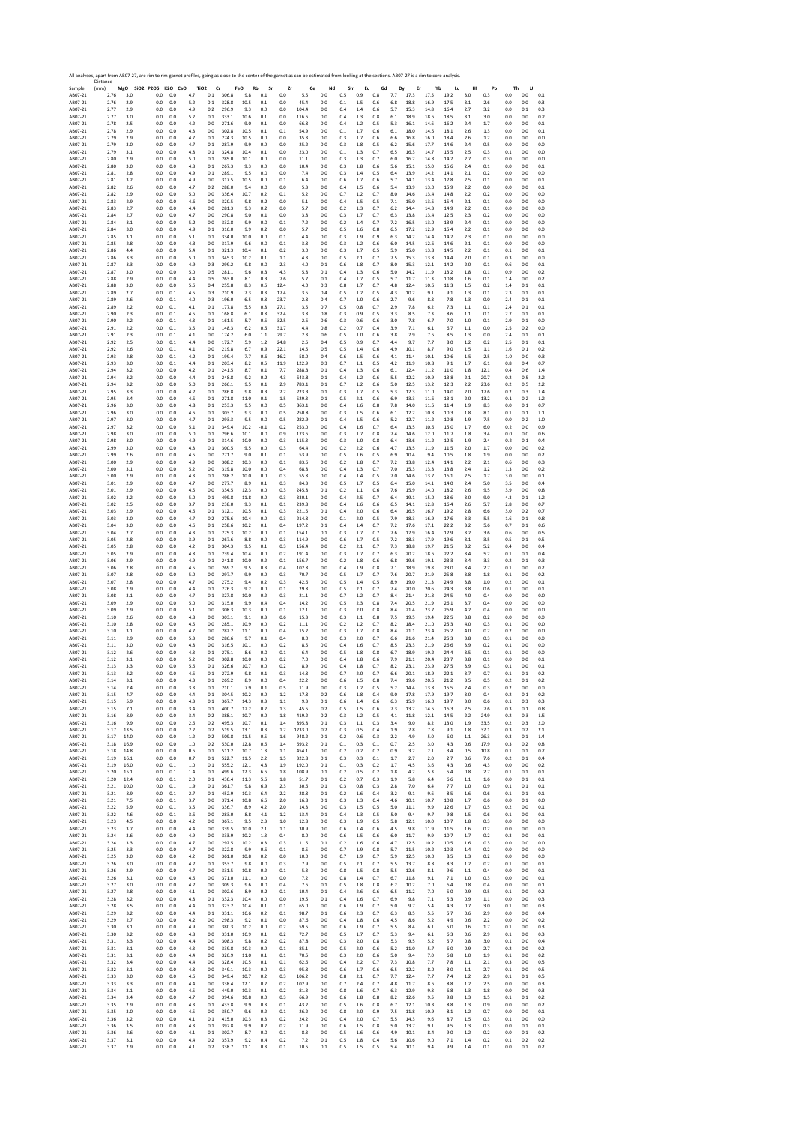|                    | All analyses, apart from AB07-27, are rim to rim garnet profiles, going as close to the center of the garnet as can be estimated from looking at the sections. AB07-27 is a rim to core analysis.<br>Distance |              |                              |                 |            |                            |                |                  |            |                |                 |                |                |                |                |                |              |              |              |                |              |            |            |                |
|--------------------|---------------------------------------------------------------------------------------------------------------------------------------------------------------------------------------------------------------|--------------|------------------------------|-----------------|------------|----------------------------|----------------|------------------|------------|----------------|-----------------|----------------|----------------|----------------|----------------|----------------|--------------|--------------|--------------|----------------|--------------|------------|------------|----------------|
| Sample<br>AB07-21  | (mm)<br>2.76                                                                                                                                                                                                  | 3.0          | MgO SiO2 P2O5 K2O CaO<br>0.0 | 0.0             | 4.7        | TiO <sub>2</sub> Cr<br>0.1 | 306.8          | FeO<br>Rb<br>9.8 | Sr<br>0.1  | Zr<br>0.0      | Ce<br>$5.5\,$   | Nd<br>$_{0.0}$ | Sm<br>0.5      | Eu<br>0.9      | Gd<br>0.8      | Dy<br>7.7      | Er<br>17.3   | Yb<br>17.5   | Lu<br>19.2   | Hf<br>3.0      | Pb<br>0.3    | Th<br>0.0  | U<br>0.0   | 0.1            |
| AB07-21            | 2.76                                                                                                                                                                                                          | 2.9          | 0.0                          | 0.0             | 5.2        | 0.1                        | 328.8          | 10.5             | $-0.1$     | 0.0            | 45.4            | 0.0            | 0.1            | 1.5            | 0.6            | 6.8            | 18.8         | 16.9         | 17.5         | 3.1            | 2.6          | 0.0        | 0.0        | 0.3            |
| AB07-21            | 2.77                                                                                                                                                                                                          | 2.9          | 0.0                          | 0.0             | 4.9        | 0.2                        | 296.9          | 9.3              | 0.0        | 0.0            | 104.4           | 0.0            | 0.4            | 1.4            | 0.6            | 5.7            | 15.3         | 14.8         | 16.4         | 2.7            | 3.2          | 0.0        | 0.1        | 0.3            |
| AB07-21<br>AB07-21 | 2.77<br>2.78                                                                                                                                                                                                  | 3.0<br>2.5   | 0.0<br>0.0                   | 0.0<br>0.0      | 5.2<br>4.2 | 0.1<br>0.0                 | 333.1<br>271.6 | 10.6<br>9.0      | 0.1<br>0.1 | 0.0<br>0.0     | 116.6<br>66.8   | 0.0<br>0.0     | 0.4<br>0.4     | 1.3<br>1.2     | 0.8<br>0.5     | 6.1<br>5.3     | 18.9<br>16.1 | 18.6<br>14.6 | 18.5<br>16.2 | 3.1<br>2.4     | 3.0<br>1.7   | 0.0<br>0.0 | 0.0<br>0.0 | 0.2<br>0.1     |
| AB07-21            | 2.78                                                                                                                                                                                                          | 2.9          | 0.0                          | 0.0             | 4.3        | 0.0                        | 302.8          | 10.5             | 0.1        | 0.1            | 54.9            | 0.0            | 0.1            | 1.7            | 0.6            | 6.1            | 18.0         | 14.5         | 18.1         | 2.6            | 1.3          | 0.0        | 0.0        | 0.1            |
| AB07-21            | 2.79                                                                                                                                                                                                          | 2.9          | 0.0                          | 0.0             | 4.7        | 0.1                        | 274.3          | 10.5             | 0.0        | 0.0            | 35.3            | 0.0            | 0.3            | 1.7            | 0.6            | 6.6            | 16.8         | 16.0         | 18.4         | 2.6            | $1.2\,$      | 0.0        | 0.0        | 0.0            |
| AB07-21<br>AB07-21 | 2.79<br>2.79                                                                                                                                                                                                  | 3.0<br>3.1   | 0.0<br>0.0                   | 0.0<br>0.0      | 4.7<br>4.8 | $0.1\,$<br>0.1             | 287.9<br>324.8 | 9.9<br>10.4      | 0.0<br>0.1 | 0.0<br>0.0     | 25.2<br>23.0    | 0.0<br>0.0     | 0.3<br>0.1     | $1.8\,$<br>1.3 | 0.5<br>0.7     | 6.2<br>6.5     | 15.6<br>16.3 | 17.7<br>14.7 | 14.6<br>15.5 | 2.4<br>2.5     | 0.5<br>0.3   | 0.0<br>0.1 | 0.0<br>0.0 | 0.0<br>0.0     |
| AB07-21            | 2.80                                                                                                                                                                                                          | 2.9          | 0.0                          | 0.0             | 5.0        | 0.1                        | 285.0          | 10.1             | 0.0        | 0.0            | 11.1            | 0.0            | 0.3            | 1.3            | 0.7            | 6.0            | 16.2         | 14.8         | 14.7         | 2.7            | 0.3          | 0.0        | 0.0        | 0.0            |
| AB07-21            | 2.80                                                                                                                                                                                                          | 3.0          | $0.0\,$                      | 0.0             | 4.8        | 0.1                        | 267.3          | 9.3              | 0.0        | 0.0            | 10.4            | 0.0            | 0.3            | 1.8            | 0.6            | 5.6            | 15.1         | 15.0         | 15.6         | 2.4            | 0.1          | 0.0        | 0.0        | 0.1            |
| AB07-21<br>AB07-21 | 2.81<br>2.81                                                                                                                                                                                                  | 2.8<br>3.2   | 0.0<br>0.0                   | 0.0<br>0.0      | 4.9<br>4.9 | 0.1<br>0.0                 | 289.1<br>317.5 | 9.5<br>10.5      | 0.0<br>0.0 | 0.0<br>0.1     | 7.4<br>6.4      | 0.0<br>0.0     | 0.3<br>0.6     | 1.4<br>1.7     | 0.5<br>0.6     | 6.4<br>5.7     | 13.9<br>14.1 | 14.2<br>13.4 | 14.1<br>17.8 | 2.1<br>2.5     | 0.2<br>0.1   | 0.0<br>0.0 | 0.0<br>0.0 | 0.0<br>0.1     |
| AB07-21            | 2.82                                                                                                                                                                                                          | 2.6          | 0.0                          | 0.0             | 4.7        | 0.2                        | 288.0          | 9.4              | 0.0        | 0.0            | 5.3             | 0.0            | 0.4            | 1.5            | 0.6            | 5.4            | 13.9         | 13.0         | 15.9         | 2.2            | 0.0          | 0.0        | 0.0        | 0.1            |
| AB07-21<br>AB07-21 | 2.82<br>2.83                                                                                                                                                                                                  | 2.9<br>2.9   | 0.0<br>0.0                   | 0.0<br>0.0      | 5.0<br>4.6 | 0.0<br>0.0                 | 336.4<br>320.5 | 10.7<br>9.8      | 0.2<br>0.2 | 0.1<br>0.0     | 5.2<br>5.1      | 0.0<br>0.0     | 0.7<br>0.4     | 1.2<br>1.5     | 0.7<br>0.5     | 8.0<br>7.1     | 14.6<br>15.0 | 13.4<br>13.5 | 14.8<br>15.4 | 2.2<br>2.1     | 0.2<br>0.1   | 0.0<br>0.0 | 0.0<br>0.0 | 0.0<br>0.0     |
| AB07-21            | 2.83                                                                                                                                                                                                          | 2.7          | 0.0                          | 0.0             | 4.4        | 0.0                        | 281.3          | 9.3              | 0.2        | 0.0            | 5.7             | 0.0            | 0.2            | 1.3            | 0.7            | 6.2            | 14.4         | 14.3         | 14.9         | 2.2            | 0.1          | 0.0        | 0.0        | 0.0            |
| AB07-21            | 2.84                                                                                                                                                                                                          | 2.7          | 0.0                          | 0.0             | 4.7        | 0.0                        | 290.8          | 9.0              | 0.1        | 0.0            | 3.8             | 0.0            | 0.3            | 1.7            | 0.7            | 6.3            | 13.8         | 13.4         | 12.5         | 2.3            | 0.2          | 0.0        | 0.0        | 0.0            |
| AB07-21<br>AB07-21 | 2.84<br>2.84                                                                                                                                                                                                  | 3.1<br>3.0   | 0.0<br>0.0                   | 0.0<br>0.0      | 5.2<br>4.9 | 0.0<br>0.1                 | 332.8<br>316.0 | 9.9<br>9.9       | 0.0<br>0.2 | 0.1<br>0.0     | 7.2<br>5.7      | 0.0<br>0.0     | 0.2<br>0.5     | 1.4<br>1.6     | 0.7<br>0.8     | 7.2<br>6.5     | 16.5<br>17.2 | 13.0<br>12.9 | 13.9<br>15.4 | 2.4<br>2.2     | 0.1<br>0.1   | 0.0<br>0.0 | 0.0<br>0.0 | 0.0<br>0.0     |
| AB07-21            | 2.85                                                                                                                                                                                                          | 3.1          | 0.0                          | 0.0             | 5.1        | 0.1                        | 334.0          | 10.0             | 0.0        | 0.1            | 4.4             | 0.0            | 0.3            | 1.9            | 0.9            | 6.3            | 14.2         | 14.4         | 14.7         | 2.3            | 0.1          | 0.0        | 0.0        | 0.0            |
| AB07-21            | 2.85                                                                                                                                                                                                          | 2.8          | 0.0                          | 0.0             | 4.3        | 0.0                        | 317.9          | 9.6              | 0.0        | 0.1            | 3.8             | 0.0            | 0.3            | 1.2            | 0.6            | 6.0            | 14.5         | 12.6         | 14.6         | 2.1            | 0.1          | 0.0        | 0.0        | 0.0            |
| AB07-21<br>AB07-21 | 2.86<br>2.86                                                                                                                                                                                                  | 4.4<br>3.3   | 0.0<br>$_{0.0}$              | 0.0<br>0.0      | 5.4<br>5.0 | 0.1<br>0.1                 | 321.3<br>345.3 | 10.4<br>10.2     | 0.1<br>0.1 | 0.2<br>1.1     | 3.0<br>4.3      | 0.0<br>0.0     | 0.3<br>0.5     | 1.7<br>2.1     | 0.5<br>0.7     | 5.9<br>7.5     | 15.0<br>15.3 | 13.8<br>13.8 | 14.5<br>14.4 | 2.2<br>2.0     | 0.1<br>0.1   | 0.1<br>0.3 | 0.0<br>0.0 | 0.1<br>0.0     |
| AB07-21            | 2.87                                                                                                                                                                                                          | 3.3          | 0.0                          | 0.0             | 4.9        | 0.3                        | 299.2          | 9.8              | 0.0        | 2.3            | 4.0             | 0.1            | 0.6            | $1.8\,$        | 0.7            | 8.0            | 15.3         | 12.1         | 14.2         | 2.0            | 0.1          | 0.6        | 0.0        | 0.1            |
| AB07-21            | 2.87                                                                                                                                                                                                          | 3.0          | 0.0                          | 0.0             | 5.0        | 0.5                        | 281.1          | 9.6              | 0.3        | 4.3            | 5.8             | 0.1            | 0.4            | 1.3            | 0.6            | 5.0            | 14.2         | 11.9         | 13.2         | 1.8            | 0.1          | 0.9        | 0.0        | 0.2            |
| AB07-21<br>AB07-21 | 2.88<br>2.88                                                                                                                                                                                                  | 2.9<br>3.0   | 0.0<br>0.0                   | 0.0<br>0.0      | 4.4<br>5.6 | 0.5<br>0.4                 | 263.0<br>255.8 | 8.1<br>8.3       | 0.3<br>0.6 | 7.6<br>12.4    | 5.7<br>4.0      | 0.1<br>0.3     | 0.4<br>$0.8\,$ | 1.7<br>1.7     | 0.5<br>0.7     | 5.7<br>4.8     | 11.7<br>12.4 | 11.3<br>10.6 | 10.8<br>11.3 | $1.6\,$<br>1.5 | 0.1<br>0.2   | 1.4<br>1.4 | 0.0<br>0.1 | 0.2<br>0.1     |
| AB07-21            | 2.89                                                                                                                                                                                                          | 2.7          | 0.0                          | 0.1             | 4.5        | 0.3                        | 210.9          | 7.3              | 0.3        | 17.4           | 3.5             | 0.4            | 0.5            | 1.2            | 0.5            | 4.3            | 10.2         | 9.1          | 9.1          | 1.3            | 0.1          | 2.3        | 0.1        | 0.1            |
| AB07-21<br>AB07-21 | 2.89<br>2.89                                                                                                                                                                                                  | 2.6<br>2.2   | 0.0<br>0.0                   | 0.1<br>0.1      | 4.0<br>4.1 | 0.3<br>0.1                 | 196.0<br>177.8 | 6.5<br>5.5       | 0.8<br>0.8 | 23.7<br>27.1   | 2.8<br>3.5      | 0.4<br>0.7     | 0.7<br>0.5     | 1.0<br>0.8     | 0.6<br>0.7     | 2.7<br>2.9     | 9.6<br>7.8   | 8.8<br>6.2   | 7.8<br>7.3   | 1.3<br>1.1     | 0.0<br>0.1   | 2.4<br>2.4 | 0.1<br>0.1 | 0.1<br>0.1     |
| AB07-21            | 2.90                                                                                                                                                                                                          | 2.3          | 0.0                          | 0.1             | 4.5        | 0.1                        | 168.8          | 6.1              | 0.8        | 32.4           | $3.8\,$         | 0.8            | 0.3            | 0.9            | 0.5            | 3.3            | 8.5          | 7.3          | 8.6          | $1.1\,$        | 0.1          | 2.7        | 0.1        | 0.1            |
| AB07-21            | 2.90                                                                                                                                                                                                          | 2.2          | 0.0                          | $0.1\,$         | 4.3        | 0.1                        | 161.5          | 5.7              | 0.6        | 32.5           | 2.6             | 0.6            | 0.3            | 0.6            | 0.6            | 3.0            | 7.8          | 6.7          | 7.0          | $1.0\,$        | 0.1          | 2.9        | 0.1        | 0.0            |
| AB07-21<br>AB07-21 | 2.91<br>2.91                                                                                                                                                                                                  | 2.2<br>2.3   | 0.0<br>0.0                   | 0.1<br>$0.1\,$  | 3.5<br>4.1 | 0.1<br>0.0                 | 148.3<br>174.2 | 6.2<br>6.0       | 0.5<br>1.1 | 31.7<br>29.7   | 4.4<br>2.3      | 0.8<br>0.6     | 0.2<br>0.5     | 0.7<br>1.0     | 0.4<br>0.6     | 3.9<br>3.8     | 7.1<br>7.9   | 6.1<br>7.5   | 6.7<br>8.5   | 1.1<br>1.3     | 0.0<br>0.0   | 2.5<br>2.4 | 0.2<br>0.1 | 0.0<br>0.1     |
| AB07-21            | 2.92                                                                                                                                                                                                          | 2.5          | 0.0                          | 0.1             | 4.4        | 0.0                        | 172.7          | 5.9              | 1.2        | 24.8           | 2.5             | 0.4            | 0.5            | 0.9            | 0.7            | 4.4            | 9.7          | 7.7          | 8.0          | 1.2            | 0.2          | 2.5        | 0.1        | 0.1            |
| AB07-21            | 2.92                                                                                                                                                                                                          | 2.6          | 0.0                          | 0.1             | 4.1        | 0.0                        | 219.8          | 6.7              | 0.9        | 22.1           | 14.5            | 0.5            | 0.5            | 1.4            | 0.6            | 4.9            | 10.1         | 8.7          | 9.0          | 1.5            | 1.1          | 1.6        | 0.1        | 0.2            |
| AB07-21<br>AB07-21 | 2.93<br>2.93                                                                                                                                                                                                  | 2.8<br>3.0   | 0.0<br>0.0                   | 0.1<br>0.1      | 4.2<br>4.4 | 0.1<br>0.1                 | 199.4<br>203.4 | 7.7<br>8.2       | 0.6<br>0.5 | 16.2<br>11.9   | 58.0<br>122.9   | 0.4<br>0.3     | 0.6<br>0.7     | 1.5<br>1.1     | 0.6<br>0.5     | 4.1<br>4.2     | 11.4<br>11.9 | 10.1<br>10.8 | 10.6<br>9.1  | 1.5<br>1.7     | 2.5<br>6.1   | 1.0<br>0.8 | 0.0<br>0.4 | 0.3<br>0.7     |
| AR07-21            | 2.94                                                                                                                                                                                                          | 3.2          | 0.0                          | 0.0             | 4.2        | 0.1                        | 241.5          | 8.7              | 0.1        | 7.7            | 288.3           | 0.1            | 0.4            | 1.3            | 0.6            | 6.1            | 12.4         | 11.2         | 11.0         | 1.8            | 12.1         | 0.4        | 0.6        | 1.4            |
| AB07-21            | 2.94<br>2.94                                                                                                                                                                                                  | 3.2<br>3.2   | 0.0<br>0.0                   | 0.0<br>0.0      | 4.4<br>5.0 | 0.1<br>0.1                 | 248.8<br>266.1 | 9.2<br>9.5       | 0.2<br>0.1 | 4.3<br>2.9     | 543.8<br>783.1  | 0.1<br>0.1     | 0.4<br>0.7     | 1.2<br>1.2     | 0.6<br>0.6     | 5.5            | 12.2         | 10.9<br>13.2 | 13.8<br>12.3 | 2.1<br>2.2     | 20.7<br>23.6 | 0.2<br>0.2 | 0.5<br>0.5 | 2.2<br>2.2     |
| AB07-21<br>AB07-21 | 2.95                                                                                                                                                                                                          | 3.3          | 0.0                          | 0.0             | 4.7        | 0.1                        | 286.8          | 9.8              | 0.3        | 2.2            | 723.3           | 0.1            | 0.3            | 1.7            | 0.5            | 5.0<br>5.3     | 12.5<br>12.3 | 11.0         | 14.0         | 2.0            | 17.6         | 0.2        | 0.3        | 1.4            |
| AB07-21            | 2.95                                                                                                                                                                                                          | 3.4          | 0.0                          | 0.0             | 4.5        | 0.1                        | 271.8          | 11.0             | 0.1        | 1.5            | 529.3           | 0.1            | 0.5            | 2.1            | 0.6            | 6.9            | 13.3         | 11.6         | 13.1         | 2.0            | 13.2         | 0.1        | 0.2        | 1.2            |
| AB07-21<br>AB07-21 | 2.96<br>2.96                                                                                                                                                                                                  | 3.0<br>3.0   | 0.0<br>0.0                   | 0.0<br>0.0      | 4.8<br>4.5 | 0.1<br>0.1                 | 253.3<br>303.7 | 9.5<br>9.3       | 0.0<br>0.0 | 0.5<br>0.5     | 363.1<br>250.8  | 0.0<br>0.0     | 0.4<br>0.3     | 1.6<br>1.5     | 0.8<br>0.6     | 7.8<br>6.1     | 14.0<br>12.2 | 11.5<br>10.3 | 11.4<br>10.3 | 1.9<br>1.8     | 8.3<br>8.1   | 0.0<br>0.1 | 0.1<br>0.1 | 0.7<br>1.1     |
| AB07-21            | 2.97                                                                                                                                                                                                          | 3.0          | 0.0                          | 0.0             | 4.7        | 0.1                        | 293.3          | 9.5              | 0.0        | 0.5            | 282.9           | 0.1            | 0.4            | 1.5            | 0.6            | 5.2            | 12.7         | 11.2         | 10.8         | 1.9            | 7.5          | 0.0        | 0.2        | 1.0            |
| AB07-21            | 2.97                                                                                                                                                                                                          | 3.2          | 0.0                          | 0.0             | 5.1        | 0.1                        | 349.4          | 10.2             | $-0.1$     | 0.2            | 253.0           | 0.0            | 0.4            | 1.6            | 0.7            | 6.4            | 13.5         | 10.6         | 15.0         | 1.7            | 6.0          | 0.2        | 0.0        | 0.9            |
| AB07-21<br>AB07-21 | 2.98<br>2.98                                                                                                                                                                                                  | 3.0<br>3.0   | $_{0.0}$<br>0.0              | 0.0<br>0.0      | 5.0<br>4.9 | 0.1<br>$0.1\,$             | 296.6<br>314.6 | 10.1<br>10.0     | 0.0<br>0.0 | 0.9<br>0.3     | 173.6<br>115.3  | 0.0<br>0.0     | 0.3<br>0.3     | 1.7<br>$1.0$   | 0.8<br>0.8     | 7.4<br>6.4     | 14.6<br>13.6 | 12.0<br>11.2 | 11.7<br>12.5 | 1.8<br>1.9     | 3.4<br>2.4   | 0.0<br>0.2 | 0.0<br>0.1 | 0.6<br>0.4     |
| AB07-21            | 2.99                                                                                                                                                                                                          | 3.0          | 0.0                          | 0.0             | 4.3        | 0.1                        | 300.5          | 9.5              | 0.0        | 0.3            | 64.4            | 0.0            | 0.2            | 2.2            | 0.6            | 4.7            | 13.5         | 11.9         | 11.5         | 2.0            | 1.7          | 0.0        | 0.0        | 0.2            |
| AB07-21            | 2.99                                                                                                                                                                                                          | 2.6          | 0.0                          | 0.0             | 4.5        | 0.0                        | 271.7          | 9.0              | 0.1        | 0.1            | 53.9            | 0.0            | 0.5            | 1.6            | 0.5            | 6.9            | 10.4         | 9.4          | 10.5         | 1.8            | 1.9          | 0.0        | 0.0        | 0.2            |
| AB07-21<br>AB07-21 | 3.00<br>3.00                                                                                                                                                                                                  | 2.9<br>3.1   | 0.0<br>0.0                   | 0.0<br>0.0      | 4.9<br>5.2 | 0.0<br>0.0                 | 308.2<br>319.8 | 10.3<br>10.0     | 0.0<br>0.0 | 0.1<br>0.4     | 83.6<br>68.8    | 0.0<br>0.0     | 0.2<br>0.4     | 1.8<br>1.3     | 0.7<br>0.7     | 7.2<br>7.0     | 13.8<br>15.3 | 12.4<br>13.3 | 14.1<br>13.8 | 2.2<br>2.4     | 2.1<br>1.2   | 0.6<br>1.3 | 0.0<br>0.0 | 0.3<br>0.2     |
| AB07-21            | 3.00                                                                                                                                                                                                          | 2.9          | 0.0                          | 0.0             | 4.3        | 0.1                        | 288.2          | 10.0             | 0.0        | 0.3            | 55.8            | 0.0            | 0.4            | 1.4            | 0.5            | 7.0            | 14.6         | 13.7         | 16.1         | 2.5            | 1.7          | 3.0        | 0.0        | 0.1            |
| AB07-21            | 3.01                                                                                                                                                                                                          | 2.9          | 0.0                          | 0.0             | 4.7        | 0.0                        | 277.7          | 8.9              | 0.1        | 0.3            | 84.3            | 0.0            | 0.5            | 1.7            | 0.5            | 6.4            | 15.0         | 14.1         | 14.0         | 2.4            | 5.0          | 3.5        | 0.0        | 0.4            |
| AB07-21<br>AB07-21 | 3.01<br>3.02                                                                                                                                                                                                  | 2.9<br>3.2   | $0.0\,$<br>0.0               | 0.0<br>$_{0.0}$ | 4.5<br>5.0 | 0.0<br>$0.1\,$             | 334.5<br>499.8 | 12.3<br>11.8     | 0.0<br>0.0 | 0.3<br>0.3     | 245.8<br>330.1  | 0.1<br>0.0     | 0.2<br>0.4     | 1.1<br>2.5     | 0.6<br>0.7     | 7.6<br>6.4     | 15.9<br>19.1 | 14.0<br>15.0 | 18.2<br>18.6 | 2.6<br>3.0     | 9.5<br>9.0   | 3.9<br>4.3 | 0.0<br>0.1 | 0.8<br>1.2     |
| AB07-21            | 3.02                                                                                                                                                                                                          | 2.5          | 0.0                          | 0.0             | 3.7        | 0.1                        | 238.0          | 9.3              | 0.1        | 0.1            | 239.8           | 0.0            | 0.4            | 1.6            | 0.6            | 6.5            | 14.1         | 12.8         | 16.4         | 2.6            | 5.7          | 2.8        | 0.0        | 0.7            |
| AB07-21<br>AB07-21 | 3.03<br>3.03                                                                                                                                                                                                  | 2.9<br>3.0   | 0.0<br>0.0                   | 0.0<br>0.0      | 4.6<br>4.7 | 0.1<br>0.2                 | 312.1<br>275.6 | 10.5<br>10.4     | 0.1<br>0.0 | 0.3<br>0.3     | 221.5<br>214.8  | 0.1<br>0.0     | 0.4<br>0.1     | 2.0<br>2.0     | 0.6<br>0.5     | 6.4<br>7.9     | 16.5<br>18.3 | 16.7<br>16.9 | 19.2<br>17.6 | 2.8<br>3.3     | 6.6<br>5.5   | 3.0<br>1.6 | 0.2<br>0.1 | 0.7<br>0.8     |
| AB07-21            | 3.04                                                                                                                                                                                                          | 3.0          | 0.0                          | 0.0             | 4.6        | 0.1                        | 258.6          | 10.2             | 0.1        | 0.4            | 197.2           | 0.1            | 0.4            | 1.4            | 0.7            | 7.2            | 17.6         | 17.1         | 22.2         | 3.2            | 5.6          | 0.7        | 0.1        | 0.6            |
| AB07-21            | 3.04                                                                                                                                                                                                          | 2.7          | 0.0                          | 0.0             | 4.3        | 0.1                        | 275.3          | 10.2             | 0.0        | 0.1            | 154.1           | 0.1            | 0.3            | 1.7            | 0.7            | 7.6            | 17.9         | 16.4         | 17.9         | 3.2            | 3.6          | 0.6        | 0.0        | 0.5            |
| AB07-21<br>AB07-21 | 3.05<br>3.05                                                                                                                                                                                                  | 2.8<br>2.8   | 0.0<br>0.0                   | 0.0<br>0.0      | 3.9<br>4.2 | 0.1<br>0.1                 | 267.6<br>304.3 | 8.8<br>9.5       | 0.0<br>0.1 | 0.3<br>0.3     | 114.9<br>156.4  | 0.0<br>0.0     | 0.6<br>0.2     | 1.7<br>2.1     | 0.5<br>0.7     | 7.2<br>7.3     | 18.3<br>18.8 | 17.9<br>19.7 | 19.6<br>21.5 | 3.1<br>3.2     | 3.5<br>5.2   | 0.5<br>0.4 | 0.1<br>0.0 | 0.5<br>0.4     |
| AB07-21            | 3.05                                                                                                                                                                                                          | 2.9          | 0.0                          | 0.0             | 4.8        | 0.1                        | 239.4          | 10.4             | 0.0        | 0.2            | 191.4           | 0.0            | 0.3            | 1.7            | 0.7            | 6.3            | 20.2         | 18.6         | 22.2         | 3.4            | 5.2          | 0.1        | 0.1        | 0.4            |
| AB07-21            | 3.06                                                                                                                                                                                                          | 2.9          | 0.0                          | 0.0             | 4.9        | 0.1                        | 241.8          | 10.0             | 0.2        | 0.1            | 156.7           | 0.0            | 0.2            | 1.8            | 0.6            | 6.8            | 19.6         | 19.1         | 23.3         | 3.4            | 3.3          | 0.2        | 0.1        | 0.3            |
| AB07-21<br>AB07-21 | 3.06<br>3.07                                                                                                                                                                                                  | 2.8<br>2.8   | 0.0<br>0.0                   | 0.0<br>0.0      | 4.5<br>5.0 | 0.0<br>0.0                 | 269.2<br>297.7 | 9.5<br>9.9       | 0.3<br>0.0 | 0.4<br>0.3     | 102.8<br>70.7   | 0.0<br>0.0     | 0.4<br>0.5     | 1.9<br>1.7     | 0.8<br>0.7     | 7.1<br>7.6     | 18.9<br>20.7 | 19.8<br>21.9 | 23.0<br>25.8 | 3.4<br>3.8     | 2.7<br>1.8   | 0.1<br>0.1 | 0.0<br>0.0 | 0.2<br>0.2     |
| AB07-21            | 3.07                                                                                                                                                                                                          | 2.8          | 0.0                          | 0.0             | 4.7        | 0.0                        | 275.2          | 9.4              | 0.2        | 0.3            | 42.6            | 0.0            | 0.5            | 1.4            | 0.5            | 8.9            | 19.0         | 21.3         | 24.9         | 3.8            | 1.0          | 0.2        | 0.0        | 0.1            |
| AB07-21            | 3.08                                                                                                                                                                                                          | 2.9          | 0.0                          | 0.0             | 4.4        | 0.1                        | 276.3          | 9.2              | 0.0        | 0.1            | 29.8            | 0.0            | 0.5            | 2.1            | 0.7            | 7.4            | 20.0         | 20.6         | 24.3         | 3.8            | 0.6          | 0.1        | 0.0        | 0.1            |
| AB07-21<br>AB07-21 | 3.08<br>3.09                                                                                                                                                                                                  | 3.1<br>2.9   | 0.0<br>0.0                   | 0.0<br>0.0      | 4.7<br>5.0 | 0.1<br>0.0                 | 327.8<br>315.0 | 10.0<br>9.9      | 0.2<br>0.4 | 0.3<br>0.4     | 21.1<br>14.2    | 0.0<br>0.0     | 0.7<br>0.5     | 1.2<br>2.3     | 0.7<br>0.8     | 8.4<br>7.4     | 21.4<br>20.5 | 21.3<br>21.9 | 24.5<br>26.1 | 4.0<br>3.7     | 0.4<br>0.4   | 0.0<br>0.0 | 0.0<br>0.0 | 0.0<br>0.0     |
| AB07-21            | 3.09                                                                                                                                                                                                          | 2.9          | 0.0                          | 0.0             | 5.1        | 0.0                        | 308.3          | 10.3             | 0.0        | 0.1            | 12.1            | 0.0            | 0.3            | 2.0            | 0.8            | 8.4            | 21.4         | 23.7         | 26.9         | 4.2            | 0.4          | 0.0        | 0.0        | 0.0            |
| AB07-21            | 3.10                                                                                                                                                                                                          | 2.6          | 0.0                          | 0.0             | 4.8        | 0.0                        | 303.1          | 9.1              | 0.3        | 0.6            | 15.3            | 0.0            | 0.3            | $1.1\,$        | 0.8            | 7.5            | 19.5         | 19.4         | 22.5         | 3.8            | 0.2          | 0.0        | 0.0        | $0.0\,$        |
| AB07-21<br>AB07-21 | 3.10<br>3.10                                                                                                                                                                                                  | 2.8<br>3.1   | 0.0<br>0.0                   | 0.0<br>0.0      | 4.5<br>4.7 | 0.0<br>0.0                 | 285.1<br>282.2 | 10.9<br>11.1     | 0.0<br>0.0 | 0.2<br>0.4     | 11.1<br>15.2    | 0.0<br>0.0     | 0.2<br>0.3     | 1.2<br>1.7     | 0.7<br>0.8     | 8.2<br>8.4     | 18.4<br>21.1 | 21.0<br>23.4 | 25.3<br>25.2 | 4.0<br>4.0     | 0.3<br>0.2   | 0.1<br>0.2 | 0.0<br>0.0 | 0.0<br>0.0     |
| AB07-21            | 3.11                                                                                                                                                                                                          | 2.9          | 0.0                          | 0.0             | 5.3        | 0.0                        | 286.6          | 9.7              | 0.1        | 0.4            | 8.0             | 0.0            | 0.3            | 2.0            | 0.7            | 6.6            | 21.6         | 21.4         | 25.3         | 3.8            | 0.3          | 0.1        | 0.0        | 0.0            |
| AB07-21<br>AB07-21 | 3.11<br>3.12                                                                                                                                                                                                  | 3.0<br>2.6   | 0.0<br>0.0                   | 0.0<br>0.0      | 4.8<br>4.3 | 0.0<br>0.1                 | 316.5<br>275.1 | 10.1<br>8.6      | 0.0<br>0.0 | 0.2<br>0.1     | 8.5<br>6.4      | 0.0<br>0.0     | 0.4<br>0.5     | 1.6<br>1.8     | 0.7<br>0.8     | 8.5<br>6.7     | 23.3<br>18.9 | 21.9<br>19.2 | 26.6<br>24.4 | 3.9<br>3.5     | 0.2<br>0.1   | 0.1<br>0.1 | 0.0<br>0.0 | $0.0\,$<br>0.0 |
| AB07-21            | 3.12                                                                                                                                                                                                          | 3.1          | 0.0                          | 0.0             | 5.2        | 0.0                        | 302.8          | 10.0             | 0.0        | 0.2            | 7.0             | 0.0            | 0.4            | 1.8            | 0.6            | 7.9            | 21.1         | 20.4         | 23.7         | 3.8            | 0.1          | 0.0        | 0.0        | 0.1            |
| AB07-21            | 3.13                                                                                                                                                                                                          | 3.3          | 0.0                          | 0.0             | 5.6        | 0.1                        | 326.6          | 10.7             | 0.0        | 0.2            | 8.9             | 0.0            | 0.4            | 1.8            | 0.7            | 8.2            | 23.1         | 23.9         | 27.5         | 3.9            | 0.3          | 0.1        | 0.0        | 0.1            |
| ABU/-21<br>AB07-21 | 5.15<br>3.14                                                                                                                                                                                                  | 3.4<br>3.1   | U.U<br>0.0                   | 0.0<br>0.0      | 4.3        | U.I<br>0.1                 | 272.9<br>269.2 | 9.8<br>8.9       | 0.1<br>0.0 | U.S<br>0.4     | 14.8<br>22.2    | 0.0<br>0.0     | 0.7<br>0.6     | 2.0<br>1.5     | 0.7<br>0.8     | b.t<br>7.4     | 20.1<br>19.6 | 18.9<br>20.6 | 22.1<br>21.2 | 5.1<br>3.5     | U.7<br>0.5   | υ.<br>0.2  | U.I<br>0.1 | 0.2            |
| AB07-21            | 3.14                                                                                                                                                                                                          | 2.4          | 0.0                          | 0.0             | 3.3        | 0.1                        | 210.1          | 7.9              | 0.1        | 0.5            | 11.9            | 0.0            | 0.3            | 1.2            | 0.5            | 5.2            | 14.4         | 13.8         | 15.5         | 2.4            | 0.3          | 0.2        | 0.0        | 0.0            |
| AB07-21            | 3.15                                                                                                                                                                                                          | 4.7          | 0.0                          | 0.0             | 4.4        | 0.1                        | 304.5          | 10.2             | 0.0        | 1.2            | 17.8            | 0.2            | 0.6            | 1.8            | 0.4            | 9.0            | 17.8         | 17.9         | 19.7         | 3.0            | 0.4          | 0.2        | 0.1        | 0.2            |
| AB07-21<br>AB07-21 | 3.15<br>3.15                                                                                                                                                                                                  | 5.9<br>7.1   | 0.0<br>0.0                   | 0.0<br>0.0      | 4.3<br>3.4 | 0.1<br>0.1                 | 367.7<br>400.7 | 14.3<br>12.2     | 0.3<br>0.2 | $1.1\,$<br>1.3 | 9.3<br>45.5     | 0.1<br>0.2     | 0.6<br>0.5     | 1.4<br>1.5     | 0.6<br>0.6     | 6.3<br>7.3     | 15.9<br>13.2 | 16.0<br>14.5 | 19.7<br>16.3 | 3.0<br>2.5     | 0.6<br>7.6   | 0.1<br>0.3 | 0.3<br>0.1 | 0.3<br>0.8     |
| AB07-21            | 3.16                                                                                                                                                                                                          | 8.9          | 0.0                          | 0.0             | 3.4        | 0.2                        | 388.1          | 10.7             | 0.0        | 1.8            | 419.2           | 0.2            | 0.3            | 1.2            | 0.5            | 4.1            | 11.8         | 12.1         | 14.5         | 2.2            | 24.9         | 0.2        | 0.3        | 1.5            |
| AB07-21            | 3.16                                                                                                                                                                                                          | 9.9          | 0.0                          | 0.0             | 2.6        | 0.2                        | 495.3          | 10.7             | 0.1        | 1.4            | 895.8           | 0.1            | 0.3            | 1.1            | 0.3            | 3.4            | 9.0          | 8.2          | 13.0         | 1.9            | 33.5         | 0.2        | 0.3        | 2.0            |
| AB07-21<br>AB07-21 | 3.17<br>3.17                                                                                                                                                                                                  | 13.5<br>14.0 | 0.0<br>0.0                   | 0.0<br>0.0      | 2.2<br>1.2 | 0.2<br>0.2                 | 519.5<br>509.8 | 13.1<br>11.5     | 0.3<br>0.5 | 1.2<br>1.6     | 1233.0<br>948.2 | 0.2<br>0.1     | 0.3<br>0.2     | 0.5<br>0.6     | 0.4<br>0.3     | 1.9<br>2.2     | 7.8<br>4.9   | 7.8<br>5.0   | 9.1<br>6.0   | 1.8<br>1.1     | 37.1<br>26.3 | 0.3<br>0.3 | 0.2<br>0.1 | 2.1<br>1.4     |
| AB07-21            | 3.18                                                                                                                                                                                                          | 16.9         | 0.0                          | 0.0             | 1.0        | 0.2                        | 530.0          | 12.8             | 0.6        | 1.4            | 693.2           | 0.1            | 0.1            | 0.3            | 0.1            | 0.7            | 2.5          | 3.0          | 4.3          | 0.6            | 17.9         | 0.3        | 0.2        | 0.8            |
| AB07-21<br>AB07-21 | 3.18<br>3.19                                                                                                                                                                                                  | 14.8<br>16.1 | 0.0<br>0.0                   | 0.0<br>$0.0\,$  | 0.6<br>0.7 | 0.1<br>$0.1\,$             | 511.2<br>522.7 | 10.7<br>$11.5\,$ | 1.3<br>2.2 | 1.1<br>1.5     | 454.1<br>322.8  | 0.0<br>$0.1\,$ | 0.2<br>0.3     | 0.2<br>0.3     | 0.2<br>$0.1\,$ | 0.9<br>1.7     | 3.2<br>2.7   | 2.1<br>2.0   | 3.4<br>2.7   | 0.5<br>0.6     | 10.8<br>7.6  | 0.1<br>0.2 | 0.1<br>0.1 | 0.7<br>0.4     |
| AB07-21            | 3.19                                                                                                                                                                                                          | 16.0         | 0.0                          | 0.1             | $1.0\,$    | 0.1                        | 555.2          | 12.1             | 4.8        | 1.9            | 192.0           | 0.1            | 0.1            | 0.3            | 0.2            | 1.7            | 4.5          | 3.6          | 4.3          | 0.6            | 4.3          | 0.0        | 0.0        | 0.2            |
| AB07-21            | 3.20                                                                                                                                                                                                          | 15.1         | 0.0                          | 0.1             | 1.4        | 0.1                        | 499.6          | 12.3             | 6.6        | 1.8            | 108.9           | 0.1            | 0.2            | 0.5            | 0.2            | 1.8            | 4.2          | 5.3          | 5.4          | 0.8            | 2.7          | 0.1        | 0.1        | 0.1            |
| AB07-21<br>AB07-21 | 3.20<br>3.21                                                                                                                                                                                                  | 12.4<br>10.0 | 0.0<br>0.0                   | 0.1<br>0.1      | 2.0<br>1.9 | 0.1<br>0.1                 | 430.4<br>361.7 | 11.3<br>9.8      | 5.6<br>6.9 | 1.8<br>2.3     | 51.7<br>30.6    | 0.1<br>0.1     | 0.2<br>0.3     | 0.7<br>0.8     | 0.3<br>0.3     | 1.9<br>$2.8\,$ | 5.8<br>7.0   | 6.4<br>6.4   | 6.6<br>7.7   | 1.1<br>$1.0$   | 1.6<br>0.9   | 0.0<br>0.1 | 0.1<br>0.1 | 0.1<br>0.1     |
| AB07-21            | 3.21                                                                                                                                                                                                          | 8.9          | 0.0                          | 0.1             | 2.7        | 0.1                        | 452.9          | 10.3             | 6.4        | 2.2            | 28.8            | 0.1            | 0.2            | 1.6            | 0.4            | 3.2            | 9.1          | 9.6          | 8.5          | $1.6\,$        | 0.6          | 0.1        | 0.1        | 0.1            |
| AB07-21            | 3.21                                                                                                                                                                                                          | 7.5          | 0.0                          | 0.1             | 3.7        | 0.0                        | 371.4          | 10.8             | 6.6        | 2.0            | 16.8            | 0.1            | 0.3            | 1.3            | 0.4            | 4.6            | 10.1         | 10.7         | 10.8         | 1.7            | 0.6          | 0.0        | 0.1        | 0.0            |
| AB07-21<br>AB07-21 | 3.22<br>3.22                                                                                                                                                                                                  | 5.9<br>4.6   | 0.0<br>0.0                   | 0.1<br>0.1      | 3.5<br>3.5 | 0.0<br>0.0                 | 336.7<br>283.0 | 8.9<br>8.8       | 4.2<br>4.1 | 2.0<br>1.2     | 14.3<br>13.4    | 0.0<br>0.1     | 0.3<br>0.4     | 1.5<br>1.3     | 0.5<br>0.5     | 5.0<br>5.0     | 11.1<br>9.4  | 9.9<br>9.7   | 12.6<br>9.8  | 1.7<br>1.5     | 0.5<br>0.6   | 0.2<br>0.1 | 0.0<br>0.0 | 0.1<br>0.1     |
| AB07-21            | 3.23                                                                                                                                                                                                          | 4.5          | 0.0                          | 0.0             | 4.2        | 0.0                        | 367.1          | 9.5              | 2.3        | $1.0\,$        | 12.8            | 0.0            | 0.3            | 1.9            | 0.5            | 5.8            | 12.1         | 10.0         | 10.7         | 1.8            | 0.3          | 0.0        | 0.0        | 0.0            |
| AB07-21            | 3.23                                                                                                                                                                                                          | 3.7          | 0.0                          | 0.0             | 4.4        | 0.0                        | 339.5          | 10.0             | 2.1        | 1.1            | 30.9            | $0.0\,$        | 0.6            | $1.4\,$        | 0.6            | 4.5            | 9.8          | 11.9         | 11.5         | 1.6            | 0.2          | 0.0        | 0.0        | 0.0            |
| AB07-21<br>AB07-21 | 3.24<br>3.24                                                                                                                                                                                                  | 3.6<br>3.3   | 0.0<br>0.0                   | 0.0<br>0.0      | 4.9<br>4.7 | 0.0<br>0.0                 | 333.9<br>292.5 | 10.2<br>10.2     | 1.3<br>0.3 | 0.4<br>0.3     | 8.0<br>11.5     | 0.0<br>0.1     | 0.6<br>0.2     | 1.5<br>1.6     | 0.6<br>0.6     | 6.0<br>4.7     | 11.7<br>12.5 | 9.9<br>10.2  | 10.7<br>10.5 | 1.7<br>1.6     | 0.2<br>0.3   | 0.3<br>0.0 | 0.0<br>0.0 | 0.1<br>0.0     |
| AB07-21            | 3.25                                                                                                                                                                                                          | 3.3          | 0.0                          | 0.0             | 4.7        | 0.0                        | 322.8          | 9.9              | 0.5        | 0.1            | 8.5             | 0.0            | 0.7            | 1.9            | 0.8            | 5.7            | 11.5         | 10.2         | 10.3         | 1.4            | 0.2          | 0.0        | 0.0        | 0.0            |
| AB07-21<br>AB07-21 | 3.25<br>3.26                                                                                                                                                                                                  | 3.0<br>3.0   | 0.0<br>0.0                   | 0.0<br>0.0      | 4.2<br>4.7 | 0.0<br>0.1                 | 361.0<br>353.7 | 10.8<br>9.8      | 0.2<br>0.0 | 0.0<br>0.3     | 10.0<br>7.9     | 0.0<br>0.0     | 0.7<br>0.5     | 1.9<br>2.1     | 0.7<br>0.7     | 5.9<br>5.5     | 12.5<br>13.7 | 10.0<br>8.8  | 8.5<br>8.3   | 1.3<br>1.2     | 0.2<br>0.2   | 0.0<br>0.1 | 0.0<br>0.0 | 0.0<br>0.1     |
| AB07-21            | 3.26                                                                                                                                                                                                          | 2.9          | 0.0                          | 0.0             | 4.7        | 0.0                        | 331.5          | 10.8             | 0.2        | 0.1            | 5.3             | 0.0            | 0.8            | 1.5            | 0.8            | 5.5            | 12.6         | 8.1          | 9.6          | 1.1            | 0.4          | 0.0        | 0.0        | 0.1            |
| AB07-21            | 3.26                                                                                                                                                                                                          | 3.1          | 0.0                          | 0.0             | 4.6        | 0.0                        | 371.0          | 11.1             | 0.0        | 0.0            | 7.2             | 0.0            | 0.8            | 1.4            | 0.7            | 6.7            | 11.8         | 9.1          | 7.1          | 1.0            | 0.3          | 0.0        | 0.0        | 0.1            |
| AB07-21<br>AB07-21 | 3.27<br>3.27                                                                                                                                                                                                  | 3.0<br>2.8   | 0.0<br>0.0                   | 0.0<br>0.0      | 4.7<br>4.1 | 0.0<br>0.0                 | 309.3<br>302.6 | 9.6<br>8.9       | 0.0<br>0.2 | 0.4<br>0.1     | 7.6<br>10.4     | 0.1<br>0.1     | 0.5<br>0.4     | 1.8<br>2.6     | 0.8<br>0.6     | 6.2<br>6.5     | 10.2<br>11.2 | 7.0<br>7.0   | 6.4<br>5.0   | 0.8<br>0.9     | 0.4<br>0.5   | 0.0<br>0.1 | 0.0<br>0.0 | 0.1<br>0.2     |
| AB07-21            | 3.28                                                                                                                                                                                                          | 3.2          | 0.0                          | 0.0             | 4.8        | 0.1                        | 332.3          | 10.4             | 0.0        | 0.0            | 19.5            | 0.1            | 0.4            | 1.6            | 0.7            | 6.9            | 9.8          | 7.1          | 5.3          | 0.9            | 1.1          | 0.0        | 0.0        | 0.3            |
| AB07-21            | 3.28                                                                                                                                                                                                          | 3.5          | 0.0                          | 0.0             | 4.4        | 0.1                        | 323.2          | 10.4             | 0.1        | 0.1            | 65.0            | 0.0            | 0.6            | 1.9            | 0.7            | 5.0            | 9.7          | 5.4          | 4.3          | 0.7            | 3.0          | 0.1        | 0.0        | 0.3            |
| AB07-21            | 3.29                                                                                                                                                                                                          | 3.2          | 0.0                          | 0.0             | 4.4        | 0.1                        | 331.1          | 10.6             | 0.2        | 0.1            | 98.7            | 0.1            | 0.6            | 2.3            | 0.7            | 6.3            | 8.5          | 5.5          | 5.7          | 0.6            | 2.9          | 0.0        | 0.0        | 0.4            |
| AB07-21<br>AB07-21 | 3.29<br>3.30                                                                                                                                                                                                  | 2.7<br>3.1   | 0.0<br>0.0                   | 0.0<br>0.0      | 4.2<br>4.9 | 0.0<br>0.0                 | 298.3<br>380.3 | 9.2<br>10.2      | 0.1<br>0.0 | 0.0<br>0.2     | 87.6<br>59.5    | 0.0<br>0.0     | 0.4<br>0.6     | 1.8<br>1.9     | 0.6<br>0.7     | 4.5<br>5.5     | 8.6<br>8.4   | 5.2<br>6.1   | 4.9<br>5.0   | 0.6<br>0.6     | 2.2<br>1.7   | 0.0<br>0.1 | 0.0<br>0.0 | 0.2<br>0.3     |
| AB07-21            | 3.30                                                                                                                                                                                                          | 3.2          | 0.0                          | 0.0             | $4.8\,$    | 0.0                        | 331.0          | 10.9             | 0.1        | 0.2            | 72.7            | 0.0            | 0.5            | 1.7            | 0.7            | 5.3            | 9.4          | 6.1          | 6.3          | 0.6            | 2.9          | 0.1        | 0.0        | 0.3            |
| AB07-21<br>AB07-21 | 3.31                                                                                                                                                                                                          | 3.3          | 0.0                          | 0.0             | 4.4        | 0.0                        | 308.3          | 9.8              | 0.2        | 0.2            | 87.8<br>85.1    | 0.0<br>0.0     | 0.3<br>0.5     | 2.0            | 0.8            | 5.3            | 9.5          | 5.2<br>5.7   | 5.7          | 0.8            | 3.0          | 0.1        | 0.0        | 0.4            |
| AB07-21            | 3.31<br>3.31                                                                                                                                                                                                  | 3.1<br>3.1   | 0.0<br>0.0                   | 0.0<br>0.0      | 4.3<br>4.4 | 0.0<br>0.0                 | 339.8<br>320.9 | 10.3<br>11.0     | 0.0<br>0.1 | 0.1<br>0.1     | 70.5            | 0.0            | 0.3            | 2.0<br>2.0     | 0.6<br>0.6     | 5.2<br>5.0     | 11.0<br>9.4  | 7.0          | 6.0<br>6.8   | 0.9<br>1.0     | 2.7<br>1.9   | 0.2<br>0.1 | 0.0<br>0.0 | 0.2<br>0.2     |
| AB07-21            | 3.32                                                                                                                                                                                                          | 3.4          | 0.0                          | 0.0             | 4.4        | 0.0                        | 328.4          | 10.5             | 0.1        | 0.1            | 62.6            | 0.0            | 0.4            | 2.2            | 0.7            | 7.3            | 10.8         | 7.7          | 7.8          | $1.1\,$        | 2.1          | 0.3        | 0.0        | 0.5            |
| AB07-21<br>AB07-21 | 3.32<br>3.33                                                                                                                                                                                                  | 3.1<br>3.0   | 0.0<br>0.0                   | 0.0<br>0.0      | 4.8<br>4.6 | 0.0<br>0.0                 | 349.1<br>349.4 | 10.3<br>10.7     | 0.0<br>0.2 | 0.3<br>0.3     | 95.8<br>106.2   | 0.0<br>0.0     | 0.6<br>0.8     | 1.7<br>2.1     | 0.6<br>0.7     | 6.5<br>7.7     | 12.2<br>12.4 | 8.0<br>7.7   | 8.0<br>7.4   | $1.1\,$<br>1.2 | 2.7<br>2.9   | 0.1<br>0.1 | 0.0<br>0.1 | 0.5<br>0.5     |
| AB07-21            | 3.33                                                                                                                                                                                                          | 3.3          | 0.0                          | 0.0             | 4.4        | 0.0                        | 338.4          | 12.1             | 0.2        | 0.2            | 102.9           | 0.0            | 0.7            | 2.4            | 0.7            | 4.8            | 11.7         | 8.6          | 8.8          | 1.2            | 2.5          | 0.0        | 0.0        | 0.3            |
| AB07-21            | 3.34                                                                                                                                                                                                          | 3.1          | 0.0                          | 0.0             | 4.5        | 0.0                        | 449.0          | 10.3             | 0.1        | 0.2            | 81.3            | 0.0            | 0.8            | 1.6            | 0.7            | 6.3            | 12.9         | 9.8          | 6.8          | 1.3            | 1.8          | 0.0        | 0.0        | 0.3            |
| AB07-21<br>AB07-21 | 3.34<br>3.35                                                                                                                                                                                                  | 3.4<br>2.9   | 0.0<br>0.0                   | 0.0<br>0.0      | 4.7<br>4.3 | 0.0<br>0.1                 | 394.6<br>433.8 | 10.8<br>9.9      | 0.0<br>0.3 | 0.3<br>0.1     | 66.9<br>43.2    | 0.0<br>0.0     | 0.6<br>0.5     | 1.8<br>1.6     | 0.8<br>0.8     | 8.2<br>6.7     | 12.6<br>12.1 | 9.5<br>10.3  | 9.8<br>8.8   | 1.3<br>1.3     | 1.5<br>0.9   | 0.1<br>0.0 | 0.1<br>0.0 | 0.2<br>0.2     |
| AB07-21            | 3.35                                                                                                                                                                                                          | 3.0          | 0.0                          | 0.0             | 4.5        | 0.0                        | 350.7          | 9.6              | 0.2        | 0.1            | 26.2            | 0.0            | 0.8            | 2.0            | 0.9            | 7.5            | 11.8         | 10.9         | 8.1          | 1.2            | 0.7          | 0.0        | 0.0        | 0.1            |
| AB07-21            | 3.36                                                                                                                                                                                                          | 3.2          | 0.0                          | 0.0             | 4.1        | 0.1                        | 415.0          | 10.3             | 0.3        | 0.2            | 24.2            | 0.0            | 0.4            | 2.0            | 0.7            | 5.5            | 14.3         | 9.6          | 8.7          | 1.5            | 0.3          | 0.1        | 0.0        | 0.0            |
| AB07-21<br>AB07-21 | 3.36<br>3.36                                                                                                                                                                                                  | 3.5<br>2.6   | 0.0<br>0.0                   | 0.0<br>0.0      | 4.3<br>4.1 | 0.1<br>0.1                 | 392.8<br>302.7 | 9.9<br>8.7       | 0.2<br>0.0 | 0.2<br>0.1     | 11.9<br>8.3     | 0.0<br>0.0     | 0.6<br>0.5     | 1.5<br>1.6     | 0.8<br>0.6     | 5.0<br>4.9     | 13.7<br>10.1 | 9.1<br>8.4   | 9.5<br>9.0   | 1.3<br>1.2     | 0.3<br>0.2   | 0.0<br>0.0 | 0.1<br>0.1 | 0.1<br>0.2     |
| AB07-21            | 3.37                                                                                                                                                                                                          | 3.1          | 0.0                          | 0.0             | 4.4        | 0.2                        | 357.9          | 9.2              | 0.4        | 0.2            | 7.2             | 0.1            | 0.5            | 1.8            | 0.4            | 5.6            | 10.6         | 9.0          | 7.1          | 1.4            | 0.2          | 0.1        | 0.2        | 0.2            |
| AB07-21            | 3.37                                                                                                                                                                                                          | 2.9          |                              | 0.0 0.0         | 4.1        | 0.2                        | 338.7          | 11.1             | 0.3        | 0.1            | 10.5            | 0.1            | 0.5            | 1.5            | 0.5            | 5.4            | 10.1         | 9.4          | 9.9          | 1.4            | 0.1          | 0.0        | 0.1        | 0.2            |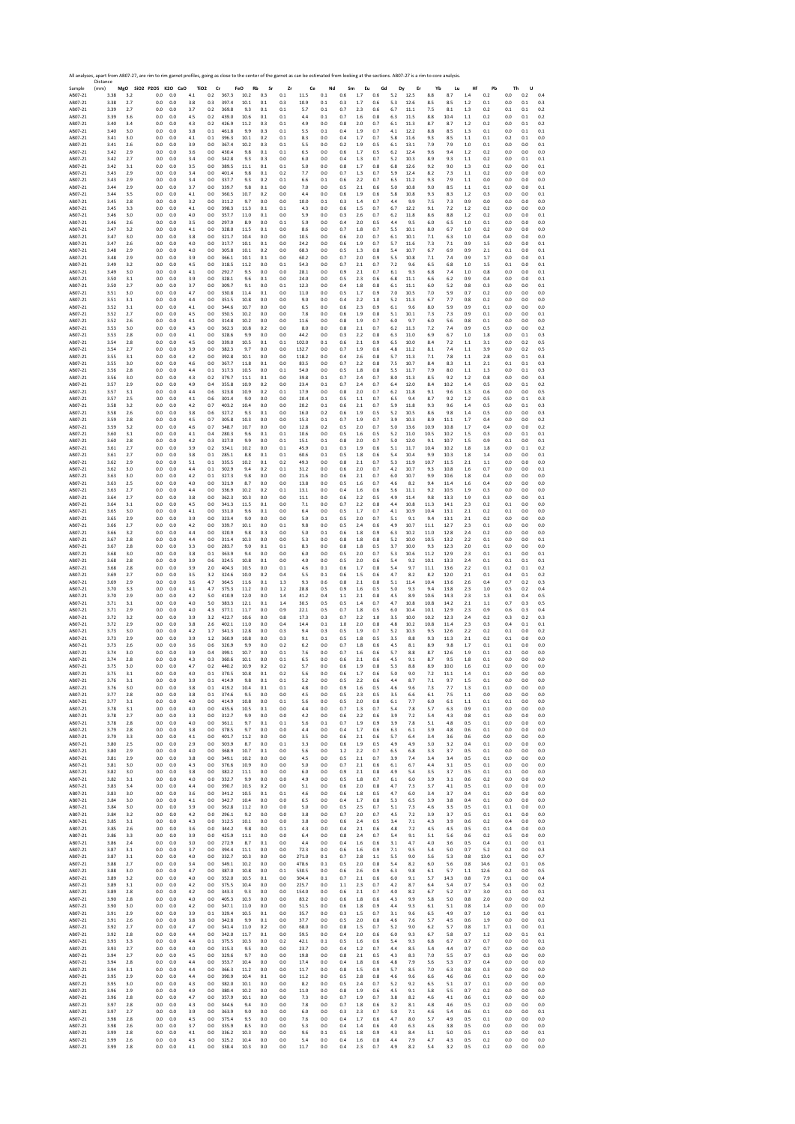|                    | All analyses, apart from AB07-27, are rim to rim garnet profiles, going as close to the center of the garnet as can be estimated from looking at the sections. AB07-27 is a rim to core analysis.<br>Distance |              |                              |            |            |                               |                |              |            |            |                |                 |            |            |            |                |              |              |                 |            |                |                |                 |            |
|--------------------|---------------------------------------------------------------------------------------------------------------------------------------------------------------------------------------------------------------|--------------|------------------------------|------------|------------|-------------------------------|----------------|--------------|------------|------------|----------------|-----------------|------------|------------|------------|----------------|--------------|--------------|-----------------|------------|----------------|----------------|-----------------|------------|
| Sample<br>AB07-21  | (mm)<br>3.38                                                                                                                                                                                                  | $_{\rm 3.2}$ | MgO SiO2 P2O5 K2O CaO<br>0.0 | 0.0        | 4.1        | TiO <sub>2</sub><br>Cr<br>0.2 | FeO<br>367.3   | Rb<br>10.2   | Sr<br>0.3  | Zr<br>0.1  | Ce<br>11.5     | Nd<br>0.1       | Sm<br>0.6  | Eu<br>1.7  | Gd<br>0.6  | Dy<br>5.2      | Er<br>12.5   | Yb<br>8.8    | Lu<br>8.7       | Hf<br>1.4  | Pb<br>0.2      | Th<br>0.0      | U<br>0.2        | 0.4        |
| AB07-21            | 3.38                                                                                                                                                                                                          | 2.7          | 0.0                          | 0.0        | 3.8        | 0.3                           | 397.4          | 10.1         | 0.1        | 0.3        | 10.9           | 0.1             | 0.3        | 1.7        | 0.6        | 5.3            | 12.6         | 8.5          | 8.5             | 1.2        | 0.1            | 0.0            | 0.1             | 0.3        |
| AB07-21<br>AB07-21 | 3.39<br>3.39                                                                                                                                                                                                  | 2.7<br>3.6   | 0.0<br>0.0                   | 0.0<br>0.0 | 3.7<br>4.5 | 0.2<br>0.2                    | 369.8<br>439.0 | 9.3<br>10.6  | 0.1<br>0.1 | 0.1<br>0.1 | 5.7<br>4.4     | 0.1<br>0.1      | 0.7<br>0.7 | 2.3<br>1.6 | 0.6<br>0.8 | 6.7<br>6.3     | 11.1<br>11.5 | 7.5<br>8.8   | $8.1\,$<br>10.4 | 1.3<br>1.1 | 0.2<br>0.2     | 0.1<br>0.0     | 0.1<br>0.1      | 0.2<br>0.2 |
| AB07-21            | 3.40                                                                                                                                                                                                          | 3.4          | 0.0                          | 0.0        | 4.3        | 0.2                           | 426.9          | 11.2         | 0.3        | 0.1        | 4.9            | 0.0             | 0.8        | 2.0        | 0.7        | 6.1            | 11.3         | 8.7          | 8.7             | 1.2        | 0.2            | 0.0            | 0.1             | 0.2        |
| AB07-21<br>AB07-21 | 3.40<br>3.41                                                                                                                                                                                                  | 3.0<br>3.0   | 0.0<br>0.0                   | 0.0<br>0.0 | 3.8<br>4.1 | 0.1<br>0.1                    | 461.8<br>396.3 | 9.9<br>10.1  | 0.3<br>0.2 | 0.1<br>0.1 | 5.5<br>8.3     | 0.1<br>0.0      | 0.4<br>0.4 | 1.9<br>1.7 | 0.7<br>0.7 | 4.1<br>5.8     | 12.2<br>11.6 | 8.8<br>9.3   | 8.5<br>8.5      | 1.3<br>1.1 | 0.1<br>0.1     | 0.0<br>0.2     | 0.1<br>0.1      | 0.1<br>0.0 |
| AB07-21            | 3.41                                                                                                                                                                                                          | 2.6<br>2.9   | 0.0                          | 0.0        | 3.9        | 0.0                           | 367.4          | 10.2<br>9.8  | 0.3<br>0.1 | 0.1        | 5.5<br>6.5     | 0.0             | 0.2        | 1.9        | 0.5        | 6.1            | 13.1         | 7.9          | 7.9             | 1.0        | 0.1            | 0.0<br>0.0     | 0.0             | 0.1<br>0.0 |
| AB07-21<br>AB07-21 | 3.42<br>3.42                                                                                                                                                                                                  | 2.7          | 0.0<br>0.0                   | 0.0<br>0.0 | 3.6<br>3.4 | 0.0<br>0.0                    | 430.4<br>342.8 | 9.3          | 0.3        | 0.1<br>0.0 | 6.0            | 0.0<br>0.0      | 0.6<br>0.4 | 1.7<br>1.3 | 0.5<br>0.7 | 6.2<br>5.2     | 12.4<br>10.3 | 9.6<br>8.9   | 9.4<br>9.3      | 1.2<br>1.1 | 0.2<br>0.2     | 0.0            | 0.0<br>0.1      | 0.1        |
| AB07-21<br>AB07-21 | 3.42<br>3.43                                                                                                                                                                                                  | 3.1<br>2.9   | 0.0<br>0.0                   | 0.0<br>0.0 | 3.5<br>3.4 | 0.0<br>0.0                    | 389.5<br>401.4 | 11.1<br>9.8  | 0.1<br>0.1 | 0.1<br>0.2 | 5.0<br>7.7     | 0.0<br>0.0      | 0.8<br>0.7 | 1.7<br>1.3 | 0.8<br>0.7 | $6.8\,$<br>5.9 | 12.6<br>12.4 | 9.2<br>8.2   | 9.0<br>7.3      | 1.3<br>1.1 | 0.2<br>0.2     | 0.0<br>0.0     | 0.0<br>0.0      | 0.1<br>0.0 |
| AB07-21            | 3.43                                                                                                                                                                                                          | 2.9          | 0.0                          | 0.0        | 3.4        | 0.0                           | 337.7          | 9.3          | 0.2        | 0.1        | 6.6            | 0.1             | 0.6        | 2.2        | 0.7        | 6.5            | 11.2         | 9.3          | 7.9             | 1.1        | 0.0            | 0.0            | 0.0             | 0.0        |
| AB07-21<br>AB07-21 | 3.44<br>3.44                                                                                                                                                                                                  | 2.9<br>3.5   | 0.0<br>0.0                   | 0.0<br>0.0 | 3.7<br>4.1 | 0.0<br>0.0                    | 339.7<br>360.5 | 9.8<br>10.7  | 0.1<br>0.2 | 0.0<br>0.0 | 7.0<br>4.4     | 0.0<br>0.0      | 0.5<br>0.6 | 2.1<br>1.9 | 0.6<br>0.6 | 5.0<br>5.8     | 10.8<br>10.8 | 9.0<br>9.3   | 8.5<br>8.3      | 1.1<br>1.2 | 0.1<br>0.3     | 0.0<br>0.0     | 0.0<br>0.0      | 0.1<br>0.1 |
| AB07-21            | 3.45                                                                                                                                                                                                          | 2.8          | 0.0                          | 0.0        | 3.2        | 0.0                           | 311.2          | 9.7          | 0.0        | 0.0        | 10.0           | 0.1             | 0.3        | 1.4        | 0.7        | 4.4            | 9.9          | 7.5          | 7.3             | 0.9        | 0.0            | 0.0            | 0.0             | 0.0        |
| AB07-21<br>AB07-21 | 3.45<br>3.46                                                                                                                                                                                                  | 3.3<br>3.0   | 0.0<br>0.0                   | 0.0<br>0.0 | 4.1<br>4.0 | 0.0<br>0.0                    | 398.3<br>357.7 | 11.3<br>11.0 | 0.1<br>0.1 | 0.1<br>0.0 | 4.3<br>5.9     | 0.0<br>0.0      | 0.6<br>0.3 | 1.5<br>2.6 | 0.7<br>0.7 | 6.7<br>6.2     | 12.2<br>11.8 | 9.1<br>8.6   | 7.2<br>8.8      | 1.2<br>1.2 | 0.2<br>0.2     | 0.0<br>0.0     | 0.0<br>0.0      | 0.0<br>0.1 |
| AB07-21            | 3.46                                                                                                                                                                                                          | 2.6          | 0.0                          | 0.0        | 3.5        | 0.0                           | 297.9          | 8.9          | 0.0        | 0.1        | 5.9            | 0.0             | 0.4        | 2.0        | 0.5        | 4.4            | 9.5          | 6.0          | 6.5             | 1.0        | 0.1            | 0.0            | 0.0             | 0.0        |
| AB07-21<br>AB07-21 | 3.47<br>3.47                                                                                                                                                                                                  | 3.2<br>3.0   | 0.0<br>0.0                   | 0.0<br>0.0 | 4.1<br>3.8 | 0.0<br>0.0                    | 328.0<br>321.7 | 11.5<br>10.4 | 0.1<br>0.0 | 0.0<br>0.0 | 8.6<br>10.5    | 0.0<br>0.0      | 0.7<br>0.6 | 1.8<br>2.0 | 0.7<br>0.7 | 5.5<br>6.1     | 10.1<br>10.1 | 8.0<br>7.1   | 6.7<br>6.3      | 1.0<br>1.0 | 0.2<br>0.4     | 0.0<br>0.0     | 0.0<br>0.0      | 0.0<br>0.0 |
| AB07-21            | 3.47                                                                                                                                                                                                          | 2.6          | 0.0                          | 0.0        | 4.0        | 0.0                           | 317.7          | 10.1         | 0.1        | 0.0        | 24.2           | 0.0             | 0.6        | 1.9        | 0.7        | 5.7            | 11.6         | 7.3          | 7.1             | 0.9        | 1.5            | 0.0            | 0.0             | 0.1        |
| AB07-21<br>AB07-21 | 3.48<br>3.48                                                                                                                                                                                                  | 2.9<br>2.9   | 0.0<br>0.0                   | 0.0<br>0.0 | 4.0<br>3.9 | 0.0<br>0.0                    | 305.8<br>366.1 | 10.1<br>10.1 | 0.2<br>0.1 | 0.0<br>0.0 | 68.3<br>60.2   | 0.0<br>0.0      | 0.5<br>0.7 | 1.3<br>2.0 | 0.8<br>0.9 | 5.4<br>5.5     | 10.7<br>10.8 | 6.7<br>7.1   | 6.9<br>7.4      | 0.9<br>0.9 | 2.1<br>1.7     | 0.1<br>0.0     | 0.0<br>0.0      | 0.1<br>0.1 |
| AB07-21<br>AB07-21 | 3.49<br>3.49                                                                                                                                                                                                  | 3.2          | 0.0<br>0.0                   | 0.0<br>0.0 | 4.5<br>4.1 | 0.0<br>0.0                    | 318.5<br>292.7 | 11.2<br>9.5  | 0.0        | 0.1<br>0.0 | 54.3<br>28.1   | 0.0<br>0.0      | 0.7<br>0.9 | 2.1<br>2.1 | 0.7<br>0.7 | 7.2            | 9.6<br>9.3   | 6.5<br>6.8   | 6.8             | 1.0        | 1.5            | 0.1<br>0.0     | 0.0             | 0.1<br>0.1 |
| AB07-21            | 3.50                                                                                                                                                                                                          | 3.0<br>3.1   | 0.0                          | 0.0        | 3.9        | 0.0                           | 328.1          | 9.6          | 0.0<br>0.1 | 0.0        | 24.0           | 0.0             | 0.5        | 2.3        | 0.6        | 6.1<br>6.8     | 11.1         | 6.6          | 7.4<br>6.2      | 1.0<br>0.9 | 0.8<br>0.4     | 0.0            | 0.0<br>0.0      | 0.1        |
| AB07-21<br>AB07-21 | 3.50<br>3.51                                                                                                                                                                                                  | 2.7<br>3.0   | 0.0<br>0.0                   | 0.0<br>0.0 | 3.7<br>4.7 | 0.0<br>0.0                    | 309.7<br>330.8 | 9.1<br>11.4  | 0.0<br>0.1 | 0.1<br>0.0 | 12.3<br>11.0   | 0.0<br>0.0      | 0.4<br>0.5 | 1.8<br>1.7 | 0.8<br>0.9 | 6.1<br>7.0     | 11.1<br>10.5 | 6.0<br>7.0   | 5.2<br>5.9      | 0.8<br>0.7 | 0.3<br>0.2     | 0.0<br>0.0     | 0.0<br>0.0      | 0.1<br>0.0 |
| AB07-21            | 3.51                                                                                                                                                                                                          | 3.1          | 0.0                          | 0.0        | 4.4        | 0.0                           | 351.5          | 10.8         | 0.0        | 0.0        | 9.0            | 0.0             | 0.4        | 2.2        | 1.0        | 5.2            | 11.3         | 6.7          | 7.7             | 0.8        | 0.2            | 0.0            | 0.0             | 0.0        |
| AB07-21<br>AB07-21 | 3.52<br>3.52                                                                                                                                                                                                  | 3.1<br>2.7   | 0.0<br>0.0                   | 0.0<br>0.0 | 4.1<br>4.5 | 0.0<br>0.0                    | 344.6<br>350.5 | 10.7<br>10.2 | 0.0<br>0.0 | 0.0<br>0.0 | 6.5<br>7.8     | 0.0<br>0.0      | 0.6<br>0.6 | 2.3<br>1.9 | 0.9<br>0.8 | 6.1<br>5.1     | 9.6<br>10.1  | 8.0<br>7.3   | 5.9<br>7.3      | 0.9<br>0.9 | 0.1<br>0.1     | 0.0<br>0.0     | 0.0<br>0.0      | 0.0<br>0.1 |
| AB07-21            | 3.52                                                                                                                                                                                                          | 2.6          | 0.0                          | 0.0        | 4.1        | 0.0                           | 314.8          | 10.2         | 0.0        | 0.0        | 11.6           | 0.0             | 0.8        | 1.9        | 0.7        | 6.0            | 9.7          | 6.0          | 5.6             | 0.8        | 0.1            | 0.0            | 0.0             | 0.0        |
| AB07-21<br>AB07-21 | 3.53<br>3.53                                                                                                                                                                                                  | 3.0<br>2.8   | 0.0<br>0.0                   | 0.0<br>0.0 | 4.3<br>4.1 | 0.0<br>0.0                    | 362.3<br>328.6 | 10.8<br>9.9  | 0.2<br>0.0 | 0.0<br>0.0 | 8.0<br>44.2    | 0.0<br>0.0      | 0.8<br>0.3 | 2.1<br>2.2 | 0.7<br>0.8 | 6.2<br>6.3     | 11.3<br>11.0 | 7.2<br>6.9   | 7.4<br>6.7      | 0.9<br>1.0 | 0.5<br>1.8     | 0.0<br>0.0     | 0.0<br>0.1      | 0.2<br>0.3 |
| AB07-21            | 3.54                                                                                                                                                                                                          | 2.8          | 0.0                          | 0.0        | 4.5        | 0.0                           | 339.0          | 10.5         | 0.1        | 0.1        | 102.0          | 0.1             | 0.6        | 2.1        | 0.9        | 6.5            | 10.0         | 8.4          | 7.2             | 1.1        | 3.1            | 0.0            | 0.2             | 0.5        |
| AB07-21<br>AB07-21 | 3.54<br>3.55                                                                                                                                                                                                  | 2.7<br>3.1   | 0.0<br>0.0                   | 0.0<br>0.0 | 3.9<br>4.2 | 0.0<br>0.0                    | 382.3<br>392.8 | 9.7<br>10.1  | 0.0<br>0.0 | 0.0<br>0.0 | 132.7<br>118.2 | 0.0<br>0.0      | 0.7<br>0.4 | 1.9<br>2.6 | 0.6<br>0.8 | 4.8<br>5.7     | 11.2<br>11.3 | 8.1<br>7.1   | 7.4<br>7.8      | 1.1<br>1.1 | 3.9<br>2.8     | 0.0<br>0.0     | 0.2<br>0.1      | 0.5<br>0.3 |
| AB07-21<br>AB07-21 | 3.55<br>3.56                                                                                                                                                                                                  | 3.0<br>2.8   | 0.0<br>0.0                   | 0.0<br>0.0 | 4.6<br>4.4 | 0.0<br>0.1                    | 367.7<br>317.3 | 11.8<br>10.5 | 0.1<br>0.0 | 0.0<br>0.1 | 83.5<br>54.0   | 0.0<br>0.0      | 0.7<br>0.5 | 2.2<br>1.8 | 0.8<br>0.8 | 7.5<br>5.5     | 10.7<br>11.7 | 8.4<br>7.9   | 8.3<br>8.0      | 1.1<br>1.1 | 2.1<br>1.3     | 0.1<br>0.0     | 0.1<br>0.1      | 0.3<br>0.3 |
| AB07-21            | 3.56                                                                                                                                                                                                          | 3.0          | 0.0                          | 0.0        | 4.3        | 0.2                           | 379.7          | 11.1         | 0.1        | 0.0        | 39.8           | 0.1             | 0.7        | 2.4        | 0.7        | 8.0            | 11.3         | 8.5          | 9.2             | 1.2        | 0.8            | 0.0            | 0.0             | 0.3        |
| AB07-21<br>AB07-21 | 3.57<br>3.57                                                                                                                                                                                                  | 2.9<br>3.1   | 0.0<br>0.0                   | 0.0<br>0.0 | 4.9<br>4.4 | 0.4<br>0.6                    | 355.8<br>323.8 | 10.9<br>10.9 | 0.2<br>0.2 | 0.0<br>0.1 | 23.4<br>17.9   | 0.1<br>0.0      | 0.7<br>0.8 | 2.4<br>2.0 | 0.7<br>0.7 | 6.4<br>6.2     | 12.0<br>11.8 | 8.4<br>9.1   | 10.2<br>9.6     | 1.4<br>1.3 | 0.5<br>0.6     | 0.0<br>0.0     | 0.1<br>0.0      | 0.2<br>0.5 |
| AB07-21            | 3.57                                                                                                                                                                                                          | 2.5          | 0.0                          | 0.0        | 4.1        | 0.6                           | 301.4          | 9.0          | 0.0        | 0.0        | 20.4           | 0.1             | 0.5        | 1.1        | 0.7        | 6.5            | 9.4          | 8.7          | 9.2             | 1.2        | 0.5            | 0.0            | 0.1             | 0.3        |
| AB07-21<br>AB07-21 | 3.58<br>3.58                                                                                                                                                                                                  | 3.2<br>2.6   | 0.0<br>0.0                   | 0.0<br>0.0 | 4.2<br>3.8 | 0.7<br>0.6                    | 403.2<br>327.2 | 10.4<br>9.3  | 0.0<br>0.1 | 0.0<br>0.0 | 20.2<br>16.0   | 0.1<br>0.2      | 0.6<br>0.6 | 2.1<br>1.9 | 0.7<br>0.5 | 5.9<br>5.2     | 11.8<br>10.5 | 9.3<br>8.6   | 9.6<br>9.8      | 1.4<br>1.4 | 0.5<br>0.5     | 0.0<br>0.0     | 0.1<br>0.0      | 0.3<br>0.3 |
| AB07-21            | 3.59                                                                                                                                                                                                          | 2.8          | 0.0                          | 0.0        | 4.5        | 0.7                           | 305.8          | 10.3         | 0.0        | 0.0        | 15.3           | 0.1             | 0.7        | 1.9        | 0.7        | 3.9            | 10.3         | 8.9          | 11.1            | 1.7        | 0.4            | 0.0            | 0.0             | 0.2        |
| AB07-21<br>AB07-21 | 3.59<br>3.60                                                                                                                                                                                                  | 3.2<br>3.1   | 0.0<br>0.0                   | 0.0<br>0.0 | 4.6<br>4.1 | 0.7<br>0.4                    | 348.7<br>280.3 | 10.7<br>9.6  | 0.0<br>0.1 | 0.0<br>0.1 | 12.8<br>10.6   | 0.2<br>0.0      | 0.5<br>0.5 | 2.0<br>1.6 | 0.7<br>0.5 | 5.0<br>5.2     | 13.6<br>11.0 | 10.9<br>10.5 | 10.8<br>10.2    | 1.7<br>1.5 | 0.4<br>0.3     | 0.0<br>0.0     | 0.0<br>0.1      | 0.2<br>0.1 |
| AB07-21            | 3.60                                                                                                                                                                                                          | 2.8          | 0.0                          | 0.0        | 4.2        | 0.3                           | 327.0          | 9.9          | 0.0        | 0.1        | 15.1           | 0.1             | 0.8        | 2.0        | 0.7        | 5.0            | 12.0         | 9.1          | 10.7            | 1.5        | 0.9            | 0.1            | 0.0             | 0.1        |
| AB07-21<br>AB07-21 | 3.61<br>3.61                                                                                                                                                                                                  | 2.7<br>2.7   | 0.0<br>0.0                   | 0.0<br>0.0 | 3.9<br>3.8 | 0.2<br>0.1                    | 334.1<br>285.1 | 10.2<br>8.8  | 0.0<br>0.1 | 0.1<br>0.1 | 45.9<br>60.6   | 0.1<br>0.1      | 0.3<br>0.5 | 1.9<br>1.8 | 0.6<br>0.6 | 5.1<br>5.4     | 11.7<br>10.4 | 10.4<br>9.9  | 10.2<br>10.3    | 1.8<br>1.8 | 1.8<br>1.4     | 0.0<br>0.0     | 0.1<br>0.0      | 0.2<br>0.1 |
| AB07-21            | 3.62                                                                                                                                                                                                          | 2.9          | 0.0                          | 0.0        | $5.1\,$    | 0.1                           | 335.5          | 10.2         | 0.1        | 0.2        | 49.3           | 0.0             | 0.8        | 2.1        | 0.7        | 5.3            | 11.9         | 10.7         | 11.5            | 2.1        | 1.1            | 0.0            | 0.0             | 0.0        |
| AB07-21<br>AB07-21 | 3.62<br>3.63                                                                                                                                                                                                  | 3.0<br>3.0   | 0.0<br>0.0                   | 0.0<br>0.0 | 4.4<br>4.2 | 0.1<br>0.1                    | 302.9<br>327.3 | 9.4<br>9.8   | 0.2<br>0.0 | 0.1<br>0.0 | 31.2<br>21.6   | 0.0<br>0.0      | 0.6<br>0.6 | 2.0<br>2.1 | 0.7<br>0.7 | 4.2<br>6.0     | 10.7<br>10.7 | 9.3<br>9.9   | 10.8<br>10.6    | 1.6<br>1.8 | 0.7<br>0.4     | 0.0<br>0.0     | 0.0<br>0.0      | 0.1<br>0.0 |
| AB07-21            | 3.63                                                                                                                                                                                                          | 2.5          | 0.0                          | 0.0        | 4.0        | 0.0                           | 321.9          | 8.7          | 0.0        | 0.0        | 13.8           | 0.0             | 0.5        | 1.6        | 0.7        | 4.6            | 8.2          | 9.4          | 11.4            | 1.6        | 0.4            | 0.0            | 0.0             | 0.0        |
| AB07-21<br>AB07-21 | 3.63<br>3.64                                                                                                                                                                                                  | 2.7<br>2.7   | 0.0<br>0.0                   | 0.0<br>0.0 | 4.4<br>3.8 | 0.0<br>0.0                    | 336.9<br>362.3 | 10.2<br>10.3 | 0.2<br>0.0 | 0.1<br>0.0 | 13.1<br>11.1   | 0.0<br>0.0      | 0.4<br>0.6 | 1.6<br>2.2 | 0.6<br>0.5 | 5.6<br>4.9     | 11.1<br>11.4 | 9.2<br>9.8   | 10.5<br>13.3    | 1.9<br>1.9 | 0.3<br>0.3     | 0.0<br>0.0     | 0.0<br>0.0      | 0.0<br>0.1 |
| AB07-21<br>AB07-21 | 3.64<br>3.65                                                                                                                                                                                                  | 3.1<br>3.0   | 0.0<br>0.0                   | 0.0<br>0.0 | 4.5<br>4.1 | 0.0<br>0.0                    | 341.3<br>331.0 | 11.5<br>9.6  | 0.1<br>0.1 | 0.0<br>0.0 | 7.1<br>6.4     | 0.0<br>0.0      | 0.7<br>0.5 | 2.2<br>1.7 | 0.8<br>0.7 | 4.4<br>4.1     | 10.8<br>10.9 | 11.3<br>10.4 | 14.1<br>13.1    | 2.3<br>2.1 | 0.2<br>0.2     | 0.1<br>0.1     | 0.0<br>0.0      | 0.0<br>0.0 |
| AB07-21            | 3.65                                                                                                                                                                                                          | 2.9          | 0.0                          | 0.0        | 3.9        | 0.0                           | 323.4          | 9.0          | 0.0        | 0.0        | 5.9            | 0.1             | 0.5        | 2.0        | 0.7        | 5.1            | 9.1          | 9.4          | 13.1            | 2.1        | 0.2            | 0.0            | 0.0             | 0.0        |
| AB07-21<br>AB07-21 | 3.66<br>3.66                                                                                                                                                                                                  | 2.7<br>3.2   | 0.0<br>0.0                   | 0.0<br>0.0 | 4.2<br>4.4 | 0.0<br>0.0                    | 339.7<br>320.9 | 10.1<br>9.8  | 0.0<br>0.3 | 0.1<br>0.0 | 9.8<br>5.0     | 0.0<br>0.1      | 0.5<br>0.6 | 2.4<br>1.8 | 0.6<br>0.9 | 4.9<br>6.3     | 10.7<br>10.2 | 11.1<br>11.0 | 12.7<br>12.8    | 2.3<br>2.4 | 0.1<br>0.2     | 0.0<br>0.0     | 0.0<br>0.0      | 0.0<br>0.0 |
| AB07-21            | 3.67                                                                                                                                                                                                          | 2.8          | 0.0                          | 0.0        | 4.4        | 0.0                           | 311.4          | 10.3         | 0.0        | 0.0        | 5.3            | 0.0             | 0.8        | 1.8        | 0.8        | 5.2            | 10.0         | 10.5         | 13.2            | 2.2        | 0.1            | 0.0            | 0.0             | 0.1        |
| AB07-21<br>AB07-21 | 3.67<br>3.68                                                                                                                                                                                                  | 2.8<br>3.0   | 0.0<br>0.0                   | 0.0<br>0.0 | 3.3<br>3.8 | 0.0<br>0.1                    | 283.7<br>363.9 | 9.0<br>9.4   | 0.1<br>0.0 | 0.1<br>0.0 | 8.3<br>6.0     | 0.0<br>0.0      | 0.8<br>0.5 | 1.8<br>2.0 | 0.5<br>0.7 | 3.7<br>5.3     | 10.0<br>10.6 | 9.3<br>11.2  | 12.3<br>12.9    | 2.0<br>2.3 | 0.1<br>0.1     | 0.0<br>0.1     | 0.0<br>0.0      | 0.0<br>0.1 |
| AB07-21            | 3.68                                                                                                                                                                                                          | 2.8          | 0.0                          | 0.0        | 3.9        | 0.6                           | 324.5          | 10.8         | 0.1        | 0.0        | 4.0            | 0.0             | 0.5        | 2.0        | 0.6        | 5.4            | 9.2          | 10.1         | 13.3            | 2.4        | 0.1            | 0.1            | 0.1             | 0.1        |
| AB07-21<br>AB07-21 | 3.68<br>3.69                                                                                                                                                                                                  | 2.8<br>2.7   | 0.0<br>0.0                   | 0.0<br>0.0 | 3.9<br>3.5 | 2.0<br>3.2                    | 404.3<br>324.6 | 10.5<br>10.0 | 0.0<br>0.2 | 0.1<br>0.4 | 4.6<br>5.5     | 0.1<br>0.1      | 0.6<br>0.6 | 1.7<br>1.5 | 0.8<br>0.6 | 5.4<br>4.7     | 9.7<br>8.2   | 11.1<br>8.2  | 13.6<br>12.0    | 2.2<br>2.1 | 0.1<br>0.1     | 0.2<br>0.4     | 0.1<br>0.1      | 0.2<br>0.2 |
| AB07-21            | 3.69                                                                                                                                                                                                          | 2.9          | 0.0                          | 0.0        | 3.6        | 4.7                           | 364.5          | 11.6         | 0.1        | 1.3        | 9.3            | 0.6             | 0.8        | 2.1        | 0.8        | 5.1            | 11.4         | 10.4         | 13.6            | 2.6        | 0.4            | 0.7            | 0.2             | 0.3        |
| AB07-21<br>AB07-21 | 3.70<br>3.70                                                                                                                                                                                                  | 3.3<br>2.9   | 0.0<br>0.0                   | 0.0<br>0.0 | 4.1<br>4.2 | 4.7<br>5.0                    | 375.3<br>410.9 | 11.2<br>12.0 | 0.0<br>0.0 | 1.2<br>1.4 | 28.8<br>41.2   | 0.5<br>0.4      | 0.9<br>1.1 | 1.6<br>2.1 | 0.5<br>0.8 | 5.0<br>4.5     | 9.3<br>8.9   | 9.4<br>10.6  | 13.8<br>14.3    | 2.3<br>2.3 | 1.0<br>1.3     | 0.5<br>0.3     | 0.2<br>0.4      | 0.4<br>0.5 |
| AB07-21<br>AB07-21 | 3.71<br>3.71                                                                                                                                                                                                  | 3.1<br>2.9   | 0.0<br>0.0                   | 0.0<br>0.0 | 4.0<br>4.0 | 5.0<br>4.3                    | 383.3<br>377.1 | 12.1<br>11.7 | 0.1<br>0.0 | 1.4<br>0.9 | 30.5<br>22.1   | 0.5<br>0.5      | 0.5<br>0.7 | 1.4<br>1.8 | 0.7<br>0.5 | 4.7<br>6.0     | 10.8<br>10.4 | 10.8<br>10.1 | 14.2<br>12.9    | 2.1<br>2.3 | 1.1<br>0.9     | 0.7<br>0.6     | 0.3<br>0.3      | 0.5<br>0.4 |
| AB07-21            | 3.72                                                                                                                                                                                                          | 3.2          | 0.0                          | 0.0        | 3.9        | 3.2                           | 422.7          | 10.6         | 0.0        | 0.8        | 17.3           | 0.3             | 0.7        | 2.2        | 1.0        | 3.5            | 10.0         | 10.2         | 12.3            | 2.4        | 0.2            | 0.3            | 0.2             | 0.3        |
| AB07-21<br>AB07-21 | 3.72<br>3.73                                                                                                                                                                                                  | 2.9<br>3.0   | 0.0<br>0.0                   | 0.0<br>0.0 | 3.8<br>4.2 | 2.6<br>1.7                    | 402.1<br>341.3 | 11.0<br>12.8 | 0.0<br>0.0 | 0.4<br>0.3 | 14.4<br>9.4    | 0.1<br>0.3      | 1.0<br>0.5 | 2.0<br>1.9 | 0.8<br>0.7 | 4.8<br>5.2     | 10.2<br>10.3 | 10.8<br>9.5  | 11.4<br>12.6    | 2.3<br>2.2 | 0.3<br>0.2     | 0.4<br>0.1     | 0.1<br>0.0      | 0.1<br>0.2 |
| AB07-21            | 3.73                                                                                                                                                                                                          | 2.9          | 0.0                          | 0.0        | 3.9        | $1.2\,$                       | 360.9          | 10.8         | 0.0        | 0.3        | 9.1            | 0.1             | 0.5        | 1.8        | 0.5        | 3.5            | 8.8          | 9.3          | 11.3            | $2.1\,$    | 0.2            | 0.1            | 0.0             | 0.0        |
| AB07-21<br>AB07-21 | 3.73<br>3.74                                                                                                                                                                                                  | 2.6<br>3.0   | 0.0<br>0.0                   | 0.0<br>0.0 | 3.6<br>3.9 | 0.6<br>0.4                    | 326.9<br>399.1 | 9.9<br>10.7  | 0.0<br>0.0 | 0.2<br>0.1 | 6.2<br>7.6     | 0.0<br>0.0      | 0.7<br>0.7 | 1.8<br>1.6 | 0.6<br>0.6 | 4.5<br>5.7     | 8.1<br>8.8   | 8.9<br>8.7   | 9.8<br>12.6     | 1.7<br>1.9 | 0.1<br>0.1     | 0.1<br>0.2     | 0.0<br>0.0      | 0.0<br>0.0 |
| AB07-21            | 3.74                                                                                                                                                                                                          | 2.8          | 0.0                          | 0.0        | 4.3        | 0.3                           | 360.6          | 10.1         | 0.0        | 0.1        | 6.5            | 0.0             | 0.6        | 2.1        | 0.6        | 4.5            | 9.1          | 8.7          | 9.5             | 1.8        | 0.1            | 0.0            | 0.0             | 0.0        |
| AB07-21<br>ABU/~21 | 3.75<br>3.75                                                                                                                                                                                                  | 3.0          | 0.0<br>U.U                   | 0.0<br>0.0 | 4.7<br>4.0 | 0.2<br>U.I                    | 440.2          | 10.9<br>10.8 | 0.2<br>υ.  | 0.2<br>U.Z | 5.7<br>5.6     | 0.0<br>0.0      | 0.6<br>0.6 | 1.9        | 0.8<br>U.b | 5.3<br>5.L     | 8.8          | 8.9          | 10.0<br>11.1    | 1.6        | 0.2<br>U.I     | 0.0<br>U.L     | 0.0<br>U.L      | 0.0<br>U.L |
| AR07-21<br>AB07-21 | 3.76                                                                                                                                                                                                          | 3.1          | 0.0                          | 0.0        | 3.9        | 0.1                           | 414.9          | 9.8          | 0.1        | 0.1        | 5.2            | 0.0             | 0.5        | 2.2        | 0.6        | 4.4            | 8.7          | 7.1          | 9.7             | 1.5        | 0.1            | 0.0            | 0.0             | 0.0        |
| AB07-21            | 3.76<br>3.77                                                                                                                                                                                                  | 3.0<br>2.8   | 0.0<br>0.0                   | 0.0<br>0.0 | 3.8<br>3.8 | 0.1<br>0.1                    | 419.2<br>374.6 | 10.4<br>9.5  | 0.1<br>0.0 | 0.1<br>0.0 | 4.8<br>4.5     | 0.0<br>0.0      | 0.9<br>0.5 | 1.6<br>2.3 | 0.5<br>0.5 | 4.6<br>3.5     | 9.6<br>6.6   | 7.3<br>6.1   | 7.7<br>7.5      | 1.3<br>1.1 | 0.1<br>0.0     | 0.0<br>0.0     | 0.0<br>0.0      | 0.0<br>0.0 |
| AB07-21<br>AB07-21 | 3.77<br>3.78                                                                                                                                                                                                  | 3.1<br>3.1   | 0.0<br>0.0                   | 0.0<br>0.0 | 4.0<br>4.0 | 0.0<br>0.0                    | 414.9<br>435.6 | 10.8<br>10.5 | 0.0<br>0.1 | 0.1<br>0.0 | 5.6<br>4.4     | 0.0<br>0.0      | 0.5<br>0.7 | 2.0<br>1.3 | 0.8<br>0.7 | 6.1<br>5.4     | 7.7<br>7.8   | 6.0<br>5.7   | 6.1<br>6.3      | 1.1<br>0.9 | 0.1<br>0.1     | 0.1<br>0.0     | 0.0<br>0.0      | 0.0<br>0.0 |
| AB07-21            | 3.78                                                                                                                                                                                                          | 2.7          | 0.0                          | 0.0        | 3.3        | 0.0                           | 312.7          | 9.9          | 0.0        | 0.0        | 4.2            | 0.0             | 0.6        | 2.2        | 0.6        | 3.9            | 7.2          | 5.4          | 4.3             | 0.8        | 0.1            | 0.0            | 0.0             | 0.0        |
| AB07-21<br>AB07-21 | 3.78<br>3.79                                                                                                                                                                                                  | 2.8<br>2.8   | 0.0<br>0.0                   | 0.0<br>0.0 | 4.0<br>3.8 | 0.0<br>0.0                    | 361.1<br>378.5 | 9.7<br>9.7   | 0.1<br>0.0 | 0.1<br>0.0 | 5.6<br>4.4     | 0.1<br>0.0      | 0.7<br>0.4 | 1.9<br>1.7 | 0.9<br>0.6 | 3.9<br>6.3     | 7.8<br>6.1   | 5.1<br>3.9   | 4.8<br>4.8      | 0.5<br>0.6 | 0.1<br>0.1     | 0.0<br>0.0     | 0.0<br>0.0      | 0.0<br>0.0 |
| AB07-21            | 3.79                                                                                                                                                                                                          | 3.3          | 0.0                          | 0.0        | 4.1        | 0.0                           | 401.7          | 11.2         | 0.0        | 0.0        | 3.5            | 0.0             | 0.6        | 2.1        | 0.6        | 5.7            | 6.4          | 3.4          | 3.6             | 0.6        | 0.0            | 0.0            | 0.0             | 0.0        |
| AB07-21<br>AB07-21 | 3.80<br>3.80                                                                                                                                                                                                  | 2.5<br>2.9   | 0.0<br>0.0                   | 0.0<br>0.0 | 2.9<br>4.0 | 0.0<br>0.0                    | 303.9<br>368.9 | 8.7<br>10.7  | 0.0<br>0.1 | 0.1<br>0.0 | 3.3<br>5.6     | 0.0<br>0.0      | 0.6<br>1.2 | 1.9<br>2.2 | 0.5<br>0.7 | 4.9<br>6.5     | 4.9<br>6.8   | 3.0<br>3.3   | 3.2<br>3.7      | 0.4<br>0.5 | 0.1<br>0.1     | 0.0<br>0.0     | 0.0<br>0.0      | 0.0<br>0.0 |
| AB07-21<br>AB07-21 | 3.81<br>3.81                                                                                                                                                                                                  | 2.9<br>3.0   | 0.0<br>0.0                   | 0.0<br>0.0 | 3.8<br>4.3 | 0.0<br>0.0                    | 349.1<br>376.6 | 10.2<br>10.9 | 0.0<br>0.0 | 0.0<br>0.0 | $4.5\,$<br>5.0 | 0.0<br>0.0      | 0.5<br>0.7 | 2.1<br>2.1 | 0.7<br>0.6 | 3.9<br>6.1     | 7.4<br>6.7   | 3.4<br>4.4   | 3.4<br>3.1      | 0.5<br>0.5 | $0.1\,$<br>0.1 | 0.0<br>0.0     | $0.0\,$<br>0.0  | 0.0<br>0.0 |
| AB07-21            | 3.82                                                                                                                                                                                                          | 3.0          | 0.0                          | 0.0        | 3.8        | 0.0                           | 382.2          | 11.1         | 0.0        | 0.0        | 6.0            | 0.0             | 0.9        | 2.1        | 0.8        | 4.9            | 5.4          | 3.5          | 3.7             | 0.5        | 0.1            | 0.1            | 0.0             | 0.0        |
| AB07-21<br>AB07-21 | 3.82<br>3.83                                                                                                                                                                                                  | 3.1<br>3.4   | 0.0<br>0.0                   | 0.0<br>0.0 | 4.0<br>4.4 | 0.0<br>0.0                    | 332.7<br>390.7 | 9.9<br>10.3  | 0.0<br>0.2 | 0.0<br>0.0 | 4.9<br>5.1     | 0.0<br>0.0      | 0.5<br>0.6 | 1.8<br>2.0 | 0.7<br>0.8 | 6.1<br>4.7     | 6.0<br>7.3   | 3.9<br>3.7   | 3.1<br>4.1      | 0.6<br>0.5 | 0.2<br>0.1     | 0.0<br>0.0     | 0.0<br>0.0      | 0.0<br>0.0 |
| AB07-21            | 3.83                                                                                                                                                                                                          | 3.0          | 0.0                          | 0.0        | 3.6        | 0.0                           | 341.2<br>342.7 | 10.5         | 0.1        | 0.1        | 4.6<br>6.5     | 0.0             | 0.6        | 1.8        | 0.5        | 4.7            | 6.0          | 3.4          | 3.7             | 0.4        | 0.1            | 0.0            | 0.0             | 0.0        |
| AB07-21<br>AB07-21 | 3.84<br>3.84                                                                                                                                                                                                  | 3.0<br>3.0   | 0.0<br>0.0                   | 0.0<br>0.0 | 4.1<br>3.9 | 0.0<br>0.0                    | 362.8          | 10.4<br>11.2 | 0.0<br>0.0 | 0.0<br>0.0 | 5.0            | 0.0<br>0.0      | 0.4<br>0.5 | 1.7<br>2.5 | 0.8<br>0.7 | 5.3<br>5.1     | 6.5<br>7.3   | 3.9<br>4.6   | 3.8<br>3.5      | 0.4<br>0.5 | 0.1<br>0.1     | 0.0<br>0.1     | 0.0<br>0.0      | 0.0<br>0.0 |
| AB07-21<br>AB07-21 | 3.84<br>3.85                                                                                                                                                                                                  | 3.2<br>3.1   | 0.0<br>0.0                   | 0.0<br>0.0 | 4.2<br>4.3 | 0.0<br>0.0                    | 296.1<br>312.5 | 9.2<br>10.1  | 0.0<br>0.0 | 0.0<br>0.0 | 3.8<br>3.8     | $_{0.0}$<br>0.0 | 0.7<br>0.6 | 2.0<br>2.4 | 0.7<br>0.5 | 4.5<br>3.4     | 7.2<br>7.1   | 3.9<br>4.3   | 3.7<br>3.9      | 0.5<br>0.6 | $0.1\,$<br>0.2 | $0.1\,$<br>0.4 | $_{0.0}$<br>0.0 | 0.0<br>0.0 |
| AB07-21            | 3.85                                                                                                                                                                                                          | 2.6          | 0.0                          | 0.0        | 3.6        | 0.0                           | 344.2          | 9.8          | 0.0        | 0.1        | 4.3            | 0.0             | 0.4        | 2.1        | 0.6        | 4.8            | 7.2          | 4.5          | 4.5             | 0.5        | 0.1            | 0.4            | 0.0             | 0.0        |
| AB07-21<br>AB07-21 | 3.86<br>3.86                                                                                                                                                                                                  | 3.3<br>2.4   | 0.0<br>0.0                   | 0.0<br>0.0 | 3.9<br>3.0 | 0.0<br>0.0                    | 425.9<br>272.9 | 11.1<br>8.7  | 0.0<br>0.1 | 0.0<br>0.0 | 6.4<br>4.4     | 0.0<br>0.0      | 0.8<br>0.4 | 2.4<br>1.6 | 0.7<br>0.6 | 5.4<br>3.1     | 9.1<br>4.7   | 5.1<br>4.0   | 5.6<br>3.6      | 0.6<br>0.5 | 0.2<br>0.4     | 0.5<br>0.1     | 0.0<br>0.0      | 0.0<br>0.1 |
| AB07-21            | 3.87                                                                                                                                                                                                          | 3.1          | 0.0                          | 0.0        | 3.7        | 0.0                           | 394.4          | 11.1         | 0.0        | 0.0        | 72.3           | 0.0             | 0.6        | 1.6        | 0.9        | 7.1            | 9.5          | 5.4          | 5.0             | 0.7        | 5.2            | 0.2            | 0.0             | 0.3        |
| AB07-21<br>AB07-21 | 3.87<br>3.88                                                                                                                                                                                                  | 3.1<br>2.7   | 0.0<br>0.0                   | 0.0<br>0.0 | 4.0<br>3.4 | 0.0<br>0.0                    | 332.7<br>349.1 | 10.3<br>10.2 | 0.0<br>0.0 | 0.0<br>0.0 | 271.0<br>478.6 | 0.1<br>0.1      | 0.7<br>0.5 | 2.8<br>2.0 | 1.1<br>0.8 | 5.5<br>5.4     | 9.0<br>8.2   | 5.6<br>6.0   | 5.3<br>5.6      | 0.8<br>0.8 | 13.0<br>14.6   | 0.1<br>0.2     | 0.0<br>0.1      | 0.7<br>0.6 |
| AB07-21            | 3.88                                                                                                                                                                                                          | 3.0          | 0.0                          | 0.0        | 4.7        | 0.0                           | 387.0          | 10.8         | 0.0        | 0.1        | 530.5          | 0.0             | 0.6        | 2.6        | 0.9        | 6.3            | 9.8          | 6.1          | 5.7             | 1.1        | 12.6           | 0.2            | 0.0             | 0.5        |
| AB07-21<br>AB07-21 | 3.89<br>3.89                                                                                                                                                                                                  | 3.2<br>3.1   | 0.0<br>0.0                   | 0.0<br>0.0 | 4.0<br>4.2 | 0.0<br>0.0                    | 352.0<br>375.5 | 10.5<br>10.4 | 0.1<br>0.0 | 0.0<br>0.0 | 304.4<br>225.7 | 0.1<br>0.0      | 0.7<br>1.1 | 2.1<br>2.3 | 0.6<br>0.7 | 6.0<br>4.2     | 9.1<br>8.7   | 5.7<br>6.4   | 14.3<br>5.4     | 0.8<br>0.7 | 7.9<br>5.4     | 0.1<br>0.3     | 0.0<br>0.0      | 0.4<br>0.2 |
| AB07-21            | 3.89                                                                                                                                                                                                          | 2.8          | 0.0                          | 0.0        | 4.2        | 0.0                           | 343.3          | 9.3          | 0.0        | 0.0        | 154.0          | 0.0             | 0.6        | 2.1        | 0.7        | 4.0            | 8.2          | 6.7          | 5.2             | 0.7        | 3.0            | 0.1            | 0.0             | 0.1        |
| AB07-21<br>AB07-21 | 3.90<br>3.90                                                                                                                                                                                                  | 2.8<br>3.0   | 0.0<br>0.0                   | 0.0<br>0.0 | 4.0<br>4.2 | 0.0<br>0.0                    | 405.3<br>347.1 | 10.3<br>11.0 | 0.0<br>0.0 | 0.0<br>0.0 | 83.2<br>51.5   | 0.0<br>0.0      | 0.6<br>0.6 | 1.8<br>1.8 | 0.6<br>0.9 | 4.3<br>4.4     | 9.9<br>9.3   | 5.8<br>6.1   | 5.0<br>5.1      | 0.8<br>0.8 | 2.0<br>1.4     | 0.0<br>0.0     | 0.0<br>0.0      | 0.2<br>0.0 |
| AB07-21            | 3.91                                                                                                                                                                                                          | 2.9          | 0.0                          | 0.0        | 3.9        | 0.1                           | 329.4          | 10.5         | 0.1        | 0.0        | 35.7           | 0.0             | 0.3        | 1.5        | 0.7        | 3.1            | 9.6          | 6.5          | 4.9             | 0.7        | 1.0            | 0.1            | 0.0             | 0.1        |
| AB07-21<br>AB07-21 | 3.91<br>3.92                                                                                                                                                                                                  | 2.6<br>2.7   | 0.0<br>0.0                   | 0.0<br>0.0 | 3.8<br>4.7 | 0.0<br>0.0                    | 342.8<br>341.4 | 9.9<br>11.0  | 0.1<br>0.2 | 0.0<br>0.0 | 37.7<br>68.0   | 0.0<br>0.0      | 0.5<br>0.8 | 2.0<br>1.5 | 0.8<br>0.7 | 4.6<br>5.2     | 7.6<br>9.0   | 5.7<br>6.2   | 4.5<br>5.7      | 0.6<br>0.8 | 1.9<br>1.7     | 0.0<br>0.1     | 0.0<br>0.0      | 0.1<br>0.1 |
| AB07-21            | 3.92                                                                                                                                                                                                          | 2.8          | 0.0                          | 0.0        | 4.4        | 0.0                           | 342.0          | 11.7         | $0.1\,$    | 0.0        | 59.5           | $_{0.0}$        | 0.4        | 2.0        | 0.6        | 6.0            | 9.3          | 6.7          | 5.8             | 0.7        | 1.2            | 0.0            | $0.1\,$         | 0.1        |
| AB07-21<br>AB07-21 | 3.93<br>3.93                                                                                                                                                                                                  | 3.3<br>2.7   | 0.0<br>0.0                   | 0.0<br>0.0 | 4.4<br>4.0 | 0.1<br>0.0                    | 375.5<br>315.3 | 10.3<br>9.5  | 0.0<br>0.0 | 0.2<br>0.0 | 42.1<br>23.7   | 0.1<br>0.0      | 0.5<br>0.4 | 1.6<br>1.2 | 0.6<br>0.7 | 5.4<br>4.4     | 9.3<br>8.5   | 6.8<br>5.4   | 6.7<br>4.4      | 0.7<br>0.7 | 0.7<br>0.7     | 0.0<br>0.0     | 0.0<br>0.0      | 0.1<br>0.0 |
| AB07-21            | 3.94                                                                                                                                                                                                          | 2.7          | 0.0                          | 0.0        | 4.5        | 0.0                           | 329.6          | 9.7          | 0.0        | 0.0        | 19.8           | 0.0             | 0.8        | 2.1        | 0.5        | 4.3            | 8.3          | 7.0          | 5.5             | 0.7        | 0.3            | 0.0            | 0.0             | 0.0        |
| AB07-21<br>AB07-21 | 3.94<br>3.94                                                                                                                                                                                                  | 2.8<br>3.1   | 0.0<br>0.0                   | 0.0<br>0.0 | 4.4<br>4.4 | 0.0<br>0.0                    | 353.7<br>366.3 | 10.4<br>11.2 | 0.0<br>0.0 | 0.0<br>0.0 | 17.4<br>11.7   | 0.0<br>0.0      | 0.4<br>0.8 | 1.8<br>1.5 | 0.6<br>0.9 | 4.8<br>5.7     | 7.9<br>8.5   | 5.6<br>7.0   | 5.3<br>6.3      | 0.7<br>0.8 | 0.4<br>0.3     | 0.0<br>0.0     | 0.0<br>0.0      | 0.0<br>0.0 |
| AB07-21<br>AB07-21 | 3.95<br>3.95                                                                                                                                                                                                  | 2.9<br>3.0   | 0.0<br>0.0                   | 0.0<br>0.0 | 4.4<br>4.3 | 0.0<br>0.0                    | 390.9<br>382.0 | 10.4<br>10.1 | 0.1<br>0.0 | 0.0<br>0.0 | 11.2<br>8.2    | 0.0<br>0.0      | 0.5<br>0.5 | 2.8<br>2.4 | 0.8<br>0.7 | 4.6<br>5.2     | 9.6<br>9.2   | 6.6<br>6.5   | 4.6<br>5.1      | 0.6<br>0.7 | 0.1<br>0.1     | 0.0<br>0.0     | 0.0<br>0.0      | 0.0<br>0.0 |
| AB07-21            | 3.96                                                                                                                                                                                                          | 2.9          | 0.0                          | 0.0        | 4.9        | 0.0                           | 380.4          | 10.2         | 0.0        | 0.0        | 11.0           | $_{0.0}$        | $0.8\,$    | 1.9        | 0.6        | 4.5            | 9.1          | 5.8          | 5.5             | 0.7        | 0.2            | 0.0            | $0.0\,$         | 0.0        |
| AB07-21<br>AB07-21 | 3.96<br>3.97                                                                                                                                                                                                  | 2.8<br>2.8   | 0.0<br>0.0                   | 0.0<br>0.0 | 4.7<br>4.3 | 0.0<br>0.0                    | 357.9<br>344.6 | 10.1<br>9.4  | 0.0<br>0.0 | 0.0<br>0.0 | 7.3<br>7.8     | 0.0<br>0.0      | 0.7<br>0.7 | 1.9<br>1.8 | 0.7<br>0.6 | 3.8<br>3.2     | 8.2<br>8.1   | 4.6<br>4.8   | 4.1<br>4.6      | 0.6<br>0.5 | 0.1<br>0.2     | 0.0<br>0.0     | 0.0<br>0.0      | 0.0<br>0.0 |
| AB07-21            | 3.97                                                                                                                                                                                                          | 2.7          | 0.0                          | 0.0        | 3.9        | 0.0                           | 363.9          | 9.0          | 0.0        | 0.0        | 6.0            | 0.0             | 0.3        | 2.3        | 0.7        | 5.0            | 7.1          | 4.6          | 5.4             | 0.6        | 0.1            | 0.0            | 0.0             | 0.1        |
| AB07-21<br>AB07-21 | 3.98<br>3.98                                                                                                                                                                                                  | 2.8<br>2.6   | 0.0<br>0.0                   | 0.0<br>0.0 | 4.5<br>3.7 | 0.0<br>0.0                    | 375.4<br>335.9 | 9.5<br>8.5   | 0.0<br>0.0 | 0.0<br>0.0 | 7.6<br>5.3     | 0.0<br>0.0      | 0.4<br>0.4 | 1.7<br>1.4 | 0.6<br>0.6 | 4.7<br>4.0     | 8.0<br>6.3   | 5.7<br>4.6   | 4.9<br>3.8      | 0.5<br>0.5 | 0.1<br>0.0     | 0.0<br>0.0     | 0.0<br>0.0      | 0.0<br>0.0 |
| AB07-21            | 3.99                                                                                                                                                                                                          | 2.8          | 0.0                          | 0.0        | 4.1        | 0.0                           | 336.2          | 10.3         | 0.0        | 0.0        | 9.6            | 0.1             | 0.5        | 1.8        | 0.9        | 4.3            | 8.4          | 5.1          | 5.0             | 0.5        | 0.1            | 0.0            | 0.0             | 0.1        |
| AB07-21<br>AB07-21 | 3.99<br>3.99                                                                                                                                                                                                  | 2.6<br>2.8   | 0.0<br>0.0                   | 0.0<br>0.0 | 4.3<br>4.1 | 0.0<br>0.0                    | 325.2<br>338.4 | 10.4<br>10.3 | 0.0<br>0.0 | 0.0<br>0.0 | 5.4<br>11.7    | 0.0<br>0.0      | 0.4<br>0.4 | 1.6<br>2.3 | 0.8<br>0.7 | 4.4<br>4.9     | 7.9<br>8.2   | 4.7<br>5.4   | 4.3<br>3.2      | 0.5<br>0.5 | 0.2<br>0.2     | 0.0<br>0.0     | 0.0<br>0.0      | 0.0<br>0.0 |
|                    |                                                                                                                                                                                                               |              |                              |            |            |                               |                |              |            |            |                |                 |            |            |            |                |              |              |                 |            |                |                |                 |            |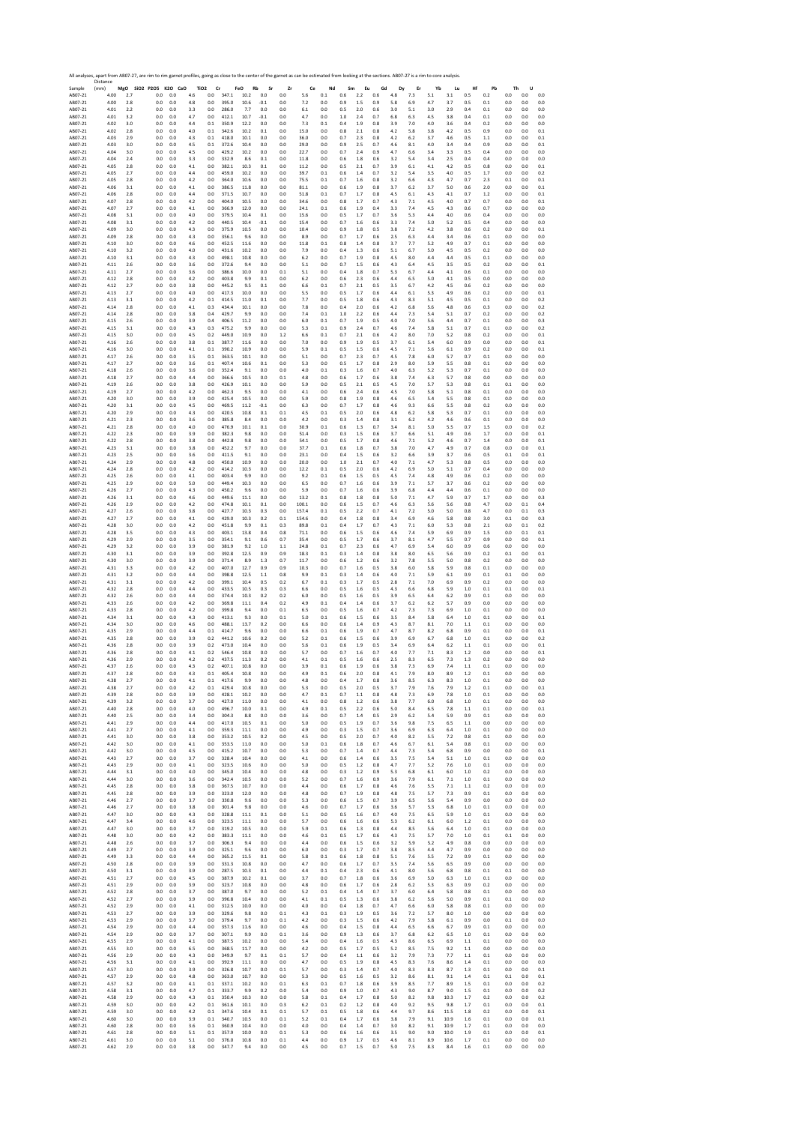|                    | All analyses, apart from AB07-27, are rim to rim garnet profiles, going as close to the center of the garnet as can be estimated from looking at the sections. AB07-27 is a rim to core analysis<br>Distance |            |                      |                |             |                               |       |                   |                |            |           |           |            |            |            |           |           |            |            |              |            |              |            |              |
|--------------------|--------------------------------------------------------------------------------------------------------------------------------------------------------------------------------------------------------------|------------|----------------------|----------------|-------------|-------------------------------|-------|-------------------|----------------|------------|-----------|-----------|------------|------------|------------|-----------|-----------|------------|------------|--------------|------------|--------------|------------|--------------|
| Sample<br>AB07-21  | (mm)<br>4.00                                                                                                                                                                                                 | 2.7        | MgO SiO2 P2O5<br>0.0 | K2O CaO<br>0.0 | 4.6         | TiO <sub>2</sub><br>Cr<br>0.0 | 347.1 | FeO<br>Rb<br>10.2 | Sr<br>$_{0.0}$ | Zr<br>0.0  | Ce<br>5.6 | Nd<br>0.1 | Sm<br>0.6  | Eu<br>2.2  | Gd<br>0.6  | Dy<br>4.8 | Er<br>7.3 | Yb<br>5.1  | Lu<br>3.1  | Hf<br>0.5    | Pb<br>0.2  | Th<br>0.0    | U<br>0.0   | 0.0          |
| AB07-21            | 4.00                                                                                                                                                                                                         | 2.8        | 0.0                  | 0.0            | 4.8         | 0.0                           | 395.0 | 10.6              | $-0.1$         | 0.0        | 7.2       | 0.0       | 0.9        | 1.5        | 0.9        | 5.8       | 6.9       | 4.7        | 3.7        | 0.5          | 0.1        | 0.0          | 0.0        | 0.0          |
| AB07-21            | 4.01                                                                                                                                                                                                         | 2.2        | 0.0                  | 0.0            | 3.3         | 0.0                           | 286.0 | 7.7               | 0.0            | 0.0        | 6.1       | 0.0       | 0.5        | 2.0        | 0.6        | 3.0       | 5.1       | 3.0        | 2.9        | 0.4          | 0.1        | 0.0          | 0.0        | $0.0\,$      |
| AB07-21            | 4.01                                                                                                                                                                                                         | 3.2        | 0.0                  | 0.0            | 4.7         | 0.0                           | 412.1 | 10.7              | $-0.1$         | 0.0        | 4.7       | 0.0       | 1.0        | 2.4        | 0.7        | 6.8       | 6.3       | 4.5        | 3.8        | 0.4          | 0.1        | 0.0          | 0.0        | 0.0          |
| AB07-21            | 4.02                                                                                                                                                                                                         | 3.0        | 0.0                  | 0.0            | 4.4         | 0.1                           | 350.9 | 12.2              | 0.0            | 0.0        | 7.3       | 0.1       | 0.4        | 1.9        | 0.8        | 3.9       | 7.0       | 4.0        | 3.6        | 0.4          | 0.2        | 0.0          | 0.0        | 0.0          |
| AB07-21            | 4.02                                                                                                                                                                                                         | 2.8        | 0.0                  | 0.0            | 4.0         | 0.1                           | 342.6 | 10.2              | 0.1            | 0.0        | 15.0      | 0.0       | 0.8        | 2.1        | 0.8        | 4.2       | 5.8       | 3.8        | 4.2        | 0.5          | 0.9        | 0.0          | 0.0        | 0.1          |
| AB07-21            | 4.03                                                                                                                                                                                                         | 2.9        | 0.0                  | 0.0            | 4.3         | 0.1                           | 418.0 | 10.1              | 0.0            | 0.0        | 36.0      | 0.0       | 0.7        | 2.3        | 0.8        | 4.2       | 6.2       | 3.7        | 4.6        | 0.5          | 1.1        | 0.0          | 0.0        | 0.1          |
| AB07-21            | 4.03                                                                                                                                                                                                         | 3.0        | 0.0                  | 0.0            | 4.5         | 0.1                           | 372.6 | 10.4              | 0.0            | 0.0        | 29.0      | 0.0       | 0.9        | 2.5        | 0.7        | 4.6       | 8.1       | 4.0        | 3.4        | 0.4          | 0.9        | 0.0          | 0.0        | 0.1          |
| AB07-21            | 4.04                                                                                                                                                                                                         | 3.0        | 0.0                  | 0.0            | 4.5         | 0.0                           | 429.2 | 10.2              | 0.0            | 0.0        | 22.7      | 0.0       | 0.7        | 2.4        | 0.9        | 4.7       | 6.6       | 3.4        | 3.3        | 0.5          | 0.4        | 0.0          | 0.0        | 0.0          |
| AB07-21            | 4.04                                                                                                                                                                                                         | 24         | 0.0                  | 0.0            | 3.3         | 0.0                           | 332.9 | 8.6               | 0.1            | 0.0        | 11.8      | 0.0       | 0.6        | 1.8        | 0.6        | 3.2       | 5.4       | 3.4        | 2.5        | 0.4          | 0.4        | 0.0          | 0.0        | 0.0          |
| AB07-21            | 4.05                                                                                                                                                                                                         | 2.8        | 0.0                  | 0.0            | 4.1         | 0.0                           | 382.1 | 10.3              | 0.1            | 0.0        | 11.2      | 0.0       | 0.5        | 2.1        | 0.7        | 3.9       | 6.1       | 4.1        | 4.2        | 0.5          | 0.8        | 0.0          | 0.0        | 0.1          |
| AB07-21            | 4.05                                                                                                                                                                                                         | 2.7        | 0.0                  | 0.0            | 4.4         | 0.0                           | 459.0 | 10.2              | 0.0            | 0.0        | 39.7      | 0.1       | 0.6        | 1.4        | 0.7        | 3.2       | 5.4       | 3.5        | 4.0        | 0.5          | 1.7        | 0.0          | 0.0        | 0.2          |
| AB07-21            | 4.05                                                                                                                                                                                                         | 2.8        | 0.0                  | 0.0            | 4.2         | 0.0                           | 364.0 | 10.6              | 0.0            | 0.0        | 75.5      | 0.1       | 0.7        | 1.6        | 0.8        | 3.2       | 6.6       | 4.3        | 4.7        | 0.7          | 2.3        | 0.1          | 0.0        | 0.1          |
| AB07-21            | 4.06                                                                                                                                                                                                         | 3.1        | 0.0                  | 0.0            | 4.1         | 0.0                           | 386.5 | 11.8              | 0.0            | 0.0        | 81.1      | 0.0       | 0.6        | 1.9        | 0.8        | 3.7       | 6.2       | 3.7        | 5.0        | 0.6          | 2.0        | 0.0          | 0.0        | 0.1          |
| AB07-21            | 4.06                                                                                                                                                                                                         | 2.8        | 0.0                  | 0.0            | 4.4         | 0.0                           | 371.5 | 10.7              | 0.0            | 0.0        | 51.8      | 0.1       | 0.7        | 1.7        | 0.8        | 4.5       | 6.1       | 4.3        | 4.1        | 0.7          | 1.2        | 0.0          | 0.0        | 0.1          |
| AB07-21            | 4.07                                                                                                                                                                                                         | 2.8        | 0.0                  | 0.0            | 4.2         | 0.0                           | 404.0 | 10.5              | 0.0            | 0.0        | 34.6      | 0.0       | 0.8        | 1.7        | 0.7        | 4.3       | 7.1       | 4.5        | 4.0        | 0.7          | 0.7        | 0.0          | 0.0        | 0.1          |
| AB07-21            | 4.07                                                                                                                                                                                                         | 2.7        | 0.0                  | 0.0            | 4.1         | 0.0                           | 366.9 | 12.0              | 0.0            | 0.0        | 24.1      | 0.1       | 0.6        | 1.9        | 0.4        | 3.3       | 7.4       | 4.5        | 4.3        | 0.6          | 0.7        | 0.0          | 0.0        | 0.0          |
| AB07-21            | 4.08                                                                                                                                                                                                         | 3.1        | 0.0                  | 0.0            | 4.0         | 0.0                           | 379.5 | 10.4              | 0.1            | 0.0        | 15.6      | 0.0       | 0.5        | 1.7        | 0.7        | 3.6       | 5.3       | 4.4        | 4.0        | 0.6          | 0.4        | 0.0          | 0.0        | 0.0          |
| AR07-21            | 4.08                                                                                                                                                                                                         | 3.1        | 0.0                  | 0.0            | 4.2         | 0.0                           | 440.5 | 10.4              | $-0.1$         | 0.0        | 15.4      | 0.0       | 0.7        | 1.6        | 0.6        | 3.3       | 7.4       | 5.0        | 5.2        | 0.5          | 0.4        | 0.0          | 0.0        | 0.0          |
| AB07-21            | 4.09                                                                                                                                                                                                         | 3.0        | 0.0                  | 0.0            | 4.3         | 0.0                           | 375.9 | 10.5              | 0.0            | 0.0        | 10.4      | 0.0       | 0.9        | 1.8        | 0.5        | 3.8       | 7.2       | 4.2        | 3.8        | 0.6          | 0.2        | 0.0          | 0.0        | 0.1          |
| AB07-21            | 4.09                                                                                                                                                                                                         | 2.8        | 0.0                  | 0.0            | 4.3         | 0.0                           | 356.1 | 9.6               | 0.0            | 0.0        | 8.9       | 0.0       | 0.7        | 1.7        | 0.6        | 2.5       | 6.3       | 4.4        | 3.4        | 0.6          | 0.1        | 0.0          | 0.0        | 0.0          |
| AB07-21            | 4.10                                                                                                                                                                                                         | 3.0        | 0.0                  | 0.0            | 4.6         | 0.0                           | 452.5 | 11.6              | 0.0            | 0.0        | 11.8      | 0.1       | 0.8        | 1.4        | 0.8        | 3.7       | 7.7       | 5.2        | 4.9        | 0.7          | 0.1        | 0.0          | 0.0        | 0.0          |
| AB07-21            | 4.10                                                                                                                                                                                                         | 3.2        | 0.0                  | 0.0            | 4.0         | 0.0                           | 431.6 | 10.2              | 0.0            | 0.0        | 7.9       | 0.0       | 0.4        | 1.3        | 0.6        | 5.1       | 6.7       | 5.0        | 4.5        | 0.5          | 0.2        | 0.0          | 0.0        | 0.0          |
| AB07-21            | 4.10                                                                                                                                                                                                         | 3.1        | 0.0                  | 0.0            | 4.3         | 0.0                           | 498.1 | 10.8              | 0.0            | 0.0        | 6.2       | 0.0       | 0.7        | 1.9        | 0.8        | 4.5       | 8.0       | 4.4        | 4.4        | 0.5          | 0.1        | 0.0          | 0.0        | 0.0          |
| AB07-21            | 4.11                                                                                                                                                                                                         | 2.6        | 0.0                  | 0.0            | 3.6         | 0.0                           | 372.6 | 9.4               | 0.0            | 0.0        | 5.1       | 0.0       | 0.7        | 1.5        | 0.6        | 4.3       | 6.4       | 4.5        | 3.5        | 0.5          | 0.2        | 0.0          | 0.0        | 0.1          |
| AB07-21            | 4.11                                                                                                                                                                                                         | 2.7        | 0.0                  | 0.0            | 3.6         | 0.0                           | 386.6 | 10.0              | 0.0            | 0.1        | 5.1       | 0.0       | 0.4        | 1.8        | 0.7        | 5.3       | 6.7       | 4.4        | 4.1        | 0.6          | 0.1        | 0.0          | 0.0        | 0.0          |
| AB07-21            | 4.12                                                                                                                                                                                                         | 2.8        | 0.0                  | 0.0            | 4.2         | 0.0                           | 403.8 | 9.9               | 0.1            | 0.0        | 6.2       | 0.0       | 0.6        | 2.3        | 0.6        | 4.4       | 6.5       | 5.0        | 4.1        | 0.5          | 0.0        | 0.0          | 0.0        | 0.0          |
| AB07-21            | 4.12                                                                                                                                                                                                         | 2.7        | 0.0                  | 0.0            | 3.8         | 0.0                           | 445.2 | 9.5               | 0.1            | 0.0        | 6.6       | 0.1       | 0.7        | 2.1        | 0.5        | 3.5       | 6.7       | 4.2        | 4.5        | 0.6          | 0.2        | 0.0          | 0.0        | 0.0          |
| AB07-21            | 4.13                                                                                                                                                                                                         | 27         | 0.0                  | 0.0            | 4.0         | 0.0                           | 417.3 | 10.0              | 0.0            | 0.0        | 5.5       | 0.0       | 0.5        | 1.7        | 0.6        | 4.4       | 6.1       | 5.3        | 4.9        | 0.6          | 0.2        | 0.0          | 0.0        | 0.1          |
| AB07-21            | 4.13                                                                                                                                                                                                         | 3.1        | 0.0                  | 0.0            | 4.2         | 0.1                           | 414.5 | 11.0              | 0.1            | 0.0        | 7.7       | 0.0       | 0.5        | 1.8        | 0.6        | 4.3       | 8.3       | 5.1        | 4.5        | 0.5          | 0.1        | 0.0          | 0.0        | 0.2          |
| AB07-21            | 4.14                                                                                                                                                                                                         | 2.8        | 0.0                  | 0.0            | 4.1         | 0.3                           | 434.4 | 10.1              | 0.0            | 0.0        | 7.8       | 0.0       | 0.4        | 2.0        | 0.6        | 42        | 6.8       | 5.6        | 4.8        | 0.6          | 0.3        | 0.0          | 0.0        | 0.2          |
| AB07-21            | 4.14                                                                                                                                                                                                         | 2.8        | 0.0                  | 0.0            | 3.8         | 0.4                           | 429.7 | 9.9               | 0.0            | 0.0        | 7.4       | 0.1       | 1.0        | 2.2        | 0.6        | 4.4       | 7.3       | 5.4        | 5.1        | 0.7          | 0.2        | 0.0          | 0.0        | 0.2          |
| AB07-21            | 4.15                                                                                                                                                                                                         | 2.6        | 0.0                  | 0.0            | 3.9         | 0.4                           | 406.5 | 11.2              | 0.0            | 0.0        | 6.0       | 0.1       | 0.7        | 1.9        | 0.5        | 4.0       | 7.0       | 5.6        | 4.4        | 0.7          | 0.1        | 0.0          | 0.0        | 0.3          |
| AB07-21            | 4.15                                                                                                                                                                                                         | 3.1        | 0.0                  | 0.0            | 4.3         | 0.3                           | 475.2 | 9.9               | 0.0            | 0.0        | 5.3       | 0.1       | 0.9        | 2.4        | 0.7        | 4.6       | 7.4       | 5.8        | 5.1        | 0.7          | 0.1        | 0.0          | 0.0        | 0.2          |
| AB07-21            | 4.15                                                                                                                                                                                                         | 3.0        | 0.0                  | 0.0            | 4.5         | 0.2                           | 449.0 | 10.9              | 0.0            | 1.2        | 6.6       | 0.1       | 0.7        | 2.1        | 0.6        | 4.2       | 8.0       | 7.0        | 5.2        | 0.8          | 0.2        | 0.0          | 0.0        | 0.1          |
| AB07-21            | 4.16                                                                                                                                                                                                         | 2.6        | 0.0                  | 0.0            | 3.8         | 0.1                           | 387.7 | 11.6              | 0.0            | 0.0        | 7.0       | 0.0       | 0.9        | 1.9        | 0.5        | 3.7       | 6.1       | 5.4        | 6.0        | 0.9          | 0.0        | 0.0          | 0.0        | 0.1          |
| AB07-21            | 4.16                                                                                                                                                                                                         | 3.0        | 0.0                  | 0.0            | 4.1         | 0.1                           | 390.2 | 10.9              | 0.0            | 0.0        | 5.9       | 0.1       | 0.5        | 1.5        | 0.6        | 4.5       | 7.1       | 5.6        | 6.1        | 0.9          | 0.2        | 0.0          | 0.0        | 0.1          |
| AB07-21            | 4.17                                                                                                                                                                                                         | 2.6        | 0.0                  | 0.0            | 3.5         | 0.1                           | 363.5 | 10.1              | 0.0            | 0.0        | 5.1       | 0.0       | 0.7        | 2.3        | 0.7        | 4.5       | 7.8       | 6.0        | 5.7        | 0.7          | 0.1        | 0.0          | 0.0        | 0.0          |
| AB07-21            | 4.17                                                                                                                                                                                                         | 2.7        | 0.0                  | 0.0            | 3.6         | 0.1                           | 407.4 | 10.6              | 0.1            | 0.0        | 5.3       | 0.0       | 0.5        | 1.7        | 0.8        | 2.9       | 8.0       | 5.9        | 5.5        | 0.8          | 0.1        | 0.0          | 0.0        | 0.0          |
| AB07-21            | 4.18                                                                                                                                                                                                         | 2.6        | 0.0                  | 0.0            | 3.6         | 0.0                           | 352.4 | 9.1               | 0.0            | 0.0        | 4.0       | 0.1       | 0.3        | 1.6        | 0.7        | 4.0       | 6.3       | 5.2        | 5.3        | 0.7          | 0.1        | 0.0          | 0.0        | 0.0          |
| AB07-21            | 4.18                                                                                                                                                                                                         | 2.7        | 0.0                  | 0.0            | 4.4         | 0.0                           | 366.6 | 10.5              | 0.0            | 0.1        | 4.8       | 0.0       | 0.6        | 1.7        | 0.6        | 3.8       | 7.4       | 6.3        | 5.7        | 0.8          | 0.0        | 0.0          | 0.0        | 0.0          |
| AB07-21            | 4.19                                                                                                                                                                                                         | 2.6        | 0.0                  | 0.0            | 3.8         | 0.0                           | 426.9 | 10.1              | 0.0            | 0.0        | 5.9       | 0.0       | 0.5        | 2.1        | 0.5        | 4.5       | 7.0       | 5.7        | 5.3        | 0.8          | 0.1        | 0.1          | 0.0        | 0.0          |
| AB07-21            | 4.19                                                                                                                                                                                                         | 2.7        | 0.0                  | 0.0            | 4.2         | 0.0                           | 462.3 | 9.5               | 0.0            | 0.0        | 4.1       | 0.0       | 0.6        | 2.4        | 0.6        | 4.5       | 7.0       | 5.8        | 5.1        | 0.8          | 0.1        | 0.0          | 0.0        | 0.0          |
| AB07-21            | 4.20                                                                                                                                                                                                         | 3.0        | 0.0                  | 0.0            | 3.9         | 0.0                           | 425.4 | 10.5              | 0.0            | 0.0        | 5.9       | 0.0       | 0.8        | 1.9        | 0.8        | 4.6       | 6.5       | 5.4        | 5.5        | 0.8          | 0.1        | 0.0          | 0.0        | 0.0          |
| AB07-21            | 4.20                                                                                                                                                                                                         | 3.1        | 0.0                  | 0.0            | 4.5         | 0.0                           | 469.5 | 11.2              | $-0.1$         | 0.0        | 6.3       | 0.0       | 0.7        | 1.7        | 0.8        | 4.6       | 9.3       | 6.6        | 5.5        | 0.8          | 0.2        | 0.0          | 0.0        | 0.0          |
| AB07-21            | 4.20                                                                                                                                                                                                         | 2.9        | 0.0                  | 0.0            | 4.3         | 0.0                           | 420.5 | 10.8              | 0.1            | 0.1        | 4.5       | 0.1       | 0.5        | 2.0        | 0.6        | 4.8       | 6.2       | 5.8        | 5.3        | 0.7          | 0.1        | 0.0          | 0.0        | 0.0          |
| AB07-21            | 4.21                                                                                                                                                                                                         | 2.3        | 0.0                  | 0.0            | 3.6         | 0.0                           | 385.8 | 8.4               | 0.0            | 0.0        | 4.2       | 0.0       | 0.3        | 1.4        | 0.8        | 3.1       | 6.2       | 4.2        | 4.6        | 0.6          | 0.1        | 0.0          | 0.0        | 0.0          |
| AB07-21            | 4.21                                                                                                                                                                                                         | 28         | 0.0                  | 0.0            | 4.0         | 0.0                           | 476.9 | 10.1              | 0.1            | 0.0        | 30.9      | 0.1       | 0.6        | 1.3        | 0.7        | 3.4       | 8.1       | 5.0        | 5.5        | 0.7          | 1.5        | 0.0          | 0.0        | 0.2          |
| AB07-21            | 4.22                                                                                                                                                                                                         | 2.3        | 0.0                  | 0.0            | 3.9         | 0.0                           | 382.3 | 9.8               | 0.0            | 0.0        | 51.4      | 0.0       | 0.3        | 1.5        | 0.6        | 3.7       | 6.6       | 5.1        | 4.9        | 0.6          | 1.7        | 0.0          | 0.0        | 0.1          |
| AB07-21            | 4.22                                                                                                                                                                                                         | 2.8        | 0.0                  | 0.0            | 3.8         | 0.0                           | 442.8 | 9.8               | 0.0            | 0.0        | 54.1      | 0.0       | 0.5        | 1.7        | 0.8        | 4.6       | 7.1       | 5.2        | 4.6        | 0.7          | 1.4        | 0.0          | 0.0        | 0.1          |
| AB07-21            | 4.23                                                                                                                                                                                                         | 3.1        | 0.0                  | 0.0            | 3.8         | 0.0                           | 452.2 | 9.7               | 0.0            | 0.0        | 37.7      | 0.1       | 0.6        | 1.8        | 0.7        | 3.8       | 7.0       | 4.7        | 4.9        | 0.7          | 0.8        | 0.0          | 0.0        | 0.1          |
| AB07-21            | 4.23                                                                                                                                                                                                         | 2.5        | 0.0                  | 0.0            | 3.6         | 0.0                           | 411.5 | 9.1               | 0.0            | 0.0        | 23.1      | 0.0       | 0.4        | 1.5        | 0.6        | 3.2       | 6.6       | 3.9        | 3.7        | 0.6          | 0.5        | 0.1          | 0.0        | 0.1          |
| AB07-21            | 4.24                                                                                                                                                                                                         | 2.9        | 0.0                  | 0.0            | 4.8         | 0.0                           | 450.0 | 10.9              | 0.0            | 0.0        | 20.0      | 0.0       | 1.0        | 2.1        | 0.7        | 4.0       | 7.1       | 4.7        | 5.3        | $_{\rm 0.8}$ | 0.5        | 0.0          | 0.0        | 0.0          |
| AB07-21            | 4.24                                                                                                                                                                                                         | 2.8        | 0.0                  | 0.0            | 4.2         | 0.0                           | 414.2 | 10.3              | 0.0            | 0.0        | 12.2      | 0.1       | 0.5        | 2.0        | 0.6        | 42        | 6.9       | 5.0        | 5.1        | 0.7          | 0.4        | 0.0          | 0.0        | 0.0          |
| AB07-21            | 4.25                                                                                                                                                                                                         | 2.6        | 0.0                  | 0.0            | 4.1         | 0.0                           | 403.4 | 9.9               | 0.0            | 0.0        | 9.2       | 0.1       | 0.6        | 1.5        | 0.5        | 4.5       | 7.4       | 4.8        | 4.9        | 0.6          | 0.2        | 0.0          | 0.0        | 0.0          |
| AB07-21            | 4.25                                                                                                                                                                                                         | 2.9        | 0.0                  | 0.0            | 5.0         | 0.0                           | 449.4 | 10.3              | 0.0            | 0.0        | 6.5       | 0.0       | 0.7        | 1.6        | 0.6        | 3.9       | 7.1       | 5.7        | 3.7        | 0.6          | 0.2        | 0.0          | 0.0        | 0.0          |
| AB07-21            | 4.26                                                                                                                                                                                                         | 2.7        | 0.0                  | 0.0            | 4.3         | 0.0                           | 450.2 | 9.6               | 0.0            | 0.0        | 5.9       | 0.0       | 0.7        | 1.6        | 0.6        | 3.9       | 6.8       | 4.4        | 4.4        | 0.6          | 0.1        | 0.0          | 0.0        | 0.0          |
| AB07-21            | 4.26                                                                                                                                                                                                         | 3.1        | 0.0                  | 0.0            | 4.6         | 0.0                           | 449.6 | 11.1              | 0.0            | 0.0        | 13.2      | 0.1       | 0.8        | 1.8        | 0.8        | 5.0       | 7.1       | 4.7        | 5.9        | 0.7          | 1.7        | 0.0          | 0.0        | 0.3          |
| AB07-21            | 4.26                                                                                                                                                                                                         | 2.9        | 0.0                  | 0.0            | 4.2         | 0.0                           | 474.8 | 10.1              | 0.1            | 0.0        | 100.1     | 0.0       | 0.6        | 1.5        | 0.7        | 4.6       | 6.3       | 5.6        | 5.6        | 0.8          | 4.7        | 0.0          | 0.1        | 0.4          |
| AB07-21            | 4.27                                                                                                                                                                                                         | 2.6        | 0.0                  | 0.0            | 3.8         | 0.0                           | 427.7 | 10.3              | 0.3            | 0.0        | 157.4     | 0.1       | 0.5        | 2.2        | 0.7        | 4.1       | 7.2       | 5.0        | 5.0        | 0.8          | 4.7        | 0.0          | 0.1        | 0.3          |
| AB07-21            | 4.27                                                                                                                                                                                                         | 2.7        | 0.0                  | 0.0            | 4.1         | 0.0                           | 429.0 | 10.3              | 0.2            | 0.1        | 154.6     | 0.0       | 0.4        | 1.8        | 0.8        | 3.4       | 6.9       | 4.6        | 5.8        | 0.8          | 3.0        | 0.1          | 0.0        | 0.3          |
| AB07-21            | 4.28                                                                                                                                                                                                         | 3.0        | 0.0                  | 0.0            | 4.2         | 0.0                           | 451.8 | 9.9               | 0.1            | 0.3        | 89.8      | 0.1       | 0.4        | 1.7        | 0.7        | 4.3       | 7.1       | 6.0        | 5.3        | 0.8          | 2.1        | 0.0          | 0.1        | 0.2          |
| AB07-21            | 4.28                                                                                                                                                                                                         | 3.5        | 0.0                  | 0.0            | 4.3         | 0.0                           | 403.1 | 13.8              | 0.4            | 0.8        | 71.1      | 0.0       | 0.6        | 1.5        | 0.6        | 4.6       | 7.4       | 5.9        | 6.9        | 0.9          | 1.5        | 0.0          | 0.1        | 0.1          |
| AB07-21            | 4.29                                                                                                                                                                                                         | 2.9        | 0.0                  | 0.0            | 3.5         | 0.0                           | 354.1 | 9.1               | 0.6            | 0.7        | 35.4      | 0.0       | 0.5        | 1.7        | 0.6        | 3.7       | 8.1       | 4.7        | 5.5        | 0.7          | 0.9        | 0.0          | 0.0        | 0.1          |
| AB07-21            | 4.29                                                                                                                                                                                                         | 3.2        | 0.0                  | 0.0            | 3.9         | 0.0                           | 381.9 | 9.2               | 1.0            | 1.1        | 24.8      | 0.1       | 0.7        | 2.3        | 0.6        | 4.7       | 6.9       | 5.4        | 6.0        | 0.9          | 0.6        | 0.0          | 0.0        | 0.0          |
| AB07-21            | 4.30                                                                                                                                                                                                         | 3.1        | 0.0                  | 0.0            | 3.9         | 0.0                           | 392.8 | 12.5              | 0.9            | 0.9        | 18.3      | 0.1       | 0.3        | 1.4        | 0.8        | 3.8       | 8.0       | 6.5        | 5.6        | 0.9          | 0.2        | 0.1          | 0.0        | 0.1          |
| AB07-21            | 4.30                                                                                                                                                                                                         | 3.0        | 0.0                  | 0.0            | 3.9         | 0.0                           | 371.4 | 8.9               | 1.3            | 0.7        | 11.7      | 0.0       | 0.6        | 1.2        | 0.6        | 3.2       | 7.8       | 5.5        | 5.0        | 0.8          | 0.2        | 0.0          | 0.0        | 0.0          |
| AB07-21            | 4.31                                                                                                                                                                                                         | 3.3        | 0.0                  | 0.0            | 4.2         | 0.0                           | 407.0 | 12.7              | 0.9            | 0.9        | 10.3      | 0.0       | 0.7        | 1.6        | 0.5        | 3.8       | 6.0       | 5.8        | 5.9        | 0.8          | 0.1        | 0.0          | 0.0        | 0.0          |
| AB07-21            | 4.31                                                                                                                                                                                                         | 3.2        | 0.0                  | 0.0            | 4.4         | 0.0                           | 398.8 | 12.5              | 1.1            | 0.8        | 9.9       | 0.1       | 0.3        | 1.4        | 0.6        | 4.0       | 7.1       | 5.9        | 6.1        | 0.9          | 0.1        | 0.1          | 0.0        | 0.0          |
| AB07-21            | 4.31                                                                                                                                                                                                         | 3.1        | 0.0                  | 0.0            | 4.2         | 0.0                           | 399.1 | 10.4              | 0.5            | 0.2        | 6.7       | 0.1       | 0.3        | 1.7        | 0.5        | 2.8       | 7.1       | 7.0        | 6.9        | 0.9          | 0.2        | 0.0          | 0.0        | 0.0          |
| AB07-21            | 4.32                                                                                                                                                                                                         | 2.8        | 0.0                  | 0.0            | 4.4         | 0.0                           | 433.5 | 10.5              | 0.3            | 0.3        | 6.6       | 0.0       | 0.5        | 1.6        | 0.5        | 4.3       | 6.6       | 6.8        | 5.9        | 1.0          | 0.1        | 0.1          | 0.0        | 0.1          |
| AB07-21            | 4.32                                                                                                                                                                                                         | 2.6        | 0.0                  | 0.0            | 4.4         | 0.0                           | 374.4 | 10.3              | 0.2            | 0.2        | 6.0       | 0.0       | 0.5        | 1.6        | 0.5        | 3.9       | 6.5       | 6.4        | 6.2        | 0.9          | 0.1        | 0.0          | 0.0        | 0.0          |
| AB07-21            | 4.33                                                                                                                                                                                                         | 2.6        | 0.0                  | 0.0            | 4.2         | 0.0                           | 369.8 | 11.1              | 0.4            | 0.2        | 4.9       | 0.1       | 0.4        | 1.4        | 0.6        | 3.7       | 6.2       | 6.2        | 5.7        | 0.9          | 0.0        | 0.0          | 0.0        | 0.0          |
| AB07-21            | 4.33                                                                                                                                                                                                         | 2.8        | 0.0                  | 0.0            | 4.2         | 0.0                           | 399.8 | 9.4               | 0.0            | 0.1        | 6.5       | 0.0       | 0.5        | 1.6        | 0.7        | 4.2       | 7.3       | 7.3        | 6.9        | 1.0          | 0.1        | 0.0          | 0.0        | 0.0          |
| AB07-21            | 4.34                                                                                                                                                                                                         | 3.1        | 0.0                  | 0.0            | 4.3         | 0.0                           | 413.1 | 9.3               | 0.0            | 0.1        | 5.0       | 0.1       | 0.6        | 1.5        | 0.6        | 3.5       | 8.4       | 5.8        | 6.4        | 1.0          | 0.1        | 0.0          | 0.0        | 0.1          |
| AB07-21            | 4.34                                                                                                                                                                                                         | 3.0        | 0.0                  | 0.0            | 4.6         | 0.0                           | 488.1 | 13.7              | 0.2            | 0.0        | 6.6       | 0.0       | 0.6        | 1.4        | 0.9        | 4.3       | 8.7       | 8.1        | 7.0        | 1.1          | 0.1        | 0.0          | 0.0        | 0.0          |
| AB07-21            | 4.35                                                                                                                                                                                                         | 2.9        | 0.0                  | 0.0            | 4.4         | 0.1                           | 414.7 | 9.6               | 0.0            | 0.0        | 6.6       | 0.1       | 0.6        | 1.9        | 0.7        | 4.7       | 8.7       | 8.2        | 6.8        | 0.9          | 0.1        | 0.0          | 0.0        | 0.1          |
| AB07-21            | 4.35                                                                                                                                                                                                         | 2.8        | 0.0                  | 0.0            | 3.9         | 0.2                           | 441.2 | 10.6              | 0.2            | 0.0        | 5.2       | 0.1       | 0.6        | 1.5        | 0.6        | 3.9       | 6.9       | 6.7        | 6.8        | 1.0          | 0.1        | 0.0          | 0.0        | 0.2          |
| AB07-21            | 4.36                                                                                                                                                                                                         | 2.8        | 0.0                  | 0.0            | 3.9         | 0.2                           | 473.0 | 10.4              | 0.0            | 0.0        | 5.6       | 0.1       | 0.6        | 1.9        | 0.5        | 3.4       | 6.9       | 6.4        | 6.2        | 1.1          | 0.1        | 0.0          | 0.0        | 0.1          |
| AB07-21            | 4.36                                                                                                                                                                                                         | 2.8        | 0.0                  | 0.0            | 4.1         | 0.2                           | 546.4 | 10.8              | 0.0            | 0.0        | 5.7       | 0.0       | 0.7        | 1.6        | 0.7        | 4.0       | 7.7       | 7.1        | 8.3        | 1.2          | 0.0        | 0.0          | 0.0        | 0.1          |
| AB07-21            | 4.36                                                                                                                                                                                                         | 2.9        | 0.0                  | 0.0            | 4.2         | 0.2                           | 437.5 | 11.3              | 0.2            | 0.0        | 4.1       | 0.1       | 0.5        | 1.6        | 0.6        | 25        | 8.3       | 6.5        | 7.3        | 1.3          | 0.2        | 0.0          | 0.0        | 0.0          |
| AB07-21            | 4.37                                                                                                                                                                                                         | 2.6        | 0.0                  | 0.0            | 4.3         | 0.2                           | 407.1 | 10.8              | 0.0            | 0.0        | 3.9       | 0.1       | 0.6        | 1.9        | 0.6        | 3.8       | 7.3       | 6.9        | 7.4        | $1.1\,$      | 0.1        | 0.0          | 0.0        | 0.0          |
| ABU/-21<br>AB07-21 | 4.38                                                                                                                                                                                                         | 2.2<br>2.7 | 0.0                  | U.U<br>0.0     | 4. .<br>4.1 | U.I<br>0.1                    | 417.6 | 10.8<br>9.9       | U.U<br>0.0     | U.U<br>0.0 | 4.8       | υ<br>0.0  | U.t<br>0.4 | 2.U<br>1.7 | U.č<br>0.8 | 3.6       | 8.5       | ŏ.U<br>6.3 | 8.9<br>8.3 | 1.0          | U.I<br>0.1 | U.L<br>0.0   | U.L<br>0.0 | U.L<br>0.0   |
| AB07-21            | 4.38                                                                                                                                                                                                         | 2.7        | 0.0                  | 0.0            | 4.2         | 0.1                           | 429.4 | 10.8              | 0.0            | 0.0        | 5.3       | 0.0       | 0.5        | 2.0        | 0.5        | 3.7       | 7.9       | 7.6        | 7.9        | 1.2          | 0.1        | 0.0          | 0.0        | 0.1          |
| AB07-21            | 4.39                                                                                                                                                                                                         | 2.8        | 0.0                  | 0.0            | 3.9         | 0.0                           | 428.1 | 10.2              | 0.0            | 0.0        | 4.7       | 0.1       | 0.7        | 1.1        | 0.8        | 4.8       | 7.3       | 6.9        | 7.8        | 1.0          | 0.1        | 0.0          | 0.0        | 0.0          |
| AB07-21            | 4.39                                                                                                                                                                                                         | 3.2        | 0.0                  | 0.0            | 3.7         | 0.0                           | 427.0 | 11.0              | 0.0            | 0.0        | 4.1       | 0.0       | 0.8        | 1.2        | 0.6        | 3.8       | 7.7       | 6.0        | 6.8        | 1.0          | 0.1        | 0.0          | 0.0        | 0.0          |
| AB07-21            | 4.40                                                                                                                                                                                                         | 2.8        | 0.0                  | 0.0            | 4.0         | 0.0                           | 496.7 | 10.0              | 0.1            | 0.0        | 4.9       | 0.1       | 0.5        | 2.2        | 0.6        | 5.0       | 8.4       | 6.5        | 7.8        | 1.1          | 0.1        | 0.0          | 0.0        | 0.1          |
| AB07-21            | 4.40                                                                                                                                                                                                         | 2.5        | 0.0                  | 0.0            | 3.4         | 0.0                           | 304.3 | 8.8               | 0.0            | 0.0        | 3.6       | 0.0       | 0.7        | 1.4        | 0.5        | 2.9       | 6.2       | 5.4        | 5.9        | 0.9          | 0.1        | 0.0          | 0.0        | 0.0          |
| AR07-21            | 4.41                                                                                                                                                                                                         | 2.9        | 0.0                  | 0.0            | 4.4         | 0.0                           | 417.0 | 10.5              | 0.1            | 0.0        | 5.0       | 0.0       | 0.5        | 1.9        | 0.7        | 3.6       | 9.8       | 7.5        | 6.5        | 1.1          | 0.0        | 0.0          | 0.0        | 0.0          |
| AB07-21<br>AR07-21 | 4.41                                                                                                                                                                                                         | 2.7        | 0.0                  | 0.0            | 4.1         | 0.0                           | 359.3 | 11.1              | 0.0            | 0.0        | 4.9       | 0.0       | 0.3        | 1.5        | 0.7        | 3.6       | 6.9       | 6.3        | 6.4        | 1.0          | 0.1        | 0.0          | 0.0        | 0.0          |
| AB07-21            | 4.41                                                                                                                                                                                                         | 3.0        | 0.0                  | 0.0            | 3.8         | 0.0                           | 353.2 | 10.5              | 0.2            | 0.0        | 4.5       | 0.0       | 0.5        | 2.0        | 0.7        | 4.0       | 8.2       | 5.5        | 7.2        | 0.8          | 0.1        | 0.0          | 0.0        | 0.0          |
|                    | 4.42                                                                                                                                                                                                         | 3.0        | 0.0                  | 0.0            | 4.1         | 0.0                           | 353.5 | 11.0              | 0.0            | 0.0        | 5.0       | 0.1       | 0.6        | 1.8        | 0.7        | 4.6       | 6.7       | 6.1        | 5.4        | 0.8          | 0.1        | 0.0          | 0.0        | 0.0          |
| AR07-21            | 4.42                                                                                                                                                                                                         | 3.0        | 0.0                  | 0.0            | 4.5         | 0.0                           | 415.2 | 10.7              | 0.0            | 0.0        | 5.3       | 0.0       | 0.7        | 1.4        | 0.7        | 4.4       | 7.3       | 5.4        | 6.8        | 0.9          | 0.0        | 0.0          | 0.0        | 0.1          |
| AB07-21            | 4.43                                                                                                                                                                                                         | 2.7        | 0.0                  | 0.0            | 3.7         | 0.0                           | 328.4 | 10.4              | $0.0\,$        | 0.0        | 4.1       | 0.0       | 0.6        | 1.4        | 0.6        | 3.5       | 7.5       | 5.4        | 5.1        | 1.0          | $0.1\,$    | $_{0.0}$     | $_{0.0}$   | $_{0.0}$     |
| AB07-21            | 4.43                                                                                                                                                                                                         | 2.9        | 0.0                  | 0.0            | 4.1         | 0.0                           | 323.5 | 10.6              | 0.0            | 0.0        | 5.0       | 0.0       | 0.5        | 1.2        | 0.8        | 4.7       | 7.7       | 5.2        | 7.6        | 1.0          | 0.1        | 0.0          | 0.0        | 0.0          |
| AB07-21            | 4.44                                                                                                                                                                                                         | 3.1        | 0.0                  | 0.0            | 4.0         | 0.0                           | 345.0 | 10.4              | 0.0            | 0.0        | 4.8       | 0.0       | 0.3        | 1.2        | 0.9        | 5.3       | 6.8       | 6.1        | 6.0        | 1.0          | 0.2        | 0.0          | 0.0        | 0.0          |
| AB07-21            | 4.44                                                                                                                                                                                                         | 3.0        | 0.0                  | 0.0            | 3.6         | 0.0                           | 342.4 | 10.5              | 0.0            | 0.0        | 5.2       | 0.0       | 0.7        | 1.6        | 0.9        | 3.6       | 7.9       | 6.1        | 7.1        | 1.0          | 0.1        | 0.0          | 0.0        | 0.0          |
| AB07-21            | 4.45                                                                                                                                                                                                         | 2.8        | 0.0                  | 0.0            | 3.8         | 0.0                           | 367.5 | 10.7              | $0.0\,$        | 0.0        | 4.4       | 0.0       | 0.6        | 1.7        | $0.8\,$    | 4.6       | 7.6       | 5.5        | 7.1        | $1.1\,$      | 0.2        | $_{0.0}$     | $_{0.0}$   | 0.0          |
| AB07-21            | 4.45                                                                                                                                                                                                         | 2.8        | 0.0                  | 0.0            | 3.9         | 0.0                           | 323.0 | 12.0              | 0.0            | 0.0        | 4.8       | 0.0       | 0.7        | 1.9        | 0.8        | 4.8       | 7.5       | 5.7        | 7.3        | 0.9          | 0.1        | 0.0          | 0.0        | 0.0          |
| AB07-21            | 4.46                                                                                                                                                                                                         | 2.7        | 0.0                  | 0.0            | 3.7         | 0.0                           | 330.8 | 9.6               | 0.0            | 0.0        | 5.3       | 0.0       | 0.6        | 1.5        | 0.7        | 3.9       | 6.5       | 5.6        | 5.4        | 0.9          | 0.0        | 0.0          | 0.0        | 0.0          |
| AB07-21            | 4.46                                                                                                                                                                                                         | 2.7        | 0.0                  | 0.0            | 3.8         | 0.0                           | 301.4 | 9.8               | 0.0            | 0.0        | 4.6       | 0.0       | 0.7        | 1.7        | 0.6        | 3.6       | 5.7       | 5.3        | 6.8        | 1.0          | 0.1        | 0.0          | 0.0        | 0.0          |
| AB07-21            | 4.47                                                                                                                                                                                                         | 3.0        | 0.0                  | $_{0.0}$       | 4.3         | 0.0                           | 328.8 | 11.1              | 0.1            | 0.0        | 5.1       | 0.0       | 0.5        | 1.6        | 0.7        | 4.0       | 7.5       | 6.5        | 5.9        | 1.0          | $0.1\,$    | $_{0.0}$     | $_{0.0}$   | $_{\rm 0.0}$ |
| AB07-21            | 4.47                                                                                                                                                                                                         | 3.4        | 0.0                  | 0.0            | 4.6         | 0.0                           | 323.5 | 11.1              | 0.0            | 0.0        | 5.7       | 0.0       | 0.6        | 1.6        | 0.6        | 5.3       | 6.2       | 6.1        | 6.0        | 1.2          | 0.1        | 0.0          | 0.0        | 0.0          |
| AB07-21            | 4.47                                                                                                                                                                                                         | 3.0        | 0.0                  | 0.0            | 3.7         | 0.0                           | 319.2 | 10.5              | 0.0            | 0.0        | 5.9       | 0.1       | 0.6        | 1.3        | 0.8        | 4.4       | 8.5       | 5.6        | 6.4        | 1.0          | 0.1        | 0.0          | 0.0        | 0.0          |
|                    | 4.48                                                                                                                                                                                                         | 3.0        | 0.0                  | 0.0            | 4.2         | 0.0                           | 383.3 | 11.1              | 0.0            | 0.0        | 4.6       | 0.1       | 0.5        | 1.7        | 0.6        | 4.3       | 7.5       | 5.7        | 7.0        | 1.0          | 0.1        | 0.1          | 0.0        | 0.0          |
| AB07-21<br>AR07-21 | 4.48                                                                                                                                                                                                         | 2.6        | 0.0                  | 0.0            | 3.7         | 0.0                           | 306.3 | 9.4               | 0.0            | 0.0        | 4.4       | 0.0       | 0.6        | 1.5        | 0.6        | 3.2       | 5.9       | 5.2        | 4.9        | 0.8          | 0.0        | 0.0          | 0.0        | 0.0          |
| AB07-21            | 4.49                                                                                                                                                                                                         | 2.7        | 0.0                  | 0.0            | 3.9         | 0.0                           | 325.1 | 9.6               | 0.0            | 0.0        | 6.0       | 0.0       | 0.3        | 1.7        | 0.7        | 3.8       | 8.5       | 4.4        | 4.7        | 0.9          | 0.0        | 0.0          | 0.0        | 0.0          |
| AB07-21            | 4.49                                                                                                                                                                                                         | 3.3        | 0.0                  | 0.0            | 4.4         | 0.0                           | 365.2 | 11.5              | 0.1            | 0.0        | 5.8       | 0.1       | 0.6        | 1.8        | 0.8        | 5.1       | 7.6       | 5.5        | 7.2        | 0.9          | 0.1        | 0.0          | 0.0        | 0.0          |
| AB07-21            | 4.50                                                                                                                                                                                                         | 2.8        | 0.0                  | 0.0            | 3.9         | 0.0                           | 331.3 | 10.8              | 0.0            | 0.0        | 4.7       | 0.0       | 0.6        | 1.7        | 0.7        | 3.5       | 7.4       | 5.6        | 6.5        | 0.9          | 0.0        | 0.0          | 0.0        | 0.0          |
| AB07-21            | 4.50                                                                                                                                                                                                         | 3.1        | 0.0                  | 0.0            | 3.9         | 0.0                           | 287.5 | 10.3              | 0.1            | 0.0        | 4.4       | 0.1       | 0.4        | 2.3        | 0.6        | 4.1       | 8.0       | 5.6        | 6.8        | 0.8          | 0.1        | 0.1          | 0.0        | 0.0          |
| AB07-21            | 4.51                                                                                                                                                                                                         | 2.7        | 0.0                  | 0.0            | 4.5         | 0.0                           | 387.9 | 10.2              | 0.1            | 0.0        | 3.7       | 0.0       | 0.7        | 1.8        | 0.6        | 3.6       | 6.9       | 5.0        | 6.3        | 1.0          | 0.1        | 0.0          | 0.0        | 0.0          |
| AB07-21            | 4.51                                                                                                                                                                                                         | 2.9        | 0.0                  | 0.0            | 3.9         | 0.0                           | 323.7 | 10.8              | 0.0            | 0.0        | 4.8       | 0.0       | 0.6        | 1.7        | 0.6        | 2.8       | 6.2       | 5.3        | 6.3        | 0.9          | 0.2        | 0.0          | 0.0        | 0.0          |
| AB07-21            | 4.52                                                                                                                                                                                                         | 2.8        | 0.0                  | 0.0            | 3.7         | 0.0                           | 387.0 | 9.7               | 0.0            | 0.0        | 5.2       | 0.1       | 0.4        | 1.4        | 0.7        | 3.7       | 6.0       | 6.4        | 5.8        | 0.8          | 0.1        | 0.0          | 0.0        | 0.0          |
| AB07-21            | 4.52                                                                                                                                                                                                         | 2.7        | 0.0                  | 0.0            | 3.9         | 0.0                           | 396.8 | 10.4              | 0.0            | 0.0        | 4.1       | 0.1       | 0.5        | 1.3        | 0.6        | 3.8       | 6.2       | 5.6        | 5.0        | 0.9          | 0.1        | 0.1          | 0.0        | 0.0          |
| AB07-21            | 4.52                                                                                                                                                                                                         | 2.9        | 0.0                  | 0.0            | 4.1         | 0.0                           | 312.5 | 10.0              | 0.0            | 0.0        | 4.0       | 0.0       | 0.4        | 1.8        | 0.7        | 4.7       | 6.6       | 6.0        | 5.8        | 0.8          | 0.1        | 0.0          | 0.0        | 0.0          |
| AB07-21            | 4.53                                                                                                                                                                                                         | 2.7        | 0.0                  | 0.0            | 3.9         | 0.0                           | 329.6 | 9.8               | 0.0            | 0.1        | 4.3       | 0.1       | 0.3        | 1.9        | 0.5        | 3.6       | 7.2       | 5.7        | 8.0        | 1.0          | 0.0        | 0.0          | 0.0        | 0.0          |
| AB07-21            | 4.53                                                                                                                                                                                                         | 2.9        | 0.0                  | 0.0            | 3.7         | 0.0                           | 379.4 | 9.7               | 0.0            | 0.1        | 4.2       | 0.0       | 0.3        | 1.5        | 0.6        | 4.2       | 7.9       | 5.8        | 6.1        | 0.9          | 0.0        | 0.1          | 0.0        | 0.0          |
| AB07-21            | 4.54                                                                                                                                                                                                         | 29         | 0.0                  | 0.0            | 4.4         | 0.0                           | 357.3 | 11.6              | 0.0            | 0.0        | 4.6       | 0.0       | 0.4        | 1.5        | 0.8        | 4.4       | 6.5       | 6.6        | 6.7        | 0.9          | 0.1        | 0.0          | 0.0        | 0.0          |
| AB07-21            | 4.54                                                                                                                                                                                                         | 2.9        | 0.0                  | $_{0.0}$       | 3.7         | 0.0                           | 307.1 | 9.9               | $0.0\,$        | 0.1        | 3.6       | 0.0       | 0.9        | $1.3\,$    | 0.6        | 3.7       | 6.8       | 6.2        | 6.5        | 1.0          | $0.1\,$    | $_{\rm 0.0}$ | $_{0.0}$   | $_{0.0}$     |
| AB07-21            | 4.55                                                                                                                                                                                                         | 2.9        | 0.0                  | 0.0            | 4.1         | 0.0                           | 387.5 | 10.2              | 0.0            | 0.0        | 5.4       | 0.0       | 0.4        | 1.6        | 0.5        | 4.3       | 8.6       | 6.5        | 6.9        | 1.1          | 0.1        | 0.0          | 0.0        | 0.0          |
| AB07-21            | 4.55                                                                                                                                                                                                         | 3.0        | 0.0                  | 0.0            | 6.5         | 0.0                           | 368.5 | 11.7              | 0.0            | 0.0        | 4.2       | 0.0       | 0.5        | 1.7        | 0.5        | 5.2       | 8.5       | 7.5        | 9.2        | 1.1          | 0.0        | 0.0          | 0.0        | 0.0          |
| AB07-21            | 4.56                                                                                                                                                                                                         | 2.9        | 0.0                  | 0.0            | 4.3         | 0.0                           | 349.9 | 9.7               | 0.1            | 0.1        | 5.7       | 0.0       | 0.4        | 1.1        | 0.6        | 3.2       | 7.9       | 7.3        | 7.7        | 1.1          | 0.1        | 0.0          | 0.0        | 0.0          |
| AB07-21            | 4.56                                                                                                                                                                                                         | 3.1        | 0.0                  | 0.0            | $4.1\,$     | 0.0                           | 392.9 | 11.1              | $0.0\,$        | 0.0        | 4.7       | 0.0       | 0.5        | 1.9        | $0.8\,$    | 4.5       | 8.3       | 7.6        | 8.6        | 1.4          | $0.1\,$    | $_{0.0}$     | $_{0.0}$   | 0.0          |
| AB07-21            | 4.57                                                                                                                                                                                                         | 3.0        | 0.0                  | 0.0            | 3.9         | 0.0                           | 326.8 | 10.7              | 0.0            | 0.1        | 5.7       | 0.0       | 0.3        | 1.4        | 0.7        | 4.0       | 8.3       | 8.3        | 8.7        | 1.3          | 0.1        | 0.0          | 0.0        | 0.1          |
| AB07-21            | 4.57                                                                                                                                                                                                         | 2.9        | 0.0                  | 0.0            | 4.8         | 0.0                           | 363.0 | 10.7              | 0.0            | 0.0        | 5.3       | 0.0       | 0.5        | 1.6        | 0.5        | 3.2       | 8.6       | 8.1        | 9.1        | 1.4          | 0.1        | 0.1          | 0.0        | 0.1          |
| AB07-21            | 4.57                                                                                                                                                                                                         | 3.2        | 0.0                  | 0.0            | 4.1         | 0.1                           | 337.1 | 10.2              | 0.0            | 0.1        | 6.3       | 0.1       | 0.7        | 1.8        | 0.6        | 3.9       | 8.5       | 7.7        | 8.9        | 1.5          | 0.1        | 0.0          | 0.0        | 0.2          |
| AB07-21            | 4.58                                                                                                                                                                                                         | 3.1        | 0.0                  | 0.0            | 4.7         | 0.1                           | 333.7 | 9.9               | 0.2            | 0.0        | 5.4       | 0.0       | 0.9        | 1.0        | 0.7        | 4.3       | 9.0       | 8.7        | 9.0        | 1.5          | $0.1\,$    | $_{0.0}$     | $_{0.0}$   | 0.2          |
| AB07-21            | 4.58                                                                                                                                                                                                         | 2.9        | 0.0                  | 0.0            | 4.3         | 0.1                           | 350.4 | 10.3              | 0.0            | 0.0        | 5.8       | 0.1       | 0.4        | 1.7        | 0.8        | 5.0       | 8.2       | 9.8        | 10.3       | 1.7          | 0.2        | 0.0          | 0.0        | 0.2          |
| AB07-21            | 4.59                                                                                                                                                                                                         | 3.0        | 0.0                  | 0.0            | 4.2         | 0.1                           | 361.6 | 10.1              | 0.0            | 0.3        | 6.2       | 0.1       | 0.2        | 1.2        | 0.8        | 4.0       | 9.2       | 9.5        | 9.8        | 1.7          | 0.1        | 0.0          | 0.0        | 0.1          |
| AB07-21            | 4.59                                                                                                                                                                                                         | 3.0        | 0.0                  | 0.0            | 4.2         | 0.1                           | 347.6 | 10.4              | 0.1            | 0.1        | 5.7       | 0.1       | 0.5        | 1.8        | 0.6        | 4.4       | 9.7       | 8.6        | 11.5       | 1.8          | 0.2        | 0.0          | 0.0        | 0.1          |
| AB07-21            | 4.60                                                                                                                                                                                                         | 3.0        | 0.0                  | 0.0            | 3.9         | 0.1                           | 340.7 | 10.5              | 0.0            | 0.1        | 5.2       | 0.1       | 0.4        | 1.7        | 0.6        | 3.8       | 7.9       | 9.1        | 10.9       | 1.6          | 0.1        | 0.0          | 0.0        | 0.1          |
| AB07-21            | 4.60                                                                                                                                                                                                         | 2.8        | 0.0                  | 0.0            | 3.6         | 0.1                           | 360.9 | 10.4              | 0.0            | 0.0        | 4.0       | 0.0       | 0.4        | 1.4        | 0.7        | 3.0       | 8.2       | 9.1        | 10.9       | 1.7          | 0.1        | 0.0          | 0.0        | 0.0          |
| AB07-21            | 4.61                                                                                                                                                                                                         | 2.8        | 0.0                  | 0.0            | 5.1         | 0.1                           | 357.9 | 10.0              | 0.0            | 0.1        | 5.3       | 0.0       | 0.6        | 1.6        | 0.6        | 3.5       | 9.0       | 9.0        | 10.0       | 1.9          | 0.1        | 0.0          | 0.0        | 0.1          |
| AB07-21            | 4.61                                                                                                                                                                                                         | 3.0        | 0.0                  | 0.0            | 5.1         | 0.0                           | 376.0 | 10.8              | 0.0            | 0.1        | 4.4       | 0.0       | 0.9        | 1.7        | 0.5        | 4.6       | 8.1       | 8.9        | 10.6       | 1.7          | 0.1        | 0.0          | 0.0        | 0.0          |
| AB07-21            | 4.62                                                                                                                                                                                                         | 2.9        | 0.0                  | 0.0            | 3.8         | 0.0                           | 347.7 | 9.4               | 0.0            | 0.0        | 4.5       | 0.0       | 0.7        | 1.5        | 0.7        | 5.0       | 7.5       | 8.3        | 8.4        | 1.6          | 0.1        | 0.0          | 0.0        | 0.0          |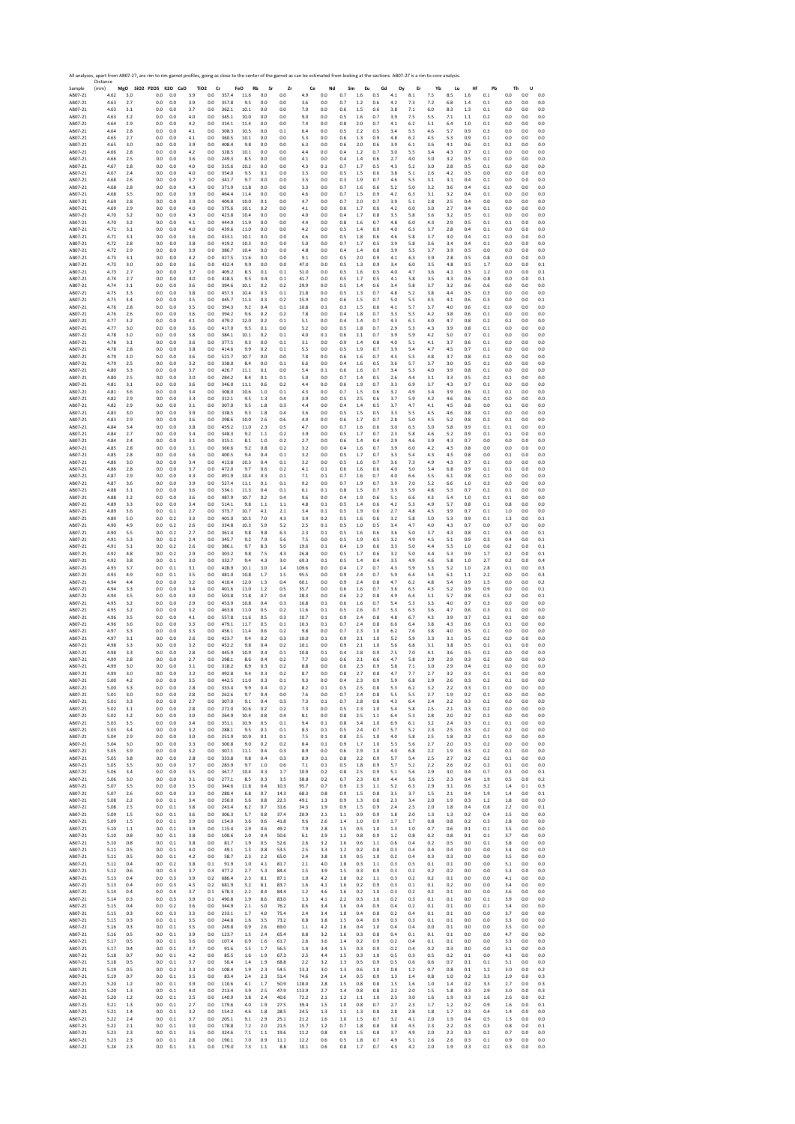|                    | Distance     |            | All analyses, apart from AB07-27, are rim to rim garnet profiles, going as close to the center of the garnet as can be estimated from looking at the sections. AB07-27 is a rim to core analysis |                 |            |                               |                |                   |            |              |              |            |            |            |            |               |            |            |            |            |            |            |            |            |
|--------------------|--------------|------------|--------------------------------------------------------------------------------------------------------------------------------------------------------------------------------------------------|-----------------|------------|-------------------------------|----------------|-------------------|------------|--------------|--------------|------------|------------|------------|------------|---------------|------------|------------|------------|------------|------------|------------|------------|------------|
| Sample<br>AB07-21  | (mm)<br>4.62 | 3.0        | MgO SiO2 P2O5 K2O CaO<br>0.0                                                                                                                                                                     | 0.0             | 3.9        | TiO <sub>2</sub><br>Cr<br>0.0 | 357.4          | FeO<br>Rb<br>11.6 | Sr<br>0.0  | Zr<br>0.0    | Ce<br>4.9    | Nd<br>0.0  | Sm<br>0.7  | Eu<br>1.6  | Gd<br>0.5  | Dy<br>$4.1\,$ | Er<br>8.1  | Yb<br>7.5  | Lu<br>8.5  | Hf<br>1.6  | Pb<br>0.1  | Th<br>0.0  | U<br>0.0   | 0.0        |
| AB07-21            | 4.63         | 2.7        | 0.0                                                                                                                                                                                              | 0.0             | 3.9        | 0.0                           | 357.8          | 9.5               | 0.0        | 0.0          | 3.6          | 0.0        | 0.7        | 1.2        | 0.6        | 4.2           | 7.3        | 7.2        | 6.8        | 1.4        | 0.1        | 0.0        | 0.0        | 0.0        |
| AB07-21            | 4.63         | 3.1        | 0.0                                                                                                                                                                                              | 0.0             | 3.7        | 0.0                           | 362.1          | 10.1              | 0.0        | 0.0          | 7.0          | 0.0        | 0.6        | 1.5        | 0.6        | 3.8           | 7.1        | 6.0        | 8.3        | 1.3        | 0.1        | 0.0        | 0.0        | 0.0        |
| AB07-21            | 4.63         | 3.2        | 0.0                                                                                                                                                                                              | 0.0             | 4.0        | 0.0                           | 345.1          | 10.0              | 0.0        | 0.0          | 9.0          | 0.0        | 0.5        | 1.6        | 0.7        | 3.9           | 7.5        | 5.5        | 7.1        | 1.1        | 0.2        | 0.0        | 0.0        | 0.0        |
| AB07-21            | 4.64         | 2.9        | 0.0                                                                                                                                                                                              | 0.0             | 4.2        | 0.0                           | 314.1          | 11.4              | 0.0        | 0.0          | 7.4          | 0.0        | 0.8        | 2.0        | 0.7        | 4.1           | 6.2        | 5.1        | 6.4        | 1.0        | 0.1        | 0.0        | 0.0        | 0.0        |
| AB07-21            | 4.64         | 2.8        | 0.0                                                                                                                                                                                              | 0.0             | 4.1        | 0.0                           | 308.3          | 10.5              | 0.0        | 0.1          | 6.4          | 0.0        | 0.5        | 2.2        | 0.5        | 3.4           | 5.5        | 4.6        | 5.7        | 0.9        | 0.3        | 0.0        | 0.0        | 0.0        |
| AB07-21            | 4.65         | 2.7        | 0.0                                                                                                                                                                                              | $0.0\,$         | 4.1        | 0.0                           | 360.5          | 10.1              | 0.0        | 0.0          | 5.3          | 0.0        | 0.6        | 1.3        | 0.9        | 4.8           | 6.2        | 4.5        | 5.3        | 0.9        | 0.1        | 0.0        | 0.0        | 0.0        |
| AB07-21            | 4.65         | 3.0        | 0.0                                                                                                                                                                                              | 0.0             | 3.9        | 0.0                           | 408.4          | 9.8               | 0.0        | 0.0          | 6.3          | 0.0        | 0.6        | 2.0        | 0.6        | 3.9           | 6.1        | 3.6        | 4.1        | 0.6        | 0.1        | 0.2        | 0.0        | 0.0        |
| AB07-21            | 4.66         | 2.8        | 0.0                                                                                                                                                                                              | 0.0             | 4.2        | 0.0                           | 328.5          | 10.1              | 0.0        | 0.0          | 4.4          | 0.0        | 0.4        | 1.2        | 0.7        | 3.0           | 5.5        | 3.4        | 4.3        | 0.7        | 0.1        | 0.0        | 0.0        | 0.0        |
| AB07-21            | 4.66         | 2.5        | 0.0                                                                                                                                                                                              | 0.0             | 3.6        | 0.0                           | 249.3          | 8.5               | 0.0        | 0.0          | 4.1          | 0.0        | 0.4        | 1.4        | 0.6        | 2.7           | 4.0        | 3.0        | 3.2        | 0.5        | 0.1        | 0.0        | 0.0        | 0.0        |
| AB07-21            | 4.67         | 2.8        | 0.0                                                                                                                                                                                              | $0.0\,$         | 4.0        | 0.0                           | 315.6          | 10.2              | 0.0        | 0.0          | 4.3          | 0.1        | 0.7        | 1.7        | 0.5        | 4.3           | 5.2        | 3.0        | 2.8        | 0.5        | 0.1        | 0.0        | 0.0        | 0.0        |
| AB07-21            | 4.67         | 2.4        | 0.0                                                                                                                                                                                              | 0.0             | 4.0        | 0.0                           | 354.0          | 9.5               | 0.1        | 0.0          | 3.5          | 0.0        | 0.5        | 1.5        | 0.6        | 3.8           | 5.1        | 2.6        | 4.2        | 0.5        | 0.0        | 0.0        | 0.0        | 0.0        |
| AB07-21            | 4.68         | 2.6        | 0.0                                                                                                                                                                                              | 0.0             | 3.7        | 0.0                           | 341.7          | 9.7               | 0.0        | 0.0          | 3.5          | 0.0        | 0.3        | 1.9        | 0.7        | 4.6           | 5.5        | 3.1        | 3.1        | 0.4        | 0.1        | 0.0        | 0.0        | 0.0        |
| AB07-21            | 4.68         | 2.8        | 0.0                                                                                                                                                                                              | 0.0             | 4.3        | 0.0                           | 371.9          | 11.8              | 0.0        | 0.0          | 3.3          | 0.0        | 0.7        | 1.6        | 0.6        | 5.2           | 5.0        | 3.2        | 3.6        | 0.4        | 0.1        | 0.0        | 0.0        | 0.0        |
| AB07-21            | 4.68         | 3.5        | 0.0                                                                                                                                                                                              | 0.0             | 3.9        | 0.0                           | 464.4          | 11.4              | 0.0        | 0.0          | 4.6          | 0.0        | 0.7        | 1.5        | 0.9        | 4.2           | 6.3        | 3.1        | 3.2        | 0.4        | 0.1        | 0.0        | 0.0        | 0.0        |
| AB07-21            | 4.69         | 2.8        | 0.0                                                                                                                                                                                              | 0.0             | 3.9        | 0.0                           | 409.8          | 10.0              | 0.1        | 0.0          | 4.7          | 0.0        | 0.7        | 2.0        | 0.7        | 3.9           | 5.1        | 2.8        | 2.5        | 0.4        | 0.0        | 0.0        | 0.0        | 0.0        |
| AB07-21            | 4.69         | 2.9        | 0.0                                                                                                                                                                                              | 0.0             | 4.0        | 0.0                           | 375.6          | 10.1              | 0.2        | 0.0          | 4.1          | 0.0        | 0.6        | 1.7        | 0.6        | 4.2           | 6.0        | 3.0        | 2.7        | 0.4        | 0.1        | 0.0        | 0.0        | 0.0        |
| AB07-21            | 4.70         | 3.2        | 0.0                                                                                                                                                                                              | 0.0             | 4.3        | 0.0                           | 423.8          | 10.4              | 0.0        | 0.0          | 4.0          | 0.0        | 0.4        | 1.7        | 0.8        | 3.5           | 5.8        | 3.6        | 3.2        | 0.5        | 0.1        | 0.0        | 0.0        | 0.0        |
| AB07-21            | 4.70         | 3.2        | 0.0                                                                                                                                                                                              | 0.0             | 4.1        | 0.0                           | 444.9          | 11.9              | 0.0        | 0.0          | 4.4          | 0.0        | 0.8        | 1.6        | 0.7        | 4.8           | 6.0        | 4.3        | 2.9        | 0.5        | 0.1        | 0.1        | 0.0        | 0.0        |
| AB07-21            | 4.71         | 3.1        | 0.0                                                                                                                                                                                              | 0.0             | 4.0        | 0.0                           | 439.6          | 11.0              | 0.0        | 0.0          | 4.2          | 0.0        | 0.5        | 1.4        | 0.9        | 4.0           | 6.3        | 3.7        | 2.8        | 0.4        | 0.1        | 0.0        | 0.0        | 0.0        |
| AB07-21            | 4.71         | 3.1        | 0.0                                                                                                                                                                                              | 0.0             | 3.6        | 0.0                           | 433.1          | 10.1              | 0.0        | 0.0          | 4.6          | 0.0        | 0.5        | 1.8        | 0.6        | 4.6           | 5.8        | 3.7        | 3.0        | 0.4        | 0.1        | 0.0        | 0.0        | 0.0        |
| AB07-21            | 4.72         | 2.8        | 0.0                                                                                                                                                                                              | 0.0             | 3.8        | 0.0                           | 419.2          | 10.3              | 0.0        | 0.0          | 5.0          | 0.0        | 0.7        | 1.7        | 0.5        | 3.9           | 5.8        | 3.6        | 3.4        | 0.4        | 0.1        | 0.0        | 0.0        | 0.0        |
| AB07-21            | 4.72         | 2.9        | 0.0                                                                                                                                                                                              | 0.0             | 3.9        | 0.0                           | 386.7          | 10.4              | 0.0        | 0.0          | 4.8          | 0.0        | 0.4        | 1.4        | 0.8        | 3.9           | 5.5        | 3.7        | 3.9        | 0.5        | 0.0        | 0.0        | 0.0        | 0.0        |
| AB07-21            | 4.73         | 3.1        | 0.0                                                                                                                                                                                              | $_{0.0}$        | 4.2        | 0.0                           | 427.5          | 11.6              | 0.0        | 0.0          | 9.1          | 0.0        | 0.5        | 2.0        | 0.9        | 4.1           | 6.3        | 3.9<br>3.5 | 2.8        | 0.5        | 0.8        | 0.0<br>0.0 | 0.0        | 0.0        |
| AB07-21<br>AB07-21 | 4.73<br>4.73 | 3.0<br>2.7 | 0.0<br>0.0                                                                                                                                                                                       | 0.0<br>0.0      | 3.6<br>3.7 | 0.0<br>0.0                    | 432.4<br>409.2 | 9.9<br>8.5        | 0.0<br>0.1 | 0.0<br>0.1   | 47.0<br>51.0 | 0.0<br>0.0 | 0.5<br>0.5 | 1.3<br>1.6 | 0.9<br>0.5 | 3.4<br>4.0    | 6.0<br>4.7 | 3.6        | 4.8<br>4.1 | 0.5<br>0.5 | 1.7<br>1.2 | 0.0        | 0.0<br>0.0 | 0.1<br>0.1 |
| AB07-21            | 4.74         | 2.7        | 0.0                                                                                                                                                                                              | 0.0             | 4.0        | 0.0                           | 418.5          | 9.5               | 0.4        | 0.1          | 41.7         | 0.0        | 0.5        | 1.7        | 0.5        | 4.1           | 5.8        | 3.5        | 4.3        | 0.6        | 0.8        | 0.0        | 0.0        | 0.1        |
| AB07-21            | 4.74         | 3.1        | 0.0                                                                                                                                                                                              | $0.0\,$         | 3.6        | 0.0                           | 394.6          | 10.1              | 0.2        | 0.2          | 29.9         | 0.0        | 0.5        | 1.4        | $0.6\,$    | 3.4           | 5.8        | 3.7        | 3.2        | 0.6        | 0.6        | 0.0        | 0.0        | 0.0        |
| AB07-21            | 4.75         | 3.3        | 0.0                                                                                                                                                                                              | 0.0             | 3.8        | 0.0                           | 457.3          | 10.4              | 0.3        | 0.1          | 21.8         | 0.0        | 0.5        | 1.3        | 0.7        | 4.8           | 5.2        | 3.8        | 4.4        | 0.5        | 0.3        | 0.0        | 0.0        | 0.0        |
| AB07-21            | 4.75         | 3.4        | 0.0                                                                                                                                                                                              | 0.0             | 3.5        | 0.0                           | 445.7          | 11.3              | 0.3        | 0.2          | 15.9         | 0.0        | 0.6        | 1.5        | 0.7        | 5.0           | 5.5        | 4.5        | 4.1        | 0.6        | 0.3        | 0.0        | 0.0        | 0.1        |
| AB07-21            | 4.76         | 2.8        | 0.0                                                                                                                                                                                              | 0.0             | 3.5        | 0.0                           | 394.3          | 9.2               | 0.4        | 0.1          | 10.8         | 0.1        | 0.3        | 1.5        | 0.6        | 4.1           | 5.7        | 3.7        | 4.0        | 0.6        | 0.1        | 0.0        | 0.0        | 0.0        |
| AB07-21<br>AB07-21 | 4.76<br>4.77 | 2.6<br>3.2 | 0.0<br>0.0                                                                                                                                                                                       | $0.0\,$<br>0.0  | 3.6<br>4.1 | $_{0.0}$<br>0.0               | 394.2<br>479.2 | 9.6<br>12.0       | 0.2<br>0.2 | 0.2          | 7.8<br>5.1   | 0.0<br>0.0 | 0.4<br>0.4 | 1.8<br>1.4 | 0.7<br>0.7 | 3.3<br>4.3    | 5.5<br>6.1 | 4.2<br>4.0 | 3.8<br>4.7 | 0.6        | 0.1        | 0.0<br>0.1 | 0.0<br>0.0 | 0.0<br>0.0 |
| AB07-21            | 4.77         | 3.0        | 0.0                                                                                                                                                                                              | 0.0             | 3.6        | 0.0                           | 417.0          | 9.5               | 0.1        | 0.1<br>0.0   | 5.2          | 0.0        | 0.5        | 1.8        | 0.7        | 2.9           | 5.3        | 4.3        | 3.9        | 0.8<br>0.8 | 0.2<br>0.1 | 0.0        | 0.0        | 0.0        |
| AB07-21            | 4.78         | 3.0        | 0.0                                                                                                                                                                                              | 0.0             | 3.8        | 0.0                           | 384.1          | 10.1              | 0.2        | 0.1          | 4.0          | 0.1        | 0.6        | 2.1        | 0.7        | 3.9           | 5.9        | 4.2        | 5.0        | 0.7        | 0.1        | 0.0        | 0.0        | 0.0        |
| AR07-21            | 4.78         | 3.1        | 0.0                                                                                                                                                                                              | 0.0             | 3.6        | 0.0                           | 377.5          | 9.3               | 0.0        | 0.1          | 3.1          | 0.0        | 0.9        | 1.4        | 0.8        | 4.0           | 5.1        | 4.1        | 3.7        | 0.6        | 0.1        | 0.0        | 0.0        | 0.0        |
| AB07-21            | 4.78         | 2.8        | 0.0                                                                                                                                                                                              | 0.0             | 3.8        | 0.0                           | 414.6          | 9.9               | 0.2        | 0.1          | 5.5          | 0.0        | 0.5        | 1.9        | 0.7        | 3.9           | 5.4        | 4.7        | 4.5        | 0.7        | 0.1        | 0.0        | 0.0        | 0.0        |
| AB07-21            | 4.79         | 3.0        | 0.0                                                                                                                                                                                              | 0.0             | 3.6        | 0.0                           | 521.7          | 10.7              | 0.0        | 0.0          | 7.8          | 0.0        | 0.6        | 1.6        | 0.7        | 4.5           | 5.5        | 4.8        | 3.7        | 0.8        | 0.2        | 0.0        | 0.0        | 0.0        |
| AB07-21            | 4.79         | 2.5        | 0.0                                                                                                                                                                                              | 0.0             | 3.2        | 0.0                           | 338.0          | 8.4               | 0.0        | 0.1          | 6.6          | 0.0        | 0.4        | 1.6        | 0.5        | 3.6           | 5.7        | 3.7        | 3.0        | 0.5        | 0.1        | 0.0        | 0.0        | 0.0        |
| AB07-21            | 4.80         | 3.3        | 0.0                                                                                                                                                                                              | 0.0             | 3.7        | 0.0                           | 426.7          | 11.1              | 0.1        | 0.0          | 5.4          | 0.1        | 0.6        | 1.6        | 0.7        | 3.4           | 5.3        | 4.0        | 3.9        | 0.8        | 0.1        | 0.0        | 0.0        | 0.0        |
| AB07-21            | 4.80         | 2.5        | 0.0                                                                                                                                                                                              | 0.0             | 3.0        | 0.0                           | 284.2          | 8.4               | 0.1        | 0.1          | 5.0          | 0.0        | 0.7        | 1.4        | 0.5        | 2.6           | 4.4        | 3.1        | 3.3        | 0.5        | 0.2        | 0.1        | 0.0        | 0.0        |
| AB07-21            | 4.81         | 3.1        | 0.0                                                                                                                                                                                              | 0.0             | 3.6        | 0.0                           | 346.0          | 11.1              | 0.6        | 0.2          | 4.4          | 0.0        | 0.6        | 1.9        | 0.7        | 3.3           | 6.9        | 3.7        | 4.3        | 0.7        | 0.1        | 0.0        | 0.0        | 0.0        |
| AB07-21            | 4.81         | 3.6        | 0.0                                                                                                                                                                                              | 0.0             | 3.4        | 0.0                           | 308.0          | 10.6              | 1.0        | 0.1          | 4.3          | 0.0        | 0.7        | 1.5        | 0.6        | 3.2           | 4.9        | 3.4        | 3.9        | 0.6        | 0.1        | 0.1        | 0.0        | 0.0        |
| AB07-21            | 4.82         | 2.9        | 0.0                                                                                                                                                                                              | 0.0             | 3.3        | 0.0                           | 312.1          | 9.5               | 1.3        | 0.4          | 3.9          | 0.0        | 0.5        | 2.5        | 0.6        | 3.7           | 5.9        | 4.2        | 4.6        | 0.6        | 0.1        | 0.0        | 0.0        | 0.0        |
| AB07-21            | 4.82         | 2.9        | 0.0                                                                                                                                                                                              | 0.0             | 3.1        | 0.0                           | 307.0          | 9.5               | 1.8        | 0.3          | 4.4          | 0.0        | 0.4        | 1.4        | 0.5        | 3.7           | 4.7        | 4.1        | 4.5        | 0.8        | 0.0        | 0.1        | 0.0        | 0.0        |
| AB07-21            | 4.83         | 3.0        | 0.0                                                                                                                                                                                              | 0.0             | 3.9        | 0.0                           | 338.5          | 9.3               | 1.8        | 0.4          | 3.6          | 0.0        | 0.5        | 1.5        | 0.5        | 3.3           | 5.5        | 4.5        | 4.6        | 0.8        | 0.1        | 0.0        | 0.0        | 0.0        |
| AB07-21            | 4.83         | 2.9        | 0.0                                                                                                                                                                                              | 0.0             | 3.6        | 0.0                           | 298.6          | 10.0              | 2.6        | 0.6          | 4.0          | 0.0        | 0.6        | 1.7        | 0.7        | 2.8           | 5.0        | 4.5        | 5.2        | 0.8        | 0.2        | 0.1        | 0.0        | 0.0        |
| AB07-21            | 4.84         | 3.4        | 0.0                                                                                                                                                                                              | 0.0             | 3.8<br>3.4 | 0.0                           | 459.2          | 11.0<br>9.2       | 2.3        | 0.5          | 4.7          | 0.0        | 0.7        | 1.6        | 0.6<br>0.7 | 3.0           | 6.5<br>5.8 | 5.0        | 5.8        | 0.9<br>0.9 | 0.1        | 0.1<br>0.1 | 0.0        | 0.0        |
| AB07-21<br>AB07-21 | 4.84<br>4.84 | 2.7<br>2.4 | 0.0<br>0.0                                                                                                                                                                                       | $_{0.0}$<br>0.0 | 3.1        | 0.0<br>0.0                    | 348.3<br>315.1 | 8.1               | 1.1<br>1.0 | 0.2<br>0.2   | 3.9<br>2.7   | 0.0<br>0.0 | 0.5<br>0.6 | 1.7<br>1.4 | 0.4        | 2.3<br>2.9    | 4.6        | 4.6<br>3.9 | 5.2<br>4.3 | 0.7        | 0.1<br>0.0 | 0.0        | 0.0<br>0.0 | 0.0<br>0.0 |
| AB07-21            | 4.85         | 2.8        | 0.0                                                                                                                                                                                              | 0.0             | 3.1        | 0.0                           | 360.6          | 9.2               | 0.8        | 0.2          | 3.2          | 0.0        | 0.4        | 1.6        | 0.7        | 3.9           | 6.0        | 4.2        | 4.5        | 0.8        | 0.0        | 0.0        | 0.0        | 0.0        |
| AB07-21            | 4.85         | 2.8        | 0.0                                                                                                                                                                                              | 0.0             | 3.6        | 0.0                           | 400.5          | 9.4               | 0.4        | 0.1          | 3.2          | 0.0        | 0.5        | 1.7        | 0.7        | 3.3           | 5.4        | 4.3        | 4.5        | 0.8        | 0.0        | 0.1        | 0.0        | 0.0        |
| AB07-21            | 4.86         | 3.0        | 0.0                                                                                                                                                                                              | $0.0\,$         | 3.4        | 0.0                           | 413.8          | 10.3              | 0.4        | 0.1          | 3.2          | 0.0        | 0.5        | 1.6        | 0.7        | 3.6           | 7.3        | 4.9        | 4.3        | 0.7        | 0.1        | 0.0        | 0.0        | 0.0        |
| AB07-21            | 4.86         | 2.8        | 0.0                                                                                                                                                                                              | 0.0             | 3.7        | 0.0                           | 472.0          | 9.7               | 0.6        | 0.2          | 4.1          | 0.1        | 0.6        | 1.6        | 0.6        | 4.0           | 5.0        | 5.4        | 6.8        | 0.9        | 0.1        | 0.1        | 0.0        | 0.0        |
| AB07-21            | 4.87         | 2.9        | 0.0                                                                                                                                                                                              | 0.0             | 4.3        | 0.0                           | 491.9          | 10.4              | 0.3        | 0.1          | 7.1          | 0.1        | 0.7        | 1.6        | 0.7        | 4.0           | 6.6        | 5.5        | 6.1        | 0.8        | 0.1        | 0.0        | 0.0        | 0.0        |
| AB07-21            | 4.87         | 3.6        | 0.0                                                                                                                                                                                              | 0.0             | 3.9        | 0.0                           | 527.4          | 11.1              | 0.1        | 0.1          | 9.2          | 0.0        | 0.7        | 1.9        | 0.7        | 3.9           | 7.0        | 5.2        | 6.6        | 1.0        | 0.3        | 0.0        | 0.0        | 0.0        |
| AB07-21            | 4.88         | 3.1        | 0.0                                                                                                                                                                                              | $0.0\,$         | 3.6        | 0.0                           | 534.1          | 11.3              | 0.4        | 0.1          | 6.1          | 0.1        | $0.8\,$    | 1.5        | 0.7        | 3.3           | 5.9        | 4.8        | 5.3        | 0.7        | 0.2        | 0.1        | 0.0        | 0.0        |
| AB07-21            | 4.88         | 3.2        | 0.0                                                                                                                                                                                              | 0.0             | 3.6        | 0.0                           | 487.9          | 10.7              | 0.2        | 0.4          | 9.6          | 0.0        | 0.4        | 1.9        | 0.6        | 5.1           | 6.6        | 4.3        | 5.4        | 1.0        | 0.1        | 0.1        | 0.0        | 0.0        |
| AB07-21            | 4.89         | 3.3        | 0.0                                                                                                                                                                                              | 0.0             | 3.4        | 0.0                           | 514.1          | 9.8               | 1.1        | 1.1          | 4.8          | 0.1        | 0.5        | 1.4        | 0.6        | 4.2           | 5.3        | 4.9        | 5.7        | 0.8        | 0.1        | 0.8        | 0.0        | 0.0        |
| AB07-21            | 4.89         | 3.6        | 0.0                                                                                                                                                                                              | 0.1             | 2.7        | 0.0                           | 373.7          | 10.7              | 4.1        | 2.1          | 3.4          | 0.1        | 0.5        | 1.9        | 0.6        | 2.7           | 4.8        | 4.3        | 3.9        | 0.7        | 0.1        | 1.0        | 0.0        | 0.0        |
| AB07-21            | 4.89         | 5.0        | 0.0                                                                                                                                                                                              | 0.2             | 3.3        | 0.0                           | 401.0          | 10.5              | 7.0        | 4.3          | 3.4          | 0.2        | 0.5        | 1.6        | 0.6        | 3.2           | 5.8        | 5.0        | 5.3        | 0.9        | 0.1        | 1.3        | 0.0        | 0.1        |
| AB07-21            | 4.90         | 4.9        | 0.0                                                                                                                                                                                              | 0.2             | 2.6        | 0.0                           | 334.8          | 10.3              | 5.9        | 5.2          | 2.5          | 0.1        | 0.5        | 1.0        | 0.5        | 3.4           | 4.7        | 4.0        | 4.3        | 0.7        | 0.0        | 0.7        | 0.0        | 0.0        |
| AB07-21            | 4.90         | 5.5        | 0.0                                                                                                                                                                                              | 0.2             | 2.7        | 0.0                           | 361.4          | 9.8               | 9.8        | 6.3          | 2.3          | 0.1        | 0.5        | 1.6        | 0.6        | 3.6           | 5.0        | 3.7        | 4.3        | 0.8        | 0.1        | 0.3        | 0.0        | 0.1        |
| AB07-21            | 4.91         | 5.3        | 0.0                                                                                                                                                                                              | 0.2             | 2.4        | 0.0                           | 345.7          | 9.2               | 7.9        | 5.6          | 7.5          | 0.0        | 0.5        | 1.9        | 0.5        | 3.2           | 4.9        | 4.5        | 5.1        | 0.9        | 0.3        | 0.4        | 0.0        | 0.1        |
| AB07-21            | 4.91         | 5.1        | 0.0                                                                                                                                                                                              | 0.2             | 2.6        | 0.0                           | 386.1          | 9.7               | 8.3        | 5.0          | 19.6         | 0.1        | 0.4        | 1.9        | 0.6        | 3.3           | 5.0        | 4.4        | 5.5        | 1.0        | 0.6        | 0.2        | 0.0        | 0.1        |
| AB07-21            | 4.92         | 4.8        | 0.0                                                                                                                                                                                              | 0.2             | 2.9        | 0.0                           | 303.2          | 9.8               | 7.5        | 4.3          | 26.8         | 0.0        | 0.5        | 1.7        | 0.6        | 3.2           | 5.0        | 4.4        | 5.3        | 0.9        | 1.7        | 0.2        | 0.0        | 0.1        |
| AB07-21            | 4.92         | 3.8        | 0.0                                                                                                                                                                                              | 0.1             | 3.0        | 0.0                           | 332.7          | 9.4               | 4.3        | 3.0          | 69.3         | 0.1        | 0.5        | 1.4        | 0.4        | 3.5           | 4.9        | 4.6        | 5.8        | 1.0        | 2.7        | 0.2        | 0.0        | 0.4        |
| AB07-21            | 4.93         | 3.7        | 0.0                                                                                                                                                                                              | 0.1             | 3.1        | 0.0                           | 428.9          | 10.1              | 3.0        | 1.4          | 109.6        | 0.0        | 0.4        | 1.7        | 0.7        | 4.3           | 5.9        | 5.3        | 5.2        | 1.0        | 2.8        | 0.1        | 0.0        | 0.3        |
| AB07-21            | 4.93         | 4.9        | 0.0                                                                                                                                                                                              | 0.1             | 3.5        | 0.0                           | 481.0          | 10.8              | 1.7        | 1.5          | 95.5         | 0.0        | 0.9        | 2.4        | 0.7        | 5.9           | 6.4        | 5.4        | 6.1        | 1.1        | 2.2        | 0.0        | 0.0        | 0.3        |
| AB07-21            | 4.94         | 4.4        | 0.0                                                                                                                                                                                              | 0.0             | 3.2        | 0.0                           | 410.4          | 12.0              | 1.3        | 0.4          | 60.1         | 0.0        | 0.9        | 2.4        | 0.8        | 4.7           | 6.2        | 4.8        | 5.4        | 0.9        | 1.5        | 0.0        | 0.0        | 0.2        |
| AB07-21            | 4.94         | 3.3        | 0.0                                                                                                                                                                                              | 0.0             | 3.4        | 0.0                           | 401.6          | 11.0              | 1.2        | 0.5          | 35.7         | 0.0        | 0.6        | 1.6        | 0.7        | 3.6           | 6.5        | 4.3        | 5.2        | 0.9        | 0.9        | 0.0        | 0.0        | 0.1        |
| AB07-21            | 4.94         | 3.5        | 0.0                                                                                                                                                                                              | 0.0             | 4.0        | 0.0                           | 503.8          | 11.8              | 0.7        | 0.4          | 28.3         | 0.0        | 0.6        | 2.2        | 0.8        | 4.9           | 6.4        | 5.1        | 5.7        | 0.8        | 0.5        | 0.2        | 0.0        | 0.1        |
| AB07-21            | 4.95         | 3.2        | 0.0                                                                                                                                                                                              | 0.0             | 2.9        | 0.0                           | 453.9          | 10.8              | 0.4        | 0.3          | 16.8         | 0.1        | 0.6        | 1.6        | 0.7        | 5.4           | 5.3        | 3.3        | 4.0        | 0.7        | 0.3        | 0.0        | 0.0        | 0.0        |
| AB07-21            | 4.95         | 3.2        | 0.0                                                                                                                                                                                              | $0.0\,$         | 3.2        | 0.0                           | 463.8          | 11.0              | 0.5        | 0.2          | 11.6         | 0.1        | 0.5        | 2.6        | 0.7        | 5.3           | 6.5        | 3.6        | 4.7        | 0.6        | 0.3        | 0.1        | 0.0        | 0.0        |
| AB07-21            | 4.96         | 3.5        | 0.0                                                                                                                                                                                              | 0.0             | 4.1        | 0.0                           | 557.8          | 11.6              | 0.5        | 0.3          | 10.7         | 0.1        | 0.9        | 2.4        | 0.8        | 4.8           | 6.7        | 4.3        | 3.9        | 0.7        | 0.2        | 0.1        | 0.0        | 0.0        |
| AB07-21            | 4.96         | 3.6        | 0.0                                                                                                                                                                                              | 0.0             | 3.3        | 0.0                           | 479.1          | 11.7              | 0.5        | 0.1          | 10.3         | 0.1        | 0.7        | 2.4        | 0.8        | 6.6           | 6.4        | 3.8        | 4.3        | 0.6        | 0.3        | 0.1        | 0.0        | 0.0        |
| AB07-21            | 4.97         | 3.3        | 0.0                                                                                                                                                                                              | 0.0             | 3.3        | 0.0                           | 456.1          | 11.4              | 0.6        | 0.2          | 9.8          | 0.0        | 0.7        | 2.3        | 1.0        | 6.2           | 7.6        | 3.8        | 4.0        | 0.5        | 0.1        | 0.0        | 0.0        | 0.0        |
| AB07-21            | 4.97         | 3.1        | 0.0                                                                                                                                                                                              | $0.0\,$         | 2.6        | 0.0                           | 423.7          | 9.4               | 0.2        | 0.3          | 10.0         | 0.1        | 0.9        | $2.1\,$    | $1.0\,$    | 5.2           | 5.9        | 3.3        | 3.1        | 0.5        | 0.2        | 0.0        | 0.0        | 0.0        |
| AB07-21            | 4.98         | 3.3        | 0.0                                                                                                                                                                                              | 0.0             | 3.2        | 0.0                           | 452.2          | 9.8               | 0.4        | 0.2          | 10.1         | 0.0        | 0.9        | 2.1        | 1.0        | 5.6           | 6.8        | 3.1        | 3.8        | 0.5        | 0.1        | 0.1        | 0.0        | 0.0        |
| AB07-21            | 4.98         | 3.3        | 0.0                                                                                                                                                                                              | 0.0             | 2.8        | 0.0                           | 445.9          | 10.9              | 0.4        | 0.1          | 10.8         | 0.1        | 0.4        | 2.8        | 0.9        | 7.5           | 7.0        | 4.1        | 3.6        | 0.5        | 0.2        | 0.0        | 0.0        | 0.0        |
| AB07-21            | 4.99         | 2.8        | 0.0                                                                                                                                                                                              | 0.0             | 2.7        | 0.0                           | 298.1          | 8.6               | 0.4        | 0.2          | 7.7          | 0.0        | 0.6        | 2.1        | 0.6        | 4.7           | 5.8        | 2.9        | 2.9        | 0.3        | 0.2        | 0.0        | 0.0        | 0.0        |
| AB07-21            | 4.99         | 3.0        | 0.0                                                                                                                                                                                              | 0.0             | 3.1        | 0.0                           | 318.2          | 8.9               | 0.3        | 0.2          | 8.8          | 0.0        | 0.6        | 2.3        | 0.9        | 5.8           | 7.1        | 3.0        | 2.9        | 0.4        | 0.2        | 0.0        | 0.0        | 0.0        |
| AB07-21<br>AB07-21 | 4.99<br>5.00 | 3.U<br>4.2 | U.U<br>0.0                                                                                                                                                                                       | 0.0<br>0.0      | 3.4<br>3.5 | U.U<br>0.0                    | 442.5          | 11.0              | u.:<br>0.3 | υ.,<br>0.1   | ŏ.,<br>9.3   | 0.0<br>0.0 | 0.8<br>0.4 | z.,<br>2.3 | 0.8<br>0.9 | 5.9           | 6.8        | z.,<br>2.9 | 5.4<br>2.6 | υ.:<br>0.3 | U.I<br>0.2 | 0.1<br>0.1 | U.U<br>0.0 | U.U<br>0.0 |
| AB07-21            | 5.00         | 3.3        | 0.0                                                                                                                                                                                              | 0.0             | 2.8        | 0.0                           | 333.4          | 9.9               | 0.4        | 0.2          | 8.2          | 0.1        | 0.5        | 2.5        | 0.8        | 5.3           | 6.2        | 3.2        | 2.2        | 0.3        | 0.1        | 0.0        | 0.0        | 0.0        |
| AB07-21            | 5.01         | 3.0        | 0.0                                                                                                                                                                                              | 0.0             | 2.8        | 0.0                           | 262.6          | 9.7               | 0.4        | 0.0          | 7.6          | 0.0        | 0.7        | 2.4        | 0.8        | 5.5           | 5.5        | 2.7        | 1.9        | 0.2        | 0.1        | 0.0        | 0.0        | 0.0        |
| AB07-21            | 5.01         | 3.3        | 0.0                                                                                                                                                                                              | 0.0             | 2.7        | 0.0                           | 307.0          | 9.1               | 0.4        | 0.3          | 7.3          | 0.1        | 0.7        | 2.8        | 0.8        | 4.3           | 6.4        | 2.4        | 2.2        | 0.3        | 0.2        | 0.0        | 0.0        | 0.0        |
| AB07-21            | 5.02         | 3.1        | 0.0                                                                                                                                                                                              | 0.0             | 2.8        | 0.0                           | 271.0          | 10.6              | 0.2        | 0.2          | 7.3          | 0.0        | 0.5        | 2.3        | 1.0        | 5.4           | 5.8        | 2.5        | 2.1        | 0.3        | 0.2        | 0.0        | 0.0        | 0.0        |
| AB07-21            | 5.02         | 3.2        | 0.0                                                                                                                                                                                              | 0.0             | 3.0        | 0.0                           | 264.9          | 10.4              | 0.8        | 0.4          | 8.1          | 0.0        | 0.8        | 2.5        | 1.1        | 6.4           | 5.3        | 2.8        | 2.0        | 0.2        | 0.2        | 0.0        | 0.0        | 0.0        |
| AB07-21            | 5.03         | 3.5        | 0.0                                                                                                                                                                                              | 0.0             | 3.4        | 0.0                           | 351.1          | 10.9              | 0.5        | 0.1          | 9.4          | 0.1        | 0.8        | 3.4        | 1.0        | 6.9           | 6.1        | 3.2        | 2.4        | 0.3        | 0.1        | 0.1        | 0.0        | 0.0        |
| AB07-21            | 5.03         | 3.4        | 0.0                                                                                                                                                                                              | 0.0             | 3.2        | 0.0                           | 288.1          | 9.5               | 0.1        | 0.1          | 8.3          | 0.1        | 0.5        | 2.4        | 0.7        | 5.7           | 5.2        | 2.3        | 2.5        | 0.3        | 0.2        | 0.2        | 0.0        | 0.0        |
| AR07-21            | 5.04         | 2.9        | 0.0                                                                                                                                                                                              | 0.0             | 3.0        | 0.0                           | 251.9          | 10.9              | 0.1        | 0.1          | 7.5          | 0.1        | 0.8        | 2.5        | 1.0        | 4.0           | 5.8        | 2.5        | 1.8        | 0.2        | 0.1        | 0.0        | 0.0        | 0.0        |
| AB07-21            | 5.04         | 3.0        | 0.0                                                                                                                                                                                              | 0.0             | 3.3        | 0.0                           | 300.8          | 9.0               | 0.2        | 0.2          | 8.4          | 0.1        | 0.9        | 1.7        | 1.0        | 5.3           | 5.6        | 2.7        | 2.0        | 0.3        | 0.2        | 0.0        | 0.0        | 0.0        |
| AB07-21            | 5.05         | 3.9        | 0.0                                                                                                                                                                                              | 0.0             | 3.2        | 0.0                           | 307.1          | 11.1              | 0.4        | 0.3          | 8.9          | 0.0        | 0.6        | 2.9        | 1.0        | 4.0           | 6.8        | 2.2        | 1.9        | 0.3        | 0.2        | 0.1        | 0.0        | 0.0        |
| AB07-21            | 5.05         | 3.8        | $_{0.0}$                                                                                                                                                                                         | 0.0             | 2.8        | 0.0                           | 333.8          | 9.8               | 0.4        | 0.3          | 8.9          | 0.1        | $0.8\,$    | 2.2        | 0.9        | 5.7           | 5.4        | 2.5        | 2.7        | 0.2        | 0.2        | $0.1\,$    | 0.0        | 0.0        |
| AB07-21            | 5.05         | 3.5        | 0.0                                                                                                                                                                                              | 0.0             | 3.7        | 0.0                           | 283.9          | 9.7               | 1.0        | 0.6          | 7.1          | 0.1        | 0.5        | 1.8        | 0.9        | 5.7           | 5.2        | 2.2        | 2.6        | 0.2        | 0.2        | 0.1        | 0.0        | 0.0        |
| AB07-21            | 5.06         | 3.4        | 0.0                                                                                                                                                                                              | 0.0             | 3.5        | 0.0                           | 367.7          | 10.4              | 0.3        | 1.7          | 10.9         | 0.2        | 0.8        | 2.5        | 0.9        | 5.1           | 5.6        | 2.9        | 3.0        | 0.4        | 0.7        | 0.3        | 0.0        | 0.1        |
| AB07-21            | 5.06         | 3.0        | 0.0                                                                                                                                                                                              | 0.0             | 3.1        | 0.0                           | 277.1          | 8.5               | 0.3        | 3.5          | 38.8         | 0.2        | 0.7        | 2.3        | 0.9        | 4.4           | 5.6        | 2.5        | 2.3        | 0.4        | 1.9        | 0.5        | 0.0        | 0.2        |
| AB07-21            | 5.07         | 3.5        | $_{0.0}$                                                                                                                                                                                         | $0.0\,$         | 3.5        | 0.0                           | 344.6          | 11.8              | 0.4        | 10.3         | 95.7         | 0.7        | 0.9        | 2.3        | $1.1\,$    | 5.2           | 6.3        | 2.9        | 3.1        | 0.6        | 3.2        | $1.4\,$    | 0.1        | 0.3        |
| AB07-21            | 5.07         | 2.6        | 0.0                                                                                                                                                                                              | 0.0             | 3.3        | 0.0                           | 280.4          | 6.8               | 0.7        | 14.3         | 68.3         | 0.8        | 0.9        | 1.5        | 0.8        | 3.5           | 3.7        | 1.5        | 2.1        | 0.4        | 1.9        | 1.4        | 0.0        | 0.1        |
| AB07-21            | 5.08         | 2.2        | 0.0                                                                                                                                                                                              | 0.1             | 3.4        | 0.0                           | 250.0          | 5.6               | 0.8        | 22.3         | 49.1         | 1.3        | 0.9        | 1.3        | $0.8\,$    | 2.3           | 3.4        | 2.0        | 1.9        | 0.3        | 1.2        | 1.8        | 0.0        | 0.0        |
| AB07-21            | 5.08         | 2.5        | 0.0                                                                                                                                                                                              | 0.1             | 3.8        | 0.0                           | 243.4          | 6.2               | 0.7        | 31.6         | 34.3         | 1.9        | 0.9        | 1.5        | 0.9        | 2.4           | 2.5        | 2.0        | 1.8        | 0.4        | 0.8        | 2.2        | 0.0        | 0.1        |
| AB07-21            | 5.09         | 1.5        | $_{0.0}$                                                                                                                                                                                         | 0.1             | 3.6        | 0.0                           | 306.3          | 5.7               | $_{0.8}$   | 37.4         | 20.9         | $2.1\,$    | $1.1\,$    | 0.9        | 0.9        | $1.8\,$       | 2.0        | 1.3        | $1.3\,$    | 0.2        | 0.4        | 2.5        | 0.0        | 0.0        |
| AB07-21            | 5.09         | 1.5        | 0.0                                                                                                                                                                                              | 0.1             | 3.9        | 0.0                           | 154.0          | 3.6               | 0.6        | 41.8         | 9.6          | 2.6        | 1.4        | 1.0        | 0.9        | 1.7           | 1.7        | 0.8        | 0.8        | 0.2        | 0.3        | 2.8        | 0.0        | 0.0        |
| AB07-21            | 5.10         | 1.1        | 0.0                                                                                                                                                                                              | 0.1             | 3.9        | 0.0                           | 115.4          | 2.9               | 0.6        | 49.2         | 7.9          | 2.8        | $1.5\,$    | 0.5        | 1.0        | 1.3           | 1.0        | 0.7        | 0.6        | 0.1        | 0.1        | 3.5        | 0.0        | 0.0        |
| AB07-21            | 5.10         | 0.8        | 0.0                                                                                                                                                                                              | 0.1             | 3.8        | 0.0                           | 100.6          | 2.0               | 0.4        | 50.6         | 6.1          | 2.9        | 1.2        | 0.8        | 0.9        | 1.2           | 0.8        | 0.2        | 0.8        | 0.1        | 0.1        | 3.7        | 0.0        | 0.0        |
| AB07-21            | 5.10         | 0.8        | 0.0                                                                                                                                                                                              | 0.1             | 3.8        | 0.0                           | 81.7           | 1.9               | 0.5        | 52.6         | 2.6          | 3.2        | 1.6        | 0.6        | 1.1        | 0.6           | 0.4        | 0.2        | 0.5        | 0.0        | 0.1        | 3.8        | 0.0        | 0.0        |
| AB07-21            | 5.11         | 0.5        | 0.0                                                                                                                                                                                              | 0.1             | 4.0        | 0.0                           | 49.1           | 1.3               | 0.8        | 53.5         | 2.5          | 3.3        | 1.2        | 0.2        | 0.8        | 0.3           | 0.4        | 0.4        | 0.4        | 0.0        | 0.0        | 3.4        | 0.0        | 0.0        |
| AB07-21            | 5.11         | 0.5        | 0.0                                                                                                                                                                                              | 0.1             | 4.2        | 0.0                           | 58.7           | 2.3               | 2.2        | 65.0         | 2.4          | 3.8        | 1.9        | 0.5        | 1.0        | 0.2           | 0.4        | 0.3        | 0.3        | 0.0        | 0.0        | 3.5        | 0.0        | 0.0        |
| AB07-21            | 5.12         | 0.4        | 0.0                                                                                                                                                                                              | 0.2             | 3.8        | 0.1                           | 91.9           | 1.0               | 4.1        | 81.7         | 2.1          | 4.0        | 1.8        | 0.3        | 1.1        | 0.3           | 0.5        | 0.1        | 0.1        | 0.0        | 0.0        | 5.1        | 0.0        | 0.0        |
| AB07-21            | 5.12         | 0.6        | 0.0                                                                                                                                                                                              | 0.3             | 3.7        | 0.3                           | 477.2          | 2.7               | 5.3        | 84.4         | 1.5          | 3.9        | 1.5        | 0.3        | 0.9        | 0.3           | 0.2        | 0.2        | 0.2        | 0.0        | 0.0        | 5.3        | 0.0        | 0.0        |
| AB07-21            | 5.13         | 0.4        | 0.0                                                                                                                                                                                              | 0.3             | 3.9        | 0.2                           | 686.4          | 2.3               | 8.1        | 87.1         | $1.0$        | 4.2        | 1.8        | 0.2        | 1.1        | 0.3           | 0.2        | 0.2        | 0.1        | 0.0        | 0.0        | 4.1        | 0.0        | 0.0        |
| AB07-21            | 5.13         | 0.4        | 0.0                                                                                                                                                                                              | 0.3             | 4.3        | 0.2                           | 681.9          | 3.2               | 8.1        | 83.7         | 1.6          | 4.1        | 1.6        | 0.2        | 0.9        | 0.3           | 0.1        | 0.1        | 0.2        | 0.0        | 0.0        | 3.4        | 0.0        | 0.0        |
| AB07-21<br>AB07-21 | 5.14<br>5.14 | 0.4        | 0.0<br>0.0                                                                                                                                                                                       | 0.4<br>0.3      | 3.7        | 0.1                           | 678.3<br>490.8 | 2.2               | 8.4<br>8.6 | 84.4<br>83.0 | 1.2          | 4.6<br>4.1 | 1.6<br>2.2 | 0.2        | 1.0        | 0.3<br>0.2    | 0.2        | 0.2        | 0.1        | 0.0        | 0.0        | 3.6        | 0.0        | 0.0        |
| AB07-21            | 5.15         | 0.3<br>0.4 | 0.0                                                                                                                                                                                              | 0.2             | 3.9<br>3.6 | 0.1<br>0.0                    | 344.9          | 1.9<br>2.1        | 5.0        | 76.2         | 1.3<br>0.6   | 3.4        | 1.6        | 0.3<br>0.4 | 1.0<br>0.9 | 0.4           | 0.3<br>0.2 | 0.1<br>0.1 | 0.1<br>0.1 | 0.0<br>0.0 | 0.1<br>0.1 | 3.9<br>3.4 | 0.0<br>0.0 | 0.0<br>0.0 |
| AB07-21            | 5.15         | 0.3        | 0.0                                                                                                                                                                                              | 0.3             | 3.3        | 0.0                           | 233.1          | 1.7               | 4.0        | 75.4         | 2.4          | 3.4        | 1.8        | 0.4        | 0.8        | 0.2           | 0.4        | 0.1        | 0.1        | 0.0        | 0.0        | 3.7        | 0.0        | 0.0        |
| AB07-21            | 5.15         | 0.3        | 0.0                                                                                                                                                                                              | 0.1             | 3.5        | 0.0                           | 244.8          | 1.6               | 3.5        | 73.2         | 0.8          | 3.8        | 1.5        | 0.4        | 0.9        | 0.3           | 0.3        | 0.1        | 0.1        | 0.0        | 0.0        | 3.3        | 0.0        | 0.0        |
| AB07-21            | 5.16         | 0.3        | 0.0                                                                                                                                                                                              | 0.1             | 3.5        | 0.0                           | 249.8          | 0.9               | 2.6        | 69.0         | 1.1          | 4.2        | 1.6        | 0.4        | 1.0        | 0.4           | 0.4        | 0.0        | 0.1        | 0.0        | 0.0        | 3.5        | 0.0        | 0.0        |
| AB07-21            | 5.16         | 0.5        | $_{0.0}$                                                                                                                                                                                         | 0.1             | 3.9        | 0.0                           | 123.7          | 1.5               | 2.4        | 65.4         | 0.8          | 3.2        | $1.6\,$    | 0.3        | $0.8\,$    | 0.4           | $0.1\,$    | 0.1        | $0.1\,$    | $_{0.0}$   | 0.0        | 4.7        | 0.0        | 0.0        |
| AB07-21            | 5.17         | 0.5        | 0.0                                                                                                                                                                                              | 0.1             | 3.6        | 0.0                           | 107.4          | 0.9               | 1.6        | 61.7         | 2.6          | 3.6        | 1.4        | 0.2        | 0.9        | 0.2           | 0.4        | 0.1        | 0.1        | 0.0        | 0.0        | 3.3        | 0.0        | 0.0        |
| AB07-21            | 5.17         | 0.4        | 0.0                                                                                                                                                                                              | 0.1             | 3.7        | 0.0                           | 91.6           | 1.5               | 1.7        | 56.5         | 1.4          | 3.4        | $1.5\,$    | 0.3        | 0.9        | 0.2           | 0.4        | 0.2        | 0.3        | 0.0        | 0.0        | 3.1        | 0.0        | 0.0        |
| AB07-21            | 5.18         | 0.7        | 0.0                                                                                                                                                                                              | 0.1             | 4.2        | 0.0                           | 85.5           | 1.6               | 1.9        | 67.3         | 2.5          | 4.4        | 1.5        | 0.3        | 1.0        | 0.5           | 0.3        | 0.5        | 0.2        | 0.1        | 0.0        | 4.3        | 0.0        | 0.0        |
| AB07-21            | 5.18         | 0.5        | $_{0.0}$                                                                                                                                                                                         | 0.1             | 3.7        | 0.0                           | 50.4           | 1.4               | $1.9\,$    | 68.8         | 2.2          | 3.2        | $1.3\,$    | 0.5        | 0.9        | 0.5           | 0.6        | 0.6        | 0.7        | 0.1        | 0.1        | 5.1        | 0.0        | 0.0        |
| AB07-21            | 5.19         | 0.5        | 0.0                                                                                                                                                                                              | 0.2             | 3.3        | 0.0                           | 108.4          | 1.9               | 2.3        | 54.5         | 13.3         | 3.0        | 1.3        | 0.6        | 1.0        | 0.8           | 1.2        | 0.7        | 0.8        | 0.1        | 1.2        | 3.0        | 0.0        | 0.2        |
| AB07-21            | 5.19         | 0.7        | 0.0                                                                                                                                                                                              | $0.1\,$         | 3.5        | 0.0                           | 83.4           | 2.4               | 2.3        | 51.4         | 74.6         | 2.4        | 1.4        | 0.5        | 0.9        | 1.3           | 1.4        | 0.8        | 1.0        | 0.2        | 3.3        | 2.9        | 0.0        | 0.3        |
| AB07-21            | 5.20         | 1.2        | 0.0                                                                                                                                                                                              | 0.1             | 3.9        | 0.0                           | 110.6          | 4.1               | 1.7        | 50.9         | 128.0        | 2.8        | 1.5        | 0.8        | 0.8        | 1.5           | 1.6        | 1.0        | 1.4        | 0.2        | 3.3        | 2.7        | 0.0        | 0.3        |
| AB07-21            | 5.20         | 1.3        | $_{0.0}$                                                                                                                                                                                         | 0.1             | $4.0\,$    | 0.0                           | 213.4          | 3.9               | 2.5        | 47.9         | 113.9        | 2.7        | $1.4\,$    | 0.8        | $0.8\,$    | 2.2           | 2.0        | 1.5        | $1.8\,$    | 0.3        | 2.9        | 3.0        | 0.0        | 0.3        |
| AB07-21            | 5.20         | 1.2        | 0.0                                                                                                                                                                                              | 0.1             | 3.5        | 0.0                           | 140.9          | 3.8               | 2.4        | 40.6         | 72.2         | 2.1        | 1.2        | 1.1        | 1.0        | 2.3           | 3.0        | 1.6        | 1.9        | 0.3        | 1.6        | 2.6        | 0.0        | 0.2        |
| AB07-21            | 5.21         | 1.3        | 0.0                                                                                                                                                                                              | 0.1             | 2.7        | 0.0                           | 179.6          | 4.0               | 1.9        | 27.5         | 39.4         | 1.5        | 1.0        | 0.8        | 0.7        | 2.7           | 2.3        | 1.7        | 1.2        | 0.2        | 0.9        | 1.6        | 0.0        | 0.1        |
| AB07-21            | 5.21         | 1.4        | 0.0                                                                                                                                                                                              | 0.1             | 3.2        | 0.0                           | 154.2          | 4.6               | 1.8        | 28.5         | 24.5         | 1.3        | 1.1        | 1.3        | 0.8        | 2.8           | 2.8        | 1.8        | 1.7        | 0.3        | 0.4        | 1.4        | 0.0        | 0.0        |
| AB07-21            | 5.22         | 2.4        | 0.0                                                                                                                                                                                              | 0.1             | 3.7        | 0.0                           | 205.1          | 9.1               | 2.9        | 25.1         | 21.2         | 1.6        | 1.0        | 1.5        | 0.7        | 3.2           | 4.1        | 2.0        | 1.9        | 0.4        | 0.5        | 1.3        | 0.0        | 0.0        |
| AB07-21            | 5.22         | 2.1        | 0.0                                                                                                                                                                                              | 0.1             | 3.0        | 0.0                           | 178.8          | 7.2               | 2.0        | 21.5         | 15.7         | 1.2        | 0.7        | 1.8        | 0.8        | 3.8           | 4.5        | 2.3        | 2.2        | 0.3        | 0.3        | 0.8        | 0.0        | 0.1        |
| AB07-21            | 5.23         | 2.3        | 0.0                                                                                                                                                                                              | 0.1             | 3.5        | 0.0                           | 324.6          | 7.1               | 1.1        | 19.6         | 11.2         | 0.8        | 0.9        | 1.5        | 0.8        | 3.7           | 4.9        | 2.0        | 2.3        | 0.3        | 0.2        | 0.7        | 0.0        | 0.0        |
| AB07-21            | 5.23         | 2.3        | 0.0                                                                                                                                                                                              | 0.1             | 2.8        | 0.0                           | 190.1          | 7.0               | 0.9        | 11.1         | 12.2         | 0.6        | 0.5        | 1.8        | 0.7        | 4.9           | 5.1        | 2.6        | 2.6        | 0.3        | 0.1        | 0.9        | 0.0        | 0.0        |
| AB07-21            | 5.24         | 2.3        | 0.0                                                                                                                                                                                              | 0.1             | 3.1        | 0.0                           | 179.0          | 7.3               | 1.1        | 8.8          | 10.1         | 0.6        | 0.8        | 1.7        | 0.7        | 4.3           | 4.2        | 2.0        | 1.9        | 0.3        | 0.2        | 0.3        | 0.0        | 0.0        |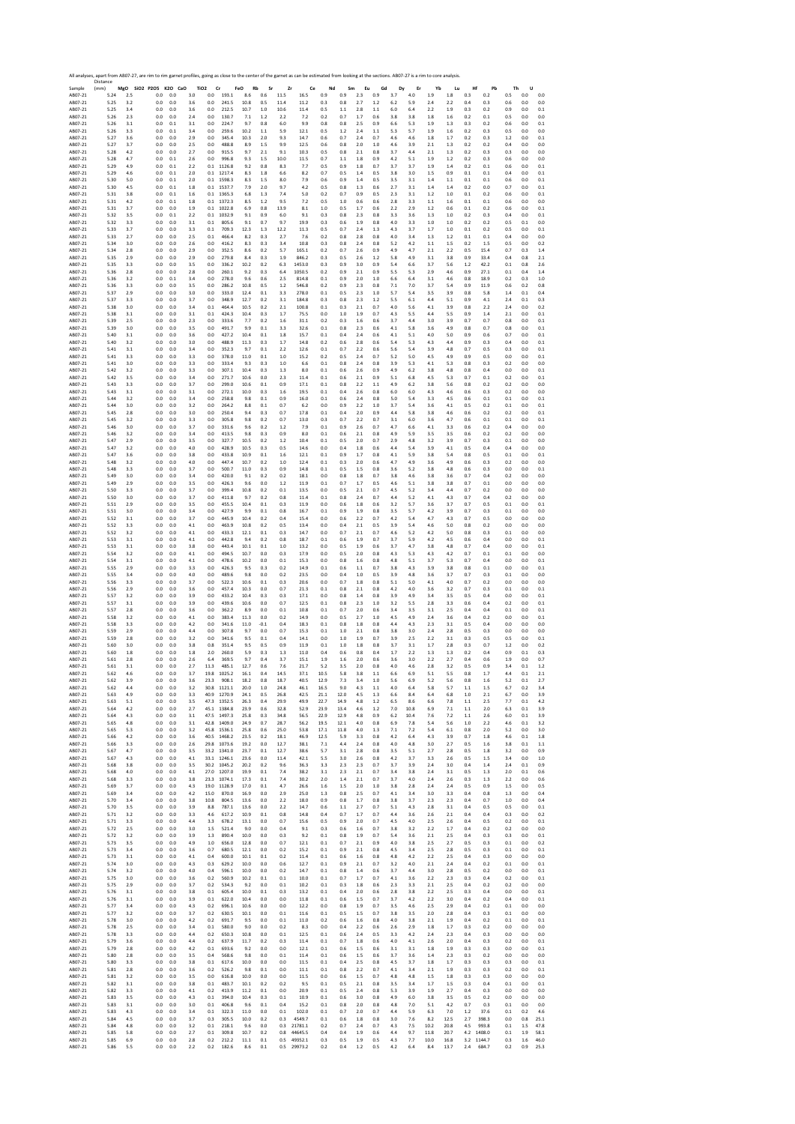|                    | Distance     |            | All analyses, apart from AB07-27, are rim to rim garnet profiles, going as close to the center of the garnet as can be estimated from looking at the sections. AB07-27 is a rim to core analysis. |                |                |                               |                            |                  |                 |              |              |              |            |            |            |            |            |            |                |            |            |                |            |                     |
|--------------------|--------------|------------|---------------------------------------------------------------------------------------------------------------------------------------------------------------------------------------------------|----------------|----------------|-------------------------------|----------------------------|------------------|-----------------|--------------|--------------|--------------|------------|------------|------------|------------|------------|------------|----------------|------------|------------|----------------|------------|---------------------|
| Sample<br>AB07-21  | (mm)<br>5.24 | 2.5        | MgO SiO2 P2O5 K2O CaO<br>0.0                                                                                                                                                                      | 0.0            | 3.0            | TiO <sub>2</sub><br>Cr<br>0.0 | 193.1                      | FeO<br>Rb<br>8.6 | Sr<br>$_{0.6}$  | Zr<br>11.5   | Ce<br>16.5   | Nd<br>0.9    | Sm<br>0.9  | Eu<br>2.3  | Gd<br>0.9  | Dy<br>3.7  | Er<br>4.0  | Yb<br>1.9  | Lu<br>1.8      | Hf<br>0.3  | Pb<br>0.2  | Th<br>0.5      | U<br>0.0   | 0.0                 |
| AB07-21            | 5.25         | 3.2        | 0.0                                                                                                                                                                                               | 0.0            | 3.6            | 0.0                           | 241.5                      | 10.8             | 0.5             | 11.4         | 11.2         | 0.3          | 0.8        | 2.7        | 1.2        | 6.2        | 5.9        | 2.4        | 2.2            | 0.4        | 0.3        | 0.6            | 0.0        | 0.0                 |
| AB07-21            | 5.25         | 3.4        | 0.0                                                                                                                                                                                               | 0.0            | 3.6            | 0.0                           | 212.5                      | 10.7             | $1.0\,$         | 10.6         | 11.4         | 0.5          | $1.1\,$    | 2.8        | 1.1        | 6.0        | 6.4        | 2.2        | 1.9            | 0.3        | 0.2        | 0.9            | 0.0        | 0.1                 |
| AB07-21            | 5.26         | 2.3        | 0.0                                                                                                                                                                                               | 0.0            | 2.4            | 0.0                           | 130.7                      | 7.1              | 1.2             | 2.2          | 7.2          | 0.2          | 0.7        | 1.7        | 0.6        | 3.8        | 3.8        | 1.8        | 1.6            | 0.2        | 0.1        | 0.5            | 0.0        | 0.0                 |
| AB07-21            | 5.26         | 3.1        | 0.0                                                                                                                                                                                               | 0.1            | 3.1            | 0.0                           | 224.7                      | 9.7              | 0.8             | 6.0          | 9.9          | 0.8          | 0.8        | 2.5        | 0.9        | 6.6        | 5.3        | 1.9        | 1.3            | 0.3        | 0.2        | 0.6            | 0.0        | 0.1                 |
| AB07-21            | 5.26         | 3.3        | 0.0                                                                                                                                                                                               | 0.1            | 3.4            | 0.0                           | 259.6                      | 10.2             | 1.1             | 5.9          | 12.1         | 0.5          | 1.2        | 2.4        | 1.1        | 5.3        | 5.7        | 1.9        | 1.6            | 0.2        | 0.3        | 0.5            | 0.0        | 0.0                 |
| AB07-21            | 5.27         | 3.6        | 0.0                                                                                                                                                                                               | 0.0            | 2.9            | 0.0                           | 345.4                      | 10.3             | 2.0             | 9.3          | 14.7         | 0.6          | 0.7        | 2.4        | 0.7        | 4.6        | 4.6        | 1.8        | 1.7            | 0.2        | 0.3        | 1.2            | 0.0        | 0.1                 |
| AB07-21            | 5.27         | 3.7        | 0.0                                                                                                                                                                                               | 0.0            | 2.5            | 0.0                           | 488.8                      | 8.9              | 1.5             | 9.9          | 12.5         | 0.6          | 0.8        | 2.0        | 1.0        | 4.6        | 3.9        | 2.1        | 1.3            | 0.2        | 0.2        | 0.4            | 0.0        | 0.0                 |
| AB07-21            | 5.28         | 4.2        | 0.0                                                                                                                                                                                               | 0.0            | 2.7            | 0.0                           | 915.5                      | 9.7              | 2.1             | 9.1          | 10.3         | 0.5          | 0.8        | 2.1        | 0.8        | 3.7        | 4.4        | 2.1        | 1.3            | 0.2        | 0.3        | 0.3            | 0.0        | 0.0                 |
| AB07-21            | 5.28         | 4.7        | 0.0                                                                                                                                                                                               | 0.1            | 2.6            | 0.0                           | 996.8                      | 9.3              | 1.5             | 10.0         | 11.5         | 0.7          | 1.1        | 1.8        | 0.9        | 4.2        | 5.1        | 1.9        | 1.2            | 0.2        | 0.3        | 0.6            | 0.0        | 0.0                 |
| AB07-21            | 5.29         | 4.9        | 0.0                                                                                                                                                                                               | $0.1\,$        | 2.2            | 0.1                           | 1126.8                     | 9.2              | 0.8             | 8.3          | 7.7          | 0.5          | 0.9        | 1.8        | 0.7        | 3.7        | 3.7        | 1.9        | 1.4            | 0.2        | 0.1        | 0.6            | 0.0        | 0.1                 |
| AB07-21            | 5.29         | 4.6        | 0.0                                                                                                                                                                                               | 0.1            | 2.0            | 0.1                           | 1217.4                     | 8.3              | 1.8             | 6.6          | 8.2          | 0.7          | 0.5        | 1.4        | 0.5        | 3.8        | 3.0        | 1.5        | 0.9            | 0.1        | 0.1        | 0.4            | 0.0        | 0.1                 |
| AB07-21            | 5.30         | 5.0        | 0.0                                                                                                                                                                                               | 0.1            | 2.0            |                               | 0.1 1598.3                 | 8.3              | 1.5             | 8.0          | 7.9          | 0.6          | 0.9        | 1.4        | 0.5        | 3.5        | 3.1        | 1.4        | 1.1            | 0.1        | 0.1        | 0.6            | 0.0        | 0.1                 |
| AB07-21            | 5.30         | 4.5        | 0.0                                                                                                                                                                                               | 0.1            | 1.8            | 0.1                           | 1537.7                     | 7.9              | 2.0             | 9.7          | 4.2          | 0.5          | 0.8        | 1.3        | 0.6        | 2.7        | 3.1        | 1.4        | 1.4            | 0.2        | 0.0        | 0.7            | 0.0        | 0.1                 |
| AB07-21            | 5.31         | 3.8        | 0.0                                                                                                                                                                                               | 0.1            | 1.6            | 0.1                           | 1365.3                     | 6.8              | 1.3             | 7.4          | 5.0          | 0.2          | 0.7        | 0.9        | 0.5        | 2.3        | 3.1        | 1.2        | 1.0            | 0.1        | 0.2        | 0.6            | 0.0        | 0.1                 |
| AB07-21            | 5.31         | 4.2        | 0.0                                                                                                                                                                                               | 0.1            | 1.8            | 0.1                           | 1372.3                     | 8.5              | 1.2             | 9.5          | 7.2          | 0.5          | 1.0        | 0.6        | 0.6        | 2.8        | 3.3        | 1.1        | 1.6            | 0.1        | 0.1        | 0.6            | 0.0        | 0.0                 |
| AB07-21            | 5.31         | 3.7        | 0.0                                                                                                                                                                                               | 0.0            | 1.9            | 0.1                           | 1022.8                     | 6.9              | 0.8             | 13.9         | 8.1          | 1.0          | 0.5        | 1.7        | 0.6        | 2.2        | 2.9        | 1.2        | 0.6            | 0.1        | 0.2        | 0.6            | 0.0        | 0.1                 |
| AB07-21            | 5.32         | 3.5        | 0.0                                                                                                                                                                                               | 0.1            | 2.2            | 0.1                           | 1032.9                     | 9.1              | 0.9             | 6.0          | 9.1          | 0.3          | 0.8        | 2.3        | 0.8        | 3.3        | 3.6        | 1.3        | 1.0            | 0.2        | 0.3        | 0.4            | 0.0        | 0.1                 |
| AB07-21            | 5.32         | 3.3        | 0.0                                                                                                                                                                                               | 0.0            | 3.1            | 0.1                           | 805.6                      | 9.1              | 0.7             | 9.7          | 19.9         | 0.3          | 0.6        | 1.9        | 0.8        | 4.0        | 3.3        | 1.0        | 1.0            | 0.2        | 0.2        | 0.5            | 0.1        | 0.0                 |
| AB07-21            | 5.33         | 3.7        | 0.0                                                                                                                                                                                               | 0.0            | 3.3            | 0.1                           | 709.3                      | 12.3             | 1.3             | 12.2         | 11.3         | 0.5          | 0.7        | 2.4        | 1.3        | 4.3        | 3.7        | 1.7        | 1.0            | 0.1        | 0.2        | 0.5            | 0.0        | 0.1                 |
| AB07-21            | 5.33         | 2.7        | 0.0                                                                                                                                                                                               | 0.0            | 2.5            | 0.1                           | 466.4                      | 8.2              | 0.3             | 2.7          | 7.6          | 0.2          | 0.8        | 2.8        | 0.8        | 4.0        | 3.4        | 1.3        | 1.2            | 0.1        | 0.1        | 0.4            | 0.0        | 0.0                 |
| AB07-21            | 5.34         | 3.0        | 0.0                                                                                                                                                                                               | 0.0            | 2.6            | 0.0                           | 416.2                      | 8.3              | 0.3             | 3.4          | 10.8         | 0.3          | 0.8        | 2.4        | 0.8        | 5.2        | 4.2        | 1.1        | 1.5            | 0.2        | 1.5        | 0.5            | 0.0        | 0.2                 |
| AB07-21            | 5.34         | 2.8        | 0.0                                                                                                                                                                                               | 0.0            | 2.9            | 0.0                           | 352.5                      | 8.6              | 0.2             | 5.7          | 165.1        | 0.2          | 0.7        | 2.6        | 0.9        | 4.9        | 4.7        | 2.1        | 2.2            | 0.5        | 15.4       | 0.7            | 0.3        | 1.4                 |
| AB07-21            | 5.35         | 2.9        | $0.0\,$                                                                                                                                                                                           | $0.0\,$        | 2.9            | 0.0                           | 279.8                      | 8.4              | 0.3             | 1.9          | 846.2        | 0.3          | 0.5        | 2.6        | 1.2        | 5.8        | 4.9        | 3.1        | 3.8            | 0.9        | 33.4       | 0.4            | 0.8        | 2.1                 |
| AB07-21            | 5.35         | 3.3        | 0.0                                                                                                                                                                                               | 0.0            | 3.5            | 0.0                           | 336.2                      | 10.2             | 0.2             | 6.3          | 1453.0       | 0.3          | 0.9        | 3.0        | 0.9        | 5.4        | 6.6        | 3.7        | 5.6            | 1.2        | 42.2       | 0.1            | 0.8        | 2.6                 |
| AB07-21            | 5.36         | 2.8        | 0.0                                                                                                                                                                                               | 0.0            | 2.8            | 0.0                           | 260.1                      | 9.2              | 0.3             | 6.4          | 1050.5       | 0.2          | 0.9        | 2.1        | 0.9        | 5.5        | 5.3        | 2.9        | 4.6            | 0.9        | 27.1       | 0.1            | 0.4        | 1.4                 |
| AB07-21            | 5.36         | 3.2        | 0.0                                                                                                                                                                                               | 0.1            | 3.4            | 0.0                           | 278.0                      | 9.6              | 0.6             | 2.5          | 814.8        | 0.1          | 0.9        | 2.0        | 1.0        | 6.6        | 6.4        | 3.1        | 4.6            | 0.8        | 18.9       | 0.2            | 0.3        | 1.0                 |
| AB07-21            | 5.36         | 3.3        | 0.0                                                                                                                                                                                               | 0.0            | 3.5            | 0.0                           | 286.2                      | 10.8             | 0.5             | $1.2\,$      | 546.8        | 0.2          | 0.9        | 2.3        | 0.8        | 7.1        | 7.0        | 3.7        | 5.4            | 0.9        | 11.9       | 0.6            | 0.2        | 0.8                 |
| AB07-21            | 5.37         | 2.9        | 0.0                                                                                                                                                                                               | 0.0            | 3.0            | 0.0                           | 333.0                      | 12.4             | 0.1             | 3.3          | 278.0        | 0.1          | 0.5        | 2.3        | 1.0        | 5.7        | 5.4        | 3.5        | 3.9            | 0.8        | 5.8        | 1.4            | 0.1        | 0.4                 |
| AB07-21            | 5.37         | 3.3        | 0.0                                                                                                                                                                                               | 0.0            | 3.7            | 0.0                           | 348.9                      | 12.7             | 0.2             | 3.1          | 184.8        | 0.3          | 0.8        | 2.3        | 1.2        | 5.5        | 6.1        | 4.4        | 5.1            | 0.9        | 4.1        | 2.4            | 0.1        | 0.3                 |
| AB07-21            | 5.38         | 3.0        | 0.0                                                                                                                                                                                               | 0.0            | 3.4            | 0.1                           | 464.4                      | 10.5             | 0.2             | 2.1          | 100.8        | 0.1          | 0.3        | 2.1        | 0.7        | 4.0        | 5.6        | 4.1        | 3.9            | 0.8        | 2.2        | 2.4            | 0.0        | 0.2                 |
| AB07-21            | 5.38         | 3.1        | $0.0\,$                                                                                                                                                                                           | 0.0            | 3.1            | 0.1                           | 424.3                      | 10.4             | 0.3             | 1.7          | 75.5         | 0.0          | 1.0        | 1.9        | 0.7        | 4.3        | 5.5        | 4.4        | 5.5            | 0.9        | 1.4        | 2.1            | 0.0        | 0.1                 |
|                    | 5.39         | 2.5        | 0.0                                                                                                                                                                                               | 0.0            | 2.3            | 0.0                           | 333.6                      | 7.7              | 0.2             | 1.6          | 31.1         | 0.2          | 0.3        | 1.6        | 0.6        | 3.7        | 4.4        | 3.0        | 3.9            | 0.7        | 0.7        | 0.8            | 0.0        | 0.1                 |
| AB07-21<br>AB07-21 | 5.39         | 3.0        | 0.0                                                                                                                                                                                               | 0.0            | 3.5            | 0.0                           | 491.7                      | 9.9              | 0.1             | 3.3          | 32.6         | 0.1          | 0.8        | 2.3        | 0.6        | 4.1        | 5.8        | 3.6        | 4.9            | 0.8        | 0.7        | 0.8            | 0.0        | 0.1                 |
| AB07-21            | 5.40         | 3.1        | 0.0                                                                                                                                                                                               | 0.0            | 3.6            | 0.0                           | 427.2                      | 10.4             | 0.1             | 1.8          | 15.7         | 0.1          | 0.4        | 2.4        | 0.6        | 4.1        | 5.1        | 4.0        | 5.0            | 0.9        | 0.6        | 0.7            | 0.0        | 0.1                 |
| AB07-21            | 5.40         | 3.2        | 0.0                                                                                                                                                                                               | 0.0            | 3.0            | 0.0                           | 488.9                      | 11.3             | 0.3             | 1.7          | 14.8         | 0.2          | 0.6        | 2.8        | 0.6        | 5.4        | 5.3        | 4.3        | 4.4            | 0.9        | 0.3        | 0.4            | 0.0        | 0.1                 |
| AB07-21            | 5.41         | 3.1        | 0.0                                                                                                                                                                                               | 0.0            | 3.4            | 0.0                           | 352.3                      | 9.7              | 0.1             | 2.2          | 12.6         | 0.1          | 0.7        | 2.2        | 0.6        | 5.6        | 5.4        | 3.9        | 4.8            | 0.7        | 0.5        | 0.3            | 0.0        | 0.1                 |
| AB07-21            | 5.41         | 3.3        | 0.0                                                                                                                                                                                               | 0.0            | 3.3            | 0.0                           | 378.0                      | 11.0             | 0.1             | 1.0          | 15.2         | 0.2          | 0.5        | 2.4        | 0.7        | 5.2        | 5.0        | 4.5        | 4.9            | 0.9        | 0.5        | 0.0            | 0.0        | 0.1                 |
| AB07-21            | 5.41         | 3.0        | 0.0                                                                                                                                                                                               | 0.0            | 3.3            | 0.0                           | 333.4                      | 9.3              | 0.3             | 1.0          | 6.6          | 0.1          | 0.8        | 2.4        | 0.8        | 3.9        | 5.3        | 4.1        | 5.3            | 0.8        | 0.3        | 0.2            | 0.0        | 0.0                 |
| AB07-21            | 5.42         | 3.2        | 0.0                                                                                                                                                                                               | 0.0            | 3.3            | 0.0                           | 307.1                      | 10.4             | 0.3             | 1.3          | 8.0          | 0.1          | 0.6        | 2.6        | 0.9        | 4.9        | 6.2        | 3.8        | 4.8            | 0.8        | 0.4        | 0.0            | 0.0        | 0.1                 |
| AB07-21            | 5.42         | 3.5        | 0.0                                                                                                                                                                                               | 0.0            | 3.4            | 0.0                           | 271.7                      | 10.6             | 0.0             | 2.3          | 11.4         | 0.1          | 0.6        | 2.1        | 0.9        | 5.1        | 6.8        | 4.5        | 5.3            | 0.7        | 0.1        | 0.2            | 0.0        | 0.1                 |
| AB07-21            | 5.43         | 3.3        | 0.0                                                                                                                                                                                               | 0.0            | 3.7            | 0.0                           | 299.0                      | 10.6             | 0.1             | 0.9          | 17.1         | 0.1          | 0.8        | 2.2        | 1.1        | 4.9        | 6.2        | 3.8        | 5.6            | 0.8        | 0.2        | 0.2            | 0.0        | 0.0                 |
| AB07-21            | 5.43         | 3.1        | 0.0                                                                                                                                                                                               | 0.0            | 3.1            | 0.0                           | 272.1                      | 10.0             | 0.3             | 1.6          | 19.5         | 0.1          | 0.4        | 2.6        | 0.8        | 6.0        | 6.0        | 4.3        | 4.6            | 0.6        | 0.3        | 0.2            | 0.0        | 0.0                 |
| AB07-21            | 5.44         | 3.2        | 0.0                                                                                                                                                                                               | 0.0            | 3.4            | 0.0                           | 258.8                      | 9.8              | 0.1             | 0.9          | 16.0         | 0.1          | 0.6        | 2.4        | 0.8        | 5.0        | 5.4        | 3.3        | 4.5            | 0.6        | 0.1        | 0.1            | 0.0        | 0.1                 |
| AB07-21            | 5.44         | 3.0        | 0.0                                                                                                                                                                                               | 0.0            | 3.2            | 0.0                           | 264.2                      | 8.8              | 0.1             | 0.7          | 6.2          | 0.0          | 0.9        | 2.2        | 1.0        | 3.7        | 5.4        | 3.6        | 4.1            | 0.5        | 0.2        | 0.1            | 0.0        | 0.1                 |
| AB07-21            | 5.45         | 2.8        | 0.0                                                                                                                                                                                               | 0.0            | 3.0            | 0.0                           | 250.4                      | 9.4              | 0.3             | 0.7          | 17.8         | 0.1          | 0.4        | 2.0        | 0.9        | 4.4        | 5.8        | 3.8        | 4.6            | 0.6        | 0.2        | 0.2            | 0.0        | 0.1                 |
| AB07-21            | 5.45         | 3.2        | 0.0                                                                                                                                                                                               | 0.0            | 3.3            | 0.0                           | 305.8                      | 9.8              | 0.2             | 0.7          | 13.0         | 0.3          | 0.7        | 2.2        | 0.7        | 3.1        | 6.0        | 3.6        | 4.7            | 0.6        | 0.1        | 0.1            | 0.0        | 0.1                 |
| AB07-21            | 5.46         | 3.0        | 0.0                                                                                                                                                                                               | 0.0            | 3.7            | 0.0                           | 331.6                      | 9.6              | 0.2             | 1.2          | 7.9          | 0.1          | 0.9        | 2.6        | 0.7        | 4.7        | 6.6        | 4.1        | 3.3            | 0.6        | 0.2        | 0.4            | 0.0        | 0.0                 |
| AB07-21            | 5.46         | 3.2        | $_{0.0}$                                                                                                                                                                                          | 0.0            | 3.4            | 0.0                           | 413.5                      | 9.8              | 0.3             | 0.9          | 8.0          | 0.1          | 0.6        | 2.1        | 0.8        | 4.9        | 5.9        | 3.5        | 3.5            | 0.6        | 0.2        | 0.2            | 0.0        | 0.0                 |
| AB07-21            | 5.47         | 2.9        | 0.0                                                                                                                                                                                               | 0.0            | 3.5            | 0.0                           | 327.7                      | 10.5             | 0.2             | 1.2          | 10.4         | 0.1          | 0.5        | 2.0        | 0.7        | 2.9        | 4.8        | 3.2        | 3.9            | 0.7        | 0.3        | 0.1            | 0.0        | 0.0                 |
| AB07-21            | 5.47         | 3.2        | 0.0                                                                                                                                                                                               | 0.0            | 4.0            | 0.0                           | 428.9                      | 10.5             | 0.3             | 0.5          | 14.6         | 0.0          | 0.4        | 1.8        | 0.6        | 4.4        | 5.4        | 3.9        | 4.1            | 0.5        | 0.4        | 0.4            | 0.0        | 0.0                 |
| AB07-21            | 5.47         | 3.6        | 0.0                                                                                                                                                                                               | 0.0            | 3.8            | 0.0                           | 433.8                      | 10.9             | 0.1             | 1.6          | 12.1         | 0.1          | 0.9        | 1.7        | 0.8        | 4.1        | 5.9        | 3.8        | 5.4            | 0.8        | 0.5        | 0.1            | 0.0        | 0.1                 |
| AB07-21            | 5.48         | 3.2        | 0.0                                                                                                                                                                                               | 0.0            | 4.0            | 0.0                           | 447.4                      | 10.7             | 0.2             | 1.0          | 12.4         | 0.1          | 0.3        | 2.0        | 0.6        | 4.7        | 4.9        | 3.6        | 4.9            | 0.6        | 0.3        | 0.2            | 0.0        | 0.0                 |
| AB07-21            | 5.48         | 3.3        | 0.0                                                                                                                                                                                               | 0.0            | 3.7            | 0.0                           | 500.7                      | 11.0             | 0.3             | 0.9          | 14.8         | 0.1          | 0.5        | 1.5        | 0.8        | 3.6        | 5.2        | 3.8        | 4.8            | 0.6        | 0.3        | 0.0            | 0.0        | 0.1                 |
| AB07-21            | 5.49         | 3.0        | 0.0                                                                                                                                                                                               | 0.0            | 3.4            | 0.0                           | 420.0                      | 9.1              | 0.2             | 0.2          | 18.1         | 0.0          | 0.8        | 1.8        | 0.7        | 3.8        | 4.6        | 3.8        | 3.6            | 0.7        | 0.4        | 0.2            | 0.0        | 0.0                 |
| AB07-21            | 5.49         | 2.9        | 0.0                                                                                                                                                                                               | 0.0            | 3.5            | 0.0                           | 426.3                      | 9.6              | 0.0             | 1.2          | 11.9         | 0.1          | 0.7        | 1.7        | 0.5        | 4.6        | 5.1        | 3.8        | 3.8            | 0.7        | 0.1        | 0.0            | 0.0        | 0.0                 |
| AB07-21            | 5.50         | 3.3        | $0.0\,$                                                                                                                                                                                           | 0.0            | 3.7            | 0.0                           | 399.4                      | 10.8             | 0.2             | 0.1          | 13.5         | 0.0          | 0.5        | 2.1        | 0.7        | 4.5        | 5.2        | 3.4        | 4.4            | 0.7        | 0.2        | 0.0            | 0.0        | 0.0                 |
| AB07-21            | 5.50         | 3.0        | 0.0                                                                                                                                                                                               | 0.0            | 3.7            | 0.0                           | 411.8                      | 9.7              | 0.2             | 0.8          | 11.4         | 0.1          | 0.8        | 2.4        | 0.7        | 4.4        | 5.2        | 4.1        | 4.3            | 0.7        | 0.4        | 0.2            | 0.0        | 0.0                 |
| AB07-21            | 5.51         | 2.9        | 0.0                                                                                                                                                                                               | 0.0            | 3.5            | 0.0                           | 455.5                      | 10.4             | 0.1             | 0.3          | 11.9         | 0.0          | 0.6        | 1.8        | 0.6        | 3.2        | 5.7        | 3.6        | 3.7            | 0.7        | 0.5        | 0.1            | 0.0        | 0.1                 |
| AB07-21            | 5.51         | 3.0        | 0.0                                                                                                                                                                                               | 0.0            | 3.4            | 0.0                           | 427.9                      | 9.9              | 0.1             | 0.8          | 16.7         | 0.1          | 0.9        | 1.9        | 0.8        | 3.5        | 5.7        | 4.2        | 3.9            | 0.7        | 0.3        | 0.1            | 0.0        | 0.0                 |
| AB07-21            | 5.52         | 3.1        | 0.0                                                                                                                                                                                               | 0.0            | 3.7            | 0.0                           | 445.9                      | 10.4             | 0.2             | 0.4          | 15.4         | 0.0          | 0.6        | 2.2        | 0.7        | 4.2        | 5.4        | 4.7        | 4.3            | 0.7        | 0.5        | 0.0            | 0.0        | 0.0                 |
| AB07-21            | 5.52         | 3.3        | 0.0                                                                                                                                                                                               | 0.0            | 4.1            | 0.0                           | 463.9                      | 10.8             | 0.2             | 0.5          | 13.4         | 0.0          | 0.4        | 2.1        | 0.5        | 3.9        | 5.4        | 4.6        | 5.0            | 0.8        | 0.2        | 0.0            | 0.0        | 0.0                 |
| AB07-21            | 5.52         | 3.2        | 0.0                                                                                                                                                                                               | 0.0            | 4.1            | 0.0                           | 433.3                      | 12.1             | 0.1             | 0.3          | 14.7         | 0.0          | 0.7        | 2.1        | 0.7        | 4.6        | 5.2        | 4.2        | 5.0            | 0.8        | 0.3        | 0.1            | 0.0        | 0.0                 |
| AB07-21            | 5.53         | 3.1        | 0.0                                                                                                                                                                                               | 0.0            | 4.1            | 0.0                           | 442.8                      | 9.4              | 0.2             | 0.8          | 18.7         | 0.1          | 0.6        | 1.9        | 0.7        | 3.7        | 5.9        | 4.2        | 4.5            | 0.6        | 0.4        | 0.0            | 0.0        | 0.1                 |
| AB07-21            | 5.53         | 3.1        | 0.0                                                                                                                                                                                               | 0.0            | 3.8            | 0.0                           | 443.4                      | 10.1             | 0.1             | 1.0          | 13.2         | 0.0          | 0.5        | 1.9        | 0.6        | 3.7        | 4.7        | 3.8        | 4.8            | 0.7        | 0.4        | 0.0            | 0.0        | 0.1                 |
| AB07-21            | 5.54         | 3.2        | 0.0                                                                                                                                                                                               | 0.0            | 4.1            | 0.0                           | 494.5                      | 10.7             | 0.0             | 0.3          | 17.9         | 0.0          | 0.5        | 2.0        | 0.8        | 4.3        | 5.3        | 4.3        | 4.2            | 0.7        | 0.1        | 0.1            | 0.0        | 0.0                 |
| AB07-21            | 5.54         | 3.1        | 0.0                                                                                                                                                                                               | 0.0            | 4.1            | 0.0                           | 478.6                      | 10.2             | 0.0             | 0.1          | 15.3         | 0.0          | 0.8        | 1.6        | 0.8        | 4.8        | 5.1        | 3.7        | 5.3            | 0.7        | 0.4        | 0.0            | 0.0        | 0.1                 |
| AB07-21            | 5.55         | 2.9        | 0.0                                                                                                                                                                                               | 0.0            | 3.3            | 0.0                           | 426.3                      | 9.5              | 0.3             | 0.2          | 14.9         | 0.1          | 0.6        | 1.1        | 0.7        | 3.8        | 4.3        | 3.9        | 3.8            | 0.8        | 0.1        | 0.0            | 0.0        | 0.1                 |
| AB07-21            | 5.55         | 3.4        | 0.0                                                                                                                                                                                               | 0.0            | 4.0            | 0.0                           | 489.6                      | 9.8              | 0.0             | 0.2          | 23.5         | 0.0          | 0.4        | 1.0        | 0.5        | 3.9        | 4.8        | 3.6        | 3.7            | 0.7        | 0.3        | 0.1            | 0.0        | 0.0                 |
| AB07-21            | 5.56         | 3.3        | 0.0                                                                                                                                                                                               | 0.0            | 3.7            | 0.0                           | 522.3                      | 10.6             | 0.1             | 0.3          | 20.6         | 0.0          | 0.7        | 1.8        | 0.8        | 5.1        | 5.0        | 4.1        | 4.0            | 0.7        | 0.2        | 0.0            | 0.0        | 0.0                 |
| AB07-21            | 5.56         | 2.9        | 0.0                                                                                                                                                                                               | 0.0            | 3.6            | 0.0                           | 457.4                      | 10.3             | 0.0             | 0.7          | 21.3         | 0.1          | 0.8        | 2.1        | 0.8        | 4.2        | 4.0        | 3.6        | 3.2            | 0.7        | 0.3        | 0.1            | 0.0        | 0.1                 |
| AB07-21            | 5.57         | 3.2        | 0.0                                                                                                                                                                                               | 0.0            | 3.9            | 0.0                           | 433.2                      | 10.4             | 0.3             | 0.3<br>0.7   | 17.1         | 0.0          | 0.8        | 1.4        | 0.8        | 3.9        | 4.9        | 3.4        | 3.5            | 0.5        | 0.4        | 0.0            | 0.0        | 0.1<br>0.1          |
| AB07-21<br>AB07-21 | 5.57<br>5.57 | 3.1<br>2.8 | 0.0<br>$_{0.0}$                                                                                                                                                                                   | 0.0<br>$0.0\,$ | 3.9<br>3.6     | 0.0<br>0.0                    | 439.6<br>362.2             | 10.6<br>8.9      | 0.0<br>0.0      | 0.1          | 12.5<br>10.8 | 0.1<br>0.1   | 0.8<br>0.7 | 2.3<br>2.0 | 1.0<br>0.6 | 3.2<br>3.4 | 5.5<br>3.5 | 2.8<br>3.1 | 3.3<br>2.5     | 0.6<br>0.4 | 0.4<br>0.4 | 0.2<br>0.1     | 0.0<br>0.0 | 0.1                 |
| AB07-21            | 5.58         | 3.2        | 0.0                                                                                                                                                                                               | 0.0            | 4.1            | 0.0                           | 383.4                      | 11.3             | 0.0             | 0.2          | 14.9         | 0.0          | 0.5        | 2.7        | 1.0        | 4.5        | 4.9        | 2.4        | 3.6            | 0.4        | 0.2        | 0.0            | 0.0        | 0.1                 |
| AB07-21            | 5.58         | 3.3        | 0.0                                                                                                                                                                                               | 0.0            | 4.2            | 0.0                           | 341.6                      | 11.0             | $-0.1$          | 0.4          | 18.3         | 0.1          | 0.8        | 1.8        | 0.8        | 4.4        | 4.3        | 2.3        | 3.1            | 0.5        | 0.4        | 0.0            | 0.0        | 0.0                 |
| AB07-21            | 5.59         | 2.9        | 0.0                                                                                                                                                                                               | 0.0            | 4.4            | 0.0                           | 307.8                      | 9.7              | 0.0             | 0.7          | 15.3         | 0.1          | 1.0        | 2.1        | 0.8        | 3.8        | 3.0        | 2.4        | 2.8            | 0.5        | 0.3        | 0.0            | 0.0        | 0.0                 |
| AB07-21            | 5.59         | 2.8        | $_{0.0}$                                                                                                                                                                                          | $0.0\,$        | 3.2            | 0.0                           | 341.6                      | 9.5              | 0.1             | 0.4          | 14.1         | 0.0          | $1.0\,$    | 1.9        | 0.7        | 3.9        | 2.5        | 2.2        | 3.1            | 0.3        | 0.5        | 0.5            | 0.0        | 0.1                 |
| AB07-21            | 5.60         | 3.0        | 0.0                                                                                                                                                                                               | 0.0            | 3.8            | 0.8                           | 351.4                      | 9.5              | 0.5             | 0.9          | 11.9         | 0.1          | 1.0        | 1.8        | 0.8        | 3.7        | 3.1        | 1.7        | 2.8            | 0.3        | 0.7        | 1.2            | 0.0        | 0.2                 |
| AB07-21            | 5.60<br>5.61 | 1.8<br>2.8 | 0.0<br>0.0                                                                                                                                                                                        | 0.0<br>0.0     | 1.8<br>2.6     | 2.0                           | 260.0<br>369.5             | 5.9<br>9.7       | 0.3<br>0.4      | 1.3<br>3.7   | 11.0<br>15.1 | 0.4<br>1.9   | 0.6<br>1.6 | 0.8<br>2.0 | 0.4<br>0.6 | 1.7<br>3.6 | 2.2<br>3.0 | 1.3<br>2.2 | 1.3<br>2.7     | 0.2<br>0.4 | 0.4<br>0.6 | 0.9<br>1.9     | 0.1<br>0.0 | 0.3<br>0.7          |
| AB07-21<br>AB07-21 | 5.61         | 3.1        | 0.0                                                                                                                                                                                               | 0.0            | 2.7            | 6.4<br>11.3                   | 485.1                      | 12.7             | 0.6             | 7.6          | 21.7         | 5.2          | 3.5        | 2.0        | 0.8        | 4.0        | 4.6        | 2.8        | 3.2            | 0.5        | 0.9        | 3.4            | 0.1        | 1.2                 |
| AB07-21<br>AB07-21 | 5.62<br>5.62 | 3.9        | U.U<br>0.0                                                                                                                                                                                        | U.U<br>0.0     | s.,<br>3.6     | 19.8<br>23.3                  | 1025.2<br>908.1            | 16.1<br>18.2     | U.4<br>0.8      | 18.7         | 37.1<br>40.5 | 10.5<br>12.9 | 5.8<br>7.3 | 3.4        | 1.1<br>1.0 | 6.6<br>5.6 | 6.9<br>6.9 | 5.1<br>5.2 | 5.5<br>5.6     | U.X<br>0.8 | 1.6        | 5.2            | U.I<br>0.1 | $\mathbf{z}$<br>2.7 |
| AB07-21            | 5.62         | 4.4        | 0.0                                                                                                                                                                                               | 0.0            | 3.2            |                               | 30.8 1121.1                | 20.0             | 1.0             | 24.8         | 46.1         | 16.5         | 9.0        | 4.3        | 1.1        | 4.0        | 6.4        | 5.8        | 5.7            | 1.1        | 1.5        | 6.7            | 0.2        | 3.4                 |
| AB07-21            | 5.63         | 4.9        | 0.0                                                                                                                                                                                               | 0.0            | 3.3            |                               | 40.9 1270.9                | 24.1             | 0.5             | 26.8         | 42.5         | 21.1         | 12.0       | 4.5        | 1.3        | 6.6        | 8.4        | 6.4        | 6.8            | 1.0        | 2.1        | 6.7            | 0.0        | 3.9                 |
| AB07-21            | 5.63         | 5.1        | 0.0                                                                                                                                                                                               | 0.0            | 3.5            |                               | 47.3 1352.5                | 26.3             | 0.4             | 29.9         | 49.9         | 22.7         | 14.9       | 4.8        | 1.2        | 6.5        | 8.6        | 6.6        | 7.8            | $1.1\,$    | 2.5        | 7.7            | 0.1        | 4.2                 |
| AB07-21            | 5.64         | 4.2        | 0.0                                                                                                                                                                                               | 0.0            | 2.7            |                               | 45.1 1384.8                | 23.9             | 0.6             | 32.8         | 52.9         | 23.9         | 13.4       | 4.6        | 1.2        | 7.0        | 10.8       | 6.9        | 7.1            | 1.1        | 2.0        | 6.3            | 0.1        | 3.9                 |
| AB07-21            | 5.64         | 4.3        | 0.0                                                                                                                                                                                               | 0.0            | 3.1            |                               | 47.5 1497.3                | 25.8             | 0.3             | 34.8         | 56.5         | 22.9         | 12.9       | 4.8        | 0.9        | 6.2        | 10.4       | 7.6        | 7.2            | 1.1        | 2.6        | 6.0            | 0.1        | 3.9                 |
| AB07-21            | 5.65         | 4.8        | 0.0                                                                                                                                                                                               | 0.0            | 3.1            |                               | 42.8 1409.0                | 24.9             | 0.7             | 28.7         | 56.2         | 19.5         | 12.1       | 4.0        | 0.8        | 6.9        | 7.8        | 5.4        | 5.6            | 1.0        | 2.2        | 4.6            | 0.1        | 3.2                 |
| AB07-21            | 5.65         | 5.3        | 0.0                                                                                                                                                                                               | 0.0            | 3.2            | 45.8                          | 1536.1                     | 25.8             | 0.6             | 25.0         | 53.8         | 17.1         | 11.8       | 4.0        | 1.3        | 7.1        | 7.2        | 5.4        | 6.1            | 0.8        | 2.0        | 5.2            | 0.0        | 3.0                 |
| AB07-21            | 5.66         | 4.2        | 0.0                                                                                                                                                                                               | 0.0            | 3.6            |                               | 40.5 1468.2                | 23.5             | 0.2             | 18.1         | 46.9         | 12.5         | 5.9        | 3.3        | 0.8        | 4.2        | 6.4        | 4.3        | 3.9            | 0.7        | 1.8        | 4.6            | 0.1        | 1.8                 |
| AB07-21<br>AB07-21 | 5.66<br>5.67 | 3.3        | 0.0                                                                                                                                                                                               | 0.0            | 2.6            |                               | 29.8 1073.6<br>33.2 1341.0 | 19.2<br>23.7     | 0.0             | 12.7         | 38.1<br>38.6 | 7.1          | 4.4<br>3.1 | 2.4        | 0.8        | 4.0<br>3.5 | 4.8        | 3.0        | 2.7            | 0.5<br>0.5 | 1.6<br>1.8 | 3.8            | 0.1        | 1.1                 |
| AB07-21            | 5.67         | 4.7<br>4.3 | 0.0<br>0.0                                                                                                                                                                                        | 0.0<br>$0.0\,$ | 3.5<br>$4.1\,$ | 33.1                          | 1246.1                     | 23.6             | 0.1<br>$_{0.0}$ | 12.7<br>11.4 | 42.1         | 5.7<br>5.5   | 3.0        | 2.8<br>2.6 | 0.8<br>0.8 | 4.2        | 5.1<br>3.7 | 2.7<br>3.3 | 2.8<br>$2.6\,$ | 0.5        | $1.5\,$    | 3.2<br>3.4     | 0.0<br>0.0 | 0.9<br>$1.0\,$      |
| AB07-21            | 5.68         | 3.8        | 0.0                                                                                                                                                                                               | 0.0            | 3.5            | 27.0                          | 30.2 1045.2                | 20.2             | 0.2             | 9.6          | 36.3         | 3.3          | 2.3        | 2.3        | 0.7        | 3.7        | 3.9        | 2.4        | 3.0            | 0.4        | 1.4        | 2.4            | 0.1        | 0.9                 |
| AB07-21            | 5.68         | 4.0        | 0.0                                                                                                                                                                                               | 0.0            | 4.1            |                               | 1207.0                     | 19.9             | 0.1             | 7.4          | 38.2         | 3.1          | 2.3        | 2.1        | 0.7        | 3.4        | 3.8        | 2.4        | 3.1            | 0.5        | 1.3        | 2.0            | 0.1        | 0.6                 |
| AB07-21            | 5.68         | 3.3        | 0.0                                                                                                                                                                                               | 0.0            | 3.8            |                               | 23.3 1074.1                | 17.3             | 0.1             | 7.4          | 30.2         | 2.0          | 1.4        | 2.1        | 0.7        | 3.7        | 4.0        | 2.4        | 2.6            | 0.3        | 1.3        | 2.2            | 0.0        | 0.6                 |
| AB07-21            | 5.69         | 3.7        | 0.0                                                                                                                                                                                               | 0.0            | 4.3            | 19.0                          | 1128.9                     | 17.0             | 0.1             | 4.7          | 26.6         | 1.6          | $1.5\,$    | 2.0        | 1.0        | 3.8        | 2.8        | 2.4        | $2.4\,$        | 0.5        | 0.9        | $1.5\,$        | 0.0        | 0.5                 |
| AB07-21            | 5.69         | 3.4        | 0.0                                                                                                                                                                                               | 0.0            | 4.2            | 15.0                          | 870.0                      | 16.9             | 0.0             | 2.9          | 25.0         | 1.3          | 0.8        | 2.5        | 0.7        | 4.1        | 3.4        | 3.0        | 3.3            | 0.4        | 0.8        | 1.3            | 0.0        | 0.4                 |
| AB07-21            | 5.70         | 3.4        | 0.0                                                                                                                                                                                               | 0.0            | 3.8            | 10.8                          | 804.5                      | 13.6             | 0.0             | 2.2          | 18.0         | 0.9          | 0.8        | 1.7        | 0.8        | 3.8        | 3.7        | 2.3        | 2.3            | 0.4        | 0.7        | 1.0            | 0.0        | 0.4                 |
| AB07-21            | 5.70         | 3.5        | 0.0                                                                                                                                                                                               | 0.0            | 3.9            | 8.8                           | 787.1                      | 13.6             | 0.0             | 2.2          | 14.7         | 0.6          | 1.1        | 2.7        | 0.7        | 5.1        | 4.3        | 2.8        | 3.1            | 0.4        | 0.5        | 0.5            | 0.0        | 0.1                 |
| AB07-21            | 5.71         | 3.2        | 0.0                                                                                                                                                                                               | 0.0            | 3.3            | 4.6                           | 617.2                      | 10.9             | $0.1\,$         | 0.8          | 14.8         | 0.4          | 0.7        | 1.7        | 0.7        | 4.4        | 3.6        | 2.6        | 2.1            | 0.4        | 0.4        | 0.3            | 0.0        | 0.2                 |
| AB07-21            | 5.71         | 3.3        | 0.0                                                                                                                                                                                               | 0.0            | 4.4            | 3.3                           | 678.2                      | 13.1             | 0.0             | 0.7          | 15.6         | 0.5          | 0.9        | 2.0        | 0.7        | 4.5        | 4.0        | 2.5        | 2.6            | 0.4        | 0.5        | 0.2            | 0.0        | 0.1                 |
| AB07-21            | 5.72         | 2.5        | 0.0                                                                                                                                                                                               | 0.0            | 3.0            | 1.5                           | 521.4                      | 9.0              | 0.0             | 0.4          | 9.1          | 0.3          | 0.6        | 1.6        | 0.7        | 3.8        | 3.2        | 2.2        | 1.7            | 0.4        | 0.2        | 0.2            | 0.0        | 0.0                 |
| AB07-21            | 5.72         | 3.2        | 0.0                                                                                                                                                                                               | 0.0            | 3.9            | 1.3                           | 890.4                      | 10.0             | 0.0             | 0.3          | 9.2          | 0.1          | 0.8        | 1.9        | 0.7        | 5.4        | 3.6        | 2.1        | 2.5            | 0.4        | 0.3        | 0.3            | 0.0        | 0.1                 |
| AB07-21            | 5.73         | 3.5        | 0.0                                                                                                                                                                                               | 0.0            | 4.9            | 1.0                           | 656.0                      | 12.8             | 0.0             | 0.7          | 12.1         | 0.1          | 0.7        | 2.1        | 0.9        | 4.0        | 3.8        | 2.5        | 2.7            | 0.5        | 0.3        | 0.1            | 0.0        | 0.2                 |
| AB07-21            | 5.73         | 3.4        | 0.0                                                                                                                                                                                               | 0.0            | 3.6            | 0.7                           | 680.5                      | 12.1             | 0.0             | 0.2          | 15.2         | 0.1          | 0.9        | 2.1        | 0.8        | 4.5        | 3.4        | 2.5        | 2.8            | 0.5        | 0.3        | 0.1            | 0.0        | 0.1                 |
| AB07-21            | 5.73         | 3.1        | 0.0                                                                                                                                                                                               | 0.0            | 4.1            | 0.4                           | 600.0                      | 10.1             | 0.1             | 0.2          | 11.4         | 0.1          | 0.6        | 1.6        | 0.8        | 4.8        | 4.2        | 2.2        | 2.5            | 0.4        | 0.3        | 0.0            | 0.0        | 0.0                 |
| AB07-21            | 5.74         | 3.0        | 0.0                                                                                                                                                                                               | 0.0            | 4.3            | 0.3                           | 629.2                      | 10.0             | 0.0             | 0.6          | 12.7         | 0.1          | 0.9        | 2.1        | 0.7        | 3.2        | 4.0        | 2.1        | 2.4            | 0.4        | 0.2        | 0.1            | 0.0        | 0.1                 |
| AB07-21            | 5.74         | 3.2        | 0.0                                                                                                                                                                                               | 0.0            | 4.0            | 0.4                           | 596.1                      | 10.0             | 0.0             | 0.2          | 14.7         | 0.1          | 0.8        | 1.4        | 0.6        | 3.7        | 4.4        | 3.0        | 2.8            | 0.5        | 0.2        | 0.0            | 0.0        | 0.1                 |
| AB07-21            | 5.75         | 3.0        | 0.0                                                                                                                                                                                               | 0.0            | 3.6            | 0.2                           | 560.9                      | 10.2             | 0.1             | 0.1          | 10.0         | 0.1          | 0.7        | 1.7        | 0.7        | 4.1        | 3.6        | 2.2        | 2.3            | 0.3        | 0.4        | 0.2            | 0.0        | 0.1                 |
| AB07-21            | 5.75         | 2.9        | 0.0                                                                                                                                                                                               | 0.0            | 3.7            | 0.2                           | 534.3                      | 9.2              | 0.0             | 0.1          | 10.2         | 0.1          | 0.3        | 1.8        | 0.6        | 2.3        | 3.3        | 2.1        | 2.5            | 0.4        | 0.2        | 0.2            | 0.0        | 0.0                 |
| AB07-21            | 5.76         | 3.1        | 0.0                                                                                                                                                                                               | 0.0            | 3.8            | 0.1                           | 605.4                      | 10.0             | 0.1             | 0.3          | 13.2         | 0.1          | 0.4        | 2.0        | 0.6        | 2.8        | 3.8        | 2.2        | 2.5            | 0.3        | 0.4        | 0.0            | 0.0        | 0.1                 |
| AB07-21            | 5.76         | 3.1        | 0.0                                                                                                                                                                                               | 0.0            | 3.9            | 0.1                           | 622.0                      | 10.4             | 0.0             | 0.0          | 11.8         | 0.1          | 0.6        | 1.5        | 0.7        | 3.7        | 4.2        | 2.2        | 3.0            | 0.4        | 0.2        | 0.4            | 0.0        | 0.1                 |
| AB07-21            | 5.77         | 3.4        | 0.0                                                                                                                                                                                               | 0.0            | 4.3            | 0.2                           | 696.1                      | 10.6             | 0.0             | 0.0          | 12.2         | 0.0          | 0.8        | 1.9        | 0.7        | 3.5        | 4.6        | 2.5        | 2.9            | 0.4        | 0.2        | 0.1            | 0.0        | 0.0                 |
| AB07-21            | 5.77         | 3.2        | 0.0                                                                                                                                                                                               | 0.0            | 3.7            | 0.2                           | 630.5                      | 10.1             | 0.0             | 0.1          | 11.6         | 0.1          | 0.5        | 1.5        | 0.7        | 3.8        | 3.5        | 2.0        | 2.8            | 0.4        | 0.3        | 0.1            | 0.0        | 0.0                 |
| AB07-21            | 5.78         | 3.0        | 0.0                                                                                                                                                                                               | 0.0            | 4.2            | 0.2                           | 691.7                      | 9.5              | 0.0             | 0.1          | 11.0         | 0.2          | 0.6        | 1.6        | 0.8        | 4.0        | 3.8        | 2.1        | 1.9            | 0.4        | 0.2        | 0.1            | 0.0        | 0.1                 |
| AB07-21            | 5.78         | 2.5        | 0.0                                                                                                                                                                                               | 0.0            | 3.4            | 0.1                           | 580.0                      | 9.0              | 0.0             | 0.2          | 8.3          | 0.0          | 0.4        | 2.2        | 0.6        | 2.6        | 2.9        | 1.8        | 1.7            | 0.3        | 0.2        | 0.0            | 0.0        | 0.0                 |
| AB07-21            | 5.78         | 3.3        | 0.0                                                                                                                                                                                               | $0.0\,$        | $4.4\,$        | 0.2                           | 650.3                      | 10.8             | $0.0\,$         | $0.1\,$      | 12.5         | $0.1\,$      | 0.6<br>0.7 | 2.4        | 0.5        | 3.3        | $4.2\,$    | 2.4        | 2.3<br>2.0     | 0.4        | 0.3        | $0.0\,$<br>0.2 | 0.0        | $0.0\,$             |
| AB07-21<br>AB07-21 | 5.79<br>5.79 | 3.6<br>2.8 | 0.0<br>0.0                                                                                                                                                                                        | 0.0<br>0.0     | 4.4<br>4.2     | 0.2<br>0.1                    | 637.9<br>693.6             | 11.7<br>9.2      | 0.2<br>0.0      | 0.3<br>0.0   | 11.4<br>12.1 | 0.1<br>0.1   | 0.6        | 1.8<br>1.5 | 0.6<br>0.6 | 4.0<br>3.1 | 4.1<br>3.1 | 2.6<br>1.8 | 1.9            | 0.4<br>0.3 | 0.3<br>0.3 | 0.0            | 0.0<br>0.0 | 0.1<br>0.1          |
| AB07-21            | 5.80         | 2.8        | 0.0                                                                                                                                                                                               | 0.0            | 3.5            | 0.4                           | 568.6                      | 9.8              | 0.0             | 0.1          | 11.4         | 0.1          | 0.6        | 1.5        | 0.6        | 3.7        | 3.6        | 1.4        | 2.3            | 0.3        | 0.2        | 0.0            | 0.0        | 0.0                 |
| AB07-21            | 5.80         | 3.3        | 0.0                                                                                                                                                                                               | 0.0            | 3.8            | 0.1                           | 617.6                      | 10.0             | 0.0             | 0.0          | $11.5\,$     | $0.1\,$      | 0.4        | 2.5        | 0.8        | 4.5        | 3.7        | $1.8\,$    | 1.7            | 0.3        | 0.3        | 0.3            | 0.0        | 0.1                 |
| AB07-21            | 5.81         | 2.8        | 0.0                                                                                                                                                                                               | 0.0            | 3.6            | 0.2                           | 526.2                      | 9.8              | 0.1             | 0.0          | 11.1         | 0.1          | 0.8        | 2.2        | 0.7        | 4.1        | 3.4        | 2.1        | 1.9            | 0.3        | 0.3        | 0.2            | 0.0        | 0.1                 |
| AB07-21            | 5.81         | 3.2        | 0.0                                                                                                                                                                                               | 0.0            | 3.5            | 0.0                           | 616.8                      | 10.0             | $_{0.0}$        | 0.0          | 11.5         | 0.0          | 0.6        | 1.5        | 0.7        | 4.8        | 4.8        | 1.5        | 1.8            | 0.3        | 0.3        | 0.0            | 0.0        | 0.0                 |
| AB07-21            | 5.82         | 3.1        | 0.0                                                                                                                                                                                               | 0.0            | 3.8            | 0.1                           | 483.7                      | 10.1             | 0.2             | 0.2          | 9.5          | 0.1          | 0.5        | 2.1        | 0.8        | 3.5        | 3.4        | 1.7        | 1.5            | 0.3        | 0.4        | 0.1            | 0.0        | 0.1                 |
| AB07-21            | 5.82         | 3.3        | 0.0                                                                                                                                                                                               | 0.0            | $4.1\,$        | 0.2                           | 413.9                      | 11.2             | $0.1\,$         | 0.0          | 20.9         | $0.1\,$      | 0.5        | 2.4        | 0.8        | 5.3        | 3.9        | 1.9        | 2.7            | 0.4        | 0.3        | $0.0\,$        | 0.0        | 0.0                 |
| AB07-21            | 5.83         | 3.5        | 0.0                                                                                                                                                                                               | 0.0            | 4.3            | 0.1                           | 394.0                      | 10.4             | 0.3             | 0.1          | 10.9         | 0.1          | 0.6        | 3.0        | 0.8        | 4.9        | 6.0        | 3.8        | 3.5            | 0.5        | 0.2        | 0.0            | 0.0        | 0.0                 |
| AB07-21            | 5.83         | 3.1        | 0.0                                                                                                                                                                                               | 0.0            | 3.0            | 0.1                           | 406.8                      | 9.6              | 0.1             | 0.4          | 15.2         | 0.1          | 0.8        | 2.0        | 0.8        | 4.8        | 7.0        | 5.1        | 4.2            | 0.7        | 0.3        | 0.1            | 0.0        | 0.0                 |
| AB07-21            | 5.83         | 4.3        | 0.0                                                                                                                                                                                               | 0.0            | 3.4            | 0.1                           | 322.3                      | 11.0             | 0.0             | 0.1          | 102.0        | 0.1          | 0.7        | 2.0        | 0.7        | 4.4        | 5.9        | 6.3        | 7.0            | 1.2        | 37.6       | 0.1            | 0.2        | 4.6                 |
| AB07-21            | 5.84         | 4.5        | 0.0                                                                                                                                                                                               | 0.0            | 3.7            | 0.3                           | 305.5                      | 10.0             | 0.2             | 0.3          | 4549.7       | 0.1          | 0.6        | 1.8        | 0.8        | 3.0        | 7.6        | 8.2        | 12.5           | 2.7        | 398.3      | 0.0            | 0.8        | 25.1                |
| AB07-21            | 5.84         | 4.8        | 0.0                                                                                                                                                                                               | 0.0            | 3.2            | 0.1                           | 218.1                      | 9.6              | 0.0             | 0.3          | 21781.1      | 0.2          | 0.7        | 2.4        | 0.7        | 4.3        | 7.5        | 10.2       | 20.8           | 4.5        | 993.8      | 0.1            | 1.5        | 47.8                |
| AB07-21            | 5.85         | 5.8        | 0.0                                                                                                                                                                                               | 0.0            | 2.7            | 0.1                           | 309.8                      | 10.7             | 0.2             | 0.8          | 44645.5      | 0.4          | 0.4        | 1.9        | 0.6        | 4.4        | 9.7        | 11.8       | 20.7           | 4.2        | 1408.0     | 0.1            | 1.9        | 58.1                |
| AB07-21            | 5.85         | 6.9        | 0.0                                                                                                                                                                                               | 0.0            | 2.8            | 0.2                           | 212.2                      | 11.1             | 0.1             | 0.5          | 49352.1      | 0.3          | 0.5        | 1.9        | 0.5        | 4.3        | 7.7        | 10.0       | 16.8           |            | 3.2 1144.7 | 0.3            | 1.6        | 46.0                |
| AB07-21            | 5.86         | 5.5        |                                                                                                                                                                                                   | 0.0 0.0        | 2.2            | 0.2                           | 182.6                      | 8.6              | 0.1             |              | 0.5 29973.2  | 0.2          | 0.4        | 1.2        | 0.5        | 4.2        | 6.4        | 8.4        | 13.7           | 2.4        | 684.7      | 0.2            | 0.9        | 25.3                |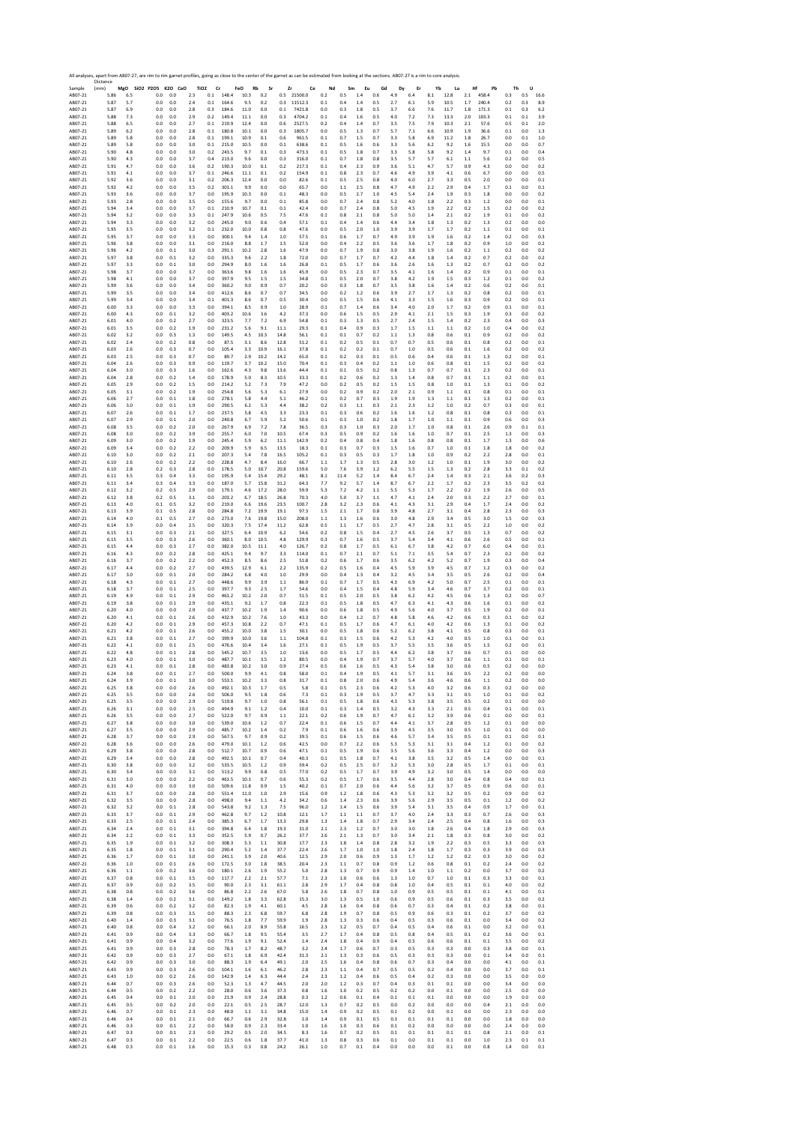|                    | Distance     |            | All analyses, apart from AB07-27, are rim to rim garnet profiles, going as close to the center of the garnet as can be estimated from looking at the sections. AB07-27 is a rim to core analysis. |            |            |                               |                |                   |            |              |               |            |            |            |             |            |            |            |            |            |             |            |            |            |
|--------------------|--------------|------------|---------------------------------------------------------------------------------------------------------------------------------------------------------------------------------------------------|------------|------------|-------------------------------|----------------|-------------------|------------|--------------|---------------|------------|------------|------------|-------------|------------|------------|------------|------------|------------|-------------|------------|------------|------------|
| Sample<br>AB07-21  | (mm)<br>5.86 | 6.5        | MgO SiO2 P2O5 K2O CaO<br>0.0                                                                                                                                                                      | 0.0        | 2.3        | TiO <sub>2</sub><br>Cr<br>0.1 | 148.4          | FeO<br>Rb<br>10.3 | Sr<br>0.2  | Zr<br>0.5    | Ce<br>21500.0 | Nd<br>0.2  | Sm<br>0.5  | Eu<br>1.4  | Gd<br>0.6   | Dy<br>4.9  | Er<br>6.4  | Yb<br>8.1  | Lu<br>12.8 | Hf<br>2.1  | Pb<br>458.4 | Th<br>0.3  | U<br>0.5   | 16.6       |
| AB07-21            | 5.87         | 5.7        | 0.0                                                                                                                                                                                               | 0.0        | 2.4        | 0.1                           | 164.6          | 9.5               | 0.2        | 0.3          | 11512.3       | 0.1        | 0.4        | 1.4        | 0.5         | 2.7        | 6.1        | 5.9        | 10.5       | 1.7        | 240.4       | 0.2        | 0.3        | 8.9        |
| AB07-21            | 5.87         | 6.9        | 0.0                                                                                                                                                                                               | 0.0        | 2.8        | 0.3                           | 184.6          | 11.0              | 0.0        | 0.1          | 7421.8        | $_{0.0}$   | 0.3        | 1.8        | 0.5         | 3.7        | 6.6        | 7.6        | 11.7       | $1.8\,$    | 171.3       | $0.1\,$    | 0.3        | 6.2        |
| AB07-21            | 5.88         | 7.3        | 0.0                                                                                                                                                                                               | 0.0        | 2.9        | 0.2                           | 149.4          | 11.1              | 0.0        | 0.3          | 4704.2        | 0.1        | 0.4        | 1.6        | 0.5         | 4.0        | 7.2        | 7.3        | 13.3       | 2.0        | 103.3       | 0.1        | 0.1        | 3.9        |
| AB07-21            | 5.88         | 6.5        | 0.0                                                                                                                                                                                               | 0.0        | 2.7        | 0.1                           | 219.9          | 12.4              | 0.0        | 0.6          | 2527.5        | 0.2        | 0.4        | 1.4        | 0.7         | 3.5        | 7.5        | 7.9        | 10.3       | 2.1        | 57.6        | 0.5        | 0.1        | 2.0        |
| AB07-21            | 5.89         | 6.2        | 0.0                                                                                                                                                                                               | 0.0        | 2.8        | 0.1                           | 180.8          | 10.1              | 0.0        | 0.3          | 1805.7        | 0.0        | 0.5        | 1.3        | 0.7         | 5.7        | 7.1        | 6.6        | 10.9       | 1.9        | 36.6        | 0.1        | 0.0        | 1.3        |
| AB07-21            | 5.89         | 5.8        | 0.0                                                                                                                                                                                               | 0.0        | 2.8        | 0.1                           | 199.1          | 10.9              | 0.1        | 0.6          | 961.5         | 0.1        | 0.7        | 1.5        | 0.7         | 3.3        | 5.8        | 6.9        | 11.2       | $1.8\,$    | 26.7        | 0.0        | 0.1        | 1.0        |
| AB07-21            | 5.89         | 5.8        | 0.0                                                                                                                                                                                               | 0.0        | 3.0        | 0.1                           | 215.0          | 10.5              | 0.0        | 0.1          | 638.6         | 0.1        | 0.5        | 1.6        | 0.6         | 3.3        | 5.6        | 6.2        | 9.2        | 1.6        | 15.5        | 0.0        | 0.0        | 0.7        |
| AB07-21            | 5.90         | 4.8        | 0.0                                                                                                                                                                                               | 0.0        | 3.0        | 0.2                           | 243.5          | 9.7               | 0.1        | 0.3          | 473.3         | 0.1        | 0.5        | 1.8        | 0.7         | 3.3        | 5.8        | 5.8        | 9.2        | 1.4        | 9.7         | 0.1        | 0.0        | 0.4        |
| AB07-21            | 5.90         | 4.3        | 0.0                                                                                                                                                                                               | 0.0        | 3.7        | 0.4                           | 213.0          | 9.6               | 0.0        | 0.3          | 316.0         | 0.1        | 0.7        | 1.8        | 0.8         | 3.5        | 5.7        | 5.7        | 6.1        | 1.1        | 5.6         | 0.2        | 0.0        | 0.5        |
| AB07-21            | 5.91         | 4.7        | 0.0                                                                                                                                                                                               | 0.0        | 3.6        | 0.2                           | 190.3          | 10.0              | 0.1        | 0.2          | 217.3         | $0.1\,$    | 0.4        | 2.3        | 0.9         | 3.6        | 5.1        | 4.7        | 5.7        | 0.9        | 4.3         | 0.0        | 0.0        | 0.2        |
| AB07-21            | 5.91         | 4.1        | 0.0                                                                                                                                                                                               | 0.0        | 3.7        | 0.1                           | 246.6          | 11.1              | 0.1        | 0.2          | 154.9         | 0.1        | 0.8        | 2.3        | 0.7         | 4.6        | 4.9        | 3.9        | 4.1        | 0.6        | 6.7         | 0.0        | 0.0        | 0.5        |
| AB07-21            | 5.92         | 3.6        | 0.0                                                                                                                                                                                               | 0.0        | 3.1        | 0.2                           | 206.3          | 12.4              | 0.0        | 0.0          | 82.6          | 0.1        | 0.5        | 2.5        | 0.8         | 4.0        | 6.0        | 2.7        | 3.3        | 0.5        | 2.0         | 0.0        | 0.0        | 0.1        |
| AB07-21            | 5.92         | 4.2        | 0.0                                                                                                                                                                                               | 0.0        | 3.5        | 0.2                           | 301.1          | 9.9               | 0.0        | 0.0          | 65.7          | 0.0        | 1.1        | 2.5        | 0.8         | 4.7        | 4.9        | 2.2        | 2.9        | 0.4        | 1.7         | 0.1        | 0.0        | 0.1        |
| AB07-21            | 5.93         | 3.6        | 0.0                                                                                                                                                                                               | 0.0        | 3.7        | 0.0                           | 195.9          | 10.3              | 0.0        | 0.1          | 48.3          | 0.0        | 0.5        | 2.7        | 1.0         | 4.5        | 5.4        | 2.4        | 1.9        | 0.3        | 1.8         | 0.0        | 0.0        | 0.2        |
| AB07-21            | 5.93         | 2.8        | 0.0                                                                                                                                                                                               | 0.0        | 3.5        | 0.0                           | 155.6          | 9.7               | 0.0        | 0.1          | 85.8          | 0.0        | 0.7        | 2.4        | 0.8         | 5.2        | 4.0        | 1.8        | 2.2        | 0.3        | 1.2         | 0.0        | 0.0        | 0.1        |
| AB07-21            | 5.94         | 3.4        | 0.0                                                                                                                                                                                               | 0.0        | 3.7        | 0.1                           | 210.9          | 10.7              | 0.1        | 0.1          | 42.4          | 0.0        | 0.7        | 2.4        | 0.8         | 5.0        | 4.5        | 1.9        | 2.2        | 0.2        | 1.5         | 0.2        | 0.0        | 0.2        |
| AB07-21            | 5.94         | 3.2        | 0.0                                                                                                                                                                                               | 0.0        | 3.3        | 0.1                           | 247.9          | 10.6              | 0.5        | 7.5          | 47.6          | 0.1        | 0.8        | 2.1        | 0.8         | 5.0        | 5.0        | 1.4        | 2.1        | 0.2        | 1.9         | 0.1        | 0.0        | 0.2        |
| AB07-21            | 5.94         | 3.3        | 0.0                                                                                                                                                                                               | 0.0        | 3.2        | 0.0                           | 245.0          | 9.0               | 0.6        | 0.4          | 57.1          | 0.1        | 0.4        | 1.4        | 0.6         | 4.4        | 3.4        | 1.8        | 1.3        | 0.2        | 1.3         | 0.2        | 0.0        | 0.0        |
| AB07-21            | 5.95         | 3.5        | 0.0                                                                                                                                                                                               | 0.0        | 3.2        | 0.1                           | 232.0          | 10.0              | 0.8        | 0.8          | 47.6          | 0.0        | 0.5        | 2.0        | 1.0         | 3.9        | 3.9        | 1.7        | 1.7        | 0.2        | 1.1         | 0.1        | 0.0        | 0.1        |
| AB07-21            | 5.95         | 3.7        | 0.0                                                                                                                                                                                               | 0.0        | 3.3        | 0.0                           | 300.1          | 9.4               | 1.4        | 1.0          | 57.5          | 0.1        | 0.6        | 1.7        | 0.7         | 4.9        | 3.9        | 1.9        | 1.6        | 0.2        | 1.4         | 0.2        | 0.0        | 0.3        |
| AB07-21            | 5.96         | 3.8        | 0.0                                                                                                                                                                                               | 0.0        | 3.1        | 0.0                           | 216.0          | 8.8               | 1.7        | 1.5          | 52.0          | 0.0        | 0.4        | 2.2        | 0.5         | 3.6        | 3.6        | 1.7        | 1.8        | 0.2        | 0.9         | 1.0        | 0.0        | 0.2        |
| AB07-21            | 5.96         | 4.2        | 0.0                                                                                                                                                                                               | 0.1        | 3.0        | 0.3                           | 291.1          | 10.2              | 2.8        | 1.6          | 47.9          | 0.0        | 0.7        | 1.9        | 0.8         | 3.0        | 3.8        | 1.9        | 1.6        | 0.2        | 1.1         | 0.2        | 0.0        | 0.2        |
| AB07-21            | 5.97         | 3.8        | 0.0                                                                                                                                                                                               | 0.1        | 3.2        | 0.0                           | 335.3          | 9.6               | 2.2        | 1.8          | 72.0          | 0.0        | 0.7        | 1.7        | 0.7         | 4.2        | 4.4        | 1.8        | 1.4        | 0.2        | 0.7         | 0.2        | 0.0        | 0.2        |
| AB07-21<br>AB07-21 | 5.97<br>5.98 | 3.3<br>3.7 | 0.0<br>0.0                                                                                                                                                                                        | 0.1<br>0.0 | 3.0<br>3.7 | 0.0<br>0.0                    | 294.9<br>363.6 | 8.0<br>9.8        | 1.6        | 1.6          | 26.8<br>45.9  | 0.1<br>0.0 | 0.5<br>0.5 | 1.7<br>2.3 | 0.6<br>0.7  | 3.6<br>3.5 | 2.6<br>4.1 | 1.6        | 1.3<br>1.4 | 0.2<br>0.2 | 0.7         | 0.2        | 0.0        | 0.2<br>0.1 |
| AB07-21            | 5.98         | 4.1        | 0.0                                                                                                                                                                                               | 0.0        | 3.7        | 0.0                           | 397.9          | 9.5               | 1.6<br>1.5 | 1.6<br>1.5   | 34.8          | 0.1        | 0.5        | 2.0        | 0.7         | 3.8        | 4.2        | 1.6<br>1.9 | 1.5        | 0.3        | 0.9<br>1.2  | 0.1<br>0.1 | 0.0<br>0.0 | 0.2        |
| AB07-21            | 5.99         | 3.6        | 0.0                                                                                                                                                                                               | 0.0        | 3.4        | 0.0                           | 360.2          | 9.0               | 0.9        | 0.7          | 20.2          | 0.0        | 0.3        | 1.8        | 0.7         | 3.5        | 3.8        | 1.6        | 1.4        | 0.2        | 0.6         | 0.2        | 0.0        | 0.1        |
| AB07-21            | 5.99         | 3.5        | 0.0                                                                                                                                                                                               | 0.0        | 3.4        | 0.0                           | 412.6          | 8.6               | 0.7        | 0.7          | 34.5          | 0.0        | 0.2        | 1.2        | 0.6         | 3.9        | 2.7        | 1.7        | 1.3        | 0.2        | 0.8         | 0.2        | 0.0        | 0.1        |
| AB07-21            | 5.99         | 3.4        | 0.0                                                                                                                                                                                               | 0.0        | 3.4        | 0.1                           | 401.3          | 8.6               | 0.7        | 0.5          | 30.4          | 0.0        | 0.5        | 1.5        | 0.6         | 4.1        | 3.3        | 1.5        | 1.6        | 0.3        | 0.9         | 0.2        | 0.0        | 0.1        |
|                    | 6.00         | 3.3        | 0.0                                                                                                                                                                                               | 0.0        | 3.3        | 0.0                           | 394.1          | 8.5               | 0.9        | 1.0          | 28.9          | 0.1        | 0.7        | 1.4        | 0.6         | 3.4        | 4.0        | 2.0        | 1.7        | 0.2        | 0.9         | 0.1        | 0.0        | 0.1        |
| AB07-21<br>AB07-21 | 6.00         | 4.3        | 0.0                                                                                                                                                                                               | 0.1        | 3.2        | 0.0                           | 403.2          | 10.6              | 3.6        | 4.2          | 37.3          | 0.0        | 0.6        | 1.5        | 0.5         | 2.9        | 4.1        | 2.1        | 1.5        | 0.3        | 1.9         | 0.3        | 0.0        | 0.2        |
| AB07-21            | 6.01         | 4.0        | 0.0                                                                                                                                                                                               | 0.2        | 2.7        | 0.0                           | 323.5          | 7.7               | 7.2        | 6.9          | 54.8          | 0.1        | 0.3        | 1.3        | 0.5         | 2.7        | 2.4        | 1.5        | 1.4        | 0.2        | 2.3         | 0.4        | 0.0        | 0.3        |
| AB07-21            | 6.01         | 3.5        | 0.0                                                                                                                                                                                               | 0.2        | 1.9        | 0.0                           | 231.2          | 5.6               | 9.1        | 11.1         | 29.3          | 0.1        | 0.4        | 0.9        | 0.3         | 1.7        | $1.5\,$    | 1.1        | $1.1$      | 0.2        | 1.0         | 0.4        | 0.0        | 0.2        |
| AB07-21<br>AB07-21 | 6.02         | 3.2        | 0.0                                                                                                                                                                                               | 0.3        | 1.3        | 0.0                           | 149.5          | 4.5               | 10.3       | 14.8         | 56.1          | 0.1        | 0.1        | 0.7        | 0.2         | 1.1        | 1.3        | 0.8        | 0.6        | 0.1        | 0.9         | 0.2        | 0.0        | 0.2        |
| AB07-21            | 6.02         | 2.4        | 0.0                                                                                                                                                                                               | 0.2        | 0.8        | 0.0                           | 87.5           | 3.1               | 8.6        | 12.8         | 51.2          | 0.1        | 0.2        | 0.5        | 0.1         | 0.7        | 0.7        | 0.5        | 0.6        | 0.1        | 0.8         | 0.2        | 0.0        | 0.1        |
|                    | 6.03         | 2.6        | 0.0                                                                                                                                                                                               | 0.3        | 0.7        | 0.0                           | 105.4          | 3.3               | 10.9       | 16.1         | 37.8          | 0.1        | 0.2        | 0.2        | 0.1         | 0.7        | 1.0        | 0.5        | 0.6        | 0.1        | 1.6         | 0.2        | 0.0        | 0.2        |
| AB07-21            | 6.03         | 2.5        | 0.0                                                                                                                                                                                               | 0.3        | 0.7        | 0.0                           | 89.7           | 2.9               | 10.2       | 14.2         | 65.0          | 0.1        | 0.2        | 0.3        | 0.1         | 0.5        | 0.6        | 0.4        | 0.6        | 0.1        | 1.3         | 0.2        | 0.0        | 0.1        |
| AB07-21            | 6.04         | 2.6        | 0.0                                                                                                                                                                                               | 0.3        | 0.9        | 0.0                           | 119.7          | 3.7               | 10.2       | 15.0         | 70.4          | 0.1        | 0.3        | 0.4        | 0.2         | 1.1        | 1.0        | 0.6        | 0.8        | 0.1        | 1.5         | 0.2        | 0.0        | 0.2        |
| AB07-21            | 6.04         | 3.0        | 0.0                                                                                                                                                                                               | 0.3        | 1.6        | 0.0                           | 162.6          | 4.3               | 9.8        | 13.6         | 44.4          | 0.1        | 0.1        | 0.5        | 0.2         | 0.8        | 1.3        | 0.7        | 0.7        | 0.1        | 2.3         | 0.2        | 0.0        | 0.1        |
| AB07-21            | 6.04         | 2.8        | 0.0                                                                                                                                                                                               | 0.2        | 1.4        | 0.0                           | 178.9          | 5.0               | 8.3        | 10.5         | 33.3          | 0.1        | 0.2        | 0.6        | 0.2         | 1.3        | 1.4        | 0.8        | 0.7        | 0.1        | 1.1         | 0.2        | 0.0        | 0.1        |
| AB07-21            | 6.05         | 2.9        | 0.0                                                                                                                                                                                               | 0.2        | 1.5        | 0.0                           | 214.2          | 5.2               | 7.3        | 7.9          | 47.2          | 0.0        | 0.2        | 0.5        | 0.2         | 1.5        | 1.5        | 0.8        | 1.0        | 0.1        | 1.3         | 0.1        | 0.0        | 0.2        |
| AB07-21            | 6.05         | 3.1        | 0.0                                                                                                                                                                                               | 0.2        | 1.9        | 0.0                           | 254.8          | 5.6               | 5.3        | 6.1          | 27.9          | 0.0        | 0.2        | 0.9        | 0.2         | 2.0        | 2.1        | 0.9        | 1.1        | 0.1        | 0.8         | 0.1        | 0.0        | 0.1        |
| AB07-21            | 6.06         | 2.7        | 0.0                                                                                                                                                                                               | 0.1        | 1.8        | 0.0                           | 278.1          | 5.8               | 4.4        | 5.1          | 46.2          | 0.1        | 0.2        | 0.7        | 0.3         | 1.9        | 1.9        | 1.3        | 1.1        | 0.1        | 1.3         | 0.2        | 0.0        | 0.1        |
| AB07-21            | 6.06         | 3.0        | 0.0                                                                                                                                                                                               | 0.1        | 1.9        | 0.0                           | 290.5          | 6.2               | 5.3        | 4.4          | 38.2          | 0.2        | 0.3        | 1.1        | 0.3         | 2.1        | 2.3        | 1.2        | 1.0        | 0.2        | 0.7         | 0.3        | 0.0        | 0.1        |
| AB07-21            | 6.07         | 2.6        | 0.0                                                                                                                                                                                               | 0.1        | 1.7        | 0.0                           | 237.5          | 5.8               | 4.5        | 3.3          | 23.3          | 0.1        | 0.3        | 0.6        | 0.2         | 1.6        | 1.6        | 1.2        | 0.8        | 0.1        | 0.8         | 0.3        | 0.0        | 0.1        |
| AB07-21            | 6.07         | 2.9        | 0.0                                                                                                                                                                                               | 0.1        | 2.0        | 0.0                           | 240.8          | 6.7               | 5.9        | 5.2          | 50.6          | 0.1        | 0.3        | 1.0        | 0.2         | 1.8        | 1.7        | 1.0        | 1.1        | 0.1        | 0.9         | 0.6        | 0.0        | 0.3        |
| AB07-21            | 6.08         | 3.5        | 0.0                                                                                                                                                                                               | 0.2        | 20         | 0.0                           | 267.9          | 6.9               | 7.2        | 7.8          | 36.5<br>67.4  | 0.3        | 0.3        | 1.0        | 0.3<br>0.2  | 2.0        | 1.7<br>1.6 | 1.0        | 0.8        | 0.1        | 2.6<br>2.5  | 0.9        | 0.1        | 0.1        |
| AB07-21<br>AB07-21 | 6.08<br>6.09 | 3.0<br>3.0 | 0.0<br>0.0                                                                                                                                                                                        | 0.2<br>0.2 | 3.9<br>1.9 | 0.0<br>0.0                    | 255.7<br>245.4 | 6.0<br>5.9        | 7.0<br>6.2 | 10.5<br>11.1 | 142.9         | 0.3<br>0.2 | 0.5<br>0.4 | 0.9<br>0.8 | 0.4         | 1.6<br>1.8 | 1.6        | 1.0<br>0.8 | 0.7<br>0.8 | 0.1<br>0.1 | 1.7         | 1.3<br>1.3 | 0.0<br>0.0 | 0.3<br>0.6 |
| AB07-21            | 6.09         | 3.4        | 0.0                                                                                                                                                                                               | 0.2        | 2.2        | 0.0                           | 209.9          | 5.9               | 6.5        | 13.5         | 18.3          | 0.1        | 0.3        | 0.7        | 0.3         | $1.5\,$    | 1.6        | 0.7        | 1.0        | 0.1        | 1.8         | 1.8        | 0.0        | 0.2        |
| AB07-21            | 6.10         | 3.0        | 0.0                                                                                                                                                                                               | 0.2        | 2.1        | 0.0                           | 207.3          | 5.4               | 7.8        | 16.5         | 105.2         | 0.1        | 0.3        | 0.5        | 0.3         | 1.7        | 1.8        | 1.0        | 0.9        | 0.2        | 2.2         | 2.8        | 0.0        | 0.1        |
| AB07-21            | 6.10         | 2.6        | 0.0                                                                                                                                                                                               | 0.2        | 2.2        | 0.0                           | 228.8          | 4.7               | 8.4        | 16.0         | 66.7          | 1.1        | 1.7        | 1.3        | 0.5         | 2.8        | 3.0        | 1.2        | $1.0\,$    | 0.1        | 1.9         | 3.0        | 0.0        | 0.2        |
| AB07-21            | 6.10         | 2.8        | 0.2                                                                                                                                                                                               | 0.3        | 2.8        | 0.0                           | 178.5          | 5.0               | 10.7       | 20.8         | 159.6         | 5.0        | 7.6        | 3.9        | 1.2         | 6.2        | 5.5        | 1.5        | 1.3        | 0.2        | 2.8         | 3.3        | 0.1        | 0.2        |
| AB07-21            | 6.11         | 3.5        | 0.3                                                                                                                                                                                               | 0.4        | 3.3        | 0.0                           | 195.9          | 5.4               | 15.4       | 29.2         | 48.1          | 8.1        | 11.4       | 5.2        | 1.4         | 8.4        | 6.7        | 2.4        | 1.4        | 0.3        | 2.1         | 3.6        | 0.2        | 0.3        |
| AB07-21            | 6.11         | 3.4        | 0.3                                                                                                                                                                                               | 0.4        | 3.3        | 0.0                           | 187.0          | 5.7               | 15.8       | 31.2         | 64.3          | 7.7        | 9.2        | 5.7        | 1.4         | 8.7        | 6.7        | 2.2        | 1.7        | 0.2        | 2.3         | 3.5        | 0.2        | 0.2        |
| AB07-21            | 6.12         | 3.2        | 0.2                                                                                                                                                                                               | 0.5        | 2.9        | 0.0                           | 179.1          | 4.6               | 17.2       | 28.0         | 59.9          | 5.3        | 7.2        | 4.2        | 1.1         | 5.5        | 5.3        | 1.7        | 2.2        | 0.2        | 1.9         | 2.6        | 0.0        | 0.5        |
| AB07-21            | 6.12         | 3.8        | 0.2                                                                                                                                                                                               | 0.5        | 3.1        | 0.0                           | 203.2          | 6.7               | 18.5       | 26.8         | 70.3          | 4.0        | 5.0        | 3.7        | 1.1         | 4.7        | 4.1        | 2.4        | 2.0        | 0.3        | 2.2         | 2.7        | 0.0        | 0.1        |
| AB07-21            | 6.13         | 4.0        | 0.1                                                                                                                                                                                               | 0.5        | 3.2        | 0.0                           | 219.0          | 6.6               | 19.6       | 23.5         | 100.7         | 2.8        | 3.2        | 2.3        | 0.6         | 4.1        | 4.3        | 3.1        | 2.9        | 0.4        | 1.7         | 2.4        | 0.0        | 0.2        |
| AB07-21            | 6.13         | 3.9        | 0.1                                                                                                                                                                                               | 0.5        | 2.8        | 0.0                           | 284.8          | 7.2               | 19.9       | 19.1         | 97.3          | 1.5        | 2.1        | 1.7        | 0.8         | 3.9        | 4.8        | 2.7        | 3.1        | 0.4        | 2.8         | 2.3        | 0.0        | 0.3        |
| AB07-21            | 6.14         | 4.0        | 0.1                                                                                                                                                                                               | 0.5        | 2.7        | 0.0                           | 273.0          | 7.6               | 19.8       | 15.0         | 208.0         | 1.1        | 1.3        | 1.6        | 0.6         | 3.0        | 4.8        | 2.9        | 3.4        | 0.5        | 3.0         | 1.5        | 0.0        | 0.3        |
| AB07-21            | 6.14         | 3.9        | 0.0                                                                                                                                                                                               | 0.4        | 2.5        | 0.0                           | 320.3          | 7.5               | 17.4       | 11.2         | 62.8          | 0.5        | 1.1        | 1.7        | 0.5         | 2.7        | 4.7        | 2.8        | 3.1        | 0.5        | 2.2         | 1.0        | 0.0        | 0.2        |
| AB07-21            | 6.15         | 3.1        | 0.0                                                                                                                                                                                               | 0.3        | 2.1        | 0.0                           | 327.5          | 6.4               | 10.9       | 6.2          | 54.6          | 0.2        | 0.8        | 1.5        | 0.4         | 2.7        | 4.5        | 2.6        | 3.7        | 0.5        | 1.3         | 0.7        | 0.0        | 0.2        |
| AB07-21            | 6.15         | 3.5        | 0.0                                                                                                                                                                                               | 0.3        | 2.6        | 0.0                           | 360.1          | 8.0               | 10.5       | 4.8          | 129.9         | 0.3        | 0.7        | 1.6        | 0.5         | 3.7        | 5.4        | 3.4        | 4.1        | 0.6        | 2.6         | 0.5        | 0.0        | 0.1        |
| AB07-21            | 6.15         | 4.4        | 0.0                                                                                                                                                                                               | 0.3        | 2.7        | 0.0                           | 382.0          | 10.5              | 11.1       | 4.0          | 126.7         | 0.2        | 0.8        | 1.7        | 0.5         | 6.1        | 6.7        | 3.8        | 4.2        | 0.7        | 6.0         | 0.4        | 0.0        | 0.1        |
| AB07-21            | 6.16         | 4.3        | 0.0                                                                                                                                                                                               | 0.2        | 2.8        | 0.0                           | 425.1          | 9.4               | 9.7        | 3.3          | 114.0         | 0.1        | 0.7        | 2.1        | 0.7         | 5.1        | 7.1        | 3.5        | 5.4        | 0.7        | 2.3         | 0.2        | 0.0        | 0.2        |
| AB07-21            | 6.16         | 3.7        | 0.0                                                                                                                                                                                               | 0.2        | 2.2        | 0.0                           | 452.3          | 8.5               | 8.6        | 2.5          | 51.8          | 0.2        | 0.6        | 1.7        | 0.6         | 3.5        | 6.2        | 4.2        | 5.2        | 0.7        | 1.9         | 0.3        | 0.0        | 0.4        |
| AB07-21            | 6.17         | 4.4        | 0.0                                                                                                                                                                                               | 0.2        | 2.7        | 0.0                           | 439.5          | 12.9              | 6.1        | 2.2          | 135.9         | 0.2        | 0.5        | 1.6        | 0.4         | 4.5        | 5.9        | 3.9        | 4.5        | 0.7        | 1.2         | 0.3        | 0.0        | 0.2        |
| AB07-21            | 6.17         | 3.0        | 0.0                                                                                                                                                                                               | 0.1        | 2.0        | 0.0                           | 284.2          | 6.8               | 4.0        | 1.0          | 29.9          | 0.0        | 0.4        | 1.3        | 0.4         | 3.2        | 4.5        | 3.4        | 3.5        | 0.5        | 2.6         | 0.2        | 0.0        | 0.4        |
| AB07-21            | 6.18         | 4.3        | 0.0                                                                                                                                                                                               | 0.1        | 2.7        | 0.0                           | 448.6          | 9.9               | 3.9        | 1.1          | 86.9          | 0.1        | 0.7        | 1.7        | 0.5         | 4.3        | 6.9        | 4.2        | 5.0        | 0.7        | 2.5         | 0.1        | 0.0        | 0.1        |
| AB07-21            | 6.18         | 3.7        | 0.0                                                                                                                                                                                               | 0.1        | 2.5        | 0.0                           | 397.7          | 9.3               | 25         | 1.7          | 54.6          | 0.0        | 0.4        | 1.5        | 0.4         | 4.8        | 5.9        | 3.4        | 4.6        | 0.7        | 3.7         | 0.2        | 0.0        | 0.1        |
| AB07-21            | 6.19         | 4.9        | 0.0                                                                                                                                                                                               | 0.1        | 2.9        | 0.0                           | 461.2          | 10.2              | 2.0        | 0.7          | 51.5          | 0.1        | 0.5        | 2.0        | 0.5         | 3.8        | 6.2        | 4.2        | 4.5        | 0.6        | 1.3         | 0.2        | 0.0        | 0.7        |
| AB07-21            | 6.19         | 3.8        | 0.0                                                                                                                                                                                               | 0.1        | 2.9        | 0.0                           | 435.1          | 9.2               | 1.7        | 0.8          | 22.3          | 0.1        | 0.5        | 1.8        | 0.5         | 4.7        | 6.3        | 4.1        | 4.3        | 0.6        | 1.6         | 0.1        | 0.0        | 0.2        |
| AB07-21            | 6.20         | 4.0        | 0.0                                                                                                                                                                                               | 0.0        | 2.9        | 0.0                           | 437.7          | 10.2              | 1.9        | 1.4          | 90.6          | 0.0        | 0.6        | 1.8        | 0.5         | 4.9        | 5.6        | 4.0        | 3.7        | 0.5        | 1.9         | 0.2        | 0.0        | 0.1        |
| AB07-21            | 6.20         | 4.1        | 0.0                                                                                                                                                                                               | 0.1        | 2.6        | 0.0                           | 432.9          | 10.2              | 7.6        | 1.0          | 43.3          | 0.0        | 0.4        | 1.2        | 0.7         | 4.8        | 5.8        | 4.6        | 4.2        | 0.6        | 0.3         | 0.1        | 0.0        | 0.2        |
| AB07-21            | 6.20         | 4.2        | 0.0                                                                                                                                                                                               | 0.1        | 2.9        | 0.0                           | 457.3          | 10.8              | 2.2        | 0.7          | 47.1          | 0.1        | 0.5        | 1.7        | 0.6         | 4.7        | 6.1        | 4.0        | 4.2        | 0.6        | 1.3         | 0.1        | 0.0        | 0.2        |
| AB07-21            | 6.21         | 4.2        | 0.0                                                                                                                                                                                               | 0.1        | 2.6        | 0.0                           | 455.2          | 10.0              | 3.8        | 1.5          | 30.1          | 0.0        | 0.5        | 1.8        | 0.6         | 5.2        | 6.2        | 3.8        | 4.1        | 0.5        | 0.8         | 0.3        | 0.0        | 0.1        |
| AB07-21            | 6.21         | 3.8        | 0.0                                                                                                                                                                                               | 0.1        | 2.7        | 0.0                           | 399.9          | 10.0              | 3.6        | 1.1          | 104.8         | 0.1        | 0.3        | 1.5        | 0.6         | 4.2        | 5.3        | 4.2        | 4.0        | 0.5        | 1.0         | 0.1        | 0.0        | 0.1        |
| AB07-21            | 6.22         | 4.1        | 0.0                                                                                                                                                                                               | 0.1        | 2.5        | 0.0                           | 476.6          | 10.4              | 3.4        | 1.6          | 27.1          | 0.1        | 0.5        | 1.9        | 0.5         | 3.7        | 5.5        | 3.5        | 3.6        | 0.5        | 1.5         | 0.2        | 0.0        | 0.1        |
| AB07-21            | 6.22         | 4.8        | 0.0                                                                                                                                                                                               | 0.1        | 2.8        | 0.0                           | 545.2          | 10.7              | 3.5        | 1.0          | 13.6          | 0.0        | 0.5        | 1.7        | 0.5         | 4.4        | 6.2        | 3.8        | 3.7        | 0.6        | 0.7         | 0.1        | 0.0        | 0.0        |
| AB07-21            | 6.23         | 4.0        | 0.0                                                                                                                                                                                               | 0.1        | 3.0        | 0.0                           | 487.7          | 10.1              | 3.5        | 1.2          | 80.5          | 0.0        | 0.4        | 1.9        | 0.7         | 3.7        | 5.7        | 4.0        | 3.7        | 0.6        | 1.1         | 0.1        | 0.0        | 0.1        |
| AB07-21<br>AB07-21 | 6.23<br>6.24 | 4.1        | 0.0<br>U.U                                                                                                                                                                                        | 0.1<br>0.1 | 2.8<br>2.7 | 0.0<br>U.U                    | 483.8          | 10.2              | 3.0        | 0.9<br>٥.٤   | 27.4          | 0.5<br>υ.  | 0.6        | 1.6        | 0.5<br>U. 5 | 4.3        | 5.4<br>5.7 | 3.8<br>5.1 | 3.0<br>3.b | 0.6<br>0.5 | 0.5         | 0.2<br>υ., | 0.0        | 0.0<br>U.L |
| AB07-21            | 6.24         | 3.9        | 0.0                                                                                                                                                                                               | 0.1        | 3.0        | 0.0                           | 553.1          | 10.2              | 3.3        | 0.8          | 31.7          | 0.1        | 0.8        | 2.0        | 0.6         | 4.9        | 5.4        | 3.6        | 4.6        | 0.6        | 1.1         | 0.2        | 0.0        | 0.0        |
| AB07-21            | 6.25         | 3.8        | 0.0                                                                                                                                                                                               | 0.0        | 2.6        | 0.0                           | 492.1          | 10.3              | 1.7        | 0.5          | 5.8           | 0.1        | 0.5        | 2.3        | 0.6         | 4.2        | 5.3        | 4.0        | 3.2        | 0.6        | 0.3         | 0.2        | 0.0        | 0.0        |
| AB07-21            | 6.25         | 3.5        | 0.0                                                                                                                                                                                               | 0.0        | 2.6        | 0.0                           | 506.0          | 9.5               | 1.8        | 0.6          | 7.3           | 0.1        | 0.3        | 1.9        | 0.5         | 3.7        | 4.7        | 3.3        | 3.1        | 0.5        | 1.0         | 0.1        | 0.0        | 0.2        |
| AB07-21            | 6.25         | 3.5        | 0.0                                                                                                                                                                                               | 0.0        | 2.9        | 0.0                           | 519.8          | 9.7               | 1.0        | 0.8          | 56.1          | 0.1        | 0.5        | 1.8        | 0.6         | 4.3        | 5.3        | 3.8        | 3.5        | 0.5        | 0.2         | 0.1        | 0.0        | 0.0        |
| AB07-21            | 6.26         | 3.1        | 0.0                                                                                                                                                                                               | 0.0        | 2.5        | 0.0                           | 494.9          | 9.1               | 1.2        | 0.4          | 10.0          | 0.1        | 0.3        | 1.4        | 0.5         | 3.2        | 4.3        | 3.3        | 2.1        | 0.5        | 0.4         | 0.1        | 0.0        | 0.1        |
| AB07-21            | 6.26         | 3.5        | 0.0                                                                                                                                                                                               | 0.0        | 2.7        | 0.0                           | 522.0          | 9.7               | 0.9        | 1.1          | 22.1          | 0.2        | 0.6        | 1.9        | 0.7         | 4.7        | 6.1        | 3.2        | 3.9        | 0.6        | 0.1         | 0.0        | 0.0        | 0.1        |
| AB07-21            | 6.27         | 3.8        | 0.0                                                                                                                                                                                               | 0.0        | 3.0        | 0.0                           | 539.0          | 10.6              | 1.2        | 0.7          | 22.4          | 0.1        | 0.6        | 1.5        | 0.7         | 4.4        | 4.1        | 3.7        | 2.8        | 0.5        | 1.2         | 0.1        | 0.0        | 0.0        |
| AB07-21            | 6.27         | 3.5        | 0.0                                                                                                                                                                                               | 0.0        | 2.9        | 0.0                           | 485.7          | 10.2              | 1.4        | 0.2          | 7.9           | 0.1        | 0.6        | 1.6        | 0.6         | 3.9        | 4.5        | 3.5        | 3.0        | 0.5        | 1.0         | 0.1        | 0.0        | 0.0        |
| AB07-21            | 6.28         | 3.7        | 0.0                                                                                                                                                                                               | 0.0        | 2.9        | 0.0                           | 567.5          | 9.7               | 0.9        | 0.2          | 39.5          | 0.1        | 0.6        | 1.5        | 0.6         | 4.6        | 5.7        | 3.4        | 3.5        | 0.5        | 0.1         | 0.1        | 0.0        | 0.1        |
| AB07-21            | 6.28         | 3.6        | 0.0                                                                                                                                                                                               | 0.0        | 2.6        | 0.0                           | 479.0          | 10.1              | 1.2        | 0.6          | 42.5          | 0.0        | 0.7        | 2.2        | 0.6         | 5.3        | 5.3        | 3.1        | 3.1        | 0.4        | 1.2         | 0.1        | 0.0        | 0.2        |
| AB07-21            | 6.29         | 3.8        | 0.0                                                                                                                                                                                               | 0.0        | 2.8        | 0.0                           | 512.7          | 10.7              | 0.9        | 0.6          | 47.1          | 0.1        | 0.5        | 1.9        | 0.6         | 3.5        | 5.6        | 3.6        | 3.3        | 0.4        | 1.2         | 0.0        | 0.0        | 0.3        |
| AB07-21            | 6.29         | 3.4        | $_{0.0}$                                                                                                                                                                                          | $0.0\,$    | 2.8        | 0.0                           | 492.5          | 10.1              | 0.7        | 0.4          | 40.3          | $0.1\,$    | 0.5        | $1.8\,$    | 0.7         | 4.1        | 3.8        | 3.5        | 3.2        | 0.5        | 1.4         | $0.0\,$    | 0.0        | 0.1        |
| AB07-21            | 6.30         | 3.8        | 0.0                                                                                                                                                                                               | 0.0        | 3.2        | 0.0                           | 533.5          | 10.5              | 1.2        | 0.9          | 59.4          | 0.2        | 0.5        | 2.5        | 0.7         | 3.2        | 5.3        | 3.0        | 2.8        | 0.5        | 1.7         | 0.1        | 0.0        | 0.1        |
| AB07-21            | 6.30         | 3.4        | 0.0                                                                                                                                                                                               | 0.0        | 3.1        | 0.0                           | 513.2          | 9.9               | 0.8        | 0.5          | 77.0          | 0.2        | 0.5        | 1.7        | 0.7         | 3.9        | 4.9        | 3.2        | 3.0        | 0.5        | 1.4         | 0.0        | 0.0        | 0.0        |
| AB07-21            | 6.31         | 3.0        | 0.0                                                                                                                                                                                               | 0.0        | 2.2        | 0.0                           | 461.5          | 10.1              | 0.7        | 0.6          | 55.3          | 0.2        | 0.5        | 1.7        | 0.6         | 3.5        | 4.4        | 2.8        | 3.0        | 0.4        | 0.8         | 0.4        | 0.0        | 0.1        |
| AB07-21            | 6.31         | 4.0        | $_{0.0}$                                                                                                                                                                                          | $0.0\,$    | 3.0        | 0.0                           | 509.6          | 11.8              | 0.9        | 1.5          | 40.2          | $\rm 0.1$  | 0.7        | 2.0        | 0.6         | 4.4        | 5.6        | 3.2        | 3.7        | 0.5        | 0.9         | 0.6        | 0.0        | 0.1        |
| AB07-21            | 6.31         | 3.7        | 0.0                                                                                                                                                                                               | 0.0        | 2.8        | 0.0                           | 551.4          | 11.0              | 1.0        | 2.9          | 15.6          | 0.9        | 1.2        | 1.8        | 0.6         | 4.3        | 5.3        | 3.2        | 3.2        | 0.5        | 0.2         | 0.9        | 0.0        | 0.2        |
| AB07-21            | 6.32         | 3.5        | 0.0                                                                                                                                                                                               | 0.0        | 2.8        | 0.0                           | 498.0          | 9.4               | 1.1        | 4.2          | 34.2          | 0.6        | 1.4        | 2.3        | 0.6         | 3.9        | 5.6        | 2.9        | 3.5        | 0.5        | 0.1         | 1.2        | 0.0        | 0.2        |
| AB07-21            | 6.32         | 3.2        | 0.0                                                                                                                                                                                               | 0.1        | 2.8        | 0.0                           | 543.8          | 9.2               | 1.3        | 7.5          | 96.0          | 1.2        | 1.4        | 1.5        | 0.6         | 3.9        | 5.4        | 3.1        | 3.5        | 0.4        | 0.9         | 1.7        | 0.0        | 0.1        |
| AB07-21            | 6.33         | 3.7        | $_{0.0}$                                                                                                                                                                                          | 0.1        | 2.9        | 0.0                           | 462.8          | 9.7               | $1.2\,$    | 10.8         | 12.1          | 1.7        | $1.1\,$    | $1.1\,$    | 0.7         | 3.7        | 4.0        | 2.4        | 3.3        | 0.3        | 0.7         | 2.6        | 0.0        | 0.3        |
| AB07-21            | 6.33         | 2.5        | 0.0                                                                                                                                                                                               | 0.1        | 2.4        | 0.0                           | 385.3          | 6.7               | 1.7        | 13.3         | 29.8          | 1.3        | 1.4        | 1.8        | 0.7         | 2.9        | 3.4        | 2.4        | 2.5        | 0.4        | 0.8         | 1.6        | 0.0        | 0.3        |
| AB07-21            | 6.34         | 2.4        | 0.0                                                                                                                                                                                               | 0.1        | 3.1        | 0.0                           | 394.8          | 6.4               | 1.8        | 19.3         | 31.0          | 2.1        | 2.3        | 1.2        | 0.7         | 3.0        | 3.0        | 1.8        | 2.6        | 0.4        | 1.8         | 2.9        | 0.0        | 0.3        |
| AB07-21            | 6.34         | 2.2        | 0.0                                                                                                                                                                                               | 0.1        | 3.3        | 0.0                           | 352.5          | 5.9               | 0.7        | 26.2         | 37.7          | 2.6        | 2.1        | 1.3        | 0.7         | 3.0        | 3.4        | 2.1        | 1.8        | 0.3        | 0.8         | 3.0        | 0.0        | 0.2        |
| AB07-21            | 6.35         | 1.9        | 0.0                                                                                                                                                                                               | 0.1        | 3.2        | 0.0                           | 308.3          | 5.3               | 1.1        | 30.8         | 17.7          | 2.3        | 1.8        | 1.4        | 0.8         | 2.8        | 3.2        | 1.9        | 2.2        | 0.3        | 0.5         | 3.3        | 0.0        | 0.3        |
| AB07-21            | 6.35         | 1.8        | 0.0                                                                                                                                                                                               | 0.1        | 3.1        | 0.0                           | 290.4          | 5.2               | 1.4        | 37.7         | 22.4          | 2.6        | 1.7        | 1.0        | 1.0         | 1.8        | 2.4        | 1.8        | 1.7        | 0.3        | 0.3         | 3.9        | 0.0        | 0.3        |
| AB07-21            | 6.36         | 1.7        | 0.0                                                                                                                                                                                               | 0.1        | 3.0        | 0.0                           | 241.1          | 3.9               | 2.0        | 40.6         | 12.5          | 2.9        | 2.0        | 0.6        | 0.9         | 1.3        | 1.7        | 1.2        | 1.2        | 0.2        | 0.3         | 3.0        | 0.0        | 0.2        |
| AB07-21            | 6.36         | 1.0        | 0.0                                                                                                                                                                                               | 0.1        | 2.6        | 0.0                           | 172.5          | 3.0               | 1.8        | 38.5         | 20.4          | 2.3        | 1.1        | 0.7        | 0.8         | 0.9        | 1.2        | 0.6        | 0.8        | 0.1        | 0.2         | 2.4        | 0.0        | 0.2        |
| AB07-21            | 6.36         | 1.1        | 0.0                                                                                                                                                                                               | 0.2        | 3.6        | 0.0                           | 180.1          | 2.6               | 1.9        | 55.2         | 5.0           | 2.8        | 1.3        | 0.7        | 0.9         | 0.9        | 1.4        | 1.0        | 1.1        | 0.2        | 0.0         | 3.7        | 0.0        | 0.2        |
| AB07-21            | 6.37         | 0.8        | 0.0                                                                                                                                                                                               | 0.1        | 3.5        | 0.0                           | 117.7          | 2.2               | 2.1        | 57.7         | 7.1           | 2.3        | 1.0        | 0.6        | 0.6         | 1.3        | 1.0        | 0.7        | 1.0        | 0.1        | 0.3         | 3.3        | 0.0        | 0.1        |
| AB07-21            | 6.37         | 0.9        | 0.0                                                                                                                                                                                               | 0.2        | 3.5        | 0.0                           | 90.0           | 2.3               | 3.1        | 61.1         | 2.8           | 2.9        | 1.7        | 0.4        | 0.8         | 0.8        | 1.0        | 0.4        | 0.5        | 0.1        | 0.1         | 4.0        | 0.0        | 0.2        |
| AB07-21            | 6.38         | 0.8        | 0.0                                                                                                                                                                                               | 0.2        | 3.6        | 0.0                           | 86.8           | 2.2               | 2.6        | 67.0         | 5.8           | 2.6        | 1.8        | 0.7        | 0.8         | 1.0        | 0.9        | 0.5        | 0.5        | 0.1        | 0.1         | 4.1        | 0.0        | 0.1        |
| AB07-21            | 6.38         | 1.4        | 0.0                                                                                                                                                                                               | 0.2        | 3.1        | 0.0                           | 149.2          | 1.8               | 3.3        | 62.8         | 15.3          | 3.0        | 1.3        | 0.5        | 1.0         | 0.6        | 0.9        | 0.5        | 0.6        | 0.1        | 0.3         | 3.5        | 0.0        | 0.2        |
| AB07-21            | 6.39         | 0.6        | 0.0                                                                                                                                                                                               | 0.2        | 3.2        | 0.0                           | 82.3           | 1.9               | 4.1        | 60.1         | 4.5           | 2.8        | 1.6        | 0.4        | 0.8         | 0.6        | 0.7        | 0.3        | 0.4        | 0.1        | 0.2         | 3.8        | 0.0        | 0.1        |
| AB07-21            | 6.39         | 0.8        | 0.0                                                                                                                                                                                               | 0.3        | 3.5        | 0.0                           | 88.3           | 2.3               | 6.8        | 59.7         | 6.8           | 2.8        | 1.9        | 0.7        | 0.8         | 0.5        | 0.9        | 0.6        | 0.3        | 0.1        | 0.2         | 3.7        | 0.0        | 0.2        |
| AB07-21            | 6.40         | 1.4        | 0.0                                                                                                                                                                                               | 0.3        | 3.1        | 0.0                           | 76.5           | 1.8               | 7.7        | 59.9         | 1.9           | 2.8        | 1.3        | 0.3        | 0.6         | 0.4        | 0.5        | 0.3        | 0.6        | 0.1        | 0.0         | 3.4        | 0.0        | 0.2        |
| AB07-21            | 6.40         | 0.8        | 0.0                                                                                                                                                                                               | 0.4        | 3.2        | 0.0                           | 66.1           | 2.0               | 8.9        | 55.8         | 16.5          | 2.3        | 1.2        | 0.5        | 0.7         | 0.4        | 0.5        | 0.4        | 0.6        | 0.1        | 0.0         | 3.2        | 0.0        | 0.1        |
| AB07-21            | 6.41         | 0.9        | $_{0.0}$                                                                                                                                                                                          | 0.4        | 3.3        | $_{0.0}$                      | 66.7           | $1.8\,$           | 9.5        | 55.4         | 3.5           | 2.7        | 1.7        | 0.4        | 0.8         | 0.5        | 0.8        | 0.4        | 0.5        | $0.1\,$    | 0.2         | 3.6        | 0.0        | 0.1        |
| AB07-21            | 6.41         | 0.9        | 0.0                                                                                                                                                                                               | 0.4        | 3.2        | 0.0                           | 77.6           | 1.9               | 9.1        | 52.4         | 1.4           | 2.4        | 1.8        | 0.4        | 0.9         | 0.4        | 0.5        | 0.6        | 0.6        | 0.1        | 0.1         | 3.5        | 0.0        | 0.2        |
| AB07-21            | 6.41         | 0.9        | 0.0                                                                                                                                                                                               | 0.3        | 2.8        | 0.0                           | 78.3           | 1.7               | 8.2        | 48.7         | 3.2           | 2.4        | 1.7        | 0.6        | 0.7         | 0.3        | 0.5        | 0.3        | 0.3        | 0.0        | 0.3         | 3.8        | 0.0        | 0.1        |
| AB07-21            | 6.42         | 0.9        | 0.0                                                                                                                                                                                               | 0.3        | 2.7        | 0.0                           | 67.1           | 1.8               | 6.9        | 42.4         | 31.3          | 2.1        | 1.3        | 0.3        | 0.6         | 0.5        | 0.3        | 0.3        | 0.3        | 0.0        | 0.1         | 3.4        | 0.0        | 0.1        |
| AB07-21            | 6.42         | 0.9        | $_{0.0}$                                                                                                                                                                                          | 0.3        | 3.0        | 0.0                           | 88.3           | 1.9               | 6.4        | 49.1         | 2.0           | 2.5        | 1.6        | 0.4        | 0.8         | 0.6        | 0.7        | 0.3        | 0.4        | 0.0        | 0.0         | 4.1        | 0.0        | 0.1        |
| AB07-21            | 6.43         | 0.9        | 0.0                                                                                                                                                                                               | 0.3        | 2.6        | 0.0                           | 104.1          | 1.6               | 6.1        | 46.2         | 2.8           | 2.3        | 1.1        | 0.4        | 0.7         | 0.5        | 0.5        | 0.2        | 0.4        | 0.0        | 0.0         | 3.7        | 0.0        | 0.1        |
| AB07-21            | 6.43         | 1.0        | 0.0                                                                                                                                                                                               | 0.2        | 2.6        | 0.0                           | 142.9          | 1.4               | 6.3        | 44.4         | 2.4           | 2.3        | 1.2        | 0.4        | 0.6         | 0.5        | 0.4        | 0.2        | 0.3        | 0.0        | 0.0         | 3.5        | 0.0        | 0.0        |
| AB07-21            | 6.44         | 0.7        | 0.0                                                                                                                                                                                               | 0.3        | 2.6        | 0.0                           | 52.3           | 1.3               | 4.7        | 44.5         | 2.0           | 2.0        | 1.2        | 0.3        | 0.7         | 0.4        | 0.3        | 0.1        | 0.1        | 0.0        | 0.0         | 3.4        | 0.0        | 0.0        |
| AB07-21            | 6.44         | 0.5        | $_{0.0}$                                                                                                                                                                                          | 0.2        | 2.2        | 0.0                           | 28.0           | 0.6               | 3.6        | 37.3         | 0.8           | $1.6\,$    | $1.0\,$    | 0.2        | 0.5         | 0.2        | 0.2        | 0.0        | $0.1\,$    | 0.0        | 0.0         | 2.5        | 0.0        | 0.0        |
| AB07-21            | 6.45         | 0.4        | 0.0                                                                                                                                                                                               | 0.1        | 2.0        | 0.0                           | 21.9           | 0.9               | 2.4        | 28.8         | 0.3           | 1.2        | 0.6        | 0.1        | 0.4         | 0.1        | 0.1        | 0.1        | 0.0        | 0.0        | 0.0         | 1.9        | 0.0        | 0.0        |
| AB07-21            | 6.45         | 0.5        | 0.0                                                                                                                                                                                               | 0.2        | 2.0        | 0.0                           | 22.1           | 0.5               | 2.5        | 28.7         | 12.0          | 1.3        | 0.7        | 0.2        | 0.5         | 0.0        | 0.2        | 0.0        | 0.0        | 0.0        | 0.4         | 2.1        | 0.0        | 0.0        |
| AB07-21            | 6.46         | 0.7        | 0.0                                                                                                                                                                                               | 0.1        | 2.3        | 0.0                           | 48.0           | 1.1               | 3.1        | 34.8         | 15.0          | 1.4        | 0.9        | 0.2        | 0.5         | 0.1        | 0.2        | 0.0        | 0.1        | 0.0        | 0.0         | 2.3        | 0.0        | 0.0        |
| AB07-21            | 6.46         | 0.4        | 0.0                                                                                                                                                                                               | 0.1        | 2.1        | 0.0                           | 66.7           | 0.6               | 2.9        | 32.8         | 1.0           | 1.4        | 0.9        | 0.1        | 0.5         | 0.3        | 0.1        | 0.1        | 0.1        | 0.0        | 0.0         | 1.8        | 0.0        | 0.0        |
| AB07-21            | 6.46         | 0.3        | 0.0                                                                                                                                                                                               | 0.1        | 2.2        | 0.0                           | 58.0           | 0.9               | 2.3        | 33.4         | 1.0           | 1.6        | 1.0        | 0.3        | 0.6         | 0.1        | 0.2        | 0.0        | 0.0        | 0.0        | 0.0         | 2.4        | 0.0        | 0.0        |
| AB07-21            | 6.47         | 0.3        | 0.0                                                                                                                                                                                               | 0.1        | 2.3        | 0.0                           | 29.2           | 0.5               | 2.0        | 34.5         | 8.3           | 1.6        | 0.7        | 0.2        | 0.5         | 0.1        | 0.1        | 0.1        | 0.1        | 0.1        | 0.8         | 2.1        | 0.0        | 0.1        |
| AB07-21            | 6.47         | 0.3        | 0.0                                                                                                                                                                                               | 0.1        | 2.2        | 0.0                           | 22.5           | 0.6               | 1.8        | 37.7         | 41.0          | 1.3        | 0.8        | 0.3        | 0.6         | 0.1        | 0.0        | 0.1        | 0.1        | 0.0        | 1.0         | 2.3        | 0.1        | 0.1        |
| AB07-21            | 6.48         | 0.3        | 0.0                                                                                                                                                                                               | 0.1        | 1.6        | 0.0                           | 15.3           | 0.3               | 0.8        | 24.2         | 26.1          | 1.0        | 0.7        | 0.1        | 0.4         | 0.0        | 0.0        | 0.0        | 0.1        | 0.0        | 0.8         | 1.4        | 0.0        | 0.1        |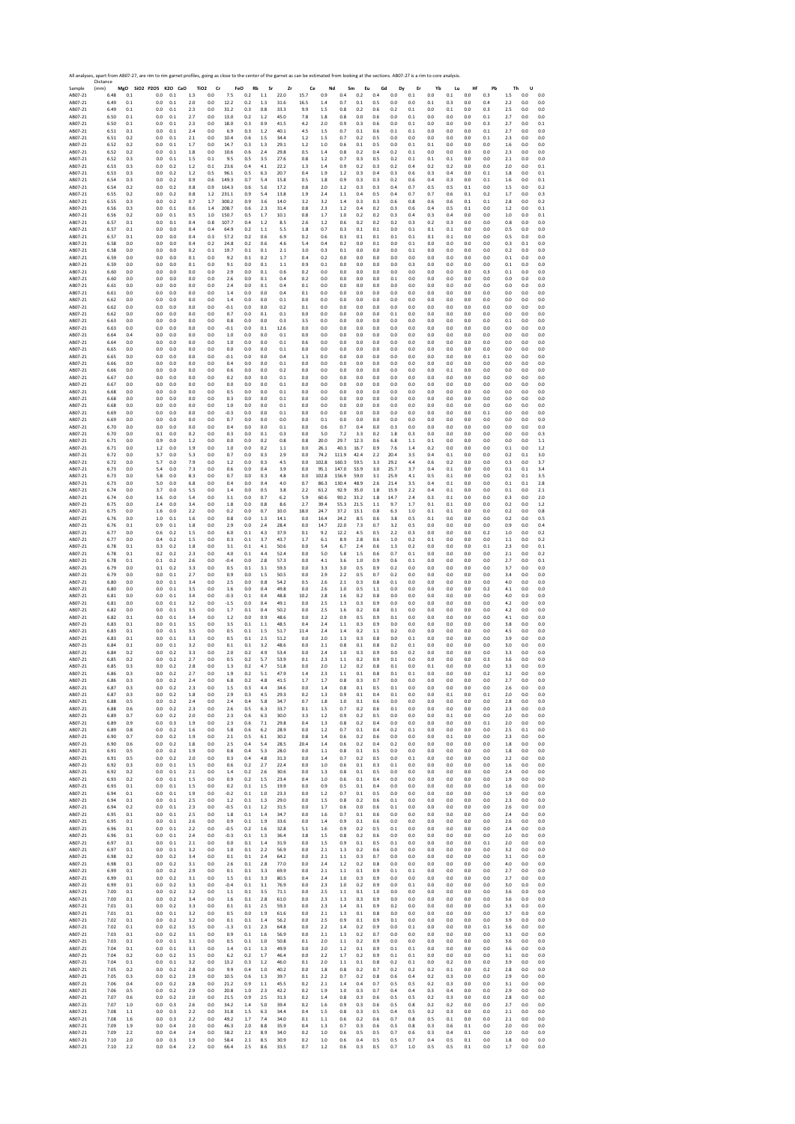|                    | All analyses, apart from AB07-27, are rim to rim garnet profiles, going as close to the center of the garnet as can be estimated from looking at the sections. AB07-27 is a rim to core analysis.<br>Distance |             |                          |            |            |                               |               |                  |            |              |            |            |            |                 |            |                    |            |               |            |            |            |            |            |            |
|--------------------|---------------------------------------------------------------------------------------------------------------------------------------------------------------------------------------------------------------|-------------|--------------------------|------------|------------|-------------------------------|---------------|------------------|------------|--------------|------------|------------|------------|-----------------|------------|--------------------|------------|---------------|------------|------------|------------|------------|------------|------------|
| Sample<br>AB07-21  | (mm)<br>6.48                                                                                                                                                                                                  | MgO<br>0.1  | SiO2 P2O5 K2O CaO<br>0.0 | 0.1        | 1.3        | TiO <sub>2</sub><br>Cr<br>0.0 | 7.5           | FeO<br>Rb<br>0.2 | Sr<br>1.1  | Zr<br>22.0   | Ce<br>15.7 | 0.9        | Nd<br>0.4  | Sm<br>Eu<br>0.2 | Gd<br>0.4  | Dy<br>$_{\rm 0.0}$ | Er<br>0.1  | Yb<br>$0.0\,$ | Lu<br>0.1  | Hf<br>0.0  | Pb<br>0.3  | Th<br>1.5  | U<br>0.0   | 0.0        |
| AB07-21            | 6.49                                                                                                                                                                                                          | 0.1         | 0.0                      | 0.1        | 2.0        | 0.0                           | 12.2          | 0.2              | 1.3        | 31.6         | 16.5       | 1.4        | 0.7        | 0.1             | 0.5        | 0.0                | 0.0        | 0.1           | 0.3        | 0.0        | 0.4        | 22         | 0.0        | 0.0        |
| AB07-21            | 6.49                                                                                                                                                                                                          | 0.1         | 0.0                      | $0.1\,$    | 2.3        | 0.0                           | 31.2          | 0.3              | 0.8        | 33.3         | 9.9        | 1.5        | 0.8        | 0.2             | 0.6        | 0.2                | 0.1        | 0.0           | $\rm 0.1$  | 0.0        | 0.3        | 2.5        | 0.0        | 0.0        |
| AB07-21            | 6.50                                                                                                                                                                                                          | 0.1         | 0.0                      | 0.1        | 2.7        | 0.0                           | 13.0          | 0.2              | 1.2        | 45.0         | 7.8        | 1.8        | 0.8        | 0.0             | 0.6        | 0.0                | 0.1        | 0.0           | 0.0        | 0.0        | 0.1        | 2.7        | 0.0        | 0.0        |
| AB07-21<br>AB07-21 | 6.50                                                                                                                                                                                                          | 0.1<br>0.1  | 0.0<br>0.0               | 0.1<br>0.1 | 2.3<br>2.4 | 0.0                           | 18.0<br>6.9   | 0.3<br>0.3       | 0.9<br>1.2 | 41.5<br>40.1 | 4.2        | 2.0<br>1.5 | 0.9<br>0.7 | 0.3<br>0.1      | 0.6<br>0.6 | 0.0<br>0.1         | 0.1<br>0.1 | 0.0<br>0.0    | 0.0<br>0.0 | 0.0<br>0.0 | 0.3        | 2.7<br>2.7 | 0.0<br>0.0 | 0.1<br>0.0 |
| AB07-21            | 6.51<br>6.51                                                                                                                                                                                                  | 0.2         | 0.0                      | 0.1        | 2.1        | 0.0<br>0.0                    | 10.4          | 0.6              | 1.5        | 34.4         | 4.5<br>1.2 | 1.5        | 0.7        | 0.2             | 0.5        | $_{0.0}$           | 0.0        | 0.0           | 0.0        | 0.0        | 0.1<br>0.1 | 2.3        | 0.0        | 0.0        |
| AB07-21            | 6.52                                                                                                                                                                                                          | 0.2         | 0.0                      | 0.1        | 1.7        | 0.0                           | 14.7          | 0.3              | 1.3        | 29.1         | 1.2        | 1.0        | 0.6        | 0.1             | 0.5        | 0.0                | 0.1        | 0.1           | 0.0        | 0.0        | 0.0        | 1.6        | 0.0        | 0.0        |
| AB07-21            | 6.52                                                                                                                                                                                                          | 0.2         | 0.0                      | 0.1        | 1.8        | 0.0                           | 10.6          | 0.6              | 2.4        | 29.8         | 0.5        | 1.4        | 0.8        | 0.2             | 0.4        | 0.2                | 0.1        | 0.0           | 0.0        | 0.0        | 0.0        | 2.3        | 0.0        | 0.0        |
| AB07-21            | 6.52                                                                                                                                                                                                          | 0.3         | 0.0                      | 0.1        | 1.5        | 0.1                           | 9.5           | 0.5              | 3.5        | 27.6         | 0.8        | 1.2        | 0.7        | 0.3             | 0.5        | 0.2                | 0.1        | 0.1           | 0.1        | 0.0        | 0.0        | 2.1        | 0.0        | 0.0        |
| AB07-21            | 6.53                                                                                                                                                                                                          | 0.3         | 0.0                      | 0.2        | 1.2        | 0.1                           | 23.6          | 0.4              | 4.1        | 22.2         | 1.3        | $1.4\,$    | 0.9        | 0.2             | 0.3        | 0.2                | 0.4        | 0.2           | 0.2        | 0.0        | 0.0        | 2.0        | 0.0        | 0.1        |
| AB07-21            | 6.53                                                                                                                                                                                                          | 0.3         | 0.0                      | 0.2        | 1.2        | 0.5                           | 96.1          | 0.5              | 6.3        | 20.7         | 0.4        | 1.9        | 1.2        | 0.3             | 0.4        | 0.3                | 0.6        | 0.3           | 0.4        | 0.0        | 0.1        | 1.8        | 0.0        | 0.1        |
| AB07-21            | 6.54                                                                                                                                                                                                          | 0.3         | 0.0                      | 0.2        | 0.9        | 0.6                           | 149.3         | 0.7              | 5.4        | 15.8         | 0.5        | 1.8        | 0.9        | 0.3             | 0.3        | 0.2                | 0.6        | 0.4           | 0.3        | 0.0        | 0.1        | 1.6        | 0.0        | 0.1        |
| AB07-21            | 6.54                                                                                                                                                                                                          | 0.2         | 0.0                      | 0.2        | 0.8        | 0.9                           | 164.3         | 0.6              | 5.6        | 17.2         | 0.8        | 2.0        | 1.2        | 0.3             | 0.3        | 0.4                | 0.7        | 0.5           | 0.5        | 0.1        | 0.0        | 1.5        | 0.0        | 0.2        |
| AB07-21            | 6.55                                                                                                                                                                                                          | 0.2         | 0.0                      | 0.2        | 0.8        | 1.2                           | 231.1         | 0.9              | 5.4        | 13.8         | 1.9        | 2.4        | 1.1        | 0.4             | 0.5        | 0.4                | 0.7        | 0.7           | 0.6        | 0.1        | 0.2        | 1.7        | 0.0        | 0.3        |
| AB07-21            | 6.55                                                                                                                                                                                                          | 0.3         | 0.0                      | 0.2        | 0.7        | 1.7                           | 300.2         | 0.9              | 3.6        | 14.0         | 3.2        | 3.2        | 1.4        | 0.3             | 0.3        | 0.6                | 0.8        | 0.6           | 0.6        | 0.1        | 0.1        | 2.8        | 0.0        | 0.2        |
| AB07-21            | 6.56                                                                                                                                                                                                          | 0.3         | 0.0                      | 0.1        | 0.6        | 1.4                           | 208.7         | 0.6              | 2.3        | 31.4         | 0.8        | 2.3        | 1.2        | 0.4             | 0.2        | 0.3                | 0.6        | 0.4           | 0.5        | 0.1        | 0.0        | 1.2        | 0.0        | 0.1        |
| AB07-21            | 6.56                                                                                                                                                                                                          | 0.2         | 0.0                      | 0.1        | 0.5        | 1.0                           | 150.7         | 0.5              | 1.7        | 10.1         | 0.8        | 1.7        | 1.0        | 0.2             | 0.2        | 0.3                | 0.4        | 0.3           | 0.4        | 0.0        | 0.0        | 1.0        | 0.0        | 0.1        |
| AR07-21            | 6.57                                                                                                                                                                                                          | 0.1         | 0.0                      | 0.1        | 0.4        | 0.8                           | 107.7         | 0.4              | 1.2        | 8.5          | 2.6        | 1.2        | 0.6        | 0.2             | 0.2        | 0.2                | 0.3        | 0.2           | 0.3        | 0.0        | 0.0        | 0.8        | 0.0        | 0.0        |
| AB07-21            | 6.57                                                                                                                                                                                                          | 0.1         | 0.0                      | 0.0        | 0.4        | 0.4                           | 64.9          | 0.2              | 1.1        | 5.5          | 1.8        | 0.7        | 0.3        | 0.1             | 0.1        | 0.0                | 0.1        | 0.1           | 0.1        | 0.0        | 0.0        | 0.5        | 0.0        | 0.0        |
| AB07-21            | 6.57                                                                                                                                                                                                          | 0.1         | 0.0                      | 0.0        | 0.4        | 0.3                           | 57.2          | 0.2              | 0.6        | 6.9          | 0.2        | 0.6        | 0.3        | 0.1             | 0.1        | 0.1                | 0.1        | 0.1           | 0.1        | 0.0        | 0.0        | 0.5        | 0.0        | 0.0        |
| AB07-21            | 6.58                                                                                                                                                                                                          | 0.0         | 0.0                      | 0.0        | 0.4        | 0.2                           | 24.8          | 0.2              | 0.6        | 4.6          | 5.4        | 0.4        | 0.2        | 0.0             | 0.1        | 0.0                | 0.1        | 0.0           | 0.0        | 0.0        | 0.0        | 0.3        | 0.1        | 0.0        |
| AR07-21            | 6.58                                                                                                                                                                                                          | 0.0         | 0.0                      | 0.0        | 0.2        | 0.1                           | 19.7          | 0.1              | 0.1        | 2.1          | 3.0        | 0.3        | 0.1        | 0.0             | 0.0        | 0.0                | 0.1        | 0.0           | 0.0        | 0.0        | 0.0        | 0.2        | 0.0        | 0.0        |
| AB07-21            | 6.59<br>6.59                                                                                                                                                                                                  | 0.0<br>0.0  | 0.0<br>0.0               | 0.0<br>0.0 | 0.1<br>0.1 | 0.0<br>0.0                    | 9.2<br>9.1    | 0.1<br>0.0       | 0.2<br>0.1 | 1.7          | 0.4<br>0.9 | 0.2<br>0.1 | 0.0<br>0.0 | 0.0<br>0.0      | 0.0<br>0.0 | 0.0<br>0.0         | 0.0<br>0.3 | 0.0<br>0.0    | 0.0<br>0.0 | 0.0<br>0.0 | 0.0        | 0.1        | 0.0<br>0.0 | 0.0<br>0.0 |
| AB07-21<br>AB07-21 | 6.60                                                                                                                                                                                                          | 0.0         | 0.0                      | 0.0        | 0.0        | 0.0                           | 2.9           | 0.0              | 0.1        | 1.1<br>0.6   | 0.2        | 0.0        | 0.0        | 0.0             | 0.0        | 0.0                | 0.0        | 0.0           | 0.0        | 0.0        | 0.0<br>0.3 | 0.1<br>0.1 | 0.0        | 0.0        |
| AB07-21            | 6.60                                                                                                                                                                                                          | 0.0         | 0.0                      | 0.0        | 0.0        | 0.0                           | 2.6           | 0.0              | 0.1        | 0.4          | 0.2        | 0.0        | 0.0        | 0.0             | 0.0        | 0.1                | 0.0        | 0.0           | 0.0        | 0.0        | 0.0        | 0.0        | 0.0        | 0.0        |
| AB07-21            | 6.61                                                                                                                                                                                                          | 0.0         | 0.0                      | 0.0        | 0.0        | 0.0                           | 2.4           | 0.0              | 0.1        | 0.4          | 0.1        | 0.0        | 0.0        | 0.0             | 0.0        | 0.0                | 0.0        | 0.0           | $0.0\,$    | 0.0        | 0.0        | 0.0        | 0.0        | 0.0        |
| AB07-21            | 6.61                                                                                                                                                                                                          | 0.0         | 0.0                      | 0.0        | 0.0        | 0.0                           | 1.4           | 0.0              | 0.0        | 0.4          | 0.1        | 0.0        | 0.0        | 0.0             | 0.0        | 0.0                | 0.0        | 0.0           | 0.0        | 0.0        | 0.0        | 0.0        | 0.0        | 0.0        |
| AB07-21            | 6.62                                                                                                                                                                                                          | 0.0         | 0.0                      | 0.0        | 0.0        | 0.0                           | 1.4           | 0.0              | 0.0        | 0.1          | 0.0        | 0.0        | 0.0        | 0.0             | 0.0        | 0.0                | 0.0        | 0.0           | 0.0        | 0.0        | 0.0        | 0.0        | 0.0        | 0.0        |
| AB07-21            | 6.62                                                                                                                                                                                                          | 0.0         | 0.0                      | 0.0        | 0.0        | 0.0                           | $-0.1$        | 0.0              | 0.0        | 0.2          | 0.1        | 0.0        | 0.0        | 0.0             | 0.0        | 0.0                | 0.0        | 0.0           | 0.0        | 0.0        | 0.0        | 0.0        | 0.0        | 0.0        |
| AB07-21            | 6.62                                                                                                                                                                                                          | 0.0         | 0.0                      | 0.0        | 0.0        | 0.0                           | 0.7           | 0.0              | 0.1        | 0.1          | 0.0        | 0.0        | 0.0        | 0.0             | 0.0        | 0.1                | 0.0        | 0.0           | 0.0        | 0.0        | 0.0        | 0.0        | 0.0        | 0.0        |
| AB07-21            | 6.63                                                                                                                                                                                                          | 0.0         | 0.0                      | 0.0        | 0.0        | 0.0                           | 0.8           | 0.0              | 0.0        | 0.3          | 3.5        | 0.0        | 0.0        | 0.0             | 0.0        | 0.0                | 0.0        | 0.0           | 0.0        | 0.0        | 0.0        | 0.1        | 0.0        | 0.0        |
| AB07-21            | 6.63                                                                                                                                                                                                          | 0.0         | 0.0                      | 0.0        | 0.0        | 0.0                           | $-0.1$        | 0.0              | 0.1        | 12.6         | 0.0        | 0.0        | 0.0        | 0.0             | 0.0        | 0.0                | 0.0        | 0.0           | 0.0        | 0.0        | 0.0        | 0.0        | 0.0        | 0.0        |
| AB07-21            | 6.64                                                                                                                                                                                                          | 0.4         | 0.0                      | 0.0        | 0.0        | 0.0                           | 1.0           | 0.0              | 0.0        | 0.1          | 0.0        | 0.0        | 0.0        | 0.0             | 0.0        | 0.0                | 0.0        | 0.0           | 0.0        | 0.0        | 0.0        | 0.0        | 0.0        | 0.0        |
| AB07-21            | 6.64                                                                                                                                                                                                          | 0.0         | 0.0                      | 0.0        | 0.0        | 0.0                           | 1.0           | 0.0              | 0.0        | 0.1          | 0.6        | 0.0        | 0.0        | 0.0             | 0.0        | 0.0                | 0.0        | 0.0           | 0.0        | 0.0        | 0.0        | 0.0        | 0.0        | 0.0        |
| AB07-21            | 6.65                                                                                                                                                                                                          | 0.0         | 0.0                      | 0.0        | 0.0        | 0.0                           | 0.0           | 0.0              | 0.0        | 0.1          | 0.0        | 0.0        | 0.0        | 0.0             | 0.0        | 0.0                | 0.0        | 0.0           | 0.0        | 0.0        | 0.0        | 0.0        | 0.0        | 0.0        |
| AB07-21            | 6.65                                                                                                                                                                                                          | 0.0         | 0.0                      | 0.0        | 0.0        | 0.0                           | $-0.1$        | 0.0              | 0.0        | 0.4          | 1.3        | 0.0        | 0.0        | 0.0             | 0.0        | 0.0                | 0.0        | 0.0           | 0.0        | 0.0        | 0.1        | 0.0        | 0.0        | 0.0        |
| AB07-21            | 6.66                                                                                                                                                                                                          | 0.0         | 0.0                      | 0.0        | 0.0        | 0.0                           | 0.4           | 0.0              | 0.0        | 0.1          | 0.0        | 0.0        | 0.0        | 0.0             | 0.0        | 0.0                | 0.0        | 0.0           | 0.0        | 0.0        | 0.0        | 0.0        | 0.0        | 0.0        |
| AB07-21            | 6.66                                                                                                                                                                                                          | 0.0         | 0.0                      | 0.0        | 0.0        | 0.0                           | 0.6           | 0.0              | 0.0        | 0.2          | 0.0        | 0.0        | 0.0        | 0.0             | 0.0        | 0.0                | 0.0        | 0.0           | 0.1        | 0.0        | 0.0        | 0.0        | 0.0        | 0.0        |
| AB07-21            | 6.67                                                                                                                                                                                                          | 0.0         | 0.0                      | 0.0        | 0.0        | 0.0                           | 0.2           | 0.0              | 0.0        | 0.1          | 0.0        | 0.0        | 0.0        | 0.0             | 0.0        | 0.0                | 0.0        | 0.0           | 0.0        | 0.0        | 0.0        | 0.0        | 0.0        | 0.0        |
| AR07-21            | 6.67                                                                                                                                                                                                          | 0.0         | 0.0                      | 0.0        | 0.0        | 0.0                           | 0.0           | 0.0              | 0.0        | 0.1          | 0.0        | 0.0        | 0.0        | 0.0             | 0.0        | 0.0                | 0.0        | 0.0           | 0.0        | 0.0        | 0.0        | 0.0        | 0.0        | 0.0        |
| AB07-21            | 6.68                                                                                                                                                                                                          | 0.0         | 0.0                      | 0.0        | 0.0        | 0.0                           | 0.5           | 0.0              | 0.0        | 0.1          | 0.0        | 0.0        | 0.0        | 0.0             | 0.0        | 0.0                | 0.0        | 0.0           | 0.0        | 0.0        | 0.0        | 0.0        | 0.0        | 0.0        |
| AB07-21            | 6.68                                                                                                                                                                                                          | 0.0         | 0.0                      | 0.0        | 0.0        | 0.0                           | 0.3           | 0.0              | 0.0        | 0.1          | 0.0        | 0.0        | 0.0        | 0.0             | 0.0        | 0.0                | 0.0        | 0.0           | 0.0        | 0.0        | 0.0        | 0.0        | 0.0        | 0.0        |
| AB07-21            | 6.68                                                                                                                                                                                                          | 0.0         | 0.0                      | 0.0        | 0.0        | 0.0                           | 1.0           | 0.0              | 0.0        | 0.1          | 0.0        | 0.0        | 0.0        | 0.0             | 0.0        | 0.0                | 0.0        | 0.0           | 0.0        | 0.0        | 0.0        | 0.0        | 0.0        | 0.0        |
| AB07-21            | 6.69                                                                                                                                                                                                          | 0.0         | 0.0                      | 0.0        | 0.0        | 0.0                           | $-0.3$        | 0.0              | 0.0        | 0.1          | 0.0        | 0.0        | 0.0        | 0.0             | 0.0        | 0.0                | 0.0        | 0.0           | 0.0        | 0.0        | 0.1        | 0.0        | 0.0        | 0.0        |
| AB07-21            | 6.69                                                                                                                                                                                                          | 0.0         | 0.0                      | 0.0        | 0.0        | 0.0                           | 0.7           | 0.0              | 0.0        | 0.0          | 0.0        | 0.1        | 0.0        | 0.0             | 0.0        | 0.0                | 0.0        | 0.0           | 0.0        | 0.0        | 0.0        | 0.0        | 0.0        | 0.0        |
| AB07-21<br>AB07-21 | 6.70<br>6.70                                                                                                                                                                                                  | 0.0<br>0.0  | 0.0<br>0.1               | 0.0<br>0.0 | 0.0<br>0.2 | 0.0                           | 0.4<br>0.3    | 0.0<br>0.0       | 0.0<br>0.1 | 0.1<br>0.3   | 0.0<br>0.0 | 0.6<br>5.0 | 0.7<br>7.2 | 0.4<br>3.3      | 0.0<br>0.2 | 0.3<br>$1.8\,$     | 0.0<br>0.3 | 0.0<br>0.0    | 0.0<br>0.0 | 0.0<br>0.0 | 0.0        | 0.0<br>0.0 | 0.0<br>0.0 | 0.0<br>0.3 |
| AB07-21            | 6.71                                                                                                                                                                                                          | 0.0         | 0.9                      | 0.0        | 1.2        | 0.0<br>0.0                    | 0.0           | 0.0              | 0.2        | 0.8          | 0.8        | 20.0       | 29.7       | 12.3            | 0.6        | 6.8                | 1.1        | 0.1           | 0.0        | 0.0        | 0.0<br>0.0 | 0.0        | 0.0        | 1.1        |
| AB07-21            | 6.71                                                                                                                                                                                                          | 0.0         | 1.2                      | 0.0        | 1.9        | 0.0                           | 1.0           | 0.0              | 0.2        | 1.1          | 0.0        | 26.1       | 40.3       | 16.7            | 0.9        | 7.6                | 1.4        | 0.2           | 0.0        | 0.0        | 0.0        | 0.1        | 0.0        | 1.2        |
| AB07-21            | 6.72                                                                                                                                                                                                          | 0.0         | 3.7                      | 0.0        | 5.3        | 0.0                           | 0.7           | 0.0              | 0.3        | 2.9          | 0.0        | 74.2       | 111.9      | 42.4            | 2.2        | 20.4               | 3.5        | 0.4           | 0.1        | 0.0        | 0.0        | 0.2        | 0.1        | 3.0        |
| AB07-21            | 6.72                                                                                                                                                                                                          | 0.0         | 5.7                      | 0.0        | 7.9        | 0.0                           | 1.2           | $_{0.0}$         | 0.3        | 4.5          | 0.0        | 102.8      | 160.3      | 59.5            | 3.3        | 29.2               | 4.4        | 0.6           | $0.2\,$    | 0.0        | 0.0        | 0.3        | 0.0        | 3.7        |
| AB07-21            | 6.73                                                                                                                                                                                                          | 0.0         | 5.4                      | 0.0        | 7.3        | 0.0                           | 0.6           | 0.0              | 0.4        | 3.9          | 0.0        | 95.1       | 147.0      | 53.9            | 3.0        | 25.7               | 3.7        | 0.4           | 0.1        | 0.0        | 0.0        | 0.1        | 0.1        | 3.4        |
| AB07-21            | 6.73                                                                                                                                                                                                          | 0.0         | 5.8                      | 0.0        | 8.3        | 0.0                           | 0.7           | 0.0              | 0.3        | 4.8          | 0.0        | 102.8      | 156.9      | 59.0            | 3.1        | 25.9               | 4.1        | 0.5           | 0.1        | 0.0        | 0.0        | 0.2        | 0.1        | 3.5        |
| AB07-21            | 6.73                                                                                                                                                                                                          | 0.0         | 5.0                      | 0.0        | 6.8        | 0.0                           | 0.4           | 0.0              | 0.4        | 4.0          | 0.7        | 86.3       | 130.4      | 48.9            | 2.6        | 21.4               | 3.5        | 0.4           | 0.1        | 0.0        | 0.0        | 0.1        | 0.1        | 2.8        |
| AB07-21            | 6.74                                                                                                                                                                                                          | 0.0         | 3.7                      | 0.0        | 5.5        | 0.0                           | 1.4           | 0.0              | 0.5        | 3.8          | 2.2        | 61.2       | 92.9       | 35.0            | 1.8        | 15.9               | 2.2        | 0.4           | $0.1\,$    | 0.0        | 0.0        | 0.1        | 0.0        | 2.1        |
| AB07-21            | 6.74                                                                                                                                                                                                          | 0.0         | 3.6                      | 0.0        | 5.4        | 0.0                           | 3.1           | 0.0              | 0.7        | 6.2          | 5.9        | 60.6       | 90.2       | 33.2            | 1.8        | 14.7               | 2.4        | 0.3           | 0.1        | 0.0        | 0.0        | 0.3        | 0.0        | 2.0        |
| AB07-21            | 6.75                                                                                                                                                                                                          | 0.0         | 2.4                      | 0.0        | 3.4        | 0.0                           | 1.8           | 0.0              | 0.8        | 8.6          | 2.7        | 39.4       | 55.3       | 21.5            | 1.1        | 9.7                | 1.7        | 0.1           | 0.1        | 0.0        | 0.0        | 0.2        | 0.0        | 1.2        |
| AB07-21            | 6.75                                                                                                                                                                                                          | 0.0         | 1.6                      | 0.0        | 2.2        | 0.0                           | 0.2           | 0.0              | 0.7        | 10.0         | 18.0       | 24.7       | 37.2       | 13.1            | 0.8        | 6.3                | 1.0        | 0.1           | 0.1        | 0.0        | 0.0        | 0.2        | 0.0        | 0.8        |
| AB07-21            | 6.76                                                                                                                                                                                                          | 0.0         | 1.0                      | 0.1        | 1.6        | 0.0                           | 0.8           | 0.0              | 1.3        | 14.1         | 0.0        | 16.4       | 24.2       | 8.5             | 0.6        | 3.8                | 0.5        | 0.1           | 0.0        | 0.0        | 0.0        | 0.2        | 0.0        | 0.5        |
| AB07-21            | 6.76                                                                                                                                                                                                          | 0.1         | 0.9                      | 0.1        | 1.8        | 0.0                           | 2.9           | 0.0              | 2.4        | 28.4         | 0.0        | 14.7       | 22.0       | 7.3             | 0.7        | 3.2                | 0.5        | 0.0           | 0.0        | 0.0        | 0.0        | 0.9        | 0.0        | 0.4        |
| AB07-21            | 6.77                                                                                                                                                                                                          | 0.0         | 0.6                      | 0.2        | 1.5        | 0.0                           | 6.0           | 0.1              | 4.3        | 37.9         | 0.1        | 9.2        | 12.2       | 4.5             | 0.5        | 2.2                | 0.3        | 0.0           | 0.0        | 0.0        | 0.2        | 1.0        | 0.0        | 0.2        |
| AB07-21            | 6.77                                                                                                                                                                                                          | 0.0         | 0.4                      | 0.2        | 1.5        | 0.0                           | 0.3           | 0.1              | 3.7        | 43.7         | 1.7        | 6.1        | 8.9        | 2.8             | 0.6        | 1.0                | 0.2        | 0.1           | 0.0        | 0.0        | 0.0        | 1.1        | 0.0        | 0.2        |
| AB07-21            | 6.78                                                                                                                                                                                                          | 0.1         | 0.3                      | 0.2        | 1.8        | 0.0                           | 3.1           | 0.1              | 4.1        | 50.6         | 0.0        | 5.4        | 6.7        | 2.4             | 0.6        | 1.3                | 0.2        | 0.0           | 0.0        | 0.0        | 0.1        | 2.3        | 0.0        | 0.1        |
| AB07-21            | 6.78                                                                                                                                                                                                          | 0.1         | 0.2                      | 0.2        | 2.3        | 0.0                           | 4.0           | 0.1              | 4.4        | 52.4         | 0.0        | 5.0        | 5.8        | 1.5             | 0.6        | 0.7                | 0.1        | 0.0           | 0.0        | 0.0        | 0.0        | 2.1        | 0.0        | 0.2        |
| AB07-21            | 6.78                                                                                                                                                                                                          | 0.1         | 0.1                      | 0.2        | 2.6        | 0.0                           | $-0.4$        | 0.0              | 2.8        | 57.3         | 0.0        | 4.1        | 3.6        | 1.0             | 0.9        | 0.6                | 0.1        | 0.0           | 0.0        | 0.0        | 0.0        | 2.7        | 0.0        | 0.1        |
| AB07-21            | 6.79                                                                                                                                                                                                          | 0.0         | 0.1                      | 0.2        | 3.3        | 0.0                           | 0.5           | 0.1              | 3.1        | 59.3         | 0.0        | 3.3        | 3.0        | 0.5             | 0.9        | 0.2                | 0.0        | 0.0           | 0.0        | 0.0        | 0.0        | 3.7        | 0.0        | 0.0        |
| AB07-21            | 6.79                                                                                                                                                                                                          | 0.0         | 0.0                      | 0.1        | 2.7        | 0.0                           | 0.9           | 0.0              | 1.5        | 50.5         | 0.0        | 2.9        | 2.2        | 0.5             | 0.7        | 0.2                | 0.0        | 0.0           | 0.0        | 0.0        | 0.0        | 3.4        | 0.0        | 0.0        |
| AB07-21            | 6.80                                                                                                                                                                                                          | 0.0         | 0.0                      | 0.1        | 3.4        | 0.0                           | 2.5           | 0.0              | 0.8        | 54.2         | 0.5        | 2.6        | 2.1        | 0.3             | 0.8        | 0.1                | 0.0        | 0.0           | 0.0        | 0.0        | 0.0        | 4.0        | 0.0        | 0.0        |
| AB07-21            | 6.80                                                                                                                                                                                                          | 0.0         | 0.0                      | 0.1        | 3.5        | 0.0                           | 1.6           | 0.0              | 0.4        | 49.8         | 0.0        | 2.6        | 1.0        | 0.5             | 1.1        | 0.0                | 0.0        | 0.0           | 0.0        | 0.0        | 0.2        | 4.1        | 0.0        | 0.0        |
| AB07-21            | 6.81                                                                                                                                                                                                          | 0.0         | 0.0                      | 0.1        | 3.4        | 0.0                           | $-0.3$        | 0.1              | 0.4        | 48.8         | 10.2       | 2.8        | 1.6        | 0.2             | 0.8        | $_{0.0}$           | 0.0        | 0.0           | 0.0        | 0.0        | 0.0        | 4.0        | 0.0        | 0.0        |
| AB07-21            | 6.81                                                                                                                                                                                                          | 0.0         | 0.0                      | 0.1        | 3.2        | 0.0                           | $-1.5$        | 0.0              | 0.4        | 49.1         | 0.0        | 2.5        | 1.3        | 0.3             | 0.9        | 0.0                | 0.0        | 0.0           | 0.0        | 0.0        | 0.0        | 4.2        | 0.0        | 0.0        |
| AB07-21            | 6.82                                                                                                                                                                                                          | 0.0         | 0.0                      | 0.1        | 3.5        | 0.0                           | 1.7           | 0.1              | 0.4        | 50.2         | 0.0        | 2.5        | 1.6        | 0.2             | 0.8        | $0.1\,$            | 0.0        | 0.0           | 0.0        | 0.0        | 0.0        | 4.2        | 0.0        | 0.0        |
| AB07-21            | 6.82                                                                                                                                                                                                          | 0.1         | 0.0                      | 0.1        | 3.4        | 0.0                           | 1.2           | 0.0              | 0.9        | 48.6         | 0.0        | 2.2        | 0.9        | 0.5             | 0.9        | 0.1                | 0.0        | 0.0           | 0.0        | 0.0        | 0.0        | 4.1        | 0.0        | 0.0        |
| AB07-21            | 6.83                                                                                                                                                                                                          | 0.1         | 0.0                      | 0.1        | 3.5        | 0.0                           | 3.5           | 0.1              | 1.1        | 48.5         | 0.4        | 2.4        | 1.1        | 0.3             | 0.9        | 0.0                | 0.0        | 0.0           | 0.0        | 0.0        | 0.0        | 3.8        | 0.0        | 0.0        |
| AB07-21            | 6.83                                                                                                                                                                                                          | 0.1         | 0.0                      | 0.1        | 3.5        | 0.0                           | 0.5           | 0.1              | 1.5        | 51.7         | 11.4       | 2.4        | 1.4        | 0.2             | 1.1        | 0.2                | 0.0        | 0.0           | 0.0        | 0.0        | 0.0        | 4.5        | 0.0        | 0.0        |
| AB07-21            | 6.83                                                                                                                                                                                                          | 0.1         | 0.0                      | 0.1        | 3.3        | 0.0                           | 0.5           | $0.1\,$          | 2.5        | 51.2         | 0.0        | 2.0        | 1.3        | 0.3             | 0.8        | 0.0                | $0.1\,$    | 0.0           | 0.0        | 0.0        | 0.0        | 3.9        | 0.0        | 0.0        |
| AB07-21            | 6.84                                                                                                                                                                                                          | 0.1         | 0.0                      | 0.1        | 3.2        | 0.0                           | 0.1           | 0.1              | 3.2        | 48.6         | 0.0        | 2.1        | 0.8        | 0.1             | 0.8        | 0.2                | 0.1        | 0.0           | 0.0        | 0.0        | 0.0        | 3.0        | 0.0        | 0.0        |
| AB07-21            | 6.84                                                                                                                                                                                                          | 0.2         | 0.0<br>0.0               | 0.2        | 3.3        | 0.0                           | 2.0<br>0.5    | 0.2<br>0.2       | 4.9<br>5.7 | 53.4<br>53.9 | 0.0        | 2.4<br>2.3 | 1.0        | 0.3             | 0.9<br>0.9 | 0.0<br>0.1         | 0.2<br>0.0 | 0.0           | 0.0<br>0.0 | 0.0        | 0.0        | 3.3        | 0.0<br>0.0 | 0.0        |
| AB07-21<br>AB07-21 | 6.85<br>6.85                                                                                                                                                                                                  | 0.2<br>0.3  | 0.0                      | 0.2<br>0.2 | 2.7<br>2.8 | 0.0<br>0.0                    | 1.3           | 0.2              | 4.7        | 51.8         | 0.1<br>0.0 | 2.0        | 1.1<br>1.2 | 0.2<br>0.2      | 0.8        | 0.1                | 0.0        | 0.0<br>0.1    | 0.0        | 0.0<br>0.0 | 0.3<br>0.0 | 3.6<br>3.3 | 0.0        | 0.0<br>0.0 |
| ABU/-21<br>AB07-21 | <b>b.85</b><br>6.86                                                                                                                                                                                           | U. 3<br>0.3 | 0.0                      | 0.2        | ۷.,<br>2.4 | U.U<br>0.0                    | 1.5<br>6.8    | υ.,<br>0.2       | 4.8        | 41.5         | 1.7        | 2.:<br>1.7 | 0.8        | υ.1<br>0.3      | U.C<br>0.7 | 0.0                | υ.<br>0.0  | U.U<br>0.0    | U.L<br>0.0 | U.L<br>0.0 | 0.0        | ، د<br>2.7 | U.L<br>0.0 | 0.0        |
| AB07-21            | 6.87                                                                                                                                                                                                          | 0.3         | 0.0                      | 0.2        | 2.3        | 0.0                           | 1.5           | 0.3              | 4.4        | 34.6         | 0.0        | 1.4        | 0.8        | 0.1             | 0.5        | 0.1                | 0.0        | 0.0           | 0.0        | 0.0        | 0.0        | 2.6        | 0.0        | 0.0        |
| AB07-21            | 6.87                                                                                                                                                                                                          | 0.3         | 0.0                      | 0.2        | 1.8        | 0.0                           | 2.9           | 0.3              | 4.5        | 29.3         | 0.2        | 1.3        | 0.9        | 0.1             | 0.4        | 0.1                | 0.0        | 0.0           | 0.1        | 0.0        | 0.1        | 2.0        | 0.0        | 0.0        |
| AB07-21            | 6.88                                                                                                                                                                                                          | 0.5         | 0.0                      | 0.2        | 2.4        | 0.0                           | 2.4           | 0.4              | 5.8        | 34.7         | 0.7        | 1.8        | 1.0        | 0.1             | 0.6        | 0.0                | 0.0        | 0.0           | 0.0        | 0.0        | 0.0        | 2.8        | 0.0        | 0.0        |
| AR07-21            | 6.88                                                                                                                                                                                                          | 0.6         | 0.0                      | 0.2        | 2.3        | 0.0                           | 2.6           | 0.5              | 6.3        | 33.7         | 0.1        | 1.5        | 0.7        | 0.2             | 0.6        | 0.1                | 0.0        | 0.0           | 0.0        | 0.0        | 0.0        | 2.3        | 0.0        | 0.0        |
| AB07-21            | 6.89                                                                                                                                                                                                          | 0.7         | 0.0                      | 0.2        | 2.0        | 0.0                           | 2.3           | 0.6              | 6.3        | 30.0         | 3.3        | 1.2        | 0.9        | 0.2             | 0.5        | 0.0                | 0.0        | 0.0           | 0.1        | 0.0        | 0.0        | 2.0        | 0.0        | 0.0        |
| AR07-21            | 6.89                                                                                                                                                                                                          | 0.9         | 0.0                      | 0.3        | 1.9        | 0.0                           | 2.3           | 0.6              | 7.1        | 29.8         | 0.4        | 1.3        | 0.8        | 0.2             | 0.4        | 0.0                | 0.0        | 0.0           | 0.0        | 0.0        | 0.1        | 2.0        | 0.0        | 0.0        |
| AB07-21            | 6.89                                                                                                                                                                                                          | 0.8         | 0.0                      | 0.2        | 1.6        | 0.0                           | 5.8           | 0.6              | 6.2        | 28.9         | 0.0        | 1.2        | 0.7        | 0.1             | 0.4        | 0.2                | 0.1        | 0.0           | 0.0        | 0.0        | 0.0        | 2.5        | 0.1        | 0.0        |
| AR07-21            | 6.90                                                                                                                                                                                                          | 0.7         | 0.0                      | 0.2        | 1.9        | 0.0                           | 2.1           | 0.5              | 6.1        | 30.2         | 0.8        | 1.4        | 0.6        | 0.2             | 0.6        | 0.0                | 0.0        | 0.0           | 0.1        | 0.0        | 0.0        | 2.3        | 0.0        | 0.0        |
| AB07-21            | 6.90                                                                                                                                                                                                          | 0.6         | 0.0                      | 0.2        | 1.8        | 0.0                           | 2.5           | 0.4              | 5.4        | 28.5         | 20.4       | 1.4        | 0.6        | 0.2             | 0.4        | 0.2                | 0.0        | 0.0           | 0.0        | 0.0        | 0.0        | 1.8        | 0.0        | 0.0        |
| AB07-21            | 6.91                                                                                                                                                                                                          | 0.5         | 0.0                      | 0.2        | 1.9        | 0.0                           | 0.8           | 0.4              | 5.3        | 28.0         | 0.0        | 1.1        | 0.8        | 0.1             | 0.5        | 0.0                | 0.0        | 0.0           | 0.0        | 0.0        | 0.0        | 1.8        | 0.0        | 0.0        |
| AB07-21            | 6.91                                                                                                                                                                                                          | 0.5         | $_{0.0}$                 | 0.2        | 2.0        | 0.0                           | 0.3           | 0.4              | 4.8        | 31.3         | 0.0        | 1.4        | 0.7        | 0.2             | 0.5        | $_{0.0}$           | $0.1\,$    | 0.0           | 0.0        | 0.0        | $_{0.0}$   | 2.2        | 0.0        | 0.0        |
| AB07-21            | 6.92                                                                                                                                                                                                          | 0.3         | 0.0                      | 0.1        | 1.5        | 0.0                           | 0.6           | 0.2              | 2.7        | 22.4         | 0.0        | $1.0\,$    | 0.6        | 0.1             | 0.3        | 0.1                | 0.0        | 0.0           | 0.0        | 0.0        | 0.0        | $1.6\,$    | 0.0        | 0.0        |
| AB07-21            | 6.92                                                                                                                                                                                                          | 0.2         | 0.0                      | 0.1        | 2.1        | 0.0                           | 1.4           | 0.2              | 2.6        | 30.6         | 0.0        | 1.3        | 0.8        | 0.1             | 0.5        | 0.0                | 0.0        | 0.0           | 0.0        | 0.0        | 0.0        | 2.4        | 0.0        | 0.0        |
| AB07-21            | 6.93                                                                                                                                                                                                          | 0.2         | 0.0                      | 0.1        | 1.5        | 0.0                           | 0.9           | 0.2              | 1.5        | 23.4         | 0.4        | 1.0        | 0.6        | 0.1             | 0.4        | 0.0                | 0.0        | 0.0           | 0.0        | 0.0        | 0.0        | 1.9        | 0.0        | 0.0        |
| AB07-21            | 6.93                                                                                                                                                                                                          | 0.1         | $_{0.0}$                 | $0.1\,$    | 1.5        | 0.0                           | 0.2           | $0.1\,$          | 1.5        | 19.9         | 0.0        | 0.9        | 0.5        | 0.1             | 0.4        | $_{0.0}$           | 0.0        | 0.0           | 0.0        | 0.0        | 0.0        | 1.6        | 0.0        | 0.0        |
| AB07-21            | 6.94                                                                                                                                                                                                          | $0.1\,$     | 0.0                      | 0.1        | $1.9\,$    | 0.0                           | $-0.2$        | $0.1\,$          | $1.0\,$    | 23.3         | 0.0        | $1.2\,$    | 0.7        | 0.1             | 0.5        | 0.0                | 0.0        | 0.0           | 0.0        | 0.0        | 0.0        | 1.9        | 0.0        | 0.0        |
| AB07-21            | 6.94                                                                                                                                                                                                          | 0.1         | 0.0                      | 0.1        | 2.5        | 0.0                           | 1.2           | 0.1              | 1.3        | 29.0         | 0.0        | 1.5        | 0.8        | 0.2             | 0.6        | 0.1                | 0.0        | 0.0           | 0.0        | 0.0        | 0.0        | 2.3        | 0.0        | 0.0        |
| AB07-21            | 6.94                                                                                                                                                                                                          | 0.2         | 0.0                      | 0.1        | 2.3        | 0.0                           | $-0.5$        | 0.1              | 1.2        | 31.5         | 0.0        | 1.7        | 0.6        | 0.0             | 0.6        | 0.1                | 0.0        | 0.0           | 0.0        | 0.0        | 0.0        | 2.6        | 0.0        | 0.0        |
| AB07-21            | 6.95                                                                                                                                                                                                          | $0.1\,$     | $_{0.0}$                 | $0.1\,$    | $2.5\,$    | 0.0                           | $1.8\,$       | $0.1\,$          | 1.4        | 34.7         | 0.0        | 1.6        | 0.7        | 0.1             | 0.6        | $_{0.0}$           | 0.0        | 0.0           | 0.0        | 0.0        | 0.0        | 2.4        | 0.0        | 0.0        |
| AB07-21            | 6.95                                                                                                                                                                                                          | 0.1         | 0.0                      | $0.1\,$    | 2.6        | 0.0                           | 0.9           | 0.1              | 1.9        | 33.6         | 0.0        | $1.4\,$    | 0.9        | 0.1             | 0.6        | 0.0                | 0.0        | 0.0           | 0.0        | 0.0        | 0.0        | 2.6        | 0.0        | 0.0        |
| AB07-21            | 6.96                                                                                                                                                                                                          | 0.1         | 0.0                      | 0.1        | 2.2        | 0.0                           | $-0.5$        | 0.2              | 1.6        | 32.8         | 5.1        | 1.6        | 0.9        | 0.2             | 0.5        | 0.1                | 0.0        | 0.0           | 0.0        | 0.0        | 0.0        | 2.4        | 0.0        | 0.0        |
| AB07-21            | 6.96<br>6.97                                                                                                                                                                                                  | 0.1<br>0.1  | 0.0<br>0.0               | 0.1<br>0.1 | 2.4<br>2.1 | 0.0                           | $-0.3$<br>0.0 | $0.1\,$<br>0.1   | 1.3<br>1.4 | 36.4<br>31.9 | 3.8<br>0.0 | 1.5<br>1.5 | 0.8<br>0.9 | 0.2<br>0.1      | 0.6<br>0.5 | 0.0<br>0.1         | 0.0<br>0.0 | 0.0<br>0.0    | 0.0<br>0.0 | 0.0<br>0.0 | 0.0        | 2.0        | 0.0<br>0.0 | 0.0        |
| AB07-21<br>AB07-21 | 6.97                                                                                                                                                                                                          | 0.1         | 0.0                      | 0.1        | 3.2        | 0.0<br>0.0                    | 1.0           | 0.1              | 2.2        | 56.9         | 0.0        | 2.1        | 1.3        | 0.2             | 0.6        | 0.0                | 0.0        | 0.0           | 0.0        | 0.0        | 0.1<br>0.0 | 2.0<br>3.2 | 0.0        | 0.0<br>0.0 |
| AB07-21            | 6.98                                                                                                                                                                                                          | 0.2         | 0.0                      | 0.2        | 3.4        | 0.0                           | 0.1           | 0.1              | 2.4        | 64.2         | 0.0        | 2.1        | 1.1        | 0.3             | 0.7        | 0.0                | 0.0        | 0.0           | 0.0        | 0.0        | 0.0        | 3.1        | 0.0        | 0.0        |
| AB07-21            | 6.98                                                                                                                                                                                                          | 0.1         | 0.0                      | 0.2        | 3.1        | 0.0                           | 2.6           | 0.1              | 2.8        | 77.0         | 0.0        | 2.4        | 1.2        | 0.2             | 0.8        | 0.0                | 0.0        | 0.0           | 0.0        | 0.0        | 0.0        | 4.0        | 0.0        | 0.0        |
| AB07-21            | 6.99                                                                                                                                                                                                          | 0.1         | 0.0                      | 0.2        | 2.9        | 0.0                           | 0.1           | 0.1              | 3.3        | 69.9         | 0.0        | 2.1        | 1.1        | 0.1             | 0.9        | 0.1                | 0.1        | 0.0           | 0.0        | 0.0        | 0.0        | 2.7        | 0.0        | 0.0        |
| AB07-21            | 6.99                                                                                                                                                                                                          | 0.1         | 0.0                      | 0.2        | 3.1        | 0.0                           | 1.5           | 0.1              | 3.3        | 80.5         | 0.4        | 2.4        | 1.0        | 0.3             | 0.9        | 0.0                | 0.0        | 0.0           | 0.0        | 0.0        | 0.0        | 2.7        | 0.0        | 0.0        |
| AB07-21            | 6.99                                                                                                                                                                                                          | 0.1         | 0.0                      | 0.2        | 3.3        | 0.0                           | $-0.4$        | 0.1              | 3.1        | 76.9         | 0.0        | 2.3        | 1.0        | 0.2             | 0.9        | 0.0                | 0.1        | 0.0           | 0.0        | 0.0        | 0.0        | 3.0        | 0.0        | 0.0        |
| AB07-21            | 7.00                                                                                                                                                                                                          | 0.1         | 0.0                      | 0.2        | 3.2        | 0.0                           | 1.1           | 0.1              | 3.5        | 71.1         | 0.0        | 2.5        | 1.1        | 0.1             | 1.0        | 0.0                | 0.0        | 0.0           | 0.0        | 0.0        | 0.0        | 3.6        | 0.0        | 0.0        |
| AB07-21            | 7.00                                                                                                                                                                                                          | 0.1         | 0.0                      | 0.2        | 3.4        | 0.0                           | 1.6           | 0.1              | 2.8        | 61.0         | 0.0        | 2.3        | 1.3        | 0.3             | 0.9        | 0.0                | 0.0        | 0.0           | 0.0        | 0.0        | 0.0        | 3.6        | 0.0        | 0.0        |
| AB07-21            | 7.01                                                                                                                                                                                                          | 0.1         | 0.0                      | 0.2        | 3.3        | 0.0                           | 0.1           | 0.1              | 2.5        | 59.3         | 0.0        | 2.3        | 1.4        | 0.1             | 0.9        | 0.2                | 0.0        | 0.0           | 0.0        | 0.0        | 0.0        | 3.3        | 0.0        | 0.0        |
| AB07-21            | 7.01                                                                                                                                                                                                          | 0.1         | 0.0                      | 0.1        | 3.2        | 0.0                           | 0.5           | 0.0              | 1.9        | 61.6         | 0.0        | 2.1        | 1.3        | 0.1             | 0.8        | 0.0                | 0.0        | 0.0           | 0.0        | 0.0        | 0.0        | 3.7        | 0.0        | 0.0        |
| AB07-21            | 7.02                                                                                                                                                                                                          | 0.1         | 0.0                      | 0.2        | 3.2        | 0.0                           | 0.1           | 0.1              | 1.4        | 56.2         | 0.0        | 2.5        | 0.9        | 0.1             | 0.9        | 0.1                | 0.0        | 0.0           | 0.0        | 0.0        | 0.0        | 3.9        | 0.0        | 0.0        |
| AB07-21            | 7.02                                                                                                                                                                                                          | 0.1         | 0.0                      | 0.2        | 3.5        | 0.0                           | $-1.3$        | 0.1              | 2.3        | 64.8         | 0.0        | 2.2        | 1.4        | 0.2             | 0.9        | 0.0                | 0.1        | 0.0           | 0.0        | 0.0        | 0.1        | 3.6        | 0.0        | 0.0        |
| AB07-21            | 7.03                                                                                                                                                                                                          | $0.1\,$     | $_{0.0}$                 | 0.2        | 3.5        | 0.0                           | 0.9           | $0.1\,$          | 1.6        | 56.9         | 0.0        | $2.1\,$    | $1.3\,$    | 0.2             | 0.7        | $_{0.0}$           | 0.0        | 0.0           | 0.0        | 0.0        | 0.0        | 3.3        | 0.0        | 0.0        |
| AB07-21            | 7.03                                                                                                                                                                                                          | 0.1         | 0.0                      | 0.1        | 3.1        | 0.0                           | 0.5           | 0.1              | $1.0\,$    | 50.8         | 0.1        | 2.0        | 1.1        | 0.2             | 0.9        | 0.0                | 0.0        | 0.0           | 0.0        | 0.0        | 0.0        | 3.6        | 0.0        | 0.0        |
| AB07-21            | 7.04                                                                                                                                                                                                          | 0.1         | 0.0                      | 0.1        | 3.3        | 0.0                           | 1.4           | 0.1              | 1.3        | 49.9         | 0.0        | 2.0        | 1.2        | 0.1             | 0.9        | 0.1                | 0.1        | 0.0           | 0.0        | 0.0        | 0.0        | 3.6        | 0.0        | 0.0        |
| AB07-21            | 7.04                                                                                                                                                                                                          | 0.2         | 0.0                      | 0.2        | 3.5        | 0.0                           | 6.2           | 0.2              | 1.7        | 46.4         | 0.0        | 2.2        | 1.7        | 0.2             | 0.9        | 0.1                | 0.1        | 0.0           | 0.0        | 0.0        | 0.0        | 3.1        | 0.0        | 0.0        |
| AB07-21            | 7.04                                                                                                                                                                                                          | 0.1         | $0.0\,$                  | $0.1\,$    | 3.2        | 0.0                           | 13.2          | 0.3              | 1.2        | 46.0         | 0.1        | 2.0        | 1.1        | 0.1             | 0.8        | 0.2                | $0.1\,$    | 0.0           | 0.2        | 0.0        | 0.0        | 3.9        | 0.0        | 0.0        |
| AB07-21            | 7.05                                                                                                                                                                                                          | 0.2         | 0.0                      | 0.2        | 2.8        | 0.0                           | 9.9           | 0.4              | $1.0\,$    | 40.2         | $_{0.0}$   | $1.8\,$    | 0.8        | 0.2             | 0.7        | 0.2                | 0.2        | 0.2           | 0.1        | 0.0        | 0.2        | 2.8        | 0.0        | 0.0        |
| AB07-21            | 7.05                                                                                                                                                                                                          | 0.3         | 0.0                      | 0.2        | 2.9        | 0.0                           | 10.5          | 0.6              | 1.3        | 39.7         | 0.1        | 2.2        | 0.7        | 0.2             | 0.8        | 0.6                | 0.4        | 0.2           | 0.3        | 0.0        | 0.0        | 2.9        | 0.0        | 0.0        |
| AB07-21            | 7.06                                                                                                                                                                                                          | 0.4         | 0.0                      | 0.2        | 2.8        | 0.0                           | 21.2          | 0.9              | 1.1        | 45.5         | 0.2        | 2.1        | 1.4        | 0.4             | 0.7        | 0.5                | 0.5        | 0.2           | 0.3        | 0.0        | 0.0        | 3.1        | 0.0        | 0.0        |
| AB07-21            | 7.06                                                                                                                                                                                                          | 0.5         | 0.0                      | 0.2        | 2.9        | 0.0                           | 20.8          | $1.0\,$          | 2.3        | 42.2         | 0.2        | $1.9\,$    | $1.0\,$    | 0.3             | 0.7        | 0.4                | 0.4        | 0.3           | $0.4\,$    | 0.0        | $_{0.0}$   | 2.9        | 0.0        | 0.0        |
| AB07-21            | 7.07                                                                                                                                                                                                          | 0.6         | 0.0                      | 0.2        | $2.0\,$    | 0.0                           | 21.5          | 0.9              | 2.5        | 31.3         | 0.2        | $1.4\,$    | 0.8        | 0.3             | 0.6        | 0.5                | 0.5        | 0.2           | 0.3        | 0.0        | 0.0        | 2.8        | 0.0        | 0.0        |
| AB07-21            | 7.07                                                                                                                                                                                                          | 1.0         | 0.0                      | 0.3        | 2.6        | 0.0                           | 34.2          | 1.4              | 5.0        | 39.4         | 0.2        | 1.6        | 0.9        | 0.3             | 0.6        | 0.5                | 0.8        | 0.2           | 0.2        | 0.0        | 0.0        | 2.7        | 0.0        | 0.0        |
| AB07-21            | 7.08                                                                                                                                                                                                          | 1.1         | 0.0                      | 0.3        | 2.2        | 0.0                           | 31.8          | 1.5              | 6.3        | 34.4         | 0.4        | 1.5        | 0.8        | 0.3             | 0.5        | 0.4                | 0.5        | 0.2           | 0.3        | 0.0        | 0.0        | 2.1        | 0.0        | 0.0        |
| AB07-21            | 7.08                                                                                                                                                                                                          | 1.6         | 0.0                      | 0.3        | 2.2        | 0.0                           | 49.2          | 1.7              | 7.4        | 34.0         | 0.1        | 1.1        | 0.6        | 0.2             | 0.6        | 0.7                | 0.8        | 0.5           | 0.1        | 0.0        | 0.0        | 2.1        | 0.0        | 0.0        |
| AB07-21            | 7.09                                                                                                                                                                                                          | 1.9         | 0.0                      | 0.4        | 2.0        | 0.0                           | 46.3          | 2.0              | 8.8        | 35.9         | 0.4        | 1.3        | 0.7        | 0.3             | 0.6        | 0.3                | 0.8        | 0.3           | 0.6        | 0.1        | 0.0        | 2.0        | 0.0        | 0.0        |
| AB07-21            | 7.09                                                                                                                                                                                                          | 2.2         | 0.0                      | 0.4        | 2.4        | 0.0                           | 58.2          | 2.2              | 8.9        | 34.0         | 0.2        | 1.0        | 0.6        | 0.5             | 0.5        | 0.7                | 0.6        | 0.3           | 0.4        | 0.1        | 0.0        | 2.0        | 0.0        | 0.0        |
| AB07-21            | 7.10                                                                                                                                                                                                          | 2.0         | 0.0                      | 0.3        | 1.9        | 0.0                           | 58.4          | 2.1              | 8.5        | 30.9         | 0.2        | 1.0        | 0.6        | 0.4             | 0.5        | 0.5                | 0.7        | 0.4           | 0.5        | 0.1        | 0.0        | 1.8        | 0.0        | 0.0        |
| AB07-21            | 7.10                                                                                                                                                                                                          | 2.2         | 0.0                      | 0.4        | 2.2        | 0.0                           | 66.4          | 2.5              | 8.6        | 33.5         | 0.7        | 1.2        | 0.6        | 0.3             | 0.5        | 0.7                | 1.0        | 0.5           | 0.5        | 0.1        | 0.0        | 1.7        | 0.0        | 0.0        |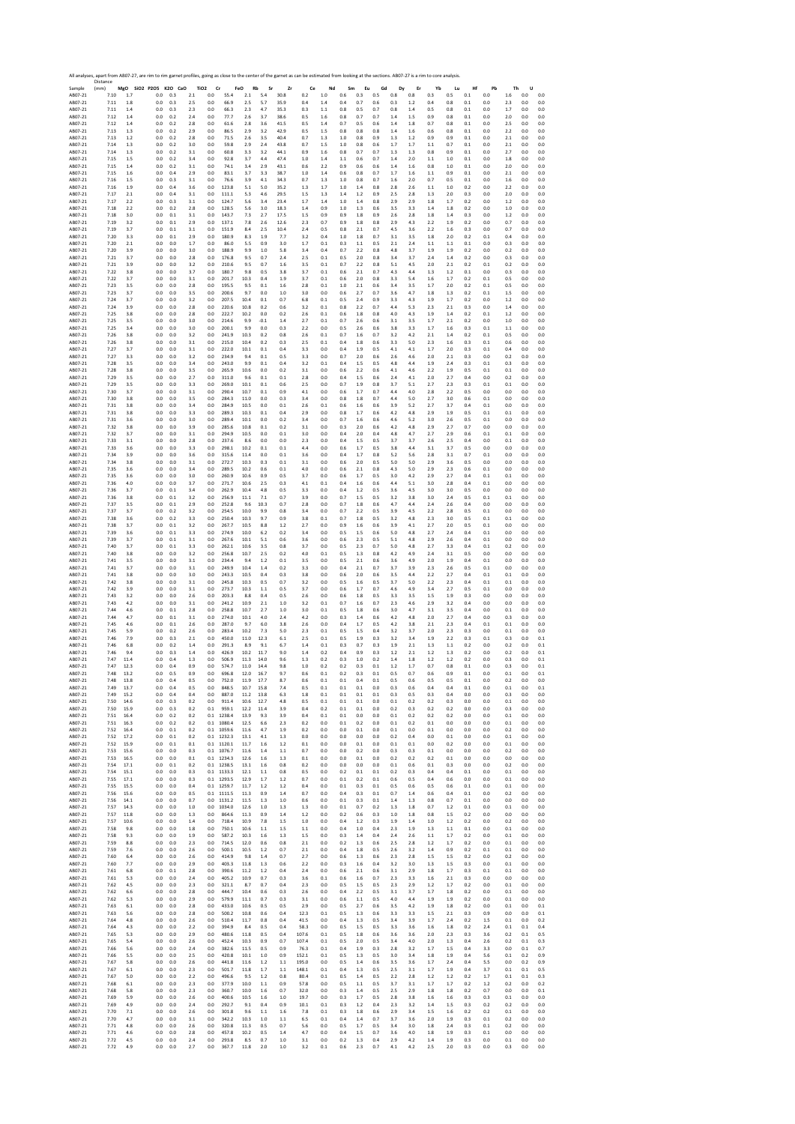|                    | All analyses, apart from AB07-27, are rim to rim garnet profiles, going as close to the center of the garnet as can be estimated from looking at the sections. AB07-27 is a rim to core analysis.<br>Distance |              |                              |            |                |                               |                        |              |                |                |                    |                  |                |                |                |                |                |              |                  |            |            |                |            |                  |
|--------------------|---------------------------------------------------------------------------------------------------------------------------------------------------------------------------------------------------------------|--------------|------------------------------|------------|----------------|-------------------------------|------------------------|--------------|----------------|----------------|--------------------|------------------|----------------|----------------|----------------|----------------|----------------|--------------|------------------|------------|------------|----------------|------------|------------------|
| Sample<br>AB07-21  | (mm)<br>7.10                                                                                                                                                                                                  | 1.7          | MgO SiO2 P2O5 K2O CaO<br>0.0 | 0.3        | 2.1            | TiO <sub>2</sub><br>Cr<br>0.0 | FeO<br>55.4            | Rb<br>2.1    | Sr<br>5.4      | Zr<br>30.8     | Ce<br>0.2          | Nd<br>1.0        | Sm<br>0.6      | Eu<br>0.3      | Gd<br>0.5      | Dy<br>0.8      | Er<br>0.8      | Yb<br>0.3    | Lu<br>0.5        | Hf<br>0.1  | Pb<br>0.0  | Th<br>1.6      | U<br>0.0   | 0.0              |
| AB07-21            | 7.11                                                                                                                                                                                                          | 1.8          | 0.0                          | 0.3        | 2.5            | 0.0                           | 66.9                   | 2.5          | 5.7            | 35.9           | 0.4                | 1.4              | 0.4            | 0.7            | 0.6            | 0.3            | 1.2            | 0.4          | 0.8              | 0.1        | 0.0        | 2.3            | 0.0        | 0.0              |
| AB07-21<br>AB07-21 | 7.11<br>7.12                                                                                                                                                                                                  | 1.4<br>1.4   | 0.0<br>0.0                   | 0.3<br>0.2 | 2.3<br>2.4     | 0.0<br>0.0                    | 66.3<br>77.7           | 2.3<br>2.6   | 4.7<br>3.7     | 35.3<br>38.6   | 0.3<br>0.5         | $1.1\,$<br>1.6   | $0.8\,$<br>0.8 | 0.5<br>0.7     | 0.7<br>0.7     | 0.8<br>1.4     | 1.4<br>1.5     | 0.5<br>0.9   | 0.8<br>0.8       | 0.1<br>0.1 | 0.0<br>0.0 | 1.7<br>2.0     | 0.0<br>0.0 | 0.0<br>0.0       |
| AB07-21            | 7.12                                                                                                                                                                                                          | 1.4          | 0.0                          | 0.2        | 2.8            | 0.0                           | 61.6                   | 2.8          | 3.6            | 41.5           | 0.5                | 1.4              | 0.7            | 0.5            | 0.6            | 1.4            | 1.8            | 0.7          | 0.8              | 0.1        | 0.0        | 2.5            | 0.0        | 0.0              |
| AB07-21<br>AB07-21 | 7.13<br>7.13                                                                                                                                                                                                  | 1.3<br>1.2   | 0.0<br>$_{0.0}$              | 0.2<br>0.2 | 2.9<br>2.8     | 0.0<br>0.0                    | 86.5<br>71.5           | 2.9<br>2.6   | 3.2<br>3.5     | 42.9<br>40.4   | 0.5<br>0.7         | 1.5<br>1.3       | 0.8<br>1.0     | 0.8<br>$0.8\,$ | 0.8<br>0.9     | 1.4<br>1.3     | 1.6<br>1.2     | 0.6<br>0.9   | 0.8<br>0.9       | 0.1<br>0.1 | 0.0<br>0.0 | 2.2<br>2.1     | 0.0<br>0.0 | 0.0<br>0.0       |
| AB07-21            | 7.14                                                                                                                                                                                                          | 1.3          | 0.0                          | 0.2        | 3.0            | 0.0                           | 59.8                   | 2.9          | 2.4            | 43.8           | 0.7                | 1.5              | 1.0            | 0.8            | 0.6            | 1.7            | 1.7            | 1.1          | 0.7              | 0.1        | 0.0        | 2.1            | 0.0        | 0.0              |
| AB07-21<br>AB07-21 | 7.14<br>7.15                                                                                                                                                                                                  | 1.3<br>1.5   | 0.0<br>0.0                   | 0.2<br>0.2 | 3.1<br>3.4     | 0.0<br>0.0                    | 60.8<br>92.8           | 3.3<br>3.7   | 3.2<br>4.4     | 44.1<br>47.4   | 0.9<br>1.0         | 1.6<br>1.4       | 0.8<br>1.1     | 0.7<br>0.6     | 0.7<br>0.7     | 1.3<br>1.4     | 1.3<br>2.0     | 0.8<br>1.1   | 0.9<br>1.0       | 0.1<br>0.1 | 0.0<br>0.0 | 2.7<br>1.8     | 0.0<br>0.0 | 0.0<br>0.0       |
| AB07-21            | 7.15                                                                                                                                                                                                          | 1.4          | 0.0                          | 0.2        | 3.1            | 0.0                           | 74.1                   | 3.4          | 2.9            | 43.1           | 0.6                | 2.2              | 0.9            | 0.6            | 0.6            | 1.4            | 1.6            | 0.8          | 1.0              | 0.1        | 0.0        | 2.0            | 0.0        | 0.0              |
| AB07-21<br>AB07-21 | 7.15<br>7.16                                                                                                                                                                                                  | 1.6<br>1.5   | 0.0<br>0.0                   | 0.4<br>0.3 | 2.9<br>3.1     | 0.0<br>0.0                    | 83.1<br>76.6           | 3.7<br>3.9   | 3.3<br>4.1     | 38.7<br>34.3   | 1.0<br>0.7         | 1.4<br>1.3       | 0.6<br>1.0     | 0.8<br>0.8     | 0.7<br>0.7     | 1.7<br>1.6     | 1.6<br>2.0     | 1.1<br>0.7   | 0.9<br>0.5       | 0.1<br>0.1 | 0.0<br>0.0 | 2.1<br>1.6     | 0.0<br>0.0 | 0.0<br>0.0       |
| AB07-21            | 7.16                                                                                                                                                                                                          | 1.9          | 0.0                          | 0.4        | 3.6            | 0.0                           | 123.8                  | 5.1          | 5.0            | 35.2           | 1.3                | 1.7              | 1.0            | 1.4            | 0.8            | 2.8            | 2.6            | 1.1          | 1.0              | 0.2        | 0.0        | 2.2            | 0.0        | 0.0              |
| AB07-21<br>AB07-21 | 7.17<br>7.17                                                                                                                                                                                                  | 2.1<br>2.2   | 0.0<br>0.0                   | 0.4<br>0.3 | 3.1<br>3.1     | 0.0<br>0.0                    | 111.1<br>124.7         | 5.3<br>5.6   | 4.6<br>3.4     | 29.5<br>23.4   | 1.5<br>1.7         | 1.3<br>1.4       | 1.4<br>1.0     | 1.2<br>1.4     | 0.9<br>0.8     | 2.5<br>2.9     | 2.8<br>2.9     | 1.3<br>1.8   | 2.0<br>1.7       | 0.3<br>0.2 | 0.0<br>0.0 | 2.0<br>1.2     | 0.0<br>0.0 | 0.0<br>0.0       |
| AB07-21            | 7.18                                                                                                                                                                                                          | 2.2          | 0.0                          | 0.2        | 2.8            | 0.0                           | 128.5                  | 5.6          | 3.0            | 18.3           | 1.4                | 0.9              | 1.0            | 1.3            | 0.6            | 3.5            | 3.3            | 1.4          | 1.8              | 0.2        | 0.0        | 1.0            | 0.0        | 0.0              |
| AB07-21<br>AB07-21 | 7.18<br>7.19                                                                                                                                                                                                  | 3.0<br>3.2   | 0.0<br>0.0                   | 0.1<br>0.1 | 3.1<br>2.9     | 0.0<br>0.0                    | 143.7<br>137.1         | 7.3<br>7.8   | 2.7<br>2.6     | 17.5<br>12.6   | 1.5<br>2.3         | 0.9<br>0.7       | 0.9<br>0.9     | 1.8<br>1.8     | 0.9<br>0.8     | 2.6<br>2.9     | 2.8<br>4.3     | 1.8<br>2.2   | 1.4<br>1.9       | 0.3<br>0.2 | 0.0<br>0.0 | 1.2<br>0.7     | 0.0<br>0.0 | 0.0<br>0.0       |
| AB07-21            | 7.19                                                                                                                                                                                                          | 3.7          | 0.0                          | 0.1        | 3.1            | 0.0                           | 151.9                  | 8.4          | 2.5            | 10.4           | 2.4                | 0.5              | 0.8            | 2.1            | 0.7            | 4.5            | 3.6            | 2.2          | 1.6              | 0.3        | 0.0        | 0.7            | 0.0        | 0.0              |
| AB07-21<br>AB07-21 | 7.20<br>7.20                                                                                                                                                                                                  | 3.3<br>2.1   | 0.0<br>0.0                   | 0.1<br>0.0 | 2.9<br>1.7     | 0.0<br>0.0                    | 180.9<br>86.0          | 8.3<br>5.5   | 1.9<br>0.9     | 7.7<br>3.0     | 3.2<br>1.7         | 0.4<br>0.1       | 1.0<br>0.3     | 1.8<br>1.1     | 0.7<br>0.5     | 3.1<br>2.1     | 3.5<br>2.4     | 1.8<br>1.1   | 2.0<br>1.1       | 0.2<br>0.1 | 0.1<br>0.0 | 0.4<br>0.3     | 0.0<br>0.0 | 0.0<br>0.0       |
| AB07-21            | 7.20                                                                                                                                                                                                          | 3.9          | 0.0                          | 0.0        | 3.0            | 0.0                           | 188.9                  | 9.9          | 1.0            | 5.8            | 3.4                | 0.4              | 0.7            | 2.2            | 0.8            | 4.8            | 3.7            | 1.9          | 1.9              | 0.2        | 0.0        | 0.2            | 0.0        | 0.0              |
| AB07-21<br>AB07-21 | 7.21<br>7.21                                                                                                                                                                                                  | 3.7<br>3.9   | 0.0<br>0.0                   | 0.0<br>0.0 | 2.8<br>3.2     | 0.0<br>0.0                    | 176.8<br>210.6         | 9.5<br>9.5   | 0.7<br>0.7     | 2.4<br>1.6     | 2.5<br>3.5         | $\rm 0.1$<br>0.1 | 0.5<br>0.7     | 2.0<br>2.2     | 0.8<br>0.8     | 3.4<br>5.1     | 3.7<br>4.5     | 2.4<br>2.0   | 1.4<br>2.1       | 0.2<br>0.2 | 0.0<br>0.1 | 0.3<br>0.2     | 0.0<br>0.0 | 0.0<br>0.0       |
| AB07-21            | 7.22                                                                                                                                                                                                          | 3.8          | 0.0                          | 0.0        | 3.7            | 0.0                           | 180.7                  | 9.8          | 0.5            | 3.8            | 3.7                | 0.1              | 0.6            | 2.1            | 0.7            | 4.3            | 4.4            | 1.3          | 1.2              | 0.1        | 0.0        | 0.3            | 0.0        | 0.0              |
| AB07-21<br>AB07-21 | 7.22<br>7.23                                                                                                                                                                                                  | 3.7<br>3.5   | 0.0<br>$_{0.0}$              | 0.0<br>0.0 | 3.1<br>$2.8\,$ | 0.0<br>0.0                    | 201.7<br>195.5         | 10.3<br>9.5  | 0.4<br>0.1     | 1.9<br>1.6     | 3.7<br>2.8         | 0.1<br>$0.1\,$   | 0.6<br>$1.0\,$ | 2.0<br>2.1     | 0.8<br>0.6     | 3.3<br>3.4     | 5.4<br>3.5     | 1.6<br>1.7   | 1.7<br>2.0       | 0.2<br>0.2 | 0.1<br>0.1 | 0.5<br>0.5     | 0.0<br>0.0 | 0.0<br>0.0       |
| AB07-21            | 7.23                                                                                                                                                                                                          | 3.7          | 0.0                          | 0.0        | 3.5            | 0.0                           | 200.6                  | 9.7          | 0.0            | 1.0            | 3.0                | 0.0              | 0.6            | 2.7            | 0.7            | 3.6            | 4.7            | 1.8          | 1.3              | 0.2        | 0.1        | 1.5            | 0.0        | 0.0              |
| AB07-21<br>AB07-21 | 7.24<br>7.24                                                                                                                                                                                                  | 3.7<br>3.9   | 0.0<br>0.0                   | 0.0<br>0.0 | 3.2<br>2.8     | 0.0<br>0.0                    | 207.5<br>220.6         | 10.4<br>10.8 | 0.1<br>0.2     | 0.7<br>0.6     | 6.8<br>3.2         | 0.1<br>0.1       | 0.5<br>0.8     | 2.4<br>2.2     | 0.9<br>0.7     | 3.3<br>4.4     | 4.3<br>5.3     | 1.9<br>2.3   | 1.7<br>2.1       | 0.2<br>0.3 | 0.0<br>0.0 | 1.2<br>1.4     | 0.0<br>0.0 | 0.0<br>0.0       |
| AB07-21            | 7.25                                                                                                                                                                                                          | 3.8          | $_{0.0}$                     | 0.0        | 2.8            | 0.0                           | 222.7                  | 10.2         | 0.0            | 0.2            | 2.6                | 0.1              | 0.6            | 1.8            | 0.8            | 4.0            | 4.3            | 1.9          | 1.4              | 0.2        | 0.1        | $1.2\,$        | 0.0        | 0.0              |
| AB07-21<br>AB07-21 | 7.25<br>7.25                                                                                                                                                                                                  | 3.5<br>3.4   | 0.0<br>0.0                   | 0.0<br>0.0 | 3.0<br>3.0     | 0.0<br>0.0                    | 214.6<br>200.1         | 9.9<br>9.9   | $-0.1$<br>0.0  | 1.4<br>0.3     | 2.7<br>2.2         | 0.1<br>0.0       | 0.7<br>0.5     | 2.6<br>2.6     | 0.6<br>0.6     | 3.1<br>3.8     | 3.5<br>3.3     | 1.7<br>1.7   | 2.1<br>1.6       | 0.2<br>0.3 | 0.0<br>0.1 | 1.0<br>1.1     | 0.0<br>0.0 | 0.0<br>0.0       |
| AB07-21            | 7.26                                                                                                                                                                                                          | 3.8          | 0.0                          | 0.0        | 3.2            | 0.0                           | 241.9                  | 10.3         | 0.2            | 0.8            | 2.6                | 0.1              | 0.7            | 1.6            | 0.7            | 3.2            | 4.2            | 2.1          | 1.4              | 0.2        | 0.1        | 0.5            | 0.0        | 0.0              |
| AB07-21<br>AB07-21 | 7.26<br>7.27                                                                                                                                                                                                  | 3.8<br>3.7   | 0.0<br>0.0                   | 0.0<br>0.0 | 3.1<br>3.1     | 0.0<br>0.0                    | 215.0<br>222.0         | 10.4<br>10.1 | 0.2<br>0.1     | 0.3<br>0.4     | 2.5<br>3.3         | 0.1<br>0.0       | 0.4<br>0.4     | 1.8<br>1.9     | 0.6<br>0.5     | 3.3<br>4.1     | 5.0<br>4.1     | 2.3<br>1.7   | 1.6<br>2.0       | 0.3<br>0.3 | 0.1<br>0.1 | 0.6<br>0.4     | 0.0<br>0.0 | 0.0<br>0.0       |
| AB07-21            | 7.27                                                                                                                                                                                                          | 3.3          | 0.0                          | 0.0        | 3.2            | 0.0                           | 234.9                  | 9.4          | 0.1            | 0.5            | 3.3                | 0.0              | 0.7            | 2.0            | 0.6            | 2.6            | 4.6            | 2.0          | 2.1              | 0.3        | 0.0        | 0.2            | 0.0        | 0.0              |
| AB07-21<br>AB07-21 | 7.28<br>7.28                                                                                                                                                                                                  | 3.5<br>3.8   | 0.0<br>0.0                   | 0.0<br>0.0 | 3.4<br>3.5     | 0.0<br>0.0                    | 243.0<br>265.9         | 9.9<br>10.6  | 0.1<br>0.0     | 0.4<br>0.2     | 3.2<br>3.1         | 0.1<br>0.0       | 0.4<br>0.6     | 1.5<br>2.2     | 0.5<br>0.6     | 4.8<br>4.1     | 4.4<br>4.6     | 1.9<br>2.2   | 2.4<br>1.9       | 0.3<br>0.5 | 0.1<br>0.1 | 0.3<br>0.1     | 0.0<br>0.0 | 0.0<br>0.0       |
| AB07-21            | 7.29                                                                                                                                                                                                          | 3.5          | 0.0                          | 0.0        | 2.7            | 0.0                           | 311.0                  | 9.6          | 0.1            | 0.1            | 2.8                | 0.0              | 0.4            | 1.5            | 0.6            | 2.4            | 4.1            | 2.0          | 2.7              | 0.4        | 0.0        | 0.2            | 0.0        | 0.0              |
| AB07-21<br>AB07-21 | 7.29<br>7.30                                                                                                                                                                                                  | 3.5<br>3.7   | 0.0<br>0.0                   | 0.0<br>0.0 | 3.3<br>3.1     | 0.0<br>0.0                    | 269.0<br>290.4         | 10.1<br>10.7 | 0.1<br>0.1     | 0.6<br>0.9     | 2.5<br>4.1         | 0.0<br>0.0       | 0.7<br>0.6     | 1.9<br>1.7     | 0.8<br>0.7     | 3.7<br>4.4     | 5.1<br>4.0     | 2.7<br>2.8   | 2.3<br>2.2       | 0.3<br>0.5 | 0.1<br>0.0 | 0.1<br>0.0     | 0.0<br>0.0 | 0.0<br>0.0       |
| AB07-21            | 7.30                                                                                                                                                                                                          | 3.8          | 0.0                          | 0.0        | 3.5            | 0.0                           | 284.3                  | 11.0         | 0.0            | 0.3            | 3.4                | 0.0              | 0.8            | 1.8            | 0.7            | 4.4            | 5.0            | 2.7          | 3.0              | 0.6        | 0.1        | 0.0            | 0.0        | 0.0              |
| AB07-21<br>AB07-21 | 7.31<br>7.31                                                                                                                                                                                                  | 3.8<br>3.8   | 0.0<br>0.0                   | 0.0<br>0.0 | 3.4<br>3.3     | 0.0<br>0.0                    | 284.9<br>289.3         | 10.5<br>10.3 | 0.0<br>0.1     | 0.1<br>0.4     | 2.6<br>2.9         | 0.1<br>0.0       | 0.6<br>0.8     | 1.6<br>1.7     | 0.6<br>0.6     | 3.9<br>4.2     | 5.2<br>4.8     | 2.7<br>2.9   | 3.7<br>1.9       | 0.4<br>0.5 | 0.1<br>0.1 | 0.0<br>0.1     | 0.0<br>0.0 | 0.0<br>0.0       |
| AB07-21            | 7.31                                                                                                                                                                                                          | 3.6          | 0.0                          | 0.0        | 3.0            | 0.0                           | 289.4                  | 10.1         | 0.0            | 0.2            | 3.4                | 0.0              | 0.7            | 1.6            | 0.6            | 4.6            | 5.2            | 3.0          | 2.6              | 0.5        | 0.1        | 0.0            | 0.0        | 0.0              |
| AB07-21<br>AB07-21 | 7.32<br>7.32                                                                                                                                                                                                  | 3.8<br>3.7   | 0.0<br>0.0                   | 0.0<br>0.0 | 3.9<br>3.1     | 0.0<br>0.0                    | 285.6<br>294.9         | 10.8<br>10.5 | 0.1<br>0.0     | 0.2<br>0.1     | 3.1<br>3.0         | 0.0<br>0.0       | 0.3<br>0.4     | 2.0<br>2.0     | 0.6<br>0.4     | 4.2<br>4.8     | 4.8<br>4.7     | 2.9<br>2.7   | 2.7<br>2.9       | 0.7        | 0.0<br>0.1 | 0.0<br>0.1     | 0.0<br>0.0 | 0.0<br>0.0       |
| AB07-21            | 7.33                                                                                                                                                                                                          | 3.1          | 0.0                          | 0.0        | 2.8            | 0.0                           | 237.6                  | 8.6          | 0.0            | 0.0            | 2.3                | 0.0              | 0.4            | 1.5            | 0.5            | 3.7            | 3.7            | 2.6          | 2.5              | 0.6<br>0.4 | 0.0        | 0.1            | 0.0        | 0.0              |
| AB07-21            | 7.33                                                                                                                                                                                                          | 3.6          | 0.0                          | 0.0        | 3.3            | 0.0                           | 298.1                  | 10.2         | 0.1            | 0.1            | 4.4                | 0.0              | 0.6            | 1.7            | 0.5            | 3.8            | 4.4            | 3.1          | 3.7              | 0.5        | 0.0        | 0.0            | 0.0        | 0.0              |
| AB07-21<br>AB07-21 | 7.34<br>7.34                                                                                                                                                                                                  | 3.9<br>3.8   | 0.0<br>0.0                   | 0.0<br>0.0 | 3.6<br>3.1     | 0.0<br>0.0                    | 315.6<br>272.7         | 11.4<br>10.3 | 0.0<br>0.3     | 0.1<br>0.1     | 3.6<br>3.1         | 0.0<br>0.0       | 0.4<br>0.6     | 1.7<br>2.0     | 0.8<br>0.5     | 5.2<br>5.0     | 5.6<br>5.0     | 2.8<br>2.9   | 3.1<br>3.6       | 0.7<br>0.5 | 0.1<br>0.0 | 0.0<br>0.0     | 0.0<br>0.0 | 0.0<br>0.0       |
| AB07-21            | 7.35                                                                                                                                                                                                          | 3.6          | 0.0                          | 0.0        | 3.4            | 0.0                           | 289.5                  | 10.2         | 0.6            | 0.1            | 4.0                | 0.0              | 0.6            | 2.1            | 0.8            | 4.3            | 5.0            | 2.9          | 2.3              | 0.6        | 0.1        | 0.0            | 0.0        | 0.0              |
| AB07-21<br>AB07-21 | 7.35<br>7.36                                                                                                                                                                                                  | 3.6<br>4.0   | 0.0<br>0.0                   | 0.0<br>0.0 | 3.0<br>3.7     | 0.0<br>0.0                    | 260.9<br>271.7         | 10.6<br>10.6 | 0.9<br>2.5     | 0.5<br>0.3     | 3.7<br>4.1         | 0.0<br>0.1       | 0.6<br>0.4     | 1.7<br>1.6     | 0.5<br>0.6     | 3.0<br>4.4     | 4.2<br>5.1     | 2.9<br>3.0   | 2.7<br>2.8       | 0.4<br>0.4 | 0.1<br>0.1 | 0.1<br>0.0     | 0.0<br>0.0 | 0.0<br>0.0       |
| AB07-21            | 7.36                                                                                                                                                                                                          | 3.7          | $_{0.0}$                     | 0.1        | 3.4            | 0.0                           | 262.9                  | 10.4         | 4.8            | 0.5            | 3.3                | 0.0              | 0.4            | 1.2            | 0.5            | 3.6            | 4.5            | 3.0          | 3.0              | 0.5        | 0.0        | 0.0            | 0.0        | 0.0              |
| AB07-21<br>AB07-21 | 7.36<br>7.37                                                                                                                                                                                                  | 3.8<br>3.5   | 0.0<br>0.0                   | 0.1<br>0.1 | 3.2<br>2.9     | 0.0<br>0.0                    | 256.9<br>252.8         | 11.1<br>9.6  | 7.1<br>10.3    | 0.7<br>0.7     | 3.9<br>2.8         | 0.0<br>0.0       | 0.7<br>0.7     | 1.5<br>1.8     | 0.5<br>0.6     | 3.2<br>4.7     | 3.8<br>4.4     | 3.0<br>2.4   | 2.4<br>2.6       | 0.5<br>0.4 | 0.1<br>0.0 | 0.1<br>0.0     | 0.0<br>0.0 | 0.0<br>0.0       |
| AB07-21            | 7.37                                                                                                                                                                                                          | 3.7          | 0.0                          | 0.2        | 3.2            | 0.0                           | 254.5                  | 10.0         | 9.9            | 0.8            | 3.4                | 0.0              | 0.7            | 2.2            | 0.5            | 3.9            | 4.5            | 2.2          | 2.8              | 0.5        | 0.1        | 0.0            | 0.0        | 0.0              |
| AB07-21<br>AB07-21 | 7.38<br>7.38                                                                                                                                                                                                  | 3.6<br>3.7   | 0.0<br>0.0                   | 0.2<br>0.1 | 3.3<br>3.2     | 0.0<br>0.0                    | 250.4<br>267.7         | 10.3<br>10.5 | 9.7<br>8.8     | 0.9<br>1.2     | 3.8<br>2.7         | 0.1<br>0.0       | 0.7<br>0.9     | 1.8<br>1.6     | 0.5<br>0.6     | 3.2<br>3.9     | 4.8<br>4.1     | 2.3<br>2.7   | 3.0<br>2.0       | 0.5<br>0.5 | 0.1<br>0.1 | 0.1<br>0.0     | 0.0<br>0.0 | 0.0<br>0.0       |
| AB07-21            | 7.39                                                                                                                                                                                                          | 3.6          | 0.0                          | 0.1        | 3.3            | 0.0                           | 274.9                  | 10.0         | 6.2            | 0.2            | 3.4                | 0.0              | 0.5            | 1.5            | 0.6            | 5.0            | 4.8            | 2.7          | 2.4              | 0.4        | 0.1        | 0.0            | 0.0        | 0.0              |
| AB07-21            | 7.39                                                                                                                                                                                                          | 3.7          | 0.0                          | 0.1        | 3.1            | 0.0                           | 267.6                  | 10.1         | 5.1            | 0.6            | 3.6                | 0.0              | 0.6            | 2.3            | 0.5            | 5.1            | 4.8            | 2.9          | 2.6              | 0.4        | 0.1        | 0.0            | 0.0        | 0.0              |
| AB07-21<br>AB07-21 | 7.40<br>7.40                                                                                                                                                                                                  | 3.7<br>3.8   | 0.0<br>0.0                   | 0.1<br>0.0 | 3.3<br>3.2     | 0.0<br>0.0                    | 262.1<br>256.8         | 10.6<br>10.7 | 3.5<br>2.5     | 0.8<br>0.2     | 3.7<br>4.0         | 0.0<br>0.1       | 0.5<br>0.5     | 2.3<br>1.3     | 0.7<br>0.8     | 5.0<br>4.2     | 4.8<br>4.9     | 2.7<br>2.4   | 3.3<br>3.1       | 0.4<br>0.5 | 0.1<br>0.0 | 0.2<br>0.0     | 0.0<br>0.0 | 0.0<br>0.0       |
| AB07-21            | 7.41                                                                                                                                                                                                          | 3.5          | 0.0                          | 0.0        | 3.1            | 0.0                           | 234.4                  | 9.4          | 1.2            | 0.1            | 3.5                | 0.0              | 0.5            | 2.1            | 0.6            | 3.6            | 4.9            | 2.0          | 1.9              | 0.4        | 0.1        | 0.0            | 0.0        | 0.0              |
| AB07-21<br>AB07-21 | 7.41<br>7.41                                                                                                                                                                                                  | 3.7<br>3.8   | 0.0<br>0.0                   | 0.0<br>0.0 | 3.1<br>3.0     | 0.0<br>0.0                    | 249.9<br>243.3         | 10.4<br>10.5 | 1.4<br>0.4     | 0.2<br>0.3     | 3.3<br>3.8         | 0.0<br>0.0       | 0.4<br>0.6     | 2.1<br>2.0     | 0.7<br>0.6     | 3.7<br>3.5     | 3.9<br>4.4     | 2.3<br>2.2   | 2.6<br>2.7       | 0.5<br>0.4 | 0.1<br>0.1 | 0.0<br>0.1     | 0.0<br>0.0 | 0.0<br>0.0       |
| AB07-21            | 7.42                                                                                                                                                                                                          | 3.8          | 0.0                          | 0.0        | 3.1            | 0.0                           | 245.8                  | 10.3         | 0.5            | 0.7            | 3.2                | 0.0              | 0.5            | 1.6            | 0.5            | 3.7            | 5.0            | 2.2          | 2.3              | 0.4        | 0.1        | 0.1            | 0.0        | 0.0              |
| AB07-21<br>AB07-21 | 7.42<br>7.43                                                                                                                                                                                                  | 3.9<br>3.2   | 0.0<br>0.0                   | 0.0<br>0.0 | 3.1<br>2.6     | 0.0<br>0.0                    | 273.7<br>203.3         | 10.3<br>8.8  | 1.1<br>0.4     | 0.5<br>0.5     | 3.7<br>2.6         | 0.0<br>0.0       | 0.6<br>0.6     | 1.7<br>1.8     | 0.7<br>0.5     | 4.6<br>3.3     | 4.9<br>3.5     | 3.4<br>1.5   | 2.7<br>1.9       | 0.5<br>0.3 | 0.1<br>0.0 | 0.0<br>0.0     | 0.0<br>0.0 | 0.0<br>0.0       |
| AB07-21            | 7.43                                                                                                                                                                                                          | 4.2          | 0.0                          | 0.0        | 3.1            | 0.0                           | 241.2                  | 10.9         | 2.1            | 1.0            | 3.2                | 0.1              | 0.7            | 1.6            | 0.7            | 2.3            | 4.6            | 2.9          | 3.2              | 0.4        | 0.0        | 0.0            | 0.0        | 0.0              |
| AB07-21<br>AB07-21 | 7.44<br>7.44                                                                                                                                                                                                  | 4.6<br>4.7   | 0.0<br>0.0                   | 0.1<br>0.1 | 2.8<br>3.1     | 0.0<br>0.0                    | 258.8<br>274.0         | 10.7<br>10.1 | 2.7<br>4.0     | 1.0<br>2.4     | 3.0<br>4.2         | 0.1<br>0.0       | 0.5<br>0.3     | 1.8<br>1.4     | 0.6<br>0.6     | 3.0<br>4.2     | 4.7<br>4.8     | 3.1<br>2.0   | 3.5<br>2.7       | 0.4<br>0.4 | 0.0<br>0.0 | 0.1<br>0.3     | 0.0<br>0.0 | 0.0<br>0.0       |
| AB07-21            | 7.45                                                                                                                                                                                                          | 4.6          | 0.0                          | 0.1        | 2.6            | 0.0                           | 287.0                  | 9.7          | 6.0            | 3.8            | 2.6                | 0.0              | 0.4            | 1.7            | 0.5            | 4.2            | 3.8            | 2.1          | 2.3              | 0.4        | 0.1        | 0.1            | 0.0        | 0.0              |
| AB07-21<br>AB07-21 | 7.45<br>7.46                                                                                                                                                                                                  | 5.9<br>7.9   | 0.0<br>0.0                   | 0.2<br>0.3 | 2.6<br>$2.1\,$ | 0.0<br>0.0                    | 283.4<br>450.0         | 10.2<br>11.0 | 7.3<br>12.3    | 5.0<br>6.1     | 2.3<br>2.5         | 0.1<br>$0.1\,$   | 0.5<br>0.5     | 1.5<br>1.9     | 0.4<br>0.3     | 3.2<br>3.2     | 3.7<br>3.4     | 2.0<br>1.9   | 2.3<br>2.2       | 0.3<br>0.3 | 0.0<br>0.1 | 0.1<br>0.3     | 0.0<br>0.0 | 0.0<br>0.1       |
| AB07-21            | 7.46                                                                                                                                                                                                          | 6.8          | 0.0                          | 0.2        | 1.4            | 0.0                           | 291.3                  | 8.9          | 9.1            | 6.7            | 1.4                | 0.1              | 0.3            | 0.7            | 0.3            | 1.9            | 2.1            | 1.3          | 1.1              | 0.2        | 0.0        | 0.2            | 0.0        | 0.1              |
| AB07-21            | 7.46<br>7.47                                                                                                                                                                                                  | 9.4<br>11.4  | 0.0<br>0.0                   | 0.3<br>0.4 | 1.4<br>1.3     | 0.0<br>0.0                    | 426.9<br>506.9         | 10.2<br>11.3 | 11.7<br>14.0   | 9.0<br>9.6     | 1.4<br>1.3         | 0.2<br>0.2       | 0.4<br>0.3     | 0.9<br>1.0     | 0.3<br>0.2     | 1.2<br>1.4     | 2.1<br>$1.8\,$ | 1.2<br>1.2   | 1.3<br>1.2       | 0.2<br>0.2 | 0.0<br>0.0 | 0.2<br>0.3     | 0.0<br>0.0 | 0.1<br>0.1       |
| AB07-21<br>AB07-21 | 7.47                                                                                                                                                                                                          | 12.3         | 0.0                          | 0.4        | 0.9            | 0.0                           | 574.7                  | 11.0         | 14.4           | 9.8            | 1.0                | 0.2              | 0.2            | 0.3            | 0.1            | 1.2            | 1.7            | 0.7          | 0.8              | 0.1        | 0.0        | 0.3            | 0.0        | 0.1              |
| AB07-21            |                                                                                                                                                                                                               | 15.4         | U.U                          | U.S        | 0.9            | U.U                           | <b>PAP'S</b>           | 12.0         | 16.7           | 9.,            | 0.6                | U.I              | U.Z            | U.S            | U.I            | U.S            | 0.7            | U.t          | 0.9              | U.I        | U.U        | U.I            | U.U        |                  |
| AB07-21<br>AB07-21 | 7.48<br>7.49                                                                                                                                                                                                  | 13.8<br>13.7 | 0.0<br>0.0                   | 0.4<br>0.4 | 0.5<br>0.5     | 0.0<br>0.0                    | 752.0<br>848.5         | 11.9<br>10.7 | 17.7<br>15.8   | 8.7<br>7.4     | 0.6<br>0.5         | 0.1<br>0.1       | 0.1<br>0.1     | 0.4<br>0.1     | 0.1<br>0.0     | 0.5<br>0.3     | 0.6<br>0.6     | 0.5<br>0.4   | 0.5<br>0.4       | 0.1<br>0.1 | 0.0<br>0.0 | 0.2<br>0.1     | 0.0<br>0.0 | 0.0<br>0.1       |
| AB07-21            | 7.49                                                                                                                                                                                                          | 15.2         | 0.0                          | 0.4        | 0.4            | 0.0                           | 887.0                  | 11.2         | 13.8           | 6.3            | 1.8                | 0.1              | 0.1            | 0.1            | 0.1            | 0.3            | 0.5            | 0.3          | 0.4              | 0.0        | 0.0        | 0.3            | 0.0        | 0.0              |
| AB07-21<br>AB07-21 | 7.50<br>7.50                                                                                                                                                                                                  | 14.6<br>15.9 | 0.0<br>0.0                   | 0.3<br>0.3 | 0.2<br>0.2     | 0.0<br>0.1                    | 911.4<br>959.1         | 10.6<br>12.2 | 12.7<br>11.4   | 4.8<br>3.9     | 0.5<br>0.4         | 0.1<br>0.2       | 0.1<br>0.1     | 0.1<br>0.1     | 0.0<br>0.0     | 0.1<br>0.2     | 0.2<br>0.3     | 0.2<br>0.2   | 0.3<br>0.2       | 0.0<br>0.0 | 0.0<br>0.0 | 0.1<br>0.3     | 0.0<br>0.0 | 0.0<br>0.0       |
| AB07-21            | 7.51<br>7.51                                                                                                                                                                                                  | 16.4<br>16.3 | 0.0<br>0.0                   | 0.2<br>0.2 | 0.2            |                               | $0.1$ 1238.4<br>1080.4 | 13.9         | 9.3            | 3.9<br>2.3     | 0.4<br>0.2         | 0.1<br>0.0       | 0.1<br>0.1     | 0.0            | 0.0            | 0.1            | 0.2            | 0.2<br>0.1   | 0.2<br>0.0       | 0.0        | 0.0        | 0.1            | 0.0        | 0.0              |
| AB07-21<br>AB07-21 | 7.52                                                                                                                                                                                                          | 16.4         | 0.0                          | 0.1        | 0.2<br>0.2     | 0.1<br>0.1                    | 1059.6                 | 12.5<br>11.6 | 6.6<br>4.7     | 1.9            | 0.2                | 0.0              | 0.0            | 0.2<br>0.1     | 0.0<br>0.0     | 0.1<br>0.1     | 0.2<br>0.0     | 0.1          | 0.0              | 0.0<br>0.0 | 0.0<br>0.0 | 0.1<br>0.2     | 0.0<br>0.0 | 0.0<br>0.0       |
| AB07-21<br>AB07-21 | 7.52<br>7.52                                                                                                                                                                                                  | 17.2<br>15.9 | 0.0<br>0.0                   | 0.1<br>0.1 | 0.2<br>0.1     | 0.1                           | $0.1$ 1232.3<br>1120.1 | 13.1<br>11.7 | 4.1<br>1.6     | 1.3<br>1.2     | 0.0<br>0.1         | 0.0<br>0.0       | 0.0<br>0.0     | 0.0<br>0.1     | 0.0<br>0.0     | 0.2<br>0.1     | 0.4<br>0.1     | 0.0<br>0.0   | 0.1<br>0.2       | 0.0<br>0.0 | 0.0<br>0.0 | 0.1<br>0.1     | 0.0<br>0.0 | 0.0<br>0.0       |
| AB07-21            | 7.53                                                                                                                                                                                                          | 15.6         | 0.0                          | 0.0        | 0.3            |                               | $0.1$ 1076.7           | 11.6         | 1.4            | 1.1            | 0.7                | 0.0              | 0.0            | 0.2            | 0.0            | 0.3            | 0.3            | 0.1          | 0.0              | 0.0        | 0.0        | 0.2            | 0.0        | 0.0              |
| AB07-21<br>AB07-21 | 7.53<br>7.54                                                                                                                                                                                                  | 16.5<br>17.1 | 0.0<br>0.0                   | 0.0<br>0.1 | $0.1\,$<br>0.2 | $0.1\,$                       | 1234.3<br>$0.1$ 1238.5 | 12.6<br>13.1 | 1.6<br>1.6     | $1.3\,$<br>0.8 | $0.1\,$<br>0.2     | 0.0<br>0.0       | $0.0\,$<br>0.0 | $0.1\,$<br>0.0 | $0.0\,$<br>0.0 | 0.2<br>0.1     | 0.2<br>0.6     | 0.2<br>0.1   | $\rm 0.1$<br>0.3 | 0.0<br>0.0 | 0.0<br>0.0 | $0.0\,$<br>0.2 | 0.0<br>0.0 | $0.0\,$<br>0.0   |
| AB07-21            | 7.54                                                                                                                                                                                                          | 15.1         | 0.0                          | 0.0        | 0.3            |                               | $0.1$ 1133.3           | 12.1         | 1.1            | 0.8            | 0.5                | 0.0              | 0.2            | $0.1\,$        | 0.1            | 0.2            | 0.3            | 0.4          | 0.4              | 0.1        | 0.0        | 0.1            | 0.0        | 0.0              |
| AB07-21            | 7.55                                                                                                                                                                                                          | 17.1         | 0.0                          | 0.0        | 0.3            |                               | $0.1$ 1293.5           | 12.9         | 1.7            | 1.2            | 0.7                | 0.0              | 0.1            | 0.2            | 0.1            | 0.6            | 0.5            | 0.4          | 0.6              | 0.0        | 0.0        | 0.1            | 0.0        | 0.0              |
| AB07-21<br>AB07-21 | 7.55<br>7.56                                                                                                                                                                                                  | 15.5<br>15.6 | 0.0<br>0.0                   | 0.0<br>0.0 | 0.4<br>0.5     | 0.1                           | 1259.7<br>$0.1$ 1111.5 | 11.7<br>11.3 | $1.2\,$<br>0.9 | 1.2<br>1.4     | 0.4<br>0.7         | 0.0<br>0.0       | $0.1\,$<br>0.4 | 0.3<br>0.3     | 0.1<br>0.1     | 0.5<br>0.7     | 0.6<br>1.4     | 0.5<br>0.6   | 0.6<br>0.4       | 0.1<br>0.1 | 0.0<br>0.0 | $0.1\,$<br>0.2 | 0.0<br>0.0 | 0.0<br>0.0       |
| AB07-21            | 7.56                                                                                                                                                                                                          | 14.1         | 0.0                          | 0.0        | 0.7            | 0.0                           | 1131.2                 | 11.5         | 1.3            | 1.0            | 0.6                | 0.0              | 0.1            | 0.3            | 0.1            | 1.4            | 1.3            | 0.8          | 0.7              | 0.1        | 0.0        | 0.0            | 0.0        | 0.0              |
| AB07-21<br>AB07-21 | 7.57<br>7.57                                                                                                                                                                                                  | 14.3<br>11.8 | 0.0<br>$0.0\,$               | 0.0<br>0.0 | 1.0<br>$1.3\,$ | 0.0<br>0.0                    | 1034.0<br>864.6        | 12.6<br>11.3 | 1.0<br>0.9     | 1.3<br>1.4     | 1.3<br>$1.2\,$     | 0.0<br>0.0       | 0.1<br>0.2     | 0.7<br>0.6     | 0.2<br>0.3     | 1.3<br>$1.0\,$ | 1.8<br>1.8     | 0.7<br>0.8   | 1.2<br>$1.5\,$   | 0.1<br>0.2 | 0.0<br>0.0 | 0.1<br>$0.0\,$ | 0.0<br>0.0 | 0.0<br>$0.0\,$   |
| AB07-21            | 7.57                                                                                                                                                                                                          | 10.6         | 0.0                          | 0.0        | 1.4            | 0.0                           | 718.4                  | 10.9         | 7.8            | 1.5            | $1.0\,$            | 0.0              | 0.4            | 1.2            | 0.3            | 1.9            | 1.4            | 1.0          | 1.2              | 0.2        | 0.0        | 0.2            | 0.0        | 0.0              |
| AB07-21<br>AB07-21 | 7.58<br>7.58                                                                                                                                                                                                  | 9.8<br>9.3   | 0.0<br>0.0                   | 0.0<br>0.0 | 1.8<br>1.9     | 0.0<br>0.0                    | 750.1<br>587.2         | 10.6<br>10.3 | 1.1<br>1.6     | 1.5<br>1.3     | $1.1\,$<br>$1.5\,$ | 0.0<br>0.0       | 0.4<br>0.3     | 1.0<br>1.4     | 0.4<br>0.4     | 2.3<br>2.4     | 1.9<br>2.6     | 1.3<br>$1.1$ | 1.1<br>1.7       | 0.1<br>0.2 | 0.0<br>0.0 | 0.1<br>0.1     | 0.0<br>0.0 | 0.0<br>0.0       |
| AB07-21            | 7.59                                                                                                                                                                                                          | 8.8          | 0.0                          | 0.0        | 2.3            | 0.0                           | 714.5                  | 12.0         | 0.6            | 0.8            | 2.1                | 0.0              | 0.2            | 1.3            | 0.6            | 2.5            | 2.8            | 1.2          | 1.7              | 0.2        | 0.0        | 0.1            | 0.0        | 0.0              |
| AB07-21<br>AB07-21 | 7.59<br>7.60                                                                                                                                                                                                  | 7.6<br>6.4   | 0.0<br>0.0                   | 0.0<br>0.0 | 2.6<br>2.6     | 0.0<br>0.0                    | 500.1<br>414.9         | 10.5<br>9.8  | 1.2<br>1.4     | 0.7<br>0.7     | 2.1<br>2.7         | 0.0<br>0.0       | 0.4<br>0.6     | 1.8<br>1.3     | 0.5<br>0.6     | 2.6<br>2.3     | 3.2<br>2.8     | 1.4<br>1.5   | 0.9<br>1.5       | 0.2<br>0.2 | 0.1<br>0.0 | 0.1<br>0.2     | 0.0<br>0.0 | 0.0<br>0.0       |
| AB07-21            | 7.60                                                                                                                                                                                                          | 7.7          | 0.0                          | 0.0        | 2.9            | 0.0                           | 403.3                  | 11.8         | 1.3            | 0.6            | 2.2                | 0.0              | 0.3            | 1.6            | 0.4            | 3.2            | 3.0            | 1.3          | 1.5              | 0.3        | 0.0        | 0.1            | 0.0        | 0.0              |
| AB07-21<br>AB07-21 | 7.61<br>7.61                                                                                                                                                                                                  | 6.8<br>5.3   | 0.0<br>0.0                   | 0.1<br>0.0 | 2.8<br>2.4     | 0.0<br>0.0                    | 390.6<br>405.2         | 11.2<br>10.9 | 1.2<br>0.7     | 0.4<br>0.3     | 2.4<br>3.6         | 0.0<br>0.1       | 0.6<br>0.6     | 2.1<br>1.6     | 0.6<br>0.7     | 3.1<br>2.3     | 2.9<br>3.3     | 1.8<br>1.6   | 1.7<br>2.1       | 0.3<br>0.3 | 0.1<br>0.0 | 0.1<br>0.0     | 0.0<br>0.0 | 0.0<br>0.0       |
| AB07-21            | 7.62                                                                                                                                                                                                          | 4.5          | 0.0                          | 0.0        | 2.3            | 0.0                           | 321.1                  | 8.7          | 0.7            | 0.4            | 2.3                | 0.0              | 0.5            | 1.5            | 0.5            | 2.3            | 2.9            | 1.2          | 1.7              | 0.2        | 0.0        | 0.1            | 0.0        | 0.0              |
| AB07-21            | 7.62                                                                                                                                                                                                          | 6.6          | 0.0                          | 0.0        | 2.8            | 0.0                           | 444.7                  | 10.4         | 0.6            | 0.3            | 2.6                | 0.0              | 0.4            | 2.2            | 0.5            | 3.1            | 3.7            | 1.7          | 1.8              | 0.2        | 0.0        | 0.1            | 0.0        | 0.0              |
| AB07-21<br>AB07-21 | 7.62<br>7.63                                                                                                                                                                                                  | 5.3<br>6.1   | 0.0<br>0.0                   | 0.0<br>0.0 | 2.9<br>2.8     | 0.0<br>0.0                    | 579.9<br>433.0         | 11.1<br>10.6 | 0.7<br>0.5     | 0.3<br>0.5     | 3.1<br>2.9         | 0.0<br>0.0       | 0.6<br>0.5     | 1.1<br>2.7     | 0.5<br>0.6     | 4.0<br>3.5     | 4.4<br>4.2     | 1.9<br>1.9   | 1.9<br>1.8       | 0.2<br>0.2 | 0.0<br>0.0 | 0.1<br>0.1     | 0.0<br>0.0 | 0.0<br>0.1       |
| AB07-21            | 7.63                                                                                                                                                                                                          | 5.6          | 0.0                          | 0.0        | 2.8            | 0.0                           | 500.2                  | 10.8         | 0.6            | 0.4            | 12.3               | 0.1              | 0.5            | 1.3            | 0.6            | 3.3            | 3.3            | 1.5          | 2.1              | 0.3        | 0.9        | 0.0            | 0.0        | 0.1              |
| AB07-21<br>AB07-21 | 7.64<br>7.64                                                                                                                                                                                                  | 4.8<br>4.3   | 0.0<br>0.0                   | 0.0<br>0.0 | 2.6<br>2.2     | 0.0<br>0.0                    | 510.4<br>394.9         | 11.7<br>8.4  | 0.8<br>0.5     | 0.4<br>0.4     | 41.5<br>58.3       | 0.0<br>0.0       | 0.4<br>0.5     | 1.3<br>1.5     | 0.5<br>0.5     | 3.4<br>3.3     | 3.9<br>3.6     | 1.7<br>1.6   | 2.4<br>1.8       | 0.2<br>0.2 | 1.5<br>2.4 | 0.1<br>0.1     | 0.0<br>0.1 | 0.2<br>0.4       |
| AB07-21            | 7.65                                                                                                                                                                                                          | 5.3          | $0.0\,$                      | 0.0        | 2.9            | 0.0                           | 480.6                  | $11.8\,$     | 0.5            | 0.4            | 107.6              | $0.1\,$          | 0.5            | $1.8\,$        | 0.6            | 3.6            | 3.6            | 2.0          | 2.3              | 0.3        | 3.6        | 0.2            | $0.1\,$    | 0.5              |
| AB07-21            | 7.65                                                                                                                                                                                                          | 5.4          | 0.0                          | 0.0        | 2.6            | 0.0                           | 452.4                  | 10.3         | 0.9            | 0.7            | 107.4              | 0.1              | 0.5            | 2.0            | 0.5            | 3.4            | 4.0            | 2.0          | 1.3              | 0.4        | 2.6        | 0.2            | 0.1        | 0.3              |
| AB07-21<br>AB07-21 | 7.66<br>7.66                                                                                                                                                                                                  | 5.6<br>5.5   | $0.0\,$<br>0.0               | 0.0<br>0.0 | 2.4<br>2.5     | 0.0<br>0.0                    | 382.6<br>420.8         | 11.5<br>10.1 | 0.5<br>1.0     | 0.9<br>0.9     | 76.3<br>152.1      | 0.1<br>0.1       | 0.4<br>0.5     | 1.9<br>1.3     | 0.3<br>0.5     | 2.8<br>3.0     | 3.2<br>3.4     | 1.7<br>1.8   | 1.5<br>1.9       | 0.4<br>0.4 | 3.3<br>5.6 | 0.0<br>0.1     | 0.1<br>0.2 | 0.7<br>0.9       |
| AB07-21            | 7.67                                                                                                                                                                                                          | 5.8          | $0.0\,$                      | 0.0        | 2.6            | 0.0                           | 441.8                  | 11.6         | 1.2            | $1.1$          | 195.0              | 0.0              | 0.5            | 1.4            | 0.6            | 3.5            | 3.6            | 1.7          | 2.4              | 0.4        | 5.5        | $_{0.0}$       | 0.2        | 0.9              |
| AB07-21<br>AB07-21 | 7.67<br>7.67                                                                                                                                                                                                  | 6.1<br>5.0   | 0.0<br>0.0                   | 0.0<br>0.0 | 2.3<br>2.2     | 0.0<br>0.0                    | 501.7<br>496.6         | 11.8<br>9.5  | 1.7<br>1.2     | 1.1<br>0.8     | 148.1<br>80.4      | 0.1<br>0.1       | 0.4<br>0.5     | 1.3<br>$1.4\,$ | 0.5<br>0.5     | 2.5<br>2.2     | 3.1<br>2.8     | 1.7<br>1.2   | 1.9<br>1.2       | 0.4<br>0.2 | 3.7<br>1.7 | 0.1<br>0.1     | 0.1<br>0.1 | 0.5<br>0.3       |
| AB07-21            | 7.68                                                                                                                                                                                                          | 6.1          | 0.0                          | 0.0        | 2.3            | 0.0                           | 377.9                  | 10.0         | $1.1\,$        | 0.9            | 57.8               | 0.0              | 0.5            | $1.1\,$        | 0.5            | 3.7            | 3.1            | 1.7          | 1.7              | 0.2        | 1.2        | 0.2            | 0.0        | 0.2              |
| AB07-21<br>AB07-21 | 7.68<br>7.69                                                                                                                                                                                                  | 5.8<br>5.9   | $0.0\,$<br>0.0               | 0.0<br>0.0 | 2.3<br>2.6     | 0.0<br>0.0                    | 360.7<br>400.6         | 10.0<br>10.5 | 1.6<br>1.6     | 0.7<br>1.0     | 32.0<br>19.7       | 0.0<br>0.0       | 0.3<br>0.3     | $1.4\,$<br>1.7 | 0.5<br>0.5     | 2.5<br>2.8     | 2.9<br>3.8     | 1.8<br>1.6   | $1.8\,$<br>$1.6$ | 0.2<br>0.3 | 0.7<br>0.3 | $0.0\,$<br>0.1 | 0.0<br>0.0 | $\rm 0.1$<br>0.0 |
| AB07-21            | 7.69                                                                                                                                                                                                          | 4.9          | 0.0                          | 0.0        | 2.4            | 0.0                           | 292.7                  | 9.1          | 0.4            | 0.9            | 10.1               | 0.1              | 0.3            | 1.2            | 0.4            | 2.3            | 3.2            | 1.4          | 1.5              | 0.3        | 0.2        | 0.2            | 0.0        | 0.0              |
| AB07-21            | 7.70<br>7.70                                                                                                                                                                                                  | 7.1          | 0.0<br>0.0                   | 0.0        | 2.6            | 0.0                           | 301.8<br>342.2         | 9.6<br>10.3  | $1.1$          | 1.6            | 7.8                | 0.1              | 0.3<br>0.4     | 1.8            | 0.6            | 2.9<br>3.7     | 3.4            | 1.5<br>2.0   | 1.6              | 0.2        | 0.2        | 0.1            | 0.0        | 0.0              |
| AB07-21<br>AB07-21 | 7.71                                                                                                                                                                                                          | 4.7<br>4.8   | 0.0                          | 0.0<br>0.0 | 3.1<br>2.6     | 0.0<br>0.0                    | 320.8                  | 11.3         | 1.0<br>0.5     | 1.1<br>0.7     | 6.5<br>5.6         | 0.1<br>0.0       | 0.5            | 1.4<br>1.7     | 0.7<br>0.5     | 3.4            | 3.6<br>3.0     | 1.8          | 1.9<br>2.4       | 0.3<br>0.3 | 0.1<br>0.1 | 0.2<br>0.2     | 0.0<br>0.0 | 0.0<br>0.0       |
| AB07-21            | 7.71                                                                                                                                                                                                          | 4.6          | 0.0                          | 0.0        | 2.8            | 0.0                           | 457.8                  | 10.2         | 0.5            | 1.4            | 4.7                | 0.0              | 0.4            | 1.5            | 0.7            | 3.6            | 4.0            | 1.8          | 1.9              | 0.3        | 0.1        | 0.0            | 0.0        | 0.0              |
| AB07-21<br>AB07-21 | 7.72<br>7.72                                                                                                                                                                                                  | 4.5<br>4.9   | 0.0<br>0.0                   | 0.0<br>0.0 | 2.4<br>2.7     | 0.0<br>0.0                    | 293.8<br>367.7         | 8.5<br>11.8  | 0.7<br>2.0     | 1.0<br>1.0     | 3.1<br>3.2         | 0.0<br>0.1       | 0.2<br>0.6     | 1.3<br>2.3     | 0.4<br>0.7     | 2.9<br>4.1     | 4.2<br>4.2     | 1.4<br>2.5   | 1.9<br>2.0       | 0.3<br>0.3 | 0.0<br>0.0 | 0.1<br>0.3     | 0.0<br>0.0 | 0.0<br>0.0       |
|                    |                                                                                                                                                                                                               |              |                              |            |                |                               |                        |              |                |                |                    |                  |                |                |                |                |                |              |                  |            |            |                |            |                  |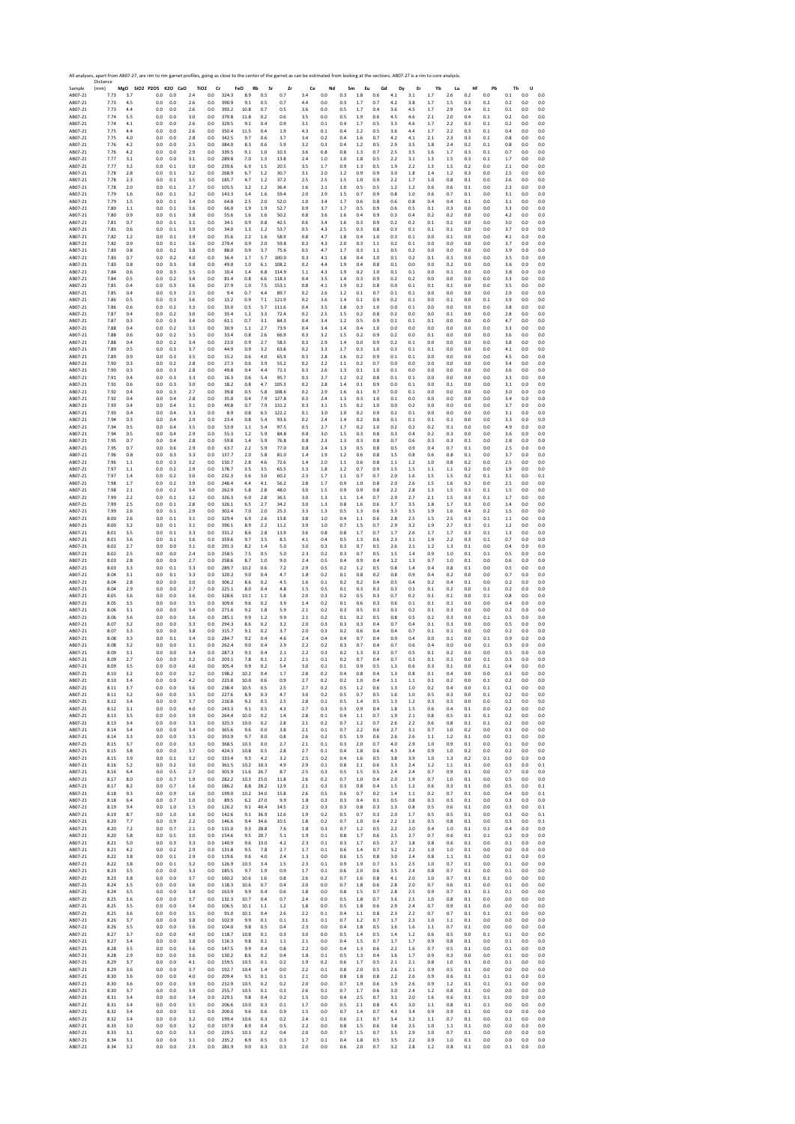|                    | All analyses, apart from AB07-27, are rim to rim garnet profiles, going as close to the center of the garnet as can be estimated from looking at the sections. AB07-27 is a rim to core analysis.<br>Distance |            |                      |                |            |                               |       |                  |           |            |            |            |            |            |            |            |            |            |           |            |            |            |          |            |
|--------------------|---------------------------------------------------------------------------------------------------------------------------------------------------------------------------------------------------------------|------------|----------------------|----------------|------------|-------------------------------|-------|------------------|-----------|------------|------------|------------|------------|------------|------------|------------|------------|------------|-----------|------------|------------|------------|----------|------------|
| Sample<br>AB07-21  | (mm)<br>7.73                                                                                                                                                                                                  | 3.7        | MgO SiO2 P2O5<br>0.0 | K2O CaO<br>0.0 | 2.4        | TiO <sub>2</sub><br>Cr<br>0.0 | 324.3 | FeO<br>Rb<br>8.9 | Sr<br>0.5 | Zr<br>0.7  | Ce<br>3.4  | Nd<br>0.0  | Sm<br>0.3  | Eu<br>1.8  | Gd<br>0.6  | Dy<br>4.1  | Er<br>3.1  | Yb<br>1.7  | Lu<br>2.6 | Hf<br>0.2  | Pb<br>0.0  | Th<br>0.1  | U<br>0.0 | 0.0        |
| AB07-21            | 7.73                                                                                                                                                                                                          | 4.5        | 0.0                  | 0.0            | 2.6        | 0.0                           | 390.9 | 9.1              | 0.5       | 0.7        | 4.4        | 0.0        | 0.3        | 1.7        | 0.7        | 4.2        | 3.8        | 1.7        | 1.5       | 0.3        | 0.2        | 0.2        | 0.0      | 0.0        |
| AB07-21            | 7.73                                                                                                                                                                                                          | 4.4        | 0.0                  | 0.0            | 2.6        | 0.0                           | 393.2 | 10.8             | 0.7       | 0.5        | 3.6        | 0.0        | 0.5        | 1.7        | 0.4        | 3.6        | 4.5        | 1.7        | 2.9       | 0.4        | 0.1        | 0.1        | 0.0      | 0.0        |
| AB07-21            | 7.74                                                                                                                                                                                                          | 5.5        | 0.0                  | 0.0            | 3.0        | 0.0                           | 379.8 | 11.8             | 0.2       | 0.6        | 3.5        | 0.0        | 0.5        | 1.9        | 0.6        | 4.5        | 4.6        | 2.1        | 2.0       | 0.4        | 0.1        | 0.2        | 0.0      | 0.0        |
| AB07-21            | 7.74                                                                                                                                                                                                          | 4.1        | 0.0                  | 0.0            | 2.6        | 0.0                           | 329.5 | 9.1              | 0.4       | 0.9        | 3.1        | 0.1        | 0.4        | 1.7        | 0.5        | 3.3        | 4.6        | 1.7        | 2.2       | 0.3        | 0.1        | 0.2        | 0.0      | 0.0        |
| AB07-21            | 7.75                                                                                                                                                                                                          | 4.4        | 0.0                  | 0.0            | 2.6        | 0.0                           | 350.4 | 11.5             | 0.4       | 1.9        | 4.3        | 0.1        | 0.4        | 2.2        | 0.5        | 3.6        | 4.4        | 1.7        | 2.2       | 0.3        | 0.1        | 0.4        | 0.0      | 0.0        |
| AB07-21            | 7.75                                                                                                                                                                                                          | 4.0        | 0.0                  | 0.0            | 2.8        | 0.0                           | 342.5 | 9.7              | 0.6       | 3.7        | 3.4        | 0.2        | 0.4        | 1.6        | 0.7        | 4.2        | 4.1        | 2.1        | 2.3       | 0.3        | 0.1        | 0.8        | 0.0      | 0.0        |
| AB07-21            | 7.76                                                                                                                                                                                                          | 4.2        | 0.0                  | 0.0            | 2.5        | 0.0                           | 384.0 | 8.3              | 0.6       | 5.9        | 3.2        | 0.3        | 0.4        | 1.2        | 0.5        | 2.9        | 3.5        | 1.8        | 2.4       | 0.2        | 0.1        | 0.8        | 0.0      | 0.0        |
| AB07-21            | 7.76                                                                                                                                                                                                          | 4.2        | 0.0                  | 0.0            | 2.9        | 0.0                           | 339.5 | 9.1              | 1.0       | 10.3       | 3.6        | 0.8        | 0.8        | 1.3        | 0.7        | 2.5        | 3.5        | 1.6        | 1.7       | 0.3        | 0.1        | 0.7        | 0.0      | 0.0        |
| AB07-21            | 7.77                                                                                                                                                                                                          | 3.1        | 0.0                  | 0.0            | 3.1        | 0.0                           | 289.8 | 7.0              | 1.3       | 13.8       | 2.4        | 1.0        | 1.0        | 1.8        | 0.5        | 2.2        | 3.1        | 1.3        | 1.5       | 0.3        | 0.1        | 1.7        | 0.0      | 0.0        |
| AB07-21            | 7.77                                                                                                                                                                                                          | 3.2        | 0.0                  | 0.1            | 3.0        | 0.0                           | 239.6 | 6.9              | 1.5       | 20.5       | 3.5        | 1.7        | 0.9        | 1.3        | 0.5        | 1.9        | 2.2        | 1.3        | 1.5       | 0.2        | 0.0        | 2.1        | 0.0      | 0.0        |
| AB07-21            | 7.78                                                                                                                                                                                                          | 2.8        | 0.0                  | 0.1            | 3.2        | 0.0                           | 268.9 | 6.7              | 1.2       | 30.7       | 3.1        | 2.0        | 1.2        | 0.9        | 0.9        | 3.0        | 1.8        | 1.4        | 1.2       | 0.3        | 0.0        | 2.5        | 0.0      | 0.0        |
| AB07-21            | 7.78                                                                                                                                                                                                          | 2.3        | 0.0                  | 0.1            | 3.5        | 0.0                           | 185.7 | 4.7              | 1.2       | 37.2       | 2.5        | 2.5        | 1.5        | 1.0        | 0.9        | 2.2        | 1.7        | 1.0        | 0.8       | 0.1        | 0.0        | 2.6        | 0.0      | 0.0        |
| AB07-21            | 7.78                                                                                                                                                                                                          | 2.0        | 0.0                  | 0.1            | 2.7        | 0.0                           | 105.5 | 3.2              | 1.2       | 36.4       | 1.6        | 2.1        | 1.0        | 0.5        | 0.5        | 1.2        | 1.2        | 0.6        | 0.6       | 0.1        | 0.0        | 2.3        | 0.0      | 0.0        |
| AB07-21            | 7.79                                                                                                                                                                                                          | 1.6        | 0.0                  | 0.1            | 3.2        | 0.0                           | 143.3 | 3.4              | 1.6       | 59.4       | 2.0        | 2.9        | 1.5        | 0.7        | 0.9        | 0.8        | 1.0        | 0.6        | 0.7       | 0.1        | 0.0        | 3.1        | 0.0      | 0.0        |
| AB07-21            | 7.79                                                                                                                                                                                                          | 1.5        | 0.0                  | 0.1            | 3.4        | 0.0                           | 64.8  | 2.5              | 2.0       | 52.0       | 1.0        | 3.4        | 1.7        | 0.6        | 0.8        | 0.6        | 0.8        | 0.4        | 0.4       | 0.1        | 0.0        | 3.1        | 0.0      | 0.0        |
| AB07-21            | 7.80                                                                                                                                                                                                          | 1.1        | 0.0                  | 0.1            | 3.6        | 0.0                           | 66.0  | 1.9              | 1.9       | 52.7       | 0.9        | 3.7        | 1.7        | 0.5        | 0.9        | 0.6        | 0.5        | 0.1        | 0.3       | 0.0        | 0.0        | 3.3        | 0.0      | 0.0        |
| AB07-21            | 7.80                                                                                                                                                                                                          | 0.9        | 0.0                  | 0.1            | 3.8        | 0.0                           | 55.6  | 1.6              | 1.6       | 50.2       | 0.8        | 3.6        | 1.6        | 0.4        | 0.9        | 0.3        | 0.4        | 0.2        | 0.2       | 0.0        | 0.0        | 4.2        | 0.0      | 0.0        |
| AR07-21            | 7.81                                                                                                                                                                                                          | 0.7        | 0.0                  | 0.1            | 3.1        | 0.0                           | 34.1  | 0.9              | 0.8       | 42.5       | 0.6        | 3.4        | 1.6        | 0.3        | 0.9        | 0.2        | 0.2        | 0.1        | 0.1       | 0.0        | 0.0        | 3.0        | 0.0      | 0.0        |
| AB07-21            | 7.81                                                                                                                                                                                                          | 0.6        | 0.0                  | 0.1            | 3.9        | 0.0                           | 34.0  | 1.3              | 1.2       | 53.7       | 0.5        | 4.3        | 2.5        | 0.3        | 0.8        | 0.3        | 0.1        | 0.1        | 0.1       | 0.0        | 0.0        | 3.7        | 0.0      | 0.0        |
| AB07-21            | 7.82                                                                                                                                                                                                          | 1.2        | 0.0                  | 0.1            | 3.9        | 0.0                           | 35.6  | 2.2              | 1.6       | 58.9       | 0.8        | 4.7        | 1.8        | 0.4        | 1.0        | 0.3        | 0.1        | 0.0        | 0.1       | 0.0        | 0.0        | 4.1        | 0.0      | 0.0        |
| AB07-21            | 7.82                                                                                                                                                                                                          | 0.9        | 0.0                  | 0.1            | 3.6        | 0.0                           | 279.4 | 0.9              | 2.0       | 59.8       | 0.3        | 4.3        | 2.0        | 0.3        | 1.1        | 0.2        | 0.1        | 0.0        | 0.0       | 0.0        | 0.0        | 3.7        | 0.0      | 0.0        |
| AB07-21            | 7.83                                                                                                                                                                                                          | 0.8        | 0.0                  | 0.2            | 3.8        | 0.0                           | 88.0  | 0.9              | 3.7       | 75.6       | 0.5        | 4.7        | 1.7        | 0.3        | 1.1        | 0.5        | 0.2        | 0.0        | 0.0       | 0.0        | 0.0        | 3.9        | 0.0      | 0.0        |
| AB07-21            | 7.83                                                                                                                                                                                                          | 0.7        | 0.0                  | 0.2            | 4.0        | 0.0                           | 36.4  | 1.7              | 5.7       | 100.0      | 0.3        | 4.1        | 1.8        | 0.4        | 1.0        | 0.1        | 0.2        | 0.1        | $0.1\,$   | 0.0        | 0.0        | 3.5        | 0.0      | 0.0        |
| AB07-21            | 7.83                                                                                                                                                                                                          | 0.8        | 0.0                  | 0.3            | 3.8        | 0.0                           | 49.0  | 1.0              | 6.1       | 108.2      | 0.2        | 4.4        | 1.9        | 0.4        | 0.8        | 0.1        | 0.0        | 0.0        | 0.2       | 0.0        | 0.0        | 3.6        | 0.0      | 0.0        |
| AB07-21            | 7.84                                                                                                                                                                                                          | 0.6        | 0.0                  | 0.3            | 3.5        | 0.0                           | 10.4  | 1.4              | 6.8       | 114.9      | 1.1        | 4.3        | 1.9        | 0.2        | 1.0        | 0.1        | 0.1        | 0.0        | 0.1       | 0.0        | 0.0        | 3.8        | 0.0      | 0.0        |
| AB07-21            | 7.84                                                                                                                                                                                                          | 0.5        | 0.0                  | 0.2            | 3.4        | 0.0                           | 81.4  | 0.8              | 6.6       | 118.3      | 0.4        | 3.5        | 1.4        | 0.3        | 0.9        | 0.2        | 0.2        | 0.0        | 0.0       | 0.0        | 0.0        | 3.3        | 0.0      | 0.0        |
| AB07-21            | 7.85                                                                                                                                                                                                          | 0.4        | 0.0                  | 0.3            | 3.6        | 0.0                           | 27.9  | $1.0\,$          | 7.5       | 153.1      | 0.8        | 4.1        | 1.9        | 0.2        | 0.8        | 0.0        | $0.1\,$    | 0.1        | 0.1       | 0.0        | 0.0        | 3.5        | 0.0      | 0.0        |
| AB07-21            | 7.85                                                                                                                                                                                                          | 0.4        | 0.0                  | 0.3            | 2.5        | 0.0                           | 9.4   | 0.7              | 4.4       | 89.7       | 0.2        | 2.6        | 1.2        | 0.1        | 0.7        | 0.1        | 0.1        | 0.0        | 0.0       | 0.0        | 0.0        | 2.9        | 0.0      | 0.0        |
| AB07-21            | 7.86                                                                                                                                                                                                          | 0.5        | 0.0                  | 0.3            | 3.6        | 0.0                           | 13.2  | 0.9              | 7.1       | 121.9      | 0.2        | 3.6        | 1.4        | 0.1        | 0.9        | 0.2        | 0.1        | 0.0        | $0.1\,$   | 0.0        | 0.1        | 3.9        | 0.0      | 0.0        |
| AB07-21            | 7.86                                                                                                                                                                                                          | 0.6        | 0.0                  | 0.2            | 3.3        | 0.0                           | 33.0  | 0.5              | 5.7       | 111.6      | 0.4        | 3.5        | 1.8        | 0.3        | 1.0        | 0.0        | 0.1        | 0.0        | 0.0       | 0.0        | 0.0        | 3.8        | 0.0      | 0.0        |
| AB07-21            | 7.87                                                                                                                                                                                                          | 0.4        | 0.0                  | 0.2            | 3.0        | 0.0                           | 33.4  | 1.2              | 3.3       | 72.4       | 0.2        | 2.5        | 1.5        | 0.2        | 0.8        | 0.2        | 0.0        | 0.0        | $0.1\,$   | 0.0        | 0.0        | 2.8        | 0.0      | 0.0        |
| AB07-21            | 7.87                                                                                                                                                                                                          | 0.3        | 0.0                  | 0.3            | 3.4        | 0.0                           | 61.1  | 0.7              | 3.1       | 84.3       | 0.4        | 3.4        | 1.2        | 0.5        | 0.9        | 0.1        | 0.1        | 0.1        | 0.0       | 0.0        | 0.0        | 4.7        | 0.0      | 0.0        |
| AB07-21            | 7.88                                                                                                                                                                                                          | 0.4        | 0.0                  | 0.2            | 3.3        | 0.0                           | 30.9  | 1.1              | 2.7       | 73.9       | 0.4        | 3.4        | 1.4        | 0.4        | 1.0        | 0.0        | 0.0        | 0.0        | 0.0       | 0.0        | 0.0        | 3.3        | 0.0      | 0.0        |
| AB07-21            | 7.88                                                                                                                                                                                                          | 0.6        | 0.0                  | 0.2            | 3.5        | 0.0                           | 33.4  | 0.8              | 2.6       | 66.9       | 0.3        | 3.2        | 1.5        | 0.2        | 0.9        | 0.2        | 0.0        | 0.1        | 0.0       | 0.0        | 0.0        | 3.6        | 0.0      | 0.0        |
| AB07-21            | 7.88                                                                                                                                                                                                          | 0.4        | 0.0                  | 0.2            | 3.4        | 0.0                           | 23.0  | 0.9              | 2.7       | 58.5       | 0.3        | 2.9        | 1.4        | 0.0        | 0.9        | 0.2        | 0.1        | 0.0        | 0.0       | 0.0        | 0.0        | 3.8        | 0.0      | 0.0        |
| AB07-21            | 7.89                                                                                                                                                                                                          | 0.5        | 0.0                  | 0.3            | 3.7        | 0.0                           | 44.9  | 0.9              | 3.2       | 63.8       | 0.2        | 3.3        | 1.7        | 0.3        | 1.0        | 0.3        | 0.1        | 0.1        | 0.0       | 0.0        | 0.0        | 4.1        | 0.0      | 0.0        |
| AB07-21            | 7.89                                                                                                                                                                                                          | 0.9        | 0.0                  | 0.3            | 3.5        | 0.0                           | 15.2  | 0.6              | 4.0       | 65.9       | 0.3        | 2.8        | 1.6        | 0.2        | 0.9        | 0.1        | 0.1        | 0.0        | 0.0       | 0.0        | 0.0        | 4.5        | 0.0      | 0.0        |
| AB07-21            | 7.90                                                                                                                                                                                                          | 0.3        | 0.0                  | 0.2            | 2.8        | 0.0                           | 27.3  | 0.6              | 3.9       | 55.2       | 0.2        | 2.2        | 1.1        | 0.2        | 0.7        | 0.0        | 0.0        | 0.0        | 0.0       | 0.0        | 0.0        | 3.4        | 0.0      | 0.0        |
| AB07-21            | 7.90                                                                                                                                                                                                          | 0.3        | 0.0                  | 0.3            | 2.8        | 0.0                           | 49.8  | 0.4              | 4.4       | 72.3       | 0.3        | 2.6        | 1.3        | 0.1        | 1.0        | 0.1        | 0.0        | 0.0        | 0.0       | 0.0        | 0.0        | 3.6        | 0.0      | 0.0        |
| AB07-21            | 7.91                                                                                                                                                                                                          | 0.4        | 0.0                  | 0.3            | 3.3        | 0.0                           | 16.3  | 0.6              | 5.4       | 95.7       | 0.3        | 2.7        | 1.2        | 0.2        | 0.8        | 0.1        | 0.1        | 0.0        | 0.0       | 0.0        | 0.0        | 3.3        | 0.0      | 0.0        |
| AB07-21            | 7.91                                                                                                                                                                                                          | 0.6        | 0.0                  | 0.3            | 3.0        | 0.0                           | 18.2  | 0.8              | 4.7       | 105.3      | 0.2        | 2.8        | 1.4        | 0.1        | 0.9        | 0.0        | 0.1        | 0.0        | 0.1       | 0.0        | 0.0        | 3.1        | 0.0      | 0.0        |
| AB07-21            | 7.92                                                                                                                                                                                                          | 0.4        | 0.0                  | 0.3            | 2.7        | 0.0                           | 39.8  | 0.5              | 5.8       | 108.6      | 0.2        | 2.9        | 1.6        | 0.1        | 0.7        | 0.0        | 0.1        | 0.0        | 0.0       | 0.0        | 0.0        | 3.0        | 0.0      | 0.0        |
| AR07-21            | 7.92                                                                                                                                                                                                          | 0.4        | 0.0                  | 0.4            | 2.8        | 0.0                           | 35.0  | 0.4              | 7.9       | 127.8      | 0.3        | 2.4        | 1.3        | 0.3        | 1.0        | 0.1        | 0.0        | 0.0        | 0.0       | 0.0        | 0.0        | 3.4        | 0.0      | 0.0        |
| AB07-21            | 7.93                                                                                                                                                                                                          | 0.4        | 0.0                  | 0.4            | 3.1        | 0.0                           | 49.8  | 0.7              | 7.9       | 131.2      | 0.3        | 3.1        | 1.5        | 0.2        | 1.0        | 0.0        | 0.2        | 0.0        | 0.0       | 0.0        | 0.0        | 3.7        | 0.0      | 0.0        |
| AB07-21            | 7.93                                                                                                                                                                                                          | 0.4        | 0.0                  | 0.4            | 3.3        | 0.0                           | 8.9   | 0.8              | 6.5       | 122.2      | 0.1        | 3.0        | 1.0        | 0.2        | 0.9        | 0.2        | 0.1        | 0.0        | 0.0       | 0.0        | 0.0        | 3.1        | 0.0      | 0.0        |
| AB07-21            | 7.94                                                                                                                                                                                                          | 0.3        | 0.0                  | 0.4            | 2.9        | 0.0                           | 23.4  | 0.8              | 5.4       | 93.6       | 0.2        | 2.4        | 1.4        | 0.2        | 0.8        | 0.1        | 0.1        | 0.1        | 0.1       | 0.0        | 0.0        | 3.3        | 0.0      | 0.0        |
| AB07-21            | 7.94                                                                                                                                                                                                          | 0.5        | 0.0                  | 0.4            | 3.5        | 0.0                           | 53.9  | 1.1              | 5.4       | 97.5       | 0.5        | 2.7        | 1.7        | 0.2        | 1.0        | 0.2        | 0.2        | 0.2        | 0.1       | 0.0        | 0.0        | 4.9        | 0.0      | 0.0        |
| AB07-21            | 7.94                                                                                                                                                                                                          | 0.5        | 0.0                  | 0.4            | 2.9        | 0.0                           | 55.3  | 1.2              | 5.9       | 84.8       | 0.8        | 3.0        | 1.5        | 0.3        | 0.8        | 0.3        | 0.4        | 0.2        | 0.3       | 0.0        | 0.0        | 3.6        | 0.0      | 0.0        |
| AB07-21            | 7.95                                                                                                                                                                                                          | 0.7        | 0.0                  | 0.4            | 2.8        | 0.0                           | 59.8  | 1.4              | 5.9       | 76.8       | 0.8        | 2.3        | 1.3        | 0.3        | 0.8        | 0.7        | 0.6        | 0.3        | 0.3       | 0.1        | 0.0        | 2.8        | 0.0      | 0.0        |
| AB07-21            | 7.95                                                                                                                                                                                                          | 0.7        | 0.0                  | 0.6            | 2.9        | 0.0                           | 63.7  | 2.2              | 5.9       | 77.0       | 0.8        | 2.4        | 1.3        | 0.5        | 0.8        | 0.5        | 0.9        | 0.4        | 0.7       | 0.1        | 0.0        | 2.5        | $_{0.0}$ | 0.0        |
| AB07-21            | 7.96                                                                                                                                                                                                          | 0.8        | 0.0                  | 0.3            | 3.3        | 0.0                           | 137.7 | 2.0              | 5.8       | 81.0       | 1.4        | 1.9        | 1.2        | 0.6        | 0.8        | 1.5        | 0.8        | 0.6        | 0.8       | 0.1        | 0.0        | 3.7        | 0.0      | 0.0        |
| AB07-21            | 7.96                                                                                                                                                                                                          | 1.1        | 0.0                  | 0.3            | 3.2        | 0.0                           | 150.7 | 2.8              | 4.6       | 72.6       | 1.4        | 2.0        | $1.1\,$    | 0.6        | 0.8        | 1.1        | 1.2        | 1.0        | 0.8       | 0.2        | 0.0        | 2.5        | 0.0      | 0.0        |
| AB07-21            | 7.97                                                                                                                                                                                                          | 1.1        | 0.0                  | 0.2            | 2.9        | 0.0                           | 178.7 | 3.5              | 3.5       | 65.5       | 1.3        | 1.8        | 1.2        | 0.7        | 0.9        | 1.5        | 1.5        | 1.1        | 1.1       | 0.2        | 0.0        | 1.9        | 0.0      | 0.0        |
| AB07-21            | 7.97                                                                                                                                                                                                          | 1.4        | 0.0                  | 0.2            | 3.0        | 0.0                           | 232.3 | 3.6              | 3.0       | 60.2       | 2.3        | 1.7        | 1.1        | 0.7        | 0.7        | 2.0        | 1.6        | 1.5        | 1.5       | 0.2        | 0.1        | 3.1        | 0.0      | 0.1        |
| AB07-21            | 7.98                                                                                                                                                                                                          | 1.7        | 0.0                  | 0.2            | 3.9        | 0.0                           | 248.4 | 4.4              | 4.1       | 56.2       | 2.8        | 1.7        | 0.9        | 1.0        | 0.8        | 2.0        | 2.6        | 1.5        | 1.6       | 0.2        | 0.0        | 2.5        | 0.0      | 0.0        |
| AB07-21            | 7.98                                                                                                                                                                                                          | 2.1        | 0.0                  | 0.2            | 3.4        | 0.0                           | 262.9 | 5.8              | 2.8       | 48.0       | 3.0        | 1.5        | 0.9        | 0.9        | 0.8        | 2.2        | 2.8        | 1.3        | 1.5       | 0.3        | 0.1        | 1.5        | 0.0      | 0.0        |
| AB07-21            | 7.99                                                                                                                                                                                                          | 2.2        | 0.0                  | 0.1            | 3.2        | 0.0                           | 326.3 | 6.0              | 2.8       | 36.5       | 3.0        | 1.3        | 1.1        | 1.4        | 0.7        | 2.9        | 2.7        | 2.1        | 1.5       | 0.3        | 0.1        | 1.7        | 0.0      | 0.0        |
| AB07-21            | 7.99                                                                                                                                                                                                          | 2.5        | 0.0                  | 0.1            | 2.8        | 0.0                           | 326.1 | 6.5              | 2.7       | 34.2       | 3.0        | 1.3        | 0.8        | 1.6        | 0.6        | 3.7        | 3.5        | 1.8        | 1.7       | 0.3        | 0.0        | 1.4        | 0.0      | 0.0        |
| AB07-21            | 7.99                                                                                                                                                                                                          | 2.6        | 0.0                  | 0.1            | 2.9        | 0.0                           | 302.4 | 7.0              | 2.0       | 25.3       | 3.3        | 1.3        | 0.5        | 1.3        | 0.6        | 3.3        | 3.5        | 1.9        | 1.6       | 0.4        | 0.2        | 1.5        | 0.0      | 0.0        |
| AB07-21            | 8.00                                                                                                                                                                                                          | 2.6        | 0.0                  | 0.1            | 3.1        | 0.0                           | 329.4 | 6.9              | 2.6       | 13.8       | 3.8        | 1.0        | 0.4        | 1.1        | 0.6        | 2.8        | 2.5        | 1.5        | 2.5       | 0.3        | 0.1        | 1.1        | 0.0      | 0.0        |
| AB07-21            | 8.00                                                                                                                                                                                                          | 3.2        | 0.0                  | 0.1            | 3.1        | 0.0                           | 396.1 | 8.9              | 2.2       | 11.2       | 3.9        | 1.0        | 0.7        | 1.5        | 0.7        | 2.9        | 3.2        | 1.9        | 2.7       | 0.3        | 0.1        | 1.2        | 0.0      | 0.0        |
| AB07-21            | 8.01                                                                                                                                                                                                          | 3.5        | 0.0                  | 0.1            | 3.3        | 0.0                           | 331.2 | 8.6              | 2.8       | 13.9       | 3.6        | 0.8        | 0.8        | 1.7        | 0.7        | 1.7        | 2.6        | 1.7        | 1.7       | 0.3        | 0.1        | 1.3        | 0.0      | 0.0        |
| AB07-21            | 8.01                                                                                                                                                                                                          | 3.6        | 0.0                  | 0.1            | 3.6        | 0.0                           | 359.6 | 9.7              | 3.5       | 8.5        | 4.1        | 0.4        | 0.5        | 1.3        | 0.6        | 2.3        | 3.1        | 1.9        | 2.2       | 0.3        | 0.1        | 0.7        | 0.0      | 0.0        |
| AB07-21            | 8.02                                                                                                                                                                                                          | 2.7        | 0.0                  | 0.0            | 3.1        | 0.0                           | 291.3 | 8.2              | 1.4       | 5.0        | 3.0        | 0.3        | 0.3        | 0.7        | 0.5        | 2.6        | 2.1        | 1.2        | 1.3       | 0.1        | 0.0        | 0.4        | 0.0      | 0.0        |
| AB07-21            | 8.02                                                                                                                                                                                                          | 2.5        | 0.0                  | 0.0            | 2.4        | 0.0                           | 258.5 | 7.5              | 0.5       | 5.0        | 2.3        | 0.2        | 0.3        | 0.7        | 0.5        | 1.5        | 1.4        | 0.9        | 1.0       | 0.1        | 0.1        | 0.5        | 0.0      | 0.0        |
| AB07-21            | 8.03                                                                                                                                                                                                          | 2.8        | 0.0                  | 0.0            | 2.7        | 0.0                           | 258.6 | 8.7              | 1.0       | 9.0        | 2.4        | 0.5        | 0.4        | 0.9        | 0.4        | 1.2        | 1.3        | 0.7        | 1.0       | 0.1        | 0.0        | 0.6        | 0.0      | 0.0        |
| AB07-21            | 8.03                                                                                                                                                                                                          | 3.3        | 0.0                  | 0.1            | 3.3        | 0.0                           | 289.7 | 10.2             | 0.6       | 7.2        | 2.9        | 0.5        | 0.2        | 1.2        | 0.5        | 0.8        | 1.4        | 0.4        | 0.8       | 0.1        | 0.0        | 0.5        | 0.0      | 0.0        |
| AB07-21            | 8.04                                                                                                                                                                                                          | 3.1        | 0.0                  | 0.1            | 3.3        | 0.0                           | 320.2 | 9.0              | 0.4       | 4.7        | 1.8        | 0.2        | 0.1        | 0.8        | 0.2        | 0.8        | 0.9        | 0.4        | 0.2       | 0.0        | 0.0        | 0.7        | 0.0      | 0.0        |
| AB07-21            | 8.04                                                                                                                                                                                                          | 2.8        | 0.0                  | 0.0            | 3.0        | 0.0                           | 306.2 | 8.6              | 0.2       | 4.5        | 1.6        | 0.1        | 0.2        | 0.2        | 0.4        | 0.5        | 0.4        | 0.2        | 0.4       | 0.1        | 0.0        | 0.2        | 0.0      | 0.0        |
| AB07-21            | 8.04                                                                                                                                                                                                          | 2.9        | 0.0                  | 0.0            | 2.7        | 0.0                           | 225.1 | 8.0              | 0.4       | 4.8        | 1.5        | 0.5        | 0.1        | 0.3        | 0.3        | 0.3        | 0.3        | 0.1        | 0.2       | 0.0        | 0.1        | 0.2        | 0.0      | 0.0        |
| AB07-21            | 8.05                                                                                                                                                                                                          | 3.6        | 0.0                  | 0.0            | 3.6        | 0.0                           | 328.6 | 10.1             | 1.1       | 5.8        | 2.0        | 0.3        | 0.2        | 0.5        | 0.3        | 0.7        | 0.2        | 0.1        | 0.1       | 0.0        | 0.1        | 0.8        | 0.0      | 0.0        |
| AB07-21            | 8.05                                                                                                                                                                                                          | 3.5        | 0.0                  | 0.0            | 3.5        | 0.0                           | 309.6 | 9.6              | 0.2       | 3.9        | 1.4        | 0.2        | 0.1        | 0.6        | 0.3        | 0.6        | 0.1        | 0.1        | 0.1       | 0.0        | 0.0        | 0.4        | 0.0      | 0.0        |
| AB07-21            | 8.06                                                                                                                                                                                                          | 3.1        | 0.0                  | 0.0            | 3.4        | 0.0                           | 271.6 | 9.2              | 1.8       | 5.9        | 2.1        | 0.2        | 0.3        | 0.5        | 0.3        | 0.3        | 0.2        | 0.1        | 0.3       | 0.0        | 0.0        | 0.2        | 0.0      | 0.0        |
| AB07-21            | 8.06                                                                                                                                                                                                          | 3.6        | 0.0                  | 0.0            | 3.6        | 0.0                           | 285.1 | 9.9              | 1.2       | 9.9        | 2.1        | 0.2        | 0.1        | 0.2        | 0.5        | 0.8        | 0.5        | 0.2        | 0.3       | 0.0        | 0.1        | 0.5        | 0.0      | 0.0        |
| AB07-21            | 8.07                                                                                                                                                                                                          | 3.2        | 0.0                  | 0.0            | 3.3        | 0.0                           | 294.3 | 8.6              | 0.2       | 3.2        | 2.0        | 0.3        | 0.3        | 0.3        | 0.4        | 0.7        | 0.4        | 0.1        | 0.3       | 0.0        | 0.0        | 0.5        | 0.0      | 0.0        |
| AB07-21            | 8.07                                                                                                                                                                                                          | 3.3        | 0.0                  | 0.0            | 3.8        | 0.0                           | 315.7 | 9.1              | 0.2       | 3.7        | 2.0        | 0.3        | 0.2        | 0.6        | 0.4        | 0.4        | 0.7        | 0.1        | 0.1       | 0.0        | 0.0        | 0.2        | 0.0      | 0.0        |
| AB07-21            | 8.08                                                                                                                                                                                                          | 3.3        | 0.0                  | 0.1            | 3.4        | 0.0                           | 284.7 | 9.2              | 0.4       | $4.6\,$    | 2.4        | 0.4        | 0.4        | 0.7        | 0.4        | 0.9        | 0.4        | 0.0        | 0.1       | 0.0        | 0.1        | 0.9        | 0.0      | 0.0        |
| AB07-21            | 8.08                                                                                                                                                                                                          | 3.2        | 0.0                  | 0.0            | 3.1        | 0.0                           | 262.4 | 9.0              | 0.4       | 2.9        | 2.2        | 0.2        | 0.3        | 0.7        | 0.4        | 0.7        | 0.6        | 0.4        | 0.0       | 0.0        | 0.1        | 0.3        | 0.0      | 0.0        |
| AB07-21            | 8.09                                                                                                                                                                                                          | 3.1        | 0.0                  | 0.0            | 3.4        | 0.0                           | 287.3 | 9.3              | 0.4       | 2.1        | 2.2        | 0.3        | 0.2        | 1.3        | 0.3        | 0.7        | 0.5        | 0.1        | 0.2       | 0.0        | 0.0        | 0.5        | 0.0      | 0.0        |
| AB07-21            | 8.09                                                                                                                                                                                                          | 2.7        | 0.0                  | 0.0            | 3.2        | 0.0                           | 203.1 | 7.8              | 0.1       | 2.2        | 2.1        | 0.1        | 0.2        | 0.7        | 0.4        | 0.7        | 0.3        | 0.1        | 0.1       | 0.0        | 0.1        | 0.3        | 0.0      | 0.0        |
| AB07-21            | 8.09                                                                                                                                                                                                          | 3.5        | 0.0                  | 0.0            | 4.0        | 0.0                           | 305.4 | 9.9              | 0.2       | 5.4        | 3.0        | 0.1        | 0.1        | 0.9        | 0.5        | 1.3        | 0.6        | 0.3        | 0.1       | 0.0        | 0.1        | 0.4        | 0.0      | 0.0        |
| ABU/-21<br>AB07-21 | 8.IU<br>8.10                                                                                                                                                                                                  | 3.4<br>3.4 | 0.0                  | U.U<br>0.0     | 5.4<br>4.2 | 0.0                           | 223.8 | 10.,<br>10.0     | υ.<br>0.6 | ı.,<br>0.9 | 2.8<br>2.7 | υ.,<br>0.2 | U.4<br>0.2 | U.ŏ<br>1.0 | U.4<br>0.4 | 1.1<br>1.1 | U.č<br>1.1 | U.I<br>0.1 | υ.<br>0.2 | U.L<br>0.0 | U.U<br>0.1 | U.S<br>0.2 | 0.0      | U.U<br>0.0 |
| AB07-21            | 8.11                                                                                                                                                                                                          | 3.7        | 0.0                  | 0.0            | 3.6        | 0.0                           | 238.4 | 10.5             | 0.5       | 2.5        | 2.7        | 0.2        | 0.5        | 1.2        | 0.6        | 1.3        | 1.0        | 0.2        | 0.4       | 0.0        | 0.1        | 0.2        | 0.0      | 0.0        |
| AB07-21            | 8.11                                                                                                                                                                                                          | 3.2        | 0.0                  | 0.0            | 3.5        | 0.0                           | 227.6 | 8.9              | 0.3       | 4.7        | 3.0        | 0.2        | 0.5        | 0.7        | 0.5        | 1.6        | 1.0        | 0.5        | 0.3       | 0.0        | 0.1        | 0.2        | 0.0      | 0.0        |
| AB07-21            | 8.12                                                                                                                                                                                                          | 3.4        | 0.0                  | 0.0            | 3.7        | 0.0                           | 216.8 | 9.2              | 0.5       | $2.5\,$    | 2.8        | 0.1        | 0.5        | 1.4        | 0.5        | 1.3        | 1.2        | 0.3        | 0.3       | 0.0        | 0.0        | 0.2        | 0.0      | 0.0        |
| AR07-21            | 8.12                                                                                                                                                                                                          | 3.1        | 0.0                  | 0.0            | 4.0        | 0.0                           | 243.3 | 9.1              | 0.5       | 4.3        | 2.7        | 0.3        | 0.3        | 0.9        | 0.4        | 1.8        | 1.5        | 0.6        | 0.4       | 0.1        | 0.0        | 0.2        | 0.0      | 0.0        |
| AB07-21            | 8.13                                                                                                                                                                                                          | 3.5        | 0.0                  | 0.0            | 3.9        | 0.0                           | 264.4 | 10.0             | 0.2       | 1.4        | 2.8        | 0.1        | 0.4        | 1.1        | 0.7        | 1.9        | 2.1        | 0.8        | 0.5       | 0.1        | 0.1        | 0.2        | 0.0      | 0.0        |
| AR07-21            | 8.13                                                                                                                                                                                                          | 3.4        | 0.0                  | 0.0            | 3.3        | 0.0                           | 325.3 | 10.0             | 0.2       | 2.8        | 2.1        | 0.2        | 0.7        | 1.2        | 0.7        | 2.6        | 2.2        | 0.6        | 0.8       | 0.1        | 0.1        | 0.2        | 0.0      | 0.0        |
| AB07-21            | 8.14                                                                                                                                                                                                          | 3.4        | 0.0                  | 0.0            | 3.4        | 0.0                           | 365.6 | 9.6              | 0.0       | 3.8        | 2.1        | 0.1        | 0.7        | 2.2        | 0.6        | 2.7        | 3.1        | 0.7        | 1.0       | 0.2        | 0.0        | 0.3        | 0.0      | 0.0        |
| AR07-21            | 8.14                                                                                                                                                                                                          | 3.3        | 0.0                  | 0.0            | 3.5        | 0.0                           | 393.9 | 9.7              | 0.0       | 0.8        | 2.6        | 0.2        | 0.5        | 1.9        | 0.6        | 2.6        | 2.6        | 1.1        | 1.2       | 0.1        | 0.0        | 0.1        | 0.0      | 0.0        |
| AB07-21            | 8.15                                                                                                                                                                                                          | 3.7        | 0.0                  | 0.0            | 3.3        | 0.0                           | 368.5 | 10.3             | 0.0       | 2.7        | 2.1        | 0.1        | 0.3        | 2.0        | 0.7        | 4.0        | 2.9        | 1.0        | 0.9       | 0.1        | 0.0        | 0.1        | 0.0      | 0.0        |
| AR07-21            | 8.15                                                                                                                                                                                                          | 3.8        | 0.0                  | 0.0            | 3.7        | 0.0                           | 424.3 | 10.8             | 0.5       | 2.8        | 2.7        | 0.1        | 0.4        | 1.8        | 0.6        | 4.3        | 3.4        | 0.9        | 1.0       | 0.2        | 0.0        | 0.2        | 0.0      | 0.0        |
| AB07-21            | 8.15                                                                                                                                                                                                          | 3.9        | 0.0                  | 0.1            | 3.2        | 0.0                           | 333.4 | 9.3              | 4.2       | 3.2        | 2.5        | 0.2        | 0.4        | $1.6\,$    | 0.5        | 3.8        | 3.9        | 1.0        | 1.3       | 0.2        | 0.1        | 0.0        | $_{0.0}$ | 0.0        |
| AB07-21            | 8.16                                                                                                                                                                                                          | 5.2        | 0.0                  | 0.2            | 3.0        | 0.0                           | 361.5 | 10.2             | 10.3      | 4.9        | 2.9        | 0.1        | 0.8        | 2.1        | 0.6        | 3.3        | 2.4        | 1.2        | 1.1       | 0.1        | 0.0        | 0.3        | 0.0      | 0.1        |
| AB07-21            | 8.16                                                                                                                                                                                                          | 6.4        | 0.0                  | 0.5            | 2.7        | 0.0                           | 301.9 | 11.6             | 26.7      | 8.7        | 2.5        | 0.3        | 0.5        | 1.5        | 0.5        | 2.4        | 2.4        | 0.7        | 0.9       | 0.1        | 0.0        | 0.7        | 0.0      | 0.0        |
| AB07-21            | 8.17                                                                                                                                                                                                          | 8.0        | 0.0                  | 0.7            | 1.9        | 0.0                           | 282.2 | 10.3             | 25.0      | 11.8       | 2.6        | 0.2        | 0.7        | 1.0        | 0.4        | 2.0        | 1.9        | 0.7        | 1.0       | 0.1        | 0.0        | 0.5        | 0.0      | 0.0        |
| AB07-21            | 8.17                                                                                                                                                                                                          | 8.2        | 0.0                  | 0.7            | 1.6        | $_{0.0}$                      | 186.2 | 8.8              | 28.2      | 12.9       | $2.1\,$    | 0.3        | 0.3        | 0.8        | 0.4        | $1.5\,$    | $1.2\,$    | 0.6        | 0.3       | $0.1\,$    | 0.0        | 0.5        | 0.0      | 0.1        |
| AB07-21            | 8.18                                                                                                                                                                                                          | 9.3        | 0.0                  | 0.9            | 1.6        | 0.0                           | 199.0 | 10.2             | 34.0      | 15.8       | 2.6        | 0.5        | 0.6        | 0.7        | 0.2        | 1.4        | 1.1        | 0.2        | 0.7       | 0.1        | 0.0        | 0.4        | 0.0      | 0.1        |
| AB07-21            | 8.18                                                                                                                                                                                                          | 6.4        | 0.0                  | 0.7            | 1.0        | 0.0                           | 89.5  | 6.2              | 27.0      | 9.9        | 1.8        | 0.3        | 0.3        | 0.4        | 0.1        | 0.5        | 0.8        | 0.3        | 0.5       | 0.1        | 0.0        | 0.3        | 0.0      | 0.0        |
| AB07-21            | 8.19                                                                                                                                                                                                          | 9.4        | 0.0                  | 1.0            | 1.5        | 0.0                           | 126.2 | 9.1              | 40.4      | 14.5       | 2.3        | 0.3        | 0.3        | 0.8        | 0.3        | 1.3        | 0.8        | 0.5        | 0.6       | 0.1        | 0.0        | 0.3        | 0.0      | 0.1        |
| AB07-21            | 8.19                                                                                                                                                                                                          | 8.7        | 0.0                  | 1.0            | $1.6\,$    | $0.0\,$                       | 142.6 | 9.1              | 36.9      | 12.6       | 1.9        | 0.2        | 0.5        | 0.7        | 0.3        | 2.0        | 1.7        | 0.5        | 0.5       | 0.1        | 0.0        | 0.3        | 0.0      | 0.1        |
| AB07-21            | 8.20                                                                                                                                                                                                          | 7.7        | 0.0                  | 0.9            | 2.2        | 0.0                           | 146.6 | 9.4              | 34.6      | 10.5       | 1.8        | 0.2        | 0.7        | 1.0        | 0.4        | 2.2        | 1.6        | 0.5        | 0.8       | 0.1        | 0.0        | 0.3        | 0.0      | 0.1        |
| AB07-21            | 8.20                                                                                                                                                                                                          | 7.2        | 0.0                  | 0.7            | 2.1        | 0.0                           | 131.0 | 9.3              | 28.8      | 7.6        | 1.8        | 0.3        | 0.7        | 1.2        | 0.5        | 2.2        | 2.0        | 0.4        | 1.0       | 0.1        | 0.1        | 0.4        | 0.0      | 0.0        |
| AB07-21            | 8.20                                                                                                                                                                                                          | 5.8        | 0.0                  | 0.5            | 3.0        | 0.0                           | 154.6 | 9.5              | 20.7      | 5.1        | 1.9        | 0.1        | 0.8        | 1.7        | 0.6        | 2.5        | 2.7        | 0.7        | 0.6       | 0.1        | 0.1        | 0.2        | 0.0      | 0.0        |
| AB07-21            | 8.21                                                                                                                                                                                                          | 5.0        | 0.0                  | 0.3            | 3.3        | 0.0                           | 140.9 | 9.6              | 13.0      | 4.2        | 2.3        | 0.1        | 0.3        | 1.7        | 0.5        | 2.7        | 1.8        | 0.8        | 0.6       | 0.1        | 0.0        | 0.1        | 0.0      | 0.0        |
| AB07-21            | 8.21                                                                                                                                                                                                          | 4.2        | 0.0                  | 0.2            | 2.9        | 0.0                           | 131.8 | 9.5              | 7.8       | 2.7        | 1.7        | 0.1        | 0.6        | 1.4        | 0.7        | 3.2        | 2.2        | 1.0        | 1.0       | 0.1        | 0.0        | 0.0        | 0.0      | 0.0        |
| AB07-21            | 8.22                                                                                                                                                                                                          | 3.8        | 0.0                  | 0.1            | 2.9        | 0.0                           | 119.6 | 9.6              | 4.0       | 2.4        | 1.3        | 0.0        | 0.6        | 1.5        | 0.8        | 3.0        | 2.4        | 0.8        | 1.1       | 0.1        | 0.0        | 0.1        | 0.0      | 0.0        |
| AB07-21            | 8.22                                                                                                                                                                                                          | 3.8        | 0.0                  | 0.1            | 3.2        | 0.0                           | 126.9 | 10.3             | 3.4       | 1.5        | 2.3        | 0.1        | 0.9        | 1.9        | 0.7        | 3.1        | 2.5        | 1.0        | 0.7       | 0.1        | 0.0        | 0.1        | 0.0      | 0.0        |
| AB07-21            | 8.23                                                                                                                                                                                                          | 3.5        | 0.0                  | 0.0            | 3.3        | 0.0                           | 185.5 | 9.7              | 1.9       | 0.9        | 1.7        | 0.1        | 0.6        | 2.0        | 0.6        | 3.5        | 2.4        | 0.8        | 0.7       | 0.1        | 0.0        | 0.1        | 0.0      | 0.0        |
| AB07-21            | 8.23                                                                                                                                                                                                          | 3.8        | 0.0                  | 0.0            | 3.7        | 0.0                           | 160.2 | 10.6             | 1.6       | 0.8        | 2.6        | 0.2        | 0.7        | 1.6        | 0.8        | 4.1        | 2.0        | 1.0        | 0.7       | 0.1        | 0.1        | 0.0        | 0.0      | 0.0        |
| AB07-21            | 8.24                                                                                                                                                                                                          | 3.5        | 0.0                  | 0.0            | 3.6        | 0.0                           | 118.3 | 10.6             | 0.7       | 0.4        | 2.0        | 0.0        | 0.7        | 1.8        | 0.6        | 2.8        | 2.0        | 0.7        | 0.6       | 0.1        | 0.0        | 0.1        | 0.0      | 0.0        |
| AB07-21            | 8.24                                                                                                                                                                                                          | 3.5        | 0.0                  | 0.0            | 3.4        | 0.0                           | 163.9 | 9.9              | 0.4       | 0.6        | 1.8        | 0.0        | 0.8        | 1.5        | 0.7        | 2.8        | 2.5        | 0.9        | 0.7       | 0.1        | 0.1        | 0.1        | 0.0      | 0.0        |
| AB07-21            | 8.25                                                                                                                                                                                                          | 3.6        | 0.0                  | 0.0            | 3.7        | 0.0                           | 132.3 | 10.7             | 0.4       | 0.7        | 2.4        | 0.0        | 0.5        | 1.8        | 0.7        | 3.6        | 2.5        | 1.0        | 0.8       | 0.1        | 0.0        | 0.0        | 0.0      | 0.0        |
| AB07-21            | 8.25                                                                                                                                                                                                          | 3.5        | 0.0                  | 0.0            | 3.4        | 0.0                           | 106.5 | 10.1             | 1.1       | 1.2        | 1.8        | 0.0        | 0.5        | 1.8        | 0.6        | 2.9        | 2.4        | 0.7        | 0.9       | 0.1        | 0.0        | 0.0        | 0.0      | 0.0        |
| AB07-21            | 8.25                                                                                                                                                                                                          | 3.6        | 0.0                  | 0.0            | 3.5        | 0.0                           | 91.0  | 10.1             | 0.4       | 2.6        | 2.2        | 0.1        | 0.4        | 1.1        | 0.8        | 2.3        | 2.2        | 0.7        | 0.7       | 0.1        | 0.1        | 0.1        | 0.0      | 0.0        |
| AB07-21            | 8.26                                                                                                                                                                                                          | 3.7        | 0.0                  | 0.0            | 3.8        | 0.0                           | 102.9 | 9.9              | 0.1       | 0.1        | 3.1        | 0.1        | 0.7        | 1.2        | 0.7        | 1.7        | 2.3        | 1.0        | 1.1       | 0.1        | 0.0        | 0.0        | 0.0      | 0.0        |
| AB07-21            | 8.26                                                                                                                                                                                                          | 3.5        | 0.0                  | 0.0            | 3.6        | 0.0                           | 104.0 | 9.8              | 0.5       | 0.4        | 2.3        | 0.0        | 0.4        | 1.8        | 0.5        | 1.6        | 1.6        | 1.1        | 0.7       | 0.1        | 0.0        | 0.0        | 0.0      | 0.0        |
| AB07-21            | 8.27                                                                                                                                                                                                          | 3.7        | 0.0                  | 0.0            | 4.0        | $_{0.0}$                      | 118.7 | 10.8             | $0.1\,$   | 0.3        | 3.0        | $0.0\,$    | 0.5        | 1.4        | 0.5        | $1.4\,$    | $1.2\,$    | 0.6        | 0.5       | 0.0        | 0.1        | 0.1        | 0.0      | 0.0        |
| AB07-21            | 8.27                                                                                                                                                                                                          | 3.4        | 0.0                  | 0.0            | $3.8\,$    | 0.0                           | 116.3 | 9.8              | 0.1       | $1.1\,$    | 2.1        | 0.0        | 0.4        | 1.5        | 0.7        | 1.7        | 1.7        | 0.9        | 0.8       | 0.1        | 0.0        | 0.1        | 0.0      | 0.0        |
| AB07-21            | 8.28                                                                                                                                                                                                          | 3.5        | 0.0                  | 0.0            | 3.6        | 0.0                           | 147.5 | 9.9              | 0.4       | 0.8        | 2.2        | 0.0        | 0.4        | 1.3        | 0.6        | 2.2        | 1.6        | 0.7        | 0.5       | 0.1        | 0.0        | 0.1        | 0.0      | 0.0        |
| AB07-21            | 8.28                                                                                                                                                                                                          | 2.9        | 0.0                  | 0.0            | 3.6        | 0.0                           | 130.2 | 8.6              | 0.2       | 0.4        | 1.8        | 0.1        | 0.5        | 1.3        | 0.4        | 1.6        | 1.7        | 0.9        | 0.3       | 0.0        | 0.0        | 0.1        | 0.0      | 0.0        |
| AB07-21            | 8.29                                                                                                                                                                                                          | 3.7        | 0.0                  | 0.0            | $4.1\,$    | 0.0                           | 159.5 | 10.5             | 0.1       | 0.2        | 1.9        | 0.2        | 0.6        | 1.7        | 0.5        | $2.1\,$    | $2.1\,$    | 0.8        | $1.0\,$   | $0.1\,$    | 0.0        | 0.1        | 0.0      | 0.0        |
| AB07-21            | 8.29                                                                                                                                                                                                          | 3.6        | 0.0                  | 0.0            | 3.7        | 0.0                           | 192.7 | 10.4             | 1.4       | 0.0        | 2.2        | 0.1        | 0.8        | 2.0        | 0.5        | 2.6        | 2.1        | 0.9        | 0.5       | 0.1        | 0.0        | 0.0        | 0.0      | 0.0        |
| AB07-21            | 8.30                                                                                                                                                                                                          | 3.6        | 0.0                  | 0.0            | 4.0        | 0.0                           | 209.4 | 9.5              | $0.1\,$   | $0.1\,$    | 2.1        | 0.0        | 0.8        | 1.8        | 0.8        | 2.2        | 2.6        | 0.9        | 0.6       | 0.1        | 0.1        | 0.1        | 0.0      | 0.0        |
| AB07-21            | 8.30                                                                                                                                                                                                          | 3.6        | 0.0                  | 0.0            | 3.9        | 0.0                           | 232.9 | 10.5             | 0.2       | 0.2        | 2.0        | 0.0        | 0.7        | 1.9        | 0.6        | 1.9        | 2.6        | 0.9        | 1.2       | 0.1        | 0.1        | 0.1        | 0.0      | 0.0        |
| AB07-21            | 8.30                                                                                                                                                                                                          | 3.7        | 0.0                  | 0.0            | 3.9        | $0.0\,$                       | 255.7 | 10.5             | $0.1\,$   | 0.3        | 2.6        | 0.1        | 0.7        | 1.7        | 0.6        | 3.0        | 2.4        | $1.2$      | 0.8       | $0.1\,$    | 0.0        | $_{0.0}$   | 0.0      | 0.0        |
| AB07-21            | 8.31                                                                                                                                                                                                          | 3.4        | 0.0                  | 0.0            | 3.4        | 0.0                           | 229.1 | 9.8              | 0.4       | 0.2        | 1.5        | 0.0        | 0.4        | 2.5        | 0.7        | 3.1        | 2.0        | 1.6        | 0.6       | 0.1        | 0.1        | 0.0        | 0.0      | 0.0        |
| AB07-21            | 8.31                                                                                                                                                                                                          | 3.4        | 0.0                  | 0.0            | 3.5        | 0.0                           | 206.6 | 10.0             | 0.3       | $0.1\,$    | 1.7        | 0.0        | 0.5        | 2.1        | 0.8        | 4.5        | 3.0        | 1.1        | 0.8       | 0.1        | 0.1        | 0.0        | 0.0      | 0.0        |
| AB07-21            | 8.32                                                                                                                                                                                                          | 3.4        | 0.0                  | 0.0            | 3.5        | 0.0                           | 200.6 | 9.6              | 0.6       | 0.9        | 1.5        | 0.0        | 0.7        | 1.4        | 0.7        | 4.3        | 3.4        | 0.9        | 0.9       | 0.1        | 0.0        | 0.0        | 0.0      | 0.0        |
| AB07-21            | 8.32                                                                                                                                                                                                          | 3.4        | 0.0                  | 0.0            | 3.2        | 0.0                           | 199.4 | 10.6             | 0.3       | 0.2        | 2.4        | 0.1        | 0.6        | 2.1        | 0.7        | 3.4        | 3.2        | 1.1        | 0.7       | 0.1        | 0.0        | 0.1        | 0.0      | 0.0        |
| AB07-21            | 8.33                                                                                                                                                                                                          | 3.0        | 0.0                  | 0.0            | 3.2        | 0.0                           | 197.9 | 8.9              | 0.4       | 0.5        | 2.2        | 0.0        | 0.8        | 1.5        | 0.6        | 3.8        | 2.5        | 1.0        | 1.1       | 0.1        | 0.0        | 0.0        | 0.0      | 0.0        |
| AB07-21            | 8.33                                                                                                                                                                                                          | 3.1        | 0.0                  | 0.0            | 3.3        | 0.0                           | 229.5 | 10.3             | 0.2       | 0.4        | 2.0        | 0.0        | 0.7        | 1.5        | 0.7        | 3.5        | 2.9        | 1.0        | 0.7       | 0.1        | 0.0        | 0.0        | 0.0      | 0.0        |
| AB07-21            | 8.34                                                                                                                                                                                                          | 3.1        | 0.0                  | 0.0            | 3.1        | 0.0                           | 235.2 | 8.9              | 0.5       | 0.3        | 1.7        | 0.1        | 0.4        | 1.8        | 0.5        | 3.5        | 2.2        | 0.9        | 1.0       | 0.1        | 0.0        | 0.0        | 0.0      | 0.0        |
| AB07-21            | 8.34                                                                                                                                                                                                          | 3.2        | 0.0                  | 0.0            | 2.9        | 0.0                           | 281.9 | 9.0              | 0.3       | 0.3        | 2.0        | 0.0        | 0.6        | 2.0        | 0.7        | 3.2        | 2.8        | 1.2        | 0.8       | 0.1        | 0.0        | 0.1        | 0.0      | 0.0        |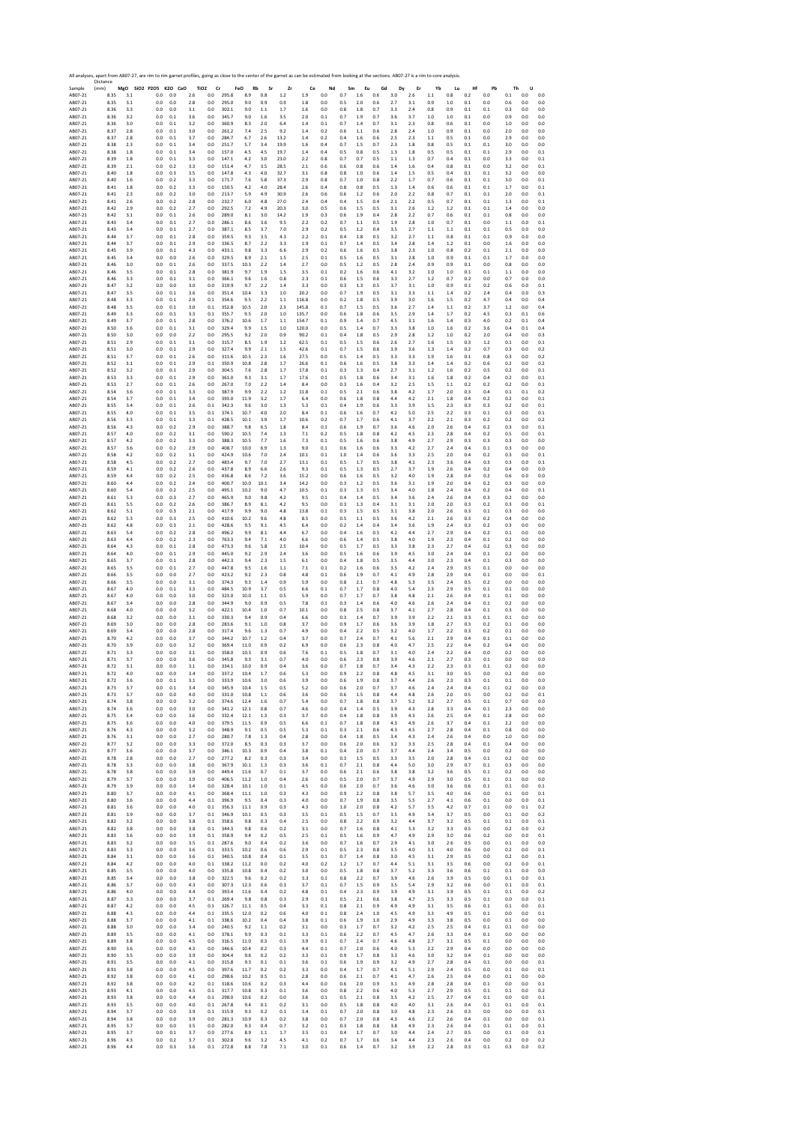|                    | All analyses, apart from AB07-27, are rim to rim garnet profiles, going as close to the center of the garnet as can be estimated from looking at the sections. AB07-27 is a rim to core analysis.<br>Distance |            |                              |            |            |                                    |                |                  |            |            |            |            |            |            |            |            |            |            |                    |            |            |            |            |            |
|--------------------|---------------------------------------------------------------------------------------------------------------------------------------------------------------------------------------------------------------|------------|------------------------------|------------|------------|------------------------------------|----------------|------------------|------------|------------|------------|------------|------------|------------|------------|------------|------------|------------|--------------------|------------|------------|------------|------------|------------|
| Sample<br>AB07-21  | (mm)<br>8.35                                                                                                                                                                                                  | 3.1        | MgO SiO2 P2O5 K2O CaO<br>0.0 | 0.0        | 2.6        | TiO <sub>2</sub><br>Cr<br>$_{0.0}$ | 295.8          | FeO<br>Rb<br>8.9 | Sr<br>0.8  | Zr<br>1.2  | Ce<br>1.9  | Nd<br>0.0  | Sm<br>0.7  | Eu<br>1.6  | Gd<br>0.6  | Dy<br>3.0  | Er<br>2.6  | Yb<br>1.1  | Lu<br>$_{\rm 0.8}$ | Hf<br>0.2  | Pb<br>0.0  | Th<br>0.1  | U<br>0.0   | 0.0        |
| AB07-21            | 8.35                                                                                                                                                                                                          | 3.1        | 0.0                          | 0.0        | 2.8        | 0.0                                | 295.0          | 9.0              | 0.9        | 0.9        | 1.8        | 0.0        | 0.5        | 2.0        | 0.6        | 27         | 3.1        | 0.9        | 1.0                | 0.1        | 0.0        | 0.6        | 0.0        | 0.0        |
| AB07-21            | 8.36                                                                                                                                                                                                          | 3.3        | 0.0                          | 0.0        | 3.1        | 0.0                                | 302.1          | 9.0              | $1.1\,$    | 1.7        | 1.6        | 0.0        | $0.8\,$    | 1.8        | 0.7        | 3.3        | 2.4        | 0.8        | 0.9                | 0.1        | 0.1        | 0.3        | 0.0        | 0.0        |
| AB07-21            | 8.36                                                                                                                                                                                                          | 3.2        | 0.0                          | 0.1        | 3.6        | 0.0                                | 345.7          | 9.0              | 1.6        | 3.5        | 2.0        | 0.1        | 0.7        | 1.9        | 0.7        | 3.6        | 3.7        | 1.0        | 1.0                | 0.1        | 0.0        | 0.9        | 0.0        | 0.0        |
| AB07-21            | 8.36                                                                                                                                                                                                          | 3.0        | 0.0                          | 0.1        | 3.2        | 0.0                                | 360.9          | 8.3              | 2.0        | 6.4        | 1.4        | 0.1        | 0.7        | 1.4        | 0.7        | 3.1        | 2.3        | 0.8        | 0.6                | 0.1        | 0.0        | 1.0        | 0.0        | 0.0        |
| AB07-21            | 8.37                                                                                                                                                                                                          | 2.8        | 0.0                          | 0.1        | 3.0        | 0.0                                | 261.2          | 7.4              | 2.5        | 9.2        | 1.4        | 0.2        | 0.6        | 1.1        | 0.6        | 2.8        | 2.4        | 1.0        | 0.9                | 0.1        | 0.0        | 2.0        | 0.0        | 0.0        |
| AB07-21            | 8.37                                                                                                                                                                                                          | 2.8        | 0.0                          | $0.1\,$    | 3.7        | 0.0                                | 284.7          | 6.7              | 2.6        | 13.2       | 1.4        | 0.2        | 0.4        | 1.6        | 0.6        | 2.5        | 2.3        | 1.1        | 0.5                | 0.1        | 0.0        | 2.9        | 0.0        | 0.0        |
| AB07-21            | 8.38                                                                                                                                                                                                          | 2.3        | 0.0                          | 0.1        | 3.4        | 0.0                                | 251.7          | 5.7              | 3.4        | 19.9       | 1.6        | 0.4        | 0.7        | 1.5        | 0.7        | 2.3        | 1.8        | 0.8        | 0.5                | 0.1        | 0.1        | 3.0        | 0.0        | 0.0        |
| AB07-21            | 8.38                                                                                                                                                                                                          | 1.8        | 0.0                          | 0.1        | 3.4        | 0.0                                | 157.0          | 4.5              | 4.5        | 19.7       | 1.4        | 0.4        | 0.5        | 0.8        | 0.5        | 1.3        | 1.8        | 0.5        | 0.5                | 0.1        | 0.1        | 2.9        | 0.0        | 0.1        |
| AB07-21            | 8.39                                                                                                                                                                                                          | 1.8        | 0.0                          | 0.1        | 3.3        | 0.0                                | 147.1          | 4.2              | 3.0        | 23.0       | 2.2        | 0.8        | 0.7        | 0.7        | 0.5        | 1.1        | 1.3        | 0.7        | 0.4                | 0.1        | 0.0        | 3.3        | 0.0        | 0.1        |
| AB07-21            | 8.39                                                                                                                                                                                                          | 2.1        | 0.0                          | 0.2        | 3.3        | 0.0                                | 151.4          | 4.7              | 3.5        | 28.5       | 2.1        | 0.6        | 0.6        | 0.8        | 0.6        | 1.4        | 1.6        | 0.4        | 0.8                | 0.1        | 0.0        | 3.2        | 0.0        | 0.1        |
| AB07-21            | 8.40                                                                                                                                                                                                          | 1.8        | 0.0                          | 0.3        | 3.5        | 0.0                                | 147.8          | 4.3              | 4.0        | 32.7       | 3.1        | 0.8        | 0.8        | 1.0        | 0.6        | 1.4        | 1.5        | 0.5        | 0.4                | 0.1        | 0.1        | 3.2        | 0.0        | 0.0        |
| AB07-21            | 8.40                                                                                                                                                                                                          | 1.6        | 0.0                          | 0.2        | 3.3        | 0.0                                | 171.7          | 7.6              | 5.8        | 37.3       | 2.9        | 0.8        | 0.7        | 1.0        | 0.8        | 2.2        | 1.7        | 0.7        | 0.6                | 0.1        | 0.1        | 3.0        | 0.0        | 0.1        |
| AB07-21            | 8.41                                                                                                                                                                                                          | 1.8        | 0.0                          | 0.2        | 3.3        | 0.0                                | 150.5          | 4.2              | 4.0        | 28.4       | 2.6        | 0.4        | 0.8        | 0.8        | 0.5        | 1.3        | 1.4        | 0.6        | 0.6                | 0.1        | 0.1        | 1.7        | 0.0        | 0.1        |
| AB07-21            | 8.41                                                                                                                                                                                                          | 2.3        | 0.0                          | 0.2        | 3.0        | 0.0                                | 213.7          | 5.9              | 4.9        | 30.9       | 2.6        | 0.6        | 0.6        | 1.2        | 0.6        | 2.0        | 2.2        | 0.8        | 0.7                | 0.1        | 0.1        | 2.0        | 0.0        | 0.1        |
| AB07-21            | 8.41                                                                                                                                                                                                          | 2.6        | 0.0                          | 0.2        | 2.8        | 0.0                                | 232.7          | 6.0              | 4.8        | 27.0       | 2.4        | 0.4        | 0.4        | 1.5        | 0.4        | 2.1        | 2.2        | 0.5        | 0.7                | 0.1        | 0.1        | 1.3        | 0.0        | 0.1        |
| AB07-21            | 8.42                                                                                                                                                                                                          | 2.9        | 0.0                          | 0.2        | 2.7        | 0.0                                | 292.5          | 7.2              | 4.9        | 20.3       | 3.0        | 0.5        | 0.6        | 1.5        | 0.5        | 3.1        | 2.6        | 1.2        | 1.2                | 0.1        | 0.1        | 1.4        | 0.0        | 0.0        |
| AB07-21            | 8.42                                                                                                                                                                                                          | 3.1        | 0.0                          | 0.1        | 2.6        | 0.0                                | 289.0          | 8.1              | 3.0        | 14.2       | 1.9        | 0.3        | 0.6        | 1.9        | 0.4        | 2.8        | 2.2        | 0.7        | 0.6                | 0.1        | 0.1        | 0.8        | 0.0        | 0.0        |
| AB07-21            | 8.43                                                                                                                                                                                                          | 3.4        | 0.0                          | 0.1        | 2.7        | 0.0                                | 286.1          | 8.6              | 3.6        | 9.5        | 2.2        | 0.2        | 0.7        | 1.1        | 0.5        | 1.9        | 2.8        | 1.0        | 0.7                | 0.1        | 0.0        | 1.1        | 0.0        | 0.1        |
| AB07-21            | 8.43                                                                                                                                                                                                          | 3.4        | 0.0                          | 0.1        | 2.7        | 0.0                                | 387.1          | 8.5              | 3.7        | 7.0        | 2.9        | 0.2        | 0.5        | 1.2        | 0.4        | 3.5        | 2.7        | 1.1        | 1.1                | 0.1        | 0.1        | 0.5        | 0.0        | 0.0        |
| AB07-21            | 8.44                                                                                                                                                                                                          | 3.7        | 0.0                          | 0.1        | 2.8        | 0.0                                | 359.5          | 9.3              | 3.5        | 4.3        | 2.2        | 0.1        | 0.4        | 1.8        | 0.5        | 3.2        | 2.7        | 1.1        | 0.8                | 0.1        | 0.1        | 0.9        | 0.0        | 0.0        |
| AB07-21            | 8.44                                                                                                                                                                                                          | 3.7        | 0.0                          | 0.1        | 2.9        | 0.0                                | 336.5          | 8.7              | 2.2        | 3.3        | 1.9        | 0.1        | 0.7        | 1.4        | 0.5        | 3.4        | 2.8        | 1.4        | 1.2                | 0.1        | 0.0        | 1.6        | 0.0        | 0.0        |
| AB07-21            | 8.45                                                                                                                                                                                                          | 3.9        | 0.0                          | 0.1        | 4.3        | 0.0                                | 433.1          | 9.8              | 3.3        | 6.6        | 2.9        | 0.2        | 0.6        | 1.6        | 0.5        | 3.8        | 2.3        | 1.0        | 0.8                | 0.2        | 0.1        | 2.1        | 0.0        | 0.0        |
| AB07-21            | 8.45                                                                                                                                                                                                          | 3.4        | 0.0                          | 0.0        | 2.6        | 0.0                                | 329.5          | 8.9              | $2.1\,$    | $1.5\,$    | 2.5        | 0.1        | 0.5        | 1.6        | 0.5        | 3.1        | 2.8        | 1.0        | 0.9                | 0.1        | 0.1        | 1.7        | 0.0        | 0.0        |
| AB07-21            | 8.46                                                                                                                                                                                                          | 3.0        | 0.0                          | 0.1        | 2.6        | 0.0                                | 337.5          | 10.3             | 2.2        | 1.4        | 2.7        | 0.0        | 0.5        | 1.2        | 0.5        | 2.8        | 2.4        | 0.9        | 0.9                | 0.1        | 0.0        | 0.8        | 0.0        | 0.0        |
| AB07-21            | 8.46                                                                                                                                                                                                          | 3.5        | 0.0                          | 0.1        | 2.8        | 0.0                                | 381.9          | 9.7              | 1.9        | 1.5        | 3.5        | 0.1        | 0.2        | 1.6        | 0.6        | 4.1        | 3.2        | 1.0        | 1.0                | 0.1        | 0.1        | 1.1        | 0.0        | 0.0        |
| AB07-21            | 8.46                                                                                                                                                                                                          | 3.3        | 0.0                          | 0.1        | 3.1        | 0.0                                | 366.1          | 9.6              | 1.6        | 0.8        | 2.3        | 0.1        | 0.6        | 1.5        | 0.6        | 3.3        | 2.7        | 1.2        | 0.7                | 0.2        | 0.0        | 0.7        | 0.0        | 0.0        |
| AB07-21            | 8.47                                                                                                                                                                                                          | 3.2        | 0.0                          | 0.0        | 3.0        | 0.0                                | 319.9          | 9.7              | 2.2        | 1.4        | 3.3        | 0.0        | 0.3        | 1.3        | 0.5        | 3.7        | 3.1        | 1.0        | 0.9                | $0.1\,$    | 0.2        | 0.6        | 0.0        | 0.1        |
| AB07-21            | 8.47                                                                                                                                                                                                          | 3.5        | 0.0                          | 0.1        | 3.6        | 0.0                                | 351.4          | 10.4             | 3.3        | 1.0        | 20.2       | 0.0        | 0.7        | 1.9        | 0.5        | 3.1        | 3.3        | 1.1        | 1.4                | 0.2        | 2.4        | 0.4        | 0.0        | 0.3        |
| AB07-21            | 8.48                                                                                                                                                                                                          | 3.3        | 0.0                          | 0.1        | 2.9        | 0.1                                | 354.6          | 9.5              | 2.2        | 1.1        | 116.8      | 0.0        | 0.2        | 1.8        | 0.5        | 3.9        | 3.0        | 1.6        | 1.5                | 0.2        | 4.7        | 0.4        | 0.0        | 0.4        |
| AB07-21            | 8.48                                                                                                                                                                                                          | 3.5        | 0.0                          | 0.1        | 3.0        | 0.1                                | 352.8          | 10.5             | 2.0        | 2.3        | 145.8      | 0.1        | 0.7        | 1.5        | 0.5        | 3.6        | 2.7        | 1.4        | 1.1                | 0.2        | 3.7        | 1.2        | 0.0        | 0.4        |
| AB07-21            | 8.49                                                                                                                                                                                                          | 3.3        | 0.0                          | $0.1\,$    | 3.3        | 0.1                                | 355.7          | 9.5              | 2.0        | 1.0        | 135.7      | 0.0        | 0.6        | 1.8        | 0.6        | 3.5        | 2.9        | 1.4        | 1.7                | 0.2        | 4.5        | 0.3        | 0.1        | 0.6        |
| AB07-21            | 8.49                                                                                                                                                                                                          | 3.7        | 0.0                          | 0.1        | 2.8        | 0.0                                | 376.2          | 10.6             | 1.7        | 1.1        | 154.7      | 0.1        | 0.9        | 1.4        | 0.7        | 4.5        | 3.1        | 1.6        | 1.4                | 0.3        | 4.0        | 0.2        | 0.1        | 0.4        |
| AB07-21            | 8.50                                                                                                                                                                                                          | 3.6        | 0.0                          | 0.1        | 3.1        | 0.0                                | 329.4          | 9.9              | 1.5        | 1.0        | 120.0      | 0.0        | 0.5        | 1.4        | 0.7        | 3.3        | 3.8        | 1.0        | 1.6                | 0.2        | 3.6        | 0.4        | 0.1        | 0.4        |
| AB07-21            | 8.50                                                                                                                                                                                                          | 3.0        | 0.0                          | 0.0        | 2.2        | 0.0                                | 295.5          | 9.2              | 2.0        | 0.9        | 90.2       | 0.1        | 0.4        | 1.8        | 0.5        | 2.9        | 2.8        | 1.2        | 1.0                | 0.2        | 2.0        | 0.4        | 0.0        | 0.3        |
| AB07-21            | 8.51                                                                                                                                                                                                          | 2.9        | 0.0                          | 0.1        | 3.1        | 0.0                                | 315.7          | 8.5              | 1.9        | 1.2        | 62.5       | 0.1        | 0.5        | 1.5        | 0.6        | 2.6        | 2.7        | 1.6        | 1.5                | 0.3        | 1.2        | 0.1        | 0.0        | 0.1        |
| AB07-21            | 8.51                                                                                                                                                                                                          | 3.0        | 0.0                          | 0.1        | 2.9        | 0.0                                | 327.4          | 9.9              | 2.1        | 1.5        | 42.6       | 0.1        | 0.7        | 1.5        | 0.6        | 3.9        | 3.6        | 1.3        | 1.4                | 0.2        | 0.7        | 0.3        | 0.0        | 0.2        |
| AB07-21            | 8.51                                                                                                                                                                                                          | 3.7        | 0.0                          | 0.1        | 2.6        | 0.0                                | 311.6          | 10.5             | 2.3        | 1.6        | 27.5       | 0.0        | 0.5        | 1.4        | 0.5        | 3.3        | 3.3        | 1.9        | 1.6                | 0.1        | 0.8        | 0.3        | 0.0        | 0.2        |
| AB07-21            | 8.52                                                                                                                                                                                                          | 3.1        | 0.0                          | 0.1        | 2.9        | 0.1                                | 350.9          | 10.8             | 2.8        | 1.7        | 26.6       | 0.1        | 0.6        | 1.6        | 0.5        | 3.8        | 3.3        | 1.4        | 1.4                | 0.2        | 0.6        | 0.2        | 0.0        | 0.2        |
| AB07-21            | 8.52                                                                                                                                                                                                          | 3.2        | 0.0                          | 0.1        | 2.9        | 0.0                                | 304.5          | 7.6              | 2.8        | 1.7        | 17.8       | 0.1        | 0.3        | 1.3        | 0.4        | 2.7        | 3.1        | 1.2        | 1.6                | 0.2        | 0.5        | 0.2        | 0.0        | 0.1        |
| AB07-21            | 8.53                                                                                                                                                                                                          | 3.3        | 0.0                          | 0.1        | 2.9        | 0.0                                | 361.0          | 9.3              | 3.1        | 1.7        | 17.6       | 0.1        | 0.5        | 1.8        | 0.6        | 3.4        | 3.1        | 1.6        | 1.8                | 0.2        | 0.4        | 0.2        | 0.0        | 0.1        |
| AB07-21            | 8.53                                                                                                                                                                                                          | 2.7        | 0.0                          | 0.1        | 2.6        | 0.0                                | 267.0          | 7.0              | 2.2        | 1.4        | 8.4        | 0.0        | 0.3        | 1.6        | 0.4        | 3.2        | 2.5        | 1.5        | 1.1                | 0.2        | 0.2        | 0.2        | 0.0        | 0.1        |
| AB07-21            | 8.54                                                                                                                                                                                                          | 3.6        | 0.0                          | 0.1        | 3.3        | 0.0                                | 387.9          | 9.9              | 2.2        | 1.2        | 11.8       | 0.1        | 0.5        | 2.1        | 0.6        | 3.8        | 4.2        | 1.7        | 2.0                | 0.3        | 0.4        | 0.1        | 0.1        | 0.2        |
| AB07-21            | 8.54                                                                                                                                                                                                          | 3.7        | 0.0                          | 0.1        | 3.4        | 0.0                                | 393.0          | 11.9             | 3.2        | 1.7        | 6.4        | 0.0        | 0.6        | 1.8        | 0.8        | 4.4        | 4.2        | 2.1        | 1.8                | 0.4        | 0.2        | 0.2        | 0.0        | 0.1        |
| AB07-21            | 8.55                                                                                                                                                                                                          | 3.4        | 0.0                          | 0.1        | 2.6        | 0.1                                | 342.3          | 9.6              | 3.0        | 1.3        | 5.3        | 0.1        | 0.4        | 1.9        | 0.6        | 3.3        | 3.9        | 1.5        | 2.3                | 0.3        | 0.3        | 0.2        | 0.0        | 0.1        |
| AB07-21            | 8.55                                                                                                                                                                                                          | 4.0        | 0.0                          | 0.1        | 3.5        | 0.1                                | 374.1          | 10.7             | 4.0        | 2.0        | 8.4        | 0.1        | 0.6        | 1.6        | 0.7        | 4.2        | 5.0        | 2.5        | 2.2                | 0.3        | 0.1        | 0.3        | 0.0        | 0.1        |
| AB07-21            | 8.56                                                                                                                                                                                                          | 3.3        | 0.0                          | 0.1        | 3.3        | 0.1                                | 428.5          | 10.1             | 3.9        | 1.7        | 10.6       | 0.2        | 0.7        | 1.7        | 0.6        | 4.1        | 3.7        | 2.2        | 2.1                | 0.3        | 0.2        | 0.2        | 0.0        | 0.2        |
| AB07-21            | 8.56                                                                                                                                                                                                          | 4.3        | 0.0                          | 0.2        | 2.9        | 0.0                                | 388.7          | 9.8              | 6.5        | 1.8        | 8.4        | 0.1        | 0.6        | 1.9        | 0.7        | 3.6        | 4.6        | 2.0        | 2.6                | 0.4        | 0.2        | 0.3        | 0.0        | 0.1        |
| AB07-21            | 8.57                                                                                                                                                                                                          | 4.0        | 0.0                          | 0.2        | 3.1        | 0.0                                | 590.2          | 10.5             | 7.4        | 1.3        | 7.1        | 0.2        | 0.5        | 1.8        | 0.8        | 4.2        | 4.5        | 2.3        | 2.8                | 0.4        | 0.2        | 0.5        | 0.0        | 0.1        |
| AB07-21            | 8.57                                                                                                                                                                                                          | 4.2        | 0.0                          | 0.2        | 3.3        | 0.0                                | 388.3          | 10.5             | 7.7        | 1.6        | 7.3        | 0.1        | 0.5        | 1.6        | 0.6        | 3.8        | 4.9        | 2.7        | 2.9                | 0.3        | 0.3        | 0.3        | 0.0        | 0.0        |
| AB07-21            | 8.57                                                                                                                                                                                                          | 3.6        | 0.0                          | 0.2        | 2.9        | 0.0                                | 408.7          | 10.0             | 6.9        | 1.3        | 9.0        | 0.1        | 0.6        | 1.6        | 0.6        | 3.3        | 4.2        | 2.7        | 2.4                | 0.4        | 0.1        | 0.3        | 0.0        | 0.0        |
| AB07-21            | 8.58                                                                                                                                                                                                          | 4.2        | 0.0                          | 0.2        | 3.1        | 0.0                                | 424.9          | 10.6             | 7.0        | 2.4        | 10.1       | 0.1        | 1.0        | 1.4        | 0.6        | 3.6        | 3.3        | 2.5        | 2.0                | 0.4        | 0.2        | 0.3        | 0.0        | 0.1        |
| AB07-21            | 8.58                                                                                                                                                                                                          | 4.5        | 0.0                          | 0.2        | 2.7        | 0.0                                | 483.4          | 9.7              | 7.0        | 2.7        | 13.1       | 0.1        | 0.5        | 1.7        | 0.5        | 3.8        | 4.1        | 2.3        | 3.6                | 0.4        | 0.3        | 0.3        | 0.0        | 0.1        |
| AB07-21            | 8.59                                                                                                                                                                                                          | 4.1        | 0.0                          | 0.2        | 2.6        | 0.0                                | 437.8          | 8.9              | 6.6        | 2.6        | 9.3        | 0.1        | 0.5        | 1.3        | 0.5        | 27         | 3.7        | 1.9        | 2.6                | 0.4        | 0.2        | 0.4        | 0.0        | 0.0        |
| AB07-21            | 8.59                                                                                                                                                                                                          | 4.4        | 0.0                          | 0.2        | 2.5        | 0.0                                | 436.8          | 8.6              | 7.2        | 3.6        | 15.2       | 0.0        | 0.6        | 1.6        | 0.5        | 3.2        | 4.0        | 1.9        | 2.8                | 0.4        | 0.2        | 0.6        | 0.0        | 0.0        |
| AB07-21            | 8.60                                                                                                                                                                                                          | 4.4        | 0.0                          | 0.2        | 2.4        | 0.0                                | 400.7          | 10.0             | 10.1       | 3.4        | 14.2       | 0.0        | 0.3        | 1.2        | 0.5        | 3.6        | 3.1        | 1.9        | 2.0                | 0.4        | 0.2        | 0.3        | 0.0        | 0.0        |
| AB07-21            | 8.60                                                                                                                                                                                                          | 5.4        | 0.0                          | 0.2        | 2.5        | 0.0                                | 495.1          | 10.2             | 9.0        | 4.7        | 10.5       | 0.1        | 0.3        | 1.3        | 0.5        | 3.4        | 4.0        | 1.8        | 2.4                | 0.4        | 0.2        | 0.4        | 0.0        | 0.1        |
| AB07-21            | 8.61                                                                                                                                                                                                          | 5.3        | 0.0                          | 0.3        | 2.7        | 0.0                                | 465.9          | 9.0              | 9.8        | 4.2        | 9.5        | 0.1        | 0.4        | 1.4        | 0.5        | 3.4        | 3.6        | 2.4        | 2.6                | 0.4        | 0.3        | 0.2        | 0.0        | 0.0        |
| AB07-21            | 8.61                                                                                                                                                                                                          | 5.5        | 0.0                          | 0.2        | 2.6        | 0.0                                | 386.7          | 8.9              | 8.1        | 4.2        | 9.5        | 0.0        | 0.3        | 1.3        | 0.4        | 3.1        | 3.1        | 2.0        | 2.0                | 0.3        | 0.2        | 0.3        | 0.0        | 0.1        |
| AB07-21            | 8.62                                                                                                                                                                                                          | 5.1        | 0.0                          | 0.3        | 2.1        | 0.0                                | 417.9          | 9.9              | 9.0        | 4.8        | 13.8       | 0.1        | 0.3        | 1.5        | 0.5        | 3.1        | 3.8        | 2.0        | 2.6                | 0.3        | 0.1        | 0.3        | 0.0        | 0.0        |
| AB07-21            | 8.62                                                                                                                                                                                                          | 5.3        | 0.0                          | 0.3        | 2.5        | 0.0                                | 410.6          | 10.2             | 9.6        | 4.8        | 8.5        | 0.0        | 0.5        | 1.1        | 0.5        | 3.6        | 4.2        | 2.1        | 2.6                | 0.3        | 0.2        | 0.4        | 0.0        | 0.0        |
| AB07-21            | 8.62                                                                                                                                                                                                          | 4.8        | 0.0                          | 0.3        | 2.1        | 0.0                                | 428.6          | 9.5              | 9.1        | 4.5        | 6.4        | 0.0        | 0.2        | 1.4        | 0.4        | 3.4        | 3.6        | 1.9        | 2.4                | 0.3        | 0.2        | 0.3        | 0.0        | 0.0        |
| AB07-21            | 8.63                                                                                                                                                                                                          | 5.4        | 0.0                          | 0.2        | 2.8        | 0.0                                | 496.2          | 9.9              | 8.1        | 4.4        | 6.7        | 0.0        | 0.4        | 1.6        | 0.5        | 4.2        | 4.4        | 2.7        | 2.9                | 0.4        | 0.2        | 0.1        | 0.0        | 0.0        |
| AB07-21            | 8.63                                                                                                                                                                                                          | 4.4        | 0.0                          | 0.2        | 2.3        | 0.0                                | 763.3          | 9.4              | 7.1        | 4.0        | 6.6        | 0.0        | 0.6        | 1.4        | 0.5        | 3.8        | 4.0        | 1.9        | 2.3                | 0.4        | 0.1        | 0.2        | 0.0        | 0.0        |
| AB07-21            | 8.64                                                                                                                                                                                                          | 4.3        | 0.0                          | 0.1        | 2.8        | 0.0                                | 473.3          | 9.6              | 5.8        | 2.5        | 10.4       | 0.0        | 0.5        | 1.7        | 0.5        | 3.3        | 3.8        | 2.3        | 2.7                | 0.4        | 0.2        | 0.3        | 0.0        | 0.0        |
| AB07-21            | 8.64                                                                                                                                                                                                          | 4.0        | 0.0                          | 0.1        | 2.9        | 0.0                                | 445.0          | 9.2              | 2.9        | 2.4        | 3.6        | 0.0        | 0.5        | 1.6        | 0.6        | 3.9        | 4.5        | 3.0        | 2.4                | 0.4        | 0.1        | 0.2        | 0.0        | 0.0        |
| AB07-21            | 8.65                                                                                                                                                                                                          | 3.7        | 0.0                          | 0.1        | 2.8        | 0.0                                | 442.3          | 9.4              | 2.3        | 1.5        | 6.1        | 0.0        | 0.4        | 1.8        | 0.5        | 3.5        | 4.4        | 3.0        | 2.3                | 0.4        | 0.1        | 0.3        | 0.0        | 0.0        |
| AB07-21            | 8.65                                                                                                                                                                                                          | 3.5        | 0.0                          | 0.1        | 2.7        | 0.0                                | 447.8          | 9.5              | 1.6        | 1.1        | 7.1        | 0.1        | 0.2        | 1.6        | 0.6        | 3.5        | 4.2        | 2.4        | 2.9                | 0.5        | 0.1        | 0.0        | 0.0        | 0.0        |
| AB07-21            | 8.66                                                                                                                                                                                                          | 3.5        | 0.0                          | 0.0        | 2.7        | 0.0                                | 423.2          | 9.2              | 2.3        | 0.8        | 4.8        | 0.1        | 0.6        | 1.9        | 0.7        | 4.1        | 4.9        | 2.8        | 2.9                | 0.4        | 0.1        | 0.0        | 0.0        | 0.1        |
| AB07-21            | 8.66                                                                                                                                                                                                          | 3.5        | 0.0                          | 0.0        | 3.1        | 0.0                                | 374.3          | 9.3              | 1.4        | 0.9        | 5.9        | 0.0        | 0.8        | 2.1        | 0.7        | 4.8        | 5.3        | 3.5        | 2.4                | 0.5        | 0.2        | 0.0        | 0.0        | 0.0        |
| AB07-21            | 8.67                                                                                                                                                                                                          | 4.0        | 0.0                          | 0.1        | 3.3        | 0.0                                | 484.5          | 10.9             | 3.7        | 0.5        | 6.6        | 0.1        | 0.7        | 1.7        | 0.8        | 4.0        | 5.4        | 2.3        | 2.9                | 0.5        | 0.1        | 0.1        | 0.0        | 0.0        |
| AB07-21            | 8.67                                                                                                                                                                                                          | 4.0        | 0.0                          | 0.0        | 3.0        | 0.0                                | 323.0          | 10.0             | 1.1        | 0.5        | 5.9        | 0.0        | 0.7        | 1.7        | 0.7        | 3.8        | 4.8        | 2.1        | 2.6                | 0.4        | 0.1        | 0.1        | 0.0        | 0.0        |
| AB07-21            | 8.67                                                                                                                                                                                                          | 3.4        | 0.0                          | 0.0        | 2.8        | 0.0                                | 344.9          | 9.0              | 0.9        | 0.5        | 7.8        | 0.1        | 0.3        | 1.4        | 0.6        | 4.0        | 4.6        | 2.6        | 24                 | 0.4        | 0.1        | 0.2        | 0.0        | 0.0        |
| AB07-21            | 8.68                                                                                                                                                                                                          | 4.0        | $_{0.0}$                     | 0.0        | 3.2        | 0.0                                | 422.1          | 10.4             | 1.0        | 0.7        | 10.1       | 0.0        | 0.8        | 2.5        | 0.8        | 3.7        | 4.1        | 2.7        | 2.8                | 0.4        | 0.1        | 0.3        | 0.0        | 0.0        |
| AB07-21            | 8.68                                                                                                                                                                                                          | 3.2        | 0.0                          | 0.0        | 3.1        | 0.0                                | 330.3          | 9.4              | 0.9        | 0.4        | 6.6        | 0.0        | 0.3        | 1.4        | 0.7        | 3.9        | 3.9        | 2.2        | 2.1                | 0.3        | 0.1        | 0.1        | 0.0        | 0.0        |
| AB07-21            | 8.69                                                                                                                                                                                                          | 3.0        | 0.0                          | 0.0        | 2.8        | 0.0                                | 283.6          | 9.1              | 1.0        | 0.8        | 3.7        | 0.0        | 0.9        | 1.7        | 0.6        | 3.6        | 3.9        | 1.8        | 2.7                | 0.3        | 0.2        | 0.1        | 0.0        | 0.0        |
| AB07-21            | 8.69                                                                                                                                                                                                          | 3.4        | 0.0                          | 0.0        | 2.8        | 0.0                                | 317.4          | 9.6              | 1.3        | 0.7        | 4.9        | 0.0        | 0.4        | 2.2        | 0.5        | 3.2        | 4.0        | 1.7        | 2.2                | 0.3        | 0.2        | 0.1        | 0.0        | 0.0        |
| AB07-21            | 8.70                                                                                                                                                                                                          | 4.2        | 0.0                          | 0.0        | 3.7        | 0.0                                | 344.2          | 10.7             | $1.2\,$    | 0.4        | 3.7        | 0.0        | 0.7        | 2.4        | 0.7        | 4.1        | 5.6        | 2.1        | 2.9                | 0.4        | 0.1        | 0.1        | $0.0\,$    | 0.0        |
| AB07-21            | 8.70                                                                                                                                                                                                          | 3.9        | 0.0                          | 0.0        | 3.2        | 0.0                                | 369.4          | 11.0             | 0.9        | 0.2        | 6.9        | 0.0        | 0.6        | 2.3        | 0.8        | 4.0        | 4.7        | 2.5        | 2.2                | 0.4        | 0.2        | 0.4        | 0.0        | 0.0        |
| AB07-21            | 8.71                                                                                                                                                                                                          | 3.3        | 0.0                          | 0.0        | 3.1        | 0.0                                | 358.0          | 10.3             | 0.9        | 0.6        | 7.6        | 0.1        | 0.5        | 1.8        | 0.7        | 3.1        | 4.0        | 2.4        | 2.2                | 0.4        | 0.0        | 0.2        | 0.0        | 0.0        |
| AB07-21            | 8.71                                                                                                                                                                                                          | 3.7        | 0.0                          | 0.0        | 3.6        | 0.0                                | 345.8          | 9.3              | 3.1        | 0.7        | 4.0        | 0.0        | 0.6        | 2.3        | 0.8        | 3.9        | 4.6        | 2.1        | 2.7                | 0.3        | 0.1        | 0.0        | 0.0        | 0.0        |
| AB07-21            | 8.72                                                                                                                                                                                                          | 3.1        | 0.0                          | 0.0        | 3.1        | 0.0                                | 334.1          | 10.0             | 0.9        | 0.4        | 3.6        | 0.0        | 0.7        | 1.8        | 0.7        | 3.4        | 4.3        | 2.2        | 2.3                | 0.3        | 0.1        | 0.2        | 0.0        | 0.0        |
| AB07-21            | 8.74                                                                                                                                                                                                          | 4.L        | U.L                          | U.L        | 5,4        | U.U                                |                | 10.4             |            | U.t        |            | U.L        | 0.9        |            | U.č        |            |            | 5.1        | 3.L                | υ.:        | U.U        | υ.,        |            | U.U        |
| AB07-21            | 8.72                                                                                                                                                                                                          | 3.6        | 0.0                          | 0.1        | 3.1        | 0.0                                | 333.9          | 10.6             | 3.0        | 0.6        | 3.9        | 0.0        | 0.6        | 1.9        | 0.8        | 3.7        | 4.4        | 2.6        | 2.3                | 0.3        | 0.1        | 0.1        | 0.0        | 0.0        |
| AB07-21            | 8.73                                                                                                                                                                                                          | 3.7        | 0.0                          | 0.1        | 3.4        | 0.0                                | 345.9          | 10.4             | 1.5        | 0.5        | 5.2        | 0.0        | 0.6        | 2.0        | 0.7        | 3.7        | 4.6        | 2.4        | 2.4                | 0.4        | 0.1        | 0.2        | 0.0        | 0.0        |
| AB07-21            | 8.73                                                                                                                                                                                                          | 3.7        | 0.0                          | 0.0        | 4.0        | 0.0                                | 331.0          | 10.8             | 1.1        | 0.6        | 3.6        | 0.0        | 0.6        | 1.5        | 0.8        | 4.4        | 4.8        | 2.6        | 2.0                | 0.5        | 0.0        | 0.2        | 0.0        | 0.1        |
| AB07-21            | 8.74                                                                                                                                                                                                          | 3.8        | 0.0                          | 0.0        | 3.2        | 0.0                                | 374.6          | 12.4             | 1.6        | 0.7        | 5.4        | 0.0        | 0.7        | 1.8        | 0.8        | 3.7        | 5.2        | 3.2        | 2.7                | 0.5        | 0.1        | 0.7        | 0.0        | 0.0        |
| AB07-21            | 8.74                                                                                                                                                                                                          | 3.6        | 0.0                          | 0.0        | 3.0        | 0.0                                | 341.2          | 12.1             | 0.8        | 0.7        | 4.6        | 0.0        | 0.4        | 1.4        | 0.5        | 3.9        | 4.3        | 2.8        | 3.3                | 0.4        | 0.1        | 2.3        | 0.0        | 0.0        |
| AB07-21            | 8.75                                                                                                                                                                                                          | 3.4        | 0.0                          | 0.0        | 3.6        | 0.0                                | 332.4          | 12.1             | 1.3        | 0.3        | 3.7        | 0.0        | 0.4        | 1.8        | 0.8        | 3.9        | 4.3        | 2.6        | 2.5                | 0.4        | 0.1        | 2.8        | 0.0        | 0.0        |
| AB07-21            | 8.75                                                                                                                                                                                                          | 3.6        | 0.0                          | 0.0        | 4.0        | 0.0                                | 379.5          | 11.5             | 0.9        | 0.5        | 6.6        | 0.1        | 0.7        | 1.8        | 0.8        | 4.3        | 4.9        | 2.6        | 3.7                | 0.4        | 0.1        | 2.2        | 0.0        | 0.0        |
| AB07-21            | 8.76                                                                                                                                                                                                          | 4.3        | 0.0                          | 0.0        | 3.2        | 0.0                                | 348.9          | 9.1              | 0.5        | 0.5        | 5.3        | 0.1        | 0.3        | 2.1        | 0.6        | 4.3        | 4.5        | 2.7        | 2.8                | 0.4        | 0.1        | 0.8        | 0.0        | 0.0        |
| AB07-21            | 8.76                                                                                                                                                                                                          | 3.1        | 0.0                          | 0.0        | 2.7        | 0.0                                | 280.7          | 7.8              | 1.3        | 0.4        | 2.8        | 0.0        | 0.4        | 1.8        | 0.5        | 3.4        | 4.3        | 2.4        | 2.6                | 0.4        | 0.0        | 1.0        | 0.0        | 0.0        |
| AB07-21            | 8.77                                                                                                                                                                                                          | 3.2        | 0.0                          | 0.0        | 3.3        | 0.0                                | 372.0          | 8.5              | 0.3        | 0.3        | 3.7        | 0.0        | 0.6        | 2.0        | 0.6        | 3.2        | 3.3        | 2.5        | 2.8                | 0.4        | 0.1        | 0.4        | 0.0        | 0.0        |
| AB07-21            | 8.77                                                                                                                                                                                                          | 3.6        | 0.0                          | 0.0        | 3.7        | 0.0                                | 346.1          | 10.3             | 0.9        | 0.4        | 3.8        | 0.1        | 0.4        | 2.0        | 0.7        | 3.7        | 4.4        | 2.4        | 3.4                | 0.5        | 0.0        | 0.2        | 0.0        | 0.0        |
| AB07-21            | 8.78                                                                                                                                                                                                          | 2.8        | 0.0                          | 0.0        | 2.7        | $0.0\,$                            | 277.2          | 8.2              | 0.3        | 0.3        | 3.4        | 0.0        | 0.3        | $1.5\,$    | 0.5        | 3.3        | 3.5        | 2.0        | 2.8                | 0.4        | 0.1        | 0.2        | 0.0        | 0.0        |
| AB07-21            | 8.78                                                                                                                                                                                                          | 3.3        | 0.0                          | 0.0        | 3.8        | 0.0                                | 367.9          | 10.1             | 1.3        | 0.3        | 3.6        | 0.1        | 0.7        | 2.1        | 0.8        | 4.4        | 5.0        | 3.0        | 2.9                | 0.7        | 0.1        | 0.3        | 0.0        | 0.0        |
| AB07-21            | 8.78                                                                                                                                                                                                          | 3.8        | 0.0                          | 0.0        | 3.9        | 0.0                                | 449.4          | 11.6             | 0.7        | 0.1        | 3.7        | 0.0        | 0.6        | 2.1        | 0.6        | 3.8        | 3.8        | 3.2        | 3.6                | 0.5        | 0.1        | 0.2        | 0.0        | 0.0        |
| AB07-21            | 8.79                                                                                                                                                                                                          | 3.7        | 0.0                          | 0.0        | 3.9        | 0.0                                | 406.5          | 11.2             | 1.0        | 0.4        | 2.6        | 0.0        | 0.5        | 2.0        | 0.7        | 3.7        | 4.9        | 2.9        | 3.0                | 0.5        | 0.1        | 0.1        | 0.0        | 0.0        |
| AB07-21            | 8.79                                                                                                                                                                                                          | 3.9        | 0.0                          | 0.0        | 3.4        | 0.0                                | 328.4          | 10.1             | 1.0        | $0.1\,$    | 4.5        | 0.0        | 0.6        | 2.0        | 0.7        | 3.6        | 4.6        | 3.0        | 3.6                | 0.6        | 0.1        | 0.1        | 0.0        | 0.1        |
| AB07-21            | 8.80                                                                                                                                                                                                          | 3.7        | 0.0                          | 0.0        | 4.1        | 0.0                                | 368.4          | 11.1             | 1.0        | 0.3        | 4.3        | 0.0        | 0.9        | 2.2        | 0.8        | 3.8        | 5.7        | 3.5        | 4.0                | 0.6        | 0.0        | 0.1        | 0.0        | 0.1        |
| AB07-21            | 8.80                                                                                                                                                                                                          | 3.6        | 0.0                          | 0.0        | 4.4        | 0.1                                | 396.9          | 9.5              | 0.4        | 0.3        | 4.0        | 0.0        | 0.7        | 1.9        | 0.8        | 3.5        | 5.5        | 2.7        | 4.1                | 0.6        | 0.1        | 0.0        | 0.0        | 0.1        |
| AB07-21            | 8.81                                                                                                                                                                                                          | 3.6        | 0.0                          | 0.0        | 4.0        | 0.1                                | 356.3          | 11.1             | 0.9        | 0.3        | 4.3        | 0.0        | 1.0        | 2.0        | 0.8        | 4.2        | 5.7        | 3.5        | 4.2                | 0.7        | 0.1        | 0.0        | 0.1        | 0.2        |
| AB07-21            | 8.81                                                                                                                                                                                                          | 3.9        | 0.0                          | 0.0        | 3.7        | $0.1\,$                            | 346.9          | 10.1             | 0.5        | 0.3        | 3.5        | $0.1\,$    | 0.5        | $1.5\,$    | 0.7        | 3.5        | 4.9        | 3.4        | 3.7                | 0.5        | 0.0        | 0.1        | 0.0        | 0.2        |
| AB07-21            | 8.82                                                                                                                                                                                                          | 3.2        | 0.0                          | 0.0        | 3.8        | 0.1                                | 358.6          | 9.8              | 0.3        | 0.4        | 2.5        | 0.0        | 0.8        | 2.2        | 0.9        | 3.2        | 4.4        | 3.7        | 3.2                | 0.5        | 0.1        | 0.1        | 0.0        | 0.1        |
| AB07-21            | 8.82                                                                                                                                                                                                          | 3.8        | 0.0                          | 0.0        | 3.8        | 0.1                                | 344.3          | 9.8              | 0.6<br>0.2 | 0.2        | 3.1<br>2.5 | 0.0        | 0.7<br>0.5 | 1.6        | 0.8<br>0.9 | 4.1<br>4.7 | 5.3        | 3.2        | 3.3                | 0.5        | 0.0        | 0.2        | 0.0        | 0.2<br>0.1 |
| AB07-21<br>AB07-21 | 8.83<br>8.83                                                                                                                                                                                                  | 3.6<br>3.2 | 0.0<br>0.0                   | 0.0<br>0.0 | 3.9<br>3.5 | 0.1<br>0.1                         | 358.9<br>287.6 | 9.4<br>9.0       | 0.4        | 0.5<br>0.2 | 3.6        | 0.1<br>0.0 | 0.7        | 1.6<br>1.6 | 0.7        | 2.9        | 4.9<br>4.1 | 2.9<br>3.0 | 3.0<br>2.6         | 0.6<br>0.5 | 0.2<br>0.0 | 0.0<br>0.1 | 0.0<br>0.0 | 0.0        |
| AB07-21            | 8.83                                                                                                                                                                                                          | 3.3        | 0.0                          | 0.0        | 3.6        | 0.1                                | 333.5          | 10.2             | 0.6        | 0.6        | 2.9        | 0.1        | 0.5        | 2.3        | 0.8        | 3.5        | 4.0        | 3.1        | 4.0                | 0.6        | 0.0        | 0.2        | 0.0        | 0.1        |
| AB07-21            | 8.84                                                                                                                                                                                                          | 3.1        | 0.0                          | 0.0        | 3.6        | 0.1                                | 340.5          | 10.8             | 0.4        | 0.1        | 3.5        | 0.1        | 0.7        | 1.4        | 0.8        | 3.0        | 4.5        | 3.1        | 2.9                | 0.5        | 0.0        | 0.2        | 0.0        | 0.1        |
| AB07-21            | 8.84                                                                                                                                                                                                          | 4.2        | 0.0                          | 0.0        | 4.0        | 0.1                                | 338.2          | 11.2             | 0.0        | 0.2        | 4.0        | 0.2        | 1.2        | 1.7        | 0.7        | 4.4        | 5.1        | 3.1        | 3.5                | 0.6        | 0.0        | 0.2        | 0.0        | 0.1        |
| AB07-21            | 8.85                                                                                                                                                                                                          | 3.5        | 0.0                          | 0.0        | 4.0        | 0.0                                | 335.8          | 10.8             | 0.4        | 0.2        | 3.0        | 0.0        | 0.5        | 1.8        | 0.8        | 3.7        | 5.2        | 3.3        | 3.6                | 0.6        | 0.1        | 0.1        | 0.0        | 0.0        |
| AB07-21            | 8.85                                                                                                                                                                                                          | 3.4        | 0.0                          | 0.0        | 3.8        | 0.0                                | 322.5          | 9.6              | 0.2        | 0.2        | 3.3        | 0.1        | 0.8        | 2.2        | 0.7        | 3.9        | 4.6        | 2.6        | 3.9                | 0.5        | 0.0        | 0.1        | 0.0        | 0.1        |
| AB07-21            | 8.86                                                                                                                                                                                                          | 3.7        | 0.0                          | 0.0        | 4.3        | 0.0                                | 307.3          | 12.3             | 0.6        | 0.3        | 3.7        | 0.1        | 0.7        | 1.5        | 0.9        | 3.5        | 5.4        | 2.9        | 3.2                | 0.6        | 0.0        | 0.1        | 0.0        | 0.1        |
| AB07-21            | 8.86                                                                                                                                                                                                          | 4.0        | 0.0                          | 0.0        | 4.4        | 0.0                                | 393.4          | 11.6             | 0.4        | 0.2        | 4.8        | 0.1        | 0.4        | 2.3        | 0.9        | 3.9        | 4.9        | 3.1        | 3.9                | 0.5        | 0.1        | 0.1        | 0.0        | 0.2        |
| AB07-21            | 8.87                                                                                                                                                                                                          | 3.3        | 0.0                          | 0.0        | 3.7        | 0.1                                | 269.4          | 9.8              | 0.8        | 0.3        | 2.9        | 0.1        | 0.5        | 2.1        | 0.6        | 3.8        | 4.7        | 2.5        | 3.3                | 0.5        | 0.1        | 0.0        | 0.0        | 0.1        |
| AB07-21            | 8.87                                                                                                                                                                                                          | 4.2        | 0.0                          | 0.0        | 4.5        | 0.1                                | 326.7          | 11.1             | 0.5        | 0.4        | 3.3        | 0.1        | 0.8        | 2.1        | 0.9        | 4.9        | 4.9        | 3.1        | 3.5                | 0.6        | 0.1        | 0.1        | 0.0        | 0.1        |
| AB07-21            | 8.88                                                                                                                                                                                                          | 4.3        | 0.0                          | 0.0        | 4.4        | 0.1                                | 335.5          | 12.0             | 0.2        | 0.6        | 4.0        | 0.1        | 0.8        | 2.4        | 1.0        | 4.5        | 4.9        | 3.3        | 4.9                | 0.5        | 0.1        | 0.0        | 0.0        | 0.1        |
| AB07-21            | 8.88                                                                                                                                                                                                          | 3.7        | 0.0                          | 0.0        | 4.1        | 0.1                                | 338.6          | 10.2             | 0.4        | 0.4        | 3.8        | 0.1        | 0.6        | 1.9        | 1.0        | 2.9        | 4.9        | 3.3        | 3.8                | 0.5        | 0.0        | 0.1        | 0.0        | 0.0        |
| AB07-21            | 8.88                                                                                                                                                                                                          | 3.0        | 0.0                          | 0.0        | 3.4        | 0.0                                | 240.5          | 9.2              | 1.1        | 0.2        | 3.1        | 0.0        | 0.3        | 1.7        | 0.7        | 3.2        | 4.2        | 2.5        | 25                 | 0.4        | 0.1        | 0.1        | 0.0        | 0.0        |
| AB07-21            | 8.89                                                                                                                                                                                                          | 3.5        | $_{0.0}$                     | 0.0        | 4.1        | $0.0\,$                            | 378.1          | 9.9              | 0.3        | $0.1\,$    | 3.3        | $0.1\,$    | 0.6        | 2.2        | 0.7        | 4.5        | 4.7        | 2.6        | 3.3                | 0.4        | 0.1        | 0.0        | 0.0        | 0.0        |
| AB07-21            | 8.89                                                                                                                                                                                                          | 3.8        | 0.0                          | 0.0        | 4.5        | 0.0                                | 316.5          | 11.0             | 0.3        | 0.1        | 3.9        | 0.1        | 0.7        | 2.4        | 0.7        | 4.6        | 4.8        | 2.7        | 3.1                | 0.5        | 0.1        | 0.0        | 0.0        | 0.0        |
| AB07-21            | 8.90                                                                                                                                                                                                          | 3.6        | 0.0                          | 0.0        | 4.3        | 0.0                                | 346.6          | 10.4             | 0.2        | 0.3        | 4.4        | 0.1        | 0.7        | 2.0        | 0.6        | 4.0        | 5.3        | 2.2        | 2.9                | 0.4        | 0.0        | 0.0        | 0.0        | 0.0        |
| AB07-21            | 8.90                                                                                                                                                                                                          | 3.5        | 0.0                          | 0.0        | 3.9        | 0.0                                | 304.4          | 9.6              | 0.2        | 0.2        | 3.3        | 0.1        | 0.9        | 1.7        | 0.8        | 3.3        | 4.6        | 3.0        | 3.2                | 0.4        | 0.1        | 0.0        | 0.0        | 0.0        |
| AB07-21            | 8.91                                                                                                                                                                                                          | 3.5        | 0.0                          | 0.0        | 4.1        | 0.0                                | 315.8          | 9.3              | 0.1        | $0.1\,$    | 3.6        | 0.1        | 0.6        | 1.9        | 0.9        | 3.2        | 4.9        | 2.7        | 2.8                | 0.4        | 0.1        | 0.0        | 0.0        | 0.1        |
| AB07-21            | 8.91                                                                                                                                                                                                          | 3.8        | 0.0                          | 0.0        | 4.5        | 0.0                                | 397.6          | 11.7             | 0.2        | 0.2        | 3.3        | 0.0        | 0.4        | 1.7        | 0.7        | 4.1        | 5.1        | 2.9        | 2.4                | 0.5        | 0.0        | 0.1        | 0.0        | 0.1        |
| AB07-21            | 8.92                                                                                                                                                                                                          | 3.8        | 0.0                          | 0.0        | 4.1        | 0.0                                | 298.6          | 10.2             | 0.5        | 0.1        | 2.8        | 0.0        | 0.6        | 2.1        | 0.7        | 4.1        | 4.7        | 2.6        | 2.5                | 0.4        | 0.0        | 0.1        | 0.0        | 0.0        |
| AB07-21            | 8.92                                                                                                                                                                                                          | 3.8        | 0.0                          | 0.0        | 4.2        | 0.1                                | 318.6          | 10.6             | 0.2        | 0.3        | 4.4        | 0.0        | 0.6        | 2.0        | 0.9        | 3.1        | 4.9        | 2.8        | 2.8                | 0.4        | 0.1        | 0.0        | 0.0        | 0.1        |
| AB07-21            | 8.93                                                                                                                                                                                                          | $4.1\,$    | $_{\rm 0.0}$                 | 0.0        | 4.5        | 0.1                                | 317.7          | 10.8             | 0.3        | $0.1\,$    | 3.6        | 0.0        | $0.8\,$    | 2.2        | 0.6        | 4.0        | 5.3        | 2.7        | 2.9                | 0.5        | 0.1        | 0.1        | 0.0        | 0.2        |
| AB07-21            | 8.93                                                                                                                                                                                                          | 3.8        | 0.0                          | 0.0        | 4.4        | 0.1                                | 298.0          | 10.6             | 0.2        | 0.0        | $3.6\,$    | 0.1        | 0.5        | 2.1        | 0.8        | 3.5        | 4.2        | 2.5        | 2.7                | 0.4        | 0.1        | 0.0        | 0.0        | 0.1        |
| AB07-21            | 8.93                                                                                                                                                                                                          | 3.5        | 0.0                          | 0.0        | 4.0        | 0.1                                | 267.8          | 9.4              | 0.1        | 0.2        | 3.1        | 0.0        | 0.5        | 1.8        | 0.8        | 4.0        | 4.0        | 3.1        | 2.6                | 0.4        | 0.1        | 0.1        | 0.0        | 0.1        |
| AB07-21            | 8.94                                                                                                                                                                                                          | 3.7        | 0.0                          | 0.0        | 3.9        | 0.1                                | 315.9          | 9.3              | 0.2        | 0.1        | 3.4        | 0.1        | 0.7        | 2.0        | 0.8        | 3.0        | 4.8        | 2.3        | 2.6                | 0.3        | 0.0        | 0.0        | 0.0        | 0.1        |
| AB07-21            | 8.94                                                                                                                                                                                                          | 3.8        | 0.0                          | 0.0        | 3.9        | 0.0                                | 281.3          | 10.9             | 0.3        | 0.2        | 3.8        | 0.0        | 0.7        | 2.0        | 0.8        | 4.3        | 4.6        | 2.2        | 2.6                | 0.4        | 0.1        | 0.0        | 0.0        | 0.1        |
| AB07-21            | 8.95                                                                                                                                                                                                          | 3.7        | 0.0                          | 0.0        | 3.5        | 0.0                                | 282.0          | 9.3              | 0.4        | 0.7        | 3.2        | 0.1        | 0.3        | 1.8        | 0.8        | 3.8        | 4.9        | 2.3        | 2.6                | 0.4        | 0.1        | 0.1        | 0.0        | 0.1        |
| AB07-21            | 8.95                                                                                                                                                                                                          | 3.7        | 0.0                          | 0.1        | 3.7        | 0.0                                | 277.6          | 8.9              | 1.1        | 1.7        | 3.5        | 0.1        | 0.4        | 1.7        | 0.7        | 3.0        | 4.4        | 2.4        | 2.7                | 0.5        | 0.0        | 0.1        | 0.0        | 0.1        |
| AB07-21            | 8.96<br>8.96                                                                                                                                                                                                  | 4.3        | 0.0                          | 0.2        | 3.7        | 0.1                                | 302.8          | 9.6<br>8.8       | 3.2<br>7.8 | 4.5<br>7.1 | 4.1        | 0.2        | 0.7        | 1.7        | 0.6        | 3.4<br>3.2 | 4.4<br>3.9 | 2.3<br>2.2 | 2.6                | 0.4        | 0.0        | 0.2        | 0.0<br>0.0 | 0.2<br>0.2 |
| AB07-21            |                                                                                                                                                                                                               | 4.4        | 0.0                          | 0.3        | 3.6        | 0.1                                | 272.8          |                  |            |            | 3.0        | 0.1        | 0.6        | 1.4        | 0.7        |            |            |            | 2.8                | 0.3        | 0.1        | 0.3        |            |            |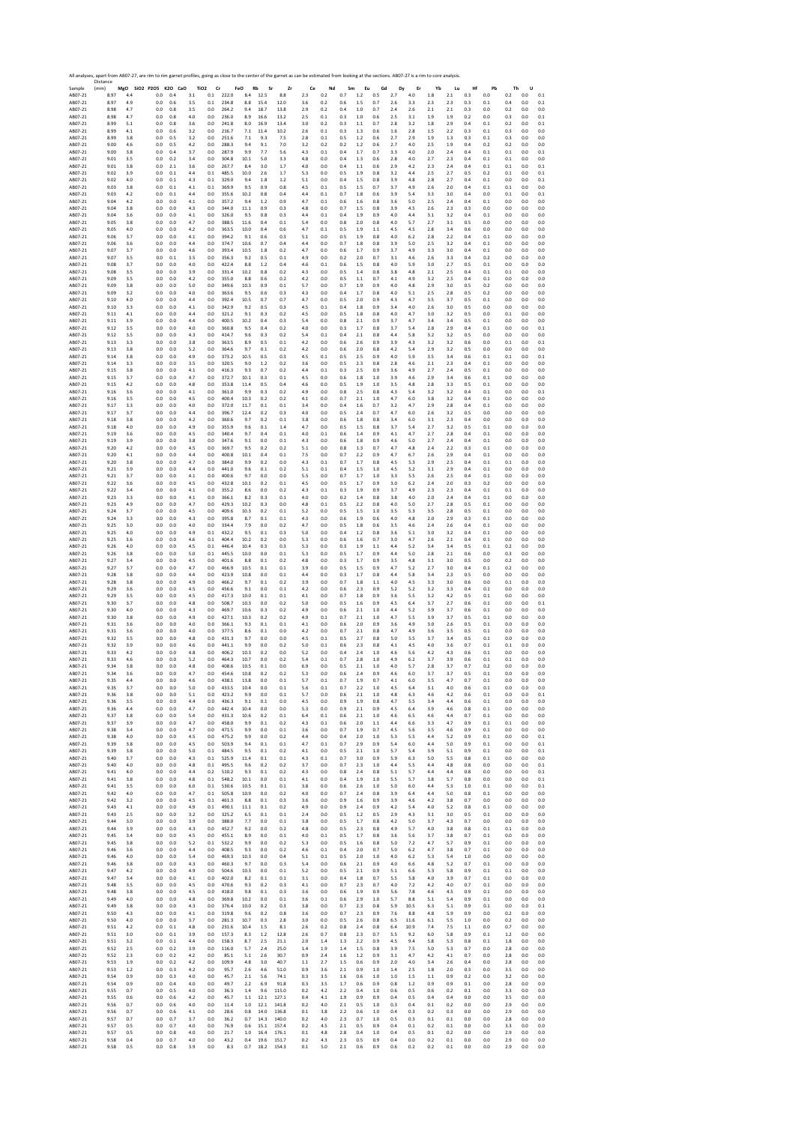|                    | All analyses, apart from AB07-27, are rim to rim garnet profiles, going as close to the center of the garnet as can be estimated from looking at the sections. AB07-27 is a rim to core analysis.<br>Distance |            |                          |            |            |                                   |                |                  |            |            |            |                |            |              |            |            |            |            |            |            |            |            |            |            |
|--------------------|---------------------------------------------------------------------------------------------------------------------------------------------------------------------------------------------------------------|------------|--------------------------|------------|------------|-----------------------------------|----------------|------------------|------------|------------|------------|----------------|------------|--------------|------------|------------|------------|------------|------------|------------|------------|------------|------------|------------|
| Sample<br>AB07-21  | (mm)<br>8.97                                                                                                                                                                                                  | MgO<br>4.4 | SiO2 P2O5 K2O CaO<br>0.0 | 0.4        | 3.1        | TiO <sub>2</sub><br>Cr<br>$0.1\,$ | 222.0          | FeO<br>Rb<br>8.4 | Sr<br>12.5 | Zr<br>8.8  | Ce<br>2.3  | Nd<br>0.2      | Sm<br>0.7  | Eu<br>1.2    | Gd<br>0.5  | Dy<br>2.7  | Er<br>4.0  | Yb<br>1.8  | Lu<br>2.1  | Hf<br>0.3  | Pb<br>0.0  | Th<br>0.2  | U<br>0.0   | 0.1        |
| AB07-21            | 8.97                                                                                                                                                                                                          | 4.9        | 0.0                      | 0.6        | 3.5        | 0.1                               | 234.8          | 8.8              | 15.4       | 12.0       | 3.6        | 0.2            | 0.6        | 1.5          | 0.7        | 2.6        | 3.3        | 2.3        | 2.3        | 0.3        | 0.1        | 0.4        | 0.0        | 0.1        |
| AB07-21            | 8.98                                                                                                                                                                                                          | 4.7        | 0.0                      | 0.8        | 3.5        | 0.0                               | 264.2          | 9.4              | 18.7       | 13.8       | 2.9        | 0.2            | 0.4        | 1.0          | 0.7        | 2.4        | 2.6        | 2.1        | 2.1        | 0.3        | 0.0        | 0.2        | 0.0        | 0.0        |
| AB07-21            | 8.98                                                                                                                                                                                                          | 4.7        | 0.0                      | 0.8        | 4.0        | 0.0                               | 236.0          | 8.9              | 16.6       | 13.2       | 2.5        | 0.1            | 0.3        | 1.0          | 0.6        | 25         | 3.1        | 1.9        | 1.9        | 0.2        | 0.0        | 0.3        | 0.0        | 0.1        |
| AB07-21            | 8.99                                                                                                                                                                                                          | 5.1        | 0.0                      | 0.8        | 3.6        | 0.0                               | 241.8          | 8.0              | 16.9       | 13.4       | 3.0        | 0.2            | 0.3        | 1.1          | 0.7        | 2.8        | 3.2        | 1.8        | 2.9        | 0.4        | 0.1        | 0.2        | 0.0        | 0.1        |
| AB07-21            | 8.99                                                                                                                                                                                                          | 4.1        | 0.0                      | 0.6        | 3.2        | 0.0                               | 216.7          | 7.1              | 11.4       | 10.2       | 2.6        | 0.1            | 0.3        | 1.3          | 0.6        | 1.6        | 2.8        | 1.5        | 2.2        | 0.3        | 0.1        | 0.3        | 0.0        | 0.0        |
| AB07-21            | 8.99                                                                                                                                                                                                          | 3.8        | 0.0                      | 0.5        | 3.2        | 0.0                               | 251.6          | 7.1              | 9.3        | 7.5        | 2.8        | 0.1            | 0.5        | 1.2          | 0.6        | 2.7        | 2.9        | 1.9        | 1.3        | 0.3        | 0.1        | 0.3        | 0.0        | 0.0        |
| AB07-21            | 9.00                                                                                                                                                                                                          | 4.6        | 0.0                      | 0.5        | 4.2        | 0.0                               | 288.3          | 9.4              | 9.1        | 7.0        | 3.2        | 0.2            | 0.2        | 1.2          | 0.6        | 2.7        | 4.0        | 2.5        | 1.9        | 0.4        | 0.2        | 0.2        | 0.0        | 0.0        |
| AB07-21            | 9.00                                                                                                                                                                                                          | 3.8        | 0.0                      | 0.4        | 3.7        | 0.0                               | 287.9          | 9.9              | 7.7        | 5.6        | 4.3        | 0.1            | 0.4        | 1.7          | 0.7        | 3.3        | 4.0        | 2.0        | 2.4        | 0.4        | 0.1        | 0.1        | 0.0        | 0.1        |
| AB07-21            | 9.01                                                                                                                                                                                                          | 3.5        | 0.0                      | 0.2        | 3.4        | 0.0                               | 304.8          | 10.1             | 5.0        | 3.3        | 4.8        | 0.0            | 0.4        | 1.3          | 0.6        | 2.8        | 4.0        | 2.7        | 2.3        | 0.4        | 0.1        | 0.1        | 0.0        | 0.0        |
| AB07-21            | 9.01                                                                                                                                                                                                          | 3.8        | 0.0                      | 2.1        | 3.6        | 0.0                               | 267.7          | 8.4              | 3.0        | 1.7        | 4.0        | 0.0            | 0.4        | $1.1$        | 0.6        | 2.9        | 4.2        | 2.3        | 2.4        | 0.4        | 0.1        | 0.1        | 0.0        | 0.1        |
| AB07-21            | 9.02                                                                                                                                                                                                          | 3.9        | 0.0                      | 0.1        | 4.4        | 0.1                               | 485.5          | 10.0             | 2.6        | 1.7        | 5.3        | 0.0            | 0.5        | 1.9          | 0.8        | 3.2        | 4.4        | 2.5        | 2.7        | 0.5        | 0.2        | 0.1        | 0.0        | 0.1        |
| AB07-21            | 9.02                                                                                                                                                                                                          | 4.0        | 0.0                      | 0.1        | 4.3        | 0.1                               | 329.0          | 9.4              | 1.8        | 1.2        | 5.1        | 0.0            | 0.4        | 1.5          | 0.8        | 3.9        | 4.8        | 2.8        | 2.7        | 0.4        | 0.1        | 0.0        | 0.0        | 0.1        |
| AB07-21            | 9.03                                                                                                                                                                                                          | 3.8        | 0.0                      | 0.1        | 4.1        | 0.1                               | 369.9          | 9.5              | 0.9        | 0.8        | 4.5        | 0.1            | 0.5        | 1.5          | 0.7        | 3.7        | 4.9        | 2.6        | 2.0        | 0.4        | 0.1        | 0.1        | 0.0        | 0.0        |
| AB07-21            | 9.03                                                                                                                                                                                                          | 4.2        | 0.0                      | 0.1        | 4.4        | 0.0                               | 355.6          | 10.2             | 0.8        | 0.4        | 4.4        | 0.1            | 0.7        | 1.8          | 0.6        | 3.9        | 5.4        | 3.3        | 3.0        | 0.4        | 0.0        | 0.1        | 0.0        | 0.1        |
| AB07-21            | 9.04                                                                                                                                                                                                          | 4.2        | 0.0                      | 0.0        | 4.1        | 0.0                               | 357.2          | 9.4              | 1.2        | 0.9        | 4.7        | 0.1            | 0.6        | 1.6          | 0.8        | 3.6        | 5.0        | 2.5        | 2.4        | 0.4        | 0.1        | 0.0        | 0.0        | 0.0        |
| AB07-21            | 9.04                                                                                                                                                                                                          | 3.8        | 0.0                      | 0.0        | 4.3        | 0.0                               | 344.0          | 11.1             | 0.9        | 0.3        | 4.8        | 0.0            | 0.7        | 1.5          | 0.8        | 3.9        | 4.5        | 2.6        | 2.3        | 0.3        | 0.0        | 0.0        | 0.0        | 0.0        |
| AB07-21            | 9.04                                                                                                                                                                                                          | 3.6        | 0.0                      | 0.0        | 4.1        | 0.0                               | 326.0          | 9.5              | 0.8        | 0.3        | 4.4        | 0.1            | 0.4        | 1.9          | 0.9        | 4.0        | 4.4        | 3.1        | 3.2        | 0.4        | 0.1        | 0.0        | 0.0        | 0.0        |
| AB07-21            | 9.05                                                                                                                                                                                                          | 3.8        | 0.0                      | 0.0        | 4.7        | 0.0                               | 388.5          | 11.6             | 0.4        | 0.1        | 5.4        | 0.0            | 0.8        | 2.0          | 0.8        | 4.0        | 5.7        | 2.7        | 3.1        | 0.5        | 0.0        | 0.0        | 0.0        | 0.0        |
| AB07-21            | 9.05                                                                                                                                                                                                          | 4.0        | 0.0                      | 0.0        | 4.2        | 0.0                               | 363.5          | 10.0             | 0.4        | 0.6        | 4.7        | 0.1            | 0.5        | 1.9          | 1.1        | 4.5        | 4.5        | 2.8        | 3.4        | 0.6        | 0.0        | 0.0        | 0.0        | 0.0        |
| AB07-21            | 9.06                                                                                                                                                                                                          | 3.7        | 0.0                      | 0.0        | 4.1        | 0.0                               | 394.2          | 9.1              | 0.6        | 0.3        | 5.1        | 0.0            | 0.5        | 1.9          | 0.8        | 4.0        | 6.2        | 2.8        | 2.2        | 0.4        | 0.1        | 0.0        | 0.0        | 0.0        |
| AB07-21            | 9.06                                                                                                                                                                                                          | 3.6        | 0.0                      | 0.0        | 4.4        | 0.0                               | 374.7          | 10.6             | 0.7        | 0.4        | 4.4        | 0.0            | 0.7        | 1.8          | 0.8        | 3.9        | 5.0        | 2.5        | 3.2        | 0.4        | 0.1        | 0.0        | 0.0        | 0.0        |
| AB07-21            | 9.07                                                                                                                                                                                                          | 3.7        | 0.0                      | 0.0        | 4.6        | 0.0                               | 393.4          | 10.5             | 1.8        | 0.2        | 4.7        | 0.0            | 0.6        | 1.7          | 0.9        | 3.7        | 4.9        | 3.3        | 3.0        | 0.4        | 0.1        | 0.0        | 0.0        | 0.0        |
| AB07-21            | 9.07                                                                                                                                                                                                          | 3.5        | 0.0                      | 0.1        | 3.5        | 0.0                               | 356.3          | 9.2              | 0.5        | 0.1        | 4.9        | 0.0            | 0.2        | 2.0          | 0.7        | 3.1        | 4.6        | 2.6        | 3.3        | 0.4        | 0.2        | 0.0        | 0.0        | 0.0        |
| AB07-21            | 9.08                                                                                                                                                                                                          | 3.7        | 0.0                      | 0.0        | 4.0        | 0.0                               | 422.4          | 8.8              | 1.2        | 0.4        | 4.6        | 0.1            | 0.6        | 1.5          | 0.8        | 4.0        | 5.9        | 3.0        | 2.7        | 0.5        | 0.1        | 0.0        | 0.0        | 0.0        |
| AB07-21            | 9.08                                                                                                                                                                                                          | 3.5        | 0.0                      | 0.0        | 3.9        | 0.0                               | 331.4          | 10.2             | 0.8        | 0.2        | 4.3        | 0.0            | 0.5        | 1.4          | 0.8        | 3.8        | 4.8        | 2.1        | 2.5        | 0.4        | 0.1        | 0.1        | 0.0        | 0.0        |
| AB07-21            | 9.09                                                                                                                                                                                                          | 3.5        | 0.0                      | 0.0        | 42         | 0.0                               | 355.0          | 8.8              | 0.6        | 0.2        | 4.2        | 0.0            | 0.5        | 1.1          | 0.7        | 4.1        | 4.9        | 3.2        | 2.5        | 0.4        | 0.1        | 0.0        | 0.0        | 0.0        |
| AB07-21            | 9.09                                                                                                                                                                                                          | 3.8        | 0.0                      | 0.0        | 5.0        | 0.0                               | 349.6          | 10.3             | 0.9        | 0.1        | 5.7        | 0.0            | 0.7        | 1.9          | 0.9        | 4.0        | 4.8        | 2.9        | 3.0        | 0.5        | 0.2        | 0.0        | 0.0        | 0.0        |
| AB07-21            | 9.09                                                                                                                                                                                                          | 3.2        | 0.0                      | 0.0        | 4.0        | 0.0                               | 363.6          | 9.5              | 0.6        | 0.3        | 4.3        | 0.0            | 0.4        | 1.7          | 0.8        | 4.0        | 5.1        | 2.5        | 2.8        | 0.5        | 0.2        | 0.0        | 0.0        | 0.0        |
| AB07-21            | 9.10                                                                                                                                                                                                          | 4.0        | 0.0                      | 0.0        | 4.4        | 0.0                               | 392.4          | 10.5             | 0.7        | 0.7        | 4.7        | 0.0            | 0.5        | 2.0          | 0.9        | 4.3        | 4.7        | 3.5        | 3.7        | 0.5        | 0.1        | 0.0        | 0.0        | 0.0        |
| AB07-21            | 9.10                                                                                                                                                                                                          | 3.3        | 0.0                      | 0.0        | 4.1        | 0.0                               | 342.9          | 9.2              | 0.5        | 0.3        | 4.5        | 0.1            | 0.4        | 1.8          | 0.9        | 3.4        | 4.0        | 2.6        | 3.0        | 0.5        | 0.0        | 0.0        | 0.0        | 0.0        |
| AB07-21            | 9.11                                                                                                                                                                                                          | 4.1        | 0.0                      | 0.0        | 4.4        | 0.0                               | 321.2          | 9.1              | 0.3        | 0.2        | 4.5        | 0.0            | 0.5        | 1.8          | 0.8        | 4.0        | 4.7        | 3.0        | 3.2        | 0.5        | 0.0        | 0.1        | 0.0        | 0.0        |
| AB07-21            | 9.11                                                                                                                                                                                                          | 3.9        | 0.0                      | 0.0        | 4.4        | 0.0                               | 400.5          | 10.2             | 0.4        | 0.3        | 5.4        | 0.0            | 0.8        | 2.1          | 0.9        | 3.7        | 4.7        | 3.4        | 3.4        | 0.5        | 0.1        | 0.0        | 0.0        | 0.0        |
| AB07-21            | 9.12                                                                                                                                                                                                          | 3.5        | 0.0                      | 0.0        | 4.0        | 0.0                               | 360.8          | 9.5              | 0.4        | 0.2        | 4.0        | 0.0            | 0.3        | 1.7          | 0.8        | 3.7        | 5.4        | 2.8        | 2.9        | 0.4        | 0.1        | 0.0        | 0.0        | 0.1        |
| AB07-21            | 9.12                                                                                                                                                                                                          | 3.5        | 0.0                      | 0.0        | 4.3        | 0.0                               | 414.7          | 9.6              | 0.3        | 0.2        | 5.4        | 0.1            | 0.4        | 2.1          | 0.8        | 4.4        | 5.8        | 3.2        | 3.2        | 0.5        | 0.0        | 0.0        | 0.0        | 0.0        |
| AB07-21            | 9.13                                                                                                                                                                                                          | 3.3        | 0.0                      | 0.0        | 3.8        | 0.0                               | 363.5          | 8.9              | 0.5        | 0.1        | 4.2        | 0.0            | 0.6        | 2.6          | 0.9        | 3.9        | 4.3        | 3.2        | 3.2        | 0.6        | 0.0        | 0.1        | 0.0        | 0.1        |
| AB07-21            | 9.13                                                                                                                                                                                                          | 3.8        | 0.0                      | 0.0        | 5.2        | 0.0                               | 364.6          | 9.7              | 0.1        | 0.2        | 4.2        | 0.0            | 0.6        | 2.0          | 0.8        | 4.2        | 5.4        | 2.9        | 3.2        | 0.5        | 0.0        | 0.0        | 0.0        | 0.0        |
| AB07-21            | 9.14                                                                                                                                                                                                          | 3.8        | 0.0                      | 0.0        | 4.9        | 0.0                               | 373.2          | 10.5             | 0.5        | 0.3        | 4.5        | 0.1            | 0.5        | 2.5          | 0.9        | 4.0        | 5.9        | 3.5        | 3.4        | 0.6        | 0.1        | 0.1        | 0.0        | 0.1        |
| AB07-21            | 9.14                                                                                                                                                                                                          | 3.3        | 0.0                      | 0.0        | 3.5        | 0.0                               | 320.5          | 9.0              | 1.2        | 0.2        | 3.6        | 0.0            | 0.5        | 2.3          | 0.8        | 2.8        | 4.6        | 2.1        | 2.3        | 0.4        | 0.1        | 0.0        | 0.0        | 0.0        |
| AB07-21            | 9.15                                                                                                                                                                                                          | 3.8        | 0.0                      | 0.0        | 4.1        | 0.0                               | 416.3          | 9.3              | 0.7        | 0.2        | 4.4        | 0.1            | 0.3        | 2.5          | 0.9        | 3.6        | 4.9        | 2.7        | 2.4        | 0.5        | 0.1        | 0.0        | 0.0        | 0.0        |
| AB07-21            | 9.15                                                                                                                                                                                                          | 3.7        | 0.0                      | 0.0        | 4.7        | 0.0                               | 372.7          | 10.1             | 0.3        | 0.1        | 4.5        | 0.0            | 0.6        | 1.8          | 1.0        | 3.9        | 4.6        | 2.9        | 3.4        | 0.6        | 0.1        | 0.0        | 0.0        | 0.0        |
| AB07-21            | 9.15                                                                                                                                                                                                          | 4.2        | 0.0                      | 0.0        | 4.8        | 0.0                               | 353.8          | 11.4             | 0.5        | 0.4        | 4.6        | 0.0            | 0.5        | 1.9          | 1.0        | 3.5        | 4.8        | 2.8        | 3.3        | 0.5        | 0.1        | 0.0        | 0.0        | 0.0        |
| AB07-21            | 9.16                                                                                                                                                                                                          | 3.6        | 0.0                      | 0.0        | 4.1        | 0.0                               | 361.0          | 9.9              | 0.3        | 0.2        | 4.9        | 0.0            | 0.8        | 2.5          | 0.8        | 4.3        | 5.4        | 3.2        | 3.2        | 0.4        | 0.1        | 0.0        | 0.0        | 0.1        |
| AB07-21            | 9.16                                                                                                                                                                                                          | 3.5        | 0.0                      | 0.0        | 4.5        | 0.0                               | 400.4          | 10.3             | 0.2        | 0.2        | 4.1        | 0.0            | 0.7        | 2.1          | 1.0        | 4.7        | 6.0        | 3.8        | 3.2        | 0.4        | 0.1        | 0.0        | 0.0        | 0.0        |
| AB07-21            | 9.17                                                                                                                                                                                                          | 3.3        | 0.0                      | 0.0        | 4.0        | 0.0                               | 372.0          | 11.7             | 0.1        | 0.1        | 3.4        | 0.0            | 0.4        | 1.6          | 0.7        | 3.2        | 4.7        | 2.9        | 2.8        | 0.4        | 0.1        | 0.0        | 0.0        | 0.0        |
| AB07-21            | 9.17                                                                                                                                                                                                          | 3.7        | 0.0                      | 0.0        | 4.4        | 0.0                               | 396.7          | 12.4             | 0.2        | 0.3        | 4.0        | 0.0            | 0.5        | 2.4          | 0.7        | 4.7        | 6.0        | 2.6        | 3.2        | 0.5        | 0.0        | 0.0        | 0.0        | 0.0        |
| AB07-21            | 9.18                                                                                                                                                                                                          | 3.8        | 0.0                      | 0.0        | 4.2        | 0.0                               | 360.6          | 9.7              | 0.2        | 0.1        | 3.8        | 0.0            | 0.6        | 1.8          | 0.8        | 3.4        | 6.0        | 3.1        | 2.3        | 0.4        | 0.0        | 0.0        | 0.0        | 0.0        |
| AB07-21            | 9.18                                                                                                                                                                                                          | 4.0        | 0.0                      | 0.0        | 4.9        | 0.0                               | 355.9          | 9.6              | 0.1        | 1.4        | 4.7        | 0.0            | 0.5        | 1.5          | 0.8        | 3.7        | 5.4        | 2.7        | 3.2        | 0.5        | 0.1        | 0.0        | 0.0        | 0.0        |
| AB07-21            | 9.19                                                                                                                                                                                                          | 3.6        | 0.0                      | 0.0        | 4.5        | 0.0                               | 340.4          | 9.7              | 0.4        | 0.1        | 4.0        | 0.1            | 0.6        | 1.4          | 0.9        | 4.1        | 4.7        | 2.7        | 2.8        | 0.4        | 0.1        | 0.0        | 0.0        | 0.0        |
| AB07-21            | 9.19                                                                                                                                                                                                          | 3.9        | 0.0                      | 0.0        | 3.8        | 0.0                               | 347.6          | 9.1              | 0.0        | 0.1        | 4.3        | 0.0            | 0.6        | 1.8          | 0.9        | 4.6        | 5.0        | 2.7        | 2.4        | 0.4        | 0.1        | 0.0        | 0.0        | 0.0        |
| AB07-21            | 9.20                                                                                                                                                                                                          | 4.2        | 0.0                      | 0.0        | 4.5        | 0.0                               | 369.7          | 9.5              | 0.2        | 0.2        | 5.1        | 0.0            | 0.8        | 1.3          | 0.7        | 4.7        | 4.8        | 2.4        | 2.2        | 0.3        | 0.1        | 0.0        | 0.0        | 0.0        |
| AB07-21            | 9.20                                                                                                                                                                                                          | 4.1        | 0.0                      | 0.0        | 4.4        | 0.0                               | 400.8          | 10.1             | 0.4        | 0.1        | 7.5        | 0.0            | 0.7        | 2.2          | 0.9        | 4.7        | 6.7        | 2.6        | 2.9        | 0.4        | 0.1        | 0.0        | 0.0        | 0.0        |
| AB07-21            | 9.20                                                                                                                                                                                                          | 3.8        | 0.0                      | 0.0        | 4.7        | 0.0                               | 384.0          | 9.9              | 0.2        | 0.0        | 4.3        | 0.1            | 0.7        | 1.7          | 0.8        | 4.5        | 5.3        | 2.9        | 2.5        | 0.4        | 0.1        | 0.1        | 0.0        | 0.0        |
| AB07-21            | 9.21                                                                                                                                                                                                          | 3.9        | 0.0                      | 0.0        | 4.4        | 0.0                               | 441.0          | 9.6              | 0.1        | 0.2        | 5.1        | 0.1            | 0.4        | 1.5          | 1.0        | 4.5        | 5.2        | 3.1        | 2.9        | 0.4        | 0.1        | 0.0        | 0.0        | 0.0        |
| AB07-21            | 9.21                                                                                                                                                                                                          | 3.7        | 0.0                      | 0.0        | 4.1        | 0.0                               | 400.6          | 9.7              | 0.0        | 0.0        | 5.5        | 0.0            | 0.7        | 1.7          | 1.0        | 3.3        | 5.5        | 2.6        | 2.5        | 0.4        | 0.1        | 0.0        | 0.0        | 0.0        |
| AB07-21            | 9.22                                                                                                                                                                                                          | 3.6        | 0.0                      | 0.0        | 4.5        | 0.0                               | 432.8          | 10.1             | 0.2        | 0.1        | 4.5        | 0.0            | 0.5        | 1.7          | 0.9        | 3.0        | 6.2        | 2.4        | 2.0        | 0.3        | 0.2        | 0.0        | 0.0        | 0.0        |
| AB07-21            | 9.22                                                                                                                                                                                                          | 3.4        | 0.0                      | 0.0        | 4.1        | 0.0                               | 355.2          | 8.6              | 0.0        | 0.2        | 4.3        | 0.1            | 0.3        | 1.9          | 0.9        | 3.7        | 4.9        | 2.3        | 2.3        | 0.4        | 0.1        | 0.1        | 0.0        | 0.0        |
| AB07-21            | 9.23                                                                                                                                                                                                          | 3.3        | 0.0                      | 0.0        | 4.1        | 0.0                               | 366.1          | 8.2              | 0.3        | 0.1        | 4.0        | 0.0            | 0.2        | 1.4          | 0.8        | 3.8        | 4.0        | 2.0        | 2.4        | 0.4        | 0.1        | 0.0        | 0.0        | 0.0        |
| AB07-21            | 9.23                                                                                                                                                                                                          | 4.9        | 0.0                      | 0.0        | 4.7        | 0.0                               | 429.3          | 10.2             | 0.3        | 0.0        | 4.8        | 0.1            | 0.5        | 2.2          | 0.8        | 4.0        | 5.0        | 2.7        | 2.8        | 0.5        | 0.1        | 0.0        | 0.0        | 0.0        |
| AB07-21            | 9.24                                                                                                                                                                                                          | 3.7        | 0.0                      | 0.0        | 4.5        | 0.0                               | 409.6          | 10.3             | 0.2        | 0.1        | 5.2        | 0.0            | 0.5        | 1.5          | 1.0        | 3.5        | 5.3        | 3.5        | 2.8        | 0.5        | 0.1        | 0.0        | 0.0        | 0.0        |
| AB07-21            | 9.24                                                                                                                                                                                                          | 3.3        | 0.0                      | 0.0        | 4.3        | 0.0                               | 395.8          | 8.7              | 0.1        | 0.1        | 4.3        | 0.0            | 0.6        | 1.9          | 0.6        | 4.0        | 4.8        | 2.0        | 2.9        | 0.3        | 0.1        | 0.0        | 0.0        | 0.0        |
| AB07-21            | 9.25                                                                                                                                                                                                          | 3.0        | 0.0                      | 0.0        | 4.0        | 0.0                               | 334.4          | 7.9              | 0.0        | 0.2        | 4.7        | 0.0            | 0.5        | 1.8          | 0.6        | 3.5        | 4.6        | 2.4        | 2.6        | 0.4        | 0.1        | 0.0        | 0.0        | 0.0        |
| AB07-21            | 9.25                                                                                                                                                                                                          | 4.0        | 0.0                      | 0.0        | 4.9        | 0.1                               | 432.2          | 9.5              | 0.1        | 0.3        | 5.0        | 0.0            | 0.4        | 1.2          | 0.8        | 3.6        | 5.1        | 3.0        | 3.2        | 0.4        | 0.1        | 0.0        | 0.0        | 0.0        |
| AB07-21            | 9.25                                                                                                                                                                                                          | 3.6        | 0.0                      | 0.0        | 4.6        | 0.1                               | 404.4          | 10.2             | 0.2        | 0.0        | 5.3        | 0.0            | 0.6        | 1.6          | 0.7        | 3.0        | 4.7        | 2.6        | 2.1        | 0.4        | 0.1        | 0.0        | 0.0        | 0.0        |
| AB07-21            | 9.26                                                                                                                                                                                                          | 4.0        | 0.0                      | 0.0        | 4.5        | 0.1                               | 446.4          | 10.4             | 0.3        | 0.3        | 5.3        | 0.0            | 0.3        | 1.9          | 1.1        | 4.4        | 5.2        | 3.4        | 3.4        | 0.5        | 0.1        | 0.2        | 0.0        | 0.0        |
| AB07-21            | 9.26                                                                                                                                                                                                          | 3.8        | 0.0                      | 0.0        | 5.0        | 0.1                               | 445.5          | 10.0             | 0.0        | 0.1        | 5.3        | 0.0            | 0.5        | 1.7          | 0.9        | 4.4        | 5.0        | 2.8        | 2.1        | 0.6        | 0.0        | 0.3        | 0.0        | 0.0        |
| AB07-21            | 9.27                                                                                                                                                                                                          | 3.4        | 0.0                      | 0.0        | 4.5        | 0.0                               | 401.6          | 8.8              | 0.1        | 0.2        | 4.8        | 0.0            | 0.3        | 1.7          | 0.9        | 3.5        | 4.8        | 3.1        | 3.0        | 0.5        | 0.0        | 0.2        | 0.0        | 0.0        |
| AB07-21            | 9.27                                                                                                                                                                                                          | 3.7        | 0.0                      | 0.0        | 4.7        | 0.0                               | 466.9          | 10.5             | 0.1        | 0.1        | 3.9        | 0.0            | 0.5        | 1.5          | 0.9        | 4.7        | 5.2        | 2.7        | 3.0        | 0.4        | 0.1        | 0.2        | 0.0        | 0.0        |
| AB07-21            | 9.28                                                                                                                                                                                                          | 3.8        | 0.0                      | 0.0        | 4.4        | 0.0                               | 423.9          | 10.8             | 0.0        | 0.1        | 4.4        | 0.0            | 0.3        | 1.7          | 0.8        | 4.4        | 5.8        | 3.4        | 2.3        | 0.5        | 0.0        | 0.0        | 0.0        | 0.0        |
| AB07-21            | 9.28                                                                                                                                                                                                          | 3.8        | 0.0                      | 0.0        | 4.9        | 0.0                               | 466.2          | 9.7              | 0.1        | 0.2        | 3.9        | 0.0            | 0.7        | 1.8          | 1.1        | 4.0        | 4.5        | 3.3        | 3.0        | 0.6        | 0.0        | 0.1        | 0.0        | 0.0        |
| AB07-21            | 9.29                                                                                                                                                                                                          | 3.6        | 0.0                      | 0.0        | 4.5        | 0.0                               | 456.6          | 9.1              | 0.0        | 0.1        | 4.2        | 0.0            | 0.6        | 23           | 0.9        | 5.2        | 5.2        | 3.2        | 3.3        | 0.4        | 0.1        | 0.0        | 0.0        | 0.0        |
| AB07-21            | 9.29                                                                                                                                                                                                          | 3.5        | 0.0                      | 0.0        | 4.5        | 0.0                               | 417.3          | 10.0             | 0.1        | 0.1        | 4.1        | 0.0            | 0.7        | 1.8          | 0.9        | 3.6        | 5.5        | 3.2        | 4.2        | 0.5        | 0.1        | 0.0        | 0.0        | 0.0        |
| AB07-21            | 9.30                                                                                                                                                                                                          | 3.7        | 0.0                      | 0.0        | 4.8        | 0.0                               | 508.7          | 10.3             | 0.0        | 0.2        | 5.0        | 0.0            | 0.5        | 1.6          | 0.9        | 4.5        | 6.4        | 3.7        | 2.7        | 0.6        | 0.1        | 0.0        | 0.0        | 0.1        |
| AB07-21            | 9.30                                                                                                                                                                                                          | 4.0        | 0.0                      | 0.0        | 4.3        | 0.0                               | 469.7          | 10.6             | 0.3        | 0.2        | 4.9        | 0.0            | 0.6        | 2.1          | 1.0        | 4.4        | 5.2        | 3.9        | 3.7        | 0.6        | 0.1        | 0.0        | 0.0        | 0.0        |
| AB07-21            | 9.30                                                                                                                                                                                                          | 3.8        | 0.0                      | 0.0        | 4.9        | 0.0                               | 427.1          | 10.3             | 0.2        | 0.2        | 4.9        | 0.1            | 0.7        | 2.1          | 1.0        | 4.7        | 5.5        | 3.9        | 3.7        | 0.5        | 0.1        | 0.0        | 0.0        | 0.0        |
| AB07-21            | 9.31                                                                                                                                                                                                          | 3.6        | 0.0                      | 0.0        | 4.0        | 0.0                               | 366.1          | 9.3              | 0.1        | 0.1        | 4.1        | 0.0            | 0.6        | 2.0          | 0.9        | 3.6        | 4.9        | 3.0        | 2.6        | 0.5        | 0.1        | 0.0        | 0.0        | 0.0        |
| AB07-21            | 9.31                                                                                                                                                                                                          | 3.6        | 0.0                      | 0.0        | 4.0        | 0.0                               | 377.5          | 8.6              | 0.1        | 0.0        | 4.2        | 0.0            | 0.7        | 2.1          | 0.8        | 4.7        | 4.9        | 3.6        | 3.5        | 0.5        | 0.1        | 0.0        | 0.0        | 0.0        |
| AB07-21            | 9.32                                                                                                                                                                                                          | 3.5        | 0.0                      | 0.0        | 4.8        | 0.0                               | 431.3          | 9.7              | $0.0\,$    | 0.0        | 4.5        | 0.1            | 0.5        | 2.7          | 0.8        | 5.0        | 5.5        | 3.7        | 3.4        | 0.5        | 0.1        | 0.0        | 0.0        | 0.0        |
| AB07-21            | 9.32                                                                                                                                                                                                          | 3.9        | 0.0                      | 0.0        | 4.6        | 0.0                               | 441.1          | 9.9              | 0.0        | 0.2        | 5.0        | 0.1            | 0.6        | 23           | 0.8        | 4.1        | 4.5        | 4.0        | 3.6        | 0.7        | 0.1        | 0.1        | 0.0        | 0.0        |
| AB07-21            | 9.33                                                                                                                                                                                                          | 4.2        | 0.0                      | 0.0        | 4.8        | 0.0                               | 406.2          | 10.3             | 0.2        | 0.0        | 5.2        | 0.0            | 0.4        | 2.4          | 1.0        | 4.6        | 5.6        | 4.2        | 4.3        | 0.6        | 0.1        | 0.0        | 0.0        | 0.0        |
| AB07-21            | 9.33                                                                                                                                                                                                          | 4.6        | 0.0                      | 0.0        | 52         | 0.0                               | 464.3          | 10.7             | 0.0        | 0.2        | 5.4        | 0.1            | 0.7        | 2.8          | 1.0        | 4.9        | 6.2        | 3.7        | 3.9        | 0.6        | 0.1        | 0.1        | 0.0        | 0.0        |
| AB07-21            | 9.34                                                                                                                                                                                                          | 3.8        | 0.0                      | 0.0        | 4.8        | 0.0                               | 408.6          | 10.5             | 0.1        | 0.0        | 6.9        | 0.0            | 0.5        | 2.1          | 1.0        | 4.0        | 5.7        | 2.8        | 3.7        | 0.7        | 0.2        | 0.0        | 0.0        | 0.0        |
| ABO7-21            |                                                                                                                                                                                                               | 3.t        |                          | υ.ι        | 4.         |                                   |                | 10.8             | υ.,        | U.Z        | 5.1        | U.L            | U.t        |              | υ.,        |            | b.U        |            | د.         | U.S        | U.I        |            |            |            |
| AB07-21            | 9.35                                                                                                                                                                                                          | 4.4        | 0.0                      | 0.0        | 4.6        | 0.0                               | 438.1          | 13.8             | 0.0        | 0.1        | 5.7        | 0.1            | 0.7        | 1.9          | 0.7        | 4.1        | 6.0        | 3.5        | 4.7        | 0.7        | 0.1        | 0.0        | 0.0        | 0.0        |
| AB07-21            | 9.35                                                                                                                                                                                                          | 3.7        | 0.0                      | 0.0        | 5.0        | 0.0                               | 433.5          | 10.4             | 0.0        | 0.1        | 5.6        | 0.1            | 0.7        | 2.2          | 1.0        | 4.5        | 6.4        | 3.1        | 4.0        | 0.6        | 0.1        | 0.0        | 0.0        | 0.0        |
| AB07-21            | 9.36                                                                                                                                                                                                          | 3.8        | 0.0                      | 0.0        | 5.1        | 0.0                               | 423.2          | 9.9              | 0.0        | 0.1        | 5.7        | 0.0            | 0.6        | 2.1          | 1.0        | 4.8        | 6.3        | 4.6        | 4.2        | 0.6        | 0.1        | 0.0        | 0.0        | 0.1        |
| AB07-21            | 9.36                                                                                                                                                                                                          | 3.5        | 0.0                      | 0.0        | 4.4        | 0.0                               | 436.3          | 9.1              | 0.1        | 0.0        | 4.5        | 0.0            | 0.9        | 1.9          | 0.8        | 4.7        | 5.5        | 3.4        | 4.4        | 0.6        | 0.1        | 0.0        | 0.0        | 0.0        |
| AB07-21<br>AB07-21 | 9.36                                                                                                                                                                                                          | 4.4        | 0.0                      | 0.0        | 4.7        | 0.0                               | 442.4          | 10.4             | 0.0        | 0.0        | 5.3        | 0.0            | 0.9        | 2.1          | 0.9        | 4.5        | 6.4        | 3.9        | 4.6        | 0.8        | 0.1        | 0.0        | 0.0        | 0.0        |
| AB07-21            | 9.37                                                                                                                                                                                                          | 3.8        | 0.0                      | 0.0        | 5.4        | 0.0                               | 431.3          | 10.6             | 0.2        | 0.1        | 6.4        | 0.1            | 0.6        | 2.1          | 1.0        | 4.6        | 6.5        | 4.6        | 4.4        | 0.7        | 0.1        | 0.0        | 0.0        | 0.0        |
|                    | 9.37                                                                                                                                                                                                          | 3.9        | 0.0                      | 0.0        | 4.7        | 0.0                               | 458.0          | 9.9              | 0.1        | 0.2        | 4.3        | 0.1            | 0.6        | 2.0          | 1.1        | 4.4        | 6.6        | 3.3        | 4.7        | 0.9        | 0.1        | 0.1        | 0.0        | 0.0        |
| AB07-21            | 9.38                                                                                                                                                                                                          | 3.4        | 0.0                      | 0.0        | 4.7        | 0.0                               | 471.5          | 9.9              | 0.0        | 0.1        | 3.6        | 0.0            | 0.7        | 1.9          | 0.7        | 4.5        | 5.6        | 3.5        | 4.6        | 0.9        | 0.1        | 0.0        | 0.0        | 0.0        |
| AB07-21            | 9.38                                                                                                                                                                                                          | 4.0        | 0.0                      | 0.0        | 4.5        | 0.0                               | 475.2          | 9.9              | 0.0        | 0.2        | 4.4        | 0.0            | 0.4        | 2.0          | 1.0        | 5.3        | 5.5        | 4.4        | 5.2        | 0.9        | 0.1        | 0.0        | 0.0        | 0.1        |
| AB07-21            | 9.39                                                                                                                                                                                                          | 3.8        | 0.0                      | 0.0        | 4.5        | 0.0                               | 503.9          | 9.4              | 0.1        | 0.1        | 4.7        | 0.1            | 0.7        | 2.9          | 0.9        | 5.4        | 6.0        | 4.4        | 5.0        | 0.9        | 0.1        | 0.0        | 0.0        | 0.1        |
| AB07-21            | 9.39                                                                                                                                                                                                          | 3.8        | 0.0                      | 0.0        | 5.0        | 0.1                               | 484.5          | 9.5              | 0.1        | 0.2        | 4.1        | 0.0            | 0.5        | 2.1          | 1.0        | 5.7        | 5.4        | 3.9        | 5.1        | 0.9        | 0.1        | 0.0        | 0.0        | 0.1        |
| AB07-21            | 9.40                                                                                                                                                                                                          | 3.7        | 0.0                      | 0.0        | 4.3        | $0.1\,$                           | 525.9          | 11.4             | $0.1\,$    | 0.1        | 4.3        | 0.1            | 0.7        | 3.0          | 0.9        | 5.9        | 6.3        | 5.0        | 5.5        | 0.8        | 0.1        | 0.0        | 0.0        | 0.0        |
| AB07-21            | 9.40                                                                                                                                                                                                          | 4.0        | 0.0                      | 0.0        | 4.8        | 0.1                               | 495.5          | 9.6              | 0.2        | 0.2        | 3.7        | $0.0\,$        | 0.7        | 2.3          | 1.0        | 4.4        | 5.5        | 4.4        | 4.8        | 0.8        | 0.0        | 0.0        | 0.0        | 0.1        |
| AB07-21            | 9.41                                                                                                                                                                                                          | 4.0        | 0.0                      | 0.0        | 4.4        | 0.2                               | 510.2          | 9.3              | 0.1        | 0.2        | 4.3        | 0.0            | 0.8        | 2.4          | 0.8        | 5.1        | 5.7        | 4.4        | 4.4        | 0.8        | 0.0        | 0.0        | 0.0        | 0.1        |
| AB07-21            | 9.41                                                                                                                                                                                                          | 3.8        | 0.0                      | 0.0        | 4.8        | 0.1                               | 548.2          | 10.1             | 0.0        | 0.1        | 4.1        | 0.0            | 0.4        | 1.9          | 1.0        | 5.5        | 5.7        | 3.8        | 5.7        | 0.8        | 0.0        | 0.0        | 0.0        | 0.1        |
| AB07-21            | 9.41                                                                                                                                                                                                          | 3.5        | 0.0                      | 0.0        | 6.0        | $0.1\,$                           | 530.6          | 10.5             | 0.1        | 0.1        | 3.8        | 0.0            | 0.6        | 2.6          | 1.0        | $5.0\,$    | 6.0        | 4.4        | 5.3        | $1.0\,$    | 0.1        | 0.0        | 0.0        | 0.1        |
| AB07-21            | 9.42                                                                                                                                                                                                          | 4.0        | 0.0                      | 0.0        | 4.7        | 0.1                               | 505.8          | 10.9             | 0.0        | 0.2        | $4.0\,$    | 0.0            | 0.7        | 2.4          | 0.8        | 3.9        | 6.4        | 4.4        | 5.0        | 0.8        | 0.1        | 0.0        | 0.0        | 0.0        |
| AB07-21            | 9.42                                                                                                                                                                                                          | 3.2        | 0.0                      | 0.0        | 4.5        | 0.1                               | 461.3          | 8.8              | 0.1        | 0.3        | 3.6        | 0.0            | 0.9        | 1.6          | 0.9        | 3.9        | 4.6        | 4.2        | 3.8        | 0.7        | 0.0        | 0.0        | 0.0        | 0.0        |
| AB07-21            | 9.43                                                                                                                                                                                                          | 4.1        | 0.0                      | 0.0        | 4.9        | 0.1                               | 490.1          | 11.1             | 0.1        | 0.2        | 4.9        | 0.0            | 0.9        | 2.4          | 0.9        | 4.2        | 5.4        | 4.0        | 5.2        | 0.8        | 0.1        | 0.0        | 0.0        | 0.0        |
| AB07-21            | 9.43                                                                                                                                                                                                          | 2.5        | 0.0                      | 0.0        | 3.2        | 0.0                               | 325.2          | 6.5              | $0.1\,$    | 0.1        | 2.4        | 0.0            | 0.5<br>0.5 | $1.2$<br>1.7 | 0.5        | 2.9        | 4.3        | 3.1        | 3.0        | 0.5        | $0.1\,$    | 0.0        | 0.0        | 0.0        |
| AB07-21<br>AB07-21 | 9.44<br>9.44                                                                                                                                                                                                  | 3.0<br>3.9 | 0.0<br>0.0               | 0.0<br>0.0 | 3.9<br>4.3 | 0.0<br>0.0                        | 388.0<br>452.7 | 7.7<br>9.2       | 0.0<br>0.0 | 0.1<br>0.2 | 3.8<br>4.8 | $0.0\,$<br>0.0 | 0.5        | 2.3          | 0.8<br>0.8 | 4.2<br>4.9 | 5.0<br>5.7 | 3.7<br>4.0 | 4.3<br>3.8 | 0.7<br>0.8 | 0.0<br>0.1 | 0.0<br>0.1 | 0.0<br>0.0 | 0.0<br>0.0 |
| AB07-21            | 9.45                                                                                                                                                                                                          | 3.4        | 0.0                      | 0.0        | 4.5        | 0.0                               | 455.1          | 8.9              | 0.0        | 0.1        | 4.0        | 0.1            | 0.5        | 1.7          | 0.8        | 3.6        | 5.6        | 3.7        | 3.8        | 0.7        | 0.1        | 0.0        | 0.0        | 0.0        |
| AB07-21            | 9.45                                                                                                                                                                                                          | 3.8        | 0.0                      | 0.0        | 5.2        | 0.1                               | 532.2          | 9.9              | 0.0        | 0.2        | 5.3        | 0.0            | 0.5        | 1.6          | 0.8        | 5.0        | 7.2        | 4.7        | 5.7        | 0.9        | 0.1        | 0.0        | 0.0        | 0.0        |
| AB07-21            | 9.46                                                                                                                                                                                                          | 3.6        | 0.0                      | 0.0        | 4.4        | 0.0                               | 408.5          | 9.3              | 0.0        | 0.2        | 4.6        | 0.1            | 0.4        | 2.0          | 0.7        | 5.0        | 6.2        | 4.7        | 3.8        | 0.7        | 0.1        | 0.0        | 0.0        | 0.0        |
| AB07-21            | 9.46                                                                                                                                                                                                          | 4.0        | 0.0                      | 0.0        | 5.4        | 0.0                               | 469.3          | 10.3             | 0.0        | 0.4        | 5.1        | 0.1            | 0.5        | 2.0          | 1.0        | 4.0        | 6.2        | 5.3        | 5.4        | 1.0        | 0.0        | 0.0        | 0.0        | 0.0        |
| AB07-21            | 9.46                                                                                                                                                                                                          | 3.8        | 0.0                      | 0.0        | 4.3        | 0.0                               | 460.3          | 9.7              | 0.0        | 0.3        | 5.4        | 0.0            | 0.6        | 2.1          | 0.9        | 4.0        | 6.6        | 4.8        | 5.2        | 0.7        | 0.1        | 0.0        | 0.0        | 0.0        |
| AB07-21            | 9.47                                                                                                                                                                                                          | 4.2        | 0.0                      | 0.0        | 4.9        | 0.0                               | 504.6          | 10.3             | 0.0        | 0.1        | 5.2        | 0.0            | 0.5        | 2.1          | 0.9        | 5.1        | 6.6        | 5.3        | 5.8        | 0.9        | 0.1        | 0.1        | 0.0        | 0.0        |
| AB07-21            | 9.47                                                                                                                                                                                                          | 3.4        | 0.0                      | 0.0        | 4.1        | 0.0                               | 402.0          | 8.2              | 0.1        | 0.1        | 3.1        | 0.0            | 0.4        | 1.8          | 0.7        | 5.5        | 5.8        | 4.0        | 3.9        | 0.7        | 0.1        | 0.0        | 0.0        | 0.0        |
| AB07-21            | 9.48                                                                                                                                                                                                          | 3.5        | 0.0                      | 0.0        | 4.5        | 0.0                               | 470.6          | 9.3              | 0.2        | 0.3        | 4.1        | 0.0            | 0.7        | 2.3          | 0.7        | 4.0        | 7.2        | 4.2        | 4.0        | 0.7        | 0.1        | 0.0        | 0.0        | 0.0        |
| AB07-21            | 9.48                                                                                                                                                                                                          | 3.8        | 0.0                      | 0.0        | 4.5        | 0.0                               | 418.0          | 9.8              | 0.1        | 0.3        | 3.6        | 0.0            | 0.6        | 1.9          | 0.9        | 5.6        | 7.8        | 4.6        | 4.5        | 0.9        | 0.1        | 0.0        | 0.0        | 0.0        |
| AB07-21            | 9.49                                                                                                                                                                                                          | 4.0        | 0.0                      | 0.0        | 4.8        | 0.0                               | 369.8          | 10.2             | 0.0        | 0.1        | 3.6        | 0.1            | 0.6        | 2.9          | 1.0        | 5.7        | 8.8        | 5.1        | 5.4        | 0.9        | 0.1        | 0.0        | 0.0        | 0.0        |
| AB07-21            | 9.49                                                                                                                                                                                                          | 3.8        | 0.0                      | 0.0        | 4.3        | 0.0                               | 376.4          | 10.0             | 0.2        | 0.3        | 3.8        | 0.0            | 0.7        | 2.3          | 0.8        | 5.9        | 10.5       | 6.3        | 5.1        | 0.9        | 0.1        | 0.0        | 0.0        | 0.1        |
| AB07-21            | 9.50                                                                                                                                                                                                          | 4.3        | 0.0                      | 0.0        | 4.1        | 0.0                               | 319.8          | 9.6              | 0.2        | 0.8        | 3.6        | 0.0            | 0.7        | 2.3          | 0.9        | 7.6        | 8.8        | 4.8        | 5.9        | 0.9        | 0.0        | 0.2        | 0.0        | 0.0        |
| AB07-21            | 9.50                                                                                                                                                                                                          | 4.0        | 0.0                      | 0.0        | 3.7        | 0.0                               | 281.3          | 10.7             | 0.3        | 2.8        | 3.0        | 0.0            | 0.5        | 2.6          | 0.8        | 6.5        | 11.6       | 6.1        | 5.5        | 1.0        | 0.0        | 0.2        | 0.0        | 0.0        |
| AB07-21            | 9.51                                                                                                                                                                                                          | 4.2        | 0.0                      | 0.1        | 4.8        | 0.0                               | 231.6          | 10.4             | 1.5        | 8.1        | 2.6        | 0.2            | 0.8        | 2.4          | 0.8        | 6.4        | 10.9       | 7.4        | 7.5        | 1.1        | 0.0        | 0.7        | 0.0        | 0.0        |
| AB07-21            | 9.51                                                                                                                                                                                                          | 3.0        | 0.0                      | 0.1        | 3.9        | 0.0                               | 157.3          | 8.3              | $1.2$      | 12.8       | 2.6        | 0.7            | 0.8        | 2.3          | 0.7        | 5.5        | 9.2        | 6.0        | 5.8        | 0.9        | 0.1        | 1.2        | 0.0        | 0.0        |
| AB07-21            | 9.51                                                                                                                                                                                                          | 3.2        | 0.0                      | $0.1\,$    | 4.4        | 0.0                               | 158.3          | 8.7              | 2.5        | 21.1       | 2.0        | $1.4\,$        | 1.3        | 2.2          | 0.9        | 4.5        | 9.4        | 5.8        | 5.3        | 0.8        | 0.1        | 1.8        | 0.0        | 0.0        |
| AB07-21            | 9.52                                                                                                                                                                                                          | 2.5        | 0.0                      | 0.2        | 3.9        | 0.0                               | 116.0          | 5.7              | 2.4        | 25.0       | 1.4        | 1.9            | 1.4        | 1.5          | 0.8        | 3.9        | 7.5        | 5.0        | 5.3        | 0.7        | 0.0        | 2.8        | 0.0        | 0.0        |
| AB07-21            | 9.52                                                                                                                                                                                                          | 2.3        | 0.0                      | 0.2        | 4.2        | 0.0                               | 85.1           | 5.1              | 2.6        | 30.7       | 0.9        | 2.4            | 1.6        | 1.2          | 0.9        | 3.1        | 4.7        | 4.2        | 4.1        | 0.7        | 0.0        | 2.8        | 0.0        | 0.0        |
| AB07-21            | 9.53                                                                                                                                                                                                          | 1.9        | 0.0                      | 0.2        | 4.2        | 0.0                               | 109.9          | 4.8              | 3.0        | 40.7       | $1.1\,$    | 2.7            | 1.5        | 0.6          | 0.9        | 2.0        | 4.0        | 3.4        | $2.6\,$    | 0.4        | 0.0        | 2.8        | 0.0        | 0.0        |
| AB07-21            | 9.53                                                                                                                                                                                                          | 1.2        | 0.0                      | 0.3        | 4.2        | 0.0                               | 95.7           | 2.6              | 4.6        | 51.0       | 0.9        | 3.6            | 2.1        | 0.9          | 1.0        | 1.4        | 2.5        | $1.8\,$    | 2.0        | 0.3        | 0.0        | 3.5        | 0.0        | 0.0        |
| AB07-21            | 9.54                                                                                                                                                                                                          | 0.9        | 0.0                      | 0.3        | 4.0        | 0.0                               | 45.7           | 2.1              | 5.6        | 74.1       | 0.3        | 3.5            | 1.6        | 0.6          | 1.0        | 1.0        | 1.5        | 1.1        | 0.9        | 0.2        | 0.0        | 3.2        | 0.0        | 0.0        |
| AB07-21            | 9.54                                                                                                                                                                                                          | 0.9        | 0.0                      | 0.4        | 4.0        | 0.0                               | 49.7           | 2.2              | 6.9        | 91.8       | 0.3        | 3.5            | 1.7        | 0.6          | 0.9        | 0.8        | 1.2        | 0.9        | 0.9        | 0.1        | 0.0        | 2.8        | 0.0        | 0.0        |
| AB07-21            | 9.55                                                                                                                                                                                                          | 0.7        | 0.0                      | 0.5        | 4.0        | 0.0                               | 36.3           | $1.4\,$          | 9.6        | 115.0      | 0.2        | 4.2            | 2.2        | 0.4          | 1.0        | 0.6        | 0.5        | 0.6        | 0.2        | 0.1        | 0.0        | 3.3        | 0.0        | 0.0        |
| AB07-21            | 9.55                                                                                                                                                                                                          | 0.6        | 0.0                      | 0.6        | 4.2        | 0.0                               | 45.7           | 1.1              | 12.1       | 127.1      | 0.4        | 4.1            | 1.9        | 0.9          | 0.9        | 0.4        | 0.5        | 0.4        | 0.4        | 0.0        | 0.0        | 3.5        | 0.0        | 0.0        |
| AB07-21            | 9.56                                                                                                                                                                                                          | 0.7        | 0.0                      | 0.6        | 4.0        | 0.0                               | 11.4           | 1.0              | 12.1       | 141.8      | 0.2        | 4.0            | 2.1        | 0.5          | 1.0        | 0.3        | 0.4        | 0.1        | 0.2        | 0.0        | 0.0        | 2.9        | 0.0        | 0.0        |
| AB07-21            | 9.56                                                                                                                                                                                                          | 0.7        | 0.0                      | 0.6        | 4.1        | 0.0                               | 28.6           | 0.8              | 14.0       | 136.8      | 0.1        | 3.8            | 2.2        | 0.6          | 1.0        | 0.4        | 0.3        | 0.2        | 0.3        | 0.0        | 0.0        | 2.9        | 0.0        | 0.0        |
| AB07-21            | 9.57                                                                                                                                                                                                          | 0.7        | 0.0                      | 0.7        | 3.7        | 0.0                               | 36.2           | 0.7              | 14.3       | 140.0      | 0.2        | 4.0            | 2.3        | 0.7          | 1.0        | 0.5        | 0.3        | 0.1        | 0.1        | 0.0        | 0.0        | 2.8        | 0.0        | 0.0        |
| AB07-21            | 9.57                                                                                                                                                                                                          | 0.5        | 0.0                      | 0.7        | 4.0        | 0.0                               | 76.9           | 0.6              | 15.1       | 157.4      | 0.2        | 4.5            | 2.1        | 0.5          | 0.9        | 0.4        | 0.1        | 0.2        | 0.1        | 0.0        | 0.0        | 3.3        | 0.0        | 0.0        |
| AB07-21            | 9.57                                                                                                                                                                                                          | 0.5        | 0.0                      | 0.8        | 4.0        | 0.0                               | 21.7           | 1.0              | 16.4       | 176.1      | 0.1        | 4.8            | 2.8        | 0.4          | 1.0        | 0.4        | 0.5        | 0.1        | 0.2        | 0.0        | 0.0        | 2.9        | 0.0        | 0.0        |
| AB07-21            | 9.58                                                                                                                                                                                                          | 0.4        | 0.0                      | 0.7        | 4.0        | 0.0                               | 43.2           | 0.4              | 19.6       | 151.7      | 0.2        | 4.3            | 2.3        | 0.5          | 0.9        | 0.4        | 0.0        | 0.2        | 0.1        | 0.0        | 0.0        | 2.9        | 0.0        | 0.0        |
| AB07-21            | 9.58                                                                                                                                                                                                          | 0.5        | 0.0                      | 0.8        | 3.9        | 0.0                               | 8.3            | 0.7              | 18.2       | 154.3      | 0.1        | 5.0            | 2.1        | 0.6          | 0.9        | 0.6        | 0.2        | 0.2        | 0.1        | 0.0        | 0.0        | 2.9        | 0.0        | 0.0        |
|                    |                                                                                                                                                                                                               |            |                          |            |            |                                   |                |                  |            |            |            |                |            |              |            |            |            |            |            |            |            |            |            |            |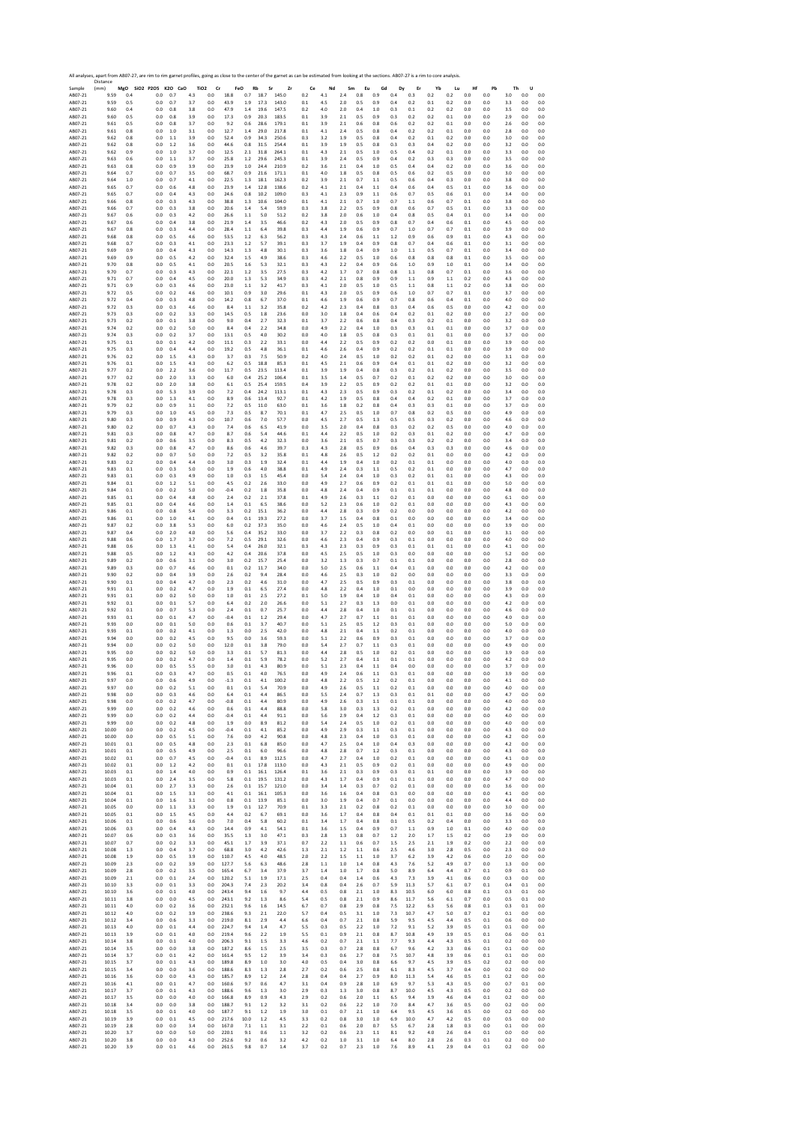|                    | All analyses, apart from AB07-27, are rim to rim garnet profiles, going as close to the center of the garnet as can be estimated from looking at the sections. AB07-27 is a rim to core analysis<br>Distance |            |                              |            |            |                                    |              |            |                  |              |            |            |            |            |            |            |            |            |            |            |            |            |            |            |
|--------------------|--------------------------------------------------------------------------------------------------------------------------------------------------------------------------------------------------------------|------------|------------------------------|------------|------------|------------------------------------|--------------|------------|------------------|--------------|------------|------------|------------|------------|------------|------------|------------|------------|------------|------------|------------|------------|------------|------------|
| Sample<br>AB07-21  | (mm)<br>9.59                                                                                                                                                                                                 | 0.4        | MgO SiO2 P2O5 K2O CaO<br>0.0 | 0.7        | 4.3        | TiO <sub>2</sub><br>Cr<br>$_{0.0}$ | 18.8         | FeO<br>0.7 | Rb<br>Sr<br>18.7 | Zr<br>145.0  | Ce<br>0.2  | Nd<br>4.1  | Sm<br>2.4  | Eu<br>0.8  | Gd<br>0.9  | Dy<br>0.4  | Er<br>0.3  | Yb<br>0.2  | Lu<br>0.2  | Hf<br>0.0  | Pb<br>0.0  | Th<br>3.0  | U<br>0.0   | 0.0        |
| AB07-21            | 9.59                                                                                                                                                                                                         | 0.5        | 0.0                          | 0.7        | 3.7        | 0.0                                | 43.9         | 1.9        | 17.3             | 143.0        | 0.1        | 4.5        | 2.0        | 0.5        | 0.9        | 0.4        | 0.2        | 0.1        | 0.2        | 0.0        | 0.0        | 3.3        | 0.0        | 0.0        |
| AB07-21            | 9.60                                                                                                                                                                                                         | 0.4        | 0.0                          | 0.8        | 3.8        | 0.0                                | 47.9         | 1.4        | 19.6             | 147.5        | 0.2        | 4.0        | 2.0        | 0.4        | $1.0\,$    | 0.3        | 0.1        | 0.2        | 0.2        | 0.0        | 0.0        | 3.5        | 0.0        | 0.0        |
| AB07-21            | 9.60                                                                                                                                                                                                         | 0.5        | 0.0                          | 0.8        | 3.9        | 0.0                                | 17.3         | 0.9        | 20.3             | 183.5        | 0.1        | 3.9        | 2.1        | 0.5        | 0.9        | 0.3        | 0.2        | 0.2        | 0.1        | 0.0        | 0.0        | 2.9        | 0.0        | 0.0        |
| AB07-21            | 9.61                                                                                                                                                                                                         | 0.5        | 0.0                          | 0.8        | 3.7        | 0.0                                | 9.2          | 0.6        | 28.6             | 179.1        | 0.1        | 3.9        | 2.1        | 0.6        | 0.8        | 0.6        | 0.2        | 0.2        | 0.1        | 0.0        | 0.0        | 2.6        | 0.0        | 0.0        |
| AB07-21            | 9.61                                                                                                                                                                                                         | 0.8        | 0.0                          | 1.0        | 3.1        | 0.0                                | 12.7         | 1.4        | 29.0             | 217.8        | 0.1        | 4.1        | 2.4        | 0.5        | 0.8        | 0.4        | 0.2        | 0.2        | 0.1        | 0.0        | 0.0        | 2.8        | 0.0        | 0.0        |
| AB07-21            | 9.62                                                                                                                                                                                                         | 0.8        | 0.0                          | 1.1        | 3.9        | 0.0                                | 52.4         | 0.9        | 34.3             | 250.6        | 0.3        | 3.2        | 1.9        | 0.5        | 0.8        | 0.4        | 0.2        | $0.1\,$    | 0.2        | 0.0        | 0.0        | 3.0        | 0.0        | 0.0        |
| AB07-21            | 9.62                                                                                                                                                                                                         | 0.8        | 0.0                          | 1.2        | 3.6        | 0.0                                | 44.6         | 0.8        | 31.5             | 254.4        | 0.1        | 3.9        | 1.9        | 0.5        | 0.8        | 0.3        | 0.3        | 0.4        | 0.2        | 0.0        | 0.0        | 3.2        | 0.0        | 0.0        |
| AB07-21            | 9.62                                                                                                                                                                                                         | 0.9        | 0.0                          | 1.0        | 3.7        | 0.0                                | 12.5         | 2.1        | 31.8             | 264.1        | 0.1        | 4.3        | 2.1        | 0.5        | 1.0        | 0.5        | 0.4        | 0.2        | 0.1        | 0.0        | 0.0        | 3.3        | 0.0        | 0.0        |
| AB07-21            | 9.63                                                                                                                                                                                                         | 0.6        | 0.0                          | $1.1$      | 3.7        | 0.0                                | 25.8         | 1.2        | 29.6             | 245.3        | 0.1        | 3.9        | 2.4        | 0.5        | 0.9        | 0.4        | 0.2        | 0.3        | 0.3        | 0.0        | 0.0        | 3.5        | 0.0        | 0.0        |
| AB07-21            | 9.63                                                                                                                                                                                                         | 0.8        | 0.0                          | 0.9        | 3.9        | 0.0                                | 23.9         | 1.0        | 24.4             | 210.9        | 0.2        | 3.6        | 2.1        | 0.4        | 1.0        | 0.5        | 0.4        | 0.4        | 0.2        | 0.0        | 0.0        | 3.6        | 0.0        | 0.0        |
| AB07-21            | 9.64                                                                                                                                                                                                         | 0.7        | 0.0                          | 0.7        | 3.5        | 0.0                                | 68.7         | 0.9        | 21.6             | 171.1        | 0.1        | 4.0        | 1.8        | 0.5        | 0.8        | 0.5        | 0.6        | 0.2        | 0.5        | 0.0        | 0.0        | 3.0        | 0.0        | 0.0        |
| AB07-21            | 9.64                                                                                                                                                                                                         | 1.0        | 0.0                          | 0.7        | 4.1        | 0.0                                | 22.5         | 1.3        | 18.1             | 162.3        | 0.2        | 3.9        | 2.1        | 0.7        | 1.1        | 0.5        | 0.6        | 0.4        | 0.3        | 0.0        | 0.0        | 3.8        | 0.0        | 0.0        |
| AB07-21            | 9.65                                                                                                                                                                                                         | 0.7        | 0.0                          | 0.6        | 4.8        | 0.0                                | 23.9         | 1.4        | 12.8             | 138.6        | 0.2        | 4.1        | 2.1        | 0.4        | 1.1        | 0.4        | 0.6        | 0.4        | 0.5        | 0.1        | 0.0        | 3.6        | 0.0        | 0.0        |
| AB07-21            | 9.65                                                                                                                                                                                                         | 0.7        | 0.0                          | 0.4        | 4.3        | 0.0                                | 24.6         | 0.8        | 10.2             | 109.0        | 0.3        | 4.1        | 2.3        | 0.9        | 1.1        | 0.6        | 0.7        | 0.5        | 0.6        | 0.1        | 0.0        | 3.4        | 0.0        | 0.0        |
| AB07-21            | 9.66                                                                                                                                                                                                         | 0.8        | 0.0                          | 0.3        | 4.3        | 0.0                                | 38.8         | 1.3        | 10.6             | 104.0        | 0.1        | 4.1        | 2.1        | 0.7        | 1.0        | 0.7        | 1.1        | 0.6        | 0.7        | 0.1        | 0.0        | 3.8        | 0.0        | 0.0        |
| AB07-21            | 9.66                                                                                                                                                                                                         | 0.7        | 0.0                          | 0.3        | 3.8        | 0.0                                | 20.6         | 1.4        | 5.4              | 59.9         | 0.3        | 3.8        | 2.2        | 0.5        | 0.9        | 0.8        | 0.6        | 0.7        | 0.5        | 0.1        | 0.0        | 3.3        | 0.0        | 0.0        |
| AB07-21            | 9.67                                                                                                                                                                                                         | 0.6        | 0.0                          | 0.3        | 4.2        | 0.0                                | 26.6         | 1.1        | 5.0              | 51.2         | 0.2        | 3.8        | 2.0        | 0.6        | 1.0        | 0.4        | 0.8        | 0.5        | 0.4        | 0.1        | 0.0        | 3.4        | 0.0        | 0.0        |
| AB07-21            | 9.67                                                                                                                                                                                                         | 0.6        | 0.0                          | 0.4        | 3.8        | 0.0                                | 21.9         | 1.4        | 3.5              | 46.6         | 0.2        | 4.3        | 2.0        | 0.5        | 0.9        | 0.8        | 0.7        | 0.4        | 0.6        | 0.1        | 0.0        | 4.5        | 0.0        | 0.0        |
| AB07-21            | 9.67                                                                                                                                                                                                         | 0.8        | 0.0                          | 0.3        | 4.4        | 0.0                                | 28.4         | 1.1        | 6.4              | 39.8         | 0.3        | 4.4        | 1.9        | 0.6        | 0.9        | 0.7        | 1.0        | 0.7        | 0.7        | 0.1        | 0.0        | 3.9        | 0.0        | 0.0        |
| AB07-21            | 9.68                                                                                                                                                                                                         | 0.8        | 0.0                          | 0.5        | 4.6        | 0.0                                | 53.5         | 1.2        | 6.3              | 56.2         | 0.3        | 4.3        | 2.4        | 0.6        | 1.1        | 1.2        | 0.9        | 0.6        | 0.9        | 0.1        | 0.0        | 4.3        | 0.0        | 0.0        |
| AB07-21            | 9.68                                                                                                                                                                                                         | 0.7        | 0.0                          | 0.3        | 4.1        | 0.0                                | 23.3         | 1.2        | 5.7              | 39.1         | 0.3        | 3.7        | 1.9        | 0.4        | 0.9        | 0.8        | 0.7        | 0.4        | 0.6        | 0.1        | 0.0        | 3.1        | 0.0        | 0.0        |
| AB07-21            | 9.69                                                                                                                                                                                                         | 0.9        | 0.0                          | 0.4        | 4.3        | 0.0                                | 14.3         | 1.3        | 4.8              | 30.1         | 0.3        | 3.6        | 1.8        | 0.4        | 0.9        | 1.0        | 1.1        | 0.5        | 0.7        | 0.1        | 0.0        | 3.4        | 0.0        | 0.0        |
| AB07-21            | 9.69                                                                                                                                                                                                         | 0.9        | 0.0                          | 0.5        | 4.2        | 0.0                                | 32.4         | 1.5        | 4.9              | 38.6         | 0.3        | 4.6        | 2.2        | 0.5        | 1.0        | 0.6        | 0.8        | 0.8        | 0.8        | 0.1        | 0.0        | 3.5        | 0.0        | 0.0        |
| AB07-21            | 9.70                                                                                                                                                                                                         | 0.8        | 0.0                          | 0.5        | 4.1        | 0.0                                | 20.5         | 1.6<br>1.2 | 5.3              | 32.1<br>27.5 | 0.3        | 4.3        | 2.2        | 0.4        | 0.9        | 0.6        | 1.0        | 0.9<br>0.8 | 1.0        | 0.1        | 0.0        | 3.4        | 0.0<br>0.0 | 0.0        |
| AB07-21<br>AB07-21 | 9.70<br>9.71                                                                                                                                                                                                 | 0.7<br>0.7 | 0.0<br>0.0                   | 0.3<br>0.4 | 4.3<br>4.5 | 0.0<br>0.0                         | 22.1<br>20.0 | 1.3        | 3.5<br>5.3       | 34.9         | 0.3<br>0.3 | 4.2<br>4.2 | 1.7<br>2.1 | 0.7<br>0.8 | 0.8<br>0.9 | 0.8<br>0.9 | 1.1<br>1.1 | 0.9        | 0.7<br>1.1 | 0.1<br>0.2 | 0.0<br>0.0 | 3.6<br>4.3 | 0.0        | 0.0<br>0.0 |
| AB07-21            | 9.71                                                                                                                                                                                                         | 0.9        | 0.0                          | 0.3        | 4.6        | 0.0                                | 23.0         | 1.1        | 3.2              | 41.7         | 0.3        | 4.1        | 2.0        | 0.5        | 1.0        | 0.5        | 1.1        | 0.8        | 1.1        | 0.2        | 0.0        | 3.8        | 0.0        | 0.0        |
| AB07-21            | 9.72                                                                                                                                                                                                         | 0.5        | 0.0                          | 0.2        | 4.6        | 0.0                                | 10.1         | 0.9        | 3.0              | 29.6         | 0.1        | 4.3        | 2.0        | 0.5        | 0.9        | 0.6        | 1.0        | 0.7        | 0.7        | 0.1        | 0.0        | 3.7        | 0.0        | 0.0        |
| AB07-21            | 9.72                                                                                                                                                                                                         | 0.4        | 0.0                          | 0.3        | 4.8        | 0.0                                | 14.2         | 0.8        | 6.7              | 37.0         | 0.1        | 4.6        | 1.9        | 0.6        | 0.9        | 0.7        | 0.8        | 0.6        | 0.4        | 0.1        | 0.0        | 4.0        | 0.0        | 0.0        |
| AB07-21            | 9.72                                                                                                                                                                                                         | 0.3        | 0.0                          | 0.3        | 4.6        | 0.0                                | 8.4          | 1.1        | 3.2              | 35.8         | 0.2        | 4.2        | 2.3        | 0.4        | 0.8        | 0.3        | 0.4        | 0.6        | 0.5        | 0.0        | 0.0        | 4.2        | 0.0        | 0.0        |
| AB07-21            | 9.73                                                                                                                                                                                                         | 0.3        | 0.0                          | 0.2        | 3.3        | 0.0                                | 14.5         | 0.5        | $1.8\,$          | 23.6         | 0.0        | 3.0        | 1.8        | 0.4        | 0.6        | 0.4        | 0.2        | $0.1\,$    | 0.2        | 0.0        | 0.0        | 2.7        | 0.0        | 0.0        |
| AB07-21            | 9.73                                                                                                                                                                                                         | 0.2        | 0.0                          | 0.1        | 3.8        | 0.0                                | 9.0          | 0.4        | 2.7              | 32.3         | 0.1        | 3.7        | 2.2        | 0.6        | 0.8        | 0.4        | 0.3        | 0.2        | 0.1        | 0.0        | 0.0        | 3.2        | 0.0        | 0.0        |
| AB07-21            | 9.74                                                                                                                                                                                                         | 0.2        | 0.0                          | 0.2        | 5.0        | 0.0                                | 8.4          | 0.4        | 2.2              | 34.8         | 0.0        | 4.9        | 2.2        | 0.4        | 1.0        | 0.3        | 0.3        | 0.1        | 0.1        | 0.0        | 0.0        | 3.7        | 0.0        | 0.0        |
| AB07-21            | 9.74                                                                                                                                                                                                         | 0.3        | 0.0                          | 0.2        | 3.7        | 0.0                                | 13.1         | 0.5        | 4.0              | 30.2         | 0.0        | 4.0        | 1.8        | 0.5        | 0.8        | 0.3        | 0.1        | 0.1        | 0.1        | 0.0        | 0.0        | 3.7        | 0.0        | 0.0        |
| AB07-21            | 9.75                                                                                                                                                                                                         | 0.1        | 0.0                          | 0.1        | 4.2        | 0.0                                | 11.1         | 0.3        | 2.2              | 33.1         | 0.0        | 4.4        | 2.2        | 0.5        | 0.9        | 0.2        | 0.2        | 0.0        | 0.1        | 0.0        | 0.0        | 3.9        | 0.0        | 0.0        |
| AB07-21            | 9.75                                                                                                                                                                                                         | 0.3        | 0.0                          | 0.4        | 4.4        | 0.0                                | 19.2         | 0.5        | 4.8              | 36.1         | 0.1        | 4.6        | 2.6        | 0.4        | 0.9        | 0.2        | 0.2        | 0.1        | 0.1        | 0.0        | 0.0        | 3.9        | 0.0        | 0.0        |
| AB07-21            | 9.76                                                                                                                                                                                                         | 0.2        | 0.0                          | 1.5        | 4.3        | 0.0                                | 3.7          | 0.3        | 7.5              | 50.9         | 0.2        | 4.0        | 2.4        | 0.5        | 1.0        | 0.2        | 0.2        | 0.1        | 0.2        | 0.0        | 0.0        | 3.1        | 0.0        | 0.0        |
| AB07-21            | 9.76                                                                                                                                                                                                         | 0.1        | 0.0                          | 1.5        | 4.3        | 0.0                                | 6.2          | 0.5        | 18.8             | 85.3         | 0.1        | 4.5        | 2.1        | 0.6        | 0.9        | 0.4        | 0.1        | 0.1        | 0.2        | 0.0        | 0.0        | 3.2        | 0.0        | 0.0        |
| AB07-21<br>AB07-21 | 9.77                                                                                                                                                                                                         | 0.2        | 0.0                          | 2.2        | 3.6        | 0.0                                | 11.7         | 0.5        | 23.5             | 113.4        | 0.1        | 3.9        | 1.9        | 0.4        | 0.8        | 0.3        | 0.2        | 0.1        | 0.2        | 0.0        | 0.0        | 3.5        | 0.0        | 0.0        |
| AB07-21            | 9.77                                                                                                                                                                                                         | 0.2        | 0.0                          | 2.0        | 3.3        | 0.0                                | 6.0          | 0.4        | 25.2             | 106.4        | 0.1        | 3.5        | 1.4        | 0.5        | 0.7        | 0.2        | 0.1        | 0.2        | 0.2        | 0.0        | 0.0        | 3.0        | 0.0        | 0.0        |
|                    | 9.78                                                                                                                                                                                                         | 0.2        | 0.0                          | 2.0        | 3.8        | 0.0                                | 6.1          | 0.5        | 25.4             | 159.5        | 0.4        | 3.9        | 2.2        | 0.5        | 0.9        | 0.2        | 0.2        | 0.1        | 0.1        | 0.0        | 0.0        | 3.2        | 0.0        | 0.0        |
| AB07-21            | 9.78                                                                                                                                                                                                         | 0.3        | 0.0                          | 5.3        | 3.9        | 0.0                                | 7.2          | 0.4        | 24.2             | 113.1        | 0.1        | 4.3        | 2.3        | 0.5        | 0.9        | 0.3        | 0.2        | 0.1        | 0.2        | 0.0        | 0.0        | 3.4        | 0.0        | 0.0        |
| AR07-21            | 9.78                                                                                                                                                                                                         | 0.3        | 0.0                          | 1.3        | 4.1        | 0.0                                | 8.9          | 0.6        | 13.4             | 92.7         | 0.1        | 4.2        | 1.9        | 0.5        | 0.8        | 0.4        | 0.4        | 0.2        | 0.1        | 0.0        | 0.0        | 3.7        | 0.0        | 0.0        |
| AB07-21            | 9.79                                                                                                                                                                                                         | 0.2        | 0.0                          | 0.9        | 3.1        | 0.0                                | 7.2          | 0.5        | 11.0             | 63.0         | 0.1        | 3.6        | 1.8        | 0.2        | 0.8        | 0.4        | 0.3        | 0.3        | 0.1        | 0.0        | 0.0        | 3.7        | 0.0        | 0.0        |
| AB07-21            | 9.79                                                                                                                                                                                                         | 0.3        | 0.0                          | 1.0        | 4.5        | 0.0                                | 7.3          | 0.5        | 8.7              | 70.1         | 0.1        | 4.7        | 2.5        | 0.5        | 1.0        | 0.7        | 0.8        | 0.2        | 0.5        | 0.0        | 0.0        | 4.9        | 0.0        | 0.0        |
| AB07-21            | 9.80                                                                                                                                                                                                         | 0.3        | 0.0                          | 0.9        | 4.3        | 0.0                                | 10.7         | 0.6        | 7.0              | 57.7         | 0.0        | 4.5        | 2.7        | 0.5        | 1.3        | 0.5        | 0.5        | 0.3        | 0.2        | 0.0        | 0.0        | 4.6        | 0.0        | 0.0        |
| AB07-21            | 9.80                                                                                                                                                                                                         | 0.2        | 0.0                          | 0.7        | 4.3        | 0.0                                | 7.4          | 0.6        | 6.5              | 41.9         | 0.0        | 3.5        | 2.0        | 0.4        | 0.8        | 0.3        | 0.2        | 0.2        | 0.5        | 0.0        | 0.0        | 4.0        | 0.0        | 0.0        |
| AB07-21            | 9.81                                                                                                                                                                                                         | 0.3        | 0.0                          | 0.8        | 4.7        | 0.0                                | 8.7          | 0.6        | 5.4              | 44.6         | 0.1        | 4.4        | 2.2        | 0.5        | 1.0        | 0.2        | 0.3        | 0.1        | 0.2        | 0.0        | 0.0        | 4.7        | 0.0        | 0.0        |
| AB07-21            | 9.81                                                                                                                                                                                                         | 0.2        | 0.0                          | 0.6        | 3.5        | 0.0                                | 8.3          | 0.5        | 4.2              | 32.3         | 0.0        | 3.6        | 2.1        | 0.5        | 0.7        | 0.3        | 0.3        | 0.2        | 0.2        | 0.0        | 0.0        | 3.4        | 0.0        | 0.0        |
| AB07-21            | 9.82                                                                                                                                                                                                         | 0.3        | 0.0                          | 0.8        | 4.7        | 0.0                                | 8.6          | 0.6        | 4.6              | 39.7         | 0.3        | 4.3        | 2.8        | 0.5        | 0.9        | 0.6        | 0.4        | 0.3        | 0.3        | 0.0        | 0.0        | 4.6        | 0.0        | 0.0        |
| AB07-21            | 9.82                                                                                                                                                                                                         | 0.2        | 0.0                          | 0.7        | 5.0        | 0.0                                | 7.2          | 0.5        | 3.2              | 35.8         | 0.1        | 4.8        | 2.6        | 0.5        | 1.2        | 0.2        | 0.2        | 0.1        | 0.0        | 0.0        | 0.0        | 4.2        | 0.0        | 0.0        |
| AB07-21            | 9.83                                                                                                                                                                                                         | 0.2        | 0.0                          | 0.4        | 4.4        | 0.0                                | 3.0          | 0.3        | 1.9              | 32.4         | 0.1        | 4.4        | 1.9        | $0.4\,$    | 1.0        | 0.2        | 0.1        | 0.1        | 0.0        | 0.0        | 0.0        | 4.0        | 0.0        | $_{0.0}$   |
| AB07-21            | 9.83                                                                                                                                                                                                         | 0.1        | 0.0                          | 0.3        | 5.0        | 0.0                                | 1.9          | 0.6        | 4.0              | 38.8         | 0.1        | 4.9        | 2.4        | 0.3        | 1.1        | 0.5        | 0.2        | 0.1        | 0.0        | 0.0        | 0.0        | 4.7        | 0.0        | 0.0        |
| AB07-21            | 9.83                                                                                                                                                                                                         | 0.1        | 0.0                          | 0.3        | 4.9        | 0.0                                | 1.0          | 0.3        | 1.5              | 45.4         | 0.0        | 5.4        | 2.4        | 0.4        | 1.0        | 0.3        | 0.2        | 0.1        | 0.1        | 0.0        | 0.0        | 4.3        | 0.0        | 0.0        |
| AB07-21            | 9.84                                                                                                                                                                                                         | 0.1        | 0.0                          | 1.2        | 5.1        | 0.0                                | 4.5          | 0.2        | 2.6              | 33.0         | 0.0        | 4.9        | 2.7        | 0.6        | 0.9        | 0.2        | 0.1        | 0.1        | 0.1        | 0.0        | 0.0        | 5.0        | 0.0        | 0.0        |
| AB07-21            | 9.84                                                                                                                                                                                                         | 0.1        | 0.0                          | 0.2        | 5.0        | 0.0                                | $-0.4$       | 0.2        | $1.8\,$          | 35.8         | 0.0        | 4.8        | 2.4        | 0.4        | 0.9        | 0.1        | 0.1        | 0.1        | 0.0        | 0.0        | 0.0        | 4.8        | 0.0        | 0.0        |
| AB07-21            | 9.85                                                                                                                                                                                                         | 0.1        | 0.0                          | 0.4        | 4.8        | 0.0                                | 2.4          | 0.2        | 2.1              | 37.8         | 0.1        | 4.9        | 2.6        | 0.3        | 1.1        | 0.2        | 0.1        | 0.0        | 0.0        | 0.0        | 0.0        | 6.1        | 0.0        | 0.0        |
| AB07-21            | 9.85                                                                                                                                                                                                         | 0.1        | 0.0                          | 0.4        | 4.6        | 0.0                                | 1.4          | 0.1        | 6.5              | 38.6         | 0.0        | 5.2        | 2.3        | 0.6        | 1.0        | 0.2        | 0.1        | 0.0        | 0.0        | 0.0        | 0.0        | 4.3        | 0.0        | 0.0        |
| AB07-21            | 9.86                                                                                                                                                                                                         | 0.1        | 0.0                          | 0.8        | 5.4        | 0.0                                | 3.3          | 0.2        | 15.1             | 36.2         | 0.0        | 4.4        | 2.8        | 0.3        | 0.9        | 0.2        | 0.0        | 0.0        | 0.0        | 0.0        | 0.0        | 4.2        | 0.0        | 0.0        |
| AB07-21            | 9.86                                                                                                                                                                                                         | 0.1        | 0.0                          | 1.0        | 4.1        | 0.0                                | 0.4          | 0.1        | 19.3             | 27.2         | 0.0        | 3.7        | 1.5        | 0.4        | 0.8        | 0.1        | 0.0        | 0.0        | 0.0        | 0.0        | 0.0        | 3.4        | 0.0        | 0.0        |
| AB07-21            | 9.87                                                                                                                                                                                                         | 0.2        | 0.0                          | 3.8        | 5.3        | 0.0                                | 6.0          | 0.2        | 37.3             | 35.0         | 0.0        | 4.6        | 2.4        | 0.5        | 1.0        | 0.4        | 0.1        | 0.0        | 0.0        | 0.0        | 0.0        | 3.9        | 0.0        | 0.0        |
| AB07-21            | 9.87                                                                                                                                                                                                         | 0.4        | 0.0                          | 2.0        | 4.0        | 0.0                                | 5.6          | 0.4        | 35.2             | 33.0         | 0.0        | 3.7        | 2.2        | 0.3        | 0.8        | 0.2        | 0.0        | 0.0        | 0.1        | 0.0        | 0.0        | 3.1        | 0.0        | 0.0        |
| AB07-21            | 9.88                                                                                                                                                                                                         | 0.6        | 0.0                          | 1.7        | 3.7        | 0.0                                | 7.2          | 0.5        | 29.1             | 32.6         | 0.0        | 4.6        | 2.3        | 0.4        | 0.9        | 0.3        | 0.1        | 0.0        | 0.0        | 0.0        | 0.0        | 4.0        | 0.0        | 0.0        |
| AB07-21            | 9.88                                                                                                                                                                                                         | 0.6        | 0.0                          | 1.3        | 4.1        | 0.0                                | 5.4          | 0.4        | 26.0             | 32.1         | 0.3        | 4.3        | 2.3        | 0.3        | 0.9        | 0.3        | 0.1        | 0.1        | 0.1        | 0.0        | 0.0        | 4.1        | 0.0        | 0.0        |
| AB07-21            | 9.88                                                                                                                                                                                                         | 0.5        | 0.0                          | 1.2        | 4.3        | 0.0                                | 4.2          | 0.4        | 20.6             | 37.8         | 0.0        | 4.5        | 2.5        | 0.5        | 1.0        | 0.3        | 0.0        | 0.0        | 0.0        | 0.0        | 0.0        | 5.2        | 0.0        | 0.0        |
| AB07-21            | 9.89                                                                                                                                                                                                         | 0.2        | 0.0                          | 0.6        | 3.1        | 0.0                                | 3.0          | 0.2        | 15.7             | 25.4         | 0.0        | 3.2        | 1.3        | 0.3        | 0.7        | 0.1        | 0.1        | 0.0        | 0.0        | 0.0        | 0.0        | 2.8        | 0.0        | 0.0        |
| AB07-21            | 9.89                                                                                                                                                                                                         | 0.3        | 0.0                          | 0.7        | 4.6        | 0.0                                | 0.1          | 0.2        | 11.7             | 34.0         | 0.0        | 5.0        | 2.5        | 0.6        | 1.1        | 0.4        | 0.1        | 0.0        | 0.0        | 0.0        | 0.0        | 4.2        | 0.0        | 0.0        |
| AB07-21            | 9.90                                                                                                                                                                                                         | 0.2        | 0.0                          | 0.4        | 3.9        | 0.0                                | 2.6          | 0.2        | 9.4              | 28.4         | 0.0        | 4.6        | 2.5        | 0.3        | 1.0        | 0.2        | 0.0        | 0.0        | 0.0        | 0.0        | 0.0        | 3.3        | 0.0        | 0.0        |
| AB07-21            | 9.90                                                                                                                                                                                                         | 0.1        | 0.0                          | 0.4        | 4.7        | 0.0                                | 2.3          | 0.2        | 4.6              | 31.0         | 0.0        | 4.7        | 2.5        | 0.5        | 0.9        | 0.3        | 0.1        | 0.0        | 0.0        | 0.0        | 0.0        | 3.8        | 0.0        | 0.0        |
| AB07-21            | 9.91                                                                                                                                                                                                         | 0.1        | 0.0                          | 0.2        | 4.7        | 0.0                                | 1.9          | 0.1        | 6.5              | 27.4         | 0.0        | 4.8        | 2.2        | 0.4        | 1.0        | 0.1        | 0.0        | 0.0        | 0.0        | 0.0        | 0.0        | 3.9        | 0.0        | 0.0        |
| AB07-21            | 9.91                                                                                                                                                                                                         | 0.1        | 0.0                          | 0.2        | 5.0        | 0.0                                | 1.0          | 0.1        | 2.5              | 27.2         | 0.1        | 5.0        | 1.9        | 0.4        | 1.0        | 0.4        | 0.1        | 0.0        | 0.0        | 0.0        | 0.0        | 4.3        | 0.0        | 0.0        |
| AB07-21            | 9.92                                                                                                                                                                                                         | 0.1        | 0.0                          | 0.1        | 5.7        | 0.0                                | 6.4          | 0.2        | 2.0              | 26.6         | 0.0        | 5.1        | 2.7        | 0.3        | 1.3        | 0.0        | 0.1        | 0.0        | 0.0        | 0.0        | 0.0        | 4.2        | 0.0        | 0.0        |
| AB07-21            | 9.92                                                                                                                                                                                                         | 0.1        | 0.0                          | 0.7        | 5.3        | 0.0                                | 2.4          | 0.1        | 0.7              | 25.7         | 0.0        | 4.4        | 2.8        | $0.4\,$    | 1.0        | 0.1        | 0.1        | 0.0        | 0.0        | 0.0        | 0.0        | 4.6        | 0.0        | 0.0        |
| AB07-21            | 9.93                                                                                                                                                                                                         | 0.1        | 0.0                          | 0.1        | 4.7        | 0.0                                | $-0.4$       | 0.1        | 1.2              | 29.4         | 0.0        | 4.7        | 2.7        | 0.7        | 1.1        | 0.1        | 0.1        | 0.0        | 0.0        | 0.0        | 0.0        | 4.0        | 0.0        | 0.0        |
| AB07-21            | 9.93                                                                                                                                                                                                         | 0.0        | 0.0                          | 0.1        | 5.0        | 0.0                                | 0.6          | 0.1        | 3.7              | 40.7         | 0.0        | 5.1        | 2.5        | 0.5        | 1.2        | 0.3        | 0.1        | 0.0        | 0.0        | 0.0        | 0.0        | 5.0        | 0.0        | 0.0        |
| AB07-21            | 9.93                                                                                                                                                                                                         | 0.1        | 0.0                          | 0.2        | 4.1        | 0.0                                | 1.3          | 0.0        | 2.5              | 42.0         | 0.0        | 4.8        | 2.1        | 0.4        | 1.1        | 0.2        | 0.1        | 0.0        | 0.0        | 0.0        | 0.0        | 4.0        | 0.0        | 0.0        |
| AB07-21            | 9.94                                                                                                                                                                                                         | 0.0        | 0.0                          | 0.2        | 4.5        | 0.0                                | 9.5          | 0.0        | 3.6              | 59.3         | 0.0        | 5.1        | 2.2        | 0.6        | 0.9        | 0.3        | 0.1        | 0.0        | 0.0        | 0.0        | 0.0        | 3.7        | $_{0.0}$   | $_{0.0}$   |
| AB07-21            | 9.94                                                                                                                                                                                                         | 0.0        | 0.0                          | 0.2        | 5.0        | 0.0                                | 12.0         | 0.1        | 3.8              | 79.0         | 0.0        | 5.4        | 2.7        | 0.7        | 1.1        | 0.3        | 0.1        | 0.0        | 0.0        | 0.0        | 0.0        | 4.9        | 0.0        | 0.0        |
| AB07-21            | 9.95                                                                                                                                                                                                         | 0.0        | 0.0                          | 0.2        | 5.0        | 0.0                                | 3.3          | 0.1        | 5.7              | 81.3         | 0.0        | 4.4        | 2.8        | 0.5        | 1.0        | 0.2        | 0.1        | 0.0        | 0.0        | 0.0        | 0.0        | 3.9        | 0.0        | 0.0        |
| AB07-21            | 9.95                                                                                                                                                                                                         | 0.0        | 0.0                          | 0.2        | 4.7        | 0.0                                | 1.4          | 0.1        | 5.9              | 78.2         | 0.0        | 5.2        | 2.7        | 0.4        | 1.1        | 0.1        | 0.1        | 0.0        | 0.0        | 0.0        | 0.0        | 4.2        | 0.0        | 0.0        |
| AB07-21            | 9.96                                                                                                                                                                                                         | 0.0        | 0.0                          | 0.5        | 5.5        | 0.0                                | 3.0          | 0.1        | 4.3              | 80.9         | 0.0        | 5.1        | 2.3        | 0.4        |            | 0.4        | 0.0        | 0.0        | 0.0        | 0.0        | 0.0        | 3.7        | 0.0        | 0.0        |
| ABU7-21            | 9.9t                                                                                                                                                                                                         | U.I        |                              | υ.:        | 4. ,       | U.U                                | υ.           | υ.         | 4.L              | 76.S         | U.L        |            |            | U.t        | 1.1<br>1.1 | υ.:        | U.I        | U.L        | U.L        | U.U        | U.L        |            | U.l        | U.L        |
| AB07-21            | 9.97                                                                                                                                                                                                         | 0.0        | 0.0                          | 0.6        | 4.9        | 0.0                                | $-1.3$       | 0.1        | 4.1              | 100.2        | 0.0        | 4.8        | 2.2        | 0.5        | 1.2        | 0.2        | 0.1        | 0.0        | 0.0        | 0.0        | 0.0        | 4.1        | 0.0        | 0.0        |
| AB07-21            | 9.97                                                                                                                                                                                                         | 0.0        | 0.0                          | 0.2        | 5.1        | 0.0                                | 0.1          | 0.1        | 5.4              | 70.9         | 0.0        | 4.9        | 2.6        | 0.5        | 1.1        | 0.2        | 0.1        | 0.0        | 0.0        | 0.0        | 0.0        | 4.0        | 0.0        | 0.0        |
| AB07-21            | 9.98                                                                                                                                                                                                         | 0.0        | 0.0                          | 0.3        | 4.6        | 0.0                                | 6.4          | 0.1        | 4.4              | 86.5         | 0.0        | 5.5        | 2.4        | 0.7        | 1.3        | 0.3        | 0.1        | 0.1        | 0.0        | 0.0        | 0.0        | 4.7        | 0.0        | 0.0        |
| AB07-21            | 9.98                                                                                                                                                                                                         | 0.0        | 0.0                          | 0.2        | 4.7        | 0.0                                | $-0.8$       | 0.1        | 4.4              | 80.9         | 0.0        | 4.9        | 2.6        | 0.3        | 1.1        | 0.1        | 0.1        | 0.0        | 0.0        | 0.0        | 0.0        | 4.0        | 0.0        | 0.0        |
| AB07-21            | 9.99                                                                                                                                                                                                         | 0.0        | 0.0                          | 0.2        | 4.6        | 0.0                                | 0.6          | 0.1        | 4.4              | 88.8         | 0.0        | 5.8        | 3.0        | 0.3        | 1.3        | 0.2        | 0.1        | 0.0        | 0.0        | 0.0        | 0.0        | 4.2        | 0.0        | 0.0        |
| AB07-21            | 9.99                                                                                                                                                                                                         | 0.0        | 0.0                          | 0.2        | 4.4        | 0.0                                | $-0.4$       | 0.1        | 4.4              | 91.1         | 0.0        | 5.6        | 2.9        | 0.4        | 1.2        | 0.3        | 0.1        | 0.0        | 0.0        | 0.0        | 0.0        | 4.0        | 0.0        | 0.0        |
| AR07-21            | 9.99                                                                                                                                                                                                         | 0.0        | 0.0                          | 0.2        | 4.8        | 0.0                                | 1.9          | 0.0        | 8.9              | 81.2         | 0.0        | 5.4        | 2.4        | 0.5        | 1.0        | 0.2        | 0.1        | 0.0        | 0.0        | 0.0        | 0.0        | 4.0        | 0.0        | 0.0        |
| AB07-21<br>AR07-21 | 10.00                                                                                                                                                                                                        | 0.0        | 0.0                          | 0.2        | 4.5        | 0.0                                | $-0.4$       | 0.1<br>0.0 | 4.1<br>4.2       | 85.2         | 0.0        | 4.9        | 2.9<br>2.3 | 0.3        | 1.1        | 0.3        | 0.1        | 0.0        | 0.0        | 0.0        | 0.0        | 4.3        | 0.0        | 0.0        |
| AB07-21            | 10.00<br>10.01                                                                                                                                                                                               | 0.0<br>0.1 | 0.0<br>0.0                   | 0.5<br>0.5 | 5.1<br>4.8 | 0.0<br>0.0                         | 7.6<br>2.3   | 0.1        | 6.8              | 90.8<br>85.0 | 0.0<br>0.0 | 4.8<br>4.7 | 2.5        | 0.4<br>0.4 | 1.0<br>1.0 | 0.3<br>0.4 | 0.1<br>0.3 | 0.0<br>0.0 | 0.0<br>0.0 | 0.0<br>0.0 | 0.0<br>0.0 | 4.2<br>4.2 | 0.0<br>0.0 | 0.0<br>0.0 |
| AB07-21            | 10.01                                                                                                                                                                                                        | 0.1        | 0.0                          | 0.5        | 4.9        | 0.0                                | 2.5          | 0.1        | 6.0              | 96.6         | 0.0        | 4.8        | 2.8        | 0.7        | 1.2        | 0.3        | 0.1        | 0.0        | 0.0        | 0.0        | 0.0        | 4.3        | 0.0        | 0.0        |
| AB07-21            | 10.02                                                                                                                                                                                                        | $0.1\,$    | 0.0                          | 0.7        | $4.5\,$    | $_{0.0}$                           | $-0.4$       | 0.1        | 8.9              | 112.5        | 0.0        | 4.7        | 2.7        | 0.4        | $1.0\,$    | 0.2        | $0.1\,$    | $0.0\,$    | $0.0\,$    | 0.0        | 0.0        | 4.1        | 0.0        | 0.0        |
| AB07-21            | 10.02                                                                                                                                                                                                        | 0.1        | 0.0                          | 1.2        | 4.2        | 0.0                                | 0.1          | 0.1        | 17.8             | 113.0        | 0.0        | 4.3        | 2.1        | 0.5        | 0.9        | 0.2        | 0.1        | 0.0        | 0.0        | 0.0        | 0.0        | 4.9        | 0.0        | 0.0        |
| AB07-21            | 10.03                                                                                                                                                                                                        | 0.1        | 0.0                          | 1.4        | 4.0        | 0.0                                | 0.9          | 0.1        | 16.1             | 126.4        | 0.1        | 3.6        | 2.1        | 0.3        | 0.9        | 0.3        | 0.1        | 0.1        | 0.0        | 0.0        | 0.0        | 3.9        | 0.0        | 0.0        |
| AB07-21            | 10.03                                                                                                                                                                                                        | 0.1        | 0.0                          | 2.4        | 3.5        | 0.0                                | 5.8          | 0.1        | 19.5             | 131.2        | 0.0        | 4.3        | 1.7        | 0.4        | 0.9        | 0.1        | 0.1        | 0.0        | 0.0        | 0.0        | 0.0        | 4.7        | 0.0        | 0.0        |
| AB07-21            | 10.04                                                                                                                                                                                                        | 0.1        | 0.0                          | 2.7        | 3.3        | $_{0.0}$                           | 2.6          | 0.1        | 15.7             | 121.0        | 0.0        | 3.4        | 1.4        | 0.3        | 0.7        | 0.2        | $0.1\,$    | 0.0        | $0.0\,$    | 0.0        | 0.0        | 3.6        | 0.0        | 0.0        |
| AB07-21            | 10.04                                                                                                                                                                                                        | 0.1        | 0.0                          | 1.5        | 3.3        | 0.0                                | 4.1          | 0.1        | 16.1             | 105.3        | 0.0        | 3.6        | 1.6        | 0.4        | 0.8        | 0.3        | 0.0        | 0.0        | 0.0        | 0.0        | 0.0        | 4.1        | 0.0        | 0.0        |
| AB07-21            | 10.04                                                                                                                                                                                                        | 0.1        | 0.0                          | 1.6        | 3.1        | 0.0                                | 0.8          | 0.1        | 13.9             | 85.1         | 0.0        | 3.0        | 1.9        | 0.4        | 0.7        | 0.1        | 0.0        | 0.0        | 0.0        | 0.0        | 0.0        | 4.4        | 0.0        | 0.0        |
| AB07-21            | 10.05                                                                                                                                                                                                        | 0.0        | 0.0                          | $1.1$      | 3.3        | 0.0                                | 1.9          | 0.1        | 12.7             | 70.9         | 0.1        | 3.3        | 2.1        | 0.2        | 0.8        | 0.2        | 0.1        | 0.0        | 0.0        | 0.0        | 0.0        | 3.0        | 0.0        | 0.0        |
| AB07-21            | 10.05                                                                                                                                                                                                        | $0.1\,$    | 0.0                          | 1.5        | $4.5\,$    | 0.0                                | $4.4\,$      | 0.2        | 6.7              | 69.1         | 0.0        | 3.6        | 1.7        | 0.4        | $0.8\,$    | 0.4        | $\rm 0.1$  | $\rm 0.1$  | $0.1\,$    | 0.0        | 0.0        | 3.6        | $_{0.0}$   | $_{0.0}$   |
| AB07-21            | 10.06                                                                                                                                                                                                        | 0.1        | 0.0                          | 0.6        | 3.6        | 0.0                                | 7.0          | 0.4        | 5.8              | 60.2         | 0.1        | 3.4        | 1.7        | 0.4        | 0.8        | 0.1        | 0.5        | 0.2        | 0.4        | 0.0        | 0.0        | 3.3        | 0.0        | 0.0        |
| AB07-21            | 10.06                                                                                                                                                                                                        | 0.3        | 0.0                          | 0.4        | 4.3        | 0.0                                | 14.4         | 0.9        | 4.1              | 54.1         | 0.1        | 3.6        | 1.5        | 0.4        | 0.9        | 0.7        | 1.1        | 0.9        | 1.0        | 0.1        | 0.0        | 4.0        | 0.0        | 0.0        |
| AB07-21            | 10.07                                                                                                                                                                                                        | 0.6        | 0.0                          | 0.3        | 3.6        | 0.0                                | 35.5         | 1.3        | 3.0              | 47.1         | 0.3        | 2.8        | 1.3        | 0.8        | 0.7        | 1.2        | 2.0        | 1.7        | 1.5        | 0.2        | 0.0        | 2.9        | 0.0        | 0.0        |
| AB07-21            | 10.07                                                                                                                                                                                                        | 0.7        | 0.0                          | 0.2        | 3.3        | 0.0                                | 45.1         | 1.7        | 3.9              | 37.1         | 0.7        | 2.2        | 1.1        | 0.6        | 0.7        | 1.5        | 2.5        | 2.1        | 1.9        | 0.2        | 0.0        | 2.2        | 0.0        | 0.0        |
| AB07-21            | 10.08                                                                                                                                                                                                        | 1.3        | 0.0                          | 0.4        | 3.7        | 0.0                                | 68.8         | 3.0        | 4.2              | 42.6         | 1.3        | 2.1        | 1.2        | 1.1        | 0.6        | 2.5        | 4.6        | 3.0        | 2.8        | 0.5        | 0.0        | 2.3        | 0.0        | 0.0        |
| AB07-21            | 10.08                                                                                                                                                                                                        | 1.9        | 0.0                          | 0.5        | 3.9        | 0.0                                | 110.7        | 4.5        | 4.0              | 48.5         | 2.0        | 2.2        | 1.5        | 1.1        | 1.0        | 3.7        | 6.2        | 3.9        | 4.2        | 0.6        | 0.0        | 2.0        | 0.0        | 0.0        |
| AB07-21            | 10.09                                                                                                                                                                                                        | 2.3        | 0.0                          | 0.2        | 3.9        | 0.0                                | 127.7        | 5.6        | 6.3              | 48.6         | 2.8        | 1.1        | 1.0        | 1.4        | 0.8        | 4.3        | 7.6        | 5.2        | 4.9        | 0.7        | 0.0        | 1.3        | 0.0        | 0.0        |
| AB07-21            | 10.09                                                                                                                                                                                                        | 2.8        | 0.0                          | 0.2        | 3.5        | 0.0                                | 165.4        | 6.7        | 3.4              | 37.9         | 3.7        | 1.4        | 1.0        | 1.7        | 0.8        | 5.0        | 8.9        | 6.4        | 4.4        | 0.7        | 0.1        | 0.9        | 0.1        | 0.0        |
| AB07-21            | 10.09                                                                                                                                                                                                        | 2.1        | 0.0                          | 0.1        | 2.4        | 0.0                                | 120.2        | 5.1        | 1.9              | 17.1         | 2.5        | 0.4        | 0.4        | 1.4        | 0.6        | 4.3        | 7.3        | 3.9        | 4.1        | 0.6        | 0.0        | 0.3        | 0.0        | 0.0        |
| AB07-21            | 10.10                                                                                                                                                                                                        | 3.3        | 0.0                          | 0.1        | 3.3        | 0.0                                | 204.3        | 7.4        | 2.3              | 20.2         | 3.4        | 0.8        | 0.4        | 2.6        | 0.7        | 5.9        | 11.3       | 5.7        | 6.1        | 0.7        | 0.1        | 0.4        | 0.1        | 0.0        |
| AB07-21            | 10.10                                                                                                                                                                                                        | 3.6        | 0.0                          | 0.1        | 4.0        | 0.0                                | 243.4        | 9.4        | 1.6              | 9.7          | 4.4        | 0.5        | 0.8        | 2.1        | 1.0        | 8.3        | 10.5       | 6.0        | 6.0        | 0.8        | 0.1        | 0.3        | 0.1        | 0.0        |
| AB07-21            | 10.11                                                                                                                                                                                                        | 3.8        | 0.0                          | 0.0        | 4.5        | 0.0                                | 243.1        | 9.2        | 1.3              | 8.6          | 5.4        | 0.5        | 0.8        | 2.1        | 0.9        | 8.6        | 11.7       | 5.6        | 6.1        | 0.7        | 0.0        | 0.5        | 0.1        | 0.0        |
| AB07-21            | 10.11                                                                                                                                                                                                        | 4.0        | 0.0                          | 0.2        | 3.6        | 0.0                                | 232.1        | 9.6        | 1.6              | 14.5         | 6.7        | 0.7        | 0.8        | 2.9        | 0.8        | 7.5        | 12.2       | 6.3        | 5.6        | 0.8        | 0.1        | 0.3        | 0.1        | 0.0        |
| AB07-21            | 10.12                                                                                                                                                                                                        | 4.0        | 0.0                          | 0.2        | 3.9        | 0.0                                | 238.6        | 9.3        | 2.1              | 22.0         | 5.7        | 0.4        | 0.5        | 3.1        | 1.0        | 7.3        | 10.7       | 4.7        | 5.0        | 0.7        | 0.2        | 0.1        | 0.0        | 0.0        |
| AB07-21            | 10.12                                                                                                                                                                                                        | 3.4        | 0.0                          | 0.6        | 3.3        | 0.0                                | 219.0        | 8.1        | 2.9              | 4.4          | 6.6        | 0.4        | 0.7        | 2.1        | 0.8        | 5.9        | 9.5        | 4.5        | 4.4        | 0.5        | 0.1        | 0.6        | 0.0        | 0.0        |
| AB07-21            | 10.13                                                                                                                                                                                                        | 4.0        | 0.0                          | 0.1        | 4.4        | 0.0                                | 224.7        | 9.4        | 1.4              | 4.7          | 5.5        | 0.3        | 0.5        | 2.2        | 1.0        | 7.2        | 9.1        | 5.2        | 3.9        | 0.5        | 0.1        | 0.1        | 0.0        | 0.0        |
| AB07-21            | 10.13                                                                                                                                                                                                        | 3.9        | 0.0                          | $0.1\,$    | $4.0\,$    | $_{0.0}$                           | 219.4        | 9.6        | 2.2              | $1.9\,$      | 5.5        | $0.1\,$    | 0.9        | $2.1\,$    | 0.8        | 8.7        | 10.8       | 4.9        | 3.9        | 0.5        | $0.1\,$    | 0.6        | 0.0        | $0.1\,$    |
| AB07-21            | 10.14                                                                                                                                                                                                        | 3.8        | 0.0                          | 0.1        | 4.0        | 0.0                                | 206.3        | 9.1        | 1.5              | 3.3          | 4.6        | 0.2        | 0.7        | 2.1        | $1.1$      | 7.7        | 9.3        | 4.4        | 4.3        | 0.5        | 0.1        | 0.2        | 0.0        | 0.0        |
| AB07-21            | 10.14                                                                                                                                                                                                        | 3.5        | 0.0                          | 0.0        | 3.8        | 0.0                                | 187.2        | 8.6        | 1.5              | 2.5          | 3.5        | 0.3        | 0.7        | 2.8        | $0.8\,$    | 6.7        | 9.6        | 4.2        | 3.3        | 0.6        | 0.1        | $0.1\,$    | 0.0        | 0.0        |
| AB07-21            | 10.14                                                                                                                                                                                                        | 3.7        | 0.0                          | 0.1        | 4.2        | 0.0                                | 161.4        | 9.5        | 1.2              | 3.9          | 3.4        | 0.3        | 0.6        | 2.7        | 0.8        | 7.5        | 10.7       | 4.8        | 3.9        | 0.6        | 0.1        | 0.1        | 0.0        | 0.0        |
| AB07-21            | 10.15                                                                                                                                                                                                        | 3.7        | 0.0                          | $0.1\,$    | 4.3        | $0.0\,$                            | 189.8        | 8.9        | $1.0\,$          | 3.0          | 4.0        | 0.5        | 0.4        | 3.0        | 0.8        | 6.6        | 9.7        | $4.5\,$    | 3.9        | 0.5        | 0.2        | 0.2        | 0.0        | 0.0        |
| AB07-21            | 10.15                                                                                                                                                                                                        | 3.4        | 0.0                          | 0.0        | 3.6        | 0.0                                | 188.6        | 8.3        | 1.3              | 2.8          | 2.7        | 0.2        | 0.6        | 2.5        | 0.8        | 6.1        | 8.3        | 4.5        | 3.7        | 0.4        | 0.0        | 0.2        | 0.0        | 0.0        |
| AB07-21            | 10.16                                                                                                                                                                                                        | 3.6        | 0.0                          | 0.0        | 4.3        | 0.0                                | 185.7        | 8.9        | 1.2              | 2.4          | 2.8        | 0.4        | 0.4        | 2.7        | 0.9        | 8.0        | 11.3       | 5.4        | $4.6\,$    | 0.5        | 0.1        | 0.2        | 0.0        | 0.0        |
| AB07-21            | 10.16                                                                                                                                                                                                        | 4.1        | 0.0                          | 0.1        | 4.7        | 0.0                                | 160.6        | 9.7        | 0.6              | 4.7          | 3.1        | 0.4        | 0.9        | 2.8        | 1.0        | 6.9        | 9.7        | 5.3        | 4.3        | 0.5        | 0.0        | 0.7        | 0.1        | 0.0        |
| AB07-21            | 10.17                                                                                                                                                                                                        | 3.7        | 0.0                          | $0.1\,$    | 4.3        | $_{0.0}$                           | 188.6        | 9.6        | $1.3\,$          | 3.0          | 2.9        | 0.3        | 1.3        | 3.0        | 0.8        | 8.7        | 10.0       | $4.5\,$    | 4.3        | 0.5        | 0.0        | 0.2        | 0.0        | 0.0        |
| AB07-21            | 10.17                                                                                                                                                                                                        | 3.5        | 0.0                          | 0.0        | 4.0        | 0.0                                | 166.8        | 8.9        | 0.9              | 4.3          | 2.9        | 0.2        | 0.6        | 2.0        | $1.1$      | 6.5        | 9.4        | 3.9        | 4.6        | 0.4        | 0.1        | 0.2        | 0.0        | 0.0        |
| AB07-21            | 10.18                                                                                                                                                                                                        | 3.4        | 0.0                          | 0.0        | 3.8        | 0.0                                | 188.7        | 9.1        | 1.2              | 3.2          | 3.1        | 0.2        | 0.6        | 2.2        | 1.0        | 7.0        | 8.4        | 4.7        | 3.6        | 0.5        | 0.0        | 0.2        | 0.0        | 0.0        |
| AB07-21            | 10.18                                                                                                                                                                                                        | 3.5        | 0.0                          | 0.1        | 4.0        | 0.0                                | 187.7        | 9.1        | 1.2              | 1.9          | 3.0        | 0.1        | 0.7        | 2.1        | 1.0        | 6.4        | 9.5        | 4.5        | 3.6        | 0.5        | 0.0        | 0.2        | 0.0        | 0.0        |
| AB07-21            | 10.19                                                                                                                                                                                                        | 3.9        | 0.0                          | 0.1        | 4.5        | 0.0                                | 217.6        | 10.0       | 1.2              | 4.5          | 3.3        | 0.2        | 0.8        | 3.0        | 1.0        | 6.9        | 10.0       | 4.7        | 4.2        | 0.5        | 0.0        | 0.5        | 0.0        | 0.0        |
| AB07-21            | 10.19                                                                                                                                                                                                        | 2.8        | 0.0                          | 0.0        | 3.4        | 0.0                                | 167.0        | 7.1        | 1.1              | 3.1          | 2.2        | 0.1        | 0.6        | 2.0        | 0.7        | 5.5        | 6.7        | 2.8        | 1.8        | 0.3        | 0.0        | 0.1        | 0.0        | 0.0        |
| AB07-21            | 10.20                                                                                                                                                                                                        | 3.7        | 0.0                          | 0.0        | 5.0        | 0.0                                | 220.1        | 9.1        | 0.6              | 1.1          | 3.2        | 0.2        | 0.6        | 2.3        | 1.1        | 8.1        | 9.2        | 4.0        | 2.6        | 0.4        | 0.1        | 0.0        | 0.0        | 0.0        |
| AB07-21            | 10.20                                                                                                                                                                                                        | 3.8        | 0.0                          | 0.0        | 4.3        | 0.0                                | 252.6        | 9.2        | 0.6              | 3.2          | 4.2        | 0.2        | 1.0        | 3.1        | 1.0        | 6.4        | 8.0        | 2.8        | 2.6        | 0.3        | 0.1        | 0.2        | 0.0        | 0.0        |
| AB07-21            | 10.20                                                                                                                                                                                                        | 3.9        | 0.0                          | 0.1        | 4.6        | 0.0                                | 261.5        | 9.8        | 0.7              | 1.4          | 3.7        | 0.2        | 0.7        | 2.3        | 1.0        | 7.6        | 8.9        | 4.1        | 2.9        | 0.4        | 0.1        | 0.2        | 0.0        | 0.0        |
|                    |                                                                                                                                                                                                              |            |                              |            |            |                                    |              |            |                  |              |            |            |            |            |            |            |            |            |            |            |            |            |            |            |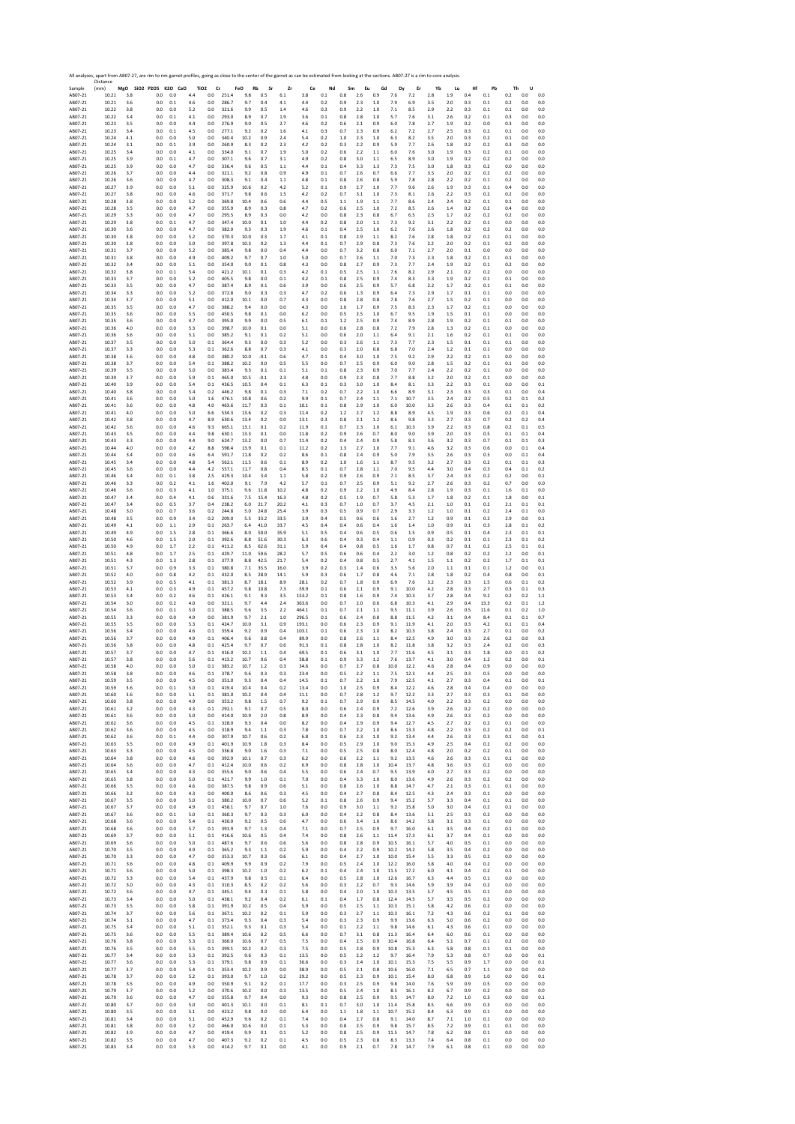|                    | All analyses, apart from AB07-27, are rim to rim garnet profiles, going as close to the center of the garnet as can be estimated from looking at the sections. AB07-27 is a rim to core analysis.<br>Distance |            |                              |            |            |                                   |                |                  |              |            |              |            |            |            |            |             |              |            |            |            |            |            |            |            |
|--------------------|---------------------------------------------------------------------------------------------------------------------------------------------------------------------------------------------------------------|------------|------------------------------|------------|------------|-----------------------------------|----------------|------------------|--------------|------------|--------------|------------|------------|------------|------------|-------------|--------------|------------|------------|------------|------------|------------|------------|------------|
| Sample<br>AB07-21  | (mm)<br>10.21                                                                                                                                                                                                 | 3.8        | MgO SiO2 P2O5 K2O CaO<br>0.0 | 0.0        | 4.4        | TiO <sub>2</sub><br>Cr<br>$0.0\,$ | 251.4          | FeO<br>Rb<br>9.8 | Sr<br>0.5    | Zr<br>6.1  | Ce<br>3.8    | Nd<br>0.1  | Sm<br>0.8  | Eu<br>2.6  | Gd<br>0.9  | Dy<br>7.6   | Er<br>7.2    | Yb<br>2.8  | Lu<br>1.9  | Hf<br>0.4  | Pb<br>0.1  | Th<br>0.2  | U<br>0.0   | 0.0        |
| AB07-21            | 10.21                                                                                                                                                                                                         | 3.6        | 0.0                          | 0.1        | 4.6        | 0.0                               | 286.7          | 9.7              | 0.4          | 4.1        | 4.4          | 0.2        | 0.9        | 2.3        | 1.0        | 7.9         | 6.9          | 3.5        | 2.0        | 0.3        | 0.1        | 0.2        | 0.0        | 0.0        |
| AB07-21            | 10.22                                                                                                                                                                                                         | 3.8        | 0.0                          | 0.0        | 5.2        | 0.0                               | 321.6          | 9.9              | 0.5          | 1.4        | 4.6          | 0.3        | 0.9        | 2.2        | 1.0        | 7.1         | 8.5          | 2.9        | 2.2        | 0.3        | 0.1        | 0.1        | 0.0        | 0.0        |
| AB07-21            | 10.22                                                                                                                                                                                                         | 3.4        | 0.0                          | 0.1        | 4.1        | 0.0                               | 293.0          | 8.9              | 0.7          | 1.9        | 3.6          | 0.1        | 0.8        | 2.8        | 1.0        | 5.7         | 7.6          | 3.1        | 2.6        | 0.2        | 0.1        | 0.3        | 0.0        | 0.0        |
| AB07-21            | 10.23                                                                                                                                                                                                         | 3.5        | 0.0                          | 0.0        | 4.4        | 0.0                               | 276.9          | 9.0              | 0.5          | 2.7        | 4.6          | 0.2        | 0.6        | 2.1        | 0.9        | 6.0         | 7.8          | 2.7        | 1.9        | 0.2        | 0.0        | 0.3        | 0.0        | 0.0        |
| AB07-21            | 10.23                                                                                                                                                                                                         | 3.4        | 0.0                          | 0.1        | 4.5        | 0.0                               | 277.1          | 9.2              | 0.2          | 1.6        | 4.1          | 0.3        | 0.7        | 2.3        | 0.9        | 6.2         | 7.2          | 2.7        | 25         | 0.3        | 0.2        | 0.1        | 0.0        | 0.0        |
| AB07-21            | 10.24                                                                                                                                                                                                         | 4.1        | 0.0                          | 0.0        | 5.0        | 0.0                               | 340.4          | 10.2             | $_{\rm 0.9}$ | 2.4        | 5.4          | 0.2        | 1.0        | 2.3        | 1.0        | 6.3         | 8.2          | 3.5        | 2.0        | 0.3        | 0.2        | 0.1        | 0.0        | 0.0        |
| AB07-21            | 10.24                                                                                                                                                                                                         | 3.1        | 0.0                          | 0.1        | 3.9        | 0.0                               | 260.9          | 8.3              | 0.2          | 2.3        | 4.2          | 0.2        | 0.3        | 2.2        | 0.9        | 5.9         | 7.7          | 2.6        | 1.8        | 0.2        | 0.2        | 0.3        | 0.0        | 0.0        |
| AB07-21            | 10.25                                                                                                                                                                                                         | 3.4        | 0.0                          | 0.0        | 4.1        | 0.0                               | 334.0          | 9.1              | 0.7          | 1.9        | 5.0          | 0.2        | 0.6        | 2.2        | 1.1        | 6.0         | 7.6          | 3.0        | 1.9        | 0.3        | 0.2        | 0.1        | 0.0        | 0.0        |
| AB07-21            | 10.25                                                                                                                                                                                                         | 3.9        | 0.0                          | 0.1        | 4.7        | 0.0                               | 307.1          | 9.6              | 0.7          | 3.1        | 4.9          | 0.2        | 0.8        | 3.0        | 1.1        | 6.5         | 8.9          | 3.0        | 1.9        | 0.2        | 0.2        | 0.2        | 0.0        | 0.0        |
| AB07-21            | 10.25                                                                                                                                                                                                         | 3.9        | 0.0                          | 0.0        | 4.7        | 0.0                               | 336.4          | 9.6              | 0.5          | 1.1        | 4.4          | 0.1        | 0.4        | 3.3        | 1.3        | 7.3         | 7.5          | 3.0        | 1.8        | 0.3        | 0.2        | 0.0        | 0.0        | 0.0        |
| AB07-21            | 10.26                                                                                                                                                                                                         | 3.7        | 0.0                          | 0.0        | 4.4        | 0.0                               | 321.1          | 9.2              | 0.8          | 0.9        | 4.9          | 0.1        | 0.7        | 2.6        | 0.7        | 6.6         | 7.7          | 3.5        | 2.0        | 0.2        | 0.2        | 0.2        | 0.0        | 0.0        |
| AB07-21            | 10.26                                                                                                                                                                                                         | 3.6        | 0.0                          | 0.0        | 4.7        | 0.0                               | 308.3          | 9.1              | 0.4          | 1.1        | 4.8          | 0.1        | 0.8        | 2.6        | 0.8        | 5.9         | 7.8          | 2.8        | 2.2        | 0.2        | 0.1        | 0.2        | 0.0        | 0.0        |
| AB07-21            | 10.27                                                                                                                                                                                                         | 3.9        | 0.0                          | 0.0        | 5.1        | 0.0                               | 325.9          | 10.6             | 0.2          | 4.2        | 5.2          | 0.1        | 0.9        | 2.7        | 1.0        | 7.7         | 9.6          | 2.6        | 1.9        | 0.3        | 0.1        | 0.4        | 0.0        | 0.0        |
| AB07-21            | 10.27                                                                                                                                                                                                         | 3.8        | 0.0                          | 0.0        | 4.6        | 0.0                               | 371.7          | 9.8              | 0.6          | 1.5        | 4.2          | 0.2        | 0.7        | 3.1        | 1.0        | 7.3         | 8.1          | 2.6        | 2.2        | 0.3        | 0.2        | 0.2        | 0.0        | 0.0        |
| AB07-21            | 10.28                                                                                                                                                                                                         | 3.8        | 0.0                          | 0.0        | 5.2        | 0.0                               | 369.8          | 10.4             | 0.6          | 0.6        | 4.4          | 0.5        | 1.1        | 1.9        | 1.1        | 7.7         | 8.6          | 2.4        | 2.4        | 0.2        | 0.1        | 0.1        | 0.0        | 0.0        |
| AB07-21            | 10.28                                                                                                                                                                                                         | 3.5        | 0.0                          | 0.0        | 4.7        | 0.0                               | 355.9          | 8.9              | 0.3          | 0.8        | 4.7          | 0.2        | 0.6        | 2.5        | 1.0        | 7.2         | 8.5          | 2.6        | 1.4        | 0.2        | 0.2        | 0.4        | 0.0        | 0.0        |
| AB07-21            | 10.29                                                                                                                                                                                                         | 3.3        | 0.0                          | 0.0        | 4.7        | 0.0                               | 295.5          | 8.9              | 0.3          | 0.0        | 4.2          | 0.0        | 0.8        | 2.3        | 0.8        | 6.7         | 6.5          | 2.5        | 1.7        | 0.2        | 0.2        | 0.2        | 0.0        | 0.0        |
| AB07-21            | 10.29                                                                                                                                                                                                         | 3.8        | 0.0                          | 0.1        | 4.7        | 0.0                               | 347.4          | 10.0             | 0.1          | 1.0        | 4.4          | 0.2        | 0.8        | 2.0        | 1.1        | 7.3         | 9.2          | 3.1        | 2.2        | 0.2        | 0.1        | 0.0        | 0.0        | 0.0        |
| AB07-21            | 10.30                                                                                                                                                                                                         | 3.6        | 0.0                          | 0.0        | 4.7        | 0.0                               | 382.0          | 9.3              | 0.3          | 1.9        | 4.6          | 0.1        | 0.4        | 2.5        | 1.0        | 6.2         | 7.6          | 2.6        | 1.8        | 0.2        | 0.2        | 0.2        | 0.0        | 0.0        |
| AB07-21            | 10.30                                                                                                                                                                                                         | 3.8        | 0.0                          | 0.0        | 5.2        | 0.0                               | 370.3          | 10.0             | 0.3          | 1.7        | 4.1          | 0.1        | 0.8        | 2.9        | 1.1        | 8.2         | 7.6          | 2.8        | 1.8        | 0.2        | 0.2        | 0.1        | 0.0        | 0.0        |
| AB07-21            | 10.30                                                                                                                                                                                                         | 3.8        | 0.0                          | 0.0        | 5.0        | 0.0                               | 397.8          | 10.3             | 0.2          | 1.3        | 4.4          | 0.1        | 0.7        | 2.9        | 0.8        | 7.3         | 7.6          | 2.2        | 2.0        | 0.2        | 0.1        | 0.2        | 0.0        | 0.0        |
| AB07-21            | 10.31                                                                                                                                                                                                         | 3.7        | 0.0                          | 0.0        | 5.2        | 0.0                               | 385.4          | 9.8              | 0.0          | 0.4        | 4.4          | 0.0        | 0.7        | 3.2        | 0.8        | 6.0         | 7.1          | 2.7        | 2.0        | 0.1        | 0.0        | 0.0        | 0.0        | 0.0        |
| AB07-21            | 10.31                                                                                                                                                                                                         | 3.8        | 0.0                          | 0.0        | 4.9        | 0.0                               | 409.2          | 9.7              | 0.7          | 1.0        | 5.0          | 0.0        | 0.7        | 2.6        | 1.1        | 7.0         | 7.3          | 2.3        | 1.8        | 0.2        | 0.1        | 0.1        | 0.0        | 0.0        |
| AB07-21            | 10.32                                                                                                                                                                                                         | 3.4        | 0.0                          | 0.0        | 5.1        | 0.0                               | 354.0          | 9.0              | 0.1          | 0.8        | 4.3          | 0.0        | 0.8        | 2.7        | 0.9        | 7.3         | 7.7          | 2.4        | 1.9        | 0.2        |            | 0.2        | 0.0        | 0.0        |
| AB07-21            | 10.32                                                                                                                                                                                                         | 3.8        | 0.0                          | 0.1        | 5.4        | 0.0                               | 421.2          | 10.1             | 0.1          | 0.3        | 4.2          | 0.1        | 0.5        | 2.5        | 1.1        | 7.6         | 8.2          | 2.9        | 2.1        | 0.2        | 0.1<br>0.2 | 0.0        | 0.0        | 0.0        |
| AB07-21            | 10.33                                                                                                                                                                                                         | 3.7        | 0.0                          | 0.0        | 5.2        | 0.0                               | 405.5          | 9.8              | 0.0          | 0.1        | 4.2          | 0.1        | 0.8        | 2.5        | 0.9        | 7.4         | 8.3          | 3.3        | 1.9        | 0.2        | 0.1        | 0.1        | 0.0        | 0.0        |
| AB07-21            | 10.33                                                                                                                                                                                                         | 3.5        | 0.0                          | 0.0        | 4.7        | 0.0                               | 387.4          | 8.9              | 0.1          | 0.6        | 3.9          | 0.0        | 0.6        | 2.5        | 0.9        | 5.7         | 6.8          | 2.2        | 1.7        | 0.2        | 0.1        | 0.1        | 0.0        | 0.0        |
| AB07-21            | 10.34                                                                                                                                                                                                         | 3.3        | 0.0                          | 0.0        | 5.2        | 0.0                               | 372.8          | 9.0              | 0.3          | 0.3        | 4.7          | 0.2        | 0.6        | 1.3        | 0.9        | 6.4         | 7.3          | 2.9        | 1.7        | 0.1        | 0.1        | 0.0        | 0.0        | 0.0        |
| AB07-21            | 10.34                                                                                                                                                                                                         | 3.7        | 0.0                          | 0.0        | 5.1        | 0.0                               | 412.0          | 10.1             | 0.0          | 0.7        | 4.3          | 0.0        | 0.8        | 2.8        | 0.8        | 7.8         | 7.6          | 2.7        | 1.5        | 0.2        | 0.1        | 0.0        | 0.0        | 0.0        |
| AB07-21            | 10.35                                                                                                                                                                                                         | 3.5        | 0.0                          | 0.0        | 4.7        | 0.0                               | 388.2          | 9.4              | 0.0          | 0.0        | 4.3          | 0.0        | 1.0        | 1.7        | 0.9        | 7.5         | 8.3          | 2.3        | 1.7        | 0.2        | 0.1        | 0.0        | 0.0        | 0.0        |
| AB07-21            | 10.35                                                                                                                                                                                                         | 3.6        | 0.0                          | 0.0        | 5.5        | 0.0                               | 450.5          | 9.8              | 0.1          | 0.0        | 6.2          | 0.0        | 0.5        | 2.5        | 1.0        | 6.7         | 9.5          | 1.9        | 1.5        | 0.1        | 0.1        | 0.0        | 0.0        | 0.0        |
| AB07-21            | 10.35                                                                                                                                                                                                         | 3.6        | 0.0                          | 0.0        | 4.7        | 0.0                               | 395.0          | 9.9              | 0.0          | 0.5        | 6.1          | 0.1        | 1.2        | 2.5        | 0.9        | 7.4         | 8.9          | 2.8        | 1.9        | 0.2        | 0.1        | 0.1        | 0.0        | 0.0        |
| AB07-21            | 10.36                                                                                                                                                                                                         | 4.0        | 0.0                          | 0.0        | 5.3        | 0.0                               | 398.7          | 10.0             | 0.1          | 0.0        | 5.1          | 0.0        | 0.6        | 2.8        | 0.8        | 7.2         | 7.9          | 2.8        | 1.3        | 0.2        | 0.1        | 0.0        | 0.0        | 0.0        |
| AB07-21            | 10.36                                                                                                                                                                                                         | 3.6        | 0.0                          | 0.0        | 5.1        | 0.0                               | 385.2          | 9.1              | 0.1          | 0.2        | 5.1          | 0.0        | 0.6        | 2.0        | 1.1        | 6.4         | 9.1          | 2.1        | 1.6        | 0.2        | 0.1        | 0.1        | 0.0        | 0.0        |
| AB07-21            | 10.37                                                                                                                                                                                                         | 3.5        | 0.0                          | 0.0        | 5.0        | 0.1                               | 364.4          | 9.3              | 0.0          | 0.3        | 5.2          | 0.0        | 0.3        | 2.6        | 1.1        | 7.3         | 7.7          | 2.3        | 1.5        | 0.1        | 0.1        | 0.1        | 0.0        | 0.0        |
| AB07-21            | 10.37                                                                                                                                                                                                         | 3.3        | 0.0                          | 0.0        | 5.3        | 0.1                               | 362.6          | 8.8              | 0.7          | 0.3        | 4.1          | 0.0        | 0.3        | 2.0        | 0.8        | 6.8         | 7.0          | 2.4        | 1.2        | 0.1        | 0.1        | 0.0        | 0.0        | 0.0        |
| AB07-21            | 10.38                                                                                                                                                                                                         | 3.6        | 0.0                          | 0.0        | 4.8        | 0.0                               | 380.2          | 10.0             | $-0.1$       | 0.6        | 4.7          | 0.1        | 0.4        | 3.0        | 1.0        | 7.5         | 9.2          | 2.9        | 2.2        | 0.2        | 0.1        | 0.0        | 0.0        | 0.0        |
| AB07-21            | 10.38                                                                                                                                                                                                         | 3.7        | 0.0                          | 0.0        | 5.4        | 0.1                               | 388.2          | 10.2             | 0.0          | 0.5        | 5.5          | 0.0        | 0.7        | 2.5        | 0.9        | 6.0         | 9.0          | 2.8        | 1.5        | 0.2        | 0.1        | 0.1        | 0.0        | 0.0        |
| AB07-21            | 10.39                                                                                                                                                                                                         | 3.5        | 0.0                          | 0.0        | 5.0        | 0.0                               | 383.4          | 9.3              | 0.1          | 0.1        | 5.1          | 0.1        | 0.8        | 2.3        | 0.9        | 7.0         | 7.7          | 2.4        | 2.2        | 0.2        | 0.1        | 0.0        | 0.0        | 0.0        |
| AB07-21            | 10.39                                                                                                                                                                                                         | 3.7        | 0.0                          | 0.0        | 5.9        | 0.1                               | 465.0          | 10.5             | $-0.1$       | 2.3        | 4.8          | 0.0        | 0.9        | 2.3        | 0.8        | 7.7         | 8.8          | 3.2        | 2.0        | 0.2        | 0.1        | 0.0        | 0.0        | 0.0        |
| AB07-21            | 10.40                                                                                                                                                                                                         | 3.9        | 0.0                          | 0.0        | 5.4        | 0.1                               | 436.5          | 10.5             | 0.4          | 0.1        | 6.3          | 0.1        | 0.3        | 3.0        | 1.0        | 8.4         | 8.1          | 3.3        | 2.2        | 0.3        | 0.1        | 0.0        | 0.0        | 0.1        |
| AB07-21            | 10.40                                                                                                                                                                                                         | 3.8        | 0.0                          | 0.0        | 5.4        | 0.2                               | 446.2          | 9.8              | 0.1          | 0.3        | 7.1          | 0.2        | 0.7        | 2.2        | 1.0        | 6.6         | 8.9          | 3.1        | 2.3        | 0.3        | 0.3        | 0.1        | 0.0        | 0.4        |
| AB07-21            | 10.41                                                                                                                                                                                                         | 3.6        | 0.0                          | 0.0        | 5.0        | 1.6                               | 476.1          | 10.8             | 0.6          | 0.2        | 9.9          | 0.1        | 0.7        | 2.4        | 1.1        | 7.1         | 10.7         | 3.5        | 2.4        | 0.2        | 0.5        | 0.2        | 0.1        | 0.2        |
| AB07-21            | 10.41                                                                                                                                                                                                         | 3.6        | 0.0                          | 0.0        | 4.8        | 4.0                               | 463.6          | 11.7             | 0.3          | 0.1        | 10.1         | 0.1        | 0.8        | 2.9        | 1.0        | 6.0         | 10.0         | 3.3        | 2.6        | 0.3        | 0.4        | 0.1        | 0.1        | 0.2        |
| AB07-21            | 10.41                                                                                                                                                                                                         | 4.0        | 0.0                          | 0.0        | 5.0        | 6.6                               | 534.3          | 13.6             | 0.2          | 0.3        | 11.4         | 0.2        | 1.2        | 2.7        | 1.2        | 8.8         | 8.9          | 4.5        | 1.9        | 0.3        | 0.6        | 0.2        | 0.1        | 0.4        |
| AB07-21            | 10.42                                                                                                                                                                                                         | 3.8        | 0.0                          | 0.0        | 4.7        | 8.9                               | 630.6          | 13.4             | 0.2          | 0.0        | 13.1         | 0.3        | 0.8        | 2.1        | 1.2        | 8.6         | 9.8          | 3.3        | 2.7        | 0.3        | 0.7        | 0.2        | 0.2        | 0.4        |
| AB07-21            | 10.42                                                                                                                                                                                                         | 3.6        | 0.0                          | 0.0        | 4.6        | 9.3                               | 665.1          | 13.1             | 0.1          | 0.2        | 11.9         | 0.1        | 0.7        | 2.3        | 1.0        | 6.1         | 10.3         | 3.9        | 2.2        | 0.3        | 0.8        | 0.2        | 0.1        | 0.5        |
| AB07-21            | 10.43                                                                                                                                                                                                         | 3.5        | 0.0                          | 0.0        | 4.4        | 9.8                               | 630.1          | 13.3             | 0.1          | 0.0        | 11.8         | 0.2        | 0.9        | 2.6        | 0.7        | $8.0\,$     | 9.0          | 3.9        | 2.0        | 0.3        | 0.5        | 0.1        | 0.1        | 0.4        |
| AB07-21            | 10.43                                                                                                                                                                                                         | 3.3        | 0.0                          | 0.0        | 4.4        | 9.0                               | 624.7          | 13.2             | 0.0          | 0.7        | 11.4         | 0.2        | 0.4        | 2.4        | 0.9        | 5.8         | 8.3          | 3.6        | 3.2        | 0.3        | 0.7        | 0.1        | 0.1        | 0.3        |
| AB07-21            | 10.44                                                                                                                                                                                                         | 4.0        | 0.0                          | 0.0        | 4.2        | 8.8                               | 598.4          | 13.9             | 0.1          | 0.1        | 11.2         | 0.2        | 1.3        | 2.7        | 1.0        | 7.7         | 9.1          | 4.6        | 3.2        | 0.3        | 0.6        | 0.0        | 0.1        | 0.4        |
| AB07-21            | 10.44                                                                                                                                                                                                         | 3.4        | 0.0                          | 0.0        | 4.6        | 6.4                               | 591.7          | 11.8             | 0.2          | 0.2        | 8.6          | 0.1        | 0.8        | 2.4        | 0.9        | 5.0         | 7.9          | 3.5        | 2.6        | 0.3        | 0.3        | 0.0        | 0.1        | 0.4        |
| AB07-21            | 10.45                                                                                                                                                                                                         | 3.4        | 0.0                          | 0.0        | 4.8        | 5.4                               | 562.1          | 11.5             | 0.6          | 0.1        | 8.9          | 0.2        | 1.0        | 1.6        | 1.1        | 8.7         | 9.5          | 3.2        | 2.7        | 0.3        | 0.2        | 0.1        | 0.1        | 0.3        |
| AB07-21            | 10.45                                                                                                                                                                                                         | 3.6        | 0.0                          | 0.0        | 4.4        | 4.2                               | 557.1          | 11.7             | 0.8          | 0.4        | 8.5          | 0.1        | 0.7        | 2.8        | 1.1        | 7.0         | 9.5          | 4.4        | 3.0        | 0.4        | 0.3        | 0.4        | 0.1        | 0.2        |
| AB07-21            | 10.46                                                                                                                                                                                                         | 3.4        | 0.0                          | 0.1        | 3.8        | 2.5                               | 429.3          | 10.4             | 3.4          | 1.1        | 5.8          | 0.2        | 0.9        | 2.6        | 0.9        | 7.1         | 8.5          | 3.7        | 2.4        | 0.3        | 0.2        | 0.2        | 0.0        | 0.1        |
| AB07-21            | 10.46                                                                                                                                                                                                         | 3.3        | 0.0                          | 0.2        | 4.1        | 1.6                               | 402.0          | 9.1              | 7.9          | 4.2        | 5.7          | 0.1        | 0.7        | 2.5        | 0.9        | 5.1         | 9.2          | 2.7        | 2.6        | 0.3        | 0.2        | 0.7        | 0.0        | 0.0        |
| AB07-21            | 10.46                                                                                                                                                                                                         | 3.6        | 0.0                          | 0.3        | 4.1        | $1.0\,$                           | 375.1          | 9.6              | 11.8         | 10.2       | 4.8          | 0.2        | 0.9        | 2.2        | 1.0        | 4.9         | 8.4          | 2.8        | 1.9        | 0.3        | 0.1        | 1.6        | 0.1        | 0.0        |
| AB07-21            | 10.47                                                                                                                                                                                                         | 3.4        | 0.0                          | 0.4        | 4.1        | 0.6                               | 331.6          | 7.5              | 15.4         | 16.3       | 4.8          | 0.2        | 0.5        | 1.9        | 0.7        | 5.8         | 5.3          | 1.7        | 1.8        | 0.2        | 0.1        | 1.8        | 0.0        | 0.1        |
| AB07-21            | 10.47                                                                                                                                                                                                         | 3.4        | 0.0                          | 0.5        | 3.7        | 0.4                               | 238.2          | 6.0              | 21.7         | 20.2       | 4.1          | 0.3        | 0.7        | 1.0        | 0.7        | 3.7         | 4.5          | 2.1        | 1.0        | 0.1        | 0.2        | 2.1        | 0.1        | 0.1        |
| AB07-21            | 10.48                                                                                                                                                                                                         | 3.0        | 0.0                          | 0.7        | 3.6        | 0.2                               | 244.8          | 5.0              | 24.8         | 25.4       | 3.9          | 0.3        | 0.5        | 0.9        | 0.7        | 2.9         | 3.3          | 1.2        | 1.0        | 0.1        | 0.2        | 2.4        | 0.1        | 0.0        |
| AB07-21            | 10.48                                                                                                                                                                                                         | 3.5        | 0.0                          | 0.9        | 3.4        | 0.2                               | 209.0          | 5.5              | 33.2         | 33.5       | 3.9          | 0.4        | 0.5        | 0.6        | 0.6        | 1.6         | 2.7          | 1.2        | 0.9        | 0.1        | 0.2        | 2.9        | 0.0        | 0.1        |
| AB07-21            | 10.49                                                                                                                                                                                                         | 4.1        | 0.0                          | $1.1$      | 2.9        | 0.1                               | 263.7          | 6.4              | 41.0         | 33.7       | 4.5          | 0.4        | 0.4        | 0.6        | 0.4        | 1.6         | 1.4          | 1.0        | 0.9        | 0.1        | 0.3        | 2.8        | 0.1        | 0.2        |
| AB07-21            | 10.49                                                                                                                                                                                                         | 4.9        | 0.0                          | 1.5        | 2.8        | 0.1                               | 366.6          | 8.0              | 50.0         | 35.9       | 5.1          | 0.5        | 0.4        | 0.6        | 0.5        | 0.6         | 1.5          | 0.9        | 0.5        | 0.1        | 0.4        | 2.3        | 0.1        | 0.1        |
| AB07-21            | 10.50                                                                                                                                                                                                         | 4.6        | 0.0                          | 1.5        | 2.0        | 0.1                               | 392.6          | 8.8              | 51.6         | 30.3       | 6.3          | 0.6        | 0.4        | 0.3        | 0.4        | 1.1         | 0.9          | 0.3        | 0.2        | 0.1        | 0.1        | 2.3        | 0.1        | 0.2        |
| AB07-21            | 10.50                                                                                                                                                                                                         | 4.9        | 0.0                          | 1.7        | 2.2        | 0.1                               | 411.2          | 8.5              | 62.6         | 31.1       | 5.9          | 0.4        | 0.4        | 0.8        | 0.5        | 1.6         | 1.7          | 0.8        | 0.7        | 0.1        | 0.2        | 2.5        | 0.1        | 0.1        |
| AB07-21            | 10.51                                                                                                                                                                                                         | 4.8        | 0.0                          | 1.7        | 2.5        | 0.1                               | 429.7          | 11.0             | 59.6         | 28.2       | 5.7          | 0.5        | 0.6        | 0.6        | 0.4        | 2.2         | 3.0          | 1.2        | 0.8        | 0.2        | 0.2        | 2.2        | 0.0        | 0.1        |
| AB07-21            | 10.51                                                                                                                                                                                                         | 4.3        | 0.0                          | 1.3        | 2.8        | 0.1                               | 377.9          | 8.8              | 42.5         | 21.7       | 5.4          | 0.2        | 0.4        | 0.8        | 0.5        | 2.7         | 4.1          | 1.5        | 1.1        | 0.2        | 0.2        | 1.7        | 0.1        | 0.1        |
| AB07-21            | 10.51                                                                                                                                                                                                         | 3.7        | 0.0                          | 0.9        | 3.3        | 0.1                               | 380.8          | 7.1              | 35.5         | 16.0       | 3.9          | 0.2        | 0.3        | 1.4        | 0.6        | 3.5         | 5.6          | 2.0        | 1.1        | 0.1        | 0.1        | 1.2        | 0.0        | 0.1        |
| AB07-21            | 10.52                                                                                                                                                                                                         | 4.0        | 0.0                          | 0.8        | 4.2        | 0.1                               | 432.0          | 8.5              | 28.9         | 14.1       | 5.9          | 0.3        | 0.6        | 1.7        | 0.8        | 4.6         | 7.1          | 2.8        | 1.8        | 0.2        | 0.4        | 0.8        | 0.0        | 0.1        |
| AB07-21            | 10.52                                                                                                                                                                                                         | 3.9        | 0.0                          | 0.5        | 4.1        | 0.1                               | 381.3          | 8.7              | 18.1         | 8.9        | 28.1         | 0.2        | 0.7        | 1.8        | 0.9        | 6.9         | 7.6          | 3.2        | 2.3        | 0.3        | 1.5        | 0.6        | 0.1        | 0.2        |
| AB07-21            | 10.53                                                                                                                                                                                                         | 4.1        | 0.0                          | 0.3        | 4.9        | 0.1                               | 457.2          | 9.8              | 10.8         | 7.3        | 59.9         | 0.1        | 0.6        | 2.1        | 0.9        | 9.1         | 10.0         | 4.2        | 2.8        | 0.3        | 27         | 0.3        | 0.1        | 0.3        |
| AB07-21            | 10.53                                                                                                                                                                                                         | 3.4        | 0.0                          | 0.2        | 4.6        | 0.1                               | 426.1          | 9.1              | 9.3          | 3.5        | 153.2        | 0.1        | 0.8        | 1.6        | 0.9        | 7.4         | 10.3         | 3.7        | 2.8        | 0.4        | 9.2        | 0.2        | 0.2        | 1.1        |
| AB07-21            | 10.54                                                                                                                                                                                                         | 3.0        | 0.0                          | 0.2        | 4.0        | 0.0                               | 321.1          | 9.7              | 4.4          | 2.4        | 363.6        | 0.0        | 0.7        | 2.0        | 0.6        | 6.8         | 10.3         | 4.1        | 2.9        | 0.4        | 13.3       | 0.2        | 0.1        | 1.2        |
| AB07-21            | 10.54                                                                                                                                                                                                         | 3.6        | 0.0                          | 0.1        | 5.0        | $0.1\,$                           | 388.5          | 9.6              | 3.5          | 2.2        | 464.1        | 0.1        | 0.7        | 2.1        | 1.1        | 9.5         | 11.1         | 3.9        | 2.6        | 0.5        | 11.6       | 0.1        | 0.2        | 1.0        |
| AB07-21            | 10.55                                                                                                                                                                                                         | 3.3        | 0.0                          | 0.0        | 4.9        | 0.0                               | 381.9          | 9.7              | 2.1          | 1.0        | 296.5        | 0.1        | 0.6        | 2.4        | 0.8        | 8.8         | 11.5         | 4.2        | 3.1        | 0.4        | 8.4        | 0.1        | 0.1        | 0.7        |
| AB07-21            | 10.55                                                                                                                                                                                                         | 3.5        | 0.0                          | 0.0        | 5.3        | 0.1                               | 424.7          | 10.0             | 3.1          | 0.9        | 193.1        | 0.0        | 0.6        | 2.3        | 0.9        | 9.1         | 11.9         | 4.1        | 2.0        | 0.3        | 4.2        | 0.1        | 0.1        | 0.4        |
| AB07-21            | 10.56                                                                                                                                                                                                         | 3.4        | 0.0                          | 0.0        | 4.6        | 0.1                               | 359.4          | 9.2              | 0.9          | 0.4        | 103.1        | 0.1        | 0.6        | 2.3        | 1.0        | 8.2         | 10.3         | 3.8        | 24         | 0.3        | 2.7        | 0.1        | 0.0        | 0.2        |
| AB07-21            | 10.56                                                                                                                                                                                                         | 3.7        | 0.0                          | 0.0        | 4.9        | $0.1\,$                           | 406.4          | 9.6              | $_{0.8}$     | 0.4        | 89.9         | 0.0        | 0.8        | 2.6        | 1.1        | 8.4         | 12.5         | 4.9        | 3.0        | 0.3        | 2.6        | 0.2        | 0.0        | 0.3        |
| AB07-21            | 10.56                                                                                                                                                                                                         | 3.8        | 0.0                          | 0.0        | 4.8        | 0.1                               | 425.4          | 9.7              | 0.7          | 0.6        | 91.3         | 0.1        | 0.8        | 2.8        | 1.0        | 8.2         | 11.8         | 3.8        | 3.2        | 0.3        | 2.4        | 0.2        | 0.0        | 0.3        |
| AB07-21            | 10.57<br>10.57                                                                                                                                                                                                | 3.7        | 0.0<br>0.0                   | 0.0<br>0.0 | 4.7        | 0.1<br>0.1                        | 416.0<br>413.2 | 10.2<br>10.7     | 1.1<br>0.6   | 0.4        | 69.5<br>58.8 | 0.1        | 0.6<br>0.9 | 3.1        | 1.0        | 7.7<br>7.6  | 11.6<br>13.7 | 4.5        | 3.1<br>3.0 | 0.3        | 1.8        | 0.0        | 0.1<br>0.0 | 0.2<br>0.1 |
| AB07-21<br>AB07-21 | 10.58                                                                                                                                                                                                         | 3.8<br>4.0 | 0.0                          | 0.0        | 5.6<br>5.0 | 0.1                               | 383.2          | 10.7             | 1.2          | 0.4<br>0.3 | 34.6         | 0.1<br>0.0 | 0.7        | 3.3<br>2.7 | 1.2<br>0.8 | 10.0        | 12.2         | 4.1<br>4.6 | 2.8        | 0.4<br>0.4 | 1.2<br>0.9 | 0.2<br>0.0 | 0.0        | 0.0        |
| ABU/-21<br>AB07-21 | 10.58<br>10.59                                                                                                                                                                                                | 5.8<br>3.5 | U.U<br>0.0                   | U.L<br>0.0 | 4.6<br>4.5 | U.I<br>0.0                        | 351.0          | 9.6<br>9.3       | υ.:<br>0.4   | U.S<br>0.4 | 23.4<br>14.5 | U.U<br>0.1 | U.S<br>0.7 | 2.2        | 1.0        | 7.9         | 12.3<br>12.5 | 4.1        | 2.7        | u.:<br>0.3 | υ.,<br>0.4 | U.U<br>0.1 | 0.0        | U.U<br>0.1 |
| AB07-21            | 10.59                                                                                                                                                                                                         | 3.6        | 0.0                          | 0.1        | 5.0        | 0.1                               | 419.4          | 10.4             | 0.4          | 0.2        | 13.4         | 0.0        | 1.0        | 2.5        | 0.9        | 8.4         | 12.2         | 4.6        | 2.8        | 0.4        | 0.4        | 0.0        | 0.0        | 0.0        |
| AB07-21            | 10.60                                                                                                                                                                                                         | 3.6        | 0.0                          | 0.0        | 5.1        | 0.1                               | 381.0          | 10.2             | 0.4          | 0.4        | 11.1         | 0.0        | 0.7        | 2.8        | 1.2        | 9.7         | 12.2         | 3.3        | 2.7        | 0.3        | 0.3        | 0.1        | 0.0        | 0.0        |
| AB07-21            | 10.60                                                                                                                                                                                                         | 3.8        | 0.0                          | 0.0        | 4.9        | 0.0                               | 353.2          | 9.8              | 1.5          | 0.7        | 9.2          | 0.1        | 0.7        | 2.9        | 0.9        | 8.5         | 14.5         | 4.0        | 2.2        | 0.3        | 0.2        | 0.0        | 0.0        | 0.0        |
| AB07-21            | 10.61                                                                                                                                                                                                         | 3.2        | 0.0                          | 0.0        | 4.3        | 0.1                               | 292.1          | 9.1              | 0.7          | 0.5        | 8.0          | 0.0        | 0.6        | 2.4        | 0.9        | 7.2         | 12.6         | 3.9        | 2.6        | 0.2        | 0.2        | 0.0        | 0.0        | 0.0        |
| AB07-21            | 10.61                                                                                                                                                                                                         | 3.6        | 0.0                          | 0.0        | 5.0        | 0.0                               | 414.0          | 10.9             | 2.0          | 0.8        | 8.9          | 0.0        | 0.4        | 2.3        | 0.8        | 9.4         | 13.6         | 4.9        | 2.6        | 0.3        | 0.2        | 0.0        | 0.0        | 0.0        |
| AB07-21            | 10.62                                                                                                                                                                                                         | 3.6        | 0.0                          | 0.0        | 4.5        | 0.1                               | 328.0          | 9.3              | 0.4          | 0.0        | 8.2          | 0.0        | 0.4        | 2.9        | 0.9        | 9.4         | 12.7         | 4.5        | 2.7        | 0.2        | 0.2        | 0.1        | 0.0        | 0.0        |
| AB07-21            | 10.62                                                                                                                                                                                                         | 3.6        | 0.0                          | 0.0        | 4.5        | 0.0                               | 318.9          | 9.4              | 1.1          | 0.3        | 7.8          | 0.0        | 0.7        | 2.2        | 1.0        | 8.6         | 13.3         | 4.8        | 2.2        | 0.3        | 0.2        | 0.2        | 0.0        | 0.1        |
| AB07-21            | 10.62                                                                                                                                                                                                         | 3.6        | 0.0                          | 0.1        | 4.4        | 0.0                               | 307.9          | 10.7             | 0.6          | 0.2        | 6.8          | 0.1        | 0.6        | 2.3        | 1.0        | 9.2         | 13.4         | 4.4        | 2.6        | 0.3        | 0.3        | 0.1        | 0.0        | 0.1        |
| AB07-21            | 10.63                                                                                                                                                                                                         | 3.5        | 0.0                          | 0.0        | 4.9        | 0.1                               | 401.9          | 10.9             | 1.8          | 0.3        | 8.4          | 0.0        | 0.5        | 2.9        | 1.0        | 9.0         | 15.3         | 4.9        | 2.5        | 0.4        | 0.2        | 0.2        | 0.0        | 0.0        |
| AB07-21            | 10.63                                                                                                                                                                                                         | 3.3        | 0.0                          | 0.0        | 4.5        | 0.0                               | 336.8          | 9.0              | 1.6          | 0.3        | 7.1          | 0.0        | 0.5        | 2.5        | 0.8        | 8.0         | 12.4         | 4.8        | 2.0        | 0.2        | 0.2        | 0.1        | 0.0        | 0.0        |
| AB07-21            | 10.64                                                                                                                                                                                                         | 3.8        | 0.0                          | 0.0        | 4.6        | 0.0                               | 392.9          | 10.1             | 0.7          | 0.3        | 6.2          | 0.0        | 0.6        | 2.2        | $1.1\,$    | 9.2         | 13.5         | 4.6        | $2.6\,$    | 0.3        | $0.1\,$    | 0.1        | 0.0        | 0.0        |
| AB07-21            | 10.64                                                                                                                                                                                                         | 3.6        | 0.0                          | 0.0        | 4.7        | 0.1                               | 412.4          | 10.0             | 0.6          | 0.2        | 6.9          | 0.0        | 0.8        | 2.8        | 1.0        | 10.4        | 13.7         | 4.8        | 3.6        | 0.3        | 0.2        | 0.0        | 0.0        | 0.0        |
| AB07-21            | 10.65                                                                                                                                                                                                         | 3.4        | 0.0                          | 0.0        | 4.3        | 0.0                               | 355.6          | 9.0              | 0.6          | 0.4        | 5.5          | 0.0        | 0.6        | 2.4        | 0.7        | 9.5         | 13.9         | 4.0        | 2.7        | 0.3        | 0.2        | 0.0        | 0.0        | 0.0        |
| AB07-21            | 10.65                                                                                                                                                                                                         | 3.8        | 0.0                          | 0.0        | 5.0        | 0.1                               | 421.7          | 9.9              | 1.0          | 0.1        | 7.0          | 0.0        | 0.4        | 3.3        | 1.0        | 8.0         | 13.6         | 4.9        | 2.6        | 0.3        | 0.2        | 0.2        | 0.0        | 0.0        |
| AB07-21            | 10.66                                                                                                                                                                                                         | 3.5        | $_{0.0}$                     | 0.0        | 4.6        | 0.0                               | 387.5          | 9.8              | 0.9          | 0.6        | 5.1          | 0.0        | 0.8        | 2.6        | $1.0\,$    | $8.8\,$     | 14.7         | 4.7        | 2.1<br>2.4 | 0.3        | 0.1        | 0.1        | 0.0        | 0.0        |
| AB07-21            | 10.66                                                                                                                                                                                                         | 3.2        | 0.0                          | 0.0        | 4.3        | 0.0                               | 400.0          | 8.6              | 0.6          | 0.3        | 4.5          | 0.0        | 0.4        | 2.7        | 0.8        | 8.4         | 12.5         | 4.3        | 3.3        | 0.3        | 0.1        | 0.0        | 0.0        | 0.0        |
| AB07-21            | 10.67                                                                                                                                                                                                         | 3.5        | 0.0                          | 0.0        | 5.0        | 0.1                               | 380.2          | 10.0             | 0.7          | 0.6        | 5.2          | 0.1        | 0.8        | 2.6        | 0.9        | 9.4         | 15.2         | 5.7        |            | 0.4        | 0.1        | 0.1        | 0.0        | 0.0        |
| AB07-21            | 10.67                                                                                                                                                                                                         | 3.7        | 0.0                          | 0.0        | 4.9        | 0.1                               | 458.1          | 9.7              | 0.7          | 1.0        | 7.6          | 0.0        | 0.9        | 3.0        | 1.1        | 9.2         | 15.8         | 5.0        | 3.0        | 0.4        | 0.2        | 0.1        | 0.0        | 0.0        |
| AB07-21            | 10.67                                                                                                                                                                                                         | 3.6        | $_{0.0}$                     | $0.1\,$    | 5.0        | $0.1\,$                           | 360.3          | 9.7              | 0.3          | 0.3        | 6.0          | 0.0        | 0.4        | 2.2        | 0.8        | 8.4         | 13.6         | 5.1        | 2.5        | 0.3        | 0.2        | 0.0        | 0.0        | 0.0        |
| AB07-21            | 10.68                                                                                                                                                                                                         | 3.6        | 0.0                          | 0.0        | 5.4        | 0.1                               | 430.0          | 9.2              | 0.5          | 0.6        | 4.7          | 0.0        | 0.6        | 3.4        | 1.0        | 8.6         | 14.2         | 5.8        | 3.1        | 0.3        | 0.1        | 0.0        | 0.0        | 0.0        |
| AB07-21            | 10.68                                                                                                                                                                                                         | 3.6        | 0.0                          | 0.0        | 5.7        | 0.1                               | 391.9          | 9.7              | 1.3          | 0.4        | 7.1          | 0.0        | 0.7        | 2.5        | 0.9        | 9.7         | 16.0         | 6.1        | 3.5        | 0.4        | 0.2        | 0.1        | 0.0        | 0.0        |
| AB07-21            | 10.69                                                                                                                                                                                                         | 3.7        | 0.0                          | 0.0        | 5.1        | 0.1                               | 416.6          | 10.6             | 0.5          | 0.4        | 7.4          | 0.0        | 0.8        | 2.6        | 1.1        | 11.4        | 17.3         | 6.1        | 3.7        | 0.4        | 0.1        | 0.0        | 0.0        | 0.0        |
| AB07-21            | 10.69                                                                                                                                                                                                         | 3.6        | 0.0                          | 0.0        | 5.0        | 0.1                               | 487.6          | 9.7              | 0.6          | 0.6        | 5.6          | 0.0        | 0.8        | 2.8        | 0.9        | 10.5        | 16.1         | 5.7        | 4.0        | 0.5        | 0.1        | 0.0        | 0.0        | 0.0        |
| AB07-21            | 10.70                                                                                                                                                                                                         | 3.5        | 0.0                          | 0.0        | 4.9        | 0.1                               | 365.2          | 9.3              | 1.1          | 0.2        | 5.9          | 0.0        | 0.4        | 2.2        | 0.9        | 10.2        | 14.2         | 5.8        | 3.5        | 0.4        | 0.2        | 0.0        | 0.0        | 0.0        |
| AB07-21            | 10.70                                                                                                                                                                                                         | 3.3        | 0.0                          | 0.0        | 4.7        | 0.0                               | 353.3          | 10.7             | 0.3          | 0.6        | 6.1          | 0.0        | 0.4        | 2.7        | 1.0        | 10.0        | 15.4         | 5.5        | 3.3        | 0.5        | 0.2        | 0.0        | 0.0        | 0.0        |
| AB07-21            | 10.71                                                                                                                                                                                                         | 3.6        | 0.0                          | 0.0        | 4.8        | 0.1                               | 409.9          | 9.9              | 0.9          | 0.2        | 7.9          | 0.0        | 0.5        | 2.4        | 1.0        | 12.2        | 16.0         | 5.8        | 4.0        | 0.4        | 0.2        | 0.0        | 0.0        | 0.0        |
| AB07-21            | 10.71                                                                                                                                                                                                         | 3.6        | 0.0                          | 0.0        | 5.0        | 0.1                               | 398.3          | 10.2             | 1.0          | 0.2        | 6.2          | 0.1        | 0.4        | 2.4        | 1.0        | 11.5        | 17.2         | 6.0        | 4.1        | 0.4        | 0.2        | 0.1        | 0.0        | 0.0        |
| AB07-21            | 10.72                                                                                                                                                                                                         | 3.3        | 0.0                          | 0.0        | 5.4        | 0.1                               | 437.9          | 9.8              | 0.5          | 0.1        | 6.4          | 0.0        | 0.5        | 2.8        | 1.0        | 12.6        | 16.7         | 6.3        | 4.4        | 0.5        | 0.1        | 0.0        | 0.0        | 0.0        |
| AB07-21            | 10.72                                                                                                                                                                                                         | 3.0        | 0.0                          | 0.0        | 4.3        | 0.1                               | 310.3          | 8.5              | 0.2          | 0.2        | 5.6          | 0.0        | 0.3        | 2.2        | 0.7        | 9.3         | 14.6         | 5.9        | 3.9        | 0.4        | 0.2        | 0.0        | 0.0        | 0.0        |
| AB07-21            | 10.72                                                                                                                                                                                                         | 3.6        | 0.0                          | 0.0        | 4.7        | 0.1                               | 345.1          | 9.4              | 0.3          | 0.1        | 5.8          | 0.0        | 0.4        | 2.0        | 1.0        | 10.3        | 13.5         | 5.7        | 4.5        | 0.5        | 0.1        | 0.0        | 0.0        | 0.0        |
| AB07-21            | 10.73                                                                                                                                                                                                         | 3.4        | 0.0                          | 0.0        | 5.0        | 0.1                               | 438.1          | 9.2              | 0.4          | 0.2        | 6.1          | 0.1        | 0.4        | 1.7        | 0.8        | 12.4        | 14.5         | 5.7        | 3.5        | 0.5        | 0.2        | 0.0        | 0.0        | 0.0        |
| AB07-21            | 10.73                                                                                                                                                                                                         | 3.5        | 0.0                          | 0.0        | 5.8        | 0.1                               | 391.9          | 10.2             | 0.5          | 0.4        | 5.9          | 0.0        | 0.5        | 2.5        | 1.1        | 10.3        | 15.1         | 5.8        | 4.2        | 0.6        | 0.2        | 0.0        | 0.0        | 0.0        |
| AB07-21            | 10.74                                                                                                                                                                                                         | 3.7        | 0.0                          | 0.0        | 5.6        | 0.1                               | 367.1          | 10.2             | 0.2          | 0.1        | 5.9          | 0.0        | 0.3        | 2.7        | 1.1        | 10.3        | 16.1         | 7.2        | 4.3        | 0.6        | 0.2        | 0.1        | 0.0        | 0.0        |
| AB07-21            | 10.74                                                                                                                                                                                                         | 3.1        | 0.0                          | 0.0        | 4.7        | 0.1                               | 373.4          | 9.3              | 0.4          | 0.3        | 5.4          | 0.0        | 0.3        | 2.3        | 0.9        | 9.9         | 13.6         | 6.3        | 5.0        | 0.6        | 0.2        | 0.0        | 0.0        | 0.0        |
| AB07-21            | 10.75                                                                                                                                                                                                         | 3.4        | 0.0                          | 0.0        | 5.1        | 0.1                               | 352.1          | 9.3              | 0.1          | 0.3        | 5.4          | 0.0        | 0.1        | 2.2        | 1.1        | 9.8         | 14.6         | 6.1        | 4.3        | 0.6        | 0.1        | 0.0        | 0.0        | 0.0        |
| AB07-21            | 10.75                                                                                                                                                                                                         | 3.6        | $_{0.0}$                     | 0.0        | 5.5        | $0.1\,$                           | 389.4          | 10.6             | 0.2          | 0.5        | 6.6          | 0.0        | 0.7        | $3.1\,$    | 0.8        | 11.3        | 16.4         | 6.4        | 6.0        | 0.6        | 0.1        | 0.0        | 0.0        | 0.0        |
| AB07-21            | 10.76                                                                                                                                                                                                         | 3.8        | 0.0                          | 0.0        | 5.3        | 0.1                               | 360.0          | 10.6             | 0.7          | 0.5        | 7.5          | 0.0        | 0.4        | 2.5        | 0.9        | 10.4        | 16.8         | 6.4        | 5.1        | 0.7        | 0.1        | 0.2        | 0.0        | 0.0        |
| AB07-21            | 10.76                                                                                                                                                                                                         | 3.5        | 0.0                          | 0.0        | 5.5        | 0.1                               | 399.1          | 10.2             | 0.2          | 0.3        | 7.5          | 0.0        | 0.5        | 2.8        | 0.9        | 10.8        | 15.3         | 6.3        | 5.8        | 0.8        | 0.1        | 0.1        | 0.0        | 0.0        |
| AB07-21            | 10.77                                                                                                                                                                                                         | 3.4        | 0.0                          | 0.0        | 5.3        | 0.1                               | 392.5          | 9.6              | 0.3          | 0.1        | 13.5         | 0.0        | 0.5        | 2.2        | 1.2        | 9.7         | 16.4         | 7.9        | 5.3        | 0.8        | 0.7        | 0.0        | 0.0        | 0.1        |
| AB07-21            | 10.77                                                                                                                                                                                                         | 3.6        | 0.0                          | 0.0        | 5.3        | $0.1\,$                           | 379.1          | 9.8              | 0.9          | 0.1        | 36.6         | 0.0        | 0.3        | 2.4        | $1.0\,$    | 10.1        | 15.3         | 7.5        | 5.5        | 0.9        | 1.7        | 0.0        | 0.0        | 0.1        |
| AB07-21            | 10.77                                                                                                                                                                                                         | 3.7        | 0.0                          | 0.0        | 5.4        | 0.1                               | 353.4          | 10.2             | 0.9          | 0.0        | 38.9         | 0.0        | 0.5        | 2.1        | 0.8        | 10.6        | 16.0         | 7.1        | 6.5        | 0.7        | 1.1        | 0.0        | 0.0        | 0.0        |
| AB07-21            | 10.78                                                                                                                                                                                                         | 3.7        | 0.0                          | 0.0        | 5.2        | 0.1                               | 393.0          | 9.7              | 1.0          | 0.2        | 29.2         | 0.0        | 0.5        | 2.3        | 0.9        | 10.1        | 15.4         | 8.0        | 6.8        | 0.9        | 1.0        | 0.0        | 0.0        | 0.1        |
| AB07-21            | 10.78                                                                                                                                                                                                         | 3.5        | 0.0                          | 0.0        | 4.9        | 0.0                               | 350.9          | 9.1              | 0.2          | 0.1        | 17.7         | 0.0        | 0.3        | 2.5        | 0.9        | 9.8         | 14.0         | 7.6        | 5.9        | 0.9        | 0.5        | 0.0        | 0.0        | 0.0        |
| AB07-21            | 10.79                                                                                                                                                                                                         | 3.7        | $0.0\,$                      | 0.0        | 5.2        | 0.0                               | 370.6          | 10.2             | $_{0.0}$     | 0.3        | 13.5         | 0.0        | 0.5        | 2.4        | $1.0\,$    | 8.5         | 16.1         | 8.2        | 6.7        | 0.9        | 0.2        | 0.0        | 0.0        | 0.0        |
| AB07-21            | 10.79                                                                                                                                                                                                         | 3.6        | 0.0                          | 0.0        | 4.7        | 0.0                               | 355.8          | 9.7              | 0.4          | 0.0        | 9.3          | 0.0        | 0.8        | 2.5        | 0.9        | 9.5         | 14.7         | 8.0        | 7.2        | $1.0$      | 0.3        | 0.0        | 0.0        | 0.1        |
| AB07-21            | 10.80                                                                                                                                                                                                         | 3.7        | 0.0                          | 0.0        | 5.0        | 0.0                               | 401.3          | 10.1             | 0.0          | 0.1        | 8.1          | 0.1        | 0.7        | 3.0        | 1.0        | 11.4        | 15.8         | 8.5        | 6.6        | 0.9        | 0.3        | 0.0        | 0.0        | 0.0        |
| AB07-21            | 10.80<br>10.81                                                                                                                                                                                                | 3.5        | 0.0                          | 0.0        | 5.1        | 0.0<br>0.0                        | 423.2<br>452.9 | 9.8<br>9.6       | 0.0          | 0.0        | 6.4          | 0.0        | 1.1<br>0.4 | 1.8        | 1.1        | 10.7<br>9.1 | 15.2         | 8.4        | 6.3        | 0.9        | 0.1        | 0.0        | 0.0        | 0.0<br>0.0 |
| AB07-21<br>AB07-21 | 10.81                                                                                                                                                                                                         | 3.4<br>3.8 | 0.0<br>0.0                   | 0.0<br>0.0 | 5.1<br>5.2 | 0.0                               | 466.0          | 10.6             | 0.2<br>0.0   | 0.1<br>0.1 | 7.4<br>5.3   | 0.0<br>0.0 | 0.8        | 2.7<br>2.5 | 0.8<br>0.9 | 9.8         | 14.0<br>15.7 | 8.7<br>8.5 | 7.1<br>7.2 | 1.0<br>0.9 | 0.1<br>0.1 | 0.0<br>0.1 | 0.0<br>0.0 | 0.0        |
| AB07-21            | 10.82                                                                                                                                                                                                         | 3.9        | 0.0                          | 0.0        | 4.7        | 0.0                               | 419.4          | 9.9              | 0.1          | 0.1        | 5.2          | 0.0        | 0.8        | 2.5        | 0.9        | 11.5        | 14.7         | 7.8        | 6.2        | 0.8        | 0.1        | 0.0        | 0.0        | 0.0        |
| AB07-21            | 10.82                                                                                                                                                                                                         | 3.5        | 0.0                          | 0.0        | 4.7        | 0.0                               | 407.3          | 9.2              | 0.2          | 0.1        | 4.5          | 0.0        | 0.5        | 2.3        | 0.8        | 8.3         | 13.3         | 7.4        | 6.4        | 0.8        | 0.1        | 0.0        | 0.0        | 0.0        |
| AB07-21            | 10.83                                                                                                                                                                                                         | 3.4        | 0.0                          | 0.0        | 5.3        | 0.0                               | 414.2          | 9.7              | 0.1          | 0.0        | 4.1          | 0.0        | 0.9        | 2.1        | 0.7        | 7.8         | 14.7         | 7.9        | 6.1        | 0.8        | 0.1        | 0.0        | 0.0        | 0.0        |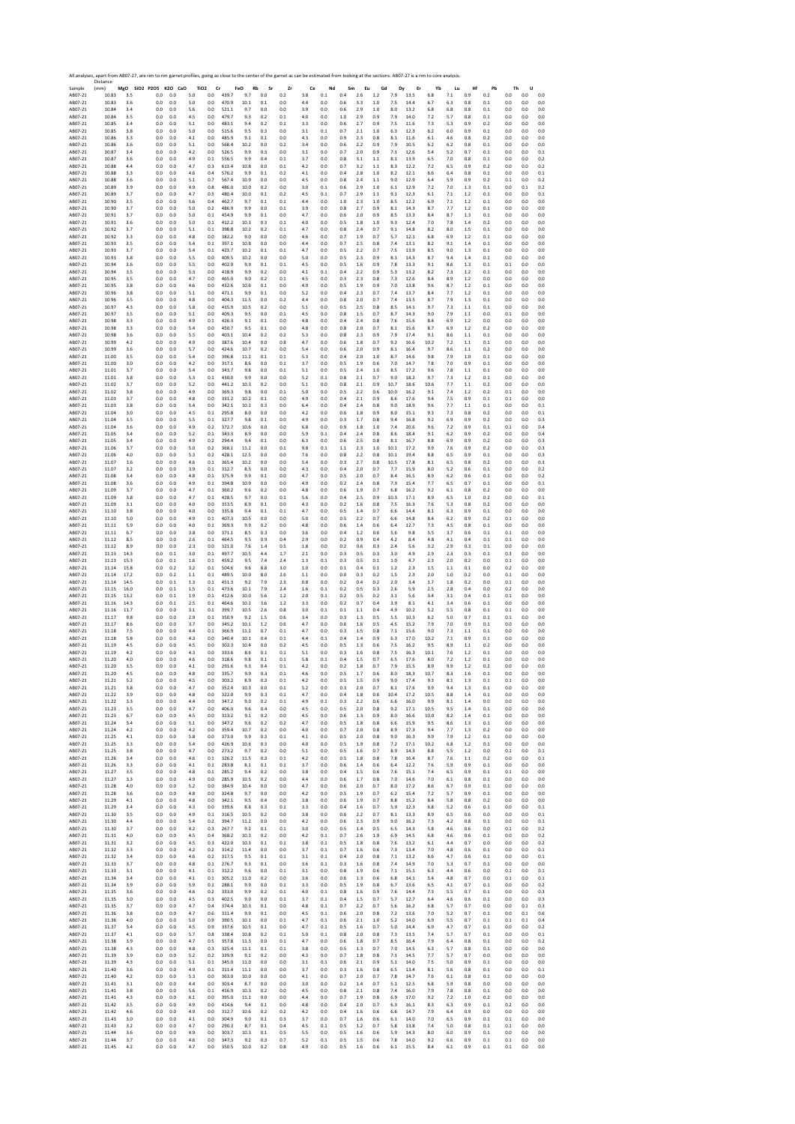|                    | All analyses, apart from AB07-27, are rim to rim garnet profiles, going as close to the center of the garnet as can be estimated from looking at the sections. AB07-27 is a rim to core analysis.<br>Distance |            |                              |            |            |                                    |                |                  |                |                |            |            |            |                |            |            |              |            |            |                |            |              |                |            |
|--------------------|---------------------------------------------------------------------------------------------------------------------------------------------------------------------------------------------------------------|------------|------------------------------|------------|------------|------------------------------------|----------------|------------------|----------------|----------------|------------|------------|------------|----------------|------------|------------|--------------|------------|------------|----------------|------------|--------------|----------------|------------|
| Sample<br>AB07-21  | (mm)<br>10.83                                                                                                                                                                                                 | 3.5        | MgO SiO2 P2O5 K2O CaO<br>0.0 | 0.0        | 5.0        | TiO <sub>2</sub><br>Cr<br>$_{0.0}$ | 439.7          | FeO<br>Rb<br>9.7 | Sr<br>$_{0.0}$ | Zr<br>0.2      | Ce<br>3.8  | Nd<br>0.1  | Sm<br>0.4  | Eu<br>2.6      | Gd<br>1.2  | Dy<br>7.9  | Er<br>13.5   | Yb<br>6.8  | Lu<br>7.1  | Hf<br>0.9      | Pb<br>0.2  | Th<br>0.0    | U<br>0.0       | 0.0        |
| AB07-21            | 10.83                                                                                                                                                                                                         | 3.6        | 0.0                          | 0.0        | 5.0        | 0.0                                | 470.9          | 10.1             | 0.1            | 0.0            | 4.4        | 0.0        | 0.6        | 3.3            | 1.0        | 7.5        | 14.4         | 6.7        | 6.3        | 0.8            | 0.1        | 0.0          | 0.0            | 0.0        |
| AB07-21            | 10.84                                                                                                                                                                                                         | 3.4        | 0.0                          | 0.0        | 5.6        | 0.0                                | 521.1          | 9.7              | $_{0.0}$       | 0.0            | 3.9        | 0.0        | 0.6        | 2.9            | 1.0        | 8.0        | 13.2         | 6.8        | 6.8        | 0.8            | 0.1        | 0.0          | 0.0            | 0.0        |
| AB07-21            | 10.84                                                                                                                                                                                                         | 3.5        | 0.0                          | 0.0        | 4.5        | 0.0                                | 479.7          | 9.3              | 0.2            | 0.1            | 4.0        | 0.0        | 1.0        | 2.9            | 0.9        | 7.9        | 14.0         | 7.2        | 5.7        | 0.8            | 0.1        | 0.0          | 0.0            | 0.0        |
| AB07-21            | 10.85                                                                                                                                                                                                         | 3.4        | 0.0                          | 0.0        | 5.1        | 0.0                                | 483.1          | 9.4              | 0.2            | 0.1            | 3.3        | 0.0        | 0.6        | 2.7            | 0.9        | 7.5        | 11.6         | 7.3        | 5.3        | 0.9            | 0.2        | 0.0          | 0.0            | 0.0        |
| AB07-21            | 10.85                                                                                                                                                                                                         | 3.8        | 0.0                          | 0.0        | 5.0        | 0.0                                | 515.6          | 9.5              | 0.3            | 0.0            | 3.1        | 0.1        | 0.7        | 2.1            | 1.0        | 6.3        | 12.3         | 6.2        | 6.0        | 0.9            | 0.1        | 0.0          | 0.0            | 0.0        |
| AB07-21            | 10.86                                                                                                                                                                                                         | 3.3        | 0.0                          | 0.0        | 4.1        | 0.0                                | 485.9          | 9.1              | 0.1            | 0.0            | 4.3        | 0.0        | 0.9        | 2.3            | 0.8        | 8.1        | 11.6         | 6.1        | 4.6        | 0.8            | 0.2        | 0.0          | 0.0            | 0.0        |
| AB07-21            | 10.86                                                                                                                                                                                                         | 3.6        | 0.0                          | 0.0        | 5.1        | 0.0                                | 568.4          | 10.2             | 0.0            | 0.2            | 3.4        | 0.0        | 0.6        | 2.2            | 0.9        | 7.9        | 10.5         | 6.2        | 6.2        | 0.8            | 0.1        | 0.0          | 0.0            | 0.0        |
| AB07-21            | 10.87                                                                                                                                                                                                         | 3.4        | 0.0                          | 0.0        | 4.2        | 0.0                                | 526.5          | 9.9              | 0.3            | 0.0            | 3.1        | 0.0        | 0.7        | 2.0            | 0.9        | 7.1        | 12.6         | 5.4        | 5.2        | 0.7            | 0.1        | 0.0          | 0.0            | 0.1        |
| AB07-21            | 10.87                                                                                                                                                                                                         | 3.6        | 0.0                          | 0.0        | 4.9        | 0.1                                | 556.5          | 9.9              | 0.4            | 0.1            | 3.7        | 0.0        | 0.8        | 3.1            | 1.1        | 8.1        | 13.9         | 6.5        | 7.0        | 0.8            | 0.1        | 0.0          | 0.0            | 0.2        |
| AB07-21            | 10.88                                                                                                                                                                                                         | 4.4        | 0.0                          | 0.0        | 4.7        | 0.3                                | 613.4          | 10.8             | 0.0            | 0.1            | 4.2        | 0.0        | 0.7        | 3.2            | 1.1        | 8.3        | 12.2         | 7.2        | 6.5        | 0.9            | 0.2        | 0.0          | 0.0            | 0.2        |
| AB07-21            | 10.88                                                                                                                                                                                                         | 3.3        | 0.0                          | 0.0        | 4.6        | 0.4                                | 576.2          | 9.9              | 0.1            | 0.2            | 4.1        | 0.0        | 0.4        | 2.8            | 1.0        | 8.2        | 12.1         | 6.6        | 6.4        | 0.8            | 0.1        | 0.0          | 0.0            | 0.1        |
| AB07-21            | 10.88                                                                                                                                                                                                         | 3.6        | 0.0                          | 0.0        | 5.1        | 0.7                                | 567.4          | 10.9             | 0.0            | 0.0            | 4.5        | 0.0        | 0.8        | 2.4            | 1.1        | 9.0        | 12.9         | 6.4        | 5.9        | 0.9            | 0.2        | 0.1          | 0.0            | 0.2        |
| AB07-21            | 10.89                                                                                                                                                                                                         | 3.9        | 0.0                          | 0.0        | 4.9        | 0.8                                | 486.0          | 10.0             | 0.2            | 0.0            | 3.0        | 0.1        | 0.6        | 2.9            | 1.0        | 6.1        | 12.9         | 7.2        | 7.0        | 1.3            | 0.1        | 0.0          | 0.1            | 0.2        |
| AB07-21            | 10.89                                                                                                                                                                                                         | 3.7        | 0.0                          | 0.0        | 4.7        | 0.5                                | 480.4          | 10.0             | 0.1            | 0.2            | 4.5        | 0.1        | 0.7        | 2.9            | 1.1        | 9.1        | 12.3         | 6.1        | 7.1        | 1.2            | 0.1        | 0.0          | 0.0            | 0.1        |
| AB07-21            | 10.90                                                                                                                                                                                                         | 3.5        | 0.0                          | 0.0        | 5.6        | 0.4                                | 462.7          | 9.7              | 0.1            | 0.1            | 4.4        | 0.0        | 1.0        | 2.3            | 1.0        | 8.5        | 12.2         | 6.9        | 7.1        | 1.2            | 0.1        | 0.0          | 0.0            | 0.0        |
| AB07-21            | 10.90                                                                                                                                                                                                         | 3.7        | 0.0                          | 0.0        | 5.0        | 0.2                                | 486.9          | 9.9              | 0.0            | 0.1            | 3.9        | 0.0        | 0.8        | 2.7            | 0.9        | 8.1        | 14.3         | 8.7        | 7.7        | 1.2            | 0.1        | 0.0          | 0.0            | 0.0        |
| AB07-21            | 10.91                                                                                                                                                                                                         | 3.7        | 0.0                          | 0.0        | 5.0        | 0.1                                | 454.9          | 9.9              | 0.1            | 0.0            | 4.7        | 0.0        | 0.6        | 2.0            | 0.9        | 8.5        | 13.3         | 8.4        | 8.7        | 1.3            | 0.1        | 0.0          | 0.0            | 0.0        |
| AB07-21            | 10.91                                                                                                                                                                                                         | 3.6        | 0.0                          | 0.0        | 5.0        | 0.1                                | 412.2          | 10.3             | 0.3            | 0.1            | 4.0        | 0.0        | 0.5        | 1.8            | 1.0        | 9.3        | 12.4         | 7.0        | 7.8        | 1.4            | 0.2        | 0.0          | 0.0            | 0.0        |
| AB07-21            | 10.92                                                                                                                                                                                                         | 3.7        | 0.0                          | 0.0        | 5.1        | 0.1                                | 398.8          | 10.2             | 0.2            | 0.1            | 4.7        | 0.0        | 0.8        | 2.4            | 0.7        | 9.1        | 14.8         | 8.2        | 8.0        | 1.5            | 0.1        | 0.0          | 0.0            | 0.0        |
| AB07-21            | 10.92                                                                                                                                                                                                         | 3.3        | 0.0                          | 0.0        | 4.8        | 0.0                                | 382.2          | 9.0              | 0.0            | 0.0            | 4.6        | 0.0        | 0.7        | 1.9            | 0.7        | 5.7        | 12.1         | 6.8        | 6.9        | 1.2            | 0.1        | 0.0          | 0.0            | 0.0        |
| AB07-21            | 10.93                                                                                                                                                                                                         | 3.5        | 0.0                          | 0.0        | 5.4        | 0.1                                | 397.1          | 10.8             | 0.0            | 0.0            | 4.4        | 0.0        | 0.7        | 2.5            | 0.8        | 7.4        | 13.1         | 8.2        | 9.1        | 1.4            | 0.1        | 0.0          | 0.0            | 0.0        |
| AB07-21            | 10.93                                                                                                                                                                                                         | 3.7        | 0.0                          | 0.0        | 5.4        | 0.1                                | 423.7          | 10.2             | 0.1            | 0.1            | 4.7        | 0.0        | 0.5        | 2.2            | 0.7        | 7.5        | 13.9         | 8.5        | 9.0        | 1.3            | 0.1        | 0.0          | 0.0            | 0.0        |
| AB07-21            | 10.93                                                                                                                                                                                                         | 3.8        | 0.0                          | 0.0        | 5.5        | 0.0                                | 409.5          | 10.2             | 0.0            | 0.0            | 5.0        | 0.0        | 0.5        | 2.3            | 0.9        | 8.1        | 14.3         | 8.7        | 9.4        | 1.4            | 0.1        | 0.0          | 0.0            | 0.0        |
| AB07-21            | 10.94                                                                                                                                                                                                         | 3.6        | 0.0                          | 0.0        | 5.5        | 0.0                                | 402.9          | 9.9              | 0.1            | 0.1            | 4.5        | 0.0        | 0.5        | 1.6            | 0.9        | 7.8        | 13.3         | 9.1        | 8.6        | 1.3            | 0.1        | 0.1          | 0.0            | 0.0        |
| AB07-21            | 10.94                                                                                                                                                                                                         | 3.5        | 0.0                          | 0.0        | 5.3        | 0.0                                | 418.9          | 9.9              | 0.2            | 0.0            | 4.1        | 0.1        | 0.4        | 2.2            | 0.9        | 5.3        | 13.2         | 8.2        | 7.3        | 1.2            | 0.1        | 0.0          | 0.0            | 0.0        |
| AB07-21            | 10.95                                                                                                                                                                                                         | 3.5        | 0.0                          | 0.0        | 4.7        | 0.0                                | 465.0          | 9.0              | 0.2            | 0.1            | 4.5        | 0.0        | 0.3        | 2.3            | 0.8        | 7.3        | 12.6         | 8.4        | 8.9        | 1.2            | 0.0        | 0.0          | 0.0            | 0.0        |
| AB07-21            | 10.95                                                                                                                                                                                                         | 3.8        | 0.0                          | 0.0        | 4.6        | 0.0                                | 432.6          | 10.6             | 0.1            | 0.0            | 4.9        | 0.0        | 0.5        | 1.9            | 0.9        | 7.0        | 13.8         | 9.6        | 8.7        | 1.2            | 0.1        | 0.0          | 0.0            | 0.0        |
| AB07-21            | 10.96                                                                                                                                                                                                         | 3.8        | 0.0                          | 0.0        | 5.1        | 0.0                                | 471.1          | 9.9              | 0.1            | 0.0            | 5.2        | 0.0        | 0.4        | 2.3            | 0.7        | 7.4        | 13.7         | 8.4        | 7.7        | 1.2            | 0.1        | 0.0          | 0.0            | 0.0        |
| AB07-21            | 10.96                                                                                                                                                                                                         | 3.5        | 0.0                          | 0.0        | 4.8        | 0.0                                | 404.3          | 11.5             | 0.0            | 0.2            | 4.4        | 0.0        | 0.8        | 2.0            | 0.7        | 7.4        | 13.5         | 8.7        | 7.9        | 1.3            | 0.1        | 0.0          | 0.0            | 0.0        |
| AB07-21            | 10.97                                                                                                                                                                                                         | 4.3        | 0.0                          | 0.0        | 5.8        | 0.0                                | 415.9          | 10.5             | 0.2            | 0.0            | 5.1        | 0.0        | 0.5        | 2.5            | 0.8        | 8.5        | 14.1         | 9.7        | 7.3        | 1.1            | 0.1        | 0.0          | 0.0            | 0.0        |
| AB07-21            | 10.97                                                                                                                                                                                                         | 3.5        | 0.0                          | 0.0        | 5.1        | 0.0                                | 409.3          | 9.5              | 0.0            | 0.1            | 4.5        | 0.0        | 0.8        | 1.5            | 0.7        | 8.7        | 14.3         | 9.0        | 7.9        | $1.1\,$        | 0.0        | 0.1          | 0.0            | 0.0        |
| AB07-21            | 10.98                                                                                                                                                                                                         | 3.3        | 0.0                          | 0.0        | 4.9        | 0.1                                | 426.3          | 9.1              | 0.1            | 0.0            | 4.8        | 0.0        | 0.4        | 2.4            | 0.8        | 7.6        | 15.6         | 8.4        | 6.9        | 1.2            | 0.0        | 0.0          | 0.0            | 0.0        |
| AB07-21            | 10.98                                                                                                                                                                                                         | 3.3        | 0.0                          | 0.0        | 5.4        | 0.0                                | 450.7          | 9.5              | 0.1            | 0.0            | 4.8        | 0.0        | 0.8        | 2.0            | 0.7        | 8.1        | 15.6         | 8.7        | 6.9        | 1.2            | 0.2        | 0.0          | 0.0            | 0.0        |
| AB07-21            | 10.98                                                                                                                                                                                                         | 3.6        | 0.0                          | 0.0        | 5.5        | 0.0                                | 403.1          | 10.4             | 0.2            | 0.2            | 5.3        | 0.0        | 0.8        | 2.3            | 0.9        | 7.9        | 17.4         | 9.1        | 8.6        | 1.1            | 0.1        | 0.0          | 0.0            | 0.0        |
| AB07-21            | 10.99                                                                                                                                                                                                         | 4.2        | 0.0                          | 0.0        | 4.9        | 0.0                                | 387.6          | 10.4             | 0.0            | 0.8            | 4.7        | 0.0        | 0.6        | 1.8            | 0.7        | 9.2        | 16.6         | 10.2       | 7.2        | 1.1            | 0.1        | 0.0          | 0.0            | 0.0        |
| AB07-21            | 10.99                                                                                                                                                                                                         | 3.6        | 0.0                          | 0.0        | 5.7        | 0.0                                | 424.6          | 10.7             | 0.2            | 0.0            | 5.4        | 0.0        | 0.6        | 2.0            | 0.9        | 8.1        | 16.4         | 9.7        | 8.6        | 1.1            | 0.2        | 0.0          | 0.0            | 0.0        |
| AB07-21            | 11.00                                                                                                                                                                                                         | 3.5        | 0.0                          | 0.0        | 5.4        | 0.0                                | 396.8          | 11.2             | 0.1            | 0.1            | 5.3        | 0.0        | 0.4        | 2.0            | 1.0        | 8.7        | 14.6         | 9.8        | 7.9        | 1.0            | 0.1        | 0.0          | 0.0            | 0.0        |
| AB07-21            | 11.00                                                                                                                                                                                                         | 3.0        | 0.0                          | 0.0        | 4.2        | 0.0                                | 317.1          | 8.6              | 0.0            | 0.1            | 3.7        | 0.0        | 0.5        | 1.9            | 0.6        | 7.0        | 14.7         | 7.8        | 7.0        | 0.9            | 0.1        | 0.0          | 0.0            | 0.0        |
| AB07-21            | 11.01                                                                                                                                                                                                         | 3.7        | 0.0                          | 0.0        | 5.4        | 0.0                                | 343.7          | 9.8              | 0.0            | 0.1            | 5.1        | 0.0        | 0.5        | 2.4            | 1.0        | 8.5        | 17.2         | 9.6        | 7.8        | 1.1            | 0.1        | 0.0          | 0.0            | 0.0        |
| AB07-21            | 11.01                                                                                                                                                                                                         | 3.8        | 0.0                          | 0.0        | 5.3        | 0.1                                | 430.0          | 9.9              | 0.0            | 0.0            | 5.2        | 0.1        | 0.8        | 2.1            | 0.7        | 9.0        | 18.2         | 9.7        | 7.3        | 1.2            | 0.1        | 0.0          | 0.0            | 0.0        |
| AB07-21            | 11.02                                                                                                                                                                                                         | 3.7        | 0.0                          | 0.0        | 5.2        | 0.0                                | 441.2          | 10.3             | 0.2            | 0.0            | 5.1        | 0.0        | 0.8        | 2.1            | 0.9        | 10.7       | 18.6         | 10.6       | 7.7        | 1.1            | 0.2        | 0.0          | 0.0            | 0.0        |
| AB07-21            | 11.02                                                                                                                                                                                                         | 3.8        | 0.0                          | 0.0        | 4.9        | 0.0                                | 369.3          | 9.8              | 0.0            | 0.1            | 5.0        | 0.0        | 0.5        | 2.2            | 0.6        | 10.0       | 16.2         | 9.1        | 7.4        | 1.2            | 0.2        | 0.1          | 0.0            | 0.0        |
| AB07-21            | 11.03                                                                                                                                                                                                         | 3.7        | 0.0                          | 0.0        | 4.8        | 0.0                                | 331.2          | 10.2             | 0.1            | 0.0            | 4.9        | 0.0        | 0.4        | 2.1            | 0.9        | 8.6        | 17.6         | 9.4        | 7.5        | 0.9            | 0.1        | 0.1          | 0.0            | 0.0        |
| AB07-21            | 11.03                                                                                                                                                                                                         | 3.8        | 0.0                          | 0.0        | 5.4        | 0.0                                | 342.1          | 10.2             | 0.3            | 0.0            | 6.4        | 0.0        | 0.4        | 2.4            | 0.8        | 9.0        | 18.9         | 9.6        | 7.7        | 1.1            | 0.1        | 0.0          | 0.0            | 0.1        |
| AB07-21            | 11.04                                                                                                                                                                                                         | 3.0        | 0.0                          | 0.0        | 4.5        | 0.1                                | 295.8          | 8.0              | 0.0            | 0.0            | 4.2        | 0.0        | 0.6        | 1.8            | 0.9        | 8.0        | 15.1         | 9.3        | 7.3        | 0.8            | 0.2        | 0.0          | 0.0            | 0.1        |
| AB07-21            | 11.04                                                                                                                                                                                                         | 3.5        | 0.0                          | 0.0        | 5.5        | 0.1                                | 327.7          | 9.8              | 0.1            | 0.0            | 4.9        | 0.0        | 0.3        | 1.7            | 0.8        | 9.4        | 16.8         | 9.2        | 6.9        | 0.9            | 0.2        | 0.0          | 0.0            | 0.3        |
| AB07-21            | 11.04                                                                                                                                                                                                         | 3.6        | 0.0                          | 0.0        | 4.9        | 0.2                                | 372.7          | 10.6             | 0.0            | 0.0            | 6.8        | 0.0        | 0.9        | 1.8            | 1.0        | 7.4        | 20.6         | 9.6        | 7.2        | 0.9            | 0.1        | 0.1          | 0.0            | 0.4        |
| AB07-21            | 11.05                                                                                                                                                                                                         | 3.4        | 0.0                          | 0.0        | 5.2        | 0.1                                | 343.3          | 8.9              | 0.0            | 0.0            | 5.9        | 0.1        | 0.4        | 2.4            | 0.8        | 8.6        | 18.4         | 9.1        | 6.2        | 0.9            | 0.2        | 0.0          | 0.0            | 0.4        |
| AB07-21            | 11.05                                                                                                                                                                                                         | 3.4        | 0.0                          | 0.0        | 4.9        | 0.2                                | 294.4          | 9.4              | 0.1            | 0.0            | 6.3        | 0.0        | 0.6        | 2.5            | 0.8        | 8.1        | 16.7         | 8.8        | 6.9        | 0.9            | 0.2        | 0.0          | 0.0            | 0.3        |
| AB07-21            | 11.06                                                                                                                                                                                                         | 3.7        | 0.0                          | 0.0        | 5.0        | 0.2                                | 368.1          | 11.2             | 0.0            | 0.1            | 9.8        | 0.1        | 1.1        | 2.3            | 1.0        | 10.1       | 17.2         | 9.9        | 7.6        | 0.9            | 0.2        | 0.0          | 0.0            | 0.3        |
| AB07-21            | 11.06                                                                                                                                                                                                         | 4.0        | 0.0                          | 0.0        | 5.3        | 0.2                                | 428.1          | 12.5             | 0.0            | 0.0            | 7.6        | 0.0        | 0.8        | 2.2            | 0.8        | 10.1       | 19.4         | 8.8        | 6.5        | 0.9            | 0.1        | 0.0          | 0.0            | 0.3        |
| AB07-21            | 11.07                                                                                                                                                                                                         | 3.6        | 0.0                          | 0.0        | 4.6        | $\rm 0.1$                          | 365.4          | 10.2             | 0.0            | 0.0            | 5.4        | 0.0        | 0.3        | 2.7            | 0.8        | 10.5       | 17.8         | 8.1        | 6.5        | 0.8            | 0.2        | 0.0          | 0.0            | 0.3        |
| AB07-21            | 11.07                                                                                                                                                                                                         | 3.2        | 0.0                          | 0.0        | 3.9        | 0.1                                | 312.7          | 8.5              | 0.0            | 0.0            | 4.3        | 0.0        | 0.4        | 2.0            | 0.7        | 7.7        | 15.9         | 8.0        | 5.2        | 0.6            | 0.1        | 0.0          | 0.0            | 0.2        |
| AB07-21            | 11.08                                                                                                                                                                                                         | 3.4        | 0.0                          | 0.0        | 4.8        | 0.1                                | 375.9          | 9.9              | 0.1            | 0.0            | 4.7        | 0.0        | 0.5        | 2.0            | 0.7        | 8.4        | 16.5         | 8.9        | 6.2        | 0.6            | 0.1        | 0.0          | 0.0            | 0.2        |
| AB07-21            | 11.08                                                                                                                                                                                                         | 3.6        | 0.0                          | 0.0        | 4.9        | 0.1                                | 394.8          | 10.9             | 0.0            | 0.0            | 4.9        | 0.0        | 0.2        | 2.4            | 0.8        | 7.3        | 15.4         | 7.7        | 6.5        | 0.7            | 0.1        | 0.0          | 0.0            | 0.1        |
| AB07-21            | 11.09                                                                                                                                                                                                         | 3.7        | 0.0                          | 0.0        | 4.7        | 0.1                                | 360.2          | 9.6              | 0.2            | 0.0            | 4.8        | 0.0        | 0.6        | 1.9            | 0.7        | 6.8        | 16.2         | 9.2        | 6.1        | 0.8            | 0.2        | 0.0          | 0.0            | 0.0        |
| AB07-21            | 11.09                                                                                                                                                                                                         | 3.8        | 0.0                          | 0.0        | 4.7        | 0.1                                | 428.5          | 9.7              | 0.0            | 0.1            | 5.6        | 0.0        | 0.4        | 2.5            | 0.9        | 10.3       | 17.1         | 8.9        | 6.5        | 1.0            | 0.2        | 0.0          | 0.0            | 0.1        |
| AB07-21            | 11.09                                                                                                                                                                                                         | 3.1        | 0.0                          | 0.0        | 4.0        | 0.0                                | 353.5          | 8.9              | 0.1            | 0.0            | 4.3        | 0.0        | 0.2        | 1.6            | 0.8        | 7.5        | 16.3         | 7.6        | 5.3        | 0.8            | 0.2        | 0.0          | 0.0            | 0.0        |
| AB07-21            | 11.10                                                                                                                                                                                                         | 3.8        | 0.0                          | 0.0        | 4.0        | 0.0                                | 335.8          | 9.4              | 0.1            | 0.1            | 4.7        | 0.0        | 0.5        | 1.4            | 0.7        | 6.6        | 14.4         | 8.1        | 6.3        | 0.9            | 0.1        | 0.0          | 0.0            | 0.0        |
| AB07-21            | 11.10                                                                                                                                                                                                         | 5.0        | 0.0                          | 0.0        | 4.9        | 0.1                                | 407.3          | 10.5             | 0.0            | 0.0            | 5.0        | 0.0        | 0.5        | 2.2            | 0.7        | 6.6        | 14.8         | 8.4        | 6.2        | 0.9            | 0.2        | 0.1          | 0.0            | 0.0        |
| AB07-21            | 11.11                                                                                                                                                                                                         | 5.9        | 0.0                          | 0.0        | 4.0        | 0.1                                | 369.3          | 9.9              | 0.2            | 0.0            | 4.8        | 0.0        | 0.6        | 1.4            | 0.6        | 6.4        | 12.7         | 7.3        | 4.5        | 0.8            | 0.1        | 0.0          | 0.0            | 0.0        |
| AB07-21            | 11.11                                                                                                                                                                                                         | 6.7        | 0.0                          | 0.0        | 3.8        | 0.0                                | 371.1          | 8.5              | 0.3            | 0.0            | 3.6        | 0.0        | 0.4        | 1.2            | 0.6        | 5.6        | 9.8          | 5.5        | 3.7        | 0.6            | 0.1        | 0.1          | 0.0            | 0.0        |
| AB07-21            | 11.12                                                                                                                                                                                                         | 8.5        | 0.0                          | 0.0        | 2.6        | 0.1                                | 464.5          | 9.5              | 0.9            | 0.4            | 2.9        | 0.0        | 0.2        | 0.9            | 0.4        | 4.2        | 8.4          | 4.8        | 4.1        | 0.4            | 0.1        | 0.1          | 0.0            | 0.0        |
| AB07-21            | 11.12                                                                                                                                                                                                         | 8.9        | 0.0                          | 0.0        | 2.3        | 0.0                                | 321.0          | 7.6              | 1.4            | 0.5            | 1.8        | 0.0        | 0.2        | 0.6            | 0.3        | 2.4        | 5.6          | 3.2        | 2.9        | 0.3            | 0.1        | 0.0          | 0.0            | 0.0        |
| AB07-21            | 11.13                                                                                                                                                                                                         | 14.3       | 0.0                          | 0.1        | 3.0        | 0.1                                | 497.7          | 10.5             | 4.4            | 1.7            | 2.1        | 0.0        | 0.3        | 0.5            | 0.3        | 3.0        | 4.9          | 2.9        | 2.3        | 0.3            | 0.1        | 0.3          | 0.0            | 0.0        |
| AB07-21            | 11.13                                                                                                                                                                                                         | 15.3       | 0.0                          | 0.1        | 1.6        | 0.1                                | 459.2          | 9.5              | 7.4            | 2.4            | 1.3        | 0.1        | 0.3        | 0.5            | 0.1        | 1.0        | 4.7          | 2.3        | 2.0        | 0.2            | 0.0        | 0.1          | 0.0            | 0.0        |
| AB07-21            | 11.14                                                                                                                                                                                                         | 15.8       | 0.0                          | 0.2        | 3.2        | 0.1                                | 504.6          | 9.6              | 8.8            | 3.0            | 1.0        | 0.0        | 0.1        | 0.4            | 0.1        | 1.2        | 2.3          | 1.5        | 1.1        | 0.1            | 0.0        | 0.2          | 0.0            | 0.0        |
| AB07-21            | 11.14                                                                                                                                                                                                         | 17.2       | 0.0                          | 0.2        | 1.1        | 0.1                                | 489.5          | 10.0             | 8.0            | 2.6            | 1.1        | 0.0        | 0.0        | 0.3            | 0.2        | 1.5        | 2.3          | 2.0        | 1.0        | 0.2            | 0.0        | 0.1          | 0.0            | 0.0        |
| AB07-21            | 11.14                                                                                                                                                                                                         | 14.5       | 0.0                          | 0.1        | 1.3        | 0.1                                | 451.3          | 9.2              | 7.9            | 2.3            | 0.8        | 0.0        | 0.2        | 0.4            | 0.2        | 2.0        | 3.4          | 1.7        | 1.8        | 0.2            | 0.0        | 0.1          | 0.0            | 0.0        |
| AB07-21            | 11.15                                                                                                                                                                                                         | 16.0       | 0.0                          | 0.1        | 1.5        | 0.1                                | 473.6          | 10.1             | 7.9            | 2.4            | 1.6        | 0.1        | 0.2        | 0.5            | 0.3        | 2.6        | 5.9          | 2.5        | 2.8        | 0.4            | 0.0        | 0.2          | 0.0            | 0.0        |
| AB07-21            | 11.15                                                                                                                                                                                                         | 13.2       | 0.0                          | 0.1        | 1.9        | 0.1                                | 412.6          | 10.0             | 5.6            | 1.2            | 2.0        | 0.1        | 0.2        | 0.5            | 0.2        | 3.1        | 5.6          | 3.4        | 3.1        | 0.4            | 0.1        | 0.1          | 0.0            | 0.0        |
| AB07-21            | 11.16                                                                                                                                                                                                         | 14.3       | 0.0                          | 0.1        | 2.5        | 0.1                                | 464.6          | 10.2             | 3.6            | 1.2            | 3.3        | 0.0        | 0.2        | 0.7            | 0.4        | 3.9        | 8.1          | 4.1        | 3.4        | 0.6            | 0.1        | 0.0          | 0.0            | 0.0        |
| AB07-21            | 11.16                                                                                                                                                                                                         | 11.7       | 0.0                          | 0.0        | 3.1        | 0.1                                | 399.7          | 10.5             | 2.6            | 0.8            | 3.0        | 0.1        | 0.1        | 1.1            | 0.4        | 4.9        | 10.2         | 5.2        | 5.5        | 0.8            | 0.1        | 0.1          | 0.0            | 0.0        |
| AB07-21            | 11.17                                                                                                                                                                                                         | 9.8        | 0.0                          | 0.0        | 2.9        | 0.1                                | 350.9          | 9.2              | 1.5            | 0.6            | 3.4        | 0.0        | 0.3        | 1.3            | 0.5        | 5.5        | 10.3         | 6.2        | 5.0        | 0.7            | 0.1        | 0.1          | 0.0            | 0.0        |
| AB07-21            | 11.17                                                                                                                                                                                                         | 8.6        | 0.0                          | 0.0        | 3.7        | 0.0                                | 345.2          | 10.1             | 1.2            | 0.6            | 4.7        | 0.0        | 0.6        | 1.6            | 0.5        | 4.5        | 15.2         | 7.9        | 7.0        | 0.9            | 0.1        | 0.0          | 0.0            | 0.0        |
| AB07-21            | 11.18                                                                                                                                                                                                         | 7.5        | 0.0                          | 0.0        | 4.4        | 0.1                                | 366.9          | 11.2             | 0.7            | 0.1            | 4.7        | 0.0        | 0.3        | 1.5            | 0.8        | 7.1        | 15.6         | 9.0        | 7.3        | 1.1            | 0.1        | 0.0          | 0.0            | 0.0        |
| AB07-21            | 11.18                                                                                                                                                                                                         | 5.8        | 0.0                          | 0.0        | 4.3        | 0.0                                | 340.4          | 10.1             | 0.4            | $0.1\,$        | 4.4        | 0.1        | 0.4        | 1.4            | 0.9        | 6.3        | 17.0         | 10.2       | 7.1        | 0.9            | 0.1        | 0.0          | 0.0            | 0.0        |
| AB07-21            | 11.19                                                                                                                                                                                                         | 4.5        | 0.0                          | 0.0        | 4.5        | 0.0                                | 302.3          | 10.4             | 0.0            | 0.2            | 4.5        | 0.0        | 0.5        | 1.3            | 0.6        | 7.5        | 16.2         | 9.5        | 8.9        | 1.1            | 0.2        | 0.0          | 0.0            | 0.0        |
| AB07-21            | 11.19                                                                                                                                                                                                         | 4.2        | 0.0                          | 0.0        | 4.3        | 0.0                                | 333.6          | 8.6              | 0.1            | 0.1            | 5.1        | 0.0        | 0.3        | 1.6            | 0.8        | 7.5        | 16.3         | 10.1       | 7.6        | 1.2            | 0.1        | 0.0          | 0.0            | 0.0        |
| AB07-21            | 11.20                                                                                                                                                                                                         | 4.0        | 0.0                          | 0.0        | 4.6        | 0.0                                | 318.6          | 9.8              | 0.1            | 0.1            | 5.8        | 0.1        | 0.4        | 1.5            | 0.7        | 6.5        | 17.6         | 8.0        | 7.2        | 1.2            | 0.1        | 0.0          | 0.0            | 0.0        |
| AB07-21            | 11.20                                                                                                                                                                                                         | 3.5        | 0.0                          | 0.0        | 4.1        | 0.0                                | 291.6          | 9.3              | 0.4            | 0.1            | 4.2        | 0.0<br>o.c | 0.2        | 1.8            | 0.7        | 7.9        | 15.5         | 8.9<br>10. | 9.9        | 1.2            | 0.2        | 0.0          | 0.0            | 0.0        |
| ABU/-21<br>AB07-21 | 11.20<br>11.21                                                                                                                                                                                                | 4.2<br>5.2 | U.L<br>0.0                   | U.L<br>0.0 | 4.2<br>4.5 | U.U<br>0.0                         | 303.2          | 9.9<br>8.9       | υ.,<br>0.3     | υ.:<br>0.1     | 4.6<br>4.2 | 0.0        | U.S<br>0.5 | 1.5            | U.t<br>0.9 | 8.U<br>9.0 | 18.<br>17.4  | 9.3        | 8.<br>8.1  | 1.6<br>1.3     | U.I<br>0.1 | U.L<br>0.1   | U.L<br>0.0     | U.L<br>0.0 |
| AB07-21            | 11.21                                                                                                                                                                                                         | 3.8        | 0.0                          | 0.0        | 4.7        | 0.0                                | 352.4          | 10.3             | 0.0            | 0.1            | 5.2        | 0.0        | 0.3        | 2.0            | 0.7        | 8.1        | 17.6         | 9.9        | 9.4        | 1.3            | 0.1        | 0.0          | 0.0            | 0.0        |
| AB07-21            | 11.22                                                                                                                                                                                                         | 3.9        | 0.0                          | 0.0        | 4.8        | 0.0                                | 322.0          | 9.9              | 0.3            | 0.1            | 4.7        | 0.0        | 0.4        | 1.8            | 0.6        | 10.4       | 17.2         | 10.5       | 8.8        | 1.4            | 0.1        | 0.0          | 0.0            | 0.0        |
| AB07-21            | 11.22                                                                                                                                                                                                         | 3.3        | 0.0                          | 0.0        | 4.4        | 0.0                                | 347.2          | 9.0              | 0.2            | 0.1            | 4.9        | 0.1        | 0.3        | 2.2            | 0.6        | 6.6        | 16.0         | 9.9        | 8.1        | 1.4            | 0.0        | 0.0          | 0.0            | 0.0        |
| AB07-21            | 11.23                                                                                                                                                                                                         | 3.5        | 0.0                          | 0.0        | 4.7        | 0.0                                | 406.0          | 9.6              | 0.4            | 0.0            | 4.5        | 0.0        | 0.5        | 2.0            | 0.8        | 9.2        | 17.1         | 10.5       | 9.5        | 1.4            | 0.1        | 0.0          | 0.0            | 0.0        |
| AB07-21            | 11.23                                                                                                                                                                                                         | 6.7        | 0.0                          | 0.0        | 4.5        | 0.0                                | 313.2          | 9.1              | 0.2            | 0.0            | 4.5        | 0.0        | 0.6        | 1.3            | 0.9        | 8.0        | 16.6         | 10.0       | 8.2        | 1.4            | 0.1        | 0.0          | 0.0            | 0.0        |
| AB07-21            | 11.24                                                                                                                                                                                                         | 3.4        | 0.0                          | 0.0        | 5.1        | 0.0                                | 347.2          | 9.6              | 0.2            | 0.2            | 4.7        | 0.0        | 0.5        | 1.8            | 0.8        | 6.6        | 15.9         | 9.5        | 8.6        | 1.3            | 0.1        | 0.0          | 0.0            | 0.0        |
| AB07-21            | 11.24                                                                                                                                                                                                         | 4.2        | 0.0                          | 0.0        | 4.2        | 0.0                                | 359.4          | 10.7             | 0.2            | 0.0            | 4.0        | 0.0        | 0.7        | 2.0            | 0.8        | 8.9        | 17.3         | 9.4        | 7.7        | 1.3            | 0.2        | 0.0          | 0.0            | 0.0        |
| AB07-21            | 11.25                                                                                                                                                                                                         | 4.1        | 0.0                          | 0.0        | 5.8        | 0.0                                | 373.0          | 9.9              | 0.3            | 0.1            | 4.1        | 0.0        | 0.5        | 2.0            | 0.8        | 9.0        | 16.3         | 9.9        | 7.9        | 1.2            | 0.1        | 0.0          | 0.0            | 0.0        |
| AB07-21            | 11.25                                                                                                                                                                                                         | 3.3        | 0.0                          | 0.0        | 5.4        | 0.0                                | 426.9          | 10.6             | 0.3            | 0.0            | 4.0        | 0.0        | 0.5        | 1.9            | 0.8        | 7.2        | 17.1         | 10.2       | 6.8        | 1.2            | 0.1        | 0.0          | 0.0            | 0.0        |
| AB07-21            | 11.25                                                                                                                                                                                                         | 3.8<br>3.4 | 0.0                          | 0.0        | 4.7        | 0.0                                | 273.2          | 9.7              | 0.2            | 0.0            | 5.1        | 0.0        | 0.5        | 1.6            | 0.7        | 8.9        | 14.3         | 8.8        | 5.5        | 1.2            | 0.0        | 0.1          | 0.0            | 0.1<br>0.1 |
| AB07-21<br>AB07-21 | 11.26<br>11.26                                                                                                                                                                                                | 3.3        | 0.0<br>0.0                   | 0.0<br>0.0 | 4.6<br>4.1 | $0.1\,$<br>0.1                     | 326.2<br>283.8 | 11.5<br>8.1      | 0.3<br>0.1     | $0.1\,$<br>0.1 | 4.2<br>3.7 | 0.0<br>0.0 | 0.5<br>0.6 | $1.8\,$<br>1.4 | 0.8<br>0.6 | 7.8<br>6.4 | 16.4<br>12.2 | 8.7<br>7.6 | 7.6<br>5.9 | $1.1\,$<br>0.9 | 0.2<br>0.1 | 0.0<br>0.0   | $0.0\,$<br>0.0 | 0.0        |
| AB07-21            | 11.27                                                                                                                                                                                                         | 3.5        | 0.0                          | 0.0        | 4.8        | 0.1                                | 285.2          | 9.4              | 0.2            | 0.0            | 3.8        | 0.0        | 0.4        | 1.5            | 0.6        | 7.6        | 15.1         | 7.4        | 6.5        | 0.9            | 0.1        | 0.1          | 0.0            | 0.0        |
| AB07-21            | 11.27                                                                                                                                                                                                         | 3.3        | 0.0                          | 0.0        | 4.9        | 0.0                                | 285.9          | 10.5             | 0.2            | 0.0            | 4.4        | 0.0        | 0.6        | 1.7            | 0.8        | 7.0        | 14.6         | 7.0        | 6.1        | 0.8            | 0.1        | 0.0          | 0.0            | 0.0        |
| AB07-21            | 11.28                                                                                                                                                                                                         | 4.0        | 0.0                          | 0.0        | 5.2        | $_{0.0}$                           | 384.9          | 10.4             | $_{0.0}$       | 0.0            | 4.7        | 0.0        | 0.6        | 2.0            | 0.7        | 8.0        | 17.2         | 8.6        | 6.7        | 0.9            | 0.1        | 0.0          | 0.0            | 0.0        |
| AB07-21            | 11.28                                                                                                                                                                                                         | 3.6        | 0.0                          | 0.0        | 4.8        | 0.0                                | 324.8          | 9.7              | 0.0            | 0.0            | 4.2        | 0.0        | 0.5        | 1.9            | 0.7        | 6.2        | 15.4         | 7.2        | 5.7        | 0.9            | 0.1        | 0.0          | 0.0            | 0.0        |
| AB07-21            | 11.29                                                                                                                                                                                                         | 4.1        | 0.0                          | 0.0        | 4.8        | 0.0                                | 342.1          | 9.5              | 0.4            | 0.0            | 3.8        | 0.0        | 0.6        | 1.9            | 0.7        | 8.8        | 15.2         | 8.4        | 5.8        | 0.8            | 0.2        | 0.0          | 0.0            | 0.0        |
| AB07-21            | 11.29                                                                                                                                                                                                         | 3.4        | 0.0                          | 0.0        | 4.3        | 0.0                                | 339.6          | 8.8              | 0.3            | 0.1            | 3.3        | 0.0        | 0.4        | 1.6            | 0.7        | 5.9        | 12.3         | 6.8        | 5.2        | 0.6            | 0.1        | 0.0          | 0.0            | 0.1        |
| AB07-21            | 11.30                                                                                                                                                                                                         | 3.5        | $_{0.0}$                     | 0.0        | 4.9        | $0.1\,$                            | 316.5          | 10.5             | 0.2            | 0.0            | 3.8        | 0.0        | 0.6        | 2.2            | 0.7        | 8.1        | 13.3         | 8.9        | 6.5        | 0.6            | $_{0.0}$   | $0.0\,$      | $0.0\,$        | $0.1\,$    |
| AB07-21            | 11.30                                                                                                                                                                                                         | 4.4        | 0.0                          | 0.0        | 5.4        | 0.2                                | 394.7          | 11.2             | 0.0            | 0.0            | 4.2        | 0.0        | 0.6        | 2.3            | 0.9        | 9.0        | 16.2         | 7.3        | 4.2        | 0.8            | 0.1        | 0.0          | 0.0            | 0.1        |
| AB07-21            | 11.30                                                                                                                                                                                                         | 3.7        | 0.0                          | 0.0        | 4.2        | 0.3                                | 267.7          | 9.2              | 0.1            | 0.1            | 3.0        | 0.0        | 0.5        | 1.4            | 0.5        | 6.5        | 14.3         | 5.8        | 4.6        | 0.6            | 0.0        | 0.1          | 0.0            | 0.2        |
| AB07-21            | 11.31                                                                                                                                                                                                         | 4.0        | 0.0                          | 0.0        | 4.5        | 0.4                                | 368.2          | 10.3             | 0.2            | 0.0            | 4.2        | 0.1        | 0.7        | 2.6            | 1.0        | 6.9        | 14.5         | 6.8        | 4.6        | 0.6            | 0.1        | 0.0          | 0.0            | 0.2        |
| AB07-21            | 11.31                                                                                                                                                                                                         | 3.2        | 0.0                          | 0.0        | 4.5        | 0.3                                | 422.0          | 10.3             | 0.1            | 0.1            | 3.8        | 0.1        | 0.5        | 1.8            | 0.8        | 7.6        | 13.2         | 6.1        | 4.4        | 0.7            | 0.0        | 0.0          | 0.0            | 0.2        |
| AB07-21            | 11.32                                                                                                                                                                                                         | 3.3        | 0.0                          | 0.0        | 4.2        | 0.2                                | 314.2          | 11.4             | 0.0            | 0.0            | 3.7        | 0.1        | 0.7        | 1.6            | 0.6        | 7.3        | 13.4         | 7.0        | 4.8        | 0.6            | 0.1        | 0.0          | 0.0            | 0.1        |
| AB07-21            | 11.32                                                                                                                                                                                                         | 3.4        | 0.0                          | 0.0        | 4.6        | 0.2                                | 317.5          | 9.5              | 0.1            | 0.1            | 3.1        | 0.1        | 0.4        | 2.0            | 0.8        | 7.1        | 13.2         | 6.6        | 4.7        | 0.6            | 0.1        | 0.0          | 0.0            | 0.1        |
| AB07-21            | 11.33                                                                                                                                                                                                         | 3.7        | 0.0                          | 0.0        | 4.8        | 0.1                                | 276.7          | 9.3              | 0.1            | 0.0            | 3.6        | 0.1        | 0.3        | 1.6            | 0.8        | 7.4        | 14.9         | 7.0        | 5.3        | 0.7            | 0.1        | 0.0          | 0.0            | 0.0        |
| AB07-21            | 11.33                                                                                                                                                                                                         | 3.1        | 0.0                          | 0.0        | 4.1        | 0.1                                | 312.2          | 9.6              | 0.0            | 0.1            | 3.1        | 0.0        | 0.8        | 1.9            | 0.6        | 7.1        | 15.1         | 6.3        | 4.4        | 0.6            | 0.0        | 0.1          | 0.0            | 0.1        |
| AB07-21            | 11.34                                                                                                                                                                                                         | 3.4        | 0.0                          | 0.0        | 4.1        | 0.1                                | 305.2          | 11.0             | 0.2            | 0.0            | 3.6        | 0.0        | 0.6        | 1.3            | 0.6        | 6.8        | 14.1         | 5.4        | 4.8        | 0.7            | 0.0        | 0.1          | 0.0            | 0.1        |
| AB07-21            | 11.34                                                                                                                                                                                                         | 3.9        | 0.0                          | 0.0        | 5.9        | 0.1                                | 288.1          | 9.9              | 0.0            | 0.1            | 3.3        | 0.0        | 0.5        | 1.9            | 0.8        | 6.7        | 13.6         | 6.5        | 4.1        | 0.7            | 0.1        | 0.0          | 0.0            | 0.2        |
| AB07-21            | 11.35                                                                                                                                                                                                         | 3.6        | 0.0                          | 0.0        | 4.6        | 0.2                                | 333.0          | 9.9              | 0.2            | 0.1            | 4.0        | 0.1        | 0.8        | 1.6            | 0.9        | 7.6        | 14.4         | 7.3        | 5.5        | 0.7            | 0.1        | 0.0          | 0.0            | 0.3        |
| AB07-21            | 11.35                                                                                                                                                                                                         | 3.0        | 0.0                          | 0.0        | 4.5        | 0.3                                | 402.5          | 9.0              | 0.0            | 0.1            | 3.7        | 0.1        | 0.4        | 1.5            | 0.7        | 5.7        | 12.7         | 6.4        | 4.6        | 0.6            | 0.1        | 0.0          | 0.0            | 0.3        |
| AB07-21            | 11.35                                                                                                                                                                                                         | 3.7        | 0.0                          | 0.0        | 4.7        | 0.4                                | 374.4          | 10.3             | 0.1            | 0.0            | 4.8        | 0.1        | 0.7        | 2.2            | 0.7        | 5.6        | 16.2         | 6.8        | 5.7        | 0.7            | 0.0        | 0.0          | 0.1            | 0.3        |
| AB07-21            | 11.36                                                                                                                                                                                                         | 3.8        | 0.0                          | 0.0        | 4.7        | 0.6                                | 311.4          | 9.9              | 0.1            | 0.0            | 4.5        | 0.1        | 0.6        | 2.0            | 0.8        | 7.2        | 13.6         | 7.0        | 5.2        | 0.7            | 0.1        | 0.0          | 0.1            | 0.6        |
| AB07-21            | 11.36                                                                                                                                                                                                         | 4.0        | 0.0                          | 0.0        | 5.0        | 0.9                                | 390.5          | 10.1             | 0.0            | 0.1            | 4.7        | 0.1        | 0.6        | 2.1            | 1.0        | 5.2        | 14.0         | 6.9        | 5.5        | 0.7            | 0.1        | 0.1          | 0.1            | 0.4        |
| AB07-21            | 11.37                                                                                                                                                                                                         | 3.4        | 0.0                          | 0.0        | 4.5        | 0.9                                | 337.6          | 10.5             | 0.1            | 0.0            | 4.7        | 0.1        | 0.5        | 1.6            | 0.7        | 5.0        | 14.4         | 6.9        | 4.7        | 0.7            | 0.1        | 0.0          | 0.0            | 0.2        |
| AB07-21            | 11.37                                                                                                                                                                                                         | 4.1        | $_{0.0}$                     | 0.0        | 5.7        | $_{0.8}$                           | 338.4          | 10.8             | 0.2            | $0.1\,$        | 5.0        | $0.1\,$    | $0.8\,$    | 2.0            | 0.8        | 7.3        | 13.5         | 7.4        | 5.7        | 0.7            | 0.1        | $_{\rm 0.0}$ | $0.0\,$        | $0.1\,$    |
| AB07-21            | 11.38                                                                                                                                                                                                         | 3.9        | 0.0                          | 0.0        | 4.7        | 0.5                                | 357.8          | 11.3             | 0.0            | 0.1            | 4.7        | 0.0        | 0.6        | 1.8            | 0.7        | 8.5        | 16.4         | 7.9        | 6.4        | 0.8            | 0.1        | 0.0          | 0.0            | 0.2        |
| AB07-21            | 11.38                                                                                                                                                                                                         | 4.3        | 0.0                          | 0.0        | 4.8        | 0.3                                | 325.4          | 11.1             | 0.1            | 0.1            | 3.8        | 0.0        | 0.5        | 1.3            | 0.7        | 7.0        | 14.5         | 6.3        | 5.7        | 0.8            | 0.1        | 0.0          | 0.0            | 0.0        |
| AB07-21            | 11.39                                                                                                                                                                                                         | 3.9        | 0.0                          | 0.0        | 5.2        | 0.2                                | 339.9          | 9.1              | 0.2            | 0.0            | 4.3        | 0.0        | 0.7        | 1.8            | 0.8        | 7.1        | 14.5         | 7.7        | 5.7        | 0.7            | 0.0        | 0.0          | 0.0            | 0.0        |
| AB07-21            | 11.39                                                                                                                                                                                                         | 4.3        | 0.0                          | 0.0        | 5.1        | $0.1\,$                            | 345.0          | 11.0             | $_{0.0}$       | 0.0            | 3.1        | $0.1\,$    | 0.6        | 2.1            | 0.9        | 5.1        | 14.0         | 7.5        | 5.0        | 0.9            | 0.1        | 0.0          | 0.0            | 0.0        |
| AB07-21            | 11.40                                                                                                                                                                                                         | 3.6        | 0.0                          | 0.0        | 4.9        | 0.1                                | 311.4          | 11.1             | 0.0            | 0.0            | 3.7        | 0.0        | 0.3        | 1.6            | 0.8        | 6.5        | 13.4         | 8.1        | 5.6        | 0.8            | 0.1        | 0.0          | 0.0            | 0.1        |
| AB07-21            | 11.40                                                                                                                                                                                                         | 4.2        | 0.0                          | 0.0        | 5.3        | 0.0                                | 363.0          | 10.0             | 0.0            | 0.0            | 4.1        | 0.0        | 0.7        | 2.0            | 0.7        | 7.8        | 14.7         | 7.6        | 6.1        | 0.8            | 0.1        | 0.0          | 0.0            | 0.0        |
| AB07-21            | 11.41                                                                                                                                                                                                         | 3.1        | 0.0                          | 0.0        | 4.4        | 0.0                                | 303.4          | 8.7              | 0.0            | 0.0            | 3.0        | 0.0        | 0.2        | 1.4            | 0.7        | 5.1        | 12.5         | 6.8        | 5.9        | 0.8            | 0.0        | 0.0          | 0.0            | 0.0        |
| AB07-21            | 11.41                                                                                                                                                                                                         | 3.8        | $_{0.0}$                     | 0.0        | 5.6        | $0.1\,$                            | 416.9          | 10.3             | 0.2            | 0.0            | 4.5        | 0.0        | $0.8\,$    | $2.1\,$        | 0.8        | 7.4        | 16.0         | 7.9        | 7.8        | 0.8            | 0.1        | $0.0\,$      | $0.0\,$        | $0.0\,$    |
| AB07-21            | 11.41                                                                                                                                                                                                         | 4.3        | 0.0                          | 0.0        | 6.1        | 0.0                                | 395.0          | 11.1             | 0.0            | 0.0            | 4.4        | 0.0        | 0.7        | 1.9            | 0.8        | 6.9        | 17.0         | 9.2        | 7.2        | 1.0            | 0.2        | 0.0          | 0.0            | 0.0        |
| AB07-21            | 11.42                                                                                                                                                                                                         | 3.5        | 0.0                          | 0.0        | 4.9        | 0.0                                | 414.6          | 9.4              | 0.1            | 0.0            | 4.8        | 0.0        | 0.4        | 2.0            | 0.7        | 6.3        | 16.1         | 8.3        | 6.3        | 0.9            | 0.1        | 0.2          | 0.0            | 0.0        |
| AB07-21            | 11.42                                                                                                                                                                                                         | 4.6        | 0.0                          | 0.0        | 4.9        | 0.0                                | 312.7          | 10.6             | 0.2            | 0.2            | 4.2        | 0.0        | 0.4        | 1.6            | 0.6        | 6.6        | 14.7         | 7.9        | 6.4        | 0.9            | 0.0        | 0.0          | 0.0            | 0.0        |
| AB07-21            | 11.43                                                                                                                                                                                                         | 3.0        | 0.0                          | 0.0        | 4.1        | 0.0                                | 304.9          | 9.0              | 0.1            | 0.3            | 3.7        | 0.0        | 0.7        | 1.6            | 0.6        | 6.1        | 14.0         | 7.0        | 6.5        | 0.9            | 0.1        | 0.1          | 0.0            | 0.0        |
| AB07-21            | 11.43                                                                                                                                                                                                         | 3.2        | 0.0                          | 0.0        | 4.7        | 0.0                                | 290.3          | 8.7              | 0.1            | 0.4            | 4.5        | 0.1        | 0.5        | 1.2            | 0.7        | 5.8        | 13.8         | 7.4        | 5.0        | 0.8            | 0.1        | 0.1          | 0.0            | 0.0        |
| AB07-21            | 11.44                                                                                                                                                                                                         | 3.6        | 0.0                          | 0.0        | 4.9        | 0.0                                | 303.7          | 10.3             | 0.1            | 0.5            | 5.5        | 0.0        | 0.5        | 1.6            | 0.6        | 5.9        | 14.3         | 8.0        | 6.0        | 0.9            | 0.1        | 0.0          | 0.0            | 0.0        |
| AB07-21            | 11.44                                                                                                                                                                                                         | 3.7        | 0.0                          | 0.0        | 4.6        | 0.0                                | 347.3          | 9.2              | 0.3            | 0.7            | 5.2        | 0.1        | 0.5        | 1.5            | 0.6        | 7.8        | 14.0         | 9.2        | 6.6        | 0.9            | 0.1        | 0.1          | 0.0            | 0.0        |
| AB07-21            | 11.45                                                                                                                                                                                                         | 4.2        | 0.0                          | 0.0        | 4.7        | 0.0                                | 350.5          | 10.0             | 0.2            | 0.8            | 4.9        | 0.0        | 0.5        | 1.6            | 0.6        | 6.1        | 15.5         | 8.4        | 6.1        | 0.9            | 0.1        | 0.1          | 0.0            | 0.0        |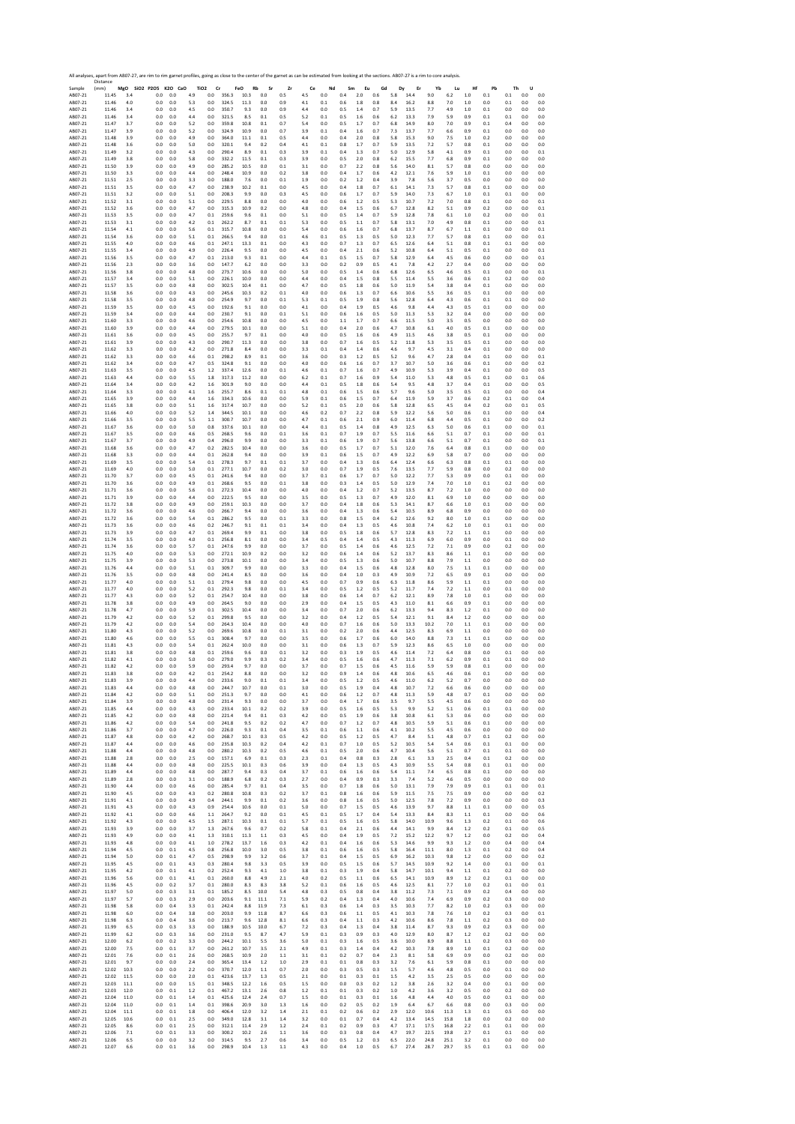|                    | All analyses, apart from AB07-27, are rim to rim garnet profiles, going as close to the center of the garnet as can be estimated from looking at the sections. AB07-27 is a rim to core analysis.<br>Distance |            |                              |            |            |                               |                |                   |               |            |            |            |            |            |            |            |              |                  |            |            |            |            |              |            |
|--------------------|---------------------------------------------------------------------------------------------------------------------------------------------------------------------------------------------------------------|------------|------------------------------|------------|------------|-------------------------------|----------------|-------------------|---------------|------------|------------|------------|------------|------------|------------|------------|--------------|------------------|------------|------------|------------|------------|--------------|------------|
| Sample<br>AB07-21  | (mm)<br>11.45                                                                                                                                                                                                 | 3.4        | MgO SiO2 P2O5 K2O CaO<br>0.0 | 0.0        | 4.9        | TiO <sub>2</sub><br>Cr<br>0.0 | 356.3          | FeO<br>Rb<br>10.3 | Sr<br>$0.0\,$ | Zr<br>0.5  | Ce<br>4.5  | Nd<br>0.0  | Sm<br>0.4  | Eu<br>2.0  | Gd<br>0.6  | Dy<br>5.8  | Er<br>14.4   | Yb<br>9.0        | Lu<br>6.2  | Hf<br>1.0  | Pb<br>0.1  | Th<br>0.1  | U<br>0.0     | 0.0        |
| AB07-21            | 11.46                                                                                                                                                                                                         | 4.0        | 0.0                          | 0.0        | 5.3        | 0.0                           | 324.5          | 11.3              | 0.0           | 0.9        | 4.1        | 0.1        | 0.6        | 1.8        | 0.8        | 8.4        | 16.2         | 8.8              | 7.0        | 1.0        | 0.0        | 0.1        | 0.0          | 0.0        |
| AB07-21            | 11.46                                                                                                                                                                                                         | 3.4        | 0.0                          | 0.0        | 4.5        | 0.0                           | 350.7          | 9.3               | 0.0           | 0.9        | 4.4        | 0.0        | 0.5        | 1.4        | 0.7        | 5.9        | 13.5         | 7.7              | 4.9        | $1.0\,$    | 0.1        | 0.0        | 0.0          | 0.0        |
| AB07-21            | 11.46                                                                                                                                                                                                         | 3.4        | 0.0                          | 0.0        | 4.4        | 0.0                           | 321.5          | 8.5               | 0.1           | 0.5        | 5.2        | 0.1        | 0.5        | 1.6        | 0.6        | 6.2        | 13.3         | 7.9              | 5.9        | 0.9        | 0.1        | 0.1        | 0.0          | 0.0        |
| AB07-21            | 11.47                                                                                                                                                                                                         | 3.7        | 0.0                          | 0.0        | 5.2        | 0.0                           | 359.8          | 10.8              | 0.1           | 0.7        | 5.4        | 0.0        | 0.5        | 1.7        | 0.7        | 6.8        | 14.9         | 8.0              | 7.0        | 0.9        | 0.1        | 0.4        | 0.0          | 0.0        |
| AB07-21            | 11.47                                                                                                                                                                                                         | 3.9        | 0.0                          | 0.0        | 5.2        | 0.0                           | 324.9          | 10.9              | 0.0           | 0.7        | 3.9        | 0.1        | 0.4        | 1.6        | 0.7        | 7.3        | 13.7         | 7.7              | 6.6        | 0.9        | 0.1        | 0.0        | 0.0          | 0.0        |
| AB07-21            | 11.48                                                                                                                                                                                                         | 3.9        | 0.0                          | 0.0        | 4.9        | 0.0                           | 364.0          | 11.1              | 0.1           | 0.5        | 4.4        | 0.0        | 0.4        | 2.0        | 0.8        | 5.8        | 15.3         | 9.0              | 7.5        | 1.0        | 0.2        | 0.0        | 0.0          | 0.0        |
| AB07-21            | 11.48                                                                                                                                                                                                         | 3.6        | 0.0                          | 0.0        | 5.0        | 0.0                           | 320.1          | 9.4               | 0.2           | 0.4        | 4.1        | 0.1        | 0.8        | 1.7        | 0.7        | 5.9        | 13.5         | 7.2              | 5.7        | 0.8        | 0.1        | 0.0        | 0.0          | 0.0        |
| AB07-21            | 11.49                                                                                                                                                                                                         | 3.2        | 0.0                          | 0.0        | 4.3        | 0.0                           | 290.4          | 8.9               | 0.1           | 0.3        | 3.9        | 0.1        | 0.4        | 1.3        | 0.7        | 5.0        | 12.9         | 5.8              | 4.1        | 0.9        | 0.1        | 0.0        | 0.0          | 0.1        |
| AB07-21            | 11.49                                                                                                                                                                                                         | 3.8        | 0.0                          | 0.0        | 5.8        | 0.0                           | 332.2          | 11.5              | 0.1           | 0.3        | 3.9        | 0.0        | 0.5        | 2.0        | 0.8        | 6.2        | 15.5         | 7.7              | 6.8        | 0.9        | 0.1        | 0.0        | 0.0          | 0.0        |
| AB07-21            | 11.50                                                                                                                                                                                                         | 3.9        | 0.0                          | 0.0        | 4.9        | 0.0                           | 285.2          | 10.5              | 0.0           | 0.1        | 3.1        | 0.0        | 0.7        | 2.2        | 0.8        | 5.6        | 14.0         | 8.1              | 5.7        | 0.8        | 0.0        | 0.0        | 0.0          | 0.0        |
| AB07-21            | 11.50                                                                                                                                                                                                         | 3.3        | 0.0                          | 0.0        | 4.4        | 0.0                           | 248.4          | 10.9              | 0.0           | 0.2        | 3.8        | 0.0        | 0.4        | 1.7        | 0.6        | 4.2        | 12.1         | 7.6              | 5.9        | 1.0        | 0.1        | 0.0        | 0.0          | 0.0        |
| AB07-21            | 11.51                                                                                                                                                                                                         | 2.5        | 0.0                          | 0.0        | 3.3        | 0.0                           | 188.0          | 7.6               | 0.0           | 0.1        | 1.9        | 0.0        | 0.2        | 1.2        | 0.4        | 3.9        | 7.8          | 5.6              | 3.7        | 0.5        | 0.0        | 0.0        | 0.0          | 0.0        |
| AB07-21            | 11.51                                                                                                                                                                                                         | 3.5        | 0.0                          | 0.0        | 4.7        | 0.0                           | 238.9          | 10.2              | 0.1           | 0.0        | 4.5        | 0.0        | 0.4        | 1.8        | 0.7        | 6.1        | 14.1         | 7.3              | 5.7        | 0.8        | 0.1        | 0.0        | 0.0          | 0.0        |
| AB07-21            | 11.51                                                                                                                                                                                                         | 3.2        | 0.0                          | 0.0        | 5.1        | 0.0                           | 208.3          | 9.9               | 0.0           | 0.3        | 4.5        | 0.0        | 0.6        | 1.7        | 0.7        | 5.9        | 14.0         | 7.3              | 6.7        | 1.0        | 0.1        | 0.1        | 0.0          | 0.0        |
| AB07-21            | 11.52                                                                                                                                                                                                         | 3.1        | 0.0                          | 0.0        | 5.1        | 0.0                           | 229.5          | 8.8               | 0.0           | 0.0        | 4.0        | 0.0        | 0.6        | 1.2        | 0.5        | 5.3        | 10.7         | 7.2              | 7.0        | 0.8        | 0.1        | 0.0        | 0.0          | 0.1        |
| AB07-21            | 11.52                                                                                                                                                                                                         | 3.6        | 0.0                          | 0.0        | 4.7        | 0.0                           | 315.3          | 10.9              | 0.2           | 0.0        | 4.8        | 0.0        | 0.4        | 1.5        | 0.6        | 6.7        | 12.8         | 8.2              | 5.1        | 0.9        | 0.2        | 0.0        | 0.0          | 0.1        |
| AB07-21            | 11.53                                                                                                                                                                                                         | 3.5        | 0.0                          | 0.0        | 4.7        | 0.1                           | 259.6          | 9.6               | 0.1           | 0.0        | 5.1        | 0.0        | 0.5        | 1.4        | 0.7        | 5.9        | 12.8         | 7.8              | 6.1        | 1.0        | 0.2        | 0.0        | 0.0          | 0.1        |
| AB07-21            | 11.53                                                                                                                                                                                                         | 3.1        | 0.0                          | 0.0        | 4.2        | 0.1                           | 262.2          | 8.7               | 0.1           | 0.1        | 5.3        | 0.0        | 0.5        | 1.1        | 0.7        | 5.8        | 13.1         | 7.0              | 4.9        | 0.8        | 0.1        | 0.0        | 0.0          | 0.1        |
| AB07-21            | 11.54                                                                                                                                                                                                         | 4.1        | 0.0                          | 0.0        | 5.6        | 0.1                           | 315.7          | 10.8              | 0.0           | 0.0        | 5.4        | 0.0        | 0.6        | 1.6        | 0.7        | 6.8        | 13.7         | 8.7              | 6.7        | 1.1        | 0.1        | 0.0        | 0.0          | 0.1        |
| AB07-21            | 11.54                                                                                                                                                                                                         | 3.6        | 0.0                          | 0.0        | 5.1        | 0.1                           | 266.5          | 9.4               | 0.0           | 0.1        | 4.6        | 0.1        | 0.5        | 1.3        | 0.5        | 5.0        | 12.3         | 7.7              | 5.7        | 0.8        | 0.1        | 0.0        | 0.0          | 0.1        |
| AB07-21            | 11.55                                                                                                                                                                                                         | 4.0        | 0.0                          | 0.0        | 4.6        | 0.1                           | 247.1          | 13.3              | 0.1           | 0.0        | 4.3        | 0.0        | 0.7        | 1.3        | 0.7        | 6.5        | 12.6         | 6.4              | 5.1        | 0.8        | 0.1        | 0.1        | 0.0          | 0.0        |
| AB07-21            | 11.55                                                                                                                                                                                                         | 3.4        | 0.0                          | 0.0        | 4.9        | 0.0                           | 226.4          | 9.5               | 0.0           | 0.0        | 4.5        | 0.0        | 0.4        | 2.1        | 0.6        | 5.2        | 10.8         | 6.4              | 5.1        | 0.5        | 0.1        | 0.0        | 0.0          | 0.1        |
| AB07-21            | 11.56                                                                                                                                                                                                         | 3.5        | 0.0                          | 0.0        | 4.7        | 0.1                           | 213.0          | 9.3               | 0.1           | 0.0        | 4.4        | 0.1        | 0.5        | 1.5        | 0.7        | 5.8        | 12.9         | 6.4              | 4.5        | 0.6        | 0.0        | 0.0        | 0.0          | 0.1        |
| AB07-21            | 11.56                                                                                                                                                                                                         | 2.3        | 0.0                          | 0.0        | 3.6        | 0.0                           | 147.7          | 6.2               | 0.0           | 0.0        | 3.3        | 0.0        | 0.2        | 0.9        | 0.5        | 4.1        | 7.8          | 4.2              | 2.7        | 0.4        | 0.0        | 0.0        | 0.0          | 0.0        |
| AB07-21            | 11.56                                                                                                                                                                                                         | 3.8        | 0.0                          | 0.0        | 4.8        | 0.0                           | 273.7          | 10.6              | 0.0           | 0.0        | 5.0        | 0.0        | 0.5        | 1.4        | 0.6        | 6.8        | 12.6         | 6.5              | 4.6        | 0.5        | 0.1        | 0.0        | 0.0          | 0.1        |
| AB07-21            | 11.57                                                                                                                                                                                                         | 3.4        | 0.0                          | 0.0        | 5.1        | 0.0                           | 226.1          | 10.0              | 0.0           | 0.0        | 4.4        | 0.0        | 0.4        | 1.5        | 0.8        | 5.5        | 11.4         | 5.5              | 3.6        | 0.6        | 0.1        | 0.2        | 0.0          | 0.0        |
| AB07-21            | 11.57                                                                                                                                                                                                         | 3.5        | 0.0                          | 0.0        | 4.8        | 0.0                           | 302.5          | 10.4              | 0.1           | 0.0        | 4.7        | 0.0        | 0.5        | 1.8        | $0.6\,$    | 5.0        | 11.9         | 5.4              | 3.8        | 0.4        | 0.1        | 0.0        | 0.0          | 0.0        |
| AB07-21            | 11.58                                                                                                                                                                                                         | 3.6        | 0.0                          | 0.0        | 4.3        | 0.0                           | 245.6          | 10.3              | 0.2           | 0.1        | 4.0        | 0.0        | 0.6        | 1.3        | 0.7        | 6.6        | 10.6         | 5.5              | 3.6        | 0.5        | 0.1        | 0.0        | 0.0          | 0.0        |
| AB07-21            | 11.58                                                                                                                                                                                                         | 3.5        | 0.0                          | 0.0        | 4.8        | 0.0                           | 254.9          | 9.7               | 0.0           | 0.1        | 5.3        | 0.1        | 0.5        | 1.9        | 0.8        | 5.6        | 12.8         | 6.4              | 4.3        | 0.6        | 0.1        | 0.1        | 0.0          | 0.0        |
| AB07-21            | 11.59                                                                                                                                                                                                         | 3.5        | 0.0                          | 0.0        | 4.5        | 0.0                           | 192.6          | 9.1               | 0.0           | 0.0        | 4.1        | 0.0        | 0.4        | 1.9        | 0.5        | 4.6        | 9.8          | 4.4              | 4.3        | 0.5        | 0.1        | 0.0        | 0.0          | 0.0        |
| AB07-21            | 11.59                                                                                                                                                                                                         | 3.4        | 0.0                          | 0.0        | 4.4        | 0.0                           | 230.7          | 9.1               | 0.0           | 0.1        | 5.1        | 0.0        | 0.6        | 1.6        | 0.5        | 5.0        | 11.3         | 5.3              | 3.2        | 0.4        | 0.0        | 0.0        | 0.0          | 0.0        |
| AB07-21            | 11.60                                                                                                                                                                                                         | 3.3        | 0.0                          | 0.0        | 4.6        | 0.0                           | 254.6          | 10.8              | 0.0           | 0.0        | 4.5        | 0.0        | 1.1        | 1.7        | 0.7        | 6.6        | 11.5         | 5.0              | 3.5        | 0.5        | 0.0        | 0.0        | 0.0          | 0.0        |
| AB07-21            | 11.60                                                                                                                                                                                                         | 3.9        | 0.0                          | 0.0        | 4.4        | 0.0                           | 279.5          | 10.1              | 0.0           | 0.0        | 5.1        | 0.0        | 0.4        | 2.0        | 0.6        | 4.7        | 10.8         | 6.1              | 4.0        | 0.5        | 0.1        | 0.0        | 0.0          | 0.0        |
| AB07-21            | 11.61                                                                                                                                                                                                         | 3.6        | 0.0                          | 0.0        | 4.5        | 0.0                           | 255.7          | 9.7               | 0.1           | 0.0        | 4.0        | 0.0        | 0.5        | 1.6        | 0.6        | 4.9        | 11.5         | 4.6              | 3.8        | 0.5        | 0.1        | 0.0        | 0.0          | 0.0        |
| AB07-21            | 11.61                                                                                                                                                                                                         | 3.9        | 0.0                          | 0.0        | 4.3        | 0.0                           | 290.7          | 11.3              | 0.0           | 0.0        | 3.8        | 0.0        | 0.7        | 1.6        | 0.5        | 5.2        | 11.8         | 5.3              | 3.5        | 0.5        | 0.1        | 0.0        | 0.0          | 0.0        |
| AB07-21            | 11.62                                                                                                                                                                                                         | 3.3        | 0.0                          | 0.0        | 4.2        | 0.0                           | 271.8          | 8.4               | 0.0           | 0.0        | 3.3        | 0.1        | 0.4        | 1.4        | 0.6        | 4.6        | 9.7          | 4.5              | 3.1        | 0.4        | 0.1        | 0.0        | 0.0          | 0.0        |
| AB07-21            | 11.62                                                                                                                                                                                                         | 3.3        | 0.0                          | 0.0        | 4.6        | 0.1                           | 298.2          | 8.9               | 0.1           | 0.0        | 3.6        | 0.0        | 0.3        | 1.2        | 0.5        | 5.2        | 9.6          | 4.7              | 2.8        | 0.4        | 0.1        | 0.0        | 0.0          | 0.1        |
| AB07-21            | 11.62                                                                                                                                                                                                         | 3.4        | 0.0                          | 0.0        | 4.7        | 0.5                           | 324.8          | 9.1               | 0.0           | 0.0        | 4.0        | 0.0        | 0.6        | 1.6        | 0.7        | 3.7        | 10.7         | 5.0              | 3.6        | 0.6        | 0.1        | 0.0        | 0.0          | 0.2        |
| AB07-21            | 11.63                                                                                                                                                                                                         | 3.5        | 0.0                          | 0.0        | 4.5        | 1.2                           | 337.4          | 12.6              | 0.0           | 0.1        | 4.6        | 0.1        | 0.7        | 1.6        | 0.7        | 4.9        | 10.9         | 5.3              | 3.9        | 0.4        | 0.1        | 0.0        | 0.0          | 0.5        |
| AB07-21            | 11.63                                                                                                                                                                                                         | 4.4        | 0.0                          | 0.0        | 5.5        | 1.8                           | 317.3          | 11.2              | 0.0           | 0.0        | 6.2        | 0.1        | 0.7        | 1.6        | 0.9        | 5.4        | 11.0         | 5.3              | 4.8        | 0.5        | 0.1        | 0.0        | 0.1          | 0.6        |
| AB07-21            | 11.64                                                                                                                                                                                                         | 3.4        | 0.0                          | 0.0        | 4.2        | 1.6                           | 301.9          | 9.0               | 0.0           | 0.0        | 4.4        | 0.1        | 0.5        | 1.8        | 0.6        | 5.4        | 9.5          | 4.8              | 3.7        | 0.4        | 0.1        | 0.0        | 0.0          | 0.5        |
| AB07-21            | 11.64                                                                                                                                                                                                         | 3.3        | 0.0                          | 0.0        | 4.1        | 1.6                           | 255.7          | 8.6               | 0.1           | 0.1        | 4.8        | 0.1        | 0.6        | 1.5        | 0.6        | 5.7        | 9.6          | 5.0              | 3.5        | 0.5        | 0.1        | 0.0        | 0.0          | 0.4        |
| AB07-21            | 11.65                                                                                                                                                                                                         | 3.9        | 0.0                          | 0.0        | 4.4        | 1.6                           | 334.3          | 10.6              | 0.0           | 0.0        | 5.9        | 0.1        | 0.6        | 1.5        | 0.7        | 6.4        | 11.9         | 5.9              | 3.7        | 0.6        | 0.2        | 0.1        | 0.0          | 0.4        |
| AB07-21            | 11.65                                                                                                                                                                                                         | 3.8        | 0.0                          | 0.0        | 5.1        | 1.6                           | 317.4          | 10.7              | 0.0           | 0.0        | 5.2        | 0.1        | 0.5        | 2.0        | 0.6        | 5.8        | 12.8         | 6.5              | 4.5        | 0.4        | 0.2        | 0.0        | 0.1          | 0.5        |
| AB07-21            | 11.66                                                                                                                                                                                                         | 4.0        | 0.0                          | 0.0        | 5.2        | 1.4                           | 344.5          | 10.1              | 0.0           | 0.0        | 4.6        | 0.2        | 0.7        | 2.2        | 0.8        | 5.9        | 12.2         | 5.6              | 5.0        | 0.6        | 0.1        | 0.0        | 0.0          | 0.4        |
| AB07-21            | 11.66                                                                                                                                                                                                         | 3.5        | 0.0                          | 0.0        | 5.5        | 1.1                           | 300.7          | 10.7              | 0.0           | 0.0        | 4.7        | 0.1        | 0.6        | 2.1        | 0.9        | 6.0        | 11.4         | 6.8              | 4.4        | 0.5        | 0.1        | 0.0        | 0.0          | 0.2        |
| AB07-21            | 11.67                                                                                                                                                                                                         | 3.6        | 0.0                          | 0.0        | 5.0        | 0.8                           | 337.6          | 10.1              | 0.0           | 0.0        | 4.4        | 0.1        | 0.5        | 1.4        | 0.8        | 4.9        | 12.5         | 6.3              | 5.0        | 0.6        | 0.1        | 0.0        | 0.0          | 0.1        |
| AB07-21            | 11.67                                                                                                                                                                                                         | 3.5        | 0.0                          | 0.0        | 4.6        | 0.5                           | 268.5          | 9.6               | 0.0           | 0.1        | 3.6        | 0.1        | 0.7        | 1.9        | 0.7        | 5.5        | 11.6         | 6.6              | 5.1        | 0.7        | 0.1        | 0.0        | 0.0          | 0.1        |
| AB07-21            | 11.67                                                                                                                                                                                                         | 3.7        | 0.0                          | 0.0        | 4.9        | 0.4                           | 296.0          | 9.9               | 0.0           | 0.0        | 3.3        | 0.1        | 0.6        | 1.9        | 0.7        | 5.6        | 13.8         | 6.6              | 5.1        | 0.7        | 0.1        | 0.0        | 0.0          | 0.1        |
| AB07-21            | 11.68                                                                                                                                                                                                         | 3.6        | 0.0                          | 0.0        | 4.7        | 0.2                           | 282.5          | 10.4              | 0.0           | 0.0        | 3.6        | 0.0        | 0.5        | 1.7        | 0.7        | 5.1        | 12.0         | 7.6              | 6.4        | 0.8        | 0.1        | 0.0        | 0.0          | 0.0        |
| AB07-21            | 11.68                                                                                                                                                                                                         | 3.3        | 0.0                          | 0.0        | 4.4        | 0.1                           | 262.8          | 9.4               | 0.0           | 0.0        | 3.9        | 0.1        | 0.6        | 1.5        | 0.7        | 4.9        | 12.2         | 6.9              | 5.8        | 0.7        | 0.0        | 0.0        | 0.0          | 0.0        |
| AB07-21            | 11.69                                                                                                                                                                                                         | 3.5        | 0.0                          | 0.0        | 5.4        | 0.1                           | 278.3          | 9.7               | 0.1           | 0.1        | 3.7        | 0.0        | 0.4        | 1.3        | 0.6        | 6.4        | 12.4         | 6.6              | 6.3        | 0.8        | 0.1        | 0.1        | 0.0          | 0.0        |
| AB07-21            | 11.69                                                                                                                                                                                                         | 4.0        | 0.0                          | 0.0        | 5.0        | 0.1                           | 277.1          | 10.7              | 0.0           | 0.2        | 3.0        | 0.0        | 0.7        | 1.9        | 0.5        | 7.6        | 13.5         | 7.7              | 5.9        | 0.8        | 0.0        | 0.2        | 0.0          | 0.0        |
| AB07-21            | 11.70                                                                                                                                                                                                         | 3.7        | 0.0                          | 0.0        | 4.5        | 0.1                           | 241.6          | 9.4               | 0.0           | 0.0        | 3.7<br>3.8 | 0.1        | 0.6        | 1.7        | 0.7        | 5.0        | 12.2         | 7.7              | 5.3        | 0.9        | 0.0        | 0.1        | 0.0          | 0.0        |
| AB07-21            | 11.70                                                                                                                                                                                                         | 3.6        | 0.0                          | 0.0        | 4.9        | 0.1                           | 268.6          | 9.5               | 0.0           | 0.1        | 4.0        | 0.0        | 0.3        | 1.4        | 0.5        | 5.0        | 12.9         | 7.4              | 7.0        | 1.0        | 0.1        | 0.2        | 0.0          | 0.0        |
| AB07-21            | 11.71                                                                                                                                                                                                         | 3.6        | 0.0                          | 0.0        | 5.6        | $0.1\,$                       | 272.3          | 10.4              | 0.0           | 0.0        |            | 0.0        | 0.4        | 1.2        | 0.7        | 5.2        | 13.5         | 8.7              | 7.2        | 1.0        | 0.0        | 0.0        | 0.0          | 0.0        |
| AB07-21            | 11.71                                                                                                                                                                                                         | 3.9        | 0.0                          | 0.0        | 4.4        | 0.0                           | 222.5          | 9.5               | 0.0           | 0.0        | 3.5        | 0.0        | 0.5        | 1.3        | 0.7        | 4.9        | 12.0         | 8.1              | 6.9        | 1.0        | 0.0        | 0.0        | 0.0          | 0.0        |
| AB07-21            | 11.72                                                                                                                                                                                                         | 3.8        | 0.0                          | 0.0        | 4.9        | 0.0                           | 259.1          | 10.3              | 0.0           | 0.0        | 3.7        | 0.0        | 0.4        | 1.8        | 0.6        | 5.3        | 14.1         | 8.7              | 6.6        | 1.0        | 0.1        | 0.0        | 0.0          | 0.0        |
| AB07-21            | 11.72                                                                                                                                                                                                         | 3.6        | 0.0                          | 0.0        | 4.6        | 0.0                           | 266.7          | 9.4               | 0.0           | 0.0        | 3.6        | 0.0        | 0.4        | 1.3        | 0.6        | 5.4        | 10.5         | 8.9              | 6.8        | 0.9        | 0.0        | 0.0        | 0.0          | 0.0        |
| AB07-21            | 11.72                                                                                                                                                                                                         | 3.6        | 0.0                          | 0.0        | 5.4        | 0.1                           | 286.2          | 9.5               | 0.0           | 0.1        | 3.3        | 0.0        | 0.8        | 1.5        | 0.4        | 6.2        | 12.6         | 9.2              | 8.0        | 1.0        | 0.1        | 0.0        | 0.0          | 0.0        |
| AB07-21            | 11.73                                                                                                                                                                                                         | 3.6        | 0.0                          | 0.0        | 4.6        | 0.2                           | 246.7          | 9.1               | 0.1           | 0.1        | 3.4        | 0.0        | 0.4        | 1.3        | 0.5        | 4.6        | 10.8         | 7.4              | 6.2        | 1.0        | 0.1        | 0.1        | 0.0          | 0.0        |
| AB07-21            | 11.73                                                                                                                                                                                                         | 3.9        | 0.0                          | 0.0        | 4.7        | 0.1                           | 269.4          | 9.9               | 0.1           | 0.0        | 3.8        | 0.0        | 0.5        | 1.8        | 0.6        | 5.7        | 12.8         | 8.3              | 7.2        | 1.1        | 0.1        | 0.0        | 0.0          | 0.0        |
| AB07-21            | 11.74                                                                                                                                                                                                         | 3.5        | 0.0                          | 0.0        | 4.0        | 0.1                           | 256.8          | 8.1               | 0.0           | 0.0        | 3.4        | 0.5        | 0.4        | 1.4        | 0.5        | 4.3        | 11.3         | 6.9              | 6.0        | 0.9        | 0.0        | 0.1        | 0.0          | 0.0        |
| AB07-21            | 11.74                                                                                                                                                                                                         | 3.6        | 0.0                          | 0.0        | 5.7        | 0.1                           | 247.6          | 9.9               | 0.0           | 0.0        | 3.7        | 0.0        | 0.5        | 1.4        | 0.6        | 4.6        | 12.5         | 7.2              | 7.1        | 0.9        | 0.0        | 0.2        | 0.0          | 0.0        |
| AB07-21            | 11.75                                                                                                                                                                                                         | 4.0        | 0.0                          | 0.0        | 5.3        | 0.0                           | 272.1          | 10.9              | 0.2           | 0.0        | 3.2        | 0.0        | 0.6        | 1.4        | 0.6        | 5.2        | 13.7         | 8.3              | 8.6        | 1.1        | 0.1        | 0.0        | 0.0          | 0.0        |
| AB07-21            | 11.75                                                                                                                                                                                                         | 3.9        | 0.0                          | 0.0        | 5.3        | 0.0                           | 273.8          | 10.1              | 0.0           | 0.0        | 3.4        | 0.0        | 0.5        | 1.3        | 0.6        | 5.0        | 10.7         | 8.8              | 7.9        | 1.1        | 0.0        | 0.0        | 0.0          | 0.0        |
| AB07-21            | 11.76                                                                                                                                                                                                         | 4.4        | 0.0                          | 0.0        | 5.1        | 0.1                           | 309.7          | 9.9               | 0.0           | 0.0        | 3.3        | 0.0        | 0.4        | 1.5        | 0.6        | 4.8        | 12.8         | 8.0              | 7.5        | 1.1        | 0.1        | 0.0        | 0.0          | 0.0        |
| AB07-21            | 11.76                                                                                                                                                                                                         | 3.5        | 0.0                          | 0.0        | 4.8        | 0.0                           | 241.4          | 8.5               | 0.0           | 0.0        | 3.6        | 0.0        | 0.4        | 1.0        | 0.3        | 4.9        | 10.9         | 7.2              | 6.5        | 0.9        | 0.1        | 0.0        | 0.0          | 0.0        |
| AB07-21            | 11.77                                                                                                                                                                                                         | 4.0        | 0.0                          | 0.0        | 5.1        | 0.1                           | 279.4          | 9.8               | 0.0           | 0.0        | 4.5        | 0.0        | 0.7        | 0.9        | 0.6        | 6.3        | 11.8         | 8.6              | 5.9        | 1.1        | 0.1        | 0.0        | 0.0          | 0.0        |
| AB07-21            | 11.77                                                                                                                                                                                                         | 4.0        | 0.0                          | 0.0        | 5.2        | 0.1                           | 292.3          | 9.8               | 0.0           | 0.1        | 3.4        | 0.0        | 0.5        | 1.2        | 0.5        | 5.2        | 11.7         | 7.4              | 7.2        | $1.1$      | 0.0        | 0.1        | 0.0          | 0.0        |
| AB07-21            | 11.77                                                                                                                                                                                                         | 4.3        | 0.0                          | 0.0        | 5.2        | 0.1                           | 254.7          | 10.4              | 0.0           | 0.0        | 3.8        | 0.0        | 0.6        | 1.4        | 0.7        | 6.2        | 12.1         | 8.9              | 7.8        | 1.0        | 0.1        | 0.0        | 0.0          | 0.0        |
| AB07-21            | 11.78                                                                                                                                                                                                         | 3.8        | 0.0                          | 0.0        | 4.9        | 0.0                           | 264.5          | 9.0               | 0.0           | 0.0        | 2.9        | 0.0        | 0.4        | 1.5        | 0.5        | 4.3        | 11.0         | 8.1              | 6.6        | 0.9        | 0.1        | 0.0        | 0.0          | 0.0        |
| AB07-21            | 11.78                                                                                                                                                                                                         | 4.7        | 0.0                          | 0.0        | 5.9        | $0.1\,$                       | 302.5          | 10.4              | 0.0           | 0.0        | 3.4        | 0.0        | 0.7        | 2.0        | 0.6        | 6.2        | 13.3         | 9.4              | 8.3        | 1.2        | 0.1        | 0.0        | 0.0          | 0.0        |
| AB07-21            | 11.79                                                                                                                                                                                                         | 4.2        | 0.0                          | 0.0        | 5.2        | 0.1                           | 299.8          | 9.5               | 0.0           | 0.0        | 3.2        | 0.0        | 0.4        | 1.2        | 0.5        | 5.4        | 12.1         | 9.1              | 8.4        | 1.2        | 0.0        | 0.0        | 0.0          | 0.0        |
| AB07-21            | 11.79                                                                                                                                                                                                         | 4.2        | 0.0                          | 0.0        | 5.4        | 0.0                           | 264.3          | 10.4              | 0.0           | 0.0        | 4.0        | 0.0        | 0.7        | 1.6        | 0.6        | 5.0        | 13.3         | 10.2             | 7.0        | 1.1        | 0.1        | 0.0        | 0.0          | 0.0        |
| AB07-21            | 11.80                                                                                                                                                                                                         | 4.3        | 0.0                          | 0.0        | 5.2        | 0.0                           | 269.6          | 10.8              | 0.0           | 0.1        | 3.1        | 0.0        | 0.2        | 2.0        | 0.6        | 4.4        | 12.5         | 8.3              | 6.9        | 1.1        | 0.0        | 0.0        | 0.0          | 0.0        |
| AB07-21            | 11.80                                                                                                                                                                                                         | 4.6        | 0.0                          | 0.0        | 5.5        | $\rm 0.1$                     | 308.4          | 9.7               | 0.0           | 0.0        | 3.5        | 0.0        | 0.6        | 1.7        | 0.6        | 6.0        | 14.0         | 8.8              | 7.3        | 1.1        | 0.1        | 0.0        | 0.0          | 0.0        |
| AB07-21            | 11.81                                                                                                                                                                                                         | 4.3        | 0.0                          | 0.0        | 5.4        | 0.1                           | 262.4          | 10.0              | 0.0           | 0.0        | 3.1        | 0.0        | 0.6        | 1.3        | 0.7        | 5.9        | 12.3         | 8.6              | 6.5        | 1.0        | 0.0        | 0.0        | 0.0          | 0.0        |
| AB07-21            | 11.81<br>11.82                                                                                                                                                                                                | 3.8        | 0.0<br>0.0                   | 0.0<br>0.0 | 4.8<br>5.0 | 0.1<br>0.0                    | 259.6<br>279.0 | 9.6<br>9.9        | 0.0<br>0.3    | 0.1        | 3.2        | 0.0<br>0.0 | 0.3<br>0.5 | 1.9        | 0.5<br>0.6 | 4.6<br>4.7 | 11.4<br>11.3 | 7.2              | 6.4<br>6.2 | 0.8<br>0.9 | 0.0        | 0.1        | 0.0<br>0.0   | 0.0<br>0.0 |
| AB07-21<br>AB07-21 | 11.82                                                                                                                                                                                                         | 4.1<br>4.2 | 0.0                          | 0.0        | 5.9        | 0.0                           | 293.4          | 9.7               | 0.0           | 0.2<br>0.0 | 3.4<br>3.7 | 0.0        | 0.7        | 1.6<br>1.5 | 0.6        | 4.5        | 11.6         | 7.1<br>5.9       | 5.9        | 0.8        | 0.1<br>0.1 | 0.1<br>0.0 | 0.0          | 0.0        |
| AB07-21<br>AB07-21 | 11.83<br>11.83                                                                                                                                                                                                | 5.8<br>3.9 | U.L<br>0.0                   | U.L<br>0.0 | 4.4        | U.I<br>0.0                    | 233.6          | 8.8<br>9.0        | U.U<br>0.1    | U.L<br>0.1 | 3.4        | U.L<br>0.0 | 0.9<br>0.5 | 1.2        | U.b<br>0.5 | 4.6        | 10.t<br>11.0 | <b>b.</b><br>6.2 | 4.6<br>5.2 | U.t<br>0.7 | U.I<br>0.0 | U.L<br>0.0 | U.L<br>0.0   | U.L<br>0.0 |
| AB07-21            | 11.83                                                                                                                                                                                                         | 4.4        | 0.0                          | 0.0        | 4.8        | 0.0                           | 244.7          | 10.7              | 0.0           | 0.1        | 3.0        | 0.0        | 0.5        | 1.9        | 0.4        | 4.8        | 10.7         | 7.2              | 6.6        | 0.6        | 0.0        | 0.0        | 0.0          | 0.0        |
| AB07-21            | 11.84                                                                                                                                                                                                         | 4.2        | 0.0                          | 0.0        | 5.1        | 0.0                           | 251.3          | 9.7               | 0.0           | 0.0        | 4.1        | 0.0        | 0.6        | 1.2        | 0.7        | 4.8        | 11.3         | 5.9              | 4.8        | 0.7        | 0.1        | 0.0        | 0.0          | 0.0        |
| AB07-21            | 11.84                                                                                                                                                                                                         | 3.9        | 0.0                          | 0.0        | 4.8        | 0.0                           | 231.4          | 9.3               | 0.0           | 0.0        | 3.7        | 0.0        | 0.4        | 1.7        | 0.6        | 3.5        | 9.7          | 5.5              | 4.5        | 0.6        | 0.0        | 0.0        | 0.0          | 0.0        |
| AB07-21            | 11.85                                                                                                                                                                                                         | 4.4        | 0.0                          | 0.0        | 4.3        | 0.0                           | 233.4          | 10.1              | 0.2           | 0.2        | 3.9        | 0.0        | 0.5        | 1.6        | 0.5        | 5.3        | 9.9          | 5.2              | 5.1        | 0.6        | 0.1        | 0.1        | 0.0          | 0.0        |
| AB07-21            | 11.85                                                                                                                                                                                                         | 4.2        | 0.0                          | 0.0        | 4.8        | 0.0                           | 221.4          | 9.4               | 0.1           | 0.3        | 4.2        | 0.0        | 0.5        | 1.9        | 0.6        | 3.8        | 10.8         | 6.1              | 5.3        | 0.6        | 0.0        | 0.0        | 0.0          | 0.0        |
| AB07-21            | 11.86                                                                                                                                                                                                         | 4.2        | 0.0                          | 0.0        | 5.4        | 0.0                           | 241.8          | 9.5               | 0.2           | 0.2        | 4.7        | 0.0        | 0.7        | 1.2        | 0.7        | 4.8        | 10.5         | 5.9              | 5.1        | 0.6        | 0.1        | 0.0        | 0.0          | 0.0        |
| AB07-21            | 11.86                                                                                                                                                                                                         | 3.7        | 0.0                          | 0.0        | 4.7        | 0.0                           | 226.0          | 9.3               | 0.1           | 0.4        | 3.5        | 0.1        | 0.6        | 1.1        | 0.6        | 4.1        | 10.2         | 5.5              | 4.5        | 0.6        | 0.0        | 0.0        | 0.0          | 0.0        |
| AB07-21            | 11.87                                                                                                                                                                                                         | 4.8        | 0.0                          | 0.0        | 4.2        | 0.0                           | 268.7          | 10.1              | 0.3           | 0.5        | 4.2        | 0.0        | 0.5        | 1.2        | 0.5        | 4.7        | 8.4          | 5.1              | 4.8        | 0.7        | 0.1        | 0.2        | 0.0          | 0.0        |
| AB07-21            | 11.87                                                                                                                                                                                                         | 4.4        | 0.0                          | 0.0        | 4.6        | 0.0                           | 235.8          | 10.3              | 0.2           | 0.4        | 4.2        | 0.1        | 0.7        | 1.0        | 0.5        | 5.2        | 10.5         | 5.4              | 5.4        | 0.6        | 0.1        | 0.1        | 0.0          | 0.0        |
| AB07-21            | 11.88                                                                                                                                                                                                         | 4.4        | 0.0                          | 0.0        | 4.8        | 0.0                           | 280.2          | 10.3              | 0.2           | 0.5        | 4.6        | 0.1        | 0.5        | 2.0        | 0.6        | 4.7        | 10.4         | 5.6              | 5.1        | 0.7        | 0.1        | 0.1        | 0.0          | 0.0        |
| AB07-21            | 11.88                                                                                                                                                                                                         | 2.8        | 0.0                          | 0.0        | 2.5        | 0.0                           | 157.1          | 6.9               | $0.1\,$       | 0.3        | 2.3        | $0.1\,$    | 0.4        | 0.8        | 0.3        | $2.8\,$    | 6.1          | 3.3              | 2.5        | 0.4        | $0.1\,$    | 0.2        | $0.0\,$      | $0.0\,$    |
| AB07-21            | 11.88                                                                                                                                                                                                         | 4.4        | 0.0                          | 0.0        | 4.8        | 0.0                           | 225.5          | 10.1              | 0.3           | 0.6        | 3.9        | 0.0        | 0.4        | 1.3        | 0.5        | 4.3        | 10.9         | 5.5              | 5.4        | 0.8        | 0.1        | 0.1        | 0.0          | 0.0        |
| AB07-21            | 11.89                                                                                                                                                                                                         | 4.4        | 0.0                          | 0.0        | 4.8        | 0.0                           | 287.7          | 9.4               | 0.3           | 0.4        | 3.7        | 0.1        | 0.6        | 1.6        | 0.6        | 5.4        | 11.1         | 7.4              | 6.5        | 0.8        | 0.1        | 0.0        | 0.0          | 0.0        |
| AB07-21            | 11.89                                                                                                                                                                                                         | 2.8        | 0.0                          | 0.0        | 3.1        | 0.0                           | 188.9          | 6.8               | 0.2           | 0.3        | 2.7        | 0.0        | 0.4        | 0.9        | 0.3        | 3.3        | 7.4          | 5.2              | 4.6        | 0.5        | 0.0        | 0.0        | 0.0          | 0.0        |
| AB07-21            | 11.90                                                                                                                                                                                                         | 4.4        | 0.0                          | 0.0        | 4.6        | 0.0                           | 285.4          | 9.7               | $0.1\,$       | 0.4        | 3.5        | 0.0        | 0.7        | $1.8\,$    | 0.6        | 5.0        | 13.1         | 7.9              | 7.9        | 0.9        | 0.1        | 0.1        | 0.0          | 0.1        |
| AB07-21            | 11.90                                                                                                                                                                                                         | 4.5        | 0.0                          | 0.0        | 4.3        | 0.2                           | 280.8          | 10.8              | 0.3           | 0.2        | 3.7        | 0.1        | 0.8        | 1.6        | 0.6        | 5.9        | 11.5         | 7.5              | 7.5        | 0.9        | 0.0        | 0.0        | 0.0          | 0.2        |
| AB07-21            | 11.91                                                                                                                                                                                                         | 4.1        | 0.0                          | 0.0        | 4.9        | 0.4                           | 244.1          | 9.9               | 0.1           | 0.2        | 3.6        | 0.0        | 0.8        | 1.6        | 0.5        | 5.0        | 12.5         | 7.8              | 7.2        | 0.9        | 0.0        | 0.0        | 0.0          | 0.3        |
| AB07-21            | 11.91                                                                                                                                                                                                         | 4.3        | 0.0                          | 0.0        | 4.3        | 0.9                           | 254.4          | 10.6              | 0.0           | 0.1        | 5.0        | 0.0        | 0.7        | 1.5        | 0.5        | 4.6        | 13.9         | 9.7              | 8.8        | 1.1        | 0.1        | 0.0        | 0.0          | 0.5        |
| AB07-21            | 11.92                                                                                                                                                                                                         | 4.1        | 0.0                          | 0.0        | 4.6        | $1.1\,$                       | 264.7          | 9.2               | $_{0.0}$      | $0.1\,$    | 4.5        | $0.1\,$    | 0.5        | 1.7        | 0.4        | 5.4        | 13.3         | 8.4              | 8.3        | $1.1\,$    | $0.1\,$    | $0.0\,$    | $0.0\,$      | 0.6        |
| AB07-21            | 11.92                                                                                                                                                                                                         | 4.3        | 0.0                          | 0.0        | 4.5        | 1.5                           | 287.1          | 10.3              | 0.1           | 0.1        | 5.7        | 0.1        | 0.5        | 1.6        | 0.5        | 5.8        | 14.0         | 10.9             | 9.6        | 1.3        | 0.2        | 0.1        | 0.0          | 0.6        |
| AB07-21            | 11.93                                                                                                                                                                                                         | 3.9        | 0.0                          | 0.0        | 3.7        | 1.3                           | 267.6          | 9.6               | 0.7           | 0.2        | 5.8        | 0.1        | 0.4        | 2.1        | 0.6        | 4.4        | 14.1         | 9.9              | 8.4        | 1.2        | 0.2        | 0.1        | 0.0          | 0.5        |
| AB07-21            | 11.93                                                                                                                                                                                                         | 4.9        | 0.0                          | 0.0        | 4.1        | 1.3                           | 310.1          | 11.3              | 1.1           | 0.3        | 4.5        | 0.0        | 0.4        | 1.9        | 0.5        | 7.2        | 15.2         | 12.2             | 9.7        | 1.2        | 0.0        | 0.2        | 0.0          | 0.4        |
| AB07-21            | 11.93                                                                                                                                                                                                         | 4.8        | 0.0                          | 0.0        | 4.1        | 1.0                           | 278.2          | 13.7              | 1.6           | 0.3        | 4.2        | 0.1        | 0.4        | 1.6        | 0.6        | 5.3        | 14.6         | 9.9              | 9.3        | 1.2        | 0.0        | 0.4        | 0.0          | 0.4        |
| AB07-21            | 11.94                                                                                                                                                                                                         | 4.5        | 0.0                          | 0.1        | 4.5        | 0.8                           | 256.8          | 10.0              | 3.0           | 0.5        | 3.8        | 0.1        | 0.6        | 1.6        | 0.5        | 5.8        | 16.4         | 11.1             | 8.0        | 1.3        | 0.1        | 0.2        | 0.0          | 0.4        |
| AB07-21            | 11.94                                                                                                                                                                                                         | 5.0        | 0.0                          | 0.1        | 4.7        | 0.5                           | 298.9          | 9.9               | 3.2           | 0.6        | 3.7        | 0.1        | 0.4        | 1.5        | 0.5        | 6.9        | 16.2         | 10.3             | 9.8        | 1.2        | 0.0        | 0.0        | 0.0          | 0.2        |
| AB07-21            | 11.95                                                                                                                                                                                                         | 4.5        | 0.0                          | 0.1        | 4.3        | 0.3                           | 280.4          | 9.8               | 3.3           | 0.5        | 3.9        | 0.0        | 0.5        | 1.5        | 0.6        | 5.7        | 14.5         | 10.9             | 9.2        | 1.4        | 0.0        | 0.1        | 0.0          | 0.1        |
| AB07-21            | 11.95                                                                                                                                                                                                         | 4.2        | 0.0                          | 0.1        | 4.1        | 0.2                           | 252.4          | 9.3               | 4.1           | 1.0        | 3.8        | 0.1        | 0.3        | 1.9        | 0.4        | 5.8        | 14.7         | 10.1             | 9.4        | 1.1        | 0.1        | 0.2        | 0.0          | 0.0        |
| AB07-21            | 11.96                                                                                                                                                                                                         | 5.6        | 0.0                          | 0.1        | 4.1        | 0.1                           | 260.0          | 8.8               | 4.9           | 2.1        | 4.0        | 0.2        | 0.5        | 1.1        | 0.6        | 6.5        | 14.1         | 10.9             | 8.9        | 1.2        | 0.2        | 0.1        | 0.0          | 0.0        |
| AB07-21            | 11.96                                                                                                                                                                                                         | 4.5        | 0.0                          | 0.2        | 3.7        | 0.1                           | 280.0          | 8.3               | 8.3           | 3.8        | 5.2        | 0.1        | 0.6        | 1.6        | 0.5        | 4.6        | 12.5         | 8.1              | 7.7        | 1.0        | 0.2        | 0.1        | 0.0          | 0.1        |
| AB07-21            | 11.97                                                                                                                                                                                                         | 5.0        | 0.0                          | 0.3        | 3.1        | 0.1                           | 185.2          | 8.5               | 10.0          | 5.4        | 4.8        | 0.3        | 0.5        | 0.8        | 0.4        | 3.8        | 11.2         | 7.3              | 7.1        | 0.9        | 0.2        | 0.4        | 0.0          | 0.0        |
| AB07-21            | 11.97                                                                                                                                                                                                         | 5.7        | 0.0                          | 0.3        | 2.9        | 0.0                           | 203.6          | 9.1               | 11.1          | 7.1        | 5.9        | 0.2        | 0.4        | 1.3        | 0.4        | 4.0        | 10.6         | 7.4              | 6.9        | 0.9        | 0.2        | 0.3        | 0.0          | 0.0        |
| AB07-21            | 11.98                                                                                                                                                                                                         | 5.8        | 0.0                          | 0.4        | 3.3        | 0.1                           | 242.4          | 8.8               | 11.9          | 7.3        | 6.1        | 0.3        | 0.6        | 1.4        | 0.3        | 3.5        | 10.3         | 7.7              | 8.2        | 1.0        | 0.2        | 0.3        | 0.0          | 0.0        |
| AB07-21            | 11.98                                                                                                                                                                                                         | 6.0        | 0.0                          | 0.4        | 3.8        | 0.0                           | 203.0          | 9.9               | 11.8          | 8.7        | 6.6        | 0.3        | 0.6        | 1.1        | 0.5        | 4.1        | 10.3         | 7.8              | 7.6        | 1.0        | 0.2        | 0.3        | 0.0          | 0.1        |
| AB07-21            | 11.98                                                                                                                                                                                                         | 6.3        | 0.0                          | 0.4        | 3.6        | 0.0                           | 213.7          | 9.6               | 12.8          | 8.1        | 6.6        | 0.3        | 0.4        | 1.1        | 0.3        | 4.2        | 10.6         | 8.6              | 7.8        | 1.1        | 0.2        | 0.3        | 0.0          | 0.0        |
| AB07-21            | 11.99                                                                                                                                                                                                         | 6.5        | 0.0                          | 0.3        | 3.3        | 0.0                           | 188.9          | 10.5              | 10.0          | 6.7        | 7.2        | 0.3        | 0.4        | 1.3        | 0.4        | 3.8        | 11.4         | 8.7              | 9.3        | 0.9        | 0.2        | 0.3        | 0.0          | 0.0        |
| AB07-21            | 11.99                                                                                                                                                                                                         | 6.2        | 0.0                          | 0.3        | 3.6        | 0.0                           | 231.0          | 9.5               | 8.7           | 4.7        | 5.9        | $0.1\,$    | 0.3        | 0.9        | 0.3        | 4.0        | 12.9         | 8.0              | 8.7        | $1.2\,$    | 0.2        | 0.2        | $0.0\,$      | $0.0\,$    |
| AB07-21            | 12.00                                                                                                                                                                                                         | 6.2        | 0.0                          | 0.2        | 3.3        | 0.0                           | 244.2          | 10.1              | 5.5           | 3.6        | 5.0        | 0.1        | 0.3        | 1.6        | 0.5        | 3.6        | 10.0         | 8.9              | 8.8        | $1.1\,$    | 0.2        | 0.3        | 0.0          | 0.0        |
| AB07-21            | 12.00                                                                                                                                                                                                         | 7.5        | 0.0                          | 0.1        | 3.7        | 0.0                           | 261.2          | 10.7              | 3.5           | 2.1        | 4.9        | 0.1        | 0.3        | 1.4        | 0.4        | 4.2        | 10.3         | 7.8              | 8.9        | 1.0        | 0.1        | 0.2        | 0.0          | 0.0        |
| AB07-21            | 12.01                                                                                                                                                                                                         | 7.6        | 0.0                          | 0.1        | 2.6        | 0.0                           | 268.5          | 10.9              | 2.0           | 1.1        | 3.1        | 0.1        | 0.2        | 0.7        | 0.4        | 2.3        | 8.1          | 5.8              | 6.9        | 0.9        | 0.0        | 0.2        | 0.0          | 0.0        |
| AB07-21            | 12.01                                                                                                                                                                                                         | 9.7        | 0.0                          | 0.0        | 2.4        | 0.0                           | 365.4          | 13.4              | $1.2\,$       | $1.0\,$    | 2.9        | 0.1        | 0.1        | 0.8        | 0.3        | 3.2        | 7.6          | 6.1              | 5.9        | 0.8        | 0.1        | 0.0        | 0.0          | 0.0        |
| AB07-21            | 12.02                                                                                                                                                                                                         | 10.3       | 0.0                          | 0.0        | 2.2        | 0.0                           | 370.7          | 12.0              | 1.1           | 0.7        | 2.0        | 0.0        | 0.3        | 0.5        | 0.3        | 1.5        | 5.7          | 4.6              | 4.8        | 0.5        | 0.0        | 0.1        | 0.0          | 0.0        |
| AB07-21            | 12.02                                                                                                                                                                                                         | 11.5       | 0.0                          | 0.0        | 2.0        | 0.1                           | 423.6          | 13.7              | 1.3           | 0.5        | 2.1        | 0.0        | 0.1        | 0.3        | 0.1        | 1.5        | 4.2          | 3.5              | 2.5        | 0.5        | 0.0        | 0.0        | 0.0          | 0.0        |
| AB07-21            | 12.03                                                                                                                                                                                                         | 11.1       | 0.0                          | 0.0        | 1.5        | 0.1                           | 348.5          | 12.2              | 1.6           | 0.5        | 1.5        | 0.0        | 0.0        | 0.3        | 0.2        | 1.2        | 3.8          | 2.6              | 3.2        | 0.4        | 0.0        | 0.1        | 0.0          | 0.0        |
| AB07-21            | 12.03                                                                                                                                                                                                         | 12.0       | 0.0                          | $0.1\,$    | $1.2\,$    | $0.1\,$                       | 467.2          | 13.1              | 2.6           | 0.8        | $1.2\,$    | $0.1\,$    | 0.1        | 0.3        | 0.2        | $1.0\,$    | 4.2          | 3.6              | 3.2        | 0.5        | 0.0        | 0.2        | $_{\rm 0.0}$ | $0.0\,$    |
| AB07-21            | 12.04                                                                                                                                                                                                         | 11.0       | 0.0                          | 0.1        | 1.4        | 0.1                           | 425.6          | 12.4              | 2.4           | 0.7        | 1.5        | 0.0        | 0.1        | 0.3        | 0.1        | 1.6        | 4.8          | 4.4              | 4.0        | 0.5        | 0.0        | 0.1        | 0.0          | 0.0        |
| AB07-21            | 12.04                                                                                                                                                                                                         | 11.0       | 0.0                          | 0.1        | 1.4        | $0.1\,$                       | 398.6          | 20.9              | 3.0           | 1.3        | 1.6        | 0.0        | 0.2        | 0.5        | 0.2        | $1.9\,$    | 6.4          | 6.7              | 6.6        | 0.8        | 0.0        | 0.3        | 0.0          | 0.0        |
| AB07-21            | 12.04                                                                                                                                                                                                         | 11.1       | 0.0                          | 0.1        | 1.8        | 0.0                           | 406.4          | 12.0              | 3.2           | 1.4        | 2.1        | 0.1        | 0.2        | 0.6        | 0.2        | 2.9        | 12.0         | 10.6             | 11.3       | 1.3        | 0.1        | 0.5        | 0.0          | 0.0        |
| AB07-21            | 12.05                                                                                                                                                                                                         | 10.6       | 0.0                          | 0.1        | 2.5        | 0.0                           | 349.0          | 12.8              | 3.1           | 1.4        | 3.2        | 0.0        | 0.1        | 0.7        | 0.4        | 4.2        | 13.4         | 14.5             | 15.8       | 1.8        | 0.0        | 0.2        | 0.0          | 0.0        |
| AB07-21            | 12.05                                                                                                                                                                                                         | 8.6        | 0.0                          | 0.1        | 2.5        | 0.0                           | 312.1          | 11.4              | 2.9           | 1.2        | 2.4        | 0.1        | 0.2        | 0.9        | 0.3        | 4.7        | 17.1         | 17.5             | 16.8       | 2.2        | 0.1        | 0.1        | 0.0          | 0.0        |
| AB07-21            | 12.06                                                                                                                                                                                                         | 7.1        | 0.0                          | 0.1        | 3.3        | 0.0                           | 300.2          | 10.2              | 2.6           | 1.1        | 3.6        | 0.0        | 0.3        | 0.8        | 0.4        | 4.7        | 19.7         | 22.5             | 19.8       | 2.7        | 0.1        | 0.1        | 0.0          | 0.0        |
| AB07-21            | 12.06                                                                                                                                                                                                         | 6.5        | 0.0                          | 0.0        | 3.2        | 0.0                           | 314.5          | 9.5               | 2.7           | 0.6        | 3.4        | 0.0        | 0.5        | 1.2        | 0.3        | 6.5        | 22.0         | 24.8             | 25.1       | 3.2        | 0.1        | 0.0        | 0.0          | 0.0        |
| AB07-21            | 12.07                                                                                                                                                                                                         | 6.6        | 0.0                          | 0.1        | 3.6        | 0.0                           | 298.9          | 10.4              | 1.3           | 1.1        | 4.3        | 0.0        | 0.4        | 1.0        | 0.5        | 6.7        | 27.4         | 28.7             | 29.7       | 3.5        | 0.1        | 0.1        | 0.0          | 0.0        |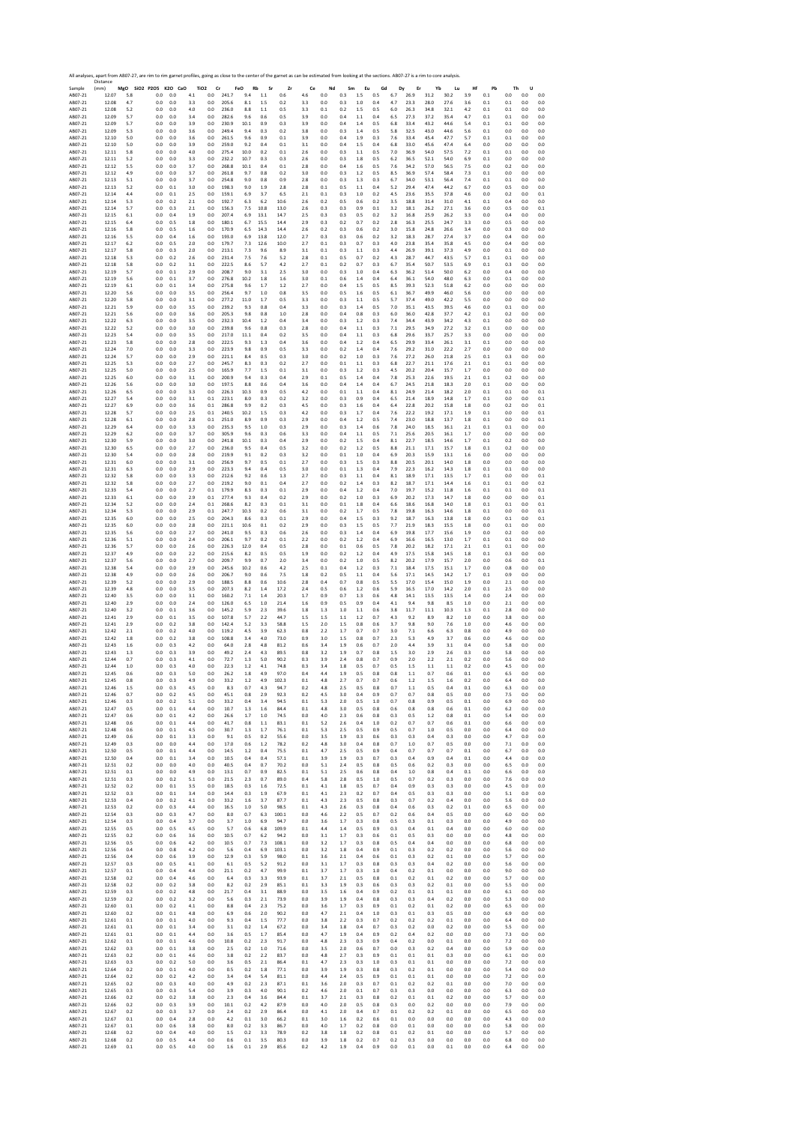|                               | All analyses, apart from AB07-27, are rim to rim garnet profiles, going as close to the center of the garnet as can be estimated from looking at the sections. AB07-27 is a rim to core analysis<br>Distance |                |                      |            |                          |                              |                |                  |              |               |                |                |            |                |                   |            |                   |                  |              |            |                |                |                     |                   |
|-------------------------------|--------------------------------------------------------------------------------------------------------------------------------------------------------------------------------------------------------------|----------------|----------------------|------------|--------------------------|------------------------------|----------------|------------------|--------------|---------------|----------------|----------------|------------|----------------|-------------------|------------|-------------------|------------------|--------------|------------|----------------|----------------|---------------------|-------------------|
| Sample<br>AB07-21             | (mm)<br>12.07                                                                                                                                                                                                | 5.8            | MgO SiO2 P2O5<br>0.0 | 0.0        | K2O CaO<br>4.1           | TiO <sub>2</sub><br>$_{0.0}$ | Cr<br>241.7    | FeO<br>Rb<br>9.4 | Sr<br>1.1    | Zr<br>0.6     | Ce<br>4.6      | Nd<br>0.0      | Sm<br>0.3  | Eu<br>1.5      | Gd<br>0.5         | 6.7        | Dy<br>Er<br>26.9  | Yb<br>31.2       | Lu<br>30.2   | Hf<br>3.9  | Pb<br>0.1      | Th<br>0.0      | U<br>0.0            | 0.0               |
| AB07-21                       | 12.08                                                                                                                                                                                                        | 4.7            | 0.0                  | 0.0        | 3.3                      | 0.0                          | 205.6          | 8.1              | 1.5          | 0.2           | 3.3            | 0.0            | 0.3        | 1.0            | 0.4               | 4.7        | 23.3              | 28.0             | 27.6         | 3.6        | 0.1            | 0.1            | 0.0                 | 0.0               |
| AB07-21<br>AB07-21            | 12.08<br>12.09                                                                                                                                                                                               | 5.2<br>5.7     | 0.0<br>0.0           |            | 0.0<br>4.0<br>0.0<br>3.4 | 0.0<br>0.0                   | 236.0<br>282.6 | 8.8<br>9.6       | 1.1<br>0.6   | 0.5<br>0.5    | 3.3<br>3.9     | 0.1<br>0.0     | 0.2<br>0.4 | 1.5<br>1.1     | 0.5<br>0.4        | 6.0<br>6.5 | 26.3<br>27.3      | 34.8<br>37.2     | 32.1<br>35.4 | 4.2<br>4.7 | 0.1<br>0.1     | $0.1\,$<br>0.1 | $0.0\,$<br>0.0      | 0.0<br>0.0        |
| AB07-21                       | 12.09                                                                                                                                                                                                        | 5.7            | 0.0                  |            | 0.0<br>3.9               | 0.0                          | 230.9          | 10.1             | 0.9          | 0.3           | 3.9            | 0.0            | 0.4        | 1.4            | 0.5               | 6.8        | 33.4              | 43.2             | 44.6         | 5.4        | 0.1            | 0.1            | 0.0                 | 0.0               |
| AB07-21<br>AB07-21            | 12.09<br>12.10                                                                                                                                                                                               | 5.3<br>5.0     | 0.0<br>0.0           |            | 0.0<br>3.6<br>0.0<br>3.6 | 0.0<br>0.0                   | 249.4<br>261.5 | 9.4<br>9.6       | 0.3<br>0.9   | 0.2<br>0.1    | 3.8<br>3.9     | 0.0<br>0.0     | 0.3<br>0.4 | 1.4<br>1.9     | 0.5<br>0.3        | 5.8<br>7.6 | 32.5<br>33.4      | 43.0<br>45.4     | 44.6<br>47.7 | 5.6<br>5.7 | 0.1<br>0.1     | 0.0<br>0.1     | 0.0<br>0.0          | 0.0<br>0.0        |
| AB07-21                       | 12.10<br>12.11                                                                                                                                                                                               | 5.0            | 0.0                  | 0.0        | 0.0<br>3.9               | 0.0<br>0.0                   | 259.0<br>275.4 | 9.2<br>10.0      | 0.4<br>0.2   | 0.1<br>0.1    | 3.1            | 0.0<br>0.0     | 0.4<br>0.3 | 1.5            | 0.4<br>0.5        | 6.8<br>7.0 | 33.0<br>36.9      | 45.6<br>54.0     | 47.4<br>57.5 | 6.4<br>7.2 | 0.0            | 0.0<br>0.1     | 0.0<br>0.0          | 0.0<br>0.0        |
| AB07-21<br>AB07-21            | 12.11                                                                                                                                                                                                        | 5.8<br>5.2     | 0.0<br>0.0           | 0.0        | 4.0<br>3.3               | 0.0                          | 232.2          | 10.7             | 0.3          | 0.3           | 2.6<br>2.6     | 0.0            | 0.3        | 1.1<br>1.8     | 0.5               | 6.2        | 36.5              | 52.1             | 54.0         | 6.9        | 0.1<br>0.1     | 0.0            | 0.0                 | 0.0               |
| AB07-21                       | 12.12                                                                                                                                                                                                        | 5.5            | 0.0                  |            | 0.0<br>3.7               | $_{0.0}$                     | 268.8          | 10.1             | 0.4          | 0.1           | 2.8            | 0.0            | 0.4        | 1.6            | 0.5               | 7.6        | 34.2              | 57.0             | 56.5         | 7.5        | 0.0            | 0.2            | 0.0                 | 0.0               |
| AB07-21<br>AB07-21            | 12.12<br>12.13                                                                                                                                                                                               | 4.9<br>5.1     | 0.0<br>0.0           | 0.0        | 0.0<br>3.7<br>3.7        | 0.0<br>0.0                   | 261.8<br>254.8 | 9.7<br>9.0       | 0.8<br>0.8   | 0.2<br>0.9    | 3.0<br>2.8     | 0.0<br>0.0     | 0.3<br>0.3 | 1.2<br>1.3     | 0.5<br>0.3        | 8.5<br>6.7 | 36.9<br>34.0      | 57.4<br>53.1     | 58.4<br>56.4 | 7.3<br>7.4 | 0.1<br>0.1     | 0.0<br>0.1     | 0.0<br>0.0          | 0.0<br>0.0        |
| AB07-21                       | 12.13                                                                                                                                                                                                        | 5.2            | 0.0                  | 0.1        | 3.0                      | 0.0                          | 198.3          | 9.0              | 1.9          | 2.8           | 2.8            | 0.1            | 0.5        | 1.1            | 0.4               | 5.2        | 29.4              | 47.4<br>35.5     | 44.2<br>37.8 | 6.7        | 0.0            | 0.5            | 0.0                 | 0.0               |
| AB07-21<br>AB07-21            | 12.14<br>12.14                                                                                                                                                                                               | 4.4<br>5.3     | 0.0<br>0.0           | 0.1        | 2.5<br>0.2<br>2.1        | 0.0<br>0.0                   | 159.1<br>192.7 | 6.9<br>6.3       | 3.7<br>6.2   | 6.5<br>10.6   | 2.1<br>2.6     | 0.1<br>0.2     | 0.3<br>0.5 | 1.0<br>0.6     | 0.2<br>0.2        | 4.5<br>3.5 | 23.6<br>18.8      | 31.4             | 31.0         | 4.6<br>4.1 | 0.0<br>0.1     | 0.2<br>0.4     | 0.0<br>0.0          | 0.1<br>0.0        |
| AB07-21<br>AB07-21            | 12.14<br>12.15                                                                                                                                                                                               | 5.7<br>6.1     | 0.0<br>0.0           | 0.3        | 2.1<br>0.4<br>1.9        | 0.0<br>0.0                   | 156.3<br>207.4 | 7.5<br>6.9       | 10.8<br>13.1 | 13.0<br>14.7  | 2.6<br>2.5     | 0.3<br>0.3     | 0.3<br>0.3 | 0.9<br>0.5     | 0.1<br>0.2        | 3.2<br>3.2 | 18.1<br>16.8      | 26.2<br>25.9     | 27.1<br>26.2 | 3.6<br>3.3 | 0.0<br>0.0     | 0.5<br>0.4     | 0.0<br>0.0          | 0.1<br>0.0        |
| AB07-21                       | 12.15                                                                                                                                                                                                        | 6.4            | 0.0                  | 0.5        | 1.8                      | 0.0                          | 180.1          | 6.7              | 15.5         | 14.4          | 2.9            | 0.3            | 0.2        | 0.7            | 0.2               | 2.8        | 16.3              | 25.5             | 24.7         | 3.3        | 0.0            | 0.5            | 0.0                 | 0.0               |
| AB07-21<br>AB07-21            | 12.16<br>12.16                                                                                                                                                                                               | 5.8<br>5.5     | 0.0<br>0.0           | 0.4        | 0.5<br>1.6<br>1.6        | 0.0<br>0.0                   | 170.9<br>193.0 | 6.5<br>6.9       | 14.3<br>13.8 | 14.4<br>12.0  | 2.6<br>2.7     | 0.2<br>0.3     | 0.3<br>0.3 | 0.6<br>0.6     | 0.2<br>0.2        | 3.0<br>3.2 | 15.8<br>18.3      | 24.8<br>28.7     | 26.6<br>27.4 | 3.4<br>3.7 | 0.0<br>0.0     | 0.3<br>0.4     | 0.0<br>0.0          | 0.0<br>0.0        |
| AB07-21                       | 12.17                                                                                                                                                                                                        | 6.2            | 0.0                  |            | 0.5<br>2.0               | 0.0                          | 179.7          | 7.3              | 12.6         | 10.0          | 2.7            | 0.1            | 0.3        | 0.7            | 0.3               | 4.0        | 23.8              | 35.4             | 35.8         | 4.5        | 0.0            | 0.4            | 0.0                 | 0.0               |
| AB07-21<br>AB07-21            | 12.17<br>12.18                                                                                                                                                                                               | 5.8<br>5.3     | 0.0<br>0.0           | 0.3        | 2.0<br>0.2<br>2.6        | 0.0<br>$_{0.0}$              | 213.1<br>231.4 | 7.3<br>7.5       | 9.6<br>7.6   | 8.9<br>5.2    | 3.1<br>2.8     | 0.1<br>$0.1\,$ | 0.3<br>0.5 | 1.1<br>0.7     | 0.3<br>0.2        | 4.4<br>4.3 | 26.9<br>28.7      | 39.1<br>44.7     | 37.3<br>43.5 | 4.9<br>5.7 | 0.0<br>0.1     | 0.1<br>0.1     | 0.0<br>0.0          | 0.0<br>0.0        |
| AB07-21                       | 12.18                                                                                                                                                                                                        | 5.8            | 0.0                  | 0.2        | 3.1                      | 0.0                          | 222.5          | 8.6              | 5.7          | 4.2           | 2.7            | 0.1            | 0.2        | 0.7            | 0.3               | 6.7        | 35.4              | 50.7             | 53.5         | 6.9        | 0.1            | 0.3            | 0.0                 | 0.0               |
| AB07-21<br>AB07-21            | 12.19<br>12.19                                                                                                                                                                                               | 5.7<br>5.6     | 0.0<br>0.0           | 0.1<br>0.1 | 2.9<br>3.7               | 0.0<br>0.0                   | 208.7<br>276.8 | 9.0<br>10.2      | 3.1<br>1.8   | 2.5<br>1.6    | 3.0<br>3.0     | 0.0<br>0.1     | 0.3<br>0.6 | 1.0<br>1.4     | 0.4<br>0.4        | 6.3<br>6.4 | 36.2<br>36.1      | 51.4<br>54.0     | 50.0<br>48.0 | 6.2<br>6.3 | 0.0<br>0.0     | 0.4<br>0.1     | 0.0<br>0.0          | 0.0<br>0.0        |
| AB07-21                       | 12.19                                                                                                                                                                                                        | 6.1            | 0.0                  |            | 0.1<br>3.4               | $_{0.0}$                     | 275.8          | 9.6              | 1.7          | 1.2           | 2.7            | 0.0            | 0.4        | 1.5            | 0.5               | 8.5        | 39.3              | 52.3             | 51.8         | 6.2        | 0.0            | 0.0            | $0.0\,$             | 0.0               |
| AB07-21<br>AB07-21            | 12.20<br>12.20                                                                                                                                                                                               | 5.6<br>5.8     | 0.0<br>0.0           |            | 0.0<br>3.5<br>0.0<br>3.1 | 0.0<br>0.0                   | 256.4<br>277.2 | 9.7<br>11.0      | 1.0<br>1.7   | 0.8<br>0.5    | 3.5<br>3.3     | 0.0<br>0.0     | 0.5<br>0.3 | 1.6<br>$1.1\,$ | 0.5<br>0.5        | 6.1<br>5.7 | 36.7<br>37.4      | 49.9<br>49.0     | 46.0<br>42.2 | 5.6<br>5.5 | 0.0<br>0.0     | 0.0<br>0.0     | 0.0<br>0.0          | 0.0<br>0.0        |
| AB07-21                       | 12.21                                                                                                                                                                                                        | 5.9            | 0.0                  |            | 0.0<br>3.5               | 0.0                          | 239.2          | 9.3              | 0.8          | 0.4           | 3.3            | 0.0            | 0.3        | 1.4            | 0.5               | 7.0        | 35.1              | 43.5             | 39.5         | 4.6        | 0.0            | 0.1            | 0.0                 | 0.0               |
| AB07-21<br>AB07-21            | 12.21<br>12.22                                                                                                                                                                                               | 5.6<br>6.3     | 0.0<br>0.0           |            | 0.0<br>3.6<br>0.0<br>3.5 | $_{0.0}$<br>0.0              | 205.3<br>232.3 | 9.8<br>10.4      | 0.8<br>1.2   | 1.0<br>0.4    | 2.8<br>3.4     | 0.0<br>0.0     | 0.4<br>0.3 | 0.8<br>1.2     | 0.3<br>0.3        | 6.0<br>7.4 | 36.0<br>34.4      | 42.8<br>43.9     | 37.7<br>34.2 | 4.2<br>4.3 | 0.1<br>0.1     | 0.2<br>0.0     | 0.0<br>0.0          | 0.0<br>0.0        |
| AB07-21                       | 12.22                                                                                                                                                                                                        | 5.2            | 0.0                  | 0.0        | 3.0<br>3.5               | 0.0                          | 239.8          | 9.6              | 0.8          | 0.3           | 2.8            | 0.0            | 0.4        | 1.1            | 0.3               | 7.1        | 29.5<br>29.6      | 34.9             | 27.2         | 3.2        | 0.1            | 0.0            | 0.0                 | 0.0               |
| AB07-21<br>AB07-21            | 12.23<br>12.23                                                                                                                                                                                               | 5.4<br>5.8     | 0.0<br>0.0           | 0.0        | 0.0<br>2.8               | 0.0<br>0.0                   | 217.0<br>222.5 | 11.1<br>9.3      | 0.4<br>1.3   | 0.2<br>0.4    | 3.5<br>3.6     | 0.0<br>0.0     | 0.4<br>0.4 | 1.1<br>1.2     | 0.3<br>0.4        | 6.8<br>6.5 | 29.9              | 33.7<br>33.4     | 25.7<br>26.1 | 3.3<br>3.1 | 0.0<br>0.1     | 0.0<br>0.0     | 0.0<br>0.0          | 0.0<br>0.0        |
| AB07-21<br>AB07-21            | 12.24<br>12.24                                                                                                                                                                                               | 7.0<br>5.7     | 0.0<br>0.0           | 0.0        | 0.0<br>3.3<br>2.9        | 0.0<br>0.0                   | 223.9<br>221.1 | 9.8<br>8.4       | 0.9<br>0.5   | 0.5<br>0.3    | 3.3<br>3.0     | 0.0<br>0.0     | 0.2<br>0.2 | 1.4<br>1.0     | 0.4<br>0.3        | 7.6<br>7.6 | 29.2<br>27.2      | 31.0<br>26.0     | 22.2<br>21.8 | 2.7<br>2.5 | 0.0<br>0.1     | 0.0<br>0.3     | 0.0<br>0.0          | 0.0<br>0.0        |
| AB07-21                       | 12.25                                                                                                                                                                                                        | 5.3            | 0.0                  |            | 0.0<br>2.7               | 0.0                          | 245.7          | 8.3              | 0.3          | 0.2           | 2.7            | 0.0            | 0.1        | 1.1            | 0.3               | 6.8        | 22.7              | 21.1             | 17.6         | 2.1        | 0.1            | 0.1            | 0.0                 | 0.0               |
| AB07-21<br>AB07-21            | 12.25<br>12.25                                                                                                                                                                                               | 5.0<br>6.0     | 0.0<br>0.0           | 0.0        | 2.5<br>0.0<br>3.1        | 0.0<br>0.0                   | 165.9<br>200.9 | 7.7<br>9.4       | 1.5<br>0.3   | 0.1<br>0.4    | 3.1<br>2.9     | 0.0<br>0.1     | 0.3<br>0.5 | 1.2<br>1.4     | 0.3<br>0.4        | 4.5<br>7.8 | 20.2<br>25.3      | 20.4<br>22.6     | 15.7<br>19.5 | 1.7<br>2.1 | 0.0<br>0.1     | 0.0<br>0.2     | 0.0<br>0.0          | 0.0<br>0.0        |
| AB07-21                       | 12.26                                                                                                                                                                                                        | 5.6            | 0.0                  | 0.0        | 3.0                      | 0.0                          | 197.5          | 8.8              | 0.6          | 0.4           | 3.6            | 0.0            | 0.4        | 1.4            | 0.4               | 6.7        | 24.5              | 21.8             | 18.3         | 2.0        | 0.1            | 0.0            | 0.0                 | 0.0               |
| AB07-21<br>AB07-21            | 12.26<br>12.27                                                                                                                                                                                               | 6.5<br>5.4     | 0.0<br>0.0           | 0.0        | 0.0<br>3.3<br>3.1        | 0.0<br>0.1                   | 226.3<br>223.1 | 10.3<br>8.0      | 0.9<br>0.3   | 0.5<br>0.2    | 4.2<br>3.2     | 0.0<br>0.0     | 0.1<br>0.3 | 1.1<br>0.9     | 0.4<br>0.4        | 8.1<br>6.5 | 24.9<br>21.4      | 21.4<br>18.9     | 18.2<br>14.8 | 2.0<br>1.7 | 0.1<br>0.1     | 0.1<br>0.0     | 0.0<br>0.0          | 0.1<br>0.1        |
| AB07-21                       | 12.27                                                                                                                                                                                                        | 6.9            | 0.0                  |            | 0.0<br>3.6               | 0.1                          | 286.8          | 9.9              | 0.2          | 0.3           | 4.5            | 0.0            | 0.3        | 1.6            | 0.4               | 6.4        | 22.8              | 20.2             | 15.8         | 1.8        | 0.0            | 0.2            | 0.0                 | 0.1               |
| AB07-21<br>AB07-21            | 12.28<br>12.28                                                                                                                                                                                               | 5.7<br>6.1     | 0.0<br>0.0           | 0.0        | 2.5<br>0.0<br>2.8        | 0.1<br>0.1                   | 240.5<br>251.0 | 10.2<br>8.9      | 1.5<br>0.9   | 0.3<br>0.3    | 4.2<br>2.9     | 0.0<br>0.0     | 0.3<br>0.4 | 1.7<br>1.2     | 0.4<br>0.5        | 7.6<br>7.4 | 22.2<br>23.0      | 19.2<br>18.8     | 17.1<br>13.7 | 1.9<br>1.8 | 0.1<br>0.1     | 0.0<br>0.0     | 0.0<br>0.0          | 0.1<br>0.1        |
| AB07-21                       | 12.29                                                                                                                                                                                                        | 6.4            | 0.0                  |            | 0.0<br>3.3               | 0.0                          | 235.3          | 9.5              | 1.0          | 0.3           | 2.9            | 0.0            | 0.3        | 1.4            | 0.6               | 7.8        | 24.0              | 18.5             | 16.1         | 2.1        | 0.1            | 0.1            | 0.0                 | 0.0               |
| AB07-21<br>AB07-21            | 12.29<br>12.30                                                                                                                                                                                               | 6.2<br>5.9     | 0.0<br>0.0           |            | 0.0<br>3.7<br>0.0<br>3.0 | $_{0.0}$<br>0.0              | 305.9<br>241.8 | 9.6<br>10.1      | 0.3<br>0.3   | 0.6<br>0.4    | 3.3<br>2.9     | 0.0<br>0.0     | 0.4<br>0.2 | 1.1<br>1.5     | 0.5<br>0.4        | 7.1<br>8.1 | 25.6<br>22.7      | 20.5<br>18.5     | 16.1<br>14.6 | 1.7<br>1.7 | 0.0<br>0.1     | 0.0<br>0.2     | 0.0<br>0.0          | 0.0<br>0.0        |
| AB07-21                       | 12.30                                                                                                                                                                                                        | 6.5            | 0.0                  |            | 0.0<br>2.7               | 0.0                          | 236.0          | 9.5              | 0.4          | 0.5           | 3.2            | 0.0            | 0.2        | 1.2            | 0.5               | 8.8        | 21.1              | 17.1             | 15.7         | 1.8        | $_{0.1}$       | 0.2            | 0.0                 | 0.0               |
| AB07-21<br>AB07-21            | 12.30<br>12.31                                                                                                                                                                                               | 5.4<br>6.0     | 0.0<br>0.0           | 0.0        | 2.8<br>0.0<br>3.1        | 0.0<br>$_{0.0}$              | 219.9<br>256.9 | 9.1<br>9.7       | 0.2<br>0.5   | 0.3<br>0.1    | 3.2<br>2.7     | 0.0<br>0.0     | 0.1<br>0.3 | 1.0<br>1.5     | 0.4<br>0.3        | 6.9<br>8.8 | 20.3<br>20.5      | 15.9<br>20.1     | 13.1<br>14.0 | 1.6<br>1.8 | 0.0<br>0.0     | 0.0<br>0.0     | 0.0<br>$_{\rm 0.0}$ | 0.0<br>0.0        |
| AB07-21                       | 12.31                                                                                                                                                                                                        | 6.3            | 0.0                  |            | 0.0<br>2.9               | 0.0                          | 223.3          | 9.4              | 0.4          | 0.5           | 3.0            | 0.0            | 0.1        | 1.3            | 0.4               | 7.9        | 22.3              | 16.2             | 14.3         | 1.8        | 0.1            | 0.1            | 0.0                 | 0.0               |
| AB07-21<br>AB07-21            | 12.32<br>12.32                                                                                                                                                                                               | 5.8<br>5.8     | 0.0<br>0.0           |            | 0.0<br>3.3<br>0.0<br>2.7 | 0.0<br>0.0                   | 212.6<br>219.2 | 9.2<br>9.0       | 0.6<br>0.1   | 1.3<br>0.4    | 2.7<br>2.7     | 0.0<br>0.0     | 0.3<br>0.2 | 1.1<br>1.4     | 0.4<br>0.3        | 8.1<br>8.2 | 18.9<br>18.7      | 17.1<br>17.1     | 13.5<br>14.4 | 1.7<br>1.6 | 0.1<br>0.1     | 0.0<br>0.1     | 0.0<br>0.0          | 0.1<br>0.2        |
| AB07-21<br>AB07-21            | 12.33<br>12.33                                                                                                                                                                                               | 5.4            | 0.0<br>0.0           |            | 0.0<br>2.7<br>0.0<br>2.9 | 0.1<br>0.1                   | 179.9<br>277.4 | 8.3<br>9.3       | 0.3<br>0.4   | 0.1<br>0.2    | 2.9<br>2.9     | 0.0<br>0.0     | 0.4<br>0.2 | 1.2<br>1.0     | 0.4<br>0.3        | 7.0<br>6.9 | 19.7<br>20.2      | 15.2<br>17.3     | 11.8<br>14.7 | 1.6<br>1.8 | 0.1<br>0.0     | 0.1<br>0.0     | 0.0<br>0.0          | 0.1<br>0.1        |
| AB07-21                       | 12.34                                                                                                                                                                                                        | 6.1<br>5.2     | 0.0                  |            | 0.0<br>2.4               | 0.1                          | 268.6          | 8.2              | 0.3          | 0.1           | 3.1            | 0.0            | 0.1        | 1.8            | 0.4               | 6.6        | 18.6              | 16.8             | 14.0         | 1.8        | 0.1            | 0.1            | 0.0                 | 0.1               |
| AB07-21<br>AB07-21            | 12.34<br>12.35                                                                                                                                                                                               | 5.3<br>6.0     | 0.0<br>0.0           |            | 0.0<br>2.9<br>0.0<br>2.5 | 0.1<br>0.0                   | 247.7<br>204.3 | 10.3<br>8.6      | 0.2<br>0.3   | 0.6<br>0.1    | 3.1<br>2.9     | 0.0<br>0.0     | 0.2<br>0.4 | 1.7<br>1.5     | 0.5<br>0.3        | 7.8<br>9.2 | 19.8<br>18.7      | 16.3<br>16.3     | 14.6<br>13.8 | 1.8<br>1.8 | 0.1<br>0.0     | 0.0<br>0.1     | 0.0<br>0.0          | 0.1<br>0.1        |
| AB07-21                       | 12.35                                                                                                                                                                                                        | 6.0            | 0.0                  |            | 0.0<br>2.8               | 0.0                          | 221.1          | 10.6             | 0.1          | 0.2           | 2.9            | 0.0            | 0.3        | 1.5            | 0.5               | 7.7        | 21.9              | 18.3             | 15.5         | 1.8        | 0.0            | 0.1            | 0.0                 | 0.0               |
| AB07-21<br>AB07-21            | 12.35<br>12.36                                                                                                                                                                                               | 5.6<br>5.1     | 0.0<br>0.0           | 0.0        | 2.7<br>0.0<br>2.4        | 0.0<br>0.0                   | 241.0<br>206.1 | 9.5<br>9.7       | 0.3<br>0.2   | 0.6<br>0.1    | 2.6<br>2.2     | 0.0<br>0.0     | 0.3<br>0.2 | 1.4<br>1.2     | 0.4<br>0.4        | 6.9<br>6.9 | 19.8<br>16.6      | 17.7<br>16.5     | 15.6<br>13.0 | 1.9<br>1.7 | 0.0<br>0.1     | 0.2<br>0.1     | 0.0<br>0.0          | 0.0<br>0.0        |
| AB07-21                       | 12.36                                                                                                                                                                                                        | 5.7            | 0.0                  |            | 0.0<br>2.6               | 0.0                          | 226.3          | 12.0             | 0.4          | 0.5           | 2.8            | 0.0            | 0.1        | 0.6            | 0.5               | 7.8        | 20.2              | 18.2             | 17.1         | 2.1        | 0.1            | 0.1            | 0.0                 | 0.0               |
| AB07-21<br>AB07-21            | 12.37<br>12.37                                                                                                                                                                                               | 4.9<br>5.6     | 0.0<br>0.0           | 0.0        | 0.0<br>2.2<br>2.7        | 0.0<br>0.0                   | 215.6<br>209.7 | 8.2<br>9.9       | 0.5<br>0.7   | 0.5<br>2.0    | 1.9<br>3.4     | 0.0<br>0.0     | 0.2<br>0.2 | 1.2<br>1.0     | 0.4<br>0.5        | 4.9<br>8.2 | 17.5<br>20.2      | 15.8<br>17.9     | 14.5<br>15.7 | 1.8<br>2.0 | 0.1<br>0.0     | 0.3<br>0.6     | 0.0<br>0.0          | 0.0<br>0.1        |
| AB07-21                       | 12.38                                                                                                                                                                                                        | 5.4            | 0.0                  |            | 0.0<br>2.9               | 0.0                          | 245.6          | 10.2             | 0.6          | 4.2           | 2.5            | 0.1            | 0.4        | 1.2            | 0.3               | 7.1        | 18.4              | 17.5             | 15.1         | 1.7        | 0.0            | 0.8            | 0.0                 | 0.0               |
| AB07-21<br>AB07-21            | 12.38<br>12.39                                                                                                                                                                                               | 4.9<br>5.2     | 0.0<br>0.0           |            | 0.0<br>2.6<br>0.0<br>2.9 | 0.0<br>0.0                   | 206.7<br>188.5 | 9.0<br>8.8       | 0.6<br>0.6   | 7.5<br>10.6   | 1.8<br>2.8     | 0.2<br>0.4     | 0.5<br>0.7 | 1.1<br>0.8     | 0.4<br>0.5        | 5.6<br>5.5 | 17.1<br>17.0      | 14.5<br>15.4     | 14.2<br>15.0 | 1.7<br>1.9 | 0.1<br>0.0     | 0.9<br>2.1     | 0.0<br>0.0          | 0.0<br>0.0        |
| AB07-21                       | 12.39                                                                                                                                                                                                        | 4.8            | 0.0                  |            | 0.0<br>3.5               | 0.0                          | 207.3          | 8.2              | 1.4          | 17.2          | 2.4            | 0.5            | 0.6        | 1.2            | 0.6               | 5.9        | 16.5              | 17.0             | 14.2         | 2.0        | 0.1            | 2.5            | 0.0                 | 0.0               |
| AB07-21<br>AB07-21            | 12.40<br>12.40                                                                                                                                                                                               | 3.5<br>2.9     | 0.0<br>0.0           | 0.0<br>0.0 | 3.1<br>2.4               | 0.0<br>0.0                   | 160.2<br>126.0 | 7.1<br>6.5       | 1.4<br>1.0   | 20.3<br>21.4  | 1.7<br>1.6     | 0.9<br>0.9     | 0.7<br>0.5 | 1.3<br>0.9     | 0.6<br>0.4        | 4.8<br>4.1 | 14.1<br>9.4       | 13.5<br>9.8      | 13.5<br>8.5  | 1.4<br>1.0 | 0.0<br>0.0     | 2.4<br>2.1     | 0.0<br>0.0          | 0.0<br>0.0        |
| AB07-21                       | 12.40                                                                                                                                                                                                        | 3.2            | 0.0                  |            | 0.1<br>3.6               | $_{0.0}$                     | 145.2          | 5.9              | 2.3          | 39.6          | 1.8            | 1.3            | 1.0        | 1.1            | 0.6               | 3.8        | 11.7              | 11.1             | 10.3         | 1.3        | 0.1            | 2.8            | 0.0                 | 0.0               |
| AB07-21<br>AB07-21            | 12.41<br>12.41                                                                                                                                                                                               | 2.9<br>2.9     | 0.0<br>0.0           | 0.1<br>0.2 | 3.5<br>3.8               | 0.0<br>0.0                   | 107.8<br>142.4 | 5.7<br>5.2       | 2.2<br>3.3   | 44.7<br>58.8  | 1.5<br>1.5     | 1.5<br>2.0     | 1.1<br>1.5 | 1.2<br>0.8     | 0.7<br>0.6        | 4.3<br>3.7 | 9.2<br>9.8        | 8.9<br>9.0       | 8.2<br>7.6   | 1.0<br>1.0 | 0.0<br>0.0     | 3.8<br>4.6     | 0.0<br>0.0          | 0.0<br>0.0        |
| AB07-21                       | 12.42                                                                                                                                                                                                        | 2.1            | 0.0                  |            | 0.2<br>4.0               | 0.0                          | 119.2          | 4.5              | 3.9          | 62.3          | 0.8            | 2.2            | 1.7        | 0.7            | 0.7               | 3.0        | 7.1               | 6.6              | 6.3          | 0.8        | 0.0            | 4.9            | 0.0                 | 0.0               |
| AB07-21<br>AB07-21            | 12.42<br>12.43                                                                                                                                                                                               | 1.8<br>1.6     | 0.0<br>0.0           |            | 0.2<br>3.8<br>0.3<br>4.2 | 0.0<br>0.0                   | 108.8<br>64.0  | 3.4<br>2.8       | 4.0<br>4.8   | 73.0<br>81.2  | 0.9<br>0.6     | 3.0<br>3.4     | 1.5<br>1.9 | 0.8<br>0.6     | 0.7<br>0.7        | 2.3<br>2.0 | 5.3<br>4.4        | 4.9<br>3.9       | 3.7<br>3.1   | 0.6<br>0.4 | 0.0<br>0.0     | 4.6<br>5.8     | 0.0<br>0.0          | 0.0<br>0.0        |
| AB07-21                       | 12.43<br>12.44                                                                                                                                                                                               | 1.3            | 0.0<br>0.0           |            | 0.3<br>3.9               | 0.0                          | 49.2<br>72.7   | 2.4<br>1.3       | 4.3          | 89.5<br>90.2  | 0.8            | 3.2            | 1.9<br>2.4 | 0.7            | 0.8<br>0.7        | 1.5        | 3.0               | 2.9<br>2.2       | 2.6          | 0.3        | 0.0            | 5.8            | 0.0<br>0.0          | 0.0               |
| AB07-21<br>AB07-21            | 12.44                                                                                                                                                                                                        | 0.7<br>1.0     | 0.0                  | 0.3<br>0.3 | 4.1<br>4.0               | 0.0<br>0.0                   | 22.3           | 1.2              | 5.0<br>4.1   | 74.8          | 0.3<br>0.3     | 3.9<br>3.4     | 1.8        | 0.8<br>0.5     | 0.7               | 0.9<br>0.5 | 2.0<br>1.5        | 1.1              | 2.1<br>1.1   | 0.2<br>0.2 | 0.0<br>0.0     | 5.6<br>4.5     | 0.0                 | 0.0<br>0.0        |
| ABU /-21<br>AB07-21           | 12.45<br>12.45                                                                                                                                                                                               | U.t<br>0.8     | 0.0                  | 0.3        | U.S<br>5.L<br>4.9        | 0.0<br>0.0                   | 26.<br>33.2    | 1.8<br>1.2       | 4.9          | 97.U<br>102.3 | 0.1            | 4.8            | 2.7        | U.S<br>0.7     | U.č<br>0.7        | U.č<br>0.6 | 1.2               | υ.,<br>1.5       | U.t<br>1.6   | 0.2        | U.L<br>0.0     | ь.:<br>6.4     | U.l<br>0.0          | 0.0               |
| AB07-21                       | 12.46                                                                                                                                                                                                        | 1.5            | 0.0                  |            | 0.3<br>4.5               | 0.0                          | 8.3            | 0.7              | 4.3          | 94.7          | 0.2            | 4.8            | 2.5        | 0.5            | 0.8               | 0.7        | 1.1               | 0.5              | 0.4          | 0.1        | 0.0            | 6.3            | 0.0                 | 0.0               |
| AB07-21<br>AB07-21            | 12.46<br>12.46                                                                                                                                                                                               | 0.7<br>0.3     | 0.0<br>0.0           | 0.2        | 4.5<br>0.2<br>5.1        | 0.0<br>0.0                   | 45.1<br>33.2   | 0.8<br>0.4       | 2.9<br>3.4   | 92.3<br>94.5  | 0.2<br>0.1     | 4.5<br>5.3     | 3.0<br>2.0 | 0.4<br>0.5     | 0.9<br>1.0        | 0.7<br>0.7 | 0.7<br>0.8        | 0.8<br>0.9       | 0.5<br>0.5   | 0.0<br>0.1 | 0.0<br>0.0     | 7.5<br>6.9     | 0.0<br>0.0          | 0.0<br>0.0        |
| AR07-21                       | 12.47                                                                                                                                                                                                        | 0.5            | 0.0                  | 0.1        | 4.4                      | 0.0                          | 10.7           | 1.3              | 1.6          | 84.4          | 0.1            | 4.8            | 3.0        | 0.5            | 0.8               | 0.6        | 0.8               | 0.8              | 0.6          | 0.1        | 0.0            | 6.2            | 0.0                 | 0.0               |
| AB07-21<br>AR07-21            | 12.47<br>12.48                                                                                                                                                                                               | 0.6<br>0.6     | 0.0<br>0.0           | 0.1<br>0.1 | 4.2<br>4.4               | 0.0<br>0.0                   | 26.6<br>41.7   | 1.7<br>0.8       | 1.0<br>1.1   | 74.5<br>83.1  | 0.0<br>0.1     | 4.0<br>5.2     | 2.3<br>2.6 | 0.6<br>0.4     | 0.8<br>1.0        | 0.3<br>0.2 | 0.5<br>0.7        | 1.2<br>0.7       | 0.8<br>0.6   | 0.1<br>0.1 | 0.0<br>0.0     | 5.4<br>6.6     | 0.0<br>0.0          | 0.0<br>0.0        |
| AB07-21<br>AR07-21            | 12.48                                                                                                                                                                                                        | 0.6            | 0.0                  |            | 0.1<br>4.5               | 0.0                          | 30.7           | 1.3<br>0.5       | 1.7          | 76.1          | 0.1            | 5.3            | 2.5        | 0.5            | 0.9               | 0.5        | 0.7               | 1.0              | 0.5          | 0.0        | 0.0            | 6.4            | 0.0                 | 0.0               |
| AB07-21                       | 12.49<br>12.49                                                                                                                                                                                               | 0.6<br>0.3     | 0.0<br>0.0           | 0.1        | 3.3<br>0.0<br>4.4        | 0.0<br>0.0                   | 9.1<br>17.0    | 0.6              | 0.2<br>1.2   | 55.6<br>78.2  | 0.0<br>0.2     | 3.5<br>4.8     | 1.9<br>3.0 | 0.3<br>0.4     | 0.6<br>0.8        | 0.3<br>0.7 | 0.3<br>1.0        | 0.4<br>0.7       | 0.3<br>0.5   | 0.0<br>0.0 | 0.0<br>0.0     | 4.7<br>7.1     | 0.0<br>0.0          | 0.0<br>0.0        |
| AR07-21<br>AB07-21            | 12.50<br>12.50                                                                                                                                                                                               | 0.5<br>0.4     | 0.0<br>0.0           | 0.1        | 4.4<br>0.1<br>3.4        | 0.0<br>0.0                   | 14.5<br>10.5   | 1.2<br>0.4       | 0.4<br>0.4   | 75.5<br>57.1  | 0.1<br>$0.1\,$ | 4.7<br>3.9     | 2.5<br>1.9 | 0.5<br>0.3     | 0.9<br>0.7        | 0.4<br>0.3 | 0.7<br>0.4        | 0.7<br>0.9       | 0.7<br>0.4   | 0.1<br>0.1 | 0.0<br>$0.0\,$ | 6.7<br>4.4     | 0.0<br>$_{0.0}$     | 0.0<br>0.0        |
| AB07-21                       | 12.51                                                                                                                                                                                                        | 0.2            | 0.0                  |            | 0.0<br>4.0               | 0.0                          | 40.5           | 0.4              | 0.7          | 70.2          | 0.0            | 5.1            | 2.4        | 0.5            | 0.8               | 0.5        | 0.6               | 0.2              | 0.3          | 0.0        | 0.0            | 6.5            | 0.0                 | 0.0               |
| AB07-21<br>AB07-21            | 12.51<br>12.51                                                                                                                                                                                               | 0.1<br>0.3     | 0.0<br>0.0           | 0.0        | 4.9<br>0.2<br>5.1        | 0.0<br>0.0                   | 13.1<br>21.5   | 0.7<br>2.3       | 0.9<br>0.7   | 82.5<br>89.0  | 0.1<br>0.4     | 5.1<br>5.8     | 2.5<br>2.8 | 0.6<br>0.5     | 0.8<br>1.0        | 0.4<br>0.5 | 1.0<br>0.7        | 0.8<br>0.2       | 0.4<br>0.3   | 0.1<br>0.0 | 0.0<br>0.0     | 6.6<br>7.6     | 0.0<br>0.0          | 0.0<br>0.0        |
| AB07-21                       | 12.52                                                                                                                                                                                                        | 0.2            | 0.0                  |            | 0.1<br>3.5               | 0.0                          | 18.5           | 0.3              | 1.6          | 72.5          | 0.1            | $4.1\,$        | $1.8\,$    | 0.5            | 0.7               | 0.4        | 0.9               | 0.3              | 0.3          | 0.0        | 0.0            | 4.5            | 0.0                 | 0.0               |
| AB07-21<br>AB07-21            | 12.52<br>12.53                                                                                                                                                                                               | 0.3<br>0.4     | 0.0<br>0.0           | 0.1<br>0.2 | 3.4<br>4.1               | 0.0<br>0.0                   | 14.4<br>33.2   | 0.3<br>1.6       | 1.9<br>3.7   | 67.9<br>87.7  | $0.1\,$<br>0.1 | 4.1<br>4.3     | 2.3<br>2.3 | 0.2<br>0.5     | 0.7<br>0.8        | 0.4<br>0.3 | 0.5<br>0.7        | 0.3<br>0.2       | 0.3<br>0.4   | 0.0<br>0.0 | 0.0<br>0.0     | 5.1<br>5.6     | 0.0<br>0.0          | 0.0<br>0.0        |
| AB07-21<br>AB07-21            | 12.53<br>12.54                                                                                                                                                                                               | 0.2<br>0.3     | 0.0<br>0.0           |            | 0.3<br>4.4<br>0.3<br>4.7 | 0.0<br>0.0                   | 16.5<br>8.0    | 1.0<br>0.7       | 5.0<br>6.3   | 98.5<br>100.1 | 0.1<br>0.0     | 4.3<br>4.6     | 2.6<br>2.2 | 0.3<br>0.5     | 0.8<br>0.7        | 0.4<br>0.2 | 0.6<br>0.6        | 0.3<br>$0.4\,$   | 0.2<br>0.5   | 0.1<br>0.0 | 0.0<br>$0.0\,$ | 6.5<br>6.0     | 0.0<br>$0.0\,$      | 0.0<br>0.0        |
| AB07-21                       | 12.54                                                                                                                                                                                                        | 0.3            | 0.0                  |            | 0.4<br>3.7               | 0.0                          | 3.7            | $1.0$            | 6.9          | 94.7          | 0.0            | 3.6            | 1.7        | 0.3            | 0.8               | 0.5        | 0.3               | 0.1              | 0.3          | 0.0        | 0.0            | 4.9            | 0.0                 | 0.0               |
| AB07-21<br>AB07-21            | 12.55<br>12.55                                                                                                                                                                                               | 0.5<br>0.2     | 0.0<br>0.0           |            | 0.5<br>4.5<br>0.6<br>3.6 | 0.0<br>0.0                   | 5.7<br>10.5    | 0.6<br>0.7       | 6.8<br>6.2   | 109.9<br>94.2 | 0.1<br>0.0     | 4.4<br>3.1     | 1.4<br>1.7 | 0.5<br>0.3     | 0.9<br>0.6        | 0.3<br>0.1 | 0.4<br>0.5        | 0.1<br>0.3       | 0.4<br>0.0   | 0.0<br>0.0 | 0.0<br>0.0     | 6.0<br>4.8     | 0.0<br>0.0          | 0.0<br>0.0        |
| AB07-21                       | 12.56                                                                                                                                                                                                        | 0.5            | 0.0                  | 0.6        | 4.2                      | 0.0                          | 10.5           | 0.7              | 7.3          | 108.1         | 0.0            | 3.2            | 1.7        | 0.3            | 0.8               | 0.5        | 0.4               | 0.4              | 0.0          | 0.0        | 0.0            | 6.8            | 0.0                 | 0.0               |
| AB07-21<br>AB07-21            | 12.56<br>12.56                                                                                                                                                                                               | 0.4<br>0.4     | 0.0<br>0.0           | 0.6        | 0.8<br>4.2<br>3.9        | 0.0<br>0.0                   | 5.6<br>12.9    | 0.4<br>0.3       | 6.9<br>5.9   | 103.1<br>98.0 | 0.0<br>0.1     | 3.2<br>3.6     | 1.8<br>2.1 | 0.4<br>0.4     | 0.9<br>0.6        | 0.1<br>0.1 | 0.3<br>0.3        | 0.2<br>0.2       | 0.2<br>0.1   | 0.0<br>0.0 | 0.0<br>0.0     | 5.6<br>5.7     | 0.0<br>0.0          | 0.0<br>0.0        |
| AB07-21                       | 12.57                                                                                                                                                                                                        | 0.3            | 0.0                  |            | 0.5<br>4.1               | 0.0                          | 6.1            | 0.5              | 5.2          | 91.2          | 0.0            | 3.1            | 1.7        | 0.3            | 0.8               | 0.3        | 0.3               | 0.4              | 0.2          | 0.0        | 0.0            | 5.6            | 0.0                 | 0.0               |
| AB07-21<br>AB07-21            | 12.57<br>12.58                                                                                                                                                                                               | 0.1<br>0.2     | 0.0<br>0.0           | 0.4        | 4.4<br>0.4<br>4.6        | 0.0<br>0.0                   | 21.1<br>6.4    | 0.2<br>0.3       | 4.7<br>3.3   | 99.9<br>93.9  | 0.1<br>0.1     | 3.7<br>3.7     | 1.7<br>2.1 | 0.3<br>0.5     | 1.0<br>0.8        | 0.4<br>0.1 | 0.2<br>0.2        | 0.1<br>0.1       | 0.0<br>0.2   | 0.0<br>0.0 | 0.0<br>0.0     | 9.0<br>5.7     | 0.0<br>0.0          | 0.0<br>0.0        |
| AB07-21                       | 12.58                                                                                                                                                                                                        | 0.2            | 0.0                  | 0.2        | 3.8                      | 0.0                          | 8.2            | 0.2              | 2.9          | 85.1          | 0.1            | 3.3            | 1.9        | 0.3            | 0.6               | 0.3        | 0.3               | 0.2              | 0.1          | 0.0        | 0.0            | 5.5            | 0.0                 | 0.0               |
| AB07-21<br>AB07-21            | 12.59<br>12.59                                                                                                                                                                                               | 0.3<br>0.2     | 0.0<br>0.0           | 0.2        | 0.2<br>4.8<br>3.2        | 0.0<br>0.0                   | 21.7<br>5.6    | 0.4<br>0.3       | 3.1<br>2.1   | 88.9<br>73.9  | 0.0<br>0.0     | 3.5<br>3.9     | 1.6<br>1.9 | 0.4<br>0.4     | 0.9<br>0.8        | 0.2<br>0.3 | 0.1<br>0.3        | 0.1<br>0.4       | 0.1<br>0.2   | 0.0<br>0.0 | 0.0<br>0.0     | 6.1<br>5.3     | 0.0<br>0.0          | 0.0<br>0.0        |
| AB07-21<br>AB07-21            | 12.60<br>12.60                                                                                                                                                                                               | 0.1<br>0.2     | 0.0<br>0.0           | 0.1        | 0.2<br>4.1<br>4.8        | 0.0<br>0.0                   | 8.8<br>6.9     | 0.4<br>0.6       | 2.3<br>2.0   | 75.2<br>90.2  | 0.0<br>0.0     | 3.6<br>4.7     | 1.7<br>2.1 | 0.3<br>0.4     | 0.9<br>1.0        | 0.1<br>0.3 | 0.2<br>0.1        | 0.1<br>0.3       | 0.2<br>0.5   | 0.0<br>0.0 | 0.0<br>0.0     | 6.5<br>6.9     | 0.0<br>0.0          | 0.0<br>0.0        |
| AB07-21                       | 12.61                                                                                                                                                                                                        | 0.1            | 0.0                  | 0.1        | 4.0                      | 0.0                          | 9.3            | 0.4              | 1.5          | 77.7          | 0.0            | 3.8            | 2.2        | 0.3            | 0.7               | 0.2        | 0.2               | 0.2              | 0.1          | 0.0        | 0.0            | 6.4            | 0.0                 | 0.0               |
| AB07-21                       | 12.61                                                                                                                                                                                                        | 0.1<br>0.1     | 0.0                  |            | 0.1<br>3.4               | 0.0                          | 3.1            | 0.2              | 1.4          | 67.2<br>85.4  | 0.0            | 3.4            | 1.8        | 0.4            | 0.7               | 0.3        | 0.2               | 0.0              | 0.2          | 0.0        | 0.0            | 5.5            | 0.0                 | 0.0<br>0.0        |
| AB07-21<br>AB07-21            | 12.61<br>12.62                                                                                                                                                                                               | 0.1            | 0.0<br>0.0           |            | 4.4<br>0.1<br>0.1<br>4.6 | 0.0<br>0.0                   | 3.6<br>10.8    | 0.5<br>0.2       | 1.7<br>2.3   | 91.7          | 0.0<br>0.0     | 4.7<br>4.8     | 1.9<br>2.3 | 0.4<br>0.3     | 0.9<br>0.9        | 0.2<br>0.4 | 0.4<br>0.2        | 0.2<br>0.0       | 0.0<br>0.1   | 0.0<br>0.0 | 0.0<br>0.0     | 7.3<br>7.2     | 0.0<br>0.0          | 0.0               |
| AB07-21<br>AB07-21            | 12.62<br>12.63                                                                                                                                                                                               | 0.3<br>0.2     | 0.0<br>0.0           | 0.1        | 0.1<br>3.8<br>4.6        | 0.0<br>0.0                   | 2.5<br>3.8     | 0.2<br>0.2       | 1.0<br>2.2   | 71.6<br>83.7  | 0.0<br>0.0     | 3.5<br>4.8     | 2.0<br>2.7 | 0.6<br>0.3     | 0.7<br>0.9        | 0.0<br>0.1 | 0.3<br>0.1        | 0.2<br>0.1       | 0.4<br>0.3   | 0.0<br>0.0 | 0.0<br>0.0     | 5.9<br>6.1     | 0.0<br>0.0          | 0.0<br>0.0        |
|                               | 12.63                                                                                                                                                                                                        | 0.3            | 0.0                  |            | 5.0<br>0.2               | 0.0                          | 3.6            | 0.5              | 2.1          | 86.4          | 0.1            | 4.7            | 2.3        | 0.3            | 1.0               | 0.3        | 0.1               | $\rm 0.1$        | 0.0          | 0.0        | 0.0            | 7.2            | 0.0                 | $_{0.0}$          |
| AB07-21                       |                                                                                                                                                                                                              | 0.2<br>0.2     | 0.0<br>0.0           | 0.1<br>0.2 | 4.0<br>4.2               | 0.0<br>0.0                   | 0.5<br>3.4     | 0.2<br>0.4       | 1.8<br>5.4   | 77.1<br>81.1  | 0.0<br>0.0     | 3.9<br>4.4     | 1.9<br>2.4 | 0.3<br>0.5     | 0.8<br>0.9        | 0.3<br>0.1 | 0.2<br>0.1        | $\rm 0.1$<br>0.1 | 0.0<br>0.0   | 0.0<br>0.0 | 0.0<br>0.0     | 5.4<br>7.2     | 0.0<br>0.0          | 0.0<br>0.0        |
| AB07-21<br>AB07-21            | 12.64<br>12.64                                                                                                                                                                                               |                |                      |            |                          |                              |                |                  | 2.3          | 87.1          | 0.1            | 3.6            | 2.0        | 0.3            | 0.7               | 0.1        | 0.2               | 0.2              | 0.1          | 0.0        | 0.0            |                |                     |                   |
| AB07-21                       | 12.65                                                                                                                                                                                                        | 0.2            | 0.0                  |            | 0.3<br>4.0               | 0.0                          | 4.9            | 0.2              |              |               |                |                |            |                |                   |            |                   |                  |              |            |                | 7.0            | 0.0                 | 0.0               |
| AB07-21<br>AB07-21            | 12.65<br>12.66                                                                                                                                                                                               | $0.3\,$<br>0.2 | 0.0<br>0.0           | 0.2        | 0.3<br>5.4<br>3.8        | 0.0<br>0.0                   | 3.9<br>2.3     | 0.3<br>0.4       | 4.0<br>3.6   | 90.1<br>84.4  | 0.2<br>0.1     | 4.6<br>3.7     | 2.0<br>2.1 | 0.1<br>0.3     | 0.7<br>0.8        | 0.3<br>0.2 | 0.3<br>0.1        | $_{0.0}$<br>0.1  | 0.0<br>0.2   | 0.0<br>0.0 | 0.0<br>0.0     | 6.3<br>5.7     | 0.0<br>0.0          | 0.0<br>0.0        |
| AB07-21                       | 12.66                                                                                                                                                                                                        | 0.2            | 0.0                  | 0.3        | 3.9                      | 0.0                          | 10.1           | 0.2              | 4.2          | 87.9          | 0.0            | 4.0            | 2.0        | 0.5            | 0.8               | 0.3        | 0.0               | 0.2              | 0.0          | 0.0        | 0.0            | 7.9            | 0.0                 | 0.0               |
| AB07-21<br>AB07-21            | 12.67<br>12.67                                                                                                                                                                                               | 0.2<br>0.1     | 0.0<br>0.0           | 0.4        | 0.3<br>3.7<br>2.8        | 0.0<br>0.0                   | 2.4<br>4.2     | 0.2<br>0.1       | 2.9<br>3.0   | 86.4<br>66.2  | 0.0<br>0.1     | 4.1<br>3.0     | 2.0<br>1.6 | 0.4<br>0.2     | 0.7<br>0.6        | 0.1<br>0.1 | 0.2<br>0.0        | 0.2<br>0.0       | 0.1<br>0.0   | 0.0<br>0.0 | 0.0<br>0.0     | 6.5<br>4.3     | 0.0<br>0.0          | 0.0<br>0.0        |
| AB07-21                       | 12.67                                                                                                                                                                                                        | 0.1            | 0.0                  |            | 0.6<br>3.8               | 0.0                          | 8.0            | 0.2              | 3.3          | 86.7          | 0.0            | 4.0            | 1.7        | 0.2            | 0.8               | 0.0        | 0.1               | 0.0              | 0.0          | 0.0        | 0.0            | 5.8            | 0.0                 | 0.0               |
| AB07-21<br>AB07-21<br>AB07-21 | 12.68<br>12.68                                                                                                                                                                                               | 0.2<br>0.2     | 0.0<br>0.0           | 0.4        | 4.0<br>0.5<br>4.4<br>4.0 | 0.0<br>0.0<br>0.0            | 1.5<br>0.6     | 0.2<br>0.1       | 3.3<br>3.5   | 78.9<br>80.3  | 0.2<br>0.0     | 3.8<br>3.9     | 1.8<br>1.8 | 0.2<br>0.2     | 0.8<br>0.7<br>0.9 | 0.1<br>0.2 | 0.2<br>0.3<br>0.1 | 0.1<br>0.0       | 0.0<br>0.0   | 0.0<br>0.0 | 0.0<br>0.0     | 5.7<br>6.8     | 0.0<br>0.0          | 0.0<br>0.0<br>0.0 |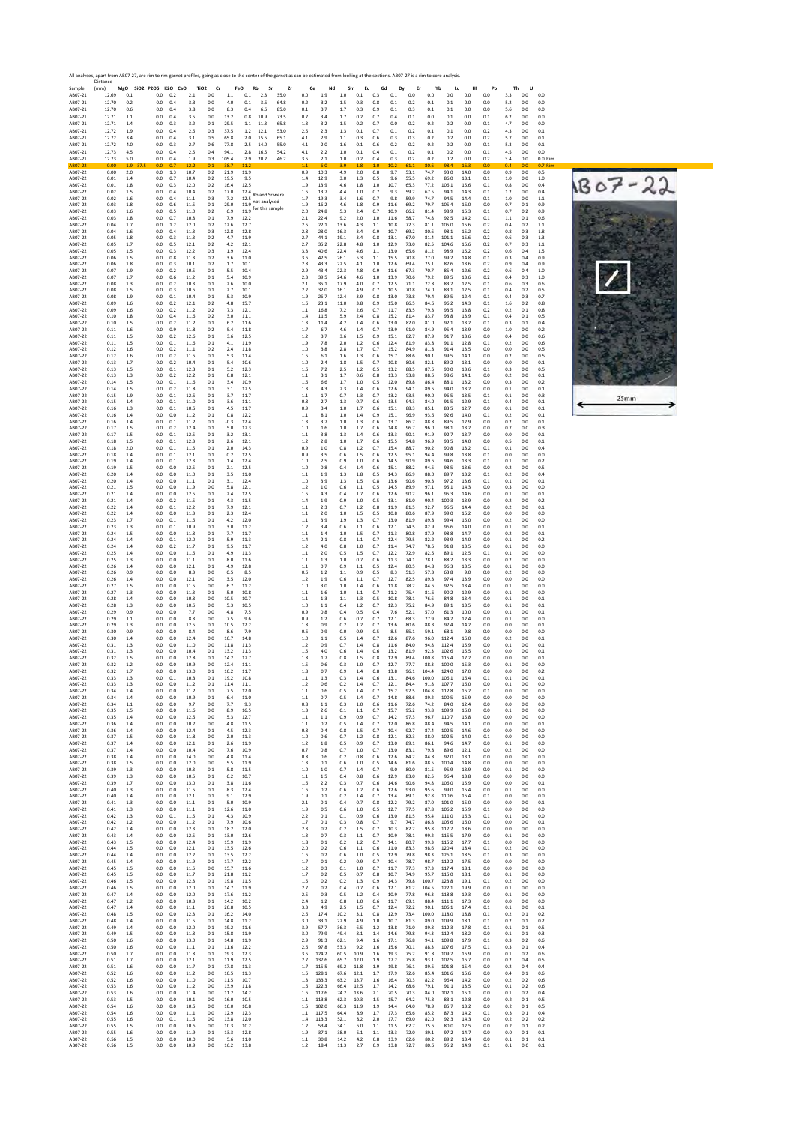| Sample             | All analyses, apart from AB07-27, are rim to rim garnet profiles, going as close to the center of the garnet as can be estimated from looking at the sections. AB07-27 is a rim to core analysis<br>Distance<br>(mm) |                | MgO SiO2 P2O5 K2O CaO |            |              | TiO <sub>2</sub> | Cr            | FeO<br>Rb                                     | Sr<br>Zr     |              | Ce             | Nd             | Sm<br>Eu       |            | Gd           | Er<br>Dy     |                  | Yb             | Lu<br>Hf     | Pb         | Th         | U              |                |   |
|--------------------|----------------------------------------------------------------------------------------------------------------------------------------------------------------------------------------------------------------------|----------------|-----------------------|------------|--------------|------------------|---------------|-----------------------------------------------|--------------|--------------|----------------|----------------|----------------|------------|--------------|--------------|------------------|----------------|--------------|------------|------------|----------------|----------------|---|
| AB07-21            | 12.69<br>12.70                                                                                                                                                                                                       | 0.1<br>0.2     | 0.0                   | 0.2        | 2.1          | 0.0              | 1.1           | 0.1<br>2.3                                    | 35.0         | 0.0<br>0.2   | 1.9            | $1.0\,$<br>1.5 | 0.1            | 0.3        | 0.1<br>0.1   | 0.0<br>0.2   | 0.0              | 0.0            | 0.0          | 0.0<br>0.0 | 3.3<br>5.2 | 0.0            | 0.0<br>0.0     |   |
| AB07-21<br>AB07-21 | 12.70                                                                                                                                                                                                                | 0.6            | 0.0<br>0.0            | 0.4<br>0.4 | 3.3<br>3.8   | 0.0<br>$0.0\,$   | 4.0<br>8.3    | 0.1<br>3.6<br>0.4<br>6.6                      | 64.8<br>85.0 | $0.1\,$      | 3.2<br>3.7     | 1.7            | 0.3<br>0.3     | 0.8<br>0.9 | 0.1          | 0.3          | 0.1<br>$\rm 0.1$ | 0.1<br>0.1     | 0.0<br>0.0   | 0.0        | 5.6        | 0.0<br>0.0     | 0.0            |   |
| AB07-21<br>AB07-21 | 12.71<br>12.71                                                                                                                                                                                                       | 1.1<br>1.4     | 0.0<br>0.0            | 0.4<br>0.3 | 3.5<br>3.2   | 0.0<br>0.1       | 13.2<br>29.5  | 0.8<br>10.9<br>11.3<br>1.1                    | 73.5<br>65.8 | 0.7<br>1.3   | 3.4<br>3.2     | 1.7<br>1.5     | 0.2<br>0.2     | 0.7<br>0.7 | 0.4<br>0.0   | 0.1<br>0.2   | 0.0<br>0.2       | 0.1<br>0.2     | 0.0<br>0.0   | 0.1<br>0.1 | 6.2<br>4.7 | 0.0<br>0.0     | 0.0<br>0.0     |   |
| AB07-21<br>AB07-21 | 12.72<br>12.72                                                                                                                                                                                                       | 1.9<br>3.4     | 0.0<br>0.0            | 0.4<br>0.4 | 2.6<br>3.1   | 0.3<br>0.5       | 37.5<br>65.8  | 1.2<br>12.1<br>2.0<br>15.5                    | 53.0<br>65.1 | 2.5<br>4.1   | 2.3<br>2.9     | 1.3<br>1.1     | 0.1<br>0.3     | 0.7<br>0.6 | 0.1<br>0.3   | 0.2<br>0.3   | 0.1<br>0.2       | 0.1<br>0.2     | 0.0<br>0.0   | 0.2<br>0.2 | 4.3<br>5.7 | 0.0<br>0.0     | 0.1<br>0.1     |   |
| AB07-21            | 12.72<br>12.73                                                                                                                                                                                                       | 4.0            | $_{0.0}$              | 0.3        | 2.7          | 0.6              | 77.8<br>94.1  | 2.5<br>14.0<br>2.8<br>16.5                    | 55.0<br>54.2 | 4.1          | 2.0<br>2.2     | 1.6<br>1.0     | $0.1\,$<br>0.1 | 0.6<br>0.4 | 0.2          | 0.2<br>0.2   | 0.2<br>0.1       | 0.2            | 0.0          | 0.1        | 5.3        | 0.0<br>0.0     | 0.1<br>0.0     |   |
| AB07-21<br>AB07-21 | 12.73                                                                                                                                                                                                                | 4.5<br>5.0     | 0.0<br>0.0            | 0.4<br>0.4 | 2.5<br>19    | 0.4<br>0.3       | 105.4         | 29<br>20.2                                    | 46.2         | 4.1<br>3.5   | 2.1            | 1.0            | 0.2            | 0.4        | 0.1<br>0.3   | 0.2          | 0.2              | 0.2<br>0.2     | 0.0<br>0.0   | 0.1<br>0.2 | 4.5<br>34  | 0.0            | 0.0 Rim        |   |
| AB07-22<br>AB07-22 | 0.00<br>0.00                                                                                                                                                                                                         | 1.9<br>2.0     | 37.5<br>0.0<br>0.0    | 0.7<br>1.3 | 12.2<br>10.7 | 0.1<br>0.2       | 38.7<br>21.9  | 11.2<br>11.9                                  |              | 1.1<br>0.9   | 6.0<br>10.3    | 3.9<br>4.9     | 1.8<br>2.0     | 1.0<br>0.8 | 10.2<br>9.7  | 61.1<br>53.1 | 80.6<br>74.7     | 98.4<br>93.0   | 14.0         | 0.0<br>0.0 | 0.4<br>0.9 | 0.0<br>0.0     | 0.7 Rim<br>0.5 |   |
| AB07-22<br>AB07-22 | 0.01<br>0.01                                                                                                                                                                                                         | 1.4<br>1.8     | 0.0<br>0.0            | 0.7<br>0.3 | 10.4<br>12.0 | 0.2<br>0.2       | 19.5<br>16.4  | 9.5<br>12.5                                   |              | 1.4<br>1.9   | 12.9<br>13.9   | 3.0<br>4.6     | 1.3<br>1.8     | 0.5<br>1.0 | 9.6<br>10.7  | 55.5<br>65.3 | 69.2<br>77.2     | 86.0<br>106.1  | 13.1<br>15.6 | 0.1<br>0.1 | 1.0<br>0.8 | 0.0<br>0.0     | 1.0<br>0.4     | B |
| AB07-22<br>AB07-22 | 0.02<br>0.02                                                                                                                                                                                                         | 1.5<br>1.6     | 0.0<br>0.0            | 0.4<br>0.4 | 10.4<br>11.1 | 0.2<br>0.3       | 17.0<br>7.2   | $12.4$ Rb and Sr were<br>12.5<br>not analysed |              | 1.5<br>1.7   | 13.7<br>19.3   | 4.4<br>3.4     | 1.0<br>1.6     | 0.7<br>0.7 | 9.3<br>9.8   | 59.2<br>59.9 | 67.5<br>74.7     | 94.1<br>94.5   | 14.3<br>14.4 | 0.1<br>0.1 | 1.2<br>1.0 | 0.0<br>0.0     | 0.4<br>1.1     |   |
| AB07-22<br>AB07-22 | 0.03<br>0.03                                                                                                                                                                                                         | 1.8<br>1.6     | 0.0<br>0.0            | 0.6<br>0.5 | 11.5<br>11.0 | 0.1<br>0.2       | 29.0<br>6.9   | 11.9<br>for this sample<br>11.9               |              | 1.9<br>2.0   | 16.2<br>24.8   | 4.6<br>5.3     | 1.8<br>2.4     | 0.9<br>0.7 | 11.6<br>10.9 | 69.2<br>66.2 | 79.7<br>81.4     | 105.4<br>98.9  | 16.0<br>15.3 | 0.0<br>0.1 | 0.7<br>0.7 | 0.1<br>0.2     | 0.9<br>0.9     |   |
| AB07-22<br>AB07-22 | 0.03<br>0.04                                                                                                                                                                                                         | 1.8<br>1.7     | 0.0<br>0.0            | 0.7<br>1.2 | 10.8<br>12.0 | 0.1<br>0.2       | 7.9<br>12.6   | 12.2<br>12.7                                  |              | 2.1<br>2.5   | 22.4<br>22.1   | 9.2<br>13.6    | 2.0<br>4.3     | 1.0<br>1.1 | 11.6<br>10.8 | 58.7<br>72.3 | 74.8<br>81.1     | 92.5<br>105.0  | 14.2<br>15.6 | 0.1<br>0.2 | 1.1<br>0.4 | 0.1<br>0.2     | 0.6<br>1.1     |   |
| AB07-22<br>AB07-22 | 0.04<br>0.05                                                                                                                                                                                                         | 1.6<br>1.8     | 0.0<br>0.0            | 0.4<br>0.3 | 11.3<br>11.3 | 0.3<br>0.2       | 12.8<br>4.7   | 12.8<br>11.9                                  |              | 2.8<br>2.7   | 28.0<br>44.1   | 16.3<br>19.1   | 3.4<br>3.4     | 0.9<br>0.8 | 10.7<br>13.1 | 69.2<br>67.0 | 80.6<br>81.4     | 98.1<br>101.1  | 15.2<br>15.6 | 0.2<br>0.2 | 0.8<br>0.6 | 0.3<br>0.3     | 1.8<br>1.3     |   |
| AB07-22<br>AB07-22 | 0.05<br>0.05                                                                                                                                                                                                         | 1.7<br>1.5     | 0.0<br>0.0            | 0.5<br>0.3 | 12.1<br>12.2 | 0.2<br>0.3       | 4.2<br>1.9    | 12.1<br>12.4                                  |              | 2.7<br>3.3   | 35.2<br>40.6   | 22.8<br>22.4   | 4.8<br>4.6     | 1.0<br>1.1 | 12.9<br>13.0 | 73.0<br>65.6 | 82.5<br>81.2     | 104.6<br>98.9  | 15.6<br>15.2 | 0.2<br>0.2 | 0.7<br>0.6 | 0.3<br>0.4     | 1.1<br>1.5     |   |
| AB07-22            | 0.06                                                                                                                                                                                                                 | 1.5            | 0.0                   | 0.8        | 11.3         | 0.2              | 3.6           | 11.0                                          |              | 3.6          | 42.5           | 26.1           | 5.3            | 1.1        | 15.5         | 70.8         | 77.0             | 99.2           | 14.8         | 0.1        | 0.3        | 0.4            | 0.9            |   |
| AB07-22<br>AB07-22 | 0.06<br>0.07                                                                                                                                                                                                         | 1.8<br>1.9     | 0.0<br>0.0            | 0.3<br>0.2 | 10.1<br>10.5 | 0.2<br>0.1       | 1.7<br>5.5    | 10.1<br>10.4                                  |              | 2.8<br>2.9   | 43.3<br>43.4   | 22.5<br>22.3   | 4.1<br>4.8     | 1.0<br>0.9 | 12.6<br>11.6 | 69.4<br>67.3 | 75.1<br>70.7     | 87.6<br>85.4   | 13.6<br>12.6 | 0.2<br>0.2 | 0.9<br>0.6 | 0.4<br>0.4     | 0.9<br>1.0     |   |
| AB07-22<br>AB07-22 | 0.07<br>0.08                                                                                                                                                                                                         | 1.7<br>1.3     | 0.0<br>0.0            | 0.6<br>0.2 | 11.2<br>10.3 | 0.1<br>0.1       | 5.4<br>2.6    | 10.9<br>10.0                                  |              | 2.3<br>2.1   | 39.5<br>35.1   | 24.6<br>17.9   | 4.6<br>4.0     | 1.0<br>0.7 | 13.9<br>12.5 | 70.6<br>71.1 | 79.2<br>72.8     | 89.5<br>83.7   | 13.6<br>12.5 | 0.2<br>0.1 | 0.4<br>0.6 | 0.3<br>0.3     | 1.0<br>0.6     |   |
| AB07-22<br>AB07-22 | 0.08<br>0.08                                                                                                                                                                                                         | 1.5<br>1.9     | 0.0<br>0.0            | 0.3<br>0.1 | 10.6<br>10.4 | 0.1<br>0.1       | 2.7<br>5.3    | 10.1<br>10.9                                  |              | 2.2<br>1.9   | 32.0<br>26.7   | 16.1<br>12.4   | 4.9<br>3.9     | 0.7<br>0.8 | 10.5<br>13.0 | 70.8<br>73.8 | 74.0<br>79.4     | 83.1<br>89.5   | 12.5<br>12.4 | 0.1<br>0.1 | 0.4<br>0.4 | 0.2<br>0.3     | 0.5<br>0.7     |   |
| AB07-22<br>AB07-22 | 0.09<br>0.09                                                                                                                                                                                                         | 1.6<br>1.6     | 0.0<br>0.0            | 0.2<br>0.2 | 12.1<br>11.2 | 0.2<br>0.2       | 4.8<br>7.3    | 15.7<br>12.1                                  |              | 1.6<br>1.1   | 23.1<br>16.8   | 11.0<br>7.2    | 3.8<br>2.6     | 0.9<br>0.7 | 15.0<br>11.7 | 86.5<br>83.5 | 84.6<br>79.3     | 96.2<br>93.5   | 14.3<br>13.8 | 0.1<br>0.2 | 1.6<br>0.2 | 0.2<br>0.1     | 0.8<br>0.8     |   |
| AB07-22<br>AB07-22 | 0.10<br>0.10                                                                                                                                                                                                         | 1.8<br>1.5     | 0.0<br>0.0            | 0.4<br>0.2 | 11.6<br>11.2 | 0.2<br>0.1       | 3.0<br>6.2    | 11.1<br>11.6                                  |              | 1.4<br>1.3   | 11.5<br>11.4   | 5.9<br>4.2     | 2.4<br>1.4     | 0.8<br>0.6 | 15.2<br>13.0 | 81.4<br>82.0 | 83.7<br>81.0     | 93.8<br>92.1   | 13.9<br>13.2 | 0.1<br>0.1 | 0.4<br>0.3 | 0.1<br>0.1     | 0.5<br>0.4     |   |
| AB07-22<br>AB07-22 | 0.11<br>0.11                                                                                                                                                                                                         | 1.6<br>1.5     | 0.0<br>0.0            | 0.9<br>0.2 | 11.8<br>12.6 | 0.2<br>0.1       | 5.4<br>3.6    | 11.8<br>12.5                                  |              | 1.7<br>1.2   | 6.7<br>3.7     | 4.6<br>3.6     | 1.4<br>1.5     | 0.7<br>0.9 | 13.9<br>15.1 | 91.0<br>82.7 | 84.9<br>87.9     | 95.4<br>91.7   | 13.9<br>13.6 | 0.0<br>0.0 | 1.0<br>0.4 | 0.0<br>0.0     | 0.2<br>0.6     |   |
| AB07-22<br>AB07-22 | 0.11<br>0.12                                                                                                                                                                                                         | 1.5<br>1.6     | 0.0<br>0.0            | 0.1<br>0.2 | 11.6<br>11.1 | 0.1<br>0.2       | 4.1<br>2.4    | 11.9<br>11.8                                  |              | 1.9<br>1.0   | 7.8<br>3.8     | 2.0<br>2.8     | 1.2<br>1.7     | 0.6<br>0.7 | 12.4<br>15.2 | 81.9<br>84.9 | 83.8<br>81.8     | 91.1<br>91.4   | 12.8<br>13.5 | 0.1<br>0.0 | 0.2<br>0.0 | 0.0<br>0.0     | 0.6<br>0.5     |   |
| AB07-22            | 0.12                                                                                                                                                                                                                 | 1.6            | 0.0                   | 0.2        | 11.5         | 0.1              | 5.3           | 11.4                                          |              | 1.5          | 6.1            | 1.6            | 1.3            | 0.6        | 15.7         | 88.6         | 90.1             | 99.5           | 14.1         | 0.0        | 0.2        | 0.0            | 0.5            |   |
| AB07-22<br>AB07-22 | 0.13<br>0.13                                                                                                                                                                                                         | 1.7<br>1.5     | 0.0<br>0.0            | 0.2<br>0.1 | 10.4<br>12.3 | 0.1<br>0.1       | 5.4<br>5.2    | 10.6<br>12.3                                  |              | 1.0<br>1.6   | 2.4<br>7.2     | 1.8<br>2.5     | 1.5<br>1.2     | 0.7<br>0.5 | 10.8<br>13.2 | 80.6<br>88.5 | 82.1<br>87.5     | 89.2<br>90.0   | 13.1<br>13.6 | 0.0<br>0.1 | 0.0<br>0.3 | 0.0<br>0.0     | 0.1<br>0.5     |   |
| AB07-22<br>AB07-22 | 0.13<br>0.14                                                                                                                                                                                                         | 1.3<br>1.5     | 0.0<br>0.0            | 0.2<br>0.1 | 12.2<br>11.6 | 0.1<br>0.1       | 0.8<br>3.4    | 12.1<br>10.9                                  |              | 1.1<br>1.6   | 3.1<br>6.6     | 1.7<br>1.7     | 0.6<br>1.0     | 0.8<br>0.5 | 13.3<br>12.0 | 93.8<br>89.8 | 88.5<br>86.4     | 98.6<br>88.1   | 14.1<br>13.2 | 0.0<br>0.0 | 0.2<br>0.3 | 0.0<br>0.0     | 0.1<br>0.2     |   |
| AB07-22<br>AB07-22 | 0.14<br>0.15                                                                                                                                                                                                         | 1.5<br>1.9     | 0.0<br>0.0            | 0.2<br>0.1 | 11.8<br>12.5 | 0.1<br>0.1       | 3.1<br>3.7    | 12.5<br>11.7                                  |              | 1.3<br>1.1   | 4.3<br>1.7     | 2.3<br>0.7     | 1.4<br>1.3     | 0.6<br>0.7 | 12.6<br>13.2 | 94.1<br>93.5 | 89.5<br>90.0     | 94.0<br>96.5   | 13.2<br>13.5 | 0.0<br>0.1 | 0.1<br>0.1 | 0.0<br>0.0     | 0.1<br>0.3     |   |
| AB07-22<br>AB07-22 | 0.15<br>0.16                                                                                                                                                                                                         | 1.4<br>1.3     | 0.0<br>0.0            | 0.1<br>0.1 | 11.0<br>10.5 | 0.1<br>0.1       | 3.6<br>4.5    | 11.1<br>11.7                                  |              | 0.8<br>0.9   | 2.7<br>3.4     | 1.3<br>1.0     | 0.7<br>1.7     | 0.6<br>0.6 | 13.5<br>15.1 | 94.3<br>88.3 | 84.0<br>85.1     | 91.5<br>83.5   | 12.9<br>12.7 | 0.1<br>0.0 | 0.4<br>0.1 | 0.0<br>0.0     | 0.1<br>0.1     |   |
| AB07-22<br>AB07-22 | 0.16<br>0.16                                                                                                                                                                                                         | 1.4<br>1.4     | 0.0<br>0.0            | 0.0<br>0.1 | 11.2<br>11.2 | 0.1<br>0.1       | 0.8<br>$-0.3$ | 12.2<br>12.4                                  |              | 1.1<br>1.3   | 8.1<br>3.7     | 1.0<br>1.0     | 1.4<br>1.3     | 0.9<br>0.6 | 15.1<br>13.7 | 96.9<br>86.7 | 93.6<br>88.8     | 92.6<br>89.5   | 14.0<br>12.9 | 0.1<br>0.0 | 0.2<br>0.2 | 0.0<br>0.0     | 0.1<br>0.1     |   |
| AB07-22<br>AB07-22 | 0.17<br>0.17                                                                                                                                                                                                         | 1.5<br>1.5     | 0.0<br>0.0            | 0.2<br>0.1 | 12.4<br>12.5 | 0.1<br>0.1       | 5.0<br>3.2    | 12.3<br>13.1                                  |              | 1.0<br>1.1   | 1.6<br>3.8     | 1.0<br>1.3     | 1.7<br>1.4     | 0.6<br>0.6 | 14.8<br>13.3 | 96.7<br>90.1 | 96.0<br>91.9     | 98.1<br>92.7   | 13.2<br>13.7 | 0.0<br>0.0 | 0.7<br>0.0 | 0.0<br>0.0     | 0.3<br>0.1     |   |
| AB07-22<br>AB07-22 | 0.18<br>0.18                                                                                                                                                                                                         | 1.5<br>2.0     | 0.0<br>0.0            | 0.1<br>0.1 | 12.3<br>11.5 | 0.1<br>0.1       | 2.6<br>2.0    | 12.1<br>14.3                                  |              | 1.2<br>0.9   | 2.8<br>1.0     | 1.0<br>0.8     | 1.7<br>1.2     | 0.6<br>0.7 | 15.5<br>15.4 | 94.8<br>88.7 | 96.9<br>90.2     | 93.5<br>90.8   | 14.0<br>13.2 | 0.0<br>0.1 | 0.5<br>0.1 | 0.0<br>0.0     | 0.1<br>0.4     |   |
| AB07-22<br>AB07-22 | 0.18<br>0.19                                                                                                                                                                                                         | 1.4<br>1.4     | 0.0<br>0.0            | 0.1<br>0.1 | 12.1<br>12.3 | 0.1<br>0.1       | 0.2<br>1.4    | 12.5<br>12.4                                  |              | 0.9<br>1.0   | 3.5<br>2.5     | 0.6<br>0.9     | 1.5<br>1.0     | 0.6<br>0.6 | 12.5<br>14.5 | 95.1<br>90.9 | 94.4<br>89.6     | 99.8<br>94.6   | 13.8<br>13.3 | 0.1<br>0.1 | 0.0<br>0.1 | 0.0<br>0.0     | 0.0<br>0.2     |   |
| AB07-22<br>AB07-22 | 0.19<br>0.20                                                                                                                                                                                                         | 1.5<br>1.4     | 0.0<br>0.0            | 0.0<br>0.0 | 12.5<br>11.0 | 0.1<br>0.1       | 2.1<br>3.5    | 12.5<br>11.0                                  |              | 1.0<br>1.1   | 0.8<br>1.9     | 0.4<br>1.3     | 1.4<br>1.8     | 0.6<br>0.5 | 15.1<br>14.3 | 88.2<br>86.9 | 94.5<br>88.0     | 98.5<br>89.7   | 13.6<br>13.2 | 0.0<br>0.1 | 0.2<br>0.2 | 0.0<br>0.0     | 0.5<br>0.4     |   |
| AB07-22            | 0.20                                                                                                                                                                                                                 | 1.4            | 0.0                   | 0.0        | 11.1         | 0.1              | 3.1           | 12.4                                          |              | 1.0          | 3.9            | 1.3            | 1.5            | 0.8        | 13.6         | 90.6         | 90.3             | 97.2           | 13.6         | 0.1        | 0.1        | 0.0            | 0.1            |   |
| AB07-22<br>AB07-22 | 0.21<br>0.21                                                                                                                                                                                                         | 1.5<br>1.4     | 0.0<br>0.0            | 0.0<br>0.0 | 11.9<br>12.5 | 0.0<br>0.1       | 5.8<br>2.4    | 12.1<br>12.5                                  |              | 1.2<br>1.5   | 1.0<br>4.3     | 0.6<br>0.4     | 1.1<br>1.7     | 0.5<br>0.6 | 14.5<br>12.6 | 89.9<br>90.2 | 97.1<br>96.1     | 95.1<br>95.3   | 14.3<br>14.6 | 0.0<br>0.0 | 0.3<br>0.1 | 0.0<br>0.0     | 0.0<br>0.1     |   |
| AB07-22<br>AB07-22 | 0.21<br>0.22                                                                                                                                                                                                         | 1.4<br>1.4     | 0.0<br>0.0            | 0.2<br>0.1 | 11.5<br>12.2 | 0.1<br>0.1       | 4.3<br>7.9    | 11.5<br>12.1                                  |              | 1.4<br>1.1   | 1.9<br>2.3     | 0.9<br>0.7     | 1.0<br>1.2     | 0.5<br>0.8 | 13.1<br>11.9 | 81.0<br>81.5 | 90.4<br>92.7     | 100.3<br>96.5  | 13.9<br>14.4 | 0.0<br>0.0 | 0.2<br>0.2 | 0.0<br>0.0     | 0.2<br>0.1     |   |
| AB07-22<br>AB07-22 | 0.22<br>0.23                                                                                                                                                                                                         | 1.4<br>1.7     | 0.0<br>0.0            | 0.0<br>0.1 | 11.3<br>11.6 | 0.1<br>0.1       | 2.3<br>4.2    | 12.4<br>12.0                                  |              | 1.1<br>1.1   | 2.0<br>3.9     | 1.0<br>1.9     | 1.5<br>1.3     | 0.5<br>0.7 | 10.8<br>13.0 | 80.6<br>81.9 | 87.9<br>89.8     | 99.0<br>99.4   | 15.2<br>15.0 | 0.0<br>0.0 | 0.0<br>0.2 | 0.0<br>0.0     | 0.0<br>0.0     |   |
| AB07-22<br>AB07-22 | 0.23<br>0.24                                                                                                                                                                                                         | 1.3<br>1.5     | 0.0<br>0.0            | 0.1<br>0.0 | 10.9<br>11.8 | 0.1<br>0.1       | 3.0<br>7.7    | 11.2<br>11.7                                  |              | 1.2<br>1.1   | 3.4<br>1.4     | 0.6<br>1.0     | 1.1<br>1.5     | 0.6<br>0.7 | 12.1<br>11.3 | 74.5<br>80.8 | 82.9<br>87.9     | 96.6<br>98.8   | 14.0<br>14.7 | 0.0<br>0.0 | 0.1<br>0.2 | 0.0<br>0.0     | 0.1<br>0.1     |   |
| AB07-22<br>AB07-22 | 0.24<br>0.24                                                                                                                                                                                                         | 1.4<br>1.4     | 0.0<br>0.0            | 0.1<br>0.2 | 12.0<br>11.7 | 0.1<br>0.1       | 5.9<br>9.5    | 11.3<br>11.7                                  |              | 1.4<br>1.2   | 2.1<br>4.0     | 0.8<br>0.8     | 1.1<br>1.0     | 0.7<br>0.7 | 12.4<br>11.4 | 79.5<br>74.7 | 82.2<br>78.5     | 93.9<br>91.8   | 14.0<br>13.5 | 0.0<br>0.0 | 0.1<br>0.1 | 0.0<br>0.0     | 0.2<br>0.0     |   |
| AB07-22<br>AB07-22 | 0.25<br>0.25                                                                                                                                                                                                         | 1.4<br>1.3     | 0.0<br>0.0            | 0.0<br>0.0 | 11.6<br>11.1 | 0.1<br>0.1       | 4.9<br>8.0    | 11.3<br>11.6                                  |              | 1.1<br>1.1   | 2.0<br>1.3     | 0.5<br>1.0     | 1.5<br>0.7     | 0.7<br>0.6 | 12.2<br>11.3 | 72.9<br>74.1 | 82.5<br>78.1     | 89.1<br>88.2   | 12.5<br>13.3 | 0.1<br>0.0 | 0.1<br>0.2 | 0.0<br>0.0     | 0.0<br>0.0     |   |
| AB07-22<br>AB07-22 | 0.26<br>0.26                                                                                                                                                                                                         | 1.4<br>0.9     | 0.0<br>0.0            | 0.0<br>0.0 | 12.1<br>8.3  | 0.1<br>0.0       | 4.9<br>0.5    | 12.8<br>8.5                                   |              | 1.1<br>0.6   | 0.7<br>1.2     | 0.9<br>1.1     | 1.1<br>0.9     | 0.5<br>0.5 | 12.4<br>8.3  | 80.5<br>51.3 | 84.8<br>57.3     | 96.3<br>63.8   | 13.5<br>9.0  | 0.0<br>0.0 | 0.1<br>0.2 | 0.0<br>0.0     | 0.0<br>0.0     |   |
| AB07-22<br>AB07-22 | 0.26<br>0.27                                                                                                                                                                                                         | 1.4<br>1.5     | 0.0<br>0.0            | 0.0<br>0.0 | 12.1<br>11.5 | 0.0<br>0.0       | 3.5<br>6.7    | 12.0<br>11.2                                  |              | 1.2<br>1.0   | 1.9<br>3.0     | 0.6<br>1.0     | 1.1<br>1.4     | 0.7<br>0.6 | 12.7<br>11.8 | 82.5<br>78.2 | 89.3<br>84.6     | 97.4<br>92.5   | 13.9<br>13.4 | 0.0<br>0.0 | 0.0<br>0.1 | 0.0<br>0.0     | 0.0<br>0.0     |   |
| AB07-22<br>AB07-22 | 0.27<br>0.28                                                                                                                                                                                                         | 1.3<br>1.4     | 0.0<br>0.0            | 0.0<br>0.0 | 11.3<br>10.8 | 0.1<br>0.0       | 5.0<br>10.5   | 10.8<br>10.7                                  |              | 1.1<br>1.1   | 1.6<br>1.3     | 1.0<br>1.1     | 1.1<br>1.3     | 0.7<br>0.5 | 11.2<br>10.8 | 75.4<br>78.1 | 81.6<br>76.6     | 90.2<br>84.8   | 12.9<br>13.4 | 0.0<br>0.0 | 0.1<br>0.1 | 0.0<br>0.0     | 0.0<br>0.1     |   |
| AB07-22<br>AB07-22 | 0.28<br>0.29                                                                                                                                                                                                         | 1.3<br>0.9     | 0.0<br>0.0            | 0.0<br>0.0 | 10.6<br>7.7  | 0.0<br>0.0       | 5.3<br>4.8    | 10.5<br>7.5                                   |              | 1.0<br>0.9   | 1.1<br>0.8     | 0.4<br>0.4     | 1.2<br>0.5     | 0.7<br>0.4 | 12.3<br>7.6  | 75.2<br>52.1 | 84.9<br>57.0     | 89.1<br>61.3   | 13.5<br>10.0 | 0.0<br>0.0 | 0.1<br>0.1 | 0.0<br>0.0     | 0.1<br>0.1     |   |
| AB07-22<br>AB07-22 | 0.29<br>0.29                                                                                                                                                                                                         | 1.1            | 0.0<br>0.0            | 0.0<br>0.0 | 8.8<br>12.5  | 0.0<br>0.1       | 7.5<br>10.5   | 9.6<br>12.2                                   |              | 0.9<br>1.8   | 1.2<br>0.9     | 0.6<br>0.2     | 0.7<br>1.2     | 0.7<br>0.7 | 12.1<br>13.6 | 68.3<br>80.6 | 77.9<br>88.3     | 84.7<br>97.4   | 12.4<br>14.2 | 0.0        | 0.1<br>0.0 | 0.0<br>0.0     | 0.0<br>0.1     |   |
| AB07-22            | 0.30                                                                                                                                                                                                                 | 1.3<br>0.9     | 0.0                   | 0.0        | 8.4          | 0.0              | 8.6           | 7.9                                           |              | 0.6          | 0.9            | 0.0            | 0.9            | 0.5        | 8.5          | 55.1         | 59.1             | 68.1           | 9.8          | 0.0<br>0.0 | 0.0        | 0.0            | 0.0            |   |
| AB07-22<br>AB07-22 | 0.30<br>0.31                                                                                                                                                                                                         | 1.4<br>1.3     | 0.0<br>0.0            | 0.0<br>0.0 | 12.4<br>11.0 | 0.0<br>0.0       | 10.7<br>11.8  | 14.8<br>11.3                                  |              | 1.0<br>1.2   | 1.1<br>0.9     | 0.5<br>0.7     | 1.4<br>1.4     | 0.7<br>0.8 | 12.6<br>11.6 | 87.6<br>84.0 | 96.0<br>94.8     | 112.4<br>112.4 | 16.0<br>15.9 | 0.0<br>0.0 | 0.2<br>0.1 | 0.0<br>0.0     | 0.1<br>0.1     |   |
| AB07-22<br>AB07-22 | 0.31<br>0.32                                                                                                                                                                                                         | 1.3<br>1.5     | 0.0<br>0.0            | 0.0<br>0.0 | 10.4<br>12.8 | 0.1<br>0.1       | 13.2<br>14.2  | 11.3<br>12.7                                  |              | 1.5<br>1.8   | 4.0<br>1.7     | 0.6<br>0.8     | 1.4<br>1.5     | 0.6<br>0.8 | 13.2<br>12.9 | 81.9<br>89.4 | 92.3<br>100.8    | 102.6<br>115.4 | 15.5<br>17.2 | 0.0<br>0.0 | 0.0<br>0.0 | 0.0<br>0.0     | 0.1<br>0.1     |   |
| AB07-22<br>AB07-22 | 0.32<br>0.32                                                                                                                                                                                                         | 1.2<br>1.7     | 0.0<br>0.0            | 0.0<br>0.0 | 10.9<br>13.0 | 0.0<br>0.1       | 12.4<br>10.2  | 11.1<br>11.7                                  |              | 1.5<br>1.8   | 0.6<br>0.7     | 0.3<br>0.9     | 1.0<br>1.4     | 0.7<br>0.8 | 12.7<br>13.8 | 77.7<br>96.1 | 88.3<br>104.4    | 100.0<br>124.0 | 15.3<br>17.0 | 0.0<br>0.0 | 0.1<br>0.0 | 0.0<br>0.0     | 0.0<br>0.2     |   |
| AB07-22<br>AB07-22 | 0.33<br>0.33                                                                                                                                                                                                         | 1.3<br>1.3     | 0.0<br>0.0            | 0.1<br>0.0 | 10.3<br>11.2 | 0.1<br>0.1       | 19.2<br>11.4  | 10.8<br>11.1                                  |              | $1.1$<br>1.2 | 1.3<br>0.6     | 0.3<br>0.2     | 1.4<br>1.4     | 0.6<br>0.7 | 13.1<br>12.1 | 84.6<br>84.4 | 100.0<br>91.8    | 106.1<br>107.7 | 16.4<br>16.0 | 0.1<br>0.0 | 0.1<br>0.1 | 0.0<br>0.0     | 0.1<br>0.0     |   |
| AB07-22<br>AB07-22 | 0.34<br>0.34                                                                                                                                                                                                         | 1.4<br>$1.4\,$ | 0.0<br>0.0            | 0.0<br>0.0 | 11.2<br>10.9 | 0.1<br>0.1       | 7.5<br>6.4    | 12.0<br>11.0                                  |              | 1.1<br>1.1   | 0.6<br>0.7     | 0.5<br>0.5     | 1.4<br>1.4     | 0.7<br>0.7 | 15.2<br>14.8 | 92.5<br>88.6 | 104.8<br>89.2    | 112.8<br>100.5 | 16.2<br>15.9 | 0.1<br>0.0 | 0.0<br>0.0 | 0.0<br>0.0     | 0.0<br>0.0     |   |
| AB07-22<br>AB07-22 | 0.34<br>0.35                                                                                                                                                                                                         | 1.1<br>1.5     | 0.0<br>0.0            | 0.0<br>0.0 | 9.7<br>11.6  | 0.0<br>0.0       | 7.7<br>8.9    | 9.3<br>16.5                                   |              | 0.8<br>1.3   | 1.1<br>2.6     | 0.3<br>0.1     | 1.0<br>1.1     | 0.6<br>0.7 | 11.6<br>15.7 | 72.6<br>95.2 | 74.2<br>93.8     | 84.0<br>109.9  | 12.4<br>16.0 | 0.0<br>0.0 | 0.0<br>0.1 | 0.0<br>0.0     | 0.0<br>0.0     |   |
| AB07-22<br>AB07-22 | 0.35<br>0.36                                                                                                                                                                                                         | 1.4<br>1.4     | 0.0<br>0.0            | 0.0<br>0.0 | 12.5<br>10.7 | 0.0<br>0.0       | 5.3<br>4.8    | 12.7<br>11.5                                  |              | 1.1<br>1.1   | 1.1<br>0.2     | 0.9<br>0.5     | 0.9<br>1.4     | 0.7<br>0.7 | 14.2<br>12.0 | 97.3<br>86.8 | 96.7<br>88.4     | 110.7<br>94.5  | 15.8<br>14.1 | 0.0<br>0.0 | 0.0<br>0.0 | 0.0<br>0.0     | 0.0<br>0.1     |   |
| AB07-22<br>AB07-22 | 0.36<br>0.37                                                                                                                                                                                                         | 1.4<br>1.5     | 0.0<br>0.0            | 0.0<br>0.0 | 12.4<br>11.8 | $0.1\,$<br>0.0   | 4.5<br>2.0    | 12.3<br>11.3                                  |              | 0.8<br>1.0   | 0.4<br>0.6     | $0.8\,$<br>0.7 | $1.5\,$<br>1.2 | 0.7<br>0.8 | 10.4<br>12.1 | 92.7<br>82.3 | 87.4<br>88.0     | 102.5<br>102.5 | 14.6<br>14.0 | 0.0<br>0.1 | 0.0<br>0.0 | 0.0<br>0.0     | 0.0<br>0.0     |   |
| AB07-22<br>AB07-22 | 0.37<br>0.37                                                                                                                                                                                                         | 1.4<br>1.4     | 0.0<br>0.0            | 0.0<br>0.0 | 12.1<br>10.4 | 0.1<br>0.0       | 2.6<br>7.6    | 11.9<br>10.9                                  |              | 1.2<br>0.7   | 1.8<br>0.8     | 0.5<br>0.7     | 0.9<br>1.0     | 0.7<br>0.7 | 13.0<br>13.0 | 89.1<br>83.1 | 86.1<br>79.8     | 94.6<br>89.6   | 14.7<br>12.1 | 0.0<br>0.0 | 0.1<br>0.2 | 0.0<br>0.0     | 0.0<br>0.0     |   |
| AB07-22<br>AB07-22 | 0.38<br>0.38                                                                                                                                                                                                         | 1.4<br>1.5     | 0.0<br>0.0            | 0.0<br>0.0 | 14.0<br>12.0 | 0.0<br>0.0       | 4.8<br>5.5    | 11.4<br>11.9                                  |              | 0.8<br>1.3   | 0.6<br>0.1     | 0.2<br>0.6     | 0.8<br>1.0     | 0.6<br>0.5 | 12.6<br>14.6 | 84.2<br>81.6 | 84.8<br>88.5     | 92.0<br>100.4  | 13.1<br>14.8 | 0.0<br>0.0 | 0.0<br>0.0 | 0.0<br>0.0     | 0.0<br>0.0     |   |
| AB07-22<br>AB07-22 | 0.39<br>0.39                                                                                                                                                                                                         | 1.3<br>1.3     | 0.0<br>0.0            | 0.0<br>0.0 | 10.3<br>10.5 | 0.1<br>0.1       | 5.8<br>6.2    | 11.5<br>10.7                                  |              | 1.0<br>1.1   | 1.0<br>1.5     | 0.7<br>0.4     | 1.4<br>0.8     | 0.7<br>0.6 | 9.0<br>12.9  | 80.0<br>83.0 | 81.5<br>82.5     | 95.9<br>96.4   | 13.9<br>13.8 | 0.0<br>0.0 | 0.1<br>0.0 | 0.0<br>0.0     | 0.0<br>0.0     |   |
| AB07-22<br>AB07-22 | 0.39<br>0.40                                                                                                                                                                                                         | 1.7<br>1.3     | 0.0<br>0.0            | 0.0<br>0.0 | 13.0<br>11.5 | 0.1<br>0.1       | 3.8<br>8.3    | 11.6<br>12.4                                  |              | 1.6<br>1.6   | 2.2<br>0.2     | 0.3<br>0.6     | 0.7<br>1.2     | 0.6<br>0.6 | 14.6<br>12.6 | 90.6<br>93.0 | 94.8<br>95.6     | 106.0<br>99.0  | 15.9<br>15.4 | 0.0<br>0.0 | 0.0<br>0.1 | 0.0<br>0.0     | 0.1<br>0.0     |   |
| AB07-22<br>AB07-22 | 0.40                                                                                                                                                                                                                 | 1.4            | 0.0<br>0.0            | 0.0        | 12.1<br>11.1 | 0.1<br>0.1       | 9.1<br>5.0    | 12.9<br>10.9                                  |              | 1.9          | 0.1            | 0.2<br>0.4     | 1.4<br>0.7     | 0.7<br>0.8 | 13.4         | 89.1<br>79.2 | 92.8<br>87.0     | 110.6          | 16.4<br>15.0 | 0.1        | 0.0        | 0.0            | 0.0<br>0.1     |   |
| AB07-22            | 0.41<br>0.41                                                                                                                                                                                                         | 1.3<br>1.3     | 0.0                   | 0.0<br>0.0 | 11.1         | 0.1              | 12.6          | 11.0                                          |              | 2.1<br>1.9   | 0.1<br>0.5     | 0.6            | 1.0            | 0.5        | 12.2<br>12.7 | 77.5         | 87.8             | 101.0<br>106.2 | 15.9         | 0.0<br>0.1 | 0.0<br>0.0 | 0.0<br>0.0     | 0.0            |   |
| AB07-22<br>AB07-22 | 0.42<br>0.42                                                                                                                                                                                                         | 1.3<br>1.2     | 0.0<br>0.0            | 0.1<br>0.0 | 11.5<br>11.2 | 0.1<br>$0.1\,$   | 4.3<br>7.9    | 10.9<br>10.6                                  |              | 2.2<br>1.7   | 0.1<br>0.1     | 0.1<br>0.3     | 0.9<br>0.8     | 0.6<br>0.7 | 13.0<br>9.7  | 81.5<br>74.7 | 95.4<br>86.8     | 111.0<br>105.6 | 16.3<br>16.0 | 0.1<br>0.0 | 0.1<br>0.0 | 0.0<br>0.0     | 0.0<br>0.1     |   |
| AB07-22<br>AB07-22 | 0.42<br>0.43                                                                                                                                                                                                         | 1.4<br>1.4     | 0.0<br>0.0            | 0.0<br>0.0 | 12.3<br>12.5 | 0.1<br>0.1       | 18.2<br>13.0  | 12.0<br>12.6                                  |              | 2.3<br>1.3   | 0.2<br>0.7     | 0.2<br>0.3     | 1.5<br>$1.1\,$ | 0.7<br>0.7 | 10.3<br>10.9 | 82.2<br>78.1 | 95.8<br>99.2     | 117.7<br>115.5 | 18.6<br>17.9 | 0.0<br>0.0 | 0.0<br>0.1 | 0.0<br>0.0     | 0.0<br>0.0     |   |
| AB07-22<br>AB07-22 | 0.43<br>0.44                                                                                                                                                                                                         | 1.5<br>1.5     | 0.0<br>0.0            | 0.0<br>0.0 | 12.4<br>12.1 | 0.1<br>0.1       | 15.9<br>13.5  | 11.9<br>12.6                                  |              | 1.8<br>2.0   | 0.1<br>0.2     | 0.2<br>0.6     | $1.2$<br>1.1   | 0.7<br>0.6 | 14.1<br>11.0 | 80.7<br>83.3 | 99.3<br>98.6     | 115.2<br>120.4 | 17.7<br>18.4 | 0.1<br>0.1 | 0.0<br>0.2 | 0.0<br>0.0     | 0.0<br>0.0     |   |
| AB07-22<br>AB07-22 | 0.44<br>0.45                                                                                                                                                                                                         | 1.4<br>1.4     | 0.0<br>0.0            | 0.0<br>0.0 | 12.2<br>11.9 | 0.1<br>0.1       | 13.5<br>17.7  | 12.2<br>12.2                                  |              | 1.6<br>1.7   | 0.2<br>0.1     | 0.6<br>0.2     | 1.0<br>0.9     | 0.5<br>0.7 | 12.9<br>10.4 | 79.8<br>78.7 | 98.3<br>98.7     | 126.1<br>112.2 | 18.5<br>17.5 | 0.1<br>0.0 | 0.3<br>0.0 | 0.0<br>0.0     | 0.0<br>0.0     |   |
| AB07-22<br>AB07-22 | 0.45<br>0.45                                                                                                                                                                                                         | 1.5<br>1.5     | 0.0<br>0.0            | 0.0<br>0.0 | 11.5<br>11.7 | 0.0<br>0.1       | 15.7<br>21.8  | 11.6<br>11.2                                  |              | 1.2<br>1.7   | 0.3<br>0.2     | 0.1<br>0.5     | 1.0<br>0.7     | 0.7<br>0.8 | 11.7<br>10.7 | 77.3<br>74.9 | 97.3<br>95.7     | 117.4<br>115.0 | 18.1<br>18.1 | 0.0<br>0.0 | 0.0<br>0.1 | 0.0<br>0.0     | 0.0<br>0.0     |   |
| AB07-22<br>AB07-22 | 0.46<br>0.46                                                                                                                                                                                                         | 1.5<br>1.5     | 0.0<br>0.0            | 0.0<br>0.0 | 12.3<br>12.0 | 0.1<br>0.1       | 19.8<br>14.7  | 11.5<br>11.9                                  |              | 1.5<br>2.7   | 0.2<br>0.2     | 0.2<br>0.4     | 1.3<br>0.7     | 0.9<br>0.6 | 14.3<br>12.1 | 79.8<br>81.2 | 100.7<br>104.5   | 123.8<br>122.1 | 19.1<br>19.9 | 0.1<br>0.0 | 0.2<br>0.1 | 0.0<br>0.0     | 0.0<br>0.0     |   |
| AB07-22<br>AB07-22 | 0.47<br>0.47                                                                                                                                                                                                         | 1.4<br>1.2     | 0.0<br>0.0            | 0.0<br>0.0 | 12.0<br>10.3 | $0.1\,$<br>0.1   | 17.6<br>14.2  | 11.2<br>10.2                                  |              | 2.5<br>2.4   | 0.3<br>1.2     | 0.5<br>0.8     | $1.2\,$<br>1.0 | 0.4<br>0.6 | 10.9<br>11.7 | 77.8<br>69.1 | 96.3<br>88.4     | 118.8<br>111.1 | 19.3<br>17.3 | 0.0<br>0.0 | 0.1<br>0.0 | 0.0<br>0.0     | 0.0<br>0.0     |   |
| AB07-22<br>AB07-22 | 0.47<br>0.48                                                                                                                                                                                                         | 1.4<br>$1.5\,$ | 0.0<br>0.0            | 0.0<br>0.0 | 11.1<br>12.3 | 0.1<br>$0.1\,$   | 20.8<br>16.2  | 10.5<br>14.0                                  |              | 3.3<br>2.6   | 4.9<br>17.4    | 2.5<br>10.2    | 1.5<br>3.1     | 0.7<br>0.8 | 12.4<br>12.9 | 72.2<br>73.4 | 90.1<br>100.0    | 106.1<br>118.0 | 17.4<br>18.8 | 0.1<br>0.1 | 0.1<br>0.2 | 0.0<br>$0.1\,$ | 0.1<br>0.2     |   |
| AB07-22<br>AB07-22 | 0.48<br>0.49                                                                                                                                                                                                         | 1.4<br>1.4     | 0.0<br>0.0            | 0.0<br>0.0 | 11.5<br>12.0 | 0.1<br>0.1       | 14.8<br>19.2  | 11.2<br>11.6                                  |              | 3.0<br>3.9   | 33.1<br>57.7   | 22.9<br>36.3   | 4.9<br>6.5     | 1.0<br>1.2 | 10.7<br>13.8 | 81.3<br>71.0 | 89.0<br>89.8     | 109.9<br>112.3 | 18.1<br>17.8 | 0.1<br>0.1 | 0.2<br>0.1 | 0.1<br>0.1     | 0.2<br>0.5     |   |
| AB07-22            | 0.49                                                                                                                                                                                                                 | 1.5            | 0.0                   | 0.0        | 11.8         | 0.1              | 15.8          | 11.9                                          |              | 3.0          | 79.9           | 49.4           | $8.1\,$        | $1.4\,$    | 14.6         | 79.8         | 94.3             | 112.4          | 18.2         | 0.0        | 0.1        | 0.1            | 0.3            |   |
| AB07-22<br>AB07-22 | 0.50<br>0.50                                                                                                                                                                                                         | 1.6<br>1.6     | 0.0<br>0.0            | 0.0<br>0.0 | 13.0<br>11.1 | 0.1<br>0.1       | 14.8<br>11.6  | 11.9<br>12.2                                  |              | 2.9<br>2.6   | 91.3<br>97.8   | 62.1<br>53.3   | 9.4<br>9.2     | 1.6<br>1.6 | 17.1<br>15.6 | 76.8<br>70.1 | 94.1<br>88.3     | 109.8<br>107.6 | 17.9<br>17.5 | 0.1<br>0.1 | 0.3<br>0.3 | 0.2<br>0.1     | 0.6<br>0.4     |   |
| AB07-22<br>AB07-22 | 0.50<br>0.51                                                                                                                                                                                                         | 1.7<br>1.7     | 0.0<br>0.0            | 0.0<br>0.0 | 11.8<br>12.1 | 0.1<br>0.1       | 19.3<br>11.9  | 12.3<br>12.5                                  |              | 3.5<br>2.7   | 124.2<br>137.6 | 60.5<br>65.7   | 10.9<br>12.0   | 1.6<br>1.9 | 19.3<br>17.2 | 75.2<br>75.8 | 91.8<br>93.1     | 109.7<br>107.5 | 16.9<br>16.7 | 0.0<br>0.0 | 0.1<br>0.2 | 0.2<br>0.4     | 0.6<br>0.5     |   |
| AB07-22<br>AB07-22 | 0.51<br>0.52                                                                                                                                                                                                         | 1.6<br>1.6     | 0.0<br>0.0            | 0.0<br>0.0 | 11.7<br>11.2 | 0.1<br>0.0       | 17.8<br>10.5  | 11.3<br>11.3                                  |              | 1.7<br>1.5   | 115.5<br>128.1 | 69.2<br>67.6   | 11.8<br>12.1   | 1.9<br>1.7 | 19.8<br>17.9 | 76.1<br>72.6 | 89.5<br>85.4     | 101.8<br>101.6 | 15.4<br>15.6 | 0.0<br>0.0 | 0.2<br>0.4 | 0.4<br>0.1     | 0.4<br>0.6     |   |
| AB07-22<br>AB07-22 | 0.52<br>0.53                                                                                                                                                                                                         | 1.6<br>1.6     | 0.0<br>0.0            | 0.0<br>0.0 | 11.0<br>11.2 | 0.0<br>0.0       | 11.5<br>13.9  | 10.7<br>11.8                                  |              | 1.3<br>1.6   | 133.3<br>122.3 | 63.2<br>66.4   | 13.7<br>12.5   | 1.6<br>1.7 | 16.4<br>14.2 | 70.3<br>68.6 | 82.2<br>79.1     | 96.4<br>91.1   | 14.2<br>13.5 | 0.0<br>0.0 | 0.2<br>0.1 | 0.2<br>0.2     | 0.6<br>0.6     |   |
| AB07-22<br>AB07-22 | 0.53<br>0.53                                                                                                                                                                                                         | 1.6<br>1.5     | 0.0<br>0.0            | 0.0<br>0.0 | 11.4<br>10.1 | 0.0<br>0.0       | 11.2<br>16.0  | 14.2<br>10.5                                  |              | 1.6<br>$1.1$ | 117.6<br>113.8 | 74.2<br>62.3   | 13.6<br>10.3   | 2.1<br>1.5 | 20.5<br>15.7 | 70.3<br>64.2 | 84.0<br>75.3     | 102.1<br>83.1  | 15.1<br>12.8 | 0.0<br>0.0 | 0.1<br>0.2 | 0.2<br>0.1     | 0.4<br>0.5     |   |
| AB07-22<br>AB07-22 | 0.54<br>0.54                                                                                                                                                                                                         | 1.6<br>1.6     | 0.0<br>0.0            | 0.0<br>0.0 | 10.5<br>11.1 | 0.0<br>0.0       | 10.0<br>12.9  | 10.8<br>12.3                                  |              | 1.5<br>1.1   | 102.0<br>117.5 | 66.3<br>64.4   | 11.9<br>8.9    | 1.9<br>1.7 | 14.4<br>17.3 | 64.0<br>65.6 | 78.9<br>85.2     | 85.7<br>87.3   | 13.2<br>14.2 | 0.0<br>0.1 | 0.2<br>0.3 | 0.1<br>0.1     | 0.5<br>0.4     |   |
| AB07-22<br>AB07-22 | 0.55<br>0.55                                                                                                                                                                                                         | 1.6<br>1.5     | 0.0<br>0.0            | 0.1<br>0.0 | 11.5<br>10.6 | 0.0<br>0.0       | 13.8<br>10.3  | 12.0<br>10.2                                  |              | 1.4<br>1.2   | 113.3<br>53.4  | 52.1<br>34.1   | 8.2<br>6.0     | 2.0<br>1.1 | 17.7<br>11.5 | 69.0<br>62.7 | 82.0<br>75.6     | 92.3<br>80.0   | 14.3<br>12.5 | 0.0<br>0.0 | 0.2<br>0.2 | 0.2<br>0.1     | 0.2<br>0.2     |   |
| AB07-22<br>AB07-22 | 0.55<br>0.56                                                                                                                                                                                                         | 1.6<br>1.5     | 0.0<br>0.0            | 0.0<br>0.0 | 11.9<br>10.0 | 0.1<br>0.0       | 13.3<br>5.6   | 12.8<br>11.0                                  |              | 1.9<br>1.1   | 37.1<br>30.8   | 38.0<br>14.2   | 5.1<br>4.2     | 1.1<br>0.8 | 13.3<br>13.9 | 72.0<br>62.6 | 89.1<br>80.2     | 97.2<br>89.2   | 14.7<br>13.4 | 0.0<br>0.0 | 0.0<br>0.1 | 0.1<br>0.1     | 0.1<br>0.1     |   |
| AB07-22            | 0.56                                                                                                                                                                                                                 | 1.5            | 0.0                   | 0.0        | 10.9         | 0.0              | 16.2          | 13.8                                          |              | 1.2          | 18.4           | 11.3           | 2.7            | 0.9        | 13.8         | 72.7         | 80.6             | 95.2           | 14.9         | 0.1        | 0.1        | 0.0            | 0.1            |   |
|                    |                                                                                                                                                                                                                      |                |                       |            |              |                  |               |                                               |              |              |                |                |                |            |              |              |                  |                |              |            |            |                |                |   |

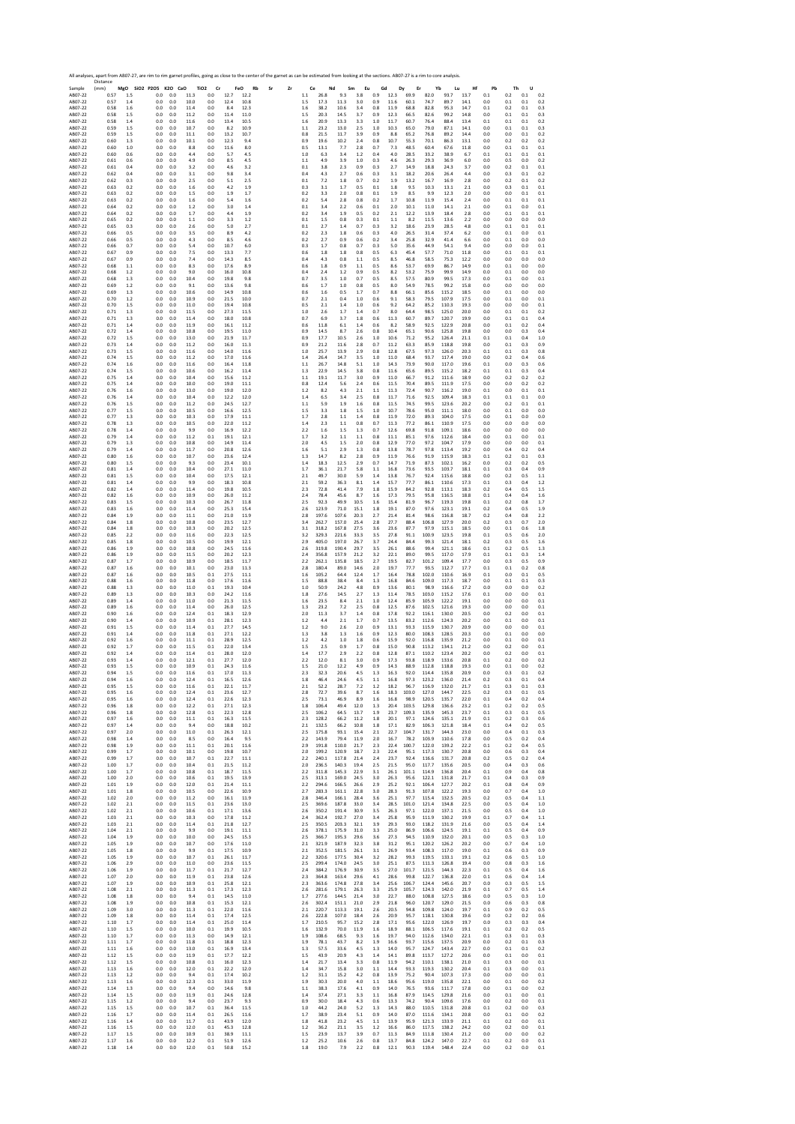Sample Distance (mm) **MgO SiO2 P2O5 K2O CaO TiO2 Cr FeO Rb Sr Zr Ce Nd Sm Eu Gd Dy Er Yb Lu Hf Pb Th U** AB07‐22 0.57 1.5 0.0 0.0 11.3 0.0 12.7 12.2 1.1 26.8 9.3 3.8 0.9 12.3 69.9 82.0 93.7 13.7 0.1 0.2 0.1 0.2 AB07‐22 0.57 1.4 0.0 0.0 10.0 0.0 12.4 10.8 1.5 17.3 11.3 3.0 0.9 11.6 60.1 74.7 89.7 14.1 0.0 0.1 0.1 0.2 AB07‐22 0.58 1.6 0.0 0.0 11.4 0.0 8.4 12.3 1.6 38.2 10.6 3.4 0.8 11.9 68.8 82.8 95.3 14.7 0.1 0.2 0.1 0.3 AB07‐22 0.58 1.5 0.0 0.0 11.2 0.0 11.4 11.0 1.5 20.3 14.5 3.7 0.9 12.3 66.5 82.6 99.2 14.8 0.0 0.1 0.1 0.3 AB07‐22 0.58 1.4 0.0 0.0 11.6 0.0 13.4 10.5 1.6 20.9 13.3 3.3 1.0 11.7 60.7 76.4 88.4 13.4 0.1 0.1 0.1 0.2 AB07‐22 0.59 1.5 0.0 0.0 10.7 0.0 8.2 10.9 1.1 23.2 13.0 2.5 1.0 10.3 65.0 79.0 87.1 14.1 0.0 0.1 0.1 0.3 AB07‐22 0.59 1.5 0.0 0.0 11.1 0.0 13.2 10.7 0.8 21.5 11.7 3.9 0.9 8.8 65.2 76.8 89.2 14.4 0.0 0.0 0.1 0.2 AB07‐22 0.60 1.3 0.0 0.0 10.1 0.0 12.3 9.4 0.9 19.6 10.2 2.4 0.8 10.7 55.3 70.1 86.3 13.1 0.0 0.2 0.2 0.2 AB07‐22 0.60 1.0 0.0 0.0 8.8 0.0 11.6 8.0 0.5 13.1 7.7 2.8 0.7 7.3 48.5 60.4 67.6 11.8 0.0 0.1 0.1 0.1 AB07‐22 0.60 0.6 0.0 0.0 4.4 0.0 5.7 4.5 1.0 6.3 3.4 1.2 0.4 4.0 28.5 33.2 38.9 6.7 0.1 0.1 0.1 0.1 AB07‐22 0.61 0.6 0.0 0.0 4.9 0.0 8.5 4.5 1.1 4.9 3.9 1.0 0.3 4.6 26.3 29.3 36.9 6.0 0.0 0.5 0.0 0.2 AB07‐22 0.61 0.4 0.0 0.0 3.2 0.0 4.6 3.2 0.1 3.8 2.3 0.9 0.3 2.7 14.9 18.8 24.3 3.7 0.0 0.2 0.1 0.1 AB07‐22 0.62 0.4 0.0 0.0 3.1 0.0 9.8 3.4 0.4 4.3 2.7 0.6 0.3 3.1 18.2 20.6 26.4 4.4 0.0 0.3 0.1 0.2 AB07‐22 0.62 0.3 0.0 0.0 2.5 0.0 5.1 2.5 0.1 7.2 1.8 0.7 0.2 1.9 13.2 16.7 16.9 2.8 0.0 0.2 0.1 0.2 AB07‐22 0.63 0.2 0.0 0.0 1.6 0.0 4.2 1.9 0.3 3.1 1.7 0.5 0.1 1.8 9.5 10.3 13.1 2.1 0.0 0.3 0.1 0.1 AB07‐22 0.63 0.2 0.0 0.0 1.5 0.0 1.9 1.7 0.2 3.3 2.0 0.8 0.1 1.9 8.5 9.9 12.3 2.0 0.0 0.0 0.1 0.1 AB07‐22 0.63 0.2 0.0 0.0 1.6 0.0 5.4 1.6 0.2 5.4 2.8 0.8 0.2 1.7 10.8 11.9 15.4 2.4 0.0 0.1 0.1 0.1 AB07‐22 0.64 0.2 0.0 0.0 1.2 0.0 3.0 1.4 0.1 3.4 2.2 0.6 0.1 2.0 10.1 11.0 14.1 2.1 0.0 0.1 0.0 0.1 AB07‐22 0.64 0.2 0.0 0.0 1.7 0.0 4.4 1.9 0.2 3.4 1.9 0.5 0.2 2.1 12.2 13.9 18.4 2.8 0.0 0.1 0.1 0.1 AB07‐22 0.65 0.2 0.0 0.0 1.1 0.0 3.3 1.2 0.1 1.5 0.8 0.3 0.1 1.1 8.2 11.5 13.6 2.2 0.0 0.0 0.0 0.0 AB07‐22 0.65 0.3 0.0 0.0 2.6 0.0 5.0 2.7 0.1 2.7 1.4 0.7 0.3 3.2 18.6 23.9 28.5 4.8 0.0 0.1 0.1 0.1 AB07‐22 0.66 0.5 0.0 0.0 3.5 0.0 8.9 4.2 0.2 2.3 1.8 0.6 0.3 4.0 26.5 31.4 37.4 6.2 0.0 0.1 0.0 0.1 AB07‐22 0.66 0.5 0.0 0.0 4.3 0.0 8.5 4.6 0.2 2.7 0.9 0.6 0.2 3.4 25.8 32.9 41.4 6.6 0.0 0.1 0.0 0.0 AB07‐22 0.66 0.7 0.0 0.0 5.4 0.0 10.7 6.0 0.3 1.7 0.8 0.7 0.3 5.0 35.6 44.9 54.1 9.4 0.0 0.0 0.0 0.1 AB07‐22 0.67 0.9 0.0 0.0 7.5 0.0 13.3 7.7 0.6 1.8 1.8 0.8 0.5 6.3 45.4 57.7 71.0 11.8 0.0 0.1 0.1 0.1 AB07‐22 0.67 0.9 0.0 0.0 7.4 0.0 14.3 8.5 0.4 4.3 0.8 1.1 0.5 8.5 46.8 58.5 75.3 12.2 0.0 0.0 0.0 0.0 AB07‐22 0.68 1.1 0.0 0.0 8.3 0.0 17.6 8.9 0.6 1.8 0.9 1.1 0.5 8.6 53.7 69.9 86.7 14.9 0.0 0.1 0.0 0.0 AB07‐22 0.68 1.2 0.0 0.0 9.0 0.0 16.0 10.8 0.4 2.4 1.2 0.9 0.5 8.2 53.2 75.9 99.9 14.9 0.0 0.1 0.0 0.0 AB07‐22 0.68 1.3 0.0 0.0 10.4 0.0 19.8 9.8 0.7 3.5 1.0 0.7 0.5 8.5 57.5 80.9 99.5 17.3 0.0 0.1 0.0 0.1 AB07‐22 0.69 1.2 0.0 0.0 9.1 0.0 13.6 9.8 0.6 1.7 1.0 0.8 0.5 8.0 54.9 78.5 99.2 15.8 0.0 0.0 0.0 0.0 AB07‐22 0.69 1.3 0.0 0.0 10.6 0.0 14.9 10.8 0.6 1.6 0.5 1.7 0.7 8.8 66.1 85.6 115.2 18.5 0.0 0.1 0.0 0.0 AB07‐22 0.70 1.2 0.0 0.0 10.9 0.0 21.5 10.0 0.7 2.1 0.4 1.0 0.6 9.1 58.3 79.5 107.9 17.5 0.0 0.1 0.0 0.1 AB07‐22 0.70 1.5 0.0 0.0 11.0 0.0 19.4 10.8 0.5 2.1 1.4 1.0 0.6 9.2 64.2 85.2 110.3 19.3 0.0 0.0 0.0 0.1 AB07‐22 0.71 1.3 0.0 0.0 11.5 0.0 27.3 11.5 1.0 2.6 1.7 1.4 0.7 8.0 64.4 98.5 125.0 20.0 0.0 0.1 0.1 0.2 AB07‐22 0.71 1.3 0.0 0.0 11.4 0.0 18.0 10.8 0.7 6.9 3.7 1.8 0.6 11.3 60.7 89.7 120.7 19.9 0.0 0.1 0.1 0.4 AB07‐22 0.71 1.4 0.0 0.0 11.9 0.0 16.1 11.2 0.6 11.8 6.1 1.4 0.6 8.2 58.9 92.5 122.9 20.8 0.0 0.1 0.2 0.4 AB07‐22 0.72 1.4 0.0 0.0 10.8 0.0 19.5 11.0 0.9 14.5 8.7 2.6 0.8 10.4 65.1 90.6 125.8 19.8 0.0 0.0 0.3 0.4 AB07‐22 0.72 1.5 0.0 0.0 13.0 0.0 21.9 11.7 0.9 17.7 10.5 2.6 1.0 10.6 71.2 95.2 126.4 21.1 0.1 0.1 0.4 1.0 AB07‐22 0.73 1.4 0.0 0.0 11.2 0.0 16.0 11.3 0.9 21.2 11.6 2.8 0.7 11.2 63.3 85.9 118.8 19.8 0.0 0.1 0.3 0.9 AB07‐22 0.73 1.5 0.0 0.0 11.6 0.0 14.0 11.6 1.0 25.7 13.9 2.9 0.8 12.8 67.5 97.3 126.0 20.3 0.1 0.1 0.3 0.8 AB07‐22 0.74 1.5 0.0 0.0 11.2 0.0 17.0 11.6 1.4 26.4 14.7 3.5 1.0 11.0 68.4 93.7 117.4 19.0 0.0 0.2 0.4 0.6 AB07‐22 0.74 1.6 0.0 0.0 11.6 0.0 16.4 11.8 1.1 26.7 14.8 5.1 1.0 14.3 73.9 90.0 117.0 19.6 0.1 0.0 0.3 0.6 AB07‐22 0.74 1.5 0.0 0.0 10.6 0.0 16.2 11.4 1.3 22.9 14.5 3.8 0.8 11.6 65.6 89.5 115.2 18.2 0.1 0.1 0.3 0.4 AB07‐22 0.75 1.4 0.0 0.0 10.4 0.0 15.6 11.2 1.1 19.1 11.7 3.0 0.9 11.0 66.7 91.2 111.6 18.9 0.0 0.2 0.2 0.2 AB07‐22 0.75 1.4 0.0 0.0 10.0 0.0 19.0 11.1 0.8 12.4 5.6 2.4 0.6 11.5 70.4 89.5 111.9 17.5 0.0 0.0 0.2 0.2 AB07‐22 0.76 1.6 0.0 0.0 13.0 0.0 19.0 12.0 1.2 8.2 4.3 2.1 1.1 11.3 72.4 90.7 116.2 19.0 0.1 0.0 0.1 0.1 AB07‐22 0.76 1.4 0.0 0.0 10.4 0.0 12.2 12.0 1.4 6.5 3.4 2.5 0.8 11.7 71.6 92.5 109.4 18.3 0.1 0.1 0.1 0.0 AB07‐22 0.76 1.5 0.0 0.0 11.2 0.0 24.5 12.7 1.1 5.9 1.9 1.6 0.8 11.5 74.5 99.5 123.6 20.2 0.0 0.2 0.1 0.1 AB07‐22 0.77 1.5 0.0 0.0 10.5 0.0 16.6 12.5 1.5 3.3 1.8 1.5 1.0 10.7 78.6 95.0 111.1 18.0 0.0 0.1 0.0 0.0 AB07‐22 0.77 1.3 0.0 0.0 10.3 0.0 17.9 11.1 1.7 2.8 1.1 1.4 0.8 11.9 72.0 89.3 104.0 17.5 0.0 0.1 0.0 0.0 AB07‐22 0.78 1.3 0.0 0.0 10.5 0.0 22.0 11.2 1.4 2.3 1.1 0.8 0.7 11.3 77.2 86.1 110.9 17.5 0.0 0.0 0.0 0.0 AB07‐22 0.78 1.4 0.0 0.0 9.9 0.0 16.9 12.2 2.2 1.6 1.5 1.3 0.7 12.6 69.8 91.8 109.1 18.6 0.0 0.0 0.0 0.0 AB07‐22 0.79 1.4 0.0 0.0 11.2 0.1 19.1 12.1 1.7 3.2 1.1 1.1 0.8 11.1 85.1 97.6 112.6 18.4 0.0 0.1 0.0 0.1 AB07‐22 0.79 1.3 0.0 0.0 10.8 0.0 14.9 11.4 2.0 4.5 1.5 2.0 0.8 12.9 77.0 97.2 104.7 17.9 0.0 0.0 0.0 0.1 AB07‐22 0.79 1.4 0.0 0.0 11.7 0.0 20.8 12.6 1.6 5.1 2.9 1.3 0.8 13.8 78.7 97.8 113.4 19.2 0.0 0.4 0.2 0.4 AB07‐22 0.80 1.6 0.0 0.0 10.7 0.0 23.6 12.4 1.3 14.7 8.2 2.8 0.9 11.9 76.6 91.9 115.9 18.3 0.1 0.2 0.1 0.3 AB07‐22 0.80 1.5 0.0 0.0 9.3 0.0 23.4 10.1 1.4 18.3 12.5 2.9 0.7 14.7 71.9 87.3 102.1 16.2 0.0 0.2 0.2 0.5 AB07‐22 0.81 1.4 0.0 0.0 10.4 0.0 27.1 11.0 1.7 36.1 21.7 5.8 1.1 16.8 73.6 93.5 103.7 18.1 0.1 0.3 0.4 0.9 AB07‐22 0.81 1.5 0.0 0.0 10.4 0.0 17.5 12.1 2.1 49.7 30.0 5.9 1.4 13.8 76.7 92.4 115.6 18.8 0.0 0.2 0.5 1.1 AB07‐22 0.81 1.4 0.0 0.0 9.9 0.0 18.3 10.8 2.1 59.2 36.3 8.1 1.4 15.7 77.7 86.1 110.6 17.3 0.1 0.3 0.4 1.2 AB07‐22 0.82 1.4 0.0 0.0 11.4 0.0 19.8 10.5 2.3 72.8 41.4 7.9 1.8 15.9 84.2 92.8 113.1 18.3 0.2 0.4 0.5 1.5 AB07‐22 0.82 1.6 0.0 0.0 10.9 0.0 26.0 11.2 2.4 78.4 45.6 8.7 1.6 17.3 79.5 95.8 116.5 18.8 0.1 0.4 0.4 1.6 AB07‐22 0.83 1.5 0.0 0.0 10.3 0.0 26.7 11.8 2.5 92.3 49.9 10.5 1.6 15.4 81.9 96.7 119.3 19.8 0.1 0.2 0.8 1.7 AB07‐22 0.83 1.6 0.0 0.0 11.4 0.0 25.3 15.4 2.6 123.9 71.0 15.1 1.8 19.1 87.0 97.6 123.1 19.1 0.2 0.4 0.5 1.9 AB07‐22 0.84 1.9 0.0 0.0 11.1 0.0 21.0 11.9 2.8 197.6 107.6 20.3 2.7 21.4 81.4 98.6 116.8 18.7 0.2 0.4 0.8 2.2 AB07‐22 0.84 1.8 0.0 0.0 10.8 0.0 23.5 12.7 3.4 262.7 157.0 25.4 2.8 27.7 88.4 106.8 127.9 20.0 0.2 0.3 0.7 2.0 AB07‐22 0.84 1.8 0.0 0.0 10.3 0.0 20.2 12.5 3.1 318.2 167.8 27.5 3.6 23.6 87.7 97.9 115.1 18.5 0.0 0.1 0.6 1.8 AB07‐22 0.85 2.2 0.0 0.0 11.6 0.0 22.3 12.5 3.2 329.3 221.6 33.3 3.5 27.8 91.1 100.9 123.5 19.8 0.1 0.5 0.6 2.0 AB07‐22 0.85 1.8 0.0 0.0 10.5 0.0 19.9 12.1 2.9 405.0 197.0 26.7 3.7 24.4 84.4 99.3 121.4 18.1 0.2 0.3 0.5 1.6 AB07‐22 0.86 1.9 0.0 0.0 10.8 0.0 24.5 11.6 2.6 319.8 190.4 29.7 3.5 26.1 88.6 99.4 121.1 18.6 0.1 0.2 0.5 1.3 AB07‐22 0.86 1.9 0.0 0.0 11.5 0.0 20.2 12.3 2.4 356.8 157.9 21.2 3.2 22.1 89.0 99.5 117.0 17.9 0.1 0.1 0.3 1.4 AB07‐22 0.87 1.7 0.0 0.0 10.9 0.0 18.5 11.7 2.2 262.1 135.8 18.5 2.7 19.5 82.7 101.2 109.4 17.7 0.0 0.3 0.5 0.9 AB07‐22 0.87 1.6 0.0 0.0 10.1 0.0 23.0 11.3 2.8 180.4 89.0 14.6 2.0 19.7 77.7 93.5 112.7 17.7 0.1 0.1 0.2 0.8 AB07‐22 0.87 1.6 0.0 0.0 10.5 0.1 27.5 11.1 1.6 105.2 64.4 12.4 1.7 16.4 78.8 102.0 110.6 16.9 0.1 0.0 0.1 0.5 AB07‐22 0.88 1.6 0.0 0.0 11.8 0.0 17.6 11.6 1.5 88.8 38.4 8.4 1.3 16.8 84.6 109.0 117.3 18.7 0.0 0.1 0.1 0.3 AB07‐22 0.88 1.3 0.0 0.0 11.0 0.1 19.3 10.4 1.0 50.9 24.2 4.8 0.9 13.6 80.1 98.9 116.6 17.2 0.0 0.0 0.0 0.2 AB07‐22 0.89 1.3 0.0 0.0 10.3 0.0 24.2 11.6 1.8 27.6 14.5 2.7 1.3 11.4 78.5 103.0 115.2 17.6 0.1 0.0 0.0 0.1 AB07‐22 0.89 1.4 0.0 0.0 11.0 0.0 21.3 11.5 1.6 23.5 8.4 2.1 1.0 12.4 85.9 105.9 122.2 19.1 0.0 0.0 0.0 0.1 AB07‐22 0.89 1.6 0.0 0.0 11.4 0.0 26.0 12.5 1.3 23.2 7.2 2.5 0.8 12.5 87.6 102.5 121.6 19.3 0.0 0.0 0.0 0.1 AB07‐22 0.90 1.6 0.0 0.0 12.4 0.1 18.3 12.9 2.0 11.3 3.7 1.4 0.8 17.8 92.2 116.1 130.0 20.5 0.0 0.2 0.0 0.1 AB07‐22 0.90 1.4 0.0 0.0 10.9 0.1 28.1 12.3 1.2 4.4 2.1 1.7 0.7 13.5 83.2 112.6 124.3 20.2 0.0 0.1 0.0 0.1 AB07‐22 0.91 1.5 0.0 0.0 11.4 0.1 27.7 14.5 1.2 9.0 2.6 2.0 0.9 13.1 93.3 115.9 130.7 20.9 0.0 0.0 0.0 0.1 AB07‐22 0.91 1.4 0.0 0.0 11.8 0.1 27.1 12.2 1.3 3.8 1.3 1.6 0.9 12.3 80.0 108.3 128.5 20.3 0.0 0.1 0.0 0.0 AB07‐22 0.92 1.6 0.0 0.0 11.1 0.1 28.9 12.5 1.2 4.2 1.0 1.8 0.6 15.9 92.0 116.8 135.9 21.2 0.0 0.1 0.0 0.1 AB07‐22 0.92 1.7 0.0 0.0 11.5 0.1 22.0 13.4 1.5 2.5 0.9 1.7 0.8 15.0 90.8 113.2 134.1 21.2 0.0 0.2 0.0 0.1 AB07‐22 0.92 1.4 0.0 0.0 11.4 0.1 28.0 12.0 1.4 17.7 2.9 2.2 0.8 12.8 87.1 110.2 123.4 20.2 0.0 0.2 0.0 0.1 AB07‐22 0.93 1.4 0.0 0.0 12.1 0.1 27.7 12.0 2.2 12.0 8.1 3.0 0.9 17.3 93.8 118.9 133.6 20.8 0.1 0.2 0.0 0.2 AB07‐22 0.93 1.5 0.0 0.0 10.9 0.1 24.3 11.6 1.5 21.0 12.2 4.9 0.9 14.3 88.9 112.8 118.8 19.3 0.0 0.1 0.0 0.2 AB07‐22 0.94 1.5 0.0 0.0 11.6 0.1 17.0 11.3 2.3 32.3 20.6 4.5 1.3 16.3 92.0 114.4 135.8 20.9 0.0 0.3 0.1 0.2 AB07‐22 0.94 1.6 0.0 0.0 12.4 0.1 16.5 12.6 1.8 46.4 24.6 4.5 1.1 16.8 97.3 123.2 136.0 21.4 0.2 0.3 0.1 0.4 AB07‐22 0.95 1.5 0.0 0.0 11.6 0.1 22.1 11.7 2.1 52.2 28.7 7.2 1.2 18.2 96.7 116.9 132.0 21.7 0.1 0.3 0.1 0.3 AB07‐22 0.95 1.6 0.0 0.0 12.4 0.1 23.6 12.7 2.8 72.7 39.6 8.7 1.6 18.3 103.0 127.0 144.7 22.5 0.2 0.3 0.1 0.5 AB07‐22 0.95 1.6 0.0 0.0 12.4 0.1 22.6 12.3 2.5 73.1 46.9 8.9 1.6 16.8 98.9 120.5 135.7 22.0 0.1 0.4 0.2 0.4 AB07‐22 0.96 1.8 0.0 0.0 12.2 0.1 27.1 12.3 1.8 106.4 49.4 12.0 1.3 20.4 103.5 129.8 136.6 23.2 0.1 0.2 0.2 0.5 AB07‐22 0.96 1.8 0.0 0.0 12.8 0.1 22.3 12.8 2.5 106.2 64.5 13.7 1.9 23.7 109.3 135.9 145.3 23.7 0.1 0.3 0.1 0.5 AB07‐22 0.97 1.6 0.0 0.0 11.1 0.1 16.3 11.5 2.3 128.2 66.2 11.2 1.8 20.1 97.1 124.6 135.1 21.9 0.1 0.2 0.3 0.6 AB07‐22 0.97 1.4 0.0 0.0 9.4 0.0 18.8 10.2 2.1 132.5 66.2 10.8 1.8 17.1 82.9 106.3 121.8 18.4 0.1 0.4 0.2 0.5 AB07‐22 0.97 2.0 0.0 0.0 11.0 0.1 26.3 12.1 2.5 175.8 93.1 15.4 2.1 22.7 104.7 131.7 144.3 23.0 0.0 0.4 0.1 0.3 AB07‐22 0.98 1.4 0.0 0.0 8.5 0.0 16.4 9.5 2.2 143.9 79.4 11.9 2.0 16.7 78.2 103.9 110.6 17.8 0.0 0.5 0.2 0.4 AB07‐22 0.98 1.9 0.0 0.0 11.1 0.1 20.1 11.6 2.9 191.8 110.0 21.7 2.3 22.4 100.7 122.0 139.2 22.2 0.1 0.2 0.4 0.5 AB07‐22 0.99 1.7 0.0 0.0 10.1 0.0 19.8 10.7 2.0 199.2 120.9 18.7 2.3 22.4 95.1 117.3 130.7 20.8 0.0 0.6 0.3 0.4 AB07‐22 0.99 1.7 0.0 0.0 10.7 0.1 22.7 11.1 2.2 240.1 117.8 21.4 2.4 23.7 92.4 116.6 131.7 20.8 0.2 0.5 0.2 0.4 AB07‐22 1.00 1.7 0.0 0.0 10.4 0.1 21.5 11.2 2.0 236.5 140.3 19.4 2.5 21.5 95.0 117.7 135.6 20.5 0.0 0.4 0.3 0.6 AB07‐22 1.00 1.7 0.0 0.0 10.8 0.1 18.7 11.5 2.2 311.8 145.3 22.9 3.1 26.1 101.1 114.9 136.8 20.4 0.1 0.9 0.4 0.8 AB07‐22 1.00 2.0 0.0 0.0 10.6 0.1 19.5 13.9 2.5 313.1 169.0 24.5 3.0 26.3 95.6 122.1 131.8 21.7 0.1 0.4 0.3 0.9 AB07‐22 1.01 1.9 0.0 0.0 12.0 0.1 21.4 11.1 2.2 294.6 166.5 26.6 2.9 25.2 92.1 106.4 127.7 20.2 0.1 0.8 0.4 0.9 AB07‐22 1.01 1.8 0.0 0.0 10.5 0.0 22.6 10.9 2.7 283.3 161.1 22.8 3.0 28.3 91.3 107.8 122.2 19.3 0.0 0.7 0.4 1.0 AB07‐22 1.02 2.0 0.0 0.0 11.2 0.0 16.1 11.9 2.8 346.4 166.1 28.4 3.6 25.1 97.7 115.4 132.5 20.5 0.2 0.5 0.4 1.1 AB07‐22 1.02 2.1 0.0 0.0 11.5 0.1 23.6 13.0 2.5 369.6 187.8 33.0 3.4 28.5 101.0 121.4 134.8 22.5 0.0 0.5 0.4 1.0 AB07‐22 1.02 2.1 0.0 0.0 10.6 0.1 17.1 13.6 2.6 350.2 191.4 30.9 3.5 26.3 97.1 122.0 137.1 21.5 0.0 0.5 0.4 1.0 AB07‐22 1.03 2.1 0.0 0.0 10.3 0.0 17.8 11.2 2.4 362.4 192.7 27.0 3.4 25.8 95.9 111.9 130.2 19.9 0.1 0.7 0.4 1.1 AB07‐22 1.03 2.1 0.0 0.0 11.4 0.1 21.8 12.7 2.5 350.5 203.3 32.1 3.9 29.3 93.0 118.2 131.9 21.6 0.0 0.5 0.4 1.4 AB07‐22 1.04 2.1 0.0 0.0 9.9 0.0 19.1 11.1 2.6 378.1 175.9 31.0 3.3 25.0 86.9 106.6 124.5 19.1 0.1 0.5 0.4 0.9 AB07‐22 1.04 1.9 0.0 0.0 10.0 0.0 24.5 15.3 2.5 366.7 195.3 29.6 3.6 27.3 94.5 110.9 132.0 20.1 0.0 0.5 0.3 1.0 AB07‐22 1.05 1.9 0.0 0.0 10.7 0.0 17.6 11.0 2.1 321.9 187.9 32.3 3.8 31.2 95.1 120.2 126.2 20.2 0.0 0.7 0.4 1.0 AB07‐22 1.05 1.8 0.0 0.0 9.9 0.1 17.5 10.9 2.1 352.5 181.5 26.1 3.1 26.9 93.4 108.3 117.0 19.0 0.1 0.6 0.3 0.9 AB07‐22 1.05 1.9 0.0 0.0 10.7 0.1 26.1 11.7 2.2 320.6 177.5 30.4 3.2 28.2 99.3 119.5 133.1 19.1 0.2 0.6 0.5 1.0 AB07‐22 1.06 2.9 0.0 0.0 11.0 0.0 23.6 11.5 2.5 299.4 174.0 24.5 3.0 25.1 87.5 111.3 126.8 19.4 0.0 0.8 0.3 1.6 AB07‐22 1.06 1.9 0.0 0.0 11.7 0.1 21.7 12.7 2.4 384.2 176.9 30.9 3.5 27.0 101.7 121.5 144.3 22.3 0.1 0.5 0.4 1.6 AB07‐22 1.07 2.0 0.0 0.0 11.9 0.1 23.8 12.6 2.3 364.8 163.4 29.6 4.1 28.6 99.8 122.7 136.8 22.0 0.1 0.6 0.4 1.4 AB07‐22 1.07 1.9 0.0 0.0 10.9 0.1 25.8 12.1 2.3 363.6 174.8 27.8 3.4 25.6 106.7 124.4 145.6 20.7 0.0 0.3 0.5 1.5 AB07‐22 1.08 2.1 0.0 0.0 11.3 0.1 17.3 12.3 2.6 281.6 179.1 26.3 3.3 25.9 105.7 124.3 142.0 21.9 0.1 0.7 0.5 1.4 AB07‐22 1.08 1.8 0.0 0.0 9.4 0.1 14.5 11.0 1.7 277.6 144.5 21.4 3.0 22.7 88.0 108.8 127.5 18.6 0.0 0.5 0.3 1.0 AB07‐22 1.08 1.9 0.0 0.0 10.8 0.1 15.3 12.1 2.6 302.4 151.1 21.0 2.9 21.8 96.0 120.7 129.0 21.5 0.0 0.6 0.3 0.8 AB07‐22 1.09 3.0 0.0 0.0 11.3 0.1 22.0 11.6 2.1 220.7 113.3 19.1 2.6 20.5 94.8 109.8 124.0 19.7 0.1 0.9 0.2 0.5 AB07‐22 1.09 1.8 0.0 0.0 11.4 0.1 17.4 12.5 2.6 222.8 107.0 18.4 2.6 20.9 95.7 118.1 130.8 19.6 0.0 0.2 0.2 0.6 AB07‐22 1.10 1.7 0.0 0.0 11.4 0.1 25.0 11.4 1.7 210.5 95.7 15.2 2.8 17.1 95.6 122.0 126.9 19.7 0.0 0.3 0.3 0.4 AB07‐22 1.10 1.5 0.0 0.0 10.0 0.1 19.9 10.5 1.6 132.9 70.0 11.9 1.6 18.9 88.1 106.5 117.6 19.1 0.1 0.2 0.2 0.5 AB07‐22 1.10 1.7 0.0 0.0 11.3 0.0 14.9 12.1 1.9 108.6 68.5 9.3 1.6 19.7 94.0 112.6 134.0 22.1 0.1 0.3 0.1 0.3 AB07‐22 1.11 1.7 0.0 0.0 11.8 0.1 18.8 12.3 1.9 78.1 43.7 8.2 1.9 16.6 93.7 115.6 137.5 20.9 0.0 0.2 0.1 0.3 AB07‐22 1.11 1.6 0.0 0.0 13.0 0.1 16.9 13.4 1.3 57.5 33.6 4.5 1.3 14.0 95.7 124.7 143.4 22.7 0.0 0.1 0.1 0.2 AB07‐22 1.12 1.5 0.0 0.0 11.9 0.1 17.7 12.2 1.5 43.9 20.9 4.3 1.4 14.1 89.8 113.7 127.2 20.6 0.0 0.1 0.0 0.1 AB07‐22 1.12 1.5 0.0 0.0 10.8 0.1 16.0 12.3 1.4 21.7 13.4 3.3 0.8 11.9 94.2 110.1 138.1 21.0 0.1 0.3 0.0 0.1 AB07‐22 1.13 1.6 0.0 0.0 12.0 0.1 22.2 12.0 1.4 34.7 15.8 3.0 1.1 14.4 93.3 119.3 130.2 20.4 0.1 0.3 0.0 0.1 AB07‐22 1.13 1.2 0.0 0.0 9.4 0.1 17.4 10.2 1.2 31.1 15.2 4.2 0.8 13.9 75.2 90.4 107.3 17.3 0.0 0.0 0.0 0.1 AB07‐22 1.13 1.6 0.0 0.0 12.3 0.1 33.0 11.9 1.9 30.3 20.0 4.0 1.1 18.6 95.6 119.0 135.8 22.1 0.0 0.1 0.0 0.2 AB07‐22 1.14 1.3 0.0 0.0 9.4 0.0 14.6 9.8 1.1 38.3 17.6 4.1 0.9 14.0 76.5 93.6 111.7 17.8 0.0 0.1 0.0 0.2 AB07‐22 1.14 1.5 0.0 0.0 11.9 0.1 24.6 12.8 1.4 37.4 27.1 3.3 1.1 16.8 87.9 114.5 129.8 21.6 0.0 0.1 0.0 0.1 AB07‐22 1.15 1.2 0.0 0.0 9.4 0.0 23.7 9.3 0.9 30.0 18.4 4.3 0.6 13.3 74.2 90.4 109.6 17.6 0.0 0.2 0.0 0.1 AB07‐22 1.15 1.5 0.0 0.0 10.7 0.1 36.4 11.5 1.0 44.2 24.0 5.2 1.3 14.3 88.0 110.5 131.8 20.8 0.1 0.2 0.0 0.3 AB07‐22 1.16 1.7 0.0 0.0 11.4 0.1 26.5 11.6 1.7 38.9 23.4 5.1 0.9 14.0 87.0 111.6 134.1 20.8 0.0 0.1 0.0 0.2 AB07‐22 1.16 1.4 0.0 0.0 11.7 0.1 43.9 12.0 1.8 41.8 23.2 4.5 1.1 13.9 95.9 121.3 133.9 21.1 0.1 0.2 0.0 0.1 AB07‐22 1.16 1.5 0.0 0.0 12.0 0.1 45.3 12.8 1.2 36.2 21.1 3.5 1.2 16.6 86.0 117.5 138.2 24.2 0.0 0.2 0.0 0.1 AB07‐22 1.17 1.5 0.0 0.0 10.9 0.1 38.9 11.1 1.5 23.9 13.7 3.9 0.7 11.3 84.9 111.8 130.4 21.2 0.0 0.0 0.0 0.2 AB07‐22 1.17 1.6 0.0 0.0 12.2 0.1 51.9 12.6 1.2 25.2 10.6 2.6 0.8 13.7 84.8 124.2 147.0 22.7 0.1 0.2 0.0 0.1 AB07‐22 1.18 1.4 0.0 0.0 12.0 0.1 50.8 15.2 1.8 19.0 7.9 2.2 0.8 12.1 90.3 119.4 148.4 22.4 0.0 0.2 0.0 0.1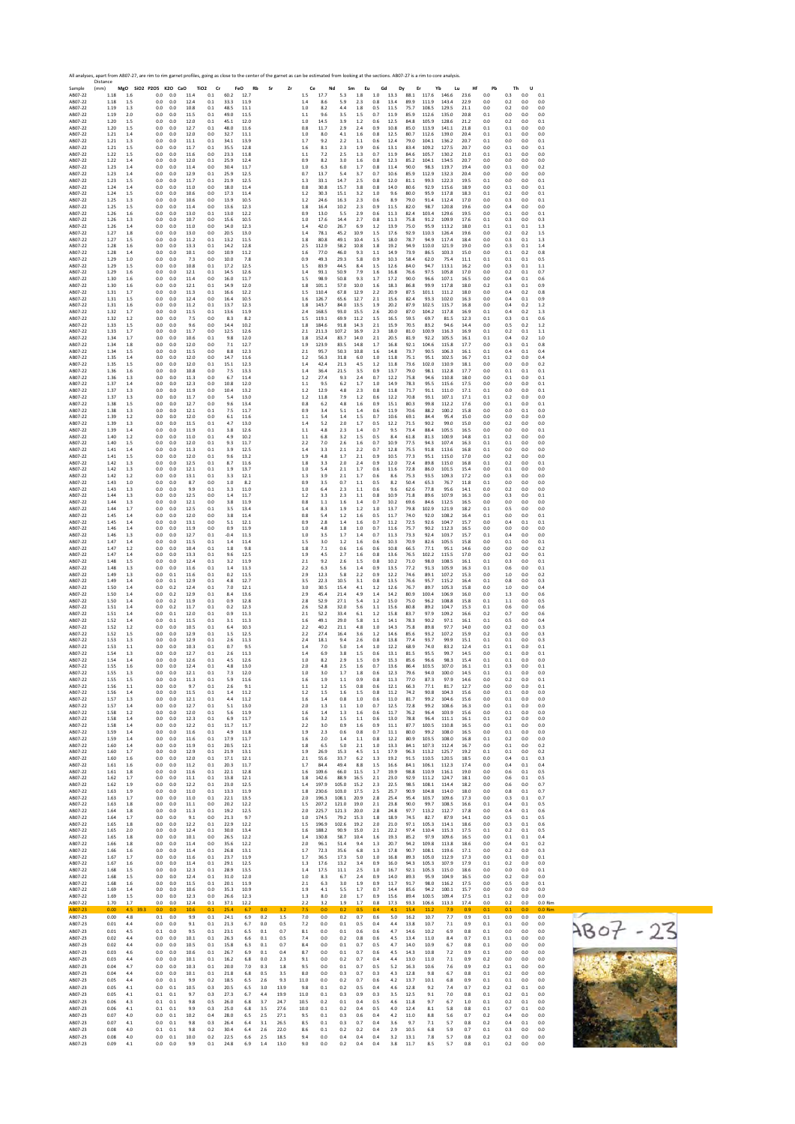|                    | All analyses, apart from AB07-27, are rim to rim garnet profiles, going as close to the center of the garnet as can be estimated from looking at the sections. AB07-27 is a rim to core analysis.<br>Distance |                |                              |            |              |                               |               |                   |            |              |                |                |                |              |            |              |              |                  |                |              |            |            |                 |                 |
|--------------------|---------------------------------------------------------------------------------------------------------------------------------------------------------------------------------------------------------------|----------------|------------------------------|------------|--------------|-------------------------------|---------------|-------------------|------------|--------------|----------------|----------------|----------------|--------------|------------|--------------|--------------|------------------|----------------|--------------|------------|------------|-----------------|-----------------|
| Sample<br>AB07-22  | (mm)<br>1.18                                                                                                                                                                                                  | 1.6            | MgO SiO2 P2O5 K2O CaO<br>0.0 | 0.0        | 11.4         | TiO <sub>2</sub><br>Cr<br>0.1 | 60.2          | FeO<br>Rb<br>12.7 | Sr         | Zr           | Ce<br>$1.5\,$  | Nd<br>17.7     | Sm<br>5.3      | Eu<br>1.8    | Gd<br>1.0  | Dy<br>13.3   | Er           | Yb<br>88.1 117.6 | Lu<br>146.6    | Hf<br>23.6   | Pb<br>0.0  | Th<br>0.3  | U<br>0.0        | 0.1             |
| AB07-22<br>AB07-22 | 1.18<br>1.19                                                                                                                                                                                                  | 1.5<br>1.3     | 0.0<br>0.0                   | 0.0<br>0.0 | 12.4<br>10.8 | 0.1<br>0.1                    | 33.3<br>48.5  | 11.9<br>11.1      |            |              | 1.4<br>$1.0\,$ | 8.6<br>8.2     | 5.9<br>4.4     | 2.3<br>1.8   | 0.8<br>0.5 | 13.4<br>11.5 | 89.9<br>75.7 | 111.9<br>108.5   | 143.4<br>129.5 | 22.9<br>21.1 | 0.0<br>0.0 | 0.2<br>0.2 | 0.0<br>0.0      | 0.0<br>0.0      |
| AB07-22<br>AB07-22 | 1.19<br>1.20                                                                                                                                                                                                  | 2.0<br>1.5     | 0.0<br>0.0                   | 0.0<br>0.0 | 11.5<br>12.0 | 0.1<br>0.1                    | 49.0<br>45.1  | 11.5<br>12.0      |            |              | 1.1<br>1.0     | 9.6<br>14.5    | 3.5<br>3.9     | 1.5<br>1.2   | 0.7<br>0.6 | 11.9<br>12.5 | 85.9<br>84.8 | 112.6<br>105.9   | 135.0<br>128.6 | 20.8<br>21.2 | 0.1<br>0.0 | 0.0<br>0.2 | 0.0<br>0.0      | 0.0<br>0.1      |
| AB07-22<br>AB07-22 | 1.20<br>1.21                                                                                                                                                                                                  | 1.5<br>1.4     | 0.0<br>0.0                   | 0.0<br>0.0 | 12.7<br>12.0 | 0.1<br>0.0                    | 48.0<br>32.7  | 11.6<br>11.1      |            |              | 0.8<br>1.0     | 11.7<br>8.0    | 2.9<br>4.1     | 2.4<br>1.6   | 0.9<br>0.8 | 10.8<br>12.5 | 85.0<br>80.7 | 113.9<br>112.6   | 141.1<br>139.0 | 21.8<br>20.4 | 0.1<br>0.1 | 0.1<br>0.1 | 0.0<br>0.0      | 0.0<br>0.0      |
| AB07-22            | 1.21                                                                                                                                                                                                          | 1.3            | 0.0                          | 0.0        | 11.1         | 0.1                           | 34.1          | 13.9              |            |              | 1.7            | 9.2            | 2.2            | 1.1          | 0.6        | 12.4         | 79.0         | 104.1            | 136.2          | 20.7         | 0.1        | 0.0        | 0.0             | 0.1             |
| AB07-22<br>AB07-22 | 1.21<br>1.22                                                                                                                                                                                                  | 1.5<br>1.5     | 0.0<br>0.0                   | 0.0<br>0.0 | 11.7<br>11.6 | 0.1<br>0.0                    | 35.5<br>23.3  | 12.8<br>11.8      |            |              | 1.6<br>1.1     | 8.1<br>7.2     | 2.3<br>2.5     | 1.9<br>1.3   | 0.6<br>0.7 | 13.1<br>11.9 | 83.4<br>84.6 | 109.2<br>105.7   | 127.5<br>130.2 | 20.7<br>21.0 | 0.0<br>0.1 | 0.1<br>0.1 | 0.0<br>0.0      | 0.1<br>0.0      |
| AB07-22<br>AB07-22 | 1.22<br>1.23                                                                                                                                                                                                  | 1.4<br>1.4     | 0.0<br>0.0                   | 0.0<br>0.0 | 12.0<br>11.4 | 0.1<br>0.0                    | 25.9<br>30.4  | 12.4<br>11.7      |            |              | 0.9<br>1.0     | 8.2<br>6.3     | 3.0<br>6.0     | 1.6<br>1.7   | 0.8<br>0.8 | 12.3<br>11.4 | 85.2<br>90.0 | 104.1<br>98.3    | 134.5<br>119.7 | 20.7<br>19.4 | 0.0<br>0.0 | 0.0<br>0.1 | 0.0<br>0.0      | 0.0<br>0.2      |
| AB07-22<br>AB07-22 | 1.23<br>1.23                                                                                                                                                                                                  | 1.4<br>1.5     | 0.0<br>0.0                   | 0.0<br>0.0 | 12.9<br>11.7 | 0.1<br>0.1                    | 25.9<br>21.9  | 12.5<br>12.5      |            |              | 0.7<br>1.3     | 13.7<br>33.1   | 5.4<br>14.7    | 3.7<br>2.5   | 0.7<br>0.8 | 10.6<br>12.0 | 85.9<br>81.1 | 112.9<br>99.3    | 132.3<br>122.3 | 20.4<br>19.5 | 0.0<br>0.1 | 0.0<br>0.0 | 0.0<br>0.0      | 0.0<br>0.1      |
| AB07-22<br>AB07-22 | 1.24<br>1.24                                                                                                                                                                                                  | 1.4<br>1.5     | 0.0<br>0.0                   | 0.0<br>0.0 | 11.0<br>10.6 | 0.0<br>0.0                    | 18.0<br>17.3  | 11.4<br>11.4      |            |              | 0.8<br>1.2     | 30.8<br>30.3   | 15.7<br>15.1   | 3.8<br>3.2   | 0.8<br>1.0 | 14.0<br>9.6  | 80.6<br>80.0 | 92.9<br>95.9     | 115.6<br>117.8 | 18.9<br>18.3 | 0.0<br>0.1 | 0.1<br>0.2 | 0.0<br>0.0      | 0.1<br>0.1      |
| AB07-22<br>AB07-22 | 1.25<br>1.25                                                                                                                                                                                                  | 1.3<br>1.5     | 0.0<br>0.0                   | 0.0<br>0.0 | 10.6<br>11.4 | 0.0<br>0.0                    | 13.9<br>13.6  | 10.5<br>12.3      |            |              | 1.2<br>1.8     | 24.6<br>16.4   | 16.3<br>10.2   | 2.3<br>2.3   | 0.6<br>0.9 | 8.9<br>11.5  | 79.0<br>82.0 | 91.4<br>98.7     | 112.4<br>120.8 | 17.0<br>19.6 | 0.0<br>0.0 | 0.3<br>0.4 | 0.0<br>0.0      | 0.1<br>0.0      |
| AB07-22<br>AB07-22 | 1.26<br>1.26                                                                                                                                                                                                  | 1.6<br>1.3     | 0.0<br>0.0                   | 0.0<br>0.0 | 13.0<br>10.7 | 0.1<br>0.0                    | 13.0<br>15.6  | 12.2<br>10.5      |            |              | 0.9<br>1.0     | 13.0<br>17.6   | 5.5<br>14.4    | 2.9<br>2.7   | 0.6<br>0.8 | 11.3<br>11.3 | 82.4<br>75.8 | 103.4<br>91.2    | 129.6<br>109.9 | 19.5<br>17.6 | 0.0<br>0.1 | 0.1<br>0.3 | 0.0<br>0.0      | 0.1<br>0.3      |
| AB07-22            | 1.26                                                                                                                                                                                                          | 1.4            | 0.0                          | 0.0        | 11.0         | 0.0                           | 14.0          | 12.3              |            |              | 1.4            | 42.0           | 26.7           | 6.9          | 1.2        | 13.9         | 75.0         | 95.9             | 113.2          | 18.0         | 0.1        | 0.1        | 0.1             | 1.3             |
| AB07-22<br>AB07-22 | 1.27<br>1.27                                                                                                                                                                                                  | 1.8<br>1.5     | 0.0<br>0.0                   | 0.0<br>0.0 | 13.0<br>11.2 | 0.0<br>0.1                    | 20.5<br>13.2  | 13.0<br>11.5      |            |              | 1.4<br>1.8     | 78.1<br>80.8   | 45.2<br>49.1   | 10.9<br>10.4 | 1.5<br>1.5 | 17.6<br>18.0 | 92.9<br>78.7 | 110.3<br>94.9    | 126.4<br>117.4 | 19.6<br>18.4 | 0.0<br>0.0 | 0.2<br>0.3 | 0.2<br>0.1      | 1.5<br>1.3      |
| AB07-22<br>AB07-22 | 1.28<br>1.28                                                                                                                                                                                                  | 1.6<br>1.4     | 0.0<br>0.0                   | 0.0<br>0.0 | 13.3<br>10.1 | 0.1<br>0.0                    | 14.2<br>10.9  | 12.8<br>11.2      |            |              | 2.5<br>1.6     | 112.9<br>77.0  | 58.2<br>46.0   | 10.8<br>9.3  | 1.8<br>1.1 | 19.2<br>14.9 | 94.9<br>73.9 | 110.0<br>86.5    | 121.9<br>103.3 | 19.0<br>15.0 | 0.0<br>0.0 | 0.3<br>0.1 | 0.1<br>0.2      | 1.4<br>0.8      |
| AB07-22<br>AB07-22 | 1.29<br>1.29                                                                                                                                                                                                  | 1.0<br>1.5     | 0.0<br>0.0                   | 0.0<br>0.0 | 7.3<br>10.8  | 0.0<br>0.1                    | 10.0<br>17.2  | 7.8<br>12.5       |            |              | 0.9<br>1.5     | 49.3<br>83.9   | 29.3<br>44.5   | 5.8<br>8.4   | 0.9<br>1.5 | 10.3<br>12.6 | 58.4<br>84.0 | 62.0<br>94.7     | 75.4<br>113.1  | 11.1<br>16.2 | 0.1<br>0.0 | 0.1<br>0.3 | 0.1<br>0.1      | 0.5<br>1.1      |
| AB07-22<br>AB07-22 | 1.29<br>1.30                                                                                                                                                                                                  | 1.6<br>1.6     | 0.0<br>0.0                   | 0.0<br>0.0 | 12.1<br>11.4 | 0.1<br>0.0                    | 14.5<br>16.0  | 12.6<br>11.7      |            |              | 1.4<br>1.5     | 93.1<br>98.9   | 50.9<br>50.8   | 7.9<br>9.3   | 1.6<br>1.7 | 16.8<br>17.2 | 76.6<br>90.0 | 97.5<br>96.6     | 105.8<br>107.1 | 17.0<br>16.5 | 0.0<br>0.0 | 0.2<br>0.4 | 0.1<br>0.1      | 0.7<br>0.6      |
| AB07-22<br>AB07-22 | 1.30<br>1.31                                                                                                                                                                                                  | 1.6<br>1.7     | 0.0<br>0.0                   | 0.0<br>0.0 | 12.1<br>11.3 | 0.1<br>0.1                    | 14.9<br>16.6  | 12.0<br>12.2      |            |              | 1.8<br>1.5     | 101.1<br>110.4 | 57.0<br>67.8   | 10.0<br>12.9 | 1.6<br>2.2 | 18.3<br>20.9 | 86.8<br>87.5 | 99.9<br>101.1    | 117.8<br>111.2 | 18.0<br>18.0 | 0.2<br>0.0 | 0.3<br>0.4 | 0.1<br>0.2      | 0.9<br>0.8      |
| AB07-22<br>AB07-22 | 1.31<br>1.31                                                                                                                                                                                                  | 1.5<br>1.6     | 0.0<br>0.0                   | 0.0<br>0.0 | 12.4<br>11.2 | 0.0<br>0.1                    | 16.4<br>13.7  | 10.5<br>12.3      |            |              | 1.6<br>$1.8\,$ | 126.7<br>143.7 | 65.6<br>84.0   | 12.7<br>13.5 | 2.1<br>1.9 | 15.6<br>20.2 | 82.4<br>87.9 | 93.3<br>102.5    | 102.0<br>115.7 | 16.3<br>16.8 | 0.0<br>0.0 | 0.4<br>0.4 | 0.1<br>0.2      | 0.9<br>1.2      |
| AB07-22<br>AB07-22 | 1.32<br>1.32                                                                                                                                                                                                  | 1.7<br>1.2     | 0.0<br>0.0                   | 0.0<br>0.0 | 11.5<br>7.5  | 0.1<br>0.0                    | 13.6<br>8.3   | 11.9<br>8.2       |            |              | 2.4<br>1.5     | 168.5<br>119.1 | 93.0<br>69.9   | 15.5<br>11.2 | 2.6<br>1.5 | 20.0<br>16.5 | 87.0<br>59.5 | 104.2<br>69.7    | 117.8<br>81.5  | 16.9<br>12.3 | 0.1<br>0.1 | 0.4<br>0.3 | 0.2<br>0.1      | 1.3<br>0.6      |
| AB07-22            | 1.33                                                                                                                                                                                                          | 1.5            | 0.0                          | 0.0        | 9.6          | 0.0                           | 14.4          | 10.2              |            |              | 1.8            | 184.6          | 91.8           | 14.3         | 2.1        | 15.9         | 70.5         | 83.2             | 94.6           | 14.4         | 0.0        | 0.5        | 0.2             | 1.2             |
| AB07-22<br>AB07-22 | 1.33<br>1.34                                                                                                                                                                                                  | 1.7<br>1.7     | 0.0<br>0.0                   | 0.0<br>0.0 | 11.7<br>10.6 | 0.0<br>0.1                    | 12.5<br>9.8   | 12.6<br>12.0      |            |              | 2.1<br>1.8     | 211.3<br>152.4 | 107.2<br>83.7  | 16.9<br>14.0 | 2.3<br>2.1 | 18.0<br>20.5 | 81.0<br>81.9 | 100.9<br>92.2    | 116.3<br>105.5 | 16.9<br>16.1 | 0.1<br>0.1 | 0.2<br>0.4 | 0.1<br>0.2      | 1.1<br>1.0      |
| AB07-22<br>AB07-22 | 1.34<br>1.34                                                                                                                                                                                                  | 1.8<br>1.5     | 0.0<br>0.0                   | 0.0<br>0.0 | 12.0<br>11.5 | 0.0<br>0.0                    | 7.1<br>8.8    | 12.7<br>12.3      |            |              | 1.9<br>2.1     | 123.9<br>95.7  | 83.5<br>50.3   | 14.8<br>10.8 | 1.7<br>1.6 | 16.8<br>14.8 | 92.1<br>73.7 | 104.6<br>90.5    | 115.8<br>106.3 | 17.7<br>16.1 | 0.0<br>0.1 | 0.3<br>0.4 | 0.1<br>0.1      | 0.8<br>0.4      |
| AB07-22<br>AB07-22 | 1.35<br>1.35                                                                                                                                                                                                  | 1.4<br>1.5     | 0.0<br>0.0                   | 0.0<br>0.0 | 12.0<br>12.0 | 0.0<br>0.1                    | 14.7<br>15.1  | 11.6<br>12.3      |            |              | 1.2<br>1.4     | 56.3<br>42.4   | 31.8<br>21.3   | 6.0<br>4.5   | 1.0<br>1.2 | 11.8<br>11.8 | 75.1<br>73.6 | 95.1<br>102.0    | 102.5<br>110.9 | 16.7<br>18.1 | 0.1<br>0.0 | 0.2<br>0.0 | 0.0<br>0.0      | 0.4<br>0.2      |
| AB07-22<br>AB07-22 | 1.36<br>1.36                                                                                                                                                                                                  | 1.6<br>1.3     | 0.0<br>0.0                   | 0.0<br>0.0 | 10.8<br>11.3 | 0.0<br>0.0                    | 7.5<br>6.7    | 13.3<br>11.4      |            |              | 1.4<br>1.2     | 36.4<br>27.4   | 21.5<br>9.3    | 3.5<br>2.4   | 0.9<br>0.7 | 13.7<br>12.2 | 79.0<br>75.8 | 98.1<br>94.6     | 112.8<br>110.8 | 17.7<br>18.0 | 0.0<br>0.0 | 0.1<br>0.1 | 0.1<br>0.0      | 0.1<br>0.1      |
| AB07-22<br>AB07-22 | 1.37<br>1.37                                                                                                                                                                                                  | 1.4<br>1.3     | 0.0<br>0.0                   | 0.0<br>0.0 | 12.3<br>11.9 | 0.0<br>0.0                    | 10.8<br>10.4  | 12.0<br>13.2      |            |              | 1.1<br>1.2     | 9.5<br>12.9    | 6.2<br>4.8     | 1.7<br>2.3   | 1.0<br>0.8 | 14.9<br>11.8 | 78.3<br>71.7 | 95.5<br>91.1     | 115.6<br>111.0 | 17.5<br>17.1 | 0.0<br>0.1 | 0.0<br>0.0 | 0.0<br>0.0      | 0.1<br>0.1      |
| AB07-22<br>AB07-22 | 1.37<br>1.38                                                                                                                                                                                                  | 1.3<br>1.5     | 0.0<br>0.0                   | 0.0<br>0.0 | 11.7<br>12.7 | 0.0<br>0.0                    | 5.4<br>9.6    | 13.0<br>13.4      |            |              | 1.2<br>0.8     | 11.8<br>6.2    | 7.9<br>4.8     | 1.2<br>1.6   | 0.6<br>0.9 | 12.2<br>15.1 | 70.8<br>80.3 | 93.1<br>99.8     | 107.1<br>112.2 | 17.1<br>17.6 | 0.1<br>0.0 | 0.2<br>0.1 | 0.0<br>0.0      | 0.0<br>0.1      |
| AB07-22<br>AB07-22 | 1.38<br>1.39                                                                                                                                                                                                  | 1.3<br>1.2     | 0.0<br>0.0                   | 0.0<br>0.0 | 12.1<br>12.0 | 0.1<br>0.0                    | 7.5<br>6.1    | 11.7<br>11.6      |            |              | 0.9<br>1.1     | 3.4<br>5.4     | 5.1<br>1.4     | 1.4<br>1.5   | 0.6<br>0.7 | 11.9<br>10.6 | 70.6<br>69.1 | 88.2<br>84.4     | 100.2<br>95.4  | 15.8<br>15.0 | 0.0<br>0.0 | 0.0<br>0.0 | 0.1<br>0.0      | 0.0<br>0.0      |
| AB07-22<br>AB07-22 | 1.39<br>1.39                                                                                                                                                                                                  | 1.3<br>1.4     | 0.0<br>0.0                   | 0.0<br>0.0 | 11.5<br>11.9 | 0.1<br>0.1                    | 4.7<br>3.8    | 13.0<br>12.6      |            |              | 1.4<br>1.1     | 5.2<br>4.8     | 2.0<br>2.3     | 1.7<br>1.4   | 0.5<br>0.7 | 12.2<br>9.5  | 71.5<br>73.4 | 90.2<br>88.4     | 99.0<br>105.5  | 15.0<br>16.5 | 0.0<br>0.0 | 0.2<br>0.0 | 0.0<br>0.0      | 0.0<br>0.1      |
| AB07-22            | 1.40                                                                                                                                                                                                          | 1.2            | 0.0                          | 0.0        | 11.0         | 0.1                           | 4.9           | 10.2              |            |              | 1.1            | 6.8            | 3.2            | 1.5          | 0.5        | 8.4          | 61.8         | 81.3             | 100.9          | 14.8         | 0.1        | 0.2        | 0.0             | 0.0             |
| AB07-22<br>AB07-22 | 1.40<br>1.41                                                                                                                                                                                                  | 1.5<br>1.4     | 0.0<br>0.0                   | 0.0<br>0.0 | 12.0<br>11.3 | 0.1<br>0.1                    | 9.3<br>3.9    | 11.7<br>12.5      |            |              | 2.2<br>1.4     | 7.0<br>3.3     | 2.6<br>2.1     | 1.6<br>2.2   | 0.7<br>0.7 | 10.9<br>12.8 | 77.5<br>75.5 | 94.3<br>91.8     | 107.4<br>113.6 | 16.3<br>16.8 | 0.1<br>0.1 | 0.1<br>0.0 | 0.0<br>0.0      | 0.0<br>0.0      |
| AB07-22<br>AB07-22 | 1.41<br>1.42                                                                                                                                                                                                  | 1.5<br>1.3     | 0.0<br>0.0                   | 0.0<br>0.0 | 12.0<br>12.5 | 0.1<br>0.1                    | 9.6<br>8.7    | 13.2<br>11.6      |            |              | 1.9<br>1.8     | 4.8<br>3.3     | 1.7<br>2.0     | 2.1<br>2.4   | 0.9<br>0.9 | 10.5<br>12.0 | 77.3<br>72.4 | 95.1<br>89.8     | 115.0<br>115.0 | 17.0<br>16.8 | 0.0<br>0.1 | 0.2<br>0.2 | 0.0<br>0.0      | 0.0<br>0.1      |
| AB07-22<br>AB07-22 | 1.42<br>1.42                                                                                                                                                                                                  | 1.3<br>1.2     | 0.0<br>0.0                   | 0.0<br>0.0 | 12.1<br>13.1 | 0.1<br>0.1                    | 1.9<br>3.3    | 13.7<br>12.1      |            |              | 1.0<br>1.3     | 5.4<br>3.9     | 2.1<br>2.1     | 1.7<br>1.7   | 0.6<br>0.6 | 11.6<br>8.6  | 72.8<br>75.3 | 86.0<br>93.5     | 101.5<br>109.3 | 15.4<br>17.2 | 0.0<br>0.0 | 0.1<br>0.3 | 0.0<br>0.0      | 0.0<br>0.0      |
| AB07-22<br>AB07-22 | 1.43<br>1.43                                                                                                                                                                                                  | 1.0<br>1.3     | 0.0<br>0.0                   | 0.0<br>0.0 | 8.7<br>9.9   | 0.0<br>0.1                    | 1.0<br>3.3    | 8.2<br>11.0       |            |              | 0.9<br>1.0     | 3.5<br>6.4     | 0.7<br>2.3     | 1.1<br>1.1   | 0.5<br>0.6 | 8.2<br>9.6   | 50.4<br>62.6 | 65.3<br>77.8     | 76.7<br>95.6   | 11.8<br>14.1 | 0.1<br>0.0 | 0.0<br>0.2 | 0.0<br>0.0      | 0.0<br>0.0      |
| AB07-22<br>AB07-22 | 1.44<br>1.44                                                                                                                                                                                                  | 1.3<br>1.3     | 0.0<br>0.0                   | 0.0<br>0.0 | 12.5<br>12.1 | 0.0<br>0.0                    | 1.4<br>3.8    | 11.7<br>11.9      |            |              | 1.2<br>0.8     | 3.3<br>1.1     | 2.3<br>1.6     | 1.1<br>1.4   | 0.8<br>0.7 | 10.9<br>10.2 | 71.8<br>69.6 | 89.6<br>84.6     | 107.9<br>112.5 | 16.3<br>16.5 | 0.0<br>0.0 | 0.3<br>0.0 | 0.0<br>0.0      | 0.1<br>0.0      |
| AB07-22<br>AB07-22 | 1.44<br>1.45                                                                                                                                                                                                  | 1.7<br>1.4     | 0.0<br>0.0                   | 0.0<br>0.0 | 12.5<br>12.0 | 0.1<br>0.0                    | 3.5<br>3.8    | 13.4<br>11.4      |            |              | 1.4<br>0.8     | 8.3<br>5.4     | 1.9<br>1.2     | 1.2<br>1.6   | 1.0<br>0.5 | 13.7<br>11.7 | 79.8<br>74.0 | 102.9<br>92.0    | 121.9<br>108.2 | 18.2<br>16.4 | 0.1<br>0.1 | 0.5<br>0.0 | 0.0<br>0.0      | 0.0<br>0.1      |
| AB07-22<br>AB07-22 | 1.45<br>1.46                                                                                                                                                                                                  | 1.4<br>1.4     | 0.0<br>0.0                   | 0.0<br>0.0 | 13.1<br>11.9 | 0.0<br>0.0                    | 5.1<br>0.9    | 12.1<br>11.9      |            |              | 0.9<br>1.0     | 2.8<br>4.8     | 1.4<br>1.8     | 1.6<br>1.0   | 0.7<br>0.7 | 11.2<br>11.6 | 72.5<br>75.7 | 92.6<br>90.2     | 104.7<br>112.3 | 15.7<br>16.5 | 0.0<br>0.0 | 0.4<br>0.0 | 0.1<br>0.0      | 0.1<br>0.0      |
| AB07-22<br>AB07-22 | 1.46<br>1.47                                                                                                                                                                                                  | 1.3<br>1.4     | 0.0<br>0.0                   | 0.0<br>0.0 | 12.7<br>11.5 | 0.1<br>0.1                    | $-0.4$<br>1.4 | 11.3<br>11.4      |            |              | 1.0<br>1.5     | 3.5<br>3.0     | 1.7<br>1.2     | 1.4<br>1.6   | 0.7<br>0.6 | 11.3<br>10.3 | 73.3<br>70.9 | 92.4<br>82.6     | 103.7<br>105.5 | 15.7<br>15.8 | 0.1<br>0.0 | 0.4<br>0.1 | 0.0<br>0.0      | 0.0<br>0.1      |
| AB07-22<br>AB07-22 | 1.47<br>1.47                                                                                                                                                                                                  | 1.2<br>1.4     | 0.0<br>0.0                   | 0.0<br>0.0 | 10.4<br>13.3 | 0.1<br>0.1                    | 1.8<br>9.6    | 9.8<br>12.5       |            |              | 1.8<br>1.9     | 7.1<br>4.5     | 0.6<br>2.7     | 1.6<br>1.6   | 0.6<br>0.8 | 10.8<br>13.6 | 66.5<br>76.5 | 77.1<br>102.2    | 95.1<br>115.5  | 14.6<br>17.0 | 0.0<br>0.0 | 0.0<br>0.2 | 0.0<br>0.0      | 0.2<br>0.1      |
| AB07-22            | 1.48                                                                                                                                                                                                          | 1.5            | 0.0                          | 0.0        | 12.4         | 0.1                           | 3.2           | 11.9              |            |              | 2.1            | 9.2            | 2.6            | 1.5          | 0.8        | 10.2         | 71.0         | 98.0             | 108.5          | 16.1         | 0.1        | 0.3        | 0.0             | 0.1             |
| AB07-22<br>AB07-22 | 1.48<br>1.49                                                                                                                                                                                                  | 1.3<br>1.3     | 0.0<br>0.0                   | 0.0<br>0.1 | 11.6<br>11.6 | 0.1<br>0.1                    | 1.4<br>0.2    | 11.3<br>11.5      |            |              | 2.2<br>2.9     | 6.3<br>12.3    | 5.6<br>5.8     | 1.4<br>2.2   | 0.9<br>0.9 | 13.5<br>12.2 | 77.2<br>74.6 | 91.3<br>89.1     | 105.9<br>107.2 | 16.3<br>15.3 | 0.1<br>0.0 | 0.6<br>1.0 | 0.0<br>0.0      | 0.1<br>0.2      |
| AB07-22<br>AB07-22 | 1.49<br>1.50                                                                                                                                                                                                  | 1.4<br>1.4     | 0.0<br>0.0                   | 0.1<br>0.2 | 12.9<br>12.4 | 0.1<br>0.1                    | 4.8<br>7.0    | 12.7<br>12.1      |            |              | 3.5<br>3.0     | 22.3<br>30.5   | 10.5<br>15.4   | 3.1<br>4.1   | 0.8<br>1.2 | 13.5<br>12.6 | 76.6<br>76.7 | 95.7<br>89.7     | 115.2<br>105.3 | 16.4<br>15.8 | 0.1<br>0.0 | 0.8<br>1.0 | 0.0<br>0.0      | 0.3<br>0.4      |
| AB07-22<br>AB07-22 | 1.50<br>1.50                                                                                                                                                                                                  | 1.4<br>1.4     | 0.0<br>0.0                   | 0.2<br>0.2 | 12.9<br>11.9 | 0.1<br>0.1                    | 8.4<br>0.9    | 13.6<br>12.8      |            |              | 2.9<br>2.8     | 45.4<br>52.9   | 21.4<br>27.1   | 4.9<br>5.4   | 1.4<br>1.2 | 14.2<br>15.0 | 80.9<br>75.0 | 100.4<br>96.2    | 106.9<br>108.8 | 16.0<br>15.8 | 0.0<br>0.1 | 1.3<br>1.1 | 0.0<br>0.0      | 0.6<br>0.5      |
| AB07-22<br>AB07-22 | 1.51<br>1.51                                                                                                                                                                                                  | 1.4<br>1.4     | 0.0<br>0.0                   | 0.2<br>0.1 | 11.7<br>12.0 | 0.1<br>0.1                    | 0.2<br>0.9    | 12.3<br>11.3      |            |              | 2.6<br>2.1     | 52.8<br>52.2   | 32.0<br>33.4   | 5.6<br>6.1   | 1.1<br>1.2 | 15.6<br>15.8 | 80.8<br>83.7 | 89.2<br>97.9     | 104.7<br>109.2 | 15.3<br>16.6 | 0.1<br>0.2 | 0.6<br>0.7 | 0.0<br>0.0      | 0.6<br>0.6      |
| AB07-22<br>AB07-22 | 1.52<br>1.52                                                                                                                                                                                                  | 1.4<br>1.2     | 0.0<br>0.0                   | 0.1<br>0.0 | 11.5<br>10.5 | 0.1<br>0.1                    | 3.1<br>6.4    | 11.3<br>10.3      |            |              | 1.6<br>2.2     | 49.1<br>40.2   | 29.0<br>21.1   | 5.8<br>4.8   | 1.1<br>1.0 | 14.1<br>14.3 | 78.3<br>75.8 | 90.2<br>89.8     | 97.1<br>97.7   | 16.1<br>14.0 | 0.1<br>0.0 | 0.5<br>0.2 | 0.0<br>0.0      | 0.4<br>0.3      |
| AB07-22<br>AB07-22 | 1.52<br>1.53                                                                                                                                                                                                  | 1.5<br>1.3     | 0.0<br>0.0                   | 0.0<br>0.0 | 12.9<br>12.9 | 0.1<br>0.1                    | 1.5<br>2.6    | 12.5<br>11.3      |            |              | 2.2<br>2.4     | 27.4<br>18.1   | 16.4<br>9.4    | 3.6<br>2.6   | 1.2<br>0.8 | 14.6<br>13.8 | 85.6<br>77.4 | 93.2<br>93.7     | 107.2<br>99.9  | 15.9<br>15.1 | 0.2<br>0.1 | 0.3<br>0.1 | 0.0<br>0.0      | 0.3<br>0.3      |
| AB07-22<br>AB07-22 | 1.53<br>1.54                                                                                                                                                                                                  | 1.1<br>1.3     | 0.0<br>0.0                   | 0.0<br>0.0 | 10.3<br>12.7 | 0.1<br>0.1                    | 0.7<br>2.6    | 9.5<br>11.3       |            |              | 1.4<br>1.4     | 7.0<br>6.9     | 5.0<br>3.8     | 1.4<br>1.5   | 1.0<br>0.6 | 12.2<br>13.1 | 68.9<br>81.5 | 74.0<br>95.5     | 83.2<br>99.7   | 12.4<br>14.5 | 0.1<br>0.0 | 0.1<br>0.1 | 0.0<br>0.0      | 0.1<br>0.1      |
| AB07-22<br>AB07-22 | 1.54<br>1.55                                                                                                                                                                                                  | 1.4<br>1.6     | 0.0<br>0.0                   | 0.0<br>0.0 | 12.6<br>12.4 | 0.1<br>0.1                    | 4.5<br>4.8    | 12.6<br>13.0      |            |              | 1.0            | 8.2<br>4.8     | 2.9<br>2.5     | 1.5<br>1.6   | 0.9<br>0.7 | 15.3<br>13.6 | 85.6<br>86.4 | 96.6<br>103.5    | 98.3<br>107.0  | 15.4<br>16.1 | 0.1<br>0.1 | 0.1<br>0.3 | 0.0<br>0.0      | 0.0<br>0.1      |
| AB07-22            | 1.55                                                                                                                                                                                                          | 1.3            | 0.0                          | 0.0        | 12.1         | 0.1                           | 7.3           | 12.0              |            |              | 2.0<br>1.0     | 3.0            | 1.7            | 1.8          | 0.6        | 12.3         | 79.6         | 94.0             | 100.0          | 14.5         | 0.1        | 0.1        | 0.0             | 0.0             |
| AB07-22<br>AB07-22 | 1.55<br>1.56                                                                                                                                                                                                  | 1.5<br>1.1     | 0.0<br>0.0                   | 0.0<br>0.0 | 11.3<br>9.7  | 0.1<br>0.1                    | 5.9<br>2.6    | 11.6<br>9.1       |            |              | 1.6<br>1.1     | 1.9<br>1.2     | 1.1<br>1.5     | 0.9<br>0.8   | 0.8<br>0.6 | 11.3<br>12.1 | 77.0<br>66.3 | 87.3<br>77.1     | 97.9<br>81.7   | 14.6<br>12.7 | 0.0<br>0.0 | 0.2<br>0.0 | 0.0<br>0.0      | 0.1<br>0.1      |
| AB07-22<br>AB07-22 | 1.56<br>1.57                                                                                                                                                                                                  | $1.4\,$<br>1.3 | 0.0<br>0.0                   | 0.0<br>0.0 | 11.5<br>12.1 | 0.1<br>0.1                    | 1.4<br>4.4    | 11.2<br>11.2      |            |              | 1.2<br>1.6     | 1.5<br>1.4     | 1.6<br>0.8     | 1.5<br>1.0   | 0.8<br>0.6 | 11.2<br>11.0 | 74.2<br>81.7 | 90.8<br>99.2     | 104.3<br>104.6 | 15.6<br>15.6 | 0.0<br>0.0 | 0.1<br>0.1 | 0.0<br>0.0      | 0.0<br>0.0      |
| AB07-22<br>AB07-22 | 1.57<br>1.58                                                                                                                                                                                                  | 1.4<br>1.2     | 0.0<br>0.0                   | 0.0<br>0.0 | 12.7<br>12.0 | 0.1<br>0.1                    | 5.1<br>5.6    | 13.0<br>11.9      |            |              | 2.0<br>1.6     | $1.3\,$<br>1.4 | $1.1\,$<br>1.3 | 1.0<br>1.6   | 0.7<br>0.6 | 12.5<br>11.7 | 72.8<br>76.2 | 99.2<br>96.4     | 108.6<br>103.9 | 16.3<br>15.6 | 0.0<br>0.0 | 0.1<br>0.1 | $_{0.0}$<br>0.0 | 0.0<br>0.0      |
| AB07-22<br>AB07-22 | 1.58<br>1.58                                                                                                                                                                                                  | 1.4<br>1.4     | 0.0<br>0.0                   | 0.0<br>0.0 | 12.3<br>12.2 | 0.1<br>0.1                    | 6.9<br>11.7   | 11.7<br>11.7      |            |              | 1.6<br>2.2     | 3.2<br>3.0     | 1.5<br>0.9     | $1.1$<br>1.6 | 0.6<br>0.9 | 13.0<br>11.1 | 78.8<br>87.7 | 96.4<br>100.5    | 111.1<br>110.8 | 16.1<br>16.5 | 0.1<br>0.0 | 0.2<br>0.1 | 0.0<br>0.0      | 0.0<br>0.0      |
| AB07-22<br>AB07-22 | 1.59<br>1.59                                                                                                                                                                                                  | 1.4<br>1.4     | 0.0<br>0.0                   | 0.0<br>0.0 | 11.6<br>11.6 | 0.1<br>0.1                    | 4.9<br>17.9   | 11.8<br>11.7      |            |              | 1.9<br>1.6     | 2.3<br>2.0     | 0.6<br>1.4     | 0.8<br>$1.1$ | 0.7<br>0.8 | 11.1<br>12.2 | 80.0<br>80.9 | 99.2<br>103.5    | 108.0<br>108.0 | 16.5<br>16.8 | 0.0<br>0.1 | 0.1<br>0.2 | 0.0<br>0.0      | 0.0<br>0.0      |
| AB07-22<br>AB07-22 | 1.60<br>1.60                                                                                                                                                                                                  | 1.4<br>1.7     | 0.0<br>0.0                   | 0.0<br>0.0 | 11.9<br>12.9 | 0.1<br>0.1                    | 20.5<br>21.9  | 12.1<br>13.1      |            |              | 1.8<br>1.9     | 6.5<br>26.9    | 5.0<br>15.3    | 2.1<br>4.5   | 1.0<br>1.1 | 13.3<br>17.9 | 84.1<br>96.3 | 107.3<br>113.2   | 112.4<br>125.7 | 16.7<br>19.2 | 0.0<br>0.1 | 0.1<br>0.1 | 0.0<br>0.0      | 0.2<br>0.2      |
| AB07-22<br>AB07-22 | 1.60<br>1.61                                                                                                                                                                                                  | 1.6<br>1.6     | 0.0<br>0.0                   | 0.0<br>0.0 | 12.0<br>11.2 | 0.1<br>0.1                    | 17.1<br>20.3  | 12.1<br>11.7      |            |              | 2.1<br>1.7     | 55.6<br>84.4   | 33.7<br>49.4   | 6.2<br>8.8   | 1.3<br>1.5 | 19.2<br>16.6 | 91.5<br>84.1 | 110.5<br>106.1   | 120.5<br>112.3 | 18.5<br>17.4 | 0.0<br>0.0 | 0.4<br>0.4 | 0.1<br>0.1      | 0.3<br>0.4      |
| AB07-22<br>AB07-22 | 1.61<br>1.62                                                                                                                                                                                                  | 1.8<br>1.7     | 0.0<br>0.0                   | 0.0<br>0.0 | 11.6<br>11.1 | 0.1<br>0.1                    | 22.1<br>13.8  | 12.8<br>12.1      |            |              | 1.6<br>1.8     | 109.6<br>142.6 | 66.0<br>88.9   | 11.5<br>16.5 | 1.7<br>2.1 | 19.9<br>23.0 | 98.8<br>92.9 | 110.9<br>111.2   | 116.1<br>124.7 | 19.0<br>18.1 | 0.0<br>0.0 | 0.6<br>0.6 | 0.1<br>0.1      | 0.5<br>0.5      |
| AB07-22<br>AB07-22 | 1.62<br>1.63                                                                                                                                                                                                  | 1.9<br>1.9     | 0.0<br>0.0                   | 0.0<br>0.0 | 12.2<br>11.0 | 0.1<br>0.1                    | 23.0<br>13.3  | 12.5<br>11.9      |            |              | 1.4<br>1.8     | 197.9<br>230.6 | 105.0<br>103.0 | 15.2<br>17.5 | 2.3<br>2.5 | 22.5<br>25.7 | 98.5<br>90.9 | 108.1<br>104.8   | 114.4<br>114.0 | 18.2<br>18.0 | 0.0<br>0.0 | 0.6<br>0.8 | 0.0<br>0.1      | 0.7<br>0.7      |
| AB07-22            | 1.63                                                                                                                                                                                                          | 1.7            | 0.0                          | 0.0        | 11.0         | 0.1                           | 22.1          | 13.5              |            |              | 2.0            | 196.3          | 108.1          | 20.9         | 2.8        | 25.4         | 95.4         | 103.7            | 109.6          | 17.3         | 0.0        | 0.3        | 0.1             | 0.7             |
| AB07-22<br>AB07-22 | 1.63<br>1.64                                                                                                                                                                                                  | 1.8<br>1.8     | 0.0<br>0.0                   | 0.0<br>0.0 | 11.1<br>11.3 | 0.0<br>0.1                    | 20.2<br>19.2  | 12.2<br>12.5      |            |              | 1.5<br>2.0     | 207.2<br>225.7 | 121.0<br>121.3 | 19.0<br>20.0 | 2.1<br>2.8 | 23.8<br>24.8 | 90.0<br>97.7 | 99.7<br>113.2    | 108.5<br>112.7 | 16.6<br>17.8 | 0.1<br>0.0 | 0.4<br>0.4 | 0.1<br>0.1      | 0.5<br>0.6      |
| AB07-22<br>AB07-22 | 1.64<br>1.65                                                                                                                                                                                                  | 1.7<br>1.8     | 0.0<br>0.0                   | 0.0<br>0.0 | 9.1<br>12.2  | 0.0<br>0.1                    | 21.3<br>22.9  | 9.7<br>12.2       |            |              | 1.0<br>1.5     | 174.5<br>196.9 | 79.2<br>102.6  | 15.3<br>19.2 | 1.8<br>2.0 | 18.9<br>21.0 | 74.5<br>97.1 | 82.7<br>105.3    | 87.9<br>114.1  | 14.1<br>18.6 | 0.0<br>0.0 | 0.5<br>0.3 | 0.1<br>0.1      | 0.5<br>0.6      |
| AB07-22<br>AB07-22 | 1.65<br>1.65                                                                                                                                                                                                  | 2.0<br>1.8     | 0.0<br>0.0                   | 0.0<br>0.0 | 12.4<br>10.1 | 0.1<br>0.0                    | 30.0<br>26.5  | 13.4<br>12.2      |            |              | 1.6<br>1.4     | 188.2<br>130.8 | 90.9<br>58.7   | 15.0<br>10.4 | 2.1<br>1.6 | 22.2<br>19.3 | 97.4<br>85.2 | 110.4<br>97.9    | 115.3<br>109.6 | 17.5<br>16.5 | 0.1<br>0.0 | 0.2<br>0.1 | 0.1<br>0.1      | 0.5<br>0.4      |
| AB07-22<br>AB07-22 | 1.66<br>1.66                                                                                                                                                                                                  | 1.8<br>1.6     | 0.0<br>0.0                   | 0.0<br>0.0 | 11.4<br>11.4 | 0.0<br>0.1                    | 35.6<br>26.8  | 12.2<br>13.1      |            |              | 2.0<br>1.7     | 96.1<br>72.3   | 51.4<br>35.6   | 9.4<br>6.8   | 1.3<br>1.3 | 20.7<br>17.8 | 94.2<br>90.7 | 109.8<br>108.1   | 113.8<br>119.6 | 18.6<br>17.1 | 0.0<br>0.0 | 0.4<br>0.2 | 0.1<br>0.0      | 0.2<br>0.3      |
| AB07-22<br>AB07-22 | 1.67<br>1.67                                                                                                                                                                                                  | 1.7<br>1.6     | 0.0<br>0.0                   | 0.0<br>0.0 | 11.6<br>11.4 | 0.1<br>0.1                    | 23.7<br>29.1  | 11.9<br>12.5      |            |              | 1.7<br>1.3     | 36.5<br>17.6   | 17.3<br>13.2   | 5.0<br>3.4   | 1.0<br>0.9 | 16.8<br>16.0 | 89.3<br>94.3 | 105.0<br>105.3   | 112.9<br>107.9 | 17.3<br>17.9 | 0.0<br>0.1 | 0.1<br>0.2 | 0.0<br>0.0      | 0.1<br>0.0      |
| AB07-22<br>AB07-22 | 1.68<br>1.68                                                                                                                                                                                                  | 1.5<br>1.5     | 0.0<br>0.0                   | 0.0<br>0.0 | 12.3<br>12.4 | 0.1<br>0.1                    | 28.9<br>31.0  | 13.5<br>12.0      |            |              | 1.4<br>1.0     | 17.5<br>8.3    | 11.1<br>6.7    | 2.5<br>2.4   | 1.0<br>0.9 | 16.7<br>14.0 | 92.1<br>89.3 | 105.3<br>95.9    | 115.0<br>104.9 | 18.6<br>16.5 | 0.0<br>0.0 | 0.0<br>0.2 | 0.0<br>0.0      | 0.1<br>0.0      |
| AB07-22<br>AB07-22 | 1.68<br>1.69                                                                                                                                                                                                  | 1.6<br>1.4     | 0.0<br>0.0                   | 0.0<br>0.0 | 11.5<br>10.6 | 0.1<br>0.0                    | 20.1<br>35.3  | 11.9<br>10.9      |            |              | 2.1<br>1.9     | 6.3<br>$4.1\,$ | 3.0<br>5.5     | 1.9<br>1.7   | 0.9<br>0.7 | 11.7<br>14.4 | 91.7<br>85.6 | 98.0<br>94.2     | 116.2<br>100.1 | 17.5<br>15.7 | 0.0<br>0.0 | 0.5<br>0.0 | 0.0<br>$0.0\,$  | 0.1<br>$_{0.0}$ |
| AB07-22            | 1.69<br>1.70                                                                                                                                                                                                  | 1.5<br>1.7     | 0.0<br>0.0                   | 0.0<br>0.0 | 12.3<br>12.4 | 0.0<br>0.1                    | 26.6<br>37.1  | 12.3<br>12.2      |            |              | 1.3<br>2.2     | 8.0<br>3.2     | 2.0<br>19      | 1.7<br>1.7   | 0.9<br>0.8 | 15.6<br>17.3 | 89.4<br>93.3 | 100.5<br>106.6   | 109.4<br>113.3 | 17.5<br>17.4 | 0.1<br>0.0 | 0.2<br>0.2 | 0.0<br>0.0      | 0.0<br>0.0 Rim  |
| AB07-22<br>AB07-23 | 0.00                                                                                                                                                                                                          | 4.5            | 39.3<br>0.0                  | 0.0        | 10.6         | 0.1                           | 25.4          | 6.7               | 0.0        | 3.2          | 7.5            | 0.0            | 0.2            | 0.5          | 0.4        | 4.1          | 15.4         | 11.2             | 7.9            | 0.9          | 0.1        | 0.1        | 0.0             | 0.0 Rim         |
| AB07-23<br>AB07-23 | 0.00<br>0.01                                                                                                                                                                                                  | 4.8<br>4.4     | 0.1<br>0.0                   | 0.0<br>0.0 | 9.9<br>9.1   | 0.1<br>0.1                    | 24.1<br>21.3  | 6.9<br>6.7        | 0.2<br>0.0 | 1.5<br>0.5   | 7.0<br>7.2     | 0.0<br>0.0     | 0.2<br>0.1     | 0.7<br>0.5   | 0.6<br>0.4 | 5.0<br>4.4   | 16.2<br>13.8 | 10.7<br>10.7     | 7.7<br>7.1     | 0.9<br>0.9   | 0.1<br>0.1 | 0.0<br>0.1 | 0.0<br>0.0      | 0.0<br>0.0      |
| AB07-23<br>AB07-23 | 0.01<br>0.02                                                                                                                                                                                                  | 4.5<br>4.4     | 0.1<br>0.0                   | 0.0<br>0.0 | 9.5<br>10.1  | 0.1<br>$0.1\,$                | 23.1<br>26.3  | 6.5<br>6.6        | 0.1<br>0.1 | 0.7<br>0.5   | 8.1<br>7.4     | 0.0<br>0.0     | 0.1<br>0.2     | 0.6<br>0.8   | 0.6<br>0.6 | 4.7<br>4.5   | 14.6<br>13.4 | 10.2<br>11.0     | 6.9<br>8.4     | 0.8<br>0.7   | 0.1<br>0.1 | 0.0<br>0.1 | 0.0<br>$0.0\,$  | 0.0<br>0.0      |
| AB07-23<br>AB07-23 | 0.02<br>0.03                                                                                                                                                                                                  | 4.4<br>4.6     | 0.0<br>0.0                   | 0.0<br>0.0 | 10.5<br>10.6 | 0.1<br>0.1                    | 15.8<br>26.7  | 6.3<br>6.9        | 0.1<br>0.1 | 0.7<br>0.4   | 8.4<br>8.7     | 0.0<br>0.0     | 0.1<br>0.1     | 0.7<br>0.7   | 0.5<br>0.6 | 4.7<br>4.5   | 14.0<br>14.3 | 10.9<br>10.8     | 6.7<br>7.2     | 0.8<br>0.9   | 0.1<br>0.1 | 0.0<br>0.0 | 0.0<br>0.0      | 0.0<br>0.0      |
| AB07-23            | 0.03                                                                                                                                                                                                          | 4.4            | 0.0<br>0.0                   | 0.0        | 10.1         | 0.1                           | 16.2<br>20.0  | 6.8<br>7.0        | 0.0        | 2.3          | 9.1<br>9.5     | 0.0            | 0.2<br>0.1     | 0.7<br>0.7   | 0.4        | 4.4<br>5.2   | 13.0         | 11.0             | 7.1<br>7.6     | 0.9          | 0.2        | 0.0        | 0.0             | 0.0             |
| AB07-23<br>AB07-23 | 0.04<br>0.04                                                                                                                                                                                                  | 4.7<br>4.4     | 0.0                          | 0.0<br>0.0 | 10.3<br>10.1 | 0.1<br>0.1                    | 21.8          | 6.8               | 0.3<br>0.5 | 1.8<br>3.5   | 8.0            | 0.0<br>0.0     | 0.3            | 0.7          | 0.5<br>0.3 | 4.3          | 16.3<br>12.8 | 10.6<br>9.8      | 6.7            | 0.9<br>0.8   | 0.2<br>0.1 | 0.1<br>0.2 | 0.0<br>0.0      | 0.0<br>0.0      |
| AB07-23<br>AB07-23 | 0.05<br>0.05                                                                                                                                                                                                  | 4.4<br>4.1     | 0.0<br>0.0                   | 0.1<br>0.1 | 9.9<br>10.5  | 0.2<br>0.3                    | 18.5<br>20.5  | 6.5<br>6.5        | 2.6<br>3.0 | 9.3<br>13.9  | 11.0<br>9.8    | 0.0<br>0.1     | 0.2<br>0.2     | 0.7<br>0.5   | 0.6<br>0.4 | 4.2<br>4.6   | 13.7<br>12.8 | 10.1<br>9.2      | 6.8<br>7.4     | 0.9<br>0.7   | 0.1<br>0.2 | 0.1<br>0.2 | 0.0<br>0.1      | 0.0<br>0.0      |
| AB07-23<br>AB07-23 | 0.05<br>0.06                                                                                                                                                                                                  | 4.1<br>4.3     | 0.1<br>0.1                   | 0.1<br>0.1 | 9.7<br>9.8   | 0.3<br>0.5                    | 27.3<br>26.0  | 6.7<br>6.8        | 4.4<br>3.7 | 19.9<br>24.7 | 11.0<br>10.5   | 0.1<br>0.2     | 0.3<br>0.1     | 0.9<br>0.4   | 0.3<br>0.5 | 3.5<br>4.6   | 12.5<br>11.8 | 9.1<br>9.7       | 7.0<br>6.7     | 0.8<br>1.0   | 0.1<br>0.1 | 0.2<br>0.2 | 0.1<br>0.1      | 0.0<br>0.0      |
| AB07-23<br>AB07-23 | 0.06<br>0.07                                                                                                                                                                                                  | 4.1<br>4.0     | 0.1<br>0.0                   | 0.1<br>0.1 | 9.9<br>10.2  | 0.3<br>0.4                    | 25.0<br>28.0  | 6.8<br>6.5        | 3.5<br>2.5 | 27.6<br>27.1 | 10.0<br>9.5    | 0.1<br>0.1     | 0.2<br>0.3     | 0.4<br>0.6   | 0.5<br>0.4 | 4.0<br>4.2   | 12.4<br>11.0 | 8.1<br>8.8       | 5.8<br>5.6     | 0.8<br>0.7   | 0.1<br>0.2 | 0.7<br>0.4 | 0.1<br>0.0      | 0.0<br>0.0      |
| AB07-23<br>AB07-23 | 0.07<br>0.08                                                                                                                                                                                                  | 4.1<br>4.0     | 0.0<br>0.1                   | 0.1<br>0.1 | 9.8<br>9.8   | 0.3<br>0.2                    | 26.4<br>30.4  | 6.4<br>6.4        | 3.1<br>2.6 | 26.5<br>22.0 | 8.5<br>8.6     | 0.1<br>0.1     | 0.3<br>0.2     | 0.7<br>0.2   | 0.4<br>0.4 | 3.6<br>2.9   | 9.7<br>10.5  | 7.1<br>6.8       | 5.7<br>5.9     | 0.8<br>0.7   | 0.2<br>0.1 | 0.4<br>0.3 | 0.1<br>0.0      | 0.0<br>0.0      |
| AB07-23            | 0.08                                                                                                                                                                                                          | 4.0            | 0.0                          | 0.1        | 10.0         | 0.2                           | 22.5          | 6.6               | 2.5        | 18.5         | 9.4            | 0.0            | 0.4            | 0.4          | 0.4        | 3.2          | 13.1         | 7.8              | 5.7            | 0.8          | 0.2        | 0.2        | 0.0             | 0.0             |
| AB07-23            | 0.09                                                                                                                                                                                                          | 4.1            | 0.0                          | 0.0        | 9.9          | 0.1                           | 24.8          | 6.9               | 1.4        | 13.0         | 9.0            | 0.0            | 0.2            | 0.4          | 0.4        | 3.8          | 11.7         | 8.5              | 5.7            | 0.8          | 0.1        | 0.2        | 0.0             | 0.0             |

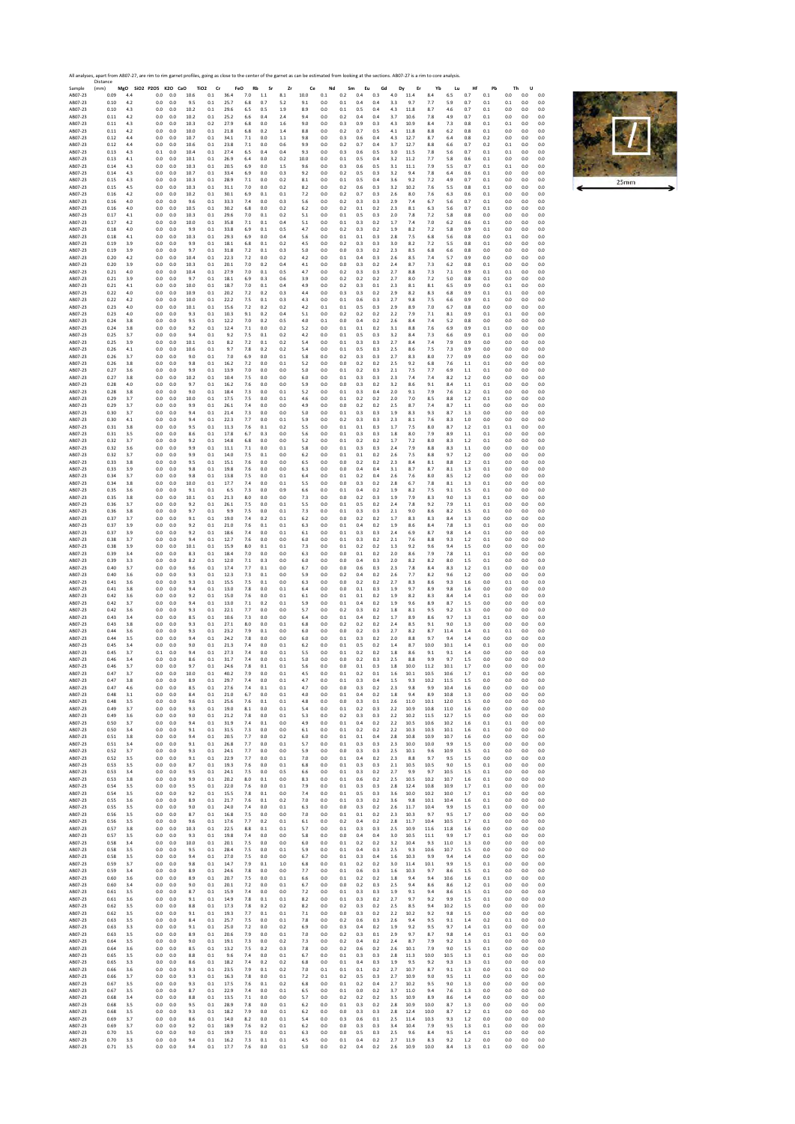All analyses, apart from AB07‐27, are rim to rim garnet profiles, going as close to the center of the garnet as can be estimated from looking at the sections. AB07‐27 is a rim to core analysis. Sample 2012 A ABO7-233 A ABO7-233 A ABO7-233 A ABO7-233 A ABO7-233 A ABO7-233 A ABO7-233 A ABO7-233 A ABO7-233 A ABO7-233 A ABO7-233 A ABO7-233 A ABO7-233 A ABO7-233 A ABO7-233 A ABO7-233 A ABO7-233 A ABO7-233 A ABO7-233 A Distance (mm) **MgO SiO2 P2O5 K2O CaO TiO2 Cr FeO Rb Sr Zr Ce Nd Sm Eu Gd Dy Er Yb Lu Hf Pb Th U** AB07‐23 0.09 4.4 0.0 0.0 10.6 0.1 36.4 7.0 1.1 8.1 10.0 0.1 0.2 0.4 0.3 4.0 11.4 8.4 6.5 0.7 0.1 0.0 0.0 0.0 AB07‐23 0.10 4.2 0.0 0.0 9.5 0.1 25.7 6.8 0.7 5.2 9.1 0.0 0.1 0.4 0.4 3.3 9.7 7.7 5.9 0.7 0.1 0.1 0.0 0.0 AB07‐23 0.10 4.3 0.0 0.0 10.2 0.1 29.6 6.5 0.5 1.9 8.9 0.0 0.1 0.5 0.4 4.3 11.8 8.7 4.6 0.7 0.1 0.0 0.0 0.0 AB07‐23 0.11 4.2 0.0 0.0 10.2 0.1 25.2 6.6 0.4 2.4 9.4 0.0 0.2 0.4 0.4 3.7 10.6 7.8 4.9 0.7 0.1 0.0 0.0 0.0 AB07‐23 0.11 4.3 0.0 0.0 10.3 0.2 27.9 6.8 0.0 1.6 9.0 0.0 0.3 0.9 0.3 4.3 10.9 8.4 7.3 0.8 0.1 0.1 0.0 0.0 AB07‐23 0.11 4.2 0.0 0.0 10.0 0.1 21.8 6.8 0.2 1.4 8.8 0.0 0.2 0.7 0.5 4.1 11.8 8.8 6.2 0.8 0.1 0.0 0.0 0.0 AB07‐23 0.12 4.4 0.0 0.0 10.7 0.1 34.1 7.1 0.0 1.1 9.8 0.0 0.3 0.6 0.4 4.3 12.7 8.7 6.4 0.8 0.2 0.0 0.0 0.0 AB07‐23 0.12 4.4 0.0 0.0 10.6 0.1 23.8 7.1 0.0 0.6 9.9 0.0 0.2 0.7 0.4 3.7 12.7 8.8 6.6 0.7 0.2 0.1 0.0 0.0 AB07‐23 0.13 4.3 0.1 0.0 10.4 0.1 27.4 6.5 0.4 0.4 9.3 0.0 0.3 0.6 0.5 3.0 11.5 7.8 5.6 0.7 0.1 0.1 0.0 0.0 AB07‐23 0.13 4.1 0.0 0.0 10.1 0.1 26.9 6.4 0.0 0.2 10.0 0.0 0.1 0.5 0.4 3.2 11.2 7.7 5.8 0.6 0.1 0.0 0.0 0.0 AB07‐23 0.14 4.3 0.0 0.0 10.3 0.1 20.5 6.9 0.0 1.5 9.6 0.0 0.3 0.6 0.5 3.1 11.1 7.9 5.5 0.7 0.1 0.1 0.0 0.0 AB07‐23 0.14 4.3 0.0 0.0 10.7 0.1 33.4 6.9 0.0 0.3 9.2 0.0 0.2 0.5 0.3 3.2 9.4 7.8 6.4 0.6 0.1 0.0 0.0 0.0 AB07‐23 0.15 4.3 0.0 0.0 10.3 0.1 28.9 7.1 0.0 0.2 8.1 0.0 0.1 0.5 0.4 3.6 9.2 7.2 4.9 0.7 0.1 0.0 0.0 0.0 AB07‐23 0.15 4.5 0.0 0.0 10.3 0.1 31.1 7.0 0.0 0.2 8.2 0.0 0.2 0.6 0.3 3.2 10.2 7.6 5.5 0.8 0.1 0.0 0.0 0.0 AB07‐23 0.16 4.2 0.0 0.0 10.2 0.1 30.1 6.9 0.1 0.1 7.2 0.0 0.2 0.7 0.3 2.6 8.0 7.6 6.3 0.6 0.1 0.0 0.0 0.0 AB07‐23 0.16 4.0 0.0 0.0 9.6 0.1 33.3 7.4 0.0 0.3 5.6 0.0 0.2 0.3 0.3 2.9 7.4 6.7 5.6 0.7 0.1 0.0 0.0 0.0 AB07‐23 0.16 4.0 0.0 0.0 10.5 0.1 30.2 6.8 0.0 0.2 6.2 0.0 0.2 0.1 0.2 2.3 8.1 6.3 5.6 0.7 0.1 0.0 0.0 0.0 AB07‐23 0.17 4.1 0.0 0.0 10.3 0.1 29.6 7.0 0.1 0.2 5.1 0.0 0.1 0.5 0.3 2.0 7.8 7.2 5.8 0.8 0.0 0.0 0.0 0.0 AB07‐23 0.17 4.2 0.0 0.0 10.0 0.1 35.8 7.1 0.1 0.4 5.1 0.0 0.1 0.3 0.2 1.7 7.4 7.0 6.2 0.6 0.1 0.0 0.0 0.0 AB07‐23 0.18 4.0 0.0 0.0 9.9 0.1 33.8 6.9 0.1 0.5 4.7 0.0 0.2 0.3 0.2 1.9 8.2 7.2 5.8 0.9 0.1 0.0 0.0 0.0 AB07‐23 0.18 4.1 0.0 0.0 10.3 0.1 29.3 6.9 0.0 0.4 5.6 0.0 0.1 0.1 0.3 2.8 7.5 6.8 5.6 0.8 0.0 0.1 0.0 0.0 AB07‐23 0.19 3.9 0.0 0.0 9.9 0.1 18.1 6.8 0.1 0.2 4.5 0.0 0.2 0.3 0.3 3.0 8.2 7.2 5.5 0.8 0.1 0.0 0.0 0.0 AB07‐23 0.19 3.9 0.0 0.0 9.7 0.1 31.8 7.2 0.1 0.3 5.0 0.0 0.0 0.3 0.2 2.3 8.5 6.8 6.6 0.8 0.0 0.0 0.0 0.0 AB07‐23 0.20 4.2 0.0 0.0 10.4 0.1 22.3 7.2 0.0 0.2 4.2 0.0 0.1 0.4 0.3 2.6 8.5 7.4 5.7 0.9 0.0 0.0 0.0 0.0 AB07‐23 0.20 3.9 0.0 0.0 10.3 0.1 20.1 7.0 0.2 0.4 4.1 0.0 0.0 0.3 0.2 2.4 8.7 7.3 6.2 0.8 0.1 0.0 0.0 0.0 AB07‐23 0.21 4.0 0.0 0.0 10.4 0.1 27.9 7.0 0.1 0.5 4.7 0.0 0.2 0.3 0.3 2.7 8.8 7.3 7.1 0.9 0.1 0.1 0.0 0.0 AB07‐23 0.21 3.9 0.0 0.0 9.7 0.1 18.1 6.9 0.3 0.6 3.9 0.0 0.2 0.2 0.2 2.7 8.0 7.2 5.0 0.8 0.1 0.0 0.0 0.0 AB07‐23 0.21 4.1 0.0 0.0 10.0 0.1 18.7 7.0 0.1 0.4 4.9 0.0 0.2 0.3 0.1 2.3 8.1 8.1 6.5 0.9 0.0 0.1 0.0 0.0 AB07‐23 0.22 4.0 0.0 0.0 10.9 0.1 20.2 7.2 0.2 0.3 4.4 0.0 0.3 0.3 0.2 2.9 8.2 8.3 6.8 0.9 0.1 0.1 0.0 0.0 AB07‐23 0.22 4.2 0.0 0.0 10.0 0.1 22.2 7.5 0.1 0.3 4.3 0.0 0.1 0.6 0.3 2.7 9.8 7.5 6.6 0.9 0.1 0.0 0.0 0.0 AB07‐23 0.23 4.0 0.0 0.0 10.1 0.1 15.6 7.2 0.2 0.2 4.2 0.1 0.1 0.5 0.3 2.9 8.9 7.0 6.7 0.8 0.0 0.0 0.0 0.0 AB07‐23 0.23 4.0 0.0 0.0 9.3 0.1 10.3 9.1 0.2 0.4 5.1 0.0 0.2 0.2 0.2 2.2 7.9 7.1 8.1 0.9 0.1 0.1 0.0 0.0 AB07‐23 0.24 3.8 0.0 0.0 9.5 0.1 12.2 7.0 0.2 0.5 4.0 0.1 0.0 0.4 0.2 2.6 8.4 7.4 5.2 0.8 0.0 0.0 0.0 0.0 AB07‐23 0.24 3.8 0.0 0.0 9.2 0.1 12.4 7.1 0.0 0.2 5.2 0.0 0.1 0.1 0.2 3.1 8.8 7.6 6.9 0.9 0.1 0.0 0.0 0.0 AB07‐23 0.25 3.7 0.0 0.0 9.4 0.1 9.2 7.5 0.1 0.2 4.2 0.0 0.1 0.5 0.3 3.2 8.4 7.3 6.6 0.9 0.1 0.0 0.0 0.0 AB07‐23 0.25 3.9 0.0 0.0 10.1 0.1 8.2 7.2 0.1 0.2 5.4 0.0 0.1 0.3 0.3 2.7 8.4 7.4 7.9 0.9 0.0 0.0 0.0 0.0 AB07‐23 0.26 4.1 0.0 0.0 10.6 0.1 9.7 7.8 0.2 0.2 5.4 0.0 0.1 0.5 0.3 2.5 8.6 7.5 7.3 0.9 0.0 0.0 0.0 0.0 AB07‐23 0.26 3.7 0.0 0.0 9.0 0.1 7.0 6.9 0.0 0.1 5.8 0.0 0.2 0.3 0.3 2.7 8.3 8.0 7.7 0.9 0.0 0.0 0.0 0.0 AB07‐23 0.26 3.8 0.0 0.0 9.8 0.1 16.2 7.2 0.0 0.1 5.2 0.0 0.0 0.2 0.2 2.5 9.2 6.8 7.6 1.1 0.1 0.0 0.0 0.0 AB07‐23 0.27 3.6 0.0 0.0 9.9 0.1 13.9 7.0 0.0 0.0 5.0 0.0 0.1 0.2 0.3 2.1 7.5 7.7 6.9 1.1 0.1 0.0 0.0 0.0 AB07‐23 0.27 3.8 0.0 0.0 10.2 0.1 10.4 7.5 0.0 0.0 6.0 0.0 0.1 0.3 0.3 2.3 7.4 7.4 8.2 1.2 0.0 0.0 0.0 0.0 AB07‐23 0.28 4.0 0.0 0.0 9.7 0.1 16.2 7.6 0.0 0.0 5.9 0.0 0.0 0.3 0.2 3.2 8.6 9.1 8.4 1.1 0.1 0.0 0.0 0.0 AB07‐23 0.28 3.8 0.0 0.0 9.0 0.1 18.4 7.3 0.0 0.1 5.2 0.0 0.1 0.3 0.4 2.0 9.1 7.9 7.6 1.2 0.1 0.0 0.0 0.0 AB07‐23 0.29 3.7 0.0 0.0 10.0 0.1 17.5 7.5 0.0 0.1 4.6 0.0 0.1 0.2 0.2 2.0 7.0 8.5 8.8 1.2 0.1 0.0 0.0 0.0 AB07‐23 0.29 3.7 0.0 0.0 9.9 0.1 26.1 7.4 0.0 0.0 4.9 0.0 0.0 0.2 0.2 2.5 8.7 7.4 8.7 1.1 0.0 0.0 0.0 0.0 AB07‐23 0.30 3.7 0.0 0.0 9.4 0.1 21.4 7.3 0.0 0.0 5.0 0.0 0.1 0.3 0.3 1.9 8.3 9.3 8.7 1.3 0.0 0.0 0.0 0.0 AB07‐23 0.30 4.1 0.0 0.0 9.4 0.1 22.3 7.7 0.0 0.1 5.9 0.0 0.2 0.3 0.3 2.3 8.1 7.6 8.3 1.0 0.0 0.0 0.0 0.0 AB07‐23 0.31 3.8 0.0 0.0 9.5 0.1 11.3 7.6 0.1 0.2 5.5 0.0 0.1 0.1 0.3 1.7 7.5 8.0 8.7 1.2 0.1 0.1 0.0 0.0 AB07‐23 0.31 3.5 0.0 0.0 8.6 0.1 17.8 6.7 0.3 0.0 5.6 0.0 0.1 0.3 0.3 1.8 8.0 7.9 8.9 1.1 0.1 0.0 0.0 0.0 AB07‐23 0.32 3.7 0.0 0.0 9.2 0.1 14.8 6.8 0.0 0.0 5.2 0.0 0.1 0.2 0.2 1.7 7.2 8.0 8.3 1.2 0.1 0.0 0.0 0.0 AB07‐23 0.32 3.6 0.0 0.0 9.9 0.1 11.1 7.1 0.0 0.1 5.8 0.0 0.1 0.3 0.3 2.4 7.9 8.8 8.3 1.1 0.0 0.0 0.0 0.0 AB07‐23 0.32 3.7 0.0 0.0 9.9 0.1 14.0 7.5 0.1 0.0 6.2 0.0 0.1 0.1 0.2 2.6 7.5 8.8 9.7 1.2 0.0 0.0 0.0 0.0 AB07‐23 0.33 3.8 0.0 0.0 9.5 0.1 15.1 7.6 0.0 0.0 6.5 0.0 0.0 0.2 0.2 2.3 8.4 8.1 8.8 1.2 0.1 0.0 0.0 0.0 AB07‐23 0.33 3.9 0.0 0.0 9.8 0.1 19.8 7.6 0.0 0.0 6.3 0.0 0.0 0.4 0.4 3.1 8.7 8.7 8.1 1.3 0.1 0.0 0.0 0.0 AB07‐23 0.34 3.7 0.0 0.0 9.8 0.1 13.8 7.5 0.0 0.1 6.4 0.0 0.1 0.2 0.4 2.6 7.6 8.0 8.5 1.2 0.0 0.0 0.0 0.0 AB07‐23 0.34 3.8 0.0 0.0 10.0 0.1 17.7 7.4 0.0 0.1 5.5 0.0 0.0 0.3 0.2 2.8 6.7 7.8 8.1 1.3 0.1 0.0 0.0 0.0 AB07‐23 0.35 3.6 0.0 0.0 9.1 0.1 6.5 7.3 0.0 0.9 6.6 0.0 0.1 0.4 0.2 1.9 8.2 7.5 9.1 1.5 0.1 0.0 0.0 0.0 AB07‐23 0.35 3.8 0.0 0.0 10.1 0.1 21.3 8.0 0.0 0.0 7.3 0.0 0.0 0.2 0.3 1.9 7.9 8.3 9.0 1.3 0.1 0.0 0.0 0.0 AB07‐23 0.36 3.7 0.0 0.0 9.2 0.1 26.1 7.5 0.0 0.1 5.5 0.0 0.1 0.5 0.2 2.4 7.8 9.2 7.9 1.1 0.1 0.0 0.0 0.0 AB07‐23 0.36 3.8 0.0 0.0 9.7 0.1 9.9 7.5 0.0 0.1 7.3 0.0 0.1 0.3 0.3 2.1 9.0 8.6 8.2 1.5 0.1 0.0 0.0 0.0 AB07‐23 0.37 3.7 0.0 0.0 9.1 0.1 19.0 7.4 0.2 0.1 6.2 0.0 0.0 0.2 0.2 1.7 8.3 8.3 8.4 1.3 0.0 0.0 0.0 0.0 AB07‐23 0.37 3.9 0.0 0.0 9.2 0.1 21.0 7.6 0.1 0.1 6.3 0.0 0.1 0.4 0.2 1.9 8.6 8.4 7.8 1.3 0.1 0.0 0.0 0.0 AB07‐23 0.37 3.9 0.0 0.0 9.2 0.1 18.6 7.4 0.0 0.1 6.1 0.0 0.1 0.3 0.3 2.4 6.9 8.7 9.8 1.4 0.1 0.0 0.0 0.0 AB07‐23 0.38 3.7 0.0 0.0 9.4 0.1 12.7 7.6 0.0 0.0 6.0 0.0 0.1 0.3 0.2 2.1 7.6 8.8 9.3 1.2 0.1 0.0 0.0 0.0 AB07‐23 0.38 3.9 0.0 0.0 10.1 0.1 15.9 8.0 0.1 0.1 7.3 0.0 0.1 0.2 0.2 1.3 9.2 9.6 9.4 1.5 0.0 0.0 0.0 0.0 AB07‐23 0.39 3.4 0.0 0.0 8.3 0.1 18.4 7.0 0.0 0.0 6.3 0.0 0.0 0.1 0.2 2.0 8.6 7.9 7.8 1.1 0.1 0.0 0.0 0.0 AB07‐23 0.39 3.3 0.0 0.0 8.2 0.1 12.0 7.1 0.3 0.0 6.0 0.0 0.0 0.4 0.3 2.0 8.2 8.2 8.0 1.5 0.1 0.0 0.0 0.0 AB07‐23 0.40 3.7 0.0 0.0 9.6 0.1 17.4 7.7 0.1 0.0 6.7 0.0 0.0 0.6 0.3 2.3 7.8 8.4 8.3 1.2 0.1 0.0 0.0 0.0 AB07‐23 0.40 3.6 0.0 0.0 9.3 0.1 12.3 7.3 0.1 0.0 5.9 0.0 0.2 0.4 0.2 2.6 7.7 8.2 9.6 1.2 0.0 0.0 0.0 0.0 AB07‐23 0.41 3.6 0.0 0.0 9.3 0.1 15.5 7.5 0.1 0.0 6.3 0.0 0.0 0.2 0.2 2.7 8.3 8.6 9.3 1.6 0.0 0.1 0.0 0.0 AB07‐23 0.41 3.8 0.0 0.0 9.4 0.1 13.0 7.8 0.0 0.1 6.4 0.0 0.0 0.1 0.3 1.9 9.7 8.9 9.8 1.6 0.0 0.0 0.0 0.0 AB07‐23 0.42 3.6 0.0 0.0 9.2 0.1 15.0 7.6 0.0 0.1 6.1 0.0 0.1 0.1 0.2 1.9 8.2 8.3 8.4 1.4 0.1 0.0 0.0 0.0 AB07‐23 0.42 3.7 0.0 0.0 9.4 0.1 13.0 7.1 0.2 0.1 5.9 0.0 0.1 0.4 0.2 1.9 9.6 8.9 8.7 1.5 0.0 0.0 0.0 0.0 AB07‐23 0.42 3.6 0.0 0.0 9.3 0.1 22.1 7.7 0.0 0.0 5.7 0.0 0.2 0.3 0.2 1.8 8.1 9.5 9.2 1.3 0.0 0.0 0.0 0.0 AB07‐23 0.43 3.4 0.0 0.0 8.5 0.1 10.6 7.3 0.0 0.0 6.4 0.0 0.1 0.4 0.2 1.7 8.9 8.6 9.7 1.3 0.1 0.0 0.0 0.0 AB07‐23 0.43 3.8 0.0 0.0 9.3 0.1 27.1 8.0 0.0 0.1 6.8 0.0 0.2 0.2 0.2 2.4 8.5 9.1 9.0 1.3 0.0 0.0 0.0 0.0 AB07‐23 0.44 3.6 0.0 0.0 9.3 0.1 23.2 7.9 0.1 0.0 6.0 0.0 0.0 0.2 0.3 2.7 8.2 8.7 11.4 1.4 0.1 0.1 0.0 0.0 AB07‐23 0.44 3.5 0.0 0.0 9.4 0.1 24.2 7.8 0.0 0.0 6.0 0.0 0.1 0.3 0.2 2.0 8.8 9.7 9.4 1.4 0.0 0.0 0.0 0.0 AB07‐23 0.45 3.4 0.0 0.0 9.0 0.1 21.3 7.4 0.0 0.1 6.2 0.0 0.1 0.5 0.2 1.4 8.7 10.0 10.1 1.4 0.1 0.0 0.0 0.0 AB07‐23 0.45 3.7 0.1 0.0 9.4 0.1 27.3 7.4 0.0 0.1 5.5 0.0 0.1 0.2 0.2 1.8 8.6 9.1 9.1 1.4 0.0 0.0 0.0 0.0 AB07‐23 0.46 3.4 0.0 0.0 8.6 0.1 31.7 7.4 0.0 0.1 5.0 0.0 0.0 0.2 0.3 2.5 8.8 9.9 9.7 1.5 0.0 0.0 0.0 0.0 AB07‐23 0.46 3.7 0.0 0.0 9.7 0.1 24.6 7.8 0.1 0.1 5.6 0.0 0.0 0.1 0.3 1.8 10.0 11.2 10.1 1.7 0.0 0.0 0.0 0.0 AB07‐23 0.47 3.7 0.0 0.0 10.0 0.1 40.2 7.9 0.0 0.1 4.5 0.0 0.1 0.2 0.1 1.6 10.1 10.5 10.6 1.7 0.1 0.0 0.0 0.0 AB07‐23 0.47 3.8 0.0 0.0 8.9 0.1 29.7 7.4 0.0 0.1 4.7 0.0 0.1 0.3 0.4 1.5 9.3 10.2 11.5 1.5 0.0 0.0 0.0 0.0 AB07‐23 0.47 4.6 0.0 0.0 8.5 0.1 27.6 7.4 0.1 0.1 4.7 0.0 0.0 0.3 0.2 2.3 9.8 9.9 10.4 1.6 0.0 0.0 0.0 0.0 AB07‐23 0.48 3.1 0.0 0.0 8.4 0.1 21.0 6.7 0.0 0.1 4.0 0.0 0.1 0.4 0.2 1.8 9.4 8.9 10.8 1.3 0.0 0.0 0.0 0.0 AB07‐23 0.48 3.5 0.0 0.0 9.6 0.1 25.6 7.6 0.1 0.1 4.8 0.0 0.0 0.3 0.1 2.6 11.0 10.1 12.0 1.5 0.0 0.0 0.0 0.0 AB07‐23 0.49 3.7 0.0 0.0 9.3 0.1 19.0 8.1 0.0 0.1 5.4 0.0 0.1 0.2 0.3 2.2 10.9 10.8 11.0 1.6 0.0 0.0 0.0 0.0 AB07‐23 0.49 3.6 0.0 0.0 9.0 0.1 21.2 7.8 0.0 0.1 5.3 0.0 0.2 0.3 0.3 2.2 10.2 11.5 12.7 1.5 0.0 0.0 0.0 0.0 AB07‐23 0.50 3.7 0.0 0.0 9.4 0.1 31.9 7.4 0.1 0.0 4.9 0.0 0.1 0.4 0.2 2.2 10.5 10.6 10.2 1.6 0.1 0.1 0.0 0.0 AB07‐23 0.50 3.4 0.0 0.0 9.1 0.1 31.5 7.3 0.0 0.0 6.1 0.0 0.1 0.2 0.2 2.2 10.3 10.3 10.1 1.6 0.1 0.0 0.0 0.0 AB07‐23 0.51 3.8 0.0 0.0 9.4 0.1 20.5 7.7 0.0 0.2 6.0 0.0 0.1 0.1 0.4 2.8 10.8 10.9 10.7 1.6 0.0 0.0 0.0 0.0 AB07‐23 0.51 3.4 0.0 0.0 9.1 0.1 26.8 7.7 0.0 0.1 5.7 0.0 0.1 0.3 0.3 2.3 10.0 10.0 9.9 1.5 0.0 0.0 0.0 0.0 AB07‐23 0.52 3.7 0.0 0.0 9.3 0.1 24.1 7.7 0.0 0.0 5.9 0.0 0.0 0.3 0.3 2.5 10.1 9.6 10.9 1.5 0.1 0.0 0.0 0.0 AB07‐23 0.52 3.5 0.0 0.0 9.1 0.1 22.9 7.7 0.0 0.1 7.0 0.0 0.1 0.4 0.2 2.3 8.8 9.7 9.5 1.5 0.0 0.0 0.0 0.0 AB07‐23 0.53 3.5 0.0 0.0 8.7 0.1 19.3 7.6 0.0 0.1 6.8 0.0 0.1 0.3 0.3 2.1 10.5 10.5 9.0 1.5 0.1 0.0 0.0 0.0 AB07‐23 0.53 3.4 0.0 0.0 9.5 0.1 24.1 7.5 0.0 0.5 6.6 0.0 0.1 0.3 0.2 2.7 9.9 9.7 10.5 1.5 0.1 0.0 0.0 0.0 AB07‐23 0.53 3.8 0.0 0.0 9.9 0.1 20.2 8.0 0.1 0.0 8.3 0.0 0.1 0.6 0.2 2.5 10.5 10.2 10.7 1.6 0.1 0.0 0.0 0.0 AB07‐23 0.54 3.5 0.0 0.0 9.5 0.1 22.0 7.6 0.0 0.1 7.9 0.0 0.1 0.3 0.3 2.8 12.4 10.8 10.9 1.7 0.1 0.0 0.0 0.0 AB07‐23 0.54 3.5 0.0 0.0 9.2 0.1 15.5 7.8 0.1 0.0 7.4 0.0 0.1 0.5 0.3 3.6 10.0 10.2 10.0 1.7 0.1 0.0 0.0 0.0 AB07‐23 0.55 3.6 0.0 0.0 8.9 0.1 21.7 7.6 0.1 0.2 7.0 0.0 0.1 0.3 0.2 3.6 9.8 10.1 10.4 1.6 0.1 0.0 0.0 0.0 AB07‐23 0.55 3.5 0.0 0.0 9.0 0.1 24.0 7.4 0.0 0.1 6.3 0.0 0.0 0.3 0.2 2.6 11.7 10.4 9.9 1.5 0.1 0.0 0.0 0.0 AB07‐23 0.56 3.5 0.0 0.0 8.7 0.1 16.8 7.5 0.0 0.0 7.0 0.0 0.1 0.1 0.2 2.3 10.3 9.7 9.5 1.7 0.0 0.0 0.0 0.0 AB07‐23 0.56 3.5 0.0 0.0 9.6 0.1 17.6 7.7 0.2 0.1 6.1 0.0 0.2 0.4 0.2 2.8 11.7 10.4 10.5 1.7 0.1 0.0 0.0 0.0 AB07‐23 0.57 3.8 0.0 0.0 10.3 0.1 22.5 8.8 0.1 0.1 5.7 0.0 0.1 0.3 0.3 2.5 10.9 11.6 11.8 1.6 0.0 0.0 0.0 0.0 AB07‐23 0.57 3.5 0.0 0.0 9.3 0.1 19.8 7.4 0.0 0.0 5.8 0.0 0.0 0.4 0.4 3.0 10.5 11.1 9.9 1.7 0.1 0.0 0.0 0.0 AB07‐23 0.58 3.4 0.0 0.0 10.0 0.1 20.1 7.5 0.0 0.0 6.0 0.0 0.1 0.2 0.2 3.2 10.4 9.3 11.0 1.3 0.0 0.0 0.0 0.0 AB07‐23 0.58 3.5 0.0 0.0 9.5 0.1 28.4 7.5 0.0 0.1 5.9 0.0 0.1 0.4 0.3 2.5 9.3 10.6 10.7 1.5 0.0 0.0 0.0 0.0 AB07‐23 0.58 3.5 0.0 0.0 9.4 0.1 27.0 7.5 0.0 0.0 6.7 0.0 0.1 0.3 0.4 1.6 10.3 9.9 9.4 1.4 0.0 0.0 0.0 0.0 AB07‐23 0.59 3.7 0.0 0.0 9.8 0.1 14.7 7.9 0.1 1.0 6.8 0.0 0.1 0.2 0.2 3.0 11.4 10.1 9.9 1.5 0.1 0.0 0.0 0.0 AB07‐23 0.59 3.4 0.0 0.0 8.9 0.1 24.6 7.8 0.0 0.0 7.7 0.0 0.1 0.6 0.3 1.6 10.3 9.7 8.6 1.5 0.1 0.0 0.0 0.0 AB07‐23 0.60 3.6 0.0 0.0 8.9 0.1 20.7 7.5 0.0 0.1 6.6 0.0 0.1 0.2 0.2 1.8 9.4 9.4 10.6 1.6 0.1 0.0 0.0 0.0 AB07‐23 0.60 3.4 0.0 0.0 9.0 0.1 20.1 7.2 0.0 0.1 6.7 0.0 0.0 0.2 0.3 2.5 9.4 8.6 8.6 1.2 0.1 0.0 0.0 0.0 AB07‐23 0.61 3.5 0.0 0.0 8.7 0.1 15.9 7.4 0.0 0.0 7.2 0.0 0.1 0.3 0.3 1.9 9.1 9.4 8.6 1.5 0.1 0.0 0.0 0.0 AB07‐23 0.61 3.6 0.0 0.0 9.1 0.1 14.9 7.8 0.1 0.1 8.2 0.0 0.1 0.3 0.2 2.7 9.7 9.2 9.9 1.5 0.1 0.0 0.0 0.0 AB07‐23 0.62 3.5 0.0 0.0 8.8 0.1 17.3 7.8 0.2 0.2 8.2 0.0 0.2 0.3 0.2 2.5 8.5 9.4 10.2 1.5 0.0 0.0 0.0 0.0 AB07‐23 0.62 3.5 0.0 0.0 9.1 0.1 19.3 7.7 0.1 0.1 7.1 0.0 0.0 0.3 0.2 2.2 10.2 9.2 9.8 1.5 0.0 0.0 0.0 0.0 AB07‐23 0.63 3.5 0.0 0.0 8.4 0.1 25.7 7.5 0.0 0.1 7.8 0.0 0.2 0.6 0.3 2.6 9.4 9.5 9.1 1.4 0.2 0.1 0.0 0.0 AB07‐23 0.63 3.3 0.0 0.0 9.1 0.1 25.0 7.2 0.0 0.2 6.9 0.0 0.3 0.4 0.2 1.9 9.2 9.5 9.7 1.4 0.1 0.0 0.0 0.0 AB07‐23 0.63 3.5 0.0 0.0 8.9 0.1 20.6 7.9 0.0 0.1 7.0 0.0 0.2 0.3 0.1 2.9 9.7 8.7 9.8 1.4 0.1 0.1 0.0 0.0 AB07‐23 0.64 3.5 0.0 0.0 9.0 0.1 19.1 7.3 0.0 0.2 7.3 0.0 0.2 0.4 0.2 2.4 8.7 7.9 9.2 1.3 0.1 0.0 0.0 0.0 AB07‐23 0.64 3.6 0.0 0.0 8.5 0.1 13.2 7.5 0.2 0.3 7.8 0.0 0.2 0.6 0.2 2.6 10.1 7.9 9.0 1.5 0.1 0.0 0.0 0.0 AB07‐23 0.65 3.5 0.0 0.0 8.8 0.1 9.6 7.4 0.0 0.1 6.7 0.0 0.1 0.3 0.3 2.8 11.3 10.0 10.5 1.3 0.1 0.0 0.0 0.0 AB07‐23 0.65 3.3 0.0 0.0 8.6 0.1 18.2 7.4 0.2 0.2 6.8 0.0 0.1 0.4 0.3 1.9 9.5 9.2 9.3 1.3 0.1 0.0 0.0 0.0 AB07‐23 0.66 3.6 0.0 0.0 9.3 0.1 23.5 7.9 0.1 0.2 7.0 0.1 0.1 0.1 0.2 2.7 10.7 8.7 9.1 1.3 0.0 0.1 0.0 0.0 AB07‐23 0.66 3.7 0.0 0.0 9.3 0.1 16.3 7.8 0.0 0.1 7.2 0.1 0.2 0.5 0.3 2.7 10.9 9.0 9.5 1.1 0.0 0.0 0.0 0.0 AB07‐23 0.67 3.5 0.0 0.0 9.3 0.1 17.5 7.6 0.1 0.2 6.8 0.0 0.1 0.2 0.4 2.7 10.2 9.5 9.0 1.3 0.0 0.0 0.0 0.0 AB07‐23 0.67 3.5 0.0 0.0 8.7 0.1 22.9 7.4 0.0 0.1 6.5 0.0 0.1 0.0 0.2 3.7 11.0 9.4 7.6 1.3 0.0 0.0 0.0 0.0 AB07‐23 0.68 3.4 0.0 0.0 8.8 0.1 13.5 7.1 0.0 0.0 5.7 0.0 0.2 0.2 0.2 3.5 10.9 8.9 8.6 1.4 0.0 0.0 0.0 0.0 AB07‐23 0.68 3.5 0.0 0.0 9.5 0.1 28.9 7.8 0.0 0.1 6.2 0.0 0.1 0.3 0.2 2.8 10.9 10.0 8.7 1.3 0.0 0.0 0.0 0.0 AB07‐23 0.68 3.5 0.0 0.0 9.3 0.1 18.2 7.9 0.0 0.1 6.2 0.0 0.0 0.3 0.3 2.8 12.4 10.0 8.7 1.2 0.1 0.0 0.0 0.0 AB07‐23 0.69 3.7 0.0 0.0 8.6 0.1 14.0 8.2 0.0 0.1 5.4 0.0 0.3 0.6 0.1 2.5 11.4 10.3 9.3 1.2 0.0 0.0 0.0 0.0 AB07‐23 0.69 3.7 0.0 0.0 9.2 0.1 18.9 7.6 0.2 0.1 6.2 0.0 0.0 0.3 0.3 3.4 10.4 7.9 9.5 1.3 0.1 0.0 0.0 0.0 AB07‐23 0.70 3.5 0.0 0.0 9.0 0.1 19.9 7.5 0.0 0.1 6.3 0.0 0.0 0.5 0.3 2.5 9.6 8.4 9.5 1.4 0.1 0.0 0.0 0.0 AB07‐23 0.70 3.3 0.0 0.0 9.4 0.1 16.2 7.3 0.1 0.1 4.5 0.0 0.1 0.4 0.2 2.7 11.9 8.3 9.2 1.2 0.0 0.0 0.0 0.0 AB07‐23 0.71 3.5 0.0 0.0 9.4 0.1 17.7 7.6 0.0 0.1 5.0 0.0 0.2 0.4 0.2 2.6 10.9 10.0 8.4 1.3 0.1 0.0 0.0 0.0

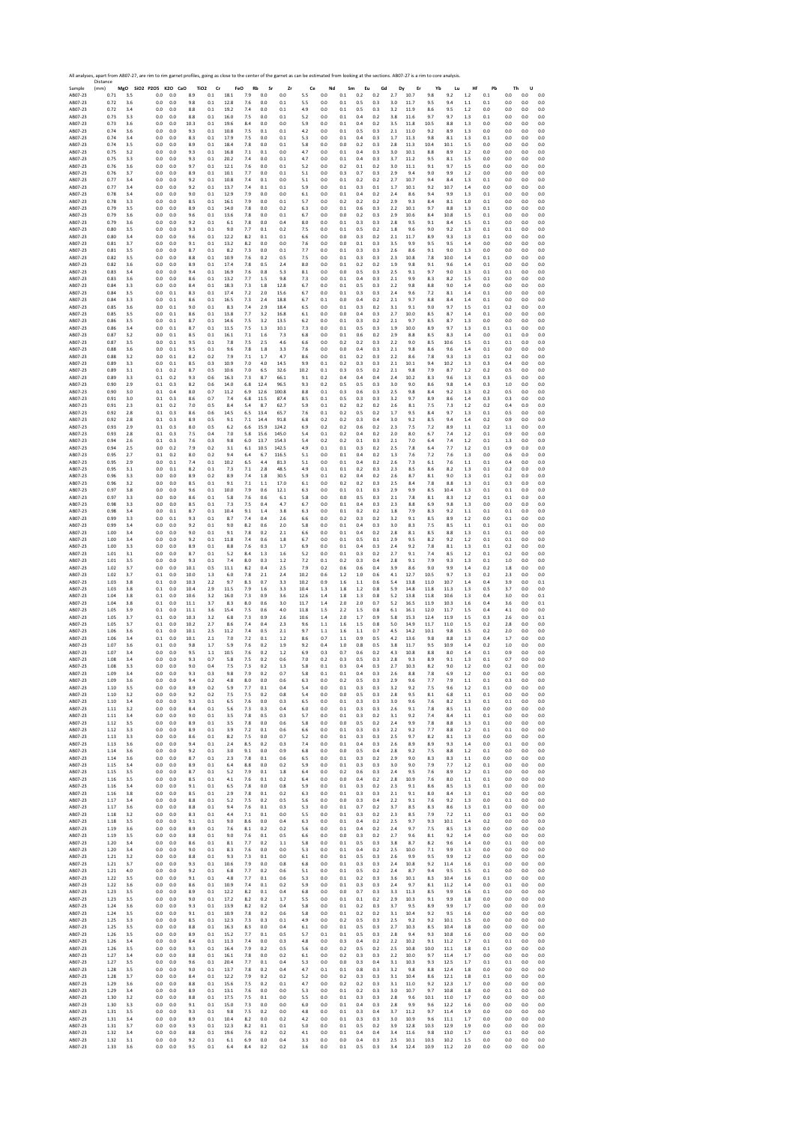|                    | Distance     |            | All analyses, apart from AB07-27, are rim to rim garnet profiles, going as close to the center of the garnet as can be estimated from looking at the sections. AB07-27 is a rim to core analysis. |            |              |                               |              |            |                 |                |              |                |                |            |             |            |              |              |              |                |            |                |            |                |
|--------------------|--------------|------------|---------------------------------------------------------------------------------------------------------------------------------------------------------------------------------------------------|------------|--------------|-------------------------------|--------------|------------|-----------------|----------------|--------------|----------------|----------------|------------|-------------|------------|--------------|--------------|--------------|----------------|------------|----------------|------------|----------------|
| Sample<br>AB07-23  | (mm)<br>0.71 | 3.5        | MgO SiO2 P2O5 K2O CaO<br>0.0                                                                                                                                                                      | 0.0        | 8.9          | TiO <sub>2</sub><br>Cr<br>0.1 | FeO<br>18.1  | Rb<br>7.9  | Sr<br>0.0       | Zr<br>0.0      | Ce<br>5.5    | Nd<br>0.0      | Sm<br>$0.1\,$  | Eu<br>0.2  | Gd<br>0.2   | Dy<br>2.7  | Er<br>10.7   | Yb<br>9.8    | Lu<br>9.2    | Hf<br>1.2      | Pb<br>0.1  | Th<br>0.0      | U<br>0.0   | 0.0            |
| AB07-23            | 0.72         | 3.6        | 0.0                                                                                                                                                                                               | 0.0        | 9.8          | 0.1                           | 12.8         | 7.6        | 0.0             | 0.1            | 5.5          | 0.0            | 0.1            | 0.5        | 0.3         | 3.0        | 11.7         | 9.5          | 9.4          | 1.1            | 0.1        | 0.0            | 0.0        | 0.0            |
| AB07-23<br>AB07-23 | 0.72<br>0.73 | 3.4<br>3.3 | 0.0<br>0.0                                                                                                                                                                                        | 0.0<br>0.0 | 8.8<br>8.8   | 0.1<br>0.1                    | 19.2<br>16.0 | 7.4<br>7.5 | 0.0<br>0.0      | 0.1<br>0.1     | 4.9<br>5.2   | 0.0<br>0.0     | $0.1\,$<br>0.1 | 0.5<br>0.4 | 0.3<br>0.2  | 3.2<br>3.8 | 11.9<br>11.6 | 8.6<br>9.7   | 9.5<br>9.7   | 1.2<br>1.3     | 0.0<br>0.1 | 0.0<br>0.0     | 0.0<br>0.0 | 0.0<br>0.0     |
| AB07-23            | 0.73         | 3.6        | 0.0                                                                                                                                                                                               | 0.0        | 10.3         | 0.1                           | 19.6         | 8.4        | 0.0             | 0.0            | 5.9          | 0.0            | 0.1            | 0.4        | 0.2         | 3.5        | 11.8         | 10.5         | 8.8          | 1.3            | 0.0        | 0.0            | 0.0        | 0.0            |
| AB07-23<br>AB07-23 | 0.74<br>0.74 | 3.6<br>3.4 | 0.0<br>$_{0.0}$                                                                                                                                                                                   | 0.0<br>0.0 | 9.3<br>8.3   | 0.1<br>0.1                    | 10.8<br>17.9 | 7.5<br>7.5 | 0.1<br>0.0      | 0.1<br>0.1     | 4.2<br>5.3   | 0.0<br>0.0     | 0.1<br>0.1     | 0.5<br>0.4 | 0.3<br>0.3  | 2.1<br>1.7 | 11.0<br>11.3 | 9.2<br>9.8   | 8.9<br>8.1   | 1.3<br>1.3     | 0.0<br>0.1 | 0.0<br>0.0     | 0.0<br>0.0 | 0.0<br>0.0     |
| AB07-23            | 0.74         | 3.5        | 0.0                                                                                                                                                                                               | 0.0        | 8.9          | 0.1                           | 18.4         | 7.8        | 0.0             | 0.1            | 5.8          | 0.0            | 0.0            | 0.2        | 0.3         | 2.8        | 11.3         | 10.4         | 10.1         | 1.5            | 0.0        | 0.0            | 0.0        | 0.0            |
| AB07-23<br>AB07-23 | 0.75<br>0.75 | 3.2<br>3.3 | 0.0<br>0.0                                                                                                                                                                                        | 0.0<br>0.0 | 9.3<br>9.3   | 0.1<br>0.1                    | 16.8<br>20.2 | 7.1<br>7.4 | 0.1<br>0.0      | 0.0<br>0.1     | 4.7<br>4.7   | 0.0<br>0.0     | 0.1<br>0.1     | 0.4<br>0.4 | 0.3<br>0.3  | 3.0<br>3.7 | 10.1<br>11.2 | 8.8<br>9.5   | 8.9<br>8.1   | 1.2<br>1.5     | 0.0<br>0.0 | 0.0<br>0.0     | 0.0<br>0.0 | 0.0<br>0.0     |
| AB07-23            | 0.76         | 3.6        | 0.0                                                                                                                                                                                               | 0.0        | 9.7          | 0.1                           | 12.1         | 7.6        | 0.0             | 0.1            | 5.2          | 0.0            | 0.2            | 0.1        | 0.2         | 3.0        | 11.1         | 9.1          | 9.7          | 1.5            | 0.0        | 0.0            | 0.0        | 0.0            |
| AB07-23<br>AB07-23 | 0.76<br>0.77 | 3.7<br>3.4 | 0.0<br>0.0                                                                                                                                                                                        | 0.0<br>0.0 | 8.9<br>9.2   | 0.1<br>0.1                    | 10.1<br>10.8 | 7.7<br>7.4 | 0.0<br>0.1      | 0.1<br>0.0     | 5.1<br>5.1   | 0.0<br>0.0     | 0.3<br>0.1     | 0.7<br>0.2 | 0.3<br>0.2  | 2.9<br>2.7 | 9.4<br>10.7  | 9.0<br>9.4   | 9.9<br>8.4   | 1.2<br>1.3     | 0.0<br>0.1 | 0.0<br>0.0     | 0.0<br>0.0 | 0.0<br>0.0     |
| AB07-23            | 0.77         | 3.4        | 0.0                                                                                                                                                                                               | 0.0        | 9.2          | 0.1                           | 13.7         | 7.4        | 0.1             | 0.1            | 5.9          | 0.0            | 0.1            | 0.3        | 0.1         | 1.7        | 10.1         | 9.2          | 10.7         | 1.4            | 0.0        | 0.0            | 0.0        | 0.0            |
| AB07-23<br>AB07-23 | 0.78<br>0.78 | 3.4<br>3.3 | 0.0<br>0.0                                                                                                                                                                                        | 0.0<br>0.0 | 9.0<br>8.5   | 0.1<br>0.1                    | 12.9<br>16.1 | 7.9<br>7.9 | 0.0<br>0.0      | 0.0<br>0.1     | 6.1<br>5.7   | 0.0<br>0.0     | 0.1<br>0.2     | 0.4<br>0.2 | 0.2<br>0.2  | 2.4<br>2.9 | 8.6<br>9.3   | 9.4<br>8.4   | 9.9<br>8.1   | 1.3<br>1.0     | 0.1<br>0.1 | 0.0<br>0.0     | 0.0<br>0.0 | 0.0<br>0.0     |
| AB07-23            | 0.79         | 3.5        | 0.0                                                                                                                                                                                               | 0.0        | 8.9          | 0.1                           | 14.0         | 7.8        | 0.0             | 0.2            | 6.3          | 0.0            | 0.1            | 0.6        | 0.3         | 2.2        | 10.1         | 9.7          | 8.8          | 1.3            | 0.1        | 0.0            | 0.0        | 0.0            |
| AB07-23<br>AB07-23 | 0.79<br>0.79 | 3.6<br>3.6 | 0.0<br>0.0                                                                                                                                                                                        | 0.0<br>0.0 | 9.6<br>9.2   | 0.1<br>0.1                    | 13.6<br>6.1  | 7.8<br>7.8 | 0.0<br>0.0      | 0.1<br>0.4     | 6.7<br>8.0   | 0.0<br>0.0     | 0.0<br>0.1     | 0.2<br>0.3 | 0.3<br>0.3  | 2.9<br>2.8 | 10.6<br>9.5  | 8.4<br>9.1   | 10.8<br>8.4  | 1.5<br>1.5     | 0.1<br>0.1 | 0.0<br>0.0     | 0.0<br>0.0 | 0.0<br>0.0     |
| AB07-23            | 0.80         | 3.5        | 0.0                                                                                                                                                                                               | 0.0        | 9.3          | 0.1                           | 9.0          | 7.7        | 0.1             | 0.2            | 7.5          | 0.0            | 0.1            | 0.5        | 0.2         | 1.8        | 9.6          | 9.0          | 9.2          | 1.3            | 0.1        | 0.1            | 0.0        | 0.0            |
| AB07-23<br>AB07-23 | 0.80<br>0.81 | 3.4<br>3.7 | 0.0<br>0.0                                                                                                                                                                                        | 0.0<br>0.0 | 9.6<br>9.1   | 0.1<br>0.1                    | 12.2<br>13.2 | 8.2<br>8.2 | 0.1<br>0.0      | 0.1<br>0.0     | 6.6<br>7.6   | 0.0<br>0.0     | 0.0<br>0.0     | 0.3<br>0.1 | 0.2<br>0.3  | 2.1<br>3.5 | 11.7<br>9.9  | 8.9<br>9.5   | 9.3<br>9.5   | 1.3<br>1.4     | 0.1<br>0.0 | 0.0<br>0.0     | 0.0<br>0.0 | 0.0<br>0.0     |
| AB07-23            | 0.81         | 3.5        | 0.0                                                                                                                                                                                               | 0.0        | 8.7          | 0.1                           | 8.2          | 7.3        | 0.0             | 0.1            | 7.7          | 0.0            | 0.1            | 0.3        | 0.3         | 2.6        | 8.6          | 9.1          | 9.0          | 1.3            | 0.0        | 0.0            | 0.0        | 0.0            |
| AB07-23<br>AB07-23 | 0.82<br>0.82 | 3.5<br>3.6 | $_{0.0}$<br>0.0                                                                                                                                                                                   | 0.0<br>0.0 | 8.8<br>8.9   | 0.1<br>0.1                    | 10.9<br>17.4 | 7.6<br>7.8 | 0.2<br>0.5      | 0.5<br>2.4     | 7.5<br>8.0   | 0.0<br>0.0     | 0.1<br>0.1     | 0.3<br>0.2 | 0.3<br>0.2  | 2.3<br>1.9 | 10.8<br>9.8  | 7.8<br>9.1   | 10.0<br>9.6  | 1.4<br>1.4     | 0.1<br>0.1 | 0.0<br>0.0     | 0.0<br>0.0 | 0.0<br>0.0     |
| AB07-23            | 0.83         | 3.4        | 0.0                                                                                                                                                                                               | 0.0        | 9.4          | 0.1                           | 16.9         | 7.6        | 0.8             | 5.3            | 8.1          | 0.0            | 0.0            | 0.5        | 0.3         | 2.5        | 9.1          | 9.7          | 9.0          | 1.3            | 0.1        | 0.1            | 0.0        | 0.0            |
| AB07-23<br>AB07-23 | 0.83<br>0.84 | 3.6<br>3.3 | 0.0<br>$0.0\,$                                                                                                                                                                                    | 0.0<br>0.0 | 8.6<br>8.4   | 0.1<br>0.1                    | 13.2<br>18.3 | 7.7<br>7.3 | 1.5<br>1.8      | 9.8<br>12.8    | 7.3<br>6.7   | 0.0<br>0.0     | 0.1<br>$0.1\,$ | 0.4<br>0.5 | 0.3<br>0.3  | 2.1<br>2.2 | 9.9<br>9.8   | 8.3<br>8.8   | 8.2<br>9.0   | 1.5<br>1.4     | 0.1<br>0.0 | 0.0<br>0.0     | 0.0<br>0.0 | 0.0<br>0.0     |
| AB07-23            | 0.84         | 3.5        | 0.0                                                                                                                                                                                               | 0.1        | 8.3          | 0.1                           | 17.4         | 7.2        | 2.0             | 15.6           | 6.7          | 0.0            | 0.1            | 0.3        | 0.3         | 2.4        | 9.6          | 7.2          | 8.1          | 1.4            | 0.1        | 0.0            | 0.0        | 0.0            |
| AB07-23<br>AB07-23 | 0.84<br>0.85 | 3.3<br>3.6 | 0.0<br>0.0                                                                                                                                                                                        | 0.1<br>0.1 | 8.6<br>9.0   | 0.1<br>0.1                    | 16.5<br>8.3  | 7.3<br>7.4 | 2.4<br>2.9      | 18.8<br>18.4   | 6.7<br>6.5   | 0.1<br>0.0     | 0.0<br>0.1     | 0.4<br>0.3 | 0.2<br>0.2  | 2.1<br>3.1 | 9.7<br>9.1   | 8.8<br>9.0   | 8.4<br>9.7   | 1.4<br>1.5     | 0.1<br>0.1 | 0.0<br>0.2     | 0.0<br>0.0 | 0.0<br>0.0     |
| AB07-23            | 0.85         | 3.5        | $_{0.0}$                                                                                                                                                                                          | 0.1        | 8.6          | 0.1                           | 13.8         | 7.7        | 3.2             | 16.8           | 6.1          | 0.0            | 0.0            | 0.4        | 0.3         | 2.7        | 10.0         | 8.5          | 8.7          | 1.4            | 0.1        | 0.0            | 0.0        | 0.0            |
| AB07-23<br>AB07-23 | 0.86<br>0.86 | 3.5<br>3.4 | 0.0<br>0.0                                                                                                                                                                                        | 0.1<br>0.1 | 8.7<br>8.7   | 0.1<br>0.1                    | 14.6<br>11.5 | 7.5<br>7.5 | 3.2<br>1.3      | 13.5<br>10.1   | 6.2<br>7.3   | 0.0<br>0.0     | $0.1\,$<br>0.1 | 0.3<br>0.5 | 0.2<br>0.3  | 2.1<br>1.9 | 9.7<br>10.0  | 8.5<br>8.9   | 8.7<br>9.7   | 1.3<br>1.3     | 0.0<br>0.1 | 0.0<br>0.1     | 0.0<br>0.0 | 0.0<br>0.0     |
| AB07-23            | 0.87         | 3.2        | 0.0                                                                                                                                                                                               | 0.1        | 8.5          | 0.1                           | 16.1         | 7.1        | 1.6             | 7.3            | 6.8          | 0.0            | 0.1            | 0.6        | 0.2         | 2.9        | 8.8          | 8.5          | 8.3          | 1.4            | 0.0        | 0.1            | 0.0        | 0.0            |
| AB07-23<br>AB07-23 | 0.87<br>0.88 | 3.5<br>3.6 | 0.0<br>0.0                                                                                                                                                                                        | 0.1<br>0.1 | 9.5<br>9.5   | 0.1<br>0.1                    | 7.8<br>9.6   | 7.5<br>7.8 | 2.5<br>1.8      | 4.6<br>3.3     | 6.6<br>7.6   | 0.0<br>0.0     | 0.2<br>0.0     | 0.2<br>0.4 | 0.3<br>0.3  | 2.2<br>2.1 | 9.0<br>9.8   | 8.5<br>8.6   | 10.6<br>9.6  | 1.5<br>1.4     | 0.1<br>0.1 | 0.1<br>0.0     | 0.0<br>0.0 | 0.0<br>0.0     |
| AB07-23            | 0.88         | 3.2        | 0.0                                                                                                                                                                                               | 0.1        | 8.2          | 0.2                           | 7.9          | 7.1        | 1.7             | 4.7            | 8.6          | 0.0            | 0.1            | 0.2        | 0.3         | 2.2        | 8.6          | 7.8          | 9.3          | 1.3            | 0.1        | 0.2            | 0.0        | 0.0            |
| AB07-23            | 0.89         | 3.3        | 0.0                                                                                                                                                                                               | 0.1        | 8.5          | 0.3                           | 10.9         | 7.0        | 4.0             | 14.5           | 9.9          | 0.1            | 0.2            | 0.3        | 0.3         | 2.1        | 10.1         | 9.4          | 10.2         | 1.3            | 0.3        | 0.4            | 0.0        | 0.0            |
| AB07-23<br>AB07-23 | 0.89<br>0.89 | 3.1<br>3.3 | 0.1<br>0.1                                                                                                                                                                                        | 0.2<br>0.2 | 8.7<br>9.3   | 0.5<br>0.6                    | 10.6<br>16.3 | 7.0<br>7.3 | 6.5<br>8.7      | 32.6<br>66.1   | 10.2<br>9.1  | 0.1<br>0.2     | 0.3<br>0.4     | 0.5<br>0.4 | 0.2<br>0.4  | 2.1<br>2.4 | 9.8<br>10.2  | 7.9<br>8.3   | 8.7<br>9.6   | 1.2<br>1.3     | 0.2<br>0.3 | 0.5<br>0.5     | 0.0<br>0.0 | 0.0<br>0.0     |
| AB07-23            | 0.90         | 2.9        | 0.1                                                                                                                                                                                               | 0.3        | 8.2          | 0.6                           | 14.0         | 6.8        | 12.4            | 96.5           | 9.3          | 0.2            | 0.5            | 0.5        | 0.3         | 3.0        | 9.0          | 8.6          | 9.8          | 1.4            | 0.3        | 1.0            | 0.0        | 0.0            |
| AB07-23<br>AB07-23 | 0.90<br>0.91 | 3.0<br>3.0 | 0.1<br>0.1                                                                                                                                                                                        | 0.4<br>0.3 | 8.0<br>8.6   | 0.7<br>0.7                    | 11.2<br>7.4  | 6.9<br>6.8 | 12.6<br>11.5    | 100.8<br>87.4  | 8.8<br>8.5   | 0.1<br>0.1     | 0.3<br>0.5     | 0.6<br>0.3 | 0.3<br>0.3  | 2.5<br>3.2 | 9.8<br>9.7   | 8.4<br>8.9   | 9.2<br>8.6   | 1.3<br>1.4     | 0.2<br>0.3 | 0.5<br>0.3     | 0.0<br>0.0 | 0.0<br>0.0     |
| AB07-23            | 0.91         | 2.3        | 0.1                                                                                                                                                                                               | 0.2        | 7.0          | 0.5                           | 8.4          | 5.4        | 8.7             | 62.7           | 5.9          | 0.1            | 0.2            | 0.2        | 0.2         | 2.6        | 8.1          | 7.5          | 7.3          | 1.2            | 0.2        | 0.4            | 0.0        | 0.0            |
| AB07-23<br>AB07-23 | 0.92<br>0.92 | 2.8<br>2.8 | 0.1<br>0.1                                                                                                                                                                                        | 0.3<br>0.3 | 8.6<br>8.9   | 0.6<br>0.5                    | 14.5<br>9.1  | 6.5<br>7.1 | 13.4<br>14.4    | 65.7<br>91.8   | 7.6<br>6.8   | 0.1<br>0.2     | 0.2<br>0.2     | 0.5<br>0.3 | 0.2<br>0.4  | 1.7<br>3.0 | 9.5<br>9.2   | 8.4<br>8.5   | 9.7<br>9.4   | 1.3<br>1.4     | 0.1<br>0.2 | 0.5<br>0.9     | 0.0<br>0.0 | 0.0<br>0.0     |
| AB07-23            | 0.93         | 2.9        | 0.1                                                                                                                                                                                               | 0.3        | 8.0          | 0.5                           | 6.2          | 6.6        | 15.9            | 124.2          | 6.9          | 0.2            | 0.2            | 0.6        | 0.2         | 2.3        | 7.5          | 7.2          | 8.9          | 1.1            | 0.2        | 1.1            | 0.0        | 0.0            |
| AB07-23<br>AB07-23 | 0.93<br>0.94 | 2.8<br>2.6 | 0.1<br>0.1                                                                                                                                                                                        | 0.3<br>0.3 | 7.5<br>7.6   | 0.4<br>0.3                    | 7.0<br>9.8   | 5.8<br>6.0 | 15.6<br>13.7    | 145.0<br>154.3 | 5.4<br>5.4   | 0.1<br>0.2     | 0.2<br>0.2     | 0.4<br>0.1 | 0.2<br>0.3  | 2.0<br>2.1 | 8.0<br>7.0   | 6.7<br>6.4   | 7.4<br>7.4   | 1.2<br>1.2     | 0.1        | 0.9<br>1.3     | 0.0<br>0.0 | 0.0<br>0.0     |
| AB07-23            | 0.94         | 2.5        | 0.0                                                                                                                                                                                               | 0.2        | 7.9          | 0.2                           | 3.1          | 6.1        | 10.5            | 142.5          | 4.9          | 0.1            | 0.1            | 0.3        | 0.2         | 2.5        | 7.8          | 6.4          | 7.7          | 1.2            | 0.1<br>0.1 | 0.9            | 0.0        | 0.0            |
| AB07-23            | 0.95         | 2.7        | 0.1                                                                                                                                                                                               | 0.2        | 8.0          | 0.2                           | 9.4          | 6.4        | 6.7             | 116.5          | 5.1          | 0.0            | 0.1            | 0.4        | 0.2         | 1.3        | 7.6          | 7.2          | 7.6          | 1.3            | 0.0        | 0.6            | 0.0        | 0.0            |
| AB07-23<br>AB07-23 | 0.95<br>0.95 | 2.9<br>3.1 | $_{0.0}$<br>0.0                                                                                                                                                                                   | 0.1<br>0.1 | 7.4<br>8.2   | 0.1<br>0.1                    | 10.2<br>7.3  | 6.5<br>7.1 | 4.4<br>2.8      | 81.3<br>48.5   | 5.1<br>4.9   | 0.0<br>0.1     | $0.1\,$<br>0.1 | 0.4<br>0.2 | 0.2<br>0.3  | 2.6<br>2.3 | 7.3<br>8.5   | 6.1<br>8.6   | 7.6<br>8.2   | 1.1<br>1.3     | 0.1<br>0.1 | 0.4<br>0.2     | 0.0<br>0.0 | 0.0<br>0.0     |
| AB07-23            | 0.96         | 3.3        | 0.0                                                                                                                                                                                               | 0.0        | 8.9          | 0.2                           | 8.9          | 7.4        | 1.8             | 30.5           | 5.9          | 0.1            | 0.2            | 0.4        | 0.2         | 2.6        | 8.7          | 8.1          | 9.0          | 1.3            | 0.1        | 0.2            | 0.0        | 0.0            |
| AB07-23<br>AB07-23 | 0.96<br>0.97 | 3.2<br>3.8 | 0.0<br>$_{0.0}$                                                                                                                                                                                   | 0.0<br>0.0 | 8.5<br>9.6   | 0.1<br>0.1                    | 9.1<br>10.0  | 7.1<br>7.9 | 1.1<br>0.6      | 17.0<br>12.1   | 6.1<br>6.3   | 0.0<br>0.0     | 0.2<br>0.1     | 0.2<br>0.1 | 0.3<br>0.3  | 2.5<br>2.9 | 8.4<br>9.9   | 7.8<br>8.5   | 8.8<br>10.4  | 1.3<br>1.3     | 0.1<br>0.1 | 0.3<br>0.1     | 0.0<br>0.0 | 0.0<br>0.0     |
| AB07-23            | 0.97         | 3.3        | 0.0                                                                                                                                                                                               | 0.0        | 8.6          | 0.1                           | 5.8          | 7.6        | 0.6             | 6.1            | 5.8          | 0.0            | 0.0            | 0.5        | 0.3         | 2.1        | 7.8          | 8.1          | 8.3          | 1.2            | 0.1        | 0.1            | 0.0        | 0.0            |
| AB07-23<br>AB07-23 | 0.98<br>0.98 | 3.3<br>3.4 | 0.0<br>0.0                                                                                                                                                                                        | 0.0<br>0.1 | 8.5<br>8.7   | 0.1<br>0.1                    | 7.3<br>10.4  | 7.5<br>9.1 | 0.4<br>1.4      | 4.7<br>3.8     | 6.7<br>6.3   | 0.0<br>0.0     | 0.1<br>0.1     | 0.4<br>0.2 | 0.3<br>0.2  | 2.3<br>1.8 | 8.8<br>7.9   | 6.9<br>8.3   | 9.8<br>9.2   | 1.3<br>1.1     | 0.0<br>0.1 | 0.0<br>0.1     | 0.0<br>0.0 | 0.0<br>0.0     |
| AB07-23            | 0.99         | 3.3        | 0.0                                                                                                                                                                                               | 0.1        | 9.3          | 0.1                           | 8.7          | 7.4        | 0.4             | 2.6            | 6.6          | 0.0            | 0.2            | 0.3        | 0.2         | 3.2        | 9.1          | 8.5          | 8.9          | 1.2            | 0.0        | 0.1            | 0.0        | 0.0            |
| AB07-23            | 0.99         | 3.4        | 0.0                                                                                                                                                                                               | 0.0        | 9.2          | 0.1                           | 9.0          | 8.2        | 0.6             | 2.0            | 5.8          | 0.0            | 0.1            | 0.4        | 0.3         | 3.0        | 8.3          | 7.5          | 8.5          | 1.1            | 0.1        | 0.1            | 0.0        | 0.0            |
| AB07-23<br>AB07-23 | 1.00<br>1.00 | 3.4<br>3.4 | 0.0<br>0.0                                                                                                                                                                                        | 0.0<br>0.0 | 9.0<br>9.2   | 0.1<br>0.1                    | 9.1<br>11.8  | 7.8<br>7.4 | 0.2<br>0.6      | 2.1<br>1.8     | 6.6<br>6.7   | 0.0<br>0.0     | 0.1<br>0.1     | 0.4<br>0.5 | 0.2<br>0.1  | 2.8<br>2.9 | 8.1<br>9.5   | 8.5<br>8.2   | 8.8<br>9.2   | 1.3<br>1.2     | 0.1<br>0.1 | 0.1<br>0.1     | 0.0<br>0.0 | 0.0<br>0.0     |
| AB07-23            | 1.00         | 3.3        | 0.0                                                                                                                                                                                               | 0.0        | 8.9          | 0.1                           | 8.8          | 7.6        | 0.3             | 1.7            | 6.9          | 0.0            | 0.1            | 0.4        | 0.3         | 2.4        | 9.2          | 7.8          | 8.1          | 1.3            | 0.1        | 0.2            | 0.0        | 0.0            |
| AB07-23<br>AB07-23 | 1.01<br>1.01 | 3.1<br>3.5 | 0.0<br>0.0                                                                                                                                                                                        | 0.0<br>0.0 | 8.7<br>9.3   | 0.1<br>0.1                    | 5.2<br>7.4   | 8.4<br>8.0 | 1.3<br>0.3      | 1.6<br>1.2     | 5.2<br>7.2   | 0.0<br>0.1     | 0.1<br>0.2     | 0.3<br>0.3 | 0.2<br>0.4  | 2.7<br>2.8 | 9.1<br>9.1   | 7.4<br>7.9   | 8.5<br>9.3   | 1.2<br>1.3     | 0.1<br>0.1 | 0.2<br>1.0     | 0.0<br>0.0 | 0.0<br>0.0     |
| AB07-23            | 1.02         | 3.7        | 0.0                                                                                                                                                                                               | 0.0        | 10.1         | 0.5                           | 11.1         | 8.2        | 0.4             | 2.5            | 7.9          | 0.2            | 0.6            | 0.6        | 0.4         | 3.9        | 8.6          | 9.0          | 9.9          | 1.4            | 0.2        | 1.8            | 0.0        | 0.0            |
| AB07-23<br>AB07-23 | 1.02<br>1.03 | 3.7<br>3.8 | 0.1<br>0.1                                                                                                                                                                                        | 0.0<br>0.0 | 10.0<br>10.3 | 1.3<br>2.2                    | 6.0<br>9.7   | 7.8<br>8.3 | 2.1<br>0.7      | 2.4<br>3.3     | 10.2<br>10.2 | 0.6<br>0.9     | 1.2<br>1.6     | 1.0<br>1.1 | 0.6<br>0.6  | 4.1<br>5.4 | 12.7<br>13.8 | 10.5<br>11.0 | 9.7<br>10.7  | 1.3<br>1.4     | 0.2<br>0.4 | 2.3<br>3.9     | 0.0<br>0.0 | 0.0<br>0.1     |
| AB07-23            | 1.03         | 3.8        | 0.1                                                                                                                                                                                               | 0.0        | 10.4         | 2.9                           | 11.5         | 7.9        | 1.6             | 3.3            | 10.4         | 1.3            | 1.8            | 1.2        | 0.8         | 5.9        | 14.8         | 11.8         | 11.3         | 1.3            | 0.5        | 3.7            | 0.0        | 0.0            |
| AB07-23            | 1.04<br>1.04 | 3.8<br>3.8 | 0.1<br>0.1                                                                                                                                                                                        | 0.0<br>0.0 | 10.6<br>11.1 | 3.2<br>3.7                    | 16.0<br>8.3  | 7.3<br>8.0 | 0.9<br>0.6      | 3.6<br>3.0     | 12.6<br>11.7 | 1.4<br>1.4     | 1.8<br>2.0     | 1.3<br>2.0 | 0.8<br>0.7  | 5.2<br>5.2 | 13.8<br>16.5 | 11.8<br>11.9 | 10.6<br>10.3 | 1.3            | 0.4        | 3.0<br>3.6     | 0.0<br>0.0 | 0.1<br>0.1     |
| AB07-23<br>AB07-23 | 1.05         | 3.9        | $0.1\,$                                                                                                                                                                                           | 0.0        | 11.1         | 3.6                           | 15.4         | 7.5        | 0.6             | 4.0            | 11.8         | 1.5            | 2.2            | 1.5        | 0.8         | 6.1        | 16.1         | 12.0         | 11.7         | 1.6<br>1.5     | 0.4<br>0.4 | 4.1            | 0.0        | 0.0            |
| AB07-23            | 1.05         | 3.7        | 0.1                                                                                                                                                                                               | $0.0\,$    | 10.3         | 3.2                           | 6.8          | 7.3        | 0.9             | 2.6            | 10.6         | 1.4            | 2.0            | 1.7        | 0.9         | 5.8        | 15.3         | 12.4         | 11.9         | 1.5            | 0.3        | 2.6            | 0.0        | 0.1            |
| AB07-23<br>AB07-23 | 1.05<br>1.06 | 3.7<br>3.6 | 0.1<br>0.1                                                                                                                                                                                        | 0.0<br>0.0 | 10.2<br>10.1 | 2.7<br>2.5                    | 8.6<br>11.2  | 7.4<br>7.4 | 0.4<br>0.5      | 2.3<br>2.1     | 9.6<br>9.7   | 1.1<br>1.1     | 1.6<br>1.6     | 1.5<br>1.1 | 0.8<br>0.7  | 5.0<br>4.5 | 14.9<br>14.2 | 11.7<br>10.1 | 11.0<br>9.8  | 1.5<br>1.5     | 0.2<br>0.2 | 2.8<br>2.0     | 0.0<br>0.0 | 0.0<br>0.0     |
| AB07-23            | 1.06         | 3.4        | 0.1                                                                                                                                                                                               | 0.0        | 10.1         | 2.1                           | 7.0          | 7.2        | 0.1             | 1.2            | 8.6          | 0.7            | $1.1\,$        | 0.9        | 0.5         | 4.2        | 13.6         | 9.8          | 8.8          | 1.3            | 0.4        | 1.7            | 0.0        | 0.0            |
| AB07-23<br>AB07-23 | 1.07<br>1.07 | 3.6<br>3.4 | 0.1<br>0.0                                                                                                                                                                                        | 0.0<br>0.0 | 9.8<br>9.5   | 1.7<br>1.1                    | 5.9<br>10.5  | 7.6<br>7.6 | 0.2<br>0.2      | 1.9<br>1.2     | 9.2<br>6.9   | 0.4<br>0.3     | 1.0<br>0.7     | 0.8<br>0.6 | 0.5<br>0.2  | 3.8<br>4.3 | 11.7<br>10.8 | 9.5<br>8.8   | 10.9<br>8.0  | 1.4<br>1.4     | 0.2<br>0.1 | 1.0<br>0.9     | 0.0<br>0.0 | 0.0<br>0.0     |
| AB07-23            | 1.08         | 3.4        | 0.0                                                                                                                                                                                               | 0.0        | 9.3          | 0.7                           | 5.8          | 7.5        | 0.2             | 0.6            | 7.0          | 0.2            | 0.3            | 0.5        | 0.3         | 2.8        | 9.3          | 8.9          | 9.1          | 1.3            | 0.1        | 0.7            | 0.0        | 0.0            |
| AB07-23<br>ABU/-23 | 1.08<br>1.09 | 3.3<br>3.4 | 0.0<br>U.U                                                                                                                                                                                        | 0.0<br>U.U | 9.0<br>У.:   | 0.4<br>U.s                    | 7.5          | 7.3        | 0.2<br>υ.,      | 1.3            | 5.8<br>5.8   | 0.1<br>U.I     | 0.3<br>υ.1     | 0.4<br>υ.  | 0.3<br>U. 3 | 2.7<br>2.5 | 10.3<br>8.8  | 8.2<br>1.8   | 9.0<br>6.9   | 1.2            | 0.0<br>U.U | 0.2<br>0.1     | 0.0<br>U.U | 0.0<br>U.U     |
| AB07-23            | 1.09         | 3.6        | 0.0                                                                                                                                                                                               | 0.0        | 9.4          | 0.2                           | 4.8          | 8.0        | 0.0             | 0.6            | 6.3          | 0.0            | 0.2            | 0.5        | 0.3         | 2.9        | 9.6          | 7.7          | 7.9          | 1.1            | 0.1        | 0.3            | 0.0        | 0.0            |
| AB07-23<br>AB07-23 | 1.10<br>1.10 | 3.5<br>3.2 | 0.0<br>0.0                                                                                                                                                                                        | 0.0<br>0.0 | 8.9<br>9.2   | 0.2<br>0.2                    | 5.9<br>7.5   | 7.7<br>7.5 | 0.1<br>0.2      | 0.4<br>0.8     | 5.4<br>5.4   | 0.0<br>0.0     | 0.1<br>0.0     | 0.3<br>0.5 | 0.3<br>0.3  | 3.2<br>2.8 | 9.2<br>9.5   | 7.5<br>8.1   | 9.6<br>6.8   | 1.2<br>1.1     | 0.1<br>0.1 | 0.0<br>0.0     | 0.0<br>0.0 | 0.0<br>0.0     |
| AB07-23            | 1.10         | 3.4        | 0.0                                                                                                                                                                                               | 0.0        | 9.3          | 0.1                           | 6.5          | 7.6        | 0.0             | 0.3            | 6.5          | 0.0            | 0.1            | 0.3        | 0.3         | 3.0        | 9.6          | 7.6          | 8.2          | 1.3            | 0.1        | 0.1            | 0.0        | 0.0            |
| AB07-23<br>AB07-23 | 1.11<br>1.11 | 3.2<br>3.4 | 0.0<br>0.0                                                                                                                                                                                        | 0.0<br>0.0 | 8.4<br>9.0   | 0.1<br>0.1                    | 5.6<br>3.5   | 7.3<br>7.8 | 0.3<br>0.5      | 0.4<br>0.3     | 6.0<br>5.7   | 0.0<br>0.0     | 0.1<br>0.1     | 0.3<br>0.3 | 0.3<br>0.2  | 2.6<br>3.1 | 9.1<br>9.2   | 7.8<br>7.4   | 8.5<br>8.4   | 1.1<br>1.1     | 0.0<br>0.1 | 0.0<br>0.0     | 0.0<br>0.0 | 0.0<br>0.0     |
| AB07-23            | 1.12         | 3.5        | 0.0                                                                                                                                                                                               | 0.0        | 8.9          | 0.1                           | 3.5          | 7.8        | 0.0             | 0.6            | 5.8          | 0.0            | 0.0            | 0.5        | 0.2         | 2.4        | 9.9          | 7.8          | 8.8          | 1.3            | 0.1        | 0.0            | 0.0        | 0.0            |
| AB07-23            | 1.12         | 3.3        | 0.0                                                                                                                                                                                               | 0.0        | 8.9          | 0.1                           | 3.9          | 7.2        | 0.1             | 0.6            | 6.6          | 0.0            | 0.1            | 0.3        | 0.3         | 2.2        | 9.2          | 7.7          | 8.8          | 1.2            | 0.1        | 0.1            | 0.0        | 0.0            |
| AB07-23<br>AB07-23 | 1.13<br>1.13 | 3.3<br>3.6 | 0.0<br>0.0                                                                                                                                                                                        | 0.0<br>0.0 | 8.6<br>9.4   | 0.1<br>0.1                    | 8.2<br>2.4   | 7.5<br>8.5 | 0.0<br>0.2      | 0.7<br>0.3     | 5.2<br>7.4   | 0.0<br>0.0     | 0.1<br>0.1     | 0.3<br>0.4 | 0.3<br>0.3  | 2.5<br>2.6 | 9.7<br>8.9   | 8.2<br>8.9   | 8.1<br>9.3   | 1.3<br>1.4     | 0.0<br>0.0 | 0.0<br>0.1     | 0.0<br>0.0 | 0.0<br>0.0     |
| AB07-23            | 1.14         | 3.6        | 0.0                                                                                                                                                                                               | 0.0        | 9.2          | 0.1                           | 3.0          | 9.1        | 0.0             | 0.9            | 6.8          | 0.0            | 0.0            | 0.5        | 0.4         | 2.8        | 9.2          | 7.5          | 8.8          | 1.2            | 0.1        | 0.0            | 0.0        | 0.0            |
| AB07-23<br>AB07-23 | 1.14<br>1.15 | 3.6<br>3.4 | 0.0<br>0.0                                                                                                                                                                                        | 0.0<br>0.0 | 8.7<br>8.9   | 0.1<br>0.1                    | 2.3<br>6.4   | 7.8<br>8.8 | $0.1\,$<br>0.0  | 0.6<br>0.2     | 6.5<br>5.9   | $0.0\,$<br>0.0 | $0.1\,$<br>0.1 | 0.3<br>0.3 | 0.2<br>0.3  | 2.9<br>3.0 | 9.0<br>9.0   | 8.3<br>7.9   | 8.3<br>7.7   | $1.1\,$<br>1.2 | 0.0<br>0.1 | 0.0<br>0.0     | 0.0<br>0.0 | 0.0<br>0.0     |
| AB07-23            | 1.15         | 3.5        | 0.0                                                                                                                                                                                               | 0.0        | 8.7          | 0.1                           | 5.2          | 7.9        | 0.1             | 1.8            | 6.4          | 0.0            | 0.2            | 0.6        | 0.3         | 2.4        | 9.5          | 7.6          | 8.9          | 1.2            | 0.1        | 0.0            | 0.0        | 0.0            |
| AB07-23<br>AB07-23 | 1.16<br>1.16 | 3.5<br>3.4 | 0.0<br>0.0                                                                                                                                                                                        | 0.0<br>0.0 | 8.5<br>9.1   | 0.1<br>0.1                    | 4.1<br>6.5   | 7.6<br>7.8 | 0.1<br>0.0      | 0.2<br>0.8     | 6.4<br>5.9   | 0.0<br>0.0     | 0.0<br>$0.1\,$ | 0.4<br>0.3 | 0.2<br>0.2  | 2.8<br>2.3 | 10.9<br>9.1  | 7.6<br>8.6   | 8.0<br>8.5   | $1.1\,$<br>1.3 | 0.1<br>0.1 | 0.0<br>0.0     | 0.0<br>0.0 | 0.0<br>0.0     |
| AB07-23            | 1.16         | 3.8        | 0.0                                                                                                                                                                                               | 0.0        | 8.5          | 0.1                           | 2.9          | 7.8        | 0.1             | 0.2            | 6.3          | 0.0            | 0.1            | 0.3        | 0.3         | 2.1        | 9.1          | 8.0          | 8.4          | 1.3            | 0.1        | 0.0            | 0.0        | 0.0            |
| AB07-23<br>AB07-23 | 1.17<br>1.17 | 3.4<br>3.6 | 0.0<br>0.0                                                                                                                                                                                        | 0.0<br>0.0 | 8.8<br>8.8   | 0.1<br>0.1                    | 5.2<br>9.4   | 7.5<br>7.6 | 0.2<br>0.1      | 0.5<br>0.3     | 5.6<br>5.3   | 0.0<br>0.0     | 0.0<br>0.1     | 0.3<br>0.7 | 0.4<br>0.2  | 2.2<br>3.7 | 9.1<br>8.5   | 7.6<br>8.3   | 9.2<br>8.6   | 1.3<br>1.3     | 0.0<br>0.1 | 0.1<br>0.0     | 0.0<br>0.0 | 0.0<br>0.0     |
| AB07-23            | 1.18         | 3.2        | 0.0                                                                                                                                                                                               | 0.0        | 8.3          | 0.1                           | 4.4          | 7.1        | $0.1\,$         | 0.0            | 5.5          | 0.0            | $0.1\,$        | 0.3        | 0.2         | 2.3        | 8.5          | 7.9          | 7.2          | $1.1\,$        | 0.0        | 0.1            | 0.0        | 0.0            |
| AB07-23<br>AB07-23 | 1.18<br>1.19 | 3.5<br>3.6 | 0.0<br>0.0                                                                                                                                                                                        | 0.0<br>0.0 | 9.1<br>8.9   | 0.1<br>0.1                    | 9.0<br>7.6   | 8.6<br>8.1 | 0.0<br>0.2      | 0.4<br>0.2     | 6.3<br>5.6   | 0.0<br>0.0     | 0.1<br>0.1     | 0.4<br>0.4 | 0.2<br>0.2  | 2.5<br>2.4 | 9.7<br>9.7   | 9.3<br>7.5   | 10.1<br>8.5  | 1.4<br>1.3     | 0.2<br>0.0 | 0.0<br>0.0     | 0.0<br>0.0 | 0.0<br>0.0     |
| AB07-23            | 1.19         | 3.5        | 0.0                                                                                                                                                                                               | 0.0        | 8.8          | 0.1                           | 9.0          | 7.6        | 0.1             | 0.5            | 6.6          | 0.0            | 0.0            | 0.3        | 0.2         | 2.7        | 9.6          | 8.1          | 9.2          | 1.4            | 0.0        | 0.0            | 0.0        | 0.0            |
| AB07-23<br>AB07-23 | 1.20<br>1.20 | 3.4<br>3.4 | 0.0<br>0.0                                                                                                                                                                                        | 0.0<br>0.0 | 8.6<br>9.0   | 0.1<br>0.1                    | 8.1<br>8.3   | 7.7<br>7.6 | 0.2<br>0.0      | 1.1<br>0.0     | 5.8<br>5.3   | 0.0<br>0.0     | 0.1<br>0.1     | 0.5<br>0.4 | 0.3<br>0.2  | 3.8<br>2.5 | 8.7<br>10.0  | 8.2<br>7.1   | 9.6<br>9.9   | 1.4<br>1.3     | 0.0<br>0.0 | 0.1<br>0.0     | 0.0<br>0.0 | 0.0<br>0.0     |
| AB07-23            | 1.21         | 3.2        | 0.0                                                                                                                                                                                               | 0.0        | 8.8          | 0.1                           | 9.3          | 7.3        | 0.1             | 0.0            | 6.1          | 0.0            | 0.1            | 0.5        | 0.3         | 2.6        | 9.9          | 9.5          | 9.9          | 1.2            | 0.0        | 0.0            | 0.0        | 0.0            |
| AB07-23            | 1.21         | 3.7        | 0.0                                                                                                                                                                                               | 0.0        | 9.3          | 0.1                           | 10.6         | 7.9        | 0.0             | 0.8            | 6.8          | 0.0            | 0.1            | 0.3        | 0.3         | 2.4        | 10.8         | 9.2          | 11.4         | 1.6            | 0.1        | 0.0            | 0.0        | 0.0            |
| AB07-23<br>AB07-23 | 1.21<br>1.22 | 4.0<br>3.5 | 0.0<br>0.0                                                                                                                                                                                        | 0.0<br>0.0 | 9.2<br>9.1   | 0.1<br>0.1                    | 6.8<br>4.8   | 7.7<br>7.7 | 0.2<br>0.1      | 0.6<br>0.6     | 5.1<br>5.3   | 0.0<br>0.0     | 0.1<br>0.1     | 0.5<br>0.2 | 0.2<br>0.3  | 2.4<br>3.6 | 8.7<br>10.1  | 9.4<br>8.3   | 9.5<br>10.4  | 1.5<br>1.6     | 0.1<br>0.1 | 0.0<br>0.0     | 0.0<br>0.0 | 0.0<br>0.0     |
| AB07-23            | 1.22         | 3.6        | 0.0                                                                                                                                                                                               | 0.0        | 8.6          | 0.1                           | 10.9         | 7.4        | 0.1             | 0.2            | 5.9          | 0.0            | 0.1            | 0.3        | 0.3         | 2.4        | 9.7          | 8.1          | 11.2         | 1.4            | 0.0        | 0.1            | 0.0        | 0.0            |
| AB07-23<br>AB07-23 | 1.23<br>1.23 | 3.5<br>3.5 | 0.0<br>0.0                                                                                                                                                                                        | 0.0<br>0.0 | 8.9<br>9.0   | 0.1<br>0.1                    | 12.2<br>17.2 | 8.2<br>8.2 | 0.1<br>0.2      | 0.4<br>1.7     | 6.8<br>5.5   | 0.0<br>0.0     | 0.0<br>0.1     | 0.7<br>0.1 | 0.3<br>0.2  | 3.3<br>2.9 | 11.3<br>10.3 | 8.5<br>9.1   | 9.9<br>9.9   | 1.6<br>1.8     | 0.1<br>0.0 | 0.0<br>0.0     | 0.0<br>0.0 | 0.0<br>0.0     |
| AB07-23            | 1.24         | 3.6        | 0.0                                                                                                                                                                                               | 0.0        | 9.3          | 0.1                           | 13.9         | 8.2        | 0.2             | 0.4            | 5.8          | 0.0            | 0.1            | 0.2        | 0.3         | 3.7        | 9.5          | 8.9          | 9.9          | 1.7            | 0.0        | 0.0            | 0.0        | 0.0            |
| AB07-23            | 1.24         | 3.5        | 0.0                                                                                                                                                                                               | 0.0        | 9.1          | 0.1                           | 10.9         | 7.8        | 0.2             | 0.6            | 5.8          | 0.0            | 0.1            | 0.2        | 0.2         | 3.1        | 10.4         | 9.2          | 9.5          | 1.6            | 0.0        | 0.0            | 0.0        | 0.0            |
| AB07-23<br>AB07-23 | 1.25<br>1.25 | 3.3<br>3.5 | 0.0<br>0.0                                                                                                                                                                                        | 0.0<br>0.0 | 8.5<br>8.8   | 0.1<br>0.1                    | 12.3<br>16.3 | 7.3<br>8.3 | 0.3<br>0.0      | 0.1<br>0.4     | 4.9<br>6.1   | 0.0<br>0.0     | 0.2<br>0.1     | 0.5<br>0.5 | 0.3<br>0.3  | 2.5<br>2.7 | 9.2<br>10.3  | 9.2<br>8.5   | 10.1<br>10.4 | 1.5<br>1.8     | 0.0<br>0.0 | 0.0<br>0.0     | 0.0<br>0.0 | 0.0<br>0.0     |
| AB07-23            | 1.26         | 3.5        | 0.0                                                                                                                                                                                               | 0.0        | 8.9          | 0.1                           | 15.2         | 7.7        | $0.1\,$         | 0.5            | 5.7          | $0.1\,$        | $0.1\,$        | 0.5        | 0.3         | 2.8        | 9.4          | 9.3          | 10.8         | 1.6            | 0.0        | 0.0            | 0.0        | 0.0            |
| AB07-23<br>AB07-23 | 1.26<br>1.26 | 3.4<br>3.5 | 0.0<br>0.0                                                                                                                                                                                        | 0.0<br>0.0 | 8.4<br>9.3   | 0.1<br>0.1                    | 11.3<br>16.4 | 7.4<br>7.9 | 0.0<br>0.2      | 0.3<br>0.5     | 4.8<br>5.6   | 0.0<br>0.0     | 0.3<br>0.2     | 0.4<br>0.5 | 0.2<br>0.2  | 2.2<br>2.5 | 10.2<br>10.8 | 9.1<br>10.0  | 11.2<br>11.1 | 1.7<br>1.8     | 0.1<br>0.1 | 0.1<br>0.0     | 0.0<br>0.0 | 0.0<br>0.0     |
| AB07-23            | 1.27         | 3.4        | 0.0                                                                                                                                                                                               | 0.0        | 8.8          | 0.1                           | 16.1         | 7.8        | 0.0             | 0.2            | 6.1          | 0.0            | 0.2            | 0.3        | 0.3         | 2.2        | 10.0         | 9.7          | 11.4         | 1.7            | 0.0        | 0.0            | 0.0        | 0.0            |
| AB07-23            | 1.27         | 3.5        | $0.0\,$                                                                                                                                                                                           | 0.0        | 9.6          | 0.1                           | 20.4         | 7.7        | 0.1             | 0.4            | 5.3          | 0.0            | 0.0            | 0.3        | 0.4         | 3.1        | 10.3         | 9.3          | 12.5<br>12.4 | 1.7            | 0.1        | 0.1            | 0.0        | 0.0            |
| AB07-23<br>AB07-23 | 1.28<br>1.28 | 3.5<br>3.7 | 0.0<br>0.0                                                                                                                                                                                        | 0.0<br>0.0 | 9.0<br>8.4   | 0.1<br>0.1                    | 13.7<br>12.2 | 7.8<br>7.9 | 0.2<br>0.2      | 0.4<br>0.2     | 4.7<br>5.2   | 0.1<br>0.0     | 0.1<br>0.2     | 0.8<br>0.3 | 0.3<br>0.3  | 3.2<br>3.1 | 9.8<br>10.4  | 8.8<br>8.6   | 12.1         | 1.8<br>1.8     | 0.0<br>0.1 | 0.0<br>0.0     | 0.0<br>0.0 | 0.0<br>0.0     |
| AB07-23            | 1.29         | 3.6        | 0.0                                                                                                                                                                                               | 0.0        | 8.8          | 0.1                           | 15.6         | 7.5        | 0.2             | 0.1            | 4.7          | 0.0            | 0.2            | 0.2        | 0.3         | 3.1        | 11.0         | 9.2          | 12.3         | 1.7            | 0.0        | 0.0            | 0.0        | 0.0            |
| AB07-23<br>AB07-23 | 1.29<br>1.30 | 3.4<br>3.2 | 0.0<br>0.0                                                                                                                                                                                        | 0.0<br>0.0 | 8.9<br>8.8   | 0.1<br>0.1                    | 13.1<br>17.5 | 7.6<br>7.5 | $_{0.0}$<br>0.1 | 0.0<br>0.0     | 5.3<br>5.5   | 0.0<br>0.0     | $0.1\,$<br>0.1 | 0.2<br>0.3 | 0.3<br>0.3  | 3.0<br>2.8 | 10.7<br>9.6  | 9.7<br>10.1  | 10.8<br>11.0 | 1.8<br>1.7     | 0.0<br>0.0 | $0.1\,$<br>0.0 | 0.0<br>0.0 | $0.0\,$<br>0.0 |
| AB07-23            | 1.30         | 3.3        | 0.0                                                                                                                                                                                               | 0.0        | 9.1          | 0.1                           | 15.0         | 7.3        | 0.0             | 0.0            | 6.0          | 0.0            | 0.1            | 0.4        | 0.3         | 2.8        | 9.9          | 9.6          | 12.2         | 1.6            | 0.0        | 0.0            | 0.0        | 0.0            |
| AB07-23<br>AB07-23 | 1.31<br>1.31 | 3.5<br>3.4 | 0.0<br>0.0                                                                                                                                                                                        | 0.0<br>0.0 | 9.3<br>8.9   | 0.1<br>0.1                    | 9.8<br>10.4  | 7.5<br>8.2 | 0.2<br>0.0      | 0.0<br>0.2     | 4.8<br>4.2   | 0.0<br>0.0     | 0.1<br>0.1     | 0.3<br>0.3 | 0.4<br>0.3  | 3.7<br>3.0 | 11.2<br>10.9 | 9.7<br>9.6   | 11.4<br>11.1 | 1.9<br>1.7     | 0.0<br>0.0 | 0.0<br>0.0     | 0.0<br>0.0 | 0.0<br>0.0     |
| AB07-23            | 1.31         | 3.7        | 0.0                                                                                                                                                                                               | 0.0        | 9.3          | 0.1                           | 12.3         | 8.2        | 0.1             | 0.1            | 5.0          | 0.0            | 0.1            | 0.5        | 0.2         | 3.9        | 12.8         | 10.3         | 12.9         | 1.9            | 0.0        | 0.0            | 0.0        | 0.0            |
| AB07-23            | 1.32         | 3.4        | 0.0                                                                                                                                                                                               | 0.0        | 8.8          | 0.1                           | 19.6         | 7.6        | 0.2             | 0.2            | 4.1          | 0.0            | 0.1            | 0.4        | 0.4         | 3.4        | 11.6         | 9.8          | 13.0         | 1.7            | 0.0        | 0.1            | 0.0        | 0.0            |
| AB07-23<br>AB07-23 | 1.32<br>1.33 | 3.1<br>3.6 | 0.0<br>0.0                                                                                                                                                                                        | 0.0<br>0.0 | 9.2<br>9.5   | 0.1<br>0.1                    | 6.1<br>6.4   | 6.9<br>8.4 | 0.0<br>0.2      | 0.4<br>0.2     | 3.3<br>3.6   | 0.0<br>0.0     | 0.0<br>0.1     | 0.4<br>0.5 | 0.3<br>0.3  | 2.5<br>3.4 | 10.1<br>12.4 | 10.3<br>10.9 | 10.2<br>11.2 | 1.5<br>2.0     | 0.0<br>0.0 | 0.0<br>0.0     | 0.0<br>0.0 | 0.0<br>0.0     |
|                    |              |            |                                                                                                                                                                                                   |            |              |                               |              |            |                 |                |              |                |                |            |             |            |              |              |              |                |            |                |            |                |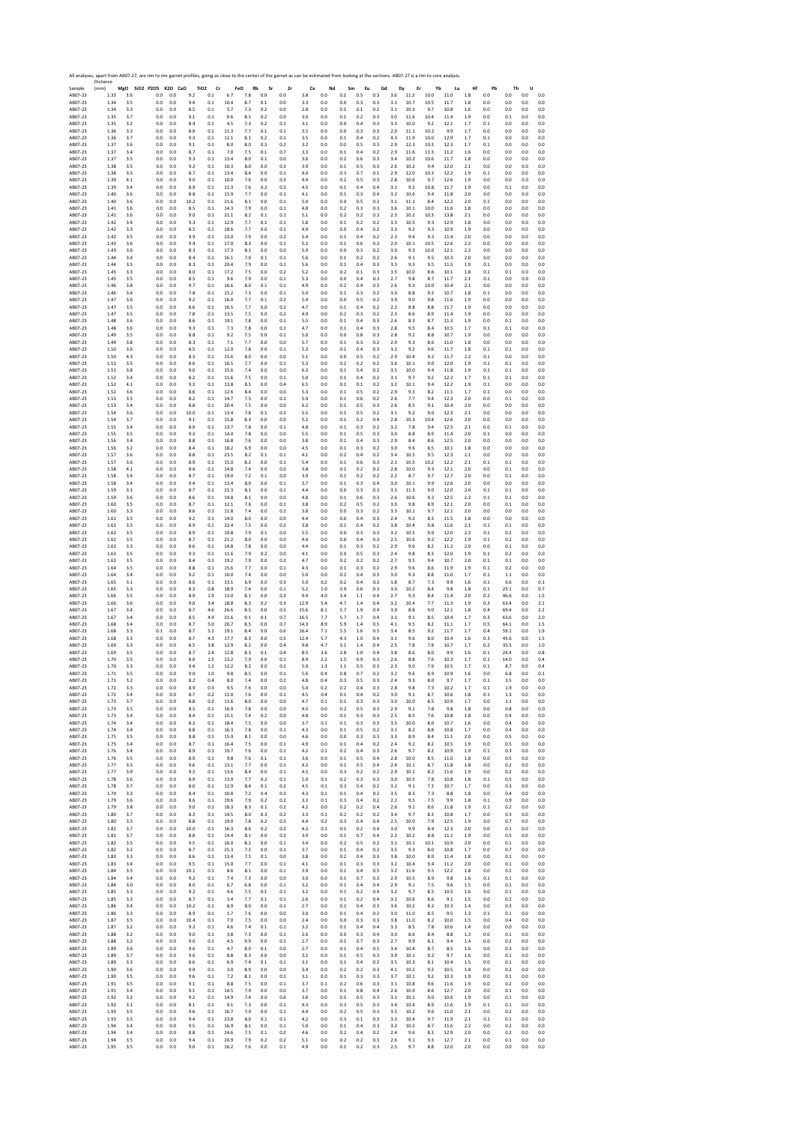|                    | All analyses, apart from AB07-27, are rim to rim garnet profiles, going as close to the center of the garnet as can be estimated from looking at the sections. AB07-27 is a rim to core analysis.<br>Distance |            |                              |            |            |                                   |              |            |            |            |            |            |            |            |            |            |                |            |              |            |            |              |              |            |
|--------------------|---------------------------------------------------------------------------------------------------------------------------------------------------------------------------------------------------------------|------------|------------------------------|------------|------------|-----------------------------------|--------------|------------|------------|------------|------------|------------|------------|------------|------------|------------|----------------|------------|--------------|------------|------------|--------------|--------------|------------|
| Sample<br>AB07-23  | (mm)<br>1.33                                                                                                                                                                                                  | 3.6        | MgO SiO2 P2O5 K2O CaO<br>0.0 | 0.0        | 9.2        | TiO <sub>2</sub><br>Cr<br>$0.1\,$ | FeO<br>6.7   | Rb<br>7.8  | Sr<br>0.0  | Zr<br>0.0  | Ce<br>3.8  | Nd<br>0.0  | Sm<br>0.2  | Eu<br>0.5  | Gd<br>0.3  | Dy<br>3.6  | Er<br>11.2     | Yb<br>10.0 | Lu<br>11.0   | Hf<br>1.8  | Pb<br>0.0  | Th<br>0.0    | U<br>0.0     | 0.0        |
| AB07-23            | 1.34                                                                                                                                                                                                          | 3.5        | 0.0                          | 0.0        | 9.4        | 0.1                               | 10.4         | 8.7        | 0.1        | 0.0        | 3.3        | 0.0        | 0.0        | 0.3        | 0.3        | 3.1        | 10.7           | 10.5       | 11.7         | 1.8        | 0.0        | 0.0          | 0.0          | 0.0        |
| AB07-23            | 1.34                                                                                                                                                                                                          | 3.3        | 0.0                          | 0.0        | 8.5        | 0.1                               | 5.7          | 7.3        | 0.2        | 0.0        | 2.8        | 0.0        | 0.1        | 0.1        | 0.2        | 3.1        | 10.3           | 9.7        | 10.8         | 1.6        | 0.0        | 0.0          | 0.0          | $0.0\,$    |
| AB07-23            | 1.35                                                                                                                                                                                                          | 3.7        | 0.0                          | 0.0        | 9.1        | 0.1                               | 9.6          | 8.1        | 0.2        | 0.0        | 3.0        | 0.0        | 0.1        | 0.2        | 0.3        | 3.0        | 11.6           | 10.4       | 11.4         | 1.9        | 0.0        | 0.1          | 0.0          | 0.0        |
| AB07-23            | 1.35                                                                                                                                                                                                          | 3.2        | 0.0                          | 0.0        | 8.4        | 0.1                               | 4.5          | 7.3        | 0.2        | 0.1        | 3.1        | 0.0        | 0.0        | 0.4        | 0.3        | 3.3        | 10.0           | 9.2        | 12.1         | 1.7        | 0.1        | 0.0          | 0.0          | 0.0        |
| AB07-23            | 1.36                                                                                                                                                                                                          | 3.3        | 0.0                          | 0.0        | 8.9        | 0.1                               | 11.3         | 7.7        | 0.1        | 0.1        | 3.5        | 0.0        | 0.0        | 0.3        | 0.3        | 2.0        | 11.1           | 10.2       | 9.9          | 1.7        | 0.0        | 0.0          | 0.0          | 0.0        |
| AB07-23            | 1.36                                                                                                                                                                                                          | 3.7        | 0.0                          | 0.0        | 9.3        | 0.1                               | 12.1         | 8.1        | 0.2        | 0.1        | 3.5        | 0.0        | 0.1        | 0.4        | 0.2        | 4.3        | 11.9           | 10.0       | 12.9         | 1.7        | 0.1        | 0.0          | 0.0          | 0.0        |
| AB07-23            | 1.37                                                                                                                                                                                                          | 3.6        | 0.0                          | 0.0        | 9.1        | 0.1                               | 8.0          | 8.0        | 0.3        | 0.2        | 3.2        | 0.0        | 0.0        | 0.5        | 0.3        | 2.9        | 12.3           | 10.3       | 12.3         | 1.7        | 0.1        | 0.0          | 0.0          | 0.0        |
| AB07-23            | 1.37                                                                                                                                                                                                          | 3.4        | 0.0                          | 0.0        | 8.7        | 0.1                               | 7.0          | 7.5        | 0.1        | 0.7        | 3.3        | 0.0        | 0.1        | 0.4        | 0.2        | 2.9        | 11.6           | 11.3       | 11.2         | 1.6        | 0.0        | 0.0          | 0.0          | 0.0        |
| AB07-23            | 1.37                                                                                                                                                                                                          | 3.5        | 0.0                          | 0.0        | 9.3        | 0.1                               | 13.4         | 8.0        | 0.1        | 0.0        | 3.6        | 0.0        | 0.2        | 0.6        | 0.3        | 3.4        | 10.2           | 10.6       | 11.7         | 1.8        | 0.0        | 0.0          | 0.0          | 0.0        |
| AB07-23            | 1.38                                                                                                                                                                                                          | 3.5        | 0.0                          | 0.0        | 9.2        | 0.1                               | 10.3         | 8.0        | $0.0\,$    | 0.3        | 3.9        | 0.0        | 0.1        | 0.5        | 0.3        | 2.6        | 10.2           | 9.4        | 12.0         | $2.1\,$    | 0.0        | 0.0          | 0.0          | 0.0        |
| AB07-23            | 1.38                                                                                                                                                                                                          | 3.5        | 0.0                          | 0.0        | 8.7        | 0.1                               | 13.4         | 8.4        | 0.0        | 0.1        | 4.0        | 0.0        | 0.3        | 0.7        | 0.1        | 2.9        | 12.0           | 10.3       | 12.2         | 1.9        | 0.1        | 0.0          | 0.0          | 0.0        |
| AB07-23            | 1.39                                                                                                                                                                                                          | 4.1        | 0.0                          | 0.0        | 9.0        | 0.1                               | 10.0         | 7.6        | 0.0        | 0.3        | 4.4        | 0.0        | 0.2        | 0.5        | 0.3        | 2.8        | 10.6           | 9.7        | 12.6         | 1.9        | 0.0        | 0.0          | 0.0          | 0.0        |
| AB07-23            | 1.39                                                                                                                                                                                                          | 3.4        | 0.0                          | 0.0        | 8.9        | 0.1                               | 11.3         | 7.6        | 0.2        | 0.2        | 4.5        | 0.0        | 0.1        | 0.4        | 0.4        | 3.1        | 9.2            | 10.8       | 11.7         | 1.9        | 0.0        | 0.1          | 0.0          | 0.0        |
| AB07-23            | 1.40                                                                                                                                                                                                          | 3.6        | 0.0                          | 0.0        | 8.8        | 0.1                               | 15.9         | 7.7        | 0.0        | 0.1        | 4.1        | 0.0        | 0.1        | 0.3        | 0.4        | 3.2        | 10.6           | 9.4        | 11.8         | 2.0        | 0.0        | 0.0          | 0.0          | 0.0        |
| AB07-23            | 1.40                                                                                                                                                                                                          | 3.6        | 0.0                          | 0.0        | 10.2       | 0.1                               | 21.6         | 8.1        | 0.0        | 0.1        | 5.0        | 0.0        | 0.0        | 0.5        | 0.3        | 3.1        | 11.1           | 8.4        | 12.2         | 2.0        | 0.1        | 0.0          | 0.0          | 0.0        |
| AB07-23            | 1.41                                                                                                                                                                                                          | 3.6        | 0.0                          | 0.0        | 8.5        | 0.1                               | 14.3         | 7.9        | 0.0        | 0.1        | 4.8        | 0.0        | 0.2        | 0.3        | 0.3        | 3.6        | 10.1           | 10.0       | 11.6         | 1.8        | 0.0        | 0.0          | 0.0          | 0.0        |
| AB07-23            | 1.41                                                                                                                                                                                                          | 3.6        | 0.0                          | 0.0        | 9.0        | 0.1                               | 21.1         | 8.2        | 0.1        | 0.1        | 5.1        | 0.0        | 0.2        | 0.2        | 0.3        | 2.3        | 10.2           | 10.3       | 13.8         | 2.1        | 0.0        | 0.0          | 0.0          | 0.0        |
| AB07-23            | 1.42                                                                                                                                                                                                          | 3.4        | 0.0                          | 0.0        | 9.3        | 0.1                               | 12.9         | 7.7        | 0.1        | 0.1        | 5.8        | 0.0        | 0.1        | 0.2        | 0.2        | 3.3        | 10.5           | 9.3        | 12.9         | 1.8        | 0.0        | 0.0          | 0.0          | 0.0        |
| AB07-23            | 1.42                                                                                                                                                                                                          | 3.3        | 0.0                          | 0.0        | 8.5        | 0.1                               | 18.6         | 7.7        | 0.0        | 0.1        | 4.9        | 0.0        | 0.0        | 0.4        | 0.2        | 3.3        | 9.2            | 9.3        | 10.9         | 1.9        | 0.0        | 0.0          | 0.0          | 0.0        |
| AB07-23            | 1.42                                                                                                                                                                                                          | 3.5        | 0.0                          | 0.0        | 9.9        | 0.1                               | 23.0         | 7.9        | 0.0        | 0.2        | 5.4        | 0.0        | 0.1        | 0.4        | 0.2        | 2.3        | 9.4            | 9.3        | 11.4         | 2.0        | 0.0        | 0.0          | 0.0          | 0.0        |
| AB07-23            | 1.43                                                                                                                                                                                                          | 3.6        | 0.0                          | 0.0        | 9.4        | 0.1                               | 17.0         | 8.3        | 0.0        | 0.1        | 5.2        | 0.0        | 0.1        | 0.6        | 0.3        | 2.0        | 10.1           | 10.5       | 12.6         | 2.2        | 0.0        | 0.0          | 0.0          | 0.0        |
| AB07-23            | 1.43                                                                                                                                                                                                          | 3.6        | 0.0                          | 0.0        | 8.3        | 0.1                               | 17.3         | 8.1        | 0.0        | 0.0        | 5.9        | 0.0        | 0.0        | 0.3        | 0.2        | 3.0        | 9.3            | 10.0       | 12.1         | 2.2        | 0.0        | 0.0          | 0.0          | 0.0        |
| AB07-23            | 1.44                                                                                                                                                                                                          | 3.4        | 0.0                          | 0.0        | 8.4        | 0.1                               | 16.1         | 7.0        | 0.1        | 0.1        | 5.6        | 0.0        | 0.1        | 0.2        | 0.2        | 2.6        | 9.1            | 9.5        | 10.3         | 2.0        | 0.0        | 0.0          | 0.0          | 0.0        |
| AB07-23            | 1.44                                                                                                                                                                                                          | 3.5        | 0.0                          | 0.0        | 8.3        | 0.1                               | 20.4         | 7.9        | 0.0        | 0.1        | 5.6        | 0.0        | 0.1        | 0.4<br>0.1 | 0.3        | 3.3        | 9.3<br>10.0    | 9.5        | 11.5         | 1.9        | 0.1        | 0.0          | 0.0          | 0.0        |
| AB07-23<br>AB07-23 | 1.45<br>1.45                                                                                                                                                                                                  | 3.3<br>3.5 | 0.0<br>0.0                   | 0.0<br>0.0 | 8.0<br>8.5 | 0.1<br>0.1                        | 17.2<br>9.6  | 7.5<br>7.9 | 0.0<br>0.0 | 0.2<br>0.1 | 5.2<br>5.3 | 0.0<br>0.0 | 0.2<br>0.0 | 0.4        | 0.3<br>0.3 | 3.5<br>2.7 | 9.8            | 8.6<br>8.7 | 10.1<br>11.7 | 1.8<br>2.1 | 0.1<br>0.1 | 0.1<br>0.0   | 0.0<br>0.0   | 0.0<br>0.0 |
| AB07-23            | 1.46                                                                                                                                                                                                          | 3.8        | 0.0                          | 0.0        | 9.7        | 0.1                               | 16.6         | 8.0        | 0.1        | $0.1\,$    | 4.9        | 0.0        | 0.2        | 0.4        | 0.3        | 2.6        | 9.3            | 10.0       | 10.4         | $2.1\,$    | 0.0        | 0.0          | 0.0          | 0.0        |
| AB07-23            | 1.46                                                                                                                                                                                                          | 3.4        | 0.0                          | 0.0        | 7.8        | 0.1                               | 15.2         | 7.3        | 0.0        | 0.1        | 5.0        | 0.0        | 0.1        | 0.3        | 0.2        | 3.0        | 8.8            | 9.3        | 10.7         | 1.8        | 0.1        | 0.0          | 0.0          | 0.0        |
| AB07-23            | 1.47<br>1.47                                                                                                                                                                                                  | 3.6        | 0.0<br>0.0                   | 0.0<br>0.0 | 9.2<br>8.6 | 0.1<br>0.1                        | 16.0<br>16.5 | 7.7<br>7.7 | 0.1<br>0.0 | 0.2<br>0.2 | 5.4<br>4.7 | 0.0<br>0.0 | 0.0<br>0.1 | 0.5<br>0.4 | 0.2<br>0.2 | 3.9<br>22  | 9.0<br>8.8     | 9.8<br>8.8 | 11.6<br>11.7 | 1.9<br>1.9 | 0.0        | 0.0<br>0.0   | 0.0<br>0.0   | 0.0<br>0.0 |
| AB07-23<br>AB07-23 | 1.47                                                                                                                                                                                                          | 3.5<br>3.5 | 0.0                          | 0.0        | 7.8        | 0.1                               | 13.5         | 7.5        | 0.0        | 0.2        | 4.9        | 0.0        | 0.2        | 0.3        | 0.2        | 2.3        | 8.6            | 8.9        | 11.4         | 1.9        | 0.0<br>0.0 | 0.0          | 0.0          | 0.0        |
| AB07-23            | 1.48                                                                                                                                                                                                          | 3.6        | 0.0                          | 0.0        | 8.6        | 0.1                               | 19.1         | 7.8        | 0.0        | 0.1        | 5.5        | 0.0        | 0.1        | 0.4        | 0.3        | 2.6        | 8.3            | 8.7        | 11.3         | 1.9        | 0.0        | 0.1          | 0.0          | 0.0        |
| AB07-23            | 1.48                                                                                                                                                                                                          | 3.6        | 0.0                          | 0.0        | 9.3        | 0.1                               | 7.3          | 7.8        | 0.0        | 0.1        | 4.7        | 0.0        | 0.1        | 0.4        | 0.3        | 2.8        | 9.5            | 8.4        | 10.5         | 1.7        | 0.1        | 0.1          | 0.0          | 0.0        |
| AB07-23            | 1.49                                                                                                                                                                                                          | 3.5        | 0.0                          | 0.0        | 8.8        | 0.1<br>0.1                        | 9.2          | 7.5        | 0.0        | 0.1        | 5.0        | 0.0        | 0.0        | 0.8        | 0.3        | 2.8        | 9.2            | 8.8        | 10.7         | 1.9        | 0.0        | 0.0          | 0.0          | 0.0        |
| AB07-23            | 1.49                                                                                                                                                                                                          | 3.8        | 0.0                          | 0.0        | 8.3        | 0.1                               | 7.1          | 7.7        | 0.0        | 0.0        | 5.7        | 0.0        | 0.1        | 0.3        | 0.2        | 2.9        | 9.3            | 8.6        | 11.0         | 1.8        | 0.0        | 0.0          | 0.0          | 0.0        |
| AB07-23            | 1.50                                                                                                                                                                                                          | 3.6        | 0.0                          | 0.0        | 8.5        |                                   | 12.0         | 7.8        | 0.0        | 0.1        | 5.3        | 0.0        | 0.1        | 0.4        | 0.3        | 3.2        | 9.2            | 9.6        | 11.7         | 1.8        | 0.1        | 0.1          | 0.0          | 0.0        |
| AB07-23            | 1.50                                                                                                                                                                                                          | 4.3        | 0.0                          | 0.0        | 8.3        | 0.1                               | 15.6         | 8.0        | 0.0        | 0.0        | 5.1        | 0.0        | 0.0        | 0.5        | 0.2        | 2.9        | 10.4           | 9.2        | 11.7         | 2.2        | 0.1        | 0.0          | 0.0          | 0.0        |
| AB07-23            | 1.51                                                                                                                                                                                                          | 3.5        | 0.0                          | 0.0        | 8.6        | 0.1                               | 16.5         | 7.7        | 0.0        | 0.1        | 5.3        | 0.0        | 0.2        | 0.2        | 0.2        | 3.6        | 10.1           | 9.0        | 12.0         | 1.9        | 0.1        | 0.1          | 0.0          | 0.0        |
| AB07-23            | 1.51                                                                                                                                                                                                          | 3.8        | 0.0                          | 0.0        | 9.0        | 0.1                               | 15.6         | 7.4        | 0.0        | 0.0        | 6.3        | 0.0        | 0.1        | 0.4        | 0.2        | 3.5        | 10.0           | 9.4        | 11.8         | 1.9        | 0.1        | 0.1          | 0.0          | 0.0        |
| AB07-23            | 1.52                                                                                                                                                                                                          | 3.4        | 0.0                          | 0.0        | 8.2        | 0.1                               | 11.6         | 7.5        | 0.0        | 0.1        | 5.0        | 0.0        | 0.1        | 0.4        | 0.2        | 3.1        | 9.7            | 9.2        | 12.2         | 1.7        | 0.1        | 0.1          | 0.0          | 0.0        |
| AB07-23            | 1.52                                                                                                                                                                                                          | 4.1        | 0.0                          | 0.0        | 9.3        | 0.1                               | 13.8         | 8.5        | 0.0        | 0.4        | 6.5        | 0.0        | 0.1        | 0.1        | 0.2        | 3.2        | 10.1           | 9.4        | 12.2         | 1.9        | 0.1        | 0.0          | 0.0          | 0.0        |
| AB07-23            | 1.52                                                                                                                                                                                                          | 3.6        | 0.0                          | 0.0        | 8.6        | 0.1                               | 12.6         | 8.4        | 0.0        | 0.0        | 5.3        | 0.0        | 0.1        | 0.5        | 0.2        | 2.9        | 9.3            | 8.2        | 11.1         | 1.7        | 0.1        | 0.0          | 0.0          | 0.0        |
| AB07-23            | 1.53                                                                                                                                                                                                          | 3.5        | 0.0                          | 0.0        | 8.2        | 0.1                               | 14.7         | 7.5        | 0.0        | 0.1        | 5.9        | 0.0        | 0.1        | 0.6        | 0.2        | 2.6        | 7.7            | 9.4        | 12.3         | 2.0        | 0.0        | 0.1          | 0.0          | 0.0        |
| AB07-23            | 1.53                                                                                                                                                                                                          | 3.4        | 0.0                          | 0.0        | 8.8        | 0.1                               | 20.4         | 7.5        | 0.0        | 0.0        | 6.2        | 0.0        | 0.1        | 0.5        | 0.3        | 2.6        | 8.5            | 9.1        | 10.4         | 2.0        | 0.0        | 0.0          | 0.0          | 0.0        |
| AB07-23            | 1.54                                                                                                                                                                                                          | 3.6        | 0.0                          | 0.0        | 10.0       | 0.1                               | 13.4         | 7.8        | 0.1        | 0.2        | 5.5        | 0.0        | 0.1        | 0.5        | 0.2        | 3.1        | 9.2            | 9.0        | 12.3         | 2.1        | 0.0        | 0.0          | 0.0          | 0.0        |
| AB07-23            | 1.54                                                                                                                                                                                                          | 3.7        | 0.0                          | 0.0        | 9.1        | 0.1                               | 15.8         | 8.3        | 0.0        | 0.0        | 5.2        | 0.0        | 0.1        | 0.2        | 0.4        | 2.8        | 10.3           | 10.4       | 12.6         | 2.0        | 0.0        | 0.0          | 0.0          | 0.0        |
| AB07-23            | 1.55<br>1.55                                                                                                                                                                                                  | 3.4        | 0.0                          | 0.0        | 8.9<br>9.3 | 0.1                               | 13.7         | 7.8        | 0.0<br>0.0 | 0.1        | 4.8<br>5.5 | 0.0<br>0.0 | 0.1        | 0.3        | 0.2<br>0.3 | 3.2        | 7.8            | 9.4<br>8.9 | 12.5         | 2.1        | 0.0<br>0.1 | 0.1          | 0.0          | 0.0        |
| AB07-23<br>AB07-23 | 1.56                                                                                                                                                                                                          | 3.5<br>3.4 | 0.0<br>0.0                   | 0.0<br>0.0 | 8.8        | 0.1<br>0.1                        | 14.0<br>16.8 | 7.8<br>7.6 | 0.0        | 0.0<br>0.0 | 3.8        | 0.0        | 0.1<br>0.1 | 0.5<br>0.4 | 0.3        | 3.0<br>2.9 | $8.8\,$<br>8.4 | 8.6        | 11.4<br>12.5 | 2.0<br>2.0 | 0.0        | 0.0<br>0.0   | 0.0<br>0.0   | 0.0<br>0.0 |
| AB07-23            | 1.56                                                                                                                                                                                                          | 3.2        | 0.0                          | 0.0        | 8.4        | 0.1                               | 18.2         | 6.9        | 0.0        | 0.0        | 4.5        | 0.0        | 0.1        | 0.3        | 0.2        | 3.0        | 9.6            | 8.5        | 10.1         | 1.8        | 0.0        | 0.0          | 0.0          | 0.0        |
| AB07-23            | 1.57                                                                                                                                                                                                          | 3.6        | 0.0                          | 0.0        | 8.8        | 0.1                               | 23.5         | 8.2        | 0.1        | 0.1        | 4.1        | 0.0        | 0.2        | 0.4        | 0.2        | 3.4        | 10.5           | 9.5        | 12.3         | 2.1        | 0.0        | 0.0          | 0.0          | 0.0        |
| AB07-23            | 1.57                                                                                                                                                                                                          | 3.6        | 0.0                          | 0.0        | 8.9        | 0.1                               | 15.0         | 8.2        | 0.0        | 0.1        | 5.4        | 0.0        | 0.1        | $0.6\,$    | 0.3        | 2.1        | 10.5           | 10.2       | 12.2         | $2.1\,$    | 0.1        | 0.1          | 0.0          | 0.0        |
| AB07-23            | 1.58                                                                                                                                                                                                          | 4.1        | 0.0                          | 0.0        | 8.4        | 0.1                               | 14.8         | 7.4        | 0.0        | 0.0        | 3.8        | 0.0        | 0.1        | 0.2        | 0.2        | 2.8        | 10.0           | 9.3        | 12.1         | 2.0        | 0.0        | 0.1          | 0.0          | 0.0        |
| AB07-23            | 1.58                                                                                                                                                                                                          | 3.4        | 0.0                          | 0.0        | 8.7        | 0.1                               | 19.0         | 7.2        | 0.1        | 0.0        | 3.9        | 0.0        | 0.1        | 0.2        | 0.2        | 2.2        | 8.7            | 9.7        | 12.7         | 2.0        | 0.0        | 0.1          | 0.0          | 0.0        |
| AB07-23            | 1.58                                                                                                                                                                                                          | 3.4        | 0.0                          | 0.0        | 9.4        | 0.1                               | 13.4         | 8.0        | 0.0        | 0.1        | 3.7        | 0.0        | 0.1        | 0.3        | 0.4        | 3.0        | 10.1           | 9.9        | 12.6         | 2.0        | 0.0        | 0.0          | 0.0          | 0.0        |
| AB07-23            | 1.59                                                                                                                                                                                                          | 3.3        | 0.0                          | 0.0        | 8.7        | 0.1                               | 21.3         | 8.1        | 0.0        | 0.1        | 4.4        | 0.0        | 0.0        | 0.3        | 0.3        | 3.3        | 11.3           | 9.0        | 12.0         | 2.0        | 0.1        | 0.1          | 0.0          | 0.0        |
| AB07-23            | 1.59                                                                                                                                                                                                          | 3.6        | 0.0                          | 0.0        | 8.6        | 0.1                               | 14.8         | 8.1        | 0.0        | 0.0        | 4.8        | 0.0        | 0.1        | 0.6        | 0.3        | 2.6        | 10.6           | 9.2        | 12.5         | 2.2        | 0.1        | 0.1          | 0.0          | 0.0        |
| AB07-23            | 1.60                                                                                                                                                                                                          | 3.5        | 0.0                          | 0.0        | 8.7        | 0.1                               | 12.1         | 7.6        | 0.0        | 0.1        | 3.8        | 0.0        | 0.2        | 0.5        | 0.2        | 3.0        | 9.8            | 8.9        | 12.1         | 2.0        | 0.0        | 0.1          | 0.0          | 0.0        |
| AB07-23            | 1.60                                                                                                                                                                                                          | 3.3        | 0.0                          | 0.0        | 8.6        | 0.1                               | 11.8         | 7.4        | 0.0        | 0.2        | 3.8        | 0.0        | 0.0        | 0.3        | 0.2        | 3.3        | 10.1           | 9.7        | 12.1         | 2.0        | 0.0        | 0.0          | 0.0          | 0.0        |
| AB07-23            | 1.61                                                                                                                                                                                                          | 3.5        | 0.0                          | 0.0        | 9.2        | 0.1                               | 14.0         | 8.0        | 0.0        | 0.0        | 4.4        | 0.0        | 0.0        | 0.4        | 0.3        | 2.4        | 9.2            | 8.3        | 11.5         | 1.8        | 0.0        | 0.0          | 0.0          | 0.0        |
| AB07-23            | 1.61                                                                                                                                                                                                          | 3.5        | 0.0                          | 0.0        | 8.9        | 0.1                               | 22.4         | 7.5        | 0.0        | 0.2        | 3.8        | 0.0        | 0.1        | 0.4        | 0.2        | 3.8        | 10.4           | 9.8        | 11.6         | 2.1        | 0.1        | 0.1          | 0.0          | 0.0        |
| AB07-23            | 1.62                                                                                                                                                                                                          | 3.5        | 0.0                          | 0.0        | 8.9        | 0.1                               | 19.8         | 7.9        | 0.1        | 0.0        | 5.5        | 0.0        | 0.0        | 0.3        | 0.3        | 3.2        | 10.5           | 9.0        | 12.0         | 2.2        | 0.1        | 0.2          | 0.0          | 0.0        |
| AB07-23            | 1.62                                                                                                                                                                                                          | 3.5        | 0.0                          | 0.0        | 8.7        | 0.1                               | 21.2         | 8.0        | 0.0        | 0.0        | 4.4        | 0.0        | 0.0        | 0.4        | 0.3        | 2.5        | 10.6           | 9.2        | 12.2         | 1.9        | 0.1        | 0.2          | 0.0          | 0.0        |
| AB07-23            | 1.63                                                                                                                                                                                                          | 3.3        | 0.0                          | 0.0        | 8.6        | 0.1                               | 14.8         | 7.8        | 0.0        | 0.0        | 4.4        | 0.0        | 0.1        | 0.3        | 0.2        | 2.9        | 9.6            | 8.2        | 11.2         | 2.0        | 0.0        | 0.1          | 0.0          | 0.0        |
| AB07-23            | 1.63                                                                                                                                                                                                          | 3.5        | 0.0                          | 0.0        | 9.3        | 0.1                               | 11.6         | 7.9        | 0.2        | 0.0        | 4.1        | 0.0        | 0.0        | 0.5        | 0.3        | 2.4        | 9.8            | 8.3        | 12.0         | 1.9        | 0.1        | 0.2          | 0.0          | 0.0        |
| AB07-23            | 1.63                                                                                                                                                                                                          | 3.5        | 0.0                          | 0.0        | 8.4        | 0.1                               | 19.2         | 7.9        | 0.0        | 0.2        | 4.7        | 0.0        | 0.2        | 0.2        | 0.2        | 2.7        | 9.5            | 9.4        | 10.7         | 2.0        | 0.1        | 0.1          | 0.0          | 0.0        |
| AB07-23            | 1.64                                                                                                                                                                                                          | 3.5        | 0.0                          | 0.0        | 8.8        | 0.1                               | 15.6         | 7.7        | 0.0        | 0.1        | 4.3        | 0.0        | 0.1        | 0.3        | 0.2        | 2.9        | 9.6            | 8.6        | 11.9         | 1.9        | 0.1        | 0.2          | 0.0          | 0.0        |
| AB07-23            | 1.64                                                                                                                                                                                                          | 3.4        | 0.0                          | 0.0        | 9.2        | 0.1                               | 10.0         | 7.4        | 0.0        | 0.0        | 5.0        | 0.0        | 0.2        | 0.4        | 0.3        | 3.0        | 9.3            | 8.8        | 11.0         | 1.7        | 0.1        | 1.1          | 0.0          | 0.0        |
| AB07-23            | 1.65                                                                                                                                                                                                          | 3.1        | 0.0                          | 0.0        | 8.6        | 0.1                               | 13.1         | 6.9        | 0.0        | 0.3        | 5.0        | 0.2        | 0.2        | 0.4        | 0.3        | 1.8        | 8.7            | 7.3        | 9.9          | 1.6        | 0.1        | 6.6          | 0.0          | 0.1        |
| AB07-23            | 1.65                                                                                                                                                                                                          | 3.3        | 0.0                          | 0.0        | 8.3        | 0.8                               | 18.9         | 7.4        | 0.0        | 0.1        | 5.2        | 1.0        | 0.9        | 0.6        | 0.3        | 3.0        | 10.2           | 8.4        | 9.8          | 1.8        | 0.1        | 23.1         | 0.0          | 0.7        |
| AB07-23            | 1.66                                                                                                                                                                                                          | 3.5        | 0.0                          | 0.0        | 8.9        | 1.9                               | 13.0         | 8.1        | 0.0        | 0.3        | 9.4        | 4.0        | 3.4        | 1.1        | 0.4        | 2.7        | 9.3            | 8.4        | 11.4         | 2.0        | 0.2        | 46.6         | 0.0          | 1.5        |
| AB07-23            | 1.66                                                                                                                                                                                                          | 3.6        | 0.0                          | 0.0        | 9.0        | 3.4                               | 18.8         | 8.3        | 0.2        | 0.3        | 12.9       | 5.4        | 4.7        | 1.4        | 0.4        | 3.2        | 10.4           | 7.7        | 11.3         | 1.9        | 0.3        | 63.4         | 0.0          | 2.1        |
| AB07-23            | 1.67                                                                                                                                                                                                          | 3.4        | 0.0                          | 0.0        | 8.7        | 4.6                               | 26.6         | 8.5        | 0.0        | 0.5        | 15.6       | 8.1        | 5.7        | 1.9        | 0.4        | 3.9        | 8.8            | 9.0        | 12.1         | 1.8        | 0.4        | 69.4         | 0.0          | 2.2        |
| AB07-23            | 1.67                                                                                                                                                                                                          | 3.4        | 0.0                          | 0.0        | 8.5        | 4.9                               | 21.6         | 9.1        | 0.1        | 0.7        | 16.5       | 7.7        | 5.7        | 1.7        | 0.4        | 3.1        | 9.1            | 8.5        | 10.4         | 1.7        | 0.3        | 63.6         | 0.0          | 2.0        |
| AB07-23            | 1.68                                                                                                                                                                                                          | 3.4        | 0.0                          | 0.0        | 8.7        | 5.0                               | 20.7         | 8.5        | 0.0        | 0.7        | 14.3       | 8.9        | 5.9        | 1.4        | 0.5        | 4.1        | 9.5            | 8.2        | 11.1         | 1.7        | 0.5        | 64.1         | 0.0          | 1.5        |
| AB07-23            | 1.68                                                                                                                                                                                                          | 3.3        | 0.1                          | 0.0        | 8.7        | 5.1                               | 19.1         | 8.4        | 0.0        | 0.6        | 16.4       | 7.1        | 5.5        | 1.6        | 0.5        | 3.4        | 8.5            | 9.2        | 11.7         | 1.7        | 0.4        | 59.1         | 0.0          | 1.9        |
| AB07-23            | 1.68                                                                                                                                                                                                          | 3.3        | 0.0                          | 0.0        | 8.7        | 4.3                               | 17.7         | 8.3        | 0.0        | 0.5        | 12.4       | 5.7        | 4.3        | 1.0        | 0.4        | 3.1        | 9.6            | 8.0        | 10.4         | 1.6        | 0.3        | 45.6         | 0.0          | $1.5\,$    |
| AB07-23<br>AB07-23 | 1.69                                                                                                                                                                                                          | 3.3<br>3.5 | 0.0<br>0.0                   | 0.0<br>0.0 | 8.5<br>8.7 | 3.8<br>2.4                        | 12.9<br>12.8 | 8.2<br>8.3 | 0.0<br>0.1 | 0.4<br>0.4 | 9.8<br>8.5 | 4.7        | 3.1<br>2.8 | 1.4<br>1.0 | 0.4<br>0.4 | 25<br>3.8  | 7.8<br>8.6     | 7.8<br>8.0 | 10.7<br>9.9  | 1.7        | 0.2<br>0.1 | 35.5<br>24.4 | 0.0          | 1.0<br>0.8 |
| AB07-23            | 1.69<br>1.70                                                                                                                                                                                                  | 3.5        | 0.0                          | 0.0        | 8.0        | 1.5                               | 13.2         | 7.9        | 0.0        | 0.1        | 8.9        | 3.6<br>2.2 | 1.5        | 0.9        | 0.3        | 2.6        | 8.8            | 7.6        | 10.3         | 1.6<br>1.7 | 0.1        | 14.0         | 0.0<br>0.0   | 0.4        |
| AB07-23            | 1.70                                                                                                                                                                                                          | 3.3        | 0.0                          | 0.0        | 9.4        | 1.2                               | 12.2         | 8.2        | 0.0        | 0.2        | 5.9        | 1.3        | 1.1        | 0.5        | 0.3        | 2.3        | 9.0            | 7.9        | 10.5         | 1.7        | 0.1        | 8.7          | 0.0          | 0.4        |
| AB07-23            | 1.71                                                                                                                                                                                                          | 5.5        | U.L                          | U.L        | 9.0        | 1.U                               | 9.8          | 8.5        | U.L        | υ.:        | 5.t        | υ.         | U.ŏ        | U. /       | 0.2        |            | 9.t            | 8.         | 10.,         | 1.6        | U.U        | 6.6          | U.L          | υ.:        |
| AB07-23            | 1.71                                                                                                                                                                                                          | 3.2        | 0.0                          | 0.0        | 8.2        | 0.4                               | 8.0          | 7.4        | 0.0        | 0.2        | 4.8        | 0.4        | 0.3        | 0.5        | 0.3        | 2.4        | 9.3            | 8.0        | 9.7          | 1.7        | 0.1        | 3.5          | 0.0          | 0.0        |
| AB07-23            | 1.72                                                                                                                                                                                                          | 3.3        | 0.0                          | 0.0        | 8.9        | 0.3                               | 9.5          | 7.6        | 0.0        | 0.0        | 5.0        | 0.2        | 0.2        | 0.4        | 0.3        | 2.8        | 9.8            | 7.3        | 10.2         | 1.7        | 0.1        | 1.9          | 0.0          | 0.0        |
| AB07-23            | 1.72                                                                                                                                                                                                          | 3.4        | 0.0                          | 0.0        | 8.7        | 0.2                               | 11.0         | 7.6        | 0.0        | 0.1        | 4.5        | 0.4        | 0.1        | 0.4        | 0.2        | 3.0        | 9.1            | 8.7        | 10.6         | 1.8        | 0.1        | 1.3          | 0.0          | 0.0        |
| AB07-23            | 1.73                                                                                                                                                                                                          | 3.7        | 0.0                          | 0.0        | 8.8        | 0.2                               | 11.6         | 8.0        | 0.0        | 0.0        | 4.7        | 0.1        | 0.1        | 0.3        | 0.3        | 3.0        | 10.0           | 8.5        | 10.9         | 1.7        | 0.0        | 1.1          | 0.0          | 0.0        |
| AB07-23            | 1.73                                                                                                                                                                                                          | 3.5        | 0.0                          | 0.0        | 8.5        | 0.1                               | 16.9         | 7.8        | 0.0        | 0.0        | 4.5        | 0.0        | 0.2        | 0.5        | 0.3        | 2.9        | 9.1            | 7.8        | 9.8          | 1.8        | 0.0        | 0.8          | 0.0          | 0.0        |
| AB07-23            | 1.73                                                                                                                                                                                                          | 3.4        | 0.0                          | 0.0        | 8.4        | 0.1                               | 15.1         | 7.4        | 0.2        | 0.0        | 4.8        | 0.0        | 0.1        | 0.3        | 0.3        | 2.5        | 8.5            | 7.6        | 10.8         | 1.8        | 0.0        | 0.4          | 0.0          | 0.0        |
| AB07-23            | 1.74                                                                                                                                                                                                          | 3.4        | 0.0                          | 0.0        | 8.3        | 0.1                               | 18.4         | 7.5        | 0.0        | 0.0        | 3.7        | 0.1        | 0.1        | 0.3        | 0.3        | 3.5        | 10.0           | 8.0        | 10.7         | 1.6        | 0.0        | 0.4          | 0.0          | 0.0        |
| AB07-23            | 1.74                                                                                                                                                                                                          | 3.4        | 0.0                          | 0.0        | 8.8        | 0.1                               | 16.3         | 7.8        | 0.0        | 0.1        | 4.3        | 0.0        | 0.1        | 0.5        | 0.2        | 3.1        | 8.2            | 8.8        | 10.8         | 1.7        | 0.0        | 0.4          | 0.0          | 0.0        |
| AB07-23            | 1.75                                                                                                                                                                                                          | 3.5        | 0.0                          | 0.0        | 8.8        | 0.1                               | 15.9         | 8.1        | 0.0        | 0.0        | 4.6        | 0.0        | 0.0        | 0.3        | 0.3        | 3.3        | 8.9            | 8.4        | 11.1         | 2.0        | 0.0        | 0.5          | 0.0          | 0.0        |
| AB07-23            | 1.75                                                                                                                                                                                                          | 3.4        | 0.0                          | 0.0        | 8.7        | 0.1                               | 16.4         | 7.5        | 0.0        | 0.1        | 4.9        | 0.0        | 0.1        | 0.4        | 0.2        | 2.4        | 9.2            | 8.2        | 10.5         | 1.9        | 0.0        | 0.5          | 0.0          | 0.0        |
| AB07-23            | 1.76                                                                                                                                                                                                          | 3.4        | 0.0                          | 0.0        | 8.9        | 0.1                               | 19.7         | 7.6        | 0.0        | 0.1        | 4.2        | 0.1        | 0.2        | 0.4        | 0.3        | 2.6        | 9.7            | 8.2        | 10.9         | 1.9        | 0.1        | 0.3          | 0.0          | 0.0        |
| AB07-23            | 1.76                                                                                                                                                                                                          | 3.5        | 0.0                          | 0.0        | 8.9        | $0.1\,$                           | 9.8          | 7.6        | $0.1\,$    | $0.1\,$    | 3.6        | 0.0        | 0.1        | 0.5        | 0.4        | 2.8        | 10.0           | 8.5        | 11.0         | 1.8        | 0.0        | 0.5          | $0.0\,$      | 0.0        |
| AB07-23            | 1.77                                                                                                                                                                                                          | 3.5        | 0.0                          | 0.0        | 9.6        | 0.1                               | 13.1         | 7.7        | 0.0        | 0.1        | 4.2        | 0.0        | 0.1        | 0.5        | 0.4        | 2.4        | 10.1           | 8.7        | 11.8         | 1.8        | 0.0        | 0.2          | 0.0          | 0.0        |
| AB07-23            | 1.77                                                                                                                                                                                                          | 3.9        | 0.0                          | 0.0        | 9.3        | 0.1                               | 13.6         | 8.4        | 0.0        | 0.1        | 4.5        | 0.0        | 0.3        | 0.2        | 0.2        | 2.9        | 10.1           | 8.2        | 11.6         | 1.9        | 0.0        | 0.2          | 0.0          | 0.0        |
| AB07-23            | 1.78                                                                                                                                                                                                          | 3.6        | 0.0                          | 0.0        | 8.9        | 0.1                               | 13.9         | 7.7        | 0.2        | 0.1        | 5.0        | 0.1        | 0.2        | 0.3        | 0.3        | 3.0        | 10.5           | 7.8        | 10.8         | 1.8        | 0.1        | 0.5          | 0.0          | 0.0        |
| AB07-23            | 1.78                                                                                                                                                                                                          | 3.7        | 0.0                          | 0.0        | 8.0        | $0.1\,$                           | 12.9         | 8.4        | $0.1\,$    | 0.2        | 4.5        | 0.1        | 0.3        | 0.4        | 0.2        | 3.2        | 9.1            | 7.3        | 10.7         | 1.7        | 0.0        | 0.3          | 0.0          | 0.0        |
| AB07-23            | 1.79                                                                                                                                                                                                          | 3.3        | 0.0                          | 0.0        | 8.4        | 0.1                               | 10.8         | 7.2        | 0.4        | 0.3        | 4.3        | $0.1\,$    | 0.1        | 0.4        | 0.2        | 3.5        | 8.3            | 7.3        | 8.8          | 1.8        | 0.0        | 0.4          | 0.0          | 0.0        |
| AB07-23            | 1.79                                                                                                                                                                                                          | 3.6        | 0.0                          | 0.0        | 8.6        | 0.1                               | 19.6         | 7.9        | 0.2        | 0.2        | 3.3        | 0.1        | 0.3        | 0.4        | 0.2        | 2.2        | 9.5            | 7.5        | 9.9          | 1.8        | 0.1        | 0.9          | 0.0          | 0.0        |
| AB07-23            | 1.79                                                                                                                                                                                                          | 3.8        | 0.0                          | 0.0        | 9.0        | 0.1                               | 18.3         | 8.3        | 0.1        | 0.2        | 4.2        | 0.0        | 0.2        | 0.2        | 0.4        | 2.6        | 9.1            | 8.6        | 11.8         | 1.9        | 0.1        | 0.2          | 0.0          | 0.0        |
| AB07-23            | 1.80                                                                                                                                                                                                          | 3.7        | 0.0                          | 0.0        | 8.3        | $0.1\,$                           | 14.5         | 8.0        | 0.3        | 0.2        | 3.3        | $0.1\,$    | 0.2        | 0.2        | 0.2        | 3.4        | 9.7            | 8.3        | 10.8         | 1.7        | 0.0        | 0.3          | 0.0          | 0.0        |
| AB07-23            | 1.80                                                                                                                                                                                                          | 3.5        | 0.0                          | 0.0        | 8.8        | 0.1                               | 19.0         | 7.8        | 0.2        | 0.5        | 4.4        | 0.2        | 0.3        | 0.4        | 0.4        | 2.5        | 10.0           | 7.9        | 12.5         | 1.9        | 0.0        | 0.7          | 0.0          | 0.0        |
| AB07-23            | 1.81                                                                                                                                                                                                          | 3.7        | 0.0                          | 0.0        | 10.0       | 0.1                               | 16.3         | 8.6        | 0.2        | 0.2        | 4.2        | 0.1        | 0.1        | 0.2        | 0.4        | 3.0        | 9.9            | 8.4        | 12.3         | 2.0        | 0.0        | 0.1          | 0.0          | 0.0        |
| AB07-23            | 1.81                                                                                                                                                                                                          | 3.7        | 0.0                          | 0.0        | 8.8        | 0.1                               | 14.4         | 8.1        | 0.0        | 0.2        | 3.9        | 0.0        | 0.1        | 0.7        | 0.4        | 2.2        | 10.2           | 8.8        | 11.1         | 1.9        | 0.0        | 0.5          | 0.0          | 0.0        |
| AB07-23            | 1.82                                                                                                                                                                                                          | 3.5        | 0.0                          | 0.0        | 9.5        | 0.1                               | 16.0         | 8.2        | 0.0        | 0.1        | 3.4        | 0.0        | 0.2        | 0.5        | 0.2        | 3.1        | 10.1           | 10.1       | 10.9         | 2.0        | 0.0        | 0.1          | 0.0          | 0.0        |
| AB07-23            | 1.82                                                                                                                                                                                                          | 3.2        | 0.0                          | 0.0        | 8.7        | 0.1                               | 25.3         | 7.2        | 0.0        | 0.1        | 3.7        | 0.0        | 0.1        | 0.4        | 0.2        | 3.5        | 9.3            | 8.0        | 10.8         | 1.7        | 0.0        | 0.7          | 0.0          | 0.0        |
| AB07-23            | 1.83                                                                                                                                                                                                          | 3.3        | 0.0                          | 0.0        | 8.6        | 0.1                               | 13.4         | 7.5        | 0.1        | 0.0        | 3.8        | 0.0        | 0.2        | 0.4        | 0.3        | 3.8        | 10.0           | 8.0        | 11.4         | 1.8        | 0.0        | 0.1          | 0.0          | 0.0        |
| AB07-23            | 1.83                                                                                                                                                                                                          | 3.4        | 0.0                          | 0.0        | 9.5        | 0.1                               | 15.0         | 7.7        | 0.0        | 0.1        | 4.1        | 0.0        | 0.1        | 0.3        | 0.3        | 3.2        | 10.4           | 9.4        | 11.2         | 2.0        | 0.0        | 0.1          | 0.0          | 0.0        |
| AB07-23            | 1.84                                                                                                                                                                                                          | 3.5        | 0.0                          | 0.0        | 10.1       | 0.1                               | 8.6          | 8.1        | 0.0        | 0.1        | 3.9        | 0.0        | 0.1        | 0.4        | 0.5        | 3.2        | 11.6           | 9.5        | 12.2         | 1.8        | 0.0        | 0.2          | 0.0          | 0.0        |
| AB07-23            | 1.84                                                                                                                                                                                                          | 3.4        | 0.0                          | 0.0        | 9.2        | 0.1                               | 7.4          | 7.3        | 0.0        | 0.0        | 3.0        | 0.0        | 0.1        | 0.7        | 0.3        | 2.9        | 10.5           | 8.9        | 9.8          | 1.6        | 0.1        | 0.1          | 0.0          | 0.0        |
| AB07-23            | 1.84                                                                                                                                                                                                          | 3.0        | 0.0                          | 0.0        | 8.0        | 0.1                               | 6.7          | 6.8        | 0.0        | 0.1        | 3.2        | 0.0        | 0.1        | 0.4        | 0.4        | 2.9        | 9.1            | 7.5        | 9.6          | 1.5        | 0.0        | 0.1          | 0.0          | 0.0        |
| AB07-23            | 1.85                                                                                                                                                                                                          | 3.3        | 0.0                          | 0.0        | 9.2        | 0.1                               | 4.6          | 7.5        | 0.1        | 0.1        | 3.2        | 0.0        | 0.1        | 0.2        | 0.4        | 3.2        | 9.7            | 8.5        | 10.5         | 1.6        | 0.0        | 0.1          | 0.0          | 0.0        |
| AB07-23            | 1.85                                                                                                                                                                                                          | 3.3        | 0.0                          | 0.0        | 8.7        | 0.1                               | 3.4          | 7.7        | 0.1        | 0.1        | 2.6        | 0.0        | 0.1        | 0.2        | 0.4        | 3.2        | 10.6           | 8.6        | 9.1          | 1.5        | 0.0        | 0.2          | 0.0          | 0.0        |
| AB07-23            | 1.86                                                                                                                                                                                                          | 3.4        | 0.0                          | 0.0        | 10.2       | 0.1                               | 8.9          | 8.0        | 0.0        | 0.1        | 2.7        | 0.0        | 0.2        | 0.4        | 0.3        | 3.6        | 10.2           | 8.2        | 10.3         | 1.4        | 0.0        | 0.3          | 0.0          | 0.0        |
| AB07-23            | 1.86                                                                                                                                                                                                          | 3.3        | 0.0                          | 0.0        | 8.9        | 0.1                               | 1.7          | 7.6        | 0.0        | 0.0        | 3.0        | 0.0        | 0.1        | 0.4        | 0.2        | 3.0        | 11.0           | 8.5        | 9.5          | 1.3        | 0.1        | 0.1          | 0.0          | 0.0        |
| AB07-23            | 1.87                                                                                                                                                                                                          | 3.5        | 0.0                          | 0.0        | 10.4       | 0.1                               | 7.0          | 7.5        | 0.0        | 0.0        | 2.4        | 0.0        | 0.0        | 0.3        | 0.3        | 3.8        | 11.0           | 8.2        | 10.0         | 1.5        | 0.0        | 0.4          | 0.0          | 0.0        |
| AB07-23            | 1.87                                                                                                                                                                                                          | 3.2        | 0.0                          | 0.0        | 9.2        | 0.1                               | 4.6          | 7.4        | 0.1        | 0.1        | 3.2        | 0.0        | 0.1        | 0.4        | 0.4        | 3.3        | 8.5            | 7.8        | 10.6         | 1.4        | 0.0        | 0.0          | 0.0          | 0.0        |
| AB07-23            | 1.88                                                                                                                                                                                                          | 3.2        | 0.0                          | 0.0        | 9.0        | $0.1\,$                           | 3.8          | 7.3        | $_{0.0}$   | $0.1\,$    | 2.6        | 0.0        | 0.0        | 0.3        | 0.4        | 3.0        | 8.6            | 8.4        | 8.8          | 1.3        | 0.0        | $0.1\,$      | 0.0          | 0.0        |
| AB07-23            | 1.88                                                                                                                                                                                                          | 3.2        | 0.0                          | 0.0        | 9.0        | 0.1                               | 4.5          | 9.9        | 0.0        | 0.1        | 2.7        | 0.0        | 0.1        | 0.7        | 0.3        | 2.7        | 9.9            | 8.1        | 9.4          | 1.4        | 0.0        | 0.2          | 0.0          | 0.0        |
| AB07-23            | 1.89                                                                                                                                                                                                          | 3.6        | 0.0                          | 0.0        | 9.6        | 0.1                               | 4.7          | 8.0        | 0.1        | 0.0        | 2.7        | 0.0        | 0.1        | 0.4        | 0.5        | 3.4        | 10.4           | 8.7        | 8.5          | 1.6        | 0.0        | 0.3          | 0.0          | 0.0        |
| AB07-23            | 1.89                                                                                                                                                                                                          | 3.7        | 0.0                          | 0.0        | 9.6        | 0.1                               | 8.8          | 8.3        | 0.0        | 0.0        | 3.2        | 0.0        | 0.1        | 0.5        | 0.3        | 3.9        | 10.1           | 9.2        | 9.7          | 1.6        | 0.0        | 0.1          | 0.0          | 0.0        |
| AB07-23            | 1.89                                                                                                                                                                                                          | 3.3        | 0.0                          | 0.0        | 8.6        | $0.1\,$                           | 6.9          | 7.4        | 0.1        | 0.1        | 3.1        | 0.0        | 0.1        | 0.4        | 0.2        | 3.5        | 10.3           | 8.1        | 10.4         | $1.5\,$    | 0.0        | 0.1          | 0.0          | 0.0        |
| AB07-23            | 1.90                                                                                                                                                                                                          | 3.6        | 0.0                          | 0.0        | 9.9        | 0.1                               | 3.0          | 8.9        | 0.0        | 0.0        | 3.4        | 0.0        | 0.2        | 0.2        | 0.3        | 4.1        | 10.2           | 9.2        | 10.5         | 1.8        | 0.0        | 0.2          | 0.0          | 0.0        |
| AB07-23            | 1.90                                                                                                                                                                                                          | 3.5        | 0.0                          | 0.0        | 9.6        | 0.1                               | 7.2          | 8.1        | 0.0        | 0.1        | 3.1        | 0.0        | 0.1        | 0.3        | 0.3        | 3.7        | 10.1           | 9.2        | 10.3         | 1.9        | 0.0        | 0.1          | 0.0          | 0.0        |
| AB07-23            | 1.91                                                                                                                                                                                                          | 3.5        | 0.0                          | 0.0        | 9.1        | 0.1                               | 8.8          | 7.5        | 0.0        | 0.1        | 3.7        | 0.1        | 0.2        | 0.6        | 0.3        | 3.1        | 10.8           | 9.6        | 11.6         | 1.9        | 0.0        | 0.2          | 0.0          | 0.0        |
| AB07-23            | 1.91                                                                                                                                                                                                          | 3.4        | 0.0                          | 0.0        | 9.1        | $0.1\,$                           | 14.5         | 7.9        | 0.0        | 0.0        | 3.7        | 0.0        | 0.1        | 0.8        | 0.4        | 2.6        | 10.9           | 8.6        | 12.7         | 2.0        | 0.0        | $0.1\,$      | $_{\rm 0.0}$ | 0.0        |
| AB07-23            | 1.92                                                                                                                                                                                                          | 3.2        | 0.0                          | 0.0        | 9.2        | 0.1                               | 14.9         | 7.4        | 0.0        | 0.6        | 3.6        | 0.0        | 0.1        | 0.5        | 0.3        | 3.1        | 10.1           | 9.0        | 10.6         | 1.9        | 0.0        | 0.1          | 0.0          | 0.0        |
| AB07-23            | 1.92                                                                                                                                                                                                          | 3.1        | 0.0                          | 0.0        | 8.1        | 0.1                               | 9.1          | 7.3        | 0.0        | 0.1        | 4.3        | 0.0        | 0.3        | 0.5        | 0.3        | 3.4        | 10.4           | 8.9        | 11.6         | 1.9        | 0.1        | 0.1          | 0.0          | 0.0        |
| AB07-23            | 1.93                                                                                                                                                                                                          | 3.5        | 0.0                          | 0.0        | 9.6        | 0.1                               | 16.7         | 7.9        | 0.0        | 0.1        | 4.4        | 0.0        | 0.2        | 0.5        | 0.3        | 3.5        | 10.2           | 9.6        | 11.0         | 2.1        | 0.0        | 0.2          | 0.0          | 0.0        |
| AB07-23            | 1.93                                                                                                                                                                                                          | 3.5        | 0.0                          | 0.0        | 9.4        | 0.1                               | 23.8         | 8.0        | 0.1        | 0.1        | 4.2        | 0.0        | 0.3        | 0.1        | 0.3        | 3.3        | 10.4           | 9.7        | 11.9         | 2.1        | 0.1        | 0.1          | 0.0          | 0.0        |
| AB07-23            | 1.94                                                                                                                                                                                                          | 3.4        | 0.0                          | 0.0        | 9.5        | 0.1                               | 16.9         | 8.1        | 0.0        | 0.1        | 5.0        | 0.0        | 0.1        | 0.4        | 0.3        | 3.2        | 10.2           | 8.7        | 11.6         | 2.2        | 0.0        | 0.2          | 0.0          | 0.0        |
| AB07-23            | 1.94                                                                                                                                                                                                          | 3.4        | 0.0                          | 0.0        | 8.8        | 0.1                               | 24.6         | 7.5        | 0.1        | 0.2        | 4.6        | 0.0        | 0.2        | 0.4        | 0.2        | 2.4        | 9.6            | 8.3        | 12.9         | 2.0        | 0.0        | 0.2          | 0.0          | 0.0        |
| AB07-23            | 1.94                                                                                                                                                                                                          | 3.5        | 0.0                          | 0.0        | 9.4        | 0.1                               | 20.9         | 7.9        | 0.2        | 0.2        | 5.1        | 0.0        | 0.2        | 0.2        | 0.3        | 2.6        | 9.1            | 9.3        | 12.7         | 2.1        | 0.0        | 0.1          | 0.0          | 0.0        |
| AB07-23            | 1.95                                                                                                                                                                                                          | 3.5        | 0.0                          | 0.0        | 9.0        | 0.1                               | 16.2         | 7.6        | 0.0        | 0.1        | 4.9        | 0.0        | 0.1        | 0.2        | 0.3        | 2.5        | 9.7            | 8.8        | 12.0         | 2.0        | 0.0        | 0.0          | 0.0          | 0.0        |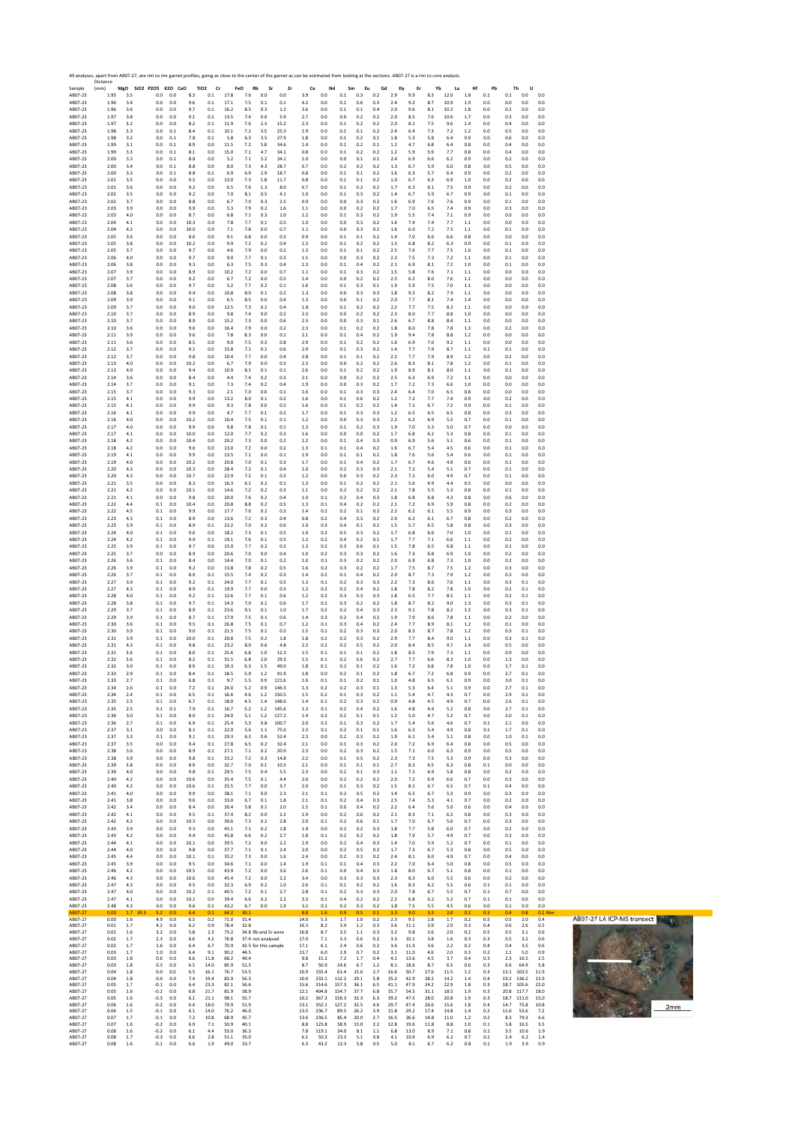|                               | All analyses, apart from AB07-27, are rim to rim garnet profiles, going as close to the center of the garnet as can be estimated from looking at the sections. AB07-27 is a rim to core analysis.<br>Distance |                   |                            |                   |                   |                               |                      |                      |                      |                |                      |                         |                        |                      |                   |                      |                      |                      |                      |                   |                   |                      |                                                 |           |
|-------------------------------|---------------------------------------------------------------------------------------------------------------------------------------------------------------------------------------------------------------|-------------------|----------------------------|-------------------|-------------------|-------------------------------|----------------------|----------------------|----------------------|----------------|----------------------|-------------------------|------------------------|----------------------|-------------------|----------------------|----------------------|----------------------|----------------------|-------------------|-------------------|----------------------|-------------------------------------------------|-----------|
| Sample<br>AB07-23             | (mm)<br>1.95                                                                                                                                                                                                  | MgO<br>3.5        | SiO2 P2O5 K2O CaO<br>0.0   | 0.0               | 8.3               | TiO <sub>2</sub><br>Cr<br>0.1 | 17.8                 | FeO<br>Rb<br>7.6     | Sr<br>0.0            | Zr<br>0.0      | 3.9                  | Ce<br>0.0               | Nd<br>$0.1\,$          | Sm<br>0.3            | Eu<br>Gd<br>0.2   | Dy<br>2.9            | Er<br>9.9            | Yb<br>8.3            | Lu<br>12.0           | Hf<br>1.8         | Pb<br>0.1         | Th<br>0.1            | U<br>0.0<br>0.0                                 |           |
| AB07-23<br>AB07-23            | 1.96<br>1.96                                                                                                                                                                                                  | 3.4<br>3.6        | 0.0<br>0.0                 | 0.0<br>0.0        | 9.6<br>9.7        | 0.1<br>0.1                    | 17.1<br>16.2         | 7.5<br>8.5           | 0.1<br>0.3           | 0.1<br>1.2     | 4.2<br>3.6           | 0.0<br>0.0              | 0.1<br>0.1             | 0.6<br>$0.1\,$       | 0.3<br>0.4        | 2.4<br>2.0           | 9.2<br>9.6           | 8.7<br>8.1           | 10.9<br>10.2         | 1.9<br>1.8        | 0.0<br>0.0        | 0.0<br>0.2           | 0.0<br>0.0<br>0.0<br>0.0                        |           |
| AB07-23<br>AB07-23            | 1.97<br>1.97                                                                                                                                                                                                  | 3.8<br>3.2        | 0.0<br>0.0                 | 0.0<br>0.0        | 9.1<br>8.2        | 0.1<br>0.1                    | 13.5<br>11.9         | 7.4<br>7.6           | 0.6<br>2.3           | 5.9<br>15.2    | 2.7<br>2.3           | 0.0<br>0.0              | 0.0<br>0.1             | 0.2<br>0.2           | 0.2<br>0.2        | 2.0<br>2.0           | 8.5<br>8.1           | 7.6<br>7.5           | 10.6<br>9.6          | 1.7<br>1.4        | 0.0<br>0.0        | 0.3<br>0.4           | 0.0<br>0.0<br>0.0<br>0.0                        |           |
| AB07-23<br>AB07-23            | 1.98<br>1.98                                                                                                                                                                                                  | 3.3<br>3.2        | 0.0<br>0.0                 | 0.1<br>0.1        | 8.4<br>7.8        | 0.1<br>0.1                    | 10.1<br>5.8          | 7.2<br>6.3           | 3.5<br>3.5           | 25.3<br>27.9   | 1.9<br>1.8           | 0.0<br>0.0              | 0.1<br>0.1             | 0.1<br>0.2           | 0.2<br>0.1        | 2.4<br>1.8           | 6.4<br>5.3           | 7.3<br>5.8           | 7.2<br>6.4           | 1.2<br>0.9        | 0.0<br>0.0        | 0.5<br>0.6           | 0.0<br>0.0<br>0.0<br>0.0                        |           |
| AB07-23<br>AB07-23            | 1.99<br>1.99                                                                                                                                                                                                  | 3.1<br>3.3        | 0.0<br>0.0                 | 0.1<br>0.1        | 8.9<br>8.1        | 0.0<br>0.0                    | 11.5<br>15.0         | 7.2<br>7.1           | 5.8<br>4.7           | 34.6<br>34.1   | 1.4<br>0.8           | 0.0<br>0.0              | 0.1<br>0.1             | 0.2<br>0.2           | 0.1<br>0.2        | 1.2<br>$1.2$         | 4.7<br>5.9           | 6.8<br>5.9           | 6.4<br>7.7           | 0.8<br>0.8        | 0.0<br>0.0        | 0.4<br>0.4           | 0.0<br>0.0<br>0.0<br>0.0                        |           |
| AB07-23<br>AB07-23            | 2.00<br>2.00                                                                                                                                                                                                  | 3.3<br>3.4        | 0.0<br>0.0                 | 0.1<br>0.1        | 8.8<br>8.8        | 0.0<br>0.0                    | 5.2<br>8.0           | 7.1<br>7.3           | 5.2<br>4.3           | 34.1<br>28.7   | 1.0<br>0.7           | 0.0<br>0.0              | 0.0<br>0.2             | 0.1<br>0.2           | 0.1<br>0.2        | 2.4<br>1.3           | 6.9<br>6.7           | 6.6<br>5.9           | 6.2<br>6.0           | 0.9<br>0.8        | 0.0<br>0.0        | 0.2<br>0.5           | 0.0<br>0.0<br>0.0<br>0.0                        |           |
| AB07-23                       | 2.00                                                                                                                                                                                                          | 3.3               | 0.0                        | 0.1               | 8.8               | 0.1                           | 6.9                  | 6.9                  | 2.9                  | 18.7           | 0.8                  | 0.0                     | 0.1                    | 0.1                  | 0.2               | 1.6                  | 6.3                  | 5.7                  | 6.4                  | 0.9               | 0.0               | 0.2                  | 0.0<br>0.0                                      |           |
| AB07-23<br>AB07-23            | 2.01<br>2.01                                                                                                                                                                                                  | 3.5<br>3.6        | 0.0<br>0.0                 | 0.0<br>0.0        | 9.3<br>9.2        | 0.0<br>0.0                    | 13.0<br>6.5          | 7.3<br>7.6           | 1.8<br>1.3           | 11.7<br>8.0    | 0.8<br>0.7           | 0.0<br>0.0              | 0.1<br>0.1             | 0.1<br>0.2           | 0.2<br>0.2        | 1.0<br>1.7           | 6.7<br>6.3           | 6.3<br>6.1           | 6.9<br>7.5           | 1.0<br>0.9        | 0.0<br>0.0        | 0.2<br>0.2           | 0.0<br>0.0<br>0.0<br>0.0                        |           |
| AB07-23<br>AB07-23            | 2.02<br>2.02                                                                                                                                                                                                  | 3.5<br>3.7        | 0.0<br>0.0                 | 0.0<br>0.0        | 9.2<br>8.8        | 0.0<br>0.0                    | 7.0<br>6.7           | 8.1<br>7.0           | 0.5<br>0.3           | 4.1<br>2.5     | 1.0<br>0.9           | 0.0<br>0.0              | 0.1<br>0.0             | 0.3<br>0.3           | 0.2<br>0.2        | 1.4<br>1.6           | 6.7<br>6.9           | 5.9<br>7.6           | 6.7<br>7.6           | 0.9<br>0.9        | 0.0<br>0.0        | 0.1<br>0.1           | 0.0<br>0.0<br>0.0<br>0.0                        |           |
| AB07-23<br>AB07-23            | 2.03<br>2.03                                                                                                                                                                                                  | 3.9<br>4.0        | 0.0<br>0.0                 | 0.0<br>0.0        | 9.9<br>8.7        | 0.0<br>0.0                    | 5.3<br>6.8           | 7.9<br>7.1           | 0.2<br>0.3           | 1.6<br>1.0     | 1.1<br>1.2           | 0.0<br>0.0              | 0.0<br>0.1             | 0.2<br>0.3           | 0.2<br>0.2        | 1.7<br>1.9           | 7.0<br>5.5           | 6.5<br>7.4           | 7.4<br>7.1           | 0.9<br>0.9        | 0.0<br>0.0        | 0.3<br>0.0           | 0.0<br>0.0<br>0.0<br>0.0                        |           |
| AB07-23<br>AB07-23            | 2.04<br>2.04                                                                                                                                                                                                  | 4.1<br>4.2        | 0.0<br>0.0                 | 0.0<br>0.0        | 10.3<br>10.0      | 0.0<br>0.0                    | 7.8<br>7.1           | 7.7<br>7.8           | 0.1<br>0.0           | 0.5<br>0.7     | 1.0<br>1.1           | 0.0<br>0.0              | 0.0<br>0.0             | 0.3<br>0.3           | 0.2<br>0.2        | 1.6<br>1.6           | 7.4<br>6.0           | 7.4<br>7.2           | 7.7<br>7.5           | 1.1<br>1.1        | 0.0<br>0.0        | 0.0<br>0.1           | 0.0<br>0.0<br>0.0<br>0.0                        |           |
| AB07-23                       | 2.05                                                                                                                                                                                                          | 3.6               | 0.0                        | 0.0               | 8.6               | 0.0                           | 9.1                  | 6.8                  | 0.0                  | 0.3            | 0.9                  | 0.0                     | 0.1                    | 0.1                  | 0.2               | 1.4                  | 7.0                  | 6.6                  | 6.6                  | 0.8               | 0.0               | 0.0                  | 0.0<br>0.0                                      |           |
| AB07-23<br>AB07-23            | 2.05<br>2.05                                                                                                                                                                                                  | 3.8<br>3.7        | 0.0<br>0.0                 | 0.0<br>0.0        | 10.2<br>9.7       | 0.0<br>0.0                    | 9.9<br>4.6           | 7.2<br>7.9           | 0.2<br>0.0           | 0.4<br>0.2     | 1.5<br>1.3           | 0.0<br>0.0              | 0.1<br>0.1             | 0.2<br>0.1           | 0.2<br>0.2        | 1.5<br>2.5           | 6.8<br>7.6           | 8.2<br>7.7           | 6.3<br>7.5           | 0.9<br>1.0        | 0.0<br>0.0        | 0.1<br>0.1           | 0.0<br>0.0<br>0.0<br>0.0                        |           |
| AB07-23<br>AB07-23            | 2.06<br>2.06                                                                                                                                                                                                  | 4.0<br>3.8        | 0.0<br>0.0                 | 0.0<br>$_{0.0}$   | 9.7<br>9.3        | 0.0<br>0.0                    | 9.0<br>6.3           | 7.7<br>7.5           | $0.1\,$<br>0.3       | 0.3<br>0.4     | 1.5<br>1.3           | 0.0<br>0.0              | 0.0<br>0.1             | 0.3<br>0.4           | 0.2<br>0.2        | 2.2<br>2.1           | 7.5<br>6.9           | 7.3<br>8.1           | 7.2<br>7.2           | 1.1<br>1.0        | 0.0<br>0.0        | 0.1<br>0.1           | 0.0<br>0.0<br>0.0<br>0.0                        |           |
| AB07-23<br>AB07-23            | 2.07<br>2.07                                                                                                                                                                                                  | 3.9<br>3.7        | 0.0<br>0.0                 | 0.0<br>0.0        | 8.9<br>9.2        | 0.0<br>0.0                    | 10.2<br>6.7          | 7.2<br>7.2           | 0.0<br>0.0           | 0.7<br>0.5     | 1.1<br>1.4           | 0.0<br>0.0              | 0.1<br>0.0             | 0.3<br>0.2           | 0.2<br>0.2        | 1.5<br>2.5           | 5.8<br>6.2           | 7.6<br>8.0           | 7.1<br>7.6           | 1.1<br>1.1        | 0.0<br>0.0        | 0.0<br>0.0           | 0.0<br>0.0<br>0.0<br>0.0                        |           |
| AB07-23<br>AB07-23            | 2.08<br>2.08                                                                                                                                                                                                  | 3.6<br>3.8        | 0.0<br>0.0                 | 0.0<br>0.0        | 9.7<br>9.4        | 0.0<br>0.0                    | 5.2<br>10.8          | 7.7<br>8.0           | 0.2<br>0.1           | 0.1<br>0.2     | 1.6<br>1.3           | 0.0<br>0.0              | $0.1\,$<br>0.0         | 0.3<br>0.3           | $0.1\,$<br>0.3    | 1.9<br>1.8           | 5.9<br>9.3           | 7.5<br>8.2           | 7.0<br>7.9           | 1.1<br>1.1        | 0.0<br>0.0        | 0.0<br>0.0           | 0.0<br>0.0<br>0.0<br>0.0                        |           |
| AB07-23<br>AB07-23            | 2.09<br>2.09                                                                                                                                                                                                  | 3.9<br>3.7        | 0.0<br>0.0                 | 0.0<br>0.0        | 9.1<br>9.0        | 0.0<br>0.0                    | 6.5<br>12.5          | 8.5<br>7.3           | 0.0<br>0.1           | 0.4<br>0.4     | 1.3<br>1.8           | 0.0<br>0.0              | 0.0<br>0.1             | 0.1<br>0.2           | 0.2<br>0.2        | 2.0<br>2.2           | 7.7<br>7.7           | 8.1<br>7.5           | 7.4<br>8.2           | 1.4<br>1.1        | 0.0<br>0.0        | 0.0<br>0.0           | 0.0<br>0.0<br>0.0<br>0.0                        |           |
| AB07-23                       | 2.10                                                                                                                                                                                                          | 3.7               | 0.0                        | 0.0               | 8.9               | 0.0                           | 9.8                  | 7.4                  | 0.0                  | 0.2            | 2.3                  | 0.0                     | 0.0                    | 0.2                  | 0.2               | 2.3                  | 8.0                  | 7.7                  | $8.8\,$              | 1.0               | 0.0               | 0.0                  | 0.0<br>0.0                                      |           |
| AB07-23<br>AB07-23            | 2.10<br>2.10                                                                                                                                                                                                  | 3.7<br>3.6        | 0.0<br>0.0                 | 0.0<br>0.0        | 8.9<br>9.6        | 0.0<br>0.0                    | 15.2<br>16.4         | 7.3<br>7.9           | 0.0<br>0.0           | 0.6<br>0.2     | 2.3<br>2.3           | 0.0<br>0.0              | 0.0<br>0.1             | 0.3<br>0.2           | 0.1<br>0.2        | 2.6<br>1.8           | 6.7<br>8.0           | 8.8<br>7.8           | 8.4<br>7.8           | 1.1<br>1.3        | 0.0<br>0.0        | 0.0<br>0.2           | 0.0<br>0.0<br>0.0<br>0.0                        |           |
| AB07-23<br>AB07-23            | 2.11<br>2.11                                                                                                                                                                                                  | 3.9<br>3.6        | 0.0<br>0.0                 | 0.0<br>0.0        | 9.6<br>8.5        | 0.0<br>0.0                    | 7.8<br>9.0           | 8.3<br>7.5           | 0.0<br>0.3           | 0.1<br>0.8     | 2.1<br>2.9           | 0.0<br>0.0              | 0.1<br>0.1             | 0.4<br>0.2           | 0.2<br>0.2        | 1.9<br>1.6           | 9.4<br>6.9           | 7.8<br>7.0           | 8.8<br>9.2           | 1.2<br>1.1        | 0.0<br>0.0        | 0.0<br>0.0           | 0.0<br>0.0<br>0.0<br>0.0                        |           |
| AB07-23<br>AB07-23            | 2.12<br>2.12                                                                                                                                                                                                  | 3.7<br>3.7        | 0.0<br>0.0                 | 0.0<br>0.0        | 9.1<br>9.8        | 0.0<br>0.0                    | 15.8<br>10.4         | 7.1<br>7.7           | 0.1<br>0.0           | 0.6<br>0.4     | 2.9<br>2.8           | 0.0<br>0.0              | 0.1<br>0.1             | 0.3<br>0.1           | 0.2<br>0.2        | 1.4<br>2.2           | 7.7<br>7.7           | 7.9<br>7.9           | 8.7<br>8.9           | 1.1<br>1.2        | 0.1<br>0.0        | 0.1<br>0.2           | 0.0<br>0.0<br>0.0<br>0.0                        |           |
| AB07-23<br>AB07-23            | 2.13<br>2.13                                                                                                                                                                                                  | 4.0<br>4.0        | 0.0<br>0.0                 | 0.0<br>0.0        | 10.2<br>9.4       | 0.0<br>0.0                    | 6.7<br>10.9          | 7.9<br>8.1           | 0.0<br>0.1           | 0.3<br>0.1     | 2.3<br>2.6           | 0.0<br>0.0              | 0.0<br>0.1             | 0.2<br>0.2           | 0.2<br>0.2        | 2.6<br>1.9           | 8.3<br>8.9           | 8.1<br>8.1           | 7.8<br>8.0           | 1.2<br>1.1        | 0.0<br>0.0        | 0.1<br>0.1           | 0.0<br>0.0<br>0.0<br>0.0                        |           |
| AB07-23<br>AB07-23            | 2.14<br>2.14                                                                                                                                                                                                  | 3.6<br>3.7        | 0.0<br>0.0                 | 0.0<br>0.0        | 8.4<br>9.1        | 0.0<br>0.0                    | 4.4<br>7.3           | 7.4<br>7.4           | 0.2<br>0.2           | 0.3<br>0.4     | 2.1<br>1.9           | 0.0<br>0.0              | 0.0<br>0.0             | 0.2<br>0.3           | 0.2<br>0.2        | 2.5<br>1.7           | 6.3<br>7.2           | 6.9<br>7.3           | 7.2<br>6.6           | 1.1<br>1.0        | 0.0<br>0.0        | 0.0<br>0.0           | 0.0<br>0.0<br>0.0<br>0.0                        |           |
| AB07-23                       | 2.15                                                                                                                                                                                                          | 3.7               | 0.0                        | 0.0               | 9.3               | 0.0                           | 2.1                  | 7.0                  | 0.0                  | 0.1            | 1.6                  | 0.0                     | 0.1                    | 0.3                  | 0.3               | 2.4                  | 6.4                  | 7.0                  | 6.5                  | 0.8               | 0.0               | 0.0                  | 0.0<br>0.0                                      |           |
| AB07-23<br>AB07-23            | 2.15<br>2.15                                                                                                                                                                                                  | 4.1<br>4.1        | 0.0<br>0.0                 | 0.0<br>0.0        | 9.9<br>9.9        | 0.0<br>0.0                    | 13.2<br>9.3          | 8.0<br>7.8           | 0.1<br>0.0           | 0.2<br>0.2     | 1.6<br>1.6           | 0.0<br>0.0              | 0.1<br>0.1             | 0.6<br>0.2           | 0.2<br>0.2        | 1.2<br>1.4           | 7.2<br>7.1           | 7.7<br>6.7           | 7.4<br>7.2           | 0.9<br>0.9        | 0.0<br>0.0        | 0.2<br>0.1           | 0.0<br>0.0<br>0.0<br>0.0                        |           |
| AB07-23<br>AB07-23            | 2.16<br>2.16                                                                                                                                                                                                  | 4.1<br>4.0        | 0.0<br>0.0                 | 0.0<br>0.0        | 9.9<br>10.2       | 0.0<br>0.0                    | 4.7<br>10.4          | 7.7<br>7.5           | 0.1<br>0.1           | 0.2<br>0.1     | 1.7<br>1.2           | 0.0<br>0.0              | 0.1<br>0.0             | 0.3<br>0.3           | 0.3<br>0.3        | 1.2<br>2.2           | 6.5<br>6.2           | 6.5<br>6.9           | 6.5<br>5.5           | 0.8<br>0.7        | 0.0<br>0.0        | 0.3<br>0.1           | 0.0<br>0.0<br>0.0<br>0.0                        |           |
| AB07-23<br>AB07-23            | 2.17<br>2.17                                                                                                                                                                                                  | 4.0<br>4.1        | 0.0<br>0.0                 | 0.0<br>0.0        | 9.9<br>10.0       | 0.0<br>0.0                    | 9.8<br>12.0          | 7.8<br>7.7           | 0.1<br>0.2           | 0.1<br>0.3     | 1.3<br>1.6           | 0.0<br>0.0              | 0.1<br>0.0             | 0.2<br>0.0           | 0.3<br>0.2        | 1.9<br>1.7           | 7.0<br>6.8           | 5.3<br>6.2           | 5.0<br>5.3           | 0.7<br>0.8        | 0.0<br>0.0        | 0.0<br>0.1           | 0.0<br>0.0<br>0.0<br>0.0                        |           |
| AB07-23<br>AB07-23            | 2.18<br>2.18                                                                                                                                                                                                  | 4.2<br>4.2        | 0.0<br>0.0                 | $_{0.0}$<br>0.0   | 10.4<br>9.6       | 0.0<br>0.0                    | 20.2<br>13.0         | 7.3<br>7.2           | 0.0<br>0.0           | 0.2<br>0.2     | 1.2<br>1.3           | 0.0<br>0.1              | 0.1<br>0.1             | 0.4<br>0.4           | 0.3<br>0.2        | 0.9<br>1.6           | 6.9<br>6.7           | 5.6<br>5.4           | 5.1<br>4.5           | 0.6<br>0.6        | 0.0<br>0.0        | 0.1<br>0.1           | 0.0<br>0.0<br>0.0<br>0.0                        |           |
| AB07-23<br>AB07-23            | 2.19<br>2.19                                                                                                                                                                                                  | 4.1<br>4.0        | 0.0<br>0.0                 | 0.0<br>0.0        | 9.9<br>10.2       | 0.0<br>0.0                    | 13.5<br>20.8         | 7.1<br>7.0           | 0.0<br>$0.1\,$       | 0.1<br>0.3     | 1.9<br>1.7           | 0.0<br>0.0              | 0.1<br>$0.1\,$         | 0.1<br>0.4           | 0.2<br>0.2        | 1.8<br>1.7           | 7.6<br>6.7           | 5.6<br>4.6           | 5.4<br>4.9           | 0.6<br>0.6        | 0.0<br>0.0        | 0.1<br>0.1           | 0.0<br>0.0<br>0.0<br>0.0                        |           |
| AB07-23                       | 2.20                                                                                                                                                                                                          | 4.3               | 0.0                        | 0.0               | 10.3              | 0.0                           | 28.4                 | 7.2<br>7.2           | 0.1                  | 0.4            | 1.0                  | 0.0<br>0.0              | 0.2                    | 0.3                  | 0.3<br>0.2        | 2.1<br>2.3           | 7.2                  | 5.4                  | 5.1                  | 0.7<br>0.7        | 0.0               | 0.1                  | 0.0<br>0.0                                      |           |
| AB07-23<br>AB07-23            | 2.20<br>2.21                                                                                                                                                                                                  | 4.3<br>3.5        | 0.0<br>0.0                 | 0.0<br>0.0        | 10.7<br>8.3       | 0.0<br>0.0                    | 22.9<br>16.3         | 6.1                  | 0.1<br>0.2           | 0.3<br>0.1     | 1.2<br>1.3           | 0.0                     | 0.0<br>0.1             | 0.3<br>0.2           | 0.2               | 2.1                  | 7.1<br>5.6           | 6.0<br>4.9           | 4.9<br>4.4           | 0.5               | 0.0<br>0.0        | 0.1<br>0.0           | 0.0<br>0.0<br>0.0<br>0.0                        |           |
| AB07-23<br>AB07-23            | 2.21<br>2.21                                                                                                                                                                                                  | 4.2<br>4.1        | 0.0<br>0.0                 | 0.0<br>$_{0.0}$   | 10.1<br>9.8       | 0.0<br>0.0                    | 14.6<br>20.0         | 7.2<br>7.6           | 0.2<br>0.2           | 0.3<br>0.4     | 1.1<br>1.0           | 0.0<br>0.1              | 0.2<br>0.2             | 0.2<br>0.4           | 0.2<br>0.3        | 2.1<br>1.8           | 7.8<br>6.8           | 5.5<br>6.8           | 5.3<br>4.3           | 0.8<br>0.8        | 0.0<br>0.0        | 0.1<br>0.6           | 0.0<br>0.0<br>0.0<br>0.0                        |           |
| AB07-23<br>AB07-23            | 2.22<br>2.22                                                                                                                                                                                                  | 4.4<br>4.5        | 0.1<br>0.1                 | 0.0<br>0.0        | 10.4<br>9.9       | 0.0<br>0.0                    | 20.8<br>17.7         | 8.8<br>7.6           | 0.2<br>0.2           | 0.5<br>0.3     | 1.3<br>1.4           | 0.1<br>0.2              | 0.4<br>0.2             | 0.2<br>0.1           | 0.2<br>0.3        | 2.1<br>2.2           | 7.2<br>6.2           | 6.9<br>6.1           | 5.9<br>5.5           | 0.8<br>0.9        | 0.0<br>0.0        | 0.2<br>0.3           | 0.0<br>0.0<br>0.0<br>0.0                        |           |
| AB07-23<br>AB07-23            | 2.23<br>2.23                                                                                                                                                                                                  | 4.3<br>3.9        | 0.1<br>0.1                 | 0.0<br>0.0        | 8.9<br>8.9        | 0.0<br>0.1                    | 13.6<br>22.2         | 7.2<br>7.0           | 0.3<br>0.2           | 0.4<br>0.6     | 0.8<br>1.0           | 0.2<br>0.3              | 0.4<br>0.4             | 0.3<br>0.1           | 0.2<br>0.2        | 2.0<br>1.5           | 6.2<br>5.7           | 6.1<br>6.5           | 6.7<br>5.8           | 0.8<br>0.8        | 0.0<br>0.0        | 0.2<br>0.3           | 0.0<br>0.0<br>0.0<br>0.0                        |           |
| AB07-23<br>AB07-23            | 2.24<br>2.24                                                                                                                                                                                                  | 4.0<br>4.2        | 0.1<br>0.1                 | 0.0<br>0.0        | 9.6<br>9.9        | 0.0<br>0.1                    | 18.2<br>19.1         | 7.3<br>7.6           | 0.1<br>0.1           | 0.5<br>0.5     | 1.0<br>1.2           | 0.2<br>0.2              | 0.5<br>0.4             | 0.3<br>0.2           | 0.2<br>0.1        | 1.7<br>1.7           | 6.8<br>7.7           | 6.6<br>7.1           | 7.0<br>6.6           | 1.0<br>1.1        | 0.0<br>0.0        | 0.1<br>0.2           | 0.0<br>0.0<br>0.0<br>0.0                        |           |
| AB07-23<br>AB07-23            | 2.25<br>2.25                                                                                                                                                                                                  | 3.9<br>3.7        | 0.1<br>0.0                 | 0.0<br>0.0        | 9.7<br>8.9        | 0.0<br>0.0                    | 15.0<br>20.6         | 7.7<br>7.0           | 0.2<br>0.0           | 0.2<br>0.4     | 1.3<br>1.0           | 0.2<br>0.2              | 0.3<br>0.3             | 0.6<br>0.3           | 0.1<br>0.2        | 1.5<br>1.6           | 7.8<br>7.3           | 6.5<br>6.8           | 6.8<br>6.9           | 1.1<br>1.0        | 0.0<br>0.0        | 0.1<br>0.2           | 0.0<br>0.0<br>0.0<br>0.0                        |           |
| AB07-23                       | 2.26                                                                                                                                                                                                          | 3.6               | 0.1                        | 0.0               | 8.4               | 0.0                           | 14.4                 | 7.0                  | 0.1                  | 0.2            | 1.0                  | 0.1                     | 0.3                    | 0.2                  | 0.2               | 2.0                  | 6.9                  | 6.8                  | 7.3                  | 1.0               | 0.0               | 0.2                  | 0.0<br>0.0                                      |           |
| AB07-23<br>AB07-23            | 2.26<br>2.26                                                                                                                                                                                                  | 3.9<br>3.7        | 0.1<br>0.1                 | 0.0<br>0.0        | 9.2<br>8.9        | 0.0<br>0.1                    | 13.8<br>15.5         | 7.8<br>7.4           | 0.2<br>0.2           | 0.5<br>0.3     | 1.6<br>1.4           | 0.2<br>0.2              | 0.3<br>0.1             | 0.2<br>0.4           | 0.2<br>0.2        | 1.7<br>2.0           | 7.5<br>8.7           | 8.7<br>7.3           | 7.5<br>7.9           | 1.2<br>1.2        | 0.0<br>0.0        | 0.3<br>0.3           | 0.0<br>0.0<br>0.0<br>0.0                        |           |
| AB07-23<br>AB07-23            | 2.27<br>2.27                                                                                                                                                                                                  | 3.9<br>4.3        | 0.1<br>0.1                 | 0.0<br>0.0        | 9.2<br>8.9        | 0.1<br>0.1                    | 24.0<br>19.9         | 7.7<br>7.7           | 0.1<br>0.0           | 0.5<br>0.3     | 1.3<br>1.2           | 0.1<br>0.2              | 0.2<br>0.2             | 0.3<br>0.4           | 0.3<br>0.2        | 2.2<br>1.8           | 7.3<br>7.8           | 8.6<br>8.2           | 7.6<br>7.8           | 1.1<br>1.0        | 0.0<br>0.0        | 0.3<br>0.2           | 0.1<br>0.0<br>0.1<br>0.0                        |           |
| AB07-23<br>AB07-23            | 2.28<br>2.28                                                                                                                                                                                                  | 4.0<br>3.8        | 0.1<br>0.1                 | 0.0<br>0.0        | 9.2<br>9.7        | 0.1<br>0.1                    | 12.6<br>14.3         | 7.7<br>7.0           | 0.1<br>0.1           | 0.6<br>0.6     | 1.2<br>1.7           | 0.2<br>0.2              | 0.3<br>0.3             | 0.3<br>0.2           | 0.3<br>0.2        | 1.8<br>1.8           | 6.5<br>8.7           | 7.7<br>8.2           | 8.5<br>9.0           | 1.1<br>1.3        | 0.0<br>0.0        | 0.2<br>0.3           | 0.1<br>0.0<br>0.1<br>0.0                        |           |
| AB07-23<br>AB07-23            | 2.29<br>2.29                                                                                                                                                                                                  | 3.7<br>3.9        | 0.1<br>$0.1\,$             | 0.0<br>$_{0.0}$   | 8.9<br>8.7        | 0.1<br>0.1                    | 23.6<br>17.9         | 9.1<br>7.5           | 0.1<br>0.1           | 1.0<br>0.6     | 1.7<br>$1.4\,$       | 0.2<br>0.3              | 0.2<br>0.2             | 0.4<br>0.4           | 0.3<br>0.2        | 2.3<br>1.9           | 9.1<br>7.9           | 7.8<br>8.6           | 8.2<br>7.8           | 1.2<br>1.1        | 0.0<br>0.0        | 0.3<br>0.2           | 0.1<br>0.0<br>0.0<br>0.0                        |           |
| AB07-23<br>AB07-23            | 2.30<br>2.30                                                                                                                                                                                                  | 3.6               | 0.1<br>0.1                 | 0.0<br>0.0        | 9.5<br>9.0        | 0.1<br>0.1                    | 26.8<br>21.5         | 7.5                  | 0.1<br>0.1           | 0.7<br>0.5     | 1.2<br>1.5           | 0.1<br>0.1              | 0.3<br>0.2             | 0.4<br>0.3           | 0.2<br>0.3        | 2.4<br>2.0           | 7.7<br>8.3           | 8.9<br>8.7           | 8.1<br>7.8           | 1.2<br>1.2        | 0.0<br>0.0        | 0.1<br>0.3           | 0.0<br>0.0<br>0.1                               |           |
| AB07-23                       | 2.31                                                                                                                                                                                                          | 3.9<br>3.9        | 0.1                        | 0.0               | 10.0              | 0.1                           | 20.8                 | 7.5<br>7.5           | 0.2                  | 1.8            | 1.8                  | 0.2                     | 0.2                    | 0.3                  | 0.2               | 2.9                  | 7.7                  | 8.4                  | 9.0                  | 1.1               | 0.0               | 0.3                  | 0.0<br>0.1<br>0.0                               |           |
| AB07-23<br>AB07-23            | 2.31<br>2.31                                                                                                                                                                                                  | 4.3<br>3.6        | 0.1<br>0.1                 | 0.0<br>0.0        | 9.8<br>8.0        | 0.1<br>0.1                    | 23.2<br>25.6         | 8.0<br>6.8           | 0.6<br>1.0           | 4.8<br>12.3    | 2.3<br>1.5           | 0.2<br>0.1              | 0.2<br>0.1             | 0.5<br>0.1           | 0.2<br>0.2        | 2.0<br>1.8           | 8.4<br>8.5           | 8.5<br>7.9           | 9.7<br>7.3           | 1.4<br>1.1        | 0.0<br>0.0        | 0.5<br>0.9           | 0.0<br>0.0<br>0.0<br>0.0                        |           |
| AB07-23<br>AB07-23            | 2.32<br>2.32                                                                                                                                                                                                  | 3.6<br>3.0        | 0.1<br>0.1                 | 0.0<br>0.0        | 8.2<br>8.9        | 0.1<br>0.1                    | 31.5<br>19.3         | 6.8<br>6.3           | 2.0<br>1.5           | 29.3<br>49.0   | 1.5<br>1.8           | 0.1<br>0.1              | 0.2<br>0.2             | 0.6<br>0.1           | 0.2<br>0.2        | 2.7<br>1.6           | 7.7<br>7.2           | 6.6<br>6.8           | 8.3<br>7.8           | 1.0<br>1.0        | 0.0<br>0.0        | 1.3<br>1.7           | 0.0<br>0.0<br>0.1<br>0.0                        |           |
| AB07-23<br>AB07-23            | 2.3:<br>2.33                                                                                                                                                                                                  | $\sim$<br>2.7     | U.I<br>0.1                 | U.L<br>0.0        | 6.8               | U.I<br>0.1                    | 18.5<br>9.7          | 5.5                  | 0.9                  | 121.6          | 1.8<br>1.6           | U.L<br>0.1              | 0.1                    | υ<br>0.2             | 0.1               | 1.0                  | ь.<br>4.8            | 1.4<br>6.5           | 6.č<br>6.1           | υ.,<br>0.9        | U.L<br>0.0        | 3.0                  | υ.<br>U.U<br>0.1<br>0.0                         |           |
| AB07-23<br>AB07-23            | 2.34<br>2.34                                                                                                                                                                                                  | 2.6<br>2.4        | 0.1<br>0.1                 | 0.0<br>0.0        | 7.2<br>6.5        | 0.1<br>0.1                    | 24.0<br>16.6         | 5.2<br>4.6           | 0.9<br>1.2           | 146.3<br>150.5 | 1.3<br>1.5           | 0.2<br>0.2              | 0.2<br>0.1             | 0.3<br>0.3           | 0.1<br>0.2        | 1.3<br>1.1           | 5.3<br>5.4           | 6.4<br>4.7           | 5.1<br>4.3           | 0.9<br>0.7        | 0.0<br>0.0        | 2.7<br>2.9           | 0.1<br>0.0<br>0.1<br>0.0                        |           |
| AB07-23<br>AB07-23            | 2.35<br>2.35                                                                                                                                                                                                  | 2.5<br>2.5        | 0.1<br>0.1                 | 0.0<br>0.1        | 6.7<br>7.9        | 0.1<br>0.1                    | 18.0<br>16.7         | 4.5<br>5.2           | 1.4<br>1.2           | 148.6<br>145.6 | 1.4<br>1.3           | 0.2<br>0.1              | 0.2<br>0.2             | 0.3<br>0.4           | 0.2<br>0.2        | 0.9<br>1.6           | 4.8<br>4.8           | 4.5<br>4.4           | 4.9<br>5.2           | 0.7<br>0.8        | 0.0<br>0.0        | 2.6<br>2.7           | 0.1<br>0.0<br>0.1<br>0.0                        |           |
| AB07-23<br>AB07-23            | 2.36<br>2.36                                                                                                                                                                                                  | 3.0<br>2.7        | 0.1<br>0.1                 | 0.0<br>0.0        | 8.0<br>6.9        | 0.1<br>0.1                    | 24.0<br>25.4         | 5.1<br>5.3           | 1.2<br>0.8           | 127.2<br>100.7 | 1.4<br>2.0           | 0.2<br>0.2              | 0.2<br>0.1             | 0.1<br>0.3           | 0.1<br>0.2        | 1.2<br>1.7           | 5.0<br>5.4           | 4.7<br>5.6           | 5.2<br>4.6           | 0.7<br>0.7        | 0.0<br>0.1        | 2.0<br>2.1           | 0.1<br>0.0<br>0.0<br>0.0                        |           |
| AB07-23                       | 2.37<br>2.37                                                                                                                                                                                                  | 3.1               | 0.0                        | 0.0               | 8.1               | 0.1                           | 22.9                 | 5.6                  | 1.1                  | 75.0           | 2.3                  | 0.1                     | 0.2                    | 0.1                  | 0.1               | 1.6                  | 6.3                  | 5.4<br>5.4           | 4.9                  | 0.8               | 0.1               | 1.7                  | 0.1<br>0.0                                      |           |
| AB07-23<br>AB07-23            | 2.37                                                                                                                                                                                                          | 3.3<br>3.5        | 0.1<br>0.0                 | 0.0<br>0.0        | 9.1<br>9.4        | 0.1<br>0.1                    | 29.3<br>27.8         | 6.3<br>6.5           | 0.6<br>0.2           | 52.4<br>32.4   | 2.3<br>2.1           | 0.0<br>0.0              | 0.2<br>0.1             | 0.3<br>0.3           | 0.2<br>0.2        | 1.9<br>2.0           | 6.1<br>7.2           | 6.9                  | 5.1<br>6.4           | 0.8<br>0.8        | 0.0<br>0.0        | 1.0<br>0.5           | 0.1<br>0.0<br>0.0<br>0.0                        |           |
| AB07-23<br>AB07-23            | 2.38<br>2.38                                                                                                                                                                                                  | 3.6<br>3.9        | 0.0<br>$_{0.0}$            | 0.0<br>0.0        | 8.9<br>9.8        | 0.1<br>$0.1\,$                | 27.1<br>33.2         | 7.1<br>7.2           | 0.2<br>0.3           | 20.9<br>14.8   | 2.3<br>2.2           | 0.0<br>0.0              | 0.2<br>$0.1\,$         | 0.3<br>0.5           | 0.2<br>0.2        | 1.5<br>2.3           | 7.1<br>7.3           | 6.0<br>7.3           | 6.3<br>5.3           | 0.9<br>0.9        | 0.0<br>0.0        | 0.5<br>0.3           | 0.0<br>0.0<br>0.0<br>0.0                        |           |
| AB07-23<br>AB07-23            | 2.39<br>2.39                                                                                                                                                                                                  | 3.8<br>4.0        | 0.0                        | 0.0<br>0.0        | 8.9<br>9.8        | 0.0<br>0.1                    | 32.7<br>29.5         | 7.0<br>7.5           | 0.1<br>0.4           | 10.3<br>5.5    | 2.1<br>2.3           | 0.0<br>0.0              | 0.1<br>0.2             | 0.1<br>0.1           | 0.1<br>0.3        | 2.7<br>1.1           | 8.3<br>7.1           | 6.5<br>6.9           | 6.3<br>5.8           | 0.8<br>0.8        | 0.1<br>0.0        | 0.0<br>0.2           | 0.0<br>0.0<br>0.0<br>0.0                        |           |
| AB07-23<br>AB07-23            |                                                                                                                                                                                                               |                   | 0.0                        |                   |                   |                               |                      |                      |                      |                |                      |                         |                        |                      | 0.2               | 2.0                  |                      |                      |                      | 0.7               | 0.0               |                      |                                                 |           |
|                               | 2.40<br>2.40                                                                                                                                                                                                  | 4.2<br>4.2        | 0.0<br>0.0                 | 0.0<br>0.0        | 10.6<br>10.6      | 0.0<br>$0.1\,$                | 35.4<br>25.5         | 7.5<br>7.7           | 0.1<br>0.0           | 4.4<br>3.7     | 2.0<br>2.0           | 0.0<br>0.0              | 0.2<br>$0.1\,$         | 0.2<br>0.3           | 0.2               | $1.5\,$              | 7.2<br>8.1           | 6.9<br>6.7           | 6.6<br>6.5           | 0.7               | 0.1               | 0.3<br>0.4           | 0.0<br>0.0<br>0.0<br>0.0                        |           |
| AB07-23<br>AB07-23            | 2.41<br>2.41                                                                                                                                                                                                  | 4.0<br>3.8        | 0.0<br>0.0                 | $_{0.0}$<br>0.0   | 9.9<br>9.6        | 0.0<br>0.0                    | 38.1<br>33.0         | 7.1<br>6.7           | 0.0<br>0.1           | 2.3<br>1.8     | 2.1<br>2.1           | 0.1<br>0.1              | 0.2<br>0.2             | 0.5<br>0.4           | 0.2<br>0.3        | $1.4\,$<br>2.5       | 6.5<br>7.4           | 6.7<br>5.3           | 5.3<br>4.1           | 0.9<br>0.7        | 0.0<br>0.0        | 0.3<br>0.2           | 0.0<br>0.0<br>0.0<br>0.0                        |           |
| AB07-23                       | 2.42                                                                                                                                                                                                          | 3.4               | 0.0                        | 0.0               | 8.4               | 0.0                           | 26.4                 | 5.8                  | 0.1                  | 2.0            | 1.5                  | 0.1                     | 0.0                    | 0.4                  | 0.2               | 2.2                  | 6.4                  | 5.6                  | 5.0                  | 0.6               | 0.0               | 0.4                  | 0.0<br>0.0                                      |           |
| AB07-23<br>AB07-23            | 2.42<br>2.42                                                                                                                                                                                                  | 4.1<br>4.2        | 0.0<br>0.0                 | 0.0<br>0.0        | 9.5<br>10.3       | $0.1\,$<br>0.0                | 37.4<br>30.6         | 8.2<br>7.3           | 0.0<br>0.2           | 2.2<br>2.8     | 1.9<br>2.0           | $0.0\,$<br>0.1          | 0.2<br>0.2             | 0.6<br>0.6           | 0.2<br>0.1        | $2.1\,$<br>1.7       | 8.3<br>7.0           | 7.1<br>6.7           | 6.2<br>5.6           | 0.8<br>0.7        | 0.0<br>0.0        | 0.3<br>0.3           | 0.0<br>0.0<br>0.0<br>0.0                        |           |
| AB07-23<br>AB07-23            | 2.43<br>2.43                                                                                                                                                                                                  | 3.9<br>4.2        | 0.0<br>0.0                 | 0.0<br>0.0        | 9.3<br>9.4        | 0.0<br>0.0                    | 45.1<br>45.8         | 7.1<br>6.6           | 0.2<br>0.2           | 1.8<br>2.7     | 1.9<br>1.8           | 0.0<br>0.1              | 0.2<br>0.2             | 0.2<br>0.2           | 0.3<br>0.2        | 1.8<br>1.8           | 7.7<br>7.9           | 5.8<br>5.7           | 6.0<br>4.9           | 0.7<br>0.7        | 0.0<br>0.0        | 0.2<br>0.3           | 0.0<br>0.0<br>0.0<br>0.0                        |           |
| AB07-23<br>AB07-23            | 2.44<br>2.44                                                                                                                                                                                                  | 4.1<br>4.0        | 0.0<br>0.0                 | 0.0<br>0.0        | 10.1<br>9.8       | 0.0<br>0.0                    | 39.5<br>37.7         | 7.2<br>7.1           | 0.0<br>0.1           | 2.2<br>2.4     | 1.9<br>2.0           | 0.0<br>0.0              | 0.2<br>0.2             | 0.4<br>0.5           | 0.3<br>0.2        | 1.4<br>1.7           | 7.0<br>7.3           | 5.9<br>6.7           | 5.2<br>5.3           | 0.7<br>0.8        | 0.0<br>0.0        | 0.1<br>0.5           | 0.0<br>0.0<br>0.0<br>0.0                        |           |
| AB07-23<br>AB07-23            | 2.45<br>2.45                                                                                                                                                                                                  | 4.4<br>3.9        | 0.0<br>0.0                 | 0.0<br>0.0        | 10.1<br>9.5       | 0.1<br>0.0                    | 35.2<br>34.6         | 7.3<br>7.1           | 0.0<br>0.0           | 1.6<br>1.4     | 2.4<br>1.9           | 0.0<br>0.1              | 0.2<br>0.1             | 0.3<br>0.4           | 0.2<br>0.3        | 2.4<br>2.2           | 8.1<br>7.0           | 6.0<br>6.4           | 4.9<br>5.0           | 0.7<br>0.8        | 0.0<br>0.0        | 0.4<br>0.5           | 0.0<br>0.0<br>0.0<br>0.0                        |           |
| AB07-23<br>AB07-23            | 2.46<br>2.46                                                                                                                                                                                                  | 4.2<br>4.3        | 0.0<br>0.0                 | 0.0<br>0.0        | 10.5<br>10.6      | 0.0<br>0.0                    | 43.9<br>45.4         | 7.2<br>7.2           | 0.0<br>0.0           | 3.6<br>2.2     | 2.6<br>3.4           | 0.1<br>0.0              | 0.0<br>0.3             | 0.4<br>0.3           | 0.3<br>0.3        | 1.8<br>2.3           | 8.0<br>8.3           | 6.7<br>6.0           | 5.1<br>5.5           | 0.8<br>0.6        | 0.0<br>0.0        | 0.1<br>0.2           | 0.0<br>0.0<br>0.0<br>0.0                        |           |
| AB07-23<br>AB07-23            | 2.47<br>2.47                                                                                                                                                                                                  | 4.3<br>4.0        | 0.0<br>0.0                 | 0.0<br>0.0        | 9.5<br>10.2       | 0.0<br>0.1                    | 32.3<br>40.5         | 6.9<br>7.2           | 0.2<br>0.1           | 1.0<br>2.7     | 2.6<br>2.8           | 0.1<br>0.1              | 0.1<br>0.2             | 0.2<br>0.3           | 0.2<br>0.3        | 1.6<br>2.0           | 8.3<br>7.8           | 6.2<br>6.7           | 5.5<br>5.5           | 0.6<br>0.7        | 0.1<br>0.1        | 0.1<br>0.7           | 0.0<br>0.0<br>0.0<br>0.0                        |           |
| AB07-23                       | 2.47                                                                                                                                                                                                          | 4.1               | 0.0                        | 0.0               | 10.1              | 0.0                           | 39.4                 | 6.6                  | 0.2                  | 2.2            | 3.3                  | 0.1                     | 0.4                    | 0.2                  | 0.2               | 2.2                  | 6.8                  | 6.2                  | 5.2                  | 0.7               | 0.1               | 0.1                  | 0.0<br>0.0                                      |           |
| AB07-23<br>AB07-27            | 2.48<br>0.00                                                                                                                                                                                                  | 4.3<br>1.7        | 0.0<br>5.2                 | 0.0<br>0.0        | 9.6<br>6.4        | 0.1<br>0.1<br>0.2             | 43.2<br>64.2         | 6.7<br>30.1<br>31.4  | 0.0                  | 1.9            | 3.2<br>8.8<br>14.0   | 0.1<br>1.6              | 0.2<br>0.9<br>1.7      | 0.3<br>0.5           | 0.2<br>0.1<br>0.2 | 1.8<br>3.3<br>2.3    | 7.5<br>9.0<br>9.5    | 5.5<br>3.3<br>2.8    | 4.5<br>2.0           | 0.6<br>0.2        | 0.0<br>0.3<br>0.5 | 0.1<br>0.4           | 0.0<br>0.0<br>0.8<br>2.0<br>0.4                 | $0.2$ Rim |
| AB07-27<br>AB07-27            | 0.00<br>0.01                                                                                                                                                                                                  | 1.6<br>1.7        | 4.9<br>4.2                 | 0.0<br>0.0        | 6.5<br>6.2        | 0.9                           | 71.0<br>78.4         | 32.8                 | 34.8 Rb and Sr were  |                | 16.3                 | 5.3<br>8.2              | 3.9                    | 1.0<br>1.2           | 0.3               | 3.6                  | 11.1                 | 3.9                  | 1.7<br>2.0           | 0.2<br>0.3        | 0.4               | 0.5<br>0.6           | 2.6<br>0.5                                      |           |
| AB07-27<br>AB07-27            | 0.01<br>0.02                                                                                                                                                                                                  | 1.6<br>1.7        | 3.2<br>2.3                 | 0.0<br>0.0        | 5.8<br>6.6        | 2.3<br>4.2                    | 73.2<br>76.8         |                      | 37.4 not analysed    |                | 16.8<br>17.0         | 8.7<br>7.1              | 3.5<br>3.3<br>2.4      | 1.1<br>0.6           | 0.3<br>0.2        | 3.2<br>3.3           | 9.8<br>10.1          | 3.6<br>3.8           | 2.0<br>1.6           | 0.2<br>0.3        | 0.5<br>0.3        | 0.5<br>0.5           | 3.1<br>0.6<br>3.2<br>0.6                        |           |
| AB07-27<br>AB07-27            | 0.02<br>0.03                                                                                                                                                                                                  | 1.7<br>1.7        | 1.6<br>$1.0\,$             | 0.0<br>0.0        | 6.4<br>6.4        | 6.7<br>9.1                    | 70.9<br>90.2         | 44.5                 | 42.5 for this sample |                | 17.1<br>13.7         | 6.1<br>6.0              | 2.9                    | 0.6<br>0.7           | 0.2<br>0.2        | 3.6<br>3.1           | 11.3<br>11.0         | 3.6<br>4.6           | 2.2<br>2.0           | 0.2<br>0.3        | 0.4<br>0.2        | 0.4<br>1.1           | 3.5<br>0.6<br>5.0<br>0.9                        |           |
| AB07-27<br>AB07-27            | 0.03<br>0.03                                                                                                                                                                                                  | 1.8<br>1.8        | 0.6<br>0.3                 | 0.0<br>0.0        | 6.6<br>6.5        | 11.8<br>14.0                  | 68.2<br>85.9         | 49.4<br>51.5         |                      |                | 9.8<br>8.7           | 15.2<br>50.9            | 7.2<br>24.6            | 1.7<br>6.7           | 0.4<br>1.2        | 4.1<br>8.1           | 13.6<br>18.6         | 4.5<br>8.7           | 3.7<br>6.5           | 0.4<br>0.6        | 0.3<br>0.3        | 2.3<br>6.6           | 16.5<br>2.5<br>64.9<br>5.8                      |           |
| AB07-27<br>AB07-27<br>AB07-27 | 0.04<br>0.04<br>0.05                                                                                                                                                                                          | 1.8<br>1.8<br>1.7 | 0.0<br>0.0<br>$-0.1$       | 0.0<br>0.0<br>0.0 | 6.5<br>7.4<br>6.4 | 16.1<br>19.4<br>23.3          | 76.7<br>83.9<br>82.1 | 53.5<br>56.3<br>56.6 |                      |                | 10.9<br>10.0<br>15.6 | 155.4<br>233.1<br>314.6 | 61.4<br>112.2<br>157.3 | 15.6<br>29.1<br>36.1 | 2.7<br>5.8<br>6.5 | 16.6<br>25.2<br>41.1 | 30.7<br>42.9<br>47.9 | 17.6<br>28.2<br>24.2 | 11.5<br>14.2<br>22.9 | 1.2<br>1.4<br>1.8 | 0.3<br>0.4<br>0.3 | 13.1<br>19.2<br>18.7 | 103.5<br>11.9<br>136.2<br>15.9<br>105.6<br>22.0 |           |
| AB07-27                       | 0.05                                                                                                                                                                                                          | 1.6               | $-0.2$                     | 0.0               | 6.8               | 21.7                          | 81.9                 | 58.9                 |                      |                | 12.1                 | 404.8                   | 154.7                  | 37.7                 | 6.8               | 35.7                 | 54.5                 | 31.1                 | 18.5                 | 1.9               | 0.3               | 20.8                 | 117.7<br>18.0                                   |           |
| AB07-27<br>AB07-27            | 0.05<br>0.06                                                                                                                                                                                                  | 1.6<br>1.6        | $-0.3$<br>$-0.2$           | 0.0<br>0.0        | 6.1<br>6.4        | 21.1<br>18.0                  | 98.1<br>79.9         | 55.7<br>51.9         |                      |                | 10.2<br>13.1         | 367.3<br>352.1          | 156.3<br>127.2         | 32.3<br>32.5         | 6.3<br>4.6        | 39.2<br>29.7         | 47.5<br>47.4         | 28.0<br>26.6         | 20.8<br>15.6         | 1.9<br>1.8        | 0.3<br>0.4        | 18.7<br>14.7         | 111.0<br>15.0<br>75.8<br>10.8                   |           |
| AB07-27<br>AB07-27            | 0.06<br>0.07                                                                                                                                                                                                  | 1.5<br>1.7        | $-0.1$<br>$-0.1$           | 0.0<br>$_{0.0}$   | 6.1<br>7.2        | 14.0<br>10.8                  | 76.2<br>68.9         | 46.0<br>45.7         |                      |                | 13.5<br>13.6         | 236.7<br>236.5          | 89.5<br>85.4           | 26.2<br>20.0         | 3.9<br>2.7        | 21.8<br>16.5         | 29.2<br>26.6         | 17.4<br>14.8         | 14.8<br>11.0         | 1.4<br>1.2        | 0.2<br>0.2        | 11.6<br>8.3          | 53.6<br>7.2<br>79.3<br>6.6                      |           |
| AB07-27<br>AB07-27<br>AB07-27 | 0.07<br>0.08<br>0.08                                                                                                                                                                                          | 1.6<br>1.6<br>1.7 | $-0.2$<br>$-0.2$<br>$-0.3$ | 0.0<br>0.0<br>0.0 | 6.9<br>6.1<br>6.6 | 7.1<br>4.4<br>2.8             | 50.9<br>53.0<br>51.1 | 40.1<br>36.3<br>35.0 |                      |                | 8.8<br>7.8<br>6.1    | 123.8<br>119.1<br>50.3  | 58.9<br>34.0<br>23.3   | 13.0<br>8.1<br>5.1   | 2.2<br>1.1<br>0.8 | 12.8<br>6.8<br>4.1   | 19.6<br>13.0<br>10.9 | 11.8<br>8.9<br>6.9   | 8.8<br>7.1<br>6.2    | 1.0<br>0.8<br>0.7 | 0.1<br>0.1<br>0.1 | 5.8<br>3.5<br>2.4    | 16.5<br>3.5<br>10.6<br>1.9<br>6.2<br>1.4        |           |

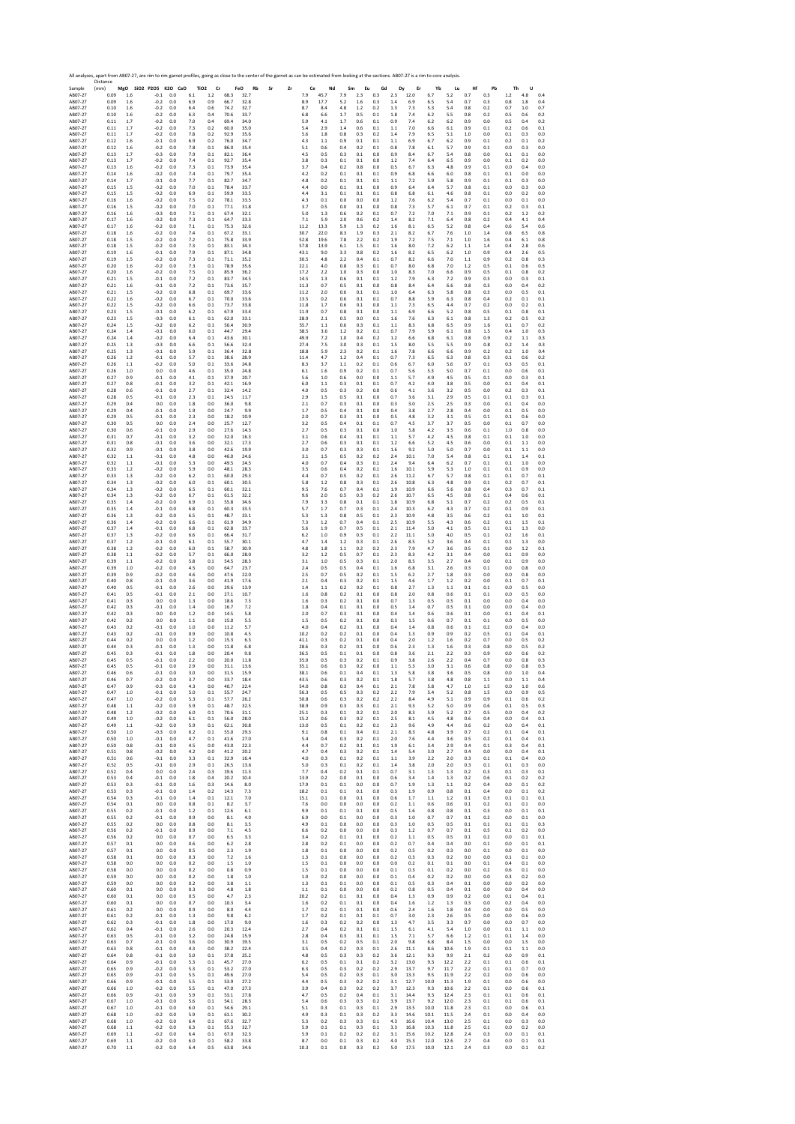Sample Distance (mm) **MgO SiO2 P2O5 K2O CaO TiO2 Cr FeO Rb Sr Zr Ce Nd Sm Eu Gd Dy Er Yb Lu Hf Pb Th U** AB07‐27 0.09 1.6 ‐0.1 0.0 6.1 1.2 68.3 32.7 7.9 45.7 7.9 2.3 0.3 2.3 12.0 6.7 5.2 0.7 0.3 1.2 4.8 0.4 AB07‐27 0.09 1.6 ‐0.2 0.0 6.9 0.9 66.7 32.8 8.9 17.7 5.2 1.6 0.3 1.4 6.9 6.5 5.4 0.7 0.3 0.8 1.8 0.4 AB07‐27 0.10 1.6 ‐0.2 0.0 6.4 0.6 74.2 32.7 8.7 8.4 4.8 1.2 0.2 1.3 7.3 5.3 5.4 0.8 0.2 0.7 1.0 0.7 AB07‐27 0.10 1.6 ‐0.2 0.0 6.3 0.4 70.6 33.7 6.8 6.6 1.7 0.5 0.1 1.8 7.4 6.2 5.5 0.8 0.2 0.5 0.6 0.2 AB07‐27 0.11 1.7 ‐0.2 0.0 7.0 0.4 69.4 34.0 5.9 4.1 1.7 0.6 0.1 0.9 7.4 6.2 6.2 0.9 0.0 0.5 0.4 0.2 AB07‐27 0.11 1.7 ‐0.2 0.0 7.3 0.2 60.0 35.0 5.4 2.9 1.4 0.6 0.1 1.1 7.0 6.6 6.1 0.9 0.1 0.2 0.6 0.1 AB07‐27 0.11 1.7 ‐0.2 0.0 7.8 0.2 92.9 35.6 5.6 1.8 0.8 0.3 0.2 1.4 7.9 6.5 5.1 1.0 0.0 0.1 0.3 0.0 AB07‐27 0.12 1.6 ‐0.1 0.0 6.9 0.2 76.0 34.7 4.3 1.1 0.9 0.1 0.1 1.1 6.9 6.7 6.2 0.9 0.1 0.2 0.1 0.2 AB07‐27 0.12 1.6 ‐0.2 0.0 7.8 0.1 86.0 35.4 5.1 0.6 0.4 0.2 0.1 0.8 7.8 6.1 5.7 0.9 0.1 0.0 0.3 0.0 AB07‐27 0.13 1.7 ‐0.3 0.0 7.9 0.1 82.1 36.4 4.5 0.5 0.3 0.1 0.0 0.9 8.4 6.7 5.4 0.8 0.0 0.1 0.1 0.0 AB07‐27 0.13 1.7 ‐0.2 0.0 7.4 0.1 92.7 35.4 3.8 0.3 0.1 0.1 0.0 1.2 7.4 6.4 6.5 0.9 0.0 0.1 0.2 0.0 AB07‐27 0.13 1.6 ‐0.2 0.0 7.3 0.1 73.9 35.4 3.7 0.4 0.2 0.8 0.0 0.5 6.7 6.3 4.8 0.9 0.1 0.0 0.4 0.0 AB07‐27 0.14 1.6 ‐0.2 0.0 7.4 0.1 79.7 35.4 4.2 0.2 0.1 0.1 0.1 0.9 6.8 6.6 6.0 0.8 0.1 0.1 0.0 0.0 AB07‐27 0.14 1.7 ‐0.1 0.0 7.7 0.1 82.7 34.7 4.8 0.2 0.1 0.1 0.1 1.1 7.2 5.9 5.8 0.9 0.1 0.1 0.3 0.0 AB07‐27 0.15 1.5 ‐0.2 0.0 7.0 0.1 78.4 33.7 4.4 0.0 0.1 0.1 0.0 0.9 6.4 6.4 5.7 0.8 0.1 0.0 0.3 0.0 AB07‐27 0.15 1.5 ‐0.2 0.0 6.9 0.1 59.9 33.5 4.4 3.1 0.1 0.1 0.1 0.8 6.8 6.1 4.6 0.8 0.1 0.0 0.2 0.0 AB07‐27 0.16 1.6 ‐0.2 0.0 7.5 0.2 78.1 33.5 4.3 0.1 0.0 0.0 0.0 1.2 7.6 6.2 5.4 0.7 0.1 0.0 0.1 0.0 AB07‐27 0.16 1.5 ‐0.2 0.0 7.0 0.1 77.1 31.8 3.7 0.5 0.0 0.1 0.0 0.8 7.3 5.7 6.1 0.7 0.1 0.2 0.3 0.1 AB07‐27 0.16 1.6 ‐0.3 0.0 7.1 0.1 67.4 32.1 5.0 1.3 0.6 0.2 0.1 0.7 7.2 7.0 7.1 0.9 0.1 0.2 1.2 0.2 AB07‐27 0.17 1.6 ‐0.2 0.0 7.3 0.1 64.7 33.3 7.1 5.9 2.0 0.6 0.2 1.4 8.2 7.1 6.4 0.8 0.2 0.4 4.1 0.4 AB07‐27 0.17 1.6 ‐0.2 0.0 7.1 0.1 75.3 32.6 11.2 13.3 5.9 1.3 0.2 1.6 8.1 6.5 5.2 0.8 0.4 0.6 5.4 0.6 AB07‐27 0.18 1.6 ‐0.2 0.0 7.4 0.1 67.2 33.1 30.7 22.0 8.3 1.9 0.3 2.1 8.2 6.7 7.6 1.0 1.4 0.8 6.5 0.8 AB07‐27 0.18 1.5 ‐0.2 0.0 7.2 0.1 75.8 33.9 52.8 19.6 7.8 2.2 0.2 1.9 7.2 7.5 7.1 1.0 1.6 0.4 6.1 0.8 AB07‐27 0.18 1.5 ‐0.2 0.0 7.3 0.1 83.1 34.3 57.8 13.9 6.1 1.5 0.1 1.6 8.0 7.2 6.2 1.1 1.4 0.4 2.8 0.6 AB07‐27 0.19 1.6 ‐0.1 0.0 7.9 0.1 87.1 34.8 43.1 9.0 3.3 0.8 0.2 1.6 8.2 6.5 6.2 1.0 0.9 0.4 2.6 0.5 AB07‐27 0.19 1.5 ‐0.2 0.0 7.3 0.1 71.1 35.2 30.5 4.8 2.2 0.4 0.1 0.7 8.2 6.6 7.0 1.1 0.9 0.2 0.8 0.3 AB07‐27 0.20 1.6 ‐0.2 0.0 7.3 0.1 78.9 35.6 22.1 4.0 0.8 0.3 0.1 0.7 8.0 6.8 7.0 1.2 0.5 0.1 0.6 0.3 AB07‐27 0.20 1.6 ‐0.2 0.0 7.5 0.1 85.9 36.2 17.2 2.2 1.0 0.3 0.0 1.0 8.3 7.0 6.6 0.9 0.5 0.1 0.8 0.2 AB07‐27 0.21 1.5 ‐0.1 0.0 7.2 0.1 83.7 34.5 14.5 1.3 0.6 0.1 0.1 1.2 7.9 6.3 7.2 0.9 0.3 0.0 0.3 0.1 AB07‐27 0.21 1.6 ‐0.1 0.0 7.2 0.1 73.6 35.7 11.3 0.7 0.5 0.1 0.0 0.8 8.4 6.4 6.6 0.8 0.3 0.0 0.4 0.2 AB07‐27 0.21 1.5 ‐0.2 0.0 6.8 0.1 69.7 33.6 11.2 2.0 0.6 0.1 0.1 1.0 6.4 6.3 5.8 0.8 0.3 0.0 0.5 0.1 AB07‐27 0.22 1.6 ‐0.2 0.0 6.7 0.1 70.0 33.6 13.5 0.2 0.6 0.1 0.1 0.7 8.8 5.9 6.3 0.8 0.4 0.2 0.1 0.1 AB07‐27 0.22 1.5 ‐0.2 0.0 6.6 0.1 73.7 33.8 11.8 1.7 0.6 0.1 0.0 1.1 7.3 6.5 4.4 0.7 0.2 0.0 0.2 0.1 AB07‐27 0.23 1.5 ‐0.1 0.0 6.2 0.1 67.9 33.4 11.9 0.7 0.8 0.1 0.0 1.1 6.9 6.6 5.2 0.8 0.5 0.1 0.8 0.1 AB07‐27 0.23 1.5 ‐0.3 0.0 6.1 0.1 62.0 33.1 28.9 2.1 0.5 0.0 0.1 1.6 7.6 6.3 6.1 0.8 1.3 0.2 0.5 0.2 AB07‐27 0.24 1.5 ‐0.2 0.0 6.2 0.1 56.4 30.9 55.7 1.1 0.6 0.3 0.1 1.1 8.3 6.8 6.5 0.9 1.6 0.1 0.7 0.2 AB07‐27 0.24 1.4 ‐0.1 0.0 6.0 0.1 44.7 29.4 58.5 3.6 1.2 0.2 0.1 0.7 7.9 5.9 6.1 0.8 1.5 0.4 1.0 0.3 AB07‐27 0.24 1.4 ‐0.2 0.0 6.4 0.1 43.6 30.1 49.9 7.2 1.0 0.4 0.2 1.2 6.6 6.8 6.1 0.8 0.9 0.2 1.1 0.3 AB07‐27 0.25 1.3 ‐0.3 0.0 6.6 0.1 56.6 32.4 27.4 7.5 3.0 0.3 0.1 1.5 8.0 5.5 5.5 0.9 0.8 0.2 1.4 0.3 AB07‐27 0.25 1.3 ‐0.1 0.0 5.9 0.1 36.4 32.8 18.8 5.9 2.3 0.2 0.1 1.6 7.8 6.6 6.6 0.9 0.2 0.2 1.0 0.4 AB07‐27 0.26 1.2 ‐0.1 0.0 5.7 0.1 38.6 28.9 11.4 4.7 1.2 0.4 0.1 0.7 7.3 6.5 6.3 0.8 0.3 0.1 0.6 0.2 AB07‐27 0.26 1.1 ‐0.2 0.0 5.0 0.1 33.6 24.8 8.3 3.7 1.1 0.2 0.1 0.6 6.7 6.0 5.6 0.7 0.1 0.3 0.5 0.1 AB07‐27 0.26 1.0 0.0 0.0 4.6 0.1 35.0 24.8 6.1 1.6 0.9 0.2 0.1 0.7 5.6 5.3 5.0 0.7 0.1 0.0 0.6 0.1 AB07‐27 0.27 0.9 ‐0.1 0.0 4.1 0.1 37.9 20.7 5.6 1.0 0.6 0.0 0.0 1.1 5.7 4.9 4.5 0.5 0.1 0.0 0.3 0.1 AB07‐27 0.27 0.8 ‐0.1 0.0 3.2 0.1 42.1 16.9 6.0 1.1 0.3 0.1 0.1 0.7 4.2 4.0 3.8 0.5 0.0 0.1 0.4 0.1 AB07‐27 0.28 0.6 ‐0.1 0.0 2.7 0.1 32.4 14.2 4.0 0.5 0.3 0.2 0.0 0.6 4.1 3.6 3.2 0.5 0.0 0.2 0.3 0.1 AB07‐27 0.28 0.5 ‐0.1 0.0 2.3 0.1 24.5 11.7 2.9 1.5 0.5 0.1 0.0 0.7 3.6 3.1 2.9 0.5 0.1 0.1 0.3 0.1 AB07‐27 0.29 0.4 0.0 0.0 1.8 0.0 36.0 9.8 2.1 0.7 0.3 0.1 0.0 0.3 3.0 2.5 2.5 0.3 0.0 0.1 0.4 0.0 AB07‐27 0.29 0.4 ‐0.1 0.0 1.9 0.0 24.7 9.9 1.7 0.5 0.4 0.1 0.0 0.4 3.8 2.7 2.8 0.4 0.0 0.1 0.5 0.0 AB07‐27 0.29 0.5 ‐0.1 0.0 2.3 0.0 18.2 10.9 2.0 0.7 0.3 0.1 0.0 0.5 4.8 3.2 3.1 0.5 0.1 0.1 0.6 0.0 AB07‐27 0.30 0.5 0.0 0.0 2.4 0.0 25.7 12.7 3.2 0.5 0.4 0.1 0.1 0.7 4.5 3.7 3.7 0.5 0.0 0.1 0.7 0.0 AB07‐27 0.30 0.6 ‐0.1 0.0 2.9 0.0 27.6 14.3 2.7 0.5 0.3 0.1 0.0 1.0 5.8 4.2 3.5 0.6 0.1 1.0 0.8 0.0 AB07‐27 0.31 0.7 ‐0.1 0.0 3.2 0.0 32.0 16.3 3.1 0.6 0.4 0.1 0.1 1.1 5.7 4.2 4.5 0.8 0.1 0.1 1.0 0.0 AB07‐27 0.31 0.8 ‐0.1 0.0 3.6 0.0 32.1 17.3 2.7 0.6 0.3 0.1 0.1 1.2 6.6 5.2 4.5 0.6 0.0 0.1 1.1 0.0 AB07‐27 0.32 0.9 ‐0.1 0.0 3.8 0.0 42.6 19.9 3.0 0.7 0.3 0.3 0.1 1.6 9.2 5.0 5.0 0.7 0.0 0.1 1.1 0.0 AB07‐27 0.32 1.1 ‐0.1 0.0 4.8 0.0 46.0 24.6 3.1 1.5 0.5 0.2 0.2 2.4 10.1 7.0 5.4 0.8 0.1 0.1 1.4 0.1 AB07‐27 0.32 1.1 ‐0.1 0.0 5.3 0.0 49.5 24.5 4.0 0.7 0.4 0.3 0.1 2.4 9.4 6.4 6.2 0.7 0.1 0.1 1.0 0.0 AB07‐27 0.33 1.2 ‐0.2 0.0 5.9 0.0 48.1 28.3 3.5 0.6 0.4 0.2 0.1 1.6 10.1 5.9 5.3 1.0 0.1 0.1 0.9 0.0 AB07‐27 0.33 1.3 ‐0.2 0.0 6.2 0.1 60.0 29.3 4.4 0.7 0.5 0.2 0.1 2.6 11.2 6.7 5.7 0.8 0.1 0.1 0.7 0.1 AB07‐27 0.34 1.3 ‐0.2 0.0 6.0 0.1 60.1 30.5 5.8 1.2 0.8 0.3 0.1 2.6 10.8 6.3 4.8 0.9 0.1 0.2 0.7 0.1 AB07‐27 0.34 1.3 ‐0.2 0.0 6.5 0.1 60.1 32.1 9.5 7.6 0.7 0.4 0.1 1.9 10.9 6.6 5.6 0.8 0.4 0.3 0.7 0.1 AB07‐27 0.34 1.3 ‐0.2 0.0 6.7 0.1 61.5 32.2 9.6 2.0 0.5 0.3 0.2 2.6 10.7 6.5 4.5 0.8 0.1 0.4 0.6 0.1 AB07‐27 0.35 1.4 ‐0.2 0.0 6.9 0.1 55.8 34.6 7.9 3.3 0.8 0.1 0.1 1.8 10.9 6.8 5.1 0.7 0.2 0.2 0.5 0.1 AB07‐27 0.35 1.4 ‐0.1 0.0 6.8 0.1 60.3 33.5 5.7 1.7 0.7 0.3 0.1 2.4 10.3 6.2 4.3 0.7 0.2 0.1 0.9 0.1 AB07‐27 0.36 1.3 ‐0.2 0.0 6.5 0.1 48.7 33.1 5.3 1.3 0.8 0.5 0.1 2.3 10.9 4.8 3.5 0.6 0.2 0.1 1.0 0.1 AB07‐27 0.36 1.4 ‐0.2 0.0 6.6 0.1 61.9 34.9 7.3 1.2 0.7 0.4 0.1 2.5 10.9 5.5 4.3 0.6 0.2 0.1 1.5 0.1 AB07‐27 0.37 1.4 ‐0.1 0.0 6.8 0.1 62.8 33.7 5.6 1.9 0.7 0.5 0.1 2.1 11.4 5.0 4.1 0.5 0.1 0.1 1.3 0.0 AB07‐27 0.37 1.3 ‐0.2 0.0 6.6 0.1 66.4 31.7 6.2 1.0 0.9 0.3 0.1 2.2 11.1 5.0 4.0 0.5 0.1 0.2 1.6 0.1 AB07‐27 0.37 1.2 ‐0.1 0.0 6.1 0.1 55.7 30.1 4.7 1.4 1.2 0.3 0.1 2.6 8.5 5.2 3.6 0.4 0.1 0.1 1.3 0.0 AB07‐27 0.38 1.2 ‐0.2 0.0 6.0 0.1 58.7 30.9 4.8 1.8 1.1 0.2 0.2 2.3 7.9 4.7 3.6 0.5 0.1 0.0 1.2 0.1 AB07‐27 0.38 1.1 ‐0.2 0.0 5.7 0.1 66.0 28.0 3.2 1.2 0.5 0.7 0.1 2.3 8.3 4.2 3.1 0.4 0.0 0.1 0.9 0.0 AB07‐27 0.39 1.1 ‐0.2 0.0 5.8 0.1 54.5 28.3 3.1 1.0 0.5 0.3 0.1 2.0 8.5 3.5 2.7 0.4 0.0 0.1 0.9 0.0 AB07‐27 0.39 1.0 ‐0.2 0.0 4.5 0.0 64.7 23.7 2.4 0.5 0.5 0.4 0.1 1.6 6.8 3.1 2.6 0.3 0.1 0.0 0.8 0.0 AB07‐27 0.39 0.9 ‐0.2 0.0 4.6 0.0 47.6 22.0 2.5 0.7 0.5 0.2 0.1 1.5 6.2 2.7 1.8 0.3 0.0 0.0 0.8 0.0 AB07‐27 0.40 0.8 ‐0.1 0.0 3.6 0.0 41.9 17.6 2.1 0.4 0.3 0.2 0.1 1.5 4.6 1.7 1.2 0.2 0.0 0.1 0.7 0.1 AB07‐27 0.40 0.5 ‐0.1 0.0 2.6 0.0 29.6 13.9 1.4 1.1 0.2 0.2 0.1 0.8 2.7 1.3 1.1 0.1 0.1 0.0 0.5 0.0 AB07‐27 0.41 0.5 ‐0.1 0.0 2.1 0.0 27.1 10.7 1.6 0.8 0.2 0.1 0.0 0.8 2.0 0.8 0.6 0.1 0.1 0.0 0.5 0.0 AB07‐27 0.41 0.3 0.0 0.0 1.3 0.0 18.6 7.3 1.6 0.3 0.2 0.1 0.0 0.7 1.3 0.5 0.5 0.1 0.0 0.0 0.4 0.0 AB07‐27 0.42 0.3 ‐0.1 0.0 1.4 0.0 16.7 7.2 1.8 0.4 0.1 0.1 0.0 0.5 1.4 0.7 0.5 0.1 0.0 0.0 0.4 0.0 AB07‐27 0.42 0.3 0.0 0.0 1.2 0.0 14.5 5.8 2.0 0.7 0.3 0.1 0.0 0.4 1.4 0.6 0.6 0.1 0.0 0.1 0.4 0.1 AB07‐27 0.42 0.2 0.0 0.0 1.1 0.0 15.0 5.5 1.5 0.5 0.2 0.1 0.0 0.3 1.5 0.6 0.7 0.1 0.1 0.0 0.5 0.0 AB07‐27 0.43 0.2 ‐0.1 0.0 1.0 0.0 11.2 5.7 4.0 0.4 0.2 0.1 0.0 0.4 1.4 0.8 0.6 0.1 0.2 0.0 0.4 0.0 AB07‐27 0.43 0.2 ‐0.1 0.0 0.9 0.0 10.8 4.5 10.2 0.2 0.2 0.1 0.0 0.4 1.3 0.9 0.9 0.2 0.5 0.1 0.4 0.1 AB07‐27 0.44 0.2 0.0 0.0 1.2 0.0 15.3 6.3 41.1 0.3 0.2 0.1 0.0 0.4 2.0 1.2 1.6 0.2 0.7 0.0 0.5 0.2 AB07‐27 0.44 0.3 ‐0.1 0.0 1.3 0.0 11.8 6.8 28.6 0.3 0.2 0.1 0.0 0.6 2.3 1.3 1.6 0.3 0.8 0.0 0.5 0.2 AB07‐27 0.45 0.3 ‐0.1 0.0 1.8 0.0 20.4 9.8 36.5 0.5 0.1 0.1 0.0 0.8 3.6 2.1 2.2 0.3 0.9 0.0 0.6 0.2 AB07‐27 0.45 0.5 ‐0.1 0.0 2.2 0.0 20.0 11.8 35.0 0.5 0.3 0.2 0.1 0.9 3.8 2.6 2.2 0.4 0.7 0.0 0.8 0.3 AB07‐27 0.45 0.5 ‐0.1 0.0 2.9 0.0 31.1 13.6 35.1 0.6 0.3 0.2 0.0 1.1 5.3 3.0 3.1 0.6 0.8 0.0 0.8 0.3 AB07‐27 0.46 0.6 ‐0.1 0.0 3.0 0.0 31.5 15.9 38.1 0.6 0.1 0.4 0.1 1.3 5.8 3.8 3.6 0.5 0.8 0.0 1.0 0.4 AB07‐27 0.46 0.7 ‐0.2 0.0 3.7 0.0 33.7 18.4 43.5 0.6 0.3 0.2 0.1 1.8 5.7 3.8 4.8 0.8 1.1 0.0 1.1 0.4 AB07‐27 0.47 0.9 ‐0.3 0.0 4.3 0.0 40.7 22.4 54.0 0.8 0.3 0.4 0.1 2.1 7.8 5.8 4.7 1.0 1.5 0.0 1.0 0.6 AB07‐27 0.47 1.0 ‐0.1 0.0 5.0 0.1 55.7 24.7 56.3 0.5 0.5 0.3 0.2 2.2 7.9 5.4 5.2 0.8 1.5 0.0 0.9 0.5 AB07‐27 0.47 1.0 ‐0.2 0.0 5.3 0.1 57.7 26.2 50.8 0.6 0.3 0.2 0.2 2.2 8.4 4.9 5.1 0.9 0.9 0.1 0.6 0.2 AB07‐27 0.48 1.1 ‐0.2 0.0 5.9 0.1 48.7 32.5 38.9 0.9 0.3 0.3 0.1 2.1 9.3 5.2 5.0 0.9 0.6 0.1 0.5 0.3 AB07‐27 0.48 1.2 ‐0.2 0.0 6.0 0.1 70.6 31.1 25.1 0.3 0.1 0.2 0.1 2.0 8.3 5.9 5.2 0.7 0.5 0.0 0.4 0.2 AB07‐27 0.49 1.0 ‐0.2 0.0 6.1 0.1 56.0 28.0 15.2 0.6 0.3 0.2 0.1 2.5 8.1 4.5 4.8 0.6 0.4 0.0 0.4 0.1 AB07‐27 0.49 1.1 ‐0.2 0.0 5.9 0.1 62.1 30.8 13.0 0.5 0.1 0.2 0.1 2.3 9.6 4.9 4.4 0.6 0.2 0.0 0.4 0.1 AB07‐27 0.50 1.0 ‐0.3 0.0 6.2 0.1 55.0 29.3 9.1 0.8 0.1 0.4 0.1 2.1 8.3 4.8 3.9 0.7 0.2 0.1 0.4 0.1 AB07‐27 0.50 1.0 ‐0.1 0.0 4.7 0.1 41.6 27.0 5.4 0.4 0.3 0.2 0.1 2.0 7.6 4.4 3.6 0.5 0.2 0.1 0.4 0.1 AB07‐27 0.50 0.8 ‐0.1 0.0 4.5 0.0 43.0 22.3 4.4 0.7 0.2 0.1 0.1 1.9 6.1 3.4 2.9 0.4 0.1 0.3 0.4 0.1 AB07‐27 0.51 0.8 ‐0.2 0.0 4.2 0.0 41.2 20.2 4.7 0.4 0.3 0.2 0.1 1.4 5.4 3.0 2.7 0.4 0.0 0.0 0.4 0.1 AB07‐27 0.51 0.6 ‐0.1 0.0 3.3 0.1 32.9 16.4 4.0 0.3 0.1 0.2 0.1 1.1 3.9 2.2 2.0 0.3 0.1 0.1 0.4 0.0 AB07‐27 0.52 0.5 ‐0.1 0.0 2.9 0.1 26.5 13.6 5.0 0.3 0.1 0.2 0.1 1.4 3.8 2.0 2.0 0.3 0.1 0.1 0.3 0.0 AB07‐27 0.52 0.4 0.0 0.0 2.4 0.3 19.6 11.3 7.7 0.4 0.2 0.1 0.1 0.7 3.1 1.3 1.3 0.2 0.3 0.1 0.3 0.1 AB07‐27 0.53 0.4 ‐0.1 0.0 1.8 0.4 20.2 10.4 13.9 0.2 0.0 0.1 0.0 0.6 3.4 1.4 1.3 0.2 0.6 0.1 0.2 0.2 AB07‐27 0.53 0.3 ‐0.1 0.0 1.6 0.3 14.6 8.0 17.9 0.1 0.1 0.0 0.0 0.7 1.9 1.3 1.1 0.2 0.4 0.0 0.1 0.2 AB07‐27 0.53 0.3 ‐0.1 0.0 1.4 0.2 14.3 7.3 18.2 0.1 0.1 0.1 0.0 0.3 1.9 0.9 0.8 0.1 0.4 0.0 0.1 0.2 AB07‐27 0.54 0.3 ‐0.1 0.0 1.4 0.1 12.1 7.0 15.1 0.1 0.0 0.1 0.0 0.6 1.7 1.1 1.2 0.1 0.3 0.1 0.1 0.1 AB07‐27 0.54 0.1 0.0 0.0 0.8 0.1 8.2 3.7 7.6 0.0 0.0 0.0 0.0 0.2 1.1 0.6 0.6 0.1 0.2 0.1 0.1 0.0 AB07‐27 0.55 0.2 ‐0.1 0.0 1.2 0.1 12.6 6.1 9.9 0.1 0.1 0.1 0.0 0.5 1.6 0.8 0.8 0.1 0.3 0.0 0.1 0.1 AB07‐27 0.55 0.2 ‐0.1 0.0 0.9 0.0 8.1 4.0 6.9 0.0 0.1 0.0 0.0 0.3 1.0 0.7 0.7 0.1 0.2 0.0 0.1 0.0 AB07‐27 0.55 0.2 0.0 0.0 0.8 0.0 8.1 3.5 4.9 0.1 0.0 0.0 0.0 0.3 1.0 0.5 0.5 0.1 0.1 0.1 0.1 0.3 AB07‐27 0.56 0.2 ‐0.1 0.0 0.9 0.0 7.1 4.5 6.6 0.2 0.0 0.0 0.0 0.3 1.2 0.7 0.7 0.1 0.5 0.1 0.2 0.0 AB07‐27 0.56 0.2 0.0 0.0 0.7 0.0 6.5 3.3 3.4 0.2 0.1 0.1 0.0 0.2 1.1 0.5 0.5 0.1 0.2 0.0 0.1 0.1 AB07‐27 0.57 0.1 0.0 0.0 0.6 0.0 6.2 2.8 2.8 0.2 0.1 0.0 0.0 0.2 0.7 0.4 0.4 0.0 0.1 0.0 0.1 0.1 AB07‐27 0.57 0.1 0.0 0.0 0.5 0.0 2.3 1.9 1.8 0.1 0.0 0.0 0.0 0.2 0.5 0.2 0.3 0.0 0.1 0.0 0.1 0.0 AB07‐27 0.58 0.1 0.0 0.0 0.3 0.0 7.2 1.6 1.3 0.1 0.0 0.0 0.0 0.2 0.3 0.3 0.2 0.0 0.0 0.1 0.1 0.0 AB07‐27 0.58 0.0 0.0 0.0 0.2 0.0 1.5 1.0 1.5 0.1 0.0 0.0 0.0 0.0 0.2 0.1 0.1 0.0 0.1 0.4 0.1 0.0 AB07‐27 0.58 0.0 0.0 0.0 0.2 0.0 0.8 0.9 1.5 0.1 0.0 0.0 0.0 0.1 0.3 0.1 0.2 0.0 0.2 0.6 0.1 0.0 AB07‐27 0.59 0.0 0.0 0.0 0.2 0.0 1.8 1.0 1.0 0.2 0.0 0.0 0.0 0.1 0.4 0.2 0.2 0.0 0.0 0.3 0.2 0.0 AB07‐27 0.59 0.0 0.0 0.0 0.2 0.0 3.8 1.1 1.3 0.1 0.1 0.0 0.0 0.1 0.5 0.3 0.4 0.1 0.0 0.0 0.2 0.0 AB07‐27 0.60 0.1 0.0 0.0 0.3 0.0 4.8 1.8 1.1 0.1 0.0 0.0 0.0 0.2 0.8 0.5 0.4 0.1 0.0 0.0 0.4 0.0 AB07‐27 0.60 0.1 0.0 0.0 0.5 0.0 4.7 2.3 20.2 0.2 0.1 0.1 0.0 0.4 1.3 0.9 0.9 0.2 0.0 0.1 0.4 0.1 AB07‐27 0.60 0.1 0.0 0.0 0.7 0.0 10.3 3.4 1.6 0.2 0.1 0.1 0.0 0.4 1.6 1.2 1.3 0.3 0.0 0.2 0.4 0.0 AB07‐27 0.61 0.2 0.0 0.0 0.9 0.0 8.0 4.4 1.7 0.2 0.1 0.1 0.0 0.6 2.4 1.6 1.8 0.4 0.0 0.0 0.5 0.0 AB07‐27 0.61 0.2 ‐0.1 0.0 1.3 0.0 9.8 6.2 1.7 0.2 0.1 0.1 0.1 0.7 3.0 2.3 2.6 0.5 0.0 0.0 0.6 0.0 AB07‐27 0.62 0.3 ‐0.1 0.0 1.8 0.0 17.0 9.0 1.6 0.3 0.2 0.2 0.0 1.3 4.7 3.5 3.3 0.7 0.0 0.0 0.7 0.0 AB07‐27 0.62 0.4 ‐0.1 0.0 2.6 0.0 20.3 12.4 2.7 0.4 0.2 0.1 0.1 1.5 6.1 4.1 5.4 1.0 0.0 0.1 1.1 0.0 AB07‐27 0.63 0.5 ‐0.1 0.0 3.2 0.0 24.8 15.9 2.8 0.4 0.3 0.1 0.1 1.5 7.1 5.7 6.6 1.2 0.1 0.1 1.4 0.0 AB07‐27 0.63 0.7 ‐0.1 0.0 3.6 0.0 30.9 19.5 3.1 0.5 0.2 0.5 0.1 2.0 9.8 6.8 8.4 1.5 0.0 0.0 1.5 0.0 AB07‐27 0.63 0.8 ‐0.1 0.0 4.3 0.0 38.2 22.4 3.5 0.4 0.2 0.3 0.1 2.6 11.1 8.6 10.6 1.9 0.1 0.1 1.1 0.0 AB07‐27 0.64 0.8 ‐0.1 0.0 5.0 0.1 37.8 25.2 4.8 0.5 0.3 0.3 0.2 3.6 12.1 9.3 9.9 2.1 0.2 0.0 0.9 0.1 AB07‐27 0.64 0.9 ‐0.1 0.0 5.3 0.1 45.7 27.0 6.2 0.5 0.1 0.1 0.2 3.2 13.0 9.3 12.2 2.2 0.1 0.1 0.6 0.1 AB07‐27 0.65 0.9 ‐0.2 0.0 5.3 0.1 53.2 27.0 6.3 0.5 0.3 0.2 0.2 2.9 13.7 9.7 11.7 2.2 0.1 0.1 0.7 0.0 AB07‐27 0.65 0.9 ‐0.1 0.0 5.5 0.1 49.6 27.0 5.4 0.5 0.2 0.3 0.1 3.0 13.3 9.5 11.9 2.2 0.2 0.0 0.6 0.0 AB07‐27 0.66 0.9 ‐0.1 0.0 5.5 0.1 53.9 27.2 4.4 0.5 0.3 0.2 0.2 3.1 12.7 10.0 11.3 1.9 0.1 0.0 0.6 0.0 AB07‐27 0.66 1.0 ‐0.2 0.0 5.5 0.1 47.0 27.3 3.9 0.4 0.3 0.2 0.2 3.7 12.3 9.3 10.6 2.2 0.1 0.0 0.6 0.1 AB07‐27 0.66 0.9 ‐0.1 0.0 5.9 0.1 53.1 27.8 4.7 0.5 0.2 0.4 0.1 3.1 14.4 9.3 12.4 2.3 0.1 0.1 0.6 0.1 AB07‐27 0.67 1.0 ‐0.1 0.0 5.6 0.1 54.1 28.3 5.4 0.6 0.3 0.3 0.2 3.9 13.7 9.2 12.0 2.3 0.1 0.1 0.6 0.1 AB07‐27 0.67 1.0 ‐0.1 0.0 6.0 0.1 54.6 29.1 5.1 0.3 0.1 0.3 0.1 2.9 13.5 10.0 11.8 2.3 0.1 0.0 0.6 0.1 AB07‐27 0.68 1.0 ‐0.2 0.0 5.9 0.1 61.1 30.2 4.9 0.3 0.1 0.3 0.2 3.3 14.6 10.1 11.5 2.4 0.1 0.0 0.4 0.0 AB07‐27 0.68 1.0 ‐0.2 0.0 6.4 0.1 67.6 32.7 5.3 0.2 0.3 0.3 0.1 4.3 16.6 10.4 13.0 2.5 0.1 0.0 0.3 0.0 AB07‐27 0.68 1.1 ‐0.2 0.0 6.3 0.1 55.3 32.7 5.9 0.1 0.1 0.3 0.1 3.3 16.8 10.3 11.8 2.5 0.1 0.0 0.2 0.0 AB07‐27 0.69 1.1 ‐0.2 0.0 6.4 0.1 67.0 32.3 5.9 0.1 0.2 0.2 0.2 3.1 15.6 10.2 12.8 2.4 0.3 0.0 0.1 0.1 AB07‐27 0.69 1.1 ‐0.2 0.0 6.0 0.1 58.2 33.8 8.7 0.0 0.1 0.3 0.2 4.0 15.3 12.0 12.6 2.7 0.4 0.0 0.1 0.1 AB07‐27 0.70 1.1 ‐0.2 0.0 6.4 0.5 63.8 34.6 10.3 0.1 0.0 0.3 0.2 5.0 17.5 10.0 12.1 2.4 0.3 0.0 0.1 0.2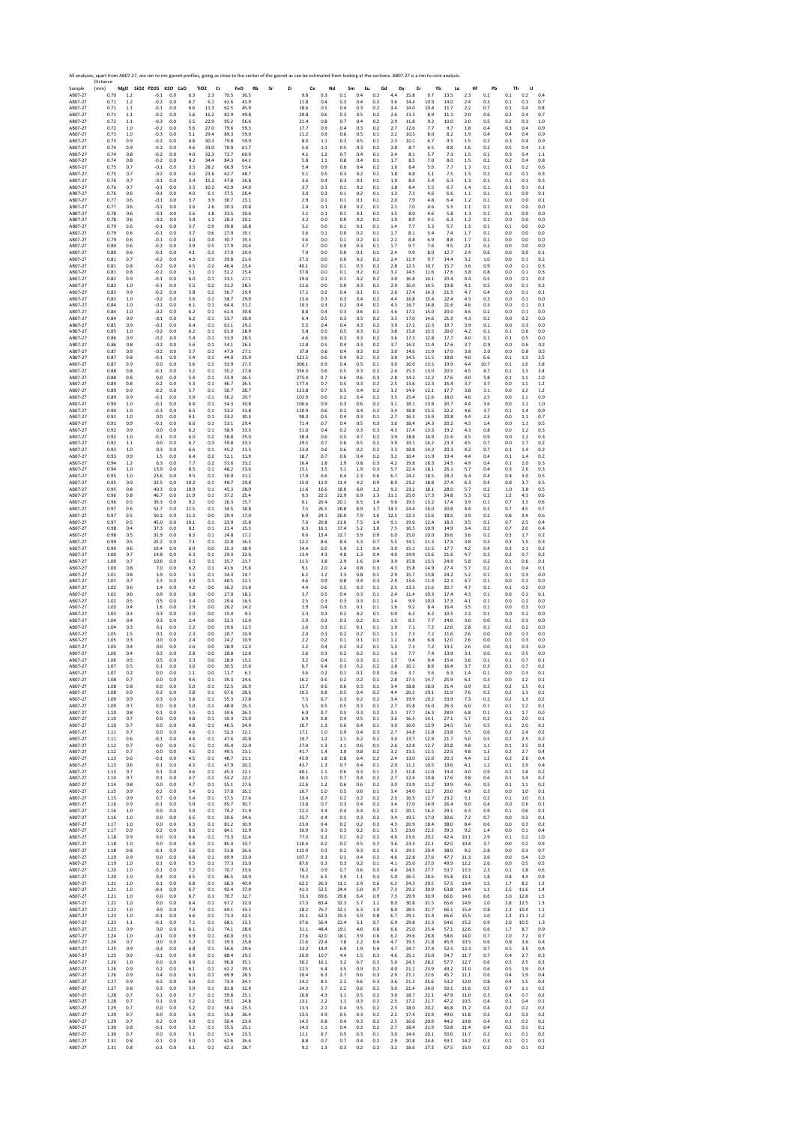Sample Distance (mm) **MgO SiO2 P2O5 K2O CaO TiO2 Cr FeO Rb Sr Zr Ce Nd Sm Eu Gd Dy Er Yb Lu Hf Pb Th U** AB07‐27 0.70 1.2 ‐0.1 0.0 6.3 2.3 70.5 36.5 9.8 0.3 0.1 0.4 0.2 4.4 15.8 9.7 13.5 2.3 0.2 0.1 0.2 0.4 AB07‐27 0.71 1.2 ‐0.2 0.0 6.7 6.1 62.6 41.9 11.8 0.4 0.3 0.4 0.2 3.6 14.4 10.9 14.0 2.4 0.3 0.1 0.3 0.7 AB07‐27 0.71 1.1 ‐0.1 0.0 6.6 11.3 62.5 45.9 18.6 0.5 0.4 0.3 0.2 3.4 14.0 10.4 11.7 2.2 0.7 0.1 0.4 0.8 AB07‐27 0.71 1.1 ‐0.2 0.0 5.6 16.2 82.9 49.8 20.8 0.6 0.3 0.5 0.2 2.6 13.3 8.9 11.1 2.0 0.6 0.2 0.4 0.7 AB07‐27 0.72 1.1 ‐0.3 0.0 5.5 22.9 95.2 56.6 21.4 0.8 0.7 0.4 0.2 2.9 11.8 9.2 10.0 2.0 0.5 0.2 0.3 1.0 AB07‐27 0.72 1.0 ‐0.2 0.0 5.6 27.0 79.6 59.3 17.7 0.9 0.4 0.3 0.2 2.7 12.6 7.7 9.7 1.8 0.4 0.3 0.4 0.9 AB07‐27 0.73 1.0 ‐0.3 0.0 5.1 29.4 89.3 59.0 11.2 0.9 0.6 0.5 0.1 2.2 10.5 8.0 8.2 1.9 0.4 0.4 0.4 0.9 AB07‐27 0.73 0.9 ‐0.2 0.0 4.8 30.3 79.8 59.0 8.0 1.1 0.3 0.5 0.1 2.3 10.1 6.7 9.5 1.5 0.2 0.3 0.4 0.9 AB07‐27 0.74 0.9 ‐0.2 0.0 4.6 33.0 70.9 61.7 5.6 1.1 0.5 0.3 0.2 2.8 8.7 6.5 8.8 1.6 0.2 0.5 0.4 1.3 AB07‐27 0.74 0.8 ‐0.2 0.0 4.0 32.3 72.7 60.9 4.1 1.2 0.7 0.4 0.1 2.4 8.1 5.7 7.3 1.5 0.1 0.3 0.4 1.1 AB07‐27 0.74 0.8 ‐0.2 0.0 4.2 34.4 84.3 64.1 5.8 1.1 0.8 0.4 0.1 1.7 8.5 7.0 8.0 1.5 0.2 0.2 0.4 0.8 AB07‐27 0.75 0.7 ‐0.1 0.0 3.5 28.2 66.9 53.4 5.4 0.9 0.6 0.4 0.2 1.6 8.4 5.6 7.7 1.3 0.1 0.1 0.2 0.6 AB07‐27 0.75 0.7 ‐0.2 0.0 4.0 23.6 62.7 48.7 5.1 0.5 0.3 0.2 0.1 1.8 8.8 5.1 7.5 1.5 0.2 0.2 0.1 0.3 AB07‐27 0.76 0.7 ‐0.1 0.0 3.4 15.2 47.8 36.8 3.6 0.4 0.3 0.1 0.1 1.9 8.4 5.4 6.3 1.3 0.1 0.1 0.1 0.3 AB07‐27 0.76 0.7 ‐0.1 0.0 3.5 10.2 42.9 34.0 3.7 0.3 0.1 0.2 0.1 1.8 8.4 5.5 6.7 1.4 0.1 0.1 0.1 0.1 AB07‐27 0.76 0.6 ‐0.1 0.0 4.0 6.1 37.5 26.4 3.0 0.3 0.1 0.2 0.1 1.3 7.3 4.6 6.6 1.1 0.1 0.1 0.0 0.1 AB07‐27 0.77 0.6 ‐0.1 0.0 3.7 3.9 30.7 23.1 2.9 0.1 0.1 0.1 0.1 2.0 7.9 4.8 6.4 1.2 0.1 0.0 0.0 0.1 AB07‐27 0.77 0.6 ‐0.1 0.0 3.6 2.6 30.3 20.8 2.4 0.1 0.0 0.2 0.1 2.1 7.0 4.6 5.5 1.1 0.1 0.1 0.0 0.0 AB07‐27 0.78 0.6 ‐0.1 0.0 3.6 1.8 33.5 20.6 3.1 0.1 0.1 0.1 0.1 1.5 8.0 4.6 5.8 1.3 0.1 0.1 0.0 0.0 AB07‐27 0.78 0.6 ‐0.2 0.0 3.8 1.2 28.3 20.1 3.2 0.0 0.0 0.2 0.1 1.9 8.9 4.5 6.3 1.2 0.1 0.0 0.0 0.0 AB07‐27 0.79 0.6 ‐0.1 0.0 3.7 0.9 39.8 18.8 3.2 0.0 0.1 0.1 0.1 1.4 7.7 5.3 5.7 1.3 0.1 0.1 0.0 0.0 AB07‐27 0.79 0.6 ‐0.1 0.0 3.7 0.6 27.9 19.1 3.6 0.1 0.0 0.2 0.1 1.7 8.1 5.4 7.4 1.7 0.1 0.0 0.0 0.0 AB07‐27 0.79 0.6 ‐0.1 0.0 4.0 0.4 30.7 19.3 3.6 0.0 0.1 0.2 0.1 2.2 8.8 6.9 8.8 1.7 0.1 0.0 0.0 0.0 AB07‐27 0.80 0.6 ‐0.2 0.0 3.9 0.5 27.9 20.4 3.7 0.0 0.0 0.3 0.1 1.7 9.7 7.6 9.5 2.1 0.2 0.0 0.0 0.0 AB07‐27 0.80 0.6 ‐0.1 0.0 4.1 0.2 37.0 20.0 7.9 0.0 0.0 0.1 0.1 2.4 9.9 8.0 12.7 2.4 0.6 0.0 0.0 0.1 AB07‐27 0.81 0.7 ‐0.2 0.0 4.3 0.3 39.8 21.6 27.3 0.0 0.0 0.2 0.2 2.4 11.9 9.7 14.4 3.2 1.0 0.0 0.1 0.2 AB07‐27 0.81 0.8 ‐0.2 0.0 4.5 0.2 46.4 23.4 40.1 0.0 0.1 0.3 0.2 2.8 12.5 10.7 15.7 3.6 0.9 0.0 0.1 0.3 AB07‐27 0.81 0.8 ‐0.2 0.0 5.1 0.1 51.2 25.4 37.8 0.0 0.1 0.2 0.2 3.2 14.5 11.6 17.6 3.8 0.8 0.0 0.1 0.3 AB07‐27 0.82 0.9 ‐0.1 0.0 6.0 0.1 53.1 27.1 29.6 0.1 0.1 0.2 0.2 3.0 16.8 14.1 20.4 4.4 0.5 0.0 0.1 0.2 AB07‐27 0.82 1.0 ‐0.1 0.0 5.5 0.2 51.2 28.5 21.6 0.0 0.0 0.3 0.2 2.9 16.0 14.5 19.8 4.1 0.5 0.0 0.1 0.2 AB07‐27 0.83 0.9 ‐0.2 0.0 5.8 0.2 56.7 29.9 17.1 0.2 0.4 0.1 0.1 2.6 17.4 14.3 21.5 4.7 0.4 0.0 0.1 0.1 AB07‐27 0.83 1.0 ‐0.2 0.0 5.6 0.1 58.7 29.0 13.6 0.3 0.3 0.4 0.2 4.4 16.8 15.4 22.4 4.5 0.3 0.0 0.1 0.0 AB07‐27 0.84 1.0 ‐0.1 0.0 6.1 0.1 64.4 31.2 10.5 0.3 0.2 0.4 0.2 4.3 16.7 14.8 21.6 4.6 0.3 0.0 0.1 0.1 AB07‐27 0.84 1.0 ‐0.2 0.0 6.2 0.1 62.4 30.8 8.8 0.4 0.3 0.6 0.1 3.6 17.2 15.0 20.0 4.6 0.2 0.0 0.1 0.0 AB07‐27 0.84 0.9 ‐0.1 0.0 6.2 0.1 53.7 30.0 6.4 0.5 0.3 0.3 0.2 3.5 17.0 14.6 21.9 4.3 0.2 0.0 0.2 0.0 AB07‐27 0.85 0.9 ‐0.1 0.0 6.4 0.1 61.1 29.2 5.5 0.4 0.4 0.3 0.2 3.9 17.2 12.3 19.7 3.9 0.1 0.0 0.3 0.0 AB07‐27 0.85 1.0 ‐0.2 0.0 6.2 0.1 61.0 28.9 5.8 0.5 0.5 0.3 0.2 3.8 15.8 13.5 20.0 4.2 0.1 0.1 0.6 0.0 AB07‐27 0.86 0.9 ‐0.2 0.0 5.4 0.1 53.9 28.5 4.6 0.6 0.3 0.3 0.2 3.6 17.3 12.8 17.7 4.0 0.1 0.1 0.5 0.0 AB07‐27 0.86 0.8 ‐0.2 0.0 5.6 0.1 54.1 26.3 12.8 0.5 0.4 0.3 0.2 3.7 16.3 11.4 17.6 3.7 0.9 0.0 0.6 0.2 AB07‐27 0.87 0.9 ‐0.2 0.0 5.7 0.1 47.9 27.1 37.8 0.6 0.4 0.3 0.2 3.0 14.6 11.9 17.0 3.8 2.0 0.0 0.8 0.5 AB07‐27 0.87 0.8 ‐0.1 0.0 5.4 0.1 44.0 25.9 121.5 0.6 0.4 0.2 0.2 3.0 14.5 11.5 18.8 4.0 6.6 0.1 1.3 2.5 AB07‐27 0.87 0.9 0.0 0.0 5.6 0.1 53.9 27.3 306.1 0.9 0.4 0.5 0.1 3.0 16.6 13.5 19.9 4.4 10.7 0.1 1.6 3.8 AB07‐27 0.88 0.8 ‐0.1 0.0 5.2 0.1 55.2 27.8 356.3 0.6 0.5 0.3 0.2 2.4 15.3 13.0 20.5 4.5 8.7 0.1 1.3 3.4 AB07‐27 0.88 0.8 0.0 0.0 5.4 0.1 53.9 26.5 275.4 0.7 0.6 0.6 0.3 2.8 14.2 12.2 17.6 4.0 5.8 0.1 1.1 2.0 AB07‐27 0.89 0.8 ‐0.2 0.0 5.3 0.1 46.7 26.5 177.4 0.7 0.5 0.3 0.2 2.5 13.6 12.3 16.4 3.7 3.7 0.0 1.1 1.2 AB07‐27 0.89 0.9 ‐0.2 0.0 5.7 0.1 50.7 28.7 123.8 0.7 0.5 0.4 0.2 3.2 14.6 12.1 17.7 3.8 3.1 0.0 1.2 1.2 AB07‐27 0.89 0.9 ‐0.1 0.0 5.9 0.1 56.2 29.7 102.9 0.6 0.2 0.4 0.2 3.5 15.4 12.6 18.0 4.0 2.5 0.0 1.1 0.9 AB07‐27 0.90 1.0 ‐0.1 0.0 6.4 0.1 54.3 30.8 106.6 0.9 0.3 0.6 0.2 3.1 18.1 13.8 20.7 4.4 3.6 0.0 1.1 1.0 AB07‐27 0.90 1.0 ‐0.3 0.0 6.5 0.1 53.2 31.8 120.9 0.6 0.2 0.4 0.2 3.4 18.8 15.5 22.2 4.6 3.7 0.1 1.4 0.9 AB07‐27 0.91 1.0 0.0 0.0 6.1 0.1 53.2 30.3 98.3 0.5 0.4 0.3 0.1 2.7 16.3 13.9 20.8 4.4 2.3 0.0 1.1 0.7 AB07‐27 0.91 0.9 ‐0.1 0.0 6.6 0.1 53.1 29.4 71.4 0.7 0.4 0.5 0.3 3.6 18.4 14.3 20.2 4.5 1.4 0.0 1.1 0.5 AB07‐27 0.92 0.9 0.0 0.0 6.2 0.1 58.9 33.3 51.0 0.4 0.2 0.3 0.3 4.3 17.4 13.3 19.2 4.3 0.8 0.0 1.2 0.3 AB07‐27 0.92 1.0 ‐0.1 0.0 6.0 0.2 58.8 35.0 38.4 0.6 0.5 0.7 0.2 3.9 18.8 14.9 21.6 4.5 0.9 0.0 1.2 0.3 AB07‐27 0.92 1.1 0.0 0.0 6.7 0.3 59.8 33.3 29.5 0.7 0.6 0.5 0.2 3.9 19.1 14.2 23.3 4.5 0.7 0.0 1.7 0.2 AB07‐27 0.93 1.0 0.3 0.0 6.6 0.1 45.2 31.3 23.0 0.6 0.6 0.2 0.2 3.3 18.8 14.3 20.3 4.2 0.7 0.1 1.4 0.2 AB07‐27 0.93 0.9 1.5 0.0 6.4 0.2 52.1 31.9 18.7 0.7 0.6 0.4 0.2 3.2 16.4 11.9 19.4 4.4 0.4 0.1 1.4 0.2 AB07‐27 0.94 1.2 6.3 0.0 7.7 0.2 53.6 33.2 16.4 1.8 1.9 0.8 0.3 4.2 19.8 16.3 24.5 4.9 0.4 0.1 2.0 0.3 AB07‐27 0.94 1.0 13.9 0.0 8.5 0.1 48.2 33.6 15.1 3.5 3.1 1.9 0.3 5.7 22.4 18.1 26.1 5.7 0.4 0.3 2.6 0.3 AB07‐27 0.95 1.0 23.6 0.0 9.5 0.1 50.0 31.2 17.0 6.6 6.4 2.3 0.6 6.7 24.2 18.5 28.3 6.4 0.4 0.4 3.0 0.5 AB07‐27 0.95 0.9 32.5 0.0 10.2 0.1 49.7 29.8 15.0 11.9 11.4 4.2 0.9 8.9 23.2 18.8 27.4 6.3 0.4 0.8 3.7 0.5 AB07‐27 0.95 0.8 40.3 0.0 10.9 0.1 45.3 28.0 11.6 16.6 18.0 6.0 1.2 9.2 23.2 18.1 28.0 5.7 0.2 1.0 3.8 0.5 AB07‐27 0.96 0.8 46.7 0.0 11.9 0.1 37.2 25.4 9.3 22.1 22.9 6.9 1.3 11.1 25.0 17.3 24.8 5.3 0.2 1.2 4.3 0.6 AB07‐27 0.96 0.5 39.3 0.0 9.2 0.0 26.3 15.7 6.1 20.4 20.1 6.5 1.4 9.6 19.5 13.2 17.4 3.9 0.1 0.7 3.3 0.6 AB07‐27 0.97 0.6 52.7 0.0 11.5 0.1 34.5 18.8 7.5 26.5 28.8 8.9 1.7 14.3 24.4 16.0 20.8 4.4 0.2 0.7 4.5 0.7 AB07‐27 0.97 0.5 50.2 0.0 11.3 0.0 29.4 17.0 6.9 24.1 26.0 7.9 1.6 12.5 22.3 13.6 18.5 3.9 0.2 0.8 3.4 0.6 AB07‐27 0.97 0.5 45.0 0.0 10.1 0.1 23.9 15.8 7.0 20.8 21.6 7.5 1.4 9.1 19.6 12.4 18.3 3.5 0.2 0.7 2.5 0.4 AB07‐27 0.98 0.4 37.3 0.0 8.1 0.1 21.4 15.3 6.3 16.1 17.4 5.2 1.0 7.5 16.5 10.9 14.9 3.4 0.2 0.7 2.0 0.4 AB07‐27 0.98 0.5 32.9 0.0 8.3 0.1 24.8 17.2 9.6 13.4 12.7 3.9 0.9 6.0 15.0 10.0 16.6 3.6 0.2 0.3 1.7 0.2 AB07‐27 0.99 0.5 25.2 0.0 7.1 0.1 22.8 16.5 12.2 8.6 8.4 3.3 0.7 5.5 14.1 11.3 17.4 3.8 0.3 0.3 1.5 0.3 AB07‐27 0.99 0.6 19.4 0.0 6.9 0.0 25.3 18.9 14.4 6.0 5.9 2.1 0.4 3.9 15.1 11.5 17.7 4.2 0.4 0.3 1.1 0.2 AB07‐27 1.00 0.7 14.8 0.0 6.3 0.1 29.3 22.6 13.4 4.3 4.8 1.3 0.4 4.0 14.9 13.6 21.6 4.7 0.3 0.2 0.7 0.2 AB07‐27 1.00 0.7 10.6 0.0 6.5 0.1 35.7 23.7 11.5 3.8 2.9 1.6 0.4 3.9 15.8 13.5 24.9 5.8 0.2 0.1 0.6 0.1 AB07‐27 1.00 0.8 7.0 0.0 6.2 0.1 41.6 25.8 9.1 2.0 2.4 0.8 0.3 4.3 15.8 14.9 27.4 5.7 0.2 0.1 0.4 0.1 AB07‐27 1.01 0.8 3.9 0.0 5.5 0.1 34.3 24.7 6.2 1.2 1.3 0.8 0.1 2.9 15.7 13.8 24.2 5.2 0.1 0.1 0.3 0.0 AB07‐27 1.01 0.7 2.3 0.0 4.9 0.1 40.5 22.1 4.6 0.9 0.8 0.4 0.3 2.9 13.6 11.4 22.1 4.7 0.1 0.0 0.2 0.0 AB07‐27 1.02 0.6 1.4 0.0 4.2 0.0 36.2 21.8 4.4 0.6 0.5 0.3 0.1 2.5 13.5 11.6 20.7 4.7 0.1 0.1 0.2 0.0 AB07‐27 1.02 0.6 0.9 0.0 3.8 0.0 27.0 18.2 3.7 0.5 0.4 0.3 0.1 2.4 11.4 10.3 17.4 4.3 0.1 0.0 0.2 0.1 AB07‐27 1.02 0.5 0.5 0.0 3.4 0.0 29.4 16.5 2.5 0.3 0.3 0.3 0.1 1.4 9.9 10.0 17.3 4.1 0.1 0.0 0.2 0.0 AB07‐27 1.03 0.4 1.6 0.0 2.9 0.0 26.2 14.2 2.9 0.4 0.3 0.1 0.1 1.6 9.2 8.4 16.4 3.5 0.1 0.0 0.3 0.0 AB07‐27 1.03 0.3 0.3 0.0 2.0 0.0 15.4 9.2 2.3 0.3 0.2 0.2 0.1 0.9 6.3 6.2 10.5 2.3 0.1 0.0 0.2 0.0 AB07‐27 1.04 0.4 0.3 0.0 2.4 0.0 22.3 12.0 2.9 0.2 0.3 0.2 0.1 1.5 8.5 7.7 14.0 3.0 0.0 0.1 0.3 0.0 AB07‐27 1.04 0.3 0.1 0.0 2.2 0.0 19.6 11.5 2.6 0.3 0.1 0.1 0.1 1.0 7.1 7.2 12.6 2.8 0.1 0.2 0.2 0.0 AB07‐27 1.05 1.5 0.1 0.0 2.3 0.0 20.7 10.9 2.0 0.3 0.2 0.2 0.1 1.3 7.3 7.2 11.6 2.6 0.0 0.0 0.3 0.0 AB07‐27 1.05 0.3 0.0 0.0 2.4 0.0 24.2 10.9 2.2 0.2 0.1 0.1 0.1 1.2 6.8 6.8 12.0 2.6 0.0 0.1 0.3 0.0 AB07‐27 1.05 0.4 0.0 0.0 2.6 0.0 28.9 12.3 2.2 0.4 0.2 0.2 0.1 1.3 7.3 7.2 13.1 2.6 0.0 0.1 0.3 0.0 AB07‐27 1.06 0.4 0.3 0.0 2.8 0.0 28.8 12.8 2.6 0.3 0.2 0.2 0.1 1.6 7.7 7.4 13.9 3.1 0.0 0.1 0.5 0.0 AB07‐27 1.06 0.5 0.5 0.0 3.3 0.0 28.0 15.2 3.2 0.4 0.1 0.3 0.1 1.7 9.4 9.4 15.4 3.6 0.1 0.1 0.7 0.1 AB07‐27 1.07 0.5 0.1 0.0 3.0 0.0 30.5 15.0 6.7 0.4 0.3 0.2 0.2 1.8 10.1 8.9 16.4 3.7 0.3 0.1 0.7 0.2 AB07‐27 1.07 0.2 0.0 0.0 1.1 0.0 11.7 6.2 3.6 0.2 0.1 0.1 0.0 0.6 3.7 3.6 6.3 1.4 0.1 0.0 0.3 0.1 AB07‐27 1.08 0.7 0.0 0.0 4.6 0.1 39.3 24.6 16.2 0.6 0.2 0.2 0.1 2.8 17.5 14.7 25.9 6.1 0.3 0.0 1.2 0.1 AB07‐27 1.08 0.8 0.0 0.0 5.0 0.1 52.5 26.9 13.7 0.6 0.6 0.3 0.1 3.4 18.8 18.0 31.4 6.9 0.3 0.2 1.5 0.1 AB07‐27 1.08 0.9 0.2 0.0 5.8 0.1 67.6 28.6 10.5 0.8 0.5 0.4 0.2 4.4 20.2 19.1 31.9 7.6 0.2 0.2 1.3 0.1 AB07‐27 1.09 0.9 0.3 0.0 5.8 0.1 55.3 27.8 7.5 0.7 0.3 0.2 0.2 3.4 19.9 19.2 33.9 7.3 0.2 0.2 1.3 0.2 AB07‐27 1.09 0.7 0.0 0.0 5.0 0.1 48.0 25.5 5.5 0.5 0.5 0.3 0.1 2.7 15.8 16.0 26.3 6.0 0.1 0.1 1.2 0.1 AB07‐27 1.10 0.8 0.1 0.0 5.5 0.1 59.6 26.3 6.0 0.7 0.5 0.3 0.2 3.1 17.7 16.3 28.9 6.8 0.1 0.1 1.7 0.0 AB07‐27 1.10 0.7 0.0 0.0 4.8 0.1 50.3 23.0 6.9 0.8 0.4 0.5 0.1 3.6 16.3 14.1 27.1 5.7 0.2 0.1 2.0 0.1 AB07‐27 1.10 0.7 0.0 0.0 4.8 0.1 46.5 24.9 10.7 1.3 0.6 0.4 0.1 3.0 16.0 13.9 24.5 5.6 0.5 0.1 2.0 0.1 AB07‐27 1.11 0.7 0.0 0.0 4.6 0.1 52.3 22.1 17.1 1.0 0.9 0.4 0.3 2.7 14.8 12.8 23.8 5.5 0.6 0.2 2.4 0.2 AB07‐27 1.11 0.6 ‐0.1 0.0 4.4 0.1 47.6 20.8 19.7 1.2 1.1 0.2 0.2 3.0 13.7 12.9 21.7 5.0 0.5 0.2 2.5 0.2 AB07‐27 1.12 0.7 0.0 0.0 4.5 0.1 45.4 22.0 27.0 1.3 1.1 0.6 0.1 2.6 12.8 12.7 20.8 4.8 1.1 0.1 2.5 0.3 AB07‐27 1.12 0.7 0.0 0.0 4.5 0.1 49.5 23.1 41.7 1.4 1.0 0.8 0.2 3.2 13.5 12.5 22.5 4.8 1.3 0.2 2.7 0.4 AB07‐27 1.13 0.6 ‐0.1 0.0 4.5 0.1 48.7 21.1 45.9 1.8 0.8 0.4 0.2 2.4 13.0 12.0 20.3 4.4 1.2 0.2 2.6 0.4 AB07‐27 1.13 0.6 0.1 0.0 4.3 0.1 47.9 20.2 43.7 1.3 0.7 0.4 0.1 2.0 11.2 10.5 19.6 4.1 1.2 0.1 1.9 0.4 AB07‐27 1.13 0.7 0.1 0.0 4.6 0.1 45.3 22.1 40.1 1.1 0.6 0.3 0.1 2.3 11.8 11.0 19.4 4.0 0.9 0.2 1.8 0.2 AB07‐27 1.14 0.7 0.1 0.0 4.7 0.1 53.2 22.2 30.3 1.0 0.7 0.4 0.2 2.7 12.4 10.8 17.6 3.8 0.6 0.1 1.4 0.2 AB07‐27 1.14 0.8 0.0 0.0 4.7 0.1 55.1 27.6 22.6 1.2 0.6 0.6 0.2 3.0 13.9 11.2 19.9 4.6 0.5 0.1 1.1 0.2 AB07‐27 1.15 0.9 0.2 0.0 5.4 0.1 57.8 26.2 16.7 1.0 0.5 0.6 0.1 3.4 14.0 12.7 20.0 4.9 0.3 0.0 1.0 0.1 AB07‐27 1.15 0.9 0.7 0.0 5.4 0.1 57.5 27.6 13.4 0.7 0.2 0.2 0.2 2.5 16.5 12.7 23.2 5.1 0.2 0.1 1.0 0.1 AB07‐27 1.16 0.9 ‐0.1 0.0 5.9 0.1 65.7 30.7 13.8 0.7 0.3 0.4 0.2 3.4 17.0 14.9 26.4 6.0 0.4 0.0 0.6 0.1 AB07‐27 1.16 1.0 0.0 0.0 5.9 0.1 74.2 31.9 22.2 0.4 0.4 0.4 0.2 4.2 20.1 16.2 29.1 6.3 0.9 0.1 0.6 0.1 AB07‐27 1.16 1.0 0.0 0.0 6.5 0.1 59.6 34.6 25.7 0.4 0.1 0.3 0.2 3.4 19.5 17.0 30.6 7.2 0.7 0.0 0.3 0.1 AB07‐27 1.17 1.0 0.0 0.0 6.3 0.1 81.2 30.9 23.0 0.4 0.2 0.2 0.3 4.3 20.9 18.4 38.0 8.4 0.6 0.0 0.3 0.2 AB07‐27 1.17 0.9 0.2 0.0 6.6 0.1 84.1 32.9 30.9 0.3 0.3 0.2 0.1 3.5 23.0 22.3 39.3 9.2 1.4 0.0 0.1 0.4 AB07‐27 1.18 0.9 0.0 0.0 6.4 0.1 73.3 32.4 77.0 0.2 0.1 0.2 0.2 4.0 23.6 20.2 42.4 10.1 2.9 0.1 0.2 1.0 AB07‐27 1.18 1.0 0.0 0.0 6.4 0.1 85.4 33.7 126.4 0.2 0.2 0.5 0.2 3.6 23.3 22.1 42.5 10.4 3.7 0.0 0.2 0.9 AB07‐27 1.18 0.8 ‐0.1 0.0 5.6 0.1 51.8 26.6 115.9 0.3 0.2 0.3 0.2 4.3 19.5 20.4 38.0 9.2 2.8 0.0 0.3 0.7 AB07‐27 1.19 0.9 0.0 0.0 6.8 0.1 69.9 33.0 107.7 0.3 0.1 0.4 0.2 4.6 22.8 27.6 47.7 11.3 2.6 0.0 0.4 1.0 AB07‐27 1.19 1.0 0.1 0.0 6.5 0.1 77.3 33.0 87.6 0.3 0.3 0.2 0.1 4.1 25.0 27.0 49.9 12.2 2.6 0.0 0.5 0.5 AB07‐27 1.20 1.0 ‐0.1 0.0 7.2 0.1 70.7 33.6 76.2 0.9 0.7 0.6 0.3 4.6 24.5 27.7 53.7 13.3 2.3 0.1 1.8 0.6 AB07‐27 1.20 1.0 0.4 0.0 6.5 0.1 86.5 34.0 74.3 6.5 3.9 1.1 0.3 5.0 26.5 28.6 55.8 13.1 1.8 0.8 4.4 0.9 AB07‐27 1.21 1.0 0.1 0.0 6.8 0.1 68.3 40.9 62.2 26.3 11.1 2.9 0.6 6.2 24.3 29.5 57.5 13.4 1.5 1.7 8.2 1.2 AB07‐27 1.21 1.0 ‐0.1 0.0 6.7 0.1 92.4 37.0 41.3 52.5 24.4 5.0 0.7 7.3 29.2 30.9 63.8 14.4 1.1 2.5 11.6 1.4 AB07‐27 1.21 1.0 0.0 0.0 6.7 0.1 70.7 32.7 33.3 69.6 29.8 6.4 0.9 7.3 29.9 30.9 66.6 14.6 0.6 3.0 12.8 1.5 AB07‐27 1.22 1.0 0.0 0.0 6.4 0.1 67.2 32.0 27.3 83.4 32.3 5.7 1.1 8.0 30.8 31.5 65.6 14.9 1.0 2.8 12.5 1.3 AB07‐27 1.22 1.0 0.0 0.0 7.0 0.1 69.1 33.2 28.2 76.7 32.1 6.3 1.0 8.0 28.5 31.7 66.1 15.4 0.8 2.3 10.4 1.1 AB07‐27 1.23 1.0 ‐0.1 0.0 6.6 0.1 73.3 42.5 35.1 62.3 25.3 5.9 0.8 6.7 29.1 31.4 66.6 15.5 1.0 2.2 11.1 1.2 AB07‐27 1.23 1.1 ‐0.1 0.0 7.1 0.1 68.1 32.5 37.6 56.4 22.4 5.1 0.7 6.9 29.8 31.3 64.6 15.2 0.9 2.0 10.5 1.3 AB07‐27 1.23 0.9 0.0 0.0 6.1 0.1 74.1 28.6 31.1 48.4 19.1 4.6 0.8 6.6 25.0 25.4 57.1 12.6 0.6 1.7 8.7 0.9 AB07‐27 1.24 1.0 ‐0.1 0.0 6.9 0.1 60.0 33.3 27.6 42.0 18.1 3.9 0.6 6.2 29.6 28.8 58.6 14.0 0.7 2.0 7.2 0.7 AB07‐27 1.24 0.7 0.0 0.0 5.2 0.1 39.3 25.8 21.6 22.4 7.8 2.2 0.4 4.7 19.5 21.8 45.9 10.5 0.6 0.8 3.6 0.4 AB07‐27 1.25 0.9 ‐0.3 0.0 6.8 0.1 56.6 29.6 23.2 18.4 6.9 1.9 0.4 4.7 24.7 27.4 52.5 12.3 0.7 0.5 3.5 0.4 AB07‐27 1.25 0.9 ‐0.1 0.0 6.9 0.1 88.4 29.5 26.0 10.7 4.4 1.5 0.3 4.6 25.1 25.0 54.7 11.7 0.7 0.4 2.7 0.3 AB07‐27 1.26 1.0 0.0 0.0 6.9 0.1 96.8 35.1 30.2 10.1 3.2 0.7 0.3 5.0 24.3 28.2 57.7 12.7 0.6 0.5 2.5 0.3 AB07‐27 1.26 0.9 0.2 0.0 6.1 0.1 62.2 29.3 22.5 6.4 3.5 0.9 0.2 4.0 21.2 23.9 49.2 11.0 0.6 0.5 1.9 0.3 AB07‐27 1.26 0.9 0.4 0.0 6.0 0.1 69.9 28.5 20.4 6.3 2.7 0.6 0.3 2.9 21.1 22.6 45.7 11.1 0.6 0.4 1.9 0.4 AB07‐27 1.27 0.9 0.2 0.0 6.0 0.1 73.4 34.1 24.2 8.5 2.2 0.6 0.3 3.6 21.2 25.6 53.2 12.0 0.8 0.4 1.5 0.3 AB07‐27 1.27 0.8 0.3 0.0 5.9 0.1 81.8 32.9 24.3 5.7 2.2 0.6 0.2 3.0 21.4 24.0 50.1 11.6 0.5 0.7 1.1 0.2 AB07‐27 1.28 0.7 0.1 0.0 5.7 0.1 59.8 25.1 16.8 4.3 1.1 0.5 0.2 3.0 18.7 22.1 47.9 11.0 0.3 0.4 0.7 0.2 AB07‐27 1.28 0.7 0.1 0.0 5.2 0.1 59.1 24.8 13.1 2.2 1.1 0.3 0.2 2.5 17.2 21.7 47.2 10.5 0.4 0.1 0.4 0.1 AB07‐27 1.29 0.7 0.0 0.0 5.2 0.1 58.4 25.3 13.3 2.1 0.4 0.5 0.2 2.3 18.0 20.2 46.8 11.2 0.4 0.2 0.2 0.2 AB07‐27 1.29 0.7 0.0 0.0 5.4 0.1 55.0 26.4 13.5 0.9 0.5 0.3 0.2 2.2 17.4 22.9 49.0 11.8 0.3 0.2 0.3 0.2 AB07‐27 1.29 0.7 0.2 0.0 4.9 0.1 50.4 23.6 14.3 0.8 0.4 0.3 0.2 2.5 16.6 20.9 44.2 10.8 0.4 0.1 0.2 0.1 AB07‐27 1.30 0.8 ‐0.1 0.0 5.2 0.1 55.5 25.1 14.3 1.1 0.4 0.2 0.2 2.7 18.4 21.9 50.8 11.4 0.4 0.2 0.1 0.1 AB07‐27 1.30 0.7 0.0 0.0 5.1 0.1 51.4 23.5 11.1 0.7 0.5 0.3 0.1 3.0 14.6 20.1 50.0 11.7 0.2 0.1 0.1 0.2 AB07‐27 1.31 0.8 ‐0.1 0.0 5.0 0.1 62.6 26.4 8.8 0.7 0.7 0.4 0.2 2.9 20.8 24.4 59.1 14.2 0.3 0.1 0.1 0.1 AB07‐27 1.31 0.8 ‐0.1 0.0 6.1 0.1 62.3 28.7 9.2 1.3 0.3 0.2 0.2 3.2 18.6 27.3 67.5 15.9 0.2 0.0 0.1 0.2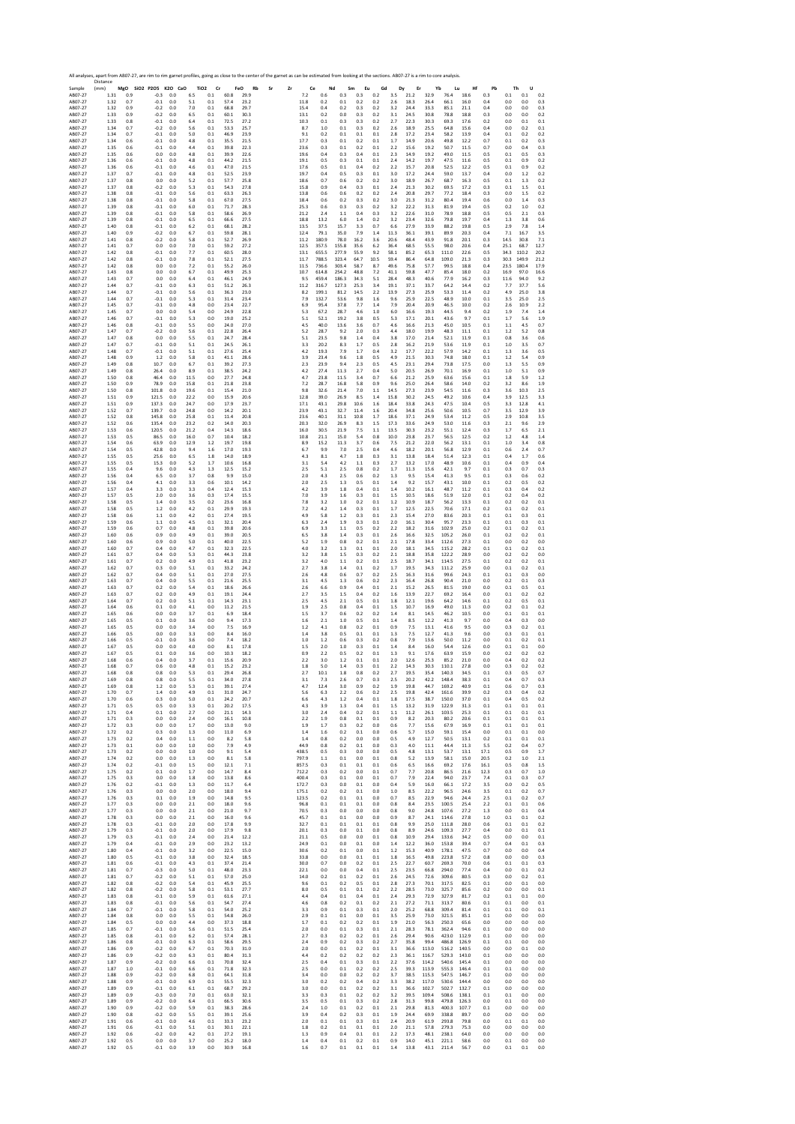|                       | Distance     |            |                                 |            |                |                               |              |                   | All analyses, apart from AB07-27, are rim to rim garnet profiles, going as close to the center of the garnet as can be estimated from looking at the sections. AB07-27 is a rim to core analysis. |             |                |                |              |            |              |                  |              |                  |              |            |              |              |             |
|-----------------------|--------------|------------|---------------------------------|------------|----------------|-------------------------------|--------------|-------------------|---------------------------------------------------------------------------------------------------------------------------------------------------------------------------------------------------|-------------|----------------|----------------|--------------|------------|--------------|------------------|--------------|------------------|--------------|------------|--------------|--------------|-------------|
| Sample<br>AB07-27     | (mm)<br>1.31 | 0.9        | MgO SiO2 P2O5 K2O CaO<br>$-0.3$ | 0.0        | 6.5            | TiO <sub>2</sub><br>Cr<br>0.1 | 60.8         | FeO<br>Rb<br>29.9 | Sr<br>Zr                                                                                                                                                                                          | 7.2         | Ce<br>0.6      | Nd<br>0.3      | Sm<br>0.3    | Eu<br>0.2  | Gd<br>3.5    | Dy<br>Er<br>21.2 | 32.9         | Yb<br>Lu<br>76.4 | Hf<br>18.6   | Pb<br>0.3  | Th<br>0.1    | U<br>0.1     | 0.2         |
| AB07-27               | 1.32         | 0.7        | $-0.1$                          | 0.0        | 5.1            | 0.1                           | 57.4         | 23.2              |                                                                                                                                                                                                   | 11.8        | 0.2            | $0.1\,$        | 0.2          | 0.2        | 2.6          | 18.3             | 26.4         | 66.1             | 16.0         | 0.4        | 0.0          | 0.0          | 0.3         |
| AB07-27               | 1.32         | 0.9        | $-0.2$                          | 0.0        | 7.0            | 0.1                           | 68.8         | 29.7              |                                                                                                                                                                                                   | 15.4        | 0.4            | 0.2            | 0.3          | 0.2        | 3.2          | 24.4             | 33.3         | 85.1             | 21.1         | 0.4        | 0.0          | 0.0          | 0.3         |
| AB07-27               | 1.33         | 0.9        | $-0.2$                          | 0.0        | 6.5            | 0.1                           | 60.1         | 30.3              |                                                                                                                                                                                                   | 13.1        | 0.2            | 0.0            | 0.3          | 0.2        | 3.1          | 24.5             | 30.8         | 78.8             | 18.8         | 0.3        | 0.0          | 0.0          | 0.2         |
| AB07-27               | 1.33         | 0.8        | $-0.1$                          | 0.0        | 6.4            | 0.1                           | 72.5         | 27.2              |                                                                                                                                                                                                   | 10.3        | 0.1            | 0.3            | 0.3          | 0.2        | 2.7          | 22.3             | 30.3         | 69.3             | 17.6         | 0.2        | 0.0          | 0.1          | 0.1         |
| AB07-27               | 1.34         | 0.7        | $-0.2$                          | 0.0        | 5.6            | 0.1                           | 53.3         | 25.7              |                                                                                                                                                                                                   | 8.7         | 1.0            | 0.1            | 0.3          | 0.2        | 2.6          | 18.9             | 25.5         | 64.8             | 15.6         | 0.4        | 0.0          | 0.2          | 0.1         |
| AB07-27               | 1.34         | 0.7        | $-0.1$                          | 0.0        | 5.0            | 0.1                           | 46.9         | 23.9              |                                                                                                                                                                                                   | 9.1         | 0.2            | 0.1            | 0.1          | 0.1        | 2.8          | 17.2             | 23.4         | 58.2             | 13.9         | 0.4        | 0.1          | 0.2          | 0.2         |
| AB07-27               | 1.34         | 0.6        | $-0.1$                          | 0.0        | 4.8            | 0.1                           | 35.5         | 21.5              |                                                                                                                                                                                                   | 17.7        | 0.3            | 0.1            | 0.2          | 0.1        | 1.7          | 14.9             | 20.6         | 49.8             | 12.2         | 0.7        | 0.1          | 0.2          | 0.3         |
| AB07-27               | 1.35         | 0.6        | $-0.1$                          | 0.0        | 4.4            | 0.1                           | 39.8         | 22.3              |                                                                                                                                                                                                   | 23.6        | 0.3            | 0.1            | 0.2          | 0.1        | 2.2          | 15.6             | 19.2         | 50.7             | 11.5         | 0.7        | 0.0          | 0.4          | 0.3         |
| AB07-27               | 1.35         | 0.6        | 0.0                             | 0.0        | 4.8            | 0.1                           | 39.9         | 22.6              |                                                                                                                                                                                                   | 19.6        | 0.4            | 0.3            | 0.4          | 0.1        | 2.3          | 14.9             | 19.2         | 49.0             | 11.5         | 0.5        | 0.1          | 0.5          | 0.3         |
| AB07-27               | 1.36         | 0.6        | $-0.1$                          | 0.0        | 4.8            | 0.1                           | 44.2         | 21.5              |                                                                                                                                                                                                   | 19.1        | 0.5            | 0.3            | 0.1          | 0.1        | 2.4          | 14.2             | 19.7         | 47.5             | 11.6         | 0.5        | 0.1          | 0.9          | 0.2         |
| AB07-27               | 1.36         | 0.6        | $-0.1$                          | 0.0        | 4.6            | 0.1                           | 47.0         | 21.5              |                                                                                                                                                                                                   | 17.6        | 0.5            | 0.1            | 0.4          | 0.2        | 2.2          | 15.7             | 20.8         | 52.5             | 12.2         | 0.5        | 0.1          | 0.9          | 0.2         |
| AB07-27               | 1.37         | 0.7        | $-0.1$                          | 0.0        | 4.8            | 0.1                           | 52.5         | 23.9              |                                                                                                                                                                                                   | 19.7        | 0.4            | 0.5            | 0.3          | 0.1        | 3.0          | 17.2             | 24.4         | 59.0             | 13.7         | 0.4        | 0.0          | 1.2          | 0.2         |
| AB07-27               | 1.37         | 0.8        | 0.0                             | 0.0        | 5.2            | 0.1                           | 57.7         | 25.8              |                                                                                                                                                                                                   | 18.6        | 0.7            | 0.6            | 0.2          | 0.2        | 3.0          | 18.9             | 26.7         | 68.7             | 16.3         | 0.5        | 0.1          | 1.3          | 0.2         |
| AB07-27               | 1.37         | 0.8        | $-0.2$                          | 0.0        | 5.3            | 0.1                           | 54.3         | 27.8              |                                                                                                                                                                                                   | 15.8        | 0.9            | 0.4            | 0.3          | 0.1        | 2.4          | 21.3             | 30.2         | 69.5             | 17.2         | 0.3        | 0.1          | 1.5          | 0.1         |
| AB07-27               | 1.38         | 0.8        | $-0.1$                          | 0.0        | 5.6            | 0.1                           | 63.3         | 26.3              |                                                                                                                                                                                                   | 13.8        | 0.6            | 0.6            | 0.2          | 0.2        | 2.4          | 20.8             | 29.7         | 77.2             | 18.4         | 0.3        | 0.0          | 1.5          | 0.2         |
| AB07-27               | 1.38         | 0.8        | $-0.1$                          | 0.0        | 5.8            | 0.1                           | 67.0         | 27.5              |                                                                                                                                                                                                   | 18.4        | 0.6            | 0.2            | 0.3          | 0.2        | 3.0          | 21.3             | 31.2         | 80.4             | 19.4         | 0.6        | 0.0          | 1.4          | 0.3         |
| AB07-27               | 1.39         | 0.8        | $-0.1$                          | 0.0        | 6.0            | 0.1                           | 71.7         | 28.3              |                                                                                                                                                                                                   | 25.3        | 0.6            | 0.3            | 0.3          | 0.2        | 3.2          | 22.2             | 31.3         | 81.9             | 19.4         | 0.5        | 0.2          | 1.0          | 0.2         |
| AB07-27               | 1.39         | 0.8        | $-0.1$                          | 0.0        | 5.8            | 0.1                           | 58.6         | 26.9              |                                                                                                                                                                                                   | 21.2        | 2.4            | 1.1            | 0.4          | 0.3        | 3.2          | 22.6             | 31.0         | 78.9             | 18.8         | 0.5        | 0.5          | 2.1          | 0.3         |
| AB07-27               | 1.39         | 0.8        | $-0.1$                          | 0.0        | 6.5            | 0.1                           | 66.6         | 27.5              |                                                                                                                                                                                                   | 18.8        | 13.2           | 6.0            | 1.4          | 0.2        | 3.2          | 23.4             | 32.6         | 79.8             | 19.7         | 0.4        | 1.3          | 3.8          | 0.6         |
| AB07-27               | 1.40         | 0.8        | $-0.1$                          | 0.0        | 6.2            | 0.1                           | 68.1         | 28.2              |                                                                                                                                                                                                   | 13.5        | 37.5           | 15.7           | 3.3          | 0.7        | 6.6          | 27.9             | 33.9         | 88.2             | 19.8         | 0.5        | 2.9          | 7.8          | 1.4         |
| AB07-27               | 1.40         | 0.9        | $-0.2$                          | 0.0        | 6.7            | 0.1                           | 59.8         | 28.1              |                                                                                                                                                                                                   | 12.4        | 79.1           | 35.0           | 7.9          | 1.4        | 11.3         | 36.1             | 39.1         | 89.9             | 20.3         | 0.4        | 7.1          | 16.7         | 3.5         |
| AB07-27               | 1.41         | 0.8        | $-0.2$                          | 0.0        | 5.8            | 0.1                           | 52.7         | 26.9              |                                                                                                                                                                                                   | 11.2        | 180.9          | 78.0           | 16.2         | 3.6        | 20.6         | 48.4             | 43.9         | 91.8             | 20.1         | 0.3        | 14.5         | 30.8         | 7.1         |
| AB07-27               | 1.41         | 0.7        | 0.0                             | 0.0        | 7.0            | 0.1                           | 59.2         | 27.2              |                                                                                                                                                                                                   | 12.5        | 357.5          | 155.8          | 35.6         | 6.2        | 36.4         | 68.5             | 55.5         | 98.0             | 20.6         | 0.4        | 25.1         | 68.7         | 12.7        |
| AB07-27               | 1.42         | 0.8        | $-0.1$                          | 0.0        | 7.7            | 0.1                           | 60.5         | 28.0              |                                                                                                                                                                                                   | 13.1        | 655.5          | 277.9          | 55.9         | 9.2        | 58.1         | 85.2             | 65.3         | 111.0            | 22.6         | 0.5        | 34.3         | 110.2        | 20.2        |
| AB07-27               | 1.42         | 0.8        | $-0.1$                          | 0.0        | 7.8            | 0.1                           | 52.1         | 27.5              |                                                                                                                                                                                                   | 11.7        | 788.5          | 323.4          | 64.7         | 10.5       | 59.4         | 86.4             | 64.8         | 109.0            | 21.3         | 0.3        | 30.3         | 149.9        | 21.2        |
| AB07-27               | 1.42         | 0.8        | 0.0                             | 0.0        | 7.2            | 0.1                           | 55.2         | 26.0              |                                                                                                                                                                                                   | 11.5        | 736.6          | 303.4          | 58.7         | 8.7        | 49.6         | 75.8             | 57.7         | 99.5             | 18.8         | 0.4        | 23.5         | 180.4        | 17.9        |
| AB07-27<br>AB07-27    | 1.43<br>1.43 | 0.8<br>0.7 | 0.0<br>0.0                      | 0.0<br>0.0 | 6.7            | 0.1<br>0.1                    | 49.9<br>46.1 | 25.3<br>24.9      |                                                                                                                                                                                                   | 10.7<br>9.5 | 614.8<br>459.4 | 254.2<br>186.3 | 48.8<br>34.3 | 7.2<br>5.1 | 41.1<br>28.4 | 59.8<br>48.3     | 47.7<br>40.6 | 85.4<br>77.9     | 18.0<br>16.2 | 0.2<br>0.3 | 16.9<br>11.6 | 97.0<br>94.0 | 16.6<br>9.2 |
| AB07-27               | 1.44         | 0.7        | $-0.1$                          | 0.0        | 6.4<br>6.3     | 0.1                           | 51.2         | 26.3              |                                                                                                                                                                                                   | 11.2        | 316.7          | 127.3          | 25.3         | 3.4        | 19.1         | 37.1             | 33.7         | 64.2             | 14.4         | 0.2        | 7.7          | 37.7         | 5.6         |
| AB07-27               | 1.44         | 0.7        | $-0.1$                          | 0.0        | 5.6            | 0.1                           | 36.3         | 23.0              |                                                                                                                                                                                                   | 8.2         | 199.1          | 81.2           | 14.5         | 2.2        | 13.9         | 27.3             | 25.9         | 53.3             | 11.4         | 0.2        | 4.9          | 25.0         | 3.8         |
| AB07-27               | 1.44         | 0.7        | $-0.1$                          | 0.0        | 5.3            | 0.1                           | 31.4         | 23.4              |                                                                                                                                                                                                   | 7.9         | 132.7          | 53.6           | 9.8          | 1.6        | 9.6          | 25.9             | 22.5         | 48.9             | 10.0         | 0.1        | 3.5          | 25.0         | 2.5         |
| AB07-27               | 1.45         | 0.7        | $-0.1$                          | 0.0        | 4.8            | 0.0                           | 23.4         | 22.7              |                                                                                                                                                                                                   | 6.9         | 95.4           | 37.8           | 7.7          | 1.4        | 7.9          | 20.4             | 20.9         | 46.5             | 10.0         | 0.2        | 2.6          | 10.9         | 2.2         |
| AB07-27               | 1.45         | 0.7        | 0.0                             | 0.0        | 5.4            | 0.0                           | 24.9         | 22.8              |                                                                                                                                                                                                   | 5.3         | 67.2           | 28.7           | 4.6          | 1.0        | 6.0          | 16.6             | 19.3         | 44.5             | 9.4          | 0.2        | 1.9          | 7.4          | 1.4         |
| AB07-27               | 1.46         | 0.7        | $-0.1$                          | 0.0        | 5.3            | 0.0                           | 19.0         | 25.2              |                                                                                                                                                                                                   | 5.1         | 52.1           | 19.2           | 3.8          | 0.5        | 5.3          | 17.1             | 20.1         | 43.6             | 9.7          | 0.1        | 1.7          | 5.6          | 1.9         |
| AB07-27               | 1.46         | 0.8        | $-0.1$                          | 0.0        | 5.5            | 0.0                           | 24.0         | 27.0              |                                                                                                                                                                                                   | 4.5         | 40.0           | 13.6           | 3.6          | 0.7        | 4.6          | 16.6             | 21.3         | 45.0             | 10.5         | 0.1        | 1.1          | 4.5          | 0.7         |
| AB07-27               | 1.47         | 0.7        | $-0.2$                          | 0.0        | 5.6            | 0.1                           | 22.8         | 26.4              |                                                                                                                                                                                                   | 5.2         | 28.7           | 9.2            | 2.0          | 0.3        | 4.4          | 18.0             | 19.9         | 48.3             | 11.1         | 0.1        | 1.2          | 5.2          | 0.8         |
| AB07-27               | 1.47         | 0.8        | 0.0                             | 0.0        | 5.5            | 0.1                           | 24.7         | 28.4              |                                                                                                                                                                                                   | 5.1         | 23.5           | 9.8            | 1.4          | 0.4        | 3.8          | 17.0             | 21.4         | 52.1             | 11.9         | 0.1        | 0.8          | 3.6          | 0.6         |
| AB07-27               | 1.47         | 0.7        | $-0.1$                          | 0.0        | 5.1            | 0.1                           | 24.5         | 26.1              |                                                                                                                                                                                                   | 3.3         | 20.2           | 8.3            | 1.7          | 0.5        | 2.8          | 16.2             | 21.9         | 53.6             | 11.9         | 0.1        | 1.0          | 3.5          | 0.7         |
| AB07-27               | 1.48         | 0.7        | $-0.1$                          | 0.0        | 5.1            | 0.1                           | 27.6         | 25.4              |                                                                                                                                                                                                   | 4.2         | 19.3           | 7.9            | 1.7          | 0.4        | 3.2          | 17.7             | 22.2         | 57.9             | 14.2         | 0.1        | 1.3          | 3.6          | 0.5         |
| AB07-27               | 1.48         | 0.9        | $1.2$                           | 0.0        | 5.8            | 0.1                           | 41.1         | 28.6              |                                                                                                                                                                                                   | 3.9         | 23.4           | 9.6            | $1.8\,$      | 0.5        | 4.9          | 21.5             | 30.3         | 74.8             | 18.0         | 0.1        | $1.2\,$      | 5.4          | 0.9         |
| AB07-27               | 1.49         | 0.8        | 10.7                            | 0.0        | 6.7            | 0.1                           | 39.2         | 27.3              |                                                                                                                                                                                                   | 2.3         | 23.9           | 9.4            | 2.3          | 0.5        | 4.5          | 23.1             | 29.4         | 73.8             | 17.5         | 0.0        | 1.3          | 5.5          | 0.9         |
| AB07-27               | 1.49         | 0.8        | 26.4                            | 0.0        | 8.9            | 0.1                           | 38.5         | 24.2              |                                                                                                                                                                                                   | 4.2         | 27.4           | 11.3           | 2.7          | 0.4        | 5.0          | 20.5             | 26.9         | 70.1             | 16.9         | 0.1        | 1.0          | 5.1          | 0.9         |
| AB07-27               | 1.50         | 0.8        | 46.4                            | 0.0        | 11.5           | 0.0                           | 27.7         | 24.8              |                                                                                                                                                                                                   | 4.7         | 23.8           | 11.5           | 3.4          | 0.7        | 6.6          | 21.2             | 25.9         | 63.6             | 15.6         | 0.1        | 1.8          | 5.9          | 1.2         |
| AB07-27               | 1.50         | 0.9        | 78.9                            | 0.0        | 15.8           | 0.1                           | 21.8         | 23.8              |                                                                                                                                                                                                   | 7.2         | 28.7           | 16.8           | 5.8          | 0.9        | 9.6          | 25.0             | 26.4         | 58.6             | 14.0         | 0.2        | 3.2          | 8.6          | 1.9         |
| AB07-27               | 1.50         | 0.8        | 101.8                           | 0.0        | 19.6           | 0.1                           | 15.4         | 21.0              |                                                                                                                                                                                                   | 9.8         | 32.6           | 21.4           | 7.0          | 1.1        | 14.5         | 27.3             | 23.9         | 54.5             | 11.6         | 0.3        | 3.6          | 10.3         | 2.5         |
| AB07-27               | 1.51         | 0.9        | 121.5                           | 0.0        | 22.2           | 0.0                           | 15.9         | 20.6              |                                                                                                                                                                                                   | 12.8        | 39.0           | 26.9           | 8.5          | 1.4        | 15.8         | 30.2             | 24.5         | 49.2             | 10.6         | 0.4        | 3.9          | 12.5         | 3.3         |
| AB07-27               | 1.51         | 0.9        | 137.3                           | 0.0        | 24.7           | 0.0                           | 17.9         | 23.7              |                                                                                                                                                                                                   | 17.1        | 43.1           | 29.8           | 10.6         | 1.6        | 18.4         | 33.8             | 24.3         | 47.5             | 10.4         | 0.5        | 3.3          | 12.8         | 4.1         |
| AB07-27               | 1.52         | 0.7        | 139.7                           | 0.0        | 24.8           | 0.0                           | 14.2         | 20.1              |                                                                                                                                                                                                   | 23.9        | 43.1           | 32.7           | 11.4         | 1.6        | 20.4         | 34.8             | 25.6         | 50.6             | 10.5         | 0.7        | 3.5          | 12.9         | 3.9         |
| AB07-27               | 1.52         | 0.8        | 145.8                           | 0.0        | 25.8           | 0.1                           | 11.4         | 20.8              |                                                                                                                                                                                                   | 23.6        | 40.1           | 31.1           | 10.8         | 1.7        | 18.6         | 37.1             | 24.9         | 53.4             | 11.2         | 0.5        | 2.9          | 10.8         | 3.5         |
| AB07-27               | 1.52         | 0.6        | 135.4                           | 0.0        | 23.2           | 0.2                           | 14.0         | 20.3              |                                                                                                                                                                                                   | 20.3        | 32.0           | 26.9           | 8.3          | 1.5        | 17.3         | 33.6             | 24.9         | 53.0             | 11.6         | 0.3        | 2.1          | 9.6          | 2.9         |
| AB07-27               | 1.53         | 0.6        | 120.5                           | 0.0        | 21.2           | 0.4                           | 14.3         | 18.6              |                                                                                                                                                                                                   | 16.0        | 30.5           | 21.9           | 7.5          | 1.1        | 13.5         | 30.3             | 23.2         | 55.1             | 12.4         | 0.3        | 1.7          | 6.5          | 2.1         |
| AB07-27               | 1.53         | 0.5        | 86.5                            | 0.0        | 16.0           | 0.7                           | 10.4         | 18.2              |                                                                                                                                                                                                   | 10.8        | 21.1           | 15.0           | 5.4          | 0.8        | 10.0         | 23.8             | 23.7         | 56.5             | 12.5         | 0.2        | 1.2          | 4.8          | 1.4         |
| AB07-27               | 1.54         | 0.6        | 63.9                            | 0.0        | 12.9           | 1.2                           | 19.7         | 19.8              |                                                                                                                                                                                                   | 8.9         | 15.2           | 11.3           | 3.7          | 0.6        | 7.5          | 21.2             | 22.0         | 56.2             | 13.1         | 0.1        | 1.0          | 3.4          | 0.8         |
| AB07-27               | 1.54         | 0.5        | 42.8                            | 0.0        | 9.4            | 1.6                           | 17.0         | 19.3              |                                                                                                                                                                                                   | 6.7         | 9.9            | 7.0            | 2.5          | 0.4        | 4.6          | 18.2             | 20.1         | 56.8             | 12.9         | 0.1        | 0.6          | 2.4          | 0.7         |
| AB07-27               | 1.55         | 0.5        | 25.6                            | 0.0        | 6.5            | 1.8                           | 14.0         | 18.9              |                                                                                                                                                                                                   | 4.3         | 8.1            | 4.7            | 1.8          | 0.3        | 3.1          | 13.8             | 18.4         | 51.4             | 12.3         | 0.1        | 0.4          | 1.7          | 0.6         |
| AB07-27               | 1.55         | 0.5        | 15.3                            | 0.0        | 5.2            | 1.7                           | 10.6         | 16.8              |                                                                                                                                                                                                   | 3.1         | 5.4            | 4.2            | 1.1          | 0.3        | 2.7          | 13.2             | 17.0         | 48.9             | 10.6         | 0.1        | 0.4          | 0.9          | 0.4         |
| AB07-27               | 1.55         | 0.4        | 9.6                             | 0.0        | 4.3            | 1.3                           | 12.5         | 15.2              |                                                                                                                                                                                                   | 2.5         | 5.1            | 2.5            | 0.8          | 0.2        | 1.7          | 11.3             | 15.6         | 42.1             | 9.7          | 0.1        | 0.3          | 0.7          | 0.3         |
| AB07-27               | 1.56         | 0.4        | 6.5                             | 0.0        | 3.7            | 0.8                           | 9.9          | 15.0              |                                                                                                                                                                                                   | 2.0         | 4.3            | 2.5            | 0.6          | 0.2        | 1.3          | 9.5              | 15.4         | 41.3             | 9.5          | 0.1        | 0.3          | 0.6          | 0.2         |
| AB07-27               | 1.56         | 0.4        | 4.1                             | 0.0        | 3.3            | 0.6                           | 10.1         | 14.2              |                                                                                                                                                                                                   | 2.0         | 2.5            | 1.3            | 0.5          | 0.1        | 1.4          | 9.2              | 15.7         | 43.1             | 10.0         | 0.1        | 0.2          | 0.5          | 0.2         |
| AB07-27               | 1.57         | 0.4        | 3.3                             | 0.0        | 3.3            | 0.4                           | 12.4         | 15.3              |                                                                                                                                                                                                   | 4.2         | 3.9            | 1.8            | 0.4          | 0.1        | 1.4          | 10.2             | 16.1         | 48.7             | 11.2         | 0.1        | 0.3          | 0.4          | 0.2         |
| AB07-27               | 1.57         | 0.5        | 2.0                             | 0.0        | 3.6            | 0.3                           | 17.4         | 15.5              |                                                                                                                                                                                                   | 7.0         | 3.9            | 1.6            | 0.3          | 0.1        | 1.5          | 10.5             | 18.6         | 51.9             | 12.0         | 0.1        | 0.2          | 0.4          | 0.2         |
| AB07-27               | 1.58         | 0.5        | 1.4                             | 0.0        | 3.5            | 0.2                           | 23.6         | 16.8              |                                                                                                                                                                                                   | 7.8         | 3.2            | $1.0\,$        | 0.2          | $0.1\,$    | $1.2$        | 10.9             | 18.7         | 56.2             | 13.3         | 0.1        | 0.2          | 0.2          | 0.1         |
| AB07-27               | 1.58         | 0.5        | 1.2                             | 0.0        | 4.2            | 0.1                           | 29.9         | 19.3              |                                                                                                                                                                                                   | 7.2         | 4.2            | 1.4            | 0.3          | 0.1        | 1.7          | 12.5             | 22.5         | 70.6             | 17.1         | 0.2        | 0.1          | 0.2          | 0.1         |
| AB07-27               | 1.58         | 0.6        | 1.1                             | 0.0        | 4.2            | 0.1                           | 27.4         | 19.5              |                                                                                                                                                                                                   | 4.9         | 5.8            | 1.2            | 0.3          | 0.1        | 2.3          | 15.4             | 27.0         | 83.6             | 20.3         | 0.1        | 0.1          | 0.3          | 0.1         |
| AB07-27               | 1.59         | 0.6        | $1.1\,$                         | 0.0        | 4.5            | 0.1                           | 32.1         | 20.4              |                                                                                                                                                                                                   | 6.3         | 2.4            | 1.9            | 0.3          | 0.1        | 2.0          | 16.1             | 30.4         | 95.7             | 23.3         | 0.1        | 0.1          | 0.3          | 0.1         |
| AB07-27               | 1.59         | 0.6        | 0.7                             | 0.0        | 4.8            | 0.1                           | 39.8         | 20.6              |                                                                                                                                                                                                   | 6.9         | 3.3            | 1.1            | 0.5          | 0.2        | 2.2          | 18.2             | 31.6         | 102.9            | 25.0         | 0.2        | 0.1          | 0.2          | 0.1         |
| AB07-27               | 1.60         | 0.6        | 0.9                             | 0.0        | 4.9            | 0.1                           | 39.0         | 20.5              |                                                                                                                                                                                                   | 6.5         | 3.8            | 1.4            | 0.3          | 0.1        | 2.6          | 16.6             | 32.5         | 105.2            | 26.0         | 0.1        | 0.2          | 0.2          | 0.1         |
| AB07-27               | 1.60         | 0.6        | 0.9                             | 0.0        | 5.0            | 0.1                           | 40.0         | 22.5              |                                                                                                                                                                                                   | 5.2         | 1.9            | 0.8            | 0.2          | 0.1        | 2.1          | 17.8             | 33.4         | 112.6            | 27.3         | 0.1        | 0.0          | 0.2          | 0.0         |
| AB07-27               | 1.60         | 0.7        | 0.4                             | 0.0        | 4.7            | 0.1                           | 32.3         | 22.5              |                                                                                                                                                                                                   | 4.0         | 3.2            | 1.3            | 0.1          | 0.1        | 2.0          | 18.1             | 34.5         | 115.2            | 28.2         | 0.1        | 0.1          | 0.2          | 0.1         |
| AB07-27               | 1.61         | 0.7        | 0.4                             | 0.0        | 5.3            | 0.1                           | 44.3         | 23.8              |                                                                                                                                                                                                   | 3.2         | 3.8            | 1.5            | 0.3          | 0.2        | 2.1          | 18.8             | 35.8         | 122.2            | 28.9         | 0.0        | 0.2          | 0.2          | 0.0         |
| AB07-27               | 1.61         | 0.7        | 0.2                             | 0.0        | 4.9            | 0.1                           | 41.8         | 23.2              |                                                                                                                                                                                                   | 3.2         | 4.0            | 1.1            | 0.2          | 0.1        | 2.5          | 18.7             | 34.1         | 114.5            | 27.5         | 0.1        | 0.2          | 0.2          | 0.1         |
| AB07-27               | 1.62         | 0.7        | 0.3                             | 0.0        | 5.1            | 0.1                           | 33.2         | 24.2              |                                                                                                                                                                                                   | 2.7         | 3.8            | 1.4            | 0.1          | 0.2        | 1.7          | 19.5             | 34.3         | 111.2            | 25.9         | 0.0        | 0.1          | 0.2          | 0.1         |
| AB07-27               | 1.62         | 0.7        | 0.4                             | 0.0        | 5.1            | 0.1                           | 27.0         | 27.5              |                                                                                                                                                                                                   | 2.6         | 4.8            | 0.6            | 0.7          | 0.2        | 2.5          | 16.3             | 31.6         | 99.6             | 24.3         | 0.1        | 0.1          | 0.3          | 0.0         |
| AB07-27               | 1.63         | 0.7        | 0.4                             | 0.0        | 5.5            | 0.1                           | 21.6         | 25.5              |                                                                                                                                                                                                   | 3.1         | 4.5            | 1.3            | 0.6          | 0.2        | 2.3          | 16.4             | 26.8         | 90.4             | 21.0         | 0.0        | 0.2          | 0.1          | 0.3         |
| AB07-27               | 1.63         | 0.7        | 0.2                             | 0.0        | 5.4            | 0.1                           | 18.6         | 26.6              |                                                                                                                                                                                                   | 2.6         | 6.6            | 0.9            | 0.4          | 0.1        | 2.1          | 15.2             | 26.5         | 81.5             | 19.0         | 0.0        | 0.1          | 0.5          | 0.1         |
| AB07-27               | 1.63         | 0.7        | 0.2                             | 0.0        | 4.9            | 0.1                           | 19.1         | 24.4              |                                                                                                                                                                                                   | 2.7         | 3.5            | 1.5            | 0.4          | 0.2        | 1.6          | 13.9             | 22.7         | 69.2             | 16.4         | 0.0        | 0.1          | 0.2          | 0.2         |
| AB07-27               | 1.64         | 0.7        | 0.2                             | 0.0        | 5.1            | 0.1                           | 14.3         | 23.1              |                                                                                                                                                                                                   | 2.5         | 4.5            | 2.1            | 0.5          | 0.1        | 1.8          | 12.1             | 19.6         | 64.2             | 14.6         | 0.1        | 0.2          | 0.5          | 0.1         |
| AB07-27               | 1.64         | 0.6        | 0.1                             | 0.0        | 4.1            | 0.0                           | 11.2         | 21.5              |                                                                                                                                                                                                   | 1.9         | 2.5            | 0.8            | 0.4          | 0.1        | 1.5          | 10.7             | 16.9         | 49.0             | 11.3         | 0.0        | 0.2          | 0.1          | 0.2         |
| AB07-27               | 1.65         | 0.6        | 0.0                             | 0.0        | 3.7            | 0.1                           | 6.9          | 18.4              |                                                                                                                                                                                                   | 1.5         | 3.7            | 0.6            | 0.2          | 0.2        | 1.4          | 8.1              | 14.5         | 46.2             | 10.5         | 0.0        | 0.1          | 0.1          | 0.1         |
| AB07-27               | 1.65         | 0.5        | 0.1                             | 0.0        | 3.6            | 0.0                           | 9.4          | 17.3              |                                                                                                                                                                                                   | 1.6         | 2.1            | 1.0            | 0.5          | 0.1        | 1.4          | 8.5              | 12.2         | 41.3             | 9.7          | 0.0        | 0.4          | 0.3          | 0.0         |
| AB07-27               | 1.65         | 0.5        | 0.0                             | 0.0        | 3.4            | 0.0                           | 7.5          | 16.9              |                                                                                                                                                                                                   | 1.2         | 4.1            | 0.8            | 0.2          | 0.1        | 0.9          | 7.5              | 13.1         | 41.6             | 9.5          | 0.0        | 0.3          | 0.2          | 0.1         |
| AB07-27               | 1.66         | 0.5        | 0.0                             | 0.0        | 3.3            | 0.0                           | 8.4          | 16.0              |                                                                                                                                                                                                   | 1.4         | 3.8            | 0.5            | 0.1          | 0.1        | 1.3          | 7.5              | 12.7         | 41.3             | 9.6          | 0.0        | 0.3          | 0.1          | 0.1         |
| AB07-27               | 1.66         | 0.5        | $-0.1$                          | 0.0        | 3.6            | 0.0                           | 7.4          | 18.2              |                                                                                                                                                                                                   | 1.0         | 1.2            | 0.6            | 0.3          | 0.2        | 0.8          | 7.9              | 13.6         | 50.0             | 11.2         | 0.0        | 0.1          | 0.2          | 0.1         |
| AB07-27               | 1.67         | 0.5        | 0.0                             | 0.0        | 4.0            | 0.0                           | 8.1          | 17.8              |                                                                                                                                                                                                   | 1.5         | 2.0            | 1.0            | 0.3          | 0.1        | 1.4          | 8.4              | 16.0         | 54.4             | 12.6         | 0.0        | 0.1          | 0.1          | 0.0         |
| AB07-27               | 1.67         | 0.5        | 0.1                             | 0.0        | 3.6            | 0.0                           | 10.3         | 18.2              |                                                                                                                                                                                                   | 0.9         | 2.2            | 0.5            | 0.2          | 0.1        | 1.3          | 9.1              | 17.6         | 63.9             | 15.9         | 0.0        | 0.2          | 0.2          | 0.2         |
| AB07-27               | 1.68         | 0.6        | 0.4                             | 0.0        | 3.7            | 0.1                           | 15.6         | 20.9              |                                                                                                                                                                                                   | 2.2         | 3.0            | 1.2            | 0.1          | 0.1        | 2.0          | 12.6             | 25.3         | 85.2             | 21.0         | 0.0        | 0.4          | 0.2          | 0.2         |
| AB07-27               | 1.68         | 0.7        | 0.6                             | 0.0        | 4.8            | 0.1                           | 15.2         | 23.2              |                                                                                                                                                                                                   | 1.8         | 5.0            | 1.4            | 0.3          | 0.1        | 2.2          | 14.3             | 30.3         | 110.1            | 27.8         | 0.0        | 0.3          | 0.2          | 0.2         |
| <b>BO7</b><br>AB07-27 | 1.69         | n g<br>0.8 | ሰ ደ<br>0.8                      | 0.0        | 5.5            | 0.1                           | 34.0         | 27.8              |                                                                                                                                                                                                   | 3.1         | 01<br>7.3      | 2.6            | ሰ Ջ<br>0.7   | 0.3        | 2.5          | 20.2             | 42.2         | 148.4            | 38.3         | 0.1        | 0.4          | n s<br>0.7   | 0.3         |
| AB07-27               | 1.69         | 0.8        | $1.2$                           | 0.0        | 5.3            | 0.1                           | 39.1         | 27.4              |                                                                                                                                                                                                   | 4.7         | 12.4           | 3.0            | 0.9          | 0.2        | 1.9          | 19.8             | 44.7         | 169.2            | 40.9         | 0.1        | 0.6          | 0.7          | 0.3         |
| AB07-27               | 1.70         | 0.7        | 1.4                             | 0.0        | 4.9            | 0.1                           | 31.0         | 24.7              |                                                                                                                                                                                                   | 5.6         | 6.3            | 2.2            | 0.6          | 0.2        | 2.5          | 19.8             | 42.4         | 161.6            | 39.9         | 0.2        | 0.3          | 0.4          | 0.2         |
| AB07-27               | 1.70         | 0.6        | 0.3                             | 0.0        | 5.0            | 0.1                           | 24.2         | 20.7              |                                                                                                                                                                                                   | 6.6         | 4.3            | 1.2            | 0.4          | 0.1        | 1.8          | 17.5             | 38.7         | 150.0            | 37.0         | 0.1        | 0.4          | 0.5          | 0.2         |
| AB07-27               | 1.71         | 0.5        | 0.5                             | 0.0        | 3.3            | 0.1                           | 20.2         | 17.5              |                                                                                                                                                                                                   | 4.3         | 3.9            | 1.3            | 0.4          | 0.1        | 1.5          | 13.2             | 31.9         | 122.9            | 31.3         | 0.1        | 0.1          | 0.1          | 0.1         |
| AB07-27               | 1.71         | 0.4        | 0.1                             | 0.0        | 2.7            | 0.0                           | 21.1         | 14.3              |                                                                                                                                                                                                   | 3.0         | 2.4            | 0.4            | 0.2          | 0.1        | 1.1          | 11.2             | 26.1         | 103.5            | 25.3         | 0.1        | 0.1          | 0.1          | 0.1         |
| AB07-27               | 1.71         | 0.3        | 0.0                             | 0.0        | 2.4            | 0.0                           | 16.1         | 10.8              |                                                                                                                                                                                                   | 2.2         | 1.9            | 0.8            | 0.1          | 0.1        | 0.9          | 8.2              | 20.3         | 80.2             | 20.6         | 0.1        | 0.1          | 0.1          | 0.1         |
| AB07-27               | 1.72         | 0.3        | 0.0                             | 0.0        | 1.7            | 0.0                           | 13.0         | 9.0               |                                                                                                                                                                                                   | 1.9         | 1.7            | 0.3            | 0.2          | 0.0        | 0.6          | 7.7              | 15.6         | 67.9             | 16.9         | 0.1        | 0.1          | 0.1          | 0.1         |
| AB07-27               | 1.72         | 0.2        | 0.3                             | 0.0        | 1.3            | 0.0                           | 11.0         | 6.9               |                                                                                                                                                                                                   | 1.4         | 1.6            | 0.2            | 0.1          | 0.0        | 0.6          | 5.7              | 15.0         | 59.1             | 15.4         | 0.0        | 0.1          | 0.1          | 0.0         |
| AB07-27               | 1.73         | 0.2        | 0.4                             | 0.0        | 1.1            | 0.0                           | 8.2          | 5.8               |                                                                                                                                                                                                   | 1.4         | 0.8            | 0.2            | 0.0          | 0.0        | 0.5          | 4.9              | 12.7         | 50.5             | 13.1         | 0.2        | 0.1          | 0.1          | 0.1         |
| AB07-27               | 1.73         | 0.1        | 0.0                             | 0.0        | 1.0            | 0.0                           | 7.9          | 4.9               |                                                                                                                                                                                                   | 44.9        | 0.8            | 0.2            | 0.1          | 0.0        | 0.3          | 4.0              | 11.1         | 44.4             | 11.3         | 5.5        | 0.2          | 0.4          | 0.7         |
| AB07-27               | 1.73         | 0.2        | 0.0                             | 0.0        | 1.0            | 0.0                           | 9.1          | 5.4               |                                                                                                                                                                                                   | 438.5       | 0.5            | 0.3            | 0.0          | 0.0        | 0.5          | 4.8              | 13.1         | 53.7             | 13.1         | 17.1       | 0.5          | 0.9          | 1.7         |
| AB07-27               | 1.74         | 0.2        | 0.0                             | 0.0        | 1.3            | $_{0.0}$                      | 8.1          | 5.8               |                                                                                                                                                                                                   | 797.9       | $1.1\,$        | $0.1\,$        | 0.0          | $0.1\,$    | 0.8          | 5.2              | 13.9         | 58.1             | 15.0         | 20.5       | 0.2          | $1.0$        | 2.1         |
| AB07-27               | 1.74         | 0.2        | $-0.1$                          | 0.0        | 1.5            | 0.0                           | 12.1         | 7.1               |                                                                                                                                                                                                   | 857.5       | 0.3            | 0.1            | 0.1          | 0.1        | 0.6          | 6.5              | 16.6         | 69.2             | 17.6         | 16.1       | 0.5          | 0.8          | 1.5         |
| AB07-27               | 1.75         | 0.2        | 0.1                             | 0.0        | 1.7            | 0.0                           | 14.7         | 8.4               |                                                                                                                                                                                                   | 712.2       | 0.3            | 0.2            | 0.0          | 0.1        | 0.7          | 7.7              | 20.8         | 86.5             | 21.6         | 12.3       | 0.3          | 0.7          | 1.0         |
| AB07-27               | 1.75         | 0.3        | 0.0                             | 0.0        | 1.8            | 0.0                           | 13.8         | 8.6               |                                                                                                                                                                                                   | 400.4       | 0.3            | 0.1            | 0.0          | 0.1        | 0.7          | 7.9              | 22.4         | 94.0             | 23.7         | 7.4        | 0.1          | 0.3          | 0.7         |
| AB07-27               | 1.76         | 0.2        | $-0.1$                          | 0.0        | 1.3            | 0.0                           | 11.7         | 6.4               |                                                                                                                                                                                                   | 172.7       | 0.3            | 0.0            | 0.1          | 0.0        | 0.4          | 5.9              | 16.0         | 66.1             | 17.2         | 3.5        | 0.0          | 0.2          | 0.5         |
| AB07-27               | 1.76         | 0.3        | 0.0                             | 0.0        | 2.0            | 0.0                           | 18.0         | 9.4               |                                                                                                                                                                                                   | 175.1       | 0.2            | 0.2            | 0.1          | 0.0        | $1.0$        | 8.5              | 22.2         | 96.5             | 24.6         | 3.5        | 0.1          | 0.2          | 0.7         |
| AB07-27               | 1.76         | 0.3        | 0.1                             | 0.0        | 1.9            | 0.0                           | 14.8         | 9.5               |                                                                                                                                                                                                   | 123.5       | 0.2            | 0.1            | 0.1          | 0.0        | 0.7          | 8.5              | 22.9         | 94.6             | 24.4         | 2.5        | 0.1          | 0.2          | 0.7         |
| AB07-27               | 1.77         | 0.3        | 0.0                             | 0.0        | 2.1            | 0.0                           | 18.0         | 9.6               |                                                                                                                                                                                                   | 96.8        | 0.1            | 0.1            | 0.1          | 0.0        | 0.8          | 8.4              | 23.5         | 100.5            | 25.4         | 2.2        | 0.1          | 0.1          | 0.6         |
| AB07-27               | 1.77         | 0.3        | 0.0                             | 0.0        | 2.1            | 0.0                           | 21.0         | 9.7               |                                                                                                                                                                                                   | 70.5        | 0.3            | 0.0            | 0.0          | 0.0        | 0.8          | 9.0              | 24.8         | 107.6            | 27.2         | 1.3        | 0.0          | 0.1          | 0.4         |
| AB07-27               | 1.78         | 0.3        | $_{0.0}$                        | 0.0        | 2.1            | 0.0                           | 16.0         | 9.6               |                                                                                                                                                                                                   | 45.7        | 0.1            | 0.1            | 0.0          | 0.0        | 0.9          | 8.7              | 24.1         | 114.6            | 27.8         | 1.0        | $0.1\,$      | 0.1          | 0.2         |
| AB07-27               | 1.78         | 0.3        | $-0.1$                          | 0.0        | 2.0            | 0.0                           | 17.8         | 9.9               |                                                                                                                                                                                                   | 32.7        | 0.1            | 0.1            | 0.1          | 0.1        | 0.8          | 9.9              | 25.0         | 111.8            | 28.0         | 0.6        | 0.1          | 0.1          | 0.2         |
| AB07-27               | 1.79         | 0.3        | $-0.1$                          | 0.0        | 2.0            | 0.0                           | 17.9         | 9.8               |                                                                                                                                                                                                   | 20.1        | 0.3            | 0.0            | 0.1          | 0.0        | 0.8          | 8.9              | 24.6         | 109.3            | 27.7         | 0.4        | 0.0          | 0.1          | 0.1         |
| AB07-27               | 1.79         | 0.3        | $-0.1$                          | 0.0        | 2.4            | 0.0                           | 21.4         | 12.2              |                                                                                                                                                                                                   | 21.1        | 0.5            | 0.0            | 0.0          | 0.1        | 0.8          | 10.9             | 29.4         | 133.6            | 34.2         | 0.5        | 0.0          | 0.0          | 0.1         |
| AB07-27               | 1.79         | 0.4        | $-0.1$                          | 0.0        | 2.9            | 0.0                           | 23.2         | 13.2              |                                                                                                                                                                                                   | 24.9        | 0.1            | 0.0            | 0.1          | 0.0        | 1.4          | 12.2             | 36.0         | 153.8            | 39.4         | 0.7        | 0.4          | 0.1          | 0.3         |
| AB07-27               | 1.80         | 0.4        | $-0.1$                          | 0.0        | 3.2            | 0.0                           | 22.5         | 15.0              |                                                                                                                                                                                                   | 30.6        | 0.2            | 0.1            | 0.0          | $0.1\,$    | 1.2          | 15.3             | 40.9         | 178.1            | 47.5         | 0.7        | $_{0.0}$     | 0.0          | 0.4         |
| AB07-27               | 1.80         | 0.5        | $-0.1$                          | 0.0        | 3.8            | 0.0                           | 32.4         | 18.5              |                                                                                                                                                                                                   | 33.8        | 0.0            | 0.0            | 0.1          | 0.1        | 1.8          | 16.5             | 49.8         | 223.8            | 57.2         | 0.8        | 0.0          | 0.0          | 0.3         |
| AB07-27               | 1.81         | 0.6        | $-0.1$                          | 0.0        | 4.3            | 0.1                           | 37.4         | 21.4              |                                                                                                                                                                                                   | 30.0        | 0.7            | 0.0            | 0.2          | 0.1        | 2.5          | 22.7             | 60.7         | 269.3            | 70.0         | 0.6        | 0.1          | 0.1          | 0.3         |
| AB07-27               | 1.81         | 0.7        | $-0.3$                          | 0.0        | 5.0            | 0.1                           | 48.0         | 23.3              |                                                                                                                                                                                                   | 22.1        | 0.0            | 0.0            | 0.4          | 0.1        | 2.5          | 23.5             | 66.8         | 294.0            | 77.4         | 0.4        | 0.0          | 0.1          | 0.2         |
| AB07-27               | 1.81         | 0.7        | $-0.2$                          | 0.0        | 5.1            | 0.1                           | 57.0         | 25.0              |                                                                                                                                                                                                   | 14.0        | 0.2            | 0.1            | 0.2          | 0.1        | 2.6          | 24.5             | 72.6         | 309.6            | 80.5         | 0.3        | 0.0          | 0.2          | 0.1         |
| AB07-27               | 1.82         | 0.8        | $-0.2$                          | 0.0        | 5.4            | 0.1                           | 45.9         | 25.5              |                                                                                                                                                                                                   | 9.6         | 0.1            | 0.2            | 0.5          | 0.1        | 2.8          | 27.3             | 70.1         | 317.5            | 82.5         | 0.1        | 0.0          | 0.1          | 0.0         |
| AB07-27               | 1.82         | 0.8        | $-0.2$                          | 0.0        | 5.8            | 0.1                           | 53.1         | 27.7              |                                                                                                                                                                                                   | 8.0         | 0.5            | 0.1            | 0.1          | 0.2        | 2.2          | 28.5             | 73.0         | 325.7            | 85.6         | 0.2        | 0.0          | 0.0          | 0.1         |
| AB07-27               | 1.83         | 0.8        | $-0.1$                          | 0.0        | 5.9            | 0.1                           | 61.6         | 27.1              |                                                                                                                                                                                                   | 4.4         | 0.4            | 0.1            | 0.4          | 0.1        | 2.4          | 29.3             | 72.9         | 327.9            | 81.7         | 0.2        | 0.1          | 0.1          | 0.0         |
| AB07-27               | 1.83         | 0.8        | $-0.1$                          | 0.0        | 5.6            | 0.1                           | 54.7         | 27.4              |                                                                                                                                                                                                   | 4.6         | 0.8            | 0.2            | 0.1          | 0.2        | 2.1          | 27.2<br>25.2     | 71.1         | 313.7            | 80.6         | 0.1        | 0.1          | 0.0          | 0.1         |
| AB07-27<br>AB07-27    | 1.84<br>1.84 | 0.7<br>0.8 | $-0.1$<br>0.0                   | 0.0<br>0.0 | $5.8\,$<br>5.5 | 0.1<br>0.1                    | 54.0<br>54.8 | 25.2<br>26.0      |                                                                                                                                                                                                   | 3.3<br>2.9  | 0.9<br>0.1     | 0.1<br>0.1     | 0.3<br>0.0   | 0.1<br>0.1 | 2.0<br>3.5   | 25.9             | 68.8<br>73.0 | 309.4<br>321.5   | 81.4<br>85.1 | 0.1<br>0.1 | 0.1<br>0.0   | 0.0<br>0.0   | 0.1<br>0.0  |
| AB07-27               | 1.84         | 0.5        | 0.0                             | 0.0        | 4.4            | $_{0.0}$                      | 37.3         | 18.8              |                                                                                                                                                                                                   | 1.7         | 0.1            | 0.2            | 0.2          | $0.1\,$    | 1.9          | 21.0             | 56.3         | 250.3            | 65.6         | 0.0        | 0.0          | 0.0          | 0.0         |
| AB07-27               | 1.85         | 0.7        | $-0.1$                          | 0.0        | 5.6            | 0.1                           | 51.5         | 25.4              |                                                                                                                                                                                                   | 2.0         | 0.0            | 0.1            | 0.3          | 0.1        | 2.1          | 28.3             | 78.1         | 362.4            | 94.6         | 0.1        | 0.0          | 0.0          | 0.0         |
| AB07-27               | 1.85         | 0.8        | $-0.1$                          | 0.0        | 6.2            | 0.1                           | 57.4         | 28.1              |                                                                                                                                                                                                   | 2.7         | 0.3            | 0.2            | 0.2          | 0.1        | 2.6          | 29.4             | 90.6         | 423.0            | 112.9        | 0.1        | 0.0          | 0.0          | 0.0         |
| AB07-27               | 1.86         | 0.8        | $-0.1$                          | 0.0        | 6.3            | 0.1                           | 58.6         | 29.5              |                                                                                                                                                                                                   | 2.4         | 0.9            | 0.2            | 0.3          | 0.2        | 2.7          | 35.8             | 99.4         | 486.8            | 126.9        | 0.1        | $0.1\,$      | 0.0          | 0.0         |
| AB07-27               | 1.86         | 0.9        | $-0.2$                          | 0.0        | 6.7            | 0.1                           | 70.3         | 31.0              |                                                                                                                                                                                                   | 2.0         | 0.0            | 0.1            | 0.2          | 0.1        | 3.1          | 36.6             | 113.0        | 516.2            | 140.5        | 0.0        | 0.0          | 0.1          | 0.0         |
| AB07-27               | 1.86         | 0.9        | $-0.2$                          | 0.0        | 6.3            | 0.1                           | 80.4         | 31.3              |                                                                                                                                                                                                   | 4.4         | 0.2            | 0.2            | 0.2          | 0.2        | 2.3          | 36.1             | 116.7        | 529.3            | 143.0        | 0.1        | 0.0          | 0.0          | 0.0         |
| AB07-27               | 1.87         | 0.9        | $-0.2$                          | 0.0        | 6.6            | 0.1                           | 70.8         | 32.4              |                                                                                                                                                                                                   | 2.5         | 0.4            | 0.1            | 0.3          | 0.1        | 2.2          | 37.6             | 114.2        | 540.6            | 145.4        | 0.1        | 0.0          | 0.0          | 0.0         |
| AB07-27               | 1.87         | 1.0        | $-0.1$                          | 0.0        | 6.6            | 0.1                           | 71.8         | 32.3              |                                                                                                                                                                                                   | 2.5         | 0.0            | 0.1            | 0.2          | 0.2        | 2.5          | 39.3             | 113.9        | 555.3            | 146.4        | 0.1        | 0.1          | 0.0          | 0.0         |
| AB07-27               | 1.88         | 0.9        | $-0.2$                          | 0.0        | 6.8            | 0.1                           | 64.1         | 31.8              |                                                                                                                                                                                                   | 3.4         | 0.0            | 0.0            | 0.2          | 0.2        | 3.7          | 38.5             | 115.3        | 547.5            | 146.7        | 0.1        | 0.0          | 0.0          | 0.0         |
| AB07-27               | 1.88         | 0.9        | $-0.1$                          | 0.0        | 6.9            | 0.1                           | 55.5         | 32.3              |                                                                                                                                                                                                   | 3.0         | 0.2            | 0.2            | 0.4          | 0.2        | 3.3          | 38.2             | 117.0        | 530.6            | 144.4        | 0.0        | 0.0          | 0.0          | 0.0         |
| AB07-27               | 1.89         | 0.9        | $-0.1$                          | 0.0        | 6.1            | 0.1                           | 68.7         | 29.2              |                                                                                                                                                                                                   | 3.0         | 0.0            | 0.1            | 0.2          | 0.2        | 3.1          | 36.6             | 102.7        | 502.7            | 132.7        | 0.1        | 0.0          | 0.0          | 0.0         |
| AB07-27               | 1.89         | 0.9        | $-0.3$                          | 0.0        | 7.0            | 0.1                           | 63.0         | 32.1              |                                                                                                                                                                                                   | 3.3         | 0.3            | 0.1            | 0.2          | 0.2        | 3.2          | 39.5             | 109.4        | 508.6            | 138.1        | 0.1        | 0.1          | 0.0          | 0.0         |
| AB07-27               | 1.89         | 0.9        | $-0.2$                          | 0.0        | 6.4            | 0.1                           | 66.5         | 30.6              |                                                                                                                                                                                                   | 3.5         | 0.5            | 0.1            | 0.3          | 0.2        | 2.8          | 31.3             | 99.8         | 479.8            | 126.3        | 0.0        | $0.1\,$      | 0.0          | 0.0         |
| AB07-27               | 1.90         | 0.9        | $-0.2$                          | 0.0        | 5.9            | 0.1                           | 38.3         | 28.6              |                                                                                                                                                                                                   | 2.4         | 1.0            | 0.1            | 0.2          | 0.1        | 2.1          | 29.8             | 81.3         | 400.3            | 107.7        | 0.1        | 0.0          | 0.0          | 0.0         |
| AB07-27               | 1.90         | 0.8        | $-0.2$                          | 0.0        | 5.5            | 0.1                           | 39.1         | 25.6              |                                                                                                                                                                                                   | 3.9         | 0.4            | 0.2            | 0.3          | $0.1\,$    | 1.9          | 24.4             | 69.9         | 338.8            | 89.7         | 0.0        | 0.0          | 0.0          | 0.0         |
| AB07-27               | 1.91         | 0.6        | $-0.1$                          | 0.0        | 4.6            | 0.1                           | 33.3         | 23.2              |                                                                                                                                                                                                   | 2.0         | 0.1            | 0.1            | 0.3          | 0.1        | 2.4          | 20.9             | 61.9         | 293.8            | 79.8         | 0.0        | 0.1          | 0.1          | 0.0         |
| AB07-27               | 1.91         | 0.6        | $-0.1$                          | 0.0        | 5.1            | 0.1                           | 30.1         | 22.1              |                                                                                                                                                                                                   | 1.8         | 0.2            | 0.1            | 0.1          | 0.1        | 2.0          | 21.1             | 57.8         | 279.3            | 75.3         | 0.0        | 0.0          | 0.0          | 0.0         |
| AB07-27               | 1.92         | 0.6        | $-0.2$                          | 0.0        | 4.2            | 0.1                           | 27.2         | 19.1              |                                                                                                                                                                                                   | 1.3         | 0.9            | 0.4            | 0.1          | 0.1        | 2.2          | 17.3             | 48.1         | 238.1            | 64.0         | 0.0        | 0.0          | 0.0          | 0.0         |
| AB07-27               | 1.92         | 0.5        | 0.0                             | 0.0        | 3.7            | 0.0                           | 25.2         | 18.0              |                                                                                                                                                                                                   | 1.4         | 0.4            | 0.1            | 0.2          | 0.1        | 0.9          | 14.0             | 45.1         | 221.1            | 58.6         | 0.0        | 0.1          | 0.0          | 0.0         |
| AB07-27               | 1.92         | 0.5        | $-0.1$                          | 0.0        | 3.9            | 0.0                           | 30.9         | 16.8              |                                                                                                                                                                                                   | 1.6         | 0.7            | 0.1            | 0.1          | 0.1        | 1.4          | 13.8             | 43.1         | 211.4            | 56.7         | 0.0        | 0.1          | 0.1          | 0.0         |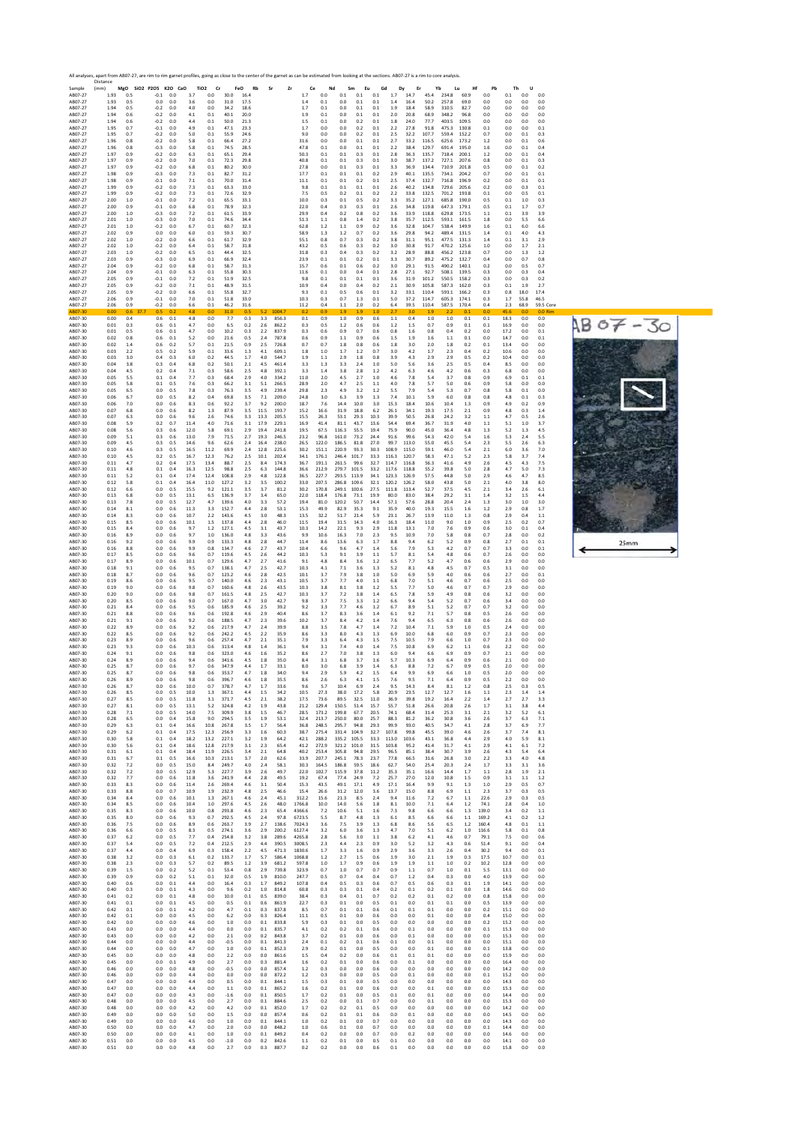|                               | All analyses, apart from AB07-27, are rim to rim garnet profiles, going as close to the center of the garnet as can be estimated from looking at the sections. AB07-27 is a rim to core analysis.<br>Distance<br>Sample<br>MgO SiO2 P2O5 K2O CaO<br>TiO <sub>2</sub><br>Cr<br>FeO<br>Rb<br>Zr<br>Nd<br>Sm<br>Eu<br>Gd<br>Dy<br>Er<br>Yb<br>Hf<br>Pb<br>Th<br>U<br>(mm)<br>Sr<br>Ce<br>Lu<br>0.0<br>0.1<br>0.1<br>1.93<br>0.5<br>3.7<br>0.0<br>30.0<br>1.7<br>0.1<br>1.7<br>14.7<br>45.4<br>234.8<br>60.9<br>0.0<br>0.0<br>0.0<br>$-0.1$<br>0.0<br>16.4<br>0.1<br>AB07-27<br>1.93<br>0.5<br>0.0<br>0.0<br>3.6<br>0.0<br>31.0<br>17.5<br>1.4<br>0.1<br>0.0<br>0.1<br>0.1<br>1.4<br>16.4<br>50.2<br>257.8<br>69.0<br>0.0<br>0.0<br>0.0<br>0.0 |                   |      |                                                 |                      |                        |                         |                        |                      |                         |                         |                         |                         |                      |                      |                       |                        |                         |                         |                         |                     |                      |                       |                   |
|-------------------------------|--------------------------------------------------------------------------------------------------------------------------------------------------------------------------------------------------------------------------------------------------------------------------------------------------------------------------------------------------------------------------------------------------------------------------------------------------------------------------------------------------------------------------------------------------------------------------------------------------------------------------------------------------------------------------------------------------------------------------------------------|-------------------|------|-------------------------------------------------|----------------------|------------------------|-------------------------|------------------------|----------------------|-------------------------|-------------------------|-------------------------|-------------------------|----------------------|----------------------|-----------------------|------------------------|-------------------------|-------------------------|-------------------------|---------------------|----------------------|-----------------------|-------------------|
| AB07-27                       |                                                                                                                                                                                                                                                                                                                                                                                                                                                                                                                                                                                                                                                                                                                                            |                   |      |                                                 |                      |                        |                         |                        |                      |                         |                         |                         |                         |                      |                      |                       |                        |                         |                         |                         |                     |                      |                       |                   |
| AB07-27<br>AB07-27            | 1.94<br>1.94                                                                                                                                                                                                                                                                                                                                                                                                                                                                                                                                                                                                                                                                                                                               | 0.5<br>0.6        |      | $-0.2$<br>0.0<br>$-0.2$<br>0.0                  | 4.0<br>4.1           | 0.0<br>0.1             | 34.2<br>40.1            | 18.6<br>20.0           |                      |                         | 1.7<br>1.9              | 0.1<br>0.1              | 0.0<br>0.0              | 0.1<br>0.1           | 0.1<br>0.1           | 1.9<br>2.0            | 18.4<br>20.8           | 58.9<br>68.9            | 310.5<br>348.2          | 82.7<br>96.8            | 0.0<br>0.0          | 0.0<br>0.0           | 0.0<br>0.0            | 0.0<br>0.0        |
| AB07-27<br>AB07-27            | 1.94<br>1.95                                                                                                                                                                                                                                                                                                                                                                                                                                                                                                                                                                                                                                                                                                                               | 0.6<br>0.7        |      | 0.0<br>$-0.2$<br>$-0.1$<br>0.0                  | 4.4<br>4.9           | 0.1<br>0.1             | 50.0<br>47.1            | 21.3<br>23.3           |                      |                         | 1.5<br>1.7              | 0.1<br>0.0              | 0.0<br>0.0              | 0.2<br>0.2           | 0.1<br>0.1           | 1.8<br>2.2            | 24.0<br>27.8           | 77.7<br>91.8            | 403.5<br>475.3          | 109.5<br>130.8          | 0.0<br>0.1          | 0.0<br>0.0           | 0.0<br>0.0            | 0.0<br>0.1        |
| AB07-27<br>AB07-27            | 1.95<br>1.96                                                                                                                                                                                                                                                                                                                                                                                                                                                                                                                                                                                                                                                                                                                               | 0.7<br>0.8        |      | $-0.2$<br>0.0<br>$-0.2$<br>0.0                  | 5.0<br>5.8           | 0.1<br>0.1             | 55.9<br>66.4            | 24.6<br>27.2           |                      |                         | 9.0<br>31.6             | 0.0<br>0.0              | 0.0<br>0.0              | 0.2<br>0.1           | 0.1<br>0.1           | 2.5<br>2.7            | 32.2<br>33.2           | 107.7<br>116.5          | 559.4<br>625.6          | 152.2<br>173.2          | 0.7<br>1.2          | 0.0<br>0.0           | 0.1<br>0.1            | 0.3<br>0.6        |
| AB07-27<br>AB07-27            | 1.96<br>1.97                                                                                                                                                                                                                                                                                                                                                                                                                                                                                                                                                                                                                                                                                                                               | 0.8<br>0.9        |      | $-0.3$<br>0.0<br>$-0.2$<br>0.0                  | 5.8<br>6.3           | 0.1<br>0.1             | 74.5<br>65.1            | 28.5<br>29.4           |                      |                         | 47.8<br>50.3            | 0.1<br>0.1              | 0.0<br>0.1              | 0.1<br>0.3           | 0.1<br>0.1           | 2.2<br>2.8            | 38.4<br>36.3           | 129.7<br>135.7          | 691.4<br>7184           | 195.0<br>200.1          | 1.6<br>1.2          | 0.0<br>0.0           | 0.1<br>0.1            | 0.4<br>0.4        |
| AB07-27<br>AB07-27            | 1.97<br>1.97                                                                                                                                                                                                                                                                                                                                                                                                                                                                                                                                                                                                                                                                                                                               | 0.9<br>0.9        |      | $-0.2$<br>0.0<br>$-0.2$<br>0.0                  | 7.0<br>6.8           | 0.1<br>0.1             | 72.3<br>80.2            | 29.8<br>30.0           |                      |                         | 40.8<br>27.8            | 0.1<br>0.0              | 0.1<br>0.1              | 0.3<br>0.3           | 0.1<br>0.1           | 3.0<br>3.3            | 38.7<br>36.9           | 137.2<br>134.4          | 727.1<br>710.9          | 207.6<br>201.8          | 0.8<br>0.5          | 0.0<br>0.0           | 0.1<br>0.1            | 0.3<br>0.2        |
| AB07-27<br>AB07-27            | 1.98<br>1.98                                                                                                                                                                                                                                                                                                                                                                                                                                                                                                                                                                                                                                                                                                                               | 0.9<br>0.9        |      | $-0.3$<br>0.0<br>$-0.1$<br>0.0                  | 7.3<br>7.1           | 0.1<br>0.1             | 82.7<br>70.0            | 31.2<br>31.4           |                      |                         | 17.7<br>11.1            | 0.1<br>0.1              | 0.1<br>0.1              | 0.1<br>0.2           | 0.2<br>0.1           | 2.9<br>2.5            | 40.1<br>37.4           | 135.5<br>132.7          | 734.1<br>716.8          | 204.2<br>196.9          | 0.7<br>0.2          | 0.0<br>0.0           | 0.1<br>0.1            | 0.1<br>0.1        |
| AB07-27<br>AB07-27            | 1.99<br>1.99                                                                                                                                                                                                                                                                                                                                                                                                                                                                                                                                                                                                                                                                                                                               | 0.9<br>0.9        |      | $-0.2$<br>0.0<br>$-0.2$<br>0.0                  | 7.3<br>7.3           | 0.1<br>0.1             | 63.3<br>72.6            | 33.0<br>32.9           |                      |                         | 9.8<br>7.5              | 0.1<br>0.5              | 0.1<br>0.2              | 0.1<br>0.1           | 0.1<br>0.2           | 2.6<br>2.2            | 40.2<br>33.8           | 134.8<br>132.5          | 729.6<br>701.2          | 205.6<br>193.8          | 0.2<br>0.1          | 0.0<br>0.0           | 0.3<br>0.5            | 0.1<br>0.1        |
| AB07-27<br>AB07-27            | 2.00<br>2.00                                                                                                                                                                                                                                                                                                                                                                                                                                                                                                                                                                                                                                                                                                                               | 1.0<br>0.9        |      | $-0.1$<br>0.0<br>$-0.1$<br>0.0                  | 7.2<br>6.8           | 0.1<br>0.1             | 65.5<br>78.9            | 33.1<br>32.3           |                      |                         | 10.0<br>22.0            | 0.3<br>0.4              | 0.1<br>0.3              | 0.5<br>0.3           | 0.2<br>0.1           | 3.3<br>2.6            | 35.2<br>34.8           | 127.1<br>119.8          | 685.8<br>647.3          | 190.0<br>179.1          | 0.5<br>0.5          | 0.1<br>0.1           | 1.0<br>1.7            | 0.3<br>0.7        |
| AB07-27<br>AB07-27<br>AB07-27 | 2.00<br>2.01<br>2.01                                                                                                                                                                                                                                                                                                                                                                                                                                                                                                                                                                                                                                                                                                                       | 1.0<br>1.0<br>1.0 |      | $-0.3$<br>0.0<br>$-0.3$<br>0.0<br>$-0.2$<br>0.0 | 7.2<br>7.0<br>6.7    | 0.1<br>0.1<br>0.1      | 61.5<br>74.6<br>60.7    | 33.9<br>34.4<br>32.3   |                      |                         | 29.9<br>51.3<br>62.8    | 0.4<br>1.1<br>1.2       | 0.2<br>0.8<br>1.1       | 0.8<br>1.4<br>0.9    | 0.2<br>0.2<br>0.2    | 3.6<br>3.8<br>3.6     | 33.9<br>35.7<br>32.8   | 118.8<br>112.5<br>104.7 | 629.8<br>593.1<br>538.4 | 173.5<br>161.5<br>149.9 | 1.1<br>1.8          | 0.1<br>0.0<br>0.1    | 3.9<br>5.5            | 3.9<br>6.6        |
| AB07-27<br>AB07-27            | 2.02<br>2.02                                                                                                                                                                                                                                                                                                                                                                                                                                                                                                                                                                                                                                                                                                                               | 0.9<br>1.0        |      | 0.0<br>0.0<br>$-0.2$<br>0.0                     | 6.0<br>6.6           | 0.1<br>0.1             | 59.3<br>61.7            | 30.7<br>32.9           |                      |                         | 58.9<br>55.1            | 1.3<br>0.8              | 1.2<br>0.7              | 0.7<br>0.3           | 0.2<br>0.2           | 3.6<br>3.8            | 29.8<br>31.1           | 94.2<br>95.1            | 489.4<br>477.5          | 131.5<br>131.3          | 1.6<br>1.4<br>1.4   | 0.1<br>0.1           | 6.0<br>4.0<br>3.1     | 6.6<br>4.3<br>2.9 |
| AB07-27<br>AB07-27            | 2.02<br>2.03                                                                                                                                                                                                                                                                                                                                                                                                                                                                                                                                                                                                                                                                                                                               | 1.0<br>1.0        |      | $-0.2$<br>0.0<br>$-0.2$<br>0.0                  | 6.4<br>6.5           | 0.1<br>0.1             | 58.7<br>44.4            | 31.8<br>32.5           |                      |                         | 43.2<br>31.8            | 0.5<br>0.3              | 0.6<br>0.4              | 0.3<br>0.3           | 0.2<br>0.2           | 3.0<br>3.2            | 30.8<br>28.9           | 91.7<br>88.8            | 470.2<br>456.2          | 125.6<br>123.8          | 1.0<br>0.7          | 0.0<br>0.0           | 1.7<br>1.3            | 2.1<br>1.2        |
| AB07-27<br>AB07-27            | 2.03<br>2.04                                                                                                                                                                                                                                                                                                                                                                                                                                                                                                                                                                                                                                                                                                                               | 0.9<br>0.9        |      | $-0.3$<br>0.0<br>$-0.2$<br>0.0                  | 6.9<br>6.8           | 0.1<br>0.1             | 66.9<br>58.7            | 32.4<br>31.3           |                      |                         | 23.9<br>15.7            | 0.1<br>0.6              | 0.1<br>0.1              | 0.2<br>0.6           | 0.1<br>0.2           | 3.3<br>3.0            | 30.7<br>29.1           | 89.2<br>91.5            | 475.2<br>490.2          | 132.7<br>140.1          | 0.4<br>0.2          | 0.0<br>0.0           | 0.7<br>0.5            | 0.8<br>0.7        |
| AB07-27<br>AB07-27            | 2.04<br>2.05                                                                                                                                                                                                                                                                                                                                                                                                                                                                                                                                                                                                                                                                                                                               | 0.9<br>0.9        |      | $-0.1$<br>0.0<br>$-0.1$<br>0.0                  | 6.3<br>7.2           | 0.1<br>0.1             | 55.8<br>51.9            | 30.3<br>32.5           |                      |                         | 11.6<br>9.8             | 0.1<br>0.1              | 0.0<br>0.1              | 0.4<br>0.1           | 0.1<br>0.1           | 2.8<br>3.6            | 27.1<br>31.9           | 92.7<br>101.2           | 508.1<br>550.5          | 139.5<br>158.2          | 0.3<br>0.3          | 0.0<br>0.0           | 0.3<br>0.3            | 0.4<br>0.2        |
| AB07-27<br>AB07-27            | 2.05<br>2.05                                                                                                                                                                                                                                                                                                                                                                                                                                                                                                                                                                                                                                                                                                                               | 0.9<br>0.9        |      | $-0.2$<br>0.0<br>$-0.2$<br>0.0                  | 7.1<br>6.6           | 0.1<br>0.1             | 48.9<br>55.8            | 31.5<br>32.7           |                      |                         | 10.9<br>9.3             | 0.4<br>0.1              | 0.0<br>0.5              | 0.4<br>0.6           | 0.2<br>0.1           | 2.1<br>3.2            | 30.9<br>33.1           | 105.8<br>110.4          | 587.3<br>593.1          | 162.0<br>166.2          | 0.3<br>0.3          | 0.1<br>0.8           | 1.9<br>18.0           | 2.7<br>17.4       |
| AB07-27<br>AB07-27            | 2.06<br>2.06                                                                                                                                                                                                                                                                                                                                                                                                                                                                                                                                                                                                                                                                                                                               | 0.9<br>0.9        |      | $-0.1$<br>0.0<br>0.0<br>$-0.2$                  | 7.0<br>6.6           | 0.1<br>0.1             | 51.8<br>46.2            | 33.0<br>31.6           |                      |                         | 10.3<br>11.2            | 0.3<br>0.4              | 0.7<br>1.1              | 1.3<br>2.0           | 0.1<br>0.2           | 5.0<br>6.4            | 37.2<br>39.5           | 114.7<br>110.4          | 605.3<br>587.5          | 174.1<br>170.4          | 0.3<br>0.4          | 1.7<br>2.3           | 55.8<br>68.9          | 46.5<br>59.5 Core |
| AB07-30<br>AB07-30            | 0.00<br>0.00                                                                                                                                                                                                                                                                                                                                                                                                                                                                                                                                                                                                                                                                                                                               | 0.6<br>0.4        | 37.7 | 0.5<br>0.2<br>0.6<br>0.1                        | 4.8<br>4.8           | 0 <sub>0</sub><br>0.0  | 31.0<br>7.7             | 0.5<br>0.3             | 52<br>3.3            | 1004.7<br>856.3         | 0.2<br>0.1              | 0.9<br>0.9              | 19<br>1.0               | 1.9<br>0.9           | 10<br>0.6            | 27<br>1.1             | 3.0<br>0.4             | 1.9<br>1.0              | 22<br>1.0               | 0.1<br>0.1              | 0.0<br>0.1          | 45 F<br>18.3         | 0 <sub>0</sub><br>0.0 | 0.0 Rim<br>0.0    |
| AB07-30<br>AB07-30<br>AB07-30 | 0.01<br>0.01<br>0.02                                                                                                                                                                                                                                                                                                                                                                                                                                                                                                                                                                                                                                                                                                                       | 0.3<br>0.5<br>0.8 |      | 0.6<br>0.1<br>0.6<br>0.1<br>0.6<br>0.1          | 4.7<br>4.7<br>5.2    | 0.0<br>0.0<br>0.0      | 6.5<br>10.2<br>21.6     | 0.2<br>0.3<br>0.5      | 2.6<br>2.2<br>2.4    | 862.2<br>837.9<br>787.8 | 0.3<br>0.3<br>0.6       | 0.5<br>0.6<br>0.9       | 1.2<br>0.9<br>1.1       | 0.6<br>0.7<br>0.9    | 0.6<br>0.6<br>0.6    | 1.2<br>0.8<br>1.5     | 1.5<br>1.6<br>1.9      | 0.7<br>0.8<br>1.6       | 0.9<br>0.4<br>1.1       | 0.1<br>0.2<br>0.1       | 0.1<br>0.0<br>0.0   | 16.9<br>17.2<br>14.7 | 0.0<br>0.0<br>0.0     | 0.0<br>0.1<br>0.1 |
| AB07-30<br>AB07-30            | 0.02<br>0.03                                                                                                                                                                                                                                                                                                                                                                                                                                                                                                                                                                                                                                                                                                                               | 1.4<br>2.2        |      | 0.6<br>0.2<br>0.5<br>0.2                        | 5.7<br>5.9           | 0.1<br>0.1             | 21.5<br>33.6            | 0.9<br>1.3             | 2.5<br>4.1           | 726.8<br>609.1          | 0.7<br>1.8              | 0.7<br>1.0              | 1.8<br>1.7              | 0.8<br>1.2           | 0.6<br>0.7           | 1.8<br>3.0            | 3.0<br>4.2             | 2.0<br>1.7              | 1.8<br>2.3              | 0.2<br>0.4              | 0.1<br>0.2          | 13.4<br>10.6         | 0.0<br>0.0            | 0.0<br>0.0        |
| AB07-30<br>AB07-30            | 0.03<br>0.04                                                                                                                                                                                                                                                                                                                                                                                                                                                                                                                                                                                                                                                                                                                               | 3.0<br>3.8        |      | 0.4<br>0.3<br>0.3<br>0.4                        | 6.0<br>6.8           | 0.2<br>0.2             | 44.5<br>50.1            | 1.7<br>2.1             | 4.0<br>4.5           | 544.7<br>461.4          | 1.9<br>3.3              | 1.1<br>1.3              | 2.9<br>3.3              | 1.8<br>2.4           | 0.8<br>1.0           | 3.9<br>5.0            | 4.3<br>5.6             | 2.9<br>3.6              | 2.9<br>2.5              | 0.5<br>0.5              | 0.2<br>0.4          | 10.4<br>8.5          | 0.0<br>0.0            | 0.0<br>0.0        |
| AB07-30<br>AB07-30            | 0.04<br>0.05                                                                                                                                                                                                                                                                                                                                                                                                                                                                                                                                                                                                                                                                                                                               | 4.5<br>5.5        |      | 0.2<br>0.4<br>0.4<br>0.1                        | 7.1<br>7.7           | 0.3<br>0.3             | 58.6<br>68.4            | 2.5<br>2.9             | 4.8<br>4.0           | 392.1<br>334.2          | 3.3<br>11.0             | 1.4<br>2.0              | 3.8<br>4.5              | 2.8<br>2.7           | 1.2<br>1.0           | 4.2<br>4.6            | 6.3<br>7.8             | 4.6<br>5.4              | 4.2<br>3.7              | 0.6<br>0.8              | 0.3<br>0.9          | 6.8<br>6.9           | 0.0<br>0.1            | 0.0<br>0.1        |
| AB07-30<br>AB07-30            | 0.05<br>0.05                                                                                                                                                                                                                                                                                                                                                                                                                                                                                                                                                                                                                                                                                                                               | 5.8<br>6.5        |      | 0.1<br>0.5<br>0.5<br>0.0                        | 7.6<br>7.8           | 0.3<br>0.3             | 66.2<br>76.3            | 3.1<br>3.5             | 5.1<br>4.9           | 266.5<br>239.4          | 28.9<br>29.8            | 2.0<br>2.3              | 4.7<br>4.9              | 2.5<br>3.2           | 1.1<br>1.2           | 4.0<br>5.5            | 7.8<br>7.9             | 5.7<br>5.4              | 5.0<br>5.3              | 0.6<br>0.7              | 0.9<br>0.8          | 5.8<br>5.8           | 0.0<br>0.1            | 0.0<br>0.0        |
| AB07-30<br>AB07-30            | 0.06<br>0.06                                                                                                                                                                                                                                                                                                                                                                                                                                                                                                                                                                                                                                                                                                                               | 6.7<br>7.0        |      | 0.0<br>0.5<br>0.0<br>0.6                        | 8.2<br>8.3           | 0.4<br>0.6             | 69.8<br>92.2            | 3.5<br>3.7             | 7.1<br>9.2           | 209.0<br>200.0          | 24.8<br>18.7            | 3.0<br>7.6              | 6.3<br>14.4             | 3.9<br>10.0          | 1.3<br>3.0           | 7.4<br>15.3           | 10.1<br>18.4           | 5.9<br>10.6             | 6.0<br>10.4             | 0.8<br>1.3              | 0.8<br>0.9          | 4.8<br>4.9           | 0.1<br>0.2            | 0.3<br>0.9        |
| AB07-30<br>AB07-30            | 0.07<br>0.07                                                                                                                                                                                                                                                                                                                                                                                                                                                                                                                                                                                                                                                                                                                               | 6.8<br>6.3        |      | 0.0<br>0.6<br>0.0<br>0.6                        | 8.2<br>9.6           | 1.3<br>2.6             | 87.9<br>74.6            | 3.5<br>3.3             | 11.5<br>13.3         | 193.7<br>205.5          | 15.2<br>15.5            | 16.6<br>26.3            | 31.9<br>53.1            | 18.8<br>29.3         | 6.2<br>10.3          | 26.1<br>39.9          | 34.1<br>50.5           | 19.3<br>26.8            | 17.5<br>24.2            | 2.1<br>3.2              | 0.9<br>1.1          | 4.8<br>4.7           | 0.3<br>0.5            | 1.4<br>2.6        |
| AB07-30<br>AB07-30            | 0.08<br>0.08                                                                                                                                                                                                                                                                                                                                                                                                                                                                                                                                                                                                                                                                                                                               | 5.9<br>5.6        |      | 0.2<br>0.7<br>0.3<br>0.6                        | 11.4<br>12.0         | 4.0<br>5.8             | 71.6<br>69.1            | 3.1<br>2.9             | 17.9<br>19.4         | 229.1<br>241.8          | 16.9<br>19.5            | 41.4<br>67.5            | 81.1<br>116.3           | 43.7<br>55.5         | 13.6<br>19.4         | 54.4<br>75.9          | 69.4<br>90.0           | 36.7<br>45.0            | 31.9<br>36.4            | 4.0<br>4.8              | 1.1<br>1.3          | 5.1<br>5.2           | 1.0<br>1.3            | 3.7<br>4.5        |
| AB07-30<br>AB07-30<br>AB07-30 | 0.09<br>0.09<br>0.10                                                                                                                                                                                                                                                                                                                                                                                                                                                                                                                                                                                                                                                                                                                       | 5.1<br>4.5<br>4.6 |      | 0.6<br>0.3<br>0.3<br>0.5<br>0.3<br>0.5          | 13.0<br>14.6<br>16.5 | 7.9<br>9.6<br>11.2     | 71.5<br>62.6<br>69.9    | 27<br>2.4<br>2.4       | 19.3<br>16.4<br>12.8 | 246.5<br>238.0<br>225.6 | 23.2<br>26.5<br>30.2    | 96.8<br>122.0<br>151.1  | 161.0<br>186.5<br>220.9 | 73.2<br>81.8<br>93.3 | 244<br>27.0<br>30.3  | 91.6<br>99.7<br>108.9 | 99.6<br>113.0<br>115.0 | 54.3<br>55.0<br>59.1    | 42.0<br>45.5<br>46.0    | 5.4<br>5.4<br>5.4       | 1.6<br>2.3<br>2.1   | 5.3<br>5.5<br>6.0    | 2.4<br>2.6<br>3.6     | 5.5<br>6.3<br>7.0 |
| AB07-30<br>AB07-30            | 0.10<br>0.11                                                                                                                                                                                                                                                                                                                                                                                                                                                                                                                                                                                                                                                                                                                               | 4.5<br>4.7        |      | 0.2<br>0.5<br>0.2<br>0.4                        | 16.7<br>17.5         | 12.3<br>13.4           | 76.2<br>88.7            | 2.5<br>2.5             | 10.1<br>8.4          | 202.4<br>174.3          | 34.1<br>36.7            | 176.1<br>191.1          | 246.4<br>261.5          | 101.7<br>99.6        | 33.3<br>32.7         | 116.3<br>114.7        | 120.7<br>116.8         | 58.3<br>56.3            | 47.1<br>41.6            | 5.2<br>4.9              | 2.3<br>2.6          | 5.8<br>4.5           | 3.7<br>4.3            | 7.4<br>7.5        |
| AB07-30<br>AB07-30            | 0.11<br>0.11                                                                                                                                                                                                                                                                                                                                                                                                                                                                                                                                                                                                                                                                                                                               | 4.8<br>5.2        |      | 0.4<br>0.1<br>0.1<br>0.4                        | 16.3<br>17.4         | 12.5<br>12.4           | 98.8<br>108.8           | 2.5<br>2.9             | 6.3<br>4.8           | 144.8<br>122.8          | 36.6<br>36.5            | 212.9<br>227.7          | 279.7<br>293.5          | 101.5<br>113.9       | 33.2<br>34.1         | 117.6<br>123.3        | 118.8<br>126.9         | 55.2<br>57.5            | 39.8<br>44.8            | 5.0<br>5.0              | 2.8<br>2.9          | 4.7<br>4.6           | 5.0<br>4.7            | 7.3<br>8.5        |
| AB07-30<br>AB07-30            | 0.12<br>0.12                                                                                                                                                                                                                                                                                                                                                                                                                                                                                                                                                                                                                                                                                                                               | 5.8<br>6.6        |      | 0.1<br>0.4<br>0.0<br>0.5                        | 16.4<br>15.5         | 11.0<br>9.2            | 127.2<br>121.1          | 3.2<br>3.5             | 3.5<br>3.7           | 100.2<br>81.2           | 33.0<br>30.2            | 207.5<br>170.8          | 286.8<br>249.1          | 109.6<br>100.6       | 32.1<br>27.5         | 120.2<br>111.8        | 126.2<br>113.4         | 58.0<br>52.7            | 43.8<br>37.5            | 5.0<br>4.5              | 2.1<br>2.1          | 4.0<br>3.4           | 3.8<br>2.6            | 8.0<br>6.1        |
| AB07-30<br>AB07-30            | 0.13<br>0.13                                                                                                                                                                                                                                                                                                                                                                                                                                                                                                                                                                                                                                                                                                                               | 6.8<br>7.8        |      | 0.0<br>0.5<br>0.0<br>0.5                        | 13.1<br>12.7         | 6.5<br>4.7             | 136.9<br>139.6          | 3.7<br>4.0             | 3.4<br>3.3           | 65.0<br>57.2            | 22.0<br>19.4            | 118.4<br>81.0           | 176.8<br>120.2          | 73.1<br>50.7         | 19.9<br>14.4         | 80.0<br>57.1          | 83.0<br>57.6           | 38.4<br>28.8            | 29.2<br>20.4            | 3.1<br>2.4              | 1.4<br>1.3          | 3.2<br>3.0           | 1.5<br>1.0            | 4.4<br>3.0        |
| AB07-30<br>AB07-30            | 0.14<br>0.14                                                                                                                                                                                                                                                                                                                                                                                                                                                                                                                                                                                                                                                                                                                               | 8.1<br>8.3        |      | 0.0<br>0.6<br>0.6<br>0.0                        | 11.3<br>10.7         | 3.3<br>2.2             | 152.7<br>143.6          | 4.4<br>4.5             | 2.8<br>3.0           | 53.1<br>48.3            | 15.3<br>13.5            | 49.9<br>32.2            | 82.9<br>51.7            | 35.3<br>21.4         | 9.1<br>5.9           | 35.9<br>23.1          | 40.0<br>26.7           | 19.3<br>13.9            | 15.5<br>11.0            | 1.6<br>1.3              | 1.2<br>0.8          | 2.9<br>2.9           | 0.8<br>0.4            | 1.7<br>1.1        |
| AB07-30<br>AB07-30            | 0.15<br>0.15                                                                                                                                                                                                                                                                                                                                                                                                                                                                                                                                                                                                                                                                                                                               | 8.5<br>8.4        |      | 0.0<br>0.6<br>0.0<br>0.6                        | 10.1<br>9.7          | 1.5<br>1.2             | 137.8<br>127.1          | 4.4<br>4.5             | 2.8<br>3.1           | 46.0<br>43.7            | 11.5<br>10.3            | 19.4<br>14.2            | 31.5<br>22.1            | 14.3<br>9.3          | 4.0<br>2.9           | 16.3<br>11.8          | 18.4<br>13.1           | 11.0<br>7.0             | 9.0<br>7.6              | 1.0<br>0.9              | 0.9<br>0.6          | 2.5<br>3.0           | 0.2<br>0.1            | 0.7<br>0.4        |
| AB07-30<br>AB07-30            | 0.16<br>0.16                                                                                                                                                                                                                                                                                                                                                                                                                                                                                                                                                                                                                                                                                                                               | 8.9<br>9.2        |      | 0.0<br>0.6<br>0.6<br>0.0                        | 9.7<br>9.9           | 1.0<br>0.9             | 136.0<br>133.3          | 4.8<br>4.8             | 3.3<br>2.8           | 43.6<br>44.7            | 9.9<br>11.4             | 10.6<br>8.6             | 16.3<br>13.6            | 7.0<br>6.3           | 2.3<br>1.7           | 9.5<br>8.8            | 10.9<br>9.4            | 7.0<br>6.2              | 5.8<br>5.2              | 0.8<br>0.9              | 0.7<br>0.8          | 2.8<br>2.7           | 0.0<br>0.1            | 0.2<br>0.1        |
| AB07-30<br>AB07-30<br>AB07-30 | 0.16<br>0.17<br>0.17                                                                                                                                                                                                                                                                                                                                                                                                                                                                                                                                                                                                                                                                                                                       | 8.8<br>8.5<br>8.9 |      | 0.0<br>0.6<br>0.0<br>0.6<br>0.0<br>0.6          | 9.9<br>9.6<br>10.1   | 0.8<br>0.7<br>0.7      | 134.7<br>119.6<br>129.6 | 4.6<br>4.5<br>4.7      | 2.7<br>2.6<br>2.7    | 43.7<br>44.2<br>41.6    | 10.4<br>10.3<br>9.1     | 6.6<br>5.3<br>4.8       | 9.6<br>9.1<br>8.4       | 4.7<br>3.9<br>3.6    | 1.4<br>1.1<br>1.2    | 5.6<br>5.7<br>6.5     | 7.9<br>8.1<br>7.7      | 5.3<br>5.4<br>5.2       | 4.2<br>4.8<br>4.7       | 0.7<br>0.6<br>0.6       | 0.7<br>0.7<br>0.6   | 3.3<br>2.6<br>2.9    | 0.0<br>0.0<br>0.0     | 0.1<br>0.0<br>0.0 |
| AB07-30<br>AB07-30            | 0.18<br>0.18                                                                                                                                                                                                                                                                                                                                                                                                                                                                                                                                                                                                                                                                                                                               | 9.1<br>8.7        |      | 0.0<br>0.6<br>0.0<br>0.6                        | 9.5<br>9.6           | 0.7<br>0.7             | 138.1<br>123.2          | 4.7<br>4.6             | 2.5<br>2.8           | 42.7<br>425             | 10.3<br>10.1            | 4.1<br>3.7              | 7.1<br>7.9              | 3.6<br>3.8           | 1.3<br>1.0           | 5.2<br>5.0            | 8.1<br>6.9             | 4.8<br>5.9              | 4.5<br>4.0              | 0.7<br>0.6              | 0.5<br>0.6          | 3.1<br>2.7           | 0.0<br>0.0            | 0.0<br>0.1        |
| AB07-30<br>AB07-30            | 0.19<br>0.19                                                                                                                                                                                                                                                                                                                                                                                                                                                                                                                                                                                                                                                                                                                               | 8.6<br>9.0        |      | 0.0<br>0.6<br>0.0<br>0.6                        | 9.5<br>9.8           | 0.7<br>0.7             | 140.0<br>160.6          | 4.6<br>4.8             | 2.3<br>2.6           | 43.1<br>43.5            | 10.5<br>10.3            | 3.7<br>3.8              | 7.7<br>8.1              | 4.0<br>3.8           | 1.1<br>1.2           | 6.8<br>5.5            | 7.0<br>7.7             | 5.1<br>5.0              | 4.6<br>4.6              | 0.7<br>0.7              | 0.6<br>0.7          | 2.5<br>2.9           | 0.0<br>0.0            | 0.0<br>0.0        |
| AB07-30<br>AB07-30            | 0.20<br>0.20                                                                                                                                                                                                                                                                                                                                                                                                                                                                                                                                                                                                                                                                                                                               | 9.0<br>8.5        |      | 0.0<br>0.6<br>0.0<br>0.6                        | 9.8<br>9.0           | 0.7<br>0.7             | 161.5<br>167.0          | 4.8<br>4.7             | 2.5<br>3.0           | 42.7<br>42.7            | 10.3<br>9.8             | 3.7<br>3.7              | 7.2<br>7.5              | 3.8<br>3.3           | 1.4<br>1.2           | 6.5<br>6.6            | 7.8<br>9.4             | 5.9<br>5.4              | 4.9<br>5.2              | 0.8<br>0.7              | 0.6<br>0.6          | 3.2<br>3.4           | 0.0<br>0.0            | 0.0<br>0.0        |
| AB07-30<br>AB07-30            | 0.21<br>0.21                                                                                                                                                                                                                                                                                                                                                                                                                                                                                                                                                                                                                                                                                                                               | 8.4<br>8.8        |      | 0.0<br>0.6<br>0.6<br>0.0                        | 9.5<br>9.6           | 0.6<br>0.6             | 185.9<br>192.8          | 4.6<br>4.6             | 2.5<br>2.9           | 39.2<br>40.4            | 9.2<br>8.6              | 3.3<br>3.7              | 7.7<br>8.3              | 4.6<br>3.6           | 1.2<br>1.4           | 6.7<br>6.1            | 8.9<br>9.2             | 5.1<br>7.1              | 5.2<br>5.7              | 0.7<br>0.8              | 0.7<br>0.5          | 3.2<br>2.6           | 0.0<br>0.0            | 0.0<br>0.0        |
| AB07-30<br>AB07-30            | 0.21<br>0.22                                                                                                                                                                                                                                                                                                                                                                                                                                                                                                                                                                                                                                                                                                                               | 9.1<br>8.9        |      | 0.0<br>0.6<br>0.0<br>0.6                        | 9.2<br>9.2           | 0.6<br>0.6             | 188.5<br>217.9          | 4.7<br>4.7             | 2.3<br>2.4           | 39.6<br>39.9            | 10.2<br>8.8             | 3.7<br>3.5              | 8.4<br>7.8              | 4.2<br>4.7           | 1.4<br>1.4           | 7.6<br>7.2            | 9.4<br>10.4            | 6.5<br>7.1              | 6.3<br>5.9              | 0.8<br>1.0              | 0.6<br>0.5          | 2.6<br>2.4           | 0.0<br>0.0            | 0.0<br>0.0        |
| AB07-30<br>AB07-30            | 0.22<br>0.23                                                                                                                                                                                                                                                                                                                                                                                                                                                                                                                                                                                                                                                                                                                               | 8.5<br>8.9        |      | 0.6<br>0.0<br>0.0<br>0.6                        | 9.2<br>9.6<br>10.3   | 0.6<br>0.6             | 242.2<br>257.4<br>313.4 | 4.5<br>4.7             | 2.2<br>2.1           | 35.9<br>35.1            | 8.6<br>7.9              | 3.3<br>3.3              | 8.0<br>6.4              | 4.3<br>4.3<br>4.0    | 1.3<br>1.5           | 6.9<br>7.5            | 10.0<br>10.5<br>10.8   | 6.8<br>7.9<br>6.9       | 6.0<br>6.6              | 0.9<br>1.0              | 0.7<br>0.7          | 2.3<br>2.3           | 0.0<br>0.0            | 0.0<br>0.0        |
| AB07-30<br>AB07-30<br>AB07-30 | 0.23<br>0.24<br>0.24                                                                                                                                                                                                                                                                                                                                                                                                                                                                                                                                                                                                                                                                                                                       | 9.3<br>9.1<br>8.9 |      | 0.0<br>0.6<br>0.0<br>0.6<br>0.0<br>0.6          | 9.8<br>9.4           | 0.6<br>0.6<br>0.6      | 323.0<br>341.6          | 4.8<br>4.6<br>4.5      | 1.4<br>1.6<br>1.8    | 36.1<br>35.2<br>35.0    | 9.4<br>8.6<br>8.4       | 3.1<br>2.7<br>3.1       | 7.4<br>7.0<br>6.8       | 3.8<br>3.7           | 1.4<br>1.3<br>1.6    | 7.5<br>6.0<br>5.7     | 9.4<br>10.3            | 6.6<br>6.9              | 6.2<br>6.9<br>6.4       | 1.1<br>0.9<br>0.9       | 0.6<br>0.7<br>0.6   | 2.2<br>2.1<br>2.1    | 0.0<br>0.0<br>0.0     | 0.0<br>0.0<br>0.0 |
| AB07-30<br>AB07-30            | 0.25<br>0.25                                                                                                                                                                                                                                                                                                                                                                                                                                                                                                                                                                                                                                                                                                                               | 8.7<br>8.7        |      | 0.0<br>0.6<br>0.0<br>0.6                        | 9.7<br>9.8           | 0.6<br>0.6             | 347.9<br>353.7          | 4.4<br>4.7             | 1.7<br>1.8           | 33.1<br>34.0            | 8.0<br>9.4              | 3.0<br>2.9              | 6.8<br>5.9              | 3.9<br>4.2           | 1.4<br>1.5           | 6.3<br>6.4            | 8.8<br>9.9             | 7.2<br>6.9              | 6.7<br>6.6              | 0.9<br>1.0              | 0.5<br>0.5          | 2.0<br>2.0           | 0.0<br>0.0            | 0.0<br>0.0        |
| AB07-30<br>AB07-30            | 0.26<br>0.26                                                                                                                                                                                                                                                                                                                                                                                                                                                                                                                                                                                                                                                                                                                               | 8.9<br>8.7        |      | 0.0<br>0.6<br>0.0<br>0.6                        | 9.8<br>10.0          | 0.6<br>0.7             | 396.7<br>378.7          | 4.6<br>4.7             | 1.8<br>1.7           | 35.5<br>33.6            | 8.6<br>9.6              | 2.6<br>5.7              | 6.3<br>10.4             | 4.1<br>6.9           | 1.5<br>2.4           | 7.6<br>9.5            | 9.5<br>14.3            | 7.1<br>8.4              | 6.4<br>8.1              | 0.9<br>1.2              | 0.5<br>0.8          | 2.2<br>2.5           | 0.0<br>0.3            | 0.0<br>0.5        |
| AB07-30<br>AB07-30            | 0.26<br>0.27                                                                                                                                                                                                                                                                                                                                                                                                                                                                                                                                                                                                                                                                                                                               | 8.5<br>8.5        |      | 0.0<br>0.5<br>0.0<br>0.5                        | 10.0<br>11.8         | 1.3<br>3.1             | 367.1<br>371.7          | 4.4<br>4.5             | 1.5<br>2.1           | 34.2<br>38.2            | 10.5<br>17.5            | 27.3<br>73.6            | 38.0<br>89.5            | 17.2<br>32.5         | 5.8<br>11.0          | 20.9<br>36.9          | 23.5<br>39.8           | 12.7<br>19.2            | 12.7<br>16.4            | 1.6<br>2.2              | $1.1\,$<br>1.4      | 2.3<br>2.7           | 1.4<br>2.7            | 1.4<br>3.3        |
| AB07-30<br>AB07-30            | 0.27<br>0.28<br>0.28                                                                                                                                                                                                                                                                                                                                                                                                                                                                                                                                                                                                                                                                                                                       | 8.1<br>7.1<br>6.5 |      | 0.0<br>0.5<br>0.0<br>0.5<br>0.0<br>0.4          | 13.1<br>14.0<br>15.8 | 5.2<br>7.5<br>9.0      | 324.8<br>309.9<br>294.5 | 4.2<br>3.8<br>3.5      | 1.9<br>1.5           | 43.8<br>46.7<br>53.1    | 21.2<br>28.5<br>32.4    | 129.4<br>173.2<br>213.7 | 150.5<br>199.8<br>250.0 | 51.4<br>67.7<br>80.0 | 15.7<br>20.5<br>25.7 | 55.7<br>74.1<br>88.3  | 51.8<br>68.4<br>81.2   | 26.6<br>31.4<br>36.2    | 20.8<br>25.3<br>30.8    | 2.6<br>3.1<br>3.6       | 1.7<br>2.1<br>2.6   | 3.1<br>3.2<br>3.7    | 3.8<br>5.2<br>6.3     | 4.4<br>6.1<br>7.1 |
| AB07-30<br>AB07-30<br>AB07-30 | 0.29<br>0.29                                                                                                                                                                                                                                                                                                                                                                                                                                                                                                                                                                                                                                                                                                                               | 6.3<br>6.2        |      | 0.1<br>0.4<br>0.1<br>0.4                        | 16.6<br>17.5         | 10.8<br>12.3           | 267.8<br>256.9          | 3.5<br>3.3             | 1.9<br>1.7<br>1.6    | 56.4<br>60.3            | 36.8<br>38.7            | 248.5<br>275.4          | 295.7<br>331.4          | 94.8<br>104.9        | 29.3<br>32.7         | 99.9<br>107.8         | 93.0<br>99.8           | 40.5<br>45.5            | 34.7<br>39.0            | 4.1<br>4.6              | 2.8<br>2.6          | 3.7<br>3.7           | 6.9<br>7.4            | 7.7<br>8.1        |
| AB07-30<br>AB07-30            | 0.30<br>0.30                                                                                                                                                                                                                                                                                                                                                                                                                                                                                                                                                                                                                                                                                                                               | 5.8<br>5.6        |      | 0.1<br>0.4<br>0.1<br>0.4                        | 18.2<br>18.6         | 13.2<br>12.8           | 227.1<br>217.9          | 3.2<br>3.1             | 1.9<br>2.3           | 64.2<br>65.4            | 42.1<br>41.2            | 288.2<br>272.9          | 335.2<br>321.2          | 105.5<br>101.0       | 33.3<br>31.5         | 113.0<br>103.8        | 103.6<br>95.2          | 43.1<br>41.4            | 36.8<br>31.7            | 4.4<br>4.1              | 2.9<br>2.9          | 4.0<br>4.1           | 5.9<br>6.1            | 8.1<br>7.2        |
| AB07-30<br>AB07-30            | 0.31<br>0.31                                                                                                                                                                                                                                                                                                                                                                                                                                                                                                                                                                                                                                                                                                                               | 6.1<br>6.7        |      | 0.1<br>0.4<br>0.1<br>0.5                        | 18.4<br>16.6         | 11.9<br>10.3           | 226.5<br>213.1          | 3.4<br>3.7             | 2.1<br>2.0           | 64.8<br>62.6            | 40.2<br>33.9            | 253.4<br>207.7          | 305.8<br>245.1          | 94.8<br>78.3         | 29.5<br>23.7         | 96.5<br>77.8          | 85.1<br>66.5           | 38.4<br>31.6            | 30.7<br>26.8            | 3.9<br>3.0              | 2.6<br>2.2          | 4.3<br>3.3           | 5.4<br>4.0            | 6.4<br>4.8        |
| AB07-30<br>AB07-30            | 0.32<br>0.32                                                                                                                                                                                                                                                                                                                                                                                                                                                                                                                                                                                                                                                                                                                               | 7.2<br>7.2        |      | 0.0<br>0.5<br>0.0<br>0.5                        | 15.0<br>12.9         | 8.4<br>5.3             | 249.7<br>227.7          | 4.0<br>3.9             | 2.4<br>2.6           | 58.1<br>49.7            | 30.3<br>22.0            | 164.5<br>102.7          | 186.8<br>115.9          | 59.5<br>37.8         | 18.6<br>11.2         | 62.7<br>35.3          | 54.0<br>35.1           | 25.4<br>16.6            | 20.3<br>14.4            | 2.4<br>1.7              | 1.7<br>1.1          | 3.3<br>2.8           | 3.1<br>1.9            | 3.6<br>2.1        |
| AB07-30<br>AB07-30            | 0.32<br>0.33                                                                                                                                                                                                                                                                                                                                                                                                                                                                                                                                                                                                                                                                                                                               | 7.7<br>8.3        |      | 0.0<br>0.6<br>0.0<br>0.6                        | 11.8<br>11.4         | 3.6<br>2.6             | 241.9<br>269.4          | 4.4<br>4.6             | 2.8<br>3.1           | 49.5<br>50.4            | 19.2<br>15.3            | 67.4<br>43.5            | 77.4<br>49.1            | 24.9<br>17.1         | 7.2<br>4.9           | 25.7<br>17.1          | 27.0<br>16.4           | 12.0<br>9.9             | 10.8<br>9.1             | 1.5<br>1.3              | 0.9<br>1.0          | 3.1<br>2.9           | 1.1<br>0.5            | 1.2<br>0.7        |
| AB07-30<br>AB07-30<br>AB07-30 | 0.33<br>0.34<br>0.34                                                                                                                                                                                                                                                                                                                                                                                                                                                                                                                                                                                                                                                                                                                       | 8.8<br>8.4<br>8.5 |      | 0.0<br>0.7<br>0.0<br>0.6<br>0.0<br>0.6          | 10.9<br>10.1<br>10.4 | 1.9<br>$1.3\,$<br>1.0  | 232.9<br>267.1<br>297.6 | 4.8<br>4.6<br>4.5      | 2.5<br>2.4<br>2.6    | 46.6<br>45.1<br>48.0    | 15.4<br>312.2<br>1766.8 | 26.6<br>15.6<br>10.0    | 31.2<br>21.3<br>14.0    | 12.0<br>8.5<br>5.6   | 3.6<br>2.4<br>1.8    | 13.7<br>9.4<br>8.1    | 15.0<br>11.6<br>10.0   | 8.8<br>7.2<br>7.1       | 6.9<br>6.7<br>6.4       | 1.1<br>$1.1$<br>1.2     | 2.3<br>22.6<br>74.1 | 3.7<br>2.9<br>2.8    | 0.3<br>0.3<br>0.4     | 0.5<br>0.5<br>1.0 |
| AB07-30<br>AB07-30            | 0.35<br>0.35                                                                                                                                                                                                                                                                                                                                                                                                                                                                                                                                                                                                                                                                                                                               | 8.3<br>8.0        |      | 0.0<br>0.6<br>0.0<br>0.6                        | 10.0<br>9.3          | 0.8<br>0.7             | 293.8<br>292.5          | 4.6<br>4.5             | 2.3<br>2.4           | 65.4<br>97.8            | 4366.6<br>6723.5        | 7.2<br>5.5              | 10.6<br>8.7             | 5.1<br>4.8           | 1.6<br>1.3           | 7.3<br>6.1            | 9.8<br>8.5             | 6.6<br>6.6              | 6.6<br>6.6              | 1.3<br>1.1              | 139.0<br>169.2      | 3.4<br>4.1           | 0.2<br>0.2            | 1.1<br>1.2        |
| AB07-30<br>AB07-30            | 0.36<br>0.36                                                                                                                                                                                                                                                                                                                                                                                                                                                                                                                                                                                                                                                                                                                               | 7.5<br>6.6        |      | 0.6<br>0.0<br>0.0<br>0.5                        | 8.9<br>8.3           | 0.6<br>0.5             | 263.7<br>274.1          | 3.9<br>3.6             | 2.7<br>2.9           | 138.6<br>200.2          | 7024.3<br>6127.4        | 3.6<br>3.2              | 7.5<br>6.0              | 3.9<br>3.6           | 1.3<br>1.3           | 6.8<br>4.7            | 8.6<br>7.0             | 5.6<br>5.1              | 6.5<br>6.2              | 1.2<br>1.0              | 160.4<br>116.6      | 4.8<br>5.8           | 0.1<br>0.1            | 1.1<br>0.8        |
| AB07-30<br>AB07-30            | 0.37<br>0.37                                                                                                                                                                                                                                                                                                                                                                                                                                                                                                                                                                                                                                                                                                                               | 6.2<br>5.4        |      | 0.0<br>0.5<br>0.0<br>0.5                        | 7.7<br>7.2           | 0.4<br>0.4             | 254.8<br>212.5          | 3.2<br>2.9             | 3.8<br>4.4           | 289.6<br>390.5          | 4265.8<br>3008.5        | 2.8<br>2.3              | 5.6<br>4.4              | 3.0<br>2.3           | 1.1<br>0.9           | 3.8<br>3.0            | 6.2<br>5.2             | 4.1<br>3.2              | 4.6<br>4.3              | 0.7<br>0.6              | 79.1<br>51.4        | 7.5<br>9.1           | 0.0<br>0.0            | 0.6<br>0.4        |
| AB07-30<br>AB07-30            | 0.37<br>0.38                                                                                                                                                                                                                                                                                                                                                                                                                                                                                                                                                                                                                                                                                                                               | 4.4<br>3.2        |      | 0.0<br>0.4<br>0.0<br>0.3                        | 6.9<br>6.1           | 0.3<br>0.2             | 158.4<br>133.7          | 2.2<br>1.7             | 4.5<br>5.7           | 471.3<br>586.4          | 1830.6<br>1068.8        | 1.7<br>1.2              | 3.3<br>2.7              | 1.6<br>1.5           | 0.9<br>0.6           | 2.9<br>1.9            | 3.6<br>3.0             | 3.3<br>2.1              | 2.6<br>1.9              | 0.4<br>0.3              | 30.2<br>17.5        | 9.4<br>10.7          | 0.0<br>0.0            | 0.1<br>0.1        |
| AB07-30<br>AB07-30<br>AB07-30 | 0.38<br>0.39<br>0.39                                                                                                                                                                                                                                                                                                                                                                                                                                                                                                                                                                                                                                                                                                                       | 2.3<br>1.5<br>0.9 |      | 0.0<br>0.3<br>0.0<br>0.2<br>0.0<br>0.2          | 5.7<br>5.2<br>5.1    | 0.2<br>0.1<br>0.1      | 89.5<br>53.4<br>32.0    | 1.2<br>0.8<br>0.5      | 3.9<br>2.9<br>1.9    | 681.2<br>739.8<br>810.0 | 597.8<br>323.9<br>247.7 | 1.0<br>0.7<br>0.5       | 1.7<br>$1.0\,$<br>0.7   | 0.9<br>0.7<br>0.4    | 0.6<br>0.7<br>0.4    | 1.9<br>0.9<br>0.7     | 1.9<br>1.1<br>1.2      | 1.1<br>0.7<br>0.4       | 1.0<br>1.0<br>0.3       | 0.2<br>0.1<br>0.0       | 10.2<br>5.5<br>4.0  | 12.8<br>13.1<br>13.9 | 0.0<br>0.0<br>0.0     | 0.0<br>0.0<br>0.0 |
| AB07-30<br>AB07-30            | 0.40<br>0.40                                                                                                                                                                                                                                                                                                                                                                                                                                                                                                                                                                                                                                                                                                                               | 0.6<br>0.3        |      | 0.0<br>0.1<br>0.0<br>0.1                        | 4.4<br>4.3           | 0.0<br>0.0             | 16.4<br>9.6             | 0.3<br>0.2             | 1.7<br>$1.0\,$       | 849.2<br>814.8          | 107.8<br>60.8           | 0.4<br>0.3              | 0.5<br>0.3              | 0.3<br>$0.1\,$       | 0.6<br>0.4           | 0.7<br>0.2            | 0.5<br>0.1             | 0.6<br>0.2              | 0.3<br>$\rm 0.1$        | 0.1<br>0.0              | 1.9<br>1.8          | 14.1<br>14.6         | 0.0<br>0.0            | 0.0<br>0.0        |
| AB07-30<br>AB07-30            | 0.41<br>0.41                                                                                                                                                                                                                                                                                                                                                                                                                                                                                                                                                                                                                                                                                                                               | 0.2<br>0.1        |      | 0.0<br>0.1<br>0.0<br>0.1                        | 4.8<br>4.5           | 0.0<br>0.0             | 10.0<br>0.5             | 0.1<br>0.1             | 0.5<br>0.6           | 839.0<br>861.9          | 38.4<br>22.7            | 0.3<br>0.3              | 0.4<br>0.1              | 0.1<br>0.0           | 0.7<br>0.5           | 0.2<br>0.1            | 0.2<br>0.0             | 0.1<br>0.1              | 0.2<br>0.1              | 0.0<br>0.0              | 0.8<br>0.5          | 15.8<br>13.9         | 0.0<br>0.0            | 0.0<br>0.0        |
| AB07-30<br>AB07-30            | 0.42<br>0.42                                                                                                                                                                                                                                                                                                                                                                                                                                                                                                                                                                                                                                                                                                                               | 0.1<br>0.1        |      | 0.0<br>0.1<br>0.0<br>0.0                        | 4.2<br>4.5           | 0.0<br>0.0             | 4.7<br>6.2              | 0.1<br>0.0             | 0.3<br>0.3           | 837.8<br>826.4          | 8.5<br>11.1             | 0.7<br>0.5              | 0.1<br>0.1              | 0.1<br>0.0           | 0.6<br>0.6           | 0.1<br>0.0            | 0.1<br>0.0             | 0.1<br>0.1              | 0.0<br>0.0              | 0.0<br>0.0              | 0.2<br>0.4          | 15.1<br>15.0         | 0.0<br>0.0            | 0.0<br>0.0        |
| AB07-30<br>AB07-30            | 0.42<br>0.43                                                                                                                                                                                                                                                                                                                                                                                                                                                                                                                                                                                                                                                                                                                               | 0.0<br>0.0        |      | 0.0<br>0.0<br>0.0<br>0.0                        | 4.6<br>4.4           | 0.0<br>0.0             | 1.0<br>0.0              | 0.0<br>0.0             | 0.1<br>0.1           | 833.8<br>835.7          | 5.9<br>4.1              | 0.3<br>0.2              | 0.1<br>0.2              | 0.0<br>0.1           | 0.5<br>0.6           | 0.0<br>0.0            | 0.0<br>0.1             | 0.0<br>0.0              | 0.0<br>0.0              | 0.0<br>0.0              | 0.2<br>0.1          | 15.2<br>15.3         | 0.0<br>0.0            | 0.0<br>0.0        |
| AB07-30<br>AB07-30            | 0.43<br>0.44                                                                                                                                                                                                                                                                                                                                                                                                                                                                                                                                                                                                                                                                                                                               | 0.0<br>0.0        |      | 0.0<br>0.0<br>0.0<br>0.0                        | 4.2<br>4.4           | 0.0<br>0.0             | 2.1<br>$-0.5$           | 0.0<br>0.0             | 0.2<br>0.1           | 843.8<br>841.3          | 3.7<br>2.4              | 0.2<br>0.1              | 0.1<br>0.2              | 0.0<br>0.1           | 0.6<br>0.6           | 0.0<br>0.1            | 0.1<br>0.0             | 0.0<br>0.1              | 0.0<br>0.0              | 0.0<br>0.0              | 0.0<br>0.0          | 15.3<br>15.1         | 0.0<br>0.0            | 0.0<br>0.0        |
| AB07-30<br>AB07-30            | 0.44<br>0.45                                                                                                                                                                                                                                                                                                                                                                                                                                                                                                                                                                                                                                                                                                                               | 0.0<br>0.0        |      | 0.0<br>0.0<br>0.0<br>0.0                        | 4.7<br>4.8           | 0.0<br>0.0             | $1.0\,$<br>2.2          | 0.0<br>0.0             | 0.1<br>0.0           | 852.3<br>861.6          | 2.9<br>1.5              | 0.2<br>0.4              | 0.1<br>0.2              | 0.0<br>0.0           | 0.5<br>0.6           | 0.0<br>0.1            | 0.0<br>0.1             | 0.1<br>0.1              | 0.0<br>0.0              | 0.0<br>0.0              | 0.1<br>0.0          | 13.8<br>15.9         | 0.0<br>0.0            | 0.0<br>0.0        |
| AB07-30<br>AB07-30<br>AB07-30 | 0.45<br>0.46<br>0.46                                                                                                                                                                                                                                                                                                                                                                                                                                                                                                                                                                                                                                                                                                                       | 0.0<br>0.0<br>0.0 |      | 0.0<br>0.1<br>0.0<br>0.0<br>0.0<br>0.0          | 4.9<br>4.8<br>4.4    | $_{0.0}$<br>0.0<br>0.0 | 2.7<br>$-0.5$<br>0.0    | $_{0.0}$<br>0.0<br>0.0 | 0.3<br>0.0<br>0.0    | 881.4<br>857.4<br>872.2 | 1.6<br>1.2<br>1.2       | 0.2<br>0.3<br>0.3       | $0.1\,$<br>0.0<br>0.0   | 0.0<br>0.0<br>0.0    | 0.6<br>0.6<br>0.5    | 0.0<br>0.0<br>0.0     | 0.1<br>0.0<br>0.1      | 0.0<br>0.0<br>0.0       | 0.0<br>0.0<br>0.0       | 0.0<br>0.0<br>0.0       | 0.0<br>0.0<br>0.1   | 16.4<br>14.2<br>15.2 | 0.0<br>0.0<br>0.0     | 0.0<br>0.0<br>0.0 |
| AB07-30<br>AB07-30            | 0.47<br>0.47                                                                                                                                                                                                                                                                                                                                                                                                                                                                                                                                                                                                                                                                                                                               | 0.0<br>0.0        |      | 0.0<br>0.0<br>0.0<br>0.0                        | 4.4<br>4.4           | 0.0<br>0.0             | 0.5<br>1.1              | 0.0<br>0.0             | 0.1<br>0.1           | 844.1<br>865.2          | 1.5<br>1.6              | 0.3<br>0.2              | 0.1<br>0.1              | 0.0<br>0.0           | 0.5<br>0.6           | 0.0<br>0.0            | 0.0<br>0.0             | 0.0<br>0.1              | 0.0<br>0.0              | 0.0<br>0.0              | 0.0<br>0.0          | 14.3<br>15.3         | 0.0<br>0.0            | 0.0<br>0.0        |
| AB07-30<br>AB07-30            | 0.47<br>0.48                                                                                                                                                                                                                                                                                                                                                                                                                                                                                                                                                                                                                                                                                                                               | 0.0<br>0.0        |      | 0.0<br>0.0<br>0.0<br>0.0                        | 4.3<br>4.5           | 0.0<br>0.0             | $-1.6$<br>2.7           | 0.0<br>0.0             | 0.1<br>0.1           | 850.5<br>884.6          | 1.7<br>2.5              | 0.2<br>0.2              | 0.1<br>0.0              | 0.0<br>0.1           | 0.5<br>0.7           | 0.1<br>0.0            | 0.0<br>0.0             | 0.1<br>0.1              | 0.0<br>0.0              | 0.0<br>0.0              | 0.0<br>0.0          | 14.4<br>15.3         | 0.0<br>0.0            | 0.0<br>0.0        |
| AB07-30<br>AB07-30            | 0.48<br>0.49                                                                                                                                                                                                                                                                                                                                                                                                                                                                                                                                                                                                                                                                                                                               | 0.0<br>0.0        |      | 0.0<br>0.0<br>0.0<br>0.0                        | 4.2<br>5.0           | 0.0<br>0.0             | 4.2<br>1.5              | 0.0<br>0.0             | 0.1<br>0.0           | 852.0<br>857.4          | 1.7<br>0.6              | 0.2<br>0.2              | 0.2<br>0.1              | 0.1<br>0.1           | 0.5<br>0.6           | 0.0<br>0.0            | 0.0<br>0.1             | 0.0<br>0.0              | 0.0<br>0.0              | 0.0<br>0.0              | 0.0<br>0.0          | 14.2<br>14.5         | 0.0<br>0.0            | 0.0<br>0.0        |
| AB07-30<br>AB07-30            | 0.49<br>0.50                                                                                                                                                                                                                                                                                                                                                                                                                                                                                                                                                                                                                                                                                                                               | 0.0<br>0.0        |      | 0.0<br>0.0<br>0.0<br>0.0                        | 4.6<br>4.7           | 0.0<br>0.0             | 1.0<br>2.0              | 0.0<br>0.0             | 0.1<br>0.0           | 844.1<br>848.2          | 1.0<br>1.0              | 0.2<br>0.6              | 0.1<br>0.1              | 0.0<br>0.0           | 0.7<br>0.7           | 0.0<br>0.0            | 0.0<br>0.0             | 0.0<br>0.0              | 0.0<br>0.0              | 0.0<br>0.0              | 0.0<br>0.1          | 14.3<br>14.4         | 0.0<br>0.0            | 0.0<br>0.0        |
| AB07-30<br>AB07-30            | 0.50<br>0.51                                                                                                                                                                                                                                                                                                                                                                                                                                                                                                                                                                                                                                                                                                                               | 0.0<br>0.0        |      | 0.0<br>0.0<br>0.0<br>0.0                        | 4.1<br>4.5           | 0.0<br>0.0             | 1.0<br>$-1.0$           | $_{0.0}$<br>0.0        | 0.1<br>0.2           | 849.2<br>842.6          | 0.4<br>1.1              | 0.2<br>0.2              | 0.0<br>0.1              | 0.0<br>0.0           | 0.7<br>0.5           | $_{0.0}$<br>0.1       | 0.2<br>0.0             | 0.0<br>0.0              | 0.0<br>0.0              | 0.0<br>0.0              | 0.0<br>0.0          | 14.6<br>14.1         | 0.0<br>0.0            | 0.0<br>0.0        |
| AB07-30                       | 0.51                                                                                                                                                                                                                                                                                                                                                                                                                                                                                                                                                                                                                                                                                                                                       | 0.0               |      | 0.0<br>0.0                                      | 4.8                  | 0.0                    | 2.7                     | 0.0                    | 0.3                  | 887.7                   | 0.2                     | 0.2                     | 0.0                     | 0.0                  | 0.6                  | 0.1                   | 0.0                    | 0.0                     | 0.0                     | 0.0                     | 0.0                 | 15.8                 | 0.0                   | 0.0               |

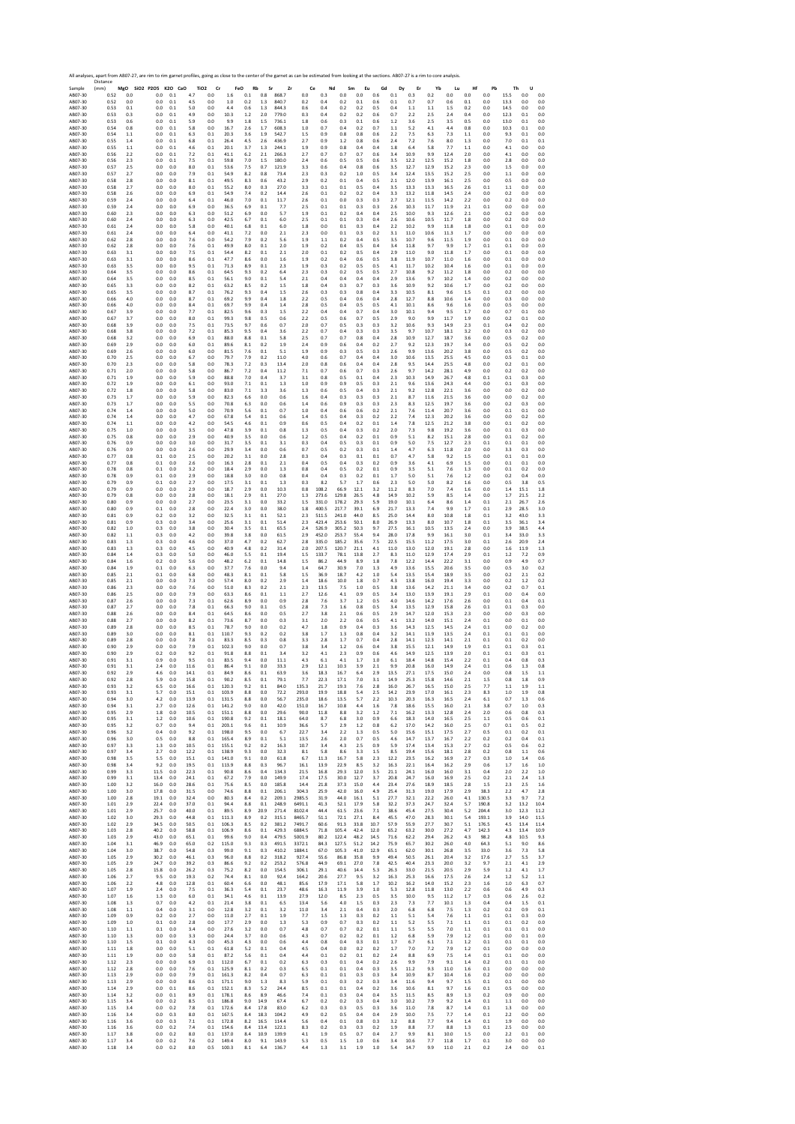Sample 2017 40 ABO7-30 ABO7-30 ABO7-30 ABO7-30 ABO7-30 ABO7-30 ABO7-30 ABO7-30 ABO7-30 ABO7-30 ABO7-30 ABO7-30 ABO7-30 ABO7-30 ABO7-30 ABO7-30 ABO7-30 ABO7-30 ABO7-30 ABO7-30 ABO7-30 ABO7-30 ABO7-30 ABO7-30 ABO7-30 ABO7-30 Distance (mm) **MgO SiO2 P2O5 K2O CaO TiO2 Cr FeO Rb Sr Zr Ce Nd Sm Eu Gd Dy Er Yb Lu Hf Pb Th U** AB07‐30 0.52 0.0 0.0 0.1 4.7 0.0 1.6 0.1 0.8 868.7 0.0 0.3 0.0 0.0 0.6 0.1 0.3 0.2 0.0 0.0 0.0 15.5 0.0 0.0 AB07‐30 0.52 0.0 0.0 0.1 4.5 0.0 1.0 0.2 1.3 840.7 0.2 0.4 0.2 0.1 0.6 0.1 0.7 0.7 0.6 0.1 0.0 13.3 0.0 0.0 AB07‐30 0.53 0.1 0.0 0.1 5.0 0.0 4.4 0.6 1.3 844.3 0.6 0.4 0.2 0.2 0.5 0.4 1.1 1.1 1.5 0.2 0.0 14.5 0.0 0.0 AB07‐30 0.53 0.3 0.0 0.1 4.9 0.0 10.3 1.2 2.0 779.0 0.3 0.4 0.2 0.2 0.6 0.7 2.2 2.5 2.4 0.4 0.0 12.3 0.1 0.0 AB07‐30 0.53 0.6 0.0 0.1 5.9 0.0 9.9 1.8 1.5 736.1 1.8 0.6 0.3 0.1 0.6 1.2 3.6 2.5 3.5 0.5 0.0 13.0 0.1 0.0 AB07‐30 0.54 0.8 0.0 0.1 5.8 0.0 16.7 2.6 1.7 608.3 1.0 0.7 0.4 0.2 0.7 1.1 5.2 4.1 4.4 0.8 0.0 10.3 0.1 0.0 AB07‐30 0.54 1.1 0.0 0.1 6.3 0.1 20.3 3.6 1.9 542.7 1.5 0.9 0.8 0.8 0.6 2.2 7.5 6.3 7.3 1.1 0.0 9.3 0.1 0.0 AB07‐30 0.55 1.4 0.0 0.1 6.8 0.1 26.4 4.5 2.6 436.9 2.7 0.9 1.2 0.8 0.6 2.4 7.2 7.6 8.0 1.3 0.0 7.0 0.1 0.1 AB07‐30 0.55 1.1 0.0 0.1 4.6 0.1 20.1 3.7 1.3 244.1 1.9 0.9 0.8 0.4 0.4 1.8 6.4 5.8 7.7 1.1 0.0 4.1 0.0 0.0 AB07‐30 0.56 2.2 0.0 0.1 7.2 0.1 41.1 6.2 2.1 266.3 2.7 0.7 0.7 0.7 0.6 3.4 10.9 9.9 12.4 2.0 0.0 4.1 0.0 0.0 AB07‐30 0.56 2.3 0.0 0.1 7.5 0.1 59.8 7.0 1.5 180.0 2.4 0.6 0.5 0.5 0.6 3.5 12.2 12.5 15.2 1.8 0.0 2.8 0.0 0.0 AB07‐30 0.57 2.5 0.0 0.0 8.0 0.1 53.6 7.5 0.7 121.9 3.3 0.6 0.4 0.8 0.6 3.5 12.7 12.9 15.2 2.3 0.0 1.5 0.0 0.0 AB07‐30 0.57 2.7 0.0 0.0 7.9 0.1 54.9 8.2 0.8 73.4 2.3 0.3 0.2 1.0 0.5 3.4 12.4 13.5 15.2 2.5 0.0 1.1 0.0 0.0 AB07‐30 0.58 2.8 0.0 0.0 8.1 0.1 49.5 8.3 0.6 43.2 2.9 0.2 0.1 0.4 0.5 2.1 12.0 13.9 16.1 2.5 0.0 0.5 0.0 0.0 AB07‐30 0.58 2.7 0.0 0.0 8.0 0.1 55.2 8.0 0.3 27.0 3.3 0.1 0.1 0.5 0.4 3.5 13.3 13.3 16.5 2.6 0.1 1.1 0.0 0.0 AB07‐30 0.58 2.6 0.0 0.0 6.9 0.1 54.9 7.4 0.2 14.4 2.6 0.1 0.2 0.2 0.4 3.3 13.2 11.8 14.5 2.4 0.0 0.2 0.0 0.0 AB07‐30 0.59 2.4 0.0 0.0 6.4 0.1 46.0 7.0 0.1 11.7 2.6 0.1 0.0 0.3 0.3 2.7 12.1 11.5 14.2 2.2 0.0 0.2 0.0 0.0 AB07‐30 0.59 2.4 0.0 0.0 6.9 0.0 36.5 6.9 0.1 7.7 2.5 0.1 0.1 0.3 0.3 2.6 10.3 11.7 11.9 2.1 0.1 0.0 0.0 0.0 AB07‐30 0.60 2.3 0.0 0.0 6.3 0.0 51.2 6.9 0.0 5.7 1.9 0.1 0.2 0.4 0.4 2.5 10.0 9.3 12.6 2.1 0.0 0.2 0.0 0.0 AB07‐30 0.60 2.4 0.0 0.0 6.3 0.0 42.5 6.7 0.1 6.0 2.5 0.1 0.1 0.3 0.4 2.6 10.6 10.5 11.7 1.8 0.0 0.2 0.0 0.0 AB07‐30 0.61 2.4 0.0 0.0 5.8 0.0 40.1 6.8 0.1 6.0 1.8 0.0 0.1 0.3 0.4 2.2 10.2 9.9 11.8 1.8 0.0 0.1 0.0 0.0 AB07‐30 0.61 2.4 0.0 0.0 6.4 0.0 41.1 7.2 0.0 2.1 2.3 0.0 0.1 0.3 0.2 3.1 11.0 10.6 11.3 1.7 0.0 0.0 0.0 0.0 AB07‐30 0.62 2.8 0.0 0.0 7.6 0.0 54.2 7.9 0.2 5.6 1.9 1.1 0.2 0.4 0.5 3.5 10.7 9.6 11.5 1.9 0.0 0.1 0.0 0.0 AB07‐30 0.62 2.8 0.0 0.0 7.6 0.1 49.9 8.0 0.1 2.0 1.9 0.2 0.4 0.5 0.4 3.4 11.8 9.7 9.9 1.7 0.1 0.1 0.0 0.0 AB07‐30 0.63 3.1 0.0 0.0 7.5 0.1 54.4 8.2 0.1 2.1 2.0 0.1 0.2 0.5 0.4 2.9 11.0 9.0 11.8 1.7 0.0 0.1 0.0 0.0 AB07‐30 0.63 3.1 0.0 0.0 8.6 0.1 47.7 8.6 0.0 1.6 1.9 0.2 0.4 0.6 0.5 3.8 11.9 10.7 11.0 1.6 0.0 0.1 0.0 0.0 AB07‐30 0.63 3.5 0.0 0.0 9.5 0.1 71.3 8.9 0.1 2.3 1.9 0.3 0.2 0.5 0.5 4.1 11.7 10.2 10.4 1.6 0.0 0.1 0.0 0.0 AB07‐30 0.64 3.5 0.0 0.0 8.6 0.1 64.5 9.3 0.2 6.4 2.3 0.3 0.2 0.5 0.5 2.7 10.8 9.2 11.2 1.8 0.0 0.2 0.0 0.0 AB07‐30 0.64 3.5 0.0 0.0 8.5 0.1 56.1 9.0 0.1 5.4 2.1 0.4 0.4 0.4 0.4 2.9 13.6 9.7 10.2 1.4 0.0 0.2 0.0 0.0 AB07‐30 0.65 3.3 0.0 0.0 8.2 0.1 63.2 8.5 0.2 1.5 1.8 0.4 0.3 0.7 0.3 3.6 10.9 9.2 10.6 1.7 0.0 0.2 0.0 0.0 AB07‐30 0.65 3.5 0.0 0.0 8.7 0.1 76.2 9.3 0.4 1.5 2.6 0.3 0.3 0.8 0.4 3.3 10.5 8.1 9.6 1.5 0.1 0.2 0.0 0.0 AB07‐30 0.66 4.0 0.0 0.0 8.7 0.1 69.2 9.9 0.4 1.8 2.2 0.5 0.4 0.6 0.4 2.8 12.7 8.8 10.6 1.4 0.0 0.3 0.0 0.0 AB07‐30 0.66 4.0 0.0 0.0 8.4 0.1 69.7 9.9 0.4 1.4 2.8 0.5 0.4 0.5 0.5 4.1 10.1 8.6 9.6 1.6 0.0 0.5 0.0 0.0 AB07‐30 0.67 3.9 0.0 0.0 7.7 0.1 82.5 9.6 0.3 1.5 2.2 0.4 0.4 0.7 0.4 3.0 10.1 9.4 9.5 1.7 0.0 0.7 0.1 0.0 AB07‐30 0.67 3.7 0.0 0.0 8.0 0.1 99.3 9.8 0.5 0.6 2.2 0.5 0.6 0.7 0.5 2.9 9.0 9.9 11.7 1.9 0.0 0.2 0.1 0.0 AB07‐30 0.68 3.9 0.0 0.0 7.5 0.1 73.5 9.7 0.6 0.7 2.0 0.7 0.5 0.3 0.3 3.2 10.6 9.3 14.9 2.3 0.1 0.4 0.2 0.0 AB07‐30 0.68 3.8 0.0 0.0 7.2 0.1 85.3 9.5 0.4 3.6 2.2 0.7 0.4 0.3 0.3 3.5 9.7 10.7 18.1 3.2 0.0 0.3 0.2 0.0 AB07‐30 0.68 3.2 0.0 0.0 6.9 0.1 88.0 8.8 0.1 5.8 2.5 0.7 0.7 0.8 0.4 2.8 10.9 12.7 18.7 3.6 0.0 0.5 0.2 0.0 AB07‐30 0.69 2.9 0.0 0.0 6.0 0.1 89.6 8.1 0.2 1.9 2.4 0.9 0.6 0.4 0.2 2.7 9.2 12.3 19.7 3.4 0.0 0.5 0.2 0.0 AB07‐30 0.69 2.6 0.0 0.0 6.0 0.0 81.5 7.6 0.1 5.1 1.9 0.9 0.3 0.5 0.3 2.6 9.9 13.6 20.2 3.8 0.0 0.5 0.2 0.0 AB07‐30 0.70 2.5 0.0 0.0 6.7 0.0 79.7 7.9 0.2 11.0 4.0 0.6 0.7 0.4 0.4 3.0 10.6 13.5 25.5 4.5 0.0 0.5 0.1 0.0 AB07‐30 0.70 2.3 0.0 0.0 5.8 0.0 78.3 7.2 0.3 13.4 2.0 0.8 0.6 0.4 0.4 2.8 9.5 14.4 25.5 4.8 0.0 0.2 0.1 0.0 AB07‐30 0.71 2.0 0.0 0.0 5.8 0.0 86.7 7.2 0.4 11.2 7.1 0.7 0.6 0.7 0.3 2.6 9.7 14.2 28.1 4.9 0.0 0.2 0.2 0.0 AB07‐30 0.71 1.9 0.0 0.0 5.9 0.0 88.8 7.0 0.4 3.7 3.1 0.8 0.5 0.1 0.4 2.3 10.3 14.9 26.7 4.8 0.1 0.1 0.3 0.0 AB07‐30 0.72 1.9 0.0 0.0 6.1 0.0 93.0 7.1 0.1 1.3 1.0 0.9 0.9 0.5 0.3 2.1 9.6 13.6 24.3 4.4 0.0 0.1 0.3 0.0 AB07‐30 0.72 1.8 0.0 0.0 5.8 0.0 83.0 7.1 3.3 3.6 1.3 0.6 0.5 0.4 0.3 2.1 9.2 12.8 22.1 3.6 0.0 0.0 0.2 0.0 AB07‐30 0.73 1.7 0.0 0.0 5.9 0.0 82.3 6.6 0.0 0.6 1.6 0.4 0.3 0.3 0.3 2.1 8.7 11.6 21.5 3.6 0.0 0.0 0.2 0.0 AB07‐30 0.73 1.7 0.0 0.0 5.5 0.0 70.8 6.3 0.0 0.6 1.4 0.6 0.9 0.3 0.3 2.3 8.3 12.5 19.7 3.6 0.0 0.2 0.3 0.0 AB07‐30 0.74 1.4 0.0 0.0 5.0 0.0 70.9 5.6 0.1 0.7 1.0 0.4 0.6 0.6 0.2 2.1 7.6 11.4 20.7 3.6 0.0 0.1 0.1 0.0 AB07‐30 0.74 1.4 0.0 0.0 4.7 0.0 67.8 5.4 0.1 0.6 1.4 0.5 0.4 0.3 0.2 2.2 7.4 12.3 20.2 3.6 0.0 0.0 0.2 0.0 AB07‐30 0.74 1.1 0.0 0.0 4.2 0.0 54.5 4.6 0.1 0.9 0.6 0.5 0.4 0.2 0.1 1.4 7.8 12.5 21.2 3.8 0.0 0.1 0.2 0.0 AB07‐30 0.75 1.0 0.0 0.0 3.5 0.0 47.8 3.9 0.1 0.8 1.3 0.5 0.4 0.3 0.2 2.0 7.3 9.8 19.2 3.6 0.0 0.1 0.3 0.0 AB07‐30 0.75 0.8 0.0 0.0 2.9 0.0 40.9 3.5 0.0 0.6 1.2 0.5 0.4 0.2 0.1 0.9 5.1 8.2 15.1 2.8 0.0 0.1 0.2 0.0 AB07‐30 0.76 0.9 0.0 0.0 3.0 0.0 31.7 3.5 0.1 3.1 0.3 0.4 0.5 0.3 0.1 0.9 5.0 7.5 12.7 2.3 0.1 0.1 0.1 0.0 AB07‐30 0.76 0.9 0.0 0.0 2.6 0.0 29.9 3.4 0.0 0.6 0.7 0.5 0.2 0.3 0.1 1.4 4.7 6.3 11.8 2.0 0.0 3.3 0.3 0.0 AB07‐30 0.77 0.8 0.1 0.0 2.5 0.0 20.2 3.1 0.0 2.8 0.3 0.4 0.3 0.1 0.1 0.7 4.7 5.8 9.2 1.5 0.0 0.1 0.1 0.0 AB07‐30 0.77 0.8 0.1 0.0 2.6 0.0 16.3 2.8 0.1 2.1 0.4 0.5 0.4 0.3 0.2 0.9 3.6 4.1 6.9 1.5 0.0 0.1 0.1 0.0 AB07‐30 0.78 0.8 0.1 0.0 3.2 0.0 18.4 2.9 0.0 1.3 0.8 0.4 0.5 0.2 0.1 0.9 3.5 5.1 7.6 1.3 0.0 0.1 0.2 0.0 AB07‐30 0.78 0.9 0.1 0.0 2.9 0.0 18.8 3.0 0.0 0.8 0.4 0.4 0.3 0.2 0.1 1.7 5.0 5.1 7.6 1.2 0.0 0.2 0.4 0.0 AB07‐30 0.79 0.9 0.1 0.0 2.7 0.0 17.5 3.1 0.1 1.3 0.3 8.2 5.7 1.7 0.6 2.3 5.0 5.0 8.2 1.6 0.0 0.5 3.8 0.5 AB07‐30 0.79 0.9 0.0 0.0 2.9 0.0 18.7 2.9 0.0 10.3 0.8 108.2 66.9 12.1 3.2 11.2 8.3 7.0 7.4 1.6 0.0 1.4 15.1 1.8 AB07‐30 0.79 0.8 0.0 0.0 2.8 0.0 18.1 2.9 0.1 27.0 1.3 273.6 129.8 26.5 4.8 14.9 10.2 5.9 8.5 1.4 0.0 1.7 21.5 2.2 AB07‐30 0.80 0.9 0.0 0.0 2.7 0.0 23.5 3.1 0.0 33.2 1.5 331.0 178.2 29.3 5.9 19.0 10.1 6.4 8.6 1.4 0.1 2.1 26.7 2.6 AB07‐30 0.80 0.9 0.1 0.0 2.8 0.0 22.4 3.0 0.0 38.0 1.8 400.5 217.7 39.1 6.9 21.7 13.3 7.4 9.9 1.7 0.1 2.9 28.5 3.0 AB07‐30 0.81 0.9 0.2 0.0 3.2 0.0 32.5 3.1 0.1 52.1 2.3 511.5 241.0 44.0 8.5 25.0 14.4 8.0 10.8 1.8 0.1 3.2 43.0 3.3 AB07‐30 0.81 0.9 0.3 0.0 3.4 0.0 25.6 3.1 0.1 51.4 2.3 423.4 253.6 50.1 8.0 26.9 13.3 8.0 10.7 1.8 0.1 3.5 36.1 3.4 AB07‐30 0.82 1.0 0.3 0.0 3.8 0.0 30.4 3.5 0.1 65.5 2.4 526.9 305.2 50.3 9.7 27.5 16.1 10.5 13.5 2.4 0.0 3.9 38.5 4.4 AB07‐30 0.82 1.1 0.3 0.0 4.2 0.0 39.8 3.8 0.0 61.5 2.9 452.0 253.7 55.4 9.4 28.0 17.8 9.9 16.1 3.0 0.1 3.4 33.0 3.3 AB07‐30 0.83 1.3 0.3 0.0 4.6 0.0 37.0 4.7 0.2 62.7 2.8 335.0 185.2 35.6 7.5 22.5 15.5 11.2 17.5 3.0 0.1 2.6 20.9 2.4 AB07‐30 0.83 1.3 0.3 0.0 4.5 0.0 40.9 4.8 0.2 31.4 2.0 207.5 120.7 21.1 4.1 11.0 13.0 12.0 19.1 2.8 0.0 1.6 11.9 1.3 AB07‐30 0.84 1.4 0.3 0.0 5.0 0.0 46.0 5.5 0.1 19.4 1.5 133.7 78.1 13.8 2.7 8.3 11.0 12.9 17.4 2.9 0.1 1.2 7.2 0.9 AB07‐30 0.84 1.6 0.2 0.0 5.6 0.0 48.2 6.2 0.1 14.8 1.5 86.2 44.9 8.9 1.8 7.8 12.2 14.4 22.2 3.1 0.0 0.9 4.9 0.7 AB07‐30 0.84 1.9 0.1 0.0 6.3 0.0 37.7 7.6 0.0 9.4 1.4 64.7 30.9 7.0 1.3 4.9 13.6 15.5 20.6 3.5 0.0 0.5 3.0 0.2 AB07‐30 0.85 2.1 0.1 0.0 6.8 0.0 48.3 8.1 0.1 5.8 1.5 36.9 18.7 4.2 1.0 5.4 13.5 15.4 18.9 3.5 0.0 0.2 2.1 0.2 AB07‐30 0.85 2.1 0.0 0.0 7.3 0.0 57.4 8.0 0.2 2.9 1.4 18.6 10.0 1.8 0.7 4.3 13.8 16.0 19.4 3.3 0.0 0.2 1.2 0.2 AB07‐30 0.86 2.3 0.0 0.0 7.6 0.0 51.0 8.3 0.2 2.1 2.3 13.5 7.5 1.0 0.5 3.8 13.6 14.2 21.1 3.4 0.0 0.2 0.7 0.1 AB07‐30 0.86 2.5 0.0 0.0 7.9 0.0 63.3 8.6 0.1 1.1 2.7 12.6 4.1 0.9 0.5 3.4 13.0 13.9 19.1 2.9 0.1 0.0 0.4 0.0 AB07‐30 0.87 2.6 0.0 0.0 7.3 0.1 62.6 8.9 0.0 0.9 2.8 7.6 3.7 1.2 0.5 4.0 14.6 14.2 17.6 2.6 0.0 0.1 0.4 0.1 AB07‐30 0.87 2.7 0.0 0.0 7.8 0.1 66.3 9.0 0.1 0.5 2.8 7.3 1.6 0.8 0.5 3.4 13.5 12.9 15.8 2.6 0.1 0.1 0.3 0.0 AB07‐30 0.88 2.6 0.0 0.0 8.4 0.1 64.5 8.6 0.0 0.5 2.7 3.8 2.1 0.6 0.5 2.9 14.7 12.0 15.3 2.3 0.0 0.0 0.3 0.0 AB07‐30 0.88 2.7 0.0 0.0 8.2 0.1 73.6 8.7 0.0 0.3 3.1 2.0 2.2 0.6 0.5 4.1 13.2 14.0 15.1 2.4 0.1 0.0 0.1 0.0 AB07‐30 0.89 2.8 0.0 0.0 8.5 0.1 78.7 9.0 0.0 0.2 4.7 1.8 0.9 0.4 0.3 3.6 14.3 12.5 14.5 2.4 0.1 0.0 0.2 0.0 AB07‐30 0.89 3.0 0.0 0.0 8.1 0.1 110.7 9.3 0.2 0.2 3.8 1.7 1.3 0.8 0.4 3.2 14.1 11.9 13.5 2.4 0.1 0.1 0.1 0.0 AB07‐30 0.89 2.8 0.0 0.0 7.8 0.1 83.3 8.5 0.3 0.8 3.3 2.8 1.7 0.7 0.4 2.8 14.1 12.3 14.1 2.1 0.1 0.1 0.2 0.0 AB07‐30 0.90 2.9 0.0 0.0 7.9 0.1 102.3 9.0 0.0 0.7 3.8 3.4 1.2 0.6 0.4 3.8 15.5 12.1 14.9 1.9 0.1 0.1 0.3 0.1 AB07‐30 0.90 2.9 0.2 0.0 9.2 0.1 91.8 8.8 0.1 3.4 3.2 4.1 2.3 0.9 0.6 4.6 14.9 12.5 13.9 2.0 0.1 0.1 0.3 0.1 AB07‐30 0.91 3.1 0.9 0.0 9.5 0.1 83.5 9.4 0.0 11.1 4.3 6.1 4.1 1.7 1.0 6.1 18.4 14.8 15.4 2.2 0.1 0.4 0.8 0.3 AB07‐30 0.91 3.1 2.4 0.0 11.6 0.1 86.4 9.1 0.0 33.3 2.9 12.1 10.3 3.9 2.1 9.9 20.8 16.0 14.9 2.4 0.1 0.6 1.3 0.8 AB07‐30 0.92 2.9 4.6 0.0 14.1 0.1 84.9 8.6 0.1 63.9 3.6 18.3 16.7 6.4 2.9 13.5 27.1 17.5 15.0 2.4 0.0 0.8 1.5 1.1 AB07‐30 0.92 2.8 5.9 0.0 15.8 0.1 90.2 8.5 0.1 79.1 7.7 22.3 17.1 7.0 3.1 14.9 25.3 15.8 14.6 2.1 1.5 0.8 1.8 0.9 AB07‐30 0.93 3.2 6.5 0.0 16.6 0.1 120.3 9.2 0.1 84.0 135.3 21.7 19.3 7.6 2.8 16.0 26.7 16.5 15.0 2.5 7.7 1.1 1.9 1.1 AB07‐30 0.93 3.1 5.7 0.0 15.1 0.1 103.9 8.8 0.0 72.2 293.0 19.9 18.8 5.4 2.5 14.2 23.9 17.0 16.1 2.3 8.3 1.0 1.9 0.8 AB07‐30 0.94 3.0 4.2 0.0 13.9 0.1 131.5 8.8 0.0 56.7 235.0 18.6 13.5 5.7 2.2 10.3 20.3 16.3 16.5 2.4 6.1 0.7 1.3 0.6 AB07‐30 0.94 3.1 2.7 0.0 12.6 0.1 141.2 9.0 0.0 42.0 151.0 16.7 10.8 4.4 1.6 7.8 18.6 15.5 16.0 2.1 3.8 0.7 1.0 0.3 AB07‐30 0.95 2.9 1.8 0.0 10.5 0.1 151.1 8.8 0.0 29.6 90.0 11.8 8.8 3.2 1.2 7.1 16.2 13.3 12.8 2.4 2.0 0.6 0.8 0.3 AB07‐30 0.95 3.1 1.2 0.0 10.6 0.1 190.8 9.2 0.1 18.1 64.0 8.7 6.8 3.0 0.9 6.6 18.3 14.0 16.5 2.5 1.1 0.5 0.6 0.1 AB07‐30 0.95 3.2 0.7 0.0 9.4 0.1 203.1 9.6 0.1 10.9 36.6 5.7 2.9 1.2 0.8 6.2 17.0 14.2 16.0 2.5 0.7 0.1 0.5 0.2 AB07‐30 0.96 3.2 0.4 0.0 9.2 0.1 198.0 9.5 0.0 6.7 22.7 3.4 2.2 1.3 0.5 5.0 15.6 15.1 17.5 2.7 0.5 0.1 0.2 0.1 AB07‐30 0.96 3.0 0.5 0.0 8.8 0.1 165.4 8.9 0.1 5.1 13.5 2.6 2.0 0.7 0.5 4.6 14.7 13.7 16.7 2.2 0.2 0.2 0.4 0.1 AB07‐30 0.97 3.3 1.3 0.0 10.5 0.1 155.1 9.2 0.2 16.3 10.7 3.4 4.3 2.5 0.9 5.9 17.4 13.4 15.3 2.7 0.2 0.5 0.6 0.2 AB07‐30 0.97 3.4 2.7 0.0 12.2 0.1 138.9 9.3 0.0 32.3 8.1 5.8 8.6 3.3 1.5 8.5 19.4 15.6 18.1 2.8 0.2 0.8 1.1 0.6 AB07‐30 0.98 3.5 5.5 0.0 15.1 0.1 141.0 9.1 0.0 61.8 6.7 11.3 16.7 5.8 2.3 12.2 23.5 16.2 16.9 2.7 0.3 1.0 1.4 0.6 AB07‐30 0.98 3.4 9.2 0.0 19.5 0.1 113.9 8.8 0.3 96.7 16.1 13.9 22.9 8.5 3.2 16.3 22.1 16.4 16.2 2.9 0.6 1.7 1.6 1.0 AB07‐30 0.99 3.3 11.5 0.0 22.3 0.1 90.8 8.6 0.4 134.3 21.5 16.8 29.3 12.0 3.5 21.1 24.1 16.0 16.0 3.1 0.4 2.0 2.2 1.0 AB07‐30 0.99 3.1 13.4 0.0 24.1 0.1 67.2 7.9 0.0 149.9 17.4 17.5 30.0 12.7 3.7 20.8 24.7 16.0 16.9 2.5 0.2 2.1 2.4 1.3 AB07‐30 1.00 3.2 16.0 0.0 28.6 0.1 75.6 8.5 0.0 185.8 14.4 21.8 37.3 15.0 4.4 23.4 27.6 18.9 18.5 2.8 1.5 2.3 2.5 1.6 AB07‐30 1.00 3.0 17.8 0.0 31.5 0.0 74.6 8.8 0.1 206.1 304.3 25.9 42.0 16.0 4.9 25.4 31.3 19.0 17.9 2.9 38.3 2.2 4.7 2.8 AB07‐30 1.00 2.8 19.1 0.0 32.4 0.0 80.3 8.4 0.2 209.1 2985.5 31.9 44.0 16.1 5.1 27.7 32.1 22.2 26.0 4.1 130.5 3.3 9.7 7.2 AB07‐30 1.01 2.9 22.4 0.0 37.0 0.1 94.4 8.8 0.1 248.9 6491.1 41.3 52.1 17.9 5.8 32.2 37.3 24.7 32.4 5.7 190.8 3.2 13.2 10.4 AB07‐30 1.01 2.9 25.7 0.0 40.0 0.1 89.5 8.9 20.9 271.4 8102.4 44.4 61.5 23.6 7.1 38.6 45.4 27.5 30.4 5.2 204.4 3.0 12.3 11.2 AB07‐30 1.02 3.0 29.3 0.0 44.8 0.1 111.3 8.9 0.2 315.1 8465.7 51.1 72.1 27.1 8.4 45.5 47.0 28.3 30.1 5.4 193.1 3.9 14.0 11.5 AB07‐30 1.02 2.9 34.5 0.0 50.5 0.1 106.3 8.5 0.2 381.2 7491.7 60.6 91.3 33.8 10.7 57.9 55.9 27.7 30.7 5.1 176.5 4.5 13.4 11.4 AB07‐30 1.03 2.8 40.2 0.0 58.8 0.1 106.9 8.6 0.1 429.3 6884.5 71.8 105.4 42.4 12.0 65.2 63.2 30.0 27.2 4.7 142.3 4.3 13.4 10.9 AB07‐30 1.03 2.9 43.0 0.0 65.1 0.1 99.6 9.0 0.4 479.5 5001.9 80.2 122.4 48.2 14.5 71.6 62.2 29.4 26.2 4.3 98.2 4.8 10.5 9.3 AB07‐30 1.04 3.1 46.9 0.0 65.0 0.2 115.0 9.3 0.3 491.5 3372.1 84.3 127.5 51.2 14.2 75.9 65.7 30.2 26.0 4.0 64.3 5.1 9.0 8.6 AB07‐30 1.04 3.0 38.7 0.0 54.8 0.3 99.0 9.1 0.3 410.2 1884.1 67.0 105.3 41.0 12.9 65.1 62.0 30.1 26.8 3.5 33.0 3.6 7.3 5.8 AB07‐30 1.05 2.9 30.2 0.0 46.1 0.3 96.0 8.8 0.2 318.2 927.4 55.6 86.8 35.8 9.9 49.4 50.5 26.1 20.4 3.2 17.6 2.7 5.5 3.7 AB07‐30 1.05 2.9 24.7 0.0 39.2 0.3 86.6 9.2 0.2 253.2 576.8 44.9 69.1 27.0 7.8 42.5 40.4 23.3 20.0 3.2 9.7 2.1 4.1 2.9 AB07‐30 1.05 2.8 15.8 0.0 26.2 0.3 75.2 8.2 0.0 154.5 306.1 29.1 40.6 14.4 5.3 26.3 33.0 21.5 20.5 2.9 5.9 1.2 4.1 1.7 AB07‐30 1.06 2.7 9.5 0.0 19.3 0.2 74.4 8.1 0.0 92.4 164.2 20.6 27.7 9.5 3.2 16.3 25.3 16.6 17.5 2.6 2.4 1.2 5.2 1.1 AB07‐30 1.06 2.2 4.8 0.0 12.8 0.1 60.4 6.6 0.0 48.1 85.6 17.9 17.1 5.8 1.7 10.2 16.2 14.0 15.2 2.3 1.6 1.0 6.3 0.7 AB07‐30 1.07 1.9 2.4 0.0 7.5 0.1 36.3 5.4 0.1 23.7 48.6 16.3 11.9 3.9 1.0 5.3 12.8 11.8 13.0 2.2 0.6 0.6 4.9 0.3 AB07‐30 1.07 1.6 1.3 0.0 6.0 0.1 34.1 4.6 0.1 13.9 27.9 12.0 8.5 2.3 0.5 3.5 10.0 9.5 11.2 1.7 0.3 0.6 2.6 0.2 AB07‐30 1.08 1.3 0.7 0.0 4.2 0.1 21.4 3.8 0.1 6.5 13.4 5.6 4.0 1.5 0.3 2.3 7.3 7.7 10.1 1.3 0.4 0.4 1.5 0.1 AB07‐30 1.08 1.1 0.4 0.0 3.1 0.0 12.8 3.2 0.1 3.2 11.0 3.4 2.1 0.4 0.3 2.0 6.8 6.8 7.5 1.3 0.2 0.2 0.9 0.1 AB07‐30 1.09 0.9 0.2 0.0 2.7 0.0 11.0 2.7 0.1 1.9 7.7 1.5 1.3 0.3 0.2 1.1 5.1 5.4 7.6 1.1 0.1 0.1 0.3 0.0 AB07‐30 1.09 1.0 0.1 0.0 2.8 0.0 17.7 2.9 0.0 1.3 5.3 0.9 0.7 0.3 0.2 1.1 5.2 5.5 7.1 1.1 0.1 0.1 0.2 0.0 AB07‐30 1.10 1.1 0.1 0.0 3.4 0.0 27.6 3.2 0.0 0.7 4.8 0.7 0.7 0.2 0.1 1.1 5.5 5.5 7.0 1.1 0.1 0.1 0.1 0.0 AB07‐30 1.10 1.3 0.0 0.0 3.3 0.0 24.4 3.7 0.0 0.6 4.3 0.7 0.2 0.2 0.1 1.2 6.8 5.9 7.9 1.2 0.1 0.0 0.1 0.0 AB07‐30 1.10 1.5 0.1 0.0 4.3 0.0 45.3 4.3 0.0 0.6 4.4 0.8 0.4 0.3 0.1 1.7 6.7 6.1 7.1 1.2 0.1 0.1 0.1 0.0 AB07‐30 1.11 1.8 0.0 0.0 5.1 0.1 61.8 5.2 0.1 0.4 4.5 0.4 0.0 0.2 0.2 1.7 7.0 7.2 7.9 1.2 0.1 0.0 0.0 0.0 AB07‐30 1.11 1.9 0.0 0.0 5.8 0.1 87.2 5.6 0.1 0.4 4.4 0.1 0.2 0.1 0.2 2.4 8.8 6.9 7.5 1.4 0.1 0.1 0.0 0.0 AB07‐30 1.12 2.3 0.0 0.0 6.9 0.1 112.0 6.7 0.1 0.2 6.3 0.3 0.1 0.4 0.2 2.6 9.9 7.9 9.1 1.4 0.2 0.1 0.1 0.0 AB07‐30 1.12 2.8 0.0 0.0 7.6 0.1 125.9 8.1 0.2 0.3 6.5 0.1 0.1 0.4 0.3 3.5 11.2 9.3 11.0 1.6 0.1 0.0 0.0 0.0 AB07‐30 1.13 2.9 0.0 0.0 7.9 0.1 161.3 8.2 0.4 0.7 6.3 0.1 0.1 0.3 0.3 3.4 10.9 8.7 10.4 1.6 0.2 0.0 0.0 0.0 AB07‐30 1.13 2.9 0.0 0.0 8.6 0.1 171.1 9.0 1.3 8.3 5.9 0.1 0.3 0.2 0.3 3.4 11.6 9.4 9.7 1.5 0.1 0.1 0.0 0.0 AB07‐30 1.14 2.9 0.0 0.1 8.6 0.1 152.1 8.3 5.2 24.4 8.5 0.1 0.1 0.4 0.2 3.6 10.6 8.1 9.7 1.6 0.1 0.5 0.0 0.0 AB07‐30 1.14 3.2 0.0 0.1 8.9 0.1 178.1 8.6 8.9 46.6 7.4 0.1 0.3 0.4 0.4 3.5 11.5 8.5 8.9 1.3 0.2 0.9 0.0 0.0 AB07‐30 1.15 3.4 0.0 0.2 8.5 0.1 186.8 9.0 14.9 67.4 6.7 0.2 0.2 0.3 0.4 3.0 10.2 7.9 9.2 1.4 0.1 1.1 0.0 0.0 AB07‐30 1.15 3.4 0.0 0.2 7.8 0.1 172.6 8.4 17.8 83.0 6.2 0.3 0.3 0.5 0.3 3.6 11.0 7.8 8.7 1.4 0.1 1.3 0.0 0.0 AB07‐30 1.16 3.4 0.0 0.3 8.0 0.1 167.5 8.4 18.3 104.2 4.9 0.2 0.5 0.4 0.4 2.9 10.0 7.5 7.7 1.4 0.1 2.2 0.0 0.0 AB07‐30 1.16 3.6 0.0 0.3 7.1 0.1 172.8 8.2 16.5 114.4 5.6 0.4 0.1 0.8 0.3 3.2 8.8 7.7 9.4 1.4 0.1 1.9 0.0 0.0 AB07‐30 1.16 3.6 0.0 0.2 7.4 0.1 154.6 8.4 13.4 122.1 8.3 0.2 0.3 0.3 0.2 1.9 8.8 7.7 8.8 1.3 0.1 2.5 0.0 0.0 AB07‐30 1.17 3.8 0.0 0.2 8.0 0.1 137.0 8.4 10.9 139.9 4.1 1.9 0.5 0.7 0.4 2.7 9.9 8.1 10.0 1.5 0.0 2.2 0.1 0.0 AB07‐30 1.17 3.4 0.0 0.2 7.6 0.2 149.4 8.0 9.1 143.9 5.3 0.5 1.5 1.0 0.6 3.4 10.6 7.7 11.8 1.7 0.1 3.0 0.0 0.0 AB07‐30 1.18 3.4 0.0 0.2 8.0 0.5 100.3 8.1 6.4 136.7 4.4 1.3 3.1 1.9 1.0 5.4 14.7 9.9 11.0 2.1 0.2 2.4 0.0 0.1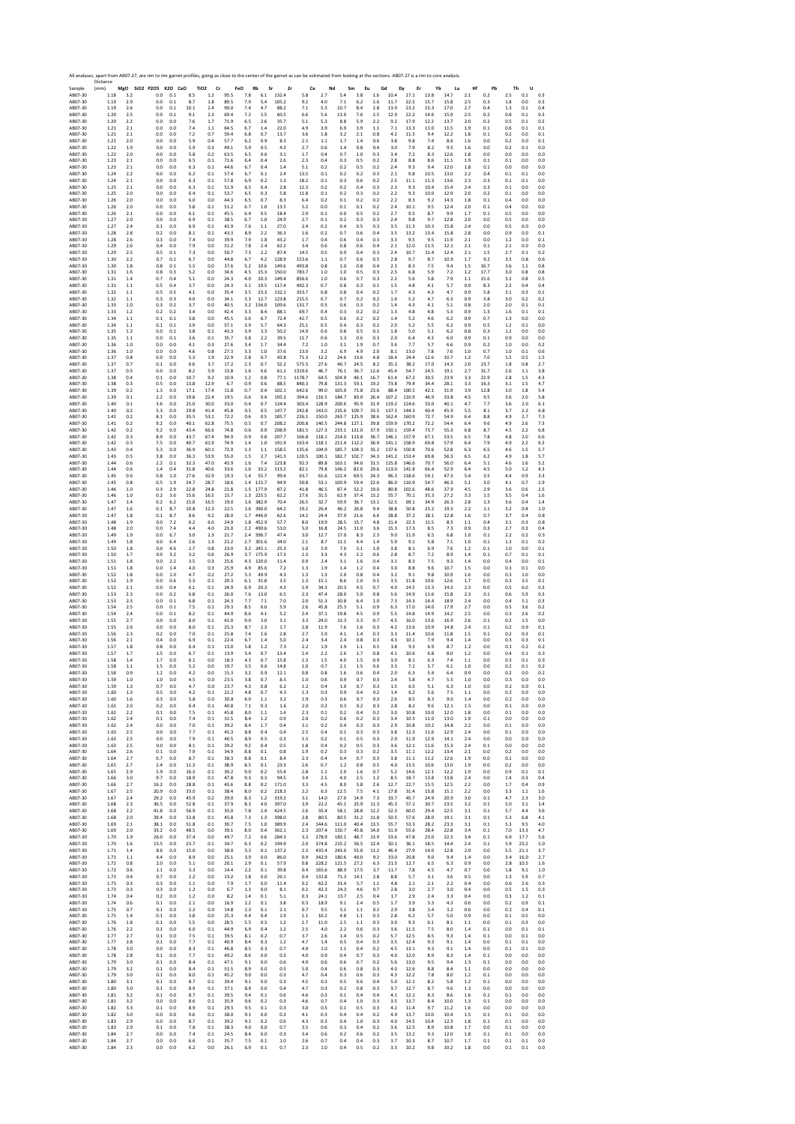Sample Distance (mm) **MgO SiO2 P2O5 K2O CaO TiO2 Cr FeO Rb Sr Zr Ce Nd Sm Eu Gd Dy Er Yb Lu Hf Pb Th U** AB07‐30 1.18 3.2 0.0 0.1 8.5 1.2 95.5 7.8 6.1 132.4 5.8 2.7 5.4 3.8 1.6 10.4 17.1 13.8 14.7 2.1 0.2 2.5 0.1 0.3 AB07‐30 1.19 2.9 0.0 0.1 8.7 1.8 89.5 7.9 5.4 105.2 9.2 4.0 7.1 6.2 2.6 11.7 22.5 15.7 15.8 2.5 0.3 1.8 0.0 0.3 AB07‐30 1.19 2.6 0.0 0.1 10.1 2.4 90.0 7.4 4.7 88.2 7.1 5.3 10.7 8.4 2.8 13.9 23.2 15.3 17.0 2.7 0.4 1.3 0.1 0.4 AB07‐30 1.20 2.5 0.0 0.1 9.1 2.3 69.4 7.2 3.5 60.5 6.6 5.6 13.0 7.6 2.5 12.9 22.2 14.6 15.9 2.5 0.2 0.8 0.1 0.3 AB07‐30 1.20 2.2 0.0 0.0 7.6 1.7 71.9 6.5 2.6 35.7 5.1 5.3 8.8 5.9 2.2 9.2 17.9 12.2 13.7 2.0 0.2 0.5 0.1 0.2 AB07‐30 1.21 2.1 0.0 0.0 7.4 1.1 64.5 6.7 1.4 22.0 4.9 3.9 6.9 3.9 1.1 7.1 13.3 11.0 11.5 1.9 0.1 0.6 0.1 0.1 AB07‐30 1.21 2.1 0.0 0.0 7.2 0.7 59.4 6.8 0.7 13.7 3.6 1.8 3.2 2.1 0.8 4.2 11.5 9.4 12.2 1.8 0.1 0.2 0.0 0.1 AB07‐30 1.21 2.0 0.0 0.0 5.9 0.4 57.7 6.2 0.9 8.3 2.1 1.1 1.7 1.4 0.6 3.8 9.8 7.4 8.6 1.6 0.0 0.2 0.0 0.1 AB07‐30 1.22 1.9 0.0 0.0 5.9 0.3 49.1 5.9 0.5 4.3 2.7 0.6 1.4 0.8 0.4 3.0 7.9 8.2 9.5 1.6 0.0 0.2 0.1 0.0 AB07‐30 1.22 2.0 0.0 0.0 5.8 0.2 63.5 6.5 0.6 3.1 1.7 0.4 0.7 1.0 0.3 3.4 7.2 8.3 12.6 1.8 0.0 0.0 0.0 0.0 AB07‐30 1.23 2.1 0.0 0.0 6.5 0.1 71.6 6.4 0.4 2.6 2.3 0.4 0.3 0.5 0.2 2.8 8.8 8.6 11.1 1.9 0.1 0.1 0.0 0.0 AB07‐30 1.23 2.1 0.0 0.0 6.3 0.1 44.6 6.7 0.4 1.4 5.1 0.2 0.2 0.5 0.2 2.4 9.3 9.4 12.0 1.8 0.1 0.0 0.0 0.0 AB07‐30 1.24 2.2 0.0 0.0 6.2 0.1 57.4 6.7 0.1 2.4 13.5 0.1 0.2 0.2 0.3 2.1 9.8 10.5 13.0 2.2 0.4 0.1 0.1 0.0 AB07‐30 1.24 2.1 0.0 0.0 6.3 0.1 57.8 6.9 0.2 1.3 18.2 0.1 0.3 0.6 0.2 2.5 11.1 11.3 13.6 2.3 0.3 0.1 0.1 0.0 AB07‐30 1.25 2.1 0.0 0.0 6.3 0.1 51.9 6.5 0.4 2.8 12.3 0.2 0.2 0.4 0.3 2.3 9.3 10.4 15.4 2.4 0.3 0.1 0.0 0.0 AB07‐30 1.25 2.0 0.0 0.0 6.4 0.1 53.7 6.5 0.3 5.8 11.8 0.1 0.2 0.3 0.2 2.2 9.3 10.0 12.9 2.0 0.2 0.1 0.0 0.0 AB07‐30 1.26 2.0 0.0 0.0 6.0 0.0 44.3 6.5 0.7 8.3 6.4 0.2 0.1 0.2 0.2 2.2 8.3 9.2 14.3 1.8 0.1 0.4 0.0 0.0 AB07‐30 1.26 2.0 0.0 0.0 5.8 0.1 51.2 6.7 1.0 13.5 5.2 0.0 0.1 0.1 0.2 2.4 10.1 9.5 12.4 2.0 0.1 0.4 0.0 0.0 AB07‐30 1.26 2.1 0.0 0.0 6.1 0.1 45.5 6.4 0.5 18.4 2.9 0.1 0.0 0.5 0.2 2.7 9.5 8.7 9.9 1.7 0.1 0.5 0.0 0.0 AB07‐30 1.27 2.0 0.0 0.0 6.9 0.1 38.5 6.7 1.0 24.9 2.7 0.1 0.2 0.3 0.3 2.4 9.8 9.7 12.8 2.0 0.0 0.5 0.0 0.0 AB07‐30 1.27 2.4 0.1 0.0 6.9 0.1 41.9 7.6 1.1 27.0 2.4 0.2 0.4 0.5 0.3 3.5 11.3 10.3 15.8 2.4 0.0 0.5 0.0 0.0 AB07‐30 1.28 2.8 0.2 0.0 8.1 0.1 43.3 8.9 2.2 36.3 1.6 0.2 0.7 0.6 0.4 3.5 13.2 13.4 15.8 2.8 0.0 0.9 0.0 0.1 AB07‐30 1.28 2.6 0.3 0.0 7.4 0.0 39.9 7.9 1.8 43.2 1.7 0.4 0.6 0.4 0.3 3.3 9.5 9.5 11.9 2.1 0.0 1.2 0.0 0.1 AB07‐30 1.29 2.6 0.4 0.0 7.9 0.0 51.2 7.8 2.4 62.2 3.4 0.6 0.8 0.6 0.4 2.1 12.0 11.5 12.1 2.1 0.1 2.1 0.0 0.0 AB07‐30 1.29 2.5 0.5 0.1 7.3 0.0 50.7 7.3 2.2 87.4 14.5 0.5 0.9 0.4 0.3 2.4 10.7 11.4 12.4 2.1 1.5 2.7 0.1 0.2 AB07‐30 1.30 2.2 0.7 0.1 6.7 0.0 44.8 6.7 4.2 128.9 153.6 1.1 0.7 0.6 0.5 2.8 9.7 8.7 10.9 1.7 9.2 3.5 0.8 0.6 AB07‐30 1.30 1.8 0.8 0.1 5.5 0.0 37.6 5.2 10.6 149.6 493.8 0.8 1.0 0.8 0.4 2.3 8.3 7.5 9.4 1.5 16.7 3.6 1.1 0.8 AB07‐30 1.31 1.6 0.8 0.3 5.2 0.0 34.6 4.5 15.3 150.0 783.7 1.0 1.0 0.5 0.3 2.5 6.8 5.9 7.2 1.2 17.7 3.0 0.8 0.8 AB07‐30 1.31 1.4 0.7 0.4 5.1 0.0 24.3 4.0 20.3 149.4 856.6 1.0 0.6 0.7 0.3 2.2 5.6 5.8 7.9 1.1 15.6 3.2 0.8 0.5 AB07‐30 1.31 1.1 0.5 0.4 3.7 0.0 24.3 3.1 19.5 117.4 492.3 0.7 0.8 0.3 0.1 1.5 4.8 4.1 5.7 0.9 8.3 2.2 0.4 0.4 AB07‐30 1.32 1.1 0.5 0.5 4.1 0.0 35.4 3.5 23.3 132.1 353.7 0.8 0.8 0.4 0.2 1.7 4.3 4.3 4.7 0.9 5.8 3.1 0.3 0.1 AB07‐30 1.32 1.1 0.3 0.3 4.0 0.0 34.1 3.3 12.7 123.8 215.5 0.7 0.7 0.2 0.2 1.6 5.2 4.7 6.3 0.9 3.8 3.0 0.2 0.2 AB07‐30 1.33 1.0 0.3 0.2 3.7 0.0 40.5 3.2 156.0 109.6 131.7 0.5 0.6 0.3 0.2 1.4 4.3 4.1 5.1 0.8 2.0 2.0 0.1 0.1 AB07‐30 1.33 1.2 0.2 0.2 3.4 0.0 42.4 3.3 8.4 88.1 69.7 0.4 0.3 0.2 0.2 1.3 4.8 4.8 5.3 0.9 1.3 1.6 0.1 0.1 AB07‐30 1.34 1.1 0.1 0.1 3.8 0.0 45.5 3.6 6.7 72.4 42.7 0.5 0.6 0.2 0.2 1.4 5.2 4.6 6.2 0.9 0.7 1.3 0.0 0.0 AB07‐30 1.34 1.1 0.1 0.1 3.9 0.0 57.1 3.9 5.7 64.3 25.1 0.5 0.4 0.3 0.2 2.0 5.2 5.5 6.2 0.9 0.5 1.2 0.1 0.0 AB07‐30 1.35 1.2 0.0 0.1 3.8 0.1 43.3 3.9 3.3 50.2 14.9 0.6 0.8 0.5 0.1 1.8 5.0 5.1 6.2 0.8 0.3 1.2 0.0 0.0 AB07‐30 1.35 1.1 0.0 0.1 3.6 0.1 35.7 3.8 2.2 39.5 11.7 0.6 1.3 0.6 0.3 2.0 6.4 4.3 6.0 0.9 0.1 0.9 0.0 0.0 AB07‐30 1.36 1.0 0.0 0.0 4.1 0.3 27.6 3.4 1.7 34.4 7.2 1.0 3.1 1.9 0.7 3.6 7.7 5.7 6.6 0.9 0.2 1.0 0.0 0.2 AB07‐30 1.36 1.0 0.0 0.0 4.6 0.8 27.3 3.3 1.0 37.6 13.0 3.2 6.9 4.9 2.0 8.1 13.0 7.8 7.6 1.0 0.7 1.0 0.1 0.6 AB07‐30 1.37 0.8 0.0 0.0 5.3 1.9 22.9 2.8 0.7 43.8 71.3 12.2 24.6 13.6 4.8 18.4 24.4 12.6 10.7 1.2 7.0 1.5 0.5 1.5 AB07‐30 1.37 0.7 0.1 0.0 6.6 3.7 17.2 2.3 0.7 52.2 571.5 27.6 46.7 24.5 8.2 35.3 38.2 17.0 14.3 2.0 23.7 1.8 0.8 2.7 AB07‐30 1.37 0.5 0.0 0.0 8.2 5.9 13.8 1.6 0.6 61.1 1319.6 46.7 76.1 36.7 12.6 45.4 54.7 24.5 19.1 2.7 31.7 2.6 1.1 3.8 AB07‐30 1.38 0.4 0.1 0.0 10.7 9.2 10.9 1.2 0.8 77.1 1178.7 64.5 104.9 46.1 16.7 61.4 67.2 30.5 23.9 3.3 22.9 2.8 1.5 4.3 AB07‐30 1.38 0.3 0.5 0.0 13.8 12.9 6.7 0.9 0.6 88.5 840.3 79.8 131.3 59.1 19.2 73.8 79.4 34.4 28.1 3.3 16.3 3.1 1.5 4.7 AB07‐30 1.39 0.2 1.3 0.0 17.1 17.4 11.8 0.7 0.4 102.1 642.6 99.0 165.0 71.8 23.6 88.4 100.5 42.1 31.9 3.9 12.8 3.0 1.8 5.4 AB07‐30 1.39 0.1 2.2 0.0 19.8 22.4 19.5 0.6 0.4 105.3 394.6 116.5 184.7 83.0 26.4 107.2 110.9 46.9 33.8 4.5 9.5 3.6 2.0 5.8 AB07‐30 1.40 0.1 3.6 0.0 25.0 30.0 33.0 0.4 0.7 124.4 303.4 128.9 200.6 95.9 31.9 119.2 124.6 53.0 40.1 4.7 7.7 3.6 2.0 6.1 AB07‐30 1.40 0.2 5.3 0.0 29.8 41.4 45.8 0.5 0.5 147.7 242.8 143.0 235.6 109.7 33.5 137.3 144.3 60.4 45.9 5.5 8.1 3.7 2.2 6.8 AB07‐30 1.41 0.2 8.1 0.0 35.5 53.1 72.2 0.6 0.5 185.7 226.1 150.0 263.7 125.9 38.6 162.4 160.9 72.7 54.9 6.4 8.8 4.9 2.7 7.3 AB07‐30 1.41 0.2 9.2 0.0 40.1 62.8 75.5 0.5 0.7 208.2 200.8 140.5 244.8 127.1 39.8 159.9 170.2 72.2 54.4 6.4 9.6 4.9 2.6 7.3 AB07‐30 1.42 0.2 9.2 0.0 43.4 66.6 74.8 0.6 0.9 208.9 181.5 127.3 233.1 121.0 37.9 150.1 159.4 73.7 55.3 6.8 8.7 4.5 2.2 6.8 AB07‐30 1.42 0.3 8.9 0.0 43.7 67.4 94.9 0.9 0.8 207.7 166.8 118.1 214.0 113.8 36.7 146.1 157.9 67.1 53.5 6.5 7.8 4.8 2.0 6.6 AB07‐30 1.42 0.3 7.5 0.0 40.7 61.9 74.9 1.4 1.0 191.9 163.4 118.1 211.4 112.2 36.9 141.1 158.9 69.8 57.9 6.4 7.9 4.9 2.2 6.3 AB07‐30 1.43 0.4 5.3 0.0 36.9 60.1 73.9 1.3 1.1 158.5 135.6 104.9 185.7 104.3 35.2 137.6 150.8 70.6 52.8 6.3 6.5 4.6 1.5 5.7 AB07‐30 1.43 0.5 3.8 0.0 36.3 53.9 55.0 1.5 2.7 141.3 120.5 100.1 182.7 102.7 34.3 141.2 153.4 69.8 56.3 6.5 6.2 4.9 1.8 5.7 AB07‐30 1.44 0.6 2.2 0.1 32.3 47.0 43.9 1.6 7.4 123.8 92.3 89.8 163.1 94.6 31.5 125.8 146.6 70.7 56.0 6.4 5.1 4.6 1.6 5.2 AB07‐30 1.44 0.6 1.4 0.4 31.8 40.6 33.6 1.6 33.2 113.2 82.1 79.8 146.2 82.6 29.6 113.0 141.8 66.4 52.9 6.4 4.5 5.0 1.2 4.3 AB07‐30 1.45 0.6 0.8 1.0 27.6 32.9 19.3 1.4 55.7 99.4 63.7 61.6 122.4 69.5 24.3 96.3 118.6 59.1 47.3 5.4 3.5 4.4 0.9 3.3 AB07‐30 1.45 0.8 0.5 1.9 24.7 28.7 18.6 1.4 115.7 94.9 50.8 53.1 100.9 59.4 22.6 86.0 110.9 54.7 46.3 5.1 3.0 4.1 0.7 2.9 AB07‐30 1.46 1.0 0.3 2.9 22.8 24.8 21.8 1.5 177.9 87.2 41.8 46.5 87.4 52.2 19.0 80.8 102.6 48.6 37.9 4.5 2.9 3.6 0.6 2.5 AB07‐30 1.46 1.0 0.2 3.6 15.6 16.5 15.7 1.3 225.5 62.2 27.6 31.5 62.9 37.4 13.2 55.7 70.1 35.3 27.2 3.3 1.5 3.5 0.4 1.6 AB07‐30 1.47 1.4 0.2 6.2 15.0 16.5 19.0 1.6 382.9 70.4 26.5 32.7 59.9 36.7 13.1 52.5 69.1 34.9 26.3 2.8 1.3 3.6 0.4 1.4 AB07‐30 1.47 1.6 0.1 8.7 10.8 12.3 22.5 1.6 390.0 64.2 19.2 26.4 46.2 26.8 9.4 38.8 50.8 23.2 19.3 2.2 1.1 3.2 0.4 1.0 AB07‐30 1.47 1.8 0.1 8.7 8.6 9.2 28.0 1.7 446.0 62.6 14.2 24.4 37.9 21.6 6.6 28.8 37.2 18.1 12.8 1.6 0.7 3.7 0.4 0.8 AB07‐30 1.48 1.9 0.0 7.2 6.2 6.0 24.9 1.8 452.9 57.7 8.0 19.9 28.5 15.7 4.8 21.4 22.3 11.5 8.5 1.1 0.4 3.1 0.3 0.8 AB07‐30 1.48 2.0 0.0 7.4 4.4 4.0 23.0 2.2 490.6 53.0 5.0 16.8 24.5 11.0 3.6 15.3 17.3 8.5 7.3 0.9 0.3 2.7 0.3 0.4 AB07‐30 1.49 1.9 0.0 6.7 3.0 2.3 21.7 2.4 396.7 47.4 3.0 12.7 17.0 8.3 2.3 9.0 11.9 6.5 6.8 1.0 0.1 2.2 0.2 0.3 AB07‐30 1.49 1.8 0.0 6.4 2.6 1.3 21.2 2.7 301.6 34.0 2.1 8.7 11.1 4.4 1.4 5.9 9.1 5.8 7.1 1.0 0.1 1.3 0.1 0.2 AB07‐30 1.50 1.8 0.0 4.6 2.7 0.8 23.0 3.2 245.1 25.3 1.0 5.9 7.0 3.1 1.0 3.8 8.1 6.9 7.6 1.2 0.1 1.0 0.0 0.1 AB07‐30 1.50 1.7 0.0 3.2 3.2 0.6 26.9 3.7 175.9 17.3 1.3 3.3 4.3 2.2 0.6 2.8 8.7 7.2 8.9 1.4 0.1 0.7 0.1 0.1 AB07‐30 1.51 1.8 0.0 2.2 3.5 0.3 25.6 4.3 120.0 11.4 0.9 2.4 3.1 1.6 0.4 3.1 8.3 7.5 9.3 1.4 0.0 0.4 0.0 0.1 AB07‐30 1.51 1.8 0.0 1.4 4.0 0.3 25.9 4.9 85.6 7.2 1.3 1.9 1.4 1.2 0.4 3.0 8.8 9.6 10.7 1.5 0.0 0.3 0.1 0.0 AB07‐30 1.52 1.8 0.0 1.0 4.7 0.2 27.2 5.3 49.9 4.3 1.3 1.3 2.0 0.8 0.4 3.2 9.1 9.8 10.9 1.6 0.0 0.3 1.0 0.0 AB07‐30 1.52 1.9 0.0 0.6 5.3 0.1 29.3 6.1 31.8 3.5 1.3 15.1 8.6 2.0 0.5 3.5 11.8 10.6 12.6 1.7 0.0 0.3 3.5 0.1 AB07‐30 1.52 2.1 0.0 0.4 6.1 0.1 24.9 6.9 20.3 4.3 1.9 34.3 20.3 4.5 0.7 4.0 14.5 13.3 14.3 2.3 0.0 0.5 6.0 0.3 AB07‐30 1.53 2.3 0.0 0.2 6.8 0.1 26.0 7.6 13.0 6.5 2.3 47.4 28.0 5.0 0.8 5.6 14.9 11.6 15.8 2.3 0.1 0.6 5.9 0.3 AB07‐30 1.53 2.3 0.0 0.1 6.8 0.1 24.3 7.7 7.1 7.0 2.0 51.3 30.8 6.4 1.0 7.3 14.3 14.4 18.9 2.4 0.0 0.4 5.1 0.3 AB07‐30 1.54 2.5 0.0 0.1 7.5 0.1 29.3 8.5 6.0 5.9 2.6 45.8 25.3 5.1 0.9 6.3 17.0 14.0 17.9 2.7 0.0 0.5 3.6 0.2 AB07‐30 1.54 2.4 0.0 0.1 8.2 0.1 44.9 8.6 4.1 5.2 2.4 37.1 19.8 4.5 0.9 5.5 14.8 14.9 14.2 2.5 0.0 0.3 2.6 0.2 AB07‐30 1.55 2.7 0.0 0.0 8.0 0.1 41.0 9.0 3.0 3.1 3.3 24.0 13.3 3.3 0.7 4.5 16.0 13.6 16.9 2.6 0.1 0.2 1.5 0.0 AB07‐30 1.55 2.6 0.0 0.0 8.0 0.1 25.3 8.7 2.3 1.7 2.8 11.9 7.6 1.6 0.3 4.2 13.6 10.9 14.8 2.4 0.1 0.2 0.9 0.1 AB07‐30 1.56 2.3 0.2 0.0 7.0 0.1 25.8 7.4 1.6 2.8 2.7 5.9 4.1 1.4 0.3 3.3 11.4 10.6 11.8 1.5 0.1 0.2 0.3 0.1 AB07‐30 1.56 2.1 0.4 0.0 6.9 0.1 22.4 6.7 1.4 5.0 2.4 3.4 2.4 0.8 0.3 4.3 10.1 7.9 9.4 1.4 0.0 0.3 0.3 0.1 AB07‐30 1.57 1.8 0.8 0.0 6.4 0.1 13.0 5.8 1.2 7.3 2.2 1.9 1.9 1.1 0.5 3.8 9.3 6.9 8.7 1.2 0.0 0.1 0.2 0.2 AB07‐30 1.57 1.7 1.5 0.0 6.7 0.1 13.9 5.4 0.7 13.4 1.4 2.2 2.6 1.7 0.8 4.1 10.6 6.8 8.0 1.2 0.0 0.4 0.1 0.3 AB07‐30 1.58 1.4 1.7 0.0 6.1 0.0 18.3 4.3 0.7 15.8 1.3 1.5 4.0 1.5 0.9 3.9 8.1 6.3 7.4 1.1 0.0 0.3 0.1 0.3 AB07‐30 1.58 1.1 1.5 0.0 5.2 0.0 19.7 3.5 0.6 14.8 1.0 0.7 2.1 1.5 0.6 3.3 7.2 5.7 6.1 1.0 0.0 0.2 0.1 0.2 AB07‐30 1.58 0.9 1.2 0.0 4.2 0.0 15.3 3.2 0.9 12.1 0.8 0.8 1.6 0.6 0.4 2.0 6.3 5.4 6.4 0.9 0.0 0.2 0.0 0.2 AB07‐30 1.59 1.0 1.0 0.0 4.5 0.0 23.5 3.8 0.7 8.5 1.0 0.6 0.9 0.7 0.3 2.4 5.8 4.7 5.5 1.0 0.0 0.3 0.0 0.0 AB07‐30 1.59 1.3 0.7 0.0 4.7 0.0 23.7 4.3 0.8 6.2 1.2 0.4 1.0 0.7 0.3 1.5 6.5 5.1 6.3 1.0 0.0 0.2 0.0 0.1 AB07‐30 1.60 1.3 0.5 0.0 4.2 0.1 22.2 4.8 0.7 4.3 1.3 0.3 0.9 0.4 0.2 1.4 6.2 5.6 7.5 1.1 0.0 0.2 0.0 0.0 AB07‐30 1.60 1.6 0.3 0.0 5.8 0.0 30.8 6.0 1.1 3.2 1.9 0.3 0.6 0.7 0.3 2.6 8.5 8.3 9.0 1.4 0.0 0.2 0.0 0.0 AB07‐30 1.61 2.0 0.2 0.0 6.4 0.1 40.8 7.1 0.3 1.6 2.0 0.2 0.3 0.2 0.3 2.8 8.2 9.6 12.1 1.5 0.0 0.1 0.0 0.0 AB07‐30 1.61 2.2 0.1 0.0 7.5 0.1 45.8 8.0 1.1 1.4 2.3 0.1 0.2 0.4 0.2 3.0 10.8 10.0 12.0 1.8 0.0 0.1 0.0 0.0 AB07‐30 1.62 2.4 0.1 0.0 7.4 0.1 31.5 8.4 1.2 0.9 2.6 0.2 0.6 0.2 0.3 3.4 10.3 11.0 13.0 1.9 0.1 0.0 0.0 0.0 AB07‐30 1.62 2.4 0.0 0.0 7.0 0.1 39.2 8.4 1.7 0.4 3.1 0.2 0.4 0.3 0.3 2.9 10.8 10.2 14.8 2.2 0.0 0.1 0.0 0.0 AB07‐30 1.63 2.5 0.0 0.0 7.7 0.1 45.3 8.8 0.4 0.4 2.5 0.4 0.1 0.3 0.3 3.8 12.3 11.6 12.9 2.4 0.0 0.1 0.0 0.0 AB07‐30 1.63 2.5 0.0 0.0 7.9 0.1 46.5 8.9 0.5 0.3 1.5 0.2 0.1 0.5 0.3 2.0 11.9 12.9 14.1 2.4 0.0 0.0 0.0 0.0 AB07‐30 1.63 2.5 0.0 0.0 8.1 0.1 39.2 9.2 0.4 0.5 1.8 0.4 0.2 0.5 0.3 3.6 12.1 11.6 15.3 2.4 0.1 0.0 0.0 0.0 AB07‐30 1.64 2.6 0.1 0.0 7.9 0.1 34.9 8.8 0.1 0.8 1.9 0.2 0.3 0.3 0.2 3.5 11.1 12.2 13.4 2.1 0.0 0.2 0.0 0.0 AB07‐30 1.64 2.7 0.7 0.0 8.7 0.1 38.3 8.8 0.1 8.4 2.3 0.4 0.4 0.7 0.3 3.8 11.1 11.2 12.6 1.9 0.0 0.1 0.0 0.0 AB07‐30 1.65 2.7 2.4 0.0 11.3 0.1 38.9 8.5 0.1 23.3 2.6 0.7 1.2 0.8 0.5 4.0 13.5 10.6 13.0 1.9 0.0 0.2 0.0 0.0 AB07‐30 1.65 2.9 5.9 0.0 16.3 0.1 39.2 9.0 0.2 55.4 2.8 1.1 2.0 1.6 0.7 5.2 14.6 12.1 12.2 1.9 0.0 0.9 0.1 0.1 AB07‐30 1.66 3.0 9.7 0.0 18.9 0.1 47.8 9.3 0.3 94.5 3.4 2.5 4.0 2.5 1.2 8.5 18.7 13.8 13.8 2.4 0.0 1.4 0.3 0.4 AB07‐30 1.66 2.7 16.2 0.0 28.8 0.1 43.6 8.8 0.2 171.0 3.3 4.5 8.0 3.8 2.6 12.7 22.7 15.5 12.5 2.2 0.0 1.7 0.4 0.9 AB07‐30 1.67 2.5 20.9 0.0 33.0 0.1 38.4 8.0 0.2 218.3 2.2 6.3 12.5 7.5 4.1 17.8 31.4 15.8 15.1 2.2 0.0 3.3 1.1 1.6 AB07‐30 1.67 2.4 29.2 0.0 45.9 0.2 39.0 8.3 1.2 319.2 3.1 14.0 27.0 14.9 7.3 33.7 45.7 24.9 20.9 3.0 0.1 4.7 2.3 3.0 AB07‐30 1.68 2.3 36.5 0.0 52.8 0.1 37.9 8.3 4.0 397.0 3.9 22.2 45.1 25.9 11.3 45.3 57.1 30.7 23.5 3.2 0.1 5.0 3.1 3.4 AB07‐30 1.68 2.2 41.8 0.0 56.9 0.1 35.0 7.8 2.4 424.5 2.6 35.4 58.1 28.8 12.2 52.3 60.0 29.4 22.5 3.1 0.1 5.7 4.4 3.6 AB07‐30 1.68 2.0 39.4 0.0 53.8 0.1 45.8 7.3 1.3 398.0 2.8 80.5 80.5 31.2 11.8 50.5 57.6 28.0 19.1 3.1 0.1 5.3 6.8 4.1 AB07‐30 1.69 2.1 38.1 0.0 51.8 0.1 39.7 7.5 1.0 389.9 2.4 144.6 111.0 40.4 13.5 55.7 53.3 28.2 23.3 3.1 0.1 5.3 9.5 4.0 AB07‐30 1.69 2.0 33.2 0.0 48.5 0.0 39.1 8.0 0.4 362.1 2.3 207.4 150.7 45.8 14.0 51.9 55.6 28.4 22.8 3.4 0.1 7.0 13.3 4.7 AB07‐30 1.70 1.9 26.0 0.0 37.4 0.0 49.7 7.2 0.6 284.3 3.3 278.9 183.1 48.7 13.9 53.6 47.8 23.0 22.3 3.4 0.1 6.9 17.7 5.6 AB07‐30 1.70 1.6 15.5 0.0 23.7 0.1 34.7 6.3 0.2 194.9 2.0 374.8 215.2 56.5 12.4 50.1 36.1 18.5 14.4 2.4 0.1 5.9 23.2 5.0 AB07‐30 1.71 1.4 8.6 0.0 15.0 0.0 38.0 5.3 0.1 137.2 2.3 435.4 243.0 55.0 11.2 46.4 27.9 14.0 12.8 2.0 0.0 5.5 21.1 3.7 AB07‐30 1.71 1.1 4.4 0.0 8.9 0.0 25.1 3.9 0.0 86.0 0.9 342.9 180.6 40.0 9.2 33.0 20.8 9.0 9.4 1.4 0.0 3.4 16.0 2.7 AB07‐30 1.72 0.8 2.0 0.0 5.1 0.0 20.1 2.9 0.1 57.9 0.8 228.2 121.5 27.2 6.3 21.5 12.7 6.5 6.3 0.9 0.0 2.8 10.5 1.6 AB07‐30 1.72 0.6 1.1 0.0 3.3 0.0 14.4 2.2 0.1 39.8 0.4 165.6 88.9 17.5 3.7 11.7 7.8 4.5 4.7 0.7 0.0 1.8 9.1 1.0 AB07‐30 1.73 0.4 0.7 0.0 2.2 0.0 13.2 1.8 0.0 26.1 0.4 131.8 71.3 14.1 2.8 8.8 5.7 3.1 3.6 0.5 0.0 1.3 5.9 0.7 AB07‐30 1.73 0.3 0.3 0.0 1.1 0.0 7.9 1.7 0.0 11.4 0.2 62.2 31.4 5.7 1.1 4.8 2.1 2.1 2.2 0.4 0.0 0.6 2.6 0.3 AB07‐30 1.73 0.3 0.3 0.0 1.2 0.0 6.7 1.3 0.0 8.1 0.2 42.3 24.3 4.6 0.7 2.8 3.0 2.7 3.0 0.4 0.0 0.5 1.5 0.3 AB07‐30 1.74 0.4 0.2 0.0 1.2 0.0 8.2 1.4 0.1 5.1 0.3 24.1 13.7 2.5 0.4 1.7 2.9 2.4 3.3 0.4 0.0 0.3 1.2 0.1 AB07‐30 1.74 0.6 0.1 0.0 2.1 0.0 16.9 2.2 0.1 3.8 0.3 18.9 9.1 2.4 0.5 1.7 3.9 3.3 4.3 0.6 0.0 0.2 0.9 0.1 AB07‐30 1.75 0.7 0.1 0.0 2.2 0.0 14.8 2.3 0.1 2.1 0.7 9.5 5.1 1.1 0.2 2.9 3.8 3.4 3.2 0.6 0.0 0.2 0.4 0.1 AB07‐30 1.75 1.4 0.1 0.0 3.8 0.0 25.3 4.4 0.4 1.9 1.1 10.2 4.8 1.1 0.3 2.8 6.2 5.7 5.0 0.9 0.0 0.1 0.5 0.0 AB07‐30 1.76 1.8 0.1 0.0 5.5 0.0 28.5 5.5 0.3 1.2 1.7 11.0 2.5 1.1 0.3 3.0 9.3 6.1 8.1 1.1 0.0 0.1 0.3 0.0 AB07‐30 1.76 2.2 0.1 0.0 6.0 0.1 44.9 6.9 0.4 1.2 2.5 4.0 2.2 0.6 0.3 3.6 11.5 7.5 8.0 1.4 0.1 0.0 0.1 0.1 AB07‐30 1.77 2.7 0.1 0.0 7.5 0.1 39.5 8.1 0.2 0.7 3.7 2.6 1.4 0.5 0.2 5.7 12.5 8.5 9.3 1.4 0.1 0.0 0.1 0.0 AB07‐30 1.77 2.8 0.1 0.0 7.7 0.1 40.9 8.4 0.3 1.2 4.7 1.4 0.5 0.4 0.3 3.5 12.4 9.3 9.1 1.4 0.0 0.1 0.1 0.0 AB07‐30 1.78 3.0 0.0 0.0 8.3 0.1 46.8 8.5 0.3 0.7 4.9 1.0 1.1 0.4 0.2 4.5 13.1 9.3 9.1 1.4 0.0 0.1 0.1 0.0 AB07‐30 1.78 2.8 0.1 0.0 7.7 0.1 49.2 8.6 0.0 0.3 4.0 0.9 0.4 0.7 0.3 4.0 12.0 8.9 8.3 1.4 0.1 0.0 0.0 0.0 AB07‐30 1.79 3.0 0.1 0.0 8.4 0.1 47.1 9.1 0.0 0.6 4.9 0.6 0.6 0.7 0.2 5.6 13.0 9.5 9.4 1.3 0.1 0.0 0.0 0.0 AB07‐30 1.79 3.2 0.1 0.0 8.4 0.1 51.5 8.9 0.0 0.5 5.0 0.4 0.6 0.8 0.3 4.0 12.6 8.8 8.4 1.1 0.0 0.0 0.0 0.0 AB07‐30 1.79 3.0 0.1 0.0 8.0 0.1 45.2 9.0 0.0 0.3 4.7 0.4 0.3 0.6 0.3 4.3 12.2 7.8 8.0 1.2 0.1 0.0 0.0 0.0 AB07‐30 1.80 3.1 0.1 0.0 8.7 0.1 39.4 9.1 0.0 0.3 4.5 0.3 0.5 0.6 0.4 5.0 12.1 8.2 5.8 1.2 0.1 0.0 0.0 0.0 AB07‐30 1.80 3.0 0.1 0.0 8.9 0.1 37.1 8.9 0.0 0.4 4.7 0.3 0.2 0.8 0.3 3.7 12.7 8.7 9.6 1.3 0.0 0.0 0.0 0.0 AB07‐30 1.81 3.2 0.1 0.0 8.7 0.1 39.5 9.4 0.1 0.6 4.6 0.3 0.1 0.4 0.4 4.1 12.1 8.3 8.6 1.6 0.1 0.1 0.0 0.0 AB07‐30 1.81 3.2 0.0 0.0 8.6 0.1 35.9 9.6 0.2 0.3 4.6 0.7 0.4 1.0 0.3 3.5 13.7 8.4 10.0 1.3 0.1 0.0 0.0 0.0 AB07‐30 1.82 3.3 0.1 0.0 8.9 0.1 29.3 9.5 0.1 0.3 3.0 0.5 0.1 0.5 0.3 4.2 11.4 9.7 11.2 1.6 0.0 0.0 0.0 0.0 AB07‐30 1.82 3.0 0.0 0.0 9.6 0.1 38.0 9.1 0.0 0.3 4.1 0.3 0.4 0.4 0.2 4.9 13.7 10.0 10.4 1.5 0.1 0.1 0.0 0.0 AB07‐30 1.83 2.9 0.0 0.0 8.7 0.1 39.2 9.1 0.2 0.6 4.3 0.3 0.4 1.0 0.3 4.0 14.5 10.4 12.3 1.8 0.1 0.1 0.0 0.0 AB07‐30 1.83 2.9 0.1 0.0 7.8 0.1 38.3 9.0 0.0 0.7 3.5 0.6 0.3 0.4 0.2 3.6 12.5 8.9 10.8 1.7 0.0 0.1 0.0 0.0 AB07‐30 1.84 2.7 0.0 0.0 7.4 0.1 24.5 8.4 0.0 0.3 3.4 0.6 0.2 0.6 0.2 3.5 13.2 9.3 12.0 1.8 0.1 0.1 0.0 0.0 AB07‐30 1.84 2.7 0.0 0.0 6.6 0.1 35.7 7.5 0.1 1.0 2.6 0.7 0.4 0.4 0.3 3.7 10.3 8.7 10.7 1.7 0.1 0.1 0.1 0.1 AB07‐30 1.84 2.3 0.0 0.0 6.2 0.0 26.1 6.9 0.1 0.7 2.3 1.0 0.4 0.5 0.2 3.3 10.2 9.8 10.2 1.8 0.0 0.1 0.1 0.0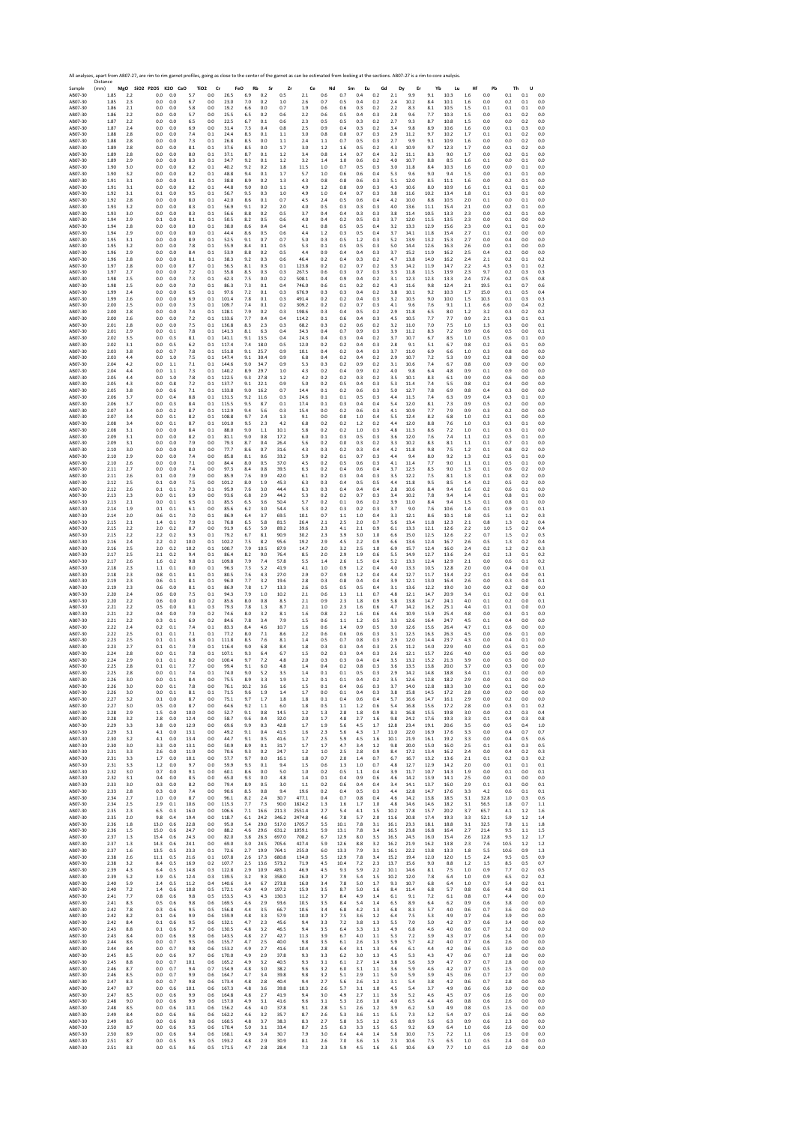Sample Distance (mm) **MgO SiO2 P2O5 K2O CaO TiO2 Cr FeO Rb Sr Zr Ce Nd Sm Eu Gd Dy Er Yb Lu Hf Pb Th U** AB07‐30 1.85 2.2 0.0 0.0 5.7 0.0 26.5 6.9 0.2 0.5 2.1 0.6 0.7 0.4 0.2 2.1 9.9 9.1 10.3 1.6 0.0 0.1 0.1 0.0 AB07‐30 1.85 2.3 0.0 0.0 6.7 0.0 23.0 7.0 0.2 1.0 2.6 0.7 0.5 0.4 0.2 2.4 10.2 8.4 10.1 1.6 0.0 0.2 0.1 0.0 AB07‐30 1.86 2.1 0.0 0.0 5.8 0.0 19.2 6.6 0.0 0.7 1.9 0.6 0.6 0.3 0.2 2.2 8.3 8.1 10.5 1.5 0.1 0.1 0.1 0.0 AB07‐30 1.86 2.2 0.0 0.0 5.7 0.0 25.5 6.5 0.2 0.6 2.2 0.6 0.5 0.4 0.3 2.8 9.6 7.7 10.3 1.5 0.0 0.1 0.2 0.0 AB07‐30 1.87 2.2 0.0 0.0 6.5 0.0 22.5 6.7 0.1 0.6 2.3 0.5 0.5 0.3 0.2 2.7 9.3 8.7 10.8 1.5 0.0 0.0 0.2 0.0 AB07‐30 1.87 2.4 0.0 0.0 6.9 0.0 31.4 7.3 0.4 0.8 2.5 0.9 0.4 0.3 0.2 3.4 9.8 8.9 10.6 1.6 0.0 0.1 0.3 0.0 AB07‐30 1.88 2.8 0.0 0.0 7.4 0.1 24.4 8.3 0.1 1.1 3.0 0.8 0.8 0.7 0.3 2.9 11.2 9.7 10.2 1.7 0.1 0.1 0.2 0.0 AB07‐30 1.88 2.8 0.0 0.0 7.3 0.1 26.8 8.5 0.0 1.1 2.4 1.1 0.7 0.5 0.3 2.7 9.9 9.1 10.9 1.6 0.0 0.0 0.2 0.0 AB07‐30 1.89 2.8 0.0 0.0 8.1 0.1 37.6 8.5 0.0 1.7 3.0 1.2 1.6 0.5 0.2 4.3 10.9 9.7 12.3 1.7 0.0 0.1 0.2 0.0 AB07‐30 1.89 2.8 0.0 0.0 8.0 0.1 37.1 8.7 0.1 1.2 3.4 0.8 1.4 0.7 0.4 3.2 11.1 8.3 9.0 1.7 0.0 0.2 0.1 0.0 AB07‐30 1.89 2.9 0.0 0.0 8.3 0.1 34.7 9.2 0.1 1.2 3.2 1.4 1.0 0.6 0.2 4.0 10.7 8.8 8.5 1.6 0.1 0.0 0.1 0.0 AB07‐30 1.90 3.0 0.0 0.0 8.2 0.1 40.2 9.2 0.2 1.8 11.5 1.0 0.7 0.5 0.3 3.0 11.8 8.4 10.3 1.6 0.0 0.0 0.1 0.0 AB07‐30 1.90 3.2 0.0 0.0 8.2 0.1 48.8 9.4 0.1 1.7 5.7 1.0 0.6 0.6 0.4 5.3 9.6 9.0 9.4 1.5 0.0 0.1 0.1 0.0 AB07‐30 1.91 3.1 0.0 0.0 8.1 0.1 38.8 8.9 0.2 1.3 4.3 0.8 0.8 0.6 0.3 5.1 12.0 8.5 11.1 1.6 0.0 0.2 0.1 0.0 AB07‐30 1.91 3.1 0.0 0.0 8.2 0.1 44.8 9.0 0.0 1.1 4.9 1.2 0.8 0.9 0.3 4.3 10.6 8.0 10.9 1.6 0.1 0.1 0.1 0.0 AB07‐30 1.92 3.1 0.1 0.0 9.5 0.1 56.7 9.5 0.3 1.0 4.9 1.0 0.4 0.7 0.3 3.8 11.6 10.2 13.4 1.8 0.1 0.3 0.1 0.0 AB07‐30 1.92 2.8 0.0 0.0 8.0 0.1 42.0 8.6 0.1 0.7 4.5 2.4 0.5 0.6 0.4 4.2 10.0 8.8 10.5 2.0 0.1 0.0 0.1 0.0 AB07‐30 1.93 3.2 0.0 0.0 8.3 0.1 56.9 9.1 0.2 2.0 4.0 0.5 0.3 0.3 0.3 4.0 13.6 11.1 15.4 2.1 0.0 0.2 0.1 0.0 AB07‐30 1.93 3.0 0.0 0.0 8.3 0.1 56.6 8.8 0.2 0.5 3.7 0.4 0.4 0.3 0.3 3.8 11.4 10.5 13.3 2.3 0.0 0.2 0.1 0.0 AB07‐30 1.94 2.9 0.1 0.0 8.1 0.1 50.5 8.2 0.5 0.6 4.0 0.4 0.2 0.5 0.3 3.7 12.0 11.5 13.5 2.3 0.0 0.1 0.0 0.0 AB07‐30 1.94 2.8 0.0 0.0 8.0 0.1 38.0 8.6 0.4 0.4 4.1 0.8 0.5 0.5 0.4 3.2 13.3 12.9 15.6 2.3 0.0 0.1 0.1 0.0 AB07‐30 1.94 2.9 0.0 0.0 8.0 0.1 44.4 8.6 0.5 0.6 4.4 1.2 0.3 0.5 0.4 3.7 14.1 11.8 15.4 2.7 0.1 0.2 0.0 0.0 AB07‐30 1.95 3.1 0.0 0.0 8.9 0.1 52.5 9.1 0.7 0.7 5.0 0.3 0.5 1.2 0.3 5.2 13.9 13.2 15.3 2.7 0.0 0.4 0.0 0.0 AB07‐30 1.95 3.2 0.0 0.0 7.8 0.1 55.9 8.4 0.1 0.5 5.3 0.1 0.5 0.5 0.3 5.0 14.4 12.6 16.3 2.6 0.0 0.1 0.0 0.0 AB07‐30 1.96 2.9 0.0 0.0 8.4 0.1 53.9 8.8 0.2 0.5 4.4 0.9 0.4 0.4 0.3 3.7 15.2 11.9 16.2 2.5 0.4 0.2 0.0 0.0 AB07‐30 1.96 2.8 0.0 0.0 8.1 0.1 38.3 9.2 0.3 0.6 46.4 0.2 0.4 0.3 0.2 4.7 13.8 14.0 16.2 2.4 2.1 0.2 0.1 0.2 AB07‐30 1.97 2.8 0.0 0.0 8.7 0.1 56.5 8.1 0.3 0.1 123.8 0.2 0.2 0.7 0.2 3.3 14.2 11.9 14.7 2.2 4.3 0.3 0.1 0.2 AB07‐30 1.97 2.7 0.0 0.0 7.2 0.1 55.8 8.5 0.3 0.3 267.5 0.6 0.3 0.7 0.3 3.3 11.8 11.5 13.9 2.3 9.7 0.2 0.3 0.3 AB07‐30 1.98 2.5 0.0 0.0 7.3 0.1 62.3 7.5 0.0 0.2 508.1 0.4 0.9 0.4 0.2 3.1 12.3 12.3 13.3 2.4 17.6 0.2 0.5 0.8 AB07‐30 1.98 2.5 0.0 0.0 7.0 0.1 86.3 7.3 0.1 0.4 746.0 0.6 0.1 0.2 0.2 4.3 11.6 9.8 12.4 2.1 19.5 0.1 0.7 0.6 AB07‐30 1.99 2.4 0.0 0.0 6.5 0.1 97.6 7.2 0.1 0.3 676.9 0.3 0.3 0.4 0.2 3.8 10.1 9.2 10.3 1.7 15.0 0.1 0.5 0.4 AB07‐30 1.99 2.6 0.0 0.0 6.9 0.1 101.4 7.8 0.1 0.3 491.4 0.2 0.2 0.4 0.3 3.2 10.5 9.0 10.0 1.5 10.3 0.1 0.3 0.3 AB07‐30 2.00 2.5 0.0 0.0 7.3 0.1 109.7 7.4 0.1 0.2 309.2 0.2 0.2 0.7 0.3 4.1 9.6 7.6 9.1 1.1 6.6 0.0 0.4 0.2 AB07‐30 2.00 2.8 0.0 0.0 7.4 0.1 128.1 7.9 0.2 0.3 198.6 0.3 0.4 0.5 0.2 2.9 11.8 6.5 8.0 1.2 3.2 0.3 0.2 0.2 AB07‐30 2.00 2.6 0.0 0.0 7.2 0.1 133.6 7.7 0.4 0.4 114.2 0.1 0.6 0.4 0.3 4.5 10.5 7.7 7.7 0.9 2.1 0.3 0.1 0.1 AB07‐30 2.01 2.8 0.0 0.0 7.5 0.1 136.8 8.3 2.3 0.3 68.2 0.3 0.2 0.6 0.2 3.2 11.0 7.0 7.5 1.0 1.3 0.3 0.0 0.1 AB07‐30 2.01 2.9 0.0 0.1 7.8 0.1 141.3 8.1 6.3 0.4 34.3 0.4 0.7 0.9 0.3 3.9 11.2 8.3 7.2 0.9 0.6 0.5 0.0 0.1 AB07‐30 2.02 3.5 0.0 0.3 8.1 0.1 141.1 9.1 13.5 0.4 24.3 0.4 0.3 0.4 0.2 3.7 10.7 6.7 8.5 1.0 0.5 0.6 0.1 0.0 AB07‐30 2.02 3.1 0.0 0.5 6.2 0.1 117.4 7.4 18.0 0.5 12.0 0.2 0.2 0.4 0.3 2.8 9.1 5.1 6.7 0.8 0.2 0.5 0.1 0.0 AB07‐30 2.03 3.8 0.0 0.7 7.8 0.1 151.8 9.1 25.7 0.9 10.1 0.4 0.2 0.4 0.3 3.7 11.0 6.9 6.6 1.0 0.3 0.8 0.0 0.0 AB07‐30 2.03 4.4 0.0 1.0 7.5 0.1 147.4 9.1 30.4 0.9 6.8 0.4 0.2 0.4 0.2 2.9 10.7 7.2 5.3 0.9 0.2 0.8 0.0 0.0 AB07‐30 2.04 4.2 0.0 1.1 7.1 0.1 144.6 9.0 34.7 0.9 5.3 0.3 0.2 0.9 0.2 3.1 10.6 7.4 6.7 0.8 0.0 0.9 0.0 0.0 AB07‐30 2.04 4.4 0.0 1.1 7.3 0.1 140.2 8.9 29.7 1.0 4.3 0.2 0.4 0.9 0.2 4.0 9.8 6.4 4.8 0.9 0.1 0.9 0.0 0.0 AB07‐30 2.05 4.4 0.0 1.0 7.8 0.1 122.5 9.3 27.8 1.2 4.2 0.2 0.2 0.3 0.2 3.5 10.1 8.3 6.1 0.9 0.0 0.6 0.0 0.0 AB07‐30 2.05 4.3 0.0 0.8 7.2 0.1 137.7 9.1 22.1 0.9 5.0 0.2 0.5 0.4 0.3 5.3 11.4 7.4 5.5 0.8 0.2 0.4 0.0 0.0 AB07‐30 2.05 3.8 0.0 0.6 7.1 0.1 133.8 9.0 16.2 0.7 14.4 0.1 0.2 0.6 0.3 5.0 12.7 7.8 6.9 0.8 0.4 0.3 0.0 0.0 AB07‐30 2.06 3.7 0.0 0.4 8.8 0.1 131.5 9.2 11.6 0.3 24.6 0.1 0.1 0.5 0.3 4.4 11.5 7.4 6.3 0.9 0.4 0.3 0.1 0.0 AB07‐30 2.06 3.7 0.0 0.3 8.4 0.1 115.5 9.5 8.7 0.1 17.4 0.1 0.3 0.4 0.4 5.4 12.0 8.1 7.3 0.9 0.5 0.2 0.0 0.0 AB07‐30 2.07 3.4 0.0 0.2 8.7 0.1 112.9 9.4 5.6 0.3 15.4 0.0 0.2 0.6 0.3 4.1 10.9 7.7 7.9 0.9 0.3 0.2 0.0 0.0 AB07‐30 2.07 3.4 0.0 0.1 8.2 0.1 108.8 9.7 2.4 1.3 9.1 0.0 0.0 1.0 0.4 5.5 12.4 8.2 6.8 1.0 0.2 0.1 0.0 0.0 AB07‐30 2.08 3.4 0.0 0.1 8.7 0.1 101.0 9.5 2.3 4.2 6.8 0.2 0.2 1.2 0.2 4.4 12.0 8.8 7.6 1.0 0.3 0.3 0.1 0.0 AB07‐30 2.08 3.1 0.0 0.0 8.4 0.1 88.0 9.0 1.1 10.1 5.8 0.2 0.2 1.0 0.3 4.8 11.3 8.6 7.2 1.0 0.1 0.3 0.1 0.0 AB07‐30 2.09 3.1 0.0 0.0 8.2 0.1 81.1 9.0 0.8 17.2 6.0 0.1 0.3 0.5 0.3 3.6 12.0 7.6 7.4 1.1 0.2 0.5 0.1 0.0 AB07‐30 2.09 3.1 0.0 0.0 7.9 0.0 79.3 8.7 0.4 26.4 5.6 0.2 0.0 0.3 0.2 3.3 10.2 8.3 8.1 1.1 0.1 0.7 0.1 0.0 AB07‐30 2.10 3.0 0.0 0.0 8.0 0.0 77.7 8.6 0.7 31.6 4.3 0.3 0.2 0.3 0.4 4.2 11.8 9.8 7.5 1.2 0.1 0.8 0.2 0.0 AB07‐30 2.10 2.9 0.0 0.0 7.4 0.0 85.8 8.1 0.6 33.2 5.9 0.2 0.1 0.7 0.3 4.4 9.4 8.0 9.2 1.3 0.2 0.5 0.1 0.0 AB07‐30 2.10 2.6 0.0 0.0 7.1 0.0 84.4 8.0 0.5 37.0 4.5 0.2 0.5 0.6 0.3 4.1 11.4 7.7 9.0 1.1 0.1 0.5 0.1 0.0 AB07‐30 2.11 2.7 0.0 0.0 7.4 0.0 97.3 8.4 0.8 39.5 6.3 0.2 0.4 0.6 0.4 3.7 12.5 8.5 9.0 1.3 0.1 0.6 0.2 0.0 AB07‐30 2.11 2.6 0.1 0.0 7.9 0.0 85.9 7.6 0.9 42.0 6.1 0.2 0.3 0.4 0.3 3.5 12.2 7.5 8.1 1.3 0.1 0.8 0.2 0.0 AB07‐30 2.12 2.5 0.1 0.0 7.5 0.0 101.2 8.0 1.9 45.3 6.3 0.3 0.4 0.5 0.5 4.4 11.8 9.5 8.5 1.4 0.2 0.5 0.2 0.0 AB07‐30 2.12 2.6 0.1 0.1 7.3 0.1 95.9 7.6 3.0 44.4 6.3 0.3 0.4 0.4 0.4 2.8 10.6 8.4 9.4 1.6 0.2 0.6 0.1 0.0 AB07‐30 2.13 2.3 0.0 0.1 6.9 0.0 93.6 6.8 2.9 44.2 5.3 0.2 0.2 0.7 0.3 3.4 10.2 7.8 9.4 1.4 0.1 0.8 0.1 0.0 AB07‐30 2.13 2.1 0.0 0.1 6.5 0.1 85.5 6.5 3.6 50.4 5.7 0.2 0.1 0.6 0.2 3.9 11.0 8.4 9.4 1.5 0.1 0.8 0.1 0.0 AB07‐30 2.14 1.9 0.1 0.1 6.1 0.0 85.6 6.2 3.0 54.4 5.3 0.2 0.3 0.2 0.3 3.7 9.0 7.6 10.6 1.4 0.1 0.9 0.1 0.1 AB07‐30 2.14 2.0 0.6 0.1 7.0 0.1 86.9 6.4 3.7 69.5 10.1 0.7 1.1 1.0 0.4 3.3 12.1 8.6 10.1 1.8 0.5 1.1 0.2 0.3 AB07‐30 2.15 2.1 1.4 0.1 7.9 0.1 76.8 6.5 5.8 81.5 26.4 2.1 2.5 2.0 0.7 5.6 13.4 11.8 12.3 2.1 0.8 1.3 0.2 0.4 AB07‐30 2.15 2.2 2.0 0.2 8.7 0.0 91.9 6.5 5.9 89.2 39.6 2.3 4.1 2.1 0.9 6.1 13.3 12.1 12.6 2.2 1.0 1.5 0.2 0.4 AB07‐30 2.15 2.2 2.2 0.2 9.3 0.1 79.2 6.7 8.1 90.9 30.2 2.3 3.9 3.0 1.0 6.6 15.0 12.5 12.6 2.2 0.7 1.5 0.2 0.3 AB07‐30 2.16 2.4 2.2 0.2 10.0 0.1 102.2 7.5 8.2 95.6 19.2 2.9 4.5 2.2 0.9 6.6 13.6 12.4 16.7 2.6 0.5 1.3 0.2 0.4 AB07‐30 2.16 2.5 2.0 0.2 10.2 0.1 100.7 7.9 10.5 87.9 14.7 2.0 3.2 2.5 1.0 6.9 15.7 12.4 16.0 2.4 0.2 1.2 0.2 0.3 AB07‐30 2.17 2.5 2.1 0.2 9.4 0.1 86.4 8.2 9.0 76.4 8.5 2.0 2.9 1.9 0.6 5.5 14.9 12.7 13.6 2.4 0.2 1.3 0.1 0.2 AB07‐30 2.17 2.6 1.6 0.2 9.8 0.1 109.8 7.9 7.4 57.8 5.5 1.4 2.6 1.5 0.4 5.2 13.3 12.4 12.9 2.1 0.0 0.6 0.1 0.2 AB07‐30 2.18 2.3 1.1 0.1 8.0 0.1 96.3 7.3 5.2 41.9 4.1 1.0 0.9 1.2 0.4 4.0 13.3 10.5 12.8 2.0 0.0 0.4 0.0 0.1 AB07‐30 2.18 2.3 0.8 0.1 8.1 0.1 80.5 7.6 4.3 27.0 2.9 0.7 0.9 1.2 0.4 4.4 12.7 11.7 13.4 2.2 0.1 0.4 0.0 0.1 AB07‐30 2.19 2.3 0.6 0.1 8.1 0.1 96.0 7.7 3.2 19.6 2.8 0.3 0.8 0.4 0.4 3.9 12.1 13.0 16.4 2.6 0.0 0.3 0.0 0.1 AB07‐30 2.19 2.3 0.6 0.0 8.1 0.1 86.9 7.8 1.7 13.3 2.6 0.5 0.5 0.5 0.4 3.1 13.6 12.2 19.0 3.0 0.0 0.2 0.0 0.0 AB07‐30 2.20 2.4 0.6 0.0 7.5 0.1 94.3 7.9 1.0 10.2 2.1 0.6 1.3 1.1 0.7 4.8 12.1 14.7 20.9 3.4 0.1 0.2 0.0 0.1 AB07‐30 2.20 2.2 0.6 0.0 8.0 0.2 85.6 8.0 0.8 8.5 2.1 0.9 2.3 1.8 0.9 5.8 13.8 14.7 24.1 4.0 0.1 0.2 0.0 0.1 AB07‐30 2.21 2.2 0.5 0.0 8.1 0.3 79.3 7.8 1.3 8.7 2.1 1.0 2.3 1.6 0.6 4.7 14.2 16.2 25.1 4.4 0.1 0.1 0.0 0.0 AB07‐30 2.21 2.2 0.4 0.0 7.9 0.2 74.6 8.0 3.2 8.1 1.6 0.8 2.2 1.6 0.6 4.6 10.9 15.9 25.4 4.8 0.0 0.3 0.1 0.0 AB07‐30 2.21 2.2 0.3 0.1 6.9 0.2 84.6 7.8 3.4 7.9 1.5 0.6 1.1 1.2 0.5 3.3 12.6 16.4 24.7 4.5 0.1 0.4 0.0 0.0 AB07‐30 2.22 2.4 0.2 0.1 7.4 0.1 83.3 8.4 4.6 10.7 1.6 0.6 1.4 0.9 0.5 3.0 12.6 15.6 26.4 4.7 0.1 0.6 0.0 0.0 AB07‐30 2.22 2.5 0.1 0.1 7.1 0.1 77.2 8.0 7.1 8.6 2.2 0.6 0.6 0.6 0.3 3.1 12.5 16.3 26.3 4.5 0.0 0.6 0.1 0.0 AB07‐30 2.23 2.5 0.1 0.1 6.8 0.1 111.8 8.5 7.6 8.1 1.4 0.5 0.7 0.8 0.3 2.9 12.0 14.4 23.7 4.3 0.0 0.4 0.1 0.0 AB07‐30 2.23 2.7 0.1 0.1 7.9 0.1 116.4 9.0 6.8 8.4 1.8 0.3 0.3 0.4 0.3 2.5 11.2 14.0 22.9 4.0 0.0 0.5 0.1 0.0 AB07‐30 2.24 2.8 0.0 0.1 7.8 0.1 107.1 9.3 6.4 6.7 1.5 0.2 0.3 0.4 0.3 2.6 12.1 15.7 22.6 4.0 0.0 0.5 0.0 0.0 AB07‐30 2.24 2.9 0.1 0.1 8.2 0.0 100.4 9.7 7.2 4.8 2.0 0.3 0.3 0.4 0.4 3.5 13.2 15.2 21.3 3.9 0.0 0.5 0.0 0.0 AB07‐30 2.25 2.8 0.1 0.1 7.7 0.0 99.4 9.1 6.0 4.8 1.4 0.4 0.2 0.8 0.3 3.6 13.5 13.8 20.0 3.7 0.0 0.3 0.0 0.0 AB07‐30 2.25 2.8 0.0 0.1 7.4 0.1 74.0 9.0 5.2 3.5 1.4 0.1 0.1 0.5 0.3 2.9 14.2 14.8 18.8 3.4 0.1 0.2 0.0 0.0 AB07‐30 2.26 3.0 0.0 0.1 8.4 0.0 75.5 8.9 3.3 1.9 1.2 0.1 0.1 0.4 0.2 3.5 12.6 12.8 18.2 2.9 0.0 0.1 0.0 0.0 AB07‐30 2.26 3.0 0.0 0.1 7.8 0.0 76.1 10.2 3.6 1.6 1.5 0.1 0.4 0.6 0.3 3.7 14.0 12.8 18.3 3.0 0.0 0.1 0.0 0.0 AB07‐30 2.26 3.0 0.0 0.1 8.1 0.1 71.5 9.6 1.9 1.4 1.7 0.0 0.1 0.4 0.3 3.8 15.8 14.5 17.2 2.8 0.0 0.0 0.0 0.0 AB07‐30 2.27 3.2 0.1 0.0 8.7 0.0 75.1 9.7 1.7 1.8 1.8 0.1 0.4 0.6 0.4 5.7 16.6 14.7 16.1 2.9 0.0 0.2 0.0 0.0 AB07‐30 2.27 3.0 0.5 0.0 8.7 0.0 64.6 9.2 1.1 6.0 1.8 0.5 1.1 1.2 0.6 5.4 16.8 15.6 17.2 2.8 0.0 0.3 0.1 0.2 AB07‐30 2.28 2.9 1.5 0.0 10.0 0.0 52.7 9.1 0.8 14.5 1.2 1.3 2.8 1.8 0.9 8.3 16.8 15.5 19.8 3.0 0.0 0.2 0.3 0.4 AB07‐30 2.28 3.2 2.8 0.0 12.4 0.0 58.7 9.6 0.4 32.0 2.0 1.7 4.8 2.7 1.6 9.8 24.2 17.6 19.3 3.3 0.1 0.4 0.3 0.8 AB07‐30 2.29 3.3 3.8 0.0 12.9 0.0 69.6 9.9 0.3 42.8 1.7 1.9 5.6 4.5 1.7 12.8 23.4 19.1 20.6 3.5 0.0 0.5 0.4 1.0 AB07‐30 2.29 3.1 4.1 0.0 13.1 0.0 49.2 9.1 0.4 41.5 1.6 2.3 5.6 4.3 1.7 11.0 22.0 16.9 17.6 3.3 0.0 0.4 0.7 0.7 AB07‐30 2.30 3.2 4.1 0.0 13.4 0.0 44.7 9.1 0.5 41.6 1.7 2.5 5.9 4.5 1.6 10.1 21.9 16.1 19.2 3.3 0.0 0.4 0.5 0.6 AB07‐30 2.30 3.0 3.3 0.0 13.1 0.0 50.9 8.9 0.1 31.7 1.7 1.7 4.7 3.4 1.2 9.8 20.0 15.0 16.0 2.5 0.1 0.3 0.3 0.5 AB07‐30 2.31 3.3 2.6 0.0 11.9 0.0 70.6 9.3 0.2 24.7 1.2 1.0 2.5 2.8 0.9 8.4 17.2 13.4 16.2 2.4 0.0 0.4 0.2 0.3 AB07‐30 2.31 3.3 1.7 0.0 10.1 0.0 57.7 9.7 0.0 16.1 1.8 0.7 2.0 1.4 0.7 6.7 16.7 13.2 13.6 2.1 0.1 0.2 0.3 0.2 AB07‐30 2.31 3.3 1.2 0.0 9.7 0.0 59.9 9.3 0.1 9.4 1.5 0.6 1.3 1.0 0.7 4.8 12.7 12.9 14.2 2.0 0.0 0.1 0.1 0.1 AB07‐30 2.32 3.0 0.7 0.0 9.1 0.0 60.1 8.6 0.0 5.0 1.0 0.2 0.5 1.1 0.4 3.9 11.7 10.7 14.3 1.9 0.0 0.1 0.0 0.1 AB07‐30 2.32 3.1 0.4 0.0 8.5 0.0 65.0 9.3 0.0 4.8 1.4 0.1 0.4 0.9 0.6 4.6 14.2 13.9 14.1 2.5 0.0 0.1 0.0 0.0 AB07‐30 2.33 3.0 0.3 0.0 8.2 0.0 79.4 8.9 0.5 3.0 1.1 0.2 0.6 0.4 0.4 3.4 14.1 13.7 16.0 2.9 0.1 0.3 0.0 0.1 AB07‐30 2.33 2.8 0.3 0.0 7.4 0.0 90.6 8.5 0.8 9.4 19.6 0.2 0.4 0.5 0.3 4.4 12.8 14.7 17.6 3.3 4.2 0.6 0.1 0.1 AB07‐30 2.34 2.7 1.0 0.0 8.7 0.0 96.1 8.2 2.4 30.7 477.1 0.4 0.7 0.8 0.4 4.6 14.2 13.8 18.5 3.1 32.8 1.0 0.3 0.6 AB07‐30 2.34 2.5 2.9 0.1 10.6 0.0 115.3 7.7 7.3 90.0 1824.2 1.3 1.6 1.7 1.0 4.8 14.6 14.6 18.2 3.1 56.5 1.8 0.7 1.1 AB07‐30 2.35 2.3 6.5 0.3 16.0 0.0 106.6 7.1 16.6 211.3 2551.4 2.7 5.4 4.1 1.5 10.2 17.8 15.7 20.2 3.7 65.7 4.1 1.2 1.6 AB07‐30 2.35 2.0 9.8 0.4 19.4 0.0 118.7 6.1 24.2 346.2 2474.8 4.6 7.8 5.7 2.0 11.6 20.8 17.4 19.3 3.3 52.1 5.9 1.2 1.4 AB07‐30 2.36 1.8 13.0 0.6 22.8 0.0 95.0 5.4 29.0 517.0 1705.7 5.5 10.1 7.8 3.1 16.1 23.3 18.1 18.8 3.1 32.5 7.8 1.1 1.8 AB07‐30 2.36 1.5 15.0 0.6 24.7 0.0 88.2 4.6 29.6 631.2 1059.1 5.9 13.1 7.8 3.4 16.5 23.8 16.8 16.4 2.7 21.4 9.5 1.1 1.5 AB07‐30 2.37 1.3 15.4 0.6 24.3 0.0 82.0 3.8 26.3 697.0 708.2 6.7 12.9 8.0 3.5 16.5 24.5 16.0 15.4 2.6 12.8 9.5 1.2 1.7 AB07‐30 2.37 1.3 14.3 0.6 24.1 0.0 69.0 3.0 24.5 705.6 427.4 5.9 12.6 8.8 3.2 16.2 21.9 16.2 13.8 2.3 7.6 10.5 1.2 1.2 AB07‐30 2.37 1.6 13.5 0.5 23.3 0.1 72.6 2.7 19.9 764.1 255.0 6.0 13.3 7.9 3.1 16.1 22.2 13.8 13.3 1.8 5.5 10.6 0.9 1.3 AB07‐30 2.38 2.6 11.1 0.5 21.6 0.1 107.8 2.6 17.3 680.8 134.0 5.5 12.9 7.8 3.4 15.2 19.4 12.0 12.0 1.5 2.4 9.5 0.5 0.9 AB07‐30 2.38 3.2 8.4 0.5 16.9 0.2 107.7 2.5 13.6 573.2 71.9 4.5 10.4 7.2 2.3 13.7 15.6 9.0 8.8 1.2 1.5 8.5 0.5 0.7 AB07‐30 2.39 4.3 6.4 0.5 14.8 0.3 122.8 2.9 10.9 485.1 46.9 4.5 9.3 5.9 2.2 10.1 14.6 8.1 7.5 1.0 0.9 7.7 0.2 0.5 AB07‐30 2.39 5.2 3.9 0.5 12.4 0.3 139.5 3.2 9.3 358.0 26.0 3.7 7.9 5.4 1.5 10.2 12.0 7.8 6.4 1.0 0.9 6.5 0.2 0.2 AB07‐30 2.40 5.9 2.4 0.5 11.2 0.4 140.6 3.4 6.7 273.8 16.0 3.4 7.8 5.0 1.7 9.3 10.7 6.8 6.4 1.0 0.7 5.4 0.2 0.1 AB07‐30 2.40 7.2 1.4 0.6 10.8 0.5 172.1 4.0 4.9 197.2 15.9 3.5 8.7 5.0 1.6 8.4 11.4 6.8 5.7 0.8 0.6 4.8 0.0 0.1 AB07‐30 2.41 7.7 0.8 0.6 9.8 0.5 153.5 4.3 4.3 130.3 11.2 3.7 8.4 4.9 1.4 6.1 9.1 7.2 6.1 0.8 0.7 4.4 0.0 0.0 AB07‐30 2.41 8.3 0.5 0.6 9.8 0.6 169.5 4.6 2.9 93.6 10.5 3.5 8.4 5.4 1.4 6.5 8.9 6.4 6.2 0.9 0.6 3.8 0.0 0.0 AB07‐30 2.42 7.8 0.3 0.6 9.5 0.5 156.8 4.4 3.5 66.7 10.6 3.4 6.8 4.2 1.3 6.8 8.3 5.7 4.0 0.6 0.7 3.6 0.0 0.0 AB07‐30 2.42 8.2 0.1 0.6 9.9 0.6 159.9 4.8 3.3 57.9 10.0 3.7 7.5 3.6 1.2 6.4 7.5 5.3 4.9 0.7 0.6 3.9 0.0 0.0 AB07‐30 2.42 8.4 0.1 0.6 9.5 0.6 132.1 4.7 2.3 45.6 9.4 3.3 7.2 3.8 1.3 5.5 7.0 5.0 4.2 0.7 0.6 3.4 0.0 0.0 AB07‐30 2.43 8.8 0.1 0.6 9.7 0.6 130.5 4.8 3.2 46.5 9.4 3.5 6.4 3.3 1.3 4.9 6.8 4.6 4.0 0.6 0.7 3.2 0.0 0.0 AB07‐30 2.43 8.4 0.0 0.6 9.8 0.6 143.5 4.8 2.7 42.7 11.3 3.9 6.7 4.0 1.1 5.3 7.2 3.9 4.3 0.7 0.6 3.4 0.0 0.0 AB07‐30 2.44 8.6 0.0 0.7 9.5 0.6 155.7 4.7 2.5 40.0 9.8 3.5 6.1 2.6 1.3 5.9 5.7 4.2 4.0 0.7 0.6 2.6 0.0 0.0 AB07‐30 2.44 8.4 0.0 0.7 9.8 0.6 153.2 4.9 2.7 41.6 10.4 2.8 6.4 3.1 1.3 4.6 6.1 4.4 4.2 0.6 0.5 3.0 0.0 0.0 AB07‐30 2.45 8.5 0.0 0.6 9.7 0.6 170.0 4.9 2.9 37.8 9.3 3.3 6.2 3.0 1.3 4.5 5.3 4.3 4.7 0.6 0.7 2.8 0.0 0.0 AB07‐30 2.45 8.8 0.0 0.7 10.1 0.6 165.2 4.9 3.2 40.5 9.3 3.1 6.1 2.7 1.4 3.8 5.6 3.9 4.7 0.7 0.7 2.8 0.0 0.0 AB07‐30 2.46 8.7 0.0 0.7 9.4 0.7 154.9 4.8 3.0 38.2 9.6 3.2 6.0 3.1 1.1 3.6 5.9 4.6 4.2 0.7 0.5 2.5 0.0 0.0 AB07‐30 2.46 8.5 0.0 0.7 9.9 0.6 164.7 4.7 3.4 39.8 9.8 3.2 5.1 2.9 1.1 5.0 5.9 3.9 4.5 0.6 0.7 2.7 0.0 0.0 AB07‐30 2.47 8.3 0.0 0.7 9.8 0.6 173.4 4.8 2.8 40.4 9.4 2.7 5.6 2.6 1.2 3.1 5.4 3.8 4.2 0.6 0.7 2.8 0.0 0.0 AB07‐30 2.47 8.7 0.0 0.6 10.1 0.6 167.3 4.8 3.6 39.8 10.3 2.6 5.7 3.1 1.0 4.5 5.4 3.7 4.9 0.6 0.6 3.0 0.0 0.0 AB07‐30 2.47 8.5 0.0 0.6 9.9 0.6 164.8 4.8 2.7 41.9 9.4 3.0 4.9 2.7 1.1 3.6 5.2 4.6 4.5 0.7 0.6 2.6 0.0 0.0 AB07‐30 2.48 9.0 0.0 0.6 9.9 0.6 157.0 4.9 3.1 41.6 9.6 3.1 5.3 2.6 1.0 4.0 6.5 4.4 4.6 0.8 0.6 2.6 0.0 0.0 AB07‐30 2.48 8.5 0.0 0.6 10.1 0.6 156.2 4.6 4.0 37.8 9.1 2.8 5.1 2.6 1.2 3.9 6.2 5.0 4.9 0.8 0.5 2.5 0.0 0.0 AB07‐30 2.49 8.4 0.0 0.6 9.6 0.6 162.2 4.6 3.2 35.7 8.7 2.6 5.3 3.6 1.1 5.5 7.3 5.2 5.4 0.7 0.5 2.6 0.0 0.0 AB07‐30 2.49 8.6 0.0 0.6 9.8 0.6 160.5 4.8 3.7 38.3 8.3 2.7 5.8 3.5 1.2 6.5 8.9 5.6 6.3 0.9 0.6 2.3 0.0 0.0 AB07‐30 2.50 8.7 0.0 0.6 9.5 0.6 170.4 5.0 3.1 33.4 8.7 2.5 6.3 3.3 1.5 6.5 9.2 6.9 6.4 1.0 0.6 2.6 0.0 0.0 AB07‐30 2.50 8.9 0.0 0.6 9.4 0.6 168.1 4.9 3.4 30.7 7.9 3.0 6.4 4.4 1.4 5.8 10.0 7.5 7.2 1.1 0.6 2.5 0.0 0.0 AB07‐30 2.51 8.7 0.0 0.5 9.5 0.5 193.2 4.8 2.9 30.9 8.1 2.6 7.0 3.6 1.5 7.3 10.6 7.5 6.5 1.0 0.5 2.4 0.0 0.0 AB07‐30 2.51 8.3 0.0 0.5 9.6 0.5 171.5 4.7 2.8 28.4 7.3 2.3 5.9 4.5 1.6 6.5 10.6 6.9 7.7 1.0 0.5 2.0 0.0 0.0

All analyses, apart from AB07‐27, are rim to rim garnet profiles, going as close to the center of the garnet as can be estimated from looking at the sections. AB07‐27 is a rim to core analysis.